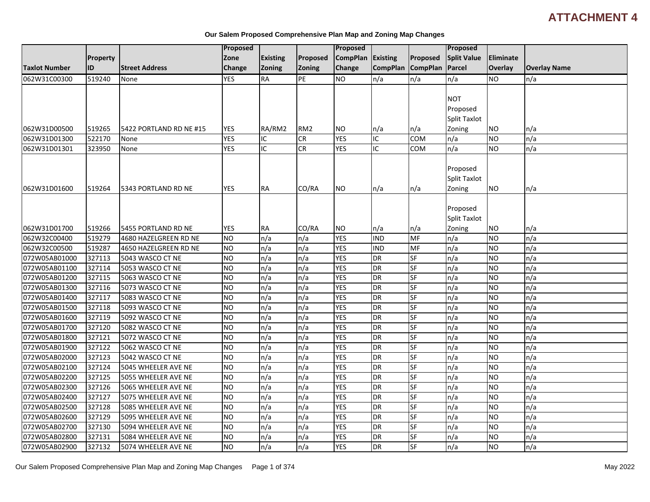# **ATTACHMENT 4**

|                      |          |                         | <b>Proposed</b> |                 |                 | Proposed          |                |                   | <b>Proposed</b>     |                |                     |
|----------------------|----------|-------------------------|-----------------|-----------------|-----------------|-------------------|----------------|-------------------|---------------------|----------------|---------------------|
|                      | Property |                         | Zone            | <b>Existing</b> | Proposed        | CompPlan Existing |                | Proposed          | <b>Split Value</b>  | Eliminate      |                     |
| <b>Taxlot Number</b> | ID       | <b>Street Address</b>   | Change          | Zoning          | Zoning          | Change            |                | CompPlan CompPlan | Parcel              | Overlay        | <b>Overlay Name</b> |
| 062W31C00300         | 519240   | None                    | <b>YES</b>      | <b>RA</b>       | PE              | Ю                 | n/a            | n/a               | n/a                 | <b>NO</b>      | n/a                 |
|                      |          |                         |                 |                 |                 |                   |                |                   |                     |                |                     |
|                      |          |                         |                 |                 |                 |                   |                |                   | <b>NOT</b>          |                |                     |
|                      |          |                         |                 |                 |                 |                   |                |                   | Proposed            |                |                     |
|                      |          |                         |                 |                 |                 |                   |                |                   | <b>Split Taxlot</b> |                |                     |
| 062W31D00500         | 519265   | 5422 PORTLAND RD NE #15 | <b>YES</b>      | RA/RM2          | RM <sub>2</sub> | NO.               | n/a            | n/a               | Zoning              | <b>NO</b>      | n/a                 |
| 062W31D01300         | 522170   | None                    | <b>YES</b>      | IC              | <b>CR</b>       | <b>YES</b>        | IC             | COM               | n/a                 | <b>NO</b>      | n/a                 |
| 062W31D01301         | 323950   | None                    | <b>YES</b>      | IC              | <b>CR</b>       | <b>YES</b>        | IC             | COM               | n/a                 | <b>NO</b>      | n/a                 |
|                      |          |                         |                 |                 |                 |                   |                |                   |                     |                |                     |
|                      |          |                         |                 |                 |                 |                   |                |                   | Proposed            |                |                     |
|                      |          |                         |                 |                 |                 |                   |                |                   | <b>Split Taxlot</b> |                |                     |
| 062W31D01600         | 519264   | 5343 PORTLAND RD NE     | <b>YES</b>      | RA              | CO/RA           | <b>NO</b>         | n/a            | n/a               | Zoning              | <b>NO</b>      | n/a                 |
|                      |          |                         |                 |                 |                 |                   |                |                   |                     |                |                     |
|                      |          |                         |                 |                 |                 |                   |                |                   | Proposed            |                |                     |
|                      |          |                         |                 |                 |                 |                   |                |                   | Split Taxlot        |                |                     |
| 062W31D01700         | 519266   | 5455 PORTLAND RD NE     | <b>YES</b>      | <b>RA</b>       | CO/RA           | NO.               | n/a            | n/a               | Zoning              | <b>NO</b>      | n/a                 |
| 062W32C00400         | 519279   | 4680 HAZELGREEN RD NE   | $\overline{NO}$ | n/a             | n/a             | <b>YES</b>        | <b>IND</b>     | <b>MF</b>         | n/a                 | <b>NO</b>      | n/a                 |
| 062W32C00500         | 519287   | 4650 HAZELGREEN RD NE   | <b>NO</b>       | n/a             | n/a             | <b>YES</b>        | <b>IND</b>     | MF                | n/a                 | <b>NO</b>      | n/a                 |
| 072W05AB01000        | 327113   | 5043 WASCO CT NE        | <b>NO</b>       | n/a             | n/a             | <b>YES</b>        | <b>DR</b>      | SF                | n/a                 | <b>NO</b>      | n/a                 |
| 072W05AB01100        | 327114   | 5053 WASCO CT NE        | $\overline{NO}$ | n/a             | n/a             | <b>YES</b>        | <b>DR</b>      | <b>SF</b>         | n/a                 | N <sub>O</sub> | n/a                 |
| 072W05AB01200        | 327115   | 5063 WASCO CT NE        | $\overline{NO}$ | n/a             | n/a             | <b>YES</b>        | DR             | SF                | n/a                 | <b>NO</b>      | n/a                 |
| 072W05AB01300        | 327116   | 5073 WASCO CT NE        | <b>NO</b>       | n/a             | n/a             | <b>YES</b>        | <b>DR</b>      | SF                | n/a                 | <b>NO</b>      | n/a                 |
| 072W05AB01400        | 327117   | 5083 WASCO CT NE        | <b>NO</b>       | n/a             | n/a             | <b>YES</b>        | <b>DR</b>      | SF                | n/a                 | <b>NO</b>      | n/a                 |
| 072W05AB01500        | 327118   | 5093 WASCO CT NE        | Ю               | n/a             | n/a             | <b>YES</b>        | <b>DR</b>      | <b>SF</b>         | n/a                 | N <sub>O</sub> | n/a                 |
| 072W05AB01600        | 327119   | 5092 WASCO CT NE        | <b>NO</b>       | n/a             | n/a             | <b>YES</b>        | <b>DR</b>      | SF                | n/a                 | <b>NO</b>      | n/a                 |
| 072W05AB01700        | 327120   | 5082 WASCO CT NE        | $\overline{NO}$ | n/a             | n/a             | <b>YES</b>        | $\overline{R}$ | <b>SF</b>         | n/a                 | <b>NO</b>      | $\overline{n/a}$    |
| 072W05AB01800        | 327121   | 5072 WASCO CT NE        | ZО              | n/a             | n/a             | <b>YES</b>        | <b>DR</b>      | <b>SF</b>         | n/a                 | <b>NO</b>      | n/a                 |
| 072W05AB01900        | 327122   | 5062 WASCO CT NE        | <b>NO</b>       | n/a             | n/a             | <b>YES</b>        | <b>DR</b>      | <b>SF</b>         | n/a                 | <b>NO</b>      | n/a                 |
| 072W05AB02000        | 327123   | 5042 WASCO CT NE        | $\overline{NO}$ | n/a             | n/a             | <b>YES</b>        | <b>DR</b>      | SF                | n/a                 | <b>NO</b>      | n/a                 |
| 072W05AB02100        | 327124   | 5045 WHEELER AVE NE     | Ю               | n/a             | n/a             | <b>YES</b>        | <b>DR</b>      | SF                | n/a                 | <b>NO</b>      | n/a                 |
| 072W05AB02200        | 327125   | 5055 WHEELER AVE NE     | $\overline{NO}$ | n/a             | n/a             | <b>YES</b>        | <b>DR</b>      | SF                | n/a                 | <b>NO</b>      | n/a                 |
| 072W05AB02300        | 327126   | 5065 WHEELER AVE NE     | <b>NO</b>       | n/a             | n/a             | <b>YES</b>        | <b>DR</b>      | SF                | n/a                 | <b>NO</b>      | n/a                 |
| 072W05AB02400        | 327127   | 5075 WHEELER AVE NE     | ŌИ              | n/a             | n/a             | <b>YES</b>        | <b>DR</b>      | SF                | n/a                 | <b>NO</b>      | n/a                 |
| 072W05AB02500        | 327128   | 5085 WHEELER AVE NE     | $\overline{NO}$ | n/a             | n/a             | <b>YES</b>        | <b>DR</b>      | <b>SF</b>         | n/a                 | <b>NO</b>      | n/a                 |
| 072W05AB02600        | 327129   | 5095 WHEELER AVE NE     | <b>NO</b>       | n/a             | n/a             | <b>YES</b>        | <b>DR</b>      | SF                | n/a                 | <b>NO</b>      | n/a                 |
| 072W05AB02700        | 327130   | 5094 WHEELER AVE NE     | NO              | n/a             | n/a             | <b>YES</b>        | <b>DR</b>      | SF                | n/a                 | <b>NO</b>      | n/a                 |
| 072W05AB02800        | 327131   | 5084 WHEELER AVE NE     | <b>NO</b>       | n/a             | n/a             | <b>YES</b>        | <b>DR</b>      | SF                | n/a                 | <b>NO</b>      | n/a                 |
| 072W05AB02900        | 327132   | 5074 WHEELER AVE NE     | <b>NO</b>       | n/a             | n/a             | <b>YES</b>        | <b>DR</b>      | SF                | n/a                 | <b>NO</b>      | n/a                 |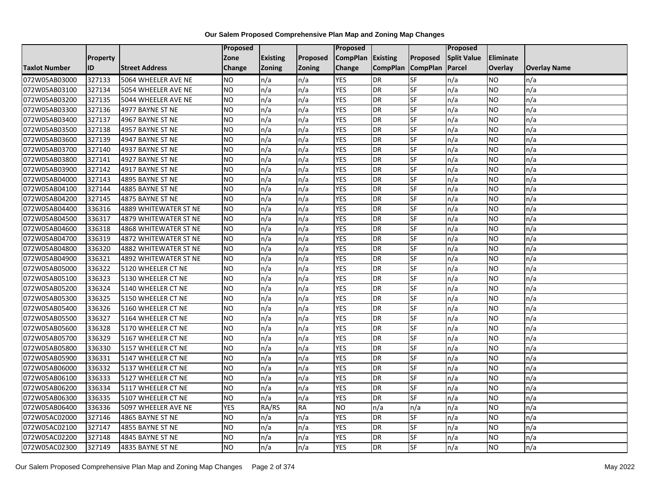|                      |                 |                       | Proposed   |                 |               | Proposed        |                 |                 | Proposed           |           |                     |
|----------------------|-----------------|-----------------------|------------|-----------------|---------------|-----------------|-----------------|-----------------|--------------------|-----------|---------------------|
|                      | <b>Property</b> |                       | Zone       | <b>Existing</b> | Proposed      | <b>CompPlan</b> | Existing        | Proposed        | <b>Split Value</b> | Eliminate |                     |
| <b>Taxlot Number</b> | ID              | <b>Street Address</b> | Change     | Zoning          | <b>Zoning</b> | Change          | <b>CompPlan</b> | <b>CompPlan</b> | Parcel             | Overlay   | <b>Overlay Name</b> |
| 072W05AB03000        | 327133          | 5064 WHEELER AVE NE   | <b>NO</b>  | n/a             | n/a           | <b>YES</b>      | <b>DR</b>       | <b>SF</b>       | n/a                | NO        | n/a                 |
| 072W05AB03100        | 327134          | 5054 WHEELER AVE NE   | <b>NO</b>  | n/a             | n/a           | <b>YES</b>      | DR              | <b>SF</b>       | n/a                | NO.       | n/a                 |
| 072W05AB03200        | 327135          | 5044 WHEELER AVE NE   | <b>NO</b>  | n/a             | n/a           | <b>YES</b>      | DR              | SF              | n/a                | NO.       | n/a                 |
| 072W05AB03300        | 327136          | 4977 BAYNE ST NE      | <b>NO</b>  | n/a             | n/a           | <b>YES</b>      | DR              | SF              | n/a                | NO.       | n/a                 |
| 072W05AB03400        | 327137          | 4967 BAYNE ST NE      | <b>NO</b>  | n/a             | n/a           | <b>YES</b>      | DR              | <b>SF</b>       | n/a                | NO.       | n/a                 |
| 072W05AB03500        | 327138          | 4957 BAYNE ST NE      | <b>NO</b>  | n/a             | n/a           | <b>YES</b>      | <b>DR</b>       | SF              | n/a                | <b>NO</b> | n/a                 |
| 072W05AB03600        | 327139          | 4947 BAYNE ST NE      | <b>NO</b>  | n/a             | n/a           | <b>YES</b>      | DR              | SF              | n/a                | NO.       | n/a                 |
| 072W05AB03700        | 327140          | 4937 BAYNE ST NE      | <b>NO</b>  | n/a             | n/a           | <b>YES</b>      | DR              | SF              | n/a                | NO.       | n/a                 |
| 072W05AB03800        | 327141          | 4927 BAYNE ST NE      | <b>NO</b>  | n/a             | n/a           | <b>YES</b>      | <b>DR</b>       | SF              | n/a                | NO.       | n/a                 |
| 072W05AB03900        | 327142          | 4917 BAYNE ST NE      | Ю          | n/a             | n/a           | <b>YES</b>      | DR              | <b>SF</b>       | n/a                | NO.       | n/a                 |
| 072W05AB04000        | 327143          | 4895 BAYNE ST NE      | <b>NO</b>  | n/a             | n/a           | <b>YES</b>      | <b>DR</b>       | SF              | n/a                | <b>NO</b> | n/a                 |
| 072W05AB04100        | 327144          | 4885 BAYNE ST NE      | <b>NO</b>  | n/a             | n/a           | <b>YES</b>      | <b>DR</b>       | SF              | n/a                | NO.       | n/a                 |
| 072W05AB04200        | 327145          | 4875 BAYNE ST NE      | ŌИ         | n/a             | n/a           | <b>YES</b>      | <b>DR</b>       | $S_{F}$         | n/a                | NO.       | n/a                 |
| 072W05AB04400        | 336316          | 4889 WHITEWATER ST NE | <b>NO</b>  | n/a             | n/a           | <b>YES</b>      | <b>DR</b>       | SF              | n/a                | NO.       | n/a                 |
| 072W05AB04500        | 336317          | 4879 WHITEWATER ST NE | <b>NO</b>  | n/a             | n/a           | <b>YES</b>      | DR              | SF              | n/a                | NO.       | n/a                 |
| 072W05AB04600        | 336318          | 4868 WHITEWATER ST NE | <b>NO</b>  | n/a             | n/a           | <b>YES</b>      | <b>DR</b>       | $S_{F}$         | n/a                | NO.       | n/a                 |
| 072W05AB04700        | 336319          | 4872 WHITEWATER ST NE | Ю          | n/a             | n/a           | <b>YES</b>      | $\overline{R}$  | <b>SF</b>       | n/a                | NO.       | n/a                 |
| 072W05AB04800        | 336320          | 4882 WHITEWATER ST NE | <b>NO</b>  | n/a             | n/a           | <b>YES</b>      | DR              | SF              | n/a                | NO.       | n/a                 |
| 072W05AB04900        | 336321          | 4892 WHITEWATER ST NE | <b>NO</b>  | n/a             | n/a           | <b>YES</b>      | DR              | SF              | n/a                | <b>NO</b> | n/a                 |
| 072W05AB05000        | 336322          | 5120 WHEELER CT NE    | <b>NO</b>  | n/a             | n/a           | <b>YES</b>      | <b>DR</b>       | <b>SF</b>       | n/a                | NO.       | n/a                 |
| 072W05AB05100        | 336323          | 5130 WHEELER CT NE    | <b>NO</b>  | n/a             | n/a           | <b>YES</b>      | DR              | SF              | n/a                | <b>NO</b> | n/a                 |
| 072W05AB05200        | 336324          | 5140 WHEELER CT NE    | <b>NO</b>  | n/a             | n/a           | <b>YES</b>      | <b>DR</b>       | <b>SF</b>       | n/a                | <b>NO</b> | n/a                 |
| 072W05AB05300        | 336325          | 5150 WHEELER CT NE    | Ю          | n/a             | n/a           | <b>YES</b>      | <b>DR</b>       | <b>SF</b>       | n/a                | NO.       | n/a                 |
| 072W05AB05400        | 336326          | 5160 WHEELER CT NE    | <b>NO</b>  | n/a             | n/a           | <b>YES</b>      | DR              | SF              | n/a                | NO.       | n/a                 |
| 072W05AB05500        | 336327          | 5164 WHEELER CT NE    | <b>NO</b>  | n/a             | n/a           | <b>YES</b>      | <b>DR</b>       | <b>SF</b>       | n/a                | <b>NO</b> | n/a                 |
| 072W05AB05600        | 336328          | 5170 WHEELER CT NE    | <b>NO</b>  | n/a             | n/a           | <b>YES</b>      | DR              | SF              | n/a                | NO.       | n/a                 |
| 072W05AB05700        | 336329          | 5167 WHEELER CT NE    | Ю          | n/a             | n/a           | <b>YES</b>      | <b>DR</b>       | $S_{F}$         | n/a                | NO.       | n/a                 |
| 072W05AB05800        | 336330          | 5157 WHEELER CT NE    | <b>NO</b>  | n/a             | n/a           | <b>YES</b>      | DR              | SF              | n/a                | NO.       | n/a                 |
| 072W05AB05900        | 336331          | 5147 WHEELER CT NE    | <b>NO</b>  | n/a             | n/a           | <b>YES</b>      | DR              | SF              | n/a                | NO.       | n/a                 |
| 072W05AB06000        | 336332          | 5137 WHEELER CT NE    | <b>NO</b>  | n/a             | n/a           | <b>YES</b>      | <b>DR</b>       | SF              | n/a                | NO.       | n/a                 |
| 072W05AB06100        | 336333          | 5127 WHEELER CT NE    | <b>NO</b>  | n/a             | n/a           | <b>YES</b>      | DR              | SF              | n/a                | NO.       | n/a                 |
| 072W05AB06200        | 336334          | 5117 WHEELER CT NE    | <b>NO</b>  | n/a             | n/a           | <b>YES</b>      | DR              | SF              | n/a                | NO.       | n/a                 |
| 072W05AB06300        | 336335          | 5107 WHEELER CT NE    | ŌИ         | n/a             | n/a           | <b>YES</b>      | DR              | <b>SF</b>       | n/a                | NO.       | n/a                 |
| 072W05AB06400        | 336336          | 5097 WHEELER AVE NE   | <b>YES</b> | RA/RS           | <b>RA</b>     | <b>NO</b>       | n/a             | n/a             | n/a                | NO.       | n/a                 |
| 072W05AC02000        | 327146          | 4865 BAYNE ST NE      | <b>NO</b>  | n/a             | n/a           | <b>YES</b>      | DR              | SF              | n/a                | <b>NO</b> | n/a                 |
| 072W05AC02100        | 327147          | 4855 BAYNE ST NE      | <b>NO</b>  | n/a             | n/a           | <b>YES</b>      | <b>DR</b>       | SF              | n/a                | NO.       | n/a                 |
| 072W05AC02200        | 327148          | 4845 BAYNE ST NE      | <b>NO</b>  | n/a             | n/a           | <b>YES</b>      | DR              | SF              | n/a                | NO        | n/a                 |
| 072W05AC02300        | 327149          | 4835 BAYNE ST NE      | <b>NO</b>  | n/a             | n/a           | <b>YES</b>      | DR              | SF              | n/a                | NO.       | n/a                 |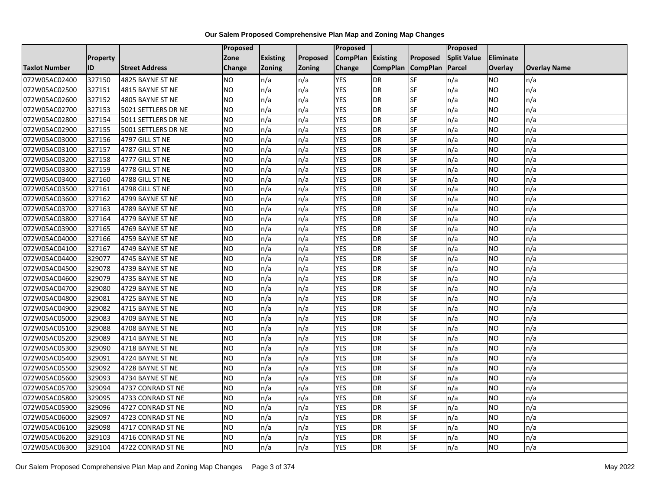|                      |                 |                       | Proposed  |                 |               | Proposed        |                          |                 | Proposed           |           |                     |
|----------------------|-----------------|-----------------------|-----------|-----------------|---------------|-----------------|--------------------------|-----------------|--------------------|-----------|---------------------|
|                      | <b>Property</b> |                       | Zone      | <b>Existing</b> | Proposed      | <b>CompPlan</b> | Existing                 | Proposed        | <b>Split Value</b> | Eliminate |                     |
| <b>Taxlot Number</b> | ID              | <b>Street Address</b> | Change    | Zoning          | <b>Zoning</b> | Change          | <b>CompPlan</b>          | <b>CompPlan</b> | Parcel             | Overlay   | <b>Overlay Name</b> |
| 072W05AC02400        | 327150          | 4825 BAYNE ST NE      | <b>NO</b> | n/a             | n/a           | <b>YES</b>      | <b>DR</b>                | <b>SF</b>       | n/a                | NO        | n/a                 |
| 072W05AC02500        | 327151          | 4815 BAYNE ST NE      | <b>NO</b> | n/a             | n/a           | <b>YES</b>      | DR                       | SF              | n/a                | NO.       | n/a                 |
| 072W05AC02600        | 327152          | 4805 BAYNE ST NE      | <b>NO</b> | n/a             | n/a           | <b>YES</b>      | DR                       | SF              | n/a                | NO.       | n/a                 |
| 072W05AC02700        | 327153          | 5021 SETTLERS DR NE   | <b>NO</b> | n/a             | n/a           | <b>YES</b>      | DR                       | SF              | n/a                | NO.       | n/a                 |
| 072W05AC02800        | 327154          | 5011 SETTLERS DR NE   | <b>NO</b> | n/a             | n/a           | <b>YES</b>      | <b>DR</b>                | SF              | n/a                | NO.       | n/a                 |
| 072W05AC02900        | 327155          | 5001 SETTLERS DR NE   | <b>NO</b> | n/a             | n/a           | <b>YES</b>      | <b>DR</b>                | SF              | n/a                | <b>NO</b> | n/a                 |
| 072W05AC03000        | 327156          | 4797 GILL ST NE       | <b>NO</b> | n/a             | n/a           | <b>YES</b>      | DR                       | SF              | n/a                | NO.       | n/a                 |
| 072W05AC03100        | 327157          | 4787 GILL ST NE       | <b>NO</b> | n/a             | n/a           | <b>YES</b>      | DR                       | SF              | n/a                | NO.       | n/a                 |
| 072W05AC03200        | 327158          | 4777 GILL ST NE       | <b>NO</b> | n/a             | n/a           | <b>YES</b>      | DR                       | SF              | n/a                | NO.       | n/a                 |
| 072W05AC03300        | 327159          | 4778 GILL ST NE       | Ю         | n/a             | n/a           | <b>YES</b>      | DR                       | <b>SF</b>       | n/a                | NO.       | n/a                 |
| 072W05AC03400        | 327160          | 4788 GILL ST NE       | <b>NO</b> | n/a             | n/a           | <b>YES</b>      | <b>DR</b>                | SF              | n/a                | <b>NO</b> | n/a                 |
| 072W05AC03500        | 327161          | 4798 GILL ST NE       | <b>NO</b> | n/a             | n/a           | <b>YES</b>      | <b>DR</b>                | SF              | n/a                | <b>NO</b> | n/a                 |
| 072W05AC03600        | 327162          | 4799 BAYNE ST NE      | Ю         | n/a             | n/a           | <b>YES</b>      | <b>DR</b>                | $S_{F}$         | n/a                | NO.       | n/a                 |
| 072W05AC03700        | 327163          | 4789 BAYNE ST NE      | <b>NO</b> | n/a             | n/a           | <b>YES</b>      | <b>DR</b>                | SF              | n/a                | NO.       | n/a                 |
| 072W05AC03800        | 327164          | 4779 BAYNE ST NE      | <b>NO</b> | n/a             | n/a           | <b>YES</b>      | DR                       | SF              | n/a                | NO.       | n/a                 |
| 072W05AC03900        | 327165          | 4769 BAYNE ST NE      | ŌИ        | n/a             | n/a           | <b>YES</b>      | <b>DR</b>                | $S_{F}$         | n/a                | NO.       | n/a                 |
| 072W05AC04000        | 327166          | 4759 BAYNE ST NE      | ŌИ        | n/a             | n/a           | <b>YES</b>      | $\overline{R}$           | <b>SF</b>       | n/a                | NO.       | n/a                 |
| 072W05AC04100        | 327167          | 4749 BAYNE ST NE      | <b>NO</b> | n/a             | n/a           | <b>YES</b>      | DR                       | SF              | n/a                | NO.       | n/a                 |
| 072W05AC04400        | 329077          | 4745 BAYNE ST NE      | <b>NO</b> | n/a             | n/a           | <b>YES</b>      | DR                       | SF              | n/a                | NO.       | n/a                 |
| 072W05AC04500        | 329078          | 4739 BAYNE ST NE      | <b>NO</b> | n/a             | n/a           | <b>YES</b>      | <b>DR</b>                | <b>SF</b>       | n/a                | ΝO        | n/a                 |
| 072W05AC04600        | 329079          | 4735 BAYNE ST NE      | <b>NO</b> | n/a             | n/a           | <b>YES</b>      | DR                       | SF              | n/a                | <b>NO</b> | n/a                 |
| 072W05AC04700        | 329080          | 4729 BAYNE ST NE      | <b>NO</b> | n/a             | n/a           | <b>YES</b>      | <b>DR</b>                | SF              | n/a                | <b>NO</b> | n/a                 |
| 072W05AC04800        | 329081          | 4725 BAYNE ST NE      | <b>NO</b> | n/a             | n/a           | <b>YES</b>      | $\overline{\mathsf{DR}}$ | SF              | n/a                | NO.       | n/a                 |
| 072W05AC04900        | 329082          | 4715 BAYNE ST NE      | <b>NO</b> | n/a             | n/a           | <b>YES</b>      | <b>DR</b>                | SF              | n/a                | NO.       | n/a                 |
| 072W05AC05000        | 329083          | 4709 BAYNE ST NE      | <b>NO</b> | n/a             | n/a           | <b>YES</b>      | <b>DR</b>                | SF              | n/a                | <b>NO</b> | n/a                 |
| 072W05AC05100        | 329088          | 4708 BAYNE ST NE      | <b>NO</b> | n/a             | n/a           | <b>YES</b>      | DR                       | SF              | n/a                | NO.       | n/a                 |
| 072W05AC05200        | 329089          | 4714 BAYNE ST NE      | Ю         | n/a             | n/a           | <b>YES</b>      | <b>DR</b>                | <b>SF</b>       | n/a                | NO.       | n/a                 |
| 072W05AC05300        | 329090          | 4718 BAYNE ST NE      | <b>NO</b> | n/a             | n/a           | <b>YES</b>      | DR                       | SF              | n/a                | NO.       | n/a                 |
| 072W05AC05400        | 329091          | 4724 BAYNE ST NE      | <b>NO</b> | n/a             | n/a           | <b>YES</b>      | DR                       | SF              | n/a                | NO.       | n/a                 |
| 072W05AC05500        | 329092          | 4728 BAYNE ST NE      | <b>NO</b> | n/a             | n/a           | <b>YES</b>      | <b>DR</b>                | SF              | n/a                | <b>NO</b> | n/a                 |
| 072W05AC05600        | 329093          | 4734 BAYNE ST NE      | <b>NO</b> | n/a             | n/a           | <b>YES</b>      | DR                       | SF              | n/a                | NO.       | n/a                 |
| 072W05AC05700        | 329094          | 4737 CONRAD ST NE     | <b>NO</b> | n/a             | n/a           | <b>YES</b>      | DR                       | SF              | n/a                | NO.       | n/a                 |
| 072W05AC05800        | 329095          | 4733 CONRAD ST NE     | Ю         | n/a             | n/a           | <b>YES</b>      | <b>DR</b>                | SF              | n/a                | NO.       | n/a                 |
| 072W05AC05900        | 329096          | 4727 CONRAD ST NE     | <b>NO</b> | n/a             | n/a           | <b>YES</b>      | DR                       | SF              | n/a                | NO.       | n/a                 |
| 072W05AC06000        | 329097          | 4723 CONRAD ST NE     | <b>NO</b> | n/a             | n/a           | <b>YES</b>      | DR                       | SF              | n/a                | NO.       | n/a                 |
| 072W05AC06100        | 329098          | 4717 CONRAD ST NE     | <b>NO</b> | n/a             | n/a           | <b>YES</b>      | <b>DR</b>                | SF              | n/a                | NO.       | n/a                 |
| 072W05AC06200        | 329103          | 4716 CONRAD ST NE     | <b>NO</b> | n/a             | n/a           | <b>YES</b>      | DR                       | SF              | n/a                | ΝO        | n/a                 |
| 072W05AC06300        | 329104          | 4722 CONRAD ST NE     | <b>NO</b> | n/a             | n/a           | <b>YES</b>      | DR                       | SF              | n/a                | NO.       | n/a                 |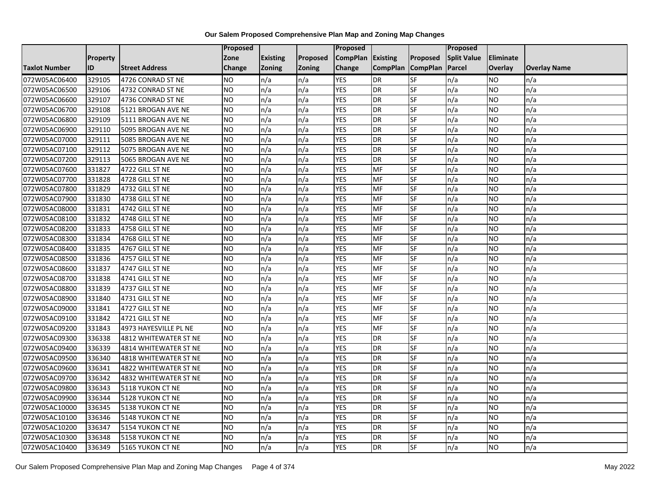|                      |                 |                              | Proposed  |                 |               | Proposed        |                 |                 | Proposed           |                 |                     |
|----------------------|-----------------|------------------------------|-----------|-----------------|---------------|-----------------|-----------------|-----------------|--------------------|-----------------|---------------------|
|                      | <b>Property</b> |                              | Zone      | <b>Existing</b> | Proposed      | <b>CompPlan</b> | Existing        | Proposed        | <b>Split Value</b> | Eliminate       |                     |
| <b>Taxlot Number</b> | ID              | <b>Street Address</b>        | Change    | Zoning          | <b>Zoning</b> | Change          | <b>CompPlan</b> | <b>CompPlan</b> | Parcel             | <b>Overlay</b>  | <b>Overlay Name</b> |
| 072W05AC06400        | 329105          | 4726 CONRAD ST NE            | <b>NO</b> | n/a             | n/a           | <b>YES</b>      | <b>DR</b>       | <b>SF</b>       | n/a                | <b>NO</b>       | n/a                 |
| 072W05AC06500        | 329106          | 4732 CONRAD ST NE            | <b>NO</b> | n/a             | n/a           | <b>YES</b>      | <b>DR</b>       | $S_{F}$         | n/a                | NO.             | n/a                 |
| 072W05AC06600        | 329107          | 4736 CONRAD ST NE            | <b>NO</b> | n/a             | n/a           | <b>YES</b>      | DR              | SF              | n/a                | NO.             | n/a                 |
| 072W05AC06700        | 329108          | 5121 BROGAN AVE NE           | <b>NO</b> | n/a             | n/a           | <b>YES</b>      | DR              | SF              | n/a                | NO.             | n/a                 |
| 072W05AC06800        | 329109          | 5111 BROGAN AVE NE           | Ю         | n/a             | n/a           | <b>YES</b>      | <b>DR</b>       | $S_{F}$         | n/a                | NO.             | n/a                 |
| 072W05AC06900        | 329110          | 5095 BROGAN AVE NE           | Ю         | n/a             | n/a           | <b>YES</b>      | <b>DR</b>       | SF              | n/a                | <b>NO</b>       | n/a                 |
| 072W05AC07000        | 329111          | 5085 BROGAN AVE NE           | <b>NO</b> | n/a             | n/a           | <b>YES</b>      | DR              | SF              | n/a                | <b>NO</b>       | n/a                 |
| 072W05AC07100        | 329112          | 5075 BROGAN AVE NE           | <b>NO</b> | n/a             | n/a           | <b>YES</b>      | DR              | SF              | n/a                | NO.             | n/a                 |
| 072W05AC07200        | 329113          | 5065 BROGAN AVE NE           | <b>NO</b> | n/a             | n/a           | <b>YES</b>      | DR              | SF              | n/a                | NO.             | n/a                 |
| 072W05AC07600        | 331827          | 4722 GILL ST NE              | Ю         | n/a             | n/a           | <b>YES</b>      | MF              | SF              | n/a                | <b>NO</b>       | n/a                 |
| 072W05AC07700        | 331828          | 4728 GILL ST NE              | <b>NO</b> | n/a             | n/a           | <b>YES</b>      | MF              | <b>SF</b>       | n/a                | <b>NO</b>       | n/a                 |
| 072W05AC07800        | 331829          | 4732 GILL ST NE              | <b>NO</b> | n/a             | n/a           | <b>YES</b>      | MF              | SF              | n/a                | NO.             | n/a                 |
| 072W05AC07900        | 331830          | 4738 GILL ST NE              | <b>NO</b> | n/a             | n/a           | <b>YES</b>      | MF              | SF              | n/a                | NO.             | n/a                 |
| 072W05AC08000        | 331831          | 4742 GILL ST NE              | ŌИ        | n/a             | n/a           | <b>YES</b>      | MF              | <b>SF</b>       | n/a                | <b>NO</b>       | n/a                 |
| 072W05AC08100        | 331832          | 4748 GILL ST NE              | <b>NO</b> | n/a             | n/a           | <b>YES</b>      | <b>MF</b>       | SF              | n/a                | ΝO              | n/a                 |
| 072W05AC08200        | 331833          | 4758 GILL ST NE              | <b>NO</b> | n/a             | n/a           | <b>YES</b>      | MF              | SF              | n/a                | <b>NO</b>       | n/a                 |
| 072W05AC08300        | 331834          | 4768 GILL ST NE              | <b>NO</b> | n/a             | n/a           | <b>YES</b>      | MF              | SF              | n/a                | NO.             | n/a                 |
| 072W05AC08400        | 331835          | 4767 GILL ST NE              | <b>NO</b> | n/a             | n/a           | <b>YES</b>      | <b>MF</b>       | SF              | n/a                | NO.             | n/a                 |
| 072W05AC08500        | 331836          | 4757 GILL ST NE              | <b>NO</b> | n/a             | n/a           | <b>YES</b>      | MF              | SF              | n/a                | NO.             | n/a                 |
| 072W05AC08600        | 331837          | 4747 GILL ST NE              | <b>NO</b> | n/a             | n/a           | <b>YES</b>      | <b>MF</b>       | <b>SF</b>       | n/a                | NO.             | n/a                 |
| 072W05AC08700        | 331838          | 4741 GILL ST NE              | <b>NO</b> | n/a             | n/a           | <b>YES</b>      | <b>MF</b>       | SF              | n/a                | NO.             | n/a                 |
| 072W05AC08800        | 331839          | 4737 GILL ST NE              | Ю         | n/a             | n/a           | <b>YES</b>      | <b>MF</b>       | SF              | n/a                | $\overline{NO}$ | n/a                 |
| 072W05AC08900        | 331840          | 4731 GILL ST NE              | <b>NO</b> | n/a             | n/a           | <b>YES</b>      | <b>MF</b>       | <b>SF</b>       | n/a                | <b>NO</b>       | n/a                 |
| 072W05AC09000        | 331841          | 4727 GILL ST NE              | <b>NO</b> | n/a             | n/a           | <b>YES</b>      | <b>MF</b>       | SF              | n/a                | NO.             | n/a                 |
| 072W05AC09100        | 331842          | 4721 GILL ST NE              | Ю         | n/a             | n/a           | <b>YES</b>      | MF              | <b>SF</b>       | n/a                | NO.             | n/a                 |
| 072W05AC09200        | 331843          | 4973 HAYESVILLE PL NE        | Ю         | n/a             | n/a           | <b>YES</b>      | <b>MF</b>       | <b>SF</b>       | n/a                | NO.             | n/a                 |
| 072W05AC09300        | 336338          | 4812 WHITEWATER ST NE        | <b>NO</b> | n/a             | n/a           | <b>YES</b>      | <b>DR</b>       | SF              | n/a                | <b>NO</b>       | n/a                 |
| 072W05AC09400        | 336339          | <b>4814 WHITEWATER ST NE</b> | <b>NO</b> | n/a             | n/a           | <b>YES</b>      | DR              | SF              | n/a                | NO.             | n/a                 |
| 072W05AC09500        | 336340          | 4818 WHITEWATER ST NE        | <b>NO</b> | n/a             | n/a           | <b>YES</b>      | DR              | SF              | n/a                | NO.             | n/a                 |
| 072W05AC09600        | 336341          | 4822 WHITEWATER ST NE        | <b>NO</b> | n/a             | n/a           | <b>YES</b>      | <b>DR</b>       | <b>SF</b>       | n/a                | <b>NO</b>       | n/a                 |
| 072W05AC09700        | 336342          | 4832 WHITEWATER ST NE        | <b>NO</b> | n/a             | n/a           | <b>YES</b>      | DR              | SF              | n/a                | <b>NO</b>       | n/a                 |
| 072W05AC09800        | 336343          | 5118 YUKON CT NE             | <b>NO</b> | n/a             | n/a           | <b>YES</b>      | DR              | SF              | n/a                | <b>NO</b>       | n/a                 |
| 072W05AC09900        | 336344          | 5128 YUKON CT NE             | <b>NO</b> | n/a             | n/a           | <b>YES</b>      | DR              | SF              | n/a                | NO.             | n/a                 |
| 072W05AC10000        | 336345          | 5138 YUKON CT NE             | <b>NO</b> | n/a             | n/a           | <b>YES</b>      | DR              | SF              | n/a                | NO.             | n/a                 |
| 072W05AC10100        | 336346          | 5148 YUKON CT NE             | Ю         | n/a             | n/a           | <b>YES</b>      | DR              | <b>SF</b>       | n/a                | NO.             | n/a                 |
| 072W05AC10200        | 336347          | 5154 YUKON CT NE             | <b>NO</b> | n/a             | n/a           | <b>YES</b>      | <b>DR</b>       | SF              | n/a                | NO.             | n/a                 |
| 072W05AC10300        | 336348          | 5158 YUKON CT NE             | <b>NO</b> | n/a             | n/a           | <b>YES</b>      | DR              | SF              | n/a                | NO.             | n/a                 |
| 072W05AC10400        | 336349          | 5165 YUKON CT NE             | Ю         | n/a             | n/a           | <b>YES</b>      | $\overline{DR}$ | <b>SF</b>       | n/a                | NO.             | n/a                 |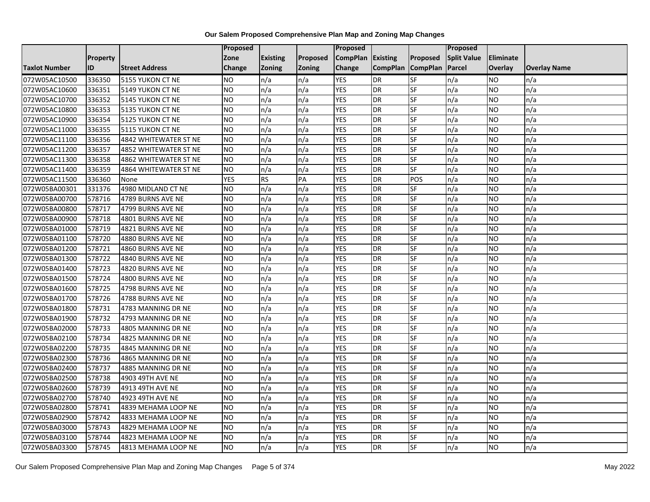|                      |                 |                       | Proposed        |                 |               | <b>Proposed</b> |                 |                          | <b>Proposed</b>    |                |                     |
|----------------------|-----------------|-----------------------|-----------------|-----------------|---------------|-----------------|-----------------|--------------------------|--------------------|----------------|---------------------|
|                      | <b>Property</b> |                       | Zone            | <b>Existing</b> | Proposed      | <b>CompPlan</b> | <b>Existing</b> | <b>Proposed</b>          | <b>Split Value</b> | Eliminate      |                     |
| <b>Taxlot Number</b> | ID              | <b>Street Address</b> | Change          | <b>Zoning</b>   | <b>Zoning</b> | Change          | <b>CompPlan</b> | <b>CompPlan</b>          | Parcel             | <b>Overlay</b> | <b>Overlay Name</b> |
| 072W05AC10500        | 336350          | 5155 YUKON CT NE      | NO.             | n/a             | n/a           | <b>YES</b>      | <b>DR</b>       | <b>SF</b>                | n/a                | NO.            | n/a                 |
| 072W05AC10600        | 336351          | 5149 YUKON CT NE      | <b>NO</b>       | n/a             | n/a           | <b>YES</b>      | <b>DR</b>       | $\overline{\mathsf{SF}}$ | n/a                | NO.            | n/a                 |
| 072W05AC10700        | 336352          | 5145 YUKON CT NE      | <b>NO</b>       | n/a             | n/a           | <b>YES</b>      | <b>DR</b>       | SF                       | n/a                | NO.            | n/a                 |
| 072W05AC10800        | 336353          | 5135 YUKON CT NE      | <b>NO</b>       | n/a             | n/a           | <b>YES</b>      | <b>DR</b>       | SF                       | n/a                | NO.            | n/a                 |
| 072W05AC10900        | 336354          | 5125 YUKON CT NE      | Ю               | n/a             | n/a           | <b>YES</b>      | <b>DR</b>       | <b>SF</b>                | n/a                | NO.            | n/a                 |
| 072W05AC11000        | 336355          | 5115 YUKON CT NE      | $\overline{NO}$ | n/a             | n/a           | <b>YES</b>      | <b>DR</b>       | SF                       | n/a                | NO.            | n/a                 |
| 072W05AC11100        | 336356          | 4842 WHITEWATER ST NE | <b>NO</b>       | n/a             | n/a           | <b>YES</b>      | <b>DR</b>       | SF                       | n/a                | NO.            | n/a                 |
| 072W05AC11200        | 336357          | 4852 WHITEWATER ST NE | <b>NO</b>       | n/a             | n/a           | <b>YES</b>      | <b>DR</b>       | SF                       | n/a                | NO.            | n/a                 |
| 072W05AC11300        | 336358          | 4862 WHITEWATER ST NE | <b>NO</b>       | n/a             | n/a           | <b>YES</b>      | <b>DR</b>       | SF                       | n/a                | ΝO             | n/a                 |
| 072W05AC11400        | 336359          | 4864 WHITEWATER ST NE | <b>NO</b>       | n/a             | n/a           | <b>YES</b>      | <b>DR</b>       | <b>SF</b>                | n/a                | NO.            | n/a                 |
| 072W05AC11500        | 336360          | None                  | <b>YES</b>      | <b>RS</b>       | PA            | <b>YES</b>      | <b>DR</b>       | POS                      | n/a                | NO.            | n/a                 |
| 072W05BA00301        | 331376          | 4980 MIDLAND CT NE    | <b>NO</b>       | n/a             | n/a           | <b>YES</b>      | <b>DR</b>       | SF                       | n/a                | NO.            | n/a                 |
| 072W05BA00700        | 578716          | 4789 BURNS AVE NE     | <b>NO</b>       | n/a             | n/a           | <b>YES</b>      | <b>DR</b>       | SF                       | n/a                | NO             | n/a                 |
| 072W05BA00800        | 578717          | 4799 BURNS AVE NE     | <b>NO</b>       | n/a             | n/a           | <b>YES</b>      | <b>DR</b>       | SF                       | n/a                | NO.            | n/a                 |
| 072W05BA00900        | 578718          | 4801 BURNS AVE NE     | <b>NO</b>       | n/a             | n/a           | <b>YES</b>      | DR              | SF                       | n/a                | ΝO             | n/a                 |
| 072W05BA01000        | 578719          | 4821 BURNS AVE NE     | <b>NO</b>       | n/a             | n/a           | <b>YES</b>      | <b>DR</b>       | <b>SF</b>                | n/a                | NO.            | n/a                 |
| 072W05BA01100        | 578720          | 4880 BURNS AVE NE     | <b>NO</b>       | n/a             | n/a           | <b>YES</b>      | DR              | SF                       | n/a                | NO.            | n/a                 |
| 072W05BA01200        | 578721          | 4860 BURNS AVE NE     | <b>NO</b>       | n/a             | n/a           | <b>YES</b>      | <b>DR</b>       | SF                       | n/a                | NO.            | n/a                 |
| 072W05BA01300        | 578722          | 4840 BURNS AVE NE     | NO              | n/a             | n/a           | <b>YES</b>      | <b>DR</b>       | SF                       | n/a                | NO.            | n/a                 |
| 072W05BA01400        | 578723          | 4820 BURNS AVE NE     | NO.             | n/a             | n/a           | <b>YES</b>      | <b>DR</b>       | SF                       | n/a                | NO.            | n/a                 |
| 072W05BA01500        | 578724          | 4800 BURNS AVE NE     | <b>NO</b>       | n/a             | n/a           | <b>YES</b>      | <b>DR</b>       | SF                       | n/a                | NO.            | n/a                 |
| 072W05BA01600        | 578725          | 4798 BURNS AVE NE     | $\overline{NO}$ | n/a             | n/a           | <b>YES</b>      | <b>DR</b>       | <b>SF</b>                | n/a                | NO.            | n/a                 |
| 072W05BA01700        | 578726          | 4788 BURNS AVE NE     | <b>NO</b>       | n/a             | n/a           | <b>YES</b>      | <b>DR</b>       | SF                       | n/a                | NO.            | n/a                 |
| 072W05BA01800        | 578731          | 4783 MANNING DR NE    | <b>NO</b>       | n/a             | n/a           | <b>YES</b>      | <b>DR</b>       | SF                       | n/a                | NO.            | n/a                 |
| 072W05BA01900        | 578732          | 4793 MANNING DR NE    | $\overline{NO}$ | n/a             | n/a           | <b>YES</b>      | <b>DR</b>       | <b>SF</b>                | n/a                | <b>NO</b>      | n/a                 |
| 072W05BA02000        | 578733          | 4805 MANNING DR NE    | <b>NO</b>       | n/a             | n/a           | <b>YES</b>      | <b>DR</b>       | <b>SF</b>                | n/a                | NO.            | n/a                 |
| 072W05BA02100        | 578734          | 4825 MANNING DR NE    | <b>NO</b>       | n/a             | n/a           | <b>YES</b>      | <b>DR</b>       | SF                       | n/a                | NO.            | n/a                 |
| 072W05BA02200        | 578735          | 4845 MANNING DR NE    | <b>NO</b>       | n/a             | n/a           | <b>YES</b>      | <b>DR</b>       | SF                       | n/a                | NO.            | n/a                 |
| 072W05BA02300        | 578736          | 4865 MANNING DR NE    | NO.             | n/a             | n/a           | <b>YES</b>      | <b>DR</b>       | SF                       | n/a                | NO             | n/a                 |
| 072W05BA02400        | 578737          | 4885 MANNING DR NE    | <b>NO</b>       | n/a             | n/a           | <b>YES</b>      | <b>DR</b>       | SF                       | n/a                | NO.            | n/a                 |
| 072W05BA02500        | 578738          | 4903 49TH AVE NE      | <b>NO</b>       | n/a             | n/a           | <b>YES</b>      | <b>DR</b>       | SF                       | n/a                | ΝO             | n/a                 |
| 072W05BA02600        | 578739          | 4913 49TH AVE NE      | <b>NO</b>       | n/a             | n/a           | <b>YES</b>      | <b>DR</b>       | <b>SF</b>                | n/a                | NO.            | n/a                 |
| 072W05BA02700        | 578740          | 4923 49TH AVE NE      | <b>NO</b>       | n/a             | n/a           | <b>YES</b>      | <b>DR</b>       | SF                       | n/a                | NO.            | n/a                 |
| 072W05BA02800        | 578741          | 4839 MEHAMA LOOP NE   | <b>NO</b>       | n/a             | n/a           | <b>YES</b>      | <b>DR</b>       | SF                       | n/a                | NO.            | n/a                 |
| 072W05BA02900        | 578742          | 4833 MEHAMA LOOP NE   | ŌИ              | n/a             | n/a           | <b>YES</b>      | <b>DR</b>       | SF                       | n/a                | NO.            | n/a                 |
| 072W05BA03000        | 578743          | 4829 MEHAMA LOOP NE   | <b>NO</b>       | n/a             | n/a           | <b>YES</b>      | <b>DR</b>       | SF                       | n/a                | NO.            | n/a                 |
| 072W05BA03100        | 578744          | 4823 MEHAMA LOOP NE   | <b>NO</b>       | n/a             | n/a           | <b>YES</b>      | DR              | SF                       | n/a                | NO.            | n/a                 |
| 072W05BA03300        | 578745          | 4813 MEHAMA LOOP NE   | $\overline{NO}$ | n/a             | n/a           | <b>YES</b>      | <b>DR</b>       | <b>SF</b>                | n/a                | NO.            | n/a                 |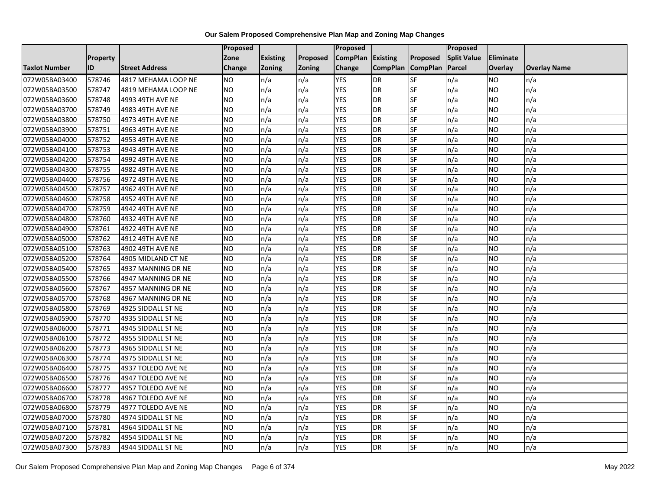|                      |                 |                       | Proposed        |                 |               | <b>Proposed</b> |                 |                          | <b>Proposed</b>    |           |                     |
|----------------------|-----------------|-----------------------|-----------------|-----------------|---------------|-----------------|-----------------|--------------------------|--------------------|-----------|---------------------|
|                      | <b>Property</b> |                       | Zone            | <b>Existing</b> | Proposed      | <b>CompPlan</b> | <b>Existing</b> | Proposed                 | <b>Split Value</b> | Eliminate |                     |
| <b>Taxlot Number</b> | ID              | <b>Street Address</b> | Change          | <b>Zoning</b>   | <b>Zoning</b> | Change          | <b>CompPlan</b> | <b>CompPlan</b>          | Parcel             | Overlay   | <b>Overlay Name</b> |
| 072W05BA03400        | 578746          | 4817 MEHAMA LOOP NE   | <b>NO</b>       | n/a             | n/a           | <b>YES</b>      | <b>DR</b>       | <b>SF</b>                | n/a                | NO.       | n/a                 |
| 072W05BA03500        | 578747          | 4819 MEHAMA LOOP NE   | <b>NO</b>       | n/a             | n/a           | <b>YES</b>      | <b>DR</b>       | <b>SF</b>                | n/a                | NO.       | n/a                 |
| 072W05BA03600        | 578748          | 4993 49TH AVE NE      | <b>NO</b>       | n/a             | n/a           | <b>YES</b>      | <b>DR</b>       | SF                       | n/a                | NO.       | n/a                 |
| 072W05BA03700        | 578749          | 4983 49TH AVE NE      | <b>NO</b>       | n/a             | n/a           | <b>YES</b>      | DR              | SF                       | n/a                | NO.       | n/a                 |
| 072W05BA03800        | 578750          | 4973 49TH AVE NE      | <b>NO</b>       | n/a             | n/a           | <b>YES</b>      | <b>DR</b>       | <b>SF</b>                | n/a                | NO.       | n/a                 |
| 072W05BA03900        | 578751          | 4963 49TH AVE NE      | NO              | n/a             | n/a           | <b>YES</b>      | <b>DR</b>       | SF                       | n/a                | <b>NO</b> | n/a                 |
| 072W05BA04000        | 578752          | 4953 49TH AVE NE      | <b>NO</b>       | n/a             | n/a           | <b>YES</b>      | <b>DR</b>       | SF                       | n/a                | NO.       | n/a                 |
| 072W05BA04100        | 578753          | 4943 49TH AVE NE      | <b>NO</b>       | n/a             | n/a           | <b>YES</b>      | <b>DR</b>       | SF                       | n/a                | NO.       | n/a                 |
| 072W05BA04200        | 578754          | 4992 49TH AVE NE      | <b>NO</b>       | n/a             | n/a           | <b>YES</b>      | <b>DR</b>       | SF                       | n/a                | NO.       | n/a                 |
| 072W05BA04300        | 578755          | 4982 49TH AVE NE      | $\overline{NO}$ | n/a             | n/a           | <b>YES</b>      | <b>DR</b>       | <b>SF</b>                | n/a                | NO.       | n/a                 |
| 072W05BA04400        | 578756          | 4972 49TH AVE NE      | <b>NO</b>       | n/a             | n/a           | <b>YES</b>      | <b>DR</b>       | SF                       | n/a                | NO.       | n/a                 |
| 072W05BA04500        | 578757          | 4962 49TH AVE NE      | <b>NO</b>       | n/a             | n/a           | <b>YES</b>      | <b>DR</b>       | SF                       | n/a                | <b>NO</b> | n/a                 |
| 072W05BA04600        | 578758          | 4952 49TH AVE NE      | ZО              | n/a             | n/a           | <b>YES</b>      | <b>DR</b>       | $\overline{\mathsf{SF}}$ | n/a                | NO.       | n/a                 |
| 072W05BA04700        | 578759          | 4942 49TH AVE NE      | <b>NO</b>       | n/a             | n/a           | <b>YES</b>      | <b>DR</b>       | SF                       | n/a                | NO.       | n/a                 |
| 072W05BA04800        | 578760          | 4932 49TH AVE NE      | <b>NO</b>       | n/a             | n/a           | <b>YES</b>      | <b>DR</b>       | SF                       | n/a                | NO.       | n/a                 |
| 072W05BA04900        | 578761          | 4922 49TH AVE NE      | $\overline{NO}$ | n/a             | n/a           | <b>YES</b>      | <b>DR</b>       | <b>SF</b>                | n/a                | NO.       | n/a                 |
| 072W05BA05000        | 578762          | 4912 49TH AVE NE      | NO              | n/a             | n/a           | <b>YES</b>      | <b>DR</b>       | <b>SF</b>                | n/a                | <b>NO</b> | n/a                 |
| 072W05BA05100        | 578763          | 4902 49TH AVE NE      | <b>NO</b>       | n/a             | n/a           | <b>YES</b>      | <b>DR</b>       | SF                       | n/a                | NO.       | n/a                 |
| 072W05BA05200        | 578764          | 4905 MIDLAND CT NE    | <b>NO</b>       | n/a             | n/a           | <b>YES</b>      | <b>DR</b>       | SF                       | n/a                | NO.       | n/a                 |
| 072W05BA05400        | 578765          | 4937 MANNING DR NE    | <b>NO</b>       | n/a             | n/a           | <b>YES</b>      | <b>DR</b>       | <b>SF</b>                | n/a                | ΝO        | n/a                 |
| 072W05BA05500        | 578766          | 4947 MANNING DR NE    | <b>NO</b>       | n/a             | n/a           | <b>YES</b>      | <b>DR</b>       | SF                       | n/a                | NO.       | n/a                 |
| 072W05BA05600        | 578767          | 4957 MANNING DR NE    | <b>NO</b>       | n/a             | n/a           | <b>YES</b>      | <b>DR</b>       | <b>SF</b>                | n/a                | NO.       | n/a                 |
| 072W05BA05700        | 578768          | 4967 MANNING DR NE    | <b>NO</b>       | n/a             | n/a           | <b>YES</b>      | <b>DR</b>       | <b>SF</b>                | n/a                | NO.       | n/a                 |
| 072W05BA05800        | 578769          | 4925 SIDDALL ST NE    | <b>NO</b>       | n/a             | n/a           | <b>YES</b>      | <b>DR</b>       | SF                       | n/a                | NO        | n/a                 |
| 072W05BA05900        | 578770          | 4935 SIDDALL ST NE    | <b>NO</b>       | n/a             | n/a           | <b>YES</b>      | <b>DR</b>       | SF                       | n/a                | NO.       | n/a                 |
| 072W05BA06000        | 578771          | 4945 SIDDALL ST NE    | <b>NO</b>       | n/a             | n/a           | <b>YES</b>      | <b>DR</b>       | <b>SF</b>                | n/a                | NO.       | n/a                 |
| 072W05BA06100        | 578772          | 4955 SIDDALL ST NE    | $\overline{NO}$ | n/a             | n/a           | <b>YES</b>      | <b>DR</b>       | $S_{F}$                  | n/a                | NO.       | n/a                 |
| 072W05BA06200        | 578773          | 4965 SIDDALL ST NE    | <b>NO</b>       | n/a             | n/a           | <b>YES</b>      | <b>DR</b>       | SF                       | n/a                | NO.       | n/a                 |
| 072W05BA06300        | 578774          | 4975 SIDDALL ST NE    | <b>NO</b>       | n/a             | n/a           | <b>YES</b>      | <b>DR</b>       | SF                       | n/a                | NO.       | n/a                 |
| 072W05BA06400        | 578775          | 4937 TOLEDO AVE NE    | <b>NO</b>       | n/a             | n/a           | <b>YES</b>      | <b>DR</b>       | SF                       | n/a                | NO.       | n/a                 |
| 072W05BA06500        | 578776          | 4947 TOLEDO AVE NE    | NO.             | n/a             | n/a           | <b>YES</b>      | <b>DR</b>       | SF                       | n/a                | NO.       | n/a                 |
| 072W05BA06600        | 578777          | 4957 TOLEDO AVE NE    | <b>NO</b>       | n/a             | n/a           | <b>YES</b>      | <b>DR</b>       | <b>SF</b>                | n/a                | NO.       | n/a                 |
| 072W05BA06700        | 578778          | 4967 TOLEDO AVE NE    | $\overline{NO}$ | n/a             | n/a           | <b>YES</b>      | <b>DR</b>       | <b>SF</b>                | n/a                | <b>NO</b> | n/a                 |
| 072W05BA06800        | 578779          | 4977 TOLEDO AVE NE    | <b>NO</b>       | n/a             | n/a           | <b>YES</b>      | <b>DR</b>       | SF                       | n/a                | NO.       | n/a                 |
| 072W05BA07000        | 578780          | 4974 SIDDALL ST NE    | <b>NO</b>       | n/a             | n/a           | <b>YES</b>      | <b>DR</b>       | SF                       | n/a                | NO.       | n/a                 |
| 072W05BA07100        | 578781          | 4964 SIDDALL ST NE    | NO.             | n/a             | n/a           | <b>YES</b>      | <b>DR</b>       | SF                       | n/a                | NO        | n/a                 |
| 072W05BA07200        | 578782          | 4954 SIDDALL ST NE    | <b>NO</b>       | n/a             | n/a           | <b>YES</b>      | <b>DR</b>       | SF                       | n/a                | ΝO        | n/a                 |
| 072W05BA07300        | 578783          | 4944 SIDDALL ST NE    | <b>NO</b>       | n/a             | n/a           | <b>YES</b>      | <b>DR</b>       | SF                       | n/a                | NO.       | n/a                 |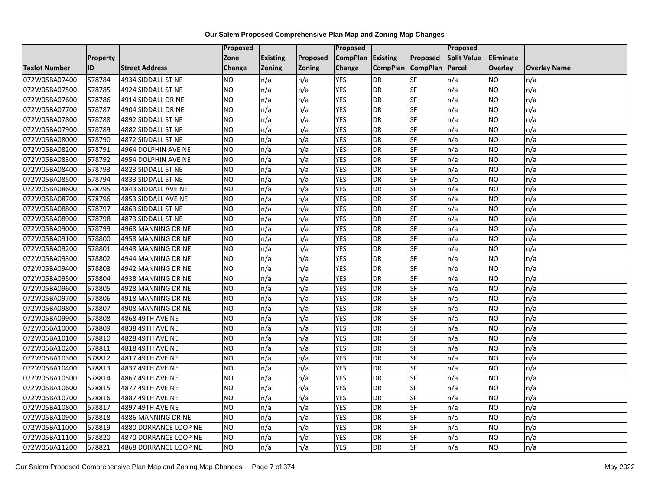|                      |                 |                       | Proposed  |                 |               | Proposed        |                 |                 | Proposed           |                |                     |
|----------------------|-----------------|-----------------------|-----------|-----------------|---------------|-----------------|-----------------|-----------------|--------------------|----------------|---------------------|
|                      | <b>Property</b> |                       | Zone      | <b>Existing</b> | Proposed      | <b>CompPlan</b> | Existing        | Proposed        | <b>Split Value</b> | Eliminate      |                     |
| <b>Taxlot Number</b> | ID              | <b>Street Address</b> | Change    | Zoning          | <b>Zoning</b> | Change          | <b>CompPlan</b> | <b>CompPlan</b> | Parcel             | <b>Overlay</b> | <b>Overlay Name</b> |
| 072W05BA07400        | 578784          | 4934 SIDDALL ST NE    | <b>NO</b> | n/a             | n/a           | <b>YES</b>      | <b>DR</b>       | <b>SF</b>       | n/a                | NO.            | n/a                 |
| 072W05BA07500        | 578785          | 4924 SIDDALL ST NE    | <b>NO</b> | n/a             | n/a           | <b>YES</b>      | <b>DR</b>       | $S_{F}$         | n/a                | NO.            | n/a                 |
| 072W05BA07600        | 578786          | 4914 SIDDALL DR NE    | <b>NO</b> | n/a             | n/a           | <b>YES</b>      | DR              | SF              | n/a                | NO.            | n/a                 |
| 072W05BA07700        | 578787          | 4904 SIDDALL DR NE    | <b>NO</b> | n/a             | n/a           | <b>YES</b>      | DR              | <b>SF</b>       | n/a                | NO.            | n/a                 |
| 072W05BA07800        | 578788          | 4892 SIDDALL ST NE    | Ю         | n/a             | n/a           | <b>YES</b>      | <b>DR</b>       | $S_{F}$         | n/a                | NO.            | n/a                 |
| 072W05BA07900        | 578789          | 4882 SIDDALL ST NE    | <b>NO</b> | n/a             | n/a           | <b>YES</b>      | <b>DR</b>       | SF              | n/a                | <b>NO</b>      | n/a                 |
| 072W05BA08000        | 578790          | 4872 SIDDALL ST NE    | <b>NO</b> | n/a             | n/a           | <b>YES</b>      | DR              | <b>SF</b>       | n/a                | NO.            | n/a                 |
| 072W05BA08200        | 578791          | 4964 DOLPHIN AVE NE   | <b>NO</b> | n/a             | n/a           | <b>YES</b>      | DR              | <b>SF</b>       | n/a                | NO.            | n/a                 |
| 072W05BA08300        | 578792          | 4954 DOLPHIN AVE NE   | <b>NO</b> | n/a             | n/a           | <b>YES</b>      | DR              | SF              | n/a                | NO.            | n/a                 |
| 072W05BA08400        | 578793          | 4823 SIDDALL ST NE    | Ю         | n/a             | n/a           | <b>YES</b>      | DR              | <b>SF</b>       | n/a                | NO.            | n/a                 |
| 072W05BA08500        | 578794          | 4833 SIDDALL ST NE    | Ю         | n/a             | n/a           | <b>YES</b>      | <b>DR</b>       | <b>SF</b>       | n/a                | <b>NO</b>      | n/a                 |
| 072W05BA08600        | 578795          | 4843 SIDDALL AVE NE   | <b>NO</b> | n/a             | n/a           | <b>YES</b>      | <b>DR</b>       | SF              | n/a                | <b>NO</b>      | n/a                 |
| 072W05BA08700        | 578796          | 4853 SIDDALL AVE NE   | <b>NO</b> | n/a             | n/a           | <b>YES</b>      | <b>DR</b>       | <b>SF</b>       | n/a                | NO.            | n/a                 |
| 072W05BA08800        | 578797          | 4863 SIDDALL ST NE    | Ю         | n/a             | n/a           | <b>YES</b>      | <b>DR</b>       | <b>SF</b>       | n/a                | NO.            | n/a                 |
| 072W05BA08900        | 578798          | 4873 SIDDALL ST NE    | <b>NO</b> | n/a             | n/a           | <b>YES</b>      | DR              | SF              | n/a                | NO.            | n/a                 |
| 072W05BA09000        | 578799          | 4968 MANNING DR NE    | <b>NO</b> | n/a             | n/a           | <b>YES</b>      | DR              | <b>SF</b>       | n/a                | NO.            | n/a                 |
| 072W05BA09100        | 578800          | 4958 MANNING DR NE    | <b>NO</b> | n/a             | n/a           | <b>YES</b>      | <b>DR</b>       | $S_{F}$         | n/a                | NO.            | n/a                 |
| 072W05BA09200        | 578801          | 4948 MANNING DR NE    | <b>NO</b> | n/a             | n/a           | <b>YES</b>      | DR              | SF              | n/a                | NO.            | n/a                 |
| 072W05BA09300        | 578802          | 4944 MANNING DR NE    | <b>NO</b> | n/a             | n/a           | <b>YES</b>      | <b>DR</b>       | SF              | n/a                | NO.            | n/a                 |
| 072W05BA09400        | 578803          | 4942 MANNING DR NE    | Ю         | n/a             | n/a           | <b>YES</b>      | DR              | <b>SF</b>       | n/a                | <b>NO</b>      | n/a                 |
| 072W05BA09500        | 578804          | 4938 MANNING DR NE    | <b>NO</b> | n/a             | n/a           | <b>YES</b>      | DR              | SF              | n/a                | <b>NO</b>      | n/a                 |
| 072W05BA09600        | 578805          | 4928 MANNING DR NE    | Ю         | n/a             | n/a           | <b>YES</b>      | DR              | <b>SF</b>       | n/a                | NO.            | n/a                 |
| 072W05BA09700        | 578806          | 4918 MANNING DR NE    | Ю         | n/a             | n/a           | <b>YES</b>      | <b>DR</b>       | <b>SF</b>       | n/a                | NO.            | n/a                 |
| 072W05BA09800        | 578807          | 4908 MANNING DR NE    | <b>NO</b> | n/a             | n/a           | <b>YES</b>      | DR              | SF              | n/a                | NO.            | n/a                 |
| 072W05BA09900        | 578808          | 4868 49TH AVE NE      | <b>NO</b> | n/a             | n/a           | <b>YES</b>      | DR              | SF              | n/a                | NO.            | n/a                 |
| 072W05BA10000        | 578809          | 4838 49TH AVE NE      | Ю         | n/a             | n/a           | <b>YES</b>      | <b>DR</b>       | $S_{F}$         | n/a                | NO.            | n/a                 |
| 072W05BA10100        | 578810          | 4828 49TH AVE NE      | <b>NO</b> | n/a             | n/a           | <b>YES</b>      | <b>DR</b>       | SF              | n/a                | <b>NO</b>      | n/a                 |
| 072W05BA10200        | 578811          | 4818 49TH AVE NE      | <b>NO</b> | n/a             | n/a           | <b>YES</b>      | <b>DR</b>       | SF              | n/a                | NO.            | n/a                 |
| 072W05BA10300        | 578812          | 4817 49TH AVE NE      | <b>NO</b> | n/a             | n/a           | <b>YES</b>      | DR              | $S_{F}$         | n/a                | NO.            | n/a                 |
| 072W05BA10400        | 578813          | 4837 49TH AVE NE      | <b>NO</b> | n/a             | n/a           | <b>YES</b>      | <b>DR</b>       | SF              | n/a                | NO.            | n/a                 |
| 072W05BA10500        | 578814          | 4867 49TH AVE NE      | <b>NO</b> | n/a             | n/a           | <b>YES</b>      | DR              | SF              | n/a                | <b>NO</b>      | n/a                 |
| 072W05BA10600        | 578815          | 4877 49TH AVE NE      | Ю         | n/a             | n/a           | <b>YES</b>      | <b>DR</b>       | <b>SF</b>       | n/a                | NO.            | n/a                 |
| 072W05BA10700        | 578816          | 4887 49TH AVE NE      | <b>NO</b> | n/a             | n/a           | <b>YES</b>      | DR              | SF              | n/a                | <b>NO</b>      | n/a                 |
| 072W05BA10800        | 578817          | 4897 49TH AVE NE      | <b>NO</b> | n/a             | n/a           | <b>YES</b>      | DR              | SF              | n/a                | NO.            | n/a                 |
| 072W05BA10900        | 578818          | 4886 MANNING DR NE    | <b>NO</b> | n/a             | n/a           | <b>YES</b>      | <b>DR</b>       | <b>SF</b>       | n/a                | NO.            | n/a                 |
| 072W05BA11000        | 578819          | 4880 DORRANCE LOOP NE | <b>NO</b> | n/a             | n/a           | <b>YES</b>      | DR              | SF              | n/a                | NO.            | n/a                 |
| 072W05BA11100        | 578820          | 4870 DORRANCE LOOP NE | <b>NO</b> | n/a             | n/a           | <b>YES</b>      | DR              | SF              | n/a                | NO.            | n/a                 |
| 072W05BA11200        | 578821          | 4868 DORRANCE LOOP NE | Ю         | n/a             | n/a           | <b>YES</b>      | <b>DR</b>       | <b>SF</b>       | n/a                | <b>NO</b>      | n/a                 |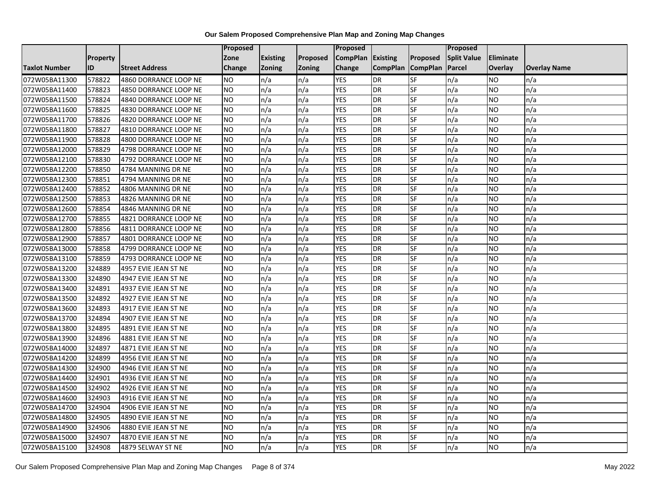|                      |                 |                       | <b>Proposed</b> |                 |               | Proposed        |                 |                 | Proposed           |                |                     |
|----------------------|-----------------|-----------------------|-----------------|-----------------|---------------|-----------------|-----------------|-----------------|--------------------|----------------|---------------------|
|                      | <b>Property</b> |                       | Zone            | <b>Existing</b> | Proposed      | <b>CompPlan</b> | Existing        | Proposed        | <b>Split Value</b> | Eliminate      |                     |
| <b>Taxlot Number</b> | ID              | <b>Street Address</b> | Change          | Zoning          | <b>Zoning</b> | Change          | <b>CompPlan</b> | <b>CompPlan</b> | Parcel             | <b>Overlay</b> | <b>Overlay Name</b> |
| 072W05BA11300        | 578822          | 4860 DORRANCE LOOP NE | <b>NO</b>       | n/a             | n/a           | <b>YES</b>      | <b>DR</b>       | <b>SF</b>       | n/a                | NO             | n/a                 |
| 072W05BA11400        | 578823          | 4850 DORRANCE LOOP NE | <b>NO</b>       | n/a             | n/a           | <b>YES</b>      | DR              | SF              | n/a                | NO.            | n/a                 |
| 072W05BA11500        | 578824          | 4840 DORRANCE LOOP NE | <b>NO</b>       | n/a             | n/a           | <b>YES</b>      | DR              | SF              | n/a                | NO.            | n/a                 |
| 072W05BA11600        | 578825          | 4830 DORRANCE LOOP NE | <b>NO</b>       | n/a             | n/a           | <b>YES</b>      | <b>DR</b>       | SF              | n/a                | NO.            | n/a                 |
| 072W05BA11700        | 578826          | 4820 DORRANCE LOOP NE | <b>NO</b>       | n/a             | n/a           | <b>YES</b>      | <b>DR</b>       | <b>SF</b>       | n/a                | NO.            | n/a                 |
| 072W05BA11800        | 578827          | 4810 DORRANCE LOOP NE | <b>NO</b>       | n/a             | n/a           | <b>YES</b>      | <b>DR</b>       | SF              | n/a                | <b>NO</b>      | n/a                 |
| 072W05BA11900        | 578828          | 4800 DORRANCE LOOP NE | <b>NO</b>       | n/a             | n/a           | <b>YES</b>      | DR              | SF              | n/a                | NO.            | n/a                 |
| 072W05BA12000        | 578829          | 4798 DORRANCE LOOP NE | <b>NO</b>       | n/a             | n/a           | <b>YES</b>      | DR              | SF              | n/a                | NO.            | n/a                 |
| 072W05BA12100        | 578830          | 4792 DORRANCE LOOP NE | <b>NO</b>       | n/a             | n/a           | <b>YES</b>      | DR              | SF              | n/a                | NO.            | n/a                 |
| 072W05BA12200        | 578850          | 4784 MANNING DR NE    | ŌИ              | n/a             | n/a           | <b>YES</b>      | DR              | <b>SF</b>       | n/a                | NO.            | n/a                 |
| 072W05BA12300        | 578851          | 4794 MANNING DR NE    | <b>NO</b>       | n/a             | n/a           | <b>YES</b>      | <b>DR</b>       | SF              | n/a                | <b>NO</b>      | n/a                 |
| 072W05BA12400        | 578852          | 4806 MANNING DR NE    | <b>NO</b>       | n/a             | n/a           | <b>YES</b>      | <b>DR</b>       | SF              | n/a                | <b>NO</b>      | n/a                 |
| 072W05BA12500        | 578853          | 4826 MANNING DR NE    | Ю               | n/a             | n/a           | <b>YES</b>      | DR              | $S$ F           | n/a                | NO.            | n/a                 |
| 072W05BA12600        | 578854          | 4846 MANNING DR NE    | <b>NO</b>       | n/a             | n/a           | <b>YES</b>      | <b>DR</b>       | SF              | n/a                | NO.            | n/a                 |
| 072W05BA12700        | 578855          | 4821 DORRANCE LOOP NE | <b>NO</b>       | n/a             | n/a           | <b>YES</b>      | DR              | SF              | n/a                | NO.            | n/a                 |
| 072W05BA12800        | 578856          | 4811 DORRANCE LOOP NE | <b>NO</b>       | n/a             | n/a           | <b>YES</b>      | <b>DR</b>       | $S_{F}$         | n/a                | NO.            | n/a                 |
| 072W05BA12900        | 578857          | 4801 DORRANCE LOOP NE | ŌИ              | n/a             | n/a           | <b>YES</b>      | $\overline{R}$  | <b>SF</b>       | n/a                | NO.            | n/a                 |
| 072W05BA13000        | 578858          | 4799 DORRANCE LOOP NE | <b>NO</b>       | n/a             | n/a           | <b>YES</b>      | DR              | SF              | n/a                | NO.            | n/a                 |
| 072W05BA13100        | 578859          | 4793 DORRANCE LOOP NE | <b>NO</b>       | n/a             | n/a           | <b>YES</b>      | DR              | SF              | n/a                | NO.            | n/a                 |
| 072W05BA13200        | 324889          | 4957 EVIE JEAN ST NE  | <b>NO</b>       | n/a             | n/a           | <b>YES</b>      | <b>DR</b>       | <b>SF</b>       | n/a                | NO.            | n/a                 |
| 072W05BA13300        | 324890          | 4947 EVIE JEAN ST NE  | <b>NO</b>       | n/a             | n/a           | <b>YES</b>      | DR              | SF              | n/a                | NO.            | n/a                 |
| 072W05BA13400        | 324891          | 4937 EVIE JEAN ST NE  | <b>NO</b>       | n/a             | n/a           | <b>YES</b>      | <b>DR</b>       | <b>SF</b>       | n/a                | <b>NO</b>      | n/a                 |
| 072W05BA13500        | 324892          | 4927 EVIE JEAN ST NE  | Ю               | n/a             | n/a           | <b>YES</b>      | DR              | <b>SF</b>       | n/a                | NO.            | n/a                 |
| 072W05BA13600        | 324893          | 4917 EVIE JEAN ST NE  | <b>NO</b>       | n/a             | n/a           | <b>YES</b>      | <b>DR</b>       | SF              | n/a                | NO.            | n/a                 |
| 072W05BA13700        | 324894          | 4907 EVIE JEAN ST NE  | <b>NO</b>       | n/a             | n/a           | <b>YES</b>      | <b>DR</b>       | SF              | n/a                | <b>NO</b>      | n/a                 |
| 072W05BA13800        | 324895          | 4891 EVIE JEAN ST NE  | <b>NO</b>       | n/a             | n/a           | <b>YES</b>      | DR              | SF              | n/a                | NO.            | n/a                 |
| 072W05BA13900        | 324896          | 4881 EVIE JEAN ST NE  | ŌИ              | n/a             | n/a           | <b>YES</b>      | <b>DR</b>       | $S_{F}$         | n/a                | NO.            | n/a                 |
| 072W05BA14000        | 324897          | 4871 EVIE JEAN ST NE  | <b>NO</b>       | n/a             | n/a           | <b>YES</b>      | DR              | SF              | n/a                | NO.            | n/a                 |
| 072W05BA14200        | 324899          | 4956 EVIE JEAN ST NE  | <b>NO</b>       | n/a             | n/a           | <b>YES</b>      | DR              | SF              | n/a                | NO.            | n/a                 |
| 072W05BA14300        | 324900          | 4946 EVIE JEAN ST NE  | <b>NO</b>       | n/a             | n/a           | <b>YES</b>      | <b>DR</b>       | SF              | n/a                | NO.            | n/a                 |
| 072W05BA14400        | 324901          | 4936 EVIE JEAN ST NE  | <b>NO</b>       | n/a             | n/a           | <b>YES</b>      | DR              | SF              | n/a                | NO.            | n/a                 |
| 072W05BA14500        | 324902          | 4926 EVIE JEAN ST NE  | <b>NO</b>       | n/a             | n/a           | <b>YES</b>      | DR              | SF              | n/a                | NO.            | n/a                 |
| 072W05BA14600        | 324903          | 4916 EVIE JEAN ST NE  | Ю               | n/a             | n/a           | <b>YES</b>      | <b>DR</b>       | <b>SF</b>       | n/a                | NO.            | n/a                 |
| 072W05BA14700        | 324904          | 4906 EVIE JEAN ST NE  | <b>NO</b>       | n/a             | n/a           | <b>YES</b>      | <b>DR</b>       | SF              | n/a                | NO.            | n/a                 |
| 072W05BA14800        | 324905          | 4890 EVIE JEAN ST NE  | <b>NO</b>       | n/a             | n/a           | <b>YES</b>      | DR              | SF              | n/a                | NO.            | n/a                 |
| 072W05BA14900        | 324906          | 4880 EVIE JEAN ST NE  | <b>NO</b>       | n/a             | n/a           | <b>YES</b>      | <b>DR</b>       | SF              | n/a                | NO.            | n/a                 |
| 072W05BA15000        | 324907          | 4870 EVIE JEAN ST NE  | <b>NO</b>       | n/a             | n/a           | <b>YES</b>      | <b>DR</b>       | SF              | n/a                | NO             | n/a                 |
| 072W05BA15100        | 324908          | 4879 SELWAY ST NE     | <b>NO</b>       | n/a             | n/a           | <b>YES</b>      | <b>DR</b>       | SF              | n/a                | NO.            | n/a                 |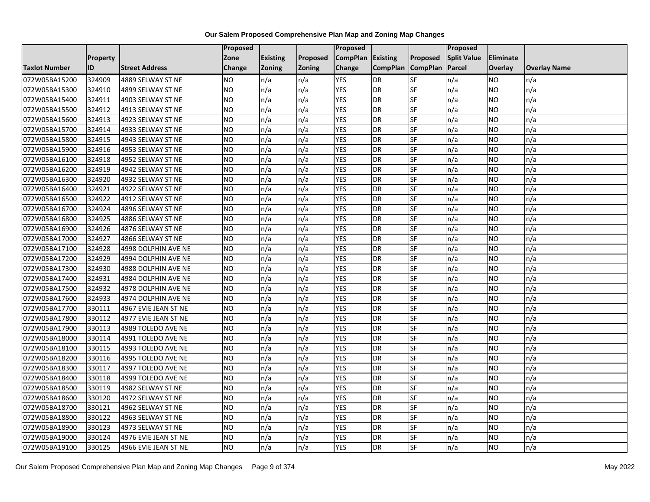|                      |                 |                       | <b>Proposed</b> |                 |               | Proposed        |                 |                 | Proposed           |                  |                     |
|----------------------|-----------------|-----------------------|-----------------|-----------------|---------------|-----------------|-----------------|-----------------|--------------------|------------------|---------------------|
|                      | <b>Property</b> |                       | Zone            | <b>Existing</b> | Proposed      | <b>CompPlan</b> | Existing        | Proposed        | <b>Split Value</b> | <b>Eliminate</b> |                     |
| <b>Taxlot Number</b> | ID              | <b>Street Address</b> | <b>Change</b>   | Zoning          | <b>Zoning</b> | Change          | <b>CompPlan</b> | <b>CompPlan</b> | Parcel             | Overlay          | <b>Overlay Name</b> |
| 072W05BA15200        | 324909          | 4889 SELWAY ST NE     | <b>NO</b>       | n/a             | n/a           | <b>YES</b>      | <b>DR</b>       | <b>SF</b>       | n/a                | NO.              | n/a                 |
| 072W05BA15300        | 324910          | 4899 SELWAY ST NE     | <b>NO</b>       | n/a             | n/a           | <b>YES</b>      | DR              | $S_{F}$         | n/a                | NO.              | n/a                 |
| 072W05BA15400        | 324911          | 4903 SELWAY ST NE     | <b>NO</b>       | n/a             | n/a           | <b>YES</b>      | DR              | SF              | n/a                | <b>NO</b>        | n/a                 |
| 072W05BA15500        | 324912          | 4913 SELWAY ST NE     | <b>NO</b>       | n/a             | n/a           | <b>YES</b>      | <b>DR</b>       | SF              | n/a                | NO.              | n/a                 |
| 072W05BA15600        | 324913          | 4923 SELWAY ST NE     | <b>NO</b>       | n/a             | n/a           | <b>YES</b>      | <b>DR</b>       | $S_{F}$         | n/a                | NO.              | n/a                 |
| 072W05BA15700        | 324914          | 4933 SELWAY ST NE     | <b>NO</b>       | n/a             | n/a           | <b>YES</b>      | <b>DR</b>       | SF              | n/a                | NO.              | n/a                 |
| 072W05BA15800        | 324915          | 4943 SELWAY ST NE     | <b>NO</b>       | n/a             | n/a           | <b>YES</b>      | DR              | SF              | n/a                | NO.              | n/a                 |
| 072W05BA15900        | 324916          | 4953 SELWAY ST NE     | <b>NO</b>       | n/a             | n/a           | <b>YES</b>      | DR              | SF              | n/a                | NO.              | n/a                 |
| 072W05BA16100        | 324918          | 4952 SELWAY ST NE     | <b>NO</b>       | n/a             | n/a           | <b>YES</b>      | DR              | SF              | n/a                | NO               | n/a                 |
| 072W05BA16200        | 324919          | 4942 SELWAY ST NE     | Ю               | n/a             | n/a           | <b>YES</b>      | DR              | <b>SF</b>       | n/a                | NO.              | n/a                 |
| 072W05BA16300        | 324920          | 4932 SELWAY ST NE     | <b>NO</b>       | n/a             | n/a           | <b>YES</b>      | <b>DR</b>       | <b>SF</b>       | n/a                | <b>NO</b>        | n/a                 |
| 072W05BA16400        | 324921          | 4922 SELWAY ST NE     | <b>NO</b>       | n/a             | n/a           | <b>YES</b>      | DR              | SF              | n/a                | NO.              | n/a                 |
| 072W05BA16500        | 324922          | 4912 SELWAY ST NE     | <b>NO</b>       | n/a             | n/a           | <b>YES</b>      | DR              | SF              | n/a                | NO.              | n/a                 |
| 072W05BA16700        | 324924          | 4896 SELWAY ST NE     | <b>NO</b>       | n/a             | n/a           | <b>YES</b>      | <b>DR</b>       | <b>SF</b>       | n/a                | <b>NO</b>        | n/a                 |
| 072W05BA16800        | 324925          | 4886 SELWAY ST NE     | <b>NO</b>       | n/a             | n/a           | <b>YES</b>      | DR              | SF              | n/a                | ΝO               | n/a                 |
| 072W05BA16900        | 324926          | 4876 SELWAY ST NE     | <b>NO</b>       | n/a             | n/a           | <b>YES</b>      | DR              | SF              | n/a                | NO.              | n/a                 |
| 072W05BA17000        | 324927          | 4866 SELWAY ST NE     | <b>NO</b>       | n/a             | n/a           | <b>YES</b>      | DR              | SF              | n/a                | NO.              | n/a                 |
| 072W05BA17100        | 324928          | 4998 DOLPHIN AVE NE   | <b>NO</b>       | n/a             | n/a           | <b>YES</b>      | <b>DR</b>       | SF              | n/a                | NO.              | n/a                 |
| 072W05BA17200        | 324929          | 4994 DOLPHIN AVE NE   | <b>NO</b>       | n/a             | n/a           | <b>YES</b>      | DR              | SF              | n/a                | <b>NO</b>        | n/a                 |
| 072W05BA17300        | 324930          | 4988 DOLPHIN AVE NE   | <b>NO</b>       | n/a             | n/a           | <b>YES</b>      | DR              | SF              | n/a                | NO.              | n/a                 |
| 072W05BA17400        | 324931          | 4984 DOLPHIN AVE NE   | <b>NO</b>       | n/a             | n/a           | <b>YES</b>      | DR              | SF              | n/a                | NO.              | n/a                 |
| 072W05BA17500        | 324932          | 4978 DOLPHIN AVE NE   | Ю               | n/a             | n/a           | <b>YES</b>      | DR              | <b>SF</b>       | n/a                | NO.              | n/a                 |
| 072W05BA17600        | 324933          | 4974 DOLPHIN AVE NE   | <b>NO</b>       | n/a             | n/a           | <b>YES</b>      | <b>DR</b>       | SF              | n/a                | <b>NO</b>        | n/a                 |
| 072W05BA17700        | 330111          | 4967 EVIE JEAN ST NE  | <b>NO</b>       | n/a             | n/a           | <b>YES</b>      | <b>DR</b>       | SF              | n/a                | NO.              | n/a                 |
| 072W05BA17800        | 330112          | 4977 EVIE JEAN ST NE  | Ю               | n/a             | n/a           | <b>YES</b>      | DR              | SF              | n/a                | NO.              | n/a                 |
| 072W05BA17900        | 330113          | 4989 TOLEDO AVE NE    | Ю               | n/a             | n/a           | <b>YES</b>      | DR              | SF              | n/a                | NO.              | n/a                 |
| 072W05BA18000        | 330114          | 4991 TOLEDO AVE NE    | <b>NO</b>       | n/a             | n/a           | <b>YES</b>      | <b>DR</b>       | SF              | n/a                | NO.              | n/a                 |
| 072W05BA18100        | 330115          | 4993 TOLEDO AVE NE    | <b>NO</b>       | n/a             | n/a           | <b>YES</b>      | <b>DR</b>       | SF              | n/a                | NO.              | n/a                 |
| 072W05BA18200        | 330116          | 4995 TOLEDO AVE NE    | <b>NO</b>       | n/a             | n/a           | <b>YES</b>      | DR              | SF              | n/a                | NO.              | n/a                 |
| 072W05BA18300        | 330117          | 4997 TOLEDO AVE NE    | <b>NO</b>       | n/a             | n/a           | <b>YES</b>      | <b>DR</b>       | <b>SF</b>       | n/a                | <b>NO</b>        | n/a                 |
| 072W05BA18400        | 330118          | 4999 TOLEDO AVE NE    | <b>NO</b>       | n/a             | n/a           | <b>YES</b>      | DR              | SF              | n/a                | <b>NO</b>        | n/a                 |
| 072W05BA18500        | 330119          | 4982 SELWAY ST NE     | <b>NO</b>       | n/a             | n/a           | <b>YES</b>      | DR              | SF              | n/a                | NO.              | n/a                 |
| 072W05BA18600        | 330120          | 4972 SELWAY ST NE     | <b>NO</b>       | n/a             | n/a           | <b>YES</b>      | <b>DR</b>       | SF              | n/a                | NO.              | n/a                 |
| 072W05BA18700        | 330121          | 4962 SELWAY ST NE     | <b>NO</b>       | n/a             | n/a           | <b>YES</b>      | DR              | SF              | n/a                | NO.              | n/a                 |
| 072W05BA18800        | 330122          | 4963 SELWAY ST NE     | <b>NO</b>       | n/a             | n/a           | <b>YES</b>      | DR              | <b>SF</b>       | n/a                | NO.              | n/a                 |
| 072W05BA18900        | 330123          | 4973 SELWAY ST NE     | <b>NO</b>       | n/a             | n/a           | <b>YES</b>      | <b>DR</b>       | SF              | n/a                | NO.              | n/a                 |
| 072W05BA19000        | 330124          | 4976 EVIE JEAN ST NE  | <b>NO</b>       | n/a             | n/a           | <b>YES</b>      | DR              | SF              | n/a                | NO.              | n/a                 |
| 072W05BA19100        | 330125          | 4966 EVIE JEAN ST NE  | Ю               | n/a             | n/a           | <b>YES</b>      | <b>DR</b>       | <b>SF</b>       | n/a                | NO.              | n/a                 |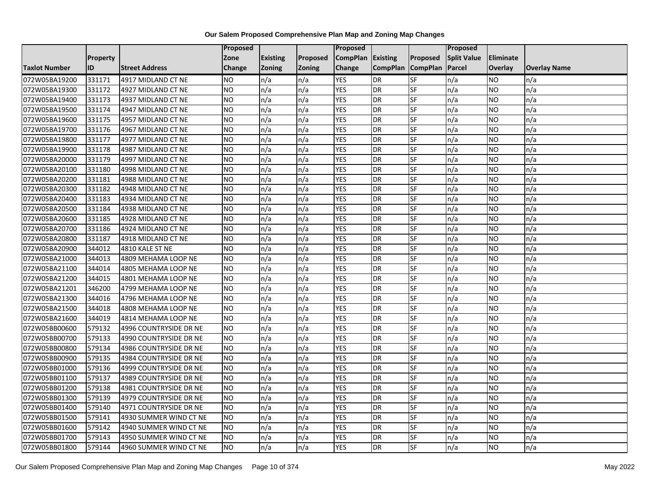|                      |                 |                        | Proposed        |                 |               | <b>Proposed</b> |                 |                 | <b>Proposed</b>    |           |                     |
|----------------------|-----------------|------------------------|-----------------|-----------------|---------------|-----------------|-----------------|-----------------|--------------------|-----------|---------------------|
|                      | <b>Property</b> |                        | Zone            | <b>Existing</b> | Proposed      | <b>CompPlan</b> | <b>Existing</b> | <b>Proposed</b> | <b>Split Value</b> | Eliminate |                     |
| <b>Taxlot Number</b> | ID              | <b>Street Address</b>  | Change          | <b>Zoning</b>   | <b>Zoning</b> | Change          | <b>CompPlan</b> | <b>CompPlan</b> | Parcel             | Overlay   | <b>Overlay Name</b> |
| 072W05BA19200        | 331171          | 4917 MIDLAND CT NE     | NO.             | n/a             | n/a           | <b>YES</b>      | <b>DR</b>       | <b>SF</b>       | n/a                | NO.       | n/a                 |
| 072W05BA19300        | 331172          | 4927 MIDLAND CT NE     | <b>NO</b>       | n/a             | n/a           | <b>YES</b>      | <b>DR</b>       | <b>SF</b>       | n/a                | NO.       | n/a                 |
| 072W05BA19400        | 331173          | 4937 MIDLAND CT NE     | <b>NO</b>       | n/a             | n/a           | <b>YES</b>      | <b>DR</b>       | SF              | n/a                | NO.       | n/a                 |
| 072W05BA19500        | 331174          | 4947 MIDLAND CT NE     | <b>NO</b>       | n/a             | n/a           | <b>YES</b>      | <b>DR</b>       | SF              | n/a                | NO.       | n/a                 |
| 072W05BA19600        | 331175          | 4957 MIDLAND CT NE     | Ю               | n/a             | n/a           | <b>YES</b>      | <b>DR</b>       | <b>SF</b>       | n/a                | NO.       | n/a                 |
| 072W05BA19700        | 331176          | 4967 MIDLAND CT NE     | <b>NO</b>       | n/a             | n/a           | <b>YES</b>      | <b>DR</b>       | SF              | n/a                | <b>NO</b> | n/a                 |
| 072W05BA19800        | 331177          | 4977 MIDLAND CT NE     | <b>NO</b>       | n/a             | n/a           | <b>YES</b>      | <b>DR</b>       | SF              | n/a                | NO.       | n/a                 |
| 072W05BA19900        | 331178          | 4987 MIDLAND CT NE     | <b>NO</b>       | n/a             | n/a           | <b>YES</b>      | <b>DR</b>       | SF              | n/a                | NO.       | n/a                 |
| 072W05BA20000        | 331179          | 4997 MIDLAND CT NE     | <b>NO</b>       | n/a             | n/a           | <b>YES</b>      | DR              | SF              | n/a                | ΝO        | n/a                 |
| 072W05BA20100        | 331180          | 4998 MIDLAND CT NE     | <b>NO</b>       | n/a             | n/a           | <b>YES</b>      | <b>DR</b>       | <b>SF</b>       | n/a                | NO.       | n/a                 |
| 072W05BA20200        | 331181          | 4988 MIDLAND CT NE     | <b>NO</b>       | n/a             | n/a           | <b>YES</b>      | <b>DR</b>       | SF              | n/a                | NO.       | n/a                 |
| 072W05BA20300        | 331182          | 4948 MIDLAND CT NE     | <b>NO</b>       | n/a             | n/a           | <b>YES</b>      | <b>DR</b>       | SF              | n/a                | NO.       | n/a                 |
| 072W05BA20400        | 331183          | 4934 MIDLAND CT NE     | NO.             | n/a             | n/a           | <b>YES</b>      | <b>DR</b>       | <b>SF</b>       | n/a                | NO        | n/a                 |
| 072W05BA20500        | 331184          | 4938 MIDLAND CT NE     | <b>NO</b>       | n/a             | n/a           | <b>YES</b>      | <b>DR</b>       | SF              | n/a                | NO.       | n/a                 |
| 072W05BA20600        | 331185          | 4928 MIDLAND CT NE     | <b>NO</b>       | n/a             | n/a           | <b>YES</b>      | <b>DR</b>       | SF              | n/a                | ΝO        | n/a                 |
| 072W05BA20700        | 331186          | 4924 MIDLAND CT NE     | <b>NO</b>       | n/a             | n/a           | <b>YES</b>      | DR              | <b>SF</b>       | n/a                | NO.       | n/a                 |
| 072W05BA20800        | 331187          | 4918 MIDLAND CT NE     | <b>NO</b>       | n/a             | n/a           | <b>YES</b>      | <b>DR</b>       | SF              | n/a                | NO.       | n/a                 |
| 072W05BA20900        | 344012          | 4810 KALE ST NE        | <b>NO</b>       | n/a             | n/a           | <b>YES</b>      | <b>DR</b>       | SF              | n/a                | NO.       | n/a                 |
| 072W05BA21000        | 344013          | 4809 MEHAMA LOOP NE    | <b>NO</b>       | n/a             | n/a           | <b>YES</b>      | <b>DR</b>       | SF              | n/a                | NO.       | n/a                 |
| 072W05BA21100        | 344014          | 4805 MEHAMA LOOP NE    | <b>NO</b>       | n/a             | n/a           | <b>YES</b>      | <b>DR</b>       | SF              | n/a                | NO.       | n/a                 |
| 072W05BA21200        | 344015          | 4801 MEHAMA LOOP NE    | <b>NO</b>       | n/a             | n/a           | <b>YES</b>      | <b>DR</b>       | SF              | n/a                | NO.       | n/a                 |
| 072W05BA21201        | 346200          | 4799 MEHAMA LOOP NE    | $\overline{NO}$ | n/a             | n/a           | <b>YES</b>      | <b>DR</b>       | <b>SF</b>       | n/a                | NO.       | n/a                 |
| 072W05BA21300        | 344016          | 4796 MEHAMA LOOP NE    | <b>NO</b>       | n/a             | n/a           | <b>YES</b>      | <b>DR</b>       | SF              | n/a                | NO.       | n/a                 |
| 072W05BA21500        | 344018          | 4808 MEHAMA LOOP NE    | <b>NO</b>       | n/a             | n/a           | <b>YES</b>      | <b>DR</b>       | SF              | n/a                | NO.       | n/a                 |
| 072W05BA21600        | 344019          | 4814 MEHAMA LOOP NE    | $\overline{NO}$ | n/a             | n/a           | <b>YES</b>      | <b>DR</b>       | SF              | n/a                | <b>NO</b> | n/a                 |
| 072W05BB00600        | 579132          | 4996 COUNTRYSIDE DR NE | <b>NO</b>       | n/a             | n/a           | <b>YES</b>      | <b>DR</b>       | SF              | n/a                | NO.       | n/a                 |
| 072W05BB00700        | 579133          | 4990 COUNTRYSIDE DR NE | <b>NO</b>       | n/a             | n/a           | <b>YES</b>      | <b>DR</b>       | SF              | n/a                | NO.       | n/a                 |
| 072W05BB00800        | 579134          | 4986 COUNTRYSIDE DR NE | NO.             | n/a             | n/a           | <b>YES</b>      | <b>DR</b>       | SF              | n/a                | NO.       | n/a                 |
| 072W05BB00900        | 579135          | 4984 COUNTRYSIDE DR NE | NO.             | n/a             | n/a           | <b>YES</b>      | <b>DR</b>       | SF              | n/a                | NO        | n/a                 |
| 072W05BB01000        | 579136          | 4999 COUNTRYSIDE DR NE | <b>NO</b>       | n/a             | n/a           | <b>YES</b>      | <b>DR</b>       | SF              | n/a                | NO.       | n/a                 |
| 072W05BB01100        | 579137          | 4989 COUNTRYSIDE DR NE | <b>NO</b>       | n/a             | n/a           | <b>YES</b>      | <b>DR</b>       | SF              | n/a                | ΝO        | n/a                 |
| 072W05BB01200        | 579138          | 4981 COUNTRYSIDE DR NE | <b>NO</b>       | n/a             | n/a           | <b>YES</b>      | <b>DR</b>       | <b>SF</b>       | n/a                | NO.       | n/a                 |
| 072W05BB01300        | 579139          | 4979 COUNTRYSIDE DR NE | NO.             | n/a             | n/a           | <b>YES</b>      | <b>DR</b>       | SF              | n/a                | NO.       | n/a                 |
| 072W05BB01400        | 579140          | 4971 COUNTRYSIDE DR NE | <b>NO</b>       | n/a             | n/a           | <b>YES</b>      | <b>DR</b>       | SF              | n/a                | NO.       | n/a                 |
| 072W05BB01500        | 579141          | 4930 SUMMER WIND CT NE | Ю               | n/a             | n/a           | <b>YES</b>      | <b>DR</b>       | SF              | n/a                | NO.       | n/a                 |
| 072W05BB01600        | 579142          | 4940 SUMMER WIND CT NE | NO.             | n/a             | n/a           | <b>YES</b>      | <b>DR</b>       | SF              | n/a                | NO.       | n/a                 |
| 072W05BB01700        | 579143          | 4950 SUMMER WIND CT NE | <b>NO</b>       | n/a             | n/a           | <b>YES</b>      | DR              | SF              | n/a                | NO.       | n/a                 |
| 072W05BB01800        | 579144          | 4960 SUMMER WIND CT NE | $\overline{NO}$ | n/a             | n/a           | <b>YES</b>      | <b>DR</b>       | SF              | n/a                | NO.       | n/a                 |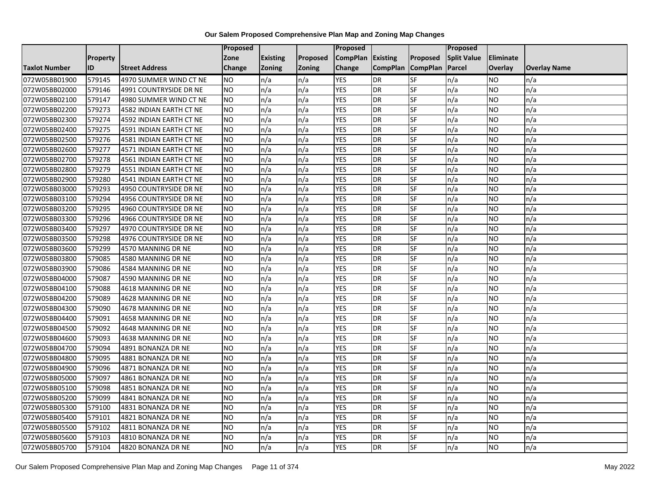|                      |                 |                         | <b>Proposed</b> |                 |               | Proposed        |                 |                 | Proposed           |                |                     |
|----------------------|-----------------|-------------------------|-----------------|-----------------|---------------|-----------------|-----------------|-----------------|--------------------|----------------|---------------------|
|                      | <b>Property</b> |                         | Zone            | <b>Existing</b> | Proposed      | <b>CompPlan</b> | Existing        | Proposed        | <b>Split Value</b> | Eliminate      |                     |
| <b>Taxlot Number</b> | ID              | <b>Street Address</b>   | <b>Change</b>   | Zoning          | <b>Zoning</b> | Change          | <b>CompPlan</b> | <b>CompPlan</b> | Parcel             | <b>Overlay</b> | <b>Overlay Name</b> |
| 072W05BB01900        | 579145          | 4970 SUMMER WIND CT NE  | <b>NO</b>       | n/a             | n/a           | <b>YES</b>      | <b>DR</b>       | <b>SF</b>       | n/a                | NO             | n/a                 |
| 072W05BB02000        | 579146          | 4991 COUNTRYSIDE DR NE  | <b>NO</b>       | n/a             | n/a           | <b>YES</b>      | DR              | SF              | n/a                | NO.            | n/a                 |
| 072W05BB02100        | 579147          | 4980 SUMMER WIND CT NE  | <b>NO</b>       | n/a             | n/a           | <b>YES</b>      | DR              | SF              | n/a                | NO.            | n/a                 |
| 072W05BB02200        | 579273          | 4582 INDIAN EARTH CT NE | <b>NO</b>       | n/a             | n/a           | <b>YES</b>      | <b>DR</b>       | SF              | n/a                | NO.            | n/a                 |
| 072W05BB02300        | 579274          | 4592 INDIAN EARTH CT NE | <b>NO</b>       | n/a             | n/a           | <b>YES</b>      | <b>DR</b>       | SF              | n/a                | NO.            | n/a                 |
| 072W05BB02400        | 579275          | 4591 INDIAN EARTH CT NE | <b>NO</b>       | n/a             | n/a           | <b>YES</b>      | <b>DR</b>       | SF              | n/a                | <b>NO</b>      | n/a                 |
| 072W05BB02500        | 579276          | 4581 INDIAN EARTH CT NE | <b>NO</b>       | n/a             | n/a           | <b>YES</b>      | DR              | SF              | n/a                | NO.            | n/a                 |
| 072W05BB02600        | 579277          | 4571 INDIAN EARTH CT NE | <b>NO</b>       | n/a             | n/a           | <b>YES</b>      | DR              | SF              | n/a                | NO.            | n/a                 |
| 072W05BB02700        | 579278          | 4561 INDIAN EARTH CT NE | <b>NO</b>       | n/a             | n/a           | <b>YES</b>      | DR              | SF              | n/a                | NO.            | n/a                 |
| 072W05BB02800        | 579279          | 4551 INDIAN EARTH CT NE | Ю               | n/a             | n/a           | <b>YES</b>      | DR              | <b>SF</b>       | n/a                | NO.            | n/a                 |
| 072W05BB02900        | 579280          | 4541 INDIAN EARTH CT NE | <b>NO</b>       | n/a             | n/a           | <b>YES</b>      | <b>DR</b>       | SF              | n/a                | <b>NO</b>      | n/a                 |
| 072W05BB03000        | 579293          | 4950 COUNTRYSIDE DR NE  | <b>NO</b>       | n/a             | n/a           | <b>YES</b>      | <b>DR</b>       | SF              | n/a                | <b>NO</b>      | n/a                 |
| 072W05BB03100        | 579294          | 4956 COUNTRYSIDE DR NE  | NO              | n/a             | n/a           | <b>YES</b>      | DR              | <b>SF</b>       | n/a                | NO.            | n/a                 |
| 072W05BB03200        | 579295          | 4960 COUNTRYSIDE DR NE  | <b>NO</b>       | n/a             | n/a           | <b>YES</b>      | <b>DR</b>       | SF              | n/a                | NO.            | n/a                 |
| 072W05BB03300        | 579296          | 4966 COUNTRYSIDE DR NE  | <b>NO</b>       | n/a             | n/a           | <b>YES</b>      | DR              | SF              | n/a                | NO.            | n/a                 |
| 072W05BB03400        | 579297          | 4970 COUNTRYSIDE DR NE  | Ю               | n/a             | n/a           | <b>YES</b>      | <b>DR</b>       | $S_{F}$         | n/a                | NO.            | n/a                 |
| 072W05BB03500        | 579298          | 4976 COUNTRYSIDE DR NE  | Ю               | n/a             | n/a           | <b>YES</b>      | $\overline{R}$  | <b>SF</b>       | n/a                | NO.            | n/a                 |
| 072W05BB03600        | 579299          | 4570 MANNING DR NE      | <b>NO</b>       | n/a             | n/a           | <b>YES</b>      | DR              | SF              | n/a                | NO.            | n/a                 |
| 072W05BB03800        | 579085          | 4580 MANNING DR NE      | <b>NO</b>       | n/a             | n/a           | <b>YES</b>      | DR              | SF              | n/a                | NO.            | n/a                 |
| 072W05BB03900        | 579086          | 4584 MANNING DR NE      | <b>NO</b>       | n/a             | n/a           | <b>YES</b>      | <b>DR</b>       | <b>SF</b>       | n/a                | ΝO             | n/a                 |
| 072W05BB04000        | 579087          | 4590 MANNING DR NE      | <b>NO</b>       | n/a             | n/a           | <b>YES</b>      | DR              | SF              | n/a                | NO.            | n/a                 |
| 072W05BB04100        | 579088          | 4618 MANNING DR NE      | <b>NO</b>       | n/a             | n/a           | <b>YES</b>      | <b>DR</b>       | SF              | n/a                | <b>NO</b>      | n/a                 |
| 072W05BB04200        | 579089          | 4628 MANNING DR NE      | Ю               | n/a             | n/a           | <b>YES</b>      | DR              | SF              | n/a                | NO.            | n/a                 |
| 072W05BB04300        | 579090          | 4678 MANNING DR NE      | <b>NO</b>       | n/a             | n/a           | <b>YES</b>      | DR              | SF              | n/a                | NO.            | n/a                 |
| 072W05BB04400        | 579091          | 4658 MANNING DR NE      | <b>NO</b>       | n/a             | n/a           | <b>YES</b>      | <b>DR</b>       | SF              | n/a                | <b>NO</b>      | n/a                 |
| 072W05BB04500        | 579092          | 4648 MANNING DR NE      | <b>NO</b>       | n/a             | n/a           | <b>YES</b>      | DR              | SF              | n/a                | NO.            | n/a                 |
| 072W05BB04600        | 579093          | 4638 MANNING DR NE      | Ю               | n/a             | n/a           | <b>YES</b>      | <b>DR</b>       | <b>SF</b>       | n/a                | NO.            | n/a                 |
| 072W05BB04700        | 579094          | 4891 BONANZA DR NE      | <b>NO</b>       | n/a             | n/a           | <b>YES</b>      | DR              | SF              | n/a                | NO.            | n/a                 |
| 072W05BB04800        | 579095          | 4881 BONANZA DR NE      | <b>NO</b>       | n/a             | n/a           | <b>YES</b>      | DR              | SF              | n/a                | NO.            | n/a                 |
| 072W05BB04900        | 579096          | 4871 BONANZA DR NE      | <b>NO</b>       | n/a             | n/a           | <b>YES</b>      | <b>DR</b>       | SF              | n/a                | NO.            | n/a                 |
| 072W05BB05000        | 579097          | 4861 BONANZA DR NE      | <b>NO</b>       | n/a             | n/a           | <b>YES</b>      | DR              | SF              | n/a                | NO.            | n/a                 |
| 072W05BB05100        | 579098          | 4851 BONANZA DR NE      | <b>NO</b>       | n/a             | n/a           | <b>YES</b>      | DR              | SF              | n/a                | NO.            | n/a                 |
| 072W05BB05200        | 579099          | 4841 BONANZA DR NE      | Ю               | n/a             | n/a           | <b>YES</b>      | <b>DR</b>       | SF              | n/a                | NO.            | n/a                 |
| 072W05BB05300        | 579100          | 4831 BONANZA DR NE      | <b>NO</b>       | n/a             | n/a           | <b>YES</b>      | DR              | SF              | n/a                | NO.            | n/a                 |
| 072W05BB05400        | 579101          | 4821 BONANZA DR NE      | <b>NO</b>       | n/a             | n/a           | <b>YES</b>      | <b>DR</b>       | SF              | n/a                | NO.            | n/a                 |
| 072W05BB05500        | 579102          | 4811 BONANZA DR NE      | <b>NO</b>       | n/a             | n/a           | <b>YES</b>      | <b>DR</b>       | SF              | n/a                | NO.            | n/a                 |
| 072W05BB05600        | 579103          | 4810 BONANZA DR NE      | <b>NO</b>       | n/a             | n/a           | <b>YES</b>      | <b>DR</b>       | SF              | n/a                | ΝO             | n/a                 |
| 072W05BB05700        | 579104          | 4820 BONANZA DR NE      | <b>NO</b>       | n/a             | n/a           | <b>YES</b>      | <b>DR</b>       | SF              | n/a                | NO.            | n/a                 |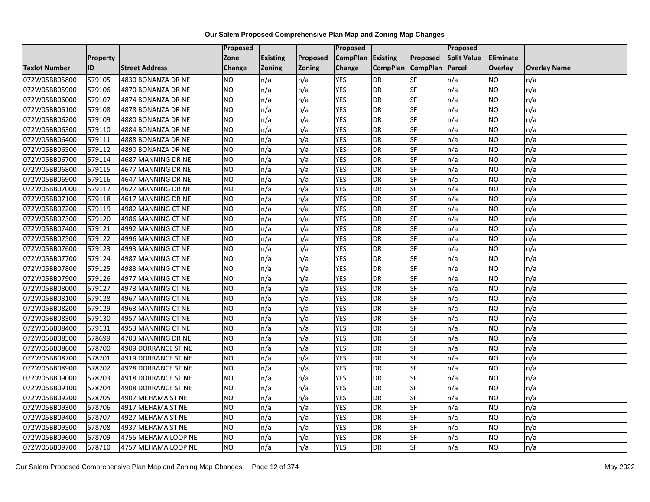|                      |                 |                       | Proposed        |                 |               | <b>Proposed</b> |                 |                 | Proposed           |                |                     |
|----------------------|-----------------|-----------------------|-----------------|-----------------|---------------|-----------------|-----------------|-----------------|--------------------|----------------|---------------------|
|                      | <b>Property</b> |                       | Zone            | <b>Existing</b> | Proposed      | <b>CompPlan</b> | <b>Existing</b> | <b>Proposed</b> | <b>Split Value</b> | Eliminate      |                     |
| <b>Taxlot Number</b> | ID              | <b>Street Address</b> | Change          | <b>Zoning</b>   | <b>Zoning</b> | Change          | <b>CompPlan</b> | <b>CompPlan</b> | Parcel             | <b>Overlay</b> | <b>Overlay Name</b> |
| 072W05BB05800        | 579105          | 4830 BONANZA DR NE    | <b>NO</b>       | n/a             | n/a           | <b>YES</b>      | <b>DR</b>       | <b>SF</b>       | n/a                | NO.            | n/a                 |
| 072W05BB05900        | 579106          | 4870 BONANZA DR NE    | <b>NO</b>       | n/a             | n/a           | <b>YES</b>      | <b>DR</b>       | <b>SF</b>       | n/a                | NO.            | n/a                 |
| 072W05BB06000        | 579107          | 4874 BONANZA DR NE    | <b>NO</b>       | n/a             | n/a           | <b>YES</b>      | <b>DR</b>       | SF              | n/a                | NO.            | n/a                 |
| 072W05BB06100        | 579108          | 4878 BONANZA DR NE    | <b>NO</b>       | n/a             | n/a           | <b>YES</b>      | DR              | SF              | n/a                | NO.            | n/a                 |
| 072W05BB06200        | 579109          | 4880 BONANZA DR NE    | <b>NO</b>       | n/a             | n/a           | <b>YES</b>      | <b>DR</b>       | <b>SF</b>       | n/a                | NO.            | n/a                 |
| 072W05BB06300        | 579110          | 4884 BONANZA DR NE    | NO              | n/a             | n/a           | <b>YES</b>      | <b>DR</b>       | SF              | n/a                | <b>NO</b>      | n/a                 |
| 072W05BB06400        | 579111          | 4888 BONANZA DR NE    | <b>NO</b>       | n/a             | n/a           | <b>YES</b>      | <b>DR</b>       | SF              | n/a                | NO.            | n/a                 |
| 072W05BB06500        | 579112          | 4890 BONANZA DR NE    | <b>NO</b>       | n/a             | n/a           | <b>YES</b>      | <b>DR</b>       | SF              | n/a                | NO.            | n/a                 |
| 072W05BB06700        | 579114          | 4687 MANNING DR NE    | <b>NO</b>       | n/a             | n/a           | <b>YES</b>      | <b>DR</b>       | SF              | n/a                | NO.            | n/a                 |
| 072W05BB06800        | 579115          | 4677 MANNING DR NE    | $\overline{NO}$ | n/a             | n/a           | <b>YES</b>      | <b>DR</b>       | <b>SF</b>       | n/a                | NO.            | n/a                 |
| 072W05BB06900        | 579116          | 4647 MANNING DR NE    | <b>NO</b>       | n/a             | n/a           | <b>YES</b>      | <b>DR</b>       | SF              | n/a                | NO.            | n/a                 |
| 072W05BB07000        | 579117          | 4627 MANNING DR NE    | <b>NO</b>       | n/a             | n/a           | <b>YES</b>      | DR              | SF              | n/a                | NO.            | n/a                 |
| 072W05BB07100        | 579118          | 4617 MANNING DR NE    | ZО              | n/a             | n/a           | <b>YES</b>      | <b>DR</b>       | <b>SF</b>       | n/a                | NO.            | n/a                 |
| 072W05BB07200        | 579119          | 4982 MANNING CT NE    | <b>NO</b>       | n/a             | n/a           | <b>YES</b>      | <b>DR</b>       | SF              | n/a                | NO.            | n/a                 |
| 072W05BB07300        | 579120          | 4986 MANNING CT NE    | <b>NO</b>       | n/a             | n/a           | <b>YES</b>      | <b>DR</b>       | SF              | n/a                | NO.            | n/a                 |
| 072W05BB07400        | 579121          | 4992 MANNING CT NE    | $\overline{NO}$ | n/a             | n/a           | <b>YES</b>      | <b>DR</b>       | <b>SF</b>       | n/a                | NO.            | n/a                 |
| 072W05BB07500        | 579122          | 4996 MANNING CT NE    | NO              | n/a             | n/a           | <b>YES</b>      | <b>DR</b>       | <b>SF</b>       | n/a                | <b>NO</b>      | n/a                 |
| 072W05BB07600        | 579123          | 4993 MANNING CT NE    | <b>NO</b>       | n/a             | n/a           | <b>YES</b>      | <b>DR</b>       | SF              | n/a                | NO.            | n/a                 |
| 072W05BB07700        | 579124          | 4987 MANNING CT NE    | <b>NO</b>       | n/a             | n/a           | <b>YES</b>      | <b>DR</b>       | SF              | n/a                | NO.            | n/a                 |
| 072W05BB07800        | 579125          | 4983 MANNING CT NE    | <b>NO</b>       | n/a             | n/a           | <b>YES</b>      | <b>DR</b>       | <b>SF</b>       | n/a                | ΝO             | n/a                 |
| 072W05BB07900        | 579126          | 4977 MANNING CT NE    | <b>NO</b>       | n/a             | n/a           | <b>YES</b>      | <b>DR</b>       | SF              | n/a                | NO.            | n/a                 |
| 072W05BB08000        | 579127          | 4973 MANNING CT NE    | <b>NO</b>       | n/a             | n/a           | <b>YES</b>      | <b>DR</b>       | <b>SF</b>       | n/a                | NO.            | n/a                 |
| 072W05BB08100        | 579128          | 4967 MANNING CT NE    | $\overline{NO}$ | n/a             | n/a           | <b>YES</b>      | <b>DR</b>       | <b>SF</b>       | n/a                | NO.            | n/a                 |
| 072W05BB08200        | 579129          | 4963 MANNING CT NE    | <b>NO</b>       | n/a             | n/a           | <b>YES</b>      | <b>DR</b>       | SF              | n/a                | NO             | n/a                 |
| 072W05BB08300        | 579130          | 4957 MANNING CT NE    | $\overline{NO}$ | n/a             | n/a           | <b>YES</b>      | <b>DR</b>       | SF              | n/a                | NO.            | n/a                 |
| 072W05BB08400        | 579131          | 4953 MANNING CT NE    | <b>NO</b>       | n/a             | n/a           | <b>YES</b>      | <b>DR</b>       | <b>SF</b>       | n/a                | NO.            | n/a                 |
| 072W05BB08500        | 578699          | 4703 MANNING DR NE    | $\overline{NO}$ | n/a             | n/a           | <b>YES</b>      | <b>DR</b>       | $S_{F}$         | n/a                | NO.            | n/a                 |
| 072W05BB08600        | 578700          | 4909 DORRANCE ST NE   | <b>NO</b>       | n/a             | n/a           | <b>YES</b>      | <b>DR</b>       | SF              | n/a                | NO.            | n/a                 |
| 072W05BB08700        | 578701          | 4919 DORRANCE ST NE   | <b>NO</b>       | n/a             | n/a           | <b>YES</b>      | <b>DR</b>       | SF              | n/a                | NO.            | n/a                 |
| 072W05BB08900        | 578702          | 4928 DORRANCE ST NE   | <b>NO</b>       | n/a             | n/a           | <b>YES</b>      | <b>DR</b>       | SF              | n/a                | NO.            | n/a                 |
| 072W05BB09000        | 578703          | 4918 DORRANCE ST NE   | <b>NO</b>       | n/a             | n/a           | <b>YES</b>      | <b>DR</b>       | SF              | n/a                | NO             | n/a                 |
| 072W05BB09100        | 578704          | 4908 DORRANCE ST NE   | <b>NO</b>       | n/a             | n/a           | <b>YES</b>      | <b>DR</b>       | <b>SF</b>       | n/a                | NO.            | n/a                 |
| 072W05BB09200        | 578705          | 4907 MEHAMA ST NE     | $\overline{NO}$ | n/a             | n/a           | <b>YES</b>      | <b>DR</b>       | <b>SF</b>       | n/a                | <b>NO</b>      | n/a                 |
| 072W05BB09300        | 578706          | 4917 MEHAMA ST NE     | <b>NO</b>       | n/a             | n/a           | <b>YES</b>      | <b>DR</b>       | SF              | n/a                | NO.            | n/a                 |
| 072W05BB09400        | 578707          | 4927 MEHAMA ST NE     | <b>NO</b>       | n/a             | n/a           | <b>YES</b>      | <b>DR</b>       | SF              | n/a                | NO.            | n/a                 |
| 072W05BB09500        | 578708          | 4937 MEHAMA ST NE     | NO.             | n/a             | n/a           | YES             | <b>DR</b>       | <b>SF</b>       | n/a                | NO             | n/a                 |
| 072W05BB09600        | 578709          | 4755 MEHAMA LOOP NE   | <b>NO</b>       | n/a             | n/a           | <b>YES</b>      | <b>DR</b>       | SF              | n/a                | ΝO             | n/a                 |
| 072W05BB09700        | 578710          | 4757 MEHAMA LOOP NE   | <b>NO</b>       | n/a             | n/a           | <b>YES</b>      | <b>DR</b>       | SF              | n/a                | NO.            | n/a                 |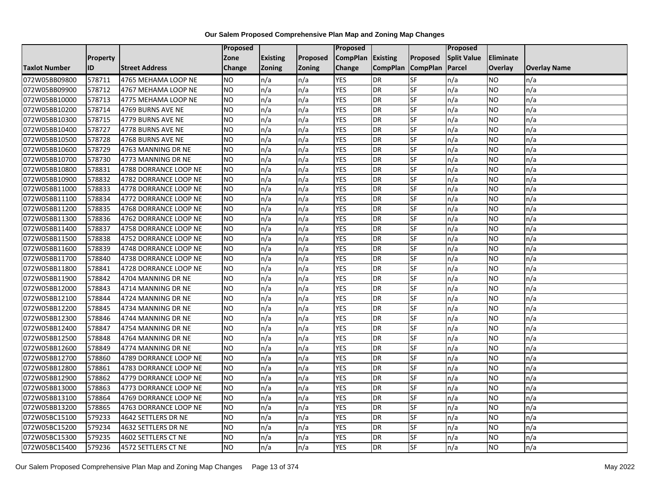|                      |                 |                       | Proposed        |                 |               | <b>Proposed</b> |                 |                          | <b>Proposed</b>    |                |                     |
|----------------------|-----------------|-----------------------|-----------------|-----------------|---------------|-----------------|-----------------|--------------------------|--------------------|----------------|---------------------|
|                      | <b>Property</b> |                       | Zone            | <b>Existing</b> | Proposed      | <b>CompPlan</b> | <b>Existing</b> | <b>Proposed</b>          | <b>Split Value</b> | Eliminate      |                     |
| <b>Taxlot Number</b> | ID              | <b>Street Address</b> | Change          | <b>Zoning</b>   | <b>Zoning</b> | Change          | <b>CompPlan</b> | <b>CompPlan</b>          | Parcel             | <b>Overlay</b> | <b>Overlay Name</b> |
| 072W05BB09800        | 578711          | 4765 MEHAMA LOOP NE   | NO.             | n/a             | n/a           | <b>YES</b>      | <b>DR</b>       | <b>SF</b>                | n/a                | <b>NO</b>      | n/a                 |
| 072W05BB09900        | 578712          | 4767 MEHAMA LOOP NE   | <b>NO</b>       | n/a             | n/a           | <b>YES</b>      | <b>DR</b>       | $\overline{\mathsf{SF}}$ | n/a                | NO.            | n/a                 |
| 072W05BB10000        | 578713          | 4775 MEHAMA LOOP NE   | <b>NO</b>       | n/a             | n/a           | <b>YES</b>      | <b>DR</b>       | SF                       | n/a                | NO.            | n/a                 |
| 072W05BB10200        | 578714          | 4769 BURNS AVE NE     | <b>NO</b>       | n/a             | n/a           | <b>YES</b>      | <b>DR</b>       | <b>SF</b>                | n/a                | NO.            | n/a                 |
| 072W05BB10300        | 578715          | 4779 BURNS AVE NE     | Ю               | n/a             | n/a           | <b>YES</b>      | <b>DR</b>       | <b>SF</b>                | n/a                | NO.            | n/a                 |
| 072W05BB10400        | 578727          | 4778 BURNS AVE NE     | $\overline{NO}$ | n/a             | n/a           | <b>YES</b>      | <b>DR</b>       | SF                       | n/a                | NO.            | n/a                 |
| 072W05BB10500        | 578728          | 4768 BURNS AVE NE     | <b>NO</b>       | n/a             | n/a           | <b>YES</b>      | <b>DR</b>       | SF                       | n/a                | NO.            | n/a                 |
| 072W05BB10600        | 578729          | 4763 MANNING DR NE    | NO.             | n/a             | n/a           | <b>YES</b>      | <b>DR</b>       | SF                       | n/a                | NO.            | n/a                 |
| 072W05BB10700        | 578730          | 4773 MANNING DR NE    | NO.             | n/a             | n/a           | <b>YES</b>      | <b>DR</b>       | SF                       | n/a                | ΝO             | n/a                 |
| 072W05BB10800        | 578831          | 4788 DORRANCE LOOP NE | <b>NO</b>       | n/a             | n/a           | <b>YES</b>      | <b>DR</b>       | <b>SF</b>                | n/a                | NO.            | n/a                 |
| 072W05BB10900        | 578832          | 4782 DORRANCE LOOP NE | <b>NO</b>       | n/a             | n/a           | <b>YES</b>      | <b>DR</b>       | SF                       | n/a                | NO.            | n/a                 |
| 072W05BB11000        | 578833          | 4778 DORRANCE LOOP NE | <b>NO</b>       | n/a             | n/a           | <b>YES</b>      | <b>DR</b>       | SF                       | n/a                | NO.            | n/a                 |
| 072W05BB11100        | 578834          | 4772 DORRANCE LOOP NE | <b>NO</b>       | n/a             | n/a           | <b>YES</b>      | <b>DR</b>       | <b>SF</b>                | n/a                | NO.            | n/a                 |
| 072W05BB11200        | 578835          | 4768 DORRANCE LOOP NE | $\overline{NO}$ | n/a             | n/a           | <b>YES</b>      | <b>DR</b>       | SF                       | n/a                | <b>NO</b>      | n/a                 |
| 072W05BB11300        | 578836          | 4762 DORRANCE LOOP NE | <b>NO</b>       | n/a             | n/a           | <b>YES</b>      | <b>DR</b>       | SF                       | n/a                | ΝO             | n/a                 |
| 072W05BB11400        | 578837          | 4758 DORRANCE LOOP NE | <b>NO</b>       | n/a             | n/a           | <b>YES</b>      | <b>DR</b>       | <b>SF</b>                | n/a                | NO.            | n/a                 |
| 072W05BB11500        | 578838          | 4752 DORRANCE LOOP NE | <b>NO</b>       | n/a             | n/a           | <b>YES</b>      | DR              | SF                       | n/a                | NO.            | n/a                 |
| 072W05BB11600        | 578839          | 4748 DORRANCE LOOP NE | <b>NO</b>       | n/a             | n/a           | <b>YES</b>      | <b>DR</b>       | SF                       | n/a                | NO.            | n/a                 |
| 072W05BB11700        | 578840          | 4738 DORRANCE LOOP NE | <b>NO</b>       | n/a             | n/a           | <b>YES</b>      | <b>DR</b>       | SF                       | n/a                | NO.            | n/a                 |
| 072W05BB11800        | 578841          | 4728 DORRANCE LOOP NE | <b>NO</b>       | n/a             | n/a           | <b>YES</b>      | <b>DR</b>       | SF                       | n/a                | NO.            | n/a                 |
| 072W05BB11900        | 578842          | 4704 MANNING DR NE    | <b>NO</b>       | n/a             | n/a           | <b>YES</b>      | <b>DR</b>       | SF                       | n/a                | NO.            | n/a                 |
| 072W05BB12000        | 578843          | 4714 MANNING DR NE    | $\overline{NO}$ | n/a             | n/a           | <b>YES</b>      | <b>DR</b>       | <b>SF</b>                | n/a                | NO.            | n/a                 |
| 072W05BB12100        | 578844          | 4724 MANNING DR NE    | <b>NO</b>       | n/a             | n/a           | <b>YES</b>      | <b>DR</b>       | SF                       | n/a                | NO.            | n/a                 |
| 072W05BB12200        | 578845          | 4734 MANNING DR NE    | <b>NO</b>       | n/a             | n/a           | <b>YES</b>      | <b>DR</b>       | SF                       | n/a                | NO.            | n/a                 |
| 072W05BB12300        | 578846          | 4744 MANNING DR NE    | $\overline{NO}$ | n/a             | n/a           | <b>YES</b>      | <b>DR</b>       | <b>SF</b>                | n/a                | <b>NO</b>      | n/a                 |
| 072W05BB12400        | 578847          | 4754 MANNING DR NE    | <b>NO</b>       | n/a             | n/a           | <b>YES</b>      | <b>DR</b>       | <b>SF</b>                | n/a                | NO.            | n/a                 |
| 072W05BB12500        | 578848          | 4764 MANNING DR NE    | <b>NO</b>       | n/a             | n/a           | <b>YES</b>      | <b>DR</b>       | SF                       | n/a                | NO.            | n/a                 |
| 072W05BB12600        | 578849          | 4774 MANNING DR NE    | <b>NO</b>       | n/a             | n/a           | <b>YES</b>      | <b>DR</b>       | SF                       | n/a                | NO.            | n/a                 |
| 072W05BB12700        | 578860          | 4789 DORRANCE LOOP NE | NO.             | n/a             | n/a           | <b>YES</b>      | <b>DR</b>       | SF                       | n/a                | NO             | n/a                 |
| 072W05BB12800        | 578861          | 4783 DORRANCE LOOP NE | <b>NO</b>       | n/a             | n/a           | <b>YES</b>      | <b>DR</b>       | SF                       | n/a                | NO.            | n/a                 |
| 072W05BB12900        | 578862          | 4779 DORRANCE LOOP NE | <b>NO</b>       | n/a             | n/a           | <b>YES</b>      | <b>DR</b>       | SF                       | n/a                | ΝO             | n/a                 |
| 072W05BB13000        | 578863          | 4773 DORRANCE LOOP NE | <b>NO</b>       | n/a             | n/a           | <b>YES</b>      | <b>DR</b>       | <b>SF</b>                | n/a                | NO.            | n/a                 |
| 072W05BB13100        | 578864          | 4769 DORRANCE LOOP NE | <b>NO</b>       | n/a             | n/a           | <b>YES</b>      | <b>DR</b>       | SF                       | n/a                | NO.            | n/a                 |
| 072W05BB13200        | 578865          | 4763 DORRANCE LOOP NE | <b>NO</b>       | n/a             | n/a           | <b>YES</b>      | <b>DR</b>       | SF                       | n/a                | NO.            | n/a                 |
| 072W05BC15100        | 579233          | 4642 SETTLERS DR NE   | Ю               | n/a             | n/a           | <b>YES</b>      | <b>DR</b>       | <b>SF</b>                | n/a                | NO.            | n/a                 |
| 072W05BC15200        | 579234          | 4632 SETTLERS DR NE   | NO.             | n/a             | n/a           | <b>YES</b>      | <b>DR</b>       | SF                       | n/a                | NO.            | n/a                 |
| 072W05BC15300        | 579235          | 4602 SETTLERS CT NE   | <b>NO</b>       | n/a             | n/a           | <b>YES</b>      | <b>DR</b>       | SF                       | n/a                | NO.            | n/a                 |
| 072W05BC15400        | 579236          | 4572 SETTLERS CT NE   | $\overline{NO}$ | n/a             | n/a           | <b>YES</b>      | <b>DR</b>       | <b>SF</b>                | n/a                | NO.            | n/a                 |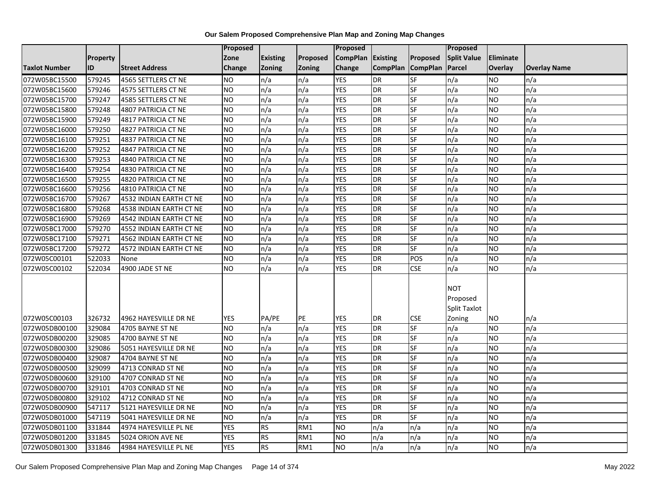|                      |          |                         | Proposed   |                 |               | Proposed        |                 |                 | Proposed           |                 |                     |
|----------------------|----------|-------------------------|------------|-----------------|---------------|-----------------|-----------------|-----------------|--------------------|-----------------|---------------------|
|                      | Property |                         | Zone       | <b>Existing</b> | Proposed      | <b>CompPlan</b> | Existing        | Proposed        | <b>Split Value</b> | Eliminate       |                     |
| <b>Taxlot Number</b> | ID       | <b>Street Address</b>   | Change     | Zoning          | <b>Zoning</b> | Change          | <b>CompPlan</b> | <b>CompPlan</b> | Parcel             | <b>Overlay</b>  | <b>Overlay Name</b> |
| 072W05BC15500        | 579245   | 4565 SETTLERS CT NE     | <b>NO</b>  | n/a             | n/a           | <b>YES</b>      | <b>DR</b>       | <b>SF</b>       | n/a                | <b>NO</b>       | n/a                 |
| 072W05BC15600        | 579246   | 4575 SETTLERS CT NE     | NO         | n/a             | n/a           | <b>YES</b>      | <b>DR</b>       | $S_{F}$         | n/a                | NO.             | n/a                 |
| 072W05BC15700        | 579247   | 4585 SETTLERS CT NE     | <b>NO</b>  | n/a             | n/a           | <b>YES</b>      | DR              | SF              | n/a                | <b>NO</b>       | n/a                 |
| 072W05BC15800        | 579248   | 4807 PATRICIA CT NE     | <b>NO</b>  | n/a             | n/a           | <b>YES</b>      | DR              | <b>SF</b>       | n/a                | NO.             | n/a                 |
| 072W05BC15900        | 579249   | 4817 PATRICIA CT NE     | Ю          | n/a             | n/a           | <b>YES</b>      | DR              | $S_{F}$         | n/a                | NO.             | n/a                 |
| 072W05BC16000        | 579250   | 4827 PATRICIA CT NE     | <b>NO</b>  | n/a             | n/a           | <b>YES</b>      | <b>DR</b>       | SF              | n/a                | <b>NO</b>       | n/a                 |
| 072W05BC16100        | 579251   | 4837 PATRICIA CT NE     | <b>NO</b>  | n/a             | n/a           | <b>YES</b>      | DR              | <b>SF</b>       | n/a                | NO.             | n/a                 |
| 072W05BC16200        | 579252   | 4847 PATRICIA CT NE     | <b>NO</b>  | n/a             | n/a           | <b>YES</b>      | DR              | <b>SF</b>       | n/a                | NO.             | n/a                 |
| 072W05BC16300        | 579253   | 4840 PATRICIA CT NE     | <b>NO</b>  | n/a             | n/a           | <b>YES</b>      | DR              | SF              | n/a                | NO.             | n/a                 |
| 072W05BC16400        | 579254   | 4830 PATRICIA CT NE     | <b>NO</b>  | n/a             | n/a           | <b>YES</b>      | DR              | <b>SF</b>       | n/a                | NO.             | n/a                 |
| 072W05BC16500        | 579255   | 4820 PATRICIA CT NE     | Ю          | n/a             | n/a           | <b>YES</b>      | DR              | <b>SF</b>       | n/a                | <b>NO</b>       | n/a                 |
| 072W05BC16600        | 579256   | 4810 PATRICIA CT NE     | <b>NO</b>  | n/a             | n/a           | <b>YES</b>      | DR              | SF              | n/a                | <b>NO</b>       | n/a                 |
| 072W05BC16700        | 579267   | 4532 INDIAN EARTH CT NE | <b>NO</b>  | n/a             | n/a           | <b>YES</b>      | <b>DR</b>       | <b>SF</b>       | n/a                | NO.             | n/a                 |
| 072W05BC16800        | 579268   | 4538 INDIAN EARTH CT NE | ŌИ         | n/a             | n/a           | <b>YES</b>      | DR              | <b>SF</b>       | n/a                | NO.             | n/a                 |
| 072W05BC16900        | 579269   | 4542 INDIAN EARTH CT NE | <b>NO</b>  | n/a             | n/a           | <b>YES</b>      | DR              | SF              | n/a                | NO.             | n/a                 |
| 072W05BC17000        | 579270   | 4552 INDIAN EARTH CT NE | ŌИ         | n/a             | n/a           | <b>YES</b>      | DR              | <b>SF</b>       | n/a                | NO.             | n/a                 |
| 072W05BC17100        | 579271   | 4562 INDIAN EARTH CT NE | <b>NO</b>  | n/a             | n/a           | <b>YES</b>      | <b>DR</b>       | $S_{F}$         | n/a                | NO.             | n/a                 |
| 072W05BC17200        | 579272   | 4572 INDIAN EARTH CT NE | <b>NO</b>  | n/a             | n/a           | <b>YES</b>      | DR              | SF              | n/a                | NO.             | n/a                 |
| 072W05C00101         | 522033   | None                    | <b>NO</b>  | n/a             | n/a           | <b>YES</b>      | DR              | POS             | n/a                | NO.             | n/a                 |
| 072W05C00102         | 522034   | 4900 JADE ST NE         | Ю          | n/a             | n/a           | <b>YES</b>      | <b>DR</b>       | <b>CSE</b>      | n/a                | NO.             | n/a                 |
|                      |          |                         |            |                 |               |                 |                 |                 |                    |                 |                     |
|                      |          |                         |            |                 |               |                 |                 |                 | <b>NOT</b>         |                 |                     |
|                      |          |                         |            |                 |               |                 |                 |                 | Proposed           |                 |                     |
|                      |          |                         |            |                 |               |                 |                 |                 | Split Taxlot       |                 |                     |
| 072W05C00103         | 326732   | 4962 HAYESVILLE DR NE   | <b>YES</b> | PA/PE           | PE            | <b>YES</b>      | DR              | <b>CSE</b>      | Zoning             | NO              | n/a                 |
| 072W05DB00100        | 329084   | 4705 BAYNE ST NE        | ŌИ         | n/a             | n/a           | <b>YES</b>      | <b>DR</b>       | <b>SF</b>       | n/a                | NO.             | n/a                 |
| 072W05DB00200        | 329085   | 4700 BAYNE ST NE        | <b>NO</b>  | n/a             | n/a           | <b>YES</b>      | <b>DR</b>       | SF              | n/a                | <b>NO</b>       | n/a                 |
| 072W05DB00300        | 329086   | 5051 HAYESVILLE DR NE   | <b>NO</b>  | n/a             | n/a           | <b>YES</b>      | DR              | SF              | n/a                | NO.             | n/a                 |
| 072W05DB00400        | 329087   | 4704 BAYNE ST NE        | NO         | n/a             | n/a           | <b>YES</b>      | <b>DR</b>       | $S_{F}$         | n/a                | NO.             | n/a                 |
| 072W05DB00500        | 329099   | 4713 CONRAD ST NE       | <b>NO</b>  | n/a             | n/a           | <b>YES</b>      | <b>DR</b>       | SF              | n/a                | NO.             | n/a                 |
| 072W05DB00600        | 329100   | 4707 CONRAD ST NE       | <b>NO</b>  | n/a             | n/a           | <b>YES</b>      | DR              | SF              | n/a                | <b>NO</b>       | n/a                 |
| 072W05DB00700        | 329101   | 4703 CONRAD ST NE       | Ю          | n/a             | n/a           | <b>YES</b>      | <b>DR</b>       | <b>SF</b>       | n/a                | $\overline{NO}$ | n/a                 |
| 072W05DB00800        | 329102   | 4712 CONRAD ST NE       | <b>NO</b>  | n/a             | n/a           | <b>YES</b>      | DR              | SF              | n/a                | <b>NO</b>       | n/a                 |
| 072W05DB00900        | 547117   | 5121 HAYESVILLE DR NE   | <b>NO</b>  | n/a             | n/a           | <b>YES</b>      | DR              | SF              | n/a                | NO.             | n/a                 |
| 072W05DB01000        | 547119   | 5041 HAYESVILLE DR NE   | <b>NO</b>  | n/a             | n/a           | <b>YES</b>      | <b>DR</b>       | <b>SF</b>       | n/a                | NO.             | n/a                 |
| 072W05DB01100        | 331844   | 4974 HAYESVILLE PL NE   | <b>YES</b> | <b>RS</b>       | RM1           | <b>NO</b>       | n/a             | n/a             | n/a                | NO.             | n/a                 |
| 072W05DB01200        | 331845   | 5024 ORION AVE NE       | <b>YES</b> | <b>RS</b>       | RM1           | <b>NO</b>       | n/a             | n/a             | n/a                | NO.             | n/a                 |
| 072W05DB01300        | 331846   | 4984 HAYESVILLE PL NE   | <b>YES</b> | <b>RS</b>       | RM1           | ŌИ              | n/a             | n/a             | n/a                | <b>NO</b>       | n/a                 |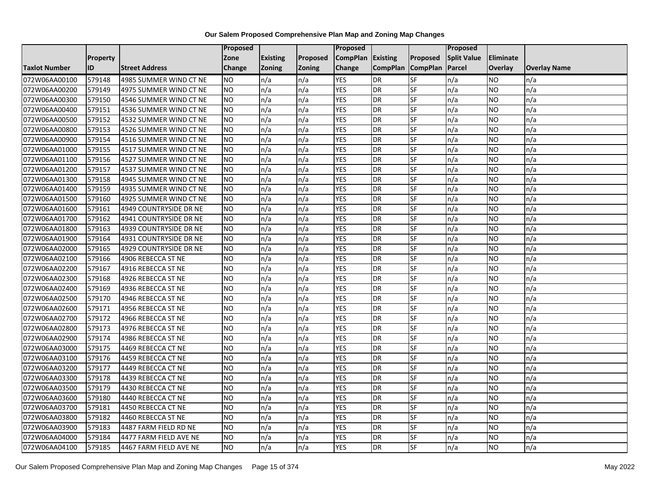|                      |                 |                        | Proposed        |                 |               | <b>Proposed</b> |                 |                 | Proposed           |           |                     |
|----------------------|-----------------|------------------------|-----------------|-----------------|---------------|-----------------|-----------------|-----------------|--------------------|-----------|---------------------|
|                      | <b>Property</b> |                        | Zone            | <b>Existing</b> | Proposed      | <b>CompPlan</b> | <b>Existing</b> | Proposed        | <b>Split Value</b> | Eliminate |                     |
| <b>Taxlot Number</b> | ID              | <b>Street Address</b>  | Change          | <b>Zoning</b>   | <b>Zoning</b> | Change          | <b>CompPlan</b> | <b>CompPlan</b> | Parcel             | Overlay   | <b>Overlay Name</b> |
| 072W06AA00100        | 579148          | 4985 SUMMER WIND CT NE | <b>NO</b>       | n/a             | n/a           | <b>YES</b>      | <b>DR</b>       | <b>SF</b>       | n/a                | NO        | n/a                 |
| 072W06AA00200        | 579149          | 4975 SUMMER WIND CT NE | <b>NO</b>       | n/a             | n/a           | <b>YES</b>      | <b>DR</b>       | <b>SF</b>       | n/a                | NO.       | n/a                 |
| 072W06AA00300        | 579150          | 4546 SUMMER WIND CT NE | <b>NO</b>       | n/a             | n/a           | <b>YES</b>      | <b>DR</b>       | SF              | n/a                | NO.       | n/a                 |
| 072W06AA00400        | 579151          | 4536 SUMMER WIND CT NE | <b>NO</b>       | n/a             | n/a           | <b>YES</b>      | <b>DR</b>       | SF              | n/a                | NO.       | n/a                 |
| 072W06AA00500        | 579152          | 4532 SUMMER WIND CT NE | <b>NO</b>       | n/a             | n/a           | <b>YES</b>      | <b>DR</b>       | <b>SF</b>       | n/a                | NO.       | n/a                 |
| 072W06AA00800        | 579153          | 4526 SUMMER WIND CT NE | <b>NO</b>       | n/a             | n/a           | <b>YES</b>      | <b>DR</b>       | SF              | n/a                | <b>NO</b> | n/a                 |
| 072W06AA00900        | 579154          | 4516 SUMMER WIND CT NE | <b>NO</b>       | n/a             | n/a           | <b>YES</b>      | <b>DR</b>       | SF              | n/a                | NO.       | n/a                 |
| 072W06AA01000        | 579155          | 4517 SUMMER WIND CT NE | <b>NO</b>       | n/a             | n/a           | <b>YES</b>      | <b>DR</b>       | SF              | n/a                | NO.       | n/a                 |
| 072W06AA01100        | 579156          | 4527 SUMMER WIND CT NE | <b>NO</b>       | n/a             | n/a           | <b>YES</b>      | <b>DR</b>       | SF              | n/a                | NO.       | n/a                 |
| 072W06AA01200        | 579157          | 4537 SUMMER WIND CT NE | ZО              | n/a             | n/a           | <b>YES</b>      | <b>DR</b>       | <b>SF</b>       | n/a                | NO.       | n/a                 |
| 072W06AA01300        | 579158          | 4945 SUMMER WIND CT NE | <b>NO</b>       | n/a             | n/a           | <b>YES</b>      | <b>DR</b>       | SF              | n/a                | NO.       | n/a                 |
| 072W06AA01400        | 579159          | 4935 SUMMER WIND CT NE | <b>NO</b>       | n/a             | n/a           | <b>YES</b>      | <b>DR</b>       | SF              | n/a                | <b>NO</b> | n/a                 |
| 072W06AA01500        | 579160          | 4925 SUMMER WIND CT NE | Ю               | n/a             | n/a           | <b>YES</b>      | <b>DR</b>       | <b>SF</b>       | n/a                | NO.       | n/a                 |
| 072W06AA01600        | 579161          | 4949 COUNTRYSIDE DR NE | <b>NO</b>       | n/a             | n/a           | <b>YES</b>      | <b>DR</b>       | SF              | n/a                | NO.       | n/a                 |
| 072W06AA01700        | 579162          | 4941 COUNTRYSIDE DR NE | <b>NO</b>       | n/a             | n/a           | <b>YES</b>      | <b>DR</b>       | SF              | n/a                | NO.       | n/a                 |
| 072W06AA01800        | 579163          | 4939 COUNTRYSIDE DR NE | Ю               | n/a             | n/a           | <b>YES</b>      | <b>DR</b>       | <b>SF</b>       | n/a                | NO.       | n/a                 |
| 072W06AA01900        | 579164          | 4931 COUNTRYSIDE DR NE | $\overline{NO}$ | n/a             | n/a           | <b>YES</b>      | <b>DR</b>       | <b>SF</b>       | n/a                | <b>NO</b> | n/a                 |
| 072W06AA02000        | 579165          | 4929 COUNTRYSIDE DR NE | <b>NO</b>       | n/a             | n/a           | <b>YES</b>      | <b>DR</b>       | SF              | n/a                | NO.       | n/a                 |
| 072W06AA02100        | 579166          | 4906 REBECCA ST NE     | <b>NO</b>       | n/a             | n/a           | <b>YES</b>      | <b>DR</b>       | SF              | n/a                | NO.       | n/a                 |
| 072W06AA02200        | 579167          | 4916 REBECCA ST NE     | <b>NO</b>       | n/a             | n/a           | <b>YES</b>      | <b>DR</b>       | <b>SF</b>       | n/a                | ΝO        | n/a                 |
| 072W06AA02300        | 579168          | 4926 REBECCA ST NE     | <b>NO</b>       | n/a             | n/a           | <b>YES</b>      | <b>DR</b>       | SF              | n/a                | NO.       | n/a                 |
| 072W06AA02400        | 579169          | 4936 REBECCA ST NE     | <b>NO</b>       | n/a             | n/a           | <b>YES</b>      | <b>DR</b>       | <b>SF</b>       | n/a                | NO.       | n/a                 |
| 072W06AA02500        | 579170          | 4946 REBECCA ST NE     | <b>NO</b>       | n/a             | n/a           | <b>YES</b>      | <b>DR</b>       | <b>SF</b>       | n/a                | NO.       | n/a                 |
| 072W06AA02600        | 579171          | 4956 REBECCA ST NE     | <b>NO</b>       | n/a             | n/a           | <b>YES</b>      | <b>DR</b>       | SF              | n/a                | NO        | n/a                 |
| 072W06AA02700        | 579172          | 4966 REBECCA ST NE     | <b>NO</b>       | n/a             | n/a           | <b>YES</b>      | <b>DR</b>       | SF              | n/a                | NO.       | n/a                 |
| 072W06AA02800        | 579173          | 4976 REBECCA ST NE     | <b>NO</b>       | n/a             | n/a           | <b>YES</b>      | <b>DR</b>       | <b>SF</b>       | n/a                | NO.       | n/a                 |
| 072W06AA02900        | 579174          | 4986 REBECCA ST NE     | NO              | n/a             | n/a           | <b>YES</b>      | <b>DR</b>       | $S_{F}$         | n/a                | NO.       | n/a                 |
| 072W06AA03000        | 579175          | 4469 REBECCA CT NE     | <b>NO</b>       | n/a             | n/a           | <b>YES</b>      | <b>DR</b>       | SF              | n/a                | NO.       | n/a                 |
| 072W06AA03100        | 579176          | 4459 REBECCA CT NE     | <b>NO</b>       | n/a             | n/a           | <b>YES</b>      | <b>DR</b>       | SF              | n/a                | NO.       | n/a                 |
| 072W06AA03200        | 579177          | 4449 REBECCA CT NE     | <b>NO</b>       | n/a             | n/a           | <b>YES</b>      | <b>DR</b>       | SF              | n/a                | NO.       | n/a                 |
| 072W06AA03300        | 579178          | 4439 REBECCA CT NE     | <b>NO</b>       | n/a             | n/a           | <b>YES</b>      | <b>DR</b>       | SF              | n/a                | NO.       | n/a                 |
| 072W06AA03500        | 579179          | 4430 REBECCA CT NE     | <b>NO</b>       | n/a             | n/a           | <b>YES</b>      | <b>DR</b>       | <b>SF</b>       | n/a                | NO.       | n/a                 |
| 072W06AA03600        | 579180          | 4440 REBECCA CT NE     | $\overline{NO}$ | n/a             | n/a           | <b>YES</b>      | <b>DR</b>       | <b>SF</b>       | n/a                | <b>NO</b> | n/a                 |
| 072W06AA03700        | 579181          | 4450 REBECCA CT NE     | <b>NO</b>       | n/a             | n/a           | <b>YES</b>      | <b>DR</b>       | SF              | n/a                | NO.       | n/a                 |
| 072W06AA03800        | 579182          | 4460 REBECCA ST NE     | <b>NO</b>       | n/a             | n/a           | <b>YES</b>      | <b>DR</b>       | SF              | n/a                | NO.       | n/a                 |
| 072W06AA03900        | 579183          | 4487 FARM FIELD RD NE  | NO.             | n/a             | n/a           | YES             | <b>DR</b>       | <b>SF</b>       | n/a                | NO        | n/a                 |
| 072W06AA04000        | 579184          | 4477 FARM FIELD AVE NE | <b>NO</b>       | n/a             | n/a           | <b>YES</b>      | <b>DR</b>       | SF              | n/a                | ΝO        | n/a                 |
| 072W06AA04100        | 579185          | 4467 FARM FIELD AVE NE | <b>NO</b>       | n/a             | n/a           | <b>YES</b>      | <b>DR</b>       | SF              | n/a                | NO.       | n/a                 |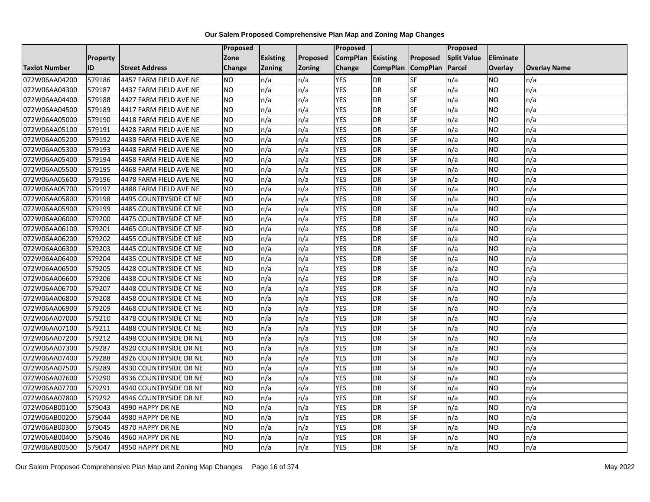|                      |          |                        | Proposed        |                 |               | <b>Proposed</b> |                 |                 | Proposed           |                |                     |
|----------------------|----------|------------------------|-----------------|-----------------|---------------|-----------------|-----------------|-----------------|--------------------|----------------|---------------------|
|                      | Property |                        | Zone            | <b>Existing</b> | Proposed      | <b>CompPlan</b> | <b>Existing</b> | Proposed        | <b>Split Value</b> | Eliminate      |                     |
| <b>Taxlot Number</b> | ID       | <b>Street Address</b>  | Change          | <b>Zoning</b>   | <b>Zoning</b> | Change          | <b>CompPlan</b> | <b>CompPlan</b> | Parcel             | <b>Overlay</b> | <b>Overlay Name</b> |
| 072W06AA04200        | 579186   | 4457 FARM FIELD AVE NE | <b>NO</b>       | n/a             | n/a           | <b>YES</b>      | <b>DR</b>       | <b>SF</b>       | n/a                | NO.            | n/a                 |
| 072W06AA04300        | 579187   | 4437 FARM FIELD AVE NE | NO              | n/a             | n/a           | <b>YES</b>      | <b>DR</b>       | <b>SF</b>       | n/a                | NO.            | n/a                 |
| 072W06AA04400        | 579188   | 4427 FARM FIELD AVE NE | <b>NO</b>       | n/a             | n/a           | <b>YES</b>      | <b>DR</b>       | SF              | n/a                | NO.            | n/a                 |
| 072W06AA04500        | 579189   | 4417 FARM FIELD AVE NE | <b>NO</b>       | n/a             | n/a           | <b>YES</b>      | <b>DR</b>       | <b>SF</b>       | n/a                | NO.            | n/a                 |
| 072W06AA05000        | 579190   | 4418 FARM FIELD AVE NE | Ю               | n/a             | n/a           | <b>YES</b>      | <b>DR</b>       | <b>SF</b>       | n/a                | NO.            | n/a                 |
| 072W06AA05100        | 579191   | 4428 FARM FIELD AVE NE | $\overline{NO}$ | n/a             | n/a           | <b>YES</b>      | <b>DR</b>       | SF              | n/a                | NO.            | n/a                 |
| 072W06AA05200        | 579192   | 4438 FARM FIELD AVE NE | <b>NO</b>       | n/a             | n/a           | <b>YES</b>      | <b>DR</b>       | <b>SF</b>       | n/a                | NO.            | n/a                 |
| 072W06AA05300        | 579193   | 4448 FARM FIELD AVE NE | NO.             | n/a             | n/a           | <b>YES</b>      | <b>DR</b>       | SF              | n/a                | NO.            | n/a                 |
| 072W06AA05400        | 579194   | 4458 FARM FIELD AVE NE | <b>NO</b>       | n/a             | n/a           | <b>YES</b>      | <b>DR</b>       | SF              | n/a                | ΝO             | n/a                 |
| 072W06AA05500        | 579195   | 4468 FARM FIELD AVE NE | Ю               | n/a             | n/a           | <b>YES</b>      | <b>DR</b>       | <b>SF</b>       | n/a                | NO.            | n/a                 |
| 072W06AA05600        | 579196   | 4478 FARM FIELD AVE NE | <b>NO</b>       | n/a             | n/a           | <b>YES</b>      | <b>DR</b>       | <b>SF</b>       | n/a                | <b>NO</b>      | n/a                 |
| 072W06AA05700        | 579197   | 4488 FARM FIELD AVE NE | <b>NO</b>       | n/a             | n/a           | <b>YES</b>      | <b>DR</b>       | <b>SF</b>       | n/a                | NO.            | n/a                 |
| 072W06AA05800        | 579198   | 4495 COUNTRYSIDE CT NE | <b>NO</b>       | n/a             | n/a           | <b>YES</b>      | <b>DR</b>       | SF              | n/a                | NO.            | n/a                 |
| 072W06AA05900        | 579199   | 4485 COUNTRYSIDE CT NE | $\overline{NO}$ | n/a             | n/a           | <b>YES</b>      | <b>DR</b>       | <b>SF</b>       | n/a                | <b>NO</b>      | n/a                 |
| 072W06AA06000        | 579200   | 4475 COUNTRYSIDE CT NE | <b>NO</b>       | n/a             | n/a           | <b>YES</b>      | <b>DR</b>       | SF              | n/a                | ΝO             | n/a                 |
| 072W06AA06100        | 579201   | 4465 COUNTRYSIDE CT NE | <b>NO</b>       | n/a             | n/a           | <b>YES</b>      | <b>DR</b>       | <b>SF</b>       | n/a                | NO.            | n/a                 |
| 072W06AA06200        | 579202   | 4455 COUNTRYSIDE CT NE | <b>NO</b>       | n/a             | n/a           | <b>YES</b>      | <b>DR</b>       | SF              | n/a                | NO.            | n/a                 |
| 072W06AA06300        | 579203   | 4445 COUNTRYSIDE CT NE | <b>NO</b>       | n/a             | n/a           | <b>YES</b>      | <b>DR</b>       | SF              | n/a                | NO.            | n/a                 |
| 072W06AA06400        | 579204   | 4435 COUNTRYSIDE CT NE | <b>NO</b>       | n/a             | n/a           | <b>YES</b>      | <b>DR</b>       | SF              | n/a                | NO.            | n/a                 |
| 072W06AA06500        | 579205   | 4428 COUNTRYSIDE CT NE | <b>NO</b>       | n/a             | n/a           | <b>YES</b>      | <b>DR</b>       | <b>SF</b>       | n/a                | NO.            | n/a                 |
| 072W06AA06600        | 579206   | 4438 COUNTRYSIDE CT NE | <b>NO</b>       | n/a             | n/a           | <b>YES</b>      | <b>DR</b>       | SF              | n/a                | NO.            | n/a                 |
| 072W06AA06700        | 579207   | 4448 COUNTRYSIDE CT NE | Ю               | n/a             | n/a           | <b>YES</b>      | <b>DR</b>       | <b>SF</b>       | n/a                | NO.            | n/a                 |
| 072W06AA06800        | 579208   | 4458 COUNTRYSIDE CT NE | <b>NO</b>       | n/a             | n/a           | <b>YES</b>      | <b>DR</b>       | <b>SF</b>       | n/a                | <b>NO</b>      | n/a                 |
| 072W06AA06900        | 579209   | 4468 COUNTRYSIDE CT NE | <b>NO</b>       | n/a             | n/a           | <b>YES</b>      | <b>DR</b>       | SF              | n/a                | NO.            | n/a                 |
| 072W06AA07000        | 579210   | 4478 COUNTRYSIDE CT NE | $\overline{NO}$ | n/a             | n/a           | <b>YES</b>      | <b>DR</b>       | <b>SF</b>       | n/a                | <b>NO</b>      | n/a                 |
| 072W06AA07100        | 579211   | 4488 COUNTRYSIDE CT NE | <b>NO</b>       | n/a             | n/a           | <b>YES</b>      | <b>DR</b>       | <b>SF</b>       | n/a                | NO.            | n/a                 |
| 072W06AA07200        | 579212   | 4498 COUNTRYSIDE DR NE | <b>NO</b>       | n/a             | n/a           | <b>YES</b>      | <b>DR</b>       | <b>SF</b>       | n/a                | NO.            | n/a                 |
| 072W06AA07300        | 579287   | 4920 COUNTRYSIDE DR NE | <b>NO</b>       | n/a             | n/a           | <b>YES</b>      | <b>DR</b>       | SF              | n/a                | NO.            | n/a                 |
| 072W06AA07400        | 579288   | 4926 COUNTRYSIDE DR NE | <b>NO</b>       | n/a             | n/a           | <b>YES</b>      | <b>DR</b>       | SF              | n/a                | NO.            | n/a                 |
| 072W06AA07500        | 579289   | 4930 COUNTRYSIDE DR NE | <b>NO</b>       | n/a             | n/a           | <b>YES</b>      | <b>DR</b>       | <b>SF</b>       | n/a                | <b>NO</b>      | n/a                 |
| 072W06AA07600        | 579290   | 4936 COUNTRYSIDE DR NE | <b>NO</b>       | n/a             | n/a           | <b>YES</b>      | <b>DR</b>       | SF              | n/a                | ΝO             | n/a                 |
| 072W06AA07700        | 579291   | 4940 COUNTRYSIDE DR NE | <b>NO</b>       | n/a             | n/a           | <b>YES</b>      | <b>DR</b>       | <b>SF</b>       | n/a                | <b>NO</b>      | n/a                 |
| 072W06AA07800        | 579292   | 4946 COUNTRYSIDE DR NE | <b>NO</b>       | n/a             | n/a           | <b>YES</b>      | <b>DR</b>       | SF              | n/a                | NO.            | n/a                 |
| 072W06AB00100        | 579043   | 4990 HAPPY DR NE       | <b>NO</b>       | n/a             | n/a           | <b>YES</b>      | <b>DR</b>       | SF              | n/a                | NO.            | n/a                 |
| 072W06AB00200        | 579044   | 4980 HAPPY DR NE       | $\overline{NO}$ | n/a             | n/a           | <b>YES</b>      | <b>DR</b>       | <b>SF</b>       | n/a                | NO.            | n/a                 |
| 072W06AB00300        | 579045   | 4970 HAPPY DR NE       | <b>NO</b>       | n/a             | n/a           | <b>YES</b>      | <b>DR</b>       | SF              | n/a                | NO.            | n/a                 |
| 072W06AB00400        | 579046   | 4960 HAPPY DR NE       | <b>NO</b>       | n/a             | n/a           | <b>YES</b>      | <b>DR</b>       | SF              | n/a                | NO.            | n/a                 |
| 072W06AB00500        | 579047   | 4950 HAPPY DR NE       | $\overline{NO}$ | n/a             | n/a           | <b>YES</b>      | <b>DR</b>       | <b>SF</b>       | n/a                | NO.            | n/a                 |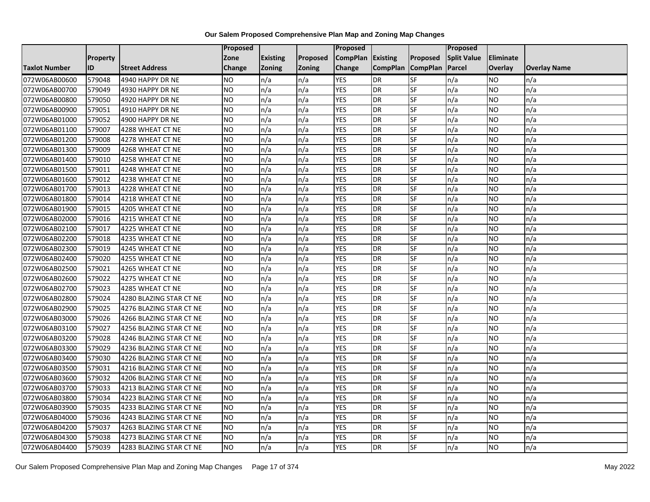|                      |                 |                         | Proposed        |                 |               | <b>Proposed</b> |                 |                 | Proposed           |                |                     |
|----------------------|-----------------|-------------------------|-----------------|-----------------|---------------|-----------------|-----------------|-----------------|--------------------|----------------|---------------------|
|                      | <b>Property</b> |                         | Zone            | <b>Existing</b> | Proposed      | <b>CompPlan</b> | <b>Existing</b> | <b>Proposed</b> | <b>Split Value</b> | Eliminate      |                     |
| <b>Taxlot Number</b> | ID              | <b>Street Address</b>   | Change          | <b>Zoning</b>   | <b>Zoning</b> | Change          | <b>CompPlan</b> | <b>CompPlan</b> | Parcel             | <b>Overlay</b> | <b>Overlay Name</b> |
| 072W06AB00600        | 579048          | 4940 HAPPY DR NE        | <b>NO</b>       | n/a             | n/a           | <b>YES</b>      | <b>DR</b>       | <b>SF</b>       | n/a                | NO.            | n/a                 |
| 072W06AB00700        | 579049          | 4930 HAPPY DR NE        | <b>NO</b>       | n/a             | n/a           | <b>YES</b>      | <b>DR</b>       | <b>SF</b>       | n/a                | NO.            | n/a                 |
| 072W06AB00800        | 579050          | 4920 HAPPY DR NE        | <b>NO</b>       | n/a             | n/a           | <b>YES</b>      | <b>DR</b>       | SF              | n/a                | NO.            | n/a                 |
| 072W06AB00900        | 579051          | 4910 HAPPY DR NE        | <b>NO</b>       | n/a             | n/a           | <b>YES</b>      | <b>DR</b>       | SF              | n/a                | NO.            | n/a                 |
| 072W06AB01000        | 579052          | 4900 HAPPY DR NE        | <b>NO</b>       | n/a             | n/a           | <b>YES</b>      | <b>DR</b>       | <b>SF</b>       | n/a                | NO.            | n/a                 |
| 072W06AB01100        | 579007          | 4288 WHEAT CT NE        | <b>NO</b>       | n/a             | n/a           | <b>YES</b>      | <b>DR</b>       | SF              | n/a                | <b>NO</b>      | n/a                 |
| 072W06AB01200        | 579008          | 4278 WHEAT CT NE        | <b>NO</b>       | n/a             | n/a           | <b>YES</b>      | <b>DR</b>       | SF              | n/a                | NO.            | n/a                 |
| 072W06AB01300        | 579009          | 4268 WHEAT CT NE        | <b>NO</b>       | n/a             | n/a           | <b>YES</b>      | <b>DR</b>       | SF              | n/a                | NO.            | n/a                 |
| 072W06AB01400        | 579010          | 4258 WHEAT CT NE        | <b>NO</b>       | n/a             | n/a           | <b>YES</b>      | <b>DR</b>       | SF              | n/a                | NO.            | n/a                 |
| 072W06AB01500        | 579011          | 4248 WHEAT CT NE        | $\overline{NO}$ | n/a             | n/a           | <b>YES</b>      | <b>DR</b>       | <b>SF</b>       | n/a                | NO.            | n/a                 |
| 072W06AB01600        | 579012          | 4238 WHEAT CT NE        | <b>NO</b>       | n/a             | n/a           | <b>YES</b>      | <b>DR</b>       | SF              | n/a                | NO.            | n/a                 |
| 072W06AB01700        | 579013          | 4228 WHEAT CT NE        | <b>NO</b>       | n/a             | n/a           | <b>YES</b>      | <b>DR</b>       | SF              | n/a                | NO.            | n/a                 |
| 072W06AB01800        | 579014          | 4218 WHEAT CT NE        | <b>NO</b>       | n/a             | n/a           | <b>YES</b>      | <b>DR</b>       | <b>SF</b>       | n/a                | NO.            | n/a                 |
| 072W06AB01900        | 579015          | 4205 WHEAT CT NE        | <b>NO</b>       | n/a             | n/a           | <b>YES</b>      | <b>DR</b>       | SF              | n/a                | NO.            | n/a                 |
| 072W06AB02000        | 579016          | 4215 WHEAT CT NE        | <b>NO</b>       | n/a             | n/a           | <b>YES</b>      | <b>DR</b>       | SF              | n/a                | NO.            | n/a                 |
| 072W06AB02100        | 579017          | 4225 WHEAT CT NE        | $\overline{NO}$ | n/a             | n/a           | <b>YES</b>      | <b>DR</b>       | <b>SF</b>       | n/a                | NO.            | n/a                 |
| 072W06AB02200        | 579018          | 4235 WHEAT CT NE        | NO              | n/a             | n/a           | <b>YES</b>      | <b>DR</b>       | <b>SF</b>       | n/a                | <b>NO</b>      | n/a                 |
| 072W06AB02300        | 579019          | 4245 WHEAT CT NE        | <b>NO</b>       | n/a             | n/a           | <b>YES</b>      | <b>DR</b>       | SF              | n/a                | NO.            | n/a                 |
| 072W06AB02400        | 579020          | 4255 WHEAT CT NE        | <b>NO</b>       | n/a             | n/a           | <b>YES</b>      | <b>DR</b>       | SF              | n/a                | NO.            | n/a                 |
| 072W06AB02500        | 579021          | 4265 WHEAT CT NE        | <b>NO</b>       | n/a             | n/a           | <b>YES</b>      | <b>DR</b>       | SF              | n/a                | ΝO             | n/a                 |
| 072W06AB02600        | 579022          | 4275 WHEAT CT NE        | <b>NO</b>       | n/a             | n/a           | <b>YES</b>      | <b>DR</b>       | SF              | n/a                | NO.            | n/a                 |
| 072W06AB02700        | 579023          | 4285 WHEAT CT NE        | <b>NO</b>       | n/a             | n/a           | <b>YES</b>      | <b>DR</b>       | SF              | n/a                | NO.            | n/a                 |
| 072W06AB02800        | 579024          | 4280 BLAZING STAR CT NE | <b>NO</b>       | n/a             | n/a           | <b>YES</b>      | <b>DR</b>       | <b>SF</b>       | n/a                | NO.            | n/a                 |
| 072W06AB02900        | 579025          | 4276 BLAZING STAR CT NE | <b>NO</b>       | n/a             | n/a           | <b>YES</b>      | <b>DR</b>       | SF              | n/a                | NO             | n/a                 |
| 072W06AB03000        | 579026          | 4266 BLAZING STAR CT NE | <b>NO</b>       | n/a             | n/a           | <b>YES</b>      | <b>DR</b>       | SF              | n/a                | NO.            | n/a                 |
| 072W06AB03100        | 579027          | 4256 BLAZING STAR CT NE | <b>NO</b>       | n/a             | n/a           | <b>YES</b>      | <b>DR</b>       | SF              | n/a                | NO.            | n/a                 |
| 072W06AB03200        | 579028          | 4246 BLAZING STAR CT NE | Ю               | n/a             | n/a           | <b>YES</b>      | <b>DR</b>       | $S_{F}$         | n/a                | NO.            | n/a                 |
| 072W06AB03300        | 579029          | 4236 BLAZING STAR CT NE | <b>NO</b>       | n/a             | n/a           | <b>YES</b>      | <b>DR</b>       | SF              | n/a                | NO.            | n/a                 |
| 072W06AB03400        | 579030          | 4226 BLAZING STAR CT NE | <b>NO</b>       | n/a             | n/a           | <b>YES</b>      | <b>DR</b>       | SF              | n/a                | NO.            | n/a                 |
| 072W06AB03500        | 579031          | 4216 BLAZING STAR CT NE | <b>NO</b>       | n/a             | n/a           | <b>YES</b>      | <b>DR</b>       | SF              | n/a                | <b>NO</b>      | n/a                 |
| 072W06AB03600        | 579032          | 4206 BLAZING STAR CT NE | <b>NO</b>       | n/a             | n/a           | <b>YES</b>      | <b>DR</b>       | SF              | n/a                | NO             | n/a                 |
| 072W06AB03700        | 579033          | 4213 BLAZING STAR CT NE | <b>NO</b>       | n/a             | n/a           | <b>YES</b>      | <b>DR</b>       | <b>SF</b>       | n/a                | NO.            | n/a                 |
| 072W06AB03800        | 579034          | 4223 BLAZING STAR CT NE | <b>NO</b>       | n/a             | n/a           | <b>YES</b>      | <b>DR</b>       | <b>SF</b>       | n/a                | <b>NO</b>      | n/a                 |
| 072W06AB03900        | 579035          | 4233 BLAZING STAR CT NE | <b>NO</b>       | n/a             | n/a           | <b>YES</b>      | <b>DR</b>       | SF              | n/a                | NO.            | n/a                 |
| 072W06AB04000        | 579036          | 4243 BLAZING STAR CT NE | <b>NO</b>       | n/a             | n/a           | <b>YES</b>      | <b>DR</b>       | SF              | n/a                | NO.            | n/a                 |
| 072W06AB04200        | 579037          | 4263 BLAZING STAR CT NE | NO.             | n/a             | n/a           | YES             | <b>DR</b>       | <b>SF</b>       | n/a                | NO             | n/a                 |
| 072W06AB04300        | 579038          | 4273 BLAZING STAR CT NE | <b>NO</b>       | n/a             | n/a           | <b>YES</b>      | DR              | SF              | n/a                | ΝO             | n/a                 |
| 072W06AB04400        | 579039          | 4283 BLAZING STAR CT NE | <b>NO</b>       | n/a             | n/a           | <b>YES</b>      | <b>DR</b>       | SF              | n/a                | NO.            | n/a                 |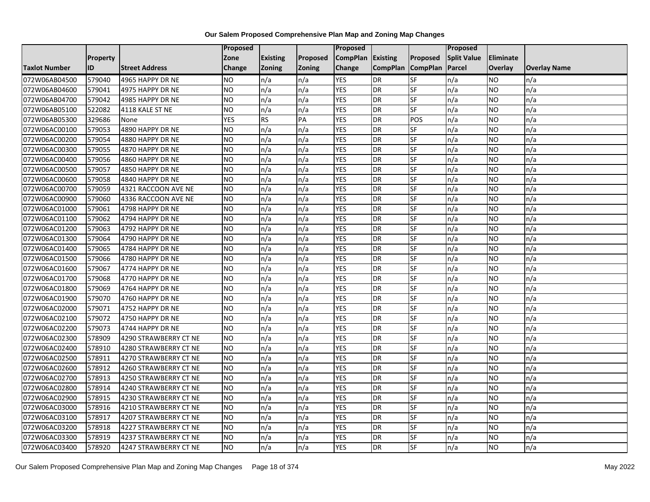|                      |                 |                       | Proposed        |                 |               | <b>Proposed</b> |                 |                 | Proposed           |                |                     |
|----------------------|-----------------|-----------------------|-----------------|-----------------|---------------|-----------------|-----------------|-----------------|--------------------|----------------|---------------------|
|                      | <b>Property</b> |                       | Zone            | <b>Existing</b> | Proposed      | <b>CompPlan</b> | <b>Existing</b> | Proposed        | <b>Split Value</b> | Eliminate      |                     |
| <b>Taxlot Number</b> | ID              | <b>Street Address</b> | Change          | <b>Zoning</b>   | <b>Zoning</b> | Change          | <b>CompPlan</b> | <b>CompPlan</b> | Parcel             | <b>Overlay</b> | <b>Overlay Name</b> |
| 072W06AB04500        | 579040          | 4965 HAPPY DR NE      | <b>NO</b>       | n/a             | n/a           | <b>YES</b>      | <b>DR</b>       | <b>SF</b>       | n/a                | NO.            | n/a                 |
| 072W06AB04600        | 579041          | 4975 HAPPY DR NE      | <b>NO</b>       | n/a             | n/a           | <b>YES</b>      | <b>DR</b>       | <b>SF</b>       | n/a                | NO.            | n/a                 |
| 072W06AB04700        | 579042          | 4985 HAPPY DR NE      | <b>NO</b>       | n/a             | n/a           | <b>YES</b>      | <b>DR</b>       | SF              | n/a                | NO.            | n/a                 |
| 072W06AB05100        | 522082          | 4118 KALE ST NE       | <b>NO</b>       | n/a             | n/a           | <b>YES</b>      | <b>DR</b>       | SF              | n/a                | NO.            | n/a                 |
| 072W06AB05300        | 329686          | None                  | <b>YES</b>      | <b>RS</b>       | PA            | <b>YES</b>      | <b>DR</b>       | POS             | n/a                | NO.            | n/a                 |
| 072W06AC00100        | 579053          | 4890 HAPPY DR NE      | <b>NO</b>       | n/a             | n/a           | <b>YES</b>      | <b>DR</b>       | SF              | n/a                | <b>NO</b>      | n/a                 |
| 072W06AC00200        | 579054          | 4880 HAPPY DR NE      | <b>NO</b>       | n/a             | n/a           | <b>YES</b>      | <b>DR</b>       | SF              | n/a                | NO.            | n/a                 |
| 072W06AC00300        | 579055          | 4870 HAPPY DR NE      | <b>NO</b>       | n/a             | n/a           | <b>YES</b>      | <b>DR</b>       | SF              | n/a                | NO.            | n/a                 |
| 072W06AC00400        | 579056          | 4860 HAPPY DR NE      | <b>NO</b>       | n/a             | n/a           | <b>YES</b>      | <b>DR</b>       | SF              | n/a                | NO.            | n/a                 |
| 072W06AC00500        | 579057          | 4850 HAPPY DR NE      | $\overline{NO}$ | n/a             | n/a           | <b>YES</b>      | <b>DR</b>       | <b>SF</b>       | n/a                | NO.            | n/a                 |
| 072W06AC00600        | 579058          | 4840 HAPPY DR NE      | <b>NO</b>       | n/a             | n/a           | <b>YES</b>      | <b>DR</b>       | SF              | n/a                | NO.            | n/a                 |
| 072W06AC00700        | 579059          | 4321 RACCOON AVE NE   | <b>NO</b>       | n/a             | n/a           | <b>YES</b>      | <b>DR</b>       | SF              | n/a                | NO.            | n/a                 |
| 072W06AC00900        | 579060          | 4336 RACCOON AVE NE   | <b>NO</b>       | n/a             | n/a           | <b>YES</b>      | <b>DR</b>       | <b>SF</b>       | n/a                | NO.            | n/a                 |
| 072W06AC01000        | 579061          | 4798 HAPPY DR NE      | <b>NO</b>       | n/a             | n/a           | <b>YES</b>      | <b>DR</b>       | SF              | n/a                | NO.            | n/a                 |
| 072W06AC01100        | 579062          | 4794 HAPPY DR NE      | <b>NO</b>       | n/a             | n/a           | <b>YES</b>      | <b>DR</b>       | SF              | n/a                | NO.            | n/a                 |
| 072W06AC01200        | 579063          | 4792 HAPPY DR NE      | $\overline{NO}$ | n/a             | n/a           | <b>YES</b>      | <b>DR</b>       | <b>SF</b>       | n/a                | NO.            | n/a                 |
| 072W06AC01300        | 579064          | 4790 HAPPY DR NE      | NO              | n/a             | n/a           | <b>YES</b>      | <b>DR</b>       | <b>SF</b>       | n/a                | <b>NO</b>      | n/a                 |
| 072W06AC01400        | 579065          | 4784 HAPPY DR NE      | <b>NO</b>       | n/a             | n/a           | <b>YES</b>      | <b>DR</b>       | SF              | n/a                | NO.            | n/a                 |
| 072W06AC01500        | 579066          | 4780 HAPPY DR NE      | <b>NO</b>       | n/a             | n/a           | <b>YES</b>      | <b>DR</b>       | SF              | n/a                | NO.            | n/a                 |
| 072W06AC01600        | 579067          | 4774 HAPPY DR NE      | <b>NO</b>       | n/a             | n/a           | <b>YES</b>      | <b>DR</b>       | <b>SF</b>       | n/a                | ΝO             | n/a                 |
| 072W06AC01700        | 579068          | 4770 HAPPY DR NE      | <b>NO</b>       | n/a             | n/a           | <b>YES</b>      | <b>DR</b>       | SF              | n/a                | NO.            | n/a                 |
| 072W06AC01800        | 579069          | 4764 HAPPY DR NE      | <b>NO</b>       | n/a             | n/a           | <b>YES</b>      | <b>DR</b>       | SF              | n/a                | NO.            | n/a                 |
| 072W06AC01900        | 579070          | 4760 HAPPY DR NE      | <b>NO</b>       | n/a             | n/a           | <b>YES</b>      | <b>DR</b>       | SF              | n/a                | NO.            | n/a                 |
| 072W06AC02000        | 579071          | 4752 HAPPY DR NE      | <b>NO</b>       | n/a             | n/a           | <b>YES</b>      | <b>DR</b>       | SF              | n/a                | NO             | n/a                 |
| 072W06AC02100        | 579072          | 4750 HAPPY DR NE      | <b>NO</b>       | n/a             | n/a           | <b>YES</b>      | <b>DR</b>       | SF              | n/a                | NO.            | n/a                 |
| 072W06AC02200        | 579073          | 4744 HAPPY DR NE      | <b>NO</b>       | n/a             | n/a           | <b>YES</b>      | <b>DR</b>       | SF              | n/a                | NO.            | n/a                 |
| 072W06AC02300        | 578909          | 4290 STRAWBERRY CT NE | $\overline{NO}$ | n/a             | n/a           | <b>YES</b>      | <b>DR</b>       | $S_{F}$         | n/a                | NO.            | n/a                 |
| 072W06AC02400        | 578910          | 4280 STRAWBERRY CT NE | <b>NO</b>       | n/a             | n/a           | <b>YES</b>      | <b>DR</b>       | SF              | n/a                | NO.            | n/a                 |
| 072W06AC02500        | 578911          | 4270 STRAWBERRY CT NE | <b>NO</b>       | n/a             | n/a           | <b>YES</b>      | <b>DR</b>       | SF              | n/a                | NO.            | n/a                 |
| 072W06AC02600        | 578912          | 4260 STRAWBERRY CT NE | <b>NO</b>       | n/a             | n/a           | <b>YES</b>      | <b>DR</b>       | SF              | n/a                | NO.            | n/a                 |
| 072W06AC02700        | 578913          | 4250 STRAWBERRY CT NE | <b>NO</b>       | n/a             | n/a           | <b>YES</b>      | <b>DR</b>       | SF              | n/a                | NO.            | n/a                 |
| 072W06AC02800        | 578914          | 4240 STRAWBERRY CT NE | <b>NO</b>       | n/a             | n/a           | <b>YES</b>      | <b>DR</b>       | <b>SF</b>       | n/a                | NO.            | n/a                 |
| 072W06AC02900        | 578915          | 4230 STRAWBERRY CT NE | $\overline{NO}$ | n/a             | n/a           | <b>YES</b>      | <b>DR</b>       | SF              | n/a                | <b>NO</b>      | n/a                 |
| 072W06AC03000        | 578916          | 4210 STRAWBERRY CT NE | <b>NO</b>       | n/a             | n/a           | <b>YES</b>      | <b>DR</b>       | SF              | n/a                | NO.            | n/a                 |
| 072W06AC03100        | 578917          | 4207 STRAWBERRY CT NE | <b>NO</b>       | n/a             | n/a           | <b>YES</b>      | <b>DR</b>       | SF              | n/a                | NO.            | n/a                 |
| 072W06AC03200        | 578918          | 4227 STRAWBERRY CT NE | NO.             | n/a             | n/a           | YES             | <b>DR</b>       | <b>SF</b>       | n/a                | NO             | n/a                 |
| 072W06AC03300        | 578919          | 4237 STRAWBERRY CT NE | <b>NO</b>       | n/a             | n/a           | <b>YES</b>      | <b>DR</b>       | SF              | n/a                | ΝO             | n/a                 |
| 072W06AC03400        | 578920          | 4247 STRAWBERRY CT NE | <b>NO</b>       | n/a             | n/a           | <b>YES</b>      | <b>DR</b>       | SF              | n/a                | NO.            | n/a                 |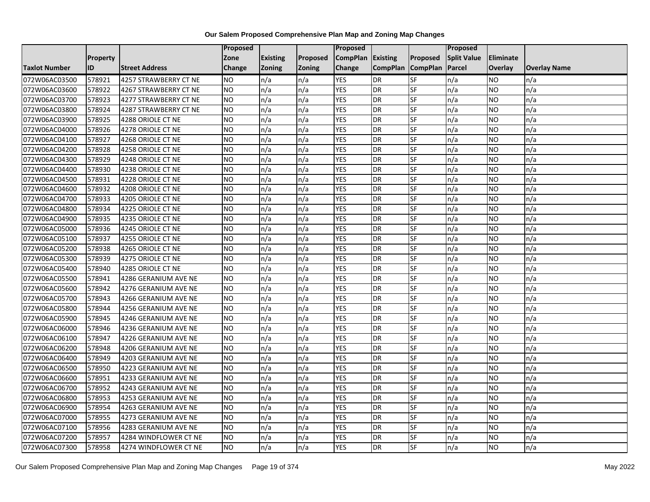|                      |                 |                       | Proposed        |                 |               | <b>Proposed</b> |                 |                 | <b>Proposed</b>    |           |                     |
|----------------------|-----------------|-----------------------|-----------------|-----------------|---------------|-----------------|-----------------|-----------------|--------------------|-----------|---------------------|
|                      | <b>Property</b> |                       | Zone            | <b>Existing</b> | Proposed      | <b>CompPlan</b> | <b>Existing</b> | Proposed        | <b>Split Value</b> | Eliminate |                     |
| <b>Taxlot Number</b> | ID              | <b>Street Address</b> | Change          | <b>Zoning</b>   | <b>Zoning</b> | Change          | <b>CompPlan</b> | <b>CompPlan</b> | Parcel             | Overlay   | <b>Overlay Name</b> |
| 072W06AC03500        | 578921          | 4257 STRAWBERRY CT NE | <b>NO</b>       | n/a             | n/a           | <b>YES</b>      | <b>DR</b>       | <b>SF</b>       | n/a                | NO.       | n/a                 |
| 072W06AC03600        | 578922          | 4267 STRAWBERRY CT NE | <b>NO</b>       | n/a             | n/a           | <b>YES</b>      | <b>DR</b>       | <b>SF</b>       | n/a                | NO.       | n/a                 |
| 072W06AC03700        | 578923          | 4277 STRAWBERRY CT NE | <b>NO</b>       | n/a             | n/a           | <b>YES</b>      | <b>DR</b>       | SF              | n/a                | NO.       | n/a                 |
| 072W06AC03800        | 578924          | 4287 STRAWBERRY CT NE | <b>NO</b>       | n/a             | n/a           | <b>YES</b>      | <b>DR</b>       | SF              | n/a                | NO.       | n/a                 |
| 072W06AC03900        | 578925          | 4288 ORIOLE CT NE     | <b>NO</b>       | n/a             | n/a           | <b>YES</b>      | <b>DR</b>       | <b>SF</b>       | n/a                | NO.       | n/a                 |
| 072W06AC04000        | 578926          | 4278 ORIOLE CT NE     | NO              | n/a             | n/a           | <b>YES</b>      | <b>DR</b>       | SF              | n/a                | <b>NO</b> | n/a                 |
| 072W06AC04100        | 578927          | 4268 ORIOLE CT NE     | <b>NO</b>       | n/a             | n/a           | <b>YES</b>      | <b>DR</b>       | SF              | n/a                | NO.       | n/a                 |
| 072W06AC04200        | 578928          | 4258 ORIOLE CT NE     | <b>NO</b>       | n/a             | n/a           | <b>YES</b>      | <b>DR</b>       | SF              | n/a                | NO.       | n/a                 |
| 072W06AC04300        | 578929          | 4248 ORIOLE CT NE     | <b>NO</b>       | n/a             | n/a           | <b>YES</b>      | <b>DR</b>       | SF              | n/a                | NO.       | n/a                 |
| 072W06AC04400        | 578930          | 4238 ORIOLE CT NE     | $\overline{NO}$ | n/a             | n/a           | <b>YES</b>      | <b>DR</b>       | <b>SF</b>       | n/a                | NO.       | n/a                 |
| 072W06AC04500        | 578931          | 4228 ORIOLE CT NE     | <b>NO</b>       | n/a             | n/a           | <b>YES</b>      | <b>DR</b>       | SF              | n/a                | <b>NO</b> | n/a                 |
| 072W06AC04600        | 578932          | 4208 ORIOLE CT NE     | <b>NO</b>       | n/a             | n/a           | <b>YES</b>      | <b>DR</b>       | SF              | n/a                | <b>NO</b> | n/a                 |
| 072W06AC04700        | 578933          | 4205 ORIOLE CT NE     | ZО              | n/a             | n/a           | <b>YES</b>      | <b>DR</b>       | <b>SF</b>       | n/a                | NO.       | n/a                 |
| 072W06AC04800        | 578934          | 4225 ORIOLE CT NE     | <b>NO</b>       | n/a             | n/a           | <b>YES</b>      | <b>DR</b>       | SF              | n/a                | NO.       | n/a                 |
| 072W06AC04900        | 578935          | 4235 ORIOLE CT NE     | <b>NO</b>       | n/a             | n/a           | <b>YES</b>      | <b>DR</b>       | SF              | n/a                | NO.       | n/a                 |
| 072W06AC05000        | 578936          | 4245 ORIOLE CT NE     | $\overline{NO}$ | n/a             | n/a           | <b>YES</b>      | <b>DR</b>       | <b>SF</b>       | n/a                | NO.       | n/a                 |
| 072W06AC05100        | 578937          | 4255 ORIOLE CT NE     | NO              | n/a             | n/a           | <b>YES</b>      | <b>DR</b>       | <b>SF</b>       | n/a                | <b>NO</b> | n/a                 |
| 072W06AC05200        | 578938          | 4265 ORIOLE CT NE     | <b>NO</b>       | n/a             | n/a           | <b>YES</b>      | <b>DR</b>       | SF              | n/a                | NO.       | n/a                 |
| 072W06AC05300        | 578939          | 4275 ORIOLE CT NE     | <b>NO</b>       | n/a             | n/a           | <b>YES</b>      | <b>DR</b>       | SF              | n/a                | NO.       | n/a                 |
| 072W06AC05400        | 578940          | 4285 ORIOLE CT NE     | <b>NO</b>       | n/a             | n/a           | <b>YES</b>      | <b>DR</b>       | <b>SF</b>       | n/a                | ΝO        | n/a                 |
| 072W06AC05500        | 578941          | 4286 GERANIUM AVE NE  | <b>NO</b>       | n/a             | n/a           | <b>YES</b>      | <b>DR</b>       | SF              | n/a                | NO.       | n/a                 |
| 072W06AC05600        | 578942          | 4276 GERANIUM AVE NE  | <b>NO</b>       | n/a             | n/a           | <b>YES</b>      | <b>DR</b>       | SF              | n/a                | NO.       | n/a                 |
| 072W06AC05700        | 578943          | 4266 GERANIUM AVE NE  | $\overline{NO}$ | n/a             | n/a           | <b>YES</b>      | <b>DR</b>       | SF              | n/a                | NO.       | n/a                 |
| 072W06AC05800        | 578944          | 4256 GERANIUM AVE NE  | <b>NO</b>       | n/a             | n/a           | <b>YES</b>      | <b>DR</b>       | SF              | n/a                | NO.       | n/a                 |
| 072W06AC05900        | 578945          | 4246 GERANIUM AVE NE  | $\overline{NO}$ | n/a             | n/a           | <b>YES</b>      | <b>DR</b>       | SF              | n/a                | NO.       | n/a                 |
| 072W06AC06000        | 578946          | 4236 GERANIUM AVE NE  | <b>NO</b>       | n/a             | n/a           | <b>YES</b>      | <b>DR</b>       | SF              | n/a                | NO.       | n/a                 |
| 072W06AC06100        | 578947          | 4226 GERANIUM AVE NE  | ZО              | n/a             | n/a           | <b>YES</b>      | <b>DR</b>       | $S_{F}$         | n/a                | NO.       | n/a                 |
| 072W06AC06200        | 578948          | 4206 GERANIUM AVE NE  | <b>NO</b>       | n/a             | n/a           | <b>YES</b>      | <b>DR</b>       | SF              | n/a                | NO.       | n/a                 |
| 072W06AC06400        | 578949          | 4203 GERANIUM AVE NE  | <b>NO</b>       | n/a             | n/a           | <b>YES</b>      | <b>DR</b>       | SF              | n/a                | NO.       | n/a                 |
| 072W06AC06500        | 578950          | 4223 GERANIUM AVE NE  | <b>NO</b>       | n/a             | n/a           | <b>YES</b>      | <b>DR</b>       | SF              | n/a                | NO.       | n/a                 |
| 072W06AC06600        | 578951          | 4233 GERANIUM AVE NE  | <b>NO</b>       | n/a             | n/a           | <b>YES</b>      | <b>DR</b>       | SF              | n/a                | NO.       | n/a                 |
| 072W06AC06700        | 578952          | 4243 GERANIUM AVE NE  | Ю               | n/a             | n/a           | <b>YES</b>      | <b>DR</b>       | <b>SF</b>       | n/a                | NO.       | n/a                 |
| 072W06AC06800        | 578953          | 4253 GERANIUM AVE NE  | $\overline{NO}$ | n/a             | n/a           | <b>YES</b>      | <b>DR</b>       | <b>SF</b>       | n/a                | <b>NO</b> | n/a                 |
| 072W06AC06900        | 578954          | 4263 GERANIUM AVE NE  | <b>NO</b>       | n/a             | n/a           | <b>YES</b>      | <b>DR</b>       | SF              | n/a                | NO.       | n/a                 |
| 072W06AC07000        | 578955          | 4273 GERANIUM AVE NE  | <b>NO</b>       | n/a             | n/a           | <b>YES</b>      | <b>DR</b>       | SF              | n/a                | NO.       | n/a                 |
| 072W06AC07100        | 578956          | 4283 GERANIUM AVE NE  | <b>NO</b>       | n/a             | n/a           | <b>YES</b>      | <b>DR</b>       | SF              | n/a                | NO.       | n/a                 |
| 072W06AC07200        | 578957          | 4284 WINDFLOWER CT NE | <b>NO</b>       | n/a             | n/a           | <b>YES</b>      | DR              | SF              | n/a                | ΝO        | n/a                 |
| 072W06AC07300        | 578958          | 4274 WINDFLOWER CT NE | <b>NO</b>       | n/a             | n/a           | <b>YES</b>      | <b>DR</b>       | SF              | n/a                | NO.       | n/a                 |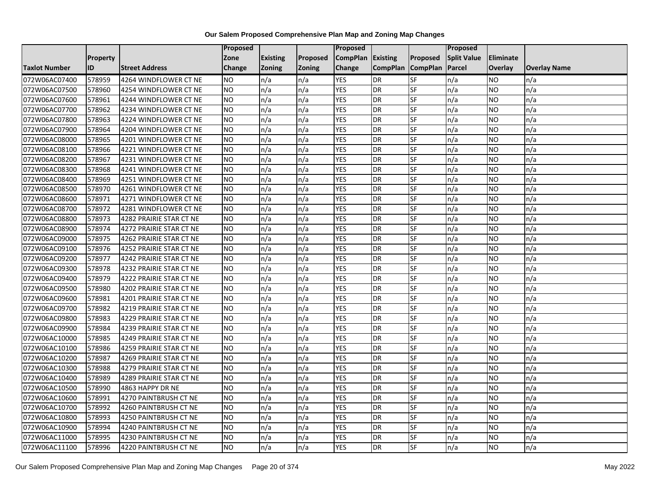|                      |                 |                         | Proposed  |                 |               | Proposed        |                 |                 | Proposed           |                 |                     |
|----------------------|-----------------|-------------------------|-----------|-----------------|---------------|-----------------|-----------------|-----------------|--------------------|-----------------|---------------------|
|                      | <b>Property</b> |                         | Zone      | <b>Existing</b> | Proposed      | <b>CompPlan</b> | Existing        | Proposed        | <b>Split Value</b> | Eliminate       |                     |
| <b>Taxlot Number</b> | ID              | <b>Street Address</b>   | Change    | Zoning          | <b>Zoning</b> | Change          | <b>CompPlan</b> | <b>CompPlan</b> | Parcel             | <b>Overlay</b>  | <b>Overlay Name</b> |
| 072W06AC07400        | 578959          | 4264 WINDFLOWER CT NE   | <b>NO</b> | n/a             | n/a           | <b>YES</b>      | <b>DR</b>       | <b>SF</b>       | n/a                | <b>NO</b>       | n/a                 |
| 072W06AC07500        | 578960          | 4254 WINDFLOWER CT NE   | NO        | n/a             | n/a           | <b>YES</b>      | <b>DR</b>       | $S_{F}$         | n/a                | NO.             | n/a                 |
| 072W06AC07600        | 578961          | 4244 WINDFLOWER CT NE   | <b>NO</b> | n/a             | n/a           | <b>YES</b>      | DR              | SF              | n/a                | NO.             | n/a                 |
| 072W06AC07700        | 578962          | 4234 WINDFLOWER CT NE   | <b>NO</b> | n/a             | n/a           | <b>YES</b>      | DR              | SF              | n/a                | NO.             | n/a                 |
| 072W06AC07800        | 578963          | 4224 WINDFLOWER CT NE   | <b>NO</b> | n/a             | n/a           | <b>YES</b>      | <b>DR</b>       | $S_{F}$         | n/a                | NO.             | n/a                 |
| 072W06AC07900        | 578964          | 4204 WINDFLOWER CT NE   | <b>NO</b> | n/a             | n/a           | <b>YES</b>      | <b>DR</b>       | SF              | n/a                | <b>NO</b>       | n/a                 |
| 072W06AC08000        | 578965          | 4201 WINDFLOWER CT NE   | <b>NO</b> | n/a             | n/a           | <b>YES</b>      | DR              | <b>SF</b>       | n/a                | <b>NO</b>       | n/a                 |
| 072W06AC08100        | 578966          | 4221 WINDFLOWER CT NE   | <b>NO</b> | n/a             | n/a           | <b>YES</b>      | DR              | SF              | n/a                | NO.             | n/a                 |
| 072W06AC08200        | 578967          | 4231 WINDFLOWER CT NE   | <b>NO</b> | n/a             | n/a           | <b>YES</b>      | DR              | SF              | n/a                | NO.             | n/a                 |
| 072W06AC08300        | 578968          | 4241 WINDFLOWER CT NE   | Ю         | n/a             | n/a           | <b>YES</b>      | DR              | <b>SF</b>       | n/a                | <b>NO</b>       | n/a                 |
| 072W06AC08400        | 578969          | 4251 WINDFLOWER CT NE   | <b>NO</b> | n/a             | n/a           | <b>YES</b>      | <b>DR</b>       | <b>SF</b>       | n/a                | <b>NO</b>       | n/a                 |
| 072W06AC08500        | 578970          | 4261 WINDFLOWER CT NE   | <b>NO</b> | n/a             | n/a           | <b>YES</b>      | DR              | SF              | n/a                | NO.             | n/a                 |
| 072W06AC08600        | 578971          | 4271 WINDFLOWER CT NE   | <b>NO</b> | n/a             | n/a           | <b>YES</b>      | DR              | SF              | n/a                | NO.             | n/a                 |
| 072W06AC08700        | 578972          | 4281 WINDFLOWER CT NE   | ŌИ        | n/a             | n/a           | <b>YES</b>      | <b>DR</b>       | <b>SF</b>       | n/a                | <b>NO</b>       | n/a                 |
| 072W06AC08800        | 578973          | 4282 PRAIRIE STAR CT NE | <b>NO</b> | n/a             | n/a           | <b>YES</b>      | DR              | SF              | n/a                | <b>NO</b>       | n/a                 |
| 072W06AC08900        | 578974          | 4272 PRAIRIE STAR CT NE | <b>NO</b> | n/a             | n/a           | <b>YES</b>      | DR              | SF              | n/a                | <b>NO</b>       | n/a                 |
| 072W06AC09000        | 578975          | 4262 PRAIRIE STAR CT NE | <b>NO</b> | n/a             | n/a           | <b>YES</b>      | <b>DR</b>       | SF              | n/a                | NO.             | n/a                 |
| 072W06AC09100        | 578976          | 4252 PRAIRIE STAR CT NE | <b>NO</b> | n/a             | n/a           | <b>YES</b>      | <b>DR</b>       | SF              | n/a                | NO.             | n/a                 |
| 072W06AC09200        | 578977          | 4242 PRAIRIE STAR CT NE | <b>NO</b> | n/a             | n/a           | <b>YES</b>      | DR              | SF              | n/a                | NO.             | n/a                 |
| 072W06AC09300        | 578978          | 4232 PRAIRIE STAR CT NE | <b>NO</b> | n/a             | n/a           | <b>YES</b>      | DR              | <b>SF</b>       | n/a                | NO.             | n/a                 |
| 072W06AC09400        | 578979          | 4222 PRAIRIE STAR CT NE | <b>NO</b> | n/a             | n/a           | <b>YES</b>      | DR              | SF              | n/a                | NO.             | n/a                 |
| 072W06AC09500        | 578980          | 4202 PRAIRIE STAR CT NE | Ю         | n/a             | n/a           | <b>YES</b>      | DR              | SF              | n/a                | $\overline{NO}$ | n/a                 |
| 072W06AC09600        | 578981          | 4201 PRAIRIE STAR CT NE | <b>NO</b> | n/a             | n/a           | <b>YES</b>      | DR              | <b>SF</b>       | n/a                | <b>NO</b>       | n/a                 |
| 072W06AC09700        | 578982          | 4219 PRAIRIE STAR CT NE | <b>NO</b> | n/a             | n/a           | <b>YES</b>      | DR              | SF              | n/a                | NO.             | n/a                 |
| 072W06AC09800        | 578983          | 4229 PRAIRIE STAR CT NE | Ю         | n/a             | n/a           | <b>YES</b>      | <b>DR</b>       | <b>SF</b>       | n/a                | NO.             | n/a                 |
| 072W06AC09900        | 578984          | 4239 PRAIRIE STAR CT NE | ŌИ        | n/a             | n/a           | <b>YES</b>      | DR              | <b>SF</b>       | n/a                | NO.             | n/a                 |
| 072W06AC10000        | 578985          | 4249 PRAIRIE STAR CT NE | <b>NO</b> | n/a             | n/a           | <b>YES</b>      | <b>DR</b>       | SF              | n/a                | <b>NO</b>       | n/a                 |
| 072W06AC10100        | 578986          | 4259 PRAIRIE STAR CT NE | <b>NO</b> | n/a             | n/a           | <b>YES</b>      | DR              | SF              | n/a                | NO.             | n/a                 |
| 072W06AC10200        | 578987          | 4269 PRAIRIE STAR CT NE | <b>NO</b> | n/a             | n/a           | <b>YES</b>      | DR              | SF              | n/a                | NO.             | n/a                 |
| 072W06AC10300        | 578988          | 4279 PRAIRIE STAR CT NE | <b>NO</b> | n/a             | n/a           | <b>YES</b>      | <b>DR</b>       | <b>SF</b>       | n/a                | <b>NO</b>       | n/a                 |
| 072W06AC10400        | 578989          | 4289 PRAIRIE STAR CT NE | <b>NO</b> | n/a             | n/a           | <b>YES</b>      | <b>DR</b>       | SF              | n/a                | <b>NO</b>       | n/a                 |
| 072W06AC10500        | 578990          | 4863 HAPPY DR NE        | <b>NO</b> | n/a             | n/a           | <b>YES</b>      | DR              | SF              | n/a                | <b>NO</b>       | n/a                 |
| 072W06AC10600        | 578991          | 4270 PAINTBRUSH CT NE   | <b>NO</b> | n/a             | n/a           | <b>YES</b>      | DR              | SF              | n/a                | NO.             | n/a                 |
| 072W06AC10700        | 578992          | 4260 PAINTBRUSH CT NE   | <b>NO</b> | n/a             | n/a           | <b>YES</b>      | <b>DR</b>       | SF              | n/a                | NO.             | n/a                 |
| 072W06AC10800        | 578993          | 4250 PAINTBRUSH CT NE   | <b>NO</b> | n/a             | n/a           | <b>YES</b>      | DR              | <b>SF</b>       | n/a                | NO.             | n/a                 |
| 072W06AC10900        | 578994          | 4240 PAINTBRUSH CT NE   | <b>NO</b> | n/a             | n/a           | <b>YES</b>      | <b>DR</b>       | SF              | n/a                | NO.             | n/a                 |
| 072W06AC11000        | 578995          | 4230 PAINTBRUSH CT NE   | <b>NO</b> | n/a             | n/a           | <b>YES</b>      | <b>DR</b>       | SF              | n/a                | NO.             | n/a                 |
| 072W06AC11100        | 578996          | 4220 PAINTBRUSH CT NE   | <b>NO</b> | n/a             | n/a           | <b>YES</b>      | <b>DR</b>       | <b>SF</b>       | n/a                | NO.             | n/a                 |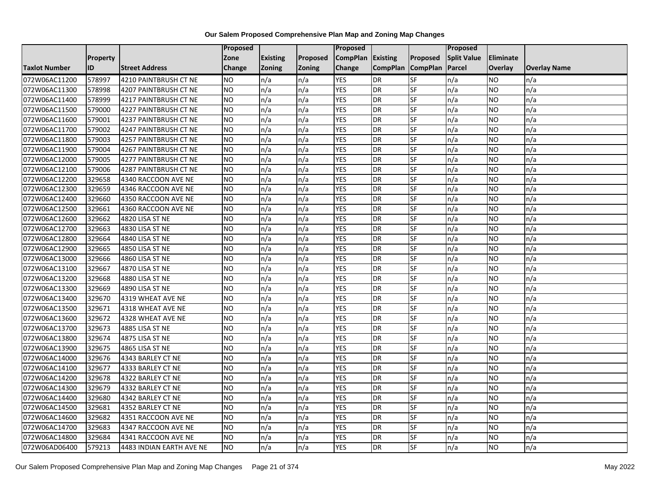|                      |                 |                          | Proposed  |                 |               | Proposed        |                 |                 | Proposed           |                |                     |
|----------------------|-----------------|--------------------------|-----------|-----------------|---------------|-----------------|-----------------|-----------------|--------------------|----------------|---------------------|
|                      | <b>Property</b> |                          | Zone      | <b>Existing</b> | Proposed      | <b>CompPlan</b> | Existing        | Proposed        | <b>Split Value</b> | Eliminate      |                     |
| <b>Taxlot Number</b> | ID              | <b>Street Address</b>    | Change    | Zoning          | <b>Zoning</b> | Change          | <b>CompPlan</b> | <b>CompPlan</b> | Parcel             | <b>Overlay</b> | <b>Overlay Name</b> |
| 072W06AC11200        | 578997          | 4210 PAINTBRUSH CT NE    | <b>NO</b> | n/a             | n/a           | <b>YES</b>      | <b>DR</b>       | <b>SF</b>       | n/a                | NO             | n/a                 |
| 072W06AC11300        | 578998          | 4207 PAINTBRUSH CT NE    | <b>NO</b> | n/a             | n/a           | <b>YES</b>      | DR              | <b>SF</b>       | n/a                | NO.            | n/a                 |
| 072W06AC11400        | 578999          | 4217 PAINTBRUSH CT NE    | <b>NO</b> | n/a             | n/a           | <b>YES</b>      | DR              | SF              | n/a                | NO.            | n/a                 |
| 072W06AC11500        | 579000          | 4227 PAINTBRUSH CT NE    | <b>NO</b> | n/a             | n/a           | <b>YES</b>      | DR              | SF              | n/a                | NO.            | n/a                 |
| 072W06AC11600        | 579001          | 4237 PAINTBRUSH CT NE    | <b>NO</b> | n/a             | n/a           | <b>YES</b>      | DR              | <b>SF</b>       | n/a                | NO.            | n/a                 |
| 072W06AC11700        | 579002          | 4247 PAINTBRUSH CT NE    | <b>NO</b> | n/a             | n/a           | <b>YES</b>      | <b>DR</b>       | SF              | n/a                | <b>NO</b>      | n/a                 |
| 072W06AC11800        | 579003          | 4257 PAINTBRUSH CT NE    | <b>NO</b> | n/a             | n/a           | <b>YES</b>      | DR              | SF              | n/a                | NO.            | n/a                 |
| 072W06AC11900        | 579004          | 4267 PAINTBRUSH CT NE    | <b>NO</b> | n/a             | n/a           | <b>YES</b>      | DR              | SF              | n/a                | NO.            | n/a                 |
| 072W06AC12000        | 579005          | 4277 PAINTBRUSH CT NE    | <b>NO</b> | n/a             | n/a           | <b>YES</b>      | DR              | SF              | n/a                | NO.            | n/a                 |
| 072W06AC12100        | 579006          | 4287 PAINTBRUSH CT NE    | <b>NO</b> | n/a             | n/a           | <b>YES</b>      | DR              | <b>SF</b>       | n/a                | NO.            | n/a                 |
| 072W06AC12200        | 329658          | 4340 RACCOON AVE NE      | <b>NO</b> | n/a             | n/a           | <b>YES</b>      | <b>DR</b>       | SF              | n/a                | <b>NO</b>      | n/a                 |
| 072W06AC12300        | 329659          | 4346 RACCOON AVE NE      | <b>NO</b> | n/a             | n/a           | <b>YES</b>      | DR              | SF              | n/a                | <b>NO</b>      | n/a                 |
| 072W06AC12400        | 329660          | 4350 RACCOON AVE NE      | ŌИ        | n/a             | n/a           | <b>YES</b>      | <b>DR</b>       | $S_{F}$         | n/a                | NO.            | n/a                 |
| 072W06AC12500        | 329661          | 4360 RACCOON AVE NE      | <b>NO</b> | n/a             | n/a           | <b>YES</b>      | <b>DR</b>       | SF              | n/a                | NO.            | n/a                 |
| 072W06AC12600        | 329662          | 4820 LISA ST NE          | <b>NO</b> | n/a             | n/a           | <b>YES</b>      | DR              | SF              | n/a                | NO.            | n/a                 |
| 072W06AC12700        | 329663          | 4830 LISA ST NE          | ŌИ        | n/a             | n/a           | <b>YES</b>      | <b>DR</b>       | $S_{F}$         | n/a                | NO.            | n/a                 |
| 072W06AC12800        | 329664          | 4840 LISA ST NE          | ŌИ        | n/a             | n/a           | <b>YES</b>      | $\overline{R}$  | <b>SF</b>       | n/a                | NO.            | n/a                 |
| 072W06AC12900        | 329665          | 4850 LISA ST NE          | <b>NO</b> | n/a             | n/a           | <b>YES</b>      | DR              | SF              | n/a                | NO.            | n/a                 |
| 072W06AC13000        | 329666          | 4860 LISA ST NE          | <b>NO</b> | n/a             | n/a           | <b>YES</b>      | DR              | SF              | n/a                | NO.            | n/a                 |
| 072W06AC13100        | 329667          | 4870 LISA ST NE          | <b>NO</b> | n/a             | n/a           | <b>YES</b>      | <b>DR</b>       | <b>SF</b>       | n/a                | NO.            | n/a                 |
| 072W06AC13200        | 329668          | 4880 LISA ST NE          | <b>NO</b> | n/a             | n/a           | <b>YES</b>      | DR              | SF              | n/a                | <b>NO</b>      | n/a                 |
| 072W06AC13300        | 329669          | 4890 LISA ST NE          | <b>NO</b> | n/a             | n/a           | <b>YES</b>      | <b>DR</b>       | <b>SF</b>       | n/a                | <b>NO</b>      | n/a                 |
| 072W06AC13400        | 329670          | 4319 WHEAT AVE NE        | Ю         | n/a             | n/a           | <b>YES</b>      | <b>DR</b>       | <b>SF</b>       | n/a                | NO.            | n/a                 |
| 072W06AC13500        | 329671          | 4318 WHEAT AVE NE        | <b>NO</b> | n/a             | n/a           | <b>YES</b>      | DR              | SF              | n/a                | NO.            | n/a                 |
| 072W06AC13600        | 329672          | 4328 WHEAT AVE NE        | <b>NO</b> | n/a             | n/a           | <b>YES</b>      | <b>DR</b>       | <b>SF</b>       | n/a                | <b>NO</b>      | n/a                 |
| 072W06AC13700        | 329673          | 4885 LISA ST NE          | <b>NO</b> | n/a             | n/a           | <b>YES</b>      | DR              | SF              | n/a                | NO.            | n/a                 |
| 072W06AC13800        | 329674          | 4875 LISA ST NE          | ŌИ        | n/a             | n/a           | <b>YES</b>      | DR              | <b>SF</b>       | n/a                | NO.            | n/a                 |
| 072W06AC13900        | 329675          | 4865 LISA ST NE          | <b>NO</b> | n/a             | n/a           | <b>YES</b>      | DR              | SF              | n/a                | NO.            | n/a                 |
| 072W06AC14000        | 329676          | 4343 BARLEY CT NE        | <b>NO</b> | n/a             | n/a           | <b>YES</b>      | DR              | SF              | n/a                | NO.            | n/a                 |
| 072W06AC14100        | 329677          | 4333 BARLEY CT NE        | <b>NO</b> | n/a             | n/a           | <b>YES</b>      | <b>DR</b>       | SF              | n/a                | NO.            | n/a                 |
| 072W06AC14200        | 329678          | 4322 BARLEY CT NE        | <b>NO</b> | n/a             | n/a           | <b>YES</b>      | DR              | SF              | n/a                | NO.            | n/a                 |
| 072W06AC14300        | 329679          | 4332 BARLEY CT NE        | <b>NO</b> | n/a             | n/a           | <b>YES</b>      | DR              | <b>SF</b>       | n/a                | NO.            | n/a                 |
| 072W06AC14400        | 329680          | 4342 BARLEY CT NE        | ŌИ        | n/a             | n/a           | <b>YES</b>      | <b>DR</b>       | <b>SF</b>       | n/a                | NO.            | n/a                 |
| 072W06AC14500        | 329681          | 4352 BARLEY CT NE        | <b>NO</b> | n/a             | n/a           | <b>YES</b>      | DR              | SF              | n/a                | NO.            | n/a                 |
| 072W06AC14600        | 329682          | 4351 RACCOON AVE NE      | <b>NO</b> | n/a             | n/a           | <b>YES</b>      | DR              | SF              | n/a                | <b>NO</b>      | n/a                 |
| 072W06AC14700        | 329683          | 4347 RACCOON AVE NE      | <b>NO</b> | n/a             | n/a           | <b>YES</b>      | <b>DR</b>       | SF              | n/a                | NO.            | n/a                 |
| 072W06AC14800        | 329684          | 4341 RACCOON AVE NE      | <b>NO</b> | n/a             | n/a           | <b>YES</b>      | DR              | SF              | n/a                | <b>NO</b>      | n/a                 |
| 072W06AD06400        | 579213          | 4483 INDIAN EARTH AVE NE | <b>NO</b> | n/a             | n/a           | <b>YES</b>      | DR              | SF              | n/a                | <b>NO</b>      | n/a                 |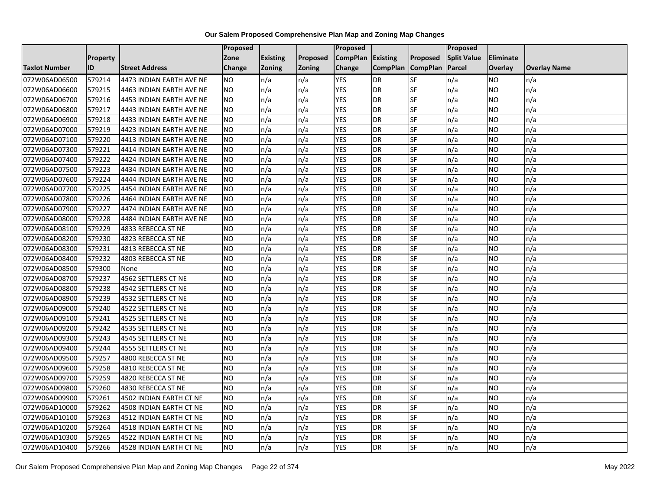|                      |                 |                          | <b>Proposed</b> |                 |               | Proposed        |                 |                 | Proposed           |           |                     |
|----------------------|-----------------|--------------------------|-----------------|-----------------|---------------|-----------------|-----------------|-----------------|--------------------|-----------|---------------------|
|                      | <b>Property</b> |                          | Zone            | <b>Existing</b> | Proposed      | <b>CompPlan</b> | Existing        | Proposed        | <b>Split Value</b> | Eliminate |                     |
| <b>Taxlot Number</b> | ID              | <b>Street Address</b>    | <b>Change</b>   | Zoning          | <b>Zoning</b> | Change          | <b>CompPlan</b> | <b>CompPlan</b> | Parcel             | Overlay   | <b>Overlay Name</b> |
| 072W06AD06500        | 579214          | 4473 INDIAN EARTH AVE NE | <b>NO</b>       | n/a             | n/a           | <b>YES</b>      | <b>DR</b>       | <b>SF</b>       | n/a                | NO.       | n/a                 |
| 072W06AD06600        | 579215          | 4463 INDIAN EARTH AVE NE | <b>NO</b>       | n/a             | n/a           | <b>YES</b>      | DR              | $S_{F}$         | n/a                | NO.       | n/a                 |
| 072W06AD06700        | 579216          | 4453 INDIAN EARTH AVE NE | <b>NO</b>       | n/a             | n/a           | <b>YES</b>      | DR              | SF              | n/a                | NO.       | n/a                 |
| 072W06AD06800        | 579217          | 4443 INDIAN EARTH AVE NE | <b>NO</b>       | n/a             | n/a           | <b>YES</b>      | <b>DR</b>       | SF              | n/a                | NO.       | n/a                 |
| 072W06AD06900        | 579218          | 4433 INDIAN EARTH AVE NE | <b>NO</b>       | n/a             | n/a           | <b>YES</b>      | <b>DR</b>       | $S_{F}$         | n/a                | NO.       | n/a                 |
| 072W06AD07000        | 579219          | 4423 INDIAN EARTH AVE NE | <b>NO</b>       | n/a             | n/a           | <b>YES</b>      | <b>DR</b>       | SF              | n/a                | <b>NO</b> | n/a                 |
| 072W06AD07100        | 579220          | 4413 INDIAN EARTH AVE NE | <b>NO</b>       | n/a             | n/a           | <b>YES</b>      | <b>DR</b>       | SF              | n/a                | NO.       | n/a                 |
| 072W06AD07300        | 579221          | 4414 INDIAN EARTH AVE NE | <b>NO</b>       | n/a             | n/a           | <b>YES</b>      | <b>DR</b>       | SF              | n/a                | NO.       | n/a                 |
| 072W06AD07400        | 579222          | 4424 INDIAN EARTH AVE NE | <b>NO</b>       | n/a             | n/a           | <b>YES</b>      | DR              | SF              | n/a                | NO        | n/a                 |
| 072W06AD07500        | 579223          | 4434 INDIAN EARTH AVE NE | Ю               | n/a             | n/a           | <b>YES</b>      | DR              | <b>SF</b>       | n/a                | NO.       | n/a                 |
| 072W06AD07600        | 579224          | 4444 INDIAN EARTH AVE NE | <b>NO</b>       | n/a             | n/a           | <b>YES</b>      | <b>DR</b>       | <b>SF</b>       | n/a                | <b>NO</b> | n/a                 |
| 072W06AD07700        | 579225          | 4454 INDIAN EARTH AVE NE | <b>NO</b>       | n/a             | n/a           | <b>YES</b>      | DR              | SF              | n/a                | NO.       | n/a                 |
| 072W06AD07800        | 579226          | 4464 INDIAN EARTH AVE NE | <b>NO</b>       | n/a             | n/a           | <b>YES</b>      | DR              | SF              | n/a                | NO.       | n/a                 |
| 072W06AD07900        | 579227          | 4474 INDIAN EARTH AVE NE | <b>NO</b>       | n/a             | n/a           | <b>YES</b>      | <b>DR</b>       | <b>SF</b>       | n/a                | <b>NO</b> | n/a                 |
| 072W06AD08000        | 579228          | 4484 INDIAN EARTH AVE NE | <b>NO</b>       | n/a             | n/a           | <b>YES</b>      | DR              | SF              | n/a                | ΝO        | n/a                 |
| 072W06AD08100        | 579229          | 4833 REBECCA ST NE       | <b>NO</b>       | n/a             | n/a           | <b>YES</b>      | DR              | SF              | n/a                | <b>NO</b> | n/a                 |
| 072W06AD08200        | 579230          | 4823 REBECCA ST NE       | <b>NO</b>       | n/a             | n/a           | <b>YES</b>      | <b>DR</b>       | SF              | n/a                | NO.       | n/a                 |
| 072W06AD08300        | 579231          | 4813 REBECCA ST NE       | <b>NO</b>       | n/a             | n/a           | <b>YES</b>      | <b>DR</b>       | SF              | n/a                | NO.       | n/a                 |
| 072W06AD08400        | 579232          | 4803 REBECCA ST NE       | <b>NO</b>       | n/a             | n/a           | <b>YES</b>      | DR              | SF              | n/a                | NO.       | n/a                 |
| 072W06AD08500        | 579300          | None                     | <b>NO</b>       | n/a             | n/a           | <b>YES</b>      | DR              | SF              | n/a                | NO.       | n/a                 |
| 072W06AD08700        | 579237          | 4562 SETTLERS CT NE      | <b>NO</b>       | n/a             | n/a           | <b>YES</b>      | DR              | SF              | n/a                | NO.       | n/a                 |
| 072W06AD08800        | 579238          | 4542 SETTLERS CT NE      | Ю               | n/a             | n/a           | <b>YES</b>      | DR              | <b>SF</b>       | n/a                | NO.       | n/a                 |
| 072W06AD08900        | 579239          | 4532 SETTLERS CT NE      | <b>NO</b>       | n/a             | n/a           | <b>YES</b>      | <b>DR</b>       | SF              | n/a                | <b>NO</b> | n/a                 |
| 072W06AD09000        | 579240          | 4522 SETTLERS CT NE      | <b>NO</b>       | n/a             | n/a           | <b>YES</b>      | <b>DR</b>       | SF              | n/a                | NO.       | n/a                 |
| 072W06AD09100        | 579241          | 4525 SETTLERS CT NE      | Ю               | n/a             | n/a           | <b>YES</b>      | <b>DR</b>       | SF              | n/a                | NO.       | n/a                 |
| 072W06AD09200        | 579242          | 4535 SETTLERS CT NE      | ŌИ              | n/a             | n/a           | <b>YES</b>      | DR              | SF              | n/a                | NO.       | n/a                 |
| 072W06AD09300        | 579243          | 4545 SETTLERS CT NE      | <b>NO</b>       | n/a             | n/a           | <b>YES</b>      | <b>DR</b>       | SF              | n/a                | NO.       | n/a                 |
| 072W06AD09400        | 579244          | 4555 SETTLERS CT NE      | <b>NO</b>       | n/a             | n/a           | <b>YES</b>      | <b>DR</b>       | SF              | n/a                | NO.       | n/a                 |
| 072W06AD09500        | 579257          | 4800 REBECCA ST NE       | <b>NO</b>       | n/a             | n/a           | <b>YES</b>      | DR              | SF              | n/a                | NO.       | n/a                 |
| 072W06AD09600        | 579258          | 4810 REBECCA ST NE       | <b>NO</b>       | n/a             | n/a           | <b>YES</b>      | <b>DR</b>       | SF              | n/a                | <b>NO</b> | n/a                 |
| 072W06AD09700        | 579259          | 4820 REBECCA ST NE       | <b>NO</b>       | n/a             | n/a           | <b>YES</b>      | DR              | SF              | n/a                | <b>NO</b> | n/a                 |
| 072W06AD09800        | 579260          | 4830 REBECCA ST NE       | <b>NO</b>       | n/a             | n/a           | <b>YES</b>      | DR              | SF              | n/a                | <b>NO</b> | n/a                 |
| 072W06AD09900        | 579261          | 4502 INDIAN EARTH CT NE  | <b>NO</b>       | n/a             | n/a           | <b>YES</b>      | <b>DR</b>       | SF              | n/a                | NO.       | n/a                 |
| 072W06AD10000        | 579262          | 4508 INDIAN EARTH CT NE  | <b>NO</b>       | n/a             | n/a           | <b>YES</b>      | DR              | SF              | n/a                | NO.       | n/a                 |
| 072W06AD10100        | 579263          | 4512 INDIAN EARTH CT NE  | <b>NO</b>       | n/a             | n/a           | <b>YES</b>      | DR              | <b>SF</b>       | n/a                | NO.       | n/a                 |
| 072W06AD10200        | 579264          | 4518 INDIAN EARTH CT NE  | <b>NO</b>       | n/a             | n/a           | <b>YES</b>      | <b>DR</b>       | SF              | n/a                | NO.       | n/a                 |
| 072W06AD10300        | 579265          | 4522 INDIAN EARTH CT NE  | <b>NO</b>       | n/a             | n/a           | <b>YES</b>      | <b>DR</b>       | SF              | n/a                | NO.       | n/a                 |
| 072W06AD10400        | 579266          | 4528 INDIAN EARTH CT NE  | <b>NO</b>       | n/a             | n/a           | <b>YES</b>      | <b>DR</b>       | <b>SF</b>       | n/a                | NO.       | n/a                 |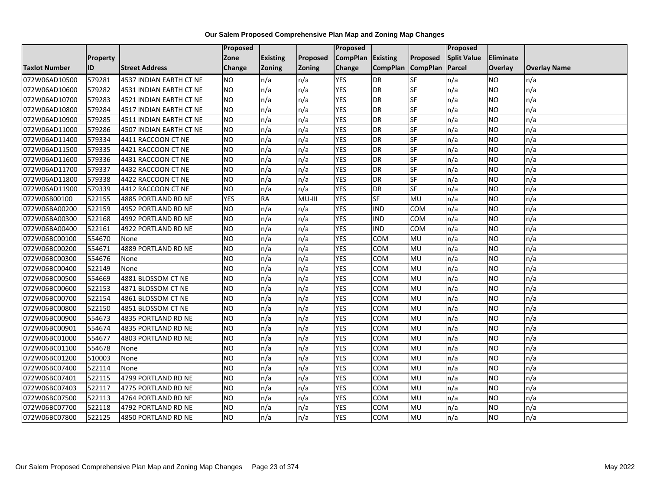|                      |                 |                         | <b>Proposed</b> |                 |          | <b>Proposed</b> |                          |            | <b>Proposed</b>    |                  |                     |
|----------------------|-----------------|-------------------------|-----------------|-----------------|----------|-----------------|--------------------------|------------|--------------------|------------------|---------------------|
|                      | <b>Property</b> |                         | Zone            | <b>Existing</b> | Proposed | <b>CompPlan</b> | Existing                 | Proposed   | <b>Split Value</b> | <b>Eliminate</b> |                     |
| <b>Taxlot Number</b> | ID              | <b>Street Address</b>   | Change          | <b>Zoning</b>   | Zoning   | Change          | CompPlan CompPlan Parcel |            |                    | Overlay          | <b>Overlay Name</b> |
| 072W06AD10500        | 579281          | 4537 INDIAN EARTH CT NE | <b>NO</b>       | n/a             | n/a      | <b>YES</b>      | <b>DR</b>                | <b>SF</b>  | n/a                | NO.              | n/a                 |
| 072W06AD10600        | 579282          | 4531 INDIAN EARTH CT NE | <b>NO</b>       | n/a             | n/a      | <b>YES</b>      | DR                       | <b>SF</b>  | n/a                | NO               | n/a                 |
| 072W06AD10700        | 579283          | 4521 INDIAN EARTH CT NE | <b>NO</b>       | n/a             | n/a      | <b>YES</b>      | DR                       | <b>SF</b>  | n/a                | NO               | n/a                 |
| 072W06AD10800        | 579284          | 4517 INDIAN EARTH CT NE | <b>NO</b>       | n/a             | n/a      | <b>YES</b>      | DR                       | <b>SF</b>  | n/a                | <b>NO</b>        | n/a                 |
| 072W06AD10900        | 579285          | 4511 INDIAN EARTH CT NE | <b>NO</b>       | n/a             | n/a      | <b>YES</b>      | <b>DR</b>                | SF         | n/a                | <b>NO</b>        | n/a                 |
| 072W06AD11000        | 579286          | 4507 INDIAN EARTH CT NE | <b>NO</b>       | n/a             | n/a      | <b>YES</b>      | <b>DR</b>                | SF         | n/a                | <b>NO</b>        | n/a                 |
| 072W06AD11400        | 579334          | 4411 RACCOON CT NE      | Ю               | n/a             | n/a      | <b>YES</b>      | DR                       | <b>SF</b>  | n/a                | <b>NO</b>        | n/a                 |
| 072W06AD11500        | 579335          | 4421 RACCOON CT NE      | <b>NO</b>       | n/a             | n/a      | <b>YES</b>      | <b>DR</b>                | <b>SF</b>  | n/a                | <b>NO</b>        | n/a                 |
| 072W06AD11600        | 579336          | 4431 RACCOON CT NE      | <b>NO</b>       | n/a             | n/a      | <b>YES</b>      | DR                       | SF         | n/a                | <b>NO</b>        | n/a                 |
| 072W06AD11700        | 579337          | 4432 RACCOON CT NE      | Ю               | n/a             | n/a      | <b>YES</b>      | <b>DR</b>                | <b>SF</b>  | n/a                | <b>NO</b>        | n/a                 |
| 072W06AD11800        | 579338          | 4422 RACCOON CT NE      | <b>NO</b>       | n/a             | n/a      | <b>YES</b>      | <b>DR</b>                | <b>SF</b>  | n/a                | <b>NO</b>        | n/a                 |
| 072W06AD11900        | 579339          | 4412 RACCOON CT NE      | <b>NO</b>       | n/a             | n/a      | <b>YES</b>      | <b>DR</b>                | SF         | n/a                | <b>NO</b>        | n/a                 |
| 072W06B00100         | 522155          | 4885 PORTLAND RD NE     | <b>YES</b>      | <b>RA</b>       | MU-III   | <b>YES</b>      | <b>SF</b>                | MU         | n/a                | <b>NO</b>        | n/a                 |
| 072W06BA00200        | 522159          | 4952 PORTLAND RD NE     | <b>NO</b>       | n/a             | n/a      | <b>YES</b>      | <b>IND</b>               | COM        | n/a                | <b>NO</b>        | n/a                 |
| 072W06BA00300        | 522168          | 4992 PORTLAND RD NE     | <b>NO</b>       | n/a             | n/a      | <b>YES</b>      | <b>IND</b>               | <b>COM</b> | n/a                | <b>NO</b>        | n/a                 |
| 072W06BA00400        | 522161          | 4922 PORTLAND RD NE     | <b>NO</b>       | n/a             | n/a      | <b>YES</b>      | <b>IND</b>               | <b>COM</b> | n/a                | <b>NO</b>        | n/a                 |
| 072W06BC00100        | 554670          | None                    | <b>NO</b>       | n/a             | n/a      | <b>YES</b>      | COM                      | MU         | n/a                | NO.              | n/a                 |
| 072W06BC00200        | 554671          | 4889 PORTLAND RD NE     | <b>NO</b>       | n/a             | n/a      | <b>YES</b>      | COM                      | MU         | n/a                | NO.              | n/a                 |
| 072W06BC00300        | 554676          | None                    | <b>NO</b>       | n/a             | n/a      | <b>YES</b>      | <b>COM</b>               | <b>MU</b>  | n/a                | <b>NO</b>        | n/a                 |
| 072W06BC00400        | 522149          | None                    | <b>NO</b>       | n/a             | n/a      | <b>YES</b>      | <b>COM</b>               | MU         | n/a                | NO.              | n/a                 |
| 072W06BC00500        | 554669          | 4881 BLOSSOM CT NE      | <b>NO</b>       | n/a             | n/a      | <b>YES</b>      | <b>COM</b>               | MU         | n/a                | NO.              | n/a                 |
| 072W06BC00600        | 522153          | 4871 BLOSSOM CT NE      | <b>NO</b>       | n/a             | n/a      | <b>YES</b>      | <b>COM</b>               | MU         | n/a                | <b>NO</b>        | n/a                 |
| 072W06BC00700        | 522154          | 4861 BLOSSOM CT NE      | <b>NO</b>       | n/a             | n/a      | <b>YES</b>      | <b>COM</b>               | MU         | n/a                | NO               | n/a                 |
| 072W06BC00800        | 522150          | 4851 BLOSSOM CT NE      | <b>NO</b>       | n/a             | n/a      | <b>YES</b>      | сом                      | MU         | n/a                | <b>NO</b>        | n/a                 |
| 072W06BC00900        | 554673          | 4835 PORTLAND RD NE     | <b>NO</b>       | n/a             | n/a      | <b>YES</b>      | COM                      | MU         | n/a                | <b>NO</b>        | n/a                 |
| 072W06BC00901        | 554674          | 4835 PORTLAND RD NE     | Ю               | n/a             | n/a      | <b>YES</b>      | <b>COM</b>               | MU         | n/a                | NO               | n/a                 |
| 072W06BC01000        | 554677          | 4803 PORTLAND RD NE     | <b>NO</b>       | n/a             | n/a      | <b>YES</b>      | COM                      | MU         | n/a                | NO               | n/a                 |
| 072W06BC01100        | 554678          | None                    | <b>NO</b>       | n/a             | n/a      | <b>YES</b>      | <b>COM</b>               | MU         | n/a                | <b>NO</b>        | n/a                 |
| 072W06BC01200        | 510003          | None                    | <b>NO</b>       | n/a             | n/a      | <b>YES</b>      | <b>COM</b>               | MU         | n/a                | NO               | n/a                 |
| 072W06BC07400        | 522114          | None                    | <b>NO</b>       | n/a             | n/a      | <b>YES</b>      | <b>COM</b>               | MU         | n/a                | <b>NO</b>        | n/a                 |
| 072W06BC07401        | 522115          | 4799 PORTLAND RD NE     | <b>NO</b>       | n/a             | n/a      | <b>YES</b>      | <b>COM</b>               | MU         | n/a                | <b>NO</b>        | n/a                 |
| 072W06BC07403        | 522117          | 4775 PORTLAND RD NE     | <b>NO</b>       | n/a             | n/a      | <b>YES</b>      | <b>COM</b>               | MU         | n/a                | <b>NO</b>        | n/a                 |
| 072W06BC07500        | 522113          | 4764 PORTLAND RD NE     | <b>NO</b>       | n/a             | n/a      | <b>YES</b>      | <b>COM</b>               | MU         | n/a                | NO               | n/a                 |
| 072W06BC07700        | 522118          | 4792 PORTLAND RD NE     | <b>NO</b>       | n/a             | n/a      | <b>YES</b>      | COM                      | MU         | n/a                | NO               | n/a                 |
| 072W06BC07800        | 522125          | 4850 PORTLAND RD NE     | <b>NO</b>       | n/a             | n/a      | <b>YES</b>      | <b>COM</b>               | MU         | n/a                | <b>NO</b>        | n/a                 |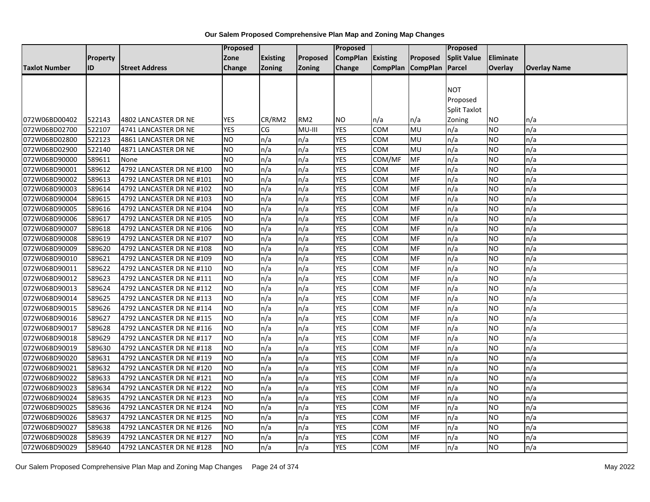|                      |          |                           | <b>Proposed</b> |                 |                 | Proposed          |                   |           | Proposed           |           |                     |
|----------------------|----------|---------------------------|-----------------|-----------------|-----------------|-------------------|-------------------|-----------|--------------------|-----------|---------------------|
|                      | Property |                           | Zone            | <b>Existing</b> | Proposed        | CompPlan Existing |                   | Proposed  | <b>Split Value</b> | Eliminate |                     |
| <b>Taxlot Number</b> | ID       | <b>Street Address</b>     | Change          | Zoning          | Zoning          | Change            | CompPlan CompPlan |           | Parcel             | Overlay   | <b>Overlay Name</b> |
|                      |          |                           |                 |                 |                 |                   |                   |           |                    |           |                     |
|                      |          |                           |                 |                 |                 |                   |                   |           | <b>NOT</b>         |           |                     |
|                      |          |                           |                 |                 |                 |                   |                   |           | Proposed           |           |                     |
|                      |          |                           |                 |                 |                 |                   |                   |           | Split Taxlot       |           |                     |
| 072W06BD00402        | 522143   | 4802 LANCASTER DR NE      | <b>YES</b>      | CR/RM2          | RM <sub>2</sub> | <b>NO</b>         | n/a               | n/a       | Zoning             | ΝO        | n/a                 |
| 072W06BD02700        | 522107   | 4741 LANCASTER DR NE      | <b>YES</b>      | CG              | MU-III          | <b>YES</b>        | COM               | MU        | n/a                | NO.       | n/a                 |
| 072W06BD02800        | 522123   | 4861 LANCASTER DR NE      | <b>NO</b>       | n/a             | n/a             | <b>YES</b>        | <b>COM</b>        | MU        | n/a                | NO.       | n/a                 |
| 072W06BD02900        | 522140   | 4871 LANCASTER DR NE      | <b>NO</b>       | n/a             | n/a             | <b>YES</b>        | COM               | MU        | n/a                | NO        | n/a                 |
| 072W06BD90000        | 589611   | None                      | <b>NO</b>       | n/a             | n/a             | <b>YES</b>        | COM/MF            | MF        | n/a                | NO.       | n/a                 |
| 072W06BD90001        | 589612   | 4792 LANCASTER DR NE #100 | <b>NO</b>       | n/a             | n/a             | <b>YES</b>        | COM               | MF        | n/a                | NO.       | n/a                 |
| 072W06BD90002        | 589613   | 4792 LANCASTER DR NE #101 | <b>NO</b>       | n/a             | n/a             | <b>YES</b>        | COM               | MF        | n/a                | <b>NO</b> | n/a                 |
| 072W06BD90003        | 589614   | 4792 LANCASTER DR NE #102 | <b>NO</b>       | n/a             | n/a             | <b>YES</b>        | COM               | MF        | n/a                | NO.       | n/a                 |
| 072W06BD90004        | 589615   | 4792 LANCASTER DR NE #103 | <b>NO</b>       | n/a             | n/a             | <b>YES</b>        | сом               | MF        | n/a                | NO.       | n/a                 |
| 072W06BD90005        | 589616   | 4792 LANCASTER DR NE #104 | <b>NO</b>       | n/a             | n/a             | <b>YES</b>        | COM               | MF        | n/a                | ΝO        | n/a                 |
| 072W06BD90006        | 589617   | 4792 LANCASTER DR NE #105 | <b>NO</b>       | n/a             | n/a             | <b>YES</b>        | сом               | MF        | n/a                | NO.       | n/a                 |
| 072W06BD90007        | 589618   | 4792 LANCASTER DR NE #106 | <b>NO</b>       | n/a             | n/a             | <b>YES</b>        | сом               | MF        | n/a                | NO.       | n/a                 |
| 072W06BD90008        | 589619   | 4792 LANCASTER DR NE #107 | <b>NO</b>       | n/a             | n/a             | <b>YES</b>        | COM               | MF        | n/a                | NO        | n/a                 |
| 072W06BD90009        | 589620   | 4792 LANCASTER DR NE #108 | <b>NO</b>       | n/a             | n/a             | <b>YES</b>        | COM               | MF        | n/a                | NO        | n/a                 |
| 072W06BD90010        | 589621   | 4792 LANCASTER DR NE #109 | <b>NO</b>       | n/a             | n/a             | <b>YES</b>        | сом               | MF        | n/a                | NO.       | n/a                 |
| 072W06BD90011        | 589622   | 4792 LANCASTER DR NE #110 | <b>NO</b>       | n/a             | n/a             | <b>YES</b>        | сом               | MF        | n/a                | NO.       | n/a                 |
| 072W06BD90012        | 589623   | 4792 LANCASTER DR NE #111 | <b>NO</b>       | n/a             | n/a             | <b>YES</b>        | COM               | MF        | n/a                | NO.       | n/a                 |
| 072W06BD90013        | 589624   | 4792 LANCASTER DR NE #112 | <b>NO</b>       | n/a             | n/a             | <b>YES</b>        | COM               | MF        | n/a                | <b>NO</b> | n/a                 |
| 072W06BD90014        | 589625   | 4792 LANCASTER DR NE #113 | <b>NO</b>       | n/a             | n/a             | <b>YES</b>        | COM               | MF        | n/a                | NO.       | n/a                 |
| 072W06BD90015        | 589626   | 4792 LANCASTER DR NE #114 | <b>NO</b>       | n/a             | n/a             | <b>YES</b>        | COM               | MF        | n/a                | ΝO        | n/a                 |
| 072W06BD90016        | 589627   | 4792 LANCASTER DR NE #115 | <b>NO</b>       | n/a             | n/a             | <b>YES</b>        | COM               | MF        | n/a                | NO        | n/a                 |
| 072W06BD90017        | 589628   | 4792 LANCASTER DR NE #116 | <b>NO</b>       | n/a             | n/a             | <b>YES</b>        | COM               | MF        | n/a                | NO        | n/a                 |
| 072W06BD90018        | 589629   | 4792 LANCASTER DR NE #117 | <b>NO</b>       | n/a             | n/a             | <b>YES</b>        | COM               | MF        | n/a                | NO.       | n/a                 |
| 072W06BD90019        | 589630   | 4792 LANCASTER DR NE #118 | <b>NO</b>       | n/a             | n/a             | <b>YES</b>        | COM               | MF        | n/a                | NO        | n/a                 |
| 072W06BD90020        | 589631   | 4792 LANCASTER DR NE #119 | <b>NO</b>       | n/a             | n/a             | <b>YES</b>        | сом               | MF        | n/a                | NO        | n/a                 |
| 072W06BD90021        | 589632   | 4792 LANCASTER DR NE #120 | <b>NO</b>       | n/a             | n/a             | <b>YES</b>        | COM               | MF        | n/a                | ΝO        | n/a                 |
| 072W06BD90022        | 589633   | 4792 LANCASTER DR NE #121 | <b>NO</b>       | n/a             | n/a             | <b>YES</b>        | сом               | MF        | n/a                | ΝO        | n/a                 |
| 072W06BD90023        | 589634   | 4792 LANCASTER DR NE #122 | <b>NO</b>       | n/a             | n/a             | <b>YES</b>        | COM               | MF        | n/a                | NO.       | n/a                 |
| 072W06BD90024        | 589635   | 4792 LANCASTER DR NE #123 | <b>NO</b>       | n/a             | n/a             | <b>YES</b>        | сом               | MF        | n/a                | NO.       | n/a                 |
| 072W06BD90025        | 589636   | 4792 LANCASTER DR NE #124 | <b>NO</b>       | n/a             | n/a             | <b>YES</b>        | <b>COM</b>        | MF        | n/a                | NO        | n/a                 |
| 072W06BD90026        | 589637   | 4792 LANCASTER DR NE #125 | <b>NO</b>       | n/a             | n/a             | <b>YES</b>        | сом               | MF        | n/a                | ΝO        | n/a                 |
| 072W06BD90027        | 589638   | 4792 LANCASTER DR NE #126 | <b>NO</b>       | n/a             | n/a             | <b>YES</b>        | COM               | MF        | n/a                | NO        | n/a                 |
| 072W06BD90028        | 589639   | 4792 LANCASTER DR NE #127 | <b>NO</b>       | n/a             | n/a             | <b>YES</b>        | сом               | MF        | n/a                | NO        | n/a                 |
| 072W06BD90029        | 589640   | 4792 LANCASTER DR NE #128 | <b>NO</b>       | n/a             | n/a             | <b>YES</b>        | <b>COM</b>        | <b>MF</b> | n/a                | NO.       | n/a                 |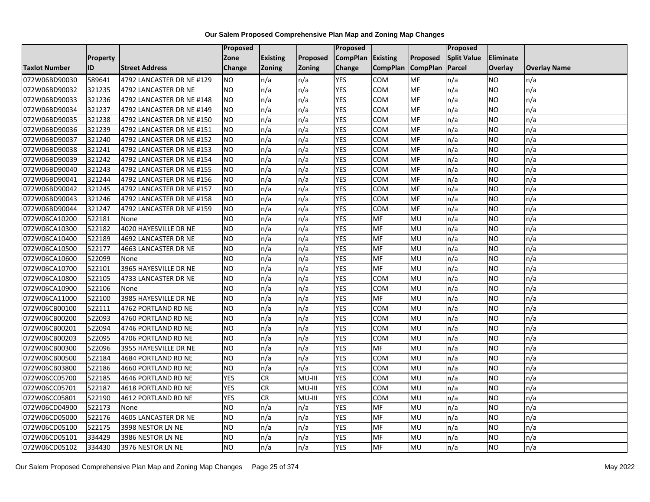|                      |                 |                           | Proposed        |                 |          | <b>Proposed</b> |                 |                 | Proposed           |                  |                     |
|----------------------|-----------------|---------------------------|-----------------|-----------------|----------|-----------------|-----------------|-----------------|--------------------|------------------|---------------------|
|                      | <b>Property</b> |                           | Zone            | <b>Existing</b> | Proposed | <b>CompPlan</b> | Existing        | Proposed        | <b>Split Value</b> | <b>Eliminate</b> |                     |
| <b>Taxlot Number</b> | ID              | <b>Street Address</b>     | Change          | <b>Zoning</b>   | Zoning   | Change          | <b>CompPlan</b> | <b>CompPlan</b> | Parcel             | <b>Overlay</b>   | <b>Overlay Name</b> |
| 072W06BD90030        | 589641          | 4792 LANCASTER DR NE #129 | <b>NO</b>       | n/a             | n/a      | <b>YES</b>      | <b>COM</b>      | MF              | n/a                | <b>NO</b>        | n/a                 |
| 072W06BD90032        | 321235          | 4792 LANCASTER DR NE      | ŌИ              | n/a             | n/a      | <b>YES</b>      | <b>COM</b>      | <b>MF</b>       | n/a                | <b>NO</b>        | n/a                 |
| 072W06BD90033        | 321236          | 4792 LANCASTER DR NE #148 | <b>NO</b>       | n/a             | n/a      | <b>YES</b>      | COM             | <b>MF</b>       | n/a                | <b>NO</b>        | n/a                 |
| 072W06BD90034        | 321237          | 4792 LANCASTER DR NE #149 | <b>NO</b>       | n/a             | n/a      | <b>YES</b>      | COM             | MF              | n/a                | <b>NO</b>        | n/a                 |
| 072W06BD90035        | 321238          | 4792 LANCASTER DR NE #150 | <b>NO</b>       | n/a             | n/a      | <b>YES</b>      | COM             | MF              | n/a                | <b>NO</b>        | n/a                 |
| 072W06BD90036        | 321239          | 4792 LANCASTER DR NE #151 | <b>NO</b>       | n/a             | n/a      | <b>YES</b>      | <b>COM</b>      | MF              | n/a                | <b>NO</b>        | n/a                 |
| 072W06BD90037        | 321240          | 4792 LANCASTER DR NE #152 | NO.             | n/a             | n/a      | <b>YES</b>      | COM             | <b>MF</b>       | n/a                | <b>NO</b>        | n/a                 |
| 072W06BD90038        | 321241          | 4792 LANCASTER DR NE #153 | <b>NO</b>       | n/a             | n/a      | <b>YES</b>      | COM             | MF              | n/a                | <b>NO</b>        | n/a                 |
| 072W06BD90039        | 321242          | 4792 LANCASTER DR NE #154 | <b>NO</b>       | n/a             | n/a      | <b>YES</b>      | COM             | MF              | n/a                | <b>NO</b>        | n/a                 |
| 072W06BD90040        | 321243          | 4792 LANCASTER DR NE #155 | <b>NO</b>       | n/a             | n/a      | <b>YES</b>      | <b>COM</b>      | MF              | n/a                | <b>NO</b>        | n/a                 |
| 072W06BD90041        | 321244          | 4792 LANCASTER DR NE #156 | Ю               | n/a             | n/a      | <b>YES</b>      | <b>COM</b>      | <b>MF</b>       | n/a                | <b>NO</b>        | n/a                 |
| 072W06BD90042        | 321245          | 4792 LANCASTER DR NE #157 | <b>NO</b>       | n/a             | n/a      | <b>YES</b>      | COM             | MF              | n/a                | <b>NO</b>        | n/a                 |
| 072W06BD90043        | 321246          | 4792 LANCASTER DR NE #158 | <b>NO</b>       | n/a             | n/a      | <b>YES</b>      | COM             | MF              | n/a                | <b>NO</b>        | n/a                 |
| 072W06BD90044        | 321247          | 4792 LANCASTER DR NE #159 | <b>NO</b>       | n/a             | n/a      | <b>YES</b>      | COM             | MF              | n/a                | <b>NO</b>        | n/a                 |
| 072W06CA10200        | 522181          | None                      | <b>NO</b>       | n/a             | n/a      | <b>YES</b>      | MF              | MU              | n/a                | <b>NO</b>        | n/a                 |
| 072W06CA10300        | 522182          | 4020 HAYESVILLE DR NE     | <b>NO</b>       | n/a             | n/a      | <b>YES</b>      | MF              | MU              | n/a                | <b>NO</b>        | n/a                 |
| 072W06CA10400        | 522189          | 4692 LANCASTER DR NE      | <b>NO</b>       | n/a             | n/a      | <b>YES</b>      | <b>MF</b>       | MU              | n/a                | <b>NO</b>        | n/a                 |
| 072W06CA10500        | 522177          | 4663 LANCASTER DR NE      | <b>NO</b>       | n/a             | n/a      | <b>YES</b>      | MF              | MU              | n/a                | <b>NO</b>        | n/a                 |
| 072W06CA10600        | 522099          | None                      | $\overline{NO}$ | n/a             | n/a      | <b>YES</b>      | <b>MF</b>       | MU              | n/a                | <b>NO</b>        | n/a                 |
| 072W06CA10700        | 522101          | 3965 HAYESVILLE DR NE     | $\overline{NO}$ | n/a             | n/a      | <b>YES</b>      | <b>MF</b>       | MU              | n/a                | <b>NO</b>        | n/a                 |
| 072W06CA10800        | 522105          | 4733 LANCASTER DR NE      | <b>NO</b>       | n/a             | n/a      | <b>YES</b>      | <b>COM</b>      | MU              | n/a                | <b>NO</b>        | n/a                 |
| 072W06CA10900        | 522106          | None                      | <b>NO</b>       | n/a             | n/a      | <b>YES</b>      | COM             | MU              | n/a                | <b>NO</b>        | n/a                 |
| 072W06CA11000        | 522100          | 3985 HAYESVILLE DR NE     | Ю               | n/a             | n/a      | <b>YES</b>      | <b>MF</b>       | MU              | n/a                | <b>NO</b>        | n/a                 |
| 072W06CB00100        | 522111          | 4762 PORTLAND RD NE       | <b>NO</b>       | n/a             | n/a      | <b>YES</b>      | <b>COM</b>      | MU              | n/a                | <b>NO</b>        | n/a                 |
| 072W06CB00200        | 522093          | 4760 PORTLAND RD NE       | <b>NO</b>       | n/a             | n/a      | <b>YES</b>      | COM             | MU              | n/a                | <b>NO</b>        | n/a                 |
| 072W06CB00201        | 522094          | 4746 PORTLAND RD NE       | <b>NO</b>       | n/a             | n/a      | <b>YES</b>      | COM             | MU              | n/a                | <b>NO</b>        | n/a                 |
| 072W06CB00203        | 522095          | 4706 PORTLAND RD NE       | <b>NO</b>       | n/a             | n/a      | <b>YES</b>      | COM             | MU              | n/a                | <b>NO</b>        | n/a                 |
| 072W06CB00300        | 522096          | 3955 HAYESVILLE DR NE     | <b>NO</b>       | n/a             | n/a      | <b>YES</b>      | MF              | MU              | n/a                | <b>NO</b>        | n/a                 |
| 072W06CB00500        | 522184          | 4684 PORTLAND RD NE       | <b>NO</b>       | n/a             | n/a      | <b>YES</b>      | <b>COM</b>      | MU              | n/a                | <b>NO</b>        | n/a                 |
| 072W06CB03800        | 522186          | 4660 PORTLAND RD NE       | <b>NO</b>       | n/a             | n/a      | <b>YES</b>      | COM             | MU              | n/a                | <b>NO</b>        | n/a                 |
| 072W06CC05700        | 522185          | 4646 PORTLAND RD NE       | <b>YES</b>      | CR              | MU-III   | <b>YES</b>      | COM             | MU              | n/a                | <b>NO</b>        | n/a                 |
| 072W06CC05701        | 522187          | 4618 PORTLAND RD NE       | <b>YES</b>      | CR              | MU-III   | <b>YES</b>      | <b>COM</b>      | MU              | n/a                | <b>NO</b>        | n/a                 |
| 072W06CC05801        | 522190          | 4612 PORTLAND RD NE       | <b>YES</b>      | CR              | MU-III   | <b>YES</b>      | <b>COM</b>      | MU              | n/a                | <b>NO</b>        | n/a                 |
| 072W06CD04900        | 522173          | None                      | <b>NO</b>       | n/a             | n/a      | <b>YES</b>      | MF              | MU              | n/a                | <b>NO</b>        | n/a                 |
| 072W06CD05000        | 522176          | 4605 LANCASTER DR NE      | <b>NO</b>       | n/a             | n/a      | <b>YES</b>      | MF              | MU              | n/a                | <b>NO</b>        | n/a                 |
| 072W06CD05100        | 522175          | 3998 NESTOR LN NE         | $\overline{NO}$ | n/a             | n/a      | <b>YES</b>      | <b>MF</b>       | MU              | n/a                | <b>NO</b>        | n/a                 |
| 072W06CD05101        | 334429          | 3986 NESTOR LN NE         | <b>NO</b>       | n/a             | n/a      | <b>YES</b>      | MF              | MU              | n/a                | <b>NO</b>        | n/a                 |
| 072W06CD05102        | 334430          | 3976 NESTOR LN NE         | <b>NO</b>       | n/a             | n/a      | <b>YES</b>      | <b>MF</b>       | MU              | n/a                | <b>NO</b>        | n/a                 |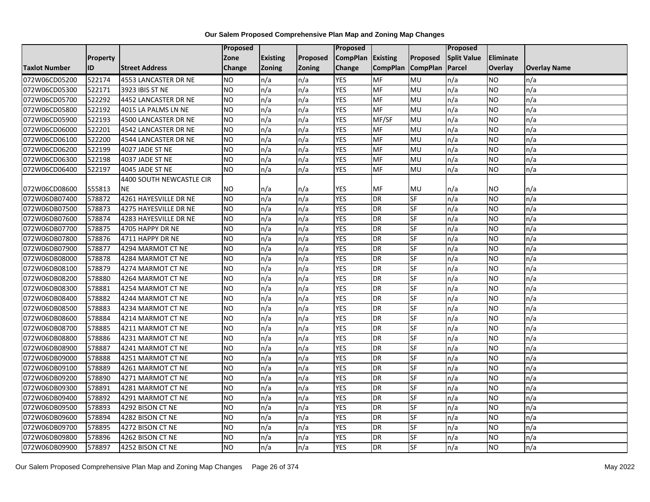|                      |          |                          | Proposed       |                 |               | Proposed        |                 |                 | Proposed           |                  |                     |
|----------------------|----------|--------------------------|----------------|-----------------|---------------|-----------------|-----------------|-----------------|--------------------|------------------|---------------------|
|                      | Property |                          | Zone           | <b>Existing</b> | Proposed      | <b>CompPlan</b> | Existing        | Proposed        | <b>Split Value</b> | <b>Eliminate</b> |                     |
| <b>Taxlot Number</b> | ID       | <b>Street Address</b>    | <b>Change</b>  | <b>Zoning</b>   | <b>Zoning</b> | Change          | <b>CompPlan</b> | <b>CompPlan</b> | Parcel             | <b>Overlay</b>   | <b>Overlay Name</b> |
| 072W06CD05200        | 522174   | 4553 LANCASTER DR NE     | <b>NO</b>      | n/a             | n/a           | <b>YES</b>      | <b>MF</b>       | MU              | n/a                | <b>NO</b>        | n/a                 |
| 072W06CD05300        | 522171   | 3923 IBIS ST NE          | <b>NO</b>      | n/a             | n/a           | <b>YES</b>      | <b>MF</b>       | MU              | n/a                | <b>NO</b>        | n/a                 |
| 072W06CD05700        | 522292   | 4452 LANCASTER DR NE     | <b>NO</b>      | n/a             | n/a           | <b>YES</b>      | MF              | MU              | n/a                | <b>NO</b>        | n/a                 |
| 072W06CD05800        | 522192   | 4015 LA PALMS LN NE      | <b>NO</b>      | n/a             | n/a           | <b>YES</b>      | MF              | MU              | n/a                | <b>NO</b>        | n/a                 |
| 072W06CD05900        | 522193   | 4500 LANCASTER DR NE     | Ю              | n/a             | n/a           | <b>YES</b>      | MF/SF           | MU              | n/a                | <b>NO</b>        | n/a                 |
| 072W06CD06000        | 522201   | 4542 LANCASTER DR NE     | N <sub>O</sub> | n/a             | n/a           | <b>YES</b>      | MF              | MU              | n/a                | <b>NO</b>        | n/a                 |
| 072W06CD06100        | 522200   | 4544 LANCASTER DR NE     | <b>NO</b>      | n/a             | n/a           | <b>YES</b>      | MF              | MU              | n/a                | <b>NO</b>        | n/a                 |
| 072W06CD06200        | 522199   | 4027 JADE ST NE          | <b>NO</b>      | n/a             | n/a           | <b>YES</b>      | MF              | MU              | n/a                | <b>NO</b>        | n/a                 |
| 072W06CD06300        | 522198   | 4037 JADE ST NE          | <b>NO</b>      | n/a             | n/a           | <b>YES</b>      | MF              | MU              | n/a                | <b>NO</b>        | n/a                 |
| 072W06CD06400        | 522197   | 4045 JADE ST NE          | <b>NO</b>      | n/a             | n/a           | <b>YES</b>      | <b>MF</b>       | MU              | n/a                | <b>NO</b>        | n/a                 |
|                      |          | 4400 SOUTH NEWCASTLE CIR |                |                 |               |                 |                 |                 |                    |                  |                     |
| 072W06CD08600        | 555813   | <b>NE</b>                | <b>NO</b>      | n/a             | n/a           | YES             | MF              | MU              | n/a                | <b>NO</b>        | n/a                 |
| 072W06DB07400        | 578872   | 4261 HAYESVILLE DR NE    | <b>NO</b>      | n/a             | n/a           | <b>YES</b>      | <b>DR</b>       | SF              | n/a                | <b>NO</b>        | n/a                 |
| 072W06DB07500        | 578873   | 4275 HAYESVILLE DR NE    | N <sub>O</sub> | n/a             | n/a           | <b>YES</b>      | <b>DR</b>       | SF              | n/a                | <b>NO</b>        | n/a                 |
| 072W06DB07600        | 578874   | 4283 HAYESVILLE DR NE    | <b>NO</b>      | n/a             | n/a           | <b>YES</b>      | <b>DR</b>       | SF              | n/a                | <b>NO</b>        | n/a                 |
| 072W06DB07700        | 578875   | 4705 HAPPY DR NE         | <b>NO</b>      | n/a             | n/a           | <b>YES</b>      | <b>DR</b>       | SF              | n/a                | <b>NO</b>        | n/a                 |
| 072W06DB07800        | 578876   | 4711 HAPPY DR NE         | <b>NO</b>      | n/a             | n/a           | <b>YES</b>      | <b>DR</b>       | SF              | n/a                | <b>NO</b>        | n/a                 |
| 072W06DB07900        | 578877   | 4294 MARMOT CT NE        | <b>NO</b>      | n/a             | n/a           | <b>YES</b>      | <b>DR</b>       | SF              | n/a                | <b>NO</b>        | n/a                 |
| 072W06DB08000        | 578878   | 4284 MARMOT CT NE        | <b>NO</b>      | n/a             | n/a           | <b>YES</b>      | <b>DR</b>       | SF              | n/a                | <b>NO</b>        | n/a                 |
| 072W06DB08100        | 578879   | 4274 MARMOT CT NE        | <b>NO</b>      | n/a             | n/a           | <b>YES</b>      | <b>DR</b>       | SF              | n/a                | <b>NO</b>        | n/a                 |
| 072W06DB08200        | 578880   | 4264 MARMOT CT NE        | <b>NO</b>      | n/a             | n/a           | <b>YES</b>      | <b>DR</b>       | <b>SF</b>       | n/a                | <b>NO</b>        | n/a                 |
| 072W06DB08300        | 578881   | 4254 MARMOT CT NE        | <b>NO</b>      | n/a             | n/a           | <b>YES</b>      | <b>DR</b>       | SF              | n/a                | <b>NO</b>        | n/a                 |
| 072W06DB08400        | 578882   | 4244 MARMOT CT NE        | <b>NO</b>      | n/a             | n/a           | <b>YES</b>      | <b>DR</b>       | SF              | n/a                | <b>NO</b>        | n/a                 |
| 072W06DB08500        | 578883   | 4234 MARMOT CT NE        | <b>NO</b>      | n/a             | n/a           | <b>YES</b>      | <b>DR</b>       | SF              | n/a                | <b>NO</b>        | n/a                 |
| 072W06DB08600        | 578884   | 4214 MARMOT CT NE        | N <sub>O</sub> | n/a             | n/a           | <b>YES</b>      | <b>DR</b>       | SF              | n/a                | <b>NO</b>        | n/a                 |
| 072W06DB08700        | 578885   | 4211 MARMOT CT NE        | N <sub>O</sub> | n/a             | n/a           | <b>YES</b>      | <b>DR</b>       | SF              | n/a                | <b>NO</b>        | n/a                 |
| 072W06DB08800        | 578886   | 4231 MARMOT CT NE        | <b>NO</b>      | n/a             | n/a           | <b>YES</b>      | <b>DR</b>       | SF              | n/a                | <b>NO</b>        | n/a                 |
| 072W06DB08900        | 578887   | 4241 MARMOT CT NE        | <b>NO</b>      | n/a             | n/a           | <b>YES</b>      | <b>DR</b>       | SF              | n/a                | <b>NO</b>        | n/a                 |
| 072W06DB09000        | 578888   | 4251 MARMOT CT NE        | <b>NO</b>      | n/a             | n/a           | <b>YES</b>      | <b>DR</b>       | SF              | n/a                | <b>NO</b>        | n/a                 |
| 072W06DB09100        | 578889   | 4261 MARMOT CT NE        | N <sub>O</sub> | n/a             | n/a           | <b>YES</b>      | <b>DR</b>       | <b>SF</b>       | n/a                | <b>NO</b>        | n/a                 |
| 072W06DB09200        | 578890   | 4271 MARMOT CT NE        | <b>NO</b>      | n/a             | n/a           | <b>YES</b>      | <b>DR</b>       | SF              | n/a                | <b>NO</b>        | n/a                 |
| 072W06DB09300        | 578891   | 4281 MARMOT CT NE        | <b>NO</b>      | n/a             | n/a           | <b>YES</b>      | <b>DR</b>       | SF              | n/a                | <b>NO</b>        | n/a                 |
| 072W06DB09400        | 578892   | 4291 MARMOT CT NE        | <b>NO</b>      | n/a             | n/a           | <b>YES</b>      | <b>DR</b>       | SF              | n/a                | <b>NO</b>        | n/a                 |
| 072W06DB09500        | 578893   | 4292 BISON CT NE         | <b>NO</b>      | n/a             | n/a           | <b>YES</b>      | <b>DR</b>       | SF              | n/a                | <b>NO</b>        | n/a                 |
| 072W06DB09600        | 578894   | 4282 BISON CT NE         | N <sub>O</sub> | n/a             | n/a           | <b>YES</b>      | <b>DR</b>       | SF              | n/a                | <b>NO</b>        | n/a                 |
| 072W06DB09700        | 578895   | 4272 BISON CT NE         | <b>NO</b>      | n/a             | n/a           | <b>YES</b>      | <b>DR</b>       | SF              | n/a                | <b>NO</b>        | n/a                 |
| 072W06DB09800        | 578896   | 4262 BISON CT NE         | <b>NO</b>      | n/a             | n/a           | <b>YES</b>      | <b>DR</b>       | SF              | n/a                | <b>NO</b>        | n/a                 |
| 072W06DB09900        | 578897   | 4252 BISON CT NE         | N <sub>O</sub> | n/a             | n/a           | <b>YES</b>      | <b>DR</b>       | SF              | n/a                | <b>NO</b>        | n/a                 |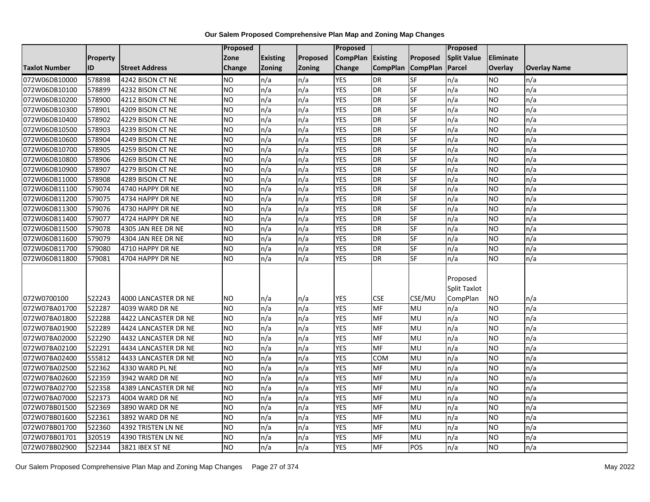|                                |                  |                                              | <b>Proposed</b>        |               |            | Proposed                 |                   |           | Proposed           |                        |                     |
|--------------------------------|------------------|----------------------------------------------|------------------------|---------------|------------|--------------------------|-------------------|-----------|--------------------|------------------------|---------------------|
|                                | Property         |                                              | Zone                   | Existing      | Proposed   | <b>CompPlan</b>          | <b>Existing</b>   | Proposed  | <b>Split Value</b> | <b>Eliminate</b>       |                     |
| <b>Taxlot Number</b>           | ID               | <b>Street Address</b>                        | Change                 | <b>Zoning</b> | Zoning     | Change                   | CompPlan CompPlan |           | Parcel             | Overlay                | <b>Overlay Name</b> |
| 072W06DB10000                  | 578898           | 4242 BISON CT NE                             | <b>NO</b>              | n/a           | n/a        | <b>YES</b>               | <b>DR</b>         | <b>SF</b> | n/a                | <b>NO</b>              | n/a                 |
| 072W06DB10100                  | 578899           | 4232 BISON CT NE                             | <b>NO</b>              | n/a           | n/a        | <b>YES</b>               | <b>DR</b>         | SF        | n/a                | <b>NO</b>              | n/a                 |
| 072W06DB10200                  | 578900           | 4212 BISON CT NE                             | <b>NO</b>              | n/a           | n/a        | <b>YES</b>               | DR                | SF        | n/a                | <b>NO</b>              | n/a                 |
| 072W06DB10300                  | 578901           | 4209 BISON CT NE                             | <b>NO</b>              | n/a           | n/a        | <b>YES</b>               | <b>DR</b>         | SF        | n/a                | <b>NO</b>              | n/a                 |
| 072W06DB10400                  | 578902           | 4229 BISON CT NE                             | <b>NO</b>              | n/a           | n/a        | <b>YES</b>               | <b>DR</b>         | SF        | n/a                | <b>NO</b>              | n/a                 |
| 072W06DB10500                  | 578903           | 4239 BISON CT NE                             | <b>NO</b>              | n/a           | n/a        | <b>YES</b>               | <b>DR</b>         | SF        | n/a                | <b>NO</b>              | n/a                 |
| 072W06DB10600                  | 578904           | 4249 BISON CT NE                             | <b>NO</b>              | n/a           | n/a        | <b>YES</b>               | <b>DR</b>         | <b>SF</b> | n/a                | <b>NO</b>              | n/a                 |
| 072W06DB10700                  | 578905           | 4259 BISON CT NE                             | <b>NO</b>              | n/a           | n/a        | <b>YES</b>               | <b>DR</b>         | SF        | n/a                | <b>NO</b>              | n/a                 |
| 072W06DB10800                  | 578906           | 4269 BISON CT NE                             | <b>NO</b>              | n/a           | n/a        | <b>YES</b>               | <b>DR</b>         | $S$ F     | n/a                | <b>NO</b>              | n/a                 |
| 072W06DB10900                  | 578907           | 4279 BISON CT NE                             | <b>NO</b>              | n/a           | n/a        | <b>YES</b>               | <b>DR</b>         | <b>SF</b> | n/a                | <b>NO</b>              | n/a                 |
| 072W06DB11000                  | 578908           | 4289 BISON CT NE                             | <b>NO</b>              | n/a           | n/a        | <b>YES</b>               | DR                | SF        | n/a                | <b>NO</b>              | n/a                 |
| 072W06DB11100                  | 579074           | 4740 HAPPY DR NE                             | <b>NO</b>              | n/a           | n/a        | <b>YES</b>               | <b>DR</b>         | SF        | n/a                | <b>NO</b>              | n/a                 |
| 072W06DB11200                  | 579075           | 4734 HAPPY DR NE                             | <b>NO</b>              | n/a           | n/a        | <b>YES</b>               | <b>DR</b>         | SF        | n/a                | <b>NO</b>              | n/a                 |
| 072W06DB11300                  | 579076           | 4730 HAPPY DR NE                             | <b>NO</b>              | n/a           | n/a        | <b>YES</b>               | <b>DR</b>         | SF        | n/a                | <b>NO</b>              | n/a                 |
| 072W06DB11400                  | 579077           | 4724 HAPPY DR NE                             | <b>NO</b>              | n/a           | n/a        | <b>YES</b>               | <b>DR</b>         | SF        | n/a                | <b>NO</b>              | n/a                 |
| 072W06DB11500                  | 579078           | 4305 JAN REE DR NE                           | <b>NO</b>              | n/a           | n/a        | <b>YES</b>               | DR                | SF        | n/a                | <b>NO</b>              | n/a                 |
| 072W06DB11600                  | 579079           | 4304 JAN REE DR NE                           | <b>NO</b>              | n/a           | n/a        | <b>YES</b>               | <b>DR</b>         | SF        | n/a                | <b>NO</b>              | n/a                 |
| 072W06DB11700                  | 579080           | 4710 HAPPY DR NE                             | <b>NO</b>              | n/a           | n/a        | <b>YES</b>               | <b>DR</b>         | SF        | n/a                | <b>NO</b>              | n/a                 |
| 072W06DB11800                  | 579081           | 4704 HAPPY DR NE                             | <b>NO</b>              | n/a           | n/a        | <b>YES</b>               | <b>DR</b>         | SF        | n/a                | <b>NO</b>              | n/a                 |
|                                |                  |                                              |                        |               |            |                          |                   |           |                    |                        |                     |
|                                |                  |                                              |                        |               |            |                          |                   |           | Proposed           |                        |                     |
|                                |                  |                                              |                        |               |            |                          |                   |           | Split Taxlot       |                        |                     |
| 072W0700100                    | 522243           | 4000 LANCASTER DR NE                         | <b>NO</b>              | n/a           | n/a        | YES                      | <b>CSE</b>        | CSE/MU    | CompPlan           | <b>NO</b>              | n/a                 |
| 072W07BA01700                  | 522287           | 4039 WARD DR NE                              | <b>NO</b><br><b>NO</b> | n/a           | n/a        | <b>YES</b><br><b>YES</b> | <b>MF</b><br>MF   | MU<br>MU  | n/a                | <b>NO</b><br><b>NO</b> | n/a<br>n/a          |
| 072W07BA01800                  | 522288           | 4422 LANCASTER DR NE                         | <b>NO</b>              | n/a           | n/a        | <b>YES</b>               | MF                | MU        | n/a                |                        |                     |
| 072W07BA01900<br>072W07BA02000 | 522289<br>522290 | 4424 LANCASTER DR NE<br>4432 LANCASTER DR NE | N <sub>O</sub>         | n/a<br>n/a    | n/a<br>n/a | <b>YES</b>               | <b>MF</b>         | <b>MU</b> | n/a<br>n/a         | <b>NO</b><br><b>NO</b> | n/a<br>n/a          |
|                                | 522291           |                                              | <b>NO</b>              | n/a           | n/a        | <b>YES</b>               | MF                | MU        | n/a                | <b>NO</b>              | n/a                 |
| 072W07BA02100<br>072W07BA02400 | 555812           | 4434 LANCASTER DR NE<br>4433 LANCASTER DR NE | <b>NO</b>              | n/a           | n/a        | <b>YES</b>               | COM               | MU        | n/a                | <b>NO</b>              | n/a                 |
| 072W07BA02500                  | 522362           | 4330 WARD PL NE                              | <b>NO</b>              | n/a           | n/a        | <b>YES</b>               | MF                | MU        | n/a                | <b>NO</b>              | n/a                 |
|                                |                  |                                              | <b>NO</b>              | n/a           |            | <b>YES</b>               | MF                | MU        |                    | <b>NO</b>              | n/a                 |
| 072W07BA02600                  | 522359           | 3942 WARD DR NE                              | <b>NO</b>              | n/a           | n/a        | <b>YES</b>               | <b>MF</b>         | <b>MU</b> | n/a                |                        |                     |
| 072W07BA02700                  | 522358<br>522373 | 4389 LANCASTER DR NE                         | <b>NO</b>              | n/a           | n/a<br>n/a | <b>YES</b>               | <b>MF</b>         | MU        | n/a<br>n/a         | <b>NO</b><br><b>NO</b> | n/a<br>n/a          |
| 072W07BA07000                  |                  | 4004 WARD DR NE                              |                        |               |            | <b>YES</b>               |                   |           |                    |                        |                     |
| 072W07BB01500                  | 522369           | 3890 WARD DR NE                              | <b>NO</b>              | n/a           | n/a        |                          | MF                | MU        | n/a                | <b>NO</b>              | n/a                 |
| 072W07BB01600                  | 522361           | 3892 WARD DR NE                              | <b>NO</b>              | n/a           | n/a        | <b>YES</b>               | <b>MF</b>         | <b>MU</b> | n/a                | <b>NO</b>              | n/a                 |
| 072W07BB01700                  | 522360           | 4392 TRISTEN LN NE                           | <b>NO</b>              | n/a           | n/a        | <b>YES</b>               | MF                | MU        | n/a                | <b>NO</b>              | n/a                 |
| 072W07BB01701                  | 320519           | 4390 TRISTEN LN NE                           | <b>NO</b>              | n/a           | n/a        | <b>YES</b>               | MF                | MU        | n/a                | <b>NO</b>              | n/a                 |
| 072W07BB02900                  | 522344           | 3821 IBEX ST NE                              | N <sub>O</sub>         | n/a           | n/a        | <b>YES</b>               | MF                | POS       | n/a                | <b>ON</b>              | n/a                 |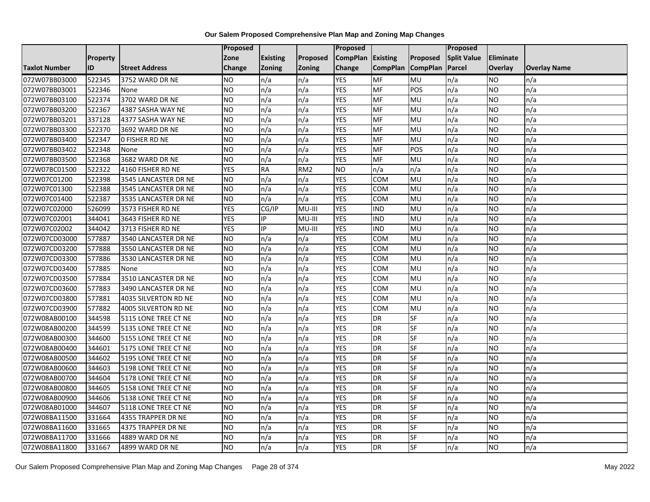|                      |          |                       | Proposed       |                 |                 | <b>Proposed</b> |                 |                 | Proposed           |           |                     |
|----------------------|----------|-----------------------|----------------|-----------------|-----------------|-----------------|-----------------|-----------------|--------------------|-----------|---------------------|
|                      | Property |                       | Zone           | <b>Existing</b> | Proposed        | <b>CompPlan</b> | Existing        | Proposed        | <b>Split Value</b> | Eliminate |                     |
| <b>Taxlot Number</b> | ID       | <b>Street Address</b> | Change         | Zoning          | <b>Zoning</b>   | Change          | <b>CompPlan</b> | <b>CompPlan</b> | Parcel             | Overlay   | <b>Overlay Name</b> |
| 072W07BB03000        | 522345   | 3752 WARD DR NE       | <b>NO</b>      | n/a             | n/a             | <b>YES</b>      | MF              | MU              | n/a                | <b>NO</b> | n/a                 |
| 072W07BB03001        | 522346   | None                  | <b>NO</b>      | n/a             | n/a             | <b>YES</b>      | MF              | POS             | n/a                | NO.       | n/a                 |
| 072W07BB03100        | 522374   | 3702 WARD DR NE       | <b>NO</b>      | n/a             | n/a             | <b>YES</b>      | MF              | MU              | n/a                | <b>NO</b> | n/a                 |
| 072W07BB03200        | 522367   | 4387 SASHA WAY NE     | <b>NO</b>      | n/a             | n/a             | <b>YES</b>      | MF              | MU              | n/a                | ΝO        | n/a                 |
| 072W07BB03201        | 337128   | 4377 SASHA WAY NE     | <b>NO</b>      | n/a             | n/a             | <b>YES</b>      | MF              | MU              | n/a                | <b>NO</b> | n/a                 |
| 072W07BB03300        | 522370   | 3692 WARD DR NE       | <b>NO</b>      | n/a             | n/a             | <b>YES</b>      | MF              | MU              | n/a                | NO.       | n/a                 |
| 072W07BB03400        | 522347   | <b>O FISHER RD NE</b> | <b>NO</b>      | n/a             | n/a             | <b>YES</b>      | MF              | MU              | n/a                | NO.       | n/a                 |
| 072W07BB03402        | 522348   | None                  | N <sub>O</sub> | n/a             | n/a             | <b>YES</b>      | MF              | POS             | n/a                | NO        | n/a                 |
| 072W07BB03500        | 522368   | 3682 WARD DR NE       | <b>NO</b>      | n/a             | n/a             | <b>YES</b>      | MF              | MU              | n/a                | NO.       | n/a                 |
| 072W07BC01500        | 522322   | 4160 FISHER RD NE     | <b>YES</b>     | <b>RA</b>       | RM <sub>2</sub> | N <sub>O</sub>  | n/a             | n/a             | n/a                | NO.       | n/a                 |
| 072W07C01200         | 522398   | 3545 LANCASTER DR NE  | N <sub>O</sub> | n/a             | n/a             | <b>YES</b>      | <b>COM</b>      | MU              | n/a                | <b>NO</b> | n/a                 |
| 072W07C01300         | 522388   | 3545 LANCASTER DR NE  | <b>NO</b>      | n/a             | n/a             | <b>YES</b>      | <b>COM</b>      | MU              | n/a                | <b>NO</b> | n/a                 |
| 072W07C01400         | 522387   | 3535 LANCASTER DR NE  | <b>NO</b>      | n/a             | n/a             | <b>YES</b>      | <b>COM</b>      | MU              | n/a                | NO.       | n/a                 |
| 072W07C02000         | 526099   | 3573 FISHER RD NE     | <b>YES</b>     | CG/IP           | MU-III          | <b>YES</b>      | <b>IND</b>      | <b>MU</b>       | n/a                | <b>NO</b> | n/a                 |
| 072W07C02001         | 344041   | 3643 FISHER RD NE     | <b>YES</b>     | IP              | MU-III          | <b>YES</b>      | <b>IND</b>      | MU              | n/a                | ΝO        | n/a                 |
| 072W07C02002         | 344042   | 3713 FISHER RD NE     | <b>YES</b>     | IP              | MU-III          | <b>YES</b>      | <b>IND</b>      | MU              | n/a                | NO.       | n/a                 |
| 072W07CD03000        | 577887   | 3540 LANCASTER DR NE  | <b>NO</b>      | n/a             | n/a             | <b>YES</b>      | <b>COM</b>      | MU              | n/a                | NO        | n/a                 |
| 072W07CD03200        | 577888   | 3550 LANCASTER DR NE  | <b>NO</b>      | n/a             | n/a             | <b>YES</b>      | <b>COM</b>      | MU              | n/a                | NO.       | n/a                 |
| 072W07CD03300        | 577886   | 3530 LANCASTER DR NE  | <b>NO</b>      | n/a             | n/a             | <b>YES</b>      | COM             | MU              | n/a                | NO        | n/a                 |
| 072W07CD03400        | 577885   | None                  | <b>NO</b>      | n/a             | n/a             | <b>YES</b>      | COM             | MU              | n/a                | NO.       | n/a                 |
| 072W07CD03500        | 577884   | 3510 LANCASTER DR NE  | <b>NO</b>      | n/a             | n/a             | <b>YES</b>      | <b>COM</b>      | MU              | n/a                | NO.       | n/a                 |
| 072W07CD03600        | 577883   | 3490 LANCASTER DR NE  | N <sub>O</sub> | n/a             | n/a             | <b>YES</b>      | <b>COM</b>      | MU              | n/a                | <b>NO</b> | n/a                 |
| 072W07CD03800        | 577881   | 4035 SILVERTON RD NE  | <b>NO</b>      | n/a             | n/a             | <b>YES</b>      | COM             | MU              | n/a                | NO.       | n/a                 |
| 072W07CD03900        | 577882   | 4005 SILVERTON RD NE  | <b>NO</b>      | n/a             | n/a             | <b>YES</b>      | <b>COM</b>      | MU              | n/a                | NO.       | n/a                 |
| 072W08AB00100        | 344598   | 5115 LONE TREE CT NE  | N <sub>O</sub> | n/a             | n/a             | <b>YES</b>      | <b>DR</b>       | <b>SF</b>       | n/a                | <b>NO</b> | n/a                 |
| 072W08AB00200        | 344599   | 5135 LONE TREE CT NE  | N <sub>O</sub> | n/a             | n/a             | <b>YES</b>      | <b>DR</b>       | SF              | n/a                | NO.       | n/a                 |
| 072W08AB00300        | 344600   | 5155 LONE TREE CT NE  | <b>NO</b>      | n/a             | n/a             | <b>YES</b>      | <b>DR</b>       | SF              | n/a                | NO        | n/a                 |
| 072W08AB00400        | 344601   | 5175 LONE TREE CT NE  | <b>NO</b>      | n/a             | n/a             | <b>YES</b>      | <b>DR</b>       | SF              | n/a                | NO.       | n/a                 |
| 072W08AB00500        | 344602   | 5195 LONE TREE CT NE  | <b>NO</b>      | n/a             | n/a             | <b>YES</b>      | <b>DR</b>       | <b>SF</b>       | n/a                | NO.       | n/a                 |
| 072W08AB00600        | 344603   | 5198 LONE TREE CT NE  | N <sub>O</sub> | n/a             | n/a             | <b>YES</b>      | <b>DR</b>       | SF              | n/a                | NO        | n/a                 |
| 072W08AB00700        | 344604   | 5178 LONE TREE CT NE  | <b>NO</b>      | n/a             | n/a             | <b>YES</b>      | <b>DR</b>       | SF              | n/a                | NO.       | n/a                 |
| 072W08AB00800        | 344605   | 5158 LONE TREE CT NE  | N <sub>O</sub> | n/a             | n/a             | <b>YES</b>      | <b>DR</b>       | <b>SF</b>       | n/a                | NO.       | n/a                 |
| 072W08AB00900        | 344606   | 5138 LONE TREE CT NE  | N <sub>O</sub> | n/a             | n/a             | <b>YES</b>      | <b>DR</b>       | SF              | n/a                | NO.       | n/a                 |
| 072W08AB01000        | 344607   | 5118 LONE TREE CT NE  | <b>NO</b>      | n/a             | n/a             | <b>YES</b>      | <b>DR</b>       | <b>SF</b>       | n/a                | NO.       | n/a                 |
| 072W08BA11500        | 331664   | 4355 TRAPPER DR NE    | <b>NO</b>      | n/a             | n/a             | <b>YES</b>      | <b>DR</b>       | SF              | n/a                | NO        | n/a                 |
| 072W08BA11600        | 331665   | 4375 TRAPPER DR NE    | <b>NO</b>      | n/a             | n/a             | <b>YES</b>      | <b>DR</b>       | <b>SF</b>       | n/a                | NO        | n/a                 |
| 072W08BA11700        | 331666   | 4889 WARD DR NE       | <b>NO</b>      | n/a             | n/a             | <b>YES</b>      | <b>DR</b>       | SF              | n/a                | ΝO        | n/a                 |
| 072W08BA11800        | 331667   | 4899 WARD DR NE       | <b>NO</b>      | n/a             | n/a             | <b>YES</b>      | <b>DR</b>       | SF              | n/a                | NO        | n/a                 |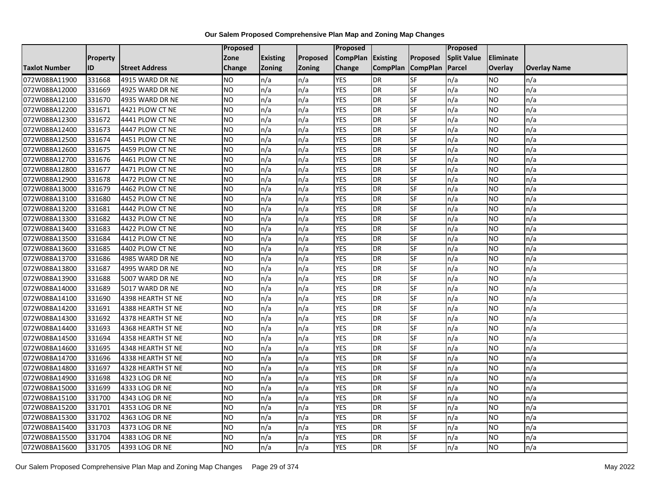|                      |          |                       | Proposed  |                 |               | Proposed        |                 |                 | Proposed           |                 |                     |
|----------------------|----------|-----------------------|-----------|-----------------|---------------|-----------------|-----------------|-----------------|--------------------|-----------------|---------------------|
|                      | Property |                       | Zone      | <b>Existing</b> | Proposed      | <b>CompPlan</b> | Existing        | Proposed        | <b>Split Value</b> | Eliminate       |                     |
| <b>Taxlot Number</b> | ID       | <b>Street Address</b> | Change    | Zoning          | <b>Zoning</b> | Change          | <b>CompPlan</b> | <b>CompPlan</b> | Parcel             | <b>Overlay</b>  | <b>Overlay Name</b> |
| 072W08BA11900        | 331668   | 4915 WARD DR NE       | <b>NO</b> | n/a             | n/a           | <b>YES</b>      | <b>DR</b>       | <b>SF</b>       | n/a                | NO.             | n/a                 |
| 072W08BA12000        | 331669   | 4925 WARD DR NE       | ŌИ        | n/a             | n/a           | <b>YES</b>      | <b>DR</b>       | $S_{F}$         | n/a                | NO.             | n/a                 |
| 072W08BA12100        | 331670   | 4935 WARD DR NE       | <b>NO</b> | n/a             | n/a           | <b>YES</b>      | DR              | SF              | n/a                | NO.             | n/a                 |
| 072W08BA12200        | 331671   | 4421 PLOW CT NE       | <b>NO</b> | n/a             | n/a           | <b>YES</b>      | DR              | SF              | n/a                | NO.             | n/a                 |
| 072W08BA12300        | 331672   | 4441 PLOW CT NE       | Ю         | n/a             | n/a           | <b>YES</b>      | <b>DR</b>       | $S_{F}$         | n/a                | NO.             | n/a                 |
| 072W08BA12400        | 331673   | 4447 PLOW CT NE       | Ю         | n/a             | n/a           | <b>YES</b>      | <b>DR</b>       | SF              | n/a                | <b>NO</b>       | n/a                 |
| 072W08BA12500        | 331674   | 4451 PLOW CT NE       | <b>NO</b> | n/a             | n/a           | <b>YES</b>      | DR              | <b>SF</b>       | n/a                | <b>NO</b>       | n/a                 |
| 072W08BA12600        | 331675   | 4459 PLOW CT NE       | <b>NO</b> | n/a             | n/a           | <b>YES</b>      | DR              | SF              | n/a                | NO.             | n/a                 |
| 072W08BA12700        | 331676   | 4461 PLOW CT NE       | <b>NO</b> | n/a             | n/a           | <b>YES</b>      | DR              | SF              | n/a                | NO.             | n/a                 |
| 072W08BA12800        | 331677   | 4471 PLOW CT NE       | Ю         | n/a             | n/a           | <b>YES</b>      | DR              | <b>SF</b>       | n/a                | NO.             | n/a                 |
| 072W08BA12900        | 331678   | 4472 PLOW CT NE       | <b>NO</b> | n/a             | n/a           | <b>YES</b>      | <b>DR</b>       | <b>SF</b>       | n/a                | <b>NO</b>       | n/a                 |
| 072W08BA13000        | 331679   | 4462 PLOW CT NE       | <b>NO</b> | n/a             | n/a           | <b>YES</b>      | DR              | <b>SF</b>       | n/a                | NO.             | n/a                 |
| 072W08BA13100        | 331680   | 4452 PLOW CT NE       | <b>NO</b> | n/a             | n/a           | <b>YES</b>      | DR              | SF              | n/a                | NO.             | n/a                 |
| 072W08BA13200        | 331681   | 4442 PLOW CT NE       | ŌИ        | n/a             | n/a           | <b>YES</b>      | <b>DR</b>       | <b>SF</b>       | n/a                | <b>NO</b>       | n/a                 |
| 072W08BA13300        | 331682   | 4432 PLOW CT NE       | <b>NO</b> | n/a             | n/a           | <b>YES</b>      | DR              | SF              | n/a                | <b>NO</b>       | n/a                 |
| 072W08BA13400        | 331683   | 4422 PLOW CT NE       | <b>NO</b> | n/a             | n/a           | <b>YES</b>      | DR              | SF              | n/a                | <b>NO</b>       | n/a                 |
| 072W08BA13500        | 331684   | 4412 PLOW CT NE       | <b>NO</b> | n/a             | n/a           | <b>YES</b>      | DR              | SF              | n/a                | NO.             | n/a                 |
| 072W08BA13600        | 331685   | 4402 PLOW CT NE       | <b>NO</b> | n/a             | n/a           | <b>YES</b>      | DR              | SF              | n/a                | NO.             | n/a                 |
| 072W08BA13700        | 331686   | 4985 WARD DR NE       | <b>NO</b> | n/a             | n/a           | <b>YES</b>      | DR              | SF              | n/a                | NO.             | n/a                 |
| 072W08BA13800        | 331687   | 4995 WARD DR NE       | <b>NO</b> | n/a             | n/a           | <b>YES</b>      | DR              | <b>SF</b>       | n/a                | NO.             | n/a                 |
| 072W08BA13900        | 331688   | 5007 WARD DR NE       | <b>NO</b> | n/a             | n/a           | <b>YES</b>      | DR              | SF              | n/a                | NO.             | n/a                 |
| 072W08BA14000        | 331689   | 5017 WARD DR NE       | Ю         | n/a             | n/a           | <b>YES</b>      | DR              | SF              | n/a                | $\overline{NO}$ | n/a                 |
| 072W08BA14100        | 331690   | 4398 HEARTH ST NE     | <b>NO</b> | n/a             | n/a           | <b>YES</b>      | DR              | <b>SF</b>       | n/a                | <b>NO</b>       | n/a                 |
| 072W08BA14200        | 331691   | 4388 HEARTH ST NE     | <b>NO</b> | n/a             | n/a           | <b>YES</b>      | <b>DR</b>       | SF              | n/a                | NO.             | n/a                 |
| 072W08BA14300        | 331692   | 4378 HEARTH ST NE     | Ю         | n/a             | n/a           | <b>YES</b>      | DR              | <b>SF</b>       | n/a                | NO.             | n/a                 |
| 072W08BA14400        | 331693   | 4368 HEARTH ST NE     | Ю         | n/a             | n/a           | <b>YES</b>      | DR              | <b>SF</b>       | n/a                | NO.             | n/a                 |
| 072W08BA14500        | 331694   | 4358 HEARTH ST NE     | <b>NO</b> | n/a             | n/a           | <b>YES</b>      | <b>DR</b>       | SF              | n/a                | <b>NO</b>       | n/a                 |
| 072W08BA14600        | 331695   | 4348 HEARTH ST NE     | <b>NO</b> | n/a             | n/a           | <b>YES</b>      | DR              | SF              | n/a                | NO.             | n/a                 |
| 072W08BA14700        | 331696   | 4338 HEARTH ST NE     | <b>NO</b> | n/a             | n/a           | <b>YES</b>      | DR              | SF              | n/a                | NO.             | n/a                 |
| 072W08BA14800        | 331697   | 4328 HEARTH ST NE     | <b>NO</b> | n/a             | n/a           | <b>YES</b>      | <b>DR</b>       | <b>SF</b>       | n/a                | <b>NO</b>       | n/a                 |
| 072W08BA14900        | 331698   | 4323 LOG DR NE        | <b>NO</b> | n/a             | n/a           | <b>YES</b>      | DR              | SF              | n/a                | <b>NO</b>       | n/a                 |
| 072W08BA15000        | 331699   | 4333 LOG DR NE        | <b>NO</b> | n/a             | n/a           | <b>YES</b>      | DR              | SF              | n/a                | <b>NO</b>       | n/a                 |
| 072W08BA15100        | 331700   | 4343 LOG DR NE        | <b>NO</b> | n/a             | n/a           | <b>YES</b>      | DR              | SF              | n/a                | NO.             | n/a                 |
| 072W08BA15200        | 331701   | 4353 LOG DR NE        | <b>NO</b> | n/a             | n/a           | <b>YES</b>      | DR              | SF              | n/a                | NO.             | n/a                 |
| 072W08BA15300        | 331702   | 4363 LOG DR NE        | Ю         | n/a             | n/a           | <b>YES</b>      | DR              | <b>SF</b>       | n/a                | NO.             | n/a                 |
| 072W08BA15400        | 331703   | 4373 LOG DR NE        | <b>NO</b> | n/a             | n/a           | <b>YES</b>      | <b>DR</b>       | SF              | n/a                | NO.             | n/a                 |
| 072W08BA15500        | 331704   | 4383 LOG DR NE        | <b>NO</b> | n/a             | n/a           | <b>YES</b>      | <b>DR</b>       | SF              | n/a                | NO.             | n/a                 |
| 072W08BA15600        | 331705   | 4393 LOG DR NE        | Ю         | n/a             | n/a           | <b>YES</b>      | <b>DR</b>       | <b>SF</b>       | n/a                | NO.             | n/a                 |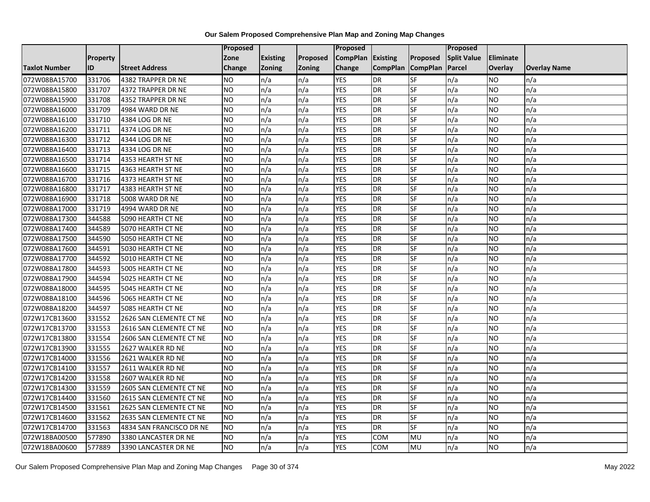|                      |                 |                          | Proposed        |                 |               | <b>Proposed</b> |                 |                 | Proposed           |                |                     |
|----------------------|-----------------|--------------------------|-----------------|-----------------|---------------|-----------------|-----------------|-----------------|--------------------|----------------|---------------------|
|                      | <b>Property</b> |                          | Zone            | <b>Existing</b> | Proposed      | <b>CompPlan</b> | <b>Existing</b> | Proposed        | <b>Split Value</b> | Eliminate      |                     |
| <b>Taxlot Number</b> | ID              | <b>Street Address</b>    | Change          | <b>Zoning</b>   | <b>Zoning</b> | Change          | <b>CompPlan</b> | <b>CompPlan</b> | Parcel             | <b>Overlay</b> | <b>Overlay Name</b> |
| 072W08BA15700        | 331706          | 4382 TRAPPER DR NE       | NO.             | n/a             | n/a           | <b>YES</b>      | <b>DR</b>       | <b>SF</b>       | n/a                | NO.            | n/a                 |
| 072W08BA15800        | 331707          | 4372 TRAPPER DR NE       | <b>NO</b>       | n/a             | n/a           | <b>YES</b>      | <b>DR</b>       | <b>SF</b>       | n/a                | NO.            | n/a                 |
| 072W08BA15900        | 331708          | 4352 TRAPPER DR NE       | <b>NO</b>       | n/a             | n/a           | <b>YES</b>      | <b>DR</b>       | SF              | n/a                | NO.            | n/a                 |
| 072W08BA16000        | 331709          | 4984 WARD DR NE          | <b>NO</b>       | n/a             | n/a           | <b>YES</b>      | <b>DR</b>       | SF              | n/a                | NO.            | n/a                 |
| 072W08BA16100        | 331710          | 4384 LOG DR NE           | $\overline{NO}$ | n/a             | n/a           | <b>YES</b>      | <b>DR</b>       | <b>SF</b>       | n/a                | NO.            | n/a                 |
| 072W08BA16200        | 331711          | 4374 LOG DR NE           | $\overline{NO}$ | n/a             | n/a           | <b>YES</b>      | <b>DR</b>       | SF              | n/a                | NO.            | n/a                 |
| 072W08BA16300        | 331712          | 4344 LOG DR NE           | <b>NO</b>       | n/a             | n/a           | <b>YES</b>      | <b>DR</b>       | SF              | n/a                | NO.            | n/a                 |
| 072W08BA16400        | 331713          | 4334 LOG DR NE           | <b>NO</b>       | n/a             | n/a           | <b>YES</b>      | <b>DR</b>       | SF              | n/a                | NO.            | n/a                 |
| 072W08BA16500        | 331714          | 4353 HEARTH ST NE        | <b>NO</b>       | n/a             | n/a           | <b>YES</b>      | <b>DR</b>       | SF              | n/a                | ΝO             | n/a                 |
| 072W08BA16600        | 331715          | 4363 HEARTH ST NE        | <b>NO</b>       | n/a             | n/a           | <b>YES</b>      | <b>DR</b>       | <b>SF</b>       | n/a                | NO.            | n/a                 |
| 072W08BA16700        | 331716          | 4373 HEARTH ST NE        | <b>NO</b>       | n/a             | n/a           | <b>YES</b>      | <b>DR</b>       | SF              | n/a                | NO.            | n/a                 |
| 072W08BA16800        | 331717          | 4383 HEARTH ST NE        | <b>NO</b>       | n/a             | n/a           | <b>YES</b>      | <b>DR</b>       | SF              | n/a                | NO.            | n/a                 |
| 072W08BA16900        | 331718          | 5008 WARD DR NE          | <b>NO</b>       | n/a             | n/a           | <b>YES</b>      | <b>DR</b>       | SF              | n/a                | NO.            | n/a                 |
| 072W08BA17000        | 331719          | 4994 WARD DR NE          | <b>NO</b>       | n/a             | n/a           | <b>YES</b>      | <b>DR</b>       | SF              | n/a                | NO.            | n/a                 |
| 072W08BA17300        | 344588          | 5090 HEARTH CT NE        | <b>NO</b>       | n/a             | n/a           | <b>YES</b>      | <b>DR</b>       | SF              | n/a                | ΝO             | n/a                 |
| 072W08BA17400        | 344589          | 5070 HEARTH CT NE        | <b>NO</b>       | n/a             | n/a           | <b>YES</b>      | <b>DR</b>       | <b>SF</b>       | n/a                | NO.            | n/a                 |
| 072W08BA17500        | 344590          | 5050 HEARTH CT NE        | <b>NO</b>       | n/a             | n/a           | <b>YES</b>      | DR              | SF              | n/a                | NO.            | n/a                 |
| 072W08BA17600        | 344591          | 5030 HEARTH CT NE        | <b>NO</b>       | n/a             | n/a           | <b>YES</b>      | <b>DR</b>       | SF              | n/a                | NO.            | n/a                 |
| 072W08BA17700        | 344592          | 5010 HEARTH CT NE        | <b>NO</b>       | n/a             | n/a           | <b>YES</b>      | <b>DR</b>       | SF              | n/a                | NO.            | n/a                 |
| 072W08BA17800        | 344593          | 5005 HEARTH CT NE        | <b>NO</b>       | n/a             | n/a           | <b>YES</b>      | <b>DR</b>       | SF              | n/a                | NO.            | n/a                 |
| 072W08BA17900        | 344594          | 5025 HEARTH CT NE        | <b>NO</b>       | n/a             | n/a           | <b>YES</b>      | <b>DR</b>       | SF              | n/a                | NO.            | n/a                 |
| 072W08BA18000        | 344595          | 5045 HEARTH CT NE        | $\overline{NO}$ | n/a             | n/a           | <b>YES</b>      | <b>DR</b>       | <b>SF</b>       | n/a                | NO.            | n/a                 |
| 072W08BA18100        | 344596          | 5065 HEARTH CT NE        | <b>NO</b>       | n/a             | n/a           | <b>YES</b>      | <b>DR</b>       | SF              | n/a                | NO.            | n/a                 |
| 072W08BA18200        | 344597          | 5085 HEARTH CT NE        | <b>NO</b>       | n/a             | n/a           | <b>YES</b>      | <b>DR</b>       | SF              | n/a                | NO.            | n/a                 |
| 072W17CB13600        | 331552          | 2626 SAN CLEMENTE CT NE  | $\overline{NO}$ | n/a             | n/a           | <b>YES</b>      | <b>DR</b>       | <b>SF</b>       | n/a                | <b>NO</b>      | n/a                 |
| 072W17CB13700        | 331553          | 2616 SAN CLEMENTE CT NE  | <b>NO</b>       | n/a             | n/a           | <b>YES</b>      | <b>DR</b>       | <b>SF</b>       | n/a                | NO.            | n/a                 |
| 072W17CB13800        | 331554          | 2606 SAN CLEMENTE CT NE  | <b>NO</b>       | n/a             | n/a           | <b>YES</b>      | <b>DR</b>       | SF              | n/a                | <b>NO</b>      | n/a                 |
| 072W17CB13900        | 331555          | 2627 WALKER RD NE        | <b>NO</b>       | n/a             | n/a           | <b>YES</b>      | <b>DR</b>       | SF              | n/a                | NO.            | n/a                 |
| 072W17CB14000        | 331556          | 2621 WALKER RD NE        | <b>NO</b>       | n/a             | n/a           | <b>YES</b>      | <b>DR</b>       | SF              | n/a                | NO             | n/a                 |
| 072W17CB14100        | 331557          | 2611 WALKER RD NE        | <b>NO</b>       | n/a             | n/a           | <b>YES</b>      | <b>DR</b>       | SF              | n/a                | NO.            | n/a                 |
| 072W17CB14200        | 331558          | 2607 WALKER RD NE        | <b>NO</b>       | n/a             | n/a           | <b>YES</b>      | <b>DR</b>       | SF              | n/a                | ΝO             | n/a                 |
| 072W17CB14300        | 331559          | 2605 SAN CLEMENTE CT NE  | <b>NO</b>       | n/a             | n/a           | <b>YES</b>      | <b>DR</b>       | <b>SF</b>       | n/a                | NO.            | n/a                 |
| 072W17CB14400        | 331560          | 2615 SAN CLEMENTE CT NE  | <b>NO</b>       | n/a             | n/a           | <b>YES</b>      | <b>DR</b>       | SF              | n/a                | NO.            | n/a                 |
| 072W17CB14500        | 331561          | 2625 SAN CLEMENTE CT NE  | <b>NO</b>       | n/a             | n/a           | <b>YES</b>      | <b>DR</b>       | SF              | n/a                | NO.            | n/a                 |
| 072W17CB14600        | 331562          | 2635 SAN CLEMENTE CT NE  | Ю               | n/a             | n/a           | <b>YES</b>      | <b>DR</b>       | SF              | n/a                | NO.            | n/a                 |
| 072W17CB14700        | 331563          | 4834 SAN FRANCISCO DR NE | <b>NO</b>       | n/a             | n/a           | <b>YES</b>      | <b>DR</b>       | SF              | n/a                | NO.            | n/a                 |
| 072W18BA00500        | 577890          | 3380 LANCASTER DR NE     | <b>NO</b>       | n/a             | n/a           | <b>YES</b>      | COM             | MU              | n/a                | NO.            | n/a                 |
| 072W18BA00600        | 577889          | 3390 LANCASTER DR NE     | $\overline{NO}$ | n/a             | n/a           | <b>YES</b>      | <b>COM</b>      | MU              | n/a                | NO.            | n/a                 |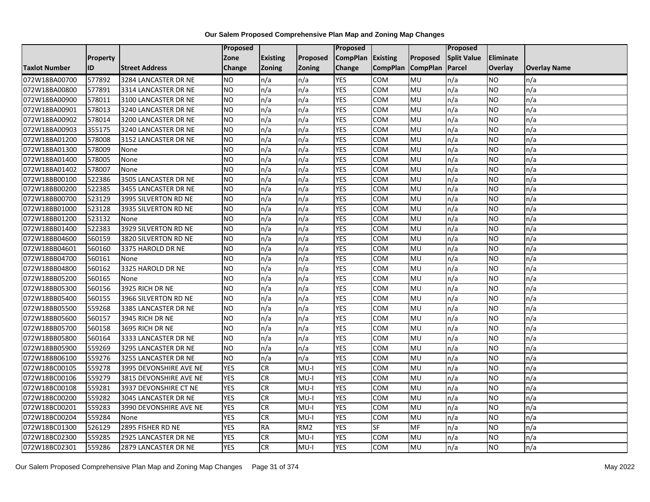|                      |                 |                        | <b>Proposed</b> |                 |                 | Proposed        |                 |                 | Proposed           |                  |                     |
|----------------------|-----------------|------------------------|-----------------|-----------------|-----------------|-----------------|-----------------|-----------------|--------------------|------------------|---------------------|
|                      | <b>Property</b> |                        | Zone            | <b>Existing</b> | Proposed        | <b>CompPlan</b> | Existing        | Proposed        | <b>Split Value</b> | <b>Eliminate</b> |                     |
| <b>Taxlot Number</b> | ID              | <b>Street Address</b>  | Change          | <b>Zoning</b>   | <b>Zoning</b>   | Change          | <b>CompPlan</b> | <b>CompPlan</b> | Parcel             | <b>Overlay</b>   | <b>Overlay Name</b> |
| 072W18BA00700        | 577892          | 3284 LANCASTER DR NE   | <b>NO</b>       | n/a             | n/a             | <b>YES</b>      | <b>COM</b>      | MU              | n/a                | <b>NO</b>        | n/a                 |
| 072W18BA00800        | 577891          | 3314 LANCASTER DR NE   | <b>NO</b>       | n/a             | n/a             | <b>YES</b>      | <b>COM</b>      | MU              | n/a                | <b>NO</b>        | n/a                 |
| 072W18BA00900        | 578011          | 3100 LANCASTER DR NE   | <b>NO</b>       | n/a             | n/a             | <b>YES</b>      | <b>COM</b>      | MU              | n/a                | <b>NO</b>        | n/a                 |
| 072W18BA00901        | 578013          | 3240 LANCASTER DR NE   | <b>NO</b>       | n/a             | n/a             | <b>YES</b>      | COM             | MU              | n/a                | <b>NO</b>        | n/a                 |
| 072W18BA00902        | 578014          | 3200 LANCASTER DR NE   | <b>NO</b>       | n/a             | n/a             | <b>YES</b>      | COM             | MU              | n/a                | <b>NO</b>        | n/a                 |
| 072W18BA00903        | 355175          | 3240 LANCASTER DR NE   | <b>NO</b>       | n/a             | n/a             | <b>YES</b>      | COM             | MU              | n/a                | <b>NO</b>        | n/a                 |
| 072W18BA01200        | 578008          | 3152 LANCASTER DR NE   | NO              | n/a             | n/a             | <b>YES</b>      | COM             | MU              | n/a                | <b>NO</b>        | n/a                 |
| 072W18BA01300        | 578009          | None                   | <b>NO</b>       | n/a             | n/a             | <b>YES</b>      | COM             | MU              | n/a                | <b>NO</b>        | n/a                 |
| 072W18BA01400        | 578005          | None                   | <b>NO</b>       | n/a             | n/a             | <b>YES</b>      | <b>COM</b>      | MU              | n/a                | <b>NO</b>        | n/a                 |
| 072W18BA01402        | 578007          | None                   | <b>NO</b>       | n/a             | n/a             | <b>YES</b>      | COM             | MU              | n/a                | <b>NO</b>        | n/a                 |
| 072W18BB00100        | 522386          | 3505 LANCASTER DR NE   | N <sub>O</sub>  | n/a             | n/a             | <b>YES</b>      | COM             | MU              | n/a                | <b>NO</b>        | n/a                 |
| 072W18BB00200        | 522385          | 3455 LANCASTER DR NE   | <b>NO</b>       | n/a             | n/a             | <b>YES</b>      | <b>COM</b>      | MU              | n/a                | <b>NO</b>        | n/a                 |
| 072W18BB00700        | 523129          | 3995 SILVERTON RD NE   | <b>NO</b>       | n/a             | n/a             | <b>YES</b>      | COM             | MU              | n/a                | <b>NO</b>        | n/a                 |
| 072W18BB01000        | 523128          | 3935 SILVERTON RD NE   | NO              | n/a             | n/a             | <b>YES</b>      | COM             | MU              | n/a                | <b>NO</b>        | n/a                 |
| 072W18BB01200        | 523132          | None                   | <b>NO</b>       | n/a             | n/a             | <b>YES</b>      | COM             | MU              | n/a                | <b>NO</b>        | n/a                 |
| 072W18BB01400        | 522383          | 3929 SILVERTON RD NE   | <b>NO</b>       | n/a             | n/a             | <b>YES</b>      | COM             | MU              | n/a                | <b>NO</b>        | n/a                 |
| 072W18BB04600        | 560159          | 3820 SILVERTON RD NE   | <b>NO</b>       | n/a             | n/a             | <b>YES</b>      | <b>COM</b>      | MU              | n/a                | <b>NO</b>        | n/a                 |
| 072W18BB04601        | 560160          | 3375 HAROLD DR NE      | <b>NO</b>       | n/a             | n/a             | <b>YES</b>      | <b>COM</b>      | MU              | n/a                | <b>NO</b>        | n/a                 |
| 072W18BB04700        | 560161          | None                   | <b>NO</b>       | n/a             | n/a             | <b>YES</b>      | <b>COM</b>      | MU              | n/a                | <b>NO</b>        | n/a                 |
| 072W18BB04800        | 560162          | 3325 HAROLD DR NE      | <b>NO</b>       | n/a             | n/a             | <b>YES</b>      | COM             | MU              | n/a                | <b>NO</b>        | n/a                 |
| 072W18BB05200        | 560165          | None                   | <b>NO</b>       | n/a             | n/a             | <b>YES</b>      | COM             | MU              | n/a                | <b>NO</b>        | n/a                 |
| 072W18BB05300        | 560156          | 3925 RICH DR NE        | <b>NO</b>       | n/a             | n/a             | <b>YES</b>      | COM             | MU              | n/a                | <b>NO</b>        | n/a                 |
| 072W18BB05400        | 560155          | 3966 SILVERTON RD NE   | N <sub>O</sub>  | n/a             | n/a             | <b>YES</b>      | COM             | MU              | n/a                | <b>NO</b>        | n/a                 |
| 072W18BB05500        | 559268          | 3385 LANCASTER DR NE   | <b>NO</b>       | n/a             | n/a             | <b>YES</b>      | <b>COM</b>      | MU              | n/a                | <b>NO</b>        | n/a                 |
| 072W18BB05600        | 560157          | 3945 RICH DR NE        | <b>NO</b>       | n/a             | n/a             | <b>YES</b>      | COM             | MU              | n/a                | <b>NO</b>        | n/a                 |
| 072W18BB05700        | 560158          | 3695 RICH DR NE        | <b>NO</b>       | n/a             | n/a             | <b>YES</b>      | COM             | MU              | n/a                | <b>NO</b>        | n/a                 |
| 072W18BB05800        | 560164          | 3333 LANCASTER DR NE   | <b>NO</b>       | n/a             | n/a             | <b>YES</b>      | COM             | MU              | n/a                | <b>NO</b>        | n/a                 |
| 072W18BB05900        | 559269          | 3295 LANCASTER DR NE   | NO              | n/a             | n/a             | <b>YES</b>      | COM             | MU              | n/a                | <b>NO</b>        | n/a                 |
| 072W18BB06100        | 559276          | 3255 LANCASTER DR NE   | <b>NO</b>       | n/a             | n/a             | <b>YES</b>      | COM             | MU              | n/a                | <b>NO</b>        | n/a                 |
| 072W18BC00105        | 559278          | 3995 DEVONSHIRE AVE NE | <b>YES</b>      | <b>CR</b>       | $MU-I$          | <b>YES</b>      | COM             | MU              | n/a                | <b>NO</b>        | n/a                 |
| 072W18BC00106        | 559279          | 3815 DEVONSHIRE AVE NE | <b>YES</b>      | <b>CR</b>       | $MU-I$          | <b>YES</b>      | COM             | MU              | n/a                | <b>NO</b>        | n/a                 |
| 072W18BC00108        | 559281          | 3937 DEVONSHIRE CT NE  | <b>YES</b>      | <b>CR</b>       | $MU-I$          | <b>YES</b>      | COM             | MU              | n/a                | <b>NO</b>        | n/a                 |
| 072W18BC00200        | 559282          | 3045 LANCASTER DR NE   | <b>YES</b>      | <b>CR</b>       | $MU-I$          | <b>YES</b>      | COM             | MU              | n/a                | <b>NO</b>        | n/a                 |
| 072W18BC00201        | 559283          | 3990 DEVONSHIRE AVE NE | <b>YES</b>      | <b>CR</b>       | $MU-I$          | <b>YES</b>      | COM             | MU              | n/a                | <b>NO</b>        | n/a                 |
| 072W18BC00204        | 559284          | None                   | <b>YES</b>      | CR              | $MU-I$          | <b>YES</b>      | COM             | MU              | n/a                | <b>NO</b>        | n/a                 |
| 072W18BC01300        | 526129          | 2895 FISHER RD NE      | <b>YES</b>      | <b>RA</b>       | RM <sub>2</sub> | <b>YES</b>      | <b>SF</b>       | MF              | n/a                | <b>NO</b>        | n/a                 |
| 072W18BC02300        | 559285          | 2925 LANCASTER DR NE   | <b>YES</b>      | <b>CR</b>       | $MU-I$          | <b>YES</b>      | <b>COM</b>      | MU              | n/a                | <b>NO</b>        | n/a                 |
| 072W18BC02301        | 559286          | 2879 LANCASTER DR NE   | <b>YES</b>      | <b>CR</b>       | $MU-I$          | <b>YES</b>      | <b>COM</b>      | MU              | n/a                | <b>NO</b>        | n/a                 |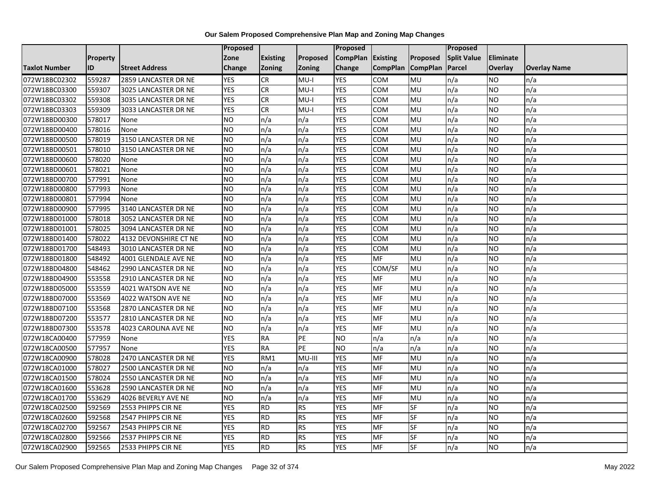|                      |                 |                       | Proposed        |                 |                 | <b>Proposed</b> |                 |                 | Proposed           |                |                     |
|----------------------|-----------------|-----------------------|-----------------|-----------------|-----------------|-----------------|-----------------|-----------------|--------------------|----------------|---------------------|
|                      | <b>Property</b> |                       | Zone            | <b>Existing</b> | <b>Proposed</b> | <b>CompPlan</b> | Existing        | Proposed        | <b>Split Value</b> | Eliminate      |                     |
| <b>Taxlot Number</b> | ID              | <b>Street Address</b> | Change          | <b>Zoning</b>   | Zoning          | Change          | <b>CompPlan</b> | <b>CompPlan</b> | Parcel             | <b>Overlay</b> | <b>Overlay Name</b> |
| 072W18BC02302        | 559287          | 2859 LANCASTER DR NE  | <b>YES</b>      | CR              | $MU-I$          | <b>YES</b>      | <b>COM</b>      | MU              | n/a                | <b>NO</b>      | n/a                 |
| 072W18BC03300        | 559307          | 3025 LANCASTER DR NE  | <b>YES</b>      | <b>CR</b>       | MU-I            | <b>YES</b>      | <b>COM</b>      | <b>MU</b>       | n/a                | NO.            | n/a                 |
| 072W18BC03302        | 559308          | 3035 LANCASTER DR NE  | <b>YES</b>      | <b>CR</b>       | $MU-I$          | <b>YES</b>      | COM             | MU              | n/a                | NO.            | n/a                 |
| 072W18BC03303        | 559309          | 3033 LANCASTER DR NE  | <b>YES</b>      | <b>CR</b>       | MU-I            | <b>YES</b>      | COM             | MU              | n/a                | NO.            | n/a                 |
| 072W18BD00300        | 578017          | None                  | <b>NO</b>       | n/a             | n/a             | <b>YES</b>      | COM             | MU              | n/a                | NO.            | n/a                 |
| 072W18BD00400        | 578016          | None                  | $\overline{NO}$ | n/a             | n/a             | <b>YES</b>      | COM             | MU              | n/a                | <b>NO</b>      | n/a                 |
| 072W18BD00500        | 578019          | 3150 LANCASTER DR NE  | <b>NO</b>       | n/a             | n/a             | <b>YES</b>      | COM             | MU              | n/a                | NO.            | n/a                 |
| 072W18BD00501        | 578010          | 3150 LANCASTER DR NE  | <b>NO</b>       | n/a             | n/a             | <b>YES</b>      | COM             | MU              | n/a                | NO.            | n/a                 |
| 072W18BD00600        | 578020          | None                  | <b>NO</b>       | n/a             | n/a             | <b>YES</b>      | COM             | MU              | n/a                | NO.            | n/a                 |
| 072W18BD00601        | 578021          | None                  | $\overline{NO}$ | n/a             | n/a             | <b>YES</b>      | COM             | <b>NU</b>       | n/a                | NO.            | n/a                 |
| 072W18BD00700        | 577991          | None                  | <b>NO</b>       | n/a             | n/a             | <b>YES</b>      | COM             | MU              | n/a                | <b>NO</b>      | n/a                 |
| 072W18BD00800        | 577993          | None                  | <b>NO</b>       | n/a             | n/a             | <b>YES</b>      | COM             | MU              | n/a                | <b>NO</b>      | n/a                 |
| 072W18BD00801        | 577994          | None                  | NO.             | n/a             | n/a             | <b>YES</b>      | COM             | <b>MU</b>       | n/a                | NO.            | n/a                 |
| 072W18BD00900        | 577995          | 3140 LANCASTER DR NE  | <b>NO</b>       | n/a             | n/a             | <b>YES</b>      | <b>COM</b>      | MU              | n/a                | NO.            | n/a                 |
| 072W18BD01000        | 578018          | 3052 LANCASTER DR NE  | <b>NO</b>       | n/a             | n/a             | <b>YES</b>      | COM             | MU              | n/a                | NO.            | n/a                 |
| 072W18BD01001        | 578025          | 3094 LANCASTER DR NE  | Ю               | n/a             | n/a             | <b>YES</b>      | COM             | MU              | n/a                | NO.            | n/a                 |
| 072W18BD01400        | 578022          | 4132 DEVONSHIRE CT NE | N <sub>O</sub>  | n/a             | n/a             | <b>YES</b>      | <b>COM</b>      | MU              | n/a                | NO.            | n/a                 |
| 072W18BD01700        | 548493          | 3010 LANCASTER DR NE  | <b>NO</b>       | n/a             | n/a             | <b>YES</b>      | COM             | MU              | n/a                | NO.            | n/a                 |
| 072W18BD01800        | 548492          | 4001 GLENDALE AVE NE  | <b>NO</b>       | n/a             | n/a             | <b>YES</b>      | <b>MF</b>       | MU              | n/a                | NO.            | n/a                 |
| 072W18BD04800        | 548462          | 2990 LANCASTER DR NE  | <b>NO</b>       | n/a             | n/a             | <b>YES</b>      | COM/SF          | MU              | n/a                | ΝO             | n/a                 |
| 072W18BD04900        | 553558          | 2910 LANCASTER DR NE  | <b>NO</b>       | n/a             | n/a             | <b>YES</b>      | <b>MF</b>       | MU              | n/a                | NO.            | n/a                 |
| 072W18BD05000        | 553559          | 4021 WATSON AVE NE    | <b>NO</b>       | n/a             | n/a             | <b>YES</b>      | MF              | MU              | n/a                | NO.            | n/a                 |
| 072W18BD07000        | 553569          | 4022 WATSON AVE NE    | $\overline{NO}$ | n/a             | n/a             | <b>YES</b>      | <b>MF</b>       | MU              | n/a                | NO.            | n/a                 |
| 072W18BD07100        | 553568          | 2870 LANCASTER DR NE  | <b>NO</b>       | n/a             | n/a             | <b>YES</b>      | MF              | MU              | n/a                | NO.            | n/a                 |
| 072W18BD07200        | 553577          | 2810 LANCASTER DR NE  | $\overline{NO}$ | n/a             | n/a             | <b>YES</b>      | <b>MF</b>       | MU              | n/a                | <b>NO</b>      | n/a                 |
| 072W18BD07300        | 553578          | 4023 CAROLINA AVE NE  | <b>NO</b>       | n/a             | n/a             | <b>YES</b>      | MF              | MU              | n/a                | NO.            | n/a                 |
| 072W18CA00400        | 577959          | None                  | <b>YES</b>      | <b>RA</b>       | PE              | N <sub>O</sub>  | n/a             | n/a             | n/a                | NO.            | n/a                 |
| 072W18CA00500        | 577957          | None                  | <b>YES</b>      | <b>RA</b>       | PE              | <b>NO</b>       | n/a             | n/a             | n/a                | NO.            | n/a                 |
| 072W18CA00900        | 578028          | 2470 LANCASTER DR NE  | <b>YES</b>      | RM1             | MU-III          | <b>YES</b>      | MF              | MU              | n/a                | NO.            | n/a                 |
| 072W18CA01000        | 578027          | 2500 LANCASTER DR NE  | NO.             | n/a             | n/a             | <b>YES</b>      | <b>MF</b>       | MU              | n/a                | NO.            | n/a                 |
| 072W18CA01500        | 578024          | 2550 LANCASTER DR NE  | <b>NO</b>       | n/a             | n/a             | <b>YES</b>      | MF              | MU              | n/a                | NO.            | n/a                 |
| 072W18CA01600        | 553628          | 2590 LANCASTER DR NE  | <b>NO</b>       | n/a             | n/a             | <b>YES</b>      | MF              | MU              | n/a                | NO.            | n/a                 |
| 072W18CA01700        | 553629          | 4026 BEVERLY AVE NE   | $\overline{NO}$ | n/a             | n/a             | <b>YES</b>      | <b>MF</b>       | MU              | n/a                | NO.            | n/a                 |
| 072W18CA02500        | 592569          | 2553 PHIPPS CIR NE    | <b>YES</b>      | <b>RD</b>       | <b>RS</b>       | <b>YES</b>      | <b>MF</b>       | SF              | n/a                | NO.            | n/a                 |
| 072W18CA02600        | 592568          | 2547 PHIPPS CIR NE    | <b>YES</b>      | <b>RD</b>       | <b>RS</b>       | <b>YES</b>      | MF              | SF              | n/a                | NO.            | n/a                 |
| 072W18CA02700        | 592567          | 2543 PHIPPS CIR NE    | <b>YES</b>      | <b>RD</b>       | <b>RS</b>       | <b>YES</b>      | <b>MF</b>       | SF              | n/a                | NO.            | n/a                 |
| 072W18CA02800        | 592566          | 2537 PHIPPS CIR NE    | <b>YES</b>      | <b>RD</b>       | <b>RS</b>       | <b>YES</b>      | MF              | SF              | n/a                | NO             | n/a                 |
| 072W18CA02900        | 592565          | 2533 PHIPPS CIR NE    | <b>YES</b>      | <b>RD</b>       | <b>RS</b>       | <b>YES</b>      | MF              | SF              | n/a                | NO.            | n/a                 |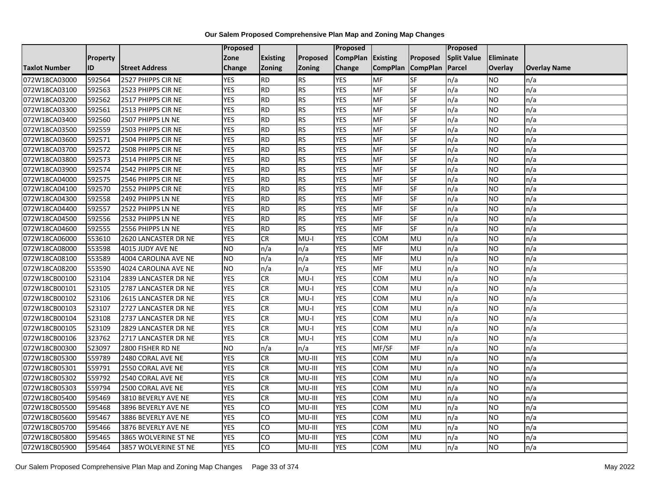|                      |                 |                       | Proposed   |                 |               | <b>Proposed</b> |                 |                          | Proposed           |                |                     |
|----------------------|-----------------|-----------------------|------------|-----------------|---------------|-----------------|-----------------|--------------------------|--------------------|----------------|---------------------|
|                      | <b>Property</b> |                       | Zone       | <b>Existing</b> | Proposed      | <b>CompPlan</b> | <b>Existing</b> | Proposed                 | <b>Split Value</b> | Eliminate      |                     |
| <b>Taxlot Number</b> | ID              | <b>Street Address</b> | Change     | <b>Zoning</b>   | <b>Zoning</b> | Change          | <b>CompPlan</b> | <b>CompPlan</b>          | Parcel             | <b>Overlay</b> | <b>Overlay Name</b> |
| 072W18CA03000        | 592564          | 2527 PHIPPS CIR NE    | <b>YES</b> | <b>RD</b>       | <b>RS</b>     | <b>YES</b>      | <b>MF</b>       | <b>SF</b>                | n/a                | NO             | n/a                 |
| 072W18CA03100        | 592563          | 2523 PHIPPS CIR NE    | <b>YES</b> | <b>RD</b>       | <b>RS</b>     | <b>YES</b>      | <b>MF</b>       | $\overline{\mathsf{SF}}$ | n/a                | NO.            | n/a                 |
| 072W18CA03200        | 592562          | 2517 PHIPPS CIR NE    | <b>YES</b> | <b>RD</b>       | <b>RS</b>     | <b>YES</b>      | MF              | SF                       | n/a                | NO.            | n/a                 |
| 072W18CA03300        | 592561          | 2513 PHIPPS CIR NE    | <b>YES</b> | <b>RD</b>       | <b>RS</b>     | <b>YES</b>      | MF              | SF                       | n/a                | NO.            | n/a                 |
| 072W18CA03400        | 592560          | 2507 PHIPPS LN NE     | <b>YES</b> | <b>RD</b>       | <b>RS</b>     | <b>YES</b>      | MF              | <b>SF</b>                | n/a                | NO.            | n/a                 |
| 072W18CA03500        | 592559          | 2503 PHIPPS CIR NE    | <b>YES</b> | <b>RD</b>       | <b>RS</b>     | <b>YES</b>      | <b>MF</b>       | SF                       | n/a                | <b>NO</b>      | n/a                 |
| 072W18CA03600        | 592571          | 2504 PHIPPS CIR NE    | <b>YES</b> | <b>RD</b>       | <b>RS</b>     | <b>YES</b>      | <b>MF</b>       | SF                       | n/a                | NO.            | n/a                 |
| 072W18CA03700        | 592572          | 2508 PHIPPS CIR NE    | <b>YES</b> | <b>RD</b>       | <b>RS</b>     | <b>YES</b>      | MF              | SF                       | n/a                | NO.            | n/a                 |
| 072W18CA03800        | 592573          | 2514 PHIPPS CIR NE    | <b>YES</b> | <b>RD</b>       | <b>RS</b>     | YES             | MF              | SF                       | n/a                | ΝO             | n/a                 |
| 072W18CA03900        | 592574          | 2542 PHIPPS CIR NE    | <b>YES</b> | <b>RD</b>       | <b>RS</b>     | <b>YES</b>      | MF              | SF                       | n/a                | NO.            | n/a                 |
| 072W18CA04000        | 592575          | 2546 PHIPPS CIR NE    | <b>YES</b> | <b>RD</b>       | <b>RS</b>     | <b>YES</b>      | MF              | SF                       | n/a                | NO.            | n/a                 |
| 072W18CA04100        | 592570          | 2552 PHIPPS CIR NE    | <b>YES</b> | <b>RD</b>       | <b>RS</b>     | <b>YES</b>      | MF              | SF                       | n/a                | NO.            | n/a                 |
| 072W18CA04300        | 592558          | 2492 PHIPPS LN NE     | <b>YES</b> | <b>RD</b>       | <b>RS</b>     | <b>YES</b>      | MF              | SF                       | n/a                | NO             | n/a                 |
| 072W18CA04400        | 592557          | 2522 PHIPPS LN NE     | <b>YES</b> | <b>RD</b>       | <b>RS</b>     | <b>YES</b>      | MF              | SF                       | n/a                | NO.            | n/a                 |
| 072W18CA04500        | 592556          | 2532 PHIPPS LN NE     | <b>YES</b> | <b>RD</b>       | <b>RS</b>     | <b>YES</b>      | <b>MF</b>       | SF                       | n/a                | ΝO             | n/a                 |
| 072W18CA04600        | 592555          | 2556 PHIPPS LN NE     | <b>YES</b> | <b>RD</b>       | <b>RS</b>     | <b>YES</b>      | MF              | SF                       | n/a                | NO.            | n/a                 |
| 072W18CA06000        | 553610          | 2620 LANCASTER DR NE  | <b>YES</b> | <b>CR</b>       | MU-I          | <b>YES</b>      | <b>COM</b>      | MU                       | n/a                | NO.            | n/a                 |
| 072W18CA08000        | 553598          | 4015 JUDY AVE NE      | <b>NO</b>  | n/a             | n/a           | <b>YES</b>      | <b>MF</b>       | MU                       | n/a                | NO.            | n/a                 |
| 072W18CA08100        | 553589          | 4004 CAROLINA AVE NE  | <b>NO</b>  | n/a             | n/a           | <b>YES</b>      | MF              | MU                       | n/a                | NO.            | n/a                 |
| 072W18CA08200        | 553590          | 4024 CAROLINA AVE NE  | <b>NO</b>  | n/a             | n/a           | <b>YES</b>      | MF              | MU                       | n/a                | NO.            | n/a                 |
| 072W18CB00100        | 523104          | 2839 LANCASTER DR NE  | <b>YES</b> | CR              | MU-I          | <b>YES</b>      | COM             | MU                       | n/a                | NO.            | n/a                 |
| 072W18CB00101        | 523105          | 2787 LANCASTER DR NE  | <b>YES</b> | CR              | $MU-I$        | <b>YES</b>      | <b>COM</b>      | MU                       | n/a                | NO.            | n/a                 |
| 072W18CB00102        | 523106          | 2615 LANCASTER DR NE  | <b>YES</b> | <b>CR</b>       | MU-I          | <b>YES</b>      | COM             | MU                       | n/a                | NO.            | n/a                 |
| 072W18CB00103        | 523107          | 2727 LANCASTER DR NE  | <b>YES</b> | <b>CR</b>       | $MU-I$        | <b>YES</b>      | COM             | MU                       | n/a                | NO.            | n/a                 |
| 072W18CB00104        | 523108          | 2737 LANCASTER DR NE  | <b>YES</b> | CR              | $MU-I$        | <b>YES</b>      | <b>COM</b>      | MU                       | n/a                | <b>NO</b>      | n/a                 |
| 072W18CB00105        | 523109          | 2829 LANCASTER DR NE  | <b>YES</b> | <b>CR</b>       | $MU-I$        | <b>YES</b>      | COM             | MU                       | n/a                | NO.            | n/a                 |
| 072W18CB00106        | 323762          | 2717 LANCASTER DR NE  | <b>YES</b> | <b>CR</b>       | $MU-I$        | <b>YES</b>      | COM             | MU                       | n/a                | NO.            | n/a                 |
| 072W18CB00300        | 523097          | 2800 FISHER RD NE     | <b>NO</b>  | n/a             | n/a           | <b>YES</b>      | MF/SF           | <b>MF</b>                | n/a                | NO.            | n/a                 |
| 072W18CB05300        | 559789          | 2480 CORAL AVE NE     | <b>YES</b> | <b>CR</b>       | MU-III        | <b>YES</b>      | <b>COM</b>      | MU                       | n/a                | NO             | n/a                 |
| 072W18CB05301        | 559791          | 2550 CORAL AVE NE     | <b>YES</b> | ${\sf CR}$      | MU-III        | <b>YES</b>      | <b>COM</b>      | MU                       | n/a                | NO.            | n/a                 |
| 072W18CB05302        | 559792          | 2540 CORAL AVE NE     | <b>YES</b> | <b>CR</b>       | MU-III        | <b>YES</b>      | COM             | MU                       | n/a                | ΝO             | n/a                 |
| 072W18CB05303        | 559794          | 2500 CORAL AVE NE     | <b>YES</b> | <b>CR</b>       | MU-III        | <b>YES</b>      | COM             | MU                       | n/a                | NO.            | n/a                 |
| 072W18CB05400        | 595469          | 3810 BEVERLY AVE NE   | <b>YES</b> | ${\sf CR}$      | MU-III        | <b>YES</b>      | COM             | MU                       | n/a                | NO.            | n/a                 |
| 072W18CB05500        | 595468          | 3896 BEVERLY AVE NE   | <b>YES</b> | CO              | MU-III        | <b>YES</b>      | <b>COM</b>      | MU                       | n/a                | NO.            | n/a                 |
| 072W18CB05600        | 595467          | 3886 BEVERLY AVE NE   | <b>YES</b> | CO              | MU-III        | <b>YES</b>      | COM             | MU                       | n/a                | NO.            | n/a                 |
| 072W18CB05700        | 595466          | 3876 BEVERLY AVE NE   | <b>YES</b> | CO              | MU-III        | <b>YES</b>      | COM             | MU                       | n/a                | NO.            | n/a                 |
| 072W18CB05800        | 595465          | 3865 WOLVERINE ST NE  | <b>YES</b> | CO              | MU-III        | <b>YES</b>      | сом             | MU                       | n/a                | NO.            | n/a                 |
| 072W18CB05900        | 595464          | 3857 WOLVERINE ST NE  | <b>YES</b> | $\overline{c}$  | MU-III        | <b>YES</b>      | COM             | MU                       | n/a                | NO.            | n/a                 |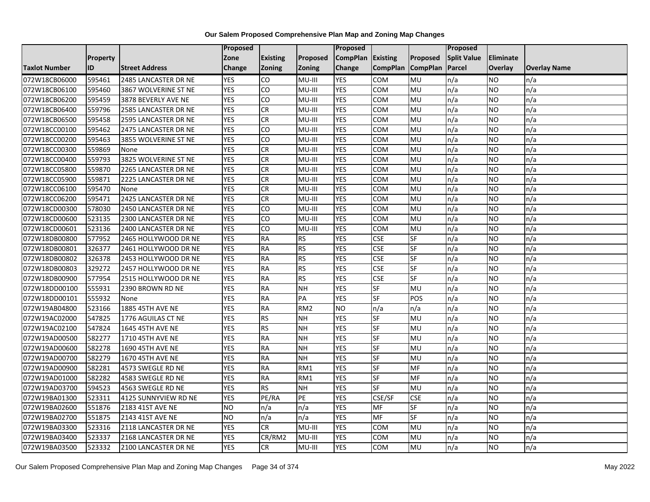|               |                 |                       | Proposed      |                 |                 | Proposed        |                 |                 | Proposed           |                |                     |
|---------------|-----------------|-----------------------|---------------|-----------------|-----------------|-----------------|-----------------|-----------------|--------------------|----------------|---------------------|
|               | <b>Property</b> |                       | Zone          | <b>Existing</b> | Proposed        | <b>CompPlan</b> | <b>Existing</b> | Proposed        | <b>Split Value</b> | Eliminate      |                     |
| Taxlot Number | ID              | <b>Street Address</b> | <b>Change</b> | <b>Zoning</b>   | <b>Zoning</b>   | Change          | <b>CompPlan</b> | <b>CompPlan</b> | Parcel             | <b>Overlay</b> | <b>Overlay Name</b> |
| 072W18CB06000 | 595461          | 2485 LANCASTER DR NE  | <b>YES</b>    | <b>CO</b>       | MU-III          | <b>YES</b>      | <b>COM</b>      | MU              | n/a                | <b>NO</b>      | n/a                 |
| 072W18CB06100 | 595460          | 3867 WOLVERINE ST NE  | <b>YES</b>    | CO              | MU-III          | <b>YES</b>      | <b>COM</b>      | MU              | n/a                | <b>NO</b>      | n/a                 |
| 072W18CB06200 | 595459          | 3878 BEVERLY AVE NE   | <b>YES</b>    | <b>CO</b>       | MU-III          | <b>YES</b>      | COM             | MU              | n/a                | <b>NO</b>      | n/a                 |
| 072W18CB06400 | 559796          | 2585 LANCASTER DR NE  | <b>YES</b>    | <b>CR</b>       | MU-III          | <b>YES</b>      | COM             | MU              | n/a                | <b>NO</b>      | n/a                 |
| 072W18CB06500 | 595458          | 2595 LANCASTER DR NE  | <b>YES</b>    | $\overline{c}$  | MU-III          | <b>YES</b>      | COM             | MU              | n/a                | <b>NO</b>      | n/a                 |
| 072W18CC00100 | 595462          | 2475 LANCASTER DR NE  | <b>YES</b>    | <b>CO</b>       | MU-III          | <b>YES</b>      | <b>COM</b>      | MU              | n/a                | <b>NO</b>      | n/a                 |
| 072W18CC00200 | 595463          | 3855 WOLVERINE ST NE  | <b>YES</b>    | CO              | MU-III          | <b>YES</b>      | <b>COM</b>      | MU              | n/a                | <b>NO</b>      | n/a                 |
| 072W18CC00300 | 559869          | None                  | <b>YES</b>    | <b>CR</b>       | MU-III          | <b>YES</b>      | <b>COM</b>      | MU              | n/a                | <b>NO</b>      | n/a                 |
| 072W18CC00400 | 559793          | 3825 WOLVERINE ST NE  | <b>YES</b>    | <b>CR</b>       | MU-III          | <b>YES</b>      | COM             | MU              | n/a                | <b>NO</b>      | n/a                 |
| 072W18CC05800 | 559870          | 2265 LANCASTER DR NE  | <b>YES</b>    | <b>CR</b>       | MU-III          | <b>YES</b>      | <b>COM</b>      | MU              | n/a                | <b>NO</b>      | n/a                 |
| 072W18CC05900 | 559871          | 2225 LANCASTER DR NE  | <b>YES</b>    | <b>CR</b>       | MU-III          | <b>YES</b>      | <b>COM</b>      | MU              | n/a                | <b>NO</b>      | n/a                 |
| 072W18CC06100 | 595470          | None                  | <b>YES</b>    | <b>CR</b>       | MU-III          | <b>YES</b>      | COM             | MU              | n/a                | <b>NO</b>      | n/a                 |
| 072W18CC06200 | 595471          | 2425 LANCASTER DR NE  | <b>YES</b>    | <b>CR</b>       | MU-III          | <b>YES</b>      | COM             | MU              | n/a                | <b>NO</b>      | n/a                 |
| 072W18CD00300 | 578030          | 2450 LANCASTER DR NE  | <b>YES</b>    | CO              | MU-III          | <b>YES</b>      | COM             | MU              | n/a                | <b>NO</b>      | n/a                 |
| 072W18CD00600 | 523135          | 2300 LANCASTER DR NE  | <b>YES</b>    | CO              | MU-III          | <b>YES</b>      | COM             | MU              | n/a                | <b>NO</b>      | n/a                 |
| 072W18CD00601 | 523136          | 2400 LANCASTER DR NE  | <b>YES</b>    | 6               | MU-III          | <b>YES</b>      | <b>COM</b>      | MU              | n/a                | <b>NO</b>      | n/a                 |
| 072W18DB00800 | 577952          | 2465 HOLLYWOOD DR NE  | <b>YES</b>    | <b>RA</b>       | <b>RS</b>       | <b>YES</b>      | <b>CSE</b>      | SF              | n/a                | <b>NO</b>      | n/a                 |
| 072W18DB00801 | 326377          | 2461 HOLLYWOOD DR NE  | <b>YES</b>    | <b>RA</b>       | <b>RS</b>       | <b>YES</b>      | <b>CSE</b>      | SF              | n/a                | <b>NO</b>      | n/a                 |
| 072W18DB00802 | 326378          | 2453 HOLLYWOOD DR NE  | <b>YES</b>    | <b>RA</b>       | <b>RS</b>       | <b>YES</b>      | <b>CSE</b>      | SF              | n/a                | <b>NO</b>      | n/a                 |
| 072W18DB00803 | 329272          | 2457 HOLLYWOOD DR NE  | <b>YES</b>    | <b>RA</b>       | <b>RS</b>       | <b>YES</b>      | <b>CSE</b>      | SF              | n/a                | <b>NO</b>      | n/a                 |
| 072W18DB00900 | 577954          | 2515 HOLLYWOOD DR NE  | <b>YES</b>    | <b>RA</b>       | <b>RS</b>       | <b>YES</b>      | <b>CSE</b>      | $S_{F}$         | n/a                | <b>NO</b>      | n/a                 |
| 072W18DD00100 | 555931          | 2390 BROWN RD NE      | <b>YES</b>    | <b>RA</b>       | <b>NH</b>       | <b>YES</b>      | <b>SF</b>       | MU              | n/a                | <b>NO</b>      | n/a                 |
| 072W18DD00101 | 555932          | None                  | <b>YES</b>    | <b>RA</b>       | PA              | <b>YES</b>      | <b>SF</b>       | POS             | n/a                | <b>NO</b>      | n/a                 |
| 072W19AB04800 | 523166          | 1885 45TH AVE NE      | <b>YES</b>    | <b>RA</b>       | RM <sub>2</sub> | <b>NO</b>       | n/a             | n/a             | n/a                | <b>NO</b>      | n/a                 |
| 072W19AC02000 | 547825          | 1776 AGUILAS CT NE    | <b>YES</b>    | <b>RS</b>       | <b>NH</b>       | <b>YES</b>      | SF              | MU              | n/a                | <b>NO</b>      | n/a                 |
| 072W19AC02100 | 547824          | 1645 45TH AVE NE      | <b>YES</b>    | <b>RS</b>       | <b>NH</b>       | <b>YES</b>      | <b>SF</b>       | MU              | n/a                | <b>NO</b>      | n/a                 |
| 072W19AD00500 | 582277          | 1710 45TH AVE NE      | <b>YES</b>    | <b>RA</b>       | <b>NH</b>       | <b>YES</b>      | <b>SF</b>       | MU              | n/a                | <b>NO</b>      | n/a                 |
| 072W19AD00600 | 582278          | 1690 45TH AVE NE      | <b>YES</b>    | <b>RA</b>       | <b>NH</b>       | <b>YES</b>      | SF              | MU              | n/a                | <b>NO</b>      | n/a                 |
| 072W19AD00700 | 582279          | 1670 45TH AVE NE      | <b>YES</b>    | <b>RA</b>       | <b>NH</b>       | <b>YES</b>      | <b>SF</b>       | MU              | n/a                | <b>NO</b>      | n/a                 |
| 072W19AD00900 | 582281          | 4573 SWEGLE RD NE     | <b>YES</b>    | <b>RA</b>       | RM1             | <b>YES</b>      | <b>SF</b>       | <b>MF</b>       | n/a                | <b>NO</b>      | n/a                 |
| 072W19AD01000 | 582282          | 4583 SWEGLE RD NE     | <b>YES</b>    | <b>RA</b>       | RM1             | <b>YES</b>      | SF              | MF              | n/a                | <b>NO</b>      | n/a                 |
| 072W19AD03700 | 594523          | 4563 SWEGLE RD NE     | <b>YES</b>    | <b>RS</b>       | <b>NH</b>       | <b>YES</b>      | <b>SF</b>       | MU              | n/a                | <b>NO</b>      | n/a                 |
| 072W19BA01300 | 523311          | 4125 SUNNYVIEW RD NE  | <b>YES</b>    | PE/RA           | PE              | <b>YES</b>      | CSE/SF          | <b>CSE</b>      | n/a                | <b>NO</b>      | n/a                 |
| 072W19BA02600 | 551876          | 2183 41ST AVE NE      | <b>NO</b>     | n/a             | n/a             | <b>YES</b>      | MF              | SF              | n/a                | <b>NO</b>      | n/a                 |
| 072W19BA02700 | 551875          | 2143 41ST AVE NE      | <b>NO</b>     | n/a             | n/a             | <b>YES</b>      | <b>MF</b>       | SF              | n/a                | <b>NO</b>      | n/a                 |
| 072W19BA03300 | 523316          | 2118 LANCASTER DR NE  | <b>YES</b>    | <b>CR</b>       | MU-III          | <b>YES</b>      | COM             | MU              | n/a                | <b>NO</b>      | n/a                 |
| 072W19BA03400 | 523337          | 2168 LANCASTER DR NE  | <b>YES</b>    | CR/RM2          | MU-III          | <b>YES</b>      | COM             | MU              | n/a                | <b>NO</b>      | n/a                 |
| 072W19BA03500 | 523332          | 2100 LANCASTER DR NE  | <b>YES</b>    | <b>CR</b>       | MU-III          | <b>YES</b>      | COM             | MU              | n/a                | <b>NO</b>      | n/a                 |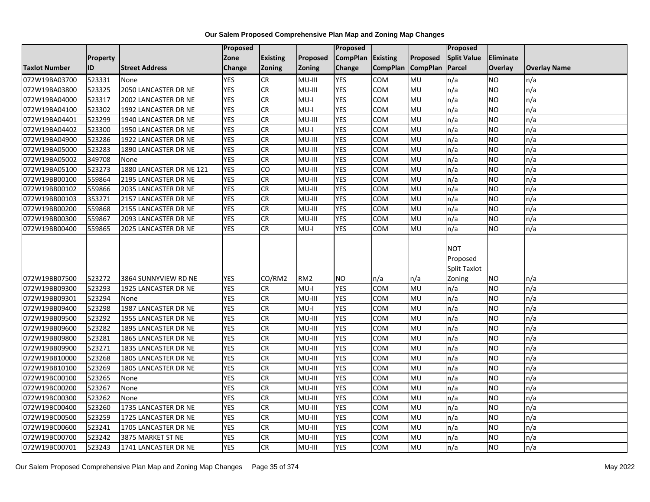|                      |          |                          | Proposed   |                 |                 | <b>Proposed</b> |                 |                 | Proposed                               |                  |                     |
|----------------------|----------|--------------------------|------------|-----------------|-----------------|-----------------|-----------------|-----------------|----------------------------------------|------------------|---------------------|
|                      | Property |                          | Zone       | <b>Existing</b> | Proposed        | <b>CompPlan</b> | Existing        | Proposed        | <b>Split Value</b>                     | <b>Eliminate</b> |                     |
| <b>Taxlot Number</b> | ID       | <b>Street Address</b>    | Change     | Zoning          | Zoning          | Change          | <b>CompPlan</b> | <b>CompPlan</b> | Parcel                                 | <b>Overlay</b>   | <b>Overlay Name</b> |
| 072W19BA03700        | 523331   | None                     | <b>YES</b> | <b>CR</b>       | MU-III          | <b>YES</b>      | <b>COM</b>      | MU              | n/a                                    | <b>NO</b>        | n/a                 |
| 072W19BA03800        | 523325   | 2050 LANCASTER DR NE     | <b>YES</b> | <b>CR</b>       | MU-III          | <b>YES</b>      | <b>COM</b>      | <b>MU</b>       | n/a                                    | <b>NO</b>        | n/a                 |
| 072W19BA04000        | 523317   | 2002 LANCASTER DR NE     | <b>YES</b> | <b>CR</b>       | $MU-I$          | <b>YES</b>      | <b>COM</b>      | MU              | n/a                                    | <b>NO</b>        | n/a                 |
| 072W19BA04100        | 523302   | 1992 LANCASTER DR NE     | <b>YES</b> | CR              | MU-I            | <b>YES</b>      | COM             | MU              | n/a                                    | <b>NO</b>        | n/a                 |
| 072W19BA04401        | 523299   | 1940 LANCASTER DR NE     | <b>YES</b> | CR              | MU-III          | <b>YES</b>      | COM             | MU              | n/a                                    | <b>NO</b>        | n/a                 |
| 072W19BA04402        | 523300   | 1950 LANCASTER DR NE     | <b>YES</b> | CR              | $MU-I$          | <b>YES</b>      | <b>COM</b>      | MU              | n/a                                    | <b>NO</b>        | n/a                 |
| 072W19BA04900        | 523286   | 1922 LANCASTER DR NE     | <b>YES</b> | CR              | MU-III          | <b>YES</b>      | COM             | <b>MU</b>       | n/a                                    | <b>NO</b>        | n/a                 |
| 072W19BA05000        | 523283   | 1890 LANCASTER DR NE     | <b>YES</b> | CR              | MU-III          | <b>YES</b>      | COM             | MU              | n/a                                    | <b>NO</b>        | n/a                 |
| 072W19BA05002        | 349708   | None                     | <b>YES</b> | <b>CR</b>       | MU-III          | <b>YES</b>      | <b>COM</b>      | MU              | n/a                                    | <b>NO</b>        | n/a                 |
| 072W19BA05100        | 523273   | 1880 LANCASTER DR NE 121 | <b>YES</b> | CO              | MU-III          | <b>YES</b>      | COM             | MU              | n/a                                    | <b>NO</b>        | n/a                 |
| 072W19BB00100        | 559864   | 2195 LANCASTER DR NE     | <b>YES</b> | CR              | MU-III          | <b>YES</b>      | <b>COM</b>      | MU              | n/a                                    | <b>NO</b>        | n/a                 |
| 072W19BB00102        | 559866   | 2035 LANCASTER DR NE     | <b>YES</b> | CR              | MU-III          | <b>YES</b>      | COM             | MU              | n/a                                    | <b>NO</b>        | n/a                 |
| 072W19BB00103        | 353271   | 2157 LANCASTER DR NE     | <b>YES</b> | <b>CR</b>       | MU-III          | <b>YES</b>      | COM             | MU              | n/a                                    | <b>NO</b>        | n/a                 |
| 072W19BB00200        | 559868   | 2155 LANCASTER DR NE     | <b>YES</b> | <b>CR</b>       | MU-III          | <b>YES</b>      | COM             | MU              | n/a                                    | <b>NO</b>        | n/a                 |
| 072W19BB00300        | 559867   | 2093 LANCASTER DR NE     | <b>YES</b> | CR              | MU-III          | <b>YES</b>      | COM             | MU              | n/a                                    | <b>NO</b>        | n/a                 |
| 072W19BB00400        | 559865   | 2025 LANCASTER DR NE     | <b>YES</b> | CR              | $MU-I$          | <b>YES</b>      | COM             | MU              | n/a                                    | <b>NO</b>        | n/a                 |
|                      |          |                          |            |                 |                 |                 |                 |                 | <b>NOT</b><br>Proposed<br>Split Taxlot |                  |                     |
| 072W19BB07500        | 523272   | 3864 SUNNYVIEW RD NE     | <b>YES</b> | CO/RM2          | RM <sub>2</sub> | <b>NO</b>       | n/a             | n/a             | Zoning                                 | <b>NO</b>        | n/a                 |
| 072W19BB09300        | 523293   | 1925 LANCASTER DR NE     | <b>YES</b> | <b>CR</b>       | $MU-I$          | <b>YES</b>      | <b>COM</b>      | MU              | n/a                                    | <b>NO</b>        | n/a                 |
| 072W19BB09301        | 523294   | None                     | <b>YES</b> | CR              | MU-III          | <b>YES</b>      | <b>COM</b>      | MU              | n/a                                    | <b>NO</b>        | n/a                 |
| 072W19BB09400        | 523298   | 1987 LANCASTER DR NE     | <b>YES</b> | CR              | $MU-I$          | <b>YES</b>      | <b>COM</b>      | MU              | n/a                                    | <b>NO</b>        | n/a                 |
| 072W19BB09500        | 523292   | 1955 LANCASTER DR NE     | <b>YES</b> | <b>CR</b>       | MU-III          | <b>YES</b>      | COM             | MU              | n/a                                    | <b>NO</b>        | n/a                 |
| 072W19BB09600        | 523282   | 1895 LANCASTER DR NE     | <b>YES</b> | CR              | MU-III          | <b>YES</b>      | COM             | MU              | n/a                                    | <b>NO</b>        | n/a                 |
| 072W19BB09800        | 523281   | 1865 LANCASTER DR NE     | <b>YES</b> | CR              | MU-III          | <b>YES</b>      | COM             | MU              | n/a                                    | <b>NO</b>        | n/a                 |
| 072W19BB09900        | 523271   | 1835 LANCASTER DR NE     | <b>YES</b> | <b>CR</b>       | MU-III          | <b>YES</b>      | COM             | MU              | n/a                                    | <b>NO</b>        | n/a                 |
| 072W19BB10000        | 523268   | 1805 LANCASTER DR NE     | <b>YES</b> | <b>CR</b>       | MU-III          | <b>YES</b>      | COM             | MU              | n/a                                    | <b>NO</b>        | n/a                 |
| 072W19BB10100        | 523269   | 1805 LANCASTER DR NE     | <b>YES</b> | CR              | MU-III          | <b>YES</b>      | COM             | MU              | n/a                                    | <b>NO</b>        | n/a                 |
| 072W19BC00100        | 523265   | None                     | <b>YES</b> | CR              | MU-III          | <b>YES</b>      | COM             | MU              | n/a                                    | <b>NO</b>        | n/a                 |
| 072W19BC00200        | 523267   | None                     | <b>YES</b> | CR              | MU-III          | <b>YES</b>      | <b>COM</b>      | MU              | n/a                                    | <b>NO</b>        | n/a                 |
| 072W19BC00300        | 523262   | None                     | <b>YES</b> | <b>CR</b>       | MU-III          | <b>YES</b>      | <b>COM</b>      | MU              | n/a                                    | <b>NO</b>        | n/a                 |
| 072W19BC00400        | 523260   | 1735 LANCASTER DR NE     | <b>YES</b> | CR              | MU-III          | <b>YES</b>      | COM             | MU              | n/a                                    | <b>NO</b>        | n/a                 |
| 072W19BC00500        | 523259   | 1725 LANCASTER DR NE     | <b>YES</b> | CR              | MU-III          | <b>YES</b>      | COM             | MU              | n/a                                    | <b>NO</b>        | n/a                 |
| 072W19BC00600        | 523241   | 1705 LANCASTER DR NE     | <b>YES</b> | CR              | MU-III          | <b>YES</b>      | <b>COM</b>      | MU              | n/a                                    | <b>NO</b>        | n/a                 |
| 072W19BC00700        | 523242   | 3875 MARKET ST NE        | <b>YES</b> | CR              | MU-III          | <b>YES</b>      | COM             | MU              | n/a                                    | <b>NO</b>        | n/a                 |
| 072W19BC00701        | 523243   | 1741 LANCASTER DR NE     | <b>YES</b> | <b>CR</b>       | MU-III          | <b>YES</b>      | <b>COM</b>      | MU              | n/a                                    | <b>NO</b>        | n/a                 |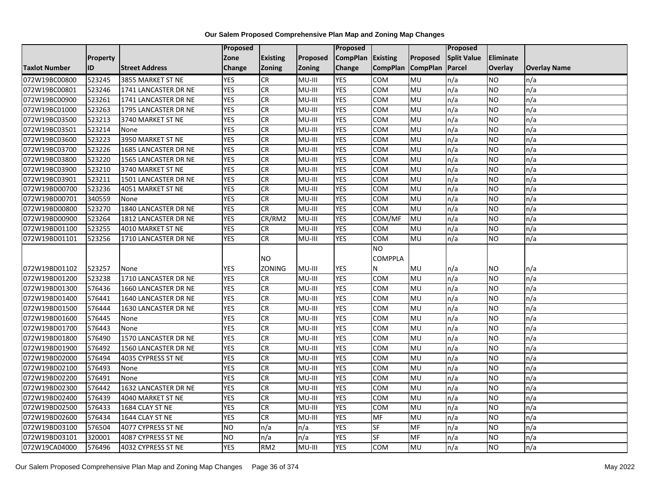|                      |                 |                       | Proposed   |                 |          | Proposed        |                 |                 | Proposed           |                |                     |
|----------------------|-----------------|-----------------------|------------|-----------------|----------|-----------------|-----------------|-----------------|--------------------|----------------|---------------------|
|                      | <b>Property</b> |                       | Zone       | <b>Existing</b> | Proposed | <b>CompPlan</b> | Existing        | Proposed        | <b>Split Value</b> | Eliminate      |                     |
| <b>Taxlot Number</b> | ID              | <b>Street Address</b> | Change     | Zoning          | Zoning   | Change          | <b>CompPlan</b> | <b>CompPlan</b> | Parcel             | <b>Overlay</b> | <b>Overlay Name</b> |
| 072W19BC00800        | 523245          | 3855 MARKET ST NE     | <b>YES</b> | <b>CR</b>       | MU-III   | <b>YES</b>      | <b>COM</b>      | MU              | n/a                | NO             | n/a                 |
| 072W19BC00801        | 523246          | 1741 LANCASTER DR NE  | <b>YES</b> | <b>CR</b>       | MU-III   | <b>YES</b>      | COM             | <b>MU</b>       | n/a                | NO.            | n/a                 |
| 072W19BC00900        | 523261          | 1741 LANCASTER DR NE  | <b>YES</b> | CR              | MU-III   | <b>YES</b>      | COM             | MU              | n/a                | <b>NO</b>      | n/a                 |
| 072W19BC01000        | 523263          | 1795 LANCASTER DR NE  | <b>YES</b> | CR              | MU-III   | <b>YES</b>      | сом             | MU              | n/a                | <b>NO</b>      | n/a                 |
| 072W19BC03500        | 523213          | 3740 MARKET ST NE     | <b>YES</b> | CR              | MU-III   | <b>YES</b>      | сом             | <b>MU</b>       | n/a                | NO.            | n/a                 |
| 072W19BC03501        | 523214          | None                  | <b>YES</b> | CR              | MU-III   | <b>YES</b>      | COM             | MU              | n/a                | <b>NO</b>      | n/a                 |
| 072W19BC03600        | 523223          | 3950 MARKET ST NE     | <b>YES</b> | CR              | MU-III   | <b>YES</b>      | COM             | MU              | n/a                | NO.            | n/a                 |
| 072W19BC03700        | 523226          | 1685 LANCASTER DR NE  | <b>YES</b> | CR              | MU-III   | <b>YES</b>      | COM             | <b>MU</b>       | n/a                | NO.            | n/a                 |
| 072W19BC03800        | 523220          | 1565 LANCASTER DR NE  | <b>YES</b> | CR              | MU-III   | <b>YES</b>      | COM             | MU              | n/a                | NO.            | n/a                 |
| 072W19BC03900        | 523210          | 3740 MARKET ST NE     | <b>YES</b> | $\overline{c}$  | MU-III   | <b>YES</b>      | <b>COM</b>      | <b>MU</b>       | n/a                | NO.            | n/a                 |
| 072W19BC03901        | 523211          | 1501 LANCASTER DR NE  | <b>YES</b> | CR              | MU-III   | <b>YES</b>      | COM             | MU              | n/a                | <b>NO</b>      | n/a                 |
| 072W19BD00700        | 523236          | 4051 MARKET ST NE     | <b>YES</b> | <b>CR</b>       | MU-III   | <b>YES</b>      | COM             | MU              | n/a                | <b>NO</b>      | n/a                 |
| 072W19BD00701        | 340559          | None                  | <b>YES</b> | CR              | MU-III   | <b>YES</b>      | COM             | <b>MU</b>       | n/a                | NO.            | n/a                 |
| 072W19BD00800        | 523270          | 1840 LANCASTER DR NE  | <b>YES</b> | <b>CR</b>       | MU-III   | <b>YES</b>      | <b>COM</b>      | MU              | n/a                | NO.            | n/a                 |
| 072W19BD00900        | 523264          | 1812 LANCASTER DR NE  | <b>YES</b> | CR/RM2          | MU-III   | <b>YES</b>      | COM/MF          | MU              | n/a                | <b>NO</b>      | n/a                 |
| 072W19BD01100        | 523255          | 4010 MARKET ST NE     | <b>YES</b> | CR              | MU-III   | <b>YES</b>      | сом             | <b>MU</b>       | n/a                | NO.            | n/a                 |
| 072W19BD01101        | 523256          | 1710 LANCASTER DR NE  | <b>YES</b> | <b>CR</b>       | MU-III   | <b>YES</b>      | COM             | MU              | n/a                | <b>NO</b>      | n/a                 |
|                      |                 |                       |            |                 |          |                 | NO.             |                 |                    |                |                     |
|                      |                 |                       |            | ΝO              |          |                 | <b>COMPPLA</b>  |                 |                    |                |                     |
| 072W19BD01102        | 523257          | None                  | <b>YES</b> | ZONING          | MU-III   | <b>YES</b>      | N               | MU              | n/a                | NO             | n/a                 |
| 072W19BD01200        | 523238          | 1710 LANCASTER DR NE  | <b>YES</b> | CR              | MU-III   | <b>YES</b>      | COM             | MU              | n/a                | NO.            | n/a                 |
| 072W19BD01300        | 576436          | 1660 LANCASTER DR NE  | <b>YES</b> | CR              | MU-III   | <b>YES</b>      | COM             | MU              | n/a                | NO.            | n/a                 |
| 072W19BD01400        | 576441          | 1640 LANCASTER DR NE  | <b>YES</b> | <b>CR</b>       | MU-III   | <b>YES</b>      | COM             | MU              | n/a                | NO.            | n/a                 |
| 072W19BD01500        | 576444          | 1630 LANCASTER DR NE  | <b>YES</b> | CR              | MU-III   | <b>YES</b>      | COM             | MU              | n/a                | NO.            | n/a                 |
| 072W19BD01600        | 576445          | None                  | <b>YES</b> | CR              | MU-III   | <b>YES</b>      | сом             | MU              | n/a                | NO.            | n/a                 |
| 072W19BD01700        | 576443          | None                  | <b>YES</b> | CR              | MU-III   | <b>YES</b>      | сом             | MU              | n/a                | NO.            | n/a                 |
| 072W19BD01800        | 576490          | 1570 LANCASTER DR NE  | <b>YES</b> | CR              | $MU-III$ | <b>YES</b>      | COM             | <b>MU</b>       | n/a                | NO.            | n/a                 |
| 072W19BD01900        | 576492          | 1560 LANCASTER DR NE  | <b>YES</b> | <b>CR</b>       | MU-III   | <b>YES</b>      | COM             | MU              | n/a                | NO.            | n/a                 |
| 072W19BD02000        | 576494          | 4035 CYPRESS ST NE    | <b>YES</b> | <b>CR</b>       | MU-III   | <b>YES</b>      | COM             | MU              | n/a                | NO.            | n/a                 |
| 072W19BD02100        | 576493          | None                  | <b>YES</b> | CR              | MU-III   | <b>YES</b>      | <b>COM</b>      | MU              | n/a                | NO.            | n/a                 |
| 072W19BD02200        | 576491          | None                  | <b>YES</b> | CR              | MU-III   | <b>YES</b>      | COM             | MU              | n/a                | <b>NO</b>      | n/a                 |
| 072W19BD02300        | 576442          | 1632 LANCASTER DR NE  | <b>YES</b> | CR              | MU-III   | <b>YES</b>      | COM             | MU              | n/a                | <b>NO</b>      | n/a                 |
| 072W19BD02400        | 576439          | 4040 MARKET ST NE     | <b>YES</b> | $\overline{c}$  | MU-III   | <b>YES</b>      | COM             | MU              | n/a                | NO.            | n/a                 |
| 072W19BD02500        | 576433          | 1684 CLAY ST NE       | <b>YES</b> | CR              | MU-III   | <b>YES</b>      | COM             | MU              | n/a                | NO.            | n/a                 |
| 072W19BD02600        | 576434          | 1644 CLAY ST NE       | <b>YES</b> | CR              | MU-III   | <b>YES</b>      | MF              | MU              | n/a                | <b>NO</b>      | n/a                 |
| 072W19BD03100        | 576504          | 4077 CYPRESS ST NE    | Ю          | n/a             | n/a      | <b>YES</b>      | <b>SF</b>       | <b>MF</b>       | n/a                | NO.            | n/a                 |
| 072W19BD03101        | 320001          | 4087 CYPRESS ST NE    | <b>NO</b>  | n/a             | n/a      | <b>YES</b>      | SF              | MF              | n/a                | NO.            | n/a                 |
| 072W19CA04000        | 576496          | 4032 CYPRESS ST NE    | <b>YES</b> | RM <sub>2</sub> | MU-III   | <b>YES</b>      | <b>COM</b>      | MU              | n/a                | NO.            | n/a                 |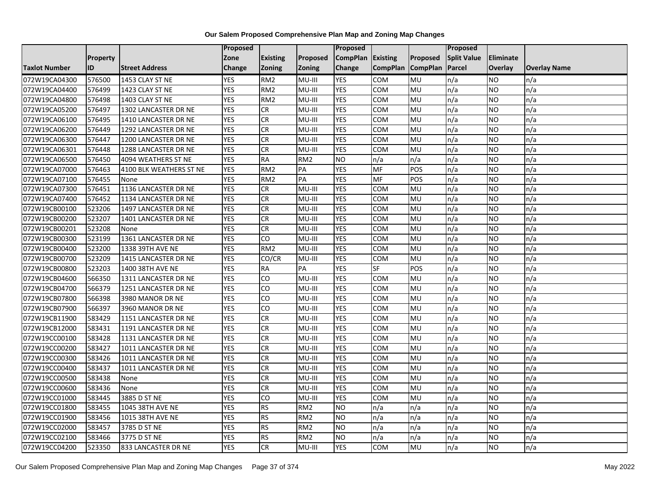|                      |                 |                         | Proposed   |                 |                 | <b>Proposed</b> |                 |                 | <b>Proposed</b>    |                |                     |
|----------------------|-----------------|-------------------------|------------|-----------------|-----------------|-----------------|-----------------|-----------------|--------------------|----------------|---------------------|
|                      | <b>Property</b> |                         | Zone       | <b>Existing</b> | <b>Proposed</b> | <b>CompPlan</b> | <b>Existing</b> | Proposed        | <b>Split Value</b> | Eliminate      |                     |
| <b>Taxlot Number</b> | ID              | <b>Street Address</b>   | Change     | <b>Zoning</b>   | Zoning          | Change          | <b>CompPlan</b> | <b>CompPlan</b> | Parcel             | <b>Overlay</b> | <b>Overlay Name</b> |
| 072W19CA04300        | 576500          | 1453 CLAY ST NE         | <b>YES</b> | RM <sub>2</sub> | MU-III          | <b>YES</b>      | <b>COM</b>      | MU              | n/a                | NO             | n/a                 |
| 072W19CA04400        | 576499          | 1423 CLAY ST NE         | <b>YES</b> | RM <sub>2</sub> | MU-III          | <b>YES</b>      | <b>COM</b>      | <b>MU</b>       | n/a                | NO.            | n/a                 |
| 072W19CA04800        | 576498          | 1403 CLAY ST NE         | <b>YES</b> | RM <sub>2</sub> | MU-III          | <b>YES</b>      | COM             | MU              | n/a                | NO.            | n/a                 |
| 072W19CA05200        | 576497          | 1302 LANCASTER DR NE    | <b>YES</b> | ${\sf CR}$      | MU-III          | <b>YES</b>      | COM             | MU              | n/a                | NO.            | n/a                 |
| 072W19CA06100        | 576495          | 1410 LANCASTER DR NE    | <b>YES</b> | CR              | MU-III          | <b>YES</b>      | COM             | MU              | n/a                | NO.            | n/a                 |
| 072W19CA06200        | 576449          | 1292 LANCASTER DR NE    | <b>YES</b> | CR              | MU-III          | <b>YES</b>      | COM             | MU              | n/a                | NO.            | n/a                 |
| 072W19CA06300        | 576447          | 1200 LANCASTER DR NE    | <b>YES</b> | <b>CR</b>       | MU-III          | <b>YES</b>      | COM             | MU              | n/a                | NO.            | n/a                 |
| 072W19CA06301        | 576448          | 1288 LANCASTER DR NE    | <b>YES</b> | <b>CR</b>       | MU-III          | <b>YES</b>      | COM             | MU              | n/a                | NO.            | n/a                 |
| 072W19CA06500        | 576450          | 4094 WEATHERS ST NE     | <b>YES</b> | <b>RA</b>       | RM <sub>2</sub> | <b>NO</b>       | n/a             | n/a             | n/a                | NO.            | n/a                 |
| 072W19CA07000        | 576463          | 4100 BLK WEATHERS ST NE | <b>YES</b> | RM <sub>2</sub> | PA              | <b>YES</b>      | <b>MF</b>       | POS             | n/a                | NO.            | n/a                 |
| 072W19CA07100        | 576455          | None                    | <b>YES</b> | RM <sub>2</sub> | PA              | <b>YES</b>      | <b>MF</b>       | POS             | n/a                | <b>NO</b>      | n/a                 |
| 072W19CA07300        | 576451          | 1136 LANCASTER DR NE    | <b>YES</b> | CR              | MU-III          | <b>YES</b>      | COM             | MU              | n/a                | <b>NO</b>      | n/a                 |
| 072W19CA07400        | 576452          | 1134 LANCASTER DR NE    | <b>YES</b> | CR              | MU-III          | <b>YES</b>      | COM             | MU              | n/a                | NO.            | n/a                 |
| 072W19CB00100        | 523206          | 1497 LANCASTER DR NE    | <b>YES</b> | <b>CR</b>       | MU-III          | <b>YES</b>      | <b>COM</b>      | MU              | n/a                | <b>NO</b>      | n/a                 |
| 072W19CB00200        | 523207          | 1401 LANCASTER DR NE    | <b>YES</b> | <b>CR</b>       | MU-III          | <b>YES</b>      | COM             | MU              | n/a                | NO.            | n/a                 |
| 072W19CB00201        | 523208          | None                    | <b>YES</b> | <b>CR</b>       | MU-III          | <b>YES</b>      | COM             | MU              | n/a                | NO.            | n/a                 |
| 072W19CB00300        | 523199          | 1361 LANCASTER DR NE    | <b>YES</b> | CO              | MU-III          | <b>YES</b>      | <b>COM</b>      | MU              | n/a                | NO.            | n/a                 |
| 072W19CB00400        | 523200          | 1338 39TH AVE NE        | <b>YES</b> | RM <sub>2</sub> | MU-III          | <b>YES</b>      | COM             | MU              | n/a                | NO.            | n/a                 |
| 072W19CB00700        | 523209          | 1415 LANCASTER DR NE    | <b>YES</b> | CO/CR           | MU-III          | <b>YES</b>      | COM             | MU              | n/a                | NO.            | n/a                 |
| 072W19CB00800        | 523203          | 1400 38TH AVE NE        | <b>YES</b> | <b>RA</b>       | PA              | <b>YES</b>      | <b>SF</b>       | POS             | n/a                | ΝO             | n/a                 |
| 072W19CB04600        | 566350          | 1311 LANCASTER DR NE    | <b>YES</b> | CO              | MU-III          | <b>YES</b>      | <b>COM</b>      | MU              | n/a                | NO.            | n/a                 |
| 072W19CB04700        | 566379          | 1251 LANCASTER DR NE    | <b>YES</b> | CO              | MU-III          | <b>YES</b>      | <b>COM</b>      | MU              | n/a                | <b>NO</b>      | n/a                 |
| 072W19CB07800        | 566398          | 3980 MANOR DR NE        | <b>YES</b> | CO              | MU-III          | <b>YES</b>      | <b>COM</b>      | MU              | n/a                | NO.            | n/a                 |
| 072W19CB07900        | 566397          | 3960 MANOR DR NE        | <b>YES</b> | CO              | MU-III          | <b>YES</b>      | COM             | MU              | n/a                | NO.            | n/a                 |
| 072W19CB11900        | 583429          | 1151 LANCASTER DR NE    | <b>YES</b> | <b>CR</b>       | MU-III          | <b>YES</b>      | COM             | MU              | n/a                | NO.            | n/a                 |
| 072W19CB12000        | 583431          | 1191 LANCASTER DR NE    | <b>YES</b> | <b>CR</b>       | MU-III          | <b>YES</b>      | <b>COM</b>      | MU              | n/a                | NO.            | n/a                 |
| 072W19CC00100        | 583428          | 1131 LANCASTER DR NE    | <b>YES</b> | <b>CR</b>       | MU-III          | <b>YES</b>      | COM             | MU              | n/a                | NO.            | n/a                 |
| 072W19CC00200        | 583427          | 1011 LANCASTER DR NE    | <b>YES</b> | <b>CR</b>       | MU-III          | <b>YES</b>      | COM             | MU              | n/a                | NO.            | n/a                 |
| 072W19CC00300        | 583426          | 1011 LANCASTER DR NE    | <b>YES</b> | <b>CR</b>       | MU-III          | <b>YES</b>      | <b>COM</b>      | MU              | n/a                | NO.            | n/a                 |
| 072W19CC00400        | 583437          | 1011 LANCASTER DR NE    | <b>YES</b> | <b>CR</b>       | MU-III          | <b>YES</b>      | <b>COM</b>      | MU              | n/a                | NO.            | n/a                 |
| 072W19CC00500        | 583438          | None                    | <b>YES</b> | <b>CR</b>       | MU-III          | <b>YES</b>      | COM             | MU              | n/a                | NO.            | n/a                 |
| 072W19CC00600        | 583436          | None                    | <b>YES</b> | CR              | MU-III          | <b>YES</b>      | COM             | MU              | n/a                | NO.            | n/a                 |
| 072W19CC01000        | 583445          | 3885 D ST NE            | <b>YES</b> | CO              | MU-III          | <b>YES</b>      | COM             | MU              | n/a                | NO.            | n/a                 |
| 072W19CC01800        | 583455          | 1045 38TH AVE NE        | <b>YES</b> | <b>RS</b>       | RM <sub>2</sub> | <b>NO</b>       | n/a             | n/a             | n/a                | NO.            | n/a                 |
| 072W19CC01900        | 583456          | 1015 38TH AVE NE        | <b>YES</b> | <b>RS</b>       | RM <sub>2</sub> | <b>NO</b>       | n/a             | n/a             | n/a                | <b>NO</b>      | n/a                 |
| 072W19CC02000        | 583457          | 3785 D ST NE            | <b>YES</b> | <b>RS</b>       | RM <sub>2</sub> | <b>NO</b>       | n/a             | n/a             | n/a                | NO.            | n/a                 |
| 072W19CC02100        | 583466          | 3775 D ST NE            | <b>YES</b> | <b>RS</b>       | RM <sub>2</sub> | <b>NO</b>       | n/a             | n/a             | n/a                | NO.            | n/a                 |
| 072W19CC04200        | 523350          | 833 LANCASTER DR NE     | <b>YES</b> | CR              | MU-III          | <b>YES</b>      | <b>COM</b>      | MU              | n/a                | NO.            | n/a                 |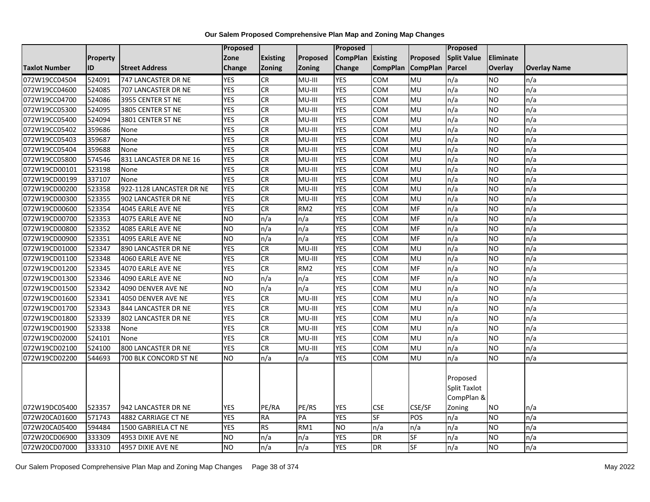|                      |          |                          | Proposed        |                 |                 | <b>Proposed</b> |                 |                          | Proposed                                                |                  |                     |
|----------------------|----------|--------------------------|-----------------|-----------------|-----------------|-----------------|-----------------|--------------------------|---------------------------------------------------------|------------------|---------------------|
|                      | Property |                          | Zone            | <b>Existing</b> | Proposed        | <b>CompPlan</b> | Existing        | Proposed                 | <b>Split Value</b>                                      | <b>Eliminate</b> |                     |
| <b>Taxlot Number</b> | ID       | <b>Street Address</b>    | Change          | Zoning          | Zoning          | Change          | <b>CompPlan</b> | <b>CompPlan</b>          | Parcel                                                  | Overlay          | <b>Overlay Name</b> |
| 072W19CC04504        | 524091   | 747 LANCASTER DR NE      | <b>YES</b>      | <b>CR</b>       | MU-III          | <b>YES</b>      | <b>COM</b>      | MU                       | n/a                                                     | <b>NO</b>        | n/a                 |
| 072W19CC04600        | 524085   | 707 LANCASTER DR NE      | <b>YES</b>      | <b>CR</b>       | MU-III          | <b>YES</b>      | <b>COM</b>      | <b>MU</b>                | n/a                                                     | <b>NO</b>        | n/a                 |
| 072W19CC04700        | 524086   | 3955 CENTER ST NE        | <b>YES</b>      | <b>CR</b>       | MU-III          | <b>YES</b>      | <b>COM</b>      | <b>MU</b>                | n/a                                                     | <b>NO</b>        | n/a                 |
| 072W19CC05300        | 524095   | 3805 CENTER ST NE        | <b>YES</b>      | <b>CR</b>       | MU-III          | <b>YES</b>      | COM             | MU                       | n/a                                                     | <b>NO</b>        | n/a                 |
| 072W19CC05400        | 524094   | 3801 CENTER ST NE        | <b>YES</b>      | CR              | MU-III          | <b>YES</b>      | COM             | <b>MU</b>                | n/a                                                     | <b>NO</b>        | n/a                 |
| 072W19CC05402        | 359686   | None                     | <b>YES</b>      | CR              | MU-III          | <b>YES</b>      | <b>COM</b>      | MU                       | n/a                                                     | <b>NO</b>        | n/a                 |
| 072W19CC05403        | 359687   | None                     | <b>YES</b>      | <b>CR</b>       | MU-III          | <b>YES</b>      | <b>COM</b>      | <b>MU</b>                | n/a                                                     | <b>NO</b>        | n/a                 |
| 072W19CC05404        | 359688   | None                     | <b>YES</b>      | $\overline{c}$  | MU-III          | <b>YES</b>      | COM             | <b>MU</b>                | n/a                                                     | <b>NO</b>        | n/a                 |
| 072W19CC05800        | 574546   | 831 LANCASTER DR NE 16   | <b>YES</b>      | CR              | MU-III          | <b>YES</b>      | COM             | MU                       | n/a                                                     | <b>NO</b>        | n/a                 |
| 072W19CD00101        | 523198   | None                     | <b>YES</b>      | CR              | MU-III          | <b>YES</b>      | <b>COM</b>      | <b>MU</b>                | n/a                                                     | <b>NO</b>        | n/a                 |
| 072W19CD00199        | 337107   | None                     | <b>YES</b>      | CR              | MU-III          | <b>YES</b>      | <b>COM</b>      | MU                       | n/a                                                     | <b>NO</b>        | n/a                 |
| 072W19CD00200        | 523358   | 922-1128 LANCASTER DR NE | <b>YES</b>      | <b>CR</b>       | MU-III          | <b>YES</b>      | <b>COM</b>      | MU                       | n/a                                                     | <b>NO</b>        | n/a                 |
| 072W19CD00300        | 523355   | 902 LANCASTER DR NE      | <b>YES</b>      | CR              | MU-III          | <b>YES</b>      | COM             | <b>MU</b>                | n/a                                                     | <b>NO</b>        | n/a                 |
| 072W19CD00600        | 523354   | 4045 EARLE AVE NE        | <b>YES</b>      | CR              | RM <sub>2</sub> | <b>YES</b>      | COM             | MF                       | n/a                                                     | <b>NO</b>        | n/a                 |
| 072W19CD00700        | 523353   | 4075 EARLE AVE NE        | <b>NO</b>       | n/a             | n/a             | <b>YES</b>      | <b>COM</b>      | MF                       | n/a                                                     | <b>NO</b>        | n/a                 |
| 072W19CD00800        | 523352   | 4085 EARLE AVE NE        | NO              | n/a             | n/a             | <b>YES</b>      | COM             | <b>MF</b>                | n/a                                                     | <b>NO</b>        | n/a                 |
| 072W19CD00900        | 523351   | 4095 EARLE AVE NE        | <b>NO</b>       | n/a             | n/a             | <b>YES</b>      | COM             | MF                       | n/a                                                     | <b>NO</b>        | n/a                 |
| 072W19CD01000        | 523347   | 890 LANCASTER DR NE      | <b>YES</b>      | CR              | MU-III          | <b>YES</b>      | COM             | MU                       | n/a                                                     | <b>NO</b>        | n/a                 |
| 072W19CD01100        | 523348   | 4060 EARLE AVE NE        | <b>YES</b>      | CR              | MU-III          | <b>YES</b>      | COM             | <b>MU</b>                | n/a                                                     | <b>NO</b>        | n/a                 |
| 072W19CD01200        | 523345   | 4070 EARLE AVE NE        | <b>YES</b>      | CR              | RM <sub>2</sub> | <b>YES</b>      | COM             | MF                       | n/a                                                     | <b>NO</b>        | n/a                 |
| 072W19CD01300        | 523346   | 4090 EARLE AVE NE        | <b>NO</b>       | n/a             | n/a             | <b>YES</b>      | COM             | <b>MF</b>                | n/a                                                     | <b>NO</b>        | n/a                 |
| 072W19CD01500        | 523342   | 4090 DENVER AVE NE       | N <sub>O</sub>  | n/a             | n/a             | <b>YES</b>      | COM             | MU                       | n/a                                                     | <b>NO</b>        | n/a                 |
| 072W19CD01600        | 523341   | 4050 DENVER AVE NE       | <b>YES</b>      | CR              | MU-III          | <b>YES</b>      | <b>COM</b>      | <b>MU</b>                | n/a                                                     | <b>NO</b>        | n/a                 |
| 072W19CD01700        | 523343   | 844 LANCASTER DR NE      | <b>YES</b>      | CR              | MU-III          | <b>YES</b>      | COM             | MU                       | n/a                                                     | <b>NO</b>        | n/a                 |
| 072W19CD01800        | 523339   | 802 LANCASTER DR NE      | <b>YES</b>      | CR              | MU-III          | <b>YES</b>      | COM             | MU                       | n/a                                                     | <b>NO</b>        | n/a                 |
| 072W19CD01900        | 523338   | None                     | <b>YES</b>      | CR              | MU-III          | <b>YES</b>      | COM             | MU                       | n/a                                                     | <b>NO</b>        | n/a                 |
| 072W19CD02000        | 524101   | None                     | <b>YES</b>      | CR              | MU-III          | <b>YES</b>      | <b>COM</b>      | <b>MU</b>                | n/a                                                     | <b>NO</b>        | n/a                 |
| 072W19CD02100        | 524100   | 800 LANCASTER DR NE      | <b>YES</b>      | CR              | MU-III          | <b>YES</b>      | COM             | MU                       | n/a                                                     | <b>NO</b>        | n/a                 |
| 072W19CD02200        | 544693   | 700 BLK CONCORD ST NE    | <b>NO</b>       | n/a             | n/a             | <b>YES</b>      | COM             | MU                       | n/a                                                     | <b>NO</b>        | n/a                 |
| 072W19DC05400        | 523357   | 942 LANCASTER DR NE      | <b>YES</b>      | PE/RA           | PE/RS           | <b>YES</b>      | <b>CSE</b>      | CSE/SF                   | Proposed<br><b>Split Taxlot</b><br>CompPlan &<br>Zoning | <b>NO</b>        | n/a                 |
| 072W20CA01600        | 571743   | 4882 CARRIAGE CT NE      | <b>YES</b>      | <b>RA</b>       | PA              | <b>YES</b>      | $S$ F           | POS                      | n/a                                                     | <b>NO</b>        | n/a                 |
| 072W20CA05400        | 594484   | 1500 GABRIELA CT NE      | <b>YES</b>      | <b>RS</b>       | RM1             | N <sub>O</sub>  | n/a             | n/a                      | n/a                                                     | <b>NO</b>        | n/a                 |
| 072W20CD06900        | 333309   | 4953 DIXIE AVE NE        | <b>NO</b>       | n/a             | n/a             | <b>YES</b>      | <b>DR</b>       | SF                       | n/a                                                     | <b>NO</b>        | n/a                 |
| 072W20CD07000        | 333310   | 4957 DIXIE AVE NE        | $\overline{NO}$ | n/a             | n/a             | <b>YES</b>      | <b>DR</b>       | $\overline{\mathsf{SF}}$ | n/a                                                     | <b>NO</b>        | n/a                 |
|                      |          |                          |                 |                 |                 |                 |                 |                          |                                                         |                  |                     |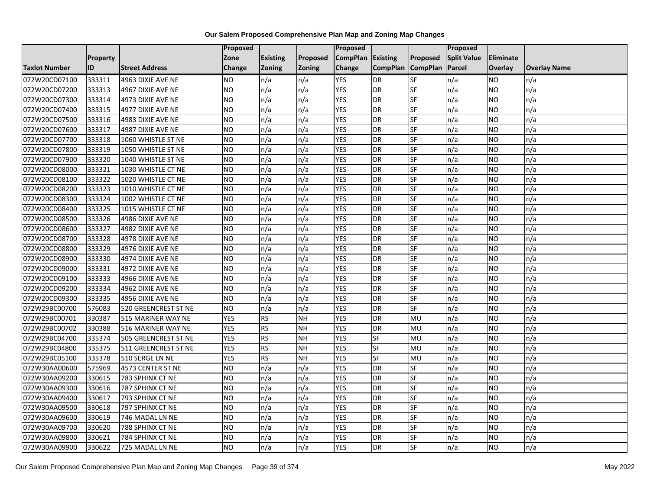|                      |          |                       | Proposed   |                 |               | Proposed        |                 |                 | Proposed           |                  |                     |
|----------------------|----------|-----------------------|------------|-----------------|---------------|-----------------|-----------------|-----------------|--------------------|------------------|---------------------|
|                      | Property |                       | Zone       | <b>Existing</b> | Proposed      | <b>CompPlan</b> | Existing        | Proposed        | <b>Split Value</b> | <b>Eliminate</b> |                     |
| <b>Taxlot Number</b> | ID       | <b>Street Address</b> | Change     | Zoning          | <b>Zoning</b> | Change          | <b>CompPlan</b> | <b>CompPlan</b> | Parcel             | <b>Overlay</b>   | <b>Overlay Name</b> |
| 072W20CD07100        | 333311   | 4963 DIXIE AVE NE     | <b>NO</b>  | n/a             | n/a           | <b>YES</b>      | <b>DR</b>       | <b>SF</b>       | n/a                | NO.              | n/a                 |
| 072W20CD07200        | 333313   | 4967 DIXIE AVE NE     | ŌИ         | n/a             | n/a           | <b>YES</b>      | DR              | <b>SF</b>       | n/a                | NO.              | n/a                 |
| 072W20CD07300        | 333314   | 4973 DIXIE AVE NE     | <b>NO</b>  | n/a             | n/a           | <b>YES</b>      | DR              | SF              | n/a                | <b>NO</b>        | n/a                 |
| 072W20CD07400        | 333315   | 4977 DIXIE AVE NE     | <b>NO</b>  | n/a             | n/a           | <b>YES</b>      | <b>DR</b>       | <b>SF</b>       | n/a                | NO.              | n/a                 |
| 072W20CD07500        | 333316   | 4983 DIXIE AVE NE     | ŌИ         | n/a             | n/a           | <b>YES</b>      | $\overline{R}$  | <b>SF</b>       | n/a                | NO.              | n/a                 |
| 072W20CD07600        | 333317   | 4987 DIXIE AVE NE     | <b>NO</b>  | n/a             | n/a           | <b>YES</b>      | <b>DR</b>       | SF              | n/a                | <b>NO</b>        | n/a                 |
| 072W20CD07700        | 333318   | 1060 WHISTLE ST NE    | ŌИ         | n/a             | n/a           | <b>YES</b>      | DR              | <b>SF</b>       | n/a                | NO.              | n/a                 |
| 072W20CD07800        | 333319   | 1050 WHISTLE ST NE    | <b>NO</b>  | n/a             | n/a           | <b>YES</b>      | DR              | <b>SF</b>       | n/a                | NO.              | n/a                 |
| 072W20CD07900        | 333320   | 1040 WHISTLE ST NE    | <b>NO</b>  | n/a             | n/a           | <b>YES</b>      | DR              | SF              | n/a                | NO.              | n/a                 |
| 072W20CD08000        | 333321   | 1030 WHISTLE CT NE    | ŌИ         | n/a             | n/a           | <b>YES</b>      | <b>DR</b>       | $S$ F           | n/a                | NO.              | n/a                 |
| 072W20CD08100        | 333322   | 1020 WHISTLE CT NE    | <b>NO</b>  | n/a             | n/a           | <b>YES</b>      | <b>DR</b>       | SF              | n/a                | NO.              | n/a                 |
| 072W20CD08200        | 333323   | 1010 WHISTLE CT NE    | <b>NO</b>  | n/a             | n/a           | <b>YES</b>      | <b>DR</b>       | SF              | n/a                | <b>NO</b>        | n/a                 |
| 072W20CD08300        | 333324   | 1002 WHISTLE CT NE    | ŌИ         | n/a             | n/a           | <b>YES</b>      | <b>DR</b>       | $S_{F}$         | n/a                | NO.              | n/a                 |
| 072W20CD08400        | 333325   | 1015 WHISTLE CT NE    | <b>NO</b>  | n/a             | n/a           | <b>YES</b>      | <b>DR</b>       | SF              | n/a                | NO.              | n/a                 |
| 072W20CD08500        | 333326   | 4986 DIXIE AVE NE     | <b>NO</b>  | n/a             | n/a           | <b>YES</b>      | DR              | SF              | n/a                | NO.              | n/a                 |
| 072W20CD08600        | 333327   | 4982 DIXIE AVE NE     | ŌИ         | n/a             | n/a           | <b>YES</b>      | <b>DR</b>       | <b>SF</b>       | n/a                | NO.              | n/a                 |
| 072W20CD08700        | 333328   | 4978 DIXIE AVE NE     | <b>NO</b>  | n/a             | n/a           | <b>YES</b>      | <b>DR</b>       | SF              | n/a                | NO.              | n/a                 |
| 072W20CD08800        | 333329   | 4976 DIXIE AVE NE     | <b>NO</b>  | n/a             | n/a           | <b>YES</b>      | DR              | SF              | n/a                | NO.              | n/a                 |
| 072W20CD08900        | 333330   | 4974 DIXIE AVE NE     | Ю          | n/a             | n/a           | <b>YES</b>      | <b>DR</b>       | <b>SF</b>       | n/a                | NO.              | n/a                 |
| 072W20CD09000        | 333331   | 4972 DIXIE AVE NE     | <b>NO</b>  | n/a             | n/a           | <b>YES</b>      | DR              | <b>SF</b>       | n/a                | NO.              | n/a                 |
| 072W20CD09100        | 333333   | 4966 DIXIE AVE NE     | <b>NO</b>  | n/a             | n/a           | <b>YES</b>      | DR              | SF              | n/a                | NO.              | n/a                 |
| 072W20CD09200        | 333334   | 4962 DIXIE AVE NE     | <b>NO</b>  | n/a             | n/a           | <b>YES</b>      | <b>DR</b>       | SF              | n/a                | NO.              | n/a                 |
| 072W20CD09300        | 333335   | 4956 DIXIE AVE NE     | ŌИ         | n/a             | n/a           | <b>YES</b>      | DR              | <b>SF</b>       | n/a                | NO.              | n/a                 |
| 072W29BC00700        | 576083   | 520 GREENCREST ST NE  | <b>NO</b>  | n/a             | n/a           | <b>YES</b>      | <b>DR</b>       | SF              | n/a                | NO.              | n/a                 |
| 072W29BC00701        | 330387   | 515 MARINER WAY NE    | <b>YES</b> | <b>RS</b>       | <b>NH</b>     | <b>YES</b>      | <b>DR</b>       | MU              | n/a                | NO.              | n/a                 |
| 072W29BC00702        | 330388   | 516 MARINER WAY NE    | <b>YES</b> | RS              | <b>NH</b>     | <b>YES</b>      | <b>DR</b>       | MU              | n/a                | NO.              | n/a                 |
| 072W29BC04700        | 335374   | 505 GREENCREST ST NE  | <b>YES</b> | <b>RS</b>       | <b>NH</b>     | <b>YES</b>      | <b>SF</b>       | <b>MU</b>       | n/a                | NO.              | n/a                 |
| 072W29BC04800        | 335375   | 511 GREENCREST ST NE  | <b>YES</b> | <b>RS</b>       | <b>NH</b>     | <b>YES</b>      | SF              | MU              | n/a                | NO.              | n/a                 |
| 072W29BC05100        | 335378   | 510 SERGE LN NE       | <b>YES</b> | RS              | <b>NH</b>     | <b>YES</b>      | $S$ F           | MU              | n/a                | NO.              | n/a                 |
| 072W30AA00600        | 575969   | 4573 CENTER ST NE     | <b>NO</b>  | n/a             | n/a           | <b>YES</b>      | <b>DR</b>       | SF              | n/a                | NO.              | n/a                 |
| 072W30AA09200        | 330615   | 783 SPHINX CT NE      | <b>NO</b>  | n/a             | n/a           | <b>YES</b>      | DR              | SF              | n/a                | <b>NO</b>        | n/a                 |
| 072W30AA09300        | 330616   | 787 SPHINX CT NE      | <b>NO</b>  | n/a             | n/a           | <b>YES</b>      | <b>DR</b>       | <b>SF</b>       | n/a                | <b>NO</b>        | n/a                 |
| 072W30AA09400        | 330617   | 793 SPHINX CT NE      | ŌИ         | n/a             | n/a           | <b>YES</b>      | DR              | <b>SF</b>       | n/a                | NO.              | n/a                 |
| 072W30AA09500        | 330618   | 797 SPHINX CT NE      | <b>NO</b>  | n/a             | n/a           | <b>YES</b>      | DR              | SF              | n/a                | NO.              | n/a                 |
| 072W30AA09600        | 330619   | 746 MADAL LN NE       | ŌИ         | n/a             | n/a           | <b>YES</b>      | <b>DR</b>       | SF              | n/a                | <b>NO</b>        | n/a                 |
| 072W30AA09700        | 330620   | 788 SPHINX CT NE      | ŌИ         | n/a             | n/a           | <b>YES</b>      | DR              | <b>SF</b>       | n/a                | NO.              | n/a                 |
| 072W30AA09800        | 330621   | 784 SPHINX CT NE      | <b>NO</b>  | n/a             | n/a           | <b>YES</b>      | DR              | SF              | n/a                | NO.              | n/a                 |
| 072W30AA09900        | 330622   | 725 MADAL LN NE       | ŌИ         | n/a             | n/a           | <b>YES</b>      | <b>DR</b>       | SF              | n/a                | <b>NO</b>        | n/a                 |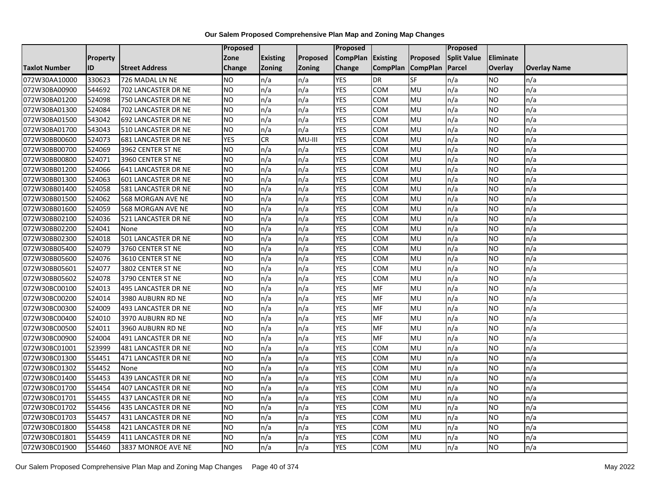|                      |                 |                            | Proposed   |                 |               | Proposed        |                 |                 | Proposed           |                  |                     |
|----------------------|-----------------|----------------------------|------------|-----------------|---------------|-----------------|-----------------|-----------------|--------------------|------------------|---------------------|
|                      | <b>Property</b> |                            | Zone       | <b>Existing</b> | Proposed      | <b>CompPlan</b> | Existing        | Proposed        | <b>Split Value</b> | <b>Eliminate</b> |                     |
| <b>Taxlot Number</b> | ID              | <b>Street Address</b>      | Change     | Zoning          | <b>Zoning</b> | Change          | <b>CompPlan</b> | <b>CompPlan</b> | <b>Parcel</b>      | <b>Overlay</b>   | <b>Overlay Name</b> |
| 072W30AA10000        | 330623          | 726 MADAL LN NE            | <b>NO</b>  | n/a             | n/a           | <b>YES</b>      | <b>DR</b>       | <b>SF</b>       | n/a                | NO.              | n/a                 |
| 072W30BA00900        | 544692          | 702 LANCASTER DR NE        | <b>NO</b>  | n/a             | n/a           | <b>YES</b>      | COM             | MU              | n/a                | NO.              | n/a                 |
| 072W30BA01200        | 524098          | 750 LANCASTER DR NE        | <b>NO</b>  | n/a             | n/a           | <b>YES</b>      | COM             | MU              | n/a                | NO.              | n/a                 |
| 072W30BA01300        | 524084          | 702 LANCASTER DR NE        | <b>NO</b>  | n/a             | n/a           | <b>YES</b>      | сом             | MU              | n/a                | NO.              | n/a                 |
| 072W30BA01500        | 543042          | 692 LANCASTER DR NE        | ŌИ         | n/a             | n/a           | <b>YES</b>      | COM             | <b>MU</b>       | n/a                | NO.              | n/a                 |
| 072W30BA01700        | 543043          | 510 LANCASTER DR NE        | <b>NO</b>  | n/a             | n/a           | <b>YES</b>      | COM             | MU              | n/a                | NO.              | n/a                 |
| 072W30BB00600        | 524073          | <b>681 LANCASTER DR NE</b> | <b>YES</b> | CR              | MU-III        | <b>YES</b>      | COM             | MU              | n/a                | NO.              | n/a                 |
| 072W30BB00700        | 524069          | 3962 CENTER ST NE          | <b>NO</b>  | n/a             | n/a           | <b>YES</b>      | COM             | MU              | n/a                | <b>NO</b>        | n/a                 |
| 072W30BB00800        | 524071          | 3960 CENTER ST NE          | <b>NO</b>  | n/a             | n/a           | <b>YES</b>      | COM             | MU              | n/a                | NO.              | n/a                 |
| 072W30BB01200        | 524066          | 641 LANCASTER DR NE        | Ю          | n/a             | n/a           | <b>YES</b>      | <b>COM</b>      | MU              | n/a                | NO.              | n/a                 |
| 072W30BB01300        | 524063          | 601 LANCASTER DR NE        | <b>NO</b>  | n/a             | n/a           | <b>YES</b>      | COM             | MU              | n/a                | NO.              | n/a                 |
| 072W30BB01400        | 524058          | 581 LANCASTER DR NE        | <b>NO</b>  | n/a             | n/a           | <b>YES</b>      | COM             | MU              | n/a                | <b>NO</b>        | n/a                 |
| 072W30BB01500        | 524062          | 568 MORGAN AVE NE          | <b>NO</b>  | n/a             | n/a           | <b>YES</b>      | COM             | <b>MU</b>       | n/a                | NO.              | n/a                 |
| 072W30BB01600        | 524059          | 568 MORGAN AVE NE          | <b>NO</b>  | n/a             | n/a           | <b>YES</b>      | COM             | MU              | n/a                | NO.              | n/a                 |
| 072W30BB02100        | 524036          | 521 LANCASTER DR NE        | <b>NO</b>  | n/a             | n/a           | <b>YES</b>      | COM             | MU              | n/a                | NO.              | n/a                 |
| 072W30BB02200        | 524041          | None                       | ŌИ         | n/a             | n/a           | <b>YES</b>      | сом             | <b>MU</b>       | n/a                | NO.              | n/a                 |
| 072W30BB02300        | 524018          | 501 LANCASTER DR NE        | <b>NO</b>  | n/a             | n/a           | <b>YES</b>      | COM             | MU              | n/a                | NO.              | n/a                 |
| 072W30BB05400        | 524079          | 3760 CENTER ST NE          | <b>NO</b>  | n/a             | n/a           | <b>YES</b>      | COM             | MU              | n/a                | NO.              | n/a                 |
| 072W30BB05600        | 524076          | 3610 CENTER ST NE          | <b>NO</b>  | n/a             | n/a           | <b>YES</b>      | COM             | <b>MU</b>       | n/a                | NO.              | n/a                 |
| 072W30BB05601        | 524077          | 3802 CENTER ST NE          | <b>NO</b>  | n/a             | n/a           | <b>YES</b>      | сом             | MU              | n/a                | NO.              | n/a                 |
| 072W30BB05602        | 524078          | 3790 CENTER ST NE          | <b>NO</b>  | n/a             | n/a           | <b>YES</b>      | COM             | MU              | n/a                | NO.              | n/a                 |
| 072W30BC00100        | 524013          | 495 LANCASTER DR NE        | <b>NO</b>  | n/a             | n/a           | <b>YES</b>      | MF              | MU              | n/a                | NO.              | n/a                 |
| 072W30BC00200        | 524014          | 3980 AUBURN RD NE          | <b>NO</b>  | n/a             | n/a           | <b>YES</b>      | MF              | MU              | n/a                | NO.              | n/a                 |
| 072W30BC00300        | 524009          | 493 LANCASTER DR NE        | <b>NO</b>  | n/a             | n/a           | <b>YES</b>      | MF              | MU              | n/a                | NO.              | n/a                 |
| 072W30BC00400        | 524010          | 3970 AUBURN RD NE          | <b>NO</b>  | n/a             | n/a           | <b>YES</b>      | MF              | MU              | n/a                | NO.              | n/a                 |
| 072W30BC00500        | 524011          | 3960 AUBURN RD NE          | <b>NO</b>  | n/a             | n/a           | <b>YES</b>      | <b>MF</b>       | MU              | n/a                | NO.              | n/a                 |
| 072W30BC00900        | 524004          | 491 LANCASTER DR NE        | Ю          | n/a             | n/a           | <b>YES</b>      | MF              | <b>MU</b>       | n/a                | NO.              | n/a                 |
| 072W30BC01001        | 523999          | 481 LANCASTER DR NE        | <b>NO</b>  | n/a             | n/a           | <b>YES</b>      | COM             | MU              | n/a                | NO.              | n/a                 |
| 072W30BC01300        | 554451          | 471 LANCASTER DR NE        | <b>NO</b>  | n/a             | n/a           | <b>YES</b>      | COM             | MU              | n/a                | NO.              | n/a                 |
| 072W30BC01302        | 554452          | None                       | <b>NO</b>  | n/a             | n/a           | <b>YES</b>      | <b>COM</b>      | MU              | n/a                | NO.              | n/a                 |
| 072W30BC01400        | 554453          | 439 LANCASTER DR NE        | <b>NO</b>  | n/a             | n/a           | <b>YES</b>      | сом             | MU              | n/a                | NO.              | n/a                 |
| 072W30BC01700        | 554454          | 407 LANCASTER DR NE        | <b>NO</b>  | n/a             | n/a           | <b>YES</b>      | COM             | MU              | n/a                | <b>NO</b>        | n/a                 |
| 072W30BC01701        | 554455          | 437 LANCASTER DR NE        | Ю          | n/a             | n/a           | <b>YES</b>      | COM             | MU              | n/a                | NO.              | n/a                 |
| 072W30BC01702        | 554456          | 435 LANCASTER DR NE        | <b>NO</b>  | n/a             | n/a           | <b>YES</b>      | COM             | MU              | n/a                | NO.              | n/a                 |
| 072W30BC01703        | 554457          | 431 LANCASTER DR NE        | Ю          | n/a             | n/a           | <b>YES</b>      | COM             | MU              | n/a                | <b>NO</b>        | n/a                 |
| 072W30BC01800        | 554458          | 421 LANCASTER DR NE        | Ю          | n/a             | n/a           | <b>YES</b>      | COM             | MU              | n/a                | NO.              | n/a                 |
| 072W30BC01801        | 554459          | 411 LANCASTER DR NE        | <b>NO</b>  | n/a             | n/a           | <b>YES</b>      | сом             | MU              | n/a                | NO.              | n/a                 |
| 072W30BC01900        | 554460          | 3837 MONROE AVE NE         | Ю          | n/a             | n/a           | <b>YES</b>      | COM             | MU              | n/a                | <b>NO</b>        | n/a                 |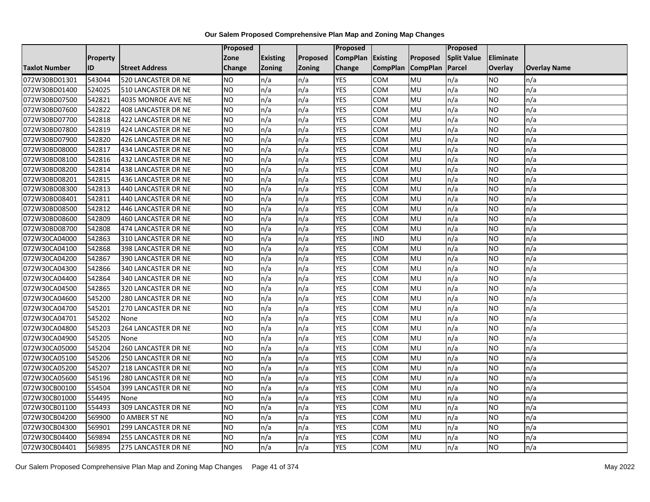|                      |                 |                            | Proposed        |                 |               | <b>Proposed</b> |                 |                 | Proposed           |                |                     |
|----------------------|-----------------|----------------------------|-----------------|-----------------|---------------|-----------------|-----------------|-----------------|--------------------|----------------|---------------------|
|                      | <b>Property</b> |                            | Zone            | <b>Existing</b> | Proposed      | <b>CompPlan</b> | Existing        | Proposed        | <b>Split Value</b> | Eliminate      |                     |
| <b>Taxlot Number</b> | <b>ID</b>       | <b>Street Address</b>      | Change          | <b>Zoning</b>   | <b>Zoning</b> | Change          | <b>CompPlan</b> | <b>CompPlan</b> | Parcel             | <b>Overlay</b> | <b>Overlay Name</b> |
| 072W30BD01301        | 543044          | 520 LANCASTER DR NE        | NO.             | n/a             | n/a           | <b>YES</b>      | <b>COM</b>      | MU              | n/a                | NO.            | n/a                 |
| 072W30BD01400        | 524025          | 510 LANCASTER DR NE        | <b>NO</b>       | n/a             | n/a           | <b>YES</b>      | <b>COM</b>      | <b>MU</b>       | n/a                | NO.            | n/a                 |
| 072W30BD07500        | 542821          | 4035 MONROE AVE NE         | <b>NO</b>       | n/a             | n/a           | <b>YES</b>      | COM             | MU              | n/a                | NO.            | n/a                 |
| 072W30BD07600        | 542822          | 408 LANCASTER DR NE        | <b>NO</b>       | n/a             | n/a           | <b>YES</b>      | COM             | MU              | n/a                | NO.            | n/a                 |
| 072W30BD07700        | 542818          | 422 LANCASTER DR NE        | Ю               | n/a             | n/a           | <b>YES</b>      | COM             | MU              | n/a                | NO.            | n/a                 |
| 072W30BD07800        | 542819          | 424 LANCASTER DR NE        | NO              | n/a             | n/a           | <b>YES</b>      | COM             | MU              | n/a                | <b>NO</b>      | n/a                 |
| 072W30BD07900        | 542820          | 426 LANCASTER DR NE        | <b>NO</b>       | n/a             | n/a           | <b>YES</b>      | COM             | MU              | n/a                | NO.            | n/a                 |
| 072W30BD08000        | 542817          | 434 LANCASTER DR NE        | <b>NO</b>       | n/a             | n/a           | <b>YES</b>      | COM             | MU              | n/a                | NO.            | n/a                 |
| 072W30BD08100        | 542816          | 432 LANCASTER DR NE        | <b>NO</b>       | n/a             | n/a           | <b>YES</b>      | <b>COM</b>      | MU              | n/a                | ΝO             | n/a                 |
| 072W30BD08200        | 542814          | 438 LANCASTER DR NE        | $\overline{NO}$ | n/a             | n/a           | <b>YES</b>      | <b>COM</b>      | MU              | n/a                | NO.            | n/a                 |
| 072W30BD08201        | 542815          | 436 LANCASTER DR NE        | <b>NO</b>       | n/a             | n/a           | <b>YES</b>      | COM             | MU              | n/a                | NO.            | n/a                 |
| 072W30BD08300        | 542813          | 440 LANCASTER DR NE        | <b>NO</b>       | n/a             | n/a           | <b>YES</b>      | COM             | MU              | n/a                | NO.            | n/a                 |
| 072W30BD08401        | 542811          | 440 LANCASTER DR NE        | <b>NO</b>       | n/a             | n/a           | <b>YES</b>      | COM             | MU              | n/a                | NO.            | n/a                 |
| 072W30BD08500        | 542812          | 446 LANCASTER DR NE        | $\overline{NO}$ | n/a             | n/a           | <b>YES</b>      | <b>COM</b>      | MU              | n/a                | <b>NO</b>      | n/a                 |
| 072W30BD08600        | 542809          | 460 LANCASTER DR NE        | <b>NO</b>       | n/a             | n/a           | <b>YES</b>      | COM             | MU              | n/a                | ΝO             | n/a                 |
| 072W30BD08700        | 542808          | 474 LANCASTER DR NE        | <b>NO</b>       | n/a             | n/a           | <b>YES</b>      | COM             | MU              | n/a                | NO.            | n/a                 |
| 072W30CA04000        | 542863          | 310 LANCASTER DR NE        | <b>NO</b>       | n/a             | n/a           | <b>YES</b>      | <b>IND</b>      | MU              | n/a                | NO.            | n/a                 |
| 072W30CA04100        | 542868          | 398 LANCASTER DR NE        | <b>NO</b>       | n/a             | n/a           | <b>YES</b>      | <b>COM</b>      | MU              | n/a                | NO.            | n/a                 |
| 072W30CA04200        | 542867          | 390 LANCASTER DR NE        | <b>NO</b>       | n/a             | n/a           | <b>YES</b>      | <b>COM</b>      | MU              | n/a                | NO.            | n/a                 |
| 072W30CA04300        | 542866          | 340 LANCASTER DR NE        | <b>NO</b>       | n/a             | n/a           | <b>YES</b>      | COM             | MU              | n/a                | NO.            | n/a                 |
| 072W30CA04400        | 542864          | 340 LANCASTER DR NE        | <b>NO</b>       | n/a             | n/a           | <b>YES</b>      | COM             | MU              | n/a                | NO.            | n/a                 |
| 072W30CA04500        | 542865          | 320 LANCASTER DR NE        | $\overline{NO}$ | n/a             | n/a           | <b>YES</b>      | COM             | MU              | n/a                | NO.            | n/a                 |
| 072W30CA04600        | 545200          | 280 LANCASTER DR NE        | <b>NO</b>       | n/a             | n/a           | <b>YES</b>      | COM             | MU              | n/a                | NO.            | n/a                 |
| 072W30CA04700        | 545201          | 270 LANCASTER DR NE        | <b>NO</b>       | n/a             | n/a           | <b>YES</b>      | <b>COM</b>      | MU              | n/a                | NO.            | n/a                 |
| 072W30CA04701        | 545202          | None                       | N <sub>O</sub>  | n/a             | n/a           | <b>YES</b>      | <b>COM</b>      | MU              | n/a                | <b>NO</b>      | n/a                 |
| 072W30CA04800        | 545203          | 264 LANCASTER DR NE        | $\overline{NO}$ | n/a             | n/a           | <b>YES</b>      | COM             | MU              | n/a                | NO.            | n/a                 |
| 072W30CA04900        | 545205          | None                       | <b>NO</b>       | n/a             | n/a           | <b>YES</b>      | COM             | MU              | n/a                | <b>NO</b>      | n/a                 |
| 072W30CA05000        | 545204          | <b>260 LANCASTER DR NE</b> | <b>NO</b>       | n/a             | n/a           | <b>YES</b>      | <b>COM</b>      | MU              | n/a                | NO.            | n/a                 |
| 072W30CA05100        | 545206          | 250 LANCASTER DR NE        | NO.             | n/a             | n/a           | <b>YES</b>      | <b>COM</b>      | MU              | n/a                | NO             | n/a                 |
| 072W30CA05200        | 545207          | 218 LANCASTER DR NE        | <b>NO</b>       | n/a             | n/a           | <b>YES</b>      | <b>COM</b>      | MU              | n/a                | NO.            | n/a                 |
| 072W30CA05600        | 545196          | 280 LANCASTER DR NE        | <b>NO</b>       | n/a             | n/a           | <b>YES</b>      | COM             | MU              | n/a                | ΝO             | n/a                 |
| 072W30CB00100        | 554504          | 399 LANCASTER DR NE        | <b>NO</b>       | n/a             | n/a           | <b>YES</b>      | COM             | MU              | n/a                | NO.            | n/a                 |
| 072W30CB01000        | 554495          | None                       | <b>NO</b>       | n/a             | n/a           | <b>YES</b>      | COM             | MU              | n/a                | NO.            | n/a                 |
| 072W30CB01100        | 554493          | 309 LANCASTER DR NE        | <b>NO</b>       | n/a             | n/a           | <b>YES</b>      | <b>COM</b>      | MU              | n/a                | NO.            | n/a                 |
| 072W30CB04200        | 569900          | <b>0 AMBER ST NE</b>       | $\overline{NO}$ | n/a             | n/a           | <b>YES</b>      | COM             | MU              | n/a                | NO.            | n/a                 |
| 072W30CB04300        | 569901          | 299 LANCASTER DR NE        | <b>NO</b>       | n/a             | n/a           | <b>YES</b>      | COM             | MU              | n/a                | NO.            | n/a                 |
| 072W30CB04400        | 569894          | 255 LANCASTER DR NE        | <b>NO</b>       | n/a             | n/a           | <b>YES</b>      | сом             | MU              | n/a                | NO.            | n/a                 |
| 072W30CB04401        | 569895          | 275 LANCASTER DR NE        | $\overline{NO}$ | n/a             | n/a           | <b>YES</b>      | COM             | MU              | n/a                | NO.            | n/a                 |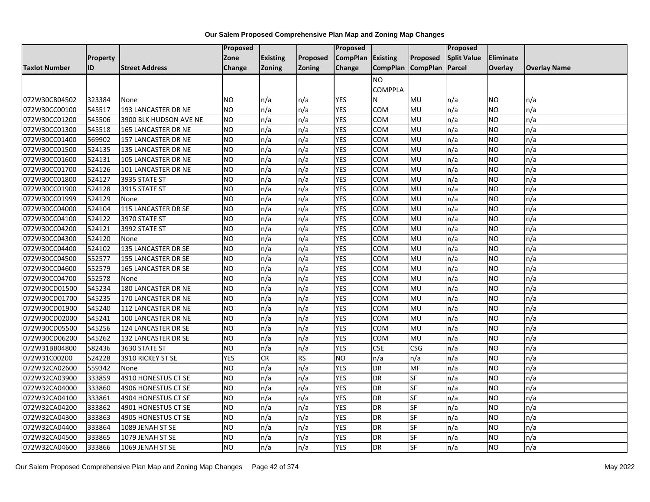|                      |          |                        | <b>Proposed</b> |                 |               | <b>Proposed</b> |                   |            | <b>Proposed</b>    |                |                     |
|----------------------|----------|------------------------|-----------------|-----------------|---------------|-----------------|-------------------|------------|--------------------|----------------|---------------------|
|                      | Property |                        | Zone            | <b>Existing</b> | Proposed      | <b>CompPlan</b> | Existing          | Proposed   | <b>Split Value</b> | Eliminate      |                     |
| <b>Taxlot Number</b> | ID       | <b>Street Address</b>  | Change          | Zoning          | <b>Zoning</b> | Change          | CompPlan CompPlan |            | Parcel             | <b>Overlay</b> | <b>Overlay Name</b> |
|                      |          |                        |                 |                 |               |                 | <b>NO</b>         |            |                    |                |                     |
|                      |          |                        |                 |                 |               |                 | <b>COMPPLA</b>    |            |                    |                |                     |
| 072W30CB04502        | 323384   | None                   | ΝO              | n/a             | n/a           | YES             | N                 | MU         | n/a                | ΝO             | n/a                 |
| 072W30CC00100        | 545517   | 193 LANCASTER DR NE    | <b>NO</b>       | n/a             | n/a           | <b>YES</b>      | COM               | MU         | n/a                | ΝO             | n/a                 |
| 072W30CC01200        | 545506   | 3900 BLK HUDSON AVE NE | <b>NO</b>       | n/a             | n/a           | <b>YES</b>      | сом               | MU         | n/a                | NO.            | n/a                 |
| 072W30CC01300        | 545518   | 165 LANCASTER DR NE    | <b>NO</b>       | n/a             | n/a           | <b>YES</b>      | COM               | MU         | n/a                | NO.            | n/a                 |
| 072W30CC01400        | 569902   | 157 LANCASTER DR NE    | <b>NO</b>       | n/a             | n/a           | <b>YES</b>      | <b>COM</b>        | MU         | n/a                | NO.            | n/a                 |
| 072W30CC01500        | 524135   | 135 LANCASTER DR NE    | <b>NO</b>       | n/a             | n/a           | <b>YES</b>      | COM               | MU         | n/a                | NO.            | n/a                 |
| 072W30CC01600        | 524131   | 105 LANCASTER DR NE    | <b>NO</b>       | n/a             | n/a           | <b>YES</b>      | COM               | MU         | n/a                | NO.            | n/a                 |
| 072W30CC01700        | 524126   | 101 LANCASTER DR NE    | Ю               | n/a             | n/a           | <b>YES</b>      | COM               | MU         | n/a                | NO.            | n/a                 |
| 072W30CC01800        | 524127   | 3935 STATE ST          | <b>NO</b>       | n/a             | n/a           | <b>YES</b>      | COM               | MU         | n/a                | <b>NO</b>      | n/a                 |
| 072W30CC01900        | 524128   | 3915 STATE ST          | <b>NO</b>       | n/a             | n/a           | <b>YES</b>      | COM               | MU         | n/a                | NO.            | n/a                 |
| 072W30CC01999        | 524129   | None                   | <b>NO</b>       | n/a             | n/a           | <b>YES</b>      | COM               | MU         | n/a                | NO             | n/a                 |
| 072W30CC04000        | 524104   | 115 LANCASTER DR SE    | <b>NO</b>       | n/a             | n/a           | <b>YES</b>      | COM               | MU         | n/a                | NO.            | n/a                 |
| 072W30CC04100        | 524122   | 3970 STATE ST          | <b>NO</b>       | n/a             | n/a           | <b>YES</b>      | COM               | MU         | n/a                | ΝO             | n/a                 |
| 072W30CC04200        | 524121   | 3992 STATE ST          | <b>NO</b>       | n/a             | n/a           | <b>YES</b>      | сом               | MU         | n/a                | NO.            | n/a                 |
| 072W30CC04300        | 524120   | None                   | <b>NO</b>       | n/a             | n/a           | <b>YES</b>      | COM               | MU         | n/a                | NO.            | n/a                 |
| 072W30CC04400        | 524102   | 135 LANCASTER DR SE    | <b>NO</b>       | n/a             | n/a           | <b>YES</b>      | COM               | MU         | n/a                | NO             | n/a                 |
| 072W30CC04500        | 552577   | 155 LANCASTER DR SE    | <b>NO</b>       | n/a             | n/a           | <b>YES</b>      | COM               | MU         | n/a                | NO.            | n/a                 |
| 072W30CC04600        | 552579   | 165 LANCASTER DR SE    | <b>NO</b>       | n/a             | n/a           | <b>YES</b>      | COM               | MU         | n/a                | NO.            | n/a                 |
| 072W30CC04700        | 552578   | None                   | <b>NO</b>       | n/a             | n/a           | <b>YES</b>      | сом               | MU         | n/a                | NO.            | n/a                 |
| 072W30CD01500        | 545234   | 180 LANCASTER DR NE    | Ю               | n/a             | n/a           | <b>YES</b>      | COM               | MU         | n/a                | <b>NO</b>      | n/a                 |
| 072W30CD01700        | 545235   | 170 LANCASTER DR NE    | <b>NO</b>       | n/a             | n/a           | <b>YES</b>      | COM               | MU         | n/a                | NO.            | n/a                 |
| 072W30CD01900        | 545240   | 112 LANCASTER DR NE    | <b>NO</b>       | n/a             | n/a           | <b>YES</b>      | COM               | MU         | n/a                | NO.            | n/a                 |
| 072W30CD02000        | 545241   | 100 LANCASTER DR NE    | <b>NO</b>       | n/a             | n/a           | <b>YES</b>      | COM               | MU         | n/a                | NO.            | n/a                 |
| 072W30CD05500        | 545256   | 124 LANCASTER DR SE    | Ю               | n/a             | n/a           | <b>YES</b>      | сом               | MU         | n/a                | ΝO             | n/a                 |
| 072W30CD06200        | 545262   | 132 LANCASTER DR SE    | <b>NO</b>       | n/a             | n/a           | <b>YES</b>      | COM               | MU         | n/a                | NO.            | n/a                 |
| 072W31BB04800        | 582436   | 3630 STATE ST          | <b>NO</b>       | n/a             | n/a           | <b>YES</b>      | <b>CSE</b>        | <b>CSG</b> | n/a                | NO.            | n/a                 |
| 072W31C00200         | 524228   | 3910 RICKEY ST SE      | <b>YES</b>      | <b>CR</b>       | <b>RS</b>     | <b>NO</b>       | n/a               | n/a        | n/a                | NO.            | n/a                 |
| 072W32CA02600        | 559342   | None                   | <b>NO</b>       | n/a             | n/a           | <b>YES</b>      | <b>DR</b>         | MF         | n/a                | NO.            | n/a                 |
| 072W32CA03900        | 333859   | 4910 HONESTUS CT SE    | <b>NO</b>       | n/a             | n/a           | <b>YES</b>      | DR                | SF         | n/a                | NO.            | n/a                 |
| 072W32CA04000        | 333860   | 4906 HONESTUS CT SE    | <b>NO</b>       | n/a             | n/a           | <b>YES</b>      | <b>DR</b>         | <b>SF</b>  | n/a                | NO.            | n/a                 |
| 072W32CA04100        | 333861   | 4904 HONESTUS CT SE    | ŌИ              | n/a             | n/a           | <b>YES</b>      | <b>DR</b>         | <b>SF</b>  | n/a                | <b>NO</b>      | n/a                 |
| 072W32CA04200        | 333862   | 4901 HONESTUS CT SE    | <b>NO</b>       | n/a             | n/a           | <b>YES</b>      | DR                | SF         | n/a                | NO.            | n/a                 |
| 072W32CA04300        | 333863   | 4905 HONESTUS CT SE    | <b>NO</b>       | n/a             | n/a           | <b>YES</b>      | DR                | SF         | n/a                | NO.            | n/a                 |
| 072W32CA04400        | 333864   | 1089 JENAH ST SE       | <b>NO</b>       | n/a             | n/a           | <b>YES</b>      | <b>DR</b>         | <b>SF</b>  | n/a                | NO             | n/a                 |
| 072W32CA04500        | 333865   | 1079 JENAH ST SE       | <b>NO</b>       | n/a             | n/a           | <b>YES</b>      | <b>DR</b>         | SF         | n/a                | ΝO             | n/a                 |
| 072W32CA04600        | 333866   | 1069 JENAH ST SE       | <b>NO</b>       | n/a             | n/a           | <b>YES</b>      | DR                | SF         | n/a                | NO.            | n/a                 |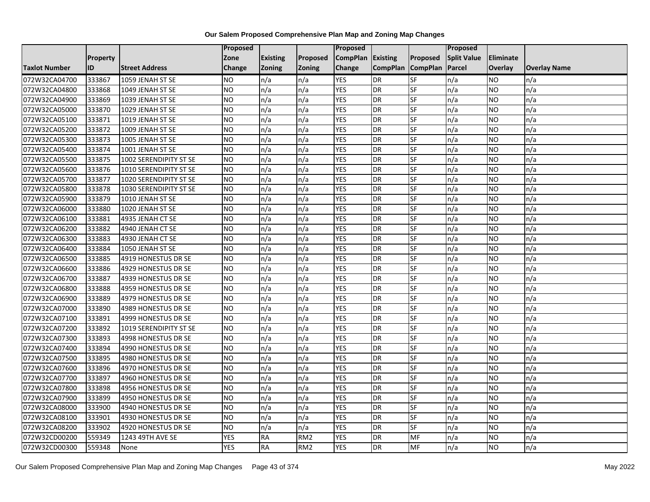|                      |                 |                        | Proposed        |                 |                 | <b>Proposed</b> |                 |                 | <b>Proposed</b>    |                |                     |
|----------------------|-----------------|------------------------|-----------------|-----------------|-----------------|-----------------|-----------------|-----------------|--------------------|----------------|---------------------|
|                      | <b>Property</b> |                        | Zone            | <b>Existing</b> | Proposed        | <b>CompPlan</b> | <b>Existing</b> | Proposed        | <b>Split Value</b> | Eliminate      |                     |
| <b>Taxlot Number</b> | ID              | <b>Street Address</b>  | Change          | <b>Zoning</b>   | <b>Zoning</b>   | Change          | <b>CompPlan</b> | <b>CompPlan</b> | Parcel             | <b>Overlay</b> | <b>Overlay Name</b> |
| 072W32CA04700        | 333867          | 1059 JENAH ST SE       | NO.             | n/a             | n/a             | <b>YES</b>      | <b>DR</b>       | <b>SF</b>       | n/a                | NO             | n/a                 |
| 072W32CA04800        | 333868          | 1049 JENAH ST SE       | <b>NO</b>       | n/a             | n/a             | <b>YES</b>      | <b>DR</b>       | <b>SF</b>       | n/a                | NO.            | n/a                 |
| 072W32CA04900        | 333869          | 1039 JENAH ST SE       | <b>NO</b>       | n/a             | n/a             | <b>YES</b>      | <b>DR</b>       | SF              | n/a                | NO.            | n/a                 |
| 072W32CA05000        | 333870          | 1029 JENAH ST SE       | <b>NO</b>       | n/a             | n/a             | <b>YES</b>      | <b>DR</b>       | SF              | n/a                | NO.            | n/a                 |
| 072W32CA05100        | 333871          | 1019 JENAH ST SE       | <b>NO</b>       | n/a             | n/a             | <b>YES</b>      | <b>DR</b>       | <b>SF</b>       | n/a                | NO.            | n/a                 |
| 072W32CA05200        | 333872          | 1009 JENAH ST SE       | NO              | n/a             | n/a             | <b>YES</b>      | <b>DR</b>       | SF              | n/a                | <b>NO</b>      | n/a                 |
| 072W32CA05300        | 333873          | 1005 JENAH ST SE       | <b>NO</b>       | n/a             | n/a             | <b>YES</b>      | <b>DR</b>       | SF              | n/a                | NO.            | n/a                 |
| 072W32CA05400        | 333874          | 1001 JENAH ST SE       | <b>NO</b>       | n/a             | n/a             | <b>YES</b>      | <b>DR</b>       | SF              | n/a                | NO.            | n/a                 |
| 072W32CA05500        | 333875          | 1002 SERENDIPITY ST SE | NO              | n/a             | n/a             | <b>YES</b>      | <b>DR</b>       | SF              | n/a                | NO.            | n/a                 |
| 072W32CA05600        | 333876          | 1010 SERENDIPITY ST SE | Ю               | n/a             | n/a             | <b>YES</b>      | <b>DR</b>       | SF              | n/a                | NO.            | n/a                 |
| 072W32CA05700        | 333877          | 1020 SERENDIPITY ST SE | <b>NO</b>       | n/a             | n/a             | <b>YES</b>      | <b>DR</b>       | SF              | n/a                | <b>NO</b>      | n/a                 |
| 072W32CA05800        | 333878          | 1030 SERENDIPITY ST SE | <b>NO</b>       | n/a             | n/a             | <b>YES</b>      | <b>DR</b>       | SF              | n/a                | <b>NO</b>      | n/a                 |
| 072W32CA05900        | 333879          | 1010 JENAH ST SE       | Ю               | n/a             | n/a             | <b>YES</b>      | <b>DR</b>       | <b>SF</b>       | n/a                | NO.            | n/a                 |
| 072W32CA06000        | 333880          | 1020 JENAH ST SE       | <b>NO</b>       | n/a             | n/a             | <b>YES</b>      | <b>DR</b>       | SF              | n/a                | NO.            | n/a                 |
| 072W32CA06100        | 333881          | 4935 JENAH CT SE       | <b>NO</b>       | n/a             | n/a             | <b>YES</b>      | <b>DR</b>       | SF              | n/a                | NO.            | n/a                 |
| 072W32CA06200        | 333882          | 4940 JENAH CT SE       | $\overline{NO}$ | n/a             | n/a             | <b>YES</b>      | <b>DR</b>       | <b>SF</b>       | n/a                | NO.            | n/a                 |
| 072W32CA06300        | 333883          | 4930 JENAH CT SE       | $\overline{NO}$ | n/a             | n/a             | <b>YES</b>      | <b>DR</b>       | <b>SF</b>       | n/a                | NO.            | n/a                 |
| 072W32CA06400        | 333884          | 1050 JENAH ST SE       | <b>NO</b>       | n/a             | n/a             | <b>YES</b>      | <b>DR</b>       | SF              | n/a                | NO.            | n/a                 |
| 072W32CA06500        | 333885          | 4919 HONESTUS DR SE    | <b>NO</b>       | n/a             | n/a             | <b>YES</b>      | <b>DR</b>       | <b>SF</b>       | n/a                | NO.            | n/a                 |
| 072W32CA06600        | 333886          | 4929 HONESTUS DR SE    | <b>NO</b>       | n/a             | n/a             | <b>YES</b>      | <b>DR</b>       | <b>SF</b>       | n/a                | ΝO             | n/a                 |
| 072W32CA06700        | 333887          | 4939 HONESTUS DR SE    | <b>NO</b>       | n/a             | n/a             | <b>YES</b>      | <b>DR</b>       | SF              | n/a                | NO.            | n/a                 |
| 072W32CA06800        | 333888          | 4959 HONESTUS DR SE    | <b>NO</b>       | n/a             | n/a             | <b>YES</b>      | <b>DR</b>       | <b>SF</b>       | n/a                | NO.            | n/a                 |
| 072W32CA06900        | 333889          | 4979 HONESTUS DR SE    | $\overline{NO}$ | n/a             | n/a             | <b>YES</b>      | <b>DR</b>       | <b>SF</b>       | n/a                | NO.            | n/a                 |
| 072W32CA07000        | 333890          | 4989 HONESTUS DR SE    | <b>NO</b>       | n/a             | n/a             | <b>YES</b>      | <b>DR</b>       | <b>SF</b>       | n/a                | NO.            | n/a                 |
| 072W32CA07100        | 333891          | 4999 HONESTUS DR SE    | $\overline{NO}$ | n/a             | n/a             | <b>YES</b>      | <b>DR</b>       | SF              | n/a                | NO.            | n/a                 |
| 072W32CA07200        | 333892          | 1019 SERENDIPITY ST SE | <b>NO</b>       | n/a             | n/a             | <b>YES</b>      | <b>DR</b>       | <b>SF</b>       | n/a                | NO.            | n/a                 |
| 072W32CA07300        | 333893          | 4998 HONESTUS DR SE    | Ю               | n/a             | n/a             | <b>YES</b>      | <b>DR</b>       | $S_{F}$         | n/a                | NO.            | n/a                 |
| 072W32CA07400        | 333894          | 4990 HONESTUS DR SE    | <b>NO</b>       | n/a             | n/a             | <b>YES</b>      | <b>DR</b>       | SF              | n/a                | NO.            | n/a                 |
| 072W32CA07500        | 333895          | 4980 HONESTUS DR SE    | <b>NO</b>       | n/a             | n/a             | <b>YES</b>      | <b>DR</b>       | <b>SF</b>       | n/a                | NO.            | n/a                 |
| 072W32CA07600        | 333896          | 4970 HONESTUS DR SE    | <b>NO</b>       | n/a             | n/a             | <b>YES</b>      | <b>DR</b>       | SF              | n/a                | NO.            | n/a                 |
| 072W32CA07700        | 333897          | 4960 HONESTUS DR SE    | <b>NO</b>       | n/a             | n/a             | <b>YES</b>      | <b>DR</b>       | <b>SF</b>       | n/a                | NO.            | n/a                 |
| 072W32CA07800        | 333898          | 4956 HONESTUS DR SE    | ŌИ              | n/a             | n/a             | <b>YES</b>      | <b>DR</b>       | <b>SF</b>       | n/a                | NO.            | n/a                 |
| 072W32CA07900        | 333899          | 4950 HONESTUS DR SE    | $\overline{NO}$ | n/a             | n/a             | <b>YES</b>      | <b>DR</b>       | <b>SF</b>       | n/a                | NO.            | n/a                 |
| 072W32CA08000        | 333900          | 4940 HONESTUS DR SE    | <b>NO</b>       | n/a             | n/a             | <b>YES</b>      | <b>DR</b>       | SF              | n/a                | NO.            | n/a                 |
| 072W32CA08100        | 333901          | 4930 HONESTUS DR SE    | <b>NO</b>       | n/a             | n/a             | <b>YES</b>      | <b>DR</b>       | SF              | n/a                | NO.            | n/a                 |
| 072W32CA08200        | 333902          | 4920 HONESTUS DR SE    | <b>NO</b>       | n/a             | n/a             | <b>YES</b>      | <b>DR</b>       | SF              | n/a                | NO.            | n/a                 |
| 072W32CD00200        | 559349          | 1243 49TH AVE SE       | <b>YES</b>      | <b>RA</b>       | RM <sub>2</sub> | <b>YES</b>      | <b>DR</b>       | MF              | n/a                | NO             | n/a                 |
| 072W32CD00300        | 559348          | None                   | <b>YES</b>      | <b>RA</b>       | RM <sub>2</sub> | <b>YES</b>      | <b>DR</b>       | MF              | n/a                | NO.            | n/a                 |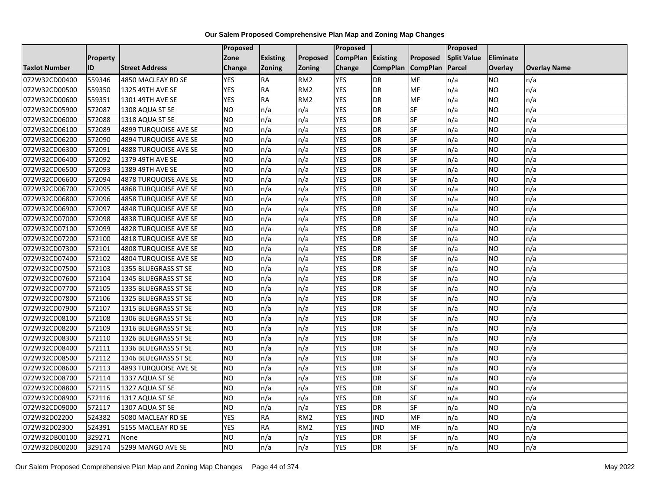|                      |                 |                              | Proposed        |                 |                 | <b>Proposed</b>   |                 |                 | Proposed           |           |                     |
|----------------------|-----------------|------------------------------|-----------------|-----------------|-----------------|-------------------|-----------------|-----------------|--------------------|-----------|---------------------|
|                      | <b>Property</b> |                              | Zone            | <b>Existing</b> | <b>Proposed</b> | CompPlan Existing |                 | <b>Proposed</b> | <b>Split Value</b> | Eliminate |                     |
| <b>Taxlot Number</b> | ID              | <b>Street Address</b>        | Change          | <b>Zoning</b>   | <b>Zoning</b>   | Change            | <b>CompPlan</b> | <b>CompPlan</b> | Parcel             | Overlay   | <b>Overlay Name</b> |
| 072W32CD00400        | 559346          | 4850 MACLEAY RD SE           | <b>YES</b>      | <b>RA</b>       | RM <sub>2</sub> | <b>YES</b>        | <b>DR</b>       | MF              | n/a                | <b>NO</b> | n/a                 |
| 072W32CD00500        | 559350          | 1325 49TH AVE SE             | <b>YES</b>      | <b>RA</b>       | RM <sub>2</sub> | <b>YES</b>        | <b>DR</b>       | <b>MF</b>       | n/a                | NO.       | n/a                 |
| 072W32CD00600        | 559351          | 1301 49TH AVE SE             | <b>YES</b>      | <b>RA</b>       | RM <sub>2</sub> | <b>YES</b>        | <b>DR</b>       | MF              | n/a                | NO.       | n/a                 |
| 072W32CD05900        | 572087          | 1308 AQUA ST SE              | <b>NO</b>       | n/a             | n/a             | <b>YES</b>        | DR              | SF              | n/a                | NO.       | n/a                 |
| 072W32CD06000        | 572088          | 1318 AQUA ST SE              | <b>NO</b>       | n/a             | n/a             | <b>YES</b>        | <b>DR</b>       | <b>SF</b>       | n/a                | NO.       | n/a                 |
| 072W32CD06100        | 572089          | 4899 TURQUOISE AVE SE        | <b>NO</b>       | n/a             | n/a             | <b>YES</b>        | <b>DR</b>       | SF              | n/a                | <b>NO</b> | n/a                 |
| 072W32CD06200        | 572090          | 4894 TURQUOISE AVE SE        | <b>NO</b>       | n/a             | n/a             | <b>YES</b>        | <b>DR</b>       | SF              | n/a                | NO.       | n/a                 |
| 072W32CD06300        | 572091          | <b>4888 TURQUOISE AVE SE</b> | <b>NO</b>       | n/a             | n/a             | <b>YES</b>        | <b>DR</b>       | SF              | n/a                | NO.       | n/a                 |
| 072W32CD06400        | 572092          | 1379 49TH AVE SE             | NO              | n/a             | n/a             | <b>YES</b>        | <b>DR</b>       | SF              | n/a                | NO.       | n/a                 |
| 072W32CD06500        | 572093          | 1389 49TH AVE SE             | $\overline{NO}$ | n/a             | n/a             | <b>YES</b>        | <b>DR</b>       | <b>SF</b>       | n/a                | NO.       | n/a                 |
| 072W32CD06600        | 572094          | 4878 TURQUOISE AVE SE        | <b>NO</b>       | n/a             | n/a             | <b>YES</b>        | <b>DR</b>       | SF              | n/a                | NO.       | n/a                 |
| 072W32CD06700        | 572095          | <b>4868 TURQUOISE AVE SE</b> | <b>NO</b>       | n/a             | n/a             | <b>YES</b>        | <b>DR</b>       | SF              | n/a                | <b>NO</b> | n/a                 |
| 072W32CD06800        | 572096          | 4858 TURQUOISE AVE SE        | Ю               | n/a             | n/a             | <b>YES</b>        | <b>DR</b>       | <b>SF</b>       | n/a                | NO.       | n/a                 |
| 072W32CD06900        | 572097          | 4848 TURQUOISE AVE SE        | <b>NO</b>       | n/a             | n/a             | <b>YES</b>        | <b>DR</b>       | SF              | n/a                | NO.       | n/a                 |
| 072W32CD07000        | 572098          | <b>4838 TURQUOISE AVE SE</b> | <b>NO</b>       | n/a             | n/a             | <b>YES</b>        | <b>DR</b>       | SF              | n/a                | NO.       | n/a                 |
| 072W32CD07100        | 572099          | 4828 TURQUOISE AVE SE        | ŌИ              | n/a             | n/a             | <b>YES</b>        | <b>DR</b>       | <b>SF</b>       | n/a                | NO.       | n/a                 |
| 072W32CD07200        | 572100          | 4818 TURQUOISE AVE SE        | NO              | n/a             | n/a             | <b>YES</b>        | <b>DR</b>       | <b>SF</b>       | n/a                | NO.       | n/a                 |
| 072W32CD07300        | 572101          | 4808 TURQUOISE AVE SE        | <b>NO</b>       | n/a             | n/a             | <b>YES</b>        | <b>DR</b>       | SF              | n/a                | NO.       | n/a                 |
| 072W32CD07400        | 572102          | 4804 TURQUOISE AVE SE        | <b>NO</b>       | n/a             | n/a             | <b>YES</b>        | <b>DR</b>       | SF              | n/a                | <b>NO</b> | n/a                 |
| 072W32CD07500        | 572103          | 1355 BLUEGRASS ST SE         | <b>NO</b>       | n/a             | n/a             | <b>YES</b>        | <b>DR</b>       | <b>SF</b>       | n/a                | ΝO        | n/a                 |
| 072W32CD07600        | 572104          | 1345 BLUEGRASS ST SE         | <b>NO</b>       | n/a             | n/a             | <b>YES</b>        | <b>DR</b>       | SF              | n/a                | NO.       | n/a                 |
| 072W32CD07700        | 572105          | 1335 BLUEGRASS ST SE         | <b>NO</b>       | n/a             | n/a             | <b>YES</b>        | <b>DR</b>       | <b>SF</b>       | n/a                | <b>NO</b> | n/a                 |
| 072W32CD07800        | 572106          | 1325 BLUEGRASS ST SE         | $\overline{NO}$ | n/a             | n/a             | <b>YES</b>        | <b>DR</b>       | <b>SF</b>       | n/a                | NO.       | n/a                 |
| 072W32CD07900        | 572107          | 1315 BLUEGRASS ST SE         | <b>NO</b>       | n/a             | n/a             | <b>YES</b>        | <b>DR</b>       | SF              | n/a                | NO        | n/a                 |
| 072W32CD08100        | 572108          | 1306 BLUEGRASS ST SE         | $\overline{NO}$ | n/a             | n/a             | <b>YES</b>        | <b>DR</b>       | SF              | n/a                | NO.       | n/a                 |
| 072W32CD08200        | 572109          | 1316 BLUEGRASS ST SE         | <b>NO</b>       | n/a             | n/a             | <b>YES</b>        | <b>DR</b>       | SF              | n/a                | NO.       | n/a                 |
| 072W32CD08300        | 572110          | 1326 BLUEGRASS ST SE         | NO              | n/a             | n/a             | <b>YES</b>        | <b>DR</b>       | $S_{F}$         | n/a                | NO.       | n/a                 |
| 072W32CD08400        | 572111          | 1336 BLUEGRASS ST SE         | <b>NO</b>       | n/a             | n/a             | <b>YES</b>        | <b>DR</b>       | SF              | n/a                | NO.       | n/a                 |
| 072W32CD08500        | 572112          | 1346 BLUEGRASS ST SE         | <b>NO</b>       | n/a             | n/a             | <b>YES</b>        | <b>DR</b>       | SF              | n/a                | NO.       | n/a                 |
| 072W32CD08600        | 572113          | <b>4893 TURQUOISE AVE SE</b> | <b>NO</b>       | n/a             | n/a             | <b>YES</b>        | <b>DR</b>       | SF              | n/a                | <b>NO</b> | n/a                 |
| 072W32CD08700        | 572114          | 1337 AQUA ST SE              | <b>NO</b>       | n/a             | n/a             | <b>YES</b>        | <b>DR</b>       | SF              | n/a                | NO.       | n/a                 |
| 072W32CD08800        | 572115          | 1327 AQUA ST SE              | <b>NO</b>       | n/a             | n/a             | <b>YES</b>        | <b>DR</b>       | <b>SF</b>       | n/a                | NO.       | n/a                 |
| 072W32CD08900        | 572116          | 1317 AQUA ST SE              | $\overline{NO}$ | n/a             | n/a             | <b>YES</b>        | <b>DR</b>       | SF              | n/a                | NO.       | n/a                 |
| 072W32CD09000        | 572117          | 1307 AQUA ST SE              | <b>NO</b>       | n/a             | n/a             | <b>YES</b>        | <b>DR</b>       | SF              | n/a                | NO.       | n/a                 |
| 072W32D02200         | 524382          | 5080 MACLEAY RD SE           | <b>YES</b>      | <b>RA</b>       | RM <sub>2</sub> | <b>YES</b>        | <b>IND</b>      | MF              | n/a                | NO.       | n/a                 |
| 072W32D02300         | 524391          | 5155 MACLEAY RD SE           | <b>YES</b>      | <b>RA</b>       | RM <sub>2</sub> | <b>YES</b>        | <b>IND</b>      | MF              | n/a                | NO        | n/a                 |
| 072W32DB00100        | 329271          | None                         | <b>NO</b>       | n/a             | n/a             | <b>YES</b>        | DR              | SF              | n/a                | NO        | n/a                 |
| 072W32DB00200        | 329174          | 5299 MANGO AVE SE            | <b>NO</b>       | n/a             | n/a             | <b>YES</b>        | <b>DR</b>       | SF              | n/a                | NO.       | n/a                 |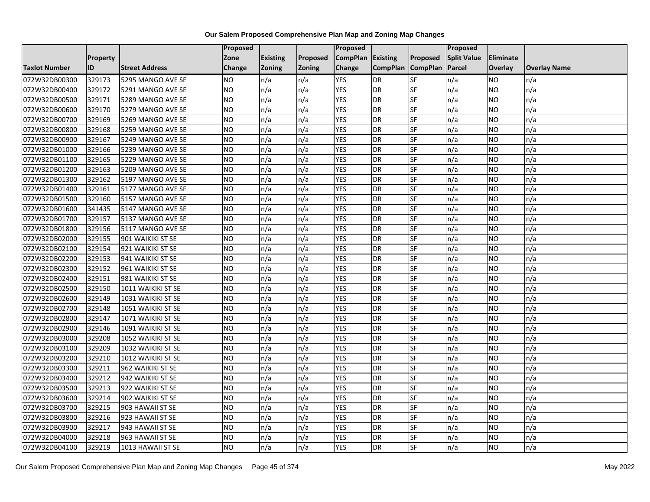|                      |                 |                       | Proposed        |                 |               | <b>Proposed</b> |                 |                 | <b>Proposed</b>    |                |                     |
|----------------------|-----------------|-----------------------|-----------------|-----------------|---------------|-----------------|-----------------|-----------------|--------------------|----------------|---------------------|
|                      | <b>Property</b> |                       | Zone            | <b>Existing</b> | Proposed      | <b>CompPlan</b> | <b>Existing</b> | Proposed        | <b>Split Value</b> | Eliminate      |                     |
| <b>Taxlot Number</b> | ID              | <b>Street Address</b> | Change          | <b>Zoning</b>   | <b>Zoning</b> | Change          | <b>CompPlan</b> | <b>CompPlan</b> | <b>Parcel</b>      | <b>Overlay</b> | <b>Overlay Name</b> |
| 072W32DB00300        | 329173          | 5295 MANGO AVE SE     | NO.             | n/a             | n/a           | <b>YES</b>      | <b>DR</b>       | <b>SF</b>       | n/a                | NO             | n/a                 |
| 072W32DB00400        | 329172          | 5291 MANGO AVE SE     | <b>NO</b>       | n/a             | n/a           | <b>YES</b>      | <b>DR</b>       | <b>SF</b>       | n/a                | NO.            | n/a                 |
| 072W32DB00500        | 329171          | 5289 MANGO AVE SE     | <b>NO</b>       | n/a             | n/a           | <b>YES</b>      | <b>DR</b>       | SF              | n/a                | NO.            | n/a                 |
| 072W32DB00600        | 329170          | 5279 MANGO AVE SE     | <b>NO</b>       | n/a             | n/a           | <b>YES</b>      | <b>DR</b>       | SF              | n/a                | NO.            | n/a                 |
| 072W32DB00700        | 329169          | 5269 MANGO AVE SE     | ŌИ              | n/a             | n/a           | <b>YES</b>      | <b>DR</b>       | <b>SF</b>       | n/a                | NO.            | n/a                 |
| 072W32DB00800        | 329168          | 5259 MANGO AVE SE     | NO              | n/a             | n/a           | <b>YES</b>      | <b>DR</b>       | SF              | n/a                | NO.            | n/a                 |
| 072W32DB00900        | 329167          | 5249 MANGO AVE SE     | <b>NO</b>       | n/a             | n/a           | <b>YES</b>      | <b>DR</b>       | SF              | n/a                | NO.            | n/a                 |
| 072W32DB01000        | 329166          | 5239 MANGO AVE SE     | <b>NO</b>       | n/a             | n/a           | <b>YES</b>      | <b>DR</b>       | SF              | n/a                | NO.            | n/a                 |
| 072W32DB01100        | 329165          | 5229 MANGO AVE SE     | <b>NO</b>       | n/a             | n/a           | <b>YES</b>      | <b>DR</b>       | SF              | n/a                | ΝO             | n/a                 |
| 072W32DB01200        | 329163          | 5209 MANGO AVE SE     | <b>NO</b>       | n/a             | n/a           | <b>YES</b>      | <b>DR</b>       | SF              | n/a                | NO.            | n/a                 |
| 072W32DB01300        | 329162          | 5197 MANGO AVE SE     | <b>NO</b>       | n/a             | n/a           | <b>YES</b>      | <b>DR</b>       | SF              | n/a                | NO.            | n/a                 |
| 072W32DB01400        | 329161          | 5177 MANGO AVE SE     | <b>NO</b>       | n/a             | n/a           | <b>YES</b>      | <b>DR</b>       | <b>SF</b>       | n/a                | NO.            | n/a                 |
| 072W32DB01500        | 329160          | 5157 MANGO AVE SE     | <b>NO</b>       | n/a             | n/a           | <b>YES</b>      | <b>DR</b>       | SF              | n/a                | NO.            | n/a                 |
| 072W32DB01600        | 341435          | 5147 MANGO AVE SE     | <b>NO</b>       | n/a             | n/a           | <b>YES</b>      | <b>DR</b>       | <b>SF</b>       | n/a                | <b>NO</b>      | n/a                 |
| 072W32DB01700        | 329157          | 5137 MANGO AVE SE     | <b>NO</b>       | n/a             | n/a           | <b>YES</b>      | <b>DR</b>       | SF              | n/a                | ΝO             | n/a                 |
| 072W32DB01800        | 329156          | 5117 MANGO AVE SE     | <b>NO</b>       | n/a             | n/a           | <b>YES</b>      | <b>DR</b>       | <b>SF</b>       | n/a                | NO.            | n/a                 |
| 072W32DB02000        | 329155          | 901 WAIKIKI ST SE     | <b>NO</b>       | n/a             | n/a           | <b>YES</b>      | DR              | SF              | n/a                | NO.            | n/a                 |
| 072W32DB02100        | 329154          | 921 WAIKIKI ST SE     | <b>NO</b>       | n/a             | n/a           | <b>YES</b>      | <b>DR</b>       | SF              | n/a                | NO.            | n/a                 |
| 072W32DB02200        | 329153          | 941 WAIKIKI ST SE     | <b>NO</b>       | n/a             | n/a           | <b>YES</b>      | <b>DR</b>       | SF              | n/a                | <b>NO</b>      | n/a                 |
| 072W32DB02300        | 329152          | 961 WAIKIKI ST SE     | <b>NO</b>       | n/a             | n/a           | <b>YES</b>      | <b>DR</b>       | SF              | n/a                | NO.            | n/a                 |
| 072W32DB02400        | 329151          | 981 WAIKIKI ST SE     | <b>NO</b>       | n/a             | n/a           | <b>YES</b>      | <b>DR</b>       | SF              | n/a                | NO.            | n/a                 |
| 072W32DB02500        | 329150          | 1011 WAIKIKI ST SE    | NO              | n/a             | n/a           | <b>YES</b>      | <b>DR</b>       | <b>SF</b>       | n/a                | NO.            | n/a                 |
| 072W32DB02600        | 329149          | 1031 WAIKIKI ST SE    | <b>NO</b>       | n/a             | n/a           | <b>YES</b>      | <b>DR</b>       | SF              | n/a                | NO.            | n/a                 |
| 072W32DB02700        | 329148          | 1051 WAIKIKI ST SE    | <b>NO</b>       | n/a             | n/a           | <b>YES</b>      | <b>DR</b>       | SF              | n/a                | NO.            | n/a                 |
| 072W32DB02800        | 329147          | 1071 WAIKIKI ST SE    | $\overline{NO}$ | n/a             | n/a           | <b>YES</b>      | <b>DR</b>       | <b>SF</b>       | n/a                | <b>NO</b>      | n/a                 |
| 072W32DB02900        | 329146          | 1091 WAIKIKI ST SE    | <b>NO</b>       | n/a             | n/a           | <b>YES</b>      | <b>DR</b>       | SF              | n/a                | NO.            | n/a                 |
| 072W32DB03000        | 329208          | 1052 WAIKIKI ST SE    | <b>NO</b>       | n/a             | n/a           | <b>YES</b>      | <b>DR</b>       | SF              | n/a                | NO.            | n/a                 |
| 072W32DB03100        | 329209          | 1032 WAIKIKI ST SE    | <b>NO</b>       | n/a             | n/a           | <b>YES</b>      | <b>DR</b>       | SF              | n/a                | NO.            | n/a                 |
| 072W32DB03200        | 329210          | 1012 WAIKIKI ST SE    | <b>NO</b>       | n/a             | n/a           | <b>YES</b>      | <b>DR</b>       | SF              | n/a                | NO.            | n/a                 |
| 072W32DB03300        | 329211          | 962 WAIKIKI ST SE     | <b>NO</b>       | n/a             | n/a           | <b>YES</b>      | <b>DR</b>       | SF              | n/a                | NO.            | n/a                 |
| 072W32DB03400        | 329212          | 942 WAIKIKI ST SE     | <b>NO</b>       | n/a             | n/a           | <b>YES</b>      | <b>DR</b>       | SF              | n/a                | ΝO             | n/a                 |
| 072W32DB03500        | 329213          | 922 WAIKIKI ST SE     | <b>NO</b>       | n/a             | n/a           | <b>YES</b>      | <b>DR</b>       | <b>SF</b>       | n/a                | NO.            | n/a                 |
| 072W32DB03600        | 329214          | 902 WAIKIKI ST SE     | <b>NO</b>       | n/a             | n/a           | <b>YES</b>      | <b>DR</b>       | SF              | n/a                | NO.            | n/a                 |
| 072W32DB03700        | 329215          | 903 HAWAII ST SE      | <b>NO</b>       | n/a             | n/a           | <b>YES</b>      | <b>DR</b>       | SF              | n/a                | NO.            | n/a                 |
| 072W32DB03800        | 329216          | 923 HAWAII ST SE      | $\overline{NO}$ | n/a             | n/a           | <b>YES</b>      | <b>DR</b>       | SF              | n/a                | NO.            | n/a                 |
| 072W32DB03900        | 329217          | 943 HAWAII ST SE      | NO              | n/a             | n/a           | <b>YES</b>      | <b>DR</b>       | SF              | n/a                | NO.            | n/a                 |
| 072W32DB04000        | 329218          | 963 HAWAII ST SE      | <b>NO</b>       | n/a             | n/a           | <b>YES</b>      | <b>DR</b>       | SF              | n/a                | <b>NO</b>      | n/a                 |
| 072W32DB04100        | 329219          | 1013 HAWAII ST SE     | $\overline{NO}$ | n/a             | n/a           | <b>YES</b>      | <b>DR</b>       | SF              | n/a                | <b>NO</b>      | n/a                 |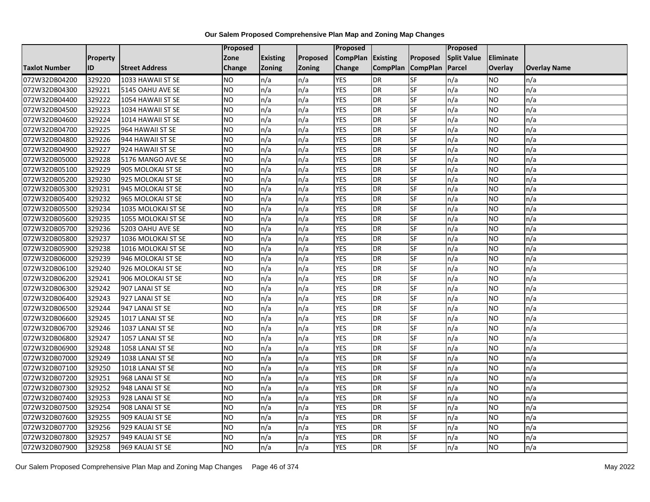|                      |           |                       | Proposed        |                 |               | <b>Proposed</b> |                 |                 | <b>Proposed</b>    |                |                     |
|----------------------|-----------|-----------------------|-----------------|-----------------|---------------|-----------------|-----------------|-----------------|--------------------|----------------|---------------------|
|                      | Property  |                       | Zone            | <b>Existing</b> | Proposed      | <b>CompPlan</b> | <b>Existing</b> | Proposed        | <b>Split Value</b> | Eliminate      |                     |
| <b>Taxlot Number</b> | <b>ID</b> | <b>Street Address</b> | Change          | <b>Zoning</b>   | <b>Zoning</b> | Change          | <b>CompPlan</b> | <b>CompPlan</b> | Parcel             | <b>Overlay</b> | <b>Overlay Name</b> |
| 072W32DB04200        | 329220    | 1033 HAWAII ST SE     | <b>NO</b>       | n/a             | n/a           | <b>YES</b>      | <b>DR</b>       | <b>SF</b>       | n/a                | NO.            | n/a                 |
| 072W32DB04300        | 329221    | 5145 OAHU AVE SE      | Ю               | n/a             | n/a           | <b>YES</b>      | <b>DR</b>       | <b>SF</b>       | n/a                | NO.            | n/a                 |
| 072W32DB04400        | 329222    | 1054 HAWAII ST SE     | <b>NO</b>       | n/a             | n/a           | <b>YES</b>      | <b>DR</b>       | SF              | n/a                | <b>NO</b>      | n/a                 |
| 072W32DB04500        | 329223    | 1034 HAWAII ST SE     | <b>NO</b>       | n/a             | n/a           | <b>YES</b>      | <b>DR</b>       | SF              | n/a                | NO.            | n/a                 |
| 072W32DB04600        | 329224    | 1014 HAWAII ST SE     | $\overline{NO}$ | n/a             | n/a           | <b>YES</b>      | <b>DR</b>       | <b>SF</b>       | n/a                | NO.            | n/a                 |
| 072W32DB04700        | 329225    | 964 HAWAII ST SE      | <b>NO</b>       | n/a             | n/a           | <b>YES</b>      | <b>DR</b>       | SF              | n/a                | NO.            | n/a                 |
| 072W32DB04800        | 329226    | 944 HAWAII ST SE      | <b>NO</b>       | n/a             | n/a           | <b>YES</b>      | <b>DR</b>       | SF              | n/a                | NO.            | n/a                 |
| 072W32DB04900        | 329227    | 924 HAWAII ST SE      | $\overline{NO}$ | n/a             | n/a           | <b>YES</b>      | <b>DR</b>       | SF              | n/a                | <b>NO</b>      | n/a                 |
| 072W32DB05000        | 329228    | 5176 MANGO AVE SE     | <b>NO</b>       | n/a             | n/a           | <b>YES</b>      | <b>DR</b>       | SF              | n/a                | NO.            | n/a                 |
| 072W32DB05100        | 329229    | 905 MOLOKAI ST SE     | $\overline{NO}$ | n/a             | n/a           | <b>YES</b>      | <b>DR</b>       | <b>SF</b>       | n/a                | NO.            | n/a                 |
| 072W32DB05200        | 329230    | 925 MOLOKAI ST SE     | <b>NO</b>       | n/a             | n/a           | <b>YES</b>      | <b>DR</b>       | SF              | n/a                | NO.            | n/a                 |
| 072W32DB05300        | 329231    | 945 MOLOKAI ST SE     | <b>NO</b>       | n/a             | n/a           | <b>YES</b>      | <b>DR</b>       | SF              | n/a                | <b>NO</b>      | n/a                 |
| 072W32DB05400        | 329232    | 965 MOLOKAI ST SE     | ŌИ              | n/a             | n/a           | <b>YES</b>      | <b>DR</b>       | $S$ F           | n/a                | NO.            | n/a                 |
| 072W32DB05500        | 329234    | 1035 MOLOKAI ST SE    | <b>NO</b>       | n/a             | n/a           | <b>YES</b>      | <b>DR</b>       | SF              | n/a                | NO.            | n/a                 |
| 072W32DB05600        | 329235    | 1055 MOLOKAI ST SE    | <b>NO</b>       | n/a             | n/a           | <b>YES</b>      | <b>DR</b>       | SF              | n/a                | NO.            | n/a                 |
| 072W32DB05700        | 329236    | 5203 OAHU AVE SE      | NO              | n/a             | n/a           | <b>YES</b>      | <b>DR</b>       | SF              | n/a                | NO.            | n/a                 |
| 072W32DB05800        | 329237    | 1036 MOLOKAI ST SE    | <b>NO</b>       | n/a             | n/a           | <b>YES</b>      | <b>DR</b>       | SF              | n/a                | NO.            | n/a                 |
| 072W32DB05900        | 329238    | 1016 MOLOKAI ST SE    | <b>NO</b>       | n/a             | n/a           | <b>YES</b>      | <b>DR</b>       | SF              | n/a                | NO.            | n/a                 |
| 072W32DB06000        | 329239    | 946 MOLOKAI ST SE     | $\overline{NO}$ | n/a             | n/a           | <b>YES</b>      | <b>DR</b>       | SF              | n/a                | NO.            | n/a                 |
| 072W32DB06100        | 329240    | 926 MOLOKAI ST SE     | <b>NO</b>       | n/a             | n/a           | <b>YES</b>      | <b>DR</b>       | SF              | n/a                | NO.            | n/a                 |
| 072W32DB06200        | 329241    | 906 MOLOKAI ST SE     | <b>NO</b>       | n/a             | n/a           | <b>YES</b>      | <b>DR</b>       | <b>SF</b>       | n/a                | NO.            | n/a                 |
| 072W32DB06300        | 329242    | 907 LANAI ST SE       | <b>NO</b>       | n/a             | n/a           | <b>YES</b>      | <b>DR</b>       | SF              | n/a                | NO.            | n/a                 |
| 072W32DB06400        | 329243    | 927 LANAI ST SE       | <b>NO</b>       | n/a             | n/a           | <b>YES</b>      | <b>DR</b>       | <b>SF</b>       | n/a                | NO.            | n/a                 |
| 072W32DB06500        | 329244    | 947 LANAI ST SE       | NO              | n/a             | n/a           | <b>YES</b>      | <b>DR</b>       | SF              | n/a                | NO.            | n/a                 |
| 072W32DB06600        | 329245    | 1017 LANAI ST SE      | <b>NO</b>       | n/a             | n/a           | <b>YES</b>      | <b>DR</b>       | SF              | n/a                | NO.            | n/a                 |
| 072W32DB06700        | 329246    | 1037 LANAI ST SE      | <b>NO</b>       | n/a             | n/a           | <b>YES</b>      | <b>DR</b>       | <b>SF</b>       | n/a                | NO.            | n/a                 |
| 072W32DB06800        | 329247    | 1057 LANAI ST SE      | N <sub>O</sub>  | n/a             | n/a           | <b>YES</b>      | <b>DR</b>       | <b>SF</b>       | n/a                | NO.            | n/a                 |
| 072W32DB06900        | 329248    | 1058 LANAI ST SE      | <b>NO</b>       | n/a             | n/a           | <b>YES</b>      | <b>DR</b>       | SF              | n/a                | NO.            | n/a                 |
| 072W32DB07000        | 329249    | 1038 LANAI ST SE      | <b>NO</b>       | n/a             | n/a           | <b>YES</b>      | <b>DR</b>       | SF              | n/a                | NO.            | n/a                 |
| 072W32DB07100        | 329250    | 1018 LANAI ST SE      | NO.             | n/a             | n/a           | <b>YES</b>      | <b>DR</b>       | $S_{F}$         | n/a                | ΝO             | n/a                 |
| 072W32DB07200        | 329251    | 968 LANAI ST SE       | <b>NO</b>       | n/a             | n/a           | <b>YES</b>      | <b>DR</b>       | SF              | n/a                | NO.            | n/a                 |
| 072W32DB07300        | 329252    | 948 LANAI ST SE       | <b>NO</b>       | n/a             | n/a           | <b>YES</b>      | <b>DR</b>       | <b>SF</b>       | n/a                | <b>NO</b>      | n/a                 |
| 072W32DB07400        | 329253    | 928 LANAI ST SE       | NO              | n/a             | n/a           | <b>YES</b>      | <b>DR</b>       | <b>SF</b>       | n/a                | NO.            | n/a                 |
| 072W32DB07500        | 329254    | 908 LANAI ST SE       | <b>NO</b>       | n/a             | n/a           | <b>YES</b>      | <b>DR</b>       | SF              | n/a                | NO.            | n/a                 |
| 072W32DB07600        | 329255    | 909 KAUAI ST SE       | $\overline{NO}$ | n/a             | n/a           | <b>YES</b>      | <b>DR</b>       | SF              | n/a                | <b>NO</b>      | n/a                 |
| 072W32DB07700        | 329256    | 929 KAUAI ST SE       | NO.             | n/a             | n/a           | <b>YES</b>      | <b>DR</b>       | <b>SF</b>       | n/a                | NO.            | n/a                 |
| 072W32DB07800        | 329257    | 949 KAUAI ST SE       | <b>NO</b>       | n/a             | n/a           | <b>YES</b>      | <b>DR</b>       | SF              | n/a                | <b>NO</b>      | n/a                 |
| 072W32DB07900        | 329258    | 969 KAUAI ST SE       | $\overline{NO}$ | n/a             | n/a           | <b>YES</b>      | <b>DR</b>       | $S_{F}$         | n/a                | NO.            | n/a                 |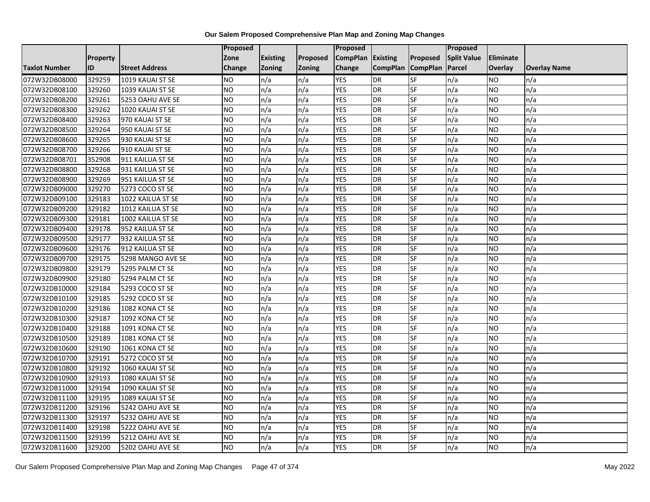|                      |                 |                       | Proposed        |                 |               | <b>Proposed</b>   |                 |                 | <b>Proposed</b>    |                |                     |
|----------------------|-----------------|-----------------------|-----------------|-----------------|---------------|-------------------|-----------------|-----------------|--------------------|----------------|---------------------|
|                      | <b>Property</b> |                       | Zone            | <b>Existing</b> | Proposed      | CompPlan Existing |                 | Proposed        | <b>Split Value</b> | Eliminate      |                     |
| <b>Taxlot Number</b> | <b>ID</b>       | <b>Street Address</b> | Change          | <b>Zoning</b>   | <b>Zoning</b> | Change            | <b>CompPlan</b> | <b>CompPlan</b> | Parcel             | <b>Overlay</b> | <b>Overlay Name</b> |
| 072W32DB08000        | 329259          | 1019 KAUAI ST SE      | NO.             | n/a             | n/a           | <b>YES</b>        | <b>DR</b>       | <b>SF</b>       | n/a                | NO             | n/a                 |
| 072W32DB08100        | 329260          | 1039 KAUAI ST SE      | <b>NO</b>       | n/a             | n/a           | <b>YES</b>        | <b>DR</b>       | <b>SF</b>       | n/a                | NO.            | n/a                 |
| 072W32DB08200        | 329261          | 5253 OAHU AVE SE      | <b>NO</b>       | n/a             | n/a           | <b>YES</b>        | <b>DR</b>       | SF              | n/a                | NO.            | n/a                 |
| 072W32DB08300        | 329262          | 1020 KAUAI ST SE      | <b>NO</b>       | n/a             | n/a           | <b>YES</b>        | <b>DR</b>       | SF              | n/a                | NO.            | n/a                 |
| 072W32DB08400        | 329263          | 970 KAUAI ST SE       | $\overline{NO}$ | n/a             | n/a           | <b>YES</b>        | <b>DR</b>       | <b>SF</b>       | n/a                | NO.            | n/a                 |
| 072W32DB08500        | 329264          | 950 KAUAI ST SE       | NO              | n/a             | n/a           | <b>YES</b>        | <b>DR</b>       | SF              | n/a                | <b>NO</b>      | n/a                 |
| 072W32DB08600        | 329265          | 930 KAUAI ST SE       | <b>NO</b>       | n/a             | n/a           | <b>YES</b>        | <b>DR</b>       | <b>SF</b>       | n/a                | NO.            | n/a                 |
| 072W32DB08700        | 329266          | 910 KAUAI ST SE       | <b>NO</b>       | n/a             | n/a           | <b>YES</b>        | <b>DR</b>       | SF              | n/a                | NO.            | n/a                 |
| 072W32DB08701        | 352908          | 911 KAILUA ST SE      | <b>NO</b>       | n/a             | n/a           | <b>YES</b>        | <b>DR</b>       | SF              | n/a                | ΝO             | n/a                 |
| 072W32DB08800        | 329268          | 931 KAILUA ST SE      | <b>NO</b>       | n/a             | n/a           | <b>YES</b>        | <b>DR</b>       | <b>SF</b>       | n/a                | NO.            | n/a                 |
| 072W32DB08900        | 329269          | 951 KAILUA ST SE      | <b>NO</b>       | n/a             | n/a           | <b>YES</b>        | <b>DR</b>       | <b>SF</b>       | n/a                | <b>NO</b>      | n/a                 |
| 072W32DB09000        | 329270          | 5273 COCO ST SE       | <b>NO</b>       | n/a             | n/a           | <b>YES</b>        | <b>DR</b>       | <b>SF</b>       | n/a                | NO.            | n/a                 |
| 072W32DB09100        | 329183          | 1022 KAILUA ST SE     | <b>NO</b>       | n/a             | n/a           | <b>YES</b>        | <b>DR</b>       | SF              | n/a                | NO.            | n/a                 |
| 072W32DB09200        | 329182          | 1012 KAILUA ST SE     | $\overline{NO}$ | n/a             | n/a           | <b>YES</b>        | <b>DR</b>       | <b>SF</b>       | n/a                | <b>NO</b>      | n/a                 |
| 072W32DB09300        | 329181          | 1002 KAILUA ST SE     | <b>NO</b>       | n/a             | n/a           | <b>YES</b>        | <b>DR</b>       | SF              | n/a                | ΝO             | n/a                 |
| 072W32DB09400        | 329178          | 952 KAILUA ST SE      | <b>NO</b>       | n/a             | n/a           | <b>YES</b>        | <b>DR</b>       | <b>SF</b>       | n/a                | NO.            | n/a                 |
| 072W32DB09500        | 329177          | 932 KAILUA ST SE      | <b>NO</b>       | n/a             | n/a           | <b>YES</b>        | <b>DR</b>       | SF              | n/a                | NO.            | n/a                 |
| 072W32DB09600        | 329176          | 912 KAILUA ST SE      | <b>NO</b>       | n/a             | n/a           | <b>YES</b>        | <b>DR</b>       | SF              | n/a                | NO.            | n/a                 |
| 072W32DB09700        | 329175          | 5298 MANGO AVE SE     | <b>NO</b>       | n/a             | n/a           | <b>YES</b>        | <b>DR</b>       | SF              | n/a                | <b>NO</b>      | n/a                 |
| 072W32DB09800        | 329179          | 5295 PALM CT SE       | <b>NO</b>       | n/a             | n/a           | <b>YES</b>        | <b>DR</b>       | <b>SF</b>       | n/a                | NO.            | n/a                 |
| 072W32DB09900        | 329180          | 5294 PALM CT SE       | <b>NO</b>       | n/a             | n/a           | <b>YES</b>        | <b>DR</b>       | SF              | n/a                | NO.            | n/a                 |
| 072W32DB10000        | 329184          | 5293 COCO ST SE       | NO              | n/a             | n/a           | <b>YES</b>        | <b>DR</b>       | <b>SF</b>       | n/a                | NO.            | n/a                 |
| 072W32DB10100        | 329185          | 5292 COCO ST SE       | <b>NO</b>       | n/a             | n/a           | <b>YES</b>        | <b>DR</b>       | <b>SF</b>       | n/a                | NO.            | n/a                 |
| 072W32DB10200        | 329186          | 1082 KONA CT SE       | <b>NO</b>       | n/a             | n/a           | <b>YES</b>        | <b>DR</b>       | SF              | n/a                | NO.            | n/a                 |
| 072W32DB10300        | 329187          | 1092 KONA CT SE       | $\overline{NO}$ | n/a             | n/a           | <b>YES</b>        | <b>DR</b>       | <b>SF</b>       | n/a                | <b>NO</b>      | n/a                 |
| 072W32DB10400        | 329188          | 1091 KONA CT SE       | <b>NO</b>       | n/a             | n/a           | <b>YES</b>        | <b>DR</b>       | <b>SF</b>       | n/a                | NO.            | n/a                 |
| 072W32DB10500        | 329189          | 1081 KONA CT SE       | <b>NO</b>       | n/a             | n/a           | <b>YES</b>        | <b>DR</b>       | <b>SF</b>       | n/a                | NO.            | n/a                 |
| 072W32DB10600        | 329190          | 1061 KONA CT SE       | <b>NO</b>       | n/a             | n/a           | <b>YES</b>        | <b>DR</b>       | SF              | n/a                | NO.            | n/a                 |
| 072W32DB10700        | 329191          | 5272 COCO ST SE       | <b>NO</b>       | n/a             | n/a           | <b>YES</b>        | <b>DR</b>       | SF              | n/a                | NO.            | n/a                 |
| 072W32DB10800        | 329192          | 1060 KAUAI ST SE      | $\overline{NO}$ | n/a             | n/a           | <b>YES</b>        | <b>DR</b>       | SF              | n/a                | <b>NO</b>      | n/a                 |
| 072W32DB10900        | 329193          | 1080 KAUAI ST SE      | <b>NO</b>       | n/a             | n/a           | <b>YES</b>        | <b>DR</b>       | SF              | n/a                | ΝO             | n/a                 |
| 072W32DB11000        | 329194          | 1090 KAUAI ST SE      | <b>NO</b>       | n/a             | n/a           | <b>YES</b>        | <b>DR</b>       | <b>SF</b>       | n/a                | <b>NO</b>      | n/a                 |
| 072W32DB11100        | 329195          | 1089 KAUAI ST SE      | <b>NO</b>       | n/a             | n/a           | <b>YES</b>        | <b>DR</b>       | SF              | n/a                | NO.            | n/a                 |
| 072W32DB11200        | 329196          | 5242 OAHU AVE SE      | <b>NO</b>       | n/a             | n/a           | <b>YES</b>        | <b>DR</b>       | SF              | n/a                | NO.            | n/a                 |
| 072W32DB11300        | 329197          | 5232 OAHU AVE SE      | $\overline{NO}$ | n/a             | n/a           | <b>YES</b>        | <b>DR</b>       | <b>SF</b>       | n/a                | NO.            | n/a                 |
| 072W32DB11400        | 329198          | 5222 OAHU AVE SE      | NO              | n/a             | n/a           | <b>YES</b>        | <b>DR</b>       | SF              | n/a                | NO.            | n/a                 |
| 072W32DB11500        | 329199          | 5212 OAHU AVE SE      | <b>NO</b>       | n/a             | n/a           | <b>YES</b>        | <b>DR</b>       | SF              | n/a                | NO.            | n/a                 |
| 072W32DB11600        | 329200          | 5202 OAHU AVE SE      | $\overline{NO}$ | n/a             | n/a           | <b>YES</b>        | <b>DR</b>       | <b>SF</b>       | n/a                | NO.            | n/a                 |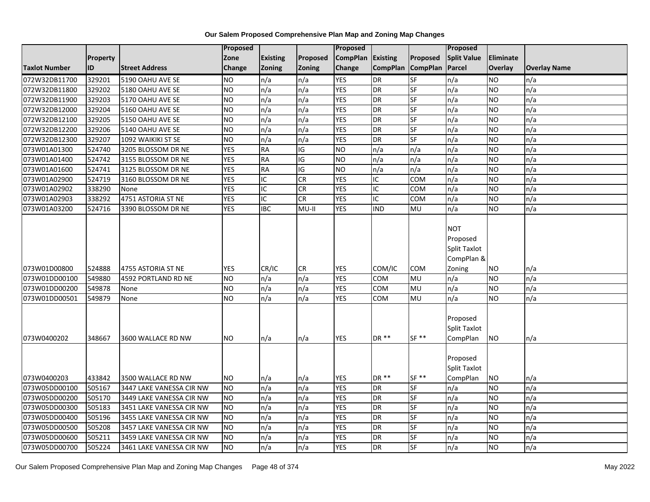|                      |                 |                          | Proposed        |                         |               | <b>Proposed</b> |                 |                          | Proposed                                                              |                  |                     |
|----------------------|-----------------|--------------------------|-----------------|-------------------------|---------------|-----------------|-----------------|--------------------------|-----------------------------------------------------------------------|------------------|---------------------|
|                      | <b>Property</b> |                          | Zone            | <b>Existing</b>         | Proposed      | <b>CompPlan</b> | Existing        | Proposed                 | <b>Split Value</b>                                                    | <b>Eliminate</b> |                     |
| <b>Taxlot Number</b> | ID              | <b>Street Address</b>    | Change          | Zoning                  | <b>Zoning</b> | Change          | <b>CompPlan</b> | <b>CompPlan</b>          | Parcel                                                                | Overlay          | <b>Overlay Name</b> |
| 072W32DB11700        | 329201          | 5190 OAHU AVE SE         | <b>NO</b>       | n/a                     | n/a           | <b>YES</b>      | DR              | $S$ F                    | n/a                                                                   | <b>NO</b>        | n/a                 |
| 072W32DB11800        | 329202          | 5180 OAHU AVE SE         | Ю               | n/a                     | n/a           | <b>YES</b>      | <b>DR</b>       | SF                       | n/a                                                                   | <b>NO</b>        | n/a                 |
| 072W32DB11900        | 329203          | 5170 OAHU AVE SE         | <b>NO</b>       | n/a                     | n/a           | <b>YES</b>      | <b>DR</b>       | $\overline{\mathsf{SF}}$ | n/a                                                                   | <b>NO</b>        | n/a                 |
| 072W32DB12000        | 329204          | 5160 OAHU AVE SE         | <b>NO</b>       | n/a                     | n/a           | <b>YES</b>      | <b>DR</b>       | SF                       | n/a                                                                   | <b>NO</b>        | n/a                 |
| 072W32DB12100        | 329205          | 5150 OAHU AVE SE         | NO <sub>1</sub> | n/a                     | n/a           | <b>YES</b>      | <b>DR</b>       | SF                       | n/a                                                                   | <b>NO</b>        | n/a                 |
| 072W32DB12200        | 329206          | 5140 OAHU AVE SE         | <b>NO</b>       | n/a                     | n/a           | <b>YES</b>      | <b>DR</b>       | SF                       | n/a                                                                   | <b>NO</b>        | n/a                 |
| 072W32DB12300        | 329207          | 1092 WAIKIKI ST SE       | Ю               | n/a                     | n/a           | <b>YES</b>      | <b>DR</b>       | <b>SF</b>                | n/a                                                                   | <b>NO</b>        | n/a                 |
| 073W01A01300         | 524740          | 3205 BLOSSOM DR NE       | <b>YES</b>      | <b>RA</b>               | IG            | <b>NO</b>       | n/a             | n/a                      | n/a                                                                   | <b>NO</b>        | n/a                 |
| 073W01A01400         | 524742          | 3155 BLOSSOM DR NE       | <b>YES</b>      | <b>RA</b>               | IG            | <b>NO</b>       | n/a             | n/a                      | n/a                                                                   | <b>NO</b>        | n/a                 |
| 073W01A01600         | 524741          | 3125 BLOSSOM DR NE       | <b>YES</b>      | <b>RA</b>               | IG            | <b>NO</b>       | n/a             | n/a                      | n/a                                                                   | <b>NO</b>        | n/a                 |
| 073W01A02900         | 524719          | 3160 BLOSSOM DR NE       | <b>YES</b>      | $\overline{\mathsf{C}}$ | CR            | <b>YES</b>      | $\overline{C}$  | <b>COM</b>               | n/a                                                                   | <b>NO</b>        | n/a                 |
| 073W01A02902         | 338290          | None                     | <b>YES</b>      | IC                      | <b>CR</b>     | <b>YES</b>      | IC              | COM                      | n/a                                                                   | <b>NO</b>        | n/a                 |
| 073W01A02903         | 338292          | 4751 ASTORIA ST NE       | <b>YES</b>      | IC                      | <b>CR</b>     | <b>YES</b>      | $\overline{C}$  | COM                      | n/a                                                                   | <b>NO</b>        | n/a                 |
| 073W01A03200         | 524716          | 3390 BLOSSOM DR NE       | <b>YES</b>      | $\overline{IBC}$        | MU-II         | <b>YES</b>      | <b>IND</b>      | MU                       | n/a                                                                   | <b>NO</b>        | n/a                 |
| 073W01D00800         | 524888          | 4755 ASTORIA ST NE       | <b>YES</b>      | CR/IC                   | <b>CR</b>     | <b>YES</b>      | COM/IC          | <b>COM</b>               | <b>NOT</b><br>Proposed<br><b>Split Taxlot</b><br>CompPlan &<br>Zoning | <b>NO</b>        | n/a                 |
| 073W01DD00100        | 549880          | 4592 PORTLAND RD NE      | <b>NO</b>       | n/a                     | n/a           | <b>YES</b>      | <b>COM</b>      | MU                       | n/a                                                                   | <b>NO</b>        | n/a                 |
| 073W01DD00200        | 549878          | None                     | <b>NO</b>       | n/a                     | n/a           | <b>YES</b>      | COM             | MU                       | n/a                                                                   | <b>NO</b>        | n/a                 |
| 073W01DD00501        | 549879          | None                     | Ю               | n/a                     | n/a           | <b>YES</b>      | COM             | <b>MU</b>                | n/a                                                                   | <b>NO</b>        | n/a                 |
| 073W0400202          | 348667          | 3600 WALLACE RD NW       | NO.             | n/a                     | n/a           | YES             | DR **           | $SF **$                  | Proposed<br>Split Taxlot<br>CompPlan                                  | <b>NO</b>        | n/a                 |
| 073W0400203          | 433842          | 3500 WALLACE RD NW       | <b>NO</b>       | n/a                     | n/a           | <b>YES</b>      | DR **           | $SF **$                  | Proposed<br>Split Taxlot<br>CompPlan                                  | <b>NO</b>        | n/a                 |
| 073W05DD00100        | 505167          | 3447 LAKE VANESSA CIR NW | Ю               | n/a                     | n/a           | <b>YES</b>      | <b>DR</b>       | SF                       | n/a                                                                   | <b>NO</b>        | n/a                 |
| 073W05DD00200        | 505170          | 3449 LAKE VANESSA CIR NW | <b>NO</b>       | n/a                     | n/a           | <b>YES</b>      | <b>DR</b>       | SF                       | n/a                                                                   | <b>NO</b>        | n/a                 |
| 073W05DD00300        | 505183          | 3451 LAKE VANESSA CIR NW | <b>NO</b>       | n/a                     | n/a           | <b>YES</b>      | <b>DR</b>       | SF                       | n/a                                                                   | <b>NO</b>        | n/a                 |
| 073W05DD00400        | 505196          | 3455 LAKE VANESSA CIR NW | <b>NO</b>       | n/a                     | n/a           | <b>YES</b>      | <b>DR</b>       | SF                       | n/a                                                                   | <b>NO</b>        | n/a                 |
| 073W05DD00500        | 505208          | 3457 LAKE VANESSA CIR NW | ZО              | n/a                     | n/a           | <b>YES</b>      | <b>DR</b>       | SF                       | n/a                                                                   | <b>NO</b>        | n/a                 |
| 073W05DD00600        | 505211          | 3459 LAKE VANESSA CIR NW | <b>NO</b>       | n/a                     | n/a           | <b>YES</b>      | <b>DR</b>       | SF                       | n/a                                                                   | <b>NO</b>        | n/a                 |
| 073W05DD00700        | 505224          | 3461 LAKE VANESSA CIR NW | <b>NO</b>       | n/a                     | n/a           | <b>YES</b>      | <b>DR</b>       | SF                       | n/a                                                                   | <b>NO</b>        | n/a                 |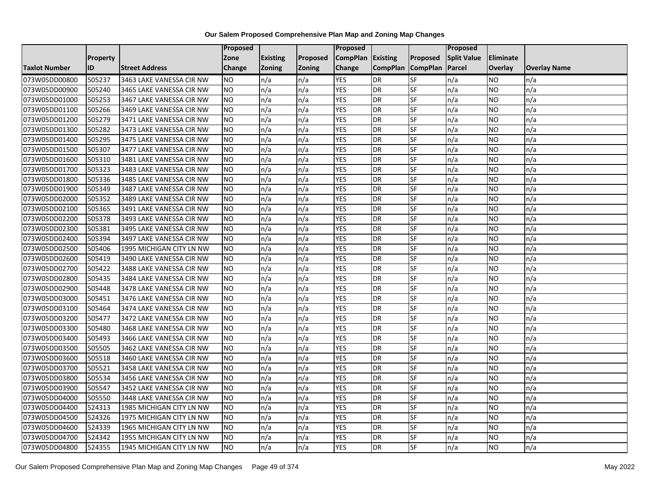|                      |                 |                          | <b>Proposed</b> |                 |               | Proposed          |                 |                 | Proposed           |           |                     |
|----------------------|-----------------|--------------------------|-----------------|-----------------|---------------|-------------------|-----------------|-----------------|--------------------|-----------|---------------------|
|                      | <b>Property</b> |                          | Zone            | <b>Existing</b> | Proposed      | CompPlan Existing |                 | Proposed        | <b>Split Value</b> | Eliminate |                     |
| <b>Taxlot Number</b> | ID              | <b>Street Address</b>    | <b>Change</b>   | Zoning          | <b>Zoning</b> | Change            | <b>CompPlan</b> | <b>CompPlan</b> | Parcel             | Overlay   | <b>Overlay Name</b> |
| 073W05DD00800        | 505237          | 3463 LAKE VANESSA CIR NW | <b>NO</b>       | n/a             | n/a           | <b>YES</b>        | <b>DR</b>       | <b>SF</b>       | n/a                | NO        | n/a                 |
| 073W05DD00900        | 505240          | 3465 LAKE VANESSA CIR NW | <b>NO</b>       | n/a             | n/a           | <b>YES</b>        | DR              | SF              | n/a                | NO.       | n/a                 |
| 073W05DD01000        | 505253          | 3467 LAKE VANESSA CIR NW | <b>NO</b>       | n/a             | n/a           | <b>YES</b>        | DR              | SF              | n/a                | NO.       | n/a                 |
| 073W05DD01100        | 505266          | 3469 LAKE VANESSA CIR NW | <b>NO</b>       | n/a             | n/a           | <b>YES</b>        | <b>DR</b>       | SF              | n/a                | NO.       | n/a                 |
| 073W05DD01200        | 505279          | 3471 LAKE VANESSA CIR NW | <b>NO</b>       | n/a             | n/a           | <b>YES</b>        | <b>DR</b>       | SF              | n/a                | NO.       | n/a                 |
| 073W05DD01300        | 505282          | 3473 LAKE VANESSA CIR NW | <b>NO</b>       | n/a             | n/a           | <b>YES</b>        | <b>DR</b>       | SF              | n/a                | <b>NO</b> | n/a                 |
| 073W05DD01400        | 505295          | 3475 LAKE VANESSA CIR NW | <b>NO</b>       | n/a             | n/a           | <b>YES</b>        | DR              | SF              | n/a                | NO.       | n/a                 |
| 073W05DD01500        | 505307          | 3477 LAKE VANESSA CIR NW | <b>NO</b>       | n/a             | n/a           | <b>YES</b>        | DR              | SF              | n/a                | NO.       | n/a                 |
| 073W05DD01600        | 505310          | 3481 LAKE VANESSA CIR NW | <b>NO</b>       | n/a             | n/a           | <b>YES</b>        | DR              | SF              | n/a                | NO.       | n/a                 |
| 073W05DD01700        | 505323          | 3483 LAKE VANESSA CIR NW | Ю               | n/a             | n/a           | <b>YES</b>        | DR              | <b>SF</b>       | n/a                | NO.       | n/a                 |
| 073W05DD01800        | 505336          | 3485 LAKE VANESSA CIR NW | <b>NO</b>       | n/a             | n/a           | <b>YES</b>        | <b>DR</b>       | SF              | n/a                | <b>NO</b> | n/a                 |
| 073W05DD01900        | 505349          | 3487 LAKE VANESSA CIR NW | <b>NO</b>       | n/a             | n/a           | <b>YES</b>        | <b>DR</b>       | SF              | n/a                | <b>NO</b> | n/a                 |
| 073W05DD02000        | 505352          | 3489 LAKE VANESSA CIR NW | NO              | n/a             | n/a           | <b>YES</b>        | DR              | <b>SF</b>       | n/a                | NO.       | n/a                 |
| 073W05DD02100        | 505365          | 3491 LAKE VANESSA CIR NW | <b>NO</b>       | n/a             | n/a           | <b>YES</b>        | <b>DR</b>       | SF              | n/a                | NO.       | n/a                 |
| 073W05DD02200        | 505378          | 3493 LAKE VANESSA CIR NW | <b>NO</b>       | n/a             | n/a           | <b>YES</b>        | DR              | SF              | n/a                | NO.       | n/a                 |
| 073W05DD02300        | 505381          | 3495 LAKE VANESSA CIR NW | ŌИ              | n/a             | n/a           | <b>YES</b>        | <b>DR</b>       | $S_{F}$         | n/a                | NO.       | n/a                 |
| 073W05DD02400        | 505394          | 3497 LAKE VANESSA CIR NW | <b>NO</b>       | n/a             | n/a           | <b>YES</b>        | <b>DR</b>       | <b>SF</b>       | n/a                | NO.       | n/a                 |
| 073W05DD02500        | 505406          | 1995 MICHIGAN CITY LN NW | <b>NO</b>       | n/a             | n/a           | <b>YES</b>        | DR              | SF              | n/a                | NO.       | n/a                 |
| 073W05DD02600        | 505419          | 3490 LAKE VANESSA CIR NW | <b>NO</b>       | n/a             | n/a           | <b>YES</b>        | DR              | SF              | n/a                | NO.       | n/a                 |
| 073W05DD02700        | 505422          | 3488 LAKE VANESSA CIR NW | <b>NO</b>       | n/a             | n/a           | <b>YES</b>        | <b>DR</b>       | SF              | n/a                | NO.       | n/a                 |
| 073W05DD02800        | 505435          | 3484 LAKE VANESSA CIR NW | <b>NO</b>       | n/a             | n/a           | <b>YES</b>        | DR              | SF              | n/a                | NO.       | n/a                 |
| 073W05DD02900        | 505448          | 3478 LAKE VANESSA CIR NW | <b>NO</b>       | n/a             | n/a           | <b>YES</b>        | <b>DR</b>       | <b>SF</b>       | n/a                | <b>NO</b> | n/a                 |
| 073W05DD03000        | 505451          | 3476 LAKE VANESSA CIR NW | <b>NO</b>       | n/a             | n/a           | <b>YES</b>        | DR              | <b>SF</b>       | n/a                | NO.       | n/a                 |
| 073W05DD03100        | 505464          | 3474 LAKE VANESSA CIR NW | <b>NO</b>       | n/a             | n/a           | <b>YES</b>        | DR              | SF              | n/a                | NO.       | n/a                 |
| 073W05DD03200        | 505477          | 3472 LAKE VANESSA CIR NW | <b>NO</b>       | n/a             | n/a           | <b>YES</b>        | <b>DR</b>       | SF              | n/a                | NO.       | n/a                 |
| 073W05DD03300        | 505480          | 3468 LAKE VANESSA CIR NW | <b>NO</b>       | n/a             | n/a           | <b>YES</b>        | DR              | SF              | n/a                | NO.       | n/a                 |
| 073W05DD03400        | 505493          | 3466 LAKE VANESSA CIR NW | ŌИ              | n/a             | n/a           | <b>YES</b>        | <b>DR</b>       | <b>SF</b>       | n/a                | NO.       | n/a                 |
| 073W05DD03500        | 505505          | 3462 LAKE VANESSA CIR NW | <b>NO</b>       | n/a             | n/a           | <b>YES</b>        | DR              | SF              | n/a                | NO.       | n/a                 |
| 073W05DD03600        | 505518          | 3460 LAKE VANESSA CIR NW | <b>NO</b>       | n/a             | n/a           | <b>YES</b>        | DR              | SF              | n/a                | NO.       | n/a                 |
| 073W05DD03700        | 505521          | 3458 LAKE VANESSA CIR NW | <b>NO</b>       | n/a             | n/a           | <b>YES</b>        | <b>DR</b>       | SF              | n/a                | NO.       | n/a                 |
| 073W05DD03800        | 505534          | 3456 LAKE VANESSA CIR NW | <b>NO</b>       | n/a             | n/a           | <b>YES</b>        | DR              | SF              | n/a                | NO.       | n/a                 |
| 073W05DD03900        | 505547          | 3452 LAKE VANESSA CIR NW | <b>NO</b>       | n/a             | n/a           | <b>YES</b>        | DR              | SF              | n/a                | NO.       | n/a                 |
| 073W05DD04000        | 505550          | 3448 LAKE VANESSA CIR NW | <b>NO</b>       | n/a             | n/a           | <b>YES</b>        | <b>DR</b>       | <b>SF</b>       | n/a                | NO.       | n/a                 |
| 073W05DD04400        | 524313          | 1985 MICHIGAN CITY LN NW | <b>NO</b>       | n/a             | n/a           | <b>YES</b>        | DR              | SF              | n/a                | NO.       | n/a                 |
| 073W05DD04500        | 524326          | 1975 MICHIGAN CITY LN NW | <b>NO</b>       | n/a             | n/a           | <b>YES</b>        | <b>DR</b>       | SF              | n/a                | NO.       | n/a                 |
| 073W05DD04600        | 524339          | 1965 MICHIGAN CITY LN NW | <b>NO</b>       | n/a             | n/a           | <b>YES</b>        | <b>DR</b>       | <b>SF</b>       | n/a                | NO        | n/a                 |
| 073W05DD04700        | 524342          | 1955 MICHIGAN CITY LN NW | <b>NO</b>       | n/a             | n/a           | <b>YES</b>        | <b>DR</b>       | SF              | n/a                | NO        | n/a                 |
| 073W05DD04800        | 524355          | 1945 MICHIGAN CITY LN NW | <b>NO</b>       | n/a             | n/a           | <b>YES</b>        | DR              | SF              | n/a                | NO.       | n/a                 |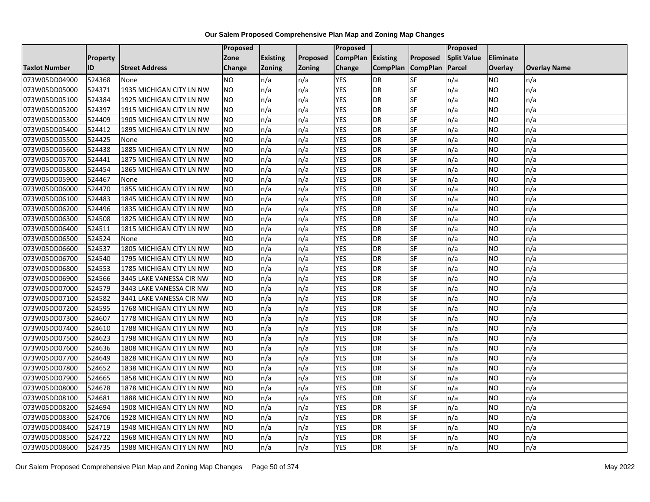|                      |                 |                          | <b>Proposed</b> |                 |          | Proposed          |                 |                 | <b>Proposed</b>    |           |                     |
|----------------------|-----------------|--------------------------|-----------------|-----------------|----------|-------------------|-----------------|-----------------|--------------------|-----------|---------------------|
|                      | <b>Property</b> |                          | Zone            | <b>Existing</b> | Proposed | CompPlan Existing |                 | Proposed        | <b>Split Value</b> | Eliminate |                     |
| <b>Taxlot Number</b> | ID              | <b>Street Address</b>    | <b>Change</b>   | <b>Zoning</b>   | Zoning   | Change            | <b>CompPlan</b> | <b>CompPlan</b> | Parcel             | Overlay   | <b>Overlay Name</b> |
| 073W05DD04900        | 524368          | None                     | <b>NO</b>       | n/a             | n/a      | <b>YES</b>        | DR              | SF              | n/a                | NO        | n/a                 |
| 073W05DD05000        | 524371          | 1935 MICHIGAN CITY LN NW | <b>NO</b>       | n/a             | n/a      | <b>YES</b>        | DR              | SF              | n/a                | NO.       | n/a                 |
| 073W05DD05100        | 524384          | 1925 MICHIGAN CITY LN NW | <b>NO</b>       | n/a             | n/a      | <b>YES</b>        | DR              | SF              | n/a                | NO        | n/a                 |
| 073W05DD05200        | 524397          | 1915 MICHIGAN CITY LN NW | <b>NO</b>       | n/a             | n/a      | <b>YES</b>        | DR              | SF              | n/a                | NO        | n/a                 |
| 073W05DD05300        | 524409          | 1905 MICHIGAN CITY LN NW | <b>NO</b>       | n/a             | n/a      | <b>YES</b>        | DR              | <b>SF</b>       | n/a                | NO        | n/a                 |
| 073W05DD05400        | 524412          | 1895 MICHIGAN CITY LN NW | <b>NO</b>       | n/a             | n/a      | <b>YES</b>        | DR              | SF              | n/a                | <b>NO</b> | n/a                 |
| 073W05DD05500        | 524425          | None                     | <b>NO</b>       | n/a             | n/a      | <b>YES</b>        | DR              | SF              | n/a                | NO        | n/a                 |
| 073W05DD05600        | 524438          | 1885 MICHIGAN CITY LN NW | <b>NO</b>       | n/a             | n/a      | <b>YES</b>        | DR              | SF              | n/a                | NO        | n/a                 |
| 073W05DD05700        | 524441          | 1875 MICHIGAN CITY LN NW | <b>NO</b>       | n/a             | n/a      | <b>YES</b>        | DR              | SF              | n/a                | NO.       | n/a                 |
| 073W05DD05800        | 524454          | 1865 MICHIGAN CITY LN NW | <b>NO</b>       | n/a             | n/a      | <b>YES</b>        | DR              | SF              | n/a                | NO        | n/a                 |
| 073W05DD05900        | 524467          | None                     | <b>NO</b>       | n/a             | n/a      | <b>YES</b>        | DR              | SF              | n/a                | <b>NO</b> | n/a                 |
| 073W05DD06000        | 524470          | 1855 MICHIGAN CITY LN NW | <b>NO</b>       | n/a             | n/a      | <b>YES</b>        | DR              | SF              | n/a                | NO.       | n/a                 |
| 073W05DD06100        | 524483          | 1845 MICHIGAN CITY LN NW | <b>NO</b>       | n/a             | n/a      | <b>YES</b>        | <b>DR</b>       | <b>SF</b>       | n/a                | NO.       | n/a                 |
| 073W05DD06200        | 524496          | 1835 MICHIGAN CITY LN NW | <b>NO</b>       | n/a             | n/a      | <b>YES</b>        | DR              | SF              | n/a                | NO        | n/a                 |
| 073W05DD06300        | 524508          | 1825 MICHIGAN CITY LN NW | <b>NO</b>       | n/a             | n/a      | <b>YES</b>        | DR              | SF              | n/a                | NO        | n/a                 |
| 073W05DD06400        | 524511          | 1815 MICHIGAN CITY LN NW | <b>NO</b>       | n/a             | n/a      | <b>YES</b>        | <b>DR</b>       | SF              | n/a                | <b>NO</b> | n/a                 |
| 073W05DD06500        | 524524          | None                     | <b>NO</b>       | n/a             | n/a      | <b>YES</b>        | DR              | SF              | n/a                | NO        | n/a                 |
| 073W05DD06600        | 524537          | 1805 MICHIGAN CITY LN NW | <b>NO</b>       | n/a             | n/a      | <b>YES</b>        | DR              | SF              | n/a                | NO        | n/a                 |
| 073W05DD06700        | 524540          | 1795 MICHIGAN CITY LN NW | <b>NO</b>       | n/a             | n/a      | <b>YES</b>        | DR              | SF              | n/a                | NO.       | n/a                 |
| 073W05DD06800        | 524553          | 1785 MICHIGAN CITY LN NW | <b>NO</b>       | n/a             | n/a      | <b>YES</b>        | DR              | SF              | n/a                | NO.       | n/a                 |
| 073W05DD06900        | 524566          | 3445 LAKE VANESSA CIR NW | <b>NO</b>       | n/a             | n/a      | <b>YES</b>        | DR              | SF              | n/a                | NO        | n/a                 |
| 073W05DD07000        | 524579          | 3443 LAKE VANESSA CIR NW | <b>NO</b>       | n/a             | n/a      | <b>YES</b>        | DR              | SF              | n/a                | <b>NO</b> | n/a                 |
| 073W05DD07100        | 524582          | 3441 LAKE VANESSA CIR NW | <b>NO</b>       | n/a             | n/a      | <b>YES</b>        | $\overline{DR}$ | SF              | n/a                | <b>NO</b> | n/a                 |
| 073W05DD07200        | 524595          | 1768 MICHIGAN CITY LN NW | <b>NO</b>       | n/a             | n/a      | <b>YES</b>        | DR              | SF              | n/a                | NO        | n/a                 |
| 073W05DD07300        | 524607          | 1778 MICHIGAN CITY LN NW | <b>NO</b>       | n/a             | n/a      | <b>YES</b>        | DR              | <b>SF</b>       | n/a                | NO        | n/a                 |
| 073W05DD07400        | 524610          | 1788 MICHIGAN CITY LN NW | <b>NO</b>       | n/a             | n/a      | <b>YES</b>        | DR              | SF              | n/a                | NO        | n/a                 |
| 073W05DD07500        | 524623          | 1798 MICHIGAN CITY LN NW | N <sub>O</sub>  | n/a             | n/a      | <b>YES</b>        | DR              | SF              | n/a                | NO.       | n/a                 |
| 073W05DD07600        | 524636          | 1808 MICHIGAN CITY LN NW | <b>NO</b>       | n/a             | n/a      | <b>YES</b>        | DR              | SF              | n/a                | NO        | n/a                 |
| 073W05DD07700        | 524649          | 1828 MICHIGAN CITY LN NW | <b>NO</b>       | n/a             | n/a      | <b>YES</b>        | DR              | SF              | n/a                | NO.       | n/a                 |
| 073W05DD07800        | 524652          | 1838 MICHIGAN CITY LN NW | <b>NO</b>       | n/a             | n/a      | <b>YES</b>        | DR              | SF              | n/a                | <b>NO</b> | n/a                 |
| 073W05DD07900        | 524665          | 1858 MICHIGAN CITY LN NW | <b>NO</b>       | n/a             | n/a      | <b>YES</b>        | DR              | SF              | n/a                | NO        | n/a                 |
| 073W05DD08000        | 524678          | 1878 MICHIGAN CITY LN NW | <b>NO</b>       | n/a             | n/a      | <b>YES</b>        | DR              | SF              | n/a                | NO        | n/a                 |
| 073W05DD08100        | 524681          | 1888 MICHIGAN CITY LN NW | N <sub>O</sub>  | n/a             | n/a      | <b>YES</b>        | DR              | SF              | n/a                | <b>NO</b> | n/a                 |
| 073W05DD08200        | 524694          | 1908 MICHIGAN CITY LN NW | <b>NO</b>       | n/a             | n/a      | <b>YES</b>        | DR              | SF              | n/a                | NO        | n/a                 |
| 073W05DD08300        | 524706          | 1928 MICHIGAN CITY LN NW | <b>NO</b>       | n/a             | n/a      | <b>YES</b>        | DR              | SF              | n/a                | NO        | n/a                 |
| 073W05DD08400        | 524719          | 1948 MICHIGAN CITY LN NW | <b>NO</b>       | n/a             | n/a      | <b>YES</b>        | DR              | SF              | n/a                | NO        | n/a                 |
| 073W05DD08500        | 524722          | 1968 MICHIGAN CITY LN NW | <b>NO</b>       | n/a             | n/a      | <b>YES</b>        | DR              | SF              | n/a                | <b>NO</b> | n/a                 |
| 073W05DD08600        | 524735          | 1988 MICHIGAN CITY LN NW | <b>NO</b>       | n/a             | n/a      | <b>YES</b>        | DR              | SF              | n/a                | NO        | n/a                 |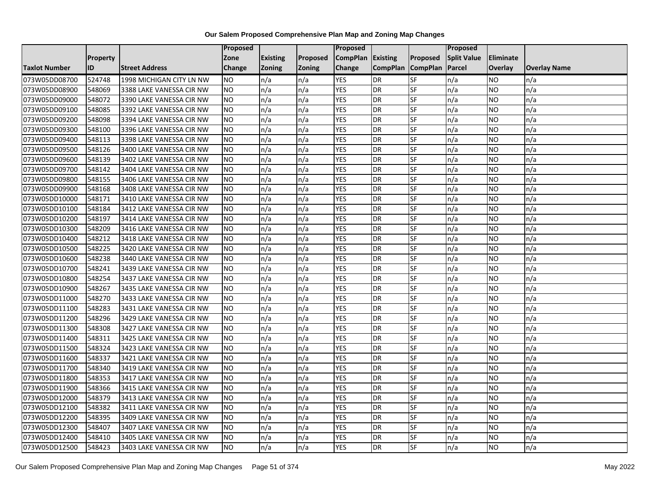|                      |          |                          | <b>Proposed</b> |                 |               | <b>Proposed</b>   |                 |                 | <b>Proposed</b>    |                  |                     |
|----------------------|----------|--------------------------|-----------------|-----------------|---------------|-------------------|-----------------|-----------------|--------------------|------------------|---------------------|
|                      | Property |                          | Zone            | <b>Existing</b> | Proposed      | CompPlan Existing |                 | Proposed        | <b>Split Value</b> | <b>Eliminate</b> |                     |
| <b>Taxlot Number</b> | ID       | <b>Street Address</b>    | Change          | Zoning          | <b>Zoning</b> | Change            | <b>CompPlan</b> | <b>CompPlan</b> | Parcel             | Overlay          | <b>Overlay Name</b> |
| 073W05DD08700        | 524748   | 1998 MICHIGAN CITY LN NW | <b>NO</b>       | n/a             | n/a           | <b>YES</b>        | <b>DR</b>       | <b>SF</b>       | n/a                | NO               | n/a                 |
| 073W05DD08900        | 548069   | 3388 LAKE VANESSA CIR NW | <b>NO</b>       | n/a             | n/a           | <b>YES</b>        | DR              | SF              | n/a                | NO               | n/a                 |
| 073W05DD09000        | 548072   | 3390 LAKE VANESSA CIR NW | <b>NO</b>       | n/a             | n/a           | <b>YES</b>        | <b>DR</b>       | SF              | n/a                | <b>NO</b>        | n/a                 |
| 073W05DD09100        | 548085   | 3392 LAKE VANESSA CIR NW | <b>NO</b>       | n/a             | n/a           | <b>YES</b>        | DR              | <b>SF</b>       | n/a                | ΝO               | n/a                 |
| 073W05DD09200        | 548098   | 3394 LAKE VANESSA CIR NW | <b>NO</b>       | n/a             | n/a           | <b>YES</b>        | <b>DR</b>       | SF              | n/a                | NO.              | n/a                 |
| 073W05DD09300        | 548100   | 3396 LAKE VANESSA CIR NW | <b>NO</b>       | n/a             | n/a           | <b>YES</b>        | <b>DR</b>       | SF              | n/a                | NO.              | n/a                 |
| 073W05DD09400        | 548113   | 3398 LAKE VANESSA CIR NW | <b>NO</b>       | n/a             | n/a           | <b>YES</b>        | DR              | <b>SF</b>       | n/a                | NO.              | n/a                 |
| 073W05DD09500        | 548126   | 3400 LAKE VANESSA CIR NW | <b>NO</b>       | n/a             | n/a           | <b>YES</b>        | DR              | <b>SF</b>       | n/a                | NO.              | n/a                 |
| 073W05DD09600        | 548139   | 3402 LAKE VANESSA CIR NW | <b>NO</b>       | n/a             | n/a           | <b>YES</b>        | DR              | SF              | n/a                | NO.              | n/a                 |
| 073W05DD09700        | 548142   | 3404 LAKE VANESSA CIR NW | <b>NO</b>       | n/a             | n/a           | <b>YES</b>        | DR              | SF              | n/a                | NO.              | n/a                 |
| 073W05DD09800        | 548155   | 3406 LAKE VANESSA CIR NW | <b>NO</b>       | n/a             | n/a           | <b>YES</b>        | <b>DR</b>       | <b>SF</b>       | n/a                | <b>NO</b>        | n/a                 |
| 073W05DD09900        | 548168   | 3408 LAKE VANESSA CIR NW | <b>NO</b>       | n/a             | n/a           | <b>YES</b>        | DR              | SF              | n/a                | NO.              | n/a                 |
| 073W05DD10000        | 548171   | 3410 LAKE VANESSA CIR NW | <b>NO</b>       | n/a             | n/a           | <b>YES</b>        | DR              | SF              | n/a                | NO.              | n/a                 |
| 073W05DD10100        | 548184   | 3412 LAKE VANESSA CIR NW | <b>NO</b>       | n/a             | n/a           | <b>YES</b>        | <b>DR</b>       | SF              | n/a                | <b>NO</b>        | n/a                 |
| 073W05DD10200        | 548197   | 3414 LAKE VANESSA CIR NW | <b>NO</b>       | n/a             | n/a           | <b>YES</b>        | DR              | SF              | n/a                | NO               | n/a                 |
| 073W05DD10300        | 548209   | 3416 LAKE VANESSA CIR NW | <b>NO</b>       | n/a             | n/a           | <b>YES</b>        | DR              | SF              | n/a                | NO.              | n/a                 |
| 073W05DD10400        | 548212   | 3418 LAKE VANESSA CIR NW | <b>NO</b>       | n/a             | n/a           | <b>YES</b>        | <b>DR</b>       | SF              | n/a                | NO.              | n/a                 |
| 073W05DD10500        | 548225   | 3420 LAKE VANESSA CIR NW | <b>NO</b>       | n/a             | n/a           | <b>YES</b>        | DR              | SF              | n/a                | NO.              | n/a                 |
| 073W05DD10600        | 548238   | 3440 LAKE VANESSA CIR NW | <b>NO</b>       | n/a             | n/a           | <b>YES</b>        | DR              | <b>SF</b>       | n/a                | NO.              | n/a                 |
| 073W05DD10700        | 548241   | 3439 LAKE VANESSA CIR NW | <b>NO</b>       | n/a             | n/a           | <b>YES</b>        | <b>DR</b>       | SF              | n/a                | NO.              | n/a                 |
| 073W05DD10800        | 548254   | 3437 LAKE VANESSA CIR NW | <b>NO</b>       | n/a             | n/a           | <b>YES</b>        | <b>DR</b>       | SF              | n/a                | NO.              | n/a                 |
| 073W05DD10900        | 548267   | 3435 LAKE VANESSA CIR NW | <b>NO</b>       | n/a             | n/a           | <b>YES</b>        | <b>DR</b>       | <b>SF</b>       | n/a                | <b>NO</b>        | n/a                 |
| 073W05DD11000        | 548270   | 3433 LAKE VANESSA CIR NW | <b>NO</b>       | n/a             | n/a           | <b>YES</b>        | DR              | SF              | n/a                | NO.              | n/a                 |
| 073W05DD11100        | 548283   | 3431 LAKE VANESSA CIR NW | <b>NO</b>       | n/a             | n/a           | <b>YES</b>        | DR              | SF              | n/a                | NO.              | n/a                 |
| 073W05DD11200        | 548296   | 3429 LAKE VANESSA CIR NW | <b>NO</b>       | n/a             | n/a           | <b>YES</b>        | <b>DR</b>       | SF              | n/a                | <b>NO</b>        | n/a                 |
| 073W05DD11300        | 548308   | 3427 LAKE VANESSA CIR NW | Ю               | n/a             | n/a           | <b>YES</b>        | DR              | <b>SF</b>       | n/a                | <b>NO</b>        | n/a                 |
| 073W05DD11400        | 548311   | 3425 LAKE VANESSA CIR NW | <b>NO</b>       | n/a             | n/a           | <b>YES</b>        | <b>DR</b>       | SF              | n/a                | NO.              | n/a                 |
| 073W05DD11500        | 548324   | 3423 LAKE VANESSA CIR NW | <b>NO</b>       | n/a             | n/a           | <b>YES</b>        | <b>DR</b>       | SF              | n/a                | NO.              | n/a                 |
| 073W05DD11600        | 548337   | 3421 LAKE VANESSA CIR NW | <b>NO</b>       | n/a             | n/a           | <b>YES</b>        | DR              | SF              | n/a                | NO.              | n/a                 |
| 073W05DD11700        | 548340   | 3419 LAKE VANESSA CIR NW | <b>NO</b>       | n/a             | n/a           | <b>YES</b>        | <b>DR</b>       | SF              | n/a                | NO.              | n/a                 |
| 073W05DD11800        | 548353   | 3417 LAKE VANESSA CIR NW | <b>NO</b>       | n/a             | n/a           | <b>YES</b>        | DR              | SF              | n/a                | NO.              | n/a                 |
| 073W05DD11900        | 548366   | 3415 LAKE VANESSA CIR NW | <b>NO</b>       | n/a             | n/a           | <b>YES</b>        | <b>DR</b>       | SF              | n/a                | NO.              | n/a                 |
| 073W05DD12000        | 548379   | 3413 LAKE VANESSA CIR NW | NO              | n/a             | n/a           | <b>YES</b>        | <b>DR</b>       | SF              | n/a                | NO.              | n/a                 |
| 073W05DD12100        | 548382   | 3411 LAKE VANESSA CIR NW | <b>NO</b>       | n/a             | n/a           | <b>YES</b>        | DR              | SF              | n/a                | NO.              | n/a                 |
| 073W05DD12200        | 548395   | 3409 LAKE VANESSA CIR NW | <b>NO</b>       | n/a             | n/a           | <b>YES</b>        | DR              | SF              | n/a                | NO.              | n/a                 |
| 073W05DD12300        | 548407   | 3407 LAKE VANESSA CIR NW | <b>NO</b>       | n/a             | n/a           | <b>YES</b>        | <b>DR</b>       | SF              | n/a                | NO               | n/a                 |
| 073W05DD12400        | 548410   | 3405 LAKE VANESSA CIR NW | <b>NO</b>       | n/a             | n/a           | <b>YES</b>        | DR              | SF              | n/a                | NO               | n/a                 |
| 073W05DD12500        | 548423   | 3403 LAKE VANESSA CIR NW | <b>NO</b>       | n/a             | n/a           | <b>YES</b>        | DR              | SF              | n/a                | NO.              | n/a                 |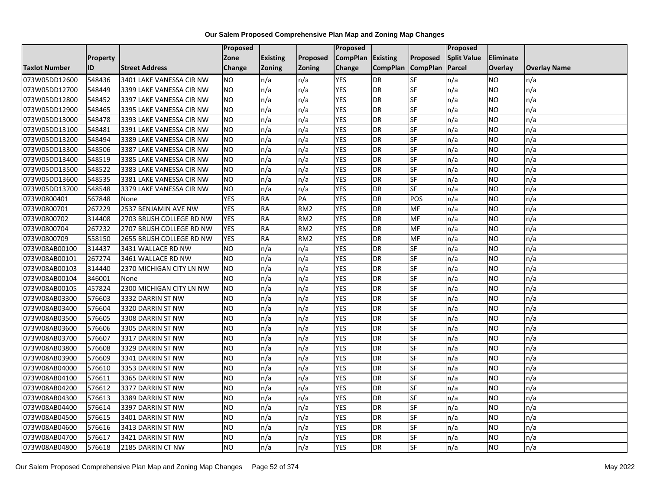|                      |                 |                          | <b>Proposed</b> |                 |                 | Proposed          |                 |                 | <b>Proposed</b>    |           |                     |
|----------------------|-----------------|--------------------------|-----------------|-----------------|-----------------|-------------------|-----------------|-----------------|--------------------|-----------|---------------------|
|                      | <b>Property</b> |                          | Zone            | <b>Existing</b> | Proposed        | CompPlan Existing |                 | Proposed        | <b>Split Value</b> | Eliminate |                     |
| <b>Taxlot Number</b> | ID              | <b>Street Address</b>    | <b>Change</b>   | <b>Zoning</b>   | Zoning          | Change            | <b>CompPlan</b> | <b>CompPlan</b> | Parcel             | Overlay   | <b>Overlay Name</b> |
| 073W05DD12600        | 548436          | 3401 LAKE VANESSA CIR NW | <b>NO</b>       | n/a             | n/a             | <b>YES</b>        | <b>DR</b>       | SF              | n/a                | NO        | n/a                 |
| 073W05DD12700        | 548449          | 3399 LAKE VANESSA CIR NW | <b>NO</b>       | n/a             | n/a             | <b>YES</b>        | <b>DR</b>       | SF              | n/a                | NO.       | n/a                 |
| 073W05DD12800        | 548452          | 3397 LAKE VANESSA CIR NW | <b>NO</b>       | n/a             | n/a             | <b>YES</b>        | DR              | SF              | n/a                | NO        | n/a                 |
| 073W05DD12900        | 548465          | 3395 LAKE VANESSA CIR NW | <b>NO</b>       | n/a             | n/a             | <b>YES</b>        | DR              | SF              | n/a                | NO.       | n/a                 |
| 073W05DD13000        | 548478          | 3393 LAKE VANESSA CIR NW | <b>NO</b>       | n/a             | n/a             | <b>YES</b>        | <b>DR</b>       | SF              | n/a                | NO.       | n/a                 |
| 073W05DD13100        | 548481          | 3391 LAKE VANESSA CIR NW | <b>NO</b>       | n/a             | n/a             | <b>YES</b>        | DR              | SF              | n/a                | NO.       | n/a                 |
| 073W05DD13200        | 548494          | 3389 LAKE VANESSA CIR NW | <b>NO</b>       | n/a             | n/a             | <b>YES</b>        | DR              | SF              | n/a                | NO.       | n/a                 |
| 073W05DD13300        | 548506          | 3387 LAKE VANESSA CIR NW | <b>NO</b>       | n/a             | n/a             | <b>YES</b>        | DR              | SF              | n/a                | <b>NO</b> | n/a                 |
| 073W05DD13400        | 548519          | 3385 LAKE VANESSA CIR NW | <b>NO</b>       | n/a             | n/a             | <b>YES</b>        | DR              | SF              | n/a                | NO.       | n/a                 |
| 073W05DD13500        | 548522          | 3383 LAKE VANESSA CIR NW | <b>NO</b>       | n/a             | n/a             | <b>YES</b>        | DR              | SF              | n/a                | NO.       | n/a                 |
| 073W05DD13600        | 548535          | 3381 LAKE VANESSA CIR NW | <b>NO</b>       | n/a             | n/a             | <b>YES</b>        | DR              | SF              | n/a                | <b>NO</b> | n/a                 |
| 073W05DD13700        | 548548          | 3379 LAKE VANESSA CIR NW | <b>NO</b>       | n/a             | n/a             | <b>YES</b>        | DR              | SF              | n/a                | NO.       | n/a                 |
| 073W0800401          | 567848          | None                     | <b>YES</b>      | <b>RA</b>       | PA              | <b>YES</b>        | DR              | POS             | n/a                | NO.       | n/a                 |
| 073W0800701          | 267229          | 2537 BENJAMIN AVE NW     | <b>YES</b>      | <b>RA</b>       | RM <sub>2</sub> | <b>YES</b>        | DR              | MF              | n/a                | <b>NO</b> | n/a                 |
| 073W0800702          | 314408          | 2703 BRUSH COLLEGE RD NW | <b>YES</b>      | <b>RA</b>       | RM <sub>2</sub> | <b>YES</b>        | <b>DR</b>       | MF              | n/a                | NO        | n/a                 |
| 073W0800704          | 267232          | 2707 BRUSH COLLEGE RD NW | <b>YES</b>      | <b>RA</b>       | RM <sub>2</sub> | <b>YES</b>        | DR              | MF              | n/a                | <b>NO</b> | n/a                 |
| 073W0800709          | 558150          | 2655 BRUSH COLLEGE RD NW | <b>YES</b>      | <b>RA</b>       | RM <sub>2</sub> | <b>YES</b>        | DR              | MF              | n/a                | NO.       | n/a                 |
| 073W08AB00100        | 314437          | 3431 WALLACE RD NW       | <b>NO</b>       | n/a             | n/a             | <b>YES</b>        | DR              | SF              | n/a                | <b>NO</b> | n/a                 |
| 073W08AB00101        | 267274          | 3461 WALLACE RD NW       | <b>NO</b>       | n/a             | n/a             | <b>YES</b>        | DR              | SF              | n/a                | NO        | n/a                 |
| 073W08AB00103        | 314440          | 2370 MICHIGAN CITY LN NW | <b>NO</b>       | n/a             | n/a             | <b>YES</b>        | DR              | SF              | n/a                | NO.       | n/a                 |
| 073W08AB00104        | 346001          | None                     | <b>NO</b>       | n/a             | n/a             | <b>YES</b>        | DR              | SF              | n/a                | <b>NO</b> | n/a                 |
| 073W08AB00105        | 457824          | 2300 MICHIGAN CITY LN NW | <b>NO</b>       | n/a             | n/a             | <b>YES</b>        | $\overline{DR}$ | SF              | n/a                | NO.       | n/a                 |
| 073W08AB03300        | 576603          | 3332 DARRIN ST NW        | <b>NO</b>       | n/a             | n/a             | <b>YES</b>        | DR              | <b>SF</b>       | n/a                | NO.       | n/a                 |
| 073W08AB03400        | 576604          | 3320 DARRIN ST NW        | <b>NO</b>       | n/a             | n/a             | <b>YES</b>        | DR              | SF              | n/a                | NO.       | n/a                 |
| 073W08AB03500        | 576605          | 3308 DARRIN ST NW        | <b>NO</b>       | n/a             | n/a             | <b>YES</b>        | DR              | SF              | n/a                | NO.       | n/a                 |
| 073W08AB03600        | 576606          | 3305 DARRIN ST NW        | <b>NO</b>       | n/a             | n/a             | <b>YES</b>        | DR              | SF              | n/a                | NO.       | n/a                 |
| 073W08AB03700        | 576607          | 3317 DARRIN ST NW        | <b>NO</b>       | n/a             | n/a             | <b>YES</b>        | DR              | SF              | n/a                | NO.       | n/a                 |
| 073W08AB03800        | 576608          | 3329 DARRIN ST NW        | <b>NO</b>       | n/a             | n/a             | <b>YES</b>        | DR              | SF              | n/a                | NO.       | n/a                 |
| 073W08AB03900        | 576609          | 3341 DARRIN ST NW        | <b>NO</b>       | n/a             | n/a             | <b>YES</b>        | DR              | SF              | n/a                | NO.       | n/a                 |
| 073W08AB04000        | 576610          | 3353 DARRIN ST NW        | <b>NO</b>       | n/a             | n/a             | <b>YES</b>        | DR              | SF              | n/a                | <b>NO</b> | n/a                 |
| 073W08AB04100        | 576611          | 3365 DARRIN ST NW        | <b>NO</b>       | n/a             | n/a             | <b>YES</b>        | <b>DR</b>       | SF              | n/a                | <b>NO</b> | n/a                 |
| 073W08AB04200        | 576612          | 3377 DARRIN ST NW        | <b>NO</b>       | n/a             | n/a             | <b>YES</b>        | DR              | SF              | n/a                | <b>NO</b> | n/a                 |
| 073W08AB04300        | 576613          | 3389 DARRIN ST NW        | <b>NO</b>       | n/a             | n/a             | <b>YES</b>        | DR              | SF              | n/a                | NO.       | n/a                 |
| 073W08AB04400        | 576614          | 3397 DARRIN ST NW        | <b>NO</b>       | n/a             | n/a             | <b>YES</b>        | DR              | SF              | n/a                | <b>NO</b> | n/a                 |
| 073W08AB04500        | 576615          | 3401 DARRIN ST NW        | <b>NO</b>       | n/a             | n/a             | <b>YES</b>        | DR              | SF              | n/a                | NO.       | n/a                 |
| 073W08AB04600        | 576616          | 3413 DARRIN ST NW        | <b>NO</b>       | n/a             | n/a             | <b>YES</b>        | DR              | SF              | n/a                | NO.       | n/a                 |
| 073W08AB04700        | 576617          | 3421 DARRIN ST NW        | <b>NO</b>       | n/a             | n/a             | <b>YES</b>        | DR              | SF              | n/a                | NO.       | n/a                 |
| 073W08AB04800        | 576618          | 2185 DARRIN CT NW        | <b>NO</b>       | n/a             | n/a             | <b>YES</b>        | DR              | SF              | n/a                | NO        | n/a                 |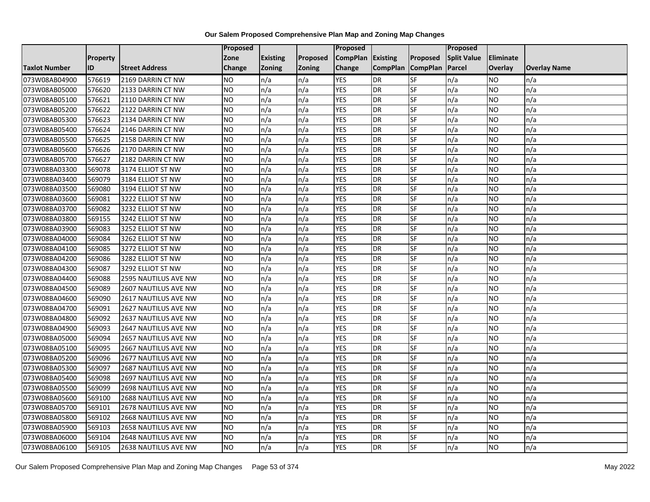|                      |                 |                       | <b>Proposed</b> |                 |               | Proposed        |                 |                 | Proposed           |           |                     |
|----------------------|-----------------|-----------------------|-----------------|-----------------|---------------|-----------------|-----------------|-----------------|--------------------|-----------|---------------------|
|                      | <b>Property</b> |                       | Zone            | <b>Existing</b> | Proposed      | <b>CompPlan</b> | Existing        | Proposed        | <b>Split Value</b> | Eliminate |                     |
| <b>Taxlot Number</b> | ID              | <b>Street Address</b> | <b>Change</b>   | Zoning          | <b>Zoning</b> | Change          | <b>CompPlan</b> | <b>CompPlan</b> | Parcel             | Overlay   | <b>Overlay Name</b> |
| 073W08AB04900        | 576619          | 2169 DARRIN CT NW     | <b>NO</b>       | n/a             | n/a           | <b>YES</b>      | <b>DR</b>       | <b>SF</b>       | n/a                | NO        | n/a                 |
| 073W08AB05000        | 576620          | 2133 DARRIN CT NW     | <b>NO</b>       | n/a             | n/a           | <b>YES</b>      | DR              | SF              | n/a                | NO.       | n/a                 |
| 073W08AB05100        | 576621          | 2110 DARRIN CT NW     | <b>NO</b>       | n/a             | n/a           | <b>YES</b>      | DR              | SF              | n/a                | NO.       | n/a                 |
| 073W08AB05200        | 576622          | 2122 DARRIN CT NW     | <b>NO</b>       | n/a             | n/a           | <b>YES</b>      | <b>DR</b>       | SF              | n/a                | NO.       | n/a                 |
| 073W08AB05300        | 576623          | 2134 DARRIN CT NW     | <b>NO</b>       | n/a             | n/a           | <b>YES</b>      | <b>DR</b>       | SF              | n/a                | NO.       | n/a                 |
| 073W08AB05400        | 576624          | 2146 DARRIN CT NW     | <b>NO</b>       | n/a             | n/a           | <b>YES</b>      | <b>DR</b>       | SF              | n/a                | <b>NO</b> | n/a                 |
| 073W08AB05500        | 576625          | 2158 DARRIN CT NW     | <b>NO</b>       | n/a             | n/a           | <b>YES</b>      | DR              | SF              | n/a                | NO.       | n/a                 |
| 073W08AB05600        | 576626          | 2170 DARRIN CT NW     | <b>NO</b>       | n/a             | n/a           | <b>YES</b>      | DR              | SF              | n/a                | NO.       | n/a                 |
| 073W08AB05700        | 576627          | 2182 DARRIN CT NW     | <b>NO</b>       | n/a             | n/a           | <b>YES</b>      | <b>DR</b>       | SF              | n/a                | NO.       | n/a                 |
| 073W08BA03300        | 569078          | 3174 ELLIOT ST NW     | Ю               | n/a             | n/a           | <b>YES</b>      | <b>DR</b>       | <b>SF</b>       | n/a                | NO.       | n/a                 |
| 073W08BA03400        | 569079          | 3184 ELLIOT ST NW     | <b>NO</b>       | n/a             | n/a           | <b>YES</b>      | <b>DR</b>       | SF              | n/a                | NO.       | n/a                 |
| 073W08BA03500        | 569080          | 3194 ELLIOT ST NW     | <b>NO</b>       | n/a             | n/a           | <b>YES</b>      | <b>DR</b>       | SF              | n/a                | NO.       | n/a                 |
| 073W08BA03600        | 569081          | 3222 ELLIOT ST NW     | ŌИ              | n/a             | n/a           | <b>YES</b>      | <b>DR</b>       | <b>SF</b>       | n/a                | NO.       | n/a                 |
| 073W08BA03700        | 569082          | 3232 ELLIOT ST NW     | <b>NO</b>       | n/a             | n/a           | <b>YES</b>      | <b>DR</b>       | SF              | n/a                | NO.       | n/a                 |
| 073W08BA03800        | 569155          | 3242 ELLIOT ST NW     | <b>NO</b>       | n/a             | n/a           | <b>YES</b>      | DR              | SF              | n/a                | NO.       | n/a                 |
| 073W08BA03900        | 569083          | 3252 ELLIOT ST NW     | Ю               | n/a             | n/a           | <b>YES</b>      | <b>DR</b>       | $S_{F}$         | n/a                | NO.       | n/a                 |
| 073W08BA04000        | 569084          | 3262 ELLIOT ST NW     | ŌИ              | n/a             | n/a           | <b>YES</b>      | DR              | <b>SF</b>       | n/a                | NO.       | n/a                 |
| 073W08BA04100        | 569085          | 3272 ELLIOT ST NW     | <b>NO</b>       | n/a             | n/a           | <b>YES</b>      | DR              | SF              | n/a                | NO.       | n/a                 |
| 073W08BA04200        | 569086          | 3282 ELLIOT ST NW     | <b>NO</b>       | n/a             | n/a           | <b>YES</b>      | DR              | SF              | n/a                | NO.       | n/a                 |
| 073W08BA04300        | 569087          | 3292 ELLIOT ST NW     | <b>NO</b>       | n/a             | n/a           | <b>YES</b>      | DR              | SF              | n/a                | ΝO        | n/a                 |
| 073W08BA04400        | 569088          | 2595 NAUTILUS AVE NW  | <b>NO</b>       | n/a             | n/a           | <b>YES</b>      | <b>DR</b>       | SF              | n/a                | NO.       | n/a                 |
| 073W08BA04500        | 569089          | 2607 NAUTILUS AVE NW  | <b>NO</b>       | n/a             | n/a           | <b>YES</b>      | <b>DR</b>       | <b>SF</b>       | n/a                | <b>NO</b> | n/a                 |
| 073W08BA04600        | 569090          | 2617 NAUTILUS AVE NW  | <b>NO</b>       | n/a             | n/a           | <b>YES</b>      | <b>DR</b>       | <b>SF</b>       | n/a                | NO.       | n/a                 |
| 073W08BA04700        | 569091          | 2627 NAUTILUS AVE NW  | <b>NO</b>       | n/a             | n/a           | <b>YES</b>      | <b>DR</b>       | SF              | n/a                | NO.       | n/a                 |
| 073W08BA04800        | 569092          | 2637 NAUTILUS AVE NW  | <b>NO</b>       | n/a             | n/a           | <b>YES</b>      | <b>DR</b>       | SF              | n/a                | NO.       | n/a                 |
| 073W08BA04900        | 569093          | 2647 NAUTILUS AVE NW  | <b>NO</b>       | n/a             | n/a           | <b>YES</b>      | DR              | SF              | n/a                | NO.       | n/a                 |
| 073W08BA05000        | 569094          | 2657 NAUTILUS AVE NW  | Ю               | n/a             | n/a           | <b>YES</b>      | <b>DR</b>       | <b>SF</b>       | n/a                | NO.       | n/a                 |
| 073W08BA05100        | 569095          | 2667 NAUTILUS AVE NW  | <b>NO</b>       | n/a             | n/a           | <b>YES</b>      | <b>DR</b>       | SF              | n/a                | NO.       | n/a                 |
| 073W08BA05200        | 569096          | 2677 NAUTILUS AVE NW  | <b>NO</b>       | n/a             | n/a           | <b>YES</b>      | DR              | SF              | n/a                | NO.       | n/a                 |
| 073W08BA05300        | 569097          | 2687 NAUTILUS AVE NW  | <b>NO</b>       | n/a             | n/a           | <b>YES</b>      | <b>DR</b>       | SF              | n/a                | NO.       | n/a                 |
| 073W08BA05400        | 569098          | 2697 NAUTILUS AVE NW  | <b>NO</b>       | n/a             | n/a           | <b>YES</b>      | DR              | SF              | n/a                | NO.       | n/a                 |
| 073W08BA05500        | 569099          | 2698 NAUTILUS AVE NW  | <b>NO</b>       | n/a             | n/a           | <b>YES</b>      | DR              | SF              | n/a                | NO.       | n/a                 |
| 073W08BA05600        | 569100          | 2688 NAUTILUS AVE NW  | Ю               | n/a             | n/a           | <b>YES</b>      | <b>DR</b>       | <b>SF</b>       | n/a                | NO.       | n/a                 |
| 073W08BA05700        | 569101          | 2678 NAUTILUS AVE NW  | <b>NO</b>       | n/a             | n/a           | <b>YES</b>      | <b>DR</b>       | SF              | n/a                | NO.       | n/a                 |
| 073W08BA05800        | 569102          | 2668 NAUTILUS AVE NW  | <b>NO</b>       | n/a             | n/a           | <b>YES</b>      | <b>DR</b>       | SF              | n/a                | NO.       | n/a                 |
| 073W08BA05900        | 569103          | 2658 NAUTILUS AVE NW  | <b>NO</b>       | n/a             | n/a           | <b>YES</b>      | <b>DR</b>       | SF              | n/a                | NO        | n/a                 |
| 073W08BA06000        | 569104          | 2648 NAUTILUS AVE NW  | <b>NO</b>       | n/a             | n/a           | <b>YES</b>      | DR              | SF              | n/a                | ΝO        | n/a                 |
| 073W08BA06100        | 569105          | 2638 NAUTILUS AVE NW  | <b>NO</b>       | n/a             | n/a           | <b>YES</b>      | DR              | SF              | n/a                | NO.       | n/a                 |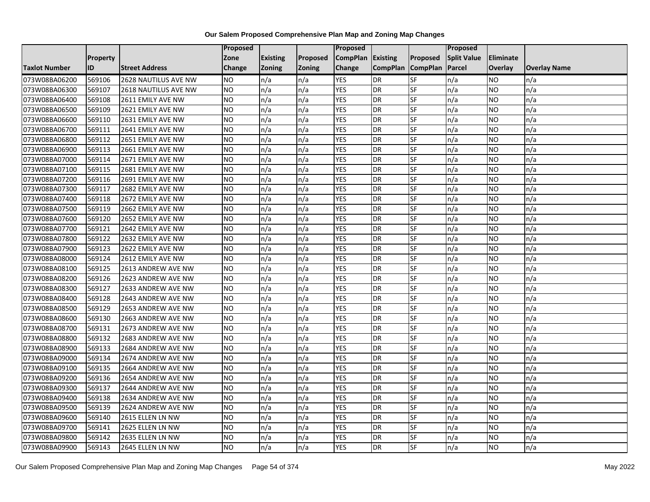|                      |                 |                       | <b>Proposed</b> |                 |               | Proposed        |                 |                 | Proposed           |                  |                     |
|----------------------|-----------------|-----------------------|-----------------|-----------------|---------------|-----------------|-----------------|-----------------|--------------------|------------------|---------------------|
|                      | <b>Property</b> |                       | Zone            | <b>Existing</b> | Proposed      | <b>CompPlan</b> | Existing        | Proposed        | <b>Split Value</b> | <b>Eliminate</b> |                     |
| <b>Taxlot Number</b> | ID              | <b>Street Address</b> | <b>Change</b>   | Zoning          | <b>Zoning</b> | Change          | <b>CompPlan</b> | <b>CompPlan</b> | Parcel             | <b>Overlay</b>   | <b>Overlay Name</b> |
| 073W08BA06200        | 569106          | 2628 NAUTILUS AVE NW  | <b>NO</b>       | n/a             | n/a           | <b>YES</b>      | <b>DR</b>       | <b>SF</b>       | n/a                | NO.              | n/a                 |
| 073W08BA06300        | 569107          | 2618 NAUTILUS AVE NW  | <b>NO</b>       | n/a             | n/a           | <b>YES</b>      | DR              | $S_{F}$         | n/a                | NO.              | n/a                 |
| 073W08BA06400        | 569108          | 2611 EMILY AVE NW     | <b>NO</b>       | n/a             | n/a           | <b>YES</b>      | DR              | SF              | n/a                | NO.              | n/a                 |
| 073W08BA06500        | 569109          | 2621 EMILY AVE NW     | <b>NO</b>       | n/a             | n/a           | <b>YES</b>      | <b>DR</b>       | SF              | n/a                | NO.              | n/a                 |
| 073W08BA06600        | 569110          | 2631 EMILY AVE NW     | <b>NO</b>       | n/a             | n/a           | <b>YES</b>      | <b>DR</b>       | $S_{F}$         | n/a                | NO.              | n/a                 |
| 073W08BA06700        | 569111          | 2641 EMILY AVE NW     | <b>NO</b>       | n/a             | n/a           | <b>YES</b>      | <b>DR</b>       | SF              | n/a                | <b>NO</b>        | n/a                 |
| 073W08BA06800        | 569112          | 2651 EMILY AVE NW     | <b>NO</b>       | n/a             | n/a           | <b>YES</b>      | DR              | SF              | n/a                | NO.              | n/a                 |
| 073W08BA06900        | 569113          | 2661 EMILY AVE NW     | <b>NO</b>       | n/a             | n/a           | <b>YES</b>      | DR              | SF              | n/a                | NO.              | n/a                 |
| 073W08BA07000        | 569114          | 2671 EMILY AVE NW     | <b>NO</b>       | n/a             | n/a           | <b>YES</b>      | DR              | SF              | n/a                | NO               | n/a                 |
| 073W08BA07100        | 569115          | 2681 EMILY AVE NW     | Ю               | n/a             | n/a           | <b>YES</b>      | DR              | <b>SF</b>       | n/a                | NO.              | n/a                 |
| 073W08BA07200        | 569116          | 2691 EMILY AVE NW     | <b>NO</b>       | n/a             | n/a           | <b>YES</b>      | <b>DR</b>       | <b>SF</b>       | n/a                | <b>NO</b>        | n/a                 |
| 073W08BA07300        | 569117          | 2682 EMILY AVE NW     | <b>NO</b>       | n/a             | n/a           | <b>YES</b>      | DR              | SF              | n/a                | NO.              | n/a                 |
| 073W08BA07400        | 569118          | 2672 EMILY AVE NW     | <b>NO</b>       | n/a             | n/a           | <b>YES</b>      | <b>DR</b>       | SF              | n/a                | NO.              | n/a                 |
| 073W08BA07500        | 569119          | 2662 EMILY AVE NW     | <b>NO</b>       | n/a             | n/a           | <b>YES</b>      | <b>DR</b>       | <b>SF</b>       | n/a                | <b>NO</b>        | n/a                 |
| 073W08BA07600        | 569120          | 2652 EMILY AVE NW     | <b>NO</b>       | n/a             | n/a           | <b>YES</b>      | DR              | SF              | n/a                | ΝO               | n/a                 |
| 073W08BA07700        | 569121          | 2642 EMILY AVE NW     | <b>NO</b>       | n/a             | n/a           | <b>YES</b>      | DR              | SF              | n/a                | NO.              | n/a                 |
| 073W08BA07800        | 569122          | 2632 EMILY AVE NW     | <b>NO</b>       | n/a             | n/a           | <b>YES</b>      | DR              | SF              | n/a                | NO.              | n/a                 |
| 073W08BA07900        | 569123          | 2622 EMILY AVE NW     | <b>NO</b>       | n/a             | n/a           | <b>YES</b>      | DR              | SF              | n/a                | NO.              | n/a                 |
| 073W08BA08000        | 569124          | 2612 EMILY AVE NW     | <b>NO</b>       | n/a             | n/a           | <b>YES</b>      | DR              | SF              | n/a                | NO.              | n/a                 |
| 073W08BA08100        | 569125          | 2613 ANDREW AVE NW    | <b>NO</b>       | n/a             | n/a           | <b>YES</b>      | DR              | SF              | n/a                | NO.              | n/a                 |
| 073W08BA08200        | 569126          | 2623 ANDREW AVE NW    | <b>NO</b>       | n/a             | n/a           | <b>YES</b>      | <b>DR</b>       | SF              | n/a                | NO.              | n/a                 |
| 073W08BA08300        | 569127          | 2633 ANDREW AVE NW    | Ю               | n/a             | n/a           | <b>YES</b>      | $\overline{R}$  | <b>SF</b>       | n/a                | NO.              | n/a                 |
| 073W08BA08400        | 569128          | 2643 ANDREW AVE NW    | <b>NO</b>       | n/a             | n/a           | <b>YES</b>      | <b>DR</b>       | <b>SF</b>       | n/a                | <b>NO</b>        | n/a                 |
| 073W08BA08500        | 569129          | 2653 ANDREW AVE NW    | <b>NO</b>       | n/a             | n/a           | <b>YES</b>      | <b>DR</b>       | SF              | n/a                | NO.              | n/a                 |
| 073W08BA08600        | 569130          | 2663 ANDREW AVE NW    | ŌИ              | n/a             | n/a           | <b>YES</b>      | DR              | <b>SF</b>       | n/a                | NO.              | n/a                 |
| 073W08BA08700        | 569131          | 2673 ANDREW AVE NW    | Ю               | n/a             | n/a           | <b>YES</b>      | DR              | SF              | n/a                | NO.              | n/a                 |
| 073W08BA08800        | 569132          | 2683 ANDREW AVE NW    | <b>NO</b>       | n/a             | n/a           | <b>YES</b>      | <b>DR</b>       | SF              | n/a                | NO.              | n/a                 |
| 073W08BA08900        | 569133          | 2684 ANDREW AVE NW    | <b>NO</b>       | n/a             | n/a           | <b>YES</b>      | <b>DR</b>       | SF              | n/a                | NO.              | n/a                 |
| 073W08BA09000        | 569134          | 2674 ANDREW AVE NW    | <b>NO</b>       | n/a             | n/a           | <b>YES</b>      | DR              | SF              | n/a                | NO.              | n/a                 |
| 073W08BA09100        | 569135          | 2664 ANDREW AVE NW    | <b>NO</b>       | n/a             | n/a           | <b>YES</b>      | <b>DR</b>       | <b>SF</b>       | n/a                | <b>NO</b>        | n/a                 |
| 073W08BA09200        | 569136          | 2654 ANDREW AVE NW    | <b>NO</b>       | n/a             | n/a           | <b>YES</b>      | DR              | SF              | n/a                | <b>NO</b>        | n/a                 |
| 073W08BA09300        | 569137          | 2644 ANDREW AVE NW    | <b>NO</b>       | n/a             | n/a           | <b>YES</b>      | DR              | SF              | n/a                | <b>NO</b>        | n/a                 |
| 073W08BA09400        | 569138          | 2634 ANDREW AVE NW    | <b>NO</b>       | n/a             | n/a           | <b>YES</b>      | DR              | SF              | n/a                | NO.              | n/a                 |
| 073W08BA09500        | 569139          | 2624 ANDREW AVE NW    | <b>NO</b>       | n/a             | n/a           | <b>YES</b>      | <b>DR</b>       | SF              | n/a                | NO.              | n/a                 |
| 073W08BA09600        | 569140          | 2615 ELLEN LN NW      | Ю               | n/a             | n/a           | <b>YES</b>      | <b>DR</b>       | <b>SF</b>       | n/a                | NO.              | n/a                 |
| 073W08BA09700        | 569141          | 2625 ELLEN LN NW      | <b>NO</b>       | n/a             | n/a           | <b>YES</b>      | <b>DR</b>       | SF              | n/a                | NO.              | n/a                 |
| 073W08BA09800        | 569142          | 2635 ELLEN LN NW      | <b>NO</b>       | n/a             | n/a           | <b>YES</b>      | DR              | SF              | n/a                | NO.              | n/a                 |
| 073W08BA09900        | 569143          | 2645 ELLEN LN NW      | Ю               | n/a             | n/a           | <b>YES</b>      | DR              | SF              | n/a                | NO.              | n/a                 |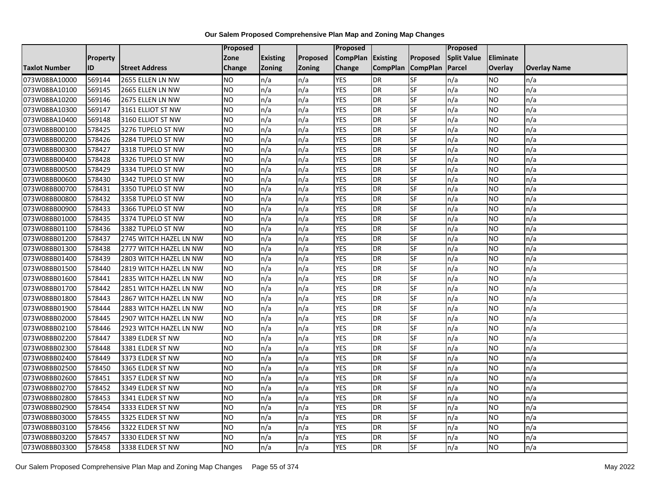|                      |          |                        | Proposed       |                 |               | Proposed        |                 |                 | Proposed           |                |                     |
|----------------------|----------|------------------------|----------------|-----------------|---------------|-----------------|-----------------|-----------------|--------------------|----------------|---------------------|
|                      | Property |                        | Zone           | <b>Existing</b> | Proposed      | <b>CompPlan</b> | <b>Existing</b> | Proposed        | <b>Split Value</b> | Eliminate      |                     |
| <b>Taxlot Number</b> | ID       | <b>Street Address</b>  | <b>Change</b>  | <b>Zoning</b>   | <b>Zoning</b> | Change          | <b>CompPlan</b> | <b>CompPlan</b> | Parcel             | <b>Overlay</b> | <b>Overlay Name</b> |
| 073W08BA10000        | 569144   | 2655 ELLEN LN NW       | <b>NO</b>      | n/a             | n/a           | <b>YES</b>      | DR              | SF              | n/a                | <b>NO</b>      | n/a                 |
| 073W08BA10100        | 569145   | 2665 ELLEN LN NW       | <b>NO</b>      | n/a             | n/a           | <b>YES</b>      | <b>DR</b>       | SF              | n/a                | <b>NO</b>      | n/a                 |
| 073W08BA10200        | 569146   | 2675 ELLEN LN NW       | <b>NO</b>      | n/a             | n/a           | <b>YES</b>      | <b>DR</b>       | SF              | n/a                | <b>NO</b>      | n/a                 |
| 073W08BA10300        | 569147   | 3161 ELLIOT ST NW      | <b>NO</b>      | n/a             | n/a           | <b>YES</b>      | <b>DR</b>       | SF              | n/a                | <b>NO</b>      | n/a                 |
| 073W08BA10400        | 569148   | 3160 ELLIOT ST NW      | <b>NO</b>      | n/a             | n/a           | <b>YES</b>      | <b>DR</b>       | SF              | n/a                | <b>NO</b>      | n/a                 |
| 073W08BB00100        | 578425   | 3276 TUPELO ST NW      | <b>NO</b>      | n/a             | n/a           | <b>YES</b>      | <b>DR</b>       | SF              | n/a                | <b>NO</b>      | n/a                 |
| 073W08BB00200        | 578426   | 3284 TUPELO ST NW      | <b>NO</b>      | n/a             | n/a           | <b>YES</b>      | <b>DR</b>       | SF              | n/a                | <b>NO</b>      | n/a                 |
| 073W08BB00300        | 578427   | 3318 TUPELO ST NW      | <b>NO</b>      | n/a             | n/a           | <b>YES</b>      | <b>DR</b>       | SF              | n/a                | <b>NO</b>      | n/a                 |
| 073W08BB00400        | 578428   | 3326 TUPELO ST NW      | <b>NO</b>      | n/a             | n/a           | <b>YES</b>      | <b>DR</b>       | SF              | n/a                | <b>NO</b>      | n/a                 |
| 073W08BB00500        | 578429   | 3334 TUPELO ST NW      | <b>NO</b>      | n/a             | n/a           | <b>YES</b>      | <b>DR</b>       | SF              | n/a                | <b>NO</b>      | n/a                 |
| 073W08BB00600        | 578430   | 3342 TUPELO ST NW      | N <sub>O</sub> | n/a             | n/a           | <b>YES</b>      | <b>DR</b>       | SF              | n/a                | <b>NO</b>      | n/a                 |
| 073W08BB00700        | 578431   | 3350 TUPELO ST NW      | <b>NO</b>      | n/a             | n/a           | <b>YES</b>      | <b>DR</b>       | SF              | n/a                | <b>NO</b>      | n/a                 |
| 073W08BB00800        | 578432   | 3358 TUPELO ST NW      | <b>NO</b>      | n/a             | n/a           | <b>YES</b>      | <b>DR</b>       | SF              | n/a                | <b>NO</b>      | n/a                 |
| 073W08BB00900        | 578433   | 3366 TUPELO ST NW      | <b>NO</b>      | n/a             | n/a           | <b>YES</b>      | <b>DR</b>       | SF              | n/a                | <b>NO</b>      | n/a                 |
| 073W08BB01000        | 578435   | 3374 TUPELO ST NW      | <b>NO</b>      | n/a             | n/a           | <b>YES</b>      | <b>DR</b>       | SF              | n/a                | <b>NO</b>      | n/a                 |
| 073W08BB01100        | 578436   | 3382 TUPELO ST NW      | <b>NO</b>      | n/a             | n/a           | <b>YES</b>      | <b>DR</b>       | SF              | n/a                | <b>NO</b>      | n/a                 |
| 073W08BB01200        | 578437   | 2745 WITCH HAZEL LN NW | <b>NO</b>      | n/a             | n/a           | <b>YES</b>      | <b>DR</b>       | SF              | n/a                | <b>NO</b>      | n/a                 |
| 073W08BB01300        | 578438   | 2777 WITCH HAZEL LN NW | <b>NO</b>      | n/a             | n/a           | <b>YES</b>      | <b>DR</b>       | SF              | n/a                | <b>NO</b>      | n/a                 |
| 073W08BB01400        | 578439   | 2803 WITCH HAZEL LN NW | <b>NO</b>      | n/a             | n/a           | <b>YES</b>      | <b>DR</b>       | SF              | n/a                | <b>NO</b>      | n/a                 |
| 073W08BB01500        | 578440   | 2819 WITCH HAZEL LN NW | <b>NO</b>      | n/a             | n/a           | <b>YES</b>      | <b>DR</b>       | SF              | n/a                | <b>NO</b>      | n/a                 |
| 073W08BB01600        | 578441   | 2835 WITCH HAZEL LN NW | <b>NO</b>      | n/a             | n/a           | <b>YES</b>      | <b>DR</b>       | SF              | n/a                | <b>NO</b>      | n/a                 |
| 073W08BB01700        | 578442   | 2851 WITCH HAZEL LN NW | <b>NO</b>      | n/a             | n/a           | <b>YES</b>      | <b>DR</b>       | SF              | n/a                | <b>NO</b>      | n/a                 |
| 073W08BB01800        | 578443   | 2867 WITCH HAZEL LN NW | <b>NO</b>      | n/a             | n/a           | <b>YES</b>      | <b>DR</b>       | SF              | n/a                | <b>NO</b>      | n/a                 |
| 073W08BB01900        | 578444   | 2883 WITCH HAZEL LN NW | <b>NO</b>      | n/a             | n/a           | <b>YES</b>      | <b>DR</b>       | SF              | n/a                | <b>NO</b>      | n/a                 |
| 073W08BB02000        | 578445   | 2907 WITCH HAZEL LN NW | <b>NO</b>      | n/a             | n/a           | <b>YES</b>      | <b>DR</b>       | SF              | n/a                | <b>NO</b>      | n/a                 |
| 073W08BB02100        | 578446   | 2923 WITCH HAZEL LN NW | <b>NO</b>      | n/a             | n/a           | <b>YES</b>      | <b>DR</b>       | SF              | n/a                | <b>NO</b>      | n/a                 |
| 073W08BB02200        | 578447   | 3389 ELDER ST NW       | <b>NO</b>      | n/a             | n/a           | <b>YES</b>      | <b>DR</b>       | SF              | n/a                | <b>NO</b>      | n/a                 |
| 073W08BB02300        | 578448   | 3381 ELDER ST NW       | <b>NO</b>      | n/a             | n/a           | <b>YES</b>      | DR              | SF              | n/a                | <b>NO</b>      | n/a                 |
| 073W08BB02400        | 578449   | 3373 ELDER ST NW       | <b>NO</b>      | n/a             | n/a           | <b>YES</b>      | <b>DR</b>       | SF              | n/a                | <b>NO</b>      | n/a                 |
| 073W08BB02500        | 578450   | 3365 ELDER ST NW       | <b>NO</b>      | n/a             | n/a           | <b>YES</b>      | <b>DR</b>       | SF              | n/a                | <b>NO</b>      | n/a                 |
| 073W08BB02600        | 578451   | 3357 ELDER ST NW       | <b>NO</b>      | n/a             | n/a           | <b>YES</b>      | <b>DR</b>       | SF              | n/a                | <b>NO</b>      | n/a                 |
| 073W08BB02700        | 578452   | 3349 ELDER ST NW       | <b>NO</b>      | n/a             | n/a           | <b>YES</b>      | <b>DR</b>       | SF              | n/a                | <b>NO</b>      | n/a                 |
| 073W08BB02800        | 578453   | 3341 ELDER ST NW       | N <sub>O</sub> | n/a             | n/a           | <b>YES</b>      | <b>DR</b>       | SF              | n/a                | <b>NO</b>      | n/a                 |
| 073W08BB02900        | 578454   | 3333 ELDER ST NW       | <b>NO</b>      | n/a             | n/a           | <b>YES</b>      | <b>DR</b>       | SF              | n/a                | <b>NO</b>      | n/a                 |
| 073W08BB03000        | 578455   | 3325 ELDER ST NW       | <b>NO</b>      | n/a             | n/a           | <b>YES</b>      | <b>DR</b>       | SF              | n/a                | <b>NO</b>      | n/a                 |
| 073W08BB03100        | 578456   | 3322 ELDER ST NW       | <b>NO</b>      | n/a             | n/a           | <b>YES</b>      | <b>DR</b>       | SF              | n/a                | <b>NO</b>      | n/a                 |
| 073W08BB03200        | 578457   | 3330 ELDER ST NW       | <b>NO</b>      | n/a             | n/a           | <b>YES</b>      | <b>DR</b>       | SF              | n/a                | <b>NO</b>      | n/a                 |
| 073W08BB03300        | 578458   | 3338 ELDER ST NW       | <b>NO</b>      | n/a             | n/a           | <b>YES</b>      | <b>DR</b>       | SF              | n/a                | <b>NO</b>      | n/a                 |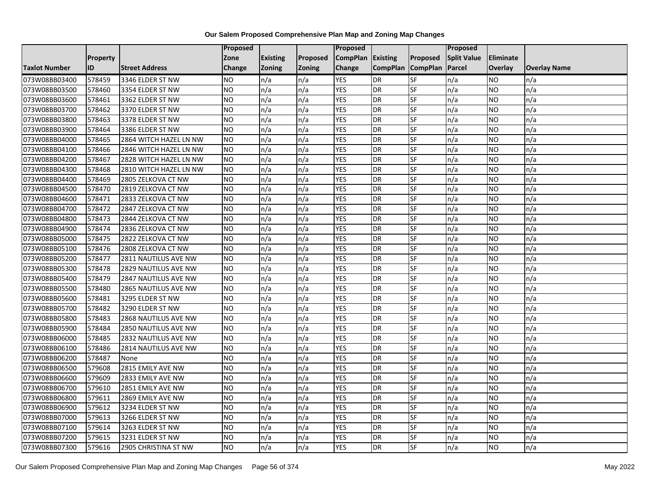|                      |                 |                        | <b>Proposed</b> |                 |               | Proposed        |                 |                 | Proposed           |                |                     |
|----------------------|-----------------|------------------------|-----------------|-----------------|---------------|-----------------|-----------------|-----------------|--------------------|----------------|---------------------|
|                      | <b>Property</b> |                        | Zone            | <b>Existing</b> | Proposed      | <b>CompPlan</b> | Existing        | Proposed        | <b>Split Value</b> | Eliminate      |                     |
| <b>Taxlot Number</b> | ID              | <b>Street Address</b>  | <b>Change</b>   | Zoning          | <b>Zoning</b> | Change          | <b>CompPlan</b> | <b>CompPlan</b> | Parcel             | <b>Overlay</b> | <b>Overlay Name</b> |
| 073W08BB03400        | 578459          | 3346 ELDER ST NW       | <b>NO</b>       | n/a             | n/a           | <b>YES</b>      | <b>DR</b>       | <b>SF</b>       | n/a                | <b>NO</b>      | n/a                 |
| 073W08BB03500        | 578460          | 3354 ELDER ST NW       | <b>NO</b>       | n/a             | n/a           | <b>YES</b>      | DR              | SF              | n/a                | NO.            | n/a                 |
| 073W08BB03600        | 578461          | 3362 ELDER ST NW       | <b>NO</b>       | n/a             | n/a           | <b>YES</b>      | DR              | SF              | n/a                | NO.            | n/a                 |
| 073W08BB03700        | 578462          | 3370 ELDER ST NW       | <b>NO</b>       | n/a             | n/a           | <b>YES</b>      | <b>DR</b>       | SF              | n/a                | NO.            | n/a                 |
| 073W08BB03800        | 578463          | 3378 ELDER ST NW       | <b>NO</b>       | n/a             | n/a           | <b>YES</b>      | DR              | SF              | n/a                | NO.            | n/a                 |
| 073W08BB03900        | 578464          | 3386 ELDER ST NW       | <b>NO</b>       | n/a             | n/a           | <b>YES</b>      | <b>DR</b>       | SF              | n/a                | <b>NO</b>      | n/a                 |
| 073W08BB04000        | 578465          | 2864 WITCH HAZEL LN NW | <b>NO</b>       | n/a             | n/a           | <b>YES</b>      | DR              | SF              | n/a                | NO.            | n/a                 |
| 073W08BB04100        | 578466          | 2846 WITCH HAZEL LN NW | <b>NO</b>       | n/a             | n/a           | <b>YES</b>      | DR              | SF              | n/a                | NO.            | n/a                 |
| 073W08BB04200        | 578467          | 2828 WITCH HAZEL LN NW | <b>NO</b>       | n/a             | n/a           | <b>YES</b>      | <b>DR</b>       | SF              | n/a                | NO.            | n/a                 |
| 073W08BB04300        | 578468          | 2810 WITCH HAZEL LN NW | Ю               | n/a             | n/a           | <b>YES</b>      | <b>DR</b>       | <b>SF</b>       | n/a                | NO.            | n/a                 |
| 073W08BB04400        | 578469          | 2805 ZELKOVA CT NW     | <b>NO</b>       | n/a             | n/a           | <b>YES</b>      | DR              | SF              | n/a                | NO.            | n/a                 |
| 073W08BB04500        | 578470          | 2819 ZELKOVA CT NW     | <b>NO</b>       | n/a             | n/a           | <b>YES</b>      | <b>DR</b>       | SF              | n/a                | NO.            | n/a                 |
| 073W08BB04600        | 578471          | 2833 ZELKOVA CT NW     | ŌИ              | n/a             | n/a           | <b>YES</b>      | DR              | <b>SF</b>       | n/a                | NO.            | n/a                 |
| 073W08BB04700        | 578472          | 2847 ZELKOVA CT NW     | <b>NO</b>       | n/a             | n/a           | <b>YES</b>      | <b>DR</b>       | SF              | n/a                | NO.            | n/a                 |
| 073W08BB04800        | 578473          | 2844 ZELKOVA CT NW     | <b>NO</b>       | n/a             | n/a           | <b>YES</b>      | DR              | SF              | n/a                | NO.            | n/a                 |
| 073W08BB04900        | 578474          | 2836 ZELKOVA CT NW     | <b>NO</b>       | n/a             | n/a           | <b>YES</b>      | <b>DR</b>       | $S_{F}$         | n/a                | NO.            | n/a                 |
| 073W08BB05000        | 578475          | 2822 ZELKOVA CT NW     | ŌИ              | n/a             | n/a           | <b>YES</b>      | DR              | <b>SF</b>       | n/a                | NO.            | n/a                 |
| 073W08BB05100        | 578476          | 2808 ZELKOVA CT NW     | <b>NO</b>       | n/a             | n/a           | <b>YES</b>      | DR              | SF              | n/a                | NO.            | n/a                 |
| 073W08BB05200        | 578477          | 2811 NAUTILUS AVE NW   | <b>NO</b>       | n/a             | n/a           | <b>YES</b>      | DR              | SF              | n/a                | NO.            | n/a                 |
| 073W08BB05300        | 578478          | 2829 NAUTILUS AVE NW   | <b>NO</b>       | n/a             | n/a           | <b>YES</b>      | DR              | SF              | n/a                | ΝO             | n/a                 |
| 073W08BB05400        | 578479          | 2847 NAUTILUS AVE NW   | <b>NO</b>       | n/a             | n/a           | <b>YES</b>      | <b>DR</b>       | SF              | n/a                | NO.            | n/a                 |
| 073W08BB05500        | 578480          | 2865 NAUTILUS AVE NW   | <b>NO</b>       | n/a             | n/a           | <b>YES</b>      | <b>DR</b>       | SF              | n/a                | NO.            | n/a                 |
| 073W08BB05600        | 578481          | 3295 ELDER ST NW       | <b>NO</b>       | n/a             | n/a           | <b>YES</b>      | <b>DR</b>       | SF              | n/a                | NO.            | n/a                 |
| 073W08BB05700        | 578482          | 3290 ELDER ST NW       | <b>NO</b>       | n/a             | n/a           | <b>YES</b>      | DR              | SF              | n/a                | NO             | n/a                 |
| 073W08BB05800        | 578483          | 2868 NAUTILUS AVE NW   | <b>NO</b>       | n/a             | n/a           | <b>YES</b>      | <b>DR</b>       | SF              | n/a                | NO.            | n/a                 |
| 073W08BB05900        | 578484          | 2850 NAUTILUS AVE NW   | <b>NO</b>       | n/a             | n/a           | <b>YES</b>      | DR              | SF              | n/a                | NO.            | n/a                 |
| 073W08BB06000        | 578485          | 2832 NAUTILUS AVE NW   | Ю               | n/a             | n/a           | <b>YES</b>      | <b>DR</b>       | <b>SF</b>       | n/a                | NO.            | n/a                 |
| 073W08BB06100        | 578486          | 2814 NAUTILUS AVE NW   | <b>NO</b>       | n/a             | n/a           | <b>YES</b>      | <b>DR</b>       | SF              | n/a                | NO.            | n/a                 |
| 073W08BB06200        | 578487          | None                   | <b>NO</b>       | n/a             | n/a           | <b>YES</b>      | DR              | SF              | n/a                | NO.            | n/a                 |
| 073W08BB06500        | 579608          | 2815 EMILY AVE NW      | <b>NO</b>       | n/a             | n/a           | <b>YES</b>      | <b>DR</b>       | SF              | n/a                | <b>NO</b>      | n/a                 |
| 073W08BB06600        | 579609          | 2833 EMILY AVE NW      | <b>NO</b>       | n/a             | n/a           | <b>YES</b>      | DR              | SF              | n/a                | NO             | n/a                 |
| 073W08BB06700        | 579610          | 2851 EMILY AVE NW      | <b>NO</b>       | n/a             | n/a           | <b>YES</b>      | DR              | SF              | n/a                | NO.            | n/a                 |
| 073W08BB06800        | 579611          | 2869 EMILY AVE NW      | <b>NO</b>       | n/a             | n/a           | <b>YES</b>      | <b>DR</b>       | SF              | n/a                | NO.            | n/a                 |
| 073W08BB06900        | 579612          | 3234 ELDER ST NW       | <b>NO</b>       | n/a             | n/a           | <b>YES</b>      | DR              | SF              | n/a                | NO.            | n/a                 |
| 073W08BB07000        | 579613          | 3266 ELDER ST NW       | <b>NO</b>       | n/a             | n/a           | <b>YES</b>      | <b>DR</b>       | SF              | n/a                | NO.            | n/a                 |
| 073W08BB07100        | 579614          | 3263 ELDER ST NW       | <b>NO</b>       | n/a             | n/a           | <b>YES</b>      | <b>DR</b>       | <b>SF</b>       | n/a                | NO             | n/a                 |
| 073W08BB07200        | 579615          | 3231 ELDER ST NW       | <b>NO</b>       | n/a             | n/a           | <b>YES</b>      | DR              | SF              | n/a                | ΝO             | n/a                 |
| 073W08BB07300        | 579616          | 2905 CHRISTINA ST NW   | <b>NO</b>       | n/a             | n/a           | <b>YES</b>      | <b>DR</b>       | SF              | n/a                | NO.            | n/a                 |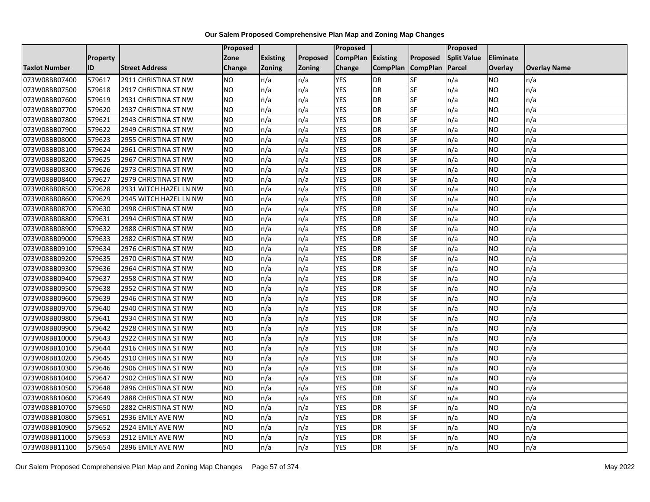|                      |                 |                        | <b>Proposed</b> |                 |               | Proposed        |                 |                 | Proposed           |           |                     |
|----------------------|-----------------|------------------------|-----------------|-----------------|---------------|-----------------|-----------------|-----------------|--------------------|-----------|---------------------|
|                      | <b>Property</b> |                        | Zone            | <b>Existing</b> | Proposed      | <b>CompPlan</b> | Existing        | Proposed        | <b>Split Value</b> | Eliminate |                     |
| <b>Taxlot Number</b> | ID              | <b>Street Address</b>  | <b>Change</b>   | Zoning          | <b>Zoning</b> | Change          | <b>CompPlan</b> | <b>CompPlan</b> | Parcel             | Overlay   | <b>Overlay Name</b> |
| 073W08BB07400        | 579617          | 2911 CHRISTINA ST NW   | <b>NO</b>       | n/a             | n/a           | <b>YES</b>      | <b>DR</b>       | <b>SF</b>       | n/a                | NO        | n/a                 |
| 073W08BB07500        | 579618          | 2917 CHRISTINA ST NW   | <b>NO</b>       | n/a             | n/a           | <b>YES</b>      | DR              | SF              | n/a                | NO.       | n/a                 |
| 073W08BB07600        | 579619          | 2931 CHRISTINA ST NW   | <b>NO</b>       | n/a             | n/a           | <b>YES</b>      | DR              | SF              | n/a                | NO.       | n/a                 |
| 073W08BB07700        | 579620          | 2937 CHRISTINA ST NW   | <b>NO</b>       | n/a             | n/a           | <b>YES</b>      | <b>DR</b>       | SF              | n/a                | NO.       | n/a                 |
| 073W08BB07800        | 579621          | 2943 CHRISTINA ST NW   | <b>NO</b>       | n/a             | n/a           | <b>YES</b>      | <b>DR</b>       | SF              | n/a                | NO.       | n/a                 |
| 073W08BB07900        | 579622          | 2949 CHRISTINA ST NW   | <b>NO</b>       | n/a             | n/a           | <b>YES</b>      | <b>DR</b>       | SF              | n/a                | <b>NO</b> | n/a                 |
| 073W08BB08000        | 579623          | 2955 CHRISTINA ST NW   | <b>NO</b>       | n/a             | n/a           | <b>YES</b>      | DR              | SF              | n/a                | NO.       | n/a                 |
| 073W08BB08100        | 579624          | 2961 CHRISTINA ST NW   | <b>NO</b>       | n/a             | n/a           | <b>YES</b>      | DR              | SF              | n/a                | NO.       | n/a                 |
| 073W08BB08200        | 579625          | 2967 CHRISTINA ST NW   | <b>NO</b>       | n/a             | n/a           | <b>YES</b>      | <b>DR</b>       | SF              | n/a                | NO.       | n/a                 |
| 073W08BB08300        | 579626          | 2973 CHRISTINA ST NW   | <b>NO</b>       | n/a             | n/a           | <b>YES</b>      | <b>DR</b>       | <b>SF</b>       | n/a                | NO.       | n/a                 |
| 073W08BB08400        | 579627          | 2979 CHRISTINA ST NW   | <b>NO</b>       | n/a             | n/a           | <b>YES</b>      | <b>DR</b>       | SF              | n/a                | NO.       | n/a                 |
| 073W08BB08500        | 579628          | 2931 WITCH HAZEL LN NW | <b>NO</b>       | n/a             | n/a           | <b>YES</b>      | <b>DR</b>       | SF              | n/a                | NO.       | n/a                 |
| 073W08BB08600        | 579629          | 2945 WITCH HAZEL LN NW | NO              | n/a             | n/a           | <b>YES</b>      | <b>DR</b>       | <b>SF</b>       | n/a                | NO.       | n/a                 |
| 073W08BB08700        | 579630          | 2998 CHRISTINA ST NW   | <b>NO</b>       | n/a             | n/a           | <b>YES</b>      | <b>DR</b>       | SF              | n/a                | NO.       | n/a                 |
| 073W08BB08800        | 579631          | 2994 CHRISTINA ST NW   | <b>NO</b>       | n/a             | n/a           | <b>YES</b>      | DR              | SF              | n/a                | NO.       | n/a                 |
| 073W08BB08900        | 579632          | 2988 CHRISTINA ST NW   | Ю               | n/a             | n/a           | <b>YES</b>      | <b>DR</b>       | $S_{F}$         | n/a                | NO.       | n/a                 |
| 073W08BB09000        | 579633          | 2982 CHRISTINA ST NW   | Ю               | n/a             | n/a           | <b>YES</b>      | <b>DR</b>       | <b>SF</b>       | n/a                | NO.       | n/a                 |
| 073W08BB09100        | 579634          | 2976 CHRISTINA ST NW   | <b>NO</b>       | n/a             | n/a           | <b>YES</b>      | DR              | SF              | n/a                | NO.       | n/a                 |
| 073W08BB09200        | 579635          | 2970 CHRISTINA ST NW   | <b>NO</b>       | n/a             | n/a           | <b>YES</b>      | DR              | SF              | n/a                | NO.       | n/a                 |
| 073W08BB09300        | 579636          | 2964 CHRISTINA ST NW   | <b>NO</b>       | n/a             | n/a           | <b>YES</b>      | <b>DR</b>       | SF              | n/a                | NO.       | n/a                 |
| 073W08BB09400        | 579637          | 2958 CHRISTINA ST NW   | <b>NO</b>       | n/a             | n/a           | <b>YES</b>      | DR              | SF              | n/a                | NO.       | n/a                 |
| 073W08BB09500        | 579638          | 2952 CHRISTINA ST NW   | <b>NO</b>       | n/a             | n/a           | <b>YES</b>      | <b>DR</b>       | <b>SF</b>       | n/a                | <b>NO</b> | n/a                 |
| 073W08BB09600        | 579639          | 2946 CHRISTINA ST NW   | <b>NO</b>       | n/a             | n/a           | <b>YES</b>      | <b>DR</b>       | <b>SF</b>       | n/a                | NO.       | n/a                 |
| 073W08BB09700        | 579640          | 2940 CHRISTINA ST NW   | <b>NO</b>       | n/a             | n/a           | <b>YES</b>      | <b>DR</b>       | SF              | n/a                | NO.       | n/a                 |
| 073W08BB09800        | 579641          | 2934 CHRISTINA ST NW   | <b>NO</b>       | n/a             | n/a           | <b>YES</b>      | <b>DR</b>       | SF              | n/a                | NO.       | n/a                 |
| 073W08BB09900        | 579642          | 2928 CHRISTINA ST NW   | <b>NO</b>       | n/a             | n/a           | <b>YES</b>      | DR              | SF              | n/a                | NO.       | n/a                 |
| 073W08BB10000        | 579643          | 2922 CHRISTINA ST NW   | Ю               | n/a             | n/a           | <b>YES</b>      | <b>DR</b>       | <b>SF</b>       | n/a                | NO.       | n/a                 |
| 073W08BB10100        | 579644          | 2916 CHRISTINA ST NW   | <b>NO</b>       | n/a             | n/a           | <b>YES</b>      | DR              | SF              | n/a                | NO.       | n/a                 |
| 073W08BB10200        | 579645          | 2910 CHRISTINA ST NW   | <b>NO</b>       | n/a             | n/a           | <b>YES</b>      | DR              | SF              | n/a                | NO.       | n/a                 |
| 073W08BB10300        | 579646          | 2906 CHRISTINA ST NW   | <b>NO</b>       | n/a             | n/a           | <b>YES</b>      | <b>DR</b>       | SF              | n/a                | NO.       | n/a                 |
| 073W08BB10400        | 579647          | 2902 CHRISTINA ST NW   | <b>NO</b>       | n/a             | n/a           | <b>YES</b>      | DR              | SF              | n/a                | NO.       | n/a                 |
| 073W08BB10500        | 579648          | 2896 CHRISTINA ST NW   | <b>NO</b>       | n/a             | n/a           | <b>YES</b>      | DR              | SF              | n/a                | NO.       | n/a                 |
| 073W08BB10600        | 579649          | 2888 CHRISTINA ST NW   | Ю               | n/a             | n/a           | <b>YES</b>      | <b>DR</b>       | <b>SF</b>       | n/a                | NO.       | n/a                 |
| 073W08BB10700        | 579650          | 2882 CHRISTINA ST NW   | <b>NO</b>       | n/a             | n/a           | <b>YES</b>      | DR              | SF              | n/a                | NO.       | n/a                 |
| 073W08BB10800        | 579651          | 2936 EMILY AVE NW      | <b>NO</b>       | n/a             | n/a           | <b>YES</b>      | <b>DR</b>       | SF              | n/a                | NO.       | n/a                 |
| 073W08BB10900        | 579652          | 2924 EMILY AVE NW      | <b>NO</b>       | n/a             | n/a           | <b>YES</b>      | <b>DR</b>       | SF              | n/a                | NO        | n/a                 |
| 073W08BB11000        | 579653          | 2912 EMILY AVE NW      | <b>NO</b>       | n/a             | n/a           | <b>YES</b>      | DR              | SF              | n/a                | ΝO        | n/a                 |
| 073W08BB11100        | 579654          | 2896 EMILY AVE NW      | <b>NO</b>       | n/a             | n/a           | <b>YES</b>      | <b>DR</b>       | SF              | n/a                | NO.       | n/a                 |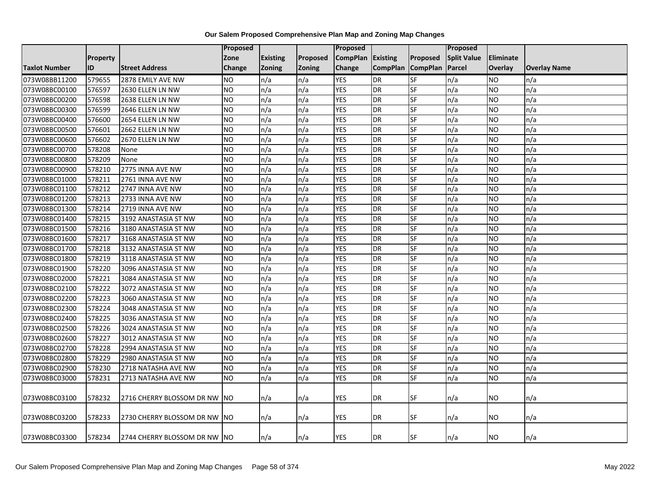|                      |                 |                               | Proposed   |                 |          | Proposed          |                 |                 | Proposed           |           |                     |
|----------------------|-----------------|-------------------------------|------------|-----------------|----------|-------------------|-----------------|-----------------|--------------------|-----------|---------------------|
|                      | <b>Property</b> |                               | Zone       | <b>Existing</b> | Proposed | CompPlan Existing |                 | Proposed        | <b>Split Value</b> | Eliminate |                     |
| <b>Taxlot Number</b> | ID              | <b>Street Address</b>         | Change     | Zoning          | Zoning   | Change            | <b>CompPlan</b> | <b>CompPlan</b> | <b>Parcel</b>      | Overlay   | <b>Overlay Name</b> |
| 073W08BB11200        | 579655          | 2878 EMILY AVE NW             | <b>NO</b>  | n/a             | n/a      | <b>YES</b>        | <b>DR</b>       | <b>SF</b>       | n/a                | NO        | n/a                 |
| 073W08BC00100        | 576597          | 2630 ELLEN LN NW              | <b>NO</b>  | n/a             | n/a      | <b>YES</b>        | <b>DR</b>       | SF              | n/a                | ΝO        | n/a                 |
| 073W08BC00200        | 576598          | 2638 ELLEN LN NW              | <b>NO</b>  | n/a             | n/a      | <b>YES</b>        | DR              | SF              | n/a                | NO        | n/a                 |
| 073W08BC00300        | 576599          | 2646 ELLEN LN NW              | <b>NO</b>  | n/a             | n/a      | <b>YES</b>        | DR              | SF              | n/a                | NO.       | n/a                 |
| 073W08BC00400        | 576600          | 2654 ELLEN LN NW              | <b>NO</b>  | n/a             | n/a      | <b>YES</b>        | <b>DR</b>       | SF              | n/a                | NO        | n/a                 |
| 073W08BC00500        | 576601          | 2662 ELLEN LN NW              | <b>NO</b>  | n/a             | n/a      | <b>YES</b>        | DR              | SF              | n/a                | NO.       | n/a                 |
| 073W08BC00600        | 576602          | 2670 ELLEN LN NW              | <b>NO</b>  | n/a             | n/a      | <b>YES</b>        | <b>DR</b>       | SF              | n/a                | NO.       | n/a                 |
| 073W08BC00700        | 578208          | None                          | <b>NO</b>  | n/a             | n/a      | <b>YES</b>        | <b>DR</b>       | <b>SF</b>       | n/a                | <b>NO</b> | n/a                 |
| 073W08BC00800        | 578209          | None                          | <b>NO</b>  | n/a             | n/a      | <b>YES</b>        | <b>DR</b>       | SF              | n/a                | NO.       | n/a                 |
| 073W08BC00900        | 578210          | 2775 INNA AVE NW              | <b>NO</b>  | n/a             | n/a      | <b>YES</b>        | <b>DR</b>       | <b>SF</b>       | n/a                | NO        | n/a                 |
| 073W08BC01000        | 578211          | 2761 INNA AVE NW              | <b>NO</b>  | n/a             | n/a      | <b>YES</b>        | <b>DR</b>       | SF              | n/a                | NO.       | n/a                 |
| 073W08BC01100        | 578212          | 2747 INNA AVE NW              | <b>NO</b>  | n/a             | n/a      | <b>YES</b>        | <b>DR</b>       | SF              | n/a                | <b>NO</b> | n/a                 |
| 073W08BC01200        | 578213          | 2733 INNA AVE NW              | <b>NO</b>  | n/a             | n/a      | <b>YES</b>        | DR              | SF              | n/a                | NO.       | n/a                 |
| 073W08BC01300        | 578214          | 2719 INNA AVE NW              | <b>NO</b>  | n/a             | n/a      | <b>YES</b>        | <b>DR</b>       | SF              | n/a                | NO.       | n/a                 |
| 073W08BC01400        | 578215          | 3192 ANASTASIA ST NW          | <b>NO</b>  | n/a             | n/a      | <b>YES</b>        | <b>DR</b>       | SF              | n/a                | <b>NO</b> | n/a                 |
| 073W08BC01500        | 578216          | 3180 ANASTASIA ST NW          | <b>NO</b>  | n/a             | n/a      | <b>YES</b>        | DR              | SF              | n/a                | NO.       | n/a                 |
| 073W08BC01600        | 578217          | 3168 ANASTASIA ST NW          | <b>NO</b>  | n/a             | n/a      | <b>YES</b>        | DR              | SF              | n/a                | <b>NO</b> | n/a                 |
| 073W08BC01700        | 578218          | 3132 ANASTASIA ST NW          | <b>NO</b>  | n/a             | n/a      | <b>YES</b>        | DR              | SF              | n/a                | NO.       | n/a                 |
| 073W08BC01800        | 578219          | 3118 ANASTASIA ST NW          | <b>NO</b>  | n/a             | n/a      | <b>YES</b>        | <b>DR</b>       | SF              | n/a                | NO.       | n/a                 |
| 073W08BC01900        | 578220          | 3096 ANASTASIA ST NW          | <b>NO</b>  | n/a             | n/a      | <b>YES</b>        | DR              | SF              | n/a                | NO.       | n/a                 |
| 073W08BC02000        | 578221          | 3084 ANASTASIA ST NW          | <b>NO</b>  | n/a             | n/a      | <b>YES</b>        | <b>DR</b>       | SF              | n/a                | <b>NO</b> | n/a                 |
| 073W08BC02100        | 578222          | 3072 ANASTASIA ST NW          | <b>NO</b>  | n/a             | n/a      | <b>YES</b>        | DR              | <b>SF</b>       | n/a                | <b>NO</b> | n/a                 |
| 073W08BC02200        | 578223          | 3060 ANASTASIA ST NW          | <b>NO</b>  | n/a             | n/a      | <b>YES</b>        | <b>DR</b>       | SF              | n/a                | NO.       | n/a                 |
| 073W08BC02300        | 578224          | 3048 ANASTASIA ST NW          | <b>NO</b>  | n/a             | n/a      | <b>YES</b>        | DR              | SF              | n/a                | NO.       | n/a                 |
| 073W08BC02400        | 578225          | 3036 ANASTASIA ST NW          | <b>NO</b>  | n/a             | n/a      | <b>YES</b>        | <b>DR</b>       | SF              | n/a                | NO        | n/a                 |
| 073W08BC02500        | 578226          | 3024 ANASTASIA ST NW          | <b>NO</b>  | n/a             | n/a      | <b>YES</b>        | <b>DR</b>       | SF              | n/a                | <b>NO</b> | n/a                 |
| 073W08BC02600        | 578227          | 3012 ANASTASIA ST NW          | <b>NO</b>  | n/a             | n/a      | <b>YES</b>        | DR              | <b>SF</b>       | n/a                | NO        | n/a                 |
| 073W08BC02700        | 578228          | 2994 ANASTASIA ST NW          | <b>NO</b>  | n/a             | n/a      | <b>YES</b>        | <b>DR</b>       | SF              | n/a                | NO.       | n/a                 |
| 073W08BC02800        | 578229          | 2980 ANASTASIA ST NW          | <b>NO</b>  | n/a             | n/a      | <b>YES</b>        | <b>DR</b>       | <b>SF</b>       | n/a                | <b>NO</b> | n/a                 |
| 073W08BC02900        | 578230          | 2718 NATASHA AVE NW           | <b>NO</b>  | n/a             | n/a      | <b>YES</b>        | <b>DR</b>       | SF              | n/a                | NO.       | n/a                 |
| 073W08BC03000        | 578231          | 2713 NATASHA AVE NW           | <b>NO</b>  | n/a             | n/a      | <b>YES</b>        | <b>DR</b>       | <b>SF</b>       | n/a                | NO.       | n/a                 |
|                      |                 |                               |            |                 |          |                   |                 |                 |                    |           |                     |
| 073W08BC03100        | 578232          | 2716 CHERRY BLOSSOM DR NW     | <b>INO</b> | n/a             | n/a      | <b>YES</b>        | <b>DR</b>       | <b>SF</b>       | n/a                | NO.       | n/a                 |
|                      |                 |                               |            |                 |          |                   |                 |                 |                    |           |                     |
| 073W08BC03200        | 578233          | 2730 CHERRY BLOSSOM DR NW  NO |            | n/a             | n/a      | <b>YES</b>        | DR              | SF              | n/a                | NO        | n/a                 |
|                      |                 |                               |            |                 |          |                   |                 |                 |                    |           |                     |
| 073W08BC03300        | 578234          | 2744 CHERRY BLOSSOM DR NW INO |            | n/a             | n/a      | <b>YES</b>        | DR              | <b>SF</b>       | n/a                | NO        | n/a                 |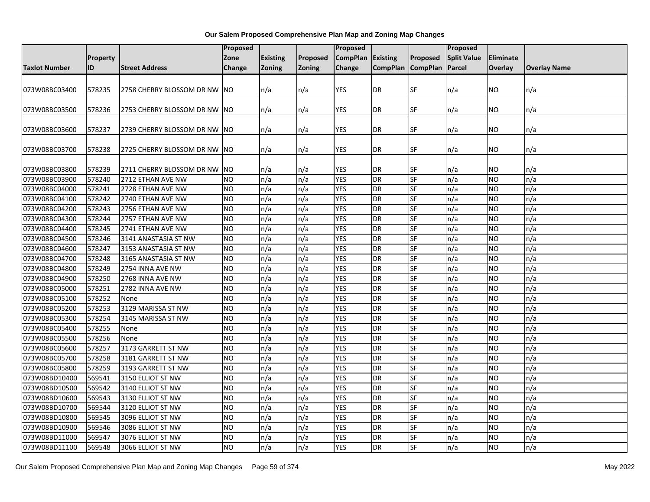|                      |          |                               | Proposed       |                 |               | Proposed                 |                        |                          | Proposed           |                  |                     |
|----------------------|----------|-------------------------------|----------------|-----------------|---------------|--------------------------|------------------------|--------------------------|--------------------|------------------|---------------------|
|                      | Property |                               | Zone           | <b>Existing</b> | Proposed      | <b>CompPlan</b>          | <b>Existing</b>        | Proposed                 | <b>Split Value</b> | <b>Eliminate</b> |                     |
| <b>Taxlot Number</b> | ID       | <b>Street Address</b>         | Change         | <b>Zoning</b>   | <b>Zoning</b> | Change                   | CompPlan CompPlan      |                          | Parcel             | <b>Overlay</b>   | <b>Overlay Name</b> |
|                      |          |                               |                |                 |               |                          |                        |                          |                    |                  |                     |
| 073W08BC03400        | 578235   | 2758 CHERRY BLOSSOM DR NW     | INO.           | n/a             | n/a           | <b>YES</b>               | <b>DR</b>              | SF                       | n/a                | <b>NO</b>        | n/a                 |
|                      |          |                               |                |                 |               |                          |                        |                          |                    |                  |                     |
| 073W08BC03500        | 578236   | 2753 CHERRY BLOSSOM DR NW INO |                | n/a             | n/a           | YES                      | DR                     | SF                       | n/a                | <b>NO</b>        | n/a                 |
|                      |          |                               |                |                 |               |                          |                        |                          |                    |                  |                     |
| 073W08BC03600        | 578237   | 2739 CHERRY BLOSSOM DR NW NO  |                | n/a             | n/a           | YES                      | <b>DR</b>              | SF                       | n/a                | <b>NO</b>        | n/a                 |
|                      |          |                               |                |                 |               |                          |                        |                          |                    |                  |                     |
| 073W08BC03700        | 578238   | 2725 CHERRY BLOSSOM DR NW NO  |                | n/a             | n/a           | YES                      | <b>DR</b>              | SF                       | n/a                | <b>NO</b>        | n/a                 |
|                      |          |                               |                |                 |               |                          |                        |                          |                    |                  |                     |
| 073W08BC03800        | 578239   | 2711 CHERRY BLOSSOM DR NW     | <b>INO</b>     | n/a             | n/a           | <b>YES</b><br><b>YES</b> | <b>DR</b>              | SF                       | n/a                | <b>NO</b>        | n/a                 |
| 073W08BC03900        | 578240   | 2712 ETHAN AVE NW             | <b>NO</b>      | n/a             | n/a           | <b>YES</b>               | <b>DR</b><br><b>DR</b> | SF                       | n/a                | <b>NO</b>        | n/a                 |
| 073W08BC04000        | 578241   | 2728 ETHAN AVE NW             | <b>NO</b>      | n/a             | n/a           |                          |                        | SF                       | n/a                | <b>NO</b>        | n/a                 |
| 073W08BC04100        | 578242   | 2740 ETHAN AVE NW             | <b>NO</b>      | n/a             | n/a           | <b>YES</b><br><b>YES</b> | <b>DR</b><br><b>DR</b> | SF<br>SF                 | n/a                | <b>NO</b>        | n/a                 |
| 073W08BC04200        | 578243   | 2756 ETHAN AVE NW             | <b>NO</b>      | n/a             | n/a           |                          |                        |                          | n/a                | <b>NO</b>        | n/a                 |
| 073W08BC04300        | 578244   | 2757 ETHAN AVE NW             | <b>NO</b>      | n/a             | n/a           | <b>YES</b>               | <b>DR</b>              | SF                       | n/a                | <b>NO</b>        | n/a                 |
| 073W08BC04400        | 578245   | 2741 ETHAN AVE NW             | <b>NO</b>      | n/a             | n/a           | <b>YES</b>               | <b>DR</b>              | SF                       | n/a                | <b>NO</b>        | n/a                 |
| 073W08BC04500        | 578246   | 3141 ANASTASIA ST NW          | <b>NO</b>      | n/a             | n/a           | <b>YES</b>               | <b>DR</b>              | SF                       | n/a                | <b>NO</b>        | n/a                 |
| 073W08BC04600        | 578247   | 3153 ANASTASIA ST NW          | <b>NO</b>      | n/a             | n/a           | <b>YES</b>               | <b>DR</b>              | SF                       | n/a                | <b>NO</b>        | n/a                 |
| 073W08BC04700        | 578248   | 3165 ANASTASIA ST NW          | <b>NO</b>      | n/a             | n/a           | <b>YES</b>               | <b>DR</b>              | SF                       | n/a                | <b>NO</b>        | n/a                 |
| 073W08BC04800        | 578249   | 2754 INNA AVE NW              | <b>NO</b>      | n/a             | n/a           | <b>YES</b>               | <b>DR</b>              | SF                       | n/a                | <b>NO</b>        | n/a                 |
| 073W08BC04900        | 578250   | 2768 INNA AVE NW              | <b>NO</b>      | n/a             | n/a           | <b>YES</b>               | <b>DR</b>              | <b>SF</b>                | n/a                | <b>NO</b>        | n/a                 |
| 073W08BC05000        | 578251   | 2782 INNA AVE NW              | N <sub>O</sub> | n/a             | n/a           | <b>YES</b>               | <b>DR</b>              | SF                       | n/a                | <b>NO</b>        | n/a                 |
| 073W08BC05100        | 578252   | None                          | <b>NO</b>      | n/a             | n/a           | <b>YES</b>               | <b>DR</b>              | SF                       | n/a                | <b>NO</b>        | n/a                 |
| 073W08BC05200        | 578253   | 3129 MARISSA ST NW            | <b>NO</b>      | n/a             | n/a           | <b>YES</b>               | <b>DR</b>              | SF                       | n/a                | <b>NO</b>        | n/a                 |
| 073W08BC05300        | 578254   | 3145 MARISSA ST NW            | N <sub>O</sub> | n/a             | n/a           | <b>YES</b>               | <b>DR</b>              | SF                       | n/a                | <b>NO</b>        | n/a                 |
| 073W08BC05400        | 578255   | None                          | <b>NO</b>      | n/a             | n/a           | <b>YES</b>               | <b>DR</b>              | $\overline{\mathsf{SF}}$ | n/a                | <b>NO</b>        | n/a                 |
| 073W08BC05500        | 578256   | None                          | <b>NO</b>      | n/a             | n/a           | <b>YES</b>               | <b>DR</b>              | SF                       | n/a                | <b>NO</b>        | n/a                 |
| 073W08BC05600        | 578257   | 3173 GARRETT ST NW            | <b>NO</b>      | n/a             | n/a           | <b>YES</b>               | <b>DR</b>              | SF                       | n/a                | <b>NO</b>        | n/a                 |
| 073W08BC05700        | 578258   | 3181 GARRETT ST NW            | <b>NO</b>      | n/a             | n/a           | <b>YES</b>               | <b>DR</b>              | SF                       | n/a                | <b>NO</b>        | n/a                 |
| 073W08BC05800        | 578259   | 3193 GARRETT ST NW            | <b>NO</b>      | n/a             | n/a           | <b>YES</b>               | <b>DR</b>              | <b>SF</b>                | n/a                | <b>NO</b>        | n/a                 |
| 073W08BD10400        | 569541   | 3150 ELLIOT ST NW             | <b>NO</b>      | n/a             | n/a           | <b>YES</b>               | <b>DR</b>              | SF                       | n/a                | <b>NO</b>        | n/a                 |
| 073W08BD10500        | 569542   | 3140 ELLIOT ST NW             | <b>NO</b>      | n/a             | n/a           | <b>YES</b>               | <b>DR</b>              | SF                       | n/a                | <b>NO</b>        | n/a                 |
| 073W08BD10600        | 569543   | 3130 ELLIOT ST NW             | <b>NO</b>      | n/a             | n/a           | <b>YES</b>               | <b>DR</b>              | SF                       | n/a                | <b>NO</b>        | n/a                 |
| 073W08BD10700        | 569544   | 3120 ELLIOT ST NW             | <b>NO</b>      | n/a             | n/a           | <b>YES</b>               | <b>DR</b>              | SF                       | n/a                | <b>NO</b>        | n/a                 |
| 073W08BD10800        | 569545   | 3096 ELLIOT ST NW             | <b>NO</b>      | n/a             | n/a           | <b>YES</b>               | <b>DR</b>              | SF                       | n/a                | <b>NO</b>        | n/a                 |
| 073W08BD10900        | 569546   | 3086 ELLIOT ST NW             | NO             | n/a             | n/a           | <b>YES</b>               | <b>DR</b>              | SF                       | n/a                | <b>NO</b>        | n/a                 |
| 073W08BD11000        | 569547   | 3076 ELLIOT ST NW             | <b>NO</b>      | n/a             | n/a           | <b>YES</b>               | <b>DR</b>              | SF                       | n/a                | <b>NO</b>        | n/a                 |
| 073W08BD11100        | 569548   | 3066 ELLIOT ST NW             | N <sub>O</sub> | n/a             | n/a           | <b>YES</b>               | <b>DR</b>              | SF                       | n/a                | <b>NO</b>        | n/a                 |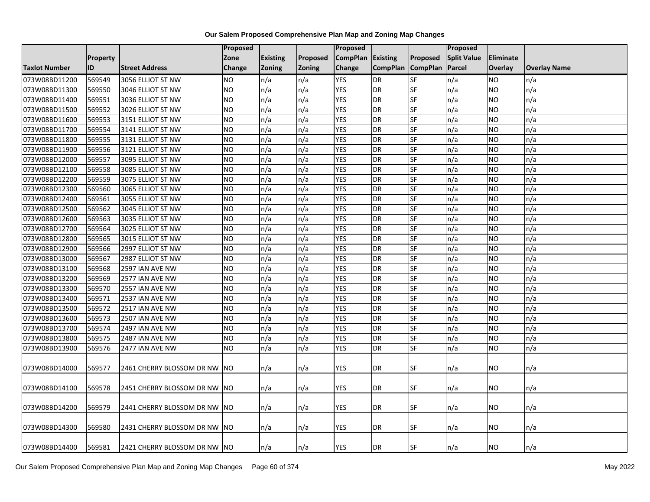|                      |                 |                               | <b>Proposed</b> |                 |               | Proposed        |                 |                 | Proposed           |           |                     |
|----------------------|-----------------|-------------------------------|-----------------|-----------------|---------------|-----------------|-----------------|-----------------|--------------------|-----------|---------------------|
|                      | <b>Property</b> |                               | Zone            | <b>Existing</b> | Proposed      | <b>CompPlan</b> | Existing        | Proposed        | <b>Split Value</b> | Eliminate |                     |
| <b>Taxlot Number</b> | ID              | <b>Street Address</b>         | Change          | Zoning          | <b>Zoning</b> | Change          | <b>CompPlan</b> | <b>CompPlan</b> | Parcel             | Overlay   | <b>Overlay Name</b> |
| 073W08BD11200        | 569549          | 3056 ELLIOT ST NW             | <b>NO</b>       | n/a             | n/a           | <b>YES</b>      | <b>DR</b>       | <b>SF</b>       | n/a                | NO        | n/a                 |
| 073W08BD11300        | 569550          | 3046 ELLIOT ST NW             | <b>NO</b>       | n/a             | n/a           | <b>YES</b>      | DR              | SF              | n/a                | NO.       | n/a                 |
| 073W08BD11400        | 569551          | 3036 ELLIOT ST NW             | <b>NO</b>       | n/a             | n/a           | <b>YES</b>      | DR              | SF              | n/a                | NO        | n/a                 |
| 073W08BD11500        | 569552          | 3026 ELLIOT ST NW             | <b>NO</b>       | n/a             | n/a           | <b>YES</b>      | <b>DR</b>       | SF              | n/a                | NO.       | n/a                 |
| 073W08BD11600        | 569553          | 3151 ELLIOT ST NW             | <b>NO</b>       | n/a             | n/a           | <b>YES</b>      | <b>DR</b>       | SF              | n/a                | NO.       | n/a                 |
| 073W08BD11700        | 569554          | 3141 ELLIOT ST NW             | <b>NO</b>       | n/a             | n/a           | <b>YES</b>      | <b>DR</b>       | SF              | n/a                | <b>NO</b> | n/a                 |
| 073W08BD11800        | 569555          | 3131 ELLIOT ST NW             | <b>NO</b>       | n/a             | n/a           | <b>YES</b>      | <b>DR</b>       | SF              | n/a                | NO.       | n/a                 |
| 073W08BD11900        | 569556          | 3121 ELLIOT ST NW             | <b>NO</b>       | n/a             | n/a           | <b>YES</b>      | <b>DR</b>       | SF              | n/a                | NO.       | n/a                 |
| 073W08BD12000        | 569557          | 3095 ELLIOT ST NW             | <b>NO</b>       | n/a             | n/a           | <b>YES</b>      | <b>DR</b>       | SF              | n/a                | NO.       | n/a                 |
| 073W08BD12100        | 569558          | 3085 ELLIOT ST NW             | Ю               | n/a             | n/a           | <b>YES</b>      | <b>DR</b>       | <b>SF</b>       | n/a                | NO.       | n/a                 |
| 073W08BD12200        | 569559          | 3075 ELLIOT ST NW             | <b>NO</b>       | n/a             | n/a           | <b>YES</b>      | <b>DR</b>       | SF              | n/a                | NO.       | n/a                 |
| 073W08BD12300        | 569560          | 3065 ELLIOT ST NW             | <b>NO</b>       | n/a             | n/a           | <b>YES</b>      | <b>DR</b>       | SF              | n/a                | NO.       | n/a                 |
| 073W08BD12400        | 569561          | 3055 ELLIOT ST NW             | <b>NO</b>       | n/a             | n/a           | <b>YES</b>      | <b>DR</b>       | $S$ F           | n/a                | NO.       | n/a                 |
| 073W08BD12500        | 569562          | 3045 ELLIOT ST NW             | <b>NO</b>       | n/a             | n/a           | <b>YES</b>      | <b>DR</b>       | SF              | n/a                | NO.       | n/a                 |
| 073W08BD12600        | 569563          | 3035 ELLIOT ST NW             | <b>NO</b>       | n/a             | n/a           | <b>YES</b>      | DR              | SF              | n/a                | NO.       | n/a                 |
| 073W08BD12700        | 569564          | 3025 ELLIOT ST NW             | <b>NO</b>       | n/a             | n/a           | <b>YES</b>      | <b>DR</b>       | $S_{F}$         | n/a                | NO.       | n/a                 |
| 073W08BD12800        | 569565          | 3015 ELLIOT ST NW             | Ю               | n/a             | n/a           | <b>YES</b>      | <b>DR</b>       | <b>SF</b>       | n/a                | NO.       | n/a                 |
| 073W08BD12900        | 569566          | 2997 ELLIOT ST NW             | <b>NO</b>       | n/a             | n/a           | <b>YES</b>      | DR              | SF              | n/a                | NO.       | n/a                 |
| 073W08BD13000        | 569567          | 2987 ELLIOT ST NW             | <b>NO</b>       | n/a             | n/a           | <b>YES</b>      | <b>DR</b>       | SF              | n/a                | NO.       | n/a                 |
| 073W08BD13100        | 569568          | 2597 IAN AVE NW               | <b>NO</b>       | n/a             | n/a           | <b>YES</b>      | DR              | SF              | n/a                | ΝO        | n/a                 |
| 073W08BD13200        | 569569          | 2577 IAN AVE NW               | <b>NO</b>       | n/a             | n/a           | <b>YES</b>      | <b>DR</b>       | SF              | n/a                | NO.       | n/a                 |
| 073W08BD13300        | 569570          | 2557 IAN AVE NW               | <b>NO</b>       | n/a             | n/a           | <b>YES</b>      | <b>DR</b>       | <b>SF</b>       | n/a                | NO.       | n/a                 |
| 073W08BD13400        | 569571          | 2537 IAN AVE NW               | <b>NO</b>       | n/a             | n/a           | <b>YES</b>      | <b>DR</b>       | <b>SF</b>       | n/a                | NO.       | n/a                 |
| 073W08BD13500        | 569572          | 2517 IAN AVE NW               | <b>NO</b>       | n/a             | n/a           | <b>YES</b>      | <b>DR</b>       | SF              | n/a                | NO        | n/a                 |
| 073W08BD13600        | 569573          | 2507 IAN AVE NW               | <b>NO</b>       | n/a             | n/a           | <b>YES</b>      | <b>DR</b>       | SF              | n/a                | NO.       | n/a                 |
| 073W08BD13700        | 569574          | 2497 IAN AVE NW               | <b>NO</b>       | n/a             | n/a           | <b>YES</b>      | <b>DR</b>       | SF              | n/a                | NO.       | n/a                 |
| 073W08BD13800        | 569575          | 2487 IAN AVE NW               | <b>NO</b>       | n/a             | n/a           | <b>YES</b>      | <b>DR</b>       | <b>SF</b>       | n/a                | NO.       | n/a                 |
| 073W08BD13900        | 569576          | 2477 IAN AVE NW               | <b>NO</b>       | n/a             | n/a           | <b>YES</b>      | DR              | SF              | n/a                | NO.       | n/a                 |
|                      |                 |                               |                 |                 |               |                 |                 |                 |                    |           |                     |
| 073W08BD14000        | 569577          | 2461 CHERRY BLOSSOM DR NW     | <b>NO</b>       | n/a             | n/a           | <b>YES</b>      | <b>DR</b>       | <b>SF</b>       | n/a                | ΝO        | n/a                 |
|                      |                 |                               |                 |                 |               |                 |                 |                 |                    |           |                     |
| 073W08BD14100        | 569578          | 2451 CHERRY BLOSSOM DR NW     | <b>NO</b>       | n/a             | n/a           | YES             | DR              | <b>SF</b>       | n/a                | NO        | n/a                 |
|                      |                 |                               |                 |                 |               |                 |                 |                 |                    |           |                     |
| 073W08BD14200        | 569579          | 2441 CHERRY BLOSSOM DR NW NO  |                 | n/a             | n/a           | YES             | DR              | SF              | n/a                | ΝO        | n/a                 |
|                      |                 |                               |                 |                 |               |                 |                 |                 |                    |           |                     |
| 073W08BD14300        | 569580          | 2431 CHERRY BLOSSOM DR NW INO |                 | n/a             | n/a           | YES             | DR              | SF              | n/a                | NO        | n/a                 |
|                      |                 |                               |                 |                 |               |                 |                 |                 |                    |           |                     |
| 073W08BD14400        | 569581          | 2421 CHERRY BLOSSOM DR NW INO |                 | n/a             | n/a           | YES             | DR              | SF              | n/a                | NO        | n/a                 |

Our Salem Proposed Comprehensive Plan Map and Zoning Map Changes Page 60 of 374 May 2022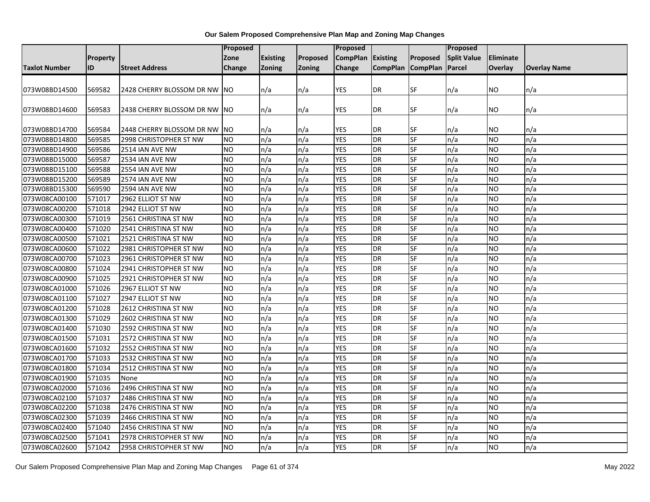|                      |          |                               | <b>Proposed</b> |                 |               | <b>Proposed</b> |                   |           | Proposed           |           |                     |
|----------------------|----------|-------------------------------|-----------------|-----------------|---------------|-----------------|-------------------|-----------|--------------------|-----------|---------------------|
|                      | Property |                               | Zone            | <b>Existing</b> | Proposed      | <b>CompPlan</b> | Existing          | Proposed  | <b>Split Value</b> | Eliminate |                     |
| <b>Taxlot Number</b> | ID       | <b>Street Address</b>         | Change          | <b>Zoning</b>   | <b>Zoning</b> | Change          | CompPlan CompPlan |           | Parcel             | Overlay   | <b>Overlay Name</b> |
|                      |          |                               |                 |                 |               |                 |                   |           |                    |           |                     |
| 073W08BD14500        | 569582   | 2428 CHERRY BLOSSOM DR NW     | INO.            | n/a             | n/a           | <b>YES</b>      | <b>DR</b>         | <b>SF</b> | n/a                | ΝO        | n/a                 |
|                      |          |                               |                 |                 |               |                 |                   |           |                    |           |                     |
| 073W08BD14600        | 569583   | 2438 CHERRY BLOSSOM DR NW INO |                 | n/a             | n/a           | YES             | <b>DR</b>         | <b>SF</b> | n/a                | NO        | n/a                 |
|                      |          |                               |                 |                 |               |                 |                   |           |                    |           |                     |
| 073W08BD14700        | 569584   | 2448 CHERRY BLOSSOM DR NW     | <b>NO</b>       | n/a             | n/a           | YES             | <b>DR</b>         | SF        | n/a                | ΝO        | n/a                 |
| 073W08BD14800        | 569585   | 2998 CHRISTOPHER ST NW        | <b>NO</b>       | n/a             | n/a           | <b>YES</b>      | <b>DR</b>         | <b>SF</b> | n/a                | NO.       | n/a                 |
| 073W08BD14900        | 569586   | 2514 IAN AVE NW               | <b>NO</b>       | n/a             | n/a           | <b>YES</b>      | <b>DR</b>         | SF        | n/a                | NO.       | n/a                 |
| 073W08BD15000        | 569587   | 2534 IAN AVE NW               | NO              | n/a             | n/a           | <b>YES</b>      | DR                | SF        | n/a                | ΝO        | n/a                 |
| 073W08BD15100        | 569588   | 2554 IAN AVE NW               | <b>NO</b>       | n/a             | n/a           | <b>YES</b>      | <b>DR</b>         | <b>SF</b> | n/a                | NO.       | n/a                 |
| 073W08BD15200        | 569589   | 2574 IAN AVE NW               | <b>NO</b>       | n/a             | n/a           | <b>YES</b>      | <b>DR</b>         | SF        | n/a                | NO        | n/a                 |
| 073W08BD15300        | 569590   | 2594 IAN AVE NW               | <b>NO</b>       | n/a             | n/a           | <b>YES</b>      | <b>DR</b>         | SF        | n/a                | NO.       | n/a                 |
| 073W08CA00100        | 571017   | 2962 ELLIOT ST NW             | <b>NO</b>       | n/a             | n/a           | <b>YES</b>      | <b>DR</b>         | <b>SF</b> | n/a                | NO        | n/a                 |
| 073W08CA00200        | 571018   | 2942 ELLIOT ST NW             | <b>NO</b>       | n/a             | n/a           | <b>YES</b>      | DR                | <b>SF</b> | n/a                | NO.       | n/a                 |
| 073W08CA00300        | 571019   | 2561 CHRISTINA ST NW          | <b>NO</b>       | n/a             | n/a           | <b>YES</b>      | DR                | SF        | n/a                | ΝO        | n/a                 |
| 073W08CA00400        | 571020   | 2541 CHRISTINA ST NW          | <b>NO</b>       | n/a             | n/a           | <b>YES</b>      | <b>DR</b>         | <b>SF</b> | n/a                | NO.       | n/a                 |
| 073W08CA00500        | 571021   | 2521 CHRISTINA ST NW          | <b>NO</b>       | n/a             | n/a           | <b>YES</b>      | <b>DR</b>         | SF        | n/a                | <b>NO</b> | n/a                 |
| 073W08CA00600        | 571022   | 2981 CHRISTOPHER ST NW        | <b>NO</b>       | n/a             | n/a           | <b>YES</b>      | <b>DR</b>         | SF        | n/a                | NO        | n/a                 |
| 073W08CA00700        | 571023   | 2961 CHRISTOPHER ST NW        | <b>NO</b>       | n/a             | n/a           | <b>YES</b>      | <b>DR</b>         | SF        | n/a                | NO        | n/a                 |
| 073W08CA00800        | 571024   | 2941 CHRISTOPHER ST NW        | <b>NO</b>       | n/a             | n/a           | <b>YES</b>      | <b>DR</b>         | SF        | n/a                | NO.       | n/a                 |
| 073W08CA00900        | 571025   | 2921 CHRISTOPHER ST NW        | <b>NO</b>       | n/a             | n/a           | <b>YES</b>      | <b>DR</b>         | SF        | n/a                | NO.       | n/a                 |
| 073W08CA01000        | 571026   | 2967 ELLIOT ST NW             | N <sub>O</sub>  | n/a             | n/a           | <b>YES</b>      | <b>DR</b>         | <b>SF</b> | n/a                | NO        | n/a                 |
| 073W08CA01100        | 571027   | 2947 ELLIOT ST NW             | <b>NO</b>       | n/a             | n/a           | <b>YES</b>      | <b>DR</b>         | <b>SF</b> | n/a                | NO.       | n/a                 |
| 073W08CA01200        | 571028   | 2612 CHRISTINA ST NW          | <b>NO</b>       | n/a             | n/a           | <b>YES</b>      | DR                | SF        | n/a                | NO.       | n/a                 |
| 073W08CA01300        | 571029   | 2602 CHRISTINA ST NW          | NO              | n/a             | n/a           | <b>YES</b>      | <b>DR</b>         | <b>SF</b> | n/a                | ΝO        | n/a                 |
| 073W08CA01400        | 571030   | 2592 CHRISTINA ST NW          | <b>NO</b>       | n/a             | n/a           | <b>YES</b>      | <b>DR</b>         | SF        | n/a                | NO.       | n/a                 |
| 073W08CA01500        | 571031   | 2572 CHRISTINA ST NW          | <b>NO</b>       | n/a             | n/a           | <b>YES</b>      | <b>DR</b>         | SF        | n/a                | NO        | n/a                 |
| 073W08CA01600        | 571032   | 2552 CHRISTINA ST NW          | <b>NO</b>       | n/a             | n/a           | <b>YES</b>      | <b>DR</b>         | <b>SF</b> | n/a                | NO.       | n/a                 |
| 073W08CA01700        | 571033   | 2532 CHRISTINA ST NW          | <b>NO</b>       | n/a             | n/a           | <b>YES</b>      | <b>DR</b>         | SF        | n/a                | NO        | n/a                 |
| 073W08CA01800        | 571034   | 2512 CHRISTINA ST NW          | <b>NO</b>       | n/a             | n/a           | <b>YES</b>      | DR                | SF        | n/a                | NO.       | n/a                 |
| 073W08CA01900        | 571035   | None                          | <b>NO</b>       | n/a             | n/a           | <b>YES</b>      | DR                | SF        | n/a                | ΝO        | n/a                 |
| 073W08CA02000        | 571036   | 2496 CHRISTINA ST NW          | <b>NO</b>       | n/a             | n/a           | <b>YES</b>      | <b>DR</b>         | <b>SF</b> | n/a                | NO.       | n/a                 |
| 073W08CA02100        | 571037   | 2486 CHRISTINA ST NW          | <b>NO</b>       | n/a             | n/a           | <b>YES</b>      | <b>DR</b>         | SF        | n/a                | NO.       | n/a                 |
| 073W08CA02200        | 571038   | 2476 CHRISTINA ST NW          | <b>NO</b>       | n/a             | n/a           | <b>YES</b>      | <b>DR</b>         | SF        | n/a                | NO        | n/a                 |
| 073W08CA02300        | 571039   | 2466 CHRISTINA ST NW          | <b>NO</b>       | n/a             | n/a           | <b>YES</b>      | <b>DR</b>         | <b>SF</b> | n/a                | NO.       | n/a                 |
| 073W08CA02400        | 571040   | 2456 CHRISTINA ST NW          | NO              | n/a             | n/a           | <b>YES</b>      | <b>DR</b>         | SF        | n/a                | NO        | n/a                 |
| 073W08CA02500        | 571041   | 2978 CHRISTOPHER ST NW        | <b>NO</b>       | n/a             | n/a           | <b>YES</b>      | DR                | SF        | n/a                | ΝO        | n/a                 |
| 073W08CA02600        | 571042   | 2958 CHRISTOPHER ST NW        | N <sub>O</sub>  | n/a             | n/a           | <b>YES</b>      | <b>DR</b>         | SF        | n/a                | NO.       | n/a                 |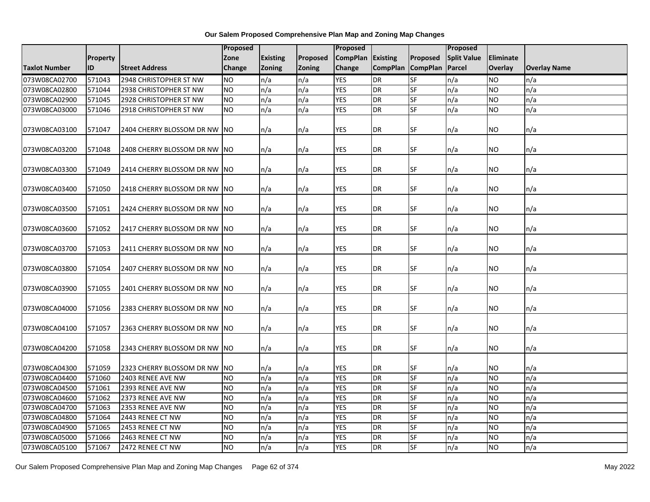|                      |          |                               |                | <b>Proposed</b> |               | Proposed        |                 |                 |                    |           |                     |
|----------------------|----------|-------------------------------|----------------|-----------------|---------------|-----------------|-----------------|-----------------|--------------------|-----------|---------------------|
|                      | Property |                               | Zone           | <b>Existing</b> | Proposed      | <b>CompPlan</b> | Existing        | Proposed        | <b>Split Value</b> | Eliminate |                     |
| <b>Taxlot Number</b> | ID       | <b>Street Address</b>         | <b>Change</b>  | <b>Zoning</b>   | <b>Zoning</b> | <b>Change</b>   | <b>CompPlan</b> | <b>CompPlan</b> | Parcel             | Overlay   | <b>Overlay Name</b> |
| 073W08CA02700        | 571043   | 2948 CHRISTOPHER ST NW        | <b>NO</b>      | n/a             | n/a           | <b>YES</b>      | DR              | <b>SF</b>       | n/a                | NO        | n/a                 |
| 073W08CA02800        | 571044   | 2938 CHRISTOPHER ST NW        | <b>NO</b>      | n/a             | n/a           | <b>YES</b>      | <b>DR</b>       | $S$ F           | n/a                | NO.       | n/a                 |
| 073W08CA02900        | 571045   | 2928 CHRISTOPHER ST NW        | <b>NO</b>      | n/a             | n/a           | <b>YES</b>      | <b>DR</b>       | SF              | n/a                | NO.       | n/a                 |
| 073W08CA03000        | 571046   | 2918 CHRISTOPHER ST NW        | <b>NO</b>      | n/a             | n/a           | <b>YES</b>      | <b>DR</b>       | <b>SF</b>       | n/a                | NO.       | n/a                 |
| 073W08CA03100        | 571047   | 2404 CHERRY BLOSSOM DR NW     | <b>NO</b>      | n/a             | n/a           | <b>YES</b>      | <b>DR</b>       | SF              | n/a                | NO.       | n/a                 |
| 073W08CA03200        | 571048   | 2408 CHERRY BLOSSOM DR NW NO  |                | n/a             | n/a           | YES             | DR              | <b>SF</b>       | n/a                | NO        | n/a                 |
| 073W08CA03300        | 571049   | 2414 CHERRY BLOSSOM DR NW INO |                | n/a             | n/a           | <b>YES</b>      | <b>DR</b>       | <b>SF</b>       | n/a                | NO.       | n/a                 |
| 073W08CA03400        | 571050   | 2418 CHERRY BLOSSOM DR NW NO  |                | n/a             | n/a           | <b>YES</b>      | <b>DR</b>       | <b>SF</b>       | n/a                | NO.       | n/a                 |
| 073W08CA03500        | 571051   | 2424 CHERRY BLOSSOM DR NW NO  |                | n/a             | n/a           | <b>YES</b>      | DR              | SF              | n/a                | ΝO        | n/a                 |
| 073W08CA03600        | 571052   | 2417 CHERRY BLOSSOM DR NW NO  |                | n/a             | n/a           | <b>YES</b>      | <b>DR</b>       | <b>SF</b>       | n/a                | NO.       | n/a                 |
| 073W08CA03700        | 571053   | 2411 CHERRY BLOSSOM DR NW     | INO.           | n/a             | n/a           | <b>YES</b>      | <b>DR</b>       | SF              | n/a                | ΝO        | n/a                 |
| 073W08CA03800        | 571054   | 2407 CHERRY BLOSSOM DR NW NO  |                | n/a             | n/a           | <b>YES</b>      | DR              | <b>SF</b>       | n/a                | NO        | n/a                 |
| 073W08CA03900        | 571055   | 2401 CHERRY BLOSSOM DR NW NO  |                | n/a             | n/a           | <b>YES</b>      | <b>DR</b>       | SF              | n/a                | NO        | n/a                 |
| 073W08CA04000        | 571056   | 2383 CHERRY BLOSSOM DR NW NO  |                | n/a             | n/a           | <b>YES</b>      | <b>DR</b>       | <b>SF</b>       | n/a                | NO.       | n/a                 |
| 073W08CA04100        | 571057   | 2363 CHERRY BLOSSOM DR NW NO  |                | n/a             | n/a           | <b>YES</b>      | <b>DR</b>       | SF              | n/a                | ΝO        | n/a                 |
| 073W08CA04200        | 571058   | 2343 CHERRY BLOSSOM DR NW     | <b>NO</b>      | n/a             | n/a           | <b>YES</b>      | <b>DR</b>       | <b>SF</b>       | n/a                | NO.       | n/a                 |
| 073W08CA04300        | 571059   | 2323 CHERRY BLOSSOM DR NW     | <b>NO</b>      | n/a             | n/a           | <b>YES</b>      | DR              | SF              | n/a                | NO        | n/a                 |
| 073W08CA04400        | 571060   | 2403 RENEE AVE NW             | <b>NO</b>      | n/a             | n/a           | <b>YES</b>      | <b>DR</b>       | <b>SF</b>       | n/a                | NO.       | n/a                 |
| 073W08CA04500        | 571061   | 2393 RENEE AVE NW             | Ю              | n/a             | n/a           | <b>YES</b>      | <b>DR</b>       | <b>SF</b>       | n/a                | NO.       | n/a                 |
| 073W08CA04600        | 571062   | 2373 RENEE AVE NW             | N <sub>O</sub> | n/a             | n/a           | <b>YES</b>      | <b>DR</b>       | <b>SF</b>       | n/a                | <b>NO</b> | n/a                 |
| 073W08CA04700        | 571063   | 2353 RENEE AVE NW             | <b>NO</b>      | n/a             | n/a           | <b>YES</b>      | <b>DR</b>       | SF              | n/a                | <b>NO</b> | n/a                 |
| 073W08CA04800        | 571064   | 2443 RENEE CT NW              | <b>NO</b>      | n/a             | n/a           | <b>YES</b>      | DR              | $S$ F           | n/a                | NO.       | n/a                 |
| 073W08CA04900        | 571065   | 2453 RENEE CT NW              | N <sub>O</sub> | n/a             | n/a           | <b>YES</b>      | <b>DR</b>       | <b>SF</b>       | n/a                | <b>NO</b> | n/a                 |
| 073W08CA05000        | 571066   | 2463 RENEE CT NW              | NO             | n/a             | n/a           | <b>YES</b>      | <b>DR</b>       | SF              | n/a                | ΝO        | n/a                 |
| 073W08CA05100        | 571067   | 2472 RENEE CT NW              | Ю              | n/a             | n/a           | <b>YES</b>      | DR              | <b>SF</b>       | n/a                | <b>NO</b> | n/a                 |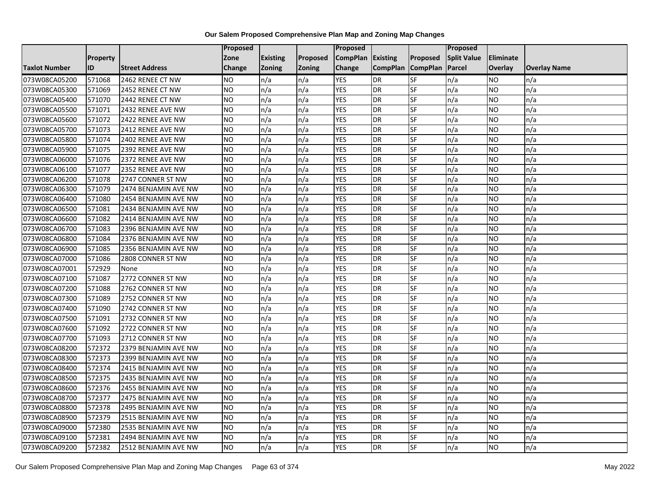|                      |                 |                       | <b>Proposed</b> |                 |          | Proposed          |                 |                 | <b>Proposed</b>    |           |                     |
|----------------------|-----------------|-----------------------|-----------------|-----------------|----------|-------------------|-----------------|-----------------|--------------------|-----------|---------------------|
|                      | <b>Property</b> |                       | Zone            | <b>Existing</b> | Proposed | CompPlan Existing |                 | Proposed        | <b>Split Value</b> | Eliminate |                     |
| <b>Taxlot Number</b> | ID              | <b>Street Address</b> | <b>Change</b>   | <b>Zoning</b>   | Zoning   | Change            | <b>CompPlan</b> | <b>CompPlan</b> | Parcel             | Overlay   | <b>Overlay Name</b> |
| 073W08CA05200        | 571068          | 2462 RENEE CT NW      | <b>NO</b>       | n/a             | n/a      | <b>YES</b>        | DR              | SF              | n/a                | NO        | n/a                 |
| 073W08CA05300        | 571069          | 2452 RENEE CT NW      | <b>NO</b>       | n/a             | n/a      | <b>YES</b>        | DR              | SF              | n/a                | NO.       | n/a                 |
| 073W08CA05400        | 571070          | 2442 RENEE CT NW      | <b>NO</b>       | n/a             | n/a      | <b>YES</b>        | DR              | SF              | n/a                | NO        | n/a                 |
| 073W08CA05500        | 571071          | 2432 RENEE AVE NW     | <b>NO</b>       | n/a             | n/a      | <b>YES</b>        | DR              | SF              | n/a                | NO.       | n/a                 |
| 073W08CA05600        | 571072          | 2422 RENEE AVE NW     | <b>NO</b>       | n/a             | n/a      | <b>YES</b>        | DR              | SF              | n/a                | NO.       | n/a                 |
| 073W08CA05700        | 571073          | 2412 RENEE AVE NW     | <b>NO</b>       | n/a             | n/a      | <b>YES</b>        | DR              | SF              | n/a                | <b>NO</b> | n/a                 |
| 073W08CA05800        | 571074          | 2402 RENEE AVE NW     | <b>NO</b>       | n/a             | n/a      | <b>YES</b>        | DR              | SF              | n/a                | NO.       | n/a                 |
| 073W08CA05900        | 571075          | 2392 RENEE AVE NW     | <b>NO</b>       | n/a             | n/a      | <b>YES</b>        | DR              | SF              | n/a                | <b>NO</b> | n/a                 |
| 073W08CA06000        | 571076          | 2372 RENEE AVE NW     | <b>NO</b>       | n/a             | n/a      | <b>YES</b>        | DR              | SF              | n/a                | NO        | n/a                 |
| 073W08CA06100        | 571077          | 2352 RENEE AVE NW     | <b>NO</b>       | n/a             | n/a      | <b>YES</b>        | DR              | SF              | n/a                | NO        | n/a                 |
| 073W08CA06200        | 571078          | 2747 CONNER ST NW     | <b>NO</b>       | n/a             | n/a      | <b>YES</b>        | DR              | SF              | n/a                | <b>NO</b> | n/a                 |
| 073W08CA06300        | 571079          | 2474 BENJAMIN AVE NW  | <b>NO</b>       | n/a             | n/a      | <b>YES</b>        | DR              | SF              | n/a                | NO        | n/a                 |
| 073W08CA06400        | 571080          | 2454 BENJAMIN AVE NW  | <b>NO</b>       | n/a             | n/a      | <b>YES</b>        | DR              | SF              | n/a                | NO        | n/a                 |
| 073W08CA06500        | 571081          | 2434 BENJAMIN AVE NW  | <b>NO</b>       | n/a             | n/a      | <b>YES</b>        | DR              | SF              | n/a                | <b>NO</b> | n/a                 |
| 073W08CA06600        | 571082          | 2414 BENJAMIN AVE NW  | <b>NO</b>       | n/a             | n/a      | <b>YES</b>        | DR              | SF              | n/a                | NO        | n/a                 |
| 073W08CA06700        | 571083          | 2396 BENJAMIN AVE NW  | <b>NO</b>       | n/a             | n/a      | <b>YES</b>        | DR              | SF              | n/a                | <b>NO</b> | n/a                 |
| 073W08CA06800        | 571084          | 2376 BENJAMIN AVE NW  | <b>NO</b>       | n/a             | n/a      | <b>YES</b>        | DR              | SF              | n/a                | NO        | n/a                 |
| 073W08CA06900        | 571085          | 2356 BENJAMIN AVE NW  | <b>NO</b>       | n/a             | n/a      | <b>YES</b>        | DR              | SF              | n/a                | <b>NO</b> | n/a                 |
| 073W08CA07000        | 571086          | 2808 CONNER ST NW     | <b>NO</b>       | n/a             | n/a      | <b>YES</b>        | DR              | SF              | n/a                | NO        | n/a                 |
| 073W08CA07001        | 572929          | None                  | <b>NO</b>       | n/a             | n/a      | <b>YES</b>        | DR              | SF              | n/a                | NO        | n/a                 |
| 073W08CA07100        | 571087          | 2772 CONNER ST NW     | <b>NO</b>       | n/a             | n/a      | <b>YES</b>        | DR              | SF              | n/a                | <b>NO</b> | n/a                 |
| 073W08CA07200        | 571088          | 2762 CONNER ST NW     | <b>NO</b>       | n/a             | n/a      | <b>YES</b>        | $\overline{DR}$ | SF              | n/a                | NO        | n/a                 |
| 073W08CA07300        | 571089          | 2752 CONNER ST NW     | <b>NO</b>       | n/a             | n/a      | <b>YES</b>        | DR              | <b>SF</b>       | n/a                | <b>NO</b> | n/a                 |
| 073W08CA07400        | 571090          | 2742 CONNER ST NW     | <b>NO</b>       | n/a             | n/a      | <b>YES</b>        | DR              | SF              | n/a                | NO.       | n/a                 |
| 073W08CA07500        | 571091          | 2732 CONNER ST NW     | <b>NO</b>       | n/a             | n/a      | <b>YES</b>        | DR              | SF              | n/a                | NO        | n/a                 |
| 073W08CA07600        | 571092          | 2722 CONNER ST NW     | <b>NO</b>       | n/a             | n/a      | <b>YES</b>        | DR              | SF              | n/a                | NO        | n/a                 |
| 073W08CA07700        | 571093          | 2712 CONNER ST NW     | <b>NO</b>       | n/a             | n/a      | <b>YES</b>        | DR              | SF              | n/a                | <b>NO</b> | n/a                 |
| 073W08CA08200        | 572372          | 2379 BENJAMIN AVE NW  | <b>NO</b>       | n/a             | n/a      | <b>YES</b>        | DR              | SF              | n/a                | NO.       | n/a                 |
| 073W08CA08300        | 572373          | 2399 BENJAMIN AVE NW  | <b>NO</b>       | n/a             | n/a      | <b>YES</b>        | DR              | SF              | n/a                | NO.       | n/a                 |
| 073W08CA08400        | 572374          | 2415 BENJAMIN AVE NW  | <b>NO</b>       | n/a             | n/a      | <b>YES</b>        | DR              | SF              | n/a                | <b>NO</b> | n/a                 |
| 073W08CA08500        | 572375          | 2435 BENJAMIN AVE NW  | <b>NO</b>       | n/a             | n/a      | <b>YES</b>        | DR              | SF              | n/a                | <b>NO</b> | n/a                 |
| 073W08CA08600        | 572376          | 2455 BENJAMIN AVE NW  | <b>NO</b>       | n/a             | n/a      | <b>YES</b>        | DR              | SF              | n/a                | <b>NO</b> | n/a                 |
| 073W08CA08700        | 572377          | 2475 BENJAMIN AVE NW  | <b>NO</b>       | n/a             | n/a      | <b>YES</b>        | DR              | SF              | n/a                | NO        | n/a                 |
| 073W08CA08800        | 572378          | 2495 BENJAMIN AVE NW  | <b>NO</b>       | n/a             | n/a      | <b>YES</b>        | DR              | SF              | n/a                | <b>NO</b> | n/a                 |
| 073W08CA08900        | 572379          | 2515 BENJAMIN AVE NW  | <b>NO</b>       | n/a             | n/a      | <b>YES</b>        | DR              | SF              | n/a                | NO        | n/a                 |
| 073W08CA09000        | 572380          | 2535 BENJAMIN AVE NW  | <b>NO</b>       | n/a             | n/a      | <b>YES</b>        | DR              | SF              | n/a                | NO        | n/a                 |
| 073W08CA09100        | 572381          | 2494 BENJAMIN AVE NW  | <b>NO</b>       | n/a             | n/a      | <b>YES</b>        | DR              | SF              | n/a                | NO.       | n/a                 |
| 073W08CA09200        | 572382          | 2512 BENJAMIN AVE NW  | <b>NO</b>       | n/a             | n/a      | <b>YES</b>        | DR              | SF              | n/a                | NO        | n/a                 |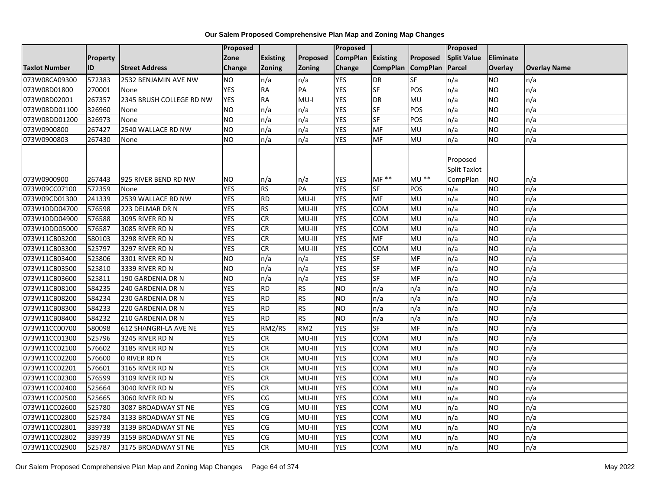|                      |                 |                          | Proposed        |                 |                 | <b>Proposed</b> |                 |                 | Proposed                                    |                  |                     |
|----------------------|-----------------|--------------------------|-----------------|-----------------|-----------------|-----------------|-----------------|-----------------|---------------------------------------------|------------------|---------------------|
|                      | <b>Property</b> |                          | Zone            | <b>Existing</b> | Proposed        | <b>CompPlan</b> | Existing        | Proposed        | <b>Split Value</b>                          | <b>Eliminate</b> |                     |
| <b>Taxlot Number</b> | ID              | <b>Street Address</b>    | Change          | Zoning          | <b>Zoning</b>   | Change          | <b>CompPlan</b> | <b>CompPlan</b> | Parcel                                      | Overlay          | <b>Overlay Name</b> |
| 073W08CA09300        | 572383          | 2532 BENJAMIN AVE NW     | <b>NO</b>       | n/a             | n/a             | <b>YES</b>      | DR              | SF              | n/a                                         | <b>NO</b>        | n/a                 |
| 073W08D01800         | 270001          | None                     | <b>YES</b>      | <b>RA</b>       | PA              | <b>YES</b>      | $S$ F           | POS             | n/a                                         | <b>NO</b>        | n/a                 |
| 073W08D02001         | 267357          | 2345 BRUSH COLLEGE RD NW | <b>YES</b>      | <b>RA</b>       | $MU-I$          | <b>YES</b>      | <b>DR</b>       | MU              | n/a                                         | <b>NO</b>        | n/a                 |
| 073W08DD01100        | 326960          | None                     | <b>NO</b>       | n/a             | n/a             | <b>YES</b>      | $S$ F           | POS             | n/a                                         | <b>NO</b>        | n/a                 |
| 073W08DD01200        | 326973          | None                     | Ю               | n/a             | n/a             | <b>YES</b>      | $S$ F           | POS             | n/a                                         | <b>NO</b>        | n/a                 |
| 073W0900800          | 267427          | 2540 WALLACE RD NW       | <b>NO</b>       | n/a             | n/a             | <b>YES</b>      | MF              | MU              | n/a                                         | <b>NO</b>        | n/a                 |
| 073W0900803          | 267430          | None                     | <b>NO</b>       | n/a             | n/a             | <b>YES</b>      | MF              | MU              | n/a                                         | <b>NO</b>        | n/a                 |
| 073W0900900          | 267443          | 925 RIVER BEND RD NW     | <b>NO</b>       | n/a             | n/a             | YES             | $MF**$          | <b>MU **</b>    | Proposed<br><b>Split Taxlot</b><br>CompPlan | <b>NO</b>        | n/a                 |
| 073W09CC07100        | 572359          | None                     | <b>YES</b>      | <b>RS</b>       | PA              | <b>YES</b>      | SF              | POS             | n/a                                         | <b>NO</b>        | n/a                 |
| 073W09CD01300        | 241339          | 2539 WALLACE RD NW       | <b>YES</b>      | <b>RD</b>       | MU-II           | <b>YES</b>      | <b>MF</b>       | MU              | n/a                                         | <b>NO</b>        | n/a                 |
| 073W10DD04700        | 576598          | 223 DELMAR DR N          | <b>YES</b>      | <b>RS</b>       | MU-III          | <b>YES</b>      | <b>COM</b>      | <b>MU</b>       | n/a                                         | <b>NO</b>        | n/a                 |
| 073W10DD04900        | 576588          | 3095 RIVER RD N          | <b>YES</b>      | CR              | MU-III          | <b>YES</b>      | COM             | MU              | n/a                                         | <b>NO</b>        | n/a                 |
| 073W10DD05000        | 576587          | 3085 RIVER RD N          | <b>YES</b>      | <b>CR</b>       | MU-III          | <b>YES</b>      | <b>COM</b>      | MU              | n/a                                         | <b>NO</b>        | n/a                 |
| 073W11CB03200        | 580103          | 3298 RIVER RD N          | <b>YES</b>      | CR              | MU-III          | <b>YES</b>      | <b>MF</b>       | MU              | n/a                                         | <b>NO</b>        | n/a                 |
| 073W11CB03300        | 525797          | 3297 RIVER RD N          | <b>YES</b>      | CR              | MU-III          | <b>YES</b>      | <b>COM</b>      | MU              | n/a                                         | <b>NO</b>        | n/a                 |
| 073W11CB03400        | 525806          | 3301 RIVER RD N          | <b>NO</b>       | n/a             | n/a             | <b>YES</b>      | <b>SF</b>       | MF              | n/a                                         | <b>NO</b>        | n/a                 |
| 073W11CB03500        | 525810          | 3339 RIVER RD N          | $\overline{NO}$ | n/a             | n/a             | <b>YES</b>      | $S$ F           | <b>MF</b>       | n/a                                         | <b>NO</b>        | n/a                 |
| 073W11CB03600        | 525811          | 190 GARDENIA DR N        | <b>NO</b>       | n/a             | n/a             | <b>YES</b>      | SF              | MF              | n/a                                         | <b>NO</b>        | n/a                 |
| 073W11CB08100        | 584235          | 240 GARDENIA DR N        | <b>YES</b>      | <b>RD</b>       | <b>RS</b>       | N <sub>O</sub>  | n/a             | n/a             | n/a                                         | <b>NO</b>        | n/a                 |
| 073W11CB08200        | 584234          | 230 GARDENIA DR N        | <b>YES</b>      | $\overline{RD}$ | <b>RS</b>       | N <sub>O</sub>  | n/a             | n/a             | n/a                                         | <b>NO</b>        | n/a                 |
| 073W11CB08300        | 584233          | 220 GARDENIA DR N        | <b>YES</b>      | <b>RD</b>       | <b>RS</b>       | <b>NO</b>       | n/a             | n/a             | n/a                                         | <b>NO</b>        | n/a                 |
| 073W11CB08400        | 584232          | 210 GARDENIA DR N        | <b>YES</b>      | <b>RD</b>       | <b>RS</b>       | <b>NO</b>       | n/a             | n/a             | n/a                                         | <b>NO</b>        | n/a                 |
| 073W11CC00700        | 580098          | 612 SHANGRI-LA AVE NE    | <b>YES</b>      | RM2/RS          | RM <sub>2</sub> | <b>YES</b>      | <b>SF</b>       | <b>MF</b>       | n/a                                         | <b>NO</b>        | n/a                 |
| 073W11CC01300        | 525796          | 3245 RIVER RD N          | <b>YES</b>      | ${\sf CR}$      | MU-III          | <b>YES</b>      | <b>COM</b>      | MU              | n/a                                         | <b>NO</b>        | n/a                 |
| 073W11CC02100        | 576602          | 3185 RIVER RD N          | <b>YES</b>      | <b>CR</b>       | MU-III          | <b>YES</b>      | COM             | MU              | n/a                                         | <b>NO</b>        | n/a                 |
| 073W11CC02200        | 576600          | <b>O RIVER RD N</b>      | <b>YES</b>      | CR              | MU-III          | <b>YES</b>      | <b>COM</b>      | <b>MU</b>       | n/a                                         | <b>NO</b>        | n/a                 |
| 073W11CC02201        | 576601          | 3165 RIVER RD N          | <b>YES</b>      | CR              | MU-III          | <b>YES</b>      | COM             | MU              | n/a                                         | <b>NO</b>        | n/a                 |
| 073W11CC02300        | 576599          | 3109 RIVER RD N          | <b>YES</b>      | <b>CR</b>       | MU-III          | <b>YES</b>      | <b>COM</b>      | MU              | n/a                                         | <b>NO</b>        | n/a                 |
| 073W11CC02400        | 525664          | 3040 RIVER RD N          | <b>YES</b>      | $\overline{c}$  | MU-III          | <b>YES</b>      | COM             | <b>MU</b>       | n/a                                         | <b>NO</b>        | n/a                 |
| 073W11CC02500        | 525665          | 3060 RIVER RD N          | <b>YES</b>      | CG              | MU-III          | <b>YES</b>      | COM             | MU              | n/a                                         | <b>NO</b>        | n/a                 |
| 073W11CC02600        | 525780          | 3087 BROADWAY ST NE      | <b>YES</b>      | CG              | MU-III          | <b>YES</b>      | <b>COM</b>      | MU              | n/a                                         | <b>NO</b>        | n/a                 |
| 073W11CC02800        | 525784          | 3133 BROADWAY ST NE      | <b>YES</b>      | CG              | MU-III          | <b>YES</b>      | COM             | <b>MU</b>       | n/a                                         | <b>NO</b>        | n/a                 |
| 073W11CC02801        | 339738          | 3139 BROADWAY ST NE      | <b>YES</b>      | CG              | MU-III          | <b>YES</b>      | COM             | MU              | n/a                                         | <b>NO</b>        | n/a                 |
| 073W11CC02802        | 339739          | 3159 BROADWAY ST NE      | <b>YES</b>      | CG              | MU-III          | <b>YES</b>      | COM             | MU              | n/a                                         | <b>NO</b>        | n/a                 |
| 073W11CC02900        | 525787          | 3175 BROADWAY ST NE      | <b>YES</b>      | CR              | MU-III          | <b>YES</b>      | <b>COM</b>      | <b>DM</b>       | n/a                                         | <b>NO</b>        | n/a                 |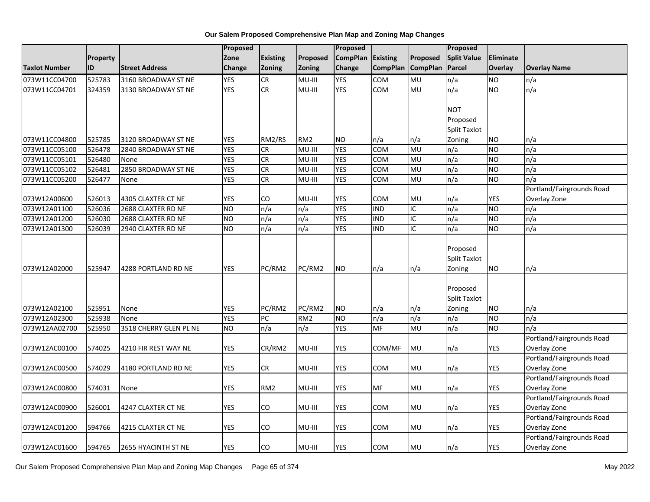|                      |                 |                        | Proposed        |                 |                 | Proposed        |                 |                 | Proposed                                  |            |                                           |
|----------------------|-----------------|------------------------|-----------------|-----------------|-----------------|-----------------|-----------------|-----------------|-------------------------------------------|------------|-------------------------------------------|
|                      | <b>Property</b> |                        | Zone            | <b>Existing</b> | Proposed        | <b>CompPlan</b> | Existing        | Proposed        | <b>Split Value</b>                        | Eliminate  |                                           |
| <b>Taxlot Number</b> | ID              | <b>Street Address</b>  | Change          | <b>Zoning</b>   | Zoning          | Change          | <b>CompPlan</b> | <b>CompPlan</b> | Parcel                                    | Overlay    | <b>Overlay Name</b>                       |
| 073W11CC04700        | 525783          | 3160 BROADWAY ST NE    | <b>YES</b>      | <b>CR</b>       | MU-III          | <b>YES</b>      | <b>COM</b>      | MU              | n/a                                       | <b>NO</b>  | n/a                                       |
| 073W11CC04701        | 324359          | 3130 BROADWAY ST NE    | <b>YES</b>      | <b>CR</b>       | MU-III          | <b>YES</b>      | <b>COM</b>      | <b>DM</b>       | n/a                                       | <b>NO</b>  | n/a                                       |
|                      |                 |                        |                 |                 |                 |                 |                 |                 |                                           |            |                                           |
|                      |                 |                        |                 |                 |                 |                 |                 |                 | <b>NOT</b>                                |            |                                           |
|                      |                 |                        |                 |                 |                 |                 |                 |                 | Proposed                                  |            |                                           |
|                      |                 |                        |                 |                 |                 |                 |                 |                 | Split Taxlot                              |            |                                           |
| 073W11CC04800        | 525785          | 3120 BROADWAY ST NE    | <b>YES</b>      | RM2/RS          | RM <sub>2</sub> | <b>NO</b>       | n/a             | n/a             | Zoning                                    | <b>NO</b>  | n/a                                       |
| 073W11CC05100        | 526478          | 2840 BROADWAY ST NE    | <b>YES</b>      | <b>CR</b>       | MU-III          | <b>YES</b>      | <b>COM</b>      | MU              | n/a                                       | <b>NO</b>  | n/a                                       |
| 073W11CC05101        | 526480          | None                   | <b>YES</b>      | ${\sf CR}$      | MU-III          | <b>YES</b>      | COM             | MU              | n/a                                       | <b>NO</b>  | n/a                                       |
| 073W11CC05102        | 526481          | 2850 BROADWAY ST NE    | <b>YES</b>      | CR              | MU-III          | <b>YES</b>      | <b>COM</b>      | MU              | n/a                                       | <b>NO</b>  | n/a                                       |
| 073W11CC05200        | 526477          | None                   | <b>YES</b>      | CR              | MU-III          | <b>YES</b>      | <b>COM</b>      | MU              | n/a                                       | <b>NO</b>  | n/a                                       |
|                      |                 |                        |                 |                 |                 |                 |                 |                 |                                           |            | Portland/Fairgrounds Road                 |
| 073W12A00600         | 526013          | 4305 CLAXTER CT NE     | <b>YES</b>      | CO              | MU-III          | <b>YES</b>      | COM             | MU              | n/a                                       | <b>YES</b> | Overlay Zone                              |
| 073W12A01100         | 526036          | 2688 CLAXTER RD NE     | $\overline{NO}$ | n/a             | n/a             | <b>YES</b>      | <b>IND</b>      | $\overline{C}$  | n/a                                       | <b>NO</b>  | n/a                                       |
| 073W12A01200         | 526030          | 2688 CLAXTER RD NE     | <b>NO</b>       | n/a             | n/a             | <b>YES</b>      | <b>IND</b>      | IC              | n/a                                       | <b>NO</b>  | n/a                                       |
| 073W12A01300         | 526039          | 2940 CLAXTER RD NE     | N <sub>O</sub>  | n/a             | n/a             | <b>YES</b>      | <b>IND</b>      | IC              | n/a                                       | <b>NO</b>  | n/a                                       |
| 073W12A02000         | 525947          | 4288 PORTLAND RD NE    | YES             | PC/RM2          | PC/RM2          | <b>NO</b>       | n/a             | n/a             | Proposed<br><b>Split Taxlot</b><br>Zoning | <b>NO</b>  | n/a                                       |
| 073W12A02100         | 525951          | None                   | <b>YES</b>      | PC/RM2          | PC/RM2          | <b>NO</b>       | n/a             | n/a             | Proposed<br><b>Split Taxlot</b><br>Zoning | <b>NO</b>  | n/a                                       |
| 073W12A02300         | 525938          | None                   | <b>YES</b>      | PC              | RM <sub>2</sub> | N <sub>O</sub>  | n/a             | n/a             | n/a                                       | <b>NO</b>  | n/a                                       |
| 073W12AA02700        | 525950          | 3518 CHERRY GLEN PL NE | <b>NO</b>       | n/a             | n/a             | <b>YES</b>      | <b>MF</b>       | <b>MU</b>       | n/a                                       | <b>NO</b>  | n/a                                       |
| 073W12AC00100        | 574025          | 4210 FIR REST WAY NE   | <b>YES</b>      | CR/RM2          | MU-III          | <b>YES</b>      | COM/MF          | MU              | n/a                                       | YES        | Portland/Fairgrounds Road<br>Overlay Zone |
| 073W12AC00500        | 574029          | 4180 PORTLAND RD NE    | <b>YES</b>      | CR              | MU-III          | YES             | <b>COM</b>      | MU              | n/a                                       | YES        | Portland/Fairgrounds Road<br>Overlay Zone |
| 073W12AC00800        | 574031          | None                   | <b>YES</b>      | RM <sub>2</sub> | MU-III          | YES             | MF              | MU              | n/a                                       | <b>YES</b> | Portland/Fairgrounds Road<br>Overlay Zone |
|                      |                 |                        |                 |                 |                 |                 |                 |                 |                                           |            | Portland/Fairgrounds Road                 |
| 073W12AC00900        | 526001          | 4247 CLAXTER CT NE     | <b>YES</b>      | CO              | MU-III          | <b>YES</b>      | <b>COM</b>      | MU              | n/a                                       | <b>YES</b> | Overlay Zone                              |
|                      |                 |                        |                 |                 |                 |                 |                 |                 |                                           |            | Portland/Fairgrounds Road                 |
| 073W12AC01200        | 594766          | 4215 CLAXTER CT NE     | <b>YES</b>      | CO              | MU-III          | YES             | COM             | MU              | n/a                                       | YES        | Overlay Zone                              |
| 073W12AC01600        | 594765          | 2655 HYACINTH ST NE    | <b>YES</b>      | CO              | MU-III          | <b>YES</b>      | <b>COM</b>      | MU              | n/a                                       | <b>YES</b> | Portland/Fairgrounds Road<br>Overlay Zone |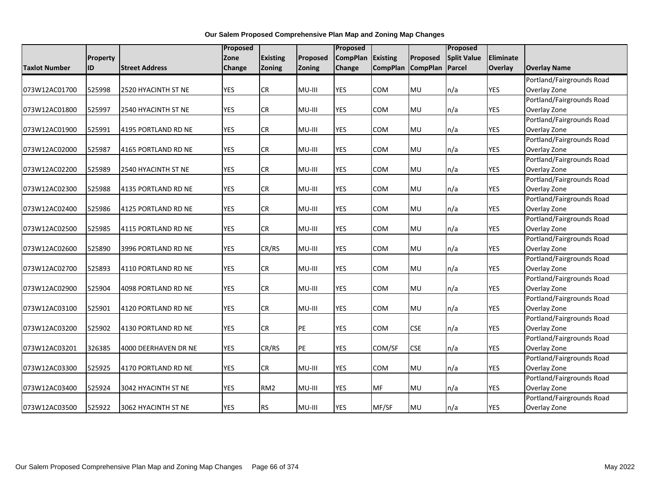|               |          |                       | Proposed   |                 |                 | <b>Proposed</b> |                 |                 | Proposed           |                  |                           |
|---------------|----------|-----------------------|------------|-----------------|-----------------|-----------------|-----------------|-----------------|--------------------|------------------|---------------------------|
|               | Property |                       | Zone       | <b>Existing</b> | <b>Proposed</b> | <b>CompPlan</b> | <b>Existing</b> | Proposed        | <b>Split Value</b> | <b>Eliminate</b> |                           |
| Taxlot Number | ID       | <b>Street Address</b> | Change     | Zoning          | Zoning          | Change          | <b>CompPlan</b> | <b>CompPlan</b> | <b>Parcel</b>      | <b>Overlay</b>   | Overlay Name              |
|               |          |                       |            |                 |                 |                 |                 |                 |                    |                  | Portland/Fairgrounds Road |
| 073W12AC01700 | 525998   | 2520 HYACINTH ST NE   | <b>YES</b> | CR              | MU-III          | <b>YES</b>      | COM             | MU              | n/a                | <b>YES</b>       | Overlay Zone              |
|               |          |                       |            |                 |                 |                 |                 |                 |                    |                  | Portland/Fairgrounds Road |
| 073W12AC01800 | 525997   | 2540 HYACINTH ST NE   | <b>YES</b> | <b>CR</b>       | MU-III          | <b>YES</b>      | <b>COM</b>      | <b>MU</b>       | n/a                | <b>YES</b>       | Overlay Zone              |
|               |          |                       |            |                 |                 |                 |                 |                 |                    |                  | Portland/Fairgrounds Road |
| 073W12AC01900 | 525991   | 4195 PORTLAND RD NE   | <b>YES</b> | CR              | MU-III          | <b>YES</b>      | <b>COM</b>      | <b>MU</b>       | n/a                | <b>YES</b>       | Overlay Zone              |
|               |          |                       |            |                 |                 |                 |                 |                 |                    |                  | Portland/Fairgrounds Road |
| 073W12AC02000 | 525987   | 4165 PORTLAND RD NE   | <b>YES</b> | <b>CR</b>       | MU-III          | <b>YES</b>      | <b>COM</b>      | <b>MU</b>       | n/a                | <b>YES</b>       | Overlay Zone              |
|               |          |                       |            |                 |                 |                 |                 |                 |                    |                  | Portland/Fairgrounds Road |
| 073W12AC02200 | 525989   | 2540 HYACINTH ST NE   | <b>YES</b> | CR              | MU-III          | <b>YES</b>      | <b>COM</b>      | <b>MU</b>       | n/a                | YES              | Overlay Zone              |
|               |          |                       |            |                 |                 |                 |                 |                 |                    |                  | Portland/Fairgrounds Road |
| 073W12AC02300 | 525988   | 4135 PORTLAND RD NE   | <b>YES</b> | CR              | MU-III          | <b>YES</b>      | COM             | <b>MU</b>       | n/a                | <b>YES</b>       | Overlay Zone              |
|               |          |                       |            |                 |                 |                 |                 |                 |                    |                  | Portland/Fairgrounds Road |
| 073W12AC02400 | 525986   | 4125 PORTLAND RD NE   | <b>YES</b> | CR.             | MU-III          | <b>YES</b>      | <b>COM</b>      | <b>MU</b>       | n/a                | YES              | Overlay Zone              |
|               |          |                       |            |                 |                 |                 |                 |                 |                    |                  | Portland/Fairgrounds Road |
| 073W12AC02500 | 525985   | 4115 PORTLAND RD NE   | <b>YES</b> | CR              | MU-III          | <b>YES</b>      | COM             | <b>MU</b>       | n/a                | <b>YES</b>       | Overlay Zone              |
|               |          |                       |            |                 |                 |                 |                 |                 |                    |                  | Portland/Fairgrounds Road |
| 073W12AC02600 | 525890   | 3996 PORTLAND RD NE   | <b>YES</b> | CR/RS           | MU-III          | <b>YES</b>      | COM             | MU              | n/a                | <b>YES</b>       | Overlay Zone              |
|               |          |                       |            |                 |                 |                 |                 |                 |                    |                  | Portland/Fairgrounds Road |
| 073W12AC02700 | 525893   | 4110 PORTLAND RD NE   | <b>YES</b> | CR              | MU-III          | <b>YES</b>      | COM             | MU              | n/a                | <b>YES</b>       | Overlay Zone              |
|               |          |                       |            |                 |                 |                 |                 |                 |                    |                  | Portland/Fairgrounds Road |
| 073W12AC02900 | 525904   | 4098 PORTLAND RD NE   | <b>YES</b> | <b>CR</b>       | MU-III          | <b>YES</b>      | COM             | <b>MU</b>       | n/a                | <b>YES</b>       | Overlay Zone              |
|               |          |                       |            |                 |                 |                 |                 |                 |                    |                  | Portland/Fairgrounds Road |
| 073W12AC03100 | 525901   | 4120 PORTLAND RD NE   | <b>YES</b> | CR              | MU-III          | <b>YES</b>      | COM             | MU              | n/a                | <b>YES</b>       | Overlay Zone              |
|               |          |                       |            |                 |                 |                 |                 |                 |                    |                  | Portland/Fairgrounds Road |
| 073W12AC03200 | 525902   | 4130 PORTLAND RD NE   | <b>YES</b> | <b>CR</b>       | PE              | <b>YES</b>      | COM             | <b>CSE</b>      | n/a                | <b>YES</b>       | Overlay Zone              |
|               |          |                       |            |                 |                 |                 |                 |                 |                    |                  | Portland/Fairgrounds Road |
| 073W12AC03201 | 326385   | 4000 DEERHAVEN DR NE  | <b>YES</b> | CR/RS           | PE              | <b>YES</b>      | COM/SF          | <b>CSE</b>      | n/a                | <b>YES</b>       | Overlay Zone              |
|               |          |                       |            |                 |                 |                 |                 |                 |                    |                  | Portland/Fairgrounds Road |
| 073W12AC03300 | 525925   | 4170 PORTLAND RD NE   | <b>YES</b> | <b>CR</b>       | MU-III          | <b>YES</b>      | COM             | <b>MU</b>       | n/a                | <b>YES</b>       | Overlay Zone              |
|               |          |                       |            |                 |                 |                 |                 |                 |                    |                  | Portland/Fairgrounds Road |
| 073W12AC03400 | 525924   | 3042 HYACINTH ST NE   | <b>YES</b> | RM <sub>2</sub> | MU-III          | <b>YES</b>      | <b>MF</b>       | MU              | n/a                | <b>YES</b>       | Overlay Zone              |
|               |          |                       |            |                 |                 |                 |                 |                 |                    |                  | Portland/Fairgrounds Road |
| 073W12AC03500 | 525922   | 3062 HYACINTH ST NE   | <b>YES</b> | <b>RS</b>       | MU-III          | <b>YES</b>      | MF/SF           | <b>MU</b>       | n/a                | <b>YES</b>       | Overlay Zone              |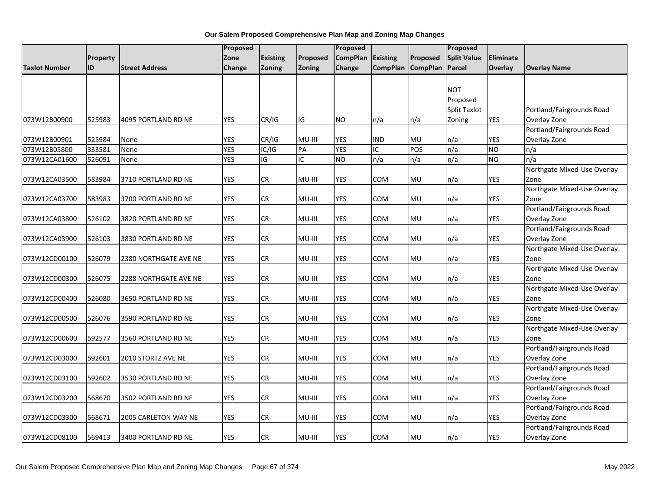|                      |          |                       | Proposed   |                 |          | Proposed        |                 |                 | Proposed            |            |                             |
|----------------------|----------|-----------------------|------------|-----------------|----------|-----------------|-----------------|-----------------|---------------------|------------|-----------------------------|
|                      | Property |                       | Zone       | <b>Existing</b> | Proposed | <b>CompPlan</b> | <b>Existing</b> | Proposed        | <b>Split Value</b>  | Eliminate  |                             |
| <b>Taxlot Number</b> | ID       | <b>Street Address</b> | Change     | Zoning          | Zoning   | Change          | <b>CompPlan</b> | <b>CompPlan</b> | Parcel              | Overlay    | <b>Overlay Name</b>         |
|                      |          |                       |            |                 |          |                 |                 |                 |                     |            |                             |
|                      |          |                       |            |                 |          |                 |                 |                 | <b>NOT</b>          |            |                             |
|                      |          |                       |            |                 |          |                 |                 |                 | Proposed            |            |                             |
|                      |          |                       |            |                 |          |                 |                 |                 | <b>Split Taxlot</b> |            | Portland/Fairgrounds Road   |
| 073W12B00900         | 525983   | 4095 PORTLAND RD NE   | <b>YES</b> | CR/IG           | IG       | NO.             | n/a             | n/a             | Zoning              | <b>YES</b> | Overlay Zone                |
|                      |          |                       |            |                 |          |                 |                 |                 |                     |            | Portland/Fairgrounds Road   |
| 073W12B00901         | 525984   | None                  | <b>YES</b> | CR/IG           | MU-III   | <b>YES</b>      | <b>IND</b>      | <b>MU</b>       | n/a                 | <b>YES</b> | Overlay Zone                |
| 073W12B05800         | 333581   | None                  | <b>YES</b> | IC/IG           | PA       | <b>YES</b>      | IC              | POS             | n/a                 | <b>NO</b>  | n/a                         |
| 073W12CA01600        | 526091   | None                  | <b>YES</b> | IG              | IC       | <b>NO</b>       | n/a             | n/a             | n/a                 | <b>NO</b>  | n/a                         |
|                      |          |                       |            |                 |          |                 |                 |                 |                     |            | Northgate Mixed-Use Overlay |
| 073W12CA03500        | 583984   | 3710 PORTLAND RD NE   | <b>YES</b> | CR              | MU-III   | YES             | COM             | MU              | n/a                 | YES        | Zone                        |
|                      |          |                       |            |                 |          |                 |                 |                 |                     |            | Northgate Mixed-Use Overlay |
| 073W12CA03700        | 583983   | 3700 PORTLAND RD NE   | <b>YES</b> | CR              | MU-III   | YES             | сом             | MU              | n/a                 | YES        | Zone                        |
|                      |          |                       |            |                 |          |                 |                 |                 |                     |            | Portland/Fairgrounds Road   |
| 073W12CA03800        | 526102   | 3820 PORTLAND RD NE   | <b>YES</b> | <b>CR</b>       | MU-III   | YES             | COM             | MU              | n/a                 | YES        | Overlay Zone                |
|                      |          |                       |            |                 |          |                 |                 |                 |                     |            | Portland/Fairgrounds Road   |
| 073W12CA03900        | 526103   | 3830 PORTLAND RD NE   | <b>YES</b> | CR              | MU-III   | YES             | COM             | MU              | n/a                 | <b>YES</b> | Overlay Zone                |
|                      |          |                       |            |                 |          |                 |                 |                 |                     |            | Northgate Mixed-Use Overlay |
| 073W12CD00100        | 526079   | 2380 NORTHGATE AVE NE | <b>YES</b> | CR              | MU-III   | <b>YES</b>      | COM             | MU              | n/a                 | YES        | Zone                        |
|                      |          |                       |            |                 |          |                 |                 |                 |                     |            | Northgate Mixed-Use Overlay |
| 073W12CD00300        | 526075   | 2288 NORTHGATE AVE NE | <b>YES</b> | ${\sf CR}$      | MU-III   | <b>YES</b>      | COM             | MU              | n/a                 | <b>YES</b> | Zone                        |
|                      |          |                       |            |                 |          |                 |                 |                 |                     |            | Northgate Mixed-Use Overlay |
| 073W12CD00400        | 526080   | 3650 PORTLAND RD NE   | <b>YES</b> | CR              | MU-III   | YES             | COM             | MU              | n/a                 | <b>YES</b> | Zone                        |
|                      |          |                       |            |                 |          |                 |                 |                 |                     |            | Northgate Mixed-Use Overlay |
| 073W12CD00500        | 526076   | 3590 PORTLAND RD NE   | <b>YES</b> | CR              | MU-III   | <b>YES</b>      | COM             | MU              | n/a                 | <b>YES</b> | Zone                        |
|                      |          |                       |            |                 |          |                 |                 |                 |                     |            | Northgate Mixed-Use Overlay |
| 073W12CD00600        | 592577   | 3560 PORTLAND RD NE   | <b>YES</b> | CR              | MU-III   | YES             | сом             | MU              | n/a                 | YES        | Zone                        |
|                      |          |                       |            |                 |          |                 |                 |                 |                     |            | Portland/Fairgrounds Road   |
| 073W12CD03000        | 592601   | 2010 STORTZ AVE NE    | <b>YES</b> | CR              | MU-III   | YES             | COM             | MU              | n/a                 | YES        | Overlay Zone                |
|                      |          |                       |            |                 |          |                 |                 |                 |                     |            | Portland/Fairgrounds Road   |
| 073W12CD03100        | 592602   | 3530 PORTLAND RD NE   | <b>YES</b> | <b>CR</b>       | MU-III   | YES             | COM             | MU              | n/a                 | YES        | Overlay Zone                |
|                      |          |                       |            |                 |          |                 |                 |                 |                     |            | Portland/Fairgrounds Road   |
| 073W12CD03200        | 568670   | 3502 PORTLAND RD NE   | <b>YES</b> | CR              | MU-III   | YES             | COM             | MU              | n/a                 | <b>YES</b> | Overlay Zone                |
|                      |          |                       |            |                 |          |                 |                 |                 |                     |            | Portland/Fairgrounds Road   |
| 073W12CD03300        | 568671   | 2005 CARLETON WAY NE  | <b>YES</b> | ${\sf CR}$      | MU-III   | <b>YES</b>      | COM             | <b>MU</b>       | n/a                 | <b>YES</b> | Overlay Zone                |
|                      |          |                       |            |                 |          |                 |                 |                 |                     |            | Portland/Fairgrounds Road   |
| 073W12CD08100        | 569413   | 3400 PORTLAND RD NE   | <b>YES</b> | CR              | MU-III   | <b>YES</b>      | COM             | MU              | n/a                 | <b>YES</b> | Overlay Zone                |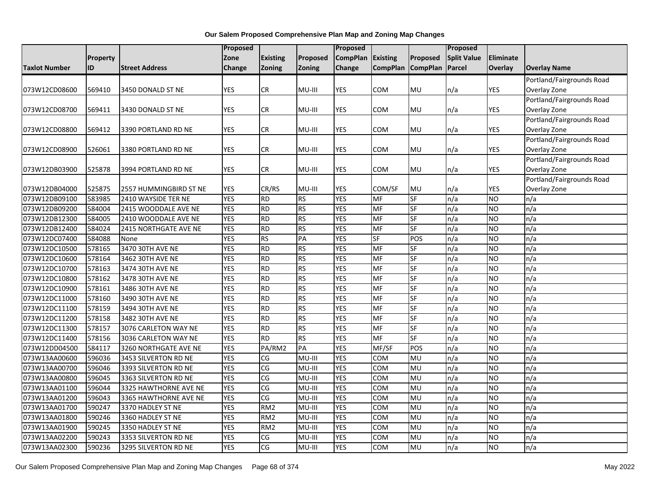|                      |                 |                        | Proposed   |                        |                | Proposed        |                 |                 | Proposed           |            |                           |
|----------------------|-----------------|------------------------|------------|------------------------|----------------|-----------------|-----------------|-----------------|--------------------|------------|---------------------------|
|                      | <b>Property</b> |                        | Zone       | <b>Existing</b>        | Proposed       | <b>CompPlan</b> | Existing        | Proposed        | <b>Split Value</b> | Eliminate  |                           |
| <b>Taxlot Number</b> | ID              | <b>Street Address</b>  | Change     | Zoning                 | Zoning         | Change          | <b>CompPlan</b> | <b>CompPlan</b> | Parcel             | Overlay    | <b>Overlay Name</b>       |
|                      |                 |                        |            |                        |                |                 |                 |                 |                    |            | Portland/Fairgrounds Road |
| 073W12CD08600        | 569410          | 3450 DONALD ST NE      | <b>YES</b> | CR                     | MU-III         | YES             | COM             | MU              | n/a                | <b>YES</b> | Overlay Zone              |
|                      |                 |                        |            |                        |                |                 |                 |                 |                    |            | Portland/Fairgrounds Road |
| 073W12CD08700        | 569411          | 3430 DONALD ST NE      | <b>YES</b> | CR                     | MU-III         | YES             | COM             | MU              | n/a                | YES        | Overlay Zone              |
|                      |                 |                        |            |                        |                |                 |                 |                 |                    |            | Portland/Fairgrounds Road |
| 073W12CD08800        | 569412          | 3390 PORTLAND RD NE    | <b>YES</b> | CR.                    | MU-III         | <b>YES</b>      | COM             | MU              | n/a                | <b>YES</b> | Overlay Zone              |
|                      |                 |                        |            |                        |                |                 |                 |                 |                    |            | Portland/Fairgrounds Road |
| 073W12CD08900        | 526061          | 3380 PORTLAND RD NE    | <b>YES</b> | CR                     | MU-III         | YES             | COM             | <b>MU</b>       | n/a                | YES        | Overlay Zone              |
|                      |                 |                        |            |                        |                |                 |                 |                 |                    |            | Portland/Fairgrounds Road |
| 073W12DB03900        | 525878          | 3994 PORTLAND RD NE    | <b>YES</b> | CR                     | MU-III         | YES             | COM             | MU              | n/a                | <b>YES</b> | Overlay Zone              |
|                      |                 |                        |            |                        |                |                 |                 |                 |                    |            | Portland/Fairgrounds Road |
| 073W12DB04000        | 525875          | 2557 HUMMINGBIRD ST NE | <b>YES</b> | CR/RS                  | MU-III         | <b>YES</b>      | COM/SF          | MU              | n/a                | YES        | Overlay Zone              |
| 073W12DB09100        | 583985          | 2410 WAYSIDE TER NE    | <b>YES</b> | <b>RD</b>              | R <sub>S</sub> | <b>YES</b>      | MF              | <b>SF</b>       | n/a                | <b>NO</b>  | n/a                       |
| 073W12DB09200        | 584004          | 2415 WOODDALE AVE NE   | <b>YES</b> | $\overline{RD}$        | RS             | <b>YES</b>      | MF              | <b>SF</b>       | n/a                | <b>NO</b>  | n/a                       |
| 073W12DB12300        | 584005          | 2410 WOODDALE AVE NE   | <b>YES</b> | <b>RD</b>              | RS             | <b>YES</b>      | MF              | <b>SF</b>       | n/a                | <b>NO</b>  | n/a                       |
| 073W12DB12400        | 584024          | 2415 NORTHGATE AVE NE  | <b>YES</b> | $\overline{RD}$        | RS             | <b>YES</b>      | MF              | <b>SF</b>       | n/a                | <b>NO</b>  | n/a                       |
| 073W12DC07400        | 584088          | None                   | <b>YES</b> | <b>RS</b>              | PA             | <b>YES</b>      | SF              | POS             | n/a                | <b>NO</b>  | n/a                       |
| 073W12DC10500        | 578165          | 3470 30TH AVE NE       | <b>YES</b> | <b>RD</b>              | RS             | YES             | MF              | $S$ F           | n/a                | <b>NO</b>  | n/a                       |
| 073W12DC10600        | 578164          | 3462 30TH AVE NE       | <b>YES</b> | $\overline{RD}$        | RS             | <b>YES</b>      | MF              | <b>SF</b>       | n/a                | <b>NO</b>  | n/a                       |
| 073W12DC10700        | 578163          | 3474 30TH AVE NE       | <b>YES</b> | <b>RD</b>              | RS             | <b>YES</b>      | MF              | <b>SF</b>       | n/a                | <b>NO</b>  | n/a                       |
| 073W12DC10800        | 578162          | 3478 30TH AVE NE       | <b>YES</b> | <b>RD</b>              | <b>RS</b>      | <b>YES</b>      | MF              | <b>SF</b>       | n/a                | <b>NO</b>  | n/a                       |
| 073W12DC10900        | 578161          | 3486 30TH AVE NE       | <b>YES</b> | $\overline{RD}$        | <b>RS</b>      | <b>YES</b>      | <b>MF</b>       | <b>SF</b>       | n/a                | <b>NO</b>  | n/a                       |
| 073W12DC11000        | 578160          | 3490 30TH AVE NE       | <b>YES</b> | <b>RD</b>              | <b>RS</b>      | <b>YES</b>      | <b>MF</b>       | <b>SF</b>       | n/a                | <b>NO</b>  | n/a                       |
| 073W12DC11100        | 578159          | 3494 30TH AVE NE       | <b>YES</b> | <b>RD</b>              | <b>RS</b>      | <b>YES</b>      | MF              | SF              | n/a                | <b>NO</b>  | n/a                       |
| 073W12DC11200        | 578158          | 3482 30TH AVE NE       | <b>YES</b> | $\overline{RD}$        | <b>RS</b>      | <b>YES</b>      | <b>MF</b>       | <b>SF</b>       | n/a                | <b>NO</b>  | n/a                       |
| 073W12DC11300        | 578157          | 3076 CARLETON WAY NE   | <b>YES</b> | $\overline{RD}$        | <b>RS</b>      | <b>YES</b>      | <b>MF</b>       | <b>SF</b>       | n/a                | <b>NO</b>  | n/a                       |
| 073W12DC11400        | 578156          | 3036 CARLETON WAY NE   | <b>YES</b> | <b>RD</b>              | <b>RS</b>      | <b>YES</b>      | MF              | <b>SF</b>       | n/a                | <b>NO</b>  | n/a                       |
| 073W12DD04500        | 584117          | 3260 NORTHGATE AVE NE  | <b>YES</b> | PA/RM2                 | PA             | <b>YES</b>      | MF/SF           | POS             | n/a                | <b>NO</b>  | n/a                       |
| 073W13AA00600        | 596036          | 3453 SILVERTON RD NE   | <b>YES</b> | CG                     | MU-III         | <b>YES</b>      | COM             | <b>MU</b>       | n/a                | <b>NO</b>  | n/a                       |
| 073W13AA00700        | 596046          | 3393 SILVERTON RD NE   | <b>YES</b> | CG                     | MU-III         | <b>YES</b>      | COM             | MU              | n/a                | <b>NO</b>  | n/a                       |
| 073W13AA00800        | 596045          | 3363 SILVERTON RD NE   | <b>YES</b> | CG                     | MU-III         | <b>YES</b>      | COM             | MU              | n/a                | <b>NO</b>  | n/a                       |
| 073W13AA01100        | 596044          | 3325 HAWTHORNE AVE NE  | <b>YES</b> | $\overline{\text{CG}}$ | $MU-HI$        | <b>YES</b>      | <b>COM</b>      | MU              | n/a                | <b>NO</b>  | n/a                       |
| 073W13AA01200        | 596043          | 3365 HAWTHORNE AVE NE  | <b>YES</b> | $\overline{\text{CG}}$ | $MU-HI$        | <b>YES</b>      | COM             | <b>MU</b>       | $\overline{n/a}$   | <b>NO</b>  | n/a                       |
| 073W13AA01700        | 590247          | 3370 HADLEY ST NE      | <b>YES</b> | RM <sub>2</sub>        | MU-III         | <b>YES</b>      | COM             | MU              | n/a                | <b>NO</b>  | n/a                       |
| 073W13AA01800        | 590246          | 3360 HADLEY ST NE      | <b>YES</b> | RM <sub>2</sub>        | $MU-HI$        | <b>YES</b>      | COM             | MU              | n/a                | <b>NO</b>  | n/a                       |
| 073W13AA01900        | 590245          | 3350 HADLEY ST NE      | <b>YES</b> | RM <sub>2</sub>        | MU-III         | <b>YES</b>      | COM             | MU              | n/a                | <b>NO</b>  | n/a                       |
| 073W13AA02200        | 590243          | 3353 SILVERTON RD NE   | <b>YES</b> | CG                     | MU-III         | <b>YES</b>      | COM             | MU              | n/a                | <b>NO</b>  | n/a                       |
| 073W13AA02300        | 590236          | 3295 SILVERTON RD NE   | <b>YES</b> | CG                     | MU-III         | <b>YES</b>      | COM             | MU              | n/a                | <b>NO</b>  | n/a                       |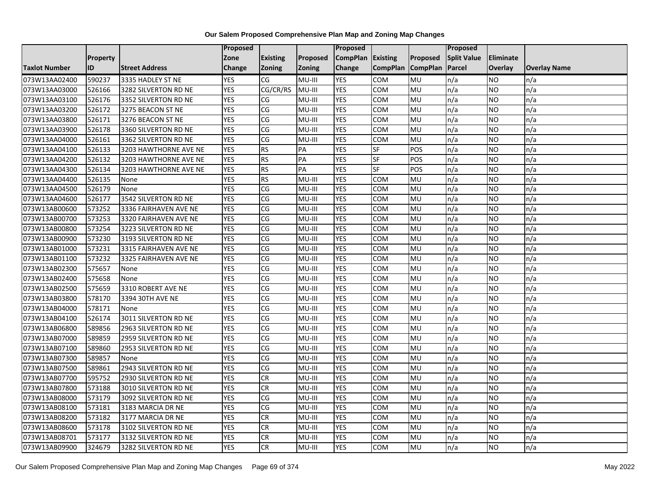|                      |                 |                       | <b>Proposed</b> |                        |                 | Proposed          |                 |                 | <b>Proposed</b>    |           |                     |
|----------------------|-----------------|-----------------------|-----------------|------------------------|-----------------|-------------------|-----------------|-----------------|--------------------|-----------|---------------------|
|                      | <b>Property</b> |                       | Zone            | <b>Existing</b>        | Proposed        | CompPlan Existing |                 | Proposed        | <b>Split Value</b> | Eliminate |                     |
| <b>Taxlot Number</b> | ID              | <b>Street Address</b> | <b>Change</b>   | Zoning                 | Zoning          | Change            | <b>CompPlan</b> | <b>CompPlan</b> | Parcel             | Overlay   | <b>Overlay Name</b> |
| 073W13AA02400        | 590237          | 3335 HADLEY ST NE     | <b>YES</b>      | CG                     | $MU-HI$         | <b>YES</b>        | COM             | <b>MU</b>       | n/a                | <b>NO</b> | n/a                 |
| 073W13AA03000        | 526166          | 3282 SILVERTON RD NE  | <b>YES</b>      | CG/CR/RS               | MU-III          | <b>YES</b>        | COM             | <b>MU</b>       | n/a                | NO        | n/a                 |
| 073W13AA03100        | 526176          | 3352 SILVERTON RD NE  | <b>YES</b>      | CG                     | MU-III          | <b>YES</b>        | COM             | MU              | n/a                | <b>NO</b> | n/a                 |
| 073W13AA03200        | 526172          | 3275 BEACON ST NE     | <b>YES</b>      | CG                     | MU-III          | <b>YES</b>        | COM             | MU              | n/a                | NO        | n/a                 |
| 073W13AA03800        | 526171          | 3276 BEACON ST NE     | <b>YES</b>      | CG                     | MU-III          | <b>YES</b>        | COM             | <b>MU</b>       | n/a                | NO        | n/a                 |
| 073W13AA03900        | 526178          | 3360 SILVERTON RD NE  | <b>YES</b>      | CG                     | MU-III          | <b>YES</b>        | COM             | MU              | n/a                | <b>NO</b> | n/a                 |
| 073W13AA04000        | 526161          | 3362 SILVERTON RD NE  | <b>YES</b>      | CG                     | MU-III          | <b>YES</b>        | COM             | MU              | n/a                | <b>NO</b> | n/a                 |
| 073W13AA04100        | 526133          | 3203 HAWTHORNE AVE NE | <b>YES</b>      | <b>RS</b>              | PA              | <b>YES</b>        | SF              | POS             | n/a                | <b>NO</b> | n/a                 |
| 073W13AA04200        | 526132          | 3203 HAWTHORNE AVE NE | <b>YES</b>      | <b>RS</b>              | PA              | <b>YES</b>        | SF              | POS             | n/a                | <b>NO</b> | n/a                 |
| 073W13AA04300        | 526134          | 3203 HAWTHORNE AVE NE | <b>YES</b>      | <b>RS</b>              | $\overline{PA}$ | <b>YES</b>        | SF              | POS             | n/a                | <b>NO</b> | n/a                 |
| 073W13AA04400        | 526135          | None                  | <b>YES</b>      | <b>RS</b>              | MU-III          | <b>YES</b>        | COM             | MU              | n/a                | <b>NO</b> | n/a                 |
| 073W13AA04500        | 526179          | None                  | <b>YES</b>      | CG                     | MU-III          | <b>YES</b>        | COM             | MU              | n/a                | <b>NO</b> | n/a                 |
| 073W13AA04600        | 526177          | 3542 SILVERTON RD NE  | <b>YES</b>      | $\overline{\text{CG}}$ | MU-III          | <b>YES</b>        | COM             | <b>MU</b>       | n/a                | NO.       | n/a                 |
| 073W13AB00600        | 573252          | 3336 FAIRHAVEN AVE NE | <b>YES</b>      | CG                     | MU-III          | <b>YES</b>        | COM             | MU              | n/a                | NO        | n/a                 |
| 073W13AB00700        | 573253          | 3320 FAIRHAVEN AVE NE | <b>YES</b>      | CG                     | MU-III          | <b>YES</b>        | COM             | MU              | n/a                | <b>NO</b> | n/a                 |
| 073W13AB00800        | 573254          | 3223 SILVERTON RD NE  | <b>YES</b>      | $\overline{\text{CG}}$ | MU-III          | <b>YES</b>        | COM             | <b>MU</b>       | n/a                | NO        | n/a                 |
| 073W13AB00900        | 573230          | 3193 SILVERTON RD NE  | <b>YES</b>      | CG                     | MU-III          | <b>YES</b>        | COM             | MU              | n/a                | NO        | n/a                 |
| 073W13AB01000        | 573231          | 3315 FAIRHAVEN AVE NE | <b>YES</b>      | CG                     | MU-III          | <b>YES</b>        | COM             | MU              | n/a                | <b>NO</b> | n/a                 |
| 073W13AB01100        | 573232          | 3325 FAIRHAVEN AVE NE | <b>YES</b>      | $\overline{\text{CG}}$ | MU-III          | <b>YES</b>        | COM             | <b>MU</b>       | n/a                | <b>NO</b> | n/a                 |
| 073W13AB02300        | 575657          | None                  | <b>YES</b>      | CG                     | MU-III          | <b>YES</b>        | COM             | MU              | n/a                | NO        | n/a                 |
| 073W13AB02400        | 575658          | None                  | <b>YES</b>      | CG                     | MU-III          | <b>YES</b>        | COM             | MU              | n/a                | <b>NO</b> | n/a                 |
| 073W13AB02500        | 575659          | 3310 ROBERT AVE NE    | <b>YES</b>      | CG                     | MU-III          | <b>YES</b>        | COM             | MU              | n/a                | NO        | n/a                 |
| 073W13AB03800        | 578170          | 3394 30TH AVE NE      | <b>YES</b>      | CG                     | MU-III          | <b>YES</b>        | COM             | MU              | n/a                | <b>NO</b> | n/a                 |
| 073W13AB04000        | 578171          | None                  | <b>YES</b>      | CG                     | MU-III          | <b>YES</b>        | COM             | MU              | n/a                | <b>NO</b> | n/a                 |
| 073W13AB04100        | 526174          | 3011 SILVERTON RD NE  | <b>YES</b>      | CG                     | MU-III          | <b>YES</b>        | COM             | MU              | n/a                | NO        | n/a                 |
| 073W13AB06800        | 589856          | 2963 SILVERTON RD NE  | <b>YES</b>      | CG                     | MU-III          | <b>YES</b>        | COM             | MU              | n/a                | NO        | n/a                 |
| 073W13AB07000        | 589859          | 2959 SILVERTON RD NE  | <b>YES</b>      | $\overline{\text{CG}}$ | MU-III          | <b>YES</b>        | COM             | <b>MU</b>       | n/a                | <b>NO</b> | n/a                 |
| 073W13AB07100        | 589860          | 2953 SILVERTON RD NE  | <b>YES</b>      | CG                     | MU-III          | <b>YES</b>        | COM             | MU              | n/a                | NO        | n/a                 |
| 073W13AB07300        | 589857          | None                  | <b>YES</b>      | CG                     | MU-III          | <b>YES</b>        | COM             | MU              | n/a                | <b>NO</b> | n/a                 |
| 073W13AB07500        | 589861          | 2943 SILVERTON RD NE  | <b>YES</b>      | CG                     | MU-III          | <b>YES</b>        | COM             | MU              | n/a                | NO.       | n/a                 |
| 073W13AB07700        | 595752          | 2930 SILVERTON RD NE  | <b>YES</b>      | <b>CR</b>              | MU-III          | <b>YES</b>        | COM             | MU              | n/a                | <b>NO</b> | n/a                 |
| 073W13AB07800        | 573188          | 3010 SILVERTON RD NE  | <b>YES</b>      | <b>CR</b>              | MU-III          | <b>YES</b>        | COM             | MU              | n/a                | <b>NO</b> | n/a                 |
| 073W13AB08000        | 573179          | 3092 SILVERTON RD NE  | <b>YES</b>      | S)                     | MU-III          | <b>YES</b>        | COM             | MU              | n/a                | NO        | n/a                 |
| 073W13AB08100        | 573181          | 3183 MARCIA DR NE     | <b>YES</b>      | CG                     | MU-III          | <b>YES</b>        | COM             | MU              | n/a                | NO.       | n/a                 |
| 073W13AB08200        | 573182          | 3177 MARCIA DR NE     | <b>YES</b>      | $\overline{c}$         | MU-III          | <b>YES</b>        | COM             | MU              | n/a                | <b>NO</b> | n/a                 |
| 073W13AB08600        | 573178          | 3102 SILVERTON RD NE  | <b>YES</b>      | <b>CR</b>              | MU-III          | <b>YES</b>        | COM             | MU              | n/a                | NO.       | n/a                 |
| 073W13AB08701        | 573177          | 3132 SILVERTON RD NE  | <b>YES</b>      | CR                     | MU-III          | <b>YES</b>        | COM             | MU              | n/a                | NO.       | n/a                 |
| 073W13AB09900        | 324679          | 3282 SILVERTON RD NE  | <b>YES</b>      | CR                     | MU-III          | <b>YES</b>        | COM             | MU              | n/a                | <b>NO</b> | n/a                 |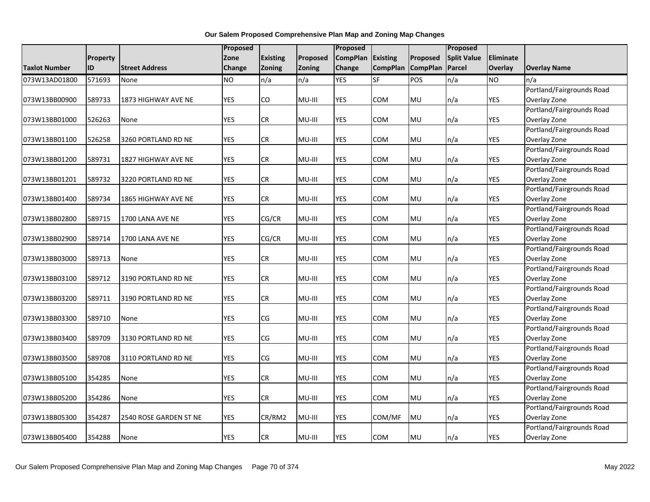|                      |          |                            | Proposed   |                 |          | Proposed        |                 |                 | Proposed           |            |                                           |
|----------------------|----------|----------------------------|------------|-----------------|----------|-----------------|-----------------|-----------------|--------------------|------------|-------------------------------------------|
|                      | Property |                            | Zone       | <b>Existing</b> | Proposed | <b>CompPlan</b> | <b>Existing</b> | Proposed        | <b>Split Value</b> | Eliminate  |                                           |
| <b>Taxlot Number</b> | ID       | <b>Street Address</b>      | Change     | Zoning          | Zoning   | Change          | <b>CompPlan</b> | <b>CompPlan</b> | Parcel             | Overlay    | <b>Overlay Name</b>                       |
| 073W13AD01800        | 571693   | None                       | <b>NO</b>  | n/a             | n/a      | <b>YES</b>      | SF              | POS             | n/a                | <b>NO</b>  | n/a                                       |
|                      |          |                            |            |                 |          |                 |                 |                 |                    |            | Portland/Fairgrounds Road                 |
| 073W13BB00900        | 589733   | 1873 HIGHWAY AVE NE        | <b>YES</b> | CO              | MU-III   | <b>YES</b>      | COM             | MU              | n/a                | <b>YES</b> | Overlay Zone                              |
|                      |          |                            |            |                 |          |                 |                 |                 |                    |            | Portland/Fairgrounds Road                 |
| 073W13BB01000        | 526263   | None                       | <b>YES</b> | CR              | MU-III   | <b>YES</b>      | COM             | <b>MU</b>       | n/a                | YES        | Overlay Zone                              |
|                      |          |                            |            |                 |          |                 |                 |                 |                    |            | Portland/Fairgrounds Road                 |
| 073W13BB01100        | 526258   | 3260 PORTLAND RD NE        | <b>YES</b> | <b>CR</b>       | MU-III   | <b>YES</b>      | COM             | <b>MU</b>       | n/a                | <b>YES</b> | Overlay Zone                              |
|                      |          |                            |            |                 |          |                 |                 |                 |                    |            | Portland/Fairgrounds Road                 |
| 073W13BB01200        | 589731   | 1827 HIGHWAY AVE NE        | <b>YES</b> | <b>CR</b>       | MU-III   | <b>YES</b>      | COM             | <b>MU</b>       | n/a                | <b>YES</b> | Overlay Zone                              |
|                      |          |                            |            |                 |          |                 |                 |                 |                    |            | Portland/Fairgrounds Road                 |
| 073W13BB01201        | 589732   | 3220 PORTLAND RD NE        | <b>YES</b> | CR              | MU-III   | YES             | COM             | <b>MU</b>       | n/a                | <b>YES</b> | Overlay Zone                              |
|                      |          |                            |            |                 |          |                 |                 |                 |                    |            | Portland/Fairgrounds Road                 |
| 073W13BB01400        | 589734   | <b>1865 HIGHWAY AVE NE</b> | <b>YES</b> | <b>CR</b>       | MU-III   | YES             | COM             | MU              | n/a                | <b>YES</b> | Overlay Zone                              |
|                      |          |                            |            |                 |          |                 |                 |                 |                    |            | Portland/Fairgrounds Road                 |
| 073W13BB02800        | 589715   | 1700 LANA AVE NE           | <b>YES</b> | CG/CR           | MU-III   | <b>YES</b>      | <b>COM</b>      | <b>MU</b>       | n/a                | <b>YES</b> | Overlay Zone                              |
|                      |          |                            |            |                 |          |                 |                 |                 |                    |            | Portland/Fairgrounds Road                 |
| 073W13BB02900        | 589714   | 1700 LANA AVE NE           | <b>YES</b> | CG/CR           | MU-III   | <b>YES</b>      | COM             | MU              | n/a                | <b>YES</b> | Overlay Zone                              |
|                      |          |                            |            |                 |          |                 |                 |                 |                    |            | Portland/Fairgrounds Road                 |
| 073W13BB03000        | 589713   | None                       | <b>YES</b> | <b>CR</b>       | MU-III   | <b>YES</b>      | COM             | MU              | n/a                | <b>YES</b> | Overlay Zone                              |
|                      |          |                            |            |                 |          | <b>YES</b>      |                 |                 |                    |            | Portland/Fairgrounds Road                 |
| 073W13BB03100        | 589712   | 3190 PORTLAND RD NE        | <b>YES</b> | <b>CR</b>       | MU-III   |                 | COM             | MU              | n/a                | <b>YES</b> | Overlay Zone<br>Portland/Fairgrounds Road |
| 073W13BB03200        | 589711   | 3190 PORTLAND RD NE        | <b>YES</b> | <b>CR</b>       | MU-III   | <b>YES</b>      | COM             | MU              | n/a                | <b>YES</b> | Overlay Zone                              |
|                      |          |                            |            |                 |          |                 |                 |                 |                    |            | Portland/Fairgrounds Road                 |
| 073W13BB03300        | 589710   | None                       | <b>YES</b> | CG              | MU-III   | <b>YES</b>      | COM             | <b>MU</b>       | n/a                | <b>YES</b> | Overlay Zone                              |
|                      |          |                            |            |                 |          |                 |                 |                 |                    |            | Portland/Fairgrounds Road                 |
| 073W13BB03400        | 589709   | 3130 PORTLAND RD NE        | YES        | CG              | MU-III   | YES             | COM             | MU              | n/a                | <b>YES</b> | Overlay Zone                              |
|                      |          |                            |            |                 |          |                 |                 |                 |                    |            | Portland/Fairgrounds Road                 |
| 073W13BB03500        | 589708   | 3110 PORTLAND RD NE        | <b>YES</b> | CG              | MU-III   | <b>YES</b>      | <b>COM</b>      | <b>MU</b>       | n/a                | <b>YES</b> | Overlay Zone                              |
|                      |          |                            |            |                 |          |                 |                 |                 |                    |            | Portland/Fairgrounds Road                 |
| 073W13BB05100        | 354285   | None                       | <b>YES</b> | <b>CR</b>       | MU-III   | <b>YES</b>      | <b>COM</b>      | <b>MU</b>       | n/a                | <b>YES</b> | Overlay Zone                              |
|                      |          |                            |            |                 |          |                 |                 |                 |                    |            | Portland/Fairgrounds Road                 |
| 073W13BB05200        | 354286   | None                       | <b>YES</b> | <b>CR</b>       | MU-III   | <b>YES</b>      | COM             | <b>MU</b>       | n/a                | <b>YES</b> | Overlay Zone                              |
|                      |          |                            |            |                 |          |                 |                 |                 |                    |            | Portland/Fairgrounds Road                 |
| 073W13BB05300        | 354287   | 2540 ROSE GARDEN ST NE     | <b>YES</b> | CR/RM2          | $MU-III$ | <b>YES</b>      | COM/MF          | MU              | n/a                | <b>YES</b> | Overlay Zone                              |
|                      |          |                            |            |                 |          |                 |                 |                 |                    |            | Portland/Fairgrounds Road                 |
| 073W13BB05400        | 354288   | None                       | <b>YES</b> | <b>CR</b>       | MU-III   | <b>YES</b>      | COM             | MU              | n/a                | <b>YES</b> | Overlay Zone                              |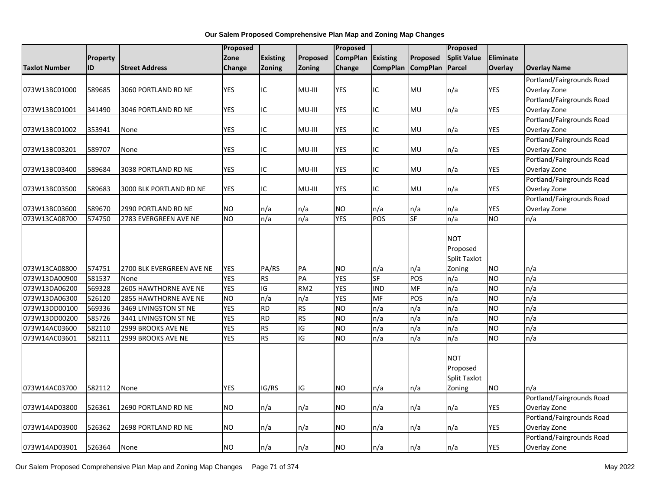|                      |          |                           | Proposed      |                 |                 | Proposed        |                 |                 | Proposed            |                 |                           |
|----------------------|----------|---------------------------|---------------|-----------------|-----------------|-----------------|-----------------|-----------------|---------------------|-----------------|---------------------------|
|                      | Property |                           | Zone          | <b>Existing</b> | Proposed        | <b>CompPlan</b> | <b>Existing</b> | Proposed        | <b>Split Value</b>  | Eliminate       |                           |
| <b>Taxlot Number</b> | ID       | <b>Street Address</b>     | <b>Change</b> | Zoning          | Zoning          | <b>Change</b>   | <b>CompPlan</b> | <b>CompPlan</b> | <b>Parcel</b>       | Overlay         | <b>Overlay Name</b>       |
|                      |          |                           |               |                 |                 |                 |                 |                 |                     |                 | Portland/Fairgrounds Road |
| 073W13BC01000        | 589685   | 3060 PORTLAND RD NE       | <b>YES</b>    | ΙC              | MU-III          | <b>YES</b>      | ΙC              | MU              | n/a                 | YES             | Overlay Zone              |
|                      |          |                           |               |                 |                 |                 |                 |                 |                     |                 | Portland/Fairgrounds Road |
| 073W13BC01001        | 341490   | 3046 PORTLAND RD NE       | <b>YES</b>    | ΙC              | MU-III          | <b>YES</b>      | IC              | <b>MU</b>       | n/a                 | <b>YES</b>      | Overlay Zone              |
|                      |          |                           |               |                 |                 |                 |                 |                 |                     |                 | Portland/Fairgrounds Road |
| 073W13BC01002        | 353941   | None                      | <b>YES</b>    | ΙC              | MU-III          | YES             | IC              | MU              | n/a                 | YES             | Overlay Zone              |
|                      |          |                           |               |                 |                 |                 |                 |                 |                     |                 | Portland/Fairgrounds Road |
| 073W13BC03201        | 589707   | None                      | <b>YES</b>    | ΙC              | MU-III          | YES             | ΙC              | MU              | n/a                 | <b>YES</b>      | Overlay Zone              |
|                      |          |                           |               |                 |                 |                 |                 |                 |                     |                 | Portland/Fairgrounds Road |
| 073W13BC03400        | 589684   | 3038 PORTLAND RD NE       | <b>YES</b>    | IC              | MU-III          | <b>YES</b>      | IC              | MU              | n/a                 | YES             | Overlay Zone              |
|                      |          |                           |               |                 |                 |                 |                 |                 |                     |                 | Portland/Fairgrounds Road |
| 073W13BC03500        | 589683   | 3000 BLK PORTLAND RD NE   | <b>YES</b>    | IC              | MU-III          | YES             | IC              | MU              | n/a                 | <b>YES</b>      | Overlay Zone              |
|                      |          |                           |               |                 |                 |                 |                 |                 |                     |                 | Portland/Fairgrounds Road |
| 073W13BC03600        | 589670   | 2990 PORTLAND RD NE       | <b>NO</b>     | n/a             | n/a             | <b>NO</b>       | n/a             | n/a             | n/a                 | YES             | Overlay Zone              |
| 073W13CA08700        | 574750   | 2783 EVERGREEN AVE NE     | <b>NO</b>     | n/a             | n/a             | <b>YES</b>      | POS             | <b>SF</b>       | $\overline{n/a}$    | <b>NO</b>       | n/a                       |
|                      |          |                           |               |                 |                 |                 |                 |                 |                     |                 |                           |
|                      |          |                           |               |                 |                 |                 |                 |                 | <b>NOT</b>          |                 |                           |
|                      |          |                           |               |                 |                 |                 |                 |                 | Proposed            |                 |                           |
|                      |          |                           |               |                 |                 |                 |                 |                 | <b>Split Taxlot</b> |                 |                           |
| 073W13CA08800        | 574751   | 2700 BLK EVERGREEN AVE NE | <b>YES</b>    | PA/RS           | PA              | <b>NO</b>       | n/a             | n/a             | Zoning              | <b>NO</b>       | n/a                       |
| 073W13DA00900        | 581537   | None                      | <b>YES</b>    | <b>RS</b>       | PA              | <b>YES</b>      | $S_{F}$         | POS             | n/a                 | <b>NO</b>       | n/a                       |
| 073W13DA06200        | 569328   | 2605 HAWTHORNE AVE NE     | <b>YES</b>    | $\overline{G}$  | RM <sub>2</sub> | <b>YES</b>      | <b>IND</b>      | <b>MF</b>       | $\overline{n/a}$    | ŌИ              | n/a                       |
| 073W13DA06300        | 526120   | 2855 HAWTHORNE AVE NE     | <b>NO</b>     | n/a             | n/a             | <b>YES</b>      | <b>MF</b>       | POS             | n/a                 | $\overline{NO}$ | n/a                       |
| 073W13DD00100        | 569336   | 3469 LIVINGSTON ST NE     | <b>YES</b>    | <b>RD</b>       | <b>RS</b>       | <b>NO</b>       | n/a             | n/a             | n/a                 | <b>NO</b>       | n/a                       |
| 073W13DD00200        | 585726   | 3441 LIVINGSTON ST NE     | <b>YES</b>    | $\overline{RD}$ | <b>RS</b>       | <b>NO</b>       | n/a             | n/a             | n/a                 | <b>NO</b>       | n/a                       |
| 073W14AC03600        | 582110   | 2999 BROOKS AVE NE        | <b>YES</b>    | RS              | $\overline{G}$  | <b>NO</b>       | n/a             | n/a             | $\overline{n/a}$    | ŌИ              | n/a                       |
| 073W14AC03601        | 582111   | 2999 BROOKS AVE NE        | <b>YES</b>    | RS              | $\overline{G}$  | Ю               | n/a             | n/a             | n/a                 | ŌИ              | n/a                       |
|                      |          |                           |               |                 |                 |                 |                 |                 |                     |                 |                           |
|                      |          |                           |               |                 |                 |                 |                 |                 | <b>NOT</b>          |                 |                           |
|                      |          |                           |               |                 |                 |                 |                 |                 | Proposed            |                 |                           |
|                      |          |                           |               |                 |                 |                 |                 |                 | Split Taxlot        |                 |                           |
| 073W14AC03700        | 582112   | None                      | <b>YES</b>    | IG/RS           | IG              | <b>NO</b>       | n/a             | n/a             | Zoning              | <b>NO</b>       | n/a                       |
|                      |          |                           |               |                 |                 |                 |                 |                 |                     |                 | Portland/Fairgrounds Road |
| 073W14AD03800        | 526361   | 2690 PORTLAND RD NE       | <b>NO</b>     | n/a             | n/a             | <b>NO</b>       | n/a             | n/a             | n/a                 | <b>YES</b>      | Overlay Zone              |
|                      |          |                           |               |                 |                 |                 |                 |                 |                     |                 | Portland/Fairgrounds Road |
| 073W14AD03900        | 526362   | 2698 PORTLAND RD NE       | <b>NO</b>     | n/a             | n/a             | <b>NO</b>       | n/a             | n/a             | n/a                 | YES             | Overlay Zone              |
|                      |          |                           |               |                 |                 |                 |                 |                 |                     |                 | Portland/Fairgrounds Road |
| 073W14AD03901        | 526364   | None                      | <b>NO</b>     | n/a             | n/a             | <b>NO</b>       | n/a             | n/a             | n/a                 | <b>YES</b>      | Overlay Zone              |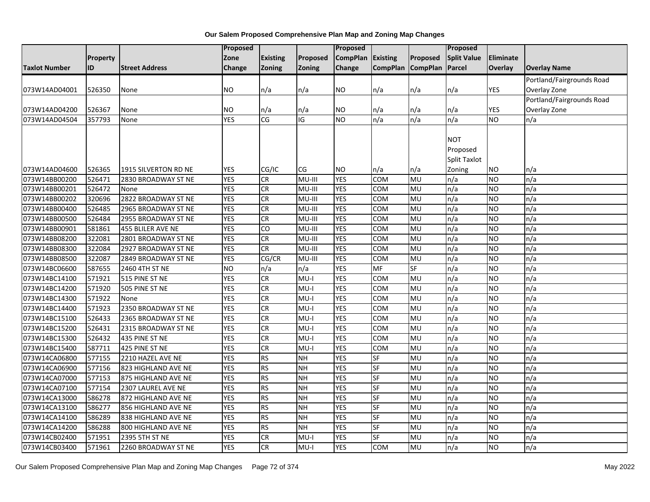|                      |                 |                       | Proposed       |                 |           | Proposed        |                         |                   | Proposed           |                  |                           |
|----------------------|-----------------|-----------------------|----------------|-----------------|-----------|-----------------|-------------------------|-------------------|--------------------|------------------|---------------------------|
|                      | <b>Property</b> |                       | Zone           | <b>Existing</b> | Proposed  | <b>CompPlan</b> | <b>Existing</b>         | Proposed          | <b>Split Value</b> | <b>Eliminate</b> |                           |
| <b>Taxlot Number</b> | ID              | <b>Street Address</b> | Change         | Zoning          | Zoning    | Change          |                         | CompPlan CompPlan | Parcel             | <b>Overlay</b>   | <b>Overlay Name</b>       |
|                      |                 |                       |                |                 |           |                 |                         |                   |                    |                  | Portland/Fairgrounds Road |
| 073W14AD04001        | 526350          | None                  | NO.            | n/a             | n/a       | NO              | n/a                     | n/a               | n/a                | YES              | Overlay Zone              |
|                      |                 |                       |                |                 |           |                 |                         |                   |                    |                  | Portland/Fairgrounds Road |
| 073W14AD04200        | 526367          | None                  | NO             | n/a             | n/a       | NO.             | n/a                     | n/a               | n/a                | <b>YES</b>       | Overlay Zone              |
| 073W14AD04504        | 357793          | None                  | <b>YES</b>     | CG              | IG        | $\overline{NO}$ | n/a                     | n/a               | n/a                | ŌИ               | n/a                       |
|                      |                 |                       |                |                 |           |                 |                         |                   |                    |                  |                           |
|                      |                 |                       |                |                 |           |                 |                         |                   | <b>NOT</b>         |                  |                           |
|                      |                 |                       |                |                 |           |                 |                         |                   | Proposed           |                  |                           |
|                      |                 |                       |                |                 |           |                 |                         |                   | Split Taxlot       |                  |                           |
| 073W14AD04600        | 526365          | 1915 SILVERTON RD NE  | <b>YES</b>     | CG/IC           | <b>CG</b> | NO              | n/a                     | n/a               | Zoning             | <b>NO</b>        | n/a                       |
| 073W14BB00200        | 526471          | 2830 BROADWAY ST NE   | <b>YES</b>     | <b>CR</b>       | MU-III    | <b>YES</b>      | COM                     | <b>MU</b>         | n/a                | <b>NO</b>        | n/a                       |
| 073W14BB00201        | 526472          | None                  | <b>YES</b>     | <b>CR</b>       | MU-III    | <b>YES</b>      | COM                     | MU                | n/a                | <b>NO</b>        | n/a                       |
| 073W14BB00202        | 320696          | 2822 BROADWAY ST NE   | <b>YES</b>     | CR              | MU-III    | <b>YES</b>      | $\overline{\text{COM}}$ | <b>MU</b>         | n/a                | ŌИ               | n/a                       |
| 073W14BB00400        | 526485          | 2965 BROADWAY ST NE   | <b>YES</b>     | <b>CR</b>       | MU-III    | <b>YES</b>      | COM                     | MU                | n/a                | <b>NO</b>        | n/a                       |
| 073W14BB00500        | 526484          | 2955 BROADWAY ST NE   | <b>YES</b>     | <b>CR</b>       | MU-III    | <b>YES</b>      | COM                     | MU                | n/a                | <b>NO</b>        | n/a                       |
| 073W14BB00901        | 581861          | 455 BLILER AVE NE     | <b>YES</b>     | 6               | MU-III    | <b>YES</b>      | <b>COM</b>              | <b>MU</b>         | n/a                | <b>NO</b>        | n/a                       |
| 073W14BB08200        | 322081          | 2801 BROADWAY ST NE   | <b>YES</b>     | $\overline{c}$  | MU-III    | <b>YES</b>      | <b>COM</b>              | <b>MU</b>         | n/a                | ŌИ               | n/a                       |
| 073W14BB08300        | 322084          | 2927 BROADWAY ST NE   | <b>YES</b>     | <b>CR</b>       | MU-III    | <b>YES</b>      | COM                     | MU                | n/a                | <b>NO</b>        | n/a                       |
| 073W14BB08500        | 322087          | 2849 BROADWAY ST NE   | <b>YES</b>     | CG/CR           | MU-III    | <b>YES</b>      | COM                     | MU                | n/a                | <b>NO</b>        | n/a                       |
| 073W14BC06600        | 587655          | 2460 4TH ST NE        | N <sub>O</sub> | n/a             | n/a       | <b>YES</b>      | <b>MF</b>               | <b>SF</b>         | n/a                | <b>NO</b>        | n/a                       |
| 073W14BC14100        | 571921          | 515 PINE ST NE        | <b>YES</b>     | <b>CR</b>       | $MU-I$    | <b>YES</b>      | COM                     | MU                | n/a                | <b>NO</b>        | n/a                       |
| 073W14BC14200        | 571920          | 505 PINE ST NE        | <b>YES</b>     | $\overline{c}$  | $MU-I$    | <b>YES</b>      | <b>COM</b>              | <b>MU</b>         | n/a                | <b>NO</b>        | n/a                       |
| 073W14BC14300        | 571922          | None                  | <b>YES</b>     | <b>CR</b>       | $MU-I$    | <b>YES</b>      | COM                     | MU                | n/a                | <b>NO</b>        | n/a                       |
| 073W14BC14400        | 571923          | 2350 BROADWAY ST NE   | <b>YES</b>     | <b>CR</b>       | $MU-I$    | <b>YES</b>      | COM                     | <b>MU</b>         | n/a                | <b>NO</b>        | n/a                       |
| 073W14BC15100        | 526433          | 2365 BROADWAY ST NE   | <b>YES</b>     | <b>CR</b>       | $MU-I$    | <b>YES</b>      | $\overline{\text{COM}}$ | <b>MU</b>         | n/a                | <b>NO</b>        | n/a                       |
| 073W14BC15200        | 526431          | 2315 BROADWAY ST NE   | <b>YES</b>     | <b>CR</b>       | $MU-I$    | <b>YES</b>      | COM                     | <b>MU</b>         | n/a                | <b>NO</b>        | n/a                       |
| 073W14BC15300        | 526432          | 435 PINE ST NE        | <b>YES</b>     | <b>CR</b>       | $MU-I$    | <b>YES</b>      | COM                     | MU                | n/a                | <b>NO</b>        | n/a                       |
| 073W14BC15400        | 587711          | 425 PINE ST NE        | <b>YES</b>     | <b>CR</b>       | MU-I      | <b>YES</b>      | COM                     | <b>MU</b>         | n/a                | <b>NO</b>        | n/a                       |
| 073W14CA06800        | 577155          | 2210 HAZEL AVE NE     | <b>YES</b>     | RS              | <b>NH</b> | <b>YES</b>      | $S$ F                   | <b>MU</b>         | n/a                | ŌИ               | n/a                       |
| 073W14CA06900        | 577156          | 823 HIGHLAND AVE NE   | <b>YES</b>     | <b>RS</b>       | <b>NH</b> | <b>YES</b>      | SF                      | MU                | n/a                | <b>NO</b>        | n/a                       |
| 073W14CA07000        | 577153          | 875 HIGHLAND AVE NE   | <b>YES</b>     | <b>RS</b>       | <b>NH</b> | <b>YES</b>      | SF                      | MU                | n/a                | <b>NO</b>        | n/a                       |
| 073W14CA07100        | 577154          | 2307 LAUREL AVE NE    | <b>YES</b>     | RS              | <b>NH</b> | <b>YES</b>      | <b>SF</b>               | MU                | n/a                | <b>NO</b>        | n/a                       |
| 073W14CA13000        | 586278          | 872 HIGHLAND AVE NE   | <b>YES</b>     | <b>RS</b>       | <b>NH</b> | <b>YES</b>      | SF                      | <b>MU</b>         | n/a                | <b>NO</b>        | n/a                       |
| 073W14CA13100        | 586277          | 856 HIGHLAND AVE NE   | <b>YES</b>     | <b>RS</b>       | <b>NH</b> | <b>YES</b>      | SF                      | MU                | n/a                | <b>NO</b>        | n/a                       |
| 073W14CA14100        | 586289          | 838 HIGHLAND AVE NE   | <b>YES</b>     | RS              | <b>NH</b> | <b>YES</b>      | <b>SF</b>               | MU                | n/a                | <b>NO</b>        | n/a                       |
| 073W14CA14200        | 586288          | 800 HIGHLAND AVE NE   | <b>YES</b>     | <b>RS</b>       | <b>NH</b> | <b>YES</b>      | SF                      | MU                | n/a                | <b>NO</b>        | n/a                       |
| 073W14CB02400        | 571951          | 2395 5TH ST NE        | <b>YES</b>     | <b>CR</b>       | $MU-I$    | <b>YES</b>      | $S$ F                   | MU                | n/a                | <b>NO</b>        | n/a                       |
| 073W14CB03400        | 571961          | 2260 BROADWAY ST NE   | <b>YES</b>     | <b>CR</b>       | $MU-I$    | <b>YES</b>      | COM                     | MU                | n/a                | <b>NO</b>        | n/a                       |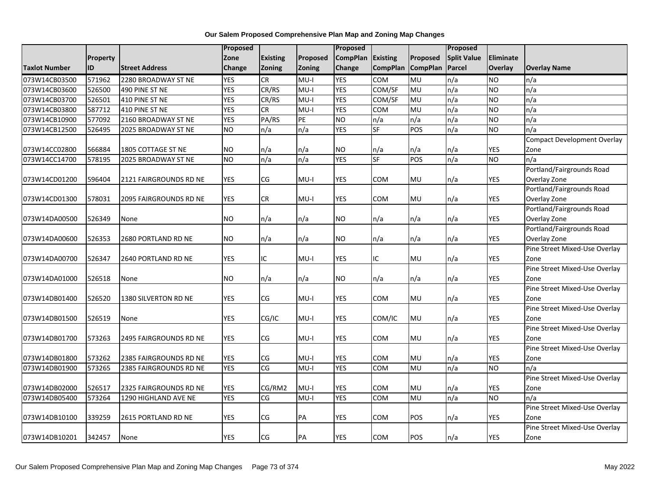|                      |                 |                        | Proposed   |                 |               | Proposed        |                 |                 | Proposed           |                  |                                    |
|----------------------|-----------------|------------------------|------------|-----------------|---------------|-----------------|-----------------|-----------------|--------------------|------------------|------------------------------------|
|                      | <b>Property</b> |                        | Zone       | <b>Existing</b> | Proposed      | <b>CompPlan</b> | Existing        | Proposed        | <b>Split Value</b> | <b>Eliminate</b> |                                    |
| <b>Taxlot Number</b> | ID              | <b>Street Address</b>  | Change     | <b>Zoning</b>   | <b>Zoning</b> | Change          | <b>CompPlan</b> | <b>CompPlan</b> | <b>Parcel</b>      | Overlay          | <b>Overlay Name</b>                |
| 073W14CB03500        | 571962          | 2280 BROADWAY ST NE    | <b>YES</b> | <b>CR</b>       | $MU-I$        | <b>YES</b>      | <b>COM</b>      | <b>MU</b>       | n/a                | <b>NO</b>        | n/a                                |
| 073W14CB03600        | 526500          | 490 PINE ST NE         | <b>YES</b> | CR/RS           | $MU-I$        | <b>YES</b>      | COM/SF          | MU              | n/a                | <b>NO</b>        | n/a                                |
| 073W14CB03700        | 526501          | 410 PINE ST NE         | <b>YES</b> | CR/RS           | $MU-I$        | <b>YES</b>      | COM/SF          | MU              | n/a                | <b>NO</b>        | n/a                                |
| 073W14CB03800        | 587712          | 410 PINE ST NE         | <b>YES</b> | CR              | $MU-I$        | <b>YES</b>      | COM             | MU              | n/a                | <b>NO</b>        | n/a                                |
| 073W14CB10900        | 577092          | 2160 BROADWAY ST NE    | <b>YES</b> | PA/RS           | PE            | <b>NO</b>       | n/a             | n/a             | n/a                | <b>NO</b>        | n/a                                |
| 073W14CB12500        | 526495          | 2025 BROADWAY ST NE    | <b>NO</b>  | n/a             | n/a           | <b>YES</b>      | <b>SF</b>       | POS             | n/a                | <b>NO</b>        | n/a                                |
|                      |                 |                        |            |                 |               |                 |                 |                 |                    |                  | <b>Compact Development Overlay</b> |
| 073W14CC02800        | 566884          | 1805 COTTAGE ST NE     | <b>NO</b>  | n/a             | n/a           | <b>NO</b>       | n/a             | n/a             | n/a                | <b>YES</b>       | Zone                               |
| 073W14CC14700        | 578195          | 2025 BROADWAY ST NE    | <b>NO</b>  | n/a             | n/a           | <b>YES</b>      | <b>SF</b>       | POS             | n/a                | <b>NO</b>        | n/a                                |
|                      |                 |                        |            |                 |               |                 |                 |                 |                    |                  | Portland/Fairgrounds Road          |
| 073W14CD01200        | 596404          | 2121 FAIRGROUNDS RD NE | <b>YES</b> | CG              | $MU-I$        | <b>YES</b>      | COM             | MU              | n/a                | YES              | Overlay Zone                       |
|                      |                 |                        |            |                 |               |                 |                 |                 |                    |                  | Portland/Fairgrounds Road          |
| 073W14CD01300        | 578031          | 2095 FAIRGROUNDS RD NE | YES        | CR              | MU-I          | YES             | COM             | <b>MU</b>       | n/a                | <b>YES</b>       | Overlay Zone                       |
|                      |                 |                        |            |                 |               |                 |                 |                 |                    |                  | Portland/Fairgrounds Road          |
| 073W14DA00500        | 526349          | None                   | <b>NO</b>  | n/a             | n/a           | <b>NO</b>       | n/a             | n/a             | n/a                | <b>YES</b>       | Overlay Zone                       |
|                      |                 |                        |            |                 |               |                 |                 |                 |                    |                  | Portland/Fairgrounds Road          |
| 073W14DA00600        | 526353          | 2680 PORTLAND RD NE    | <b>NO</b>  | n/a             | n/a           | <b>NO</b>       | n/a             | n/a             | n/a                | YES              | Overlay Zone                       |
|                      |                 |                        |            |                 |               |                 |                 |                 |                    |                  | Pine Street Mixed-Use Overlay      |
| 073W14DA00700        | 526347          | 2640 PORTLAND RD NE    | <b>YES</b> | ΙC              | $MU-I$        | <b>YES</b>      | IC              | MU              | n/a                | <b>YES</b>       | Zone                               |
|                      |                 |                        |            |                 |               |                 |                 |                 |                    |                  | Pine Street Mixed-Use Overlay      |
| 073W14DA01000        | 526518          | None                   | <b>NO</b>  | n/a             | n/a           | <b>NO</b>       | n/a             | n/a             | n/a                | <b>YES</b>       | Zone                               |
|                      |                 |                        |            |                 |               |                 |                 |                 |                    |                  | Pine Street Mixed-Use Overlay      |
| 073W14DB01400        | 526520          | 1380 SILVERTON RD NE   | <b>YES</b> | CG              | $MU-I$        | <b>YES</b>      | <b>COM</b>      | MU              | n/a                | YES              | Zone                               |
|                      |                 |                        |            |                 |               |                 |                 |                 |                    |                  | Pine Street Mixed-Use Overlay      |
| 073W14DB01500        | 526519          | None                   | <b>YES</b> | CG/IC           | $MU-I$        | <b>YES</b>      | COM/IC          | MU              | n/a                | <b>YES</b>       | Zone                               |
|                      |                 |                        |            |                 |               |                 |                 |                 |                    |                  | Pine Street Mixed-Use Overlay      |
| 073W14DB01700        | 573263          | 2495 FAIRGROUNDS RD NE | YES        | CG              | $MU-I$        | YES             | COM             | <b>MU</b>       | n/a                | <b>YES</b>       | Zone                               |
|                      |                 |                        |            |                 |               |                 |                 |                 |                    |                  | Pine Street Mixed-Use Overlay      |
| 073W14DB01800        | 573262          | 2385 FAIRGROUNDS RD NE | <b>YES</b> | CG              | MU-I          | <b>YES</b>      | <b>COM</b>      | MU              | n/a                | <b>YES</b>       | Zone                               |
| 073W14DB01900        | 573265          | 2385 FAIRGROUNDS RD NE | <b>YES</b> | CG              | $MU-I$        | <b>YES</b>      | <b>COM</b>      | <b>MU</b>       | n/a                | <b>NO</b>        | n/a                                |
|                      |                 |                        |            |                 |               |                 |                 |                 |                    |                  | Pine Street Mixed-Use Overlay      |
| 073W14DB02000        | 526517          | 2325 FAIRGROUNDS RD NE | <b>YES</b> | CG/RM2          | $MU-I$        | <b>YES</b>      | <b>COM</b>      | MU              | n/a                | <b>YES</b>       | Zone                               |
| 073W14DB05400        | 573264          | 1290 HIGHLAND AVE NE   | <b>YES</b> | CG              | $MU-I$        | <b>YES</b>      | COM             | MU              | n/a                | <b>NO</b>        | n/a                                |
|                      |                 |                        |            |                 |               |                 |                 |                 |                    |                  | Pine Street Mixed-Use Overlay      |
| 073W14DB10100        | 339259          | 2615 PORTLAND RD NE    | <b>YES</b> | CG              | PA            | <b>YES</b>      | COM             | POS             | n/a                | <b>YES</b>       | Zone                               |
|                      |                 |                        |            |                 |               |                 |                 |                 |                    |                  | Pine Street Mixed-Use Overlay      |
| 073W14DB10201        | 342457          | None                   | <b>YES</b> | CG              | PA            | <b>YES</b>      | <b>COM</b>      | POS             | n/a                | <b>YES</b>       | Zone                               |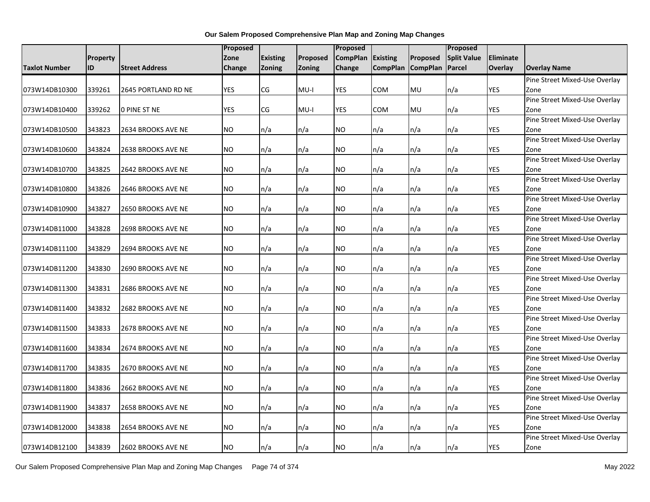|                      |                 |                       | Proposed      |                 |               | Proposed        |                 |                   | Proposed           |                |                                       |
|----------------------|-----------------|-----------------------|---------------|-----------------|---------------|-----------------|-----------------|-------------------|--------------------|----------------|---------------------------------------|
|                      | <b>Property</b> |                       | Zone          | <b>Existing</b> | Proposed      | <b>CompPlan</b> | <b>Existing</b> | <b>Proposed</b>   | <b>Split Value</b> | Eliminate      |                                       |
| <b>Taxlot Number</b> | ID              | <b>Street Address</b> | <b>Change</b> | <b>Zoning</b>   | <b>Zoning</b> | Change          |                 | CompPlan CompPlan | Parcel             | <b>Overlay</b> | <b>Overlay Name</b>                   |
|                      |                 |                       |               |                 |               |                 |                 |                   |                    |                | Pine Street Mixed-Use Overlay         |
| 073W14DB10300        | 339261          | 2645 PORTLAND RD NE   | <b>YES</b>    | CG              | MU-I          | YES             | COM             | <b>MU</b>         | n/a                | YES            | Zone                                  |
|                      |                 |                       |               |                 |               |                 |                 |                   |                    |                | Pine Street Mixed-Use Overlay         |
| 073W14DB10400        | 339262          | <b>O PINE ST NE</b>   | <b>YES</b>    | CG              | MU-I          | <b>YES</b>      | <b>COM</b>      | <b>MU</b>         | n/a                | YES            | Zone                                  |
|                      |                 |                       |               |                 |               |                 |                 |                   |                    |                | Pine Street Mixed-Use Overlay         |
| 073W14DB10500        | 343823          | 2634 BROOKS AVE NE    | <b>NO</b>     | n/a             | n/a           | NO.             | n/a             | n/a               | n/a                | YES            | Zone                                  |
|                      |                 |                       |               |                 |               |                 |                 |                   |                    |                | Pine Street Mixed-Use Overlay         |
| 073W14DB10600        | 343824          | 2638 BROOKS AVE NE    | <b>NO</b>     | n/a             | n/a           | NO.             | n/a             | n/a               | n/a                | YES            | Zone                                  |
|                      |                 |                       |               |                 |               |                 |                 |                   |                    |                | Pine Street Mixed-Use Overlay         |
| 073W14DB10700        | 343825          | 2642 BROOKS AVE NE    | <b>NO</b>     | n/a             | n/a           | <b>NO</b>       | n/a             | n/a               | n/a                | YES            | Zone                                  |
|                      |                 |                       |               |                 |               |                 |                 |                   |                    |                | Pine Street Mixed-Use Overlay         |
| 073W14DB10800        | 343826          | 2646 BROOKS AVE NE    | <b>NO</b>     | n/a             | n/a           | NO.             | n/a             | n/a               | n/a                | YES            | Zone                                  |
|                      |                 |                       |               |                 |               |                 |                 |                   |                    |                | Pine Street Mixed-Use Overlay         |
| 073W14DB10900        | 343827          | 2650 BROOKS AVE NE    | <b>NO</b>     | n/a             | n/a           | NO              | n/a             | n/a               | n/a                | YES            | Zone                                  |
|                      |                 |                       |               |                 |               |                 |                 |                   |                    |                | Pine Street Mixed-Use Overlay         |
| 073W14DB11000        | 343828          | 2698 BROOKS AVE NE    | <b>NO</b>     | n/a             | n/a           | NO.             | n/a             | n/a               | n/a                | YES            | Zone                                  |
|                      |                 |                       |               |                 |               |                 |                 |                   |                    |                | Pine Street Mixed-Use Overlay         |
| 073W14DB11100        | 343829          | 2694 BROOKS AVE NE    | <b>NO</b>     | n/a             | n/a           | NO.             | n/a             | n/a               | n/a                | <b>YES</b>     | Zone                                  |
|                      |                 |                       |               |                 |               |                 |                 |                   |                    |                | Pine Street Mixed-Use Overlay         |
| 073W14DB11200        | 343830          | 2690 BROOKS AVE NE    | <b>NO</b>     | n/a             | n/a           | <b>NO</b>       | n/a             | n/a               | n/a                | YES            | Zone                                  |
|                      |                 |                       |               |                 |               |                 |                 |                   |                    |                | Pine Street Mixed-Use Overlay         |
| 073W14DB11300        | 343831          | 2686 BROOKS AVE NE    | <b>NO</b>     | n/a             | n/a           | <b>NO</b>       | n/a             | n/a               | n/a                | <b>YES</b>     | Zone                                  |
|                      |                 |                       |               |                 |               |                 |                 |                   |                    |                | Pine Street Mixed-Use Overlay         |
| 073W14DB11400        | 343832          | 2682 BROOKS AVE NE    | <b>NO</b>     | n/a             | n/a           | NO.             | n/a             | n/a               | n/a                | YES            | Zone                                  |
|                      |                 |                       |               |                 |               |                 |                 |                   |                    |                | Pine Street Mixed-Use Overlay         |
| 073W14DB11500        | 343833          | 2678 BROOKS AVE NE    | <b>NO</b>     | n/a             | n/a           | <b>NO</b>       | n/a             | n/a               | n/a                | YES            | Zone                                  |
|                      |                 |                       |               |                 |               |                 |                 |                   |                    |                | Pine Street Mixed-Use Overlay         |
| 073W14DB11600        | 343834          | 2674 BROOKS AVE NE    | <b>NO</b>     | n/a             | n/a           | NO.             | n/a             | n/a               | n/a                | YES            | Zone                                  |
|                      |                 |                       |               |                 |               |                 |                 |                   |                    | YES            | Pine Street Mixed-Use Overlay         |
| 073W14DB11700        | 343835          | 2670 BROOKS AVE NE    | <b>NO</b>     | n/a             | n/a           | NO.             | n/a             | n/a               | n/a                |                | Zone                                  |
|                      | 343836          |                       | <b>NO</b>     |                 |               | <b>NO</b>       |                 |                   |                    | YES            | Pine Street Mixed-Use Overlay         |
| 073W14DB11800        |                 | 2662 BROOKS AVE NE    |               | n/a             | n/a           |                 | n/a             | n/a               | n/a                |                | Zone<br>Pine Street Mixed-Use Overlay |
| 073W14DB11900        | 343837          | 2658 BROOKS AVE NE    | <b>NO</b>     | n/a             | n/a           | NO.             | n/a             | n/a               | n/a                | YES            | Zone                                  |
|                      |                 |                       |               |                 |               |                 |                 |                   |                    |                | Pine Street Mixed-Use Overlay         |
| 073W14DB12000        | 343838          | 2654 BROOKS AVE NE    | <b>NO</b>     | n/a             | n/a           | <b>NO</b>       | n/a             | n/a               | n/a                | YES            | Zone                                  |
|                      |                 |                       |               |                 |               |                 |                 |                   |                    |                | Pine Street Mixed-Use Overlay         |
| 073W14DB12100        | 343839          | 2602 BROOKS AVE NE    | <b>NO</b>     | n/a             | n/a           | <b>NO</b>       | n/a             | n/a               | n/a                | <b>YES</b>     | Zone                                  |
|                      |                 |                       |               |                 |               |                 |                 |                   |                    |                |                                       |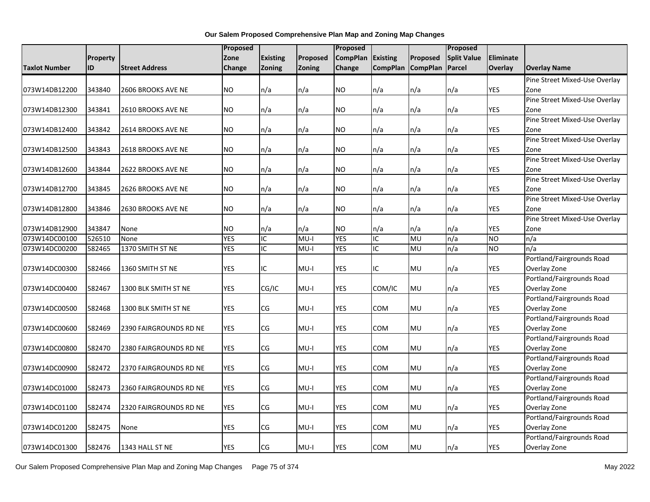|                      |                 |                           | <b>Proposed</b> |                 |          | Proposed        |                 |                 | Proposed           |                  |                               |
|----------------------|-----------------|---------------------------|-----------------|-----------------|----------|-----------------|-----------------|-----------------|--------------------|------------------|-------------------------------|
|                      | <b>Property</b> |                           | Zone            | <b>Existing</b> | Proposed | <b>CompPlan</b> | <b>Existing</b> | Proposed        | <b>Split Value</b> | <b>Eliminate</b> |                               |
| <b>Taxlot Number</b> | <b>ID</b>       | <b>Street Address</b>     | <b>Change</b>   | <b>Zoning</b>   | Zoning   | Change          | <b>CompPlan</b> | <b>CompPlan</b> | Parcel             | <b>Overlay</b>   | <b>Overlay Name</b>           |
|                      |                 |                           |                 |                 |          |                 |                 |                 |                    |                  | Pine Street Mixed-Use Overlay |
| 073W14DB12200        | 343840          | 2606 BROOKS AVE NE        | <b>NO</b>       | n/a             | n/a      | NO.             | n/a             | n/a             | n/a                | <b>YES</b>       | Zone                          |
|                      |                 |                           |                 |                 |          |                 |                 |                 |                    |                  | Pine Street Mixed-Use Overlay |
| 073W14DB12300        | 343841          | 2610 BROOKS AVE NE        | <b>NO</b>       | n/a             | n/a      | NO.             | n/a             | n/a             | n/a                | YES              | Zone                          |
|                      |                 |                           |                 |                 |          |                 |                 |                 |                    |                  | Pine Street Mixed-Use Overlay |
| 073W14DB12400        | 343842          | 2614 BROOKS AVE NE        | <b>NO</b>       | n/a             | n/a      | NO.             | n/a             | n/a             | n/a                | <b>YES</b>       | Zone                          |
|                      |                 |                           |                 |                 |          |                 |                 |                 |                    |                  | Pine Street Mixed-Use Overlay |
| 073W14DB12500        | 343843          | 2618 BROOKS AVE NE        | <b>NO</b>       | n/a             | n/a      | NO.             | n/a             | n/a             | n/a                | <b>YES</b>       | Zone                          |
|                      |                 |                           |                 |                 |          |                 |                 |                 |                    |                  | Pine Street Mixed-Use Overlay |
| 073W14DB12600        | 343844          | 2622 BROOKS AVE NE        | <b>NO</b>       | n/a             | n/a      | NO.             | n/a             | n/a             | n/a                | <b>YES</b>       | Zone                          |
|                      |                 |                           |                 |                 |          |                 |                 |                 |                    |                  | Pine Street Mixed-Use Overlay |
| 073W14DB12700        | 343845          | 2626 BROOKS AVE NE        | <b>NO</b>       | n/a             | n/a      | NO.             | n/a             | n/a             | n/a                | YES              | Zone                          |
|                      |                 |                           |                 |                 |          |                 |                 |                 |                    |                  | Pine Street Mixed-Use Overlay |
| 073W14DB12800        | 343846          | <b>2630 BROOKS AVE NE</b> | <b>NO</b>       | n/a             | n/a      | NO.             | n/a             | n/a             | n/a                | <b>YES</b>       | Zone                          |
|                      |                 |                           |                 |                 |          |                 |                 |                 |                    |                  | Pine Street Mixed-Use Overlay |
| 073W14DB12900        | 343847          | None                      | <b>NO</b>       | n/a             | n/a      | NO.             | n/a             | n/a             | n/a                | YES              | Zone                          |
| 073W14DC00100        | 526510          | None                      | <b>YES</b>      | IC              | I-UM     | <b>YES</b>      | IC              | MU              | n/a                | <b>NO</b>        | n/a                           |
| 073W14DC00200        | 582465          | 1370 SMITH ST NE          | <b>YES</b>      | IC              | $MU-I$   | <b>YES</b>      | IC              | MU              | n/a                | <b>NO</b>        | n/a                           |
|                      |                 |                           |                 |                 |          |                 |                 |                 |                    |                  | Portland/Fairgrounds Road     |
| 073W14DC00300        | 582466          | 1360 SMITH ST NE          | <b>YES</b>      | IC              | MU-I     | YES             | ΙC              | <b>MU</b>       | n/a                | <b>YES</b>       | Overlay Zone                  |
|                      |                 |                           |                 |                 |          |                 |                 |                 |                    |                  | Portland/Fairgrounds Road     |
| 073W14DC00400        | 582467          | 1300 BLK SMITH ST NE      | <b>YES</b>      | CG/IC           | MU-I     | YES             | COM/IC          | <b>MU</b>       | n/a                | <b>YES</b>       | Overlay Zone                  |
|                      |                 |                           |                 |                 |          |                 |                 |                 |                    |                  | Portland/Fairgrounds Road     |
| 073W14DC00500        | 582468          | 1300 BLK SMITH ST NE      | <b>YES</b>      | CG              | $MU-I$   | <b>YES</b>      | COM             | MU              | n/a                | <b>YES</b>       | Overlay Zone                  |
|                      |                 |                           |                 |                 |          |                 |                 |                 |                    |                  | Portland/Fairgrounds Road     |
| 073W14DC00600        | 582469          | 2390 FAIRGROUNDS RD NE    | <b>YES</b>      | CG              | $MU-I$   | <b>YES</b>      | <b>COM</b>      | MU              | n/a                | <b>YES</b>       | Overlay Zone                  |
|                      |                 |                           |                 |                 |          |                 |                 |                 |                    |                  | Portland/Fairgrounds Road     |
| 073W14DC00800        | 582470          | 2380 FAIRGROUNDS RD NE    | <b>YES</b>      | CG              | MU-I     | YES             | COM             | <b>MU</b>       | n/a                | <b>YES</b>       | Overlay Zone                  |
|                      |                 |                           |                 |                 |          |                 |                 |                 |                    |                  | Portland/Fairgrounds Road     |
| 073W14DC00900        | 582472          | 2370 FAIRGROUNDS RD NE    | <b>YES</b>      | CG              | $MU-I$   | YES             | COM             | <b>MU</b>       | n/a                | YES              | Overlay Zone                  |
|                      |                 |                           |                 |                 |          |                 |                 |                 |                    |                  | Portland/Fairgrounds Road     |
| 073W14DC01000        | 582473          | 2360 FAIRGROUNDS RD NE    | <b>YES</b>      | CG              | MU-I     | YES             | COM             | <b>MU</b>       | n/a                | YES              | Overlay Zone                  |
|                      |                 |                           |                 |                 |          |                 |                 |                 |                    |                  | Portland/Fairgrounds Road     |
| 073W14DC01100        | 582474          | 2320 FAIRGROUNDS RD NE    | <b>YES</b>      | CG              | MU-I     | <b>YES</b>      | COM             | <b>MU</b>       | n/a                | <b>YES</b>       | Overlay Zone                  |
|                      |                 |                           | <b>YES</b>      |                 |          |                 |                 |                 | n/a                |                  | Portland/Fairgrounds Road     |
| 073W14DC01200        | 582475          | None                      |                 | CG              | MU-I     | YES             | COM             | <b>MU</b>       |                    | YES              | Overlay Zone                  |
|                      |                 |                           |                 |                 |          |                 |                 |                 |                    |                  | Portland/Fairgrounds Road     |
| 073W14DC01300        | 582476          | 1343 HALL ST NE           | <b>YES</b>      | CG              | MU-I     | <b>YES</b>      | COM             | <b>MU</b>       | n/a                | <b>YES</b>       | Overlay Zone                  |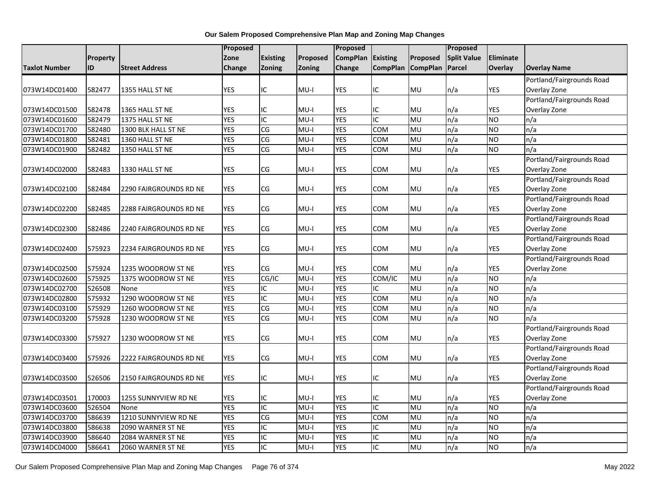|                      |          |                        | <b>Proposed</b> |                        |          | <b>Proposed</b> |                 |                 | Proposed           |                  |                           |
|----------------------|----------|------------------------|-----------------|------------------------|----------|-----------------|-----------------|-----------------|--------------------|------------------|---------------------------|
|                      | Property |                        | Zone            | <b>Existing</b>        | Proposed | <b>CompPlan</b> | <b>Existing</b> | Proposed        | <b>Split Value</b> | <b>Eliminate</b> |                           |
| <b>Taxlot Number</b> | ID       | <b>Street Address</b>  | Change          | <b>Zoning</b>          | Zoning   | Change          | <b>CompPlan</b> | <b>CompPlan</b> | Parcel             | <b>Overlay</b>   | <b>Overlay Name</b>       |
|                      |          |                        |                 |                        |          |                 |                 |                 |                    |                  | Portland/Fairgrounds Road |
| 073W14DC01400        | 582477   | 1355 HALL ST NE        | <b>YES</b>      | ΙC                     | $MU-I$   | <b>YES</b>      | IC              | <b>MU</b>       | n/a                | <b>YES</b>       | Overlay Zone              |
|                      |          |                        |                 |                        |          |                 |                 |                 |                    |                  | Portland/Fairgrounds Road |
| 073W14DC01500        | 582478   | 1365 HALL ST NE        | <b>YES</b>      | ΙC                     | MU-I     | YES             | IC              | <b>MU</b>       | n/a                | <b>YES</b>       | Overlay Zone              |
| 073W14DC01600        | 582479   | 1375 HALL ST NE        | <b>YES</b>      | IC                     | $MU-I$   | <b>YES</b>      | IC              | MU              | n/a                | <b>NO</b>        | n/a                       |
| 073W14DC01700        | 582480   | 1300 BLK HALL ST NE    | <b>YES</b>      | $\overline{\text{CG}}$ | $MU-I$   | <b>YES</b>      | <b>COM</b>      | MU              | n/a                | <b>NO</b>        | n/a                       |
| 073W14DC01800        | 582481   | 1360 HALL ST NE        | <b>YES</b>      | CG                     | $MU-I$   | <b>YES</b>      | COM             | MU              | n/a                | <b>NO</b>        | n/a                       |
| 073W14DC01900        | 582482   | 1350 HALL ST NE        | <b>YES</b>      | CG                     | $MU-I$   | <b>YES</b>      | COM             | MU              | n/a                | NO.              | n/a                       |
|                      |          |                        |                 |                        |          |                 |                 |                 |                    |                  | Portland/Fairgrounds Road |
| 073W14DC02000        | 582483   | 1330 HALL ST NE        | <b>YES</b>      | CG                     | MU-I     | YES             | <b>COM</b>      | MU              | n/a                | <b>YES</b>       | Overlay Zone              |
|                      |          |                        |                 |                        |          |                 |                 |                 |                    |                  | Portland/Fairgrounds Road |
| 073W14DC02100        | 582484   | 2290 FAIRGROUNDS RD NE | <b>YES</b>      | CG                     | $MU-I$   | <b>YES</b>      | COM             | <b>MU</b>       | n/a                | <b>YES</b>       | Overlay Zone              |
|                      |          |                        |                 |                        |          |                 |                 |                 |                    |                  | Portland/Fairgrounds Road |
| 073W14DC02200        | 582485   | 2288 FAIRGROUNDS RD NE | <b>YES</b>      | CG                     | $MU-I$   | <b>YES</b>      | COM             | <b>MU</b>       | n/a                | <b>YES</b>       | Overlay Zone              |
|                      |          |                        |                 |                        |          |                 |                 |                 |                    |                  | Portland/Fairgrounds Road |
| 073W14DC02300        | 582486   | 2240 FAIRGROUNDS RD NE | <b>YES</b>      | CG                     | $MU-I$   | YES             | <b>COM</b>      | <b>MU</b>       | n/a                | <b>YES</b>       | Overlay Zone              |
|                      |          |                        |                 |                        |          |                 |                 |                 |                    |                  | Portland/Fairgrounds Road |
| 073W14DC02400        | 575923   | 2234 FAIRGROUNDS RD NE | <b>YES</b>      | CG                     | MU-I     | <b>YES</b>      | COM             | <b>MU</b>       | n/a                | <b>YES</b>       | Overlay Zone              |
|                      |          |                        |                 |                        |          |                 |                 |                 |                    |                  | Portland/Fairgrounds Road |
| 073W14DC02500        | 575924   | 1235 WOODROW ST NE     | YES             | CG                     | MU-I     | YES             | <b>COM</b>      | <b>MU</b>       | n/a                | YES              | Overlay Zone              |
| 073W14DC02600        | 575925   | 1375 WOODROW ST NE     | <b>YES</b>      | CG/IC                  | $MU-I$   | <b>YES</b>      | COM/IC          | MU              | n/a                | <b>NO</b>        | n/a                       |
| 073W14DC02700        | 526508   | None                   | <b>YES</b>      | IC                     | $MU-I$   | <b>YES</b>      | IC              | MU              | n/a                | <b>NO</b>        | n/a                       |
| 073W14DC02800        | 575932   | 1290 WOODROW ST NE     | <b>YES</b>      | IC                     | $MU-I$   | <b>YES</b>      | <b>COM</b>      | MU              | n/a                | <b>NO</b>        | n/a                       |
| 073W14DC03100        | 575929   | 1260 WOODROW ST NE     | <b>YES</b>      | CG                     | $MU-I$   | <b>YES</b>      | COM             | MU              | n/a                | <b>NO</b>        | n/a                       |
| 073W14DC03200        | 575928   | 1230 WOODROW ST NE     | <b>YES</b>      | $\overline{\text{CG}}$ | $MU-I$   | <b>YES</b>      | COM             | <b>DM</b>       | n/a                | <b>NO</b>        | n/a                       |
|                      |          |                        |                 |                        |          |                 |                 |                 |                    |                  | Portland/Fairgrounds Road |
| 073W14DC03300        | 575927   | 1230 WOODROW ST NE     | <b>YES</b>      | CG                     | MU-I     | <b>YES</b>      | <b>COM</b>      | <b>MU</b>       | n/a                | <b>YES</b>       | Overlay Zone              |
|                      |          |                        |                 |                        |          |                 |                 |                 |                    |                  | Portland/Fairgrounds Road |
| 073W14DC03400        | 575926   | 2222 FAIRGROUNDS RD NE | <b>YES</b>      | CG                     | $MU-I$   | <b>YES</b>      | <b>COM</b>      | <b>MU</b>       | n/a                | <b>YES</b>       | Overlay Zone              |
|                      |          |                        |                 |                        |          |                 |                 |                 |                    |                  | Portland/Fairgrounds Road |
| 073W14DC03500        | 526506   | 2150 FAIRGROUNDS RD NE | YES             | IС                     | MU-I     | YES             | IC              | <b>MU</b>       | n/a                | <b>YES</b>       | Overlay Zone              |
|                      |          |                        |                 |                        |          |                 |                 |                 |                    |                  | Portland/Fairgrounds Road |
| 073W14DC03501        | 170003   | 1255 SUNNYVIEW RD NE   | <b>YES</b>      | ΙC                     | $MU-I$   | <b>YES</b>      | IC              | <b>MU</b>       | n/a                | <b>YES</b>       | Overlay Zone              |
| 073W14DC03600        | 526504   | None                   | <b>YES</b>      | IC                     | $MU-I$   | <b>YES</b>      | IC              | MU              | n/a                | <b>NO</b>        | n/a                       |
| 073W14DC03700        | 586639   | 1210 SUNNYVIEW RD NE   | <b>YES</b>      | $\overline{\text{CG}}$ | $MU-I$   | <b>YES</b>      | COM             | MU              | n/a                | <b>NO</b>        | n/a                       |
| 073W14DC03800        | 586638   | 2090 WARNER ST NE      | <b>YES</b>      | ΙC                     | $MU-I$   | <b>YES</b>      | IC              | MU              | n/a                | NO.              | n/a                       |
| 073W14DC03900        | 586640   | 2084 WARNER ST NE      | <b>YES</b>      | ΙĊ                     | MU-I     | <b>YES</b>      | IC              | MU              | n/a                | <b>NO</b>        | n/a                       |
| 073W14DC04000        | 586641   | 2060 WARNER ST NE      | <b>YES</b>      | IC                     | $MU-I$   | <b>YES</b>      | IC              | MU              | n/a                | <b>NO</b>        | n/a                       |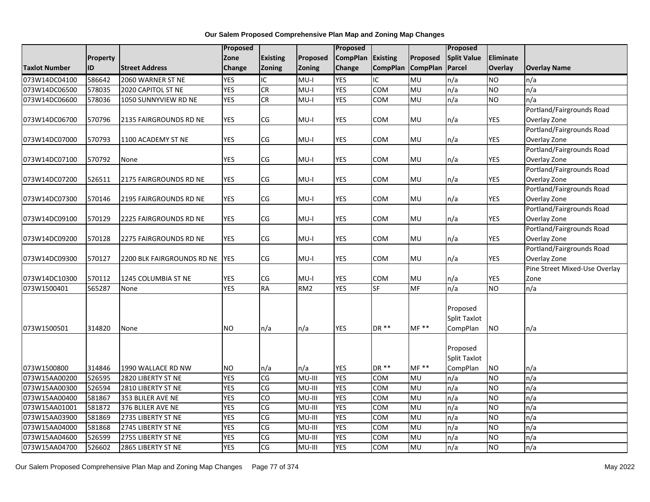| <b>Existing</b><br><b>CompPlan</b><br><b>Split Value</b><br>Eliminate<br>Zone<br>Proposed<br><b>Existing</b><br>Proposed<br>Property<br>ID<br><b>Street Address</b><br>Zoning<br><b>CompPlan</b><br><b>CompPlan</b><br><b>Parcel</b><br>Overlay<br>Change<br>Zoning<br>Change<br><b>Overlay Name</b><br><b>YES</b><br>IC<br>IC<br>MU<br>586642<br>$MU-I$<br><b>YES</b><br>n/a<br><b>NO</b><br>2060 WARNER ST NE<br>n/a<br><b>YES</b><br>CR<br>$MU-I$<br><b>YES</b><br><b>COM</b><br>578035<br>MU<br>n/a<br><b>NO</b><br>n/a<br>2020 CAPITOL ST NE<br><b>YES</b><br>CR<br>578036<br>1050 SUNNYVIEW RD NE<br>$MU-I$<br><b>YES</b><br>COM<br>MU<br>n/a<br><b>NO</b><br>n/a<br>Portland/Fairgrounds Road<br><b>YES</b><br><b>YES</b><br><b>YES</b><br>570796<br>CG<br>$MU-I$<br><b>COM</b><br>MU<br>n/a<br>Overlay Zone<br>2135 FAIRGROUNDS RD NE<br>Portland/Fairgrounds Road<br>570793<br>1100 ACADEMY ST NE<br><b>YES</b><br>CG<br>$MU-I$<br><b>YES</b><br>COM<br>MU<br><b>YES</b><br>Overlay Zone<br>n/a<br>Portland/Fairgrounds Road<br><b>YES</b><br>$\mathsf{CG}\phantom{.}$<br>n/a<br>Overlay Zone<br>570792<br>MU-I<br>YES<br>сом<br><b>MU</b><br>YES<br>None<br>Portland/Fairgrounds Road<br><b>YES</b><br>CG<br><b>YES</b><br>MU<br>n/a<br><b>YES</b><br>526511<br>2175 FAIRGROUNDS RD NE<br>$MU-I$<br>COM<br>Overlay Zone<br>Portland/Fairgrounds Road<br>570146<br><b>YES</b><br>CG<br>$MU-I$<br><b>YES</b><br>COM<br>MU<br>n/a<br><b>YES</b><br>Overlay Zone<br>2195 FAIRGROUNDS RD NE<br>Portland/Fairgrounds Road<br>570129<br><b>YES</b><br>CG<br>$MU-I$<br><b>YES</b><br>COM<br>MU<br>n/a<br><b>YES</b><br>Overlay Zone<br>2225 FAIRGROUNDS RD NE<br>Portland/Fairgrounds Road<br><b>YES</b><br>CG<br><b>YES</b><br>570128<br>$MU-I$<br>YES<br>COM<br>MU<br>n/a<br>Overlay Zone<br>073W14DC09200<br>2275 FAIRGROUNDS RD NE<br>Portland/Fairgrounds Road<br><b>IYES</b><br>CG<br>$MU-I$<br>YES<br>COM<br>MU<br>n/a<br>YES<br>Overlay Zone<br>073W14DC09300<br>570127<br>2200 BLK FAIRGROUNDS RD NE<br>Pine Street Mixed-Use Overlay<br><b>YES</b><br>CG<br>$MU-I$<br><b>YES</b><br>MU<br><b>YES</b><br>073W14DC10300<br>570112<br>1245 COLUMBIA ST NE<br>COM<br>n/a<br>Zone<br><b>YES</b><br>RA<br>RM <sub>2</sub><br>SF<br><b>MF</b><br>n/a<br><b>YES</b><br>n/a<br>073W1500401<br>565287<br><b>NO</b><br>None<br>Proposed<br><b>Split Taxlot</b><br><b>YES</b><br>DR **<br>$MF**$<br>073W1500501<br>314820<br><b>NO</b><br>n/a<br>CompPlan<br><b>NO</b><br>None<br>n/a<br>n/a<br>Proposed<br><b>Split Taxlot</b><br>$MF**$<br>DR **<br>CompPlan<br>073W1500800<br>314846<br>1990 WALLACE RD NW<br><b>NO</b><br>n/a<br>YES<br><b>NO</b><br>n/a<br>n/a<br><b>YES</b><br>CG<br>MU-III<br><b>YES</b><br>526595<br>MU<br>n/a<br><b>NO</b><br>n/a<br>073W15AA00200<br>2820 LIBERTY ST NE<br>COM<br><b>YES</b><br>$\overline{\text{CG}}$<br>$MU-III$<br><b>YES</b><br>073W15AA00300<br>526594<br>2810 LIBERTY ST NE<br><b>COM</b><br>MU<br>n/a<br><b>NO</b><br>n/a<br><b>YES</b><br>$\overline{c}$<br>MU-III<br><b>YES</b><br><b>MU</b><br>n/a<br>N <sub>O</sub><br>n/a<br>073W15AA00400<br>581867<br>353 BLILER AVE NE<br>COM<br><b>YES</b><br>CG<br>581872<br>MU-III<br><b>YES</b><br><b>COM</b><br>MU<br>n/a<br><b>NO</b><br>n/a<br>073W15AA01001<br>376 BLILER AVE NE |                      |        |                    | Proposed   |                        |         | Proposed   |            |           | Proposed |           |     |
|-----------------------------------------------------------------------------------------------------------------------------------------------------------------------------------------------------------------------------------------------------------------------------------------------------------------------------------------------------------------------------------------------------------------------------------------------------------------------------------------------------------------------------------------------------------------------------------------------------------------------------------------------------------------------------------------------------------------------------------------------------------------------------------------------------------------------------------------------------------------------------------------------------------------------------------------------------------------------------------------------------------------------------------------------------------------------------------------------------------------------------------------------------------------------------------------------------------------------------------------------------------------------------------------------------------------------------------------------------------------------------------------------------------------------------------------------------------------------------------------------------------------------------------------------------------------------------------------------------------------------------------------------------------------------------------------------------------------------------------------------------------------------------------------------------------------------------------------------------------------------------------------------------------------------------------------------------------------------------------------------------------------------------------------------------------------------------------------------------------------------------------------------------------------------------------------------------------------------------------------------------------------------------------------------------------------------------------------------------------------------------------------------------------------------------------------------------------------------------------------------------------------------------------------------------------------------------------------------------------------------------------------------------------------------------------------------------------------------------------------------------------------------------------------------------------------------------------------------------------------------------------------------------------------------------------------------------------------------------------------------------------------------------------------------------------------------------------------------------------------------------------------------------------------------------------------------------------------------------------------------------------------------------------|----------------------|--------|--------------------|------------|------------------------|---------|------------|------------|-----------|----------|-----------|-----|
|                                                                                                                                                                                                                                                                                                                                                                                                                                                                                                                                                                                                                                                                                                                                                                                                                                                                                                                                                                                                                                                                                                                                                                                                                                                                                                                                                                                                                                                                                                                                                                                                                                                                                                                                                                                                                                                                                                                                                                                                                                                                                                                                                                                                                                                                                                                                                                                                                                                                                                                                                                                                                                                                                                                                                                                                                                                                                                                                                                                                                                                                                                                                                                                                                                                                                   |                      |        |                    |            |                        |         |            |            |           |          |           |     |
|                                                                                                                                                                                                                                                                                                                                                                                                                                                                                                                                                                                                                                                                                                                                                                                                                                                                                                                                                                                                                                                                                                                                                                                                                                                                                                                                                                                                                                                                                                                                                                                                                                                                                                                                                                                                                                                                                                                                                                                                                                                                                                                                                                                                                                                                                                                                                                                                                                                                                                                                                                                                                                                                                                                                                                                                                                                                                                                                                                                                                                                                                                                                                                                                                                                                                   | <b>Taxlot Number</b> |        |                    |            |                        |         |            |            |           |          |           |     |
|                                                                                                                                                                                                                                                                                                                                                                                                                                                                                                                                                                                                                                                                                                                                                                                                                                                                                                                                                                                                                                                                                                                                                                                                                                                                                                                                                                                                                                                                                                                                                                                                                                                                                                                                                                                                                                                                                                                                                                                                                                                                                                                                                                                                                                                                                                                                                                                                                                                                                                                                                                                                                                                                                                                                                                                                                                                                                                                                                                                                                                                                                                                                                                                                                                                                                   | 073W14DC04100        |        |                    |            |                        |         |            |            |           |          |           |     |
|                                                                                                                                                                                                                                                                                                                                                                                                                                                                                                                                                                                                                                                                                                                                                                                                                                                                                                                                                                                                                                                                                                                                                                                                                                                                                                                                                                                                                                                                                                                                                                                                                                                                                                                                                                                                                                                                                                                                                                                                                                                                                                                                                                                                                                                                                                                                                                                                                                                                                                                                                                                                                                                                                                                                                                                                                                                                                                                                                                                                                                                                                                                                                                                                                                                                                   | 073W14DC06500        |        |                    |            |                        |         |            |            |           |          |           |     |
|                                                                                                                                                                                                                                                                                                                                                                                                                                                                                                                                                                                                                                                                                                                                                                                                                                                                                                                                                                                                                                                                                                                                                                                                                                                                                                                                                                                                                                                                                                                                                                                                                                                                                                                                                                                                                                                                                                                                                                                                                                                                                                                                                                                                                                                                                                                                                                                                                                                                                                                                                                                                                                                                                                                                                                                                                                                                                                                                                                                                                                                                                                                                                                                                                                                                                   | 073W14DC06600        |        |                    |            |                        |         |            |            |           |          |           |     |
|                                                                                                                                                                                                                                                                                                                                                                                                                                                                                                                                                                                                                                                                                                                                                                                                                                                                                                                                                                                                                                                                                                                                                                                                                                                                                                                                                                                                                                                                                                                                                                                                                                                                                                                                                                                                                                                                                                                                                                                                                                                                                                                                                                                                                                                                                                                                                                                                                                                                                                                                                                                                                                                                                                                                                                                                                                                                                                                                                                                                                                                                                                                                                                                                                                                                                   |                      |        |                    |            |                        |         |            |            |           |          |           |     |
|                                                                                                                                                                                                                                                                                                                                                                                                                                                                                                                                                                                                                                                                                                                                                                                                                                                                                                                                                                                                                                                                                                                                                                                                                                                                                                                                                                                                                                                                                                                                                                                                                                                                                                                                                                                                                                                                                                                                                                                                                                                                                                                                                                                                                                                                                                                                                                                                                                                                                                                                                                                                                                                                                                                                                                                                                                                                                                                                                                                                                                                                                                                                                                                                                                                                                   | 073W14DC06700        |        |                    |            |                        |         |            |            |           |          |           |     |
|                                                                                                                                                                                                                                                                                                                                                                                                                                                                                                                                                                                                                                                                                                                                                                                                                                                                                                                                                                                                                                                                                                                                                                                                                                                                                                                                                                                                                                                                                                                                                                                                                                                                                                                                                                                                                                                                                                                                                                                                                                                                                                                                                                                                                                                                                                                                                                                                                                                                                                                                                                                                                                                                                                                                                                                                                                                                                                                                                                                                                                                                                                                                                                                                                                                                                   |                      |        |                    |            |                        |         |            |            |           |          |           |     |
|                                                                                                                                                                                                                                                                                                                                                                                                                                                                                                                                                                                                                                                                                                                                                                                                                                                                                                                                                                                                                                                                                                                                                                                                                                                                                                                                                                                                                                                                                                                                                                                                                                                                                                                                                                                                                                                                                                                                                                                                                                                                                                                                                                                                                                                                                                                                                                                                                                                                                                                                                                                                                                                                                                                                                                                                                                                                                                                                                                                                                                                                                                                                                                                                                                                                                   | 073W14DC07000        |        |                    |            |                        |         |            |            |           |          |           |     |
|                                                                                                                                                                                                                                                                                                                                                                                                                                                                                                                                                                                                                                                                                                                                                                                                                                                                                                                                                                                                                                                                                                                                                                                                                                                                                                                                                                                                                                                                                                                                                                                                                                                                                                                                                                                                                                                                                                                                                                                                                                                                                                                                                                                                                                                                                                                                                                                                                                                                                                                                                                                                                                                                                                                                                                                                                                                                                                                                                                                                                                                                                                                                                                                                                                                                                   |                      |        |                    |            |                        |         |            |            |           |          |           |     |
|                                                                                                                                                                                                                                                                                                                                                                                                                                                                                                                                                                                                                                                                                                                                                                                                                                                                                                                                                                                                                                                                                                                                                                                                                                                                                                                                                                                                                                                                                                                                                                                                                                                                                                                                                                                                                                                                                                                                                                                                                                                                                                                                                                                                                                                                                                                                                                                                                                                                                                                                                                                                                                                                                                                                                                                                                                                                                                                                                                                                                                                                                                                                                                                                                                                                                   | 073W14DC07100        |        |                    |            |                        |         |            |            |           |          |           |     |
|                                                                                                                                                                                                                                                                                                                                                                                                                                                                                                                                                                                                                                                                                                                                                                                                                                                                                                                                                                                                                                                                                                                                                                                                                                                                                                                                                                                                                                                                                                                                                                                                                                                                                                                                                                                                                                                                                                                                                                                                                                                                                                                                                                                                                                                                                                                                                                                                                                                                                                                                                                                                                                                                                                                                                                                                                                                                                                                                                                                                                                                                                                                                                                                                                                                                                   |                      |        |                    |            |                        |         |            |            |           |          |           |     |
|                                                                                                                                                                                                                                                                                                                                                                                                                                                                                                                                                                                                                                                                                                                                                                                                                                                                                                                                                                                                                                                                                                                                                                                                                                                                                                                                                                                                                                                                                                                                                                                                                                                                                                                                                                                                                                                                                                                                                                                                                                                                                                                                                                                                                                                                                                                                                                                                                                                                                                                                                                                                                                                                                                                                                                                                                                                                                                                                                                                                                                                                                                                                                                                                                                                                                   | 073W14DC07200        |        |                    |            |                        |         |            |            |           |          |           |     |
|                                                                                                                                                                                                                                                                                                                                                                                                                                                                                                                                                                                                                                                                                                                                                                                                                                                                                                                                                                                                                                                                                                                                                                                                                                                                                                                                                                                                                                                                                                                                                                                                                                                                                                                                                                                                                                                                                                                                                                                                                                                                                                                                                                                                                                                                                                                                                                                                                                                                                                                                                                                                                                                                                                                                                                                                                                                                                                                                                                                                                                                                                                                                                                                                                                                                                   |                      |        |                    |            |                        |         |            |            |           |          |           |     |
|                                                                                                                                                                                                                                                                                                                                                                                                                                                                                                                                                                                                                                                                                                                                                                                                                                                                                                                                                                                                                                                                                                                                                                                                                                                                                                                                                                                                                                                                                                                                                                                                                                                                                                                                                                                                                                                                                                                                                                                                                                                                                                                                                                                                                                                                                                                                                                                                                                                                                                                                                                                                                                                                                                                                                                                                                                                                                                                                                                                                                                                                                                                                                                                                                                                                                   | 073W14DC07300        |        |                    |            |                        |         |            |            |           |          |           |     |
|                                                                                                                                                                                                                                                                                                                                                                                                                                                                                                                                                                                                                                                                                                                                                                                                                                                                                                                                                                                                                                                                                                                                                                                                                                                                                                                                                                                                                                                                                                                                                                                                                                                                                                                                                                                                                                                                                                                                                                                                                                                                                                                                                                                                                                                                                                                                                                                                                                                                                                                                                                                                                                                                                                                                                                                                                                                                                                                                                                                                                                                                                                                                                                                                                                                                                   |                      |        |                    |            |                        |         |            |            |           |          |           |     |
|                                                                                                                                                                                                                                                                                                                                                                                                                                                                                                                                                                                                                                                                                                                                                                                                                                                                                                                                                                                                                                                                                                                                                                                                                                                                                                                                                                                                                                                                                                                                                                                                                                                                                                                                                                                                                                                                                                                                                                                                                                                                                                                                                                                                                                                                                                                                                                                                                                                                                                                                                                                                                                                                                                                                                                                                                                                                                                                                                                                                                                                                                                                                                                                                                                                                                   | 073W14DC09100        |        |                    |            |                        |         |            |            |           |          |           |     |
|                                                                                                                                                                                                                                                                                                                                                                                                                                                                                                                                                                                                                                                                                                                                                                                                                                                                                                                                                                                                                                                                                                                                                                                                                                                                                                                                                                                                                                                                                                                                                                                                                                                                                                                                                                                                                                                                                                                                                                                                                                                                                                                                                                                                                                                                                                                                                                                                                                                                                                                                                                                                                                                                                                                                                                                                                                                                                                                                                                                                                                                                                                                                                                                                                                                                                   |                      |        |                    |            |                        |         |            |            |           |          |           |     |
|                                                                                                                                                                                                                                                                                                                                                                                                                                                                                                                                                                                                                                                                                                                                                                                                                                                                                                                                                                                                                                                                                                                                                                                                                                                                                                                                                                                                                                                                                                                                                                                                                                                                                                                                                                                                                                                                                                                                                                                                                                                                                                                                                                                                                                                                                                                                                                                                                                                                                                                                                                                                                                                                                                                                                                                                                                                                                                                                                                                                                                                                                                                                                                                                                                                                                   |                      |        |                    |            |                        |         |            |            |           |          |           |     |
|                                                                                                                                                                                                                                                                                                                                                                                                                                                                                                                                                                                                                                                                                                                                                                                                                                                                                                                                                                                                                                                                                                                                                                                                                                                                                                                                                                                                                                                                                                                                                                                                                                                                                                                                                                                                                                                                                                                                                                                                                                                                                                                                                                                                                                                                                                                                                                                                                                                                                                                                                                                                                                                                                                                                                                                                                                                                                                                                                                                                                                                                                                                                                                                                                                                                                   |                      |        |                    |            |                        |         |            |            |           |          |           |     |
|                                                                                                                                                                                                                                                                                                                                                                                                                                                                                                                                                                                                                                                                                                                                                                                                                                                                                                                                                                                                                                                                                                                                                                                                                                                                                                                                                                                                                                                                                                                                                                                                                                                                                                                                                                                                                                                                                                                                                                                                                                                                                                                                                                                                                                                                                                                                                                                                                                                                                                                                                                                                                                                                                                                                                                                                                                                                                                                                                                                                                                                                                                                                                                                                                                                                                   |                      |        |                    |            |                        |         |            |            |           |          |           |     |
|                                                                                                                                                                                                                                                                                                                                                                                                                                                                                                                                                                                                                                                                                                                                                                                                                                                                                                                                                                                                                                                                                                                                                                                                                                                                                                                                                                                                                                                                                                                                                                                                                                                                                                                                                                                                                                                                                                                                                                                                                                                                                                                                                                                                                                                                                                                                                                                                                                                                                                                                                                                                                                                                                                                                                                                                                                                                                                                                                                                                                                                                                                                                                                                                                                                                                   |                      |        |                    |            |                        |         |            |            |           |          |           |     |
|                                                                                                                                                                                                                                                                                                                                                                                                                                                                                                                                                                                                                                                                                                                                                                                                                                                                                                                                                                                                                                                                                                                                                                                                                                                                                                                                                                                                                                                                                                                                                                                                                                                                                                                                                                                                                                                                                                                                                                                                                                                                                                                                                                                                                                                                                                                                                                                                                                                                                                                                                                                                                                                                                                                                                                                                                                                                                                                                                                                                                                                                                                                                                                                                                                                                                   |                      |        |                    |            |                        |         |            |            |           |          |           |     |
|                                                                                                                                                                                                                                                                                                                                                                                                                                                                                                                                                                                                                                                                                                                                                                                                                                                                                                                                                                                                                                                                                                                                                                                                                                                                                                                                                                                                                                                                                                                                                                                                                                                                                                                                                                                                                                                                                                                                                                                                                                                                                                                                                                                                                                                                                                                                                                                                                                                                                                                                                                                                                                                                                                                                                                                                                                                                                                                                                                                                                                                                                                                                                                                                                                                                                   |                      |        |                    |            |                        |         |            |            |           |          |           |     |
|                                                                                                                                                                                                                                                                                                                                                                                                                                                                                                                                                                                                                                                                                                                                                                                                                                                                                                                                                                                                                                                                                                                                                                                                                                                                                                                                                                                                                                                                                                                                                                                                                                                                                                                                                                                                                                                                                                                                                                                                                                                                                                                                                                                                                                                                                                                                                                                                                                                                                                                                                                                                                                                                                                                                                                                                                                                                                                                                                                                                                                                                                                                                                                                                                                                                                   |                      |        |                    |            |                        |         |            |            |           |          |           |     |
|                                                                                                                                                                                                                                                                                                                                                                                                                                                                                                                                                                                                                                                                                                                                                                                                                                                                                                                                                                                                                                                                                                                                                                                                                                                                                                                                                                                                                                                                                                                                                                                                                                                                                                                                                                                                                                                                                                                                                                                                                                                                                                                                                                                                                                                                                                                                                                                                                                                                                                                                                                                                                                                                                                                                                                                                                                                                                                                                                                                                                                                                                                                                                                                                                                                                                   |                      |        |                    |            |                        |         |            |            |           |          |           |     |
|                                                                                                                                                                                                                                                                                                                                                                                                                                                                                                                                                                                                                                                                                                                                                                                                                                                                                                                                                                                                                                                                                                                                                                                                                                                                                                                                                                                                                                                                                                                                                                                                                                                                                                                                                                                                                                                                                                                                                                                                                                                                                                                                                                                                                                                                                                                                                                                                                                                                                                                                                                                                                                                                                                                                                                                                                                                                                                                                                                                                                                                                                                                                                                                                                                                                                   |                      |        |                    |            |                        |         |            |            |           |          |           |     |
|                                                                                                                                                                                                                                                                                                                                                                                                                                                                                                                                                                                                                                                                                                                                                                                                                                                                                                                                                                                                                                                                                                                                                                                                                                                                                                                                                                                                                                                                                                                                                                                                                                                                                                                                                                                                                                                                                                                                                                                                                                                                                                                                                                                                                                                                                                                                                                                                                                                                                                                                                                                                                                                                                                                                                                                                                                                                                                                                                                                                                                                                                                                                                                                                                                                                                   |                      |        |                    |            |                        |         |            |            |           |          |           |     |
|                                                                                                                                                                                                                                                                                                                                                                                                                                                                                                                                                                                                                                                                                                                                                                                                                                                                                                                                                                                                                                                                                                                                                                                                                                                                                                                                                                                                                                                                                                                                                                                                                                                                                                                                                                                                                                                                                                                                                                                                                                                                                                                                                                                                                                                                                                                                                                                                                                                                                                                                                                                                                                                                                                                                                                                                                                                                                                                                                                                                                                                                                                                                                                                                                                                                                   |                      |        |                    |            |                        |         |            |            |           |          |           |     |
|                                                                                                                                                                                                                                                                                                                                                                                                                                                                                                                                                                                                                                                                                                                                                                                                                                                                                                                                                                                                                                                                                                                                                                                                                                                                                                                                                                                                                                                                                                                                                                                                                                                                                                                                                                                                                                                                                                                                                                                                                                                                                                                                                                                                                                                                                                                                                                                                                                                                                                                                                                                                                                                                                                                                                                                                                                                                                                                                                                                                                                                                                                                                                                                                                                                                                   |                      |        |                    |            |                        |         |            |            |           |          |           |     |
|                                                                                                                                                                                                                                                                                                                                                                                                                                                                                                                                                                                                                                                                                                                                                                                                                                                                                                                                                                                                                                                                                                                                                                                                                                                                                                                                                                                                                                                                                                                                                                                                                                                                                                                                                                                                                                                                                                                                                                                                                                                                                                                                                                                                                                                                                                                                                                                                                                                                                                                                                                                                                                                                                                                                                                                                                                                                                                                                                                                                                                                                                                                                                                                                                                                                                   |                      |        |                    |            |                        |         |            |            |           |          |           |     |
|                                                                                                                                                                                                                                                                                                                                                                                                                                                                                                                                                                                                                                                                                                                                                                                                                                                                                                                                                                                                                                                                                                                                                                                                                                                                                                                                                                                                                                                                                                                                                                                                                                                                                                                                                                                                                                                                                                                                                                                                                                                                                                                                                                                                                                                                                                                                                                                                                                                                                                                                                                                                                                                                                                                                                                                                                                                                                                                                                                                                                                                                                                                                                                                                                                                                                   |                      |        |                    |            |                        |         |            |            |           |          |           |     |
|                                                                                                                                                                                                                                                                                                                                                                                                                                                                                                                                                                                                                                                                                                                                                                                                                                                                                                                                                                                                                                                                                                                                                                                                                                                                                                                                                                                                                                                                                                                                                                                                                                                                                                                                                                                                                                                                                                                                                                                                                                                                                                                                                                                                                                                                                                                                                                                                                                                                                                                                                                                                                                                                                                                                                                                                                                                                                                                                                                                                                                                                                                                                                                                                                                                                                   |                      |        |                    |            |                        |         |            |            |           |          |           |     |
|                                                                                                                                                                                                                                                                                                                                                                                                                                                                                                                                                                                                                                                                                                                                                                                                                                                                                                                                                                                                                                                                                                                                                                                                                                                                                                                                                                                                                                                                                                                                                                                                                                                                                                                                                                                                                                                                                                                                                                                                                                                                                                                                                                                                                                                                                                                                                                                                                                                                                                                                                                                                                                                                                                                                                                                                                                                                                                                                                                                                                                                                                                                                                                                                                                                                                   |                      |        |                    |            |                        |         |            |            |           |          |           |     |
|                                                                                                                                                                                                                                                                                                                                                                                                                                                                                                                                                                                                                                                                                                                                                                                                                                                                                                                                                                                                                                                                                                                                                                                                                                                                                                                                                                                                                                                                                                                                                                                                                                                                                                                                                                                                                                                                                                                                                                                                                                                                                                                                                                                                                                                                                                                                                                                                                                                                                                                                                                                                                                                                                                                                                                                                                                                                                                                                                                                                                                                                                                                                                                                                                                                                                   |                      |        |                    |            |                        |         |            |            |           |          |           |     |
|                                                                                                                                                                                                                                                                                                                                                                                                                                                                                                                                                                                                                                                                                                                                                                                                                                                                                                                                                                                                                                                                                                                                                                                                                                                                                                                                                                                                                                                                                                                                                                                                                                                                                                                                                                                                                                                                                                                                                                                                                                                                                                                                                                                                                                                                                                                                                                                                                                                                                                                                                                                                                                                                                                                                                                                                                                                                                                                                                                                                                                                                                                                                                                                                                                                                                   | 073W15AA03900        | 581869 | 2735 LIBERTY ST NE | <b>YES</b> | $\overline{\text{CG}}$ | $MU-HI$ | <b>YES</b> | <b>COM</b> | <b>MU</b> | n/a      | <b>NO</b> | n/a |
| <b>YES</b><br>CG<br><b>YES</b><br><b>MU</b><br>581868<br>2745 LIBERTY ST NE<br>$MU-HI$<br>COM<br>n/a<br><b>NO</b><br>n/a                                                                                                                                                                                                                                                                                                                                                                                                                                                                                                                                                                                                                                                                                                                                                                                                                                                                                                                                                                                                                                                                                                                                                                                                                                                                                                                                                                                                                                                                                                                                                                                                                                                                                                                                                                                                                                                                                                                                                                                                                                                                                                                                                                                                                                                                                                                                                                                                                                                                                                                                                                                                                                                                                                                                                                                                                                                                                                                                                                                                                                                                                                                                                          | 073W15AA04000        |        |                    |            |                        |         |            |            |           |          |           |     |
| <b>YES</b><br>CG<br>526599<br><b>YES</b><br>COM<br>MU<br>n/a<br>n/a<br>2755 LIBERTY ST NE<br>MU-III<br><b>NO</b>                                                                                                                                                                                                                                                                                                                                                                                                                                                                                                                                                                                                                                                                                                                                                                                                                                                                                                                                                                                                                                                                                                                                                                                                                                                                                                                                                                                                                                                                                                                                                                                                                                                                                                                                                                                                                                                                                                                                                                                                                                                                                                                                                                                                                                                                                                                                                                                                                                                                                                                                                                                                                                                                                                                                                                                                                                                                                                                                                                                                                                                                                                                                                                  | 073W15AA04600        |        |                    |            |                        |         |            |            |           |          |           |     |
| $\overline{\text{CG}}$<br><b>YES</b><br>526602<br>MU-III<br><b>YES</b><br><b>COM</b><br>MU<br>n/a<br><b>NO</b><br>n/a<br>2865 LIBERTY ST NE                                                                                                                                                                                                                                                                                                                                                                                                                                                                                                                                                                                                                                                                                                                                                                                                                                                                                                                                                                                                                                                                                                                                                                                                                                                                                                                                                                                                                                                                                                                                                                                                                                                                                                                                                                                                                                                                                                                                                                                                                                                                                                                                                                                                                                                                                                                                                                                                                                                                                                                                                                                                                                                                                                                                                                                                                                                                                                                                                                                                                                                                                                                                       | 073W15AA04700        |        |                    |            |                        |         |            |            |           |          |           |     |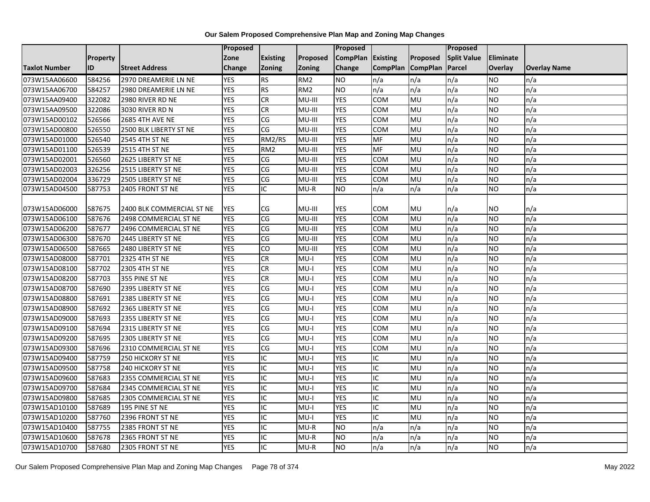|                      |           |                           | Proposed   |                                    |                 | Proposed        |                 |                  | Proposed           |                  |                     |
|----------------------|-----------|---------------------------|------------|------------------------------------|-----------------|-----------------|-----------------|------------------|--------------------|------------------|---------------------|
|                      | Property  |                           | Zone       | <b>Existing</b>                    | Proposed        | <b>CompPlan</b> | Existing        | Proposed         | <b>Split Value</b> | <b>Eliminate</b> |                     |
| <b>Taxlot Number</b> | <b>ID</b> | <b>Street Address</b>     | Change     | <b>Zoning</b>                      | <b>Zoning</b>   | Change          | <b>CompPlan</b> | <b>CompPlan</b>  | Parcel             | Overlay          | <b>Overlay Name</b> |
| 073W15AA06600        | 584256    | 2970 DREAMERIE LN NE      | <b>YES</b> | <b>RS</b>                          | RM <sub>2</sub> | <b>NO</b>       | n/a             | n/a              | n/a                | <b>NO</b>        | n/a                 |
| 073W15AA06700        | 584257    | 2980 DREAMERIE LN NE      | <b>YES</b> | RS                                 | RM <sub>2</sub> | Ю               | n/a             | n/a              | n/a                | <b>NO</b>        | n/a                 |
| 073W15AA09400        | 322082    | 2980 RIVER RD NE          | <b>YES</b> | <b>CR</b>                          | MU-III          | <b>YES</b>      | COM             | MU               | n/a                | <b>NO</b>        | n/a                 |
| 073W15AA09500        | 322086    | 3030 RIVER RD N           | <b>YES</b> | <b>CR</b>                          | MU-III          | <b>YES</b>      | COM             | MU               | n/a                | <b>NO</b>        | n/a                 |
| 073W15AD00102        | 526566    | <b>2685 4TH AVE NE</b>    | <b>YES</b> | $\overline{\text{CG}}$             | MU-III          | <b>YES</b>      | <b>COM</b>      | <b>MU</b>        | n/a                | <b>NO</b>        | n/a                 |
| 073W15AD00800        | 526550    | 2500 BLK LIBERTY ST NE    | <b>YES</b> | CG                                 | MU-III          | <b>YES</b>      | COM             | MU               | n/a                | <b>NO</b>        | n/a                 |
| 073W15AD01000        | 526540    | 2545 4TH ST NE            | <b>YES</b> | RM2/RS                             | MU-III          | <b>YES</b>      | <b>MF</b>       | MU               | n/a                | <b>NO</b>        | n/a                 |
| 073W15AD01100        | 526539    | <b>2515 4TH ST NE</b>     | <b>YES</b> | RM <sub>2</sub>                    | MU-III          | <b>YES</b>      | MF              | <b>MU</b>        | n/a                | <b>NO</b>        | n/a                 |
| 073W15AD02001        | 526560    | 2625 LIBERTY ST NE        | <b>YES</b> | CG                                 | MU-III          | <b>YES</b>      | COM             | MU               | n/a                | <b>NO</b>        | n/a                 |
| 073W15AD02003        | 326256    | 2515 LIBERTY ST NE        | <b>YES</b> | S)                                 | MU-III          | <b>YES</b>      | COM             | <b>MU</b>        | n/a                | <b>NO</b>        | n/a                 |
| 073W15AD02004        | 336729    | 2505 LIBERTY ST NE        | <b>YES</b> | CG                                 | MU-III          | <b>YES</b>      | <b>COM</b>      | MU               | n/a                | <b>NO</b>        | n/a                 |
| 073W15AD04500        | 587753    | 2405 FRONT ST NE          | <b>YES</b> | IC                                 | $MU-R$          | <b>NO</b>       | n/a             | n/a              | n/a                | <b>NO</b>        | n/a                 |
|                      |           |                           |            |                                    |                 |                 |                 |                  |                    |                  |                     |
| 073W15AD06000        | 587675    | 2400 BLK COMMERCIAL ST NE | <b>YES</b> | CG                                 | MU-III          | YES             | <b>COM</b>      | MU               | n/a                | <b>NO</b>        | n/a                 |
| 073W15AD06100        | 587676    | 2498 COMMERCIAL ST NE     | <b>YES</b> | CG                                 | MU-III          | <b>YES</b>      | COM             | MU               | n/a                | <b>NO</b>        | n/a                 |
| 073W15AD06200        | 587677    | 2496 COMMERCIAL ST NE     | <b>YES</b> | S)                                 | MU-III          | <b>YES</b>      | COM             | <b>MU</b>        | n/a                | <b>NO</b>        | n/a                 |
| 073W15AD06300        | 587670    | 2445 LIBERTY ST NE        | <b>YES</b> | CG                                 | MU-III          | <b>YES</b>      | <b>COM</b>      | MU               | n/a                | <b>NO</b>        | n/a                 |
| 073W15AD06500        | 587665    | 2480 LIBERTY ST NE        | <b>YES</b> | <b>CO</b>                          | MU-III          | <b>YES</b>      | COM             | MU               | n/a                | <b>NO</b>        | n/a                 |
| 073W15AD08000        | 587701    | 2325 4TH ST NE            | <b>YES</b> | $\overline{c}$                     | I-UM            | <b>YES</b>      | COM             | <b>MU</b>        | n/a                | <b>NO</b>        | n/a                 |
| 073W15AD08100        | 587702    | 2305 4TH ST NE            | <b>YES</b> | <b>CR</b>                          | $MU-I$          | <b>YES</b>      | COM             | MU               | n/a                | <b>NO</b>        | n/a                 |
| 073W15AD08200        | 587703    | 355 PINE ST NE            | <b>YES</b> | <b>CR</b>                          | $MU-I$          | <b>YES</b>      | COM             | MU               | n/a                | <b>NO</b>        | n/a                 |
| 073W15AD08700        | 587690    | 2395 LIBERTY ST NE        | <b>YES</b> | CG                                 | $MU-I$          | <b>YES</b>      | COM             | MU               | n/a                | <b>NO</b>        | n/a                 |
| 073W15AD08800        | 587691    | 2385 LIBERTY ST NE        | <b>YES</b> | CG                                 | $MU-I$          | <b>YES</b>      | COM             | MU               | n/a                | <b>NO</b>        | n/a                 |
| 073W15AD08900        | 587692    | 2365 LIBERTY ST NE        | <b>YES</b> | CG                                 | $MU-I$          | <b>YES</b>      | COM             | MU               | n/a                | <b>NO</b>        | n/a                 |
| 073W15AD09000        | 587693    | 2355 LIBERTY ST NE        | <b>YES</b> | CG                                 | $MU-I$          | <b>YES</b>      | COM             | MU               | n/a                | <b>NO</b>        | n/a                 |
| 073W15AD09100        | 587694    | 2315 LIBERTY ST NE        | <b>YES</b> | CG                                 | $MU-I$          | <b>YES</b>      | <b>COM</b>      | MU               | n/a                | <b>NO</b>        | n/a                 |
| 073W15AD09200        | 587695    | 2305 LIBERTY ST NE        | <b>YES</b> | CG                                 | $MU-I$          | <b>YES</b>      | <b>COM</b>      | <b>MU</b>        | n/a                | <b>NO</b>        | n/a                 |
| 073W15AD09300        | 587696    | 2310 COMMERCIAL ST NE     | <b>YES</b> | CG                                 | $MU-I$          | <b>YES</b>      | <b>COM</b>      | MU               | n/a                | <b>NO</b>        | n/a                 |
| 073W15AD09400        | 587759    | <b>250 HICKORY ST NE</b>  | <b>YES</b> | IC                                 | $MU-I$          | <b>YES</b>      | IC              | MU               | n/a                | <b>NO</b>        | n/a                 |
| 073W15AD09500        | 587758    | 240 HICKORY ST NE         | <b>YES</b> | IC                                 | $MU-I$          | <b>YES</b>      | IC              | MU               | n/a                | <b>NO</b>        | n/a                 |
| 073W15AD09600        | 587683    | 2355 COMMERCIAL ST NE     | <b>YES</b> | IC                                 | $MU-I$          | <b>YES</b>      | IC              | MU               | n/a                | <b>NO</b>        | n/a                 |
| 073W15AD09700        | 587684    | 2345 COMMERCIAL ST NE     | <b>YES</b> | $\overline{\mathsf{C}}$            | $MU-I$          | <b>YES</b>      | IС              | MU               | n/a                | <b>NO</b>        | n/a                 |
| 073W15AD09800        | 587685    | 2305 COMMERCIAL ST NE     | <b>YES</b> | $\overline{C}$                     | MU-I            | <b>YES</b>      | IC              | MU               | n/a                | <b>NO</b>        | n/a                 |
| 073W15AD10100        | 587689    | 195 PINE ST NE            | <b>YES</b> | IC                                 | $MU-I$          | <b>YES</b>      | IC              | MU               | n/a                | <b>NO</b>        | n/a                 |
| 073W15AD10200        | 587760    | 2396 FRONT ST NE          | <b>YES</b> | IC                                 | $MU-I$          | <b>YES</b>      | IС              | <b>MU</b>        | n/a                | <b>NO</b>        | n/a                 |
| 073W15AD10400        | 587755    | 2385 FRONT ST NE          | <b>YES</b> | IC                                 | $MU-R$          | Ю               | n/a             | n/a              | n/a                | <b>NO</b>        | n/a                 |
| 073W15AD10600        | 587678    | 2365 FRONT ST NE          | <b>YES</b> | IC                                 | $MU-R$          | <b>NO</b>       | n/a             | n/a              | n/a                | <b>NO</b>        | n/a                 |
| 073W15AD10700        | 587680    | 2305 FRONT ST NE          | <b>YES</b> | $\overline{\overline{\mathsf{C}}}$ | $MU-R$          | <b>NO</b>       | n/a             | $\overline{n/a}$ | n/a                | <b>NO</b>        | n/a                 |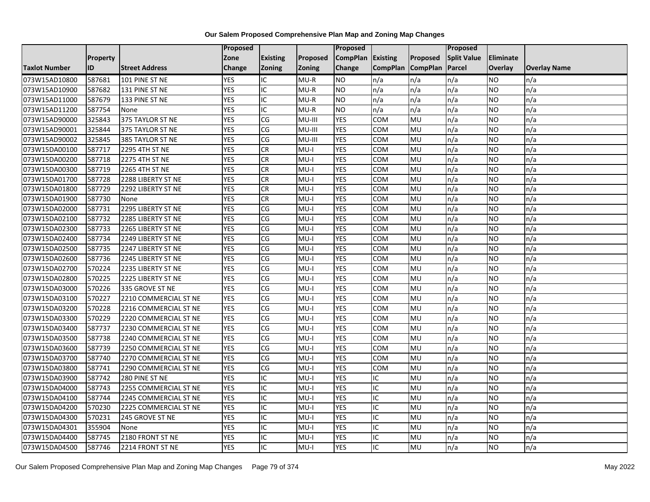|                      |           |                       | Proposed   |                         |          | Proposed        |                 |                 | Proposed           |                  |                     |
|----------------------|-----------|-----------------------|------------|-------------------------|----------|-----------------|-----------------|-----------------|--------------------|------------------|---------------------|
|                      | Property  |                       | Zone       | <b>Existing</b>         | Proposed | <b>CompPlan</b> | Existing        | Proposed        | <b>Split Value</b> | <b>Eliminate</b> |                     |
| <b>Taxlot Number</b> | <b>ID</b> | <b>Street Address</b> | Change     | <b>Zoning</b>           | Zoning   | Change          | <b>CompPlan</b> | <b>CompPlan</b> | Parcel             | <b>Overlay</b>   | <b>Overlay Name</b> |
| 073W15AD10800        | 587681    | 101 PINE ST NE        | <b>YES</b> | IC                      | $MU-R$   | <b>NO</b>       | n/a             | n/a             | n/a                | <b>NO</b>        | n/a                 |
| 073W15AD10900        | 587682    | 131 PINE ST NE        | <b>YES</b> | IC                      | $MU-R$   | <b>NO</b>       | n/a             | n/a             | n/a                | <b>NO</b>        | n/a                 |
| 073W15AD11000        | 587679    | 133 PINE ST NE        | <b>YES</b> | IC                      | $MU-R$   | <b>NO</b>       | n/a             | n/a             | n/a                | <b>NO</b>        | n/a                 |
| 073W15AD11200        | 587754    | None                  | <b>YES</b> | IC                      | $MU-R$   | <b>NO</b>       | n/a             | n/a             | n/a                | <b>NO</b>        | n/a                 |
| 073W15AD90000        | 325843    | 375 TAYLOR ST NE      | <b>YES</b> | CG                      | MU-III   | <b>YES</b>      | <b>COM</b>      | MU              | n/a                | <b>NO</b>        | n/a                 |
| 073W15AD90001        | 325844    | 375 TAYLOR ST NE      | <b>YES</b> | CG                      | MU-III   | <b>YES</b>      | <b>COM</b>      | MU              | n/a                | <b>NO</b>        | n/a                 |
| 073W15AD90002        | 325845    | 385 TAYLOR ST NE      | <b>YES</b> | S)                      | MU-III   | <b>YES</b>      | COM             | MU              | n/a                | <b>NO</b>        | n/a                 |
| 073W15DA00100        | 587717    | 2295 4TH ST NE        | <b>YES</b> | <b>CR</b>               | $MU-I$   | <b>YES</b>      | COM             | MU              | n/a                | <b>NO</b>        | n/a                 |
| 073W15DA00200        | 587718    | 2275 4TH ST NE        | <b>YES</b> | <b>CR</b>               | $MU-I$   | <b>YES</b>      | <b>COM</b>      | MU              | n/a                | <b>NO</b>        | n/a                 |
| 073W15DA00300        | 587719    | 2265 4TH ST NE        | <b>YES</b> | <b>CR</b>               | $MU-I$   | <b>YES</b>      | <b>COM</b>      | <b>MU</b>       | n/a                | <b>NO</b>        | n/a                 |
| 073W15DA01700        | 587728    | 2288 LIBERTY ST NE    | <b>YES</b> | <b>CR</b>               | $MU-I$   | <b>YES</b>      | COM             | MU              | n/a                | <b>NO</b>        | n/a                 |
| 073W15DA01800        | 587729    | 2292 LIBERTY ST NE    | <b>YES</b> | <b>CR</b>               | $MU-I$   | <b>YES</b>      | COM             | MU              | n/a                | <b>NO</b>        | n/a                 |
| 073W15DA01900        | 587730    | None                  | <b>YES</b> | CR                      | $MU-I$   | <b>YES</b>      | COM             | MU              | n/a                | <b>NO</b>        | n/a                 |
| 073W15DA02000        | 587731    | 2295 LIBERTY ST NE    | <b>YES</b> | S)                      | I-UM     | <b>YES</b>      | COM             | <b>MU</b>       | n/a                | <b>NO</b>        | n/a                 |
| 073W15DA02100        | 587732    | 2285 LIBERTY ST NE    | <b>YES</b> | CG                      | $MU-I$   | <b>YES</b>      | COM             | MU              | n/a                | <b>NO</b>        | n/a                 |
| 073W15DA02300        | 587733    | 2265 LIBERTY ST NE    | <b>YES</b> | CG                      | $MU-I$   | <b>YES</b>      | COM             | MU              | n/a                | <b>NO</b>        | n/a                 |
| 073W15DA02400        | 587734    | 2249 LIBERTY ST NE    | <b>YES</b> | S)                      | $MU-I$   | <b>YES</b>      | <b>COM</b>      | MU              | n/a                | <b>NO</b>        | n/a                 |
| 073W15DA02500        | 587735    | 2247 LIBERTY ST NE    | <b>YES</b> | CG                      | $MU-I$   | <b>YES</b>      | <b>COM</b>      | MU              | n/a                | <b>NO</b>        | n/a                 |
| 073W15DA02600        | 587736    | 2245 LIBERTY ST NE    | <b>YES</b> | CG                      | $MU-I$   | <b>YES</b>      | COM             | MU              | n/a                | <b>NO</b>        | n/a                 |
| 073W15DA02700        | 570224    | 2235 LIBERTY ST NE    | <b>YES</b> | CG                      | $MU-I$   | <b>YES</b>      | <b>COM</b>      | MU              | n/a                | <b>NO</b>        | n/a                 |
| 073W15DA02800        | 570225    | 2225 LIBERTY ST NE    | <b>YES</b> | CG                      | $MU-I$   | <b>YES</b>      | COM             | MU              | n/a                | <b>NO</b>        | n/a                 |
| 073W15DA03000        | 570226    | 335 GROVE ST NE       | <b>YES</b> | CG                      | $MU-I$   | <b>YES</b>      | <b>COM</b>      | <b>MU</b>       | n/a                | <b>NO</b>        | n/a                 |
| 073W15DA03100        | 570227    | 2210 COMMERCIAL ST NE | <b>YES</b> | S)                      | $MU-I$   | <b>YES</b>      | COM             | MU              | n/a                | <b>NO</b>        | n/a                 |
| 073W15DA03200        | 570228    | 2216 COMMERCIAL ST NE | <b>YES</b> | CG                      | $MU-I$   | <b>YES</b>      | COM             | MU              | n/a                | <b>NO</b>        | n/a                 |
| 073W15DA03300        | 570229    | 2220 COMMERCIAL ST NE | <b>YES</b> | CG                      | $MU-I$   | <b>YES</b>      | COM             | MU              | n/a                | <b>NO</b>        | n/a                 |
| 073W15DA03400        | 587737    | 2230 COMMERCIAL ST NE | <b>YES</b> | CG                      | $MU-I$   | <b>YES</b>      | COM             | MU              | n/a                | <b>NO</b>        | n/a                 |
| 073W15DA03500        | 587738    | 2240 COMMERCIAL ST NE | <b>YES</b> | CG                      | $MU-I$   | <b>YES</b>      | COM             | MU              | n/a                | <b>NO</b>        | n/a                 |
| 073W15DA03600        | 587739    | 2250 COMMERCIAL ST NE | <b>YES</b> | CG                      | $MU-I$   | <b>YES</b>      | <b>COM</b>      | MU              | n/a                | <b>NO</b>        | n/a                 |
| 073W15DA03700        | 587740    | 2270 COMMERCIAL ST NE | <b>YES</b> | CG                      | $MU-I$   | <b>YES</b>      | <b>COM</b>      | MU              | n/a                | <b>NO</b>        | n/a                 |
| 073W15DA03800        | 587741    | 2290 COMMERCIAL ST NE | <b>YES</b> | CG                      | $MU-I$   | <b>YES</b>      | COM             | MU              | n/a                | <b>NO</b>        | n/a                 |
| 073W15DA03900        | 587742    | 280 PINE ST NE        | <b>YES</b> | IC                      | $MU-I$   | <b>YES</b>      | IC              | MU              | n/a                | <b>NO</b>        | n/a                 |
| 073W15DA04000        | 587743    | 2255 COMMERCIAL ST NE | <b>YES</b> | IC                      | $MU-I$   | <b>YES</b>      | IC              | MU              | n/a                | <b>NO</b>        | n/a                 |
| 073W15DA04100        | 587744    | 2245 COMMERCIAL ST NE | <b>YES</b> | IC                      | $MU-I$   | <b>YES</b>      | IC              | MU              | n/a                | <b>NO</b>        | n/a                 |
| 073W15DA04200        | 570230    | 2225 COMMERCIAL ST NE | <b>YES</b> | IC                      | $MU-I$   | <b>YES</b>      | IC              | MU              | n/a                | <b>NO</b>        | n/a                 |
| 073W15DA04300        | 570231    | 245 GROVE ST NE       | <b>YES</b> | IC                      | $MU-I$   | <b>YES</b>      | IC              | MU              | n/a                | <b>NO</b>        | n/a                 |
| 073W15DA04301        | 355904    | None                  | <b>YES</b> | IC                      | $MU-I$   | <b>YES</b>      | IC              | MU              | n/a                | <b>NO</b>        | n/a                 |
| 073W15DA04400        | 587745    | 2180 FRONT ST NE      | <b>YES</b> | IC                      | $MU-I$   | <b>YES</b>      | IC              | MU              | n/a                | <b>NO</b>        | n/a                 |
| 073W15DA04500        | 587746    | 2214 FRONT ST NE      | <b>YES</b> | $\overline{\mathsf{C}}$ | $MU-I$   | <b>YES</b>      | $\overline{C}$  | <b>MU</b>       | n/a                | <b>NO</b>        | n/a                 |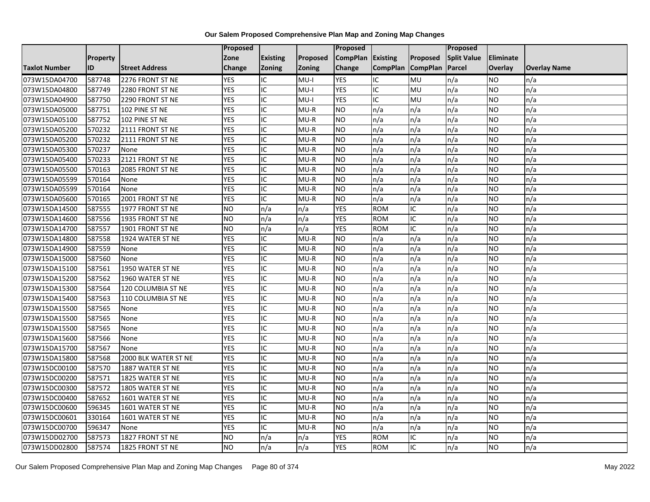|                      |          |                       | <b>Proposed</b> |                          |          | Proposed          |                 |                 | Proposed           |           |                     |
|----------------------|----------|-----------------------|-----------------|--------------------------|----------|-------------------|-----------------|-----------------|--------------------|-----------|---------------------|
|                      | Property |                       | Zone            | <b>Existing</b>          | Proposed | CompPlan Existing |                 | Proposed        | <b>Split Value</b> | Eliminate |                     |
| <b>Taxlot Number</b> | ID       | <b>Street Address</b> | <b>Change</b>   | Zoning                   | Zoning   | Change            | <b>CompPlan</b> | <b>CompPlan</b> | Parcel             | Overlay   | <b>Overlay Name</b> |
| 073W15DA04700        | 587748   | 2276 FRONT ST NE      | <b>YES</b>      | IC                       | $MU-I$   | <b>YES</b>        | IC              | MU              | n/a                | NO        | n/a                 |
| 073W15DA04800        | 587749   | 2280 FRONT ST NE      | <b>YES</b>      | IC                       | $MU-I$   | <b>YES</b>        | IC              | MU              | n/a                | NO.       | n/a                 |
| 073W15DA04900        | 587750   | 2290 FRONT ST NE      | <b>YES</b>      | $\overline{C}$           | $MU-I$   | <b>YES</b>        | IC              | MU              | n/a                | NO.       | n/a                 |
| 073W15DA05000        | 587751   | 102 PINE ST NE        | <b>YES</b>      | IC                       | $MU-R$   | <b>NO</b>         | n/a             | n/a             | n/a                | NO.       | n/a                 |
| 073W15DA05100        | 587752   | 102 PINE ST NE        | <b>YES</b>      | $\overline{C}$           | $MU-R$   | ŌИ                | n/a             | n/a             | n/a                | <b>NO</b> | n/a                 |
| 073W15DA05200        | 570232   | 2111 FRONT ST NE      | <b>YES</b>      | $\overline{C}$           | $MU-R$   | <b>NO</b>         | n/a             | n/a             | n/a                | NO.       | n/a                 |
| 073W15DA05200        | 570232   | 2111 FRONT ST NE      | <b>YES</b>      | ГC                       | $MU-R$   | <b>NO</b>         | n/a             | n/a             | n/a                | NO.       | n/a                 |
| 073W15DA05300        | 570237   | None                  | <b>YES</b>      | IC                       | $MU-R$   | <b>NO</b>         | n/a             | n/a             | n/a                | <b>NO</b> | n/a                 |
| 073W15DA05400        | 570233   | 2121 FRONT ST NE      | <b>YES</b>      | IC                       | $MU-R$   | <b>NO</b>         | n/a             | n/a             | n/a                | NO.       | n/a                 |
| 073W15DA05500        | 570163   | 2085 FRONT ST NE      | <b>YES</b>      | IC                       | $MU-R$   | <b>NO</b>         | n/a             | n/a             | n/a                | NO.       | n/a                 |
| 073W15DA05599        | 570164   | None                  | <b>YES</b>      | $\overline{\mathsf{IC}}$ | $MU-R$   | ŌИ                | n/a             | n/a             | n/a                | <b>NO</b> | n/a                 |
| 073W15DA05599        | 570164   | None                  | <b>YES</b>      | IC                       | $MU-R$   | <b>NO</b>         | n/a             | n/a             | n/a                | <b>NO</b> | n/a                 |
| 073W15DA05600        | 570165   | 2001 FRONT ST NE      | <b>YES</b>      | $\overline{IC}$          | $MU-R$   | <b>NO</b>         | n/a             | n/a             | n/a                | NO        | n/a                 |
| 073W15DA14500        | 587555   | 1977 FRONT ST NE      | <b>NO</b>       | n/a                      | n/a      | <b>YES</b>        | <b>ROM</b>      | IC              | n/a                | NO.       | n/a                 |
| 073W15DA14600        | 587556   | 1935 FRONT ST NE      | <b>NO</b>       | n/a                      | n/a      | <b>YES</b>        | <b>ROM</b>      | IC              | n/a                | <b>NO</b> | n/a                 |
| 073W15DA14700        | 587557   | 1901 FRONT ST NE      | <b>NO</b>       | n/a                      | n/a      | <b>YES</b>        | <b>ROM</b>      | $\overline{C}$  | n/a                | NO.       | n/a                 |
| 073W15DA14800        | 587558   | 1924 WATER ST NE      | <b>YES</b>      | IC                       | $MU-R$   | <b>NO</b>         | n/a             | n/a             | n/a                | NO.       | n/a                 |
| 073W15DA14900        | 587559   | None                  | <b>YES</b>      | IC                       | $MU-R$   | <b>NO</b>         | n/a             | n/a             | n/a                | NO.       | n/a                 |
| 073W15DA15000        | 587560   | None                  | <b>YES</b>      | $\overline{\mathsf{IC}}$ | $MU-R$   | ŌИ                | n/a             | n/a             | n/a                | <b>NO</b> | n/a                 |
| 073W15DA15100        | 587561   | 1950 WATER ST NE      | <b>YES</b>      | IC                       | $MU-R$   | <b>NO</b>         | n/a             | n/a             | n/a                | <b>NO</b> | n/a                 |
| 073W15DA15200        | 587562   | 1960 WATER ST NE      | <b>YES</b>      | $\overline{C}$           | $MU-R$   | <b>NO</b>         | n/a             | n/a             | n/a                | <b>NO</b> | n/a                 |
| 073W15DA15300        | 587564   | 120 COLUMBIA ST NE    | <b>YES</b>      | $\overline{\mathsf{IC}}$ | $MU-R$   | <b>NO</b>         | n/a             | n/a             | n/a                | NO.       | n/a                 |
| 073W15DA15400        | 587563   | 110 COLUMBIA ST NE    | <b>YES</b>      | ГC                       | $MU-R$   | <b>NO</b>         | n/a             | n/a             | n/a                | <b>NO</b> | n/a                 |
| 073W15DA15500        | 587565   | None                  | <b>YES</b>      | IC                       | $MU-R$   | <b>NO</b>         | n/a             | n/a             | n/a                | <b>NO</b> | n/a                 |
| 073W15DA15500        | 587565   | None                  | <b>YES</b>      | Г                        | $MU-R$   | ŌИ                | n/a             | n/a             | n/a                | <b>NO</b> | n/a                 |
| 073W15DA15500        | 587565   | None                  | <b>YES</b>      | IC                       | $MU-R$   | <b>NO</b>         | n/a             | n/a             | n/a                | NO.       | n/a                 |
| 073W15DA15600        | 587566   | None                  | <b>YES</b>      | $\overline{IC}$          | $MU-R$   | ŌИ                | n/a             | n/a             | n/a                | <b>NO</b> | n/a                 |
| 073W15DA15700        | 587567   | None                  | <b>YES</b>      | IC                       | $MU-R$   | <b>NO</b>         | n/a             | n/a             | n/a                | <b>NO</b> | n/a                 |
| 073W15DA15800        | 587568   | 2000 BLK WATER ST NE  | <b>YES</b>      | IC                       | $MU-R$   | <b>NO</b>         | n/a             | n/a             | n/a                | <b>NO</b> | n/a                 |
| 073W15DC00100        | 587570   | 1887 WATER ST NE      | <b>YES</b>      | IC                       | $MU-R$   | <b>NO</b>         | n/a             | n/a             | n/a                | NO.       | n/a                 |
| 073W15DC00200        | 587571   | 1825 WATER ST NE      | <b>YES</b>      | IC                       | $MU-R$   | <b>NO</b>         | n/a             | n/a             | n/a                | <b>NO</b> | n/a                 |
| 073W15DC00300        | 587572   | 1805 WATER ST NE      | <b>YES</b>      | $\overline{C}$           | $MU-R$   | ŌИ                | n/a             | n/a             | n/a                | Ю         | n/a                 |
| 073W15DC00400        | 587652   | 1601 WATER ST NE      | <b>YES</b>      | $\overline{C}$           | $MU-R$   | <b>NO</b>         | n/a             | n/a             | n/a                | <b>NO</b> | n/a                 |
| 073W15DC00600        | 596345   | 1601 WATER ST NE      | <b>YES</b>      | IC                       | $MU-R$   | <b>NO</b>         | n/a             | n/a             | n/a                | <b>NO</b> | n/a                 |
| 073W15DC00601        | 330164   | 1601 WATER ST NE      | <b>YES</b>      | $\overline{C}$           | $MU-R$   | ŌИ                | n/a             | n/a             | n/a                | <b>NO</b> | n/a                 |
| 073W15DC00700        | 596347   | None                  | <b>YES</b>      | $\overline{C}$           | $MU-R$   | <b>NO</b>         | n/a             | n/a             | n/a                | NO.       | n/a                 |
| 073W15DD02700        | 587573   | 1827 FRONT ST NE      | <b>NO</b>       | n/a                      | n/a      | <b>YES</b>        | <b>ROM</b>      | IC              | n/a                | NO.       | n/a                 |
| 073W15DD02800        | 587574   | 1825 FRONT ST NE      | NO              | n/a                      | n/a      | <b>YES</b>        | <b>ROM</b>      | $\overline{C}$  | n/a                | NO        | n/a                 |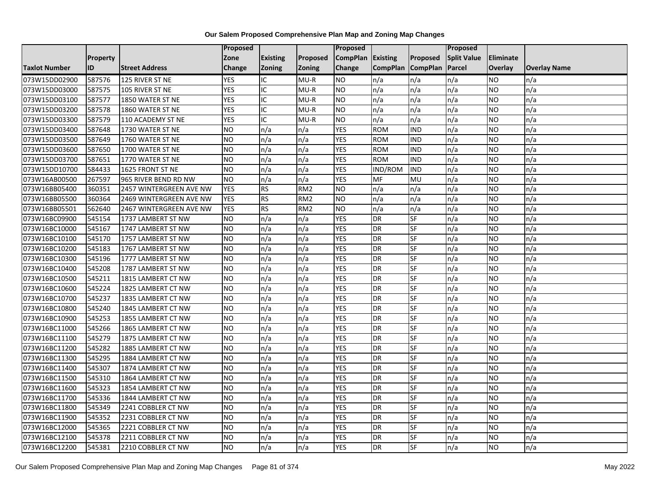|                      |           |                         | Proposed       |                 |                 | Proposed        |                 |                 | <b>Proposed</b>    |                  |                     |
|----------------------|-----------|-------------------------|----------------|-----------------|-----------------|-----------------|-----------------|-----------------|--------------------|------------------|---------------------|
|                      | Property  |                         | Zone           | <b>Existing</b> | Proposed        | <b>CompPlan</b> | Existing        | Proposed        | <b>Split Value</b> | <b>Eliminate</b> |                     |
| <b>Taxlot Number</b> | <b>ID</b> | <b>Street Address</b>   | Change         | Zoning          | <b>Zoning</b>   | Change          | <b>CompPlan</b> | <b>CompPlan</b> | Parcel             | <b>Overlay</b>   | <b>Overlay Name</b> |
| 073W15DD02900        | 587576    | 125 RIVER ST NE         | <b>YES</b>     | IC              | $MU-R$          | <b>NO</b>       | n/a             | n/a             | n/a                | <b>NO</b>        | n/a                 |
| 073W15DD03000        | 587575    | 105 RIVER ST NE         | <b>YES</b>     | IC              | $MU-R$          | <b>NO</b>       | n/a             | n/a             | n/a                | <b>NO</b>        | n/a                 |
| 073W15DD03100        | 587577    | 1850 WATER ST NE        | <b>YES</b>     | IC              | $MU-R$          | <b>NO</b>       | n/a             | n/a             | n/a                | <b>NO</b>        | n/a                 |
| 073W15DD03200        | 587578    | 1860 WATER ST NE        | <b>YES</b>     | IC              | $MU-R$          | <b>NO</b>       | n/a             | n/a             | n/a                | <b>NO</b>        | n/a                 |
| 073W15DD03300        | 587579    | 110 ACADEMY ST NE       | <b>YES</b>     | IC              | $MU-R$          | <b>NO</b>       | n/a             | n/a             | n/a                | <b>NO</b>        | n/a                 |
| 073W15DD03400        | 587648    | 1730 WATER ST NE        | <b>NO</b>      | n/a             | n/a             | <b>YES</b>      | <b>ROM</b>      | <b>IND</b>      | n/a                | <b>NO</b>        | n/a                 |
| 073W15DD03500        | 587649    | 1760 WATER ST NE        | N <sub>O</sub> | n/a             | n/a             | <b>YES</b>      | <b>ROM</b>      | <b>IND</b>      | n/a                | <b>NO</b>        | n/a                 |
| 073W15DD03600        | 587650    | 1700 WATER ST NE        | <b>NO</b>      | n/a             | n/a             | <b>YES</b>      | <b>ROM</b>      | <b>IND</b>      | n/a                | <b>NO</b>        | n/a                 |
| 073W15DD03700        | 587651    | 1770 WATER ST NE        | <b>NO</b>      | n/a             | n/a             | <b>YES</b>      | <b>ROM</b>      | <b>IND</b>      | n/a                | <b>NO</b>        | n/a                 |
| 073W15DD10700        | 584433    | 1625 FRONT ST NE        | N <sub>O</sub> | n/a             | n/a             | <b>YES</b>      | IND/ROM         | <b>IND</b>      | n/a                | <b>NO</b>        | n/a                 |
| 073W16AB00500        | 267597    | 965 RIVER BEND RD NW    | <b>NO</b>      | n/a             | n/a             | <b>YES</b>      | MF              | MU              | n/a                | <b>NO</b>        | n/a                 |
| 073W16BB05400        | 360351    | 2457 WINTERGREEN AVE NW | <b>YES</b>     | <b>RS</b>       | RM <sub>2</sub> | <b>NO</b>       | n/a             | n/a             | n/a                | <b>NO</b>        | n/a                 |
| 073W16BB05500        | 360364    | 2469 WINTERGREEN AVE NW | <b>YES</b>     | RS              | RM <sub>2</sub> | <b>NO</b>       | n/a             | n/a             | n/a                | <b>NO</b>        | n/a                 |
| 073W16BB05501        | 562640    | 2467 WINTERGREEN AVE NW | <b>YES</b>     | RS              | RM <sub>2</sub> | Ю               | n/a             | n/a             | n/a                | <b>NO</b>        | n/a                 |
| 073W16BC09900        | 545154    | 1737 LAMBERT ST NW      | <b>NO</b>      | n/a             | n/a             | <b>YES</b>      | <b>DR</b>       | SF              | n/a                | <b>NO</b>        | n/a                 |
| 073W16BC10000        | 545167    | 1747 LAMBERT ST NW      | N <sub>O</sub> | n/a             | n/a             | <b>YES</b>      | <b>DR</b>       | SF              | n/a                | <b>NO</b>        | n/a                 |
| 073W16BC10100        | 545170    | 1757 LAMBERT ST NW      | N <sub>O</sub> | n/a             | n/a             | <b>YES</b>      | <b>DR</b>       | SF              | n/a                | <b>NO</b>        | n/a                 |
| 073W16BC10200        | 545183    | 1767 LAMBERT ST NW      | <b>NO</b>      | n/a             | n/a             | <b>YES</b>      | <b>DR</b>       | SF              | n/a                | <b>NO</b>        | n/a                 |
| 073W16BC10300        | 545196    | 1777 LAMBERT ST NW      | <b>NO</b>      | n/a             | n/a             | <b>YES</b>      | <b>DR</b>       | SF              | n/a                | <b>NO</b>        | n/a                 |
| 073W16BC10400        | 545208    | 1787 LAMBERT ST NW      | <b>NO</b>      | n/a             | n/a             | <b>YES</b>      | <b>DR</b>       | SF              | n/a                | <b>NO</b>        | n/a                 |
| 073W16BC10500        | 545211    | 1815 LAMBERT CT NW      | N <sub>O</sub> | n/a             | n/a             | <b>YES</b>      | <b>DR</b>       | <b>SF</b>       | n/a                | <b>NO</b>        | n/a                 |
| 073W16BC10600        | 545224    | 1825 LAMBERT CT NW      | N <sub>O</sub> | n/a             | n/a             | <b>YES</b>      | <b>DR</b>       | SF              | n/a                | <b>NO</b>        | n/a                 |
| 073W16BC10700        | 545237    | 1835 LAMBERT CT NW      | <b>NO</b>      | n/a             | n/a             | <b>YES</b>      | <b>DR</b>       | SF              | n/a                | <b>NO</b>        | n/a                 |
| 073W16BC10800        | 545240    | 1845 LAMBERT CT NW      | <b>NO</b>      | n/a             | n/a             | <b>YES</b>      | <b>DR</b>       | SF              | n/a                | <b>NO</b>        | n/a                 |
| 073W16BC10900        | 545253    | 1855 LAMBERT CT NW      | <b>NO</b>      | n/a             | n/a             | <b>YES</b>      | <b>DR</b>       | SF              | n/a                | <b>NO</b>        | n/a                 |
| 073W16BC11000        | 545266    | 1865 LAMBERT CT NW      | N <sub>O</sub> | n/a             | n/a             | <b>YES</b>      | <b>DR</b>       | SF              | n/a                | <b>NO</b>        | n/a                 |
| 073W16BC11100        | 545279    | 1875 LAMBERT CT NW      | N <sub>O</sub> | n/a             | n/a             | <b>YES</b>      | <b>DR</b>       | SF              | n/a                | <b>NO</b>        | n/a                 |
| 073W16BC11200        | 545282    | 1885 LAMBERT CT NW      | <b>NO</b>      | n/a             | n/a             | <b>YES</b>      | <b>DR</b>       | SF              | n/a                | <b>NO</b>        | n/a                 |
| 073W16BC11300        | 545295    | 1884 LAMBERT CT NW      | <b>NO</b>      | n/a             | n/a             | <b>YES</b>      | <b>DR</b>       | SF              | n/a                | <b>NO</b>        | n/a                 |
| 073W16BC11400        | 545307    | 1874 LAMBERT CT NW      | N <sub>O</sub> | n/a             | n/a             | <b>YES</b>      | <b>DR</b>       | <b>SF</b>       | n/a                | <b>NO</b>        | n/a                 |
| 073W16BC11500        | 545310    | 1864 LAMBERT CT NW      | <b>NO</b>      | n/a             | n/a             | <b>YES</b>      | <b>DR</b>       | SF              | n/a                | <b>NO</b>        | n/a                 |
| 073W16BC11600        | 545323    | 1854 LAMBERT CT NW      | N <sub>O</sub> | n/a             | n/a             | <b>YES</b>      | <b>DR</b>       | SF              | n/a                | <b>NO</b>        | n/a                 |
| 073W16BC11700        | 545336    | 1844 LAMBERT CT NW      | <b>NO</b>      | n/a             | n/a             | <b>YES</b>      | <b>DR</b>       | SF              | n/a                | <b>NO</b>        | n/a                 |
| 073W16BC11800        | 545349    | 2241 COBBLER CT NW      | <b>NO</b>      | n/a             | n/a             | <b>YES</b>      | <b>DR</b>       | SF              | n/a                | <b>NO</b>        | n/a                 |
| 073W16BC11900        | 545352    | 2231 COBBLER CT NW      | <b>NO</b>      | n/a             | n/a             | <b>YES</b>      | <b>DR</b>       | SF              | n/a                | <b>NO</b>        | n/a                 |
| 073W16BC12000        | 545365    | 2221 COBBLER CT NW      | <b>NO</b>      | n/a             | n/a             | <b>YES</b>      | <b>DR</b>       | SF              | n/a                | <b>NO</b>        | n/a                 |
| 073W16BC12100        | 545378    | 2211 COBBLER CT NW      | <b>NO</b>      | n/a             | n/a             | <b>YES</b>      | <b>DR</b>       | SF              | n/a                | <b>NO</b>        | n/a                 |
| 073W16BC12200        | 545381    | 2210 COBBLER CT NW      | N <sub>O</sub> | n/a             | n/a             | <b>YES</b>      | <b>DR</b>       | SF              | n/a                | <b>NO</b>        | n/a                 |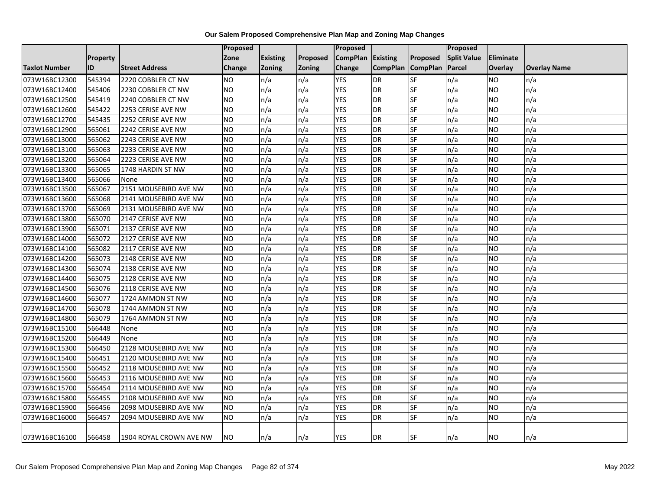|                      |                 |                         | Proposed  |                 |                 | <b>Proposed</b>   |                 |                 | <b>Proposed</b>    |           |                     |
|----------------------|-----------------|-------------------------|-----------|-----------------|-----------------|-------------------|-----------------|-----------------|--------------------|-----------|---------------------|
|                      | <b>Property</b> |                         | Zone      | <b>Existing</b> | <b>Proposed</b> | CompPlan Existing |                 | <b>Proposed</b> | <b>Split Value</b> | Eliminate |                     |
| <b>Taxlot Number</b> | <b>ID</b>       | <b>Street Address</b>   | Change    | <b>Zoning</b>   | <b>Zoning</b>   | Change            | <b>CompPlan</b> | <b>CompPlan</b> | Parcel             | Overlay   | <b>Overlay Name</b> |
| 073W16BC12300        | 545394          | 2220 COBBLER CT NW      | <b>NO</b> | n/a             | n/a             | <b>YES</b>        | <b>DR</b>       | <b>SF</b>       | n/a                | NO        | n/a                 |
| 073W16BC12400        | 545406          | 2230 COBBLER CT NW      | <b>NO</b> | n/a             | n/a             | <b>YES</b>        | <b>DR</b>       | <b>SF</b>       | n/a                | NO.       | n/a                 |
| 073W16BC12500        | 545419          | 2240 COBBLER CT NW      | <b>NO</b> | n/a             | n/a             | <b>YES</b>        | <b>DR</b>       | SF              | n/a                | NO        | n/a                 |
| 073W16BC12600        | 545422          | 2253 CERISE AVE NW      | <b>NO</b> | n/a             | n/a             | <b>YES</b>        | <b>DR</b>       | SF              | n/a                | NO.       | n/a                 |
| 073W16BC12700        | 545435          | 2252 CERISE AVE NW      | NO.       | n/a             | n/a             | <b>YES</b>        | <b>DR</b>       | <b>SF</b>       | n/a                | NO.       | n/a                 |
| 073W16BC12900        | 565061          | 2242 CERISE AVE NW      | <b>NO</b> | n/a             | n/a             | <b>YES</b>        | <b>DR</b>       | SF              | n/a                | NO.       | n/a                 |
| 073W16BC13000        | 565062          | 2243 CERISE AVE NW      | <b>NO</b> | n/a             | n/a             | <b>YES</b>        | <b>DR</b>       | SF              | n/a                | NO.       | n/a                 |
| 073W16BC13100        | 565063          | 2233 CERISE AVE NW      | <b>NO</b> | n/a             | n/a             | <b>YES</b>        | <b>DR</b>       | <b>SF</b>       | n/a                | NO        | n/a                 |
| 073W16BC13200        | 565064          | 2223 CERISE AVE NW      | <b>NO</b> | n/a             | n/a             | <b>YES</b>        | <b>DR</b>       | SF              | n/a                | NO.       | n/a                 |
| 073W16BC13300        | 565065          | 1748 HARDIN ST NW       | <b>NO</b> | n/a             | n/a             | <b>YES</b>        | <b>DR</b>       | <b>SF</b>       | n/a                | NO        | n/a                 |
| 073W16BC13400        | 565066          | None                    | <b>NO</b> | n/a             | n/a             | <b>YES</b>        | <b>DR</b>       | SF              | n/a                | NO.       | n/a                 |
| 073W16BC13500        | 565067          | 2151 MOUSEBIRD AVE NW   | <b>NO</b> | n/a             | n/a             | <b>YES</b>        | <b>DR</b>       | SF              | n/a                | NO.       | n/a                 |
| 073W16BC13600        | 565068          | 2141 MOUSEBIRD AVE NW   | <b>NO</b> | n/a             | n/a             | <b>YES</b>        | <b>DR</b>       | <b>SF</b>       | n/a                | NO.       | n/a                 |
| 073W16BC13700        | 565069          | 2131 MOUSEBIRD AVE NW   | <b>NO</b> | n/a             | n/a             | <b>YES</b>        | <b>DR</b>       | <b>SF</b>       | n/a                | NO.       | n/a                 |
| 073W16BC13800        | 565070          | 2147 CERISE AVE NW      | <b>NO</b> | n/a             | n/a             | <b>YES</b>        | <b>DR</b>       | SF              | n/a                | NO.       | n/a                 |
| 073W16BC13900        | 565071          | 2137 CERISE AVE NW      | <b>NO</b> | n/a             | n/a             | <b>YES</b>        | <b>DR</b>       | SF              | n/a                | <b>NO</b> | n/a                 |
| 073W16BC14000        | 565072          | 2127 CERISE AVE NW      | <b>NO</b> | n/a             | n/a             | <b>YES</b>        | <b>DR</b>       | SF              | n/a                | <b>NO</b> | n/a                 |
| 073W16BC14100        | 565082          | 2117 CERISE AVE NW      | <b>NO</b> | n/a             | n/a             | <b>YES</b>        | <b>DR</b>       | <b>SF</b>       | n/a                | NO.       | n/a                 |
| 073W16BC14200        | 565073          | 2148 CERISE AVE NW      | <b>NO</b> | n/a             | n/a             | <b>YES</b>        | <b>DR</b>       | SF              | n/a                | <b>NO</b> | n/a                 |
| 073W16BC14300        | 565074          | 2138 CERISE AVE NW      | <b>NO</b> | n/a             | n/a             | <b>YES</b>        | <b>DR</b>       | <b>SF</b>       | n/a                | NO.       | n/a                 |
| 073W16BC14400        | 565075          | 2128 CERISE AVE NW      | <b>NO</b> | n/a             | n/a             | <b>YES</b>        | <b>DR</b>       | SF              | n/a                | NO.       | n/a                 |
| 073W16BC14500        | 565076          | 2118 CERISE AVE NW      | Ю         | n/a             | n/a             | <b>YES</b>        | <b>DR</b>       | <b>SF</b>       | n/a                | NO.       | n/a                 |
| 073W16BC14600        | 565077          | 1724 AMMON ST NW        | NO        | n/a             | n/a             | <b>YES</b>        | <b>DR</b>       | SF              | n/a                | NO        | n/a                 |
| 073W16BC14700        | 565078          | 1744 AMMON ST NW        | <b>NO</b> | n/a             | n/a             | <b>YES</b>        | <b>DR</b>       | SF              | n/a                | NO.       | n/a                 |
| 073W16BC14800        | 565079          | 1764 AMMON ST NW        | <b>NO</b> | n/a             | n/a             | <b>YES</b>        | <b>DR</b>       | SF              | n/a                | NO        | n/a                 |
| 073W16BC15100        | 566448          | None                    | <b>NO</b> | n/a             | n/a             | <b>YES</b>        | <b>DR</b>       | SF              | n/a                | NO.       | n/a                 |
| 073W16BC15200        | 566449          | None                    | <b>NO</b> | n/a             | n/a             | <b>YES</b>        | DR              | <b>SF</b>       | n/a                | NO        | n/a                 |
| 073W16BC15300        | 566450          | 2128 MOUSEBIRD AVE NW   | <b>NO</b> | n/a             | n/a             | <b>YES</b>        | <b>DR</b>       | SF              | n/a                | NO.       | n/a                 |
| 073W16BC15400        | 566451          | 2120 MOUSEBIRD AVE NW   | Ю         | n/a             | n/a             | <b>YES</b>        | <b>DR</b>       | <b>SF</b>       | n/a                | NO.       | n/a                 |
| 073W16BC15500        | 566452          | 2118 MOUSEBIRD AVE NW   | <b>NO</b> | n/a             | n/a             | <b>YES</b>        | <b>DR</b>       | SF              | n/a                | NO.       | n/a                 |
| 073W16BC15600        | 566453          | 2116 MOUSEBIRD AVE NW   | <b>NO</b> | n/a             | n/a             | <b>YES</b>        | <b>DR</b>       | SF              | n/a                | NO.       | n/a                 |
| 073W16BC15700        | 566454          | 2114 MOUSEBIRD AVE NW   | <b>NO</b> | n/a             | n/a             | <b>YES</b>        | <b>DR</b>       | <b>SF</b>       | n/a                | NO.       | n/a                 |
| 073W16BC15800        | 566455          | 2108 MOUSEBIRD AVE NW   | <b>NO</b> | n/a             | n/a             | <b>YES</b>        | <b>DR</b>       | SF              | n/a                | <b>NO</b> | n/a                 |
| 073W16BC15900        | 566456          | 2098 MOUSEBIRD AVE NW   | <b>NO</b> | n/a             | n/a             | <b>YES</b>        | <b>DR</b>       | SF              | n/a                | NO        | n/a                 |
| 073W16BC16000        | 566457          | 2094 MOUSEBIRD AVE NW   | <b>NO</b> | n/a             | n/a             | <b>YES</b>        | <b>DR</b>       | <b>SF</b>       | n/a                | NO.       | n/a                 |
| 073W16BC16100        | 566458          | 1904 ROYAL CROWN AVE NW | NO.       | n/a             | n/a             | <b>YES</b>        | <b>DR</b>       | <b>SF</b>       | n/a                | NO.       | n/a                 |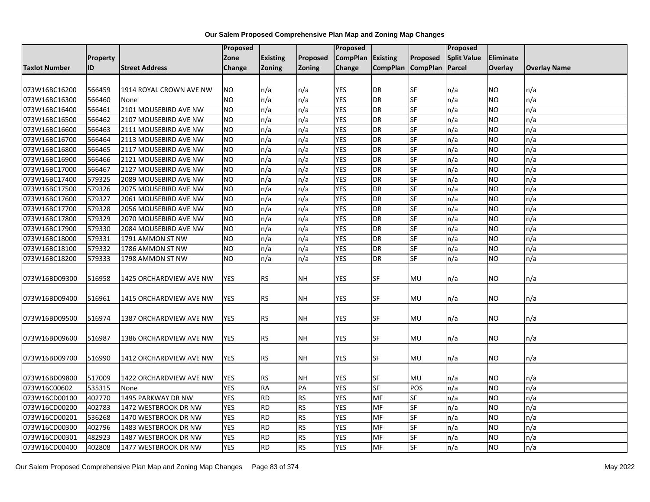|                      |                 |                         | <b>Proposed</b> |                 |               | <b>Proposed</b> |                   |                          | Proposed           |                  |                     |
|----------------------|-----------------|-------------------------|-----------------|-----------------|---------------|-----------------|-------------------|--------------------------|--------------------|------------------|---------------------|
|                      | <b>Property</b> |                         | Zone            | <b>Existing</b> | Proposed      | <b>CompPlan</b> | Existing          | Proposed                 | <b>Split Value</b> | <b>Eliminate</b> |                     |
| <b>Taxlot Number</b> | ID              | <b>Street Address</b>   | Change          | <b>Zoning</b>   | <b>Zoning</b> | Change          | CompPlan CompPlan |                          | Parcel             | <b>Overlay</b>   | <b>Overlay Name</b> |
|                      |                 |                         |                 |                 |               |                 |                   |                          |                    |                  |                     |
| 073W16BC16200        | 566459          | 1914 ROYAL CROWN AVE NW | <b>NO</b>       | n/a             | n/a           | <b>YES</b>      | <b>DR</b>         | <b>SF</b>                | n/a                | NO.              | n/a                 |
| 073W16BC16300        | 566460          | None                    | <b>NO</b>       | n/a             | n/a           | <b>YES</b>      | <b>DR</b>         | SF                       | n/a                | <b>NO</b>        | n/a                 |
| 073W16BC16400        | 566461          | 2101 MOUSEBIRD AVE NW   | NO.             | n/a             | n/a           | <b>YES</b>      | <b>DR</b>         | SF                       | n/a                | <b>NO</b>        | n/a                 |
| 073W16BC16500        | 566462          | 2107 MOUSEBIRD AVE NW   | <b>NO</b>       | n/a             | n/a           | <b>YES</b>      | <b>DR</b>         | $S_{F}$                  | n/a                | <b>NO</b>        | n/a                 |
| 073W16BC16600        | 566463          | 2111 MOUSEBIRD AVE NW   | <b>NO</b>       | n/a             | n/a           | <b>YES</b>      | <b>DR</b>         | SF                       | n/a                | <b>NO</b>        | n/a                 |
| 073W16BC16700        | 566464          | 2113 MOUSEBIRD AVE NW   | NO.             | n/a             | n/a           | <b>YES</b>      | <b>DR</b>         | SF                       | n/a                | <b>NO</b>        | n/a                 |
| 073W16BC16800        | 566465          | 2117 MOUSEBIRD AVE NW   | NO.             | n/a             | n/a           | <b>YES</b>      | <b>DR</b>         | SF                       | n/a                | <b>NO</b>        | n/a                 |
| 073W16BC16900        | 566466          | 2121 MOUSEBIRD AVE NW   | NO.             | n/a             | n/a           | YES             | <b>DR</b>         | <b>SF</b>                | n/a                | <b>NO</b>        | n/a                 |
| 073W16BC17000        | 566467          | 2127 MOUSEBIRD AVE NW   | <b>NO</b>       | n/a             | n/a           | <b>YES</b>      | <b>DR</b>         | <b>SF</b>                | n/a                | <b>NO</b>        | n/a                 |
| 073W16BC17400        | 579325          | 2089 MOUSEBIRD AVE NW   | <b>NO</b>       | n/a             | n/a           | <b>YES</b>      | <b>DR</b>         | SF                       | n/a                | <b>NO</b>        | n/a                 |
| 073W16BC17500        | 579326          | 2075 MOUSEBIRD AVE NW   | NO.             | n/a             | n/a           | <b>YES</b>      | <b>DR</b>         | SF                       | n/a                | <b>NO</b>        | n/a                 |
| 073W16BC17600        | 579327          | 2061 MOUSEBIRD AVE NW   | NO.             | n/a             | n/a           | <b>YES</b>      | <b>DR</b>         | <b>SF</b>                | n/a                | <b>NO</b>        | n/a                 |
| 073W16BC17700        | 579328          | 2056 MOUSEBIRD AVE NW   | <b>NO</b>       | n/a             | n/a           | <b>YES</b>      | <b>DR</b>         | <b>SF</b>                | n/a                | <b>NO</b>        | n/a                 |
| 073W16BC17800        | 579329          | 2070 MOUSEBIRD AVE NW   | <b>NO</b>       | n/a             | n/a           | <b>YES</b>      | <b>DR</b>         | SF                       | n/a                | <b>NO</b>        | n/a                 |
| 073W16BC17900        | 579330          | 2084 MOUSEBIRD AVE NW   | <b>NO</b>       | n/a             | n/a           | <b>YES</b>      | <b>DR</b>         | SF                       | n/a                | <b>NO</b>        | n/a                 |
| 073W16BC18000        | 579331          | 1791 AMMON ST NW        | <b>NO</b>       | n/a             | n/a           | <b>YES</b>      | <b>DR</b>         | SF                       | n/a                | <b>NO</b>        | n/a                 |
| 073W16BC18100        | 579332          | 1786 AMMON ST NW        | <b>NO</b>       | n/a             | n/a           | <b>YES</b>      | <b>DR</b>         | SF                       | n/a                | <b>NO</b>        | n/a                 |
| 073W16BC18200        | 579333          | 1798 AMMON ST NW        | NO.             | n/a             | n/a           | <b>YES</b>      | <b>DR</b>         | SF                       | n/a                | <b>NO</b>        | n/a                 |
|                      |                 |                         |                 |                 |               |                 |                   |                          |                    |                  |                     |
| 073W16BD09300        | 516958          | 1425 ORCHARDVIEW AVE NW | <b>YES</b>      | <b>RS</b>       | <b>NH</b>     | <b>YES</b>      | <b>SF</b>         | MU                       | n/a                | <b>NO</b>        | n/a                 |
| 073W16BD09400        | 516961          | 1415 ORCHARDVIEW AVE NW | <b>YES</b>      | <b>RS</b>       | <b>NH</b>     | YES             | <b>SF</b>         | MU                       | n/a                | <b>NO</b>        | n/a                 |
|                      |                 |                         |                 |                 |               |                 |                   |                          |                    |                  |                     |
| 073W16BD09500        | 516974          | 1387 ORCHARDVIEW AVE NW | <b>YES</b>      | <b>RS</b>       | <b>NH</b>     | YES             | SF                | MU                       | n/a                | <b>NO</b>        | n/a                 |
|                      |                 |                         |                 |                 |               |                 |                   |                          |                    |                  |                     |
| 073W16BD09600        | 516987          | 1386 ORCHARDVIEW AVE NW | <b>YES</b>      | <b>RS</b>       | <b>NH</b>     | <b>YES</b>      | <b>SF</b>         | MU                       | n/a                | <b>NO</b>        | n/a                 |
|                      |                 |                         |                 |                 |               |                 |                   |                          |                    |                  |                     |
| 073W16BD09700        | 516990          | 1412 ORCHARDVIEW AVE NW | <b>YES</b>      | <b>RS</b>       | <b>NH</b>     | YES             | SF                | MU                       | n/a                | NO.              | n/a                 |
|                      |                 |                         |                 |                 |               |                 |                   |                          |                    |                  |                     |
| 073W16BD09800        | 517009          | 1422 ORCHARDVIEW AVE NW | YES             | <b>RS</b>       | <b>NH</b>     | YES             | SF                | MU                       | n/a                | <b>NO</b>        | n/a                 |
| 073W16C00602         | 535315          | None                    | <b>YES</b>      | <b>RA</b>       | PA            | <b>YES</b>      | <b>SF</b>         | POS                      | n/a                | <b>NO</b>        | n/a                 |
| 073W16CD00100        | 402770          | 1495 PARKWAY DR NW      | <b>YES</b>      | <b>RD</b>       | <b>RS</b>     | <b>YES</b>      | MF                | SF                       | n/a                | <b>NO</b>        | n/a                 |
| 073W16CD00200        | 402783          | 1472 WESTBROOK DR NW    | <b>YES</b>      | <b>RD</b>       | <b>RS</b>     | <b>YES</b>      | <b>MF</b>         | SF                       | n/a                | <b>NO</b>        | n/a                 |
| 073W16CD00201        | 536268          | 1470 WESTBROOK DR NW    | <b>YES</b>      | <b>RD</b>       | <b>RS</b>     | <b>YES</b>      | MF                | SF                       | n/a                | <b>NO</b>        | n/a                 |
| 073W16CD00300        | 402796          | 1483 WESTBROOK DR NW    | <b>YES</b>      | <b>RD</b>       | <b>RS</b>     | <b>YES</b>      | MF                | SF                       | n/a                | <b>NO</b>        | n/a                 |
| 073W16CD00301        | 482923          | 1487 WESTBROOK DR NW    | <b>YES</b>      | <b>RD</b>       | <b>RS</b>     | <b>YES</b>      | MF                | SF                       | n/a                | <b>NO</b>        | n/a                 |
| 073W16CD00400        | 402808          | 1477 WESTBROOK DR NW    | <b>YES</b>      | <b>RD</b>       | <b>RS</b>     | <b>YES</b>      | <b>MF</b>         | $\overline{\mathsf{SF}}$ | n/a                | <b>NO</b>        | n/a                 |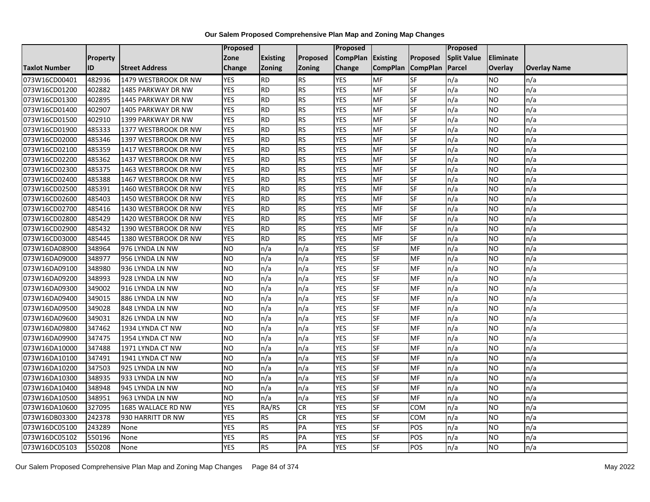|                      |                 |                       | Proposed        |                 |                 | <b>Proposed</b> |                 |                 | <b>Proposed</b>    |                |                     |
|----------------------|-----------------|-----------------------|-----------------|-----------------|-----------------|-----------------|-----------------|-----------------|--------------------|----------------|---------------------|
|                      | <b>Property</b> |                       | Zone            | <b>Existing</b> | <b>Proposed</b> | <b>CompPlan</b> | <b>Existing</b> | Proposed        | <b>Split Value</b> | Eliminate      |                     |
| <b>Taxlot Number</b> | ID              | <b>Street Address</b> | Change          | <b>Zoning</b>   | <b>Zoning</b>   | Change          | <b>CompPlan</b> | <b>CompPlan</b> | Parcel             | <b>Overlay</b> | <b>Overlay Name</b> |
| 073W16CD00401        | 482936          | 1479 WESTBROOK DR NW  | <b>YES</b>      | <b>RD</b>       | <b>RS</b>       | <b>YES</b>      | <b>MF</b>       | <b>SF</b>       | n/a                | NO             | n/a                 |
| 073W16CD01200        | 402882          | 1485 PARKWAY DR NW    | <b>YES</b>      | <b>RD</b>       | <b>RS</b>       | <b>YES</b>      | <b>MF</b>       | <b>SF</b>       | n/a                | NO.            | n/a                 |
| 073W16CD01300        | 402895          | 1445 PARKWAY DR NW    | <b>YES</b>      | <b>RD</b>       | <b>RS</b>       | <b>YES</b>      | MF              | SF              | n/a                | NO.            | n/a                 |
| 073W16CD01400        | 402907          | 1405 PARKWAY DR NW    | <b>YES</b>      | <b>RD</b>       | <b>RS</b>       | <b>YES</b>      | MF              | SF              | n/a                | NO.            | n/a                 |
| 073W16CD01500        | 402910          | 1399 PARKWAY DR NW    | <b>YES</b>      | <b>RD</b>       | <b>RS</b>       | <b>YES</b>      | MF              | <b>SF</b>       | n/a                | NO.            | n/a                 |
| 073W16CD01900        | 485333          | 1377 WESTBROOK DR NW  | <b>YES</b>      | <b>RD</b>       | <b>RS</b>       | <b>YES</b>      | MF              | SF              | n/a                | <b>NO</b>      | n/a                 |
| 073W16CD02000        | 485346          | 1397 WESTBROOK DR NW  | <b>YES</b>      | <b>RD</b>       | <b>RS</b>       | <b>YES</b>      | MF              | SF              | n/a                | NO.            | n/a                 |
| 073W16CD02100        | 485359          | 1417 WESTBROOK DR NW  | <b>YES</b>      | <b>RD</b>       | <b>RS</b>       | <b>YES</b>      | MF              | SF              | n/a                | NO.            | n/a                 |
| 073W16CD02200        | 485362          | 1437 WESTBROOK DR NW  | <b>YES</b>      | <b>RD</b>       | <b>RS</b>       | <b>YES</b>      | <b>MF</b>       | SF              | n/a                | NO.            | n/a                 |
| 073W16CD02300        | 485375          | 1463 WESTBROOK DR NW  | <b>YES</b>      | <b>RD</b>       | <b>RS</b>       | <b>YES</b>      | MF              | <b>SF</b>       | n/a                | NO.            | n/a                 |
| 073W16CD02400        | 485388          | 1467 WESTBROOK DR NW  | <b>YES</b>      | <b>RD</b>       | <b>RS</b>       | <b>YES</b>      | MF              | SF              | n/a                | NO.            | n/a                 |
| 073W16CD02500        | 485391          | 1460 WESTBROOK DR NW  | <b>YES</b>      | <b>RD</b>       | <b>RS</b>       | <b>YES</b>      | <b>MF</b>       | SF              | n/a                | <b>NO</b>      | n/a                 |
| 073W16CD02600        | 485403          | 1450 WESTBROOK DR NW  | <b>YES</b>      | <b>RD</b>       | <b>RS</b>       | <b>YES</b>      | <b>MF</b>       | <b>SF</b>       | n/a                | NO.            | n/a                 |
| 073W16CD02700        | 485416          | 1430 WESTBROOK DR NW  | <b>YES</b>      | <b>RD</b>       | <b>RS</b>       | <b>YES</b>      | MF              | SF              | n/a                | NO.            | n/a                 |
| 073W16CD02800        | 485429          | 1420 WESTBROOK DR NW  | <b>YES</b>      | <b>RD</b>       | <b>RS</b>       | <b>YES</b>      | MF              | SF              | n/a                | NO.            | n/a                 |
| 073W16CD02900        | 485432          | 1390 WESTBROOK DR NW  | <b>YES</b>      | <b>RD</b>       | <b>RS</b>       | <b>YES</b>      | MF              | <b>SF</b>       | n/a                | NO.            | n/a                 |
| 073W16CD03000        | 485445          | 1380 WESTBROOK DR NW  | <b>YES</b>      | <b>RD</b>       | <b>RS</b>       | <b>YES</b>      | MF              | <b>SF</b>       | n/a                | NO.            | n/a                 |
| 073W16DA08900        | 348964          | 976 LYNDA LN NW       | <b>NO</b>       | n/a             | n/a             | <b>YES</b>      | SF              | MF              | n/a                | NO.            | n/a                 |
| 073W16DA09000        | 348977          | 956 LYNDA LN NW       | <b>NO</b>       | n/a             | n/a             | <b>YES</b>      | <b>SF</b>       | MF              | n/a                | NO.            | n/a                 |
| 073W16DA09100        | 348980          | 936 LYNDA LN NW       | <b>NO</b>       | n/a             | n/a             | <b>YES</b>      | <b>SF</b>       | MF              | n/a                | ΝO             | n/a                 |
| 073W16DA09200        | 348993          | 928 LYNDA LN NW       | <b>NO</b>       | n/a             | n/a             | <b>YES</b>      | SF              | MF              | n/a                | NO.            | n/a                 |
| 073W16DA09300        | 349002          | 916 LYNDA LN NW       | <b>NO</b>       | n/a             | n/a             | <b>YES</b>      | <b>SF</b>       | MF              | n/a                | NO.            | n/a                 |
| 073W16DA09400        | 349015          | 886 LYNDA LN NW       | <b>NO</b>       | n/a             | n/a             | <b>YES</b>      | <b>SF</b>       | MF              | n/a                | NO.            | n/a                 |
| 073W16DA09500        | 349028          | 848 LYNDA LN NW       | <b>NO</b>       | n/a             | n/a             | <b>YES</b>      | SF              | MF              | n/a                | NO             | n/a                 |
| 073W16DA09600        | 349031          | 826 LYNDA LN NW       | <b>NO</b>       | n/a             | n/a             | <b>YES</b>      | <b>SF</b>       | MF              | n/a                | NO.            | n/a                 |
| 073W16DA09800        | 347462          | 1934 LYNDA CT NW      | <b>NO</b>       | n/a             | n/a             | <b>YES</b>      | SF              | MF              | n/a                | NO.            | n/a                 |
| 073W16DA09900        | 347475          | 1954 LYNDA CT NW      | $\overline{NO}$ | n/a             | n/a             | <b>YES</b>      | <b>SF</b>       | <b>MF</b>       | n/a                | NO.            | n/a                 |
| 073W16DA10000        | 347488          | 1971 LYNDA CT NW      | <b>NO</b>       | n/a             | n/a             | <b>YES</b>      | SF              | MF              | n/a                | NO.            | n/a                 |
| 073W16DA10100        | 347491          | 1941 LYNDA CT NW      | <b>NO</b>       | n/a             | n/a             | <b>YES</b>      | <b>SF</b>       | MF              | n/a                | NO.            | n/a                 |
| 073W16DA10200        | 347503          | 925 LYNDA LN NW       | <b>NO</b>       | n/a             | n/a             | <b>YES</b>      | <b>SF</b>       | MF              | n/a                | NO.            | n/a                 |
| 073W16DA10300        | 348935          | 933 LYNDA LN NW       | <b>NO</b>       | n/a             | n/a             | <b>YES</b>      | SF              | MF              | n/a                | NO.            | n/a                 |
| 073W16DA10400        | 348948          | 945 LYNDA LN NW       | <b>NO</b>       | n/a             | n/a             | <b>YES</b>      | SF              | MF              | n/a                | NO.            | n/a                 |
| 073W16DA10500        | 348951          | 963 LYNDA LN NW       | $\overline{NO}$ | n/a             | n/a             | <b>YES</b>      | <b>SF</b>       | <b>MF</b>       | n/a                | NO.            | n/a                 |
| 073W16DA10600        | 327095          | 1685 WALLACE RD NW    | <b>YES</b>      | RA/RS           | <b>CR</b>       | <b>YES</b>      | <b>SF</b>       | <b>COM</b>      | n/a                | NO.            | n/a                 |
| 073W16DB03300        | 242378          | 930 HARRITT DR NW     | <b>YES</b>      | <b>RS</b>       | <b>CR</b>       | <b>YES</b>      | SF              | COM             | n/a                | NO.            | n/a                 |
| 073W16DC05100        | 243289          | None                  | <b>YES</b>      | <b>RS</b>       | PA              | <b>YES</b>      | SF              | POS             | n/a                | NO             | n/a                 |
| 073W16DC05102        | 550196          | None                  | <b>YES</b>      | <b>RS</b>       | PA              | <b>YES</b>      | <b>SF</b>       | POS             | n/a                | NO             | n/a                 |
| 073W16DC05103        | 550208          | None                  | <b>YES</b>      | <b>RS</b>       | PA              | <b>YES</b>      | SF              | POS             | n/a                | NO.            | n/a                 |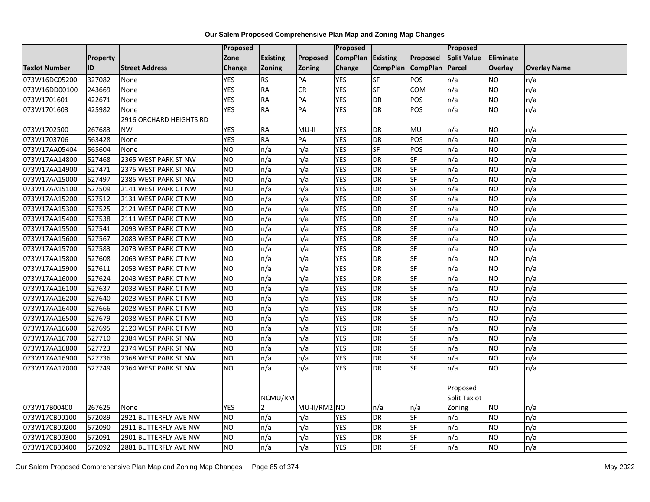|                      |          |                         | <b>Proposed</b> |                 |               | <b>Proposed</b> |                 |                 | Proposed            |           |                     |
|----------------------|----------|-------------------------|-----------------|-----------------|---------------|-----------------|-----------------|-----------------|---------------------|-----------|---------------------|
|                      | Property |                         | Zone            | <b>Existing</b> | Proposed      | <b>CompPlan</b> | Existing        | Proposed        | <b>Split Value</b>  | Eliminate |                     |
| <b>Taxlot Number</b> | ID       | <b>Street Address</b>   | <b>Change</b>   | Zoning          | <b>Zoning</b> | Change          | <b>CompPlan</b> | <b>CompPlan</b> | Parcel              | Overlay   | <b>Overlay Name</b> |
| 073W16DC05200        | 327082   | None                    | <b>YES</b>      | <b>RS</b>       | PA            | <b>YES</b>      | $S$ F           | POS             | n/a                 | NO        | n/a                 |
| 073W16DD00100        | 243669   | None                    | <b>YES</b>      | <b>RA</b>       | CR            | <b>YES</b>      | <b>SF</b>       | <b>COM</b>      | n/a                 | NO.       | n/a                 |
| 073W1701601          | 422671   | None                    | <b>YES</b>      | <b>RA</b>       | PA            | <b>YES</b>      | <b>DR</b>       | POS             | n/a                 | <b>NO</b> | n/a                 |
| 073W1701603          | 425982   | None                    | <b>YES</b>      | <b>RA</b>       | PA            | <b>YES</b>      | $\overline{DR}$ | POS             | n/a                 | NO.       | n/a                 |
|                      |          | 2916 ORCHARD HEIGHTS RD |                 |                 |               |                 |                 |                 |                     |           |                     |
| 073W1702500          | 267683   | <b>NW</b>               | <b>YES</b>      | RA              | $MU-II$       | <b>YES</b>      | <b>DR</b>       | MU              | n/a                 | NO.       | n/a                 |
| 073W1703706          | 563428   | None                    | <b>YES</b>      | <b>RA</b>       | PA            | <b>YES</b>      | DR              | POS             | n/a                 | NO.       | n/a                 |
| 073W17AA05404        | 565604   | None                    | <b>NO</b>       | n/a             | n/a           | <b>YES</b>      | <b>SF</b>       | POS             | n/a                 | <b>NO</b> | n/a                 |
| 073W17AA14800        | 527468   | 2365 WEST PARK ST NW    | <b>NO</b>       | n/a             | n/a           | <b>YES</b>      | DR              | SF              | n/a                 | NO.       | n/a                 |
| 073W17AA14900        | 527471   | 2375 WEST PARK ST NW    | Ю               | n/a             | n/a           | <b>YES</b>      | DR              | <b>SF</b>       | n/a                 | NO.       | n/a                 |
| 073W17AA15000        | 527497   | 2385 WEST PARK ST NW    | Ю               | n/a             | n/a           | <b>YES</b>      | <b>DR</b>       | <b>SF</b>       | n/a                 | <b>NO</b> | n/a                 |
| 073W17AA15100        | 527509   | 2141 WEST PARK CT NW    | <b>NO</b>       | n/a             | n/a           | <b>YES</b>      | DR              | SF              | n/a                 | <b>NO</b> | n/a                 |
| 073W17AA15200        | 527512   | 2131 WEST PARK CT NW    | <b>NO</b>       | n/a             | n/a           | <b>YES</b>      | DR              | SF              | n/a                 | NO.       | n/a                 |
| 073W17AA15300        | 527525   | 2121 WEST PARK CT NW    | ŌИ              | n/a             | n/a           | <b>YES</b>      | <b>DR</b>       | <b>SF</b>       | n/a                 | <b>NO</b> | n/a                 |
| 073W17AA15400        | 527538   | 2111 WEST PARK CT NW    | <b>NO</b>       | n/a             | n/a           | <b>YES</b>      | DR              | SF              | n/a                 | NO.       | n/a                 |
| 073W17AA15500        | 527541   | 2093 WEST PARK CT NW    | <b>NO</b>       | n/a             | n/a           | <b>YES</b>      | <b>DR</b>       | <b>SF</b>       | n/a                 | <b>NO</b> | n/a                 |
| 073W17AA15600        | 527567   | 2083 WEST PARK CT NW    | <b>NO</b>       | n/a             | n/a           | <b>YES</b>      | DR              | SF              | n/a                 | NO.       | n/a                 |
| 073W17AA15700        | 527583   | 2073 WEST PARK CT NW    | <b>NO</b>       | n/a             | n/a           | <b>YES</b>      | DR              | SF              | n/a                 | NO.       | n/a                 |
| 073W17AA15800        | 527608   | 2063 WEST PARK CT NW    | <b>NO</b>       | n/a             | n/a           | <b>YES</b>      | DR              | <b>SF</b>       | n/a                 | <b>NO</b> | n/a                 |
| 073W17AA15900        | 527611   | 2053 WEST PARK CT NW    | <b>NO</b>       | n/a             | n/a           | <b>YES</b>      | <b>DR</b>       | SF              | n/a                 | NO.       | n/a                 |
| 073W17AA16000        | 527624   | 2043 WEST PARK CT NW    | <b>NO</b>       | n/a             | n/a           | <b>YES</b>      | <b>DR</b>       | SF              | n/a                 | NO.       | n/a                 |
| 073W17AA16100        | 527637   | 2033 WEST PARK CT NW    | Ю               | n/a             | n/a           | <b>YES</b>      | <b>DR</b>       | <b>SF</b>       | n/a                 | <b>NO</b> | n/a                 |
| 073W17AA16200        | 527640   | 2023 WEST PARK CT NW    | <b>NO</b>       | n/a             | n/a           | <b>YES</b>      | DR              | SF              | n/a                 | NO.       | n/a                 |
| 073W17AA16400        | 527666   | 2028 WEST PARK CT NW    | <b>NO</b>       | n/a             | n/a           | <b>YES</b>      | DR              | SF              | n/a                 | NO.       | n/a                 |
| 073W17AA16500        | 527679   | 2038 WEST PARK CT NW    | ŌИ              | n/a             | n/a           | <b>YES</b>      | <b>DR</b>       | <b>SF</b>       | n/a                 | <b>NO</b> | n/a                 |
| 073W17AA16600        | 527695   | 2120 WEST PARK CT NW    | Ю               | n/a             | n/a           | <b>YES</b>      | <b>DR</b>       | <b>SF</b>       | n/a                 | <b>NO</b> | n/a                 |
| 073W17AA16700        | 527710   | 2384 WEST PARK ST NW    | <b>NO</b>       | n/a             | n/a           | <b>YES</b>      | <b>DR</b>       | SF              | n/a                 | NO.       | n/a                 |
| 073W17AA16800        | 527723   | 2374 WEST PARK ST NW    | <b>NO</b>       | n/a             | n/a           | <b>YES</b>      | DR              | SF              | n/a                 | NO.       | n/a                 |
| 073W17AA16900        | 527736   | 2368 WEST PARK ST NW    | <b>NO</b>       | n/a             | n/a           | <b>YES</b>      | DR              | <b>SF</b>       | n/a                 | NO.       | n/a                 |
| 073W17AA17000        | 527749   | 2364 WEST PARK ST NW    | <b>NO</b>       | n/a             | n/a           | <b>YES</b>      | <b>DR</b>       | <b>SF</b>       | n/a                 | NO.       | n/a                 |
|                      |          |                         |                 |                 |               |                 |                 |                 |                     |           |                     |
|                      |          |                         |                 |                 |               |                 |                 |                 | Proposed            |           |                     |
|                      |          |                         |                 | NCMU/RM         |               |                 |                 |                 | <b>Split Taxlot</b> |           |                     |
| 073W17B00400         | 267625   | None                    | <b>YES</b>      | 2               | MU-II/RM2 NO  |                 | n/a             | n/a             | Zoning              | ΝO        | n/a                 |
| 073W17CB00100        | 572089   | 2921 BUTTERFLY AVE NW   | <b>NO</b>       | n/a             | n/a           | <b>YES</b>      | DR              | SF              | n/a                 | NO.       | n/a                 |
| 073W17CB00200        | 572090   | 2911 BUTTERFLY AVE NW   | <b>NO</b>       | n/a             | n/a           | <b>YES</b>      | <b>DR</b>       | SF              | n/a                 | NO.       | n/a                 |
| 073W17CB00300        | 572091   | 2901 BUTTERFLY AVE NW   | <b>NO</b>       | n/a             | n/a           | <b>YES</b>      | <b>DR</b>       | SF              | n/a                 | NO        | n/a                 |
| 073W17CB00400        | 572092   | 2881 BUTTERFLY AVE NW   | <b>NO</b>       | n/a             | n/a           | <b>YES</b>      | DR              | SF              | n/a                 | NO.       | n/a                 |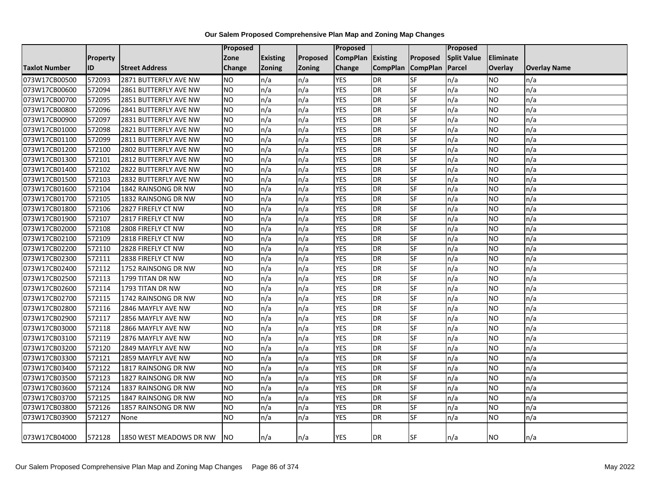|                      |                 |                         | Proposed        |                 |          | Proposed          |                   |           | <b>Proposed</b>    |                |                     |
|----------------------|-----------------|-------------------------|-----------------|-----------------|----------|-------------------|-------------------|-----------|--------------------|----------------|---------------------|
|                      | <b>Property</b> |                         | Zone            | <b>Existing</b> | Proposed | CompPlan Existing |                   | Proposed  | <b>Split Value</b> | Eliminate      |                     |
| <b>Taxlot Number</b> | <b>ID</b>       | <b>Street Address</b>   | <b>Change</b>   | Zoning          | Zoning   | Change            | CompPlan CompPlan |           | Parcel             | <b>Overlay</b> | <b>Overlay Name</b> |
| 073W17CB00500        | 572093          | 2871 BUTTERFLY AVE NW   | <b>NO</b>       | n/a             | n/a      | <b>YES</b>        | <b>DR</b>         | SF        | n/a                | <b>NO</b>      | n/a                 |
| 073W17CB00600        | 572094          | 2861 BUTTERFLY AVE NW   | <b>NO</b>       | n/a             | n/a      | <b>YES</b>        | <b>DR</b>         | SF        | n/a                | <b>NO</b>      | n/a                 |
| 073W17CB00700        | 572095          | 2851 BUTTERFLY AVE NW   | <b>NO</b>       | n/a             | n/a      | <b>YES</b>        | <b>DR</b>         | <b>SF</b> | n/a                | <b>NO</b>      | n/a                 |
| 073W17CB00800        | 572096          | 2841 BUTTERFLY AVE NW   | <b>NO</b>       | n/a             | n/a      | <b>YES</b>        | <b>DR</b>         | SF        | n/a                | <b>NO</b>      | n/a                 |
| 073W17CB00900        | 572097          | 2831 BUTTERFLY AVE NW   | <b>NO</b>       | n/a             | n/a      | <b>YES</b>        | <b>DR</b>         | SF        | n/a                | <b>NO</b>      | n/a                 |
| 073W17CB01000        | 572098          | 2821 BUTTERFLY AVE NW   | <b>NO</b>       | n/a             | n/a      | <b>YES</b>        | DR                | SF        | n/a                | <b>NO</b>      | n/a                 |
| 073W17CB01100        | 572099          | 2811 BUTTERFLY AVE NW   | <b>NO</b>       | n/a             | n/a      | <b>YES</b>        | DR                | SF        | n/a                | <b>NO</b>      | n/a                 |
| 073W17CB01200        | 572100          | 2802 BUTTERFLY AVE NW   | Ю               | n/a             | n/a      | <b>YES</b>        | <b>DR</b>         | <b>SF</b> | n/a                | <b>NO</b>      | n/a                 |
| 073W17CB01300        | 572101          | 2812 BUTTERFLY AVE NW   | <b>NO</b>       | n/a             | n/a      | <b>YES</b>        | <b>DR</b>         | SF        | n/a                | <b>NO</b>      | n/a                 |
| 073W17CB01400        | 572102          | 2822 BUTTERFLY AVE NW   | <b>NO</b>       | n/a             | n/a      | <b>YES</b>        | <b>DR</b>         | <b>SF</b> | n/a                | <b>NO</b>      | n/a                 |
| 073W17CB01500        | 572103          | 2832 BUTTERFLY AVE NW   | <b>NO</b>       | n/a             | n/a      | <b>YES</b>        | DR                | SF        | n/a                | <b>NO</b>      | n/a                 |
| 073W17CB01600        | 572104          | 1842 RAINSONG DR NW     | <b>NO</b>       | n/a             | n/a      | <b>YES</b>        | <b>DR</b>         | <b>SF</b> | n/a                | <b>NO</b>      | n/a                 |
| 073W17CB01700        | 572105          | 1832 RAINSONG DR NW     | <b>NO</b>       | n/a             | n/a      | <b>YES</b>        | <b>DR</b>         | SF        | n/a                | <b>NO</b>      | n/a                 |
| 073W17CB01800        | 572106          | 2827 FIREFLY CT NW      | <b>NO</b>       | n/a             | n/a      | <b>YES</b>        | <b>DR</b>         | SF        | n/a                | <b>NO</b>      | n/a                 |
| 073W17CB01900        | 572107          | 2817 FIREFLY CT NW      | <b>NO</b>       | n/a             | n/a      | <b>YES</b>        | <b>DR</b>         | SF        | n/a                | <b>NO</b>      | n/a                 |
| 073W17CB02000        | 572108          | 2808 FIREFLY CT NW      | $\overline{NO}$ | n/a             | n/a      | <b>YES</b>        | <b>DR</b>         | <b>SF</b> | n/a                | <b>NO</b>      | n/a                 |
| 073W17CB02100        | 572109          | 2818 FIREFLY CT NW      | <b>NO</b>       | n/a             | n/a      | <b>YES</b>        | <b>DR</b>         | <b>SF</b> | n/a                | <b>NO</b>      | n/a                 |
| 073W17CB02200        | 572110          | 2828 FIREFLY CT NW      | <b>NO</b>       | n/a             | n/a      | <b>YES</b>        | DR                | SF        | n/a                | <b>NO</b>      | n/a                 |
| 073W17CB02300        | 572111          | 2838 FIREFLY CT NW      | <b>NO</b>       | n/a             | n/a      | <b>YES</b>        | <b>DR</b>         | SF        | n/a                | <b>NO</b>      | n/a                 |
| 073W17CB02400        | 572112          | 1752 RAINSONG DR NW     | <b>NO</b>       | n/a             | n/a      | <b>YES</b>        | DR                | SF        | n/a                | <b>NO</b>      | n/a                 |
| 073W17CB02500        | 572113          | 1799 TITAN DR NW        | <b>NO</b>       | n/a             | n/a      | <b>YES</b>        | DR                | SF        | n/a                | <b>NO</b>      | n/a                 |
| 073W17CB02600        | 572114          | 1793 TITAN DR NW        | <b>NO</b>       | n/a             | n/a      | <b>YES</b>        | <b>DR</b>         | SF        | n/a                | <b>NO</b>      | n/a                 |
| 073W17CB02700        | 572115          | 1742 RAINSONG DR NW     | N <sub>O</sub>  | n/a             | n/a      | <b>YES</b>        | DR                | SF        | n/a                | <b>NO</b>      | n/a                 |
| 073W17CB02800        | 572116          | 2846 MAYFLY AVE NW      | <b>NO</b>       | n/a             | n/a      | <b>YES</b>        | <b>DR</b>         | SF        | n/a                | <b>NO</b>      | n/a                 |
| 073W17CB02900        | 572117          | 2856 MAYFLY AVE NW      | <b>NO</b>       | n/a             | n/a      | <b>YES</b>        | <b>DR</b>         | SF        | n/a                | <b>NO</b>      | n/a                 |
| 073W17CB03000        | 572118          | 2866 MAYFLY AVE NW      | NO              | n/a             | n/a      | <b>YES</b>        | <b>DR</b>         | SF        | n/a                | <b>NO</b>      | n/a                 |
| 073W17CB03100        | 572119          | 2876 MAYFLY AVE NW      | <b>NO</b>       | n/a             | n/a      | <b>YES</b>        | <b>DR</b>         | SF        | n/a                | <b>NO</b>      | n/a                 |
| 073W17CB03200        | 572120          | 2849 MAYFLY AVE NW      | <b>NO</b>       | n/a             | n/a      | <b>YES</b>        | <b>DR</b>         | SF        | n/a                | <b>NO</b>      | n/a                 |
| 073W17CB03300        | 572121          | 2859 MAYFLY AVE NW      | <b>NO</b>       | n/a             | n/a      | <b>YES</b>        | DR                | SF        | n/a                | <b>NO</b>      | n/a                 |
| 073W17CB03400        | 572122          | 1817 RAINSONG DR NW     | $\overline{NO}$ | n/a             | n/a      | <b>YES</b>        | <b>DR</b>         | <b>SF</b> | n/a                | <b>NO</b>      | n/a                 |
| 073W17CB03500        | 572123          | 1827 RAINSONG DR NW     | <b>NO</b>       | n/a             | n/a      | <b>YES</b>        | <b>DR</b>         | SF        | n/a                | <b>NO</b>      | n/a                 |
| 073W17CB03600        | 572124          | 1837 RAINSONG DR NW     | Ю               | n/a             | n/a      | <b>YES</b>        | DR                | SF        | n/a                | <b>NO</b>      | n/a                 |
| 073W17CB03700        | 572125          | 1847 RAINSONG DR NW     | NO              | n/a             | n/a      | <b>YES</b>        | <b>DR</b>         | SF        | n/a                | <b>NO</b>      | n/a                 |
| 073W17CB03800        | 572126          | 1857 RAINSONG DR NW     | <b>NO</b>       | n/a             | n/a      | YES               | DR                | SF        | n/a                | <b>NO</b>      | n/a                 |
| 073W17CB03900        | 572127          | None                    | <b>NO</b>       | n/a             | n/a      | <b>YES</b>        | <b>DR</b>         | SF        | n/a                | <b>NO</b>      | n/a                 |
| 073W17CB04000        | 572128          | 1850 WEST MEADOWS DR NW | NO.             | n/a             | n/a      | <b>YES</b>        | <b>DR</b>         | SF        | n/a                | <b>NO</b>      | n/a                 |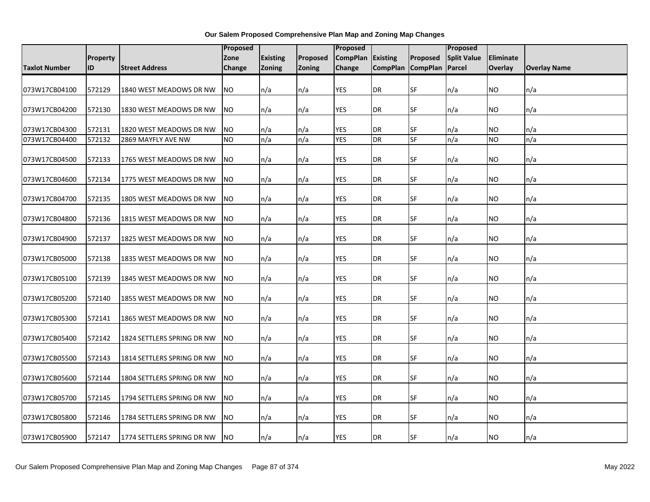|                      |                 |                            | <b>Proposed</b> |                 |          | <b>Proposed</b>   |                   |           | Proposed           |           |                     |
|----------------------|-----------------|----------------------------|-----------------|-----------------|----------|-------------------|-------------------|-----------|--------------------|-----------|---------------------|
|                      | <b>Property</b> |                            | Zone            | <b>Existing</b> | Proposed | CompPlan Existing |                   | Proposed  | <b>Split Value</b> | Eliminate |                     |
| <b>Taxlot Number</b> | ID              | <b>Street Address</b>      | Change          | Zoning          | Zoning   | Change            | CompPlan CompPlan |           | Parcel             | Overlay   | <b>Overlay Name</b> |
| 073W17CB04100        | 572129          | 1840 WEST MEADOWS DR NW    | <b>NO</b>       | n/a             | n/a      | <b>YES</b>        | <b>DR</b>         | <b>SF</b> | n/a                | NO        | n/a                 |
| 073W17CB04200        | 572130          | 1830 WEST MEADOWS DR NW    | NO.             | n/a             | n/a      | <b>YES</b>        | DR                | <b>SF</b> | n/a                | NO.       | n/a                 |
| 073W17CB04300        | 572131          | 1820 WEST MEADOWS DR NW    | N <sub>O</sub>  | n/a             | n/a      | YES               | DR                | <b>SF</b> | n/a                | ΝO        | n/a                 |
| 073W17CB04400        | 572132          | 2869 MAYFLY AVE NW         | <b>NO</b>       | n/a             | n/a      | <b>YES</b>        | <b>DR</b>         | <b>SF</b> | n/a                | NO        | n/a                 |
| 073W17CB04500        | 572133          | 1765 WEST MEADOWS DR NW    | <b>NO</b>       | n/a             | n/a      | <b>YES</b>        | DR                | <b>SF</b> | n/a                | NO        | n/a                 |
| 073W17CB04600        | 572134          | 1775 WEST MEADOWS DR NW    | <b>NO</b>       | n/a             | n/a      | <b>YES</b>        | DR                | <b>SF</b> | n/a                | NO        | n/a                 |
| 073W17CB04700        | 572135          | 1805 WEST MEADOWS DR NW    | <b>NO</b>       | n/a             | n/a      | YES               | DR                | <b>SF</b> | n/a                | NO        | n/a                 |
| 073W17CB04800        | 572136          | 1815 WEST MEADOWS DR NW    | <b>NO</b>       | n/a             | n/a      | <b>YES</b>        | <b>DR</b>         | <b>SF</b> | n/a                | NO.       | n/a                 |
| 073W17CB04900        | 572137          | 1825 WEST MEADOWS DR NW    | <b>NO</b>       | n/a             | n/a      | <b>YES</b>        | DR                | <b>SF</b> | n/a                | NO        | n/a                 |
| 073W17CB05000        | 572138          | 1835 WEST MEADOWS DR NW    | <b>NO</b>       | n/a             | n/a      | YES               | DR                | SF        | n/a                | ΝO        | n/a                 |
| 073W17CB05100        | 572139          | 1845 WEST MEADOWS DR NW    | <b>NO</b>       | n/a             | n/a      | YES               | DR                | SF        | n/a                | ΝO        | n/a                 |
| 073W17CB05200        | 572140          | 1855 WEST MEADOWS DR NW    | <b>NO</b>       | n/a             | n/a      | <b>YES</b>        | <b>DR</b>         | <b>SF</b> | n/a                | NO        | n/a                 |
| 073W17CB05300        | 572141          | 1865 WEST MEADOWS DR NW    | <b>NO</b>       | n/a             | n/a      | <b>YES</b>        | <b>DR</b>         | <b>SF</b> | n/a                | ΝO        | n/a                 |
| 073W17CB05400        | 572142          | 1824 SETTLERS SPRING DR NW | <b>NO</b>       | n/a             | n/a      | YES               | DR                | <b>SF</b> | n/a                | ΝO        | n/a                 |
| 073W17CB05500        | 572143          | 1814 SETTLERS SPRING DR NW | <b>NO</b>       | n/a             | n/a      | <b>YES</b>        | <b>DR</b>         | <b>SF</b> | n/a                | NO.       | n/a                 |
| 073W17CB05600        | 572144          | 1804 SETTLERS SPRING DR NW | <b>NO</b>       | n/a             | n/a      | <b>YES</b>        | <b>DR</b>         | <b>SF</b> | n/a                | NO.       | n/a                 |
| 073W17CB05700        | 572145          | 1794 SETTLERS SPRING DR NW | <b>NO</b>       | n/a             | n/a      | <b>YES</b>        | <b>DR</b>         | <b>SF</b> | n/a                | ΝO        | n/a                 |
| 073W17CB05800        | 572146          | 1784 SETTLERS SPRING DR NW | <b>NO</b>       | n/a             | n/a      | YES               | DR                | <b>SF</b> | n/a                | ΝO        | n/a                 |
| 073W17CB05900        | 572147          | 1774 SETTLERS SPRING DR NW | <b>NO</b>       | n/a             | n/a      | <b>YES</b>        | <b>DR</b>         | <b>SF</b> | n/a                | NO.       | n/a                 |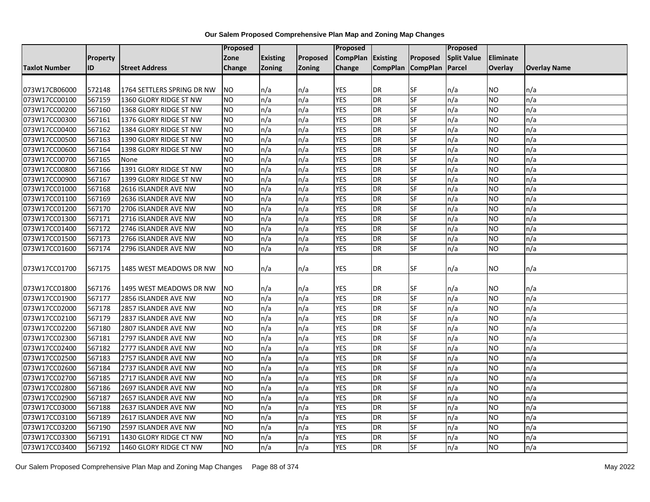|               |                 |                            | <b>Proposed</b> |                 |          | <b>Proposed</b>   |                   |                          | Proposed           |                  |                     |
|---------------|-----------------|----------------------------|-----------------|-----------------|----------|-------------------|-------------------|--------------------------|--------------------|------------------|---------------------|
|               | <b>Property</b> |                            | Zone            | <b>Existing</b> | Proposed | CompPlan Existing |                   | Proposed                 | <b>Split Value</b> | <b>Eliminate</b> |                     |
| Taxlot Number | ID              | <b>Street Address</b>      | Change          | Zoning          | Zoning   | Change            | CompPlan CompPlan |                          | Parcel             | <b>Overlay</b>   | <b>Overlay Name</b> |
|               |                 |                            |                 |                 |          |                   |                   |                          |                    |                  |                     |
| 073W17CB06000 | 572148          | 1764 SETTLERS SPRING DR NW | <b>NO</b>       | n/a             | n/a      | <b>YES</b>        | <b>DR</b>         | SF                       | n/a                | <b>NO</b>        | n/a                 |
| 073W17CC00100 | 567159          | 1360 GLORY RIDGE ST NW     | <b>NO</b>       | n/a             | n/a      | <b>YES</b>        | <b>DR</b>         | SF                       | n/a                | <b>NO</b>        | n/a                 |
| 073W17CC00200 | 567160          | 1368 GLORY RIDGE ST NW     | NO.             | n/a             | n/a      | <b>YES</b>        | <b>DR</b>         | SF                       | n/a                | <b>NO</b>        | n/a                 |
| 073W17CC00300 | 567161          | 1376 GLORY RIDGE ST NW     | <b>NO</b>       | n/a             | n/a      | <b>YES</b>        | <b>DR</b>         | SF                       | n/a                | <b>NO</b>        | n/a                 |
| 073W17CC00400 | 567162          | 1384 GLORY RIDGE ST NW     | <b>NO</b>       | n/a             | n/a      | <b>YES</b>        | <b>DR</b>         | SF                       | n/a                | <b>NO</b>        | n/a                 |
| 073W17CC00500 | 567163          | 1390 GLORY RIDGE ST NW     | <b>NO</b>       | n/a             | n/a      | <b>YES</b>        | <b>DR</b>         | SF                       | n/a                | <b>NO</b>        | n/a                 |
| 073W17CC00600 | 567164          | 1398 GLORY RIDGE ST NW     | <b>NO</b>       | n/a             | n/a      | <b>YES</b>        | <b>DR</b>         | SF                       | n/a                | <b>NO</b>        | n/a                 |
| 073W17CC00700 | 567165          | None                       | <b>NO</b>       | n/a             | n/a      | <b>YES</b>        | <b>DR</b>         | SF                       | n/a                | <b>NO</b>        | n/a                 |
| 073W17CC00800 | 567166          | 1391 GLORY RIDGE ST NW     | <b>NO</b>       | n/a             | n/a      | <b>YES</b>        | <b>DR</b>         | <b>SF</b>                | n/a                | <b>NO</b>        | n/a                 |
| 073W17CC00900 | 567167          | 1399 GLORY RIDGE ST NW     | <b>NO</b>       | n/a             | n/a      | <b>YES</b>        | <b>DR</b>         | <b>SF</b>                | n/a                | <b>NO</b>        | n/a                 |
| 073W17CC01000 | 567168          | 2616 ISLANDER AVE NW       | <b>NO</b>       | n/a             | n/a      | <b>YES</b>        | <b>DR</b>         | SF                       | n/a                | <b>NO</b>        | n/a                 |
| 073W17CC01100 | 567169          | 2636 ISLANDER AVE NW       | NO.             | n/a             | n/a      | <b>YES</b>        | <b>DR</b>         | <b>SF</b>                | n/a                | <b>NO</b>        | n/a                 |
| 073W17CC01200 | 567170          | 2706 ISLANDER AVE NW       | <b>NO</b>       | n/a             | n/a      | <b>YES</b>        | <b>DR</b>         | <b>SF</b>                | n/a                | <b>NO</b>        | n/a                 |
| 073W17CC01300 | 567171          | 2716 ISLANDER AVE NW       | <b>NO</b>       | n/a             | n/a      | <b>YES</b>        | <b>DR</b>         | SF                       | n/a                | <b>NO</b>        | n/a                 |
| 073W17CC01400 | 567172          | 2746 ISLANDER AVE NW       | Ю               | n/a             | n/a      | <b>YES</b>        | <b>DR</b>         | SF                       | n/a                | <b>NO</b>        | n/a                 |
| 073W17CC01500 | 567173          | 2766 ISLANDER AVE NW       | NO              | n/a             | n/a      | <b>YES</b>        | <b>DR</b>         | SF                       | n/a                | <b>NO</b>        | n/a                 |
| 073W17CC01600 | 567174          | 2796 ISLANDER AVE NW       | <b>NO</b>       | n/a             | n/a      | <b>YES</b>        | <b>DR</b>         | SF                       | n/a                | <b>NO</b>        | n/a                 |
|               |                 |                            |                 |                 |          |                   |                   |                          |                    |                  |                     |
| 073W17CC01700 | 567175          | 1485 WEST MEADOWS DR NW    | NO.             | n/a             | n/a      | YES               | DR                | SF                       | n/a                | <b>NO</b>        | n/a                 |
|               |                 |                            |                 |                 |          |                   |                   |                          |                    |                  |                     |
| 073W17CC01800 | 567176          | 1495 WEST MEADOWS DR NW    | <b>NO</b>       | n/a             | n/a      | YES               | <b>DR</b>         | SF                       | n/a                | <b>NO</b>        | n/a                 |
| 073W17CC01900 | 567177          | 2856 ISLANDER AVE NW       | <b>NO</b>       | n/a             | n/a      | <b>YES</b>        | <b>DR</b>         | SF                       | n/a                | <b>NO</b>        | n/a                 |
| 073W17CC02000 | 567178          | 2857 ISLANDER AVE NW       | <b>NO</b>       | n/a             | n/a      | <b>YES</b>        | <b>DR</b>         | SF                       | n/a                | <b>NO</b>        | n/a                 |
| 073W17CC02100 | 567179          | 2837 ISLANDER AVE NW       | NO              | n/a             | n/a      | YES               | <b>DR</b>         | SF                       | n/a                | <b>NO</b>        | n/a                 |
| 073W17CC02200 | 567180          | 2807 ISLANDER AVE NW       | <b>NO</b>       | n/a             | n/a      | <b>YES</b>        | <b>DR</b>         | SF                       | n/a                | <b>NO</b>        | n/a                 |
| 073W17CC02300 | 567181          | 2797 ISLANDER AVE NW       | <b>NO</b>       | n/a             | n/a      | <b>YES</b>        | <b>DR</b>         | SF                       | n/a                | <b>NO</b>        | n/a                 |
| 073W17CC02400 | 567182          | 2777 ISLANDER AVE NW       | <b>NO</b>       | n/a             | n/a      | <b>YES</b>        | <b>DR</b>         | SF                       | n/a                | <b>NO</b>        | n/a                 |
| 073W17CC02500 | 567183          | 2757 ISLANDER AVE NW       | <b>NO</b>       | n/a             | n/a      | <b>YES</b>        | <b>DR</b>         | $S_{F}$                  | n/a                | <b>NO</b>        | n/a                 |
| 073W17CC02600 | 567184          | 2737 ISLANDER AVE NW       | $\overline{NO}$ | n/a             | n/a      | <b>YES</b>        | <b>DR</b>         | SF                       | n/a                | <b>NO</b>        | n/a                 |
| 073W17CC02700 | 567185          | 2717 ISLANDER AVE NW       | <b>NO</b>       | n/a             | n/a      | <b>YES</b>        | <b>DR</b>         | SF                       | n/a                | <b>NO</b>        | n/a                 |
| 073W17CC02800 | 567186          | 2697 ISLANDER AVE NW       | Ю               | n/a             | n/a      | <b>YES</b>        | <b>DR</b>         | <b>SF</b>                | n/a                | <b>NO</b>        | n/a                 |
| 073W17CC02900 | 567187          | 2657 ISLANDER AVE NW       | NO.             | n/a             | n/a      | <b>YES</b>        | <b>DR</b>         | $\overline{\mathsf{SF}}$ | n/a                | <b>NO</b>        | n/a                 |
| 073W17CC03000 | 567188          | 2637 ISLANDER AVE NW       | <b>NO</b>       | n/a             | n/a      | <b>YES</b>        | <b>DR</b>         | SF                       | n/a                | <b>NO</b>        | n/a                 |
| 073W17CC03100 | 567189          | 2617 ISLANDER AVE NW       | <b>NO</b>       | n/a             | n/a      | <b>YES</b>        | <b>DR</b>         | SF                       | n/a                | <b>NO</b>        | n/a                 |
| 073W17CC03200 | 567190          | 2597 ISLANDER AVE NW       | NO.             | n/a             | n/a      | <b>YES</b>        | <b>DR</b>         | <b>SF</b>                | n/a                | <b>NO</b>        | n/a                 |
| 073W17CC03300 | 567191          | 1430 GLORY RIDGE CT NW     | <b>NO</b>       | n/a             | n/a      | <b>YES</b>        | <b>DR</b>         | SF                       | n/a                | <b>NO</b>        | n/a                 |
| 073W17CC03400 | 567192          | 1460 GLORY RIDGE CT NW     | $\overline{NO}$ | n/a             | n/a      | <b>YES</b>        | <b>DR</b>         | SF                       | n/a                | <b>NO</b>        | n/a                 |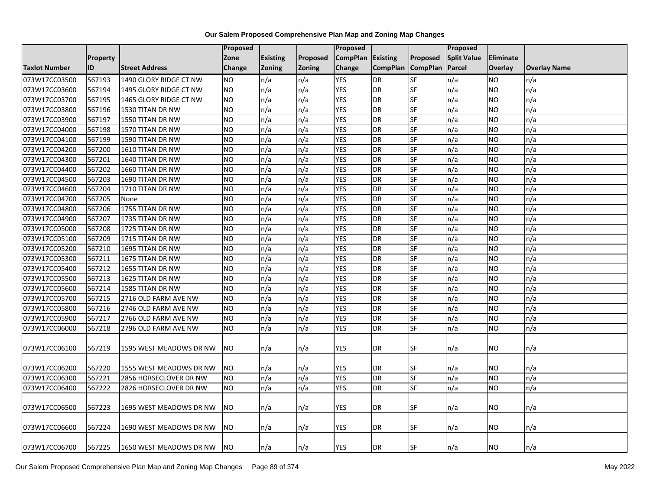|                      |                 |                         | <b>Proposed</b> |                 |               | <b>Proposed</b> |                   |           | Proposed           |                  |                     |
|----------------------|-----------------|-------------------------|-----------------|-----------------|---------------|-----------------|-------------------|-----------|--------------------|------------------|---------------------|
|                      | <b>Property</b> |                         | Zone            | <b>Existing</b> | Proposed      | <b>CompPlan</b> | Existing          | Proposed  | <b>Split Value</b> | <b>Eliminate</b> |                     |
| <b>Taxlot Number</b> | ID              | <b>Street Address</b>   | Change          | <b>Zoning</b>   | <b>Zoning</b> | Change          | CompPlan CompPlan |           | Parcel             | <b>Overlay</b>   | <b>Overlay Name</b> |
| 073W17CC03500        | 567193          | 1490 GLORY RIDGE CT NW  | <b>NO</b>       | n/a             | n/a           | <b>YES</b>      | DR                | SF        | n/a                | <b>NO</b>        | n/a                 |
| 073W17CC03600        | 567194          | 1495 GLORY RIDGE CT NW  | NO.             | n/a             | n/a           | <b>YES</b>      | <b>DR</b>         | <b>SF</b> | n/a                | <b>NO</b>        | n/a                 |
| 073W17CC03700        | 567195          | 1465 GLORY RIDGE CT NW  | <b>NO</b>       | n/a             | n/a           | <b>YES</b>      | <b>DR</b>         | SF        | n/a                | <b>NO</b>        | n/a                 |
| 073W17CC03800        | 567196          | 1530 TITAN DR NW        | <b>NO</b>       | n/a             | n/a           | <b>YES</b>      | <b>DR</b>         | <b>SF</b> | n/a                | <b>NO</b>        | n/a                 |
| 073W17CC03900        | 567197          | 1550 TITAN DR NW        | N <sub>O</sub>  | n/a             | n/a           | <b>YES</b>      | DR                | $S$ F     | n/a                | <b>NO</b>        | n/a                 |
| 073W17CC04000        | 567198          | 1570 TITAN DR NW        | <b>NO</b>       | n/a             | n/a           | <b>YES</b>      | <b>DR</b>         | SF        | n/a                | <b>NO</b>        | n/a                 |
| 073W17CC04100        | 567199          | 1590 TITAN DR NW        | <b>NO</b>       | n/a             | n/a           | <b>YES</b>      | DR                | SF        | n/a                | <b>NO</b>        | n/a                 |
| 073W17CC04200        | 567200          | 1610 TITAN DR NW        | <b>NO</b>       | n/a             | n/a           | <b>YES</b>      | DR                | $S$ F     | n/a                | <b>NO</b>        | n/a                 |
| 073W17CC04300        | 567201          | 1640 TITAN DR NW        | <b>NO</b>       | n/a             | n/a           | <b>YES</b>      | <b>DR</b>         | SF        | n/a                | <b>NO</b>        | n/a                 |
| 073W17CC04400        | 567202          | 1660 TITAN DR NW        | N <sub>O</sub>  | n/a             | n/a           | <b>YES</b>      | <b>DR</b>         | <b>SF</b> | n/a                | <b>NO</b>        | n/a                 |
| 073W17CC04500        | 567203          | 1690 TITAN DR NW        | <b>NO</b>       | n/a             | n/a           | <b>YES</b>      | DR                | <b>SF</b> | n/a                | <b>NO</b>        | n/a                 |
| 073W17CC04600        | 567204          | 1710 TITAN DR NW        | <b>NO</b>       | n/a             | n/a           | <b>YES</b>      | DR                | SF        | n/a                | <b>NO</b>        | n/a                 |
| 073W17CC04700        | 567205          | None                    | <b>NO</b>       | n/a             | n/a           | <b>YES</b>      | <b>DR</b>         | <b>SF</b> | n/a                | <b>NO</b>        | n/a                 |
| 073W17CC04800        | 567206          | 1755 TITAN DR NW        | $\overline{NO}$ | n/a             | n/a           | <b>YES</b>      | <b>DR</b>         | <b>SF</b> | n/a                | <b>NO</b>        | n/a                 |
| 073W17CC04900        | 567207          | 1735 TITAN DR NW        | <b>NO</b>       | n/a             | n/a           | <b>YES</b>      | <b>DR</b>         | SF        | n/a                | <b>NO</b>        | n/a                 |
| 073W17CC05000        | 567208          | 1725 TITAN DR NW        | $\overline{NO}$ | n/a             | n/a           | <b>YES</b>      | <b>DR</b>         | <b>SF</b> | n/a                | <b>NO</b>        | n/a                 |
| 073W17CC05100        | 567209          | 1715 TITAN DR NW        | NO              | n/a             | n/a           | <b>YES</b>      | <b>DR</b>         | $S$ F     | n/a                | <b>NO</b>        | n/a                 |
| 073W17CC05200        | 567210          | 1695 TITAN DR NW        | <b>NO</b>       | n/a             | n/a           | <b>YES</b>      | <b>DR</b>         | SF        | n/a                | <b>NO</b>        | n/a                 |
| 073W17CC05300        | 567211          | 1675 TITAN DR NW        | <b>NO</b>       | n/a             | n/a           | <b>YES</b>      | <b>DR</b>         | SF        | n/a                | <b>NO</b>        | n/a                 |
| 073W17CC05400        | 567212          | 1655 TITAN DR NW        | <b>NO</b>       | n/a             | n/a           | <b>YES</b>      | <b>DR</b>         | <b>SF</b> | n/a                | <b>NO</b>        | n/a                 |
| 073W17CC05500        | 567213          | 1625 TITAN DR NW        | <b>NO</b>       | n/a             | n/a           | <b>YES</b>      | <b>DR</b>         | <b>SF</b> | n/a                | <b>NO</b>        | n/a                 |
| 073W17CC05600        | 567214          | 1585 TITAN DR NW        | $\overline{NO}$ | n/a             | n/a           | <b>YES</b>      | <b>DR</b>         | <b>SF</b> | n/a                | <b>NO</b>        | n/a                 |
| 073W17CC05700        | 567215          | 2716 OLD FARM AVE NW    | NO.             | n/a             | n/a           | <b>YES</b>      | <b>DR</b>         | <b>SF</b> | n/a                | <b>NO</b>        | n/a                 |
| 073W17CC05800        | 567216          | 2746 OLD FARM AVE NW    | <b>NO</b>       | n/a             | n/a           | <b>YES</b>      | DR                | SF        | n/a                | <b>NO</b>        | n/a                 |
| 073W17CC05900        | 567217          | 2766 OLD FARM AVE NW    | NO.             | n/a             | n/a           | <b>YES</b>      | <b>DR</b>         | <b>SF</b> | n/a                | <b>NO</b>        | n/a                 |
| 073W17CC06000        | 567218          | 2796 OLD FARM AVE NW    | N <sub>O</sub>  | n/a             | n/a           | <b>YES</b>      | DR                | $S$ F     | n/a                | <b>NO</b>        | n/a                 |
| 073W17CC06100        | 567219          | 1595 WEST MEADOWS DR NW | NO.             | n/a             | n/a           | <b>YES</b>      | <b>DR</b>         | <b>SF</b> | n/a                | NO.              | n/a                 |
| 073W17CC06200        | 567220          | 1555 WEST MEADOWS DR NW | <b>NO</b>       | n/a             | n/a           | <b>YES</b>      | <b>DR</b>         | SF        | n/a                | <b>NO</b>        | n/a                 |
| 073W17CC06300        | 567221          | 2856 HORSECLOVER DR NW  | <b>NO</b>       | n/a             | n/a           | <b>YES</b>      | <b>DR</b>         | <b>SF</b> | n/a                | <b>NO</b>        | n/a                 |
| 073W17CC06400        | 567222          | 2826 HORSECLOVER DR NW  | NO.             | n/a             | n/a           | <b>YES</b>      | <b>DR</b>         | SF        | n/a                | <b>NO</b>        | n/a                 |
| 073W17CC06500        | 567223          | 1695 WEST MEADOWS DR NW | <b>NO</b>       | n/a             | n/a           | <b>YES</b>      | <b>DR</b>         | SF        | n/a                | <b>NO</b>        | n/a                 |
| 073W17CC06600        | 567224          | 1690 WEST MEADOWS DR NW | NO.             | n/a             | n/a           | YES             | <b>DR</b>         | <b>SF</b> | n/a                | NO               | n/a                 |
| 073W17CC06700        | 567225          | 1650 WEST MEADOWS DR NW | NO.             | n/a             | n/a           | <b>YES</b>      | DR                | SF        | n/a                | <b>NO</b>        | n/a                 |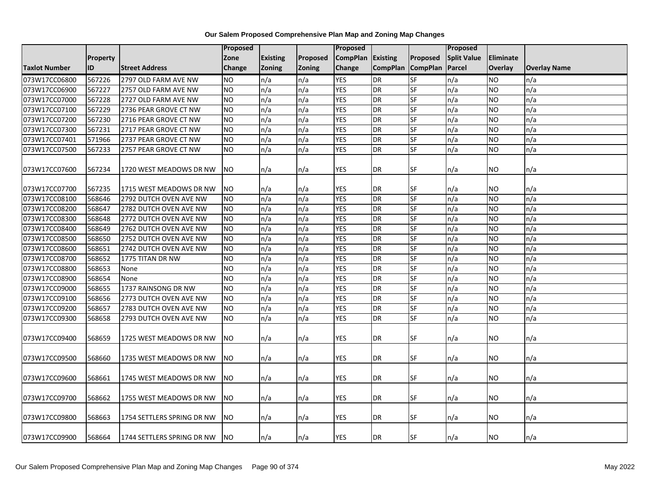|                      |                 |                            | Proposed  |                 |                 | <b>Proposed</b>   |                   |           | Proposed           |                |                     |
|----------------------|-----------------|----------------------------|-----------|-----------------|-----------------|-------------------|-------------------|-----------|--------------------|----------------|---------------------|
|                      | <b>Property</b> |                            | Zone      | <b>Existing</b> | <b>Proposed</b> | CompPlan Existing |                   | Proposed  | <b>Split Value</b> | Eliminate      |                     |
| <b>Taxlot Number</b> | ID              | <b>Street Address</b>      | Change    | <b>Zoning</b>   | <b>Zoning</b>   | <b>Change</b>     | CompPlan CompPlan |           | Parcel             | <b>Overlay</b> | <b>Overlay Name</b> |
| 073W17CC06800        | 567226          | 2797 OLD FARM AVE NW       | NO.       | n/a             | n/a             | <b>YES</b>        | <b>DR</b>         | <b>SF</b> | n/a                | <b>NO</b>      | n/a                 |
| 073W17CC06900        | 567227          | 2757 OLD FARM AVE NW       | NO.       | n/a             | n/a             | <b>YES</b>        | <b>DR</b>         | SF        | n/a                | NO             | n/a                 |
| 073W17CC07000        | 567228          | 2727 OLD FARM AVE NW       | <b>NO</b> | n/a             | n/a             | <b>YES</b>        | <b>DR</b>         | SF        | n/a                | <b>NO</b>      | n/a                 |
| 073W17CC07100        | 567229          | 2736 PEAR GROVE CT NW      | <b>NO</b> | n/a             | n/a             | <b>YES</b>        | <b>DR</b>         | SF        | n/a                | NO.            | n/a                 |
| 073W17CC07200        | 567230          | 2716 PEAR GROVE CT NW      | Ю         | n/a             | n/a             | <b>YES</b>        | <b>DR</b>         | <b>SF</b> | n/a                | NO.            | n/a                 |
| 073W17CC07300        | 567231          | 2717 PEAR GROVE CT NW      | <b>NO</b> | n/a             | n/a             | <b>YES</b>        | <b>DR</b>         | SF        | n/a                | <b>NO</b>      | n/a                 |
| 073W17CC07401        | 571966          | 2737 PEAR GROVE CT NW      | <b>NO</b> | n/a             | n/a             | <b>YES</b>        | <b>DR</b>         | <b>SF</b> | n/a                | NO.            | n/a                 |
| 073W17CC07500        | 567233          | 2757 PEAR GROVE CT NW      | <b>NO</b> | n/a             | n/a             | <b>YES</b>        | <b>DR</b>         | <b>SF</b> | n/a                | NO.            | n/a                 |
| 073W17CC07600        | 567234          | 1720 WEST MEADOWS DR NW    | <b>NO</b> | n/a             | n/a             | YES               | DR                | <b>SF</b> | n/a                | NO.            | n/a                 |
| 073W17CC07700        | 567235          | 1715 WEST MEADOWS DR NW    | <b>NO</b> | n/a             | n/a             | <b>YES</b>        | DR                | ISF       | n/a                | NO.            | n/a                 |
| 073W17CC08100        | 568646          | 2792 DUTCH OVEN AVE NW     | NO.       | n/a             | n/a             | <b>YES</b>        | <b>DR</b>         | SF        | n/a                | NO             | n/a                 |
| 073W17CC08200        | 568647          | 2782 DUTCH OVEN AVE NW     | <b>NO</b> | n/a             | n/a             | <b>YES</b>        | <b>DR</b>         | <b>SF</b> | n/a                | NO.            | n/a                 |
| 073W17CC08300        | 568648          | 2772 DUTCH OVEN AVE NW     | <b>NO</b> | n/a             | n/a             | <b>YES</b>        | <b>DR</b>         | <b>SF</b> | n/a                | NO.            | n/a                 |
| 073W17CC08400        | 568649          | 2762 DUTCH OVEN AVE NW     | <b>NO</b> | n/a             | n/a             | <b>YES</b>        | <b>DR</b>         | <b>SF</b> | n/a                | <b>NO</b>      | n/a                 |
| 073W17CC08500        | 568650          | 2752 DUTCH OVEN AVE NW     | <b>NO</b> | n/a             | n/a             | <b>YES</b>        | <b>DR</b>         | <b>SF</b> | n/a                | <b>NO</b>      | n/a                 |
| 073W17CC08600        | 568651          | 2742 DUTCH OVEN AVE NW     | <b>NO</b> | n/a             | n/a             | <b>YES</b>        | <b>DR</b>         | SF        | n/a                | <b>NO</b>      | n/a                 |
| 073W17CC08700        | 568652          | 1775 TITAN DR NW           | <b>NO</b> | n/a             | n/a             | <b>YES</b>        | <b>DR</b>         | <b>SF</b> | n/a                | <b>NO</b>      | n/a                 |
| 073W17CC08800        | 568653          | None                       | NO.       | n/a             | n/a             | <b>YES</b>        | <b>DR</b>         | SF        | n/a                | NO             | n/a                 |
| 073W17CC08900        | 568654          | None                       | <b>NO</b> | n/a             | n/a             | <b>YES</b>        | <b>DR</b>         | SF        | n/a                | NO.            | n/a                 |
| 073W17CC09000        | 568655          | 1737 RAINSONG DR NW        | <b>NO</b> | n/a             | n/a             | <b>YES</b>        | <b>DR</b>         | <b>SF</b> | n/a                | <b>NO</b>      | n/a                 |
| 073W17CC09100        | 568656          | 2773 DUTCH OVEN AVE NW     | Ю         | n/a             | n/a             | <b>YES</b>        | <b>DR</b>         | SF        | n/a                | <b>NO</b>      | n/a                 |
| 073W17CC09200        | 568657          | 2783 DUTCH OVEN AVE NW     | NO.       | n/a             | n/a             | <b>YES</b>        | <b>DR</b>         | SF        | n/a                | <b>NO</b>      | n/a                 |
| 073W17CC09300        | 568658          | 2793 DUTCH OVEN AVE NW     | <b>NO</b> | n/a             | n/a             | <b>YES</b>        | <b>DR</b>         | SF        | n/a                | NO.            | n/a                 |
| 073W17CC09400        | 568659          | 1725 WEST MEADOWS DR NW    | <b>NO</b> | n/a             | n/a             | YES.              | DR                | <b>SF</b> | n/a                | NO.            | n/a                 |
| 073W17CC09500        | 568660          | 1735 WEST MEADOWS DR NW    | NO.       | n/a             | n/a             | <b>YES</b>        | DR                | <b>SF</b> | n/a                | NO.            | n/a                 |
| 073W17CC09600        | 568661          | 1745 WEST MEADOWS DR NW    | <b>NO</b> | n/a             | n/a             | <b>YES</b>        | <b>DR</b>         | <b>SF</b> | n/a                | NO.            | n/a                 |
| 073W17CC09700        | 568662          | 1755 WEST MEADOWS DR NW    | NO.       | n/a             | n/a             | <b>YES</b>        | DR                | <b>SF</b> | n/a                | NO.            | n/a                 |
| 073W17CC09800        | 568663          | 1754 SETTLERS SPRING DR NW | NO.       | n/a             | n/a             | YES               | DR                | <b>SF</b> | n/a                | NO.            | n/a                 |
| 073W17CC09900        | 568664          | 1744 SETTLERS SPRING DR NW | <b>NO</b> | n/a             | n/a             | YES               | DR                | <b>SF</b> | n/a                | NO.            | n/a                 |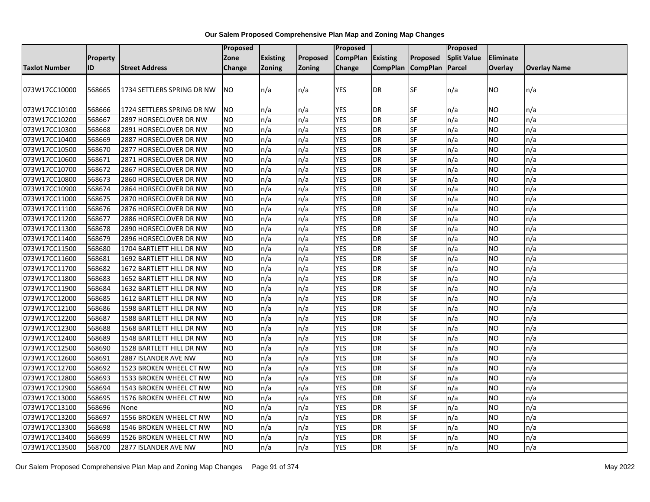|                      |                 |                            | <b>Proposed</b> |                 |               | Proposed        |                   |           | Proposed           |                  |                     |
|----------------------|-----------------|----------------------------|-----------------|-----------------|---------------|-----------------|-------------------|-----------|--------------------|------------------|---------------------|
|                      | <b>Property</b> |                            | Zone            | <b>Existing</b> | Proposed      | <b>CompPlan</b> | <b>Existing</b>   | Proposed  | <b>Split Value</b> | <b>Eliminate</b> |                     |
| <b>Taxlot Number</b> | ID              | <b>Street Address</b>      | Change          | <b>Zoning</b>   | <b>Zoning</b> | Change          | CompPlan CompPlan |           | Parcel             | Overlay          | <b>Overlay Name</b> |
|                      |                 |                            |                 |                 |               |                 |                   |           |                    |                  |                     |
| 073W17CC10000        | 568665          | 1734 SETTLERS SPRING DR NW | NO.             | n/a             | n/a           | <b>YES</b>      | <b>DR</b>         | <b>SF</b> | n/a                | NO.              | n/a                 |
|                      |                 |                            |                 |                 |               |                 |                   |           |                    |                  |                     |
| 073W17CC10100        | 568666          | 1724 SETTLERS SPRING DR NW | NO.             | n/a             | n/a           | YES             | DR                | SF        | n/a                | NO               | n/a                 |
| 073W17CC10200        | 568667          | 2897 HORSECLOVER DR NW     | Ю               | n/a             | n/a           | <b>YES</b>      | <b>DR</b>         | <b>SF</b> | n/a                | NO.              | n/a                 |
| 073W17CC10300        | 568668          | 2891 HORSECLOVER DR NW     | <b>NO</b>       | n/a             | n/a           | <b>YES</b>      | <b>DR</b>         | SF        | n/a                | <b>NO</b>        | n/a                 |
| 073W17CC10400        | 568669          | 2887 HORSECLOVER DR NW     | NO.             | n/a             | n/a           | <b>YES</b>      | <b>DR</b>         | SF        | n/a                | NO.              | n/a                 |
| 073W17CC10500        | 568670          | 2877 HORSECLOVER DR NW     | <b>NO</b>       | n/a             | n/a           | <b>YES</b>      | <b>DR</b>         | SF        | n/a                | NO.              | n/a                 |
| 073W17CC10600        | 568671          | 2871 HORSECLOVER DR NW     | <b>NO</b>       | n/a             | n/a           | <b>YES</b>      | <b>DR</b>         | SF        | n/a                | ΝO               | n/a                 |
| 073W17CC10700        | 568672          | 2867 HORSECLOVER DR NW     | <b>NO</b>       | n/a             | n/a           | <b>YES</b>      | <b>DR</b>         | <b>SF</b> | n/a                | NO.              | n/a                 |
| 073W17CC10800        | 568673          | 2860 HORSECLOVER DR NW     | <b>NO</b>       | n/a             | n/a           | <b>YES</b>      | <b>DR</b>         | SF        | n/a                | NO.              | n/a                 |
| 073W17CC10900        | 568674          | 2864 HORSECLOVER DR NW     | <b>NO</b>       | n/a             | n/a           | <b>YES</b>      | <b>DR</b>         | SF        | n/a                | NO.              | n/a                 |
| 073W17CC11000        | 568675          | 2870 HORSECLOVER DR NW     | NO.             | n/a             | n/a           | <b>YES</b>      | <b>DR</b>         | <b>SF</b> | n/a                | NO               | n/a                 |
| 073W17CC11100        | 568676          | 2876 HORSECLOVER DR NW     | <b>NO</b>       | n/a             | n/a           | <b>YES</b>      | <b>DR</b>         | SF        | n/a                | NO.              | n/a                 |
| 073W17CC11200        | 568677          | 2886 HORSECLOVER DR NW     | <b>NO</b>       | n/a             | n/a           | <b>YES</b>      | DR                | SF        | n/a                | ΝO               | n/a                 |
| 073W17CC11300        | 568678          | 2890 HORSECLOVER DR NW     | <b>NO</b>       | n/a             | n/a           | <b>YES</b>      | DR                | <b>SF</b> | n/a                | NO.              | n/a                 |
| 073W17CC11400        | 568679          | 2896 HORSECLOVER DR NW     | <b>NO</b>       | n/a             | n/a           | <b>YES</b>      | DR                | SF        | n/a                | NO.              | n/a                 |
| 073W17CC11500        | 568680          | 1704 BARTLETT HILL DR NW   | <b>NO</b>       | n/a             | n/a           | <b>YES</b>      | <b>DR</b>         | SF        | n/a                | NO.              | n/a                 |
| 073W17CC11600        | 568681          | 1692 BARTLETT HILL DR NW   | <b>NO</b>       | n/a             | n/a           | <b>YES</b>      | <b>DR</b>         | SF        | n/a                | NO.              | n/a                 |
| 073W17CC11700        | 568682          | 1672 BARTLETT HILL DR NW   | <b>NO</b>       | n/a             | n/a           | <b>YES</b>      | <b>DR</b>         | SF        | n/a                | NO.              | n/a                 |
| 073W17CC11800        | 568683          | 1652 BARTLETT HILL DR NW   | <b>NO</b>       | n/a             | n/a           | <b>YES</b>      | <b>DR</b>         | SF        | n/a                | NO.              | n/a                 |
| 073W17CC11900        | 568684          | 1632 BARTLETT HILL DR NW   | Ю               | n/a             | n/a           | <b>YES</b>      | <b>DR</b>         | <b>SF</b> | n/a                | NO.              | n/a                 |
| 073W17CC12000        | 568685          | 1612 BARTLETT HILL DR NW   | <b>NO</b>       | n/a             | n/a           | <b>YES</b>      | <b>DR</b>         | SF        | n/a                | NO.              | n/a                 |
| 073W17CC12100        | 568686          | 1598 BARTLETT HILL DR NW   | NO.             | n/a             | n/a           | <b>YES</b>      | DR                | SF        | n/a                | NO.              | n/a                 |
| 073W17CC12200        | 568687          | 1588 BARTLETT HILL DR NW   | $\overline{NO}$ | n/a             | n/a           | <b>YES</b>      | <b>DR</b>         | <b>SF</b> | n/a                | <b>NO</b>        | n/a                 |
| 073W17CC12300        | 568688          | 1568 BARTLETT HILL DR NW   | <b>NO</b>       | n/a             | n/a           | <b>YES</b>      | <b>DR</b>         | <b>SF</b> | n/a                | NO.              | n/a                 |
| 073W17CC12400        | 568689          | 1548 BARTLETT HILL DR NW   | <b>NO</b>       | n/a             | n/a           | <b>YES</b>      | <b>DR</b>         | SF        | n/a                | NO.              | n/a                 |
| 073W17CC12500        | 568690          | 1528 BARTLETT HILL DR NW   | NO.             | n/a             | n/a           | <b>YES</b>      | <b>DR</b>         | SF        | n/a                | NO.              | n/a                 |
| 073W17CC12600        | 568691          | 2887 ISLANDER AVE NW       | NO.             | n/a             | n/a           | <b>YES</b>      | <b>DR</b>         | SF        | n/a                | NO               | n/a                 |
| 073W17CC12700        | 568692          | 1523 BROKEN WHEEL CT NW    | <b>NO</b>       | n/a             | n/a           | <b>YES</b>      | <b>DR</b>         | SF        | n/a                | NO.              | n/a                 |
| 073W17CC12800        | 568693          | 1533 BROKEN WHEEL CT NW    | <b>NO</b>       | n/a             | n/a           | <b>YES</b>      | <b>DR</b>         | SF        | n/a                | ΝO               | n/a                 |
| 073W17CC12900        | 568694          | 1543 BROKEN WHEEL CT NW    | N <sub>O</sub>  | n/a             | n/a           | <b>YES</b>      | <b>DR</b>         | <b>SF</b> | n/a                | NO.              | n/a                 |
| 073W17CC13000        | 568695          | 1576 BROKEN WHEEL CT NW    | NO.             | n/a             | n/a           | <b>YES</b>      | <b>DR</b>         | SF        | n/a                | NO.              | n/a                 |
| 073W17CC13100        | 568696          | None                       | <b>NO</b>       | n/a             | n/a           | <b>YES</b>      | DR                | SF        | n/a                | NO.              | n/a                 |
| 073W17CC13200        | 568697          | 1556 BROKEN WHEEL CT NW    | $\overline{NO}$ | n/a             | n/a           | <b>YES</b>      | <b>DR</b>         | SF        | n/a                | NO.              | n/a                 |
| 073W17CC13300        | 568698          | 1546 BROKEN WHEEL CT NW    | NO.             | n/a             | n/a           | <b>YES</b>      | <b>DR</b>         | SF        | n/a                | NO.              | n/a                 |
| 073W17CC13400        | 568699          | 1526 BROKEN WHEEL CT NW    | <b>NO</b>       | n/a             | n/a           | <b>YES</b>      | <b>DR</b>         | SF        | n/a                | NO.              | n/a                 |
| 073W17CC13500        | 568700          | 2877 ISLANDER AVE NW       | $\overline{NO}$ | n/a             | n/a           | <b>YES</b>      | <b>DR</b>         | <b>SF</b> | n/a                | NO.              | n/a                 |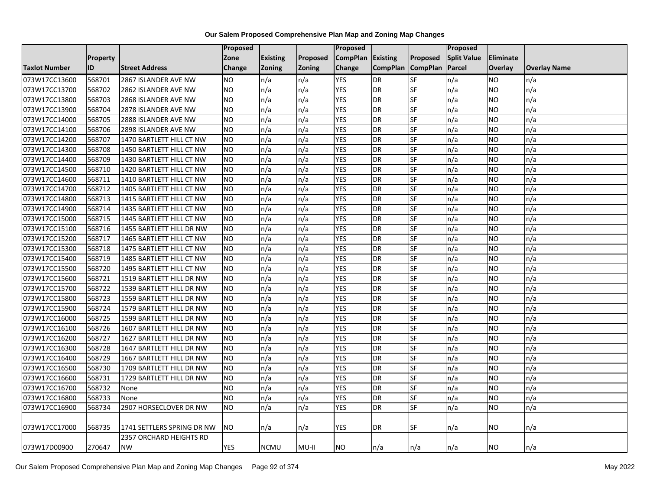|                      |          |                                | Proposed       |                 |               | <b>Proposed</b> |                 |                 | Proposed           |                  |                     |
|----------------------|----------|--------------------------------|----------------|-----------------|---------------|-----------------|-----------------|-----------------|--------------------|------------------|---------------------|
|                      | Property |                                | Zone           | <b>Existing</b> | Proposed      | <b>CompPlan</b> | Existing        | Proposed        | <b>Split Value</b> | <b>Eliminate</b> |                     |
| <b>Taxlot Number</b> | ID       | <b>Street Address</b>          | Change         | <b>Zoning</b>   | <b>Zoning</b> | Change          | <b>CompPlan</b> | <b>CompPlan</b> | Parcel             | <b>Overlay</b>   | <b>Overlay Name</b> |
| 073W17CC13600        | 568701   | 2867 ISLANDER AVE NW           | <b>NO</b>      | n/a             | n/a           | <b>YES</b>      | DR              | SF              | n/a                | <b>NO</b>        | n/a                 |
| 073W17CC13700        | 568702   | 2862 ISLANDER AVE NW           | NO.            | n/a             | n/a           | <b>YES</b>      | <b>DR</b>       | $S$ F           | n/a                | <b>NO</b>        | n/a                 |
| 073W17CC13800        | 568703   | 2868 ISLANDER AVE NW           | <b>NO</b>      | n/a             | n/a           | <b>YES</b>      | <b>DR</b>       | <b>SF</b>       | n/a                | <b>NO</b>        | n/a                 |
| 073W17CC13900        | 568704   | 2878 ISLANDER AVE NW           | <b>NO</b>      | n/a             | n/a           | <b>YES</b>      | <b>DR</b>       | <b>SF</b>       | n/a                | <b>NO</b>        | n/a                 |
| 073W17CC14000        | 568705   | 2888 ISLANDER AVE NW           | N <sub>O</sub> | n/a             | n/a           | <b>YES</b>      | <b>DR</b>       | $S$ F           | n/a                | <b>NO</b>        | n/a                 |
| 073W17CC14100        | 568706   | 2898 ISLANDER AVE NW           | <b>NO</b>      | n/a             | n/a           | <b>YES</b>      | <b>DR</b>       | <b>SF</b>       | n/a                | <b>NO</b>        | n/a                 |
| 073W17CC14200        | 568707   | 1470 BARTLETT HILL CT NW       | <b>NO</b>      | n/a             | n/a           | <b>YES</b>      | <b>DR</b>       | SF              | n/a                | <b>NO</b>        | n/a                 |
| 073W17CC14300        | 568708   | 1450 BARTLETT HILL CT NW       | <b>NO</b>      | n/a             | n/a           | <b>YES</b>      | <b>DR</b>       | $S$ F           | n/a                | <b>NO</b>        | n/a                 |
| 073W17CC14400        | 568709   | 1430 BARTLETT HILL CT NW       | <b>NO</b>      | n/a             | n/a           | <b>YES</b>      | <b>DR</b>       | <b>SF</b>       | n/a                | <b>NO</b>        | n/a                 |
| 073W17CC14500        | 568710   | 1420 BARTLETT HILL CT NW       | N <sub>O</sub> | n/a             | n/a           | <b>YES</b>      | DR              | <b>SF</b>       | n/a                | <b>NO</b>        | n/a                 |
| 073W17CC14600        | 568711   | 1410 BARTLETT HILL CT NW       | <b>NO</b>      | n/a             | n/a           | <b>YES</b>      | DR              | <b>SF</b>       | n/a                | <b>NO</b>        | n/a                 |
| 073W17CC14700        | 568712   | 1405 BARTLETT HILL CT NW       | <b>NO</b>      | n/a             | n/a           | <b>YES</b>      | <b>DR</b>       | SF              | n/a                | <b>NO</b>        | n/a                 |
| 073W17CC14800        | 568713   | 1415 BARTLETT HILL CT NW       | <b>NO</b>      | n/a             | n/a           | <b>YES</b>      | <b>DR</b>       | <b>SF</b>       | n/a                | <b>NO</b>        | n/a                 |
| 073W17CC14900        | 568714   | 1435 BARTLETT HILL CT NW       | N <sub>O</sub> | n/a             | n/a           | <b>YES</b>      | <b>DR</b>       | <b>SF</b>       | n/a                | <b>NO</b>        | n/a                 |
| 073W17CC15000        | 568715   | 1445 BARTLETT HILL CT NW       | <b>NO</b>      | n/a             | n/a           | <b>YES</b>      | <b>DR</b>       | SF              | n/a                | <b>NO</b>        | n/a                 |
| 073W17CC15100        | 568716   | 1455 BARTLETT HILL DR NW       | N <sub>O</sub> | n/a             | n/a           | <b>YES</b>      | <b>DR</b>       | <b>SF</b>       | n/a                | <b>NO</b>        | n/a                 |
| 073W17CC15200        | 568717   | 1465 BARTLETT HILL CT NW       | <b>NO</b>      | n/a             | n/a           | <b>YES</b>      | <b>DR</b>       | SF              | n/a                | <b>NO</b>        | n/a                 |
| 073W17CC15300        | 568718   | 1475 BARTLETT HILL CT NW       | NO.            | n/a             | n/a           | <b>YES</b>      | <b>DR</b>       | <b>SF</b>       | n/a                | <b>NO</b>        | n/a                 |
| 073W17CC15400        | 568719   | 1485 BARTLETT HILL CT NW       | <b>NO</b>      | n/a             | n/a           | <b>YES</b>      | <b>DR</b>       | SF              | n/a                | <b>NO</b>        | n/a                 |
| 073W17CC15500        | 568720   | 1495 BARTLETT HILL CT NW       | <b>NO</b>      | n/a             | n/a           | <b>YES</b>      | <b>DR</b>       | <b>SF</b>       | n/a                | <b>NO</b>        | n/a                 |
| 073W17CC15600        | 568721   | 1519 BARTLETT HILL DR NW       | <b>NO</b>      | n/a             | n/a           | <b>YES</b>      | DR              | <b>SF</b>       | n/a                | <b>NO</b>        | n/a                 |
| 073W17CC15700        | 568722   | 1539 BARTLETT HILL DR NW       | N <sub>O</sub> | n/a             | n/a           | <b>YES</b>      | <b>DR</b>       | <b>SF</b>       | n/a                | <b>NO</b>        | n/a                 |
| 073W17CC15800        | 568723   | 1559 BARTLETT HILL DR NW       | <b>NO</b>      | n/a             | n/a           | <b>YES</b>      | DR              | SF              | n/a                | <b>NO</b>        | n/a                 |
| 073W17CC15900        | 568724   | 1579 BARTLETT HILL DR NW       | <b>NO</b>      | n/a             | n/a           | <b>YES</b>      | <b>DR</b>       | $S$ F           | n/a                | <b>NO</b>        | n/a                 |
| 073W17CC16000        | 568725   | 1599 BARTLETT HILL DR NW       | N <sub>O</sub> | n/a             | n/a           | <b>YES</b>      | <b>DR</b>       | <b>SF</b>       | n/a                | <b>NO</b>        | n/a                 |
| 073W17CC16100        | 568726   | 1607 BARTLETT HILL DR NW       | <b>NO</b>      | n/a             | n/a           | <b>YES</b>      | <b>DR</b>       | <b>SF</b>       | n/a                | <b>NO</b>        | n/a                 |
| 073W17CC16200        | 568727   | 1627 BARTLETT HILL DR NW       | <b>NO</b>      | n/a             | n/a           | <b>YES</b>      | <b>DR</b>       | <b>SF</b>       | n/a                | <b>NO</b>        | n/a                 |
| 073W17CC16300        | 568728   | 1647 BARTLETT HILL DR NW       | <b>NO</b>      | n/a             | n/a           | <b>YES</b>      | <b>DR</b>       | SF              | n/a                | <b>NO</b>        | n/a                 |
| 073W17CC16400        | 568729   | 1667 BARTLETT HILL DR NW       | <b>NO</b>      | n/a             | n/a           | <b>YES</b>      | <b>DR</b>       | SF              | n/a                | <b>NO</b>        | n/a                 |
| 073W17CC16500        | 568730   | 1709 BARTLETT HILL DR NW       | <b>NO</b>      | n/a             | n/a           | <b>YES</b>      | <b>DR</b>       | <b>SF</b>       | n/a                | <b>NO</b>        | n/a                 |
| 073W17CC16600        | 568731   | 1729 BARTLETT HILL DR NW       | <b>NO</b>      | n/a             | n/a           | <b>YES</b>      | <b>DR</b>       | SF              | n/a                | <b>NO</b>        | n/a                 |
| 073W17CC16700        | 568732   | None                           | N <sub>O</sub> | n/a             | n/a           | <b>YES</b>      | <b>DR</b>       | <b>SF</b>       | n/a                | <b>NO</b>        | n/a                 |
| 073W17CC16800        | 568733   | None                           | <b>NO</b>      | n/a             | n/a           | <b>YES</b>      | <b>DR</b>       | SF              | n/a                | <b>NO</b>        | n/a                 |
| 073W17CC16900        | 568734   | 2907 HORSECLOVER DR NW         | NO.            | n/a             | n/a           | <b>YES</b>      | DR              | <b>SF</b>       | n/a                | <b>NO</b>        | n/a                 |
| 073W17CC17000        | 568735   | 1741 SETTLERS SPRING DR NW     | NO.            | n/a             | n/a           | YES             | DR              | SF              | n/a                | NO.              | n/a                 |
|                      |          | <b>2357 ORCHARD HEIGHTS RD</b> |                |                 |               |                 |                 |                 |                    |                  |                     |
| 073W17D00900         | 270647   | <b>NW</b>                      | <b>YES</b>     | <b>NCMU</b>     | MU-II         | <b>NO</b>       | n/a             | n/a             | n/a                | <b>NO</b>        | n/a                 |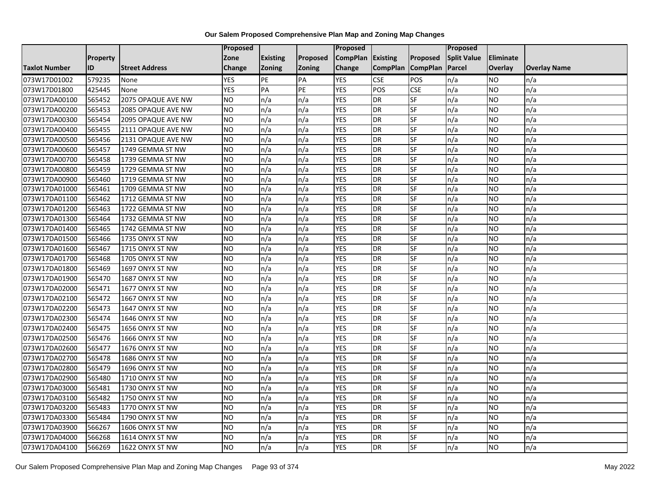|                      |                 |                       | Proposed      |                 |               | Proposed        |                 |                          | Proposed           |                |                     |
|----------------------|-----------------|-----------------------|---------------|-----------------|---------------|-----------------|-----------------|--------------------------|--------------------|----------------|---------------------|
|                      | <b>Property</b> |                       | Zone          | <b>Existing</b> | Proposed      | <b>CompPlan</b> | Existing        | Proposed                 | <b>Split Value</b> | Eliminate      |                     |
| <b>Taxlot Number</b> | ID              | <b>Street Address</b> | <b>Change</b> | <b>Zoning</b>   | <b>Zoning</b> | Change          | <b>CompPlan</b> | <b>CompPlan</b>          | Parcel             | <b>Overlay</b> | <b>Overlay Name</b> |
| 073W17D01002         | 579235          | None                  | <b>YES</b>    | PE              | PA            | <b>YES</b>      | <b>CSE</b>      | POS                      | n/a                | <b>NO</b>      | n/a                 |
| 073W17D01800         | 425445          | None                  | <b>YES</b>    | PA              | PE            | <b>YES</b>      | POS             | <b>CSE</b>               | n/a                | <b>NO</b>      | n/a                 |
| 073W17DA00100        | 565452          | 2075 OPAQUE AVE NW    | <b>NO</b>     | n/a             | n/a           | <b>YES</b>      | <b>DR</b>       | SF                       | n/a                | <b>NO</b>      | n/a                 |
| 073W17DA00200        | 565453          | 2085 OPAQUE AVE NW    | <b>NO</b>     | n/a             | n/a           | <b>YES</b>      | <b>DR</b>       | SF                       | n/a                | <b>NO</b>      | n/a                 |
| 073W17DA00300        | 565454          | 2095 OPAQUE AVE NW    | NO            | n/a             | n/a           | <b>YES</b>      | <b>DR</b>       | $\overline{\mathsf{SF}}$ | n/a                | <b>NO</b>      | n/a                 |
| 073W17DA00400        | 565455          | 2111 OPAQUE AVE NW    | <b>NO</b>     | n/a             | n/a           | <b>YES</b>      | <b>DR</b>       | SF                       | n/a                | <b>NO</b>      | n/a                 |
| 073W17DA00500        | 565456          | 2131 OPAQUE AVE NW    | <b>NO</b>     | n/a             | n/a           | <b>YES</b>      | <b>DR</b>       | SF                       | n/a                | <b>NO</b>      | n/a                 |
| 073W17DA00600        | 565457          | 1749 GEMMA ST NW      | <b>NO</b>     | n/a             | n/a           | <b>YES</b>      | <b>DR</b>       | SF                       | n/a                | <b>NO</b>      | n/a                 |
| 073W17DA00700        | 565458          | 1739 GEMMA ST NW      | <b>NO</b>     | n/a             | n/a           | <b>YES</b>      | <b>DR</b>       | SF                       | n/a                | <b>NO</b>      | n/a                 |
| 073W17DA00800        | 565459          | 1729 GEMMA ST NW      | <b>NO</b>     | n/a             | n/a           | <b>YES</b>      | <b>DR</b>       | SF                       | n/a                | <b>NO</b>      | n/a                 |
| 073W17DA00900        | 565460          | 1719 GEMMA ST NW      | <b>NO</b>     | n/a             | n/a           | <b>YES</b>      | <b>DR</b>       | SF                       | n/a                | <b>NO</b>      | n/a                 |
| 073W17DA01000        | 565461          | 1709 GEMMA ST NW      | <b>NO</b>     | n/a             | n/a           | <b>YES</b>      | <b>DR</b>       | SF                       | n/a                | <b>NO</b>      | n/a                 |
| 073W17DA01100        | 565462          | 1712 GEMMA ST NW      | <b>NO</b>     | n/a             | n/a           | <b>YES</b>      | <b>DR</b>       | SF                       | n/a                | <b>NO</b>      | n/a                 |
| 073W17DA01200        | 565463          | 1722 GEMMA ST NW      | <b>NO</b>     | n/a             | n/a           | <b>YES</b>      | <b>DR</b>       | SF                       | n/a                | <b>NO</b>      | n/a                 |
| 073W17DA01300        | 565464          | 1732 GEMMA ST NW      | <b>NO</b>     | n/a             | n/a           | <b>YES</b>      | <b>DR</b>       | SF                       | n/a                | <b>NO</b>      | n/a                 |
| 073W17DA01400        | 565465          | 1742 GEMMA ST NW      | <b>NO</b>     | n/a             | n/a           | <b>YES</b>      | <b>DR</b>       | SF                       | n/a                | <b>NO</b>      | n/a                 |
| 073W17DA01500        | 565466          | 1735 ONYX ST NW       | <b>NO</b>     | n/a             | n/a           | <b>YES</b>      | <b>DR</b>       | SF                       | n/a                | <b>NO</b>      | n/a                 |
| 073W17DA01600        | 565467          | 1715 ONYX ST NW       | <b>NO</b>     | n/a             | n/a           | <b>YES</b>      | <b>DR</b>       | SF                       | n/a                | <b>NO</b>      | n/a                 |
| 073W17DA01700        | 565468          | 1705 ONYX ST NW       | <b>NO</b>     | n/a             | n/a           | <b>YES</b>      | <b>DR</b>       | SF                       | n/a                | <b>NO</b>      | n/a                 |
| 073W17DA01800        | 565469          | 1697 ONYX ST NW       | <b>NO</b>     | n/a             | n/a           | <b>YES</b>      | <b>DR</b>       | SF                       | n/a                | <b>NO</b>      | n/a                 |
| 073W17DA01900        | 565470          | 1687 ONYX ST NW       | <b>NO</b>     | n/a             | n/a           | <b>YES</b>      | <b>DR</b>       | <b>SF</b>                | n/a                | <b>NO</b>      | n/a                 |
| 073W17DA02000        | 565471          | 1677 ONYX ST NW       | NO            | n/a             | n/a           | <b>YES</b>      | <b>DR</b>       | SF                       | n/a                | <b>NO</b>      | n/a                 |
| 073W17DA02100        | 565472          | 1667 ONYX ST NW       | <b>NO</b>     | n/a             | n/a           | <b>YES</b>      | <b>DR</b>       | SF                       | n/a                | <b>NO</b>      | n/a                 |
| 073W17DA02200        | 565473          | 1647 ONYX ST NW       | <b>NO</b>     | n/a             | n/a           | <b>YES</b>      | <b>DR</b>       | SF                       | n/a                | <b>NO</b>      | n/a                 |
| 073W17DA02300        | 565474          | 1646 ONYX ST NW       | <b>NO</b>     | n/a             | n/a           | <b>YES</b>      | <b>DR</b>       | SF                       | n/a                | <b>NO</b>      | n/a                 |
| 073W17DA02400        | 565475          | 1656 ONYX ST NW       | <b>NO</b>     | n/a             | n/a           | <b>YES</b>      | <b>DR</b>       | <b>SF</b>                | n/a                | <b>NO</b>      | n/a                 |
| 073W17DA02500        | 565476          | 1666 ONYX ST NW       | <b>NO</b>     | n/a             | n/a           | <b>YES</b>      | <b>DR</b>       | SF                       | n/a                | <b>NO</b>      | n/a                 |
| 073W17DA02600        | 565477          | 1676 ONYX ST NW       | <b>NO</b>     | n/a             | n/a           | <b>YES</b>      | <b>DR</b>       | SF                       | n/a                | <b>NO</b>      | n/a                 |
| 073W17DA02700        | 565478          | 1686 ONYX ST NW       | <b>NO</b>     | n/a             | n/a           | <b>YES</b>      | <b>DR</b>       | SF                       | n/a                | <b>NO</b>      | n/a                 |
| 073W17DA02800        | 565479          | 1696 ONYX ST NW       | <b>NO</b>     | n/a             | n/a           | <b>YES</b>      | <b>DR</b>       | <b>SF</b>                | n/a                | <b>NO</b>      | n/a                 |
| 073W17DA02900        | 565480          | 1710 ONYX ST NW       | <b>NO</b>     | n/a             | n/a           | <b>YES</b>      | <b>DR</b>       | SF                       | n/a                | <b>NO</b>      | n/a                 |
| 073W17DA03000        | 565481          | 1730 ONYX ST NW       | <b>NO</b>     | n/a             | n/a           | <b>YES</b>      | <b>DR</b>       | SF                       | n/a                | <b>NO</b>      | n/a                 |
| 073W17DA03100        | 565482          | 1750 ONYX ST NW       | <b>NO</b>     | n/a             | n/a           | <b>YES</b>      | <b>DR</b>       | SF                       | n/a                | <b>NO</b>      | n/a                 |
| 073W17DA03200        | 565483          | 1770 ONYX ST NW       | <b>NO</b>     | n/a             | n/a           | <b>YES</b>      | <b>DR</b>       | SF                       | n/a                | <b>NO</b>      | n/a                 |
| 073W17DA03300        | 565484          | 1790 ONYX ST NW       | <b>NO</b>     | n/a             | n/a           | <b>YES</b>      | <b>DR</b>       | SF                       | n/a                | <b>NO</b>      | n/a                 |
| 073W17DA03900        | 566267          | 1606 ONYX ST NW       | <b>NO</b>     | n/a             | n/a           | <b>YES</b>      | <b>DR</b>       | <b>SF</b>                | n/a                | <b>NO</b>      | n/a                 |
| 073W17DA04000        | 566268          | 1614 ONYX ST NW       | <b>NO</b>     | n/a             | n/a           | <b>YES</b>      | <b>DR</b>       | SF                       | n/a                | <b>NO</b>      | n/a                 |
| 073W17DA04100        | 566269          | 1622 ONYX ST NW       | NO            | n/a             | n/a           | <b>YES</b>      | <b>DR</b>       | SF                       | n/a                | <b>NO</b>      | n/a                 |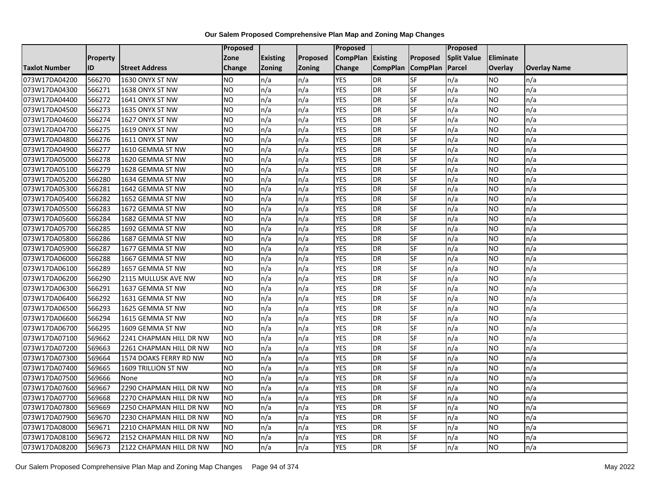|                      |          |                         | <b>Proposed</b> |                 |               | Proposed        |                 |                 | Proposed           |                |                     |
|----------------------|----------|-------------------------|-----------------|-----------------|---------------|-----------------|-----------------|-----------------|--------------------|----------------|---------------------|
|                      | Property |                         | Zone            | <b>Existing</b> | Proposed      | <b>CompPlan</b> | Existing        | Proposed        | <b>Split Value</b> | Eliminate      |                     |
| <b>Taxlot Number</b> | ID       | <b>Street Address</b>   | <b>Change</b>   | <b>Zoning</b>   | <b>Zoning</b> | Change          | <b>CompPlan</b> | <b>CompPlan</b> | Parcel             | <b>Overlay</b> | <b>Overlay Name</b> |
| 073W17DA04200        | 566270   | 1630 ONYX ST NW         | <b>NO</b>       | n/a             | n/a           | <b>YES</b>      | DR              | SF              | n/a                | <b>NO</b>      | n/a                 |
| 073W17DA04300        | 566271   | 1638 ONYX ST NW         | <b>NO</b>       | n/a             | n/a           | <b>YES</b>      | <b>DR</b>       | SF              | n/a                | <b>NO</b>      | n/a                 |
| 073W17DA04400        | 566272   | 1641 ONYX ST NW         | <b>NO</b>       | n/a             | n/a           | <b>YES</b>      | <b>DR</b>       | SF              | n/a                | <b>NO</b>      | n/a                 |
| 073W17DA04500        | 566273   | 1635 ONYX ST NW         | <b>NO</b>       | n/a             | n/a           | <b>YES</b>      | <b>DR</b>       | SF              | n/a                | <b>NO</b>      | n/a                 |
| 073W17DA04600        | 566274   | 1627 ONYX ST NW         | <b>NO</b>       | n/a             | n/a           | <b>YES</b>      | <b>DR</b>       | SF              | n/a                | <b>NO</b>      | n/a                 |
| 073W17DA04700        | 566275   | 1619 ONYX ST NW         | <b>NO</b>       | n/a             | n/a           | <b>YES</b>      | <b>DR</b>       | SF              | n/a                | <b>NO</b>      | n/a                 |
| 073W17DA04800        | 566276   | 1611 ONYX ST NW         | <b>NO</b>       | n/a             | n/a           | <b>YES</b>      | <b>DR</b>       | SF              | n/a                | <b>NO</b>      | n/a                 |
| 073W17DA04900        | 566277   | 1610 GEMMA ST NW        | <b>NO</b>       | n/a             | n/a           | <b>YES</b>      | <b>DR</b>       | SF              | n/a                | <b>NO</b>      | n/a                 |
| 073W17DA05000        | 566278   | 1620 GEMMA ST NW        | <b>NO</b>       | n/a             | n/a           | <b>YES</b>      | <b>DR</b>       | SF              | n/a                | <b>NO</b>      | n/a                 |
| 073W17DA05100        | 566279   | 1628 GEMMA ST NW        | <b>NO</b>       | n/a             | n/a           | <b>YES</b>      | <b>DR</b>       | SF              | n/a                | <b>NO</b>      | n/a                 |
| 073W17DA05200        | 566280   | 1634 GEMMA ST NW        | N <sub>O</sub>  | n/a             | n/a           | <b>YES</b>      | <b>DR</b>       | SF              | n/a                | <b>NO</b>      | n/a                 |
| 073W17DA05300        | 566281   | 1642 GEMMA ST NW        | <b>NO</b>       | n/a             | n/a           | <b>YES</b>      | <b>DR</b>       | SF              | n/a                | <b>NO</b>      | n/a                 |
| 073W17DA05400        | 566282   | 1652 GEMMA ST NW        | <b>NO</b>       | n/a             | n/a           | <b>YES</b>      | <b>DR</b>       | SF              | n/a                | <b>NO</b>      | n/a                 |
| 073W17DA05500        | 566283   | 1672 GEMMA ST NW        | <b>NO</b>       | n/a             | n/a           | <b>YES</b>      | <b>DR</b>       | <b>SF</b>       | n/a                | <b>NO</b>      | n/a                 |
| 073W17DA05600        | 566284   | 1682 GEMMA ST NW        | <b>NO</b>       | n/a             | n/a           | <b>YES</b>      | <b>DR</b>       | SF              | n/a                | <b>NO</b>      | n/a                 |
| 073W17DA05700        | 566285   | 1692 GEMMA ST NW        | <b>NO</b>       | n/a             | n/a           | <b>YES</b>      | <b>DR</b>       | SF              | n/a                | <b>NO</b>      | n/a                 |
| 073W17DA05800        | 566286   | 1687 GEMMA ST NW        | <b>NO</b>       | n/a             | n/a           | <b>YES</b>      | <b>DR</b>       | SF              | n/a                | <b>NO</b>      | n/a                 |
| 073W17DA05900        | 566287   | 1677 GEMMA ST NW        | <b>NO</b>       | n/a             | n/a           | <b>YES</b>      | <b>DR</b>       | SF              | n/a                | <b>NO</b>      | n/a                 |
| 073W17DA06000        | 566288   | 1667 GEMMA ST NW        | <b>NO</b>       | n/a             | n/a           | <b>YES</b>      | <b>DR</b>       | SF              | n/a                | <b>NO</b>      | n/a                 |
| 073W17DA06100        | 566289   | 1657 GEMMA ST NW        | <b>NO</b>       | n/a             | n/a           | <b>YES</b>      | <b>DR</b>       | SF              | n/a                | <b>NO</b>      | n/a                 |
| 073W17DA06200        | 566290   | 2115 MULLUSK AVE NW     | <b>NO</b>       | n/a             | n/a           | <b>YES</b>      | <b>DR</b>       | SF              | n/a                | <b>NO</b>      | n/a                 |
| 073W17DA06300        | 566291   | 1637 GEMMA ST NW        | <b>NO</b>       | n/a             | n/a           | <b>YES</b>      | <b>DR</b>       | SF              | n/a                | <b>NO</b>      | n/a                 |
| 073W17DA06400        | 566292   | 1631 GEMMA ST NW        | <b>NO</b>       | n/a             | n/a           | <b>YES</b>      | <b>DR</b>       | SF              | n/a                | <b>NO</b>      | n/a                 |
| 073W17DA06500        | 566293   | 1625 GEMMA ST NW        | <b>NO</b>       | n/a             | n/a           | <b>YES</b>      | <b>DR</b>       | SF              | n/a                | <b>NO</b>      | n/a                 |
| 073W17DA06600        | 566294   | 1615 GEMMA ST NW        | <b>NO</b>       | n/a             | n/a           | <b>YES</b>      | <b>DR</b>       | <b>SF</b>       | n/a                | <b>NO</b>      | n/a                 |
| 073W17DA06700        | 566295   | 1609 GEMMA ST NW        | <b>NO</b>       | n/a             | n/a           | <b>YES</b>      | <b>DR</b>       | SF              | n/a                | <b>NO</b>      | n/a                 |
| 073W17DA07100        | 569662   | 2241 CHAPMAN HILL DR NW | <b>NO</b>       | n/a             | n/a           | <b>YES</b>      | <b>DR</b>       | SF              | n/a                | <b>NO</b>      | n/a                 |
| 073W17DA07200        | 569663   | 2261 CHAPMAN HILL DR NW | <b>NO</b>       | n/a             | n/a           | <b>YES</b>      | <b>DR</b>       | SF              | n/a                | <b>NO</b>      | n/a                 |
| 073W17DA07300        | 569664   | 1574 DOAKS FERRY RD NW  | <b>NO</b>       | n/a             | n/a           | <b>YES</b>      | <b>DR</b>       | SF              | n/a                | <b>NO</b>      | n/a                 |
| 073W17DA07400        | 569665   | 1609 TRILLION ST NW     | <b>NO</b>       | n/a             | n/a           | <b>YES</b>      | <b>DR</b>       | SF              | n/a                | <b>NO</b>      | n/a                 |
| 073W17DA07500        | 569666   | None                    | <b>NO</b>       | n/a             | n/a           | <b>YES</b>      | <b>DR</b>       | SF              | n/a                | <b>NO</b>      | n/a                 |
| 073W17DA07600        | 569667   | 2290 CHAPMAN HILL DR NW | <b>NO</b>       | n/a             | n/a           | <b>YES</b>      | <b>DR</b>       | <b>SF</b>       | n/a                | <b>NO</b>      | n/a                 |
| 073W17DA07700        | 569668   | 2270 CHAPMAN HILL DR NW | <b>NO</b>       | n/a             | n/a           | <b>YES</b>      | <b>DR</b>       | SF              | n/a                | <b>NO</b>      | n/a                 |
| 073W17DA07800        | 569669   | 2250 CHAPMAN HILL DR NW | <b>NO</b>       | n/a             | n/a           | <b>YES</b>      | <b>DR</b>       | SF              | n/a                | <b>NO</b>      | n/a                 |
| 073W17DA07900        | 569670   | 2230 CHAPMAN HILL DR NW | <b>NO</b>       | n/a             | n/a           | <b>YES</b>      | <b>DR</b>       | SF              | n/a                | <b>NO</b>      | n/a                 |
| 073W17DA08000        | 569671   | 2210 CHAPMAN HILL DR NW | <b>NO</b>       | n/a             | n/a           | <b>YES</b>      | <b>DR</b>       | SF              | n/a                | <b>NO</b>      | n/a                 |
| 073W17DA08100        | 569672   | 2152 CHAPMAN HILL DR NW | <b>NO</b>       | n/a             | n/a           | <b>YES</b>      | <b>DR</b>       | SF              | n/a                | <b>NO</b>      | n/a                 |
| 073W17DA08200        | 569673   | 2122 CHAPMAN HILL DR NW | <b>NO</b>       | n/a             | n/a           | <b>YES</b>      | <b>DR</b>       | SF              | n/a                | <b>NO</b>      | n/a                 |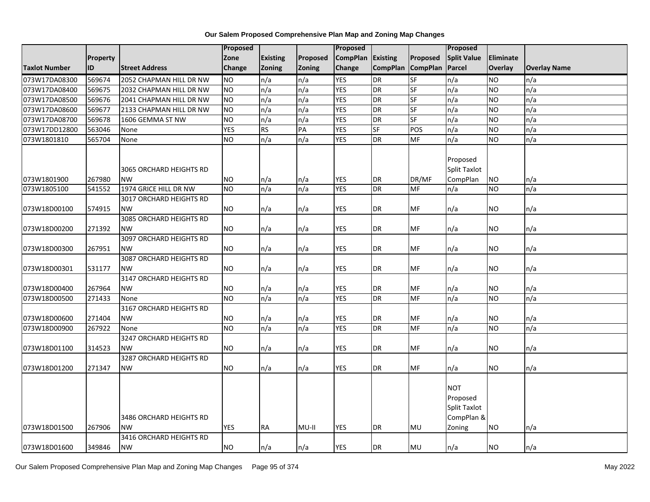|                      |                 |                                      | <b>Proposed</b> |                 |                 | <b>Proposed</b> |                 |                 | Proposed                                                              |                  |                     |
|----------------------|-----------------|--------------------------------------|-----------------|-----------------|-----------------|-----------------|-----------------|-----------------|-----------------------------------------------------------------------|------------------|---------------------|
|                      | <b>Property</b> |                                      | Zone            | <b>Existing</b> | Proposed        | <b>CompPlan</b> | Existing        | Proposed        | <b>Split Value</b>                                                    | <b>Eliminate</b> |                     |
| <b>Taxlot Number</b> | ID              | <b>Street Address</b>                | Change          | Zoning          | <b>Zoning</b>   | Change          | <b>CompPlan</b> | <b>CompPlan</b> | Parcel                                                                | Overlay          | <b>Overlay Name</b> |
| 073W17DA08300        | 569674          | 2052 CHAPMAN HILL DR NW              | N <sub>O</sub>  | n/a             | n/a             | <b>YES</b>      | DR              | SF              | n/a                                                                   | <b>NO</b>        | n/a                 |
| 073W17DA08400        | 569675          | 2032 CHAPMAN HILL DR NW              | <b>NO</b>       | n/a             | n/a             | <b>YES</b>      | <b>DR</b>       | <b>SF</b>       | n/a                                                                   | <b>NO</b>        | n/a                 |
| 073W17DA08500        | 569676          | 2041 CHAPMAN HILL DR NW              | <b>NO</b>       | n/a             | n/a             | <b>YES</b>      | <b>DR</b>       | SF              | n/a                                                                   | <b>NO</b>        | n/a                 |
| 073W17DA08600        | 569677          | 2133 CHAPMAN HILL DR NW              | <b>NO</b>       | n/a             | n/a             | <b>YES</b>      | <b>DR</b>       | <b>SF</b>       | n/a                                                                   | <b>NO</b>        | n/a                 |
| 073W17DA08700        | 569678          | 1606 GEMMA ST NW                     | <b>NO</b>       | n/a             | n/a             | <b>YES</b>      | <b>DR</b>       | <b>SF</b>       | n/a                                                                   | <b>NO</b>        | n/a                 |
| 073W17DD12800        | 563046          | None                                 | <b>YES</b>      | <b>RS</b>       | $\overline{PA}$ | <b>YES</b>      | <b>SF</b>       | POS             | n/a                                                                   | <b>NO</b>        | n/a                 |
| 073W1801810          | 565704          | None                                 | <b>NO</b>       | n/a             | n/a             | <b>YES</b>      | <b>DR</b>       | <b>MF</b>       | n/a                                                                   | <b>NO</b>        | n/a                 |
| 073W1801900          | 267980          | 3065 ORCHARD HEIGHTS RD<br><b>NW</b> | <b>NO</b>       | n/a             | n/a             | <b>YES</b>      | <b>DR</b>       | DR/MF           | Proposed<br>Split Taxlot<br>CompPlan                                  | <b>NO</b>        | n/a                 |
| 073W1805100          | 541552          | 1974 GRICE HILL DR NW                | <b>NO</b>       | n/a             | n/a             | <b>YES</b>      | <b>DR</b>       | MF              | n/a                                                                   | <b>NO</b>        | n/a                 |
|                      |                 | 3017 ORCHARD HEIGHTS RD              |                 |                 |                 |                 |                 |                 |                                                                       |                  |                     |
| 073W18D00100         | 574915          | <b>NW</b>                            | <b>NO</b>       | n/a             | n/a             | <b>YES</b>      | <b>DR</b>       | MF              | n/a                                                                   | NO.              | n/a                 |
| 073W18D00200         | 271392          | 3085 ORCHARD HEIGHTS RD<br><b>NW</b> | <b>NO</b>       | n/a             | n/a             | <b>YES</b>      | <b>DR</b>       | MF              | n/a                                                                   | <b>NO</b>        | n/a                 |
|                      |                 | 3097 ORCHARD HEIGHTS RD              |                 |                 |                 |                 |                 |                 |                                                                       |                  |                     |
| 073W18D00300         | 267951          | <b>NW</b>                            | <b>NO</b>       | n/a             | n/a             | <b>YES</b>      | <b>DR</b>       | MF              | n/a                                                                   | <b>NO</b>        | n/a                 |
|                      |                 | <b>3087 ORCHARD HEIGHTS RD</b>       |                 |                 |                 |                 |                 |                 |                                                                       |                  |                     |
| 073W18D00301         | 531177          | <b>NW</b>                            | <b>NO</b>       | n/a             | n/a             | <b>YES</b>      | DR              | MF              | n/a                                                                   | NO.              | n/a                 |
| 073W18D00400         | 267964          | 3147 ORCHARD HEIGHTS RD<br><b>NW</b> | <b>NO</b>       | n/a             | n/a             | <b>YES</b>      | <b>DR</b>       | MF              | n/a                                                                   | <b>NO</b>        | n/a                 |
| 073W18D00500         | 271433          | None                                 | <b>NO</b>       | n/a             | n/a             | <b>YES</b>      | <b>DR</b>       | <b>MF</b>       | n/a                                                                   | Ю                | n/a                 |
| 073W18D00600         | 271404          | 3167 ORCHARD HEIGHTS RD<br><b>NW</b> | <b>NO</b>       | n/a             | n/a             | <b>YES</b>      | <b>DR</b>       | MF              | n/a                                                                   | <b>NO</b>        | n/a                 |
| 073W18D00900         | 267922          | None                                 | <b>NO</b>       | n/a             | n/a             | <b>YES</b>      | <b>DR</b>       | <b>MF</b>       | n/a                                                                   | <b>NO</b>        | n/a                 |
| 073W18D01100         | 314523          | 3247 ORCHARD HEIGHTS RD<br><b>NW</b> | <b>NO</b>       | n/a             | n/a             | <b>YES</b>      | <b>DR</b>       | MF              | n/a                                                                   | <b>NO</b>        | n/a                 |
| 073W18D01200         | 271347          | 3287 ORCHARD HEIGHTS RD<br><b>NW</b> | <b>NO</b>       | n/a             | n/a             | <b>YES</b>      | <b>DR</b>       | MF              | n/a                                                                   | <b>NO</b>        | n/a                 |
| 073W18D01500         | 267906          | 3486 ORCHARD HEIGHTS RD<br><b>NW</b> | <b>YES</b>      | <b>RA</b>       | MU-II           | <b>YES</b>      | DR              | MU              | <b>NOT</b><br>Proposed<br><b>Split Taxlot</b><br>CompPlan &<br>Zoning | <b>NO</b>        | n/a                 |
|                      |                 | 3416 ORCHARD HEIGHTS RD              |                 |                 |                 |                 |                 |                 |                                                                       |                  |                     |
| 073W18D01600         | 349846          | <b>NW</b>                            | <b>NO</b>       | n/a             | n/a             | <b>YES</b>      | <b>DR</b>       | MU              | n/a                                                                   | <b>NO</b>        | $\ln/a$             |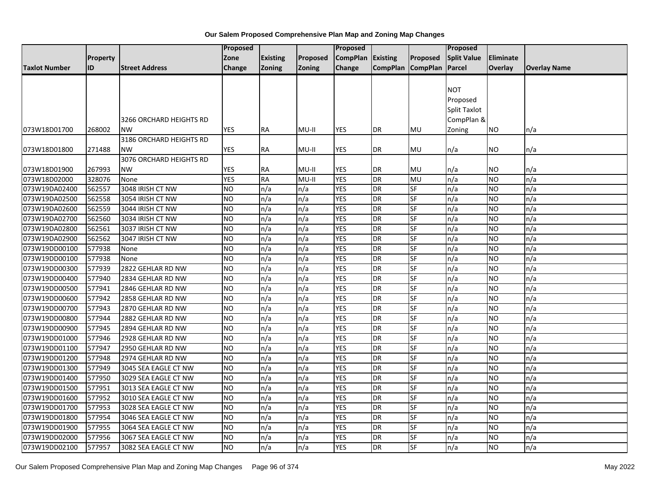|                      |          |                         | <b>Proposed</b> |                 |          | <b>Proposed</b>   |                   |                 | Proposed           |                |                     |
|----------------------|----------|-------------------------|-----------------|-----------------|----------|-------------------|-------------------|-----------------|--------------------|----------------|---------------------|
|                      | Property |                         | Zone            | <b>Existing</b> | Proposed | CompPlan Existing |                   | <b>Proposed</b> | <b>Split Value</b> | Eliminate      |                     |
| <b>Taxlot Number</b> | ID       | <b>Street Address</b>   | Change          | <b>Zoning</b>   | Zoning   | Change            | CompPlan CompPlan |                 | Parcel             | <b>Overlay</b> | <b>Overlay Name</b> |
|                      |          |                         |                 |                 |          |                   |                   |                 |                    |                |                     |
|                      |          |                         |                 |                 |          |                   |                   |                 | <b>NOT</b>         |                |                     |
|                      |          |                         |                 |                 |          |                   |                   |                 | Proposed           |                |                     |
|                      |          |                         |                 |                 |          |                   |                   |                 | Split Taxlot       |                |                     |
|                      |          | 3266 ORCHARD HEIGHTS RD |                 |                 |          |                   |                   |                 | CompPlan &         |                |                     |
| 073W18D01700         | 268002   | <b>NW</b>               | <b>YES</b>      | <b>RA</b>       | MU-II    | <b>YES</b>        | DR                | MU              | Zoning             | NO.            | n/a                 |
|                      |          | 3186 ORCHARD HEIGHTS RD |                 |                 |          |                   |                   |                 |                    |                |                     |
| 073W18D01800         | 271488   | <b>NW</b>               | <b>YES</b>      | RA              | MU-II    | YES               | DR                | MU              | n/a                | ΝO             | n/a                 |
|                      |          | 3076 ORCHARD HEIGHTS RD |                 |                 |          |                   |                   |                 |                    |                |                     |
| 073W18D01900         | 267993   | <b>NW</b>               | <b>YES</b>      | RA              | MU-II    | YES               | DR                | MU              | n/a                | NO             | n/a                 |
| 073W18D02000         | 328076   | None                    | <b>YES</b>      | <b>RA</b>       | $MU-II$  | <b>YES</b>        | <b>DR</b>         | MU              | n/a                | <b>NO</b>      | n/a                 |
| 073W19DA02400        | 562557   | 3048 IRISH CT NW        | <b>NO</b>       | n/a             | n/a      | <b>YES</b>        | DR                | SF              | n/a                | <b>NO</b>      | n/a                 |
| 073W19DA02500        | 562558   | 3054 IRISH CT NW        | <b>NO</b>       | n/a             | n/a      | <b>YES</b>        | <b>DR</b>         | SF              | n/a                | <b>NO</b>      | n/a                 |
| 073W19DA02600        | 562559   | 3044 IRISH CT NW        | <b>NO</b>       | n/a             | n/a      | <b>YES</b>        | <b>DR</b>         | SF              | n/a                | NO             | n/a                 |
| 073W19DA02700        | 562560   | 3034 IRISH CT NW        | <b>NO</b>       | n/a             | n/a      | <b>YES</b>        | DR                | SF              | n/a                | <b>NO</b>      | n/a                 |
| 073W19DA02800        | 562561   | 3037 IRISH CT NW        | <b>NO</b>       | n/a             | n/a      | <b>YES</b>        | <b>DR</b>         | SF              | n/a                | <b>NO</b>      | n/a                 |
| 073W19DA02900        | 562562   | 3047 IRISH CT NW        | <b>NO</b>       | n/a             | n/a      | <b>YES</b>        | <b>DR</b>         | $S_{F}$         | n/a                | NO             | n/a                 |
| 073W19DD00100        | 577938   | None                    | <b>NO</b>       | n/a             | n/a      | <b>YES</b>        | <b>DR</b>         | SF              | n/a                | <b>NO</b>      | n/a                 |
| 073W19DD00100        | 577938   | None                    | <b>NO</b>       | n/a             | n/a      | <b>YES</b>        | <b>DR</b>         | SF              | n/a                | <b>NO</b>      | n/a                 |
| 073W19DD00300        | 577939   | 2822 GEHLAR RD NW       | <b>NO</b>       | n/a             | n/a      | <b>YES</b>        | DR                | SF              | n/a                | <b>NO</b>      | n/a                 |
| 073W19DD00400        | 577940   | 2834 GEHLAR RD NW       | <b>NO</b>       | n/a             | n/a      | <b>YES</b>        | <b>DR</b>         | SF              | n/a                | <b>NO</b>      | n/a                 |
| 073W19DD00500        | 577941   | 2846 GEHLAR RD NW       | ŌИ              | n/a             | n/a      | <b>YES</b>        | <b>DR</b>         | <b>SF</b>       | n/a                | <b>NO</b>      | n/a                 |
| 073W19DD00600        | 577942   | 2858 GEHLAR RD NW       | <b>NO</b>       | n/a             | n/a      | <b>YES</b>        | <b>DR</b>         | <b>SF</b>       | n/a                | <b>NO</b>      | n/a                 |
| 073W19DD00700        | 577943   | 2870 GEHLAR RD NW       | <b>NO</b>       | n/a             | n/a      | <b>YES</b>        | <b>DR</b>         | SF              | n/a                | <b>NO</b>      | n/a                 |
| 073W19DD00800        | 577944   | 2882 GEHLAR RD NW       | <b>NO</b>       | n/a             | n/a      | <b>YES</b>        | DR                | SF              | n/a                | NO             | n/a                 |
| 073W19DD00900        | 577945   | 2894 GEHLAR RD NW       | <b>NO</b>       | n/a             | n/a      | <b>YES</b>        | <b>DR</b>         | SF              | n/a                | <b>NO</b>      | n/a                 |
| 073W19DD01000        | 577946   | 2928 GEHLAR RD NW       | <b>NO</b>       | n/a             | n/a      | <b>YES</b>        | <b>DR</b>         | <b>SF</b>       | n/a                | NO.            | n/a                 |
| 073W19DD01100        | 577947   | 2950 GEHLAR RD NW       | <b>NO</b>       | n/a             | n/a      | <b>YES</b>        | DR                | SF              | n/a                | <b>NO</b>      | n/a                 |
| 073W19DD01200        | 577948   | 2974 GEHLAR RD NW       | <b>NO</b>       | n/a             | n/a      | <b>YES</b>        | <b>DR</b>         | SF              | n/a                | <b>NO</b>      | n/a                 |
| 073W19DD01300        | 577949   | 3045 SEA EAGLE CT NW    | <b>NO</b>       | n/a             | n/a      | <b>YES</b>        | DR                | SF              | n/a                | <b>NO</b>      | n/a                 |
| 073W19DD01400        | 577950   | 3029 SEA EAGLE CT NW    | <b>NO</b>       | n/a             | n/a      | <b>YES</b>        | <b>DR</b>         | SF              | n/a                | <b>NO</b>      | n/a                 |
| 073W19DD01500        | 577951   | 3013 SEA EAGLE CT NW    | <b>NO</b>       | n/a             | n/a      | <b>YES</b>        | DR                | <b>SF</b>       | n/a                | <b>NO</b>      | n/a                 |
| 073W19DD01600        | 577952   | 3010 SEA EAGLE CT NW    | <b>NO</b>       | n/a             | n/a      | <b>YES</b>        | DR                | SF              | n/a                | <b>NO</b>      | n/a                 |
| 073W19DD01700        | 577953   | 3028 SEA EAGLE CT NW    | <b>NO</b>       | n/a             | n/a      | <b>YES</b>        | <b>DR</b>         | SF              | n/a                | NO             | n/a                 |
| 073W19DD01800        | 577954   | 3046 SEA EAGLE CT NW    | <b>NO</b>       | n/a             | n/a      | <b>YES</b>        | <b>DR</b>         | SF              | n/a                | <b>NO</b>      | n/a                 |
| 073W19DD01900        | 577955   | 3064 SEA EAGLE CT NW    | <b>NO</b>       | n/a             | n/a      | <b>YES</b>        | <b>DR</b>         | SF              | n/a                | <b>NO</b>      | n/a                 |
| 073W19DD02000        | 577956   | 3067 SEA EAGLE CT NW    | <b>NO</b>       | n/a             | n/a      | <b>YES</b>        | DR                | SF              | n/a                | NO             | n/a                 |
| 073W19DD02100        | 577957   | 3082 SEA EAGLE CT NW    | $\overline{NO}$ | n/a             | n/a      | <b>YES</b>        | <b>DR</b>         | <b>SF</b>       | n/a                | <b>NO</b>      | n/a                 |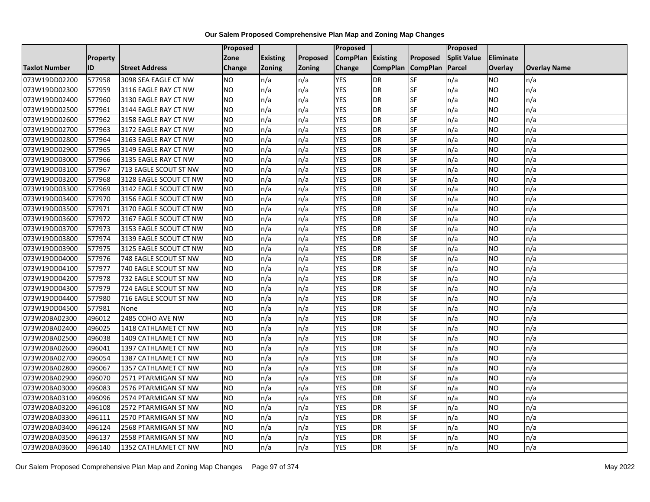|               |                 |                        | <b>Proposed</b> |                 |               | Proposed          |                 |                 | Proposed           |           |                     |
|---------------|-----------------|------------------------|-----------------|-----------------|---------------|-------------------|-----------------|-----------------|--------------------|-----------|---------------------|
|               | <b>Property</b> |                        | Zone            | <b>Existing</b> | Proposed      | CompPlan Existing |                 | Proposed        | <b>Split Value</b> | Eliminate |                     |
| Taxlot Number | ID              | <b>Street Address</b>  | <b>Change</b>   | Zoning          | <b>Zoning</b> | Change            | <b>CompPlan</b> | <b>CompPlan</b> | Parcel             | Overlay   | <b>Overlay Name</b> |
| 073W19DD02200 | 577958          | 3098 SEA EAGLE CT NW   | <b>NO</b>       | n/a             | n/a           | <b>YES</b>        | <b>DR</b>       | <b>SF</b>       | n/a                | <b>NO</b> | n/a                 |
| 073W19DD02300 | 577959          | 3116 EAGLE RAY CT NW   | <b>NO</b>       | n/a             | n/a           | <b>YES</b>        | DR              | SF              | n/a                | NO.       | n/a                 |
| 073W19DD02400 | 577960          | 3130 EAGLE RAY CT NW   | <b>NO</b>       | n/a             | n/a           | <b>YES</b>        | DR              | SF              | n/a                | NO.       | n/a                 |
| 073W19DD02500 | 577961          | 3144 EAGLE RAY CT NW   | <b>NO</b>       | n/a             | n/a           | <b>YES</b>        | <b>DR</b>       | SF              | n/a                | NO.       | n/a                 |
| 073W19DD02600 | 577962          | 3158 EAGLE RAY CT NW   | <b>NO</b>       | n/a             | n/a           | <b>YES</b>        | DR              | <b>SF</b>       | n/a                | NO.       | n/a                 |
| 073W19DD02700 | 577963          | 3172 EAGLE RAY CT NW   | <b>NO</b>       | n/a             | n/a           | <b>YES</b>        | <b>DR</b>       | SF              | n/a                | <b>NO</b> | n/a                 |
| 073W19DD02800 | 577964          | 3163 EAGLE RAY CT NW   | <b>NO</b>       | n/a             | n/a           | <b>YES</b>        | DR              | SF              | n/a                | NO.       | n/a                 |
| 073W19DD02900 | 577965          | 3149 EAGLE RAY CT NW   | <b>NO</b>       | n/a             | n/a           | <b>YES</b>        | DR              | SF              | n/a                | NO.       | n/a                 |
| 073W19DD03000 | 577966          | 3135 EAGLE RAY CT NW   | <b>NO</b>       | n/a             | n/a           | <b>YES</b>        | <b>DR</b>       | SF              | n/a                | NO.       | n/a                 |
| 073W19DD03100 | 577967          | 713 EAGLE SCOUT ST NW  | <b>NO</b>       | n/a             | n/a           | <b>YES</b>        | <b>DR</b>       | <b>SF</b>       | n/a                | NO.       | n/a                 |
| 073W19DD03200 | 577968          | 3128 EAGLE SCOUT CT NW | <b>NO</b>       | n/a             | n/a           | <b>YES</b>        | <b>DR</b>       | SF              | n/a                | <b>NO</b> | n/a                 |
| 073W19DD03300 | 577969          | 3142 EAGLE SCOUT CT NW | <b>NO</b>       | n/a             | n/a           | <b>YES</b>        | <b>DR</b>       | SF              | n/a                | NO.       | n/a                 |
| 073W19DD03400 | 577970          | 3156 EAGLE SCOUT CT NW | NO              | n/a             | n/a           | <b>YES</b>        | DR              | $S$ F           | n/a                | NO.       | n/a                 |
| 073W19DD03500 | 577971          | 3170 EAGLE SCOUT CT NW | <b>NO</b>       | n/a             | n/a           | <b>YES</b>        | <b>DR</b>       | SF              | n/a                | NO.       | n/a                 |
| 073W19DD03600 | 577972          | 3167 EAGLE SCOUT CT NW | <b>NO</b>       | n/a             | n/a           | <b>YES</b>        | DR              | SF              | n/a                | NO.       | n/a                 |
| 073W19DD03700 | 577973          | 3153 EAGLE SCOUT CT NW | Ю               | n/a             | n/a           | <b>YES</b>        | <b>DR</b>       | $S_{F}$         | n/a                | NO.       | n/a                 |
| 073W19DD03800 | 577974          | 3139 EAGLE SCOUT CT NW | Ю               | n/a             | n/a           | <b>YES</b>        | <b>DR</b>       | <b>SF</b>       | n/a                | NO.       | n/a                 |
| 073W19DD03900 | 577975          | 3125 EAGLE SCOUT CT NW | <b>NO</b>       | n/a             | n/a           | <b>YES</b>        | DR              | SF              | n/a                | NO.       | n/a                 |
| 073W19DD04000 | 577976          | 748 EAGLE SCOUT ST NW  | <b>NO</b>       | n/a             | n/a           | <b>YES</b>        | DR              | SF              | n/a                | NO.       | n/a                 |
| 073W19DD04100 | 577977          | 740 EAGLE SCOUT ST NW  | <b>NO</b>       | n/a             | n/a           | <b>YES</b>        | <b>DR</b>       | SF              | n/a                | NO.       | n/a                 |
| 073W19DD04200 | 577978          | 732 EAGLE SCOUT ST NW  | <b>NO</b>       | n/a             | n/a           | <b>YES</b>        | <b>DR</b>       | SF              | n/a                | NO.       | n/a                 |
| 073W19DD04300 | 577979          | 724 EAGLE SCOUT ST NW  | <b>NO</b>       | n/a             | n/a           | <b>YES</b>        | <b>DR</b>       | SF              | n/a                | <b>NO</b> | n/a                 |
| 073W19DD04400 | 577980          | 716 EAGLE SCOUT ST NW  | <b>NO</b>       | n/a             | n/a           | <b>YES</b>        | DR              | SF              | n/a                | NO.       | n/a                 |
| 073W19DD04500 | 577981          | None                   | <b>NO</b>       | n/a             | n/a           | <b>YES</b>        | <b>DR</b>       | SF              | n/a                | NO.       | n/a                 |
| 073W20BA02300 | 496012          | 2485 COHO AVE NW       | <b>NO</b>       | n/a             | n/a           | <b>YES</b>        | <b>DR</b>       | SF              | n/a                | NO.       | n/a                 |
| 073W20BA02400 | 496025          | 1418 CATHLAMET CT NW   | <b>NO</b>       | n/a             | n/a           | <b>YES</b>        | DR              | SF              | n/a                | NO.       | n/a                 |
| 073W20BA02500 | 496038          | 1409 CATHLAMET CT NW   | ŌИ              | n/a             | n/a           | <b>YES</b>        | <b>DR</b>       | $S_{F}$         | n/a                | NO.       | n/a                 |
| 073W20BA02600 | 496041          | 1397 CATHLAMET CT NW   | <b>NO</b>       | n/a             | n/a           | <b>YES</b>        | DR              | SF              | n/a                | NO.       | n/a                 |
| 073W20BA02700 | 496054          | 1387 CATHLAMET CT NW   | <b>NO</b>       | n/a             | n/a           | <b>YES</b>        | DR              | SF              | n/a                | NO.       | n/a                 |
| 073W20BA02800 | 496067          | 1357 CATHLAMET CT NW   | <b>NO</b>       | n/a             | n/a           | <b>YES</b>        | <b>DR</b>       | SF              | n/a                | NO.       | n/a                 |
| 073W20BA02900 | 496070          | 2571 PTARMIGAN ST NW   | <b>NO</b>       | n/a             | n/a           | <b>YES</b>        | DR              | SF              | n/a                | NO.       | n/a                 |
| 073W20BA03000 | 496083          | 2576 PTARMIGAN ST NW   | <b>NO</b>       | n/a             | n/a           | <b>YES</b>        | DR              | SF              | n/a                | NO.       | n/a                 |
| 073W20BA03100 | 496096          | 2574 PTARMIGAN ST NW   | Ю               | n/a             | n/a           | <b>YES</b>        | <b>DR</b>       | SF              | n/a                | NO.       | n/a                 |
| 073W20BA03200 | 496108          | 2572 PTARMIGAN ST NW   | <b>NO</b>       | n/a             | n/a           | <b>YES</b>        | <b>DR</b>       | SF              | n/a                | NO.       | n/a                 |
| 073W20BA03300 | 496111          | 2570 PTARMIGAN ST NW   | <b>NO</b>       | n/a             | n/a           | <b>YES</b>        | <b>DR</b>       | SF              | n/a                | NO.       | n/a                 |
| 073W20BA03400 | 496124          | 2568 PTARMIGAN ST NW   | <b>NO</b>       | n/a             | n/a           | <b>YES</b>        | <b>DR</b>       | SF              | n/a                | NO.       | n/a                 |
| 073W20BA03500 | 496137          | 2558 PTARMIGAN ST NW   | <b>NO</b>       | n/a             | n/a           | <b>YES</b>        | DR              | SF              | n/a                | NO        | n/a                 |
| 073W20BA03600 | 496140          | 1352 CATHLAMET CT NW   | <b>NO</b>       | n/a             | n/a           | <b>YES</b>        | DR              | SF              | n/a                | NO.       | n/a                 |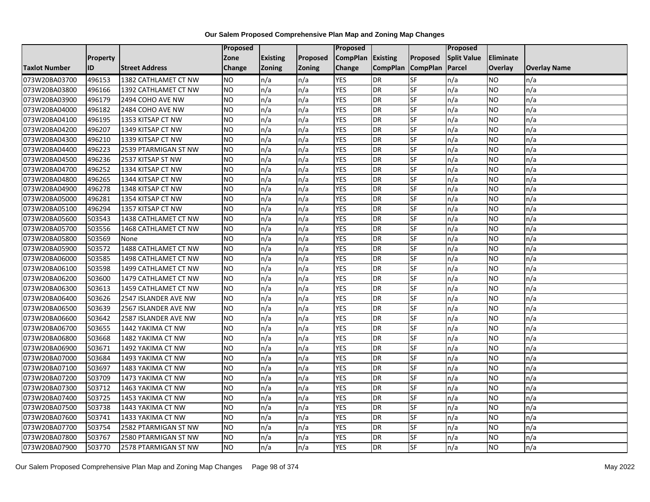|                      |          |                       | Proposed  |                 |               | <b>Proposed</b>   |                 |                 | <b>Proposed</b>    |           |                     |
|----------------------|----------|-----------------------|-----------|-----------------|---------------|-------------------|-----------------|-----------------|--------------------|-----------|---------------------|
|                      | Property |                       | Zone      | <b>Existing</b> | Proposed      | CompPlan Existing |                 | Proposed        | <b>Split Value</b> | Eliminate |                     |
| <b>Taxlot Number</b> | ID       | <b>Street Address</b> | Change    | Zoning          | <b>Zoning</b> | Change            | <b>CompPlan</b> | <b>CompPlan</b> | Parcel             | Overlay   | <b>Overlay Name</b> |
| 073W20BA03700        | 496153   | 1382 CATHLAMET CT NW  | <b>NO</b> | n/a             | n/a           | <b>YES</b>        | <b>DR</b>       | <b>SF</b>       | n/a                | NO        | n/a                 |
| 073W20BA03800        | 496166   | 1392 CATHLAMET CT NW  | <b>NO</b> | n/a             | n/a           | <b>YES</b>        | DR              | SF              | n/a                | NO.       | n/a                 |
| 073W20BA03900        | 496179   | 2494 COHO AVE NW      | <b>NO</b> | n/a             | n/a           | <b>YES</b>        | <b>DR</b>       | SF              | n/a                | NO.       | n/a                 |
| 073W20BA04000        | 496182   | 2484 COHO AVE NW      | <b>NO</b> | n/a             | n/a           | <b>YES</b>        | DR              | SF              | n/a                | NO.       | n/a                 |
| 073W20BA04100        | 496195   | 1353 KITSAP CT NW     | <b>NO</b> | n/a             | n/a           | <b>YES</b>        | DR              | SF              | n/a                | <b>NO</b> | n/a                 |
| 073W20BA04200        | 496207   | 1349 KITSAP CT NW     | <b>NO</b> | n/a             | n/a           | <b>YES</b>        | <b>DR</b>       | SF              | n/a                | NO.       | n/a                 |
| 073W20BA04300        | 496210   | 1339 KITSAP CT NW     | Ю         | n/a             | n/a           | <b>YES</b>        | DR              | SF              | n/a                | NO.       | n/a                 |
| 073W20BA04400        | 496223   | 2539 PTARMIGAN ST NW  | <b>NO</b> | n/a             | n/a           | <b>YES</b>        | DR              | SF              | n/a                | NO.       | n/a                 |
| 073W20BA04500        | 496236   | 2537 KITSAP ST NW     | <b>NO</b> | n/a             | n/a           | <b>YES</b>        | DR              | SF              | n/a                | NO.       | n/a                 |
| 073W20BA04700        | 496252   | 1334 KITSAP CT NW     | ŌИ        | n/a             | n/a           | <b>YES</b>        | <b>DR</b>       | $S$ F           | n/a                | NO.       | n/a                 |
| 073W20BA04800        | 496265   | 1344 KITSAP CT NW     | <b>NO</b> | n/a             | n/a           | <b>YES</b>        | <b>DR</b>       | SF              | n/a                | <b>NO</b> | n/a                 |
| 073W20BA04900        | 496278   | 1348 KITSAP CT NW     | <b>NO</b> | n/a             | n/a           | <b>YES</b>        | DR              | SF              | n/a                | <b>NO</b> | n/a                 |
| 073W20BA05000        | 496281   | 1354 KITSAP CT NW     | <b>NO</b> | n/a             | n/a           | <b>YES</b>        | <b>DR</b>       | $S_{F}$         | n/a                | NO.       | n/a                 |
| 073W20BA05100        | 496294   | 1357 KITSAP CT NW     | Ю         | n/a             | n/a           | <b>YES</b>        | DR              | <b>SF</b>       | n/a                | NO.       | n/a                 |
| 073W20BA05600        | 503543   | 1438 CATHLAMET CT NW  | <b>NO</b> | n/a             | n/a           | <b>YES</b>        | DR              | SF              | n/a                | NO.       | n/a                 |
| 073W20BA05700        | 503556   | 1468 CATHLAMET CT NW  | <b>NO</b> | n/a             | n/a           | <b>YES</b>        | DR              | <b>SF</b>       | n/a                | NO.       | n/a                 |
| 073W20BA05800        | 503569   | None                  | ŌИ        | n/a             | n/a           | <b>YES</b>        | DR              | SF              | n/a                | NO.       | n/a                 |
| 073W20BA05900        | 503572   | 1488 CATHLAMET CT NW  | <b>NO</b> | n/a             | n/a           | <b>YES</b>        | DR              | SF              | n/a                | NO.       | n/a                 |
| 073W20BA06000        | 503585   | 1498 CATHLAMET CT NW  | <b>NO</b> | n/a             | n/a           | <b>YES</b>        | DR              | SF              | n/a                | NO.       | n/a                 |
| 073W20BA06100        | 503598   | 1499 CATHLAMET CT NW  | Ю         | n/a             | n/a           | <b>YES</b>        | DR              | $S_{F}$         | n/a                | <b>NO</b> | n/a                 |
| 073W20BA06200        | 503600   | 1479 CATHLAMET CT NW  | Ю         | n/a             | n/a           | <b>YES</b>        | DR              | <b>SF</b>       | n/a                | <b>NO</b> | n/a                 |
| 073W20BA06300        | 503613   | 1459 CATHLAMET CT NW  | Ю         | n/a             | n/a           | <b>YES</b>        | DR              | <b>SF</b>       | n/a                | <b>NO</b> | n/a                 |
| 073W20BA06400        | 503626   | 2547 ISLANDER AVE NW  | Ю         | n/a             | n/a           | <b>YES</b>        | DR              | <b>SF</b>       | n/a                | NO.       | n/a                 |
| 073W20BA06500        | 503639   | 2567 ISLANDER AVE NW  | <b>NO</b> | n/a             | n/a           | <b>YES</b>        | DR              | SF              | n/a                | NO.       | n/a                 |
| 073W20BA06600        | 503642   | 2587 ISLANDER AVE NW  | <b>NO</b> | n/a             | n/a           | <b>YES</b>        | <b>DR</b>       | SF              | n/a                | NO.       | n/a                 |
| 073W20BA06700        | 503655   | 1442 YAKIMA CT NW     | ŌИ        | n/a             | n/a           | <b>YES</b>        | DR              | <b>SF</b>       | n/a                | NO.       | n/a                 |
| 073W20BA06800        | 503668   | 1482 YAKIMA CT NW     | <b>NO</b> | n/a             | n/a           | <b>YES</b>        | <b>DR</b>       | <b>SF</b>       | n/a                | <b>NO</b> | n/a                 |
| 073W20BA06900        | 503671   | 1492 YAKIMA CT NW     | <b>NO</b> | n/a             | n/a           | <b>YES</b>        | DR              | SF              | n/a                | NO.       | n/a                 |
| 073W20BA07000        | 503684   | 1493 YAKIMA CT NW     | <b>NO</b> | n/a             | n/a           | <b>YES</b>        | DR              | <b>SF</b>       | n/a                | NO.       | n/a                 |
| 073W20BA07100        | 503697   | 1483 YAKIMA CT NW     | <b>NO</b> | n/a             | n/a           | <b>YES</b>        | <b>DR</b>       | <b>SF</b>       | n/a                | <b>NO</b> | n/a                 |
| 073W20BA07200        | 503709   | 1473 YAKIMA CT NW     | <b>NO</b> | n/a             | n/a           | <b>YES</b>        | DR              | SF              | n/a                | NO.       | n/a                 |
| 073W20BA07300        | 503712   | 1463 YAKIMA CT NW     | <b>NO</b> | n/a             | n/a           | <b>YES</b>        | DR              | <b>SF</b>       | n/a                | <b>NO</b> | n/a                 |
| 073W20BA07400        | 503725   | 1453 YAKIMA CT NW     | <b>NO</b> | n/a             | n/a           | <b>YES</b>        | DR              | SF              | n/a                | NO.       | n/a                 |
| 073W20BA07500        | 503738   | 1443 YAKIMA CT NW     | <b>NO</b> | n/a             | n/a           | <b>YES</b>        | <b>DR</b>       | SF              | n/a                | NO.       | n/a                 |
| 073W20BA07600        | 503741   | 1433 YAKIMA CT NW     | <b>NO</b> | n/a             | n/a           | <b>YES</b>        | DR              | SF              | n/a                | NO.       | n/a                 |
| 073W20BA07700        | 503754   | 2582 PTARMIGAN ST NW  | <b>NO</b> | n/a             | n/a           | <b>YES</b>        | DR              | SF              | n/a                | NO.       | n/a                 |
| 073W20BA07800        | 503767   | 2580 PTARMIGAN ST NW  | <b>NO</b> | n/a             | n/a           | <b>YES</b>        | <b>DR</b>       | SF              | n/a                | NO.       | n/a                 |
| 073W20BA07900        | 503770   | 2578 PTARMIGAN ST NW  | <b>NO</b> | n/a             | n/a           | <b>YES</b>        | DR              | <b>SF</b>       | n/a                | NO.       | n/a                 |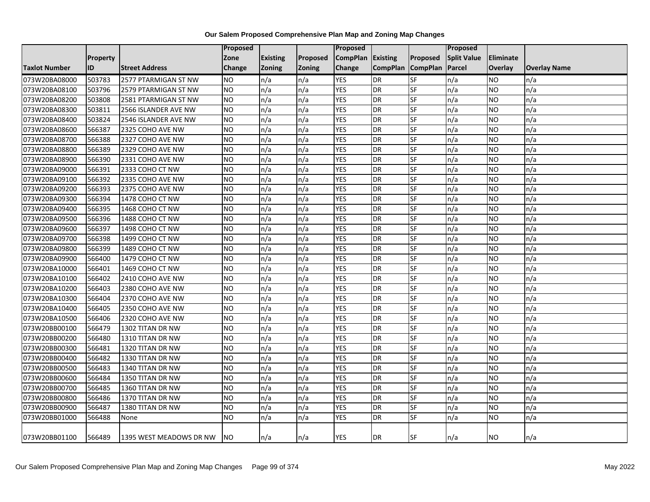|                      |                 |                         | Proposed        |                 |          | Proposed          |                   |           | <b>Proposed</b>    |                |                     |
|----------------------|-----------------|-------------------------|-----------------|-----------------|----------|-------------------|-------------------|-----------|--------------------|----------------|---------------------|
|                      | <b>Property</b> |                         | Zone            | <b>Existing</b> | Proposed | CompPlan Existing |                   | Proposed  | <b>Split Value</b> | Eliminate      |                     |
| <b>Taxlot Number</b> | <b>ID</b>       | <b>Street Address</b>   | <b>Change</b>   | Zoning          | Zoning   | Change            | CompPlan CompPlan |           | Parcel             | <b>Overlay</b> | <b>Overlay Name</b> |
| 073W20BA08000        | 503783          | 2577 PTARMIGAN ST NW    | <b>NO</b>       | n/a             | n/a      | <b>YES</b>        | <b>DR</b>         | SF        | n/a                | <b>NO</b>      | n/a                 |
| 073W20BA08100        | 503796          | 2579 PTARMIGAN ST NW    | <b>NO</b>       | n/a             | n/a      | <b>YES</b>        | <b>DR</b>         | SF        | n/a                | <b>NO</b>      | n/a                 |
| 073W20BA08200        | 503808          | 2581 PTARMIGAN ST NW    | <b>NO</b>       | n/a             | n/a      | <b>YES</b>        | DR                | <b>SF</b> | n/a                | <b>NO</b>      | n/a                 |
| 073W20BA08300        | 503811          | 2566 ISLANDER AVE NW    | <b>NO</b>       | n/a             | n/a      | <b>YES</b>        | DR                | SF        | n/a                | <b>NO</b>      | n/a                 |
| 073W20BA08400        | 503824          | 2546 ISLANDER AVE NW    | <b>NO</b>       | n/a             | n/a      | <b>YES</b>        | <b>DR</b>         | SF        | n/a                | <b>NO</b>      | n/a                 |
| 073W20BA08600        | 566387          | 2325 COHO AVE NW        | <b>NO</b>       | n/a             | n/a      | <b>YES</b>        | DR                | SF        | n/a                | <b>NO</b>      | n/a                 |
| 073W20BA08700        | 566388          | 2327 COHO AVE NW        | <b>NO</b>       | n/a             | n/a      | <b>YES</b>        | <b>DR</b>         | SF        | n/a                | <b>NO</b>      | n/a                 |
| 073W20BA08800        | 566389          | 2329 COHO AVE NW        | $\overline{NO}$ | n/a             | n/a      | <b>YES</b>        | DR                | <b>SF</b> | n/a                | <b>NO</b>      | n/a                 |
| 073W20BA08900        | 566390          | 2331 COHO AVE NW        | <b>NO</b>       | n/a             | n/a      | <b>YES</b>        | DR                | SF        | n/a                | <b>NO</b>      | n/a                 |
| 073W20BA09000        | 566391          | 2333 COHO CT NW         | <b>NO</b>       | n/a             | n/a      | <b>YES</b>        | <b>DR</b>         | <b>SF</b> | n/a                | <b>NO</b>      | n/a                 |
| 073W20BA09100        | 566392          | 2335 COHO AVE NW        | <b>NO</b>       | n/a             | n/a      | <b>YES</b>        | DR                | SF        | n/a                | <b>NO</b>      | n/a                 |
| 073W20BA09200        | 566393          | 2375 COHO AVE NW        | <b>NO</b>       | n/a             | n/a      | <b>YES</b>        | <b>DR</b>         | <b>SF</b> | n/a                | <b>NO</b>      | n/a                 |
| 073W20BA09300        | 566394          | 1478 COHO CT NW         | <b>NO</b>       | n/a             | n/a      | <b>YES</b>        | <b>DR</b>         | SF        | n/a                | <b>NO</b>      | n/a                 |
| 073W20BA09400        | 566395          | 1468 COHO CT NW         | <b>NO</b>       | n/a             | n/a      | <b>YES</b>        | <b>DR</b>         | SF        | n/a                | <b>NO</b>      | n/a                 |
| 073W20BA09500        | 566396          | 1488 COHO CT NW         | <b>NO</b>       | n/a             | n/a      | <b>YES</b>        | <b>DR</b>         | <b>SF</b> | n/a                | <b>NO</b>      | n/a                 |
| 073W20BA09600        | 566397          | 1498 COHO CT NW         | $\overline{NO}$ | n/a             | n/a      | <b>YES</b>        | <b>DR</b>         | <b>SF</b> | n/a                | <b>NO</b>      | n/a                 |
| 073W20BA09700        | 566398          | 1499 COHO CT NW         | <b>NO</b>       | n/a             | n/a      | <b>YES</b>        | <b>DR</b>         | <b>SF</b> | n/a                | <b>NO</b>      | n/a                 |
| 073W20BA09800        | 566399          | 1489 COHO CT NW         | <b>NO</b>       | n/a             | n/a      | <b>YES</b>        | DR                | SF        | n/a                | <b>NO</b>      | n/a                 |
| 073W20BA09900        | 566400          | 1479 COHO CT NW         | <b>NO</b>       | n/a             | n/a      | <b>YES</b>        | <b>DR</b>         | SF        | n/a                | <b>NO</b>      | n/a                 |
| 073W20BA10000        | 566401          | 1469 COHO CT NW         | <b>NO</b>       | n/a             | n/a      | <b>YES</b>        | DR                | <b>SF</b> | n/a                | <b>NO</b>      | n/a                 |
| 073W20BA10100        | 566402          | 2410 COHO AVE NW        | <b>NO</b>       | n/a             | n/a      | <b>YES</b>        | DR                | SF        | n/a                | <b>NO</b>      | n/a                 |
| 073W20BA10200        | 566403          | 2380 COHO AVE NW        | <b>NO</b>       | n/a             | n/a      | <b>YES</b>        | DR                | <b>SF</b> | n/a                | <b>NO</b>      | n/a                 |
| 073W20BA10300        | 566404          | 2370 COHO AVE NW        | N <sub>O</sub>  | n/a             | n/a      | <b>YES</b>        | DR                | SF        | n/a                | <b>NO</b>      | n/a                 |
| 073W20BA10400        | 566405          | 2350 COHO AVE NW        | <b>NO</b>       | n/a             | n/a      | <b>YES</b>        | <b>DR</b>         | <b>SF</b> | n/a                | <b>NO</b>      | n/a                 |
| 073W20BA10500        | 566406          | 2320 COHO AVE NW        | <b>NO</b>       | n/a             | n/a      | <b>YES</b>        | <b>DR</b>         | SF        | n/a                | <b>NO</b>      | n/a                 |
| 073W20BB00100        | 566479          | 1302 TITAN DR NW        | NO              | n/a             | n/a      | <b>YES</b>        | <b>DR</b>         | <b>SF</b> | n/a                | <b>NO</b>      | n/a                 |
| 073W20BB00200        | 566480          | 1310 TITAN DR NW        | <b>NO</b>       | n/a             | n/a      | <b>YES</b>        | <b>DR</b>         | SF        | n/a                | <b>NO</b>      | n/a                 |
| 073W20BB00300        | 566481          | 1320 TITAN DR NW        | <b>NO</b>       | n/a             | n/a      | <b>YES</b>        | <b>DR</b>         | SF        | n/a                | <b>NO</b>      | n/a                 |
| 073W20BB00400        | 566482          | 1330 TITAN DR NW        | <b>NO</b>       | n/a             | n/a      | <b>YES</b>        | DR                | SF        | n/a                | <b>NO</b>      | n/a                 |
| 073W20BB00500        | 566483          | 1340 TITAN DR NW        | $\overline{NO}$ | n/a             | n/a      | <b>YES</b>        | <b>DR</b>         | <b>SF</b> | n/a                | <b>NO</b>      | n/a                 |
| 073W20BB00600        | 566484          | 1350 TITAN DR NW        | <b>NO</b>       | n/a             | n/a      | <b>YES</b>        | <b>DR</b>         | SF        | n/a                | <b>NO</b>      | n/a                 |
| 073W20BB00700        | 566485          | 1360 TITAN DR NW        | Ю               | n/a             | n/a      | <b>YES</b>        | DR                | SF        | n/a                | <b>NO</b>      | n/a                 |
| 073W20BB00800        | 566486          | 1370 TITAN DR NW        | NO              | n/a             | n/a      | <b>YES</b>        | <b>DR</b>         | <b>SF</b> | n/a                | <b>NO</b>      | n/a                 |
| 073W20BB00900        | 566487          | 1380 TITAN DR NW        | <b>NO</b>       | n/a             | n/a      | YES               | DR                | SF        | n/a                | <b>NO</b>      | n/a                 |
| 073W20BB01000        | 566488          | None                    | <b>NO</b>       | n/a             | n/a      | <b>YES</b>        | <b>DR</b>         | SF        | n/a                | <b>NO</b>      | n/a                 |
| 073W20BB01100        | 566489          | 1395 WEST MEADOWS DR NW | NO.             | n/a             | n/a      | <b>YES</b>        | <b>DR</b>         | SF        | n/a                | <b>NO</b>      | n/a                 |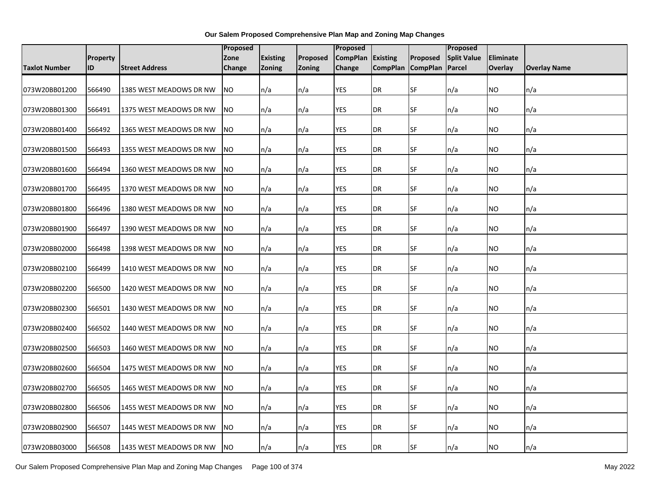|                      |                 |                         | <b>Proposed</b> |                 |                 | <b>Proposed</b>   |                   |                 | Proposed           |                |                     |
|----------------------|-----------------|-------------------------|-----------------|-----------------|-----------------|-------------------|-------------------|-----------------|--------------------|----------------|---------------------|
|                      | <b>Property</b> |                         | Zone            | <b>Existing</b> | <b>Proposed</b> | CompPlan Existing |                   | <b>Proposed</b> | <b>Split Value</b> | Eliminate      |                     |
| <b>Taxlot Number</b> | ID              | <b>Street Address</b>   | Change          | Zoning          | <b>Zoning</b>   | Change            | CompPlan CompPlan |                 | Parcel             | <b>Overlay</b> | <b>Overlay Name</b> |
| 073W20BB01200        | 566490          | 1385 WEST MEADOWS DR NW | <b>NO</b>       | n/a             | n/a             | YES               | DR                | SF              | n/a                | ΝO             | n/a                 |
| 073W20BB01300        | 566491          | 1375 WEST MEADOWS DR NW | <b>NO</b>       | n/a             | n/a             | YES               | DR                | SF              | n/a                | ΝO             | n/a                 |
| 073W20BB01400        | 566492          | 1365 WEST MEADOWS DR NW | <b>NO</b>       | n/a             | n/a             | <b>YES</b>        | DR                | SF              | n/a                | ΝO             | n/a                 |
| 073W20BB01500        | 566493          | 1355 WEST MEADOWS DR NW | <b>NO</b>       | n/a             | n/a             | YES               | DR                | SF              | n/a                | ΝO             | n/a                 |
| 073W20BB01600        | 566494          | 1360 WEST MEADOWS DR NW | N <sub>O</sub>  | n/a             | n/a             | <b>YES</b>        | DR                | <b>SF</b>       | n/a                | ΝO             | n/a                 |
| 073W20BB01700        | 566495          | 1370 WEST MEADOWS DR NW | <b>NO</b>       | n/a             | n/a             | YES               | DR                | <b>SF</b>       | n/a                | ΝO             | n/a                 |
| 073W20BB01800        | 566496          | 1380 WEST MEADOWS DR NW | <b>NO</b>       | n/a             | n/a             | <b>YES</b>        | DR                | <b>SF</b>       | n/a                | NO             | n/a                 |
| 073W20BB01900        | 566497          | 1390 WEST MEADOWS DR NW | <b>NO</b>       | n/a             | n/a             | YES               | DR                | <b>SF</b>       | n/a                | ΝO             | n/a                 |
| 073W20BB02000        | 566498          | 1398 WEST MEADOWS DR NW | <b>NO</b>       | n/a             | n/a             | <b>YES</b>        | DR                | SF              | n/a                | ΝO             | n/a                 |
| 073W20BB02100        | 566499          | 1410 WEST MEADOWS DR NW | <b>NO</b>       | n/a             | n/a             | YES               | DR                | SF              | n/a                | ΝO             | n/a                 |
| 073W20BB02200        | 566500          | 1420 WEST MEADOWS DR NW | <b>NO</b>       | n/a             | n/a             | YES               | DR                | <b>SF</b>       | n/a                | ΝO             | n/a                 |
| 073W20BB02300        | 566501          | 1430 WEST MEADOWS DR NW | <b>NO</b>       | n/a             | n/a             | <b>YES</b>        | <b>DR</b>         | <b>SF</b>       | n/a                | NO             | n/a                 |
| 073W20BB02400        | 566502          | 1440 WEST MEADOWS DR NW | N <sub>O</sub>  | n/a             | n/a             | <b>YES</b>        | DR                | <b>SF</b>       | n/a                | ΝO             | n/a                 |
| 073W20BB02500        | 566503          | 1460 WEST MEADOWS DR NW | <b>NO</b>       | n/a             | n/a             | <b>YES</b>        | DR                | <b>SF</b>       | n/a                | ΝO             | n/a                 |
| 073W20BB02600        | 566504          | 1475 WEST MEADOWS DR NW | <b>NO</b>       | n/a             | n/a             | <b>YES</b>        | DR                | <b>SF</b>       | n/a                | NO.            | n/a                 |
| 073W20BB02700        | 566505          | 1465 WEST MEADOWS DR NW | <b>NO</b>       | n/a             | n/a             | YES               | DR                | SF              | n/a                | ΝO             | n/a                 |
| 073W20BB02800        | 566506          | 1455 WEST MEADOWS DR NW | <b>NO</b>       | n/a             | n/a             | YES               | DR                | SF              | n/a                | ΝO             | n/a                 |
| 073W20BB02900        | 566507          | 1445 WEST MEADOWS DR NW | <b>NO</b>       | n/a             | n/a             | YES               | DR                | SF              | n/a                | ΝO             | n/a                 |
| 073W20BB03000        | 566508          | 1435 WEST MEADOWS DR NW | <b>NO</b>       | n/a             | n/a             | YES               | DR                | <b>SF</b>       | n/a                | NO.            | n/a                 |

Our Salem Proposed Comprehensive Plan Map and Zoning Map Changes Page 100 of 374 May 2022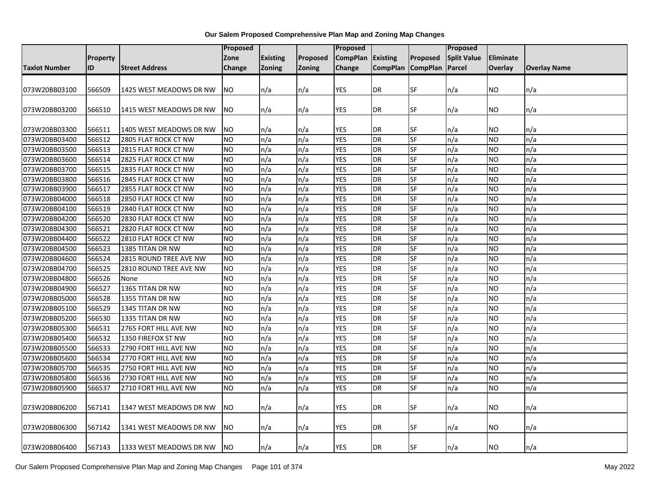|                      |                 |                         | <b>Proposed</b> |                 |               | <b>Proposed</b> |                     |                          | <b>Proposed</b>    |                  |                     |
|----------------------|-----------------|-------------------------|-----------------|-----------------|---------------|-----------------|---------------------|--------------------------|--------------------|------------------|---------------------|
|                      | <b>Property</b> |                         | Zone            | <b>Existing</b> | Proposed      | <b>CompPlan</b> | Existing            | <b>Proposed</b>          | <b>Split Value</b> | <b>Eliminate</b> |                     |
| <b>Taxlot Number</b> | ID              | <b>Street Address</b>   | Change          | <b>Zoning</b>   | <b>Zoning</b> | Change          | CompPlan   CompPlan |                          | Parcel             | Overlay          | <b>Overlay Name</b> |
|                      |                 |                         |                 |                 |               |                 |                     |                          |                    |                  |                     |
| 073W20BB03100        | 566509          | 1425 WEST MEADOWS DR NW | NO.             | n/a             | n/a           | YES             | DR                  | <b>SF</b>                | n/a                | NO               | n/a                 |
|                      |                 |                         |                 |                 |               |                 |                     |                          |                    |                  |                     |
| 073W20BB03200        | 566510          | 1415 WEST MEADOWS DR NW | <b>NO</b>       | n/a             | n/a           | YES             | DR                  | SF                       | n/a                | ΝO               | n/a                 |
|                      |                 |                         |                 |                 |               |                 |                     |                          |                    |                  |                     |
| 073W20BB03300        | 566511          | 1405 WEST MEADOWS DR NW | <b>NO</b>       | n/a             | n/a           | <b>YES</b>      | DR                  | SF                       | n/a                | ΝO               | n/a                 |
| 073W20BB03400        | 566512          | 2805 FLAT ROCK CT NW    | NO.             | n/a             | n/a           | <b>YES</b>      | <b>DR</b>           | <b>SF</b>                | n/a                | NO               | n/a                 |
| 073W20BB03500        | 566513          | 2815 FLAT ROCK CT NW    | <b>NO</b>       | n/a             | n/a           | <b>YES</b>      | <b>DR</b>           | SF                       | n/a                | NO               | n/a                 |
| 073W20BB03600        | 566514          | 2825 FLAT ROCK CT NW    | NO.             | n/a             | n/a           | <b>YES</b>      | <b>DR</b>           | <b>SF</b>                | n/a                | NO               | n/a                 |
| 073W20BB03700        | 566515          | 2835 FLAT ROCK CT NW    | <b>NO</b>       | n/a             | n/a           | <b>YES</b>      | DR                  | $\overline{\mathsf{SF}}$ | n/a                | NO.              | n/a                 |
| 073W20BB03800        | 566516          | 2845 FLAT ROCK CT NW    | <b>NO</b>       | n/a             | n/a           | <b>YES</b>      | <b>DR</b>           | SF                       | n/a                | <b>NO</b>        | n/a                 |
| 073W20BB03900        | 566517          | 2855 FLAT ROCK CT NW    | <b>NO</b>       | n/a             | n/a           | <b>YES</b>      | <b>DR</b>           | SF                       | n/a                | NO.              | n/a                 |
| 073W20BB04000        | 566518          | 2850 FLAT ROCK CT NW    | <b>NO</b>       | n/a             | n/a           | <b>YES</b>      | DR                  | <b>SF</b>                | n/a                | NO.              | n/a                 |
| 073W20BB04100        | 566519          | 2840 FLAT ROCK CT NW    | NO              | n/a             | n/a           | <b>YES</b>      | DR                  | SF                       | n/a                | ΝO               | n/a                 |
| 073W20BB04200        | 566520          | 2830 FLAT ROCK CT NW    | NO.             | n/a             | n/a           | <b>YES</b>      | <b>DR</b>           | SF                       | n/a                | NO               | n/a                 |
| 073W20BB04300        | 566521          | 2820 FLAT ROCK CT NW    | <b>NO</b>       | n/a             | n/a           | <b>YES</b>      | <b>DR</b>           | <b>SF</b>                | n/a                | NO.              | n/a                 |
| 073W20BB04400        | 566522          | 2810 FLAT ROCK CT NW    | NO.             | n/a             | n/a           | <b>YES</b>      | <b>DR</b>           | $S_{F}$                  | n/a                | NO.              | n/a                 |
| 073W20BB04500        | 566523          | 1385 TITAN DR NW        | <b>NO</b>       | n/a             | n/a           | <b>YES</b>      | <b>DR</b>           | SF                       | n/a                | NO               | n/a                 |
| 073W20BB04600        | 566524          | 2815 ROUND TREE AVE NW  | NO              | n/a             | n/a           | <b>YES</b>      | <b>DR</b>           | SF                       | n/a                | <b>NO</b>        | n/a                 |
| 073W20BB04700        | 566525          | 2810 ROUND TREE AVE NW  | <b>NO</b>       | n/a             | n/a           | <b>YES</b>      | <b>DR</b>           | SF                       | n/a                | NO               | n/a                 |
| 073W20BB04800        | 566526          | None                    | <b>NO</b>       | n/a             | n/a           | <b>YES</b>      | <b>DR</b>           | SF                       | n/a                | NO               | n/a                 |
| 073W20BB04900        | 566527          | 1365 TITAN DR NW        | <b>NO</b>       | n/a             | n/a           | <b>YES</b>      | <b>DR</b>           | SF                       | n/a                | NO.              | n/a                 |
| 073W20BB05000        | 566528          | 1355 TITAN DR NW        | <b>NO</b>       | n/a             | n/a           | <b>YES</b>      | <b>DR</b>           | <b>SF</b>                | n/a                | NO.              | n/a                 |
| 073W20BB05100        | 566529          | 1345 TITAN DR NW        | <b>NO</b>       | n/a             | n/a           | <b>YES</b>      | <b>DR</b>           | SF                       | n/a                | NO               | n/a                 |
| 073W20BB05200        | 566530          | 1335 TITAN DR NW        | NO              | n/a             | n/a           | YES             | DR                  | <b>SF</b>                | n/a                | ΝO               | n/a                 |
| 073W20BB05300        | 566531          | 2765 FORT HILL AVE NW   | <b>NO</b>       | n/a             | n/a           | <b>YES</b>      | <b>DR</b>           | SF                       | n/a                | NO               | n/a                 |
| 073W20BB05400        | 566532          | 1350 FIREFOX ST NW      | <b>NO</b>       | n/a             | n/a           | <b>YES</b>      | DR                  | SF                       | n/a                | NO               | n/a                 |
| 073W20BB05500        | 566533          | 2790 FORT HILL AVE NW   | NO.             | n/a             | n/a           | <b>YES</b>      | <b>DR</b>           | SF                       | n/a                | NO.              | n/a                 |
| 073W20BB05600        | 566534          | 2770 FORT HILL AVE NW   | NO.             | n/a             | n/a           | <b>YES</b>      | <b>DR</b>           | <b>SF</b>                | n/a                | NO.              | n/a                 |
| 073W20BB05700        | 566535          | 2750 FORT HILL AVE NW   | <b>NO</b>       | n/a             | n/a           | <b>YES</b>      | <b>DR</b>           | SF                       | n/a                | NO.              | n/a                 |
| 073W20BB05800        | 566536          | 2730 FORT HILL AVE NW   | <b>NO</b>       | n/a             | n/a           | <b>YES</b>      | <b>DR</b>           | SF                       | n/a                | ΝO               | n/a                 |
| 073W20BB05900        | 566537          | 2710 FORT HILL AVE NW   | <b>NO</b>       | n/a             | n/a           | <b>YES</b>      | DR                  | <b>SF</b>                | n/a                | NO.              | n/a                 |
|                      |                 |                         |                 |                 |               |                 |                     |                          |                    |                  |                     |
| 073W20BB06200        | 567141          | 1347 WEST MEADOWS DR NW | <b>NO</b>       | n/a             | n/a           | <b>YES</b>      | DR                  | SF                       | n/a                | NO               | n/a                 |
|                      |                 |                         |                 |                 |               |                 |                     |                          |                    |                  |                     |
| 073W20BB06300        | 567142          | 1341 WEST MEADOWS DR NW | NO.             | n/a             | n/a           | YES             | DR                  | SF                       | n/a                | ΝO               | n/a                 |
|                      |                 |                         |                 |                 |               |                 |                     |                          |                    |                  |                     |
| 073W20BB06400        | 567143          | 1333 WEST MEADOWS DR NW | NO.             | n/a             | n/a           | <b>YES</b>      | DR                  | <b>SF</b>                | n/a                | ΝO               | n/a                 |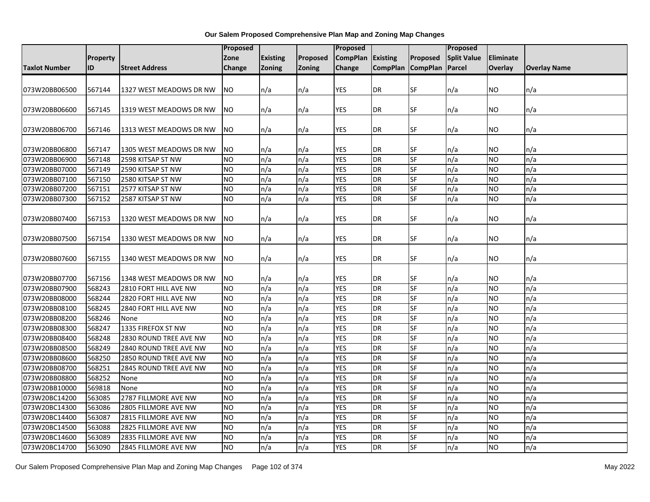|                      |          |                         | <b>Proposed</b>        |                 |               | Proposed                 |                        |           | Proposed           |                  |                     |
|----------------------|----------|-------------------------|------------------------|-----------------|---------------|--------------------------|------------------------|-----------|--------------------|------------------|---------------------|
|                      | Property |                         | Zone                   | <b>Existing</b> | Proposed      | <b>CompPlan</b>          | <b>Existing</b>        | Proposed  | <b>Split Value</b> | <b>Eliminate</b> |                     |
| <b>Taxlot Number</b> | ID       | <b>Street Address</b>   | Change                 | <b>Zoning</b>   | <b>Zoning</b> | Change                   | CompPlan CompPlan      |           | Parcel             | <b>Overlay</b>   | <b>Overlay Name</b> |
|                      |          |                         |                        |                 |               |                          |                        |           |                    |                  |                     |
| 073W20BB06500        | 567144   | 1327 WEST MEADOWS DR NW | NO.                    | n/a             | n/a           | YES                      | <b>DR</b>              | SF        | n/a                | <b>NO</b>        | n/a                 |
|                      |          |                         |                        |                 |               |                          |                        |           |                    |                  |                     |
| 073W20BB06600        | 567145   | 1319 WEST MEADOWS DR NW | <b>NO</b>              | n/a             | n/a           | YES                      | <b>DR</b>              | SF        | n/a                | <b>NO</b>        | n/a                 |
|                      |          |                         |                        |                 |               |                          |                        |           |                    |                  |                     |
| 073W20BB06700        | 567146   | 1313 WEST MEADOWS DR NW | <b>NO</b>              | n/a             | n/a           | <b>YES</b>               | <b>DR</b>              | SF        | n/a                | <b>NO</b>        | n/a                 |
|                      |          |                         |                        |                 |               |                          |                        |           |                    |                  |                     |
| 073W20BB06800        | 567147   | 1305 WEST MEADOWS DR NW | NO.                    | n/a             | n/a           | YES                      | <b>DR</b>              | SF        | n/a                | NO.              | n/a                 |
| 073W20BB06900        | 567148   | 2598 KITSAP ST NW       | <b>NO</b>              | n/a             | n/a           | <b>YES</b>               | <b>DR</b>              | SF        | n/a                | <b>NO</b>        | n/a                 |
| 073W20BB07000        | 567149   | 2590 KITSAP ST NW       | Ю                      | n/a             | n/a           | <b>YES</b>               | <b>DR</b>              | SF        | n/a                | <b>NO</b>        | n/a                 |
| 073W20BB07100        | 567150   | 2580 KITSAP ST NW       | <b>NO</b>              | n/a             | n/a           | <b>YES</b>               | <b>DR</b>              | SF        | n/a                | <b>NO</b>        | n/a                 |
| 073W20BB07200        | 567151   | 2577 KITSAP ST NW       | <b>NO</b>              | n/a             | n/a           | <b>YES</b>               | <b>DR</b>              | SF        | n/a                | <b>NO</b>        | n/a                 |
| 073W20BB07300        | 567152   | 2587 KITSAP ST NW       | NO                     | n/a             | n/a           | <b>YES</b>               | <b>DR</b>              | SF        | n/a                | <b>NO</b>        | n/a                 |
|                      |          |                         |                        |                 |               |                          |                        |           |                    |                  |                     |
| 073W20BB07400        | 567153   | 1320 WEST MEADOWS DR NW | <b>NO</b>              | n/a             | n/a           | <b>YES</b>               | <b>DR</b>              | SF        | n/a                | <b>NO</b>        | n/a                 |
|                      |          |                         |                        |                 |               |                          |                        |           |                    |                  |                     |
| 073W20BB07500        | 567154   | 1330 WEST MEADOWS DR NW | NO.                    | n/a             | n/a           | YES                      | DR                     | SF        | n/a                | <b>NO</b>        | n/a                 |
|                      |          |                         |                        |                 |               |                          |                        |           |                    |                  |                     |
| 073W20BB07600        | 567155   | 1340 WEST MEADOWS DR NW | NO.                    | n/a             | n/a           | YES                      | DR                     | SF        | n/a                | NO.              | n/a                 |
|                      |          |                         |                        |                 |               |                          |                        |           |                    |                  |                     |
| 073W20BB07700        | 567156   | 1348 WEST MEADOWS DR NW | <b>NO</b><br><b>NO</b> | n/a             | n/a           | <b>YES</b><br><b>YES</b> | <b>DR</b><br><b>DR</b> | SF<br>SF  | n/a                | <b>NO</b>        | n/a                 |
| 073W20BB07900        | 568243   | 2810 FORT HILL AVE NW   |                        | n/a             | n/a           |                          |                        | <b>SF</b> | n/a                | <b>NO</b>        | n/a                 |
| 073W20BB08000        | 568244   | 2820 FORT HILL AVE NW   | <b>NO</b>              | n/a             | n/a           | <b>YES</b>               | <b>DR</b>              |           | n/a                | <b>NO</b>        | n/a                 |
| 073W20BB08100        | 568245   | 2840 FORT HILL AVE NW   | <b>NO</b>              | n/a             | n/a           | <b>YES</b>               | <b>DR</b>              | SF        | n/a                | <b>NO</b>        | n/a                 |
| 073W20BB08200        | 568246   | None                    | NO                     | n/a             | n/a           | <b>YES</b>               | <b>DR</b>              | SF        | n/a                | <b>NO</b>        | n/a                 |
| 073W20BB08300        | 568247   | 1335 FIREFOX ST NW      | <b>NO</b>              | n/a             | n/a           | <b>YES</b>               | <b>DR</b>              | <b>SF</b> | n/a                | <b>NO</b>        | n/a                 |
| 073W20BB08400        | 568248   | 2830 ROUND TREE AVE NW  | <b>NO</b>              | n/a             | n/a           | <b>YES</b>               | <b>DR</b>              | SF        | n/a                | <b>NO</b>        | n/a                 |
| 073W20BB08500        | 568249   | 2840 ROUND TREE AVE NW  | <b>NO</b>              | n/a             | n/a           | <b>YES</b>               | <b>DR</b>              | SF        | n/a                | <b>NO</b>        | n/a                 |
| 073W20BB08600        | 568250   | 2850 ROUND TREE AVE NW  | <b>NO</b>              | n/a             | n/a           | <b>YES</b>               | <b>DR</b>              | SF        | n/a                | <b>NO</b>        | n/a                 |
| 073W20BB08700        | 568251   | 2845 ROUND TREE AVE NW  | <b>NO</b>              | n/a             | n/a           | <b>YES</b>               | <b>DR</b>              | SF        | n/a                | <b>NO</b>        | n/a                 |
| 073W20BB08800        | 568252   | None                    | <b>NO</b>              | n/a             | n/a           | <b>YES</b>               | <b>DR</b>              | SF        | n/a                | <b>NO</b>        | n/a                 |
| 073W20BB10000        | 569818   | None                    | <b>NO</b>              | n/a             | n/a           | <b>YES</b>               | <b>DR</b>              | SF        | n/a                | <b>NO</b>        | n/a                 |
| 073W20BC14200        | 563085   | 2787 FILLMORE AVE NW    | NO                     | n/a             | n/a           | <b>YES</b>               | <b>DR</b>              | SF        | n/a                | <b>NO</b>        | n/a                 |
| 073W20BC14300        | 563086   | 2805 FILLMORE AVE NW    | <b>NO</b>              | n/a             | n/a           | <b>YES</b>               | <b>DR</b>              | SF        | n/a                | <b>NO</b>        | n/a                 |
| 073W20BC14400        | 563087   | 2815 FILLMORE AVE NW    | <b>NO</b>              | n/a             | n/a           | <b>YES</b>               | <b>DR</b>              | <b>SF</b> | n/a                | <b>NO</b>        | n/a                 |
| 073W20BC14500        | 563088   | 2825 FILLMORE AVE NW    | <b>NO</b>              | n/a             | n/a           | <b>YES</b>               | <b>DR</b>              | SF        | n/a                | <b>NO</b>        | n/a                 |
| 073W20BC14600        | 563089   | 2835 FILLMORE AVE NW    | <b>NO</b>              | n/a             | n/a           | <b>YES</b>               | <b>DR</b>              | SF        | n/a                | <b>NO</b>        | n/a                 |
| 073W20BC14700        | 563090   | 2845 FILLMORE AVE NW    | <b>NO</b>              | n/a             | n/a           | <b>YES</b>               | <b>DR</b>              | SF        | n/a                | <b>NO</b>        | n/a                 |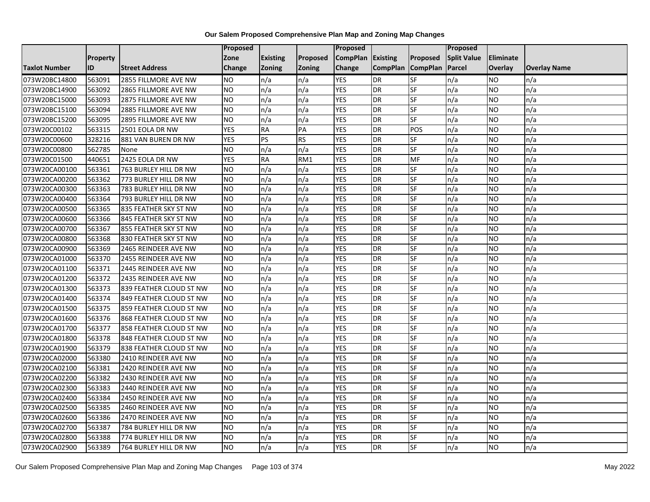|                      |                 |                         | <b>Proposed</b> |                 |               | Proposed        |                 |                 | Proposed           |           |                     |
|----------------------|-----------------|-------------------------|-----------------|-----------------|---------------|-----------------|-----------------|-----------------|--------------------|-----------|---------------------|
|                      | <b>Property</b> |                         | Zone            | <b>Existing</b> | Proposed      | <b>CompPlan</b> | Existing        | Proposed        | <b>Split Value</b> | Eliminate |                     |
| <b>Taxlot Number</b> | ID              | <b>Street Address</b>   | <b>Change</b>   | Zoning          | <b>Zoning</b> | Change          | <b>CompPlan</b> | <b>CompPlan</b> | Parcel             | Overlay   | <b>Overlay Name</b> |
| 073W20BC14800        | 563091          | 2855 FILLMORE AVE NW    | <b>NO</b>       | n/a             | n/a           | <b>YES</b>      | <b>DR</b>       | <b>SF</b>       | n/a                | NO.       | n/a                 |
| 073W20BC14900        | 563092          | 2865 FILLMORE AVE NW    | <b>NO</b>       | n/a             | n/a           | <b>YES</b>      | DR              | <b>SF</b>       | n/a                | NO.       | n/a                 |
| 073W20BC15000        | 563093          | 2875 FILLMORE AVE NW    | <b>NO</b>       | n/a             | n/a           | <b>YES</b>      | DR              | SF              | n/a                | NO.       | n/a                 |
| 073W20BC15100        | 563094          | 2885 FILLMORE AVE NW    | <b>NO</b>       | n/a             | n/a           | <b>YES</b>      | <b>DR</b>       | SF              | n/a                | NO.       | n/a                 |
| 073W20BC15200        | 563095          | 2895 FILLMORE AVE NW    | <b>NO</b>       | n/a             | n/a           | <b>YES</b>      | DR              | $S_{F}$         | n/a                | NO.       | n/a                 |
| 073W20C00102         | 563315          | 2501 EOLA DR NW         | <b>YES</b>      | <b>RA</b>       | PA            | <b>YES</b>      | <b>DR</b>       | POS             | n/a                | NO.       | n/a                 |
| 073W20C00600         | 328216          | 881 VAN BUREN DR NW     | <b>YES</b>      | PS              | <b>RS</b>     | <b>YES</b>      | DR              | SF              | n/a                | NO.       | n/a                 |
| 073W20C00800         | 562785          | None                    | <b>NO</b>       | n/a             | n/a           | <b>YES</b>      | <b>DR</b>       | SF              | n/a                | NO.       | n/a                 |
| 073W20C01500         | 440651          | 2425 EOLA DR NW         | <b>YES</b>      | <b>RA</b>       | RM1           | <b>YES</b>      | DR              | MF              | n/a                | NO        | n/a                 |
| 073W20CA00100        | 563361          | 763 BURLEY HILL DR NW   | <b>NO</b>       | n/a             | n/a           | <b>YES</b>      | DR              | <b>SF</b>       | n/a                | NO.       | n/a                 |
| 073W20CA00200        | 563362          | 773 BURLEY HILL DR NW   | <b>NO</b>       | n/a             | n/a           | <b>YES</b>      | <b>DR</b>       | <b>SF</b>       | n/a                | <b>NO</b> | n/a                 |
| 073W20CA00300        | 563363          | 783 BURLEY HILL DR NW   | <b>NO</b>       | n/a             | n/a           | <b>YES</b>      | <b>DR</b>       | SF              | n/a                | NO.       | n/a                 |
| 073W20CA00400        | 563364          | 793 BURLEY HILL DR NW   | <b>NO</b>       | n/a             | n/a           | <b>YES</b>      | <b>DR</b>       | SF              | n/a                | NO.       | n/a                 |
| 073W20CA00500        | 563365          | 835 FEATHER SKY ST NW   | <b>NO</b>       | n/a             | n/a           | <b>YES</b>      | <b>DR</b>       | SF              | n/a                | <b>NO</b> | n/a                 |
| 073W20CA00600        | 563366          | 845 FEATHER SKY ST NW   | <b>NO</b>       | n/a             | n/a           | <b>YES</b>      | DR              | SF              | n/a                | ΝO        | n/a                 |
| 073W20CA00700        | 563367          | 855 FEATHER SKY ST NW   | <b>NO</b>       | n/a             | n/a           | <b>YES</b>      | DR              | SF              | n/a                | NO.       | n/a                 |
| 073W20CA00800        | 563368          | 830 FEATHER SKY ST NW   | <b>NO</b>       | n/a             | n/a           | <b>YES</b>      | <b>DR</b>       | SF              | n/a                | NO.       | n/a                 |
| 073W20CA00900        | 563369          | 2465 REINDEER AVE NW    | <b>NO</b>       | n/a             | n/a           | <b>YES</b>      | DR              | SF              | n/a                | NO.       | n/a                 |
| 073W20CA01000        | 563370          | 2455 REINDEER AVE NW    | <b>NO</b>       | n/a             | n/a           | <b>YES</b>      | DR              | SF              | n/a                | NO.       | n/a                 |
| 073W20CA01100        | 563371          | 2445 REINDEER AVE NW    | <b>NO</b>       | n/a             | n/a           | <b>YES</b>      | <b>DR</b>       | SF              | n/a                | NO.       | n/a                 |
| 073W20CA01200        | 563372          | 2435 REINDEER AVE NW    | <b>NO</b>       | n/a             | n/a           | <b>YES</b>      | <b>DR</b>       | SF              | n/a                | NO.       | n/a                 |
| 073W20CA01300        | 563373          | 839 FEATHER CLOUD ST NW | <b>NO</b>       | n/a             | n/a           | <b>YES</b>      | DR              | <b>SF</b>       | n/a                | NO.       | n/a                 |
| 073W20CA01400        | 563374          | 849 FEATHER CLOUD ST NW | <b>NO</b>       | n/a             | n/a           | <b>YES</b>      | <b>DR</b>       | SF              | n/a                | NO.       | n/a                 |
| 073W20CA01500        | 563375          | 859 FEATHER CLOUD ST NW | <b>NO</b>       | n/a             | n/a           | <b>YES</b>      | <b>DR</b>       | SF              | n/a                | NO.       | n/a                 |
| 073W20CA01600        | 563376          | 868 FEATHER CLOUD ST NW | <b>NO</b>       | n/a             | n/a           | <b>YES</b>      | <b>DR</b>       | SF              | n/a                | <b>NO</b> | n/a                 |
| 073W20CA01700        | 563377          | 858 FEATHER CLOUD ST NW | <b>NO</b>       | n/a             | n/a           | <b>YES</b>      | DR              | SF              | n/a                | NO.       | n/a                 |
| 073W20CA01800        | 563378          | 848 FEATHER CLOUD ST NW | <b>NO</b>       | n/a             | n/a           | <b>YES</b>      | <b>DR</b>       | SF              | n/a                | NO.       | n/a                 |
| 073W20CA01900        | 563379          | 838 FEATHER CLOUD ST NW | <b>NO</b>       | n/a             | n/a           | <b>YES</b>      | <b>DR</b>       | SF              | n/a                | NO.       | n/a                 |
| 073W20CA02000        | 563380          | 2410 REINDEER AVE NW    | <b>NO</b>       | n/a             | n/a           | <b>YES</b>      | DR              | SF              | n/a                | NO.       | n/a                 |
| 073W20CA02100        | 563381          | 2420 REINDEER AVE NW    | <b>NO</b>       | n/a             | n/a           | <b>YES</b>      | <b>DR</b>       | SF              | n/a                | NO.       | n/a                 |
| 073W20CA02200        | 563382          | 2430 REINDEER AVE NW    | <b>NO</b>       | n/a             | n/a           | <b>YES</b>      | <b>DR</b>       | SF              | n/a                | <b>NO</b> | n/a                 |
| 073W20CA02300        | 563383          | 2440 REINDEER AVE NW    | <b>NO</b>       | n/a             | n/a           | <b>YES</b>      | <b>DR</b>       | SF              | n/a                | NO.       | n/a                 |
| 073W20CA02400        | 563384          | 2450 REINDEER AVE NW    | <b>NO</b>       | n/a             | n/a           | <b>YES</b>      | DR              | SF              | n/a                | NO.       | n/a                 |
| 073W20CA02500        | 563385          | 2460 REINDEER AVE NW    | <b>NO</b>       | n/a             | n/a           | <b>YES</b>      | <b>DR</b>       | SF              | n/a                | NO.       | n/a                 |
| 073W20CA02600        | 563386          | 2470 REINDEER AVE NW    | <b>NO</b>       | n/a             | n/a           | <b>YES</b>      | <b>DR</b>       | <b>SF</b>       | n/a                | NO.       | n/a                 |
| 073W20CA02700        | 563387          | 784 BURLEY HILL DR NW   | <b>NO</b>       | n/a             | n/a           | <b>YES</b>      | <b>DR</b>       | SF              | n/a                | NO.       | n/a                 |
| 073W20CA02800        | 563388          | 774 BURLEY HILL DR NW   | <b>NO</b>       | n/a             | n/a           | <b>YES</b>      | DR              | SF              | n/a                | NO.       | n/a                 |
| 073W20CA02900        | 563389          | 764 BURLEY HILL DR NW   | Ю               | n/a             | n/a           | <b>YES</b>      | DR              | <b>SF</b>       | n/a                | NO.       | n/a                 |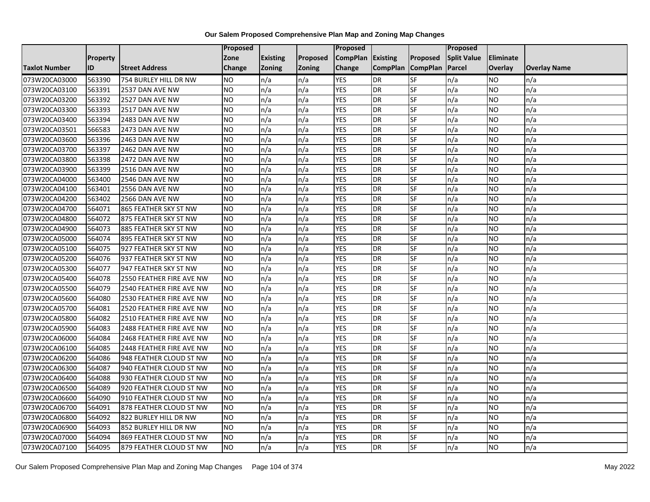|                      |                 |                                 | Proposed       |                 |               | Proposed        |                 |                          | Proposed           |                |                     |
|----------------------|-----------------|---------------------------------|----------------|-----------------|---------------|-----------------|-----------------|--------------------------|--------------------|----------------|---------------------|
|                      | <b>Property</b> |                                 | Zone           | <b>Existing</b> | Proposed      | <b>CompPlan</b> | <b>Existing</b> | Proposed                 | <b>Split Value</b> | Eliminate      |                     |
| <b>Taxlot Number</b> | ID              | <b>Street Address</b>           | <b>Change</b>  | <b>Zoning</b>   | <b>Zoning</b> | Change          | <b>CompPlan</b> | <b>CompPlan</b>          | Parcel             | <b>Overlay</b> | <b>Overlay Name</b> |
| 073W20CA03000        | 563390          | 754 BURLEY HILL DR NW           | <b>NO</b>      | n/a             | n/a           | <b>YES</b>      | <b>DR</b>       | SF                       | n/a                | <b>NO</b>      | n/a                 |
| 073W20CA03100        | 563391          | 2537 DAN AVE NW                 | <b>NO</b>      | n/a             | n/a           | <b>YES</b>      | <b>DR</b>       | <b>SF</b>                | n/a                | <b>NO</b>      | n/a                 |
| 073W20CA03200        | 563392          | 2527 DAN AVE NW                 | <b>NO</b>      | n/a             | n/a           | <b>YES</b>      | <b>DR</b>       | SF                       | n/a                | <b>NO</b>      | n/a                 |
| 073W20CA03300        | 563393          | 2517 DAN AVE NW                 | <b>NO</b>      | n/a             | n/a           | <b>YES</b>      | <b>DR</b>       | SF                       | n/a                | <b>NO</b>      | n/a                 |
| 073W20CA03400        | 563394          | 2483 DAN AVE NW                 | <b>NO</b>      | n/a             | n/a           | <b>YES</b>      | <b>DR</b>       | SF                       | n/a                | <b>NO</b>      | n/a                 |
| 073W20CA03501        | 566583          | 2473 DAN AVE NW                 | <b>NO</b>      | n/a             | n/a           | <b>YES</b>      | <b>DR</b>       | SF                       | n/a                | <b>NO</b>      | n/a                 |
| 073W20CA03600        | 563396          | 2463 DAN AVE NW                 | <b>NO</b>      | n/a             | n/a           | <b>YES</b>      | <b>DR</b>       | SF                       | n/a                | <b>NO</b>      | n/a                 |
| 073W20CA03700        | 563397          | 2462 DAN AVE NW                 | <b>NO</b>      | n/a             | n/a           | <b>YES</b>      | <b>DR</b>       | SF                       | n/a                | <b>NO</b>      | n/a                 |
| 073W20CA03800        | 563398          | 2472 DAN AVE NW                 | <b>NO</b>      | n/a             | n/a           | <b>YES</b>      | <b>DR</b>       | SF                       | n/a                | <b>NO</b>      | n/a                 |
| 073W20CA03900        | 563399          | 2516 DAN AVE NW                 | <b>NO</b>      | n/a             | n/a           | <b>YES</b>      | <b>DR</b>       | SF                       | n/a                | <b>NO</b>      | n/a                 |
| 073W20CA04000        | 563400          | 2546 DAN AVE NW                 | <b>NO</b>      | n/a             | n/a           | <b>YES</b>      | <b>DR</b>       | SF                       | n/a                | <b>NO</b>      | n/a                 |
| 073W20CA04100        | 563401          | 2556 DAN AVE NW                 | <b>NO</b>      | n/a             | n/a           | <b>YES</b>      | <b>DR</b>       | SF                       | n/a                | <b>NO</b>      | n/a                 |
| 073W20CA04200        | 563402          | 2566 DAN AVE NW                 | <b>NO</b>      | n/a             | n/a           | <b>YES</b>      | <b>DR</b>       | SF                       | n/a                | <b>NO</b>      | n/a                 |
| 073W20CA04700        | 564071          | 865 FEATHER SKY ST NW           | N <sub>O</sub> | n/a             | n/a           | <b>YES</b>      | <b>DR</b>       | <b>SF</b>                | n/a                | <b>NO</b>      | n/a                 |
| 073W20CA04800        | 564072          | 875 FEATHER SKY ST NW           | <b>NO</b>      | n/a             | n/a           | <b>YES</b>      | <b>DR</b>       | SF                       | n/a                | <b>NO</b>      | n/a                 |
| 073W20CA04900        | 564073          | 885 FEATHER SKY ST NW           | <b>NO</b>      | n/a             | n/a           | <b>YES</b>      | <b>DR</b>       | SF                       | n/a                | <b>NO</b>      | n/a                 |
| 073W20CA05000        | 564074          | 895 FEATHER SKY ST NW           | <b>NO</b>      | n/a             | n/a           | <b>YES</b>      | <b>DR</b>       | SF                       | n/a                | NO.            | n/a                 |
| 073W20CA05100        | 564075          | 927 FEATHER SKY ST NW           | <b>NO</b>      | n/a             | n/a           | <b>YES</b>      | <b>DR</b>       | SF                       | n/a                | <b>NO</b>      | n/a                 |
| 073W20CA05200        | 564076          | 937 FEATHER SKY ST NW           | <b>NO</b>      | n/a             | n/a           | <b>YES</b>      | <b>DR</b>       | SF                       | n/a                | <b>NO</b>      | n/a                 |
| 073W20CA05300        | 564077          | 947 FEATHER SKY ST NW           | <b>NO</b>      | n/a             | n/a           | <b>YES</b>      | <b>DR</b>       | SF                       | n/a                | <b>NO</b>      | n/a                 |
| 073W20CA05400        | 564078          | 2550 FEATHER FIRE AVE NW        | <b>NO</b>      | n/a             | n/a           | <b>YES</b>      | <b>DR</b>       | <b>SF</b>                | n/a                | <b>NO</b>      | n/a                 |
| 073W20CA05500        | 564079          | 2540 FEATHER FIRE AVE NW        | <b>NO</b>      | n/a             | n/a           | <b>YES</b>      | <b>DR</b>       | SF                       | n/a                | <b>NO</b>      | n/a                 |
| 073W20CA05600        | 564080          | 2530 FEATHER FIRE AVE NW        | <b>NO</b>      | n/a             | n/a           | <b>YES</b>      | <b>DR</b>       | SF                       | n/a                | <b>NO</b>      | n/a                 |
| 073W20CA05700        | 564081          | 2520 FEATHER FIRE AVE NW        | <b>NO</b>      | n/a             | n/a           | <b>YES</b>      | <b>DR</b>       | SF                       | n/a                | <b>NO</b>      | n/a                 |
| 073W20CA05800        | 564082          | 2510 FEATHER FIRE AVE NW        | <b>NO</b>      | n/a             | n/a           | <b>YES</b>      | <b>DR</b>       | SF                       | n/a                | <b>NO</b>      | n/a                 |
| 073W20CA05900        | 564083          | 2488 FEATHER FIRE AVE NW        | <b>NO</b>      | n/a             | n/a           | <b>YES</b>      | <b>DR</b>       | SF                       | n/a                | <b>NO</b>      | n/a                 |
| 073W20CA06000        | 564084          | 2468 FEATHER FIRE AVE NW        | <b>NO</b>      | n/a             | n/a           | <b>YES</b>      | <b>DR</b>       | SF                       | n/a                | <b>NO</b>      | n/a                 |
| 073W20CA06100        | 564085          | <b>2448 FEATHER FIRE AVE NW</b> | <b>NO</b>      | n/a             | n/a           | <b>YES</b>      | <b>DR</b>       | SF                       | n/a                | <b>NO</b>      | n/a                 |
| 073W20CA06200        | 564086          | 948 FEATHER CLOUD ST NW         | <b>NO</b>      | n/a             | n/a           | <b>YES</b>      | <b>DR</b>       | SF                       | n/a                | <b>NO</b>      | n/a                 |
| 073W20CA06300        | 564087          | 940 FEATHER CLOUD ST NW         | <b>NO</b>      | n/a             | n/a           | <b>YES</b>      | <b>DR</b>       | SF                       | n/a                | <b>NO</b>      | n/a                 |
| 073W20CA06400        | 564088          | 930 FEATHER CLOUD ST NW         | <b>NO</b>      | n/a             | n/a           | <b>YES</b>      | <b>DR</b>       | <b>SF</b>                | n/a                | <b>NO</b>      | n/a                 |
| 073W20CA06500        | 564089          | 920 FEATHER CLOUD ST NW         | <b>NO</b>      | n/a             | n/a           | <b>YES</b>      | <b>DR</b>       | SF                       | n/a                | <b>NO</b>      | n/a                 |
| 073W20CA06600        | 564090          | 910 FEATHER CLOUD ST NW         | <b>NO</b>      | n/a             | n/a           | <b>YES</b>      | <b>DR</b>       | SF                       | n/a                | <b>NO</b>      | n/a                 |
| 073W20CA06700        | 564091          | 878 FEATHER CLOUD ST NW         | <b>NO</b>      | n/a             | n/a           | <b>YES</b>      | <b>DR</b>       | SF                       | n/a                | <b>NO</b>      | n/a                 |
| 073W20CA06800        | 564092          | 822 BURLEY HILL DR NW           | <b>NO</b>      | n/a             | n/a           | <b>YES</b>      | <b>DR</b>       | SF                       | n/a                | <b>NO</b>      | n/a                 |
| 073W20CA06900        | 564093          | 852 BURLEY HILL DR NW           | <b>NO</b>      | n/a             | n/a           | <b>YES</b>      | <b>DR</b>       | SF                       | n/a                | <b>NO</b>      | n/a                 |
| 073W20CA07000        | 564094          | 869 FEATHER CLOUD ST NW         | <b>NO</b>      | n/a             | n/a           | <b>YES</b>      | <b>DR</b>       | SF                       | n/a                | <b>NO</b>      | n/a                 |
| 073W20CA07100        | 564095          | 879 FEATHER CLOUD ST NW         | <b>NO</b>      | n/a             | n/a           | <b>YES</b>      | <b>DR</b>       | $\overline{\mathsf{SF}}$ | n/a                | <b>NO</b>      | n/a                 |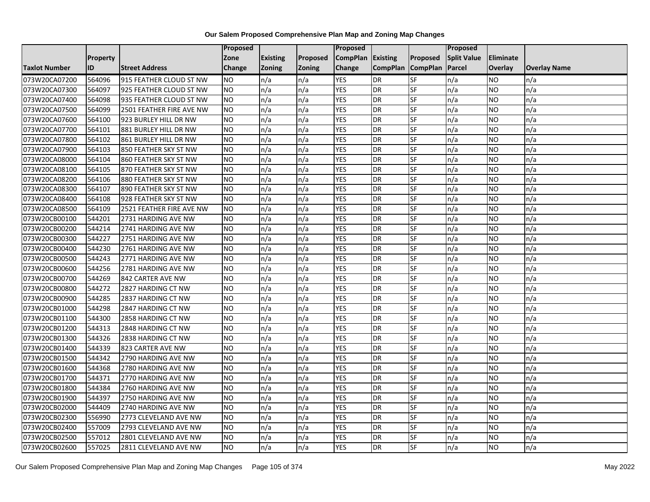|                      |                 |                          | <b>Proposed</b> |                 |               | Proposed        |                 |                 | Proposed           |           |                     |
|----------------------|-----------------|--------------------------|-----------------|-----------------|---------------|-----------------|-----------------|-----------------|--------------------|-----------|---------------------|
|                      | <b>Property</b> |                          | Zone            | <b>Existing</b> | Proposed      | <b>CompPlan</b> | Existing        | Proposed        | <b>Split Value</b> | Eliminate |                     |
| <b>Taxlot Number</b> | ID              | <b>Street Address</b>    | <b>Change</b>   | Zoning          | <b>Zoning</b> | Change          | <b>CompPlan</b> | <b>CompPlan</b> | Parcel             | Overlay   | <b>Overlay Name</b> |
| 073W20CA07200        | 564096          | 915 FEATHER CLOUD ST NW  | <b>NO</b>       | n/a             | n/a           | <b>YES</b>      | <b>DR</b>       | <b>SF</b>       | n/a                | NO.       | n/a                 |
| 073W20CA07300        | 564097          | 925 FEATHER CLOUD ST NW  | <b>NO</b>       | n/a             | n/a           | <b>YES</b>      | DR              | SF              | n/a                | NO.       | n/a                 |
| 073W20CA07400        | 564098          | 935 FEATHER CLOUD ST NW  | <b>NO</b>       | n/a             | n/a           | <b>YES</b>      | DR              | SF              | n/a                | NO        | n/a                 |
| 073W20CA07500        | 564099          | 2501 FEATHER FIRE AVE NW | <b>NO</b>       | n/a             | n/a           | <b>YES</b>      | <b>DR</b>       | SF              | n/a                | NO.       | n/a                 |
| 073W20CA07600        | 564100          | 923 BURLEY HILL DR NW    | <b>NO</b>       | n/a             | n/a           | <b>YES</b>      | DR              | SF              | n/a                | NO.       | n/a                 |
| 073W20CA07700        | 564101          | 881 BURLEY HILL DR NW    | <b>NO</b>       | n/a             | n/a           | <b>YES</b>      | <b>DR</b>       | SF              | n/a                | <b>NO</b> | n/a                 |
| 073W20CA07800        | 564102          | 861 BURLEY HILL DR NW    | <b>NO</b>       | n/a             | n/a           | <b>YES</b>      | <b>DR</b>       | SF              | n/a                | NO.       | n/a                 |
| 073W20CA07900        | 564103          | 850 FEATHER SKY ST NW    | <b>NO</b>       | n/a             | n/a           | <b>YES</b>      | <b>DR</b>       | SF              | n/a                | NO.       | n/a                 |
| 073W20CA08000        | 564104          | 860 FEATHER SKY ST NW    | <b>NO</b>       | n/a             | n/a           | <b>YES</b>      | <b>DR</b>       | SF              | n/a                | NO.       | n/a                 |
| 073W20CA08100        | 564105          | 870 FEATHER SKY ST NW    | Ю               | n/a             | n/a           | <b>YES</b>      | <b>DR</b>       | <b>SF</b>       | n/a                | NO.       | n/a                 |
| 073W20CA08200        | 564106          | 880 FEATHER SKY ST NW    | <b>NO</b>       | n/a             | n/a           | <b>YES</b>      | DR              | SF              | n/a                | NO.       | n/a                 |
| 073W20CA08300        | 564107          | 890 FEATHER SKY ST NW    | <b>NO</b>       | n/a             | n/a           | <b>YES</b>      | DR              | SF              | n/a                | NO.       | n/a                 |
| 073W20CA08400        | 564108          | 928 FEATHER SKY ST NW    | ŌИ              | n/a             | n/a           | <b>YES</b>      | DR              | <b>SF</b>       | n/a                | NO.       | n/a                 |
| 073W20CA08500        | 564109          | 2521 FEATHER FIRE AVE NW | <b>NO</b>       | n/a             | n/a           | <b>YES</b>      | <b>DR</b>       | SF              | n/a                | NO.       | n/a                 |
| 073W20CB00100        | 544201          | 2731 HARDING AVE NW      | <b>NO</b>       | n/a             | n/a           | <b>YES</b>      | DR              | SF              | n/a                | NO.       | n/a                 |
| 073W20CB00200        | 544214          | 2741 HARDING AVE NW      | <b>NO</b>       | n/a             | n/a           | <b>YES</b>      | <b>DR</b>       | $S_{F}$         | n/a                | NO.       | n/a                 |
| 073W20CB00300        | 544227          | 2751 HARDING AVE NW      | Ю               | n/a             | n/a           | <b>YES</b>      | <b>DR</b>       | <b>SF</b>       | n/a                | NO.       | n/a                 |
| 073W20CB00400        | 544230          | 2761 HARDING AVE NW      | <b>NO</b>       | n/a             | n/a           | <b>YES</b>      | DR              | SF              | n/a                | NO.       | n/a                 |
| 073W20CB00500        | 544243          | 2771 HARDING AVE NW      | <b>NO</b>       | n/a             | n/a           | <b>YES</b>      | DR              | SF              | n/a                | NO.       | n/a                 |
| 073W20CB00600        | 544256          | 2781 HARDING AVE NW      | <b>NO</b>       | n/a             | n/a           | <b>YES</b>      | DR              | SF              | n/a                | ΝO        | n/a                 |
| 073W20CB00700        | 544269          | 842 CARTER AVE NW        | <b>NO</b>       | n/a             | n/a           | <b>YES</b>      | <b>DR</b>       | SF              | n/a                | NO.       | n/a                 |
| 073W20CB00800        | 544272          | 2827 HARDING CT NW       | <b>NO</b>       | n/a             | n/a           | <b>YES</b>      | DR              | SF              | n/a                | NO.       | n/a                 |
| 073W20CB00900        | 544285          | 2837 HARDING CT NW       | <b>NO</b>       | n/a             | n/a           | <b>YES</b>      | <b>DR</b>       | SF              | n/a                | NO.       | n/a                 |
| 073W20CB01000        | 544298          | 2847 HARDING CT NW       | <b>NO</b>       | n/a             | n/a           | <b>YES</b>      | <b>DR</b>       | SF              | n/a                | NO        | n/a                 |
| 073W20CB01100        | 544300          | 2858 HARDING CT NW       | <b>NO</b>       | n/a             | n/a           | <b>YES</b>      | <b>DR</b>       | SF              | n/a                | NO.       | n/a                 |
| 073W20CB01200        | 544313          | 2848 HARDING CT NW       | <b>NO</b>       | n/a             | n/a           | <b>YES</b>      | DR              | SF              | n/a                | NO.       | n/a                 |
| 073W20CB01300        | 544326          | 2838 HARDING CT NW       | Ю               | n/a             | n/a           | <b>YES</b>      | <b>DR</b>       | <b>SF</b>       | n/a                | NO.       | n/a                 |
| 073W20CB01400        | 544339          | 823 CARTER AVE NW        | <b>NO</b>       | n/a             | n/a           | <b>YES</b>      | <b>DR</b>       | SF              | n/a                | NO.       | n/a                 |
| 073W20CB01500        | 544342          | 2790 HARDING AVE NW      | <b>NO</b>       | n/a             | n/a           | <b>YES</b>      | DR              | SF              | n/a                | NO.       | n/a                 |
| 073W20CB01600        | 544368          | 2780 HARDING AVE NW      | <b>NO</b>       | n/a             | n/a           | <b>YES</b>      | <b>DR</b>       | SF              | n/a                | <b>NO</b> | n/a                 |
| 073W20CB01700        | 544371          | 2770 HARDING AVE NW      | <b>NO</b>       | n/a             | n/a           | <b>YES</b>      | DR              | SF              | n/a                | NO        | n/a                 |
| 073W20CB01800        | 544384          | 2760 HARDING AVE NW      | <b>NO</b>       | n/a             | n/a           | <b>YES</b>      | <b>DR</b>       | SF              | n/a                | NO.       | n/a                 |
| 073W20CB01900        | 544397          | 2750 HARDING AVE NW      | <b>NO</b>       | n/a             | n/a           | <b>YES</b>      | <b>DR</b>       | <b>SF</b>       | n/a                | <b>NO</b> | n/a                 |
| 073W20CB02000        | 544409          | 2740 HARDING AVE NW      | <b>NO</b>       | n/a             | n/a           | <b>YES</b>      | <b>DR</b>       | SF              | n/a                | NO.       | n/a                 |
| 073W20CB02300        | 556990          | 2773 CLEVELAND AVE NW    | <b>NO</b>       | n/a             | n/a           | <b>YES</b>      | <b>DR</b>       | SF              | n/a                | NO.       | n/a                 |
| 073W20CB02400        | 557009          | 2793 CLEVELAND AVE NW    | <b>NO</b>       | n/a             | n/a           | <b>YES</b>      | DR              | <b>SF</b>       | n/a                | NO        | n/a                 |
| 073W20CB02500        | 557012          | 2801 CLEVELAND AVE NW    | <b>NO</b>       | n/a             | n/a           | <b>YES</b>      | DR              | SF              | n/a                | ΝO        | n/a                 |
| 073W20CB02600        | 557025          | 2811 CLEVELAND AVE NW    | <b>NO</b>       | n/a             | n/a           | <b>YES</b>      | <b>DR</b>       | SF              | n/a                | NO.       | n/a                 |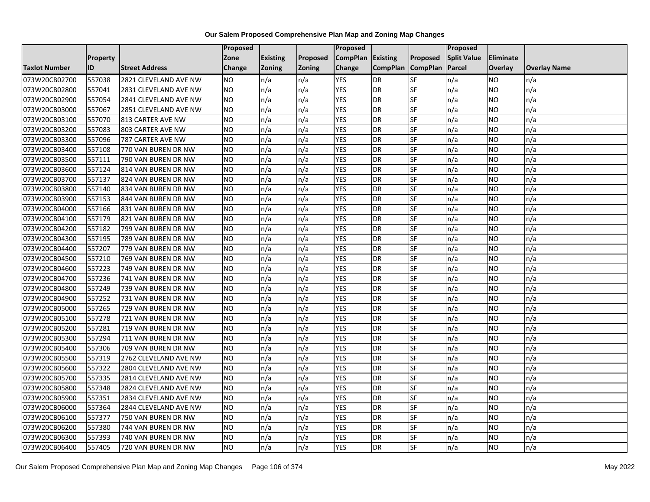|                      |                 |                       | Proposed       |                 |               | <b>Proposed</b> |                 |                 | Proposed           |           |                     |
|----------------------|-----------------|-----------------------|----------------|-----------------|---------------|-----------------|-----------------|-----------------|--------------------|-----------|---------------------|
|                      | <b>Property</b> |                       | Zone           | <b>Existing</b> | Proposed      | <b>CompPlan</b> | <b>Existing</b> | Proposed        | <b>Split Value</b> | Eliminate |                     |
| <b>Taxlot Number</b> | <b>ID</b>       | <b>Street Address</b> | Change         | <b>Zoning</b>   | <b>Zoning</b> | Change          | <b>CompPlan</b> | <b>CompPlan</b> | Parcel             | Overlay   | <b>Overlay Name</b> |
| 073W20CB02700        | 557038          | 2821 CLEVELAND AVE NW | <b>NO</b>      | n/a             | n/a           | <b>YES</b>      | <b>DR</b>       | <b>SF</b>       | n/a                | NO        | n/a                 |
| 073W20CB02800        | 557041          | 2831 CLEVELAND AVE NW | NO.            | n/a             | n/a           | <b>YES</b>      | <b>DR</b>       | SF              | n/a                | NO.       | n/a                 |
| 073W20CB02900        | 557054          | 2841 CLEVELAND AVE NW | NO.            | n/a             | n/a           | <b>YES</b>      | <b>DR</b>       | SF              | n/a                | NO        | n/a                 |
| 073W20CB03000        | 557067          | 2851 CLEVELAND AVE NW | NO.            | n/a             | n/a           | <b>YES</b>      | <b>DR</b>       | SF              | n/a                | NO        | n/a                 |
| 073W20CB03100        | 557070          | 813 CARTER AVE NW     | <b>NO</b>      | n/a             | n/a           | <b>YES</b>      | <b>DR</b>       | SF              | n/a                | NO        | n/a                 |
| 073W20CB03200        | 557083          | 803 CARTER AVE NW     | <b>NO</b>      | n/a             | n/a           | <b>YES</b>      | <b>DR</b>       | SF              | n/a                | <b>NO</b> | n/a                 |
| 073W20CB03300        | 557096          | 787 CARTER AVE NW     | <b>NO</b>      | n/a             | n/a           | <b>YES</b>      | <b>DR</b>       | SF              | n/a                | NO.       | n/a                 |
| 073W20CB03400        | 557108          | 770 VAN BUREN DR NW   | NO.            | n/a             | n/a           | <b>YES</b>      | <b>DR</b>       | SF              | n/a                | NO        | n/a                 |
| 073W20CB03500        | 557111          | 790 VAN BUREN DR NW   | <b>NO</b>      | n/a             | n/a           | <b>YES</b>      | <b>DR</b>       | SF              | n/a                | NO.       | n/a                 |
| 073W20CB03600        | 557124          | 814 VAN BUREN DR NW   | Ю              | n/a             | n/a           | <b>YES</b>      | <b>DR</b>       | <b>SF</b>       | n/a                | NO        | n/a                 |
| 073W20CB03700        | 557137          | 824 VAN BUREN DR NW   | <b>NO</b>      | n/a             | n/a           | <b>YES</b>      | <b>DR</b>       | SF              | n/a                | NO.       | n/a                 |
| 073W20CB03800        | 557140          | 834 VAN BUREN DR NW   | <b>NO</b>      | n/a             | n/a           | <b>YES</b>      | DR              | SF              | n/a                | NO.       | n/a                 |
| 073W20CB03900        | 557153          | 844 VAN BUREN DR NW   | <b>NO</b>      | n/a             | n/a           | <b>YES</b>      | <b>DR</b>       | <b>SF</b>       | n/a                | NO.       | n/a                 |
| 073W20CB04000        | 557166          | 831 VAN BUREN DR NW   | <b>NO</b>      | n/a             | n/a           | <b>YES</b>      | <b>DR</b>       | SF              | n/a                | NO.       | n/a                 |
| 073W20CB04100        | 557179          | 821 VAN BUREN DR NW   | <b>NO</b>      | n/a             | n/a           | <b>YES</b>      | <b>DR</b>       | SF              | n/a                | NO.       | n/a                 |
| 073W20CB04200        | 557182          | 799 VAN BUREN DR NW   | <b>NO</b>      | n/a             | n/a           | <b>YES</b>      | <b>DR</b>       | <b>SF</b>       | n/a                | NO.       | n/a                 |
| 073W20CB04300        | 557195          | 789 VAN BUREN DR NW   | N <sub>O</sub> | n/a             | n/a           | <b>YES</b>      | <b>DR</b>       | <b>SF</b>       | n/a                | <b>NO</b> | n/a                 |
| 073W20CB04400        | 557207          | 779 VAN BUREN DR NW   | <b>NO</b>      | n/a             | n/a           | <b>YES</b>      | <b>DR</b>       | SF              | n/a                | NO.       | n/a                 |
| 073W20CB04500        | 557210          | 769 VAN BUREN DR NW   | <b>NO</b>      | n/a             | n/a           | <b>YES</b>      | <b>DR</b>       | SF              | n/a                | NO.       | n/a                 |
| 073W20CB04600        | 557223          | 749 VAN BUREN DR NW   | <b>NO</b>      | n/a             | n/a           | <b>YES</b>      | <b>DR</b>       | SF              | n/a                | ΝO        | n/a                 |
| 073W20CB04700        | 557236          | 741 VAN BUREN DR NW   | <b>NO</b>      | n/a             | n/a           | <b>YES</b>      | <b>DR</b>       | SF              | n/a                | NO.       | n/a                 |
| 073W20CB04800        | 557249          | 739 VAN BUREN DR NW   | <b>NO</b>      | n/a             | n/a           | <b>YES</b>      | <b>DR</b>       | SF              | n/a                | NO.       | n/a                 |
| 073W20CB04900        | 557252          | 731 VAN BUREN DR NW   | <b>NO</b>      | n/a             | n/a           | <b>YES</b>      | DR              | SF              | n/a                | NO.       | n/a                 |
| 073W20CB05000        | 557265          | 729 VAN BUREN DR NW   | <b>NO</b>      | n/a             | n/a           | <b>YES</b>      | <b>DR</b>       | SF              | n/a                | NO        | n/a                 |
| 073W20CB05100        | 557278          | 721 VAN BUREN DR NW   | <b>NO</b>      | n/a             | n/a           | <b>YES</b>      | <b>DR</b>       | SF              | n/a                | NO.       | n/a                 |
| 073W20CB05200        | 557281          | 719 VAN BUREN DR NW   | <b>NO</b>      | n/a             | n/a           | <b>YES</b>      | <b>DR</b>       | SF              | n/a                | <b>NO</b> | n/a                 |
| 073W20CB05300        | 557294          | 711 VAN BUREN DR NW   | Ю              | n/a             | n/a           | <b>YES</b>      | <b>DR</b>       | $S_{F}$         | n/a                | NO.       | n/a                 |
| 073W20CB05400        | 557306          | 709 VAN BUREN DR NW   | NO             | n/a             | n/a           | <b>YES</b>      | <b>DR</b>       | SF              | n/a                | NO        | n/a                 |
| 073W20CB05500        | 557319          | 2762 CLEVELAND AVE NW | NO.            | n/a             | n/a           | <b>YES</b>      | <b>DR</b>       | <b>SF</b>       | n/a                | NO.       | n/a                 |
| 073W20CB05600        | 557322          | 2804 CLEVELAND AVE NW | <b>NO</b>      | n/a             | n/a           | <b>YES</b>      | <b>DR</b>       | SF              | n/a                | <b>NO</b> | n/a                 |
| 073W20CB05700        | 557335          | 2814 CLEVELAND AVE NW | NO.            | n/a             | n/a           | <b>YES</b>      | <b>DR</b>       | SF              | n/a                | NO        | n/a                 |
| 073W20CB05800        | 557348          | 2824 CLEVELAND AVE NW | <b>NO</b>      | n/a             | n/a           | <b>YES</b>      | <b>DR</b>       | SF              | n/a                | NO        | n/a                 |
| 073W20CB05900        | 557351          | 2834 CLEVELAND AVE NW | <b>NO</b>      | n/a             | n/a           | <b>YES</b>      | <b>DR</b>       | SF              | n/a                | <b>NO</b> | n/a                 |
| 073W20CB06000        | 557364          | 2844 CLEVELAND AVE NW | <b>NO</b>      | n/a             | n/a           | <b>YES</b>      | <b>DR</b>       | SF              | n/a                | NO.       | n/a                 |
| 073W20CB06100        | 557377          | 750 VAN BUREN DR NW   | <b>NO</b>      | n/a             | n/a           | <b>YES</b>      | <b>DR</b>       | SF              | n/a                | NO.       | n/a                 |
| 073W20CB06200        | 557380          | 744 VAN BUREN DR NW   | NO.            | n/a             | n/a           | YES             | DR              | <b>SF</b>       | n/a                | NO        | n/a                 |
| 073W20CB06300        | 557393          | 740 VAN BUREN DR NW   | <b>NO</b>      | n/a             | n/a           | <b>YES</b>      | <b>DR</b>       | SF              | n/a                | ΝO        | n/a                 |
| 073W20CB06400        | 557405          | 720 VAN BUREN DR NW   | <b>NO</b>      | n/a             | n/a           | <b>YES</b>      | <b>DR</b>       | SF              | n/a                | NO.       | n/a                 |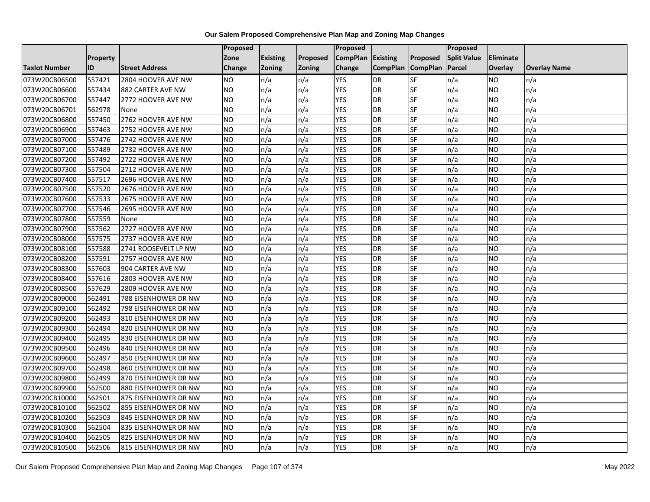|                      |                 |                       | <b>Proposed</b> |                 |                 | Proposed        |                 |                 | Proposed           |                  |                     |
|----------------------|-----------------|-----------------------|-----------------|-----------------|-----------------|-----------------|-----------------|-----------------|--------------------|------------------|---------------------|
|                      | <b>Property</b> |                       | Zone            | <b>Existing</b> | <b>Proposed</b> | <b>CompPlan</b> | Existing        | Proposed        | <b>Split Value</b> | <b>Eliminate</b> |                     |
| <b>Taxlot Number</b> | ID              | <b>Street Address</b> | Change          | <b>Zoning</b>   | Zoning          | Change          | <b>CompPlan</b> | <b>CompPlan</b> | Parcel             | <b>Overlay</b>   | <b>Overlay Name</b> |
| 073W20CB06500        | 557421          | 2804 HOOVER AVE NW    | <b>NO</b>       | n/a             | n/a             | <b>YES</b>      | DR              | SF              | n/a                | <b>NO</b>        | n/a                 |
| 073W20CB06600        | 557434          | 882 CARTER AVE NW     | NO.             | n/a             | n/a             | <b>YES</b>      | <b>DR</b>       | <b>SF</b>       | n/a                | <b>NO</b>        | n/a                 |
| 073W20CB06700        | 557447          | 2772 HOOVER AVE NW    | <b>NO</b>       | n/a             | n/a             | <b>YES</b>      | <b>DR</b>       | SF              | n/a                | <b>NO</b>        | n/a                 |
| 073W20CB06701        | 562978          | None                  | <b>NO</b>       | n/a             | n/a             | <b>YES</b>      | DR              | <b>SF</b>       | n/a                | <b>NO</b>        | n/a                 |
| 073W20CB06800        | 557450          | 2762 HOOVER AVE NW    | N <sub>O</sub>  | n/a             | n/a             | <b>YES</b>      | <b>DR</b>       | <b>SF</b>       | n/a                | <b>NO</b>        | n/a                 |
| 073W20CB06900        | 557463          | 2752 HOOVER AVE NW    | <b>NO</b>       | n/a             | n/a             | <b>YES</b>      | <b>DR</b>       | SF              | n/a                | <b>NO</b>        | n/a                 |
| 073W20CB07000        | 557476          | 2742 HOOVER AVE NW    | <b>NO</b>       | n/a             | n/a             | <b>YES</b>      | <b>DR</b>       | SF              | n/a                | <b>NO</b>        | n/a                 |
| 073W20CB07100        | 557489          | 2732 HOOVER AVE NW    | NΟ              | n/a             | n/a             | <b>YES</b>      | <b>DR</b>       | SF              | n/a                | <b>NO</b>        | n/a                 |
| 073W20CB07200        | 557492          | 2722 HOOVER AVE NW    | <b>NO</b>       | n/a             | n/a             | <b>YES</b>      | <b>DR</b>       | SF              | n/a                | <b>NO</b>        | n/a                 |
| 073W20CB07300        | 557504          | 2712 HOOVER AVE NW    | NO              | n/a             | n/a             | <b>YES</b>      | DR              | $S$ F           | n/a                | <b>NO</b>        | n/a                 |
| 073W20CB07400        | 557517          | 2696 HOOVER AVE NW    | <b>NO</b>       | n/a             | n/a             | <b>YES</b>      | DR              | <b>SF</b>       | n/a                | <b>NO</b>        | n/a                 |
| 073W20CB07500        | 557520          | 2676 HOOVER AVE NW    | <b>NO</b>       | n/a             | n/a             | <b>YES</b>      | DR              | SF              | n/a                | <b>NO</b>        | n/a                 |
| 073W20CB07600        | 557533          | 2675 HOOVER AVE NW    | N <sub>O</sub>  | n/a             | n/a             | <b>YES</b>      | <b>DR</b>       | $S$ F           | n/a                | <b>NO</b>        | n/a                 |
| 073W20CB07700        | 557546          | 2695 HOOVER AVE NW    | <b>NO</b>       | n/a             | n/a             | <b>YES</b>      | DR              | <b>SF</b>       | n/a                | <b>NO</b>        | n/a                 |
| 073W20CB07800        | 557559          | None                  | <b>NO</b>       | n/a             | n/a             | <b>YES</b>      | DR              | <b>SF</b>       | n/a                | <b>NO</b>        | n/a                 |
| 073W20CB07900        | 557562          | 2727 HOOVER AVE NW    | $\overline{NO}$ | n/a             | n/a             | <b>YES</b>      | <b>DR</b>       | <b>SF</b>       | n/a                | <b>NO</b>        | n/a                 |
| 073W20CB08000        | 557575          | 2737 HOOVER AVE NW    | <b>NO</b>       | n/a             | n/a             | <b>YES</b>      | <b>DR</b>       | SF              | n/a                | <b>NO</b>        | n/a                 |
| 073W20CB08100        | 557588          | 2741 ROOSEVELT LP NW  | <b>NO</b>       | n/a             | n/a             | <b>YES</b>      | <b>DR</b>       | SF              | n/a                | <b>NO</b>        | n/a                 |
| 073W20CB08200        | 557591          | 2757 HOOVER AVE NW    | $\overline{NO}$ | n/a             | n/a             | <b>YES</b>      | <b>DR</b>       | <b>SF</b>       | n/a                | <b>NO</b>        | n/a                 |
| 073W20CB08300        | 557603          | 904 CARTER AVE NW     | <b>NO</b>       | n/a             | n/a             | <b>YES</b>      | <b>DR</b>       | SF              | n/a                | <b>NO</b>        | n/a                 |
| 073W20CB08400        | 557616          | 2803 HOOVER AVE NW    | <b>NO</b>       | n/a             | n/a             | <b>YES</b>      | <b>DR</b>       | $S$ F           | n/a                | <b>NO</b>        | n/a                 |
| 073W20CB08500        | 557629          | 2809 HOOVER AVE NW    | <b>NO</b>       | n/a             | n/a             | <b>YES</b>      | <b>DR</b>       | SF              | n/a                | <b>NO</b>        | n/a                 |
| 073W20CB09000        | 562491          | 788 EISENHOWER DR NW  | <b>NO</b>       | n/a             | n/a             | <b>YES</b>      | <b>DR</b>       | <b>SF</b>       | n/a                | <b>NO</b>        | n/a                 |
| 073W20CB09100        | 562492          | 798 EISENHOWER DR NW  | <b>NO</b>       | n/a             | n/a             | <b>YES</b>      | <b>DR</b>       | SF              | n/a                | <b>NO</b>        | n/a                 |
| 073W20CB09200        | 562493          | 810 EISENHOWER DR NW  | <b>NO</b>       | n/a             | n/a             | <b>YES</b>      | <b>DR</b>       | SF              | n/a                | <b>NO</b>        | n/a                 |
| 073W20CB09300        | 562494          | 820 EISENHOWER DR NW  | <b>NO</b>       | n/a             | n/a             | <b>YES</b>      | <b>DR</b>       | <b>SF</b>       | n/a                | <b>NO</b>        | n/a                 |
| 073W20CB09400        | 562495          | 830 EISENHOWER DR NW  | $\overline{NO}$ | n/a             | n/a             | <b>YES</b>      | <b>DR</b>       | <b>SF</b>       | n/a                | <b>NO</b>        | n/a                 |
| 073W20CB09500        | 562496          | 840 EISENHOWER DR NW  | <b>NO</b>       | n/a             | n/a             | <b>YES</b>      | DR              | SF              | n/a                | <b>NO</b>        | n/a                 |
| 073W20CB09600        | 562497          | 850 EISENHOWER DR NW  | <b>NO</b>       | n/a             | n/a             | <b>YES</b>      | DR              | SF              | n/a                | <b>NO</b>        | n/a                 |
| 073W20CB09700        | 562498          | 860 EISENHOWER DR NW  | <b>NO</b>       | n/a             | n/a             | <b>YES</b>      | DR              | SF              | n/a                | NO               | n/a                 |
| 073W20CB09800        | 562499          | 870 EISENHOWER DR NW  | <b>NO</b>       | n/a             | n/a             | <b>YES</b>      | <b>DR</b>       | SF              | n/a                | <b>NO</b>        | n/a                 |
| 073W20CB09900        | 562500          | 880 EISENHOWER DR NW  | <b>NO</b>       | n/a             | n/a             | <b>YES</b>      | <b>DR</b>       | SF              | n/a                | <b>NO</b>        | n/a                 |
| 073W20CB10000        | 562501          | 875 EISENHOWER DR NW  | <b>NO</b>       | n/a             | n/a             | <b>YES</b>      | <b>DR</b>       | SF              | n/a                | <b>NO</b>        | n/a                 |
| 073W20CB10100        | 562502          | 855 EISENHOWER DR NW  | <b>NO</b>       | n/a             | n/a             | <b>YES</b>      | <b>DR</b>       | SF              | n/a                | <b>NO</b>        | n/a                 |
| 073W20CB10200        | 562503          | 845 EISENHOWER DR NW  | $\overline{NO}$ | n/a             | n/a             | <b>YES</b>      | <b>DR</b>       | <b>SF</b>       | n/a                | <b>NO</b>        | n/a                 |
| 073W20CB10300        | 562504          | 835 EISENHOWER DR NW  | NO.             | n/a             | n/a             | <b>YES</b>      | <b>DR</b>       | SF              | n/a                | <b>NO</b>        | n/a                 |
| 073W20CB10400        | 562505          | 825 EISENHOWER DR NW  | <b>NO</b>       | n/a             | n/a             | <b>YES</b>      | <b>DR</b>       | SF              | n/a                | <b>NO</b>        | n/a                 |
| 073W20CB10500        | 562506          | 815 EISENHOWER DR NW  | NO              | n/a             | n/a             | <b>YES</b>      | <b>DR</b>       | SF              | n/a                | <b>NO</b>        | n/a                 |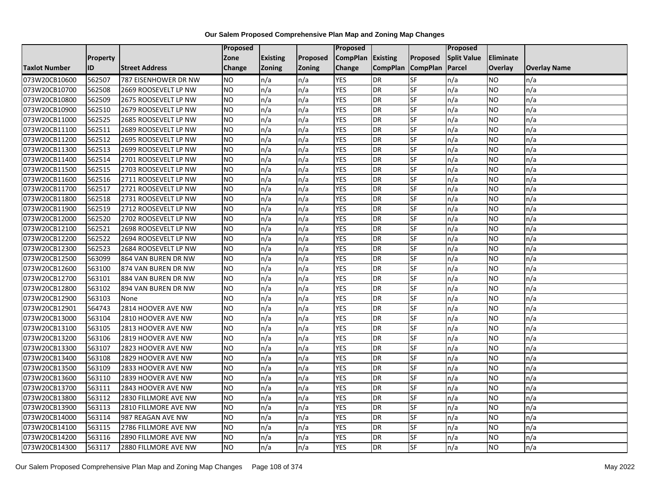|                      |                 |                       | Proposed        |                 |               | <b>Proposed</b> |                 |                 | Proposed           |           |                     |
|----------------------|-----------------|-----------------------|-----------------|-----------------|---------------|-----------------|-----------------|-----------------|--------------------|-----------|---------------------|
|                      | <b>Property</b> |                       | Zone            | <b>Existing</b> | Proposed      | <b>CompPlan</b> | <b>Existing</b> | Proposed        | <b>Split Value</b> | Eliminate |                     |
| <b>Taxlot Number</b> | ID              | <b>Street Address</b> | Change          | <b>Zoning</b>   | <b>Zoning</b> | Change          | <b>CompPlan</b> | <b>CompPlan</b> | Parcel             | Overlay   | <b>Overlay Name</b> |
| 073W20CB10600        | 562507          | 787 EISENHOWER DR NW  | <b>NO</b>       | n/a             | n/a           | <b>YES</b>      | <b>DR</b>       | <b>SF</b>       | n/a                | NO.       | n/a                 |
| 073W20CB10700        | 562508          | 2669 ROOSEVELT LP NW  | <b>NO</b>       | n/a             | n/a           | <b>YES</b>      | <b>DR</b>       | <b>SF</b>       | n/a                | NO.       | n/a                 |
| 073W20CB10800        | 562509          | 2675 ROOSEVELT LP NW  | <b>NO</b>       | n/a             | n/a           | <b>YES</b>      | <b>DR</b>       | SF              | n/a                | NO        | n/a                 |
| 073W20CB10900        | 562510          | 2679 ROOSEVELT LP NW  | <b>NO</b>       | n/a             | n/a           | <b>YES</b>      | <b>DR</b>       | SF              | n/a                | NO.       | n/a                 |
| 073W20CB11000        | 562525          | 2685 ROOSEVELT LP NW  | <b>NO</b>       | n/a             | n/a           | <b>YES</b>      | <b>DR</b>       | <b>SF</b>       | n/a                | NO.       | n/a                 |
| 073W20CB11100        | 562511          | 2689 ROOSEVELT LP NW  | <b>NO</b>       | n/a             | n/a           | <b>YES</b>      | <b>DR</b>       | SF              | n/a                | <b>NO</b> | n/a                 |
| 073W20CB11200        | 562512          | 2695 ROOSEVELT LP NW  | <b>NO</b>       | n/a             | n/a           | <b>YES</b>      | <b>DR</b>       | SF              | n/a                | NO.       | n/a                 |
| 073W20CB11300        | 562513          | 2699 ROOSEVELT LP NW  | <b>NO</b>       | n/a             | n/a           | <b>YES</b>      | <b>DR</b>       | SF              | n/a                | NO.       | n/a                 |
| 073W20CB11400        | 562514          | 2701 ROOSEVELT LP NW  | <b>NO</b>       | n/a             | n/a           | <b>YES</b>      | <b>DR</b>       | SF              | n/a                | NO.       | n/a                 |
| 073W20CB11500        | 562515          | 2703 ROOSEVELT LP NW  | ZО              | n/a             | n/a           | <b>YES</b>      | <b>DR</b>       | <b>SF</b>       | n/a                | NO        | n/a                 |
| 073W20CB11600        | 562516          | 2711 ROOSEVELT LP NW  | <b>NO</b>       | n/a             | n/a           | <b>YES</b>      | <b>DR</b>       | SF              | n/a                | NO.       | n/a                 |
| 073W20CB11700        | 562517          | 2721 ROOSEVELT LP NW  | <b>NO</b>       | n/a             | n/a           | <b>YES</b>      | DR              | SF              | n/a                | NO.       | n/a                 |
| 073W20CB11800        | 562518          | 2731 ROOSEVELT LP NW  | NO.             | n/a             | n/a           | <b>YES</b>      | <b>DR</b>       | <b>SF</b>       | n/a                | NO.       | n/a                 |
| 073W20CB11900        | 562519          | 2712 ROOSEVELT LP NW  | <b>NO</b>       | n/a             | n/a           | <b>YES</b>      | <b>DR</b>       | SF              | n/a                | NO.       | n/a                 |
| 073W20CB12000        | 562520          | 2702 ROOSEVELT LP NW  | <b>NO</b>       | n/a             | n/a           | <b>YES</b>      | <b>DR</b>       | SF              | n/a                | NO.       | n/a                 |
| 073W20CB12100        | 562521          | 2698 ROOSEVELT LP NW  | <b>NO</b>       | n/a             | n/a           | <b>YES</b>      | <b>DR</b>       | <b>SF</b>       | n/a                | NO.       | n/a                 |
| 073W20CB12200        | 562522          | 2694 ROOSEVELT LP NW  | $\overline{NO}$ | n/a             | n/a           | <b>YES</b>      | <b>DR</b>       | <b>SF</b>       | n/a                | <b>NO</b> | n/a                 |
| 073W20CB12300        | 562523          | 2684 ROOSEVELT LP NW  | <b>NO</b>       | n/a             | n/a           | <b>YES</b>      | <b>DR</b>       | SF              | n/a                | NO.       | n/a                 |
| 073W20CB12500        | 563099          | 864 VAN BUREN DR NW   | <b>NO</b>       | n/a             | n/a           | <b>YES</b>      | <b>DR</b>       | SF              | n/a                | NO.       | n/a                 |
| 073W20CB12600        | 563100          | 874 VAN BUREN DR NW   | <b>NO</b>       | n/a             | n/a           | <b>YES</b>      | DR              | SF              | n/a                | ΝO        | n/a                 |
| 073W20CB12700        | 563101          | 884 VAN BUREN DR NW   | <b>NO</b>       | n/a             | n/a           | <b>YES</b>      | <b>DR</b>       | SF              | n/a                | NO.       | n/a                 |
| 073W20CB12800        | 563102          | 894 VAN BUREN DR NW   | <b>NO</b>       | n/a             | n/a           | <b>YES</b>      | <b>DR</b>       | SF              | n/a                | <b>NO</b> | n/a                 |
| 073W20CB12900        | 563103          | None                  | <b>NO</b>       | n/a             | n/a           | <b>YES</b>      | DR              | SF              | n/a                | NO.       | n/a                 |
| 073W20CB12901        | 564743          | 2814 HOOVER AVE NW    | <b>NO</b>       | n/a             | n/a           | <b>YES</b>      | <b>DR</b>       | SF              | n/a                | NO        | n/a                 |
| 073W20CB13000        | 563104          | 2810 HOOVER AVE NW    | <b>NO</b>       | n/a             | n/a           | <b>YES</b>      | <b>DR</b>       | SF              | n/a                | NO.       | n/a                 |
| 073W20CB13100        | 563105          | 2813 HOOVER AVE NW    | <b>NO</b>       | n/a             | n/a           | <b>YES</b>      | <b>DR</b>       | SF              | n/a                | <b>NO</b> | n/a                 |
| 073W20CB13200        | 563106          | 2819 HOOVER AVE NW    | ŌИ              | n/a             | n/a           | <b>YES</b>      | <b>DR</b>       | $S_{F}$         | n/a                | NO.       | n/a                 |
| 073W20CB13300        | 563107          | 2823 HOOVER AVE NW    | <b>NO</b>       | n/a             | n/a           | <b>YES</b>      | <b>DR</b>       | SF              | n/a                | NO        | n/a                 |
| 073W20CB13400        | 563108          | 2829 HOOVER AVE NW    | <b>NO</b>       | n/a             | n/a           | <b>YES</b>      | <b>DR</b>       | SF              | n/a                | NO.       | n/a                 |
| 073W20CB13500        | 563109          | 2833 HOOVER AVE NW    | <b>NO</b>       | n/a             | n/a           | <b>YES</b>      | <b>DR</b>       | SF              | n/a                | <b>NO</b> | n/a                 |
| 073W20CB13600        | 563110          | 2839 HOOVER AVE NW    | NO.             | n/a             | n/a           | <b>YES</b>      | <b>DR</b>       | SF              | n/a                | NO        | n/a                 |
| 073W20CB13700        | 563111          | 2843 HOOVER AVE NW    | <b>NO</b>       | n/a             | n/a           | <b>YES</b>      | <b>DR</b>       | SF              | n/a                | NO.       | n/a                 |
| 073W20CB13800        | 563112          | 2830 FILLMORE AVE NW  | $\overline{NO}$ | n/a             | n/a           | <b>YES</b>      | <b>DR</b>       | SF              | n/a                | <b>NO</b> | n/a                 |
| 073W20CB13900        | 563113          | 2810 FILLMORE AVE NW  | <b>NO</b>       | n/a             | n/a           | <b>YES</b>      | <b>DR</b>       | SF              | n/a                | NO.       | n/a                 |
| 073W20CB14000        | 563114          | 987 REAGAN AVE NW     | <b>NO</b>       | n/a             | n/a           | <b>YES</b>      | <b>DR</b>       | SF              | n/a                | NO.       | n/a                 |
| 073W20CB14100        | 563115          | 2786 FILLMORE AVE NW  | NO              | n/a             | n/a           | YES             | <b>DR</b>       | <b>SF</b>       | n/a                | NO        | n/a                 |
| 073W20CB14200        | 563116          | 2890 FILLMORE AVE NW  | <b>NO</b>       | n/a             | n/a           | <b>YES</b>      | DR              | SF              | n/a                | ΝO        | n/a                 |
| 073W20CB14300        | 563117          | 2880 FILLMORE AVE NW  | <b>NO</b>       | n/a             | n/a           | <b>YES</b>      | <b>DR</b>       | SF              | n/a                | NO.       | n/a                 |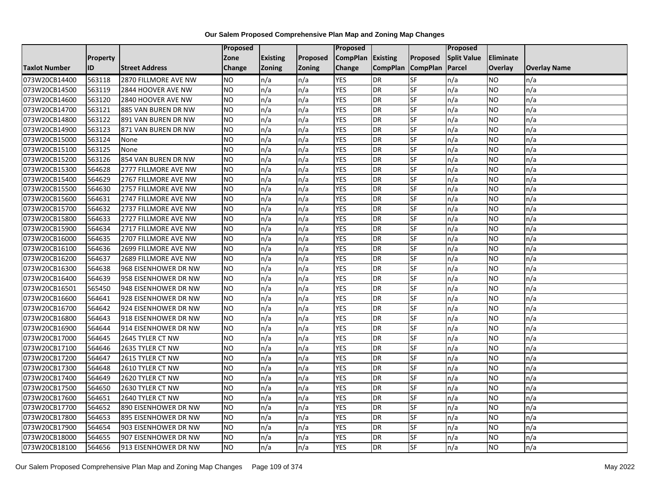|                      |                 |                       | Proposed        |                 |               | <b>Proposed</b> |                 |                 | Proposed           |           |                     |
|----------------------|-----------------|-----------------------|-----------------|-----------------|---------------|-----------------|-----------------|-----------------|--------------------|-----------|---------------------|
|                      | <b>Property</b> |                       | Zone            | <b>Existing</b> | Proposed      | <b>CompPlan</b> | <b>Existing</b> | Proposed        | <b>Split Value</b> | Eliminate |                     |
| <b>Taxlot Number</b> | ID              | <b>Street Address</b> | Change          | <b>Zoning</b>   | <b>Zoning</b> | Change          | <b>CompPlan</b> | <b>CompPlan</b> | Parcel             | Overlay   | <b>Overlay Name</b> |
| 073W20CB14400        | 563118          | 2870 FILLMORE AVE NW  | NO.             | n/a             | n/a           | <b>YES</b>      | <b>DR</b>       | <b>SF</b>       | n/a                | NO        | n/a                 |
| 073W20CB14500        | 563119          | 2844 HOOVER AVE NW    | <b>NO</b>       | n/a             | n/a           | <b>YES</b>      | <b>DR</b>       | <b>SF</b>       | n/a                | NO.       | n/a                 |
| 073W20CB14600        | 563120          | 2840 HOOVER AVE NW    | <b>NO</b>       | n/a             | n/a           | <b>YES</b>      | <b>DR</b>       | SF              | n/a                | NO.       | n/a                 |
| 073W20CB14700        | 563121          | 885 VAN BUREN DR NW   | <b>NO</b>       | n/a             | n/a           | <b>YES</b>      | <b>DR</b>       | SF              | n/a                | NO.       | n/a                 |
| 073W20CB14800        | 563122          | 891 VAN BUREN DR NW   | <b>NO</b>       | n/a             | n/a           | <b>YES</b>      | <b>DR</b>       | <b>SF</b>       | n/a                | NO.       | n/a                 |
| 073W20CB14900        | 563123          | 871 VAN BUREN DR NW   | <b>NO</b>       | n/a             | n/a           | <b>YES</b>      | <b>DR</b>       | SF              | n/a                | <b>NO</b> | n/a                 |
| 073W20CB15000        | 563124          | None                  | <b>NO</b>       | n/a             | n/a           | <b>YES</b>      | <b>DR</b>       | SF              | n/a                | NO.       | n/a                 |
| 073W20CB15100        | 563125          | None                  | <b>NO</b>       | n/a             | n/a           | <b>YES</b>      | <b>DR</b>       | SF              | n/a                | NO.       | n/a                 |
| 073W20CB15200        | 563126          | 854 VAN BUREN DR NW   | NO.             | n/a             | n/a           | <b>YES</b>      | <b>DR</b>       | SF              | n/a                | ΝO        | n/a                 |
| 073W20CB15300        | 564628          | 2777 FILLMORE AVE NW  | <b>NO</b>       | n/a             | n/a           | <b>YES</b>      | <b>DR</b>       | <b>SF</b>       | n/a                | NO.       | n/a                 |
| 073W20CB15400        | 564629          | 2767 FILLMORE AVE NW  | <b>NO</b>       | n/a             | n/a           | <b>YES</b>      | <b>DR</b>       | SF              | n/a                | NO.       | n/a                 |
| 073W20CB15500        | 564630          | 2757 FILLMORE AVE NW  | <b>NO</b>       | n/a             | n/a           | <b>YES</b>      | DR              | SF              | n/a                | NO.       | n/a                 |
| 073W20CB15600        | 564631          | 2747 FILLMORE AVE NW  | NO.             | n/a             | n/a           | <b>YES</b>      | <b>DR</b>       | <b>SF</b>       | n/a                | NO        | n/a                 |
| 073W20CB15700        | 564632          | 2737 FILLMORE AVE NW  | <b>NO</b>       | n/a             | n/a           | <b>YES</b>      | <b>DR</b>       | SF              | n/a                | NO.       | n/a                 |
| 073W20CB15800        | 564633          | 2727 FILLMORE AVE NW  | <b>NO</b>       | n/a             | n/a           | <b>YES</b>      | DR              | SF              | n/a                | ΝO        | n/a                 |
| 073W20CB15900        | 564634          | 2717 FILLMORE AVE NW  | <b>NO</b>       | n/a             | n/a           | <b>YES</b>      | DR              | <b>SF</b>       | n/a                | NO.       | n/a                 |
| 073W20CB16000        | 564635          | 2707 FILLMORE AVE NW  | <b>NO</b>       | n/a             | n/a           | <b>YES</b>      | DR              | SF              | n/a                | NO.       | n/a                 |
| 073W20CB16100        | 564636          | 2699 FILLMORE AVE NW  | <b>NO</b>       | n/a             | n/a           | <b>YES</b>      | <b>DR</b>       | SF              | n/a                | NO.       | n/a                 |
| 073W20CB16200        | 564637          | 2689 FILLMORE AVE NW  | <b>NO</b>       | n/a             | n/a           | <b>YES</b>      | <b>DR</b>       | SF              | n/a                | NO.       | n/a                 |
| 073W20CB16300        | 564638          | 968 EISENHOWER DR NW  | <b>NO</b>       | n/a             | n/a           | <b>YES</b>      | <b>DR</b>       | SF              | n/a                | NO.       | n/a                 |
| 073W20CB16400        | 564639          | 958 EISENHOWER DR NW  | <b>NO</b>       | n/a             | n/a           | <b>YES</b>      | <b>DR</b>       | SF              | n/a                | NO.       | n/a                 |
| 073W20CB16501        | 565450          | 948 EISENHOWER DR NW  | Ю               | n/a             | n/a           | <b>YES</b>      | <b>DR</b>       | <b>SF</b>       | n/a                | NO.       | n/a                 |
| 073W20CB16600        | 564641          | 928 EISENHOWER DR NW  | <b>NO</b>       | n/a             | n/a           | <b>YES</b>      | <b>DR</b>       | SF              | n/a                | NO.       | n/a                 |
| 073W20CB16700        | 564642          | 924 EISENHOWER DR NW  | <b>NO</b>       | n/a             | n/a           | <b>YES</b>      | DR              | SF              | n/a                | NO.       | n/a                 |
| 073W20CB16800        | 564643          | 918 EISENHOWER DR NW  | $\overline{NO}$ | n/a             | n/a           | <b>YES</b>      | <b>DR</b>       | SF              | n/a                | ΝO        | n/a                 |
| 073W20CB16900        | 564644          | 914 EISENHOWER DR NW  | <b>NO</b>       | n/a             | n/a           | <b>YES</b>      | <b>DR</b>       | SF              | n/a                | NO        | n/a                 |
| 073W20CB17000        | 564645          | 2645 TYLER CT NW      | <b>NO</b>       | n/a             | n/a           | <b>YES</b>      | <b>DR</b>       | SF              | n/a                | NO.       | n/a                 |
| 073W20CB17100        | 564646          | 2635 TYLER CT NW      | <b>NO</b>       | n/a             | n/a           | <b>YES</b>      | <b>DR</b>       | SF              | n/a                | NO.       | n/a                 |
| 073W20CB17200        | 564647          | 2615 TYLER CT NW      | NO.             | n/a             | n/a           | <b>YES</b>      | <b>DR</b>       | <b>SF</b>       | n/a                | NO        | n/a                 |
| 073W20CB17300        | 564648          | 2610 TYLER CT NW      | <b>NO</b>       | n/a             | n/a           | <b>YES</b>      | <b>DR</b>       | SF              | n/a                | NO.       | n/a                 |
| 073W20CB17400        | 564649          | 2620 TYLER CT NW      | <b>NO</b>       | n/a             | n/a           | <b>YES</b>      | <b>DR</b>       | SF              | n/a                | ΝO        | n/a                 |
| 073W20CB17500        | 564650          | 2630 TYLER CT NW      | <b>NO</b>       | n/a             | n/a           | <b>YES</b>      | <b>DR</b>       | <b>SF</b>       | n/a                | NO.       | n/a                 |
| 073W20CB17600        | 564651          | 2640 TYLER CT NW      | <b>NO</b>       | n/a             | n/a           | <b>YES</b>      | DR              | SF              | n/a                | NO.       | n/a                 |
| 073W20CB17700        | 564652          | 890 EISENHOWER DR NW  | <b>NO</b>       | n/a             | n/a           | <b>YES</b>      | <b>DR</b>       | SF              | n/a                | NO.       | n/a                 |
| 073W20CB17800        | 564653          | 895 EISENHOWER DR NW  | $\overline{NO}$ | n/a             | n/a           | <b>YES</b>      | <b>DR</b>       | SF              | n/a                | NO.       | n/a                 |
| 073W20CB17900        | 564654          | 903 EISENHOWER DR NW  | NO.             | n/a             | n/a           | <b>YES</b>      | <b>DR</b>       | SF              | n/a                | NO        | n/a                 |
| 073W20CB18000        | 564655          | 907 EISENHOWER DR NW  | <b>NO</b>       | n/a             | n/a           | <b>YES</b>      | DR              | SF              | n/a                | ΝO        | n/a                 |
| 073W20CB18100        | 564656          | 913 EISENHOWER DR NW  | $\overline{NO}$ | n/a             | n/a           | <b>YES</b>      | <b>DR</b>       | <b>SF</b>       | n/a                | NO.       | n/a                 |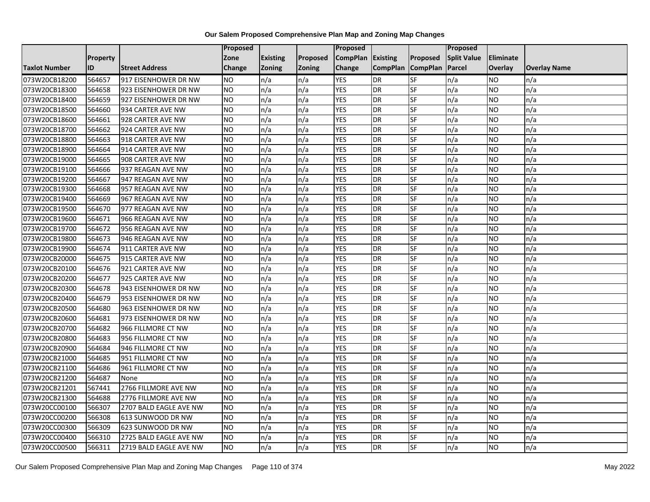|                      |                 |                        | Proposed        |                 |               | <b>Proposed</b> |                 |                 | Proposed           |           |                     |
|----------------------|-----------------|------------------------|-----------------|-----------------|---------------|-----------------|-----------------|-----------------|--------------------|-----------|---------------------|
|                      | <b>Property</b> |                        | Zone            | <b>Existing</b> | Proposed      | <b>CompPlan</b> | <b>Existing</b> | Proposed        | <b>Split Value</b> | Eliminate |                     |
| <b>Taxlot Number</b> | ID              | <b>Street Address</b>  | Change          | <b>Zoning</b>   | <b>Zoning</b> | Change          | <b>CompPlan</b> | <b>CompPlan</b> | Parcel             | Overlay   | <b>Overlay Name</b> |
| 073W20CB18200        | 564657          | 917 EISENHOWER DR NW   | NO.             | n/a             | n/a           | <b>YES</b>      | <b>DR</b>       | <b>SF</b>       | n/a                | NO        | n/a                 |
| 073W20CB18300        | 564658          | 923 EISENHOWER DR NW   | <b>NO</b>       | n/a             | n/a           | <b>YES</b>      | <b>DR</b>       | SF              | n/a                | NO.       | n/a                 |
| 073W20CB18400        | 564659          | 927 EISENHOWER DR NW   | <b>NO</b>       | n/a             | n/a           | <b>YES</b>      | <b>DR</b>       | SF              | n/a                | NO        | n/a                 |
| 073W20CB18500        | 564660          | 934 CARTER AVE NW      | <b>NO</b>       | n/a             | n/a           | <b>YES</b>      | <b>DR</b>       | SF              | n/a                | NO.       | n/a                 |
| 073W20CB18600        | 564661          | 928 CARTER AVE NW      | <b>NO</b>       | n/a             | n/a           | <b>YES</b>      | <b>DR</b>       | SF              | n/a                | NO.       | n/a                 |
| 073W20CB18700        | 564662          | 924 CARTER AVE NW      | <b>NO</b>       | n/a             | n/a           | <b>YES</b>      | <b>DR</b>       | SF              | n/a                | <b>NO</b> | n/a                 |
| 073W20CB18800        | 564663          | 918 CARTER AVE NW      | <b>NO</b>       | n/a             | n/a           | <b>YES</b>      | <b>DR</b>       | SF              | n/a                | NO.       | n/a                 |
| 073W20CB18900        | 564664          | 914 CARTER AVE NW      | NO.             | n/a             | n/a           | <b>YES</b>      | <b>DR</b>       | SF              | n/a                | NO.       | n/a                 |
| 073W20CB19000        | 564665          | 908 CARTER AVE NW      | <b>NO</b>       | n/a             | n/a           | <b>YES</b>      | <b>DR</b>       | SF              | n/a                | NO.       | n/a                 |
| 073W20CB19100        | 564666          | 937 REAGAN AVE NW      | <b>NO</b>       | n/a             | n/a           | <b>YES</b>      | <b>DR</b>       | <b>SF</b>       | n/a                | NO        | n/a                 |
| 073W20CB19200        | 564667          | 947 REAGAN AVE NW      | <b>NO</b>       | n/a             | n/a           | <b>YES</b>      | <b>DR</b>       | SF              | n/a                | NO.       | n/a                 |
| 073W20CB19300        | 564668          | 957 REAGAN AVE NW      | <b>NO</b>       | n/a             | n/a           | <b>YES</b>      | <b>DR</b>       | SF              | n/a                | NO.       | n/a                 |
| 073W20CB19400        | 564669          | 967 REAGAN AVE NW      | <b>NO</b>       | n/a             | n/a           | <b>YES</b>      | <b>DR</b>       | <b>SF</b>       | n/a                | NO.       | n/a                 |
| 073W20CB19500        | 564670          | 977 REAGAN AVE NW      | <b>NO</b>       | n/a             | n/a           | <b>YES</b>      | <b>DR</b>       | SF              | n/a                | NO.       | n/a                 |
| 073W20CB19600        | 564671          | 966 REAGAN AVE NW      | <b>NO</b>       | n/a             | n/a           | <b>YES</b>      | <b>DR</b>       | SF              | n/a                | NO.       | n/a                 |
| 073W20CB19700        | 564672          | 956 REAGAN AVE NW      | <b>NO</b>       | n/a             | n/a           | <b>YES</b>      | <b>DR</b>       | <b>SF</b>       | n/a                | NO.       | n/a                 |
| 073W20CB19800        | 564673          | 946 REAGAN AVE NW      | N <sub>O</sub>  | n/a             | n/a           | <b>YES</b>      | <b>DR</b>       | <b>SF</b>       | n/a                | <b>NO</b> | n/a                 |
| 073W20CB19900        | 564674          | 911 CARTER AVE NW      | <b>NO</b>       | n/a             | n/a           | <b>YES</b>      | <b>DR</b>       | SF              | n/a                | NO.       | n/a                 |
| 073W20CB20000        | 564675          | 915 CARTER AVE NW      | <b>NO</b>       | n/a             | n/a           | <b>YES</b>      | <b>DR</b>       | SF              | n/a                | NO.       | n/a                 |
| 073W20CB20100        | 564676          | 921 CARTER AVE NW      | <b>NO</b>       | n/a             | n/a           | <b>YES</b>      | DR              | SF              | n/a                | ΝO        | n/a                 |
| 073W20CB20200        | 564677          | 925 CARTER AVE NW      | <b>NO</b>       | n/a             | n/a           | <b>YES</b>      | <b>DR</b>       | SF              | n/a                | NO.       | n/a                 |
| 073W20CB20300        | 564678          | 943 EISENHOWER DR NW   | <b>NO</b>       | n/a             | n/a           | <b>YES</b>      | <b>DR</b>       | SF              | n/a                | <b>NO</b> | n/a                 |
| 073W20CB20400        | 564679          | 953 EISENHOWER DR NW   | <b>NO</b>       | n/a             | n/a           | <b>YES</b>      | <b>DR</b>       | <b>SF</b>       | n/a                | NO.       | n/a                 |
| 073W20CB20500        | 564680          | 963 EISENHOWER DR NW   | <b>NO</b>       | n/a             | n/a           | <b>YES</b>      | <b>DR</b>       | SF              | n/a                | NO        | n/a                 |
| 073W20CB20600        | 564681          | 973 EISENHOWER DR NW   | <b>NO</b>       | n/a             | n/a           | <b>YES</b>      | <b>DR</b>       | SF              | n/a                | NO.       | n/a                 |
| 073W20CB20700        | 564682          | 966 FILLMORE CT NW     | <b>NO</b>       | n/a             | n/a           | <b>YES</b>      | <b>DR</b>       | SF              | n/a                | NO.       | n/a                 |
| 073W20CB20800        | 564683          | 956 FILLMORE CT NW     | Ю               | n/a             | n/a           | <b>YES</b>      | <b>DR</b>       | $S_{F}$         | n/a                | NO.       | n/a                 |
| 073W20CB20900        | 564684          | 946 FILLMORE CT NW     | <b>NO</b>       | n/a             | n/a           | <b>YES</b>      | <b>DR</b>       | SF              | n/a                | NO        | n/a                 |
| 073W20CB21000        | 564685          | 951 FILLMORE CT NW     | <b>NO</b>       | n/a             | n/a           | <b>YES</b>      | <b>DR</b>       | SF              | n/a                | NO.       | n/a                 |
| 073W20CB21100        | 564686          | 961 FILLMORE CT NW     | <b>NO</b>       | n/a             | n/a           | <b>YES</b>      | <b>DR</b>       | SF              | n/a                | <b>NO</b> | n/a                 |
| 073W20CB21200        | 564687          | None                   | NO.             | n/a             | n/a           | <b>YES</b>      | <b>DR</b>       | SF              | n/a                | NO        | n/a                 |
| 073W20CB21201        | 567441          | 2766 FILLMORE AVE NW   | <b>NO</b>       | n/a             | n/a           | <b>YES</b>      | <b>DR</b>       | SF              | n/a                | NO.       | n/a                 |
| 073W20CB21300        | 564688          | 2776 FILLMORE AVE NW   | $\overline{NO}$ | n/a             | n/a           | <b>YES</b>      | <b>DR</b>       | SF              | n/a                | <b>NO</b> | n/a                 |
| 073W20CC00100        | 566307          | 2707 BALD EAGLE AVE NW | <b>NO</b>       | n/a             | n/a           | <b>YES</b>      | <b>DR</b>       | SF              | n/a                | NO.       | n/a                 |
| 073W20CC00200        | 566308          | 613 SUNWOOD DR NW      | <b>NO</b>       | n/a             | n/a           | <b>YES</b>      | <b>DR</b>       | SF              | n/a                | NO.       | n/a                 |
| 073W20CC00300        | 566309          | 623 SUNWOOD DR NW      | NO.             | n/a             | n/a           | YES             | <b>DR</b>       | <b>SF</b>       | n/a                | NO        | n/a                 |
| 073W20CC00400        | 566310          | 2725 BALD EAGLE AVE NW | NO.             | n/a             | n/a           | <b>YES</b>      | DR              | SF              | n/a                | ΝO        | n/a                 |
| 073W20CC00500        | 566311          | 2719 BALD EAGLE AVE NW | <b>NO</b>       | n/a             | n/a           | <b>YES</b>      | <b>DR</b>       | SF              | n/a                | NO.       | n/a                 |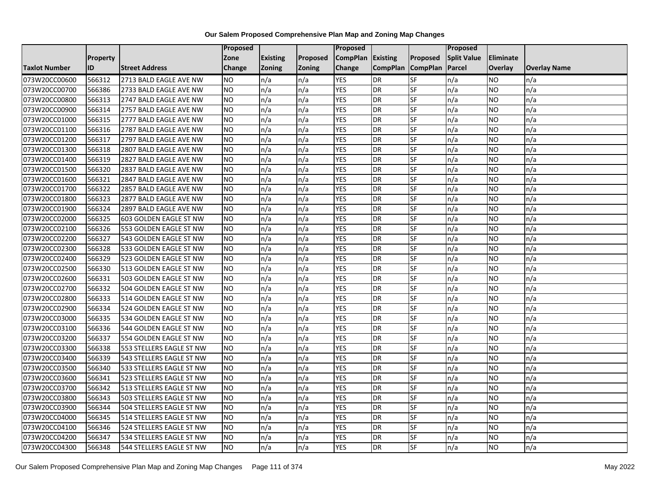|                      |                 |                          | <b>Proposed</b> |                 |               | Proposed        |                 |                 | Proposed           |           |                     |
|----------------------|-----------------|--------------------------|-----------------|-----------------|---------------|-----------------|-----------------|-----------------|--------------------|-----------|---------------------|
|                      | <b>Property</b> |                          | Zone            | <b>Existing</b> | Proposed      | <b>CompPlan</b> | Existing        | Proposed        | <b>Split Value</b> | Eliminate |                     |
| <b>Taxlot Number</b> | ID              | <b>Street Address</b>    | <b>Change</b>   | Zoning          | <b>Zoning</b> | Change          | <b>CompPlan</b> | <b>CompPlan</b> | Parcel             | Overlay   | <b>Overlay Name</b> |
| 073W20CC00600        | 566312          | 2713 BALD EAGLE AVE NW   | <b>NO</b>       | n/a             | n/a           | <b>YES</b>      | <b>DR</b>       | <b>SF</b>       | n/a                | <b>NO</b> | n/a                 |
| 073W20CC00700        | 566386          | 2733 BALD EAGLE AVE NW   | <b>NO</b>       | n/a             | n/a           | <b>YES</b>      | DR              | <b>SF</b>       | n/a                | NO.       | n/a                 |
| 073W20CC00800        | 566313          | 2747 BALD EAGLE AVE NW   | <b>NO</b>       | n/a             | n/a           | <b>YES</b>      | DR              | SF              | n/a                | NO.       | n/a                 |
| 073W20CC00900        | 566314          | 2757 BALD EAGLE AVE NW   | <b>NO</b>       | n/a             | n/a           | <b>YES</b>      | <b>DR</b>       | SF              | n/a                | NO.       | n/a                 |
| 073W20CC01000        | 566315          | 2777 BALD EAGLE AVE NW   | <b>NO</b>       | n/a             | n/a           | <b>YES</b>      | <b>DR</b>       | $S_{F}$         | n/a                | NO.       | n/a                 |
| 073W20CC01100        | 566316          | 2787 BALD EAGLE AVE NW   | <b>NO</b>       | n/a             | n/a           | <b>YES</b>      | <b>DR</b>       | SF              | n/a                | NO.       | n/a                 |
| 073W20CC01200        | 566317          | 2797 BALD EAGLE AVE NW   | <b>NO</b>       | n/a             | n/a           | <b>YES</b>      | DR              | SF              | n/a                | NO.       | n/a                 |
| 073W20CC01300        | 566318          | 2807 BALD EAGLE AVE NW   | <b>NO</b>       | n/a             | n/a           | <b>YES</b>      | DR              | SF              | n/a                | NO.       | n/a                 |
| 073W20CC01400        | 566319          | 2827 BALD EAGLE AVE NW   | <b>NO</b>       | n/a             | n/a           | <b>YES</b>      | DR              | SF              | n/a                | NO        | n/a                 |
| 073W20CC01500        | 566320          | 2837 BALD EAGLE AVE NW   | Ю               | n/a             | n/a           | <b>YES</b>      | DR              | SF              | n/a                | NO.       | n/a                 |
| 073W20CC01600        | 566321          | 2847 BALD EAGLE AVE NW   | <b>NO</b>       | n/a             | n/a           | <b>YES</b>      | <b>DR</b>       | SF              | n/a                | <b>NO</b> | n/a                 |
| 073W20CC01700        | 566322          | 2857 BALD EAGLE AVE NW   | <b>NO</b>       | n/a             | n/a           | <b>YES</b>      | <b>DR</b>       | SF              | n/a                | NO.       | n/a                 |
| 073W20CC01800        | 566323          | 2877 BALD EAGLE AVE NW   | <b>NO</b>       | n/a             | n/a           | <b>YES</b>      | DR              | SF              | n/a                | NO.       | n/a                 |
| 073W20CC01900        | 566324          | 2897 BALD EAGLE AVE NW   | <b>NO</b>       | n/a             | n/a           | <b>YES</b>      | <b>DR</b>       | SF              | n/a                | NO.       | n/a                 |
| 073W20CC02000        | 566325          | 603 GOLDEN EAGLE ST NW   | <b>NO</b>       | n/a             | n/a           | <b>YES</b>      | DR              | SF              | n/a                | ΝO        | n/a                 |
| 073W20CC02100        | 566326          | 553 GOLDEN EAGLE ST NW   | <b>NO</b>       | n/a             | n/a           | <b>YES</b>      | DR              | SF              | n/a                | NO.       | n/a                 |
| 073W20CC02200        | 566327          | 543 GOLDEN EAGLE ST NW   | <b>NO</b>       | n/a             | n/a           | <b>YES</b>      | <b>DR</b>       | SF              | n/a                | NO.       | n/a                 |
| 073W20CC02300        | 566328          | 533 GOLDEN EAGLE ST NW   | <b>NO</b>       | n/a             | n/a           | <b>YES</b>      | DR              | SF              | n/a                | NO.       | n/a                 |
| 073W20CC02400        | 566329          | 523 GOLDEN EAGLE ST NW   | <b>NO</b>       | n/a             | n/a           | <b>YES</b>      | DR              | SF              | n/a                | <b>NO</b> | n/a                 |
| 073W20CC02500        | 566330          | 513 GOLDEN EAGLE ST NW   | <b>NO</b>       | n/a             | n/a           | <b>YES</b>      | <b>DR</b>       | SF              | n/a                | NO.       | n/a                 |
| 073W20CC02600        | 566331          | 503 GOLDEN EAGLE ST NW   | <b>NO</b>       | n/a             | n/a           | <b>YES</b>      | <b>DR</b>       | SF              | n/a                | NO.       | n/a                 |
| 073W20CC02700        | 566332          | 504 GOLDEN EAGLE ST NW   | Ю               | n/a             | n/a           | <b>YES</b>      | $\overline{R}$  | <b>SF</b>       | n/a                | NO.       | n/a                 |
| 073W20CC02800        | 566333          | 514 GOLDEN EAGLE ST NW   | <b>NO</b>       | n/a             | n/a           | <b>YES</b>      | DR              | SF              | n/a                | NO.       | n/a                 |
| 073W20CC02900        | 566334          | 524 GOLDEN EAGLE ST NW   | <b>NO</b>       | n/a             | n/a           | <b>YES</b>      | DR              | SF              | n/a                | NO.       | n/a                 |
| 073W20CC03000        | 566335          | 534 GOLDEN EAGLE ST NW   | Ю               | n/a             | n/a           | <b>YES</b>      | DR              | SF              | n/a                | NO.       | n/a                 |
| 073W20CC03100        | 566336          | 544 GOLDEN EAGLE ST NW   | <b>NO</b>       | n/a             | n/a           | <b>YES</b>      | DR              | SF              | n/a                | NO.       | n/a                 |
| 073W20CC03200        | 566337          | 554 GOLDEN EAGLE ST NW   | <b>NO</b>       | n/a             | n/a           | <b>YES</b>      | <b>DR</b>       | SF              | n/a                | NO.       | n/a                 |
| 073W20CC03300        | 566338          | 553 STELLERS EAGLE ST NW | <b>NO</b>       | n/a             | n/a           | <b>YES</b>      | <b>DR</b>       | SF              | n/a                | NO.       | n/a                 |
| 073W20CC03400        | 566339          | 543 STELLERS EAGLE ST NW | <b>NO</b>       | n/a             | n/a           | <b>YES</b>      | DR              | SF              | n/a                | NO.       | n/a                 |
| 073W20CC03500        | 566340          | 533 STELLERS EAGLE ST NW | <b>NO</b>       | n/a             | n/a           | <b>YES</b>      | <b>DR</b>       | SF              | n/a                | NO.       | n/a                 |
| 073W20CC03600        | 566341          | 523 STELLERS EAGLE ST NW | <b>NO</b>       | n/a             | n/a           | <b>YES</b>      | <b>DR</b>       | SF              | n/a                | ΝO        | n/a                 |
| 073W20CC03700        | 566342          | 513 STELLERS EAGLE ST NW | <b>NO</b>       | n/a             | n/a           | <b>YES</b>      | <b>DR</b>       | SF              | n/a                | NO.       | n/a                 |
| 073W20CC03800        | 566343          | 503 STELLERS EAGLE ST NW | <b>NO</b>       | n/a             | n/a           | <b>YES</b>      | DR              | SF              | n/a                | NO.       | n/a                 |
| 073W20CC03900        | 566344          | 504 STELLERS EAGLE ST NW | <b>NO</b>       | n/a             | n/a           | <b>YES</b>      | DR              | SF              | n/a                | NO.       | n/a                 |
| 073W20CC04000        | 566345          | 514 STELLERS EAGLE ST NW | Ю               | n/a             | n/a           | <b>YES</b>      | DR              | <b>SF</b>       | n/a                | NO.       | n/a                 |
| 073W20CC04100        | 566346          | 524 STELLERS EAGLE ST NW | <b>NO</b>       | n/a             | n/a           | <b>YES</b>      | DR              | SF              | n/a                | NO.       | n/a                 |
| 073W20CC04200        | 566347          | 534 STELLERS EAGLE ST NW | <b>NO</b>       | n/a             | n/a           | <b>YES</b>      | <b>DR</b>       | SF              | n/a                | NO.       | n/a                 |
| 073W20CC04300        | 566348          | 544 STELLERS EAGLE ST NW | <b>NO</b>       | n/a             | n/a           | <b>YES</b>      | <b>DR</b>       | <b>SF</b>       | n/a                | <b>NO</b> | n/a                 |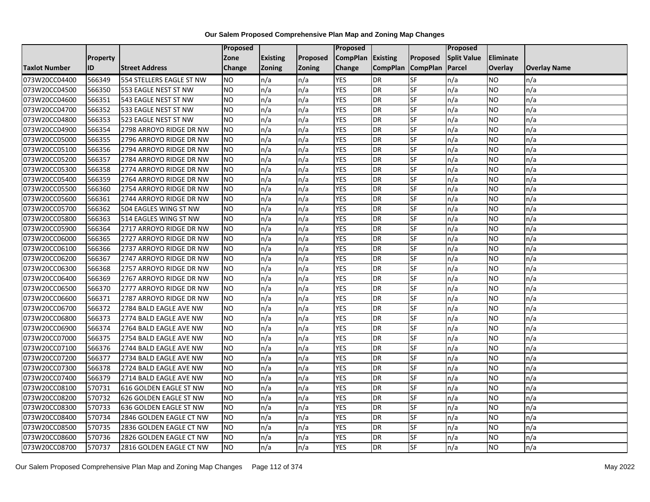|                      |                 |                          | <b>Proposed</b> |                 |               | Proposed        |                 |                 | Proposed           |                  |                     |
|----------------------|-----------------|--------------------------|-----------------|-----------------|---------------|-----------------|-----------------|-----------------|--------------------|------------------|---------------------|
|                      | <b>Property</b> |                          | Zone            | <b>Existing</b> | Proposed      | <b>CompPlan</b> | Existing        | Proposed        | <b>Split Value</b> | <b>Eliminate</b> |                     |
| <b>Taxlot Number</b> | ID              | <b>Street Address</b>    | Change          | <b>Zoning</b>   | <b>Zoning</b> | Change          | <b>CompPlan</b> | <b>CompPlan</b> | Parcel             | <b>Overlay</b>   | <b>Overlay Name</b> |
| 073W20CC04400        | 566349          | 554 STELLERS EAGLE ST NW | <b>NO</b>       | n/a             | n/a           | <b>YES</b>      | <b>DR</b>       | SF              | n/a                | <b>NO</b>        | n/a                 |
| 073W20CC04500        | 566350          | 553 EAGLE NEST ST NW     | <b>NO</b>       | n/a             | n/a           | <b>YES</b>      | <b>DR</b>       | <b>SF</b>       | n/a                | <b>NO</b>        | n/a                 |
| 073W20CC04600        | 566351          | 543 EAGLE NEST ST NW     | <b>NO</b>       | n/a             | n/a           | <b>YES</b>      | <b>DR</b>       | SF              | n/a                | <b>NO</b>        | n/a                 |
| 073W20CC04700        | 566352          | 533 EAGLE NEST ST NW     | <b>NO</b>       | n/a             | n/a           | <b>YES</b>      | <b>DR</b>       | SF              | n/a                | <b>NO</b>        | n/a                 |
| 073W20CC04800        | 566353          | 523 EAGLE NEST ST NW     | Ю               | n/a             | n/a           | <b>YES</b>      | <b>DR</b>       | SF              | n/a                | <b>NO</b>        | n/a                 |
| 073W20CC04900        | 566354          | 2798 ARROYO RIDGE DR NW  | <b>NO</b>       | n/a             | n/a           | <b>YES</b>      | <b>DR</b>       | SF              | n/a                | <b>NO</b>        | n/a                 |
| 073W20CC05000        | 566355          | 2796 ARROYO RIDGE DR NW  | <b>NO</b>       | n/a             | n/a           | <b>YES</b>      | <b>DR</b>       | SF              | n/a                | <b>NO</b>        | n/a                 |
| 073W20CC05100        | 566356          | 2794 ARROYO RIDGE DR NW  | <b>NO</b>       | n/a             | n/a           | <b>YES</b>      | <b>DR</b>       | SF              | n/a                | <b>NO</b>        | n/a                 |
| 073W20CC05200        | 566357          | 2784 ARROYO RIDGE DR NW  | <b>NO</b>       | n/a             | n/a           | <b>YES</b>      | <b>DR</b>       | SF              | n/a                | <b>NO</b>        | n/a                 |
| 073W20CC05300        | 566358          | 2774 ARROYO RIDGE DR NW  | <b>NO</b>       | n/a             | n/a           | <b>YES</b>      | <b>DR</b>       | <b>SF</b>       | n/a                | <b>NO</b>        | n/a                 |
| 073W20CC05400        | 566359          | 2764 ARROYO RIDGE DR NW  | <b>NO</b>       | n/a             | n/a           | <b>YES</b>      | <b>DR</b>       | SF              | n/a                | <b>NO</b>        | n/a                 |
| 073W20CC05500        | 566360          | 2754 ARROYO RIDGE DR NW  | <b>NO</b>       | n/a             | n/a           | <b>YES</b>      | <b>DR</b>       | SF              | n/a                | <b>NO</b>        | n/a                 |
| 073W20CC05600        | 566361          | 2744 ARROYO RIDGE DR NW  | <b>NO</b>       | n/a             | n/a           | <b>YES</b>      | <b>DR</b>       | SF              | n/a                | <b>NO</b>        | n/a                 |
| 073W20CC05700        | 566362          | 504 EAGLES WING ST NW    | <b>NO</b>       | n/a             | n/a           | <b>YES</b>      | <b>DR</b>       | SF              | n/a                | <b>NO</b>        | n/a                 |
| 073W20CC05800        | 566363          | 514 EAGLES WING ST NW    | <b>NO</b>       | n/a             | n/a           | <b>YES</b>      | <b>DR</b>       | SF              | n/a                | <b>NO</b>        | n/a                 |
| 073W20CC05900        | 566364          | 2717 ARROYO RIDGE DR NW  | <b>NO</b>       | n/a             | n/a           | <b>YES</b>      | <b>DR</b>       | SF              | n/a                | <b>NO</b>        | n/a                 |
| 073W20CC06000        | 566365          | 2727 ARROYO RIDGE DR NW  | <b>NO</b>       | n/a             | n/a           | <b>YES</b>      | <b>DR</b>       | SF              | n/a                | <b>NO</b>        | n/a                 |
| 073W20CC06100        | 566366          | 2737 ARROYO RIDGE DR NW  | <b>NO</b>       | n/a             | n/a           | <b>YES</b>      | <b>DR</b>       | SF              | n/a                | <b>NO</b>        | n/a                 |
| 073W20CC06200        | 566367          | 2747 ARROYO RIDGE DR NW  | <b>NO</b>       | n/a             | n/a           | <b>YES</b>      | <b>DR</b>       | SF              | n/a                | <b>NO</b>        | n/a                 |
| 073W20CC06300        | 566368          | 2757 ARROYO RIDGE DR NW  | <b>NO</b>       | n/a             | n/a           | <b>YES</b>      | <b>DR</b>       | SF              | n/a                | <b>NO</b>        | n/a                 |
| 073W20CC06400        | 566369          | 2767 ARROYO RIDGE DR NW  | <b>NO</b>       | n/a             | n/a           | <b>YES</b>      | <b>DR</b>       | <b>SF</b>       | n/a                | <b>NO</b>        | n/a                 |
| 073W20CC06500        | 566370          | 2777 ARROYO RIDGE DR NW  | Ю               | n/a             | n/a           | <b>YES</b>      | <b>DR</b>       | SF              | n/a                | <b>NO</b>        | n/a                 |
| 073W20CC06600        | 566371          | 2787 ARROYO RIDGE DR NW  | <b>NO</b>       | n/a             | n/a           | <b>YES</b>      | <b>DR</b>       | SF              | n/a                | <b>NO</b>        | n/a                 |
| 073W20CC06700        | 566372          | 2784 BALD EAGLE AVE NW   | <b>NO</b>       | n/a             | n/a           | <b>YES</b>      | <b>DR</b>       | SF              | n/a                | <b>NO</b>        | n/a                 |
| 073W20CC06800        | 566373          | 2774 BALD EAGLE AVE NW   | <b>NO</b>       | n/a             | n/a           | <b>YES</b>      | <b>DR</b>       | SF              | n/a                | <b>NO</b>        | n/a                 |
| 073W20CC06900        | 566374          | 2764 BALD EAGLE AVE NW   | <b>NO</b>       | n/a             | n/a           | <b>YES</b>      | <b>DR</b>       | SF              | n/a                | <b>NO</b>        | n/a                 |
| 073W20CC07000        | 566375          | 2754 BALD EAGLE AVE NW   | <b>NO</b>       | n/a             | n/a           | <b>YES</b>      | <b>DR</b>       | SF              | n/a                | <b>NO</b>        | n/a                 |
| 073W20CC07100        | 566376          | 2744 BALD EAGLE AVE NW   | <b>NO</b>       | n/a             | n/a           | <b>YES</b>      | <b>DR</b>       | SF              | n/a                | <b>NO</b>        | n/a                 |
| 073W20CC07200        | 566377          | 2734 BALD EAGLE AVE NW   | <b>NO</b>       | n/a             | n/a           | <b>YES</b>      | <b>DR</b>       | SF              | n/a                | <b>NO</b>        | n/a                 |
| 073W20CC07300        | 566378          | 2724 BALD EAGLE AVE NW   | <b>NO</b>       | n/a             | n/a           | <b>YES</b>      | <b>DR</b>       | <b>SF</b>       | n/a                | <b>NO</b>        | n/a                 |
| 073W20CC07400        | 566379          | 2714 BALD EAGLE AVE NW   | <b>NO</b>       | n/a             | n/a           | <b>YES</b>      | <b>DR</b>       | SF              | n/a                | <b>NO</b>        | n/a                 |
| 073W20CC08100        | 570731          | 616 GOLDEN EAGLE ST NW   | <b>NO</b>       | n/a             | n/a           | <b>YES</b>      | <b>DR</b>       | SF              | n/a                | <b>NO</b>        | n/a                 |
| 073W20CC08200        | 570732          | 626 GOLDEN EAGLE ST NW   | <b>NO</b>       | n/a             | n/a           | <b>YES</b>      | <b>DR</b>       | SF              | n/a                | <b>NO</b>        | n/a                 |
| 073W20CC08300        | 570733          | 636 GOLDEN EAGLE ST NW   | <b>NO</b>       | n/a             | n/a           | <b>YES</b>      | <b>DR</b>       | SF              | n/a                | <b>NO</b>        | n/a                 |
| 073W20CC08400        | 570734          | 2846 GOLDEN EAGLE CT NW  | Ю               | n/a             | n/a           | <b>YES</b>      | <b>DR</b>       | SF              | n/a                | <b>NO</b>        | n/a                 |
| 073W20CC08500        | 570735          | 2836 GOLDEN EAGLE CT NW  | <b>NO</b>       | n/a             | n/a           | <b>YES</b>      | <b>DR</b>       | SF              | n/a                | <b>NO</b>        | n/a                 |
| 073W20CC08600        | 570736          | 2826 GOLDEN EAGLE CT NW  | <b>NO</b>       | n/a             | n/a           | <b>YES</b>      | <b>DR</b>       | SF              | n/a                | <b>NO</b>        | n/a                 |
| 073W20CC08700        | 570737          | 2816 GOLDEN EAGLE CT NW  | Ю               | n/a             | n/a           | <b>YES</b>      | <b>DR</b>       | SF              | n/a                | <b>NO</b>        | n/a                 |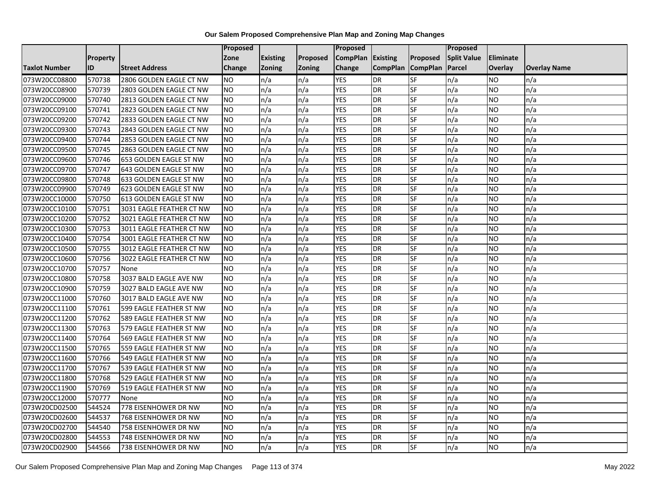|                      |                 |                          | <b>Proposed</b> |                 |               | Proposed        |                 |                 | Proposed           |                |                     |
|----------------------|-----------------|--------------------------|-----------------|-----------------|---------------|-----------------|-----------------|-----------------|--------------------|----------------|---------------------|
|                      | <b>Property</b> |                          | Zone            | <b>Existing</b> | Proposed      | <b>CompPlan</b> | Existing        | Proposed        | <b>Split Value</b> | Eliminate      |                     |
| <b>Taxlot Number</b> | ID              | <b>Street Address</b>    | <b>Change</b>   | Zoning          | <b>Zoning</b> | Change          | <b>CompPlan</b> | <b>CompPlan</b> | Parcel             | <b>Overlay</b> | <b>Overlay Name</b> |
| 073W20CC08800        | 570738          | 2806 GOLDEN EAGLE CT NW  | <b>NO</b>       | n/a             | n/a           | <b>YES</b>      | <b>DR</b>       | <b>SF</b>       | n/a                | NO             | n/a                 |
| 073W20CC08900        | 570739          | 2803 GOLDEN EAGLE CT NW  | <b>NO</b>       | n/a             | n/a           | <b>YES</b>      | DR              | $S_{F}$         | n/a                | NO.            | n/a                 |
| 073W20CC09000        | 570740          | 2813 GOLDEN EAGLE CT NW  | <b>NO</b>       | n/a             | n/a           | <b>YES</b>      | DR              | SF              | n/a                | NO.            | n/a                 |
| 073W20CC09100        | 570741          | 2823 GOLDEN EAGLE CT NW  | <b>NO</b>       | n/a             | n/a           | <b>YES</b>      | <b>DR</b>       | SF              | n/a                | NO.            | n/a                 |
| 073W20CC09200        | 570742          | 2833 GOLDEN EAGLE CT NW  | <b>NO</b>       | n/a             | n/a           | <b>YES</b>      | <b>DR</b>       | $S_{F}$         | n/a                | NO.            | n/a                 |
| 073W20CC09300        | 570743          | 2843 GOLDEN EAGLE CT NW  | <b>NO</b>       | n/a             | n/a           | <b>YES</b>      | <b>DR</b>       | SF              | n/a                | NO.            | n/a                 |
| 073W20CC09400        | 570744          | 2853 GOLDEN EAGLE CT NW  | <b>NO</b>       | n/a             | n/a           | <b>YES</b>      | DR              | SF              | n/a                | NO.            | n/a                 |
| 073W20CC09500        | 570745          | 2863 GOLDEN EAGLE CT NW  | <b>NO</b>       | n/a             | n/a           | <b>YES</b>      | DR              | SF              | n/a                | NO.            | n/a                 |
| 073W20CC09600        | 570746          | 653 GOLDEN EAGLE ST NW   | <b>NO</b>       | n/a             | n/a           | <b>YES</b>      | DR              | SF              | n/a                | NO             | n/a                 |
| 073W20CC09700        | 570747          | 643 GOLDEN EAGLE ST NW   | Ю               | n/a             | n/a           | <b>YES</b>      | DR              | <b>SF</b>       | n/a                | NO.            | n/a                 |
| 073W20CC09800        | 570748          | 633 GOLDEN EAGLE ST NW   | <b>NO</b>       | n/a             | n/a           | <b>YES</b>      | <b>DR</b>       | <b>SF</b>       | n/a                | <b>NO</b>      | n/a                 |
| 073W20CC09900        | 570749          | 623 GOLDEN EAGLE ST NW   | <b>NO</b>       | n/a             | n/a           | <b>YES</b>      | DR              | SF              | n/a                | NO.            | n/a                 |
| 073W20CC10000        | 570750          | 613 GOLDEN EAGLE ST NW   | <b>NO</b>       | n/a             | n/a           | <b>YES</b>      | DR              | SF              | n/a                | NO.            | n/a                 |
| 073W20CC10100        | 570751          | 3031 EAGLE FEATHER CT NW | <b>NO</b>       | n/a             | n/a           | <b>YES</b>      | <b>DR</b>       | <b>SF</b>       | n/a                | <b>NO</b>      | n/a                 |
| 073W20CC10200        | 570752          | 3021 EAGLE FEATHER CT NW | <b>NO</b>       | n/a             | n/a           | <b>YES</b>      | DR              | SF              | n/a                | ΝO             | n/a                 |
| 073W20CC10300        | 570753          | 3011 EAGLE FEATHER CT NW | <b>NO</b>       | n/a             | n/a           | <b>YES</b>      | DR              | SF              | n/a                | NO.            | n/a                 |
| 073W20CC10400        | 570754          | 3001 EAGLE FEATHER CT NW | <b>NO</b>       | n/a             | n/a           | <b>YES</b>      | <b>DR</b>       | SF              | n/a                | NO.            | n/a                 |
| 073W20CC10500        | 570755          | 3012 EAGLE FEATHER CT NW | <b>NO</b>       | n/a             | n/a           | <b>YES</b>      | <b>DR</b>       | SF              | n/a                | NO.            | n/a                 |
| 073W20CC10600        | 570756          | 3022 EAGLE FEATHER CT NW | <b>NO</b>       | n/a             | n/a           | <b>YES</b>      | DR              | SF              | n/a                | <b>NO</b>      | n/a                 |
| 073W20CC10700        | 570757          | None                     | <b>NO</b>       | n/a             | n/a           | <b>YES</b>      | DR              | SF              | n/a                | NO.            | n/a                 |
| 073W20CC10800        | 570758          | 3037 BALD EAGLE AVE NW   | <b>NO</b>       | n/a             | n/a           | <b>YES</b>      | <b>DR</b>       | SF              | n/a                | NO.            | n/a                 |
| 073W20CC10900        | 570759          | 3027 BALD EAGLE AVE NW   | Ю               | n/a             | n/a           | <b>YES</b>      | $\overline{R}$  | <b>SF</b>       | n/a                | NO.            | n/a                 |
| 073W20CC11000        | 570760          | 3017 BALD EAGLE AVE NW   | <b>NO</b>       | n/a             | n/a           | <b>YES</b>      | <b>DR</b>       | SF              | n/a                | NO.            | n/a                 |
| 073W20CC11100        | 570761          | 599 EAGLE FEATHER ST NW  | <b>NO</b>       | n/a             | n/a           | <b>YES</b>      | DR              | SF              | n/a                | NO.            | n/a                 |
| 073W20CC11200        | 570762          | 589 EAGLE FEATHER ST NW  | Ю               | n/a             | n/a           | <b>YES</b>      | <b>DR</b>       | SF              | n/a                | NO.            | n/a                 |
| 073W20CC11300        | 570763          | 579 EAGLE FEATHER ST NW  | <b>NO</b>       | n/a             | n/a           | <b>YES</b>      | DR              | SF              | n/a                | NO.            | n/a                 |
| 073W20CC11400        | 570764          | 569 EAGLE FEATHER ST NW  | <b>NO</b>       | n/a             | n/a           | <b>YES</b>      | <b>DR</b>       | SF              | n/a                | NO.            | n/a                 |
| 073W20CC11500        | 570765          | 559 EAGLE FEATHER ST NW  | <b>NO</b>       | n/a             | n/a           | <b>YES</b>      | <b>DR</b>       | SF              | n/a                | NO.            | n/a                 |
| 073W20CC11600        | 570766          | 549 EAGLE FEATHER ST NW  | <b>NO</b>       | n/a             | n/a           | <b>YES</b>      | DR              | SF              | n/a                | NO.            | n/a                 |
| 073W20CC11700        | 570767          | 539 EAGLE FEATHER ST NW  | <b>NO</b>       | n/a             | n/a           | <b>YES</b>      | <b>DR</b>       | SF              | n/a                | <b>NO</b>      | n/a                 |
| 073W20CC11800        | 570768          | 529 EAGLE FEATHER ST NW  | <b>NO</b>       | n/a             | n/a           | <b>YES</b>      | <b>DR</b>       | SF              | n/a                | <b>NO</b>      | n/a                 |
| 073W20CC11900        | 570769          | 519 EAGLE FEATHER ST NW  | <b>NO</b>       | n/a             | n/a           | <b>YES</b>      | <b>DR</b>       | SF              | n/a                | NO.            | n/a                 |
| 073W20CC12000        | 570777          | None                     | <b>NO</b>       | n/a             | n/a           | <b>YES</b>      | DR              | SF              | n/a                | NO.            | n/a                 |
| 073W20CD02500        | 544524          | 778 EISENHOWER DR NW     | <b>NO</b>       | n/a             | n/a           | <b>YES</b>      | <b>DR</b>       | SF              | n/a                | NO.            | n/a                 |
| 073W20CD02600        | 544537          | 768 EISENHOWER DR NW     | Ю               | n/a             | n/a           | <b>YES</b>      | <b>DR</b>       | <b>SF</b>       | n/a                | NO.            | n/a                 |
| 073W20CD02700        | 544540          | 758 EISENHOWER DR NW     | <b>NO</b>       | n/a             | n/a           | <b>YES</b>      | <b>DR</b>       | SF              | n/a                | NO.            | n/a                 |
| 073W20CD02800        | 544553          | 748 EISENHOWER DR NW     | <b>NO</b>       | n/a             | n/a           | <b>YES</b>      | <b>DR</b>       | SF              | n/a                | NO.            | n/a                 |
| 073W20CD02900        | 544566          | 738 EISENHOWER DR NW     | Ю               | n/a             | n/a           | <b>YES</b>      | <b>DR</b>       | <b>SF</b>       | n/a                | NO.            | n/a                 |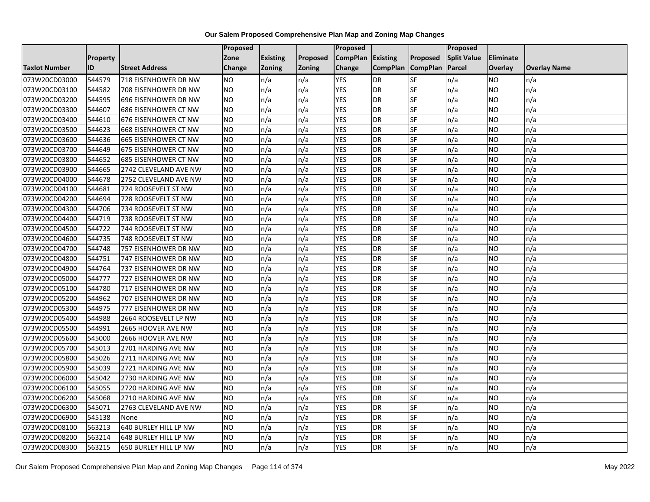|                      |                 |                             | Proposed        |                 |               | <b>Proposed</b> |                 |                 | <b>Proposed</b>    |                |                     |
|----------------------|-----------------|-----------------------------|-----------------|-----------------|---------------|-----------------|-----------------|-----------------|--------------------|----------------|---------------------|
|                      | <b>Property</b> |                             | Zone            | <b>Existing</b> | Proposed      | <b>CompPlan</b> | <b>Existing</b> | Proposed        | <b>Split Value</b> | Eliminate      |                     |
| <b>Taxlot Number</b> | ID              | <b>Street Address</b>       | Change          | <b>Zoning</b>   | <b>Zoning</b> | Change          | <b>CompPlan</b> | <b>CompPlan</b> | Parcel             | <b>Overlay</b> | <b>Overlay Name</b> |
| 073W20CD03000        | 544579          | 718 EISENHOWER DR NW        | <b>NO</b>       | n/a             | n/a           | <b>YES</b>      | <b>DR</b>       | <b>SF</b>       | n/a                | NO.            | n/a                 |
| 073W20CD03100        | 544582          | 708 EISENHOWER DR NW        | <b>NO</b>       | n/a             | n/a           | <b>YES</b>      | <b>DR</b>       | <b>SF</b>       | n/a                | NO.            | n/a                 |
| 073W20CD03200        | 544595          | 696 EISENHOWER DR NW        | <b>NO</b>       | n/a             | n/a           | <b>YES</b>      | <b>DR</b>       | SF              | n/a                | NO.            | n/a                 |
| 073W20CD03300        | 544607          | <b>686 EISENHOWER CT NW</b> | <b>NO</b>       | n/a             | n/a           | <b>YES</b>      | <b>DR</b>       | SF              | n/a                | NO.            | n/a                 |
| 073W20CD03400        | 544610          | 676 EISENHOWER CT NW        | <b>NO</b>       | n/a             | n/a           | <b>YES</b>      | <b>DR</b>       | <b>SF</b>       | n/a                | NO.            | n/a                 |
| 073W20CD03500        | 544623          | <b>668 EISENHOWER CT NW</b> | <b>NO</b>       | n/a             | n/a           | <b>YES</b>      | <b>DR</b>       | SF              | n/a                | <b>NO</b>      | n/a                 |
| 073W20CD03600        | 544636          | 665 EISENHOWER CT NW        | <b>NO</b>       | n/a             | n/a           | <b>YES</b>      | <b>DR</b>       | SF              | n/a                | NO.            | n/a                 |
| 073W20CD03700        | 544649          | 675 EISENHOWER CT NW        | <b>NO</b>       | n/a             | n/a           | <b>YES</b>      | <b>DR</b>       | SF              | n/a                | NO.            | n/a                 |
| 073W20CD03800        | 544652          | <b>685 EISENHOWER CT NW</b> | <b>NO</b>       | n/a             | n/a           | <b>YES</b>      | <b>DR</b>       | SF              | n/a                | ΝO             | n/a                 |
| 073W20CD03900        | 544665          | 2742 CLEVELAND AVE NW       | <b>NO</b>       | n/a             | n/a           | <b>YES</b>      | <b>DR</b>       | <b>SF</b>       | n/a                | NO.            | n/a                 |
| 073W20CD04000        | 544678          | 2752 CLEVELAND AVE NW       | <b>NO</b>       | n/a             | n/a           | <b>YES</b>      | <b>DR</b>       | SF              | n/a                | NO.            | n/a                 |
| 073W20CD04100        | 544681          | 724 ROOSEVELT ST NW         | <b>NO</b>       | n/a             | n/a           | <b>YES</b>      | DR              | SF              | n/a                | NO.            | n/a                 |
| 073W20CD04200        | 544694          | 728 ROOSEVELT ST NW         | NO.             | n/a             | n/a           | <b>YES</b>      | <b>DR</b>       | <b>SF</b>       | n/a                | NO             | n/a                 |
| 073W20CD04300        | 544706          | 734 ROOSEVELT ST NW         | <b>NO</b>       | n/a             | n/a           | <b>YES</b>      | <b>DR</b>       | SF              | n/a                | NO.            | n/a                 |
| 073W20CD04400        | 544719          | 738 ROOSEVELT ST NW         | <b>NO</b>       | n/a             | n/a           | <b>YES</b>      | <b>DR</b>       | SF              | n/a                | ΝO             | n/a                 |
| 073W20CD04500        | 544722          | 744 ROOSEVELT ST NW         | <b>NO</b>       | n/a             | n/a           | <b>YES</b>      | DR              | <b>SF</b>       | n/a                | NO.            | n/a                 |
| 073W20CD04600        | 544735          | 748 ROOSEVELT ST NW         | <b>NO</b>       | n/a             | n/a           | <b>YES</b>      | DR              | SF              | n/a                | NO.            | n/a                 |
| 073W20CD04700        | 544748          | 757 EISENHOWER DR NW        | <b>NO</b>       | n/a             | n/a           | <b>YES</b>      | <b>DR</b>       | SF              | n/a                | NO.            | n/a                 |
| 073W20CD04800        | 544751          | 747 EISENHOWER DR NW        | <b>NO</b>       | n/a             | n/a           | <b>YES</b>      | <b>DR</b>       | SF              | n/a                | NO.            | n/a                 |
| 073W20CD04900        | 544764          | 737 EISENHOWER DR NW        | <b>NO</b>       | n/a             | n/a           | <b>YES</b>      | <b>DR</b>       | SF              | n/a                | NO.            | n/a                 |
| 073W20CD05000        | 544777          | 727 EISENHOWER DR NW        | <b>NO</b>       | n/a             | n/a           | <b>YES</b>      | <b>DR</b>       | SF              | n/a                | NO.            | n/a                 |
| 073W20CD05100        | 544780          | 717 EISENHOWER DR NW        | $\overline{NO}$ | n/a             | n/a           | <b>YES</b>      | <b>DR</b>       | <b>SF</b>       | n/a                | NO.            | n/a                 |
| 073W20CD05200        | 544962          | 707 EISENHOWER DR NW        | <b>NO</b>       | n/a             | n/a           | <b>YES</b>      | <b>DR</b>       | SF              | n/a                | NO.            | n/a                 |
| 073W20CD05300        | 544975          | 777 EISENHOWER DR NW        | <b>NO</b>       | n/a             | n/a           | <b>YES</b>      | DR              | SF              | n/a                | NO.            | n/a                 |
| 073W20CD05400        | 544988          | 2664 ROOSEVELT LP NW        | $\overline{NO}$ | n/a             | n/a           | <b>YES</b>      | <b>DR</b>       | SF              | n/a                | <b>NO</b>      | n/a                 |
| 073W20CD05500        | 544991          | 2665 HOOVER AVE NW          | <b>NO</b>       | n/a             | n/a           | <b>YES</b>      | <b>DR</b>       | SF              | n/a                | NO.            | n/a                 |
| 073W20CD05600        | 545000          | 2666 HOOVER AVE NW          | <b>NO</b>       | n/a             | n/a           | <b>YES</b>      | <b>DR</b>       | SF              | n/a                | NO.            | n/a                 |
| 073W20CD05700        | 545013          | 2701 HARDING AVE NW         | <b>NO</b>       | n/a             | n/a           | <b>YES</b>      | <b>DR</b>       | SF              | n/a                | NO.            | n/a                 |
| 073W20CD05800        | 545026          | 2711 HARDING AVE NW         | NO.             | n/a             | n/a           | <b>YES</b>      | <b>DR</b>       | SF              | n/a                | NO             | n/a                 |
| 073W20CD05900        | 545039          | 2721 HARDING AVE NW         | <b>NO</b>       | n/a             | n/a           | <b>YES</b>      | <b>DR</b>       | SF              | n/a                | NO.            | n/a                 |
| 073W20CD06000        | 545042          | 2730 HARDING AVE NW         | <b>NO</b>       | n/a             | n/a           | <b>YES</b>      | <b>DR</b>       | SF              | n/a                | ΝO             | n/a                 |
| 073W20CD06100        | 545055          | 2720 HARDING AVE NW         | <b>NO</b>       | n/a             | n/a           | <b>YES</b>      | <b>DR</b>       | <b>SF</b>       | n/a                | NO.            | n/a                 |
| 073W20CD06200        | 545068          | 2710 HARDING AVE NW         | <b>NO</b>       | n/a             | n/a           | <b>YES</b>      | DR              | SF              | n/a                | NO.            | n/a                 |
| 073W20CD06300        | 545071          | 2763 CLEVELAND AVE NW       | <b>NO</b>       | n/a             | n/a           | <b>YES</b>      | DR              | SF              | n/a                | NO.            | n/a                 |
| 073W20CD06900        | 545138          | None                        | <b>NO</b>       | n/a             | n/a           | <b>YES</b>      | <b>DR</b>       | <b>SF</b>       | n/a                | NO.            | n/a                 |
| 073W20CD08100        | 563213          | 640 BURLEY HILL LP NW       | NO.             | n/a             | n/a           | <b>YES</b>      | <b>DR</b>       | SF              | n/a                | NO.            | n/a                 |
| 073W20CD08200        | 563214          | 648 BURLEY HILL LP NW       | <b>NO</b>       | n/a             | n/a           | <b>YES</b>      | <b>DR</b>       | SF              | n/a                | ΝO             | n/a                 |
| 073W20CD08300        | 563215          | 650 BURLEY HILL LP NW       | $\overline{NO}$ | n/a             | n/a           | <b>YES</b>      | <b>DR</b>       | <b>SF</b>       | n/a                | NO.            | n/a                 |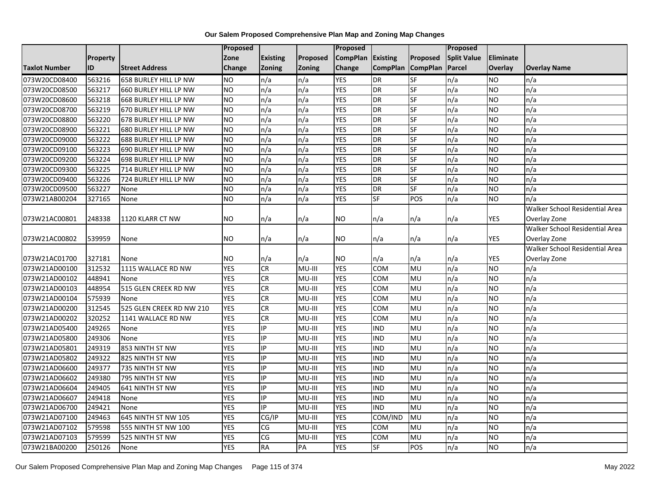|                      |          |                          | Proposed       |                 |          | Proposed        |                 |                 | Proposed           |                |                                |
|----------------------|----------|--------------------------|----------------|-----------------|----------|-----------------|-----------------|-----------------|--------------------|----------------|--------------------------------|
|                      | Property |                          | Zone           | <b>Existing</b> | Proposed | <b>CompPlan</b> | <b>Existing</b> | Proposed        | <b>Split Value</b> | Eliminate      |                                |
| <b>Taxlot Number</b> | ID       | <b>Street Address</b>    | Change         | Zoning          | Zoning   | Change          | <b>CompPlan</b> | <b>CompPlan</b> | Parcel             | Overlay        | <b>Overlay Name</b>            |
| 073W20CD08400        | 563216   | 658 BURLEY HILL LP NW    | <b>NO</b>      | n/a             | n/a      | <b>YES</b>      | <b>DR</b>       | SF              | n/a                | <b>NO</b>      | n/a                            |
| 073W20CD08500        | 563217   | 660 BURLEY HILL LP NW    | <b>NO</b>      | n/a             | n/a      | <b>YES</b>      | DR              | <b>SF</b>       | n/a                | <b>NO</b>      | n/a                            |
| 073W20CD08600        | 563218   | 668 BURLEY HILL LP NW    | <b>NO</b>      | n/a             | n/a      | <b>YES</b>      | <b>DR</b>       | <b>SF</b>       | n/a                | <b>NO</b>      | n/a                            |
| 073W20CD08700        | 563219   | 670 BURLEY HILL LP NW    | <b>NO</b>      | n/a             | n/a      | <b>YES</b>      | <b>DR</b>       | <b>SF</b>       | n/a                | <b>NO</b>      | n/a                            |
| 073W20CD08800        | 563220   | 678 BURLEY HILL LP NW    | <b>NO</b>      | n/a             | n/a      | <b>YES</b>      | DR              | <b>SF</b>       | n/a                | <b>NO</b>      | n/a                            |
| 073W20CD08900        | 563221   | 680 BURLEY HILL LP NW    | <b>NO</b>      | n/a             | n/a      | <b>YES</b>      | <b>DR</b>       | <b>SF</b>       | n/a                | <b>NO</b>      | n/a                            |
| 073W20CD09000        | 563222   | 688 BURLEY HILL LP NW    | <b>NO</b>      | n/a             | n/a      | <b>YES</b>      | <b>DR</b>       | <b>SF</b>       | n/a                | <b>NO</b>      | n/a                            |
| 073W20CD09100        | 563223   | 690 BURLEY HILL LP NW    | <b>NO</b>      | n/a             | n/a      | <b>YES</b>      | DR              | $S$ F           | n/a                | <b>NO</b>      | n/a                            |
| 073W20CD09200        | 563224   | 698 BURLEY HILL LP NW    | <b>NO</b>      | n/a             | n/a      | <b>YES</b>      | DR              | SF              | n/a                | <b>NO</b>      | n/a                            |
| 073W20CD09300        | 563225   | 714 BURLEY HILL LP NW    | N <sub>O</sub> | n/a             | n/a      | <b>YES</b>      | DR              | SF              | n/a                | <b>NO</b>      | n/a                            |
| 073W20CD09400        | 563226   | 724 BURLEY HILL LP NW    | N <sub>O</sub> | n/a             | n/a      | <b>YES</b>      | DR              | <b>SF</b>       | n/a                | <b>NO</b>      | n/a                            |
| 073W20CD09500        | 563227   | None                     | <b>NO</b>      | n/a             | n/a      | <b>YES</b>      | DR              | SF              | n/a                | <b>NO</b>      | n/a                            |
| 073W21AB00204        | 327165   | None                     | <b>NO</b>      | n/a             | n/a      | <b>YES</b>      | SF              | POS             | n/a                | <b>NO</b>      | n/a                            |
|                      |          |                          |                |                 |          |                 |                 |                 |                    |                | Walker School Residential Area |
| 073W21AC00801        | 248338   | 1120 KLARR CT NW         | <b>NO</b>      | n/a             | n/a      | NO.             | n/a             | n/a             | n/a                | <b>YES</b>     | Overlay Zone                   |
|                      |          |                          |                |                 |          |                 |                 |                 |                    |                | Walker School Residential Area |
| 073W21AC00802        | 539959   | None                     | <b>NO</b>      | n/a             | n/a      | NO.             | n/a             | n/a             | n/a                | YES            | Overlay Zone                   |
|                      |          |                          |                |                 |          |                 |                 |                 |                    |                | Walker School Residential Area |
| 073W21AC01700        | 327181   | None                     | <b>NO</b>      | n/a             | n/a      | NO.             | n/a             | n/a             | n/a                | <b>YES</b>     | Overlay Zone                   |
| 073W21AD00100        | 312532   | 1115 WALLACE RD NW       | <b>YES</b>     | CR              | MU-III   | <b>YES</b>      | <b>COM</b>      | <b>MU</b>       | n/a                | <b>NO</b>      | n/a                            |
| 073W21AD00102        | 448941   | None                     | <b>YES</b>     | CR              | MU-III   | <b>YES</b>      | COM             | MU              | n/a                | <b>NO</b>      | n/a                            |
| 073W21AD00103        | 448954   | 515 GLEN CREEK RD NW     | <b>YES</b>     | CR              | $MU-HI$  | <b>YES</b>      | COM             | <b>MU</b>       | n/a                | <b>NO</b>      | n/a                            |
| 073W21AD00104        | 575939   | None                     | <b>YES</b>     | CR              | MU-III   | <b>YES</b>      | COM             | <b>MU</b>       | n/a                | N <sub>O</sub> | n/a                            |
| 073W21AD00200        | 312545   | 525 GLEN CREEK RD NW 210 | <b>YES</b>     | <b>CR</b>       | $MU-HI$  | <b>YES</b>      | COM             | MU              | n/a                | <b>NO</b>      | n/a                            |
| 073W21AD00202        | 320252   | 1141 WALLACE RD NW       | <b>YES</b>     | <b>CR</b>       | MU-III   | <b>YES</b>      | COM             | MU              | n/a                | <b>NO</b>      | n/a                            |
| 073W21AD05400        | 249265   | None                     | <b>YES</b>     | IP.             | MU-III   | <b>YES</b>      | <b>IND</b>      | <b>MU</b>       | n/a                | N <sub>O</sub> | n/a                            |
| 073W21AD05800        | 249306   | None                     | <b>YES</b>     | IP              | MU-III   | <b>YES</b>      | <b>IND</b>      | MU              | n/a                | <b>NO</b>      | n/a                            |
| 073W21AD05801        | 249319   | 853 NINTH ST NW          | <b>YES</b>     | IP              | MU-III   | <b>YES</b>      | <b>IND</b>      | MU              | n/a                | <b>NO</b>      | n/a                            |
| 073W21AD05802        | 249322   | 825 NINTH ST NW          | <b>YES</b>     | IP              | MU-III   | <b>YES</b>      | <b>IND</b>      | MU              | n/a                | <b>NO</b>      | n/a                            |
| 073W21AD06600        | 249377   | 735 NINTH ST NW          | <b>YES</b>     | IP              | MU-III   | <b>YES</b>      | <b>IND</b>      | MU              | n/a                | <b>NO</b>      | n/a                            |
| 073W21AD06602        | 249380   | 795 NINTH ST NW          | <b>YES</b>     | IP              | MU-III   | <b>YES</b>      | <b>IND</b>      | <b>MU</b>       | n/a                | <b>NO</b>      | n/a                            |
| 073W21AD06604        | 249405   | 641 NINTH ST NW          | <b>YES</b>     | IP              | MU-III   | <b>YES</b>      | <b>IND</b>      | <b>MU</b>       | n/a                | <b>NO</b>      | n/a                            |
| 073W21AD06607        | 249418   | None                     | <b>YES</b>     | IP              | MU-III   | <b>YES</b>      | <b>IND</b>      | MU              | n/a                | <b>NO</b>      | n/a                            |
| 073W21AD06700        | 249421   | None                     | <b>YES</b>     | IP              | MU-III   | <b>YES</b>      | <b>IND</b>      | MU              | n/a                | <b>NO</b>      | n/a                            |
| 073W21AD07100        | 249463   | 645 NINTH ST NW 105      | <b>YES</b>     | CG/IP           | MU-III   | <b>YES</b>      | COM/IND         | <b>MU</b>       | n/a                | <b>NO</b>      | n/a                            |
| 073W21AD07102        | 579598   | 555 NINTH ST NW 100      | <b>YES</b>     | CG              | MU-III   | <b>YES</b>      | COM             | MU              | n/a                | <b>NO</b>      | n/a                            |
| 073W21AD07103        | 579599   | 525 NINTH ST NW          | <b>YES</b>     | CG              | MU-III   | <b>YES</b>      | COM             | MU              | n/a                | <b>NO</b>      | n/a                            |
| 073W21BA00200        | 250126   | None                     | <b>YES</b>     | <b>RA</b>       | PA       | <b>YES</b>      | SF              | POS             | n/a                | <b>NO</b>      | $\overline{n/a}$               |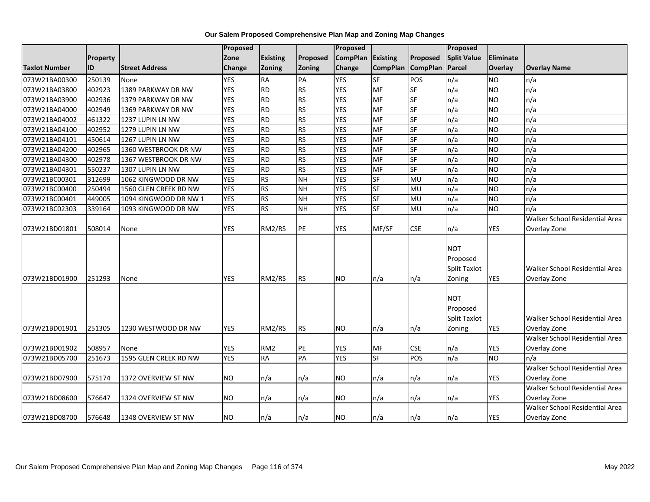| Our Salem Proposed Comprehensive Plan Map and Zoning Map Changes |  |  |
|------------------------------------------------------------------|--|--|
|                                                                  |  |  |

|                      |          |                       | Proposed                 |                 |               | Proposed                 |                 |                          | <b>Proposed</b>                                         |                  |                                                |
|----------------------|----------|-----------------------|--------------------------|-----------------|---------------|--------------------------|-----------------|--------------------------|---------------------------------------------------------|------------------|------------------------------------------------|
|                      | Property |                       | Zone                     | <b>Existing</b> | Proposed      | <b>CompPlan</b>          | Existing        | Proposed                 | <b>Split Value</b>                                      | <b>Eliminate</b> |                                                |
| <b>Taxlot Number</b> | ID       | <b>Street Address</b> | <b>Change</b>            | Zoning          | <b>Zoning</b> | Change                   |                 | CompPlan CompPlan        | Parcel                                                  | <b>Overlay</b>   | <b>Overlay Name</b>                            |
| 073W21BA00300        | 250139   | None                  | <b>YES</b>               | <b>RA</b>       | PA            | <b>YES</b>               | SF              | POS                      | n/a                                                     | <b>NO</b>        | n/a                                            |
| 073W21BA03800        | 402923   | 1389 PARKWAY DR NW    | <b>YES</b>               | <b>RD</b>       | <b>RS</b>     | <b>YES</b>               | <b>MF</b>       | SF                       | n/a                                                     | <b>NO</b>        | n/a                                            |
| 073W21BA03900        | 402936   | 1379 PARKWAY DR NW    | <b>YES</b>               | <b>RD</b>       | <b>RS</b>     | <b>YES</b>               | MF              | <b>SF</b>                | n/a                                                     | <b>NO</b>        | n/a                                            |
| 073W21BA04000        | 402949   | 1369 PARKWAY DR NW    | <b>YES</b>               | <b>RD</b>       | <b>RS</b>     | <b>YES</b>               | <b>MF</b>       | SF                       | n/a                                                     | <b>NO</b>        | n/a                                            |
| 073W21BA04002        | 461322   | 1237 LUPIN LN NW      | <b>YES</b>               | <b>RD</b>       | <b>RS</b>     | <b>YES</b>               | MF              | SF                       | n/a                                                     | <b>NO</b>        | n/a                                            |
| 073W21BA04100        | 402952   | 1279 LUPIN LN NW      | <b>YES</b>               | <b>RD</b>       | <b>RS</b>     | <b>YES</b>               | MF              | SF                       | n/a                                                     | <b>NO</b>        | n/a                                            |
| 073W21BA04101        | 450614   | 1267 LUPIN LN NW      | <b>YES</b>               | RD              | <b>RS</b>     | <b>YES</b>               | MF              | SF                       | n/a                                                     | <b>NO</b>        | n/a                                            |
| 073W21BA04200        | 402965   | 1360 WESTBROOK DR NW  | <b>YES</b>               | RD              | <b>RS</b>     | <b>YES</b>               | MF              | SF                       | n/a                                                     | <b>NO</b>        | n/a                                            |
| 073W21BA04300        | 402978   | 1367 WESTBROOK DR NW  | <b>YES</b>               | <b>RD</b>       | <b>RS</b>     | <b>YES</b>               | <b>MF</b>       | $\overline{\mathsf{SF}}$ | n/a                                                     | <b>NO</b>        | n/a                                            |
| 073W21BA04301        | 550237   | 1307 LUPIN LN NW      | <b>YES</b>               | RD              | <b>RS</b>     | <b>YES</b>               | <b>MF</b>       | $\overline{\mathsf{SF}}$ | n/a                                                     | <b>NO</b>        | n/a                                            |
| 073W21BC00301        | 312699   | 1062 KINGWOOD DR NW   | <b>YES</b>               | <b>RS</b>       | <b>NH</b>     | <b>YES</b>               | <b>SF</b>       | MU                       | n/a                                                     | <b>NO</b>        | n/a                                            |
| 073W21BC00400        | 250494   | 1560 GLEN CREEK RD NW | <b>YES</b>               | <b>RS</b>       | <b>NH</b>     | <b>YES</b>               | SF              | MU                       | n/a                                                     | <b>NO</b>        | n/a                                            |
| 073W21BC00401        | 449005   | 1094 KINGWOOD DR NW 1 | <b>YES</b>               | <b>RS</b>       | <b>NH</b>     | <b>YES</b>               | <b>SF</b>       | MU                       | n/a                                                     | <b>NO</b>        | n/a                                            |
| 073W21BC02303        | 339164   | 1093 KINGWOOD DR NW   | <b>YES</b>               | RS              | <b>NH</b>     | <b>YES</b>               | <b>SF</b>       | MU                       | n/a                                                     | <b>NO</b>        | n/a                                            |
|                      |          |                       |                          |                 |               |                          |                 |                          |                                                         |                  | Walker School Residential Area                 |
| 073W21BD01801        | 508014   | None                  | <b>YES</b>               | RM2/RS          | PE            | <b>YES</b>               | MF/SF           | <b>CSE</b>               | n/a                                                     | YES              | Overlay Zone                                   |
| 073W21BD01900        | 251293   | None                  | <b>YES</b>               | RM2/RS          | <b>RS</b>     | NO.                      | n/a             | n/a                      | <b>NOT</b><br>Proposed<br><b>Split Taxlot</b><br>Zoning | <b>YES</b>       | Walker School Residential Area<br>Overlay Zone |
| 073W21BD01901        | 251305   | 1230 WESTWOOD DR NW   | <b>YES</b>               | RM2/RS          | <b>RS</b>     | <b>NO</b>                | n/a             | n/a                      | <b>NOT</b><br>Proposed<br><b>Split Taxlot</b><br>Zoning | <b>YES</b>       | Walker School Residential Area<br>Overlay Zone |
|                      |          |                       |                          |                 |               |                          |                 |                          |                                                         |                  | Walker School Residential Area                 |
| 073W21BD01902        | 508957   | None                  | <b>YES</b><br><b>YES</b> | RM <sub>2</sub> | PE<br>PA      | <b>YES</b><br><b>YES</b> | MF<br><b>SF</b> | <b>CSE</b>               | n/a                                                     | <b>YES</b>       | Overlay Zone                                   |
| 073W21BD05700        | 251673   | 1595 GLEN CREEK RD NW |                          | <b>RA</b>       |               |                          |                 | POS                      | n/a                                                     | <b>NO</b>        | n/a                                            |
|                      |          |                       |                          |                 |               |                          |                 |                          |                                                         |                  | Walker School Residential Area                 |
| 073W21BD07900        | 575174   | 1372 OVERVIEW ST NW   | <b>NO</b>                | n/a             | n/a           | <b>NO</b>                | n/a             | n/a                      | n/a                                                     | <b>YES</b>       | Overlay Zone                                   |
|                      |          |                       |                          |                 |               |                          |                 |                          |                                                         |                  | Walker School Residential Area                 |
| 073W21BD08600        | 576647   | 1324 OVERVIEW ST NW   | <b>NO</b>                | n/a             | n/a           | <b>NO</b>                | n/a             | n/a                      | n/a                                                     | <b>YES</b>       | Overlay Zone                                   |
|                      |          |                       |                          |                 |               |                          |                 |                          |                                                         |                  | Walker School Residential Area                 |
| 073W21BD08700        | 576648   | 1348 OVERVIEW ST NW   | <b>NO</b>                | n/a             | n/a           | <b>NO</b>                | n/a             | n/a                      | n/a                                                     | <b>YES</b>       | Overlay Zone                                   |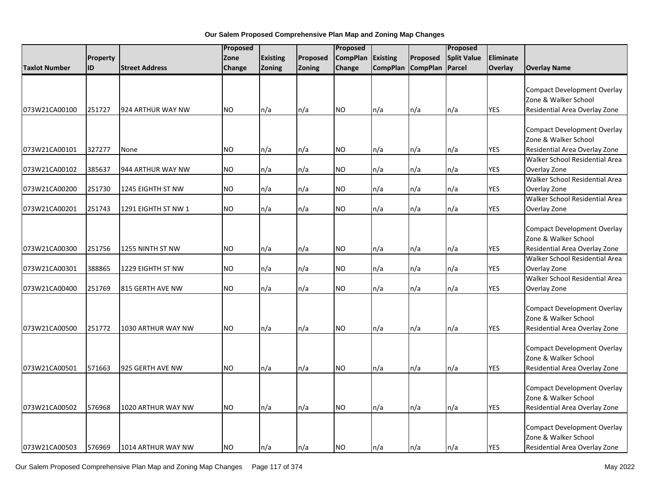|               |           |                       |           | Proposed        |          |                 | Proposed<br>Proposed |                   |                    |            |                                                                                             |  |
|---------------|-----------|-----------------------|-----------|-----------------|----------|-----------------|----------------------|-------------------|--------------------|------------|---------------------------------------------------------------------------------------------|--|
|               | Property  |                       | Zone      | <b>Existing</b> | Proposed | <b>CompPlan</b> | <b>Existing</b>      | Proposed          | <b>Split Value</b> | Eliminate  |                                                                                             |  |
| Taxlot Number | <b>ID</b> | <b>Street Address</b> | Change    | <b>Zoning</b>   | Zoning   | Change          |                      | CompPlan CompPlan | Parcel             | Overlay    | <b>Overlay Name</b>                                                                         |  |
|               |           |                       |           |                 |          |                 |                      |                   |                    |            | <b>Compact Development Overlay</b><br>Zone & Walker School                                  |  |
| 073W21CA00100 | 251727    | 924 ARTHUR WAY NW     | NO.       | n/a             | n/a      | <b>NO</b>       | n/a                  | n/a               | n/a                | <b>YES</b> | Residential Area Overlay Zone                                                               |  |
| 073W21CA00101 | 327277    | None                  | <b>NO</b> | n/a             | n/a      | NO.             | n/a                  | n/a               | n/a                | <b>YES</b> | <b>Compact Development Overlay</b><br>Zone & Walker School<br>Residential Area Overlay Zone |  |
|               |           |                       |           |                 |          |                 |                      |                   |                    |            | Walker School Residential Area                                                              |  |
| 073W21CA00102 | 385637    | 944 ARTHUR WAY NW     | NO.       | n/a             | n/a      | <b>NO</b>       | n/a                  | n/a               | n/a                | <b>YES</b> | Overlay Zone                                                                                |  |
| 073W21CA00200 | 251730    | 1245 EIGHTH ST NW     | <b>NO</b> | n/a             | n/a      | <b>NO</b>       | n/a                  | n/a               | n/a                | <b>YES</b> | Walker School Residential Area<br>Overlay Zone                                              |  |
| 073W21CA00201 | 251743    | 1291 EIGHTH ST NW 1   | <b>NO</b> | n/a             | n/a      | <b>NO</b>       | n/a                  | n/a               | n/a                | <b>YES</b> | Walker School Residential Area<br>Overlay Zone                                              |  |
|               |           |                       |           |                 |          |                 |                      |                   |                    |            | <b>Compact Development Overlay</b><br>Zone & Walker School                                  |  |
| 073W21CA00300 | 251756    | 1255 NINTH ST NW      | <b>NO</b> | n/a             | n/a      | <b>NO</b>       | n/a                  | n/a               | n/a                | <b>YES</b> | Residential Area Overlay Zone                                                               |  |
| 073W21CA00301 | 388865    | 1229 EIGHTH ST NW     | NO.       | n/a             | n/a      | <b>NO</b>       | n/a                  | n/a               | n/a                | <b>YES</b> | Walker School Residential Area<br>Overlay Zone                                              |  |
| 073W21CA00400 | 251769    | 815 GERTH AVE NW      | NO.       | n/a             | n/a      | <b>NO</b>       | n/a                  | n/a               | n/a                | <b>YES</b> | Walker School Residential Area<br>Overlay Zone                                              |  |
| 073W21CA00500 | 251772    | 1030 ARTHUR WAY NW    | NO.       | n/a             | n/a      | <b>NO</b>       | n/a                  | n/a               | n/a                | YES        | <b>Compact Development Overlay</b><br>Zone & Walker School<br>Residential Area Overlay Zone |  |
| 073W21CA00501 | 571663    | 925 GERTH AVE NW      | <b>NO</b> | n/a             | n/a      | <b>NO</b>       | n/a                  | n/a               | n/a                | YES        | <b>Compact Development Overlay</b><br>Zone & Walker School<br>Residential Area Overlay Zone |  |
| 073W21CA00502 | 576968    | 1020 ARTHUR WAY NW    | NO.       | n/a             | n/a      | <b>NO</b>       | n/a                  | n/a               | n/a                | <b>YES</b> | <b>Compact Development Overlay</b><br>Zone & Walker School<br>Residential Area Overlay Zone |  |
| 073W21CA00503 | 576969    | 1014 ARTHUR WAY NW    | <b>NO</b> | n/a             | n/a      | <b>NO</b>       | n/a                  | n/a               | n/a                | <b>YES</b> | <b>Compact Development Overlay</b><br>Zone & Walker School<br>Residential Area Overlay Zone |  |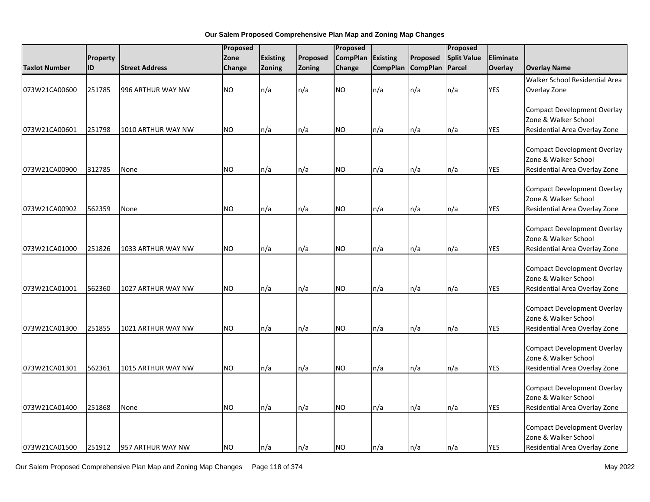|                      |          |                       | Proposed  |                 | Proposed      |                 |                 | Proposed        |                    |                  |                                                            |
|----------------------|----------|-----------------------|-----------|-----------------|---------------|-----------------|-----------------|-----------------|--------------------|------------------|------------------------------------------------------------|
|                      | Property |                       | Zone      | <b>Existing</b> | Proposed      | <b>CompPlan</b> | <b>Existing</b> | Proposed        | <b>Split Value</b> | <b>Eliminate</b> |                                                            |
| <b>Taxlot Number</b> | ID       | <b>Street Address</b> | Change    | Zoning          | <b>Zoning</b> | Change          | <b>CompPlan</b> | <b>CompPlan</b> | Parcel             | Overlay          | <b>Overlay Name</b>                                        |
|                      |          |                       |           |                 |               |                 |                 |                 |                    |                  | Walker School Residential Area                             |
| 073W21CA00600        | 251785   | 996 ARTHUR WAY NW     | <b>NO</b> | n/a             | n/a           | <b>NO</b>       | n/a             | n/a             | n/a                | YES              | Overlay Zone                                               |
|                      |          |                       |           |                 |               |                 |                 |                 |                    |                  |                                                            |
|                      |          |                       |           |                 |               |                 |                 |                 |                    |                  | <b>Compact Development Overlay</b>                         |
|                      |          |                       |           |                 |               |                 |                 |                 |                    |                  | Zone & Walker School                                       |
| 073W21CA00601        | 251798   | 1010 ARTHUR WAY NW    | <b>NO</b> | n/a             | n/a           | <b>NO</b>       | n/a             | n/a             | n/a                | <b>YES</b>       | Residential Area Overlay Zone                              |
|                      |          |                       |           |                 |               |                 |                 |                 |                    |                  |                                                            |
|                      |          |                       |           |                 |               |                 |                 |                 |                    |                  | <b>Compact Development Overlay</b>                         |
|                      |          |                       |           |                 |               |                 |                 |                 |                    |                  | Zone & Walker School                                       |
| 073W21CA00900        | 312785   | None                  | <b>NO</b> | n/a             | n/a           | <b>NO</b>       | n/a             | n/a             | n/a                | <b>YES</b>       | Residential Area Overlay Zone                              |
|                      |          |                       |           |                 |               |                 |                 |                 |                    |                  | <b>Compact Development Overlay</b>                         |
|                      |          |                       |           |                 |               |                 |                 |                 |                    |                  | Zone & Walker School                                       |
| 073W21CA00902        | 562359   | None                  | <b>NO</b> | n/a             | n/a           | <b>NO</b>       | n/a             | n/a             | n/a                | <b>YES</b>       | Residential Area Overlay Zone                              |
|                      |          |                       |           |                 |               |                 |                 |                 |                    |                  |                                                            |
|                      |          |                       |           |                 |               |                 |                 |                 |                    |                  | <b>Compact Development Overlay</b>                         |
|                      |          |                       |           |                 |               |                 |                 |                 |                    |                  | Zone & Walker School                                       |
| 073W21CA01000        | 251826   | 1033 ARTHUR WAY NW    | <b>NO</b> | n/a             | n/a           | <b>NO</b>       | n/a             | n/a             | n/a                | <b>YES</b>       | Residential Area Overlay Zone                              |
|                      |          |                       |           |                 |               |                 |                 |                 |                    |                  |                                                            |
|                      |          |                       |           |                 |               |                 |                 |                 |                    |                  | <b>Compact Development Overlay</b>                         |
|                      |          |                       |           |                 |               |                 |                 |                 |                    |                  | Zone & Walker School                                       |
| 073W21CA01001        | 562360   | 1027 ARTHUR WAY NW    | <b>NO</b> | n/a             | n/a           | <b>NO</b>       | n/a             | n/a             | n/a                | <b>YES</b>       | Residential Area Overlay Zone                              |
|                      |          |                       |           |                 |               |                 |                 |                 |                    |                  |                                                            |
|                      |          |                       |           |                 |               |                 |                 |                 |                    |                  | <b>Compact Development Overlay</b>                         |
|                      |          |                       |           |                 |               |                 |                 |                 |                    |                  | Zone & Walker School                                       |
| 073W21CA01300        | 251855   | 1021 ARTHUR WAY NW    | NO.       | n/a             | n/a           | <b>NO</b>       | n/a             | n/a             | n/a                | <b>YES</b>       | Residential Area Overlay Zone                              |
|                      |          |                       |           |                 |               |                 |                 |                 |                    |                  |                                                            |
|                      |          |                       |           |                 |               |                 |                 |                 |                    |                  | <b>Compact Development Overlay</b>                         |
|                      |          |                       |           |                 |               |                 |                 |                 |                    |                  | Zone & Walker School                                       |
| 073W21CA01301        | 562361   | 1015 ARTHUR WAY NW    | <b>NO</b> | n/a             | n/a           | <b>NO</b>       | n/a             | n/a             | n/a                | <b>YES</b>       | Residential Area Overlay Zone                              |
|                      |          |                       |           |                 |               |                 |                 |                 |                    |                  |                                                            |
|                      |          |                       |           |                 |               |                 |                 |                 |                    |                  | <b>Compact Development Overlay</b><br>Zone & Walker School |
|                      |          |                       |           |                 |               |                 |                 |                 |                    |                  |                                                            |
| 073W21CA01400        | 251868   | None                  | NO.       | n/a             | n/a           | <b>NO</b>       | n/a             | n/a             | n/a                | <b>YES</b>       | Residential Area Overlay Zone                              |
|                      |          |                       |           |                 |               |                 |                 |                 |                    |                  | <b>Compact Development Overlay</b>                         |
|                      |          |                       |           |                 |               |                 |                 |                 |                    |                  | Zone & Walker School                                       |
| 073W21CA01500        | 251912   | 957 ARTHUR WAY NW     | <b>NO</b> | n/a             | n/a           | <b>NO</b>       | n/a             | n/a             | n/a                | <b>YES</b>       | Residential Area Overlay Zone                              |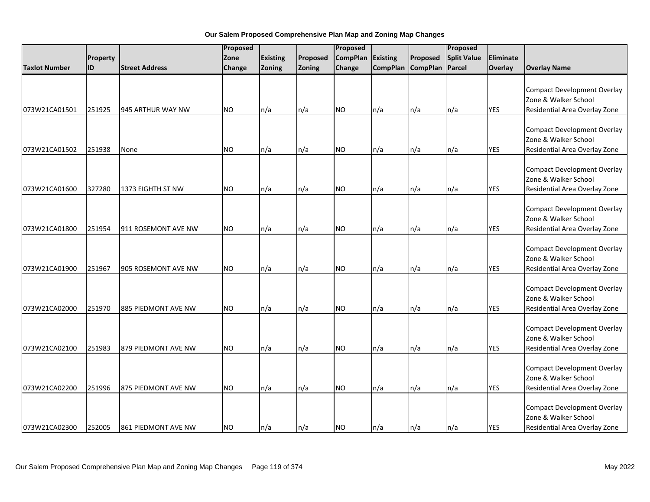|                      |          |                       | Proposed  |                 |          |                 | Proposed        |                 |                    |            |                                                                                             |
|----------------------|----------|-----------------------|-----------|-----------------|----------|-----------------|-----------------|-----------------|--------------------|------------|---------------------------------------------------------------------------------------------|
|                      | Property |                       | Zone      | <b>Existing</b> | Proposed | <b>CompPlan</b> | Existing        | Proposed        | <b>Split Value</b> | Eliminate  |                                                                                             |
| <b>Taxlot Number</b> | ID       | <b>Street Address</b> | Change    | Zoning          | Zoning   | Change          | <b>CompPlan</b> | <b>CompPlan</b> | Parcel             | Overlay    | <b>Overlay Name</b>                                                                         |
| 073W21CA01501        | 251925   | 945 ARTHUR WAY NW     | <b>NO</b> | n/a             | n/a      | <b>NO</b>       | n/a             | n/a             | n/a                | <b>YES</b> | <b>Compact Development Overlay</b><br>Zone & Walker School<br>Residential Area Overlay Zone |
|                      |          |                       |           |                 |          |                 |                 |                 |                    |            |                                                                                             |
| 073W21CA01502        | 251938   | None                  | <b>NO</b> | n/a             | n/a      | <b>NO</b>       | n/a             | n/a             | n/a                | <b>YES</b> | <b>Compact Development Overlay</b><br>Zone & Walker School<br>Residential Area Overlay Zone |
| 073W21CA01600        | 327280   | 1373 EIGHTH ST NW     | <b>NO</b> | n/a             | n/a      | <b>NO</b>       | n/a             | n/a             | n/a                | <b>YES</b> | <b>Compact Development Overlay</b><br>Zone & Walker School<br>Residential Area Overlay Zone |
| 073W21CA01800        | 251954   | 911 ROSEMONT AVE NW   | <b>NO</b> | n/a             | n/a      | <b>NO</b>       | n/a             | n/a             | n/a                | <b>YES</b> | <b>Compact Development Overlay</b><br>Zone & Walker School<br>Residential Area Overlay Zone |
| 073W21CA01900        | 251967   | 905 ROSEMONT AVE NW   | <b>NO</b> | n/a             | n/a      | <b>NO</b>       | n/a             | n/a             | n/a                | <b>YES</b> | <b>Compact Development Overlay</b><br>Zone & Walker School<br>Residential Area Overlay Zone |
| 073W21CA02000        | 251970   | 885 PIEDMONT AVE NW   | <b>NO</b> | n/a             | n/a      | <b>NO</b>       | n/a             | n/a             | n/a                | <b>YES</b> | <b>Compact Development Overlay</b><br>Zone & Walker School<br>Residential Area Overlay Zone |
| 073W21CA02100        | 251983   | 879 PIEDMONT AVE NW   | <b>NO</b> | n/a             | n/a      | <b>NO</b>       | n/a             | n/a             | n/a                | <b>YES</b> | <b>Compact Development Overlay</b><br>Zone & Walker School<br>Residential Area Overlay Zone |
| 073W21CA02200        | 251996   | 875 PIEDMONT AVE NW   | NO.       | n/a             | n/a      | <b>NO</b>       | n/a             | n/a             | n/a                | <b>YES</b> | <b>Compact Development Overlay</b><br>Zone & Walker School<br>Residential Area Overlay Zone |
| 073W21CA02300        | 252005   | 861 PIEDMONT AVE NW   | <b>NO</b> | n/a             | n/a      | <b>NO</b>       | n/a             | n/a             | n/a                | <b>YES</b> | <b>Compact Development Overlay</b><br>Zone & Walker School<br>Residential Area Overlay Zone |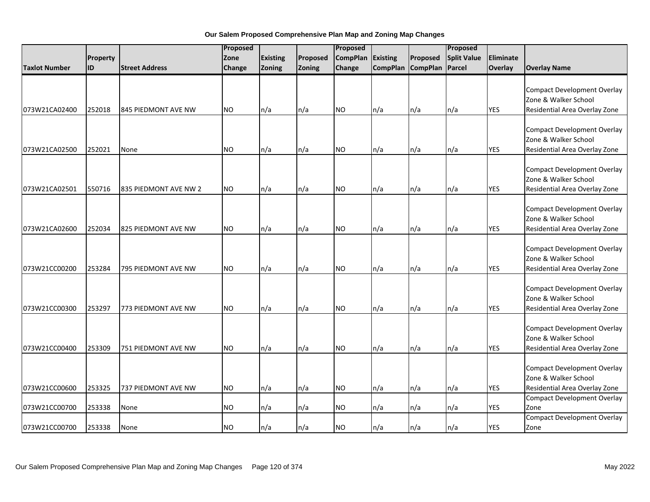|                      |          |                       | Proposed  |                 |          | Proposed        |                 |                 | Proposed           |                |                                                                                             |
|----------------------|----------|-----------------------|-----------|-----------------|----------|-----------------|-----------------|-----------------|--------------------|----------------|---------------------------------------------------------------------------------------------|
|                      | Property |                       | Zone      | <b>Existing</b> | Proposed | <b>CompPlan</b> | Existing        | Proposed        | <b>Split Value</b> | Eliminate      |                                                                                             |
| <b>Taxlot Number</b> | ID       | <b>Street Address</b> | Change    | Zoning          | Zoning   | Change          | <b>CompPlan</b> | <b>CompPlan</b> | Parcel             | <b>Overlay</b> | <b>Overlay Name</b>                                                                         |
| 073W21CA02400        | 252018   | 845 PIEDMONT AVE NW   | <b>NO</b> | n/a             | n/a      | <b>NO</b>       | n/a             | n/a             | n/a                | <b>YES</b>     | <b>Compact Development Overlay</b><br>Zone & Walker School<br>Residential Area Overlay Zone |
| 073W21CA02500        | 252021   | None                  | <b>NO</b> | n/a             | n/a      | <b>NO</b>       | n/a             | n/a             | n/a                | <b>YES</b>     | <b>Compact Development Overlay</b><br>Zone & Walker School<br>Residential Area Overlay Zone |
| 073W21CA02501        | 550716   | 835 PIEDMONT AVE NW 2 | <b>NO</b> | n/a             | n/a      | <b>NO</b>       | n/a             | n/a             | n/a                | <b>YES</b>     | <b>Compact Development Overlay</b><br>Zone & Walker School<br>Residential Area Overlay Zone |
| 073W21CA02600        | 252034   | 825 PIEDMONT AVE NW   | <b>NO</b> | n/a             | n/a      | <b>NO</b>       | n/a             | n/a             | n/a                | <b>YES</b>     | <b>Compact Development Overlay</b><br>Zone & Walker School<br>Residential Area Overlay Zone |
| 073W21CC00200        | 253284   | 795 PIEDMONT AVE NW   | <b>NO</b> | n/a             | n/a      | <b>NO</b>       | n/a             | n/a             | n/a                | <b>YES</b>     | <b>Compact Development Overlay</b><br>Zone & Walker School<br>Residential Area Overlay Zone |
| 073W21CC00300        | 253297   | 773 PIEDMONT AVE NW   | <b>NO</b> | n/a             | n/a      | <b>NO</b>       | n/a             | n/a             | n/a                | <b>YES</b>     | <b>Compact Development Overlay</b><br>Zone & Walker School<br>Residential Area Overlay Zone |
| 073W21CC00400        | 253309   | 751 PIEDMONT AVE NW   | <b>NO</b> | n/a             | n/a      | <b>NO</b>       | n/a             | n/a             | n/a                | <b>YES</b>     | <b>Compact Development Overlay</b><br>Zone & Walker School<br>Residential Area Overlay Zone |
| 073W21CC00600        | 253325   | 737 PIEDMONT AVE NW   | <b>NO</b> | n/a             | n/a      | <b>NO</b>       | n/a             | n/a             | n/a                | <b>YES</b>     | <b>Compact Development Overlay</b><br>Zone & Walker School<br>Residential Area Overlay Zone |
| 073W21CC00700        | 253338   | None                  | <b>NO</b> | n/a             | n/a      | <b>NO</b>       | n/a             | n/a             | n/a                | <b>YES</b>     | <b>Compact Development Overlay</b><br>Zone                                                  |
| 073W21CC00700        | 253338   | None                  | <b>NO</b> | n/a             | n/a      | <b>NO</b>       | n/a             | n/a             | n/a                | <b>YES</b>     | <b>Compact Development Overlay</b><br>Zone                                                  |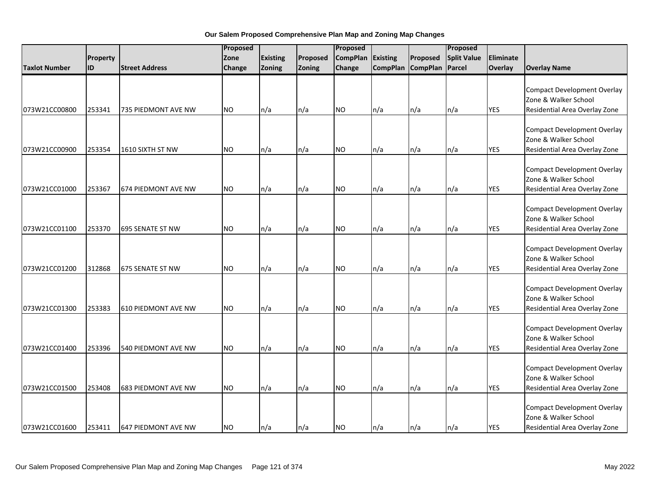|                      |           | Proposed                   |               |                 | Proposed |                 |                 |                 | Proposed           |            |                                                                                             |
|----------------------|-----------|----------------------------|---------------|-----------------|----------|-----------------|-----------------|-----------------|--------------------|------------|---------------------------------------------------------------------------------------------|
|                      | Property  |                            | Zone          | <b>Existing</b> | Proposed | <b>CompPlan</b> | Existing        | Proposed        | <b>Split Value</b> | Eliminate  |                                                                                             |
| <b>Taxlot Number</b> | <b>ID</b> | <b>Street Address</b>      | <b>Change</b> | Zoning          | Zoning   | Change          | <b>CompPlan</b> | <b>CompPlan</b> | Parcel             | Overlay    | <b>Overlay Name</b>                                                                         |
| 073W21CC00800        | 253341    | 735 PIEDMONT AVE NW        | <b>NO</b>     | n/a             | n/a      | <b>NO</b>       | n/a             | n/a             | n/a                | <b>YES</b> | <b>Compact Development Overlay</b><br>Zone & Walker School<br>Residential Area Overlay Zone |
| 073W21CC00900        | 253354    | 1610 SIXTH ST NW           | <b>NO</b>     |                 | n/a      | NO.             |                 | n/a             | n/a                | <b>YES</b> | <b>Compact Development Overlay</b><br>Zone & Walker School<br>Residential Area Overlay Zone |
| 073W21CC01000        | 253367    | 674 PIEDMONT AVE NW        | <b>NO</b>     | n/a<br>n/a      | n/a      | <b>NO</b>       | n/a<br>n/a      | n/a             | n/a                | <b>YES</b> | <b>Compact Development Overlay</b><br>Zone & Walker School<br>Residential Area Overlay Zone |
| 073W21CC01100        | 253370    | 695 SENATE ST NW           | <b>NO</b>     | n/a             | n/a      | <b>NO</b>       | n/a             | n/a             | n/a                | <b>YES</b> | <b>Compact Development Overlay</b><br>Zone & Walker School<br>Residential Area Overlay Zone |
| 073W21CC01200        | 312868    | 675 SENATE ST NW           | <b>NO</b>     | n/a             | n/a      | <b>NO</b>       | n/a             | n/a             | n/a                | <b>YES</b> | <b>Compact Development Overlay</b><br>Zone & Walker School<br>Residential Area Overlay Zone |
| 073W21CC01300        | 253383    | <b>610 PIEDMONT AVE NW</b> | <b>NO</b>     | n/a             | n/a      | <b>NO</b>       | n/a             | n/a             | n/a                | <b>YES</b> | <b>Compact Development Overlay</b><br>Zone & Walker School<br>Residential Area Overlay Zone |
| 073W21CC01400        | 253396    | 540 PIEDMONT AVE NW        | <b>NO</b>     | n/a             | n/a      | <b>NO</b>       | n/a             | n/a             | n/a                | <b>YES</b> | <b>Compact Development Overlay</b><br>Zone & Walker School<br>Residential Area Overlay Zone |
| 073W21CC01500        | 253408    | 683 PIEDMONT AVE NW        | <b>NO</b>     | n/a             | n/a      | <b>NO</b>       | n/a             | n/a             | n/a                | <b>YES</b> | <b>Compact Development Overlay</b><br>Zone & Walker School<br>Residential Area Overlay Zone |
| 073W21CC01600        | 253411    | <b>647 PIEDMONT AVE NW</b> | <b>NO</b>     | n/a             | n/a      | <b>NO</b>       | n/a             | n/a             | n/a                | <b>YES</b> | <b>Compact Development Overlay</b><br>Zone & Walker School<br>Residential Area Overlay Zone |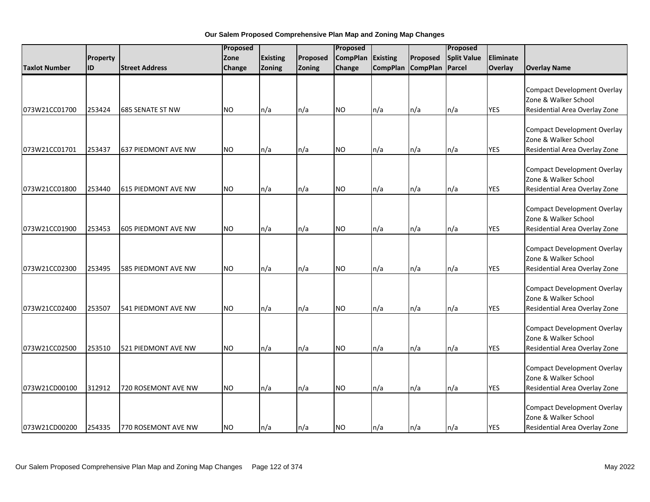|                      |          |                       | Proposed  |                 |          |                 | Proposed        |                 |                    |            |                                                                                             |
|----------------------|----------|-----------------------|-----------|-----------------|----------|-----------------|-----------------|-----------------|--------------------|------------|---------------------------------------------------------------------------------------------|
|                      | Property |                       | Zone      | <b>Existing</b> | Proposed | <b>CompPlan</b> | Existing        | Proposed        | <b>Split Value</b> | Eliminate  |                                                                                             |
| <b>Taxlot Number</b> | ID       | <b>Street Address</b> | Change    | Zoning          | Zoning   | Change          | <b>CompPlan</b> | <b>CompPlan</b> | Parcel             | Overlay    | <b>Overlay Name</b>                                                                         |
|                      |          |                       |           |                 |          |                 |                 |                 |                    | <b>YES</b> | <b>Compact Development Overlay</b><br>Zone & Walker School                                  |
| 073W21CC01700        | 253424   | 685 SENATE ST NW      | NO.       | n/a             | n/a      | <b>NO</b>       | n/a             | n/a             | n/a                |            | Residential Area Overlay Zone                                                               |
| 073W21CC01701        | 253437   | 637 PIEDMONT AVE NW   | <b>NO</b> | n/a             | n/a      | <b>NO</b>       | n/a             | n/a             | n/a                | <b>YES</b> | <b>Compact Development Overlay</b><br>Zone & Walker School<br>Residential Area Overlay Zone |
| 073W21CC01800        | 253440   | 615 PIEDMONT AVE NW   | <b>NO</b> | n/a             | n/a      | <b>NO</b>       | n/a             | n/a             | n/a                | <b>YES</b> | <b>Compact Development Overlay</b><br>Zone & Walker School<br>Residential Area Overlay Zone |
| 073W21CC01900        | 253453   | 605 PIEDMONT AVE NW   | <b>NO</b> | n/a             | n/a      | <b>NO</b>       | n/a             | n/a             | n/a                | <b>YES</b> | <b>Compact Development Overlay</b><br>Zone & Walker School<br>Residential Area Overlay Zone |
| 073W21CC02300        | 253495   | 585 PIEDMONT AVE NW   | <b>NO</b> | n/a             | n/a      | <b>NO</b>       | n/a             | n/a             | n/a                | <b>YES</b> | <b>Compact Development Overlay</b><br>Zone & Walker School<br>Residential Area Overlay Zone |
| 073W21CC02400        | 253507   | 541 PIEDMONT AVE NW   | <b>NO</b> | n/a             | n/a      | <b>NO</b>       | n/a             | n/a             | n/a                | <b>YES</b> | <b>Compact Development Overlay</b><br>Zone & Walker School<br>Residential Area Overlay Zone |
| 073W21CC02500        | 253510   | 521 PIEDMONT AVE NW   | <b>NO</b> | n/a             | n/a      | <b>NO</b>       | n/a             | n/a             | n/a                | <b>YES</b> | <b>Compact Development Overlay</b><br>Zone & Walker School<br>Residential Area Overlay Zone |
| 073W21CD00100        | 312912   | 720 ROSEMONT AVE NW   | NO.       | n/a             | n/a      | <b>NO</b>       | n/a             | n/a             | n/a                | <b>YES</b> | <b>Compact Development Overlay</b><br>Zone & Walker School<br>Residential Area Overlay Zone |
| 073W21CD00200        | 254335   | 770 ROSEMONT AVE NW   | <b>NO</b> | n/a             | n/a      | <b>NO</b>       | n/a             | n/a             | n/a                | <b>YES</b> | <b>Compact Development Overlay</b><br>Zone & Walker School<br>Residential Area Overlay Zone |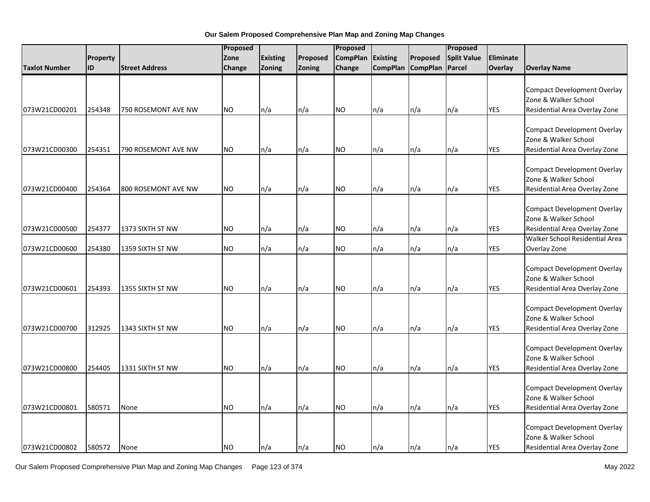|               |          |                       | Proposed  |                 | Proposed |                 |                 | Proposed          |                    |            |                                                                                                                               |
|---------------|----------|-----------------------|-----------|-----------------|----------|-----------------|-----------------|-------------------|--------------------|------------|-------------------------------------------------------------------------------------------------------------------------------|
|               | Property |                       | Zone      | <b>Existing</b> | Proposed | <b>CompPlan</b> | <b>Existing</b> | Proposed          | <b>Split Value</b> | Eliminate  |                                                                                                                               |
| Taxlot Number | ID       | <b>Street Address</b> | Change    | Zoning          | Zoning   | Change          |                 | CompPlan CompPlan | Parcel             | Overlay    | <b>Overlay Name</b>                                                                                                           |
| 073W21CD00201 | 254348   | 750 ROSEMONT AVE NW   | <b>NO</b> | n/a             | n/a      | <b>NO</b>       | n/a             | n/a               | n/a                | <b>YES</b> | <b>Compact Development Overlay</b><br>Zone & Walker School<br>Residential Area Overlay Zone                                   |
| 073W21CD00300 | 254351   | 790 ROSEMONT AVE NW   | <b>NO</b> | n/a             | n/a      | NO.             | n/a             | n/a               | n/a                | <b>YES</b> | <b>Compact Development Overlay</b><br>Zone & Walker School<br>Residential Area Overlay Zone                                   |
| 073W21CD00400 | 254364   | 800 ROSEMONT AVE NW   | <b>NO</b> | n/a             | n/a      | <b>NO</b>       | n/a             | n/a               | n/a                | YES        | <b>Compact Development Overlay</b><br>Zone & Walker School<br>Residential Area Overlay Zone                                   |
| 073W21CD00500 | 254377   | 1373 SIXTH ST NW      | <b>NO</b> | n/a             | n/a      | <b>NO</b>       | n/a             | n/a               | n/a                | YES        | <b>Compact Development Overlay</b><br>Zone & Walker School<br>Residential Area Overlay Zone<br>Walker School Residential Area |
| 073W21CD00600 | 254380   | 1359 SIXTH ST NW      | <b>NO</b> | n/a             | n/a      | <b>NO</b>       | n/a             | n/a               | n/a                | <b>YES</b> | Overlay Zone                                                                                                                  |
| 073W21CD00601 | 254393   | 1355 SIXTH ST NW      | <b>NO</b> | n/a             | n/a      | <b>NO</b>       | n/a             | n/a               | n/a                | YES        | <b>Compact Development Overlay</b><br>Zone & Walker School<br>Residential Area Overlay Zone                                   |
| 073W21CD00700 | 312925   | 1343 SIXTH ST NW      | NO.       | n/a             | n/a      | <b>NO</b>       | n/a             | n/a               | n/a                | YES        | <b>Compact Development Overlay</b><br>Zone & Walker School<br>Residential Area Overlay Zone                                   |
| 073W21CD00800 | 254405   | 1331 SIXTH ST NW      | <b>NO</b> | n/a             | n/a      | <b>NO</b>       | n/a             | n/a               | n/a                | YES        | <b>Compact Development Overlay</b><br>Zone & Walker School<br>Residential Area Overlay Zone                                   |
| 073W21CD00801 | 580571   | None                  | NO.       | n/a             | n/a      | <b>NO</b>       | n/a             | n/a               | n/a                | <b>YES</b> | <b>Compact Development Overlay</b><br>Zone & Walker School<br>Residential Area Overlay Zone                                   |
| 073W21CD00802 | 580572   | None                  | <b>NO</b> | ln/a            | n/a      | <b>NO</b>       | n/a             | n/a               | n/a                | <b>YES</b> | <b>Compact Development Overlay</b><br>Zone & Walker School<br>Residential Area Overlay Zone                                   |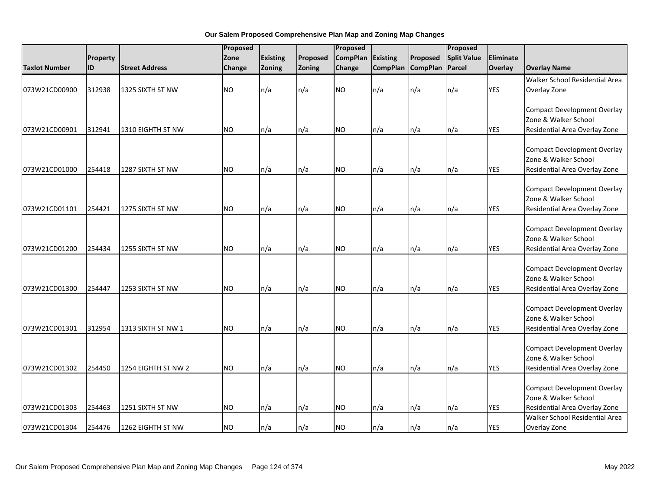|                      |          |                       | Proposed      |                          |          | Proposed        |                 |                 | Proposed           |            |                                                                                             |
|----------------------|----------|-----------------------|---------------|--------------------------|----------|-----------------|-----------------|-----------------|--------------------|------------|---------------------------------------------------------------------------------------------|
|                      | Property |                       | Zone          | Existing                 | Proposed | <b>CompPlan</b> | Existing        | Proposed        | <b>Split Value</b> | Eliminate  |                                                                                             |
| <b>Taxlot Number</b> | ID       | <b>Street Address</b> | <b>Change</b> | Zoning                   | Zoning   | Change          | <b>CompPlan</b> | <b>CompPlan</b> | Parcel             | Overlay    | <b>Overlay Name</b>                                                                         |
|                      |          |                       |               |                          |          |                 |                 |                 |                    |            | Walker School Residential Area                                                              |
| 073W21CD00900        | 312938   | 1325 SIXTH ST NW      | <b>NO</b>     | n/a                      | n/a      | <b>NO</b>       | n/a             | n/a             | n/a                | <b>YES</b> | Overlay Zone                                                                                |
| 073W21CD00901        | 312941   | 1310 EIGHTH ST NW     | <b>NO</b>     | n/a                      | n/a      | <b>NO</b>       | n/a             | n/a             | n/a                | <b>YES</b> | <b>Compact Development Overlay</b><br>Zone & Walker School<br>Residential Area Overlay Zone |
| 073W21CD01000        | 254418   | 1287 SIXTH ST NW      | <b>NO</b>     | n/a                      | n/a      | <b>NO</b>       | n/a             | n/a             | n/a                | <b>YES</b> | <b>Compact Development Overlay</b><br>Zone & Walker School<br>Residential Area Overlay Zone |
| 073W21CD01101        | 254421   | 1275 SIXTH ST NW      | <b>NO</b>     | n/a                      | n/a      | <b>NO</b>       | n/a             | n/a             | n/a                | <b>YES</b> | <b>Compact Development Overlay</b><br>Zone & Walker School<br>Residential Area Overlay Zone |
| 073W21CD01200        | 254434   | 1255 SIXTH ST NW      | <b>NO</b>     | n/a                      | n/a      | <b>NO</b>       | n/a             | n/a             | n/a                | <b>YES</b> | <b>Compact Development Overlay</b><br>Zone & Walker School<br>Residential Area Overlay Zone |
| 073W21CD01300        | 254447   | 1253 SIXTH ST NW      | NO.           | n/a                      | n/a      | <b>NO</b>       | n/a             | n/a             | n/a                | <b>YES</b> | <b>Compact Development Overlay</b><br>Zone & Walker School<br>Residential Area Overlay Zone |
| 073W21CD01301        | 312954   | 1313 SIXTH ST NW 1    | <b>NO</b>     | n/a                      | n/a      | <b>NO</b>       | n/a             | n/a             | n/a                | <b>YES</b> | <b>Compact Development Overlay</b><br>Zone & Walker School<br>Residential Area Overlay Zone |
| 073W21CD01302        | 254450   | 1254 EIGHTH ST NW 2   | <b>NO</b>     | n/a                      | n/a      | NO.             | n/a             | n/a             | n/a                | <b>YES</b> | <b>Compact Development Overlay</b><br>Zone & Walker School<br>Residential Area Overlay Zone |
| 073W21CD01303        | 254463   | 1251 SIXTH ST NW      | <b>NO</b>     | n/a                      | n/a      | <b>NO</b>       | n/a             | n/a             | n/a                | <b>YES</b> | <b>Compact Development Overlay</b><br>Zone & Walker School<br>Residential Area Overlay Zone |
| 073W21CD01304        | 254476   | 1262 EIGHTH ST NW     | <b>NO</b>     | $\mathsf{In}/\mathsf{a}$ | $\ln/a$  | <b>NO</b>       | n/a             | n/a             | n/a                | <b>YES</b> | Walker School Residential Area<br>Overlay Zone                                              |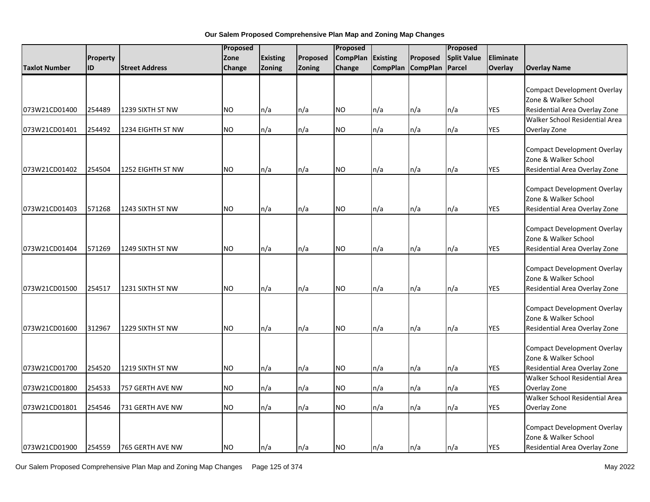|                      |          |                       | Proposed  |                 |          | Proposed        |                 |                   | Proposed           |            |                                    |
|----------------------|----------|-----------------------|-----------|-----------------|----------|-----------------|-----------------|-------------------|--------------------|------------|------------------------------------|
|                      | Property |                       | Zone      | <b>Existing</b> | Proposed | <b>CompPlan</b> | <b>Existing</b> | Proposed          | <b>Split Value</b> | Eliminate  |                                    |
| <b>Taxlot Number</b> | ID       | <b>Street Address</b> | Change    | Zoning          | Zoning   | Change          |                 | CompPlan CompPlan | Parcel             | Overlay    | <b>Overlay Name</b>                |
|                      |          |                       |           |                 |          |                 |                 |                   |                    |            |                                    |
|                      |          |                       |           |                 |          |                 |                 |                   |                    |            | <b>Compact Development Overlay</b> |
|                      |          |                       |           |                 |          |                 |                 |                   |                    |            | Zone & Walker School               |
| 073W21CD01400        | 254489   | 1239 SIXTH ST NW      | NO.       | n/a             | n/a      | <b>NO</b>       | n/a             | n/a               | n/a                | <b>YES</b> | Residential Area Overlay Zone      |
|                      |          |                       |           |                 |          |                 |                 |                   |                    |            | Walker School Residential Area     |
| 073W21CD01401        | 254492   | 1234 EIGHTH ST NW     | <b>NO</b> | n/a             | n/a      | <b>NO</b>       | n/a             | n/a               | n/a                | <b>YES</b> | Overlay Zone                       |
|                      |          |                       |           |                 |          |                 |                 |                   |                    |            |                                    |
|                      |          |                       |           |                 |          |                 |                 |                   |                    |            | <b>Compact Development Overlay</b> |
|                      |          |                       |           |                 |          |                 |                 |                   |                    |            | Zone & Walker School               |
| 073W21CD01402        | 254504   | 1252 EIGHTH ST NW     | <b>NO</b> | n/a             | n/a      | <b>NO</b>       | n/a             | n/a               | n/a                | <b>YES</b> | Residential Area Overlay Zone      |
|                      |          |                       |           |                 |          |                 |                 |                   |                    |            | <b>Compact Development Overlay</b> |
|                      |          |                       |           |                 |          |                 |                 |                   |                    |            | Zone & Walker School               |
| 073W21CD01403        | 571268   | 1243 SIXTH ST NW      | NO.       |                 |          | <b>NO</b>       |                 |                   |                    | <b>YES</b> |                                    |
|                      |          |                       |           | n/a             | n/a      |                 | n/a             | n/a               | n/a                |            | Residential Area Overlay Zone      |
|                      |          |                       |           |                 |          |                 |                 |                   |                    |            | <b>Compact Development Overlay</b> |
|                      |          |                       |           |                 |          |                 |                 |                   |                    |            | Zone & Walker School               |
| 073W21CD01404        | 571269   | 1249 SIXTH ST NW      | <b>NO</b> | n/a             | n/a      | <b>NO</b>       | n/a             | n/a               | n/a                | <b>YES</b> | Residential Area Overlay Zone      |
|                      |          |                       |           |                 |          |                 |                 |                   |                    |            |                                    |
|                      |          |                       |           |                 |          |                 |                 |                   |                    |            | <b>Compact Development Overlay</b> |
|                      |          |                       |           |                 |          |                 |                 |                   |                    |            | Zone & Walker School               |
| 073W21CD01500        | 254517   | 1231 SIXTH ST NW      | <b>NO</b> | n/a             | n/a      | <b>NO</b>       | n/a             | n/a               | n/a                | <b>YES</b> | Residential Area Overlay Zone      |
|                      |          |                       |           |                 |          |                 |                 |                   |                    |            |                                    |
|                      |          |                       |           |                 |          |                 |                 |                   |                    |            | <b>Compact Development Overlay</b> |
|                      |          |                       |           |                 |          |                 |                 |                   |                    |            | Zone & Walker School               |
| 073W21CD01600        | 312967   | 1229 SIXTH ST NW      | <b>NO</b> | n/a             | n/a      | <b>NO</b>       | n/a             | n/a               | n/a                | <b>YES</b> | Residential Area Overlay Zone      |
|                      |          |                       |           |                 |          |                 |                 |                   |                    |            |                                    |
|                      |          |                       |           |                 |          |                 |                 |                   |                    |            | <b>Compact Development Overlay</b> |
|                      |          |                       |           |                 |          |                 |                 |                   |                    |            | Zone & Walker School               |
| 073W21CD01700        | 254520   | 1219 SIXTH ST NW      | <b>NO</b> | n/a             | n/a      | <b>NO</b>       | n/a             | n/a               | n/a                | <b>YES</b> | Residential Area Overlay Zone      |
|                      |          |                       |           |                 |          |                 |                 |                   |                    |            | Walker School Residential Area     |
| 073W21CD01800        | 254533   | 757 GERTH AVE NW      | <b>NO</b> | n/a             | n/a      | <b>NO</b>       | n/a             | n/a               | n/a                | <b>YES</b> | Overlay Zone                       |
|                      |          |                       |           |                 |          |                 |                 |                   |                    |            | Walker School Residential Area     |
| 073W21CD01801        | 254546   | 731 GERTH AVE NW      | NO.       | n/a             | n/a      | <b>NO</b>       | n/a             | n/a               | n/a                | <b>YES</b> | Overlay Zone                       |
|                      |          |                       |           |                 |          |                 |                 |                   |                    |            |                                    |
|                      |          |                       |           |                 |          |                 |                 |                   |                    |            | <b>Compact Development Overlay</b> |
|                      |          |                       |           |                 |          |                 |                 |                   |                    |            | Zone & Walker School               |
| 073W21CD01900        | 254559   | 765 GERTH AVE NW      | <b>NO</b> | ln/a            | n/a      | <b>NO</b>       | n/a             | n/a               | n/a                | <b>YES</b> | Residential Area Overlay Zone      |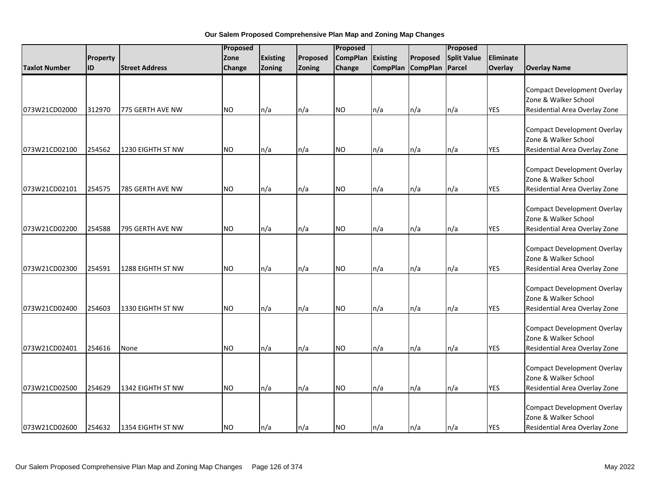|                      |          |                          | Proposed  |                 |          | Proposed        |                 |                   | Proposed           |            |                                                                                             |
|----------------------|----------|--------------------------|-----------|-----------------|----------|-----------------|-----------------|-------------------|--------------------|------------|---------------------------------------------------------------------------------------------|
|                      | Property |                          | Zone      | <b>Existing</b> | Proposed | <b>CompPlan</b> | <b>Existing</b> | Proposed          | <b>Split Value</b> | Eliminate  |                                                                                             |
| <b>Taxlot Number</b> | lid      | <b>Street Address</b>    | Change    | Zoning          | Zoning   | Change          |                 | CompPlan CompPlan | Parcel             | Overlay    | <b>Overlay Name</b>                                                                         |
| 073W21CD02000        | 312970   | 775 GERTH AVE NW         | <b>NO</b> | n/a             | n/a      | <b>NO</b>       | n/a             | n/a               | n/a                | <b>YES</b> | <b>Compact Development Overlay</b><br>Zone & Walker School<br>Residential Area Overlay Zone |
|                      |          |                          |           |                 |          |                 |                 |                   |                    |            |                                                                                             |
| 073W21CD02100        | 254562   | 1230 EIGHTH ST NW        | <b>NO</b> | n/a             | n/a      | <b>NO</b>       | n/a             | n/a               | n/a                | <b>YES</b> | <b>Compact Development Overlay</b><br>Zone & Walker School<br>Residential Area Overlay Zone |
| 073W21CD02101        | 254575   | 785 GERTH AVE NW         | <b>NO</b> | n/a             | n/a      | <b>NO</b>       | n/a             | n/a               | n/a                | <b>YES</b> | <b>Compact Development Overlay</b><br>Zone & Walker School<br>Residential Area Overlay Zone |
| 073W21CD02200        | 254588   | 795 GERTH AVE NW         | <b>NO</b> | n/a             | n/a      | <b>NO</b>       | n/a             | n/a               | n/a                | <b>YES</b> | <b>Compact Development Overlay</b><br>Zone & Walker School<br>Residential Area Overlay Zone |
| 073W21CD02300        | 254591   | <b>1288 EIGHTH ST NW</b> | <b>NO</b> | n/a             | n/a      | <b>NO</b>       | n/a             | n/a               | n/a                | <b>YES</b> | <b>Compact Development Overlay</b><br>Zone & Walker School<br>Residential Area Overlay Zone |
| 073W21CD02400        | 254603   | 1330 EIGHTH ST NW        | <b>NO</b> | n/a             | n/a      | <b>NO</b>       | n/a             | n/a               | n/a                | <b>YES</b> | <b>Compact Development Overlay</b><br>Zone & Walker School<br>Residential Area Overlay Zone |
| 073W21CD02401        | 254616   | None                     | <b>NO</b> | n/a             | n/a      | <b>NO</b>       | n/a             | n/a               | n/a                | <b>YES</b> | <b>Compact Development Overlay</b><br>Zone & Walker School<br>Residential Area Overlay Zone |
| 073W21CD02500        | 254629   | 1342 EIGHTH ST NW        | NO.       | n/a             | n/a      | <b>NO</b>       | n/a             | n/a               | n/a                | <b>YES</b> | <b>Compact Development Overlay</b><br>Zone & Walker School<br>Residential Area Overlay Zone |
| 073W21CD02600        | 254632   | 1354 EIGHTH ST NW        | <b>NO</b> | n/a             | n/a      | <b>NO</b>       | n/a             | n/a               | $\ln/a$            | <b>YES</b> | <b>Compact Development Overlay</b><br>Zone & Walker School<br>Residential Area Overlay Zone |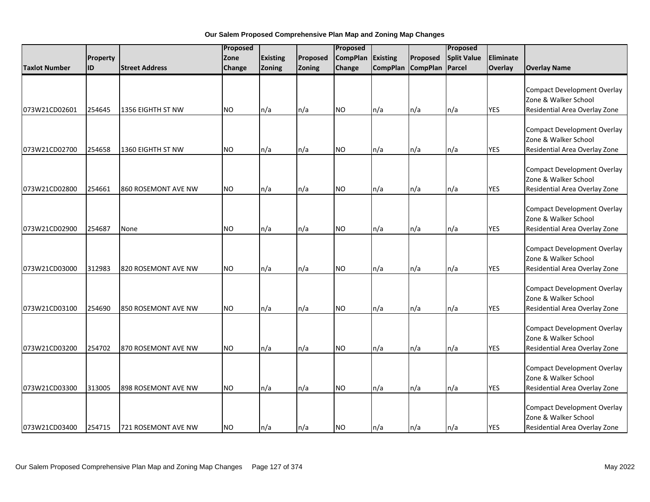|                      |          |                       | Proposed  |                 |          | Proposed        |                 |                   | Proposed           |            |                                                                                             |
|----------------------|----------|-----------------------|-----------|-----------------|----------|-----------------|-----------------|-------------------|--------------------|------------|---------------------------------------------------------------------------------------------|
|                      | Property |                       | Zone      | <b>Existing</b> | Proposed | <b>CompPlan</b> | <b>Existing</b> | Proposed          | <b>Split Value</b> | Eliminate  |                                                                                             |
| <b>Taxlot Number</b> | ID       | <b>Street Address</b> | Change    | Zoning          | Zoning   | Change          |                 | CompPlan CompPlan | Parcel             | Overlay    | <b>Overlay Name</b>                                                                         |
| 073W21CD02601        | 254645   | 1356 EIGHTH ST NW     | <b>NO</b> | n/a             | n/a      | <b>NO</b>       | n/a             | n/a               | n/a                | <b>YES</b> | <b>Compact Development Overlay</b><br>Zone & Walker School<br>Residential Area Overlay Zone |
|                      |          |                       |           |                 |          |                 |                 |                   |                    |            |                                                                                             |
| 073W21CD02700        | 254658   | 1360 EIGHTH ST NW     | <b>NO</b> | n/a             | n/a      | <b>NO</b>       | n/a             | n/a               | n/a                | <b>YES</b> | <b>Compact Development Overlay</b><br>Zone & Walker School<br>Residential Area Overlay Zone |
| 073W21CD02800        | 254661   | 860 ROSEMONT AVE NW   | <b>NO</b> | n/a             | n/a      | <b>NO</b>       | n/a             | n/a               | n/a                | <b>YES</b> | <b>Compact Development Overlay</b><br>Zone & Walker School<br>Residential Area Overlay Zone |
| 073W21CD02900        | 254687   | None                  | <b>NO</b> | n/a             | n/a      | <b>NO</b>       | n/a             | n/a               | n/a                | <b>YES</b> | <b>Compact Development Overlay</b><br>Zone & Walker School<br>Residential Area Overlay Zone |
| 073W21CD03000        | 312983   | 820 ROSEMONT AVE NW   | <b>NO</b> | n/a             | n/a      | <b>NO</b>       | n/a             | n/a               | n/a                | <b>YES</b> | <b>Compact Development Overlay</b><br>Zone & Walker School<br>Residential Area Overlay Zone |
| 073W21CD03100        | 254690   | 850 ROSEMONT AVE NW   | <b>NO</b> | n/a             | n/a      | <b>NO</b>       | n/a             | n/a               | n/a                | <b>YES</b> | <b>Compact Development Overlay</b><br>Zone & Walker School<br>Residential Area Overlay Zone |
| 073W21CD03200        | 254702   | 870 ROSEMONT AVE NW   | <b>NO</b> | n/a             | n/a      | <b>NO</b>       | n/a             | n/a               | n/a                | <b>YES</b> | <b>Compact Development Overlay</b><br>Zone & Walker School<br>Residential Area Overlay Zone |
| 073W21CD03300        | 313005   | 898 ROSEMONT AVE NW   | <b>NO</b> | n/a             | n/a      | <b>NO</b>       | n/a             | n/a               | n/a                | <b>YES</b> | <b>Compact Development Overlay</b><br>Zone & Walker School<br>Residential Area Overlay Zone |
| 073W21CD03400        | 254715   | 721 ROSEMONT AVE NW   | <b>NO</b> | n/a             | n/a      | <b>NO</b>       | n/a             | n/a               | $\ln/a$            | <b>YES</b> | <b>Compact Development Overlay</b><br>Zone & Walker School<br>Residential Area Overlay Zone |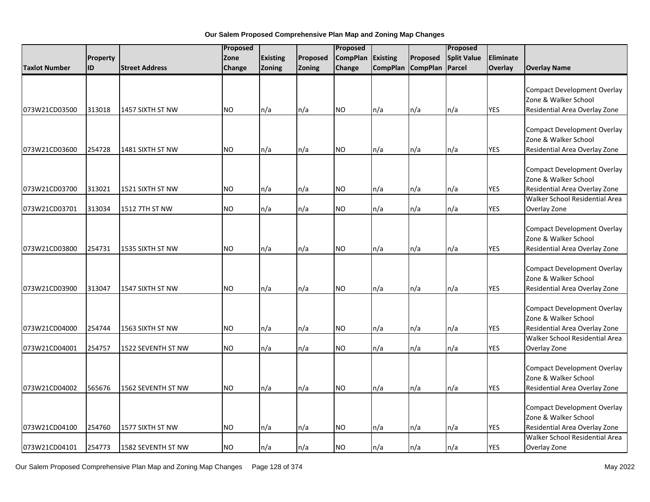|                      |          |                       | Proposed  |                 |               | Proposed        |                 |                   | Proposed           |                |                                                                                                                               |
|----------------------|----------|-----------------------|-----------|-----------------|---------------|-----------------|-----------------|-------------------|--------------------|----------------|-------------------------------------------------------------------------------------------------------------------------------|
|                      | Property |                       | Zone      | <b>Existing</b> | Proposed      | <b>CompPlan</b> | <b>Existing</b> | Proposed          | <b>Split Value</b> | Eliminate      |                                                                                                                               |
| <b>Taxlot Number</b> | ID       | <b>Street Address</b> | Change    | Zoning          | <b>Zoning</b> | Change          |                 | CompPlan CompPlan | Parcel             | <b>Overlay</b> | <b>Overlay Name</b>                                                                                                           |
| 073W21CD03500        | 313018   | 1457 SIXTH ST NW      | <b>NO</b> | n/a             | n/a           | <b>NO</b>       | n/a             | n/a               | n/a                | <b>YES</b>     | <b>Compact Development Overlay</b><br>Zone & Walker School<br>Residential Area Overlay Zone                                   |
| 073W21CD03600        | 254728   | 1481 SIXTH ST NW      | <b>NO</b> |                 | n/a           | <b>NO</b>       | n/a             | n/a               | n/a                | <b>YES</b>     | <b>Compact Development Overlay</b><br>Zone & Walker School<br>Residential Area Overlay Zone                                   |
|                      |          |                       |           | n/a             |               |                 |                 |                   |                    |                | <b>Compact Development Overlay</b><br>Zone & Walker School                                                                    |
| 073W21CD03700        | 313021   | 1521 SIXTH ST NW      | <b>NO</b> | n/a             | n/a           | <b>NO</b>       | n/a             | n/a               | n/a                | <b>YES</b>     | Residential Area Overlay Zone                                                                                                 |
| 073W21CD03701        | 313034   | 1512 7TH ST NW        | <b>NO</b> | n/a             | n/a           | <b>NO</b>       | n/a             | n/a               | n/a                | <b>YES</b>     | Walker School Residential Area<br>Overlay Zone                                                                                |
| 073W21CD03800        | 254731   | 1535 SIXTH ST NW      | <b>NO</b> | n/a             | n/a           | <b>NO</b>       | n/a             | n/a               | n/a                | <b>YES</b>     | <b>Compact Development Overlay</b><br>Zone & Walker School<br>Residential Area Overlay Zone                                   |
| 073W21CD03900        | 313047   | 1547 SIXTH ST NW      | <b>NO</b> | n/a             | n/a           | <b>NO</b>       | n/a             | n/a               | n/a                | <b>YES</b>     | <b>Compact Development Overlay</b><br>Zone & Walker School<br>Residential Area Overlay Zone                                   |
| 073W21CD04000        | 254744   | 1563 SIXTH ST NW      | <b>NO</b> | n/a             | n/a           | <b>NO</b>       | n/a             | n/a               | n/a                | <b>YES</b>     | <b>Compact Development Overlay</b><br>Zone & Walker School<br>Residential Area Overlay Zone<br>Walker School Residential Area |
| 073W21CD04001        | 254757   | 1522 SEVENTH ST NW    | <b>NO</b> | n/a             | n/a           | <b>NO</b>       | n/a             | n/a               | n/a                | <b>YES</b>     | Overlay Zone                                                                                                                  |
| 073W21CD04002        | 565676   | 1562 SEVENTH ST NW    | <b>NO</b> | n/a             | n/a           | <b>NO</b>       | n/a             | n/a               | n/a                | <b>YES</b>     | <b>Compact Development Overlay</b><br>Zone & Walker School<br>Residential Area Overlay Zone                                   |
| 073W21CD04100        | 254760   | 1577 SIXTH ST NW      | <b>NO</b> | n/a             | n/a           | <b>NO</b>       | n/a             | n/a               | n/a                | <b>YES</b>     | <b>Compact Development Overlay</b><br>Zone & Walker School<br>Residential Area Overlay Zone                                   |
| 073W21CD04101        | 254773   | 1582 SEVENTH ST NW    | <b>NO</b> | n/a             | n/a           | <b>NO</b>       | n/a             | n/a               | n/a                | <b>YES</b>     | Walker School Residential Area<br>Overlay Zone                                                                                |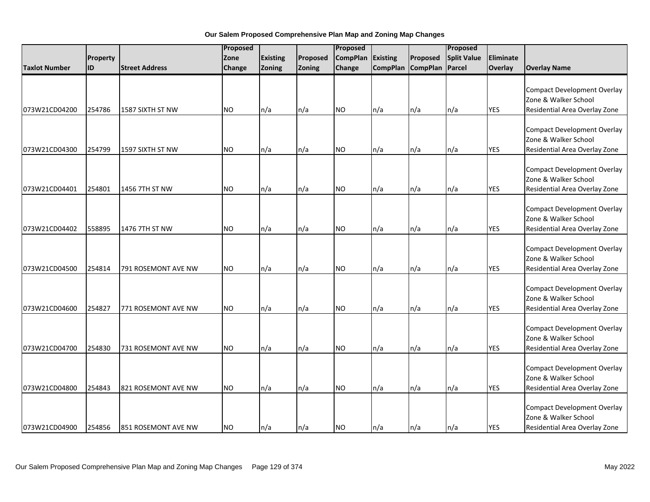|                      |          |                       | Proposed  |                 |          | Proposed        |                 |                   | Proposed           |            |                                                                                             |
|----------------------|----------|-----------------------|-----------|-----------------|----------|-----------------|-----------------|-------------------|--------------------|------------|---------------------------------------------------------------------------------------------|
|                      | Property |                       | Zone      | <b>Existing</b> | Proposed | <b>CompPlan</b> | <b>Existing</b> | Proposed          | <b>Split Value</b> | Eliminate  |                                                                                             |
| <b>Taxlot Number</b> | lid      | <b>Street Address</b> | Change    | Zoning          | Zoning   | Change          |                 | CompPlan CompPlan | Parcel             | Overlay    | <b>Overlay Name</b>                                                                         |
| 073W21CD04200        | 254786   | 1587 SIXTH ST NW      | <b>NO</b> | n/a             | n/a      | <b>NO</b>       | n/a             | n/a               | n/a                | <b>YES</b> | <b>Compact Development Overlay</b><br>Zone & Walker School<br>Residential Area Overlay Zone |
|                      |          |                       |           |                 |          |                 |                 |                   |                    |            |                                                                                             |
| 073W21CD04300        | 254799   | 1597 SIXTH ST NW      | <b>NO</b> | n/a             | n/a      | <b>NO</b>       | n/a             | n/a               | n/a                | <b>YES</b> | <b>Compact Development Overlay</b><br>Zone & Walker School<br>Residential Area Overlay Zone |
| 073W21CD04401        | 254801   | 1456 7TH ST NW        | <b>NO</b> | n/a             | n/a      | <b>NO</b>       | n/a             | n/a               | n/a                | <b>YES</b> | <b>Compact Development Overlay</b><br>Zone & Walker School<br>Residential Area Overlay Zone |
| 073W21CD04402        | 558895   | 1476 7TH ST NW        | <b>NO</b> | n/a             | n/a      | <b>NO</b>       | n/a             | n/a               | n/a                | <b>YES</b> | <b>Compact Development Overlay</b><br>Zone & Walker School<br>Residential Area Overlay Zone |
| 073W21CD04500        | 254814   | 791 ROSEMONT AVE NW   | <b>NO</b> | n/a             | n/a      | <b>NO</b>       | n/a             | n/a               | n/a                | <b>YES</b> | <b>Compact Development Overlay</b><br>Zone & Walker School<br>Residential Area Overlay Zone |
| 073W21CD04600        | 254827   | 771 ROSEMONT AVE NW   | <b>NO</b> | n/a             | n/a      | <b>NO</b>       | n/a             | n/a               | n/a                | <b>YES</b> | <b>Compact Development Overlay</b><br>Zone & Walker School<br>Residential Area Overlay Zone |
| 073W21CD04700        | 254830   | 731 ROSEMONT AVE NW   | <b>NO</b> | n/a             | n/a      | <b>NO</b>       | n/a             | n/a               | n/a                | <b>YES</b> | <b>Compact Development Overlay</b><br>Zone & Walker School<br>Residential Area Overlay Zone |
| 073W21CD04800        | 254843   | 821 ROSEMONT AVE NW   | <b>NO</b> | n/a             | n/a      | <b>NO</b>       | n/a             | n/a               | n/a                | <b>YES</b> | <b>Compact Development Overlay</b><br>Zone & Walker School<br>Residential Area Overlay Zone |
| 073W21CD04900        | 254856   | 851 ROSEMONT AVE NW   | <b>NO</b> | n/a             | n/a      | <b>NO</b>       | n/a             | n/a               | $\ln/a$            | <b>YES</b> | <b>Compact Development Overlay</b><br>Zone & Walker School<br>Residential Area Overlay Zone |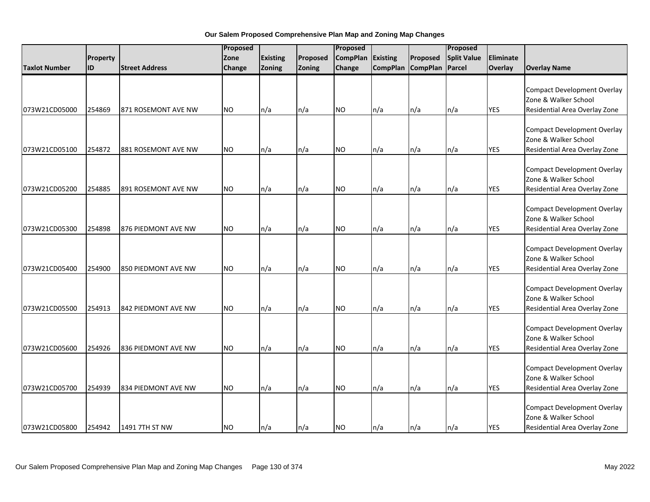|                      |                 | Proposed              |               |                 | Proposed |                 |                 |                 | Proposed           |            |                                                                                             |
|----------------------|-----------------|-----------------------|---------------|-----------------|----------|-----------------|-----------------|-----------------|--------------------|------------|---------------------------------------------------------------------------------------------|
|                      | <b>Property</b> |                       | Zone          | <b>Existing</b> | Proposed | <b>CompPlan</b> | Existing        | Proposed        | <b>Split Value</b> | Eliminate  |                                                                                             |
| <b>Taxlot Number</b> | <b>ID</b>       | <b>Street Address</b> | <b>Change</b> | Zoning          | Zoning   | Change          | <b>CompPlan</b> | <b>CompPlan</b> | Parcel             | Overlay    | <b>Overlay Name</b>                                                                         |
| 073W21CD05000        | 254869          | 871 ROSEMONT AVE NW   | <b>NO</b>     | n/a             | n/a      | <b>NO</b>       | n/a             | n/a             | n/a                | <b>YES</b> | <b>Compact Development Overlay</b><br>Zone & Walker School<br>Residential Area Overlay Zone |
| 073W21CD05100        | 254872          | 881 ROSEMONT AVE NW   | <b>NO</b>     | n/a             | n/a      | NO.             | n/a             | n/a             | n/a                | <b>YES</b> | <b>Compact Development Overlay</b><br>Zone & Walker School<br>Residential Area Overlay Zone |
| 073W21CD05200        | 254885          | 891 ROSEMONT AVE NW   | <b>NO</b>     | n/a             | n/a      | <b>NO</b>       | n/a             | n/a             | n/a                | <b>YES</b> | <b>Compact Development Overlay</b><br>Zone & Walker School<br>Residential Area Overlay Zone |
| 073W21CD05300        | 254898          | 876 PIEDMONT AVE NW   | <b>NO</b>     | n/a             | n/a      | <b>NO</b>       | n/a             | n/a             | n/a                | <b>YES</b> | <b>Compact Development Overlay</b><br>Zone & Walker School<br>Residential Area Overlay Zone |
| 073W21CD05400        | 254900          | 850 PIEDMONT AVE NW   | <b>NO</b>     | n/a             | n/a      | <b>NO</b>       | n/a             | n/a             | n/a                | <b>YES</b> | <b>Compact Development Overlay</b><br>Zone & Walker School<br>Residential Area Overlay Zone |
| 073W21CD05500        | 254913          | 842 PIEDMONT AVE NW   | <b>NO</b>     | n/a             | n/a      | <b>NO</b>       | n/a             | n/a             | n/a                | <b>YES</b> | <b>Compact Development Overlay</b><br>Zone & Walker School<br>Residential Area Overlay Zone |
| 073W21CD05600        | 254926          | 836 PIEDMONT AVE NW   | <b>NO</b>     | n/a             | n/a      | <b>NO</b>       | n/a             | n/a             | n/a                | <b>YES</b> | <b>Compact Development Overlay</b><br>Zone & Walker School<br>Residential Area Overlay Zone |
| 073W21CD05700        | 254939          | 834 PIEDMONT AVE NW   | NO.           | n/a             | n/a      | <b>NO</b>       | n/a             | n/a             | n/a                | <b>YES</b> | <b>Compact Development Overlay</b><br>Zone & Walker School<br>Residential Area Overlay Zone |
| 073W21CD05800        | 254942          | 1491 7TH ST NW        | <b>NO</b>     | n/a             | n/a      | <b>NO</b>       | n/a             | n/a             | n/a                | <b>YES</b> | <b>Compact Development Overlay</b><br>Zone & Walker School<br>Residential Area Overlay Zone |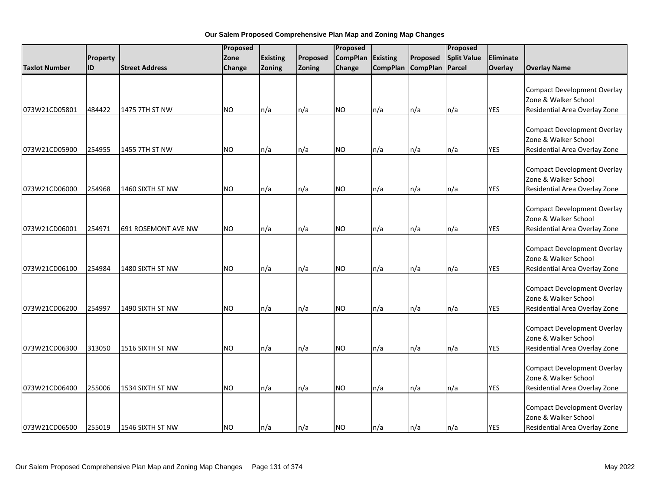|                      |           | Proposed              |               |                 | Proposed |                 |          |                   | Proposed           |            |                                                                                             |
|----------------------|-----------|-----------------------|---------------|-----------------|----------|-----------------|----------|-------------------|--------------------|------------|---------------------------------------------------------------------------------------------|
|                      | Property  |                       | Zone          | <b>Existing</b> | Proposed | <b>CompPlan</b> | Existing | Proposed          | <b>Split Value</b> | Eliminate  |                                                                                             |
| <b>Taxlot Number</b> | <b>ID</b> | <b>Street Address</b> | <b>Change</b> | Zoning          | Zoning   | Change          |          | CompPlan CompPlan | Parcel             | Overlay    | <b>Overlay Name</b>                                                                         |
| 073W21CD05801        | 484422    | 1475 7TH ST NW        | <b>NO</b>     | n/a             | n/a      | <b>NO</b>       | n/a      | n/a               | n/a                | <b>YES</b> | <b>Compact Development Overlay</b><br>Zone & Walker School<br>Residential Area Overlay Zone |
| 073W21CD05900        | 254955    | 1455 7TH ST NW        | <b>NO</b>     | n/a             | n/a      | NO.             | n/a      | n/a               | n/a                | <b>YES</b> | <b>Compact Development Overlay</b><br>Zone & Walker School<br>Residential Area Overlay Zone |
| 073W21CD06000        | 254968    | 1460 SIXTH ST NW      | <b>NO</b>     | n/a             | n/a      | <b>NO</b>       | n/a      | n/a               | n/a                | <b>YES</b> | <b>Compact Development Overlay</b><br>Zone & Walker School<br>Residential Area Overlay Zone |
| 073W21CD06001        | 254971    | 691 ROSEMONT AVE NW   | <b>NO</b>     | n/a             | n/a      | <b>NO</b>       | n/a      | n/a               | n/a                | <b>YES</b> | <b>Compact Development Overlay</b><br>Zone & Walker School<br>Residential Area Overlay Zone |
| 073W21CD06100        | 254984    | 1480 SIXTH ST NW      | <b>NO</b>     | n/a             | n/a      | <b>NO</b>       | n/a      | n/a               | n/a                | <b>YES</b> | <b>Compact Development Overlay</b><br>Zone & Walker School<br>Residential Area Overlay Zone |
| 073W21CD06200        | 254997    | 1490 SIXTH ST NW      | <b>NO</b>     | n/a             | n/a      | <b>NO</b>       | n/a      | n/a               | n/a                | <b>YES</b> | <b>Compact Development Overlay</b><br>Zone & Walker School<br>Residential Area Overlay Zone |
| 073W21CD06300        | 313050    | 1516 SIXTH ST NW      | <b>NO</b>     | n/a             | n/a      | <b>NO</b>       | n/a      | n/a               | n/a                | <b>YES</b> | <b>Compact Development Overlay</b><br>Zone & Walker School<br>Residential Area Overlay Zone |
| 073W21CD06400        | 255006    | 1534 SIXTH ST NW      | NO.           | n/a             | n/a      | <b>NO</b>       | n/a      | n/a               | n/a                | <b>YES</b> | <b>Compact Development Overlay</b><br>Zone & Walker School<br>Residential Area Overlay Zone |
| 073W21CD06500        | 255019    | 1546 SIXTH ST NW      | <b>NO</b>     | n/a             | n/a      | <b>NO</b>       | n/a      | n/a               | n/a                | <b>YES</b> | <b>Compact Development Overlay</b><br>Zone & Walker School<br>Residential Area Overlay Zone |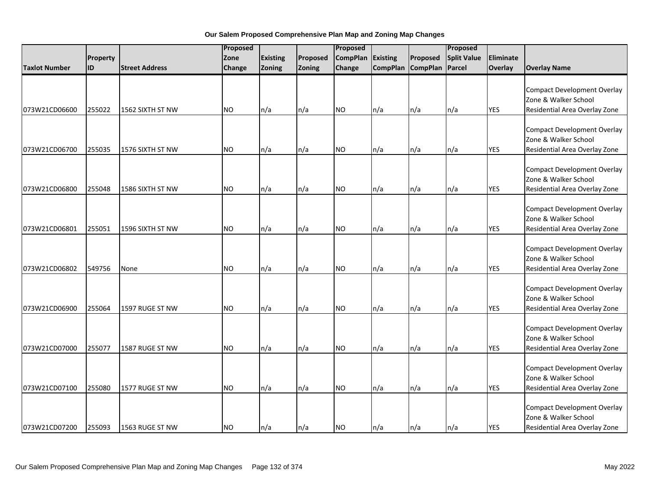|                      |          |                       | Proposed  |                 |          | Proposed        |                 |                   | Proposed           |            |                                                                                             |
|----------------------|----------|-----------------------|-----------|-----------------|----------|-----------------|-----------------|-------------------|--------------------|------------|---------------------------------------------------------------------------------------------|
|                      | Property |                       | Zone      | <b>Existing</b> | Proposed | <b>CompPlan</b> | <b>Existing</b> | Proposed          | <b>Split Value</b> | Eliminate  |                                                                                             |
| <b>Taxlot Number</b> | lid      | <b>Street Address</b> | Change    | Zoning          | Zoning   | Change          |                 | CompPlan CompPlan | Parcel             | Overlay    | <b>Overlay Name</b>                                                                         |
| 073W21CD06600        | 255022   | 1562 SIXTH ST NW      | <b>NO</b> | n/a             | n/a      | <b>NO</b>       | n/a             | n/a               | n/a                | <b>YES</b> | <b>Compact Development Overlay</b><br>Zone & Walker School<br>Residential Area Overlay Zone |
|                      |          |                       |           |                 |          |                 |                 |                   |                    |            |                                                                                             |
| 073W21CD06700        | 255035   | 1576 SIXTH ST NW      | <b>NO</b> | n/a             | n/a      | <b>NO</b>       | n/a             | n/a               | n/a                | <b>YES</b> | <b>Compact Development Overlay</b><br>Zone & Walker School<br>Residential Area Overlay Zone |
| 073W21CD06800        | 255048   | 1586 SIXTH ST NW      | <b>NO</b> | n/a             | n/a      | <b>NO</b>       | n/a             | n/a               | n/a                | <b>YES</b> | <b>Compact Development Overlay</b><br>Zone & Walker School<br>Residential Area Overlay Zone |
| 073W21CD06801        | 255051   | 1596 SIXTH ST NW      | <b>NO</b> | n/a             | n/a      | <b>NO</b>       | n/a             | n/a               | n/a                | <b>YES</b> | <b>Compact Development Overlay</b><br>Zone & Walker School<br>Residential Area Overlay Zone |
| 073W21CD06802        | 549756   | None                  | <b>NO</b> | n/a             | n/a      | <b>NO</b>       | n/a             | n/a               | n/a                | <b>YES</b> | <b>Compact Development Overlay</b><br>Zone & Walker School<br>Residential Area Overlay Zone |
| 073W21CD06900        | 255064   | 1597 RUGE ST NW       | <b>NO</b> | n/a             | n/a      | <b>NO</b>       | n/a             | n/a               | n/a                | <b>YES</b> | <b>Compact Development Overlay</b><br>Zone & Walker School<br>Residential Area Overlay Zone |
| 073W21CD07000        | 255077   | 1587 RUGE ST NW       | <b>NO</b> | n/a             | n/a      | <b>NO</b>       | n/a             | n/a               | n/a                | <b>YES</b> | <b>Compact Development Overlay</b><br>Zone & Walker School<br>Residential Area Overlay Zone |
| 073W21CD07100        | 255080   | 1577 RUGE ST NW       | NO.       | n/a             | n/a      | <b>NO</b>       | n/a             | n/a               | n/a                | <b>YES</b> | <b>Compact Development Overlay</b><br>Zone & Walker School<br>Residential Area Overlay Zone |
| 073W21CD07200        | 255093   | 1563 RUGE ST NW       | <b>NO</b> | n/a             | n/a      | <b>NO</b>       | n/a             | n/a               | $\ln/a$            | <b>YES</b> | <b>Compact Development Overlay</b><br>Zone & Walker School<br>Residential Area Overlay Zone |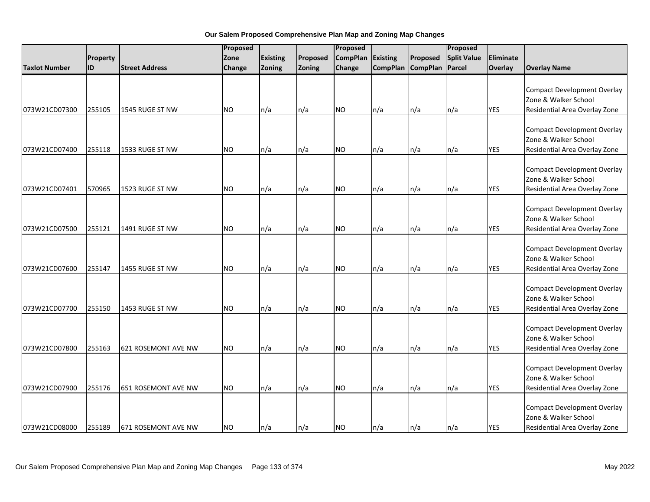|                      |           | Proposed                   |               |                 | Proposed |                 |          |                   | Proposed           |            |                                                                                             |
|----------------------|-----------|----------------------------|---------------|-----------------|----------|-----------------|----------|-------------------|--------------------|------------|---------------------------------------------------------------------------------------------|
|                      | Property  |                            | Zone          | <b>Existing</b> | Proposed | <b>CompPlan</b> | Existing | Proposed          | <b>Split Value</b> | Eliminate  |                                                                                             |
| <b>Taxlot Number</b> | <b>ID</b> | <b>Street Address</b>      | <b>Change</b> | Zoning          | Zoning   | Change          |          | CompPlan CompPlan | Parcel             | Overlay    | <b>Overlay Name</b>                                                                         |
| 073W21CD07300        | 255105    | 1545 RUGE ST NW            | <b>NO</b>     | n/a             | n/a      | <b>NO</b>       | n/a      | n/a               | n/a                | <b>YES</b> | <b>Compact Development Overlay</b><br>Zone & Walker School<br>Residential Area Overlay Zone |
| 073W21CD07400        | 255118    | 1533 RUGE ST NW            | <b>NO</b>     | n/a             | n/a      | NO.             | n/a      | n/a               | n/a                | <b>YES</b> | <b>Compact Development Overlay</b><br>Zone & Walker School<br>Residential Area Overlay Zone |
| 073W21CD07401        | 570965    | 1523 RUGE ST NW            | <b>NO</b>     | n/a             | n/a      | <b>NO</b>       | n/a      | n/a               | n/a                | <b>YES</b> | <b>Compact Development Overlay</b><br>Zone & Walker School<br>Residential Area Overlay Zone |
| 073W21CD07500        | 255121    | 1491 RUGE ST NW            | <b>NO</b>     | n/a             | n/a      | <b>NO</b>       | n/a      | n/a               | n/a                | <b>YES</b> | <b>Compact Development Overlay</b><br>Zone & Walker School<br>Residential Area Overlay Zone |
| 073W21CD07600        | 255147    | 1455 RUGE ST NW            | <b>NO</b>     | n/a             | n/a      | <b>NO</b>       | n/a      | n/a               | n/a                | <b>YES</b> | <b>Compact Development Overlay</b><br>Zone & Walker School<br>Residential Area Overlay Zone |
| 073W21CD07700        | 255150    | 1453 RUGE ST NW            | <b>NO</b>     | n/a             | n/a      | <b>NO</b>       | n/a      | n/a               | n/a                | <b>YES</b> | <b>Compact Development Overlay</b><br>Zone & Walker School<br>Residential Area Overlay Zone |
| 073W21CD07800        | 255163    | <b>621 ROSEMONT AVE NW</b> | <b>NO</b>     | n/a             | n/a      | <b>NO</b>       | n/a      | n/a               | n/a                | <b>YES</b> | <b>Compact Development Overlay</b><br>Zone & Walker School<br>Residential Area Overlay Zone |
| 073W21CD07900        | 255176    | 651 ROSEMONT AVE NW        | <b>NO</b>     | n/a             | n/a      | <b>NO</b>       | n/a      | n/a               | n/a                | <b>YES</b> | <b>Compact Development Overlay</b><br>Zone & Walker School<br>Residential Area Overlay Zone |
| 073W21CD08000        | 255189    | 671 ROSEMONT AVE NW        | <b>NO</b>     | n/a             | n/a      | <b>NO</b>       | n/a      | n/a               | n/a                | <b>YES</b> | <b>Compact Development Overlay</b><br>Zone & Walker School<br>Residential Area Overlay Zone |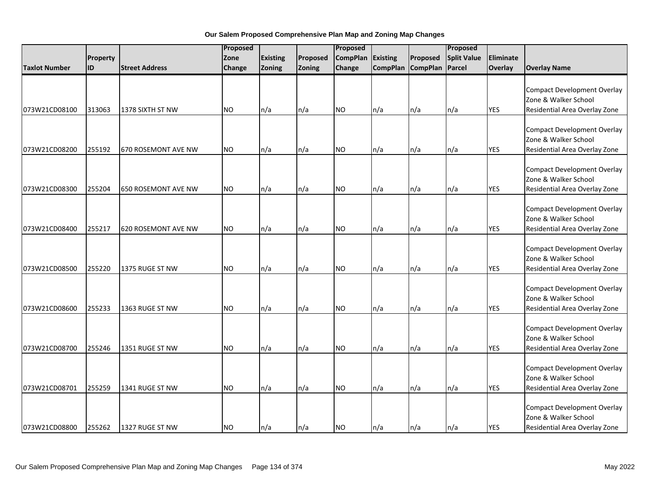|                      |          |                            | Proposed  |                 |          | Proposed        |                 |                   | Proposed           |            |                                                                                             |
|----------------------|----------|----------------------------|-----------|-----------------|----------|-----------------|-----------------|-------------------|--------------------|------------|---------------------------------------------------------------------------------------------|
|                      | Property |                            | Zone      | <b>Existing</b> | Proposed | <b>CompPlan</b> | <b>Existing</b> | Proposed          | <b>Split Value</b> | Eliminate  |                                                                                             |
| <b>Taxlot Number</b> | lid      | <b>Street Address</b>      | Change    | Zoning          | Zoning   | Change          |                 | CompPlan CompPlan | Parcel             | Overlay    | <b>Overlay Name</b>                                                                         |
| 073W21CD08100        | 313063   | 1378 SIXTH ST NW           | <b>NO</b> | n/a             | n/a      | <b>NO</b>       | n/a             | n/a               | n/a                | <b>YES</b> | <b>Compact Development Overlay</b><br>Zone & Walker School<br>Residential Area Overlay Zone |
|                      |          |                            |           |                 |          |                 |                 |                   |                    |            |                                                                                             |
| 073W21CD08200        | 255192   | <b>670 ROSEMONT AVE NW</b> | <b>NO</b> | n/a             | n/a      | <b>NO</b>       | n/a             | n/a               | n/a                | <b>YES</b> | <b>Compact Development Overlay</b><br>Zone & Walker School<br>Residential Area Overlay Zone |
| 073W21CD08300        | 255204   | 650 ROSEMONT AVE NW        | <b>NO</b> | n/a             | n/a      | <b>NO</b>       | n/a             | n/a               | n/a                | <b>YES</b> | <b>Compact Development Overlay</b><br>Zone & Walker School<br>Residential Area Overlay Zone |
| 073W21CD08400        | 255217   | <b>620 ROSEMONT AVE NW</b> | <b>NO</b> | n/a             | n/a      | <b>NO</b>       | n/a             | n/a               | n/a                | <b>YES</b> | <b>Compact Development Overlay</b><br>Zone & Walker School<br>Residential Area Overlay Zone |
| 073W21CD08500        | 255220   | 1375 RUGE ST NW            | <b>NO</b> | n/a             | n/a      | <b>NO</b>       | n/a             | n/a               | n/a                | <b>YES</b> | <b>Compact Development Overlay</b><br>Zone & Walker School<br>Residential Area Overlay Zone |
| 073W21CD08600        | 255233   | 1363 RUGE ST NW            | <b>NO</b> | n/a             | n/a      | <b>NO</b>       | n/a             | n/a               | n/a                | <b>YES</b> | <b>Compact Development Overlay</b><br>Zone & Walker School<br>Residential Area Overlay Zone |
| 073W21CD08700        | 255246   | 1351 RUGE ST NW            | <b>NO</b> | n/a             | n/a      | <b>NO</b>       | n/a             | n/a               | n/a                | <b>YES</b> | <b>Compact Development Overlay</b><br>Zone & Walker School<br>Residential Area Overlay Zone |
| 073W21CD08701        | 255259   | 1341 RUGE ST NW            | NO.       | n/a             | n/a      | <b>NO</b>       | n/a             | n/a               | n/a                | <b>YES</b> | <b>Compact Development Overlay</b><br>Zone & Walker School<br>Residential Area Overlay Zone |
| 073W21CD08800        | 255262   | 1327 RUGE ST NW            | <b>NO</b> | n/a             | n/a      | <b>NO</b>       | n/a             | n/a               | $\ln/a$            | <b>YES</b> | <b>Compact Development Overlay</b><br>Zone & Walker School<br>Residential Area Overlay Zone |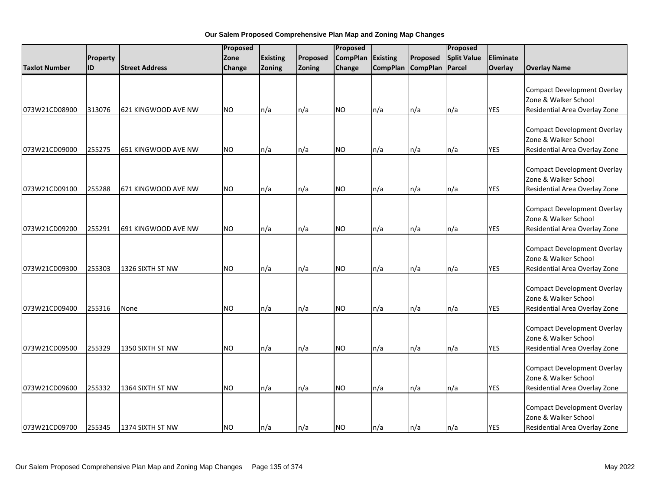|                      |          |                       | Proposed  |                 | Proposed |                 |                 | Proposed        |                    |            |                                                                                             |
|----------------------|----------|-----------------------|-----------|-----------------|----------|-----------------|-----------------|-----------------|--------------------|------------|---------------------------------------------------------------------------------------------|
|                      | Property |                       | Zone      | <b>Existing</b> | Proposed | <b>CompPlan</b> | Existing        | Proposed        | <b>Split Value</b> | Eliminate  |                                                                                             |
| <b>Taxlot Number</b> | ID       | <b>Street Address</b> | Change    | Zoning          | Zoning   | Change          | <b>CompPlan</b> | <b>CompPlan</b> | Parcel             | Overlay    | <b>Overlay Name</b>                                                                         |
| 073W21CD08900        | 313076   | 621 KINGWOOD AVE NW   | <b>NO</b> | n/a             | n/a      | <b>NO</b>       | n/a             | n/a             | n/a                | <b>YES</b> | <b>Compact Development Overlay</b><br>Zone & Walker School<br>Residential Area Overlay Zone |
|                      |          |                       |           |                 |          |                 |                 |                 |                    |            |                                                                                             |
| 073W21CD09000        | 255275   | 651 KINGWOOD AVE NW   | <b>NO</b> | n/a             | n/a      | <b>NO</b>       | n/a             | n/a             | n/a                | <b>YES</b> | <b>Compact Development Overlay</b><br>Zone & Walker School<br>Residential Area Overlay Zone |
| 073W21CD09100        | 255288   | 671 KINGWOOD AVE NW   | <b>NO</b> | n/a             | n/a      | <b>NO</b>       | n/a             | n/a             | n/a                | <b>YES</b> | <b>Compact Development Overlay</b><br>Zone & Walker School<br>Residential Area Overlay Zone |
| 073W21CD09200        | 255291   | 691 KINGWOOD AVE NW   | <b>NO</b> | n/a             | n/a      | <b>NO</b>       | n/a             | n/a             | n/a                | <b>YES</b> | <b>Compact Development Overlay</b><br>Zone & Walker School<br>Residential Area Overlay Zone |
| 073W21CD09300        | 255303   | 1326 SIXTH ST NW      | <b>NO</b> | n/a             | n/a      | <b>NO</b>       | n/a             | n/a             | n/a                | <b>YES</b> | <b>Compact Development Overlay</b><br>Zone & Walker School<br>Residential Area Overlay Zone |
| 073W21CD09400        | 255316   | None                  | <b>NO</b> | n/a             | n/a      | <b>NO</b>       | n/a             | n/a             | n/a                | <b>YES</b> | <b>Compact Development Overlay</b><br>Zone & Walker School<br>Residential Area Overlay Zone |
| 073W21CD09500        | 255329   | 1350 SIXTH ST NW      | <b>NO</b> | n/a             | n/a      | <b>NO</b>       | n/a             | n/a             | n/a                | <b>YES</b> | <b>Compact Development Overlay</b><br>Zone & Walker School<br>Residential Area Overlay Zone |
| 073W21CD09600        | 255332   | 1364 SIXTH ST NW      | <b>NO</b> | n/a             | n/a      | <b>NO</b>       | n/a             | n/a             | n/a                | <b>YES</b> | <b>Compact Development Overlay</b><br>Zone & Walker School<br>Residential Area Overlay Zone |
| 073W21CD09700        | 255345   | 1374 SIXTH ST NW      | <b>NO</b> | n/a             | n/a      | <b>NO</b>       | n/a             | n/a             | n/a                | <b>YES</b> | <b>Compact Development Overlay</b><br>Zone & Walker School<br>Residential Area Overlay Zone |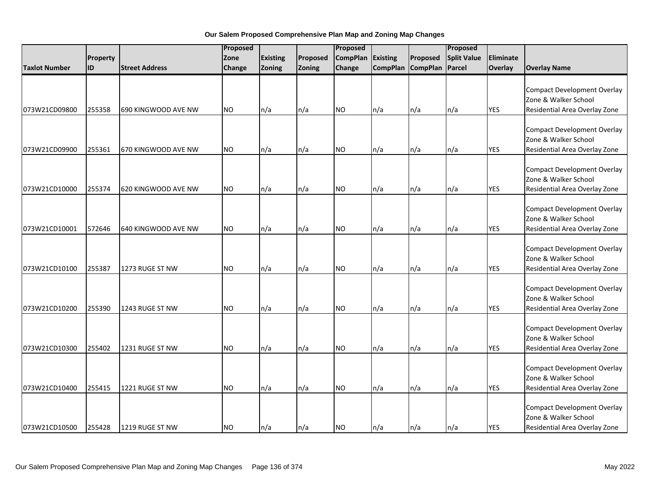|                      |           | Proposed              |               |                 | Proposed |                 |                 |                 | Proposed           |            |                                                                                             |
|----------------------|-----------|-----------------------|---------------|-----------------|----------|-----------------|-----------------|-----------------|--------------------|------------|---------------------------------------------------------------------------------------------|
|                      | Property  |                       | Zone          | <b>Existing</b> | Proposed | <b>CompPlan</b> | Existing        | Proposed        | <b>Split Value</b> | Eliminate  |                                                                                             |
| <b>Taxlot Number</b> | <b>ID</b> | <b>Street Address</b> | <b>Change</b> | Zoning          | Zoning   | Change          | <b>CompPlan</b> | <b>CompPlan</b> | Parcel             | Overlay    | <b>Overlay Name</b>                                                                         |
| 073W21CD09800        | 255358    | 690 KINGWOOD AVE NW   | <b>NO</b>     | n/a             | n/a      | <b>NO</b>       | n/a             | n/a             | n/a                | <b>YES</b> | <b>Compact Development Overlay</b><br>Zone & Walker School<br>Residential Area Overlay Zone |
| 073W21CD09900        | 255361    | 670 KINGWOOD AVE NW   | <b>NO</b>     | n/a             | n/a      | NO.             | n/a             | n/a             | n/a                | <b>YES</b> | <b>Compact Development Overlay</b><br>Zone & Walker School<br>Residential Area Overlay Zone |
| 073W21CD10000        | 255374    | 620 KINGWOOD AVE NW   | <b>NO</b>     | n/a             | n/a      | <b>NO</b>       | n/a             | n/a             | n/a                | <b>YES</b> | <b>Compact Development Overlay</b><br>Zone & Walker School<br>Residential Area Overlay Zone |
| 073W21CD10001        | 572646    | 640 KINGWOOD AVE NW   | <b>NO</b>     | n/a             | n/a      | <b>NO</b>       | n/a             | n/a             | n/a                | <b>YES</b> | <b>Compact Development Overlay</b><br>Zone & Walker School<br>Residential Area Overlay Zone |
| 073W21CD10100        | 255387    | 1273 RUGE ST NW       | <b>NO</b>     | n/a             | n/a      | <b>NO</b>       | n/a             | n/a             | n/a                | <b>YES</b> | <b>Compact Development Overlay</b><br>Zone & Walker School<br>Residential Area Overlay Zone |
| 073W21CD10200        | 255390    | 1243 RUGE ST NW       | <b>NO</b>     | n/a             | n/a      | <b>NO</b>       | n/a             | n/a             | n/a                | <b>YES</b> | <b>Compact Development Overlay</b><br>Zone & Walker School<br>Residential Area Overlay Zone |
| 073W21CD10300        | 255402    | 1231 RUGE ST NW       | <b>NO</b>     | n/a             | n/a      | <b>NO</b>       | n/a             | n/a             | n/a                | <b>YES</b> | <b>Compact Development Overlay</b><br>Zone & Walker School<br>Residential Area Overlay Zone |
| 073W21CD10400        | 255415    | 1221 RUGE ST NW       | NO.           | n/a             | n/a      | <b>NO</b>       | n/a             | n/a             | n/a                | <b>YES</b> | <b>Compact Development Overlay</b><br>Zone & Walker School<br>Residential Area Overlay Zone |
| 073W21CD10500        | 255428    | 1219 RUGE ST NW       | <b>NO</b>     | n/a             | n/a      | <b>NO</b>       | n/a             | n/a             | n/a                | <b>YES</b> | <b>Compact Development Overlay</b><br>Zone & Walker School<br>Residential Area Overlay Zone |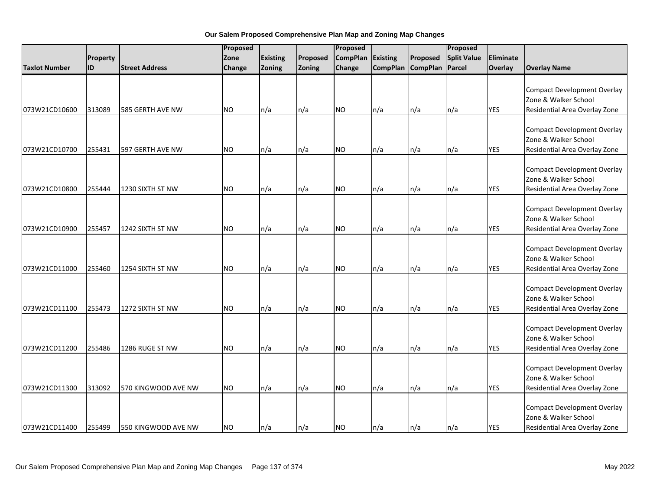|                      |          |                       | Proposed  |                 |          | Proposed        |                 |                   | Proposed           |            |                                                                                             |
|----------------------|----------|-----------------------|-----------|-----------------|----------|-----------------|-----------------|-------------------|--------------------|------------|---------------------------------------------------------------------------------------------|
|                      | Property |                       | Zone      | <b>Existing</b> | Proposed | <b>CompPlan</b> | <b>Existing</b> | Proposed          | <b>Split Value</b> | Eliminate  |                                                                                             |
| <b>Taxlot Number</b> | lid      | <b>Street Address</b> | Change    | Zoning          | Zoning   | Change          |                 | CompPlan CompPlan | Parcel             | Overlay    | <b>Overlay Name</b>                                                                         |
| 073W21CD10600        | 313089   | 585 GERTH AVE NW      | <b>NO</b> | n/a             | n/a      | <b>NO</b>       | n/a             | n/a               | n/a                | <b>YES</b> | <b>Compact Development Overlay</b><br>Zone & Walker School<br>Residential Area Overlay Zone |
|                      |          |                       |           |                 |          |                 |                 |                   |                    |            |                                                                                             |
| 073W21CD10700        | 255431   | 597 GERTH AVE NW      | <b>NO</b> | n/a             | n/a      | <b>NO</b>       | n/a             | n/a               | n/a                | <b>YES</b> | <b>Compact Development Overlay</b><br>Zone & Walker School<br>Residential Area Overlay Zone |
| 073W21CD10800        | 255444   | 1230 SIXTH ST NW      | <b>NO</b> | n/a             | n/a      | <b>NO</b>       | n/a             | n/a               | n/a                | <b>YES</b> | <b>Compact Development Overlay</b><br>Zone & Walker School<br>Residential Area Overlay Zone |
| 073W21CD10900        | 255457   | 1242 SIXTH ST NW      | <b>NO</b> | n/a             | n/a      | <b>NO</b>       | n/a             | n/a               | n/a                | <b>YES</b> | <b>Compact Development Overlay</b><br>Zone & Walker School<br>Residential Area Overlay Zone |
| 073W21CD11000        | 255460   | 1254 SIXTH ST NW      | <b>NO</b> | n/a             | n/a      | <b>NO</b>       | n/a             | n/a               | n/a                | <b>YES</b> | <b>Compact Development Overlay</b><br>Zone & Walker School<br>Residential Area Overlay Zone |
| 073W21CD11100        | 255473   | 1272 SIXTH ST NW      | <b>NO</b> | n/a             | n/a      | <b>NO</b>       | n/a             | n/a               | n/a                | <b>YES</b> | <b>Compact Development Overlay</b><br>Zone & Walker School<br>Residential Area Overlay Zone |
| 073W21CD11200        | 255486   | 1286 RUGE ST NW       | <b>NO</b> | n/a             | n/a      | <b>NO</b>       | n/a             | n/a               | n/a                | <b>YES</b> | <b>Compact Development Overlay</b><br>Zone & Walker School<br>Residential Area Overlay Zone |
| 073W21CD11300        | 313092   | 570 KINGWOOD AVE NW   | <b>NO</b> | n/a             | n/a      | <b>NO</b>       | n/a             | n/a               | n/a                | <b>YES</b> | <b>Compact Development Overlay</b><br>Zone & Walker School<br>Residential Area Overlay Zone |
| 073W21CD11400        | 255499   | 550 KINGWOOD AVE NW   | <b>NO</b> | n/a             | n/a      | <b>NO</b>       | n/a             | n/a               | $\ln/a$            | <b>YES</b> | <b>Compact Development Overlay</b><br>Zone & Walker School<br>Residential Area Overlay Zone |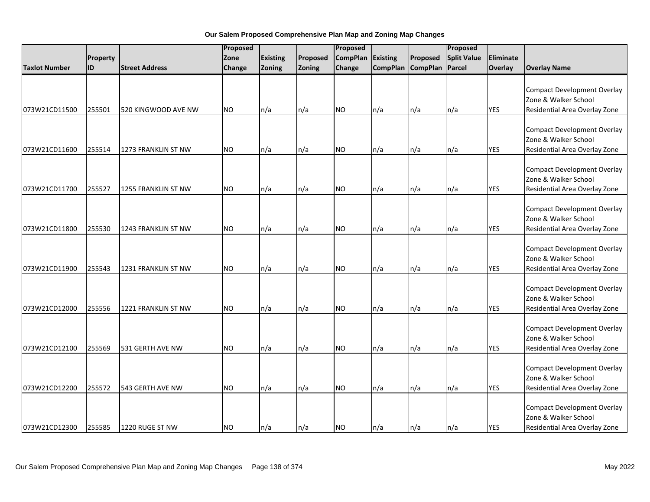|                      |           | Proposed              |               |                 | Proposed |                 |          |                   | Proposed           |            |                                                                                             |
|----------------------|-----------|-----------------------|---------------|-----------------|----------|-----------------|----------|-------------------|--------------------|------------|---------------------------------------------------------------------------------------------|
|                      | Property  |                       | Zone          | <b>Existing</b> | Proposed | <b>CompPlan</b> | Existing | Proposed          | <b>Split Value</b> | Eliminate  |                                                                                             |
| <b>Taxlot Number</b> | <b>ID</b> | <b>Street Address</b> | <b>Change</b> | Zoning          | Zoning   | Change          |          | CompPlan CompPlan | Parcel             | Overlay    | <b>Overlay Name</b>                                                                         |
| 073W21CD11500        | 255501    | 520 KINGWOOD AVE NW   | <b>NO</b>     | n/a             | n/a      | <b>NO</b>       | n/a      | n/a               | n/a                | <b>YES</b> | <b>Compact Development Overlay</b><br>Zone & Walker School<br>Residential Area Overlay Zone |
| 073W21CD11600        | 255514    | 1273 FRANKLIN ST NW   | <b>NO</b>     | n/a             | n/a      | NO.             | n/a      | n/a               | n/a                | <b>YES</b> | <b>Compact Development Overlay</b><br>Zone & Walker School<br>Residential Area Overlay Zone |
| 073W21CD11700        | 255527    | 1255 FRANKLIN ST NW   | <b>NO</b>     | n/a             | n/a      | <b>NO</b>       | n/a      | n/a               | n/a                | <b>YES</b> | <b>Compact Development Overlay</b><br>Zone & Walker School<br>Residential Area Overlay Zone |
| 073W21CD11800        | 255530    | 1243 FRANKLIN ST NW   | <b>NO</b>     | n/a             | n/a      | <b>NO</b>       | n/a      | n/a               | n/a                | <b>YES</b> | <b>Compact Development Overlay</b><br>Zone & Walker School<br>Residential Area Overlay Zone |
| 073W21CD11900        | 255543    | 1231 FRANKLIN ST NW   | <b>NO</b>     | n/a             | n/a      | <b>NO</b>       | n/a      | n/a               | n/a                | <b>YES</b> | <b>Compact Development Overlay</b><br>Zone & Walker School<br>Residential Area Overlay Zone |
| 073W21CD12000        | 255556    | 1221 FRANKLIN ST NW   | <b>NO</b>     | n/a             | n/a      | <b>NO</b>       | n/a      | n/a               | n/a                | <b>YES</b> | <b>Compact Development Overlay</b><br>Zone & Walker School<br>Residential Area Overlay Zone |
| 073W21CD12100        | 255569    | 531 GERTH AVE NW      | <b>NO</b>     | n/a             | n/a      | <b>NO</b>       | n/a      | n/a               | n/a                | <b>YES</b> | <b>Compact Development Overlay</b><br>Zone & Walker School<br>Residential Area Overlay Zone |
| 073W21CD12200        | 255572    | 543 GERTH AVE NW      | NO.           | n/a             | n/a      | <b>NO</b>       | n/a      | n/a               | n/a                | <b>YES</b> | <b>Compact Development Overlay</b><br>Zone & Walker School<br>Residential Area Overlay Zone |
| 073W21CD12300        | 255585    | 1220 RUGE ST NW       | <b>NO</b>     | n/a             | n/a      | <b>NO</b>       | n/a      | n/a               | n/a                | <b>YES</b> | <b>Compact Development Overlay</b><br>Zone & Walker School<br>Residential Area Overlay Zone |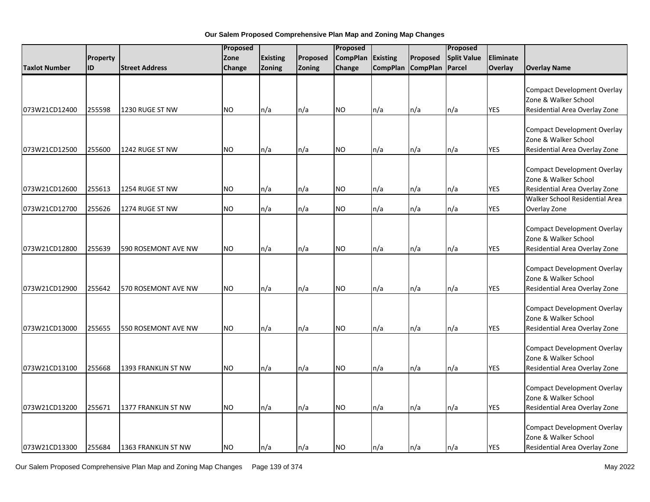|                      |          |                       | Proposed  |                 | Proposed      |                 |          | Proposed          |                    |            |                                                                                             |
|----------------------|----------|-----------------------|-----------|-----------------|---------------|-----------------|----------|-------------------|--------------------|------------|---------------------------------------------------------------------------------------------|
|                      | Property |                       | Zone      | <b>Existing</b> | Proposed      | <b>CompPlan</b> | Existing | Proposed          | <b>Split Value</b> | Eliminate  |                                                                                             |
| <b>Taxlot Number</b> | ID       | <b>Street Address</b> | Change    | Zoning          | <b>Zoning</b> | Change          |          | CompPlan CompPlan | Parcel             | Overlay    | <b>Overlay Name</b>                                                                         |
| 073W21CD12400        | 255598   | 1230 RUGE ST NW       | <b>NO</b> | n/a             | n/a           | <b>NO</b>       | n/a      | n/a               | n/a                | <b>YES</b> | <b>Compact Development Overlay</b><br>Zone & Walker School<br>Residential Area Overlay Zone |
|                      |          |                       |           |                 |               |                 |          |                   |                    |            |                                                                                             |
| 073W21CD12500        | 255600   | 1242 RUGE ST NW       | <b>NO</b> | n/a             | n/a           | <b>NO</b>       | n/a      | n/a               | n/a                | <b>YES</b> | <b>Compact Development Overlay</b><br>Zone & Walker School<br>Residential Area Overlay Zone |
| 073W21CD12600        | 255613   | 1254 RUGE ST NW       | <b>NO</b> | n/a             | n/a           | <b>NO</b>       | n/a      | n/a               | n/a                | <b>YES</b> | <b>Compact Development Overlay</b><br>Zone & Walker School<br>Residential Area Overlay Zone |
|                      |          |                       |           |                 |               |                 |          |                   |                    |            | Walker School Residential Area                                                              |
| 073W21CD12700        | 255626   | 1274 RUGE ST NW       | <b>NO</b> | n/a             | n/a           | <b>NO</b>       | n/a      | n/a               | n/a                | <b>YES</b> | Overlay Zone                                                                                |
| 073W21CD12800        | 255639   | 590 ROSEMONT AVE NW   | <b>NO</b> | n/a             | n/a           | <b>NO</b>       | n/a      | n/a               | n/a                | <b>YES</b> | <b>Compact Development Overlay</b><br>Zone & Walker School<br>Residential Area Overlay Zone |
| 073W21CD12900        | 255642   | 570 ROSEMONT AVE NW   | <b>NO</b> | n/a             | n/a           | <b>NO</b>       | n/a      | n/a               | n/a                | <b>YES</b> | <b>Compact Development Overlay</b><br>Zone & Walker School<br>Residential Area Overlay Zone |
| 073W21CD13000        | 255655   | 550 ROSEMONT AVE NW   | <b>NO</b> | n/a             | n/a           | <b>NO</b>       | n/a      | n/a               | n/a                | <b>YES</b> | <b>Compact Development Overlay</b><br>Zone & Walker School<br>Residential Area Overlay Zone |
| 073W21CD13100        | 255668   | 1393 FRANKLIN ST NW   | <b>NO</b> | n/a             | n/a           | <b>NO</b>       | n/a      | n/a               | n/a                | <b>YES</b> | <b>Compact Development Overlay</b><br>Zone & Walker School<br>Residential Area Overlay Zone |
| 073W21CD13200        | 255671   | 1377 FRANKLIN ST NW   | <b>NO</b> | n/a             | n/a           | <b>NO</b>       | n/a      | n/a               | n/a                | <b>YES</b> | <b>Compact Development Overlay</b><br>Zone & Walker School<br>Residential Area Overlay Zone |
| 073W21CD13300        | 255684   | 1363 FRANKLIN ST NW   | <b>NO</b> | n/a             | n/a           | <b>NO</b>       | n/a      | n/a               | n/a                | <b>YES</b> | <b>Compact Development Overlay</b><br>Zone & Walker School<br>Residential Area Overlay Zone |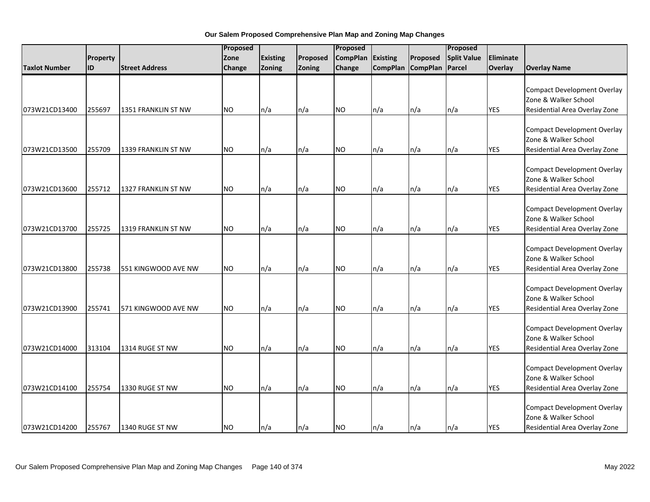|                      |           |                       |           | Proposed        |          | Proposed        |                 |                 | Proposed           |            |                                                                                             |
|----------------------|-----------|-----------------------|-----------|-----------------|----------|-----------------|-----------------|-----------------|--------------------|------------|---------------------------------------------------------------------------------------------|
|                      | Property  |                       | Zone      | <b>Existing</b> | Proposed | <b>CompPlan</b> | Existing        | Proposed        | <b>Split Value</b> | Eliminate  |                                                                                             |
| <b>Taxlot Number</b> | <b>ID</b> | <b>Street Address</b> | Change    | Zoning          | Zoning   | Change          | <b>CompPlan</b> | <b>CompPlan</b> | Parcel             | Overlay    | <b>Overlay Name</b>                                                                         |
| 073W21CD13400        | 255697    | 1351 FRANKLIN ST NW   | <b>NO</b> | n/a             | n/a      | <b>NO</b>       | n/a             | n/a             | n/a                | <b>YES</b> | <b>Compact Development Overlay</b><br>Zone & Walker School<br>Residential Area Overlay Zone |
|                      |           |                       |           |                 |          |                 |                 |                 |                    |            |                                                                                             |
| 073W21CD13500        | 255709    | 1339 FRANKLIN ST NW   | <b>NO</b> | n/a             | n/a      | <b>NO</b>       | n/a             | n/a             | n/a                | <b>YES</b> | <b>Compact Development Overlay</b><br>Zone & Walker School<br>Residential Area Overlay Zone |
| 073W21CD13600        | 255712    | 1327 FRANKLIN ST NW   | <b>NO</b> | n/a             | n/a      | <b>NO</b>       | n/a             | n/a             | n/a                | <b>YES</b> | <b>Compact Development Overlay</b><br>Zone & Walker School<br>Residential Area Overlay Zone |
| 073W21CD13700        | 255725    | 1319 FRANKLIN ST NW   | <b>NO</b> | n/a             | n/a      | <b>NO</b>       | n/a             | n/a             | n/a                | <b>YES</b> | <b>Compact Development Overlay</b><br>Zone & Walker School<br>Residential Area Overlay Zone |
| 073W21CD13800        | 255738    | 551 KINGWOOD AVE NW   | <b>NO</b> | n/a             | n/a      | <b>NO</b>       | n/a             | n/a             | n/a                | <b>YES</b> | <b>Compact Development Overlay</b><br>Zone & Walker School<br>Residential Area Overlay Zone |
| 073W21CD13900        | 255741    | 571 KINGWOOD AVE NW   | <b>NO</b> | n/a             | n/a      | <b>NO</b>       | n/a             | n/a             | n/a                | <b>YES</b> | <b>Compact Development Overlay</b><br>Zone & Walker School<br>Residential Area Overlay Zone |
| 073W21CD14000        | 313104    | 1314 RUGE ST NW       | <b>NO</b> | n/a             | n/a      | <b>NO</b>       | n/a             | n/a             | n/a                | <b>YES</b> | <b>Compact Development Overlay</b><br>Zone & Walker School<br>Residential Area Overlay Zone |
| 073W21CD14100        | 255754    | 1330 RUGE ST NW       | NO.       | n/a             | n/a      | <b>NO</b>       | n/a             | n/a             | n/a                | <b>YES</b> | <b>Compact Development Overlay</b><br>Zone & Walker School<br>Residential Area Overlay Zone |
| 073W21CD14200        | 255767    | 1340 RUGE ST NW       | <b>NO</b> | n/a             | n/a      | <b>NO</b>       | n/a             | n/a             | n/a                | <b>YES</b> | <b>Compact Development Overlay</b><br>Zone & Walker School<br>Residential Area Overlay Zone |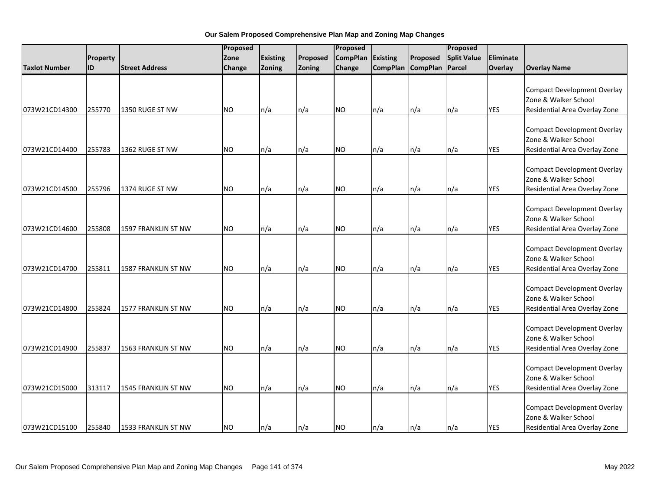|                      |          |                            | Proposed  |                 |          | Proposed        |          |                   | Proposed           |            |                                                                                             |
|----------------------|----------|----------------------------|-----------|-----------------|----------|-----------------|----------|-------------------|--------------------|------------|---------------------------------------------------------------------------------------------|
|                      | Property |                            | Zone      | <b>Existing</b> | Proposed | <b>CompPlan</b> | Existing | Proposed          | <b>Split Value</b> | Eliminate  |                                                                                             |
| <b>Taxlot Number</b> | lid      | <b>Street Address</b>      | Change    | Zoning          | Zoning   | Change          |          | CompPlan CompPlan | Parcel             | Overlay    | <b>Overlay Name</b>                                                                         |
| 073W21CD14300        | 255770   | 1350 RUGE ST NW            | <b>NO</b> | n/a             | n/a      | <b>NO</b>       | n/a      | n/a               | n/a                | <b>YES</b> | <b>Compact Development Overlay</b><br>Zone & Walker School<br>Residential Area Overlay Zone |
|                      |          |                            |           |                 |          |                 |          |                   |                    |            |                                                                                             |
| 073W21CD14400        | 255783   | 1362 RUGE ST NW            | <b>NO</b> | n/a             | n/a      | <b>NO</b>       | n/a      | n/a               | n/a                | <b>YES</b> | <b>Compact Development Overlay</b><br>Zone & Walker School<br>Residential Area Overlay Zone |
| 073W21CD14500        | 255796   | 1374 RUGE ST NW            | <b>NO</b> | n/a             | n/a      | <b>NO</b>       | n/a      | n/a               | n/a                | <b>YES</b> | <b>Compact Development Overlay</b><br>Zone & Walker School<br>Residential Area Overlay Zone |
| 073W21CD14600        | 255808   | <b>1597 FRANKLIN ST NW</b> | <b>NO</b> | n/a             | n/a      | <b>NO</b>       | n/a      | n/a               | n/a                | <b>YES</b> | <b>Compact Development Overlay</b><br>Zone & Walker School<br>Residential Area Overlay Zone |
| 073W21CD14700        | 255811   | 1587 FRANKLIN ST NW        | <b>NO</b> | n/a             | n/a      | <b>NO</b>       | n/a      | n/a               | n/a                | <b>YES</b> | <b>Compact Development Overlay</b><br>Zone & Walker School<br>Residential Area Overlay Zone |
| 073W21CD14800        | 255824   | 1577 FRANKLIN ST NW        | <b>NO</b> | n/a             | n/a      | <b>NO</b>       | n/a      | n/a               | n/a                | <b>YES</b> | <b>Compact Development Overlay</b><br>Zone & Walker School<br>Residential Area Overlay Zone |
| 073W21CD14900        | 255837   | 1563 FRANKLIN ST NW        | <b>NO</b> | n/a             | n/a      | <b>NO</b>       | n/a      | n/a               | n/a                | <b>YES</b> | <b>Compact Development Overlay</b><br>Zone & Walker School<br>Residential Area Overlay Zone |
| 073W21CD15000        | 313117   | 1545 FRANKLIN ST NW        | <b>NO</b> | n/a             | n/a      | <b>NO</b>       | n/a      | n/a               | n/a                | <b>YES</b> | <b>Compact Development Overlay</b><br>Zone & Walker School<br>Residential Area Overlay Zone |
| 073W21CD15100        | 255840   | 1533 FRANKLIN ST NW        | <b>NO</b> | n/a             | n/a      | <b>NO</b>       | n/a      | n/a               | $\ln/a$            | <b>YES</b> | <b>Compact Development Overlay</b><br>Zone & Walker School<br>Residential Area Overlay Zone |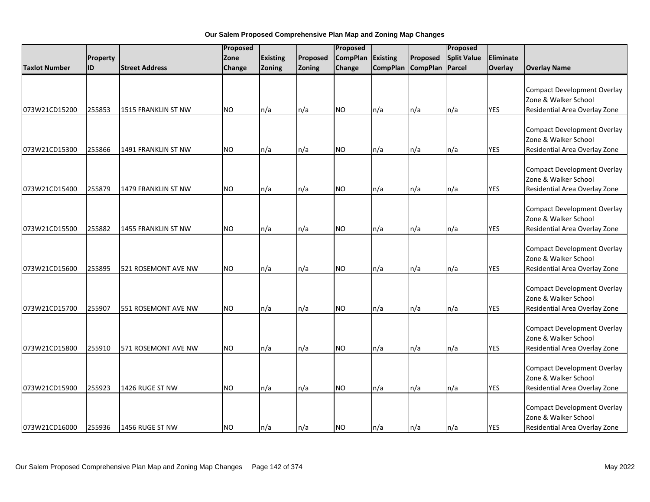|                      |           |                            | Proposed  |                 |          | Proposed        |                 |                 | Proposed           |            |                                                                                             |
|----------------------|-----------|----------------------------|-----------|-----------------|----------|-----------------|-----------------|-----------------|--------------------|------------|---------------------------------------------------------------------------------------------|
|                      | Property  |                            | Zone      | <b>Existing</b> | Proposed | <b>CompPlan</b> | Existing        | Proposed        | <b>Split Value</b> | Eliminate  |                                                                                             |
| <b>Taxlot Number</b> | <b>ID</b> | <b>Street Address</b>      | Change    | Zoning          | Zoning   | Change          | <b>CompPlan</b> | <b>CompPlan</b> | Parcel             | Overlay    | <b>Overlay Name</b>                                                                         |
| 073W21CD15200        | 255853    | 1515 FRANKLIN ST NW        | <b>NO</b> | n/a             | n/a      | <b>NO</b>       | n/a             | n/a             | n/a                | <b>YES</b> | <b>Compact Development Overlay</b><br>Zone & Walker School<br>Residential Area Overlay Zone |
|                      |           |                            |           |                 |          |                 |                 |                 |                    |            |                                                                                             |
| 073W21CD15300        | 255866    | 1491 FRANKLIN ST NW        | <b>NO</b> | n/a             | n/a      | <b>NO</b>       | n/a             | n/a             | n/a                | <b>YES</b> | <b>Compact Development Overlay</b><br>Zone & Walker School<br>Residential Area Overlay Zone |
| 073W21CD15400        | 255879    | 1479 FRANKLIN ST NW        | <b>NO</b> | n/a             | n/a      | <b>NO</b>       | n/a             | n/a             | n/a                | <b>YES</b> | <b>Compact Development Overlay</b><br>Zone & Walker School<br>Residential Area Overlay Zone |
| 073W21CD15500        | 255882    | <b>1455 FRANKLIN ST NW</b> | <b>NO</b> | n/a             | n/a      | <b>NO</b>       | n/a             | n/a             | n/a                | <b>YES</b> | <b>Compact Development Overlay</b><br>Zone & Walker School<br>Residential Area Overlay Zone |
| 073W21CD15600        | 255895    | 521 ROSEMONT AVE NW        | <b>NO</b> | n/a             | n/a      | <b>NO</b>       | n/a             | n/a             | n/a                | <b>YES</b> | <b>Compact Development Overlay</b><br>Zone & Walker School<br>Residential Area Overlay Zone |
| 073W21CD15700        | 255907    | 551 ROSEMONT AVE NW        | <b>NO</b> | n/a             | n/a      | <b>NO</b>       | n/a             | n/a             | n/a                | <b>YES</b> | <b>Compact Development Overlay</b><br>Zone & Walker School<br>Residential Area Overlay Zone |
| 073W21CD15800        | 255910    | 571 ROSEMONT AVE NW        | <b>NO</b> | n/a             | n/a      | <b>NO</b>       | n/a             | n/a             | n/a                | <b>YES</b> | <b>Compact Development Overlay</b><br>Zone & Walker School<br>Residential Area Overlay Zone |
| 073W21CD15900        | 255923    | 1426 RUGE ST NW            | NO.       | n/a             | n/a      | <b>NO</b>       | n/a             | n/a             | n/a                | <b>YES</b> | <b>Compact Development Overlay</b><br>Zone & Walker School<br>Residential Area Overlay Zone |
| 073W21CD16000        | 255936    | 1456 RUGE ST NW            | <b>NO</b> | n/a             | n/a      | <b>NO</b>       | n/a             | n/a             | n/a                | <b>YES</b> | <b>Compact Development Overlay</b><br>Zone & Walker School<br>Residential Area Overlay Zone |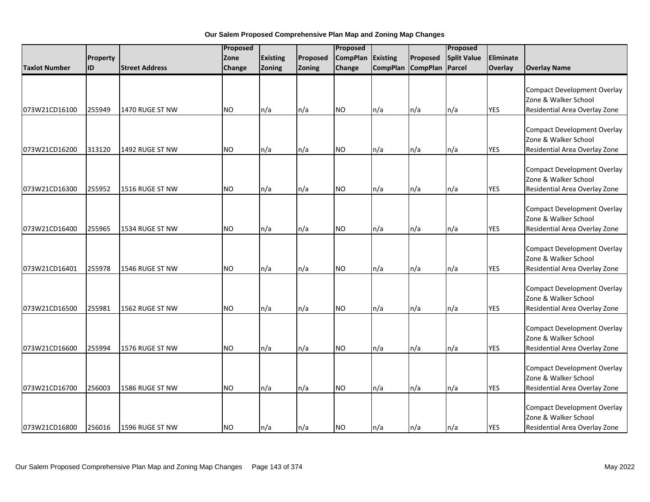|                      |           |                       | Proposed  |                 |          | Proposed        |                 |                 | Proposed           |            |                                                                                             |
|----------------------|-----------|-----------------------|-----------|-----------------|----------|-----------------|-----------------|-----------------|--------------------|------------|---------------------------------------------------------------------------------------------|
|                      | Property  |                       | Zone      | <b>Existing</b> | Proposed | <b>CompPlan</b> | Existing        | Proposed        | <b>Split Value</b> | Eliminate  |                                                                                             |
| <b>Taxlot Number</b> | <b>ID</b> | <b>Street Address</b> | Change    | Zoning          | Zoning   | Change          | <b>CompPlan</b> | <b>CompPlan</b> | Parcel             | Overlay    | <b>Overlay Name</b>                                                                         |
| 073W21CD16100        | 255949    | 1470 RUGE ST NW       | NO.       | n/a             | n/a      | <b>NO</b>       | n/a             | n/a             | n/a                | <b>YES</b> | <b>Compact Development Overlay</b><br>Zone & Walker School<br>Residential Area Overlay Zone |
|                      |           |                       |           |                 |          |                 |                 |                 |                    |            |                                                                                             |
| 073W21CD16200        | 313120    | 1492 RUGE ST NW       | <b>NO</b> | n/a             | n/a      | <b>NO</b>       | n/a             | n/a             | n/a                | <b>YES</b> | <b>Compact Development Overlay</b><br>Zone & Walker School<br>Residential Area Overlay Zone |
| 073W21CD16300        | 255952    | 1516 RUGE ST NW       | <b>NO</b> | n/a             | n/a      | <b>NO</b>       | n/a             | n/a             | n/a                | <b>YES</b> | <b>Compact Development Overlay</b><br>Zone & Walker School<br>Residential Area Overlay Zone |
| 073W21CD16400        | 255965    | 1534 RUGE ST NW       | <b>NO</b> | n/a             | n/a      | <b>NO</b>       | n/a             | n/a             | n/a                | <b>YES</b> | <b>Compact Development Overlay</b><br>Zone & Walker School<br>Residential Area Overlay Zone |
| 073W21CD16401        | 255978    | 1546 RUGE ST NW       | <b>NO</b> | n/a             | n/a      | <b>NO</b>       | n/a             | n/a             | n/a                | <b>YES</b> | <b>Compact Development Overlay</b><br>Zone & Walker School<br>Residential Area Overlay Zone |
| 073W21CD16500        | 255981    | 1562 RUGE ST NW       | <b>NO</b> | n/a             | n/a      | <b>NO</b>       | n/a             | n/a             | n/a                | <b>YES</b> | <b>Compact Development Overlay</b><br>Zone & Walker School<br>Residential Area Overlay Zone |
| 073W21CD16600        | 255994    | 1576 RUGE ST NW       | <b>NO</b> | n/a             | n/a      | <b>NO</b>       | n/a             | n/a             | n/a                | <b>YES</b> | <b>Compact Development Overlay</b><br>Zone & Walker School<br>Residential Area Overlay Zone |
| 073W21CD16700        | 256003    | 1586 RUGE ST NW       | NO.       | n/a             | n/a      | <b>NO</b>       | n/a             | n/a             | n/a                | <b>YES</b> | <b>Compact Development Overlay</b><br>Zone & Walker School<br>Residential Area Overlay Zone |
| 073W21CD16800        | 256016    | 1596 RUGE ST NW       | <b>NO</b> | n/a             | n/a      | <b>NO</b>       | n/a             | n/a             | n/a                | <b>YES</b> | <b>Compact Development Overlay</b><br>Zone & Walker School<br>Residential Area Overlay Zone |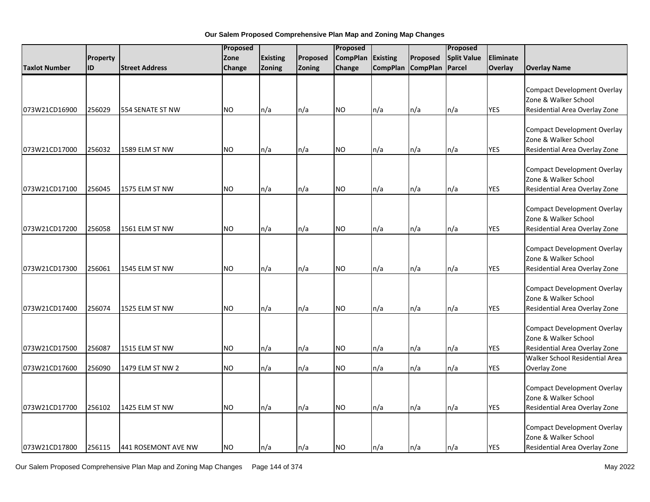|                      |          | Proposed              |           |                 | Proposed |                 |                 | Proposed        |                    |            |                                                                                             |
|----------------------|----------|-----------------------|-----------|-----------------|----------|-----------------|-----------------|-----------------|--------------------|------------|---------------------------------------------------------------------------------------------|
|                      | Property |                       | Zone      | <b>Existing</b> | Proposed | <b>CompPlan</b> | <b>Existing</b> | Proposed        | <b>Split Value</b> | Eliminate  |                                                                                             |
| <b>Taxlot Number</b> | ID       | <b>Street Address</b> | Change    | Zoning          | Zoning   | Change          | <b>CompPlan</b> | <b>CompPlan</b> | Parcel             | Overlay    | <b>Overlay Name</b>                                                                         |
| 073W21CD16900        | 256029   | 554 SENATE ST NW      | <b>NO</b> | n/a             | n/a      | NO              | n/a             | n/a             | n/a                | YES        | <b>Compact Development Overlay</b><br>Zone & Walker School<br>Residential Area Overlay Zone |
|                      |          |                       |           |                 |          |                 |                 |                 |                    |            | <b>Compact Development Overlay</b><br>Zone & Walker School                                  |
| 073W21CD17000        | 256032   | 1589 ELM ST NW        | <b>NO</b> | n/a             | n/a      | NO.             | n/a             | n/a             | n/a                | YES        | Residential Area Overlay Zone                                                               |
| 073W21CD17100        | 256045   | 1575 ELM ST NW        | <b>NO</b> | n/a             | n/a      | <b>NO</b>       | n/a             | n/a             | n/a                | <b>YES</b> | <b>Compact Development Overlay</b><br>Zone & Walker School<br>Residential Area Overlay Zone |
| 073W21CD17200        | 256058   | 1561 ELM ST NW        | <b>NO</b> | n/a             | n/a      | NO              | n/a             | n/a             | n/a                | <b>YES</b> | <b>Compact Development Overlay</b><br>Zone & Walker School<br>Residential Area Overlay Zone |
| 073W21CD17300        | 256061   | 1545 ELM ST NW        | <b>NO</b> | n/a             | n/a      | <b>NO</b>       | n/a             | n/a             | n/a                | YES        | <b>Compact Development Overlay</b><br>Zone & Walker School<br>Residential Area Overlay Zone |
| 073W21CD17400        | 256074   | 1525 ELM ST NW        | <b>NO</b> | n/a             | n/a      | NO.             | n/a             | n/a             | n/a                | <b>YES</b> | <b>Compact Development Overlay</b><br>Zone & Walker School<br>Residential Area Overlay Zone |
| 073W21CD17500        | 256087   | 1515 ELM ST NW        | <b>NO</b> | n/a             | n/a      | NO              | n/a             | n/a             | n/a                | <b>YES</b> | <b>Compact Development Overlay</b><br>Zone & Walker School<br>Residential Area Overlay Zone |
| 073W21CD17600        | 256090   | 1479 ELM ST NW 2      | <b>NO</b> | n/a             | n/a      | NO.             | n/a             | n/a             | n/a                | YES        | Walker School Residential Area<br>Overlay Zone                                              |
| 073W21CD17700        | 256102   | 1425 ELM ST NW        | <b>NO</b> | n/a             | n/a      | <b>NO</b>       | n/a             | n/a             | n/a                | <b>YES</b> | <b>Compact Development Overlay</b><br>Zone & Walker School<br>Residential Area Overlay Zone |
| 073W21CD17800        | 256115   | 441 ROSEMONT AVE NW   | <b>NO</b> | n/a             | n/a      | <b>NO</b>       | n/a             | ln/a            | $\ln/a$            | <b>YES</b> | <b>Compact Development Overlay</b><br>Zone & Walker School<br>Residential Area Overlay Zone |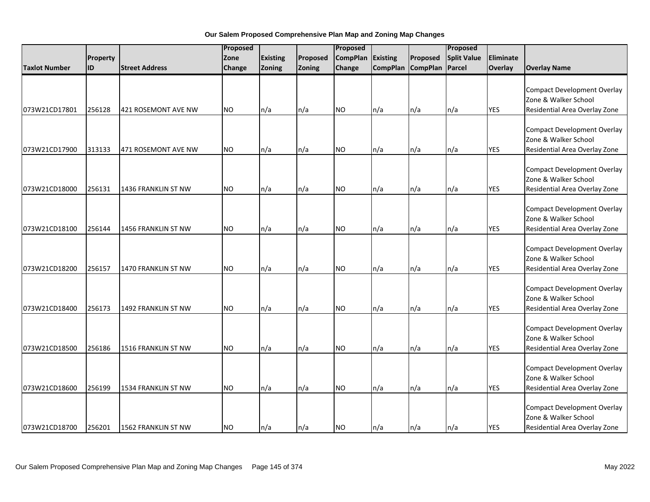|                      |          |                            | Proposed  |                 | Proposed |                 |          | Proposed          |                    |                |                                                                                             |
|----------------------|----------|----------------------------|-----------|-----------------|----------|-----------------|----------|-------------------|--------------------|----------------|---------------------------------------------------------------------------------------------|
|                      | Property |                            | Zone      | <b>Existing</b> | Proposed | <b>CompPlan</b> | Existing | Proposed          | <b>Split Value</b> | Eliminate      |                                                                                             |
| <b>Taxlot Number</b> | lid      | <b>Street Address</b>      | Change    | Zoning          | Zoning   | Change          |          | CompPlan CompPlan | Parcel             | <b>Overlay</b> | <b>Overlay Name</b>                                                                         |
| 073W21CD17801        | 256128   | 421 ROSEMONT AVE NW        | <b>NO</b> | n/a             | n/a      | <b>NO</b>       | n/a      | n/a               | n/a                | <b>YES</b>     | <b>Compact Development Overlay</b><br>Zone & Walker School<br>Residential Area Overlay Zone |
|                      |          |                            |           |                 |          |                 |          |                   |                    |                |                                                                                             |
| 073W21CD17900        | 313133   | 471 ROSEMONT AVE NW        | <b>NO</b> | n/a             | n/a      | <b>NO</b>       | n/a      | n/a               | n/a                | <b>YES</b>     | <b>Compact Development Overlay</b><br>Zone & Walker School<br>Residential Area Overlay Zone |
| 073W21CD18000        | 256131   | 1436 FRANKLIN ST NW        | <b>NO</b> | n/a             | n/a      | <b>NO</b>       | n/a      | n/a               | n/a                | <b>YES</b>     | <b>Compact Development Overlay</b><br>Zone & Walker School<br>Residential Area Overlay Zone |
| 073W21CD18100        | 256144   | <b>1456 FRANKLIN ST NW</b> | <b>NO</b> | n/a             | n/a      | <b>NO</b>       | n/a      | n/a               | n/a                | <b>YES</b>     | <b>Compact Development Overlay</b><br>Zone & Walker School<br>Residential Area Overlay Zone |
| 073W21CD18200        | 256157   | <b>1470 FRANKLIN ST NW</b> | <b>NO</b> | n/a             | n/a      | <b>NO</b>       | n/a      | n/a               | n/a                | <b>YES</b>     | <b>Compact Development Overlay</b><br>Zone & Walker School<br>Residential Area Overlay Zone |
| 073W21CD18400        | 256173   | 1492 FRANKLIN ST NW        | <b>NO</b> | n/a             | n/a      | <b>NO</b>       | n/a      | n/a               | n/a                | <b>YES</b>     | <b>Compact Development Overlay</b><br>Zone & Walker School<br>Residential Area Overlay Zone |
| 073W21CD18500        | 256186   | 1516 FRANKLIN ST NW        | <b>NO</b> | n/a             | n/a      | <b>NO</b>       | n/a      | n/a               | n/a                | <b>YES</b>     | <b>Compact Development Overlay</b><br>Zone & Walker School<br>Residential Area Overlay Zone |
| 073W21CD18600        | 256199   | 1534 FRANKLIN ST NW        | NO.       | n/a             | n/a      | <b>NO</b>       | n/a      | n/a               | n/a                | <b>YES</b>     | <b>Compact Development Overlay</b><br>Zone & Walker School<br>Residential Area Overlay Zone |
| 073W21CD18700        | 256201   | 1562 FRANKLIN ST NW        | <b>NO</b> | n/a             | n/a      | <b>NO</b>       | n/a      | n/a               | $\ln/a$            | <b>YES</b>     | <b>Compact Development Overlay</b><br>Zone & Walker School<br>Residential Area Overlay Zone |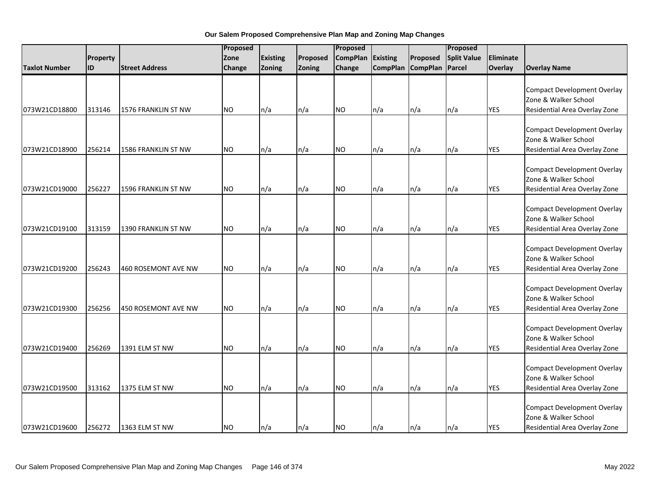|                      |           |                            | Proposed  |                 |          |                 | Proposed        |                 |                    |            |                                                                                             |
|----------------------|-----------|----------------------------|-----------|-----------------|----------|-----------------|-----------------|-----------------|--------------------|------------|---------------------------------------------------------------------------------------------|
|                      | Property  |                            | Zone      | <b>Existing</b> | Proposed | <b>CompPlan</b> | Existing        | Proposed        | <b>Split Value</b> | Eliminate  |                                                                                             |
| <b>Taxlot Number</b> | <b>ID</b> | <b>Street Address</b>      | Change    | Zoning          | Zoning   | Change          | <b>CompPlan</b> | <b>CompPlan</b> | Parcel             | Overlay    | <b>Overlay Name</b>                                                                         |
| 073W21CD18800        | 313146    | 1576 FRANKLIN ST NW        | <b>NO</b> | n/a             | n/a      | <b>NO</b>       | n/a             | n/a             | n/a                | <b>YES</b> | <b>Compact Development Overlay</b><br>Zone & Walker School<br>Residential Area Overlay Zone |
|                      |           |                            |           |                 |          |                 |                 |                 |                    |            |                                                                                             |
| 073W21CD18900        | 256214    | 1586 FRANKLIN ST NW        | <b>NO</b> | n/a             | n/a      | <b>NO</b>       | n/a             | n/a             | n/a                | <b>YES</b> | <b>Compact Development Overlay</b><br>Zone & Walker School<br>Residential Area Overlay Zone |
| 073W21CD19000        | 256227    | 1596 FRANKLIN ST NW        | <b>NO</b> | n/a             | n/a      | <b>NO</b>       | n/a             | n/a             | n/a                | <b>YES</b> | <b>Compact Development Overlay</b><br>Zone & Walker School<br>Residential Area Overlay Zone |
| 073W21CD19100        | 313159    | 1390 FRANKLIN ST NW        | <b>NO</b> | n/a             | n/a      | <b>NO</b>       | n/a             | n/a             | n/a                | <b>YES</b> | <b>Compact Development Overlay</b><br>Zone & Walker School<br>Residential Area Overlay Zone |
| 073W21CD19200        | 256243    | <b>460 ROSEMONT AVE NW</b> | <b>NO</b> | n/a             | n/a      | <b>NO</b>       | n/a             | n/a             | n/a                | <b>YES</b> | <b>Compact Development Overlay</b><br>Zone & Walker School<br>Residential Area Overlay Zone |
| 073W21CD19300        | 256256    | 450 ROSEMONT AVE NW        | <b>NO</b> | n/a             | n/a      | <b>NO</b>       | n/a             | n/a             | n/a                | <b>YES</b> | <b>Compact Development Overlay</b><br>Zone & Walker School<br>Residential Area Overlay Zone |
| 073W21CD19400        | 256269    | 1391 ELM ST NW             | <b>NO</b> | n/a             | n/a      | <b>NO</b>       | n/a             | n/a             | n/a                | <b>YES</b> | <b>Compact Development Overlay</b><br>Zone & Walker School<br>Residential Area Overlay Zone |
| 073W21CD19500        | 313162    | 1375 ELM ST NW             | NO.       | n/a             | n/a      | <b>NO</b>       | n/a             | n/a             | n/a                | <b>YES</b> | <b>Compact Development Overlay</b><br>Zone & Walker School<br>Residential Area Overlay Zone |
| 073W21CD19600        | 256272    | 1363 ELM ST NW             | <b>NO</b> | n/a             | n/a      | <b>NO</b>       | n/a             | n/a             | n/a                | <b>YES</b> | <b>Compact Development Overlay</b><br>Zone & Walker School<br>Residential Area Overlay Zone |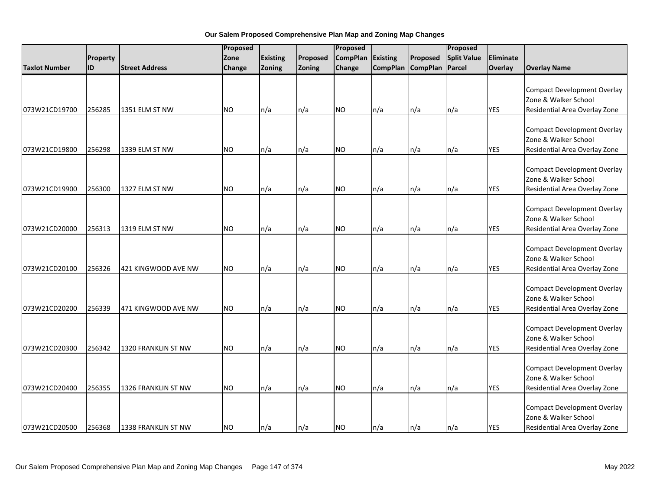|                      |           |                       | Proposed      |                 |          |                 | Proposed |                   |                    |            |                                                                                             |
|----------------------|-----------|-----------------------|---------------|-----------------|----------|-----------------|----------|-------------------|--------------------|------------|---------------------------------------------------------------------------------------------|
|                      | Property  |                       | Zone          | <b>Existing</b> | Proposed | <b>CompPlan</b> | Existing | Proposed          | <b>Split Value</b> | Eliminate  |                                                                                             |
| <b>Taxlot Number</b> | <b>ID</b> | <b>Street Address</b> | <b>Change</b> | Zoning          | Zoning   | Change          |          | CompPlan CompPlan | Parcel             | Overlay    | <b>Overlay Name</b>                                                                         |
| 073W21CD19700        | 256285    | 1351 ELM ST NW        | <b>NO</b>     | n/a             | n/a      | <b>NO</b>       | n/a      | n/a               | n/a                | <b>YES</b> | <b>Compact Development Overlay</b><br>Zone & Walker School<br>Residential Area Overlay Zone |
| 073W21CD19800        | 256298    | 1339 ELM ST NW        | <b>NO</b>     | n/a             | n/a      | NO.             | n/a      | n/a               | n/a                | <b>YES</b> | <b>Compact Development Overlay</b><br>Zone & Walker School<br>Residential Area Overlay Zone |
| 073W21CD19900        | 256300    | 1327 ELM ST NW        | <b>NO</b>     | n/a             | n/a      | <b>NO</b>       | n/a      | n/a               | n/a                | <b>YES</b> | <b>Compact Development Overlay</b><br>Zone & Walker School<br>Residential Area Overlay Zone |
| 073W21CD20000        | 256313    | 1319 ELM ST NW        | <b>NO</b>     | n/a             | n/a      | <b>NO</b>       | n/a      | n/a               | n/a                | <b>YES</b> | <b>Compact Development Overlay</b><br>Zone & Walker School<br>Residential Area Overlay Zone |
| 073W21CD20100        | 256326    | 421 KINGWOOD AVE NW   | <b>NO</b>     | n/a             | n/a      | <b>NO</b>       | n/a      | n/a               | n/a                | <b>YES</b> | <b>Compact Development Overlay</b><br>Zone & Walker School<br>Residential Area Overlay Zone |
| 073W21CD20200        | 256339    | 471 KINGWOOD AVE NW   | <b>NO</b>     | n/a             | n/a      | <b>NO</b>       | n/a      | n/a               | n/a                | <b>YES</b> | <b>Compact Development Overlay</b><br>Zone & Walker School<br>Residential Area Overlay Zone |
| 073W21CD20300        | 256342    | 1320 FRANKLIN ST NW   | <b>NO</b>     | n/a             | n/a      | <b>NO</b>       | n/a      | n/a               | n/a                | <b>YES</b> | <b>Compact Development Overlay</b><br>Zone & Walker School<br>Residential Area Overlay Zone |
| 073W21CD20400        | 256355    | 1326 FRANKLIN ST NW   | NO.           | n/a             | n/a      | <b>NO</b>       | n/a      | n/a               | n/a                | <b>YES</b> | <b>Compact Development Overlay</b><br>Zone & Walker School<br>Residential Area Overlay Zone |
| 073W21CD20500        | 256368    | 1338 FRANKLIN ST NW   | <b>NO</b>     | n/a             | n/a      | <b>NO</b>       | n/a      | n/a               | n/a                | <b>YES</b> | <b>Compact Development Overlay</b><br>Zone & Walker School<br>Residential Area Overlay Zone |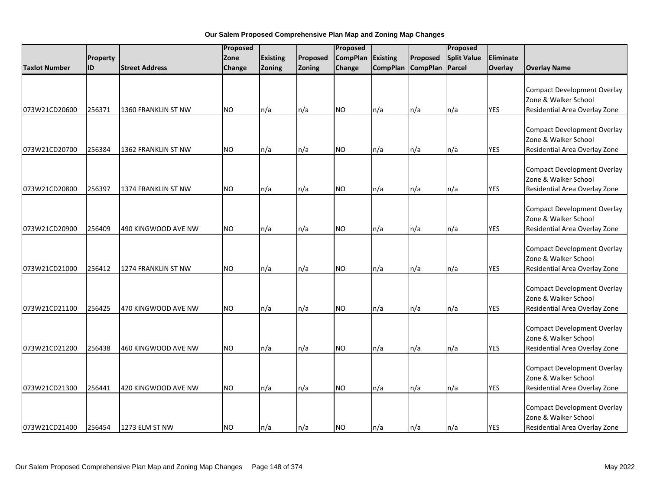|                      |          |                       | Proposed  |                 |          |                 | Proposed        |                 |                    |            |                                                                                             |
|----------------------|----------|-----------------------|-----------|-----------------|----------|-----------------|-----------------|-----------------|--------------------|------------|---------------------------------------------------------------------------------------------|
|                      | Property |                       | Zone      | <b>Existing</b> | Proposed | <b>CompPlan</b> | Existing        | Proposed        | <b>Split Value</b> | Eliminate  |                                                                                             |
| <b>Taxlot Number</b> | ID       | <b>Street Address</b> | Change    | Zoning          | Zoning   | Change          | <b>CompPlan</b> | <b>CompPlan</b> | Parcel             | Overlay    | <b>Overlay Name</b>                                                                         |
| 073W21CD20600        | 256371   | 1360 FRANKLIN ST NW   | <b>NO</b> | n/a             | n/a      | <b>NO</b>       | n/a             | n/a             | n/a                | <b>YES</b> | <b>Compact Development Overlay</b><br>Zone & Walker School<br>Residential Area Overlay Zone |
|                      |          |                       |           |                 |          |                 |                 |                 |                    |            |                                                                                             |
| 073W21CD20700        | 256384   | 1362 FRANKLIN ST NW   | <b>NO</b> | n/a             | n/a      | <b>NO</b>       | n/a             | n/a             | n/a                | <b>YES</b> | <b>Compact Development Overlay</b><br>Zone & Walker School<br>Residential Area Overlay Zone |
| 073W21CD20800        | 256397   | 1374 FRANKLIN ST NW   | <b>NO</b> | n/a             | n/a      | <b>NO</b>       | n/a             | n/a             | n/a                | <b>YES</b> | <b>Compact Development Overlay</b><br>Zone & Walker School<br>Residential Area Overlay Zone |
| 073W21CD20900        | 256409   | 490 KINGWOOD AVE NW   | <b>NO</b> | n/a             | n/a      | <b>NO</b>       | n/a             | n/a             | n/a                | <b>YES</b> | <b>Compact Development Overlay</b><br>Zone & Walker School<br>Residential Area Overlay Zone |
| 073W21CD21000        | 256412   | 1274 FRANKLIN ST NW   | <b>NO</b> | n/a             | n/a      | <b>NO</b>       | n/a             | n/a             | n/a                | <b>YES</b> | <b>Compact Development Overlay</b><br>Zone & Walker School<br>Residential Area Overlay Zone |
| 073W21CD21100        | 256425   | 470 KINGWOOD AVE NW   | <b>NO</b> | n/a             | n/a      | <b>NO</b>       | n/a             | n/a             | n/a                | <b>YES</b> | <b>Compact Development Overlay</b><br>Zone & Walker School<br>Residential Area Overlay Zone |
| 073W21CD21200        | 256438   | 460 KINGWOOD AVE NW   | NO.       | n/a             | n/a      | <b>NO</b>       | n/a             | n/a             | n/a                | <b>YES</b> | <b>Compact Development Overlay</b><br>Zone & Walker School<br>Residential Area Overlay Zone |
| 073W21CD21300        | 256441   | 420 KINGWOOD AVE NW   | NO.       | n/a             | n/a      | <b>NO</b>       | n/a             | n/a             | n/a                | <b>YES</b> | <b>Compact Development Overlay</b><br>Zone & Walker School<br>Residential Area Overlay Zone |
| 073W21CD21400        | 256454   | 1273 ELM ST NW        | <b>NO</b> | n/a             | n/a      | <b>NO</b>       | n/a             | n/a             | n/a                | <b>YES</b> | <b>Compact Development Overlay</b><br>Zone & Walker School<br>Residential Area Overlay Zone |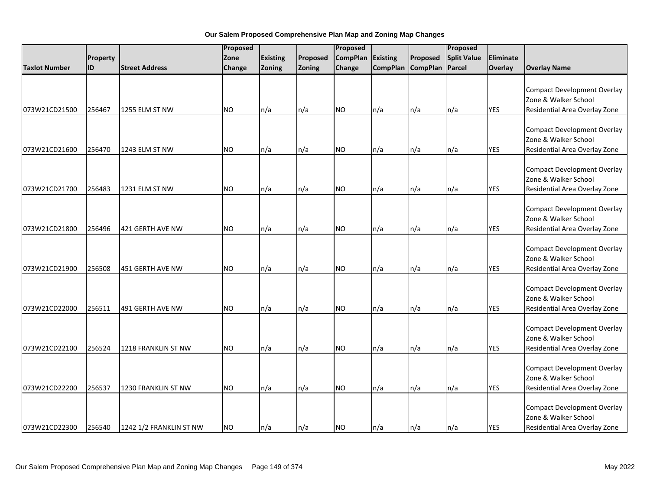|                      |          |                         | Proposed  |                 |          | Proposed        |                 |                 | Proposed           |                  |                                                                                             |
|----------------------|----------|-------------------------|-----------|-----------------|----------|-----------------|-----------------|-----------------|--------------------|------------------|---------------------------------------------------------------------------------------------|
|                      | Property |                         | Zone      | <b>Existing</b> | Proposed | <b>CompPlan</b> | Existing        | Proposed        | <b>Split Value</b> | <b>Eliminate</b> |                                                                                             |
| <b>Taxlot Number</b> | ID       | <b>Street Address</b>   | Change    | Zoning          | Zoning   | Change          | <b>CompPlan</b> | <b>CompPlan</b> | Parcel             | Overlay          | <b>Overlay Name</b>                                                                         |
|                      |          |                         |           |                 |          |                 |                 |                 |                    |                  | <b>Compact Development Overlay</b><br>Zone & Walker School                                  |
| 073W21CD21500        | 256467   | 1255 ELM ST NW          | <b>NO</b> | n/a             | n/a      | <b>NO</b>       | n/a             | n/a             | n/a                | <b>YES</b>       | Residential Area Overlay Zone                                                               |
| 073W21CD21600        | 256470   | 1243 ELM ST NW          | <b>NO</b> | n/a             | n/a      | <b>NO</b>       | n/a             | n/a             | n/a                | <b>YES</b>       | <b>Compact Development Overlay</b><br>Zone & Walker School<br>Residential Area Overlay Zone |
| 073W21CD21700        | 256483   | 1231 ELM ST NW          | <b>NO</b> | n/a             | n/a      | <b>NO</b>       | n/a             | n/a             | n/a                | <b>YES</b>       | <b>Compact Development Overlay</b><br>Zone & Walker School<br>Residential Area Overlay Zone |
| 073W21CD21800        | 256496   | 421 GERTH AVE NW        | <b>NO</b> | n/a             | n/a      | <b>NO</b>       | n/a             | n/a             | n/a                | <b>YES</b>       | <b>Compact Development Overlay</b><br>Zone & Walker School<br>Residential Area Overlay Zone |
| 073W21CD21900        | 256508   | 451 GERTH AVE NW        | <b>NO</b> | n/a             | n/a      | <b>NO</b>       | n/a             | n/a             | n/a                | <b>YES</b>       | <b>Compact Development Overlay</b><br>Zone & Walker School<br>Residential Area Overlay Zone |
| 073W21CD22000        | 256511   | 491 GERTH AVE NW        | <b>NO</b> | n/a             | n/a      | <b>NO</b>       | n/a             | n/a             | n/a                | <b>YES</b>       | <b>Compact Development Overlay</b><br>Zone & Walker School<br>Residential Area Overlay Zone |
| 073W21CD22100        | 256524   | 1218 FRANKLIN ST NW     | <b>NO</b> | n/a             | n/a      | <b>NO</b>       | n/a             | n/a             | n/a                | <b>YES</b>       | <b>Compact Development Overlay</b><br>Zone & Walker School<br>Residential Area Overlay Zone |
| 073W21CD22200        | 256537   | 1230 FRANKLIN ST NW     | <b>NO</b> | n/a             | n/a      | <b>NO</b>       | n/a             | n/a             | n/a                | <b>YES</b>       | <b>Compact Development Overlay</b><br>Zone & Walker School<br>Residential Area Overlay Zone |
| 073W21CD22300        | 256540   | 1242 1/2 FRANKLIN ST NW | <b>NO</b> | n/a             | n/a      | <b>NO</b>       | n/a             | n/a             | n/a                | <b>YES</b>       | <b>Compact Development Overlay</b><br>Zone & Walker School<br>Residential Area Overlay Zone |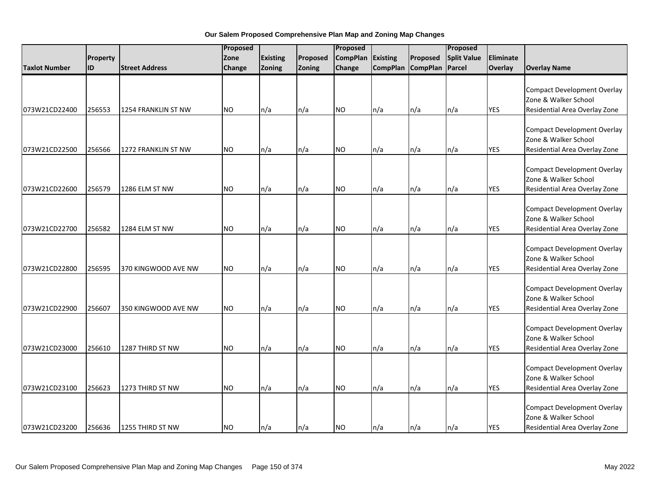|                      |           | Proposed              |               |                 | Proposed |                 |          |                   | Proposed           |            |                                                                                             |
|----------------------|-----------|-----------------------|---------------|-----------------|----------|-----------------|----------|-------------------|--------------------|------------|---------------------------------------------------------------------------------------------|
|                      | Property  |                       | Zone          | <b>Existing</b> | Proposed | <b>CompPlan</b> | Existing | Proposed          | <b>Split Value</b> | Eliminate  |                                                                                             |
| <b>Taxlot Number</b> | <b>ID</b> | <b>Street Address</b> | <b>Change</b> | Zoning          | Zoning   | Change          |          | CompPlan CompPlan | Parcel             | Overlay    | <b>Overlay Name</b>                                                                         |
| 073W21CD22400        | 256553    | 1254 FRANKLIN ST NW   | <b>NO</b>     | n/a             | n/a      | <b>NO</b>       | n/a      | n/a               | n/a                | <b>YES</b> | <b>Compact Development Overlay</b><br>Zone & Walker School<br>Residential Area Overlay Zone |
| 073W21CD22500        | 256566    | 1272 FRANKLIN ST NW   | <b>NO</b>     | n/a             | n/a      | NO.             | n/a      | n/a               | n/a                | <b>YES</b> | <b>Compact Development Overlay</b><br>Zone & Walker School<br>Residential Area Overlay Zone |
| 073W21CD22600        | 256579    | 1286 ELM ST NW        | <b>NO</b>     | n/a             | n/a      | <b>NO</b>       | n/a      | n/a               | n/a                | <b>YES</b> | <b>Compact Development Overlay</b><br>Zone & Walker School<br>Residential Area Overlay Zone |
| 073W21CD22700        | 256582    | 1284 ELM ST NW        | <b>NO</b>     | n/a             | n/a      | <b>NO</b>       | n/a      | n/a               | n/a                | <b>YES</b> | <b>Compact Development Overlay</b><br>Zone & Walker School<br>Residential Area Overlay Zone |
| 073W21CD22800        | 256595    | 370 KINGWOOD AVE NW   | <b>NO</b>     | n/a             | n/a      | <b>NO</b>       | n/a      | n/a               | n/a                | <b>YES</b> | <b>Compact Development Overlay</b><br>Zone & Walker School<br>Residential Area Overlay Zone |
| 073W21CD22900        | 256607    | 350 KINGWOOD AVE NW   | <b>NO</b>     | n/a             | n/a      | <b>NO</b>       | n/a      | n/a               | n/a                | <b>YES</b> | <b>Compact Development Overlay</b><br>Zone & Walker School<br>Residential Area Overlay Zone |
| 073W21CD23000        | 256610    | 1287 THIRD ST NW      | <b>NO</b>     | n/a             | n/a      | <b>NO</b>       | n/a      | n/a               | n/a                | <b>YES</b> | <b>Compact Development Overlay</b><br>Zone & Walker School<br>Residential Area Overlay Zone |
| 073W21CD23100        | 256623    | 1273 THIRD ST NW      | NO.           | n/a             | n/a      | <b>NO</b>       | n/a      | n/a               | n/a                | <b>YES</b> | <b>Compact Development Overlay</b><br>Zone & Walker School<br>Residential Area Overlay Zone |
| 073W21CD23200        | 256636    | 1255 THIRD ST NW      | <b>NO</b>     | n/a             | n/a      | <b>NO</b>       | n/a      | n/a               | n/a                | <b>YES</b> | <b>Compact Development Overlay</b><br>Zone & Walker School<br>Residential Area Overlay Zone |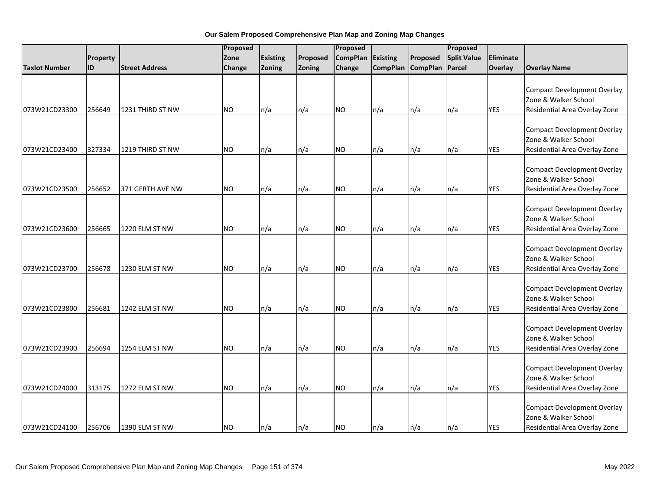|                      |           |                       |           | Proposed        |          | Proposed        |          |                   | Proposed           |                |                                                                                             |
|----------------------|-----------|-----------------------|-----------|-----------------|----------|-----------------|----------|-------------------|--------------------|----------------|---------------------------------------------------------------------------------------------|
|                      | Property  |                       | Zone      | <b>Existing</b> | Proposed | <b>CompPlan</b> | Existing | Proposed          | <b>Split Value</b> | Eliminate      |                                                                                             |
| <b>Taxlot Number</b> | <b>ID</b> | <b>Street Address</b> | Change    | Zoning          | Zoning   | Change          |          | CompPlan CompPlan | Parcel             | <b>Overlay</b> | <b>Overlay Name</b>                                                                         |
| 073W21CD23300        | 256649    | 1231 THIRD ST NW      | <b>NO</b> | n/a             | n/a      | <b>NO</b>       | n/a      | n/a               | n/a                | <b>YES</b>     | <b>Compact Development Overlay</b><br>Zone & Walker School<br>Residential Area Overlay Zone |
|                      |           |                       |           |                 |          |                 |          |                   |                    |                |                                                                                             |
| 073W21CD23400        | 327334    | 1219 THIRD ST NW      | <b>NO</b> | n/a             | n/a      | <b>NO</b>       | n/a      | n/a               | n/a                | <b>YES</b>     | <b>Compact Development Overlay</b><br>Zone & Walker School<br>Residential Area Overlay Zone |
| 073W21CD23500        | 256652    | 371 GERTH AVE NW      | <b>NO</b> | n/a             | n/a      | <b>NO</b>       | n/a      | n/a               | n/a                | <b>YES</b>     | <b>Compact Development Overlay</b><br>Zone & Walker School<br>Residential Area Overlay Zone |
| 073W21CD23600        | 256665    | 1220 ELM ST NW        | <b>NO</b> | n/a             | n/a      | <b>NO</b>       | n/a      | n/a               | n/a                | <b>YES</b>     | <b>Compact Development Overlay</b><br>Zone & Walker School<br>Residential Area Overlay Zone |
| 073W21CD23700        | 256678    | 1230 ELM ST NW        | <b>NO</b> | n/a             | n/a      | <b>NO</b>       | n/a      | n/a               | n/a                | <b>YES</b>     | <b>Compact Development Overlay</b><br>Zone & Walker School<br>Residential Area Overlay Zone |
| 073W21CD23800        | 256681    | 1242 ELM ST NW        | <b>NO</b> | n/a             | n/a      | <b>NO</b>       | n/a      | n/a               | n/a                | <b>YES</b>     | <b>Compact Development Overlay</b><br>Zone & Walker School<br>Residential Area Overlay Zone |
| 073W21CD23900        | 256694    | 1254 ELM ST NW        | <b>NO</b> | n/a             | n/a      | <b>NO</b>       | n/a      | n/a               | n/a                | <b>YES</b>     | <b>Compact Development Overlay</b><br>Zone & Walker School<br>Residential Area Overlay Zone |
| 073W21CD24000        | 313175    | 1272 ELM ST NW        | NO.       | n/a             | n/a      | <b>NO</b>       | n/a      | n/a               | n/a                | <b>YES</b>     | <b>Compact Development Overlay</b><br>Zone & Walker School<br>Residential Area Overlay Zone |
| 073W21CD24100        | 256706    | 1390 ELM ST NW        | <b>NO</b> | n/a             | n/a      | <b>NO</b>       | n/a      | n/a               | $\ln/a$            | <b>YES</b>     | <b>Compact Development Overlay</b><br>Zone & Walker School<br>Residential Area Overlay Zone |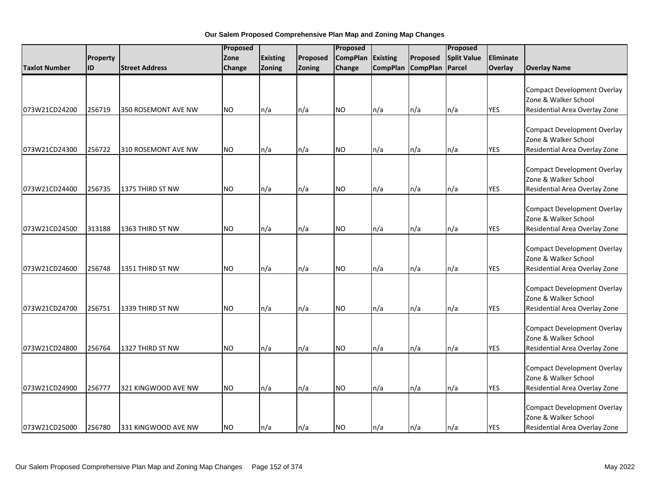|                      |           | Proposed              |               |                 | Proposed |                 |          |                   | Proposed           |            |                                                                                             |
|----------------------|-----------|-----------------------|---------------|-----------------|----------|-----------------|----------|-------------------|--------------------|------------|---------------------------------------------------------------------------------------------|
|                      | Property  |                       | Zone          | <b>Existing</b> | Proposed | <b>CompPlan</b> | Existing | Proposed          | <b>Split Value</b> | Eliminate  |                                                                                             |
| <b>Taxlot Number</b> | <b>ID</b> | <b>Street Address</b> | <b>Change</b> | Zoning          | Zoning   | Change          |          | CompPlan CompPlan | Parcel             | Overlay    | <b>Overlay Name</b>                                                                         |
| 073W21CD24200        | 256719    | 350 ROSEMONT AVE NW   | <b>NO</b>     | n/a             | n/a      | <b>NO</b>       | n/a      | n/a               | n/a                | <b>YES</b> | <b>Compact Development Overlay</b><br>Zone & Walker School<br>Residential Area Overlay Zone |
| 073W21CD24300        | 256722    | 310 ROSEMONT AVE NW   | <b>NO</b>     | n/a             | n/a      | NO.             | n/a      | n/a               | n/a                | <b>YES</b> | <b>Compact Development Overlay</b><br>Zone & Walker School<br>Residential Area Overlay Zone |
| 073W21CD24400        | 256735    | 1375 THIRD ST NW      | <b>NO</b>     | n/a             | n/a      | <b>NO</b>       | n/a      | n/a               | n/a                | <b>YES</b> | <b>Compact Development Overlay</b><br>Zone & Walker School<br>Residential Area Overlay Zone |
| 073W21CD24500        | 313188    | 1363 THIRD ST NW      | <b>NO</b>     | n/a             | n/a      | <b>NO</b>       | n/a      | n/a               | n/a                | <b>YES</b> | <b>Compact Development Overlay</b><br>Zone & Walker School<br>Residential Area Overlay Zone |
| 073W21CD24600        | 256748    | 1351 THIRD ST NW      | <b>NO</b>     | n/a             | n/a      | <b>NO</b>       | n/a      | n/a               | n/a                | <b>YES</b> | <b>Compact Development Overlay</b><br>Zone & Walker School<br>Residential Area Overlay Zone |
| 073W21CD24700        | 256751    | 1339 THIRD ST NW      | <b>NO</b>     | n/a             | n/a      | <b>NO</b>       | n/a      | n/a               | n/a                | <b>YES</b> | <b>Compact Development Overlay</b><br>Zone & Walker School<br>Residential Area Overlay Zone |
| 073W21CD24800        | 256764    | 1327 THIRD ST NW      | <b>NO</b>     | n/a             | n/a      | <b>NO</b>       | n/a      | n/a               | n/a                | <b>YES</b> | <b>Compact Development Overlay</b><br>Zone & Walker School<br>Residential Area Overlay Zone |
| 073W21CD24900        | 256777    | 321 KINGWOOD AVE NW   | <b>NO</b>     | n/a             | n/a      | <b>NO</b>       | n/a      | n/a               | n/a                | <b>YES</b> | <b>Compact Development Overlay</b><br>Zone & Walker School<br>Residential Area Overlay Zone |
| 073W21CD25000        | 256780    | 331 KINGWOOD AVE NW   | <b>NO</b>     | n/a             | n/a      | <b>NO</b>       | n/a      | n/a               | n/a                | <b>YES</b> | <b>Compact Development Overlay</b><br>Zone & Walker School<br>Residential Area Overlay Zone |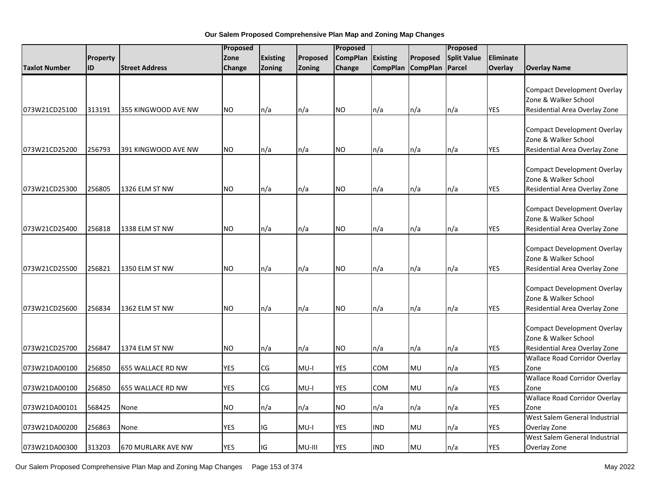|                      |                 |                           | Proposed   |                 | Proposed |                 |                 | Proposed          |                    |            |                                                                                             |
|----------------------|-----------------|---------------------------|------------|-----------------|----------|-----------------|-----------------|-------------------|--------------------|------------|---------------------------------------------------------------------------------------------|
|                      | <b>Property</b> |                           | Zone       | <b>Existing</b> | Proposed | <b>CompPlan</b> | <b>Existing</b> | Proposed          | <b>Split Value</b> | Eliminate  |                                                                                             |
| <b>Taxlot Number</b> | ID              | <b>Street Address</b>     | Change     | Zoning          | Zoning   | Change          |                 | CompPlan CompPlan | Parcel             | Overlay    | <b>Overlay Name</b>                                                                         |
| 073W21CD25100        | 313191          | 355 KINGWOOD AVE NW       | <b>NO</b>  | n/a             | n/a      | <b>NO</b>       | n/a             | n/a               | n/a                | YES        | <b>Compact Development Overlay</b><br>Zone & Walker School<br>Residential Area Overlay Zone |
| 073W21CD25200        | 256793          | 391 KINGWOOD AVE NW       | <b>NO</b>  | n/a             | n/a      | <b>NO</b>       | n/a             | n/a               | n/a                | YES        | <b>Compact Development Overlay</b><br>Zone & Walker School<br>Residential Area Overlay Zone |
| 073W21CD25300        | 256805          | 1326 ELM ST NW            | <b>NO</b>  | n/a             | n/a      | <b>NO</b>       | n/a             | n/a               | n/a                | <b>YES</b> | <b>Compact Development Overlay</b><br>Zone & Walker School<br>Residential Area Overlay Zone |
| 073W21CD25400        | 256818          | 1338 ELM ST NW            | <b>NO</b>  | n/a             | n/a      | <b>NO</b>       | n/a             | n/a               | n/a                | <b>YES</b> | <b>Compact Development Overlay</b><br>Zone & Walker School<br>Residential Area Overlay Zone |
| 073W21CD25500        | 256821          | 1350 ELM ST NW            | <b>NO</b>  | n/a             | n/a      | <b>NO</b>       | n/a             | n/a               | n/a                | <b>YES</b> | <b>Compact Development Overlay</b><br>Zone & Walker School<br>Residential Area Overlay Zone |
| 073W21CD25600        | 256834          | 1362 ELM ST NW            | NO.        | n/a             | n/a      | <b>NO</b>       | n/a             | n/a               | n/a                | <b>YES</b> | <b>Compact Development Overlay</b><br>Zone & Walker School<br>Residential Area Overlay Zone |
| 073W21CD25700        | 256847          | 1374 ELM ST NW            | <b>NO</b>  | n/a             | n/a      | <b>NO</b>       | n/a             | n/a               | n/a                | <b>YES</b> | <b>Compact Development Overlay</b><br>Zone & Walker School<br>Residential Area Overlay Zone |
| 073W21DA00100        | 256850          | 655 WALLACE RD NW         | <b>YES</b> | CG              | $MU-I$   | YES             | COM             | MU                | n/a                | YES        | <b>Wallace Road Corridor Overlay</b><br>Zone                                                |
| 073W21DA00100        | 256850          | 655 WALLACE RD NW         | <b>YES</b> | CG              | $MU-I$   | <b>YES</b>      | COM             | MU                | n/a                | <b>YES</b> | <b>Wallace Road Corridor Overlay</b><br>Zone                                                |
| 073W21DA00101        | 568425          | None                      | <b>NO</b>  | n/a             | n/a      | NO.             | n/a             | n/a               | n/a                | <b>YES</b> | <b>Wallace Road Corridor Overlay</b><br>Zone                                                |
| 073W21DA00200        | 256863          | None                      | <b>YES</b> | IG              | MU-I     | <b>YES</b>      | <b>IND</b>      | MU                | n/a                | <b>YES</b> | West Salem General Industrial<br>Overlay Zone                                               |
| 073W21DA00300        | 313203          | <b>670 MURLARK AVE NW</b> | <b>YES</b> | IG              | MU-III   | <b>YES</b>      | <b>IND</b>      | <b>MU</b>         | n/a                | <b>YES</b> | West Salem General Industrial<br>Overlay Zone                                               |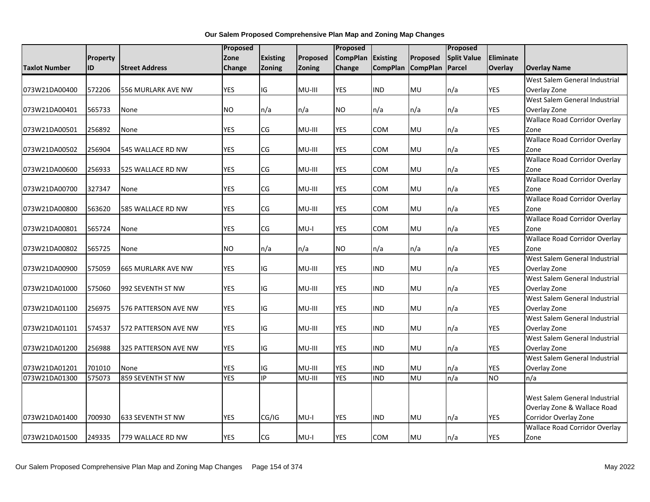|                      |          | Proposed                  |            |                 | Proposed |                 |                 |                 | Proposed           |            |                                      |
|----------------------|----------|---------------------------|------------|-----------------|----------|-----------------|-----------------|-----------------|--------------------|------------|--------------------------------------|
|                      | Property |                           | Zone       | <b>Existing</b> | Proposed | <b>CompPlan</b> | <b>Existing</b> | Proposed        | <b>Split Value</b> | Eliminate  |                                      |
| <b>Taxlot Number</b> | ID       | <b>Street Address</b>     | Change     | <b>Zoning</b>   | Zoning   | Change          | <b>CompPlan</b> | <b>CompPlan</b> | Parcel             | Overlay    | <b>Overlay Name</b>                  |
|                      |          |                           |            |                 |          |                 |                 |                 |                    |            | West Salem General Industrial        |
| 073W21DA00400        | 572206   | 556 MURLARK AVE NW        | <b>YES</b> | IG              | MU-III   | <b>YES</b>      | <b>IND</b>      | <b>MU</b>       | n/a                | YES        | Overlay Zone                         |
|                      |          |                           |            |                 |          |                 |                 |                 |                    |            | West Salem General Industrial        |
| 073W21DA00401        | 565733   | None                      | NO.        | n/a             | n/a      | NO              | n/a             | n/a             | n/a                | YES        | Overlay Zone                         |
|                      |          |                           |            |                 |          |                 |                 |                 |                    |            | <b>Wallace Road Corridor Overlay</b> |
| 073W21DA00501        | 256892   | None                      | <b>YES</b> | CG              | MU-III   | YES             | COM             | MU              | n/a                | <b>YES</b> | Zone                                 |
|                      |          |                           |            |                 |          |                 |                 |                 |                    |            | <b>Wallace Road Corridor Overlay</b> |
| 073W21DA00502        | 256904   | 545 WALLACE RD NW         | <b>YES</b> | CG              | MU-III   | <b>YES</b>      | COM             | MU              | n/a                | <b>YES</b> | Zone                                 |
|                      |          |                           |            |                 |          |                 |                 |                 |                    |            | <b>Wallace Road Corridor Overlay</b> |
| 073W21DA00600        | 256933   | 525 WALLACE RD NW         | <b>YES</b> | CG              | MU-III   | <b>YES</b>      | COM             | <b>MU</b>       | n/a                | <b>YES</b> | Zone                                 |
|                      |          |                           |            |                 |          |                 |                 |                 |                    |            | <b>Wallace Road Corridor Overlay</b> |
| 073W21DA00700        | 327347   | None                      | <b>YES</b> | CG              | MU-III   | YES             | COM             | MU              | n/a                | <b>YES</b> | Zone                                 |
|                      |          |                           |            |                 |          |                 |                 |                 |                    |            | <b>Wallace Road Corridor Overlay</b> |
| 073W21DA00800        | 563620   | 585 WALLACE RD NW         | <b>YES</b> | CG              | MU-III   | <b>YES</b>      | COM             | <b>MU</b>       | n/a                | <b>YES</b> | Zone                                 |
|                      |          |                           |            |                 |          |                 |                 |                 |                    |            | <b>Wallace Road Corridor Overlay</b> |
| 073W21DA00801        | 565724   | None                      | <b>YES</b> | CG              | $MU-I$   | <b>YES</b>      | COM             | <b>MU</b>       | n/a                | <b>YES</b> | Zone                                 |
|                      |          |                           |            |                 |          |                 |                 |                 |                    |            | <b>Wallace Road Corridor Overlay</b> |
| 073W21DA00802        | 565725   | None                      | <b>NO</b>  | n/a             | n/a      | NO.             | n/a             | n/a             | n/a                | <b>YES</b> | Zone                                 |
|                      |          |                           |            |                 |          |                 |                 |                 |                    |            | West Salem General Industrial        |
| 073W21DA00900        | 575059   | <b>665 MURLARK AVE NW</b> | <b>YES</b> | IG              | MU-III   | YES             | IND             | <b>MU</b>       | n/a                | YES        | Overlay Zone                         |
|                      |          |                           |            |                 |          |                 |                 |                 |                    |            | West Salem General Industrial        |
| 073W21DA01000        | 575060   | 992 SEVENTH ST NW         | <b>YES</b> | IG              | MU-III   | <b>YES</b>      | <b>IND</b>      | MU              | n/a                | <b>YES</b> | Overlay Zone                         |
|                      |          |                           |            |                 |          |                 |                 |                 |                    |            | West Salem General Industrial        |
| 073W21DA01100        | 256975   | 576 PATTERSON AVE NW      | <b>YES</b> | IG              | MU-III   | <b>YES</b>      | <b>IND</b>      | MU              | n/a                | <b>YES</b> | Overlay Zone                         |
|                      |          |                           |            |                 |          |                 |                 |                 |                    |            | West Salem General Industrial        |
| 073W21DA01101        | 574537   | 572 PATTERSON AVE NW      | <b>YES</b> | IG              | MU-III   | <b>YES</b>      | IND             | MU              | n/a                | <b>YES</b> | Overlay Zone                         |
|                      |          |                           |            |                 |          |                 |                 |                 |                    |            | West Salem General Industrial        |
| 073W21DA01200        | 256988   | 325 PATTERSON AVE NW      | <b>YES</b> | IG              | MU-III   | <b>YES</b>      | <b>IND</b>      | MU              | n/a                | <b>YES</b> | Overlay Zone                         |
|                      |          |                           |            |                 |          |                 |                 |                 |                    |            | West Salem General Industrial        |
| 073W21DA01201        | 701010   | None                      | <b>YES</b> | IG              | MU-III   | <b>YES</b>      | IND             | MU              | n/a                | <b>YES</b> | Overlay Zone                         |
| 073W21DA01300        | 575073   | 859 SEVENTH ST NW         | <b>YES</b> | IP              | MU-III   | <b>YES</b>      | <b>IND</b>      | MU              | n/a                | <b>NO</b>  | n/a                                  |
|                      |          |                           |            |                 |          |                 |                 |                 |                    |            |                                      |
|                      |          |                           |            |                 |          |                 |                 |                 |                    |            | West Salem General Industrial        |
|                      |          |                           |            |                 |          |                 |                 |                 |                    |            | Overlay Zone & Wallace Road          |
| 073W21DA01400        | 700930   | 633 SEVENTH ST NW         | <b>YES</b> | CG/IG           | $MU-I$   | YES             | <b>IND</b>      | MU              | n/a                | <b>YES</b> | Corridor Overlay Zone                |
|                      |          |                           |            |                 |          |                 |                 |                 |                    |            | <b>Wallace Road Corridor Overlay</b> |
| 073W21DA01500        | 249335   | 779 WALLACE RD NW         | <b>YES</b> | <b>CG</b>       | $MU-I$   | <b>YES</b>      | COM             | <b>MU</b>       | n/a                | <b>YES</b> | Zone                                 |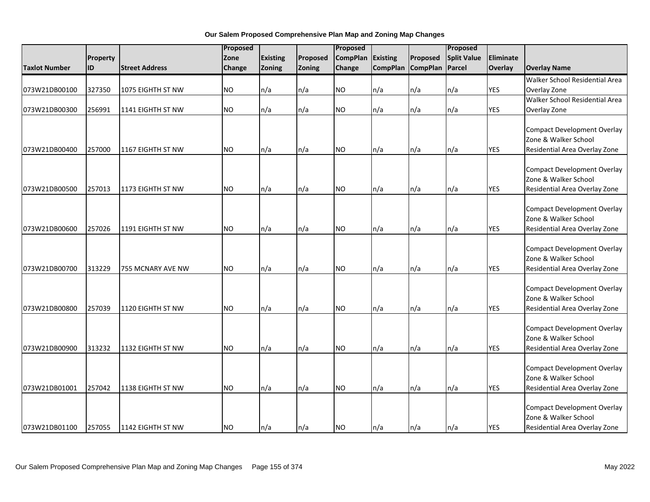|                      |          |                       | Proposed      |                 |          | Proposed        |                 |                 | Proposed           |                  |                                                            |
|----------------------|----------|-----------------------|---------------|-----------------|----------|-----------------|-----------------|-----------------|--------------------|------------------|------------------------------------------------------------|
|                      | Property |                       | Zone          | <b>Existing</b> | Proposed | <b>CompPlan</b> | <b>Existing</b> | Proposed        | <b>Split Value</b> | <b>Eliminate</b> |                                                            |
| <b>Taxlot Number</b> | ID       | <b>Street Address</b> | <b>Change</b> | Zoning          | Zoning   | <b>Change</b>   | <b>CompPlan</b> | <b>CompPlan</b> | Parcel             | <b>Overlay</b>   | <b>Overlay Name</b>                                        |
|                      |          |                       |               |                 |          |                 |                 |                 |                    |                  | Walker School Residential Area                             |
| 073W21DB00100        | 327350   | 1075 EIGHTH ST NW     | <b>NO</b>     | n/a             | n/a      | <b>NO</b>       | n/a             | n/a             | n/a                | <b>YES</b>       | Overlay Zone                                               |
|                      |          |                       |               |                 |          |                 |                 |                 |                    |                  | Walker School Residential Area                             |
| 073W21DB00300        | 256991   | 1141 EIGHTH ST NW     | <b>NO</b>     | n/a             | n/a      | <b>NO</b>       | n/a             | n/a             | n/a                | <b>YES</b>       | Overlay Zone                                               |
|                      |          |                       |               |                 |          |                 |                 |                 |                    |                  |                                                            |
|                      |          |                       |               |                 |          |                 |                 |                 |                    |                  | <b>Compact Development Overlay</b>                         |
|                      |          |                       |               |                 |          |                 |                 |                 |                    |                  | Zone & Walker School                                       |
| 073W21DB00400        | 257000   | 1167 EIGHTH ST NW     | <b>NO</b>     | n/a             | n/a      | <b>NO</b>       | n/a             | n/a             | n/a                | <b>YES</b>       | Residential Area Overlay Zone                              |
|                      |          |                       |               |                 |          |                 |                 |                 |                    |                  |                                                            |
|                      |          |                       |               |                 |          |                 |                 |                 |                    |                  | <b>Compact Development Overlay</b>                         |
|                      |          |                       |               |                 |          |                 |                 |                 |                    |                  | Zone & Walker School                                       |
| 073W21DB00500        | 257013   | 1173 EIGHTH ST NW     | <b>NO</b>     | n/a             | n/a      | <b>NO</b>       | n/a             | n/a             | n/a                | YES              | Residential Area Overlay Zone                              |
|                      |          |                       |               |                 |          |                 |                 |                 |                    |                  |                                                            |
|                      |          |                       |               |                 |          |                 |                 |                 |                    |                  | <b>Compact Development Overlay</b><br>Zone & Walker School |
|                      |          |                       | <b>NO</b>     |                 |          | <b>NO</b>       |                 |                 |                    |                  |                                                            |
| 073W21DB00600        | 257026   | 1191 EIGHTH ST NW     |               | n/a             | n/a      |                 | n/a             | n/a             | n/a                | <b>YES</b>       | Residential Area Overlay Zone                              |
|                      |          |                       |               |                 |          |                 |                 |                 |                    |                  | <b>Compact Development Overlay</b>                         |
|                      |          |                       |               |                 |          |                 |                 |                 |                    |                  | Zone & Walker School                                       |
| 073W21DB00700        | 313229   | 755 MCNARY AVE NW     | <b>NO</b>     | n/a             | n/a      | <b>NO</b>       | n/a             | n/a             | n/a                | YES              | Residential Area Overlay Zone                              |
|                      |          |                       |               |                 |          |                 |                 |                 |                    |                  |                                                            |
|                      |          |                       |               |                 |          |                 |                 |                 |                    |                  | <b>Compact Development Overlay</b>                         |
|                      |          |                       |               |                 |          |                 |                 |                 |                    |                  | Zone & Walker School                                       |
| 073W21DB00800        | 257039   | 1120 EIGHTH ST NW     | <b>NO</b>     | n/a             | n/a      | <b>NO</b>       | n/a             | n/a             | n/a                | <b>YES</b>       | Residential Area Overlay Zone                              |
|                      |          |                       |               |                 |          |                 |                 |                 |                    |                  |                                                            |
|                      |          |                       |               |                 |          |                 |                 |                 |                    |                  | <b>Compact Development Overlay</b>                         |
|                      |          |                       |               |                 |          |                 |                 |                 |                    |                  | Zone & Walker School                                       |
| 073W21DB00900        | 313232   | 1132 EIGHTH ST NW     | <b>NO</b>     | n/a             | n/a      | <b>NO</b>       | n/a             | n/a             | n/a                | <b>YES</b>       | Residential Area Overlay Zone                              |
|                      |          |                       |               |                 |          |                 |                 |                 |                    |                  |                                                            |
|                      |          |                       |               |                 |          |                 |                 |                 |                    |                  | <b>Compact Development Overlay</b>                         |
|                      |          |                       |               |                 |          |                 |                 |                 |                    |                  | Zone & Walker School                                       |
| 073W21DB01001        | 257042   | 1138 EIGHTH ST NW     | <b>NO</b>     | n/a             | n/a      | <b>NO</b>       | n/a             | n/a             | n/a                | <b>YES</b>       | Residential Area Overlay Zone                              |
|                      |          |                       |               |                 |          |                 |                 |                 |                    |                  |                                                            |
|                      |          |                       |               |                 |          |                 |                 |                 |                    |                  | <b>Compact Development Overlay</b>                         |
|                      |          |                       |               |                 |          |                 |                 |                 |                    |                  | Zone & Walker School                                       |
| 073W21DB01100        | 257055   | 1142 EIGHTH ST NW     | <b>NO</b>     | n/a             | n/a      | <b>NO</b>       | n/a             | n/a             | n/a                | <b>YES</b>       | Residential Area Overlay Zone                              |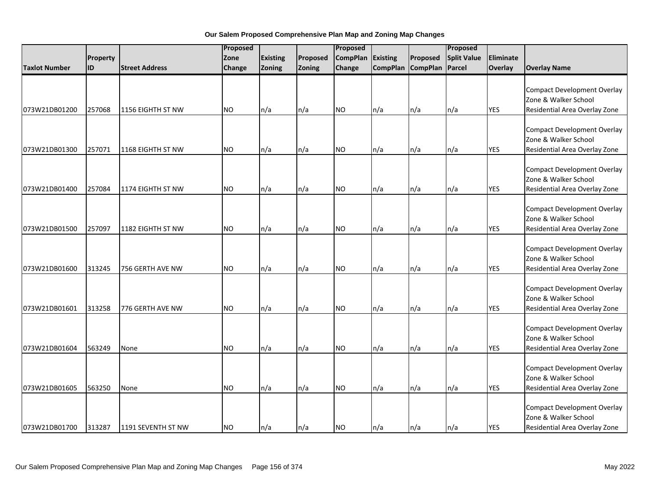|                      |           |                       | Proposed      |                 |          |                 | Proposed |                   |                    |            |                                                                                             |
|----------------------|-----------|-----------------------|---------------|-----------------|----------|-----------------|----------|-------------------|--------------------|------------|---------------------------------------------------------------------------------------------|
|                      | Property  |                       | Zone          | <b>Existing</b> | Proposed | <b>CompPlan</b> | Existing | Proposed          | <b>Split Value</b> | Eliminate  |                                                                                             |
| <b>Taxlot Number</b> | <b>ID</b> | <b>Street Address</b> | <b>Change</b> | Zoning          | Zoning   | Change          |          | CompPlan CompPlan | Parcel             | Overlay    | <b>Overlay Name</b>                                                                         |
| 073W21DB01200        | 257068    | 1156 EIGHTH ST NW     | <b>NO</b>     | n/a             | n/a      | <b>NO</b>       | n/a      | n/a               | n/a                | <b>YES</b> | <b>Compact Development Overlay</b><br>Zone & Walker School<br>Residential Area Overlay Zone |
| 073W21DB01300        | 257071    | 1168 EIGHTH ST NW     | <b>NO</b>     | n/a             | n/a      | NO.             | n/a      | n/a               | n/a                | <b>YES</b> | <b>Compact Development Overlay</b><br>Zone & Walker School<br>Residential Area Overlay Zone |
| 073W21DB01400        | 257084    | 1174 EIGHTH ST NW     | <b>NO</b>     | n/a             | n/a      | <b>NO</b>       | n/a      | n/a               | n/a                | <b>YES</b> | <b>Compact Development Overlay</b><br>Zone & Walker School<br>Residential Area Overlay Zone |
| 073W21DB01500        | 257097    | 1182 EIGHTH ST NW     | <b>NO</b>     | n/a             | n/a      | <b>NO</b>       | n/a      | n/a               | n/a                | <b>YES</b> | <b>Compact Development Overlay</b><br>Zone & Walker School<br>Residential Area Overlay Zone |
| 073W21DB01600        | 313245    | 756 GERTH AVE NW      | <b>NO</b>     | n/a             | n/a      | <b>NO</b>       | n/a      | n/a               | n/a                | <b>YES</b> | <b>Compact Development Overlay</b><br>Zone & Walker School<br>Residential Area Overlay Zone |
| 073W21DB01601        | 313258    | 776 GERTH AVE NW      | <b>NO</b>     | n/a             | n/a      | <b>NO</b>       | n/a      | n/a               | n/a                | <b>YES</b> | <b>Compact Development Overlay</b><br>Zone & Walker School<br>Residential Area Overlay Zone |
| 073W21DB01604        | 563249    | None                  | <b>NO</b>     | n/a             | n/a      | <b>NO</b>       | n/a      | n/a               | n/a                | <b>YES</b> | <b>Compact Development Overlay</b><br>Zone & Walker School<br>Residential Area Overlay Zone |
| 073W21DB01605        | 563250    | None                  | NO.           | n/a             | n/a      | <b>NO</b>       | n/a      | n/a               | n/a                | <b>YES</b> | <b>Compact Development Overlay</b><br>Zone & Walker School<br>Residential Area Overlay Zone |
| 073W21DB01700        | 313287    | 1191 SEVENTH ST NW    | <b>NO</b>     | n/a             | n/a      | <b>NO</b>       | n/a      | n/a               | n/a                | <b>YES</b> | <b>Compact Development Overlay</b><br>Zone & Walker School<br>Residential Area Overlay Zone |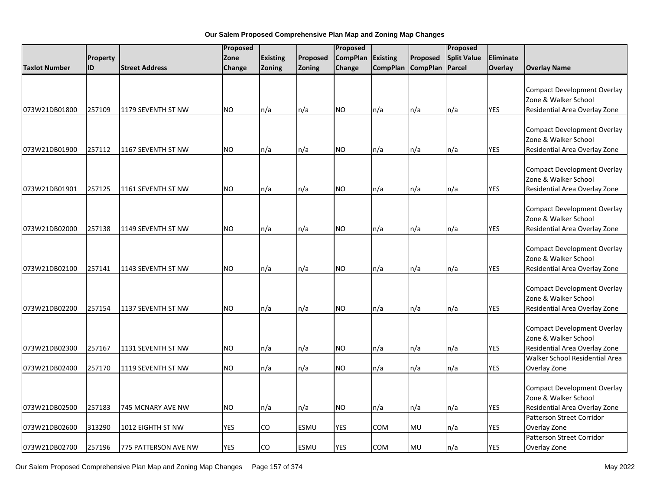|                      |                 |                       | Proposed   |                 |             | Proposed        |                 |                   | Proposed           |            |                                                                                             |
|----------------------|-----------------|-----------------------|------------|-----------------|-------------|-----------------|-----------------|-------------------|--------------------|------------|---------------------------------------------------------------------------------------------|
|                      | <b>Property</b> |                       | Zone       | <b>Existing</b> | Proposed    | <b>CompPlan</b> | <b>Existing</b> | Proposed          | <b>Split Value</b> | Eliminate  |                                                                                             |
| <b>Taxlot Number</b> | ID              | <b>Street Address</b> | Change     | <b>Zoning</b>   | Zoning      | Change          |                 | CompPlan CompPlan | Parcel             | Overlay    | <b>Overlay Name</b>                                                                         |
| 073W21DB01800        | 257109          | 1179 SEVENTH ST NW    | <b>NO</b>  | n/a             | n/a         | <b>NO</b>       | n/a             | n/a               | n/a                | <b>YES</b> | <b>Compact Development Overlay</b><br>Zone & Walker School<br>Residential Area Overlay Zone |
| 073W21DB01900        | 257112          | 1167 SEVENTH ST NW    | <b>NO</b>  | n/a             | n/a         | <b>NO</b>       | n/a             | n/a               | n/a                | <b>YES</b> | <b>Compact Development Overlay</b><br>Zone & Walker School<br>Residential Area Overlay Zone |
| 073W21DB01901        | 257125          | 1161 SEVENTH ST NW    | <b>NO</b>  | n/a             | n/a         | <b>NO</b>       | n/a             | n/a               | n/a                | <b>YES</b> | <b>Compact Development Overlay</b><br>Zone & Walker School<br>Residential Area Overlay Zone |
| 073W21DB02000        | 257138          | 1149 SEVENTH ST NW    | <b>NO</b>  | n/a             | n/a         | <b>NO</b>       | n/a             | n/a               | n/a                | <b>YES</b> | <b>Compact Development Overlay</b><br>Zone & Walker School<br>Residential Area Overlay Zone |
| 073W21DB02100        | 257141          | 1143 SEVENTH ST NW    | <b>NO</b>  | n/a             | n/a         | <b>NO</b>       | n/a             | n/a               | n/a                | <b>YES</b> | <b>Compact Development Overlay</b><br>Zone & Walker School<br>Residential Area Overlay Zone |
| 073W21DB02200        | 257154          | 1137 SEVENTH ST NW    | <b>NO</b>  | n/a             | n/a         | <b>NO</b>       | n/a             | n/a               | n/a                | <b>YES</b> | <b>Compact Development Overlay</b><br>Zone & Walker School<br>Residential Area Overlay Zone |
| 073W21DB02300        | 257167          | 1131 SEVENTH ST NW    | <b>NO</b>  | n/a             | n/a         | <b>NO</b>       | n/a             | n/a               | n/a                | YES        | <b>Compact Development Overlay</b><br>Zone & Walker School<br>Residential Area Overlay Zone |
| 073W21DB02400        | 257170          | 1119 SEVENTH ST NW    | NO.        | n/a             | n/a         | <b>NO</b>       | n/a             | n/a               | n/a                | <b>YES</b> | Walker School Residential Area<br>Overlay Zone                                              |
| 073W21DB02500        | 257183          | 745 MCNARY AVE NW     | <b>NO</b>  | n/a             | n/a         | <b>NO</b>       | n/a             | n/a               | n/a                | <b>YES</b> | <b>Compact Development Overlay</b><br>Zone & Walker School<br>Residential Area Overlay Zone |
| 073W21DB02600        | 313290          | 1012 EIGHTH ST NW     | <b>YES</b> | CO              | <b>ESMU</b> | <b>YES</b>      | COM             | MU                | n/a                | <b>YES</b> | <b>Patterson Street Corridor</b><br>Overlay Zone                                            |
| 073W21DB02700        | 257196          | 775 PATTERSON AVE NW  | <b>YES</b> | CO              | <b>ESMU</b> | <b>YES</b>      | COM             | MU                | n/a                | YES        | Patterson Street Corridor<br>Overlay Zone                                                   |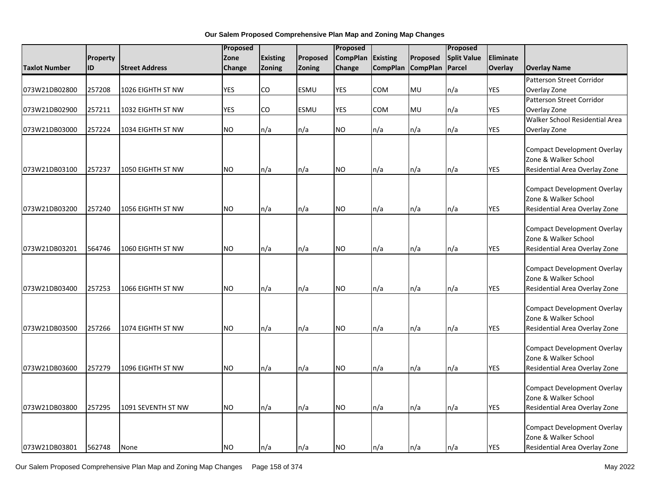|                      |          |                       | Proposed   |                 |             | Proposed        |                 |                 | Proposed           |            |                                                                                             |
|----------------------|----------|-----------------------|------------|-----------------|-------------|-----------------|-----------------|-----------------|--------------------|------------|---------------------------------------------------------------------------------------------|
|                      | Property |                       | Zone       | <b>Existing</b> | Proposed    | <b>CompPlan</b> | <b>Existing</b> | Proposed        | <b>Split Value</b> | Eliminate  |                                                                                             |
| <b>Taxlot Number</b> | ID       | <b>Street Address</b> | Change     | Zoning          | Zoning      | Change          | <b>CompPlan</b> | <b>CompPlan</b> | <b>Parcel</b>      | Overlay    | <b>Overlay Name</b>                                                                         |
|                      |          |                       |            |                 |             |                 |                 |                 |                    |            | <b>Patterson Street Corridor</b>                                                            |
| 073W21DB02800        | 257208   | 1026 EIGHTH ST NW     | <b>YES</b> | CO              | <b>ESMU</b> | YES             | COM             | MU              | n/a                | <b>YES</b> | Overlay Zone                                                                                |
|                      |          |                       |            |                 |             |                 |                 |                 |                    |            | Patterson Street Corridor                                                                   |
| 073W21DB02900        | 257211   | 1032 EIGHTH ST NW     | <b>YES</b> | CO              | ESMU        | YES             | COM             | <b>MU</b>       | n/a                | <b>YES</b> | Overlay Zone                                                                                |
|                      |          |                       |            |                 |             |                 |                 |                 |                    |            | Walker School Residential Area                                                              |
| 073W21DB03000        | 257224   | 1034 EIGHTH ST NW     | <b>NO</b>  | n/a             | n/a         | <b>NO</b>       | n/a             | n/a             | n/a                | <b>YES</b> | Overlay Zone                                                                                |
|                      |          |                       |            |                 |             |                 |                 |                 |                    |            | <b>Compact Development Overlay</b>                                                          |
|                      |          |                       |            |                 |             |                 |                 |                 |                    |            | Zone & Walker School                                                                        |
| 073W21DB03100        | 257237   | 1050 EIGHTH ST NW     | <b>NO</b>  | n/a             | n/a         | <b>NO</b>       | n/a             | n/a             | n/a                | <b>YES</b> | Residential Area Overlay Zone                                                               |
|                      |          |                       |            |                 |             |                 |                 |                 |                    |            | <b>Compact Development Overlay</b><br>Zone & Walker School                                  |
| 073W21DB03200        | 257240   | 1056 EIGHTH ST NW     | <b>NO</b>  | n/a             | n/a         | <b>NO</b>       | n/a             | n/a             | n/a                | <b>YES</b> | Residential Area Overlay Zone                                                               |
| 073W21DB03201        | 564746   | 1060 EIGHTH ST NW     | <b>NO</b>  | n/a             | n/a         | <b>NO</b>       | n/a             | n/a             | n/a                | <b>YES</b> | <b>Compact Development Overlay</b><br>Zone & Walker School<br>Residential Area Overlay Zone |
|                      |          |                       |            |                 |             |                 |                 |                 |                    |            |                                                                                             |
| 073W21DB03400        | 257253   | 1066 EIGHTH ST NW     | <b>NO</b>  | n/a             | n/a         | <b>NO</b>       | n/a             | n/a             | n/a                | <b>YES</b> | <b>Compact Development Overlay</b><br>Zone & Walker School<br>Residential Area Overlay Zone |
|                      |          |                       |            |                 |             |                 |                 |                 |                    |            |                                                                                             |
| 073W21DB03500        | 257266   | 1074 EIGHTH ST NW     | <b>NO</b>  | n/a             | n/a         | <b>NO</b>       | n/a             | n/a             | n/a                | <b>YES</b> | <b>Compact Development Overlay</b><br>Zone & Walker School<br>Residential Area Overlay Zone |
|                      |          |                       |            |                 |             |                 |                 |                 |                    |            | <b>Compact Development Overlay</b><br>Zone & Walker School                                  |
| 073W21DB03600        | 257279   | 1096 EIGHTH ST NW     | <b>NO</b>  | n/a             | n/a         | <b>NO</b>       | n/a             | n/a             | n/a                | <b>YES</b> | Residential Area Overlay Zone                                                               |
| 073W21DB03800        | 257295   | 1091 SEVENTH ST NW    | <b>NO</b>  | n/a             | n/a         | <b>NO</b>       | n/a             | n/a             | n/a                | <b>YES</b> | <b>Compact Development Overlay</b><br>Zone & Walker School<br>Residential Area Overlay Zone |
| 073W21DB03801        | 562748   | None                  | <b>NO</b>  | n/a             | n/a         | <b>NO</b>       | n/a             | n/a             | n/a                | <b>YES</b> | <b>Compact Development Overlay</b><br>Zone & Walker School<br>Residential Area Overlay Zone |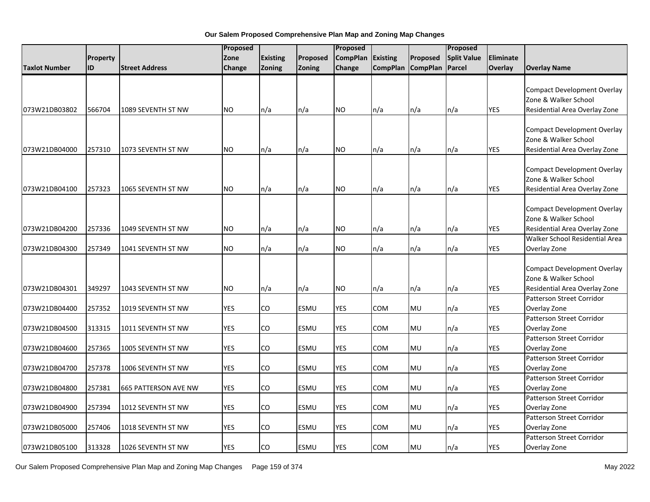|                      |                 |                       | Proposed   |                          |             | Proposed        |                 |                   | Proposed           |                |                                                                                                                        |
|----------------------|-----------------|-----------------------|------------|--------------------------|-------------|-----------------|-----------------|-------------------|--------------------|----------------|------------------------------------------------------------------------------------------------------------------------|
|                      | <b>Property</b> |                       | Zone       | <b>Existing</b>          | Proposed    | <b>CompPlan</b> | <b>Existing</b> | Proposed          | <b>Split Value</b> | Eliminate      |                                                                                                                        |
| <b>Taxlot Number</b> | ID              | <b>Street Address</b> | Change     | <b>Zoning</b>            | Zoning      | Change          |                 | CompPlan CompPlan | Parcel             | <b>Overlay</b> | <b>Overlay Name</b>                                                                                                    |
| 073W21DB03802        | 566704          | 1089 SEVENTH ST NW    | NO.        | $\mathsf{In}/\mathsf{a}$ | n/a         | NO.             | n/a             | n/a               | n/a                | <b>YES</b>     | Compact Development Overlay<br>Zone & Walker School<br>Residential Area Overlay Zone                                   |
| 073W21DB04000        | 257310          | 1073 SEVENTH ST NW    | NO.        | n/a                      | n/a         | NO              | n/a             | n/a               | n/a                | <b>YES</b>     | Compact Development Overlay<br>Zone & Walker School<br>Residential Area Overlay Zone                                   |
| 073W21DB04100        | 257323          | 1065 SEVENTH ST NW    | NO.        | n/a                      | n/a         | NO.             | n/a             | n/a               | n/a                | <b>YES</b>     | Compact Development Overlay<br>Zone & Walker School<br>Residential Area Overlay Zone                                   |
| 073W21DB04200        | 257336          | 1049 SEVENTH ST NW    | NO.        | n/a                      | n/a         | NO.             | n/a             | n/a               | n/a                | <b>YES</b>     | Compact Development Overlay<br>Zone & Walker School<br>Residential Area Overlay Zone<br>Walker School Residential Area |
| 073W21DB04300        | 257349          | 1041 SEVENTH ST NW    | <b>NO</b>  | n/a                      | n/a         | NO.             | n/a             | n/a               | n/a                | <b>YES</b>     | Overlay Zone                                                                                                           |
| 073W21DB04301        | 349297          | 1043 SEVENTH ST NW    | <b>NO</b>  | n/a                      | n/a         | <b>NO</b>       | n/a             | n/a               | n/a                | <b>YES</b>     | Compact Development Overlay<br>Zone & Walker School<br>Residential Area Overlay Zone                                   |
| 073W21DB04400        | 257352          | 1019 SEVENTH ST NW    | <b>YES</b> | CO                       | <b>ESMU</b> | <b>YES</b>      | COM             | MU                | n/a                | <b>YES</b>     | Patterson Street Corridor<br>Overlay Zone                                                                              |
| 073W21DB04500        | 313315          | 1011 SEVENTH ST NW    | <b>YES</b> | CO                       | <b>ESMU</b> | <b>YES</b>      | COM             | MU                | n/a                | <b>YES</b>     | Patterson Street Corridor<br>Overlay Zone                                                                              |
| 073W21DB04600        | 257365          | 1005 SEVENTH ST NW    | <b>YES</b> | CO                       | <b>ESMU</b> | <b>YES</b>      | COM             | MU                | n/a                | YES            | Patterson Street Corridor<br>Overlay Zone                                                                              |
| 073W21DB04700        | 257378          | 1006 SEVENTH ST NW    | <b>YES</b> | <b>CO</b>                | <b>ESMU</b> | <b>YES</b>      | COM             | <b>MU</b>         | n/a                | YES            | Patterson Street Corridor<br>Overlay Zone                                                                              |
| 073W21DB04800        | 257381          | 665 PATTERSON AVE NW  | <b>YES</b> | CO                       | <b>ESMU</b> | <b>YES</b>      | COM             | <b>MU</b>         | n/a                | YES            | Patterson Street Corridor<br>Overlay Zone                                                                              |
| 073W21DB04900        | 257394          | 1012 SEVENTH ST NW    | <b>YES</b> | CO                       | <b>ESMU</b> | YES             | COM             | MU                | n/a                | <b>YES</b>     | Patterson Street Corridor<br>Overlay Zone                                                                              |
| 073W21DB05000        | 257406          | 1018 SEVENTH ST NW    | <b>YES</b> | CO                       | <b>ESMU</b> | YES             | COM             | MU                | n/a                | <b>YES</b>     | Patterson Street Corridor<br>Overlay Zone                                                                              |
| 073W21DB05100        | 313328          | 1026 SEVENTH ST NW    | <b>YES</b> | lCO                      | <b>ESMU</b> | <b>YES</b>      | COM             | MU                | n/a                | <b>YES</b>     | Patterson Street Corridor<br>Overlay Zone                                                                              |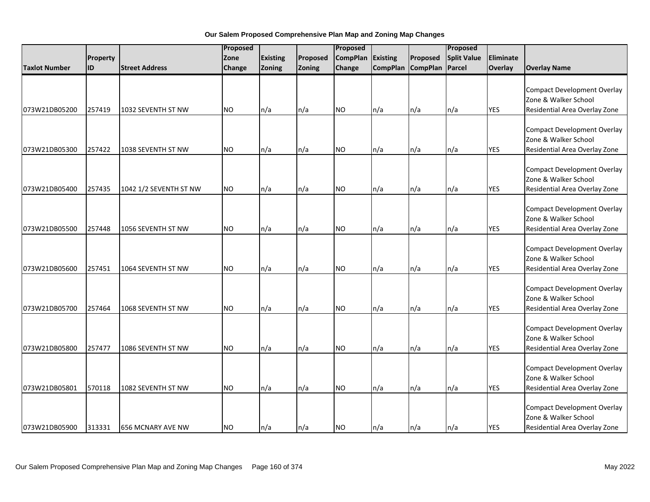|                      |           |                          |           | Proposed        |          | Proposed        |                 |                 | Proposed           |            |                                                                                             |
|----------------------|-----------|--------------------------|-----------|-----------------|----------|-----------------|-----------------|-----------------|--------------------|------------|---------------------------------------------------------------------------------------------|
|                      | Property  |                          | Zone      | <b>Existing</b> | Proposed | <b>CompPlan</b> | Existing        | Proposed        | <b>Split Value</b> | Eliminate  |                                                                                             |
| <b>Taxlot Number</b> | <b>ID</b> | <b>Street Address</b>    | Change    | Zoning          | Zoning   | Change          | <b>CompPlan</b> | <b>CompPlan</b> | Parcel             | Overlay    | <b>Overlay Name</b>                                                                         |
| 073W21DB05200        | 257419    | 1032 SEVENTH ST NW       | <b>NO</b> | n/a             | n/a      | <b>NO</b>       | n/a             | n/a             | n/a                | <b>YES</b> | <b>Compact Development Overlay</b><br>Zone & Walker School<br>Residential Area Overlay Zone |
|                      |           |                          |           |                 |          |                 |                 |                 |                    |            |                                                                                             |
| 073W21DB05300        | 257422    | 1038 SEVENTH ST NW       | <b>NO</b> | n/a             | n/a      | <b>NO</b>       | n/a             | n/a             | n/a                | <b>YES</b> | <b>Compact Development Overlay</b><br>Zone & Walker School<br>Residential Area Overlay Zone |
| 073W21DB05400        | 257435    | 1042 1/2 SEVENTH ST NW   | <b>NO</b> | n/a             | n/a      | <b>NO</b>       | n/a             | n/a             | n/a                | <b>YES</b> | <b>Compact Development Overlay</b><br>Zone & Walker School<br>Residential Area Overlay Zone |
| 073W21DB05500        | 257448    | 1056 SEVENTH ST NW       | <b>NO</b> | n/a             | n/a      | <b>NO</b>       | n/a             | n/a             | n/a                | <b>YES</b> | <b>Compact Development Overlay</b><br>Zone & Walker School<br>Residential Area Overlay Zone |
| 073W21DB05600        | 257451    | 1064 SEVENTH ST NW       | <b>NO</b> | n/a             | n/a      | <b>NO</b>       | n/a             | n/a             | n/a                | <b>YES</b> | <b>Compact Development Overlay</b><br>Zone & Walker School<br>Residential Area Overlay Zone |
| 073W21DB05700        | 257464    | 1068 SEVENTH ST NW       | <b>NO</b> | n/a             | n/a      | <b>NO</b>       | n/a             | n/a             | n/a                | <b>YES</b> | <b>Compact Development Overlay</b><br>Zone & Walker School<br>Residential Area Overlay Zone |
| 073W21DB05800        | 257477    | 1086 SEVENTH ST NW       | <b>NO</b> | n/a             | n/a      | <b>NO</b>       | n/a             | n/a             | n/a                | <b>YES</b> | <b>Compact Development Overlay</b><br>Zone & Walker School<br>Residential Area Overlay Zone |
| 073W21DB05801        | 570118    | 1082 SEVENTH ST NW       | NO.       | n/a             | n/a      | <b>NO</b>       | n/a             | n/a             | n/a                | <b>YES</b> | <b>Compact Development Overlay</b><br>Zone & Walker School<br>Residential Area Overlay Zone |
| 073W21DB05900        | 313331    | <b>656 MCNARY AVE NW</b> | <b>NO</b> | n/a             | n/a      | <b>NO</b>       | n/a             | n/a             | n/a                | <b>YES</b> | <b>Compact Development Overlay</b><br>Zone & Walker School<br>Residential Area Overlay Zone |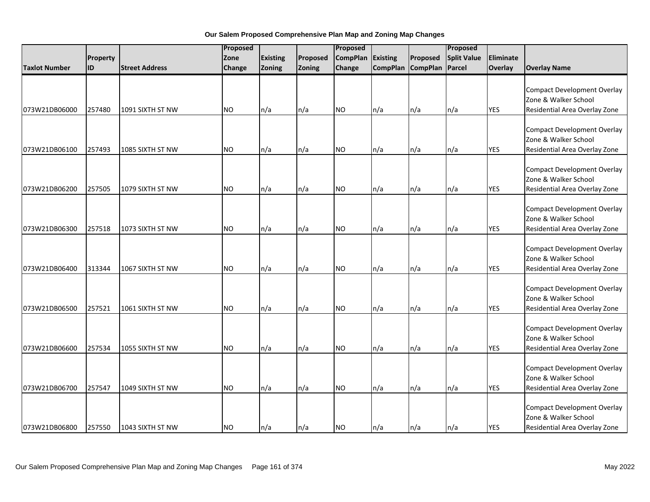|                      |           |                       | Proposed  |                 | Proposed |                 |                 | Proposed        |                    |            |                                                                                             |
|----------------------|-----------|-----------------------|-----------|-----------------|----------|-----------------|-----------------|-----------------|--------------------|------------|---------------------------------------------------------------------------------------------|
|                      | Property  |                       | Zone      | <b>Existing</b> | Proposed | <b>CompPlan</b> | Existing        | Proposed        | <b>Split Value</b> | Eliminate  |                                                                                             |
| <b>Taxlot Number</b> | <b>ID</b> | <b>Street Address</b> | Change    | Zoning          | Zoning   | Change          | <b>CompPlan</b> | <b>CompPlan</b> | Parcel             | Overlay    | <b>Overlay Name</b>                                                                         |
| 073W21DB06000        | 257480    | 1091 SIXTH ST NW      | <b>NO</b> | n/a             | n/a      | <b>NO</b>       | n/a             | n/a             | n/a                | <b>YES</b> | <b>Compact Development Overlay</b><br>Zone & Walker School<br>Residential Area Overlay Zone |
|                      |           |                       |           |                 |          |                 |                 |                 |                    |            |                                                                                             |
| 073W21DB06100        | 257493    | 1085 SIXTH ST NW      | <b>NO</b> | n/a             | n/a      | <b>NO</b>       | n/a             | n/a             | n/a                | <b>YES</b> | <b>Compact Development Overlay</b><br>Zone & Walker School<br>Residential Area Overlay Zone |
| 073W21DB06200        | 257505    | 1079 SIXTH ST NW      | <b>NO</b> | n/a             | n/a      | <b>NO</b>       | n/a             | n/a             | n/a                | <b>YES</b> | <b>Compact Development Overlay</b><br>Zone & Walker School<br>Residential Area Overlay Zone |
| 073W21DB06300        | 257518    | 1073 SIXTH ST NW      | <b>NO</b> | n/a             | n/a      | <b>NO</b>       | n/a             | n/a             | n/a                | <b>YES</b> | <b>Compact Development Overlay</b><br>Zone & Walker School<br>Residential Area Overlay Zone |
| 073W21DB06400        | 313344    | 1067 SIXTH ST NW      | <b>NO</b> | n/a             | n/a      | <b>NO</b>       | n/a             | n/a             | n/a                | <b>YES</b> | <b>Compact Development Overlay</b><br>Zone & Walker School<br>Residential Area Overlay Zone |
| 073W21DB06500        | 257521    | 1061 SIXTH ST NW      | <b>NO</b> | n/a             | n/a      | <b>NO</b>       | n/a             | n/a             | n/a                | <b>YES</b> | <b>Compact Development Overlay</b><br>Zone & Walker School<br>Residential Area Overlay Zone |
| 073W21DB06600        | 257534    | 1055 SIXTH ST NW      | <b>NO</b> | n/a             | n/a      | <b>NO</b>       | n/a             | n/a             | n/a                | <b>YES</b> | <b>Compact Development Overlay</b><br>Zone & Walker School<br>Residential Area Overlay Zone |
| 073W21DB06700        | 257547    | 1049 SIXTH ST NW      | NO.       | n/a             | n/a      | <b>NO</b>       | n/a             | n/a             | n/a                | <b>YES</b> | <b>Compact Development Overlay</b><br>Zone & Walker School<br>Residential Area Overlay Zone |
| 073W21DB06800        | 257550    | 1043 SIXTH ST NW      | <b>NO</b> | n/a             | n/a      | <b>NO</b>       | n/a             | n/a             | n/a                | <b>YES</b> | <b>Compact Development Overlay</b><br>Zone & Walker School<br>Residential Area Overlay Zone |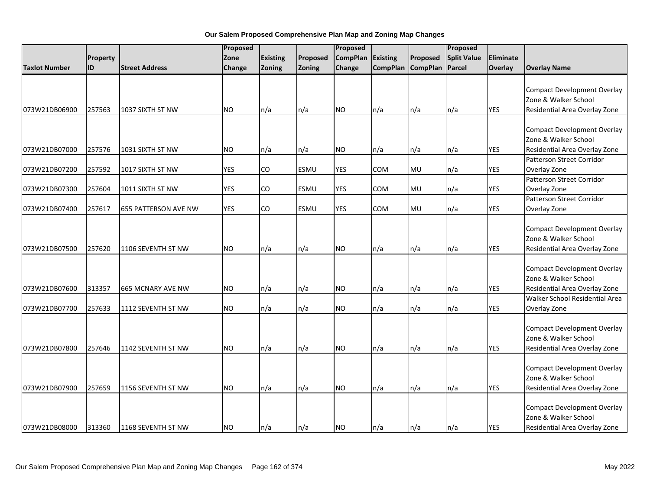|                      |          |                          | Proposed   |                 |             | Proposed        |            |                   | Proposed           |            |                                                                                             |
|----------------------|----------|--------------------------|------------|-----------------|-------------|-----------------|------------|-------------------|--------------------|------------|---------------------------------------------------------------------------------------------|
|                      | Property |                          | Zone       | <b>Existing</b> | Proposed    | <b>CompPlan</b> | Existing   | Proposed          | <b>Split Value</b> | Eliminate  |                                                                                             |
| <b>Taxlot Number</b> | ID       | <b>Street Address</b>    | Change     | Zoning          | Zoning      | Change          |            | CompPlan CompPlan | Parcel             | Overlay    | <b>Overlay Name</b>                                                                         |
|                      |          |                          | <b>NO</b>  |                 |             |                 |            |                   |                    | <b>YES</b> | <b>Compact Development Overlay</b><br>Zone & Walker School                                  |
| 073W21DB06900        | 257563   | 1037 SIXTH ST NW         |            | n/a             | n/a         | <b>NO</b>       | n/a        | n/a               | n/a                |            | Residential Area Overlay Zone                                                               |
| 073W21DB07000        | 257576   | 1031 SIXTH ST NW         | <b>NO</b>  | n/a             | n/a         | <b>NO</b>       | n/a        | n/a               | n/a                | <b>YES</b> | <b>Compact Development Overlay</b><br>Zone & Walker School<br>Residential Area Overlay Zone |
| 073W21DB07200        | 257592   | 1017 SIXTH ST NW         | <b>YES</b> | CO              | <b>ESMU</b> | <b>YES</b>      | <b>COM</b> | MU                | n/a                | <b>YES</b> | <b>Patterson Street Corridor</b><br>Overlay Zone                                            |
| 073W21DB07300        | 257604   | 1011 SIXTH ST NW         | <b>YES</b> | CO              | <b>ESMU</b> | <b>YES</b>      | COM        | MU                | n/a                | <b>YES</b> | Patterson Street Corridor<br>Overlay Zone                                                   |
| 073W21DB07400        | 257617   | 655 PATTERSON AVE NW     | <b>YES</b> | CO              | <b>ESMU</b> | <b>YES</b>      | <b>COM</b> | MU                | n/a                | <b>YES</b> | Patterson Street Corridor<br>Overlay Zone                                                   |
| 073W21DB07500        | 257620   | 1106 SEVENTH ST NW       | <b>NO</b>  | n/a             | n/a         | <b>NO</b>       | n/a        | n/a               | n/a                | <b>YES</b> | <b>Compact Development Overlay</b><br>Zone & Walker School<br>Residential Area Overlay Zone |
| 073W21DB07600        | 313357   | <b>665 MCNARY AVE NW</b> | <b>NO</b>  | n/a             | n/a         | <b>NO</b>       | n/a        | n/a               | n/a                | <b>YES</b> | <b>Compact Development Overlay</b><br>Zone & Walker School<br>Residential Area Overlay Zone |
|                      |          |                          |            |                 |             |                 |            |                   |                    |            | Walker School Residential Area                                                              |
| 073W21DB07700        | 257633   | 1112 SEVENTH ST NW       | <b>NO</b>  | n/a             | n/a         | <b>NO</b>       | n/a        | n/a               | n/a                | <b>YES</b> | Overlay Zone                                                                                |
| 073W21DB07800        | 257646   | 1142 SEVENTH ST NW       | <b>NO</b>  | n/a             | n/a         | <b>NO</b>       | n/a        | n/a               | n/a                | <b>YES</b> | <b>Compact Development Overlay</b><br>Zone & Walker School<br>Residential Area Overlay Zone |
| 073W21DB07900        | 257659   | 1156 SEVENTH ST NW       | NO.        | n/a             | n/a         | <b>NO</b>       | n/a        | n/a               | n/a                | <b>YES</b> | <b>Compact Development Overlay</b><br>Zone & Walker School<br>Residential Area Overlay Zone |
| 073W21DB08000        | 313360   | 1168 SEVENTH ST NW       | <b>NO</b>  | n/a             | n/a         | <b>NO</b>       | n/a        | n/a               | n/a                | <b>YES</b> | <b>Compact Development Overlay</b><br>Zone & Walker School<br>Residential Area Overlay Zone |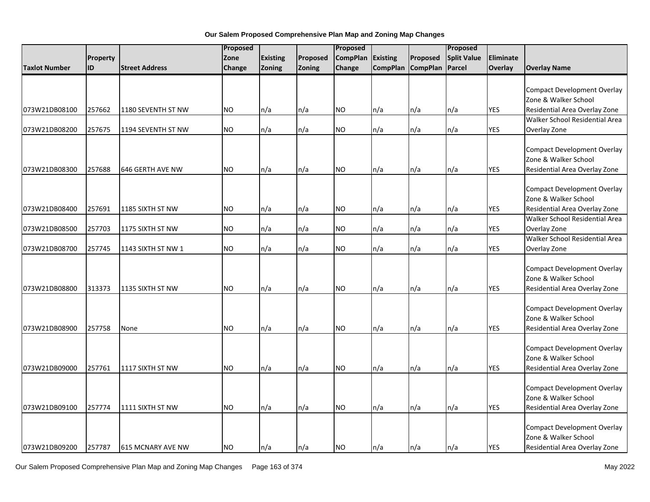|                         |                          | Proposed<br>Proposed |                 |          |                 |                 |                   |                    |            |                                    |
|-------------------------|--------------------------|----------------------|-----------------|----------|-----------------|-----------------|-------------------|--------------------|------------|------------------------------------|
| Property                |                          | Zone                 | <b>Existing</b> | Proposed | <b>CompPlan</b> | <b>Existing</b> | Proposed          | <b>Split Value</b> | Eliminate  |                                    |
| ID<br>Taxlot Number     | <b>Street Address</b>    | Change               | <b>Zoning</b>   | Zoning   | Change          |                 | CompPlan CompPlan | Parcel             | Overlay    | <b>Overlay Name</b>                |
|                         |                          |                      |                 |          |                 |                 |                   |                    |            |                                    |
|                         |                          |                      |                 |          |                 |                 |                   |                    |            | <b>Compact Development Overlay</b> |
|                         |                          |                      |                 |          |                 |                 |                   |                    |            | Zone & Walker School               |
| 257662<br>073W21DB08100 | 1180 SEVENTH ST NW       | <b>NO</b>            | n/a             | n/a      | <b>NO</b>       | n/a             | n/a               | n/a                | <b>YES</b> | Residential Area Overlay Zone      |
|                         |                          |                      |                 |          |                 |                 |                   |                    |            | Walker School Residential Area     |
| 257675<br>073W21DB08200 | 1194 SEVENTH ST NW       | <b>NO</b>            | n/a             | n/a      | <b>NO</b>       | n/a             | n/a               | n/a                | <b>YES</b> | Overlay Zone                       |
|                         |                          |                      |                 |          |                 |                 |                   |                    |            |                                    |
|                         |                          |                      |                 |          |                 |                 |                   |                    |            | <b>Compact Development Overlay</b> |
|                         |                          |                      |                 |          |                 |                 |                   |                    |            | Zone & Walker School               |
| 257688<br>073W21DB08300 | 646 GERTH AVE NW         | <b>NO</b>            | n/a             | n/a      | <b>NO</b>       | n/a             | n/a               | n/a                | <b>YES</b> | Residential Area Overlay Zone      |
|                         |                          |                      |                 |          |                 |                 |                   |                    |            |                                    |
|                         |                          |                      |                 |          |                 |                 |                   |                    |            | <b>Compact Development Overlay</b> |
|                         |                          |                      |                 |          |                 |                 |                   |                    |            | Zone & Walker School               |
| 073W21DB08400<br>257691 | 1185 SIXTH ST NW         | NO.                  | n/a             | n/a      | NO.             | n/a             | n/a               | n/a                | <b>YES</b> | Residential Area Overlay Zone      |
|                         |                          |                      |                 |          |                 |                 |                   |                    |            | Walker School Residential Area     |
| 257703<br>073W21DB08500 | 1175 SIXTH ST NW         | <b>NO</b>            | n/a             | n/a      | <b>NO</b>       | n/a             | n/a               | n/a                | <b>YES</b> | Overlay Zone                       |
|                         |                          |                      |                 |          |                 |                 |                   |                    |            | Walker School Residential Area     |
| 257745<br>073W21DB08700 | 1143 SIXTH ST NW 1       | <b>NO</b>            | n/a             | n/a      | <b>NO</b>       | n/a             | n/a               | n/a                | <b>YES</b> | Overlay Zone                       |
|                         |                          |                      |                 |          |                 |                 |                   |                    |            |                                    |
|                         |                          |                      |                 |          |                 |                 |                   |                    |            | <b>Compact Development Overlay</b> |
|                         |                          |                      |                 |          |                 |                 |                   |                    |            | Zone & Walker School               |
| 073W21DB08800<br>313373 | 1135 SIXTH ST NW         | <b>NO</b>            | n/a             | n/a      | <b>NO</b>       | n/a             | n/a               | n/a                | <b>YES</b> | Residential Area Overlay Zone      |
|                         |                          |                      |                 |          |                 |                 |                   |                    |            |                                    |
|                         |                          |                      |                 |          |                 |                 |                   |                    |            | <b>Compact Development Overlay</b> |
|                         |                          |                      |                 |          |                 |                 |                   |                    |            | Zone & Walker School               |
| 073W21DB08900<br>257758 | None                     | NO.                  | n/a             | n/a      | <b>NO</b>       | n/a             | n/a               | n/a                | <b>YES</b> | Residential Area Overlay Zone      |
|                         |                          |                      |                 |          |                 |                 |                   |                    |            | <b>Compact Development Overlay</b> |
|                         |                          |                      |                 |          |                 |                 |                   |                    |            | Zone & Walker School               |
| 257761<br>073W21DB09000 | 1117 SIXTH ST NW         | <b>NO</b>            |                 |          | <b>NO</b>       |                 |                   |                    | <b>YES</b> |                                    |
|                         |                          |                      | n/a             | n/a      |                 | n/a             | n/a               | n/a                |            | Residential Area Overlay Zone      |
|                         |                          |                      |                 |          |                 |                 |                   |                    |            | <b>Compact Development Overlay</b> |
|                         |                          |                      |                 |          |                 |                 |                   |                    |            | Zone & Walker School               |
|                         | 1111 SIXTH ST NW         |                      |                 |          |                 |                 |                   |                    |            |                                    |
| 257774<br>073W21DB09100 |                          | NO.                  | n/a             | n/a      | <b>NO</b>       | n/a             | n/a               | n/a                | <b>YES</b> | Residential Area Overlay Zone      |
|                         |                          |                      |                 |          |                 |                 |                   |                    |            | <b>Compact Development Overlay</b> |
|                         |                          |                      |                 |          |                 |                 |                   |                    |            | Zone & Walker School               |
| 073W21DB09200<br>257787 | <b>615 MCNARY AVE NW</b> | <b>NO</b>            | ln/a            | n/a      | <b>NO</b>       | n/a             | n/a               | n/a                | <b>YES</b> | Residential Area Overlay Zone      |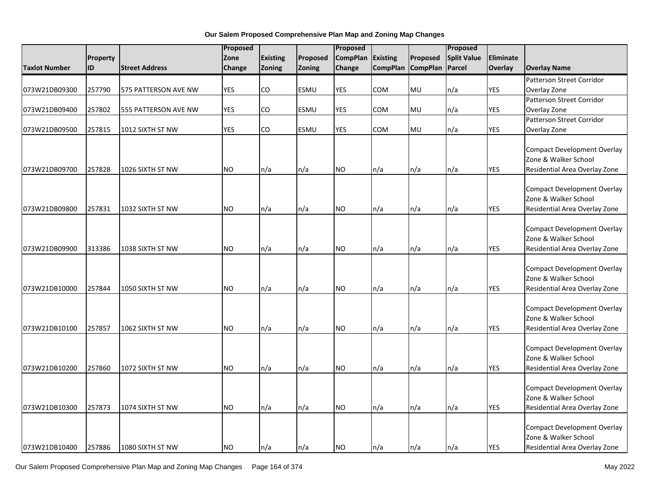|                      |          | Proposed              |            | Proposed        |             |                 | Proposed        |                 |                    |            |                                                                                             |
|----------------------|----------|-----------------------|------------|-----------------|-------------|-----------------|-----------------|-----------------|--------------------|------------|---------------------------------------------------------------------------------------------|
|                      | Property |                       | Zone       | <b>Existing</b> | Proposed    | <b>CompPlan</b> | <b>Existing</b> | Proposed        | <b>Split Value</b> | Eliminate  |                                                                                             |
| <b>Taxlot Number</b> | ID       | <b>Street Address</b> | Change     | Zoning          | Zoning      | Change          | <b>CompPlan</b> | <b>CompPlan</b> | Parcel             | Overlay    | <b>Overlay Name</b>                                                                         |
|                      |          |                       |            |                 |             |                 |                 |                 |                    |            | Patterson Street Corridor                                                                   |
| 073W21DB09300        | 257790   | 575 PATTERSON AVE NW  | <b>YES</b> | CO              | ESMU        | <b>YES</b>      | COM             | MU              | n/a                | <b>YES</b> | Overlay Zone                                                                                |
|                      |          |                       |            |                 |             |                 |                 |                 |                    |            | Patterson Street Corridor                                                                   |
| 073W21DB09400        | 257802   | 555 PATTERSON AVE NW  | <b>YES</b> | CO              | ESMU        | YES             | COM             | MU              | n/a                | YES        | Overlay Zone                                                                                |
|                      |          |                       |            |                 |             |                 |                 |                 |                    |            | <b>Patterson Street Corridor</b>                                                            |
| 073W21DB09500        | 257815   | 1012 SIXTH ST NW      | <b>YES</b> | CO              | <b>ESMU</b> | <b>YES</b>      | <b>COM</b>      | MU              | n/a                | <b>YES</b> | Overlay Zone                                                                                |
| 073W21DB09700        | 257828   | 1026 SIXTH ST NW      | <b>NO</b>  | n/a             | n/a         | <b>NO</b>       | n/a             | n/a             | n/a                | <b>YES</b> | <b>Compact Development Overlay</b><br>Zone & Walker School<br>Residential Area Overlay Zone |
| 073W21DB09800        | 257831   | 1032 SIXTH ST NW      | <b>NO</b>  | n/a             | n/a         | <b>NO</b>       | n/a             | n/a             | n/a                | <b>YES</b> | <b>Compact Development Overlay</b><br>Zone & Walker School<br>Residential Area Overlay Zone |
| 073W21DB09900        | 313386   | 1038 SIXTH ST NW      | <b>NO</b>  | n/a             | n/a         | <b>NO</b>       | n/a             | n/a             | n/a                | <b>YES</b> | Compact Development Overlay<br>Zone & Walker School<br>Residential Area Overlay Zone        |
| 073W21DB10000        | 257844   | 1050 SIXTH ST NW      | <b>NO</b>  | n/a             | n/a         | <b>NO</b>       | n/a             | n/a             | n/a                | <b>YES</b> | Compact Development Overlay<br>Zone & Walker School<br>Residential Area Overlay Zone        |
| 073W21DB10100        | 257857   | 1062 SIXTH ST NW      | <b>NO</b>  | n/a             | n/a         | <b>NO</b>       | n/a             | n/a             | n/a                | <b>YES</b> | Compact Development Overlay<br>Zone & Walker School<br>Residential Area Overlay Zone        |
| 073W21DB10200        | 257860   | 1072 SIXTH ST NW      | <b>NO</b>  | n/a             | n/a         | <b>NO</b>       | n/a             | n/a             | n/a                | <b>YES</b> | Compact Development Overlay<br>Zone & Walker School<br>Residential Area Overlay Zone        |
| 073W21DB10300        | 257873   | 1074 SIXTH ST NW      | <b>NO</b>  | n/a             | n/a         | <b>NO</b>       | n/a             | n/a             | n/a                | <b>YES</b> | Compact Development Overlay<br>Zone & Walker School<br>Residential Area Overlay Zone        |
| 073W21DB10400        | 257886   | 1080 SIXTH ST NW      | <b>NO</b>  | n/a             | n/a         | <b>NO</b>       | ln/a            | n/a             | n/a                | <b>YES</b> | Compact Development Overlay<br>Zone & Walker School<br>Residential Area Overlay Zone        |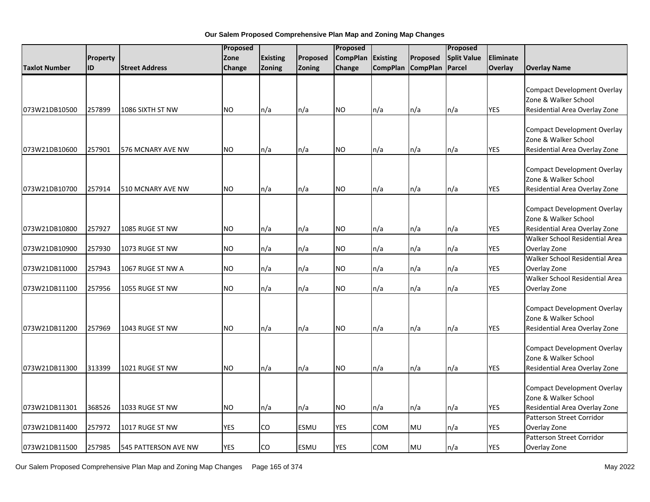|                      |                 |                       | Proposed   |                 | Proposed    |                 |                 | Proposed          |                    |            |                                                                                                                               |
|----------------------|-----------------|-----------------------|------------|-----------------|-------------|-----------------|-----------------|-------------------|--------------------|------------|-------------------------------------------------------------------------------------------------------------------------------|
|                      | <b>Property</b> |                       | Zone       | <b>Existing</b> | Proposed    | <b>CompPlan</b> | <b>Existing</b> | Proposed          | <b>Split Value</b> | Eliminate  |                                                                                                                               |
| <b>Taxlot Number</b> | ID              | <b>Street Address</b> | Change     | <b>Zoning</b>   | Zoning      | Change          |                 | CompPlan CompPlan | Parcel             | Overlay    | <b>Overlay Name</b>                                                                                                           |
| 073W21DB10500        | 257899          | 1086 SIXTH ST NW      | NO.        | n/a             | n/a         | NO.             | n/a             | n/a               | n/a                | <b>YES</b> | <b>Compact Development Overlay</b><br>Zone & Walker School<br>Residential Area Overlay Zone                                   |
| 073W21DB10600        | 257901          | 576 MCNARY AVE NW     | <b>NO</b>  | n/a             | n/a         | NO.             | n/a             | n/a               | n/a                | <b>YES</b> | <b>Compact Development Overlay</b><br>Zone & Walker School<br>Residential Area Overlay Zone                                   |
| 073W21DB10700        | 257914          | 510 MCNARY AVE NW     | <b>NO</b>  | n/a             | n/a         | <b>NO</b>       | n/a             | n/a               | n/a                | <b>YES</b> | <b>Compact Development Overlay</b><br>Zone & Walker School<br>Residential Area Overlay Zone                                   |
| 073W21DB10800        | 257927          | 1085 RUGE ST NW       | <b>NO</b>  | n/a             | n/a         | <b>NO</b>       | n/a             | n/a               | n/a                | <b>YES</b> | <b>Compact Development Overlay</b><br>Zone & Walker School<br>Residential Area Overlay Zone<br>Walker School Residential Area |
| 073W21DB10900        | 257930          | 1073 RUGE ST NW       | <b>NO</b>  | n/a             | n/a         | <b>NO</b>       | n/a             | n/a               | n/a                | <b>YES</b> | Overlay Zone                                                                                                                  |
| 073W21DB11000        | 257943          | 1067 RUGE ST NW A     | <b>NO</b>  | n/a             | n/a         | <b>NO</b>       | n/a             | n/a               | n/a                | <b>YES</b> | Walker School Residential Area<br>Overlay Zone                                                                                |
| 073W21DB11100        | 257956          | 1055 RUGE ST NW       | <b>NO</b>  | n/a             | n/a         | <b>NO</b>       | n/a             | n/a               | n/a                | <b>YES</b> | Walker School Residential Area<br>Overlay Zone                                                                                |
| 073W21DB11200        | 257969          | 1043 RUGE ST NW       | <b>NO</b>  | n/a             | n/a         | <b>NO</b>       | n/a             | n/a               | n/a                | <b>YES</b> | <b>Compact Development Overlay</b><br>Zone & Walker School<br>Residential Area Overlay Zone                                   |
| 073W21DB11300        | 313399          | 1021 RUGE ST NW       | NO.        | n/a             | n/a         | <b>NO</b>       | n/a             | n/a               | n/a                | <b>YES</b> | <b>Compact Development Overlay</b><br>Zone & Walker School<br>Residential Area Overlay Zone                                   |
| 073W21DB11301        | 368526          | 1033 RUGE ST NW       | <b>NO</b>  | n/a             | n/a         | <b>NO</b>       | n/a             | n/a               | n/a                | <b>YES</b> | <b>Compact Development Overlay</b><br>Zone & Walker School<br>Residential Area Overlay Zone                                   |
| 073W21DB11400        | 257972          | 1017 RUGE ST NW       | YES        | CO              | <b>ESMU</b> | YES             | COM             | MU                | n/a                | <b>YES</b> | <b>Patterson Street Corridor</b><br>Overlay Zone                                                                              |
| 073W21DB11500        | 257985          | 545 PATTERSON AVE NW  | <b>YES</b> | CO              | <b>ESMU</b> | <b>YES</b>      | COM             | MU                | n/a                | <b>YES</b> | Patterson Street Corridor<br>Overlay Zone                                                                                     |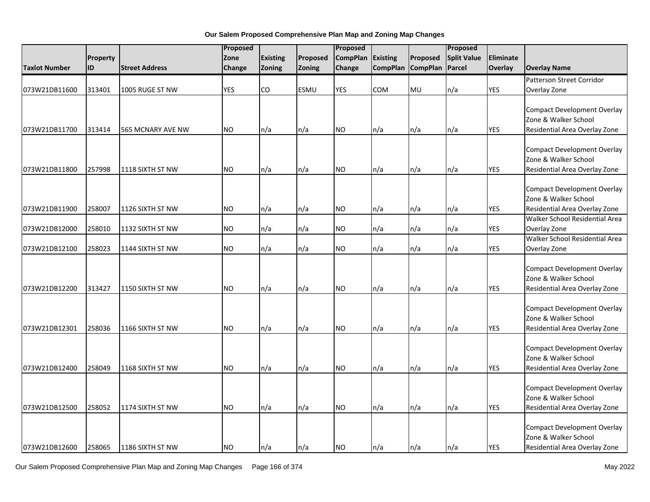| Proposed<br><b>CompPlan</b><br><b>Existing</b><br><b>Split Value</b><br>Eliminate<br>Property<br>Zone<br>Existing<br>Proposed<br><b>ID</b><br>Zoning<br>Zoning<br>CompPlan CompPlan<br>Parcel<br>Overlay<br><b>Taxlot Number</b><br><b>Street Address</b><br>Change<br><b>Overlay Name</b><br>Change<br>Patterson Street Corridor<br><b>ESMU</b><br><b>YES</b><br><b>COM</b><br>MU<br>073W21DB11600<br>313401<br>1005 RUGE ST NW<br><b>YES</b><br>CO<br>n/a<br>YES<br>Overlay Zone<br><b>Compact Development Overlay</b><br>Zone & Walker School<br><b>NO</b><br><b>YES</b><br>313414<br>n/a<br>n/a<br><b>NO</b><br>n/a<br>n/a<br>n/a<br>Residential Area Overlay Zone<br>073W21DB11700<br>565 MCNARY AVE NW<br><b>Compact Development Overlay</b><br>Zone & Walker School<br><b>YES</b><br>257998<br><b>NO</b><br>n/a<br>n/a<br>NO.<br>n/a<br>n/a<br>Residential Area Overlay Zone<br>073W21DB11800<br>1118 SIXTH ST NW<br>n/a<br><b>Compact Development Overlay</b><br>Zone & Walker School<br><b>NO</b><br><b>YES</b><br>073W21DB11900<br>258007<br>1126 SIXTH ST NW<br>n/a<br>NO.<br>Residential Area Overlay Zone<br>n/a<br>n/a<br>n/a<br>n/a<br>Walker School Residential Area<br>258010<br><b>NO</b><br>n/a<br>n/a<br>NO.<br>n/a<br>n/a<br><b>YES</b><br>073W21DB12000<br>1132 SIXTH ST NW<br>n/a<br>Overlay Zone<br>Walker School Residential Area<br>n/a<br>n/a<br><b>YES</b><br>073W21DB12100<br>258023<br>1144 SIXTH ST NW<br><b>NO</b><br>n/a<br>NO.<br>n/a<br>n/a<br>Overlay Zone<br><b>Compact Development Overlay</b><br>Zone & Walker School<br><b>NO</b><br>n/a<br>n/a<br><b>NO</b><br>n/a<br><b>YES</b><br>073W21DB12200<br>313427<br>1150 SIXTH ST NW<br>n/a<br>n/a<br>Residential Area Overlay Zone<br><b>Compact Development Overlay</b><br>Zone & Walker School<br>073W21DB12301<br>258036<br>1166 SIXTH ST NW<br><b>NO</b><br>n/a<br>n/a<br>NO.<br>n/a<br>n/a<br>n/a<br><b>YES</b><br>Residential Area Overlay Zone<br><b>Compact Development Overlay</b><br>Zone & Walker School<br>073W21DB12400<br>258049<br><b>NO</b><br><b>NO</b><br><b>YES</b><br>Residential Area Overlay Zone<br>1168 SIXTH ST NW<br>n/a<br>n/a<br>n/a<br>n/a<br>n/a<br><b>Compact Development Overlay</b><br>Zone & Walker School<br>258052<br>1174 SIXTH ST NW<br><b>NO</b><br>n/a<br><b>NO</b><br><b>YES</b><br>073W21DB12500<br>n/a<br>n/a<br>n/a<br>n/a<br>Residential Area Overlay Zone<br><b>Compact Development Overlay</b><br>Zone & Walker School |               |  | Proposed |  | Proposed |  | Proposed |            |  |
|------------------------------------------------------------------------------------------------------------------------------------------------------------------------------------------------------------------------------------------------------------------------------------------------------------------------------------------------------------------------------------------------------------------------------------------------------------------------------------------------------------------------------------------------------------------------------------------------------------------------------------------------------------------------------------------------------------------------------------------------------------------------------------------------------------------------------------------------------------------------------------------------------------------------------------------------------------------------------------------------------------------------------------------------------------------------------------------------------------------------------------------------------------------------------------------------------------------------------------------------------------------------------------------------------------------------------------------------------------------------------------------------------------------------------------------------------------------------------------------------------------------------------------------------------------------------------------------------------------------------------------------------------------------------------------------------------------------------------------------------------------------------------------------------------------------------------------------------------------------------------------------------------------------------------------------------------------------------------------------------------------------------------------------------------------------------------------------------------------------------------------------------------------------------------------------------------------------------------------------------------------------------------------------------------------------------------------------------------------------------------------------------------------------------------------------------------------|---------------|--|----------|--|----------|--|----------|------------|--|
|                                                                                                                                                                                                                                                                                                                                                                                                                                                                                                                                                                                                                                                                                                                                                                                                                                                                                                                                                                                                                                                                                                                                                                                                                                                                                                                                                                                                                                                                                                                                                                                                                                                                                                                                                                                                                                                                                                                                                                                                                                                                                                                                                                                                                                                                                                                                                                                                                                                            |               |  |          |  |          |  |          |            |  |
|                                                                                                                                                                                                                                                                                                                                                                                                                                                                                                                                                                                                                                                                                                                                                                                                                                                                                                                                                                                                                                                                                                                                                                                                                                                                                                                                                                                                                                                                                                                                                                                                                                                                                                                                                                                                                                                                                                                                                                                                                                                                                                                                                                                                                                                                                                                                                                                                                                                            |               |  |          |  |          |  |          |            |  |
|                                                                                                                                                                                                                                                                                                                                                                                                                                                                                                                                                                                                                                                                                                                                                                                                                                                                                                                                                                                                                                                                                                                                                                                                                                                                                                                                                                                                                                                                                                                                                                                                                                                                                                                                                                                                                                                                                                                                                                                                                                                                                                                                                                                                                                                                                                                                                                                                                                                            |               |  |          |  |          |  |          |            |  |
|                                                                                                                                                                                                                                                                                                                                                                                                                                                                                                                                                                                                                                                                                                                                                                                                                                                                                                                                                                                                                                                                                                                                                                                                                                                                                                                                                                                                                                                                                                                                                                                                                                                                                                                                                                                                                                                                                                                                                                                                                                                                                                                                                                                                                                                                                                                                                                                                                                                            |               |  |          |  |          |  |          |            |  |
|                                                                                                                                                                                                                                                                                                                                                                                                                                                                                                                                                                                                                                                                                                                                                                                                                                                                                                                                                                                                                                                                                                                                                                                                                                                                                                                                                                                                                                                                                                                                                                                                                                                                                                                                                                                                                                                                                                                                                                                                                                                                                                                                                                                                                                                                                                                                                                                                                                                            |               |  |          |  |          |  |          |            |  |
|                                                                                                                                                                                                                                                                                                                                                                                                                                                                                                                                                                                                                                                                                                                                                                                                                                                                                                                                                                                                                                                                                                                                                                                                                                                                                                                                                                                                                                                                                                                                                                                                                                                                                                                                                                                                                                                                                                                                                                                                                                                                                                                                                                                                                                                                                                                                                                                                                                                            |               |  |          |  |          |  |          |            |  |
|                                                                                                                                                                                                                                                                                                                                                                                                                                                                                                                                                                                                                                                                                                                                                                                                                                                                                                                                                                                                                                                                                                                                                                                                                                                                                                                                                                                                                                                                                                                                                                                                                                                                                                                                                                                                                                                                                                                                                                                                                                                                                                                                                                                                                                                                                                                                                                                                                                                            |               |  |          |  |          |  |          |            |  |
|                                                                                                                                                                                                                                                                                                                                                                                                                                                                                                                                                                                                                                                                                                                                                                                                                                                                                                                                                                                                                                                                                                                                                                                                                                                                                                                                                                                                                                                                                                                                                                                                                                                                                                                                                                                                                                                                                                                                                                                                                                                                                                                                                                                                                                                                                                                                                                                                                                                            |               |  |          |  |          |  |          |            |  |
|                                                                                                                                                                                                                                                                                                                                                                                                                                                                                                                                                                                                                                                                                                                                                                                                                                                                                                                                                                                                                                                                                                                                                                                                                                                                                                                                                                                                                                                                                                                                                                                                                                                                                                                                                                                                                                                                                                                                                                                                                                                                                                                                                                                                                                                                                                                                                                                                                                                            |               |  |          |  |          |  |          |            |  |
|                                                                                                                                                                                                                                                                                                                                                                                                                                                                                                                                                                                                                                                                                                                                                                                                                                                                                                                                                                                                                                                                                                                                                                                                                                                                                                                                                                                                                                                                                                                                                                                                                                                                                                                                                                                                                                                                                                                                                                                                                                                                                                                                                                                                                                                                                                                                                                                                                                                            |               |  |          |  |          |  |          |            |  |
|                                                                                                                                                                                                                                                                                                                                                                                                                                                                                                                                                                                                                                                                                                                                                                                                                                                                                                                                                                                                                                                                                                                                                                                                                                                                                                                                                                                                                                                                                                                                                                                                                                                                                                                                                                                                                                                                                                                                                                                                                                                                                                                                                                                                                                                                                                                                                                                                                                                            |               |  |          |  |          |  |          |            |  |
|                                                                                                                                                                                                                                                                                                                                                                                                                                                                                                                                                                                                                                                                                                                                                                                                                                                                                                                                                                                                                                                                                                                                                                                                                                                                                                                                                                                                                                                                                                                                                                                                                                                                                                                                                                                                                                                                                                                                                                                                                                                                                                                                                                                                                                                                                                                                                                                                                                                            |               |  |          |  |          |  |          |            |  |
|                                                                                                                                                                                                                                                                                                                                                                                                                                                                                                                                                                                                                                                                                                                                                                                                                                                                                                                                                                                                                                                                                                                                                                                                                                                                                                                                                                                                                                                                                                                                                                                                                                                                                                                                                                                                                                                                                                                                                                                                                                                                                                                                                                                                                                                                                                                                                                                                                                                            |               |  |          |  |          |  |          |            |  |
|                                                                                                                                                                                                                                                                                                                                                                                                                                                                                                                                                                                                                                                                                                                                                                                                                                                                                                                                                                                                                                                                                                                                                                                                                                                                                                                                                                                                                                                                                                                                                                                                                                                                                                                                                                                                                                                                                                                                                                                                                                                                                                                                                                                                                                                                                                                                                                                                                                                            |               |  |          |  |          |  |          |            |  |
|                                                                                                                                                                                                                                                                                                                                                                                                                                                                                                                                                                                                                                                                                                                                                                                                                                                                                                                                                                                                                                                                                                                                                                                                                                                                                                                                                                                                                                                                                                                                                                                                                                                                                                                                                                                                                                                                                                                                                                                                                                                                                                                                                                                                                                                                                                                                                                                                                                                            |               |  |          |  |          |  |          |            |  |
|                                                                                                                                                                                                                                                                                                                                                                                                                                                                                                                                                                                                                                                                                                                                                                                                                                                                                                                                                                                                                                                                                                                                                                                                                                                                                                                                                                                                                                                                                                                                                                                                                                                                                                                                                                                                                                                                                                                                                                                                                                                                                                                                                                                                                                                                                                                                                                                                                                                            |               |  |          |  |          |  |          |            |  |
|                                                                                                                                                                                                                                                                                                                                                                                                                                                                                                                                                                                                                                                                                                                                                                                                                                                                                                                                                                                                                                                                                                                                                                                                                                                                                                                                                                                                                                                                                                                                                                                                                                                                                                                                                                                                                                                                                                                                                                                                                                                                                                                                                                                                                                                                                                                                                                                                                                                            |               |  |          |  |          |  |          |            |  |
|                                                                                                                                                                                                                                                                                                                                                                                                                                                                                                                                                                                                                                                                                                                                                                                                                                                                                                                                                                                                                                                                                                                                                                                                                                                                                                                                                                                                                                                                                                                                                                                                                                                                                                                                                                                                                                                                                                                                                                                                                                                                                                                                                                                                                                                                                                                                                                                                                                                            |               |  |          |  |          |  |          |            |  |
|                                                                                                                                                                                                                                                                                                                                                                                                                                                                                                                                                                                                                                                                                                                                                                                                                                                                                                                                                                                                                                                                                                                                                                                                                                                                                                                                                                                                                                                                                                                                                                                                                                                                                                                                                                                                                                                                                                                                                                                                                                                                                                                                                                                                                                                                                                                                                                                                                                                            |               |  |          |  |          |  |          |            |  |
|                                                                                                                                                                                                                                                                                                                                                                                                                                                                                                                                                                                                                                                                                                                                                                                                                                                                                                                                                                                                                                                                                                                                                                                                                                                                                                                                                                                                                                                                                                                                                                                                                                                                                                                                                                                                                                                                                                                                                                                                                                                                                                                                                                                                                                                                                                                                                                                                                                                            |               |  |          |  |          |  |          |            |  |
|                                                                                                                                                                                                                                                                                                                                                                                                                                                                                                                                                                                                                                                                                                                                                                                                                                                                                                                                                                                                                                                                                                                                                                                                                                                                                                                                                                                                                                                                                                                                                                                                                                                                                                                                                                                                                                                                                                                                                                                                                                                                                                                                                                                                                                                                                                                                                                                                                                                            |               |  |          |  |          |  |          |            |  |
|                                                                                                                                                                                                                                                                                                                                                                                                                                                                                                                                                                                                                                                                                                                                                                                                                                                                                                                                                                                                                                                                                                                                                                                                                                                                                                                                                                                                                                                                                                                                                                                                                                                                                                                                                                                                                                                                                                                                                                                                                                                                                                                                                                                                                                                                                                                                                                                                                                                            |               |  |          |  |          |  |          |            |  |
|                                                                                                                                                                                                                                                                                                                                                                                                                                                                                                                                                                                                                                                                                                                                                                                                                                                                                                                                                                                                                                                                                                                                                                                                                                                                                                                                                                                                                                                                                                                                                                                                                                                                                                                                                                                                                                                                                                                                                                                                                                                                                                                                                                                                                                                                                                                                                                                                                                                            |               |  |          |  |          |  |          |            |  |
|                                                                                                                                                                                                                                                                                                                                                                                                                                                                                                                                                                                                                                                                                                                                                                                                                                                                                                                                                                                                                                                                                                                                                                                                                                                                                                                                                                                                                                                                                                                                                                                                                                                                                                                                                                                                                                                                                                                                                                                                                                                                                                                                                                                                                                                                                                                                                                                                                                                            |               |  |          |  |          |  |          |            |  |
|                                                                                                                                                                                                                                                                                                                                                                                                                                                                                                                                                                                                                                                                                                                                                                                                                                                                                                                                                                                                                                                                                                                                                                                                                                                                                                                                                                                                                                                                                                                                                                                                                                                                                                                                                                                                                                                                                                                                                                                                                                                                                                                                                                                                                                                                                                                                                                                                                                                            |               |  |          |  |          |  |          |            |  |
|                                                                                                                                                                                                                                                                                                                                                                                                                                                                                                                                                                                                                                                                                                                                                                                                                                                                                                                                                                                                                                                                                                                                                                                                                                                                                                                                                                                                                                                                                                                                                                                                                                                                                                                                                                                                                                                                                                                                                                                                                                                                                                                                                                                                                                                                                                                                                                                                                                                            |               |  |          |  |          |  |          |            |  |
|                                                                                                                                                                                                                                                                                                                                                                                                                                                                                                                                                                                                                                                                                                                                                                                                                                                                                                                                                                                                                                                                                                                                                                                                                                                                                                                                                                                                                                                                                                                                                                                                                                                                                                                                                                                                                                                                                                                                                                                                                                                                                                                                                                                                                                                                                                                                                                                                                                                            |               |  |          |  |          |  |          |            |  |
|                                                                                                                                                                                                                                                                                                                                                                                                                                                                                                                                                                                                                                                                                                                                                                                                                                                                                                                                                                                                                                                                                                                                                                                                                                                                                                                                                                                                                                                                                                                                                                                                                                                                                                                                                                                                                                                                                                                                                                                                                                                                                                                                                                                                                                                                                                                                                                                                                                                            |               |  |          |  |          |  |          |            |  |
|                                                                                                                                                                                                                                                                                                                                                                                                                                                                                                                                                                                                                                                                                                                                                                                                                                                                                                                                                                                                                                                                                                                                                                                                                                                                                                                                                                                                                                                                                                                                                                                                                                                                                                                                                                                                                                                                                                                                                                                                                                                                                                                                                                                                                                                                                                                                                                                                                                                            |               |  |          |  |          |  |          |            |  |
|                                                                                                                                                                                                                                                                                                                                                                                                                                                                                                                                                                                                                                                                                                                                                                                                                                                                                                                                                                                                                                                                                                                                                                                                                                                                                                                                                                                                                                                                                                                                                                                                                                                                                                                                                                                                                                                                                                                                                                                                                                                                                                                                                                                                                                                                                                                                                                                                                                                            |               |  |          |  |          |  |          |            |  |
|                                                                                                                                                                                                                                                                                                                                                                                                                                                                                                                                                                                                                                                                                                                                                                                                                                                                                                                                                                                                                                                                                                                                                                                                                                                                                                                                                                                                                                                                                                                                                                                                                                                                                                                                                                                                                                                                                                                                                                                                                                                                                                                                                                                                                                                                                                                                                                                                                                                            |               |  |          |  |          |  |          |            |  |
|                                                                                                                                                                                                                                                                                                                                                                                                                                                                                                                                                                                                                                                                                                                                                                                                                                                                                                                                                                                                                                                                                                                                                                                                                                                                                                                                                                                                                                                                                                                                                                                                                                                                                                                                                                                                                                                                                                                                                                                                                                                                                                                                                                                                                                                                                                                                                                                                                                                            |               |  |          |  |          |  |          |            |  |
|                                                                                                                                                                                                                                                                                                                                                                                                                                                                                                                                                                                                                                                                                                                                                                                                                                                                                                                                                                                                                                                                                                                                                                                                                                                                                                                                                                                                                                                                                                                                                                                                                                                                                                                                                                                                                                                                                                                                                                                                                                                                                                                                                                                                                                                                                                                                                                                                                                                            |               |  |          |  |          |  |          |            |  |
|                                                                                                                                                                                                                                                                                                                                                                                                                                                                                                                                                                                                                                                                                                                                                                                                                                                                                                                                                                                                                                                                                                                                                                                                                                                                                                                                                                                                                                                                                                                                                                                                                                                                                                                                                                                                                                                                                                                                                                                                                                                                                                                                                                                                                                                                                                                                                                                                                                                            |               |  |          |  |          |  |          |            |  |
|                                                                                                                                                                                                                                                                                                                                                                                                                                                                                                                                                                                                                                                                                                                                                                                                                                                                                                                                                                                                                                                                                                                                                                                                                                                                                                                                                                                                                                                                                                                                                                                                                                                                                                                                                                                                                                                                                                                                                                                                                                                                                                                                                                                                                                                                                                                                                                                                                                                            |               |  |          |  |          |  |          |            |  |
|                                                                                                                                                                                                                                                                                                                                                                                                                                                                                                                                                                                                                                                                                                                                                                                                                                                                                                                                                                                                                                                                                                                                                                                                                                                                                                                                                                                                                                                                                                                                                                                                                                                                                                                                                                                                                                                                                                                                                                                                                                                                                                                                                                                                                                                                                                                                                                                                                                                            |               |  |          |  |          |  |          |            |  |
|                                                                                                                                                                                                                                                                                                                                                                                                                                                                                                                                                                                                                                                                                                                                                                                                                                                                                                                                                                                                                                                                                                                                                                                                                                                                                                                                                                                                                                                                                                                                                                                                                                                                                                                                                                                                                                                                                                                                                                                                                                                                                                                                                                                                                                                                                                                                                                                                                                                            |               |  |          |  |          |  |          |            |  |
|                                                                                                                                                                                                                                                                                                                                                                                                                                                                                                                                                                                                                                                                                                                                                                                                                                                                                                                                                                                                                                                                                                                                                                                                                                                                                                                                                                                                                                                                                                                                                                                                                                                                                                                                                                                                                                                                                                                                                                                                                                                                                                                                                                                                                                                                                                                                                                                                                                                            |               |  |          |  |          |  |          |            |  |
| 258065<br><b>NO</b><br><b>NO</b><br>$\ln/a$<br>1186 SIXTH ST NW<br>n/a<br>n/a<br>n/a<br>Residential Area Overlay Zone<br>ln/a                                                                                                                                                                                                                                                                                                                                                                                                                                                                                                                                                                                                                                                                                                                                                                                                                                                                                                                                                                                                                                                                                                                                                                                                                                                                                                                                                                                                                                                                                                                                                                                                                                                                                                                                                                                                                                                                                                                                                                                                                                                                                                                                                                                                                                                                                                                              | 073W21DB12600 |  |          |  |          |  |          | <b>YES</b> |  |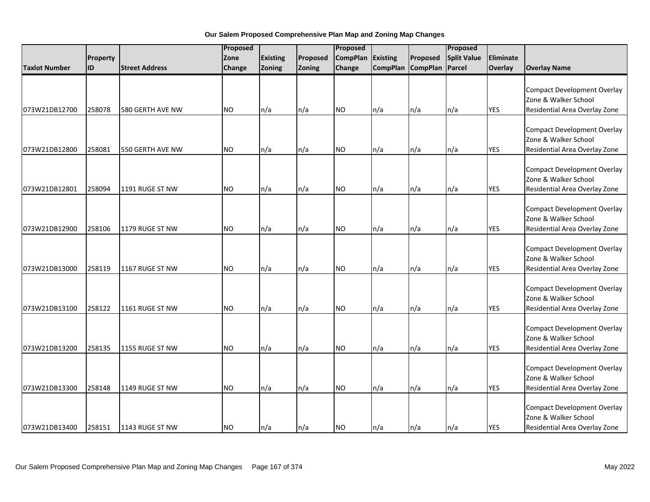|                      |           |                       | Proposed  |                 | Proposed |                 |                 | Proposed          |                    |            |                                                                                             |
|----------------------|-----------|-----------------------|-----------|-----------------|----------|-----------------|-----------------|-------------------|--------------------|------------|---------------------------------------------------------------------------------------------|
|                      | Property  |                       | Zone      | <b>Existing</b> | Proposed | <b>CompPlan</b> | <b>Existing</b> | Proposed          | <b>Split Value</b> | Eliminate  |                                                                                             |
| <b>Taxlot Number</b> | <b>ID</b> | <b>Street Address</b> | Change    | Zoning          | Zoning   | Change          |                 | CompPlan CompPlan | Parcel             | Overlay    | <b>Overlay Name</b>                                                                         |
| 073W21DB12700        | 258078    | 580 GERTH AVE NW      | <b>NO</b> | n/a             | n/a      | <b>NO</b>       | n/a             | n/a               | n/a                | <b>YES</b> | <b>Compact Development Overlay</b><br>Zone & Walker School<br>Residential Area Overlay Zone |
|                      |           |                       |           |                 |          |                 |                 |                   |                    |            |                                                                                             |
| 073W21DB12800        | 258081    | 550 GERTH AVE NW      | <b>NO</b> | n/a             | n/a      | <b>NO</b>       | n/a             | n/a               | n/a                | <b>YES</b> | <b>Compact Development Overlay</b><br>Zone & Walker School<br>Residential Area Overlay Zone |
| 073W21DB12801        | 258094    | 1191 RUGE ST NW       | <b>NO</b> | n/a             | n/a      | <b>NO</b>       | n/a             | n/a               | n/a                | <b>YES</b> | <b>Compact Development Overlay</b><br>Zone & Walker School<br>Residential Area Overlay Zone |
| 073W21DB12900        | 258106    | 1179 RUGE ST NW       | <b>NO</b> | n/a             | n/a      | <b>NO</b>       | n/a             | n/a               | n/a                | <b>YES</b> | <b>Compact Development Overlay</b><br>Zone & Walker School<br>Residential Area Overlay Zone |
| 073W21DB13000        | 258119    | 1167 RUGE ST NW       | <b>NO</b> | n/a             | n/a      | <b>NO</b>       | n/a             | n/a               | n/a                | <b>YES</b> | <b>Compact Development Overlay</b><br>Zone & Walker School<br>Residential Area Overlay Zone |
| 073W21DB13100        | 258122    | 1161 RUGE ST NW       | <b>NO</b> | n/a             | n/a      | <b>NO</b>       | n/a             | n/a               | n/a                | <b>YES</b> | <b>Compact Development Overlay</b><br>Zone & Walker School<br>Residential Area Overlay Zone |
| 073W21DB13200        | 258135    | 1155 RUGE ST NW       | <b>NO</b> | n/a             | n/a      | <b>NO</b>       | n/a             | n/a               | n/a                | <b>YES</b> | <b>Compact Development Overlay</b><br>Zone & Walker School<br>Residential Area Overlay Zone |
| 073W21DB13300        | 258148    | 1149 RUGE ST NW       | NO.       | n/a             | n/a      | <b>NO</b>       | n/a             | n/a               | n/a                | <b>YES</b> | <b>Compact Development Overlay</b><br>Zone & Walker School<br>Residential Area Overlay Zone |
| 073W21DB13400        | 258151    | 1143 RUGE ST NW       | <b>NO</b> | n/a             | n/a      | <b>NO</b>       | n/a             | n/a               | $\ln/a$            | <b>YES</b> | <b>Compact Development Overlay</b><br>Zone & Walker School<br>Residential Area Overlay Zone |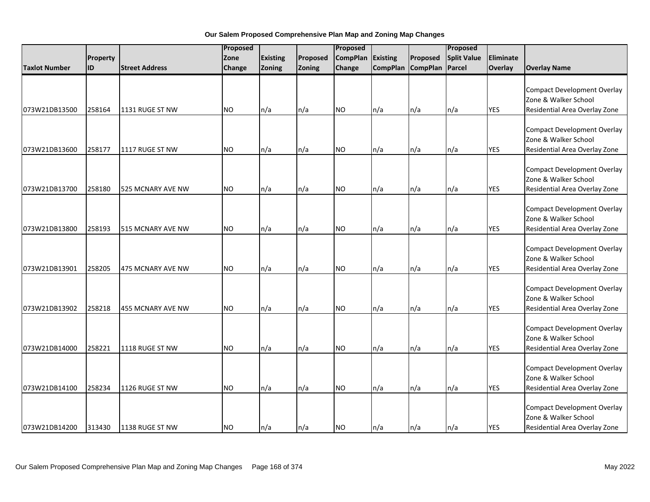|                      |           |                       | Proposed      | Proposed        |          |                 |          | Proposed          |                    |            |                                                                                             |
|----------------------|-----------|-----------------------|---------------|-----------------|----------|-----------------|----------|-------------------|--------------------|------------|---------------------------------------------------------------------------------------------|
|                      | Property  |                       | Zone          | <b>Existing</b> | Proposed | <b>CompPlan</b> | Existing | Proposed          | <b>Split Value</b> | Eliminate  |                                                                                             |
| <b>Taxlot Number</b> | <b>ID</b> | <b>Street Address</b> | <b>Change</b> | Zoning          | Zoning   | Change          |          | CompPlan CompPlan | Parcel             | Overlay    | <b>Overlay Name</b>                                                                         |
| 073W21DB13500        | 258164    | 1131 RUGE ST NW       | <b>NO</b>     | n/a             | n/a      | <b>NO</b>       | n/a      | n/a               | n/a                | <b>YES</b> | <b>Compact Development Overlay</b><br>Zone & Walker School<br>Residential Area Overlay Zone |
| 073W21DB13600        | 258177    | 1117 RUGE ST NW       | <b>NO</b>     | n/a             | n/a      | NO.             | n/a      | n/a               | n/a                | <b>YES</b> | <b>Compact Development Overlay</b><br>Zone & Walker School<br>Residential Area Overlay Zone |
| 073W21DB13700        | 258180    | 525 MCNARY AVE NW     | <b>NO</b>     | n/a             | n/a      | <b>NO</b>       | n/a      | n/a               | n/a                | <b>YES</b> | <b>Compact Development Overlay</b><br>Zone & Walker School<br>Residential Area Overlay Zone |
| 073W21DB13800        | 258193    | 515 MCNARY AVE NW     | <b>NO</b>     | n/a             | n/a      | <b>NO</b>       | n/a      | n/a               | n/a                | <b>YES</b> | <b>Compact Development Overlay</b><br>Zone & Walker School<br>Residential Area Overlay Zone |
| 073W21DB13901        | 258205    | 475 MCNARY AVE NW     | <b>NO</b>     | n/a             | n/a      | <b>NO</b>       | n/a      | n/a               | n/a                | <b>YES</b> | <b>Compact Development Overlay</b><br>Zone & Walker School<br>Residential Area Overlay Zone |
| 073W21DB13902        | 258218    | 455 MCNARY AVE NW     | <b>NO</b>     | n/a             | n/a      | <b>NO</b>       | n/a      | n/a               | n/a                | <b>YES</b> | <b>Compact Development Overlay</b><br>Zone & Walker School<br>Residential Area Overlay Zone |
| 073W21DB14000        | 258221    | 1118 RUGE ST NW       | <b>NO</b>     | n/a             | n/a      | <b>NO</b>       | n/a      | n/a               | n/a                | <b>YES</b> | <b>Compact Development Overlay</b><br>Zone & Walker School<br>Residential Area Overlay Zone |
| 073W21DB14100        | 258234    | 1126 RUGE ST NW       | NO.           | n/a             | n/a      | <b>NO</b>       | n/a      | n/a               | n/a                | <b>YES</b> | <b>Compact Development Overlay</b><br>Zone & Walker School<br>Residential Area Overlay Zone |
| 073W21DB14200        | 313430    | 1138 RUGE ST NW       | <b>NO</b>     | n/a             | n/a      | <b>NO</b>       | n/a      | n/a               | n/a                | <b>YES</b> | <b>Compact Development Overlay</b><br>Zone & Walker School<br>Residential Area Overlay Zone |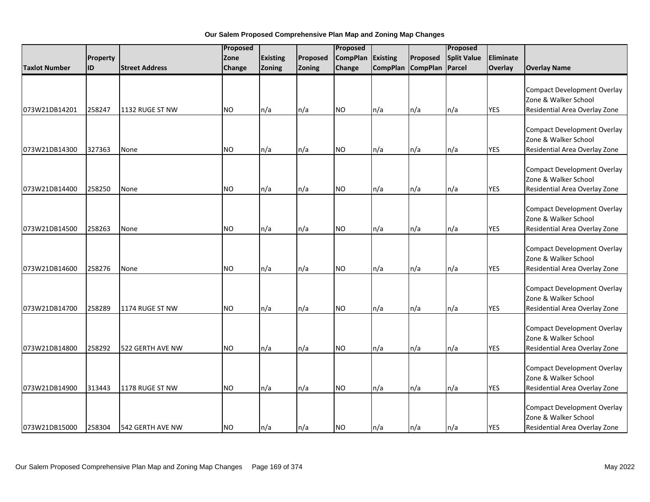|                      |          |                       | Proposed       |                 |          | Proposed        |                 |                 | Proposed           |                  |                                                                                             |
|----------------------|----------|-----------------------|----------------|-----------------|----------|-----------------|-----------------|-----------------|--------------------|------------------|---------------------------------------------------------------------------------------------|
|                      | Property |                       | Zone           | <b>Existing</b> | Proposed | <b>CompPlan</b> | Existing        | Proposed        | <b>Split Value</b> | <b>Eliminate</b> |                                                                                             |
| <b>Taxlot Number</b> | ID       | <b>Street Address</b> | Change         | Zoning          | Zoning   | Change          | <b>CompPlan</b> | <b>CompPlan</b> | Parcel             | Overlay          | <b>Overlay Name</b>                                                                         |
| 073W21DB14201        | 258247   | 1132 RUGE ST NW       | <b>NO</b>      | n/a             | n/a      | <b>NO</b>       | n/a             | n/a             | n/a                | <b>YES</b>       | <b>Compact Development Overlay</b><br>Zone & Walker School<br>Residential Area Overlay Zone |
| 073W21DB14300        | 327363   | None                  | <b>NO</b>      | n/a             | n/a      | <b>NO</b>       | n/a             | n/a             | n/a                | <b>YES</b>       | <b>Compact Development Overlay</b><br>Zone & Walker School<br>Residential Area Overlay Zone |
| 073W21DB14400        | 258250   | None                  | <b>NO</b>      | n/a             | n/a      | <b>NO</b>       | n/a             | n/a             | n/a                | <b>YES</b>       | <b>Compact Development Overlay</b><br>Zone & Walker School<br>Residential Area Overlay Zone |
| 073W21DB14500        | 258263   | None                  | N <sub>O</sub> | n/a             | n/a      | <b>NO</b>       | n/a             | n/a             | n/a                | <b>YES</b>       | <b>Compact Development Overlay</b><br>Zone & Walker School<br>Residential Area Overlay Zone |
| 073W21DB14600        | 258276   | None                  | <b>NO</b>      | n/a             | n/a      | <b>NO</b>       | n/a             | n/a             | n/a                | <b>YES</b>       | <b>Compact Development Overlay</b><br>Zone & Walker School<br>Residential Area Overlay Zone |
| 073W21DB14700        | 258289   | 1174 RUGE ST NW       | <b>NO</b>      | n/a             | n/a      | <b>NO</b>       | n/a             | n/a             | n/a                | <b>YES</b>       | <b>Compact Development Overlay</b><br>Zone & Walker School<br>Residential Area Overlay Zone |
| 073W21DB14800        | 258292   | 522 GERTH AVE NW      | <b>NO</b>      | n/a             | n/a      | <b>NO</b>       | n/a             | n/a             | n/a                | <b>YES</b>       | <b>Compact Development Overlay</b><br>Zone & Walker School<br>Residential Area Overlay Zone |
| 073W21DB14900        | 313443   | 1178 RUGE ST NW       | <b>NO</b>      | n/a             | n/a      | <b>NO</b>       | n/a             | n/a             | n/a                | <b>YES</b>       | <b>Compact Development Overlay</b><br>Zone & Walker School<br>Residential Area Overlay Zone |
| 073W21DB15000        | 258304   | 542 GERTH AVE NW      | <b>NO</b>      | n/a             | n/a      | <b>NO</b>       | n/a             | n/a             | n/a                | <b>YES</b>       | <b>Compact Development Overlay</b><br>Zone & Walker School<br>Residential Area Overlay Zone |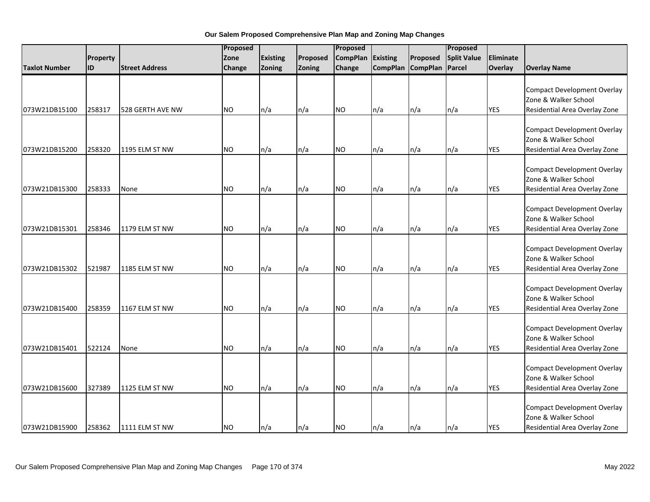|                      |                 |                       | Proposed      |                 |          | Proposed        |          |                   | Proposed           |            |                                                                                             |
|----------------------|-----------------|-----------------------|---------------|-----------------|----------|-----------------|----------|-------------------|--------------------|------------|---------------------------------------------------------------------------------------------|
|                      | <b>Property</b> |                       | Zone          | <b>Existing</b> | Proposed | <b>CompPlan</b> | Existing | Proposed          | <b>Split Value</b> | Eliminate  |                                                                                             |
| <b>Taxlot Number</b> | <b>ID</b>       | <b>Street Address</b> | <b>Change</b> | Zoning          | Zoning   | Change          |          | CompPlan CompPlan | Parcel             | Overlay    | <b>Overlay Name</b>                                                                         |
| 073W21DB15100        | 258317          | 528 GERTH AVE NW      | <b>NO</b>     | n/a             | n/a      | <b>NO</b>       | n/a      | n/a               | n/a                | <b>YES</b> | <b>Compact Development Overlay</b><br>Zone & Walker School<br>Residential Area Overlay Zone |
| 073W21DB15200        | 258320          | 1195 ELM ST NW        | <b>NO</b>     | n/a             | n/a      | NO.             | n/a      | n/a               | n/a                | <b>YES</b> | <b>Compact Development Overlay</b><br>Zone & Walker School<br>Residential Area Overlay Zone |
| 073W21DB15300        | 258333          | None                  | <b>NO</b>     | n/a             | n/a      | <b>NO</b>       | n/a      | n/a               | n/a                | <b>YES</b> | <b>Compact Development Overlay</b><br>Zone & Walker School<br>Residential Area Overlay Zone |
| 073W21DB15301        | 258346          | 1179 ELM ST NW        | <b>NO</b>     | n/a             | n/a      | <b>NO</b>       | n/a      | n/a               | n/a                | <b>YES</b> | <b>Compact Development Overlay</b><br>Zone & Walker School<br>Residential Area Overlay Zone |
| 073W21DB15302        | 521987          | 1185 ELM ST NW        | <b>NO</b>     | n/a             | n/a      | <b>NO</b>       | n/a      | n/a               | n/a                | <b>YES</b> | <b>Compact Development Overlay</b><br>Zone & Walker School<br>Residential Area Overlay Zone |
| 073W21DB15400        | 258359          | 1167 ELM ST NW        | <b>NO</b>     | n/a             | n/a      | <b>NO</b>       | n/a      | n/a               | n/a                | <b>YES</b> | <b>Compact Development Overlay</b><br>Zone & Walker School<br>Residential Area Overlay Zone |
| 073W21DB15401        | 522124          | None                  | <b>NO</b>     | n/a             | n/a      | <b>NO</b>       | n/a      | n/a               | n/a                | <b>YES</b> | <b>Compact Development Overlay</b><br>Zone & Walker School<br>Residential Area Overlay Zone |
| 073W21DB15600        | 327389          | 1125 ELM ST NW        | NO.           | n/a             | n/a      | <b>NO</b>       | n/a      | n/a               | n/a                | <b>YES</b> | <b>Compact Development Overlay</b><br>Zone & Walker School<br>Residential Area Overlay Zone |
| 073W21DB15900        | 258362          | 1111 ELM ST NW        | <b>NO</b>     | n/a             | n/a      | <b>NO</b>       | n/a      | n/a               | n/a                | <b>YES</b> | <b>Compact Development Overlay</b><br>Zone & Walker School<br>Residential Area Overlay Zone |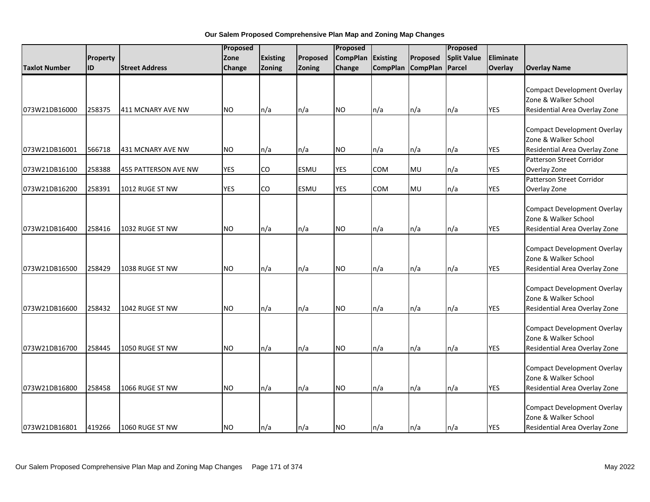|                      |           |                       | Proposed   |           |             | Proposed        |          |                   | Proposed           |            |                                                                                             |
|----------------------|-----------|-----------------------|------------|-----------|-------------|-----------------|----------|-------------------|--------------------|------------|---------------------------------------------------------------------------------------------|
|                      | Property  |                       | Zone       | Existing  | Proposed    | <b>CompPlan</b> | Existing | Proposed          | <b>Split Value</b> | Eliminate  |                                                                                             |
| <b>Taxlot Number</b> | <b>ID</b> | <b>Street Address</b> | Change     | Zoning    | Zoning      | Change          |          | CompPlan CompPlan | Parcel             | Overlay    | <b>Overlay Name</b>                                                                         |
| 073W21DB16000        | 258375    | 411 MCNARY AVE NW     | <b>NO</b>  | n/a       | n/a         | NO.             | n/a      | n/a               | n/a                | <b>YES</b> | <b>Compact Development Overlay</b><br>Zone & Walker School<br>Residential Area Overlay Zone |
|                      |           |                       |            |           |             |                 |          |                   |                    |            |                                                                                             |
| 073W21DB16001        | 566718    | 431 MCNARY AVE NW     | <b>NO</b>  | n/a       | n/a         | NO.             | n/a      | n/a               | n/a                | <b>YES</b> | <b>Compact Development Overlay</b><br>Zone & Walker School<br>Residential Area Overlay Zone |
|                      |           |                       |            |           |             |                 |          |                   |                    |            | <b>Patterson Street Corridor</b>                                                            |
| 073W21DB16100        | 258388    | 455 PATTERSON AVE NW  | <b>YES</b> | <b>CO</b> | <b>ESMU</b> | <b>YES</b>      | COM      | MU                | n/a                | <b>YES</b> | Overlay Zone                                                                                |
| 073W21DB16200        | 258391    | 1012 RUGE ST NW       | <b>YES</b> | CO        | <b>ESMU</b> | <b>YES</b>      | COM      | MU                | n/a                | <b>YES</b> | Patterson Street Corridor<br>Overlay Zone                                                   |
| 073W21DB16400        | 258416    | 1032 RUGE ST NW       | <b>NO</b>  | n/a       | n/a         | <b>NO</b>       | n/a      | n/a               | n/a                | <b>YES</b> | <b>Compact Development Overlay</b><br>Zone & Walker School<br>Residential Area Overlay Zone |
| 073W21DB16500        | 258429    | 1038 RUGE ST NW       | <b>NO</b>  | n/a       | n/a         | <b>NO</b>       | n/a      | n/a               | n/a                | <b>YES</b> | <b>Compact Development Overlay</b><br>Zone & Walker School<br>Residential Area Overlay Zone |
| 073W21DB16600        | 258432    | 1042 RUGE ST NW       | <b>NO</b>  | n/a       | n/a         | <b>NO</b>       | n/a      | n/a               | n/a                | <b>YES</b> | <b>Compact Development Overlay</b><br>Zone & Walker School<br>Residential Area Overlay Zone |
| 073W21DB16700        | 258445    | 1050 RUGE ST NW       | NO.        | n/a       | n/a         | <b>NO</b>       | n/a      | n/a               | n/a                | <b>YES</b> | <b>Compact Development Overlay</b><br>Zone & Walker School<br>Residential Area Overlay Zone |
| 073W21DB16800        | 258458    | 1066 RUGE ST NW       | NO         | n/a       | n/a         | NO.             | n/a      | n/a               | n/a                | <b>YES</b> | <b>Compact Development Overlay</b><br>Zone & Walker School<br>Residential Area Overlay Zone |
| 073W21DB16801        | 419266    | 1060 RUGE ST NW       | <b>NO</b>  | $\ln/a$   | n/a         | NO.             | n/a      | ln/a              | n/a                | <b>YES</b> | <b>Compact Development Overlay</b><br>Zone & Walker School<br>Residential Area Overlay Zone |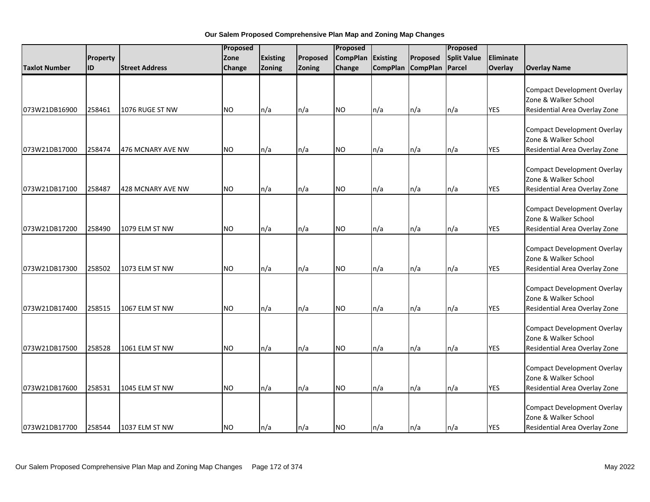|                      |          |                       | Proposed  |                 |          | Proposed        |                 |                   | Proposed           |            |                                                                                             |
|----------------------|----------|-----------------------|-----------|-----------------|----------|-----------------|-----------------|-------------------|--------------------|------------|---------------------------------------------------------------------------------------------|
|                      | Property |                       | Zone      | <b>Existing</b> | Proposed | <b>CompPlan</b> | <b>Existing</b> | Proposed          | <b>Split Value</b> | Eliminate  |                                                                                             |
| <b>Taxlot Number</b> | lid      | <b>Street Address</b> | Change    | Zoning          | Zoning   | Change          |                 | CompPlan CompPlan | Parcel             | Overlay    | <b>Overlay Name</b>                                                                         |
| 073W21DB16900        | 258461   | 1076 RUGE ST NW       | <b>NO</b> | n/a             | n/a      | <b>NO</b>       | n/a             | n/a               | n/a                | <b>YES</b> | <b>Compact Development Overlay</b><br>Zone & Walker School<br>Residential Area Overlay Zone |
|                      |          |                       |           |                 |          |                 |                 |                   |                    |            |                                                                                             |
| 073W21DB17000        | 258474   | 476 MCNARY AVE NW     | <b>NO</b> | n/a             | n/a      | <b>NO</b>       | n/a             | n/a               | n/a                | <b>YES</b> | <b>Compact Development Overlay</b><br>Zone & Walker School<br>Residential Area Overlay Zone |
| 073W21DB17100        | 258487   | 428 MCNARY AVE NW     | <b>NO</b> | n/a             | n/a      | <b>NO</b>       | n/a             | n/a               | n/a                | <b>YES</b> | <b>Compact Development Overlay</b><br>Zone & Walker School<br>Residential Area Overlay Zone |
| 073W21DB17200        | 258490   | 1079 ELM ST NW        | <b>NO</b> | n/a             | n/a      | <b>NO</b>       | n/a             | n/a               | n/a                | <b>YES</b> | <b>Compact Development Overlay</b><br>Zone & Walker School<br>Residential Area Overlay Zone |
| 073W21DB17300        | 258502   | 1073 ELM ST NW        | <b>NO</b> | n/a             | n/a      | <b>NO</b>       | n/a             | n/a               | n/a                | <b>YES</b> | <b>Compact Development Overlay</b><br>Zone & Walker School<br>Residential Area Overlay Zone |
| 073W21DB17400        | 258515   | 1067 ELM ST NW        | <b>NO</b> | n/a             | n/a      | <b>NO</b>       | n/a             | n/a               | n/a                | <b>YES</b> | <b>Compact Development Overlay</b><br>Zone & Walker School<br>Residential Area Overlay Zone |
| 073W21DB17500        | 258528   | 1061 ELM ST NW        | <b>NO</b> | n/a             | n/a      | <b>NO</b>       | n/a             | n/a               | n/a                | <b>YES</b> | <b>Compact Development Overlay</b><br>Zone & Walker School<br>Residential Area Overlay Zone |
| 073W21DB17600        | 258531   | 1045 ELM ST NW        | NO.       | n/a             | n/a      | <b>NO</b>       | n/a             | n/a               | n/a                | <b>YES</b> | <b>Compact Development Overlay</b><br>Zone & Walker School<br>Residential Area Overlay Zone |
| 073W21DB17700        | 258544   | 1037 ELM ST NW        | <b>NO</b> | n/a             | n/a      | <b>NO</b>       | n/a             | n/a               | $\ln/a$            | <b>YES</b> | <b>Compact Development Overlay</b><br>Zone & Walker School<br>Residential Area Overlay Zone |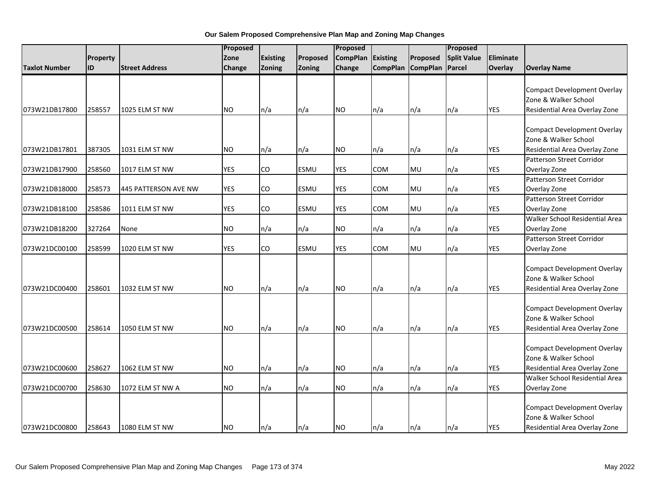|                      |           |                       | Proposed   |                 |             | Proposed        |            |                          | Proposed           |            |                                                                                             |
|----------------------|-----------|-----------------------|------------|-----------------|-------------|-----------------|------------|--------------------------|--------------------|------------|---------------------------------------------------------------------------------------------|
|                      | Property  |                       | Zone       | <b>Existing</b> | Proposed    | <b>CompPlan</b> | Existing   | Proposed                 | <b>Split Value</b> | Eliminate  |                                                                                             |
| <b>Taxlot Number</b> | <b>ID</b> | <b>Street Address</b> | Change     | Zoning          | Zoning      | Change          |            | CompPlan CompPlan        | Parcel             | Overlay    | <b>Overlay Name</b>                                                                         |
| 073W21DB17800        | 258557    | 1025 ELM ST NW        | <b>NO</b>  | n/a             | n/a         | NO.             | n/a        | n/a                      | n/a                | <b>YES</b> | <b>Compact Development Overlay</b><br>Zone & Walker School<br>Residential Area Overlay Zone |
|                      |           |                       |            |                 |             |                 |            |                          |                    |            |                                                                                             |
| 073W21DB17801        | 387305    | 1031 ELM ST NW        | NO.        | n/a             | n/a         | NO              | n/a        | $\mathsf{In}/\mathsf{a}$ | n/a                | YES        | <b>Compact Development Overlay</b><br>Zone & Walker School<br>Residential Area Overlay Zone |
|                      |           |                       |            |                 |             |                 |            |                          |                    |            | Patterson Street Corridor                                                                   |
| 073W21DB17900        | 258560    | 1017 ELM ST NW        | <b>YES</b> | CO              | <b>ESMU</b> | <b>YES</b>      | COM        | MU                       | n/a                | <b>YES</b> | Overlay Zone                                                                                |
| 073W21DB18000        | 258573    | 445 PATTERSON AVE NW  | <b>YES</b> | CO              | <b>ESMU</b> | <b>YES</b>      | COM        | MU                       | n/a                | <b>YES</b> | Patterson Street Corridor<br>Overlay Zone                                                   |
| 073W21DB18100        | 258586    | 1011 ELM ST NW        | <b>YES</b> | CO              | <b>ESMU</b> | <b>YES</b>      | <b>COM</b> | MU                       | n/a                | <b>YES</b> | Patterson Street Corridor<br>Overlay Zone                                                   |
| 073W21DB18200        | 327264    | None                  | <b>NO</b>  | n/a             | n/a         | NO              | n/a        | n/a                      | n/a                | <b>YES</b> | Walker School Residential Area<br>Overlay Zone                                              |
| 073W21DC00100        | 258599    | 1020 ELM ST NW        | <b>YES</b> | CO              | <b>ESMU</b> | <b>YES</b>      | COM        | MU                       | n/a                | <b>YES</b> | <b>Patterson Street Corridor</b><br>Overlay Zone                                            |
| 073W21DC00400        | 258601    | 1032 ELM ST NW        | NO.        | n/a             | n/a         | NO.             | n/a        | n/a                      | n/a                | <b>YES</b> | <b>Compact Development Overlay</b><br>Zone & Walker School<br>Residential Area Overlay Zone |
| 073W21DC00500        | 258614    | 1050 ELM ST NW        | <b>NO</b>  | n/a             | n/a         | NO.             | n/a        | n/a                      | n/a                | <b>YES</b> | <b>Compact Development Overlay</b><br>Zone & Walker School<br>Residential Area Overlay Zone |
| 073W21DC00600        | 258627    | 1062 ELM ST NW        | <b>NO</b>  | n/a             | n/a         | <b>NO</b>       | n/a        | n/a                      | n/a                | <b>YES</b> | <b>Compact Development Overlay</b><br>Zone & Walker School<br>Residential Area Overlay Zone |
| 073W21DC00700        | 258630    | 1072 ELM ST NW A      | NO         | n/a             | n/a         | NO.             | n/a        | n/a                      | n/a                | <b>YES</b> | Walker School Residential Area<br>Overlay Zone                                              |
| 073W21DC00800        | 258643    | 1080 ELM ST NW        | <b>NO</b>  | $\ln/a$         | n/a         | NO.             | n/a        | ln/a                     | $\ln/a$            | <b>YES</b> | <b>Compact Development Overlay</b><br>Zone & Walker School<br>Residential Area Overlay Zone |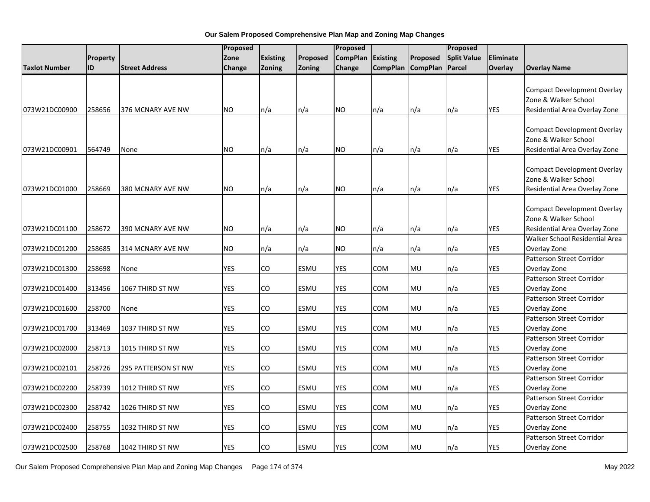|                      |                 |                       | Proposed   |                 |             | Proposed        |                 |                   | Proposed           |            |                                                                                             |
|----------------------|-----------------|-----------------------|------------|-----------------|-------------|-----------------|-----------------|-------------------|--------------------|------------|---------------------------------------------------------------------------------------------|
|                      | <b>Property</b> |                       | Zone       | <b>Existing</b> | Proposed    | <b>CompPlan</b> | <b>Existing</b> | Proposed          | <b>Split Value</b> | Eliminate  |                                                                                             |
| <b>Taxlot Number</b> | ID              | <b>Street Address</b> | Change     | Zoning          | Zoning      | Change          |                 | CompPlan CompPlan | Parcel             | Overlay    | <b>Overlay Name</b>                                                                         |
| 073W21DC00900        | 258656          | 376 MCNARY AVE NW     | NO.        | n/a             | n/a         | NO.             | n/a             | n/a               | n/a                | <b>YES</b> | Compact Development Overlay<br>Zone & Walker School<br>Residential Area Overlay Zone        |
| 073W21DC00901        | 564749          | None                  | NO.        | n/a             | n/a         | NO              | n/a             | n/a               | n/a                | <b>YES</b> | <b>Compact Development Overlay</b><br>Zone & Walker School<br>Residential Area Overlay Zone |
| 073W21DC01000        | 258669          | 380 MCNARY AVE NW     | <b>NO</b>  | n/a             | n/a         | NO.             | n/a             | n/a               | n/a                | <b>YES</b> | Compact Development Overlay<br>Zone & Walker School<br>Residential Area Overlay Zone        |
| 073W21DC01100        | 258672          | 390 MCNARY AVE NW     | <b>NO</b>  | n/a             | n/a         | NO.             | n/a             | n/a               | n/a                | <b>YES</b> | <b>Compact Development Overlay</b><br>Zone & Walker School<br>Residential Area Overlay Zone |
| 073W21DC01200        | 258685          | 314 MCNARY AVE NW     | <b>NO</b>  | n/a             | n/a         | NO.             | n/a             | n/a               | n/a                | <b>YES</b> | Walker School Residential Area<br>Overlay Zone                                              |
| 073W21DC01300        | 258698          | None                  | <b>YES</b> | CO              | <b>ESMU</b> | <b>YES</b>      | COM             | <b>MU</b>         | n/a                | <b>YES</b> | <b>Patterson Street Corridor</b><br>Overlay Zone                                            |
| 073W21DC01400        | 313456          | 1067 THIRD ST NW      | <b>YES</b> | CO              | <b>ESMU</b> | <b>YES</b>      | COM             | MU                | n/a                | <b>YES</b> | Patterson Street Corridor<br>Overlay Zone                                                   |
| 073W21DC01600        | 258700          | None                  | <b>YES</b> | CO              | <b>ESMU</b> | <b>YES</b>      | COM             | <b>MU</b>         | n/a                | <b>YES</b> | Patterson Street Corridor<br>Overlay Zone                                                   |
| 073W21DC01700        | 313469          | 1037 THIRD ST NW      | <b>YES</b> | CO.             | <b>ESMU</b> | <b>YES</b>      | <b>COM</b>      | <b>MU</b>         | n/a                | <b>YES</b> | Patterson Street Corridor<br>Overlay Zone                                                   |
| 073W21DC02000        | 258713          | 1015 THIRD ST NW      | <b>YES</b> | CO              | <b>ESMU</b> | <b>YES</b>      | COM             | <b>MU</b>         | n/a                | <b>YES</b> | Patterson Street Corridor<br>Overlay Zone                                                   |
| 073W21DC02101        | 258726          | 295 PATTERSON ST NW   | <b>YES</b> | CO.             | <b>ESMU</b> | YES             | COM             | MU                | n/a                | YES        | Patterson Street Corridor<br>Overlay Zone                                                   |
| 073W21DC02200        | 258739          | 1012 THIRD ST NW      | <b>YES</b> | CO              | <b>ESMU</b> | <b>YES</b>      | COM             | MU                | n/a                | <b>YES</b> | Patterson Street Corridor<br>Overlay Zone                                                   |
| 073W21DC02300        | 258742          | 1026 THIRD ST NW      | <b>YES</b> | CO              | <b>ESMU</b> | YES             | COM             | MU                | n/a                | <b>YES</b> | Patterson Street Corridor<br>Overlay Zone                                                   |
| 073W21DC02400        | 258755          | 1032 THIRD ST NW      | <b>YES</b> | CO              | <b>ESMU</b> | YES             | COM             | <b>MU</b>         | n/a                | YES        | Patterson Street Corridor<br>Overlay Zone                                                   |
| 073W21DC02500        | 258768          | 1042 THIRD ST NW      | <b>YES</b> | CO              | <b>ESMU</b> | <b>YES</b>      | COM             | <b>MU</b>         | n/a                | <b>YES</b> | Patterson Street Corridor<br>Overlay Zone                                                   |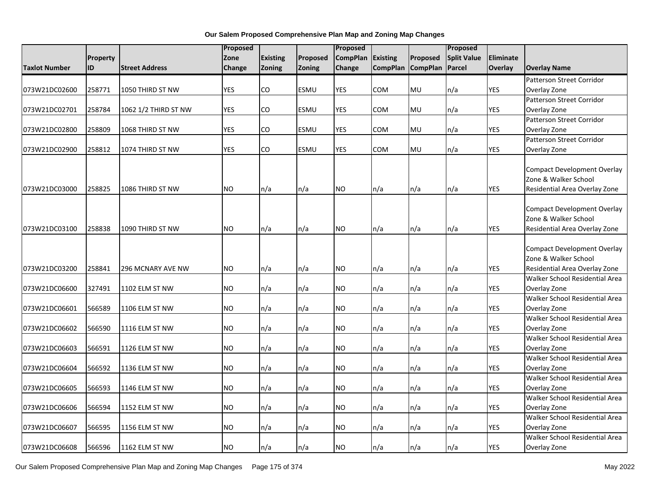| <b>Existing</b><br>Proposed<br><b>Split Value</b><br>Eliminate<br>Zone<br>Proposed<br><b>CompPlan</b><br><b>Existing</b><br><b>Property</b><br><b>CompPlan</b><br><b>CompPlan</b><br>Overlay<br>ID<br><b>Street Address</b><br><b>Zoning</b><br><b>Zoning</b><br>Change<br>Parcel<br><b>Overlay Name</b><br><b>Taxlot Number</b><br>Change<br>Patterson Street Corridor<br>258771<br><b>YES</b><br>ESMU<br><b>YES</b><br>COM<br>MU<br>YES<br>073W21DC02600<br>1050 THIRD ST NW<br>CO<br>n/a<br>Overlay Zone<br>Patterson Street Corridor<br>258784<br><b>YES</b><br>CO<br><b>YES</b><br><b>MU</b><br><b>YES</b><br>1062 1/2 THIRD ST NW<br><b>ESMU</b><br>COM<br>n/a<br>Overlay Zone<br>073W21DC02701<br>Patterson Street Corridor<br><b>YES</b><br>258809<br>CO<br><b>ESMU</b><br><b>YES</b><br>COM<br>MU<br>n/a<br>YES<br>073W21DC02800<br>1068 THIRD ST NW<br>Overlay Zone<br>Patterson Street Corridor<br><b>YES</b><br>CO<br><b>YES</b><br><b>YES</b><br>258812<br>ESMU<br>COM<br>MU<br>Overlay Zone<br>073W21DC02900<br>1074 THIRD ST NW<br>n/a<br><b>Compact Development Overlay</b><br>Zone & Walker School<br><b>NO</b><br><b>NO</b><br><b>YES</b><br>073W21DC03000<br>258825<br>1086 THIRD ST NW<br>n/a<br>n/a<br>n/a<br>n/a<br>Residential Area Overlay Zone<br>n/a<br><b>Compact Development Overlay</b><br>Zone & Walker School |  | Proposed |  | Proposed |  | Proposed |                                    |
|----------------------------------------------------------------------------------------------------------------------------------------------------------------------------------------------------------------------------------------------------------------------------------------------------------------------------------------------------------------------------------------------------------------------------------------------------------------------------------------------------------------------------------------------------------------------------------------------------------------------------------------------------------------------------------------------------------------------------------------------------------------------------------------------------------------------------------------------------------------------------------------------------------------------------------------------------------------------------------------------------------------------------------------------------------------------------------------------------------------------------------------------------------------------------------------------------------------------------------------------------------------------------------------------------------------------------------------------|--|----------|--|----------|--|----------|------------------------------------|
|                                                                                                                                                                                                                                                                                                                                                                                                                                                                                                                                                                                                                                                                                                                                                                                                                                                                                                                                                                                                                                                                                                                                                                                                                                                                                                                                              |  |          |  |          |  |          |                                    |
|                                                                                                                                                                                                                                                                                                                                                                                                                                                                                                                                                                                                                                                                                                                                                                                                                                                                                                                                                                                                                                                                                                                                                                                                                                                                                                                                              |  |          |  |          |  |          |                                    |
|                                                                                                                                                                                                                                                                                                                                                                                                                                                                                                                                                                                                                                                                                                                                                                                                                                                                                                                                                                                                                                                                                                                                                                                                                                                                                                                                              |  |          |  |          |  |          |                                    |
|                                                                                                                                                                                                                                                                                                                                                                                                                                                                                                                                                                                                                                                                                                                                                                                                                                                                                                                                                                                                                                                                                                                                                                                                                                                                                                                                              |  |          |  |          |  |          |                                    |
|                                                                                                                                                                                                                                                                                                                                                                                                                                                                                                                                                                                                                                                                                                                                                                                                                                                                                                                                                                                                                                                                                                                                                                                                                                                                                                                                              |  |          |  |          |  |          |                                    |
|                                                                                                                                                                                                                                                                                                                                                                                                                                                                                                                                                                                                                                                                                                                                                                                                                                                                                                                                                                                                                                                                                                                                                                                                                                                                                                                                              |  |          |  |          |  |          |                                    |
|                                                                                                                                                                                                                                                                                                                                                                                                                                                                                                                                                                                                                                                                                                                                                                                                                                                                                                                                                                                                                                                                                                                                                                                                                                                                                                                                              |  |          |  |          |  |          |                                    |
|                                                                                                                                                                                                                                                                                                                                                                                                                                                                                                                                                                                                                                                                                                                                                                                                                                                                                                                                                                                                                                                                                                                                                                                                                                                                                                                                              |  |          |  |          |  |          |                                    |
|                                                                                                                                                                                                                                                                                                                                                                                                                                                                                                                                                                                                                                                                                                                                                                                                                                                                                                                                                                                                                                                                                                                                                                                                                                                                                                                                              |  |          |  |          |  |          |                                    |
|                                                                                                                                                                                                                                                                                                                                                                                                                                                                                                                                                                                                                                                                                                                                                                                                                                                                                                                                                                                                                                                                                                                                                                                                                                                                                                                                              |  |          |  |          |  |          |                                    |
|                                                                                                                                                                                                                                                                                                                                                                                                                                                                                                                                                                                                                                                                                                                                                                                                                                                                                                                                                                                                                                                                                                                                                                                                                                                                                                                                              |  |          |  |          |  |          |                                    |
|                                                                                                                                                                                                                                                                                                                                                                                                                                                                                                                                                                                                                                                                                                                                                                                                                                                                                                                                                                                                                                                                                                                                                                                                                                                                                                                                              |  |          |  |          |  |          |                                    |
|                                                                                                                                                                                                                                                                                                                                                                                                                                                                                                                                                                                                                                                                                                                                                                                                                                                                                                                                                                                                                                                                                                                                                                                                                                                                                                                                              |  |          |  |          |  |          |                                    |
|                                                                                                                                                                                                                                                                                                                                                                                                                                                                                                                                                                                                                                                                                                                                                                                                                                                                                                                                                                                                                                                                                                                                                                                                                                                                                                                                              |  |          |  |          |  |          |                                    |
|                                                                                                                                                                                                                                                                                                                                                                                                                                                                                                                                                                                                                                                                                                                                                                                                                                                                                                                                                                                                                                                                                                                                                                                                                                                                                                                                              |  |          |  |          |  |          |                                    |
|                                                                                                                                                                                                                                                                                                                                                                                                                                                                                                                                                                                                                                                                                                                                                                                                                                                                                                                                                                                                                                                                                                                                                                                                                                                                                                                                              |  |          |  |          |  |          |                                    |
|                                                                                                                                                                                                                                                                                                                                                                                                                                                                                                                                                                                                                                                                                                                                                                                                                                                                                                                                                                                                                                                                                                                                                                                                                                                                                                                                              |  |          |  |          |  |          |                                    |
| <b>NO</b><br><b>NO</b><br><b>YES</b><br>258838<br>n/a<br>n/a<br>n/a<br>073W21DC03100<br>1090 THIRD ST NW<br>n/a<br>n/a                                                                                                                                                                                                                                                                                                                                                                                                                                                                                                                                                                                                                                                                                                                                                                                                                                                                                                                                                                                                                                                                                                                                                                                                                       |  |          |  |          |  |          | Residential Area Overlay Zone      |
|                                                                                                                                                                                                                                                                                                                                                                                                                                                                                                                                                                                                                                                                                                                                                                                                                                                                                                                                                                                                                                                                                                                                                                                                                                                                                                                                              |  |          |  |          |  |          |                                    |
|                                                                                                                                                                                                                                                                                                                                                                                                                                                                                                                                                                                                                                                                                                                                                                                                                                                                                                                                                                                                                                                                                                                                                                                                                                                                                                                                              |  |          |  |          |  |          | <b>Compact Development Overlay</b> |
| Zone & Walker School                                                                                                                                                                                                                                                                                                                                                                                                                                                                                                                                                                                                                                                                                                                                                                                                                                                                                                                                                                                                                                                                                                                                                                                                                                                                                                                         |  |          |  |          |  |          |                                    |
| 258841<br><b>NO</b><br><b>NO</b><br>n/a<br>YES<br>073W21DC03200<br>296 MCNARY AVE NW<br>n/a<br>$\mathsf{In}/\mathsf{a}$<br>n/a<br>n/a                                                                                                                                                                                                                                                                                                                                                                                                                                                                                                                                                                                                                                                                                                                                                                                                                                                                                                                                                                                                                                                                                                                                                                                                        |  |          |  |          |  |          | Residential Area Overlay Zone      |
|                                                                                                                                                                                                                                                                                                                                                                                                                                                                                                                                                                                                                                                                                                                                                                                                                                                                                                                                                                                                                                                                                                                                                                                                                                                                                                                                              |  |          |  |          |  |          | Walker School Residential Area     |
| <b>NO</b><br><b>NO</b><br><b>YES</b><br>327491<br>n/a<br>n/a<br>073W21DC06600<br>1102 ELM ST NW<br>n/a<br>n/a<br>n/a<br>Overlay Zone                                                                                                                                                                                                                                                                                                                                                                                                                                                                                                                                                                                                                                                                                                                                                                                                                                                                                                                                                                                                                                                                                                                                                                                                         |  |          |  |          |  |          | Walker School Residential Area     |
| 566589                                                                                                                                                                                                                                                                                                                                                                                                                                                                                                                                                                                                                                                                                                                                                                                                                                                                                                                                                                                                                                                                                                                                                                                                                                                                                                                                       |  |          |  |          |  |          |                                    |
| 073W21DC06601<br>1106 ELM ST NW<br><b>NO</b><br>n/a<br><b>NO</b><br>n/a<br>n/a<br>n/a<br>YES<br>Overlay Zone<br>n/a                                                                                                                                                                                                                                                                                                                                                                                                                                                                                                                                                                                                                                                                                                                                                                                                                                                                                                                                                                                                                                                                                                                                                                                                                          |  |          |  |          |  |          | Walker School Residential Area     |
| <b>NO</b><br><b>NO</b><br><b>YES</b><br>566590<br>n/a<br>n/a<br>n/a<br>n/a<br>073W21DC06602                                                                                                                                                                                                                                                                                                                                                                                                                                                                                                                                                                                                                                                                                                                                                                                                                                                                                                                                                                                                                                                                                                                                                                                                                                                  |  |          |  |          |  |          |                                    |
| 1116 ELM ST NW<br>n/a<br>Overlay Zone                                                                                                                                                                                                                                                                                                                                                                                                                                                                                                                                                                                                                                                                                                                                                                                                                                                                                                                                                                                                                                                                                                                                                                                                                                                                                                        |  |          |  |          |  |          | Walker School Residential Area     |
| YES<br>073W21DC06603<br>566591<br><b>NO</b><br>n/a<br>n/a<br><b>NO</b><br>n/a<br>n/a<br>n/a<br>Overlay Zone                                                                                                                                                                                                                                                                                                                                                                                                                                                                                                                                                                                                                                                                                                                                                                                                                                                                                                                                                                                                                                                                                                                                                                                                                                  |  |          |  |          |  |          |                                    |
| 1126 ELM ST NW                                                                                                                                                                                                                                                                                                                                                                                                                                                                                                                                                                                                                                                                                                                                                                                                                                                                                                                                                                                                                                                                                                                                                                                                                                                                                                                               |  |          |  |          |  |          | Walker School Residential Area     |
| 566592<br><b>NO</b><br><b>NO</b><br><b>YES</b><br>073W21DC06604<br>1136 ELM ST NW<br>n/a<br>n/a<br>Overlay Zone<br>n/a<br>n/a<br>n/a                                                                                                                                                                                                                                                                                                                                                                                                                                                                                                                                                                                                                                                                                                                                                                                                                                                                                                                                                                                                                                                                                                                                                                                                         |  |          |  |          |  |          |                                    |
|                                                                                                                                                                                                                                                                                                                                                                                                                                                                                                                                                                                                                                                                                                                                                                                                                                                                                                                                                                                                                                                                                                                                                                                                                                                                                                                                              |  |          |  |          |  |          | Walker School Residential Area     |
| YES<br>566593<br><b>NO</b><br>n/a<br>n/a<br><b>NO</b><br>n/a<br>n/a<br>073W21DC06605<br>1146 ELM ST NW<br>n/a<br>Overlay Zone                                                                                                                                                                                                                                                                                                                                                                                                                                                                                                                                                                                                                                                                                                                                                                                                                                                                                                                                                                                                                                                                                                                                                                                                                |  |          |  |          |  |          |                                    |
|                                                                                                                                                                                                                                                                                                                                                                                                                                                                                                                                                                                                                                                                                                                                                                                                                                                                                                                                                                                                                                                                                                                                                                                                                                                                                                                                              |  |          |  |          |  |          | Walker School Residential Area     |
| <b>YES</b><br>566594<br><b>NO</b><br>n/a<br><b>NO</b><br>n/a<br>073W21DC06606<br>1152 ELM ST NW<br>n/a<br>n/a<br>n/a<br>Overlay Zone                                                                                                                                                                                                                                                                                                                                                                                                                                                                                                                                                                                                                                                                                                                                                                                                                                                                                                                                                                                                                                                                                                                                                                                                         |  |          |  |          |  |          |                                    |
|                                                                                                                                                                                                                                                                                                                                                                                                                                                                                                                                                                                                                                                                                                                                                                                                                                                                                                                                                                                                                                                                                                                                                                                                                                                                                                                                              |  |          |  |          |  |          | Walker School Residential Area     |
| 566595<br><b>NO</b><br>n/a<br>n/a<br><b>NO</b><br>n/a<br>n/a<br>YES<br>073W21DC06607<br>1156 ELM ST NW<br>n/a<br>Overlay Zone                                                                                                                                                                                                                                                                                                                                                                                                                                                                                                                                                                                                                                                                                                                                                                                                                                                                                                                                                                                                                                                                                                                                                                                                                |  |          |  |          |  |          |                                    |
|                                                                                                                                                                                                                                                                                                                                                                                                                                                                                                                                                                                                                                                                                                                                                                                                                                                                                                                                                                                                                                                                                                                                                                                                                                                                                                                                              |  |          |  |          |  |          | Walker School Residential Area     |
| <b>NO</b><br><b>YES</b><br>073W21DC06608<br>566596<br>n/a<br><b>NO</b><br>n/a<br>n/a<br>Overlay Zone<br>1162 ELM ST NW<br>n/a<br>n/a                                                                                                                                                                                                                                                                                                                                                                                                                                                                                                                                                                                                                                                                                                                                                                                                                                                                                                                                                                                                                                                                                                                                                                                                         |  |          |  |          |  |          |                                    |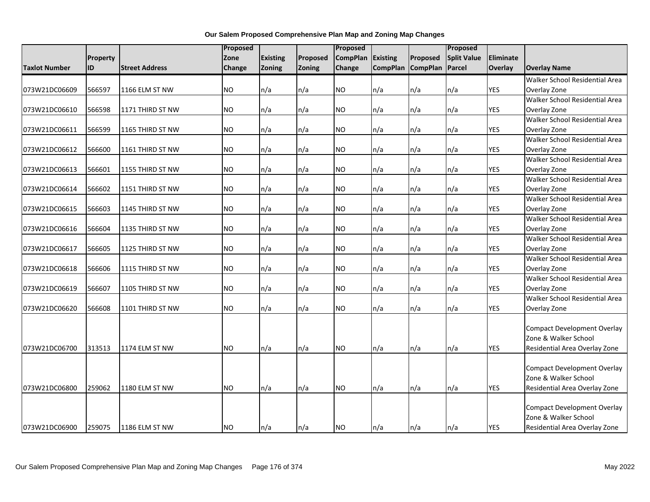|                      |          |                       | Proposed  |                 |               | Proposed        |                 |                 | Proposed           |                  |                                                     |
|----------------------|----------|-----------------------|-----------|-----------------|---------------|-----------------|-----------------|-----------------|--------------------|------------------|-----------------------------------------------------|
|                      | Property |                       | Zone      | <b>Existing</b> | Proposed      | <b>CompPlan</b> | <b>Existing</b> | Proposed        | <b>Split Value</b> | <b>Eliminate</b> |                                                     |
| <b>Taxlot Number</b> | ID       | <b>Street Address</b> | Change    | Zoning          | <b>Zoning</b> | Change          | <b>CompPlan</b> | <b>CompPlan</b> | Parcel             | Overlay          | <b>Overlay Name</b>                                 |
|                      |          |                       |           |                 |               |                 |                 |                 |                    |                  | Walker School Residential Area                      |
| 073W21DC06609        | 566597   | 1166 ELM ST NW        | <b>NO</b> | n/a             | n/a           | NO.             | n/a             | n/a             | n/a                | <b>YES</b>       | Overlay Zone                                        |
|                      |          |                       |           |                 |               |                 |                 |                 |                    |                  | Walker School Residential Area                      |
| 073W21DC06610        | 566598   | 1171 THIRD ST NW      | <b>NO</b> | n/a             | n/a           | <b>NO</b>       | n/a             | n/a             | n/a                | <b>YES</b>       | Overlay Zone                                        |
|                      |          |                       |           |                 |               |                 |                 |                 |                    |                  | Walker School Residential Area                      |
| 073W21DC06611        | 566599   | 1165 THIRD ST NW      | <b>NO</b> | n/a             | n/a           | NO.             | n/a             | n/a             | n/a                | <b>YES</b>       | Overlay Zone                                        |
|                      |          |                       |           |                 |               |                 |                 |                 |                    |                  | Walker School Residential Area                      |
| 073W21DC06612        | 566600   | 1161 THIRD ST NW      | <b>NO</b> | n/a             | n/a           | NO.             | n/a             | n/a             | n/a                | <b>YES</b>       | Overlay Zone                                        |
|                      |          |                       |           |                 |               |                 |                 |                 |                    |                  | Walker School Residential Area                      |
| 073W21DC06613        | 566601   | 1155 THIRD ST NW      | <b>NO</b> | n/a             | n/a           | NO.             | n/a             | n/a             | n/a                | YES              | Overlay Zone                                        |
|                      |          |                       |           |                 |               |                 |                 |                 |                    |                  | Walker School Residential Area                      |
| 073W21DC06614        | 566602   | 1151 THIRD ST NW      | <b>NO</b> | n/a             | n/a           | <b>NO</b>       | n/a             | n/a             | n/a                | <b>YES</b>       | Overlay Zone                                        |
|                      |          |                       |           |                 |               |                 |                 |                 |                    |                  | Walker School Residential Area                      |
| 073W21DC06615        | 566603   | 1145 THIRD ST NW      | <b>NO</b> | n/a             | n/a           | <b>NO</b>       | n/a             | n/a             | n/a                | <b>YES</b>       | Overlay Zone                                        |
|                      |          |                       |           |                 |               |                 |                 |                 |                    |                  | Walker School Residential Area                      |
| 073W21DC06616        | 566604   | 1135 THIRD ST NW      | <b>NO</b> | n/a             | n/a           | NO.             | n/a             | n/a             | n/a                | <b>YES</b>       | Overlay Zone                                        |
|                      |          |                       |           |                 |               |                 |                 |                 |                    |                  | Walker School Residential Area                      |
| 073W21DC06617        | 566605   | 1125 THIRD ST NW      | <b>NO</b> | n/a             | n/a           | <b>NO</b>       | n/a             | n/a             | n/a                | <b>YES</b>       | Overlay Zone                                        |
|                      |          |                       |           |                 |               |                 |                 |                 |                    |                  | Walker School Residential Area                      |
| 073W21DC06618        | 566606   | 1115 THIRD ST NW      | <b>NO</b> | n/a             | n/a           | NO.             | n/a             | n/a             | n/a                | YES              | Overlay Zone                                        |
|                      |          |                       |           |                 |               |                 |                 |                 |                    |                  | Walker School Residential Area                      |
| 073W21DC06619        | 566607   | 1105 THIRD ST NW      | <b>NO</b> | n/a             | n/a           | NO.             | n/a             | n/a             | n/a                | YES              | Overlay Zone                                        |
|                      |          |                       |           |                 |               |                 |                 |                 |                    |                  | Walker School Residential Area                      |
| 073W21DC06620        | 566608   | 1101 THIRD ST NW      | <b>NO</b> | n/a             | n/a           | <b>NO</b>       | n/a             | n/a             | n/a                | <b>YES</b>       | Overlay Zone                                        |
|                      |          |                       |           |                 |               |                 |                 |                 |                    |                  |                                                     |
|                      |          |                       |           |                 |               |                 |                 |                 |                    |                  | Compact Development Overlay<br>Zone & Walker School |
|                      |          |                       |           |                 |               |                 |                 |                 |                    |                  |                                                     |
| 073W21DC06700        | 313513   | 1174 ELM ST NW        | <b>NO</b> | n/a             | n/a           | <b>NO</b>       | n/a             | n/a             | n/a                | <b>YES</b>       | Residential Area Overlay Zone                       |
|                      |          |                       |           |                 |               |                 |                 |                 |                    |                  | <b>Compact Development Overlay</b>                  |
|                      |          |                       |           |                 |               |                 |                 |                 |                    |                  | Zone & Walker School                                |
| 073W21DC06800        | 259062   | 1180 ELM ST NW        | <b>NO</b> | n/a             | n/a           | NO              | n/a             | n/a             | n/a                | <b>YES</b>       | Residential Area Overlay Zone                       |
|                      |          |                       |           |                 |               |                 |                 |                 |                    |                  |                                                     |
|                      |          |                       |           |                 |               |                 |                 |                 |                    |                  | <b>Compact Development Overlay</b>                  |
|                      |          |                       |           |                 |               |                 |                 |                 |                    |                  | Zone & Walker School                                |
| 073W21DC06900        | 259075   | 1186 ELM ST NW        | <b>NO</b> | n/a             | n/a           | <b>NO</b>       | n/a             | n/a             | n/a                | <b>YES</b>       | Residential Area Overlay Zone                       |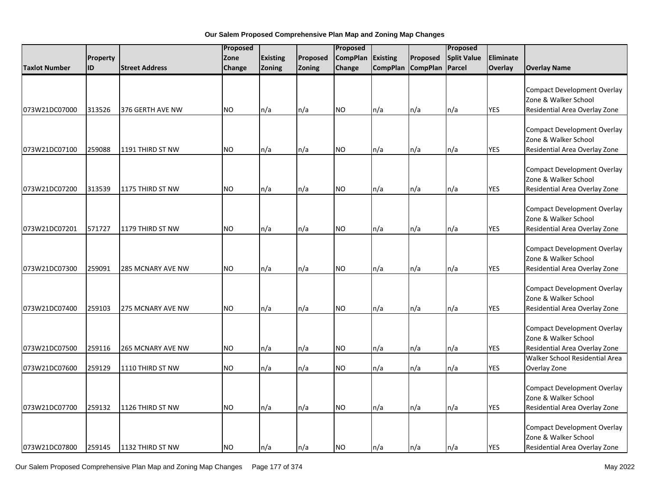|                      |           |                          | Proposed  |          |          | Proposed        |                 |                   | Proposed           |            |                                                                                                                               |
|----------------------|-----------|--------------------------|-----------|----------|----------|-----------------|-----------------|-------------------|--------------------|------------|-------------------------------------------------------------------------------------------------------------------------------|
|                      | Property  |                          | Zone      | Existing | Proposed | <b>CompPlan</b> | <b>Existing</b> | Proposed          | <b>Split Value</b> | Eliminate  |                                                                                                                               |
| <b>Taxlot Number</b> | <b>ID</b> | <b>Street Address</b>    | Change    | Zoning   | Zoning   | Change          |                 | CompPlan CompPlan | Parcel             | Overlay    | <b>Overlay Name</b>                                                                                                           |
| 073W21DC07000        | 313526    | 376 GERTH AVE NW         | <b>NO</b> | n/a      | n/a      | NO.             | n/a             | n/a               | n/a                | <b>YES</b> | <b>Compact Development Overlay</b><br>Zone & Walker School<br>Residential Area Overlay Zone                                   |
| 073W21DC07100        | 259088    | 1191 THIRD ST NW         | <b>NO</b> | n/a      | n/a      | NO.             | n/a             | n/a               | n/a                | <b>YES</b> | <b>Compact Development Overlay</b><br>Zone & Walker School<br>Residential Area Overlay Zone                                   |
| 073W21DC07200        | 313539    | 1175 THIRD ST NW         | <b>NO</b> | n/a      | n/a      | <b>NO</b>       | n/a             | n/a               | n/a                | YES        | <b>Compact Development Overlay</b><br>Zone & Walker School<br>Residential Area Overlay Zone                                   |
| 073W21DC07201        | 571727    | 1179 THIRD ST NW         | <b>NO</b> | n/a      | n/a      | <b>NO</b>       | n/a             | n/a               | n/a                | YES        | <b>Compact Development Overlay</b><br>Zone & Walker School<br>Residential Area Overlay Zone                                   |
| 073W21DC07300        | 259091    | <b>285 MCNARY AVE NW</b> | <b>NO</b> | n/a      | n/a      | <b>NO</b>       | n/a             | n/a               | n/a                | <b>YES</b> | <b>Compact Development Overlay</b><br>Zone & Walker School<br>Residential Area Overlay Zone                                   |
| 073W21DC07400        | 259103    | 275 MCNARY AVE NW        | <b>NO</b> | n/a      | n/a      | <b>NO</b>       | n/a             | n/a               | n/a                | <b>YES</b> | <b>Compact Development Overlay</b><br>Zone & Walker School<br>Residential Area Overlay Zone                                   |
| 073W21DC07500        | 259116    | 265 MCNARY AVE NW        | <b>NO</b> | n/a      | n/a      | NO.             | n/a             | n/a               | n/a                | <b>YES</b> | <b>Compact Development Overlay</b><br>Zone & Walker School<br>Residential Area Overlay Zone<br>Walker School Residential Area |
| 073W21DC07600        | 259129    | 1110 THIRD ST NW         | <b>NO</b> | n/a      | n/a      | NO.             | n/a             | n/a               | n/a                | YES        | Overlay Zone                                                                                                                  |
| 073W21DC07700        | 259132    | 1126 THIRD ST NW         | <b>NO</b> | n/a      | n/a      | <b>NO</b>       | n/a             | n/a               | n/a                | <b>YES</b> | <b>Compact Development Overlay</b><br>Zone & Walker School<br>Residential Area Overlay Zone                                   |
| 073W21DC07800        | 259145    | 1132 THIRD ST NW         | <b>NO</b> | n/a      | n/a      | <b>NO</b>       | n/a             | ln/a              | $\ln/a$            | <b>YES</b> | <b>Compact Development Overlay</b><br>Zone & Walker School<br>Residential Area Overlay Zone                                   |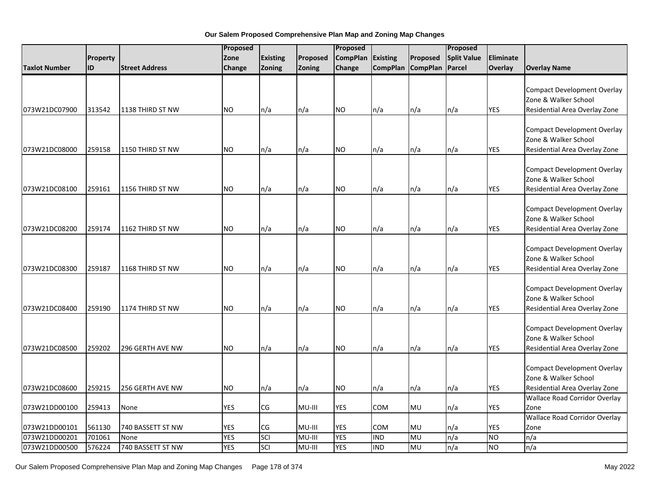|                      |          |                       | Proposed      |                 |          | Proposed        |                 |                   | Proposed           |            |                                                                                             |
|----------------------|----------|-----------------------|---------------|-----------------|----------|-----------------|-----------------|-------------------|--------------------|------------|---------------------------------------------------------------------------------------------|
|                      | Property |                       | Zone          | <b>Existing</b> | Proposed | <b>CompPlan</b> | <b>Existing</b> | Proposed          | <b>Split Value</b> | Eliminate  |                                                                                             |
| <b>Taxlot Number</b> | ID       | <b>Street Address</b> | <b>Change</b> | Zoning          | Zoning   | Change          |                 | CompPlan CompPlan | Parcel             | Overlay    | <b>Overlay Name</b>                                                                         |
| 073W21DC07900        | 313542   | 1138 THIRD ST NW      | <b>NO</b>     | n/a             | n/a      | <b>NO</b>       | n/a             | n/a               | n/a                | YES        | <b>Compact Development Overlay</b><br>Zone & Walker School<br>Residential Area Overlay Zone |
| 073W21DC08000        | 259158   | 1150 THIRD ST NW      | <b>NO</b>     | n/a             | n/a      | <b>NO</b>       | n/a             | n/a               | n/a                | <b>YES</b> | <b>Compact Development Overlay</b><br>Zone & Walker School<br>Residential Area Overlay Zone |
| 073W21DC08100        | 259161   | 1156 THIRD ST NW      | <b>NO</b>     | n/a             | n/a      | <b>NO</b>       | n/a             | n/a               | n/a                | <b>YES</b> | <b>Compact Development Overlay</b><br>Zone & Walker School<br>Residential Area Overlay Zone |
| 073W21DC08200        | 259174   | 1162 THIRD ST NW      | <b>NO</b>     | n/a             | n/a      | <b>NO</b>       | n/a             | n/a               | n/a                | <b>YES</b> | <b>Compact Development Overlay</b><br>Zone & Walker School<br>Residential Area Overlay Zone |
| 073W21DC08300        | 259187   | 1168 THIRD ST NW      | <b>NO</b>     | n/a             | n/a      | <b>NO</b>       | n/a             | n/a               | n/a                | <b>YES</b> | <b>Compact Development Overlay</b><br>Zone & Walker School<br>Residential Area Overlay Zone |
| 073W21DC08400        | 259190   | 1174 THIRD ST NW      | <b>NO</b>     | n/a             | n/a      | <b>NO</b>       | n/a             | n/a               | n/a                | <b>YES</b> | <b>Compact Development Overlay</b><br>Zone & Walker School<br>Residential Area Overlay Zone |
| 073W21DC08500        | 259202   | 296 GERTH AVE NW      | <b>NO</b>     | n/a             | n/a      | <b>NO</b>       | n/a             | n/a               | n/a                | <b>YES</b> | <b>Compact Development Overlay</b><br>Zone & Walker School<br>Residential Area Overlay Zone |
|                      |          |                       |               |                 |          |                 |                 |                   |                    |            | <b>Compact Development Overlay</b><br>Zone & Walker School                                  |
| 073W21DC08600        | 259215   | 256 GERTH AVE NW      | NO.           | n/a             | n/a      | <b>NO</b>       | n/a             | n/a               | n/a                | <b>YES</b> | Residential Area Overlay Zone<br><b>Wallace Road Corridor Overlay</b>                       |
| 073W21DD00100        | 259413   | None                  | <b>YES</b>    | CG              | MU-III   | <b>YES</b>      | COM             | MU                | n/a                | <b>YES</b> | Zone                                                                                        |
|                      |          |                       |               |                 |          |                 |                 |                   |                    |            | <b>Wallace Road Corridor Overlay</b>                                                        |
| 073W21DD00101        | 561130   | 740 BASSETT ST NW     | <b>YES</b>    | CG              | MU-III   | <b>YES</b>      | COM             | MU                | n/a                | <b>YES</b> | Zone                                                                                        |
| 073W21DD00201        | 701061   | None                  | <b>YES</b>    | SCI             | MU-III   | <b>YES</b>      | <b>IND</b>      | MU                | n/a                | <b>NO</b>  | n/a                                                                                         |
| 073W21DD00500        | 576224   | 740 BASSETT ST NW     | <b>YES</b>    | SCI             | MU-III   | <b>YES</b>      | <b>IND</b>      | MU                | n/a                | <b>NO</b>  | $\overline{n/a}$                                                                            |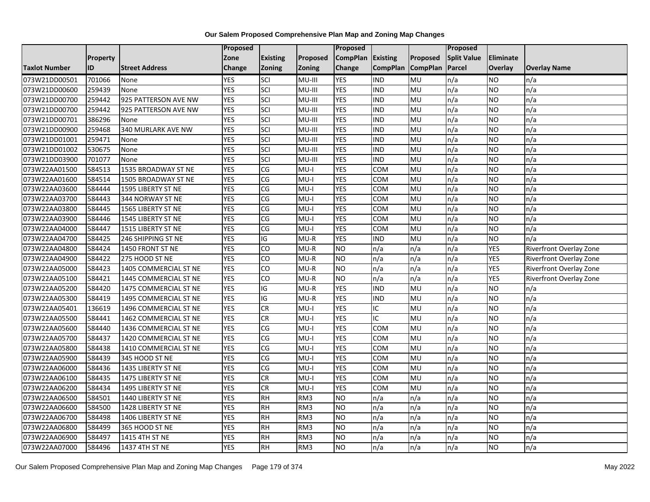|                      |          |                       | Proposed   |                        |          | Proposed        |                 |                 | Proposed           |                  |                         |
|----------------------|----------|-----------------------|------------|------------------------|----------|-----------------|-----------------|-----------------|--------------------|------------------|-------------------------|
|                      | Property |                       | Zone       | <b>Existing</b>        | Proposed | <b>CompPlan</b> | Existing        | Proposed        | <b>Split Value</b> | <b>Eliminate</b> |                         |
| <b>Taxlot Number</b> | ID       | <b>Street Address</b> | Change     | Zoning                 | Zoning   | Change          | <b>CompPlan</b> | <b>CompPlan</b> | Parcel             | Overlay          | <b>Overlay Name</b>     |
| 073W21DD00501        | 701066   | None                  | <b>YES</b> | SCI                    | MU-III   | <b>YES</b>      | IND             | MU              | n/a                | <b>NO</b>        | n/a                     |
| 073W21DD00600        | 259439   | None                  | <b>YES</b> | SCI                    | MU-III   | <b>YES</b>      | <b>IND</b>      | <b>MU</b>       | n/a                | <b>NO</b>        | n/a                     |
| 073W21DD00700        | 259442   | 925 PATTERSON AVE NW  | <b>YES</b> | SCI                    | MU-III   | <b>YES</b>      | <b>IND</b>      | MU              | n/a                | <b>NO</b>        | n/a                     |
| 073W21DD00700        | 259442   | 925 PATTERSON AVE NW  | <b>YES</b> | SCI                    | MU-III   | <b>YES</b>      | <b>IND</b>      | MU              | n/a                | <b>NO</b>        | n/a                     |
| 073W21DD00701        | 386296   | None                  | <b>YES</b> | SCI                    | MU-III   | <b>YES</b>      | <b>IND</b>      | MU              | n/a                | <b>NO</b>        | n/a                     |
| 073W21DD00900        | 259468   | 340 MURLARK AVE NW    | <b>YES</b> | SCI                    | MU-III   | <b>YES</b>      | <b>IND</b>      | MU              | n/a                | <b>NO</b>        | n/a                     |
| 073W21DD01001        | 259471   | None                  | <b>YES</b> | SCI                    | MU-III   | <b>YES</b>      | <b>IND</b>      | MU              | n/a                | <b>NO</b>        | n/a                     |
| 073W21DD01002        | 530675   | None                  | <b>YES</b> | SCI                    | MU-III   | <b>YES</b>      | <b>IND</b>      | MU              | n/a                | <b>NO</b>        | n/a                     |
| 073W21DD03900        | 701077   | None                  | <b>YES</b> | SCI                    | MU-III   | <b>YES</b>      | <b>IND</b>      | MU              | n/a                | <b>NO</b>        | n/a                     |
| 073W22AA01500        | 584513   | 1535 BROADWAY ST NE   | <b>YES</b> | CG                     | $MU-I$   | <b>YES</b>      | <b>COM</b>      | <b>MU</b>       | n/a                | <b>NO</b>        | n/a                     |
| 073W22AA01600        | 584514   | 1505 BROADWAY ST NE   | <b>YES</b> | $\overline{\text{CG}}$ | $MU-I$   | <b>YES</b>      | <b>COM</b>      | MU              | n/a                | <b>NO</b>        | n/a                     |
| 073W22AA03600        | 584444   | 1595 LIBERTY ST NE    | <b>YES</b> | CG                     | $MU-I$   | <b>YES</b>      | COM             | MU              | n/a                | <b>NO</b>        | n/a                     |
| 073W22AA03700        | 584443   | 344 NORWAY ST NE      | <b>YES</b> | CG                     | $MU-I$   | <b>YES</b>      | COM             | MU              | n/a                | <b>NO</b>        | n/a                     |
| 073W22AA03800        | 584445   | 1565 LIBERTY ST NE    | <b>YES</b> | CG                     | $MU-I$   | <b>YES</b>      | <b>COM</b>      | <b>MU</b>       | n/a                | <b>NO</b>        | n/a                     |
| 073W22AA03900        | 584446   | 1545 LIBERTY ST NE    | <b>YES</b> | CG                     | MU-I     | <b>YES</b>      | COM             | MU              | n/a                | <b>NO</b>        | n/a                     |
| 073W22AA04000        | 584447   | 1515 LIBERTY ST NE    | <b>YES</b> | CG                     | $MU-I$   | <b>YES</b>      | <b>COM</b>      | MU              | n/a                | <b>NO</b>        | n/a                     |
| 073W22AA04700        | 584425   | 246 SHIPPING ST NE    | <b>YES</b> | IG                     | $MU-R$   | <b>YES</b>      | <b>IND</b>      | MU              | n/a                | <b>NO</b>        | n/a                     |
| 073W22AA04800        | 584424   | 1450 FRONT ST NE      | <b>YES</b> | CO                     | $MU-R$   | <b>NO</b>       | n/a             | n/a             | n/a                | <b>YES</b>       | Riverfront Overlay Zone |
| 073W22AA04900        | 584422   | 275 HOOD ST NE        | <b>YES</b> | CO                     | $MU-R$   | <b>NO</b>       | n/a             | n/a             | n/a                | <b>YES</b>       | Riverfront Overlay Zone |
| 073W22AA05000        | 584423   | 1405 COMMERCIAL ST NE | <b>YES</b> | CO                     | $MU-R$   | <b>NO</b>       | n/a             | n/a             | n/a                | <b>YES</b>       | Riverfront Overlay Zone |
| 073W22AA05100        | 584421   | 1445 COMMERCIAL ST NE | <b>YES</b> | CO                     | $MU-R$   | <b>NO</b>       | n/a             | n/a             | n/a                | <b>YES</b>       | Riverfront Overlay Zone |
| 073W22AA05200        | 584420   | 1475 COMMERCIAL ST NE | <b>YES</b> | $\overline{G}$         | MU-R     | <b>YES</b>      | <b>IND</b>      | <b>MU</b>       | n/a                | N <sub>O</sub>   | n/a                     |
| 073W22AA05300        | 584419   | 1495 COMMERCIAL ST NE | <b>YES</b> | IG                     | $MU-R$   | <b>YES</b>      | <b>IND</b>      | MU              | n/a                | <b>NO</b>        | n/a                     |
| 073W22AA05401        | 136619   | 1496 COMMERCIAL ST NE | <b>YES</b> | CR                     | $MU-I$   | <b>YES</b>      | IC.             | MU              | n/a                | <b>NO</b>        | n/a                     |
| 073W22AA05500        | 584441   | 1462 COMMERCIAL ST NE | <b>YES</b> | CR                     | $MU-I$   | <b>YES</b>      | IC              | <b>MU</b>       | n/a                | <b>NO</b>        | n/a                     |
| 073W22AA05600        | 584440   | 1436 COMMERCIAL ST NE | <b>YES</b> | CG                     | $MU-I$   | <b>YES</b>      | <b>COM</b>      | MU              | n/a                | <b>NO</b>        | n/a                     |
| 073W22AA05700        | 584437   | 1420 COMMERCIAL ST NE | <b>YES</b> | $\overline{\text{CG}}$ | $MU-I$   | <b>YES</b>      | COM             | MU              | n/a                | <b>NO</b>        | n/a                     |
| 073W22AA05800        | 584438   | 1410 COMMERCIAL ST NE | <b>YES</b> | CG                     | $MU-I$   | <b>YES</b>      | <b>COM</b>      | MU              | n/a                | <b>NO</b>        | n/a                     |
| 073W22AA05900        | 584439   | 345 HOOD ST NE        | <b>YES</b> | CG                     | $MU-I$   | <b>YES</b>      | <b>COM</b>      | MU              | n/a                | <b>NO</b>        | n/a                     |
| 073W22AA06000        | 584436   | 1435 LIBERTY ST NE    | <b>YES</b> | CG                     | $MU-I$   | <b>YES</b>      | <b>COM</b>      | MU              | n/a                | <b>NO</b>        | n/a                     |
| 073W22AA06100        | 584435   | 1475 LIBERTY ST NE    | <b>YES</b> | <b>CR</b>              | MU-I     | <b>YES</b>      | COM             | MU              | n/a                | <b>NO</b>        | n/a                     |
| 073W22AA06200        | 584434   | 1495 LIBERTY ST NE    | <b>YES</b> | CR                     | $MU-I$   | <b>YES</b>      | <b>COM</b>      | MU              | n/a                | <b>NO</b>        | n/a                     |
| 073W22AA06500        | 584501   | 1440 LIBERTY ST NE    | <b>YES</b> | <b>RH</b>              | RM3      | <b>NO</b>       | n/a             | n/a             | n/a                | <b>NO</b>        | n/a                     |
| 073W22AA06600        | 584500   | 1428 LIBERTY ST NE    | <b>YES</b> | <b>RH</b>              | RM3      | <b>NO</b>       | n/a             | n/a             | n/a                | <b>NO</b>        | n/a                     |
| 073W22AA06700        | 584498   | 1406 LIBERTY ST NE    | <b>YES</b> | <b>RH</b>              | RM3      | Ю               | n/a             | n/a             | n/a                | <b>NO</b>        | n/a                     |
| 073W22AA06800        | 584499   | 365 HOOD ST NE        | <b>YES</b> | <b>RH</b>              | RM3      | <b>NO</b>       | n/a             | n/a             | n/a                | <b>NO</b>        | n/a                     |
| 073W22AA06900        | 584497   | 1415 4TH ST NE        | <b>YES</b> | <b>RH</b>              | RM3      | <b>NO</b>       | n/a             | n/a             | n/a                | <b>NO</b>        | n/a                     |
| 073W22AA07000        | 584496   | 1437 4TH ST NE        | <b>YES</b> | $R$ H                  | RM3      | N <sub>O</sub>  | n/a             | n/a             | n/a                | <b>NO</b>        | n/a                     |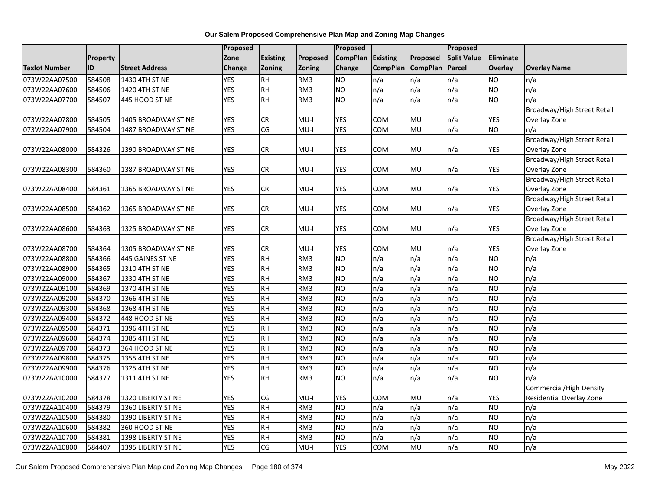|                      |                 |                       | Proposed   |                 |                 | Proposed        |            |                   | Proposed           |                  |                                |
|----------------------|-----------------|-----------------------|------------|-----------------|-----------------|-----------------|------------|-------------------|--------------------|------------------|--------------------------------|
|                      | <b>Property</b> |                       | Zone       | <b>Existing</b> | Proposed        | <b>CompPlan</b> | Existing   | Proposed          | <b>Split Value</b> | <b>Eliminate</b> |                                |
| <b>Taxlot Number</b> | ID              | <b>Street Address</b> | Change     | Zoning          | <b>Zoning</b>   | Change          |            | CompPlan CompPlan | Parcel             | Overlay          | <b>Overlay Name</b>            |
| 073W22AA07500        | 584508          | 1430 4TH ST NE        | <b>YES</b> | <b>RH</b>       | RM <sub>3</sub> | <b>NO</b>       | n/a        | n/a               | n/a                | <b>NO</b>        | n/a                            |
| 073W22AA07600        | 584506          | 1420 4TH ST NE        | <b>YES</b> | <b>RH</b>       | RM <sub>3</sub> | Ю               | n/a        | n/a               | n/a                | <b>NO</b>        | n/a                            |
| 073W22AA07700        | 584507          | 445 HOOD ST NE        | <b>YES</b> | <b>RH</b>       | RM3             | <b>NO</b>       | n/a        | n/a               | n/a                | <b>NO</b>        | n/a                            |
|                      |                 |                       |            |                 |                 |                 |            |                   |                    |                  | Broadway/High Street Retail    |
| 073W22AA07800        | 584505          | 1405 BROADWAY ST NE   | <b>YES</b> | CR              | MU-I            | <b>YES</b>      | <b>COM</b> | MU                | n/a                | YES              | Overlay Zone                   |
| 073W22AA07900        | 584504          | 1487 BROADWAY ST NE   | <b>YES</b> | CG              | $MU-I$          | <b>YES</b>      | COM        | MU                | n/a                | <b>NO</b>        | n/a                            |
|                      |                 |                       |            |                 |                 |                 |            |                   |                    |                  | Broadway/High Street Retail    |
| 073W22AA08000        | 584326          | 1390 BROADWAY ST NE   | <b>YES</b> | CR              | $MU-I$          | YES             | COM        | MU                | n/a                | YES              | Overlay Zone                   |
|                      |                 |                       |            |                 |                 |                 |            |                   |                    |                  | Broadway/High Street Retail    |
| 073W22AA08300        | 584360          | 1387 BROADWAY ST NE   | <b>YES</b> | CR              | $MU-I$          | <b>YES</b>      | COM        | MU                | n/a                | <b>YES</b>       | Overlay Zone                   |
|                      |                 |                       |            |                 |                 |                 |            |                   |                    |                  | Broadway/High Street Retail    |
| 073W22AA08400        | 584361          | 1365 BROADWAY ST NE   | <b>YES</b> | <b>CR</b>       | $MU-I$          | <b>YES</b>      | COM        | MU                | n/a                | <b>YES</b>       | Overlay Zone                   |
|                      |                 |                       |            |                 |                 |                 |            |                   |                    |                  | Broadway/High Street Retail    |
| 073W22AA08500        | 584362          | 1365 BROADWAY ST NE   | <b>YES</b> | <b>CR</b>       | $MU-I$          | YES             | COM        | MU                | n/a                | YES              | Overlay Zone                   |
|                      |                 |                       |            |                 |                 |                 |            |                   |                    |                  | Broadway/High Street Retail    |
| 073W22AA08600        | 584363          | 1325 BROADWAY ST NE   | <b>YES</b> | CR              | $MU-I$          | <b>YES</b>      | COM        | MU                | n/a                | <b>YES</b>       | Overlay Zone                   |
|                      |                 |                       |            |                 |                 |                 |            |                   |                    |                  | Broadway/High Street Retail    |
| 073W22AA08700        | 584364          | 1305 BROADWAY ST NE   | <b>YES</b> | CR              | $MU-I$          | <b>YES</b>      | COM        | MU                | n/a                | YES              | Overlay Zone                   |
| 073W22AA08800        | 584366          | 445 GAINES ST NE      | <b>YES</b> | $\overline{R}$  | RM3             | Ю               | n/a        | n/a               | n/a                | <b>NO</b>        | n/a                            |
| 073W22AA08900        | 584365          | 1310 4TH ST NE        | <b>YES</b> | $\overline{R}$  | RM3             | Ю               | n/a        | n/a               | n/a                | <b>NO</b>        | n/a                            |
| 073W22AA09000        | 584367          | 1330 4TH ST NE        | <b>YES</b> | <b>RH</b>       | RM3             | <b>NO</b>       | n/a        | n/a               | n/a                | <b>NO</b>        | n/a                            |
| 073W22AA09100        | 584369          | 1370 4TH ST NE        | <b>YES</b> | $R$ H           | RM <sub>3</sub> | Ю               | n/a        | n/a               | n/a                | <b>NO</b>        | n/a                            |
| 073W22AA09200        | 584370          | 1366 4TH ST NE        | <b>YES</b> | <b>RH</b>       | RM3             | <b>NO</b>       | n/a        | n/a               | n/a                | <b>NO</b>        | n/a                            |
| 073W22AA09300        | 584368          | 1368 4TH ST NE        | <b>YES</b> | <b>RH</b>       | RM3             | Ю               | n/a        | n/a               | n/a                | <b>NO</b>        | n/a                            |
| 073W22AA09400        | 584372          | 448 HOOD ST NE        | <b>YES</b> | $\overline{R}$  | RM3             | Ю               | n/a        | n/a               | n/a                | N <sub>O</sub>   | n/a                            |
| 073W22AA09500        | 584371          | 1396 4TH ST NE        | <b>YES</b> | <b>RH</b>       | RM3             | Ю               | n/a        | n/a               | n/a                | <b>NO</b>        | n/a                            |
| 073W22AA09600        | 584374          | 1385 4TH ST NE        | <b>YES</b> | <b>RH</b>       | RM <sub>3</sub> | <b>NO</b>       | n/a        | $\overline{n/a}$  | n/a                | <b>NO</b>        | $\overline{n/a}$               |
| 073W22AA09700        | 584373          | 364 HOOD ST NE        | <b>YES</b> | <b>RH</b>       | RM3             | <b>NO</b>       | n/a        | n/a               | n/a                | <b>NO</b>        | n/a                            |
| 073W22AA09800        | 584375          | 1355 4TH ST NE        | <b>YES</b> | <b>RH</b>       | RM3             | <b>NO</b>       | n/a        | n/a               | n/a                | <b>NO</b>        | n/a                            |
| 073W22AA09900        | 584376          | 1325 4TH ST NE        | <b>YES</b> | <b>RH</b>       | RM3             | Ю               | n/a        | n/a               | $\overline{n/a}$   | <b>NO</b>        | n/a                            |
| 073W22AA10000        | 584377          | 1311 4TH ST NE        | <b>YES</b> | <b>RH</b>       | RM3             | <b>NO</b>       | n/a        | n/a               | n/a                | <b>NO</b>        | n/a                            |
|                      |                 |                       |            |                 |                 |                 |            |                   |                    |                  | <b>Commercial/High Density</b> |
| 073W22AA10200        | 584378          | 1320 LIBERTY ST NE    | <b>YES</b> | CG              | $MU-I$          | <b>YES</b>      | COM        | MU                | n/a                | <b>YES</b>       | Residential Overlay Zone       |
| 073W22AA10400        | 584379          | 1360 LIBERTY ST NE    | <b>YES</b> | <b>RH</b>       | RM3             | <b>NO</b>       | n/a        | n/a               | n/a                | <b>NO</b>        | n/a                            |
| 073W22AA10500        | 584380          | 1390 LIBERTY ST NE    | <b>YES</b> | <b>RH</b>       | RM3             | <b>NO</b>       | n/a        | n/a               | n/a                | <b>NO</b>        | $\overline{n/a}$               |
| 073W22AA10600        | 584382          | 360 HOOD ST NE        | <b>YES</b> | $\overline{R}$  | RM3             | <b>NO</b>       | n/a        | n/a               | n/a                | <b>NO</b>        | n/a                            |
| 073W22AA10700        | 584381          | 1398 LIBERTY ST NE    | <b>YES</b> | <b>RH</b>       | RM3             | <b>NO</b>       | n/a        | n/a               | n/a                | <b>NO</b>        | n/a                            |
| 073W22AA10800        | 584407          | 1395 LIBERTY ST NE    | <b>YES</b> | CG              | $MU-I$          | <b>YES</b>      | <b>COM</b> | MU                | n/a                | <b>NO</b>        | n/a                            |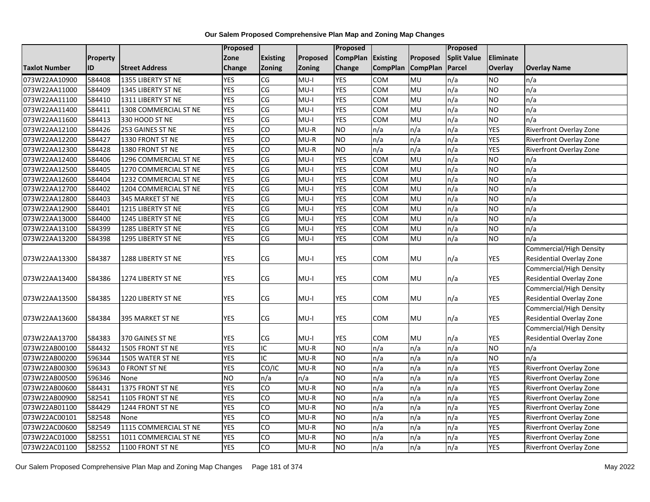|                      |                 |                       | Proposed       |                        |          | Proposed        |                 |                 | Proposed           |            |                                |
|----------------------|-----------------|-----------------------|----------------|------------------------|----------|-----------------|-----------------|-----------------|--------------------|------------|--------------------------------|
|                      | <b>Property</b> |                       | Zone           | <b>Existing</b>        | Proposed | <b>CompPlan</b> | Existing        | Proposed        | <b>Split Value</b> | Eliminate  |                                |
| <b>Taxlot Number</b> | <b>ID</b>       | <b>Street Address</b> | Change         | <b>Zoning</b>          | Zoning   | Change          | <b>CompPlan</b> | <b>CompPlan</b> | Parcel             | Overlay    | <b>Overlay Name</b>            |
| 073W22AA10900        | 584408          | 1355 LIBERTY ST NE    | <b>YES</b>     | CG                     | $MU-I$   | <b>YES</b>      | <b>COM</b>      | <b>MU</b>       | n/a                | NO         | n/a                            |
| 073W22AA11000        | 584409          | 1345 LIBERTY ST NE    | <b>YES</b>     | CG                     | $MU-I$   | <b>YES</b>      | COM             | <b>MU</b>       | n/a                | <b>NO</b>  | n/a                            |
| 073W22AA11100        | 584410          | 1311 LIBERTY ST NE    | <b>YES</b>     | CG                     | $MU-I$   | <b>YES</b>      | COM             | MU              | n/a                | <b>NO</b>  | n/a                            |
| 073W22AA11400        | 584411          | 1308 COMMERCIAL ST NE | <b>YES</b>     | CG                     | $MU-I$   | <b>YES</b>      | COM             | <b>MU</b>       | n/a                | <b>NO</b>  | n/a                            |
| 073W22AA11600        | 584413          | 330 HOOD ST NE        | <b>YES</b>     | CG                     | $MU-I$   | <b>YES</b>      | COM             | MU              | n/a                | <b>NO</b>  | n/a                            |
| 073W22AA12100        | 584426          | 253 GAINES ST NE      | <b>YES</b>     | Ю                      | $MU-R$   | <b>NO</b>       | n/a             | n/a             | n/a                | <b>YES</b> | Riverfront Overlay Zone        |
| 073W22AA12200        | 584427          | 1330 FRONT ST NE      | <b>YES</b>     | 6                      | MU-R     | $\overline{NO}$ | n/a             | n/a             | n/a                | <b>YES</b> | Riverfront Overlay Zone        |
| 073W22AA12300        | 584428          | 1380 FRONT ST NE      | <b>YES</b>     | CO                     | $MU-R$   | NO              | n/a             | n/a             | n/a                | <b>YES</b> | Riverfront Overlay Zone        |
| 073W22AA12400        | 584406          | 1296 COMMERCIAL ST NE | <b>YES</b>     | CG                     | $MU-I$   | <b>YES</b>      | COM             | MU              | n/a                | <b>NO</b>  | n/a                            |
| 073W22AA12500        | 584405          | 1270 COMMERCIAL ST NE | <b>YES</b>     | S)                     | $MU-I$   | <b>YES</b>      | COM             | <b>MU</b>       | n/a                | <b>NO</b>  | n/a                            |
| 073W22AA12600        | 584404          | 1232 COMMERCIAL ST NE | <b>YES</b>     | CG                     | $MU-I$   | <b>YES</b>      | COM             | MU              | n/a                | <b>NO</b>  | n/a                            |
| 073W22AA12700        | 584402          | 1204 COMMERCIAL ST NE | <b>YES</b>     | CG                     | $MU-I$   | <b>YES</b>      | COM             | <b>MU</b>       | n/a                | <b>NO</b>  | n/a                            |
| 073W22AA12800        | 584403          | 345 MARKET ST NE      | <b>YES</b>     | CG                     | $MU-I$   | <b>YES</b>      | COM             | MU              | n/a                | <b>NO</b>  | n/a                            |
| 073W22AA12900        | 584401          | 1215 LIBERTY ST NE    | <b>YES</b>     | CG                     | $MU-I$   | <b>YES</b>      | COM             | <b>MU</b>       | n/a                | ŌИ         | n/a                            |
| 073W22AA13000        | 584400          | 1245 LIBERTY ST NE    | <b>YES</b>     | CG                     | $MU-I$   | <b>YES</b>      | COM             | MU              | n/a                | <b>NO</b>  | n/a                            |
| 073W22AA13100        | 584399          | 1285 LIBERTY ST NE    | <b>YES</b>     | CG                     | $MU-I$   | <b>YES</b>      | COM             | MU              | n/a                | <b>NO</b>  | n/a                            |
| 073W22AA13200        | 584398          | 1295 LIBERTY ST NE    | <b>YES</b>     | $\overline{\text{CG}}$ | $MU-I$   | <b>YES</b>      | COM             | <b>DM</b>       | n/a                | <b>NO</b>  | n/a                            |
|                      |                 |                       |                |                        |          |                 |                 |                 |                    |            | Commercial/High Density        |
| 073W22AA13300        | 584387          | 1288 LIBERTY ST NE    | <b>YES</b>     | CG                     | $MU-I$   | YES             | COM             | MU              | n/a                | <b>YES</b> | Residential Overlay Zone       |
|                      |                 |                       |                |                        |          |                 |                 |                 |                    |            | Commercial/High Density        |
| 073W22AA13400        | 584386          | 1274 LIBERTY ST NE    | <b>YES</b>     | CG                     | $MU-I$   | <b>YES</b>      | COM             | MU              | n/a                | <b>YES</b> | Residential Overlay Zone       |
|                      |                 |                       |                |                        |          |                 |                 |                 |                    |            | <b>Commercial/High Density</b> |
| 073W22AA13500        | 584385          | 1220 LIBERTY ST NE    | <b>YES</b>     | CG                     | $MU-I$   | <b>YES</b>      | COM             | <b>MU</b>       | n/a                | YES        | Residential Overlay Zone       |
|                      |                 |                       |                |                        |          |                 |                 |                 |                    |            | <b>Commercial/High Density</b> |
| 073W22AA13600        | 584384          | 395 MARKET ST NE      | YES            | CG                     | MU-I     | YES             | COM             | <b>MU</b>       | n/a                | YES        | Residential Overlay Zone       |
|                      |                 |                       |                |                        |          |                 |                 |                 |                    |            | <b>Commercial/High Density</b> |
| 073W22AA13700        | 584383          | 370 GAINES ST NE      | <b>YES</b>     | <b>CG</b>              | $MU-I$   | <b>YES</b>      | COM             | <b>MU</b>       | n/a                | <b>YES</b> | Residential Overlay Zone       |
| 073W22AB00100        | 584432          | 1505 FRONT ST NE      | <b>YES</b>     | IC                     | $MU-R$   | <b>NO</b>       | n/a             | n/a             | n/a                | <b>NO</b>  | n/a                            |
| 073W22AB00200        | 596344          | 1505 WATER ST NE      | <b>YES</b>     | IC                     | $MU-R$   | NO              | n/a             | n/a             | n/a                | <b>NO</b>  | n/a                            |
| 073W22AB00300        | 596343          | <b>0 FRONT ST NE</b>  | <b>YES</b>     | CO/IC                  | $MU-R$   | <b>NO</b>       | n/a             | n/a             | n/a                | <b>YES</b> | Riverfront Overlay Zone        |
| 073W22AB00500        | 596346          | None                  | N <sub>O</sub> | n/a                    | n/a      | <b>NO</b>       | n/a             | n/a             | n/a                | <b>YES</b> | Riverfront Overlay Zone        |
| 073W22AB00600        | 584431          | 1375 FRONT ST NE      | <b>YES</b>     | CO                     | $MU-R$   | <b>NO</b>       | n/a             | n/a             | n/a                | <b>YES</b> | Riverfront Overlay Zone        |
| 073W22AB00900        | 582541          | 1105 FRONT ST NE      | <b>YES</b>     | 6                      | MU-R     | NO              | n/a             | n/a             | n/a                | <b>YES</b> | Riverfront Overlay Zone        |
| 073W22AB01100        | 584429          | 1244 FRONT ST NE      | <b>YES</b>     | CO                     | $MU-R$   | NO              | n/a             | n/a             | n/a                | <b>YES</b> | Riverfront Overlay Zone        |
| 073W22AC00101        | 582548          | None                  | <b>YES</b>     | Ю                      | $MU-R$   | $\overline{NO}$ | n/a             | n/a             | n/a                | <b>YES</b> | Riverfront Overlay Zone        |
| 073W22AC00600        | 582549          | 1115 COMMERCIAL ST NE | <b>YES</b>     | CO                     | $MU-R$   | $\overline{NO}$ | n/a             | n/a             | n/a                | <b>YES</b> | Riverfront Overlay Zone        |
| 073W22AC01000        | 582551          | 1011 COMMERCIAL ST NE | <b>YES</b>     | CO                     | $MU-R$   | <b>NO</b>       | n/a             | n/a             | n/a                | <b>YES</b> | Riverfront Overlay Zone        |
| 073W22AC01100        | 582552          | 1100 FRONT ST NE      | <b>YES</b>     | Ю                      | $MU-R$   | NO              | n/a             | n/a             | n/a                | <b>YES</b> | Riverfront Overlay Zone        |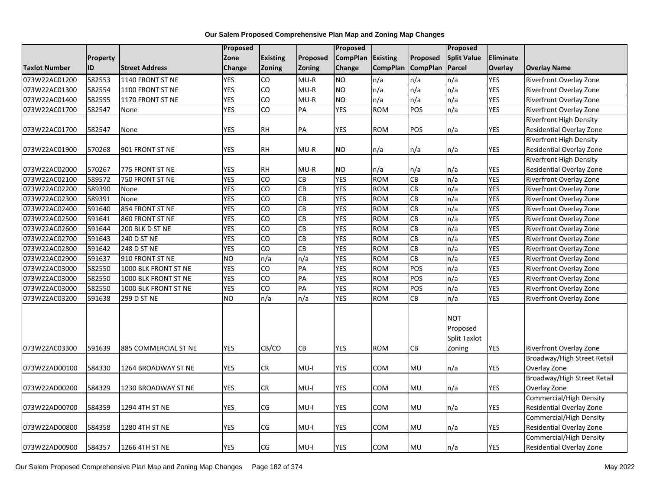|                      |                 |                       | Proposed   |                |            | Proposed        |                 |                 | Proposed                                         |            |                                 |
|----------------------|-----------------|-----------------------|------------|----------------|------------|-----------------|-----------------|-----------------|--------------------------------------------------|------------|---------------------------------|
|                      | <b>Property</b> |                       | Zone       | Existing       | Proposed   | <b>CompPlan</b> | <b>Existing</b> | Proposed        | <b>Split Value</b>                               | Eliminate  |                                 |
| <b>Taxlot Number</b> | ID              | <b>Street Address</b> | Change     | Zoning         | Zoning     | Change          | <b>CompPlan</b> | <b>CompPlan</b> | <b>Parcel</b>                                    | Overlay    | <b>Overlay Name</b>             |
| 073W22AC01200        | 582553          | 1140 FRONT ST NE      | <b>YES</b> | CO             | $MU-R$     | <b>NO</b>       | n/a             | n/a             | n/a                                              | <b>YES</b> | Riverfront Overlay Zone         |
| 073W22AC01300        | 582554          | 1100 FRONT ST NE      | <b>YES</b> | $\overline{c}$ | $MU-R$     | <b>NO</b>       | n/a             | n/a             | $\overline{n/a}$                                 | YES        | Riverfront Overlay Zone         |
| 073W22AC01400        | 582555          | 1170 FRONT ST NE      | <b>YES</b> | $\overline{c}$ | $MU-R$     | <b>NO</b>       | n/a             | n/a             | n/a                                              | YES        | Riverfront Overlay Zone         |
| 073W22AC01700        | 582547          | None                  | <b>YES</b> | CO             | PA         | <b>YES</b>      | <b>ROM</b>      | POS             | n/a                                              | <b>YES</b> | Riverfront Overlay Zone         |
|                      |                 |                       |            |                |            |                 |                 |                 |                                                  |            | <b>Riverfront High Density</b>  |
| 073W22AC01700        | 582547          | None                  | <b>YES</b> | <b>RH</b>      | PA         | <b>YES</b>      | <b>ROM</b>      | <b>POS</b>      | n/a                                              | YES        | Residential Overlay Zone        |
|                      |                 |                       |            |                |            |                 |                 |                 |                                                  |            | Riverfront High Density         |
| 073W22AC01900        | 570268          | 901 FRONT ST NE       | <b>YES</b> | <b>RH</b>      | $MU-R$     | <b>NO</b>       | n/a             | n/a             | n/a                                              | <b>YES</b> | <b>Residential Overlay Zone</b> |
|                      |                 |                       |            |                |            |                 |                 |                 |                                                  |            | <b>Riverfront High Density</b>  |
| 073W22AC02000        | 570267          | 775 FRONT ST NE       | <b>YES</b> | <b>RH</b>      | $MU-R$     | <b>NO</b>       | n/a             | n/a             | n/a                                              | YES        | Residential Overlay Zone        |
| 073W22AC02100        | 589572          | 750 FRONT ST NE       | <b>YES</b> | $\overline{c}$ | CB         | <b>YES</b>      | <b>ROM</b>      | CB              | n/a                                              | <b>YES</b> | <b>Riverfront Overlay Zone</b>  |
| 073W22AC02200        | 589390          | None                  | <b>YES</b> | CO             | CB         | <b>YES</b>      | <b>ROM</b>      | CB              | n/a                                              | <b>YES</b> | Riverfront Overlay Zone         |
| 073W22AC02300        | 589391          | None                  | <b>YES</b> | $\overline{c}$ | CB         | <b>YES</b>      | <b>ROM</b>      | CB              | n/a                                              | <b>YES</b> | Riverfront Overlay Zone         |
| 073W22AC02400        | 591640          | 854 FRONT ST NE       | <b>YES</b> | $\overline{c}$ | CB         | <b>YES</b>      | <b>ROM</b>      | CB              | $\overline{n/a}$                                 | <b>YES</b> | Riverfront Overlay Zone         |
| 073W22AC02500        | 591641          | 860 FRONT ST NE       | <b>YES</b> | $\overline{c}$ | CB         | <b>YES</b>      | <b>ROM</b>      | CB              | $\overline{n/a}$                                 | <b>YES</b> | Riverfront Overlay Zone         |
| 073W22AC02600        | 591644          | 200 BLK D ST NE       | <b>YES</b> | CO             | CB         | <b>YES</b>      | <b>ROM</b>      | CB              | n/a                                              | <b>YES</b> | Riverfront Overlay Zone         |
| 073W22AC02700        | 591643          | 240 D ST NE           | <b>YES</b> | $\overline{c}$ | CB         | <b>YES</b>      | <b>ROM</b>      | CB              | $\overline{n/a}$                                 | <b>YES</b> | Riverfront Overlay Zone         |
| 073W22AC02800        | 591642          | 248 D ST NE           | <b>YES</b> | CO             | CB         | <b>YES</b>      | <b>ROM</b>      | <b>CB</b>       | n/a                                              | YES        | Riverfront Overlay Zone         |
| 073W22AC02900        | 591637          | 910 FRONT ST NE       | <b>NO</b>  | n/a            | n/a        | <b>YES</b>      | <b>ROM</b>      | CB              | n/a                                              | <b>YES</b> | Riverfront Overlay Zone         |
| 073W22AC03000        | 582550          | 1000 BLK FRONT ST NE  | <b>YES</b> | $\overline{c}$ | PA         | <b>YES</b>      | <b>ROM</b>      | POS             | n/a                                              | <b>YES</b> | Riverfront Overlay Zone         |
| 073W22AC03000        | 582550          | 1000 BLK FRONT ST NE  | <b>YES</b> | $\overline{c}$ | PA         | <b>YES</b>      | <b>ROM</b>      | POS             | $\overline{n/a}$                                 | <b>YES</b> | <b>Riverfront Overlay Zone</b>  |
| 073W22AC03000        | 582550          | 1000 BLK FRONT ST NE  | <b>YES</b> | $\overline{c}$ | PA         | <b>YES</b>      | <b>ROM</b>      | POS             | $\overline{n/a}$                                 | YES        | <b>Riverfront Overlay Zone</b>  |
| 073W22AC03200        | 591638          | 299 D ST NE           | NO         | n/a            | n/a        | <b>YES</b>      | <b>ROM</b>      | CB              | $\overline{n/a}$                                 | <b>YES</b> | Riverfront Overlay Zone         |
| 073W22AC03300        | 591639          | 885 COMMERCIAL ST NE  | <b>YES</b> | CB/CO          | ${\sf CB}$ | <b>YES</b>      | <b>ROM</b>      | <b>CB</b>       | <b>NOT</b><br>Proposed<br>Split Taxlot<br>Zoning | <b>YES</b> | <b>Riverfront Overlay Zone</b>  |
|                      |                 |                       |            |                |            |                 |                 |                 |                                                  |            | Broadway/High Street Retail     |
| 073W22AD00100        | 584330          | 1264 BROADWAY ST NE   | <b>YES</b> | CR             | MU-I       | YES             | сом             | MU              | n/a                                              | YES        | Overlay Zone                    |
|                      |                 |                       |            |                |            |                 |                 |                 |                                                  |            | Broadway/High Street Retail     |
| 073W22AD00200        | 584329          | 1230 BROADWAY ST NE   | <b>YES</b> | CR             | MU-I       | <b>YES</b>      | <b>COM</b>      | MU              | n/a                                              | <b>YES</b> | Overlay Zone                    |
|                      |                 |                       |            |                |            |                 |                 |                 |                                                  |            | <b>Commercial/High Density</b>  |
| 073W22AD00700        | 584359          | 1294 4TH ST NE        | <b>YES</b> | CG             | $MU-I$     | <b>YES</b>      | COM             | MU              | n/a                                              | YES        | Residential Overlay Zone        |
|                      |                 |                       |            |                |            |                 |                 |                 |                                                  |            | Commercial/High Density         |
| 073W22AD00800        | 584358          | 1280 4TH ST NE        | <b>YES</b> | CG             | $MU-I$     | <b>YES</b>      | COM             | MU              | n/a                                              | <b>YES</b> | <b>Residential Overlay Zone</b> |
|                      |                 |                       |            |                |            |                 |                 |                 |                                                  |            | Commercial/High Density         |
| 073W22AD00900        | 584357          | 1266 4TH ST NE        | <b>YES</b> | CG             | MU-I       | YES             | COM             | MU              | n/a                                              | YES        | Residential Overlay Zone        |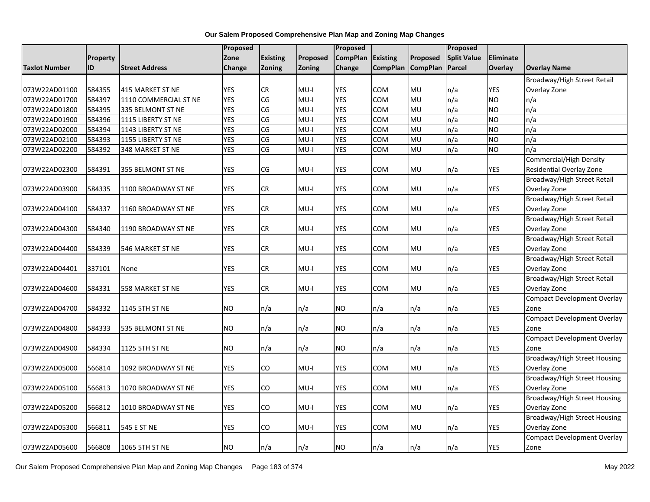|                      |          |                       | Proposed      |                        |          | Proposed        |                 |                 | Proposed           |                |                                                     |
|----------------------|----------|-----------------------|---------------|------------------------|----------|-----------------|-----------------|-----------------|--------------------|----------------|-----------------------------------------------------|
|                      | Property |                       | Zone          | <b>Existing</b>        | Proposed | <b>CompPlan</b> | <b>Existing</b> | Proposed        | <b>Split Value</b> | Eliminate      |                                                     |
| <b>Taxlot Number</b> | ID       | <b>Street Address</b> | <b>Change</b> | Zoning                 | Zoning   | <b>Change</b>   | <b>CompPlan</b> | <b>CompPlan</b> | <b>Parcel</b>      | <b>Overlay</b> | <b>Overlay Name</b>                                 |
|                      |          |                       |               |                        |          |                 |                 |                 |                    |                | Broadway/High Street Retail                         |
| 073W22AD01100        | 584355   | 415 MARKET ST NE      | <b>YES</b>    | <b>CR</b>              | $MU-I$   | <b>YES</b>      | <b>COM</b>      | <b>MU</b>       | n/a                | <b>YES</b>     | Overlay Zone                                        |
| 073W22AD01700        | 584397   | 1110 COMMERCIAL ST NE | <b>YES</b>    | CG                     | $MU-I$   | <b>YES</b>      | COM             | MU              | n/a                | NO.            | n/a                                                 |
| 073W22AD01800        | 584395   | 335 BELMONT ST NE     | <b>YES</b>    | CG                     | $MU-I$   | <b>YES</b>      | COM             | MU              | n/a                | <b>NO</b>      | n/a                                                 |
| 073W22AD01900        | 584396   | 1115 LIBERTY ST NE    | <b>YES</b>    | CG                     | $MU-I$   | <b>YES</b>      | COM             | MU              | n/a                | NO.            | n/a                                                 |
| 073W22AD02000        | 584394   | 1143 LIBERTY ST NE    | <b>YES</b>    | $\overline{\text{CG}}$ | $MU-I$   | <b>YES</b>      | COM             | MU              | n/a                | <b>NO</b>      | n/a                                                 |
| 073W22AD02100        | 584393   | 1155 LIBERTY ST NE    | <b>YES</b>    | CG                     | $MU-I$   | <b>YES</b>      | COM             | MU              | n/a                | <b>NO</b>      | n/a                                                 |
| 073W22AD02200        | 584392   | 348 MARKET ST NE      | <b>YES</b>    | CG                     | $MU-I$   | <b>YES</b>      | COM             | MU              | n/a                | NO.            | n/a                                                 |
| 073W22AD02300        | 584391   | 355 BELMONT ST NE     | <b>YES</b>    | CG                     | $MU-I$   | <b>YES</b>      | <b>COM</b>      | <b>MU</b>       | n/a                | YES            | Commercial/High Density<br>Residential Overlay Zone |
|                      |          |                       |               |                        |          |                 |                 |                 |                    |                | Broadway/High Street Retail                         |
| 073W22AD03900        | 584335   | 1100 BROADWAY ST NE   | <b>YES</b>    | <b>CR</b>              | MU-I     | YES             | COM             | <b>MU</b>       | n/a                | <b>YES</b>     | Overlay Zone                                        |
|                      |          |                       |               |                        |          |                 |                 |                 |                    |                | Broadway/High Street Retail                         |
| 073W22AD04100        | 584337   | 1160 BROADWAY ST NE   | <b>YES</b>    | CR                     | $MU-I$   | <b>YES</b>      | <b>COM</b>      | MU              | n/a                | <b>YES</b>     | Overlay Zone                                        |
|                      |          |                       |               |                        |          |                 |                 |                 |                    |                | Broadway/High Street Retail                         |
| 073W22AD04300        | 584340   | 1190 BROADWAY ST NE   | <b>YES</b>    | <b>CR</b>              | MU-I     | <b>YES</b>      | COM             | <b>MU</b>       | n/a                | <b>YES</b>     | Overlay Zone                                        |
|                      |          |                       |               |                        |          |                 |                 |                 |                    |                | Broadway/High Street Retail                         |
| 073W22AD04400        | 584339   | 546 MARKET ST NE      | <b>YES</b>    | CR                     | MU-I     | YES             | <b>COM</b>      | <b>MU</b>       | n/a                | <b>YES</b>     | Overlay Zone                                        |
|                      |          |                       |               |                        |          |                 |                 |                 |                    |                | Broadway/High Street Retail                         |
| 073W22AD04401        | 337101   | None                  | <b>YES</b>    | <b>CR</b>              | MU-I     | YES             | сом             | <b>MU</b>       | n/a                | YES            | Overlay Zone                                        |
|                      |          |                       |               |                        |          |                 |                 |                 |                    |                | Broadway/High Street Retail                         |
| 073W22AD04600        | 584331   | 558 MARKET ST NE      | <b>YES</b>    | CR                     | $MU-I$   | <b>YES</b>      | COM             | MU              | n/a                | <b>YES</b>     | Overlay Zone                                        |
|                      |          |                       |               |                        |          |                 |                 |                 |                    |                | <b>Compact Development Overlay</b>                  |
| 073W22AD04700        | 584332   | 1145 5TH ST NE        | <b>NO</b>     | n/a                    | n/a      | NO              | n/a             | n/a             | n/a                | <b>YES</b>     | Zone                                                |
|                      |          |                       |               |                        |          |                 |                 |                 |                    |                | <b>Compact Development Overlay</b>                  |
| 073W22AD04800        | 584333   | 535 BELMONT ST NE     | <b>NO</b>     | n/a                    | n/a      | <b>NO</b>       | n/a             | n/a             | n/a                | <b>YES</b>     | Zone                                                |
|                      |          |                       |               |                        |          |                 |                 |                 |                    |                | <b>Compact Development Overlay</b>                  |
| 073W22AD04900        | 584334   | 1125 5TH ST NE        | <b>NO</b>     | n/a                    | n/a      | NO.             | n/a             | n/a             | n/a                | <b>YES</b>     | Zone                                                |
|                      |          |                       |               |                        |          |                 |                 |                 |                    |                | Broadway/High Street Housing                        |
| 073W22AD05000        | 566814   | 1092 BROADWAY ST NE   | <b>YES</b>    | CO                     | $MU-I$   | <b>YES</b>      | COM             | MU              | n/a                | <b>YES</b>     | Overlay Zone                                        |
|                      |          |                       |               |                        |          |                 |                 |                 |                    |                | <b>Broadway/High Street Housing</b>                 |
| 073W22AD05100        | 566813   | 1070 BROADWAY ST NE   | <b>YES</b>    | CO                     | MU-I     | <b>YES</b>      | COM             | <b>MU</b>       | n/a                | <b>YES</b>     | Overlay Zone                                        |
|                      |          |                       |               |                        |          |                 |                 |                 |                    |                | Broadway/High Street Housing                        |
| 073W22AD05200        | 566812   | 1010 BROADWAY ST NE   | <b>YES</b>    | CO                     | MU-I     | <b>YES</b>      | <b>COM</b>      | MU              | n/a                | <b>YES</b>     | Overlay Zone                                        |
|                      |          |                       |               |                        |          |                 |                 |                 |                    |                | Broadway/High Street Housing                        |
| 073W22AD05300        | 566811   | 545 E ST NE           | <b>YES</b>    | CO                     | MU-I     | YES             | сом             | <b>MU</b>       | n/a                | YES            | Overlay Zone                                        |
|                      |          |                       |               |                        |          |                 |                 |                 |                    |                | <b>Compact Development Overlay</b>                  |
| 073W22AD05600        | 566808   | 1065 5TH ST NE        | <b>NO</b>     | n/a                    | n/a      | <b>NO</b>       | n/a             | n/a             | n/a                | <b>YES</b>     | Zone                                                |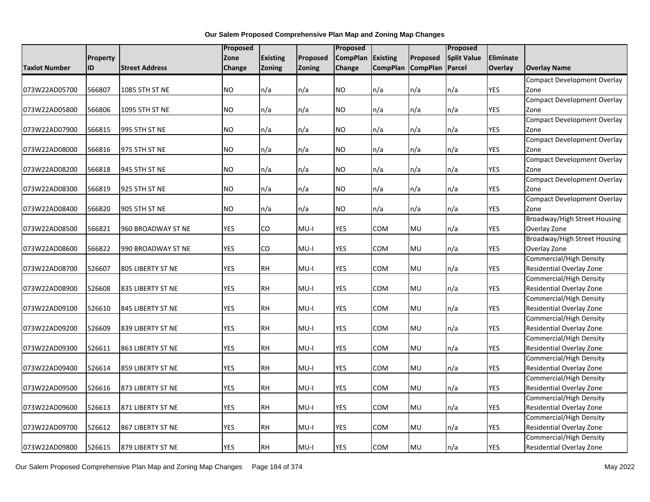|               |                 |                       | Proposed   |                 |          | Proposed        |                 |                   | Proposed           |            |                                                            |
|---------------|-----------------|-----------------------|------------|-----------------|----------|-----------------|-----------------|-------------------|--------------------|------------|------------------------------------------------------------|
|               | <b>Property</b> |                       | Zone       | <b>Existing</b> | Proposed | <b>CompPlan</b> | <b>Existing</b> | Proposed          | <b>Split Value</b> | Eliminate  |                                                            |
| Taxlot Number | ID              | <b>Street Address</b> | Change     | Zoning          | Zoning   | Change          |                 | CompPlan CompPlan | Parcel             | Overlay    | <b>Overlay Name</b>                                        |
|               |                 |                       |            |                 |          |                 |                 |                   |                    |            | <b>Compact Development Overlay</b>                         |
| 073W22AD05700 | 566807          | 1085 5TH ST NE        | NO.        | n/a             | n/a      | <b>NO</b>       | n/a             | n/a               | n/a                | <b>YES</b> | Zone                                                       |
|               |                 |                       |            |                 |          |                 |                 |                   |                    |            | <b>Compact Development Overlay</b>                         |
| 073W22AD05800 | 566806          | 1095 5TH ST NE        | <b>NO</b>  | n/a             | n/a      | <b>NO</b>       | n/a             | n/a               | n/a                | <b>YES</b> | Zone                                                       |
|               |                 |                       |            |                 |          |                 |                 |                   |                    |            | <b>Compact Development Overlay</b>                         |
| 073W22AD07900 | 566815          | 995 5TH ST NE         | <b>NO</b>  | n/a             | n/a      | <b>NO</b>       | n/a             | n/a               | n/a                | <b>YES</b> | Zone                                                       |
|               |                 |                       |            |                 |          |                 |                 |                   |                    |            | <b>Compact Development Overlay</b>                         |
| 073W22AD08000 | 566816          | 975 5TH ST NE         | NO.        | n/a             | n/a      | NO.             | n/a             | n/a               | n/a                | <b>YES</b> | Zone                                                       |
|               |                 |                       |            |                 |          |                 |                 |                   |                    |            | <b>Compact Development Overlay</b>                         |
| 073W22AD08200 | 566818          | 945 5TH ST NE         | <b>NO</b>  | n/a             | n/a      | <b>NO</b>       | n/a             | n/a               | n/a                | <b>YES</b> | Zone                                                       |
|               |                 |                       |            |                 |          |                 |                 |                   |                    |            | <b>Compact Development Overlay</b>                         |
| 073W22AD08300 | 566819          | 925 5TH ST NE         | NO.        | n/a             | n/a      | <b>NO</b>       | n/a             | n/a               | n/a                | <b>YES</b> | Zone                                                       |
|               |                 |                       |            |                 |          |                 |                 |                   |                    |            | <b>Compact Development Overlay</b>                         |
| 073W22AD08400 | 566820          | 905 5TH ST NE         | <b>NO</b>  | n/a             | n/a      | <b>NO</b>       | n/a             | n/a               | n/a                | <b>YES</b> | Zone                                                       |
|               |                 |                       |            |                 |          |                 |                 |                   |                    |            | Broadway/High Street Housing                               |
| 073W22AD08500 | 566821          | 960 BROADWAY ST NE    | <b>YES</b> | CO              | $MU-I$   | <b>YES</b>      | <b>COM</b>      | MU                | n/a                | <b>YES</b> | Overlay Zone                                               |
|               |                 |                       |            |                 |          |                 |                 |                   |                    |            | Broadway/High Street Housing                               |
| 073W22AD08600 | 566822          | 990 BROADWAY ST NE    | <b>YES</b> | CO              | $MU-I$   | <b>YES</b>      | COM             | MU                | n/a                | YES        | Overlay Zone                                               |
|               |                 |                       |            |                 |          |                 |                 |                   |                    |            | Commercial/High Density                                    |
| 073W22AD08700 | 526607          | 805 LIBERTY ST NE     | <b>YES</b> | <b>RH</b>       | MU-I     | <b>YES</b>      | COM             | MU                | n/a                | YES        | Residential Overlay Zone                                   |
|               |                 |                       |            |                 |          |                 |                 |                   |                    |            | Commercial/High Density                                    |
| 073W22AD08900 | 526608          | 835 LIBERTY ST NE     | <b>YES</b> | <b>RH</b>       | $MU-I$   | <b>YES</b>      | <b>COM</b>      | MU                | n/a                | <b>YES</b> | Residential Overlay Zone                                   |
|               |                 |                       |            |                 |          |                 |                 |                   |                    |            | <b>Commercial/High Density</b>                             |
| 073W22AD09100 | 526610          | 845 LIBERTY ST NE     | <b>YES</b> | <b>RH</b>       | MU-I     | <b>YES</b>      | <b>COM</b>      | MU                | n/a                | YES        | Residential Overlay Zone                                   |
|               |                 |                       |            |                 |          |                 |                 |                   |                    |            | <b>Commercial/High Density</b>                             |
| 073W22AD09200 | 526609          | 839 LIBERTY ST NE     | <b>YES</b> | <b>RH</b>       | $MU-I$   | <b>YES</b>      | COM             | MU                | n/a                | YES        | Residential Overlay Zone                                   |
|               |                 |                       |            |                 |          |                 |                 |                   |                    |            | Commercial/High Density                                    |
| 073W22AD09300 | 526611          | 863 LIBERTY ST NE     | <b>YES</b> | <b>RH</b>       | $MU-I$   | YES             | COM             | MU                | n/a                | YES        | Residential Overlay Zone                                   |
|               |                 |                       |            |                 |          |                 |                 |                   |                    |            | <b>Commercial/High Density</b>                             |
| 073W22AD09400 | 526614          | 859 LIBERTY ST NE     | <b>YES</b> | <b>RH</b>       | MU-I     | YES             | COM             | MU                | n/a                | YES        | Residential Overlay Zone                                   |
|               |                 |                       |            |                 |          |                 |                 |                   |                    |            | Commercial/High Density                                    |
| 073W22AD09500 | 526616          | 873 LIBERTY ST NE     | <b>YES</b> | <b>RH</b>       | $MU-I$   | <b>YES</b>      | <b>COM</b>      | MU                | n/a                | <b>YES</b> | Residential Overlay Zone                                   |
|               |                 |                       |            |                 |          |                 |                 |                   |                    |            | <b>Commercial/High Density</b>                             |
| 073W22AD09600 | 526613          | 871 LIBERTY ST NE     | <b>YES</b> | <b>RH</b>       | $MU-I$   | <b>YES</b>      | COM             | MU                | n/a                | <b>YES</b> | Residential Overlay Zone                                   |
|               | 526612          |                       | <b>YES</b> | <b>RH</b>       | MU-I     | YES             | COM             | MU                | n/a                | <b>YES</b> | <b>Commercial/High Density</b><br>Residential Overlay Zone |
| 073W22AD09700 |                 | 867 LIBERTY ST NE     |            |                 |          |                 |                 |                   |                    |            |                                                            |
|               |                 |                       | <b>YES</b> |                 |          |                 |                 |                   |                    |            | Commercial/High Density                                    |
| 073W22AD09800 | 526615          | 879 LIBERTY ST NE     |            | RH              | MU-I     | YES             | COM             | MU                | n/a                | YES        | Residential Overlay Zone                                   |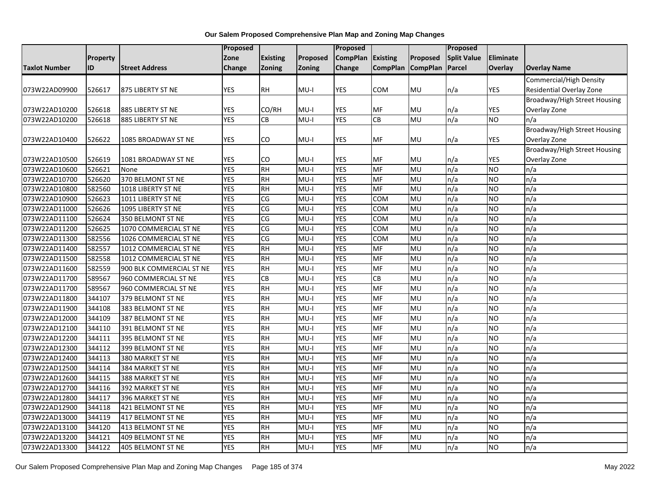|                      |                 |                          | <b>Proposed</b> |                        |                    | Proposed        |                 |                   | Proposed           |            |                                     |
|----------------------|-----------------|--------------------------|-----------------|------------------------|--------------------|-----------------|-----------------|-------------------|--------------------|------------|-------------------------------------|
|                      | <b>Property</b> |                          | Zone            | <b>Existing</b>        | Proposed           | <b>CompPlan</b> | <b>Existing</b> | Proposed          | <b>Split Value</b> | Eliminate  |                                     |
| <b>Taxlot Number</b> | <b>ID</b>       | <b>Street Address</b>    | Change          | <b>Zoning</b>          | Zoning             | Change          |                 | CompPlan CompPlan | Parcel             | Overlay    | <b>Overlay Name</b>                 |
|                      |                 |                          |                 |                        |                    |                 |                 |                   |                    |            | <b>Commercial/High Density</b>      |
| 073W22AD09900        | 526617          | 875 LIBERTY ST NE        | <b>YES</b>      | RH                     | $MU-I$             | <b>YES</b>      | COM             | MU                | n/a                | <b>YES</b> | Residential Overlay Zone            |
|                      |                 |                          |                 |                        |                    |                 |                 |                   |                    |            | <b>Broadway/High Street Housing</b> |
| 073W22AD10200        | 526618          | 885 LIBERTY ST NE        | YES             | CO/RH                  | MU-I               | <b>YES</b>      | MF              | MU                | n/a                | YES        | Overlay Zone                        |
| 073W22AD10200        | 526618          | 885 LIBERTY ST NE        | <b>YES</b>      | CB                     | $MU-I$             | <b>YES</b>      | CB              | MU                | n/a                | <b>NO</b>  | n/a                                 |
|                      |                 |                          |                 |                        |                    |                 |                 |                   |                    |            | <b>Broadway/High Street Housing</b> |
| 073W22AD10400        | 526622          | 1085 BROADWAY ST NE      | <b>YES</b>      | CO                     | $MU-I$             | <b>YES</b>      | MF              | MU                | n/a                | <b>YES</b> | Overlay Zone                        |
|                      |                 |                          |                 |                        |                    |                 |                 |                   |                    |            | Broadway/High Street Housing        |
| 073W22AD10500        | 526619          | 1081 BROADWAY ST NE      | <b>YES</b>      | CO                     | MU-I               | YES             | MF              | MU                | n/a                | YES        | Overlay Zone                        |
| 073W22AD10600        | 526621          | None                     | <b>YES</b>      | RH                     | $MU-I$             | <b>YES</b>      | <b>MF</b>       | <b>MU</b>         | n/a                | <b>NO</b>  | n/a                                 |
| 073W22AD10700        | 526620          | 370 BELMONT ST NE        | <b>YES</b>      | <b>RH</b>              | $MU-I$             | <b>YES</b>      | MF              | MU                | n/a                | <b>NO</b>  | n/a                                 |
| 073W22AD10800        | 582560          | 1018 LIBERTY ST NE       | <b>YES</b>      | <b>RH</b>              | $MU-I$             | <b>YES</b>      | MF              | MU                | n/a                | <b>NO</b>  | n/a                                 |
| 073W22AD10900        | 526623          | 1011 LIBERTY ST NE       | <b>YES</b>      | CG                     | $\overline{MU}$ -I | <b>YES</b>      | COM             | MU                | n/a                | <b>NO</b>  | n/a                                 |
| 073W22AD11000        | 526626          | 1095 LIBERTY ST NE       | <b>YES</b>      | CG                     | $MU-I$             | <b>YES</b>      | COM             | <b>MU</b>         | n/a                | <b>NO</b>  | n/a                                 |
| 073W22AD11100        | 526624          | 350 BELMONT ST NE        | <b>YES</b>      | CG                     | $MU-I$             | <b>YES</b>      | COM             | MU                | n/a                | <b>NO</b>  | n/a                                 |
| 073W22AD11200        | 526625          | 1070 COMMERCIAL ST NE    | <b>YES</b>      | CG                     | $MU-I$             | <b>YES</b>      | COM             | MU                | n/a                | <b>NO</b>  | n/a                                 |
| 073W22AD11300        | 582556          | 1026 COMMERCIAL ST NE    | <b>YES</b>      | $\overline{\text{CG}}$ | $MU-I$             | <b>YES</b>      | COM             | <b>MU</b>         | n/a                | <b>NO</b>  | n/a                                 |
| 073W22AD11400        | 582557          | 1012 COMMERCIAL ST NE    | <b>YES</b>      | <b>RH</b>              | $MU-I$             | <b>YES</b>      | MF              | MU                | n/a                | <b>NO</b>  | n/a                                 |
| 073W22AD11500        | 582558          | 1012 COMMERCIAL ST NE    | <b>YES</b>      | <b>RH</b>              | $MU-I$             | <b>YES</b>      | MF              | MU                | n/a                | <b>NO</b>  | n/a                                 |
| 073W22AD11600        | 582559          | 900 BLK COMMERCIAL ST NE | <b>YES</b>      | <b>RH</b>              | MU-I               | <b>YES</b>      | <b>MF</b>       | MU                | n/a                | <b>NO</b>  | n/a                                 |
| 073W22AD11700        | 589567          | 960 COMMERCIAL ST NE     | <b>YES</b>      | CB                     | $MU-I$             | <b>YES</b>      | CB              | MU                | n/a                | <b>NO</b>  | n/a                                 |
| 073W22AD11700        | 589567          | 960 COMMERCIAL ST NE     | <b>YES</b>      | $\overline{H}$         | $MU-I$             | <b>YES</b>      | <b>MF</b>       | <b>MU</b>         | n/a                | <b>NO</b>  | n/a                                 |
| 073W22AD11800        | 344107          | 379 BELMONT ST NE        | <b>YES</b>      | <b>RH</b>              | $MU-I$             | <b>YES</b>      | MF              | MU                | n/a                | <b>NO</b>  | n/a                                 |
| 073W22AD11900        | 344108          | 383 BELMONT ST NE        | <b>YES</b>      | <b>RH</b>              | $MU-I$             | <b>YES</b>      | MF              | MU                | n/a                | <b>NO</b>  | n/a                                 |
| 073W22AD12000        | 344109          | 387 BELMONT ST NE        | <b>YES</b>      | <b>RH</b>              | $MU-I$             | <b>YES</b>      | MF              | MU                | n/a                | <b>NO</b>  | n/a                                 |
| 073W22AD12100        | 344110          | 391 BELMONT ST NE        | <b>YES</b>      | <b>RH</b>              | $MU-I$             | <b>YES</b>      | MF              | MU                | n/a                | <b>NO</b>  | n/a                                 |
| 073W22AD12200        | 344111          | 395 BELMONT ST NE        | <b>YES</b>      | <b>RH</b>              | $MU-I$             | <b>YES</b>      | MF              | MU                | n/a                | <b>NO</b>  | n/a                                 |
| 073W22AD12300        | 344112          | 399 BELMONT ST NE        | <b>YES</b>      | <b>RH</b>              | $MU-I$             | <b>YES</b>      | MF              | MU                | n/a                | <b>NO</b>  | n/a                                 |
| 073W22AD12400        | 344113          | 380 MARKET ST NE         | <b>YES</b>      | <b>RH</b>              | $MU-I$             | <b>YES</b>      | MF              | MU                | n/a                | <b>NO</b>  | n/a                                 |
| 073W22AD12500        | 344114          | 384 MARKET ST NE         | <b>YES</b>      | <b>RH</b>              | $MU-I$             | <b>YES</b>      | <b>MF</b>       | MU                | n/a                | <b>NO</b>  | n/a                                 |
| 073W22AD12600        | 344115          | 388 MARKET ST NE         | <b>YES</b>      | <b>RH</b>              | MU-I               | <b>YES</b>      | MF              | MU                | n/a                | <b>NO</b>  | n/a                                 |
| 073W22AD12700        | 344116          | 392 MARKET ST NE         | <b>YES</b>      | <b>RH</b>              | $MU-I$             | <b>YES</b>      | MF              | MU                | n/a                | <b>NO</b>  | n/a                                 |
| 073W22AD12800        | 344117          | 396 MARKET ST NE         | <b>YES</b>      | <b>RH</b>              | $MU-I$             | <b>YES</b>      | MF              | MU                | n/a                | <b>NO</b>  | n/a                                 |
| 073W22AD12900        | 344118          | 421 BELMONT ST NE        | <b>YES</b>      | <b>RH</b>              | $MU-I$             | <b>YES</b>      | MF              | MU                | n/a                | <b>NO</b>  | n/a                                 |
| 073W22AD13000        | 344119          | 417 BELMONT ST NE        | <b>YES</b>      | <b>RH</b>              | $MU-I$             | <b>YES</b>      | MF              | MU                | n/a                | <b>NO</b>  | n/a                                 |
| 073W22AD13100        | 344120          | 413 BELMONT ST NE        | <b>YES</b>      | <b>RH</b>              | $MU-I$             | <b>YES</b>      | MF              | MU                | n/a                | <b>NO</b>  | n/a                                 |
| 073W22AD13200        | 344121          | 409 BELMONT ST NE        | <b>YES</b>      | <b>RH</b>              | $MU-I$             | <b>YES</b>      | MF              | MU                | n/a                | <b>NO</b>  | n/a                                 |
| 073W22AD13300        | 344122          | <b>405 BELMONT ST NE</b> | <b>YES</b>      | $R$ H                  | $MU-I$             | <b>YES</b>      | MF              | <b>MU</b>         | n/a                | ŌИ         | n/a                                 |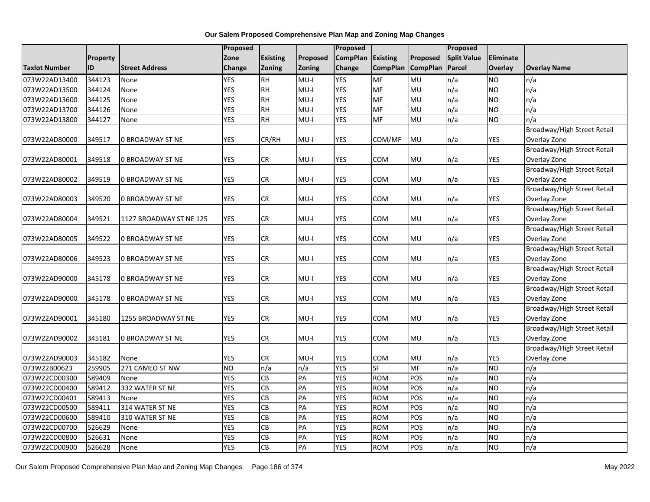|                      |          |                         | Proposed       |                 |          | Proposed        |                 |                          | Proposed           |            |                             |
|----------------------|----------|-------------------------|----------------|-----------------|----------|-----------------|-----------------|--------------------------|--------------------|------------|-----------------------------|
|                      | Property |                         | Zone           | <b>Existing</b> | Proposed | <b>CompPlan</b> | Existing        | Proposed                 | <b>Split Value</b> | Eliminate  |                             |
| <b>Taxlot Number</b> | ID       | <b>Street Address</b>   | Change         | <b>Zoning</b>   | Zoning   | Change          | <b>CompPlan</b> | <b>CompPlan</b>          | Parcel             | Overlay    | <b>Overlay Name</b>         |
| 073W22AD13400        | 344123   | None                    | <b>YES</b>     | <b>RH</b>       | MU-I     | <b>YES</b>      | <b>MF</b>       | MU                       | n/a                | <b>NO</b>  | n/a                         |
| 073W22AD13500        | 344124   | None                    | <b>YES</b>     | $R$ H           | $MU-I$   | <b>YES</b>      | MF              | <b>MU</b>                | n/a                | <b>NO</b>  | n/a                         |
| 073W22AD13600        | 344125   | None                    | <b>YES</b>     | <b>RH</b>       | $MU-I$   | <b>YES</b>      | MF              | MU                       | n/a                | <b>NO</b>  | n/a                         |
| 073W22AD13700        | 344126   | None                    | <b>YES</b>     | <b>RH</b>       | $MU-I$   | <b>YES</b>      | <b>MF</b>       | MU                       | n/a                | <b>NO</b>  | n/a                         |
| 073W22AD13800        | 344127   | None                    | <b>YES</b>     | <b>RH</b>       | $MU-I$   | <b>YES</b>      | <b>MF</b>       | MU                       | n/a                | <b>NO</b>  | n/a                         |
|                      |          |                         |                |                 |          |                 |                 |                          |                    |            | Broadway/High Street Retail |
| 073W22AD80000        | 349517   | 0 BROADWAY ST NE        | <b>YES</b>     | CR/RH           | $MU-I$   | <b>YES</b>      | COM/MF          | MU                       | n/a                | <b>YES</b> | Overlay Zone                |
|                      |          |                         |                |                 |          |                 |                 |                          |                    |            | Broadway/High Street Retail |
| 073W22AD80001        | 349518   | 0 BROADWAY ST NE        | <b>YES</b>     | CR              | $MU-I$   | YES             | <b>COM</b>      | MU                       | n/a                | YES        | Overlay Zone                |
|                      |          |                         |                |                 |          |                 |                 |                          |                    |            | Broadway/High Street Retail |
| 073W22AD80002        | 349519   | 0 BROADWAY ST NE        | <b>YES</b>     | CR              | $MU-I$   | <b>YES</b>      | <b>COM</b>      | MU                       | n/a                | <b>YES</b> | Overlay Zone                |
|                      |          |                         |                |                 |          |                 |                 |                          |                    |            | Broadway/High Street Retail |
| 073W22AD80003        | 349520   | 0 BROADWAY ST NE        | <b>YES</b>     | CR              | $MU-I$   | <b>YES</b>      | COM             | MU                       | n/a                | YES        | Overlay Zone                |
|                      |          |                         |                |                 |          |                 |                 |                          |                    |            | Broadway/High Street Retail |
| 073W22AD80004        | 349521   | 1127 BROADWAY ST NE 125 | <b>YES</b>     | <b>CR</b>       | $MU-I$   | <b>YES</b>      | COM             | MU                       | n/a                | YES        | Overlay Zone                |
|                      |          |                         |                |                 |          |                 |                 |                          |                    |            | Broadway/High Street Retail |
| 073W22AD80005        | 349522   | <b>0 BROADWAY ST NE</b> | <b>YES</b>     | <b>CR</b>       | $MU-I$   | YES             | <b>COM</b>      | MU                       | n/a                | YES        | Overlay Zone                |
|                      |          |                         |                |                 |          |                 |                 |                          |                    |            | Broadway/High Street Retail |
| 073W22AD80006        | 349523   | 0 BROADWAY ST NE        | <b>YES</b>     | CR              | MU-I     | YES             | <b>COM</b>      | MU                       | n/a                | YES        | Overlay Zone                |
|                      |          |                         |                |                 |          |                 |                 |                          |                    |            | Broadway/High Street Retail |
| 073W22AD90000        | 345178   | 0 BROADWAY ST NE        | <b>YES</b>     | CR              | $MU-I$   | <b>YES</b>      | COM             | MU                       | n/a                | <b>YES</b> | Overlay Zone                |
|                      |          |                         |                |                 |          |                 |                 |                          |                    |            | Broadway/High Street Retail |
| 073W22AD90000        | 345178   | 0 BROADWAY ST NE        | <b>YES</b>     | CR              | $MU-I$   | <b>YES</b>      | COM             | MU                       | n/a                | <b>YES</b> | Overlay Zone                |
|                      |          |                         |                |                 |          |                 |                 |                          |                    |            | Broadway/High Street Retail |
| 073W22AD90001        | 345180   | 1255 BROADWAY ST NE     | <b>YES</b>     | CR              | $MU-I$   | YES             | <b>COM</b>      | MU                       | n/a                | YES        | Overlay Zone                |
|                      |          |                         |                |                 |          |                 |                 |                          |                    |            | Broadway/High Street Retail |
| 073W22AD90002        | 345181   | 0 BROADWAY ST NE        | <b>YES</b>     | <b>CR</b>       | $MU-I$   | <b>YES</b>      | COM             | MU                       | n/a                | <b>YES</b> | Overlay Zone                |
|                      |          |                         |                |                 |          |                 |                 |                          |                    |            | Broadway/High Street Retail |
| 073W22AD90003        | 345182   | None                    | <b>YES</b>     | CR              | MU-I     | <b>YES</b>      | <b>COM</b>      | MU                       | n/a                | YES        | Overlay Zone                |
| 073W22B00623         | 259905   | 271 CAMEO ST NW         | N <sub>O</sub> | n/a             | n/a      | <b>YES</b>      | <b>SF</b>       | $\overline{\mathsf{MF}}$ | n/a                | <b>NO</b>  | n/a                         |
| 073W22CD00300        | 589409   | None                    | <b>YES</b>     | CB              | PA       | <b>YES</b>      | <b>ROM</b>      | POS                      | n/a                | <b>NO</b>  | n/a                         |
| 073W22CD00400        | 589412   | 332 WATER ST NE         | <b>YES</b>     | CB              | PA       | <b>YES</b>      | <b>ROM</b>      | POS                      | n/a                | <b>NO</b>  | n/a                         |
| 073W22CD00401        | 589413   | None                    | <b>YES</b>     | $\overline{CB}$ | PA       | <b>YES</b>      | <b>ROM</b>      | POS                      | n/a                | <b>NO</b>  | n/a                         |
| 073W22CD00500        | 589411   | 314 WATER ST NE         | <b>YES</b>     | CB              | PA       | <b>YES</b>      | <b>ROM</b>      | POS                      | n/a                | <b>NO</b>  | n/a                         |
| 073W22CD00600        | 589410   | 310 WATER ST NE         | <b>YES</b>     | GВ              | PA       | <b>YES</b>      | <b>ROM</b>      | POS                      | n/a                | <b>ON</b>  | n/a                         |
| 073W22CD00700        | 526629   | None                    | <b>YES</b>     | <b>CB</b>       | PA       | <b>YES</b>      | <b>ROM</b>      | POS                      | n/a                | <b>NO</b>  | n/a                         |
| 073W22CD00800        | 526631   | None                    | <b>YES</b>     | CB              | PA       | <b>YES</b>      | <b>ROM</b>      | POS                      | n/a                | <b>NO</b>  | n/a                         |
| 073W22CD00900        | 526628   | None                    | <b>YES</b>     | $\overline{CB}$ | PA       | <b>YES</b>      | <b>ROM</b>      | POS                      | n/a                | <b>ON</b>  | n/a                         |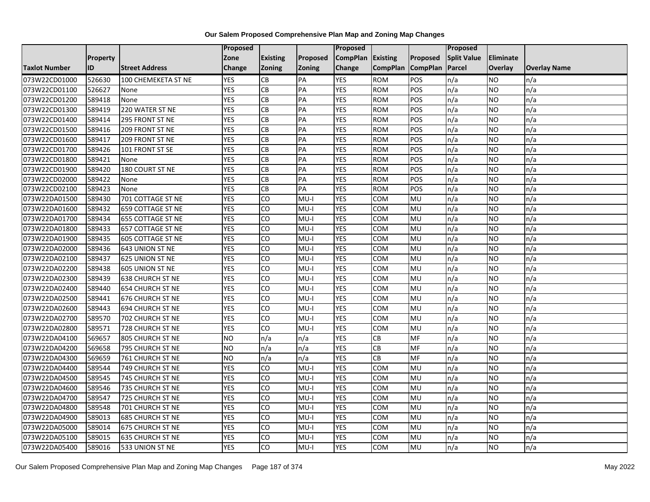|                      |           |                          | Proposed       |                 |               | Proposed        |                   |           | Proposed           |                  |                     |
|----------------------|-----------|--------------------------|----------------|-----------------|---------------|-----------------|-------------------|-----------|--------------------|------------------|---------------------|
|                      | Property  |                          | Zone           | <b>Existing</b> | Proposed      | <b>CompPlan</b> | Existing          | Proposed  | <b>Split Value</b> | <b>Eliminate</b> |                     |
| <b>Taxlot Number</b> | <b>ID</b> | <b>Street Address</b>    | <b>Change</b>  | <b>Zoning</b>   | <b>Zoning</b> | Change          | CompPlan CompPlan |           | Parcel             | <b>Overlay</b>   | <b>Overlay Name</b> |
| 073W22CD01000        | 526630    | 100 CHEMEKETA ST NE      | <b>YES</b>     | <b>CB</b>       | PA            | <b>YES</b>      | <b>ROM</b>        | POS       | n/a                | <b>NO</b>        | n/a                 |
| 073W22CD01100        | 526627    | None                     | <b>YES</b>     | CB              | PA            | <b>YES</b>      | <b>ROM</b>        | POS       | n/a                | <b>NO</b>        | n/a                 |
| 073W22CD01200        | 589418    | None                     | <b>YES</b>     | CB              | PA            | <b>YES</b>      | <b>ROM</b>        | POS       | n/a                | <b>NO</b>        | n/a                 |
| 073W22CD01300        | 589419    | 220 WATER ST NE          | <b>YES</b>     | <b>CB</b>       | PA            | <b>YES</b>      | <b>ROM</b>        | POS       | n/a                | <b>NO</b>        | n/a                 |
| 073W22CD01400        | 589414    | 295 FRONT ST NE          | <b>YES</b>     | <b>CB</b>       | PA            | <b>YES</b>      | <b>ROM</b>        | POS       | n/a                | <b>NO</b>        | n/a                 |
| 073W22CD01500        | 589416    | 209 FRONT ST NE          | <b>YES</b>     | CB              | PA            | <b>YES</b>      | <b>ROM</b>        | POS       | n/a                | <b>NO</b>        | n/a                 |
| 073W22CD01600        | 589417    | 209 FRONT ST NE          | <b>YES</b>     | <b>CB</b>       | PA            | <b>YES</b>      | <b>ROM</b>        | POS       | n/a                | <b>NO</b>        | n/a                 |
| 073W22CD01700        | 589426    | 101 FRONT ST SE          | <b>YES</b>     | <b>CB</b>       | PA            | <b>YES</b>      | <b>ROM</b>        | POS       | n/a                | <b>NO</b>        | n/a                 |
| 073W22CD01800        | 589421    | None                     | <b>YES</b>     | CB              | PA            | <b>YES</b>      | <b>ROM</b>        | POS       | n/a                | <b>NO</b>        | n/a                 |
| 073W22CD01900        | 589420    | 180 COURT ST NE          | <b>YES</b>     | CB              | PA            | <b>YES</b>      | <b>ROM</b>        | POS       | n/a                | <b>NO</b>        | n/a                 |
| 073W22CD02000        | 589422    | None                     | <b>YES</b>     | CB              | PA            | <b>YES</b>      | <b>ROM</b>        | POS       | n/a                | <b>NO</b>        | n/a                 |
| 073W22CD02100        | 589423    | None                     | <b>YES</b>     | CB              | PA            | <b>YES</b>      | <b>ROM</b>        | POS       | n/a                | <b>NO</b>        | n/a                 |
| 073W22DA01500        | 589430    | 701 COTTAGE ST NE        | <b>YES</b>     | <b>CO</b>       | $MU-I$        | <b>YES</b>      | COM               | MU        | n/a                | <b>NO</b>        | n/a                 |
| 073W22DA01600        | 589432    | 659 COTTAGE ST NE        | <b>YES</b>     | CO              | $MU-I$        | <b>YES</b>      | COM               | MU        | n/a                | <b>NO</b>        | n/a                 |
| 073W22DA01700        | 589434    | <b>655 COTTAGE ST NE</b> | <b>YES</b>     | <b>CO</b>       | $MU-I$        | <b>YES</b>      | <b>COM</b>        | MU        | n/a                | <b>NO</b>        | n/a                 |
| 073W22DA01800        | 589433    | 657 COTTAGE ST NE        | <b>YES</b>     | 6               | $MU-I$        | <b>YES</b>      | COM               | MU        | n/a                | <b>NO</b>        | n/a                 |
| 073W22DA01900        | 589435    | 605 COTTAGE ST NE        | <b>YES</b>     | CO              | $MU-I$        | <b>YES</b>      | COM               | MU        | n/a                | <b>NO</b>        | n/a                 |
| 073W22DA02000        | 589436    | 643 UNION ST NE          | <b>YES</b>     | CO              | $MU-I$        | <b>YES</b>      | COM               | MU        | n/a                | <b>NO</b>        | n/a                 |
| 073W22DA02100        | 589437    | 625 UNION ST NE          | <b>YES</b>     | 6               | $MU-I$        | <b>YES</b>      | COM               | MU        | n/a                | <b>NO</b>        | n/a                 |
| 073W22DA02200        | 589438    | 605 UNION ST NE          | <b>YES</b>     | CO              | $MU-I$        | <b>YES</b>      | <b>COM</b>        | MU        | n/a                | <b>NO</b>        | n/a                 |
| 073W22DA02300        | 589439    | <b>638 CHURCH ST NE</b>  | <b>YES</b>     | CO              | $MU-I$        | <b>YES</b>      | <b>COM</b>        | MU        | n/a                | <b>NO</b>        | n/a                 |
| 073W22DA02400        | 589440    | 654 CHURCH ST NE         | <b>YES</b>     | $\overline{c}$  | I-UM          | <b>YES</b>      | <b>COM</b>        | MU        | n/a                | <b>NO</b>        | n/a                 |
| 073W22DA02500        | 589441    | 676 CHURCH ST NE         | <b>YES</b>     | CO              | $MU-I$        | <b>YES</b>      | COM               | MU        | n/a                | <b>NO</b>        | n/a                 |
| 073W22DA02600        | 589443    | 694 CHURCH ST NE         | <b>YES</b>     | <b>CO</b>       | $MU-I$        | <b>YES</b>      | COM               | MU        | n/a                | <b>NO</b>        | n/a                 |
| 073W22DA02700        | 589570    | 702 CHURCH ST NE         | <b>YES</b>     | CO              | $MU-I$        | <b>YES</b>      | COM               | <b>MU</b> | n/a                | <b>NO</b>        | n/a                 |
| 073W22DA02800        | 589571    | 728 CHURCH ST NE         | <b>YES</b>     | CO              | $MU-I$        | <b>YES</b>      | <b>COM</b>        | MU        | n/a                | <b>NO</b>        | n/a                 |
| 073W22DA04100        | 569657    | 805 CHURCH ST NE         | N <sub>O</sub> | n/a             | n/a           | <b>YES</b>      | $\overline{c}$    | MF        | n/a                | <b>NO</b>        | n/a                 |
| 073W22DA04200        | 569658    | 795 CHURCH ST NE         | <b>NO</b>      | n/a             | n/a           | <b>YES</b>      | $\overline{c}$    | MF        | n/a                | <b>NO</b>        | n/a                 |
| 073W22DA04300        | 569659    | 761 CHURCH ST NE         | <b>NO</b>      | n/a             | n/a           | <b>YES</b>      | <b>CB</b>         | MF        | n/a                | <b>NO</b>        | n/a                 |
| 073W22DA04400        | 589544    | 749 CHURCH ST NE         | <b>YES</b>     | <b>CO</b>       | $MU-I$        | <b>YES</b>      | COM               | MU        | n/a                | <b>NO</b>        | n/a                 |
| 073W22DA04500        | 589545    | 745 CHURCH ST NE         | <b>YES</b>     | CO              | $MU-I$        | <b>YES</b>      | COM               | MU        | n/a                | <b>NO</b>        | n/a                 |
| 073W22DA04600        | 589546    | 735 CHURCH ST NE         | <b>YES</b>     | Ю               | $MU-I$        | <b>YES</b>      | COM               | <b>MU</b> | n/a                | <b>NO</b>        | n/a                 |
| 073W22DA04700        | 589547    | 725 CHURCH ST NE         | <b>YES</b>     | CO              | $MU-I$        | <b>YES</b>      | COM               | MU        | n/a                | <b>NO</b>        | n/a                 |
| 073W22DA04800        | 589548    | 701 CHURCH ST NE         | <b>YES</b>     | CO              | $MU-I$        | <b>YES</b>      | COM               | MU        | n/a                | <b>NO</b>        | n/a                 |
| 073W22DA04900        | 589013    | <b>685 CHURCH ST NE</b>  | <b>YES</b>     | <b>CO</b>       | $MU-I$        | <b>YES</b>      | COM               | MU        | n/a                | <b>NO</b>        | n/a                 |
| 073W22DA05000        | 589014    | 675 CHURCH ST NE         | <b>YES</b>     | CO              | $MU-I$        | <b>YES</b>      | COM               | <b>MU</b> | n/a                | <b>NO</b>        | n/a                 |
| 073W22DA05100        | 589015    | 635 CHURCH ST NE         | <b>YES</b>     | CO              | $MU-I$        | <b>YES</b>      | COM               | MU        | n/a                | <b>NO</b>        | n/a                 |
| 073W22DA05400        | 589016    | 533 UNION ST NE          | <b>YES</b>     | <b>CO</b>       | $MU-I$        | <b>YES</b>      | <b>COM</b>        | MU        | n/a                | <b>NO</b>        | n/a                 |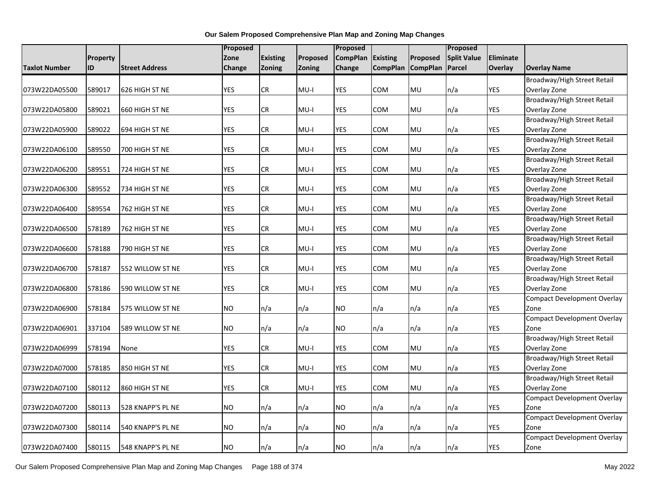|                      |          |                       | Proposed      |                 |               | Proposed        |                 |                 | Proposed           |            |                                             |
|----------------------|----------|-----------------------|---------------|-----------------|---------------|-----------------|-----------------|-----------------|--------------------|------------|---------------------------------------------|
|                      | Property |                       | Zone          | <b>Existing</b> | Proposed      | <b>CompPlan</b> | <b>Existing</b> | Proposed        | <b>Split Value</b> | Eliminate  |                                             |
| <b>Taxlot Number</b> | ID       | <b>Street Address</b> | <b>Change</b> | Zoning          | <b>Zoning</b> | <b>Change</b>   | <b>CompPlan</b> | <b>CompPlan</b> | Parcel             | Overlay    | <b>Overlay Name</b>                         |
|                      |          |                       |               |                 |               |                 |                 |                 |                    |            | Broadway/High Street Retail                 |
| 073W22DA05500        | 589017   | 626 HIGH ST NE        | <b>YES</b>    | ${\sf CR}$      | $MU-I$        | YES             | COM             | <b>MU</b>       | n/a                | <b>YES</b> | Overlay Zone                                |
|                      |          |                       |               |                 |               |                 |                 |                 |                    |            | Broadway/High Street Retail                 |
| 073W22DA05800        | 589021   | 660 HIGH ST NE        | <b>YES</b>    | CR              | $MU-I$        | <b>YES</b>      | COM             | <b>MU</b>       | n/a                | <b>YES</b> | Overlay Zone                                |
|                      |          |                       |               |                 |               |                 |                 |                 |                    |            | Broadway/High Street Retail                 |
| 073W22DA05900        | 589022   | 694 HIGH ST NE        | <b>YES</b>    | ${\sf CR}$      | $MU-I$        | <b>YES</b>      | COM             | <b>MU</b>       | n/a                | <b>YES</b> | Overlay Zone                                |
|                      |          |                       |               |                 |               |                 |                 |                 |                    |            | Broadway/High Street Retail                 |
| 073W22DA06100        | 589550   | 700 HIGH ST NE        | <b>YES</b>    | CR              | $MU-I$        | <b>YES</b>      | COM             | MU              | n/a                | <b>YES</b> | Overlay Zone                                |
|                      |          |                       |               |                 |               |                 |                 |                 |                    |            | Broadway/High Street Retail                 |
| 073W22DA06200        | 589551   | 724 HIGH ST NE        | <b>YES</b>    | CR              | $MU-I$        | <b>YES</b>      | COM             | MU              | n/a                | <b>YES</b> | Overlay Zone                                |
|                      |          |                       |               |                 |               |                 |                 |                 |                    |            | Broadway/High Street Retail                 |
| 073W22DA06300        | 589552   | 734 HIGH ST NE        | <b>YES</b>    | CR              | $MU-I$        | YES             | COM             | <b>MU</b>       | n/a                | <b>YES</b> | Overlay Zone                                |
|                      |          |                       |               |                 |               |                 |                 |                 |                    |            | Broadway/High Street Retail                 |
| 073W22DA06400        | 589554   | 762 HIGH ST NE        | <b>YES</b>    | ${\sf CR}$      | MU-I          | YES             | COM             | <b>MU</b>       | n/a                | YES        | Overlay Zone                                |
|                      |          |                       |               |                 |               |                 |                 |                 |                    |            | Broadway/High Street Retail                 |
| 073W22DA06500        | 578189   | 762 HIGH ST NE        | <b>YES</b>    | CR              | $MU-I$        | <b>YES</b>      | COM             | MU              | n/a                | <b>YES</b> | Overlay Zone                                |
|                      |          |                       |               |                 |               |                 |                 |                 |                    |            | Broadway/High Street Retail                 |
| 073W22DA06600        | 578188   | 790 HIGH ST NE        | <b>YES</b>    | ${\sf CR}$      | $MU-I$        | <b>YES</b>      | COM             | <b>MU</b>       | n/a                | <b>YES</b> | Overlay Zone                                |
|                      |          |                       |               | CR              |               |                 |                 |                 |                    |            | Broadway/High Street Retail                 |
| 073W22DA06700        | 578187   | 552 WILLOW ST NE      | <b>YES</b>    |                 | $MU-I$        | YES             | сом             | MU              | n/a                | <b>YES</b> | Overlay Zone                                |
| 073W22DA06800        | 578186   |                       | <b>YES</b>    | CR              | $MU-I$        | YES             | COM             | MU              | n/a                | YES        | Broadway/High Street Retail<br>Overlay Zone |
|                      |          | 590 WILLOW ST NE      |               |                 |               |                 |                 |                 |                    |            | <b>Compact Development Overlay</b>          |
| 073W22DA06900        | 578184   | 575 WILLOW ST NE      | <b>NO</b>     | n/a             | n/a           | <b>NO</b>       | n/a             | n/a             | n/a                | <b>YES</b> | Zone                                        |
|                      |          |                       |               |                 |               |                 |                 |                 |                    |            | <b>Compact Development Overlay</b>          |
| 073W22DA06901        | 337104   | 589 WILLOW ST NE      | <b>NO</b>     | n/a             | n/a           | <b>NO</b>       | n/a             | n/a             | n/a                | <b>YES</b> | Zone                                        |
|                      |          |                       |               |                 |               |                 |                 |                 |                    |            | Broadway/High Street Retail                 |
| 073W22DA06999        | 578194   | None                  | <b>YES</b>    | CR              | MU-I          | YES             | COM             | MU              | n/a                | <b>YES</b> | Overlay Zone                                |
|                      |          |                       |               |                 |               |                 |                 |                 |                    |            | Broadway/High Street Retail                 |
| 073W22DA07000        | 578185   | 850 HIGH ST NE        | <b>YES</b>    | ${\sf CR}$      | $MU-I$        | <b>YES</b>      | COM             | <b>MU</b>       | n/a                | <b>YES</b> | Overlay Zone                                |
|                      |          |                       |               |                 |               |                 |                 |                 |                    |            | Broadway/High Street Retail                 |
| 073W22DA07100        | 580112   | 860 HIGH ST NE        | <b>YES</b>    | <b>CR</b>       | $MU-I$        | <b>YES</b>      | COM             | MU              | n/a                | YES        | Overlay Zone                                |
|                      |          |                       |               |                 |               |                 |                 |                 |                    |            | <b>Compact Development Overlay</b>          |
| 073W22DA07200        | 580113   | 528 KNAPP'S PL NE     | <b>NO</b>     | n/a             | n/a           | <b>NO</b>       | n/a             | n/a             | n/a                | <b>YES</b> | Zone                                        |
|                      |          |                       |               |                 |               |                 |                 |                 |                    |            | <b>Compact Development Overlay</b>          |
| 073W22DA07300        | 580114   | 540 KNAPP'S PL NE     | <b>NO</b>     | n/a             | n/a           | <b>NO</b>       | n/a             | n/a             | n/a                | <b>YES</b> | Zone                                        |
|                      |          |                       |               |                 |               |                 |                 |                 |                    |            | <b>Compact Development Overlay</b>          |
| 073W22DA07400        | 580115   | 548 KNAPP'S PL NE     | <b>NO</b>     | n/a             | n/a           | <b>NO</b>       | n/a             | n/a             | n/a                | <b>YES</b> | Zone                                        |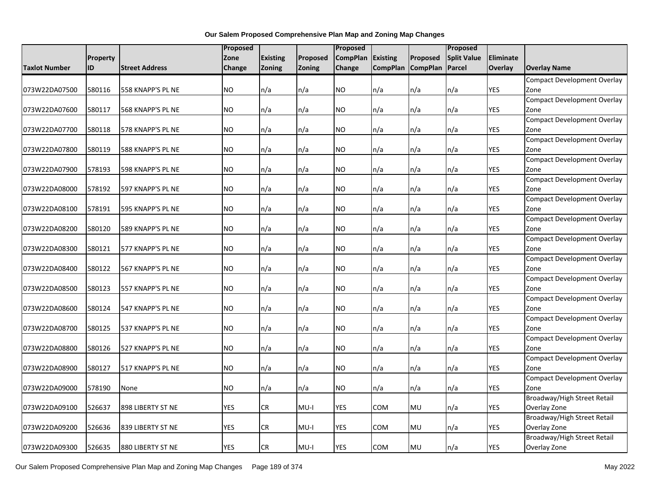|               |          |                       | <b>Proposed</b> |                 |               | Proposed        |                 |                 | Proposed           |            |                                            |
|---------------|----------|-----------------------|-----------------|-----------------|---------------|-----------------|-----------------|-----------------|--------------------|------------|--------------------------------------------|
|               | Property |                       | Zone            | <b>Existing</b> | Proposed      | <b>CompPlan</b> | <b>Existing</b> | Proposed        | <b>Split Value</b> | Eliminate  |                                            |
| Taxlot Number | ID       | <b>Street Address</b> | Change          | Zoning          | <b>Zoning</b> | <b>Change</b>   | <b>CompPlan</b> | <b>CompPlan</b> | Parcel             | Overlay    | <b>Overlay Name</b>                        |
|               |          |                       |                 |                 |               |                 |                 |                 |                    |            | Compact Development Overlay                |
| 073W22DA07500 | 580116   | 558 KNAPP'S PL NE     | <b>NO</b>       | n/a             | n/a           | NO              | n/a             | n/a             | n/a                | <b>YES</b> | Zone                                       |
|               |          |                       |                 |                 |               |                 |                 |                 |                    |            | Compact Development Overlay                |
| 073W22DA07600 | 580117   | 568 KNAPP'S PL NE     | <b>NO</b>       | n/a             | n/a           | <b>NO</b>       | n/a             | n/a             | n/a                | YES        | Zone                                       |
|               |          |                       |                 |                 |               |                 |                 |                 |                    |            | <b>Compact Development Overlay</b>         |
| 073W22DA07700 | 580118   | 578 KNAPP'S PL NE     | <b>NO</b>       | n/a             | n/a           | <b>NO</b>       | n/a             | n/a             | n/a                | <b>YES</b> | Zone                                       |
|               |          |                       |                 |                 |               |                 |                 |                 |                    |            | <b>Compact Development Overlay</b>         |
| 073W22DA07800 | 580119   | 588 KNAPP'S PL NE     | <b>NO</b>       | n/a             | n/a           | <b>NO</b>       | n/a             | n/a             | n/a                | <b>YES</b> | Zone                                       |
|               |          |                       |                 |                 |               |                 |                 |                 |                    |            | <b>Compact Development Overlay</b>         |
| 073W22DA07900 | 578193   | 598 KNAPP'S PL NE     | <b>NO</b>       | n/a             | n/a           | <b>NO</b>       | n/a             | n/a             | n/a                | <b>YES</b> | Zone                                       |
|               |          |                       |                 |                 |               |                 |                 |                 |                    |            | <b>Compact Development Overlay</b>         |
| 073W22DA08000 | 578192   | 597 KNAPP'S PL NE     | <b>NO</b>       | n/a             | n/a           | <b>NO</b>       | n/a             | n/a             | n/a                | <b>YES</b> | Zone                                       |
|               |          |                       |                 |                 |               |                 |                 |                 |                    |            | <b>Compact Development Overlay</b>         |
| 073W22DA08100 | 578191   | 595 KNAPP'S PL NE     | <b>NO</b>       | n/a             | n/a           | <b>NO</b>       | n/a             | n/a             | n/a                | YES        | Zone                                       |
|               |          |                       |                 |                 |               |                 |                 |                 |                    |            | <b>Compact Development Overlay</b>         |
| 073W22DA08200 | 580120   | 589 KNAPP'S PL NE     | <b>NO</b>       | n/a             | n/a           | <b>NO</b>       | n/a             | n/a             | n/a                | <b>YES</b> | Zone                                       |
|               |          |                       |                 |                 |               |                 |                 |                 |                    |            | Compact Development Overlay                |
| 073W22DA08300 | 580121   | 577 KNAPP'S PL NE     | <b>NO</b>       | n/a             | n/a           | <b>NO</b>       | n/a             | n/a             | n/a                | <b>YES</b> | Zone                                       |
|               |          |                       |                 |                 |               |                 |                 |                 |                    |            | <b>Compact Development Overlay</b>         |
| 073W22DA08400 | 580122   | 567 KNAPP'S PL NE     | <b>NO</b>       | n/a             | n/a           | INO.            | n/a             | n/a             | n/a                | YES        | Zone                                       |
|               |          |                       |                 |                 |               |                 |                 |                 |                    |            | <b>Compact Development Overlay</b>         |
| 073W22DA08500 | 580123   | 557 KNAPP'S PL NE     | <b>NO</b>       | n/a             | n/a           | <b>NO</b>       | n/a             | n/a             | n/a                | <b>YES</b> | Zone                                       |
|               |          |                       |                 |                 |               |                 |                 |                 |                    |            | <b>Compact Development Overlay</b>         |
| 073W22DA08600 | 580124   | 547 KNAPP'S PL NE     | <b>NO</b>       | n/a             | n/a           | <b>NO</b>       | n/a             | n/a             | n/a                | YES        | Zone                                       |
|               |          |                       | <b>NO</b>       |                 |               |                 |                 |                 |                    |            | <b>Compact Development Overlay</b>         |
| 073W22DA08700 | 580125   | 537 KNAPP'S PL NE     |                 | n/a             | n/a           | <b>NO</b>       | n/a             | n/a             | n/a                | <b>YES</b> | Zone<br><b>Compact Development Overlay</b> |
| 073W22DA08800 | 580126   | 527 KNAPP'S PL NE     | <b>NO</b>       | n/a             | n/a           | <b>NO</b>       | n/a             | n/a             | n/a                | YES        | Zone                                       |
|               |          |                       |                 |                 |               |                 |                 |                 |                    |            | Compact Development Overlay                |
| 073W22DA08900 | 580127   | 517 KNAPP'S PL NE     | <b>NO</b>       | n/a             | n/a           | <b>NO</b>       | n/a             | n/a             | n/a                | <b>YES</b> | Zone                                       |
|               |          |                       |                 |                 |               |                 |                 |                 |                    |            | <b>Compact Development Overlay</b>         |
| 073W22DA09000 | 578190   | None                  | <b>NO</b>       | n/a             | n/a           | <b>NO</b>       | n/a             | n/a             | n/a                | <b>YES</b> | Zone                                       |
|               |          |                       |                 |                 |               |                 |                 |                 |                    |            | Broadway/High Street Retail                |
| 073W22DA09100 | 526637   | 898 LIBERTY ST NE     | <b>YES</b>      | CR              | $MU-I$        | <b>YES</b>      | COM             | <b>MU</b>       | n/a                | <b>YES</b> | Overlay Zone                               |
|               |          |                       |                 |                 |               |                 |                 |                 |                    |            | Broadway/High Street Retail                |
| 073W22DA09200 | 526636   | 839 LIBERTY ST NE     | <b>YES</b>      | CR              | MU-I          | YES             | сом             | <b>MU</b>       | n/a                | YES        | Overlay Zone                               |
|               |          |                       |                 |                 |               |                 |                 |                 |                    |            | Broadway/High Street Retail                |
| 073W22DA09300 | 526635   | 880 LIBERTY ST NE     | <b>YES</b>      | CR              | MU-I          | <b>YES</b>      | <b>COM</b>      | <b>MU</b>       | n/a                | <b>YES</b> | Overlay Zone                               |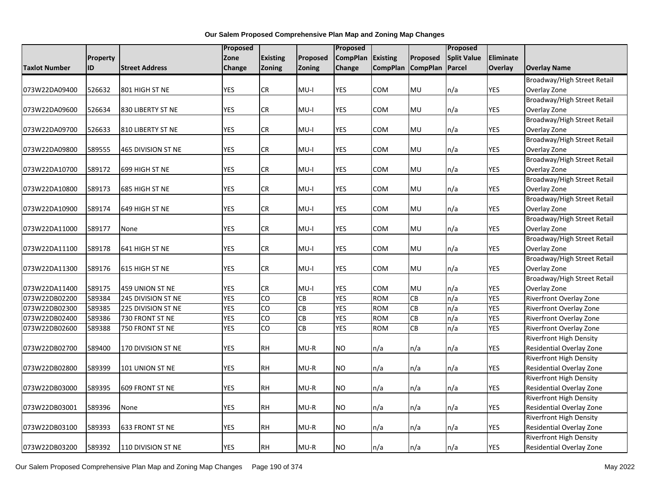|                      |          |                       | Proposed   |                 |           | Proposed        |                          |                 | Proposed           |            |                                 |
|----------------------|----------|-----------------------|------------|-----------------|-----------|-----------------|--------------------------|-----------------|--------------------|------------|---------------------------------|
|                      | Property |                       | Zone       | <b>Existing</b> | Proposed  | <b>CompPlan</b> | <b>Existing</b>          | Proposed        | <b>Split Value</b> | Eliminate  |                                 |
| <b>Taxlot Number</b> | ID       | <b>Street Address</b> | Change     | Zoning          | Zoning    | <b>Change</b>   | <b>CompPlan</b>          | <b>CompPlan</b> | Parcel             | Overlay    | <b>Overlay Name</b>             |
|                      |          |                       |            |                 |           |                 |                          |                 |                    |            | Broadway/High Street Retail     |
| 073W22DA09400        | 526632   | 801 HIGH ST NE        | <b>YES</b> | ${\sf CR}$      | $MU-I$    | YES             | COM                      | MU              | n/a                | YES        | Overlay Zone                    |
|                      |          |                       |            |                 |           |                 |                          |                 |                    |            | Broadway/High Street Retail     |
| 073W22DA09600        | 526634   | 830 LIBERTY ST NE     | <b>YES</b> | CR              | MU-I      | <b>YES</b>      | <b>COM</b>               | MU              | n/a                | YES        | Overlay Zone                    |
|                      |          |                       |            |                 |           |                 |                          |                 |                    |            | Broadway/High Street Retail     |
| 073W22DA09700        | 526633   | 810 LIBERTY ST NE     | <b>YES</b> | ${\sf CR}$      | $MU-I$    | <b>YES</b>      | COM                      | MU              | n/a                | YES        | Overlay Zone                    |
|                      |          |                       |            |                 |           |                 |                          |                 |                    |            | Broadway/High Street Retail     |
| 073W22DA09800        | 589555   | 465 DIVISION ST NE    | <b>YES</b> | CR              | MU-I      | YES             | COM                      | MU              | n/a                | <b>YES</b> | Overlay Zone                    |
|                      |          |                       |            |                 |           |                 |                          |                 |                    |            | Broadway/High Street Retail     |
| 073W22DA10700        | 589172   | 699 HIGH ST NE        | <b>YES</b> | <b>CR</b>       | $MU-I$    | YES             | COM                      | MU              | n/a                | YES        | Overlay Zone                    |
|                      |          |                       |            |                 |           |                 |                          |                 |                    |            | Broadway/High Street Retail     |
| 073W22DA10800        | 589173   | 685 HIGH ST NE        | <b>YES</b> | CR              | $MU-I$    | <b>YES</b>      | COM                      | MU              | n/a                | <b>YES</b> | Overlay Zone                    |
|                      |          |                       |            |                 |           |                 |                          |                 |                    |            | Broadway/High Street Retail     |
| 073W22DA10900        | 589174   | 649 HIGH ST NE        | <b>YES</b> | <b>CR</b>       | $MU-I$    | YES             | COM                      | MU              | n/a                | YES        | Overlay Zone                    |
|                      |          |                       |            |                 |           |                 |                          |                 |                    |            | Broadway/High Street Retail     |
| 073W22DA11000        | 589177   | None                  | <b>YES</b> | ${\sf CR}$      | $MU-I$    | <b>YES</b>      | COM                      | MU              | n/a                | <b>YES</b> | Overlay Zone                    |
|                      |          |                       |            |                 |           |                 |                          |                 |                    |            | Broadway/High Street Retail     |
| 073W22DA11100        | 589178   | 641 HIGH ST NE        | <b>YES</b> | ${\sf CR}$      | $MU-I$    | <b>YES</b>      | COM                      | <b>MU</b>       | n/a                | <b>YES</b> | Overlay Zone                    |
|                      |          |                       |            |                 |           |                 |                          |                 |                    |            | Broadway/High Street Retail     |
| 073W22DA11300        | 589176   | 615 HIGH ST NE        | <b>YES</b> | ${\sf CR}$      | $MU-I$    | <b>YES</b>      | COM                      | MU              | n/a                | <b>YES</b> | Overlay Zone                    |
|                      |          |                       |            |                 |           |                 |                          |                 |                    |            | Broadway/High Street Retail     |
| 073W22DA11400        | 589175   | 459 UNION ST NE       | <b>YES</b> | CR              | $MU-I$    | <b>YES</b>      | <b>COM</b>               | MU              | n/a                | YES        | Overlay Zone                    |
| 073W22DB02200        | 589384   | 245 DIVISION ST NE    | <b>YES</b> | $\overline{c}$  | CB        | <b>YES</b>      | <b>ROM</b>               | CB              | n/a                | <b>YES</b> | Riverfront Overlay Zone         |
| 073W22DB02300        | 589385   | 225 DIVISION ST NE    | <b>YES</b> | CO              | CB        | <b>YES</b>      | <b>ROM</b>               | CB              | n/a                | YES        | Riverfront Overlay Zone         |
| 073W22DB02400        | 589386   | 730 FRONT ST NE       | <b>YES</b> | $\overline{c}$  | <b>CB</b> | YES             | <b>ROM</b>               | CB              | n/a                | YES        | Riverfront Overlay Zone         |
| 073W22DB02600        | 589388   | 750 FRONT ST NE       | <b>YES</b> | $\overline{c}$  | CB        | <b>YES</b>      | <b>ROM</b>               | CB              | n/a                | <b>YES</b> | Riverfront Overlay Zone         |
|                      |          |                       |            |                 |           |                 |                          |                 |                    |            | <b>Riverfront High Density</b>  |
| 073W22DB02700        | 589400   | 170 DIVISION ST NE    | <b>YES</b> | <b>RH</b>       | $MU-R$    | <b>NO</b>       | n/a                      | n/a             | n/a                | YES        | <b>Residential Overlay Zone</b> |
|                      |          |                       |            |                 |           |                 |                          |                 |                    |            | <b>Riverfront High Density</b>  |
| 073W22DB02800        | 589399   | 101 UNION ST NE       | <b>YES</b> | RH              | $MU-R$    | <b>NO</b>       | n/a                      | n/a             | n/a                | YES        | Residential Overlay Zone        |
|                      |          |                       |            |                 |           |                 |                          |                 |                    |            | <b>Riverfront High Density</b>  |
| 073W22DB03000        | 589395   | 609 FRONT ST NE       | <b>YES</b> | <b>RH</b>       | $MU-R$    | <b>NO</b>       | n/a                      | n/a             | n/a                | YES        | Residential Overlay Zone        |
|                      |          |                       |            |                 |           |                 |                          |                 |                    |            | Riverfront High Density         |
| 073W22DB03001        | 589396   | None                  | <b>YES</b> | <b>RH</b>       | $MU-R$    | <b>NO</b>       | n/a                      | n/a             | n/a                | <b>YES</b> | Residential Overlay Zone        |
|                      |          |                       |            |                 |           |                 |                          |                 |                    |            | <b>Riverfront High Density</b>  |
| 073W22DB03100        | 589393   | 633 FRONT ST NE       | <b>YES</b> | <b>RH</b>       | $MU-R$    | <b>NO</b>       | n/a                      | n/a             | n/a                | YES        | Residential Overlay Zone        |
|                      |          |                       |            |                 |           |                 |                          |                 |                    |            | <b>Riverfront High Density</b>  |
| 073W22DB03200        | 589392   | 110 DIVISION ST NE    | <b>YES</b> | <b>RH</b>       | $MU-R$    | <b>NO</b>       | $\mathsf{In}/\mathsf{a}$ | n/a             | n/a                | <b>YES</b> | Residential Overlay Zone        |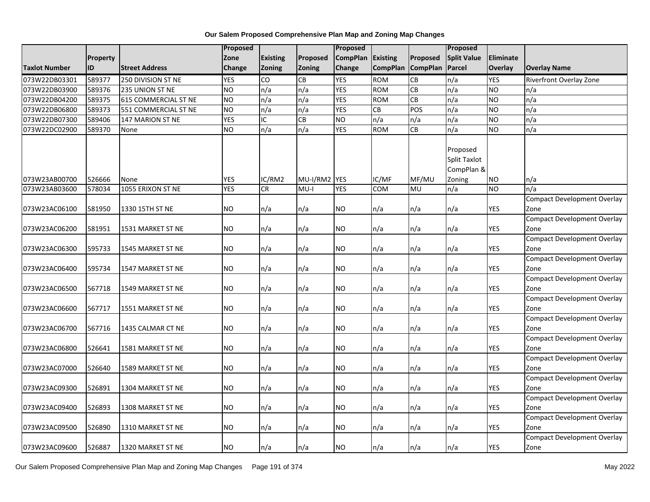|                      |                 |                             | Proposed       |                 |          | Proposed        |                 |                 | Proposed                                      |            |                                            |
|----------------------|-----------------|-----------------------------|----------------|-----------------|----------|-----------------|-----------------|-----------------|-----------------------------------------------|------------|--------------------------------------------|
|                      | <b>Property</b> |                             | Zone           | <b>Existing</b> | Proposed | <b>CompPlan</b> | <b>Existing</b> | Proposed        | <b>Split Value</b>                            | Eliminate  |                                            |
| <b>Taxlot Number</b> | ID              | <b>Street Address</b>       | <b>Change</b>  | Zoning          | Zoning   | Change          | <b>CompPlan</b> | <b>CompPlan</b> | Parcel                                        | Overlay    | <b>Overlay Name</b>                        |
| 073W22DB03301        | 589377          | 250 DIVISION ST NE          | <b>YES</b>     | CO              | CB       | <b>YES</b>      | <b>ROM</b>      | <b>CB</b>       | n/a                                           | <b>YES</b> | <b>Riverfront Overlay Zone</b>             |
| 073W22DB03900        | 589376          | 235 UNION ST NE             | <b>NO</b>      | n/a             | n/a      | <b>YES</b>      | <b>ROM</b>      | <b>CB</b>       | n/a                                           | <b>NO</b>  | n/a                                        |
| 073W22DB04200        | 589375          | <b>615 COMMERCIAL ST NE</b> | <b>NO</b>      | n/a             | n/a      | <b>YES</b>      | <b>ROM</b>      | $\overline{c}$  | n/a                                           | <b>NO</b>  | n/a                                        |
| 073W22DB06800        | 589373          | 551 COMMERCIAL ST NE        | N <sub>O</sub> | n/a             | n/a      | <b>YES</b>      | CB              | POS             | n/a                                           | ŌИ         | n/a                                        |
| 073W22DB07300        | 589406          | 147 MARION ST NE            | <b>YES</b>     | IC              | CB       | <b>NO</b>       | n/a             | n/a             | n/a                                           | <b>NO</b>  | n/a                                        |
| 073W22DC02900        | 589370          | None                        | <b>NO</b>      | n/a             | n/a      | <b>YES</b>      | <b>ROM</b>      | CB              | n/a                                           | <b>NO</b>  | n/a                                        |
|                      |                 |                             |                |                 |          |                 |                 |                 | Proposed<br><b>Split Taxlot</b><br>CompPlan & |            |                                            |
| 073W23AB00700        | 526666          | None                        | <b>YES</b>     | IC/RM2          | MU-I/RM2 | <b>YES</b>      | IC/MF           | MF/MU           | Zoning                                        | <b>NO</b>  | n/a                                        |
| 073W23AB03600        | 578034          | 1055 ERIXON ST NE           | <b>YES</b>     | <b>CR</b>       | $MU-I$   | <b>YES</b>      | COM             | MU              | n/a                                           | <b>NO</b>  | n/a                                        |
| 073W23AC06100        | 581950          | 1330 15TH ST NE             | NO.            | n/a             | n/a      | NO.             | n/a             | n/a             | n/a                                           | <b>YES</b> | <b>Compact Development Overlay</b><br>Zone |
| 073W23AC06200        | 581951          | 1531 MARKET ST NE           | NO.            | n/a             | n/a      | NO.             | n/a             | n/a             | n/a                                           | <b>YES</b> | <b>Compact Development Overlay</b><br>Zone |
|                      |                 |                             |                |                 |          |                 |                 |                 |                                               |            | <b>Compact Development Overlay</b>         |
| 073W23AC06300        | 595733          | 1545 MARKET ST NE           | <b>NO</b>      | n/a             | n/a      | NO.             | n/a             | n/a             | n/a                                           | <b>YES</b> | Zone                                       |
| 073W23AC06400        | 595734          | 1547 MARKET ST NE           | NO             | n/a             | n/a      | NO              | n/a             | n/a             | n/a                                           | <b>YES</b> | <b>Compact Development Overlay</b><br>Zone |
|                      |                 |                             |                |                 |          |                 |                 |                 |                                               |            | <b>Compact Development Overlay</b>         |
| 073W23AC06500        | 567718          | 1549 MARKET ST NE           | <b>NO</b>      | n/a             | n/a      | NO              | n/a             | n/a             | n/a                                           | <b>YES</b> | Zone                                       |
| 073W23AC06600        | 567717          | 1551 MARKET ST NE           | <b>NO</b>      | n/a             | n/a      | NO.             | n/a             | n/a             | n/a                                           | <b>YES</b> | <b>Compact Development Overlay</b><br>Zone |
|                      |                 |                             |                |                 |          |                 |                 |                 |                                               |            | <b>Compact Development Overlay</b>         |
| 073W23AC06700        | 567716          | 1435 CALMAR CT NE           | NO             | n/a             | n/a      | NO.             | n/a             | n/a             | n/a                                           | <b>YES</b> | Zone                                       |
| 073W23AC06800        | 526641          | 1581 MARKET ST NE           | <b>NO</b>      | n/a             | n/a      | NO.             | n/a             | n/a             | n/a                                           | <b>YES</b> | <b>Compact Development Overlay</b><br>Zone |
| 073W23AC07000        | 526640          | 1589 MARKET ST NE           | NO             | n/a             | n/a      | NO              | n/a             | n/a             | n/a                                           | <b>YES</b> | <b>Compact Development Overlay</b><br>Zone |
| 073W23AC09300        | 526891          | 1304 MARKET ST NE           | NO.            | n/a             | n/a      | NO.             | n/a             | n/a             | n/a                                           | <b>YES</b> | <b>Compact Development Overlay</b><br>Zone |
|                      |                 |                             |                |                 |          |                 |                 |                 |                                               |            | <b>Compact Development Overlay</b>         |
| 073W23AC09400        | 526893          | 1308 MARKET ST NE           | <b>NO</b>      | n/a             | n/a      | NO              | n/a             | n/a             | n/a                                           | <b>YES</b> | Zone                                       |
|                      |                 |                             |                |                 |          |                 |                 |                 |                                               |            | <b>Compact Development Overlay</b>         |
| 073W23AC09500        | 526890          | 1310 MARKET ST NE           | NO.            | n/a             | n/a      | NO              | n/a             | n/a             | n/a                                           | <b>YES</b> | Zone                                       |
| 073W23AC09600        | 526887          | 1320 MARKET ST NE           | <b>NO</b>      | n/a             | n/a      | NO.             | n/a             | n/a             | n/a                                           | <b>YES</b> | Compact Development Overlay<br>Zone        |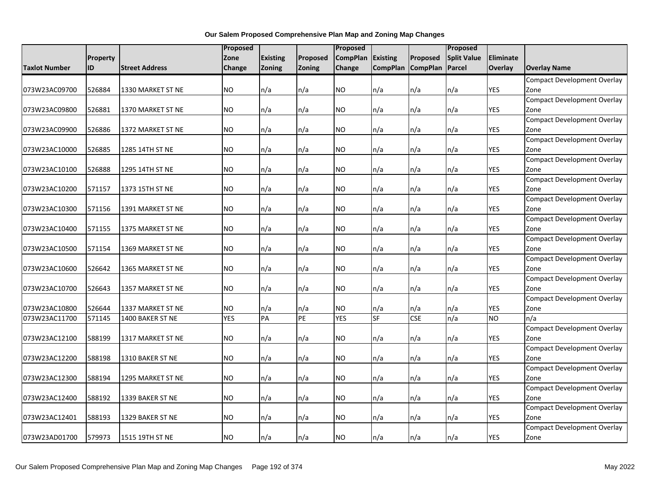|                      |          |                       | Proposed   |                 |          | Proposed        |                 |                 | Proposed           |            |                                    |
|----------------------|----------|-----------------------|------------|-----------------|----------|-----------------|-----------------|-----------------|--------------------|------------|------------------------------------|
|                      | Property |                       | Zone       | <b>Existing</b> | Proposed | <b>CompPlan</b> | <b>Existing</b> | Proposed        | <b>Split Value</b> | Eliminate  |                                    |
| <b>Taxlot Number</b> | ID       | <b>Street Address</b> | Change     | Zoning          | Zoning   | Change          | <b>CompPlan</b> | <b>CompPlan</b> | Parcel             | Overlay    | <b>Overlay Name</b>                |
|                      |          |                       |            |                 |          |                 |                 |                 |                    |            | <b>Compact Development Overlay</b> |
| 073W23AC09700        | 526884   | 1330 MARKET ST NE     | NO.        | n/a             | n/a      | NO.             | n/a             | n/a             | n/a                | <b>YES</b> | Zone                               |
|                      |          |                       |            |                 |          |                 |                 |                 |                    |            | <b>Compact Development Overlay</b> |
| 073W23AC09800        | 526881   | 1370 MARKET ST NE     | NO.        | n/a             | n/a      | NO.             | n/a             | n/a             | n/a                | YES        | Zone                               |
|                      |          |                       |            |                 |          |                 |                 |                 |                    |            | <b>Compact Development Overlay</b> |
| 073W23AC09900        | 526886   | 1372 MARKET ST NE     | NO.        | n/a             | n/a      | <b>NO</b>       | n/a             | n/a             | n/a                | YES        | Zone                               |
|                      |          |                       |            |                 |          |                 |                 |                 |                    |            | <b>Compact Development Overlay</b> |
| 073W23AC10000        | 526885   | 1285 14TH ST NE       | <b>NO</b>  | n/a             | n/a      | <b>NO</b>       | n/a             | n/a             | n/a                | <b>YES</b> | Zone                               |
|                      |          |                       |            |                 |          |                 |                 |                 |                    |            | <b>Compact Development Overlay</b> |
| 073W23AC10100        | 526888   | 1295 14TH ST NE       | NO.        | n/a             | n/a      | <b>NO</b>       | n/a             | n/a             | n/a                | <b>YES</b> | Zone                               |
|                      |          |                       |            |                 |          |                 |                 |                 |                    |            | <b>Compact Development Overlay</b> |
| 073W23AC10200        | 571157   | 1373 15TH ST NE       | NO.        | n/a             | n/a      | NO.             | n/a             | n/a             | n/a                | <b>YES</b> | Zone                               |
|                      |          |                       |            |                 |          |                 |                 |                 |                    |            | <b>Compact Development Overlay</b> |
| 073W23AC10300        | 571156   | 1391 MARKET ST NE     | NO.        | n/a             | n/a      | NO.             | n/a             | n/a             | n/a                | YES        | Zone                               |
|                      |          |                       |            |                 |          |                 |                 |                 |                    |            | <b>Compact Development Overlay</b> |
| 073W23AC10400        | 571155   | 1375 MARKET ST NE     | NO         | n/a             | n/a      | <b>NO</b>       | n/a             | n/a             | n/a                | YES        | Zone                               |
|                      |          |                       |            |                 |          |                 |                 |                 |                    |            | <b>Compact Development Overlay</b> |
| 073W23AC10500        | 571154   | 1369 MARKET ST NE     | NO.        | n/a             | n/a      | <b>NO</b>       | n/a             | n/a             | n/a                | <b>YES</b> | Zone                               |
|                      |          |                       |            |                 |          |                 |                 |                 |                    |            | <b>Compact Development Overlay</b> |
| 073W23AC10600        | 526642   | 1365 MARKET ST NE     | NO.        | n/a             | n/a      | NO.             | n/a             | n/a             | n/a                | YES        | Zone                               |
|                      |          |                       |            |                 |          |                 |                 |                 |                    |            | <b>Compact Development Overlay</b> |
| 073W23AC10700        | 526643   | 1357 MARKET ST NE     | NO.        | n/a             | n/a      | <b>NO</b>       | n/a             | n/a             | n/a                | YES        | Zone                               |
|                      |          |                       |            |                 |          |                 |                 |                 |                    |            | <b>Compact Development Overlay</b> |
| 073W23AC10800        | 526644   | 1337 MARKET ST NE     | NO.        | n/a             | n/a      | NO.             | n/a             | n/a             | n/a                | YES        | Zone                               |
| 073W23AC11700        | 571145   | 1400 BAKER ST NE      | <b>YES</b> | PA              | PE       | <b>YES</b>      | <b>SF</b>       | <b>CSE</b>      | n/a                | <b>NO</b>  | n/a                                |
|                      |          |                       |            |                 |          |                 |                 |                 |                    |            | <b>Compact Development Overlay</b> |
| 073W23AC12100        | 588199   | 1317 MARKET ST NE     | NO.        | n/a             | n/a      | NO.             | n/a             | n/a             | n/a                | YES        | Zone                               |
|                      |          |                       |            |                 |          |                 |                 |                 |                    |            | <b>Compact Development Overlay</b> |
| 073W23AC12200        | 588198   | 1310 BAKER ST NE      | NO.        | n/a             | n/a      | NO.             | n/a             | n/a             | n/a                | YES        | Zone                               |
|                      |          |                       |            |                 |          |                 |                 |                 |                    |            | <b>Compact Development Overlay</b> |
| 073W23AC12300        | 588194   | 1295 MARKET ST NE     | NO.        | n/a             | n/a      | <b>NO</b>       | n/a             | n/a             | n/a                | YES        | Zone                               |
|                      |          |                       |            |                 |          |                 |                 |                 |                    |            | <b>Compact Development Overlay</b> |
| 073W23AC12400        | 588192   | 1339 BAKER ST NE      | NO.        | n/a             | n/a      | <b>NO</b>       | n/a             | n/a             | n/a                | YES        | Zone                               |
|                      |          |                       |            |                 |          |                 |                 |                 |                    |            | <b>Compact Development Overlay</b> |
| 073W23AC12401        | 588193   | 1329 BAKER ST NE      | NO.        | n/a             | n/a      | <b>NO</b>       | n/a             | n/a             | n/a                | YES        | Zone                               |
|                      |          |                       |            |                 |          |                 |                 |                 |                    |            | Compact Development Overlay        |
| 073W23AD01700        | 579973   | 1515 19TH ST NE       | <b>NO</b>  | n/a             | n/a      | <b>NO</b>       | n/a             | n/a             | n/a                | <b>YES</b> | Zone                               |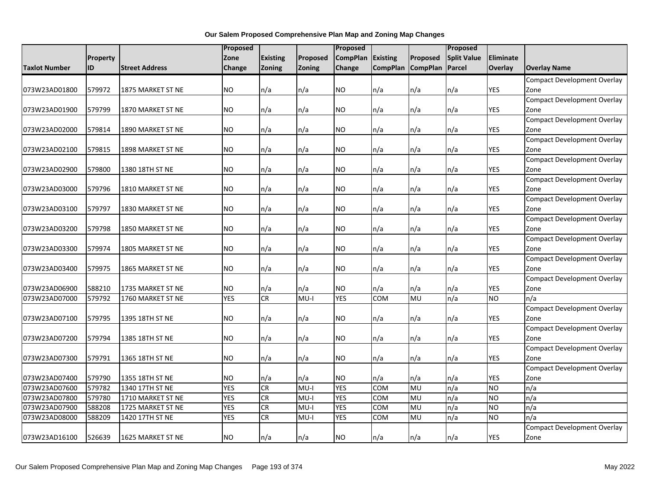|                      |          |                          | Proposed   |                 |               | Proposed        |                 |                 | Proposed           |                  |                                    |
|----------------------|----------|--------------------------|------------|-----------------|---------------|-----------------|-----------------|-----------------|--------------------|------------------|------------------------------------|
|                      | Property |                          | Zone       | <b>Existing</b> | Proposed      | <b>CompPlan</b> | <b>Existing</b> | Proposed        | <b>Split Value</b> | <b>Eliminate</b> |                                    |
| <b>Taxlot Number</b> | ID       | <b>Street Address</b>    | Change     | Zoning          | <b>Zoning</b> | Change          | <b>CompPlan</b> | <b>CompPlan</b> | Parcel             | Overlay          | <b>Overlay Name</b>                |
|                      |          |                          |            |                 |               |                 |                 |                 |                    |                  | <b>Compact Development Overlay</b> |
| 073W23AD01800        | 579972   | <b>1875 MARKET ST NE</b> | NO.        | n/a             | n/a           | <b>NO</b>       | n/a             | n/a             | n/a                | YES              | Zone                               |
|                      |          |                          |            |                 |               |                 |                 |                 |                    |                  | <b>Compact Development Overlay</b> |
| 073W23AD01900        | 579799   | 1870 MARKET ST NE        | NO.        | n/a             | n/a           | <b>NO</b>       | n/a             | n/a             | n/a                | YES              | Zone                               |
|                      |          |                          |            |                 |               |                 |                 |                 |                    |                  | <b>Compact Development Overlay</b> |
| 073W23AD02000        | 579814   | 1890 MARKET ST NE        | NO.        | n/a             | n/a           | <b>NO</b>       | n/a             | n/a             | n/a                | YES              | Zone                               |
|                      |          |                          |            |                 |               |                 |                 |                 |                    |                  | <b>Compact Development Overlay</b> |
| 073W23AD02100        | 579815   | 1898 MARKET ST NE        | <b>NO</b>  | n/a             | n/a           | <b>NO</b>       | n/a             | n/a             | n/a                | YES              | Zone                               |
|                      |          |                          |            |                 |               |                 |                 |                 |                    |                  | <b>Compact Development Overlay</b> |
| 073W23AD02900        | 579800   | 1380 18TH ST NE          | <b>NO</b>  | n/a             | n/a           | <b>NO</b>       | n/a             | n/a             | n/a                | YES              | Zone                               |
|                      |          |                          |            |                 |               |                 |                 |                 |                    |                  | <b>Compact Development Overlay</b> |
| 073W23AD03000        | 579796   | 1810 MARKET ST NE        | NO.        | n/a             | n/a           | NO              | n/a             | n/a             | n/a                | YES              | Zone                               |
|                      |          |                          |            |                 |               |                 |                 |                 |                    |                  | <b>Compact Development Overlay</b> |
| 073W23AD03100        | 579797   | 1830 MARKET ST NE        | NO.        | n/a             | n/a           | NO              | n/a             | n/a             | n/a                | <b>YES</b>       | Zone                               |
|                      |          |                          |            |                 |               |                 |                 |                 |                    |                  | <b>Compact Development Overlay</b> |
| 073W23AD03200        | 579798   | <b>1850 MARKET ST NE</b> | NO         | n/a             | n/a           | <b>NO</b>       | n/a             | n/a             | n/a                | <b>YES</b>       | Zone                               |
|                      |          |                          |            |                 |               |                 |                 |                 |                    |                  | <b>Compact Development Overlay</b> |
| 073W23AD03300        | 579974   | <b>1805 MARKET ST NE</b> | NO         | n/a             | n/a           | NO              | n/a             | n/a             | n/a                | <b>YES</b>       | Zone                               |
|                      |          |                          |            |                 |               |                 |                 |                 |                    |                  | <b>Compact Development Overlay</b> |
| 073W23AD03400        | 579975   | 1865 MARKET ST NE        | NO.        | n/a             | n/a           | NO              | n/a             | n/a             | n/a                | <b>YES</b>       | Zone                               |
|                      |          |                          |            |                 |               |                 |                 |                 |                    |                  | Compact Development Overlay        |
| 073W23AD06900        | 588210   | 1735 MARKET ST NE        | <b>NO</b>  | n/a             | n/a           | <b>NO</b>       | n/a             | n/a             | n/a                | <b>YES</b>       | Zone                               |
| 073W23AD07000        | 579792   | 1760 MARKET ST NE        | <b>YES</b> | CR              | $MU-I$        | <b>YES</b>      | COM             | <b>MU</b>       | n/a                | <b>NO</b>        | n/a                                |
|                      |          |                          |            |                 |               |                 |                 |                 |                    |                  | <b>Compact Development Overlay</b> |
| 073W23AD07100        | 579795   | 1395 18TH ST NE          | <b>NO</b>  | n/a             | n/a           | NO              | n/a             | n/a             | n/a                | <b>YES</b>       | Zone                               |
|                      |          |                          |            |                 |               |                 |                 |                 |                    |                  | <b>Compact Development Overlay</b> |
| 073W23AD07200        | 579794   | 1385 18TH ST NE          | NO.        | n/a             | n/a           | <b>NO</b>       | n/a             | n/a             | n/a                | <b>YES</b>       | Zone                               |
|                      |          |                          |            |                 |               |                 |                 |                 |                    |                  | <b>Compact Development Overlay</b> |
| 073W23AD07300        | 579791   | 1365 18TH ST NE          | NO.        | n/a             | n/a           | NO              | n/a             | n/a             | n/a                | <b>YES</b>       | Zone                               |
|                      |          |                          |            |                 |               |                 |                 |                 |                    |                  | <b>Compact Development Overlay</b> |
| 073W23AD07400        | 579790   | 1355 18TH ST NE          | <b>NO</b>  | n/a             | n/a           | <b>NO</b>       | n/a             | n/a             | n/a                | <b>YES</b>       | Zone                               |
| 073W23AD07600        | 579782   | 1340 17TH ST NE          | <b>YES</b> | <b>CR</b>       | $MU-I$        | <b>YES</b>      | <b>COM</b>      | <b>MU</b>       | n/a                | <b>NO</b>        | n/a                                |
| 073W23AD07800        | 579780   | 1710 MARKET ST NE        | <b>YES</b> | CR              | $MU-I$        | <b>YES</b>      | COM             | MU              | n/a                | <b>NO</b>        | n/a                                |
| 073W23AD07900        | 588208   | 1725 MARKET ST NE        | <b>YES</b> | <b>CR</b>       | $MU-I$        | <b>YES</b>      | COM             | MU              | n/a                | <b>NO</b>        | n/a                                |
| 073W23AD08000        | 588209   | 1420 17TH ST NE          | <b>YES</b> | CR              | $MU-I$        | <b>YES</b>      | COM             | MU              | n/a                | <b>NO</b>        | n/a                                |
|                      |          |                          |            |                 |               |                 |                 |                 |                    |                  | <b>Compact Development Overlay</b> |
| 073W23AD16100        | 526639   | 1625 MARKET ST NE        | <b>NO</b>  | n/a             | n/a           | <b>NO</b>       | n/a             | n/a             | n/a                | <b>YES</b>       | Zone                               |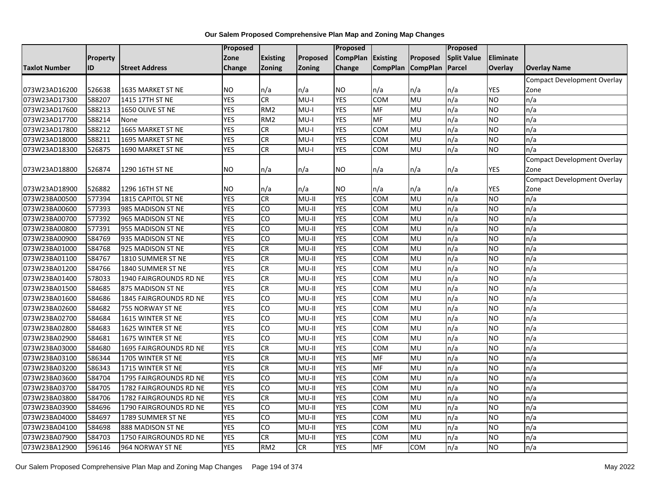|                      |          |                        | Proposed      |                 |                     | <b>Proposed</b> |                   |            | Proposed           |           |                                    |
|----------------------|----------|------------------------|---------------|-----------------|---------------------|-----------------|-------------------|------------|--------------------|-----------|------------------------------------|
|                      | Property |                        | Zone          | Existing        | Proposed            | <b>CompPlan</b> | <b>Existing</b>   | Proposed   | <b>Split Value</b> | Eliminate |                                    |
| <b>Taxlot Number</b> | ID       | <b>Street Address</b>  | <b>Change</b> | Zoning          | Zoning              | Change          | CompPlan CompPlan |            | Parcel             | Overlay   | <b>Overlay Name</b>                |
|                      |          |                        |               |                 |                     |                 |                   |            |                    |           | Compact Development Overlay        |
| 073W23AD16200        | 526638   | 1635 MARKET ST NE      | <b>NO</b>     | n/a             | n/a                 | NO.             | n/a               | n/a        | n/a                | YES       | Zone                               |
| 073W23AD17300        | 588207   | 1415 17TH ST NE        | <b>YES</b>    | CR              | $MU-I$              | <b>YES</b>      | COM               | MU         | n/a                | <b>NO</b> | n/a                                |
| 073W23AD17600        | 588213   | 1650 OLIVE ST NE       | <b>YES</b>    | RM <sub>2</sub> | $MU-I$              | <b>YES</b>      | MF                | MU         | n/a                | <b>NO</b> | n/a                                |
| 073W23AD17700        | 588214   | None                   | <b>YES</b>    | RM <sub>2</sub> | $MU-I$              | <b>YES</b>      | MF                | MU         | n/a                | NO        | n/a                                |
| 073W23AD17800        | 588212   | 1665 MARKET ST NE      | <b>YES</b>    | CR              | $MU-I$              | <b>YES</b>      | COM               | MU         | n/a                | <b>NO</b> | n/a                                |
| 073W23AD18000        | 588211   | 1695 MARKET ST NE      | <b>YES</b>    | CR              | $MU-I$              | <b>YES</b>      | COM               | MU         | n/a                | <b>NO</b> | n/a                                |
| 073W23AD18300        | 526875   | 1690 MARKET ST NE      | <b>YES</b>    | CR              | $MU-I$              | <b>YES</b>      | <b>COM</b>        | MU         | n/a                | NO        | n/a                                |
|                      |          |                        |               |                 |                     |                 |                   |            |                    |           | <b>Compact Development Overlay</b> |
| 073W23AD18800        | 526874   | 1290 16TH ST NE        | <b>NO</b>     | n/a             | n/a                 | NO.             | n/a               | n/a        | n/a                | YES       | Zone                               |
|                      |          |                        |               |                 |                     |                 |                   |            |                    |           | <b>Compact Development Overlay</b> |
| 073W23AD18900        | 526882   | 1296 16TH ST NE        | <b>NO</b>     | n/a             | n/a                 | NO.             | n/a               | n/a        | n/a                | YES       | Zone                               |
| 073W23BA00500        | 577394   | 1815 CAPITOL ST NE     | <b>YES</b>    | CR              | $\overline{M}$ U-II | <b>YES</b>      | COM               | MU         | n/a                | <b>NO</b> | n/a                                |
| 073W23BA00600        | 577393   | 985 MADISON ST NE      | <b>YES</b>    | CO              | MU-II               | <b>YES</b>      | COM               | MU         | n/a                | <b>NO</b> | n/a                                |
| 073W23BA00700        | 577392   | 965 MADISON ST NE      | <b>YES</b>    | CO              | MU-II               | <b>YES</b>      | COM               | MU         | n/a                | <b>NO</b> | n/a                                |
| 073W23BA00800        | 577391   | 955 MADISON ST NE      | <b>YES</b>    | CO              | $MU-II$             | <b>YES</b>      | <b>COM</b>        | MU         | n/a                | <b>NO</b> | n/a                                |
| 073W23BA00900        | 584769   | 935 MADISON ST NE      | <b>YES</b>    | CO              | $MU-II$             | <b>YES</b>      | COM               | MU         | n/a                | <b>NO</b> | n/a                                |
| 073W23BA01000        | 584768   | 925 MADISON ST NE      | <b>YES</b>    | CR              | $MU-II$             | <b>YES</b>      | <b>COM</b>        | MU         | n/a                | <b>NO</b> | n/a                                |
| 073W23BA01100        | 584767   | 1810 SUMMER ST NE      | <b>YES</b>    | CR              | MU-II               | <b>YES</b>      | COM               | MU         | n/a                | <b>NO</b> | n/a                                |
| 073W23BA01200        | 584766   | 1840 SUMMER ST NE      | <b>YES</b>    | CR              | MU-II               | <b>YES</b>      | COM               | MU         | n/a                | <b>NO</b> | n/a                                |
| 073W23BA01400        | 578033   | 1940 FAIRGROUNDS RD NE | <b>YES</b>    | CR              | MU-II               | <b>YES</b>      | COM               | MU         | n/a                | <b>NO</b> | n/a                                |
| 073W23BA01500        | 584685   | 875 MADISON ST NE      | <b>YES</b>    | CR              | $MU-II$             | <b>YES</b>      | COM               | MU         | n/a                | <b>NO</b> | n/a                                |
| 073W23BA01600        | 584686   | 1845 FAIRGROUNDS RD NE | <b>YES</b>    | CO              | $MU-II$             | <b>YES</b>      | COM               | MU         | n/a                | <b>NO</b> | n/a                                |
| 073W23BA02600        | 584682   | 755 NORWAY ST NE       | <b>YES</b>    | CO              | $MU-II$             | <b>YES</b>      | COM               | MU         | n/a                | <b>NO</b> | n/a                                |
| 073W23BA02700        | 584684   | 1615 WINTER ST NE      | <b>YES</b>    | CO              | MU-II               | <b>YES</b>      | COM               | MU         | n/a                | <b>NO</b> | n/a                                |
| 073W23BA02800        | 584683   | 1625 WINTER ST NE      | <b>YES</b>    | CO              | MU-II               | <b>YES</b>      | COM               | MU         | n/a                | <b>NO</b> | n/a                                |
| 073W23BA02900        | 584681   | 1675 WINTER ST NE      | <b>YES</b>    | CO              | $MU-II$             | <b>YES</b>      | COM               | MU         | n/a                | <b>NO</b> | n/a                                |
| 073W23BA03000        | 584680   | 1695 FAIRGROUNDS RD NE | <b>YES</b>    | <b>CR</b>       | $MU-II$             | <b>YES</b>      | <b>COM</b>        | MU         | n/a                | <b>NO</b> | n/a                                |
| 073W23BA03100        | 586344   | 1705 WINTER ST NE      | <b>YES</b>    | CR              | $MU-II$             | <b>YES</b>      | MF                | MU         | n/a                | <b>NO</b> | n/a                                |
| 073W23BA03200        | 586343   | 1715 WINTER ST NE      | <b>YES</b>    | ${\sf CR}$      | MU-II               | <b>YES</b>      | MF                | MU         | n/a                | <b>NO</b> | n/a                                |
| 073W23BA03600        | 584704   | 1795 FAIRGROUNDS RD NE | <b>YES</b>    | CO              | MU-II               | <b>YES</b>      | COM               | MU         | n/a                | <b>NO</b> | n/a                                |
| 073W23BA03700        | 584705   | 1782 FAIRGROUNDS RD NE | <b>YES</b>    | S<br>O          | $MU-II$             | <b>YES</b>      | <b>COM</b>        | MU         | n/a                | NO        | n/a                                |
| 073W23BA03800        | 584706   | 1782 FAIRGROUNDS RD NE | <b>YES</b>    | CR              | $MU-II$             | <b>YES</b>      | COM               | MU         | n/a                | <b>NO</b> | n/a                                |
| 073W23BA03900        | 584696   | 1790 FAIRGROUNDS RD NE | <b>YES</b>    | CO              | $MU-II$             | <b>YES</b>      | COM               | MU         | n/a                | <b>NO</b> | n/a                                |
| 073W23BA04000        | 584697   | 1789 SUMMER ST NE      | <b>YES</b>    | CO              | $MU-II$             | <b>YES</b>      | COM               | MU         | n/a                | NO        | n/a                                |
| 073W23BA04100        | 584698   | 888 MADISON ST NE      | <b>YES</b>    | CO              | MU-II               | <b>YES</b>      | COM               | MU         | n/a                | <b>NO</b> | n/a                                |
| 073W23BA07900        | 584703   | 1750 FAIRGROUNDS RD NE | <b>YES</b>    | CR              | MU-II               | <b>YES</b>      | COM               | MU         | n/a                | NO        | n/a                                |
| 073W23BA12900        | 596146   | 964 NORWAY ST NE       | <b>YES</b>    | RM <sub>2</sub> | CR                  | <b>YES</b>      | MF                | <b>COM</b> | n/a                | NO        | n/a                                |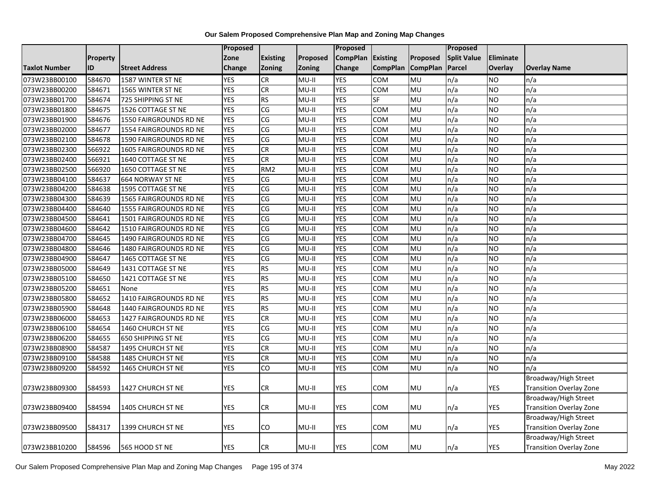|                      |                 |                         | Proposed   |                 |          | <b>Proposed</b> |                 |                 | <b>Proposed</b>    |            |                                |
|----------------------|-----------------|-------------------------|------------|-----------------|----------|-----------------|-----------------|-----------------|--------------------|------------|--------------------------------|
|                      | <b>Property</b> |                         | Zone       | <b>Existing</b> | Proposed | <b>CompPlan</b> | <b>Existing</b> | Proposed        | <b>Split Value</b> | Eliminate  |                                |
| <b>Taxlot Number</b> | ID              | <b>Street Address</b>   | Change     | Zoning          | Zoning   | Change          | <b>CompPlan</b> | <b>CompPlan</b> | Parcel             | Overlay    | <b>Overlay Name</b>            |
| 073W23BB00100        | 584670          | 1587 WINTER ST NE       | <b>YES</b> | <b>CR</b>       | $MU-II$  | <b>YES</b>      | <b>COM</b>      | MU              | n/a                | <b>NO</b>  | n/a                            |
| 073W23BB00200        | 584671          | 1565 WINTER ST NE       | <b>YES</b> | CR              | $MU-II$  | <b>YES</b>      | COM             | MU              | n/a                | NO.        | n/a                            |
| 073W23BB01700        | 584674          | 725 SHIPPING ST NE      | <b>YES</b> | <b>RS</b>       | $MU-II$  | <b>YES</b>      | SF              | MU              | n/a                | <b>NO</b>  | n/a                            |
| 073W23BB01800        | 584675          | 1526 COTTAGE ST NE      | <b>YES</b> | CG              | $MU-II$  | <b>YES</b>      | COM             | MU              | n/a                | <b>NO</b>  | n/a                            |
| 073W23BB01900        | 584676          | 1550 FAIRGROUNDS RD NE  | <b>YES</b> | CG              | $MU-II$  | <b>YES</b>      | COM             | MU              | n/a                | <b>NO</b>  | n/a                            |
| 073W23BB02000        | 584677          | 1554 FAIRGROUNDS RD NE  | <b>YES</b> | CG              | $MU-II$  | <b>YES</b>      | <b>COM</b>      | MU              | n/a                | <b>NO</b>  | n/a                            |
| 073W23BB02100        | 584678          | 1590 FAIRGROUNDS RD NE  | <b>YES</b> | CG              | $MU-II$  | <b>YES</b>      | <b>COM</b>      | MU              | n/a                | NO.        | n/a                            |
| 073W23BB02300        | 566922          | 1605 FAIRGROUNDS RD NE  | <b>YES</b> | CR              | $MU-II$  | <b>YES</b>      | COM             | MU              | n/a                | <b>NO</b>  | n/a                            |
| 073W23BB02400        | 566921          | 1640 COTTAGE ST NE      | <b>YES</b> | CR              | $MU-II$  | <b>YES</b>      | <b>COM</b>      | MU              | n/a                | NO.        | n/a                            |
| 073W23BB02500        | 566920          | 1650 COTTAGE ST NE      | <b>YES</b> | RM <sub>2</sub> | $MU-II$  | <b>YES</b>      | <b>COM</b>      | MU              | n/a                | NO.        | n/a                            |
| 073W23BB04100        | 584637          | <b>664 NORWAY ST NE</b> | <b>YES</b> | CG              | $MU-II$  | <b>YES</b>      | <b>COM</b>      | MU              | n/a                | <b>NO</b>  | n/a                            |
| 073W23BB04200        | 584638          | 1595 COTTAGE ST NE      | <b>YES</b> | CG              | $MU-II$  | <b>YES</b>      | COM             | MU              | n/a                | <b>NO</b>  | n/a                            |
| 073W23BB04300        | 584639          | 1565 FAIRGROUNDS RD NE  | <b>YES</b> | CG              | $MU-II$  | <b>YES</b>      | COM             | MU              | n/a                | <b>NO</b>  | n/a                            |
| 073W23BB04400        | 584640          | 1555 FAIRGROUNDS RD NE  | <b>YES</b> | CG              | $MU-II$  | <b>YES</b>      | <b>COM</b>      | MU              | n/a                | <b>NO</b>  | n/a                            |
| 073W23BB04500        | 584641          | 1501 FAIRGROUNDS RD NE  | <b>YES</b> | CG              | $MU-II$  | <b>YES</b>      | <b>COM</b>      | MU              | n/a                | <b>NO</b>  | n/a                            |
| 073W23BB04600        | 584642          | 1510 FAIRGROUNDS RD NE  | <b>YES</b> | CG              | $MU-II$  | <b>YES</b>      | COM             | MU              | n/a                | <b>NO</b>  | n/a                            |
| 073W23BB04700        | 584645          | 1490 FAIRGROUNDS RD NE  | <b>YES</b> | CG              | $MU-II$  | <b>YES</b>      | COM             | MU              | n/a                | <b>NO</b>  | n/a                            |
| 073W23BB04800        | 584646          | 1480 FAIRGROUNDS RD NE  | <b>YES</b> | CG              | $MU-II$  | <b>YES</b>      | <b>COM</b>      | MU              | n/a                | NO.        | n/a                            |
| 073W23BB04900        | 584647          | 1465 COTTAGE ST NE      | <b>YES</b> | CG              | $MU-II$  | <b>YES</b>      | <b>COM</b>      | MU              | n/a                | <b>NO</b>  | n/a                            |
| 073W23BB05000        | 584649          | 1431 COTTAGE ST NE      | <b>YES</b> | <b>RS</b>       | $MU-II$  | <b>YES</b>      | сом             | MU              | n/a                | <b>NO</b>  | n/a                            |
| 073W23BB05100        | 584650          | 1421 COTTAGE ST NE      | <b>YES</b> | <b>RS</b>       | $MU-II$  | <b>YES</b>      | COM             | MU              | n/a                | <b>NO</b>  | n/a                            |
| 073W23BB05200        | 584651          | None                    | <b>YES</b> | <b>RS</b>       | MU-II    | <b>YES</b>      | COM             | MU              | n/a                | <b>NO</b>  | n/a                            |
| 073W23BB05800        | 584652          | 1410 FAIRGROUNDS RD NE  | <b>YES</b> | RS              | $MU-II$  | <b>YES</b>      | <b>COM</b>      | MU              | n/a                | NO.        | n/a                            |
| 073W23BB05900        | 584648          | 1440 FAIRGROUNDS RD NE  | <b>YES</b> | <b>RS</b>       | $MU-II$  | <b>YES</b>      | COM             | MU              | n/a                | <b>NO</b>  | n/a                            |
| 073W23BB06000        | 584653          | 1427 FAIRGROUNDS RD NE  | <b>YES</b> | <b>CR</b>       | $MU-II$  | <b>YES</b>      | COM             | MU              | n/a                | <b>NO</b>  | n/a                            |
| 073W23BB06100        | 584654          | 1460 CHURCH ST NE       | <b>YES</b> | CG              | $MU-II$  | <b>YES</b>      | COM             | MU              | n/a                | <b>NO</b>  | n/a                            |
| 073W23BB06200        | 584655          | 650 SHIPPING ST NE      | <b>YES</b> | CG              | $MU-II$  | <b>YES</b>      | <b>COM</b>      | MU              | n/a                | <b>NO</b>  | n/a                            |
| 073W23BB08900        | 584587          | 1495 CHURCH ST NE       | <b>YES</b> | CR              | $MU-II$  | <b>YES</b>      | COM             | MU              | n/a                | NO.        | n/a                            |
| 073W23BB09100        | 584588          | 1485 CHURCH ST NE       | <b>YES</b> | CR              | $MU-II$  | <b>YES</b>      | COM             | MU              | n/a                | <b>NO</b>  | n/a                            |
| 073W23BB09200        | 584592          | 1465 CHURCH ST NE       | <b>YES</b> | CO              | MU-II    | <b>YES</b>      | COM             | MU              | n/a                | NO.        | n/a                            |
|                      |                 |                         |            |                 |          |                 |                 |                 |                    |            | Broadway/High Street           |
| 073W23BB09300        | 584593          | 1427 CHURCH ST NE       | <b>YES</b> | CR              | $MU-II$  | <b>YES</b>      | <b>COM</b>      | MU              | n/a                | <b>YES</b> | Transition Overlay Zone        |
|                      |                 |                         |            |                 |          |                 |                 |                 |                    |            | Broadway/High Street           |
| 073W23BB09400        | 584594          | 1405 CHURCH ST NE       | <b>YES</b> | CR              | $MU-II$  | <b>YES</b>      | COM             | MU              | n/a                | YES        | <b>Transition Overlay Zone</b> |
|                      |                 |                         |            |                 |          |                 |                 |                 |                    |            | Broadway/High Street           |
| 073W23BB09500        | 584317          | 1399 CHURCH ST NE       | <b>YES</b> | CO              | MU-II    | YES             | сом             | MU              | n/a                | YES        | <b>Transition Overlay Zone</b> |
|                      |                 |                         |            |                 |          |                 |                 |                 |                    |            | Broadway/High Street           |
| 073W23BB10200        | 584596          | 565 HOOD ST NE          | <b>YES</b> | СR              | MU-II    | YES             | <b>COM</b>      | <b>MU</b>       | n/a                | YES        | Transition Overlay Zone        |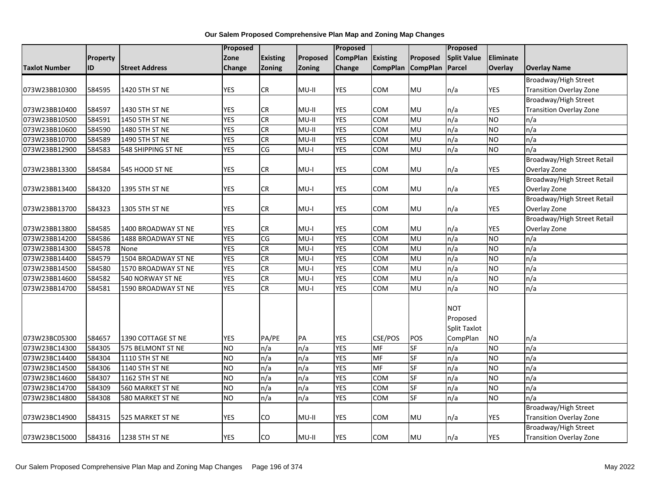|                      |          |                       | Proposed       |                        |               | Proposed        |                 |                 | Proposed           |            |                                |
|----------------------|----------|-----------------------|----------------|------------------------|---------------|-----------------|-----------------|-----------------|--------------------|------------|--------------------------------|
|                      | Property |                       | Zone           | <b>Existing</b>        | Proposed      | <b>CompPlan</b> | Existing        | Proposed        | <b>Split Value</b> | Eliminate  |                                |
| <b>Taxlot Number</b> | ID       | <b>Street Address</b> | Change         | <b>Zoning</b>          | <b>Zoning</b> | Change          | <b>CompPlan</b> | <b>CompPlan</b> | Parcel             | Overlay    | <b>Overlay Name</b>            |
|                      |          |                       |                |                        |               |                 |                 |                 |                    |            | Broadway/High Street           |
| 073W23BB10300        | 584595   | 1420 5TH ST NE        | <b>YES</b>     | ${\sf CR}$             | MU-II         | YES             | COM             | MU              | n/a                | YES        | Transition Overlay Zone        |
|                      |          |                       |                |                        |               |                 |                 |                 |                    |            | Broadway/High Street           |
| 073W23BB10400        | 584597   | 1430 5TH ST NE        | <b>YES</b>     | CR                     | MU-II         | <b>YES</b>      | COM             | <b>MU</b>       | n/a                | YES        | <b>Transition Overlay Zone</b> |
| 073W23BB10500        | 584591   | 1450 5TH ST NE        | <b>YES</b>     | CR                     | $MU-II$       | <b>YES</b>      | COM             | MU              | n/a                | <b>NO</b>  | n/a                            |
| 073W23BB10600        | 584590   | 1480 5TH ST NE        | <b>YES</b>     | CR                     | MU-II         | <b>YES</b>      | COM             | MU              | n/a                | <b>NO</b>  | n/a                            |
| 073W23BB10700        | 584589   | 1490 5TH ST NE        | <b>YES</b>     | CR                     | $MU-II$       | <b>YES</b>      | COM             | MU              | n/a                | <b>NO</b>  | n/a                            |
| 073W23BB12900        | 584583   | 548 SHIPPING ST NE    | <b>YES</b>     | $\overline{\text{CG}}$ | $MU-I$        | <b>YES</b>      | <b>COM</b>      | <b>MU</b>       | n/a                | <b>NO</b>  | n/a                            |
|                      |          |                       |                |                        |               |                 |                 |                 |                    |            | Broadway/High Street Retail    |
| 073W23BB13300        | 584584   | 545 HOOD ST NE        | <b>YES</b>     | ${\sf CR}$             | $MU-I$        | <b>YES</b>      | COM             | MU              | n/a                | <b>YES</b> | Overlay Zone                   |
|                      |          |                       |                |                        |               |                 |                 |                 |                    |            | Broadway/High Street Retail    |
| 073W23BB13400        | 584320   | 1395 5TH ST NE        | <b>YES</b>     | CR                     | MU-I          | YES             | COM             | MU              | n/a                | YES        | Overlay Zone                   |
|                      |          |                       |                |                        |               |                 |                 |                 |                    |            | Broadway/High Street Retail    |
| 073W23BB13700        | 584323   | 1305 5TH ST NE        | <b>YES</b>     | <b>CR</b>              | MU-I          | YES             | COM             | MU              | n/a                | YES        | Overlay Zone                   |
|                      |          |                       |                |                        |               |                 |                 |                 |                    |            | Broadway/High Street Retail    |
| 073W23BB13800        | 584585   | 1400 BROADWAY ST NE   | <b>YES</b>     | ${\sf CR}$             | $MU-I$        | <b>YES</b>      | <b>COM</b>      | <b>MU</b>       | n/a                | YES        | Overlay Zone                   |
| 073W23BB14200        | 584586   | 1488 BROADWAY ST NE   | <b>YES</b>     | $\overline{\text{CG}}$ | $MU-I$        | <b>YES</b>      | <b>COM</b>      | <b>MU</b>       | n/a                | <b>NO</b>  | n/a                            |
| 073W23BB14300        | 584578   | None                  | <b>YES</b>     | CR                     | MU-l          | <b>YES</b>      | COM             | MU              | n/a                | <b>NO</b>  | n/a                            |
| 073W23BB14400        | 584579   | 1504 BROADWAY ST NE   | <b>YES</b>     | CR                     | $MU-I$        | <b>YES</b>      | COM             | MU              | n/a                | <b>NO</b>  | n/a                            |
| 073W23BB14500        | 584580   | 1570 BROADWAY ST NE   | <b>YES</b>     | CR                     | $MU-I$        | <b>YES</b>      | COM             | MU              | n/a                | <b>NO</b>  | n/a                            |
| 073W23BB14600        | 584582   | 540 NORWAY ST NE      | <b>YES</b>     | CR                     | $MU-I$        | <b>YES</b>      | COM             | MU              | n/a                | <b>NO</b>  | n/a                            |
| 073W23BB14700        | 584581   | 1590 BROADWAY ST NE   | <b>YES</b>     | CR                     | $MU-I$        | <b>YES</b>      | COM             | MU              | n/a                | <b>NO</b>  | n/a                            |
|                      |          |                       |                |                        |               |                 |                 |                 | <b>NOT</b>         |            |                                |
|                      |          |                       |                |                        |               |                 |                 |                 | Proposed           |            |                                |
|                      |          |                       |                |                        |               |                 |                 |                 | Split Taxlot       |            |                                |
| 073W23BC05300        | 584657   | 1390 COTTAGE ST NE    | <b>YES</b>     | PA/PE                  | PA            | YES             | CSE/POS         | POS             | CompPlan           | <b>NO</b>  | n/a                            |
| 073W23BC14300        | 584305   | 575 BELMONT ST NE     | <b>NO</b>      | n/a                    | n/a           | <b>YES</b>      | MF              | SF              | n/a                | <b>NO</b>  | n/a                            |
| 073W23BC14400        | 584304   | 1110 5TH ST NE        | ŌИ             | n/a                    | n/a           | <b>YES</b>      | <b>MF</b>       | SF              | n/a                | <b>NO</b>  | n/a                            |
| 073W23BC14500        | 584306   | 1140 5TH ST NE        | ŌИ             | $\overline{n/a}$       | n/a           | <b>YES</b>      | <b>MF</b>       | <b>SF</b>       | $\overline{n/a}$   | <b>NO</b>  | n/a                            |
| 073W23BC14600        | 584307   | 1162 5TH ST NE        | <b>NO</b>      | n/a                    | n/a           | <b>YES</b>      | COM             | <b>SF</b>       | n/a                | <b>NO</b>  | n/a                            |
| 073W23BC14700        | 584309   | 560 MARKET ST NE      | <b>NO</b>      | n/a                    | n/a           | <b>YES</b>      | COM             | <b>SF</b>       | n/a                | <b>NO</b>  | n/a                            |
| 073W23BC14800        | 584308   | 580 MARKET ST NE      | N <sub>O</sub> | n/a                    | n/a           | <b>YES</b>      | COM             | <b>SF</b>       | n/a                | <b>NO</b>  | n/a                            |
|                      |          |                       |                |                        |               |                 |                 |                 |                    |            | Broadway/High Street           |
| 073W23BC14900        | 584315   | 525 MARKET ST NE      | <b>YES</b>     | CO                     | MU-II         | YES             | COM             | MU              | n/a                | YES        | Transition Overlay Zone        |
|                      |          |                       |                |                        |               |                 |                 |                 |                    |            | Broadway/High Street           |
| 073W23BC15000        | 584316   | 1238 5TH ST NE        | <b>YES</b>     | CO                     | MU-II         | <b>YES</b>      | COM             | MU              | n/a                | YES        | Transition Overlay Zone        |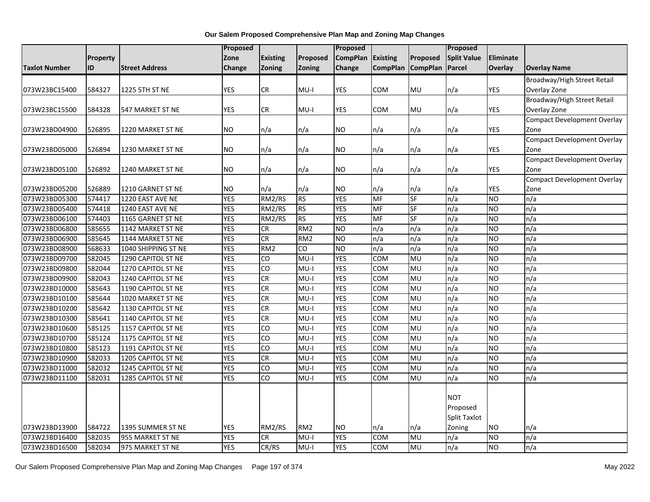|                      |          |                       | Proposed   |                 |                 | Proposed        |                 |                   | Proposed            |                 |                                    |
|----------------------|----------|-----------------------|------------|-----------------|-----------------|-----------------|-----------------|-------------------|---------------------|-----------------|------------------------------------|
|                      | Property |                       | Zone       | <b>Existing</b> | Proposed        | <b>CompPlan</b> | <b>Existing</b> | Proposed          | <b>Split Value</b>  | Eliminate       |                                    |
| <b>Taxlot Number</b> | ID       | <b>Street Address</b> | Change     | Zoning          | <b>Zoning</b>   | <b>Change</b>   |                 | CompPlan CompPlan | Parcel              | <b>Overlay</b>  | <b>Overlay Name</b>                |
|                      |          |                       |            |                 |                 |                 |                 |                   |                     |                 | Broadway/High Street Retail        |
| 073W23BC15400        | 584327   | 1225 5TH ST NE        | <b>YES</b> | CR              | $MU-I$          | YES             | COM             | <b>MU</b>         | n/a                 | YES             | Overlay Zone                       |
|                      |          |                       |            |                 |                 |                 |                 |                   |                     |                 | Broadway/High Street Retail        |
| 073W23BC15500        | 584328   | 547 MARKET ST NE      | <b>YES</b> | CR              | MU-I            | <b>YES</b>      | <b>COM</b>      | <b>MU</b>         | n/a                 | <b>YES</b>      | Overlay Zone                       |
|                      |          |                       |            |                 |                 |                 |                 |                   |                     |                 | <b>Compact Development Overlay</b> |
| 073W23BD04900        | 526895   | 1220 MARKET ST NE     | <b>NO</b>  | n/a             | n/a             | NO.             | n/a             | n/a               | n/a                 | YES             | Zone                               |
|                      |          |                       |            |                 |                 |                 |                 |                   |                     |                 | <b>Compact Development Overlay</b> |
| 073W23BD05000        | 526894   | 1230 MARKET ST NE     | <b>NO</b>  | n/a             | n/a             | NO.             | n/a             | n/a               | n/a                 | <b>YES</b>      | Zone                               |
|                      |          |                       |            |                 |                 |                 |                 |                   |                     |                 | <b>Compact Development Overlay</b> |
| 073W23BD05100        | 526892   | 1240 MARKET ST NE     | <b>NO</b>  | n/a             | n/a             | NO.             | n/a             | n/a               | n/a                 | YES             | Zone                               |
|                      |          |                       |            |                 |                 |                 |                 |                   |                     |                 | <b>Compact Development Overlay</b> |
| 073W23BD05200        | 526889   | 1210 GARNET ST NE     | <b>NO</b>  | n/a             | n/a             | <b>NO</b>       | n/a             | n/a               | n/a                 | <b>YES</b>      | Zone                               |
| 073W23BD05300        | 574417   | 1220 EAST AVE NE      | <b>YES</b> | RM2/RS          | <b>RS</b>       | <b>YES</b>      | MF              | <b>SF</b>         | n/a                 | <b>NO</b>       | n/a                                |
| 073W23BD05400        | 574418   | 1240 EAST AVE NE      | <b>YES</b> | RM2/RS          | <b>RS</b>       | <b>YES</b>      | MF              | SF                | n/a                 | <b>NO</b>       | n/a                                |
| 073W23BD06100        | 574403   | 1165 GARNET ST NE     | <b>YES</b> | RM2/RS          | RS              | <b>YES</b>      | <b>MF</b>       | SF                | n/a                 | <b>NO</b>       | n/a                                |
| 073W23BD06800        | 585655   | 1142 MARKET ST NE     | <b>YES</b> | <b>CR</b>       | RM <sub>2</sub> | <b>NO</b>       | n/a             | n/a               | n/a                 | <b>NO</b>       | n/a                                |
| 073W23BD06900        | 585645   | 1144 MARKET ST NE     | <b>YES</b> | CR              | RM <sub>2</sub> | <b>NO</b>       | n/a             | n/a               | n/a                 | <b>NO</b>       | n/a                                |
| 073W23BD08900        | 568633   | 1040 SHIPPING ST NE   | <b>YES</b> | RM <sub>2</sub> | CO              | <b>NO</b>       | n/a             | n/a               | n/a                 | <b>NO</b>       | n/a                                |
| 073W23BD09700        | 582045   | 1290 CAPITOL ST NE    | <b>YES</b> | $\overline{c}$  | I-UM            | <b>YES</b>      | COM             | <b>MU</b>         | n/a                 | <b>NO</b>       | n/a                                |
| 073W23BD09800        | 582044   | 1270 CAPITOL ST NE    | <b>YES</b> | CO              | $MU-I$          | <b>YES</b>      | COM             | MU                | n/a                 | <b>NO</b>       | n/a                                |
| 073W23BD09900        | 582043   | 1240 CAPITOL ST NE    | <b>YES</b> | CR              | $MU-I$          | <b>YES</b>      | COM             | MU                | n/a                 | <b>NO</b>       | n/a                                |
| 073W23BD10000        | 585643   | 1190 CAPITOL ST NE    | <b>YES</b> | CR              | $MU-I$          | <b>YES</b>      | <b>COM</b>      | <b>MU</b>         | n/a                 | $\overline{NO}$ | n/a                                |
| 073W23BD10100        | 585644   | 1020 MARKET ST NE     | <b>YES</b> | CR              | I-UM            | <b>YES</b>      | COM             | MU                | n/a                 | N <sub>O</sub>  | n/a                                |
| 073W23BD10200        | 585642   | 1130 CAPITOL ST NE    | <b>YES</b> | <b>CR</b>       | $MU-I$          | <b>YES</b>      | COM             | MU                | n/a                 | <b>NO</b>       | n/a                                |
| 073W23BD10300        | 585641   | 1140 CAPITOL ST NE    | <b>YES</b> | CR              | $MU-I$          | <b>YES</b>      | COM             | MU                | n/a                 | <b>NO</b>       | n/a                                |
| 073W23BD10600        | 585125   | 1157 CAPITOL ST NE    | <b>YES</b> | $\overline{c}$  | $MU-I$          | <b>YES</b>      | COM             | <b>MU</b>         | n/a                 | <b>NO</b>       | n/a                                |
| 073W23BD10700        | 585124   | 1175 CAPITOL ST NE    | <b>YES</b> | $\overline{c}$  | $MU-I$          | <b>YES</b>      | <b>COM</b>      | <b>MU</b>         | n/a                 | N <sub>O</sub>  | n/a                                |
| 073W23BD10800        | 585123   | 1191 CAPITOL ST NE    | <b>YES</b> | CO              | $MU-I$          | <b>YES</b>      | <b>COM</b>      | MU                | n/a                 | <b>NO</b>       | n/a                                |
| 073W23BD10900        | 582033   | 1205 CAPITOL ST NE    | <b>YES</b> | CR              | $MU-I$          | <b>YES</b>      | <b>COM</b>      | <b>MU</b>         | n/a                 | NO              | n/a                                |
| 073W23BD11000        | 582032   | 1245 CAPITOL ST NE    | <b>YES</b> | $\overline{c}$  | $MU-I$          | <b>YES</b>      | COM             | <b>MU</b>         | n/a                 | <b>NO</b>       | n/a                                |
| 073W23BD11100        | 582031   | 1285 CAPITOL ST NE    | <b>YES</b> | CO              | $MU-I$          | <b>YES</b>      | COM             | MU                | n/a                 | <b>NO</b>       | n/a                                |
|                      |          |                       |            |                 |                 |                 |                 |                   |                     |                 |                                    |
|                      |          |                       |            |                 |                 |                 |                 |                   | <b>NOT</b>          |                 |                                    |
|                      |          |                       |            |                 |                 |                 |                 |                   | Proposed            |                 |                                    |
|                      |          |                       |            |                 |                 |                 |                 |                   | <b>Split Taxlot</b> |                 |                                    |
| 073W23BD13900        | 584722   | 1395 SUMMER ST NE     | YES        | RM2/RS          | RM <sub>2</sub> | <b>NO</b>       | n/a             | n/a               | Zoning              | <b>NO</b>       | n/a                                |
| 073W23BD16400        | 582035   | 955 MARKET ST NE      | <b>YES</b> | CR              | MU-I            | <b>YES</b>      | COM             | MU                | n/a                 | NΟ              | n/a                                |
| 073W23BD16500        | 582034   | 975 MARKET ST NE      | <b>YES</b> | CR/RS           | $MU-I$          | <b>YES</b>      | <b>COM</b>      | MU                | n/a                 | $\overline{NO}$ | n/a                                |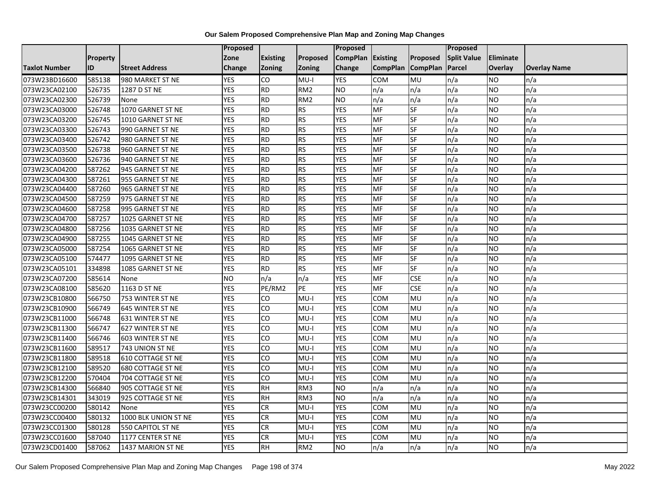|                      |          |                          | Proposed   |                 |                 | <b>Proposed</b> |                   |            | Proposed           |                |                     |
|----------------------|----------|--------------------------|------------|-----------------|-----------------|-----------------|-------------------|------------|--------------------|----------------|---------------------|
|                      | Property |                          | Zone       | <b>Existing</b> | Proposed        | <b>CompPlan</b> | Existing          | Proposed   | <b>Split Value</b> | Eliminate      |                     |
| <b>Taxlot Number</b> | ID       | <b>Street Address</b>    | Change     | <b>Zoning</b>   | <b>Zoning</b>   | Change          | CompPlan CompPlan |            | Parcel             | <b>Overlay</b> | <b>Overlay Name</b> |
| 073W23BD16600        | 585138   | 980 MARKET ST NE         | <b>YES</b> | CO              | $MU-I$          | <b>YES</b>      | <b>COM</b>        | MU         | n/a                | NO             | n/a                 |
| 073W23CA02100        | 526735   | 1287 D ST NE             | <b>YES</b> | <b>RD</b>       | RM <sub>2</sub> | <b>NO</b>       | n/a               | n/a        | n/a                | NO.            | n/a                 |
| 073W23CA02300        | 526739   | None                     | <b>YES</b> | <b>RD</b>       | RM <sub>2</sub> | <b>NO</b>       | n/a               | n/a        | n/a                | NO             | n/a                 |
| 073W23CA03000        | 526748   | 1070 GARNET ST NE        | <b>YES</b> | <b>RD</b>       | <b>RS</b>       | <b>YES</b>      | MF                | SF         | n/a                | NO             | n/a                 |
| 073W23CA03200        | 526745   | 1010 GARNET ST NE        | <b>YES</b> | <b>RD</b>       | <b>RS</b>       | <b>YES</b>      | MF                | $S$ F      | n/a                | NO.            | n/a                 |
| 073W23CA03300        | 526743   | 990 GARNET ST NE         | <b>YES</b> | <b>RD</b>       | <b>RS</b>       | <b>YES</b>      | MF                | <b>SF</b>  | n/a                | NO             | n/a                 |
| 073W23CA03400        | 526742   | 980 GARNET ST NE         | <b>YES</b> | <b>RD</b>       | <b>RS</b>       | <b>YES</b>      | <b>MF</b>         | SF         | n/a                | NO.            | n/a                 |
| 073W23CA03500        | 526738   | 960 GARNET ST NE         | <b>YES</b> | <b>RD</b>       | <b>RS</b>       | <b>YES</b>      | MF                | SF         | n/a                | NO             | n/a                 |
| 073W23CA03600        | 526736   | 940 GARNET ST NE         | <b>YES</b> | <b>RD</b>       | <b>RS</b>       | <b>YES</b>      | MF                | SF         | n/a                | <b>NO</b>      | n/a                 |
| 073W23CA04200        | 587262   | 945 GARNET ST NE         | <b>YES</b> | <b>RD</b>       | <b>RS</b>       | <b>YES</b>      | <b>MF</b>         | <b>SF</b>  | n/a                | NO             | n/a                 |
| 073W23CA04300        | 587261   | 955 GARNET ST NE         | <b>YES</b> | $\overline{RD}$ | <b>RS</b>       | <b>YES</b>      | MF                | SF         | n/a                | <b>NO</b>      | n/a                 |
| 073W23CA04400        | 587260   | 965 GARNET ST NE         | <b>YES</b> | <b>RD</b>       | <b>RS</b>       | <b>YES</b>      | <b>MF</b>         | SF         | n/a                | <b>NO</b>      | n/a                 |
| 073W23CA04500        | 587259   | 975 GARNET ST NE         | <b>YES</b> | <b>RD</b>       | <b>RS</b>       | <b>YES</b>      | MF                | <b>SF</b>  | n/a                | NO.            | n/a                 |
| 073W23CA04600        | 587258   | 995 GARNET ST NE         | <b>YES</b> | RD              | <b>RS</b>       | <b>YES</b>      | MF                | <b>SF</b>  | n/a                | <b>NO</b>      | n/a                 |
| 073W23CA04700        | 587257   | 1025 GARNET ST NE        | <b>YES</b> | <b>RD</b>       | <b>RS</b>       | <b>YES</b>      | MF                | SF         | n/a                | NO             | n/a                 |
| 073W23CA04800        | 587256   | 1035 GARNET ST NE        | <b>YES</b> | <b>RD</b>       | <b>RS</b>       | <b>YES</b>      | MF                | <b>SF</b>  | n/a                | NO             | n/a                 |
| 073W23CA04900        | 587255   | 1045 GARNET ST NE        | <b>YES</b> | <b>RD</b>       | <b>RS</b>       | <b>YES</b>      | MF                | SF         | n/a                | NO             | n/a                 |
| 073W23CA05000        | 587254   | 1065 GARNET ST NE        | <b>YES</b> | <b>RD</b>       | <b>RS</b>       | <b>YES</b>      | MF                | SF         | n/a                | NO             | n/a                 |
| 073W23CA05100        | 574477   | 1095 GARNET ST NE        | <b>YES</b> | <b>RD</b>       | <b>RS</b>       | <b>YES</b>      | MF                | SF         | n/a                | NO             | n/a                 |
| 073W23CA05101        | 334898   | 1085 GARNET ST NE        | <b>YES</b> | <b>RD</b>       | <b>RS</b>       | <b>YES</b>      | <b>MF</b>         | SF         | n/a                | <b>NO</b>      | n/a                 |
| 073W23CA07200        | 585614   | None                     | <b>NO</b>  | n/a             | n/a             | <b>YES</b>      | MF                | <b>CSE</b> | n/a                | NO.            | n/a                 |
| 073W23CA08100        | 585620   | 1163 D ST NE             | <b>YES</b> | PE/RM2          | PE              | <b>YES</b>      | <b>MF</b>         | <b>CSE</b> | n/a                | <b>NO</b>      | n/a                 |
| 073W23CB10800        | 566750   | 753 WINTER ST NE         | <b>YES</b> | CO              | $MU-I$          | <b>YES</b>      | <b>COM</b>        | MU         | n/a                | NO.            | n/a                 |
| 073W23CB10900        | 566749   | 645 WINTER ST NE         | <b>YES</b> | CO              | $MU-I$          | <b>YES</b>      | COM               | MU         | n/a                | NO.            | n/a                 |
| 073W23CB11000        | 566748   | <b>631 WINTER ST NE</b>  | <b>YES</b> | CO              | $MU-I$          | <b>YES</b>      | COM               | MU         | n/a                | NO.            | n/a                 |
| 073W23CB11300        | 566747   | 627 WINTER ST NE         | <b>YES</b> | CO              | $MU-I$          | <b>YES</b>      | <b>COM</b>        | MU         | n/a                | NO.            | n/a                 |
| 073W23CB11400        | 566746   | 603 WINTER ST NE         | <b>YES</b> | CO              | $MU-I$          | <b>YES</b>      | <b>COM</b>        | MU         | n/a                | NO.            | n/a                 |
| 073W23CB11600        | 589517   | 743 UNION ST NE          | <b>YES</b> | <b>CO</b>       | $MU-I$          | <b>YES</b>      | COM               | MU         | n/a                | <b>NO</b>      | n/a                 |
| 073W23CB11800        | 589518   | <b>610 COTTAGE ST NE</b> | <b>YES</b> | $\overline{c}$  | $MU-I$          | <b>YES</b>      | <b>COM</b>        | MU         | n/a                | NO.            | n/a                 |
| 073W23CB12100        | 589520   | 680 COTTAGE ST NE        | <b>YES</b> | CO              | $MU-I$          | <b>YES</b>      | <b>COM</b>        | MU         | n/a                | <b>NO</b>      | n/a                 |
| 073W23CB12200        | 570404   | 704 COTTAGE ST NE        | <b>YES</b> | CO              | $MU-I$          | <b>YES</b>      | COM               | MU         | n/a                | NO.            | n/a                 |
| 073W23CB14300        | 566840   | 905 COTTAGE ST NE        | <b>YES</b> | <b>RH</b>       | RM3             | <b>ON</b>       | n/a               | n/a        | n/a                | <b>NO</b>      | n/a                 |
| 073W23CB14301        | 343019   | 925 COTTAGE ST NE        | <b>YES</b> | <b>RH</b>       | RM3             | <b>NO</b>       | n/a               | n/a        | n/a                | NO.            | n/a                 |
| 073W23CC00200        | 580142   | None                     | <b>YES</b> | <b>CR</b>       | $MU-I$          | <b>YES</b>      | <b>COM</b>        | MU         | n/a                | NO.            | n/a                 |
| 073W23CC00400        | 580132   | 1000 BLK UNION ST NE     | <b>YES</b> | <b>CR</b>       | $MU-I$          | <b>YES</b>      | <b>COM</b>        | MU         | n/a                | <b>NO</b>      | n/a                 |
| 073W23CC01300        | 580128   | 550 CAPITOL ST NE        | <b>YES</b> | <b>CR</b>       | MU-I            | <b>YES</b>      | COM               | MU         | n/a                | NO.            | n/a                 |
| 073W23CC01600        | 587040   | 1177 CENTER ST NE        | <b>YES</b> | CR              | $MU-I$          | <b>YES</b>      | COM               | MU         | n/a                | NO             | n/a                 |
| 073W23CD01400        | 587062   | 1437 MARION ST NE        | <b>YES</b> | <b>RH</b>       | RM <sub>2</sub> | <b>ON</b>       | n/a               | n/a        | n/a                | NO.            | n/a                 |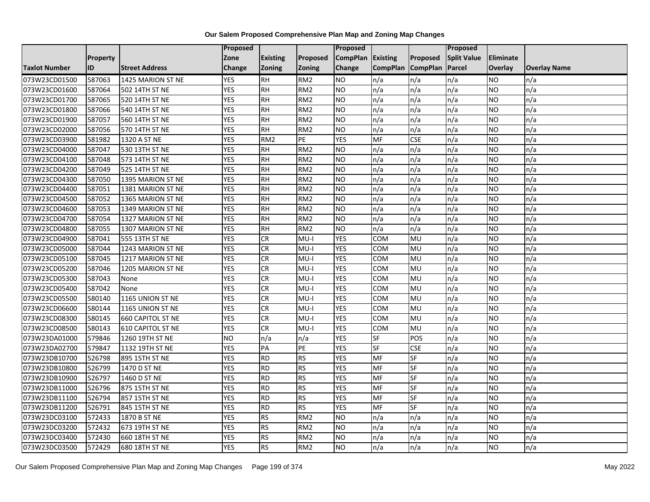|                      |                 |                          | Proposed   |                 |                 | Proposed        |                 |                 | Proposed           |                |                     |
|----------------------|-----------------|--------------------------|------------|-----------------|-----------------|-----------------|-----------------|-----------------|--------------------|----------------|---------------------|
|                      | <b>Property</b> |                          | Zone       | <b>Existing</b> | Proposed        | <b>CompPlan</b> | Existing        | Proposed        | <b>Split Value</b> | Eliminate      |                     |
| <b>Taxlot Number</b> | ID              | <b>Street Address</b>    | Change     | Zoning          | <b>Zoning</b>   | Change          | <b>CompPlan</b> | <b>CompPlan</b> | Parcel             | <b>Overlay</b> | <b>Overlay Name</b> |
| 073W23CD01500        | 587063          | 1425 MARION ST NE        | <b>YES</b> | <b>RH</b>       | RM <sub>2</sub> | <b>NO</b>       | n/a             | n/a             | n/a                | NO.            | n/a                 |
| 073W23CD01600        | 587064          | 502 14TH ST NE           | <b>YES</b> | <b>RH</b>       | RM <sub>2</sub> | ŌИ              | n/a             | n/a             | n/a                | NO.            | n/a                 |
| 073W23CD01700        | 587065          | 520 14TH ST NE           | <b>YES</b> | <b>RH</b>       | RM <sub>2</sub> | <b>NO</b>       | n/a             | n/a             | n/a                | <b>NO</b>      | n/a                 |
| 073W23CD01800        | 587066          | 540 14TH ST NE           | <b>YES</b> | <b>RH</b>       | RM <sub>2</sub> | <b>NO</b>       | n/a             | n/a             | n/a                | NO.            | n/a                 |
| 073W23CD01900        | 587057          | 560 14TH ST NE           | <b>YES</b> | $\overline{R}$  | RM2             | ŌИ              | n/a             | n/a             | n/a                | NO.            | n/a                 |
| 073W23CD02000        | 587056          | 570 14TH ST NE           | <b>YES</b> | <b>RH</b>       | RM <sub>2</sub> | <b>NO</b>       | n/a             | n/a             | n/a                | <b>NO</b>      | n/a                 |
| 073W23CD03900        | 581982          | 1320 A ST NE             | <b>YES</b> | RM <sub>2</sub> | PE              | <b>YES</b>      | MF              | <b>CSE</b>      | n/a                | NO.            | n/a                 |
| 073W23CD04000        | 587047          | 530 13TH ST NE           | <b>YES</b> | <b>RH</b>       | RM <sub>2</sub> | ŌИ              | n/a             | n/a             | n/a                | NO.            | n/a                 |
| 073W23CD04100        | 587048          | 573 14TH ST NE           | <b>YES</b> | <b>RH</b>       | RM <sub>2</sub> | <b>NO</b>       | n/a             | n/a             | n/a                | NO.            | n/a                 |
| 073W23CD04200        | 587049          | 525 14TH ST NE           | <b>YES</b> | RH              | RM <sub>2</sub> | ŌИ              | n/a             | n/a             | n/a                | NO.            | n/a                 |
| 073W23CD04300        | 587050          | 1395 MARION ST NE        | <b>YES</b> | <b>RH</b>       | RM <sub>2</sub> | <b>NO</b>       | n/a             | n/a             | n/a                | <b>NO</b>      | n/a                 |
| 073W23CD04400        | 587051          | 1381 MARION ST NE        | <b>YES</b> | RH              | RM <sub>2</sub> | <b>NO</b>       | n/a             | n/a             | n/a                | NO.            | n/a                 |
| 073W23CD04500        | 587052          | 1365 MARION ST NE        | <b>YES</b> | <b>RH</b>       | RM <sub>2</sub> | ŌИ              | n/a             | n/a             | n/a                | NO.            | n/a                 |
| 073W23CD04600        | 587053          | 1349 MARION ST NE        | <b>YES</b> | <b>RH</b>       | RM <sub>2</sub> | <b>NO</b>       | n/a             | n/a             | n/a                | NO.            | n/a                 |
| 073W23CD04700        | 587054          | 1327 MARION ST NE        | <b>YES</b> | <b>RH</b>       | RM <sub>2</sub> | <b>NO</b>       | n/a             | n/a             | n/a                | <b>NO</b>      | n/a                 |
| 073W23CD04800        | 587055          | 1307 MARION ST NE        | <b>YES</b> | $\overline{H}$  | RM2             | ŌИ              | n/a             | n/a             | n/a                | NO.            | n/a                 |
| 073W23CD04900        | 587041          | 555 13TH ST NE           | <b>YES</b> | CR              | MU-I            | <b>YES</b>      | COM             | MU              | n/a                | <b>NO</b>      | n/a                 |
| 073W23CD05000        | 587044          | 1243 MARION ST NE        | <b>YES</b> | CR              | $MU-I$          | <b>YES</b>      | COM             | MU              | n/a                | NO.            | n/a                 |
| 073W23CD05100        | 587045          | 1217 MARION ST NE        | <b>YES</b> | CR              | $MU-I$          | <b>YES</b>      | COM             | <b>MU</b>       | n/a                | NO.            | n/a                 |
| 073W23CD05200        | 587046          | 1205 MARION ST NE        | <b>YES</b> | CR              | MU-I            | <b>YES</b>      | COM             | MU              | n/a                | NO.            | n/a                 |
| 073W23CD05300        | 587043          | None                     | <b>YES</b> | <b>CR</b>       | $MU-I$          | <b>YES</b>      | COM             | MU              | n/a                | NO.            | n/a                 |
| 073W23CD05400        | 587042          | None                     | <b>YES</b> | CR              | $MU-I$          | <b>YES</b>      | COM             | MU              | n/a                | NO.            | n/a                 |
| 073W23CD05500        | 580140          | 1165 UNION ST NE         | <b>YES</b> | <b>CR</b>       | $MU-I$          | <b>YES</b>      | COM             | MU              | n/a                | NO.            | n/a                 |
| 073W23CD06600        | 580144          | 1165 UNION ST NE         | <b>YES</b> | CR              | $MU-I$          | <b>YES</b>      | COM             | MU              | n/a                | NO.            | n/a                 |
| 073W23CD08300        | 580145          | <b>660 CAPITOL ST NE</b> | <b>YES</b> | <b>CR</b>       | MU-I            | <b>YES</b>      | сом             | MU              | n/a                | NO.            | n/a                 |
| 073W23CD08500        | 580143          | <b>610 CAPITOL ST NE</b> | <b>YES</b> | CR              | $MU-I$          | <b>YES</b>      | COM             | MU              | n/a                | NO.            | n/a                 |
| 073W23DA01000        | 579846          | 1260 19TH ST NE          | Ю          | n/a             | n/a             | <b>YES</b>      | $S$ F           | POS             | n/a                | NO.            | n/a                 |
| 073W23DA02700        | 579847          | 1132 19TH ST NE          | <b>YES</b> | PA              | PE              | <b>YES</b>      | <b>SF</b>       | <b>CSE</b>      | n/a                | NO.            | n/a                 |
| 073W23DB10700        | 526798          | 895 15TH ST NE           | <b>YES</b> | <b>RD</b>       | <b>RS</b>       | <b>YES</b>      | MF              | SF              | n/a                | NO.            | n/a                 |
| 073W23DB10800        | 526799          | 1470 D ST NE             | <b>YES</b> | RD              | RS              | <b>YES</b>      | <b>MF</b>       | SF              | n/a                | NO.            | n/a                 |
| 073W23DB10900        | 526797          | 1460 D ST NE             | <b>YES</b> | <b>RD</b>       | <b>RS</b>       | <b>YES</b>      | <b>MF</b>       | SF              | n/a                | NO.            | n/a                 |
| 073W23DB11000        | 526796          | 875 15TH ST NE           | <b>YES</b> | RD              | RS              | <b>YES</b>      | <b>MF</b>       | <b>SF</b>       | n/a                | <b>NO</b>      | n/a                 |
| 073W23DB11100        | 526794          | 857 15TH ST NE           | <b>YES</b> | RD              | RS              | <b>YES</b>      | <b>MF</b>       | SF              | n/a                | NO.            | n/a                 |
| 073W23DB11200        | 526791          | 845 15TH ST NE           | <b>YES</b> | <b>RD</b>       | <b>RS</b>       | <b>YES</b>      | MF              | SF              | n/a                | NO.            | n/a                 |
| 073W23DC03100        | 572433          | 1870 B ST NE             | <b>YES</b> | <b>RS</b>       | RM <sub>2</sub> | ŌИ              | n/a             | n/a             | n/a                | <b>NO</b>      | n/a                 |
| 073W23DC03200        | 572432          | 673 19TH ST NE           | <b>YES</b> | <b>RS</b>       | RM <sub>2</sub> | ŌИ              | n/a             | n/a             | n/a                | NO.            | n/a                 |
| 073W23DC03400        | 572430          | 660 18TH ST NE           | <b>YES</b> | <b>RS</b>       | RM <sub>2</sub> | <b>NO</b>       | n/a             | n/a             | n/a                | NO.            | n/a                 |
| 073W23DC03500        | 572429          | 680 18TH ST NE           | <b>YES</b> | RS              | RM <sub>2</sub> | <b>NO</b>       | n/a             | n/a             | n/a                | NO.            | n/a                 |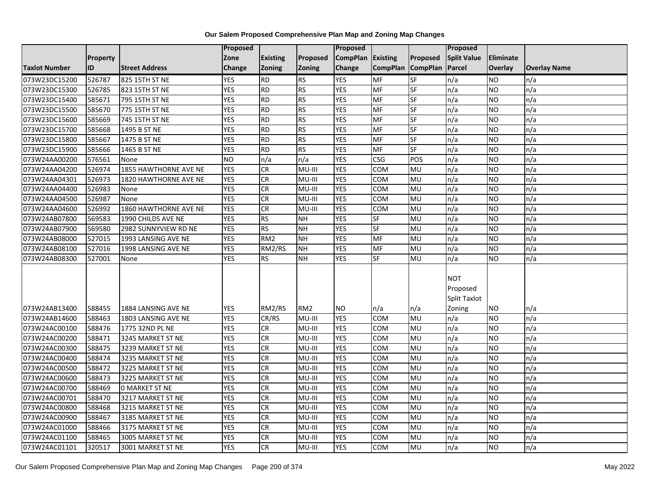|                                |                  |                                        | Proposed                 |                  |                           | <b>Proposed</b>         |                 |                          | Proposed            |                        |                     |
|--------------------------------|------------------|----------------------------------------|--------------------------|------------------|---------------------------|-------------------------|-----------------|--------------------------|---------------------|------------------------|---------------------|
|                                | <b>Property</b>  |                                        | Zone                     | <b>Existing</b>  | Proposed                  | <b>CompPlan</b>         | Existing        | Proposed                 | <b>Split Value</b>  | <b>Eliminate</b>       |                     |
| <b>Taxlot Number</b>           | ID               | <b>Street Address</b>                  | Change                   | Zoning           | <b>Zoning</b>             | Change                  | <b>CompPlan</b> | <b>CompPlan</b>          | Parcel              | Overlay                | <b>Overlay Name</b> |
| 073W23DC15200                  | 526787           | 825 15TH ST NE                         | <b>YES</b>               | <b>RD</b>        | RS                        | <b>YES</b>              | <b>MF</b>       | $S$ F                    | n/a                 | <b>NO</b>              | n/a                 |
| 073W23DC15300                  | 526785           | 823 15TH ST NE                         | <b>YES</b>               | <b>RD</b>        | <b>RS</b>                 | <b>YES</b>              | <b>MF</b>       | SF                       | n/a                 | <b>NO</b>              | n/a                 |
| 073W23DC15400                  | 585671           | 795 15TH ST NE                         | <b>YES</b>               | <b>RD</b>        | RS                        | <b>YES</b>              | MF              | $\overline{\mathsf{SF}}$ | n/a                 | <b>NO</b>              | n/a                 |
| 073W23DC15500                  | 585670           | 775 15TH ST NE                         | <b>YES</b>               | RD               | RS                        | <b>YES</b>              | <b>MF</b>       | SF                       | n/a                 | <b>NO</b>              | n/a                 |
| 073W23DC15600                  | 585669           | 745 15TH ST NE                         | <b>YES</b>               | <b>RD</b>        | <b>RS</b>                 | <b>YES</b>              | MF              | SF                       | n/a                 | <b>NO</b>              | n/a                 |
| 073W23DC15700                  | 585668           | 1495 B ST NE                           | <b>YES</b>               | <b>RD</b>        | RS                        | <b>YES</b>              | MF              | SF                       | n/a                 | <b>NO</b>              | n/a                 |
| 073W23DC15800                  | 585667           | 1475 B ST NE                           | <b>YES</b>               | <b>RD</b>        | <b>RS</b>                 | <b>YES</b>              | MF              | SF                       | n/a                 | <b>NO</b>              | n/a                 |
| 073W23DC15900                  | 585666           | 1465 B ST NE                           | <b>YES</b>               | <b>RD</b>        | <b>RS</b>                 | <b>YES</b>              | MF              | SF                       | n/a                 | <b>NO</b>              | n/a                 |
| 073W24AA00200                  | 576561           | None                                   | <b>NO</b>                | n/a              | n/a                       | <b>YES</b>              | <b>CSG</b>      | POS                      | n/a                 | <b>NO</b>              | n/a                 |
| 073W24AA04200                  | 526974           | 1855 HAWTHORNE AVE NE                  | <b>YES</b>               | CR               | MU-III                    | <b>YES</b>              | <b>COM</b>      | MU                       | n/a                 | <b>NO</b>              | n/a                 |
| 073W24AA04301                  | 526973           | 1820 HAWTHORNE AVE NE                  | <b>YES</b>               | CR               | MU-III                    | <b>YES</b>              | <b>COM</b>      | <b>MU</b>                | n/a                 | <b>NO</b>              | n/a                 |
| 073W24AA04400                  | 526983           | None                                   | <b>YES</b>               | CR               | MU-III                    | <b>YES</b>              | COM             | MU                       | n/a                 | <b>NO</b>              | n/a                 |
| 073W24AA04500                  | 526987           | None                                   | <b>YES</b>               | CR               | MU-III                    | <b>YES</b>              | <b>COM</b>      | MU                       | n/a                 | <b>NO</b>              | n/a                 |
| 073W24AA04600                  | 526992           | 1860 HAWTHORNE AVE NE                  | <b>YES</b>               | CR               | MU-III                    | <b>YES</b>              | COM             | MU                       | n/a                 | <b>NO</b>              | n/a                 |
| 073W24AB07800                  | 569583           | 1990 CHILDS AVE NE                     | <b>YES</b>               | RS               | <b>NH</b>                 | <b>YES</b>              | SF              | MU                       | n/a                 | <b>NO</b>              | n/a                 |
| 073W24AB07900                  | 569580           | 2982 SUNNYVIEW RD NE                   | <b>YES</b>               | <b>RS</b>        | <b>NH</b>                 | <b>YES</b>              | <b>SF</b>       | MU                       | n/a                 | <b>NO</b>              | n/a                 |
| 073W24AB08000                  | 527015           | 1993 LANSING AVE NE                    | <b>YES</b>               | RM <sub>2</sub>  | <b>NH</b>                 | <b>YES</b>              | <b>MF</b>       | MU                       | n/a                 | <b>NO</b>              | n/a                 |
| 073W24AB08100                  | 527016           | 1998 LANSING AVE NE                    | <b>YES</b>               | RM2/RS           | <b>NH</b>                 | <b>YES</b>              | MF              | MU                       | n/a                 | <b>NO</b>              | n/a                 |
| 073W24AB08300                  | 527001           | None                                   | <b>YES</b>               | <b>RS</b>        | <b>NH</b>                 | <b>YES</b>              | <b>SF</b>       | MU                       | n/a                 | <b>NO</b>              | n/a                 |
|                                |                  |                                        |                          |                  |                           |                         |                 |                          |                     |                        |                     |
|                                |                  |                                        |                          |                  |                           |                         |                 |                          | <b>NOT</b>          |                        |                     |
|                                |                  |                                        |                          |                  |                           |                         |                 |                          | Proposed            |                        |                     |
|                                |                  |                                        |                          |                  |                           |                         |                 |                          | <b>Split Taxlot</b> |                        |                     |
| 073W24AB13400                  | 588455           | 1884 LANSING AVE NE                    | <b>YES</b><br><b>YES</b> | RM2/RS<br>CR/RS  | RM <sub>2</sub><br>MU-III | <b>NO</b><br><b>YES</b> | n/a<br>COM      | n/a<br><b>MU</b>         | Zoning              | <b>NO</b><br><b>NO</b> | n/a<br>n/a          |
| 073W24AB14600                  | 588463           | 1803 LANSING AVE NE                    | <b>YES</b>               |                  |                           | <b>YES</b>              |                 | MU                       | n/a<br>n/a          |                        | n/a                 |
| 073W24AC00100<br>073W24AC00200 | 588476<br>588471 | 1775 32ND PL NE<br>3245 MARKET ST NE   | <b>YES</b>               | ${\sf CR}$<br>CR | MU-III<br>MU-III          | <b>YES</b>              | COM<br>COM      | MU                       | n/a                 | <b>NO</b><br><b>NO</b> | n/a                 |
|                                | 588475           |                                        | <b>YES</b>               | CR               | MU-III                    | <b>YES</b>              | COM             | MU                       | n/a                 | <b>NO</b>              | n/a                 |
| 073W24AC00300<br>073W24AC00400 | 588474           | 3239 MARKET ST NE<br>3235 MARKET ST NE | <b>YES</b>               | CR               | MU-III                    | <b>YES</b>              | COM             | MU                       | n/a                 | <b>NO</b>              | n/a                 |
| 073W24AC00500                  | 588472           | 3225 MARKET ST NE                      | <b>YES</b>               | <b>CR</b>        | MU-III                    | <b>YES</b>              | COM             | MU                       | n/a                 | <b>NO</b>              | n/a                 |
| 073W24AC00600                  | 588473           | 3225 MARKET ST NE                      | <b>YES</b>               | CR               | MU-III                    | <b>YES</b>              | COM             | MU                       | n/a                 | <b>NO</b>              | n/a                 |
| 073W24AC00700                  | 588469           | <b>0 MARKET ST NE</b>                  | <b>YES</b>               | CR               | MU-III                    | <b>YES</b>              | <b>COM</b>      | <b>MU</b>                | n/a                 | <b>NO</b>              | n/a                 |
| 073W24AC00701                  | 588470           | 3217 MARKET ST NE                      | <b>YES</b>               | <b>CR</b>        | MU-III                    | <b>YES</b>              | COM             | <b>MU</b>                | n/a                 | <b>NO</b>              | n/a                 |
|                                | 588468           |                                        | <b>YES</b>               | CR               | MU-III                    | <b>YES</b>              | COM             | MU                       | n/a                 | <b>NO</b>              | n/a                 |
| 073W24AC00800                  |                  | 3215 MARKET ST NE                      |                          |                  |                           | <b>YES</b>              |                 |                          |                     |                        |                     |
| 073W24AC00900                  | 588467<br>588466 | 3185 MARKET ST NE                      | <b>YES</b><br><b>YES</b> | CR               | MU-III<br>MU-III          | <b>YES</b>              | COM<br>COM      | MU<br>MU                 | n/a                 | <b>NO</b><br><b>NO</b> | n/a                 |
| 073W24AC01000                  |                  | 3175 MARKET ST NE                      |                          | CR               |                           |                         |                 |                          | n/a                 |                        | n/a                 |
| 073W24AC01100                  | 588465           | 3005 MARKET ST NE                      | <b>YES</b>               | CR               | MU-III                    | <b>YES</b>              | COM             | MU                       | n/a                 | <b>NO</b>              | n/a                 |
| 073W24AC01101                  | 320517           | 3001 MARKET ST NE                      | <b>YES</b>               | <b>CR</b>        | MU-III                    | <b>YES</b>              | <b>COM</b>      | MU                       | n/a                 | <b>NO</b>              | n/a                 |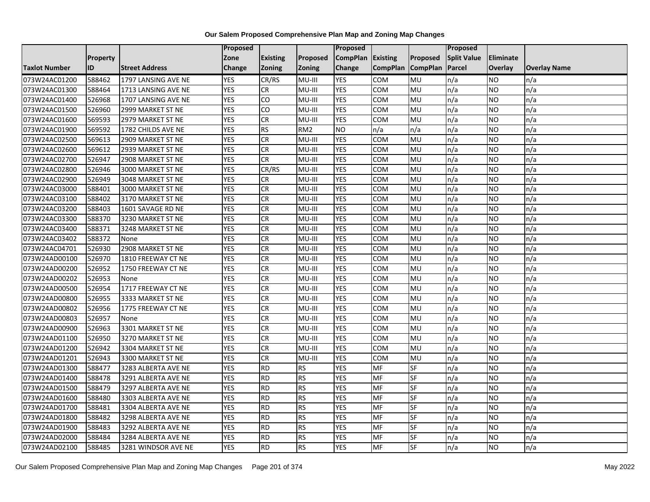|                      |                 |                       | Proposed   |                 |                 | <b>Proposed</b> |                 |                 | Proposed           |                |                     |
|----------------------|-----------------|-----------------------|------------|-----------------|-----------------|-----------------|-----------------|-----------------|--------------------|----------------|---------------------|
|                      | <b>Property</b> |                       | Zone       | <b>Existing</b> | Proposed        | <b>CompPlan</b> | <b>Existing</b> | Proposed        | <b>Split Value</b> | Eliminate      |                     |
| <b>Taxlot Number</b> | ID              | <b>Street Address</b> | Change     | <b>Zoning</b>   | Zoning          | Change          | <b>CompPlan</b> | <b>CompPlan</b> | Parcel             | <b>Overlay</b> | <b>Overlay Name</b> |
| 073W24AC01200        | 588462          | 1797 LANSING AVE NE   | <b>YES</b> | CR/RS           | MU-III          | <b>YES</b>      | <b>COM</b>      | MU              | n/a                | NO.            | n/a                 |
| 073W24AC01300        | 588464          | 1713 LANSING AVE NE   | <b>YES</b> | CR              | MU-III          | <b>YES</b>      | <b>COM</b>      | MU              | n/a                | NO.            | n/a                 |
| 073W24AC01400        | 526968          | 1707 LANSING AVE NE   | <b>YES</b> | CO              | MU-III          | <b>YES</b>      | COM             | MU              | n/a                | NO.            | n/a                 |
| 073W24AC01500        | 526960          | 2999 MARKET ST NE     | <b>YES</b> | CO              | MU-III          | <b>YES</b>      | COM             | MU              | n/a                | NO.            | n/a                 |
| 073W24AC01600        | 569593          | 2979 MARKET ST NE     | <b>YES</b> | <b>CR</b>       | MU-III          | <b>YES</b>      | COM             | MU              | n/a                | NO.            | n/a                 |
| 073W24AC01900        | 569592          | 1782 CHILDS AVE NE    | <b>YES</b> | <b>RS</b>       | RM <sub>2</sub> | <b>NO</b>       | n/a             | n/a             | n/a                | NO.            | n/a                 |
| 073W24AC02500        | 569613          | 2909 MARKET ST NE     | <b>YES</b> | <b>CR</b>       | MU-III          | <b>YES</b>      | COM             | MU              | n/a                | NO.            | n/a                 |
| 073W24AC02600        | 569612          | 2939 MARKET ST NE     | <b>YES</b> | <b>CR</b>       | MU-III          | <b>YES</b>      | COM             | MU              | n/a                | NO.            | n/a                 |
| 073W24AC02700        | 526947          | 2908 MARKET ST NE     | <b>YES</b> | ${\sf CR}$      | $MU-III$        | <b>YES</b>      | <b>COM</b>      | MU              | n/a                | ΝO             | n/a                 |
| 073W24AC02800        | 526946          | 3000 MARKET ST NE     | <b>YES</b> | CR/RS           | MU-III          | <b>YES</b>      | <b>COM</b>      | MU              | n/a                | NO.            | n/a                 |
| 073W24AC02900        | 526949          | 3048 MARKET ST NE     | <b>YES</b> | CR              | $MU-HI$         | <b>YES</b>      | COM             | MU              | n/a                | <b>NO</b>      | n/a                 |
| 073W24AC03000        | 588401          | 3000 MARKET ST NE     | <b>YES</b> | CR              | MU-III          | <b>YES</b>      | COM             | MU              | n/a                | NO.            | n/a                 |
| 073W24AC03100        | 588402          | 3170 MARKET ST NE     | <b>YES</b> | <b>CR</b>       | MU-III          | <b>YES</b>      | COM             | MU              | n/a                | NO.            | n/a                 |
| 073W24AC03200        | 588403          | 1601 SAVAGE RD NE     | <b>YES</b> | <b>CR</b>       | MU-III          | <b>YES</b>      | <b>COM</b>      | MU              | n/a                | <b>NO</b>      | n/a                 |
| 073W24AC03300        | 588370          | 3230 MARKET ST NE     | <b>YES</b> | <b>CR</b>       | MU-III          | <b>YES</b>      | COM             | MU              | n/a                | ΝO             | n/a                 |
| 073W24AC03400        | 588371          | 3248 MARKET ST NE     | <b>YES</b> | <b>CR</b>       | MU-III          | <b>YES</b>      | COM             | MU              | n/a                | NO.            | n/a                 |
| 073W24AC03402        | 588372          | None                  | <b>YES</b> | <b>CR</b>       | MU-III          | <b>YES</b>      | COM             | MU              | n/a                | NO.            | n/a                 |
| 073W24AC04701        | 526930          | 2908 MARKET ST NE     | <b>YES</b> | <b>CR</b>       | MU-III          | <b>YES</b>      | <b>COM</b>      | MU              | n/a                | NO.            | n/a                 |
| 073W24AD00100        | 526970          | 1810 FREEWAY CT NE    | <b>YES</b> | <b>CR</b>       | MU-III          | <b>YES</b>      | <b>COM</b>      | MU              | n/a                | NO.            | n/a                 |
| 073W24AD00200        | 526952          | 1750 FREEWAY CT NE    | <b>YES</b> | <b>CR</b>       | MU-III          | <b>YES</b>      | COM             | MU              | n/a                | NO.            | n/a                 |
| 073W24AD00202        | 526953          | None                  | <b>YES</b> | CR              | MU-III          | <b>YES</b>      | COM             | MU              | n/a                | NO.            | n/a                 |
| 073W24AD00500        | 526954          | 1717 FREEWAY CT NE    | <b>YES</b> | CR              | MU-III          | <b>YES</b>      | COM             | MU              | n/a                | NO.            | n/a                 |
| 073W24AD00800        | 526955          | 3333 MARKET ST NE     | <b>YES</b> | <b>CR</b>       | MU-III          | <b>YES</b>      | COM             | MU              | n/a                | NO.            | n/a                 |
| 073W24AD00802        | 526956          | 1775 FREEWAY CT NE    | <b>YES</b> | <b>CR</b>       | MU-III          | <b>YES</b>      | COM             | MU              | n/a                | NO.            | n/a                 |
| 073W24AD00803        | 526957          | None                  | <b>YES</b> | <b>CR</b>       | MU-III          | <b>YES</b>      | <b>COM</b>      | MU              | n/a                | <b>NO</b>      | n/a                 |
| 073W24AD00900        | 526963          | 3301 MARKET ST NE     | <b>YES</b> | <b>CR</b>       | MU-III          | <b>YES</b>      | COM             | MU              | n/a                | NO.            | n/a                 |
| 073W24AD01100        | 526950          | 3270 MARKET ST NE     | <b>YES</b> | <b>CR</b>       | MU-III          | <b>YES</b>      | COM             | MU              | n/a                | NO.            | n/a                 |
| 073W24AD01200        | 526942          | 3304 MARKET ST NE     | <b>YES</b> | <b>CR</b>       | $MU-HI$         | <b>YES</b>      | COM             | MU              | n/a                | NO.            | n/a                 |
| 073W24AD01201        | 526943          | 3300 MARKET ST NE     | <b>YES</b> | <b>CR</b>       | MU-III          | <b>YES</b>      | <b>COM</b>      | MU              | n/a                | NO             | n/a                 |
| 073W24AD01300        | 588477          | 3283 ALBERTA AVE NE   | <b>YES</b> | <b>RD</b>       | <b>RS</b>       | <b>YES</b>      | <b>MF</b>       | SF              | n/a                | <b>NO</b>      | n/a                 |
| 073W24AD01400        | 588478          | 3291 ALBERTA AVE NE   | <b>YES</b> | <b>RD</b>       | <b>RS</b>       | <b>YES</b>      | <b>MF</b>       | SF              | n/a                | ΝO             | n/a                 |
| 073W24AD01500        | 588479          | 3297 ALBERTA AVE NE   | <b>YES</b> | <b>RD</b>       | <b>RS</b>       | <b>YES</b>      | MF              | <b>SF</b>       | n/a                | <b>NO</b>      | n/a                 |
| 073W24AD01600        | 588480          | 3303 ALBERTA AVE NE   | <b>YES</b> | <b>RD</b>       | <b>RS</b>       | <b>YES</b>      | <b>MF</b>       | SF              | n/a                | NO.            | n/a                 |
| 073W24AD01700        | 588481          | 3304 ALBERTA AVE NE   | <b>YES</b> | <b>RD</b>       | <b>RS</b>       | <b>YES</b>      | <b>MF</b>       | SF              | n/a                | NO.            | n/a                 |
| 073W24AD01800        | 588482          | 3298 ALBERTA AVE NE   | <b>YES</b> | <b>RD</b>       | <b>RS</b>       | <b>YES</b>      | MF              | SF              | n/a                | NO.            | n/a                 |
| 073W24AD01900        | 588483          | 3292 ALBERTA AVE NE   | <b>YES</b> | <b>RD</b>       | <b>RS</b>       | <b>YES</b>      | MF              | SF              | n/a                | NO.            | n/a                 |
| 073W24AD02000        | 588484          | 3284 ALBERTA AVE NE   | <b>YES</b> | <b>RD</b>       | <b>RS</b>       | <b>YES</b>      | <b>MF</b>       | SF              | n/a                | NO.            | n/a                 |
| 073W24AD02100        | 588485          | 3281 WINDSOR AVE NE   | <b>YES</b> | <b>RD</b>       | <b>RS</b>       | <b>YES</b>      | <b>MF</b>       | <b>SF</b>       | n/a                | <b>NO</b>      | n/a                 |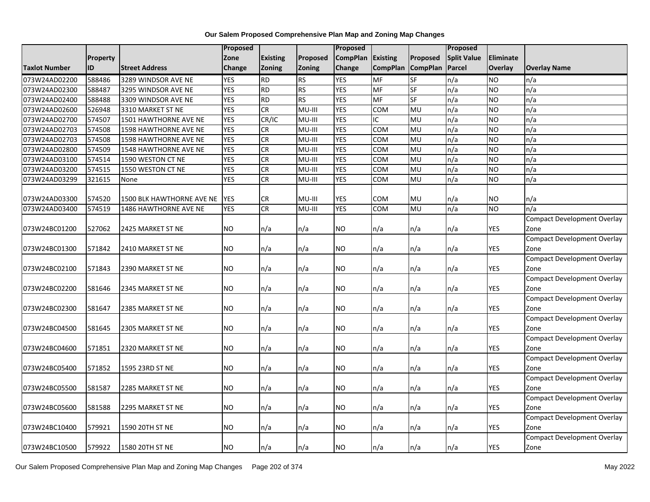|                      |                 |                                  | Proposed   |                 |               | Proposed        |                 |                 | Proposed           |                  |                                    |
|----------------------|-----------------|----------------------------------|------------|-----------------|---------------|-----------------|-----------------|-----------------|--------------------|------------------|------------------------------------|
|                      | <b>Property</b> |                                  | Zone       | <b>Existing</b> | Proposed      | <b>CompPlan</b> | <b>Existing</b> | Proposed        | <b>Split Value</b> | <b>Eliminate</b> |                                    |
| <b>Taxlot Number</b> | ID              | <b>Street Address</b>            | Change     | <b>Zoning</b>   | <b>Zoning</b> | Change          | <b>CompPlan</b> | <b>CompPlan</b> | Parcel             | Overlay          | <b>Overlay Name</b>                |
| 073W24AD02200        | 588486          | 3289 WINDSOR AVE NE              | <b>YES</b> | <b>RD</b>       | <b>RS</b>     | <b>YES</b>      | <b>MF</b>       | $S$ F           | n/a                | <b>NO</b>        | n/a                                |
| 073W24AD02300        | 588487          | 3295 WINDSOR AVE NE              | <b>YES</b> | <b>RD</b>       | <b>RS</b>     | <b>YES</b>      | MF              | SF              | n/a                | <b>NO</b>        | n/a                                |
| 073W24AD02400        | 588488          | 3309 WINDSOR AVE NE              | <b>YES</b> | <b>RD</b>       | <b>RS</b>     | <b>YES</b>      | MF              | SF              | n/a                | <b>NO</b>        | n/a                                |
| 073W24AD02600        | 526948          | 3310 MARKET ST NE                | <b>YES</b> | CR              | MU-III        | <b>YES</b>      | COM             | MU              | n/a                | <b>NO</b>        | n/a                                |
| 073W24AD02700        | 574507          | 1501 HAWTHORNE AVE NE            | <b>YES</b> | CR/IC           | MU-III        | <b>YES</b>      | IC              | <b>MU</b>       | $\overline{n/a}$   | <b>NO</b>        | n/a                                |
| 073W24AD02703        | 574508          | 1598 HAWTHORNE AVE NE            | <b>YES</b> | CR              | MU-III        | <b>YES</b>      | <b>COM</b>      | MU              | n/a                | <b>NO</b>        | n/a                                |
| 073W24AD02703        | 574508          | 1598 HAWTHORNE AVE NE            | <b>YES</b> | <b>CR</b>       | MU-III        | <b>YES</b>      | COM             | MU              | n/a                | <b>NO</b>        | n/a                                |
| 073W24AD02800        | 574509          | 1548 HAWTHORNE AVE NE            | <b>YES</b> | CR              | MU-III        | <b>YES</b>      | COM             | <b>MU</b>       | n/a                | <b>NO</b>        | n/a                                |
| 073W24AD03100        | 574514          | 1590 WESTON CT NE                | <b>YES</b> | CR              | MU-III        | <b>YES</b>      | <b>COM</b>      | MU              | n/a                | <b>NO</b>        | n/a                                |
| 073W24AD03200        | 574515          | 1550 WESTON CT NE                | <b>YES</b> | <b>CR</b>       | MU-III        | <b>YES</b>      | COM             | <b>MU</b>       | n/a                | <b>NO</b>        | n/a                                |
| 073W24AD03299        | 321615          | None                             | <b>YES</b> | CR              | MU-III        | <b>YES</b>      | COM             | <b>MU</b>       | n/a                | <b>NO</b>        | n/a                                |
|                      |                 |                                  |            |                 |               |                 |                 |                 |                    |                  |                                    |
| 073W24AD03300        | 574520          | <b>1500 BLK HAWTHORNE AVE NE</b> | <b>YES</b> | CR              | MU-III        | <b>YES</b>      | <b>COM</b>      | MU              | n/a                | <b>NO</b>        | n/a                                |
| 073W24AD03400        | 574519          | 1486 HAWTHORNE AVE NE            | <b>YES</b> | CR              | MU-III        | <b>YES</b>      | COM             | MU              | n/a                | <b>NO</b>        | n/a                                |
|                      |                 |                                  |            |                 |               |                 |                 |                 |                    |                  | <b>Compact Development Overlay</b> |
| 073W24BC01200        | 527062          | 2425 MARKET ST NE                | NO.        | n/a             | n/a           | <b>NO</b>       | n/a             | n/a             | n/a                | YES              | Zone                               |
|                      |                 |                                  |            |                 |               |                 |                 |                 |                    |                  | <b>Compact Development Overlay</b> |
| 073W24BC01300        | 571842          | 2410 MARKET ST NE                | <b>NO</b>  | n/a             | n/a           | <b>NO</b>       | n/a             | n/a             | n/a                | <b>YES</b>       | Zone                               |
|                      |                 |                                  |            |                 |               |                 |                 |                 |                    |                  | <b>Compact Development Overlay</b> |
| 073W24BC02100        | 571843          | 2390 MARKET ST NE                | NO.        | n/a             | n/a           | <b>NO</b>       | n/a             | n/a             | n/a                | YES              | Zone                               |
|                      |                 |                                  |            |                 |               |                 |                 |                 |                    |                  | <b>Compact Development Overlay</b> |
| 073W24BC02200        | 581646          | 2345 MARKET ST NE                | NO.        | n/a             | n/a           | <b>NO</b>       | n/a             | n/a             | n/a                | YES              | Zone                               |
|                      |                 |                                  |            |                 |               |                 |                 |                 |                    |                  | <b>Compact Development Overlay</b> |
| 073W24BC02300        | 581647          | 2385 MARKET ST NE                | NO.        | n/a             | n/a           | NO.             | n/a             | n/a             | n/a                | YES              | Zone                               |
|                      |                 |                                  |            |                 |               |                 |                 |                 |                    |                  | <b>Compact Development Overlay</b> |
| 073W24BC04500        | 581645          | 2305 MARKET ST NE                | <b>NO</b>  | n/a             | n/a           | <b>NO</b>       | n/a             | n/a             | n/a                | YES              | Zone                               |
|                      |                 |                                  |            |                 |               |                 |                 |                 |                    |                  | <b>Compact Development Overlay</b> |
| 073W24BC04600        | 571851          | 2320 MARKET ST NE                | <b>NO</b>  | n/a             | n/a           | <b>NO</b>       | n/a             | n/a             | n/a                | YES              | Zone                               |
|                      |                 |                                  |            |                 |               |                 |                 |                 |                    |                  | <b>Compact Development Overlay</b> |
| 073W24BC05400        | 571852          | 1595 23RD ST NE                  | NO.        | n/a             | n/a           | NO.             | n/a             | n/a             | n/a                | YES              | Zone                               |
|                      |                 |                                  |            |                 |               |                 |                 |                 |                    |                  | <b>Compact Development Overlay</b> |
| 073W24BC05500        | 581587          | 2285 MARKET ST NE                | NO.        | n/a             | n/a           | <b>NO</b>       | n/a             | n/a             | n/a                | <b>YES</b>       | Zone                               |
|                      |                 |                                  |            |                 |               |                 |                 |                 |                    |                  | <b>Compact Development Overlay</b> |
| 073W24BC05600        | 581588          | 2295 MARKET ST NE                | NO.        | n/a             | n/a           | <b>NO</b>       | n/a             | n/a             | n/a                | YES              | Zone                               |
|                      |                 |                                  |            |                 |               |                 |                 |                 |                    |                  | <b>Compact Development Overlay</b> |
| 073W24BC10400        | 579921          | 1590 20TH ST NE                  | NO.        | n/a             | n/a           | NO.             | n/a             | n/a             | n/a                | YES              | Zone                               |
|                      |                 |                                  |            |                 |               |                 |                 |                 |                    |                  | <b>Compact Development Overlay</b> |
| 073W24BC10500        | 579922          | 1580 20TH ST NE                  | <b>NO</b>  | n/a             | n/a           | <b>NO</b>       | n/a             | n/a             | n/a                | <b>YES</b>       | Zone                               |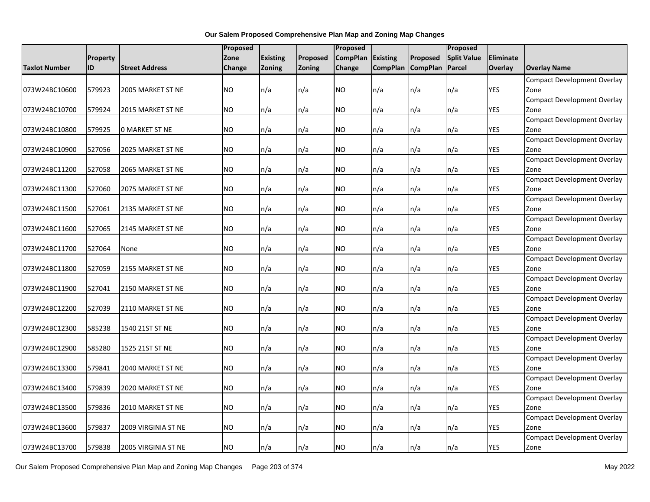|               |          |                       | Proposed  |                 |          | Proposed        |                 |                   | Proposed           |                  |                                    |
|---------------|----------|-----------------------|-----------|-----------------|----------|-----------------|-----------------|-------------------|--------------------|------------------|------------------------------------|
|               | Property |                       | Zone      | <b>Existing</b> | Proposed | <b>CompPlan</b> | <b>Existing</b> | Proposed          | <b>Split Value</b> | <b>Eliminate</b> |                                    |
| Taxlot Number | ID       | <b>Street Address</b> | Change    | Zoning          | Zoning   | Change          |                 | CompPlan CompPlan | Parcel             | Overlay          | <b>Overlay Name</b>                |
|               |          |                       |           |                 |          |                 |                 |                   |                    |                  | <b>Compact Development Overlay</b> |
| 073W24BC10600 | 579923   | 2005 MARKET ST NE     | NO.       | n/a             | n/a      | NO.             | n/a             | n/a               | n/a                | YES              | Zone                               |
|               |          |                       |           |                 |          |                 |                 |                   |                    |                  | <b>Compact Development Overlay</b> |
| 073W24BC10700 | 579924   | 2015 MARKET ST NE     | NO.       | n/a             | n/a      | NO.             | n/a             | n/a               | n/a                | YES              | Zone                               |
|               |          |                       |           |                 |          |                 |                 |                   |                    |                  | <b>Compact Development Overlay</b> |
| 073W24BC10800 | 579925   | <b>0 MARKET ST NE</b> | NO.       | n/a             | n/a      | <b>NO</b>       | n/a             | n/a               | n/a                | YES              | Zone                               |
|               |          |                       |           |                 |          |                 |                 |                   |                    |                  | <b>Compact Development Overlay</b> |
| 073W24BC10900 | 527056   | 2025 MARKET ST NE     | NO.       | n/a             | n/a      | NO.             | n/a             | n/a               | n/a                | <b>YES</b>       | Zone                               |
|               |          |                       |           |                 |          |                 |                 |                   |                    |                  | <b>Compact Development Overlay</b> |
| 073W24BC11200 | 527058   | 2065 MARKET ST NE     | <b>NO</b> | n/a             | n/a      | <b>NO</b>       | n/a             | n/a               | n/a                | <b>YES</b>       | Zone                               |
|               |          |                       |           |                 |          |                 |                 |                   |                    |                  | <b>Compact Development Overlay</b> |
| 073W24BC11300 | 527060   | 2075 MARKET ST NE     | NO.       | n/a             | n/a      | <b>NO</b>       | n/a             | n/a               | n/a                | YES              | Zone                               |
|               |          |                       |           |                 |          |                 |                 |                   |                    |                  | <b>Compact Development Overlay</b> |
| 073W24BC11500 | 527061   | 2135 MARKET ST NE     | NO.       | n/a             | n/a      | <b>NO</b>       | n/a             | n/a               | n/a                | <b>YES</b>       | Zone                               |
|               |          |                       |           |                 |          |                 |                 |                   |                    |                  | <b>Compact Development Overlay</b> |
| 073W24BC11600 | 527065   | 2145 MARKET ST NE     | NO.       | n/a             | n/a      | <b>NO</b>       | n/a             | n/a               | n/a                | YES              | Zone                               |
|               |          |                       |           |                 |          |                 |                 |                   |                    |                  | <b>Compact Development Overlay</b> |
| 073W24BC11700 | 527064   | None                  | <b>NO</b> | n/a             | n/a      | NO.             | n/a             | n/a               | n/a                | <b>YES</b>       | Zone                               |
|               |          |                       |           |                 |          |                 |                 |                   |                    |                  | <b>Compact Development Overlay</b> |
| 073W24BC11800 | 527059   | 2155 MARKET ST NE     | NO.       | n/a             | n/a      | NO.             | n/a             | n/a               | n/a                | YES              | Zone                               |
|               |          |                       |           |                 |          |                 |                 |                   |                    |                  | <b>Compact Development Overlay</b> |
| 073W24BC11900 | 527041   | 2150 MARKET ST NE     | NO.       | n/a             | n/a      | NO.             | n/a             | n/a               | n/a                | <b>YES</b>       | Zone                               |
|               |          |                       |           |                 |          |                 |                 |                   |                    |                  | <b>Compact Development Overlay</b> |
| 073W24BC12200 | 527039   | 2110 MARKET ST NE     | NO.       | n/a             | n/a      | NO.             | n/a             | n/a               | n/a                | YES              | Zone                               |
|               |          |                       |           |                 |          |                 |                 |                   |                    |                  | <b>Compact Development Overlay</b> |
| 073W24BC12300 | 585238   | 1540 21ST ST NE       | NO.       | n/a             | n/a      | NO.             | n/a             | n/a               | n/a                | YES              | Zone                               |
|               |          |                       |           |                 |          |                 |                 |                   |                    |                  | <b>Compact Development Overlay</b> |
| 073W24BC12900 | 585280   | 1525 21ST ST NE       | NO.       | n/a             | n/a      | <b>NO</b>       | n/a             | n/a               | n/a                | YES              | Zone                               |
|               |          |                       |           |                 |          |                 |                 |                   |                    |                  | <b>Compact Development Overlay</b> |
| 073W24BC13300 | 579841   | 2040 MARKET ST NE     | NO.       | n/a             | n/a      | NO.             | n/a             | n/a               | n/a                | YES              | Zone                               |
|               |          |                       |           |                 |          |                 |                 |                   |                    |                  | <b>Compact Development Overlay</b> |
| 073W24BC13400 | 579839   | 2020 MARKET ST NE     | NO.       | n/a             | n/a      | <b>NO</b>       | n/a             | n/a               | n/a                | YES              | Zone                               |
|               |          |                       |           |                 |          |                 |                 |                   |                    |                  | <b>Compact Development Overlay</b> |
| 073W24BC13500 | 579836   | 2010 MARKET ST NE     | <b>NO</b> | n/a             | n/a      | NO.             | n/a             | n/a               | n/a                | YES              | Zone                               |
|               |          |                       |           |                 |          |                 |                 |                   |                    |                  | Compact Development Overlay        |
| 073W24BC13600 | 579837   | 2009 VIRGINIA ST NE   | NO.       | n/a             | n/a      | <b>NO</b>       | n/a             | n/a               | n/a                | YES              | Zone                               |
|               |          |                       |           |                 |          |                 |                 |                   |                    |                  | Compact Development Overlay        |
| 073W24BC13700 | 579838   | 2005 VIRGINIA ST NE   | <b>NO</b> | n/a             | n/a      | <b>NO</b>       | n/a             | n/a               | n/a                | <b>YES</b>       | Zone                               |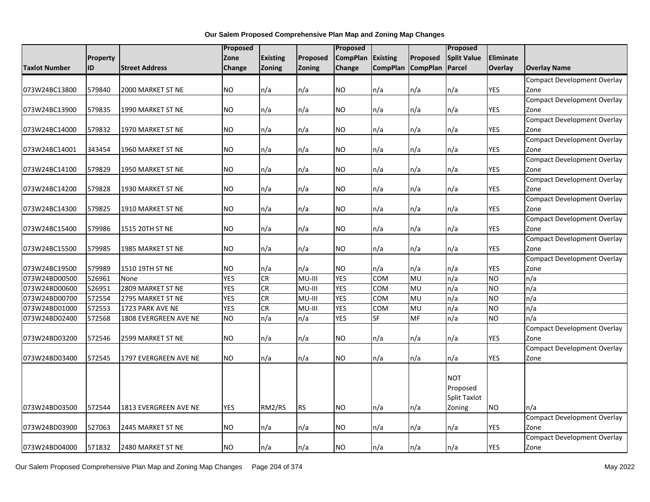|               |          |                       | <b>Proposed</b> |                 |           | <b>Proposed</b> |                 |                 | Proposed           |                |                                            |
|---------------|----------|-----------------------|-----------------|-----------------|-----------|-----------------|-----------------|-----------------|--------------------|----------------|--------------------------------------------|
|               | Property |                       | Zone            | <b>Existing</b> | Proposed  | <b>CompPlan</b> | <b>Existing</b> | Proposed        | <b>Split Value</b> | Eliminate      |                                            |
| Taxlot Number | ID       | <b>Street Address</b> | Change          | Zoning          | Zoning    | <b>Change</b>   | <b>CompPlan</b> | <b>CompPlan</b> | <b>Parcel</b>      | <b>Overlay</b> | <b>Overlay Name</b>                        |
|               |          |                       |                 |                 |           |                 |                 |                 |                    |                | Compact Development Overlay                |
| 073W24BC13800 | 579840   | 2000 MARKET ST NE     | <b>NO</b>       | n/a             | n/a       | <b>NO</b>       | n/a             | n/a             | n/a                | <b>YES</b>     | Zone                                       |
|               |          |                       |                 |                 |           |                 |                 |                 |                    |                | <b>Compact Development Overlay</b>         |
| 073W24BC13900 | 579835   | 1990 MARKET ST NE     | <b>NO</b>       | n/a             | n/a       | NO.             | n/a             | n/a             | n/a                | YES            | Zone                                       |
|               |          |                       |                 |                 |           |                 |                 |                 |                    |                | <b>Compact Development Overlay</b>         |
| 073W24BC14000 | 579832   | 1970 MARKET ST NE     | <b>NO</b>       | n/a             | n/a       | <b>NO</b>       | n/a             | n/a             | n/a                | <b>YES</b>     | Zone                                       |
|               |          |                       |                 |                 |           |                 |                 |                 |                    |                | <b>Compact Development Overlay</b>         |
| 073W24BC14001 | 343454   | 1960 MARKET ST NE     | <b>NO</b>       | n/a             | n/a       | <b>NO</b>       | n/a             | n/a             | n/a                | <b>YES</b>     | Zone                                       |
|               |          |                       |                 |                 |           |                 |                 |                 |                    |                | Compact Development Overlay                |
| 073W24BC14100 | 579829   | 1950 MARKET ST NE     | <b>NO</b>       | n/a             | n/a       | <b>NO</b>       | n/a             | n/a             | n/a                | <b>YES</b>     | Zone                                       |
|               |          |                       |                 |                 |           |                 |                 |                 |                    |                | <b>Compact Development Overlay</b>         |
| 073W24BC14200 | 579828   | 1930 MARKET ST NE     | <b>NO</b>       | n/a             | n/a       | <b>NO</b>       | n/a             | n/a             | n/a                | <b>YES</b>     | Zone                                       |
|               |          |                       |                 |                 |           |                 |                 |                 |                    |                | <b>Compact Development Overlay</b>         |
| 073W24BC14300 | 579825   | 1910 MARKET ST NE     | <b>NO</b>       | n/a             | n/a       | <b>NO</b>       | n/a             | n/a             | n/a                | <b>YES</b>     | Zone                                       |
|               |          |                       |                 |                 |           |                 |                 |                 |                    |                | <b>Compact Development Overlay</b>         |
| 073W24BC15400 | 579986   | 1515 20TH ST NE       | <b>NO</b>       | n/a             | n/a       | <b>NO</b>       | n/a             | n/a             | n/a                | YES            | Zone                                       |
|               |          |                       |                 |                 |           |                 |                 |                 |                    |                | <b>Compact Development Overlay</b>         |
| 073W24BC15500 | 579985   | 1985 MARKET ST NE     | <b>NO</b>       | n/a             | n/a       | <b>NO</b>       | n/a             | n/a             | n/a                | <b>YES</b>     | Zone                                       |
|               |          |                       |                 |                 |           |                 |                 |                 |                    |                | <b>Compact Development Overlay</b>         |
| 073W24BC19500 | 579989   | 1510 19TH ST NE       | <b>NO</b>       | n/a             | n/a       | NO.             | n/a             | n/a             | n/a                | YES            | Zone                                       |
| 073W24BD00500 | 526961   | None                  | <b>YES</b>      | CR              | MU-III    | <b>YES</b>      | <b>COM</b>      | MU              | n/a                | <b>NO</b>      | n/a                                        |
| 073W24BD00600 | 526951   | 2809 MARKET ST NE     | <b>YES</b>      | CR              | MU-III    | <b>YES</b>      | COM             | MU              | n/a                | <b>NO</b>      | n/a                                        |
| 073W24BD00700 | 572554   | 2795 MARKET ST NE     | <b>YES</b>      | CR              | MU-III    | <b>YES</b>      | <b>COM</b>      | <b>MU</b>       | n/a                | <b>NO</b>      | n/a                                        |
| 073W24BD01000 | 572553   | 1723 PARK AVE NE      | <b>YES</b>      | CR              | MU-III    | <b>YES</b>      | <b>COM</b>      | MU              | n/a                | <b>NO</b>      | n/a                                        |
| 073W24BD02400 | 572568   | 1808 EVERGREEN AVE NE | <b>NO</b>       | n/a             | n/a       | <b>YES</b>      | <b>SF</b>       | <b>MF</b>       | n/a                | <b>NO</b>      | n/a                                        |
|               |          |                       |                 |                 |           |                 |                 |                 |                    |                | <b>Compact Development Overlay</b>         |
| 073W24BD03200 | 572546   | 2599 MARKET ST NE     | <b>NO</b>       | n/a             | n/a       | <b>NO</b>       | n/a             | n/a             | n/a                | <b>YES</b>     | Zone                                       |
|               |          |                       |                 |                 |           |                 |                 |                 |                    |                | <b>Compact Development Overlay</b>         |
| 073W24BD03400 | 572545   | 1797 EVERGREEN AVE NE | <b>NO</b>       | n/a             | n/a       | <b>NO</b>       | n/a             | n/a             | n/a                | <b>YES</b>     | Zone                                       |
|               |          |                       |                 |                 |           |                 |                 |                 |                    |                |                                            |
|               |          |                       |                 |                 |           |                 |                 |                 | <b>NOT</b>         |                |                                            |
|               |          |                       |                 |                 |           |                 |                 |                 | Proposed           |                |                                            |
|               |          |                       |                 |                 |           |                 |                 |                 | Split Taxlot       |                |                                            |
| 073W24BD03500 | 572544   | 1813 EVERGREEN AVE NE | <b>YES</b>      | RM2/RS          | <b>RS</b> | <b>NO</b>       | n/a             | n/a             | Zoning             | <b>NO</b>      | n/a                                        |
| 073W24BD03900 | 527063   | 2445 MARKET ST NE     | <b>NO</b>       |                 |           | <b>NO</b>       |                 |                 | n/a                | YES            | <b>Compact Development Overlay</b><br>Zone |
|               |          |                       |                 | n/a             | n/a       |                 | n/a             | n/a             |                    |                |                                            |
|               |          |                       |                 |                 |           |                 |                 |                 |                    |                | Compact Development Overlay                |
| 073W24BD04000 | 571832   | 2480 MARKET ST NE     | <b>NO</b>       | n/a             | n/a       | <b>NO</b>       | n/a             | n/a             | n/a                | YES            | Zone                                       |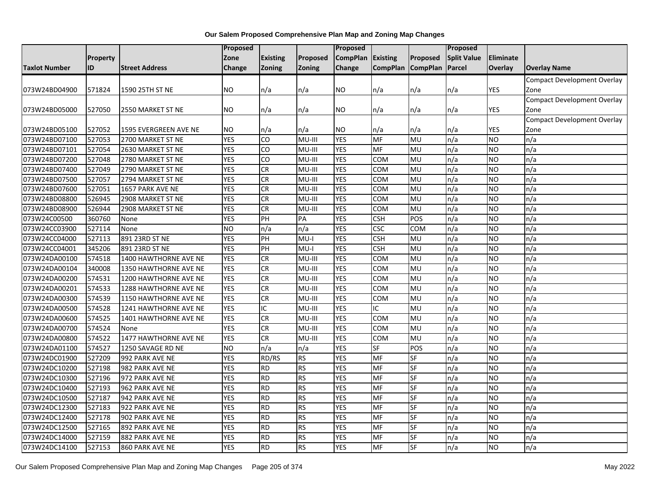|                      |          |                       | Proposed       |                 |           | Proposed        |                   |           | Proposed           |                  |                                    |
|----------------------|----------|-----------------------|----------------|-----------------|-----------|-----------------|-------------------|-----------|--------------------|------------------|------------------------------------|
|                      | Property |                       | Zone           | <b>Existing</b> | Proposed  | <b>CompPlan</b> | <b>Existing</b>   | Proposed  | <b>Split Value</b> | <b>Eliminate</b> |                                    |
| <b>Taxlot Number</b> | ID       | <b>Street Address</b> | Change         | <b>Zoning</b>   | Zoning    | Change          | CompPlan CompPlan |           | Parcel             | Overlay          | <b>Overlay Name</b>                |
|                      |          |                       |                |                 |           |                 |                   |           |                    |                  | <b>Compact Development Overlay</b> |
| 073W24BD04900        | 571824   | 1590 25TH ST NE       | NO.            | n/a             | n/a       | NO.             | n/a               | n/a       | n/a                | YES              | Zone                               |
|                      |          |                       |                |                 |           |                 |                   |           |                    |                  | <b>Compact Development Overlay</b> |
| 073W24BD05000        | 527050   | 2550 MARKET ST NE     | NO             | n/a             | n/a       | NO.             | n/a               | n/a       | n/a                | YES              | Zone                               |
|                      |          |                       |                |                 |           |                 |                   |           |                    |                  | <b>Compact Development Overlay</b> |
| 073W24BD05100        | 527052   | 1595 EVERGREEN AVE NE | <b>NO</b>      | n/a             | n/a       | <b>NO</b>       | n/a               | n/a       | n/a                | YES              | Zone                               |
| 073W24BD07100        | 527053   | 2700 MARKET ST NE     | <b>YES</b>     | <b>CO</b>       | MU-III    | <b>YES</b>      | <b>MF</b>         | MU        | n/a                | <b>NO</b>        | n/a                                |
| 073W24BD07101        | 527054   | 2630 MARKET ST NE     | <b>YES</b>     | CO              | MU-III    | <b>YES</b>      | MF                | MU        | n/a                | <b>NO</b>        | n/a                                |
| 073W24BD07200        | 527048   | 2780 MARKET ST NE     | <b>YES</b>     | <b>CO</b>       | MU-III    | <b>YES</b>      | <b>COM</b>        | MU        | n/a                | <b>NO</b>        | n/a                                |
| 073W24BD07400        | 527049   | 2790 MARKET ST NE     | <b>YES</b>     | <b>CR</b>       | MU-III    | <b>YES</b>      | <b>COM</b>        | <b>MU</b> | n/a                | <b>NO</b>        | n/a                                |
| 073W24BD07500        | 527057   | 2794 MARKET ST NE     | <b>YES</b>     | $\overline{c}$  | MU-III    | <b>YES</b>      | COM               | <b>MU</b> | n/a                | <b>NO</b>        | n/a                                |
| 073W24BD07600        | 527051   | 1657 PARK AVE NE      | <b>YES</b>     | CR              | MU-III    | <b>YES</b>      | COM               | MU        | n/a                | <b>NO</b>        | n/a                                |
| 073W24BD08800        | 526945   | 2908 MARKET ST NE     | <b>YES</b>     | <b>CR</b>       | MU-III    | <b>YES</b>      | <b>COM</b>        | MU        | n/a                | <b>NO</b>        | n/a                                |
| 073W24BD08900        | 526944   | 2908 MARKET ST NE     | <b>YES</b>     | <b>CR</b>       | MU-III    | <b>YES</b>      | COM               | <b>MU</b> | n/a                | <b>NO</b>        | n/a                                |
| 073W24C00500         | 360760   | None                  | <b>YES</b>     | PH              | PA        | <b>YES</b>      | <b>CSH</b>        | POS       | n/a                | <b>NO</b>        | n/a                                |
| 073W24CC03900        | 527114   | None                  | N <sub>O</sub> | n/a             | n/a       | <b>YES</b>      | <b>CSC</b>        | COM       | n/a                | <b>NO</b>        | n/a                                |
| 073W24CC04000        | 527113   | 891 23RD ST NE        | <b>YES</b>     | PH              | $MU-I$    | <b>YES</b>      | <b>CSH</b>        | MU        | n/a                | <b>NO</b>        | n/a                                |
| 073W24CC04001        | 345206   | 891 23RD ST NE        | <b>YES</b>     | PH              | $MU-I$    | <b>YES</b>      | <b>CSH</b>        | MU        | n/a                | <b>NO</b>        | n/a                                |
| 073W24DA00100        | 574518   | 1400 HAWTHORNE AVE NE | <b>YES</b>     | <b>CR</b>       | MU-III    | <b>YES</b>      | COM               | MU        | n/a                | <b>NO</b>        | n/a                                |
| 073W24DA00104        | 340008   | 1350 HAWTHORNE AVE NE | <b>YES</b>     | <b>CR</b>       | MU-III    | <b>YES</b>      | COM               | MU        | n/a                | <b>NO</b>        | n/a                                |
| 073W24DA00200        | 574531   | 1200 HAWTHORNE AVE NE | <b>YES</b>     | <b>CR</b>       | MU-III    | <b>YES</b>      | <b>COM</b>        | MU        | n/a                | <b>NO</b>        | n/a                                |
| 073W24DA00201        | 574533   | 1288 HAWTHORNE AVE NE | <b>YES</b>     | $\overline{c}$  | $MU-HI$   | <b>YES</b>      | COM               | <b>MU</b> | n/a                | <b>NO</b>        | n/a                                |
| 073W24DA00300        | 574539   | 1150 HAWTHORNE AVE NE | <b>YES</b>     | <b>CR</b>       | MU-III    | <b>YES</b>      | COM               | MU        | n/a                | <b>NO</b>        | n/a                                |
| 073W24DA00500        | 574528   | 1241 HAWTHORNE AVE NE | <b>YES</b>     | IC              | MU-III    | <b>YES</b>      | IC                | MU        | n/a                | <b>NO</b>        | n/a                                |
| 073W24DA00600        | 574525   | 1401 HAWTHORNE AVE NE | <b>YES</b>     | $\overline{c}$  | MU-III    | <b>YES</b>      | <b>COM</b>        | <b>MU</b> | n/a                | <b>NO</b>        | n/a                                |
| 073W24DA00700        | 574524   | None                  | <b>YES</b>     | <b>CR</b>       | MU-III    | <b>YES</b>      | <b>COM</b>        | <b>MU</b> | n/a                | <b>NO</b>        | n/a                                |
| 073W24DA00800        | 574522   | 1477 HAWTHORNE AVE NE | <b>YES</b>     | <b>CR</b>       | MU-III    | <b>YES</b>      | <b>COM</b>        | MU        | n/a                | <b>NO</b>        | n/a                                |
| 073W24DA01100        | 574527   | 1250 SAVAGE RD NE     | <b>NO</b>      | n/a             | n/a       | <b>YES</b>      | SF                | POS       | n/a                | <b>NO</b>        | n/a                                |
| 073W24DC01900        | 527209   | 992 PARK AVE NE       | <b>YES</b>     | RD/RS           | <b>RS</b> | <b>YES</b>      | MF                | <b>SF</b> | n/a                | <b>NO</b>        | n/a                                |
| 073W24DC10200        | 527198   | 982 PARK AVE NE       | <b>YES</b>     | <b>RD</b>       | <b>RS</b> | <b>YES</b>      | MF                | SF        | n/a                | <b>NO</b>        | n/a                                |
| 073W24DC10300        | 527196   | 972 PARK AVE NE       | <b>YES</b>     | <b>RD</b>       | <b>RS</b> | <b>YES</b>      | MF                | SF        | n/a                | <b>NO</b>        | n/a                                |
| 073W24DC10400        | 527193   | 962 PARK AVE NE       | <b>YES</b>     | <b>RD</b>       | <b>RS</b> | <b>YES</b>      | MF                | <b>SF</b> | n/a                | <b>NO</b>        | n/a                                |
| 073W24DC10500        | 527187   | 942 PARK AVE NE       | <b>YES</b>     | RD              | <b>RS</b> | <b>YES</b>      | <b>MF</b>         | SF        | n/a                | <b>NO</b>        | n/a                                |
| 073W24DC12300        | 527183   | 922 PARK AVE NE       | <b>YES</b>     | <b>RD</b>       | <b>RS</b> | <b>YES</b>      | MF                | SF        | n/a                | <b>NO</b>        | n/a                                |
| 073W24DC12400        | 527178   | 902 PARK AVE NE       | <b>YES</b>     | <b>RD</b>       | <b>RS</b> | <b>YES</b>      | MF                | SF        | n/a                | <b>NO</b>        | n/a                                |
| 073W24DC12500        | 527165   | 892 PARK AVE NE       | <b>YES</b>     | <b>RD</b>       | <b>RS</b> | <b>YES</b>      | <b>MF</b>         | SF        | n/a                | <b>NO</b>        | n/a                                |
| 073W24DC14000        | 527159   | 882 PARK AVE NE       | <b>YES</b>     | <b>RD</b>       | <b>RS</b> | <b>YES</b>      | MF                | SF        | n/a                | <b>NO</b>        | n/a                                |
| 073W24DC14100        | 527153   | 860 PARK AVE NE       | <b>YES</b>     | <b>RD</b>       | <b>RS</b> | <b>YES</b>      | MF                | SF        | n/a                | <b>NO</b>        | n/a                                |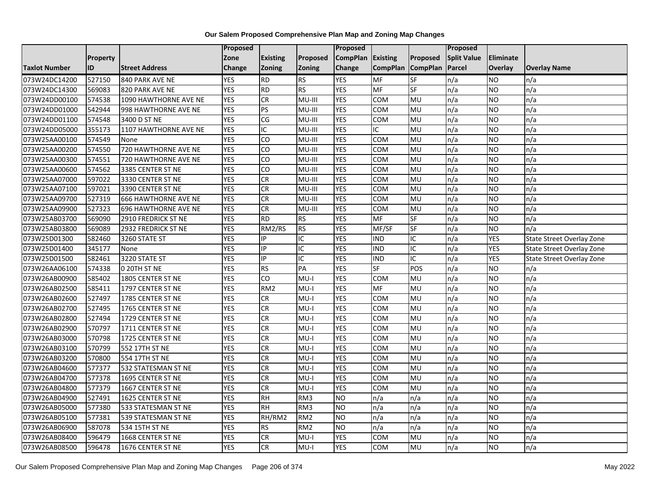|                      |          |                             | <b>Proposed</b> |                        |                 | <b>Proposed</b> |                 |                 | Proposed           |                 |                           |
|----------------------|----------|-----------------------------|-----------------|------------------------|-----------------|-----------------|-----------------|-----------------|--------------------|-----------------|---------------------------|
|                      | Property |                             | Zone            | <b>Existing</b>        | Proposed        | <b>CompPlan</b> | <b>Existing</b> | Proposed        | <b>Split Value</b> | Eliminate       |                           |
| <b>Taxlot Number</b> | ID       | <b>Street Address</b>       | <b>Change</b>   | Zoning                 | <b>Zoning</b>   | Change          | <b>CompPlan</b> | <b>CompPlan</b> | Parcel             | Overlay         | <b>Overlay Name</b>       |
| 073W24DC14200        | 527150   | 840 PARK AVE NE             | <b>YES</b>      | <b>RD</b>              | <b>RS</b>       | <b>YES</b>      | <b>MF</b>       | <b>SF</b>       | n/a                | NO.             | n/a                       |
| 073W24DC14300        | 569083   | 820 PARK AVE NE             | <b>YES</b>      | <b>RD</b>              | RS              | <b>YES</b>      | <b>MF</b>       | $S_{F}$         | n/a                | NO.             | n/a                       |
| 073W24DD00100        | 574538   | 1090 HAWTHORNE AVE NE       | <b>YES</b>      | CR                     | MU-III          | <b>YES</b>      | COM             | MU              | n/a                | NO.             | n/a                       |
| 073W24DD01000        | 542944   | 998 HAWTHORNE AVE NE        | <b>YES</b>      | PS                     | MU-III          | <b>YES</b>      | COM             | MU              | n/a                | NO.             | n/a                       |
| 073W24DD01100        | 574548   | 3400 D ST NE                | <b>YES</b>      | $\overline{\text{CG}}$ | MU-III          | <b>YES</b>      | COM             | MU              | n/a                | <b>NO</b>       | n/a                       |
| 073W24DD05000        | 355173   | 1107 HAWTHORNE AVE NE       | <b>YES</b>      | IC                     | MU-III          | <b>YES</b>      | IC              | MU              | n/a                | NO.             | n/a                       |
| 073W25AA00100        | 574549   | None                        | <b>YES</b>      | CO                     | MU-III          | <b>YES</b>      | <b>COM</b>      | MU              | n/a                | NO.             | n/a                       |
| 073W25AA00200        | 574550   | 720 HAWTHORNE AVE NE        | <b>YES</b>      | CO                     | MU-III          | <b>YES</b>      | COM             | MU              | n/a                | NO.             | n/a                       |
| 073W25AA00300        | 574551   | 720 HAWTHORNE AVE NE        | <b>YES</b>      | CO                     | MU-III          | <b>YES</b>      | <b>COM</b>      | MU              | n/a                | NO.             | n/a                       |
| 073W25AA00600        | 574562   | 3385 CENTER ST NE           | <b>YES</b>      | <b>CO</b>              | MU-III          | <b>YES</b>      | COM             | MU              | n/a                | NO.             | n/a                       |
| 073W25AA07000        | 597022   | 3330 CENTER ST NE           | <b>YES</b>      | CR                     | MU-III          | <b>YES</b>      | COM             | <b>NU</b>       | n/a                | <b>NO</b>       | $\overline{n/a}$          |
| 073W25AA07100        | 597021   | 3390 CENTER ST NE           | <b>YES</b>      | CR                     | MU-III          | <b>YES</b>      | COM             | MU              | n/a                | <b>NO</b>       | n/a                       |
| 073W25AA09700        | 527319   | <b>666 HAWTHORNE AVE NE</b> | <b>YES</b>      | <b>CR</b>              | MU-III          | <b>YES</b>      | COM             | MU              | n/a                | <b>NO</b>       | n/a                       |
| 073W25AA09900        | 527323   | <b>696 HAWTHORNE AVE NE</b> | <b>YES</b>      | CR                     | MU-III          | <b>YES</b>      | COM             | MU              | n/a                | NO              | n/a                       |
| 073W25AB03700        | 569090   | 2910 FREDRICK ST NE         | <b>YES</b>      | <b>RD</b>              | <b>RS</b>       | <b>YES</b>      | MF              | <b>SF</b>       | n/a                | <b>NO</b>       | n/a                       |
| 073W25AB03800        | 569089   | 2932 FREDRICK ST NE         | <b>YES</b>      | RM2/RS                 | <b>RS</b>       | <b>YES</b>      | MF/SF           | <b>SF</b>       | n/a                | NO              | n/a                       |
| 073W25D01300         | 582460   | 3260 STATE ST               | <b>YES</b>      | IP                     | IC              | <b>YES</b>      | <b>IND</b>      | IC              | n/a                | <b>YES</b>      | State Street Overlay Zone |
| 073W25D01400         | 345177   | None                        | <b>YES</b>      | IP                     | IC              | <b>YES</b>      | <b>IND</b>      | IC              | n/a                | YES             | State Street Overlay Zone |
| 073W25D01500         | 582461   | 3220 STATE ST               | <b>YES</b>      | $\overline{P}$         | IC              | <b>YES</b>      | <b>IND</b>      | $\overline{C}$  | n/a                | <b>YES</b>      | State Street Overlay Zone |
| 073W26AA06100        | 574338   | 0 20TH ST NE                | <b>YES</b>      | RS                     | PA              | <b>YES</b>      | $S$ F           | POS             | n/a                | <b>NO</b>       | n/a                       |
| 073W26AB00900        | 585402   | 1805 CENTER ST NE           | <b>YES</b>      | $\overline{c}$         | $MU-I$          | <b>YES</b>      | <b>COM</b>      | MU              | n/a                | <b>NO</b>       | n/a                       |
| 073W26AB02500        | 585411   | 1797 CENTER ST NE           | <b>YES</b>      | RM <sub>2</sub>        | $MU-I$          | <b>YES</b>      | <b>MF</b>       | MU              | n/a                | NO              | n/a                       |
| 073W26AB02600        | 527497   | 1785 CENTER ST NE           | <b>YES</b>      | CR                     | $MU-I$          | <b>YES</b>      | <b>COM</b>      | <b>MU</b>       | n/a                | NO.             | n/a                       |
| 073W26AB02700        | 527495   | 1765 CENTER ST NE           | <b>YES</b>      | CR                     | $MU-I$          | <b>YES</b>      | COM             | MU              | n/a                | NO              | n/a                       |
| 073W26AB02800        | 527494   | 1729 CENTER ST NE           | <b>YES</b>      | CR                     | MU-I            | <b>YES</b>      | COM             | MU              | n/a                | NO.             | n/a                       |
| 073W26AB02900        | 570797   | 1711 CENTER ST NE           | <b>YES</b>      | CR                     | $MU-I$          | <b>YES</b>      | COM             | MU              | n/a                | NO.             | n/a                       |
| 073W26AB03000        | 570798   | 1725 CENTER ST NE           | <b>YES</b>      | CR                     | $MU-I$          | <b>YES</b>      | COM             | MU              | n/a                | NO.             | $\overline{n/a}$          |
| 073W26AB03100        | 570799   | 552 17TH ST NE              | <b>YES</b>      | <b>CR</b>              | $MU-I$          | <b>YES</b>      | COM             | MU              | n/a                | <b>NO</b>       | n/a                       |
| 073W26AB03200        | 570800   | 554 17TH ST NE              | <b>YES</b>      | CR                     | $MU-I$          | <b>YES</b>      | COM             | MU              | n/a                | NO              | n/a                       |
| 073W26AB04600        | 577377   | 532 STATESMAN ST NE         | <b>YES</b>      | CR                     | $MU-I$          | <b>YES</b>      | COM             | MU              | n/a                | NO.             | n/a                       |
| 073W26AB04700        | 577378   | 1695 CENTER ST NE           | <b>YES</b>      | CR                     | $MU-I$          | <b>YES</b>      | COM             | MU              | n/a                | <b>NO</b>       | n/a                       |
| 073W26AB04800        | 577379   | 1667 CENTER ST NE           | <b>YES</b>      | CR                     | $MU-I$          | <b>YES</b>      | COM             | MU              | n/a                | <b>NO</b>       | n/a                       |
| 073W26AB04900        | 527491   | 1625 CENTER ST NE           | <b>YES</b>      | RH                     | RM3             | ŌИ              | n/a             | n/a             | n/a                | $\overline{NO}$ | n/a                       |
| 073W26AB05000        | 577380   | 533 STATESMAN ST NE         | <b>YES</b>      | <b>RH</b>              | RM3             | <b>NO</b>       | n/a             | n/a             | n/a                | NO.             | n/a                       |
| 073W26AB05100        | 577381   | 539 STATESMAN ST NE         | <b>YES</b>      | RH/RM2                 | RM2             | ŌИ              | n/a             | n/a             | n/a                | <b>NO</b>       | n/a                       |
| 073W26AB06900        | 587078   | 534 15TH ST NE              | <b>YES</b>      | <b>RS</b>              | RM <sub>2</sub> | ŌИ              | n/a             | n/a             | n/a                | NO.             | n/a                       |
| 073W26AB08400        | 596479   | 1668 CENTER ST NE           | <b>YES</b>      | <b>CR</b>              | $MU-I$          | <b>YES</b>      | COM             | MU              | n/a                | NO              | n/a                       |
| 073W26AB08500        | 596478   | 1676 CENTER ST NE           | <b>YES</b>      | CR                     | MU-I            | <b>YES</b>      | <b>COM</b>      | MU              | n/a                | NO              | n/a                       |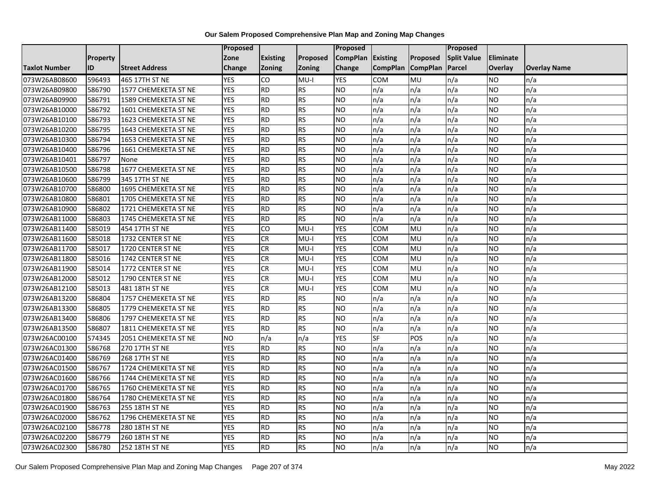|                      |          |                       | Proposed   |                 |               | Proposed        |                 |                 | Proposed           |                 |                     |
|----------------------|----------|-----------------------|------------|-----------------|---------------|-----------------|-----------------|-----------------|--------------------|-----------------|---------------------|
|                      | Property |                       | Zone       | <b>Existing</b> | Proposed      | <b>CompPlan</b> | Existing        | Proposed        | <b>Split Value</b> | Eliminate       |                     |
| <b>Taxlot Number</b> | ID       | <b>Street Address</b> | Change     | Zoning          | <b>Zoning</b> | Change          | <b>CompPlan</b> | <b>CompPlan</b> | Parcel             | <b>Overlay</b>  | <b>Overlay Name</b> |
| 073W26AB08600        | 596493   | 465 17TH ST NE        | <b>YES</b> | CO              | $MU-I$        | <b>YES</b>      | <b>COM</b>      | MU              | n/a                | NO.             | n/a                 |
| 073W26AB09800        | 586790   | 1577 CHEMEKETA ST NE  | <b>YES</b> | RD              | RS            | ŌИ              | n/a             | n/a             | n/a                | NO.             | n/a                 |
| 073W26AB09900        | 586791   | 1589 CHEMEKETA ST NE  | <b>YES</b> | <b>RD</b>       | <b>RS</b>     | <b>NO</b>       | n/a             | n/a             | n/a                | NO.             | n/a                 |
| 073W26AB10000        | 586792   | 1601 CHEMEKETA ST NE  | <b>YES</b> | <b>RD</b>       | <b>RS</b>     | <b>NO</b>       | n/a             | n/a             | n/a                | NO.             | n/a                 |
| 073W26AB10100        | 586793   | 1623 CHEMEKETA ST NE  | <b>YES</b> | <b>RD</b>       | RS            | ŌИ              | n/a             | n/a             | n/a                | NO.             | n/a                 |
| 073W26AB10200        | 586795   | 1643 CHEMEKETA ST NE  | <b>YES</b> | $\overline{BD}$ | RS            | Ю               | n/a             | n/a             | n/a                | <b>NO</b>       | n/a                 |
| 073W26AB10300        | 586794   | 1653 CHEMEKETA ST NE  | <b>YES</b> | <b>RD</b>       | <b>RS</b>     | <b>NO</b>       | n/a             | n/a             | n/a                | <b>NO</b>       | n/a                 |
| 073W26AB10400        | 586796   | 1661 CHEMEKETA ST NE  | <b>YES</b> | <b>RD</b>       | <b>RS</b>     | <b>NO</b>       | n/a             | n/a             | n/a                | NO.             | n/a                 |
| 073W26AB10401        | 586797   | None                  | <b>YES</b> | <b>RD</b>       | <b>RS</b>     | <b>NO</b>       | n/a             | n/a             | n/a                | NO.             | n/a                 |
| 073W26AB10500        | 586798   | 1677 CHEMEKETA ST NE  | <b>YES</b> | $\overline{RD}$ | RS            | ŌИ              | n/a             | n/a             | n/a                | <b>NO</b>       | n/a                 |
| 073W26AB10600        | 586799   | 345 17TH ST NE        | <b>YES</b> | $\overline{RD}$ | RS            | ŌИ              | n/a             | n/a             | n/a                | <b>NO</b>       | n/a                 |
| 073W26AB10700        | 586800   | 1695 CHEMEKETA ST NE  | <b>YES</b> | <b>RD</b>       | RS            | <b>NO</b>       | n/a             | n/a             | n/a                | NO.             | n/a                 |
| 073W26AB10800        | 586801   | 1705 CHEMEKETA ST NE  | <b>YES</b> | <b>RD</b>       | <b>RS</b>     | <b>NO</b>       | n/a             | n/a             | n/a                | NO.             | n/a                 |
| 073W26AB10900        | 586802   | 1721 CHEMEKETA ST NE  | <b>YES</b> | $\overline{RD}$ | RS            | ŌИ              | n/a             | n/a             | n/a                | NO.             | n/a                 |
| 073W26AB11000        | 586803   | 1745 CHEMEKETA ST NE  | <b>YES</b> | <b>RD</b>       | <b>RS</b>     | <b>NO</b>       | n/a             | n/a             | n/a                | NO.             | n/a                 |
| 073W26AB11400        | 585019   | 454 17TH ST NE        | <b>YES</b> | CO              | $MU-I$        | <b>YES</b>      | COM             | MU              | n/a                | <b>NO</b>       | n/a                 |
| 073W26AB11600        | 585018   | 1732 CENTER ST NE     | <b>YES</b> | CR              | $MU-I$        | <b>YES</b>      | COM             | MU              | n/a                | NO.             | n/a                 |
| 073W26AB11700        | 585017   | 1720 CENTER ST NE     | <b>YES</b> | <b>CR</b>       | MU-I          | <b>YES</b>      | COM             | MU              | n/a                | NO.             | n/a                 |
| 073W26AB11800        | 585016   | 1742 CENTER ST NE     | <b>YES</b> | <b>CR</b>       | $MU-I$        | <b>YES</b>      | COM             | MU              | n/a                | NO.             | n/a                 |
| 073W26AB11900        | 585014   | 1772 CENTER ST NE     | <b>YES</b> | <b>CR</b>       | MU-I          | <b>YES</b>      | сом             | MU              | n/a                | NO.             | n/a                 |
| 073W26AB12000        | 585012   | 1790 CENTER ST NE     | <b>YES</b> | <b>CR</b>       | $MU-I$        | <b>YES</b>      | COM             | MU              | n/a                | NO.             | n/a                 |
| 073W26AB12100        | 585013   | 481 18TH ST NE        | <b>YES</b> | CR              | $MU-I$        | <b>YES</b>      | COM             | <b>MU</b>       | n/a                | $\overline{NO}$ | n/a                 |
| 073W26AB13200        | 586804   | 1757 CHEMEKETA ST NE  | <b>YES</b> | <b>RD</b>       | RS            | <b>NO</b>       | n/a             | n/a             | n/a                | <b>NO</b>       | n/a                 |
| 073W26AB13300        | 586805   | 1779 CHEMEKETA ST NE  | <b>YES</b> | <b>RD</b>       | <b>RS</b>     | <b>NO</b>       | n/a             | n/a             | n/a                | NO.             | n/a                 |
| 073W26AB13400        | 586806   | 1797 CHEMEKETA ST NE  | <b>YES</b> | RD              | <b>RS</b>     | ŌИ              | n/a             | n/a             | n/a                | NO.             | n/a                 |
| 073W26AB13500        | 586807   | 1811 CHEMEKETA ST NE  | <b>YES</b> | <b>RD</b>       | RS            | ŌИ              | n/a             | n/a             | n/a                | NO.             | n/a                 |
| 073W26AC00100        | 574345   | 2051 CHEMEKETA ST NE  | <b>NO</b>  | n/a             | n/a           | <b>YES</b>      | SF              | POS             | n/a                | <b>NO</b>       | n/a                 |
| 073W26AC01300        | 586768   | 270 17TH ST NE        | <b>YES</b> | <b>RD</b>       | <b>RS</b>     | <b>NO</b>       | n/a             | n/a             | n/a                | NO.             | n/a                 |
| 073W26AC01400        | 586769   | 268 17TH ST NE        | <b>YES</b> | <b>RD</b>       | <b>RS</b>     | <b>NO</b>       | n/a             | n/a             | n/a                | NO.             | n/a                 |
| 073W26AC01500        | 586767   | 1724 CHEMEKETA ST NE  | <b>YES</b> | RD              | RS            | ŌИ              | n/a             | n/a             | n/a                | <b>NO</b>       | n/a                 |
| 073W26AC01600        | 586766   | 1744 CHEMEKETA ST NE  | <b>YES</b> | <b>RD</b>       | <b>RS</b>     | <b>NO</b>       | n/a             | n/a             | n/a                | NO.             | n/a                 |
| 073W26AC01700        | 586765   | 1760 CHEMEKETA ST NE  | <b>YES</b> | <b>RD</b>       | <b>RS</b>     | <b>NO</b>       | n/a             | n/a             | n/a                | <b>NO</b>       | n/a                 |
| 073W26AC01800        | 586764   | 1780 CHEMEKETA ST NE  | <b>YES</b> | <b>RD</b>       | <b>RS</b>     | <b>NO</b>       | n/a             | n/a             | n/a                | NO.             | n/a                 |
| 073W26AC01900        | 586763   | 255 18TH ST NE        | <b>YES</b> | <b>RD</b>       | <b>RS</b>     | <b>NO</b>       | n/a             | n/a             | n/a                | NO.             | n/a                 |
| 073W26AC02000        | 586762   | 1796 CHEMEKETA ST NE  | <b>YES</b> | $\overline{RD}$ | RS            | ŌИ              | n/a             | n/a             | n/a                | NO.             | n/a                 |
| 073W26AC02100        | 586778   | 280 18TH ST NE        | <b>YES</b> | <b>RD</b>       | <b>RS</b>     | <b>NO</b>       | n/a             | n/a             | n/a                | NO.             | n/a                 |
| 073W26AC02200        | 586779   | 260 18TH ST NE        | <b>YES</b> | <b>RD</b>       | <b>RS</b>     | <b>NO</b>       | n/a             | n/a             | n/a                | NO.             | n/a                 |
| 073W26AC02300        | 586780   | 252 18TH ST NE        | <b>YES</b> | $\overline{RD}$ | RS            | N <sub>O</sub>  | n/a             | n/a             | n/a                | NO.             | n/a                 |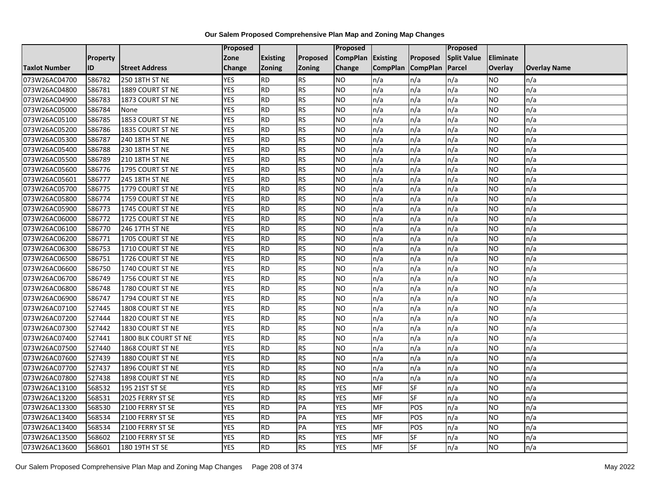|                      |           |                       | Proposed   |                 |               | <b>Proposed</b>   |                 |                 | <b>Proposed</b>    |                |                     |
|----------------------|-----------|-----------------------|------------|-----------------|---------------|-------------------|-----------------|-----------------|--------------------|----------------|---------------------|
|                      | Property  |                       | Zone       | <b>Existing</b> | Proposed      | CompPlan Existing |                 | Proposed        | <b>Split Value</b> | Eliminate      |                     |
| <b>Taxlot Number</b> | <b>ID</b> | <b>Street Address</b> | Change     | Zoning          | <b>Zoning</b> | Change            | <b>CompPlan</b> | <b>CompPlan</b> | Parcel             | <b>Overlay</b> | <b>Overlay Name</b> |
| 073W26AC04700        | 586782    | 250 18TH ST NE        | <b>YES</b> | <b>RD</b>       | <b>RS</b>     | <b>NO</b>         | n/a             | n/a             | n/a                | NO.            | n/a                 |
| 073W26AC04800        | 586781    | 1889 COURT ST NE      | <b>YES</b> | <b>RD</b>       | <b>RS</b>     | <b>NO</b>         | n/a             | n/a             | n/a                | NO.            | n/a                 |
| 073W26AC04900        | 586783    | 1873 COURT ST NE      | <b>YES</b> | <b>RD</b>       | <b>RS</b>     | <b>NO</b>         | n/a             | n/a             | n/a                | NO.            | n/a                 |
| 073W26AC05000        | 586784    | None                  | <b>YES</b> | <b>RD</b>       | <b>RS</b>     | <b>NO</b>         | n/a             | n/a             | n/a                | NO.            | n/a                 |
| 073W26AC05100        | 586785    | 1853 COURT ST NE      | <b>YES</b> | <b>RD</b>       | <b>RS</b>     | <b>NO</b>         | n/a             | n/a             | n/a                | NO.            | n/a                 |
| 073W26AC05200        | 586786    | 1835 COURT ST NE      | <b>YES</b> | <b>RD</b>       | <b>RS</b>     | N <sub>O</sub>    | n/a             | n/a             | n/a                | <b>NO</b>      | n/a                 |
| 073W26AC05300        | 586787    | 240 18TH ST NE        | <b>YES</b> | <b>RD</b>       | <b>RS</b>     | <b>NO</b>         | n/a             | n/a             | n/a                | NO.            | n/a                 |
| 073W26AC05400        | 586788    | 230 18TH ST NE        | <b>YES</b> | <b>RD</b>       | <b>RS</b>     | <b>NO</b>         | n/a             | n/a             | n/a                | NO.            | n/a                 |
| 073W26AC05500        | 586789    | 210 18TH ST NE        | <b>YES</b> | <b>RD</b>       | <b>RS</b>     | <b>NO</b>         | n/a             | n/a             | n/a                | ΝO             | n/a                 |
| 073W26AC05600        | 586776    | 1795 COURT ST NE      | <b>YES</b> | <b>RD</b>       | <b>RS</b>     | <b>NO</b>         | n/a             | n/a             | n/a                | NO.            | n/a                 |
| 073W26AC05601        | 586777    | 245 18TH ST NE        | <b>YES</b> | <b>RD</b>       | <b>RS</b>     | <b>NO</b>         | n/a             | n/a             | n/a                | <b>NO</b>      | n/a                 |
| 073W26AC05700        | 586775    | 1779 COURT ST NE      | <b>YES</b> | <b>RD</b>       | <b>RS</b>     | <b>NO</b>         | n/a             | n/a             | n/a                | NO.            | n/a                 |
| 073W26AC05800        | 586774    | 1759 COURT ST NE      | <b>YES</b> | <b>RD</b>       | <b>RS</b>     | <b>NO</b>         | n/a             | n/a             | n/a                | NO.            | n/a                 |
| 073W26AC05900        | 586773    | 1745 COURT ST NE      | <b>YES</b> | <b>RD</b>       | <b>RS</b>     | N <sub>O</sub>    | n/a             | n/a             | n/a                | <b>NO</b>      | n/a                 |
| 073W26AC06000        | 586772    | 1725 COURT ST NE      | <b>YES</b> | <b>RD</b>       | <b>RS</b>     | <b>NO</b>         | n/a             | n/a             | n/a                | <b>NO</b>      | n/a                 |
| 073W26AC06100        | 586770    | 246 17TH ST NE        | <b>YES</b> | <b>RD</b>       | <b>RS</b>     | <b>NO</b>         | n/a             | n/a             | n/a                | <b>NO</b>      | n/a                 |
| 073W26AC06200        | 586771    | 1705 COURT ST NE      | <b>YES</b> | <b>RD</b>       | <b>RS</b>     | <b>NO</b>         | n/a             | n/a             | n/a                | NO.            | n/a                 |
| 073W26AC06300        | 586753    | 1710 COURT ST NE      | <b>YES</b> | <b>RD</b>       | <b>RS</b>     | <b>NO</b>         | n/a             | n/a             | n/a                | NO.            | n/a                 |
| 073W26AC06500        | 586751    | 1726 COURT ST NE      | <b>YES</b> | <b>RD</b>       | <b>RS</b>     | <b>NO</b>         | n/a             | n/a             | n/a                | NO.            | n/a                 |
| 073W26AC06600        | 586750    | 1740 COURT ST NE      | <b>YES</b> | <b>RD</b>       | <b>RS</b>     | <b>NO</b>         | n/a             | n/a             | n/a                | NO.            | n/a                 |
| 073W26AC06700        | 586749    | 1756 COURT ST NE      | <b>YES</b> | <b>RD</b>       | <b>RS</b>     | <b>NO</b>         | n/a             | n/a             | n/a                | NO.            | n/a                 |
| 073W26AC06800        | 586748    | 1780 COURT ST NE      | <b>YES</b> | <b>RD</b>       | <b>RS</b>     | N <sub>O</sub>    | n/a             | n/a             | n/a                | NO.            | n/a                 |
| 073W26AC06900        | 586747    | 1794 COURT ST NE      | <b>YES</b> | <b>RD</b>       | <b>RS</b>     | <b>NO</b>         | n/a             | n/a             | n/a                | <b>NO</b>      | n/a                 |
| 073W26AC07100        | 527445    | 1808 COURT ST NE      | <b>YES</b> | <b>RD</b>       | <b>RS</b>     | <b>NO</b>         | n/a             | n/a             | n/a                | NO.            | n/a                 |
| 073W26AC07200        | 527444    | 1820 COURT ST NE      | <b>YES</b> | <b>RD</b>       | <b>RS</b>     | N <sub>O</sub>    | n/a             | n/a             | n/a                | <b>NO</b>      | n/a                 |
| 073W26AC07300        | 527442    | 1830 COURT ST NE      | <b>YES</b> | <b>RD</b>       | <b>RS</b>     | <b>NO</b>         | n/a             | n/a             | n/a                | NO.            | n/a                 |
| 073W26AC07400        | 527441    | 1800 BLK COURT ST NE  | <b>YES</b> | <b>RD</b>       | <b>RS</b>     | <b>NO</b>         | n/a             | n/a             | n/a                | NO.            | n/a                 |
| 073W26AC07500        | 527440    | 1868 COURT ST NE      | <b>YES</b> | <b>RD</b>       | <b>RS</b>     | <b>NO</b>         | n/a             | n/a             | n/a                | NO.            | n/a                 |
| 073W26AC07600        | 527439    | 1880 COURT ST NE      | <b>YES</b> | <b>RD</b>       | <b>RS</b>     | <b>NO</b>         | n/a             | n/a             | n/a                | NO.            | n/a                 |
| 073W26AC07700        | 527437    | 1896 COURT ST NE      | <b>YES</b> | <b>RD</b>       | <b>RS</b>     | N <sub>O</sub>    | n/a             | n/a             | n/a                | <b>NO</b>      | n/a                 |
| 073W26AC07800        | 527438    | 1898 COURT ST NE      | <b>YES</b> | <b>RD</b>       | <b>RS</b>     | <b>NO</b>         | n/a             | n/a             | n/a                | <b>NO</b>      | n/a                 |
| 073W26AC13100        | 568532    | 195 21ST ST SE        | <b>YES</b> | <b>RD</b>       | <b>RS</b>     | <b>YES</b>        | MF              | SF              | n/a                | <b>NO</b>      | n/a                 |
| 073W26AC13200        | 568531    | 2025 FERRY ST SE      | <b>YES</b> | <b>RD</b>       | <b>RS</b>     | <b>YES</b>        | <b>MF</b>       | <b>SF</b>       | n/a                | NO.            | n/a                 |
| 073W26AC13300        | 568530    | 2100 FERRY ST SE      | <b>YES</b> | <b>RD</b>       | PA            | <b>YES</b>        | MF              | POS             | n/a                | NO.            | n/a                 |
| 073W26AC13400        | 568534    | 2100 FERRY ST SE      | <b>YES</b> | <b>RD</b>       | PA            | <b>YES</b>        | MF              | POS             | n/a                | NO.            | n/a                 |
| 073W26AC13400        | 568534    | 2100 FERRY ST SE      | <b>YES</b> | <b>RD</b>       | PA            | <b>YES</b>        | MF              | POS             | n/a                | NO.            | n/a                 |
| 073W26AC13500        | 568602    | 2100 FERRY ST SE      | <b>YES</b> | <b>RD</b>       | <b>RS</b>     | <b>YES</b>        | <b>MF</b>       | SF              | n/a                | NO.            | n/a                 |
| 073W26AC13600        | 568601    | 180 19TH ST SE        | <b>YES</b> | <b>RD</b>       | <b>RS</b>     | <b>YES</b>        | <b>MF</b>       | <b>SF</b>       | n/a                | NO.            | n/a                 |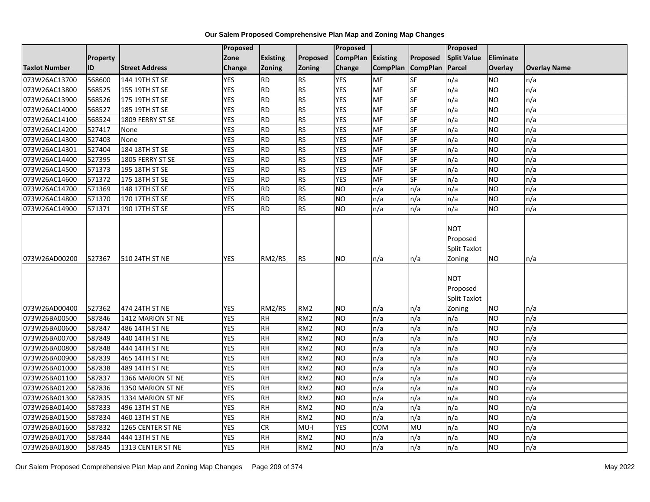|                      |                 |                       | Proposed   |                 |                 | <b>Proposed</b> |                 |                          | Proposed                                                |                  |                     |
|----------------------|-----------------|-----------------------|------------|-----------------|-----------------|-----------------|-----------------|--------------------------|---------------------------------------------------------|------------------|---------------------|
|                      | <b>Property</b> |                       | Zone       | <b>Existing</b> | Proposed        | <b>CompPlan</b> | Existing        | Proposed                 | <b>Split Value</b>                                      | <b>Eliminate</b> |                     |
| <b>Taxlot Number</b> | ID              | <b>Street Address</b> | Change     | Zoning          | <b>Zoning</b>   | Change          | <b>CompPlan</b> | <b>CompPlan</b>          | Parcel                                                  | Overlay          | <b>Overlay Name</b> |
| 073W26AC13700        | 568600          | 144 19TH ST SE        | <b>YES</b> | <b>RD</b>       | RS              | <b>YES</b>      | <b>MF</b>       | <b>SF</b>                | n/a                                                     | <b>NO</b>        | n/a                 |
| 073W26AC13800        | 568525          | 155 19TH ST SE        | <b>YES</b> | <b>RD</b>       | <b>RS</b>       | <b>YES</b>      | <b>MF</b>       | SF                       | n/a                                                     | <b>NO</b>        | n/a                 |
| 073W26AC13900        | 568526          | 175 19TH ST SE        | <b>YES</b> | <b>RD</b>       | RS              | <b>YES</b>      | <b>MF</b>       | $\overline{\mathsf{SF}}$ | n/a                                                     | <b>NO</b>        | n/a                 |
| 073W26AC14000        | 568527          | 185 19TH ST SE        | <b>YES</b> | RD              | RS              | <b>YES</b>      | <b>MF</b>       | SF                       | n/a                                                     | <b>NO</b>        | n/a                 |
| 073W26AC14100        | 568524          | 1809 FERRY ST SE      | <b>YES</b> | <b>RD</b>       | <b>RS</b>       | <b>YES</b>      | MF              | SF                       | n/a                                                     | <b>NO</b>        | n/a                 |
| 073W26AC14200        | 527417          | None                  | <b>YES</b> | <b>RD</b>       | RS              | <b>YES</b>      | MF              | SF                       | n/a                                                     | <b>NO</b>        | n/a                 |
| 073W26AC14300        | 527403          | None                  | <b>YES</b> | <b>RD</b>       | <b>RS</b>       | <b>YES</b>      | MF              | SF                       | n/a                                                     | <b>NO</b>        | n/a                 |
| 073W26AC14301        | 527404          | 184 18TH ST SE        | <b>YES</b> | <b>RD</b>       | <b>RS</b>       | <b>YES</b>      | MF              | SF                       | n/a                                                     | <b>NO</b>        | n/a                 |
| 073W26AC14400        | 527395          | 1805 FERRY ST SE      | <b>YES</b> | <b>RD</b>       | <b>RS</b>       | <b>YES</b>      | MF              | <b>SF</b>                | n/a                                                     | <b>NO</b>        | n/a                 |
| 073W26AC14500        | 571373          | 195 18TH ST SE        | <b>YES</b> | <b>RD</b>       | RS              | <b>YES</b>      | MF              | SF                       | n/a                                                     | <b>NO</b>        | n/a                 |
| 073W26AC14600        | 571372          | 175 18TH ST SE        | <b>YES</b> | <b>RD</b>       | <b>RS</b>       | <b>YES</b>      | <b>MF</b>       | <b>SF</b>                | n/a                                                     | <b>NO</b>        | n/a                 |
| 073W26AC14700        | 571369          | 148 17TH ST SE        | <b>YES</b> | <b>RD</b>       | RS              | <b>NO</b>       | n/a             | n/a                      | n/a                                                     | <b>NO</b>        | n/a                 |
| 073W26AC14800        | 571370          | 170 17TH ST SE        | <b>YES</b> | <b>RD</b>       | <b>RS</b>       | <b>NO</b>       | n/a             | n/a                      | n/a                                                     | <b>NO</b>        | n/a                 |
| 073W26AC14900        | 571371          | 190 17TH ST SE        | <b>YES</b> | <b>RD</b>       | <b>RS</b>       | <b>NO</b>       | n/a             | n/a                      | n/a                                                     | <b>NO</b>        | n/a                 |
| 073W26AD00200        | 527367          | 510 24TH ST NE        | <b>YES</b> | RM2/RS          | <b>RS</b>       | <b>NO</b>       | n/a             | n/a                      | <b>NOT</b><br>Proposed<br><b>Split Taxlot</b><br>Zoning | NO.              | n/a                 |
| 073W26AD00400        | 527362          | 474 24TH ST NE        | <b>YES</b> | RM2/RS          | RM <sub>2</sub> | <b>NO</b>       | n/a             | $\mathsf{In}/\mathsf{a}$ | <b>NOT</b><br>Proposed<br><b>Split Taxlot</b><br>Zoning | NO.              | n/a                 |
| 073W26BA00500        | 587846          | 1412 MARION ST NE     | <b>YES</b> | <b>RH</b>       | RM <sub>2</sub> | <b>NO</b>       | n/a             | n/a                      | n/a                                                     | <b>NO</b>        | n/a                 |
| 073W26BA00600        | 587847          | 486 14TH ST NE        | <b>YES</b> | <b>RH</b>       | RM <sub>2</sub> | <b>NO</b>       | n/a             | n/a                      | n/a                                                     | <b>NO</b>        | n/a                 |
| 073W26BA00700        | 587849          | 440 14TH ST NE        | <b>YES</b> | <b>RH</b>       | RM <sub>2</sub> | <b>NO</b>       | n/a             | n/a                      | n/a                                                     | <b>NO</b>        | n/a                 |
| 073W26BA00800        | 587848          | 444 14TH ST NE        | <b>YES</b> | <b>RH</b>       | RM <sub>2</sub> | <b>NO</b>       | n/a             | n/a                      | n/a                                                     | <b>NO</b>        | n/a                 |
| 073W26BA00900        | 587839          | 465 14TH ST NE        | <b>YES</b> | <b>RH</b>       | RM <sub>2</sub> | N <sub>O</sub>  | n/a             | n/a                      | n/a                                                     | <b>NO</b>        | n/a                 |
| 073W26BA01000        | 587838          | 489 14TH ST NE        | <b>YES</b> | <b>RH</b>       | RM <sub>2</sub> | <b>NO</b>       | n/a             | n/a                      | n/a                                                     | <b>NO</b>        | n/a                 |
| 073W26BA01100        | 587837          | 1366 MARION ST NE     | <b>YES</b> | <b>RH</b>       | RM <sub>2</sub> | <b>NO</b>       | n/a             | n/a                      | n/a                                                     | <b>NO</b>        | n/a                 |
| 073W26BA01200        | 587836          | 1350 MARION ST NE     | <b>YES</b> | <b>RH</b>       | RM <sub>2</sub> | <b>NO</b>       | n/a             | n/a                      | n/a                                                     | <b>NO</b>        | n/a                 |
| 073W26BA01300        | 587835          | 1334 MARION ST NE     | <b>YES</b> | <b>RH</b>       | RM <sub>2</sub> | <b>NO</b>       | n/a             | n/a                      | n/a                                                     | <b>NO</b>        | n/a                 |
| 073W26BA01400        | 587833          | 496 13TH ST NE        | <b>YES</b> | <b>RH</b>       | RM <sub>2</sub> | <b>NO</b>       | n/a             | n/a                      | n/a                                                     | <b>NO</b>        | n/a                 |
| 073W26BA01500        | 587834          | 460 13TH ST NE        | <b>YES</b> | <b>RH</b>       | RM <sub>2</sub> | <b>NO</b>       | n/a             | n/a                      | n/a                                                     | <b>NO</b>        | n/a                 |
| 073W26BA01600        | 587832          | 1265 CENTER ST NE     | <b>YES</b> | <b>CR</b>       | $MU-I$          | <b>YES</b>      | <b>COM</b>      | MU                       | n/a                                                     | <b>NO</b>        | n/a                 |
| 073W26BA01700        | 587844          | 444 13TH ST NE        | <b>YES</b> | <b>RH</b>       | RM <sub>2</sub> | <b>NO</b>       | n/a             | n/a                      | n/a                                                     | <b>NO</b>        | n/a                 |
| 073W26BA01800        | 587845          | 1313 CENTER ST NE     | <b>YES</b> | <b>RH</b>       | RM <sub>2</sub> | <b>NO</b>       | n/a             | n/a                      | n/a                                                     | <b>NO</b>        | n/a                 |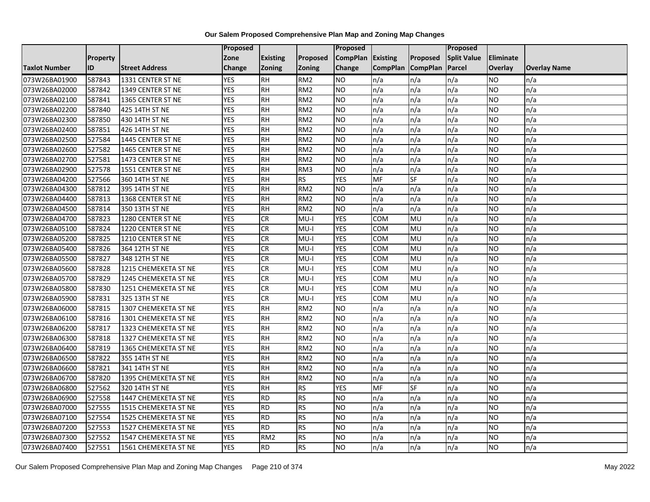|                      |          |                       | Proposed   |                 |                 | Proposed        |                 |                 | Proposed           |                  |                     |
|----------------------|----------|-----------------------|------------|-----------------|-----------------|-----------------|-----------------|-----------------|--------------------|------------------|---------------------|
|                      | Property |                       | Zone       | <b>Existing</b> | Proposed        | <b>CompPlan</b> | Existing        | Proposed        | <b>Split Value</b> | <b>Eliminate</b> |                     |
| <b>Taxlot Number</b> | ID       | <b>Street Address</b> | Change     | Zoning          | <b>Zoning</b>   | Change          | <b>CompPlan</b> | <b>CompPlan</b> | Parcel             | <b>Overlay</b>   | <b>Overlay Name</b> |
| 073W26BA01900        | 587843   | 1331 CENTER ST NE     | <b>YES</b> | <b>RH</b>       | RM <sub>2</sub> | <b>NO</b>       | n/a             | n/a             | n/a                | NO.              | n/a                 |
| 073W26BA02000        | 587842   | 1349 CENTER ST NE     | <b>YES</b> | <b>RH</b>       | RM <sub>2</sub> | <b>NO</b>       | n/a             | n/a             | n/a                | NO.              | n/a                 |
| 073W26BA02100        | 587841   | 1365 CENTER ST NE     | <b>YES</b> | <b>RH</b>       | RM <sub>2</sub> | <b>NO</b>       | n/a             | n/a             | n/a                | <b>NO</b>        | n/a                 |
| 073W26BA02200        | 587840   | 425 14TH ST NE        | <b>YES</b> | <b>RH</b>       | RM <sub>2</sub> | <b>NO</b>       | n/a             | n/a             | n/a                | NO.              | n/a                 |
| 073W26BA02300        | 587850   | 430 14TH ST NE        | <b>YES</b> | $\overline{R}$  | RM2             | ŌИ              | n/a             | n/a             | n/a                | NO.              | n/a                 |
| 073W26BA02400        | 587851   | 426 14TH ST NE        | <b>YES</b> | <b>RH</b>       | RM <sub>2</sub> | <b>NO</b>       | n/a             | n/a             | n/a                | <b>NO</b>        | n/a                 |
| 073W26BA02500        | 527584   | 1445 CENTER ST NE     | <b>YES</b> | <b>RH</b>       | RM <sub>2</sub> | <b>NO</b>       | n/a             | n/a             | n/a                | NO.              | n/a                 |
| 073W26BA02600        | 527582   | 1465 CENTER ST NE     | <b>YES</b> | <b>RH</b>       | RM <sub>2</sub> | ŌИ              | n/a             | n/a             | n/a                | NO.              | n/a                 |
| 073W26BA02700        | 527581   | 1473 CENTER ST NE     | <b>YES</b> | <b>RH</b>       | RM <sub>2</sub> | <b>NO</b>       | n/a             | n/a             | n/a                | NO.              | n/a                 |
| 073W26BA02900        | 527578   | 1551 CENTER ST NE     | <b>YES</b> | RH              | RM <sub>3</sub> | ŌИ              | n/a             | n/a             | n/a                | NO.              | n/a                 |
| 073W26BA04200        | 527566   | 360 14TH ST NE        | <b>YES</b> | <b>RH</b>       | <b>RS</b>       | <b>YES</b>      | MF              | SF              | n/a                | NO.              | n/a                 |
| 073W26BA04300        | 587812   | 395 14TH ST NE        | <b>YES</b> | RH              | RM <sub>2</sub> | <b>NO</b>       | n/a             | n/a             | n/a                | NO.              | n/a                 |
| 073W26BA04400        | 587813   | 1368 CENTER ST NE     | <b>YES</b> | <b>RH</b>       | RM <sub>2</sub> | ŌИ              | n/a             | n/a             | n/a                | NO.              | n/a                 |
| 073W26BA04500        | 587814   | 350 13TH ST NE        | <b>YES</b> | <b>RH</b>       | RM <sub>2</sub> | <b>NO</b>       | n/a             | n/a             | n/a                | NO.              | n/a                 |
| 073W26BA04700        | 587823   | 1280 CENTER ST NE     | <b>YES</b> | <b>CR</b>       | $MU-I$          | <b>YES</b>      | COM             | MU              | n/a                | <b>NO</b>        | n/a                 |
| 073W26BA05100        | 587824   | 1220 CENTER ST NE     | <b>YES</b> | CR              | $MU-I$          | <b>YES</b>      | COM             | <b>MU</b>       | n/a                | NO.              | n/a                 |
| 073W26BA05200        | 587825   | 1210 CENTER ST NE     | <b>YES</b> | CR              | MU-I            | <b>YES</b>      | COM             | MU              | n/a                | <b>NO</b>        | n/a                 |
| 073W26BA05400        | 587826   | 364 12TH ST NE        | <b>YES</b> | <b>CR</b>       | $MU-I$          | <b>YES</b>      | COM             | MU              | n/a                | NO.              | n/a                 |
| 073W26BA05500        | 587827   | 348 12TH ST NE        | <b>YES</b> | CR              | $MU-I$          | <b>YES</b>      | COM             | <b>MU</b>       | n/a                | NO.              | n/a                 |
| 073W26BA05600        | 587828   | 1215 CHEMEKETA ST NE  | <b>YES</b> | CR              | MU-I            | <b>YES</b>      | сом             | MU              | n/a                | NO.              | n/a                 |
| 073W26BA05700        | 587829   | 1245 CHEMEKETA ST NE  | <b>YES</b> | <b>CR</b>       | $MU-I$          | <b>YES</b>      | COM             | MU              | n/a                | NO.              | n/a                 |
| 073W26BA05800        | 587830   | 1251 CHEMEKETA ST NE  | <b>YES</b> | <b>CR</b>       | $MU-I$          | <b>YES</b>      | COM             | MU              | n/a                | NO.              | n/a                 |
| 073W26BA05900        | 587831   | 325 13TH ST NE        | <b>YES</b> | <b>CR</b>       | $MU-I$          | <b>YES</b>      | COM             | MU              | n/a                | NO.              | n/a                 |
| 073W26BA06000        | 587815   | 1307 CHEMEKETA ST NE  | <b>YES</b> | <b>RH</b>       | RM <sub>2</sub> | <b>NO</b>       | n/a             | n/a             | n/a                | NO.              | n/a                 |
| 073W26BA06100        | 587816   | 1301 CHEMEKETA ST NE  | <b>YES</b> | <b>RH</b>       | RM <sub>2</sub> | <b>NO</b>       | n/a             | n/a             | n/a                | NO.              | n/a                 |
| 073W26BA06200        | 587817   | 1323 CHEMEKETA ST NE  | <b>YES</b> | <b>RH</b>       | RM <sub>2</sub> | <b>NO</b>       | n/a             | n/a             | n/a                | NO.              | n/a                 |
| 073W26BA06300        | 587818   | 1327 CHEMEKETA ST NE  | <b>YES</b> | $\overline{H}$  | RM <sub>2</sub> | ŌИ              | n/a             | n/a             | n/a                | NO.              | n/a                 |
| 073W26BA06400        | 587819   | 1365 CHEMEKETA ST NE  | <b>YES</b> | <b>RH</b>       | RM <sub>2</sub> | <b>NO</b>       | n/a             | n/a             | n/a                | NO.              | n/a                 |
| 073W26BA06500        | 587822   | 355 14TH ST NE        | <b>YES</b> | <b>RH</b>       | RM <sub>2</sub> | <b>NO</b>       | n/a             | n/a             | n/a                | NO.              | n/a                 |
| 073W26BA06600        | 587821   | 341 14TH ST NE        | <b>YES</b> | $R$ H           | RM <sub>2</sub> | <b>NO</b>       | n/a             | n/a             | n/a                | NO.              | n/a                 |
| 073W26BA06700        | 587820   | 1395 CHEMEKETA ST NE  | <b>YES</b> | <b>RH</b>       | RM <sub>2</sub> | <b>NO</b>       | n/a             | n/a             | n/a                | <b>NO</b>        | n/a                 |
| 073W26BA06800        | 527562   | 320 14TH ST NE        | <b>YES</b> | <b>RH</b>       | <b>RS</b>       | <b>YES</b>      | MF              | SF              | n/a                | <b>NO</b>        | n/a                 |
| 073W26BA06900        | 527558   | 1447 CHEMEKETA ST NE  | <b>YES</b> | <b>RD</b>       | <b>RS</b>       | ŌИ              | n/a             | n/a             | n/a                | NO.              | n/a                 |
| 073W26BA07000        | 527555   | 1515 CHEMEKETA ST NE  | <b>YES</b> | <b>RD</b>       | <b>RS</b>       | <b>NO</b>       | n/a             | n/a             | n/a                | NO.              | n/a                 |
| 073W26BA07100        | 527554   | 1525 CHEMEKETA ST NE  | <b>YES</b> | $\overline{RD}$ | RS              | ŌИ              | n/a             | n/a             | n/a                | NO.              | n/a                 |
| 073W26BA07200        | 527553   | 1527 CHEMEKETA ST NE  | <b>YES</b> | <b>RD</b>       | <b>RS</b>       | ŌИ              | n/a             | n/a             | n/a                | NO.              | n/a                 |
| 073W26BA07300        | 527552   | 1547 CHEMEKETA ST NE  | <b>YES</b> | RM <sub>2</sub> | <b>RS</b>       | <b>NO</b>       | n/a             | n/a             | n/a                | NO.              | n/a                 |
| 073W26BA07400        | 527551   | 1561 CHEMEKETA ST NE  | <b>YES</b> | <b>RD</b>       | <b>RS</b>       | <b>NO</b>       | n/a             | n/a             | n/a                | NO.              | n/a                 |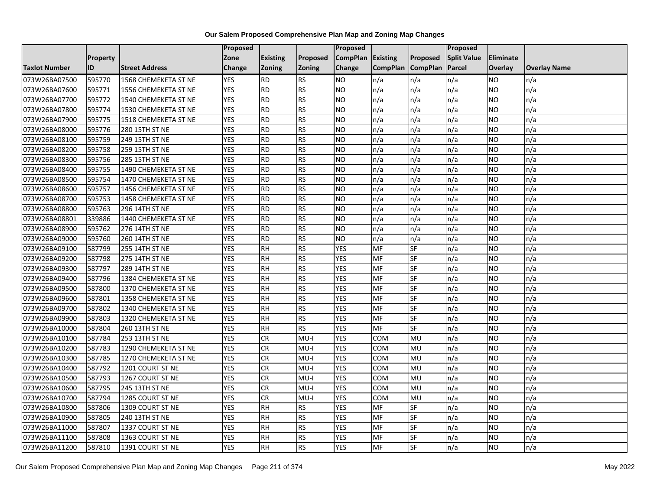|                      |                 |                       | Proposed   |                 |               | <b>Proposed</b> |                 |                 | <b>Proposed</b>    |                |                     |
|----------------------|-----------------|-----------------------|------------|-----------------|---------------|-----------------|-----------------|-----------------|--------------------|----------------|---------------------|
|                      | <b>Property</b> |                       | Zone       | <b>Existing</b> | Proposed      | <b>CompPlan</b> | <b>Existing</b> | Proposed        | <b>Split Value</b> | Eliminate      |                     |
| <b>Taxlot Number</b> | ID              | <b>Street Address</b> | Change     | <b>Zoning</b>   | <b>Zoning</b> | Change          | <b>CompPlan</b> | <b>CompPlan</b> | Parcel             | <b>Overlay</b> | <b>Overlay Name</b> |
| 073W26BA07500        | 595770          | 1568 CHEMEKETA ST NE  | <b>YES</b> | <b>RD</b>       | <b>RS</b>     | <b>NO</b>       | n/a             | n/a             | n/a                | NO.            | n/a                 |
| 073W26BA07600        | 595771          | 1556 CHEMEKETA ST NE  | <b>YES</b> | <b>RD</b>       | <b>RS</b>     | <b>NO</b>       | n/a             | n/a             | n/a                | NO.            | n/a                 |
| 073W26BA07700        | 595772          | 1540 CHEMEKETA ST NE  | <b>YES</b> | <b>RD</b>       | <b>RS</b>     | <b>NO</b>       | n/a             | n/a             | n/a                | NO.            | n/a                 |
| 073W26BA07800        | 595774          | 1530 CHEMEKETA ST NE  | <b>YES</b> | <b>RD</b>       | <b>RS</b>     | <b>NO</b>       | n/a             | n/a             | n/a                | NO.            | n/a                 |
| 073W26BA07900        | 595775          | 1518 CHEMEKETA ST NE  | <b>YES</b> | <b>RD</b>       | <b>RS</b>     | <b>NO</b>       | n/a             | n/a             | n/a                | NO.            | n/a                 |
| 073W26BA08000        | 595776          | 280 15TH ST NE        | <b>YES</b> | <b>RD</b>       | <b>RS</b>     | <b>NO</b>       | n/a             | n/a             | n/a                | NO.            | n/a                 |
| 073W26BA08100        | 595759          | 249 15TH ST NE        | <b>YES</b> | <b>RD</b>       | <b>RS</b>     | <b>NO</b>       | n/a             | n/a             | n/a                | NO.            | n/a                 |
| 073W26BA08200        | 595758          | 259 15TH ST NE        | <b>YES</b> | <b>RD</b>       | <b>RS</b>     | <b>NO</b>       | n/a             | n/a             | n/a                | NO.            | n/a                 |
| 073W26BA08300        | 595756          | 285 15TH ST NE        | <b>YES</b> | <b>RD</b>       | <b>RS</b>     | <b>NO</b>       | n/a             | n/a             | n/a                | ΝO             | n/a                 |
| 073W26BA08400        | 595755          | 1490 CHEMEKETA ST NE  | <b>YES</b> | <b>RD</b>       | <b>RS</b>     | <b>NO</b>       | n/a             | n/a             | n/a                | NO.            | n/a                 |
| 073W26BA08500        | 595754          | 1470 CHEMEKETA ST NE  | <b>YES</b> | <b>RD</b>       | <b>RS</b>     | <b>NO</b>       | n/a             | n/a             | n/a                | <b>NO</b>      | n/a                 |
| 073W26BA08600        | 595757          | 1456 CHEMEKETA ST NE  | <b>YES</b> | <b>RD</b>       | <b>RS</b>     | <b>NO</b>       | n/a             | n/a             | n/a                | NO.            | n/a                 |
| 073W26BA08700        | 595753          | 1458 CHEMEKETA ST NE  | <b>YES</b> | <b>RD</b>       | <b>RS</b>     | <b>NO</b>       | n/a             | n/a             | n/a                | NO.            | n/a                 |
| 073W26BA08800        | 595763          | 296 14TH ST NE        | <b>YES</b> | <b>RD</b>       | <b>RS</b>     | N <sub>O</sub>  | n/a             | n/a             | n/a                | <b>NO</b>      | n/a                 |
| 073W26BA08801        | 339886          | 1440 CHEMEKETA ST NE  | <b>YES</b> | <b>RD</b>       | <b>RS</b>     | <b>NO</b>       | n/a             | n/a             | n/a                | ΝO             | n/a                 |
| 073W26BA08900        | 595762          | 276 14TH ST NE        | <b>YES</b> | <b>RD</b>       | <b>RS</b>     | <b>NO</b>       | n/a             | n/a             | n/a                | NO.            | n/a                 |
| 073W26BA09000        | 595760          | 260 14TH ST NE        | <b>YES</b> | <b>RD</b>       | <b>RS</b>     | <b>NO</b>       | n/a             | n/a             | n/a                | NO.            | n/a                 |
| 073W26BA09100        | 587799          | 255 14TH ST NE        | <b>YES</b> | <b>RH</b>       | <b>RS</b>     | <b>YES</b>      | MF              | SF              | n/a                | NO.            | n/a                 |
| 073W26BA09200        | 587798          | 275 14TH ST NE        | <b>YES</b> | <b>RH</b>       | <b>RS</b>     | <b>YES</b>      | MF              | SF              | n/a                | <b>NO</b>      | n/a                 |
| 073W26BA09300        | 587797          | 289 14TH ST NE        | <b>YES</b> | <b>RH</b>       | <b>RS</b>     | <b>YES</b>      | MF              | <b>SF</b>       | n/a                | NO.            | n/a                 |
| 073W26BA09400        | 587796          | 1384 CHEMEKETA ST NE  | <b>YES</b> | <b>RH</b>       | <b>RS</b>     | <b>YES</b>      | <b>MF</b>       | SF              | n/a                | NO.            | n/a                 |
| 073W26BA09500        | 587800          | 1370 CHEMEKETA ST NE  | <b>YES</b> | $R$ H           | <b>RS</b>     | <b>YES</b>      | <b>MF</b>       | <b>SF</b>       | n/a                | NO.            | n/a                 |
| 073W26BA09600        | 587801          | 1358 CHEMEKETA ST NE  | <b>YES</b> | <b>RH</b>       | <b>RS</b>     | <b>YES</b>      | MF              | <b>SF</b>       | n/a                | NO.            | n/a                 |
| 073W26BA09700        | 587802          | 1340 CHEMEKETA ST NE  | <b>YES</b> | <b>RH</b>       | <b>RS</b>     | <b>YES</b>      | MF              | SF              | n/a                | NO.            | n/a                 |
| 073W26BA09900        | 587803          | 1320 CHEMEKETA ST NE  | <b>YES</b> | <b>RH</b>       | <b>RS</b>     | <b>YES</b>      | MF              | <b>SF</b>       | n/a                | <b>NO</b>      | n/a                 |
| 073W26BA10000        | 587804          | 260 13TH ST NE        | <b>YES</b> | <b>RH</b>       | <b>RS</b>     | <b>YES</b>      | <b>MF</b>       | <b>SF</b>       | n/a                | NO.            | n/a                 |
| 073W26BA10100        | 587784          | 253 13TH ST NE        | <b>YES</b> | <b>CR</b>       | $MU-I$        | <b>YES</b>      | <b>COM</b>      | MU              | n/a                | NO.            | n/a                 |
| 073W26BA10200        | 587783          | 1290 CHEMEKETA ST NE  | <b>YES</b> | <b>CR</b>       | $MU-I$        | <b>YES</b>      | COM             | MU              | n/a                | NO.            | n/a                 |
| 073W26BA10300        | 587785          | 1270 CHEMEKETA ST NE  | <b>YES</b> | <b>CR</b>       | MU-I          | <b>YES</b>      | COM             | MU              | n/a                | NO.            | n/a                 |
| 073W26BA10400        | 587792          | 1201 COURT ST NE      | <b>YES</b> | CR              | $MU-I$        | <b>YES</b>      | <b>COM</b>      | MU              | n/a                | <b>NO</b>      | n/a                 |
| 073W26BA10500        | 587793          | 1267 COURT ST NE      | <b>YES</b> | <b>CR</b>       | MU-I          | <b>YES</b>      | COM             | MU              | n/a                | <b>NO</b>      | n/a                 |
| 073W26BA10600        | 587795          | 245 13TH ST NE        | <b>YES</b> | <b>CR</b>       | $MU-I$        | <b>YES</b>      | COM             | MU              | n/a                | <b>NO</b>      | n/a                 |
| 073W26BA10700        | 587794          | 1285 COURT ST NE      | <b>YES</b> | <b>CR</b>       | MU-I          | <b>YES</b>      | COM             | MU              | n/a                | NO.            | n/a                 |
| 073W26BA10800        | 587806          | 1309 COURT ST NE      | <b>YES</b> | <b>RH</b>       | <b>RS</b>     | <b>YES</b>      | <b>MF</b>       | SF              | n/a                | NO.            | n/a                 |
| 073W26BA10900        | 587805          | 240 13TH ST NE        | <b>YES</b> | <b>RH</b>       | <b>RS</b>     | <b>YES</b>      | MF              | <b>SF</b>       | n/a                | NO.            | n/a                 |
| 073W26BA11000        | 587807          | 1337 COURT ST NE      | <b>YES</b> | <b>RH</b>       | <b>RS</b>     | <b>YES</b>      | MF              | SF              | n/a                | NO.            | n/a                 |
| 073W26BA11100        | 587808          | 1363 COURT ST NE      | <b>YES</b> | <b>RH</b>       | <b>RS</b>     | <b>YES</b>      | <b>MF</b>       | SF              | n/a                | NO.            | n/a                 |
| 073W26BA11200        | 587810          | 1391 COURT ST NE      | <b>YES</b> | $R$ H           | <b>RS</b>     | <b>YES</b>      | <b>MF</b>       | <b>SF</b>       | n/a                | NO.            | n/a                 |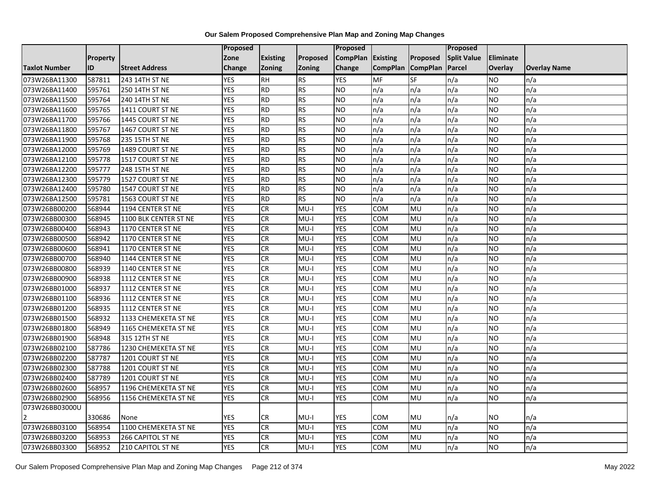|                      |                 |                          | Proposed   |                 |               | <b>Proposed</b> |                 |                 | Proposed           |           |                     |
|----------------------|-----------------|--------------------------|------------|-----------------|---------------|-----------------|-----------------|-----------------|--------------------|-----------|---------------------|
|                      | <b>Property</b> |                          | Zone       | <b>Existing</b> | Proposed      | <b>CompPlan</b> | Existing        | Proposed        | <b>Split Value</b> | Eliminate |                     |
| <b>Taxlot Number</b> | ID              | <b>Street Address</b>    | Change     | Zoning          | <b>Zoning</b> | Change          | <b>CompPlan</b> | <b>CompPlan</b> | Parcel             | Overlay   | <b>Overlay Name</b> |
| 073W26BA11300        | 587811          | 243 14TH ST NE           | <b>YES</b> | <b>RH</b>       | <b>RS</b>     | <b>YES</b>      | <b>MF</b>       | <b>SF</b>       | n/a                | NO        | n/a                 |
| 073W26BA11400        | 595761          | 250 14TH ST NE           | <b>YES</b> | <b>RD</b>       | <b>RS</b>     | <b>NO</b>       | n/a             | n/a             | n/a                | NO.       | n/a                 |
| 073W26BA11500        | 595764          | 240 14TH ST NE           | <b>YES</b> | RD              | RS            | Ю               | n/a             | n/a             | n/a                | NO.       | n/a                 |
| 073W26BA11600        | 595765          | 1411 COURT ST NE         | <b>YES</b> | <b>RD</b>       | <b>RS</b>     | <b>NO</b>       | n/a             | n/a             | n/a                | NO.       | n/a                 |
| 073W26BA11700        | 595766          | 1445 COURT ST NE         | <b>YES</b> | RD              | RS            | ŌИ              | n/a             | n/a             | n/a                | NO.       | n/a                 |
| 073W26BA11800        | 595767          | 1467 COURT ST NE         | <b>YES</b> | <b>RD</b>       | <b>RS</b>     | <b>NO</b>       | n/a             | n/a             | n/a                | NO.       | n/a                 |
| 073W26BA11900        | 595768          | 235 15TH ST NE           | <b>YES</b> | <b>RD</b>       | <b>RS</b>     | <b>NO</b>       | n/a             | n/a             | n/a                | NO.       | n/a                 |
| 073W26BA12000        | 595769          | 1489 COURT ST NE         | <b>YES</b> | <b>RD</b>       | <b>RS</b>     | <b>NO</b>       | n/a             | n/a             | n/a                | NO.       | n/a                 |
| 073W26BA12100        | 595778          | 1517 COURT ST NE         | <b>YES</b> | <b>RD</b>       | <b>RS</b>     | <b>NO</b>       | n/a             | n/a             | n/a                | NO.       | n/a                 |
| 073W26BA12200        | 595777          | 248 15TH ST NE           | <b>YES</b> | <b>RD</b>       | RS            | <b>NO</b>       | n/a             | n/a             | n/a                | NO.       | n/a                 |
| 073W26BA12300        | 595779          | 1527 COURT ST NE         | <b>YES</b> | <b>RD</b>       | <b>RS</b>     | <b>NO</b>       | n/a             | n/a             | n/a                | NO.       | n/a                 |
| 073W26BA12400        | 595780          | 1547 COURT ST NE         | <b>YES</b> | <b>RD</b>       | <b>RS</b>     | <b>NO</b>       | n/a             | n/a             | n/a                | NO.       | n/a                 |
| 073W26BA12500        | 595781          | 1563 COURT ST NE         | <b>YES</b> | <b>RD</b>       | <b>RS</b>     | <b>NO</b>       | n/a             | n/a             | n/a                | NO.       | n/a                 |
| 073W26BB00200        | 568944          | 1194 CENTER ST NE        | <b>YES</b> | CR              | $MU-I$        | <b>YES</b>      | COM             | MU              | n/a                | NO.       | n/a                 |
| 073W26BB00300        | 568945          | 1100 BLK CENTER ST NE    | <b>YES</b> | CR              | $MU-I$        | <b>YES</b>      | COM             | MU              | n/a                | NO.       | n/a                 |
| 073W26BB00400        | 568943          | 1170 CENTER ST NE        | <b>YES</b> | <b>CR</b>       | $MU-I$        | <b>YES</b>      | COM             | MU              | n/a                | NO.       | n/a                 |
| 073W26BB00500        | 568942          | 1170 CENTER ST NE        | <b>YES</b> | <b>CR</b>       | $MU-I$        | <b>YES</b>      | COM             | MU              | n/a                | NO.       | n/a                 |
| 073W26BB00600        | 568941          | 1170 CENTER ST NE        | <b>YES</b> | <b>CR</b>       | $MU-I$        | <b>YES</b>      | COM             | MU              | n/a                | NO.       | n/a                 |
| 073W26BB00700        | 568940          | 1144 CENTER ST NE        | <b>YES</b> | CR              | $MU-I$        | <b>YES</b>      | <b>COM</b>      | MU              | n/a                | <b>NO</b> | n/a                 |
| 073W26BB00800        | 568939          | 1140 CENTER ST NE        | <b>YES</b> | CR              | $MU-I$        | <b>YES</b>      | COM             | MU              | n/a                | <b>NO</b> | n/a                 |
| 073W26BB00900        | 568938          | 1112 CENTER ST NE        | <b>YES</b> | <b>CR</b>       | $MU-I$        | <b>YES</b>      | COM             | MU              | n/a                | <b>NO</b> | n/a                 |
| 073W26BB01000        | 568937          | 1112 CENTER ST NE        | <b>YES</b> | CR              | $MU-I$        | <b>YES</b>      | COM             | MU              | n/a                | NO.       | n/a                 |
| 073W26BB01100        | 568936          | 1112 CENTER ST NE        | <b>YES</b> | <b>CR</b>       | $MU-I$        | <b>YES</b>      | COM             | <b>MU</b>       | n/a                | NO.       | n/a                 |
| 073W26BB01200        | 568935          | 1112 CENTER ST NE        | <b>YES</b> | CR              | $MU-I$        | <b>YES</b>      | COM             | MU              | n/a                | NO.       | n/a                 |
| 073W26BB01500        | 568932          | 1133 CHEMEKETA ST NE     | <b>YES</b> | <b>CR</b>       | $MU-I$        | <b>YES</b>      | сом             | MU              | n/a                | NO.       | n/a                 |
| 073W26BB01800        | 568949          | 1165 CHEMEKETA ST NE     | <b>YES</b> | CR              | $MU-I$        | <b>YES</b>      | COM             | MU              | n/a                | NO.       | n/a                 |
| 073W26BB01900        | 568948          | 315 12TH ST NE           | <b>YES</b> | <b>CR</b>       | $MU-I$        | <b>YES</b>      | COM             | MU              | n/a                | NO.       | n/a                 |
| 073W26BB02100        | 587786          | 1230 CHEMEKETA ST NE     | <b>YES</b> | <b>CR</b>       | MU-I          | <b>YES</b>      | COM             | MU              | n/a                | <b>NO</b> | n/a                 |
| 073W26BB02200        | 587787          | 1201 COURT ST NE         | <b>YES</b> | CR              | $MU-I$        | <b>YES</b>      | COM             | MU              | n/a                | NO.       | n/a                 |
| 073W26BB02300        | 587788          | 1201 COURT ST NE         | <b>YES</b> | CR              | $MU-I$        | <b>YES</b>      | COM             | MU              | n/a                | NO.       | n/a                 |
| 073W26BB02400        | 587789          | 1201 COURT ST NE         | <b>YES</b> | CR              | $MU-I$        | <b>YES</b>      | COM             | MU              | n/a                | NO.       | n/a                 |
| 073W26BB02600        | 568957          | 1196 CHEMEKETA ST NE     | <b>YES</b> | <b>CR</b>       | $MU-I$        | <b>YES</b>      | COM             | MU              | n/a                | <b>NO</b> | n/a                 |
| 073W26BB02900        | 568956          | 1156 CHEMEKETA ST NE     | <b>YES</b> | CR              | $MU-I$        | <b>YES</b>      | COM             | MU              | n/a                | NO.       | n/a                 |
| 073W26BB03000U       |                 |                          |            |                 |               |                 |                 |                 |                    |           |                     |
|                      | 330686          | None                     | <b>YES</b> | CR              | MU-I          | YES             | <b>COM</b>      | <b>MU</b>       | n/a                | NO        | n/a                 |
| 073W26BB03100        | 568954          | 1100 CHEMEKETA ST NE     | <b>YES</b> | CR              | $MU-I$        | <b>YES</b>      | COM             | <b>MU</b>       | n/a                | NO.       | n/a                 |
| 073W26BB03200        | 568953          | 266 CAPITOL ST NE        | <b>YES</b> | <b>CR</b>       | $MU-I$        | <b>YES</b>      | сом             | MU              | n/a                | <b>NO</b> | n/a                 |
| 073W26BB03300        | 568952          | <b>210 CAPITOL ST NE</b> | <b>YES</b> | <b>CR</b>       | MU-I          | <b>YES</b>      | <b>COM</b>      | <b>MU</b>       | n/a                | NO.       | n/a                 |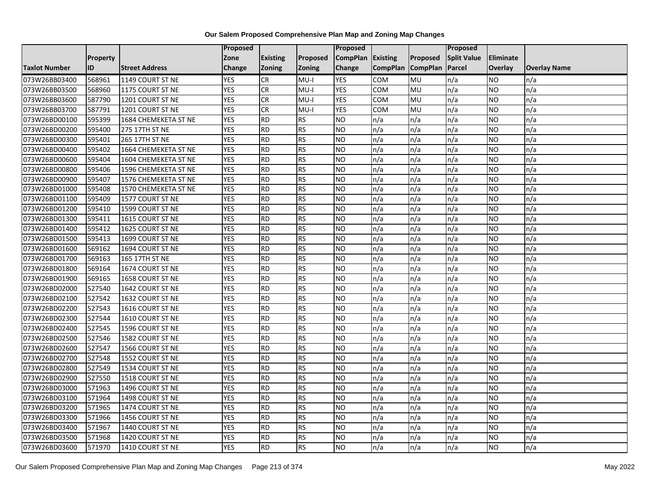|                      |                 |                       | Proposed   |                 |                 | <b>Proposed</b> |                 |                 | <b>Proposed</b>    |                |                     |
|----------------------|-----------------|-----------------------|------------|-----------------|-----------------|-----------------|-----------------|-----------------|--------------------|----------------|---------------------|
|                      | <b>Property</b> |                       | Zone       | <b>Existing</b> | <b>Proposed</b> | <b>CompPlan</b> | <b>Existing</b> | Proposed        | <b>Split Value</b> | Eliminate      |                     |
| <b>Taxlot Number</b> | ID              | <b>Street Address</b> | Change     | <b>Zoning</b>   | Zoning          | Change          | <b>CompPlan</b> | <b>CompPlan</b> | Parcel             | <b>Overlay</b> | <b>Overlay Name</b> |
| 073W26BB03400        | 568961          | 1149 COURT ST NE      | <b>YES</b> | <b>CR</b>       | $MU-I$          | <b>YES</b>      | <b>COM</b>      | MU              | n/a                | NO.            | n/a                 |
| 073W26BB03500        | 568960          | 1175 COURT ST NE      | <b>YES</b> | <b>CR</b>       | $MU-I$          | <b>YES</b>      | <b>COM</b>      | <b>MU</b>       | n/a                | NO.            | n/a                 |
| 073W26BB03600        | 587790          | 1201 COURT ST NE      | <b>YES</b> | <b>CR</b>       | $MU-I$          | <b>YES</b>      | COM             | MU              | n/a                | NO.            | n/a                 |
| 073W26BB03700        | 587791          | 1201 COURT ST NE      | <b>YES</b> | <b>CR</b>       | MU-I            | <b>YES</b>      | COM             | MU              | n/a                | NO.            | n/a                 |
| 073W26BD00100        | 595399          | 1684 CHEMEKETA ST NE  | <b>YES</b> | <b>RD</b>       | <b>RS</b>       | <b>NO</b>       | n/a             | n/a             | n/a                | NO.            | n/a                 |
| 073W26BD00200        | 595400          | 275 17TH ST NE        | <b>YES</b> | <b>RD</b>       | <b>RS</b>       | N <sub>O</sub>  | n/a             | n/a             | n/a                | NO.            | n/a                 |
| 073W26BD00300        | 595401          | 265 17TH ST NE        | <b>YES</b> | <b>RD</b>       | <b>RS</b>       | <b>NO</b>       | n/a             | n/a             | n/a                | NO.            | n/a                 |
| 073W26BD00400        | 595402          | 1664 CHEMEKETA ST NE  | <b>YES</b> | <b>RD</b>       | <b>RS</b>       | <b>NO</b>       | n/a             | n/a             | n/a                | NO.            | n/a                 |
| 073W26BD00600        | 595404          | 1604 CHEMEKETA ST NE  | <b>YES</b> | <b>RD</b>       | <b>RS</b>       | <b>NO</b>       | n/a             | n/a             | n/a                | ΝO             | n/a                 |
| 073W26BD00800        | 595406          | 1596 CHEMEKETA ST NE  | <b>YES</b> | <b>RD</b>       | <b>RS</b>       | <b>NO</b>       | n/a             | n/a             | n/a                | NO.            | n/a                 |
| 073W26BD00900        | 595407          | 1576 CHEMEKETA ST NE  | <b>YES</b> | <b>RD</b>       | <b>RS</b>       | <b>NO</b>       | n/a             | n/a             | n/a                | <b>NO</b>      | n/a                 |
| 073W26BD01000        | 595408          | 1570 CHEMEKETA ST NE  | <b>YES</b> | <b>RD</b>       | <b>RS</b>       | <b>NO</b>       | n/a             | n/a             | n/a                | NO.            | n/a                 |
| 073W26BD01100        | 595409          | 1577 COURT ST NE      | <b>YES</b> | <b>RD</b>       | <b>RS</b>       | <b>NO</b>       | n/a             | n/a             | n/a                | NO.            | n/a                 |
| 073W26BD01200        | 595410          | 1599 COURT ST NE      | <b>YES</b> | <b>RD</b>       | <b>RS</b>       | N <sub>O</sub>  | n/a             | n/a             | n/a                | <b>NO</b>      | n/a                 |
| 073W26BD01300        | 595411          | 1615 COURT ST NE      | <b>YES</b> | <b>RD</b>       | <b>RS</b>       | <b>NO</b>       | n/a             | n/a             | n/a                | ΝO             | n/a                 |
| 073W26BD01400        | 595412          | 1625 COURT ST NE      | <b>YES</b> | <b>RD</b>       | <b>RS</b>       | <b>NO</b>       | n/a             | n/a             | n/a                | NO.            | n/a                 |
| 073W26BD01500        | 595413          | 1699 COURT ST NE      | <b>YES</b> | <b>RD</b>       | <b>RS</b>       | <b>NO</b>       | n/a             | n/a             | n/a                | NO.            | n/a                 |
| 073W26BD01600        | 569162          | 1694 COURT ST NE      | <b>YES</b> | <b>RD</b>       | <b>RS</b>       | <b>NO</b>       | n/a             | n/a             | n/a                | NO.            | n/a                 |
| 073W26BD01700        | 569163          | 165 17TH ST NE        | <b>YES</b> | <b>RD</b>       | <b>RS</b>       | <b>NO</b>       | n/a             | n/a             | n/a                | NO.            | n/a                 |
| 073W26BD01800        | 569164          | 1674 COURT ST NE      | <b>YES</b> | <b>RD</b>       | <b>RS</b>       | <b>NO</b>       | n/a             | n/a             | n/a                | NO.            | n/a                 |
| 073W26BD01900        | 569165          | 1658 COURT ST NE      | <b>YES</b> | <b>RD</b>       | <b>RS</b>       | <b>NO</b>       | n/a             | n/a             | n/a                | NO.            | n/a                 |
| 073W26BD02000        | 527540          | 1642 COURT ST NE      | <b>YES</b> | <b>RD</b>       | <b>RS</b>       | N <sub>O</sub>  | n/a             | n/a             | n/a                | NO.            | n/a                 |
| 073W26BD02100        | 527542          | 1632 COURT ST NE      | <b>YES</b> | <b>RD</b>       | <b>RS</b>       | <b>NO</b>       | n/a             | n/a             | n/a                | NO.            | n/a                 |
| 073W26BD02200        | 527543          | 1616 COURT ST NE      | <b>YES</b> | <b>RD</b>       | <b>RS</b>       | <b>NO</b>       | n/a             | n/a             | n/a                | NO.            | n/a                 |
| 073W26BD02300        | 527544          | 1610 COURT ST NE      | <b>YES</b> | <b>RD</b>       | <b>RS</b>       | N <sub>O</sub>  | n/a             | n/a             | n/a                | <b>NO</b>      | n/a                 |
| 073W26BD02400        | 527545          | 1596 COURT ST NE      | <b>YES</b> | <b>RD</b>       | <b>RS</b>       | <b>NO</b>       | n/a             | n/a             | n/a                | NO.            | n/a                 |
| 073W26BD02500        | 527546          | 1582 COURT ST NE      | <b>YES</b> | <b>RD</b>       | <b>RS</b>       | <b>NO</b>       | n/a             | n/a             | n/a                | NO.            | n/a                 |
| 073W26BD02600        | 527547          | 1566 COURT ST NE      | <b>YES</b> | <b>RD</b>       | <b>RS</b>       | <b>NO</b>       | n/a             | n/a             | n/a                | NO.            | n/a                 |
| 073W26BD02700        | 527548          | 1552 COURT ST NE      | <b>YES</b> | <b>RD</b>       | <b>RS</b>       | <b>NO</b>       | n/a             | n/a             | n/a                | NO             | n/a                 |
| 073W26BD02800        | 527549          | 1534 COURT ST NE      | <b>YES</b> | <b>RD</b>       | <b>RS</b>       | <b>NO</b>       | n/a             | n/a             | n/a                | <b>NO</b>      | n/a                 |
| 073W26BD02900        | 527550          | 1518 COURT ST NE      | <b>YES</b> | <b>RD</b>       | <b>RS</b>       | <b>NO</b>       | n/a             | n/a             | n/a                | ΝO             | n/a                 |
| 073W26BD03000        | 571963          | 1496 COURT ST NE      | <b>YES</b> | <b>RD</b>       | <b>RS</b>       | <b>NO</b>       | n/a             | n/a             | n/a                | <b>NO</b>      | n/a                 |
| 073W26BD03100        | 571964          | 1498 COURT ST NE      | <b>YES</b> | <b>RD</b>       | <b>RS</b>       | <b>NO</b>       | n/a             | n/a             | n/a                | NO.            | n/a                 |
| 073W26BD03200        | 571965          | 1474 COURT ST NE      | <b>YES</b> | <b>RD</b>       | <b>RS</b>       | <b>NO</b>       | n/a             | n/a             | n/a                | NO.            | n/a                 |
| 073W26BD03300        | 571966          | 1456 COURT ST NE      | <b>YES</b> | <b>RD</b>       | <b>RS</b>       | <b>NO</b>       | n/a             | n/a             | n/a                | NO.            | n/a                 |
| 073W26BD03400        | 571967          | 1440 COURT ST NE      | <b>YES</b> | <b>RD</b>       | <b>RS</b>       | <b>NO</b>       | n/a             | n/a             | n/a                | NO.            | n/a                 |
| 073W26BD03500        | 571968          | 1420 COURT ST NE      | <b>YES</b> | <b>RD</b>       | <b>RS</b>       | <b>NO</b>       | n/a             | n/a             | n/a                | NO.            | n/a                 |
| 073W26BD03600        | 571970          | 1410 COURT ST NE      | <b>YES</b> | <b>RD</b>       | <b>RS</b>       | N <sub>O</sub>  | n/a             | n/a             | n/a                | NO.            | n/a                 |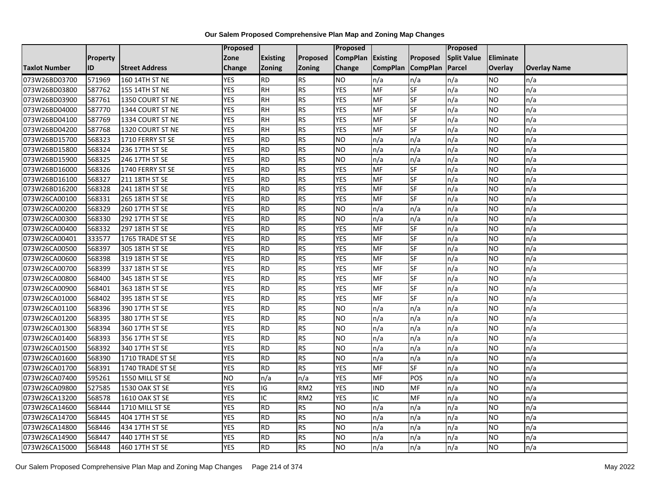|                      |                 |                       | Proposed   |                 |                 | <b>Proposed</b>   |                 |                 | <b>Proposed</b>    |                |                     |
|----------------------|-----------------|-----------------------|------------|-----------------|-----------------|-------------------|-----------------|-----------------|--------------------|----------------|---------------------|
|                      | <b>Property</b> |                       | Zone       | <b>Existing</b> | Proposed        | CompPlan Existing |                 | Proposed        | <b>Split Value</b> | Eliminate      |                     |
| <b>Taxlot Number</b> | <b>ID</b>       | <b>Street Address</b> | Change     | <b>Zoning</b>   | <b>Zoning</b>   | Change            | <b>CompPlan</b> | <b>CompPlan</b> | Parcel             | <b>Overlay</b> | <b>Overlay Name</b> |
| 073W26BD03700        | 571969          | 160 14TH ST NE        | <b>YES</b> | <b>RD</b>       | <b>RS</b>       | <b>NO</b>         | n/a             | n/a             | n/a                | NO.            | n/a                 |
| 073W26BD03800        | 587762          | 155 14TH ST NE        | <b>YES</b> | RH              | <b>RS</b>       | <b>YES</b>        | <b>MF</b>       | <b>SF</b>       | n/a                | NO.            | n/a                 |
| 073W26BD03900        | 587761          | 1350 COURT ST NE      | <b>YES</b> | <b>RH</b>       | <b>RS</b>       | <b>YES</b>        | MF              | SF              | n/a                | <b>NO</b>      | n/a                 |
| 073W26BD04000        | 587770          | 1344 COURT ST NE      | <b>YES</b> | <b>RH</b>       | <b>RS</b>       | <b>YES</b>        | MF              | SF              | n/a                | NO.            | n/a                 |
| 073W26BD04100        | 587769          | 1334 COURT ST NE      | <b>YES</b> | <b>RH</b>       | <b>RS</b>       | <b>YES</b>        | MF              | <b>SF</b>       | n/a                | NO.            | n/a                 |
| 073W26BD04200        | 587768          | 1320 COURT ST NE      | <b>YES</b> | <b>RH</b>       | <b>RS</b>       | <b>YES</b>        | MF              | SF              | n/a                | <b>NO</b>      | n/a                 |
| 073W26BD15700        | 568323          | 1710 FERRY ST SE      | <b>YES</b> | <b>RD</b>       | <b>RS</b>       | <b>NO</b>         | n/a             | n/a             | n/a                | NO.            | n/a                 |
| 073W26BD15800        | 568324          | 236 17TH ST SE        | <b>YES</b> | <b>RD</b>       | <b>RS</b>       | <b>NO</b>         | n/a             | n/a             | n/a                | NO.            | n/a                 |
| 073W26BD15900        | 568325          | 246 17TH ST SE        | <b>YES</b> | <b>RD</b>       | <b>RS</b>       | <b>NO</b>         | n/a             | n/a             | n/a                | ΝO             | n/a                 |
| 073W26BD16000        | 568326          | 1740 FERRY ST SE      | <b>YES</b> | <b>RD</b>       | <b>RS</b>       | <b>YES</b>        | MF              | <b>SF</b>       | n/a                | NO.            | n/a                 |
| 073W26BD16100        | 568327          | 211 18TH ST SE        | <b>YES</b> | <b>RD</b>       | <b>RS</b>       | <b>YES</b>        | MF              | <b>SF</b>       | n/a                | <b>NO</b>      | n/a                 |
| 073W26BD16200        | 568328          | 241 18TH ST SE        | <b>YES</b> | <b>RD</b>       | <b>RS</b>       | <b>YES</b>        | MF              | <b>SF</b>       | n/a                | NO.            | n/a                 |
| 073W26CA00100        | 568331          | 265 18TH ST SE        | <b>YES</b> | <b>RD</b>       | <b>RS</b>       | <b>YES</b>        | MF              | SF              | n/a                | NO.            | n/a                 |
| 073W26CA00200        | 568329          | 260 17TH ST SE        | <b>YES</b> | <b>RD</b>       | <b>RS</b>       | <b>NO</b>         | n/a             | n/a             | n/a                | <b>NO</b>      | n/a                 |
| 073W26CA00300        | 568330          | 292 17TH ST SE        | <b>YES</b> | <b>RD</b>       | <b>RS</b>       | <b>NO</b>         | n/a             | n/a             | n/a                | ΝO             | n/a                 |
| 073W26CA00400        | 568332          | 297 18TH ST SE        | <b>YES</b> | <b>RD</b>       | <b>RS</b>       | <b>YES</b>        | MF              | SF              | n/a                | NO.            | n/a                 |
| 073W26CA00401        | 333577          | 1765 TRADE ST SE      | <b>YES</b> | <b>RD</b>       | <b>RS</b>       | <b>YES</b>        | <b>MF</b>       | SF              | n/a                | NO.            | n/a                 |
| 073W26CA00500        | 568397          | 305 18TH ST SE        | <b>YES</b> | <b>RD</b>       | <b>RS</b>       | <b>YES</b>        | <b>MF</b>       | SF              | n/a                | NO.            | n/a                 |
| 073W26CA00600        | 568398          | 319 18TH ST SE        | <b>YES</b> | <b>RD</b>       | <b>RS</b>       | <b>YES</b>        | MF              | SF              | n/a                | <b>NO</b>      | n/a                 |
| 073W26CA00700        | 568399          | 337 18TH ST SE        | <b>YES</b> | <b>RD</b>       | <b>RS</b>       | <b>YES</b>        | MF              | <b>SF</b>       | n/a                | NO.            | n/a                 |
| 073W26CA00800        | 568400          | 345 18TH ST SE        | <b>YES</b> | <b>RD</b>       | <b>RS</b>       | <b>YES</b>        | <b>MF</b>       | SF              | n/a                | NO.            | n/a                 |
| 073W26CA00900        | 568401          | 363 18TH ST SE        | <b>YES</b> | <b>RD</b>       | <b>RS</b>       | <b>YES</b>        | <b>MF</b>       | <b>SF</b>       | n/a                | NO.            | n/a                 |
| 073W26CA01000        | 568402          | 395 18TH ST SE        | <b>YES</b> | <b>RD</b>       | <b>RS</b>       | <b>YES</b>        | MF              | SF              | n/a                | NO.            | n/a                 |
| 073W26CA01100        | 568396          | 390 17TH ST SE        | <b>YES</b> | <b>RD</b>       | <b>RS</b>       | <b>NO</b>         | n/a             | n/a             | n/a                | NO.            | n/a                 |
| 073W26CA01200        | 568395          | 380 17TH ST SE        | <b>YES</b> | <b>RD</b>       | <b>RS</b>       | N <sub>O</sub>    | n/a             | n/a             | n/a                | <b>NO</b>      | n/a                 |
| 073W26CA01300        | 568394          | 360 17TH ST SE        | <b>YES</b> | <b>RD</b>       | <b>RS</b>       | <b>NO</b>         | n/a             | n/a             | n/a                | NO.            | n/a                 |
| 073W26CA01400        | 568393          | 356 17TH ST SE        | <b>YES</b> | <b>RD</b>       | <b>RS</b>       | <b>NO</b>         | n/a             | n/a             | n/a                | NO.            | n/a                 |
| 073W26CA01500        | 568392          | 340 17TH ST SE        | <b>YES</b> | <b>RD</b>       | <b>RS</b>       | <b>NO</b>         | n/a             | n/a             | n/a                | NO.            | n/a                 |
| 073W26CA01600        | 568390          | 1710 TRADE ST SE      | <b>YES</b> | <b>RD</b>       | <b>RS</b>       | <b>NO</b>         | n/a             | n/a             | n/a                | NO.            | n/a                 |
| 073W26CA01700        | 568391          | 1740 TRADE ST SE      | <b>YES</b> | <b>RD</b>       | <b>RS</b>       | <b>YES</b>        | MF              | SF              | n/a                | <b>NO</b>      | n/a                 |
| 073W26CA07400        | 595261          | 1550 MILL ST SE       | <b>NO</b>  | n/a             | n/a             | <b>YES</b>        | <b>MF</b>       | POS             | n/a                | ΝO             | n/a                 |
| 073W26CA09800        | 527585          | 1530 OAK ST SE        | <b>YES</b> | IG              | RM <sub>2</sub> | <b>YES</b>        | <b>IND</b>      | MF              | n/a                | <b>NO</b>      | n/a                 |
| 073W26CA13200        | 568578          | 1610 OAK ST SE        | <b>YES</b> | IC              | RM <sub>2</sub> | <b>YES</b>        | $\overline{C}$  | MF              | n/a                | NO.            | n/a                 |
| 073W26CA14600        | 568444          | 1710 MILL ST SE       | <b>YES</b> | <b>RD</b>       | <b>RS</b>       | <b>NO</b>         | n/a             | n/a             | n/a                | NO.            | n/a                 |
| 073W26CA14700        | 568445          | 404 17TH ST SE        | <b>YES</b> | <b>RD</b>       | <b>RS</b>       | <b>NO</b>         | n/a             | n/a             | n/a                | NO.            | n/a                 |
| 073W26CA14800        | 568446          | 434 17TH ST SE        | <b>YES</b> | <b>RD</b>       | <b>RS</b>       | <b>NO</b>         | n/a             | n/a             | n/a                | NO.            | n/a                 |
| 073W26CA14900        | 568447          | 440 17TH ST SE        | <b>YES</b> | <b>RD</b>       | <b>RS</b>       | <b>NO</b>         | n/a             | n/a             | n/a                | NO.            | n/a                 |
| 073W26CA15000        | 568448          | 460 17TH ST SE        | <b>YES</b> | <b>RD</b>       | <b>RS</b>       | N <sub>O</sub>    | n/a             | n/a             | n/a                | NO.            | n/a                 |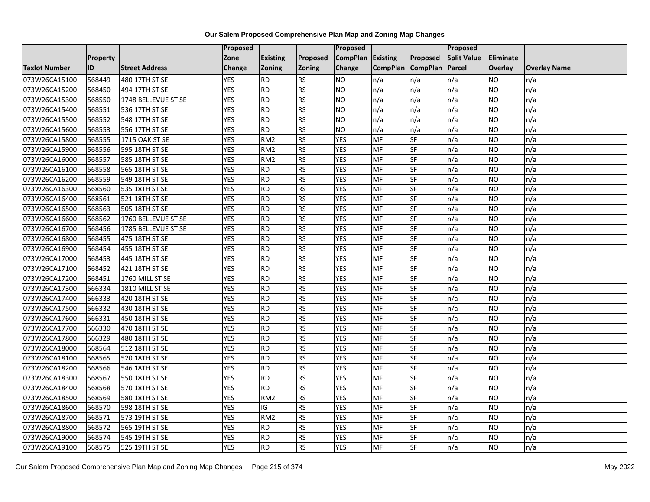|                      |          |                       | Proposed   |                 |                 | Proposed          |                 |                 | Proposed           |                |                     |
|----------------------|----------|-----------------------|------------|-----------------|-----------------|-------------------|-----------------|-----------------|--------------------|----------------|---------------------|
|                      | Property |                       | Zone       | <b>Existing</b> | Proposed        | CompPlan Existing |                 | Proposed        | <b>Split Value</b> | Eliminate      |                     |
| <b>Taxlot Number</b> | ID       | <b>Street Address</b> | Change     | Zoning          | Zoning          | Change            | <b>CompPlan</b> | <b>CompPlan</b> | Parcel             | <b>Overlay</b> | <b>Overlay Name</b> |
| 073W26CA15100        | 568449   | 480 17TH ST SE        | <b>YES</b> | <b>RD</b>       | <b>RS</b>       | <b>NO</b>         | n/a             | n/a             | n/a                | NO.            | n/a                 |
| 073W26CA15200        | 568450   | 494 17TH ST SE        | <b>YES</b> | RD              | <b>RS</b>       | ŌИ                | n/a             | n/a             | n/a                | NO.            | n/a                 |
| 073W26CA15300        | 568550   | 1748 BELLEVUE ST SE   | <b>YES</b> | <b>RD</b>       | <b>RS</b>       | <b>NO</b>         | n/a             | n/a             | n/a                | <b>NO</b>      | n/a                 |
| 073W26CA15400        | 568551   | 536 17TH ST SE        | <b>YES</b> | RD              | <b>RS</b>       | <b>NO</b>         | n/a             | n/a             | n/a                | NO.            | n/a                 |
| 073W26CA15500        | 568552   | 548 17TH ST SE        | <b>YES</b> | RD              | RS              | ŌИ                | n/a             | n/a             | n/a                | NO.            | n/a                 |
| 073W26CA15600        | 568553   | 556 17TH ST SE        | <b>YES</b> | <b>RD</b>       | <b>RS</b>       | <b>NO</b>         | n/a             | n/a             | n/a                | <b>NO</b>      | n/a                 |
| 073W26CA15800        | 568555   | 1715 OAK ST SE        | <b>YES</b> | RM <sub>2</sub> | <b>RS</b>       | <b>YES</b>        | MF              | SF              | n/a                | NO.            | n/a                 |
| 073W26CA15900        | 568556   | 595 18TH ST SE        | <b>YES</b> | RM <sub>2</sub> | RS              | <b>YES</b>        | MF              | $S_{F}$         | n/a                | NO.            | n/a                 |
| 073W26CA16000        | 568557   | 585 18TH ST SE        | <b>YES</b> | RM <sub>2</sub> | <b>RS</b>       | <b>YES</b>        | MF              | SF              | n/a                | NO.            | n/a                 |
| 073W26CA16100        | 568558   | 565 18TH ST SE        | <b>YES</b> | RD              | RS              | <b>YES</b>        | MF              | <b>SF</b>       | n/a                | NO.            | n/a                 |
| 073W26CA16200        | 568559   | 549 18TH ST SE        | <b>YES</b> | RD              | <b>RS</b>       | <b>YES</b>        | MF              | <b>SF</b>       | n/a                | NO.            | n/a                 |
| 073W26CA16300        | 568560   | 535 18TH ST SE        | <b>YES</b> | <b>RD</b>       | <b>RS</b>       | <b>YES</b>        | MF              | SF              | n/a                | <b>NO</b>      | n/a                 |
| 073W26CA16400        | 568561   | 521 18TH ST SE        | <b>YES</b> | <b>RD</b>       | <b>RS</b>       | <b>YES</b>        | <b>MF</b>       | <b>SF</b>       | n/a                | NO.            | n/a                 |
| 073W26CA16500        | 568563   | 505 18TH ST SE        | <b>YES</b> | <b>RD</b>       | <b>RS</b>       | <b>YES</b>        | MF              | <b>SF</b>       | n/a                | NO.            | n/a                 |
| 073W26CA16600        | 568562   | 1760 BELLEVUE ST SE   | <b>YES</b> | <b>RD</b>       | <b>RS</b>       | <b>YES</b>        | MF              | SF              | n/a                | NO.            | n/a                 |
| 073W26CA16700        | 568456   | 1785 BELLEVUE ST SE   | <b>YES</b> | RD              | RS              | <b>YES</b>        | MF              | <b>SF</b>       | n/a                | NO.            | n/a                 |
| 073W26CA16800        | 568455   | 475 18TH ST SE        | <b>YES</b> | RD              | <b>RS</b>       | <b>YES</b>        | <b>MF</b>       | $S_{F}$         | n/a                | NO.            | n/a                 |
| 073W26CA16900        | 568454   | 455 18TH ST SE        | <b>YES</b> | <b>RD</b>       | <b>RS</b>       | <b>YES</b>        | <b>MF</b>       | SF              | n/a                | NO.            | n/a                 |
| 073W26CA17000        | 568453   | 445 18TH ST SE        | <b>YES</b> | <b>RD</b>       | <b>RS</b>       | <b>YES</b>        | <b>MF</b>       | SF              | n/a                | NO.            | n/a                 |
| 073W26CA17100        | 568452   | 421 18TH ST SE        | <b>YES</b> | <b>RD</b>       | RS              | <b>YES</b>        | <b>MF</b>       | <b>SF</b>       | n/a                | <b>NO</b>      | n/a                 |
| 073W26CA17200        | 568451   | 1760 MILL ST SE       | <b>YES</b> | <b>RD</b>       | <b>RS</b>       | <b>YES</b>        | <b>MF</b>       | SF              | n/a                | NO.            | n/a                 |
| 073W26CA17300        | 566334   | 1810 MILL ST SE       | <b>YES</b> | <b>RD</b>       | <b>RS</b>       | <b>YES</b>        | <b>MF</b>       | <b>SF</b>       | n/a                | NO.            | n/a                 |
| 073W26CA17400        | 566333   | 420 18TH ST SE        | <b>YES</b> | RD              | <b>RS</b>       | <b>YES</b>        | MF              | <b>SF</b>       | n/a                | NO.            | n/a                 |
| 073W26CA17500        | 566332   | 430 18TH ST SE        | <b>YES</b> | <b>RD</b>       | <b>RS</b>       | <b>YES</b>        | <b>MF</b>       | SF              | n/a                | NO.            | n/a                 |
| 073W26CA17600        | 566331   | 450 18TH ST SE        | <b>YES</b> | RD              | <b>RS</b>       | <b>YES</b>        | MF              | <b>SF</b>       | n/a                | NO.            | n/a                 |
| 073W26CA17700        | 566330   | 470 18TH ST SE        | <b>YES</b> | RD              | <b>RS</b>       | <b>YES</b>        | <b>MF</b>       | $S_{F}$         | n/a                | NO.            | n/a                 |
| 073W26CA17800        | 566329   | 480 18TH ST SE        | <b>YES</b> | <b>RD</b>       | <b>RS</b>       | <b>YES</b>        | <b>MF</b>       | SF              | n/a                | <b>NO</b>      | n/a                 |
| 073W26CA18000        | 568564   | 512 18TH ST SE        | <b>YES</b> | <b>RD</b>       | <b>RS</b>       | <b>YES</b>        | <b>MF</b>       | SF              | n/a                | NO.            | n/a                 |
| 073W26CA18100        | 568565   | 520 18TH ST SE        | <b>YES</b> | RD              | $\overline{RS}$ | <b>YES</b>        | MF              | $S_{F}$         | n/a                | NO.            | n/a                 |
| 073W26CA18200        | 568566   | 546 18TH ST SE        | <b>YES</b> | <b>RD</b>       | <b>RS</b>       | <b>YES</b>        | MF              | SF              | n/a                | NO.            | n/a                 |
| 073W26CA18300        | 568567   | 550 18TH ST SE        | <b>YES</b> | <b>RD</b>       | <b>RS</b>       | <b>YES</b>        | <b>MF</b>       | SF              | n/a                | <b>NO</b>      | n/a                 |
| 073W26CA18400        | 568568   | 570 18TH ST SE        | <b>YES</b> | RD              | RS              | <b>YES</b>        | MF              | <b>SF</b>       | n/a                | NO.            | n/a                 |
| 073W26CA18500        | 568569   | 580 18TH ST SE        | <b>YES</b> | RM <sub>2</sub> | <b>RS</b>       | <b>YES</b>        | <b>MF</b>       | SF              | n/a                | <b>NO</b>      | n/a                 |
| 073W26CA18600        | 568570   | 598 18TH ST SE        | <b>YES</b> | IG              | <b>RS</b>       | <b>YES</b>        | <b>MF</b>       | SF              | n/a                | NO.            | n/a                 |
| 073W26CA18700        | 568571   | 573 19TH ST SE        | <b>YES</b> | RM <sub>2</sub> | <b>RS</b>       | <b>YES</b>        | MF              | <b>SF</b>       | n/a                | NO.            | n/a                 |
| 073W26CA18800        | 568572   | 565 19TH ST SE        | <b>YES</b> | <b>RD</b>       | <b>RS</b>       | <b>YES</b>        | MF              | SF              | n/a                | NO.            | n/a                 |
| 073W26CA19000        | 568574   | 545 19TH ST SE        | <b>YES</b> | <b>RD</b>       | <b>RS</b>       | <b>YES</b>        | MF              | SF              | n/a                | <b>NO</b>      | n/a                 |
| 073W26CA19100        | 568575   | 525 19TH ST SE        | <b>YES</b> | RD              | <b>RS</b>       | <b>YES</b>        | MF              | <b>SF</b>       | n/a                | <b>NO</b>      | n/a                 |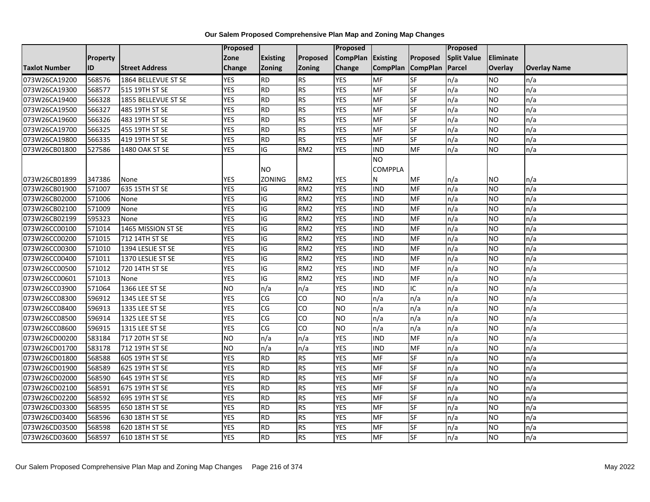|                      |                 |                       | Proposed   |                     |                 | Proposed          |                           |                 | Proposed           |           |                     |
|----------------------|-----------------|-----------------------|------------|---------------------|-----------------|-------------------|---------------------------|-----------------|--------------------|-----------|---------------------|
|                      | <b>Property</b> |                       | Zone       | <b>Existing</b>     | Proposed        | CompPlan Existing |                           | Proposed        | <b>Split Value</b> | Eliminate |                     |
| <b>Taxlot Number</b> | ID              | <b>Street Address</b> | Change     | <b>Zoning</b>       | Zoning          | Change            | <b>CompPlan</b>           | <b>CompPlan</b> | Parcel             | Overlay   | <b>Overlay Name</b> |
| 073W26CA19200        | 568576          | 1864 BELLEVUE ST SE   | <b>YES</b> | <b>RD</b>           | <b>RS</b>       | <b>YES</b>        | <b>MF</b>                 | SF              | n/a                | <b>NO</b> | n/a                 |
| 073W26CA19300        | 568577          | 515 19TH ST SE        | <b>YES</b> | <b>RD</b>           | RS              | <b>YES</b>        | MF                        | SF              | n/a                | <b>NO</b> | n/a                 |
| 073W26CA19400        | 566328          | 1855 BELLEVUE ST SE   | <b>YES</b> | <b>RD</b>           | <b>RS</b>       | <b>YES</b>        | MF                        | SF              | n/a                | NO.       | n/a                 |
| 073W26CA19500        | 566327          | 485 19TH ST SE        | <b>YES</b> | <b>RD</b>           | RS              | <b>YES</b>        | MF                        | SF              | n/a                | <b>NO</b> | n/a                 |
| 073W26CA19600        | 566326          | 483 19TH ST SE        | <b>YES</b> | <b>RD</b>           | <b>RS</b>       | <b>YES</b>        | MF                        | SF              | n/a                | NO.       | n/a                 |
| 073W26CA19700        | 566325          | 455 19TH ST SE        | <b>YES</b> | <b>RD</b>           | <b>RS</b>       | <b>YES</b>        | MF                        | <b>SF</b>       | n/a                | NO.       | n/a                 |
| 073W26CA19800        | 566335          | 419 19TH ST SE        | <b>YES</b> | <b>RD</b>           | RS              | <b>YES</b>        | MF                        | SF              | n/a                | NO.       | n/a                 |
| 073W26CB01800        | 527586          | 1480 OAK ST SE        | <b>YES</b> | $\overline{G}$      | RM2             | <b>YES</b>        | <b>IND</b>                | <b>MF</b>       | n/a                | <b>NO</b> | n/a                 |
| 073W26CB01899        | 347386          | None                  | <b>YES</b> | <b>NO</b><br>ZONING | RM <sub>2</sub> | <b>YES</b>        | NO<br><b>COMPPLA</b><br>N | MF              | n/a                | NO.       | n/a                 |
| 073W26CB01900        | 571007          | 635 15TH ST SE        | <b>YES</b> | IG                  | RM <sub>2</sub> | <b>YES</b>        | IND                       | MF              | n/a                | NO.       | n/a                 |
| 073W26CB02000        | 571006          | None                  | <b>YES</b> | $\overline{G}$      | RM <sub>2</sub> | <b>YES</b>        | <b>IND</b>                | <b>MF</b>       | n/a                | <b>NO</b> | n/a                 |
| 073W26CB02100        | 571009          | None                  | <b>YES</b> | IG                  | RM <sub>2</sub> | <b>YES</b>        | <b>IND</b>                | MF              | n/a                | <b>NO</b> | n/a                 |
| 073W26CB02199        | 595323          | None                  | <b>YES</b> | IG                  | RM <sub>2</sub> | <b>YES</b>        | <b>IND</b>                | MF              | n/a                | <b>NO</b> | n/a                 |
| 073W26CC00100        | 571014          | 1465 MISSION ST SE    | <b>YES</b> | IG                  | RM <sub>2</sub> | <b>YES</b>        | <b>IND</b>                | <b>MF</b>       | n/a                | <b>NO</b> | n/a                 |
| 073W26CC00200        | 571015          | 712 14TH ST SE        | <b>YES</b> | IG                  | RM <sub>2</sub> | <b>YES</b>        | IND                       | MF              | n/a                | NO.       | n/a                 |
| 073W26CC00300        | 571010          | 1394 LESLIE ST SE     | <b>YES</b> | IG                  | RM <sub>2</sub> | <b>YES</b>        | <b>IND</b>                | MF              | n/a                | <b>NO</b> | n/a                 |
| 073W26CC00400        | 571011          | 1370 LESLIE ST SE     | <b>YES</b> | IG                  | RM <sub>2</sub> | <b>YES</b>        | IND                       | MF              | n/a                | NO.       | n/a                 |
| 073W26CC00500        | 571012          | 720 14TH ST SE        | <b>YES</b> | $\overline{G}$      | RM <sub>2</sub> | <b>YES</b>        | <b>IND</b>                | MF              | n/a                | NO        | n/a                 |
| 073W26CC00601        | 571013          | None                  | <b>YES</b> | IG                  | RM <sub>2</sub> | <b>YES</b>        | IND                       | MF              | n/a                | <b>NO</b> | n/a                 |
| 073W26CC03900        | 571064          | 1366 LEE ST SE        | Ю          | n/a                 | n/a             | <b>YES</b>        | <b>IND</b>                | $\overline{C}$  | n/a                | <b>NO</b> | n/a                 |
| 073W26CC08300        | 596912          | 1345 LEE ST SE        | <b>YES</b> | CG                  | CO              | <b>NO</b>         | n/a                       | n/a             | n/a                | NO.       | n/a                 |
| 073W26CC08400        | 596913          | 1335 LEE ST SE        | <b>YES</b> | CG                  | CO              | <b>NO</b>         | n/a                       | n/a             | n/a                | NO.       | n/a                 |
| 073W26CC08500        | 596914          | 1325 LEE ST SE        | <b>YES</b> | CG                  | CO              | <b>NO</b>         | n/a                       | n/a             | n/a                | <b>NO</b> | n/a                 |
| 073W26CC08600        | 596915          | 1315 LEE ST SE        | <b>YES</b> | CG                  | CO              | <b>NO</b>         | n/a                       | n/a             | n/a                | <b>NO</b> | n/a                 |
| 073W26CD00200        | 583184          | 717 20TH ST SE        | Ю          | n/a                 | n/a             | <b>YES</b>        | <b>IND</b>                | <b>MF</b>       | n/a                | <b>NO</b> | n/a                 |
| 073W26CD01700        | 583178          | 712 19TH ST SE        | <b>NO</b>  | n/a                 | n/a             | <b>YES</b>        | <b>IND</b>                | MF              | n/a                | <b>NO</b> | n/a                 |
| 073W26CD01800        | 568588          | 605 19TH ST SE        | <b>YES</b> | <b>RD</b>           | RS              | <b>YES</b>        | MF                        | <b>SF</b>       | n/a                | NO.       | n/a                 |
| 073W26CD01900        | 568589          | 625 19TH ST SE        | <b>YES</b> | <b>RD</b>           | RS              | <b>YES</b>        | $\overline{\mathsf{MF}}$  | SF              | n/a                | <b>NO</b> | n/a                 |
| 073W26CD02000        | 568590          | 645 19TH ST SE        | <b>YES</b> | <b>RD</b>           | <b>RS</b>       | <b>YES</b>        | MF                        | SF              | n/a                | NO        | n/a                 |
| 073W26CD02100        | 568591          | 675 19TH ST SE        | <b>YES</b> | <b>RD</b>           | <b>RS</b>       | <b>YES</b>        | MF                        | SF              | n/a                | NO.       | n/a                 |
| 073W26CD02200        | 568592          | 695 19TH ST SE        | <b>YES</b> | <b>RD</b>           | RS              | <b>YES</b>        | MF                        | SF              | n/a                | <b>NO</b> | n/a                 |
| 073W26CD03300        | 568595          | 650 18TH ST SE        | <b>YES</b> | <b>RD</b>           | <b>RS</b>       | <b>YES</b>        | MF                        | SF              | n/a                | NO.       | n/a                 |
| 073W26CD03400        | 568596          | 630 18TH ST SE        | <b>YES</b> | <b>RD</b>           | RS              | <b>YES</b>        | MF                        | SF              | n/a                | NO.       | n/a                 |
| 073W26CD03500        | 568598          | 620 18TH ST SE        | <b>YES</b> | <b>RD</b>           | <b>RS</b>       | <b>YES</b>        | MF                        | SF              | n/a                | <b>NO</b> | n/a                 |
| 073W26CD03600        | 568597          | 610 18TH ST SE        | <b>YES</b> | <b>RD</b>           | <b>RS</b>       | <b>YES</b>        | MF                        | SF              | n/a                | NO        | n/a                 |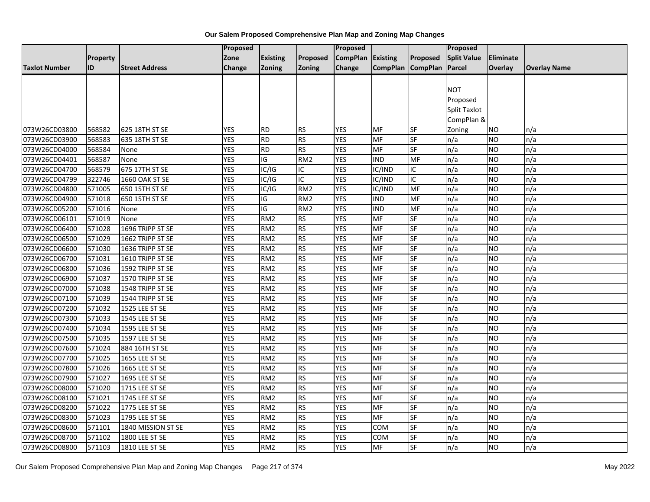|                      |          |                       | <b>Proposed</b> |                 |                         | Proposed        |                   |                 | <b>Proposed</b>    |                |                     |
|----------------------|----------|-----------------------|-----------------|-----------------|-------------------------|-----------------|-------------------|-----------------|--------------------|----------------|---------------------|
|                      | Property |                       | Zone            | <b>Existing</b> | Proposed                | <b>CompPlan</b> | <b>Existing</b>   | <b>Proposed</b> | <b>Split Value</b> | Eliminate      |                     |
| <b>Taxlot Number</b> | ID       | <b>Street Address</b> | Change          | <b>Zoning</b>   | Zoning                  | Change          | CompPlan CompPlan |                 | Parcel             | <b>Overlay</b> | <b>Overlay Name</b> |
|                      |          |                       |                 |                 |                         |                 |                   |                 |                    |                |                     |
|                      |          |                       |                 |                 |                         |                 |                   |                 | <b>NOT</b>         |                |                     |
|                      |          |                       |                 |                 |                         |                 |                   |                 | Proposed           |                |                     |
|                      |          |                       |                 |                 |                         |                 |                   |                 | Split Taxlot       |                |                     |
|                      |          |                       |                 |                 |                         |                 |                   |                 | CompPlan &         |                |                     |
| 073W26CD03800        | 568582   | 625 18TH ST SE        | <b>YES</b>      | <b>RD</b>       | <b>RS</b>               | YES             | <b>MF</b>         | <b>SF</b>       | Zoning             | NO.            | n/a                 |
| 073W26CD03900        | 568583   | 635 18TH ST SE        | <b>YES</b>      | <b>RD</b>       | <b>RS</b>               | <b>YES</b>      | MF                | SF              | n/a                | <b>NO</b>      | n/a                 |
| 073W26CD04000        | 568584   | None                  | <b>YES</b>      | <b>RD</b>       | <b>RS</b>               | <b>YES</b>      | MF                | SF              | n/a                | <b>NO</b>      | n/a                 |
| 073W26CD04401        | 568587   | None                  | <b>YES</b>      | IG              | RM <sub>2</sub>         | <b>YES</b>      | <b>IND</b>        | MF              | n/a                | NO             | n/a                 |
| 073W26CD04700        | 568579   | 675 17TH ST SE        | <b>YES</b>      | IC/IG           | ΙC                      | <b>YES</b>      | IC/IND            | IC              | n/a                | <b>NO</b>      | n/a                 |
| 073W26CD04799        | 322746   | <b>1660 OAK ST SE</b> | <b>YES</b>      | IC/IG           | $\overline{\mathsf{C}}$ | <b>YES</b>      | IC/IND            | IC              | n/a                | <b>NO</b>      | n/a                 |
| 073W26CD04800        | 571005   | 650 15TH ST SE        | <b>YES</b>      | IC/IG           | RM <sub>2</sub>         | <b>YES</b>      | IC/IND            | MF              | n/a                | <b>NO</b>      | n/a                 |
| 073W26CD04900        | 571018   | 650 15TH ST SE        | <b>YES</b>      | ГO              | RM <sub>2</sub>         | <b>YES</b>      | IND               | <b>MF</b>       | n/a                | <b>NO</b>      | n/a                 |
| 073W26CD05200        | 571016   | None                  | <b>YES</b>      | IG              | RM <sub>2</sub>         | <b>YES</b>      | <b>IND</b>        | MF              | n/a                | NO             | n/a                 |
| 073W26CD06101        | 571019   | None                  | <b>YES</b>      | RM <sub>2</sub> | <b>RS</b>               | <b>YES</b>      | MF                | SF              | n/a                | <b>NO</b>      | n/a                 |
| 073W26CD06400        | 571028   | 1696 TRIPP ST SE      | <b>YES</b>      | RM <sub>2</sub> | <b>RS</b>               | <b>YES</b>      | MF                | <b>SF</b>       | n/a                | <b>NO</b>      | n/a                 |
| 073W26CD06500        | 571029   | 1662 TRIPP ST SE      | <b>YES</b>      | RM <sub>2</sub> | RS                      | <b>YES</b>      | <b>MF</b>         | $S_{F}$         | n/a                | NO             | n/a                 |
| 073W26CD06600        | 571030   | 1636 TRIPP ST SE      | <b>YES</b>      | RM <sub>2</sub> | <b>RS</b>               | <b>YES</b>      | MF                | SF              | n/a                | <b>NO</b>      | n/a                 |
| 073W26CD06700        | 571031   | 1610 TRIPP ST SE      | <b>YES</b>      | RM <sub>2</sub> | <b>RS</b>               | <b>YES</b>      | MF                | SF              | n/a                | <b>NO</b>      | n/a                 |
| 073W26CD06800        | 571036   | 1592 TRIPP ST SE      | <b>YES</b>      | RM <sub>2</sub> | <b>RS</b>               | <b>YES</b>      | MF                | SF              | n/a                | <b>NO</b>      | n/a                 |
| 073W26CD06900        | 571037   | 1570 TRIPP ST SE      | <b>YES</b>      | RM <sub>2</sub> | <b>RS</b>               | <b>YES</b>      | <b>MF</b>         | SF              | n/a                | <b>NO</b>      | n/a                 |
| 073W26CD07000        | 571038   | 1548 TRIPP ST SE      | <b>YES</b>      | RM <sub>2</sub> | RS                      | <b>YES</b>      | MF                | SF              | n/a                | <b>NO</b>      | n/a                 |
| 073W26CD07100        | 571039   | 1544 TRIPP ST SE      | <b>YES</b>      | RM <sub>2</sub> | <b>RS</b>               | <b>YES</b>      | MF                | SF              | n/a                | <b>NO</b>      | n/a                 |
| 073W26CD07200        | 571032   | 1525 LEE ST SE        | <b>YES</b>      | RM <sub>2</sub> | <b>RS</b>               | <b>YES</b>      | MF                | SF              | n/a                | <b>NO</b>      | n/a                 |
| 073W26CD07300        | 571033   | 1545 LEE ST SE        | <b>YES</b>      | RM <sub>2</sub> | RS                      | <b>YES</b>      | MF                | SF              | n/a                | NO             | n/a                 |
| 073W26CD07400        | 571034   | 1595 LEE ST SE        | <b>YES</b>      | RM <sub>2</sub> | <b>RS</b>               | <b>YES</b>      | MF                | SF              | n/a                | <b>NO</b>      | n/a                 |
| 073W26CD07500        | 571035   | 1597 LEE ST SE        | <b>YES</b>      | RM <sub>2</sub> | <b>RS</b>               | <b>YES</b>      | MF                | SF              | n/a                | <b>NO</b>      | n/a                 |
| 073W26CD07600        | 571024   | 884 16TH ST SE        | <b>YES</b>      | RM <sub>2</sub> | <b>RS</b>               | <b>YES</b>      | <b>MF</b>         | SF              | n/a                | <b>NO</b>      | n/a                 |
| 073W26CD07700        | 571025   | 1655 LEE ST SE        | <b>YES</b>      | RM <sub>2</sub> | <b>RS</b>               | <b>YES</b>      | <b>MF</b>         | SF              | n/a                | <b>NO</b>      | n/a                 |
| 073W26CD07800        | 571026   | 1665 LEE ST SE        | <b>YES</b>      | RM <sub>2</sub> | <b>RS</b>               | <b>YES</b>      | MF                | SF              | n/a                | <b>NO</b>      | n/a                 |
| 073W26CD07900        | 571027   | 1695 LEE ST SE        | <b>YES</b>      | RM <sub>2</sub> | <b>RS</b>               | <b>YES</b>      | <b>MF</b>         | SF              | n/a                | <b>NO</b>      | n/a                 |
| 073W26CD08000        | 571020   | 1715 LEE ST SE        | <b>YES</b>      | RM <sub>2</sub> | <b>RS</b>               | <b>YES</b>      | <b>MF</b>         | <b>SF</b>       | n/a                | <b>NO</b>      | n/a                 |
| 073W26CD08100        | 571021   | 1745 LEE ST SE        | <b>YES</b>      | RM <sub>2</sub> | RS                      | <b>YES</b>      | <b>MF</b>         | <b>SF</b>       | n/a                | <b>NO</b>      | n/a                 |
| 073W26CD08200        | 571022   | 1775 LEE ST SE        | <b>YES</b>      | RM <sub>2</sub> | <b>RS</b>               | <b>YES</b>      | <b>MF</b>         | SF              | n/a                | <b>NO</b>      | n/a                 |
| 073W26CD08300        | 571023   | 1795 LEE ST SE        | <b>YES</b>      | RM <sub>2</sub> | <b>RS</b>               | <b>YES</b>      | MF                | SF              | n/a                | <b>NO</b>      | n/a                 |
| 073W26CD08600        | 571101   | 1840 MISSION ST SE    | <b>YES</b>      | RM <sub>2</sub> | <b>RS</b>               | <b>YES</b>      | COM               | SF              | n/a                | NO             | n/a                 |
| 073W26CD08700        | 571102   | 1800 LEE ST SE        | <b>YES</b>      | RM <sub>2</sub> | <b>RS</b>               | <b>YES</b>      | сом               | SF              | n/a                | <b>NO</b>      | n/a                 |
| 073W26CD08800        | 571103   | 1810 LEE ST SE        | <b>YES</b>      | RM <sub>2</sub> | <b>RS</b>               | <b>YES</b>      | <b>MF</b>         | SF              | n/a                | <b>NO</b>      | n/a                 |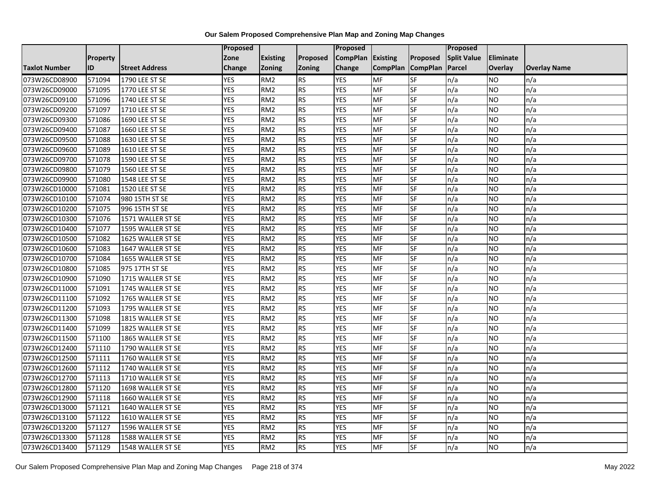|                      |                 |                       | Proposed   |                 |               | <b>Proposed</b> |                 |                 | Proposed           |                |                     |
|----------------------|-----------------|-----------------------|------------|-----------------|---------------|-----------------|-----------------|-----------------|--------------------|----------------|---------------------|
|                      | <b>Property</b> |                       | Zone       | <b>Existing</b> | Proposed      | <b>CompPlan</b> | Existing        | Proposed        | <b>Split Value</b> | Eliminate      |                     |
| <b>Taxlot Number</b> | ID              | <b>Street Address</b> | Change     | <b>Zoning</b>   | <b>Zoning</b> | Change          | <b>CompPlan</b> | <b>CompPlan</b> | Parcel             | <b>Overlay</b> | <b>Overlay Name</b> |
| 073W26CD08900        | 571094          | 1790 LEE ST SE        | <b>YES</b> | RM <sub>2</sub> | <b>RS</b>     | <b>YES</b>      | MF              | <b>SF</b>       | n/a                | NO             | n/a                 |
| 073W26CD09000        | 571095          | 1770 LEE ST SE        | <b>YES</b> | RM <sub>2</sub> | <b>RS</b>     | <b>YES</b>      | <b>MF</b>       | <b>SF</b>       | n/a                | NO.            | n/a                 |
| 073W26CD09100        | 571096          | 1740 LEE ST SE        | <b>YES</b> | RM <sub>2</sub> | <b>RS</b>     | <b>YES</b>      | MF              | SF              | n/a                | NO.            | n/a                 |
| 073W26CD09200        | 571097          | 1710 LEE ST SE        | <b>YES</b> | RM <sub>2</sub> | <b>RS</b>     | <b>YES</b>      | MF              | SF              | n/a                | <b>NO</b>      | n/a                 |
| 073W26CD09300        | 571086          | 1690 LEE ST SE        | <b>YES</b> | RM <sub>2</sub> | <b>RS</b>     | <b>YES</b>      | MF              | <b>SF</b>       | n/a                | NO.            | n/a                 |
| 073W26CD09400        | 571087          | 1660 LEE ST SE        | <b>YES</b> | RM <sub>2</sub> | RS            | <b>YES</b>      | MF              | SF              | n/a                | <b>NO</b>      | n/a                 |
| 073W26CD09500        | 571088          | 1630 LEE ST SE        | <b>YES</b> | RM <sub>2</sub> | <b>RS</b>     | <b>YES</b>      | MF              | SF              | n/a                | NO.            | n/a                 |
| 073W26CD09600        | 571089          | 1610 LEE ST SE        | <b>YES</b> | RM <sub>2</sub> | <b>RS</b>     | <b>YES</b>      | MF              | SF              | n/a                | NO.            | n/a                 |
| 073W26CD09700        | 571078          | 1590 LEE ST SE        | <b>YES</b> | RM <sub>2</sub> | <b>RS</b>     | <b>YES</b>      | <b>MF</b>       | SF              | n/a                | NO.            | n/a                 |
| 073W26CD09800        | 571079          | 1560 LEE ST SE        | <b>YES</b> | RM <sub>2</sub> | <b>RS</b>     | <b>YES</b>      | MF              | <b>SF</b>       | n/a                | NO.            | n/a                 |
| 073W26CD09900        | 571080          | 1548 LEE ST SE        | <b>YES</b> | RM <sub>2</sub> | <b>RS</b>     | <b>YES</b>      | MF              | SF              | n/a                | NO.            | n/a                 |
| 073W26CD10000        | 571081          | 1520 LEE ST SE        | <b>YES</b> | RM <sub>2</sub> | <b>RS</b>     | <b>YES</b>      | <b>MF</b>       | SF              | n/a                | <b>NO</b>      | n/a                 |
| 073W26CD10100        | 571074          | 980 15TH ST SE        | <b>YES</b> | RM <sub>2</sub> | <b>RS</b>     | <b>YES</b>      | <b>MF</b>       | <b>SF</b>       | n/a                | NO.            | n/a                 |
| 073W26CD10200        | 571075          | 996 15TH ST SE        | <b>YES</b> | RM <sub>2</sub> | <b>RS</b>     | <b>YES</b>      | MF              | SF              | n/a                | NO.            | n/a                 |
| 073W26CD10300        | 571076          | 1571 WALLER ST SE     | <b>YES</b> | RM <sub>2</sub> | <b>RS</b>     | <b>YES</b>      | MF              | SF              | n/a                | NO.            | n/a                 |
| 073W26CD10400        | 571077          | 1595 WALLER ST SE     | <b>YES</b> | RM <sub>2</sub> | <b>RS</b>     | <b>YES</b>      | MF              | <b>SF</b>       | n/a                | NO.            | n/a                 |
| 073W26CD10500        | 571082          | 1625 WALLER ST SE     | <b>YES</b> | RM <sub>2</sub> | <b>RS</b>     | <b>YES</b>      | MF              | <b>SF</b>       | n/a                | <b>NO</b>      | n/a                 |
| 073W26CD10600        | 571083          | 1647 WALLER ST SE     | <b>YES</b> | RM <sub>2</sub> | <b>RS</b>     | <b>YES</b>      | MF              | SF              | n/a                | NO.            | n/a                 |
| 073W26CD10700        | 571084          | 1655 WALLER ST SE     | <b>YES</b> | RM <sub>2</sub> | <b>RS</b>     | <b>YES</b>      | MF              | <b>SF</b>       | n/a                | <b>NO</b>      | n/a                 |
| 073W26CD10800        | 571085          | 975 17TH ST SE        | <b>YES</b> | RM <sub>2</sub> | <b>RS</b>     | <b>YES</b>      | <b>MF</b>       | <b>SF</b>       | n/a                | ΝO             | n/a                 |
| 073W26CD10900        | 571090          | 1715 WALLER ST SE     | <b>YES</b> | RM <sub>2</sub> | <b>RS</b>     | <b>YES</b>      | MF              | SF              | n/a                | NO.            | n/a                 |
| 073W26CD11000        | 571091          | 1745 WALLER ST SE     | <b>YES</b> | RM <sub>2</sub> | <b>RS</b>     | <b>YES</b>      | MF              | <b>SF</b>       | n/a                | <b>NO</b>      | n/a                 |
| 073W26CD11100        | 571092          | 1765 WALLER ST SE     | <b>YES</b> | RM <sub>2</sub> | <b>RS</b>     | <b>YES</b>      | <b>MF</b>       | <b>SF</b>       | n/a                | NO.            | n/a                 |
| 073W26CD11200        | 571093          | 1795 WALLER ST SE     | <b>YES</b> | RM <sub>2</sub> | <b>RS</b>     | <b>YES</b>      | MF              | SF              | n/a                | NO.            | n/a                 |
| 073W26CD11300        | 571098          | 1815 WALLER ST SE     | <b>YES</b> | RM <sub>2</sub> | <b>RS</b>     | <b>YES</b>      | MF              | SF              | n/a                | <b>NO</b>      | n/a                 |
| 073W26CD11400        | 571099          | 1825 WALLER ST SE     | <b>YES</b> | RM <sub>2</sub> | <b>RS</b>     | <b>YES</b>      | MF              | <b>SF</b>       | n/a                | <b>NO</b>      | n/a                 |
| 073W26CD11500        | 571100          | 1865 WALLER ST SE     | <b>YES</b> | RM <sub>2</sub> | <b>RS</b>     | <b>YES</b>      | MF              | $S_{F}$         | n/a                | NO.            | n/a                 |
| 073W26CD12400        | 571110          | 1790 WALLER ST SE     | <b>YES</b> | RM <sub>2</sub> | <b>RS</b>     | <b>YES</b>      | <b>MF</b>       | SF              | n/a                | NO.            | n/a                 |
| 073W26CD12500        | 571111          | 1760 WALLER ST SE     | <b>YES</b> | RM <sub>2</sub> | <b>RS</b>     | <b>YES</b>      | MF              | SF              | n/a                | NO.            | n/a                 |
| 073W26CD12600        | 571112          | 1740 WALLER ST SE     | <b>YES</b> | RM <sub>2</sub> | <b>RS</b>     | <b>YES</b>      | <b>MF</b>       | SF              | n/a                | <b>NO</b>      | n/a                 |
| 073W26CD12700        | 571113          | 1710 WALLER ST SE     | <b>YES</b> | RM <sub>2</sub> | <b>RS</b>     | <b>YES</b>      | MF              | SF              | n/a                | NO.            | n/a                 |
| 073W26CD12800        | 571120          | 1698 WALLER ST SE     | <b>YES</b> | RM <sub>2</sub> | <b>RS</b>     | <b>YES</b>      | MF              | <b>SF</b>       | n/a                | NO.            | n/a                 |
| 073W26CD12900        | 571118          | 1660 WALLER ST SE     | <b>YES</b> | RM <sub>2</sub> | <b>RS</b>     | <b>YES</b>      | <b>MF</b>       | <b>SF</b>       | n/a                | <b>NO</b>      | n/a                 |
| 073W26CD13000        | 571121          | 1640 WALLER ST SE     | <b>YES</b> | RM <sub>2</sub> | <b>RS</b>     | <b>YES</b>      | MF              | SF              | n/a                | NO.            | n/a                 |
| 073W26CD13100        | 571122          | 1610 WALLER ST SE     | <b>YES</b> | RM <sub>2</sub> | <b>RS</b>     | <b>YES</b>      | MF              | SF              | n/a                | <b>NO</b>      | n/a                 |
| 073W26CD13200        | 571127          | 1596 WALLER ST SE     | <b>YES</b> | RM <sub>2</sub> | <b>RS</b>     | <b>YES</b>      | <b>MF</b>       | <b>SF</b>       | n/a                | NO             | n/a                 |
| 073W26CD13300        | 571128          | 1588 WALLER ST SE     | <b>YES</b> | RM <sub>2</sub> | <b>RS</b>     | <b>YES</b>      | MF              | SF              | n/a                | NO             | n/a                 |
| 073W26CD13400        | 571129          | 1548 WALLER ST SE     | <b>YES</b> | RM <sub>2</sub> | <b>RS</b>     | <b>YES</b>      | MF              | SF              | n/a                | <b>NO</b>      | n/a                 |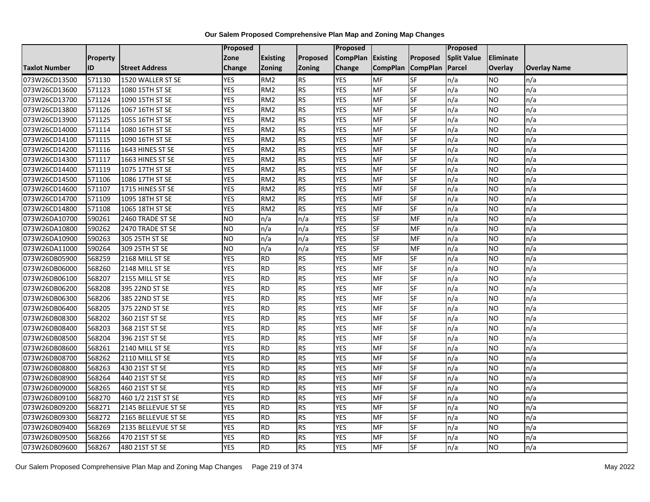|                      |                 |                       | Proposed        |                 |               | <b>Proposed</b> |                 |                 | <b>Proposed</b>    |           |                     |
|----------------------|-----------------|-----------------------|-----------------|-----------------|---------------|-----------------|-----------------|-----------------|--------------------|-----------|---------------------|
|                      | <b>Property</b> |                       | Zone            | <b>Existing</b> | Proposed      | <b>CompPlan</b> | <b>Existing</b> | Proposed        | <b>Split Value</b> | Eliminate |                     |
| <b>Taxlot Number</b> | <b>ID</b>       | <b>Street Address</b> | Change          | <b>Zoning</b>   | <b>Zoning</b> | Change          | <b>CompPlan</b> | <b>CompPlan</b> | Parcel             | Overlay   | <b>Overlay Name</b> |
| 073W26CD13500        | 571130          | 1520 WALLER ST SE     | <b>YES</b>      | RM <sub>2</sub> | <b>RS</b>     | <b>YES</b>      | <b>MF</b>       | <b>SF</b>       | n/a                | NO        | n/a                 |
| 073W26CD13600        | 571123          | 1080 15TH ST SE       | <b>YES</b>      | RM <sub>2</sub> | <b>RS</b>     | <b>YES</b>      | <b>MF</b>       | <b>SF</b>       | n/a                | NO.       | n/a                 |
| 073W26CD13700        | 571124          | 1090 15TH ST SE       | <b>YES</b>      | RM <sub>2</sub> | <b>RS</b>     | <b>YES</b>      | MF              | SF              | n/a                | NO.       | n/a                 |
| 073W26CD13800        | 571126          | 1067 16TH ST SE       | <b>YES</b>      | RM <sub>2</sub> | <b>RS</b>     | <b>YES</b>      | MF              | SF              | n/a                | NO.       | n/a                 |
| 073W26CD13900        | 571125          | 1055 16TH ST SE       | <b>YES</b>      | RM <sub>2</sub> | <b>RS</b>     | <b>YES</b>      | <b>MF</b>       | <b>SF</b>       | n/a                | NO.       | n/a                 |
| 073W26CD14000        | 571114          | 1080 16TH ST SE       | <b>YES</b>      | RM <sub>2</sub> | <b>RS</b>     | <b>YES</b>      | <b>MF</b>       | SF              | n/a                | <b>NO</b> | n/a                 |
| 073W26CD14100        | 571115          | 1090 16TH ST SE       | <b>YES</b>      | RM <sub>2</sub> | <b>RS</b>     | <b>YES</b>      | MF              | SF              | n/a                | NO.       | n/a                 |
| 073W26CD14200        | 571116          | 1643 HINES ST SE      | <b>YES</b>      | RM <sub>2</sub> | <b>RS</b>     | <b>YES</b>      | MF              | SF              | n/a                | NO.       | n/a                 |
| 073W26CD14300        | 571117          | 1663 HINES ST SE      | <b>YES</b>      | RM <sub>2</sub> | <b>RS</b>     | <b>YES</b>      | <b>MF</b>       | SF              | n/a                | NO.       | n/a                 |
| 073W26CD14400        | 571119          | 1075 17TH ST SE       | <b>YES</b>      | RM <sub>2</sub> | <b>RS</b>     | <b>YES</b>      | MF              | SF              | n/a                | NO.       | n/a                 |
| 073W26CD14500        | 571106          | 1086 17TH ST SE       | <b>YES</b>      | RM <sub>2</sub> | <b>RS</b>     | <b>YES</b>      | MF              | SF              | n/a                | NO.       | n/a                 |
| 073W26CD14600        | 571107          | 1715 HINES ST SE      | <b>YES</b>      | RM <sub>2</sub> | <b>RS</b>     | <b>YES</b>      | <b>MF</b>       | SF              | n/a                | <b>NO</b> | n/a                 |
| 073W26CD14700        | 571109          | 1095 18TH ST SE       | <b>YES</b>      | RM <sub>2</sub> | <b>RS</b>     | <b>YES</b>      | <b>MF</b>       | <b>SF</b>       | n/a                | NO.       | n/a                 |
| 073W26CD14800        | 571108          | 1065 18TH ST SE       | <b>YES</b>      | RM <sub>2</sub> | <b>RS</b>     | <b>YES</b>      | MF              | SF              | n/a                | NO.       | n/a                 |
| 073W26DA10700        | 590261          | 2460 TRADE ST SE      | <b>NO</b>       | n/a             | n/a           | <b>YES</b>      | SF              | MF              | n/a                | NO.       | n/a                 |
| 073W26DA10800        | 590262          | 2470 TRADE ST SE      | $\overline{NO}$ | n/a             | n/a           | <b>YES</b>      | <b>SF</b>       | MF              | n/a                | NO.       | n/a                 |
| 073W26DA10900        | 590263          | 305 25TH ST SE        | NO              | n/a             | n/a           | <b>YES</b>      | <b>SF</b>       | <b>MF</b>       | n/a                | NO.       | n/a                 |
| 073W26DA11000        | 590264          | 309 25TH ST SE        | <b>NO</b>       | n/a             | n/a           | <b>YES</b>      | <b>SF</b>       | MF              | n/a                | NO.       | n/a                 |
| 073W26DB05900        | 568259          | 2168 MILL ST SE       | <b>YES</b>      | <b>RD</b>       | <b>RS</b>     | <b>YES</b>      | MF              | SF              | n/a                | NO.       | n/a                 |
| 073W26DB06000        | 568260          | 2148 MILL ST SE       | <b>YES</b>      | <b>RD</b>       | <b>RS</b>     | <b>YES</b>      | <b>MF</b>       | <b>SF</b>       | n/a                | ΝO        | n/a                 |
| 073W26DB06100        | 568207          | 2155 MILL ST SE       | <b>YES</b>      | <b>RD</b>       | <b>RS</b>     | <b>YES</b>      | MF              | SF              | n/a                | NO.       | n/a                 |
| 073W26DB06200        | 568208          | 395 22ND ST SE        | <b>YES</b>      | <b>RD</b>       | <b>RS</b>     | <b>YES</b>      | MF              | <b>SF</b>       | n/a                | <b>NO</b> | n/a                 |
| 073W26DB06300        | 568206          | 385 22ND ST SE        | <b>YES</b>      | <b>RD</b>       | <b>RS</b>     | <b>YES</b>      | <b>MF</b>       | <b>SF</b>       | n/a                | NO.       | n/a                 |
| 073W26DB06400        | 568205          | 375 22ND ST SE        | <b>YES</b>      | <b>RD</b>       | <b>RS</b>     | <b>YES</b>      | MF              | SF              | n/a                | NO.       | n/a                 |
| 073W26DB08300        | 568202          | 360 21ST ST SE        | <b>YES</b>      | <b>RD</b>       | <b>RS</b>     | <b>YES</b>      | <b>MF</b>       | SF              | n/a                | NO.       | n/a                 |
| 073W26DB08400        | 568203          | 368 21ST ST SE        | <b>YES</b>      | <b>RD</b>       | <b>RS</b>     | <b>YES</b>      | MF              | <b>SF</b>       | n/a                | NO.       | n/a                 |
| 073W26DB08500        | 568204          | 396 21ST ST SE        | <b>YES</b>      | <b>RD</b>       | <b>RS</b>     | <b>YES</b>      | <b>MF</b>       | $S_{F}$         | n/a                | NO.       | n/a                 |
| 073W26DB08600        | 568261          | 2140 MILL ST SE       | <b>YES</b>      | <b>RD</b>       | <b>RS</b>     | <b>YES</b>      | <b>MF</b>       | SF              | n/a                | NO.       | n/a                 |
| 073W26DB08700        | 568262          | 2110 MILL ST SE       | <b>YES</b>      | <b>RD</b>       | <b>RS</b>     | <b>YES</b>      | MF              | <b>SF</b>       | n/a                | NO.       | n/a                 |
| 073W26DB08800        | 568263          | 430 21ST ST SE        | <b>YES</b>      | <b>RD</b>       | <b>RS</b>     | <b>YES</b>      | <b>MF</b>       | SF              | n/a                | <b>NO</b> | n/a                 |
| 073W26DB08900        | 568264          | 440 21ST ST SE        | <b>YES</b>      | <b>RD</b>       | <b>RS</b>     | <b>YES</b>      | MF              | SF              | n/a                | NO.       | n/a                 |
| 073W26DB09000        | 568265          | 460 21ST ST SE        | <b>YES</b>      | <b>RD</b>       | <b>RS</b>     | <b>YES</b>      | MF              | <b>SF</b>       | n/a                | NO.       | n/a                 |
| 073W26DB09100        | 568270          | 460 1/2 21ST ST SE    | <b>YES</b>      | <b>RD</b>       | <b>RS</b>     | <b>YES</b>      | <b>MF</b>       | <b>SF</b>       | n/a                | NO.       | n/a                 |
| 073W26DB09200        | 568271          | 2145 BELLEVUE ST SE   | <b>YES</b>      | <b>RD</b>       | <b>RS</b>     | <b>YES</b>      | <b>MF</b>       | SF              | n/a                | NO.       | n/a                 |
| 073W26DB09300        | 568272          | 2165 BELLEVUE ST SE   | <b>YES</b>      | <b>RD</b>       | <b>RS</b>     | <b>YES</b>      | MF              | SF              | n/a                | <b>NO</b> | n/a                 |
| 073W26DB09400        | 568269          | 2135 BELLEVUE ST SE   | <b>YES</b>      | <b>RD</b>       | <b>RS</b>     | <b>YES</b>      | <b>MF</b>       | SF              | n/a                | <b>NO</b> | n/a                 |
| 073W26DB09500        | 568266          | 470 21ST ST SE        | <b>YES</b>      | <b>RD</b>       | <b>RS</b>     | <b>YES</b>      | MF              | SF              | n/a                | NO        | n/a                 |
| 073W26DB09600        | 568267          | 480 21ST ST SE        | <b>YES</b>      | <b>RD</b>       | <b>RS</b>     | <b>YES</b>      | MF              | SF              | n/a                | NO.       | n/a                 |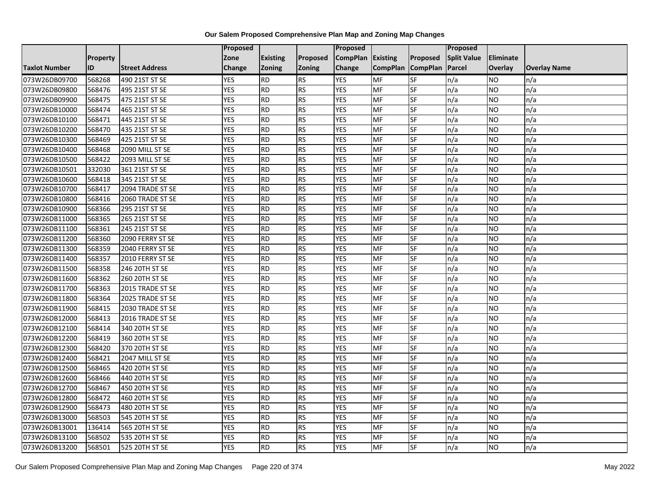|                      |          |                       | Proposed   |                 |               | Proposed        |                 |                 | Proposed           |                 |                     |
|----------------------|----------|-----------------------|------------|-----------------|---------------|-----------------|-----------------|-----------------|--------------------|-----------------|---------------------|
|                      | Property |                       | Zone       | <b>Existing</b> | Proposed      | <b>CompPlan</b> | Existing        | Proposed        | <b>Split Value</b> | Eliminate       |                     |
| <b>Taxlot Number</b> | ID       | <b>Street Address</b> | Change     | Zoning          | <b>Zoning</b> | Change          | <b>CompPlan</b> | <b>CompPlan</b> | Parcel             | <b>Overlay</b>  | <b>Overlay Name</b> |
| 073W26DB09700        | 568268   | 490 21ST ST SE        | <b>YES</b> | <b>RD</b>       | <b>RS</b>     | <b>YES</b>      | <b>MF</b>       | <b>SF</b>       | n/a                | NO.             | n/a                 |
| 073W26DB09800        | 568476   | 495 21ST ST SE        | <b>YES</b> | RD              | RS            | <b>YES</b>      | MF              | $S_{F}$         | n/a                | NO.             | n/a                 |
| 073W26DB09900        | 568475   | 475 21ST ST SE        | <b>YES</b> | <b>RD</b>       | <b>RS</b>     | <b>YES</b>      | MF              | SF              | n/a                | NO.             | n/a                 |
| 073W26DB10000        | 568474   | 465 21ST ST SE        | <b>YES</b> | <b>RD</b>       | <b>RS</b>     | <b>YES</b>      | MF              | <b>SF</b>       | n/a                | NO.             | n/a                 |
| 073W26DB10100        | 568471   | 445 21ST ST SE        | <b>YES</b> | RD              | RS            | <b>YES</b>      | <b>MF</b>       | $S_{F}$         | n/a                | NO.             | n/a                 |
| 073W26DB10200        | 568470   | 435 21ST ST SE        | <b>YES</b> | RD              | RS            | <b>YES</b>      | MF              | SF              | n/a                | <b>NO</b>       | n/a                 |
| 073W26DB10300        | 568469   | 425 21ST ST SE        | <b>YES</b> | <b>RD</b>       | <b>RS</b>     | <b>YES</b>      | <b>MF</b>       | <b>SF</b>       | n/a                | <b>NO</b>       | n/a                 |
| 073W26DB10400        | 568468   | 2090 MILL ST SE       | <b>YES</b> | RD              | <b>RS</b>     | <b>YES</b>      | MF              | <b>SF</b>       | n/a                | NO.             | n/a                 |
| 073W26DB10500        | 568422   | 2093 MILL ST SE       | <b>YES</b> | <b>RD</b>       | <b>RS</b>     | <b>YES</b>      | MF              | SF              | n/a                | NO.             | n/a                 |
| 073W26DB10501        | 332030   | 361 21ST ST SE        | <b>YES</b> | RD              | RS            | <b>YES</b>      | <b>MF</b>       | <b>SF</b>       | n/a                | NO.             | n/a                 |
| 073W26DB10600        | 568418   | 345 21ST ST SE        | <b>YES</b> | RD              | RS            | <b>YES</b>      | <b>MF</b>       | <b>SF</b>       | n/a                | <b>NO</b>       | n/a                 |
| 073W26DB10700        | 568417   | 2094 TRADE ST SE      | <b>YES</b> | <b>RD</b>       | RS            | <b>YES</b>      | MF              | <b>SF</b>       | n/a                | NO.             | n/a                 |
| 073W26DB10800        | 568416   | 2060 TRADE ST SE      | <b>YES</b> | <b>RD</b>       | <b>RS</b>     | <b>YES</b>      | MF              | SF              | n/a                | NO.             | n/a                 |
| 073W26DB10900        | 568366   | 295 21ST ST SE        | <b>YES</b> | RD              | <b>RS</b>     | <b>YES</b>      | <b>MF</b>       | <b>SF</b>       | n/a                | NO.             | n/a                 |
| 073W26DB11000        | 568365   | 265 21ST ST SE        | <b>YES</b> | <b>RD</b>       | <b>RS</b>     | <b>YES</b>      | <b>MF</b>       | SF              | n/a                | <b>NO</b>       | n/a                 |
| 073W26DB11100        | 568361   | 245 21ST ST SE        | <b>YES</b> | <b>RD</b>       | <b>RS</b>     | <b>YES</b>      | MF              | SF              | n/a                | <b>NO</b>       | n/a                 |
| 073W26DB11200        | 568360   | 2090 FERRY ST SE      | <b>YES</b> | <b>RD</b>       | <b>RS</b>     | <b>YES</b>      | MF              | SF              | n/a                | NO.             | n/a                 |
| 073W26DB11300        | 568359   | 2040 FERRY ST SE      | <b>YES</b> | <b>RD</b>       | <b>RS</b>     | <b>YES</b>      | MF              | SF              | n/a                | NO.             | n/a                 |
| 073W26DB11400        | 568357   | 2010 FERRY ST SE      | <b>YES</b> | <b>RD</b>       | <b>RS</b>     | <b>YES</b>      | MF              | SF              | n/a                | NO.             | n/a                 |
| 073W26DB11500        | 568358   | 246 20TH ST SE        | <b>YES</b> | RD              | RS            | <b>YES</b>      | <b>MF</b>       | <b>SF</b>       | n/a                | NO.             | n/a                 |
| 073W26DB11600        | 568362   | 260 20TH ST SE        | <b>YES</b> | <b>RD</b>       | <b>RS</b>     | <b>YES</b>      | <b>MF</b>       | <b>SF</b>       | n/a                | NO.             | n/a                 |
| 073W26DB11700        | 568363   | 2015 TRADE ST SE      | <b>YES</b> | <b>RD</b>       | <b>RS</b>     | <b>YES</b>      | MF              | SF              | n/a                | $\overline{NO}$ | n/a                 |
| 073W26DB11800        | 568364   | 2025 TRADE ST SE      | <b>YES</b> | <b>RD</b>       | <b>RS</b>     | <b>YES</b>      | <b>MF</b>       | SF              | n/a                | <b>NO</b>       | n/a                 |
| 073W26DB11900        | 568415   | 2030 TRADE ST SE      | <b>YES</b> | <b>RD</b>       | <b>RS</b>     | <b>YES</b>      | <b>MF</b>       | SF              | n/a                | NO.             | n/a                 |
| 073W26DB12000        | 568413   | 2016 TRADE ST SE      | <b>YES</b> | RD              | <b>RS</b>     | <b>YES</b>      | MF              | <b>SF</b>       | n/a                | NO.             | n/a                 |
| 073W26DB12100        | 568414   | 340 20TH ST SE        | <b>YES</b> | <b>RD</b>       | RS            | <b>YES</b>      | <b>MF</b>       | <b>SF</b>       | n/a                | NO.             | n/a                 |
| 073W26DB12200        | 568419   | 360 20TH ST SE        | <b>YES</b> | <b>RD</b>       | RS            | <b>YES</b>      | <b>MF</b>       | <b>SF</b>       | n/a                | <b>NO</b>       | n/a                 |
| 073W26DB12300        | 568420   | 370 20TH ST SE        | <b>YES</b> | <b>RD</b>       | RS            | <b>YES</b>      | <b>MF</b>       | SF              | n/a                | NO.             | n/a                 |
| 073W26DB12400        | 568421   | 2047 MILL ST SE       | <b>YES</b> | <b>RD</b>       | <b>RS</b>     | <b>YES</b>      | MF              | SF              | n/a                | NO.             | n/a                 |
| 073W26DB12500        | 568465   | 420 20TH ST SE        | <b>YES</b> | RD              | RS            | <b>YES</b>      | <b>MF</b>       | <b>SF</b>       | n/a                | <b>NO</b>       | n/a                 |
| 073W26DB12600        | 568466   | 440 20TH ST SE        | <b>YES</b> | <b>RD</b>       | <b>RS</b>     | <b>YES</b>      | <b>MF</b>       | <b>SF</b>       | n/a                | <b>NO</b>       | n/a                 |
| 073W26DB12700        | 568467   | 450 20TH ST SE        | <b>YES</b> | <b>RD</b>       | <b>RS</b>     | <b>YES</b>      | MF              | SF              | n/a                | <b>NO</b>       | n/a                 |
| 073W26DB12800        | 568472   | 460 20TH ST SE        | <b>YES</b> | <b>RD</b>       | <b>RS</b>     | <b>YES</b>      | <b>MF</b>       | SF              | n/a                | NO.             | n/a                 |
| 073W26DB12900        | 568473   | 480 20TH ST SE        | <b>YES</b> | <b>RD</b>       | <b>RS</b>     | <b>YES</b>      | <b>MF</b>       | <b>SF</b>       | n/a                | NO.             | n/a                 |
| 073W26DB13000        | 568503   | 545 20TH ST SE        | <b>YES</b> | RD              | RS            | <b>YES</b>      | MF              | <b>SF</b>       | n/a                | NO.             | n/a                 |
| 073W26DB13001        | 136414   | 565 20TH ST SE        | <b>YES</b> | <b>RD</b>       | <b>RS</b>     | <b>YES</b>      | MF              | SF              | n/a                | NO.             | n/a                 |
| 073W26DB13100        | 568502   | 535 20TH ST SE        | <b>YES</b> | <b>RD</b>       | <b>RS</b>     | <b>YES</b>      | MF              | SF              | n/a                | NO.             | n/a                 |
| 073W26DB13200        | 568501   | 525 20TH ST SE        | <b>YES</b> | $\overline{RD}$ | RS            | <b>YES</b>      | MF              | <b>SF</b>       | n/a                | NO.             | n/a                 |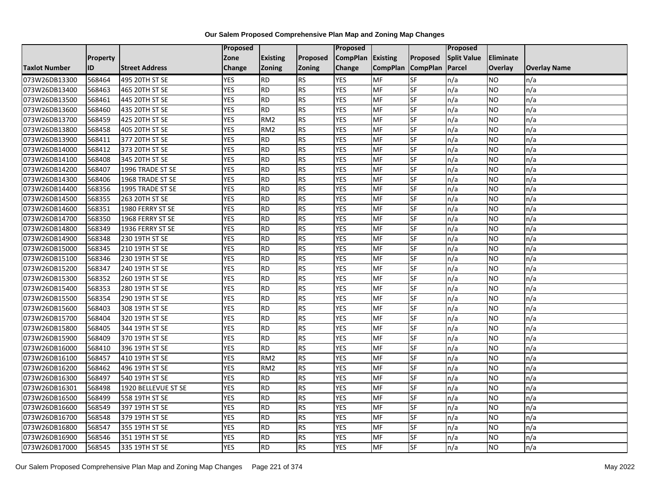|                      |          |                       | Proposed   |                 |           | Proposed        |                 |                 | Proposed           |                |                     |
|----------------------|----------|-----------------------|------------|-----------------|-----------|-----------------|-----------------|-----------------|--------------------|----------------|---------------------|
|                      | Property |                       | Zone       | <b>Existing</b> | Proposed  | <b>CompPlan</b> | Existing        | Proposed        | <b>Split Value</b> | Eliminate      |                     |
| <b>Taxlot Number</b> | ID       | <b>Street Address</b> | Change     | Zoning          | Zoning    | Change          | <b>CompPlan</b> | <b>CompPlan</b> | Parcel             | <b>Overlay</b> | <b>Overlay Name</b> |
| 073W26DB13300        | 568464   | 495 20TH ST SE        | <b>YES</b> | <b>RD</b>       | <b>RS</b> | <b>YES</b>      | <b>MF</b>       | <b>SF</b>       | n/a                | NO.            | n/a                 |
| 073W26DB13400        | 568463   | 465 20TH ST SE        | <b>YES</b> | RD              | <b>RS</b> | <b>YES</b>      | <b>MF</b>       | $S_{F}$         | n/a                | NO.            | n/a                 |
| 073W26DB13500        | 568461   | 445 20TH ST SE        | <b>YES</b> | <b>RD</b>       | <b>RS</b> | <b>YES</b>      | MF              | SF              | n/a                | <b>NO</b>      | n/a                 |
| 073W26DB13600        | 568460   | 435 20TH ST SE        | <b>YES</b> | RD              | RS        | <b>YES</b>      | <b>MF</b>       | <b>SF</b>       | n/a                | NO.            | n/a                 |
| 073W26DB13700        | 568459   | 425 20TH ST SE        | <b>YES</b> | RM <sub>2</sub> | <b>RS</b> | <b>YES</b>      | <b>MF</b>       | $S_{F}$         | n/a                | NO.            | n/a                 |
| 073W26DB13800        | 568458   | 405 20TH ST SE        | <b>YES</b> | RM <sub>2</sub> | <b>RS</b> | <b>YES</b>      | <b>MF</b>       | SF              | n/a                | <b>NO</b>      | n/a                 |
| 073W26DB13900        | 568411   | 377 20TH ST SE        | <b>YES</b> | <b>RD</b>       | RS        | <b>YES</b>      | <b>MF</b>       | SF              | n/a                | NO.            | n/a                 |
| 073W26DB14000        | 568412   | 373 20TH ST SE        | <b>YES</b> | RD              | <b>RS</b> | <b>YES</b>      | <b>MF</b>       | $S_{F}$         | n/a                | NO.            | n/a                 |
| 073W26DB14100        | 568408   | 345 20TH ST SE        | <b>YES</b> | <b>RD</b>       | <b>RS</b> | <b>YES</b>      | MF              | SF              | n/a                | NO.            | n/a                 |
| 073W26DB14200        | 568407   | 1996 TRADE ST SE      | <b>YES</b> | RD              | RS        | <b>YES</b>      | <b>MF</b>       | SF              | n/a                | NO.            | n/a                 |
| 073W26DB14300        | 568406   | 1968 TRADE ST SE      | <b>YES</b> | RD              | <b>RS</b> | <b>YES</b>      | <b>MF</b>       | <b>SF</b>       | n/a                | NO.            | n/a                 |
| 073W26DB14400        | 568356   | 1995 TRADE ST SE      | <b>YES</b> | <b>RD</b>       | <b>RS</b> | <b>YES</b>      | <b>MF</b>       | SF              | n/a                | <b>NO</b>      | n/a                 |
| 073W26DB14500        | 568355   | 263 20TH ST SE        | <b>YES</b> | <b>RD</b>       | <b>RS</b> | <b>YES</b>      | MF              | SF              | n/a                | NO.            | n/a                 |
| 073W26DB14600        | 568351   | 1980 FERRY ST SE      | <b>YES</b> | <b>RD</b>       | <b>RS</b> | <b>YES</b>      | <b>MF</b>       | <b>SF</b>       | n/a                | NO.            | n/a                 |
| 073W26DB14700        | 568350   | 1968 FERRY ST SE      | <b>YES</b> | <b>RD</b>       | <b>RS</b> | <b>YES</b>      | MF              | SF              | n/a                | NO.            | n/a                 |
| 073W26DB14800        | 568349   | 1936 FERRY ST SE      | <b>YES</b> | RD              | RS        | <b>YES</b>      | <b>MF</b>       | SF              | n/a                | NO.            | n/a                 |
| 073W26DB14900        | 568348   | 230 19TH ST SE        | <b>YES</b> | RD              | <b>RS</b> | <b>YES</b>      | <b>MF</b>       | $S_{F}$         | n/a                | NO.            | n/a                 |
| 073W26DB15000        | 568345   | 210 19TH ST SE        | <b>YES</b> | <b>RD</b>       | <b>RS</b> | <b>YES</b>      | <b>MF</b>       | SF              | n/a                | NO.            | n/a                 |
| 073W26DB15100        | 568346   | 230 19TH ST SE        | <b>YES</b> | <b>RD</b>       | <b>RS</b> | <b>YES</b>      | <b>MF</b>       | SF              | n/a                | NO.            | n/a                 |
| 073W26DB15200        | 568347   | 240 19TH ST SE        | <b>YES</b> | <b>RD</b>       | RS        | <b>YES</b>      | <b>MF</b>       | <b>SF</b>       | n/a                | NO.            | n/a                 |
| 073W26DB15300        | 568352   | 260 19TH ST SE        | <b>YES</b> | <b>RD</b>       | <b>RS</b> | <b>YES</b>      | <b>MF</b>       | SF              | n/a                | NO.            | n/a                 |
| 073W26DB15400        | 568353   | 280 19TH ST SE        | <b>YES</b> | <b>RD</b>       | <b>RS</b> | <b>YES</b>      | <b>MF</b>       | SF              | n/a                | NO.            | n/a                 |
| 073W26DB15500        | 568354   | 290 19TH ST SE        | <b>YES</b> | RD              | <b>RS</b> | <b>YES</b>      | MF              | <b>SF</b>       | n/a                | NO.            | n/a                 |
| 073W26DB15600        | 568403   | 308 19TH ST SE        | <b>YES</b> | <b>RD</b>       | <b>RS</b> | <b>YES</b>      | <b>MF</b>       | SF              | n/a                | NO.            | n/a                 |
| 073W26DB15700        | 568404   | 320 19TH ST SE        | <b>YES</b> | RD              | <b>RS</b> | <b>YES</b>      | MF              | SF              | n/a                | NO.            | n/a                 |
| 073W26DB15800        | 568405   | 344 19TH ST SE        | <b>YES</b> | RD              | RS        | <b>YES</b>      | <b>MF</b>       | $S_{F}$         | n/a                | NO.            | n/a                 |
| 073W26DB15900        | 568409   | 370 19TH ST SE        | <b>YES</b> | <b>RD</b>       | <b>RS</b> | <b>YES</b>      | <b>MF</b>       | SF              | n/a                | <b>NO</b>      | n/a                 |
| 073W26DB16000        | 568410   | 396 19TH ST SE        | <b>YES</b> | <b>RD</b>       | <b>RS</b> | <b>YES</b>      | <b>MF</b>       | SF              | n/a                | NO.            | n/a                 |
| 073W26DB16100        | 568457   | 410 19TH ST SE        | <b>YES</b> | RM <sub>2</sub> | RS        | <b>YES</b>      | MF              | $S_{F}$         | n/a                | NO.            | n/a                 |
| 073W26DB16200        | 568462   | 496 19TH ST SE        | <b>YES</b> | RM <sub>2</sub> | <b>RS</b> | <b>YES</b>      | MF              | SF              | n/a                | NO.            | n/a                 |
| 073W26DB16300        | 568497   | 540 19TH ST SE        | <b>YES</b> | <b>RD</b>       | <b>RS</b> | <b>YES</b>      | <b>MF</b>       | SF              | n/a                | <b>NO</b>      | n/a                 |
| 073W26DB16301        | 568498   | 1920 BELLEVUE ST SE   | <b>YES</b> | <b>RD</b>       | RS        | <b>YES</b>      | MF              | <b>SF</b>       | n/a                | NO.            | n/a                 |
| 073W26DB16500        | 568499   | 558 19TH ST SE        | <b>YES</b> | <b>RD</b>       | <b>RS</b> | <b>YES</b>      | <b>MF</b>       | SF              | n/a                | <b>NO</b>      | n/a                 |
| 073W26DB16600        | 568549   | 397 19TH ST SE        | <b>YES</b> | <b>RD</b>       | <b>RS</b> | <b>YES</b>      | <b>MF</b>       | SF              | n/a                | NO.            | n/a                 |
| 073W26DB16700        | 568548   | 379 19TH ST SE        | <b>YES</b> | RD              | <b>RS</b> | <b>YES</b>      | MF              | <b>SF</b>       | n/a                | NO.            | n/a                 |
| 073W26DB16800        | 568547   | 355 19TH ST SE        | <b>YES</b> | <b>RD</b>       | <b>RS</b> | <b>YES</b>      | MF              | SF              | n/a                | NO.            | n/a                 |
| 073W26DB16900        | 568546   | 351 19TH ST SE        | <b>YES</b> | <b>RD</b>       | <b>RS</b> | <b>YES</b>      | MF              | SF              | n/a                | NO.            | n/a                 |
| 073W26DB17000        | 568545   | 335 19TH ST SE        | <b>YES</b> | RD              | <b>RS</b> | <b>YES</b>      | MF              | <b>SF</b>       | n/a                | <b>NO</b>      | n/a                 |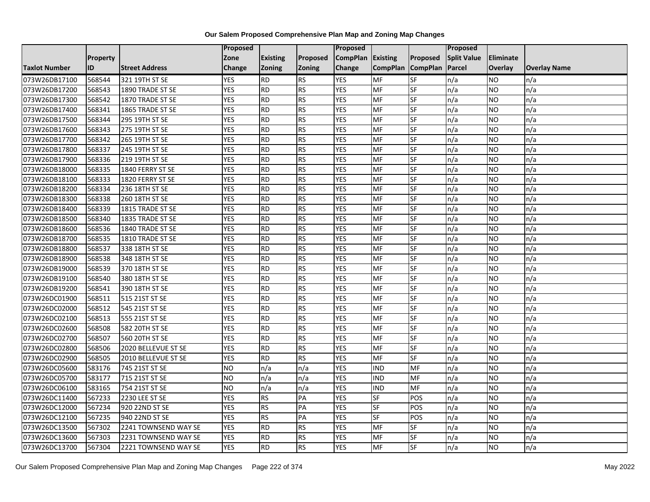|                      |                 |                       | <b>Proposed</b> |                 |               | Proposed        |                 |                 | Proposed           |                  |                     |
|----------------------|-----------------|-----------------------|-----------------|-----------------|---------------|-----------------|-----------------|-----------------|--------------------|------------------|---------------------|
|                      | <b>Property</b> |                       | Zone            | <b>Existing</b> | Proposed      | <b>CompPlan</b> | Existing        | Proposed        | <b>Split Value</b> | <b>Eliminate</b> |                     |
| <b>Taxlot Number</b> | ID              | <b>Street Address</b> | Change          | Zoning          | <b>Zoning</b> | Change          | <b>CompPlan</b> | <b>CompPlan</b> | Parcel             | <b>Overlay</b>   | <b>Overlay Name</b> |
| 073W26DB17100        | 568544          | 321 19TH ST SE        | <b>YES</b>      | <b>RD</b>       | <b>RS</b>     | <b>YES</b>      | <b>MF</b>       | <b>SF</b>       | n/a                | NO.              | n/a                 |
| 073W26DB17200        | 568543          | 1890 TRADE ST SE      | <b>YES</b>      | <b>RD</b>       | RS            | <b>YES</b>      | MF              | SF              | n/a                | NO.              | n/a                 |
| 073W26DB17300        | 568542          | 1870 TRADE ST SE      | <b>YES</b>      | <b>RD</b>       | <b>RS</b>     | <b>YES</b>      | MF              | SF              | n/a                | <b>NO</b>        | n/a                 |
| 073W26DB17400        | 568341          | 1865 TRADE ST SE      | <b>YES</b>      | <b>RD</b>       | <b>RS</b>     | <b>YES</b>      | MF              | SF              | n/a                | NO.              | n/a                 |
| 073W26DB17500        | 568344          | 295 19TH ST SE        | <b>YES</b>      | RD              | RS            | <b>YES</b>      | MF              | SF              | n/a                | NO.              | n/a                 |
| 073W26DB17600        | 568343          | 275 19TH ST SE        | <b>YES</b>      | <b>RD</b>       | <b>RS</b>     | <b>YES</b>      | <b>MF</b>       | SF              | n/a                | NO.              | n/a                 |
| 073W26DB17700        | 568342          | 265 19TH ST SE        | <b>YES</b>      | <b>RD</b>       | <b>RS</b>     | <b>YES</b>      | <b>MF</b>       | SF              | n/a                | NO.              | n/a                 |
| 073W26DB17800        | 568337          | 245 19TH ST SE        | <b>YES</b>      | RD              | <b>RS</b>     | <b>YES</b>      | MF              | SF              | n/a                | <b>NO</b>        | n/a                 |
| 073W26DB17900        | 568336          | 219 19TH ST SE        | <b>YES</b>      | <b>RD</b>       | <b>RS</b>     | <b>YES</b>      | MF              | SF              | n/a                | NO.              | n/a                 |
| 073W26DB18000        | 568335          | 1840 FERRY ST SE      | <b>YES</b>      | RD              | <b>RS</b>     | <b>YES</b>      | <b>MF</b>       | <b>SF</b>       | n/a                | NO.              | n/a                 |
| 073W26DB18100        | 568333          | 1820 FERRY ST SE      | <b>YES</b>      | <b>RD</b>       | <b>RS</b>     | <b>YES</b>      | MF              | SF              | n/a                | <b>NO</b>        | n/a                 |
| 073W26DB18200        | 568334          | 236 18TH ST SE        | <b>YES</b>      | <b>RD</b>       | <b>RS</b>     | <b>YES</b>      | MF              | SF              | n/a                | <b>NO</b>        | n/a                 |
| 073W26DB18300        | 568338          | 260 18TH ST SE        | <b>YES</b>      | RD              | <b>RS</b>     | <b>YES</b>      | <b>MF</b>       | $S_{F}$         | n/a                | NO.              | n/a                 |
| 073W26DB18400        | 568339          | 1815 TRADE ST SE      | <b>YES</b>      | <b>RD</b>       | <b>RS</b>     | <b>YES</b>      | MF              | SF              | n/a                | NO.              | n/a                 |
| 073W26DB18500        | 568340          | 1835 TRADE ST SE      | <b>YES</b>      | <b>RD</b>       | <b>RS</b>     | <b>YES</b>      | MF              | SF              | n/a                | <b>NO</b>        | n/a                 |
| 073W26DB18600        | 568536          | 1840 TRADE ST SE      | <b>YES</b>      | RD              | <b>RS</b>     | <b>YES</b>      | MF              | <b>SF</b>       | n/a                | NO.              | n/a                 |
| 073W26DB18700        | 568535          | 1810 TRADE ST SE      | <b>YES</b>      | <b>RD</b>       | <b>RS</b>     | <b>YES</b>      | MF              | SF              | n/a                | <b>NO</b>        | n/a                 |
| 073W26DB18800        | 568537          | 338 18TH ST SE        | <b>YES</b>      | <b>RD</b>       | <b>RS</b>     | <b>YES</b>      | <b>MF</b>       | SF              | n/a                | NO.              | n/a                 |
| 073W26DB18900        | 568538          | 348 18TH ST SE        | <b>YES</b>      | RD              | RS            | <b>YES</b>      | MF              | <b>SF</b>       | n/a                | NO.              | n/a                 |
| 073W26DB19000        | 568539          | 370 18TH ST SE        | <b>YES</b>      | <b>RD</b>       | <b>RS</b>     | <b>YES</b>      | MF              | SF              | n/a                | NO.              | n/a                 |
| 073W26DB19100        | 568540          | 380 18TH ST SE        | <b>YES</b>      | <b>RD</b>       | <b>RS</b>     | <b>YES</b>      | MF              | SF              | n/a                | NO.              | n/a                 |
| 073W26DB19200        | 568541          | 390 18TH ST SE        | <b>YES</b>      | <b>RD</b>       | <b>RS</b>     | <b>YES</b>      | MF              | SF              | n/a                | <b>NO</b>        | n/a                 |
| 073W26DC01900        | 568511          | 515 21ST ST SE        | <b>YES</b>      | <b>RD</b>       | <b>RS</b>     | <b>YES</b>      | MF              | SF              | n/a                | NO.              | n/a                 |
| 073W26DC02000        | 568512          | 545 21ST ST SE        | <b>YES</b>      | <b>RD</b>       | <b>RS</b>     | <b>YES</b>      | MF              | SF              | n/a                | NO.              | n/a                 |
| 073W26DC02100        | 568513          | 555 21ST ST SE        | <b>YES</b>      | <b>RD</b>       | <b>RS</b>     | <b>YES</b>      | MF              | SF              | n/a                | NO.              | n/a                 |
| 073W26DC02600        | 568508          | 582 20TH ST SE        | <b>YES</b>      | <b>RD</b>       | <b>RS</b>     | <b>YES</b>      | <b>MF</b>       | <b>SF</b>       | n/a                | NO.              | n/a                 |
| 073W26DC02700        | 568507          | 560 20TH ST SE        | <b>YES</b>      | RD              | <b>RS</b>     | <b>YES</b>      | MF              | <b>SF</b>       | n/a                | NO.              | n/a                 |
| 073W26DC02800        | 568506          | 2020 BELLEVUE ST SE   | <b>YES</b>      | <b>RD</b>       | <b>RS</b>     | <b>YES</b>      | MF              | SF              | n/a                | NO.              | n/a                 |
| 073W26DC02900        | 568505          | 2010 BELLEVUE ST SE   | <b>YES</b>      | <b>RD</b>       | <b>RS</b>     | <b>YES</b>      | <b>MF</b>       | SF              | n/a                | NO.              | n/a                 |
| 073W26DC05600        | 583176          | 745 21ST ST SE        | <b>NO</b>       | n/a             | n/a           | <b>YES</b>      | <b>IND</b>      | MF              | n/a                | NO.              | n/a                 |
| 073W26DC05700        | 583177          | 715 21ST ST SE        | <b>NO</b>       | n/a             | n/a           | <b>YES</b>      | <b>IND</b>      | MF              | n/a                | NO.              | n/a                 |
| 073W26DC06100        | 583165          | 754 21ST ST SE        | <b>NO</b>       | n/a             | n/a           | <b>YES</b>      | <b>IND</b>      | MF              | n/a                | <b>NO</b>        | n/a                 |
| 073W26DC11400        | 567233          | 2230 LEE ST SE        | <b>YES</b>      | RS              | PA            | <b>YES</b>      | <b>SF</b>       | POS             | n/a                | NO.              | n/a                 |
| 073W26DC12000        | 567234          | 920 22ND ST SE        | <b>YES</b>      | <b>RS</b>       | PA            | <b>YES</b>      | SF              | POS             | n/a                | NO.              | n/a                 |
| 073W26DC12100        | 567235          | 940 22ND ST SE        | <b>YES</b>      | <b>RS</b>       | PA            | <b>YES</b>      | $S$ F           | POS             | n/a                | NO.              | n/a                 |
| 073W26DC13500        | 567302          | 2241 TOWNSEND WAY SE  | <b>YES</b>      | <b>RD</b>       | <b>RS</b>     | <b>YES</b>      | MF              | SF              | n/a                | NO.              | n/a                 |
| 073W26DC13600        | 567303          | 2231 TOWNSEND WAY SE  | <b>YES</b>      | <b>RD</b>       | <b>RS</b>     | <b>YES</b>      | MF              | SF              | n/a                | <b>NO</b>        | n/a                 |
| 073W26DC13700        | 567304          | 2221 TOWNSEND WAY SE  | <b>YES</b>      | RD              | <b>RS</b>     | <b>YES</b>      | MF              | SF              | n/a                | <b>NO</b>        | n/a                 |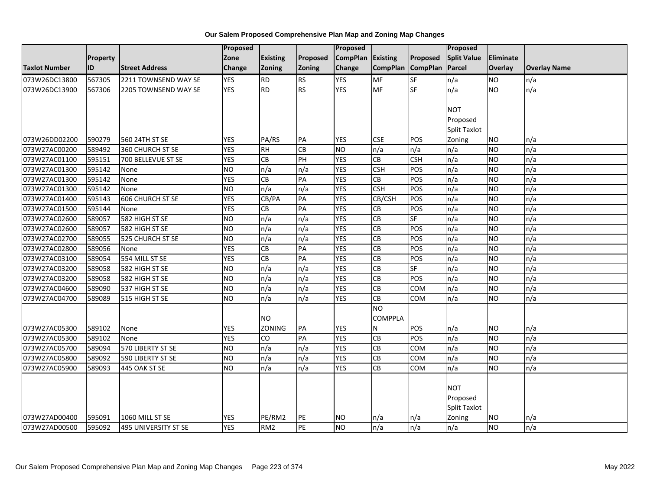|                      |          |                             | Proposed   |                 |               | <b>Proposed</b> |                   |            | Proposed            |           |                     |
|----------------------|----------|-----------------------------|------------|-----------------|---------------|-----------------|-------------------|------------|---------------------|-----------|---------------------|
|                      | Property |                             | Zone       | <b>Existing</b> | Proposed      | <b>CompPlan</b> | Existing          | Proposed   | <b>Split Value</b>  | Eliminate |                     |
| <b>Taxlot Number</b> | ID       | <b>Street Address</b>       | Change     | <b>Zoning</b>   | <b>Zoning</b> | Change          | CompPlan CompPlan |            | Parcel              | Overlay   | <b>Overlay Name</b> |
| 073W26DC13800        | 567305   | 2211 TOWNSEND WAY SE        | <b>YES</b> | <b>RD</b>       | <b>RS</b>     | <b>YES</b>      | <b>MF</b>         | SF         | n/a                 | <b>NO</b> | n/a                 |
| 073W26DC13900        | 567306   | 2205 TOWNSEND WAY SE        | <b>YES</b> | <b>RD</b>       | <b>RS</b>     | <b>YES</b>      | <b>MF</b>         | <b>SF</b>  | n/a                 | NO        | n/a                 |
|                      |          |                             |            |                 |               |                 |                   |            |                     |           |                     |
|                      |          |                             |            |                 |               |                 |                   |            | <b>NOT</b>          |           |                     |
|                      |          |                             |            |                 |               |                 |                   |            | Proposed            |           |                     |
|                      |          |                             |            |                 |               |                 |                   |            | <b>Split Taxlot</b> |           |                     |
| 073W26DD02200        | 590279   | 560 24TH ST SE              | <b>YES</b> | PA/RS           | PA            | <b>YES</b>      | <b>CSE</b>        | POS        | Zoning              | NO        | n/a                 |
| 073W27AC00200        | 589492   | 360 CHURCH ST SE            | <b>YES</b> | <b>RH</b>       | CB            | <b>NO</b>       | n/a               | n/a        | n/a                 | NO        | n/a                 |
| 073W27AC01100        | 595151   | 700 BELLEVUE ST SE          | <b>YES</b> | CB              | PH            | <b>YES</b>      | CB                | <b>CSH</b> | n/a                 | <b>NO</b> | n/a                 |
| 073W27AC01300        | 595142   | None                        | ŌИ         | n/a             | n/a           | <b>YES</b>      | <b>CSH</b>        | POS        | n/a                 | NO        | n/a                 |
| 073W27AC01300        | 595142   | None                        | <b>YES</b> | $\overline{CB}$ | PA            | <b>YES</b>      | <b>CB</b>         | POS        | n/a                 | NO        | n/a                 |
| 073W27AC01300        | 595142   | None                        | <b>NO</b>  | n/a             | n/a           | <b>YES</b>      | <b>CSH</b>        | POS        | n/a                 | <b>NO</b> | n/a                 |
| 073W27AC01400        | 595143   | 606 CHURCH ST SE            | <b>YES</b> | CB/PA           | PA            | <b>YES</b>      | CB/CSH            | POS        | n/a                 | NO        | n/a                 |
| 073W27AC01500        | 595144   | None                        | <b>YES</b> | CB              | PA            | <b>YES</b>      | <b>CB</b>         | POS        | n/a                 | <b>NO</b> | n/a                 |
| 073W27AC02600        | 589057   | 582 HIGH ST SE              | <b>NO</b>  | n/a             | n/a           | <b>YES</b>      | CB                | SF         | n/a                 | <b>NO</b> | n/a                 |
| 073W27AC02600        | 589057   | 582 HIGH ST SE              | ŌИ         | n/a             | n/a           | <b>YES</b>      | CB                | POS        | n/a                 | NO        | n/a                 |
| 073W27AC02700        | 589055   | 525 CHURCH ST SE            | <b>NO</b>  | n/a             | n/a           | <b>YES</b>      | CB                | POS        | n/a                 | NO        | n/a                 |
| 073W27AC02800        | 589056   | None                        | <b>YES</b> | <b>CB</b>       | PA            | <b>YES</b>      | <b>CB</b>         | POS        | n/a                 | NO        | n/a                 |
| 073W27AC03100        | 589054   | 554 MILL ST SE              | <b>YES</b> | <b>CB</b>       | PA            | <b>YES</b>      | CB                | POS        | n/a                 | NO        | n/a                 |
| 073W27AC03200        | 589058   | 582 HIGH ST SE              | <b>NO</b>  | n/a             | n/a           | <b>YES</b>      | <b>CB</b>         | SF         | n/a                 | <b>NO</b> | n/a                 |
| 073W27AC03200        | 589058   | 582 HIGH ST SE              | <b>NO</b>  | n/a             | n/a           | <b>YES</b>      | CB                | POS        | n/a                 | <b>NO</b> | n/a                 |
| 073W27AC04600        | 589090   | 537 HIGH ST SE              | Ю          | n/a             | n/a           | <b>YES</b>      | CB                | <b>COM</b> | n/a                 | NO        | n/a                 |
| 073W27AC04700        | 589089   | 515 HIGH ST SE              | ŌИ         | n/a             | n/a           | <b>YES</b>      | CB                | <b>COM</b> | n/a                 | NO        | n/a                 |
|                      |          |                             |            |                 |               |                 | <b>NO</b>         |            |                     |           |                     |
|                      |          |                             |            | <b>NO</b>       |               |                 | <b>COMPPLA</b>    |            |                     |           |                     |
| 073W27AC05300        | 589102   | None                        | <b>YES</b> | <b>ZONING</b>   | PA            | <b>YES</b>      | N                 | POS        | n/a                 | NO.       | n/a                 |
| 073W27AC05300        | 589102   | None                        | <b>YES</b> | CO              | PA            | <b>YES</b>      | CB                | POS        | n/a                 | <b>NO</b> | n/a                 |
| 073W27AC05700        | 589094   | 570 LIBERTY ST SE           | <b>NO</b>  | n/a             | n/a           | <b>YES</b>      | CB                | <b>COM</b> | n/a                 | NO        | n/a                 |
| 073W27AC05800        | 589092   | 590 LIBERTY ST SE           | <b>NO</b>  | n/a             | n/a           | <b>YES</b>      | CB                | <b>COM</b> | n/a                 | NO        | n/a                 |
| 073W27AC05900        | 589093   | 445 OAK ST SE               | ŌИ         | n/a             | n/a           | <b>YES</b>      | CB                | <b>COM</b> | n/a                 | NO        | n/a                 |
|                      |          |                             |            |                 |               |                 |                   |            |                     |           |                     |
|                      |          |                             |            |                 |               |                 |                   |            | <b>NOT</b>          |           |                     |
|                      |          |                             |            |                 |               |                 |                   |            | Proposed            |           |                     |
|                      |          |                             |            |                 |               |                 |                   |            | <b>Split Taxlot</b> |           |                     |
| 073W27AD00400        | 595091   | 1060 MILL ST SE             | <b>YES</b> | PE/RM2          | PE            | <b>NO</b>       | n/a               | n/a        | Zoning              | NO        | n/a                 |
| 073W27AD00500        | 595092   | <b>495 UNIVERSITY ST SE</b> | <b>YES</b> | RM <sub>2</sub> | PE            | <b>NO</b>       | n/a               | n/a        | n/a                 | NO        | n/a                 |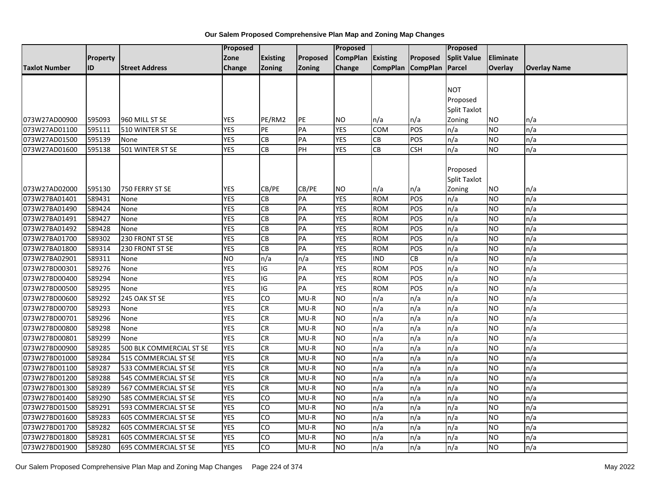|                      |          |                             | <b>Proposed</b> |                 |                 | Proposed        |                   |                 | Proposed            |                |                     |
|----------------------|----------|-----------------------------|-----------------|-----------------|-----------------|-----------------|-------------------|-----------------|---------------------|----------------|---------------------|
|                      | Property |                             | Zone            | <b>Existing</b> | Proposed        | <b>CompPlan</b> | <b>Existing</b>   | <b>Proposed</b> | <b>Split Value</b>  | Eliminate      |                     |
| <b>Taxlot Number</b> | ID       | <b>Street Address</b>       | Change          | <b>Zoning</b>   | Zoning          | Change          | CompPlan CompPlan |                 | Parcel              | <b>Overlay</b> | <b>Overlay Name</b> |
|                      |          |                             |                 |                 |                 |                 |                   |                 |                     |                |                     |
|                      |          |                             |                 |                 |                 |                 |                   |                 | <b>NOT</b>          |                |                     |
|                      |          |                             |                 |                 |                 |                 |                   |                 | Proposed            |                |                     |
|                      |          |                             |                 |                 |                 |                 |                   |                 | Split Taxlot        |                |                     |
| 073W27AD00900        | 595093   | 960 MILL ST SE              | YES             | PE/RM2          | PE              | NO              | n/a               | n/a             | Zoning              | NO             | n/a                 |
| 073W27AD01100        | 595111   | 510 WINTER ST SE            | <b>YES</b>      | PE              | PA              | <b>YES</b>      | <b>COM</b>        | POS             | n/a                 | <b>NO</b>      | n/a                 |
| 073W27AD01500        | 595139   | None                        | <b>YES</b>      | <b>CB</b>       | PA              | <b>YES</b>      | <b>CB</b>         | POS             | n/a                 | <b>NO</b>      | n/a                 |
| 073W27AD01600        | 595138   | 501 WINTER ST SE            | <b>YES</b>      | CB              | PH              | <b>YES</b>      | CB                | <b>CSH</b>      | n/a                 | NO.            | n/a                 |
|                      |          |                             |                 |                 |                 |                 |                   |                 |                     |                |                     |
|                      |          |                             |                 |                 |                 |                 |                   |                 | Proposed            |                |                     |
|                      |          |                             |                 |                 |                 |                 |                   |                 | <b>Split Taxlot</b> |                |                     |
| 073W27AD02000        | 595130   | 750 FERRY ST SE             | <b>YES</b>      | CB/PE           | CB/PE           | <b>NO</b>       | n/a               | n/a             | Zoning              | NO             | n/a                 |
| 073W27BA01401        | 589431   | None                        | <b>YES</b>      | <b>CB</b>       | PA              | <b>YES</b>      | <b>ROM</b>        | POS             | n/a                 | <b>NO</b>      | n/a                 |
| 073W27BA01490        | 589424   | None                        | <b>YES</b>      | CB              | PA              | <b>YES</b>      | <b>ROM</b>        | POS             | n/a                 | NO.            | n/a                 |
| 073W27BA01491        | 589427   | None                        | <b>YES</b>      | CB              | PA              | <b>YES</b>      | <b>ROM</b>        | POS             | n/a                 | <b>NO</b>      | n/a                 |
| 073W27BA01492        | 589428   | None                        | <b>YES</b>      | <b>CB</b>       | PA              | <b>YES</b>      | <b>ROM</b>        | POS             | n/a                 | <b>NO</b>      | n/a                 |
| 073W27BA01700        | 589302   | 230 FRONT ST SE             | <b>YES</b>      | <b>CB</b>       | PA              | <b>YES</b>      | <b>ROM</b>        | POS             | n/a                 | <b>NO</b>      | n/a                 |
| 073W27BA01800        | 589314   | 230 FRONT ST SE             | <b>YES</b>      | CB              | PA              | <b>YES</b>      | <b>ROM</b>        | POS             | n/a                 | <b>NO</b>      | n/a                 |
| 073W27BA02901        | 589311   | None                        | <b>NO</b>       | n/a             | n/a             | <b>YES</b>      | <b>IND</b>        | CB              | n/a                 | <b>NO</b>      | n/a                 |
| 073W27BD00301        | 589276   | None                        | <b>YES</b>      | IG              | PA              | <b>YES</b>      | <b>ROM</b>        | POS             | n/a                 | <b>NO</b>      | n/a                 |
| 073W27BD00400        | 589294   | None                        | <b>YES</b>      | IG              | PA              | <b>YES</b>      | <b>ROM</b>        | POS             | n/a                 | <b>NO</b>      | n/a                 |
| 073W27BD00500        | 589295   | None                        | <b>YES</b>      | $\overline{G}$  | $\overline{PA}$ | <b>YES</b>      | <b>ROM</b>        | POS             | n/a                 | <b>NO</b>      | n/a                 |
| 073W27BD00600        | 589292   | 245 OAK ST SE               | <b>YES</b>      | Ю               | $MU-R$          | Ю               | n/a               | n/a             | n/a                 | <b>NO</b>      | n/a                 |
| 073W27BD00700        | 589293   | None                        | <b>YES</b>      | <b>CR</b>       | $MU-R$          | <b>NO</b>       | n/a               | n/a             | n/a                 | <b>NO</b>      | n/a                 |
| 073W27BD00701        | 589296   | None                        | <b>YES</b>      | <b>CR</b>       | $MU-R$          | <b>NO</b>       | n/a               | n/a             | n/a                 | NO             | n/a                 |
| 073W27BD00800        | 589298   | None                        | <b>YES</b>      | <b>CR</b>       | $MU-R$          | Ю               | n/a               | n/a             | n/a                 | <b>NO</b>      | n/a                 |
| 073W27BD00801        | 589299   | None                        | <b>YES</b>      | CR              | $MU-R$          | ŌИ              | n/a               | n/a             | n/a                 | <b>NO</b>      | n/a                 |
| 073W27BD00900        | 589285   | 500 BLK COMMERCIAL ST SE    | <b>YES</b>      | <b>CR</b>       | $MU-R$          | <b>NO</b>       | n/a               | n/a             | n/a                 | <b>NO</b>      | n/a                 |
| 073W27BD01000        | 589284   | 515 COMMERCIAL ST SE        | <b>YES</b>      | <b>CR</b>       | $MU-R$          | <b>NO</b>       | n/a               | n/a             | n/a                 | <b>NO</b>      | n/a                 |
| 073W27BD01100        | 589287   | 533 COMMERCIAL ST SE        | <b>YES</b>      | <b>CR</b>       | $MU-R$          | ŌИ              | n/a               | n/a             | n/a                 | <b>NO</b>      | n/a                 |
| 073W27BD01200        | 589288   | 545 COMMERCIAL ST SE        | <b>YES</b>      | <b>CR</b>       | $MU-R$          | <b>NO</b>       | n/a               | n/a             | n/a                 | <b>NO</b>      | n/a                 |
| 073W27BD01300        | 589289   | <b>567 COMMERCIAL ST SE</b> | <b>YES</b>      | <b>CR</b>       | $MU-R$          | <b>NO</b>       | n/a               | n/a             | n/a                 | <b>NO</b>      | n/a                 |
| 073W27BD01400        | 589290   | 585 COMMERCIAL ST SE        | <b>YES</b>      | CO              | $MU-R$          | <b>NO</b>       | n/a               | n/a             | n/a                 | <b>NO</b>      | n/a                 |
| 073W27BD01500        | 589291   | 593 COMMERCIAL ST SE        | <b>YES</b>      | CO              | $MU-R$          | <b>NO</b>       | n/a               | n/a             | n/a                 | <b>NO</b>      | n/a                 |
| 073W27BD01600        | 589283   | <b>605 COMMERCIAL ST SE</b> | <b>YES</b>      | CO              | $MU-R$          | <b>NO</b>       | n/a               | n/a             | n/a                 | <b>NO</b>      | n/a                 |
| 073W27BD01700        | 589282   | 605 COMMERCIAL ST SE        | <b>YES</b>      | CO              | $MU-R$          | <b>NO</b>       | n/a               | n/a             | n/a                 | <b>NO</b>      | n/a                 |
| 073W27BD01800        | 589281   | 605 COMMERCIAL ST SE        | <b>YES</b>      | CO              | MU-R            | <b>NO</b>       | n/a               | n/a             | n/a                 | NO.            | n/a                 |
| 073W27BD01900        | 589280   | <b>695 COMMERCIAL ST SE</b> | <b>YES</b>      | CO              | $MU-R$          | ŌИ              | n/a               | n/a             | n/a                 | <b>NO</b>      | n/a                 |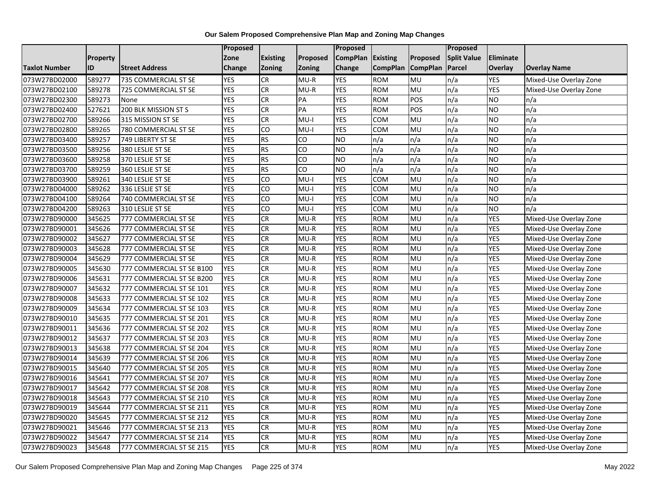|                      |          |                           | Proposed   |                 |                | <b>Proposed</b> |                 |                 | Proposed           |                |                        |
|----------------------|----------|---------------------------|------------|-----------------|----------------|-----------------|-----------------|-----------------|--------------------|----------------|------------------------|
|                      | Property |                           | Zone       | <b>Existing</b> | Proposed       | <b>CompPlan</b> | <b>Existing</b> | Proposed        | <b>Split Value</b> | Eliminate      |                        |
| <b>Taxlot Number</b> | ID       | <b>Street Address</b>     | Change     | Zoning          | Zoning         | <b>Change</b>   | <b>CompPlan</b> | <b>CompPlan</b> | <b>Parcel</b>      | <b>Overlay</b> | <b>Overlay Name</b>    |
| 073W27BD02000        | 589277   | 735 COMMERCIAL ST SE      | <b>YES</b> | G               | $MU-R$         | <b>YES</b>      | <b>ROM</b>      | MU              | n/a                | <b>YES</b>     | Mixed-Use Overlay Zone |
| 073W27BD02100        | 589278   | 725 COMMERCIAL ST SE      | <b>YES</b> | CR              | MU-R           | <b>YES</b>      | <b>ROM</b>      | <b>MU</b>       | n/a                | YES            | Mixed-Use Overlay Zone |
| 073W27BD02300        | 589273   | None                      | <b>YES</b> | CR              | PA             | <b>YES</b>      | <b>ROM</b>      | POS             | n/a                | <b>NO</b>      | n/a                    |
| 073W27BD02400        | 527621   | 200 BLK MISSION ST S      | <b>YES</b> | <b>CR</b>       | PA             | <b>YES</b>      | <b>ROM</b>      | POS             | n/a                | <b>NO</b>      | n/a                    |
| 073W27BD02700        | 589266   | 315 MISSION ST SE         | <b>YES</b> | CR              | $MU-I$         | <b>YES</b>      | <b>COM</b>      | <b>MU</b>       | n/a                | <b>NO</b>      | n/a                    |
| 073W27BD02800        | 589265   | 780 COMMERCIAL ST SE      | <b>YES</b> | CO              | MU-I           | <b>YES</b>      | COM             | MU              | n/a                | <b>NO</b>      | n/a                    |
| 073W27BD03400        | 589257   | 749 LIBERTY ST SE         | <b>YES</b> | <b>RS</b>       | Ю              | <b>NO</b>       | n/a             | n/a             | n/a                | <b>NO</b>      | n/a                    |
| 073W27BD03500        | 589256   | 380 LESLIE ST SE          | <b>YES</b> | <b>RS</b>       | CO             | <b>NO</b>       | n/a             | n/a             | n/a                | <b>NO</b>      | n/a                    |
| 073W27BD03600        | 589258   | 370 LESLIE ST SE          | <b>YES</b> | <b>RS</b>       | CO             | <b>NO</b>       | n/a             | n/a             | n/a                | <b>NO</b>      | n/a                    |
| 073W27BD03700        | 589259   | 360 LESLIE ST SE          | <b>YES</b> | RS              | $\overline{c}$ | <b>NO</b>       | n/a             | n/a             | n/a                | <b>NO</b>      | n/a                    |
| 073W27BD03900        | 589261   | 340 LESLIE ST SE          | <b>YES</b> | $\overline{c}$  | MU-I           | <b>YES</b>      | COM             | MU              | n/a                | <b>NO</b>      | n/a                    |
| 073W27BD04000        | 589262   | 336 LESLIE ST SE          | <b>YES</b> | CO              | $MU-I$         | <b>YES</b>      | <b>COM</b>      | MU              | n/a                | <b>NO</b>      | n/a                    |
| 073W27BD04100        | 589264   | 740 COMMERCIAL ST SE      | <b>YES</b> | $\overline{c}$  | $MU-I$         | <b>YES</b>      | COM             | <b>MU</b>       | n/a                | NO             | n/a                    |
| 073W27BD04200        | 589263   | 310 LESLIE ST SE          | <b>YES</b> | $\overline{c}$  | $MU-I$         | <b>YES</b>      | COM             | MU              | n/a                | <b>NO</b>      | n/a                    |
| 073W27BD90000        | 345625   | 777 COMMERCIAL ST SE      | <b>YES</b> | <b>CR</b>       | $MU-R$         | <b>YES</b>      | <b>ROM</b>      | MU              | n/a                | <b>YES</b>     | Mixed-Use Overlay Zone |
| 073W27BD90001        | 345626   | 777 COMMERCIAL ST SE      | <b>YES</b> | CR              | $MU-R$         | <b>YES</b>      | <b>ROM</b>      | MU              | n/a                | <b>YES</b>     | Mixed-Use Overlay Zone |
| 073W27BD90002        | 345627   | 777 COMMERCIAL ST SE      | <b>YES</b> | CR              | $MU-R$         | <b>YES</b>      | <b>ROM</b>      | MU              | n/a                | YES            | Mixed-Use Overlay Zone |
| 073W27BD90003        | 345628   | 777 COMMERCIAL ST SE      | <b>YES</b> | <b>CR</b>       | $MU-R$         | <b>YES</b>      | <b>ROM</b>      | MU              | n/a                | YES            | Mixed-Use Overlay Zone |
| 073W27BD90004        | 345629   | 777 COMMERCIAL ST SE      | <b>YES</b> | CR              | $MU-R$         | <b>YES</b>      | <b>ROM</b>      | <b>MU</b>       | n/a                | <b>YES</b>     | Mixed-Use Overlay Zone |
| 073W27BD90005        | 345630   | 777 COMMERCIAL ST SE B100 | <b>YES</b> | CR              | $MU-R$         | <b>YES</b>      | <b>ROM</b>      | MU              | n/a                | <b>YES</b>     | Mixed-Use Overlay Zone |
| 073W27BD90006        | 345631   | 777 COMMERCIAL ST SE B200 | <b>YES</b> | <b>CR</b>       | $MU-R$         | <b>YES</b>      | <b>ROM</b>      | MU              | n/a                | YES            | Mixed-Use Overlay Zone |
| 073W27BD90007        | 345632   | 777 COMMERCIAL ST SE 101  | <b>YES</b> | CR              | $MU-R$         | <b>YES</b>      | <b>ROM</b>      | MU              | n/a                | YES            | Mixed-Use Overlay Zone |
| 073W27BD90008        | 345633   | 777 COMMERCIAL ST SE 102  | <b>YES</b> | CR              | $MU-R$         | <b>YES</b>      | <b>ROM</b>      | <b>MU</b>       | n/a                | <b>YES</b>     | Mixed-Use Overlay Zone |
| 073W27BD90009        | 345634   | 777 COMMERCIAL ST SE 103  | <b>YES</b> | CR              | $MU-R$         | <b>YES</b>      | <b>ROM</b>      | MU              | n/a                | YES            | Mixed-Use Overlay Zone |
| 073W27BD90010        | 345635   | 777 COMMERCIAL ST SE 201  | <b>YES</b> | CR              | $MU-R$         | <b>YES</b>      | <b>ROM</b>      | MU              | n/a                | YES            | Mixed-Use Overlay Zone |
| 073W27BD90011        | 345636   | 777 COMMERCIAL ST SE 202  | <b>YES</b> | CR              | $MU-R$         | <b>YES</b>      | <b>ROM</b>      | MU              | n/a                | YES            | Mixed-Use Overlay Zone |
| 073W27BD90012        | 345637   | 777 COMMERCIAL ST SE 203  | <b>YES</b> | CR              | $MU-R$         | <b>YES</b>      | <b>ROM</b>      | MU              | n/a                | YES            | Mixed-Use Overlay Zone |
| 073W27BD90013        | 345638   | 777 COMMERCIAL ST SE 204  | <b>YES</b> | CR              | $MU-R$         | <b>YES</b>      | <b>ROM</b>      | MU              | n/a                | <b>YES</b>     | Mixed-Use Overlay Zone |
| 073W27BD90014        | 345639   | 777 COMMERCIAL ST SE 206  | <b>YES</b> | CR              | $MU-R$         | <b>YES</b>      | <b>ROM</b>      | MU              | n/a                | YES            | Mixed-Use Overlay Zone |
| 073W27BD90015        | 345640   | 777 COMMERCIAL ST SE 205  | <b>YES</b> | CR              | $MU-R$         | <b>YES</b>      | <b>ROM</b>      | <b>MU</b>       | n/a                | <b>YES</b>     | Mixed-Use Overlay Zone |
| 073W27BD90016        | 345641   | 777 COMMERCIAL ST SE 207  | <b>YES</b> | CR              | $MU-R$         | <b>YES</b>      | <b>ROM</b>      | MU              | n/a                | <b>YES</b>     | Mixed-Use Overlay Zone |
| 073W27BD90017        | 345642   | 777 COMMERCIAL ST SE 208  | <b>YES</b> | CR              | $MU-R$         | <b>YES</b>      | <b>ROM</b>      | MU              | n/a                | YES            | Mixed-Use Overlay Zone |
| 073W27BD90018        | 345643   | 777 COMMERCIAL ST SE 210  | <b>YES</b> | CR              | $MU-R$         | <b>YES</b>      | <b>ROM</b>      | <b>MU</b>       | n/a                | <b>YES</b>     | Mixed-Use Overlay Zone |
| 073W27BD90019        | 345644   | 777 COMMERCIAL ST SE 211  | <b>YES</b> | <b>CR</b>       | $MU-R$         | <b>YES</b>      | <b>ROM</b>      | MU              | n/a                | YES            | Mixed-Use Overlay Zone |
| 073W27BD90020        | 345645   | 777 COMMERCIAL ST SE 212  | <b>YES</b> | CR              | $MU-R$         | <b>YES</b>      | <b>ROM</b>      | <b>MU</b>       | n/a                | YES            | Mixed-Use Overlay Zone |
| 073W27BD90021        | 345646   | 777 COMMERCIAL ST SE 213  | <b>YES</b> | CR              | $MU-R$         | <b>YES</b>      | <b>ROM</b>      | <b>MU</b>       | n/a                | <b>YES</b>     | Mixed-Use Overlay Zone |
| 073W27BD90022        | 345647   | 777 COMMERCIAL ST SE 214  | <b>YES</b> | CR              | $MU-R$         | <b>YES</b>      | <b>ROM</b>      | MU              | n/a                | YES            | Mixed-Use Overlay Zone |
| 073W27BD90023        | 345648   | 777 COMMERCIAL ST SE 215  | <b>YES</b> | CR              | $MU-R$         | <b>YES</b>      | <b>ROM</b>      | MU              | n/a                | YES            | Mixed-Use Overlay Zone |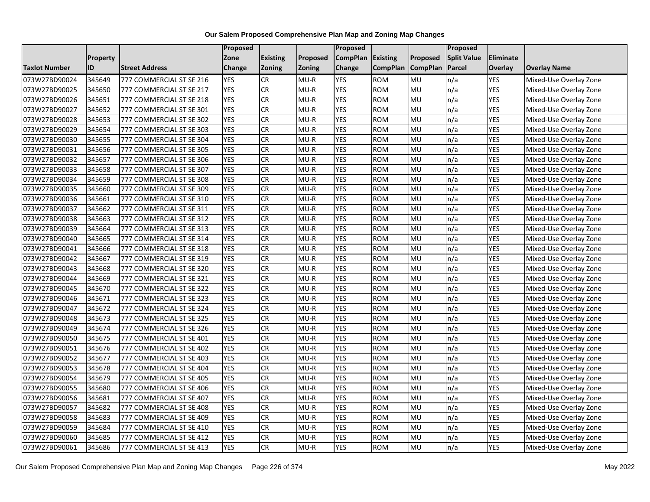|                      |          |                          | Proposed      |                 |          | <b>Proposed</b> |                 |                 | Proposed           |                  |                        |
|----------------------|----------|--------------------------|---------------|-----------------|----------|-----------------|-----------------|-----------------|--------------------|------------------|------------------------|
|                      | Property |                          | Zone          | <b>Existing</b> | Proposed | <b>CompPlan</b> | Existing        | Proposed        | <b>Split Value</b> | <b>Eliminate</b> |                        |
| <b>Taxlot Number</b> | ID       | <b>Street Address</b>    | <b>Change</b> | <b>Zoning</b>   | Zoning   | Change          | <b>CompPlan</b> | <b>CompPlan</b> | Parcel             | Overlay          | <b>Overlay Name</b>    |
| 073W27BD90024        | 345649   | 777 COMMERCIAL ST SE 216 | <b>YES</b>    | <b>CR</b>       | $MU-R$   | <b>YES</b>      | <b>ROM</b>      | MU              | n/a                | <b>YES</b>       | Mixed-Use Overlay Zone |
| 073W27BD90025        | 345650   | 777 COMMERCIAL ST SE 217 | <b>YES</b>    | <b>CR</b>       | MU-R     | <b>YES</b>      | <b>ROM</b>      | <b>MU</b>       | n/a                | YES              | Mixed-Use Overlay Zone |
| 073W27BD90026        | 345651   | 777 COMMERCIAL ST SE 218 | <b>YES</b>    | <b>CR</b>       | $MU-R$   | <b>YES</b>      | <b>ROM</b>      | MU              | n/a                | <b>YES</b>       | Mixed-Use Overlay Zone |
| 073W27BD90027        | 345652   | 777 COMMERCIAL ST SE 301 | <b>YES</b>    | <b>CR</b>       | $MU-R$   | <b>YES</b>      | <b>ROM</b>      | MU              | n/a                | <b>YES</b>       | Mixed-Use Overlay Zone |
| 073W27BD90028        | 345653   | 777 COMMERCIAL ST SE 302 | <b>YES</b>    | CR              | $MU-R$   | <b>YES</b>      | <b>ROM</b>      | <b>MU</b>       | n/a                | YES              | Mixed-Use Overlay Zone |
| 073W27BD90029        | 345654   | 777 COMMERCIAL ST SE 303 | <b>YES</b>    | CR              | $MU-R$   | <b>YES</b>      | <b>ROM</b>      | MU              | n/a                | YES              | Mixed-Use Overlay Zone |
| 073W27BD90030        | 345655   | 777 COMMERCIAL ST SE 304 | <b>YES</b>    | <b>CR</b>       | $MU-R$   | <b>YES</b>      | <b>ROM</b>      | MU              | n/a                | <b>YES</b>       | Mixed-Use Overlay Zone |
| 073W27BD90031        | 345656   | 777 COMMERCIAL ST SE 305 | <b>YES</b>    | <b>CR</b>       | $MU-R$   | <b>YES</b>      | <b>ROM</b>      | <b>MU</b>       | n/a                | <b>YES</b>       | Mixed-Use Overlay Zone |
| 073W27BD90032        | 345657   | 777 COMMERCIAL ST SE 306 | <b>YES</b>    | <b>CR</b>       | $MU-R$   | <b>YES</b>      | <b>ROM</b>      | MU              | n/a                | YES              | Mixed-Use Overlay Zone |
| 073W27BD90033        | 345658   | 777 COMMERCIAL ST SE 307 | <b>YES</b>    | CR              | $MU-R$   | <b>YES</b>      | <b>ROM</b>      | <b>DM</b>       | n/a                | <b>YES</b>       | Mixed-Use Overlay Zone |
| 073W27BD90034        | 345659   | 777 COMMERCIAL ST SE 308 | <b>YES</b>    | CR              | $MU-R$   | <b>YES</b>      | <b>ROM</b>      | MU              | n/a                | <b>YES</b>       | Mixed-Use Overlay Zone |
| 073W27BD90035        | 345660   | 777 COMMERCIAL ST SE 309 | <b>YES</b>    | <b>CR</b>       | $MU-R$   | <b>YES</b>      | <b>ROM</b>      | MU              | n/a                | YES              | Mixed-Use Overlay Zone |
| 073W27BD90036        | 345661   | 777 COMMERCIAL ST SE 310 | <b>YES</b>    | <b>CR</b>       | $MU-R$   | <b>YES</b>      | <b>ROM</b>      | <b>MU</b>       | n/a                | YES              | Mixed-Use Overlay Zone |
| 073W27BD90037        | 345662   | 777 COMMERCIAL ST SE 311 | <b>YES</b>    | <b>CR</b>       | $MU-R$   | <b>YES</b>      | <b>ROM</b>      | MU              | n/a                | <b>YES</b>       | Mixed-Use Overlay Zone |
| 073W27BD90038        | 345663   | 777 COMMERCIAL ST SE 312 | <b>YES</b>    | <b>CR</b>       | $MU-R$   | <b>YES</b>      | <b>ROM</b>      | MU              | n/a                | <b>YES</b>       | Mixed-Use Overlay Zone |
| 073W27BD90039        | 345664   | 777 COMMERCIAL ST SE 313 | <b>YES</b>    | <b>CR</b>       | $MU-R$   | <b>YES</b>      | <b>ROM</b>      | <b>MU</b>       | n/a                | YES              | Mixed-Use Overlay Zone |
| 073W27BD90040        | 345665   | 777 COMMERCIAL ST SE 314 | <b>YES</b>    | CR              | $MU-R$   | <b>YES</b>      | <b>ROM</b>      | MU              | n/a                | YES              | Mixed-Use Overlay Zone |
| 073W27BD90041        | 345666   | 777 COMMERCIAL ST SE 318 | <b>YES</b>    | CR              | $MU-R$   | <b>YES</b>      | <b>ROM</b>      | MU              | n/a                | YES              | Mixed-Use Overlay Zone |
| 073W27BD90042        | 345667   | 777 COMMERCIAL ST SE 319 | <b>YES</b>    | CR              | $MU-R$   | <b>YES</b>      | <b>ROM</b>      | <b>MU</b>       | n/a                | <b>YES</b>       | Mixed-Use Overlay Zone |
| 073W27BD90043        | 345668   | 777 COMMERCIAL ST SE 320 | <b>YES</b>    | <b>CR</b>       | $MU-R$   | <b>YES</b>      | <b>ROM</b>      | MU              | n/a                | <b>YES</b>       | Mixed-Use Overlay Zone |
| 073W27BD90044        | 345669   | 777 COMMERCIAL ST SE 321 | <b>YES</b>    | <b>CR</b>       | $MU-R$   | <b>YES</b>      | <b>ROM</b>      | MU              | n/a                | YES              | Mixed-Use Overlay Zone |
| 073W27BD90045        | 345670   | 777 COMMERCIAL ST SE 322 | <b>YES</b>    | CR              | $MU-R$   | <b>YES</b>      | <b>ROM</b>      | MU              | n/a                | YES              | Mixed-Use Overlay Zone |
| 073W27BD90046        | 345671   | 777 COMMERCIAL ST SE 323 | <b>YES</b>    | <b>CR</b>       | $MU-R$   | <b>YES</b>      | <b>ROM</b>      | <b>MU</b>       | n/a                | <b>YES</b>       | Mixed-Use Overlay Zone |
| 073W27BD90047        | 345672   | 777 COMMERCIAL ST SE 324 | <b>YES</b>    | CR              | $MU-R$   | <b>YES</b>      | <b>ROM</b>      | MU              | n/a                | YES              | Mixed-Use Overlay Zone |
| 073W27BD90048        | 345673   | 777 COMMERCIAL ST SE 325 | <b>YES</b>    | <b>CR</b>       | $MU-R$   | <b>YES</b>      | <b>ROM</b>      | MU              | n/a                | YES              | Mixed-Use Overlay Zone |
| 073W27BD90049        | 345674   | 777 COMMERCIAL ST SE 326 | <b>YES</b>    | <b>CR</b>       | $MU-R$   | <b>YES</b>      | <b>ROM</b>      | MU              | n/a                | <b>YES</b>       | Mixed-Use Overlay Zone |
| 073W27BD90050        | 345675   | 777 COMMERCIAL ST SE 401 | <b>YES</b>    | CR              | $MU-R$   | <b>YES</b>      | <b>ROM</b>      | <b>DM</b>       | n/a                | <b>YES</b>       | Mixed-Use Overlay Zone |
| 073W27BD90051        | 345676   | 777 COMMERCIAL ST SE 402 | <b>YES</b>    | <b>CR</b>       | $MU-R$   | <b>YES</b>      | <b>ROM</b>      | MU              | n/a                | <b>YES</b>       | Mixed-Use Overlay Zone |
| 073W27BD90052        | 345677   | 777 COMMERCIAL ST SE 403 | <b>YES</b>    | <b>CR</b>       | $MU-R$   | <b>YES</b>      | <b>ROM</b>      | MU              | n/a                | YES              | Mixed-Use Overlay Zone |
| 073W27BD90053        | 345678   | 777 COMMERCIAL ST SE 404 | <b>YES</b>    | CR              | MU-R     | <b>YES</b>      | <b>ROM</b>      | MU              | n/a                | YES              | Mixed-Use Overlay Zone |
| 073W27BD90054        | 345679   | 777 COMMERCIAL ST SE 405 | <b>YES</b>    | CR              | $MU-R$   | <b>YES</b>      | <b>ROM</b>      | <b>MU</b>       | n/a                | YES              | Mixed-Use Overlay Zone |
| 073W27BD90055        | 345680   | 777 COMMERCIAL ST SE 406 | <b>YES</b>    | <b>CR</b>       | $MU-R$   | <b>YES</b>      | <b>ROM</b>      | MU              | n/a                | <b>YES</b>       | Mixed-Use Overlay Zone |
| 073W27BD90056        | 345681   | 777 COMMERCIAL ST SE 407 | <b>YES</b>    | CR              | $MU-R$   | <b>YES</b>      | <b>ROM</b>      | MU              | n/a                | <b>YES</b>       | Mixed-Use Overlay Zone |
| 073W27BD90057        | 345682   | 777 COMMERCIAL ST SE 408 | <b>YES</b>    | <b>CR</b>       | $MU-R$   | <b>YES</b>      | <b>ROM</b>      | MU              | n/a                | YES              | Mixed-Use Overlay Zone |
| 073W27BD90058        | 345683   | 777 COMMERCIAL ST SE 409 | <b>YES</b>    | CR              | $MU-R$   | <b>YES</b>      | <b>ROM</b>      | <b>MU</b>       | n/a                | <b>YES</b>       | Mixed-Use Overlay Zone |
| 073W27BD90059        | 345684   | 777 COMMERCIAL ST SE 410 | <b>YES</b>    | CR              | $MU-R$   | <b>YES</b>      | <b>ROM</b>      | <b>MU</b>       | n/a                | <b>YES</b>       | Mixed-Use Overlay Zone |
| 073W27BD90060        | 345685   | 777 COMMERCIAL ST SE 412 | <b>YES</b>    | <b>CR</b>       | $MU-R$   | <b>YES</b>      | <b>ROM</b>      | MU              | n/a                | YES              | Mixed-Use Overlay Zone |
| 073W27BD90061        | 345686   | 777 COMMERCIAL ST SE 413 | <b>YES</b>    | CR              | $MU-R$   | <b>YES</b>      | <b>ROM</b>      | MU              | n/a                | <b>YES</b>       | Mixed-Use Overlay Zone |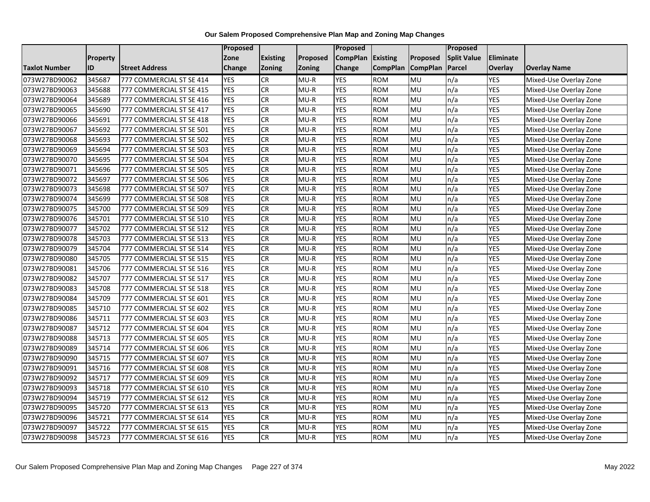|               |                 |                          | Proposed      |                 |          | Proposed        |                 |                 | Proposed           |                |                        |
|---------------|-----------------|--------------------------|---------------|-----------------|----------|-----------------|-----------------|-----------------|--------------------|----------------|------------------------|
|               | <b>Property</b> |                          | Zone          | <b>Existing</b> | Proposed | <b>CompPlan</b> | Existing        | Proposed        | <b>Split Value</b> | Eliminate      |                        |
| Taxlot Number | ID              | <b>Street Address</b>    | <b>Change</b> | <b>Zoning</b>   | Zoning   | Change          | <b>CompPlan</b> | <b>CompPlan</b> | <b>Parcel</b>      | <b>Overlay</b> | <b>Overlay Name</b>    |
| 073W27BD90062 | 345687          | 777 COMMERCIAL ST SE 414 | <b>YES</b>    | <b>CR</b>       | $MU-R$   | <b>YES</b>      | <b>ROM</b>      | <b>MU</b>       | n/a                | <b>YES</b>     | Mixed-Use Overlay Zone |
| 073W27BD90063 | 345688          | 777 COMMERCIAL ST SE 415 | <b>YES</b>    | CR              | $MU-R$   | <b>YES</b>      | <b>ROM</b>      | MU              | n/a                | <b>YES</b>     | Mixed-Use Overlay Zone |
| 073W27BD90064 | 345689          | 777 COMMERCIAL ST SE 416 | <b>YES</b>    | CR              | $MU-R$   | <b>YES</b>      | <b>ROM</b>      | MU              | n/a                | <b>YES</b>     | Mixed-Use Overlay Zone |
| 073W27BD90065 | 345690          | 777 COMMERCIAL ST SE 417 | <b>YES</b>    | <b>CR</b>       | $MU-R$   | <b>YES</b>      | <b>ROM</b>      | <b>MU</b>       | n/a                | YES            | Mixed-Use Overlay Zone |
| 073W27BD90066 | 345691          | 777 COMMERCIAL ST SE 418 | <b>YES</b>    | CR              | $MU-R$   | <b>YES</b>      | <b>ROM</b>      | MU              | n/a                | <b>YES</b>     | Mixed-Use Overlay Zone |
| 073W27BD90067 | 345692          | 777 COMMERCIAL ST SE 501 | <b>YES</b>    | CR              | $MU-R$   | <b>YES</b>      | <b>ROM</b>      | MU              | n/a                | <b>YES</b>     | Mixed-Use Overlay Zone |
| 073W27BD90068 | 345693          | 777 COMMERCIAL ST SE 502 | <b>YES</b>    | <b>CR</b>       | $MU-R$   | <b>YES</b>      | <b>ROM</b>      | <b>MU</b>       | n/a                | <b>YES</b>     | Mixed-Use Overlay Zone |
| 073W27BD90069 | 345694          | 777 COMMERCIAL ST SE 503 | <b>YES</b>    | CR              | $MU-R$   | <b>YES</b>      | <b>ROM</b>      | MU              | n/a                | <b>YES</b>     | Mixed-Use Overlay Zone |
| 073W27BD90070 | 345695          | 777 COMMERCIAL ST SE 504 | <b>YES</b>    | CR              | $MU-R$   | <b>YES</b>      | <b>ROM</b>      | MU              | n/a                | <b>YES</b>     | Mixed-Use Overlay Zone |
| 073W27BD90071 | 345696          | 777 COMMERCIAL ST SE 505 | <b>YES</b>    | CR              | $MU-R$   | <b>YES</b>      | <b>ROM</b>      | MU              | n/a                | <b>YES</b>     | Mixed-Use Overlay Zone |
| 073W27BD90072 | 345697          | 777 COMMERCIAL ST SE 506 | <b>YES</b>    | <b>CR</b>       | $MU-R$   | <b>YES</b>      | <b>ROM</b>      | MU              | n/a                | <b>YES</b>     | Mixed-Use Overlay Zone |
| 073W27BD90073 | 345698          | 777 COMMERCIAL ST SE 507 | <b>YES</b>    | ${\sf CR}$      | $MU-R$   | <b>YES</b>      | <b>ROM</b>      | <b>MU</b>       | n/a                | <b>YES</b>     | Mixed-Use Overlay Zone |
| 073W27BD90074 | 345699          | 777 COMMERCIAL ST SE 508 | <b>YES</b>    | CR              | $MU-R$   | <b>YES</b>      | <b>ROM</b>      | MU              | n/a                | <b>YES</b>     | Mixed-Use Overlay Zone |
| 073W27BD90075 | 345700          | 777 COMMERCIAL ST SE 509 | <b>YES</b>    | CR              | $MU-R$   | <b>YES</b>      | <b>ROM</b>      | MU              | n/a                | <b>YES</b>     | Mixed-Use Overlay Zone |
| 073W27BD90076 | 345701          | 777 COMMERCIAL ST SE 510 | <b>YES</b>    | CR              | $MU-R$   | <b>YES</b>      | <b>ROM</b>      | MU              | n/a                | <b>YES</b>     | Mixed-Use Overlay Zone |
| 073W27BD90077 | 345702          | 777 COMMERCIAL ST SE 512 | <b>YES</b>    | CR              | $MU-R$   | <b>YES</b>      | <b>ROM</b>      | MU              | n/a                | <b>YES</b>     | Mixed-Use Overlay Zone |
| 073W27BD90078 | 345703          | 777 COMMERCIAL ST SE 513 | <b>YES</b>    | CR              | $MU-R$   | <b>YES</b>      | <b>ROM</b>      | MU              | n/a                | <b>YES</b>     | Mixed-Use Overlay Zone |
| 073W27BD90079 | 345704          | 777 COMMERCIAL ST SE 514 | <b>YES</b>    | CR              | $MU-R$   | <b>YES</b>      | <b>ROM</b>      | MU              | n/a                | YES            | Mixed-Use Overlay Zone |
| 073W27BD90080 | 345705          | 777 COMMERCIAL ST SE 515 | <b>YES</b>    | CR              | $MU-R$   | <b>YES</b>      | <b>ROM</b>      | MU              | n/a                | <b>YES</b>     | Mixed-Use Overlay Zone |
| 073W27BD90081 | 345706          | 777 COMMERCIAL ST SE 516 | <b>YES</b>    | CR              | $MU-R$   | <b>YES</b>      | <b>ROM</b>      | MU              | n/a                | <b>YES</b>     | Mixed-Use Overlay Zone |
| 073W27BD90082 | 345707          | 777 COMMERCIAL ST SE 517 | <b>YES</b>    | <b>CR</b>       | $MU-R$   | <b>YES</b>      | <b>ROM</b>      | <b>MU</b>       | n/a                | <b>YES</b>     | Mixed-Use Overlay Zone |
| 073W27BD90083 | 345708          | 777 COMMERCIAL ST SE 518 | <b>YES</b>    | CR              | $MU-R$   | <b>YES</b>      | <b>ROM</b>      | MU              | n/a                | <b>YES</b>     | Mixed-Use Overlay Zone |
| 073W27BD90084 | 345709          | 777 COMMERCIAL ST SE 601 | <b>YES</b>    | CR              | $MU-R$   | <b>YES</b>      | <b>ROM</b>      | MU              | n/a                | <b>YES</b>     | Mixed-Use Overlay Zone |
| 073W27BD90085 | 345710          | 777 COMMERCIAL ST SE 602 | <b>YES</b>    | <b>CR</b>       | $MU-R$   | <b>YES</b>      | <b>ROM</b>      | MU              | n/a                | <b>YES</b>     | Mixed-Use Overlay Zone |
| 073W27BD90086 | 345711          | 777 COMMERCIAL ST SE 603 | <b>YES</b>    | CR              | $MU-R$   | <b>YES</b>      | <b>ROM</b>      | MU              | n/a                | <b>YES</b>     | Mixed-Use Overlay Zone |
| 073W27BD90087 | 345712          | 777 COMMERCIAL ST SE 604 | <b>YES</b>    | ${\sf CR}$      | $MU-R$   | <b>YES</b>      | <b>ROM</b>      | <b>MU</b>       | n/a                | <b>YES</b>     | Mixed-Use Overlay Zone |
| 073W27BD90088 | 345713          | 777 COMMERCIAL ST SE 605 | <b>YES</b>    | CR              | $MU-R$   | <b>YES</b>      | <b>ROM</b>      | MU              | n/a                | <b>YES</b>     | Mixed-Use Overlay Zone |
| 073W27BD90089 | 345714          | 777 COMMERCIAL ST SE 606 | <b>YES</b>    | CR              | $MU-R$   | <b>YES</b>      | <b>ROM</b>      | MU              | n/a                | <b>YES</b>     | Mixed-Use Overlay Zone |
| 073W27BD90090 | 345715          | 777 COMMERCIAL ST SE 607 | <b>YES</b>    | CR              | $MU-R$   | <b>YES</b>      | <b>ROM</b>      | MU              | n/a                | YES            | Mixed-Use Overlay Zone |
| 073W27BD90091 | 345716          | 777 COMMERCIAL ST SE 608 | <b>YES</b>    | CR              | $MU-R$   | <b>YES</b>      | <b>ROM</b>      | MU              | n/a                | <b>YES</b>     | Mixed-Use Overlay Zone |
| 073W27BD90092 | 345717          | 777 COMMERCIAL ST SE 609 | <b>YES</b>    | CR              | $MU-R$   | <b>YES</b>      | <b>ROM</b>      | MU              | n/a                | <b>YES</b>     | Mixed-Use Overlay Zone |
| 073W27BD90093 | 345718          | 777 COMMERCIAL ST SE 610 | <b>YES</b>    | <b>CR</b>       | $MU-R$   | <b>YES</b>      | <b>ROM</b>      | <b>MU</b>       | n/a                | <b>YES</b>     | Mixed-Use Overlay Zone |
| 073W27BD90094 | 345719          | 777 COMMERCIAL ST SE 612 | <b>YES</b>    | CR              | $MU-R$   | <b>YES</b>      | <b>ROM</b>      | MU              | n/a                | YES            | Mixed-Use Overlay Zone |
| 073W27BD90095 | 345720          | 777 COMMERCIAL ST SE 613 | <b>YES</b>    | CR              | $MU-R$   | <b>YES</b>      | <b>ROM</b>      | MU              | n/a                | <b>YES</b>     | Mixed-Use Overlay Zone |
| 073W27BD90096 | 345721          | 777 COMMERCIAL ST SE 614 | <b>YES</b>    | <b>CR</b>       | $MU-R$   | <b>YES</b>      | <b>ROM</b>      | <b>MU</b>       | n/a                | <b>YES</b>     | Mixed-Use Overlay Zone |
| 073W27BD90097 | 345722          | 777 COMMERCIAL ST SE 615 | <b>YES</b>    | CR              | $MU-R$   | <b>YES</b>      | <b>ROM</b>      | MU              | n/a                | YES            | Mixed-Use Overlay Zone |
| 073W27BD90098 | 345723          | 777 COMMERCIAL ST SE 616 | <b>YES</b>    | CR              | $MU-R$   | <b>YES</b>      | <b>ROM</b>      | MU              | n/a                | <b>YES</b>     | Mixed-Use Overlay Zone |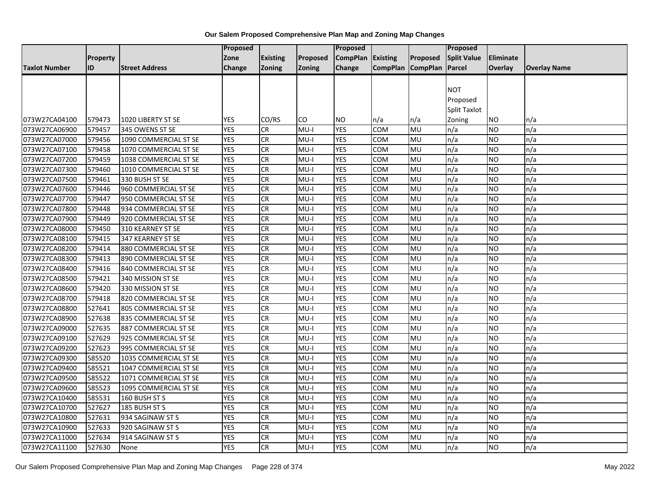|                      |          |                       | <b>Proposed</b> |                 |          | <b>Proposed</b>   |                   |           | <b>Proposed</b>    |                |                     |
|----------------------|----------|-----------------------|-----------------|-----------------|----------|-------------------|-------------------|-----------|--------------------|----------------|---------------------|
|                      | Property |                       | Zone            | <b>Existing</b> | Proposed | CompPlan Existing |                   | Proposed  | <b>Split Value</b> | Eliminate      |                     |
| <b>Taxlot Number</b> | ID       | <b>Street Address</b> | <b>Change</b>   | <b>Zoning</b>   | Zoning   | Change            | CompPlan CompPlan |           | Parcel             | <b>Overlay</b> | <b>Overlay Name</b> |
|                      |          |                       |                 |                 |          |                   |                   |           |                    |                |                     |
|                      |          |                       |                 |                 |          |                   |                   |           | <b>NOT</b>         |                |                     |
|                      |          |                       |                 |                 |          |                   |                   |           | Proposed           |                |                     |
|                      |          |                       |                 |                 |          |                   |                   |           | Split Taxlot       |                |                     |
| 073W27CA04100        | 579473   | 1020 LIBERTY ST SE    | <b>YES</b>      | CO/RS           | CO       | <b>NO</b>         | n/a               | n/a       | Zoning             | <b>NO</b>      | n/a                 |
| 073W27CA06900        | 579457   | 345 OWENS ST SE       | <b>YES</b>      | CR.             | $MU-I$   | <b>YES</b>        | <b>COM</b>        | <b>MU</b> | n/a                | <b>NO</b>      | n/a                 |
| 073W27CA07000        | 579456   | 1090 COMMERCIAL ST SE | <b>YES</b>      | ${\sf CR}$      | $MU-I$   | <b>YES</b>        | <b>COM</b>        | MU        | n/a                | <b>NO</b>      | n/a                 |
| 073W27CA07100        | 579458   | 1070 COMMERCIAL ST SE | <b>YES</b>      | CR              | $MU-I$   | <b>YES</b>        | <b>COM</b>        | MU        | n/a                | <b>NO</b>      | n/a                 |
| 073W27CA07200        | 579459   | 1038 COMMERCIAL ST SE | <b>YES</b>      | <b>CR</b>       | MU-I     | <b>YES</b>        | COM               | MU        | n/a                | <b>NO</b>      | n/a                 |
| 073W27CA07300        | 579460   | 1010 COMMERCIAL ST SE | <b>YES</b>      | CR              | $MU-I$   | <b>YES</b>        | <b>COM</b>        | MU        | n/a                | <b>NO</b>      | n/a                 |
| 073W27CA07500        | 579461   | 330 BUSH ST SE        | <b>YES</b>      | CR              | $MU-I$   | <b>YES</b>        | <b>COM</b>        | MU        | n/a                | <b>NO</b>      | n/a                 |
| 073W27CA07600        | 579446   | 960 COMMERCIAL ST SE  | <b>YES</b>      | CR              | $MU-I$   | <b>YES</b>        | COM               | MU        | n/a                | <b>NO</b>      | n/a                 |
| 073W27CA07700        | 579447   | 950 COMMERCIAL ST SE  | <b>YES</b>      | CR              | $MU-I$   | <b>YES</b>        | <b>COM</b>        | MU        | n/a                | <b>NO</b>      | n/a                 |
| 073W27CA07800        | 579448   | 934 COMMERCIAL ST SE  | <b>YES</b>      | CR              | $MU-I$   | <b>YES</b>        | <b>COM</b>        | MU        | n/a                | <b>NO</b>      | n/a                 |
| 073W27CA07900        | 579449   | 920 COMMERCIAL ST SE  | <b>YES</b>      | ${\sf CR}$      | $MU-I$   | <b>YES</b>        | COM               | MU        | n/a                | <b>NO</b>      | n/a                 |
| 073W27CA08000        | 579450   | 310 KEARNEY ST SE     | <b>YES</b>      | CR              | $MU-I$   | <b>YES</b>        | COM               | MU        | n/a                | <b>NO</b>      | n/a                 |
| 073W27CA08100        | 579415   | 347 KEARNEY ST SE     | <b>YES</b>      | ${\sf CR}$      | MU-I     | <b>YES</b>        | COM               | MU        | n/a                | <b>NO</b>      | n/a                 |
| 073W27CA08200        | 579414   | 880 COMMERCIAL ST SE  | <b>YES</b>      | <b>CR</b>       | $MU-I$   | <b>YES</b>        | COM               | MU        | n/a                | <b>NO</b>      | n/a                 |
| 073W27CA08300        | 579413   | 890 COMMERCIAL ST SE  | <b>YES</b>      | CR              | $MU-I$   | <b>YES</b>        | <b>COM</b>        | MU        | n/a                | <b>NO</b>      | n/a                 |
| 073W27CA08400        | 579416   | 840 COMMERCIAL ST SE  | <b>YES</b>      | ${\sf CR}$      | $MU-I$   | <b>YES</b>        | <b>COM</b>        | MU        | n/a                | <b>NO</b>      | n/a                 |
| 073W27CA08500        | 579421   | 340 MISSION ST SE     | <b>YES</b>      | <b>CR</b>       | $MU-I$   | <b>YES</b>        | COM               | MU        | n/a                | <b>NO</b>      | n/a                 |
| 073W27CA08600        | 579420   | 330 MISSION ST SE     | <b>YES</b>      | CR              | $MU-I$   | <b>YES</b>        | <b>COM</b>        | MU        | n/a                | NO.            | n/a                 |
| 073W27CA08700        | 579418   | 820 COMMERCIAL ST SE  | <b>YES</b>      | <b>CR</b>       | $MU-I$   | <b>YES</b>        | <b>COM</b>        | MU        | n/a                | <b>NO</b>      | n/a                 |
| 073W27CA08800        | 527641   | 805 COMMERCIAL ST SE  | <b>YES</b>      | CR              | $MU-I$   | <b>YES</b>        | COM               | MU        | n/a                | <b>NO</b>      | n/a                 |
| 073W27CA08900        | 527638   | 835 COMMERCIAL ST SE  | <b>YES</b>      | <b>CR</b>       | $MU-I$   | <b>YES</b>        | COM               | MU        | n/a                | <b>NO</b>      | n/a                 |
| 073W27CA09000        | 527635   | 887 COMMERCIAL ST SE  | <b>YES</b>      | CR              | $MU-I$   | <b>YES</b>        | <b>COM</b>        | MU        | n/a                | <b>NO</b>      | n/a                 |
| 073W27CA09100        | 527629   | 925 COMMERCIAL ST SE  | <b>YES</b>      | <b>CR</b>       | $MU-I$   | <b>YES</b>        | <b>COM</b>        | MU        | n/a                | NO             | n/a                 |
| 073W27CA09200        | 527623   | 995 COMMERCIAL ST SE  | <b>YES</b>      | CR              | $MU-I$   | <b>YES</b>        | COM               | MU        | n/a                | <b>NO</b>      | n/a                 |
| 073W27CA09300        | 585520   | 1035 COMMERCIAL ST SE | <b>YES</b>      | <b>CR</b>       | $MU-I$   | <b>YES</b>        | <b>COM</b>        | MU        | n/a                | <b>NO</b>      | n/a                 |
| 073W27CA09400        | 585521   | 1047 COMMERCIAL ST SE | <b>YES</b>      | CR              | $MU-I$   | <b>YES</b>        | <b>COM</b>        | MU        | n/a                | <b>NO</b>      | n/a                 |
| 073W27CA09500        | 585522   | 1071 COMMERCIAL ST SE | <b>YES</b>      | CR              | $MU-I$   | <b>YES</b>        | COM               | MU        | n/a                | <b>NO</b>      | n/a                 |
| 073W27CA09600        | 585523   | 1095 COMMERCIAL ST SE | <b>YES</b>      | CR              | $MU-I$   | <b>YES</b>        | <b>COM</b>        | MU        | n/a                | <b>NO</b>      | n/a                 |
| 073W27CA10400        | 585531   | 160 BUSH ST S         | <b>YES</b>      | ${\sf CR}$      | $MU-I$   | <b>YES</b>        | COM               | MU        | n/a                | <b>NO</b>      | n/a                 |
| 073W27CA10700        | 527627   | 185 BUSH ST S         | <b>YES</b>      | CR              | $MU-I$   | <b>YES</b>        | COM               | MU        | n/a                | <b>NO</b>      | n/a                 |
| 073W27CA10800        | 527631   | 934 SAGINAW ST S      | <b>YES</b>      | CR              | $MU-I$   | <b>YES</b>        | <b>COM</b>        | MU        | n/a                | NO             | n/a                 |
| 073W27CA10900        | 527633   | 920 SAGINAW ST S      | <b>YES</b>      | <b>CR</b>       | $MU-I$   | <b>YES</b>        | <b>COM</b>        | MU        | n/a                | <b>NO</b>      | n/a                 |
| 073W27CA11000        | 527634   | 914 SAGINAW ST S      | <b>YES</b>      | CR              | MU-I     | <b>YES</b>        | <b>COM</b>        | MU        | n/a                | <b>NO</b>      | n/a                 |
| 073W27CA11100        | 527630   | None                  | <b>YES</b>      | <b>CR</b>       | MU-I     | <b>YES</b>        | <b>COM</b>        | MU        | n/a                | NO.            | n/a                 |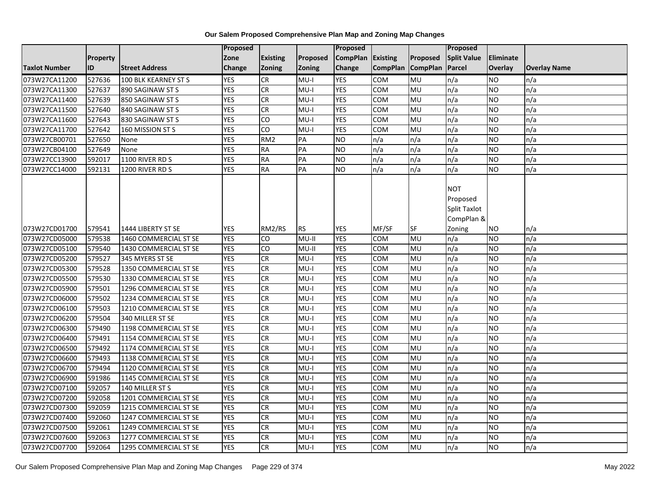|                      |           |                       | Proposed   |                 |               | <b>Proposed</b>   |                 |                 | <b>Proposed</b>                                             |           |                     |
|----------------------|-----------|-----------------------|------------|-----------------|---------------|-------------------|-----------------|-----------------|-------------------------------------------------------------|-----------|---------------------|
|                      | Property  |                       | Zone       | <b>Existing</b> | Proposed      | CompPlan Existing |                 | Proposed        | <b>Split Value</b>                                          | Eliminate |                     |
| <b>Taxlot Number</b> | <b>ID</b> | <b>Street Address</b> | Change     | Zoning          | <b>Zoning</b> | Change            | <b>CompPlan</b> | <b>CompPlan</b> | Parcel                                                      | Overlay   | <b>Overlay Name</b> |
| 073W27CA11200        | 527636    | 100 BLK KEARNEY ST S  | <b>YES</b> | <b>CR</b>       | $MU-I$        | <b>YES</b>        | <b>COM</b>      | MU              | n/a                                                         | NO        | n/a                 |
| 073W27CA11300        | 527637    | 890 SAGINAW ST S      | <b>YES</b> | CR              | $MU-I$        | <b>YES</b>        | COM             | MU              | n/a                                                         | NO.       | n/a                 |
| 073W27CA11400        | 527639    | 850 SAGINAW ST S      | <b>YES</b> | CR              | $MU-I$        | <b>YES</b>        | COM             | MU              | n/a                                                         | NO.       | n/a                 |
| 073W27CA11500        | 527640    | 840 SAGINAW ST S      | <b>YES</b> | <b>CR</b>       | MU-I          | <b>YES</b>        | COM             | MU              | n/a                                                         | NO.       | n/a                 |
| 073W27CA11600        | 527643    | 830 SAGINAW ST S      | <b>YES</b> | CO              | $MU-I$        | <b>YES</b>        | COM             | MU              | n/a                                                         | NO.       | n/a                 |
| 073W27CA11700        | 527642    | 160 MISSION ST S      | <b>YES</b> | CO              | MU-I          | <b>YES</b>        | <b>COM</b>      | MU              | n/a                                                         | NO.       | n/a                 |
| 073W27CB00701        | 527650    | None                  | <b>YES</b> | RM <sub>2</sub> | PA            | <b>NO</b>         | n/a             | n/a             | n/a                                                         | NO.       | n/a                 |
| 073W27CB04100        | 527649    | None                  | <b>YES</b> | RA              | PA            | <b>NO</b>         | n/a             | n/a             | n/a                                                         | NO.       | n/a                 |
| 073W27CC13900        | 592017    | 1100 RIVER RD S       | <b>YES</b> | <b>RA</b>       | PA            | <b>NO</b>         | n/a             | n/a             | n/a                                                         | NO.       | n/a                 |
| 073W27CC14000        | 592131    | 1200 RIVER RD S       | <b>YES</b> | <b>RA</b>       | PA            | <b>NO</b>         | n/a             | n/a             | n/a                                                         | NO.       | n/a                 |
|                      |           |                       |            |                 |               |                   |                 |                 | <b>NOT</b><br>Proposed<br><b>Split Taxlot</b><br>CompPlan & |           |                     |
| 073W27CD01700        | 579541    | 1444 LIBERTY ST SE    | <b>YES</b> | RM2/RS          | <b>RS</b>     | <b>YES</b>        | MF/SF           | <b>SF</b>       | Zoning                                                      | ΝO        | n/a                 |
| 073W27CD05000        | 579538    | 1460 COMMERCIAL ST SE | <b>YES</b> | CO              | $MU-II$       | <b>YES</b>        | COM             | MU              | n/a                                                         | NO.       | n/a                 |
| 073W27CD05100        | 579540    | 1430 COMMERCIAL ST SE | <b>YES</b> | CO              | MU-II         | <b>YES</b>        | <b>COM</b>      | MU              | n/a                                                         | NO        | n/a                 |
| 073W27CD05200        | 579527    | 345 MYERS ST SE       | <b>YES</b> | CR              | $MU-I$        | <b>YES</b>        | <b>COM</b>      | MU              | n/a                                                         | NO.       | n/a                 |
| 073W27CD05300        | 579528    | 1350 COMMERCIAL ST SE | <b>YES</b> | CR              | MU-I          | <b>YES</b>        | COM             | MU              | n/a                                                         | NO.       | n/a                 |
| 073W27CD05500        | 579530    | 1330 COMMERCIAL ST SE | <b>YES</b> | <b>CR</b>       | MU-I          | <b>YES</b>        | COM             | MU              | n/a                                                         | <b>NO</b> | n/a                 |
| 073W27CD05900        | 579501    | 1296 COMMERCIAL ST SE | <b>YES</b> | <b>CR</b>       | MU-I          | <b>YES</b>        | COM             | MU              | n/a                                                         | NO.       | n/a                 |
| 073W27CD06000        | 579502    | 1234 COMMERCIAL ST SE | <b>YES</b> | <b>CR</b>       | I-UM          | <b>YES</b>        | <b>COM</b>      | <b>MU</b>       | n/a                                                         | NO.       | n/a                 |
| 073W27CD06100        | 579503    | 1210 COMMERCIAL ST SE | <b>YES</b> | <b>CR</b>       | $MU-I$        | <b>YES</b>        | COM             | MU              | n/a                                                         | NO.       | n/a                 |
| 073W27CD06200        | 579504    | 340 MILLER ST SE      | <b>YES</b> | <b>CR</b>       | MU-I          | <b>YES</b>        | COM             | MU              | n/a                                                         | NO.       | n/a                 |
| 073W27CD06300        | 579490    | 1198 COMMERCIAL ST SE | <b>YES</b> | CR              | $MU-I$        | <b>YES</b>        | <b>COM</b>      | MU              | n/a                                                         | NO.       | n/a                 |
| 073W27CD06400        | 579491    | 1154 COMMERCIAL ST SE | <b>YES</b> | <b>CR</b>       | $MU-I$        | <b>YES</b>        | <b>COM</b>      | MU              | n/a                                                         | <b>NO</b> | n/a                 |
| 073W27CD06500        | 579492    | 1174 COMMERCIAL ST SE | <b>YES</b> | <b>CR</b>       | $MU-I$        | <b>YES</b>        | COM             | MU              | n/a                                                         | NO.       | n/a                 |
| 073W27CD06600        | 579493    | 1138 COMMERCIAL ST SE | <b>YES</b> | <b>CR</b>       | $MU-I$        | <b>YES</b>        | COM             | MU              | n/a                                                         | NO.       | n/a                 |
| 073W27CD06700        | 579494    | 1120 COMMERCIAL ST SE | <b>YES</b> | <b>CR</b>       | MU-I          | <b>YES</b>        | <b>COM</b>      | MU              | n/a                                                         | NO.       | n/a                 |
| 073W27CD06900        | 591986    | 1145 COMMERCIAL ST SE | <b>YES</b> | CR              | MU-I          | <b>YES</b>        | COM             | MU              | n/a                                                         | <b>NO</b> | n/a                 |
| 073W27CD07100        | 592057    | 140 MILLER ST S       | <b>YES</b> | CR              | $MU-I$        | <b>YES</b>        | COM             | MU              | n/a                                                         | <b>NO</b> | n/a                 |
| 073W27CD07200        | 592058    | 1201 COMMERCIAL ST SE | <b>YES</b> | <b>CR</b>       | MU-I          | <b>YES</b>        | COM             | MU              | n/a                                                         | NO.       | n/a                 |
| 073W27CD07300        | 592059    | 1215 COMMERCIAL ST SE | <b>YES</b> | CR              | $MU-I$        | <b>YES</b>        | COM             | MU              | n/a                                                         | NO.       | n/a                 |
| 073W27CD07400        | 592060    | 1247 COMMERCIAL ST SE | <b>YES</b> | CR              | $MU-I$        | <b>YES</b>        | <b>COM</b>      | MU              | n/a                                                         | <b>NO</b> | n/a                 |
| 073W27CD07500        | 592061    | 1249 COMMERCIAL ST SE | <b>YES</b> | ${\sf CR}$      | MU-I          | <b>YES</b>        | <b>COM</b>      | MU              | n/a                                                         | NO.       | n/a                 |
| 073W27CD07600        | 592063    | 1277 COMMERCIAL ST SE | <b>YES</b> | <b>CR</b>       | $MU-I$        | <b>YES</b>        | COM             | MU              | n/a                                                         | NO.       | n/a                 |
| 073W27CD07700        | 592064    | 1295 COMMERCIAL ST SE | <b>YES</b> | CR              | MU-I          | <b>YES</b>        | <b>COM</b>      | <b>MU</b>       | n/a                                                         | NO.       | n/a                 |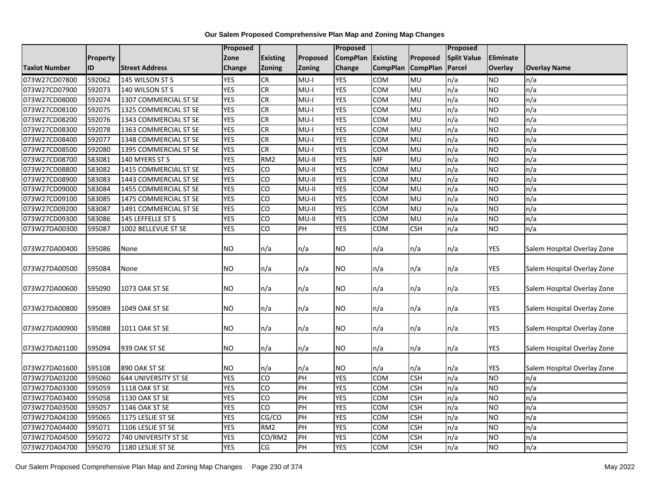|               |          |                       | Proposed   |                 |               | <b>Proposed</b> |                 |                 | <b>Proposed</b>    |            |                             |
|---------------|----------|-----------------------|------------|-----------------|---------------|-----------------|-----------------|-----------------|--------------------|------------|-----------------------------|
|               | Property |                       | Zone       | <b>Existing</b> | Proposed      | <b>CompPlan</b> | Existing        | Proposed        | <b>Split Value</b> | Eliminate  |                             |
| Taxlot Number | ID       | <b>Street Address</b> | Change     | Zoning          | <b>Zoning</b> | <b>Change</b>   | <b>CompPlan</b> | <b>CompPlan</b> | Parcel             | Overlay    | <b>Overlay Name</b>         |
| 073W27CD07800 | 592062   | 145 WILSON ST S       | <b>YES</b> | CR              | $MU-I$        | <b>YES</b>      | <b>COM</b>      | <b>MU</b>       | n/a                | <b>NO</b>  | n/a                         |
| 073W27CD07900 | 592073   | 140 WILSON ST S       | <b>YES</b> | <b>CR</b>       | $MU-I$        | <b>YES</b>      | <b>COM</b>      | MU              | n/a                | <b>NO</b>  | n/a                         |
| 073W27CD08000 | 592074   | 1307 COMMERCIAL ST SE | <b>YES</b> | <b>CR</b>       | $MU-I$        | <b>YES</b>      | <b>COM</b>      | MU              | n/a                | <b>NO</b>  | n/a                         |
| 073W27CD08100 | 592075   | 1325 COMMERCIAL ST SE | <b>YES</b> | CR              | $MU-I$        | <b>YES</b>      | COM             | MU              | n/a                | <b>NO</b>  | n/a                         |
| 073W27CD08200 | 592076   | 1343 COMMERCIAL ST SE | <b>YES</b> | <b>CR</b>       | $MU-I$        | <b>YES</b>      | COM             | MU              | n/a                | <b>NO</b>  | n/a                         |
| 073W27CD08300 | 592078   | 1363 COMMERCIAL ST SE | <b>YES</b> | CR              | $MU-I$        | <b>YES</b>      | COM             | MU              | n/a                | <b>NO</b>  | n/a                         |
| 073W27CD08400 | 592077   | 1348 COMMERCIAL ST SE | <b>YES</b> | <b>CR</b>       | $MU-I$        | <b>YES</b>      | COM             | MU              | n/a                | <b>NO</b>  | n/a                         |
| 073W27CD08500 | 592080   | 1395 COMMERCIAL ST SE | <b>YES</b> | CR              | $MU-I$        | <b>YES</b>      | <b>COM</b>      | MU              | n/a                | <b>NO</b>  | n/a                         |
| 073W27CD08700 | 583081   | 140 MYERS ST S        | <b>YES</b> | RM <sub>2</sub> | MU-II         | <b>YES</b>      | MF              | MU              | n/a                | <b>NO</b>  | n/a                         |
| 073W27CD08800 | 583082   | 1415 COMMERCIAL ST SE | <b>YES</b> | $\overline{c}$  | $MU-II$       | <b>YES</b>      | <b>COM</b>      | MU              | n/a                | <b>NO</b>  | n/a                         |
| 073W27CD08900 | 583083   | 1443 COMMERCIAL ST SE | <b>YES</b> | $\overline{c}$  | $MU-II$       | <b>YES</b>      | COM             | MU              | n/a                | <b>NO</b>  | n/a                         |
| 073W27CD09000 | 583084   | 1455 COMMERCIAL ST SE | <b>YES</b> | CO              | $MU-II$       | <b>YES</b>      | COM             | MU              | n/a                | <b>NO</b>  | n/a                         |
| 073W27CD09100 | 583085   | 1475 COMMERCIAL ST SE | <b>YES</b> | $\overline{c}$  | $MU-II$       | <b>YES</b>      | <b>COM</b>      | MU              | n/a                | <b>NO</b>  | n/a                         |
| 073W27CD09200 | 583087   | 1491 COMMERCIAL ST SE | <b>YES</b> | S               | $MU-II$       | <b>YES</b>      | COM             | MU              | n/a                | <b>NO</b>  | n/a                         |
| 073W27CD09300 | 583086   | 145 LEFFELLE ST S     | <b>YES</b> | CO              | MU-II         | <b>YES</b>      | COM             | MU              | n/a                | <b>NO</b>  | n/a                         |
| 073W27DA00300 | 595087   | 1002 BELLEVUE ST SE   | <b>YES</b> | $\overline{c}$  | PH            | <b>YES</b>      | COM             | <b>CSH</b>      | n/a                | <b>NO</b>  | n/a                         |
| 073W27DA00400 | 595086   | None                  | <b>NO</b>  | n/a             | n/a           | NO.             | n/a             | n/a             | n/a                | <b>YES</b> | Salem Hospital Overlay Zone |
| 073W27DA00500 | 595084   | None                  | <b>NO</b>  | n/a             | n/a           | <b>NO</b>       | n/a             | n/a             | n/a                | <b>YES</b> | Salem Hospital Overlay Zone |
| 073W27DA00600 | 595090   | 1073 OAK ST SE        | <b>NO</b>  | n/a             | n/a           | NO.             | n/a             | n/a             | n/a                | YES        | Salem Hospital Overlay Zone |
| 073W27DA00800 | 595089   | 1049 OAK ST SE        | <b>NO</b>  | n/a             | n/a           | NO.             | n/a             | n/a             | n/a                | <b>YES</b> | Salem Hospital Overlay Zone |
| 073W27DA00900 | 595088   | 1011 OAK ST SE        | <b>NO</b>  | n/a             | n/a           | NO.             | n/a             | n/a             | n/a                | YES        | Salem Hospital Overlay Zone |
| 073W27DA01100 | 595094   | 939 OAK ST SE         | <b>NO</b>  | n/a             | n/a           | NO.             | n/a             | n/a             | n/a                | <b>YES</b> | Salem Hospital Overlay Zone |
| 073W27DA01600 | 595108   | 890 OAK ST SE         | <b>NO</b>  | n/a             | n/a           | <b>NO</b>       | n/a             | n/a             | n/a                | YES        | Salem Hospital Overlay Zone |
| 073W27DA03200 | 595060   | 644 UNIVERSITY ST SE  | <b>YES</b> | CO              | PH            | <b>YES</b>      | COM             | <b>CSH</b>      | n/a                | <b>NO</b>  | n/a                         |
| 073W27DA03300 | 595059   | <b>1118 OAK ST SE</b> | <b>YES</b> | $\overline{c}$  | PH            | <b>YES</b>      | COM             | <b>CSH</b>      | n/a                | <b>NO</b>  | n/a                         |
| 073W27DA03400 | 595058   | 1130 OAK ST SE        | <b>YES</b> | CO              | PH            | <b>YES</b>      | COM             | <b>CSH</b>      | n/a                | <b>NO</b>  | n/a                         |
| 073W27DA03500 | 595057   | 1146 OAK ST SE        | <b>YES</b> | $\overline{c}$  | PH            | <b>YES</b>      | COM             | <b>CSH</b>      | n/a                | <b>NO</b>  | n/a                         |
| 073W27DA04100 | 595065   | 1175 LESLIE ST SE     | <b>YES</b> | CG/CO           | PH            | <b>YES</b>      | COM             | <b>CSH</b>      | n/a                | <b>NO</b>  | n/a                         |
| 073W27DA04400 | 595071   | 1106 LESLIE ST SE     | <b>YES</b> | RM <sub>2</sub> | PH            | <b>YES</b>      | COM             | <b>CSH</b>      | n/a                | <b>NO</b>  | n/a                         |
| 073W27DA04500 | 595072   | 740 UNIVERSITY ST SE  | <b>YES</b> | CO/RM2          | PH            | <b>YES</b>      | COM             | <b>CSH</b>      | n/a                | <b>NO</b>  | n/a                         |
| 073W27DA04700 | 595070   | 1180 LESLIE ST SE     | <b>YES</b> | CG              | PH            | <b>YES</b>      | <b>COM</b>      | <b>CSH</b>      | n/a                | <b>NO</b>  | n/a                         |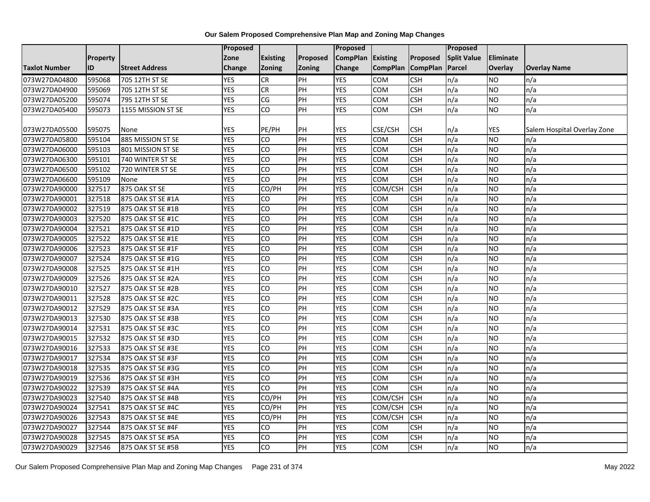|                      |          |                       | Proposed   |                 |          | Proposed        |                 |                 | Proposed           |                  |                             |
|----------------------|----------|-----------------------|------------|-----------------|----------|-----------------|-----------------|-----------------|--------------------|------------------|-----------------------------|
|                      | Property |                       | Zone       | <b>Existing</b> | Proposed | <b>CompPlan</b> | Existing        | Proposed        | <b>Split Value</b> | <b>Eliminate</b> |                             |
| <b>Taxlot Number</b> | ID       | <b>Street Address</b> | Change     | <b>Zoning</b>   | Zoning   | Change          | <b>CompPlan</b> | <b>CompPlan</b> | Parcel             | <b>Overlay</b>   | <b>Overlay Name</b>         |
| 073W27DA04800        | 595068   | 705 12TH ST SE        | <b>YES</b> | <b>CR</b>       | PH       | <b>YES</b>      | COM             | <b>CSH</b>      | n/a                | <b>NO</b>        | n/a                         |
| 073W27DA04900        | 595069   | 705 12TH ST SE        | <b>YES</b> | <b>CR</b>       | PH       | <b>YES</b>      | <b>COM</b>      | <b>CSH</b>      | n/a                | <b>NO</b>        | n/a                         |
| 073W27DA05200        | 595074   | 795 12TH ST SE        | <b>YES</b> | CG              | PH       | <b>YES</b>      | COM             | <b>CSH</b>      | n/a                | <b>NO</b>        | n/a                         |
| 073W27DA05400        | 595073   | 1155 MISSION ST SE    | <b>YES</b> | CO              | PH       | <b>YES</b>      | COM             | <b>CSH</b>      | n/a                | <b>NO</b>        | n/a                         |
|                      |          |                       |            |                 |          |                 |                 |                 |                    |                  |                             |
| 073W27DA05500        | 595075   | None                  | <b>YES</b> | PE/PH           | PH       | <b>YES</b>      | CSE/CSH         | <b>CSH</b>      | n/a                | YES              | Salem Hospital Overlay Zone |
| 073W27DA05800        | 595104   | 885 MISSION ST SE     | <b>YES</b> | CO              | PH       | <b>YES</b>      | COM             | <b>CSH</b>      | n/a                | <b>NO</b>        | n/a                         |
| 073W27DA06000        | 595103   | 801 MISSION ST SE     | <b>YES</b> | CO              | PH       | <b>YES</b>      | COM             | <b>CSH</b>      | n/a                | <b>NO</b>        | n/a                         |
| 073W27DA06300        | 595101   | 740 WINTER ST SE      | <b>YES</b> | CO              | PH       | <b>YES</b>      | <b>COM</b>      | <b>CSH</b>      | n/a                | <b>NO</b>        | n/a                         |
| 073W27DA06500        | 595102   | 720 WINTER ST SE      | <b>YES</b> | CO              | PH       | <b>YES</b>      | COM             | <b>CSH</b>      | n/a                | <b>NO</b>        | n/a                         |
| 073W27DA06600        | 595109   | None                  | <b>YES</b> | CO              | PH       | <b>YES</b>      | COM             | <b>CSH</b>      | n/a                | <b>NO</b>        | n/a                         |
| 073W27DA90000        | 327517   | 875 OAK ST SE         | <b>YES</b> | CO/PH           | PH       | <b>YES</b>      | COM/CSH         | <b>CSH</b>      | n/a                | <b>NO</b>        | n/a                         |
| 073W27DA90001        | 327518   | 875 OAK ST SE #1A     | <b>YES</b> | CO              | PH       | <b>YES</b>      | COM             | <b>CSH</b>      | n/a                | <b>NO</b>        | n/a                         |
| 073W27DA90002        | 327519   | 875 OAK ST SE #1B     | <b>YES</b> | CO              | PH       | <b>YES</b>      | <b>COM</b>      | <b>CSH</b>      | n/a                | <b>NO</b>        | n/a                         |
| 073W27DA90003        | 327520   | 875 OAK ST SE #1C     | <b>YES</b> | CO              | PH       | <b>YES</b>      | COM             | <b>CSH</b>      | n/a                | <b>NO</b>        | n/a                         |
| 073W27DA90004        | 327521   | 875 OAK ST SE #1D     | <b>YES</b> | CO              | PH       | <b>YES</b>      | COM             | <b>CSH</b>      | n/a                | <b>NO</b>        | n/a                         |
| 073W27DA90005        | 327522   | 875 OAK ST SE #1E     | <b>YES</b> | CO              | PH       | <b>YES</b>      | COM             | <b>CSH</b>      | n/a                | <b>NO</b>        | n/a                         |
| 073W27DA90006        | 327523   | 875 OAK ST SE #1F     | <b>YES</b> | CO              | PH       | <b>YES</b>      | <b>COM</b>      | <b>CSH</b>      | n/a                | <b>NO</b>        | n/a                         |
| 073W27DA90007        | 327524   | 875 OAK ST SE #1G     | <b>YES</b> | CO              | PH       | <b>YES</b>      | COM             | <b>CSH</b>      | n/a                | <b>NO</b>        | n/a                         |
| 073W27DA90008        | 327525   | 875 OAK ST SE #1H     | <b>YES</b> | CO              | PH       | <b>YES</b>      | COM             | <b>CSH</b>      | n/a                | <b>NO</b>        | n/a                         |
| 073W27DA90009        | 327526   | 875 OAK ST SE #2A     | <b>YES</b> | CO              | PH       | <b>YES</b>      | <b>COM</b>      | <b>CSH</b>      | n/a                | <b>NO</b>        | n/a                         |
| 073W27DA90010        | 327527   | 875 OAK ST SE #2B     | <b>YES</b> | $\overline{c}$  | PH       | <b>YES</b>      | <b>COM</b>      | <b>CSH</b>      | n/a                | <b>NO</b>        | n/a                         |
| 073W27DA90011        | 327528   | 875 OAK ST SE #2C     | <b>YES</b> | CO              | PH       | <b>YES</b>      | COM             | <b>CSH</b>      | n/a                | <b>NO</b>        | n/a                         |
| 073W27DA90012        | 327529   | 875 OAK ST SE #3A     | <b>YES</b> | CO              | PH       | <b>YES</b>      | COM             | <b>CSH</b>      | n/a                | <b>NO</b>        | n/a                         |
| 073W27DA90013        | 327530   | 875 OAK ST SE #3B     | <b>YES</b> | CO              | PH       | <b>YES</b>      | <b>COM</b>      | <b>CSH</b>      | n/a                | <b>NO</b>        | n/a                         |
| 073W27DA90014        | 327531   | 875 OAK ST SE #3C     | <b>YES</b> | CO              | PH       | <b>YES</b>      | COM             | <b>CSH</b>      | n/a                | <b>NO</b>        | n/a                         |
| 073W27DA90015        | 327532   | 875 OAK ST SE #3D     | <b>YES</b> | CO              | PH       | <b>YES</b>      | COM             | <b>CSH</b>      | n/a                | <b>NO</b>        | n/a                         |
| 073W27DA90016        | 327533   | 875 OAK ST SE #3E     | <b>YES</b> | CO              | PH       | <b>YES</b>      | <b>COM</b>      | <b>CSH</b>      | n/a                | <b>NO</b>        | n/a                         |
| 073W27DA90017        | 327534   | 875 OAK ST SE #3F     | <b>YES</b> | CO              | PH       | <b>YES</b>      | COM             | <b>CSH</b>      | n/a                | <b>NO</b>        | n/a                         |
| 073W27DA90018        | 327535   | 875 OAK ST SE #3G     | <b>YES</b> | CO              | PH       | <b>YES</b>      | <b>COM</b>      | <b>CSH</b>      | n/a                | <b>NO</b>        | n/a                         |
| 073W27DA90019        | 327536   | 875 OAK ST SE #3H     | <b>YES</b> | CO              | PH       | <b>YES</b>      | COM             | <b>CSH</b>      | n/a                | <b>NO</b>        | n/a                         |
| 073W27DA90022        | 327539   | 875 OAK ST SE #4A     | <b>YES</b> | CO              | PH       | <b>YES</b>      | COM             | <b>CSH</b>      | n/a                | <b>NO</b>        | n/a                         |
| 073W27DA90023        | 327540   | 875 OAK ST SE #4B     | <b>YES</b> | CO/PH           | PH       | <b>YES</b>      | COM/CSH         | <b>CSH</b>      | n/a                | <b>NO</b>        | n/a                         |
| 073W27DA90024        | 327541   | 875 OAK ST SE #4C     | <b>YES</b> | CO/PH           | PH       | <b>YES</b>      | COM/CSH         | <b>CSH</b>      | n/a                | <b>NO</b>        | n/a                         |
| 073W27DA90026        | 327543   | 875 OAK ST SE #4E     | <b>YES</b> | CO/PH           | PH       | <b>YES</b>      | COM/CSH         | <b>CSH</b>      | n/a                | <b>NO</b>        | n/a                         |
| 073W27DA90027        | 327544   | 875 OAK ST SE #4F     | <b>YES</b> | CO              | PH       | <b>YES</b>      | COM             | <b>CSH</b>      | n/a                | <b>NO</b>        | n/a                         |
| 073W27DA90028        | 327545   | 875 OAK ST SE #5A     | <b>YES</b> | CO              | PH       | <b>YES</b>      | COM             | <b>CSH</b>      | n/a                | <b>NO</b>        | n/a                         |
| 073W27DA90029        | 327546   | 875 OAK ST SE #5B     | <b>YES</b> | $\overline{c}$  | PH       | <b>YES</b>      | <b>COM</b>      | <b>CSH</b>      | n/a                | <b>NO</b>        | n/a                         |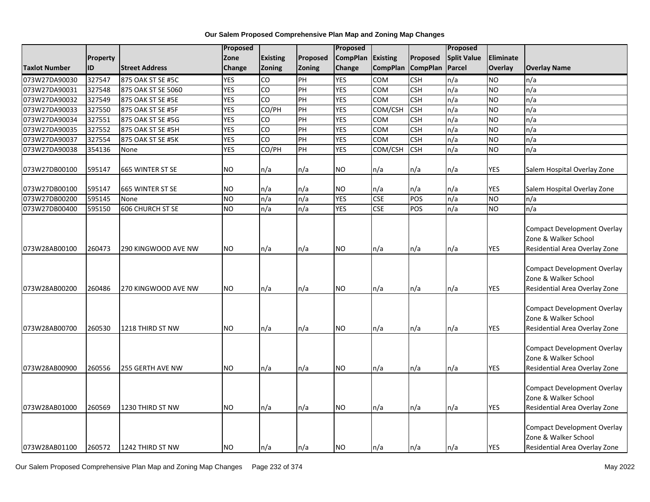|                                |                 |                          | Proposed       |                 |          | Proposed        |                   |                 | Proposed           |            |                                                                                             |
|--------------------------------|-----------------|--------------------------|----------------|-----------------|----------|-----------------|-------------------|-----------------|--------------------|------------|---------------------------------------------------------------------------------------------|
|                                | <b>Property</b> |                          | Zone           | <b>Existing</b> | Proposed | <b>CompPlan</b> | <b>Existing</b>   | Proposed        | <b>Split Value</b> | Eliminate  |                                                                                             |
| <b>Taxlot Number</b>           | ID              | <b>Street Address</b>    | Change         | <b>Zoning</b>   | Zoning   | Change          | <b>CompPlan</b>   | <b>CompPlan</b> | <b>Parcel</b>      | Overlay    | <b>Overlay Name</b>                                                                         |
| 073W27DA90030                  | 327547          | 875 OAK ST SE #5C        | <b>YES</b>     | CO              | PH       | <b>YES</b>      | <b>COM</b>        | <b>CSH</b>      | n/a                | <b>NO</b>  | n/a                                                                                         |
| 073W27DA90031                  | 327548          | 875 OAK ST SE 5060       | <b>YES</b>     | CO              | PH       | <b>YES</b>      | <b>COM</b>        | <b>CSH</b>      | n/a                | <b>NO</b>  | n/a                                                                                         |
| 073W27DA90032                  | 327549          | 875 OAK ST SE #5E        | <b>YES</b>     | CO              | PH       | <b>YES</b>      | COM               | <b>CSH</b>      | n/a                | <b>NO</b>  | n/a                                                                                         |
| 073W27DA90033                  | 327550          | 875 OAK ST SE #5F        | <b>YES</b>     | CO/PH           | PH       | <b>YES</b>      | COM/CSH           | <b>CSH</b>      | n/a                | <b>NO</b>  | n/a                                                                                         |
| 073W27DA90034                  | 327551          | 875 OAK ST SE #5G        | <b>YES</b>     | CO              | PH       | <b>YES</b>      | COM               | <b>CSH</b>      | n/a                | <b>NO</b>  | n/a                                                                                         |
| 073W27DA90035                  | 327552          | 875 OAK ST SE #5H        | <b>YES</b>     | $\overline{c}$  | PH       | <b>YES</b>      | COM               | <b>CSH</b>      | n/a                | <b>NO</b>  | n/a                                                                                         |
| 073W27DA90037                  | 327554          | 875 OAK ST SE #5K        | <b>YES</b>     | CO              | PH       | <b>YES</b>      | COM               | <b>CSH</b>      | n/a                | <b>NO</b>  | n/a                                                                                         |
| 073W27DA90038                  | 354136          | None                     | <b>YES</b>     | CO/PH           | PH       | <b>YES</b>      | COM/CSH           | <b>CSH</b>      | n/a                | <b>NO</b>  | n/a                                                                                         |
| 073W27DB00100                  | 595147          | 665 WINTER ST SE         | NO.            | n/a             | n/a      | <b>NO</b>       | n/a               | n/a             | n/a                | <b>YES</b> | Salem Hospital Overlay Zone                                                                 |
|                                | 595147          |                          | NO.            |                 | n/a      | <b>NO</b>       |                   | n/a             |                    | YES        |                                                                                             |
| 073W27DB00100<br>073W27DB00200 | 595145          | 665 WINTER ST SE<br>None | ZО             | n/a<br>n/a      | n/a      | <b>YES</b>      | n/a<br><b>CSE</b> | POS             | n/a<br>n/a         | <b>NO</b>  | Salem Hospital Overlay Zone<br>n/a                                                          |
| 073W27DB00400                  | 595150          | 606 CHURCH ST SE         | N <sub>O</sub> | n/a             | n/a      | <b>YES</b>      | <b>CSE</b>        | POS             | n/a                | <b>NO</b>  | n/a                                                                                         |
|                                |                 |                          |                |                 |          |                 |                   |                 |                    |            |                                                                                             |
| 073W28AB00100                  | 260473          | 290 KINGWOOD AVE NW      | NO.            | n/a             | n/a      | <b>NO</b>       | n/a               | n/a             | n/a                | <b>YES</b> | <b>Compact Development Overlay</b><br>Zone & Walker School<br>Residential Area Overlay Zone |
| 073W28AB00200                  | 260486          | 270 KINGWOOD AVE NW      | <b>NO</b>      | n/a             | n/a      | <b>NO</b>       | n/a               | n/a             | n/a                | <b>YES</b> | <b>Compact Development Overlay</b><br>Zone & Walker School<br>Residential Area Overlay Zone |
| 073W28AB00700                  | 260530          | 1218 THIRD ST NW         | NO.            | n/a             | n/a      | <b>NO</b>       | n/a               | n/a             | n/a                | <b>YES</b> | <b>Compact Development Overlay</b><br>Zone & Walker School<br>Residential Area Overlay Zone |
| 073W28AB00900                  | 260556          | 255 GERTH AVE NW         | NO.            | n/a             | n/a      | <b>NO</b>       | n/a               | n/a             | n/a                | <b>YES</b> | <b>Compact Development Overlay</b><br>Zone & Walker School<br>Residential Area Overlay Zone |
| 073W28AB01000                  | 260569          | 1230 THIRD ST NW         | NO.            | n/a             | n/a      | <b>NO</b>       | n/a               | n/a             | n/a                | <b>YES</b> | <b>Compact Development Overlay</b><br>Zone & Walker School<br>Residential Area Overlay Zone |
| 073W28AB01100                  | 260572          | 1242 THIRD ST NW         | <b>NO</b>      | n/a             | n/a      | <b>NO</b>       | n/a               | n/a             | n/a                | <b>YES</b> | <b>Compact Development Overlay</b><br>Zone & Walker School<br>Residential Area Overlay Zone |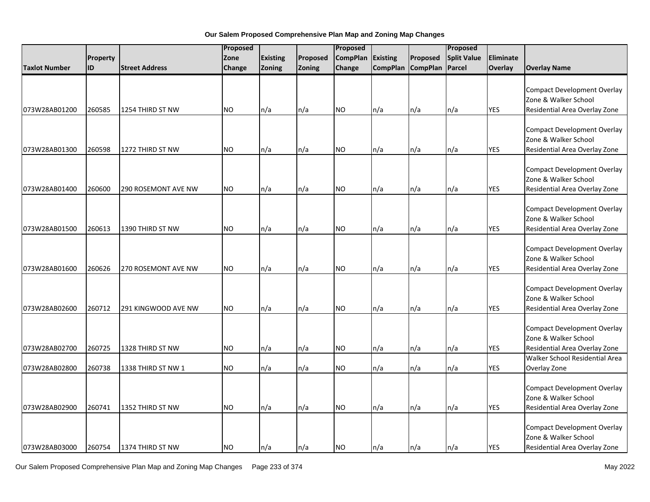|               |          |                            | Proposed  |                 |          | Proposed        |                 |                   | Proposed           |            |                                                                                                                               |
|---------------|----------|----------------------------|-----------|-----------------|----------|-----------------|-----------------|-------------------|--------------------|------------|-------------------------------------------------------------------------------------------------------------------------------|
|               | Property |                            | Zone      | <b>Existing</b> | Proposed | <b>CompPlan</b> | <b>Existing</b> | Proposed          | <b>Split Value</b> | Eliminate  |                                                                                                                               |
| Taxlot Number | ID       | <b>Street Address</b>      | Change    | <b>Zoning</b>   | Zoning   | Change          |                 | CompPlan CompPlan | Parcel             | Overlay    | <b>Overlay Name</b>                                                                                                           |
| 073W28AB01200 | 260585   | 1254 THIRD ST NW           | NO.       | n/a             | n/a      | <b>NO</b>       | n/a             | n/a               | n/a                | <b>YES</b> | <b>Compact Development Overlay</b><br>Zone & Walker School<br>Residential Area Overlay Zone                                   |
| 073W28AB01300 | 260598   | 1272 THIRD ST NW           | <b>NO</b> | n/a             | n/a      | NO.             | n/a             | n/a               | n/a                | <b>YES</b> | <b>Compact Development Overlay</b><br>Zone & Walker School<br>Residential Area Overlay Zone                                   |
| 073W28AB01400 | 260600   | 290 ROSEMONT AVE NW        | <b>NO</b> | n/a             | n/a      | <b>NO</b>       | n/a             | n/a               | n/a                | YES        | <b>Compact Development Overlay</b><br>Zone & Walker School<br>Residential Area Overlay Zone                                   |
| 073W28AB01500 | 260613   | 1390 THIRD ST NW           | <b>NO</b> | n/a             | n/a      | <b>NO</b>       | n/a             | n/a               | n/a                | YES        | <b>Compact Development Overlay</b><br>Zone & Walker School<br>Residential Area Overlay Zone                                   |
| 073W28AB01600 | 260626   | <b>270 ROSEMONT AVE NW</b> | <b>NO</b> | n/a             | n/a      | <b>NO</b>       | n/a             | n/a               | n/a                | <b>YES</b> | <b>Compact Development Overlay</b><br>Zone & Walker School<br>Residential Area Overlay Zone                                   |
| 073W28AB02600 | 260712   | 291 KINGWOOD AVE NW        | <b>NO</b> | n/a             | n/a      | <b>NO</b>       | n/a             | n/a               | n/a                | <b>YES</b> | <b>Compact Development Overlay</b><br>Zone & Walker School<br>Residential Area Overlay Zone                                   |
| 073W28AB02700 | 260725   | 1328 THIRD ST NW           | <b>NO</b> | n/a             | n/a      | <b>NO</b>       | n/a             | n/a               | n/a                | <b>YES</b> | <b>Compact Development Overlay</b><br>Zone & Walker School<br>Residential Area Overlay Zone<br>Walker School Residential Area |
| 073W28AB02800 | 260738   | 1338 THIRD ST NW 1         | <b>NO</b> | n/a             | n/a      | <b>NO</b>       | n/a             | n/a               | n/a                | YES        | Overlay Zone                                                                                                                  |
| 073W28AB02900 | 260741   | 1352 THIRD ST NW           | NO.       | n/a             | n/a      | <b>NO</b>       | n/a             | n/a               | n/a                | <b>YES</b> | <b>Compact Development Overlay</b><br>Zone & Walker School<br>Residential Area Overlay Zone                                   |
| 073W28AB03000 | 260754   | 1374 THIRD ST NW           | <b>NO</b> | ln/a            | n/a      | <b>NO</b>       | n/a             | n/a               | $\ln/a$            | <b>YES</b> | <b>Compact Development Overlay</b><br>Zone & Walker School<br>Residential Area Overlay Zone                                   |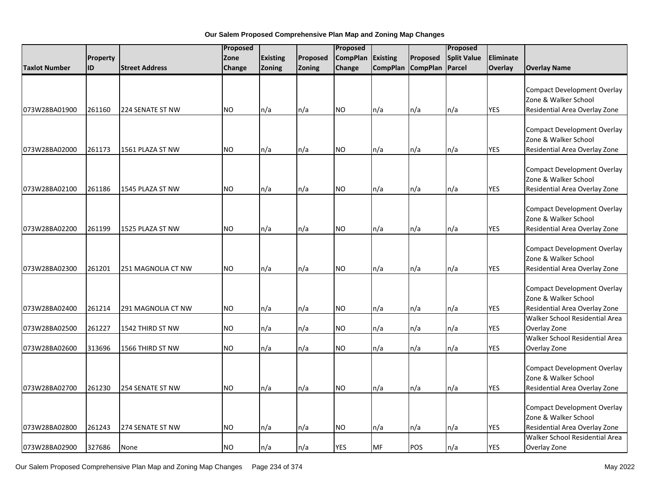|                      |          |                       |           | Proposed        |          |                 | Proposed<br>Proposed |                   |                    |            |                                                                                             |
|----------------------|----------|-----------------------|-----------|-----------------|----------|-----------------|----------------------|-------------------|--------------------|------------|---------------------------------------------------------------------------------------------|
|                      | Property |                       | Zone      | <b>Existing</b> | Proposed | <b>CompPlan</b> | <b>Existing</b>      | Proposed          | <b>Split Value</b> | Eliminate  |                                                                                             |
| <b>Taxlot Number</b> | ID       | <b>Street Address</b> | Change    | <b>Zoning</b>   | Zoning   | Change          |                      | CompPlan CompPlan | Parcel             | Overlay    | <b>Overlay Name</b>                                                                         |
| 073W28BA01900        | 261160   | 224 SENATE ST NW      | <b>NO</b> | n/a             | n/a      | <b>NO</b>       | n/a                  | n/a               | n/a                | <b>YES</b> | <b>Compact Development Overlay</b><br>Zone & Walker School<br>Residential Area Overlay Zone |
| 073W28BA02000        | 261173   | 1561 PLAZA ST NW      | <b>NO</b> | n/a             | n/a      | <b>NO</b>       | n/a                  | n/a               | n/a                | <b>YES</b> | <b>Compact Development Overlay</b><br>Zone & Walker School<br>Residential Area Overlay Zone |
| 073W28BA02100        | 261186   | 1545 PLAZA ST NW      | <b>NO</b> | n/a             | n/a      | <b>NO</b>       | n/a                  | n/a               | n/a                | <b>YES</b> | <b>Compact Development Overlay</b><br>Zone & Walker School<br>Residential Area Overlay Zone |
| 073W28BA02200        | 261199   | 1525 PLAZA ST NW      | <b>NO</b> | n/a             | n/a      | <b>NO</b>       | n/a                  | n/a               | n/a                | <b>YES</b> | <b>Compact Development Overlay</b><br>Zone & Walker School<br>Residential Area Overlay Zone |
| 073W28BA02300        | 261201   | 251 MAGNOLIA CT NW    | <b>NO</b> | n/a             | n/a      | <b>NO</b>       | n/a                  | n/a               | n/a                | <b>YES</b> | <b>Compact Development Overlay</b><br>Zone & Walker School<br>Residential Area Overlay Zone |
| 073W28BA02400        | 261214   | 291 MAGNOLIA CT NW    | <b>NO</b> | n/a             | n/a      | <b>NO</b>       | n/a                  | n/a               | n/a                | <b>YES</b> | <b>Compact Development Overlay</b><br>Zone & Walker School<br>Residential Area Overlay Zone |
| 073W28BA02500        | 261227   | 1542 THIRD ST NW      | <b>NO</b> | n/a             | n/a      | <b>NO</b>       | n/a                  | n/a               | n/a                | <b>YES</b> | Walker School Residential Area<br>Overlay Zone                                              |
| 073W28BA02600        | 313696   | 1566 THIRD ST NW      | <b>NO</b> | n/a             | n/a      | <b>NO</b>       | n/a                  | n/a               | n/a                | <b>YES</b> | Walker School Residential Area<br>Overlay Zone                                              |
| 073W28BA02700        | 261230   | 254 SENATE ST NW      | <b>NO</b> | n/a             | n/a      | <b>NO</b>       | n/a                  | n/a               | n/a                | YES        | <b>Compact Development Overlay</b><br>Zone & Walker School<br>Residential Area Overlay Zone |
| 073W28BA02800        | 261243   | 274 SENATE ST NW      | NO.       | n/a             | n/a      | <b>NO</b>       | n/a                  | n/a               | n/a                | YES        | <b>Compact Development Overlay</b><br>Zone & Walker School<br>Residential Area Overlay Zone |
| 073W28BA02900        | 327686   | None                  | <b>NO</b> | n/a             | n/a      | <b>YES</b>      | MF                   | POS               | n/a                | <b>YES</b> | Walker School Residential Area<br>Overlay Zone                                              |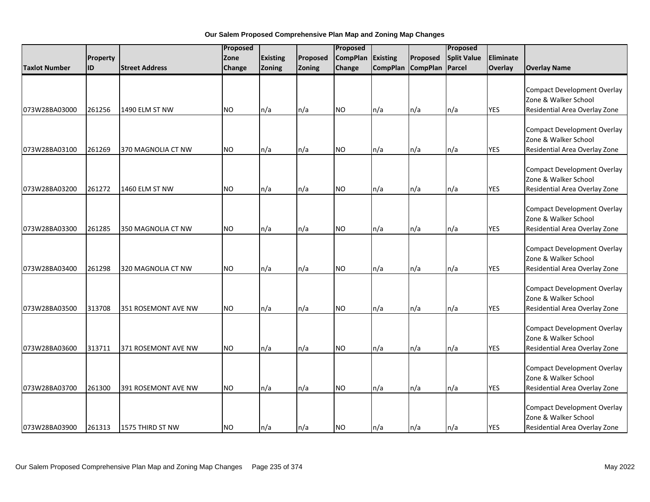|                      |           |                       | Proposed      |                 |          | Proposed        |                 |                 | Proposed           |            |                                                                                             |
|----------------------|-----------|-----------------------|---------------|-----------------|----------|-----------------|-----------------|-----------------|--------------------|------------|---------------------------------------------------------------------------------------------|
|                      | Property  |                       | Zone          | <b>Existing</b> | Proposed | <b>CompPlan</b> | Existing        | Proposed        | <b>Split Value</b> | Eliminate  |                                                                                             |
| <b>Taxlot Number</b> | <b>ID</b> | <b>Street Address</b> | <b>Change</b> | Zoning          | Zoning   | Change          | <b>CompPlan</b> | <b>CompPlan</b> | Parcel             | Overlay    | <b>Overlay Name</b>                                                                         |
| 073W28BA03000        | 261256    | 1490 ELM ST NW        | <b>NO</b>     | n/a             | n/a      | <b>NO</b>       | n/a             | n/a             | n/a                | <b>YES</b> | <b>Compact Development Overlay</b><br>Zone & Walker School<br>Residential Area Overlay Zone |
| 073W28BA03100        | 261269    | 370 MAGNOLIA CT NW    | <b>NO</b>     | n/a             | n/a      | NO.             | n/a             | n/a             | n/a                | <b>YES</b> | <b>Compact Development Overlay</b><br>Zone & Walker School<br>Residential Area Overlay Zone |
| 073W28BA03200        | 261272    | 1460 ELM ST NW        | <b>NO</b>     | n/a             | n/a      | <b>NO</b>       | n/a             | n/a             | n/a                | <b>YES</b> | <b>Compact Development Overlay</b><br>Zone & Walker School<br>Residential Area Overlay Zone |
| 073W28BA03300        | 261285    | 350 MAGNOLIA CT NW    | <b>NO</b>     | n/a             | n/a      | <b>NO</b>       | n/a             | n/a             | n/a                | <b>YES</b> | <b>Compact Development Overlay</b><br>Zone & Walker School<br>Residential Area Overlay Zone |
| 073W28BA03400        | 261298    | 320 MAGNOLIA CT NW    | <b>NO</b>     | n/a             | n/a      | <b>NO</b>       | n/a             | n/a             | n/a                | <b>YES</b> | <b>Compact Development Overlay</b><br>Zone & Walker School<br>Residential Area Overlay Zone |
| 073W28BA03500        | 313708    | 351 ROSEMONT AVE NW   | <b>NO</b>     | n/a             | n/a      | <b>NO</b>       | n/a             | n/a             | n/a                | <b>YES</b> | <b>Compact Development Overlay</b><br>Zone & Walker School<br>Residential Area Overlay Zone |
| 073W28BA03600        | 313711    | 371 ROSEMONT AVE NW   | <b>NO</b>     | n/a             | n/a      | <b>NO</b>       | n/a             | n/a             | n/a                | <b>YES</b> | <b>Compact Development Overlay</b><br>Zone & Walker School<br>Residential Area Overlay Zone |
| 073W28BA03700        | 261300    | 391 ROSEMONT AVE NW   | NO.           | n/a             | n/a      | <b>NO</b>       | n/a             | n/a             | n/a                | <b>YES</b> | <b>Compact Development Overlay</b><br>Zone & Walker School<br>Residential Area Overlay Zone |
| 073W28BA03900        | 261313    | 1575 THIRD ST NW      | <b>NO</b>     | n/a             | n/a      | <b>NO</b>       | n/a             | n/a             | n/a                | <b>YES</b> | <b>Compact Development Overlay</b><br>Zone & Walker School<br>Residential Area Overlay Zone |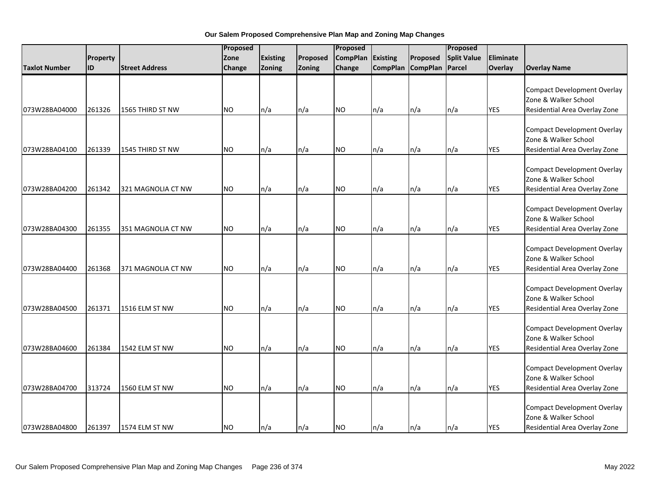|                      |           |                       | Proposed      |                 |          | Proposed        |                 |                 | Proposed           |            |                                                                                             |
|----------------------|-----------|-----------------------|---------------|-----------------|----------|-----------------|-----------------|-----------------|--------------------|------------|---------------------------------------------------------------------------------------------|
|                      | Property  |                       | Zone          | <b>Existing</b> | Proposed | <b>CompPlan</b> | Existing        | Proposed        | <b>Split Value</b> | Eliminate  |                                                                                             |
| <b>Taxlot Number</b> | <b>ID</b> | <b>Street Address</b> | <b>Change</b> | Zoning          | Zoning   | Change          | <b>CompPlan</b> | <b>CompPlan</b> | Parcel             | Overlay    | <b>Overlay Name</b>                                                                         |
| 073W28BA04000        | 261326    | 1565 THIRD ST NW      | <b>NO</b>     | n/a             | n/a      | <b>NO</b>       | n/a             | n/a             | n/a                | <b>YES</b> | <b>Compact Development Overlay</b><br>Zone & Walker School<br>Residential Area Overlay Zone |
| 073W28BA04100        | 261339    | 1545 THIRD ST NW      | <b>NO</b>     | n/a             | n/a      | NO.             | n/a             | n/a             | n/a                | <b>YES</b> | <b>Compact Development Overlay</b><br>Zone & Walker School<br>Residential Area Overlay Zone |
| 073W28BA04200        | 261342    | 321 MAGNOLIA CT NW    | <b>NO</b>     | n/a             | n/a      | <b>NO</b>       | n/a             | n/a             | n/a                | <b>YES</b> | <b>Compact Development Overlay</b><br>Zone & Walker School<br>Residential Area Overlay Zone |
| 073W28BA04300        | 261355    | 351 MAGNOLIA CT NW    | <b>NO</b>     | n/a             | n/a      | <b>NO</b>       | n/a             | n/a             | n/a                | <b>YES</b> | <b>Compact Development Overlay</b><br>Zone & Walker School<br>Residential Area Overlay Zone |
| 073W28BA04400        | 261368    | 371 MAGNOLIA CT NW    | <b>NO</b>     | n/a             | n/a      | <b>NO</b>       | n/a             | n/a             | n/a                | <b>YES</b> | <b>Compact Development Overlay</b><br>Zone & Walker School<br>Residential Area Overlay Zone |
| 073W28BA04500        | 261371    | 1516 ELM ST NW        | <b>NO</b>     | n/a             | n/a      | <b>NO</b>       | n/a             | n/a             | n/a                | <b>YES</b> | <b>Compact Development Overlay</b><br>Zone & Walker School<br>Residential Area Overlay Zone |
| 073W28BA04600        | 261384    | 1542 ELM ST NW        | <b>NO</b>     | n/a             | n/a      | <b>NO</b>       | n/a             | n/a             | n/a                | <b>YES</b> | <b>Compact Development Overlay</b><br>Zone & Walker School<br>Residential Area Overlay Zone |
| 073W28BA04700        | 313724    | 1560 ELM ST NW        | NO.           | n/a             | n/a      | <b>NO</b>       | n/a             | n/a             | n/a                | <b>YES</b> | <b>Compact Development Overlay</b><br>Zone & Walker School<br>Residential Area Overlay Zone |
| 073W28BA04800        | 261397    | 1574 ELM ST NW        | <b>NO</b>     | n/a             | n/a      | <b>NO</b>       | n/a             | n/a             | n/a                | <b>YES</b> | <b>Compact Development Overlay</b><br>Zone & Walker School<br>Residential Area Overlay Zone |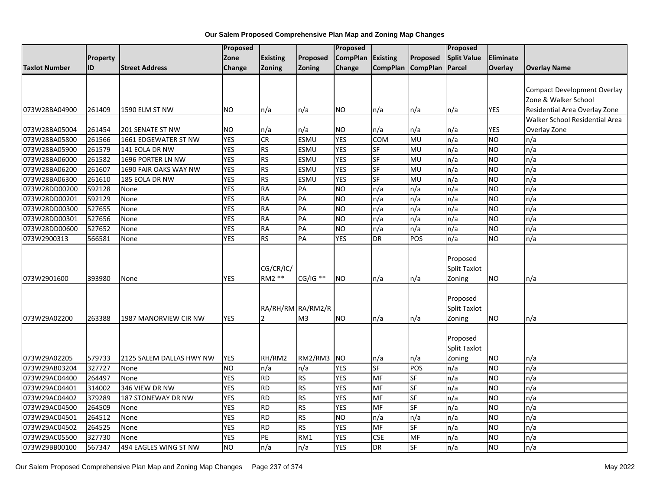|               |          |                          | <b>Proposed</b> |                     |                                     | <b>Proposed</b> |                 |                 | Proposed                                  |            |                                    |
|---------------|----------|--------------------------|-----------------|---------------------|-------------------------------------|-----------------|-----------------|-----------------|-------------------------------------------|------------|------------------------------------|
|               | Property |                          | Zone            | <b>Existing</b>     | Proposed                            | <b>CompPlan</b> | Existing        | Proposed        | <b>Split Value</b>                        | Eliminate  |                                    |
| Taxlot Number | ID       | <b>Street Address</b>    | Change          | Zoning              | <b>Zoning</b>                       | Change          | <b>CompPlan</b> | <b>CompPlan</b> | Parcel                                    | Overlay    | <b>Overlay Name</b>                |
|               |          |                          |                 |                     |                                     |                 |                 |                 |                                           |            |                                    |
|               |          |                          |                 |                     |                                     |                 |                 |                 |                                           |            | <b>Compact Development Overlay</b> |
|               |          |                          |                 |                     |                                     |                 |                 |                 |                                           |            | Zone & Walker School               |
| 073W28BA04900 | 261409   | 1590 ELM ST NW           | <b>NO</b>       | n/a                 | n/a                                 | <b>NO</b>       | n/a             | n/a             | n/a                                       | YES        | Residential Area Overlay Zone      |
|               |          |                          |                 |                     |                                     |                 |                 |                 |                                           |            | Walker School Residential Area     |
| 073W28BA05004 | 261454   | <b>201 SENATE ST NW</b>  | <b>NO</b>       | n/a                 | n/a                                 | <b>NO</b>       | n/a             | n/a             | n/a                                       | <b>YES</b> | Overlay Zone                       |
| 073W28BA05800 | 261566   | 1661 EDGEWATER ST NW     | <b>YES</b>      | CR                  | <b>ESMU</b>                         | <b>YES</b>      | <b>COM</b>      | <b>MU</b>       | n/a                                       | <b>NO</b>  | n/a                                |
| 073W28BA05900 | 261579   | 141 EOLA DR NW           | <b>YES</b>      | <b>RS</b>           | <b>ESMU</b>                         | <b>YES</b>      | <b>SF</b>       | MU              | n/a                                       | <b>NO</b>  | n/a                                |
| 073W28BA06000 | 261582   | 1696 PORTER LN NW        | <b>YES</b>      | <b>RS</b>           | ESMU                                | <b>YES</b>      | SF              | MU              | n/a                                       | <b>NO</b>  | n/a                                |
| 073W28BA06200 | 261607   | 1690 FAIR OAKS WAY NW    | <b>YES</b>      | <b>RS</b>           | <b>ESMU</b>                         | <b>YES</b>      | <b>SF</b>       | MU              | n/a                                       | <b>NO</b>  | n/a                                |
| 073W28BA06300 | 261610   | 185 EOLA DR NW           | <b>YES</b>      | <b>RS</b>           | ESMU                                | <b>YES</b>      | SF              | MU              | n/a                                       | <b>NO</b>  | n/a                                |
| 073W28DD00200 | 592128   | None                     | <b>YES</b>      | <b>RA</b>           | PA                                  | <b>NO</b>       | n/a             | n/a             | n/a                                       | <b>NO</b>  | n/a                                |
| 073W28DD00201 | 592129   | None                     | <b>YES</b>      | <b>RA</b>           | PA                                  | <b>NO</b>       | n/a             | n/a             | n/a                                       | <b>NO</b>  | n/a                                |
| 073W28DD00300 | 527655   | None                     | <b>YES</b>      | <b>RA</b>           | PA                                  | N <sub>O</sub>  | n/a             | n/a             | n/a                                       | <b>NO</b>  | n/a                                |
| 073W28DD00301 | 527656   | None                     | <b>YES</b>      | <b>RA</b>           | PA                                  | <b>NO</b>       | n/a             | n/a             | n/a                                       | <b>NO</b>  | n/a                                |
| 073W28DD00600 | 527652   | None                     | <b>YES</b>      | <b>RA</b>           | PA                                  | <b>NO</b>       | n/a             | n/a             | n/a                                       | <b>NO</b>  | n/a                                |
| 073W2900313   | 566581   | None                     | <b>YES</b>      | RS                  | $\overline{PA}$                     | <b>YES</b>      | <b>DR</b>       | POS             | n/a                                       | NO.        | n/a                                |
| 073W2901600   | 393980   | None                     | <b>YES</b>      | CG/CR/IC/<br>RM2 ** | $CG/IG$ **                          | <b>NO</b>       | n/a             | n/a             | Proposed<br><b>Split Taxlot</b><br>Zoning | <b>NO</b>  | n/a                                |
| 073W29A02200  | 263388   | 1987 MANORVIEW CIR NW    | <b>YES</b>      | $\mathcal{P}$       | RA/RH/RM RA/RM2/R<br>M <sub>3</sub> | <b>NO</b>       | n/a             | n/a             | Proposed<br>Split Taxlot<br>Zoning        | <b>NO</b>  | n/a                                |
| 073W29A02205  | 579733   | 2125 SALEM DALLAS HWY NW | <b>YES</b>      | RH/RM2              | RM2/RM3                             | <b>NO</b>       | n/a             | n/a             | Proposed<br>Split Taxlot<br>Zoning        | <b>NO</b>  | n/a                                |
| 073W29AB03204 | 327727   | None                     | <b>NO</b>       | n/a                 | n/a                                 | <b>YES</b>      | SF              | POS             | n/a                                       | <b>NO</b>  | n/a                                |
| 073W29AC04400 | 264497   | None                     | <b>YES</b>      | <b>RD</b>           | <b>RS</b>                           | <b>YES</b>      | MF              | SF              | n/a                                       | <b>NO</b>  | n/a                                |
| 073W29AC04401 | 314002   | 346 VIEW DR NW           | <b>YES</b>      | <b>RD</b>           | <b>RS</b>                           | <b>YES</b>      | MF              | <b>SF</b>       | n/a                                       | <b>NO</b>  | n/a                                |
| 073W29AC04402 | 379289   | 187 STONEWAY DR NW       | <b>YES</b>      | <b>RD</b>           | <b>RS</b>                           | <b>YES</b>      | <b>MF</b>       | SF              | n/a                                       | NO         | n/a                                |
| 073W29AC04500 | 264509   | None                     | <b>YES</b>      | <b>RD</b>           | <b>RS</b>                           | <b>YES</b>      | MF              | <b>SF</b>       | n/a                                       | <b>NO</b>  | n/a                                |
| 073W29AC04501 | 264512   | None                     | <b>YES</b>      | <b>RD</b>           | <b>RS</b>                           | <b>NO</b>       | n/a             | n/a             | n/a                                       | <b>NO</b>  | n/a                                |
| 073W29AC04502 | 264525   | None                     | <b>YES</b>      | <b>RD</b>           | <b>RS</b>                           | <b>YES</b>      | MF              | SF              | n/a                                       | <b>NO</b>  | n/a                                |
| 073W29AC05500 | 327730   | None                     | <b>YES</b>      | PE                  | RM1                                 | <b>YES</b>      | <b>CSE</b>      | MF              | n/a                                       | <b>NO</b>  | n/a                                |
| 073W29BB00100 | 567347   | 494 EAGLES WING ST NW    | <b>NO</b>       | n/a                 | n/a                                 | <b>YES</b>      | <b>DR</b>       | SF              | n/a                                       | <b>NO</b>  | n/a                                |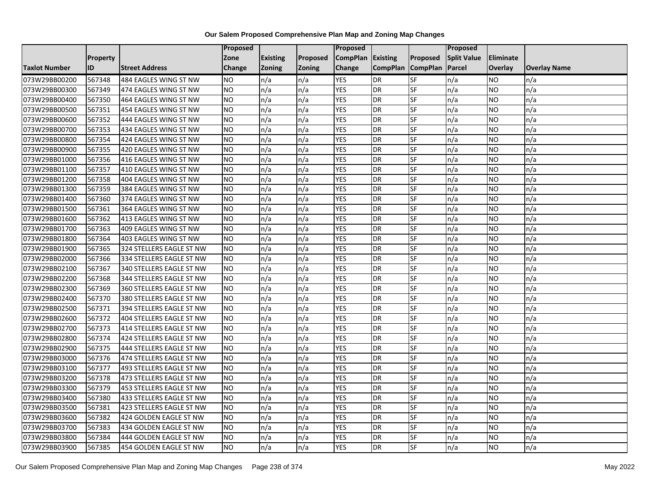|               |                 |                          | <b>Proposed</b> |                 |               | Proposed        |                 |                 | Proposed           |                |                     |
|---------------|-----------------|--------------------------|-----------------|-----------------|---------------|-----------------|-----------------|-----------------|--------------------|----------------|---------------------|
|               | <b>Property</b> |                          | Zone            | <b>Existing</b> | Proposed      | <b>CompPlan</b> | Existing        | Proposed        | <b>Split Value</b> | Eliminate      |                     |
| Taxlot Number | ID              | <b>Street Address</b>    | <b>Change</b>   | Zoning          | <b>Zoning</b> | Change          | <b>CompPlan</b> | <b>CompPlan</b> | Parcel             | <b>Overlay</b> | <b>Overlay Name</b> |
| 073W29BB00200 | 567348          | 484 EAGLES WING ST NW    | <b>NO</b>       | n/a             | n/a           | <b>YES</b>      | <b>DR</b>       | <b>SF</b>       | n/a                | NO             | n/a                 |
| 073W29BB00300 | 567349          | 474 EAGLES WING ST NW    | <b>NO</b>       | n/a             | n/a           | <b>YES</b>      | DR              | SF              | n/a                | NO.            | n/a                 |
| 073W29BB00400 | 567350          | 464 EAGLES WING ST NW    | <b>NO</b>       | n/a             | n/a           | <b>YES</b>      | DR              | SF              | n/a                | NO             | n/a                 |
| 073W29BB00500 | 567351          | 454 EAGLES WING ST NW    | <b>NO</b>       | n/a             | n/a           | <b>YES</b>      | <b>DR</b>       | SF              | n/a                | NO.            | n/a                 |
| 073W29BB00600 | 567352          | 444 EAGLES WING ST NW    | <b>NO</b>       | n/a             | n/a           | <b>YES</b>      | <b>DR</b>       | SF              | n/a                | NO.            | n/a                 |
| 073W29BB00700 | 567353          | 434 EAGLES WING ST NW    | <b>NO</b>       | n/a             | n/a           | <b>YES</b>      | <b>DR</b>       | SF              | n/a                | <b>NO</b>      | n/a                 |
| 073W29BB00800 | 567354          | 424 EAGLES WING ST NW    | <b>NO</b>       | n/a             | n/a           | <b>YES</b>      | DR              | SF              | n/a                | NO.            | n/a                 |
| 073W29BB00900 | 567355          | 420 EAGLES WING ST NW    | <b>NO</b>       | n/a             | n/a           | <b>YES</b>      | DR              | SF              | n/a                | NO.            | n/a                 |
| 073W29BB01000 | 567356          | 416 EAGLES WING ST NW    | <b>NO</b>       | n/a             | n/a           | <b>YES</b>      | <b>DR</b>       | SF              | n/a                | NO.            | n/a                 |
| 073W29BB01100 | 567357          | 410 EAGLES WING ST NW    | Ю               | n/a             | n/a           | <b>YES</b>      | <b>DR</b>       | <b>SF</b>       | n/a                | NO.            | n/a                 |
| 073W29BB01200 | 567358          | 404 EAGLES WING ST NW    | <b>NO</b>       | n/a             | n/a           | <b>YES</b>      | DR              | SF              | n/a                | NO.            | n/a                 |
| 073W29BB01300 | 567359          | 384 EAGLES WING ST NW    | <b>NO</b>       | n/a             | n/a           | <b>YES</b>      | <b>DR</b>       | SF              | n/a                | NO.            | n/a                 |
| 073W29BB01400 | 567360          | 374 EAGLES WING ST NW    | <b>NO</b>       | n/a             | n/a           | <b>YES</b>      | DR              | <b>SF</b>       | n/a                | NO.            | n/a                 |
| 073W29BB01500 | 567361          | 364 EAGLES WING ST NW    | <b>NO</b>       | n/a             | n/a           | <b>YES</b>      | <b>DR</b>       | SF              | n/a                | NO.            | n/a                 |
| 073W29BB01600 | 567362          | 413 EAGLES WING ST NW    | <b>NO</b>       | n/a             | n/a           | <b>YES</b>      | DR              | SF              | n/a                | NO.            | n/a                 |
| 073W29BB01700 | 567363          | 409 EAGLES WING ST NW    | <b>NO</b>       | n/a             | n/a           | <b>YES</b>      | <b>DR</b>       | $S_{F}$         | n/a                | NO.            | n/a                 |
| 073W29BB01800 | 567364          | 403 EAGLES WING ST NW    | Ю               | n/a             | n/a           | <b>YES</b>      | <b>DR</b>       | <b>SF</b>       | n/a                | NO.            | n/a                 |
| 073W29BB01900 | 567365          | 324 STELLERS EAGLE ST NW | <b>NO</b>       | n/a             | n/a           | <b>YES</b>      | DR              | SF              | n/a                | NO.            | n/a                 |
| 073W29BB02000 | 567366          | 334 STELLERS EAGLE ST NW | <b>NO</b>       | n/a             | n/a           | <b>YES</b>      | DR              | SF              | n/a                | NO.            | n/a                 |
| 073W29BB02100 | 567367          | 340 STELLERS EAGLE ST NW | <b>NO</b>       | n/a             | n/a           | <b>YES</b>      | DR              | SF              | n/a                | NO.            | n/a                 |
| 073W29BB02200 | 567368          | 344 STELLERS EAGLE ST NW | <b>NO</b>       | n/a             | n/a           | <b>YES</b>      | <b>DR</b>       | SF              | n/a                | NO.            | n/a                 |
| 073W29BB02300 | 567369          | 360 STELLERS EAGLE ST NW | <b>NO</b>       | n/a             | n/a           | <b>YES</b>      | DR              | SF              | n/a                | NO.            | n/a                 |
| 073W29BB02400 | 567370          | 380 STELLERS EAGLE ST NW | <b>NO</b>       | n/a             | n/a           | <b>YES</b>      | DR              | <b>SF</b>       | n/a                | NO.            | n/a                 |
| 073W29BB02500 | 567371          | 394 STELLERS EAGLE ST NW | <b>NO</b>       | n/a             | n/a           | <b>YES</b>      | DR              | SF              | n/a                | NO             | n/a                 |
| 073W29BB02600 | 567372          | 404 STELLERS EAGLE ST NW | <b>NO</b>       | n/a             | n/a           | <b>YES</b>      | <b>DR</b>       | SF              | n/a                | NO.            | n/a                 |
| 073W29BB02700 | 567373          | 414 STELLERS EAGLE ST NW | <b>NO</b>       | n/a             | n/a           | <b>YES</b>      | DR              | SF              | n/a                | NO.            | n/a                 |
| 073W29BB02800 | 567374          | 424 STELLERS EAGLE ST NW | Ю               | n/a             | n/a           | <b>YES</b>      | <b>DR</b>       | $S_{F}$         | n/a                | NO.            | n/a                 |
| 073W29BB02900 | 567375          | 444 STELLERS EAGLE ST NW | <b>NO</b>       | n/a             | n/a           | <b>YES</b>      | <b>DR</b>       | SF              | n/a                | NO.            | n/a                 |
| 073W29BB03000 | 567376          | 474 STELLERS EAGLE ST NW | <b>NO</b>       | n/a             | n/a           | <b>YES</b>      | DR              | SF              | n/a                | NO.            | n/a                 |
| 073W29BB03100 | 567377          | 493 STELLERS EAGLE ST NW | <b>NO</b>       | n/a             | n/a           | <b>YES</b>      | <b>DR</b>       | SF              | n/a                | <b>NO</b>      | n/a                 |
| 073W29BB03200 | 567378          | 473 STELLERS EAGLE ST NW | <b>NO</b>       | n/a             | n/a           | <b>YES</b>      | DR              | SF              | n/a                | NO             | n/a                 |
| 073W29BB03300 | 567379          | 453 STELLERS EAGLE ST NW | <b>NO</b>       | n/a             | n/a           | <b>YES</b>      | DR              | SF              | n/a                | NO.            | n/a                 |
| 073W29BB03400 | 567380          | 433 STELLERS EAGLE ST NW | <b>NO</b>       | n/a             | n/a           | <b>YES</b>      | <b>DR</b>       | <b>SF</b>       | n/a                | NO.            | n/a                 |
| 073W29BB03500 | 567381          | 423 STELLERS EAGLE ST NW | <b>NO</b>       | n/a             | n/a           | <b>YES</b>      | <b>DR</b>       | SF              | n/a                | NO.            | n/a                 |
| 073W29BB03600 | 567382          | 424 GOLDEN EAGLE ST NW   | <b>NO</b>       | n/a             | n/a           | <b>YES</b>      | DR              | SF              | n/a                | NO.            | n/a                 |
| 073W29BB03700 | 567383          | 434 GOLDEN EAGLE ST NW   | <b>NO</b>       | n/a             | n/a           | <b>YES</b>      | <b>DR</b>       | <b>SF</b>       | n/a                | NO             | n/a                 |
| 073W29BB03800 | 567384          | 444 GOLDEN EAGLE ST NW   | <b>NO</b>       | n/a             | n/a           | <b>YES</b>      | DR              | SF              | n/a                | NO             | n/a                 |
| 073W29BB03900 | 567385          | 454 GOLDEN EAGLE ST NW   | <b>NO</b>       | n/a             | n/a           | <b>YES</b>      | DR              | SF              | n/a                | NO.            | n/a                 |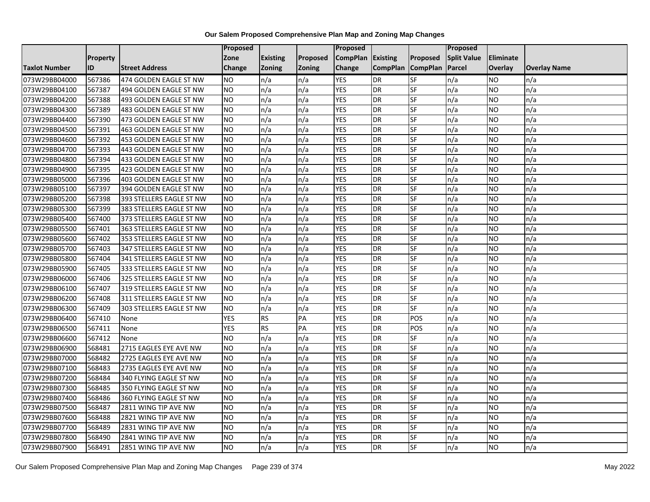|                      |                 |                          | <b>Proposed</b> |                 |               | Proposed        |                 |                          | Proposed           |                |                     |
|----------------------|-----------------|--------------------------|-----------------|-----------------|---------------|-----------------|-----------------|--------------------------|--------------------|----------------|---------------------|
|                      | <b>Property</b> |                          | Zone            | <b>Existing</b> | Proposed      | <b>CompPlan</b> | <b>Existing</b> | Proposed                 | <b>Split Value</b> | Eliminate      |                     |
| <b>Taxlot Number</b> | ID              | <b>Street Address</b>    | <b>Change</b>   | <b>Zoning</b>   | <b>Zoning</b> | Change          | <b>CompPlan</b> | <b>CompPlan</b>          | Parcel             | <b>Overlay</b> | <b>Overlay Name</b> |
| 073W29BB04000        | 567386          | 474 GOLDEN EAGLE ST NW   | <b>NO</b>       | n/a             | n/a           | <b>YES</b>      | <b>DR</b>       | SF                       | n/a                | <b>NO</b>      | n/a                 |
| 073W29BB04100        | 567387          | 494 GOLDEN EAGLE ST NW   | <b>NO</b>       | n/a             | n/a           | <b>YES</b>      | <b>DR</b>       | <b>SF</b>                | n/a                | <b>NO</b>      | n/a                 |
| 073W29BB04200        | 567388          | 493 GOLDEN EAGLE ST NW   | <b>NO</b>       | n/a             | n/a           | <b>YES</b>      | <b>DR</b>       | SF                       | n/a                | <b>NO</b>      | n/a                 |
| 073W29BB04300        | 567389          | 483 GOLDEN EAGLE ST NW   | <b>NO</b>       | n/a             | n/a           | <b>YES</b>      | <b>DR</b>       | SF                       | n/a                | <b>NO</b>      | n/a                 |
| 073W29BB04400        | 567390          | 473 GOLDEN EAGLE ST NW   | <b>NO</b>       | n/a             | n/a           | <b>YES</b>      | <b>DR</b>       | SF                       | n/a                | <b>NO</b>      | n/a                 |
| 073W29BB04500        | 567391          | 463 GOLDEN EAGLE ST NW   | <b>NO</b>       | n/a             | n/a           | <b>YES</b>      | <b>DR</b>       | SF                       | n/a                | <b>NO</b>      | n/a                 |
| 073W29BB04600        | 567392          | 453 GOLDEN EAGLE ST NW   | <b>NO</b>       | n/a             | n/a           | <b>YES</b>      | <b>DR</b>       | SF                       | n/a                | <b>NO</b>      | n/a                 |
| 073W29BB04700        | 567393          | 443 GOLDEN EAGLE ST NW   | <b>NO</b>       | n/a             | n/a           | <b>YES</b>      | <b>DR</b>       | SF                       | n/a                | <b>NO</b>      | n/a                 |
| 073W29BB04800        | 567394          | 433 GOLDEN EAGLE ST NW   | <b>NO</b>       | n/a             | n/a           | <b>YES</b>      | <b>DR</b>       | SF                       | n/a                | <b>NO</b>      | n/a                 |
| 073W29BB04900        | 567395          | 423 GOLDEN EAGLE ST NW   | <b>NO</b>       | n/a             | n/a           | <b>YES</b>      | <b>DR</b>       | SF                       | n/a                | <b>NO</b>      | n/a                 |
| 073W29BB05000        | 567396          | 403 GOLDEN EAGLE ST NW   | <b>NO</b>       | n/a             | n/a           | <b>YES</b>      | <b>DR</b>       | SF                       | n/a                | <b>NO</b>      | n/a                 |
| 073W29BB05100        | 567397          | 394 GOLDEN EAGLE ST NW   | <b>NO</b>       | n/a             | n/a           | <b>YES</b>      | <b>DR</b>       | SF                       | n/a                | <b>NO</b>      | n/a                 |
| 073W29BB05200        | 567398          | 393 STELLERS EAGLE ST NW | <b>NO</b>       | n/a             | n/a           | <b>YES</b>      | <b>DR</b>       | SF                       | n/a                | <b>NO</b>      | n/a                 |
| 073W29BB05300        | 567399          | 383 STELLERS EAGLE ST NW | <b>NO</b>       | n/a             | n/a           | <b>YES</b>      | <b>DR</b>       | SF                       | n/a                | <b>NO</b>      | n/a                 |
| 073W29BB05400        | 567400          | 373 STELLERS EAGLE ST NW | <b>NO</b>       | n/a             | n/a           | <b>YES</b>      | <b>DR</b>       | SF                       | n/a                | <b>NO</b>      | n/a                 |
| 073W29BB05500        | 567401          | 363 STELLERS EAGLE ST NW | <b>NO</b>       | n/a             | n/a           | <b>YES</b>      | <b>DR</b>       | SF                       | n/a                | <b>NO</b>      | n/a                 |
| 073W29BB05600        | 567402          | 353 STELLERS EAGLE ST NW | <b>NO</b>       | n/a             | n/a           | <b>YES</b>      | <b>DR</b>       | SF                       | n/a                | NO.            | n/a                 |
| 073W29BB05700        | 567403          | 347 STELLERS EAGLE ST NW | <b>NO</b>       | n/a             | n/a           | <b>YES</b>      | <b>DR</b>       | SF                       | n/a                | <b>NO</b>      | n/a                 |
| 073W29BB05800        | 567404          | 341 STELLERS EAGLE ST NW | <b>NO</b>       | n/a             | n/a           | <b>YES</b>      | <b>DR</b>       | SF                       | n/a                | <b>NO</b>      | n/a                 |
| 073W29BB05900        | 567405          | 333 STELLERS EAGLE ST NW | <b>NO</b>       | n/a             | n/a           | <b>YES</b>      | <b>DR</b>       | SF                       | n/a                | <b>NO</b>      | n/a                 |
| 073W29BB06000        | 567406          | 325 STELLERS EAGLE ST NW | <b>NO</b>       | n/a             | n/a           | <b>YES</b>      | <b>DR</b>       | SF                       | n/a                | <b>NO</b>      | n/a                 |
| 073W29BB06100        | 567407          | 319 STELLERS EAGLE ST NW | N <sub>O</sub>  | n/a             | n/a           | <b>YES</b>      | <b>DR</b>       | SF                       | n/a                | <b>NO</b>      | n/a                 |
| 073W29BB06200        | 567408          | 311 STELLERS EAGLE ST NW | <b>NO</b>       | n/a             | n/a           | <b>YES</b>      | <b>DR</b>       | SF                       | n/a                | <b>NO</b>      | n/a                 |
| 073W29BB06300        | 567409          | 303 STELLERS EAGLE ST NW | <b>NO</b>       | n/a             | n/a           | <b>YES</b>      | <b>DR</b>       | SF                       | n/a                | <b>NO</b>      | n/a                 |
| 073W29BB06400        | 567410          | None                     | <b>YES</b>      | <b>RS</b>       | PA            | <b>YES</b>      | <b>DR</b>       | POS                      | n/a                | <b>NO</b>      | n/a                 |
| 073W29BB06500        | 567411          | None                     | <b>YES</b>      | RS              | PA            | <b>YES</b>      | <b>DR</b>       | POS                      | n/a                | <b>NO</b>      | n/a                 |
| 073W29BB06600        | 567412          | None                     | <b>NO</b>       | n/a             | n/a           | <b>YES</b>      | <b>DR</b>       | SF                       | n/a                | <b>NO</b>      | n/a                 |
| 073W29BB06900        | 568481          | 2715 EAGLES EYE AVE NW   | <b>NO</b>       | n/a             | n/a           | <b>YES</b>      | <b>DR</b>       | SF                       | n/a                | <b>NO</b>      | n/a                 |
| 073W29BB07000        | 568482          | 2725 EAGLES EYE AVE NW   | <b>NO</b>       | n/a             | n/a           | <b>YES</b>      | <b>DR</b>       | SF                       | n/a                | <b>NO</b>      | n/a                 |
| 073W29BB07100        | 568483          | 2735 EAGLES EYE AVE NW   | <b>NO</b>       | n/a             | n/a           | <b>YES</b>      | <b>DR</b>       | SF                       | n/a                | <b>NO</b>      | n/a                 |
| 073W29BB07200        | 568484          | 340 FLYING EAGLE ST NW   | <b>NO</b>       | n/a             | n/a           | <b>YES</b>      | <b>DR</b>       | SF                       | n/a                | <b>NO</b>      | n/a                 |
| 073W29BB07300        | 568485          | 350 FLYING EAGLE ST NW   | <b>NO</b>       | n/a             | n/a           | <b>YES</b>      | <b>DR</b>       | SF                       | n/a                | <b>NO</b>      | n/a                 |
| 073W29BB07400        | 568486          | 360 FLYING EAGLE ST NW   | <b>NO</b>       | n/a             | n/a           | <b>YES</b>      | <b>DR</b>       | SF                       | n/a                | <b>NO</b>      | n/a                 |
| 073W29BB07500        | 568487          | 2811 WING TIP AVE NW     | <b>NO</b>       | n/a             | n/a           | <b>YES</b>      | <b>DR</b>       | SF                       | n/a                | <b>NO</b>      | n/a                 |
| 073W29BB07600        | 568488          | 2821 WING TIP AVE NW     | <b>NO</b>       | n/a             | n/a           | <b>YES</b>      | <b>DR</b>       | SF                       | n/a                | <b>NO</b>      | n/a                 |
| 073W29BB07700        | 568489          | 2831 WING TIP AVE NW     | <b>NO</b>       | n/a             | n/a           | <b>YES</b>      | <b>DR</b>       | SF                       | n/a                | <b>NO</b>      | n/a                 |
| 073W29BB07800        | 568490          | 2841 WING TIP AVE NW     | <b>NO</b>       | n/a             | n/a           | <b>YES</b>      | <b>DR</b>       | SF                       | n/a                | <b>NO</b>      | n/a                 |
| 073W29BB07900        | 568491          | 2851 WING TIP AVE NW     | <b>NO</b>       | n/a             | n/a           | <b>YES</b>      | <b>DR</b>       | $\overline{\mathsf{SF}}$ | n/a                | <b>NO</b>      | n/a                 |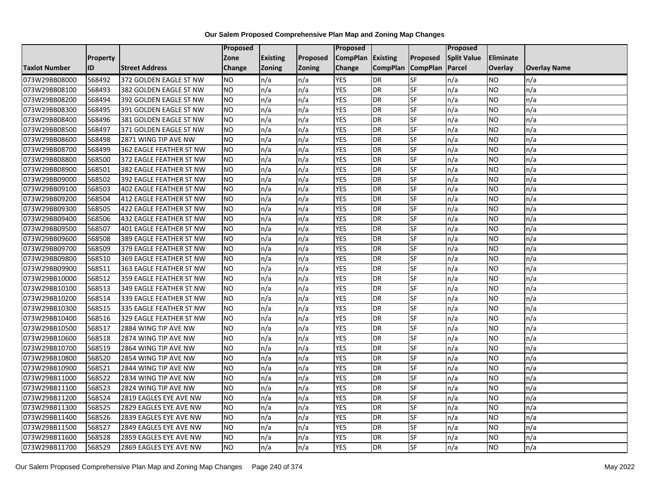|                      |                 |                         | Proposed  |                 |               | <b>Proposed</b> |                 |                 | <b>Proposed</b>    |           |                     |
|----------------------|-----------------|-------------------------|-----------|-----------------|---------------|-----------------|-----------------|-----------------|--------------------|-----------|---------------------|
|                      | <b>Property</b> |                         | Zone      | <b>Existing</b> | Proposed      | <b>CompPlan</b> | Existing        | <b>Proposed</b> | <b>Split Value</b> | Eliminate |                     |
| <b>Taxlot Number</b> | ID              | <b>Street Address</b>   | Change    | <b>Zoning</b>   | <b>Zoning</b> | Change          | <b>CompPlan</b> | <b>CompPlan</b> | Parcel             | Overlay   | <b>Overlay Name</b> |
| 073W29BB08000        | 568492          | 372 GOLDEN EAGLE ST NW  | <b>NO</b> | n/a             | n/a           | <b>YES</b>      | <b>DR</b>       | <b>SF</b>       | n/a                | NO.       | n/a                 |
| 073W29BB08100        | 568493          | 382 GOLDEN EAGLE ST NW  | <b>NO</b> | n/a             | n/a           | <b>YES</b>      | <b>DR</b>       | SF              | n/a                | NO.       | n/a                 |
| 073W29BB08200        | 568494          | 392 GOLDEN EAGLE ST NW  | NO.       | n/a             | n/a           | <b>YES</b>      | <b>DR</b>       | SF              | n/a                | NO        | n/a                 |
| 073W29BB08300        | 568495          | 391 GOLDEN EAGLE ST NW  | NO.       | n/a             | n/a           | <b>YES</b>      | <b>DR</b>       | SF              | n/a                | NO        | n/a                 |
| 073W29BB08400        | 568496          | 381 GOLDEN EAGLE ST NW  | <b>NO</b> | n/a             | n/a           | <b>YES</b>      | <b>DR</b>       | SF              | n/a                | NO        | n/a                 |
| 073W29BB08500        | 568497          | 371 GOLDEN EAGLE ST NW  | <b>NO</b> | n/a             | n/a           | <b>YES</b>      | <b>DR</b>       | SF              | n/a                | <b>NO</b> | n/a                 |
| 073W29BB08600        | 568498          | 2871 WING TIP AVE NW    | NO.       | n/a             | n/a           | <b>YES</b>      | <b>DR</b>       | SF              | n/a                | NO.       | n/a                 |
| 073W29BB08700        | 568499          | 362 EAGLE FEATHER ST NW | NO.       | n/a             | n/a           | <b>YES</b>      | <b>DR</b>       | SF              | n/a                | NO.       | n/a                 |
| 073W29BB08800        | 568500          | 372 EAGLE FEATHER ST NW | <b>NO</b> | n/a             | n/a           | <b>YES</b>      | <b>DR</b>       | SF              | n/a                | NO.       | n/a                 |
| 073W29BB08900        | 568501          | 382 EAGLE FEATHER ST NW | NO.       | n/a             | n/a           | <b>YES</b>      | <b>DR</b>       | <b>SF</b>       | n/a                | NO        | n/a                 |
| 073W29BB09000        | 568502          | 392 EAGLE FEATHER ST NW | <b>NO</b> | n/a             | n/a           | <b>YES</b>      | <b>DR</b>       | SF              | n/a                | NO.       | n/a                 |
| 073W29BB09100        | 568503          | 402 EAGLE FEATHER ST NW | <b>NO</b> | n/a             | n/a           | <b>YES</b>      | <b>DR</b>       | SF              | n/a                | NO.       | n/a                 |
| 073W29BB09200        | 568504          | 412 EAGLE FEATHER ST NW | NO.       | n/a             | n/a           | <b>YES</b>      | <b>DR</b>       | <b>SF</b>       | n/a                | NO.       | n/a                 |
| 073W29BB09300        | 568505          | 422 EAGLE FEATHER ST NW | NO.       | n/a             | n/a           | <b>YES</b>      | <b>DR</b>       | SF              | n/a                | NO.       | n/a                 |
| 073W29BB09400        | 568506          | 432 EAGLE FEATHER ST NW | <b>NO</b> | n/a             | n/a           | <b>YES</b>      | <b>DR</b>       | SF              | n/a                | NO.       | n/a                 |
| 073W29BB09500        | 568507          | 401 EAGLE FEATHER ST NW | NO.       | n/a             | n/a           | <b>YES</b>      | <b>DR</b>       | <b>SF</b>       | n/a                | NO.       | n/a                 |
| 073W29BB09600        | 568508          | 389 EAGLE FEATHER ST NW | NO.       | n/a             | n/a           | <b>YES</b>      | <b>DR</b>       | <b>SF</b>       | n/a                | <b>NO</b> | n/a                 |
| 073W29BB09700        | 568509          | 379 EAGLE FEATHER ST NW | NO.       | n/a             | n/a           | <b>YES</b>      | <b>DR</b>       | SF              | n/a                | NO.       | n/a                 |
| 073W29BB09800        | 568510          | 369 EAGLE FEATHER ST NW | NO.       | n/a             | n/a           | <b>YES</b>      | <b>DR</b>       | SF              | n/a                | NO.       | n/a                 |
| 073W29BB09900        | 568511          | 363 EAGLE FEATHER ST NW | <b>NO</b> | n/a             | n/a           | <b>YES</b>      | DR              | SF              | n/a                | ΝO        | n/a                 |
| 073W29BB10000        | 568512          | 359 EAGLE FEATHER ST NW | <b>NO</b> | n/a             | n/a           | <b>YES</b>      | <b>DR</b>       | SF              | n/a                | NO.       | n/a                 |
| 073W29BB10100        | 568513          | 349 EAGLE FEATHER ST NW | <b>NO</b> | n/a             | n/a           | <b>YES</b>      | <b>DR</b>       | SF              | n/a                | <b>NO</b> | n/a                 |
| 073W29BB10200        | 568514          | 339 EAGLE FEATHER ST NW | <b>NO</b> | n/a             | n/a           | <b>YES</b>      | <b>DR</b>       | <b>SF</b>       | n/a                | NO.       | n/a                 |
| 073W29BB10300        | 568515          | 335 EAGLE FEATHER ST NW | <b>NO</b> | n/a             | n/a           | <b>YES</b>      | <b>DR</b>       | SF              | n/a                | NO        | n/a                 |
| 073W29BB10400        | 568516          | 329 EAGLE FEATHER ST NW | <b>NO</b> | n/a             | n/a           | <b>YES</b>      | <b>DR</b>       | SF              | n/a                | NO.       | n/a                 |
| 073W29BB10500        | 568517          | 2884 WING TIP AVE NW    | <b>NO</b> | n/a             | n/a           | <b>YES</b>      | <b>DR</b>       | SF              | n/a                | NO        | n/a                 |
| 073W29BB10600        | 568518          | 2874 WING TIP AVE NW    | Ю         | n/a             | n/a           | <b>YES</b>      | <b>DR</b>       | $S_{F}$         | n/a                | NO.       | n/a                 |
| 073W29BB10700        | 568519          | 2864 WING TIP AVE NW    | NO        | n/a             | n/a           | <b>YES</b>      | <b>DR</b>       | SF              | n/a                | NO        | n/a                 |
| 073W29BB10800        | 568520          | 2854 WING TIP AVE NW    | NO.       | n/a             | n/a           | <b>YES</b>      | <b>DR</b>       | SF              | n/a                | NO.       | n/a                 |
| 073W29BB10900        | 568521          | 2844 WING TIP AVE NW    | <b>NO</b> | n/a             | n/a           | <b>YES</b>      | <b>DR</b>       | SF              | n/a                | <b>NO</b> | n/a                 |
| 073W29BB11000        | 568522          | 2834 WING TIP AVE NW    | NO.       | n/a             | n/a           | <b>YES</b>      | <b>DR</b>       | SF              | n/a                | NO        | n/a                 |
| 073W29BB11100        | 568523          | 2824 WING TIP AVE NW    | <b>NO</b> | n/a             | n/a           | <b>YES</b>      | <b>DR</b>       | SF              | n/a                | NO        | n/a                 |
| 073W29BB11200        | 568524          | 2819 EAGLES EYE AVE NW  | NO.       | n/a             | n/a           | <b>YES</b>      | <b>DR</b>       | SF              | n/a                | NO.       | n/a                 |
| 073W29BB11300        | 568525          | 2829 EAGLES EYE AVE NW  | NO.       | n/a             | n/a           | <b>YES</b>      | <b>DR</b>       | SF              | n/a                | NO.       | n/a                 |
| 073W29BB11400        | 568526          | 2839 EAGLES EYE AVE NW  | <b>NO</b> | n/a             | n/a           | <b>YES</b>      | <b>DR</b>       | SF              | n/a                | NO.       | n/a                 |
| 073W29BB11500        | 568527          | 2849 EAGLES EYE AVE NW  | NO.       | n/a             | n/a           | YES             | DR              | <b>SF</b>       | n/a                | NO        | n/a                 |
| 073W29BB11600        | 568528          | 2859 EAGLES EYE AVE NW  | NO.       | n/a             | n/a           | <b>YES</b>      | <b>DR</b>       | SF              | n/a                | NO        | n/a                 |
| 073W29BB11700        | 568529          | 2869 EAGLES EYE AVE NW  | <b>NO</b> | n/a             | n/a           | <b>YES</b>      | <b>DR</b>       | SF              | n/a                | NO.       | n/a                 |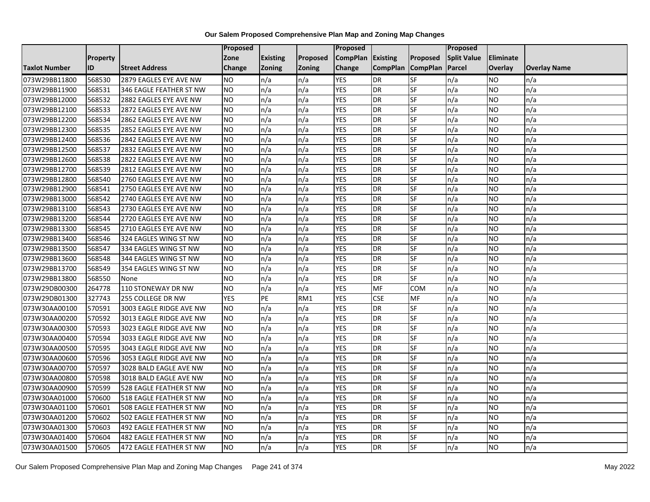|                      |                 |                         | Proposed   |                 |               | <b>Proposed</b> |                 |                 | Proposed           |           |                     |
|----------------------|-----------------|-------------------------|------------|-----------------|---------------|-----------------|-----------------|-----------------|--------------------|-----------|---------------------|
|                      | <b>Property</b> |                         | Zone       | <b>Existing</b> | Proposed      | <b>CompPlan</b> | Existing        | <b>Proposed</b> | <b>Split Value</b> | Eliminate |                     |
| <b>Taxlot Number</b> | ID              | <b>Street Address</b>   | Change     | <b>Zoning</b>   | <b>Zoning</b> | Change          | <b>CompPlan</b> | <b>CompPlan</b> | Parcel             | Overlay   | <b>Overlay Name</b> |
| 073W29BB11800        | 568530          | 2879 EAGLES EYE AVE NW  | NO.        | n/a             | n/a           | <b>YES</b>      | <b>DR</b>       | <b>SF</b>       | n/a                | NO.       | n/a                 |
| 073W29BB11900        | 568531          | 346 EAGLE FEATHER ST NW | NO.        | n/a             | n/a           | <b>YES</b>      | <b>DR</b>       | SF              | n/a                | NO.       | n/a                 |
| 073W29BB12000        | 568532          | 2882 EAGLES EYE AVE NW  | NO.        | n/a             | n/a           | <b>YES</b>      | <b>DR</b>       | SF              | n/a                | NO        | n/a                 |
| 073W29BB12100        | 568533          | 2872 EAGLES EYE AVE NW  | NO.        | n/a             | n/a           | <b>YES</b>      | <b>DR</b>       | SF              | n/a                | NO        | n/a                 |
| 073W29BB12200        | 568534          | 2862 EAGLES EYE AVE NW  | <b>NO</b>  | n/a             | n/a           | <b>YES</b>      | <b>DR</b>       | SF              | n/a                | NO        | n/a                 |
| 073W29BB12300        | 568535          | 2852 EAGLES EYE AVE NW  | <b>NO</b>  | n/a             | n/a           | <b>YES</b>      | DR              | SF              | n/a                | <b>NO</b> | n/a                 |
| 073W29BB12400        | 568536          | 2842 EAGLES EYE AVE NW  | NO.        | n/a             | n/a           | <b>YES</b>      | <b>DR</b>       | SF              | n/a                | NO.       | n/a                 |
| 073W29BB12500        | 568537          | 2832 EAGLES EYE AVE NW  | <b>NO</b>  | n/a             | n/a           | <b>YES</b>      | <b>DR</b>       | SF              | n/a                | NO.       | n/a                 |
| 073W29BB12600        | 568538          | 2822 EAGLES EYE AVE NW  | NO.        | n/a             | n/a           | <b>YES</b>      | <b>DR</b>       | SF              | n/a                | NO.       | n/a                 |
| 073W29BB12700        | 568539          | 2812 EAGLES EYE AVE NW  | NO.        | n/a             | n/a           | <b>YES</b>      | <b>DR</b>       | <b>SF</b>       | n/a                | NO        | n/a                 |
| 073W29BB12800        | 568540          | 2760 EAGLES EYE AVE NW  | <b>NO</b>  | n/a             | n/a           | <b>YES</b>      | <b>DR</b>       | SF              | n/a                | NO.       | n/a                 |
| 073W29BB12900        | 568541          | 2750 EAGLES EYE AVE NW  | <b>NO</b>  | n/a             | n/a           | <b>YES</b>      | <b>DR</b>       | SF              | n/a                | NO.       | n/a                 |
| 073W29BB13000        | 568542          | 2740 EAGLES EYE AVE NW  | NO.        | n/a             | n/a           | <b>YES</b>      | <b>DR</b>       | <b>SF</b>       | n/a                | NO.       | n/a                 |
| 073W29BB13100        | 568543          | 2730 EAGLES EYE AVE NW  | <b>NO</b>  | n/a             | n/a           | <b>YES</b>      | <b>DR</b>       | SF              | n/a                | NO.       | n/a                 |
| 073W29BB13200        | 568544          | 2720 EAGLES EYE AVE NW  | <b>NO</b>  | n/a             | n/a           | <b>YES</b>      | <b>DR</b>       | SF              | n/a                | NO.       | n/a                 |
| 073W29BB13300        | 568545          | 2710 EAGLES EYE AVE NW  | NO.        | n/a             | n/a           | <b>YES</b>      | <b>DR</b>       | <b>SF</b>       | n/a                | NO.       | n/a                 |
| 073W29BB13400        | 568546          | 324 EAGLES WING ST NW   | NO         | n/a             | n/a           | <b>YES</b>      | <b>DR</b>       | <b>SF</b>       | n/a                | NO.       | n/a                 |
| 073W29BB13500        | 568547          | 334 EAGLES WING ST NW   | NO.        | n/a             | n/a           | <b>YES</b>      | <b>DR</b>       | SF              | n/a                | NO.       | n/a                 |
| 073W29BB13600        | 568548          | 344 EAGLES WING ST NW   | <b>NO</b>  | n/a             | n/a           | <b>YES</b>      | <b>DR</b>       | <b>SF</b>       | n/a                | NO.       | n/a                 |
| 073W29BB13700        | 568549          | 354 EAGLES WING ST NW   | <b>NO</b>  | n/a             | n/a           | <b>YES</b>      | DR              | SF              | n/a                | ΝO        | n/a                 |
| 073W29BB13800        | 568550          | None                    | <b>NO</b>  | n/a             | n/a           | <b>YES</b>      | <b>DR</b>       | SF              | n/a                | NO.       | n/a                 |
| 073W29DB00300        | 264778          | 110 STONEWAY DR NW      | <b>NO</b>  | n/a             | n/a           | <b>YES</b>      | MF              | COM             | n/a                | <b>NO</b> | n/a                 |
| 073W29DB01300        | 327743          | 255 COLLEGE DR NW       | <b>YES</b> | PE              | RM1           | <b>YES</b>      | <b>CSE</b>      | MF              | n/a                | NO.       | n/a                 |
| 073W30AA00100        | 570591          | 3003 EAGLE RIDGE AVE NW | NO.        | n/a             | n/a           | <b>YES</b>      | <b>DR</b>       | SF              | n/a                | NO        | n/a                 |
| 073W30AA00200        | 570592          | 3013 EAGLE RIDGE AVE NW | <b>NO</b>  | n/a             | n/a           | <b>YES</b>      | <b>DR</b>       | SF              | n/a                | NO.       | n/a                 |
| 073W30AA00300        | 570593          | 3023 EAGLE RIDGE AVE NW | <b>NO</b>  | n/a             | n/a           | <b>YES</b>      | <b>DR</b>       | SF              | n/a                | NO.       | n/a                 |
| 073W30AA00400        | 570594          | 3033 EAGLE RIDGE AVE NW | Ю          | n/a             | n/a           | <b>YES</b>      | <b>DR</b>       | $S_{F}$         | n/a                | NO.       | n/a                 |
| 073W30AA00500        | 570595          | 3043 EAGLE RIDGE AVE NW | NO.        | n/a             | n/a           | <b>YES</b>      | <b>DR</b>       | SF              | n/a                | NO        | n/a                 |
| 073W30AA00600        | 570596          | 3053 EAGLE RIDGE AVE NW | NO.        | n/a             | n/a           | <b>YES</b>      | <b>DR</b>       | SF              | n/a                | NO.       | n/a                 |
| 073W30AA00700        | 570597          | 3028 BALD EAGLE AVE NW  | NO.        | n/a             | n/a           | <b>YES</b>      | <b>DR</b>       | SF              | n/a                | <b>NO</b> | n/a                 |
| 073W30AA00800        | 570598          | 3018 BALD EAGLE AVE NW  | NO.        | n/a             | n/a           | <b>YES</b>      | <b>DR</b>       | SF              | n/a                | NO        | n/a                 |
| 073W30AA00900        | 570599          | 528 EAGLE FEATHER ST NW | <b>NO</b>  | n/a             | n/a           | <b>YES</b>      | <b>DR</b>       | SF              | n/a                | NO        | n/a                 |
| 073W30AA01000        | 570600          | 518 EAGLE FEATHER ST NW | NO.        | n/a             | n/a           | <b>YES</b>      | <b>DR</b>       | SF              | n/a                | NO.       | n/a                 |
| 073W30AA01100        | 570601          | 508 EAGLE FEATHER ST NW | NO.        | n/a             | n/a           | <b>YES</b>      | <b>DR</b>       | SF              | n/a                | NO.       | n/a                 |
| 073W30AA01200        | 570602          | 502 EAGLE FEATHER ST NW | <b>NO</b>  | n/a             | n/a           | <b>YES</b>      | <b>DR</b>       | SF              | n/a                | NO.       | n/a                 |
| 073W30AA01300        | 570603          | 492 EAGLE FEATHER ST NW | NO.        | n/a             | n/a           | YES             | DR              | <b>SF</b>       | n/a                | NO        | n/a                 |
| 073W30AA01400        | 570604          | 482 EAGLE FEATHER ST NW | NO.        | n/a             | n/a           | <b>YES</b>      | <b>DR</b>       | SF              | n/a                | NO        | n/a                 |
| 073W30AA01500        | 570605          | 472 EAGLE FEATHER ST NW | <b>NO</b>  | n/a             | n/a           | <b>YES</b>      | <b>DR</b>       | SF              | n/a                | NO.       | n/a                 |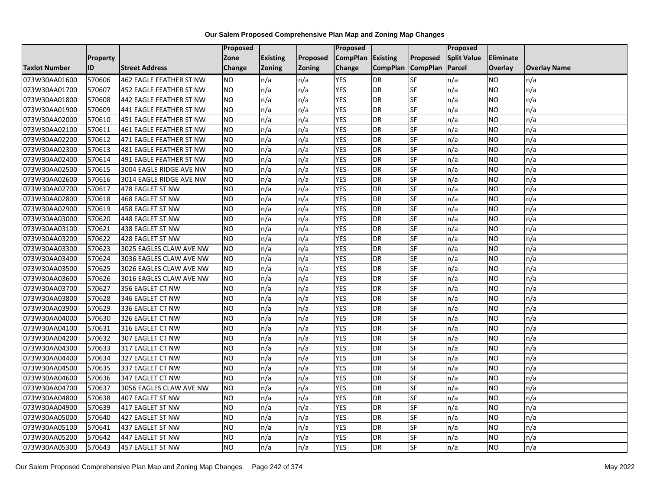|                      |                 |                                | Proposed        |                 |               | <b>Proposed</b> |                 |                 | <b>Proposed</b>    |                |                     |
|----------------------|-----------------|--------------------------------|-----------------|-----------------|---------------|-----------------|-----------------|-----------------|--------------------|----------------|---------------------|
|                      | <b>Property</b> |                                | Zone            | <b>Existing</b> | Proposed      | <b>CompPlan</b> | <b>Existing</b> | Proposed        | <b>Split Value</b> | Eliminate      |                     |
| <b>Taxlot Number</b> | ID              | <b>Street Address</b>          | Change          | <b>Zoning</b>   | <b>Zoning</b> | Change          | <b>CompPlan</b> | <b>CompPlan</b> | Parcel             | <b>Overlay</b> | <b>Overlay Name</b> |
| 073W30AA01600        | 570606          | 462 EAGLE FEATHER ST NW        | <b>NO</b>       | n/a             | n/a           | <b>YES</b>      | <b>DR</b>       | <b>SF</b>       | n/a                | NO             | n/a                 |
| 073W30AA01700        | 570607          | 452 EAGLE FEATHER ST NW        | NO.             | n/a             | n/a           | <b>YES</b>      | <b>DR</b>       | <b>SF</b>       | n/a                | NO.            | n/a                 |
| 073W30AA01800        | 570608          | 442 EAGLE FEATHER ST NW        | <b>NO</b>       | n/a             | n/a           | <b>YES</b>      | <b>DR</b>       | SF              | n/a                | NO.            | n/a                 |
| 073W30AA01900        | 570609          | 441 EAGLE FEATHER ST NW        | <b>NO</b>       | n/a             | n/a           | <b>YES</b>      | <b>DR</b>       | SF              | n/a                | NO.            | n/a                 |
| 073W30AA02000        | 570610          | 451 EAGLE FEATHER ST NW        | <b>NO</b>       | n/a             | n/a           | <b>YES</b>      | <b>DR</b>       | <b>SF</b>       | n/a                | NO.            | n/a                 |
| 073W30AA02100        | 570611          | <b>461 EAGLE FEATHER ST NW</b> | <b>NO</b>       | n/a             | n/a           | <b>YES</b>      | <b>DR</b>       | SF              | n/a                | <b>NO</b>      | n/a                 |
| 073W30AA02200        | 570612          | 471 EAGLE FEATHER ST NW        | <b>NO</b>       | n/a             | n/a           | <b>YES</b>      | <b>DR</b>       | SF              | n/a                | NO.            | n/a                 |
| 073W30AA02300        | 570613          | 481 EAGLE FEATHER ST NW        | <b>NO</b>       | n/a             | n/a           | <b>YES</b>      | <b>DR</b>       | SF              | n/a                | NO.            | n/a                 |
| 073W30AA02400        | 570614          | 491 EAGLE FEATHER ST NW        | NO.             | n/a             | n/a           | <b>YES</b>      | DR              | SF              | n/a                | NO.            | n/a                 |
| 073W30AA02500        | 570615          | 3004 EAGLE RIDGE AVE NW        | Ю               | n/a             | n/a           | <b>YES</b>      | <b>DR</b>       | <b>SF</b>       | n/a                | NO.            | n/a                 |
| 073W30AA02600        | 570616          | 3014 EAGLE RIDGE AVE NW        | <b>NO</b>       | n/a             | n/a           | <b>YES</b>      | <b>DR</b>       | SF              | n/a                | NO.            | n/a                 |
| 073W30AA02700        | 570617          | 478 EAGLET ST NW               | <b>NO</b>       | n/a             | n/a           | <b>YES</b>      | <b>DR</b>       | SF              | n/a                | <b>NO</b>      | n/a                 |
| 073W30AA02800        | 570618          | 468 EAGLET ST NW               | Ю               | n/a             | n/a           | <b>YES</b>      | <b>DR</b>       | <b>SF</b>       | n/a                | NO.            | n/a                 |
| 073W30AA02900        | 570619          | 458 EAGLET ST NW               | <b>NO</b>       | n/a             | n/a           | <b>YES</b>      | <b>DR</b>       | SF              | n/a                | NO.            | n/a                 |
| 073W30AA03000        | 570620          | 448 EAGLET ST NW               | <b>NO</b>       | n/a             | n/a           | <b>YES</b>      | <b>DR</b>       | SF              | n/a                | NO.            | n/a                 |
| 073W30AA03100        | 570621          | 438 EAGLET ST NW               | Ю               | n/a             | n/a           | <b>YES</b>      | <b>DR</b>       | <b>SF</b>       | n/a                | NO.            | n/a                 |
| 073W30AA03200        | 570622          | 428 EAGLET ST NW               | $\overline{NO}$ | n/a             | n/a           | <b>YES</b>      | <b>DR</b>       | <b>SF</b>       | n/a                | NO.            | n/a                 |
| 073W30AA03300        | 570623          | 3025 EAGLES CLAW AVE NW        | <b>NO</b>       | n/a             | n/a           | <b>YES</b>      | <b>DR</b>       | SF              | n/a                | NO.            | n/a                 |
| 073W30AA03400        | 570624          | 3036 EAGLES CLAW AVE NW        | <b>NO</b>       | n/a             | n/a           | <b>YES</b>      | DR              | <b>SF</b>       | n/a                | NO.            | n/a                 |
| 073W30AA03500        | 570625          | 3026 EAGLES CLAW AVE NW        | <b>NO</b>       | n/a             | n/a           | <b>YES</b>      | <b>DR</b>       | <b>SF</b>       | n/a                | ΝO             | n/a                 |
| 073W30AA03600        | 570626          | 3016 EAGLES CLAW AVE NW        | <b>NO</b>       | n/a             | n/a           | <b>YES</b>      | <b>DR</b>       | SF              | n/a                | NO.            | n/a                 |
| 073W30AA03700        | 570627          | 356 EAGLET CT NW               | <b>NO</b>       | n/a             | n/a           | <b>YES</b>      | <b>DR</b>       | <b>SF</b>       | n/a                | NO.            | n/a                 |
| 073W30AA03800        | 570628          | 346 EAGLET CT NW               | <b>NO</b>       | n/a             | n/a           | <b>YES</b>      | DR              | <b>SF</b>       | n/a                | NO.            | n/a                 |
| 073W30AA03900        | 570629          | 336 EAGLET CT NW               | <b>NO</b>       | n/a             | n/a           | <b>YES</b>      | <b>DR</b>       | SF              | n/a                | NO             | n/a                 |
| 073W30AA04000        | 570630          | 326 EAGLET CT NW               | $\overline{NO}$ | n/a             | n/a           | <b>YES</b>      | <b>DR</b>       | SF              | n/a                | NO.            | n/a                 |
| 073W30AA04100        | 570631          | 316 EAGLET CT NW               | <b>NO</b>       | n/a             | n/a           | <b>YES</b>      | <b>DR</b>       | <b>SF</b>       | n/a                | NO.            | n/a                 |
| 073W30AA04200        | 570632          | 307 EAGLET CT NW               | $\overline{NO}$ | n/a             | n/a           | <b>YES</b>      | <b>DR</b>       | $S_{F}$         | n/a                | NO.            | n/a                 |
| 073W30AA04300        | 570633          | 317 EAGLET CT NW               | <b>NO</b>       | n/a             | n/a           | <b>YES</b>      | <b>DR</b>       | SF              | n/a                | NO.            | n/a                 |
| 073W30AA04400        | 570634          | 327 EAGLET CT NW               | <b>NO</b>       | n/a             | n/a           | <b>YES</b>      | <b>DR</b>       | SF              | n/a                | NO.            | n/a                 |
| 073W30AA04500        | 570635          | 337 EAGLET CT NW               | <b>NO</b>       | n/a             | n/a           | <b>YES</b>      | <b>DR</b>       | SF              | n/a                | NO.            | n/a                 |
| 073W30AA04600        | 570636          | 347 EAGLET CT NW               | <b>NO</b>       | n/a             | n/a           | <b>YES</b>      | <b>DR</b>       | SF              | n/a                | NO.            | n/a                 |
| 073W30AA04700        | 570637          | 3056 EAGLES CLAW AVE NW        | <b>NO</b>       | n/a             | n/a           | <b>YES</b>      | <b>DR</b>       | <b>SF</b>       | n/a                | NO.            | n/a                 |
| 073W30AA04800        | 570638          | <b>407 EAGLET ST NW</b>        | $\overline{NO}$ | n/a             | n/a           | <b>YES</b>      | <b>DR</b>       | <b>SF</b>       | n/a                | NO.            | n/a                 |
| 073W30AA04900        | 570639          | 417 EAGLET ST NW               | <b>NO</b>       | n/a             | n/a           | <b>YES</b>      | <b>DR</b>       | SF              | n/a                | NO.            | n/a                 |
| 073W30AA05000        | 570640          | 427 EAGLET ST NW               | <b>NO</b>       | n/a             | n/a           | <b>YES</b>      | <b>DR</b>       | SF              | n/a                | NO.            | n/a                 |
| 073W30AA05100        | 570641          | 437 EAGLET ST NW               | NO.             | n/a             | n/a           | <b>YES</b>      | <b>DR</b>       | SF              | n/a                | NO             | n/a                 |
| 073W30AA05200        | 570642          | 447 EAGLET ST NW               | <b>NO</b>       | n/a             | n/a           | <b>YES</b>      | DR              | SF              | n/a                | NO             | n/a                 |
| 073W30AA05300        | 570643          | 457 EAGLET ST NW               | <b>NO</b>       | n/a             | n/a           | <b>YES</b>      | <b>DR</b>       | SF              | n/a                | NO.            | n/a                 |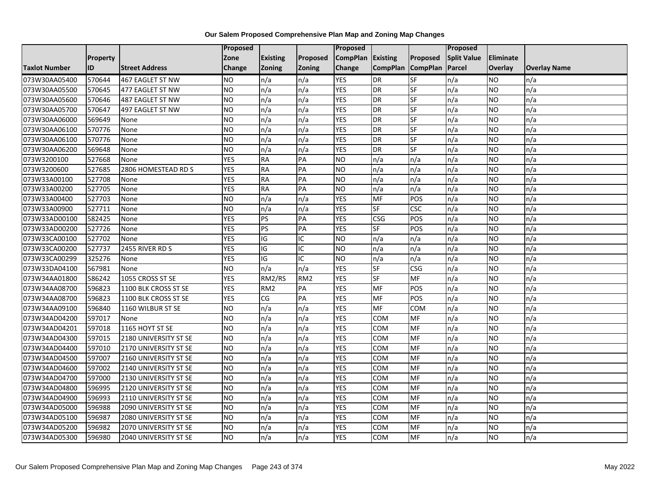|                      |                 |                       | <b>Proposed</b> |                 |                 | Proposed          |                          |            | <b>Proposed</b>    |                  |                     |
|----------------------|-----------------|-----------------------|-----------------|-----------------|-----------------|-------------------|--------------------------|------------|--------------------|------------------|---------------------|
|                      | <b>Property</b> |                       | Zone            | <b>Existing</b> | Proposed        | CompPlan Existing |                          | Proposed   | <b>Split Value</b> | <b>Eliminate</b> |                     |
| <b>Taxlot Number</b> | ID              | <b>Street Address</b> | <b>Change</b>   | <b>Zoning</b>   | Zoning          | Change            | CompPlan CompPlan        |            | Parcel             | <b>Overlay</b>   | <b>Overlay Name</b> |
| 073W30AA05400        | 570644          | 467 EAGLET ST NW      | <b>NO</b>       | n/a             | n/a             | <b>YES</b>        | <b>DR</b>                | SF         | n/a                | <b>NO</b>        | n/a                 |
| 073W30AA05500        | 570645          | 477 EAGLET ST NW      | <b>NO</b>       | n/a             | n/a             | <b>YES</b>        | DR                       | SF         | n/a                | <b>NO</b>        | n/a                 |
| 073W30AA05600        | 570646          | 487 EAGLET ST NW      | <b>NO</b>       | n/a             | n/a             | <b>YES</b>        | DR                       | SF         | n/a                | <b>NO</b>        | n/a                 |
| 073W30AA05700        | 570647          | 497 EAGLET ST NW      | <b>NO</b>       | n/a             | n/a             | <b>YES</b>        | DR                       | SF         | n/a                | <b>NO</b>        | n/a                 |
| 073W30AA06000        | 569649          | None                  | <b>NO</b>       | n/a             | n/a             | <b>YES</b>        | DR                       | SF         | n/a                | <b>NO</b>        | n/a                 |
| 073W30AA06100        | 570776          | None                  | <b>NO</b>       | n/a             | n/a             | <b>YES</b>        | DR                       | SF         | n/a                | <b>NO</b>        | n/a                 |
| 073W30AA06100        | 570776          | None                  | <b>NO</b>       | n/a             | n/a             | <b>YES</b>        | $\overline{DR}$          | SF         | n/a                | Ю                | n/a                 |
| 073W30AA06200        | 569648          | None                  | <b>NO</b>       | n/a             | n/a             | <b>YES</b>        | DR                       | SF         | n/a                | <b>NO</b>        | n/a                 |
| 073W3200100          | 527668          | None                  | <b>YES</b>      | <b>RA</b>       | PA              | <b>NO</b>         | n/a                      | n/a        | n/a                | <b>NO</b>        | n/a                 |
| 073W3200600          | 527685          | 2806 HOMESTEAD RD S   | <b>YES</b>      | <b>RA</b>       | PA              | Ю                 | n/a                      | n/a        | n/a                | <b>NO</b>        | n/a                 |
| 073W33A00100         | 527708          | None                  | <b>YES</b>      | <b>RA</b>       | PA              | <b>NO</b>         | n/a                      | n/a        | n/a                | <b>NO</b>        | n/a                 |
| 073W33A00200         | 527705          | None                  | <b>YES</b>      | <b>RA</b>       | PA              | <b>NO</b>         | n/a                      | n/a        | n/a                | <b>NO</b>        | n/a                 |
| 073W33A00400         | 527703          | None                  | <b>NO</b>       | n/a             | n/a             | <b>YES</b>        | MF                       | POS        | n/a                | <b>NO</b>        | n/a                 |
| 073W33A00900         | 527711          | None                  | <b>NO</b>       | n/a             | n/a             | <b>YES</b>        | SF                       | <b>CSC</b> | n/a                | <b>NO</b>        | n/a                 |
| 073W33AD00100        | 582425          | None                  | <b>YES</b>      | <b>PS</b>       | PA              | <b>YES</b>        | CSG                      | POS        | n/a                | <b>NO</b>        | n/a                 |
| 073W33AD00200        | 527726          | None                  | <b>YES</b>      | PS              | $\overline{PA}$ | <b>YES</b>        | $\overline{\mathsf{SF}}$ | POS        | n/a                | <b>NO</b>        | n/a                 |
| 073W33CA00100        | 527702          | None                  | <b>YES</b>      | IG              | IC              | Ю                 | n/a                      | n/a        | n/a                | <b>NO</b>        | n/a                 |
| 073W33CA00200        | 527737          | 2455 RIVER RD S       | <b>YES</b>      | IG              | IC              | <b>NO</b>         | n/a                      | n/a        | n/a                | <b>NO</b>        | n/a                 |
| 073W33CA00299        | 325276          | None                  | <b>YES</b>      | $\overline{G}$  | IC              | N <sub>O</sub>    | n/a                      | n/a        | n/a                | <b>NO</b>        | n/a                 |
| 073W33DA04100        | 567981          | None                  | <b>NO</b>       | n/a             | n/a             | <b>YES</b>        | SF                       | <b>CSG</b> | n/a                | <b>NO</b>        | n/a                 |
| 073W34AA01800        | 586242          | 1055 CROSS ST SE      | <b>YES</b>      | RM2/RS          | RM <sub>2</sub> | <b>YES</b>        | <b>SF</b>                | MF         | n/a                | <b>NO</b>        | n/a                 |
| 073W34AA08700        | 596823          | 1100 BLK CROSS ST SE  | <b>YES</b>      | RM <sub>2</sub> | PA              | <b>YES</b>        | MF                       | POS        | n/a                | <b>NO</b>        | n/a                 |
| 073W34AA08700        | 596823          | 1100 BLK CROSS ST SE  | <b>YES</b>      | CG              | PA              | <b>YES</b>        | MF                       | POS        | n/a                | <b>NO</b>        | n/a                 |
| 073W34AA09100        | 596840          | 1160 WILBUR ST SE     | <b>NO</b>       | n/a             | n/a             | <b>YES</b>        | MF                       | COM        | n/a                | <b>NO</b>        | n/a                 |
| 073W34AD04200        | 597017          | None                  | <b>NO</b>       | n/a             | n/a             | <b>YES</b>        | COM                      | MF         | n/a                | <b>NO</b>        | n/a                 |
| 073W34AD04201        | 597018          | 1165 HOYT ST SE       | <b>NO</b>       | n/a             | n/a             | <b>YES</b>        | COM                      | MF         | n/a                | <b>NO</b>        | n/a                 |
| 073W34AD04300        | 597015          | 2180 UNIVERSITY ST SE | Ю               | n/a             | n/a             | <b>YES</b>        | сом                      | <b>MF</b>  | n/a                | <b>NO</b>        | n/a                 |
| 073W34AD04400        | 597010          | 2170 UNIVERSITY ST SE | <b>NO</b>       | n/a             | n/a             | <b>YES</b>        | COM                      | MF         | n/a                | <b>NO</b>        | n/a                 |
| 073W34AD04500        | 597007          | 2160 UNIVERSITY ST SE | Ю               | n/a             | n/a             | <b>YES</b>        | COM                      | MF         | n/a                | <b>NO</b>        | n/a                 |
| 073W34AD04600        | 597002          | 2140 UNIVERSITY ST SE | <b>NO</b>       | n/a             | n/a             | <b>YES</b>        | COM                      | <b>MF</b>  | n/a                | <b>NO</b>        | n/a                 |
| 073W34AD04700        | 597000          | 2130 UNIVERSITY ST SE | <b>NO</b>       | n/a             | n/a             | <b>YES</b>        | COM                      | MF         | n/a                | <b>NO</b>        | n/a                 |
| 073W34AD04800        | 596995          | 2120 UNIVERSITY ST SE | <b>NO</b>       | n/a             | n/a             | <b>YES</b>        | COM                      | MF         | n/a                | <b>NO</b>        | n/a                 |
| 073W34AD04900        | 596993          | 2110 UNIVERSITY ST SE | <b>NO</b>       | n/a             | n/a             | <b>YES</b>        | COM                      | MF         | n/a                | <b>NO</b>        | n/a                 |
| 073W34AD05000        | 596988          | 2090 UNIVERSITY ST SE | <b>NO</b>       | n/a             | n/a             | <b>YES</b>        | сом                      | MF         | n/a                | <b>NO</b>        | n/a                 |
| 073W34AD05100        | 596987          | 2080 UNIVERSITY ST SE | <b>NO</b>       | n/a             | n/a             | <b>YES</b>        | COM                      | MF         | n/a                | <b>NO</b>        | n/a                 |
| 073W34AD05200        | 596982          | 2070 UNIVERSITY ST SE | <b>NO</b>       | n/a             | n/a             | <b>YES</b>        | сом                      | MF         | n/a                | <b>NO</b>        | n/a                 |
| 073W34AD05300        | 596980          | 2040 UNIVERSITY ST SE | <b>NO</b>       | n/a             | n/a             | <b>YES</b>        | COM                      | MF         | n/a                | <b>NO</b>        | n/a                 |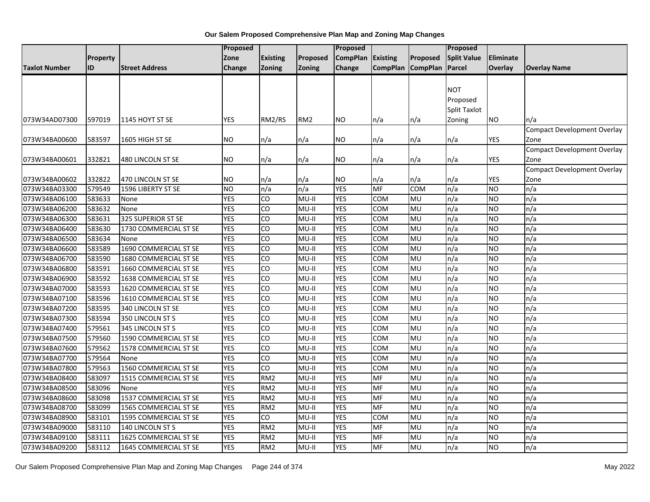|                      |                 |                              | <b>Proposed</b> |                 |                 | <b>Proposed</b> |            |                   | <b>Proposed</b>    |                |                                    |
|----------------------|-----------------|------------------------------|-----------------|-----------------|-----------------|-----------------|------------|-------------------|--------------------|----------------|------------------------------------|
|                      | <b>Property</b> |                              | Zone            | <b>Existing</b> | Proposed        | <b>CompPlan</b> | Existing   | Proposed          | <b>Split Value</b> | Eliminate      |                                    |
| <b>Taxlot Number</b> | ID              | <b>Street Address</b>        | Change          | <b>Zoning</b>   | <b>Zoning</b>   | Change          |            | CompPlan CompPlan | Parcel             | <b>Overlay</b> | <b>Overlay Name</b>                |
|                      |                 |                              |                 |                 |                 |                 |            |                   |                    |                |                                    |
|                      |                 |                              |                 |                 |                 |                 |            |                   | <b>NOT</b>         |                |                                    |
|                      |                 |                              |                 |                 |                 |                 |            |                   | Proposed           |                |                                    |
|                      |                 |                              |                 |                 |                 |                 |            |                   | Split Taxlot       |                |                                    |
| 073W34AD07300        | 597019          | 1145 HOYT ST SE              | <b>YES</b>      | RM2/RS          | RM <sub>2</sub> | <b>NO</b>       | n/a        | n/a               | Zoning             | <b>NO</b>      | n/a                                |
|                      |                 |                              |                 |                 |                 |                 |            |                   |                    |                | <b>Compact Development Overlay</b> |
| 073W34BA00600        | 583597          | 1605 HIGH ST SE              | <b>NO</b>       | n/a             | n/a             | <b>NO</b>       | n/a        | n/a               | n/a                | <b>YES</b>     | Zone                               |
|                      |                 |                              |                 |                 |                 |                 |            |                   |                    |                | <b>Compact Development Overlay</b> |
| 073W34BA00601        | 332821          | 480 LINCOLN ST SE            | <b>NO</b>       | n/a             | n/a             | <b>NO</b>       | n/a        | n/a               | n/a                | YES            | Zone                               |
|                      |                 |                              |                 |                 |                 |                 |            |                   |                    |                | Compact Development Overlay        |
| 073W34BA00602        | 332822          | 470 LINCOLN ST SE            | <b>NO</b>       | n/a             | n/a             | <b>NO</b>       | n/a        | n/a               | n/a                | <b>YES</b>     | Zone                               |
| 073W34BA03300        | 579549          | 1596 LIBERTY ST SE           | <b>NO</b>       | n/a             | n/a             | <b>YES</b>      | <b>MF</b>  | COM               | n/a                | <b>NO</b>      | n/a                                |
| 073W34BA06100        | 583633          | None                         | <b>YES</b>      | CO              | $MU-II$         | <b>YES</b>      | <b>COM</b> | MU                | n/a                | <b>NO</b>      | n/a                                |
| 073W34BA06200        | 583632          | None                         | <b>YES</b>      | CO              | MU-II           | <b>YES</b>      | COM        | MU                | n/a                | <b>NO</b>      | n/a                                |
| 073W34BA06300        | 583631          | 325 SUPERIOR ST SE           | <b>YES</b>      | CO              | $MU-II$         | <b>YES</b>      | COM        | MU                | n/a                | <b>NO</b>      | n/a                                |
| 073W34BA06400        | 583630          | 1730 COMMERCIAL ST SE        | <b>YES</b>      | CO              | $MU-II$         | <b>YES</b>      | COM        | MU                | n/a                | <b>NO</b>      | n/a                                |
| 073W34BA06500        | 583634          | None                         | <b>YES</b>      | CO              | $MU-II$         | <b>YES</b>      | <b>COM</b> | MU                | n/a                | <b>NO</b>      | n/a                                |
| 073W34BA06600        | 583589          | 1690 COMMERCIAL ST SE        | <b>YES</b>      | CO              | $MU-II$         | <b>YES</b>      | COM        | MU                | n/a                | <b>NO</b>      | n/a                                |
| 073W34BA06700        | 583590          | 1680 COMMERCIAL ST SE        | <b>YES</b>      | CO              | MU-II           | <b>YES</b>      | COM        | MU                | n/a                | <b>NO</b>      | n/a                                |
| 073W34BA06800        | 583591          | 1660 COMMERCIAL ST SE        | <b>YES</b>      | CO              | MU-II           | <b>YES</b>      | <b>COM</b> | MU                | n/a                | <b>NO</b>      | n/a                                |
| 073W34BA06900        | 583592          | 1638 COMMERCIAL ST SE        | <b>YES</b>      | CO              | MU-II           | <b>YES</b>      | COM        | MU                | n/a                | <b>NO</b>      | n/a                                |
| 073W34BA07000        | 583593          | 1620 COMMERCIAL ST SE        | <b>YES</b>      | CO              | $MU-II$         | <b>YES</b>      | <b>COM</b> | MU                | n/a                | <b>NO</b>      | n/a                                |
| 073W34BA07100        | 583596          | 1610 COMMERCIAL ST SE        | <b>YES</b>      | CO              | MU-II           | <b>YES</b>      | <b>COM</b> | MU                | n/a                | <b>NO</b>      | n/a                                |
| 073W34BA07200        | 583595          | 340 LINCOLN ST SE            | <b>YES</b>      | CO              | $MU-II$         | <b>YES</b>      | COM        | MU                | n/a                | <b>NO</b>      | n/a                                |
| 073W34BA07300        | 583594          | 350 LINCOLN ST S             | <b>YES</b>      | CO              | MU-II           | <b>YES</b>      | COM        | MU                | n/a                | <b>NO</b>      | n/a                                |
| 073W34BA07400        | 579561          | 345 LINCOLN ST S             | <b>YES</b>      | CO              | $MU-II$         | <b>YES</b>      | COM        | MU                | n/a                | <b>NO</b>      | n/a                                |
| 073W34BA07500        | 579560          | 1590 COMMERCIAL ST SE        | <b>YES</b>      | CO              | $MU-II$         | <b>YES</b>      | <b>COM</b> | MU                | n/a                | <b>NO</b>      | n/a                                |
| 073W34BA07600        | 579562          | 1578 COMMERCIAL ST SE        | <b>YES</b>      | CO              | MU-II           | <b>YES</b>      | COM        | MU                | n/a                | <b>NO</b>      | n/a                                |
| 073W34BA07700        | 579564          | None                         | <b>YES</b>      | CO              | MU-II           | <b>YES</b>      | COM        | MU                | n/a                | <b>NO</b>      | n/a                                |
| 073W34BA07800        | 579563          | 1560 COMMERCIAL ST SE        | <b>YES</b>      | CO              | MU-II           | <b>YES</b>      | <b>COM</b> | MU                | n/a                | <b>NO</b>      | n/a                                |
| 073W34BA08400        | 583097          | 1515 COMMERCIAL ST SE        | <b>YES</b>      | RM <sub>2</sub> | MU-II           | <b>YES</b>      | <b>MF</b>  | MU                | n/a                | <b>NO</b>      | n/a                                |
| 073W34BA08500        | 583096          | None                         | <b>YES</b>      | RM <sub>2</sub> | MU-II           | <b>YES</b>      | MF         | MU                | n/a                | <b>NO</b>      | n/a                                |
| 073W34BA08600        | 583098          | 1537 COMMERCIAL ST SE        | <b>YES</b>      | RM <sub>2</sub> | MU-II           | <b>YES</b>      | MF         | MU                | n/a                | <b>NO</b>      | n/a                                |
| 073W34BA08700        | 583099          | <b>1565 COMMERCIAL ST SE</b> | <b>YES</b>      | RM <sub>2</sub> | $MU-II$         | <b>YES</b>      | <b>MF</b>  | MU                | n/a                | <b>NO</b>      | n/a                                |
| 073W34BA08900        | 583101          | 1595 COMMERCIAL ST SE        | <b>YES</b>      | CO              | MU-II           | <b>YES</b>      | <b>COM</b> | MU                | n/a                | <b>NO</b>      | n/a                                |
| 073W34BA09000        | 583110          | 140 LINCOLN ST S             | <b>YES</b>      | RM <sub>2</sub> | MU-II           | <b>YES</b>      | MF         | MU                | n/a                | <b>NO</b>      | n/a                                |
| 073W34BA09100        | 583111          | 1625 COMMERCIAL ST SE        | <b>YES</b>      | RM <sub>2</sub> | MU-II           | <b>YES</b>      | MF         | MU                | n/a                | <b>NO</b>      | n/a                                |
| 073W34BA09200        | 583112          | 1645 COMMERCIAL ST SE        | <b>YES</b>      | RM <sub>2</sub> | MU-II           | <b>YES</b>      | <b>MF</b>  | <b>MU</b>         | n/a                | <b>NO</b>      | n/a                                |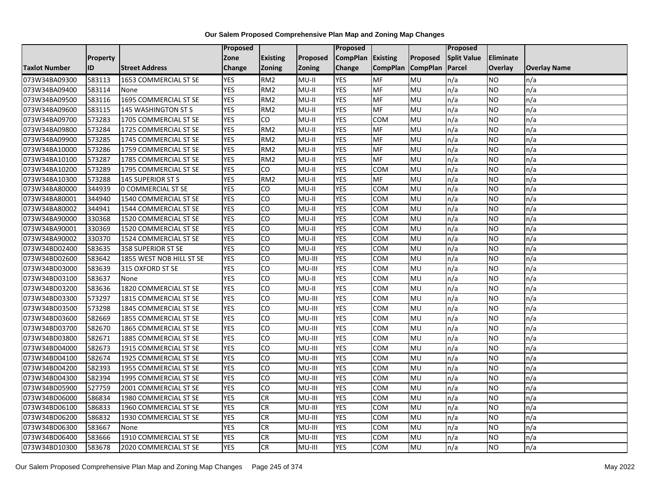|                      |                 |                           | Proposed   |                 |          | <b>Proposed</b> |                 |                 | <b>Proposed</b>    |                |                     |
|----------------------|-----------------|---------------------------|------------|-----------------|----------|-----------------|-----------------|-----------------|--------------------|----------------|---------------------|
|                      | <b>Property</b> |                           | Zone       | <b>Existing</b> | Proposed | <b>CompPlan</b> | <b>Existing</b> | <b>Proposed</b> | <b>Split Value</b> | Eliminate      |                     |
| <b>Taxlot Number</b> | ID              | <b>Street Address</b>     | Change     | <b>Zoning</b>   | Zoning   | Change          | <b>CompPlan</b> | <b>CompPlan</b> | Parcel             | <b>Overlay</b> | <b>Overlay Name</b> |
| 073W34BA09300        | 583113          | 1653 COMMERCIAL ST SE     | <b>YES</b> | RM <sub>2</sub> | MU-II    | <b>YES</b>      | <b>MF</b>       | MU              | n/a                | <b>NO</b>      | n/a                 |
| 073W34BA09400        | 583114          | None                      | <b>YES</b> | RM <sub>2</sub> | $MU-II$  | <b>YES</b>      | <b>MF</b>       | MU              | n/a                | NO.            | n/a                 |
| 073W34BA09500        | 583116          | 1695 COMMERCIAL ST SE     | <b>YES</b> | RM <sub>2</sub> | $MU-II$  | <b>YES</b>      | MF              | MU              | n/a                | NO.            | n/a                 |
| 073W34BA09600        | 583115          | 145 WASHINGTON ST S       | <b>YES</b> | RM <sub>2</sub> | MU-II    | <b>YES</b>      | MF              | MU              | n/a                | NO.            | n/a                 |
| 073W34BA09700        | 573283          | 1705 COMMERCIAL ST SE     | <b>YES</b> | CO              | $MU-II$  | <b>YES</b>      | COM             | MU              | n/a                | NO.            | n/a                 |
| 073W34BA09800        | 573284          | 1725 COMMERCIAL ST SE     | <b>YES</b> | RM <sub>2</sub> | $MU-II$  | <b>YES</b>      | MF              | MU              | n/a                | <b>NO</b>      | n/a                 |
| 073W34BA09900        | 573285          | 1745 COMMERCIAL ST SE     | <b>YES</b> | RM <sub>2</sub> | MU-II    | <b>YES</b>      | MF              | MU              | n/a                | NO.            | n/a                 |
| 073W34BA10000        | 573286          | 1759 COMMERCIAL ST SE     | <b>YES</b> | RM <sub>2</sub> | $MU-II$  | <b>YES</b>      | MF              | MU              | n/a                | NO.            | n/a                 |
| 073W34BA10100        | 573287          | 1785 COMMERCIAL ST SE     | <b>YES</b> | RM <sub>2</sub> | $MU-II$  | <b>YES</b>      | MF              | MU              | n/a                | ΝO             | n/a                 |
| 073W34BA10200        | 573289          | 1795 COMMERCIAL ST SE     | <b>YES</b> | CO              | MU-II    | <b>YES</b>      | <b>COM</b>      | MU              | n/a                | NO.            | n/a                 |
| 073W34BA10300        | 573288          | <b>145 SUPERIOR ST S</b>  | <b>YES</b> | RM <sub>2</sub> | $MU-II$  | <b>YES</b>      | <b>MF</b>       | MU              | n/a                | NO.            | n/a                 |
| 073W34BA80000        | 344939          | <b>0 COMMERCIAL ST SE</b> | <b>YES</b> | CO              | MU-II    | <b>YES</b>      | <b>COM</b>      | MU              | n/a                | NO.            | n/a                 |
| 073W34BA80001        | 344940          | 1540 COMMERCIAL ST SE     | <b>YES</b> | CO              | MU-II    | <b>YES</b>      | COM             | MU              | n/a                | NO.            | n/a                 |
| 073W34BA80002        | 344941          | 1544 COMMERCIAL ST SE     | <b>YES</b> | CO              | $MU-II$  | <b>YES</b>      | <b>COM</b>      | MU              | n/a                | NO.            | n/a                 |
| 073W34BA90000        | 330368          | 1520 COMMERCIAL ST SE     | <b>YES</b> | CO              | MU-II    | <b>YES</b>      | COM             | MU              | n/a                | ΝO             | n/a                 |
| 073W34BA90001        | 330369          | 1520 COMMERCIAL ST SE     | <b>YES</b> | CO              | $MU-II$  | <b>YES</b>      | COM             | MU              | n/a                | NO.            | n/a                 |
| 073W34BA90002        | 330370          | 1524 COMMERCIAL ST SE     | <b>YES</b> | CO              | MU-II    | <b>YES</b>      | COM             | MU              | n/a                | NO.            | n/a                 |
| 073W34BD02400        | 583635          | 358 SUPERIOR ST SE        | <b>YES</b> | CO              | $MU-II$  | <b>YES</b>      | <b>COM</b>      | MU              | n/a                | NO.            | n/a                 |
| 073W34BD02600        | 583642          | 1855 WEST NOB HILL ST SE  | <b>YES</b> | CO              | MU-III   | <b>YES</b>      | <b>COM</b>      | MU              | n/a                | NO.            | n/a                 |
| 073W34BD03000        | 583639          | 315 OXFORD ST SE          | <b>YES</b> | CO              | MU-III   | <b>YES</b>      | <b>COM</b>      | MU              | n/a                | NO.            | n/a                 |
| 073W34BD03100        | 583637          | None                      | <b>YES</b> | CO              | MU-II    | <b>YES</b>      | COM             | MU              | n/a                | NO.            | n/a                 |
| 073W34BD03200        | 583636          | 1820 COMMERCIAL ST SE     | <b>YES</b> | CO              | $MU-II$  | <b>YES</b>      | COM             | MU              | n/a                | NO.            | n/a                 |
| 073W34BD03300        | 573297          | 1815 COMMERCIAL ST SE     | <b>YES</b> | CO              | MU-III   | <b>YES</b>      | COM             | MU              | n/a                | NO.            | n/a                 |
| 073W34BD03500        | 573298          | 1845 COMMERCIAL ST SE     | <b>YES</b> | CO              | MU-III   | <b>YES</b>      | COM             | MU              | n/a                | NO.            | n/a                 |
| 073W34BD03600        | 582669          | 1855 COMMERCIAL ST SE     | <b>YES</b> | CO              | MU-III   | <b>YES</b>      | <b>COM</b>      | MU              | n/a                | <b>NO</b>      | n/a                 |
| 073W34BD03700        | 582670          | 1865 COMMERCIAL ST SE     | <b>YES</b> | CO              | MU-III   | <b>YES</b>      | <b>COM</b>      | MU              | n/a                | NO.            | n/a                 |
| 073W34BD03800        | 582671          | 1885 COMMERCIAL ST SE     | <b>YES</b> | CO              | MU-III   | <b>YES</b>      | COM             | MU              | n/a                | NO.            | n/a                 |
| 073W34BD04000        | 582673          | 1915 COMMERCIAL ST SE     | <b>YES</b> | CO              | MU-III   | <b>YES</b>      | <b>COM</b>      | MU              | n/a                | NO.            | n/a                 |
| 073W34BD04100        | 582674          | 1925 COMMERCIAL ST SE     | <b>YES</b> | CO              | MU-III   | <b>YES</b>      | <b>COM</b>      | MU              | n/a                | NO             | n/a                 |
| 073W34BD04200        | 582393          | 1955 COMMERCIAL ST SE     | <b>YES</b> | CO              | MU-III   | <b>YES</b>      | <b>COM</b>      | MU              | n/a                | NO.            | n/a                 |
| 073W34BD04300        | 582394          | 1995 COMMERCIAL ST SE     | <b>YES</b> | CO              | MU-III   | <b>YES</b>      | сом             | MU              | n/a                | ΝO             | n/a                 |
| 073W34BD05900        | 527759          | 2001 COMMERCIAL ST SE     | <b>YES</b> | CO              | MU-III   | <b>YES</b>      | COM             | MU              | n/a                | NO.            | n/a                 |
| 073W34BD06000        | 586834          | 1980 COMMERCIAL ST SE     | <b>YES</b> | <b>CR</b>       | MU-III   | <b>YES</b>      | COM             | MU              | n/a                | NO.            | n/a                 |
| 073W34BD06100        | 586833          | 1960 COMMERCIAL ST SE     | <b>YES</b> | CR              | MU-III   | <b>YES</b>      | <b>COM</b>      | MU              | n/a                | NO.            | n/a                 |
| 073W34BD06200        | 586832          | 1930 COMMERCIAL ST SE     | <b>YES</b> | <b>CR</b>       | MU-III   | <b>YES</b>      | COM             | MU              | n/a                | NO.            | n/a                 |
| 073W34BD06300        | 583667          | None                      | <b>YES</b> | <b>CR</b>       | MU-III   | <b>YES</b>      | COM             | MU              | n/a                | NO.            | n/a                 |
| 073W34BD06400        | 583666          | 1910 COMMERCIAL ST SE     | <b>YES</b> | ${\sf CR}$      | MU-III   | <b>YES</b>      | сом             | MU              | n/a                | NO.            | n/a                 |
| 073W34BD10300        | 583678          | 2020 COMMERCIAL ST SE     | <b>YES</b> | CR              | MU-III   | <b>YES</b>      | <b>COM</b>      | MU              | n/a                | NO.            | n/a                 |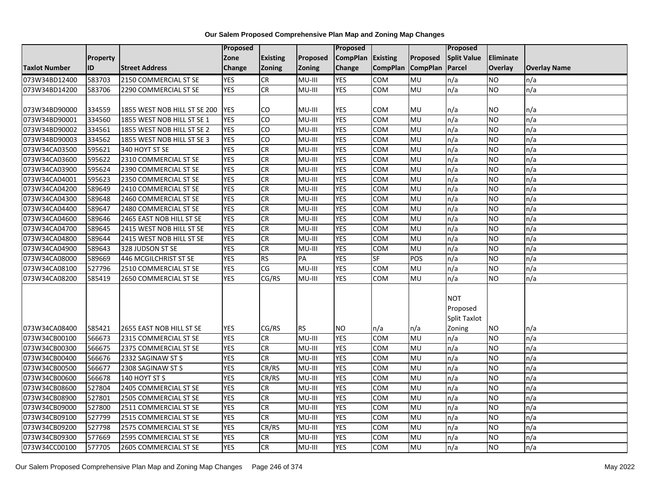|                      |                 |                              | <b>Proposed</b> |                 |           | Proposed        |                 |                 | Proposed           |                |                     |
|----------------------|-----------------|------------------------------|-----------------|-----------------|-----------|-----------------|-----------------|-----------------|--------------------|----------------|---------------------|
|                      | <b>Property</b> |                              | Zone            | <b>Existing</b> | Proposed  | <b>CompPlan</b> | Existing        | Proposed        | <b>Split Value</b> | Eliminate      |                     |
| <b>Taxlot Number</b> | ID              | <b>Street Address</b>        | Change          | Zoning          | Zoning    | Change          | <b>CompPlan</b> | <b>CompPlan</b> | Parcel             | <b>Overlay</b> | <b>Overlay Name</b> |
| 073W34BD12400        | 583703          | 2150 COMMERCIAL ST SE        | <b>YES</b>      | <b>CR</b>       | MU-III    | <b>YES</b>      | <b>COM</b>      | MU              | n/a                | <b>NO</b>      | n/a                 |
| 073W34BD14200        | 583706          | 2290 COMMERCIAL ST SE        | <b>YES</b>      | <b>CR</b>       | MU-III    | <b>YES</b>      | COM             | <b>MU</b>       | n/a                | NO.            | n/a                 |
|                      |                 |                              |                 |                 |           |                 |                 |                 |                    |                |                     |
| 073W34BD90000        | 334559          | 1855 WEST NOB HILL ST SE 200 | <b>YES</b>      | CO              | MU-III    | <b>YES</b>      | COM             | <b>MU</b>       | n/a                | NO             | n/a                 |
| 073W34BD90001        | 334560          | 1855 WEST NOB HILL ST SE 1   | <b>YES</b>      | $\overline{c}$  | MU-III    | <b>YES</b>      | COM             | <b>MU</b>       | n/a                | NO.            | n/a                 |
| 073W34BD90002        | 334561          | 1855 WEST NOB HILL ST SE 2   | <b>YES</b>      | CO              | MU-III    | <b>YES</b>      | COM             | MU              | n/a                | <b>NO</b>      | n/a                 |
| 073W34BD90003        | 334562          | 1855 WEST NOB HILL ST SE 3   | <b>YES</b>      | CO              | MU-III    | <b>YES</b>      | сом             | MU              | n/a                | <b>NO</b>      | n/a                 |
| 073W34CA03500        | 595621          | 340 HOYT ST SE               | <b>YES</b>      | CR              | MU-III    | <b>YES</b>      | COM             | MU              | n/a                | NO.            | n/a                 |
| 073W34CA03600        | 595622          | 2310 COMMERCIAL ST SE        | <b>YES</b>      | CR              | MU-III    | <b>YES</b>      | COM             | MU              | n/a                | NO.            | n/a                 |
| 073W34CA03900        | 595624          | 2390 COMMERCIAL ST SE        | <b>YES</b>      | <b>CR</b>       | MU-III    | <b>YES</b>      | COM             | MU              | n/a                | <b>NO</b>      | n/a                 |
| 073W34CA04001        | 595623          | 2350 COMMERCIAL ST SE        | <b>YES</b>      | <b>CR</b>       | MU-III    | <b>YES</b>      | COM             | MU              | n/a                | <b>NO</b>      | n/a                 |
| 073W34CA04200        | 589649          | 2410 COMMERCIAL ST SE        | <b>YES</b>      | <b>CR</b>       | MU-III    | <b>YES</b>      | COM             | MU              | n/a                | <b>NO</b>      | n/a                 |
| 073W34CA04300        | 589648          | 2460 COMMERCIAL ST SE        | <b>YES</b>      | CR              | MU-III    | <b>YES</b>      | COM             | MU              | n/a                | NO.            | n/a                 |
| 073W34CA04400        | 589647          | 2480 COMMERCIAL ST SE        | <b>YES</b>      | $\overline{c}$  | MU-III    | <b>YES</b>      | <b>COM</b>      | <b>MU</b>       | n/a                | <b>NO</b>      | n/a                 |
| 073W34CA04600        | 589646          | 2465 EAST NOB HILL ST SE     | <b>YES</b>      | <b>CR</b>       | MU-III    | <b>YES</b>      | COM             | MU              | n/a                | <b>NO</b>      | n/a                 |
| 073W34CA04700        | 589645          | 2415 WEST NOB HILL ST SE     | <b>YES</b>      | CR              | MU-III    | <b>YES</b>      | COM             | MU              | n/a                | <b>NO</b>      | n/a                 |
| 073W34CA04800        | 589644          | 2415 WEST NOB HILL ST SE     | <b>YES</b>      | CR              | MU-III    | <b>YES</b>      | COM             | MU              | n/a                | NO.            | n/a                 |
| 073W34CA04900        | 589643          | 328 JUDSON ST SE             | <b>YES</b>      | <b>CR</b>       | MU-III    | <b>YES</b>      | COM             | MU              | n/a                | NO.            | n/a                 |
| 073W34CA08000        | 589669          | 446 MCGILCHRIST ST SE        | <b>YES</b>      | <b>RS</b>       | PA        | <b>YES</b>      | <b>SF</b>       | POS             | n/a                | NO.            | n/a                 |
| 073W34CA08100        | 527796          | 2510 COMMERCIAL ST SE        | <b>YES</b>      | CG              | MU-III    | <b>YES</b>      | COM             | MU              | n/a                | NO.            | n/a                 |
| 073W34CA08200        | 585419          | 2650 COMMERCIAL ST SE        | <b>YES</b>      | CG/RS           | MU-III    | <b>YES</b>      | COM             | MU              | n/a                | NO.            | n/a                 |
|                      |                 |                              |                 |                 |           |                 |                 |                 |                    |                |                     |
|                      |                 |                              |                 |                 |           |                 |                 |                 | <b>NOT</b>         |                |                     |
|                      |                 |                              |                 |                 |           |                 |                 |                 | Proposed           |                |                     |
|                      |                 |                              |                 |                 |           |                 |                 |                 | Split Taxlot       |                |                     |
| 073W34CA08400        | 585421          | 2655 EAST NOB HILL ST SE     | <b>YES</b>      | CG/RS           | <b>RS</b> | <b>NO</b>       | n/a             | n/a             | Zoning             | NO             | n/a                 |
| 073W34CB00100        | 566673          | 2315 COMMERCIAL ST SE        | <b>YES</b>      | CR              | MU-III    | <b>YES</b>      | COM             | <b>MU</b>       | n/a                | <b>NO</b>      | n/a                 |
| 073W34CB00300        | 566675          | 2375 COMMERCIAL ST SE        | <b>YES</b>      | <b>CR</b>       | MU-III    | <b>YES</b>      | COM             | MU              | n/a                | NO.            | n/a                 |
| 073W34CB00400        | 566676          | 2332 SAGINAW ST S            | <b>YES</b>      | CR              | MU-III    | <b>YES</b>      | COM             | MU              | n/a                | NO.            | n/a                 |
| 073W34CB00500        | 566677          | 2308 SAGINAW ST S            | <b>YES</b>      | CR/RS           | MU-III    | <b>YES</b>      | <b>COM</b>      | MU              | n/a                | <b>NO</b>      | n/a                 |
| 073W34CB00600        | 566678          | 140 HOYT ST S                | <b>YES</b>      | CR/RS           | MU-III    | <b>YES</b>      | COM             | MU              | n/a                | <b>NO</b>      | n/a                 |
| 073W34CB08600        | 527804          | 2405 COMMERCIAL ST SE        | <b>YES</b>      | CR              | MU-III    | <b>YES</b>      | COM             | MU              | n/a                | <b>NO</b>      | n/a                 |
| 073W34CB08900        | 527801          | 2505 COMMERCIAL ST SE        | <b>YES</b>      | CR              | MU-III    | <b>YES</b>      | COM             | MU              | n/a                | <b>NO</b>      | n/a                 |
| 073W34CB09000        | 527800          | 2511 COMMERCIAL ST SE        | <b>YES</b>      | CR              | MU-III    | <b>YES</b>      | COM             | MU              | n/a                | NO.            | n/a                 |
| 073W34CB09100        | 527799          | 2515 COMMERCIAL ST SE        | <b>YES</b>      | CR              | MU-III    | <b>YES</b>      | COM             | <b>MU</b>       | n/a                | NO.            | n/a                 |
| 073W34CB09200        | 527798          | 2575 COMMERCIAL ST SE        | <b>YES</b>      | CR/RS           | MU-III    | <b>YES</b>      | <b>COM</b>      | MU              | n/a                | NO.            | n/a                 |
| 073W34CB09300        | 577669          | 2595 COMMERCIAL ST SE        | <b>YES</b>      | CR              | MU-III    | <b>YES</b>      | COM             | MU              | n/a                | NO.            | n/a                 |
| 073W34CC00100        | 577705          | 2605 COMMERCIAL ST SE        | <b>YES</b>      | CR              | MU-III    | <b>YES</b>      | COM             | <b>MU</b>       | n/a                | NO.            | n/a                 |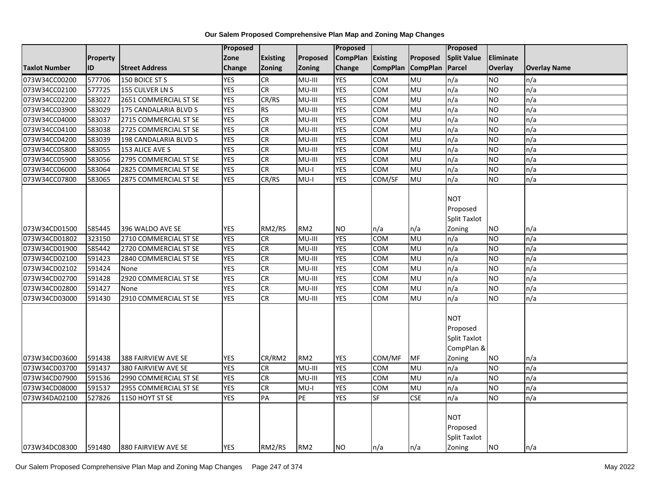|                      |          |                        | Proposed   |                 |                 | Proposed        |                 |                 | <b>Proposed</b>                                                       |                  |                     |
|----------------------|----------|------------------------|------------|-----------------|-----------------|-----------------|-----------------|-----------------|-----------------------------------------------------------------------|------------------|---------------------|
|                      | Property |                        | Zone       | <b>Existing</b> | Proposed        | <b>CompPlan</b> | Existing        | Proposed        | <b>Split Value</b>                                                    | <b>Eliminate</b> |                     |
| <b>Taxlot Number</b> | ID       | <b>Street Address</b>  | Change     | Zoning          | <b>Zoning</b>   | Change          | <b>CompPlan</b> | <b>CompPlan</b> | Parcel                                                                | Overlay          | <b>Overlay Name</b> |
| 073W34CC00200        | 577706   | 150 BOICE ST S         | <b>YES</b> | CR              | MU-III          | <b>YES</b>      | <b>COM</b>      | MU              | n/a                                                                   | <b>NO</b>        | n/a                 |
| 073W34CC02100        | 577725   | <b>155 CULVER LN S</b> | <b>YES</b> | CR              | MU-III          | <b>YES</b>      | <b>COM</b>      | <b>MU</b>       | n/a                                                                   | <b>NO</b>        | n/a                 |
| 073W34CC02200        | 583027   | 2651 COMMERCIAL ST SE  | <b>YES</b> | CR/RS           | MU-III          | <b>YES</b>      | <b>COM</b>      | MU              | n/a                                                                   | <b>NO</b>        | n/a                 |
| 073W34CC03900        | 583029   | 175 CANDALARIA BLVD S  | <b>YES</b> | <b>RS</b>       | MU-III          | <b>YES</b>      | COM             | MU              | n/a                                                                   | <b>NO</b>        | n/a                 |
| 073W34CC04000        | 583037   | 2715 COMMERCIAL ST SE  | <b>YES</b> | CR              | $MU-HI$         | <b>YES</b>      | COM             | MU              | n/a                                                                   | <b>NO</b>        | n/a                 |
| 073W34CC04100        | 583038   | 2725 COMMERCIAL ST SE  | <b>YES</b> | <b>CR</b>       | MU-III          | <b>YES</b>      | COM             | MU              | n/a                                                                   | <b>NO</b>        | n/a                 |
| 073W34CC04200        | 583039   | 198 CANDALARIA BLVD S  | <b>YES</b> | CR              | MU-III          | <b>YES</b>      | <b>COM</b>      | <b>MU</b>       | n/a                                                                   | <b>NO</b>        | n/a                 |
| 073W34CC05800        | 583055   | 153 ALICE AVE S        | <b>YES</b> | CR              | MU-III          | <b>YES</b>      | COM             | MU              | n/a                                                                   | <b>NO</b>        | n/a                 |
| 073W34CC05900        | 583056   | 2795 COMMERCIAL ST SE  | <b>YES</b> | <b>CR</b>       | $MU-HI$         | <b>YES</b>      | <b>COM</b>      | MU              | n/a                                                                   | <b>NO</b>        | n/a                 |
| 073W34CC06000        | 583064   | 2825 COMMERCIAL ST SE  | <b>YES</b> | CR              | $MU-I$          | <b>YES</b>      | <b>COM</b>      | <b>MU</b>       | n/a                                                                   | <b>NO</b>        | n/a                 |
| 073W34CC07800        | 583065   | 2875 COMMERCIAL ST SE  | <b>YES</b> | CR/RS           | $MU-I$          | <b>YES</b>      | COM/SF          | <b>MU</b>       | n/a                                                                   | <b>NO</b>        | n/a                 |
| 073W34CD01500        | 585445   | 396 WALDO AVE SE       | <b>YES</b> | RM2/RS          | RM <sub>2</sub> | <b>NO</b>       | n/a             | n/a             | <b>NOT</b><br>Proposed<br>Split Taxlot<br>Zoning                      | <b>NO</b>        | n/a                 |
| 073W34CD01802        | 323150   | 2710 COMMERCIAL ST SE  | <b>YES</b> | CR              | MU-III          | <b>YES</b>      | <b>COM</b>      | <b>MU</b>       | n/a                                                                   | <b>NO</b>        | n/a                 |
| 073W34CD01900        | 585442   | 2720 COMMERCIAL ST SE  | <b>YES</b> | CR              | MU-III          | <b>YES</b>      | <b>COM</b>      | MU              | n/a                                                                   | <b>NO</b>        | n/a                 |
| 073W34CD02100        | 591423   | 2840 COMMERCIAL ST SE  | <b>YES</b> | CR              | $MU-HI$         | <b>YES</b>      | COM             | MU              | n/a                                                                   | <b>NO</b>        | n/a                 |
| 073W34CD02102        | 591424   | None                   | <b>YES</b> | CR              | MU-III          | <b>YES</b>      | COM             | MU              | n/a                                                                   | <b>NO</b>        | n/a                 |
| 073W34CD02700        | 591428   | 2920 COMMERCIAL ST SE  | <b>YES</b> | CR              | MU-III          | <b>YES</b>      | <b>COM</b>      | MU              | n/a                                                                   | <b>NO</b>        | n/a                 |
| 073W34CD02800        | 591427   | None                   | <b>YES</b> | CR              | MU-III          | <b>YES</b>      | COM             | <b>MU</b>       | n/a                                                                   | <b>NO</b>        | n/a                 |
| 073W34CD03000        | 591430   | 2910 COMMERCIAL ST SE  | <b>YES</b> | CR              | MU-III          | <b>YES</b>      | <b>COM</b>      | MU              | n/a                                                                   | <b>NO</b>        | n/a                 |
| 073W34CD03600        | 591438   | 388 FAIRVIEW AVE SE    | <b>YES</b> | CR/RM2          | RM <sub>2</sub> | <b>YES</b>      | COM/MF          | MF              | <b>NOT</b><br>Proposed<br><b>Split Taxlot</b><br>CompPlan &<br>Zoning | <b>NO</b>        | n/a                 |
| 073W34CD03700        | 591437   | 380 FAIRVIEW AVE SE    | <b>YES</b> | <b>CR</b>       | MU-III          | <b>YES</b>      | COM             | <b>MU</b>       | n/a                                                                   | <b>NO</b>        | n/a                 |
| 073W34CD07900        | 591536   | 2990 COMMERCIAL ST SE  | <b>YES</b> | CR              | MU-III          | <b>YES</b>      | <b>COM</b>      | MU              | n/a                                                                   | <b>NO</b>        | n/a                 |
| 073W34CD08000        | 591537   | 2955 COMMERCIAL ST SE  | <b>YES</b> | CR              | $MU-I$          | <b>YES</b>      | <b>COM</b>      | <b>MU</b>       | n/a                                                                   | <b>NO</b>        | n/a                 |
| 073W34DA02100        | 527826   | 1150 HOYT ST SE        | <b>YES</b> | PA              | PE              | <b>YES</b>      | <b>SF</b>       | <b>CSE</b>      | n/a                                                                   | NO               | n/a                 |
| 073W34DC08300        | 591480   | 1880 FAIRVIEW AVE SE   | <b>YES</b> | RM2/RS          | RM <sub>2</sub> | <b>NO</b>       | n/a             | n/a             | <b>NOT</b><br>Proposed<br>Split Taxlot<br>Zoning                      | <b>NO</b>        | n/a                 |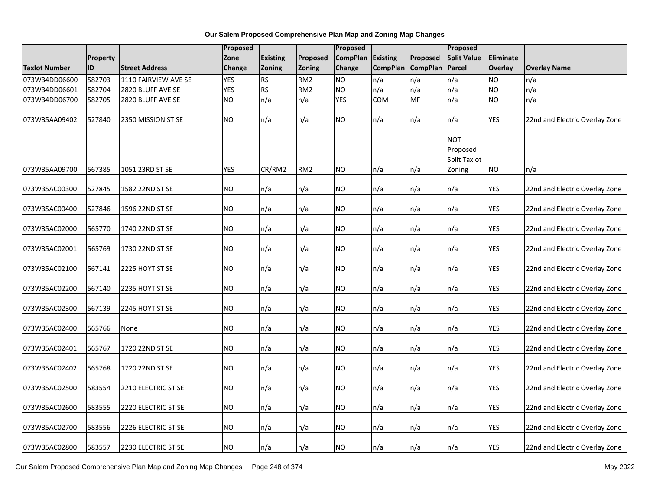|                      |                 |                            | <b>Proposed</b> |                 |                 |                 |                 | Proposed        |                                                         |            |                                |
|----------------------|-----------------|----------------------------|-----------------|-----------------|-----------------|-----------------|-----------------|-----------------|---------------------------------------------------------|------------|--------------------------------|
|                      | <b>Property</b> |                            | Zone            | <b>Existing</b> | Proposed        | <b>CompPlan</b> | <b>Existing</b> | Proposed        | <b>Split Value</b>                                      | Eliminate  |                                |
| <b>Taxlot Number</b> | ID              | <b>Street Address</b>      | <b>Change</b>   | Zoning          | Zoning          | Change          | <b>CompPlan</b> | <b>CompPlan</b> | Parcel                                                  | Overlay    | <b>Overlay Name</b>            |
| 073W34DD06600        | 582703          | 1110 FAIRVIEW AVE SE       | <b>YES</b>      | <b>RS</b>       | RM <sub>2</sub> | <b>NO</b>       | n/a             | n/a             | n/a                                                     | <b>NO</b>  | n/a                            |
| 073W34DD06601        | 582704          | 2820 BLUFF AVE SE          | <b>YES</b>      | <b>RS</b>       | RM <sub>2</sub> | <b>NO</b>       | n/a             | n/a             | n/a                                                     | <b>NO</b>  | n/a                            |
| 073W34DD06700        | 582705          | 2820 BLUFF AVE SE          | <b>NO</b>       | n/a             | n/a             | <b>YES</b>      | COM             | <b>MF</b>       | n/a                                                     | <b>NO</b>  | n/a                            |
| 073W35AA09402        | 527840          | 2350 MISSION ST SE         | <b>NO</b>       | n/a             | n/a             | <b>NO</b>       | n/a             | n/a             | n/a                                                     | YES        | 22nd and Electric Overlay Zone |
| 073W35AA09700        | 567385          | 1051 23RD ST SE            | <b>YES</b>      | CR/RM2          | RM <sub>2</sub> | <b>NO</b>       | n/a             | n/a             | <b>NOT</b><br>Proposed<br><b>Split Taxlot</b><br>Zoning | <b>NO</b>  | n/a                            |
| 073W35AC00300        | 527845          | 1582 22ND ST SE            | <b>NO</b>       | n/a             | n/a             | <b>NO</b>       | n/a             | n/a             | n/a                                                     | <b>YES</b> | 22nd and Electric Overlay Zone |
| 073W35AC00400        | 527846          | 1596 22ND ST SE            | <b>NO</b>       | n/a             | n/a             | <b>NO</b>       | n/a             | n/a             | n/a                                                     | YES        | 22nd and Electric Overlay Zone |
| 073W35AC02000        | 565770          | 1740 22ND ST SE            | <b>NO</b>       | n/a             | n/a             | NO.             | n/a             | n/a             | n/a                                                     | YES        | 22nd and Electric Overlay Zone |
| 073W35AC02001        | 565769          | 1730 22ND ST SE            | <b>NO</b>       | n/a             | n/a             | NO.             | n/a             | n/a             | n/a                                                     | <b>YES</b> | 22nd and Electric Overlay Zone |
| 073W35AC02100        | 567141          | 2225 HOYT ST SE            | <b>NO</b>       | n/a             | n/a             | <b>NO</b>       | n/a             | n/a             | n/a                                                     | <b>YES</b> | 22nd and Electric Overlay Zone |
| 073W35AC02200        | 567140          | 2235 HOYT ST SE            | <b>NO</b>       | n/a             | n/a             | <b>NO</b>       | n/a             | n/a             | n/a                                                     | <b>YES</b> | 22nd and Electric Overlay Zone |
| 073W35AC02300        | 567139          | 2245 HOYT ST SE            | <b>NO</b>       | n/a             | n/a             | <b>NO</b>       | n/a             | n/a             | n/a                                                     | <b>YES</b> | 22nd and Electric Overlay Zone |
| 073W35AC02400        | 565766          | None                       | <b>NO</b>       | n/a             | n/a             | NO              | n/a             | n/a             | n/a                                                     | <b>YES</b> | 22nd and Electric Overlay Zone |
| 073W35AC02401        | 565767          | 1720 22ND ST SE            | <b>NO</b>       | n/a             | n/a             | <b>NO</b>       | n/a             | n/a             | n/a                                                     | YES        | 22nd and Electric Overlay Zone |
| 073W35AC02402        | 565768          | 1720 22ND ST SE            | <b>NO</b>       | n/a             | n/a             | NO              | n/a             | n/a             | n/a                                                     | <b>YES</b> | 22nd and Electric Overlay Zone |
| 073W35AC02500        | 583554          | 2210 ELECTRIC ST SE        | <b>NO</b>       | n/a             | n/a             | <b>NO</b>       | n/a             | n/a             | n/a                                                     | <b>YES</b> | 22nd and Electric Overlay Zone |
| 073W35AC02600        | 583555          | 2220 ELECTRIC ST SE        | <b>NO</b>       | n/a             | n/a             | NO.             | n/a             | n/a             | n/a                                                     | <b>YES</b> | 22nd and Electric Overlay Zone |
| 073W35AC02700        | 583556          | 2226 ELECTRIC ST SE        | <b>NO</b>       | n/a             | n/a             | <b>NO</b>       | n/a             | n/a             | n/a                                                     | YES        | 22nd and Electric Overlay Zone |
| 073W35AC02800        | 583557          | <b>2230 ELECTRIC ST SE</b> | N <sub>O</sub>  | n/a             | n/a             | <b>NO</b>       | n/a             | n/a             | n/a                                                     | <b>YES</b> | 22nd and Electric Overlay Zone |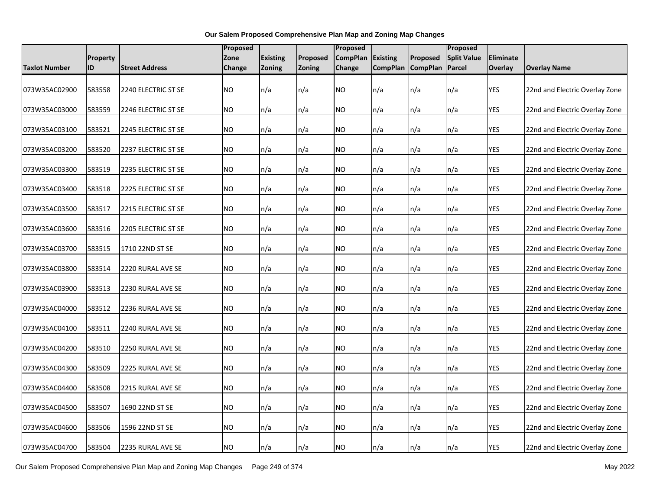|               |                 |                       |           | Proposed        |               | Proposed        |                 | Proposed          |                    |            |                                |
|---------------|-----------------|-----------------------|-----------|-----------------|---------------|-----------------|-----------------|-------------------|--------------------|------------|--------------------------------|
|               | <b>Property</b> |                       | Zone      | <b>Existing</b> | Proposed      | <b>CompPlan</b> | <b>Existing</b> | Proposed          | <b>Split Value</b> | Eliminate  |                                |
| Taxlot Number | ID              | <b>Street Address</b> | Change    | Zoning          | <b>Zoning</b> | Change          |                 | CompPlan CompPlan | Parcel             | Overlay    | <b>Overlay Name</b>            |
| 073W35AC02900 | 583558          | 2240 ELECTRIC ST SE   | <b>NO</b> | n/a             | n/a           | NO.             | n/a             | n/a               | n/a                | YES        | 22nd and Electric Overlay Zone |
| 073W35AC03000 | 583559          | 2246 ELECTRIC ST SE   | <b>NO</b> | n/a             | n/a           | <b>NO</b>       | n/a             | n/a               | n/a                | <b>YES</b> | 22nd and Electric Overlay Zone |
| 073W35AC03100 | 583521          | 2245 ELECTRIC ST SE   | <b>NO</b> | n/a             | n/a           | <b>NO</b>       | n/a             | n/a               | n/a                | <b>YES</b> | 22nd and Electric Overlay Zone |
| 073W35AC03200 | 583520          | 2237 ELECTRIC ST SE   | <b>NO</b> | n/a             | n/a           | NO.             | n/a             | n/a               | n/a                | YES        | 22nd and Electric Overlay Zone |
| 073W35AC03300 | 583519          | 2235 ELECTRIC ST SE   | <b>NO</b> | n/a             | n/a           | <b>NO</b>       | n/a             | n/a               | n/a                | <b>YES</b> | 22nd and Electric Overlay Zone |
| 073W35AC03400 | 583518          | 2225 ELECTRIC ST SE   | <b>NO</b> | n/a             | n/a           | <b>NO</b>       | n/a             | n/a               | n/a                | <b>YES</b> | 22nd and Electric Overlay Zone |
| 073W35AC03500 | 583517          | 2215 ELECTRIC ST SE   | <b>NO</b> | n/a             | n/a           | <b>NO</b>       | n/a             | n/a               | n/a                | <b>YES</b> | 22nd and Electric Overlay Zone |
| 073W35AC03600 | 583516          | 2205 ELECTRIC ST SE   | <b>NO</b> | n/a             | n/a           | <b>NO</b>       | n/a             | n/a               | n/a                | <b>YES</b> | 22nd and Electric Overlay Zone |
| 073W35AC03700 | 583515          | 1710 22ND ST SE       | <b>NO</b> | n/a             | n/a           | NO.             | n/a             | n/a               | n/a                | YES        | 22nd and Electric Overlay Zone |
| 073W35AC03800 | 583514          | 2220 RURAL AVE SE     | <b>NO</b> | n/a             | n/a           | <b>NO</b>       | n/a             | n/a               | n/a                | <b>YES</b> | 22nd and Electric Overlay Zone |
| 073W35AC03900 | 583513          | 2230 RURAL AVE SE     | <b>NO</b> | n/a             | n/a           | <b>NO</b>       | n/a             | n/a               | n/a                | <b>YES</b> | 22nd and Electric Overlay Zone |
| 073W35AC04000 | 583512          | 2236 RURAL AVE SE     | <b>NO</b> | n/a             | n/a           | NO.             | n/a             | n/a               | n/a                | YES        | 22nd and Electric Overlay Zone |
| 073W35AC04100 | 583511          | 2240 RURAL AVE SE     | <b>NO</b> | n/a             | n/a           | <b>NO</b>       | n/a             | n/a               | n/a                | YES        | 22nd and Electric Overlay Zone |
| 073W35AC04200 | 583510          | 2250 RURAL AVE SE     | <b>NO</b> | n/a             | n/a           | NO.             | n/a             | n/a               | n/a                | YES        | 22nd and Electric Overlay Zone |
| 073W35AC04300 | 583509          | 2225 RURAL AVE SE     | <b>NO</b> | n/a             | n/a           | <b>NO</b>       | n/a             | n/a               | n/a                | YES        | 22nd and Electric Overlay Zone |
| 073W35AC04400 | 583508          | 2215 RURAL AVE SE     | <b>NO</b> | n/a             | n/a           | <b>NO</b>       | n/a             | n/a               | n/a                | YES        | 22nd and Electric Overlay Zone |
| 073W35AC04500 | 583507          | 1690 22ND ST SE       | <b>NO</b> | n/a             | n/a           | <b>NO</b>       | n/a             | n/a               | n/a                | <b>YES</b> | 22nd and Electric Overlay Zone |
| 073W35AC04600 | 583506          | 1596 22ND ST SE       | <b>NO</b> | n/a             | n/a           | <b>NO</b>       | n/a             | n/a               | n/a                | <b>YES</b> | 22nd and Electric Overlay Zone |
| 073W35AC04700 | 583504          | 2235 RURAL AVE SE     | <b>NO</b> | n/a             | n/a           | <b>NO</b>       | n/a             | n/a               | n/a                | <b>YES</b> | 22nd and Electric Overlay Zone |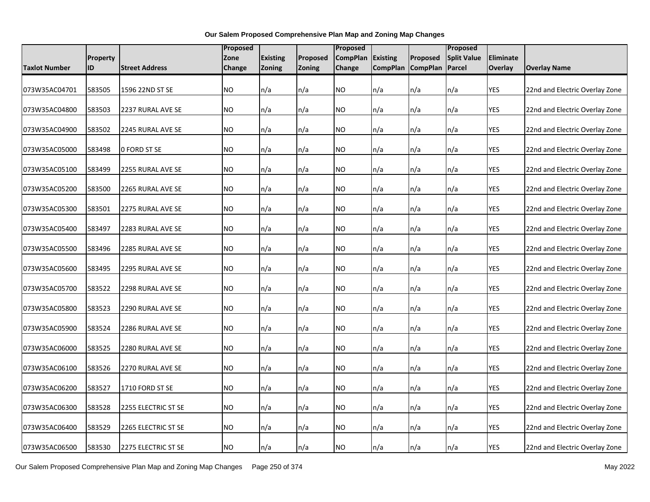|                      |          |                       | <b>Proposed</b> |                 |               | Proposed        |                          |                 | Proposed           |            |                                |
|----------------------|----------|-----------------------|-----------------|-----------------|---------------|-----------------|--------------------------|-----------------|--------------------|------------|--------------------------------|
|                      | Property |                       | Zone            | <b>Existing</b> | Proposed      | <b>CompPlan</b> | <b>Existing</b>          | Proposed        | <b>Split Value</b> | Eliminate  |                                |
| <b>Taxlot Number</b> | ID       | <b>Street Address</b> | <b>Change</b>   | Zoning          | <b>Zoning</b> | <b>Change</b>   | <b>CompPlan</b>          | <b>CompPlan</b> | <b>Parcel</b>      | Overlay    | <b>Overlay Name</b>            |
|                      |          |                       |                 |                 |               |                 |                          |                 |                    |            |                                |
| 073W35AC04701        | 583505   | 1596 22ND ST SE       | <b>NO</b>       | n/a             | n/a           | <b>NO</b>       | n/a                      | n/a             | n/a                | <b>YES</b> | 22nd and Electric Overlay Zone |
|                      |          |                       |                 |                 |               |                 |                          |                 |                    |            |                                |
| 073W35AC04800        | 583503   | 2237 RURAL AVE SE     | <b>NO</b>       | n/a             | n/a           | <b>NO</b>       | $\mathsf{In}/\mathsf{a}$ | n/a             | n/a                | YES        | 22nd and Electric Overlay Zone |
|                      |          |                       |                 |                 |               |                 |                          |                 |                    |            |                                |
| 073W35AC04900        | 583502   | 2245 RURAL AVE SE     | <b>NO</b>       | n/a             | n/a           | <b>NO</b>       | n/a                      | n/a             | n/a                | <b>YES</b> | 22nd and Electric Overlay Zone |
| 073W35AC05000        | 583498   | 0 FORD ST SE          | <b>NO</b>       | n/a             | n/a           | <b>NO</b>       | n/a                      | n/a             | n/a                | <b>YES</b> | 22nd and Electric Overlay Zone |
|                      |          |                       |                 |                 |               |                 |                          |                 |                    |            |                                |
| 073W35AC05100        | 583499   | 2255 RURAL AVE SE     | <b>NO</b>       | n/a             | n/a           | <b>NO</b>       | n/a                      | n/a             | n/a                | <b>YES</b> | 22nd and Electric Overlay Zone |
|                      |          |                       |                 |                 |               |                 |                          |                 |                    |            |                                |
| 073W35AC05200        | 583500   | 2265 RURAL AVE SE     | <b>NO</b>       | n/a             | n/a           | <b>NO</b>       | n/a                      | n/a             | n/a                | <b>YES</b> | 22nd and Electric Overlay Zone |
|                      |          |                       |                 |                 |               |                 |                          |                 |                    |            |                                |
| 073W35AC05300        | 583501   | 2275 RURAL AVE SE     | <b>NO</b>       | n/a             | n/a           | <b>NO</b>       | n/a                      | n/a             | n/a                | <b>YES</b> | 22nd and Electric Overlay Zone |
| 073W35AC05400        | 583497   | 2283 RURAL AVE SE     | <b>NO</b>       | n/a             | n/a           | <b>NO</b>       | n/a                      | n/a             | n/a                | <b>YES</b> | 22nd and Electric Overlay Zone |
|                      |          |                       |                 |                 |               |                 |                          |                 |                    |            |                                |
| 073W35AC05500        | 583496   | 2285 RURAL AVE SE     | <b>NO</b>       | n/a             | n/a           | <b>NO</b>       | n/a                      | n/a             | n/a                | YES        | 22nd and Electric Overlay Zone |
|                      |          |                       |                 |                 |               |                 |                          |                 |                    |            |                                |
| 073W35AC05600        | 583495   | 2295 RURAL AVE SE     | <b>NO</b>       | n/a             | n/a           | <b>NO</b>       | n/a                      | n/a             | n/a                | YES        | 22nd and Electric Overlay Zone |
|                      |          |                       |                 |                 |               |                 |                          |                 |                    |            |                                |
| 073W35AC05700        | 583522   | 2298 RURAL AVE SE     | <b>NO</b>       | n/a             | n/a           | <b>NO</b>       | n/a                      | n/a             | n/a                | <b>YES</b> | 22nd and Electric Overlay Zone |
| 073W35AC05800        | 583523   | 2290 RURAL AVE SE     | <b>NO</b>       | n/a             | n/a           | <b>NO</b>       | n/a                      | n/a             | n/a                | <b>YES</b> | 22nd and Electric Overlay Zone |
|                      |          |                       |                 |                 |               |                 |                          |                 |                    |            |                                |
| 073W35AC05900        | 583524   | 2286 RURAL AVE SE     | N <sub>O</sub>  | n/a             | n/a           | <b>NO</b>       | n/a                      | n/a             | n/a                | <b>YES</b> | 22nd and Electric Overlay Zone |
|                      |          |                       |                 |                 |               |                 |                          |                 |                    |            |                                |
| 073W35AC06000        | 583525   | 2280 RURAL AVE SE     | N <sub>O</sub>  | n/a             | n/a           | <b>NO</b>       | n/a                      | n/a             | n/a                | <b>YES</b> | 22nd and Electric Overlay Zone |
|                      |          |                       |                 |                 |               |                 |                          |                 |                    |            |                                |
| 073W35AC06100        | 583526   | 2270 RURAL AVE SE     | <b>NO</b>       | n/a             | n/a           | <b>NO</b>       | n/a                      | n/a             | n/a                | <b>YES</b> | 22nd and Electric Overlay Zone |
| 073W35AC06200        | 583527   | 1710 FORD ST SE       | <b>NO</b>       | n/a             | n/a           | <b>NO</b>       | n/a                      | n/a             | n/a                | <b>YES</b> | 22nd and Electric Overlay Zone |
|                      |          |                       |                 |                 |               |                 |                          |                 |                    |            |                                |
| 073W35AC06300        | 583528   | 2255 ELECTRIC ST SE   | <b>NO</b>       | n/a             | n/a           | <b>NO</b>       | n/a                      | n/a             | n/a                | <b>YES</b> | 22nd and Electric Overlay Zone |
|                      |          |                       |                 |                 |               |                 |                          |                 |                    |            |                                |
| 073W35AC06400        | 583529   | 2265 ELECTRIC ST SE   | <b>NO</b>       | n/a             | n/a           | <b>NO</b>       | n/a                      | n/a             | n/a                | YES        | 22nd and Electric Overlay Zone |
|                      |          |                       |                 |                 |               |                 |                          |                 |                    |            |                                |
| 073W35AC06500        | 583530   | 2275 ELECTRIC ST SE   | <b>NO</b>       | n/a             | n/a           | <b>NO</b>       | n/a                      | n/a             | n/a                | <b>YES</b> | 22nd and Electric Overlay Zone |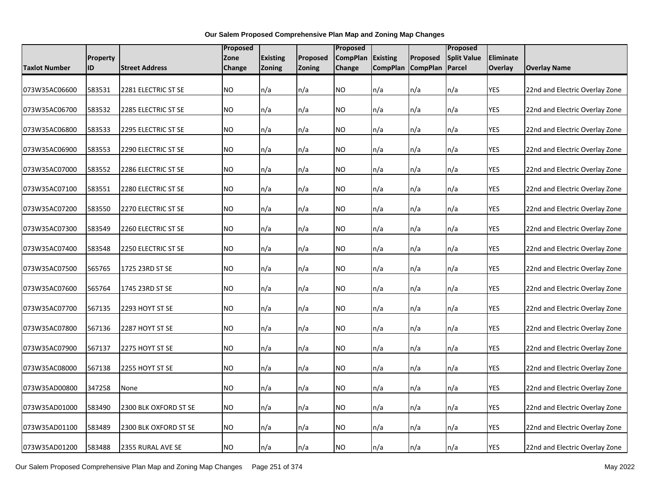|                      |                 |                       |           | Proposed        |               |                 |                 | Proposed          |                          |            |                                |
|----------------------|-----------------|-----------------------|-----------|-----------------|---------------|-----------------|-----------------|-------------------|--------------------------|------------|--------------------------------|
|                      | <b>Property</b> |                       | Zone      | <b>Existing</b> | Proposed      | <b>CompPlan</b> | <b>Existing</b> | Proposed          | <b>Split Value</b>       | Eliminate  |                                |
| <b>Taxlot Number</b> | ID              | <b>Street Address</b> | Change    | Zoning          | <b>Zoning</b> | Change          |                 | CompPlan CompPlan | Parcel                   | Overlay    | <b>Overlay Name</b>            |
| 073W35AC06600        | 583531          | 2281 ELECTRIC ST SE   | <b>NO</b> | n/a             | n/a           | NO.             | n/a             | n/a               | n/a                      | YES        | 22nd and Electric Overlay Zone |
|                      |                 |                       |           |                 |               |                 |                 |                   |                          |            |                                |
| 073W35AC06700        | 583532          | 2285 ELECTRIC ST SE   | <b>NO</b> | n/a             | n/a           | <b>NO</b>       | n/a             | n/a               | n/a                      | <b>YES</b> | 22nd and Electric Overlay Zone |
| 073W35AC06800        | 583533          | 2295 ELECTRIC ST SE   | <b>NO</b> | n/a             | n/a           | <b>NO</b>       | n/a             | n/a               | $\mathsf{In}/\mathsf{a}$ | <b>YES</b> | 22nd and Electric Overlay Zone |
| 073W35AC06900        | 583553          | 2290 ELECTRIC ST SE   | <b>NO</b> | n/a             | n/a           | NO.             | n/a             | n/a               | n/a                      | YES        | 22nd and Electric Overlay Zone |
| 073W35AC07000        | 583552          | 2286 ELECTRIC ST SE   | <b>NO</b> | n/a             | n/a           | <b>NO</b>       | n/a             | n/a               | n/a                      | <b>YES</b> | 22nd and Electric Overlay Zone |
| 073W35AC07100        | 583551          | 2280 ELECTRIC ST SE   | <b>NO</b> | n/a             | n/a           | <b>NO</b>       | n/a             | n/a               | n/a                      | <b>YES</b> | 22nd and Electric Overlay Zone |
| 073W35AC07200        | 583550          | 2270 ELECTRIC ST SE   | <b>NO</b> | n/a             | n/a           | <b>NO</b>       | n/a             | n/a               | n/a                      | <b>YES</b> | 22nd and Electric Overlay Zone |
| 073W35AC07300        | 583549          | 2260 ELECTRIC ST SE   | <b>NO</b> | n/a             | n/a           | <b>NO</b>       | n/a             | n/a               | n/a                      | <b>YES</b> | 22nd and Electric Overlay Zone |
| 073W35AC07400        | 583548          | 2250 ELECTRIC ST SE   | <b>NO</b> | n/a             | n/a           | NO.             | n/a             | n/a               | n/a                      | YES        | 22nd and Electric Overlay Zone |
| 073W35AC07500        | 565765          | 1725 23RD ST SE       | <b>NO</b> | n/a             | n/a           | NO.             | n/a             | n/a               | n/a                      | <b>YES</b> | 22nd and Electric Overlay Zone |
| 073W35AC07600        | 565764          | 1745 23RD ST SE       | <b>NO</b> | n/a             | n/a           | <b>NO</b>       | n/a             | n/a               | n/a                      | <b>YES</b> | 22nd and Electric Overlay Zone |
| 073W35AC07700        | 567135          | 2293 HOYT ST SE       | <b>NO</b> | n/a             | n/a           | NO.             | n/a             | n/a               | n/a                      | YES        | 22nd and Electric Overlay Zone |
| 073W35AC07800        | 567136          | 2287 HOYT ST SE       | <b>NO</b> | n/a             | n/a           | <b>NO</b>       | n/a             | n/a               | n/a                      | <b>YES</b> | 22nd and Electric Overlay Zone |
| 073W35AC07900        | 567137          | 2275 HOYT ST SE       | <b>NO</b> | n/a             | n/a           | NO.             | n/a             | n/a               | n/a                      | <b>YES</b> | 22nd and Electric Overlay Zone |
| 073W35AC08000        | 567138          | 2255 HOYT ST SE       | NO.       | n/a             | n/a           | <b>NO</b>       | n/a             | n/a               | n/a                      | <b>YES</b> | 22nd and Electric Overlay Zone |
| 073W35AD00800        | 347258          | None                  | <b>NO</b> | n/a             | n/a           | <b>NO</b>       | n/a             | n/a               | n/a                      | <b>YES</b> | 22nd and Electric Overlay Zone |
| 073W35AD01000        | 583490          | 2300 BLK OXFORD ST SE | <b>NO</b> | n/a             | n/a           | NO.             | n/a             | n/a               | n/a                      | <b>YES</b> | 22nd and Electric Overlay Zone |
| 073W35AD01100        | 583489          | 2300 BLK OXFORD ST SE | NO.       | n/a             | n/a           | <b>NO</b>       | n/a             | n/a               | n/a                      | <b>YES</b> | 22nd and Electric Overlay Zone |
| 073W35AD01200        | 583488          | 2355 RURAL AVE SE     | <b>NO</b> | n/a             | n/a           | <b>NO</b>       | n/a             | n/a               | n/a                      | <b>YES</b> | 22nd and Electric Overlay Zone |

Our Salem Proposed Comprehensive Plan Map and Zoning Map Changes Page 251 of 374 May 2022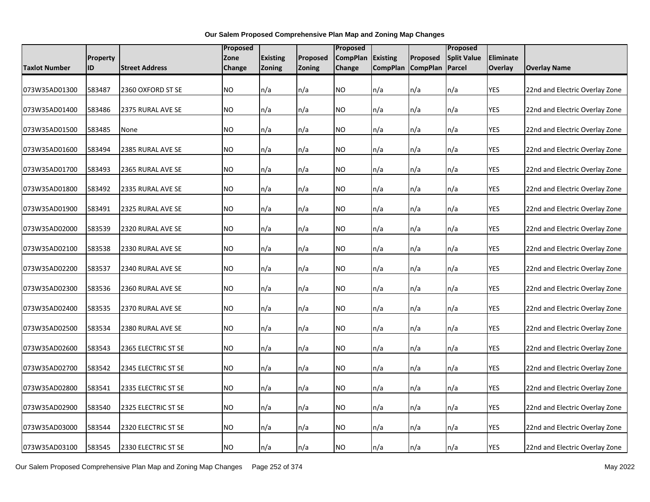|               |                 |                       | <b>Proposed</b> |                 |               | Proposed        |                 | Proposed          |                    |            |                                |
|---------------|-----------------|-----------------------|-----------------|-----------------|---------------|-----------------|-----------------|-------------------|--------------------|------------|--------------------------------|
|               | <b>Property</b> |                       | Zone            | <b>Existing</b> | Proposed      | <b>CompPlan</b> | <b>Existing</b> | Proposed          | <b>Split Value</b> | Eliminate  |                                |
| Taxlot Number | ID              | <b>Street Address</b> | Change          | Zoning          | <b>Zoning</b> | Change          |                 | CompPlan CompPlan | Parcel             | Overlay    | <b>Overlay Name</b>            |
| 073W35AD01300 | 583487          | 2360 OXFORD ST SE     | <b>NO</b>       | n/a             | n/a           | NO.             | n/a             | n/a               | n/a                | <b>YES</b> | 22nd and Electric Overlay Zone |
|               |                 |                       |                 |                 |               |                 |                 |                   |                    |            |                                |
| 073W35AD01400 | 583486          | 2375 RURAL AVE SE     | <b>NO</b>       | n/a             | n/a           | <b>NO</b>       | n/a             | n/a               | n/a                | <b>YES</b> | 22nd and Electric Overlay Zone |
| 073W35AD01500 | 583485          | None                  | <b>NO</b>       | n/a             | n/a           | <b>NO</b>       | n/a             | n/a               | n/a                | <b>YES</b> | 22nd and Electric Overlay Zone |
| 073W35AD01600 | 583494          | 2385 RURAL AVE SE     | <b>NO</b>       | n/a             | n/a           | NO.             | n/a             | n/a               | n/a                | YES        | 22nd and Electric Overlay Zone |
| 073W35AD01700 | 583493          | 2365 RURAL AVE SE     | <b>NO</b>       | n/a             | n/a           | <b>NO</b>       | n/a             | n/a               | n/a                | <b>YES</b> | 22nd and Electric Overlay Zone |
| 073W35AD01800 | 583492          | 2335 RURAL AVE SE     | <b>NO</b>       | n/a             | n/a           | <b>NO</b>       | n/a             | n/a               | n/a                | <b>YES</b> | 22nd and Electric Overlay Zone |
| 073W35AD01900 | 583491          | 2325 RURAL AVE SE     | <b>NO</b>       | n/a             | n/a           | <b>NO</b>       | n/a             | n/a               | n/a                | <b>YES</b> | 22nd and Electric Overlay Zone |
| 073W35AD02000 | 583539          | 2320 RURAL AVE SE     | <b>NO</b>       | n/a             | n/a           | <b>NO</b>       | n/a             | n/a               | n/a                | <b>YES</b> | 22nd and Electric Overlay Zone |
| 073W35AD02100 | 583538          | 2330 RURAL AVE SE     | <b>NO</b>       | n/a             | n/a           | NO.             | n/a             | n/a               | n/a                | YES        | 22nd and Electric Overlay Zone |
| 073W35AD02200 | 583537          | 2340 RURAL AVE SE     | <b>NO</b>       | n/a             | n/a           | <b>NO</b>       | n/a             | n/a               | n/a                | <b>YES</b> | 22nd and Electric Overlay Zone |
| 073W35AD02300 | 583536          | 2360 RURAL AVE SE     | <b>NO</b>       | n/a             | n/a           | <b>NO</b>       | n/a             | n/a               | n/a                | <b>YES</b> | 22nd and Electric Overlay Zone |
| 073W35AD02400 | 583535          | 2370 RURAL AVE SE     | <b>NO</b>       | n/a             | n/a           | NO.             | n/a             | n/a               | n/a                | YES        | 22nd and Electric Overlay Zone |
| 073W35AD02500 | 583534          | 2380 RURAL AVE SE     | <b>NO</b>       | n/a             | n/a           | <b>NO</b>       | n/a             | n/a               | n/a                | YES        | 22nd and Electric Overlay Zone |
| 073W35AD02600 | 583543          | 2365 ELECTRIC ST SE   | <b>NO</b>       | n/a             | n/a           | NO.             | n/a             | n/a               | n/a                | YES        | 22nd and Electric Overlay Zone |
| 073W35AD02700 | 583542          | 2345 ELECTRIC ST SE   | <b>NO</b>       | n/a             | n/a           | <b>NO</b>       | n/a             | n/a               | n/a                | YES        | 22nd and Electric Overlay Zone |
| 073W35AD02800 | 583541          | 2335 ELECTRIC ST SE   | <b>NO</b>       | n/a             | n/a           | <b>NO</b>       | n/a             | n/a               | n/a                | YES        | 22nd and Electric Overlay Zone |
| 073W35AD02900 | 583540          | 2325 ELECTRIC ST SE   | <b>NO</b>       | n/a             | n/a           | <b>NO</b>       | n/a             | n/a               | n/a                | <b>YES</b> | 22nd and Electric Overlay Zone |
| 073W35AD03000 | 583544          | 2320 ELECTRIC ST SE   | <b>NO</b>       | n/a             | n/a           | <b>NO</b>       | n/a             | n/a               | n/a                | YES        | 22nd and Electric Overlay Zone |
| 073W35AD03100 | 583545          | 2330 ELECTRIC ST SE   | <b>NO</b>       | n/a             | n/a           | <b>NO</b>       | n/a             | n/a               | n/a                | <b>YES</b> | 22nd and Electric Overlay Zone |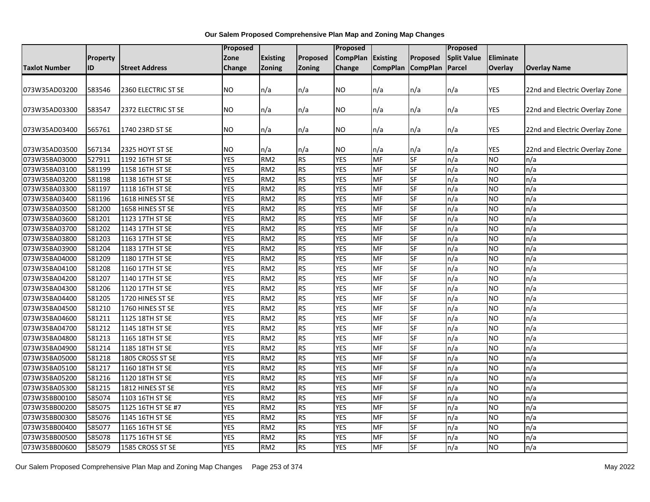|                      |                 |                       | Proposed   |                 |           | Proposed        |                          |                   | Proposed           |            |                                |
|----------------------|-----------------|-----------------------|------------|-----------------|-----------|-----------------|--------------------------|-------------------|--------------------|------------|--------------------------------|
|                      | <b>Property</b> |                       | Zone       | <b>Existing</b> | Proposed  | <b>CompPlan</b> | <b>Existing</b>          | Proposed          | <b>Split Value</b> | Eliminate  |                                |
| <b>Taxlot Number</b> | ID              | <b>Street Address</b> | Change     | <b>Zoning</b>   | Zoning    | Change          |                          | CompPlan CompPlan | Parcel             | Overlay    | <b>Overlay Name</b>            |
|                      |                 |                       |            |                 |           |                 |                          |                   |                    |            |                                |
| 073W35AD03200        | 583546          | 2360 ELECTRIC ST SE   | <b>NO</b>  | n/a             | n/a       | NO              | n/a                      | n/a               | n/a                | <b>YES</b> | 22nd and Electric Overlay Zone |
|                      |                 |                       |            |                 |           |                 |                          |                   |                    |            |                                |
| 073W35AD03300        | 583547          | 2372 ELECTRIC ST SE   | <b>NO</b>  | n/a             | n/a       | NO              | n/a                      | n/a               | n/a                | <b>YES</b> | 22nd and Electric Overlay Zone |
|                      |                 |                       |            |                 |           |                 |                          |                   |                    |            |                                |
| 073W35AD03400        | 565761          | 1740 23RD ST SE       | <b>NO</b>  | n/a             | n/a       | NO.             | n/a                      | n/a               | n/a                | <b>YES</b> | 22nd and Electric Overlay Zone |
|                      |                 |                       |            |                 |           |                 |                          |                   |                    |            |                                |
| 073W35AD03500        | 567134          | 2325 HOYT ST SE       | <b>NO</b>  | n/a             | n/a       | NO              | n/a                      | n/a               | n/a                | YES        | 22nd and Electric Overlay Zone |
| 073W35BA03000        | 527911          | 1192 16TH ST SE       | <b>YES</b> | RM <sub>2</sub> | <b>RS</b> | <b>YES</b>      | MF                       | <b>SF</b>         | n/a                | <b>NO</b>  | n/a                            |
| 073W35BA03100        | 581199          | 1158 16TH ST SE       | <b>YES</b> | RM <sub>2</sub> | <b>RS</b> | <b>YES</b>      | <b>MF</b>                | <b>SF</b>         | n/a                | <b>NO</b>  | n/a                            |
| 073W35BA03200        | 581198          | 1138 16TH ST SE       | <b>YES</b> | RM <sub>2</sub> | <b>RS</b> | <b>YES</b>      | <b>MF</b>                | <b>SF</b>         | n/a                | <b>NO</b>  | n/a                            |
| 073W35BA03300        | 581197          | 1118 16TH ST SE       | <b>YES</b> | RM <sub>2</sub> | <b>RS</b> | <b>YES</b>      | MF                       | <b>SF</b>         | n/a                | <b>NO</b>  | n/a                            |
| 073W35BA03400        | 581196          | 1618 HINES ST SE      | <b>YES</b> | RM <sub>2</sub> | <b>RS</b> | <b>YES</b>      | MF                       | <b>SF</b>         | n/a                | <b>NO</b>  | n/a                            |
| 073W35BA03500        | 581200          | 1658 HINES ST SE      | <b>YES</b> | RM <sub>2</sub> | <b>RS</b> | <b>YES</b>      | $\overline{\mathsf{MF}}$ | <b>SF</b>         | n/a                | <b>NO</b>  | n/a                            |
| 073W35BA03600        | 581201          | 1123 17TH ST SE       | <b>YES</b> | RM <sub>2</sub> | <b>RS</b> | <b>YES</b>      | MF                       | <b>SF</b>         | n/a                | <b>NO</b>  | n/a                            |
| 073W35BA03700        | 581202          | 1143 17TH ST SE       | <b>YES</b> | RM <sub>2</sub> | <b>RS</b> | <b>YES</b>      | MF                       | <b>SF</b>         | n/a                | <b>NO</b>  | n/a                            |
| 073W35BA03800        | 581203          | 1163 17TH ST SE       | <b>YES</b> | RM <sub>2</sub> | <b>RS</b> | <b>YES</b>      | MF                       | <b>SF</b>         | $\overline{n/a}$   | Ю          | n/a                            |
| 073W35BA03900        | 581204          | 1183 17TH ST SE       | <b>YES</b> | RM <sub>2</sub> | <b>RS</b> | <b>YES</b>      | MF                       | SF                | n/a                | <b>NO</b>  | n/a                            |
| 073W35BA04000        | 581209          | 1180 17TH ST SE       | <b>YES</b> | RM <sub>2</sub> | <b>RS</b> | <b>YES</b>      | MF                       | <b>SF</b>         | n/a                | <b>NO</b>  | n/a                            |
| 073W35BA04100        | 581208          | 1160 17TH ST SE       | <b>YES</b> | RM <sub>2</sub> | <b>RS</b> | <b>YES</b>      | <b>MF</b>                | <b>SF</b>         | n/a                | <b>NO</b>  | n/a                            |
| 073W35BA04200        | 581207          | 1140 17TH ST SE       | <b>YES</b> | RM <sub>2</sub> | <b>RS</b> | <b>YES</b>      | MF                       | <b>SF</b>         | n/a                | <b>NO</b>  | n/a                            |
| 073W35BA04300        | 581206          | 1120 17TH ST SE       | <b>YES</b> | RM <sub>2</sub> | <b>RS</b> | <b>YES</b>      | <b>MF</b>                | <b>SF</b>         | n/a                | <b>NO</b>  | n/a                            |
| 073W35BA04400        | 581205          | 1720 HINES ST SE      | <b>YES</b> | RM <sub>2</sub> | <b>RS</b> | <b>YES</b>      | <b>MF</b>                | <b>SF</b>         | n/a                | <b>NO</b>  | n/a                            |
| 073W35BA04500        | 581210          | 1760 HINES ST SE      | <b>YES</b> | RM <sub>2</sub> | <b>RS</b> | <b>YES</b>      | MF                       | <b>SF</b>         | n/a                | <b>NO</b>  | n/a                            |
| 073W35BA04600        | 581211          | 1125 18TH ST SE       | <b>YES</b> | RM <sub>2</sub> | <b>RS</b> | <b>YES</b>      | MF                       | <b>SF</b>         | n/a                | <b>NO</b>  | n/a                            |
| 073W35BA04700        | 581212          | 1145 18TH ST SE       | <b>YES</b> | RM <sub>2</sub> | <b>RS</b> | <b>YES</b>      | <b>MF</b>                | SF                | n/a                | <b>NO</b>  | n/a                            |
| 073W35BA04800        | 581213          | 1165 18TH ST SE       | <b>YES</b> | RM <sub>2</sub> | <b>RS</b> | <b>YES</b>      | MF                       | <b>SF</b>         | n/a                | <b>NO</b>  | n/a                            |
| 073W35BA04900        | 581214          | 1185 18TH ST SE       | <b>YES</b> | RM <sub>2</sub> | <b>RS</b> | <b>YES</b>      | MF                       | <b>SF</b>         | n/a                | <b>NO</b>  | n/a                            |
| 073W35BA05000        | 581218          | 1805 CROSS ST SE      | <b>YES</b> | RM <sub>2</sub> | <b>RS</b> | <b>YES</b>      | MF                       | <b>SF</b>         | n/a                | <b>NO</b>  | n/a                            |
| 073W35BA05100        | 581217          | 1160 18TH ST SE       | <b>YES</b> | RM <sub>2</sub> | <b>RS</b> | <b>YES</b>      | <b>MF</b>                | <b>SF</b>         | n/a                | <b>NO</b>  | n/a                            |
| 073W35BA05200        | 581216          | 1120 18TH ST SE       | <b>YES</b> | RM <sub>2</sub> | <b>RS</b> | <b>YES</b>      | MF                       | <b>SF</b>         | n/a                | <b>NO</b>  | n/a                            |
| 073W35BA05300        | 581215          | 1812 HINES ST SE      | <b>YES</b> | RM <sub>2</sub> | <b>RS</b> | <b>YES</b>      | MF                       | <b>SF</b>         | n/a                | <b>NO</b>  | n/a                            |
| 073W35BB00100        | 585074          | 1103 16TH ST SE       | <b>YES</b> | RM <sub>2</sub> | <b>RS</b> | <b>YES</b>      | MF                       | <b>SF</b>         | n/a                | <b>NO</b>  | n/a                            |
| 073W35BB00200        | 585075          | 1125 16TH ST SE #7    | <b>YES</b> | RM <sub>2</sub> | <b>RS</b> | <b>YES</b>      | MF                       | <b>SF</b>         | n/a                | <b>NO</b>  | n/a                            |
| 073W35BB00300        | 585076          | 1145 16TH ST SE       | <b>YES</b> | RM <sub>2</sub> | <b>RS</b> | <b>YES</b>      | MF                       | SF                | n/a                | <b>NO</b>  | n/a                            |
| 073W35BB00400        | 585077          | 1165 16TH ST SE       | <b>YES</b> | RM <sub>2</sub> | <b>RS</b> | <b>YES</b>      | MF                       | <b>SF</b>         | n/a                | <b>NO</b>  | n/a                            |
| 073W35BB00500        | 585078          | 1175 16TH ST SE       | <b>YES</b> | RM <sub>2</sub> | <b>RS</b> | <b>YES</b>      | MF                       | SF                | n/a                | <b>NO</b>  | n/a                            |
| 073W35BB00600        | 585079          | 1585 CROSS ST SE      | <b>YES</b> | RM <sub>2</sub> | <b>RS</b> | <b>YES</b>      | MF                       | <b>SF</b>         | n/a                | ŌИ         | n/a                            |
|                      |                 |                       |            |                 |           |                 |                          |                   |                    |            |                                |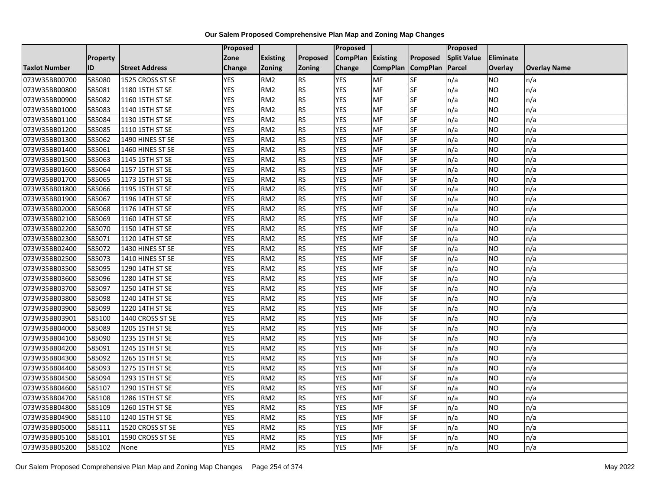|                      |                 |                       | Proposed   |                 |                 | <b>Proposed</b> |                 |                 | Proposed           |                |                     |
|----------------------|-----------------|-----------------------|------------|-----------------|-----------------|-----------------|-----------------|-----------------|--------------------|----------------|---------------------|
|                      | <b>Property</b> |                       | Zone       | <b>Existing</b> | <b>Proposed</b> | <b>CompPlan</b> | Existing        | Proposed        | <b>Split Value</b> | Eliminate      |                     |
| <b>Taxlot Number</b> | ID              | <b>Street Address</b> | Change     | <b>Zoning</b>   | <b>Zoning</b>   | Change          | <b>CompPlan</b> | <b>CompPlan</b> | Parcel             | <b>Overlay</b> | <b>Overlay Name</b> |
| 073W35BB00700        | 585080          | 1525 CROSS ST SE      | <b>YES</b> | RM <sub>2</sub> | <b>RS</b>       | <b>YES</b>      | <b>MF</b>       | <b>SF</b>       | n/a                | NO             | n/a                 |
| 073W35BB00800        | 585081          | 1180 15TH ST SE       | <b>YES</b> | RM <sub>2</sub> | <b>RS</b>       | <b>YES</b>      | <b>MF</b>       | <b>SF</b>       | n/a                | NO.            | n/a                 |
| 073W35BB00900        | 585082          | 1160 15TH ST SE       | <b>YES</b> | RM <sub>2</sub> | <b>RS</b>       | <b>YES</b>      | MF              | SF              | n/a                | NO.            | n/a                 |
| 073W35BB01000        | 585083          | 1140 15TH ST SE       | <b>YES</b> | RM <sub>2</sub> | <b>RS</b>       | <b>YES</b>      | MF              | SF              | n/a                | NO.            | n/a                 |
| 073W35BB01100        | 585084          | 1130 15TH ST SE       | <b>YES</b> | RM <sub>2</sub> | <b>RS</b>       | <b>YES</b>      | MF              | <b>SF</b>       | n/a                | NO.            | n/a                 |
| 073W35BB01200        | 585085          | 1110 15TH ST SE       | <b>YES</b> | RM <sub>2</sub> | <b>RS</b>       | <b>YES</b>      | MF              | SF              | n/a                | <b>NO</b>      | n/a                 |
| 073W35BB01300        | 585062          | 1490 HINES ST SE      | <b>YES</b> | RM <sub>2</sub> | <b>RS</b>       | <b>YES</b>      | MF              | SF              | n/a                | NO.            | n/a                 |
| 073W35BB01400        | 585061          | 1460 HINES ST SE      | <b>YES</b> | RM <sub>2</sub> | <b>RS</b>       | <b>YES</b>      | MF              | SF              | n/a                | NO.            | n/a                 |
| 073W35BB01500        | 585063          | 1145 15TH ST SE       | <b>YES</b> | RM <sub>2</sub> | <b>RS</b>       | <b>YES</b>      | <b>MF</b>       | SF              | n/a                | NO.            | n/a                 |
| 073W35BB01600        | 585064          | 1157 15TH ST SE       | <b>YES</b> | RM <sub>2</sub> | <b>RS</b>       | <b>YES</b>      | MF              | SF              | n/a                | NO.            | n/a                 |
| 073W35BB01700        | 585065          | 1173 15TH ST SE       | <b>YES</b> | RM <sub>2</sub> | <b>RS</b>       | <b>YES</b>      | MF              | SF              | n/a                | NO.            | n/a                 |
| 073W35BB01800        | 585066          | 1195 15TH ST SE       | <b>YES</b> | RM <sub>2</sub> | <b>RS</b>       | <b>YES</b>      | <b>MF</b>       | SF              | n/a                | <b>NO</b>      | n/a                 |
| 073W35BB01900        | 585067          | 1196 14TH ST SE       | <b>YES</b> | RM <sub>2</sub> | <b>RS</b>       | <b>YES</b>      | <b>MF</b>       | <b>SF</b>       | n/a                | NO.            | n/a                 |
| 073W35BB02000        | 585068          | 1176 14TH ST SE       | <b>YES</b> | RM <sub>2</sub> | <b>RS</b>       | <b>YES</b>      | MF              | SF              | n/a                | NO.            | n/a                 |
| 073W35BB02100        | 585069          | 1160 14TH ST SE       | <b>YES</b> | RM <sub>2</sub> | <b>RS</b>       | <b>YES</b>      | MF              | SF              | n/a                | NO.            | n/a                 |
| 073W35BB02200        | 585070          | 1150 14TH ST SE       | <b>YES</b> | RM <sub>2</sub> | <b>RS</b>       | <b>YES</b>      | MF              | <b>SF</b>       | n/a                | NO.            | n/a                 |
| 073W35BB02300        | 585071          | 1120 14TH ST SE       | <b>YES</b> | RM <sub>2</sub> | <b>RS</b>       | <b>YES</b>      | MF              | <b>SF</b>       | n/a                | NO.            | n/a                 |
| 073W35BB02400        | 585072          | 1430 HINES ST SE      | <b>YES</b> | RM <sub>2</sub> | <b>RS</b>       | <b>YES</b>      | <b>MF</b>       | SF              | n/a                | NO.            | n/a                 |
| 073W35BB02500        | 585073          | 1410 HINES ST SE      | <b>YES</b> | RM <sub>2</sub> | <b>RS</b>       | <b>YES</b>      | MF              | <b>SF</b>       | n/a                | NO.            | n/a                 |
| 073W35BB03500        | 585095          | 1290 14TH ST SE       | <b>YES</b> | RM <sub>2</sub> | <b>RS</b>       | <b>YES</b>      | <b>MF</b>       | <b>SF</b>       | n/a                | ΝO             | n/a                 |
| 073W35BB03600        | 585096          | 1280 14TH ST SE       | <b>YES</b> | RM <sub>2</sub> | <b>RS</b>       | <b>YES</b>      | MF              | SF              | n/a                | NO.            | n/a                 |
| 073W35BB03700        | 585097          | 1250 14TH ST SE       | <b>YES</b> | RM <sub>2</sub> | <b>RS</b>       | <b>YES</b>      | MF              | <b>SF</b>       | n/a                | <b>NO</b>      | n/a                 |
| 073W35BB03800        | 585098          | 1240 14TH ST SE       | <b>YES</b> | RM <sub>2</sub> | <b>RS</b>       | <b>YES</b>      | <b>MF</b>       | <b>SF</b>       | n/a                | NO.            | n/a                 |
| 073W35BB03900        | 585099          | 1220 14TH ST SE       | <b>YES</b> | RM <sub>2</sub> | <b>RS</b>       | <b>YES</b>      | MF              | SF              | n/a                | NO.            | n/a                 |
| 073W35BB03901        | 585100          | 1440 CROSS ST SE      | <b>YES</b> | RM <sub>2</sub> | <b>RS</b>       | <b>YES</b>      | <b>MF</b>       | SF              | n/a                | NO.            | n/a                 |
| 073W35BB04000        | 585089          | 1205 15TH ST SE       | <b>YES</b> | RM <sub>2</sub> | <b>RS</b>       | <b>YES</b>      | MF              | <b>SF</b>       | n/a                | NO.            | n/a                 |
| 073W35BB04100        | 585090          | 1235 15TH ST SE       | <b>YES</b> | RM <sub>2</sub> | <b>RS</b>       | <b>YES</b>      | MF              | $S_{F}$         | n/a                | NO.            | n/a                 |
| 073W35BB04200        | 585091          | 1245 15TH ST SE       | <b>YES</b> | RM <sub>2</sub> | <b>RS</b>       | <b>YES</b>      | <b>MF</b>       | SF              | n/a                | NO.            | n/a                 |
| 073W35BB04300        | 585092          | 1265 15TH ST SE       | <b>YES</b> | RM <sub>2</sub> | <b>RS</b>       | <b>YES</b>      | MF              | SF              | n/a                | NO.            | n/a                 |
| 073W35BB04400        | 585093          | 1275 15TH ST SE       | <b>YES</b> | RM <sub>2</sub> | <b>RS</b>       | <b>YES</b>      | <b>MF</b>       | SF              | n/a                | <b>NO</b>      | n/a                 |
| 073W35BB04500        | 585094          | 1293 15TH ST SE       | <b>YES</b> | RM <sub>2</sub> | <b>RS</b>       | <b>YES</b>      | MF              | SF              | n/a                | NO.            | n/a                 |
| 073W35BB04600        | 585107          | 1290 15TH ST SE       | <b>YES</b> | RM <sub>2</sub> | <b>RS</b>       | <b>YES</b>      | MF              | <b>SF</b>       | n/a                | NO.            | n/a                 |
| 073W35BB04700        | 585108          | 1286 15TH ST SE       | <b>YES</b> | RM <sub>2</sub> | <b>RS</b>       | <b>YES</b>      | <b>MF</b>       | <b>SF</b>       | n/a                | NO.            | n/a                 |
| 073W35BB04800        | 585109          | 1260 15TH ST SE       | <b>YES</b> | RM <sub>2</sub> | <b>RS</b>       | <b>YES</b>      | MF              | SF              | n/a                | NO.            | n/a                 |
| 073W35BB04900        | 585110          | 1240 15TH ST SE       | <b>YES</b> | RM <sub>2</sub> | <b>RS</b>       | <b>YES</b>      | MF              | SF              | n/a                | NO.            | n/a                 |
| 073W35BB05000        | 585111          | 1520 CROSS ST SE      | <b>YES</b> | RM <sub>2</sub> | <b>RS</b>       | <b>YES</b>      | <b>MF</b>       | SF              | n/a                | <b>NO</b>      | n/a                 |
| 073W35BB05100        | 585101          | 1590 CROSS ST SE      | <b>YES</b> | RM <sub>2</sub> | <b>RS</b>       | <b>YES</b>      | MF              | SF              | n/a                | NO             | n/a                 |
| 073W35BB05200        | 585102          | None                  | <b>YES</b> | RM <sub>2</sub> | <b>RS</b>       | <b>YES</b>      | MF              | SF              | n/a                | NO.            | n/a                 |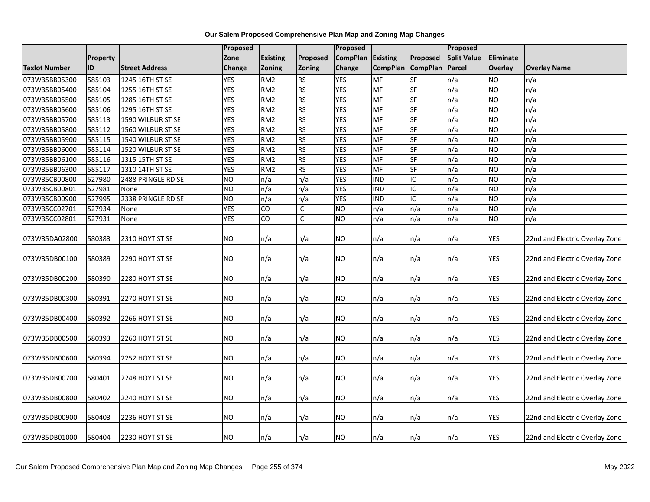|                      |           |                       | Proposed       |                 |                | Proposed        |                 |                          | Proposed           |                |                                |
|----------------------|-----------|-----------------------|----------------|-----------------|----------------|-----------------|-----------------|--------------------------|--------------------|----------------|--------------------------------|
|                      | Property  |                       | Zone           | Existing        | Proposed       | <b>CompPlan</b> | <b>Existing</b> | Proposed                 | <b>Split Value</b> | Eliminate      |                                |
| <b>Taxlot Number</b> | <b>ID</b> | <b>Street Address</b> | <b>Change</b>  | <b>Zoning</b>   | <b>Zoning</b>  | Change          | <b>CompPlan</b> | <b>CompPlan</b>          | Parcel             | <b>Overlay</b> | <b>Overlay Name</b>            |
| 073W35BB05300        | 585103    | 1245 16TH ST SE       | <b>YES</b>     | RM <sub>2</sub> | <b>RS</b>      | <b>YES</b>      | MF              | <b>I</b> SF              | n/a                | <b>NO</b>      | n/a                            |
| 073W35BB05400        | 585104    | 1255 16TH ST SE       | <b>YES</b>     | RM <sub>2</sub> | <b>RS</b>      | <b>YES</b>      | MF              | <b>SF</b>                | n/a                | <b>NO</b>      | n/a                            |
| 073W35BB05500        | 585105    | 1285 16TH ST SE       | <b>YES</b>     | RM <sub>2</sub> | <b>RS</b>      | <b>YES</b>      | MF              | <b>SF</b>                | n/a                | <b>NO</b>      | n/a                            |
| 073W35BB05600        | 585106    | 1295 16TH ST SE       | <b>YES</b>     | RM <sub>2</sub> | <b>RS</b>      | <b>YES</b>      | MF              | SF                       | n/a                | <b>NO</b>      | n/a                            |
| 073W35BB05700        | 585113    | 1590 WILBUR ST SE     | <b>YES</b>     | RM <sub>2</sub> | <b>RS</b>      | <b>YES</b>      | <b>MF</b>       | <b>SF</b>                | n/a                | <b>NO</b>      | n/a                            |
| 073W35BB05800        | 585112    | 1560 WILBUR ST SE     | <b>YES</b>     | RM <sub>2</sub> | <b>RS</b>      | <b>YES</b>      | MF              | <b>SF</b>                | n/a                | <b>NO</b>      | n/a                            |
| 073W35BB05900        | 585115    | 1540 WILBUR ST SE     | <b>YES</b>     | RM <sub>2</sub> | <b>RS</b>      | <b>YES</b>      | <b>MF</b>       | <b>SF</b>                | n/a                | ŌИ             | n/a                            |
| 073W35BB06000        | 585114    | 1520 WILBUR ST SE     | <b>YES</b>     | RM <sub>2</sub> | <b>RS</b>      | <b>YES</b>      | MF              | <b>SF</b>                | n/a                | <b>NO</b>      | n/a                            |
| 073W35BB06100        | 585116    | 1315 15TH ST SE       | <b>YES</b>     | RM <sub>2</sub> | <b>RS</b>      | <b>YES</b>      | MF              | SF                       | n/a                | <b>NO</b>      | n/a                            |
| 073W35BB06300        | 585117    | 1310 14TH ST SE       | <b>YES</b>     | RM <sub>2</sub> | <b>RS</b>      | <b>YES</b>      | <b>MF</b>       | <b>SF</b>                | n/a                | ŌИ             | n/a                            |
| 073W35CB00800        | 527980    | 2488 PRINGLE RD SE    | <b>NO</b>      | n/a             | n/a            | <b>YES</b>      | <b>IND</b>      | IC                       | n/a                | <b>NO</b>      | n/a                            |
| 073W35CB00801        | 527981    | None                  | <b>NO</b>      | n/a             | n/a            | <b>YES</b>      | <b>IND</b>      | IC                       | n/a                | <b>NO</b>      | n/a                            |
| 073W35CB00900        | 527995    | 2338 PRINGLE RD SE    | N <sub>O</sub> | n/a             | n/a            | <b>YES</b>      | <b>IND</b>      | ГC                       | n/a                | <b>NO</b>      | n/a                            |
| 073W35CC02701        | 527934    | None                  | <b>YES</b>     | CO              | ГC             | <b>NO</b>       | n/a             | n/a                      | n/a                | <b>NO</b>      | n/a                            |
| 073W35CC02801        | 527931    | None                  | <b>YES</b>     | CO              | $\overline{C}$ | <b>NO</b>       | n/a             | n/a                      | n/a                | <b>NO</b>      | n/a                            |
| 073W35DA02800        | 580383    | 2310 HOYT ST SE       | <b>NO</b>      | n/a             | n/a            | NO.             | n/a             | n/a                      | n/a                | <b>YES</b>     | 22nd and Electric Overlay Zone |
|                      |           |                       |                |                 |                |                 |                 |                          |                    |                |                                |
| 073W35DB00100        | 580389    | 2290 HOYT ST SE       | NO             | n/a             | n/a            | NO.             | n/a             | n/a                      | n/a                | <b>YES</b>     | 22nd and Electric Overlay Zone |
| 073W35DB00200        | 580390    | 2280 HOYT ST SE       | <b>NO</b>      | n/a             | n/a            | <b>NO</b>       | n/a             | n/a                      | n/a                | <b>YES</b>     | 22nd and Electric Overlay Zone |
| 073W35DB00300        | 580391    | 2270 HOYT ST SE       | <b>NO</b>      | n/a             | n/a            | ΝO              | n/a             | n/a                      | n/a                | <b>YES</b>     | 22nd and Electric Overlay Zone |
| 073W35DB00400        | 580392    | 2266 HOYT ST SE       | NO             | n/a             | n/a            | NO              | n/a             | n/a                      | n/a                | <b>YES</b>     | 22nd and Electric Overlay Zone |
| 073W35DB00500        | 580393    | 2260 HOYT ST SE       | <b>NO</b>      | n/a             | n/a            | NO              | n/a             | $\mathsf{In}/\mathsf{a}$ | n/a                | <b>YES</b>     | 22nd and Electric Overlay Zone |
| 073W35DB00600        | 580394    | 2252 HOYT ST SE       | <b>NO</b>      | n/a             | n/a            | <b>NO</b>       | n/a             | n/a                      | n/a                | <b>YES</b>     | 22nd and Electric Overlay Zone |
| 073W35DB00700        | 580401    | 2248 HOYT ST SE       | <b>NO</b>      | n/a             | n/a            | NO.             | n/a             | n/a                      | n/a                | <b>YES</b>     | 22nd and Electric Overlay Zone |
| 073W35DB00800        | 580402    | 2240 HOYT ST SE       | NO             | n/a             | n/a            | NO.             | n/a             | n/a                      | n/a                | <b>YES</b>     | 22nd and Electric Overlay Zone |
| 073W35DB00900        | 580403    | 2236 HOYT ST SE       | <b>NO</b>      | n/a             | n/a            | NO              | n/a             | n/a                      | n/a                | YES            | 22nd and Electric Overlay Zone |
| 073W35DB01000        | 580404    | 2230 HOYT ST SE       | <b>NO</b>      | n/a             | n/a            | ΝO              | n/a             | n/a                      | n/a                | <b>YES</b>     | 22nd and Electric Overlay Zone |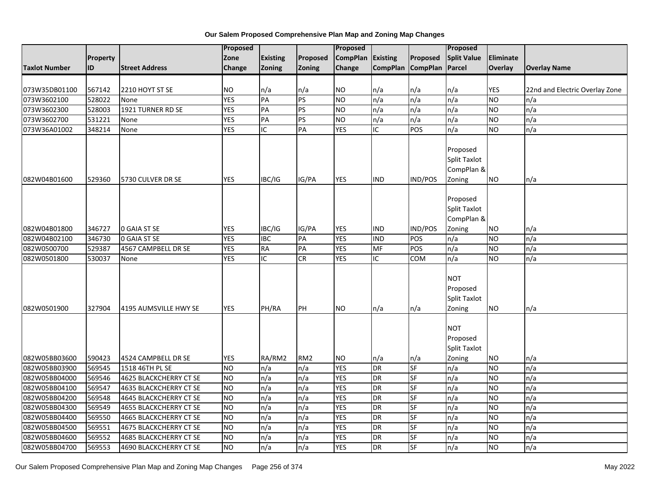|                      |          |                        | Proposed       |                 |                 | Proposed        |                 |                   | Proposed            |            |                                |
|----------------------|----------|------------------------|----------------|-----------------|-----------------|-----------------|-----------------|-------------------|---------------------|------------|--------------------------------|
|                      | Property |                        | Zone           | <b>Existing</b> | Proposed        | <b>CompPlan</b> | <b>Existing</b> | Proposed          | <b>Split Value</b>  | Eliminate  |                                |
| <b>Taxlot Number</b> | ID       | <b>Street Address</b>  | Change         | Zoning          | Zoning          | Change          |                 | CompPlan CompPlan | Parcel              | Overlay    | <b>Overlay Name</b>            |
|                      |          |                        |                |                 |                 |                 |                 |                   |                     |            |                                |
| 073W35DB01100        | 567142   | 2210 HOYT ST SE        | <b>NO</b>      | n/a             | n/a             | NO              | n/a             | n/a               | n/a                 | <b>YES</b> | 22nd and Electric Overlay Zone |
| 073W3602100          | 528022   | None                   | <b>YES</b>     | PA              | <b>PS</b>       | <b>NO</b>       | n/a             | n/a               | n/a                 | <b>NO</b>  | n/a                            |
| 073W3602300          | 528003   | 1921 TURNER RD SE      | <b>YES</b>     | PA              | PS              | NO.             | n/a             | n/a               | n/a                 | <b>ON</b>  | n/a                            |
| 073W3602700          | 531221   | None                   | <b>YES</b>     | PA              | PS              | <b>NO</b>       | n/a             | n/a               | n/a                 | <b>NO</b>  | n/a                            |
| 073W36A01002         | 348214   | None                   | <b>YES</b>     | IC              | PA              | <b>YES</b>      | IC              | POS               | n/a                 | <b>NO</b>  | n/a                            |
|                      |          |                        |                |                 |                 |                 |                 |                   | Proposed            |            |                                |
|                      |          |                        |                |                 |                 |                 |                 |                   | <b>Split Taxlot</b> |            |                                |
|                      |          |                        |                |                 |                 |                 |                 |                   | CompPlan &          |            |                                |
| 082W04B01600         | 529360   | 5730 CULVER DR SE      | <b>YES</b>     | IBC/IG          | IG/PA           | <b>YES</b>      | <b>IND</b>      | IND/POS           | Zoning              | <b>NO</b>  | n/a                            |
|                      |          |                        |                |                 |                 |                 |                 |                   |                     |            |                                |
|                      |          |                        |                |                 |                 |                 |                 |                   | Proposed            |            |                                |
|                      |          |                        |                |                 |                 |                 |                 |                   | <b>Split Taxlot</b> |            |                                |
|                      |          |                        |                |                 |                 |                 |                 |                   | CompPlan &          |            |                                |
| 082W04B01800         | 346727   | <b>0 GAIA ST SE</b>    | <b>YES</b>     | IBC/IG          | IG/PA           | YES             | <b>IND</b>      | IND/POS           | Zoning              | <b>NO</b>  | n/a                            |
| 082W04B02100         | 346730   | <b>0 GAIA ST SE</b>    | <b>YES</b>     | <b>IBC</b>      | PA              | <b>YES</b>      | <b>IND</b>      | POS               | n/a                 | <b>NO</b>  | n/a                            |
| 082W0500700          | 529387   | 4567 CAMPBELL DR SE    | <b>YES</b>     | <b>RA</b>       | PA              | <b>YES</b>      | MF              | POS               | n/a                 | <b>NO</b>  | n/a                            |
| 082W0501800          | 530037   | None                   | <b>YES</b>     | IC              | CR              | <b>YES</b>      | IC              | COM               | n/a                 | ŌИ         | n/a                            |
|                      |          |                        |                |                 |                 |                 |                 |                   |                     |            |                                |
|                      |          |                        |                |                 |                 |                 |                 |                   | <b>NOT</b>          |            |                                |
|                      |          |                        |                |                 |                 |                 |                 |                   | Proposed            |            |                                |
|                      |          |                        |                |                 |                 |                 |                 |                   | <b>Split Taxlot</b> |            |                                |
| 082W0501900          | 327904   | 4195 AUMSVILLE HWY SE  | <b>YES</b>     | PH/RA           | PH              | NO.             | n/a             | n/a               | Zoning              | <b>NO</b>  | n/a                            |
|                      |          |                        |                |                 |                 |                 |                 |                   |                     |            |                                |
|                      |          |                        |                |                 |                 |                 |                 |                   | <b>NOT</b>          |            |                                |
|                      |          |                        |                |                 |                 |                 |                 |                   | Proposed            |            |                                |
|                      |          |                        |                |                 |                 |                 |                 |                   | <b>Split Taxlot</b> |            |                                |
| 082W05BB03600        | 590423   | 4524 CAMPBELL DR SE    | <b>YES</b>     | RA/RM2          | RM <sub>2</sub> | NO.             | n/a             | n/a               | Zoning              | <b>NO</b>  | n/a                            |
| 082W05BB03900        | 569545   | 1518 46TH PL SE        | N <sub>O</sub> | n/a             | n/a             | <b>YES</b>      | <b>DR</b>       | <b>SF</b>         | n/a                 | ŌИ         | n/a                            |
| 082W05BB04000        | 569546   | 4625 BLACKCHERRY CT SE | <b>NO</b>      | n/a             | n/a             | <b>YES</b>      | <b>DR</b>       | <b>SF</b>         | n/a                 | <b>NO</b>  | n/a                            |
| 082W05BB04100        | 569547   | 4635 BLACKCHERRY CT SE | <b>NO</b>      | n/a             | n/a             | <b>YES</b>      | <b>DR</b>       | SF                | n/a                 | <b>NO</b>  | n/a                            |
| 082W05BB04200        | 569548   | 4645 BLACKCHERRY CT SE | <b>NO</b>      | n/a             | n/a             | <b>YES</b>      | <b>DR</b>       | SF                | n/a                 | ŌИ         | n/a                            |
| 082W05BB04300        | 569549   | 4655 BLACKCHERRY CT SE | <b>NO</b>      | n/a             | n/a             | <b>YES</b>      | <b>DR</b>       | <b>SF</b>         | n/a                 | ŌИ         | n/a                            |
| 082W05BB04400        | 569550   | 4665 BLACKCHERRY CT SE | N <sub>O</sub> | n/a             | n/a             | <b>YES</b>      | <b>DR</b>       | <b>SF</b>         | n/a                 | <b>NO</b>  | n/a                            |
| 082W05BB04500        | 569551   | 4675 BLACKCHERRY CT SE | <b>NO</b>      | n/a             | n/a             | <b>YES</b>      | <b>DR</b>       | <b>SF</b>         | n/a                 | <b>NO</b>  | n/a                            |
| 082W05BB04600        | 569552   | 4685 BLACKCHERRY CT SE | N <sub>O</sub> | n/a             | n/a             | <b>YES</b>      | DR              | <b>SF</b>         | n/a                 | <b>NO</b>  | n/a                            |
| 082W05BB04700        | 569553   | 4690 BLACKCHERRY CT SE | <b>NO</b>      | n/a             | n/a             | <b>YES</b>      | <b>DR</b>       | <b>SF</b>         | n/a                 | <b>NO</b>  | n/a                            |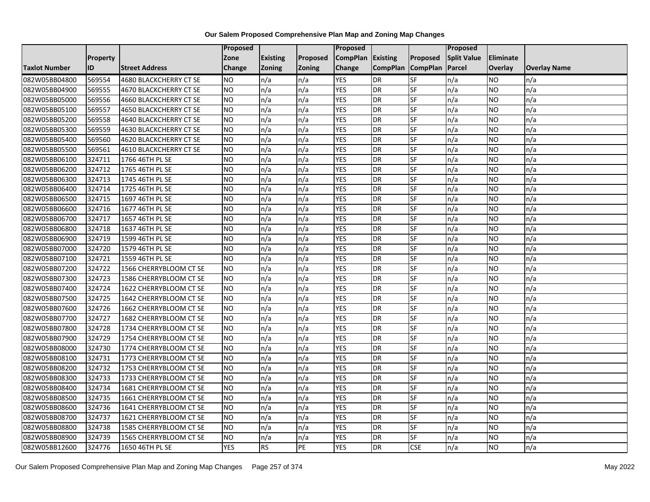|                      |                 |                        | Proposed   |                 |               | Proposed          |                 |                 | Proposed           |           |                     |
|----------------------|-----------------|------------------------|------------|-----------------|---------------|-------------------|-----------------|-----------------|--------------------|-----------|---------------------|
|                      | <b>Property</b> |                        | Zone       | <b>Existing</b> | Proposed      | CompPlan Existing |                 | Proposed        | <b>Split Value</b> | Eliminate |                     |
| <b>Taxlot Number</b> | ID              | <b>Street Address</b>  | Change     | Zoning          | <b>Zoning</b> | Change            | <b>CompPlan</b> | <b>CompPlan</b> | Parcel             | Overlay   | <b>Overlay Name</b> |
| 082W05BB04800        | 569554          | 4680 BLACKCHERRY CT SE | <b>NO</b>  | n/a             | n/a           | <b>YES</b>        | <b>DR</b>       | <b>SF</b>       | n/a                | NO        | n/a                 |
| 082W05BB04900        | 569555          | 4670 BLACKCHERRY CT SE | <b>NO</b>  | n/a             | n/a           | <b>YES</b>        | DR              | SF              | n/a                | NO.       | n/a                 |
| 082W05BB05000        | 569556          | 4660 BLACKCHERRY CT SE | <b>NO</b>  | n/a             | n/a           | <b>YES</b>        | DR              | SF              | n/a                | NO.       | n/a                 |
| 082W05BB05100        | 569557          | 4650 BLACKCHERRY CT SE | <b>NO</b>  | n/a             | n/a           | <b>YES</b>        | DR              | SF              | n/a                | NO.       | n/a                 |
| 082W05BB05200        | 569558          | 4640 BLACKCHERRY CT SE | <b>NO</b>  | n/a             | n/a           | <b>YES</b>        | DR              | SF              | n/a                | NO.       | n/a                 |
| 082W05BB05300        | 569559          | 4630 BLACKCHERRY CT SE | <b>NO</b>  | n/a             | n/a           | <b>YES</b>        | <b>DR</b>       | SF              | n/a                | <b>NO</b> | n/a                 |
| 082W05BB05400        | 569560          | 4620 BLACKCHERRY CT SE | <b>NO</b>  | n/a             | n/a           | <b>YES</b>        | DR              | SF              | n/a                | NO.       | n/a                 |
| 082W05BB05500        | 569561          | 4610 BLACKCHERRY CT SE | <b>NO</b>  | n/a             | n/a           | <b>YES</b>        | DR              | SF              | n/a                | NO.       | n/a                 |
| 082W05BB06100        | 324711          | 1766 46TH PL SE        | <b>NO</b>  | n/a             | n/a           | <b>YES</b>        | DR              | SF              | n/a                | NO.       | n/a                 |
| 082W05BB06200        | 324712          | 1765 46TH PL SE        | ŌИ         | n/a             | n/a           | <b>YES</b>        | DR              | <b>SF</b>       | n/a                | NO.       | n/a                 |
| 082W05BB06300        | 324713          | 1745 46TH PL SE        | <b>NO</b>  | n/a             | n/a           | <b>YES</b>        | <b>DR</b>       | SF              | n/a                | <b>NO</b> | n/a                 |
| 082W05BB06400        | 324714          | 1725 46TH PL SE        | <b>NO</b>  | n/a             | n/a           | <b>YES</b>        | <b>DR</b>       | SF              | n/a                | <b>NO</b> | n/a                 |
| 082W05BB06500        | 324715          | 1697 46TH PL SE        | ŌИ         | n/a             | n/a           | <b>YES</b>        | DR              | $S$ F           | n/a                | NO.       | n/a                 |
| 082W05BB06600        | 324716          | 1677 46TH PL SE        | <b>NO</b>  | n/a             | n/a           | <b>YES</b>        | <b>DR</b>       | SF              | n/a                | NO.       | n/a                 |
| 082W05BB06700        | 324717          | 1657 46TH PL SE        | <b>NO</b>  | n/a             | n/a           | <b>YES</b>        | DR              | SF              | n/a                | NO.       | n/a                 |
| 082W05BB06800        | 324718          | 1637 46TH PL SE        | ŌИ         | n/a             | n/a           | <b>YES</b>        | <b>DR</b>       | $S_{F}$         | n/a                | NO.       | n/a                 |
| 082W05BB06900        | 324719          | 1599 46TH PL SE        | ŌИ         | n/a             | n/a           | <b>YES</b>        | $\overline{R}$  | <b>SF</b>       | n/a                | NO.       | n/a                 |
| 082W05BB07000        | 324720          | 1579 46TH PL SE        | <b>NO</b>  | n/a             | n/a           | <b>YES</b>        | DR              | SF              | n/a                | NO.       | n/a                 |
| 082W05BB07100        | 324721          | 1559 46TH PL SE        | <b>NO</b>  | n/a             | n/a           | <b>YES</b>        | DR              | SF              | n/a                | NO.       | n/a                 |
| 082W05BB07200        | 324722          | 1566 CHERRYBLOOM CT SE | <b>NO</b>  | n/a             | n/a           | <b>YES</b>        | <b>DR</b>       | <b>SF</b>       | n/a                | NO.       | n/a                 |
| 082W05BB07300        | 324723          | 1586 CHERRYBLOOM CT SE | <b>NO</b>  | n/a             | n/a           | <b>YES</b>        | DR              | SF              | n/a                | NO.       | n/a                 |
| 082W05BB07400        | 324724          | 1622 CHERRYBLOOM CT SE | <b>NO</b>  | n/a             | n/a           | <b>YES</b>        | <b>DR</b>       | SF              | n/a                | <b>NO</b> | n/a                 |
| 082W05BB07500        | 324725          | 1642 CHERRYBLOOM CT SE | <b>NO</b>  | n/a             | n/a           | <b>YES</b>        | <b>DR</b>       | SF              | n/a                | NO.       | n/a                 |
| 082W05BB07600        | 324726          | 1662 CHERRYBLOOM CT SE | <b>NO</b>  | n/a             | n/a           | <b>YES</b>        | DR              | SF              | n/a                | NO.       | n/a                 |
| 082W05BB07700        | 324727          | 1682 CHERRYBLOOM CT SE | <b>NO</b>  | n/a             | n/a           | <b>YES</b>        | <b>DR</b>       | SF              | n/a                | <b>NO</b> | n/a                 |
| 082W05BB07800        | 324728          | 1734 CHERRYBLOOM CT SE | <b>NO</b>  | n/a             | n/a           | <b>YES</b>        | DR              | SF              | n/a                | NO.       | n/a                 |
| 082W05BB07900        | 324729          | 1754 CHERRYBLOOM CT SE | ŌИ         | n/a             | n/a           | <b>YES</b>        | <b>DR</b>       | $S_{F}$         | n/a                | NO.       | n/a                 |
| 082W05BB08000        | 324730          | 1774 CHERRYBLOOM CT SE | <b>NO</b>  | n/a             | n/a           | <b>YES</b>        | DR              | SF              | n/a                | NO.       | n/a                 |
| 082W05BB08100        | 324731          | 1773 CHERRYBLOOM CT SE | <b>NO</b>  | n/a             | n/a           | <b>YES</b>        | DR              | SF              | n/a                | NO.       | n/a                 |
| 082W05BB08200        | 324732          | 1753 CHERRYBLOOM CT SE | <b>NO</b>  | n/a             | n/a           | <b>YES</b>        | <b>DR</b>       | SF              | n/a                | NO.       | n/a                 |
| 082W05BB08300        | 324733          | 1733 CHERRYBLOOM CT SE | <b>NO</b>  | n/a             | n/a           | <b>YES</b>        | DR              | SF              | n/a                | NO.       | n/a                 |
| 082W05BB08400        | 324734          | 1681 CHERRYBLOOM CT SE | <b>NO</b>  | n/a             | n/a           | <b>YES</b>        | DR              | SF              | n/a                | NO.       | n/a                 |
| 082W05BB08500        | 324735          | 1661 CHERRYBLOOM CT SE | ŌИ         | n/a             | n/a           | <b>YES</b>        | <b>DR</b>       | SF              | n/a                | NO.       | n/a                 |
| 082W05BB08600        | 324736          | 1641 CHERRYBLOOM CT SE | <b>NO</b>  | n/a             | n/a           | <b>YES</b>        | DR              | SF              | n/a                | NO.       | n/a                 |
| 082W05BB08700        | 324737          | 1621 CHERRYBLOOM CT SE | <b>NO</b>  | n/a             | n/a           | <b>YES</b>        | DR              | SF              | n/a                | NO.       | n/a                 |
| 082W05BB08800        | 324738          | 1585 CHERRYBLOOM CT SE | <b>NO</b>  | n/a             | n/a           | <b>YES</b>        | <b>DR</b>       | SF              | n/a                | NO.       | n/a                 |
| 082W05BB08900        | 324739          | 1565 CHERRYBLOOM CT SE | <b>NO</b>  | n/a             | n/a           | <b>YES</b>        | DR              | SF              | n/a                | NO        | n/a                 |
| 082W05BB12600        | 324776          | 1650 46TH PL SE        | <b>YES</b> | <b>RS</b>       | PE            | <b>YES</b>        | DR              | <b>CSE</b>      | n/a                | NO.       | n/a                 |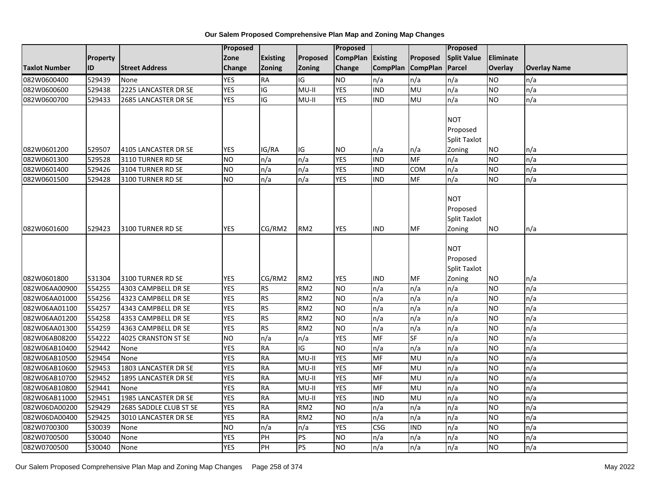|                      |          |                        | <b>Proposed</b> | <b>Proposed</b> |                 |                   |                          |                 | Proposed                                                       |           |                     |  |
|----------------------|----------|------------------------|-----------------|-----------------|-----------------|-------------------|--------------------------|-----------------|----------------------------------------------------------------|-----------|---------------------|--|
|                      | Property |                        | Zone            | <b>Existing</b> | Proposed        | CompPlan Existing |                          | Proposed        | <b>Split Value</b>                                             | Eliminate |                     |  |
| <b>Taxlot Number</b> | ID       | <b>Street Address</b>  | <b>Change</b>   | Zoning          | Zoning          | Change            | <b>CompPlan</b>          | <b>CompPlan</b> | Parcel                                                         | Overlay   | <b>Overlay Name</b> |  |
| 082W0600400          | 529439   | None                   | <b>YES</b>      | <b>RA</b>       | Ю               | <b>NO</b>         | n/a                      | n/a             | n/a                                                            | <b>NO</b> | n/a                 |  |
| 082W0600600          | 529438   | 2225 LANCASTER DR SE   | <b>YES</b>      | $\overline{G}$  | $MU-II$         | <b>YES</b>        | $\overline{IND}$         | <b>DM</b>       | n/a                                                            | <b>NO</b> | n/a                 |  |
| 082W0600700          | 529433   | 2685 LANCASTER DR SE   | <b>YES</b>      | l<br>O          | $MU-II$         | <b>YES</b>        | <b>IND</b>               | MU              | n/a                                                            | <b>NO</b> | n/a                 |  |
| 082W0601200          | 529507   | 4105 LANCASTER DR SE   | <b>YES</b>      | IG/RA           | IG              | <b>NO</b>         | n/a                      | n/a             | <b>NOT</b><br>Proposed<br>Split Taxlot<br>Zoning               | <b>NO</b> | n/a                 |  |
| 082W0601300          | 529528   | 3110 TURNER RD SE      | <b>NO</b>       | n/a             | n/a             | <b>YES</b>        | <b>IND</b>               | <b>MF</b>       | n/a                                                            | <b>NO</b> | n/a                 |  |
| 082W0601400          | 529426   | 3104 TURNER RD SE      | <b>NO</b>       | n/a             | n/a             | <b>YES</b>        | <b>IND</b>               | COM             | n/a                                                            | NO        | n/a                 |  |
| 082W0601500          | 529428   | 3100 TURNER RD SE      | Ю               | n/a             | n/a             | <b>YES</b>        | <b>IND</b>               | MF              | n/a                                                            | <b>NO</b> | n/a                 |  |
| 082W0601600          | 529423   | 3100 TURNER RD SE      | <b>YES</b>      | CG/RM2          | RM <sub>2</sub> | <b>YES</b>        | <b>IND</b>               | MF              | <b>NOT</b><br>Proposed<br>Split Taxlot<br>Zoning<br><b>NOT</b> | NO.       | n/a                 |  |
| 082W0601800          | 531304   | 3100 TURNER RD SE      | <b>YES</b>      | CG/RM2          | RM <sub>2</sub> | <b>YES</b>        | <b>IND</b>               | MF              | Proposed<br>Split Taxlot<br>Zoning                             | <b>NO</b> | n/a                 |  |
| 082W06AA00900        | 554255   | 4303 CAMPBELL DR SE    | <b>YES</b>      | <b>RS</b>       | RM <sub>2</sub> | <b>NO</b>         | n/a                      | n/a             | n/a                                                            | <b>NO</b> | n/a                 |  |
| 082W06AA01000        | 554256   | 4323 CAMPBELL DR SE    | <b>YES</b>      | <b>RS</b>       | RM <sub>2</sub> | N <sub>O</sub>    | n/a                      | n/a             | n/a                                                            | <b>NO</b> | n/a                 |  |
| 082W06AA01100        | 554257   | 4343 CAMPBELL DR SE    | <b>YES</b>      | <b>RS</b>       | RM <sub>2</sub> | <b>NO</b>         | n/a                      | n/a             | n/a                                                            | <b>NO</b> | n/a                 |  |
| 082W06AA01200        | 554258   | 4353 CAMPBELL DR SE    | <b>YES</b>      | <b>RS</b>       | RM <sub>2</sub> | <b>ON</b>         | n/a                      | n/a             | n/a                                                            | ŌИ        | n/a                 |  |
| 082W06AA01300        | 554259   | 4363 CAMPBELL DR SE    | <b>YES</b>      | <b>RS</b>       | RM <sub>2</sub> | N <sub>O</sub>    | n/a                      | n/a             | n/a                                                            | <b>NO</b> | n/a                 |  |
| 082W06AB08200        | 554222   | 4025 CRANSTON ST SE    | <b>NO</b>       | n/a             | n/a             | <b>YES</b>        | $\overline{\mathsf{MF}}$ | SF              | n/a                                                            | ŌИ        | n/a                 |  |
| 082W06AB10400        | 529442   | None                   | <b>YES</b>      | <b>RA</b>       | IG              | <b>NO</b>         | n/a                      | n/a             | n/a                                                            | <b>NO</b> | n/a                 |  |
| 082W06AB10500        | 529454   | None                   | <b>YES</b>      | <b>RA</b>       | $MU-II$         | <b>YES</b>        | $\overline{\mathsf{MF}}$ | <b>MU</b>       | n/a                                                            | <b>NO</b> | n/a                 |  |
| 082W06AB10600        | 529453   | 1803 LANCASTER DR SE   | <b>YES</b>      | <b>RA</b>       | MU-II           | <b>YES</b>        | <b>MF</b>                | MU              | n/a                                                            | <b>NO</b> | n/a                 |  |
| 082W06AB10700        | 529452   | 1895 LANCASTER DR SE   | <b>YES</b>      | <b>RA</b>       | MU-II           | <b>YES</b>        | MF                       | MU              | n/a                                                            | <b>NO</b> | n/a                 |  |
| 082W06AB10800        | 529441   | None                   | <b>YES</b>      | <b>RA</b>       | MU-II           | <b>YES</b>        | MF                       | MU              | n/a                                                            | <b>NO</b> | n/a                 |  |
| 082W06AB11000        | 529451   | 1985 LANCASTER DR SE   | <b>YES</b>      | <b>RA</b>       | $MU-II$         | <b>YES</b>        | <b>IND</b>               | <b>MU</b>       | n/a                                                            | ŌИ        | n/a                 |  |
| 082W06DA00200        | 529429   | 2685 SADDLE CLUB ST SE | <b>YES</b>      | <b>RA</b>       | RM <sub>2</sub> | <b>NO</b>         | n/a                      | n/a             | n/a                                                            | <b>NO</b> | n/a                 |  |
| 082W06DA00400        | 529425   | 3010 LANCASTER DR SE   | <b>YES</b>      | <b>RA</b>       | RM <sub>2</sub> | <b>NO</b>         | n/a                      | n/a             | n/a                                                            | <b>NO</b> | n/a                 |  |
| 082W0700300          | 530039   | None                   | <b>NO</b>       | n/a             | n/a             | <b>YES</b>        | <b>CSG</b>               | <b>IND</b>      | n/a                                                            | <b>NO</b> | n/a                 |  |
| 082W0700500          | 530040   | None                   | <b>YES</b>      | PH              | PS              | N <sub>O</sub>    | n/a                      | n/a             | n/a                                                            | <b>NO</b> | n/a                 |  |
| 082W0700500          | 530040   | None                   | <b>YES</b>      | PH              | <b>PS</b>       | <b>NO</b>         | n/a                      | n/a             | n/a                                                            | <b>NO</b> | n/a                 |  |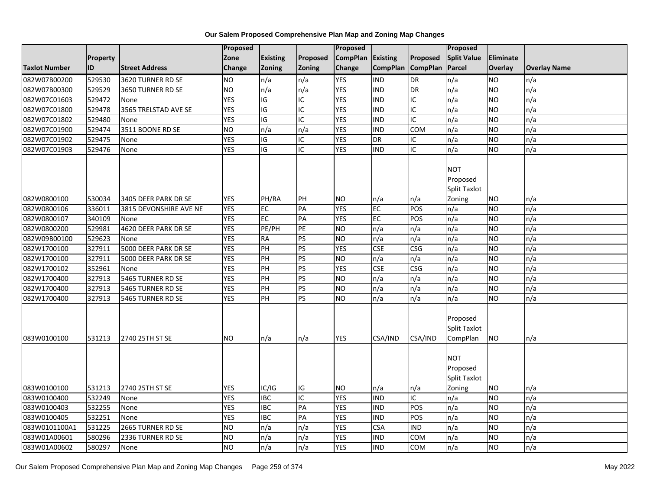|                      |                 |                        | Proposed   |                 |                 | <b>Proposed</b> |                 |                          | <b>Proposed</b>                                         |                  |                     |
|----------------------|-----------------|------------------------|------------|-----------------|-----------------|-----------------|-----------------|--------------------------|---------------------------------------------------------|------------------|---------------------|
|                      | <b>Property</b> |                        | Zone       | <b>Existing</b> | Proposed        | <b>CompPlan</b> | Existing        | Proposed                 | <b>Split Value</b>                                      | <b>Eliminate</b> |                     |
| <b>Taxlot Number</b> | ID              | <b>Street Address</b>  | Change     | Zoning          | <b>Zoning</b>   | Change          | <b>CompPlan</b> | <b>CompPlan</b>          | <b>Parcel</b>                                           | Overlay          | <b>Overlay Name</b> |
| 082W07B00200         | 529530          | 3620 TURNER RD SE      | <b>NO</b>  | n/a             | n/a             | <b>YES</b>      | <b>IND</b>      | DR                       | n/a                                                     | <b>NO</b>        | n/a                 |
| 082W07B00300         | 529529          | 3650 TURNER RD SE      | <b>NO</b>  | n/a             | n/a             | <b>YES</b>      | <b>IND</b>      | DR                       | n/a                                                     | NO               | n/a                 |
| 082W07C01603         | 529472          | None                   | <b>YES</b> | IG              | IC              | <b>YES</b>      | <b>IND</b>      | IC                       | n/a                                                     | <b>NO</b>        | n/a                 |
| 082W07C01800         | 529478          | 3565 TRELSTAD AVE SE   | <b>YES</b> | IG              | IC              | <b>YES</b>      | <b>IND</b>      | $\overline{C}$           | n/a                                                     | <b>NO</b>        | n/a                 |
| 082W07C01802         | 529480          | None                   | <b>YES</b> | $\overline{G}$  | $\overline{C}$  | <b>YES</b>      | <b>IND</b>      | $\overline{\mathsf{IC}}$ | n/a                                                     | <b>NO</b>        | n/a                 |
| 082W07C01900         | 529474          | 3511 BOONE RD SE       | <b>NO</b>  | n/a             | n/a             | <b>YES</b>      | <b>IND</b>      | COM                      | n/a                                                     | <b>NO</b>        | n/a                 |
| 082W07C01902         | 529475          | None                   | <b>YES</b> | IG              | IC              | <b>YES</b>      | <b>DR</b>       | IC                       | n/a                                                     | <b>NO</b>        | n/a                 |
| 082W07C01903         | 529476          | None                   | <b>YES</b> | $\overline{G}$  | IC              | <b>YES</b>      | <b>IND</b>      | $\overline{C}$           | n/a                                                     | <b>NO</b>        | n/a                 |
| 082W0800100          | 530034          | 3405 DEER PARK DR SE   | <b>YES</b> | PH/RA           | <b>PH</b>       | <b>NO</b>       | n/a             | n/a                      | <b>NOT</b><br>Proposed<br><b>Split Taxlot</b><br>Zoning | <b>NO</b>        | n/a                 |
| 082W0800106          | 336011          | 3815 DEVONSHIRE AVE NE | <b>YES</b> | EC              | PA              | <b>YES</b>      | EC              | POS                      | n/a                                                     | NO               | n/a                 |
| 082W0800107          | 340109          | None                   | <b>YES</b> | <b>EC</b>       | PA              | <b>YES</b>      | EC              | POS                      | n/a                                                     | <b>NO</b>        | n/a                 |
| 082W0800200          | 529981          | 4620 DEER PARK DR SE   | <b>YES</b> | PE/PH           | PE              | N <sub>O</sub>  | n/a             | n/a                      | n/a                                                     | <b>NO</b>        | n/a                 |
| 082W09B00100         | 529623          | None                   | <b>YES</b> | <b>RA</b>       | PS              | <b>NO</b>       | n/a             | n/a                      | n/a                                                     | <b>NO</b>        | n/a                 |
| 082W1700100          | 327911          | 5000 DEER PARK DR SE   | <b>YES</b> | PH              | <b>PS</b>       | <b>YES</b>      | <b>CSE</b>      | <b>CSG</b>               | n/a                                                     | <b>NO</b>        | n/a                 |
| 082W1700100          | 327911          | 5000 DEER PARK DR SE   | <b>YES</b> | PH              | <b>PS</b>       | N <sub>O</sub>  | n/a             | n/a                      | n/a                                                     | <b>NO</b>        | n/a                 |
| 082W1700102          | 352961          | None                   | <b>YES</b> | PH              | PS              | <b>YES</b>      | <b>CSE</b>      | CSG                      | n/a                                                     | <b>NO</b>        | n/a                 |
| 082W1700400          | 327913          | 5465 TURNER RD SE      | <b>YES</b> | PH              | PS              | <b>NO</b>       | n/a             | n/a                      | n/a                                                     | <b>NO</b>        | n/a                 |
| 082W1700400          | 327913          | 5465 TURNER RD SE      | <b>YES</b> | PH              | <b>PS</b>       | <b>NO</b>       | n/a             | n/a                      | n/a                                                     | NO               | n/a                 |
| 082W1700400          | 327913          | 5465 TURNER RD SE      | <b>YES</b> | PH              | <b>PS</b>       | N <sub>O</sub>  | n/a             | n/a                      | n/a                                                     | <b>NO</b>        | n/a                 |
| 083W0100100          | 531213          | 2740 25TH ST SE        | <b>NO</b>  | n/a             | n/a             | <b>YES</b>      | CSA/IND         | CSA/IND                  | Proposed<br><b>Split Taxlot</b><br>CompPlan             | <b>NO</b>        | n/a                 |
| 083W0100100          | 531213          | 2740 25TH ST SE        | <b>YES</b> | IC/IG           | IG              | <b>NO</b>       | n/a             | n/a                      | <b>NOT</b><br>Proposed<br><b>Split Taxlot</b><br>Zoning | <b>NO</b>        | n/a                 |
| 083W0100400          | 532249          | None                   | <b>YES</b> | IBC             | IC              | <b>YES</b>      | <b>IND</b>      | $\overline{C}$           | n/a                                                     | <b>NO</b>        | n/a                 |
| 083W0100403          | 532255          | None                   | <b>YES</b> | <b>IBC</b>      | PA              | <b>YES</b>      | <b>IND</b>      | POS                      | n/a                                                     | <b>NO</b>        | n/a                 |
| 083W0100405          | 532251          | None                   | <b>YES</b> | <b>IBC</b>      | $\overline{PA}$ | <b>YES</b>      | IND             | POS                      | n/a                                                     | <b>NO</b>        | n/a                 |
| 083W0101100A1        | 531225          | 2665 TURNER RD SE      | Ю          | n/a             | n/a             | <b>YES</b>      | <b>CSA</b>      | <b>IND</b>               | n/a                                                     | <b>NO</b>        | n/a                 |
| 083W01A00601         | 580296          | 2336 TURNER RD SE      | <b>NO</b>  | n/a             | n/a             | <b>YES</b>      | <b>IND</b>      | COM                      | n/a                                                     | <b>NO</b>        | n/a                 |
| 083W01A00602         | 580297          | None                   | Ю          | n/a             | n/a             | <b>YES</b>      | <b>IND</b>      | COM                      | n/a                                                     | <b>NO</b>        | n/a                 |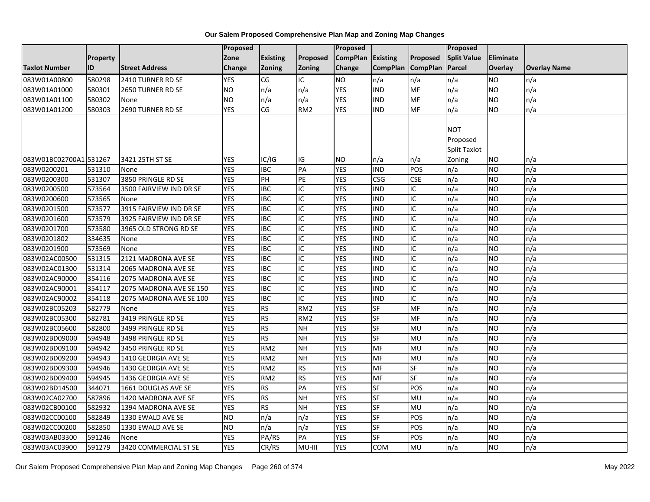|                        |                 |                         | Proposed   |                        |                 | Proposed          |                 |                 | Proposed           |                |                     |
|------------------------|-----------------|-------------------------|------------|------------------------|-----------------|-------------------|-----------------|-----------------|--------------------|----------------|---------------------|
|                        | <b>Property</b> |                         | Zone       | <b>Existing</b>        | Proposed        | CompPlan Existing |                 | Proposed        | <b>Split Value</b> | Eliminate      |                     |
| <b>Taxlot Number</b>   | ID              | <b>Street Address</b>   | Change     | Zoning                 | <b>Zoning</b>   | Change            | <b>CompPlan</b> | <b>CompPlan</b> | Parcel             | <b>Overlay</b> | <b>Overlay Name</b> |
| 083W01A00800           | 580298          | 2410 TURNER RD SE       | <b>YES</b> | CG                     | IC              | <b>NO</b>         | n/a             | n/a             | n/a                | NO             | n/a                 |
| 083W01A01000           | 580301          | 2650 TURNER RD SE       | <b>NO</b>  | n/a                    | n/a             | <b>YES</b>        | <b>IND</b>      | <b>MF</b>       | n/a                | NO.            | n/a                 |
| 083W01A01100           | 580302          | None                    | <b>NO</b>  | n/a                    | n/a             | <b>YES</b>        | <b>IND</b>      | MF              | n/a                | NO.            | n/a                 |
| 083W01A01200           | 580303          | 2690 TURNER RD SE       | <b>YES</b> | $\overline{\text{CG}}$ | RM <sub>2</sub> | <b>YES</b>        | <b>IND</b>      | MF              | n/a                | NO.            | n/a                 |
|                        |                 |                         |            |                        |                 |                   |                 |                 |                    |                |                     |
|                        |                 |                         |            |                        |                 |                   |                 |                 | <b>NOT</b>         |                |                     |
|                        |                 |                         |            |                        |                 |                   |                 |                 | Proposed           |                |                     |
|                        |                 |                         |            |                        |                 |                   |                 |                 | Split Taxlot       |                |                     |
| 083W01BC02700A1 531267 |                 | 3421 25TH ST SE         | <b>YES</b> | IC/IG                  | IG              | <b>NO</b>         | n/a             | n/a             | Zoning             | ΝO             | n/a                 |
| 083W0200201            | 531310          | None                    | <b>YES</b> | <b>IBC</b>             | PA              | <b>YES</b>        | <b>IND</b>      | POS             | n/a                | NO.            | n/a                 |
| 083W0200300            | 531307          | 3850 PRINGLE RD SE      | <b>YES</b> | PH                     | PE              | <b>YES</b>        | <b>CSG</b>      | <b>CSE</b>      | n/a                | NO.            | n/a                 |
| 083W0200500            | 573564          | 3500 FAIRVIEW IND DR SE | <b>YES</b> | <b>IBC</b>             | IC              | <b>YES</b>        | <b>IND</b>      | IC              | n/a                | <b>NO</b>      | n/a                 |
| 083W0200600            | 573565          | None                    | <b>YES</b> | <b>IBC</b>             | IC              | <b>YES</b>        | <b>IND</b>      | IC              | n/a                | NO.            | n/a                 |
| 083W0201500            | 573577          | 3915 FAIRVIEW IND DR SE | <b>YES</b> | <b>IBC</b>             | IC              | <b>YES</b>        | <b>IND</b>      | IC              | n/a                | NO.            | n/a                 |
| 083W0201600            | 573579          | 3925 FAIRVIEW IND DR SE | <b>YES</b> | <b>IBC</b>             | IC              | <b>YES</b>        | <b>IND</b>      | IC              | n/a                | NO.            | n/a                 |
| 083W0201700            | 573580          | 3965 OLD STRONG RD SE   | <b>YES</b> | $\overline{IBC}$       | IC              | <b>YES</b>        | <b>IND</b>      | $\overline{C}$  | n/a                | NO.            | n/a                 |
| 083W0201802            | 334635          | None                    | <b>YES</b> | $\overline{IBC}$       | $\overline{C}$  | <b>YES</b>        | <b>IND</b>      | $\overline{C}$  | n/a                | NO.            | n/a                 |
| 083W0201900            | 573569          | None                    | <b>YES</b> | <b>IBC</b>             | IC              | <b>YES</b>        | <b>IND</b>      | IC              | n/a                | NO.            | n/a                 |
| 083W02AC00500          | 531315          | 2121 MADRONA AVE SE     | <b>YES</b> | <b>IBC</b>             | IC              | <b>YES</b>        | <b>IND</b>      | IC              | n/a                | NO.            | n/a                 |
| 083W02AC01300          | 531314          | 2065 MADRONA AVE SE     | <b>YES</b> | <b>IBC</b>             | IC              | <b>YES</b>        | <b>IND</b>      | IC              | n/a                | NO.            | n/a                 |
| 083W02AC90000          | 354116          | 2075 MADRONA AVE SE     | <b>YES</b> | <b>IBC</b>             | IC              | <b>YES</b>        | <b>IND</b>      | IC              | n/a                | <b>NO</b>      | n/a                 |
| 083W02AC90001          | 354117          | 2075 MADRONA AVE SE 150 | <b>YES</b> | <b>IBC</b>             | IC              | <b>YES</b>        | <b>IND</b>      | IC              | n/a                | <b>NO</b>      | n/a                 |
| 083W02AC90002          | 354118          | 2075 MADRONA AVE SE 100 | <b>YES</b> | <b>IBC</b>             | IC              | <b>YES</b>        | <b>IND</b>      | IC              | n/a                | NO.            | n/a                 |
| 083W02BC05203          | 582779          | None                    | <b>YES</b> | <b>RS</b>              | RM <sub>2</sub> | <b>YES</b>        | <b>SF</b>       | MF              | n/a                | NO.            | n/a                 |
| 083W02BC05300          | 582781          | 3419 PRINGLE RD SE      | <b>YES</b> | <b>RS</b>              | RM <sub>2</sub> | <b>YES</b>        | <b>SF</b>       | <b>MF</b>       | n/a                | <b>NO</b>      | n/a                 |
| 083W02BC05600          | 582800          | 3499 PRINGLE RD SE      | <b>YES</b> | RS                     | <b>NH</b>       | <b>YES</b>        | <b>SF</b>       | MU              | n/a                | NO.            | n/a                 |
| 083W02BD09000          | 594948          | 3498 PRINGLE RD SE      | <b>YES</b> | <b>RS</b>              | <b>NH</b>       | <b>YES</b>        | SF              | <b>MU</b>       | n/a                | NO.            | n/a                 |
| 083W02BD09100          | 594942          | 3450 PRINGLE RD SE      | <b>YES</b> | RM <sub>2</sub>        | <b>NH</b>       | <b>YES</b>        | <b>MF</b>       | MU              | n/a                | NO.            | n/a                 |
| 083W02BD09200          | 594943          | 1410 GEORGIA AVE SE     | <b>YES</b> | RM <sub>2</sub>        | <b>NH</b>       | <b>YES</b>        | MF              | MU              | n/a                | NO.            | n/a                 |
| 083W02BD09300          | 594946          | 1430 GEORGIA AVE SE     | <b>YES</b> | RM <sub>2</sub>        | <b>RS</b>       | <b>YES</b>        | <b>MF</b>       | SF              | n/a                | NO.            | n/a                 |
| 083W02BD09400          | 594945          | 1436 GEORGIA AVE SE     | <b>YES</b> | RM <sub>2</sub>        | <b>RS</b>       | <b>YES</b>        | MF              | <b>SF</b>       | n/a                | NO.            | n/a                 |
| 083W02BD14500          | 344071          | 1661 DOUGLAS AVE SE     | <b>YES</b> | <b>RS</b>              | PA              | <b>YES</b>        | SF              | POS             | n/a                | NO.            | n/a                 |
| 083W02CA02700          | 587896          | 1420 MADRONA AVE SE     | <b>YES</b> | <b>RS</b>              | N <sub>H</sub>  | <b>YES</b>        | <b>SF</b>       | MU              | n/a                | NO.            | n/a                 |
| 083W02CB00100          | 582932          | 1394 MADRONA AVE SE     | <b>YES</b> | <b>RS</b>              | <b>NH</b>       | <b>YES</b>        | <b>SF</b>       | MU              | n/a                | NO.            | n/a                 |
| 083W02CC00100          | 582849          | 1330 EWALD AVE SE       | <b>NO</b>  | n/a                    | n/a             | <b>YES</b>        | <b>SF</b>       | POS             | n/a                | NO.            | n/a                 |
| 083W02CC00200          | 582850          | 1330 EWALD AVE SE       | <b>NO</b>  | n/a                    | n/a             | <b>YES</b>        | <b>SF</b>       | POS             | n/a                | NO.            | n/a                 |
| 083W03AB03300          | 591246          | None                    | <b>YES</b> | PA/RS                  | PA              | <b>YES</b>        | SF              | POS             | n/a                | NO             | n/a                 |
| 083W03AC03900          | 591279          | 3420 COMMERCIAL ST SE   | <b>YES</b> | CR/RS                  | MU-III          | <b>YES</b>        | <b>COM</b>      | MU              | n/a                | <b>NO</b>      | n/a                 |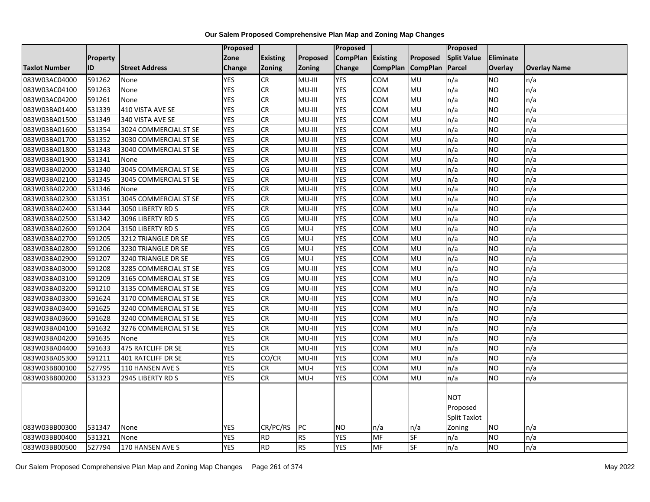|                      |                 |                           | Proposed   |                        |            | <b>Proposed</b> |                 |                          | Proposed                                         |                  |                     |
|----------------------|-----------------|---------------------------|------------|------------------------|------------|-----------------|-----------------|--------------------------|--------------------------------------------------|------------------|---------------------|
|                      | <b>Property</b> |                           | Zone       | <b>Existing</b>        | Proposed   | <b>CompPlan</b> | Existing        | Proposed                 | <b>Split Value</b>                               | <b>Eliminate</b> |                     |
| <b>Taxlot Number</b> | ID              | <b>Street Address</b>     | Change     | Zoning                 | Zoning     | Change          | <b>CompPlan</b> | <b>CompPlan</b>          | Parcel                                           | Overlay          | <b>Overlay Name</b> |
| 083W03AC04000        | 591262          | None                      | <b>YES</b> | CR                     | MU-III     | <b>YES</b>      | <b>COM</b>      | MU                       | n/a                                              | <b>NO</b>        | n/a                 |
| 083W03AC04100        | 591263          | None                      | <b>YES</b> | CR                     | MU-III     | <b>YES</b>      | <b>COM</b>      | <b>MU</b>                | n/a                                              | <b>NO</b>        | n/a                 |
| 083W03AC04200        | 591261          | None                      | <b>YES</b> | CR                     | MU-III     | <b>YES</b>      | <b>COM</b>      | <b>MU</b>                | n/a                                              | <b>NO</b>        | n/a                 |
| 083W03BA01400        | 531339          | 410 VISTA AVE SE          | <b>YES</b> | <b>CR</b>              | MU-III     | <b>YES</b>      | COM             | MU                       | n/a                                              | <b>NO</b>        | n/a                 |
| 083W03BA01500        | 531349          | 340 VISTA AVE SE          | <b>YES</b> | CR                     | MU-III     | <b>YES</b>      | COM             | <b>MU</b>                | n/a                                              | <b>NO</b>        | n/a                 |
| 083W03BA01600        | 531354          | 3024 COMMERCIAL ST SE     | <b>YES</b> | CR                     | MU-III     | <b>YES</b>      | COM             | MU                       | n/a                                              | <b>NO</b>        | n/a                 |
| 083W03BA01700        | 531352          | 3030 COMMERCIAL ST SE     | <b>YES</b> | <b>CR</b>              | MU-III     | <b>YES</b>      | COM             | <b>MU</b>                | n/a                                              | <b>NO</b>        | n/a                 |
| 083W03BA01800        | 531343          | 3040 COMMERCIAL ST SE     | <b>YES</b> | $\overline{c}$         | MU-III     | <b>YES</b>      | COM             | <b>MU</b>                | n/a                                              | <b>NO</b>        | n/a                 |
| 083W03BA01900        | 531341          | None                      | <b>YES</b> | CR                     | MU-III     | <b>YES</b>      | <b>COM</b>      | MU                       | n/a                                              | <b>NO</b>        | n/a                 |
| 083W03BA02000        | 531340          | 3045 COMMERCIAL ST SE     | <b>YES</b> | CG                     | MU-III     | <b>YES</b>      | <b>COM</b>      | <b>MU</b>                | n/a                                              | <b>NO</b>        | n/a                 |
| 083W03BA02100        | 531345          | 3045 COMMERCIAL ST SE     | <b>YES</b> | CR                     | MU-III     | <b>YES</b>      | COM             | MU                       | n/a                                              | <b>NO</b>        | n/a                 |
| 083W03BA02200        | 531346          | None                      | <b>YES</b> | <b>CR</b>              | MU-III     | <b>YES</b>      | COM             | MU                       | n/a                                              | <b>NO</b>        | n/a                 |
| 083W03BA02300        | 531351          | 3045 COMMERCIAL ST SE     | <b>YES</b> | CR                     | MU-III     | <b>YES</b>      | COM             | <b>MU</b>                | n/a                                              | <b>NO</b>        | n/a                 |
| 083W03BA02400        | 531344          | 3050 LIBERTY RD S         | <b>YES</b> | CR                     | MU-III     | <b>YES</b>      | COM             | MU                       | n/a                                              | <b>NO</b>        | n/a                 |
| 083W03BA02500        | 531342          | 3096 LIBERTY RD S         | <b>YES</b> | CG                     | MU-III     | <b>YES</b>      | <b>COM</b>      | MU                       | n/a                                              | <b>NO</b>        | n/a                 |
| 083W03BA02600        | 591204          | 3150 LIBERTY RD S         | <b>YES</b> | CG                     | $MU-I$     | <b>YES</b>      | COM             | <b>MU</b>                | n/a                                              | <b>NO</b>        | n/a                 |
| 083W03BA02700        | 591205          | 3212 TRIANGLE DR SE       | <b>YES</b> | CG                     | $MU-I$     | <b>YES</b>      | COM             | MU                       | n/a                                              | <b>NO</b>        | n/a                 |
| 083W03BA02800        | 591206          | 3230 TRIANGLE DR SE       | <b>YES</b> | CG                     | $MU-I$     | <b>YES</b>      | COM             | MU                       | n/a                                              | <b>NO</b>        | n/a                 |
| 083W03BA02900        | 591207          | 3240 TRIANGLE DR SE       | <b>YES</b> | $\overline{\text{CG}}$ | I-UM       | <b>YES</b>      | COM             | <b>MU</b>                | n/a                                              | <b>NO</b>        | n/a                 |
| 083W03BA03000        | 591208          | 3285 COMMERCIAL ST SE     | <b>YES</b> | CG                     | MU-III     | <b>YES</b>      | COM             | MU                       | n/a                                              | <b>NO</b>        | n/a                 |
| 083W03BA03100        | 591209          | 3165 COMMERCIAL ST SE     | <b>YES</b> | CG                     | MU-III     | <b>YES</b>      | <b>COM</b>      | <b>MU</b>                | n/a                                              | <b>NO</b>        | n/a                 |
| 083W03BA03200        | 591210          | 3135 COMMERCIAL ST SE     | <b>YES</b> | CG                     | MU-III     | <b>YES</b>      | COM             | MU                       | n/a                                              | <b>NO</b>        | n/a                 |
| 083W03BA03300        | 591624          | 3170 COMMERCIAL ST SE     | <b>YES</b> | CR                     | MU-III     | <b>YES</b>      | <b>COM</b>      | <b>MU</b>                | n/a                                              | <b>NO</b>        | n/a                 |
| 083W03BA03400        | 591625          | 3240 COMMERCIAL ST SE     | <b>YES</b> | CR                     | MU-III     | <b>YES</b>      | COM             | MU                       | n/a                                              | <b>NO</b>        | n/a                 |
| 083W03BA03600        | 591628          | 3240 COMMERCIAL ST SE     | <b>YES</b> | CR                     | MU-III     | <b>YES</b>      | COM             | MU                       | n/a                                              | <b>NO</b>        | n/a                 |
| 083W03BA04100        | 591632          | 3276 COMMERCIAL ST SE     | <b>YES</b> | CR                     | MU-III     | <b>YES</b>      | <b>COM</b>      | MU                       | n/a                                              | <b>NO</b>        | n/a                 |
| 083W03BA04200        | 591635          | None                      | <b>YES</b> | CR                     | MU-III     | <b>YES</b>      | <b>COM</b>      | <b>MU</b>                | n/a                                              | <b>NO</b>        | n/a                 |
| 083W03BA04400        | 591633          | 475 RATCLIFF DR SE        | <b>YES</b> | <b>CR</b>              | MU-III     | <b>YES</b>      | <b>COM</b>      | MU                       | n/a                                              | <b>NO</b>        | n/a                 |
| 083W03BA05300        | 591211          | <b>401 RATCLIFF DR SE</b> | <b>YES</b> | CO/CR                  | MU-III     | <b>YES</b>      | COM             | MU                       | n/a                                              | <b>NO</b>        | n/a                 |
| 083W03BB00100        | 527795          | 110 HANSEN AVE S          | <b>YES</b> | CR                     | MU-I       | <b>YES</b>      | COM             | MU                       | n/a                                              | <b>NO</b>        | n/a                 |
| 083W03BB00200        | 531323          | 2945 LIBERTY RD S         | <b>YES</b> | CR                     | $MU-I$     | <b>YES</b>      | COM             | MU                       | n/a                                              | <b>NO</b>        | n/a                 |
| 083W03BB00300        | 531347          | None                      | <b>YES</b> | CR/PC/RS               | <b>IPC</b> | <b>NO</b>       | n/a             | $\mathsf{In}/\mathsf{a}$ | <b>NOT</b><br>Proposed<br>Split Taxlot<br>Zoning | <b>NO</b>        | n/a                 |
| 083W03BB00400        | 531321          | None                      | <b>YES</b> | <b>RD</b>              | <b>RS</b>  | <b>YES</b>      | MF              | <b>SF</b>                | n/a                                              | <b>NO</b>        | n/a                 |
| 083W03BB00500        | 527794          | 170 HANSEN AVE S          | <b>YES</b> | <b>RD</b>              | <b>RS</b>  | <b>YES</b>      | <b>MF</b>       | $\overline{\mathsf{SF}}$ | n/a                                              | <b>NO</b>        | n/a                 |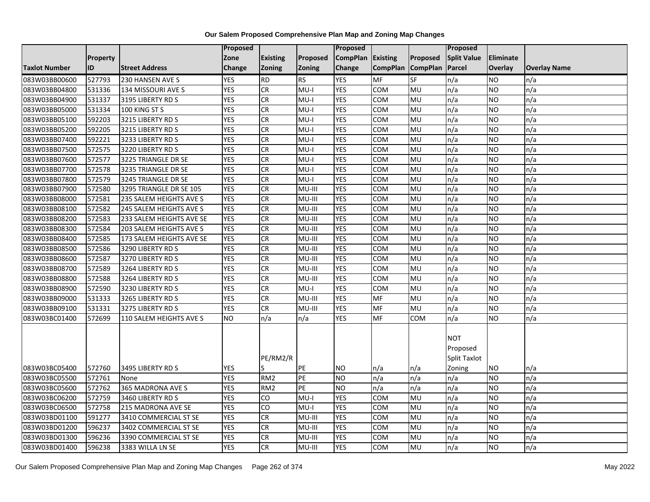|                      |                 |                          | Proposed   |                 |               | <b>Proposed</b> |                 |                          | Proposed           |                  |                     |
|----------------------|-----------------|--------------------------|------------|-----------------|---------------|-----------------|-----------------|--------------------------|--------------------|------------------|---------------------|
|                      | <b>Property</b> |                          | Zone       | <b>Existing</b> | Proposed      | <b>CompPlan</b> | Existing        | Proposed                 | <b>Split Value</b> | <b>Eliminate</b> |                     |
| <b>Taxlot Number</b> | <b>ID</b>       | <b>Street Address</b>    | Change     | Zoning          | <b>Zoning</b> | Change          | <b>CompPlan</b> | <b>CompPlan</b>          | Parcel             | Overlay          | <b>Overlay Name</b> |
| 083W03BB00600        | 527793          | 230 HANSEN AVE S         | <b>YES</b> | <b>RD</b>       | <b>RS</b>     | <b>YES</b>      | <b>MF</b>       | $S_{F}$                  | n/a                | <b>NO</b>        | n/a                 |
| 083W03BB04800        | 531336          | 134 MISSOURI AVE S       | <b>YES</b> | CR              | $MU-I$        | <b>YES</b>      | COM             | MU                       | n/a                | <b>NO</b>        | n/a                 |
| 083W03BB04900        | 531337          | 3195 LIBERTY RD S        | <b>YES</b> | <b>CR</b>       | $MU-I$        | <b>YES</b>      | COM             | MU                       | n/a                | <b>NO</b>        | n/a                 |
| 083W03BB05000        | 531334          | 100 KING ST S            | <b>YES</b> | <b>CR</b>       | $MU-I$        | <b>YES</b>      | <b>COM</b>      | MU                       | n/a                | <b>NO</b>        | n/a                 |
| 083W03BB05100        | 592203          | 3215 LIBERTY RD S        | <b>YES</b> | <b>CR</b>       | $MU-I$        | <b>YES</b>      | COM             | <b>MU</b>                | n/a                | <b>NO</b>        | n/a                 |
| 083W03BB05200        | 592205          | 3215 LIBERTY RD S        | <b>YES</b> | CR              | $MU-I$        | <b>YES</b>      | <b>COM</b>      | MU                       | n/a                | <b>NO</b>        | n/a                 |
| 083W03BB07400        | 592221          | 3233 LIBERTY RD S        | <b>YES</b> | <b>CR</b>       | $MU-I$        | <b>YES</b>      | <b>COM</b>      | MU                       | n/a                | <b>NO</b>        | n/a                 |
| 083W03BB07500        | 572575          | 3220 LIBERTY RD S        | <b>YES</b> | ${\sf CR}$      | $MU-I$        | <b>YES</b>      | COM             | MU                       | n/a                | <b>NO</b>        | n/a                 |
| 083W03BB07600        | 572577          | 3225 TRIANGLE DR SE      | <b>YES</b> | <b>CR</b>       | $MU-I$        | <b>YES</b>      | COM             | MU                       | n/a                | <b>NO</b>        | n/a                 |
| 083W03BB07700        | 572578          | 3235 TRIANGLE DR SE      | <b>YES</b> | CR              | $MU-I$        | <b>YES</b>      | COM             | <b>MU</b>                | n/a                | <b>NO</b>        | n/a                 |
| 083W03BB07800        | 572579          | 3245 TRIANGLE DR SE      | <b>YES</b> | CR              | $MU-I$        | <b>YES</b>      | COM             | MU                       | n/a                | <b>NO</b>        | n/a                 |
| 083W03BB07900        | 572580          | 3295 TRIANGLE DR SE 105  | <b>YES</b> | CR              | MU-III        | <b>YES</b>      | <b>COM</b>      | MU                       | n/a                | <b>NO</b>        | n/a                 |
| 083W03BB08000        | 572581          | 235 SALEM HEIGHTS AVE S  | <b>YES</b> | <b>CR</b>       | MU-III        | <b>YES</b>      | COM             | MU                       | n/a                | <b>NO</b>        | n/a                 |
| 083W03BB08100        | 572582          | 245 SALEM HEIGHTS AVE S  | <b>YES</b> | <b>CR</b>       | MU-III        | <b>YES</b>      | COM             | MU                       | n/a                | <b>NO</b>        | n/a                 |
| 083W03BB08200        | 572583          | 233 SALEM HEIGHTS AVE SE | <b>YES</b> | CR              | MU-III        | <b>YES</b>      | COM             | MU                       | n/a                | <b>NO</b>        | n/a                 |
| 083W03BB08300        | 572584          | 203 SALEM HEIGHTS AVE S  | <b>YES</b> | <b>CR</b>       | MU-III        | <b>YES</b>      | <b>COM</b>      | MU                       | n/a                | <b>NO</b>        | n/a                 |
| 083W03BB08400        | 572585          | 173 SALEM HEIGHTS AVE SE | <b>YES</b> | <b>CR</b>       | MU-III        | <b>YES</b>      | <b>COM</b>      | MU                       | n/a                | <b>NO</b>        | n/a                 |
| 083W03BB08500        | 572586          | 3290 LIBERTY RD S        | <b>YES</b> | CR              | MU-III        | <b>YES</b>      | COM             | MU                       | n/a                | <b>NO</b>        | n/a                 |
| 083W03BB08600        | 572587          | 3270 LIBERTY RD S        | <b>YES</b> | CR              | MU-III        | <b>YES</b>      | COM             | MU                       | n/a                | <b>NO</b>        | n/a                 |
| 083W03BB08700        | 572589          | 3264 LIBERTY RD S        | <b>YES</b> | CR              | $MU-HI$       | <b>YES</b>      | <b>COM</b>      | <b>MU</b>                | n/a                | <b>NO</b>        | n/a                 |
| 083W03BB08800        | 572588          | 3264 LIBERTY RD S        | <b>YES</b> | <b>CR</b>       | MU-III        | <b>YES</b>      | COM             | MU                       | n/a                | <b>NO</b>        | n/a                 |
| 083W03BB08900        | 572590          | 3230 LIBERTY RD S        | <b>YES</b> | <b>CR</b>       | $MU-I$        | <b>YES</b>      | COM             | MU                       | n/a                | <b>NO</b>        | n/a                 |
| 083W03BB09000        | 531333          | 3265 LIBERTY RD S        | <b>YES</b> | <b>CR</b>       | MU-III        | <b>YES</b>      | MF              | MU                       | n/a                | <b>NO</b>        | n/a                 |
| 083W03BB09100        | 531331          | 3275 LIBERTY RD S        | <b>YES</b> | CR              | MU-III        | <b>YES</b>      | MF              | MU                       | n/a                | <b>NO</b>        | n/a                 |
| 083W03BC01400        | 572699          | 110 SALEM HEIGHTS AVE S  | <b>NO</b>  | n/a             | n/a           | <b>YES</b>      | <b>MF</b>       | COM                      | n/a                | <b>NO</b>        | n/a                 |
|                      |                 |                          |            |                 |               |                 |                 |                          |                    |                  |                     |
|                      |                 |                          |            |                 |               |                 |                 |                          | <b>NOT</b>         |                  |                     |
|                      |                 |                          |            |                 |               |                 |                 |                          | Proposed           |                  |                     |
|                      |                 |                          |            | PE/RM2/R        |               |                 |                 |                          | Split Taxlot       |                  |                     |
| 083W03BC05400        | 572760          | 3495 LIBERTY RD S        | <b>YES</b> |                 | PE            | <b>NO</b>       | n/a             | $\mathsf{In}/\mathsf{a}$ | Zoning             | <b>NO</b>        | n/a                 |
| 083W03BC05500        | 572761          | None                     | <b>YES</b> | RM <sub>2</sub> | PE            | <b>NO</b>       | n/a             | n/a                      | n/a                | <b>NO</b>        | n/a                 |
| 083W03BC05600        | 572762          | 365 MADRONA AVE S        | <b>YES</b> | RM <sub>2</sub> | PE            | <b>NO</b>       | n/a             | n/a                      | n/a                | <b>NO</b>        | n/a                 |
| 083W03BC06200        | 572759          | 3460 LIBERTY RD S        | <b>YES</b> | CO              | $MU-I$        | <b>YES</b>      | <b>COM</b>      | MU                       | n/a                | <b>NO</b>        | n/a                 |
| 083W03BC06500        | 572758          | 215 MADRONA AVE SE       | <b>YES</b> | CO              | $MU-I$        | <b>YES</b>      | COM             | MU                       | n/a                | <b>NO</b>        | n/a                 |
| 083W03BD01100        | 591277          | 3410 COMMERCIAL ST SE    | <b>YES</b> | CR              | MU-III        | <b>YES</b>      | COM             | MU                       | n/a                | <b>NO</b>        | n/a                 |
| 083W03BD01200        | 596237          | 3402 COMMERCIAL ST SE    | <b>YES</b> | <b>CR</b>       | MU-III        | <b>YES</b>      | COM             | MU                       | n/a                | <b>NO</b>        | n/a                 |
| 083W03BD01300        | 596236          | 3390 COMMERCIAL ST SE    | <b>YES</b> | CR              | MU-III        | <b>YES</b>      | COM             | MU                       | n/a                | <b>NO</b>        | n/a                 |
| 083W03BD01400        | 596238          | 3383 WILLA LN SE         | <b>YES</b> | <b>CR</b>       | MU-III        | <b>YES</b>      | <b>COM</b>      | MU                       | n/a                | <b>NO</b>        | n/a                 |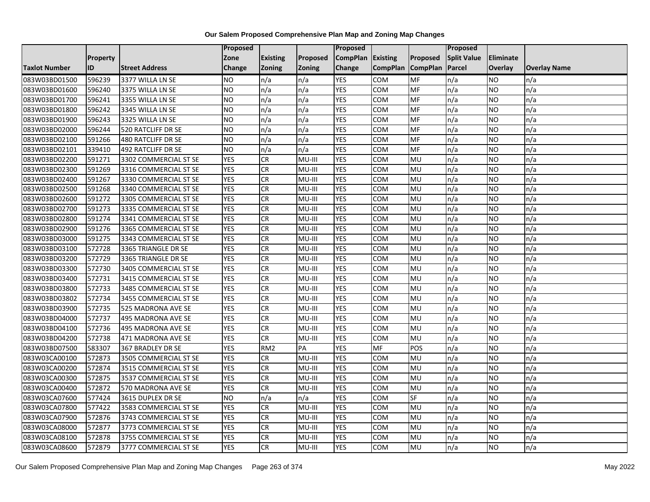|                      |           |                       | Proposed       |                 |               | Proposed        |                 |                          | Proposed           |                  |                     |
|----------------------|-----------|-----------------------|----------------|-----------------|---------------|-----------------|-----------------|--------------------------|--------------------|------------------|---------------------|
|                      | Property  |                       | Zone           | <b>Existing</b> | Proposed      | <b>CompPlan</b> | Existing        | Proposed                 | <b>Split Value</b> | <b>Eliminate</b> |                     |
| <b>Taxlot Number</b> | <b>ID</b> | <b>Street Address</b> | Change         | <b>Zoning</b>   | <b>Zoning</b> | Change          | <b>CompPlan</b> | <b>CompPlan</b>          | Parcel             | Overlay          | <b>Overlay Name</b> |
| 083W03BD01500        | 596239    | 3377 WILLA LN SE      | <b>NO</b>      | n/a             | n/a           | <b>YES</b>      | <b>COM</b>      | MF                       | n/a                | <b>NO</b>        | n/a                 |
| 083W03BD01600        | 596240    | 3375 WILLA LN SE      | <b>NO</b>      | n/a             | n/a           | <b>YES</b>      | COM             | MF                       | n/a                | <b>NO</b>        | n/a                 |
| 083W03BD01700        | 596241    | 3355 WILLA LN SE      | <b>NO</b>      | n/a             | n/a           | <b>YES</b>      | COM             | MF                       | n/a                | <b>NO</b>        | n/a                 |
| 083W03BD01800        | 596242    | 3345 WILLA LN SE      | <b>NO</b>      | n/a             | n/a           | <b>YES</b>      | COM             | MF                       | n/a                | <b>NO</b>        | n/a                 |
| 083W03BD01900        | 596243    | 3325 WILLA LN SE      | N <sub>O</sub> | n/a             | n/a           | <b>YES</b>      | <b>COM</b>      | $\overline{\mathsf{MF}}$ | n/a                | <b>NO</b>        | n/a                 |
| 083W03BD02000        | 596244    | 520 RATCLIFF DR SE    | <b>NO</b>      | n/a             | n/a           | <b>YES</b>      | COM             | MF                       | n/a                | <b>NO</b>        | n/a                 |
| 083W03BD02100        | 591266    | 480 RATCLIFF DR SE    | <b>NO</b>      | n/a             | n/a           | <b>YES</b>      | <b>COM</b>      | MF                       | n/a                | <b>NO</b>        | n/a                 |
| 083W03BD02101        | 339410    | 492 RATCLIFF DR SE    | <b>NO</b>      | n/a             | n/a           | <b>YES</b>      | COM             | MF                       | n/a                | <b>NO</b>        | n/a                 |
| 083W03BD02200        | 591271    | 3302 COMMERCIAL ST SE | <b>YES</b>     | <b>CR</b>       | MU-III        | <b>YES</b>      | <b>COM</b>      | MU                       | n/a                | <b>NO</b>        | n/a                 |
| 083W03BD02300        | 591269    | 3316 COMMERCIAL ST SE | <b>YES</b>     | <b>CR</b>       | MU-III        | <b>YES</b>      | COM             | MU                       | n/a                | <b>NO</b>        | n/a                 |
| 083W03BD02400        | 591267    | 3330 COMMERCIAL ST SE | <b>YES</b>     | <b>CR</b>       | MU-III        | <b>YES</b>      | <b>COM</b>      | MU                       | n/a                | <b>NO</b>        | n/a                 |
| 083W03BD02500        | 591268    | 3340 COMMERCIAL ST SE | <b>YES</b>     | <b>CR</b>       | $MU-III$      | <b>YES</b>      | COM             | MU                       | n/a                | <b>NO</b>        | n/a                 |
| 083W03BD02600        | 591272    | 3305 COMMERCIAL ST SE | <b>YES</b>     | CR              | MU-III        | <b>YES</b>      | COM             | MU                       | n/a                | <b>NO</b>        | n/a                 |
| 083W03BD02700        | 591273    | 3335 COMMERCIAL ST SE | <b>YES</b>     | <b>CR</b>       | MU-III        | <b>YES</b>      | COM             | MU                       | n/a                | <b>NO</b>        | n/a                 |
| 083W03BD02800        | 591274    | 3341 COMMERCIAL ST SE | <b>YES</b>     | <b>CR</b>       | MU-III        | <b>YES</b>      | COM             | MU                       | n/a                | <b>NO</b>        | n/a                 |
| 083W03BD02900        | 591276    | 3365 COMMERCIAL ST SE | <b>YES</b>     | <b>CR</b>       | MU-III        | <b>YES</b>      | COM             | <b>MU</b>                | n/a                | <b>NO</b>        | n/a                 |
| 083W03BD03000        | 591275    | 3343 COMMERCIAL ST SE | <b>YES</b>     | <b>CR</b>       | MU-III        | <b>YES</b>      | COM             | MU                       | n/a                | <b>NO</b>        | n/a                 |
| 083W03BD03100        | 572728    | 3365 TRIANGLE DR SE   | <b>YES</b>     | <b>CR</b>       | MU-III        | <b>YES</b>      | <b>COM</b>      | MU                       | n/a                | <b>NO</b>        | n/a                 |
| 083W03BD03200        | 572729    | 3365 TRIANGLE DR SE   | <b>YES</b>     | <b>CR</b>       | MU-III        | <b>YES</b>      | COM             | <b>MU</b>                | n/a                | <b>NO</b>        | n/a                 |
| 083W03BD03300        | 572730    | 3405 COMMERCIAL ST SE | <b>YES</b>     | <b>CR</b>       | MU-III        | <b>YES</b>      | COM             | MU                       | n/a                | <b>NO</b>        | n/a                 |
| 083W03BD03400        | 572731    | 3415 COMMERCIAL ST SE | <b>YES</b>     | <b>CR</b>       | MU-III        | <b>YES</b>      | COM             | MU                       | n/a                | <b>NO</b>        | n/a                 |
| 083W03BD03800        | 572733    | 3485 COMMERCIAL ST SE | <b>YES</b>     | $\overline{c}$  | $MU-III$      | <b>YES</b>      | <b>COM</b>      | <b>MU</b>                | n/a                | <b>NO</b>        | n/a                 |
| 083W03BD03802        | 572734    | 3455 COMMERCIAL ST SE | <b>YES</b>     | <b>CR</b>       | MU-III        | <b>YES</b>      | COM             | MU                       | n/a                | <b>NO</b>        | n/a                 |
| 083W03BD03900        | 572735    | 525 MADRONA AVE SE    | <b>YES</b>     | <b>CR</b>       | MU-III        | <b>YES</b>      | COM             | MU                       | n/a                | <b>NO</b>        | n/a                 |
| 083W03BD04000        | 572737    | 495 MADRONA AVE SE    | <b>YES</b>     | <b>CR</b>       | MU-III        | <b>YES</b>      | COM             | MU                       | n/a                | <b>NO</b>        | n/a                 |
| 083W03BD04100        | 572736    | 495 MADRONA AVE SE    | <b>YES</b>     | <b>CR</b>       | MU-III        | <b>YES</b>      | COM             | MU                       | n/a                | <b>NO</b>        | n/a                 |
| 083W03BD04200        | 572738    | 471 MADRONA AVE SE    | <b>YES</b>     | <b>CR</b>       | MU-III        | <b>YES</b>      | <b>COM</b>      | MU                       | n/a                | <b>NO</b>        | n/a                 |
| 083W03BD07500        | 583307    | 367 BRADLEY DR SE     | <b>YES</b>     | RM <sub>2</sub> | PA            | <b>YES</b>      | <b>MF</b>       | POS                      | n/a                | <b>NO</b>        | n/a                 |
| 083W03CA00100        | 572873    | 3505 COMMERCIAL ST SE | <b>YES</b>     | ${\sf CR}$      | MU-III        | <b>YES</b>      | COM             | MU                       | n/a                | <b>NO</b>        | n/a                 |
| 083W03CA00200        | 572874    | 3515 COMMERCIAL ST SE | <b>YES</b>     | <b>CR</b>       | MU-III        | <b>YES</b>      | COM             | MU                       | n/a                | <b>NO</b>        | n/a                 |
| 083W03CA00300        | 572875    | 3537 COMMERCIAL ST SE | <b>YES</b>     | <b>CR</b>       | MU-III        | <b>YES</b>      | COM             | MU                       | n/a                | <b>NO</b>        | n/a                 |
| 083W03CA00400        | 572872    | 570 MADRONA AVE SE    | <b>YES</b>     | <b>CR</b>       | MU-III        | <b>YES</b>      | <b>COM</b>      | <b>MU</b>                | n/a                | <b>NO</b>        | n/a                 |
| 083W03CA07600        | 577424    | 3615 DUPLEX DR SE     | N <sub>O</sub> | n/a             | n/a           | <b>YES</b>      | <b>COM</b>      | SF                       | n/a                | <b>NO</b>        | n/a                 |
| 083W03CA07800        | 577422    | 3583 COMMERCIAL ST SE | <b>YES</b>     | <b>CR</b>       | MU-III        | <b>YES</b>      | COM             | MU                       | n/a                | <b>NO</b>        | n/a                 |
| 083W03CA07900        | 572876    | 3743 COMMERCIAL ST SE | <b>YES</b>     | <b>CR</b>       | MU-III        | <b>YES</b>      | COM             | <b>MU</b>                | n/a                | <b>NO</b>        | n/a                 |
| 083W03CA08000        | 572877    | 3773 COMMERCIAL ST SE | <b>YES</b>     | <b>CR</b>       | MU-III        | <b>YES</b>      | COM             | MU                       | n/a                | <b>NO</b>        | n/a                 |
| 083W03CA08100        | 572878    | 3755 COMMERCIAL ST SE | <b>YES</b>     | CR              | MU-III        | <b>YES</b>      | COM             | MU                       | n/a                | <b>NO</b>        | n/a                 |
| 083W03CA08600        | 572879    | 3777 COMMERCIAL ST SE | <b>YES</b>     | <b>CR</b>       | MU-III        | <b>YES</b>      | <b>COM</b>      | <b>MU</b>                | n/a                | <b>NO</b>        | n/a                 |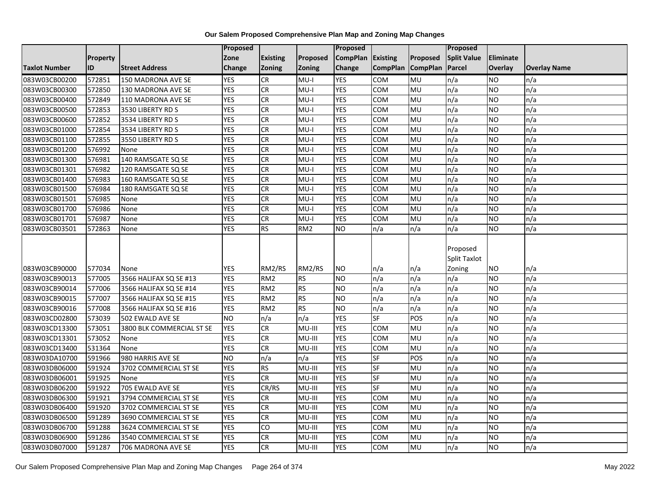|                      |                 |                           | Proposed        |                 |                 | <b>Proposed</b> |                 |                 | Proposed                                  |                  |                     |
|----------------------|-----------------|---------------------------|-----------------|-----------------|-----------------|-----------------|-----------------|-----------------|-------------------------------------------|------------------|---------------------|
|                      | <b>Property</b> |                           | Zone            | <b>Existing</b> | Proposed        | <b>CompPlan</b> | Existing        | Proposed        | <b>Split Value</b>                        | <b>Eliminate</b> |                     |
| <b>Taxlot Number</b> | ID              | <b>Street Address</b>     | Change          | Zoning          | Zoning          | Change          | <b>CompPlan</b> | <b>CompPlan</b> | Parcel                                    | Overlay          | <b>Overlay Name</b> |
| 083W03CB00200        | 572851          | 150 MADRONA AVE SE        | <b>YES</b>      | <b>CR</b>       | $MU-I$          | <b>YES</b>      | <b>COM</b>      | MU              | n/a                                       | <b>NO</b>        | n/a                 |
| 083W03CB00300        | 572850          | 130 MADRONA AVE SE        | <b>YES</b>      | <b>CR</b>       | $MU-I$          | <b>YES</b>      | <b>COM</b>      | <b>MU</b>       | n/a                                       | <b>NO</b>        | n/a                 |
| 083W03CB00400        | 572849          | 110 MADRONA AVE SE        | <b>YES</b>      | <b>CR</b>       | $MU-I$          | <b>YES</b>      | <b>COM</b>      | MU              | n/a                                       | <b>NO</b>        | n/a                 |
| 083W03CB00500        | 572853          | 3530 LIBERTY RD S         | <b>YES</b>      | <b>CR</b>       | MU-I            | <b>YES</b>      | COM             | MU              | n/a                                       | <b>NO</b>        | n/a                 |
| 083W03CB00600        | 572852          | 3534 LIBERTY RD S         | <b>YES</b>      | <b>CR</b>       | $MU-I$          | <b>YES</b>      | <b>COM</b>      | MU              | n/a                                       | <b>NO</b>        | n/a                 |
| 083W03CB01000        | 572854          | 3534 LIBERTY RD S         | <b>YES</b>      | <b>CR</b>       | $MU-I$          | <b>YES</b>      | COM             | MU              | n/a                                       | <b>NO</b>        | n/a                 |
| 083W03CB01100        | 572855          | 3550 LIBERTY RD S         | <b>YES</b>      | CR              | $MU-I$          | <b>YES</b>      | COM             | <b>MU</b>       | n/a                                       | <b>NO</b>        | n/a                 |
| 083W03CB01200        | 576992          | None                      | <b>YES</b>      | CR              | $MU-I$          | <b>YES</b>      | COM             | MU              | n/a                                       | <b>NO</b>        | n/a                 |
| 083W03CB01300        | 576981          | 140 RAMSGATE SQ SE        | <b>YES</b>      | <b>CR</b>       | $MU-I$          | <b>YES</b>      | COM             | MU              | n/a                                       | <b>NO</b>        | n/a                 |
| 083W03CB01301        | 576982          | 120 RAMSGATE SQ SE        | <b>YES</b>      | CR              | $MU-I$          | <b>YES</b>      | <b>COM</b>      | MU              | n/a                                       | <b>NO</b>        | n/a                 |
| 083W03CB01400        | 576983          | 160 RAMSGATE SQ SE        | <b>YES</b>      | CR              | $MU-I$          | <b>YES</b>      | <b>COM</b>      | MU              | n/a                                       | <b>NO</b>        | n/a                 |
| 083W03CB01500        | 576984          | 180 RAMSGATE SQ SE        | <b>YES</b>      | CR              | $MU-I$          | <b>YES</b>      | COM             | MU              | n/a                                       | <b>NO</b>        | n/a                 |
| 083W03CB01501        | 576985          | None                      | <b>YES</b>      | CR              | $MU-I$          | <b>YES</b>      | COM             | MU              | n/a                                       | <b>NO</b>        | n/a                 |
| 083W03CB01700        | 576986          | None                      | <b>YES</b>      | CR              | $MU-I$          | <b>YES</b>      | COM             | MU              | n/a                                       | <b>NO</b>        | n/a                 |
| 083W03CB01701        | 576987          | None                      | <b>YES</b>      | CR              | MU-I            | <b>YES</b>      | COM             | MU              | n/a                                       | <b>NO</b>        | n/a                 |
| 083W03CB03501        | 572863          | None                      | <b>YES</b>      | <b>RS</b>       | RM <sub>2</sub> | <b>NO</b>       | n/a             | n/a             | n/a                                       | <b>NO</b>        | n/a                 |
| 083W03CB90000        | 577034          | None                      | <b>YES</b>      | RM2/RS          | RM2/RS          | NO              | n/a             | n/a             | Proposed<br><b>Split Taxlot</b><br>Zoning | <b>NO</b>        | n/a                 |
| 083W03CB90013        | 577005          | 3566 HALIFAX SQ SE #13    | <b>YES</b>      | RM <sub>2</sub> | <b>RS</b>       | <b>NO</b>       | n/a             | n/a             | n/a                                       | <b>NO</b>        | n/a                 |
| 083W03CB90014        | 577006          | 3566 HALIFAX SQ SE #14    | <b>YES</b>      | RM <sub>2</sub> | <b>RS</b>       | <b>NO</b>       | n/a             | n/a             | n/a                                       | <b>NO</b>        | n/a                 |
| 083W03CB90015        | 577007          | 3566 HALIFAX SQ SE #15    | <b>YES</b>      | RM <sub>2</sub> | <b>RS</b>       | N <sub>O</sub>  | n/a             | n/a             | n/a                                       | <b>NO</b>        | n/a                 |
| 083W03CB90016        | 577008          | 3566 HALIFAX SQ SE #16    | <b>YES</b>      | RM <sub>2</sub> | <b>RS</b>       | <b>NO</b>       | n/a             | n/a             | n/a                                       | <b>NO</b>        | n/a                 |
| 083W03CD02800        | 573039          | 502 EWALD AVE SE          | $\overline{NO}$ | n/a             | n/a             | <b>YES</b>      | $S$ F           | POS             | n/a                                       | <b>NO</b>        | n/a                 |
| 083W03CD13300        | 573051          | 3800 BLK COMMERCIAL ST SE | <b>YES</b>      | CR              | MU-III          | <b>YES</b>      | <b>COM</b>      | MU              | n/a                                       | <b>NO</b>        | n/a                 |
| 083W03CD13301        | 573052          | None                      | <b>YES</b>      | CR              | MU-III          | <b>YES</b>      | COM             | MU              | n/a                                       | <b>NO</b>        | n/a                 |
| 083W03CD13400        | 531364          | None                      | <b>YES</b>      | CR              | MU-III          | <b>YES</b>      | COM             | MU              | n/a                                       | <b>NO</b>        | n/a                 |
| 083W03DA10700        | 591966          | 980 HARRIS AVE SE         | <b>NO</b>       | n/a             | n/a             | <b>YES</b>      | <b>SF</b>       | POS             | n/a                                       | <b>NO</b>        | n/a                 |
| 083W03DB06000        | 591924          | 3702 COMMERCIAL ST SE     | <b>YES</b>      | RS              | MU-III          | <b>YES</b>      | $S$ F           | MU              | n/a                                       | <b>NO</b>        | n/a                 |
| 083W03DB06001        | 591925          | None                      | <b>YES</b>      | CR              | MU-III          | <b>YES</b>      | SF              | MU              | n/a                                       | <b>NO</b>        | n/a                 |
| 083W03DB06200        | 591922          | 705 EWALD AVE SE          | <b>YES</b>      | CR/RS           | MU-III          | <b>YES</b>      | <b>SF</b>       | MU              | n/a                                       | <b>NO</b>        | n/a                 |
| 083W03DB06300        | 591921          | 3794 COMMERCIAL ST SE     | <b>YES</b>      | <b>CR</b>       | MU-III          | <b>YES</b>      | <b>COM</b>      | MU              | n/a                                       | <b>NO</b>        | n/a                 |
| 083W03DB06400        | 591920          | 3702 COMMERCIAL ST SE     | <b>YES</b>      | CR              | MU-III          | <b>YES</b>      | COM             | MU              | n/a                                       | <b>NO</b>        | n/a                 |
| 083W03DB06500        | 591289          | 3690 COMMERCIAL ST SE     | <b>YES</b>      | ${\sf CR}$      | MU-III          | <b>YES</b>      | COM             | MU              | n/a                                       | <b>NO</b>        | n/a                 |
| 083W03DB06700        | 591288          | 3624 COMMERCIAL ST SE     | <b>YES</b>      | CO              | MU-III          | <b>YES</b>      | COM             | MU              | n/a                                       | <b>NO</b>        | n/a                 |
| 083W03DB06900        | 591286          | 3540 COMMERCIAL ST SE     | <b>YES</b>      | <b>CR</b>       | MU-III          | <b>YES</b>      | COM             | MU              | n/a                                       | <b>NO</b>        | n/a                 |
| 083W03DB07000        | 591287          | 706 MADRONA AVE SE        | <b>YES</b>      | <b>CR</b>       | MU-III          | <b>YES</b>      | <b>COM</b>      | MU              | n/a                                       | <b>NO</b>        | n/a                 |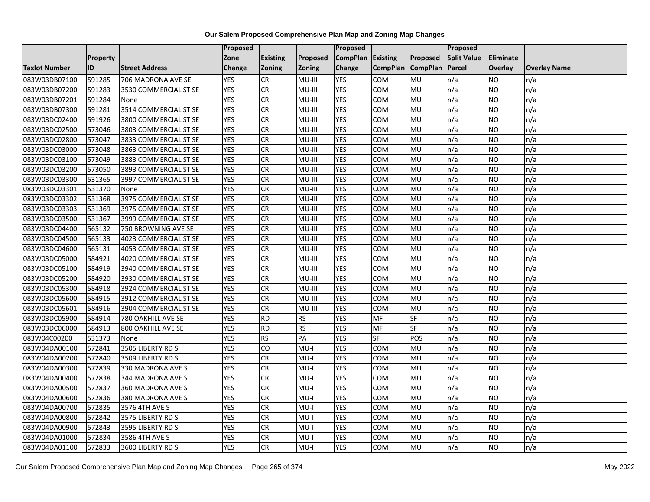|                      |          |                       | Proposed   |                 |           | Proposed        |                 |                 | Proposed           |           |                     |
|----------------------|----------|-----------------------|------------|-----------------|-----------|-----------------|-----------------|-----------------|--------------------|-----------|---------------------|
|                      | Property |                       | Zone       | <b>Existing</b> | Proposed  | <b>CompPlan</b> | Existing        | Proposed        | <b>Split Value</b> | Eliminate |                     |
| <b>Taxlot Number</b> | ID       | <b>Street Address</b> | Change     | <b>Zoning</b>   | Zoning    | Change          | <b>CompPlan</b> | <b>CompPlan</b> | Parcel             | Overlay   | <b>Overlay Name</b> |
| 083W03DB07100        | 591285   | 706 MADRONA AVE SE    | <b>YES</b> | <b>CR</b>       | MU-III    | <b>YES</b>      | <b>COM</b>      | MU              | n/a                | <b>NO</b> | n/a                 |
| 083W03DB07200        | 591283   | 3530 COMMERCIAL ST SE | <b>YES</b> | <b>CR</b>       | MU-III    | <b>YES</b>      | COM             | MU              | n/a                | <b>NO</b> | n/a                 |
| 083W03DB07201        | 591284   | None                  | <b>YES</b> | <b>CR</b>       | MU-III    | <b>YES</b>      | COM             | <b>MU</b>       | n/a                | <b>NO</b> | n/a                 |
| 083W03DB07300        | 591281   | 3514 COMMERCIAL ST SE | <b>YES</b> | <b>CR</b>       | MU-III    | <b>YES</b>      | COM             | MU              | n/a                | <b>NO</b> | n/a                 |
| 083W03DC02400        | 591926   | 3800 COMMERCIAL ST SE | <b>YES</b> | <b>CR</b>       | MU-III    | <b>YES</b>      | <b>COM</b>      | MU              | n/a                | <b>NO</b> | n/a                 |
| 083W03DC02500        | 573046   | 3803 COMMERCIAL ST SE | <b>YES</b> | <b>CR</b>       | MU-III    | <b>YES</b>      | <b>COM</b>      | MU              | n/a                | <b>NO</b> | n/a                 |
| 083W03DC02800        | 573047   | 3833 COMMERCIAL ST SE | <b>YES</b> | <b>CR</b>       | MU-III    | <b>YES</b>      | COM             | <b>MU</b>       | n/a                | <b>NO</b> | n/a                 |
| 083W03DC03000        | 573048   | 3863 COMMERCIAL ST SE | <b>YES</b> | <b>CR</b>       | MU-III    | <b>YES</b>      | COM             | MU              | n/a                | <b>NO</b> | n/a                 |
| 083W03DC03100        | 573049   | 3883 COMMERCIAL ST SE | <b>YES</b> | <b>CR</b>       | MU-III    | <b>YES</b>      | COM             | MU              | n/a                | <b>NO</b> | n/a                 |
| 083W03DC03200        | 573050   | 3893 COMMERCIAL ST SE | <b>YES</b> | <b>CR</b>       | MU-III    | <b>YES</b>      | <b>COM</b>      | MU              | n/a                | <b>NO</b> | n/a                 |
| 083W03DC03300        | 531365   | 3997 COMMERCIAL ST SE | <b>YES</b> | <b>CR</b>       | MU-III    | <b>YES</b>      | <b>COM</b>      | MU              | n/a                | <b>NO</b> | n/a                 |
| 083W03DC03301        | 531370   | None                  | <b>YES</b> | <b>CR</b>       | MU-III    | <b>YES</b>      | COM             | MU              | n/a                | <b>NO</b> | n/a                 |
| 083W03DC03302        | 531368   | 3975 COMMERCIAL ST SE | <b>YES</b> | <b>CR</b>       | MU-III    | <b>YES</b>      | COM             | MU              | n/a                | <b>NO</b> | n/a                 |
| 083W03DC03303        | 531369   | 3975 COMMERCIAL ST SE | <b>YES</b> | <b>CR</b>       | MU-III    | <b>YES</b>      | COM             | <b>MU</b>       | n/a                | <b>NO</b> | n/a                 |
| 083W03DC03500        | 531367   | 3999 COMMERCIAL ST SE | <b>YES</b> | <b>CR</b>       | MU-III    | <b>YES</b>      | COM             | MU              | n/a                | <b>NO</b> | n/a                 |
| 083W03DC04400        | 565132   | 750 BROWNING AVE SE   | <b>YES</b> | <b>CR</b>       | MU-III    | <b>YES</b>      | <b>COM</b>      | MU              | n/a                | <b>NO</b> | n/a                 |
| 083W03DC04500        | 565133   | 4023 COMMERCIAL ST SE | <b>YES</b> | $\overline{c}$  | MU-III    | <b>YES</b>      | COM             | MU              | n/a                | <b>NO</b> | n/a                 |
| 083W03DC04600        | 565131   | 4053 COMMERCIAL ST SE | <b>YES</b> | <b>CR</b>       | MU-III    | <b>YES</b>      | COM             | MU              | n/a                | <b>NO</b> | n/a                 |
| 083W03DC05000        | 584921   | 4020 COMMERCIAL ST SE | <b>YES</b> | <b>CR</b>       | MU-III    | <b>YES</b>      | COM             | MU              | n/a                | <b>NO</b> | n/a                 |
| 083W03DC05100        | 584919   | 3940 COMMERCIAL ST SE | <b>YES</b> | <b>CR</b>       | MU-III    | <b>YES</b>      | <b>COM</b>      | MU              | n/a                | <b>NO</b> | n/a                 |
| 083W03DC05200        | 584920   | 3930 COMMERCIAL ST SE | <b>YES</b> | <b>CR</b>       | MU-III    | <b>YES</b>      | COM             | MU              | n/a                | <b>NO</b> | n/a                 |
| 083W03DC05300        | 584918   | 3924 COMMERCIAL ST SE | <b>YES</b> | $\overline{c}$  | MU-III    | <b>YES</b>      | <b>COM</b>      | <b>MU</b>       | n/a                | <b>NO</b> | n/a                 |
| 083W03DC05600        | 584915   | 3912 COMMERCIAL ST SE | <b>YES</b> | <b>CR</b>       | MU-III    | <b>YES</b>      | COM             | MU              | n/a                | <b>NO</b> | n/a                 |
| 083W03DC05601        | 584916   | 3904 COMMERCIAL ST SE | <b>YES</b> | <b>CR</b>       | MU-III    | <b>YES</b>      | COM             | MU              | n/a                | <b>NO</b> | n/a                 |
| 083W03DC05900        | 584914   | 780 OAKHILL AVE SE    | <b>YES</b> | <b>RD</b>       | <b>RS</b> | <b>YES</b>      | MF              | SF              | n/a                | <b>NO</b> | n/a                 |
| 083W03DC06000        | 584913   | 800 OAKHILL AVE SE    | <b>YES</b> | RD              | <b>RS</b> | <b>YES</b>      | <b>MF</b>       | <b>SF</b>       | n/a                | <b>NO</b> | n/a                 |
| 083W04C00200         | 531373   | None                  | <b>YES</b> | RS              | PA        | <b>YES</b>      | $S$ F           | POS             | n/a                | <b>NO</b> | n/a                 |
| 083W04DA00100        | 572841   | 3505 LIBERTY RD S     | <b>YES</b> | CO              | $MU-I$    | <b>YES</b>      | <b>COM</b>      | MU              | n/a                | <b>NO</b> | n/a                 |
| 083W04DA00200        | 572840   | 3509 LIBERTY RD S     | <b>YES</b> | <b>CR</b>       | $MU-I$    | <b>YES</b>      | <b>COM</b>      | MU              | n/a                | <b>NO</b> | n/a                 |
| 083W04DA00300        | 572839   | 330 MADRONA AVE S     | <b>YES</b> | <b>CR</b>       | $MU-I$    | <b>YES</b>      | <b>COM</b>      | <b>MU</b>       | n/a                | <b>NO</b> | n/a                 |
| 083W04DA00400        | 572838   | 344 MADRONA AVE S     | <b>YES</b> | <b>CR</b>       | $MU-I$    | <b>YES</b>      | COM             | MU              | n/a                | <b>NO</b> | n/a                 |
| 083W04DA00500        | 572837   | 360 MADRONA AVE S     | <b>YES</b> | <b>CR</b>       | $MU-I$    | <b>YES</b>      | <b>COM</b>      | MU              | n/a                | <b>NO</b> | n/a                 |
| 083W04DA00600        | 572836   | 380 MADRONA AVE S     | <b>YES</b> | <b>CR</b>       | $MU-I$    | <b>YES</b>      | COM             | MU              | n/a                | <b>NO</b> | n/a                 |
| 083W04DA00700        | 572835   | 3576 4TH AVE S        | <b>YES</b> | <b>CR</b>       | $MU-I$    | <b>YES</b>      | COM             | MU              | n/a                | <b>NO</b> | n/a                 |
| 083W04DA00800        | 572842   | 3575 LIBERTY RD S     | <b>YES</b> | <b>CR</b>       | $MU-I$    | <b>YES</b>      | COM             | MU              | n/a                | <b>NO</b> | n/a                 |
| 083W04DA00900        | 572843   | 3595 LIBERTY RD S     | <b>YES</b> | <b>CR</b>       | $MU-I$    | <b>YES</b>      | COM             | MU              | n/a                | <b>NO</b> | n/a                 |
| 083W04DA01000        | 572834   | 3586 4TH AVE S        | <b>YES</b> | <b>CR</b>       | $MU-I$    | <b>YES</b>      | COM             | MU              | n/a                | <b>NO</b> | n/a                 |
| 083W04DA01100        | 572833   | 3600 LIBERTY RD S     | <b>YES</b> | $\overline{c}$  | $MU-I$    | <b>YES</b>      | <b>COM</b>      | <b>MU</b>       | n/a                | <b>NO</b> | n/a                 |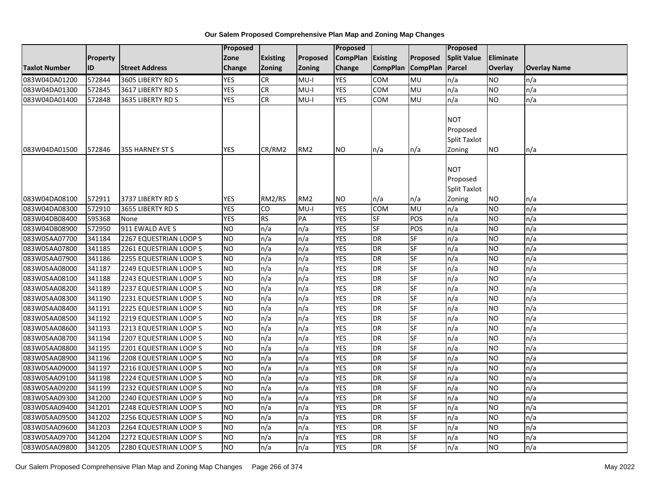|                      |           |                        | Proposed        |                 |                 | <b>Proposed</b>   |                 |                          | <b>Proposed</b>                                         |                 |                     |
|----------------------|-----------|------------------------|-----------------|-----------------|-----------------|-------------------|-----------------|--------------------------|---------------------------------------------------------|-----------------|---------------------|
|                      | Property  |                        | Zone            | <b>Existing</b> | Proposed        | CompPlan Existing |                 | Proposed                 | <b>Split Value</b>                                      | Eliminate       |                     |
| <b>Taxlot Number</b> | <b>ID</b> | <b>Street Address</b>  | Change          | Zoning          | <b>Zoning</b>   | Change            | <b>CompPlan</b> | <b>CompPlan</b>          | Parcel                                                  | Overlay         | <b>Overlay Name</b> |
| 083W04DA01200        | 572844    | 3605 LIBERTY RD S      | <b>YES</b>      | <b>CR</b>       | $MU-I$          | <b>YES</b>        | <b>COM</b>      | MU                       | n/a                                                     | <b>NO</b>       | n/a                 |
| 083W04DA01300        | 572845    | 3617 LIBERTY RD S      | <b>YES</b>      | <b>CR</b>       | $MU-I$          | <b>YES</b>        | <b>COM</b>      | <b>MU</b>                | n/a                                                     | NO.             | n/a                 |
| 083W04DA01400        | 572848    | 3635 LIBERTY RD S      | <b>YES</b>      | <b>CR</b>       | $MU-I$          | <b>YES</b>        | COM             | MU                       | n/a                                                     | NO.             | n/a                 |
|                      |           |                        |                 |                 |                 |                   |                 |                          | <b>NOT</b><br>Proposed<br>Split Taxlot                  |                 |                     |
| 083W04DA01500        | 572846    | 355 HARNEY ST S        | <b>YES</b>      | CR/RM2          | RM <sub>2</sub> | <b>NO</b>         | n/a             | $\mathsf{In}/\mathsf{a}$ | Zoning                                                  | NO.             | n/a                 |
| 083W04DA08100        | 572911    | 3737 LIBERTY RD S      | <b>YES</b>      | RM2/RS          | RM <sub>2</sub> | <b>NO</b>         | n/a             | n/a                      | <b>NOT</b><br>Proposed<br><b>Split Taxlot</b><br>Zoning | NO.             | n/a                 |
| 083W04DA08300        | 572910    | 3655 LIBERTY RD S      | <b>YES</b>      | CO              | MU-I            | <b>YES</b>        | <b>COM</b>      | MU                       | n/a                                                     | <b>NO</b>       | n/a                 |
| 083W04DB08400        | 595368    | None                   | <b>YES</b>      | <b>RS</b>       | PA              | <b>YES</b>        | SF              | POS                      | n/a                                                     | NO.             | n/a                 |
| 083W04DB08900        | 572950    | 911 EWALD AVE S        | $\overline{NO}$ | n/a             | n/a             | <b>YES</b>        | <b>SF</b>       | POS                      | n/a                                                     | NO.             | n/a                 |
| 083W05AA07700        | 341184    | 2267 EQUESTRIAN LOOP S | N <sub>O</sub>  | n/a             | n/a             | <b>YES</b>        | <b>DR</b>       | SF                       | n/a                                                     | $\overline{NO}$ | n/a                 |
| 083W05AA07800        | 341185    | 2261 EQUESTRIAN LOOP S | <b>NO</b>       | n/a             | n/a             | <b>YES</b>        | <b>DR</b>       | SF                       | n/a                                                     | <b>NO</b>       | n/a                 |
| 083W05AA07900        | 341186    | 2255 EQUESTRIAN LOOP S | Ю               | n/a             | n/a             | <b>YES</b>        | <b>DR</b>       | SF                       | n/a                                                     | NO.             | n/a                 |
| 083W05AA08000        | 341187    | 2249 EQUESTRIAN LOOP S | Ю               | n/a             | n/a             | <b>YES</b>        | <b>DR</b>       | $S_{F}$                  | n/a                                                     | <b>NO</b>       | n/a                 |
| 083W05AA08100        | 341188    | 2243 EQUESTRIAN LOOP S | <b>NO</b>       | n/a             | n/a             | <b>YES</b>        | <b>DR</b>       | <b>SF</b>                | n/a                                                     | <b>NO</b>       | n/a                 |
| 083W05AA08200        | 341189    | 2237 EQUESTRIAN LOOP S | <b>NO</b>       | n/a             | n/a             | <b>YES</b>        | <b>DR</b>       | SF                       | n/a                                                     | <b>NO</b>       | n/a                 |
| 083W05AA08300        | 341190    | 2231 EQUESTRIAN LOOP S | ŌИ              | n/a             | n/a             | <b>YES</b>        | <b>DR</b>       | SF                       | n/a                                                     | NO.             | n/a                 |
| 083W05AA08400        | 341191    | 2225 EQUESTRIAN LOOP S | <b>NO</b>       | n/a             | n/a             | <b>YES</b>        | <b>DR</b>       | <b>SF</b>                | n/a                                                     | NO.             | n/a                 |
| 083W05AA08500        | 341192    | 2219 EQUESTRIAN LOOP S | $\overline{NO}$ | n/a             | n/a             | <b>YES</b>        | <b>DR</b>       | SF                       | n/a                                                     | <b>NO</b>       | n/a                 |
| 083W05AA08600        | 341193    | 2213 EQUESTRIAN LOOP S | <b>NO</b>       | n/a             | n/a             | <b>YES</b>        | <b>DR</b>       | SF                       | n/a                                                     | <b>NO</b>       | n/a                 |
| 083W05AA08700        | 341194    | 2207 EQUESTRIAN LOOP S | Ю               | n/a             | n/a             | <b>YES</b>        | <b>DR</b>       | $S_{F}$                  | n/a                                                     | $\overline{NO}$ | n/a                 |
| 083W05AA08800        | 341195    | 2201 EQUESTRIAN LOOP S | <b>NO</b>       | n/a             | n/a             | <b>YES</b>        | <b>DR</b>       | SF                       | n/a                                                     | NO.             | n/a                 |
| 083W05AA08900        | 341196    | 2208 EQUESTRIAN LOOP S | <b>NO</b>       | n/a             | n/a             | <b>YES</b>        | <b>DR</b>       | <b>SF</b>                | n/a                                                     | NO.             | n/a                 |
| 083W05AA09000        | 341197    | 2216 EQUESTRIAN LOOP S | <b>NO</b>       | n/a             | n/a             | <b>YES</b>        | <b>DR</b>       | SF                       | n/a                                                     | <b>NO</b>       | n/a                 |
| 083W05AA09100        | 341198    | 2224 EQUESTRIAN LOOP S | <b>NO</b>       | n/a             | n/a             | <b>YES</b>        | <b>DR</b>       | <b>SF</b>                | n/a                                                     | NO.             | n/a                 |
| 083W05AA09200        | 341199    | 2232 EQUESTRIAN LOOP S | ŌИ              | n/a             | n/a             | <b>YES</b>        | <b>DR</b>       | <b>SF</b>                | n/a                                                     | <b>NO</b>       | n/a                 |
| 083W05AA09300        | 341200    | 2240 EQUESTRIAN LOOP S | $\overline{NO}$ | n/a             | n/a             | <b>YES</b>        | <b>DR</b>       | <b>SF</b>                | n/a                                                     | $\overline{NO}$ | n/a                 |
| 083W05AA09400        | 341201    | 2248 EQUESTRIAN LOOP S | <b>NO</b>       | n/a             | n/a             | <b>YES</b>        | <b>DR</b>       | <b>SF</b>                | n/a                                                     | NO.             | n/a                 |
| 083W05AA09500        | 341202    | 2256 EQUESTRIAN LOOP S | <b>NO</b>       | n/a             | n/a             | <b>YES</b>        | <b>DR</b>       | <b>SF</b>                | n/a                                                     | <b>NO</b>       | n/a                 |
| 083W05AA09600        | 341203    | 2264 EQUESTRIAN LOOP S | <b>NO</b>       | n/a             | n/a             | <b>YES</b>        | <b>DR</b>       | SF                       | n/a                                                     | NO.             | n/a                 |
| 083W05AA09700        | 341204    | 2272 EQUESTRIAN LOOP S | <b>NO</b>       | n/a             | n/a             | <b>YES</b>        | <b>DR</b>       | SF                       | n/a                                                     | <b>NO</b>       | n/a                 |
| 083W05AA09800        | 341205    | 2280 EQUESTRIAN LOOP S | <b>NO</b>       | n/a             | n/a             | <b>YES</b>        | <b>DR</b>       | SF                       | n/a                                                     | NO.             | n/a                 |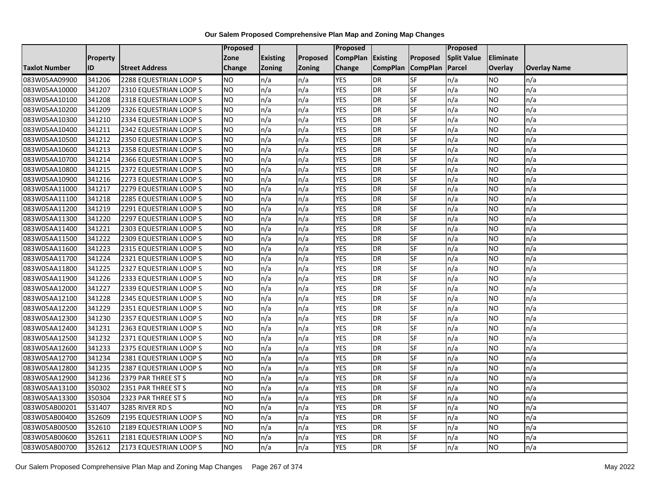|                      |                 |                        | Proposed  |                 |               | Proposed          |                 |                 | Proposed           |           |                     |
|----------------------|-----------------|------------------------|-----------|-----------------|---------------|-------------------|-----------------|-----------------|--------------------|-----------|---------------------|
|                      | <b>Property</b> |                        | Zone      | <b>Existing</b> | Proposed      | CompPlan Existing |                 | Proposed        | <b>Split Value</b> | Eliminate |                     |
| <b>Taxlot Number</b> | ID              | <b>Street Address</b>  | Change    | Zoning          | <b>Zoning</b> | Change            | <b>CompPlan</b> | <b>CompPlan</b> | Parcel             | Overlay   | <b>Overlay Name</b> |
| 083W05AA09900        | 341206          | 2288 EQUESTRIAN LOOP S | <b>NO</b> | n/a             | n/a           | <b>YES</b>        | <b>DR</b>       | <b>SF</b>       | n/a                | NO        | n/a                 |
| 083W05AA10000        | 341207          | 2310 EQUESTRIAN LOOP S | <b>NO</b> | n/a             | n/a           | <b>YES</b>        | DR              | SF              | n/a                | NO.       | n/a                 |
| 083W05AA10100        | 341208          | 2318 EQUESTRIAN LOOP S | <b>NO</b> | n/a             | n/a           | <b>YES</b>        | DR              | SF              | n/a                | NO.       | n/a                 |
| 083W05AA10200        | 341209          | 2326 EQUESTRIAN LOOP S | <b>NO</b> | n/a             | n/a           | <b>YES</b>        | <b>DR</b>       | SF              | n/a                | NO.       | n/a                 |
| 083W05AA10300        | 341210          | 2334 EQUESTRIAN LOOP S | <b>NO</b> | n/a             | n/a           | <b>YES</b>        | <b>DR</b>       | SF              | n/a                | NO.       | n/a                 |
| 083W05AA10400        | 341211          | 2342 EQUESTRIAN LOOP S | <b>NO</b> | n/a             | n/a           | <b>YES</b>        | <b>DR</b>       | SF              | n/a                | <b>NO</b> | n/a                 |
| 083W05AA10500        | 341212          | 2350 EQUESTRIAN LOOP S | <b>NO</b> | n/a             | n/a           | <b>YES</b>        | DR              | SF              | n/a                | NO.       | n/a                 |
| 083W05AA10600        | 341213          | 2358 EQUESTRIAN LOOP S | <b>NO</b> | n/a             | n/a           | <b>YES</b>        | DR              | SF              | n/a                | NO.       | n/a                 |
| 083W05AA10700        | 341214          | 2366 EQUESTRIAN LOOP S | <b>NO</b> | n/a             | n/a           | <b>YES</b>        | <b>DR</b>       | SF              | n/a                | NO.       | n/a                 |
| 083W05AA10800        | 341215          | 2372 EQUESTRIAN LOOP S | <b>NO</b> | n/a             | n/a           | <b>YES</b>        | DR              | <b>SF</b>       | n/a                | NO.       | n/a                 |
| 083W05AA10900        | 341216          | 2273 EQUESTRIAN LOOP S | <b>NO</b> | n/a             | n/a           | <b>YES</b>        | <b>DR</b>       | SF              | n/a                | <b>NO</b> | n/a                 |
| 083W05AA11000        | 341217          | 2279 EQUESTRIAN LOOP S | <b>NO</b> | n/a             | n/a           | <b>YES</b>        | <b>DR</b>       | SF              | n/a                | <b>NO</b> | n/a                 |
| 083W05AA11100        | 341218          | 2285 EQUESTRIAN LOOP S | NO        | n/a             | n/a           | <b>YES</b>        | DR              | <b>SF</b>       | n/a                | NO.       | n/a                 |
| 083W05AA11200        | 341219          | 2291 EQUESTRIAN LOOP S | <b>NO</b> | n/a             | n/a           | <b>YES</b>        | <b>DR</b>       | SF              | n/a                | NO.       | n/a                 |
| 083W05AA11300        | 341220          | 2297 EQUESTRIAN LOOP S | <b>NO</b> | n/a             | n/a           | <b>YES</b>        | DR              | SF              | n/a                | NO.       | n/a                 |
| 083W05AA11400        | 341221          | 2303 EQUESTRIAN LOOP S | <b>NO</b> | n/a             | n/a           | <b>YES</b>        | <b>DR</b>       | $S_{F}$         | n/a                | NO.       | n/a                 |
| 083W05AA11500        | 341222          | 2309 EQUESTRIAN LOOP S | ŌИ        | n/a             | n/a           | <b>YES</b>        | DR              | <b>SF</b>       | n/a                | NO.       | n/a                 |
| 083W05AA11600        | 341223          | 2315 EQUESTRIAN LOOP S | <b>NO</b> | n/a             | n/a           | <b>YES</b>        | DR              | SF              | n/a                | NO.       | n/a                 |
| 083W05AA11700        | 341224          | 2321 EQUESTRIAN LOOP S | <b>NO</b> | n/a             | n/a           | <b>YES</b>        | DR              | SF              | n/a                | NO.       | n/a                 |
| 083W05AA11800        | 341225          | 2327 EQUESTRIAN LOOP S | <b>NO</b> | n/a             | n/a           | <b>YES</b>        | <b>DR</b>       | SF              | n/a                | ΝO        | n/a                 |
| 083W05AA11900        | 341226          | 2333 EQUESTRIAN LOOP S | <b>NO</b> | n/a             | n/a           | <b>YES</b>        | <b>DR</b>       | SF              | n/a                | NO.       | n/a                 |
| 083W05AA12000        | 341227          | 2339 EQUESTRIAN LOOP S | <b>NO</b> | n/a             | n/a           | <b>YES</b>        | <b>DR</b>       | SF              | n/a                | <b>NO</b> | n/a                 |
| 083W05AA12100        | 341228          | 2345 EQUESTRIAN LOOP S | <b>NO</b> | n/a             | n/a           | <b>YES</b>        | <b>DR</b>       | SF              | n/a                | NO.       | n/a                 |
| 083W05AA12200        | 341229          | 2351 EQUESTRIAN LOOP S | <b>NO</b> | n/a             | n/a           | <b>YES</b>        | DR              | SF              | n/a                | NO.       | n/a                 |
| 083W05AA12300        | 341230          | 2357 EQUESTRIAN LOOP S | <b>NO</b> | n/a             | n/a           | <b>YES</b>        | <b>DR</b>       | SF              | n/a                | <b>NO</b> | n/a                 |
| 083W05AA12400        | 341231          | 2363 EQUESTRIAN LOOP S | <b>NO</b> | n/a             | n/a           | <b>YES</b>        | DR              | SF              | n/a                | NO.       | n/a                 |
| 083W05AA12500        | 341232          | 2371 EQUESTRIAN LOOP S | ŌИ        | n/a             | n/a           | <b>YES</b>        | <b>DR</b>       | <b>SF</b>       | n/a                | NO.       | n/a                 |
| 083W05AA12600        | 341233          | 2375 EQUESTRIAN LOOP S | <b>NO</b> | n/a             | n/a           | <b>YES</b>        | DR              | SF              | n/a                | NO.       | n/a                 |
| 083W05AA12700        | 341234          | 2381 EQUESTRIAN LOOP S | <b>NO</b> | n/a             | n/a           | <b>YES</b>        | DR              | SF              | n/a                | NO.       | n/a                 |
| 083W05AA12800        | 341235          | 2387 EQUESTRIAN LOOP S | <b>NO</b> | n/a             | n/a           | <b>YES</b>        | <b>DR</b>       | SF              | n/a                | NO.       | n/a                 |
| 083W05AA12900        | 341236          | 2379 PAR THREE ST S    | <b>NO</b> | n/a             | n/a           | <b>YES</b>        | DR              | SF              | n/a                | NO.       | n/a                 |
| 083W05AA13100        | 350302          | 2351 PAR THREE ST S    | <b>NO</b> | n/a             | n/a           | <b>YES</b>        | DR              | SF              | n/a                | NO.       | n/a                 |
| 083W05AA13300        | 350304          | 2323 PAR THREE ST S    | ŌИ        | n/a             | n/a           | <b>YES</b>        | <b>DR</b>       | <b>SF</b>       | n/a                | NO.       | n/a                 |
| 083W05AB00201        | 531407          | 3285 RIVER RD S        | <b>NO</b> | n/a             | n/a           | <b>YES</b>        | <b>DR</b>       | SF              | n/a                | NO.       | n/a                 |
| 083W05AB00400        | 352609          | 2195 EQUESTRIAN LOOP S | <b>NO</b> | n/a             | n/a           | <b>YES</b>        | DR              | SF              | n/a                | NO.       | n/a                 |
| 083W05AB00500        | 352610          | 2189 EQUESTRIAN LOOP S | <b>NO</b> | n/a             | n/a           | <b>YES</b>        | <b>DR</b>       | SF              | n/a                | NO.       | n/a                 |
| 083W05AB00600        | 352611          | 2181 EQUESTRIAN LOOP S | <b>NO</b> | n/a             | n/a           | <b>YES</b>        | <b>DR</b>       | SF              | n/a                | ΝO        | n/a                 |
| 083W05AB00700        | 352612          | 2173 EQUESTRIAN LOOP S | <b>NO</b> | n/a             | n/a           | <b>YES</b>        | DR              | SF              | n/a                | NO.       | n/a                 |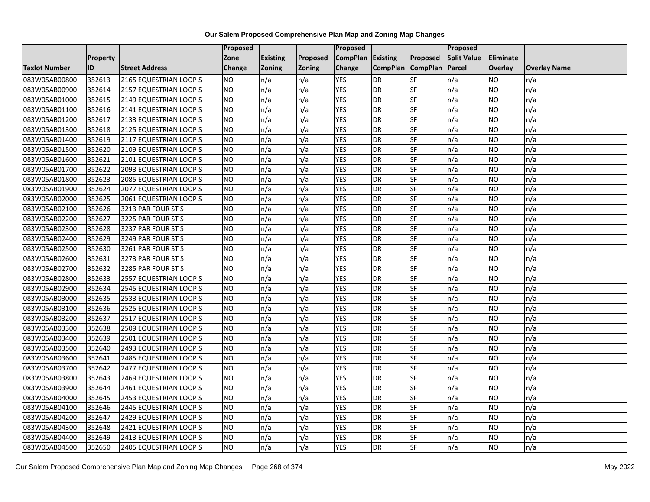|                      |                 |                        | <b>Proposed</b> |                 |               | Proposed          |                 |                 | Proposed           |           |                     |
|----------------------|-----------------|------------------------|-----------------|-----------------|---------------|-------------------|-----------------|-----------------|--------------------|-----------|---------------------|
|                      | <b>Property</b> |                        | Zone            | <b>Existing</b> | Proposed      | CompPlan Existing |                 | Proposed        | <b>Split Value</b> | Eliminate |                     |
| <b>Taxlot Number</b> | ID              | <b>Street Address</b>  | <b>Change</b>   | Zoning          | <b>Zoning</b> | Change            | <b>CompPlan</b> | <b>CompPlan</b> | Parcel             | Overlay   | <b>Overlay Name</b> |
| 083W05AB00800        | 352613          | 2165 EQUESTRIAN LOOP S | <b>NO</b>       | n/a             | n/a           | <b>YES</b>        | <b>DR</b>       | <b>SF</b>       | n/a                | NO        | n/a                 |
| 083W05AB00900        | 352614          | 2157 EQUESTRIAN LOOP S | <b>NO</b>       | n/a             | n/a           | <b>YES</b>        | DR              | SF              | n/a                | NO.       | n/a                 |
| 083W05AB01000        | 352615          | 2149 EQUESTRIAN LOOP S | <b>NO</b>       | n/a             | n/a           | <b>YES</b>        | DR              | SF              | n/a                | NO.       | n/a                 |
| 083W05AB01100        | 352616          | 2141 EQUESTRIAN LOOP S | <b>NO</b>       | n/a             | n/a           | <b>YES</b>        | <b>DR</b>       | SF              | n/a                | NO.       | n/a                 |
| 083W05AB01200        | 352617          | 2133 EQUESTRIAN LOOP S | <b>NO</b>       | n/a             | n/a           | <b>YES</b>        | <b>DR</b>       | <b>SF</b>       | n/a                | NO.       | n/a                 |
| 083W05AB01300        | 352618          | 2125 EQUESTRIAN LOOP S | <b>NO</b>       | n/a             | n/a           | <b>YES</b>        | <b>DR</b>       | SF              | n/a                | <b>NO</b> | n/a                 |
| 083W05AB01400        | 352619          | 2117 EQUESTRIAN LOOP S | <b>NO</b>       | n/a             | n/a           | <b>YES</b>        | DR              | SF              | n/a                | NO.       | n/a                 |
| 083W05AB01500        | 352620          | 2109 EQUESTRIAN LOOP S | <b>NO</b>       | n/a             | n/a           | <b>YES</b>        | DR              | SF              | n/a                | NO.       | n/a                 |
| 083W05AB01600        | 352621          | 2101 EQUESTRIAN LOOP S | <b>NO</b>       | n/a             | n/a           | <b>YES</b>        | <b>DR</b>       | SF              | n/a                | NO.       | n/a                 |
| 083W05AB01700        | 352622          | 2093 EQUESTRIAN LOOP S | Ю               | n/a             | n/a           | <b>YES</b>        | <b>DR</b>       | <b>SF</b>       | n/a                | NO.       | n/a                 |
| 083W05AB01800        | 352623          | 2085 EQUESTRIAN LOOP S | <b>NO</b>       | n/a             | n/a           | <b>YES</b>        | <b>DR</b>       | SF              | n/a                | NO.       | n/a                 |
| 083W05AB01900        | 352624          | 2077 EQUESTRIAN LOOP S | <b>NO</b>       | n/a             | n/a           | <b>YES</b>        | <b>DR</b>       | SF              | n/a                | <b>NO</b> | n/a                 |
| 083W05AB02000        | 352625          | 2061 EQUESTRIAN LOOP S | ŌИ              | n/a             | n/a           | <b>YES</b>        | DR              | <b>SF</b>       | n/a                | NO.       | n/a                 |
| 083W05AB02100        | 352626          | 3213 PAR FOUR ST S     | <b>NO</b>       | n/a             | n/a           | <b>YES</b>        | <b>DR</b>       | SF              | n/a                | NO.       | n/a                 |
| 083W05AB02200        | 352627          | 3225 PAR FOUR ST S     | <b>NO</b>       | n/a             | n/a           | <b>YES</b>        | DR              | SF              | n/a                | NO.       | n/a                 |
| 083W05AB02300        | 352628          | 3237 PAR FOUR ST S     | ŌИ              | n/a             | n/a           | <b>YES</b>        | <b>DR</b>       | $S_{F}$         | n/a                | NO.       | n/a                 |
| 083W05AB02400        | 352629          | 3249 PAR FOUR ST S     | ŌИ              | n/a             | n/a           | <b>YES</b>        | <b>DR</b>       | <b>SF</b>       | n/a                | NO.       | n/a                 |
| 083W05AB02500        | 352630          | 3261 PAR FOUR ST S     | <b>NO</b>       | n/a             | n/a           | <b>YES</b>        | DR              | SF              | n/a                | NO.       | n/a                 |
| 083W05AB02600        | 352631          | 3273 PAR FOUR ST S     | <b>NO</b>       | n/a             | n/a           | <b>YES</b>        | DR              | SF              | n/a                | NO.       | n/a                 |
| 083W05AB02700        | 352632          | 3285 PAR FOUR ST S     | <b>NO</b>       | n/a             | n/a           | <b>YES</b>        | <b>DR</b>       | SF              | n/a                | ΝO        | n/a                 |
| 083W05AB02800        | 352633          | 2557 EQUESTRIAN LOOP S | <b>NO</b>       | n/a             | n/a           | <b>YES</b>        | <b>DR</b>       | SF              | n/a                | NO.       | n/a                 |
| 083W05AB02900        | 352634          | 2545 EQUESTRIAN LOOP S | <b>NO</b>       | n/a             | n/a           | <b>YES</b>        | <b>DR</b>       | <b>SF</b>       | n/a                | <b>NO</b> | n/a                 |
| 083W05AB03000        | 352635          | 2533 EQUESTRIAN LOOP S | <b>NO</b>       | n/a             | n/a           | <b>YES</b>        | DR              | <b>SF</b>       | n/a                | NO.       | n/a                 |
| 083W05AB03100        | 352636          | 2525 EQUESTRIAN LOOP S | <b>NO</b>       | n/a             | n/a           | <b>YES</b>        | DR              | SF              | n/a                | NO.       | n/a                 |
| 083W05AB03200        | 352637          | 2517 EQUESTRIAN LOOP S | <b>NO</b>       | n/a             | n/a           | <b>YES</b>        | <b>DR</b>       | SF              | n/a                | NO.       | n/a                 |
| 083W05AB03300        | 352638          | 2509 EQUESTRIAN LOOP S | <b>NO</b>       | n/a             | n/a           | <b>YES</b>        | DR              | SF              | n/a                | NO.       | n/a                 |
| 083W05AB03400        | 352639          | 2501 EQUESTRIAN LOOP S | ŌИ              | n/a             | n/a           | <b>YES</b>        | <b>DR</b>       | <b>SF</b>       | n/a                | NO.       | n/a                 |
| 083W05AB03500        | 352640          | 2493 EQUESTRIAN LOOP S | <b>NO</b>       | n/a             | n/a           | <b>YES</b>        | DR              | SF              | n/a                | NO.       | n/a                 |
| 083W05AB03600        | 352641          | 2485 EQUESTRIAN LOOP S | <b>NO</b>       | n/a             | n/a           | <b>YES</b>        | DR              | SF              | n/a                | NO.       | n/a                 |
| 083W05AB03700        | 352642          | 2477 EQUESTRIAN LOOP S | <b>NO</b>       | n/a             | n/a           | <b>YES</b>        | <b>DR</b>       | SF              | n/a                | NO.       | n/a                 |
| 083W05AB03800        | 352643          | 2469 EQUESTRIAN LOOP S | <b>NO</b>       | n/a             | n/a           | <b>YES</b>        | DR              | SF              | n/a                | NO.       | n/a                 |
| 083W05AB03900        | 352644          | 2461 EQUESTRIAN LOOP S | <b>NO</b>       | n/a             | n/a           | <b>YES</b>        | DR              | SF              | n/a                | NO.       | n/a                 |
| 083W05AB04000        | 352645          | 2453 EQUESTRIAN LOOP S | ŌИ              | n/a             | n/a           | <b>YES</b>        | <b>DR</b>       | <b>SF</b>       | n/a                | NO.       | n/a                 |
| 083W05AB04100        | 352646          | 2445 EQUESTRIAN LOOP S | <b>NO</b>       | n/a             | n/a           | <b>YES</b>        | <b>DR</b>       | SF              | n/a                | NO.       | n/a                 |
| 083W05AB04200        | 352647          | 2429 EQUESTRIAN LOOP S | <b>NO</b>       | n/a             | n/a           | <b>YES</b>        | DR              | SF              | n/a                | NO.       | n/a                 |
| 083W05AB04300        | 352648          | 2421 EQUESTRIAN LOOP S | <b>NO</b>       | n/a             | n/a           | <b>YES</b>        | <b>DR</b>       | SF              | n/a                | NO.       | n/a                 |
| 083W05AB04400        | 352649          | 2413 EQUESTRIAN LOOP S | <b>NO</b>       | n/a             | n/a           | <b>YES</b>        | <b>DR</b>       | SF              | n/a                | ΝO        | n/a                 |
| 083W05AB04500        | 352650          | 2405 EQUESTRIAN LOOP S | <b>NO</b>       | n/a             | n/a           | <b>YES</b>        | DR              | SF              | n/a                | NO.       | n/a                 |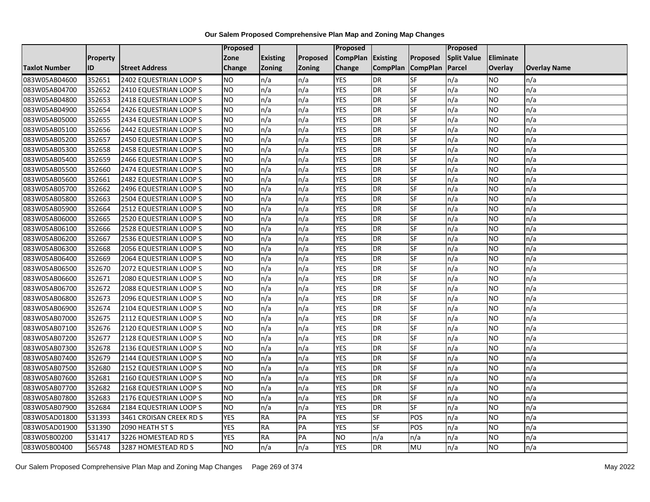|                      |                 |                         | Proposed   |                 |               | Proposed          |                 |                 | Proposed           |                |                     |
|----------------------|-----------------|-------------------------|------------|-----------------|---------------|-------------------|-----------------|-----------------|--------------------|----------------|---------------------|
|                      | <b>Property</b> |                         | Zone       | <b>Existing</b> | Proposed      | CompPlan Existing |                 | Proposed        | <b>Split Value</b> | Eliminate      |                     |
| <b>Taxlot Number</b> | ID              | <b>Street Address</b>   | Change     | Zoning          | <b>Zoning</b> | Change            | <b>CompPlan</b> | <b>CompPlan</b> | Parcel             | <b>Overlay</b> | <b>Overlay Name</b> |
| 083W05AB04600        | 352651          | 2402 EQUESTRIAN LOOP S  | <b>NO</b>  | n/a             | n/a           | <b>YES</b>        | <b>DR</b>       | <b>SF</b>       | n/a                | NO.            | n/a                 |
| 083W05AB04700        | 352652          | 2410 EQUESTRIAN LOOP S  | <b>NO</b>  | n/a             | n/a           | <b>YES</b>        | DR              | <b>SF</b>       | n/a                | NO.            | n/a                 |
| 083W05AB04800        | 352653          | 2418 EQUESTRIAN LOOP S  | <b>NO</b>  | n/a             | n/a           | <b>YES</b>        | DR              | SF              | n/a                | NO.            | n/a                 |
| 083W05AB04900        | 352654          | 2426 EQUESTRIAN LOOP S  | <b>NO</b>  | n/a             | n/a           | <b>YES</b>        | <b>DR</b>       | SF              | n/a                | NO.            | n/a                 |
| 083W05AB05000        | 352655          | 2434 EQUESTRIAN LOOP S  | <b>NO</b>  | n/a             | n/a           | <b>YES</b>        | <b>DR</b>       | SF              | n/a                | NO.            | n/a                 |
| 083W05AB05100        | 352656          | 2442 EQUESTRIAN LOOP S  | <b>NO</b>  | n/a             | n/a           | <b>YES</b>        | <b>DR</b>       | SF              | n/a                | <b>NO</b>      | n/a                 |
| 083W05AB05200        | 352657          | 2450 EQUESTRIAN LOOP S  | <b>NO</b>  | n/a             | n/a           | <b>YES</b>        | DR              | SF              | n/a                | NO.            | n/a                 |
| 083W05AB05300        | 352658          | 2458 EQUESTRIAN LOOP S  | <b>NO</b>  | n/a             | n/a           | <b>YES</b>        | DR              | SF              | n/a                | NO.            | n/a                 |
| 083W05AB05400        | 352659          | 2466 EQUESTRIAN LOOP S  | <b>NO</b>  | n/a             | n/a           | <b>YES</b>        | DR              | SF              | n/a                | NO.            | n/a                 |
| 083W05AB05500        | 352660          | 2474 EQUESTRIAN LOOP S  | ŌИ         | n/a             | n/a           | <b>YES</b>        | DR              | SF              | n/a                | NO.            | n/a                 |
| 083W05AB05600        | 352661          | 2482 EQUESTRIAN LOOP S  | <b>NO</b>  | n/a             | n/a           | <b>YES</b>        | <b>DR</b>       | SF              | n/a                | <b>NO</b>      | n/a                 |
| 083W05AB05700        | 352662          | 2496 EQUESTRIAN LOOP S  | <b>NO</b>  | n/a             | n/a           | <b>YES</b>        | DR              | SF              | n/a                | NO.            | n/a                 |
| 083W05AB05800        | 352663          | 2504 EQUESTRIAN LOOP S  | <b>NO</b>  | n/a             | n/a           | <b>YES</b>        | DR              | SF              | n/a                | NO.            | n/a                 |
| 083W05AB05900        | 352664          | 2512 EQUESTRIAN LOOP S  | ŌИ         | n/a             | n/a           | <b>YES</b>        | <b>DR</b>       | SF              | n/a                | <b>NO</b>      | n/a                 |
| 083W05AB06000        | 352665          | 2520 EQUESTRIAN LOOP S  | <b>NO</b>  | n/a             | n/a           | <b>YES</b>        | DR              | SF              | n/a                | ΝO             | n/a                 |
| 083W05AB06100        | 352666          | 2528 EQUESTRIAN LOOP S  | <b>NO</b>  | n/a             | n/a           | <b>YES</b>        | DR              | SF              | n/a                | <b>NO</b>      | n/a                 |
| 083W05AB06200        | 352667          | 2536 EQUESTRIAN LOOP S  | <b>NO</b>  | n/a             | n/a           | <b>YES</b>        | <b>DR</b>       | SF              | n/a                | NO.            | n/a                 |
| 083W05AB06300        | 352668          | 2056 EQUESTRIAN LOOP S  | <b>NO</b>  | n/a             | n/a           | <b>YES</b>        | <b>DR</b>       | SF              | n/a                | NO.            | n/a                 |
| 083W05AB06400        | 352669          | 2064 EQUESTRIAN LOOP S  | <b>NO</b>  | n/a             | n/a           | <b>YES</b>        | DR              | SF              | n/a                | NO.            | n/a                 |
| 083W05AB06500        | 352670          | 2072 EQUESTRIAN LOOP S  | <b>NO</b>  | n/a             | n/a           | <b>YES</b>        | DR              | SF              | n/a                | NO.            | n/a                 |
| 083W05AB06600        | 352671          | 2080 EQUESTRIAN LOOP S  | <b>NO</b>  | n/a             | n/a           | <b>YES</b>        | <b>DR</b>       | SF              | n/a                | NO.            | n/a                 |
| 083W05AB06700        | 352672          | 2088 EQUESTRIAN LOOP S  | ŌИ         | n/a             | n/a           | <b>YES</b>        | DR              | SF              | n/a                | <b>NO</b>      | n/a                 |
| 083W05AB06800        | 352673          | 2096 EQUESTRIAN LOOP S  | <b>NO</b>  | n/a             | n/a           | <b>YES</b>        | DR              | SF              | n/a                | <b>NO</b>      | n/a                 |
| 083W05AB06900        | 352674          | 2104 EQUESTRIAN LOOP S  | <b>NO</b>  | n/a             | n/a           | <b>YES</b>        | DR              | SF              | n/a                | NO.            | n/a                 |
| 083W05AB07000        | 352675          | 2112 EQUESTRIAN LOOP S  | ŌИ         | n/a             | n/a           | <b>YES</b>        | DR              | <b>SF</b>       | n/a                | <b>NO</b>      | n/a                 |
| 083W05AB07100        | 352676          | 2120 EQUESTRIAN LOOP S  | <b>NO</b>  | n/a             | n/a           | <b>YES</b>        | DR              | SF              | n/a                | NO.            | n/a                 |
| 083W05AB07200        | 352677          | 2128 EQUESTRIAN LOOP S  | <b>NO</b>  | n/a             | n/a           | <b>YES</b>        | <b>DR</b>       | SF              | n/a                | NO.            | n/a                 |
| 083W05AB07300        | 352678          | 2136 EQUESTRIAN LOOP S  | <b>NO</b>  | n/a             | n/a           | <b>YES</b>        | DR              | SF              | n/a                | NO.            | n/a                 |
| 083W05AB07400        | 352679          | 2144 EQUESTRIAN LOOP S  | <b>NO</b>  | n/a             | n/a           | <b>YES</b>        | DR              | SF              | n/a                | NO.            | n/a                 |
| 083W05AB07500        | 352680          | 2152 EQUESTRIAN LOOP S  | <b>NO</b>  | n/a             | n/a           | <b>YES</b>        | <b>DR</b>       | <b>SF</b>       | n/a                | <b>NO</b>      | n/a                 |
| 083W05AB07600        | 352681          | 2160 EQUESTRIAN LOOP S  | <b>NO</b>  | n/a             | n/a           | <b>YES</b>        | DR              | SF              | n/a                | <b>NO</b>      | n/a                 |
| 083W05AB07700        | 352682          | 2168 EQUESTRIAN LOOP S  | <b>NO</b>  | n/a             | n/a           | <b>YES</b>        | DR              | SF              | n/a                | <b>NO</b>      | n/a                 |
| 083W05AB07800        | 352683          | 2176 EQUESTRIAN LOOP S  | <b>NO</b>  | n/a             | n/a           | <b>YES</b>        | DR              | SF              | n/a                | NO.            | n/a                 |
| 083W05AB07900        | 352684          | 2184 EQUESTRIAN LOOP S  | <b>NO</b>  | n/a             | n/a           | <b>YES</b>        | DR              | SF              | n/a                | NO.            | n/a                 |
| 083W05AD01800        | 531393          | 3461 CROISAN CREEK RD S | <b>YES</b> | RA              | PA            | <b>YES</b>        | <b>SF</b>       | POS             | n/a                | NO.            | n/a                 |
| 083W05AD01900        | 531390          | 2090 HEATH ST S         | <b>YES</b> | <b>RA</b>       | PA            | <b>YES</b>        | SF              | POS             | n/a                | NO.            | n/a                 |
| 083W05B00200         | 531417          | 3226 HOMESTEAD RD S     | <b>YES</b> | <b>RA</b>       | PA            | <b>NO</b>         | n/a             | n/a             | n/a                | NO.            | n/a                 |
| 083W05B00400         | 565748          | 3287 HOMESTEAD RD S     | ŌИ         | n/a             | n/a           | <b>YES</b>        | DR              | <b>MU</b>       | n/a                | NO.            | n/a                 |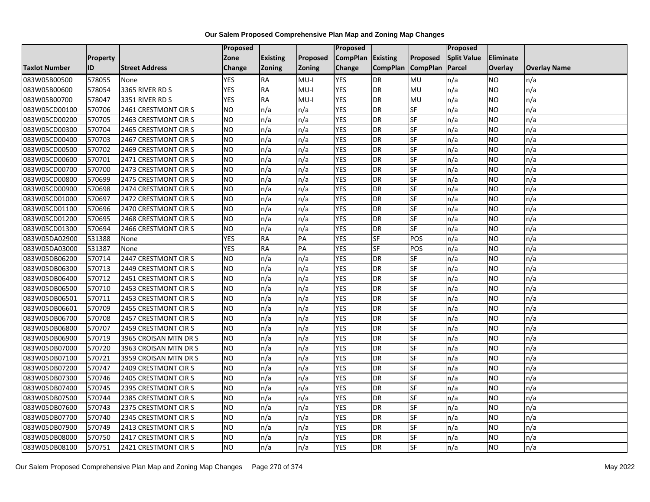|                      |                 |                       | Proposed   |                 |               | Proposed          |                 |                 | Proposed           |                 |                     |
|----------------------|-----------------|-----------------------|------------|-----------------|---------------|-------------------|-----------------|-----------------|--------------------|-----------------|---------------------|
|                      | <b>Property</b> |                       | Zone       | <b>Existing</b> | Proposed      | CompPlan Existing |                 | Proposed        | <b>Split Value</b> | Eliminate       |                     |
| <b>Taxlot Number</b> | ID              | <b>Street Address</b> | Change     | Zoning          | <b>Zoning</b> | Change            | <b>CompPlan</b> | <b>CompPlan</b> | Parcel             | <b>Overlay</b>  | <b>Overlay Name</b> |
| 083W05B00500         | 578055          | None                  | <b>YES</b> | <b>RA</b>       | $MU-I$        | <b>YES</b>        | <b>DR</b>       | MU              | n/a                | <b>NO</b>       | n/a                 |
| 083W05B00600         | 578054          | 3365 RIVER RD S       | <b>YES</b> | <b>RA</b>       | $MU-I$        | <b>YES</b>        | DR              | <b>MU</b>       | n/a                | NO.             | n/a                 |
| 083W05B00700         | 578047          | 3351 RIVER RD S       | <b>YES</b> | <b>RA</b>       | $MU-I$        | <b>YES</b>        | DR              | MU              | n/a                | NO.             | n/a                 |
| 083W05CD00100        | 570706          | 2461 CRESTMONT CIRS   | <b>NO</b>  | n/a             | n/a           | <b>YES</b>        | DR              | SF              | n/a                | NO.             | n/a                 |
| 083W05CD00200        | 570705          | 2463 CRESTMONT CIRS   | ŌИ         | n/a             | n/a           | <b>YES</b>        | <b>DR</b>       | SF              | n/a                | NO.             | n/a                 |
| 083W05CD00300        | 570704          | 2465 CRESTMONT CIRS   | Ю          | n/a             | n/a           | <b>YES</b>        | <b>DR</b>       | SF              | n/a                | <b>NO</b>       | n/a                 |
| 083W05CD00400        | 570703          | 2467 CRESTMONT CIRS   | <b>NO</b>  | n/a             | n/a           | <b>YES</b>        | DR              | SF              | n/a                | NO.             | n/a                 |
| 083W05CD00500        | 570702          | 2469 CRESTMONT CIRS   | <b>NO</b>  | n/a             | n/a           | <b>YES</b>        | DR              | SF              | n/a                | NO.             | n/a                 |
| 083W05CD00600        | 570701          | 2471 CRESTMONT CIRS   | <b>NO</b>  | n/a             | n/a           | <b>YES</b>        | DR              | SF              | n/a                | NO              | n/a                 |
| 083W05CD00700        | 570700          | 2473 CRESTMONT CIRS   | ŌИ         | n/a             | n/a           | <b>YES</b>        | DR              | SF              | n/a                | NO.             | n/a                 |
| 083W05CD00800        | 570699          | 2475 CRESTMONT CIRS   | <b>NO</b>  | n/a             | n/a           | <b>YES</b>        | <b>DR</b>       | SF              | n/a                | <b>NO</b>       | n/a                 |
| 083W05CD00900        | 570698          | 2474 CRESTMONT CIRS   | <b>NO</b>  | n/a             | n/a           | <b>YES</b>        | DR              | SF              | n/a                | NO.             | n/a                 |
| 083W05CD01000        | 570697          | 2472 CRESTMONT CIRS   | <b>NO</b>  | n/a             | n/a           | <b>YES</b>        | DR              | SF              | n/a                | NO.             | n/a                 |
| 083W05CD01100        | 570696          | 2470 CRESTMONT CIRS   | Ю          | n/a             | n/a           | <b>YES</b>        | <b>DR</b>       | SF              | n/a                | <b>NO</b>       | n/a                 |
| 083W05CD01200        | 570695          | 2468 CRESTMONT CIRS   | <b>NO</b>  | n/a             | n/a           | <b>YES</b>        | DR              | SF              | n/a                | ΝO              | n/a                 |
| 083W05CD01300        | 570694          | 2466 CRESTMONT CIRS   | <b>NO</b>  | n/a             | n/a           | <b>YES</b>        | DR              | SF              | n/a                | <b>NO</b>       | n/a                 |
| 083W05DA02900        | 531388          | None                  | <b>YES</b> | <b>RA</b>       | PA            | <b>YES</b>        | SF              | POS             | n/a                | NO.             | n/a                 |
| 083W05DA03000        | 531387          | None                  | <b>YES</b> | <b>RA</b>       | PA            | <b>YES</b>        | $S$ F           | POS             | n/a                | NO.             | n/a                 |
| 083W05DB06200        | 570714          | 2447 CRESTMONT CIRS   | <b>NO</b>  | n/a             | n/a           | <b>YES</b>        | DR              | <b>SF</b>       | n/a                | NO.             | n/a                 |
| 083W05DB06300        | 570713          | 2449 CRESTMONT CIRS   | <b>NO</b>  | n/a             | n/a           | <b>YES</b>        | DR              | SF              | n/a                | NO.             | n/a                 |
| 083W05DB06400        | 570712          | 2451 CRESTMONT CIRS   | <b>NO</b>  | n/a             | n/a           | <b>YES</b>        | DR              | SF              | n/a                | NO.             | n/a                 |
| 083W05DB06500        | 570710          | 2453 CRESTMONT CIRS   | Ю          | n/a             | n/a           | <b>YES</b>        | DR              | SF              | n/a                | $\overline{NO}$ | n/a                 |
| 083W05DB06501        | 570711          | 2453 CRESTMONT CIRS   | <b>NO</b>  | n/a             | n/a           | <b>YES</b>        | DR              | SF              | n/a                | <b>NO</b>       | n/a                 |
| 083W05DB06601        | 570709          | 2455 CRESTMONT CIRS   | <b>NO</b>  | n/a             | n/a           | <b>YES</b>        | DR              | SF              | n/a                | NO.             | n/a                 |
| 083W05DB06700        | 570708          | 2457 CRESTMONT CIRS   | ŌИ         | n/a             | n/a           | <b>YES</b>        | DR              | <b>SF</b>       | n/a                | NO.             | n/a                 |
| 083W05DB06800        | 570707          | 2459 CRESTMONT CIRS   | ŌИ         | n/a             | n/a           | <b>YES</b>        | DR              | SF              | n/a                | NO.             | n/a                 |
| 083W05DB06900        | 570719          | 3965 CROISAN MTN DR S | <b>NO</b>  | n/a             | n/a           | <b>YES</b>        | <b>DR</b>       | SF              | n/a                | NO.             | n/a                 |
| 083W05DB07000        | 570720          | 3963 CROISAN MTN DR S | <b>NO</b>  | n/a             | n/a           | <b>YES</b>        | DR              | SF              | n/a                | NO.             | n/a                 |
| 083W05DB07100        | 570721          | 3959 CROISAN MTN DR S | <b>NO</b>  | n/a             | n/a           | <b>YES</b>        | DR              | SF              | n/a                | NO.             | n/a                 |
| 083W05DB07200        | 570747          | 2409 CRESTMONT CIRS   | <b>NO</b>  | n/a             | n/a           | <b>YES</b>        | <b>DR</b>       | <b>SF</b>       | n/a                | <b>NO</b>       | n/a                 |
| 083W05DB07300        | 570746          | 2405 CRESTMONT CIRS   | <b>NO</b>  | n/a             | n/a           | <b>YES</b>        | DR              | SF              | n/a                | <b>NO</b>       | n/a                 |
| 083W05DB07400        | 570745          | 2395 CRESTMONT CIRS   | <b>NO</b>  | n/a             | n/a           | <b>YES</b>        | DR              | SF              | n/a                | <b>NO</b>       | n/a                 |
| 083W05DB07500        | 570744          | 2385 CRESTMONT CIRS   | <b>NO</b>  | n/a             | n/a           | <b>YES</b>        | DR              | SF              | n/a                | NO.             | n/a                 |
| 083W05DB07600        | 570743          | 2375 CRESTMONT CIRS   | <b>NO</b>  | n/a             | n/a           | <b>YES</b>        | DR              | SF              | n/a                | NO.             | n/a                 |
| 083W05DB07700        | 570740          | 2345 CRESTMONT CIRS   | NO         | n/a             | n/a           | <b>YES</b>        | DR              | <b>SF</b>       | n/a                | NO.             | n/a                 |
| 083W05DB07900        | 570749          | 2413 CRESTMONT CIRS   | <b>NO</b>  | n/a             | n/a           | <b>YES</b>        | <b>DR</b>       | SF              | n/a                | NO.             | n/a                 |
| 083W05DB08000        | 570750          | 2417 CRESTMONT CIR S  | <b>NO</b>  | n/a             | n/a           | <b>YES</b>        | DR              | SF              | n/a                | NO.             | n/a                 |
| 083W05DB08100        | 570751          | 2421 CRESTMONT CIRS   | ŌИ         | n/a             | n/a           | <b>YES</b>        | DR              | <b>SF</b>       | n/a                | NO.             | n/a                 |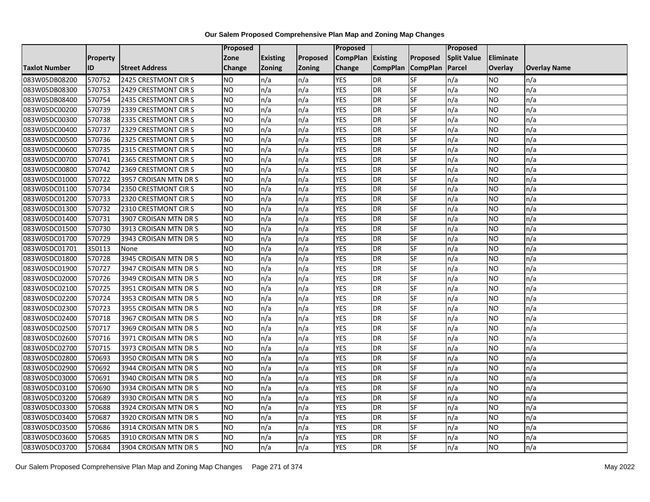|                      |                 |                       | Proposed  |                 |               | Proposed        |                 |                 | Proposed           |           |                     |
|----------------------|-----------------|-----------------------|-----------|-----------------|---------------|-----------------|-----------------|-----------------|--------------------|-----------|---------------------|
|                      | <b>Property</b> |                       | Zone      | <b>Existing</b> | Proposed      | <b>CompPlan</b> | Existing        | Proposed        | <b>Split Value</b> | Eliminate |                     |
| <b>Taxlot Number</b> | ID              | <b>Street Address</b> | Change    | Zoning          | <b>Zoning</b> | Change          | <b>CompPlan</b> | <b>CompPlan</b> | Parcel             | Overlay   | <b>Overlay Name</b> |
| 083W05DB08200        | 570752          | 2425 CRESTMONT CIRS   | <b>NO</b> | n/a             | n/a           | <b>YES</b>      | <b>DR</b>       | <b>SF</b>       | n/a                | NO        | n/a                 |
| 083W05DB08300        | 570753          | 2429 CRESTMONT CIRS   | <b>NO</b> | n/a             | n/a           | <b>YES</b>      | DR              | SF              | n/a                | NO.       | n/a                 |
| 083W05DB08400        | 570754          | 2435 CRESTMONT CIRS   | <b>NO</b> | n/a             | n/a           | <b>YES</b>      | DR              | SF              | n/a                | NO.       | n/a                 |
| 083W05DC00200        | 570739          | 2339 CRESTMONT CIRS   | <b>NO</b> | n/a             | n/a           | <b>YES</b>      | <b>DR</b>       | SF              | n/a                | NO.       | n/a                 |
| 083W05DC00300        | 570738          | 2335 CRESTMONT CIR S  | <b>NO</b> | n/a             | n/a           | <b>YES</b>      | <b>DR</b>       | <b>SF</b>       | n/a                | NO.       | n/a                 |
| 083W05DC00400        | 570737          | 2329 CRESTMONT CIRS   | Ю         | n/a             | n/a           | <b>YES</b>      | <b>DR</b>       | SF              | n/a                | <b>NO</b> | n/a                 |
| 083W05DC00500        | 570736          | 2325 CRESTMONT CIRS   | <b>NO</b> | n/a             | n/a           | <b>YES</b>      | DR              | SF              | n/a                | NO.       | n/a                 |
| 083W05DC00600        | 570735          | 2315 CRESTMONT CIRS   | <b>NO</b> | n/a             | n/a           | <b>YES</b>      | DR              | SF              | n/a                | NO.       | n/a                 |
| 083W05DC00700        | 570741          | 2365 CRESTMONT CIRS   | <b>NO</b> | n/a             | n/a           | <b>YES</b>      | <b>DR</b>       | SF              | n/a                | NO.       | n/a                 |
| 083W05DC00800        | 570742          | 2369 CRESTMONT CIRS   | <b>NO</b> | n/a             | n/a           | <b>YES</b>      | DR              | <b>SF</b>       | n/a                | NO.       | n/a                 |
| 083W05DC01000        | 570722          | 3957 CROISAN MTN DR S | <b>NO</b> | n/a             | n/a           | <b>YES</b>      | <b>DR</b>       | SF              | n/a                | <b>NO</b> | n/a                 |
| 083W05DC01100        | 570734          | 2350 CRESTMONT CIRS   | <b>NO</b> | n/a             | n/a           | <b>YES</b>      | <b>DR</b>       | SF              | n/a                | <b>NO</b> | n/a                 |
| 083W05DC01200        | 570733          | 2320 CRESTMONT CIRS   | Ю         | n/a             | n/a           | <b>YES</b>      | DR              | <b>SF</b>       | n/a                | NO.       | n/a                 |
| 083W05DC01300        | 570732          | 2310 CRESTMONT CIRS   | <b>NO</b> | n/a             | n/a           | <b>YES</b>      | <b>DR</b>       | SF              | n/a                | NO.       | n/a                 |
| 083W05DC01400        | 570731          | 3907 CROISAN MTN DR S | <b>NO</b> | n/a             | n/a           | <b>YES</b>      | DR              | SF              | n/a                | NO.       | n/a                 |
| 083W05DC01500        | 570730          | 3913 CROISAN MTN DR S | <b>NO</b> | n/a             | n/a           | <b>YES</b>      | <b>DR</b>       | $S_{F}$         | n/a                | NO.       | n/a                 |
| 083W05DC01700        | 570729          | 3943 CROISAN MTN DR S | ŌИ        | n/a             | n/a           | <b>YES</b>      | DR              | <b>SF</b>       | n/a                | NO.       | n/a                 |
| 083W05DC01701        | 350113          | None                  | <b>NO</b> | n/a             | n/a           | <b>YES</b>      | DR              | SF              | n/a                | NO.       | n/a                 |
| 083W05DC01800        | 570728          | 3945 CROISAN MTN DR S | <b>NO</b> | n/a             | n/a           | <b>YES</b>      | DR              | SF              | n/a                | NO.       | n/a                 |
| 083W05DC01900        | 570727          | 3947 CROISAN MTN DR S | <b>NO</b> | n/a             | n/a           | <b>YES</b>      | <b>DR</b>       | <b>SF</b>       | n/a                | NO.       | n/a                 |
| 083W05DC02000        | 570726          | 3949 CROISAN MTN DR S | <b>NO</b> | n/a             | n/a           | <b>YES</b>      | <b>DR</b>       | SF              | n/a                | <b>NO</b> | n/a                 |
| 083W05DC02100        | 570725          | 3951 CROISAN MTN DR S | <b>NO</b> | n/a             | n/a           | <b>YES</b>      | <b>DR</b>       | <b>SF</b>       | n/a                | <b>NO</b> | n/a                 |
| 083W05DC02200        | 570724          | 3953 CROISAN MTN DR S | ŌИ        | n/a             | n/a           | <b>YES</b>      | <b>DR</b>       | <b>SF</b>       | n/a                | NO.       | n/a                 |
| 083W05DC02300        | 570723          | 3955 CROISAN MTN DR S | <b>NO</b> | n/a             | n/a           | <b>YES</b>      | DR              | SF              | n/a                | NO.       | n/a                 |
| 083W05DC02400        | 570718          | 3967 CROISAN MTN DR S | ŌИ        | n/a             | n/a           | <b>YES</b>      | <b>DR</b>       | SF              | n/a                | <b>NO</b> | n/a                 |
| 083W05DC02500        | 570717          | 3969 CROISAN MTN DR S | <b>NO</b> | n/a             | n/a           | <b>YES</b>      | DR              | SF              | n/a                | NO.       | n/a                 |
| 083W05DC02600        | 570716          | 3971 CROISAN MTN DR S | Ю         | n/a             | n/a           | <b>YES</b>      | <b>DR</b>       | <b>SF</b>       | n/a                | NO.       | n/a                 |
| 083W05DC02700        | 570715          | 3973 CROISAN MTN DR S | <b>NO</b> | n/a             | n/a           | <b>YES</b>      | DR              | SF              | n/a                | NO.       | n/a                 |
| 083W05DC02800        | 570693          | 3950 CROISAN MTN DR S | <b>NO</b> | n/a             | n/a           | <b>YES</b>      | DR              | SF              | n/a                | NO.       | n/a                 |
| 083W05DC02900        | 570692          | 3944 CROISAN MTN DR S | <b>NO</b> | n/a             | n/a           | <b>YES</b>      | <b>DR</b>       | SF              | n/a                | NO.       | n/a                 |
| 083W05DC03000        | 570691          | 3940 CROISAN MTN DR S | <b>NO</b> | n/a             | n/a           | <b>YES</b>      | DR              | SF              | n/a                | NO.       | n/a                 |
| 083W05DC03100        | 570690          | 3934 CROISAN MTN DR S | <b>NO</b> | n/a             | n/a           | <b>YES</b>      | DR              | SF              | n/a                | NO.       | n/a                 |
| 083W05DC03200        | 570689          | 3930 CROISAN MTN DR S | ŌИ        | n/a             | n/a           | <b>YES</b>      | <b>DR</b>       | <b>SF</b>       | n/a                | NO.       | n/a                 |
| 083W05DC03300        | 570688          | 3924 CROISAN MTN DR S | <b>NO</b> | n/a             | n/a           | <b>YES</b>      | DR              | SF              | n/a                | NO.       | n/a                 |
| 083W05DC03400        | 570687          | 3920 CROISAN MTN DR S | <b>NO</b> | n/a             | n/a           | <b>YES</b>      | DR              | SF              | n/a                | NO.       | n/a                 |
| 083W05DC03500        | 570686          | 3914 CROISAN MTN DR S | <b>NO</b> | n/a             | n/a           | <b>YES</b>      | <b>DR</b>       | SF              | n/a                | NO.       | n/a                 |
| 083W05DC03600        | 570685          | 3910 CROISAN MTN DR S | <b>NO</b> | n/a             | n/a           | <b>YES</b>      | <b>DR</b>       | SF              | n/a                | ΝO        | n/a                 |
| 083W05DC03700        | 570684          | 3904 CROISAN MTN DR S | <b>NO</b> | n/a             | n/a           | <b>YES</b>      | DR              | SF              | n/a                | NO.       | n/a                 |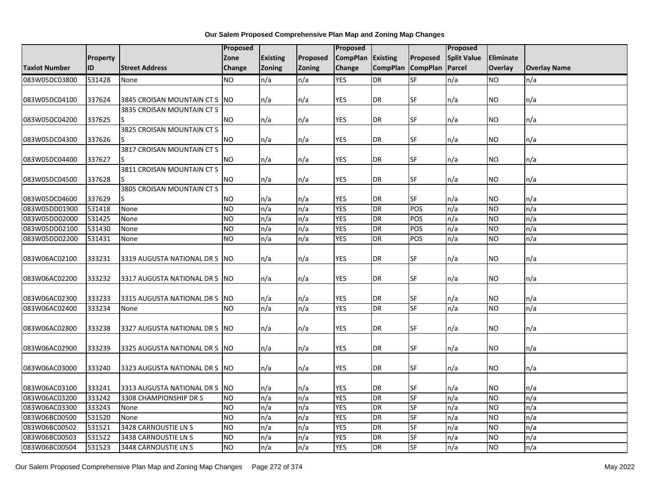|                      |                 |                                | <b>Proposed</b> |                 |               | <b>Proposed</b> |                 |                 | <b>Proposed</b>    |                  |                     |
|----------------------|-----------------|--------------------------------|-----------------|-----------------|---------------|-----------------|-----------------|-----------------|--------------------|------------------|---------------------|
|                      | <b>Property</b> |                                | Zone            | <b>Existing</b> | Proposed      | <b>CompPlan</b> | Existing        | Proposed        | <b>Split Value</b> | <b>Eliminate</b> |                     |
| <b>Taxlot Number</b> | ID              | <b>Street Address</b>          | Change          | Zoning          | <b>Zoning</b> | Change          | <b>CompPlan</b> | <b>CompPlan</b> | Parcel             | Overlay          | <b>Overlay Name</b> |
| 083W05DC03800        | 531428          | None                           | NO.             | n/a             | n/a           | <b>YES</b>      | <b>DR</b>       | <b>SF</b>       | n/a                | <b>NO</b>        | n/a                 |
|                      |                 |                                |                 |                 |               |                 |                 |                 |                    |                  |                     |
| 083W05DC04100        | 337624          | 3845 CROISAN MOUNTAIN CT S     | <b>NO</b>       | n/a             | n/a           | <b>YES</b>      | <b>DR</b>       | SF              | n/a                | NO.              | n/a                 |
|                      |                 | 3835 CROISAN MOUNTAIN CT S     |                 |                 |               |                 |                 |                 |                    |                  |                     |
| 083W05DC04200        | 337625          |                                | <b>NO</b>       | n/a             | n/a           | <b>YES</b>      | <b>DR</b>       | <b>SF</b>       | n/a                | NO.              | n/a                 |
|                      |                 | 3825 CROISAN MOUNTAIN CT S     |                 |                 |               |                 |                 |                 |                    |                  |                     |
| 083W05DC04300        | 337626          |                                | <b>NO</b>       | n/a             | n/a           | <b>YES</b>      | <b>DR</b>       | <b>SF</b>       | n/a                | NO.              | n/a                 |
|                      |                 | 3817 CROISAN MOUNTAIN CT S     |                 |                 |               |                 |                 |                 |                    |                  |                     |
| 083W05DC04400        | 337627          |                                | <b>NO</b>       | n/a             | n/a           | <b>YES</b>      | <b>DR</b>       | SF              | n/a                | ΝO               | n/a                 |
|                      |                 | 3811 CROISAN MOUNTAIN CT S     |                 |                 |               |                 |                 |                 |                    |                  |                     |
| 083W05DC04500        | 337628          |                                | <b>NO</b>       | n/a             | n/a           | <b>YES</b>      | <b>DR</b>       | SF              | n/a                | <b>NO</b>        | n/a                 |
|                      |                 | 3805 CROISAN MOUNTAIN CT S     |                 |                 |               |                 |                 |                 |                    |                  |                     |
| 083W05DC04600        | 337629          | ς                              | <b>NO</b>       | n/a             | n/a           | <b>YES</b>      | <b>DR</b>       | SF              | n/a                | NO.              | n/a                 |
| 083W05DD01900        | 531418          | None                           | <b>NO</b>       | n/a             | n/a           | <b>YES</b>      | DR              | POS             | n/a                | <b>NO</b>        | n/a                 |
| 083W05DD02000        | 531425          | None                           | NO.             | n/a             | n/a           | <b>YES</b>      | DR              | POS             | n/a                | <b>NO</b>        | n/a                 |
| 083W05DD02100        | 531430          | None                           | $\overline{NO}$ | n/a             | n/a           | <b>YES</b>      | <b>DR</b>       | POS             | n/a                | <b>NO</b>        | n/a                 |
| 083W05DD02200        | 531431          | None                           | <b>NO</b>       | n/a             | n/a           | <b>YES</b>      | <b>DR</b>       | POS             | n/a                | <b>NO</b>        | n/a                 |
|                      |                 |                                |                 |                 |               |                 |                 |                 |                    |                  |                     |
| 083W06AC02100        | 333231          | 3319 AUGUSTA NATIONAL DR S     | <b>NO</b>       | n/a             | n/a           | <b>YES</b>      | <b>DR</b>       | <b>SF</b>       | n/a                | NO.              | n/a                 |
|                      |                 |                                |                 |                 |               |                 |                 |                 |                    |                  |                     |
| 083W06AC02200        | 333232          | 3317 AUGUSTA NATIONAL DR S     | <b>NO</b>       | n/a             | n/a           | <b>YES</b>      | <b>DR</b>       | SF              | n/a                | NO.              | n/a                 |
|                      |                 |                                |                 |                 |               |                 |                 |                 |                    |                  |                     |
| 083W06AC02300        | 333233          | 3315 AUGUSTA NATIONAL DR S     | <b>NO</b>       | n/a             | n/a           | <b>YES</b>      | DR              | <b>SF</b>       | n/a                | NO               | n/a                 |
| 083W06AC02400        | 333234          | None                           | <b>NO</b>       | n/a             | n/a           | <b>YES</b>      | <b>DR</b>       | <b>SF</b>       | n/a                | NO.              | n/a                 |
|                      |                 |                                |                 |                 |               |                 |                 |                 |                    |                  |                     |
| 083W06AC02800        | 333238          | 3327 AUGUSTA NATIONAL DR S     | <b>NO</b>       | n/a             | n/a           | <b>YES</b>      | <b>DR</b>       | <b>SF</b>       | n/a                | NO               | n/a                 |
|                      |                 |                                |                 |                 |               |                 |                 |                 |                    |                  |                     |
| 083W06AC02900        | 333239          | 3325 AUGUSTA NATIONAL DR S NO  |                 | n/a             | n/a           | <b>YES</b>      | <b>DR</b>       | SF              | n/a                | NO               | n/a                 |
|                      |                 |                                |                 |                 |               |                 |                 |                 |                    |                  |                     |
| 083W06AC03000        | 333240          | 3323 AUGUSTA NATIONAL DR S INO |                 | n/a             | n/a           | <b>YES</b>      | DR              | <b>SF</b>       | n/a                | NO.              | n/a                 |
|                      |                 |                                |                 |                 |               |                 |                 |                 |                    |                  |                     |
| 083W06AC03100        | 333241          | 3313 AUGUSTA NATIONAL DR S     | <b>NO</b>       | n/a             | n/a           | <b>YES</b>      | DR              | SF              | n/a                | NO               | n/a                 |
| 083W06AC03200        | 333242          | 3308 CHAMPIONSHIP DR S         | <b>NO</b>       | n/a             | n/a           | <b>YES</b>      | <b>DR</b>       | SF              | n/a                | <b>NO</b>        | n/a                 |
| 083W06AC03300        | 333243          | None                           | <b>NO</b>       | n/a             | n/a           | <b>YES</b>      | DR              | SF              | n/a                | <b>NO</b>        | n/a                 |
| 083W06BC00500        | 531520          | None                           | Ю               | n/a             | n/a           | <b>YES</b>      | DR              | <b>SF</b>       | n/a                | <b>NO</b>        | n/a                 |
| 083W06BC00502        | 531521          | 3428 CARNOUSTIE LN S           | <b>NO</b>       | n/a             | n/a           | <b>YES</b>      | <b>DR</b>       | SF              | n/a                | <b>NO</b>        | n/a                 |
| 083W06BC00503        | 531522          | 3438 CARNOUSTIE LN S           | <b>NO</b>       | n/a             | n/a           | <b>YES</b>      | <b>DR</b>       | SF              | n/a                | <b>NO</b>        | n/a                 |
| 083W06BC00504        | 531523          | 3448 CARNOUSTIE LN S           | Ю               | n/a             | n/a           | <b>YES</b>      | <b>DR</b>       | <b>SF</b>       | n/a                | <b>NO</b>        | n/a                 |

Our Salem Proposed Comprehensive Plan Map and Zoning Map Changes Page 272 of 374 May 2022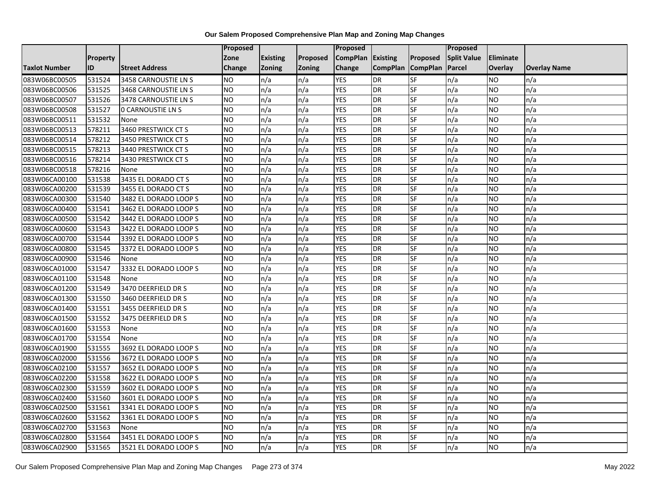|                      |                 |                          | <b>Proposed</b> |                 |               | Proposed        |                 |                 | Proposed           |           |                     |
|----------------------|-----------------|--------------------------|-----------------|-----------------|---------------|-----------------|-----------------|-----------------|--------------------|-----------|---------------------|
|                      | <b>Property</b> |                          | Zone            | <b>Existing</b> | Proposed      | <b>CompPlan</b> | Existing        | Proposed        | <b>Split Value</b> | Eliminate |                     |
| <b>Taxlot Number</b> | ID              | <b>Street Address</b>    | Change          | Zoning          | <b>Zoning</b> | Change          | <b>CompPlan</b> | <b>CompPlan</b> | Parcel             | Overlay   | <b>Overlay Name</b> |
| 083W06BC00505        | 531524          | 3458 CARNOUSTIE LN S     | <b>NO</b>       | n/a             | n/a           | <b>YES</b>      | <b>DR</b>       | <b>SF</b>       | n/a                | NO.       | n/a                 |
| 083W06BC00506        | 531525          | 3468 CARNOUSTIE LN S     | <b>NO</b>       | n/a             | n/a           | <b>YES</b>      | DR              | <b>SF</b>       | n/a                | NO.       | n/a                 |
| 083W06BC00507        | 531526          | 3478 CARNOUSTIE LN S     | <b>NO</b>       | n/a             | n/a           | <b>YES</b>      | DR              | SF              | n/a                | <b>NO</b> | n/a                 |
| 083W06BC00508        | 531527          | <b>0 CARNOUSTIE LN S</b> | <b>NO</b>       | n/a             | n/a           | <b>YES</b>      | <b>DR</b>       | SF              | n/a                | NO.       | n/a                 |
| 083W06BC00511        | 531532          | None                     | Ю               | n/a             | n/a           | <b>YES</b>      | <b>DR</b>       | $S_{F}$         | n/a                | NO.       | n/a                 |
| 083W06BC00513        | 578211          | 3460 PRESTWICK CT S      | Ю               | n/a             | n/a           | <b>YES</b>      | <b>DR</b>       | SF              | n/a                | NO.       | n/a                 |
| 083W06BC00514        | 578212          | 3450 PRESTWICK CT S      | <b>NO</b>       | n/a             | n/a           | <b>YES</b>      | DR              | SF              | n/a                | NO.       | n/a                 |
| 083W06BC00515        | 578213          | 3440 PRESTWICK CT S      | <b>NO</b>       | n/a             | n/a           | <b>YES</b>      | DR              | SF              | n/a                | NO.       | n/a                 |
| 083W06BC00516        | 578214          | 3430 PRESTWICK CT S      | <b>NO</b>       | n/a             | n/a           | <b>YES</b>      | <b>DR</b>       | SF              | n/a                | ΝO        | n/a                 |
| 083W06BC00518        | 578216          | None                     | Ю               | n/a             | n/a           | <b>YES</b>      | DR              | <b>SF</b>       | n/a                | NO.       | n/a                 |
| 083W06CA00100        | 531538          | 3435 EL DORADO CT S      | <b>NO</b>       | n/a             | n/a           | <b>YES</b>      | <b>DR</b>       | <b>SF</b>       | n/a                | <b>NO</b> | n/a                 |
| 083W06CA00200        | 531539          | 3455 EL DORADO CT S      | <b>NO</b>       | n/a             | n/a           | <b>YES</b>      | DR              | SF              | n/a                | NO.       | n/a                 |
| 083W06CA00300        | 531540          | 3482 EL DORADO LOOP S    | <b>NO</b>       | n/a             | n/a           | <b>YES</b>      | DR              | SF              | n/a                | NO.       | n/a                 |
| 083W06CA00400        | 531541          | 3462 EL DORADO LOOP S    | <b>NO</b>       | n/a             | n/a           | <b>YES</b>      | <b>DR</b>       | <b>SF</b>       | n/a                | <b>NO</b> | n/a                 |
| 083W06CA00500        | 531542          | 3442 EL DORADO LOOP S    | <b>NO</b>       | n/a             | n/a           | <b>YES</b>      | DR              | SF              | n/a                | ΝO        | n/a                 |
| 083W06CA00600        | 531543          | 3422 EL DORADO LOOP S    | <b>NO</b>       | n/a             | n/a           | <b>YES</b>      | DR              | SF              | n/a                | NO.       | n/a                 |
| 083W06CA00700        | 531544          | 3392 EL DORADO LOOP S    | <b>NO</b>       | n/a             | n/a           | <b>YES</b>      | <b>DR</b>       | SF              | n/a                | NO.       | n/a                 |
| 083W06CA00800        | 531545          | 3372 EL DORADO LOOP S    | <b>NO</b>       | n/a             | n/a           | <b>YES</b>      | <b>DR</b>       | SF              | n/a                | NO.       | n/a                 |
| 083W06CA00900        | 531546          | None                     | <b>NO</b>       | n/a             | n/a           | <b>YES</b>      | DR              | SF              | n/a                | <b>NO</b> | n/a                 |
| 083W06CA01000        | 531547          | 3332 EL DORADO LOOP S    | <b>NO</b>       | n/a             | n/a           | <b>YES</b>      | DR              | SF              | n/a                | NO.       | n/a                 |
| 083W06CA01100        | 531548          | None                     | <b>NO</b>       | n/a             | n/a           | <b>YES</b>      | <b>DR</b>       | SF              | n/a                | NO.       | n/a                 |
| 083W06CA01200        | 531549          | 3470 DEERFIELD DR S      | Ю               | n/a             | n/a           | <b>YES</b>      | DR              | SF              | n/a                | <b>NO</b> | n/a                 |
| 083W06CA01300        | 531550          | 3460 DEERFIELD DR S      | <b>NO</b>       | n/a             | n/a           | <b>YES</b>      | DR              | <b>SF</b>       | n/a                | <b>NO</b> | n/a                 |
| 083W06CA01400        | 531551          | 3455 DEERFIELD DR S      | <b>NO</b>       | n/a             | n/a           | <b>YES</b>      | DR              | SF              | n/a                | NO.       | n/a                 |
| 083W06CA01500        | 531552          | 3475 DEERFIELD DR S      | ŌИ              | n/a             | n/a           | <b>YES</b>      | DR              | <b>SF</b>       | n/a                | <b>NO</b> | n/a                 |
| 083W06CA01600        | 531553          | None                     | Ю               | n/a             | n/a           | <b>YES</b>      | DR              | SF              | n/a                | NO.       | n/a                 |
| 083W06CA01700        | 531554          | None                     | <b>NO</b>       | n/a             | n/a           | <b>YES</b>      | <b>DR</b>       | SF              | n/a                | NO.       | n/a                 |
| 083W06CA01900        | 531555          | 3692 EL DORADO LOOP S    | <b>NO</b>       | n/a             | n/a           | <b>YES</b>      | <b>DR</b>       | SF              | n/a                | NO.       | n/a                 |
| 083W06CA02000        | 531556          | 3672 EL DORADO LOOP S    | <b>NO</b>       | n/a             | n/a           | <b>YES</b>      | DR              | SF              | n/a                | NO.       | n/a                 |
| 083W06CA02100        | 531557          | 3652 EL DORADO LOOP S    | <b>NO</b>       | n/a             | n/a           | <b>YES</b>      | <b>DR</b>       | <b>SF</b>       | n/a                | <b>NO</b> | n/a                 |
| 083W06CA02200        | 531558          | 3622 EL DORADO LOOP S    | <b>NO</b>       | n/a             | n/a           | <b>YES</b>      | DR              | SF              | n/a                | <b>NO</b> | n/a                 |
| 083W06CA02300        | 531559          | 3602 EL DORADO LOOP S    | <b>NO</b>       | n/a             | n/a           | <b>YES</b>      | DR              | SF              | n/a                | NO.       | n/a                 |
| 083W06CA02400        | 531560          | 3601 EL DORADO LOOP S    | <b>NO</b>       | n/a             | n/a           | <b>YES</b>      | <b>DR</b>       | SF              | n/a                | NO.       | n/a                 |
| 083W06CA02500        | 531561          | 3341 EL DORADO LOOP S    | <b>NO</b>       | n/a             | n/a           | <b>YES</b>      | DR              | SF              | n/a                | NO.       | n/a                 |
| 083W06CA02600        | 531562          | 3361 EL DORADO LOOP S    | ŌИ              | n/a             | n/a           | <b>YES</b>      | DR              | <b>SF</b>       | n/a                | <b>NO</b> | n/a                 |
| 083W06CA02700        | 531563          | None                     | <b>NO</b>       | n/a             | n/a           | <b>YES</b>      | <b>DR</b>       | SF              | n/a                | NO.       | n/a                 |
| 083W06CA02800        | 531564          | 3451 EL DORADO LOOP S    | <b>NO</b>       | n/a             | n/a           | <b>YES</b>      | DR              | SF              | n/a                | NO.       | n/a                 |
| 083W06CA02900        | 531565          | 3521 EL DORADO LOOP S    | ŌИ              | n/a             | n/a           | <b>YES</b>      | DR              | <b>SF</b>       | n/a                | NO.       | n/a                 |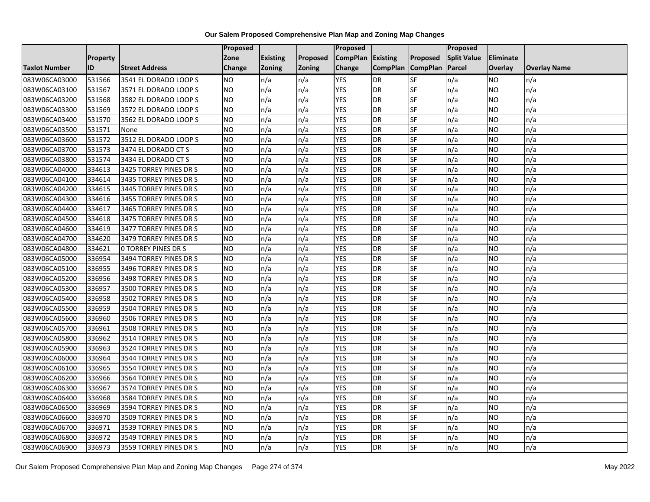|                      |                 |                            | <b>Proposed</b> |                 |          | Proposed          |                 |                 | <b>Proposed</b>    |           |                     |
|----------------------|-----------------|----------------------------|-----------------|-----------------|----------|-------------------|-----------------|-----------------|--------------------|-----------|---------------------|
|                      | <b>Property</b> |                            | Zone            | <b>Existing</b> | Proposed | CompPlan Existing |                 | Proposed        | <b>Split Value</b> | Eliminate |                     |
| <b>Taxlot Number</b> | ID              | <b>Street Address</b>      | <b>Change</b>   | <b>Zoning</b>   | Zoning   | Change            | <b>CompPlan</b> | <b>CompPlan</b> | Parcel             | Overlay   | <b>Overlay Name</b> |
| 083W06CA03000        | 531566          | 3541 EL DORADO LOOP S      | <b>NO</b>       | n/a             | n/a      | <b>YES</b>        | DR              | SF              | n/a                | NO        | n/a                 |
| 083W06CA03100        | 531567          | 3571 EL DORADO LOOP S      | <b>NO</b>       | n/a             | n/a      | <b>YES</b>        | <b>DR</b>       | SF              | n/a                | NO.       | n/a                 |
| 083W06CA03200        | 531568          | 3582 EL DORADO LOOP S      | <b>NO</b>       | n/a             | n/a      | <b>YES</b>        | DR              | SF              | n/a                | NO.       | n/a                 |
| 083W06CA03300        | 531569          | 3572 EL DORADO LOOP S      | <b>NO</b>       | n/a             | n/a      | <b>YES</b>        | DR              | SF              | n/a                | NO.       | n/a                 |
| 083W06CA03400        | 531570          | 3562 EL DORADO LOOP S      | NO              | n/a             | n/a      | <b>YES</b>        | DR              | SF              | n/a                | NO.       | n/a                 |
| 083W06CA03500        | 531571          | None                       | <b>NO</b>       | n/a             | n/a      | <b>YES</b>        | DR              | SF              | n/a                | <b>NO</b> | n/a                 |
| 083W06CA03600        | 531572          | 3512 EL DORADO LOOP S      | <b>NO</b>       | n/a             | n/a      | <b>YES</b>        | DR              | SF              | n/a                | NO.       | n/a                 |
| 083W06CA03700        | 531573          | 3474 EL DORADO CT S        | <b>NO</b>       | n/a             | n/a      | <b>YES</b>        | DR              | SF              | n/a                | NO.       | n/a                 |
| 083W06CA03800        | 531574          | 3434 EL DORADO CT S        | <b>NO</b>       | n/a             | n/a      | <b>YES</b>        | DR              | SF              | n/a                | NO.       | n/a                 |
| 083W06CA04000        | 334613          | 3425 TORREY PINES DR S     | NO              | n/a             | n/a      | <b>YES</b>        | DR              | SF              | n/a                | NO.       | n/a                 |
| 083W06CA04100        | 334614          | 3435 TORREY PINES DR S     | <b>NO</b>       | n/a             | n/a      | <b>YES</b>        | DR              | SF              | n/a                | <b>NO</b> | n/a                 |
| 083W06CA04200        | 334615          | 3445 TORREY PINES DR S     | <b>NO</b>       | n/a             | n/a      | <b>YES</b>        | DR              | SF              | n/a                | NO.       | n/a                 |
| 083W06CA04300        | 334616          | 3455 TORREY PINES DR S     | <b>NO</b>       | n/a             | n/a      | <b>YES</b>        | DR              | SF              | n/a                | NO.       | n/a                 |
| 083W06CA04400        | 334617          | 3465 TORREY PINES DR S     | NO              | n/a             | n/a      | <b>YES</b>        | DR              | SF              | n/a                | <b>NO</b> | n/a                 |
| 083W06CA04500        | 334618          | 3475 TORREY PINES DR S     | <b>NO</b>       | n/a             | n/a      | <b>YES</b>        | DR              | SF              | n/a                | NO.       | n/a                 |
| 083W06CA04600        | 334619          | 3477 TORREY PINES DR S     | <b>NO</b>       | n/a             | n/a      | <b>YES</b>        | DR              | SF              | n/a                | <b>NO</b> | n/a                 |
| 083W06CA04700        | 334620          | 3479 TORREY PINES DR S     | <b>NO</b>       | n/a             | n/a      | <b>YES</b>        | DR              | SF              | n/a                | NO.       | n/a                 |
| 083W06CA04800        | 334621          | <b>0 TORREY PINES DR S</b> | <b>NO</b>       | n/a             | n/a      | <b>YES</b>        | DR              | SF              | n/a                | NO        | n/a                 |
| 083W06CA05000        | 336954          | 3494 TORREY PINES DR S     | <b>NO</b>       | n/a             | n/a      | <b>YES</b>        | DR              | SF              | n/a                | NO        | n/a                 |
| 083W06CA05100        | 336955          | 3496 TORREY PINES DR S     | <b>NO</b>       | n/a             | n/a      | <b>YES</b>        | DR              | SF              | n/a                | NO.       | n/a                 |
| 083W06CA05200        | 336956          | 3498 TORREY PINES DR S     | <b>NO</b>       | n/a             | n/a      | <b>YES</b>        | DR              | SF              | n/a                | <b>NO</b> | n/a                 |
| 083W06CA05300        | 336957          | 3500 TORREY PINES DR S     | NO              | n/a             | n/a      | <b>YES</b>        | $\overline{DR}$ | SF              | n/a                | <b>NO</b> | n/a                 |
| 083W06CA05400        | 336958          | 3502 TORREY PINES DR S     | <b>NO</b>       | n/a             | n/a      | <b>YES</b>        | DR              | <b>SF</b>       | n/a                | <b>NO</b> | n/a                 |
| 083W06CA05500        | 336959          | 3504 TORREY PINES DR S     | <b>NO</b>       | n/a             | n/a      | <b>YES</b>        | DR              | SF              | n/a                | NO        | n/a                 |
| 083W06CA05600        | 336960          | 3506 TORREY PINES DR S     | <b>NO</b>       | n/a             | n/a      | <b>YES</b>        | DR              | SF              | n/a                | NO.       | n/a                 |
| 083W06CA05700        | 336961          | 3508 TORREY PINES DR S     | Ю               | n/a             | n/a      | <b>YES</b>        | DR              | SF              | n/a                | NO.       | n/a                 |
| 083W06CA05800        | 336962          | 3514 TORREY PINES DR S     | <b>NO</b>       | n/a             | n/a      | <b>YES</b>        | DR              | SF              | n/a                | <b>NO</b> | n/a                 |
| 083W06CA05900        | 336963          | 3524 TORREY PINES DR S     | <b>NO</b>       | n/a             | n/a      | <b>YES</b>        | DR              | SF              | n/a                | NO.       | n/a                 |
| 083W06CA06000        | 336964          | 3544 TORREY PINES DR S     | <b>NO</b>       | n/a             | n/a      | <b>YES</b>        | DR              | SF              | n/a                | NO.       | n/a                 |
| 083W06CA06100        | 336965          | 3554 TORREY PINES DR S     | <b>NO</b>       | n/a             | n/a      | <b>YES</b>        | DR              | SF              | n/a                | <b>NO</b> | n/a                 |
| 083W06CA06200        | 336966          | 3564 TORREY PINES DR S     | <b>NO</b>       | n/a             | n/a      | <b>YES</b>        | DR              | SF              | n/a                | <b>NO</b> | n/a                 |
| 083W06CA06300        | 336967          | 3574 TORREY PINES DR S     | <b>NO</b>       | n/a             | n/a      | <b>YES</b>        | DR              | SF              | n/a                | <b>NO</b> | n/a                 |
| 083W06CA06400        | 336968          | 3584 TORREY PINES DR S     | <b>NO</b>       | n/a             | n/a      | <b>YES</b>        | DR              | SF              | n/a                | NO        | n/a                 |
| 083W06CA06500        | 336969          | 3594 TORREY PINES DR S     | <b>NO</b>       | n/a             | n/a      | <b>YES</b>        | DR              | SF              | n/a                | <b>NO</b> | n/a                 |
| 083W06CA06600        | 336970          | 3509 TORREY PINES DR S     | NO              | n/a             | n/a      | <b>YES</b>        | DR              | SF              | n/a                | NO.       | n/a                 |
| 083W06CA06700        | 336971          | 3539 TORREY PINES DR S     | <b>NO</b>       | n/a             | n/a      | <b>YES</b>        | DR              | SF              | n/a                | NO.       | n/a                 |
| 083W06CA06800        | 336972          | 3549 TORREY PINES DR S     | <b>NO</b>       | n/a             | n/a      | <b>YES</b>        | DR              | SF              | n/a                | NO.       | n/a                 |
| 083W06CA06900        | 336973          | 3559 TORREY PINES DR S     | Ю               | n/a             | n/a      | <b>YES</b>        | DR              | SF              | n/a                | NO.       | n/a                 |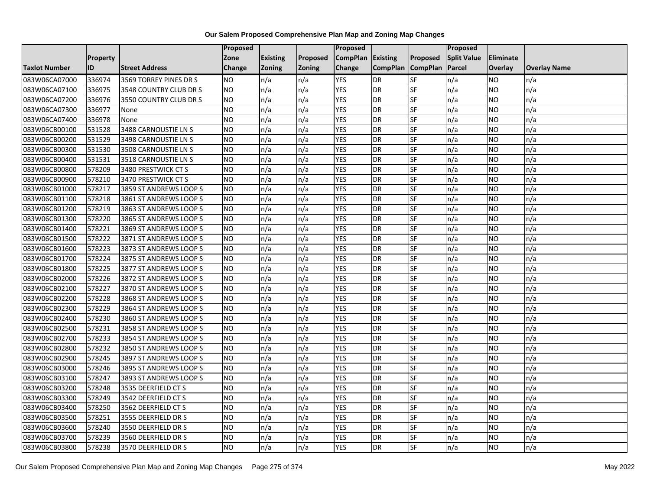|                      |                 |                        | Proposed      |                 |               | Proposed        |                 |                 | Proposed           |                |                     |
|----------------------|-----------------|------------------------|---------------|-----------------|---------------|-----------------|-----------------|-----------------|--------------------|----------------|---------------------|
|                      | <b>Property</b> |                        | Zone          | <b>Existing</b> | Proposed      | <b>CompPlan</b> | Existing        | Proposed        | <b>Split Value</b> | Eliminate      |                     |
| <b>Taxlot Number</b> | ID              | <b>Street Address</b>  | <b>Change</b> | Zoning          | <b>Zoning</b> | Change          | <b>CompPlan</b> | <b>CompPlan</b> | Parcel             | <b>Overlay</b> | <b>Overlay Name</b> |
| 083W06CA07000        | 336974          | 3569 TORREY PINES DR S | <b>NO</b>     | n/a             | n/a           | <b>YES</b>      | <b>DR</b>       | <b>SF</b>       | n/a                | NO.            | n/a                 |
| 083W06CA07100        | 336975          | 3548 COUNTRY CLUB DR S | <b>NO</b>     | n/a             | n/a           | <b>YES</b>      | DR              | SF              | n/a                | NO.            | n/a                 |
| 083W06CA07200        | 336976          | 3550 COUNTRY CLUB DR S | <b>NO</b>     | n/a             | n/a           | <b>YES</b>      | DR              | SF              | n/a                | NO.            | n/a                 |
| 083W06CA07300        | 336977          | None                   | <b>NO</b>     | n/a             | n/a           | <b>YES</b>      | <b>DR</b>       | SF              | n/a                | NO.            | n/a                 |
| 083W06CA07400        | 336978          | None                   | <b>NO</b>     | n/a             | n/a           | <b>YES</b>      | DR              | <b>SF</b>       | n/a                | NO.            | n/a                 |
| 083W06CB00100        | 531528          | 3488 CARNOUSTIE LN S   | <b>NO</b>     | n/a             | n/a           | <b>YES</b>      | <b>DR</b>       | SF              | n/a                | <b>NO</b>      | n/a                 |
| 083W06CB00200        | 531529          | 3498 CARNOUSTIE LN S   | <b>NO</b>     | n/a             | n/a           | <b>YES</b>      | DR              | SF              | n/a                | NO.            | n/a                 |
| 083W06CB00300        | 531530          | 3508 CARNOUSTIE LN S   | <b>NO</b>     | n/a             | n/a           | <b>YES</b>      | DR              | SF              | n/a                | NO.            | n/a                 |
| 083W06CB00400        | 531531          | 3518 CARNOUSTIE LN S   | <b>NO</b>     | n/a             | n/a           | <b>YES</b>      | DR              | SF              | n/a                | NO.            | n/a                 |
| 083W06CB00800        | 578209          | 3480 PRESTWICK CT S    | ŌИ            | n/a             | n/a           | <b>YES</b>      | DR              | <b>SF</b>       | n/a                | NO.            | n/a                 |
| 083W06CB00900        | 578210          | 3470 PRESTWICK CT S    | <b>NO</b>     | n/a             | n/a           | <b>YES</b>      | <b>DR</b>       | SF              | n/a                | <b>NO</b>      | n/a                 |
| 083W06CB01000        | 578217          | 3859 ST ANDREWS LOOP S | <b>NO</b>     | n/a             | n/a           | <b>YES</b>      | <b>DR</b>       | SF              | n/a                | <b>NO</b>      | n/a                 |
| 083W06CB01100        | 578218          | 3861 ST ANDREWS LOOP S | NO            | n/a             | n/a           | <b>YES</b>      | DR              | <b>SF</b>       | n/a                | NO.            | n/a                 |
| 083W06CB01200        | 578219          | 3863 ST ANDREWS LOOP S | <b>NO</b>     | n/a             | n/a           | <b>YES</b>      | <b>DR</b>       | SF              | n/a                | NO.            | n/a                 |
| 083W06CB01300        | 578220          | 3865 ST ANDREWS LOOP S | <b>NO</b>     | n/a             | n/a           | <b>YES</b>      | DR              | SF              | n/a                | NO.            | n/a                 |
| 083W06CB01400        | 578221          | 3869 ST ANDREWS LOOP S | ŌИ            | n/a             | n/a           | <b>YES</b>      | <b>DR</b>       | $S_{F}$         | n/a                | NO.            | n/a                 |
| 083W06CB01500        | 578222          | 3871 ST ANDREWS LOOP S | ŌИ            | n/a             | n/a           | <b>YES</b>      | $\overline{R}$  | <b>SF</b>       | n/a                | NO.            | n/a                 |
| 083W06CB01600        | 578223          | 3873 ST ANDREWS LOOP S | <b>NO</b>     | n/a             | n/a           | <b>YES</b>      | DR              | SF              | n/a                | NO.            | n/a                 |
| 083W06CB01700        | 578224          | 3875 ST ANDREWS LOOP S | <b>NO</b>     | n/a             | n/a           | <b>YES</b>      | DR              | SF              | n/a                | NO.            | n/a                 |
| 083W06CB01800        | 578225          | 3877 ST ANDREWS LOOP S | <b>NO</b>     | n/a             | n/a           | <b>YES</b>      | <b>DR</b>       | <b>SF</b>       | n/a                | NO.            | n/a                 |
| 083W06CB02000        | 578226          | 3872 ST ANDREWS LOOP S | <b>NO</b>     | n/a             | n/a           | <b>YES</b>      | DR              | SF              | n/a                | NO.            | n/a                 |
| 083W06CB02100        | 578227          | 3870 ST ANDREWS LOOP S | <b>NO</b>     | n/a             | n/a           | <b>YES</b>      | <b>DR</b>       | <b>SF</b>       | n/a                | <b>NO</b>      | n/a                 |
| 083W06CB02200        | 578228          | 3868 ST ANDREWS LOOP S | <b>NO</b>     | n/a             | n/a           | <b>YES</b>      | DR              | <b>SF</b>       | n/a                | NO.            | n/a                 |
| 083W06CB02300        | 578229          | 3864 ST ANDREWS LOOP S | <b>NO</b>     | n/a             | n/a           | <b>YES</b>      | DR              | SF              | n/a                | NO.            | n/a                 |
| 083W06CB02400        | 578230          | 3860 ST ANDREWS LOOP S | <b>NO</b>     | n/a             | n/a           | <b>YES</b>      | <b>DR</b>       | SF              | n/a                | <b>NO</b>      | n/a                 |
| 083W06CB02500        | 578231          | 3858 ST ANDREWS LOOP S | <b>NO</b>     | n/a             | n/a           | <b>YES</b>      | DR              | SF              | n/a                | NO.            | n/a                 |
| 083W06CB02700        | 578233          | 3854 ST ANDREWS LOOP S | ŌИ            | n/a             | n/a           | <b>YES</b>      | <b>DR</b>       | <b>SF</b>       | n/a                | NO.            | n/a                 |
| 083W06CB02800        | 578232          | 3850 ST ANDREWS LOOP S | <b>NO</b>     | n/a             | n/a           | <b>YES</b>      | DR              | SF              | n/a                | NO.            | n/a                 |
| 083W06CB02900        | 578245          | 3897 ST ANDREWS LOOP S | <b>NO</b>     | n/a             | n/a           | <b>YES</b>      | DR              | SF              | n/a                | NO.            | n/a                 |
| 083W06CB03000        | 578246          | 3895 ST ANDREWS LOOP S | <b>NO</b>     | n/a             | n/a           | <b>YES</b>      | <b>DR</b>       | SF              | n/a                | NO.            | n/a                 |
| 083W06CB03100        | 578247          | 3893 ST ANDREWS LOOP S | <b>NO</b>     | n/a             | n/a           | <b>YES</b>      | DR              | SF              | n/a                | NO.            | n/a                 |
| 083W06CB03200        | 578248          | 3535 DEERFIELD CT S    | <b>NO</b>     | n/a             | n/a           | <b>YES</b>      | DR              | SF              | n/a                | NO.            | n/a                 |
| 083W06CB03300        | 578249          | 3542 DEERFIELD CT S    | ŌИ            | n/a             | n/a           | <b>YES</b>      | <b>DR</b>       | <b>SF</b>       | n/a                | NO.            | n/a                 |
| 083W06CB03400        | 578250          | 3562 DEERFIELD CT S    | <b>NO</b>     | n/a             | n/a           | <b>YES</b>      | DR              | SF              | n/a                | NO.            | n/a                 |
| 083W06CB03500        | 578251          | 3555 DEERFIELD DR S    | <b>NO</b>     | n/a             | n/a           | <b>YES</b>      | DR              | SF              | n/a                | NO.            | n/a                 |
| 083W06CB03600        | 578240          | 3550 DEERFIELD DR S    | <b>NO</b>     | n/a             | n/a           | <b>YES</b>      | <b>DR</b>       | SF              | n/a                | NO.            | n/a                 |
| 083W06CB03700        | 578239          | 3560 DEERFIELD DR S    | <b>NO</b>     | n/a             | n/a           | <b>YES</b>      | <b>DR</b>       | SF              | n/a                | NO             | n/a                 |
| 083W06CB03800        | 578238          | 3570 DEERFIELD DR S    | <b>NO</b>     | n/a             | n/a           | <b>YES</b>      | DR              | SF              | n/a                | NO.            | n/a                 |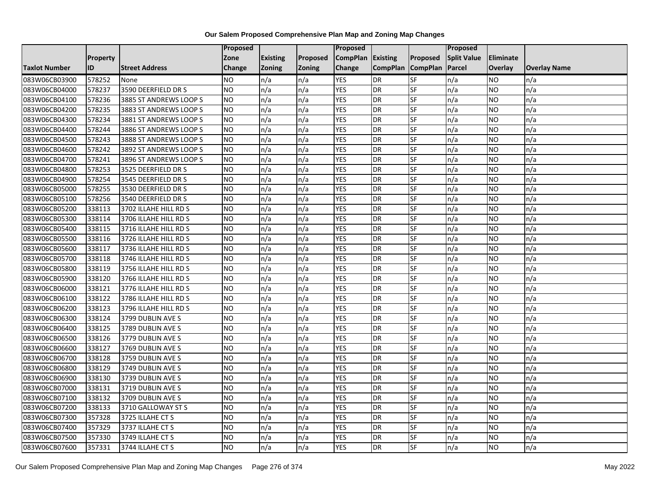|                      |                 |                        | Proposed  |                 |               | Proposed          |                 |                 | Proposed           |                |                     |
|----------------------|-----------------|------------------------|-----------|-----------------|---------------|-------------------|-----------------|-----------------|--------------------|----------------|---------------------|
|                      | <b>Property</b> |                        | Zone      | <b>Existing</b> | Proposed      | CompPlan Existing |                 | Proposed        | <b>Split Value</b> | Eliminate      |                     |
| <b>Taxlot Number</b> | ID              | <b>Street Address</b>  | Change    | Zoning          | <b>Zoning</b> | Change            | <b>CompPlan</b> | <b>CompPlan</b> | Parcel             | <b>Overlay</b> | <b>Overlay Name</b> |
| 083W06CB03900        | 578252          | None                   | <b>NO</b> | n/a             | n/a           | <b>YES</b>        | <b>DR</b>       | <b>SF</b>       | n/a                | NO             | n/a                 |
| 083W06CB04000        | 578237          | 3590 DEERFIELD DR S    | NO        | n/a             | n/a           | <b>YES</b>        | <b>DR</b>       | <b>SF</b>       | n/a                | NO.            | n/a                 |
| 083W06CB04100        | 578236          | 3885 ST ANDREWS LOOP S | <b>NO</b> | n/a             | n/a           | <b>YES</b>        | DR              | SF              | n/a                | NO.            | n/a                 |
| 083W06CB04200        | 578235          | 3883 ST ANDREWS LOOP S | <b>NO</b> | n/a             | n/a           | <b>YES</b>        | DR              | SF              | n/a                | NO.            | n/a                 |
| 083W06CB04300        | 578234          | 3881 ST ANDREWS LOOP S | <b>NO</b> | n/a             | n/a           | <b>YES</b>        | <b>DR</b>       | <b>SF</b>       | n/a                | NO.            | n/a                 |
| 083W06CB04400        | 578244          | 3886 ST ANDREWS LOOP S | <b>NO</b> | n/a             | n/a           | <b>YES</b>        | <b>DR</b>       | SF              | n/a                | <b>NO</b>      | n/a                 |
| 083W06CB04500        | 578243          | 3888 ST ANDREWS LOOP S | <b>NO</b> | n/a             | n/a           | <b>YES</b>        | DR              | SF              | n/a                | <b>NO</b>      | n/a                 |
| 083W06CB04600        | 578242          | 3892 ST ANDREWS LOOP S | <b>NO</b> | n/a             | n/a           | <b>YES</b>        | DR              | SF              | n/a                | NO.            | n/a                 |
| 083W06CB04700        | 578241          | 3896 ST ANDREWS LOOP S | <b>NO</b> | n/a             | n/a           | <b>YES</b>        | DR              | SF              | n/a                | NO.            | n/a                 |
| 083W06CB04800        | 578253          | 3525 DEERFIELD DR S    | <b>NO</b> | n/a             | n/a           | <b>YES</b>        | DR              | <b>SF</b>       | n/a                | NO.            | n/a                 |
| 083W06CB04900        | 578254          | 3545 DEERFIELD DR S    | <b>NO</b> | n/a             | n/a           | <b>YES</b>        | <b>DR</b>       | SF              | n/a                | <b>NO</b>      | n/a                 |
| 083W06CB05000        | 578255          | 3530 DEERFIELD DR S    | <b>NO</b> | n/a             | n/a           | <b>YES</b>        | DR              | SF              | n/a                | NO.            | n/a                 |
| 083W06CB05100        | 578256          | 3540 DEERFIELD DR S    | ŌИ        | n/a             | n/a           | <b>YES</b>        | <b>DR</b>       | $S_{F}$         | n/a                | NO.            | n/a                 |
| 083W06CB05200        | 338113          | 3702 ILLAHE HILL RD S  | <b>NO</b> | n/a             | n/a           | <b>YES</b>        | <b>DR</b>       | SF              | n/a                | NO.            | n/a                 |
| 083W06CB05300        | 338114          | 3706 ILLAHE HILL RD S  | <b>NO</b> | n/a             | n/a           | <b>YES</b>        | DR              | SF              | n/a                | NO.            | n/a                 |
| 083W06CB05400        | 338115          | 3716 ILLAHE HILL RD S  | ŌИ        | n/a             | n/a           | <b>YES</b>        | <b>DR</b>       | $S_{F}$         | n/a                | NO.            | n/a                 |
| 083W06CB05500        | 338116          | 3726 ILLAHE HILL RD S  | ŌИ        | n/a             | n/a           | <b>YES</b>        | $\overline{R}$  | <b>SF</b>       | n/a                | NO.            | n/a                 |
| 083W06CB05600        | 338117          | 3736 ILLAHE HILL RD S  | <b>NO</b> | n/a             | n/a           | <b>YES</b>        | DR              | SF              | n/a                | NO.            | n/a                 |
| 083W06CB05700        | 338118          | 3746 ILLAHE HILL RD S  | <b>NO</b> | n/a             | n/a           | <b>YES</b>        | DR              | SF              | n/a                | NO.            | n/a                 |
| 083W06CB05800        | 338119          | 3756 ILLAHE HILL RD S  | <b>NO</b> | n/a             | n/a           | <b>YES</b>        | <b>DR</b>       | <b>SF</b>       | n/a                | NO.            | n/a                 |
| 083W06CB05900        | 338120          | 3766 ILLAHE HILL RD S  | <b>NO</b> | n/a             | n/a           | <b>YES</b>        | DR              | SF              | n/a                | <b>NO</b>      | n/a                 |
| 083W06CB06000        | 338121          | 3776 ILLAHE HILL RD S  | <b>NO</b> | n/a             | n/a           | <b>YES</b>        | <b>DR</b>       | <b>SF</b>       | n/a                | <b>NO</b>      | n/a                 |
| 083W06CB06100        | 338122          | 3786 ILLAHE HILL RD S  | ŌИ        | n/a             | n/a           | <b>YES</b>        | <b>DR</b>       | <b>SF</b>       | n/a                | NO.            | n/a                 |
| 083W06CB06200        | 338123          | 3796 ILLAHE HILL RD S  | <b>NO</b> | n/a             | n/a           | <b>YES</b>        | DR              | SF              | n/a                | NO.            | n/a                 |
| 083W06CB06300        | 338124          | 3799 DUBLIN AVE S      | <b>NO</b> | n/a             | n/a           | <b>YES</b>        | <b>DR</b>       | SF              | n/a                | <b>NO</b>      | n/a                 |
| 083W06CB06400        | 338125          | 3789 DUBLIN AVE S      | <b>NO</b> | n/a             | n/a           | <b>YES</b>        | DR              | SF              | n/a                | NO.            | n/a                 |
| 083W06CB06500        | 338126          | 3779 DUBLIN AVE S      | ŌИ        | n/a             | n/a           | <b>YES</b>        | DR              | $S_{F}$         | n/a                | NO.            | n/a                 |
| 083W06CB06600        | 338127          | 3769 DUBLIN AVE S      | <b>NO</b> | n/a             | n/a           | <b>YES</b>        | DR              | SF              | n/a                | NO.            | n/a                 |
| 083W06CB06700        | 338128          | 3759 DUBLIN AVE S      | <b>NO</b> | n/a             | n/a           | <b>YES</b>        | DR              | SF              | n/a                | NO.            | n/a                 |
| 083W06CB06800        | 338129          | 3749 DUBLIN AVE S      | <b>NO</b> | n/a             | n/a           | <b>YES</b>        | <b>DR</b>       | SF              | n/a                | NO.            | n/a                 |
| 083W06CB06900        | 338130          | 3739 DUBLIN AVE S      | <b>NO</b> | n/a             | n/a           | <b>YES</b>        | DR              | SF              | n/a                | NO.            | n/a                 |
| 083W06CB07000        | 338131          | 3719 DUBLIN AVE S      | <b>NO</b> | n/a             | n/a           | <b>YES</b>        | DR              | SF              | n/a                | NO.            | n/a                 |
| 083W06CB07100        | 338132          | 3709 DUBLIN AVE S      | Ю         | n/a             | n/a           | <b>YES</b>        | <b>DR</b>       | SF              | n/a                | NO.            | n/a                 |
| 083W06CB07200        | 338133          | 3710 GALLOWAY ST S     | <b>NO</b> | n/a             | n/a           | <b>YES</b>        | DR              | SF              | n/a                | NO.            | n/a                 |
| 083W06CB07300        | 357328          | 3725 ILLAHE CT S       | <b>NO</b> | n/a             | n/a           | <b>YES</b>        | DR              | SF              | n/a                | NO.            | n/a                 |
| 083W06CB07400        | 357329          | 3737 ILLAHE CT S       | <b>NO</b> | n/a             | n/a           | <b>YES</b>        | <b>DR</b>       | SF              | n/a                | NO.            | n/a                 |
| 083W06CB07500        | 357330          | 3749 ILLAHE CT S       | <b>NO</b> | n/a             | n/a           | <b>YES</b>        | DR              | SF              | n/a                | <b>NO</b>      | n/a                 |
| 083W06CB07600        | 357331          | 3744 ILLAHE CT S       | <b>NO</b> | n/a             | n/a           | <b>YES</b>        | <b>DR</b>       | SF              | n/a                | <b>NO</b>      | n/a                 |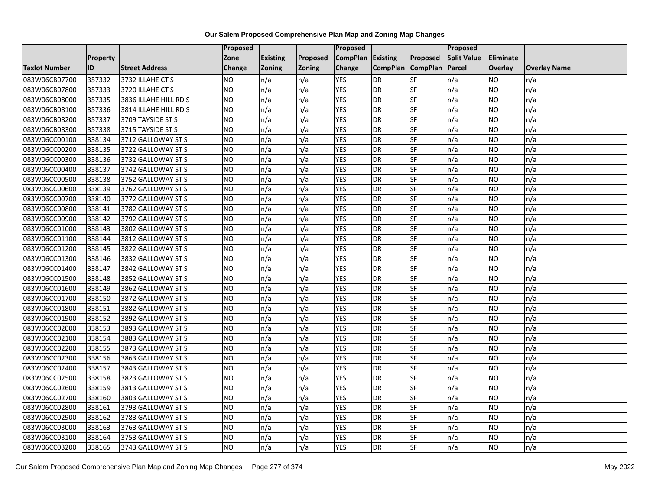|                      |                 |                       | <b>Proposed</b> |                 |          | Proposed          |                 |                 | <b>Proposed</b>    |                 |                     |
|----------------------|-----------------|-----------------------|-----------------|-----------------|----------|-------------------|-----------------|-----------------|--------------------|-----------------|---------------------|
|                      | <b>Property</b> |                       | Zone            | <b>Existing</b> | Proposed | CompPlan Existing |                 | Proposed        | <b>Split Value</b> | Eliminate       |                     |
| <b>Taxlot Number</b> | ID              | <b>Street Address</b> | <b>Change</b>   | Zoning          | Zoning   | Change            | <b>CompPlan</b> | <b>CompPlan</b> | Parcel             | Overlay         | <b>Overlay Name</b> |
| 083W06CB07700        | 357332          | 3732 ILLAHE CT S      | <b>NO</b>       | n/a             | n/a      | <b>YES</b>        | DR              | SF              | n/a                | NO              | n/a                 |
| 083W06CB07800        | 357333          | 3720 ILLAHE CT S      | <b>NO</b>       | n/a             | n/a      | <b>YES</b>        | DR              | SF              | n/a                | NO.             | n/a                 |
| 083W06CB08000        | 357335          | 3836 ILLAHE HILL RD S | <b>NO</b>       | n/a             | n/a      | <b>YES</b>        | DR              | SF              | n/a                | NO.             | n/a                 |
| 083W06CB08100        | 357336          | 3814 ILLAHE HILL RD S | <b>NO</b>       | n/a             | n/a      | <b>YES</b>        | DR              | SF              | n/a                | NO.             | n/a                 |
| 083W06CB08200        | 357337          | 3709 TAYSIDE ST S     | <b>NO</b>       | n/a             | n/a      | <b>YES</b>        | DR              | SF              | n/a                | NO.             | n/a                 |
| 083W06CB08300        | 357338          | 3715 TAYSIDE ST S     | <b>ON</b>       | n/a             | n/a      | <b>YES</b>        | DR              | SF              | n/a                | <b>NO</b>       | n/a                 |
| 083W06CC00100        | 338134          | 3712 GALLOWAY ST S    | <b>NO</b>       | n/a             | n/a      | <b>YES</b>        | DR              | <b>SF</b>       | n/a                | NO              | n/a                 |
| 083W06CC00200        | 338135          | 3722 GALLOWAY ST S    | <b>NO</b>       | n/a             | n/a      | <b>YES</b>        | DR              | SF              | n/a                | NO              | n/a                 |
| 083W06CC00300        | 338136          | 3732 GALLOWAY ST S    | <b>NO</b>       | n/a             | n/a      | <b>YES</b>        | DR              | SF              | n/a                | NO              | n/a                 |
| 083W06CC00400        | 338137          | 3742 GALLOWAY ST S    | <b>ON</b>       | n/a             | n/a      | <b>YES</b>        | DR              | SF              | n/a                | NO              | n/a                 |
| 083W06CC00500        | 338138          | 3752 GALLOWAY ST S    | <b>NO</b>       | n/a             | n/a      | <b>YES</b>        | DR              | SF              | n/a                | <b>NO</b>       | n/a                 |
| 083W06CC00600        | 338139          | 3762 GALLOWAY ST S    | <b>NO</b>       | n/a             | n/a      | <b>YES</b>        | DR              | SF              | n/a                | NO              | n/a                 |
| 083W06CC00700        | 338140          | 3772 GALLOWAY ST S    | <b>NO</b>       | n/a             | n/a      | <b>YES</b>        | DR              | SF              | n/a                | NO              | n/a                 |
| 083W06CC00800        | 338141          | 3782 GALLOWAY ST S    | <b>ON</b>       | n/a             | n/a      | <b>YES</b>        | DR              | SF              | n/a                | <b>NO</b>       | n/a                 |
| 083W06CC00900        | 338142          | 3792 GALLOWAY ST S    | <b>NO</b>       | n/a             | n/a      | <b>YES</b>        | DR              | SF              | n/a                | NO              | n/a                 |
| 083W06CC01000        | 338143          | 3802 GALLOWAY ST S    | <b>NO</b>       | n/a             | n/a      | <b>YES</b>        | DR              | SF              | n/a                | <b>NO</b>       | n/a                 |
| 083W06CC01100        | 338144          | 3812 GALLOWAY ST S    | <b>NO</b>       | n/a             | n/a      | <b>YES</b>        | DR              | SF              | n/a                | NO              | n/a                 |
| 083W06CC01200        | 338145          | 3822 GALLOWAY ST S    | <b>NO</b>       | n/a             | n/a      | <b>YES</b>        | <b>DR</b>       | SF              | n/a                | <b>NO</b>       | n/a                 |
| 083W06CC01300        | 338146          | 3832 GALLOWAY ST S    | <b>NO</b>       | n/a             | n/a      | <b>YES</b>        | DR              | SF              | n/a                | NO.             | n/a                 |
| 083W06CC01400        | 338147          | 3842 GALLOWAY ST S    | <b>NO</b>       | n/a             | n/a      | <b>YES</b>        | DR              | SF              | n/a                | NO.             | n/a                 |
| 083W06CC01500        | 338148          | 3852 GALLOWAY ST S    | <b>NO</b>       | n/a             | n/a      | <b>YES</b>        | DR              | SF              | n/a                | <b>NO</b>       | n/a                 |
| 083W06CC01600        | 338149          | 3862 GALLOWAY ST S    | <b>NO</b>       | n/a             | n/a      | <b>YES</b>        | $\overline{DR}$ | SF              | n/a                | $\overline{NO}$ | n/a                 |
| 083W06CC01700        | 338150          | 3872 GALLOWAY ST S    | <b>NO</b>       | n/a             | n/a      | <b>YES</b>        | DR              | <b>SF</b>       | n/a                | <b>NO</b>       | n/a                 |
| 083W06CC01800        | 338151          | 3882 GALLOWAY ST S    | <b>NO</b>       | n/a             | n/a      | <b>YES</b>        | DR              | SF              | n/a                | <b>NO</b>       | n/a                 |
| 083W06CC01900        | 338152          | 3892 GALLOWAY ST S    | <b>ON</b>       | n/a             | n/a      | <b>YES</b>        | DR              | SF              | n/a                | NO              | n/a                 |
| 083W06CC02000        | 338153          | 3893 GALLOWAY ST S    | <b>ON</b>       | n/a             | n/a      | <b>YES</b>        | DR              | SF              | n/a                | NO              | n/a                 |
| 083W06CC02100        | 338154          | 3883 GALLOWAY ST S    | <b>NO</b>       | n/a             | n/a      | <b>YES</b>        | DR              | SF              | n/a                | <b>NO</b>       | n/a                 |
| 083W06CC02200        | 338155          | 3873 GALLOWAY ST S    | <b>NO</b>       | n/a             | n/a      | <b>YES</b>        | DR              | SF              | n/a                | NO.             | n/a                 |
| 083W06CC02300        | 338156          | 3863 GALLOWAY ST S    | <b>NO</b>       | n/a             | n/a      | <b>YES</b>        | DR              | SF              | n/a                | NO.             | n/a                 |
| 083W06CC02400        | 338157          | 3843 GALLOWAY ST S    | <b>NO</b>       | n/a             | n/a      | <b>YES</b>        | DR              | SF              | n/a                | <b>NO</b>       | n/a                 |
| 083W06CC02500        | 338158          | 3823 GALLOWAY ST S    | <b>NO</b>       | n/a             | n/a      | <b>YES</b>        | DR              | SF              | n/a                | <b>NO</b>       | n/a                 |
| 083W06CC02600        | 338159          | 3813 GALLOWAY ST S    | <b>NO</b>       | n/a             | n/a      | <b>YES</b>        | DR              | SF              | n/a                | <b>NO</b>       | n/a                 |
| 083W06CC02700        | 338160          | 3803 GALLOWAY ST S    | <b>NO</b>       | n/a             | n/a      | <b>YES</b>        | DR              | SF              | n/a                | NO.             | n/a                 |
| 083W06CC02800        | 338161          | 3793 GALLOWAY ST S    | <b>NO</b>       | n/a             | n/a      | <b>YES</b>        | DR              | SF              | n/a                | NO.             | n/a                 |
| 083W06CC02900        | 338162          | 3783 GALLOWAY ST S    | Ю               | n/a             | n/a      | <b>YES</b>        | DR              | SF              | n/a                | <b>NO</b>       | n/a                 |
| 083W06CC03000        | 338163          | 3763 GALLOWAY ST S    | <b>NO</b>       | n/a             | n/a      | <b>YES</b>        | DR              | SF              | n/a                | NO              | n/a                 |
| 083W06CC03100        | 338164          | 3753 GALLOWAY ST S    | <b>NO</b>       | n/a             | n/a      | <b>YES</b>        | DR              | SF              | n/a                | NO.             | n/a                 |
| 083W06CC03200        | 338165          | 3743 GALLOWAY ST S    | Ю               | n/a             | n/a      | <b>YES</b>        | DR              | SF              | n/a                | NO              | n/a                 |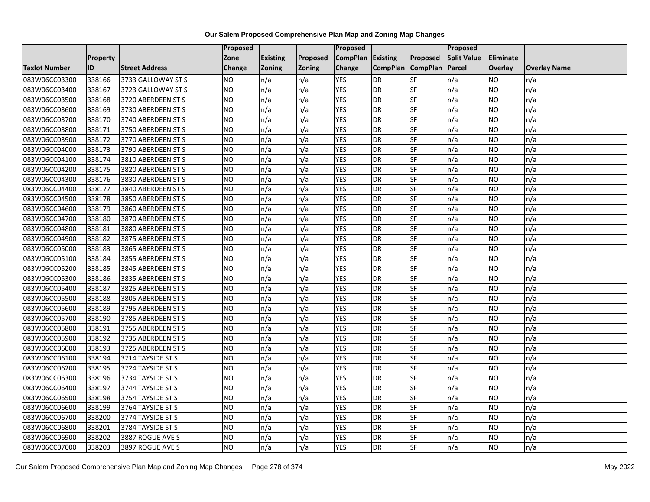|                      |                 |                       | Proposed  |                 |               | Proposed        |                 |                 | Proposed           |           |                     |
|----------------------|-----------------|-----------------------|-----------|-----------------|---------------|-----------------|-----------------|-----------------|--------------------|-----------|---------------------|
|                      | <b>Property</b> |                       | Zone      | <b>Existing</b> | Proposed      | <b>CompPlan</b> | Existing        | Proposed        | <b>Split Value</b> | Eliminate |                     |
| <b>Taxlot Number</b> | ID              | <b>Street Address</b> | Change    | Zoning          | <b>Zoning</b> | Change          | <b>CompPlan</b> | <b>CompPlan</b> | Parcel             | Overlay   | <b>Overlay Name</b> |
| 083W06CC03300        | 338166          | 3733 GALLOWAY ST S    | <b>NO</b> | n/a             | n/a           | <b>YES</b>      | <b>DR</b>       | <b>SF</b>       | n/a                | NO.       | n/a                 |
| 083W06CC03400        | 338167          | 3723 GALLOWAY ST S    | <b>NO</b> | n/a             | n/a           | <b>YES</b>      | DR              | SF              | n/a                | NO.       | n/a                 |
| 083W06CC03500        | 338168          | 3720 ABERDEEN ST S    | <b>NO</b> | n/a             | n/a           | <b>YES</b>      | DR              | SF              | n/a                | NO.       | n/a                 |
| 083W06CC03600        | 338169          | 3730 ABERDEEN ST S    | <b>NO</b> | n/a             | n/a           | <b>YES</b>      | DR              | SF              | n/a                | NO.       | n/a                 |
| 083W06CC03700        | 338170          | 3740 ABERDEEN ST S    | <b>NO</b> | n/a             | n/a           | <b>YES</b>      | DR              | SF              | n/a                | NO.       | n/a                 |
| 083W06CC03800        | 338171          | 3750 ABERDEEN ST S    | Ю         | n/a             | n/a           | <b>YES</b>      | <b>DR</b>       | SF              | n/a                | <b>NO</b> | n/a                 |
| 083W06CC03900        | 338172          | 3770 ABERDEEN ST S    | <b>NO</b> | n/a             | n/a           | <b>YES</b>      | DR              | SF              | n/a                | NO.       | n/a                 |
| 083W06CC04000        | 338173          | 3790 ABERDEEN ST S    | <b>NO</b> | n/a             | n/a           | <b>YES</b>      | DR              | SF              | n/a                | NO.       | n/a                 |
| 083W06CC04100        | 338174          | 3810 ABERDEEN ST S    | <b>NO</b> | n/a             | n/a           | <b>YES</b>      | DR              | SF              | n/a                | NO.       | n/a                 |
| 083W06CC04200        | 338175          | 3820 ABERDEEN ST S    | <b>NO</b> | n/a             | n/a           | <b>YES</b>      | DR              | SF              | n/a                | NO.       | n/a                 |
| 083W06CC04300        | 338176          | 3830 ABERDEEN ST S    | <b>NO</b> | n/a             | n/a           | <b>YES</b>      | <b>DR</b>       | SF              | n/a                | <b>NO</b> | n/a                 |
| 083W06CC04400        | 338177          | 3840 ABERDEEN ST S    | <b>NO</b> | n/a             | n/a           | <b>YES</b>      | DR              | SF              | n/a                | <b>NO</b> | n/a                 |
| 083W06CC04500        | 338178          | 3850 ABERDEEN ST S    | ŌИ        | n/a             | n/a           | <b>YES</b>      | <b>DR</b>       | $S_{F}$         | n/a                | NO.       | n/a                 |
| 083W06CC04600        | 338179          | 3860 ABERDEEN ST S    | <b>NO</b> | n/a             | n/a           | <b>YES</b>      | <b>DR</b>       | SF              | n/a                | NO.       | n/a                 |
| 083W06CC04700        | 338180          | 3870 ABERDEEN ST S    | <b>NO</b> | n/a             | n/a           | <b>YES</b>      | DR              | SF              | n/a                | NO.       | n/a                 |
| 083W06CC04800        | 338181          | 3880 ABERDEEN ST S    | ŌИ        | n/a             | n/a           | <b>YES</b>      | <b>DR</b>       | $S_{F}$         | n/a                | NO.       | n/a                 |
| 083W06CC04900        | 338182          | 3875 ABERDEEN ST S    | ŌИ        | n/a             | n/a           | <b>YES</b>      | $\overline{R}$  | <b>SF</b>       | n/a                | NO.       | n/a                 |
| 083W06CC05000        | 338183          | 3865 ABERDEEN ST S    | <b>NO</b> | n/a             | n/a           | <b>YES</b>      | DR              | SF              | n/a                | NO.       | n/a                 |
| 083W06CC05100        | 338184          | 3855 ABERDEEN ST S    | <b>NO</b> | n/a             | n/a           | <b>YES</b>      | DR              | SF              | n/a                | NO.       | n/a                 |
| 083W06CC05200        | 338185          | 3845 ABERDEEN ST S    | <b>NO</b> | n/a             | n/a           | <b>YES</b>      | <b>DR</b>       | <b>SF</b>       | n/a                | NO.       | n/a                 |
| 083W06CC05300        | 338186          | 3835 ABERDEEN ST S    | <b>NO</b> | n/a             | n/a           | <b>YES</b>      | DR              | SF              | n/a                | <b>NO</b> | n/a                 |
| 083W06CC05400        | 338187          | 3825 ABERDEEN ST S    | <b>NO</b> | n/a             | n/a           | <b>YES</b>      | <b>DR</b>       | SF              | n/a                | <b>NO</b> | n/a                 |
| 083W06CC05500        | 338188          | 3805 ABERDEEN ST S    | ŌИ        | n/a             | n/a           | <b>YES</b>      | <b>DR</b>       | SF              | n/a                | NO.       | n/a                 |
| 083W06CC05600        | 338189          | 3795 ABERDEEN ST S    | <b>NO</b> | n/a             | n/a           | <b>YES</b>      | DR              | SF              | n/a                | NO.       | n/a                 |
| 083W06CC05700        | 338190          | 3785 ABERDEEN ST S    | <b>NO</b> | n/a             | n/a           | <b>YES</b>      | <b>DR</b>       | SF              | n/a                | <b>NO</b> | n/a                 |
| 083W06CC05800        | 338191          | 3755 ABERDEEN ST S    | <b>NO</b> | n/a             | n/a           | <b>YES</b>      | DR              | SF              | n/a                | NO.       | n/a                 |
| 083W06CC05900        | 338192          | 3735 ABERDEEN ST S    | Ю         | n/a             | n/a           | <b>YES</b>      | <b>DR</b>       | $S_{F}$         | n/a                | NO.       | n/a                 |
| 083W06CC06000        | 338193          | 3725 ABERDEEN ST S    | <b>NO</b> | n/a             | n/a           | <b>YES</b>      | DR              | SF              | n/a                | NO.       | n/a                 |
| 083W06CC06100        | 338194          | 3714 TAYSIDE ST S     | <b>NO</b> | n/a             | n/a           | <b>YES</b>      | DR              | SF              | n/a                | NO.       | n/a                 |
| 083W06CC06200        | 338195          | 3724 TAYSIDE ST S     | <b>NO</b> | n/a             | n/a           | <b>YES</b>      | <b>DR</b>       | SF              | n/a                | NO.       | n/a                 |
| 083W06CC06300        | 338196          | 3734 TAYSIDE ST S     | <b>NO</b> | n/a             | n/a           | <b>YES</b>      | DR              | SF              | n/a                | NO.       | n/a                 |
| 083W06CC06400        | 338197          | 3744 TAYSIDE ST S     | <b>NO</b> | n/a             | n/a           | <b>YES</b>      | DR              | SF              | n/a                | NO.       | n/a                 |
| 083W06CC06500        | 338198          | 3754 TAYSIDE ST S     | ŌИ        | n/a             | n/a           | <b>YES</b>      | <b>DR</b>       | <b>SF</b>       | n/a                | NO.       | n/a                 |
| 083W06CC06600        | 338199          | 3764 TAYSIDE ST S     | <b>NO</b> | n/a             | n/a           | <b>YES</b>      | DR              | SF              | n/a                | NO.       | n/a                 |
| 083W06CC06700        | 338200          | 3774 TAYSIDE ST S     | <b>NO</b> | n/a             | n/a           | <b>YES</b>      | DR              | SF              | n/a                | NO.       | n/a                 |
| 083W06CC06800        | 338201          | 3784 TAYSIDE ST S     | <b>NO</b> | n/a             | n/a           | <b>YES</b>      | <b>DR</b>       | SF              | n/a                | NO.       | n/a                 |
| 083W06CC06900        | 338202          | 3887 ROGUE AVE S      | <b>NO</b> | n/a             | n/a           | <b>YES</b>      | DR              | SF              | n/a                | ΝO        | n/a                 |
| 083W06CC07000        | 338203          | 3897 ROGUE AVE S      | <b>NO</b> | n/a             | n/a           | <b>YES</b>      | DR              | SF              | n/a                | NO.       | n/a                 |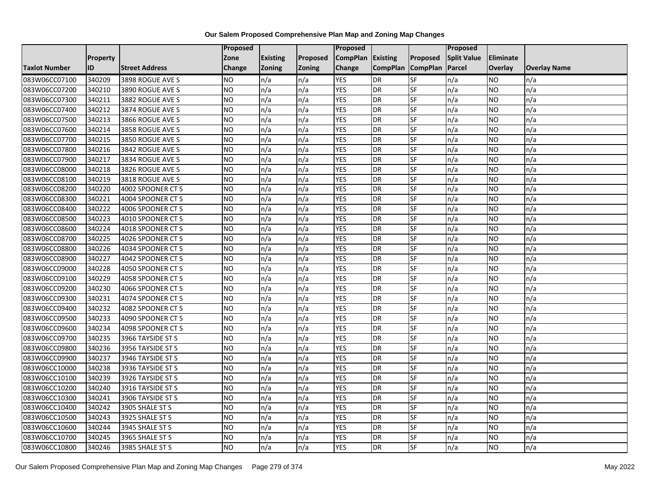|                      |          |                       | <b>Proposed</b> |                 |          | Proposed          |                 |                 | <b>Proposed</b>    |                 |                     |
|----------------------|----------|-----------------------|-----------------|-----------------|----------|-------------------|-----------------|-----------------|--------------------|-----------------|---------------------|
|                      | Property |                       | Zone            | <b>Existing</b> | Proposed | CompPlan Existing |                 | Proposed        | <b>Split Value</b> | Eliminate       |                     |
| <b>Taxlot Number</b> | ID       | <b>Street Address</b> | <b>Change</b>   | Zoning          | Zoning   | Change            | <b>CompPlan</b> | <b>CompPlan</b> | Parcel             | Overlay         | <b>Overlay Name</b> |
| 083W06CC07100        | 340209   | 3898 ROGUE AVE S      | <b>NO</b>       | n/a             | n/a      | <b>YES</b>        | DR              | SF              | n/a                | NO              | n/a                 |
| 083W06CC07200        | 340210   | 3890 ROGUE AVE S      | <b>NO</b>       | n/a             | n/a      | <b>YES</b>        | <b>DR</b>       | SF              | n/a                | NO.             | n/a                 |
| 083W06CC07300        | 340211   | 3882 ROGUE AVE S      | <b>NO</b>       | n/a             | n/a      | <b>YES</b>        | DR              | SF              | n/a                | NO.             | n/a                 |
| 083W06CC07400        | 340212   | 3874 ROGUE AVE S      | <b>NO</b>       | n/a             | n/a      | <b>YES</b>        | DR              | SF              | n/a                | NO.             | n/a                 |
| 083W06CC07500        | 340213   | 3866 ROGUE AVE S      | Ю               | n/a             | n/a      | <b>YES</b>        | DR              | SF              | n/a                | NO.             | n/a                 |
| 083W06CC07600        | 340214   | 3858 ROGUE AVE S      | <b>NO</b>       | n/a             | n/a      | <b>YES</b>        | DR              | SF              | n/a                | <b>NO</b>       | n/a                 |
| 083W06CC07700        | 340215   | 3850 ROGUE AVE S      | <b>NO</b>       | n/a             | n/a      | <b>YES</b>        | DR              | <b>SF</b>       | n/a                | <b>NO</b>       | n/a                 |
| 083W06CC07800        | 340216   | 3842 ROGUE AVE S      | <b>NO</b>       | n/a             | n/a      | <b>YES</b>        | DR              | SF              | n/a                | <b>NO</b>       | n/a                 |
| 083W06CC07900        | 340217   | 3834 ROGUE AVE S      | <b>NO</b>       | n/a             | n/a      | <b>YES</b>        | DR              | SF              | n/a                | NO              | n/a                 |
| 083W06CC08000        | 340218   | 3826 ROGUE AVE S      | Ю               | n/a             | n/a      | <b>YES</b>        | DR              | SF              | n/a                | <b>NO</b>       | n/a                 |
| 083W06CC08100        | 340219   | 3818 ROGUE AVE S      | <b>NO</b>       | n/a             | n/a      | <b>YES</b>        | DR              | SF              | n/a                | <b>NO</b>       | n/a                 |
| 083W06CC08200        | 340220   | 4002 SPOONER CT S     | <b>NO</b>       | n/a             | n/a      | <b>YES</b>        | DR              | SF              | n/a                | NO              | n/a                 |
| 083W06CC08300        | 340221   | 4004 SPOONER CT S     | <b>NO</b>       | n/a             | n/a      | <b>YES</b>        | DR              | SF              | n/a                | NO              | n/a                 |
| 083W06CC08400        | 340222   | 4006 SPOONER CT S     | <b>ON</b>       | n/a             | n/a      | <b>YES</b>        | DR              | SF              | n/a                | <b>NO</b>       | n/a                 |
| 083W06CC08500        | 340223   | 4010 SPOONER CT S     | <b>NO</b>       | n/a             | n/a      | <b>YES</b>        | DR              | <b>SF</b>       | n/a                | NO.             | n/a                 |
| 083W06CC08600        | 340224   | 4018 SPOONER CT S     | <b>NO</b>       | n/a             | n/a      | <b>YES</b>        | DR              | SF              | n/a                | <b>NO</b>       | n/a                 |
| 083W06CC08700        | 340225   | 4026 SPOONER CT S     | <b>NO</b>       | n/a             | n/a      | <b>YES</b>        | DR              | SF              | n/a                | NO.             | n/a                 |
| 083W06CC08800        | 340226   | 4034 SPOONER CT S     | <b>NO</b>       | n/a             | n/a      | <b>YES</b>        | DR              | SF              | n/a                | <b>NO</b>       | n/a                 |
| 083W06CC08900        | 340227   | 4042 SPOONER CT S     | <b>NO</b>       | n/a             | n/a      | <b>YES</b>        | DR              | SF              | n/a                | NO              | n/a                 |
| 083W06CC09000        | 340228   | 4050 SPOONER CT S     | <b>NO</b>       | n/a             | n/a      | <b>YES</b>        | DR              | SF              | n/a                | NO              | n/a                 |
| 083W06CC09100        | 340229   | 4058 SPOONER CT S     | <b>NO</b>       | n/a             | n/a      | <b>YES</b>        | DR              | SF              | n/a                | <b>NO</b>       | n/a                 |
| 083W06CC09200        | 340230   | 4066 SPOONER CT S     | <b>NO</b>       | n/a             | n/a      | <b>YES</b>        | $\overline{DR}$ | SF              | n/a                | $\overline{NO}$ | n/a                 |
| 083W06CC09300        | 340231   | 4074 SPOONER CT S     | <b>NO</b>       | n/a             | n/a      | <b>YES</b>        | DR              | <b>SF</b>       | n/a                | <b>NO</b>       | n/a                 |
| 083W06CC09400        | 340232   | 4082 SPOONER CT S     | <b>NO</b>       | n/a             | n/a      | <b>YES</b>        | DR              | SF              | n/a                | <b>NO</b>       | n/a                 |
| 083W06CC09500        | 340233   | 4090 SPOONER CT S     | <b>ON</b>       | n/a             | n/a      | <b>YES</b>        | DR              | SF              | n/a                | NO              | n/a                 |
| 083W06CC09600        | 340234   | 4098 SPOONER CT S     | <b>ON</b>       | n/a             | n/a      | <b>YES</b>        | DR              | SF              | n/a                | NO              | n/a                 |
| 083W06CC09700        | 340235   | 3966 TAYSIDE ST S     | <b>NO</b>       | n/a             | n/a      | <b>YES</b>        | DR              | SF              | n/a                | <b>NO</b>       | n/a                 |
| 083W06CC09800        | 340236   | 3956 TAYSIDE ST S     | <b>NO</b>       | n/a             | n/a      | <b>YES</b>        | DR              | SF              | n/a                | NO.             | n/a                 |
| 083W06CC09900        | 340237   | 3946 TAYSIDE ST S     | <b>NO</b>       | n/a             | n/a      | <b>YES</b>        | DR              | SF              | n/a                | NO.             | n/a                 |
| 083W06CC10000        | 340238   | 3936 TAYSIDE ST S     | <b>NO</b>       | n/a             | n/a      | <b>YES</b>        | DR              | SF              | n/a                | <b>NO</b>       | n/a                 |
| 083W06CC10100        | 340239   | 3926 TAYSIDE ST S     | <b>NO</b>       | n/a             | n/a      | <b>YES</b>        | DR              | <b>SF</b>       | n/a                | <b>NO</b>       | n/a                 |
| 083W06CC10200        | 340240   | 3916 TAYSIDE ST S     | <b>NO</b>       | n/a             | n/a      | <b>YES</b>        | DR              | SF              | n/a                | <b>NO</b>       | n/a                 |
| 083W06CC10300        | 340241   | 3906 TAYSIDE ST S     | <b>NO</b>       | n/a             | n/a      | <b>YES</b>        | DR              | SF              | n/a                | NO              | n/a                 |
| 083W06CC10400        | 340242   | 3905 SHALE ST S       | <b>NO</b>       | n/a             | n/a      | <b>YES</b>        | DR              | SF              | n/a                | <b>NO</b>       | n/a                 |
| 083W06CC10500        | 340243   | 3925 SHALE ST S       | Ю               | n/a             | n/a      | <b>YES</b>        | DR              | SF              | n/a                | NO              | n/a                 |
| 083W06CC10600        | 340244   | 3945 SHALE ST S       | <b>NO</b>       | n/a             | n/a      | <b>YES</b>        | DR              | SF              | n/a                | NO.             | n/a                 |
| 083W06CC10700        | 340245   | 3965 SHALE ST S       | <b>NO</b>       | n/a             | n/a      | <b>YES</b>        | DR              | SF              | n/a                | NO.             | n/a                 |
| 083W06CC10800        | 340246   | 3985 SHALE ST S       | <b>NO</b>       | n/a             | n/a      | <b>YES</b>        | $\overline{DR}$ | SF              | n/a                | NO.             | n/a                 |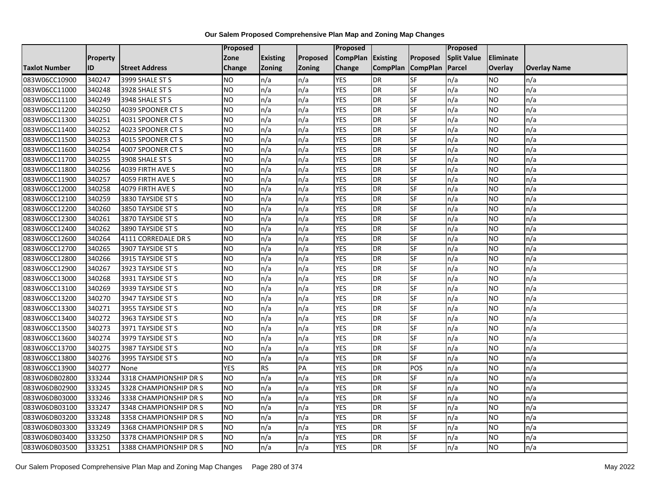|                      |                 |                        | Proposed   |                 |               | <b>Proposed</b>   |                 |                 | <b>Proposed</b>    |           |                     |
|----------------------|-----------------|------------------------|------------|-----------------|---------------|-------------------|-----------------|-----------------|--------------------|-----------|---------------------|
|                      | <b>Property</b> |                        | Zone       | <b>Existing</b> | Proposed      | CompPlan Existing |                 | Proposed        | <b>Split Value</b> | Eliminate |                     |
| <b>Taxlot Number</b> | ID              | <b>Street Address</b>  | Change     | Zoning          | <b>Zoning</b> | Change            | <b>CompPlan</b> | <b>CompPlan</b> | Parcel             | Overlay   | <b>Overlay Name</b> |
| 083W06CC10900        | 340247          | 3999 SHALE ST S        | <b>NO</b>  | n/a             | n/a           | <b>YES</b>        | <b>DR</b>       | <b>SF</b>       | n/a                | NO        | n/a                 |
| 083W06CC11000        | 340248          | 3928 SHALE ST S        | <b>NO</b>  | n/a             | n/a           | <b>YES</b>        | DR              | SF              | n/a                | NO.       | n/a                 |
| 083W06CC11100        | 340249          | 3948 SHALE ST S        | <b>NO</b>  | n/a             | n/a           | <b>YES</b>        | <b>DR</b>       | SF              | n/a                | NO.       | n/a                 |
| 083W06CC11200        | 340250          | 4039 SPOONER CT S      | <b>NO</b>  | n/a             | n/a           | <b>YES</b>        | DR              | SF              | n/a                | NO.       | n/a                 |
| 083W06CC11300        | 340251          | 4031 SPOONER CT S      | <b>NO</b>  | n/a             | n/a           | <b>YES</b>        | DR              | <b>SF</b>       | n/a                | <b>NO</b> | n/a                 |
| 083W06CC11400        | 340252          | 4023 SPOONER CT S      | <b>NO</b>  | n/a             | n/a           | <b>YES</b>        | <b>DR</b>       | SF              | n/a                | NO.       | n/a                 |
| 083W06CC11500        | 340253          | 4015 SPOONER CT S      | <b>NO</b>  | n/a             | n/a           | <b>YES</b>        | DR              | SF              | n/a                | NO.       | n/a                 |
| 083W06CC11600        | 340254          | 4007 SPOONER CT S      | <b>NO</b>  | n/a             | n/a           | <b>YES</b>        | DR              | SF              | n/a                | NO.       | n/a                 |
| 083W06CC11700        | 340255          | 3908 SHALE ST S        | <b>NO</b>  | n/a             | n/a           | <b>YES</b>        | <b>DR</b>       | SF              | n/a                | ΝO        | n/a                 |
| 083W06CC11800        | 340256          | 4039 FIRTH AVE S       | <b>NO</b>  | n/a             | n/a           | <b>YES</b>        | <b>DR</b>       | SF              | n/a                | NO.       | n/a                 |
| 083W06CC11900        | 340257          | 4059 FIRTH AVE S       | Ю          | n/a             | n/a           | <b>YES</b>        | DR              | <b>SF</b>       | n/a                | <b>NO</b> | n/a                 |
| 083W06CC12000        | 340258          | 4079 FIRTH AVE S       | <b>NO</b>  | n/a             | n/a           | <b>YES</b>        | <b>DR</b>       | SF              | n/a                | NO.       | n/a                 |
| 083W06CC12100        | 340259          | 3830 TAYSIDE ST S      | <b>NO</b>  | n/a             | n/a           | <b>YES</b>        | DR              | SF              | n/a                | NO.       | n/a                 |
| 083W06CC12200        | 340260          | 3850 TAYSIDE ST S      | <b>NO</b>  | n/a             | n/a           | <b>YES</b>        | <b>DR</b>       | SF              | n/a                | NO.       | n/a                 |
| 083W06CC12300        | 340261          | 3870 TAYSIDE ST S      | <b>NO</b>  | n/a             | n/a           | <b>YES</b>        | DR              | SF              | n/a                | NO.       | n/a                 |
| 083W06CC12400        | 340262          | 3890 TAYSIDE ST S      | ŌИ         | n/a             | n/a           | <b>YES</b>        | <b>DR</b>       | <b>SF</b>       | n/a                | NO.       | n/a                 |
| 083W06CC12600        | 340264          | 4111 CORREDALE DR S    | <b>NO</b>  | n/a             | n/a           | <b>YES</b>        | DR              | SF              | n/a                | NO.       | n/a                 |
| 083W06CC12700        | 340265          | 3907 TAYSIDE ST S      | <b>NO</b>  | n/a             | n/a           | <b>YES</b>        | DR              | SF              | n/a                | NO.       | n/a                 |
| 083W06CC12800        | 340266          | 3915 TAYSIDE ST S      | <b>NO</b>  | n/a             | n/a           | <b>YES</b>        | <b>DR</b>       | <b>SF</b>       | n/a                | NO.       | n/a                 |
| 083W06CC12900        | 340267          | 3923 TAYSIDE ST S      | <b>NO</b>  | n/a             | n/a           | <b>YES</b>        | DR              | SF              | n/a                | NO.       | n/a                 |
| 083W06CC13000        | 340268          | 3931 TAYSIDE ST S      | <b>NO</b>  | n/a             | n/a           | <b>YES</b>        | DR              | SF              | n/a                | <b>NO</b> | n/a                 |
| 083W06CC13100        | 340269          | 3939 TAYSIDE ST S      | ŌИ         | n/a             | n/a           | <b>YES</b>        | DR              | <b>SF</b>       | n/a                | NO.       | n/a                 |
| 083W06CC13200        | 340270          | 3947 TAYSIDE ST S      | <b>NO</b>  | n/a             | n/a           | <b>YES</b>        | DR              | SF              | n/a                | NO.       | n/a                 |
| 083W06CC13300        | 340271          | 3955 TAYSIDE ST S      | <b>NO</b>  | n/a             | n/a           | <b>YES</b>        | DR              | SF              | n/a                | NO.       | n/a                 |
| 083W06CC13400        | 340272          | 3963 TAYSIDE ST S      | <b>NO</b>  | n/a             | n/a           | <b>YES</b>        | <b>DR</b>       | $S_{F}$         | n/a                | NO.       | n/a                 |
| 083W06CC13500        | 340273          | 3971 TAYSIDE ST S      | <b>NO</b>  | n/a             | n/a           | <b>YES</b>        | <b>DR</b>       | SF              | n/a                | NO.       | n/a                 |
| 083W06CC13600        | 340274          | 3979 TAYSIDE ST S      | Ю          | n/a             | n/a           | <b>YES</b>        | <b>DR</b>       | <b>SF</b>       | n/a                | <b>NO</b> | n/a                 |
| 083W06CC13700        | 340275          | 3987 TAYSIDE ST S      | <b>NO</b>  | n/a             | n/a           | <b>YES</b>        | DR              | SF              | n/a                | NO.       | n/a                 |
| 083W06CC13800        | 340276          | 3995 TAYSIDE ST S      | <b>NO</b>  | n/a             | n/a           | <b>YES</b>        | DR              | SF              | n/a                | NO.       | n/a                 |
| 083W06CC13900        | 340277          | None                   | <b>YES</b> | <b>RS</b>       | PA            | <b>YES</b>        | <b>DR</b>       | POS             | n/a                | NO.       | n/a                 |
| 083W06DB02800        | 333244          | 3318 CHAMPIONSHIP DR S | <b>NO</b>  | n/a             | n/a           | <b>YES</b>        | DR              | SF              | n/a                | NO.       | n/a                 |
| 083W06DB02900        | 333245          | 3328 CHAMPIONSHIP DR S | ŌИ         | n/a             | n/a           | <b>YES</b>        | DR              | <b>SF</b>       | n/a                | NO.       | n/a                 |
| 083W06DB03000        | 333246          | 3338 CHAMPIONSHIP DR S | <b>NO</b>  | n/a             | n/a           | <b>YES</b>        | DR              | SF              | n/a                | <b>NO</b> | n/a                 |
| 083W06DB03100        | 333247          | 3348 CHAMPIONSHIP DR S | <b>NO</b>  | n/a             | n/a           | <b>YES</b>        | DR              | SF              | n/a                | NO.       | n/a                 |
| 083W06DB03200        | 333248          | 3358 CHAMPIONSHIP DR S | <b>NO</b>  | n/a             | n/a           | <b>YES</b>        | <b>DR</b>       | <b>SF</b>       | n/a                | NO.       | n/a                 |
| 083W06DB03300        | 333249          | 3368 CHAMPIONSHIP DR S | <b>NO</b>  | n/a             | n/a           | <b>YES</b>        | DR              | SF              | n/a                | NO.       | n/a                 |
| 083W06DB03400        | 333250          | 3378 CHAMPIONSHIP DR S | <b>NO</b>  | n/a             | n/a           | <b>YES</b>        | DR              | SF              | n/a                | <b>NO</b> | n/a                 |
| 083W06DB03500        | 333251          | 3388 CHAMPIONSHIP DR S | ŌИ         | n/a             | n/a           | <b>YES</b>        | <b>DR</b>       | <b>SF</b>       | n/a                | <b>NO</b> | n/a                 |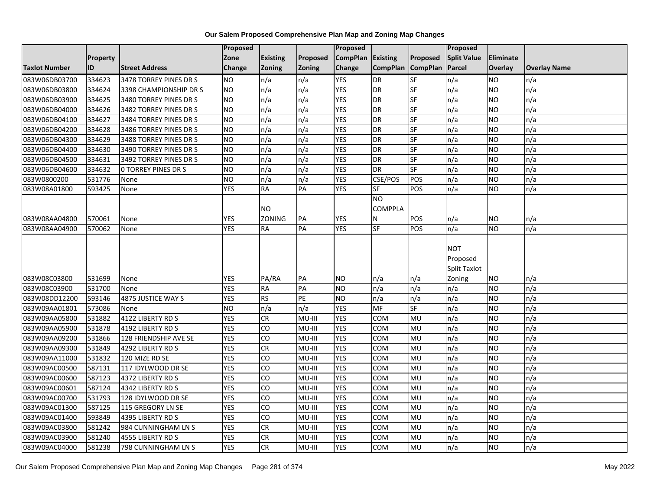|               |                 |                            | <b>Proposed</b> |                 |                 | Proposed          |                                   |                 | <b>Proposed</b>                        |                 |                     |
|---------------|-----------------|----------------------------|-----------------|-----------------|-----------------|-------------------|-----------------------------------|-----------------|----------------------------------------|-----------------|---------------------|
|               | <b>Property</b> |                            | Zone            | <b>Existing</b> | Proposed        | CompPlan Existing |                                   | Proposed        | <b>Split Value</b>                     | Eliminate       |                     |
| Taxlot Number | ID              | <b>Street Address</b>      | <b>Change</b>   | Zoning          | Zoning          | Change            | <b>CompPlan</b>                   | <b>CompPlan</b> | Parcel                                 | Overlay         | <b>Overlay Name</b> |
| 083W06DB03700 | 334623          | 3478 TORREY PINES DR S     | <b>NO</b>       | n/a             | n/a             | <b>YES</b>        | <b>DR</b>                         | SF              | n/a                                    | NO              | n/a                 |
| 083W06DB03800 | 334624          | 3398 CHAMPIONSHIP DR S     | NO              | n/a             | n/a             | <b>YES</b>        | DR                                | SF              | n/a                                    | NO.             | n/a                 |
| 083W06DB03900 | 334625          | 3480 TORREY PINES DR S     | <b>NO</b>       | n/a             | n/a             | <b>YES</b>        | DR                                | SF              | n/a                                    | <b>NO</b>       | n/a                 |
| 083W06DB04000 | 334626          | 3482 TORREY PINES DR S     | <b>NO</b>       | n/a             | n/a             | <b>YES</b>        | DR                                | SF              | n/a                                    | NO.             | n/a                 |
| 083W06DB04100 | 334627          | 3484 TORREY PINES DR S     | <b>NO</b>       | n/a             | n/a             | <b>YES</b>        | $\overline{DR}$                   | SF              | n/a                                    | NO.             | n/a                 |
| 083W06DB04200 | 334628          | 3486 TORREY PINES DR S     | <b>NO</b>       | n/a             | n/a             | <b>YES</b>        | DR                                | SF              | n/a                                    | <b>NO</b>       | n/a                 |
| 083W06DB04300 | 334629          | 3488 TORREY PINES DR S     | <b>NO</b>       | n/a             | n/a             | <b>YES</b>        | DR                                | SF              | n/a                                    | <b>NO</b>       | n/a                 |
| 083W06DB04400 | 334630          | 3490 TORREY PINES DR S     | <b>NO</b>       | n/a             | n/a             | <b>YES</b>        | DR                                | <b>SF</b>       | n/a                                    | NO              | n/a                 |
| 083W06DB04500 | 334631          | 3492 TORREY PINES DR S     | <b>NO</b>       | n/a             | n/a             | <b>YES</b>        | DR                                | SF              | n/a                                    | NO              | n/a                 |
| 083W06DB04600 | 334632          | <b>O TORREY PINES DR S</b> | <b>NO</b>       | n/a             | n/a             | <b>YES</b>        | <b>DR</b>                         | SF              | n/a                                    | <b>NO</b>       | n/a                 |
| 083W0800200   | 531776          | None                       | <b>NO</b>       | n/a             | n/a             | <b>YES</b>        | CSE/POS                           | POS             | n/a                                    | NO.             | n/a                 |
| 083W08A01800  | 593425          | None                       | <b>YES</b>      | <b>RA</b>       | PA              | <b>YES</b>        | SF                                | POS             | n/a                                    | <b>NO</b>       | n/a                 |
|               |                 |                            |                 | <b>NO</b>       |                 |                   | $\overline{10}$<br><b>COMPPLA</b> |                 |                                        |                 |                     |
| 083W08AA04800 | 570061          | None                       | <b>YES</b>      | ZONING          | PA              | <b>YES</b>        | Ν                                 | POS             | n/a                                    | NO.             | n/a                 |
| 083W08AA04900 | 570062          | None                       | <b>YES</b>      | <b>RA</b>       | $\overline{PA}$ | <b>YES</b>        | SF                                | POS             | n/a                                    | $\overline{NO}$ | n/a                 |
| 083W08C03800  | 531699          |                            | <b>YES</b>      | PA/RA           | PА              | <b>NO</b>         |                                   |                 | <b>NOT</b><br>Proposed<br>Split Taxlot | NO.             |                     |
| 083W08C03900  | 531700          | None<br>None               | <b>YES</b>      | <b>RA</b>       | PA              | <b>NO</b>         | n/a<br>n/a                        | n/a<br>n/a      | Zoning<br>n/a                          | NO.             | n/a<br>n/a          |
| 083W08DD12200 | 593146          | 4875 JUSTICE WAY S         | <b>YES</b>      | <b>RS</b>       | PE              | <b>NO</b>         | n/a                               | n/a             | n/a                                    | NO.             | n/a                 |
| 083W09AA01801 | 573086          | None                       | <b>NO</b>       | n/a             | n/a             | <b>YES</b>        | MF                                | SF              | n/a                                    | <b>NO</b>       | n/a                 |
| 083W09AA05800 | 531882          | 4122 LIBERTY RD S          | <b>YES</b>      | CR              | MU-III          | <b>YES</b>        | COM                               | MU              | n/a                                    | NO.             | n/a                 |
| 083W09AA05900 | 531878          | 4192 LIBERTY RD S          | <b>YES</b>      | CO              | MU-III          | <b>YES</b>        | COM                               | MU              | n/a                                    | NO.             | n/a                 |
| 083W09AA09200 | 531866          | 128 FRIENDSHIP AVE SE      | <b>YES</b>      | 6               | MU-III          | <b>YES</b>        | COM                               | <b>MU</b>       | n/a                                    | <b>NO</b>       | n/a                 |
| 083W09AA09300 | 531849          | 4292 LIBERTY RD S          | <b>YES</b>      | <b>CR</b>       | MU-III          | <b>YES</b>        | COM                               | MU              | n/a                                    | NO.             | n/a                 |
| 083W09AA11000 | 531832          | 120 MIZE RD SE             | <b>YES</b>      | CO              | MU-III          | <b>YES</b>        | COM                               | MU              | n/a                                    | <b>NO</b>       | n/a                 |
| 083W09AC00500 | 587131          | 117 IDYLWOOD DR SE         | <b>YES</b>      | <b>CO</b>       | MU-III          | <b>YES</b>        | COM                               | MU              | n/a                                    | NO.             | n/a                 |
| 083W09AC00600 | 587123          | 4372 LIBERTY RD S          | <b>YES</b>      | CO              | MU-III          | <b>YES</b>        | COM                               | MU              | n/a                                    | <b>NO</b>       | n/a                 |
| 083W09AC00601 | 587124          | 4342 LIBERTY RD S          | <b>YES</b>      | Ю               | MU-III          | <b>YES</b>        | COM                               | MU              | n/a                                    | <b>NO</b>       | n/a                 |
| 083W09AC00700 | 531793          | 128 IDYLWOOD DR SE         | <b>YES</b>      | 6               | MU-III          | <b>YES</b>        | COM                               | MU              | n/a                                    | NO.             | n/a                 |
| 083W09AC01300 | 587125          | 115 GREGORY LN SE          | <b>YES</b>      | <b>CO</b>       | MU-III          | <b>YES</b>        | COM                               | MU              | n/a                                    | NO.             | n/a                 |
| 083W09AC01400 | 593849          | 4395 LIBERTY RD S          | <b>YES</b>      | Ю               | MU-III          | <b>YES</b>        | COM                               | MU              | n/a                                    | <b>NO</b>       | n/a                 |
| 083W09AC03800 | 581242          | 984 CUNNINGHAM LN S        | <b>YES</b>      | $\overline{c}$  | MU-III          | <b>YES</b>        | COM                               | MU              | n/a                                    | <b>NO</b>       | n/a                 |
| 083W09AC03900 | 581240          | 4555 LIBERTY RD S          | <b>YES</b>      | <b>CR</b>       | MU-III          | <b>YES</b>        | COM                               | MU              | n/a                                    | NO.             | n/a                 |
| 083W09AC04000 | 581238          | 798 CUNNINGHAM LN S        | <b>YES</b>      | CR              | MU-III          | <b>YES</b>        | COM                               | MU              | n/a                                    | <b>NO</b>       | n/a                 |
|               |                 |                            |                 |                 |                 |                   |                                   |                 |                                        |                 |                     |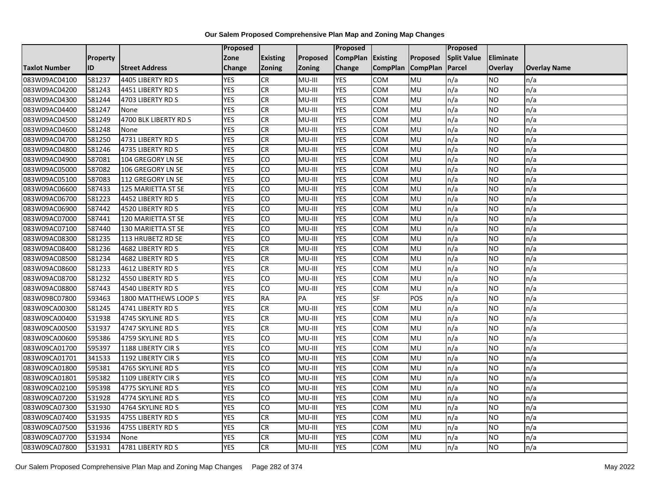|                      |                 |                       | Proposed   |                 |               | Proposed        |                 |                 | Proposed           |                  |                     |
|----------------------|-----------------|-----------------------|------------|-----------------|---------------|-----------------|-----------------|-----------------|--------------------|------------------|---------------------|
|                      | <b>Property</b> |                       | Zone       | <b>Existing</b> | Proposed      | <b>CompPlan</b> | Existing        | Proposed        | <b>Split Value</b> | <b>Eliminate</b> |                     |
| <b>Taxlot Number</b> | ID              | <b>Street Address</b> | Change     | Zoning          | <b>Zoning</b> | Change          | <b>CompPlan</b> | <b>CompPlan</b> | Parcel             | <b>Overlay</b>   | <b>Overlay Name</b> |
| 083W09AC04100        | 581237          | 4405 LIBERTY RD S     | <b>YES</b> | <b>CR</b>       | MU-III        | <b>YES</b>      | <b>COM</b>      | MU              | n/a                | NO.              | n/a                 |
| 083W09AC04200        | 581243          | 4451 LIBERTY RD S     | <b>YES</b> | <b>CR</b>       | MU-III        | <b>YES</b>      | COM             | <b>MU</b>       | n/a                | NO.              | n/a                 |
| 083W09AC04300        | 581244          | 4703 LIBERTY RD S     | <b>YES</b> | CR              | MU-III        | <b>YES</b>      | COM             | MU              | n/a                | <b>NO</b>        | n/a                 |
| 083W09AC04400        | 581247          | None                  | <b>YES</b> | <b>CR</b>       | MU-III        | <b>YES</b>      | сом             | MU              | n/a                | NO.              | n/a                 |
| 083W09AC04500        | 581249          | 4700 BLK LIBERTY RD S | <b>YES</b> | CR              | MU-III        | <b>YES</b>      | COM             | <b>MU</b>       | n/a                | NO.              | n/a                 |
| 083W09AC04600        | 581248          | None                  | <b>YES</b> | CR              | MU-III        | <b>YES</b>      | COM             | MU              | n/a                | <b>NO</b>        | n/a                 |
| 083W09AC04700        | 581250          | 4731 LIBERTY RD S     | <b>YES</b> | <b>CR</b>       | MU-III        | <b>YES</b>      | COM             | MU              | n/a                | NO.              | n/a                 |
| 083W09AC04800        | 581246          | 4735 LIBERTY RD S     | <b>YES</b> | CR              | MU-III        | <b>YES</b>      | COM             | <b>MU</b>       | n/a                | NO.              | n/a                 |
| 083W09AC04900        | 587081          | 104 GREGORY LN SE     | <b>YES</b> | CO              | MU-III        | <b>YES</b>      | COM             | MU              | n/a                | NO.              | n/a                 |
| 083W09AC05000        | 587082          | 106 GREGORY LN SE     | <b>YES</b> | 6               | MU-III        | <b>YES</b>      | <b>COM</b>      | MU              | n/a                | NO.              | n/a                 |
| 083W09AC05100        | 587083          | 112 GREGORY LN SE     | <b>YES</b> | CO              | MU-III        | <b>YES</b>      | COM             | MU              | n/a                | <b>NO</b>        | n/a                 |
| 083W09AC06600        | 587433          | 125 MARIETTA ST SE    | <b>YES</b> | CO              | MU-III        | <b>YES</b>      | COM             | MU              | n/a                | <b>NO</b>        | n/a                 |
| 083W09AC06700        | 581223          | 4452 LIBERTY RD S     | <b>YES</b> | $\overline{c}$  | MU-III        | <b>YES</b>      | COM             | <b>MU</b>       | n/a                | NO.              | n/a                 |
| 083W09AC06900        | 587442          | 4520 LIBERTY RD S     | <b>YES</b> | CO              | MU-III        | <b>YES</b>      | COM             | MU              | n/a                | NO.              | n/a                 |
| 083W09AC07000        | 587441          | 120 MARIETTA ST SE    | <b>YES</b> | CO              | MU-III        | <b>YES</b>      | COM             | MU              | n/a                | <b>NO</b>        | n/a                 |
| 083W09AC07100        | 587440          | 130 MARIETTA ST SE    | <b>YES</b> | 6               | MU-III        | <b>YES</b>      | COM             | <b>MU</b>       | n/a                | NO.              | n/a                 |
| 083W09AC08300        | 581235          | 113 HRUBETZ RD SE     | <b>YES</b> | CO              | MU-III        | <b>YES</b>      | COM             | MU              | n/a                | <b>NO</b>        | n/a                 |
| 083W09AC08400        | 581236          | 4682 LIBERTY RD S     | <b>YES</b> | <b>CR</b>       | MU-III        | <b>YES</b>      | COM             | MU              | n/a                | NO.              | n/a                 |
| 083W09AC08500        | 581234          | 4682 LIBERTY RD S     | <b>YES</b> | <b>CR</b>       | MU-III        | <b>YES</b>      | COM             | <b>MU</b>       | n/a                | NO.              | n/a                 |
| 083W09AC08600        | 581233          | 4612 LIBERTY RD S     | <b>YES</b> | <b>CR</b>       | MU-III        | <b>YES</b>      | COM             | MU              | n/a                | NO.              | n/a                 |
| 083W09AC08700        | 581232          | 4550 LIBERTY RD S     | <b>YES</b> | CO              | MU-III        | <b>YES</b>      | COM             | MU              | n/a                | NO.              | n/a                 |
| 083W09AC08800        | 587443          | 4540 LIBERTY RD S     | <b>YES</b> | CO              | MU-III        | <b>YES</b>      | COM             | MU              | n/a                | NO.              | n/a                 |
| 083W09BC07800        | 593463          | 1800 MATTHEWS LOOP S  | <b>YES</b> | <b>RA</b>       | PA            | <b>YES</b>      | $S_{F}$         | POS             | n/a                | NO.              | n/a                 |
| 083W09CA00300        | 581245          | 4741 LIBERTY RD S     | <b>YES</b> | CR              | MU-III        | <b>YES</b>      | COM             | MU              | n/a                | NO.              | n/a                 |
| 083W09CA00400        | 531938          | 4745 SKYLINE RD S     | <b>YES</b> | CR              | MU-III        | <b>YES</b>      | сом             | MU              | n/a                | NO.              | n/a                 |
| 083W09CA00500        | 531937          | 4747 SKYLINE RD S     | <b>YES</b> | <b>CR</b>       | MU-III        | <b>YES</b>      | COM             | MU              | n/a                | NO.              | n/a                 |
| 083W09CA00600        | 595386          | 4759 SKYLINE RD S     | <b>YES</b> | 6               | MU-III        | <b>YES</b>      | COM             | <b>MU</b>       | n/a                | NO.              | n/a                 |
| 083W09CA01700        | 595397          | 1188 LIBERTY CIRS     | <b>YES</b> | CO              | MU-III        | <b>YES</b>      | COM             | MU              | n/a                | NO.              | n/a                 |
| 083W09CA01701        | 341533          | 1192 LIBERTY CIRS     | <b>YES</b> | CO              | MU-III        | <b>YES</b>      | COM             | MU              | n/a                | NO.              | n/a                 |
| 083W09CA01800        | 595381          | 4765 SKYLINE RD S     | <b>YES</b> | 6               | MU-III        | <b>YES</b>      | <b>COM</b>      | MU              | n/a                | NO.              | n/a                 |
| 083W09CA01801        | 595382          | 1109 LIBERTY CIRS     | <b>YES</b> | CO              | MU-III        | <b>YES</b>      | COM             | MU              | n/a                | <b>NO</b>        | n/a                 |
| 083W09CA02100        | 595398          | 4775 SKYLINE RD S     | <b>YES</b> | CO              | MU-III        | <b>YES</b>      | COM             | MU              | n/a                | <b>NO</b>        | n/a                 |
| 083W09CA07200        | 531928          | 4774 SKYLINE RD S     | <b>YES</b> | CO              | MU-III        | <b>YES</b>      | COM             | MU              | n/a                | NO.              | n/a                 |
| 083W09CA07300        | 531930          | 4764 SKYLINE RD S     | <b>YES</b> | CO              | MU-III        | <b>YES</b>      | COM             | MU              | n/a                | NO.              | n/a                 |
| 083W09CA07400        | 531935          | 4755 LIBERTY RD S     | <b>YES</b> | CR              | MU-III        | <b>YES</b>      | COM             | MU              | n/a                | <b>NO</b>        | n/a                 |
| 083W09CA07500        | 531936          | 4755 LIBERTY RD S     | <b>YES</b> | <b>CR</b>       | MU-III        | <b>YES</b>      | COM             | MU              | n/a                | NO.              | n/a                 |
| 083W09CA07700        | 531934          | None                  | <b>YES</b> | <b>CR</b>       | MU-III        | <b>YES</b>      | COM             | MU              | n/a                | NO.              | n/a                 |
| 083W09CA07800        | 531931          | 4781 LIBERTY RD S     | <b>YES</b> | <b>CR</b>       | MU-III        | <b>YES</b>      | COM             | MU              | n/a                | NO.              | n/a                 |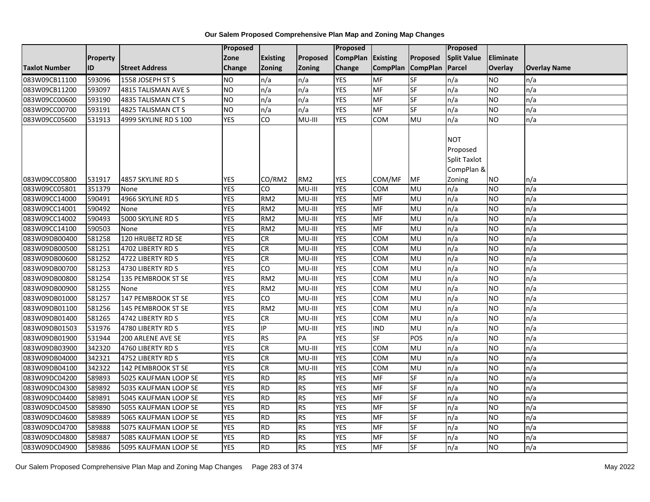|                      |                 |                       | Proposed   |                 |                 | Proposed          |                 |                 | Proposed            |           |                     |
|----------------------|-----------------|-----------------------|------------|-----------------|-----------------|-------------------|-----------------|-----------------|---------------------|-----------|---------------------|
|                      | <b>Property</b> |                       | Zone       | <b>Existing</b> | Proposed        | CompPlan Existing |                 | Proposed        | <b>Split Value</b>  | Eliminate |                     |
| <b>Taxlot Number</b> | ID              | <b>Street Address</b> | Change     | Zoning          | <b>Zoning</b>   | Change            | <b>CompPlan</b> | <b>CompPlan</b> | Parcel              | Overlay   | <b>Overlay Name</b> |
| 083W09CB11100        | 593096          | 1558 JOSEPH ST S      | <b>NO</b>  | n/a             | n/a             | <b>YES</b>        | <b>MF</b>       | <b>SF</b>       | n/a                 | NO        | n/a                 |
| 083W09CB11200        | 593097          | 4815 TALISMAN AVE S   | <b>NO</b>  | n/a             | n/a             | <b>YES</b>        | MF              | <b>SF</b>       | n/a                 | NO.       | n/a                 |
| 083W09CC00600        | 593190          | 4835 TALISMAN CT S    | <b>NO</b>  | n/a             | n/a             | <b>YES</b>        | MF              | SF              | n/a                 | NO.       | n/a                 |
| 083W09CC00700        | 593191          | 4825 TALISMAN CT S    | <b>NO</b>  | n/a             | n/a             | <b>YES</b>        | MF              | SF              | n/a                 | NO.       | n/a                 |
| 083W09CC05600        | 531913          | 4999 SKYLINE RD S 100 | <b>YES</b> | CO              | MU-III          | <b>YES</b>        | COM             | MU              | n/a                 | NO.       | n/a                 |
|                      |                 |                       |            |                 |                 |                   |                 |                 |                     |           |                     |
|                      |                 |                       |            |                 |                 |                   |                 |                 | <b>NOT</b>          |           |                     |
|                      |                 |                       |            |                 |                 |                   |                 |                 | Proposed            |           |                     |
|                      |                 |                       |            |                 |                 |                   |                 |                 | <b>Split Taxlot</b> |           |                     |
|                      |                 |                       |            |                 |                 |                   |                 |                 | CompPlan &          |           |                     |
| 083W09CC05800        | 531917          | 4857 SKYLINE RD S     | <b>YES</b> | CO/RM2          | RM <sub>2</sub> | <b>YES</b>        | COM/MF          | MF              | Zoning              | ΝO        | n/a                 |
| 083W09CC05801        | 351379          | None                  | <b>YES</b> | CO              | MU-III          | <b>YES</b>        | <b>COM</b>      | MU              | n/a                 | NO.       | n/a                 |
| 083W09CC14000        | 590491          | 4966 SKYLINE RD S     | <b>YES</b> | RM <sub>2</sub> | MU-III          | <b>YES</b>        | <b>MF</b>       | <b>MU</b>       | n/a                 | NO.       | n/a                 |
| 083W09CC14001        | 590492          | None                  | <b>YES</b> | RM <sub>2</sub> | MU-III          | <b>YES</b>        | MF              | MU              | n/a                 | NO.       | n/a                 |
| 083W09CC14002        | 590493          | 5000 SKYLINE RD S     | <b>YES</b> | RM <sub>2</sub> | MU-III          | <b>YES</b>        | MF              | MU              | n/a                 | NO.       | n/a                 |
| 083W09CC14100        | 590503          | None                  | <b>YES</b> | RM <sub>2</sub> | MU-III          | <b>YES</b>        | <b>MF</b>       | MU              | n/a                 | NO.       | n/a                 |
| 083W09DB00400        | 581258          | 120 HRUBETZ RD SE     | <b>YES</b> | ${\sf CR}$      | MU-III          | <b>YES</b>        | <b>COM</b>      | <b>MU</b>       | n/a                 | NO.       | n/a                 |
| 083W09DB00500        | 581251          | 4702 LIBERTY RD S     | <b>YES</b> | <b>CR</b>       | MU-III          | <b>YES</b>        | COM             | MU              | n/a                 | NO.       | n/a                 |
| 083W09DB00600        | 581252          | 4722 LIBERTY RD S     | <b>YES</b> | <b>CR</b>       | MU-III          | <b>YES</b>        | COM             | MU              | n/a                 | NO.       | n/a                 |
| 083W09DB00700        | 581253          | 4730 LIBERTY RD S     | <b>YES</b> | $\overline{c}$  | MU-III          | <b>YES</b>        | <b>COM</b>      | MU              | n/a                 | ΝO        | n/a                 |
| 083W09DB00800        | 581254          | 135 PEMBROOK ST SE    | <b>YES</b> | RM <sub>2</sub> | MU-III          | <b>YES</b>        | COM             | MU              | n/a                 | <b>NO</b> | n/a                 |
| 083W09DB00900        | 581255          | None                  | <b>YES</b> | RM <sub>2</sub> | MU-III          | <b>YES</b>        | COM             | MU              | n/a                 | <b>NO</b> | n/a                 |
| 083W09DB01000        | 581257          | 147 PEMBROOK ST SE    | <b>YES</b> | CO              | MU-III          | <b>YES</b>        | COM             | MU              | n/a                 | NO.       | n/a                 |
| 083W09DB01100        | 581256          | 145 PEMBROOK ST SE    | <b>YES</b> | RM <sub>2</sub> | MU-III          | <b>YES</b>        | COM             | MU              | n/a                 | NO.       | n/a                 |
| 083W09DB01400        | 581265          | 4742 LIBERTY RD S     | <b>YES</b> | CR              | MU-III          | <b>YES</b>        | COM             | MU              | n/a                 | <b>NO</b> | n/a                 |
| 083W09DB01503        | 531976          | 4780 LIBERTY RD S     | <b>YES</b> | IP              | MU-III          | <b>YES</b>        | <b>IND</b>      | MU              | n/a                 | NO.       | n/a                 |
| 083W09DB01900        | 531944          | 200 ARLENE AVE SE     | <b>YES</b> | <b>RS</b>       | PA              | <b>YES</b>        | SF              | POS             | n/a                 | NO.       | n/a                 |
| 083W09DB03900        | 342320          | 4760 LIBERTY RD S     | <b>YES</b> | <b>CR</b>       | MU-III          | <b>YES</b>        | <b>COM</b>      | MU              | n/a                 | NO.       | n/a                 |
| 083W09DB04000        | 342321          | 4752 LIBERTY RD S     | <b>YES</b> | <b>CR</b>       | MU-III          | <b>YES</b>        | COM             | MU              | n/a                 | NO.       | n/a                 |
| 083W09DB04100        | 342322          | 142 PEMBROOK ST SE    | <b>YES</b> | CR              | MU-III          | <b>YES</b>        | COM             | MU              | n/a                 | NO.       | n/a                 |
| 083W09DC04200        | 589893          | 5025 KAUFMAN LOOP SE  | <b>YES</b> | <b>RD</b>       | <b>RS</b>       | <b>YES</b>        | <b>MF</b>       | SF              | n/a                 | NO.       | n/a                 |
| 083W09DC04300        | 589892          | 5035 KAUFMAN LOOP SE  | <b>YES</b> | <b>RD</b>       | <b>RS</b>       | <b>YES</b>        | MF              | <b>SF</b>       | n/a                 | NO.       | n/a                 |
| 083W09DC04400        | 589891          | 5045 KAUFMAN LOOP SE  | <b>YES</b> | <b>RD</b>       | <b>RS</b>       | <b>YES</b>        | <b>MF</b>       | <b>SF</b>       | n/a                 | NO.       | n/a                 |
| 083W09DC04500        | 589890          | 5055 KAUFMAN LOOP SE  | <b>YES</b> | <b>RD</b>       | <b>RS</b>       | <b>YES</b>        | <b>MF</b>       | SF              | n/a                 | NO.       | n/a                 |
| 083W09DC04600        | 589889          | 5065 KAUFMAN LOOP SE  | <b>YES</b> | <b>RD</b>       | <b>RS</b>       | <b>YES</b>        | MF              | SF              | n/a                 | <b>NO</b> | n/a                 |
| 083W09DC04700        | 589888          | 5075 KAUFMAN LOOP SE  | <b>YES</b> | <b>RD</b>       | <b>RS</b>       | <b>YES</b>        | MF              | SF              | n/a                 | NO.       | n/a                 |
| 083W09DC04800        | 589887          | 5085 KAUFMAN LOOP SE  | <b>YES</b> | <b>RD</b>       | <b>RS</b>       | <b>YES</b>        | MF              | SF              | n/a                 | ΝO        | n/a                 |
| 083W09DC04900        | 589886          | 5095 KAUFMAN LOOP SE  | <b>YES</b> | <b>RD</b>       | <b>RS</b>       | <b>YES</b>        | MF              | SF              | n/a                 | NO.       | n/a                 |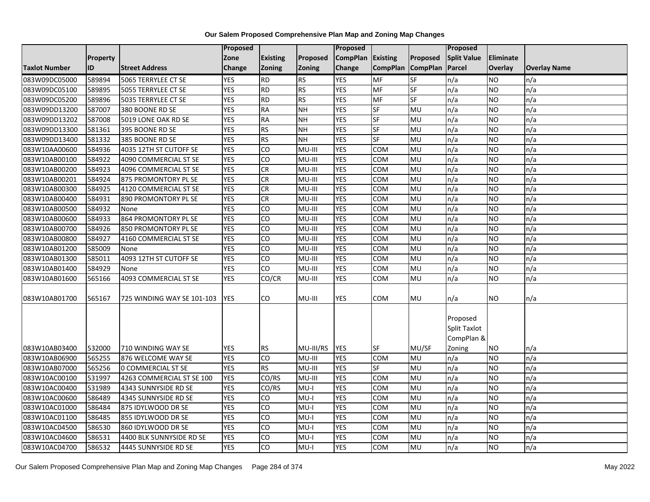|                      |                 |                            | Proposed   |                 |               | <b>Proposed</b> |                 |                 | Proposed                               |                  |                     |
|----------------------|-----------------|----------------------------|------------|-----------------|---------------|-----------------|-----------------|-----------------|----------------------------------------|------------------|---------------------|
|                      | <b>Property</b> |                            | Zone       | <b>Existing</b> | Proposed      | <b>CompPlan</b> | Existing        | Proposed        | <b>Split Value</b>                     | <b>Eliminate</b> |                     |
| <b>Taxlot Number</b> | ID              | <b>Street Address</b>      | Change     | Zoning          | <b>Zoning</b> | Change          | <b>CompPlan</b> | <b>CompPlan</b> | Parcel                                 | Overlay          | <b>Overlay Name</b> |
| 083W09DC05000        | 589894          | 5065 TERRYLEE CT SE        | <b>YES</b> | <b>RD</b>       | RS            | <b>YES</b>      | <b>MF</b>       | $S$ F           | n/a                                    | <b>NO</b>        | n/a                 |
| 083W09DC05100        | 589895          | 5055 TERRYLEE CT SE        | <b>YES</b> | <b>RD</b>       | <b>RS</b>     | <b>YES</b>      | <b>MF</b>       | SF              | n/a                                    | <b>NO</b>        | n/a                 |
| 083W09DC05200        | 589896          | 5035 TERRYLEE CT SE        | <b>YES</b> | <b>RD</b>       | <b>RS</b>     | <b>YES</b>      | MF              | <b>SF</b>       | n/a                                    | <b>NO</b>        | n/a                 |
| 083W09DD13200        | 587007          | 380 BOONE RD SE            | <b>YES</b> | <b>RA</b>       | <b>NH</b>     | <b>YES</b>      | $S$ F           | MU              | n/a                                    | <b>NO</b>        | n/a                 |
| 083W09DD13202        | 587008          | 5019 LONE OAK RD SE        | <b>YES</b> | <b>RA</b>       | <b>NH</b>     | <b>YES</b>      | <b>SF</b>       | MU              | n/a                                    | <b>NO</b>        | n/a                 |
| 083W09DD13300        | 581361          | 395 BOONE RD SE            | <b>YES</b> | <b>RS</b>       | <b>NH</b>     | <b>YES</b>      | <b>SF</b>       | MU              | n/a                                    | <b>NO</b>        | n/a                 |
| 083W09DD13400        | 581332          | 385 BOONE RD SE            | <b>YES</b> | <b>RS</b>       | <b>NH</b>     | <b>YES</b>      | <b>SF</b>       | <b>MU</b>       | n/a                                    | <b>NO</b>        | n/a                 |
| 083W10AA00600        | 584936          | 4035 12TH ST CUTOFF SE     | <b>YES</b> | CO              | MU-III        | <b>YES</b>      | <b>COM</b>      | MU              | n/a                                    | <b>NO</b>        | n/a                 |
| 083W10AB00100        | 584922          | 4090 COMMERCIAL ST SE      | <b>YES</b> | CO              | MU-III        | <b>YES</b>      | COM             | MU              | n/a                                    | <b>NO</b>        | n/a                 |
| 083W10AB00200        | 584923          | 4096 COMMERCIAL ST SE      | <b>YES</b> | CR              | MU-III        | <b>YES</b>      | <b>COM</b>      | MU              | n/a                                    | <b>NO</b>        | n/a                 |
| 083W10AB00201        | 584924          | 875 PROMONTORY PL SE       | <b>YES</b> | CR              | MU-III        | <b>YES</b>      | <b>COM</b>      | <b>MU</b>       | n/a                                    | <b>NO</b>        | n/a                 |
| 083W10AB00300        | 584925          | 4120 COMMERCIAL ST SE      | <b>YES</b> | CR              | MU-III        | <b>YES</b>      | COM             | MU              | n/a                                    | <b>NO</b>        | n/a                 |
| 083W10AB00400        | 584931          | 890 PROMONTORY PL SE       | <b>YES</b> | <b>CR</b>       | MU-III        | <b>YES</b>      | <b>COM</b>      | MU              | n/a                                    | <b>NO</b>        | n/a                 |
| 083W10AB00500        | 584932          | None                       | <b>YES</b> | CO              | MU-III        | <b>YES</b>      | COM             | MU              | n/a                                    | <b>NO</b>        | n/a                 |
| 083W10AB00600        | 584933          | 864 PROMONTORY PL SE       | <b>YES</b> | CO              | MU-III        | <b>YES</b>      | COM             | MU              | n/a                                    | <b>NO</b>        | n/a                 |
| 083W10AB00700        | 584926          | 850 PROMONTORY PL SE       | <b>YES</b> | CO              | MU-III        | <b>YES</b>      | COM             | MU              | n/a                                    | <b>NO</b>        | n/a                 |
| 083W10AB00800        | 584927          | 4160 COMMERCIAL ST SE      | <b>YES</b> | CO              | MU-III        | <b>YES</b>      | COM             | MU              | n/a                                    | <b>NO</b>        | n/a                 |
| 083W10AB01200        | 585009          | None                       | <b>YES</b> | CO              | MU-III        | <b>YES</b>      | COM             | MU              | n/a                                    | <b>NO</b>        | n/a                 |
| 083W10AB01300        | 585011          | 4093 12TH ST CUTOFF SE     | <b>YES</b> | CO              | MU-III        | <b>YES</b>      | COM             | MU              | n/a                                    | <b>NO</b>        | n/a                 |
| 083W10AB01400        | 584929          | None                       | <b>YES</b> | CO              | MU-III        | <b>YES</b>      | COM             | MU              | n/a                                    | <b>NO</b>        | n/a                 |
| 083W10AB01600        | 565166          | 4093 COMMERCIAL ST SE      | <b>YES</b> | CO/CR           | MU-III        | <b>YES</b>      | COM             | MU              | n/a                                    | <b>NO</b>        | n/a                 |
| 083W10AB01700        | 565167          | 725 WINDING WAY SE 101-103 | <b>YES</b> | CO              | MU-III        | <b>YES</b>      | COM             | MU              | n/a                                    | <b>NO</b>        | n/a                 |
|                      |                 |                            |            |                 |               |                 |                 |                 | Proposed<br>Split Taxlot<br>CompPlan & |                  |                     |
| 083W10AB03400        | 532000          | 710 WINDING WAY SE         | <b>YES</b> | <b>RS</b>       | MU-III/RS     | <b>YES</b>      | <b>SF</b>       | MU/SF           | Zoning                                 | <b>NO</b>        | n/a                 |
| 083W10AB06900        | 565255          | 876 WELCOME WAY SE         | <b>YES</b> | CO              | MU-III        | <b>YES</b>      | <b>COM</b>      | MU              | n/a                                    | <b>NO</b>        | n/a                 |
| 083W10AB07000        | 565256          | <b>0 COMMERCIAL ST SE</b>  | <b>YES</b> | <b>RS</b>       | MU-III        | <b>YES</b>      | $S$ F           | MU              | n/a                                    | <b>NO</b>        | n/a                 |
| 083W10AC00100        | 531997          | 4263 COMMERCIAL ST SE 100  | <b>YES</b> | CO/RS           | MU-III        | <b>YES</b>      | COM             | MU              | n/a                                    | <b>NO</b>        | n/a                 |
| 083W10AC00400        | 531989          | 4343 SUNNYSIDE RD SE       | <b>YES</b> | CO/RS           | $MU-I$        | <b>YES</b>      | <b>COM</b>      | MU              | n/a                                    | <b>NO</b>        | n/a                 |
| 083W10AC00600        | 586489          | 4345 SUNNYSIDE RD SE       | <b>YES</b> | CO              | $MU-I$        | <b>YES</b>      | COM             | MU              | n/a                                    | <b>NO</b>        | n/a                 |
| 083W10AC01000        | 586484          | 875 IDYLWOOD DR SE         | <b>YES</b> | CO              | $MU-I$        | <b>YES</b>      | COM             | MU              | n/a                                    | <b>NO</b>        | n/a                 |
| 083W10AC01100        | 586485          | 855 IDYLWOOD DR SE         | <b>YES</b> | CO              | $MU-I$        | <b>YES</b>      | COM             | MU              | n/a                                    | <b>NO</b>        | n/a                 |
| 083W10AC04500        | 586530          | 860 IDYLWOOD DR SE         | <b>YES</b> | CO              | $MU-I$        | <b>YES</b>      | COM             | MU              | n/a                                    | <b>NO</b>        | n/a                 |
| 083W10AC04600        | 586531          | 4400 BLK SUNNYSIDE RD SE   | <b>YES</b> | CO              | $MU-I$        | <b>YES</b>      | COM             | MU              | n/a                                    | <b>NO</b>        | n/a                 |
| 083W10AC04700        | 586532          | 4445 SUNNYSIDE RD SE       | <b>YES</b> | CO              | $MU-I$        | <b>YES</b>      | <b>COM</b>      | MU              | n/a                                    | <b>NO</b>        | n/a                 |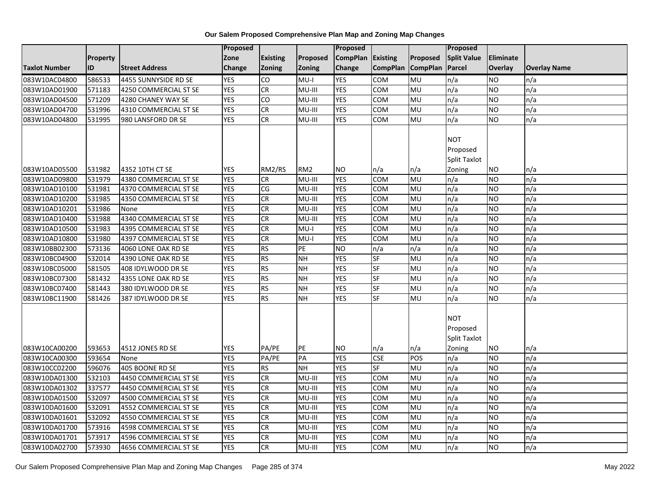|                      |                  |                       | <b>Proposed</b>          |                             |                 | Proposed                 |                 |                 | Proposed            |                 |                     |
|----------------------|------------------|-----------------------|--------------------------|-----------------------------|-----------------|--------------------------|-----------------|-----------------|---------------------|-----------------|---------------------|
|                      | <b>Property</b>  |                       | Zone                     | <b>Existing</b>             | Proposed        | <b>CompPlan</b>          | Existing        | Proposed        | <b>Split Value</b>  | Eliminate       |                     |
| <b>Taxlot Number</b> | ID               | <b>Street Address</b> | Change                   | Zoning                      | Zoning          | Change                   | <b>CompPlan</b> | <b>CompPlan</b> | Parcel              | Overlay         | <b>Overlay Name</b> |
| 083W10AC04800        | 586533           | 4455 SUNNYSIDE RD SE  | <b>YES</b>               | CO                          | $MU-I$          | <b>YES</b>               | <b>COM</b>      | MU              | n/a                 | NO              | n/a                 |
| 083W10AD01900        | 571183           | 4250 COMMERCIAL ST SE | <b>YES</b>               | CR                          | $MU-III$        | <b>YES</b>               | COM             | <b>MU</b>       | n/a                 | NO.             | n/a                 |
| 083W10AD04500        | 571209           | 4280 CHANEY WAY SE    | <b>YES</b>               | CO                          | MU-III          | <b>YES</b>               | COM             | MU              | n/a                 | NO.             | n/a                 |
| 083W10AD04700        | 531996           | 4310 COMMERCIAL ST SE | <b>YES</b>               | <b>CR</b>                   | MU-III          | <b>YES</b>               | COM             | MU              | n/a                 | NO.             | n/a                 |
| 083W10AD04800        | 531995           | 980 LANSFORD DR SE    | <b>YES</b>               | CR                          | MU-III          | <b>YES</b>               | COM             | MU              | n/a                 | <b>NO</b>       | n/a                 |
|                      |                  |                       |                          |                             |                 |                          |                 |                 | <b>NOT</b>          |                 |                     |
|                      |                  |                       |                          |                             |                 |                          |                 |                 | Proposed            |                 |                     |
|                      |                  |                       |                          |                             |                 |                          |                 |                 | Split Taxlot        |                 |                     |
| 083W10AD05500        | 531982           | 4352 10TH CT SE       | <b>YES</b>               | RM2/RS                      | RM <sub>2</sub> | <b>NO</b>                | n/a             | n/a             | Zoning              | NO              | n/a                 |
| 083W10AD09800        | 531979           | 4380 COMMERCIAL ST SE | <b>YES</b>               | CR                          | MU-III          | <b>YES</b>               | COM             | MU              | n/a                 | <b>NO</b>       | n/a                 |
| 083W10AD10100        | 531981           | 4370 COMMERCIAL ST SE | <b>YES</b>               | CG                          | MU-III          | <b>YES</b>               | COM             | MU              | n/a                 | NO.             | n/a                 |
| 083W10AD10200        | 531985           | 4350 COMMERCIAL ST SE | <b>YES</b>               | CR                          | MU-III          | <b>YES</b>               | COM             | MU              | n/a                 | NO.             | n/a                 |
| 083W10AD10201        | 531986           | None                  | <b>YES</b>               | CR                          | MU-III          | <b>YES</b>               | <b>COM</b>      | <b>MU</b>       | n/a                 | <b>NO</b>       | n/a                 |
| 083W10AD10400        | 531988           | 4340 COMMERCIAL ST SE | <b>YES</b>               | <b>CR</b>                   | MU-III          | <b>YES</b>               | <b>COM</b>      | MU              | n/a                 | <b>NO</b>       | n/a                 |
| 083W10AD10500        | 531983           | 4395 COMMERCIAL ST SE | <b>YES</b>               | CR                          | $MU-I$          | <b>YES</b>               | COM             | MU              | n/a                 | <b>NO</b>       | n/a                 |
| 083W10AD10800        | 531980           | 4397 COMMERCIAL ST SE | <b>YES</b>               | <b>CR</b>                   | $MU-I$          | <b>YES</b>               | COM             | MU              | n/a                 | NO.             | n/a                 |
| 083W10BB02300        | 573136           | 4060 LONE OAK RD SE   | <b>YES</b>               | <b>RS</b>                   | PE              | <b>NO</b>                | n/a             | n/a             | n/a                 | NO.             | n/a                 |
| 083W10BC04900        | 532014           | 4390 LONE OAK RD SE   | <b>YES</b>               | <b>RS</b>                   | <b>NH</b>       | <b>YES</b>               | SF              | MU              | n/a                 | NO.             | n/a                 |
| 083W10BC05000        | 581505           | 408 IDYLWOOD DR SE    | <b>YES</b>               | <b>RS</b>                   | <b>NH</b>       | <b>YES</b>               | SF              | MU              | n/a                 | <b>NO</b>       | n/a                 |
| 083W10BC07300        | 581432           | 4355 LONE OAK RD SE   | <b>YES</b>               | RS                          | <b>NH</b>       | <b>YES</b>               | <b>SF</b>       | MU              | n/a                 | NO.             | n/a                 |
| 083W10BC07400        | 581443           | 380 IDYLWOOD DR SE    | <b>YES</b>               | <b>RS</b>                   | <b>NH</b>       | <b>YES</b>               | <b>SF</b>       | <b>MU</b>       | n/a                 | $\overline{NO}$ | n/a                 |
| 083W10BC11900        | 581426           | 387 IDYLWOOD DR SE    | <b>YES</b>               | RS                          | <b>NH</b>       | <b>YES</b>               | <b>SF</b>       | MU              | n/a                 | NO.             | n/a                 |
|                      |                  |                       |                          |                             |                 |                          |                 |                 |                     |                 |                     |
|                      |                  |                       |                          |                             |                 |                          |                 |                 | <b>NOT</b>          |                 |                     |
|                      |                  |                       |                          |                             |                 |                          |                 |                 | Proposed            |                 |                     |
|                      |                  |                       |                          |                             |                 |                          |                 |                 | <b>Split Taxlot</b> |                 |                     |
| 083W10CA00200        | 593653           | 4512 JONES RD SE      | <b>YES</b>               | PA/PE                       | PE              | <b>NO</b>                | n/a             | n/a             | Zoning              | ΝO              | n/a                 |
| 083W10CA00300        | 593654           | None                  | <b>YES</b>               | PA/PE                       | PA              | <b>YES</b>               | <b>CSE</b>      | POS             | n/a                 | NO.             | n/a                 |
| 083W10CC02200        | 596076           | 405 BOONE RD SE       | <b>YES</b>               | <b>RS</b>                   | NH              | <b>YES</b>               | <b>SF</b>       | MU              | n/a                 | <b>NO</b>       | n/a                 |
| 083W10DA01300        | 532103           | 4450 COMMERCIAL ST SE | <b>YES</b>               | <b>CR</b>                   | MU-III          | <b>YES</b>               | <b>COM</b>      | MU              | n/a                 | <b>NO</b>       | n/a                 |
| 083W10DA01302        | 337577           | 4450 COMMERCIAL ST SE | <b>YES</b>               | <b>CR</b>                   | MU-III          | <b>YES</b>               | COM             | MU              | n/a                 | <b>NO</b>       | n/a                 |
| 083W10DA01500        | 532097           | 4500 COMMERCIAL ST SE | <b>YES</b>               | CR                          | MU-III          | <b>YES</b>               | COM             | MU              | n/a                 | NO.             | n/a                 |
| 083W10DA01600        | 532091           | 4552 COMMERCIAL ST SE | <b>YES</b>               | <b>CR</b>                   | MU-III          | <b>YES</b>               | COM             | MU              | n/a                 | NO.             | n/a                 |
| 083W10DA01601        | 532092           | 4550 COMMERCIAL ST SE | <b>YES</b>               | $\overline{c}$<br><b>CR</b> | MU-III          | <b>YES</b>               | COM             | <b>MU</b>       | n/a                 | NO.             | n/a                 |
| 083W10DA01700        | 573916           | 4598 COMMERCIAL ST SE | <b>YES</b><br><b>YES</b> |                             | MU-III          | <b>YES</b><br><b>YES</b> | <b>COM</b>      | MU              | n/a                 | NO.             | n/a                 |
| 083W10DA01701        | 573917<br>573930 | 4596 COMMERCIAL ST SE | <b>YES</b>               | CR<br>CR                    | MU-III          | <b>YES</b>               | COM             | MU<br><b>MU</b> | n/a                 | NO.             | n/a                 |
| 083W10DA02700        |                  | 4656 COMMERCIAL ST SE |                          |                             | MU-III          |                          | COM             |                 | n/a                 | NO.             | n/a                 |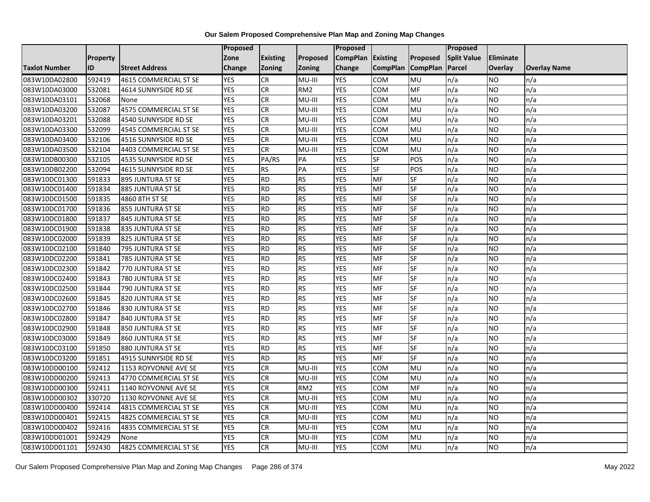|                      |           |                       | <b>Proposed</b> |                 |                 | Proposed        |                   |           | <b>Proposed</b>    |                  |                     |
|----------------------|-----------|-----------------------|-----------------|-----------------|-----------------|-----------------|-------------------|-----------|--------------------|------------------|---------------------|
|                      | Property  |                       | Zone            | <b>Existing</b> | Proposed        | <b>CompPlan</b> | <b>Existing</b>   | Proposed  | <b>Split Value</b> | <b>Eliminate</b> |                     |
| <b>Taxlot Number</b> | <b>ID</b> | <b>Street Address</b> | Change          | <b>Zoning</b>   | <b>Zoning</b>   | Change          | CompPlan CompPlan |           | Parcel             | <b>Overlay</b>   | <b>Overlay Name</b> |
| 083W10DA02800        | 592419    | 4615 COMMERCIAL ST SE | <b>YES</b>      | <b>CR</b>       | MU-III          | <b>YES</b>      | <b>COM</b>        | MU        | n/a                | <b>NO</b>        | n/a                 |
| 083W10DA03000        | 532081    | 4614 SUNNYSIDE RD SE  | <b>YES</b>      | <b>CR</b>       | RM <sub>2</sub> | <b>YES</b>      | COM               | MF        | n/a                | <b>NO</b>        | n/a                 |
| 083W10DA03101        | 532068    | None                  | <b>YES</b>      | <b>CR</b>       | MU-III          | <b>YES</b>      | COM               | MU        | n/a                | <b>NO</b>        | n/a                 |
| 083W10DA03200        | 532087    | 4575 COMMERCIAL ST SE | <b>YES</b>      | <b>CR</b>       | MU-III          | <b>YES</b>      | COM               | MU        | n/a                | <b>NO</b>        | n/a                 |
| 083W10DA03201        | 532088    | 4540 SUNNYSIDE RD SE  | <b>YES</b>      | <b>CR</b>       | MU-III          | <b>YES</b>      | COM               | MU        | n/a                | <b>NO</b>        | n/a                 |
| 083W10DA03300        | 532099    | 4545 COMMERCIAL ST SE | <b>YES</b>      | <b>CR</b>       | MU-III          | <b>YES</b>      | COM               | MU        | n/a                | <b>NO</b>        | n/a                 |
| 083W10DA03400        | 532106    | 4516 SUNNYSIDE RD SE  | <b>YES</b>      | <b>CR</b>       | MU-III          | <b>YES</b>      | COM               | MU        | n/a                | <b>NO</b>        | n/a                 |
| 083W10DA03500        | 532104    | 4403 COMMERCIAL ST SE | <b>YES</b>      | <b>CR</b>       | MU-III          | <b>YES</b>      | COM               | MU        | n/a                | <b>NO</b>        | n/a                 |
| 083W10DB00300        | 532105    | 4535 SUNNYSIDE RD SE  | <b>YES</b>      | PA/RS           | PA              | <b>YES</b>      | SF                | POS       | n/a                | <b>NO</b>        | n/a                 |
| 083W10DB02200        | 532094    | 4615 SUNNYSIDE RD SE  | <b>YES</b>      | <b>RS</b>       | PA              | <b>YES</b>      | $S$ F             | POS       | n/a                | <b>NO</b>        | n/a                 |
| 083W10DC01300        | 591833    | 895 JUNTURA ST SE     | <b>YES</b>      | <b>RD</b>       | <b>RS</b>       | <b>YES</b>      | MF                | SF        | n/a                | <b>NO</b>        | n/a                 |
| 083W10DC01400        | 591834    | 885 JUNTURA ST SE     | <b>YES</b>      | <b>RD</b>       | <b>RS</b>       | <b>YES</b>      | MF                | SF        | n/a                | <b>NO</b>        | n/a                 |
| 083W10DC01500        | 591835    | 4860 8TH ST SE        | <b>YES</b>      | <b>RD</b>       | <b>RS</b>       | <b>YES</b>      | MF                | SF        | n/a                | <b>NO</b>        | n/a                 |
| 083W10DC01700        | 591836    | 855 JUNTURA ST SE     | <b>YES</b>      | <b>RD</b>       | <b>RS</b>       | <b>YES</b>      | MF                | SF        | n/a                | <b>NO</b>        | n/a                 |
| 083W10DC01800        | 591837    | 845 JUNTURA ST SE     | <b>YES</b>      | <b>RD</b>       | <b>RS</b>       | <b>YES</b>      | MF                | SF        | n/a                | <b>NO</b>        | n/a                 |
| 083W10DC01900        | 591838    | 835 JUNTURA ST SE     | <b>YES</b>      | <b>RD</b>       | <b>RS</b>       | <b>YES</b>      | MF                | SF        | n/a                | <b>NO</b>        | n/a                 |
| 083W10DC02000        | 591839    | 825 JUNTURA ST SE     | <b>YES</b>      | <b>RD</b>       | <b>RS</b>       | <b>YES</b>      | MF                | SF        | n/a                | <b>NO</b>        | n/a                 |
| 083W10DC02100        | 591840    | 795 JUNTURA ST SE     | <b>YES</b>      | <b>RD</b>       | <b>RS</b>       | <b>YES</b>      | MF                | SF        | n/a                | <b>NO</b>        | n/a                 |
| 083W10DC02200        | 591841    | 785 JUNTURA ST SE     | <b>YES</b>      | <b>RD</b>       | <b>RS</b>       | <b>YES</b>      | MF                | SF        | n/a                | <b>NO</b>        | n/a                 |
| 083W10DC02300        | 591842    | 770 JUNTURA ST SE     | <b>YES</b>      | <b>RD</b>       | <b>RS</b>       | <b>YES</b>      | MF                | SF        | n/a                | <b>NO</b>        | n/a                 |
| 083W10DC02400        | 591843    | 780 JUNTURA ST SE     | <b>YES</b>      | <b>RD</b>       | <b>RS</b>       | <b>YES</b>      | MF                | <b>SF</b> | n/a                | <b>NO</b>        | n/a                 |
| 083W10DC02500        | 591844    | 790 JUNTURA ST SE     | <b>YES</b>      | <b>RD</b>       | <b>RS</b>       | <b>YES</b>      | MF                | <b>SF</b> | n/a                | <b>NO</b>        | n/a                 |
| 083W10DC02600        | 591845    | 820 JUNTURA ST SE     | <b>YES</b>      | <b>RD</b>       | <b>RS</b>       | <b>YES</b>      | MF                | SF        | n/a                | <b>NO</b>        | n/a                 |
| 083W10DC02700        | 591846    | 830 JUNTURA ST SE     | <b>YES</b>      | <b>RD</b>       | <b>RS</b>       | <b>YES</b>      | MF                | SF        | n/a                | <b>NO</b>        | n/a                 |
| 083W10DC02800        | 591847    | 840 JUNTURA ST SE     | <b>YES</b>      | <b>RD</b>       | <b>RS</b>       | <b>YES</b>      | MF                | SF        | n/a                | <b>NO</b>        | n/a                 |
| 083W10DC02900        | 591848    | 850 JUNTURA ST SE     | <b>YES</b>      | <b>RD</b>       | <b>RS</b>       | <b>YES</b>      | MF                | SF        | n/a                | <b>NO</b>        | n/a                 |
| 083W10DC03000        | 591849    | 860 JUNTURA ST SE     | <b>YES</b>      | <b>RD</b>       | <b>RS</b>       | <b>YES</b>      | MF                | SF        | n/a                | <b>NO</b>        | n/a                 |
| 083W10DC03100        | 591850    | 880 JUNTURA ST SE     | <b>YES</b>      | <b>RD</b>       | <b>RS</b>       | <b>YES</b>      | <b>MF</b>         | SF        | n/a                | <b>NO</b>        | n/a                 |
| 083W10DC03200        | 591851    | 4915 SUNNYSIDE RD SE  | <b>YES</b>      | <b>RD</b>       | <b>RS</b>       | <b>YES</b>      | MF                | SF        | n/a                | <b>NO</b>        | n/a                 |
| 083W10DD00100        | 592412    | 1153 ROYVONNE AVE SE  | <b>YES</b>      | <b>CR</b>       | MU-III          | <b>YES</b>      | <b>COM</b>        | MU        | n/a                | <b>NO</b>        | n/a                 |
| 083W10DD00200        | 592413    | 4770 COMMERCIAL ST SE | <b>YES</b>      | <b>CR</b>       | MU-III          | <b>YES</b>      | COM               | MU        | n/a                | <b>NO</b>        | n/a                 |
| 083W10DD00300        | 592411    | 1140 ROYVONNE AVE SE  | <b>YES</b>      | <b>CR</b>       | RM <sub>2</sub> | <b>YES</b>      | <b>COM</b>        | MF        | n/a                | <b>NO</b>        | n/a                 |
| 083W10DD00302        | 330720    | 1130 ROYVONNE AVE SE  | <b>YES</b>      | <b>CR</b>       | MU-III          | <b>YES</b>      | COM               | MU        | n/a                | <b>NO</b>        | n/a                 |
| 083W10DD00400        | 592414    | 4815 COMMERCIAL ST SE | <b>YES</b>      | <b>CR</b>       | MU-III          | <b>YES</b>      | <b>COM</b>        | MU        | n/a                | <b>NO</b>        | n/a                 |
| 083W10DD00401        | 592415    | 4825 COMMERCIAL ST SE | <b>YES</b>      | <b>CR</b>       | MU-III          | <b>YES</b>      | COM               | MU        | n/a                | <b>NO</b>        | n/a                 |
| 083W10DD00402        | 592416    | 4835 COMMERCIAL ST SE | <b>YES</b>      | <b>CR</b>       | MU-III          | <b>YES</b>      | сом               | MU        | n/a                | <b>NO</b>        | n/a                 |
| 083W10DD01001        | 592429    | None                  | <b>YES</b>      | CR              | MU-III          | <b>YES</b>      | COM               | MU        | n/a                | <b>NO</b>        | n/a                 |
| 083W10DD01101        | 592430    | 4825 COMMERCIAL ST SE | <b>YES</b>      | CR              | MU-III          | <b>YES</b>      | COM               | <b>MU</b> | n/a                | <b>NO</b>        | n/a                 |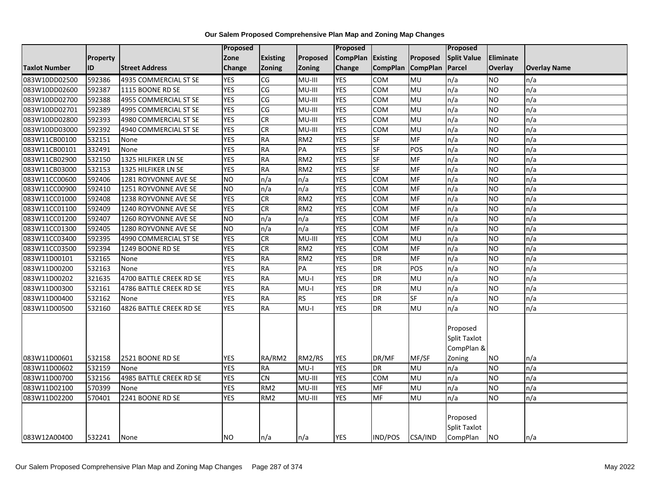|                      |          |                         | Proposed        |                 |                 | Proposed          |                   |           | <b>Proposed</b>                               |                |                     |
|----------------------|----------|-------------------------|-----------------|-----------------|-----------------|-------------------|-------------------|-----------|-----------------------------------------------|----------------|---------------------|
|                      | Property |                         | Zone            | <b>Existing</b> | Proposed        | CompPlan Existing |                   | Proposed  | <b>Split Value</b>                            | Eliminate      |                     |
| <b>Taxlot Number</b> | ID       | <b>Street Address</b>   | Change          | <b>Zoning</b>   | Zoning          | Change            | CompPlan CompPlan |           | Parcel                                        | <b>Overlay</b> | <b>Overlay Name</b> |
| 083W10DD02500        | 592386   | 4935 COMMERCIAL ST SE   | <b>YES</b>      | CG              | MU-III          | <b>YES</b>        | COM               | MU        | n/a                                           | <b>NO</b>      | n/a                 |
| 083W10DD02600        | 592387   | 1115 BOONE RD SE        | <b>YES</b>      | CG              | MU-III          | <b>YES</b>        | <b>COM</b>        | MU        | n/a                                           | <b>NO</b>      | n/a                 |
| 083W10DD02700        | 592388   | 4955 COMMERCIAL ST SE   | <b>YES</b>      | CG              | MU-III          | <b>YES</b>        | <b>COM</b>        | MU        | n/a                                           | <b>NO</b>      | n/a                 |
| 083W10DD02701        | 592389   | 4995 COMMERCIAL ST SE   | <b>YES</b>      | CG              | MU-III          | <b>YES</b>        | <b>COM</b>        | MU        | n/a                                           | <b>NO</b>      | n/a                 |
| 083W10DD02800        | 592393   | 4980 COMMERCIAL ST SE   | <b>YES</b>      | <b>CR</b>       | MU-III          | <b>YES</b>        | <b>COM</b>        | MU        | n/a                                           | <b>NO</b>      | n/a                 |
| 083W10DD03000        | 592392   | 4940 COMMERCIAL ST SE   | <b>YES</b>      | <b>CR</b>       | MU-III          | <b>YES</b>        | <b>COM</b>        | MU        | n/a                                           | <b>NO</b>      | n/a                 |
| 083W11CB00100        | 532151   | None                    | <b>YES</b>      | <b>RA</b>       | RM <sub>2</sub> | <b>YES</b>        | <b>SF</b>         | <b>MF</b> | n/a                                           | <b>NO</b>      | n/a                 |
| 083W11CB00101        | 332491   | None                    | <b>YES</b>      | <b>RA</b>       | PA              | <b>YES</b>        | $S$ F             | POS       | n/a                                           | <b>NO</b>      | n/a                 |
| 083W11CB02900        | 532150   | 1325 HILFIKER LN SE     | <b>YES</b>      | <b>RA</b>       | RM <sub>2</sub> | <b>YES</b>        | <b>SF</b>         | <b>MF</b> | n/a                                           | <b>NO</b>      | n/a                 |
| 083W11CB03000        | 532153   | 1325 HILFIKER LN SE     | <b>YES</b>      | <b>RA</b>       | RM <sub>2</sub> | <b>YES</b>        | $S$ F             | MF        | n/a                                           | <b>NO</b>      | n/a                 |
| 083W11CC00600        | 592406   | 1281 ROYVONNE AVE SE    | <b>NO</b>       | n/a             | n/a             | <b>YES</b>        | <b>COM</b>        | <b>MF</b> | n/a                                           | <b>NO</b>      | n/a                 |
| 083W11CC00900        | 592410   | 1251 ROYVONNE AVE SE    | <b>NO</b>       | n/a             | n/a             | <b>YES</b>        | <b>COM</b>        | MF        | n/a                                           | <b>NO</b>      | n/a                 |
| 083W11CC01000        | 592408   | 1238 ROYVONNE AVE SE    | <b>YES</b>      | CR              | RM <sub>2</sub> | <b>YES</b>        | COM               | <b>MF</b> | n/a                                           | <b>NO</b>      | n/a                 |
| 083W11CC01100        | 592409   | 1240 ROYVONNE AVE SE    | <b>YES</b>      | CR              | RM <sub>2</sub> | <b>YES</b>        | <b>COM</b>        | MF        | n/a                                           | <b>NO</b>      | n/a                 |
| 083W11CC01200        | 592407   | 1260 ROYVONNE AVE SE    | $\overline{NO}$ | n/a             | n/a             | <b>YES</b>        | <b>COM</b>        | <b>MF</b> | n/a                                           | <b>NO</b>      | n/a                 |
| 083W11CC01300        | 592405   | 1280 ROYVONNE AVE SE    | ŌИ              | n/a             | n/a             | <b>YES</b>        | <b>COM</b>        | MF        | n/a                                           | <b>NO</b>      | n/a                 |
| 083W11CC03400        | 592395   | 4990 COMMERCIAL ST SE   | <b>YES</b>      | CR              | MU-III          | <b>YES</b>        | COM               | MU        | n/a                                           | <b>NO</b>      | n/a                 |
| 083W11CC03500        | 592394   | 1249 BOONE RD SE        | <b>YES</b>      | <b>CR</b>       | RM <sub>2</sub> | <b>YES</b>        | <b>COM</b>        | MF        | n/a                                           | <b>NO</b>      | n/a                 |
| 083W11D00101         | 532165   | None                    | <b>YES</b>      | <b>RA</b>       | RM <sub>2</sub> | <b>YES</b>        | <b>DR</b>         | <b>MF</b> | n/a                                           | <b>NO</b>      | n/a                 |
| 083W11D00200         | 532163   | None                    | <b>YES</b>      | <b>RA</b>       | PA              | <b>YES</b>        | <b>DR</b>         | POS       | n/a                                           | <b>NO</b>      | n/a                 |
| 083W11D00202         | 321635   | 4700 BATTLE CREEK RD SE | <b>YES</b>      | <b>RA</b>       | $MU-I$          | <b>YES</b>        | <b>DR</b>         | MU        | n/a                                           | <b>NO</b>      | n/a                 |
| 083W11D00300         | 532161   | 4786 BATTLE CREEK RD SE | <b>YES</b>      | <b>RA</b>       | $MU-I$          | <b>YES</b>        | <b>DR</b>         | <b>MU</b> | n/a                                           | <b>NO</b>      | n/a                 |
| 083W11D00400         | 532162   | None                    | <b>YES</b>      | <b>RA</b>       | RS              | <b>YES</b>        | <b>DR</b>         | <b>SF</b> | n/a                                           | <b>NO</b>      | n/a                 |
| 083W11D00500         | 532160   | 4826 BATTLE CREEK RD SE | <b>YES</b>      | <b>RA</b>       | $MU-I$          | <b>YES</b>        | <b>DR</b>         | MU        | n/a                                           | <b>NO</b>      | n/a                 |
|                      |          |                         |                 |                 |                 |                   |                   |           | Proposed<br><b>Split Taxlot</b><br>CompPlan & |                |                     |
| 083W11D00601         | 532158   | 2521 BOONE RD SE        | <b>YES</b>      | RA/RM2          | RM2/RS          | <b>YES</b>        | DR/MF             | MF/SF     | Zoning                                        | <b>NO</b>      | n/a                 |
| 083W11D00602         | 532159   | None                    | <b>YES</b>      | <b>RA</b>       | $MU-I$          | <b>YES</b>        | <b>DR</b>         | MU        | n/a                                           | <b>NO</b>      | n/a                 |
| 083W11D00700         | 532156   | 4985 BATTLE CREEK RD SE | <b>YES</b>      | <b>CN</b>       | MU-III          | <b>YES</b>        | COM               | <b>MU</b> | n/a                                           | <b>NO</b>      | n/a                 |
| 083W11D02100         | 570399   | None                    | <b>YES</b>      | RM <sub>2</sub> | MU-III          | <b>YES</b>        | MF                | MU        | n/a                                           | <b>NO</b>      | n/a                 |
| 083W11D02200         | 570401   | 2241 BOONE RD SE        | <b>YES</b>      | RM <sub>2</sub> | MU-III          | <b>YES</b>        | <b>MF</b>         | <b>MU</b> | n/a                                           | <b>NO</b>      | n/a                 |
| 083W12A00400         | 532241   | None                    | <b>NO</b>       | n/a             | n/a             | <b>YES</b>        | IND/POS           | CSA/IND   | Proposed<br>Split Taxlot<br>CompPlan          | <b>NO</b>      | n/a                 |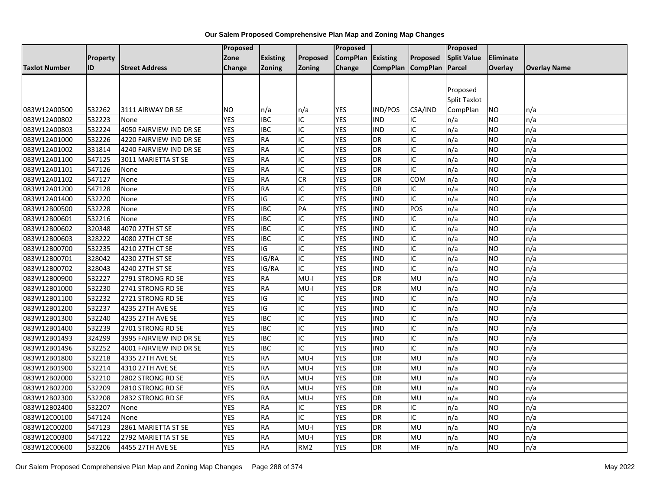|                      |          |                         | <b>Proposed</b> |                 |                                    | Proposed          |                   |                | Proposed            |           |                     |
|----------------------|----------|-------------------------|-----------------|-----------------|------------------------------------|-------------------|-------------------|----------------|---------------------|-----------|---------------------|
|                      | Property |                         | Zone            | <b>Existing</b> | Proposed                           | CompPlan Existing |                   | Proposed       | <b>Split Value</b>  | Eliminate |                     |
| <b>Taxlot Number</b> | ID       | <b>Street Address</b>   | Change          | <b>Zoning</b>   | Zoning                             | Change            | CompPlan CompPlan |                | Parcel              | Overlay   | <b>Overlay Name</b> |
|                      |          |                         |                 |                 |                                    |                   |                   |                |                     |           |                     |
|                      |          |                         |                 |                 |                                    |                   |                   |                | Proposed            |           |                     |
|                      |          |                         |                 |                 |                                    |                   |                   |                | <b>Split Taxlot</b> |           |                     |
| 083W12A00500         | 532262   | 3111 AIRWAY DR SE       | <b>NO</b>       | n/a             | n/a                                | YES               | IND/POS           | CSA/IND        | CompPlan            | ΝO        | n/a                 |
| 083W12A00802         | 532223   | None                    | <b>YES</b>      | <b>IBC</b>      | IC                                 | <b>YES</b>        | <b>IND</b>        | IC             | n/a                 | NO.       | n/a                 |
| 083W12A00803         | 532224   | 4050 FAIRVIEW IND DR SE | <b>YES</b>      | <b>IBC</b>      | IC                                 | <b>YES</b>        | <b>IND</b>        | IC             | n/a                 | NO.       | n/a                 |
| 083W12A01000         | 532226   | 4220 FAIRVIEW IND DR SE | <b>YES</b>      | <b>RA</b>       | IC                                 | <b>YES</b>        | <b>DR</b>         | IC             | n/a                 | NO.       | n/a                 |
| 083W12A01002         | 331814   | 4240 FAIRVIEW IND DR SE | <b>YES</b>      | <b>RA</b>       | IC                                 | <b>YES</b>        | DR                | IC             | n/a                 | NO        | n/a                 |
| 083W12A01100         | 547125   | 3011 MARIETTA ST SE     | <b>YES</b>      | <b>RA</b>       | ΙC                                 | <b>YES</b>        | DR                | IC             | n/a                 | NO.       | n/a                 |
| 083W12A01101         | 547126   | None                    | <b>YES</b>      | <b>RA</b>       | IC                                 | <b>YES</b>        | DR                | IC             | n/a                 | NO.       | n/a                 |
| 083W12A01102         | 547127   | None                    | <b>YES</b>      | <b>RA</b>       | CR                                 | <b>YES</b>        | DR                | <b>COM</b>     | n/a                 | <b>NO</b> | n/a                 |
| 083W12A01200         | 547128   | None                    | <b>YES</b>      | <b>RA</b>       | IC                                 | <b>YES</b>        | DR                | IC             | n/a                 | NO.       | n/a                 |
| 083W12A01400         | 532220   | None                    | <b>YES</b>      | IG              | IC                                 | <b>YES</b>        | <b>IND</b>        | IC             | n/a                 | NO.       | n/a                 |
| 083W12B00500         | 532228   | None                    | <b>YES</b>      | <b>IBC</b>      | PA                                 | <b>YES</b>        | IND               | POS            | n/a                 | <b>NO</b> | n/a                 |
| 083W12B00601         | 532216   | None                    | <b>YES</b>      | <b>IBC</b>      | ΙC                                 | <b>YES</b>        | <b>IND</b>        | IC             | n/a                 | ΝO        | n/a                 |
| 083W12B00602         | 320348   | 4070 27TH ST SE         | <b>YES</b>      | <b>IBC</b>      | IC                                 | <b>YES</b>        | <b>IND</b>        | IC             | n/a                 | NO.       | n/a                 |
| 083W12B00603         | 328222   | 4080 27TH CT SE         | <b>YES</b>      | <b>IBC</b>      | ΙC                                 | <b>YES</b>        | <b>IND</b>        | IC             | n/a                 | NO.       | n/a                 |
| 083W12B00700         | 532235   | 4210 27TH CT SE         | <b>YES</b>      | IG              | IC                                 | <b>YES</b>        | <b>IND</b>        | IC             | n/a                 | NO.       | n/a                 |
| 083W12B00701         | 328042   | 4230 27TH ST SE         | <b>YES</b>      | IG/RA           | IC                                 | <b>YES</b>        | <b>IND</b>        | IC             | n/a                 | NO        | n/a                 |
| 083W12B00702         | 328043   | 4240 27TH ST SE         | <b>YES</b>      | IG/RA           | IC                                 | <b>YES</b>        | <b>IND</b>        | IC             | n/a                 | <b>NO</b> | n/a                 |
| 083W12B00900         | 532227   | 2791 STRONG RD SE       | <b>YES</b>      | <b>RA</b>       | $MU-I$                             | <b>YES</b>        | DR                | MU             | n/a                 | NO.       | n/a                 |
| 083W12B01000         | 532230   | 2741 STRONG RD SE       | <b>YES</b>      | <b>RA</b>       | $MU-I$                             | <b>YES</b>        | DR                | MU             | n/a                 | <b>NO</b> | n/a                 |
| 083W12B01100         | 532232   | 2721 STRONG RD SE       | <b>YES</b>      | IG              | IC                                 | <b>YES</b>        | <b>IND</b>        | IC             | n/a                 | NO.       | n/a                 |
| 083W12B01200         | 532237   | 4235 27TH AVE SE        | <b>YES</b>      | IG              | ΙC                                 | <b>YES</b>        | IND               | IC             | n/a                 | NO.       | n/a                 |
| 083W12B01300         | 532240   | 4235 27TH AVE SE        | <b>YES</b>      | <b>IBC</b>      | IC                                 | <b>YES</b>        | IND               | IC             | n/a                 | <b>NO</b> | n/a                 |
| 083W12B01400         | 532239   | 2701 STRONG RD SE       | <b>YES</b>      | <b>IBC</b>      | IC                                 | <b>YES</b>        | <b>IND</b>        | IC             | n/a                 | NO        | n/a                 |
| 083W12B01493         | 324299   | 3995 FAIRVIEW IND DR SE | <b>YES</b>      | <b>IBC</b>      | $\overline{\overline{\mathsf{C}}}$ | <b>YES</b>        | IND               | $\overline{C}$ | n/a                 | <b>NO</b> | n/a                 |
| 083W12B01496         | 532252   | 4001 FAIRVIEW IND DR SE | <b>YES</b>      | <b>IBC</b>      | IC                                 | <b>YES</b>        | <b>IND</b>        | IC             | n/a                 | NO.       | n/a                 |
| 083W12B01800         | 532218   | 4335 27TH AVE SE        | <b>YES</b>      | <b>RA</b>       | $MU-I$                             | <b>YES</b>        | DR                | MU             | n/a                 | NO.       | n/a                 |
| 083W12B01900         | 532214   | 4310 27TH AVE SE        | <b>YES</b>      | <b>RA</b>       | $MU-I$                             | <b>YES</b>        | DR                | MU             | n/a                 | ΝO        | n/a                 |
| 083W12B02000         | 532210   | 2802 STRONG RD SE       | <b>YES</b>      | <b>RA</b>       | $MU-I$                             | <b>YES</b>        | DR                | MU             | n/a                 | ΝO        | n/a                 |
| 083W12B02200         | 532209   | 2810 STRONG RD SE       | <b>YES</b>      | <b>RA</b>       | $MU-I$                             | <b>YES</b>        | DR                | MU             | n/a                 | NO.       | n/a                 |
| 083W12B02300         | 532208   | 2832 STRONG RD SE       | <b>YES</b>      | <b>RA</b>       | $MU-I$                             | <b>YES</b>        | DR                | MU             | n/a                 | NO.       | n/a                 |
| 083W12B02400         | 532207   | None                    | <b>YES</b>      | <b>RA</b>       | IC                                 | <b>YES</b>        | DR                | IC             | n/a                 | NO.       | n/a                 |
| 083W12C00100         | 547124   | None                    | <b>YES</b>      | <b>RA</b>       | IC                                 | <b>YES</b>        | DR                | IC             | n/a                 | NO.       | n/a                 |
| 083W12C00200         | 547123   | 2861 MARIETTA ST SE     | <b>YES</b>      | <b>RA</b>       | $MU-I$                             | <b>YES</b>        | DR                | MU             | n/a                 | NO.       | n/a                 |
| 083W12C00300         | 547122   | 2792 MARIETTA ST SE     | <b>YES</b>      | <b>RA</b>       | MU-I                               | <b>YES</b>        | DR                | MU             | n/a                 | ΝO        | n/a                 |
| 083W12C00600         | 532206   | 4455 27TH AVE SE        | <b>YES</b>      | <b>RA</b>       | RM <sub>2</sub>                    | <b>YES</b>        | <b>DR</b>         | <b>MF</b>      | n/a                 | NO.       | n/a                 |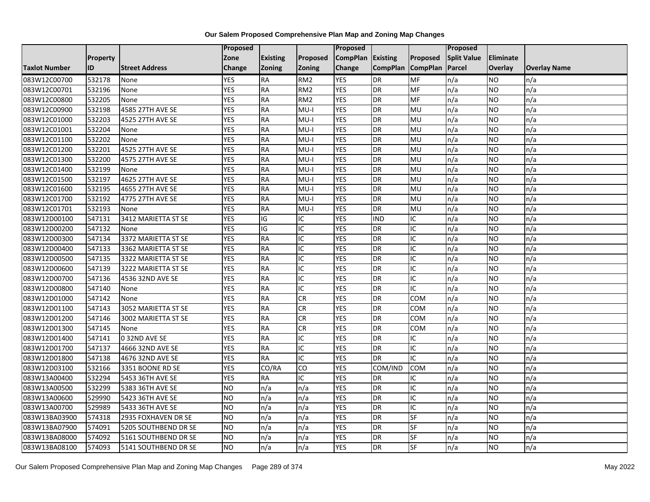|                      |          |                       | Proposed   |                 |                 | Proposed        |                 |                 | Proposed           |                 |                     |
|----------------------|----------|-----------------------|------------|-----------------|-----------------|-----------------|-----------------|-----------------|--------------------|-----------------|---------------------|
|                      | Property |                       | Zone       | <b>Existing</b> | Proposed        | <b>CompPlan</b> | Existing        | Proposed        | <b>Split Value</b> | Eliminate       |                     |
| <b>Taxlot Number</b> | ID       | <b>Street Address</b> | Change     | Zoning          | Zoning          | Change          | <b>CompPlan</b> | <b>CompPlan</b> | Parcel             | <b>Overlay</b>  | <b>Overlay Name</b> |
| 083W12C00700         | 532178   | None                  | <b>YES</b> | <b>RA</b>       | RM <sub>2</sub> | <b>YES</b>      | <b>DR</b>       | MF              | n/a                | NO              | n/a                 |
| 083W12C00701         | 532196   | None                  | <b>YES</b> | <b>RA</b>       | RM <sub>2</sub> | <b>YES</b>      | DR              | <b>MF</b>       | n/a                | NO.             | n/a                 |
| 083W12C00800         | 532205   | None                  | <b>YES</b> | <b>RA</b>       | RM <sub>2</sub> | <b>YES</b>      | <b>DR</b>       | MF              | n/a                | NO.             | n/a                 |
| 083W12C00900         | 532198   | 4585 27TH AVE SE      | <b>YES</b> | <b>RA</b>       | $MU-I$          | <b>YES</b>      | DR              | MU              | n/a                | NO.             | n/a                 |
| 083W12C01000         | 532203   | 4525 27TH AVE SE      | <b>YES</b> | <b>RA</b>       | $MU-I$          | <b>YES</b>      | <b>DR</b>       | MU              | n/a                | NO.             | n/a                 |
| 083W12C01001         | 532204   | None                  | <b>YES</b> | <b>RA</b>       | $MU-I$          | <b>YES</b>      | DR              | MU              | n/a                | <b>NO</b>       | n/a                 |
| 083W12C01100         | 532202   | None                  | <b>YES</b> | <b>RA</b>       | $MU-I$          | <b>YES</b>      | DR              | MU              | n/a                | <b>NO</b>       | n/a                 |
| 083W12C01200         | 532201   | 4525 27TH AVE SE      | <b>YES</b> | <b>RA</b>       | $MU-I$          | <b>YES</b>      | <b>DR</b>       | MU              | n/a                | <b>NO</b>       | n/a                 |
| 083W12C01300         | 532200   | 4575 27TH AVE SE      | <b>YES</b> | <b>RA</b>       | $MU-I$          | <b>YES</b>      | DR              | MU              | n/a                | NO.             | n/a                 |
| 083W12C01400         | 532199   | None                  | <b>YES</b> | <b>RA</b>       | $MU-I$          | <b>YES</b>      | DR              | MU              | n/a                | <b>NO</b>       | n/a                 |
| 083W12C01500         | 532197   | 4625 27TH AVE SE      | <b>YES</b> | <b>RA</b>       | $MU-I$          | <b>YES</b>      | <b>DR</b>       | MU              | n/a                | <b>NO</b>       | n/a                 |
| 083W12C01600         | 532195   | 4655 27TH AVE SE      | <b>YES</b> | <b>RA</b>       | MU-I            | <b>YES</b>      | DR              | MU              | n/a                | NO.             | n/a                 |
| 083W12C01700         | 532192   | 4775 27TH AVE SE      | <b>YES</b> | <b>RA</b>       | $MU-I$          | <b>YES</b>      | DR              | MU              | n/a                | NO.             | n/a                 |
| 083W12C01701         | 532193   | None                  | <b>YES</b> | RA              | $MU-I$          | <b>YES</b>      | <b>DR</b>       | MU              | n/a                | <b>NO</b>       | n/a                 |
| 083W12D00100         | 547131   | 3412 MARIETTA ST SE   | <b>YES</b> | IG              | IC              | <b>YES</b>      | <b>IND</b>      | IC              | n/a                | <b>NO</b>       | n/a                 |
| 083W12D00200         | 547132   | None                  | <b>YES</b> | IG              | IC              | <b>YES</b>      | DR              | IC              | n/a                | <b>NO</b>       | n/a                 |
| 083W12D00300         | 547134   | 3372 MARIETTA ST SE   | <b>YES</b> | <b>RA</b>       | IC              | <b>YES</b>      | DR              | IC              | n/a                | NO.             | n/a                 |
| 083W12D00400         | 547133   | 3362 MARIETTA ST SE   | <b>YES</b> | <b>RA</b>       | IC              | <b>YES</b>      | DR              | IC              | n/a                | NO.             | n/a                 |
| 083W12D00500         | 547135   | 3322 MARIETTA ST SE   | <b>YES</b> | <b>RA</b>       | IC              | <b>YES</b>      | DR              | IC              | n/a                | NO.             | n/a                 |
| 083W12D00600         | 547139   | 3222 MARIETTA ST SE   | <b>YES</b> | <b>RA</b>       | IC              | <b>YES</b>      | DR              | IC              | n/a                | <b>NO</b>       | n/a                 |
| 083W12D00700         | 547136   | 4536 32ND AVE SE      | <b>YES</b> | <b>RA</b>       | IC              | <b>YES</b>      | DR              | IC              | n/a                | NO.             | n/a                 |
| 083W12D00800         | 547140   | None                  | <b>YES</b> | RA              | $\overline{C}$  | <b>YES</b>      | $\overline{DR}$ | $\overline{C}$  | n/a                | $\overline{NO}$ | n/a                 |
| 083W12D01000         | 547142   | None                  | <b>YES</b> | <b>RA</b>       | CR              | <b>YES</b>      | <b>DR</b>       | <b>COM</b>      | n/a                | <b>NO</b>       | n/a                 |
| 083W12D01100         | 547143   | 3052 MARIETTA ST SE   | <b>YES</b> | <b>RA</b>       | <b>CR</b>       | <b>YES</b>      | DR              | COM             | n/a                | NO.             | n/a                 |
| 083W12D01200         | 547146   | 3002 MARIETTA ST SE   | <b>YES</b> | <b>RA</b>       | CR              | <b>YES</b>      | DR              | COM             | n/a                | NO.             | n/a                 |
| 083W12D01300         | 547145   | None                  | <b>YES</b> | <b>RA</b>       | CR              | <b>YES</b>      | DR              | COM             | n/a                | NO.             | n/a                 |
| 083W12D01400         | 547141   | 032ND AVE SE          | <b>YES</b> | <b>RA</b>       | ΙC              | <b>YES</b>      | <b>DR</b>       | IC              | n/a                | <b>NO</b>       | n/a                 |
| 083W12D01700         | 547137   | 4666 32ND AVE SE      | <b>YES</b> | <b>RA</b>       | IC              | <b>YES</b>      | DR              | IC              | n/a                | NO.             | n/a                 |
| 083W12D01800         | 547138   | 4676 32ND AVE SE      | <b>YES</b> | <b>RA</b>       | IC              | <b>YES</b>      | <b>DR</b>       | IC              | n/a                | NO.             | n/a                 |
| 083W12D03100         | 532166   | 3351 BOONE RD SE      | <b>YES</b> | CO/RA           | CO              | <b>YES</b>      | COM/IND         | <b>COM</b>      | n/a                | <b>NO</b>       | n/a                 |
| 083W13A00400         | 532294   | 5453 36TH AVE SE      | <b>YES</b> | <b>RA</b>       | IC              | <b>YES</b>      | <b>DR</b>       | IC              | n/a                | <b>NO</b>       | n/a                 |
| 083W13A00500         | 532299   | 5383 36TH AVE SE      | <b>NO</b>  | n/a             | n/a             | <b>YES</b>      | DR              | IC              | n/a                | <b>NO</b>       | n/a                 |
| 083W13A00600         | 529990   | 5423 36TH AVE SE      | <b>NO</b>  | n/a             | n/a             | <b>YES</b>      | DR              | IC              | n/a                | NO.             | n/a                 |
| 083W13A00700         | 529989   | 5433 36TH AVE SE      | <b>NO</b>  | n/a             | n/a             | <b>YES</b>      | DR              | IC              | n/a                | NO.             | n/a                 |
| 083W13BA03900        | 574318   | 2935 FOXHAVEN DR SE   | Ю          | n/a             | n/a             | <b>YES</b>      | DR              | SF              | n/a                | NO.             | n/a                 |
| 083W13BA07900        | 574091   | 5205 SOUTHBEND DR SE  | <b>NO</b>  | n/a             | n/a             | <b>YES</b>      | DR              | SF              | n/a                | NO.             | n/a                 |
| 083W13BA08000        | 574092   | 5161 SOUTHBEND DR SE  | <b>NO</b>  | n/a             | n/a             | <b>YES</b>      | <b>DR</b>       | SF              | n/a                | NO.             | n/a                 |
| 083W13BA08100        | 574093   | 5141 SOUTHBEND DR SE  | ŌИ         | n/a             | n/a             | <b>YES</b>      | <b>DR</b>       | SF              | n/a                | NO.             | n/a                 |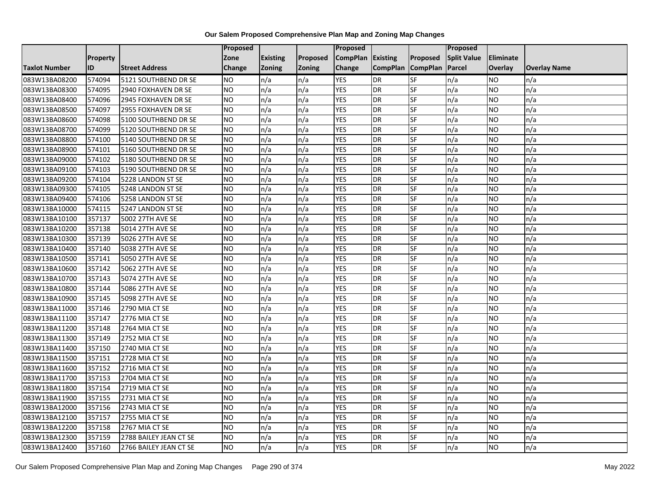|                      |                 |                        | Proposed  |                 |               | <b>Proposed</b>   |                 |                          | Proposed           |           |                     |
|----------------------|-----------------|------------------------|-----------|-----------------|---------------|-------------------|-----------------|--------------------------|--------------------|-----------|---------------------|
|                      | <b>Property</b> |                        | Zone      | <b>Existing</b> | Proposed      | CompPlan Existing |                 | Proposed                 | <b>Split Value</b> | Eliminate |                     |
| <b>Taxlot Number</b> | ID              | <b>Street Address</b>  | Change    | Zoning          | <b>Zoning</b> | Change            | <b>CompPlan</b> | <b>CompPlan</b>          | Parcel             | Overlay   | <b>Overlay Name</b> |
| 083W13BA08200        | 574094          | 5121 SOUTHBEND DR SE   | <b>NO</b> | n/a             | n/a           | <b>YES</b>        | <b>DR</b>       | <b>SF</b>                | n/a                | NO        | n/a                 |
| 083W13BA08300        | 574095          | 2940 FOXHAVEN DR SE    | <b>NO</b> | n/a             | n/a           | <b>YES</b>        | DR              | SF                       | n/a                | NO.       | n/a                 |
| 083W13BA08400        | 574096          | 2945 FOXHAVEN DR SE    | <b>NO</b> | n/a             | n/a           | <b>YES</b>        | DR              | SF                       | n/a                | NO.       | n/a                 |
| 083W13BA08500        | 574097          | 2955 FOXHAVEN DR SE    | <b>NO</b> | n/a             | n/a           | <b>YES</b>        | DR              | SF                       | n/a                | NO.       | n/a                 |
| 083W13BA08600        | 574098          | 5100 SOUTHBEND DR SE   | <b>NO</b> | n/a             | n/a           | <b>YES</b>        | DR              | SF                       | n/a                | <b>NO</b> | n/a                 |
| 083W13BA08700        | 574099          | 5120 SOUTHBEND DR SE   | <b>NO</b> | n/a             | n/a           | <b>YES</b>        | <b>DR</b>       | SF                       | n/a                | NO.       | n/a                 |
| 083W13BA08800        | 574100          | 5140 SOUTHBEND DR SE   | <b>NO</b> | n/a             | n/a           | <b>YES</b>        | DR              | SF                       | n/a                | NO.       | n/a                 |
| 083W13BA08900        | 574101          | 5160 SOUTHBEND DR SE   | <b>NO</b> | n/a             | n/a           | <b>YES</b>        | DR              | SF                       | n/a                | NO.       | n/a                 |
| 083W13BA09000        | 574102          | 5180 SOUTHBEND DR SE   | <b>NO</b> | n/a             | n/a           | <b>YES</b>        | DR              | SF                       | n/a                | NO.       | n/a                 |
| 083W13BA09100        | 574103          | 5190 SOUTHBEND DR SE   | <b>NO</b> | n/a             | n/a           | <b>YES</b>        | DR              | $S$ F                    | n/a                | NO.       | n/a                 |
| 083W13BA09200        | 574104          | 5228 LANDON ST SE      | <b>NO</b> | n/a             | n/a           | <b>YES</b>        | <b>DR</b>       | SF                       | n/a                | <b>NO</b> | n/a                 |
| 083W13BA09300        | 574105          | 5248 LANDON ST SE      | <b>NO</b> | n/a             | n/a           | <b>YES</b>        | DR              | SF                       | n/a                | <b>NO</b> | n/a                 |
| 083W13BA09400        | 574106          | 5258 LANDON ST SE      | <b>NO</b> | n/a             | n/a           | <b>YES</b>        | DR              | $S_{F}$                  | n/a                | NO.       | n/a                 |
| 083W13BA10000        | 574115          | 5247 LANDON ST SE      | Ю         | n/a             | n/a           | <b>YES</b>        | <b>DR</b>       | SF                       | n/a                | NO.       | n/a                 |
| 083W13BA10100        | 357137          | 5002 27TH AVE SE       | <b>NO</b> | n/a             | n/a           | <b>YES</b>        | DR              | SF                       | n/a                | NO.       | n/a                 |
| 083W13BA10200        | 357138          | 5014 27TH AVE SE       | <b>NO</b> | n/a             | n/a           | <b>YES</b>        | DR              | SF                       | n/a                | NO.       | n/a                 |
| 083W13BA10300        | 357139          | 5026 27TH AVE SE       | Ю         | n/a             | n/a           | <b>YES</b>        | DR              | $\overline{\mathsf{SF}}$ | n/a                | NO.       | n/a                 |
| 083W13BA10400        | 357140          | 5038 27TH AVE SE       | <b>NO</b> | n/a             | n/a           | <b>YES</b>        | DR              | SF                       | n/a                | NO.       | n/a                 |
| 083W13BA10500        | 357141          | 5050 27TH AVE SE       | <b>NO</b> | n/a             | n/a           | <b>YES</b>        | DR              | SF                       | n/a                | NO.       | n/a                 |
| 083W13BA10600        | 357142          | 5062 27TH AVE SE       | ŌИ        | n/a             | n/a           | <b>YES</b>        | <b>DR</b>       | <b>SF</b>                | n/a                | <b>NO</b> | n/a                 |
| 083W13BA10700        | 357143          | 5074 27TH AVE SE       | <b>NO</b> | n/a             | n/a           | <b>YES</b>        | DR              | <b>SF</b>                | n/a                | <b>NO</b> | n/a                 |
| 083W13BA10800        | 357144          | 5086 27TH AVE SE       | ŌИ        | n/a             | n/a           | <b>YES</b>        | DR              | <b>SF</b>                | n/a                | <b>NO</b> | n/a                 |
| 083W13BA10900        | 357145          | 5098 27TH AVE SE       | ŌИ        | n/a             | n/a           | <b>YES</b>        | <b>DR</b>       | <b>SF</b>                | n/a                | NO.       | n/a                 |
| 083W13BA11000        | 357146          | 2790 MIA CT SE         | <b>NO</b> | n/a             | n/a           | <b>YES</b>        | DR              | SF                       | n/a                | NO.       | n/a                 |
| 083W13BA11100        | 357147          | 2776 MIA CT SE         | <b>NO</b> | n/a             | n/a           | <b>YES</b>        | <b>DR</b>       | SF                       | n/a                | NO.       | n/a                 |
| 083W13BA11200        | 357148          | 2764 MIA CT SE         | ŌИ        | n/a             | n/a           | <b>YES</b>        | DR              | <b>SF</b>                | n/a                | NO.       | n/a                 |
| 083W13BA11300        | 357149          | 2752 MIA CT SE         | <b>NO</b> | n/a             | n/a           | <b>YES</b>        | <b>DR</b>       | <b>SF</b>                | n/a                | <b>NO</b> | n/a                 |
| 083W13BA11400        | 357150          | 2740 MIA CT SE         | <b>NO</b> | n/a             | n/a           | <b>YES</b>        | DR              | SF                       | n/a                | <b>NO</b> | n/a                 |
| 083W13BA11500        | 357151          | 2728 MIA CT SE         | <b>NO</b> | n/a             | n/a           | <b>YES</b>        | <b>DR</b>       | <b>SF</b>                | n/a                | NO.       | n/a                 |
| 083W13BA11600        | 357152          | 2716 MIA CT SE         | ŌИ        | n/a             | n/a           | <b>YES</b>        | DR              | <b>SF</b>                | n/a                | NO.       | n/a                 |
| 083W13BA11700        | 357153          | 2704 MIA CT SE         | <b>NO</b> | n/a             | n/a           | <b>YES</b>        | DR              | SF                       | n/a                | NO.       | n/a                 |
| 083W13BA11800        | 357154          | 2719 MIA CT SE         | <b>NO</b> | n/a             | n/a           | <b>YES</b>        | DR              | <b>SF</b>                | n/a                | <b>NO</b> | n/a                 |
| 083W13BA11900        | 357155          | 2731 MIA CT SE         | <b>NO</b> | n/a             | n/a           | <b>YES</b>        | DR              | <b>SF</b>                | n/a                | NO.       | n/a                 |
| 083W13BA12000        | 357156          | 2743 MIA CT SE         | <b>NO</b> | n/a             | n/a           | <b>YES</b>        | <b>DR</b>       | SF                       | n/a                | NO.       | n/a                 |
| 083W13BA12100        | 357157          | 2755 MIA CT SE         | <b>NO</b> | n/a             | n/a           | <b>YES</b>        | DR              | SF                       | n/a                | NO.       | n/a                 |
| 083W13BA12200        | 357158          | 2767 MIA CT SE         | <b>NO</b> | n/a             | n/a           | <b>YES</b>        | <b>DR</b>       | SF                       | n/a                | NO.       | n/a                 |
| 083W13BA12300        | 357159          | 2788 BAILEY JEAN CT SE | <b>NO</b> | n/a             | n/a           | <b>YES</b>        | <b>DR</b>       | SF                       | n/a                | NO.       | n/a                 |
| 083W13BA12400        | 357160          | 2766 BAILEY JEAN CT SE | ŌИ        | n/a             | n/a           | <b>YES</b>        | <b>DR</b>       | <b>SF</b>                | n/a                | NO.       | n/a                 |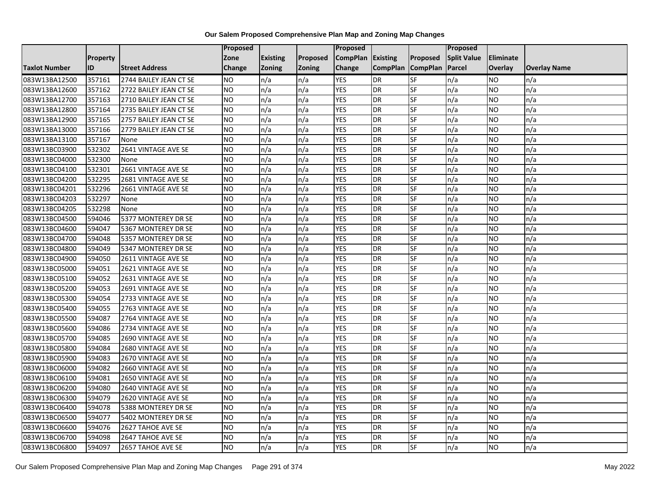|                      |                 |                        | Proposed      |                 |          | Proposed          |                 |                 | <b>Proposed</b>    |                 |                     |
|----------------------|-----------------|------------------------|---------------|-----------------|----------|-------------------|-----------------|-----------------|--------------------|-----------------|---------------------|
|                      | <b>Property</b> |                        | Zone          | <b>Existing</b> | Proposed | CompPlan Existing |                 | Proposed        | <b>Split Value</b> | Eliminate       |                     |
| <b>Taxlot Number</b> | ID              | <b>Street Address</b>  | <b>Change</b> | Zoning          | Zoning   | Change            | <b>CompPlan</b> | <b>CompPlan</b> | Parcel             | Overlay         | <b>Overlay Name</b> |
| 083W13BA12500        | 357161          | 2744 BAILEY JEAN CT SE | <b>NO</b>     | n/a             | n/a      | <b>YES</b>        | <b>DR</b>       | SF              | n/a                | NO              | n/a                 |
| 083W13BA12600        | 357162          | 2722 BAILEY JEAN CT SE | NO            | n/a             | n/a      | <b>YES</b>        | <b>DR</b>       | SF              | n/a                | NO              | n/a                 |
| 083W13BA12700        | 357163          | 2710 BAILEY JEAN CT SE | <b>NO</b>     | n/a             | n/a      | <b>YES</b>        | DR              | SF              | n/a                | NO.             | n/a                 |
| 083W13BA12800        | 357164          | 2735 BAILEY JEAN CT SE | <b>NO</b>     | n/a             | n/a      | <b>YES</b>        | DR              | SF              | n/a                | NO.             | n/a                 |
| 083W13BA12900        | 357165          | 2757 BAILEY JEAN CT SE | Ю             | n/a             | n/a      | <b>YES</b>        | DR              | SF              | n/a                | <b>NO</b>       | n/a                 |
| 083W13BA13000        | 357166          | 2779 BAILEY JEAN CT SE | <b>ON</b>     | n/a             | n/a      | <b>YES</b>        | DR              | SF              | n/a                | <b>NO</b>       | n/a                 |
| 083W13BA13100        | 357167          | None                   | <b>NO</b>     | n/a             | n/a      | <b>YES</b>        | DR              | SF              | n/a                | <b>NO</b>       | n/a                 |
| 083W13BC03900        | 532302          | 2641 VINTAGE AVE SE    | <b>NO</b>     | n/a             | n/a      | <b>YES</b>        | DR              | <b>SF</b>       | n/a                | <b>NO</b>       | n/a                 |
| 083W13BC04000        | 532300          | None                   | <b>NO</b>     | n/a             | n/a      | <b>YES</b>        | DR              | SF              | n/a                | NO.             | n/a                 |
| 083W13BC04100        | 532301          | 2661 VINTAGE AVE SE    | <b>ON</b>     | n/a             | n/a      | <b>YES</b>        | $\overline{DR}$ | SF              | n/a                | <b>NO</b>       | n/a                 |
| 083W13BC04200        | 532295          | 2681 VINTAGE AVE SE    | <b>ON</b>     | n/a             | n/a      | <b>YES</b>        | DR              | SF              | n/a                | <b>NO</b>       | n/a                 |
| 083W13BC04201        | 532296          | 2661 VINTAGE AVE SE    | <b>NO</b>     | n/a             | n/a      | <b>YES</b>        | DR              | SF              | n/a                | NO.             | n/a                 |
| 083W13BC04203        | 532297          | None                   | <b>NO</b>     | n/a             | n/a      | <b>YES</b>        | DR              | SF              | n/a                | NO.             | n/a                 |
| 083W13BC04205        | 532298          | None                   | Ю             | n/a             | n/a      | <b>YES</b>        | DR              | SF              | n/a                | <b>NO</b>       | n/a                 |
| 083W13BC04500        | 594046          | 5377 MONTEREY DR SE    | <b>NO</b>     | n/a             | n/a      | <b>YES</b>        | DR              | <b>SF</b>       | n/a                | <b>NO</b>       | n/a                 |
| 083W13BC04600        | 594047          | 5367 MONTEREY DR SE    | <b>NO</b>     | n/a             | n/a      | <b>YES</b>        | DR              | SF              | n/a                | <b>NO</b>       | n/a                 |
| 083W13BC04700        | 594048          | 5357 MONTEREY DR SE    | <b>NO</b>     | n/a             | n/a      | <b>YES</b>        | DR              | SF              | n/a                | NO.             | n/a                 |
| 083W13BC04800        | 594049          | 5347 MONTEREY DR SE    | <b>NO</b>     | n/a             | n/a      | <b>YES</b>        | DR              | SF              | n/a                | NO              | n/a                 |
| 083W13BC04900        | 594050          | 2611 VINTAGE AVE SE    | <b>NO</b>     | n/a             | n/a      | <b>YES</b>        | DR              | SF              | n/a                | NO.             | n/a                 |
| 083W13BC05000        | 594051          | 2621 VINTAGE AVE SE    | <b>NO</b>     | n/a             | n/a      | <b>YES</b>        | DR              | SF              | n/a                | NO.             | n/a                 |
| 083W13BC05100        | 594052          | 2631 VINTAGE AVE SE    | <b>NO</b>     | n/a             | n/a      | <b>YES</b>        | DR              | SF              | n/a                | NO.             | n/a                 |
| 083W13BC05200        | 594053          | 2691 VINTAGE AVE SE    | <b>NO</b>     | n/a             | n/a      | <b>YES</b>        | $\overline{DR}$ | SF              | n/a                | $\overline{NO}$ | n/a                 |
| 083W13BC05300        | 594054          | 2733 VINTAGE AVE SE    | Ю             | n/a             | n/a      | <b>YES</b>        | DR              | SF              | n/a                | NO.             | n/a                 |
| 083W13BC05400        | 594055          | 2763 VINTAGE AVE SE    | <b>NO</b>     | n/a             | n/a      | <b>YES</b>        | DR              | SF              | n/a                | <b>NO</b>       | n/a                 |
| 083W13BC05500        | 594087          | 2764 VINTAGE AVE SE    | Ю             | n/a             | n/a      | <b>YES</b>        | DR              | SF              | n/a                | NO              | n/a                 |
| 083W13BC05600        | 594086          | 2734 VINTAGE AVE SE    | Ю             | n/a             | n/a      | <b>YES</b>        | DR              | SF              | n/a                | NO              | n/a                 |
| 083W13BC05700        | 594085          | 2690 VINTAGE AVE SE    | Ю             | n/a             | n/a      | <b>YES</b>        | DR              | SF              | n/a                | <b>NO</b>       | n/a                 |
| 083W13BC05800        | 594084          | 2680 VINTAGE AVE SE    | <b>NO</b>     | n/a             | n/a      | <b>YES</b>        | DR              | SF              | n/a                | NO.             | n/a                 |
| 083W13BC05900        | 594083          | 2670 VINTAGE AVE SE    | <b>NO</b>     | n/a             | n/a      | <b>YES</b>        | DR              | <b>SF</b>       | n/a                | NO.             | n/a                 |
| 083W13BC06000        | 594082          | 2660 VINTAGE AVE SE    | <b>ON</b>     | n/a             | n/a      | <b>YES</b>        | DR              | SF              | n/a                | <b>NO</b>       | n/a                 |
| 083W13BC06100        | 594081          | 2650 VINTAGE AVE SE    | <b>NO</b>     | n/a             | n/a      | <b>YES</b>        | DR              | <b>SF</b>       | n/a                | <b>NO</b>       | n/a                 |
| 083W13BC06200        | 594080          | 2640 VINTAGE AVE SE    | <b>NO</b>     | n/a             | n/a      | <b>YES</b>        | DR              | SF              | n/a                | <b>NO</b>       | n/a                 |
| 083W13BC06300        | 594079          | 2620 VINTAGE AVE SE    | <b>NO</b>     | n/a             | n/a      | <b>YES</b>        | DR              | SF              | n/a                | NO.             | n/a                 |
| 083W13BC06400        | 594078          | 5388 MONTEREY DR SE    | <b>NO</b>     | n/a             | n/a      | <b>YES</b>        | DR              | SF              | n/a                | NO.             | n/a                 |
| 083W13BC06500        | 594077          | 5402 MONTEREY DR SE    | Ю             | n/a             | n/a      | <b>YES</b>        | DR              | SF              | n/a                | NO.             | n/a                 |
| 083W13BC06600        | 594076          | 2627 TAHOE AVE SE      | <b>NO</b>     | n/a             | n/a      | <b>YES</b>        | DR              | SF              | n/a                | NO.             | n/a                 |
| 083W13BC06700        | 594098          | 2647 TAHOE AVE SE      | <b>NO</b>     | n/a             | n/a      | <b>YES</b>        | DR              | SF              | n/a                | NO.             | n/a                 |
| 083W13BC06800        | 594097          | 2657 TAHOE AVE SE      | Ю             | n/a             | n/a      | <b>YES</b>        | DR              | SF              | n/a                | NO              | n/a                 |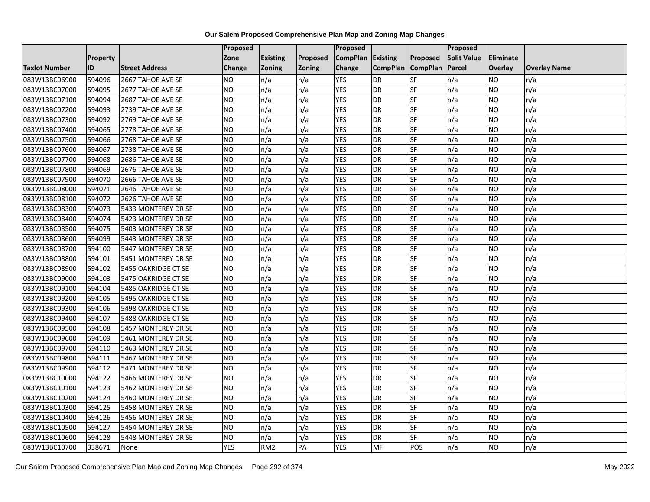|                      |                 |                       | Proposed   |                 |               | Proposed          |                 |                 | Proposed           |                |                     |
|----------------------|-----------------|-----------------------|------------|-----------------|---------------|-------------------|-----------------|-----------------|--------------------|----------------|---------------------|
|                      | <b>Property</b> |                       | Zone       | <b>Existing</b> | Proposed      | CompPlan Existing |                 | Proposed        | <b>Split Value</b> | Eliminate      |                     |
| <b>Taxlot Number</b> | ID              | <b>Street Address</b> | Change     | Zoning          | <b>Zoning</b> | Change            | <b>CompPlan</b> | <b>CompPlan</b> | Parcel             | <b>Overlay</b> | <b>Overlay Name</b> |
| 083W13BC06900        | 594096          | 2667 TAHOE AVE SE     | <b>NO</b>  | n/a             | n/a           | <b>YES</b>        | <b>DR</b>       | <b>SF</b>       | n/a                | NO.            | n/a                 |
| 083W13BC07000        | 594095          | 2677 TAHOE AVE SE     | <b>NO</b>  | n/a             | n/a           | <b>YES</b>        | <b>DR</b>       | $S_{F}$         | n/a                | NO.            | n/a                 |
| 083W13BC07100        | 594094          | 2687 TAHOE AVE SE     | <b>NO</b>  | n/a             | n/a           | <b>YES</b>        | DR              | SF              | n/a                | NO.            | n/a                 |
| 083W13BC07200        | 594093          | 2739 TAHOE AVE SE     | <b>NO</b>  | n/a             | n/a           | <b>YES</b>        | DR              | SF              | n/a                | NO.            | n/a                 |
| 083W13BC07300        | 594092          | 2769 TAHOE AVE SE     | <b>NO</b>  | n/a             | n/a           | <b>YES</b>        | <b>DR</b>       | <b>SF</b>       | n/a                | NO.            | n/a                 |
| 083W13BC07400        | 594065          | 2778 TAHOE AVE SE     | <b>NO</b>  | n/a             | n/a           | <b>YES</b>        | <b>DR</b>       | SF              | n/a                | <b>NO</b>      | n/a                 |
| 083W13BC07500        | 594066          | 2768 TAHOE AVE SE     | <b>NO</b>  | n/a             | n/a           | <b>YES</b>        | DR              | SF              | n/a                | <b>NO</b>      | n/a                 |
| 083W13BC07600        | 594067          | 2738 TAHOE AVE SE     | <b>NO</b>  | n/a             | n/a           | <b>YES</b>        | DR              | SF              | n/a                | NO.            | n/a                 |
| 083W13BC07700        | 594068          | 2686 TAHOE AVE SE     | <b>NO</b>  | n/a             | n/a           | <b>YES</b>        | DR              | SF              | n/a                | NO.            | n/a                 |
| 083W13BC07800        | 594069          | 2676 TAHOE AVE SE     | Ю          | n/a             | n/a           | <b>YES</b>        | DR              | <b>SF</b>       | n/a                | NO.            | n/a                 |
| 083W13BC07900        | 594070          | 2666 TAHOE AVE SE     | <b>NO</b>  | n/a             | n/a           | <b>YES</b>        | <b>DR</b>       | SF              | n/a                | <b>NO</b>      | n/a                 |
| 083W13BC08000        | 594071          | 2646 TAHOE AVE SE     | <b>NO</b>  | n/a             | n/a           | <b>YES</b>        | DR              | SF              | n/a                | NO.            | n/a                 |
| 083W13BC08100        | 594072          | 2626 TAHOE AVE SE     | Ю          | n/a             | n/a           | <b>YES</b>        | <b>DR</b>       | $S_{F}$         | n/a                | NO.            | n/a                 |
| 083W13BC08300        | 594073          | 5433 MONTEREY DR SE   | <b>NO</b>  | n/a             | n/a           | <b>YES</b>        | <b>DR</b>       | SF              | n/a                | NO.            | n/a                 |
| 083W13BC08400        | 594074          | 5423 MONTEREY DR SE   | <b>NO</b>  | n/a             | n/a           | <b>YES</b>        | DR              | SF              | n/a                | NO.            | n/a                 |
| 083W13BC08500        | 594075          | 5403 MONTEREY DR SE   | ŌИ         | n/a             | n/a           | <b>YES</b>        | <b>DR</b>       | $S_{F}$         | n/a                | NO.            | n/a                 |
| 083W13BC08600        | 594099          | 5443 MONTEREY DR SE   | ŌИ         | n/a             | n/a           | <b>YES</b>        | $\overline{R}$  | <b>SF</b>       | n/a                | NO.            | n/a                 |
| 083W13BC08700        | 594100          | 5447 MONTEREY DR SE   | <b>NO</b>  | n/a             | n/a           | <b>YES</b>        | DR              | SF              | n/a                | NO.            | n/a                 |
| 083W13BC08800        | 594101          | 5451 MONTEREY DR SE   | <b>NO</b>  | n/a             | n/a           | <b>YES</b>        | <b>DR</b>       | SF              | n/a                | NO.            | n/a                 |
| 083W13BC08900        | 594102          | 5455 OAKRIDGE CT SE   | <b>NO</b>  | n/a             | n/a           | <b>YES</b>        | <b>DR</b>       | <b>SF</b>       | n/a                | NO.            | n/a                 |
| 083W13BC09000        | 594103          | 5475 OAKRIDGE CT SE   | <b>NO</b>  | n/a             | n/a           | <b>YES</b>        | DR              | SF              | n/a                | <b>NO</b>      | n/a                 |
| 083W13BC09100        | 594104          | 5485 OAKRIDGE CT SE   | <b>NO</b>  | n/a             | n/a           | <b>YES</b>        | <b>DR</b>       | <b>SF</b>       | n/a                | <b>NO</b>      | n/a                 |
| 083W13BC09200        | 594105          | 5495 OAKRIDGE CT SE   | ŌИ         | n/a             | n/a           | <b>YES</b>        | DR              | <b>SF</b>       | n/a                | NO.            | n/a                 |
| 083W13BC09300        | 594106          | 5498 OAKRIDGE CT SE   | <b>NO</b>  | n/a             | n/a           | <b>YES</b>        | DR              | SF              | n/a                | NO.            | n/a                 |
| 083W13BC09400        | 594107          | 5488 OAKRIDGE CT SE   | Ю          | n/a             | n/a           | <b>YES</b>        | <b>DR</b>       | <b>SF</b>       | n/a                | <b>NO</b>      | n/a                 |
| 083W13BC09500        | 594108          | 5457 MONTEREY DR SE   | Ю          | n/a             | n/a           | <b>YES</b>        | DR              | <b>SF</b>       | n/a                | NO.            | n/a                 |
| 083W13BC09600        | 594109          | 5461 MONTEREY DR SE   | Ю          | n/a             | n/a           | <b>YES</b>        | DR              | $S_{F}$         | n/a                | NO.            | n/a                 |
| 083W13BC09700        | 594110          | 5463 MONTEREY DR SE   | <b>NO</b>  | n/a             | n/a           | <b>YES</b>        | DR              | SF              | n/a                | NO.            | n/a                 |
| 083W13BC09800        | 594111          | 5467 MONTEREY DR SE   | <b>NO</b>  | n/a             | n/a           | <b>YES</b>        | DR              | <b>SF</b>       | n/a                | NO.            | n/a                 |
| 083W13BC09900        | 594112          | 5471 MONTEREY DR SE   | <b>NO</b>  | n/a             | n/a           | <b>YES</b>        | <b>DR</b>       | SF              | n/a                | NO.            | n/a                 |
| 083W13BC10000        | 594122          | 5466 MONTEREY DR SE   | <b>NO</b>  | n/a             | n/a           | <b>YES</b>        | DR              | SF              | n/a                | NO.            | n/a                 |
| 083W13BC10100        | 594123          | 5462 MONTEREY DR SE   | ŌИ         | n/a             | n/a           | <b>YES</b>        | DR              | <b>SF</b>       | n/a                | NO.            | n/a                 |
| 083W13BC10200        | 594124          | 5460 MONTEREY DR SE   | ŌИ         | n/a             | n/a           | <b>YES</b>        | <b>DR</b>       | <b>SF</b>       | n/a                | NO.            | n/a                 |
| 083W13BC10300        | 594125          | 5458 MONTEREY DR SE   | <b>NO</b>  | n/a             | n/a           | <b>YES</b>        | DR              | SF              | n/a                | NO.            | n/a                 |
| 083W13BC10400        | 594126          | 5456 MONTEREY DR SE   | <b>NO</b>  | n/a             | n/a           | <b>YES</b>        | DR              | SF              | n/a                | NO.            | n/a                 |
| 083W13BC10500        | 594127          | 5454 MONTEREY DR SE   | <b>NO</b>  | n/a             | n/a           | <b>YES</b>        | <b>DR</b>       | SF              | n/a                | NO.            | n/a                 |
| 083W13BC10600        | 594128          | 5448 MONTEREY DR SE   | <b>NO</b>  | n/a             | n/a           | <b>YES</b>        | DR              | SF              | n/a                | NO             | n/a                 |
| 083W13BC10700        | 338671          | None                  | <b>YES</b> | RM <sub>2</sub> | PA            | <b>YES</b>        | MF              | POS             | n/a                | <b>NO</b>      | n/a                 |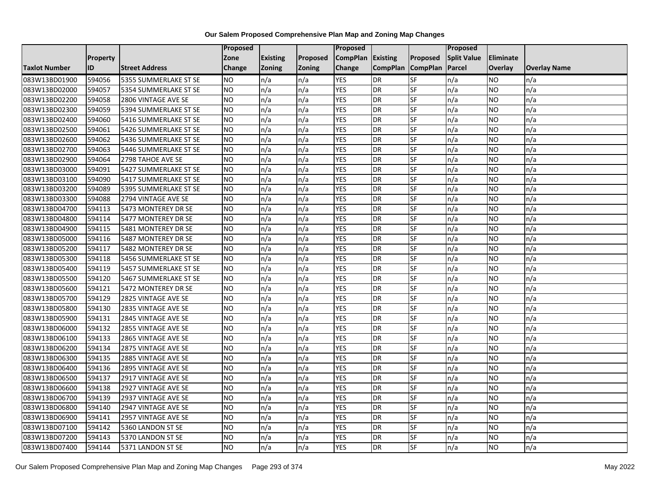|                      |                 |                       | Proposed        |                 |               | <b>Proposed</b> |                 |                          | Proposed           |                |                     |
|----------------------|-----------------|-----------------------|-----------------|-----------------|---------------|-----------------|-----------------|--------------------------|--------------------|----------------|---------------------|
|                      | <b>Property</b> |                       | Zone            | <b>Existing</b> | Proposed      | <b>CompPlan</b> | <b>Existing</b> | <b>Proposed</b>          | <b>Split Value</b> | Eliminate      |                     |
| <b>Taxlot Number</b> | ID              | <b>Street Address</b> | Change          | <b>Zoning</b>   | <b>Zoning</b> | Change          | <b>CompPlan</b> | <b>CompPlan</b>          | Parcel             | <b>Overlay</b> | <b>Overlay Name</b> |
| 083W13BD01900        | 594056          | 5355 SUMMERLAKE ST SE | <b>NO</b>       | n/a             | n/a           | <b>YES</b>      | <b>DR</b>       | <b>SF</b>                | n/a                | NO             | n/a                 |
| 083W13BD02000        | 594057          | 5354 SUMMERLAKE ST SE | <b>NO</b>       | n/a             | n/a           | <b>YES</b>      | <b>DR</b>       | <b>SF</b>                | n/a                | NO.            | n/a                 |
| 083W13BD02200        | 594058          | 2806 VINTAGE AVE SE   | <b>NO</b>       | n/a             | n/a           | <b>YES</b>      | <b>DR</b>       | SF                       | n/a                | NO.            | n/a                 |
| 083W13BD02300        | 594059          | 5394 SUMMERLAKE ST SE | <b>NO</b>       | n/a             | n/a           | <b>YES</b>      | <b>DR</b>       | SF                       | n/a                | NO.            | n/a                 |
| 083W13BD02400        | 594060          | 5416 SUMMERLAKE ST SE | <b>NO</b>       | n/a             | n/a           | <b>YES</b>      | <b>DR</b>       | <b>SF</b>                | n/a                | NO.            | n/a                 |
| 083W13BD02500        | 594061          | 5426 SUMMERLAKE ST SE | <b>NO</b>       | n/a             | n/a           | <b>YES</b>      | <b>DR</b>       | SF                       | n/a                | <b>NO</b>      | n/a                 |
| 083W13BD02600        | 594062          | 5436 SUMMERLAKE ST SE | NO.             | n/a             | n/a           | <b>YES</b>      | <b>DR</b>       | SF                       | n/a                | NO.            | n/a                 |
| 083W13BD02700        | 594063          | 5446 SUMMERLAKE ST SE | <b>NO</b>       | n/a             | n/a           | <b>YES</b>      | <b>DR</b>       | SF                       | n/a                | NO.            | n/a                 |
| 083W13BD02900        | 594064          | 2798 TAHOE AVE SE     | <b>NO</b>       | n/a             | n/a           | <b>YES</b>      | <b>DR</b>       | SF                       | n/a                | NO.            | n/a                 |
| 083W13BD03000        | 594091          | 5427 SUMMERLAKE ST SE | Ю               | n/a             | n/a           | <b>YES</b>      | <b>DR</b>       | <b>SF</b>                | n/a                | NO.            | n/a                 |
| 083W13BD03100        | 594090          | 5417 SUMMERLAKE ST SE | <b>NO</b>       | n/a             | n/a           | <b>YES</b>      | <b>DR</b>       | SF                       | n/a                | NO.            | n/a                 |
| 083W13BD03200        | 594089          | 5395 SUMMERLAKE ST SE | <b>NO</b>       | n/a             | n/a           | <b>YES</b>      | <b>DR</b>       | SF                       | n/a                | NO.            | n/a                 |
| 083W13BD03300        | 594088          | 2794 VINTAGE AVE SE   | <b>NO</b>       | n/a             | n/a           | <b>YES</b>      | <b>DR</b>       | $\overline{\mathsf{SF}}$ | n/a                | NO.            | n/a                 |
| 083W13BD04700        | 594113          | 5473 MONTEREY DR SE   | <b>NO</b>       | n/a             | n/a           | <b>YES</b>      | <b>DR</b>       | SF                       | n/a                | NO.            | n/a                 |
| 083W13BD04800        | 594114          | 5477 MONTEREY DR SE   | <b>NO</b>       | n/a             | n/a           | <b>YES</b>      | <b>DR</b>       | SF                       | n/a                | NO.            | n/a                 |
| 083W13BD04900        | 594115          | 5481 MONTEREY DR SE   | ŌИ              | n/a             | n/a           | <b>YES</b>      | <b>DR</b>       | <b>SF</b>                | n/a                | NO.            | n/a                 |
| 083W13BD05000        | 594116          | 5487 MONTEREY DR SE   | NO              | n/a             | n/a           | <b>YES</b>      | <b>DR</b>       | <b>SF</b>                | n/a                | <b>NO</b>      | n/a                 |
| 083W13BD05200        | 594117          | 5482 MONTEREY DR SE   | <b>NO</b>       | n/a             | n/a           | <b>YES</b>      | <b>DR</b>       | SF                       | n/a                | NO.            | n/a                 |
| 083W13BD05300        | 594118          | 5456 SUMMERLAKE ST SE | <b>NO</b>       | n/a             | n/a           | <b>YES</b>      | <b>DR</b>       | <b>SF</b>                | n/a                | NO.            | n/a                 |
| 083W13BD05400        | 594119          | 5457 SUMMERLAKE ST SE | <b>NO</b>       | n/a             | n/a           | <b>YES</b>      | DR              | SF                       | n/a                | ΝO             | n/a                 |
| 083W13BD05500        | 594120          | 5467 SUMMERLAKE ST SE | <b>NO</b>       | n/a             | n/a           | <b>YES</b>      | <b>DR</b>       | SF                       | n/a                | NO.            | n/a                 |
| 083W13BD05600        | 594121          | 5472 MONTEREY DR SE   | <b>NO</b>       | n/a             | n/a           | <b>YES</b>      | <b>DR</b>       | SF                       | n/a                | <b>NO</b>      | n/a                 |
| 083W13BD05700        | 594129          | 2825 VINTAGE AVE SE   | <b>NO</b>       | n/a             | n/a           | <b>YES</b>      | <b>DR</b>       | <b>SF</b>                | n/a                | NO.            | n/a                 |
| 083W13BD05800        | 594130          | 2835 VINTAGE AVE SE   | <b>NO</b>       | n/a             | n/a           | <b>YES</b>      | <b>DR</b>       | SF                       | n/a                | NO             | n/a                 |
| 083W13BD05900        | 594131          | 2845 VINTAGE AVE SE   | <b>NO</b>       | n/a             | n/a           | <b>YES</b>      | <b>DR</b>       | SF                       | n/a                | NO.            | n/a                 |
| 083W13BD06000        | 594132          | 2855 VINTAGE AVE SE   | <b>NO</b>       | n/a             | n/a           | <b>YES</b>      | <b>DR</b>       | SF                       | n/a                | NO.            | n/a                 |
| 083W13BD06100        | 594133          | 2865 VINTAGE AVE SE   | NO              | n/a             | n/a           | <b>YES</b>      | <b>DR</b>       | $S_{F}$                  | n/a                | NO.            | n/a                 |
| 083W13BD06200        | 594134          | 2875 VINTAGE AVE SE   | <b>NO</b>       | n/a             | n/a           | <b>YES</b>      | <b>DR</b>       | SF                       | n/a                | NO.            | n/a                 |
| 083W13BD06300        | 594135          | 2885 VINTAGE AVE SE   | <b>NO</b>       | n/a             | n/a           | <b>YES</b>      | <b>DR</b>       | SF                       | n/a                | NO.            | n/a                 |
| 083W13BD06400        | 594136          | 2895 VINTAGE AVE SE   | <b>NO</b>       | n/a             | n/a           | <b>YES</b>      | <b>DR</b>       | SF                       | n/a                | <b>NO</b>      | n/a                 |
| 083W13BD06500        | 594137          | 2917 VINTAGE AVE SE   | NO.             | n/a             | n/a           | <b>YES</b>      | <b>DR</b>       | SF                       | n/a                | NO.            | n/a                 |
| 083W13BD06600        | 594138          | 2927 VINTAGE AVE SE   | <b>NO</b>       | n/a             | n/a           | <b>YES</b>      | <b>DR</b>       | SF                       | n/a                | NO.            | n/a                 |
| 083W13BD06700        | 594139          | 2937 VINTAGE AVE SE   | $\overline{NO}$ | n/a             | n/a           | <b>YES</b>      | <b>DR</b>       | <b>SF</b>                | n/a                | <b>NO</b>      | n/a                 |
| 083W13BD06800        | 594140          | 2947 VINTAGE AVE SE   | <b>NO</b>       | n/a             | n/a           | <b>YES</b>      | <b>DR</b>       | SF                       | n/a                | NO.            | n/a                 |
| 083W13BD06900        | 594141          | 2957 VINTAGE AVE SE   | <b>NO</b>       | n/a             | n/a           | <b>YES</b>      | <b>DR</b>       | SF                       | n/a                | <b>NO</b>      | n/a                 |
| 083W13BD07100        | 594142          | 5360 LANDON ST SE     | NO              | n/a             | n/a           | YES             | <b>DR</b>       | <b>SF</b>                | n/a                | NO             | n/a                 |
| 083W13BD07200        | 594143          | 5370 LANDON ST SE     | <b>NO</b>       | n/a             | n/a           | <b>YES</b>      | <b>DR</b>       | SF                       | n/a                | NO             | n/a                 |
| 083W13BD07400        | 594144          | 5371 LANDON ST SE     | <b>NO</b>       | n/a             | n/a           | <b>YES</b>      | <b>DR</b>       | SF                       | n/a                | NO.            | n/a                 |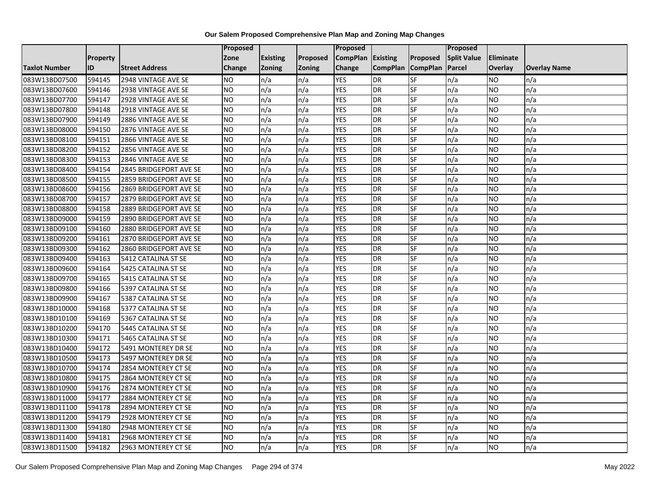|                      |                 |                        | Proposed        |                 |               | <b>Proposed</b> |                 |                          | Proposed           |                |                     |
|----------------------|-----------------|------------------------|-----------------|-----------------|---------------|-----------------|-----------------|--------------------------|--------------------|----------------|---------------------|
|                      | <b>Property</b> |                        | Zone            | <b>Existing</b> | Proposed      | <b>CompPlan</b> | <b>Existing</b> | Proposed                 | <b>Split Value</b> | Eliminate      |                     |
| <b>Taxlot Number</b> | ID              | <b>Street Address</b>  | Change          | <b>Zoning</b>   | <b>Zoning</b> | Change          | <b>CompPlan</b> | <b>CompPlan</b>          | Parcel             | <b>Overlay</b> | <b>Overlay Name</b> |
| 083W13BD07500        | 594145          | 2948 VINTAGE AVE SE    | NO.             | n/a             | n/a           | <b>YES</b>      | <b>DR</b>       | <b>SF</b>                | n/a                | NO             | n/a                 |
| 083W13BD07600        | 594146          | 2938 VINTAGE AVE SE    | <b>NO</b>       | n/a             | n/a           | <b>YES</b>      | <b>DR</b>       | $\overline{\mathsf{SF}}$ | n/a                | NO.            | n/a                 |
| 083W13BD07700        | 594147          | 2928 VINTAGE AVE SE    | <b>NO</b>       | n/a             | n/a           | <b>YES</b>      | <b>DR</b>       | SF                       | n/a                | NO.            | n/a                 |
| 083W13BD07800        | 594148          | 2918 VINTAGE AVE SE    | <b>NO</b>       | n/a             | n/a           | <b>YES</b>      | <b>DR</b>       | SF                       | n/a                | NO.            | n/a                 |
| 083W13BD07900        | 594149          | 2886 VINTAGE AVE SE    | ŌИ              | n/a             | n/a           | <b>YES</b>      | <b>DR</b>       | <b>SF</b>                | n/a                | NO.            | n/a                 |
| 083W13BD08000        | 594150          | 2876 VINTAGE AVE SE    | NO              | n/a             | n/a           | <b>YES</b>      | <b>DR</b>       | SF                       | n/a                | <b>NO</b>      | n/a                 |
| 083W13BD08100        | 594151          | 2866 VINTAGE AVE SE    | <b>NO</b>       | n/a             | n/a           | <b>YES</b>      | <b>DR</b>       | SF                       | n/a                | NO.            | n/a                 |
| 083W13BD08200        | 594152          | 2856 VINTAGE AVE SE    | <b>NO</b>       | n/a             | n/a           | <b>YES</b>      | <b>DR</b>       | SF                       | n/a                | NO.            | n/a                 |
| 083W13BD08300        | 594153          | 2846 VINTAGE AVE SE    | NO              | n/a             | n/a           | <b>YES</b>      | <b>DR</b>       | SF                       | n/a                | ΝO             | n/a                 |
| 083W13BD08400        | 594154          | 2845 BRIDGEPORT AVE SE | <b>NO</b>       | n/a             | n/a           | <b>YES</b>      | <b>DR</b>       | <b>SF</b>                | n/a                | NO.            | n/a                 |
| 083W13BD08500        | 594155          | 2859 BRIDGEPORT AVE SE | <b>NO</b>       | n/a             | n/a           | <b>YES</b>      | <b>DR</b>       | SF                       | n/a                | NO.            | n/a                 |
| 083W13BD08600        | 594156          | 2869 BRIDGEPORT AVE SE | <b>NO</b>       | n/a             | n/a           | <b>YES</b>      | <b>DR</b>       | SF                       | n/a                | NO.            | n/a                 |
| 083W13BD08700        | 594157          | 2879 BRIDGEPORT AVE SE | <b>NO</b>       | n/a             | n/a           | <b>YES</b>      | <b>DR</b>       | <b>SF</b>                | n/a                | NO             | n/a                 |
| 083W13BD08800        | 594158          | 2889 BRIDGEPORT AVE SE | $\overline{NO}$ | n/a             | n/a           | <b>YES</b>      | <b>DR</b>       | SF                       | n/a                | NO.            | n/a                 |
| 083W13BD09000        | 594159          | 2890 BRIDGEPORT AVE SE | <b>NO</b>       | n/a             | n/a           | <b>YES</b>      | <b>DR</b>       | SF                       | n/a                | ΝO             | n/a                 |
| 083W13BD09100        | 594160          | 2880 BRIDGEPORT AVE SE | <b>NO</b>       | n/a             | n/a           | <b>YES</b>      | <b>DR</b>       | <b>SF</b>                | n/a                | NO.            | n/a                 |
| 083W13BD09200        | 594161          | 2870 BRIDGEPORT AVE SE | <b>NO</b>       | n/a             | n/a           | <b>YES</b>      | DR              | SF                       | n/a                | NO.            | n/a                 |
| 083W13BD09300        | 594162          | 2860 BRIDGEPORT AVE SE | <b>NO</b>       | n/a             | n/a           | <b>YES</b>      | <b>DR</b>       | SF                       | n/a                | NO.            | n/a                 |
| 083W13BD09400        | 594163          | 5412 CATALINA ST SE    | <b>NO</b>       | n/a             | n/a           | <b>YES</b>      | <b>DR</b>       | SF                       | n/a                | <b>NO</b>      | n/a                 |
| 083W13BD09600        | 594164          | 5425 CATALINA ST SE    | <b>NO</b>       | n/a             | n/a           | <b>YES</b>      | <b>DR</b>       | SF                       | n/a                | NO.            | n/a                 |
| 083W13BD09700        | 594165          | 5415 CATALINA ST SE    | <b>NO</b>       | n/a             | n/a           | <b>YES</b>      | <b>DR</b>       | SF                       | n/a                | NO.            | n/a                 |
| 083W13BD09800        | 594166          | 5397 CATALINA ST SE    | NO              | n/a             | n/a           | <b>YES</b>      | <b>DR</b>       | <b>SF</b>                | n/a                | NO.            | n/a                 |
| 083W13BD09900        | 594167          | 5387 CATALINA ST SE    | <b>NO</b>       | n/a             | n/a           | <b>YES</b>      | <b>DR</b>       | SF                       | n/a                | NO.            | n/a                 |
| 083W13BD10000        | 594168          | 5377 CATALINA ST SE    | <b>NO</b>       | n/a             | n/a           | <b>YES</b>      | <b>DR</b>       | SF                       | n/a                | NO.            | n/a                 |
| 083W13BD10100        | 594169          | 5367 CATALINA ST SE    | $\overline{NO}$ | n/a             | n/a           | <b>YES</b>      | <b>DR</b>       | <b>SF</b>                | n/a                | <b>NO</b>      | n/a                 |
| 083W13BD10200        | 594170          | 5445 CATALINA ST SE    | <b>NO</b>       | n/a             | n/a           | <b>YES</b>      | <b>DR</b>       | <b>SF</b>                | n/a                | NO.            | n/a                 |
| 083W13BD10300        | 594171          | 5465 CATALINA ST SE    | <b>NO</b>       | n/a             | n/a           | <b>YES</b>      | <b>DR</b>       | SF                       | n/a                | NO.            | n/a                 |
| 083W13BD10400        | 594172          | 5491 MONTEREY DR SE    | <b>NO</b>       | n/a             | n/a           | <b>YES</b>      | <b>DR</b>       | SF                       | n/a                | NO.            | n/a                 |
| 083W13BD10500        | 594173          | 5497 MONTEREY DR SE    | NO.             | n/a             | n/a           | <b>YES</b>      | <b>DR</b>       | SF                       | n/a                | NO.            | n/a                 |
| 083W13BD10700        | 594174          | 2854 MONTEREY CT SE    | <b>NO</b>       | n/a             | n/a           | <b>YES</b>      | <b>DR</b>       | SF                       | n/a                | NO.            | n/a                 |
| 083W13BD10800        | 594175          | 2864 MONTEREY CT SE    | <b>NO</b>       | n/a             | n/a           | <b>YES</b>      | <b>DR</b>       | SF                       | n/a                | ΝO             | n/a                 |
| 083W13BD10900        | 594176          | 2874 MONTEREY CT SE    | <b>NO</b>       | n/a             | n/a           | <b>YES</b>      | <b>DR</b>       | <b>SF</b>                | n/a                | NO.            | n/a                 |
| 083W13BD11000        | 594177          | 2884 MONTEREY CT SE    | <b>NO</b>       | n/a             | n/a           | <b>YES</b>      | <b>DR</b>       | SF                       | n/a                | NO.            | n/a                 |
| 083W13BD11100        | 594178          | 2894 MONTEREY CT SE    | <b>NO</b>       | n/a             | n/a           | <b>YES</b>      | <b>DR</b>       | SF                       | n/a                | NO.            | n/a                 |
| 083W13BD11200        | 594179          | 2928 MONTEREY CT SE    | $\overline{NO}$ | n/a             | n/a           | <b>YES</b>      | <b>DR</b>       | SF                       | n/a                | NO.            | n/a                 |
| 083W13BD11300        | 594180          | 2948 MONTEREY CT SE    | NO              | n/a             | n/a           | <b>YES</b>      | <b>DR</b>       | SF                       | n/a                | NO.            | n/a                 |
| 083W13BD11400        | 594181          | 2968 MONTEREY CT SE    | <b>NO</b>       | n/a             | n/a           | <b>YES</b>      | DR              | SF                       | n/a                | <b>NO</b>      | n/a                 |
| 083W13BD11500        | 594182          | 2963 MONTEREY CT SE    | $\overline{NO}$ | n/a             | n/a           | <b>YES</b>      | <b>DR</b>       | <b>SF</b>                | n/a                | NO.            | n/a                 |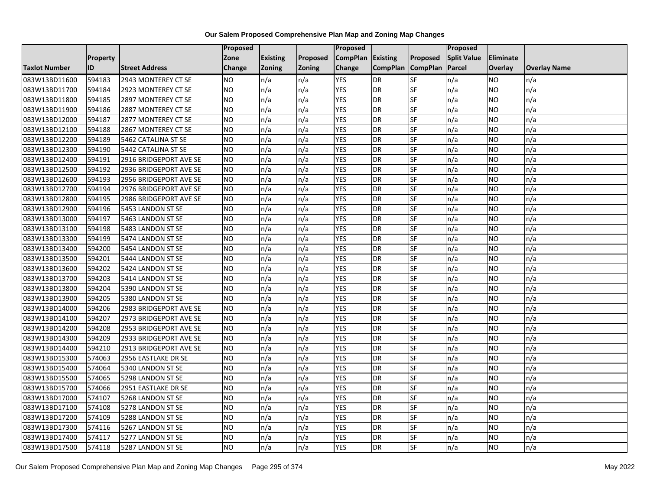|                      |                 |                        | <b>Proposed</b> |                 |          | Proposed          |                 |                 | <b>Proposed</b>    |           |                     |
|----------------------|-----------------|------------------------|-----------------|-----------------|----------|-------------------|-----------------|-----------------|--------------------|-----------|---------------------|
|                      | <b>Property</b> |                        | Zone            | <b>Existing</b> | Proposed | CompPlan Existing |                 | Proposed        | <b>Split Value</b> | Eliminate |                     |
| <b>Taxlot Number</b> | ID              | <b>Street Address</b>  | <b>Change</b>   | <b>Zoning</b>   | Zoning   | Change            | <b>CompPlan</b> | <b>CompPlan</b> | Parcel             | Overlay   | <b>Overlay Name</b> |
| 083W13BD11600        | 594183          | 2943 MONTEREY CT SE    | <b>NO</b>       | n/a             | n/a      | <b>YES</b>        | DR              | SF              | n/a                | NO        | n/a                 |
| 083W13BD11700        | 594184          | 2923 MONTEREY CT SE    | <b>NO</b>       | n/a             | n/a      | <b>YES</b>        | DR              | SF              | n/a                | NO.       | n/a                 |
| 083W13BD11800        | 594185          | 2897 MONTEREY CT SE    | <b>NO</b>       | n/a             | n/a      | <b>YES</b>        | DR              | SF              | n/a                | <b>NO</b> | n/a                 |
| 083W13BD11900        | 594186          | 2887 MONTEREY CT SE    | <b>NO</b>       | n/a             | n/a      | <b>YES</b>        | DR              | SF              | n/a                | NO.       | n/a                 |
| 083W13BD12000        | 594187          | 2877 MONTEREY CT SE    | Ю               | n/a             | n/a      | <b>YES</b>        | DR              | SF              | n/a                | NO.       | n/a                 |
| 083W13BD12100        | 594188          | 2867 MONTEREY CT SE    | <b>NO</b>       | n/a             | n/a      | <b>YES</b>        | DR              | SF              | n/a                | NO.       | n/a                 |
| 083W13BD12200        | 594189          | 5462 CATALINA ST SE    | <b>NO</b>       | n/a             | n/a      | <b>YES</b>        | DR              | SF              | n/a                | NO.       | n/a                 |
| 083W13BD12300        | 594190          | 5442 CATALINA ST SE    | <b>NO</b>       | n/a             | n/a      | <b>YES</b>        | DR              | SF              | n/a                | NO.       | n/a                 |
| 083W13BD12400        | 594191          | 2916 BRIDGEPORT AVE SE | <b>NO</b>       | n/a             | n/a      | <b>YES</b>        | DR              | SF              | n/a                | NO        | n/a                 |
| 083W13BD12500        | 594192          | 2936 BRIDGEPORT AVE SE | <b>NO</b>       | n/a             | n/a      | <b>YES</b>        | DR              | SF              | n/a                | NO        | n/a                 |
| 083W13BD12600        | 594193          | 2956 BRIDGEPORT AVE SE | <b>NO</b>       | n/a             | n/a      | <b>YES</b>        | DR              | SF              | n/a                | <b>NO</b> | n/a                 |
| 083W13BD12700        | 594194          | 2976 BRIDGEPORT AVE SE | <b>NO</b>       | n/a             | n/a      | <b>YES</b>        | DR              | SF              | n/a                | NO        | n/a                 |
| 083W13BD12800        | 594195          | 2986 BRIDGEPORT AVE SE | <b>NO</b>       | n/a             | n/a      | <b>YES</b>        | DR              | SF              | n/a                | NO        | n/a                 |
| 083W13BD12900        | 594196          | 5453 LANDON ST SE      | <b>NO</b>       | n/a             | n/a      | <b>YES</b>        | DR              | <b>SF</b>       | n/a                | <b>NO</b> | n/a                 |
| 083W13BD13000        | 594197          | 5463 LANDON ST SE      | <b>NO</b>       | n/a             | n/a      | <b>YES</b>        | DR              | <b>SF</b>       | n/a                | NO.       | n/a                 |
| 083W13BD13100        | 594198          | 5483 LANDON ST SE      | <b>NO</b>       | n/a             | n/a      | <b>YES</b>        | DR              | SF              | n/a                | NO.       | n/a                 |
| 083W13BD13300        | 594199          | 5474 LANDON ST SE      | <b>NO</b>       | n/a             | n/a      | <b>YES</b>        | DR              | SF              | n/a                | NO.       | n/a                 |
| 083W13BD13400        | 594200          | 5454 LANDON ST SE      | <b>NO</b>       | n/a             | n/a      | <b>YES</b>        | DR              | SF              | n/a                | NO.       | n/a                 |
| 083W13BD13500        | 594201          | 5444 LANDON ST SE      | <b>NO</b>       | n/a             | n/a      | <b>YES</b>        | DR              | SF              | n/a                | NO        | n/a                 |
| 083W13BD13600        | 594202          | 5424 LANDON ST SE      | <b>NO</b>       | n/a             | n/a      | <b>YES</b>        | DR              | SF              | n/a                | NO        | n/a                 |
| 083W13BD13700        | 594203          | 5414 LANDON ST SE      | <b>NO</b>       | n/a             | n/a      | <b>YES</b>        | DR              | SF              | n/a                | <b>NO</b> | n/a                 |
| 083W13BD13800        | 594204          | 5390 LANDON ST SE      | <b>NO</b>       | n/a             | n/a      | <b>YES</b>        | $\overline{DR}$ | SF              | n/a                | NO        | n/a                 |
| 083W13BD13900        | 594205          | 5380 LANDON ST SE      | <b>NO</b>       | n/a             | n/a      | <b>YES</b>        | DR              | <b>SF</b>       | n/a                | NO        | n/a                 |
| 083W13BD14000        | 594206          | 2983 BRIDGEPORT AVE SE | <b>NO</b>       | n/a             | n/a      | <b>YES</b>        | DR              | SF              | n/a                | NO.       | n/a                 |
| 083W13BD14100        | 594207          | 2973 BRIDGEPORT AVE SE | <b>NO</b>       | n/a             | n/a      | <b>YES</b>        | DR              | SF              | n/a                | NO        | n/a                 |
| 083W13BD14200        | 594208          | 2953 BRIDGEPORT AVE SE | <b>NO</b>       | n/a             | n/a      | <b>YES</b>        | DR              | SF              | n/a                | NO        | n/a                 |
| 083W13BD14300        | 594209          | 2933 BRIDGEPORT AVE SE | <b>NO</b>       | n/a             | n/a      | <b>YES</b>        | DR              | SF              | n/a                | NO        | n/a                 |
| 083W13BD14400        | 594210          | 2913 BRIDGEPORT AVE SE | <b>NO</b>       | n/a             | n/a      | <b>YES</b>        | DR              | SF              | n/a                | NO.       | n/a                 |
| 083W13BD15300        | 574063          | 2956 EASTLAKE DR SE    | <b>NO</b>       | n/a             | n/a      | <b>YES</b>        | DR              | SF              | n/a                | NO.       | n/a                 |
| 083W13BD15400        | 574064          | 5340 LANDON ST SE      | <b>NO</b>       | n/a             | n/a      | <b>YES</b>        | DR              | SF              | n/a                | NO        | n/a                 |
| 083W13BD15500        | 574065          | 5298 LANDON ST SE      | <b>NO</b>       | n/a             | n/a      | <b>YES</b>        | DR              | SF              | n/a                | NO.       | n/a                 |
| 083W13BD15700        | 574066          | 2951 EASTLAKE DR SE    | <b>NO</b>       | n/a             | n/a      | <b>YES</b>        | DR              | SF              | n/a                | NO.       | n/a                 |
| 083W13BD17000        | 574107          | 5268 LANDON ST SE      | <b>NO</b>       | n/a             | n/a      | <b>YES</b>        | DR              | SF              | n/a                | NO.       | n/a                 |
| 083W13BD17100        | 574108          | 5278 LANDON ST SE      | <b>NO</b>       | n/a             | n/a      | <b>YES</b>        | DR              | SF              | n/a                | <b>NO</b> | n/a                 |
| 083W13BD17200        | 574109          | 5288 LANDON ST SE      | <b>NO</b>       | n/a             | n/a      | <b>YES</b>        | DR              | SF              | n/a                | NO.       | n/a                 |
| 083W13BD17300        | 574116          | 5267 LANDON ST SE      | <b>NO</b>       | n/a             | n/a      | <b>YES</b>        | DR              | SF              | n/a                | NO.       | n/a                 |
| 083W13BD17400        | 574117          | 5277 LANDON ST SE      | <b>NO</b>       | n/a             | n/a      | <b>YES</b>        | DR              | SF              | n/a                | NO.       | n/a                 |
| 083W13BD17500        | 574118          | 5287 LANDON ST SE      | <b>ON</b>       | n/a             | n/a      | <b>YES</b>        | DR              | SF              | n/a                | NO        | n/a                 |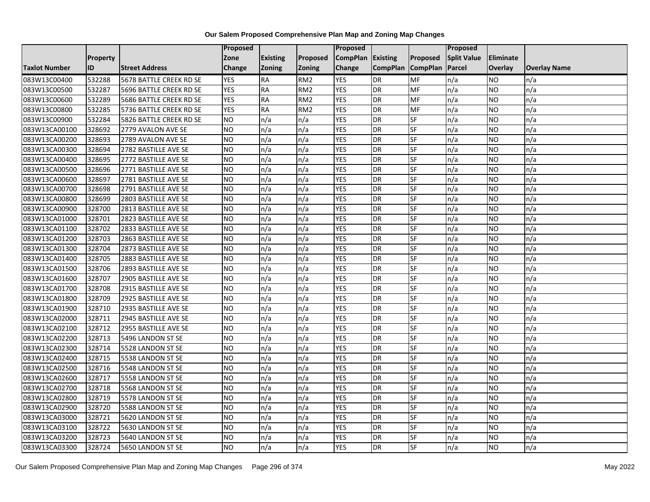|                      |                 |                         | Proposed        |                 |                 | <b>Proposed</b>   |                 |                 | Proposed           |                |                     |
|----------------------|-----------------|-------------------------|-----------------|-----------------|-----------------|-------------------|-----------------|-----------------|--------------------|----------------|---------------------|
|                      | <b>Property</b> |                         | Zone            | <b>Existing</b> | <b>Proposed</b> | CompPlan Existing |                 | <b>Proposed</b> | <b>Split Value</b> | Eliminate      |                     |
| <b>Taxlot Number</b> | ID              | <b>Street Address</b>   | Change          | <b>Zoning</b>   | <b>Zoning</b>   | Change            | <b>CompPlan</b> | <b>CompPlan</b> | <b>Parcel</b>      | <b>Overlay</b> | <b>Overlay Name</b> |
| 083W13C00400         | 532288          | 5678 BATTLE CREEK RD SE | <b>YES</b>      | <b>RA</b>       | RM <sub>2</sub> | <b>YES</b>        | <b>DR</b>       | MF              | n/a                | NO.            | n/a                 |
| 083W13C00500         | 532287          | 5696 BATTLE CREEK RD SE | <b>YES</b>      | <b>RA</b>       | RM <sub>2</sub> | <b>YES</b>        | <b>DR</b>       | MF              | n/a                | NO.            | n/a                 |
| 083W13C00600         | 532289          | 5686 BATTLE CREEK RD SE | <b>YES</b>      | <b>RA</b>       | RM <sub>2</sub> | <b>YES</b>        | <b>DR</b>       | MF              | n/a                | NO.            | n/a                 |
| 083W13C00800         | 532285          | 5736 BATTLE CREEK RD SE | <b>YES</b>      | <b>RA</b>       | RM <sub>2</sub> | <b>YES</b>        | <b>DR</b>       | MF              | n/a                | NO.            | n/a                 |
| 083W13C00900         | 532284          | 5826 BATTLE CREEK RD SE | ŌИ              | n/a             | n/a             | <b>YES</b>        | <b>DR</b>       | <b>SF</b>       | n/a                | NO.            | n/a                 |
| 083W13CA00100        | 328692          | 2779 AVALON AVE SE      | NO              | n/a             | n/a             | <b>YES</b>        | <b>DR</b>       | SF              | n/a                | NO.            | n/a                 |
| 083W13CA00200        | 328693          | 2789 AVALON AVE SE      | <b>NO</b>       | n/a             | n/a             | <b>YES</b>        | <b>DR</b>       | SF              | n/a                | NO.            | n/a                 |
| 083W13CA00300        | 328694          | 2782 BASTILLE AVE SE    | <b>NO</b>       | n/a             | n/a             | <b>YES</b>        | <b>DR</b>       | SF              | n/a                | NO.            | n/a                 |
| 083W13CA00400        | 328695          | 2772 BASTILLE AVE SE    | NO.             | n/a             | n/a             | <b>YES</b>        | <b>DR</b>       | SF              | n/a                | ΝO             | n/a                 |
| 083W13CA00500        | 328696          | 2771 BASTILLE AVE SE    | Ю               | n/a             | n/a             | <b>YES</b>        | <b>DR</b>       | <b>SF</b>       | n/a                | NO.            | n/a                 |
| 083W13CA00600        | 328697          | 2781 BASTILLE AVE SE    | <b>NO</b>       | n/a             | n/a             | <b>YES</b>        | <b>DR</b>       | SF              | n/a                | NO.            | n/a                 |
| 083W13CA00700        | 328698          | 2791 BASTILLE AVE SE    | <b>NO</b>       | n/a             | n/a             | <b>YES</b>        | <b>DR</b>       | <b>SF</b>       | n/a                | NO.            | n/a                 |
| 083W13CA00800        | 328699          | 2803 BASTILLE AVE SE    | <b>NO</b>       | n/a             | n/a             | <b>YES</b>        | <b>DR</b>       | SF              | n/a                | NO.            | n/a                 |
| 083W13CA00900        | 328700          | 2813 BASTILLE AVE SE    | $\overline{NO}$ | n/a             | n/a             | <b>YES</b>        | <b>DR</b>       | <b>SF</b>       | n/a                | <b>NO</b>      | n/a                 |
| 083W13CA01000        | 328701          | 2823 BASTILLE AVE SE    | <b>NO</b>       | n/a             | n/a             | <b>YES</b>        | <b>DR</b>       | SF              | n/a                | ΝO             | n/a                 |
| 083W13CA01100        | 328702          | 2833 BASTILLE AVE SE    | <b>NO</b>       | n/a             | n/a             | <b>YES</b>        | <b>DR</b>       | <b>SF</b>       | n/a                | NO.            | n/a                 |
| 083W13CA01200        | 328703          | 2863 BASTILLE AVE SE    | <b>NO</b>       | n/a             | n/a             | <b>YES</b>        | DR              | SF              | n/a                | NO.            | n/a                 |
| 083W13CA01300        | 328704          | 2873 BASTILLE AVE SE    | <b>NO</b>       | n/a             | n/a             | <b>YES</b>        | <b>DR</b>       | SF              | n/a                | NO.            | n/a                 |
| 083W13CA01400        | 328705          | 2883 BASTILLE AVE SE    | <b>NO</b>       | n/a             | n/a             | <b>YES</b>        | <b>DR</b>       | SF              | n/a                | <b>NO</b>      | n/a                 |
| 083W13CA01500        | 328706          | 2893 BASTILLE AVE SE    | <b>NO</b>       | n/a             | n/a             | <b>YES</b>        | <b>DR</b>       | SF              | n/a                | NO.            | n/a                 |
| 083W13CA01600        | 328707          | 2905 BASTILLE AVE SE    | <b>NO</b>       | n/a             | n/a             | <b>YES</b>        | <b>DR</b>       | SF              | n/a                | NO.            | n/a                 |
| 083W13CA01700        | 328708          | 2915 BASTILLE AVE SE    | NO              | n/a             | n/a             | <b>YES</b>        | <b>DR</b>       | <b>SF</b>       | n/a                | NO.            | n/a                 |
| 083W13CA01800        | 328709          | 2925 BASTILLE AVE SE    | <b>NO</b>       | n/a             | n/a             | <b>YES</b>        | <b>DR</b>       | SF              | n/a                | NO.            | n/a                 |
| 083W13CA01900        | 328710          | 2935 BASTILLE AVE SE    | <b>NO</b>       | n/a             | n/a             | <b>YES</b>        | <b>DR</b>       | SF              | n/a                | NO.            | n/a                 |
| 083W13CA02000        | 328711          | 2945 BASTILLE AVE SE    | $\overline{NO}$ | n/a             | n/a             | <b>YES</b>        | <b>DR</b>       | <b>SF</b>       | n/a                | <b>NO</b>      | n/a                 |
| 083W13CA02100        | 328712          | 2955 BASTILLE AVE SE    | <b>NO</b>       | n/a             | n/a             | <b>YES</b>        | <b>DR</b>       | <b>SF</b>       | n/a                | NO.            | n/a                 |
| 083W13CA02200        | 328713          | 5496 LANDON ST SE       | <b>NO</b>       | n/a             | n/a             | <b>YES</b>        | <b>DR</b>       | SF              | n/a                | <b>NO</b>      | n/a                 |
| 083W13CA02300        | 328714          | 5528 LANDON ST SE       | <b>NO</b>       | n/a             | n/a             | <b>YES</b>        | <b>DR</b>       | SF              | n/a                | NO.            | n/a                 |
| 083W13CA02400        | 328715          | 5538 LANDON ST SE       | NO.             | n/a             | n/a             | <b>YES</b>        | <b>DR</b>       | SF              | n/a                | NO.            | n/a                 |
| 083W13CA02500        | 328716          | 5548 LANDON ST SE       | <b>NO</b>       | n/a             | n/a             | <b>YES</b>        | <b>DR</b>       | SF              | n/a                | NO.            | n/a                 |
| 083W13CA02600        | 328717          | 5558 LANDON ST SE       | <b>NO</b>       | n/a             | n/a             | <b>YES</b>        | <b>DR</b>       | SF              | n/a                | ΝO             | n/a                 |
| 083W13CA02700        | 328718          | 5568 LANDON ST SE       | <b>NO</b>       | n/a             | n/a             | <b>YES</b>        | <b>DR</b>       | <b>SF</b>       | n/a                | NO.            | n/a                 |
| 083W13CA02800        | 328719          | 5578 LANDON ST SE       | <b>NO</b>       | n/a             | n/a             | <b>YES</b>        | <b>DR</b>       | SF              | n/a                | NO.            | n/a                 |
| 083W13CA02900        | 328720          | 5588 LANDON ST SE       | <b>NO</b>       | n/a             | n/a             | <b>YES</b>        | <b>DR</b>       | SF              | n/a                | NO.            | n/a                 |
| 083W13CA03000        | 328721          | 5620 LANDON ST SE       | $\overline{NO}$ | n/a             | n/a             | <b>YES</b>        | <b>DR</b>       | SF              | n/a                | NO.            | n/a                 |
| 083W13CA03100        | 328722          | 5630 LANDON ST SE       | NO.             | n/a             | n/a             | <b>YES</b>        | <b>DR</b>       | SF              | n/a                | NO.            | n/a                 |
| 083W13CA03200        | 328723          | 5640 LANDON ST SE       | <b>NO</b>       | n/a             | n/a             | <b>YES</b>        | DR              | SF              | n/a                | NO.            | n/a                 |
| 083W13CA03300        | 328724          | 5650 LANDON ST SE       | $\overline{NO}$ | n/a             | n/a             | <b>YES</b>        | <b>DR</b>       | <b>SF</b>       | n/a                | NO.            | n/a                 |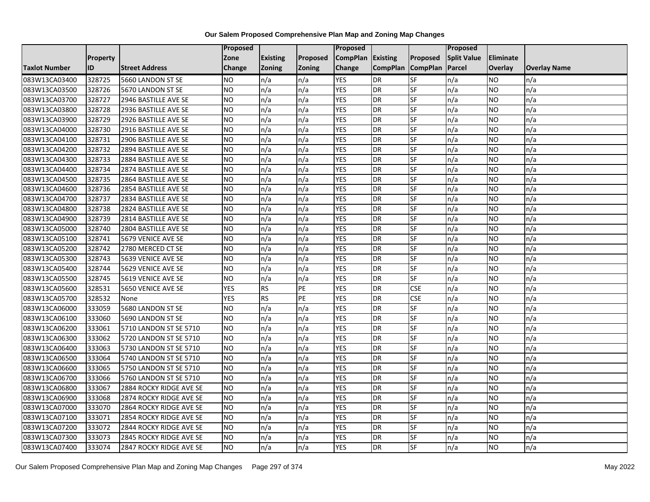|                      |                 |                         | Proposed        |                 |               | <b>Proposed</b> |                 |                          | <b>Proposed</b>    |           |                     |
|----------------------|-----------------|-------------------------|-----------------|-----------------|---------------|-----------------|-----------------|--------------------------|--------------------|-----------|---------------------|
|                      | <b>Property</b> |                         | Zone            | <b>Existing</b> | Proposed      | <b>CompPlan</b> | <b>Existing</b> | <b>Proposed</b>          | <b>Split Value</b> | Eliminate |                     |
| <b>Taxlot Number</b> | ID              | <b>Street Address</b>   | Change          | <b>Zoning</b>   | <b>Zoning</b> | Change          | <b>CompPlan</b> | <b>CompPlan</b>          | Parcel             | Overlay   | <b>Overlay Name</b> |
| 083W13CA03400        | 328725          | 5660 LANDON ST SE       | NO.             | n/a             | n/a           | <b>YES</b>      | <b>DR</b>       | <b>SF</b>                | n/a                | NO        | n/a                 |
| 083W13CA03500        | 328726          | 5670 LANDON ST SE       | <b>NO</b>       | n/a             | n/a           | <b>YES</b>      | <b>DR</b>       | <b>SF</b>                | n/a                | NO.       | n/a                 |
| 083W13CA03700        | 328727          | 2946 BASTILLE AVE SE    | <b>NO</b>       | n/a             | n/a           | <b>YES</b>      | <b>DR</b>       | SF                       | n/a                | NO.       | n/a                 |
| 083W13CA03800        | 328728          | 2936 BASTILLE AVE SE    | <b>NO</b>       | n/a             | n/a           | <b>YES</b>      | DR              | SF                       | n/a                | NO.       | n/a                 |
| 083W13CA03900        | 328729          | 2926 BASTILLE AVE SE    | <b>NO</b>       | n/a             | n/a           | <b>YES</b>      | <b>DR</b>       | <b>SF</b>                | n/a                | NO.       | n/a                 |
| 083W13CA04000        | 328730          | 2916 BASTILLE AVE SE    | NO              | n/a             | n/a           | <b>YES</b>      | <b>DR</b>       | SF                       | n/a                | <b>NO</b> | n/a                 |
| 083W13CA04100        | 328731          | 2906 BASTILLE AVE SE    | <b>NO</b>       | n/a             | n/a           | <b>YES</b>      | <b>DR</b>       | SF                       | n/a                | NO.       | n/a                 |
| 083W13CA04200        | 328732          | 2894 BASTILLE AVE SE    | <b>NO</b>       | n/a             | n/a           | <b>YES</b>      | <b>DR</b>       | SF                       | n/a                | NO.       | n/a                 |
| 083W13CA04300        | 328733          | 2884 BASTILLE AVE SE    | <b>NO</b>       | n/a             | n/a           | <b>YES</b>      | <b>DR</b>       | SF                       | n/a                | NO.       | n/a                 |
| 083W13CA04400        | 328734          | 2874 BASTILLE AVE SE    | NO              | n/a             | n/a           | <b>YES</b>      | <b>DR</b>       | <b>SF</b>                | n/a                | NO.       | n/a                 |
| 083W13CA04500        | 328735          | 2864 BASTILLE AVE SE    | <b>NO</b>       | n/a             | n/a           | <b>YES</b>      | <b>DR</b>       | SF                       | n/a                | NO.       | n/a                 |
| 083W13CA04600        | 328736          | 2854 BASTILLE AVE SE    | <b>NO</b>       | n/a             | n/a           | <b>YES</b>      | <b>DR</b>       | SF                       | n/a                | NO.       | n/a                 |
| 083W13CA04700        | 328737          | 2834 BASTILLE AVE SE    | <b>NO</b>       | n/a             | n/a           | <b>YES</b>      | <b>DR</b>       | $\overline{\mathsf{SF}}$ | n/a                | NO.       | n/a                 |
| 083W13CA04800        | 328738          | 2824 BASTILLE AVE SE    | <b>NO</b>       | n/a             | n/a           | <b>YES</b>      | <b>DR</b>       | SF                       | n/a                | NO.       | n/a                 |
| 083W13CA04900        | 328739          | 2814 BASTILLE AVE SE    | <b>NO</b>       | n/a             | n/a           | <b>YES</b>      | <b>DR</b>       | SF                       | n/a                | NO.       | n/a                 |
| 083W13CA05000        | 328740          | 2804 BASTILLE AVE SE    | $\overline{NO}$ | n/a             | n/a           | <b>YES</b>      | <b>DR</b>       | <b>SF</b>                | n/a                | NO.       | n/a                 |
| 083W13CA05100        | 328741          | 5679 VENICE AVE SE      | NO              | n/a             | n/a           | <b>YES</b>      | <b>DR</b>       | <b>SF</b>                | n/a                | NO.       | n/a                 |
| 083W13CA05200        | 328742          | 2780 MERCED CT SE       | <b>NO</b>       | n/a             | n/a           | <b>YES</b>      | <b>DR</b>       | SF                       | n/a                | NO.       | n/a                 |
| 083W13CA05300        | 328743          | 5639 VENICE AVE SE      | <b>NO</b>       | n/a             | n/a           | <b>YES</b>      | <b>DR</b>       | <b>SF</b>                | n/a                | <b>NO</b> | n/a                 |
| 083W13CA05400        | 328744          | 5629 VENICE AVE SE      | <b>NO</b>       | n/a             | n/a           | <b>YES</b>      | <b>DR</b>       | <b>SF</b>                | n/a                | ΝO        | n/a                 |
| 083W13CA05500        | 328745          | 5619 VENICE AVE SE      | <b>NO</b>       | n/a             | n/a           | <b>YES</b>      | <b>DR</b>       | SF                       | n/a                | NO.       | n/a                 |
| 083W13CA05600        | 328531          | 5650 VENICE AVE SE      | <b>YES</b>      | <b>RS</b>       | PE            | <b>YES</b>      | <b>DR</b>       | <b>CSE</b>               | n/a                | <b>NO</b> | n/a                 |
| 083W13CA05700        | 328532          | None                    | <b>YES</b>      | RS              | PE            | <b>YES</b>      | DR              | <b>CSE</b>               | n/a                | NO.       | n/a                 |
| 083W13CA06000        | 333059          | 5680 LANDON ST SE       | <b>NO</b>       | n/a             | n/a           | <b>YES</b>      | <b>DR</b>       | SF                       | n/a                | NO        | n/a                 |
| 083W13CA06100        | 333060          | 5690 LANDON ST SE       | <b>NO</b>       | n/a             | n/a           | <b>YES</b>      | <b>DR</b>       | SF                       | n/a                | NO.       | n/a                 |
| 083W13CA06200        | 333061          | 5710 LANDON ST SE 5710  | <b>NO</b>       | n/a             | n/a           | <b>YES</b>      | <b>DR</b>       | SF                       | n/a                | NO.       | n/a                 |
| 083W13CA06300        | 333062          | 5720 LANDON ST SE 5710  | Ю               | n/a             | n/a           | <b>YES</b>      | <b>DR</b>       | $S_{F}$                  | n/a                | NO.       | n/a                 |
| 083W13CA06400        | 333063          | 5730 LANDON ST SE 5710  | <b>NO</b>       | n/a             | n/a           | <b>YES</b>      | <b>DR</b>       | SF                       | n/a                | NO.       | n/a                 |
| 083W13CA06500        | 333064          | 5740 LANDON ST SE 5710  | <b>NO</b>       | n/a             | n/a           | <b>YES</b>      | <b>DR</b>       | SF                       | n/a                | NO.       | n/a                 |
| 083W13CA06600        | 333065          | 5750 LANDON ST SE 5710  | <b>NO</b>       | n/a             | n/a           | <b>YES</b>      | <b>DR</b>       | SF                       | n/a                | NO        | n/a                 |
| 083W13CA06700        | 333066          | 5760 LANDON ST SE 5710  | <b>NO</b>       | n/a             | n/a           | <b>YES</b>      | <b>DR</b>       | SF                       | n/a                | NO.       | n/a                 |
| 083W13CA06800        | 333067          | 2884 ROCKY RIDGE AVE SE | <b>NO</b>       | n/a             | n/a           | <b>YES</b>      | <b>DR</b>       | <b>SF</b>                | n/a                | NO.       | n/a                 |
| 083W13CA06900        | 333068          | 2874 ROCKY RIDGE AVE SE | $\overline{NO}$ | n/a             | n/a           | <b>YES</b>      | <b>DR</b>       | <b>SF</b>                | n/a                | NO.       | n/a                 |
| 083W13CA07000        | 333070          | 2864 ROCKY RIDGE AVE SE | <b>NO</b>       | n/a             | n/a           | <b>YES</b>      | <b>DR</b>       | SF                       | n/a                | NO.       | n/a                 |
| 083W13CA07100        | 333071          | 2854 ROCKY RIDGE AVE SE | <b>NO</b>       | n/a             | n/a           | <b>YES</b>      | <b>DR</b>       | SF                       | n/a                | NO.       | n/a                 |
| 083W13CA07200        | 333072          | 2844 ROCKY RIDGE AVE SE | NO.             | n/a             | n/a           | YES             | <b>DR</b>       | SF                       | n/a                | NO        | n/a                 |
| 083W13CA07300        | 333073          | 2845 ROCKY RIDGE AVE SE | NO              | n/a             | n/a           | <b>YES</b>      | <b>DR</b>       | SF                       | n/a                | NO        | n/a                 |
| 083W13CA07400        | 333074          | 2847 ROCKY RIDGE AVE SE | <b>NO</b>       | n/a             | n/a           | <b>YES</b>      | <b>DR</b>       | SF                       | n/a                | NO.       | n/a                 |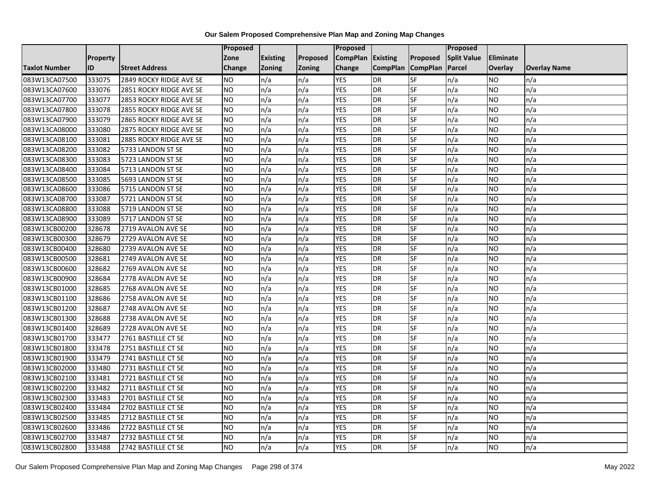|                      |                 |                         | Proposed  |                 |               | Proposed        |                 |                 | Proposed           |                 |                     |
|----------------------|-----------------|-------------------------|-----------|-----------------|---------------|-----------------|-----------------|-----------------|--------------------|-----------------|---------------------|
|                      | <b>Property</b> |                         | Zone      | <b>Existing</b> | Proposed      | <b>CompPlan</b> | Existing        | Proposed        | <b>Split Value</b> | Eliminate       |                     |
| <b>Taxlot Number</b> | ID              | <b>Street Address</b>   | Change    | Zoning          | <b>Zoning</b> | Change          | <b>CompPlan</b> | <b>CompPlan</b> | Parcel             | <b>Overlay</b>  | <b>Overlay Name</b> |
| 083W13CA07500        | 333075          | 2849 ROCKY RIDGE AVE SE | <b>NO</b> | n/a             | n/a           | <b>YES</b>      | <b>DR</b>       | <b>SF</b>       | n/a                | NO.             | n/a                 |
| 083W13CA07600        | 333076          | 2851 ROCKY RIDGE AVE SE | <b>NO</b> | n/a             | n/a           | <b>YES</b>      | DR              | $S_{F}$         | n/a                | NO.             | n/a                 |
| 083W13CA07700        | 333077          | 2853 ROCKY RIDGE AVE SE | <b>NO</b> | n/a             | n/a           | <b>YES</b>      | DR              | SF              | n/a                | NO.             | n/a                 |
| 083W13CA07800        | 333078          | 2855 ROCKY RIDGE AVE SE | <b>NO</b> | n/a             | n/a           | <b>YES</b>      | DR              | SF              | n/a                | NO.             | n/a                 |
| 083W13CA07900        | 333079          | 2865 ROCKY RIDGE AVE SE | <b>NO</b> | n/a             | n/a           | <b>YES</b>      | <b>DR</b>       | $S_{F}$         | n/a                | NO.             | n/a                 |
| 083W13CA08000        | 333080          | 2875 ROCKY RIDGE AVE SE | <b>NO</b> | n/a             | n/a           | <b>YES</b>      | <b>DR</b>       | SF              | n/a                | <b>NO</b>       | n/a                 |
| 083W13CA08100        | 333081          | 2885 ROCKY RIDGE AVE SE | <b>NO</b> | n/a             | n/a           | <b>YES</b>      | DR              | SF              | n/a                | NO.             | n/a                 |
| 083W13CA08200        | 333082          | 5733 LANDON ST SE       | <b>NO</b> | n/a             | n/a           | <b>YES</b>      | DR              | SF              | n/a                | NO              | n/a                 |
| 083W13CA08300        | 333083          | 5723 LANDON ST SE       | <b>NO</b> | n/a             | n/a           | <b>YES</b>      | DR              | SF              | n/a                | NO.             | n/a                 |
| 083W13CA08400        | 333084          | 5713 LANDON ST SE       | ŌИ        | n/a             | n/a           | <b>YES</b>      | DR              | SF              | n/a                | NO.             | n/a                 |
| 083W13CA08500        | 333085          | 5693 LANDON ST SE       | <b>NO</b> | n/a             | n/a           | <b>YES</b>      | <b>DR</b>       | SF              | n/a                | <b>NO</b>       | n/a                 |
| 083W13CA08600        | 333086          | 5715 LANDON ST SE       | <b>NO</b> | n/a             | n/a           | <b>YES</b>      | DR              | SF              | n/a                | NO.             | n/a                 |
| 083W13CA08700        | 333087          | 5721 LANDON ST SE       | <b>NO</b> | n/a             | n/a           | <b>YES</b>      | DR              | SF              | n/a                | NO.             | n/a                 |
| 083W13CA08800        | 333088          | 5719 LANDON ST SE       | <b>NO</b> | n/a             | n/a           | <b>YES</b>      | <b>DR</b>       | SF              | n/a                | <b>NO</b>       | n/a                 |
| 083W13CA08900        | 333089          | 5717 LANDON ST SE       | <b>NO</b> | n/a             | n/a           | <b>YES</b>      | DR              | SF              | n/a                | ΝO              | n/a                 |
| 083W13CB00200        | 328678          | 2719 AVALON AVE SE      | <b>NO</b> | n/a             | n/a           | <b>YES</b>      | DR              | SF              | n/a                | <b>NO</b>       | n/a                 |
| 083W13CB00300        | 328679          | 2729 AVALON AVE SE      | <b>NO</b> | n/a             | n/a           | <b>YES</b>      | DR              | SF              | n/a                | NO.             | n/a                 |
| 083W13CB00400        | 328680          | 2739 AVALON AVE SE      | <b>NO</b> | n/a             | n/a           | <b>YES</b>      | DR              | SF              | n/a                | NO.             | n/a                 |
| 083W13CB00500        | 328681          | 2749 AVALON AVE SE      | <b>NO</b> | n/a             | n/a           | <b>YES</b>      | DR              | SF              | n/a                | NO.             | n/a                 |
| 083W13CB00600        | 328682          | 2769 AVALON AVE SE      | <b>NO</b> | n/a             | n/a           | <b>YES</b>      | DR              | SF              | n/a                | NO.             | n/a                 |
| 083W13CB00900        | 328684          | 2778 AVALON AVE SE      | <b>NO</b> | n/a             | n/a           | <b>YES</b>      | DR              | SF              | n/a                | NO.             | n/a                 |
| 083W13CB01000        | 328685          | 2768 AVALON AVE SE      | ŌИ        | n/a             | n/a           | <b>YES</b>      | DR              | SF              | n/a                | $\overline{NO}$ | n/a                 |
| 083W13CB01100        | 328686          | 2758 AVALON AVE SE      | <b>NO</b> | n/a             | n/a           | <b>YES</b>      | DR              | SF              | n/a                | <b>NO</b>       | n/a                 |
| 083W13CB01200        | 328687          | 2748 AVALON AVE SE      | <b>NO</b> | n/a             | n/a           | <b>YES</b>      | DR              | SF              | n/a                | NO.             | n/a                 |
| 083W13CB01300        | 328688          | 2738 AVALON AVE SE      | ŌИ        | n/a             | n/a           | <b>YES</b>      | DR              | <b>SF</b>       | n/a                | NO.             | n/a                 |
| 083W13CB01400        | 328689          | 2728 AVALON AVE SE      | ŌИ        | n/a             | n/a           | <b>YES</b>      | DR              | SF              | n/a                | NO.             | n/a                 |
| 083W13CB01700        | 333477          | 2761 BASTILLE CT SE     | <b>NO</b> | n/a             | n/a           | <b>YES</b>      | <b>DR</b>       | SF              | n/a                | NO.             | n/a                 |
| 083W13CB01800        | 333478          | 2751 BASTILLE CT SE     | <b>NO</b> | n/a             | n/a           | <b>YES</b>      | DR              | SF              | n/a                | NO.             | n/a                 |
| 083W13CB01900        | 333479          | 2741 BASTILLE CT SE     | <b>NO</b> | n/a             | n/a           | <b>YES</b>      | DR              | SF              | n/a                | NO.             | n/a                 |
| 083W13CB02000        | 333480          | 2731 BASTILLE CT SE     | <b>NO</b> | n/a             | n/a           | <b>YES</b>      | <b>DR</b>       | SF              | n/a                | <b>NO</b>       | n/a                 |
| 083W13CB02100        | 333481          | 2721 BASTILLE CT SE     | <b>NO</b> | n/a             | n/a           | <b>YES</b>      | DR              | SF              | n/a                | <b>NO</b>       | n/a                 |
| 083W13CB02200        | 333482          | 2711 BASTILLE CT SE     | <b>NO</b> | n/a             | n/a           | <b>YES</b>      | DR              | SF              | n/a                | <b>NO</b>       | n/a                 |
| 083W13CB02300        | 333483          | 2701 BASTILLE CT SE     | <b>NO</b> | n/a             | n/a           | <b>YES</b>      | DR              | SF              | n/a                | NO.             | n/a                 |
| 083W13CB02400        | 333484          | 2702 BASTILLE CT SE     | <b>NO</b> | n/a             | n/a           | <b>YES</b>      | DR              | SF              | n/a                | NO.             | n/a                 |
| 083W13CB02500        | 333485          | 2712 BASTILLE CT SE     | <b>NO</b> | n/a             | n/a           | <b>YES</b>      | DR              | <b>SF</b>       | n/a                | NO.             | n/a                 |
| 083W13CB02600        | 333486          | 2722 BASTILLE CT SE     | <b>NO</b> | n/a             | n/a           | <b>YES</b>      | <b>DR</b>       | SF              | n/a                | NO.             | n/a                 |
| 083W13CB02700        | 333487          | 2732 BASTILLE CT SE     | NO        | n/a             | n/a           | <b>YES</b>      | DR              | SF              | n/a                | NO.             | n/a                 |
| 083W13CB02800        | 333488          | 2742 BASTILLE CT SE     | ŌИ        | n/a             | n/a           | <b>YES</b>      | <b>DR</b>       | <b>SF</b>       | n/a                | NO.             | n/a                 |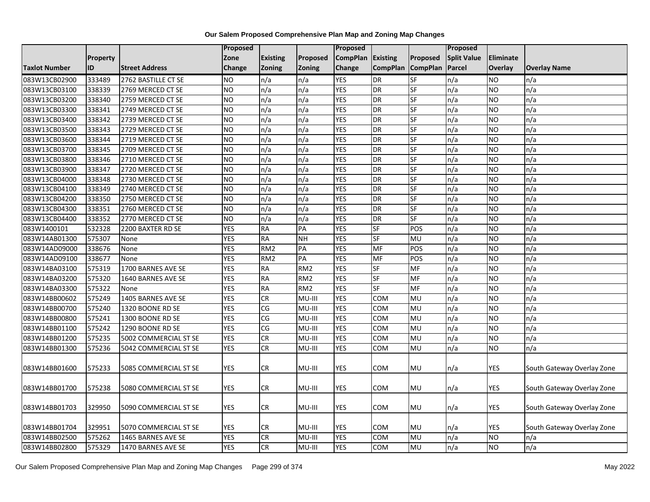|                      |          |                       | <b>Proposed</b> |                 |                 | Proposed          |                          |                 | <b>Proposed</b>    |            |                            |
|----------------------|----------|-----------------------|-----------------|-----------------|-----------------|-------------------|--------------------------|-----------------|--------------------|------------|----------------------------|
|                      | Property |                       | Zone            | <b>Existing</b> | Proposed        | CompPlan Existing |                          | Proposed        | <b>Split Value</b> | Eliminate  |                            |
| <b>Taxlot Number</b> | ID       | <b>Street Address</b> | <b>Change</b>   | Zoning          | Zoning          | Change            | <b>CompPlan</b>          | <b>CompPlan</b> | Parcel             | Overlay    | <b>Overlay Name</b>        |
| 083W13CB02900        | 333489   | 2762 BASTILLE CT SE   | <b>NO</b>       | n/a             | n/a             | <b>YES</b>        | <b>DR</b>                | <b>SF</b>       | n/a                | NO         | n/a                        |
| 083W13CB03100        | 338339   | 2769 MERCED CT SE     | <b>NO</b>       | n/a             | n/a             | <b>YES</b>        | DR                       | <b>SF</b>       | n/a                | NO.        | n/a                        |
| 083W13CB03200        | 338340   | 2759 MERCED CT SE     | <b>NO</b>       | n/a             | n/a             | <b>YES</b>        | DR                       | SF              | n/a                | <b>NO</b>  | n/a                        |
| 083W13CB03300        | 338341   | 2749 MERCED CT SE     | <b>NO</b>       | n/a             | n/a             | <b>YES</b>        | DR                       | SF              | n/a                | <b>NO</b>  | n/a                        |
| 083W13CB03400        | 338342   | 2739 MERCED CT SE     | <b>NO</b>       | n/a             | n/a             | <b>YES</b>        | DR                       | SF              | n/a                | <b>NO</b>  | n/a                        |
| 083W13CB03500        | 338343   | 2729 MERCED CT SE     | <b>NO</b>       | n/a             | n/a             | <b>YES</b>        | DR                       | SF              | n/a                | <b>NO</b>  | n/a                        |
| 083W13CB03600        | 338344   | 2719 MERCED CT SE     | <b>NO</b>       | n/a             | n/a             | <b>YES</b>        | $\overline{DR}$          | SF              | n/a                | NO.        | n/a                        |
| 083W13CB03700        | 338345   | 2709 MERCED CT SE     | <b>NO</b>       | n/a             | n/a             | <b>YES</b>        | DR                       | SF              | n/a                | NO.        | n/a                        |
| 083W13CB03800        | 338346   | 2710 MERCED CT SE     | <b>NO</b>       | n/a             | n/a             | <b>YES</b>        | DR                       | SF              | n/a                | NO.        | n/a                        |
| 083W13CB03900        | 338347   | 2720 MERCED CT SE     | <b>NO</b>       | n/a             | n/a             | <b>YES</b>        | DR                       | SF              | n/a                | <b>NO</b>  | n/a                        |
| 083W13CB04000        | 338348   | 2730 MERCED CT SE     | Ю               | n/a             | n/a             | <b>YES</b>        | $\overline{DR}$          | SF              | n/a                | <b>NO</b>  | n/a                        |
| 083W13CB04100        | 338349   | 2740 MERCED CT SE     | <b>NO</b>       | n/a             | n/a             | <b>YES</b>        | DR                       | <b>SF</b>       | n/a                | NO.        | n/a                        |
| 083W13CB04200        | 338350   | 2750 MERCED CT SE     | <b>NO</b>       | n/a             | n/a             | <b>YES</b>        | DR                       | SF              | n/a                | <b>NO</b>  | n/a                        |
| 083W13CB04300        | 338351   | 2760 MERCED CT SE     | <b>NO</b>       | n/a             | n/a             | <b>YES</b>        | DR                       | SF              | n/a                | NO.        | n/a                        |
| 083W13CB04400        | 338352   | 2770 MERCED CT SE     | <b>NO</b>       | n/a             | n/a             | <b>YES</b>        | DR                       | SF              | n/a                | NO.        | n/a                        |
| 083W1400101          | 532328   | 2200 BAXTER RD SE     | <b>YES</b>      | <b>RA</b>       | PA              | <b>YES</b>        | SF                       | POS             | n/a                | <b>NO</b>  | n/a                        |
| 083W14AB01300        | 575307   | None                  | <b>YES</b>      | <b>RA</b>       | <b>NH</b>       | <b>YES</b>        | SF                       | MU              | n/a                | <b>NO</b>  | n/a                        |
| 083W14AD09000        | 338676   | None                  | <b>YES</b>      | RM <sub>2</sub> | PA              | <b>YES</b>        | MF                       | POS             | n/a                | NO.        | n/a                        |
| 083W14AD09100        | 338677   | None                  | <b>YES</b>      | RM <sub>2</sub> | $\overline{PA}$ | <b>YES</b>        | MF                       | POS             | n/a                | <b>NO</b>  | n/a                        |
| 083W14BA03100        | 575319   | 1700 BARNES AVE SE    | <b>YES</b>      | <b>RA</b>       | RM <sub>2</sub> | <b>YES</b>        | SF                       | MF              | n/a                | NO.        | n/a                        |
| 083W14BA03200        | 575320   | 1640 BARNES AVE SE    | <b>YES</b>      | <b>RA</b>       | RM <sub>2</sub> | <b>YES</b>        | SF                       | MF              | n/a                | <b>NO</b>  | n/a                        |
| 083W14BA03300        | 575322   | None                  | <b>YES</b>      | <b>RA</b>       | RM <sub>2</sub> | <b>YES</b>        | $\overline{\mathsf{SF}}$ | MF              | n/a                | <b>NO</b>  | n/a                        |
| 083W14BB00602        | 575249   | 1405 BARNES AVE SE    | <b>YES</b>      | $\overline{c}$  | MU-III          | <b>YES</b>        | COM                      | MU              | n/a                | NO.        | n/a                        |
| 083W14BB00700        | 575240   | 1320 BOONE RD SE      | <b>YES</b>      | CG              | MU-III          | <b>YES</b>        | COM                      | <b>MU</b>       | n/a                | <b>NO</b>  | n/a                        |
| 083W14BB00800        | 575241   | 1300 BOONE RD SE      | <b>YES</b>      | CG              | MU-III          | <b>YES</b>        | COM                      | MU              | n/a                | <b>NO</b>  | n/a                        |
| 083W14BB01100        | 575242   | 1290 BOONE RD SE      | <b>YES</b>      | CG              | MU-III          | <b>YES</b>        | COM                      | MU              | n/a                | <b>NO</b>  | n/a                        |
| 083W14BB01200        | 575235   | 5002 COMMERCIAL ST SE | <b>YES</b>      | CR              | MU-III          | <b>YES</b>        | COM                      | MU              | n/a                | NO.        | n/a                        |
| 083W14BB01300        | 575236   | 5042 COMMERCIAL ST SE | <b>YES</b>      | <b>CR</b>       | MU-III          | <b>YES</b>        | COM                      | MU              | n/a                | NO.        | n/a                        |
| 083W14BB01600        | 575233   | 5085 COMMERCIAL ST SE | <b>YES</b>      | <b>CR</b>       | MU-III          | <b>YES</b>        | сом                      | <b>MU</b>       | n/a                | YES        | South Gateway Overlay Zone |
| 083W14BB01700        | 575238   | 5080 COMMERCIAL ST SE | <b>YES</b>      | <b>CR</b>       | MU-III          | <b>YES</b>        | COM                      | MU              | n/a                | <b>YES</b> | South Gateway Overlay Zone |
| 083W14BB01703        | 329950   | 5090 COMMERCIAL ST SE | <b>YES</b>      | CR              | MU-III          | YES               | COM                      | MU              | n/a                | <b>YES</b> | South Gateway Overlay Zone |
| 083W14BB01704        | 329951   | 5070 COMMERCIAL ST SE | YES             | <b>CR</b>       | MU-III          | YES               | COM                      | MU              | n/a                | <b>YES</b> | South Gateway Overlay Zone |
| 083W14BB02500        | 575262   | 1465 BARNES AVE SE    | <b>YES</b>      | CR              | MU-III          | <b>YES</b>        | сом                      | MU              | n/a                | <b>NO</b>  | n/a                        |
| 083W14BB02800        | 575329   | 1470 BARNES AVE SE    | <b>YES</b>      | <b>CR</b>       | MU-III          | <b>YES</b>        | COM                      | MU              | n/a                | <b>NO</b>  | n/a                        |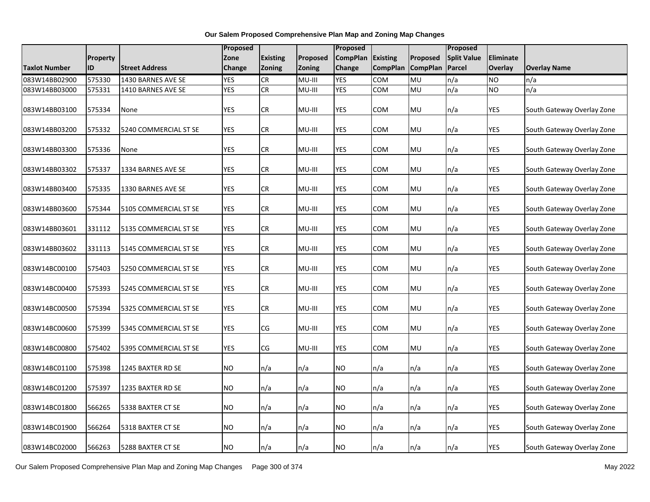|                      |                 |                       | Proposed   |                 |                 | Proposed        |                 |                   | Proposed                 |            |                            |
|----------------------|-----------------|-----------------------|------------|-----------------|-----------------|-----------------|-----------------|-------------------|--------------------------|------------|----------------------------|
|                      | <b>Property</b> |                       | Zone       | <b>Existing</b> | <b>Proposed</b> | <b>CompPlan</b> | <b>Existing</b> | Proposed          | <b>Split Value</b>       | Eliminate  |                            |
| <b>Taxlot Number</b> | ID              | <b>Street Address</b> | Change     | Zoning          | <b>Zoning</b>   | Change          |                 | CompPlan CompPlan | Parcel                   | Overlay    | <b>Overlay Name</b>        |
| 083W14BB02900        | 575330          | 1430 BARNES AVE SE    | <b>YES</b> | <b>CR</b>       | MU-III          | <b>YES</b>      | COM             | MU                | n/a                      | <b>NO</b>  | n/a                        |
| 083W14BB03000        | 575331          | 1410 BARNES AVE SE    | <b>YES</b> | CR              | MU-III          | <b>YES</b>      | <b>COM</b>      | MU                | n/a                      | <b>NO</b>  | n/a                        |
| 083W14BB03100        | 575334          | None                  | <b>YES</b> | <b>CR</b>       | MU-III          | <b>YES</b>      | COM             | MU                | n/a                      | <b>YES</b> | South Gateway Overlay Zone |
| 083W14BB03200        | 575332          | 5240 COMMERCIAL ST SE | <b>YES</b> | <b>CR</b>       | MU-III          | <b>YES</b>      | <b>COM</b>      | MU                | n/a                      | <b>YES</b> | South Gateway Overlay Zone |
| 083W14BB03300        | 575336          | None                  | <b>YES</b> | CR              | MU-III          | YES             | COM             | MU                | n/a                      | <b>YES</b> | South Gateway Overlay Zone |
| 083W14BB03302        | 575337          | 1334 BARNES AVE SE    | <b>YES</b> | <b>CR</b>       | MU-III          | <b>YES</b>      | COM             | MU                | n/a                      | <b>YES</b> | South Gateway Overlay Zone |
| 083W14BB03400        | 575335          | 1330 BARNES AVE SE    | <b>YES</b> | CR              | MU-III          | YES             | COM             | <b>MU</b>         | n/a                      | YES        | South Gateway Overlay Zone |
| 083W14BB03600        | 575344          | 5105 COMMERCIAL ST SE | <b>YES</b> | CR              | MU-III          | YES             | COM             | MU                | n/a                      | YES        | South Gateway Overlay Zone |
| 083W14BB03601        | 331112          | 5135 COMMERCIAL ST SE | <b>YES</b> | <b>CR</b>       | MU-III          | <b>YES</b>      | <b>COM</b>      | MU                | n/a                      | <b>YES</b> | South Gateway Overlay Zone |
| 083W14BB03602        | 331113          | 5145 COMMERCIAL ST SE | <b>YES</b> | ${\sf CR}$      | MU-III          | YES             | COM             | MU                | $\mathsf{In}/\mathsf{a}$ | <b>YES</b> | South Gateway Overlay Zone |
| 083W14BC00100        | 575403          | 5250 COMMERCIAL ST SE | <b>YES</b> | CR              | MU-III          | YES             | COM             | MU                | n/a                      | <b>YES</b> | South Gateway Overlay Zone |
| 083W14BC00400        | 575393          | 5245 COMMERCIAL ST SE | <b>YES</b> | <b>CR</b>       | MU-III          | <b>YES</b>      | COM             | MU                | n/a                      | <b>YES</b> | South Gateway Overlay Zone |
| 083W14BC00500        | 575394          | 5325 COMMERCIAL ST SE | <b>YES</b> | CR              | MU-III          | <b>YES</b>      | COM             | MU                | n/a                      | YES        | South Gateway Overlay Zone |
| 083W14BC00600        | 575399          | 5345 COMMERCIAL ST SE | <b>YES</b> | CG              | MU-III          | <b>YES</b>      | COM             | MU                | n/a                      | <b>YES</b> | South Gateway Overlay Zone |
| 083W14BC00800        | 575402          | 5395 COMMERCIAL ST SE | <b>YES</b> | CG              | MU-III          | YES             | COM             | MU                | n/a                      | <b>YES</b> | South Gateway Overlay Zone |
| 083W14BC01100        | 575398          | 1245 BAXTER RD SE     | NO.        | n/a             | n/a             | NO.             | n/a             | n/a               | n/a                      | <b>YES</b> | South Gateway Overlay Zone |
| 083W14BC01200        | 575397          | 1235 BAXTER RD SE     | <b>NO</b>  | n/a             | n/a             | <b>NO</b>       | n/a             | n/a               | n/a                      | <b>YES</b> | South Gateway Overlay Zone |
| 083W14BC01800        | 566265          | 5338 BAXTER CT SE     | <b>NO</b>  | n/a             | n/a             | <b>NO</b>       | n/a             | n/a               | n/a                      | <b>YES</b> | South Gateway Overlay Zone |
| 083W14BC01900        | 566264          | 5318 BAXTER CT SE     | NO.        | n/a             | n/a             | <b>NO</b>       | n/a             | n/a               | n/a                      | <b>YES</b> | South Gateway Overlay Zone |
| 083W14BC02000        | 566263          | 5288 BAXTER CT SE     | <b>NO</b>  | n/a             | n/a             | NO <sub>1</sub> | n/a             | n/a               | n/a                      | <b>YES</b> | South Gateway Overlay Zone |

Our Salem Proposed Comprehensive Plan Map and Zoning Map Changes Page 300 of 374 May 2022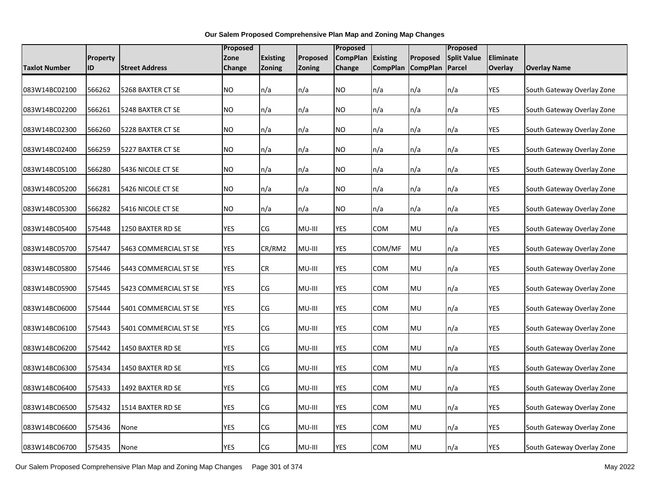|                      |                 |                       | Proposed   |                 |          | Proposed        |                 |                   | Proposed                 |            |                            |
|----------------------|-----------------|-----------------------|------------|-----------------|----------|-----------------|-----------------|-------------------|--------------------------|------------|----------------------------|
|                      | <b>Property</b> |                       | Zone       | <b>Existing</b> | Proposed | <b>CompPlan</b> | <b>Existing</b> | Proposed          | <b>Split Value</b>       | Eliminate  |                            |
| <b>Taxlot Number</b> | ID              | <b>Street Address</b> | Change     | Zoning          | Zoning   | Change          |                 | CompPlan CompPlan | Parcel                   | Overlay    | <b>Overlay Name</b>        |
| 083W14BC02100        | 566262          | 5268 BAXTER CT SE     | <b>NO</b>  | n/a             | n/a      | <b>NO</b>       | n/a             | n/a               | n/a                      | <b>YES</b> | South Gateway Overlay Zone |
| 083W14BC02200        | 566261          | 5248 BAXTER CT SE     | <b>NO</b>  | n/a             | n/a      | NO.             | n/a             | n/a               | n/a                      | <b>YES</b> | South Gateway Overlay Zone |
| 083W14BC02300        | 566260          | 5228 BAXTER CT SE     | <b>NO</b>  | n/a             | n/a      | NO.             | n/a             | n/a               | n/a                      | <b>YES</b> | South Gateway Overlay Zone |
| 083W14BC02400        | 566259          | 5227 BAXTER CT SE     | <b>NO</b>  | n/a             | n/a      | NO.             | n/a             | n/a               | n/a                      | <b>YES</b> | South Gateway Overlay Zone |
| 083W14BC05100        | 566280          | 5436 NICOLE CT SE     | <b>NO</b>  | n/a             | n/a      | <b>NO</b>       | n/a             | n/a               | n/a                      | <b>YES</b> | South Gateway Overlay Zone |
| 083W14BC05200        | 566281          | 5426 NICOLE CT SE     | <b>NO</b>  | n/a             | n/a      | NO.             | n/a             | n/a               | n/a                      | <b>YES</b> | South Gateway Overlay Zone |
| 083W14BC05300        | 566282          | 5416 NICOLE CT SE     | <b>NO</b>  | n/a             | n/a      | <b>NO</b>       | n/a             | n/a               | n/a                      | <b>YES</b> | South Gateway Overlay Zone |
| 083W14BC05400        | 575448          | 1250 BAXTER RD SE     | <b>YES</b> | CG              | MU-III   | <b>YES</b>      | COM             | <b>MU</b>         | n/a                      | <b>YES</b> | South Gateway Overlay Zone |
| 083W14BC05700        | 575447          | 5463 COMMERCIAL ST SE | <b>YES</b> | CR/RM2          | MU-III   | <b>YES</b>      | COM/MF          | MU                | $\mathsf{In}/\mathsf{a}$ | <b>YES</b> | South Gateway Overlay Zone |
| 083W14BC05800        | 575446          | 5443 COMMERCIAL ST SE | <b>YES</b> | CR              | MU-III   | YES             | <b>COM</b>      | <b>MU</b>         | n/a                      | <b>YES</b> | South Gateway Overlay Zone |
| 083W14BC05900        | 575445          | 5423 COMMERCIAL ST SE | <b>YES</b> | CG              | MU-III   | YES             | COM             | MU                | n/a                      | <b>YES</b> | South Gateway Overlay Zone |
| 083W14BC06000        | 575444          | 5401 COMMERCIAL ST SE | <b>YES</b> | CG              | MU-III   | <b>YES</b>      | <b>COM</b>      | MU                | n/a                      | <b>YES</b> | South Gateway Overlay Zone |
| 083W14BC06100        | 575443          | 5401 COMMERCIAL ST SE | <b>YES</b> | CG              | MU-III   | <b>YES</b>      | <b>COM</b>      | MU                | n/a                      | <b>YES</b> | South Gateway Overlay Zone |
| 083W14BC06200        | 575442          | 1450 BAXTER RD SE     | YES        | CG              | MU-III   | YES             | <b>COM</b>      | <b>MU</b>         | n/a                      | YES        | South Gateway Overlay Zone |
| 083W14BC06300        | 575434          | 1450 BAXTER RD SE     | <b>YES</b> | CG              | MU-III   | YES             | COM             | <b>MU</b>         | n/a                      | <b>YES</b> | South Gateway Overlay Zone |
| 083W14BC06400        | 575433          | 1492 BAXTER RD SE     | <b>YES</b> | CG              | MU-III   | <b>YES</b>      | <b>COM</b>      | <b>MU</b>         | n/a                      | <b>YES</b> | South Gateway Overlay Zone |
| 083W14BC06500        | 575432          | 1514 BAXTER RD SE     | <b>YES</b> | CG              | MU-III   | <b>YES</b>      | COM             | MU                | $\mathsf{In}/\mathsf{a}$ | <b>YES</b> | South Gateway Overlay Zone |
| 083W14BC06600        | 575436          | None                  | <b>YES</b> | CG              | MU-III   | YES             | <b>COM</b>      | <b>MU</b>         | n/a                      | YES        | South Gateway Overlay Zone |
| 083W14BC06700        | 575435          | None                  | <b>YES</b> | CG              | MU-III   | <b>YES</b>      | <b>COM</b>      | <b>MU</b>         | n/a                      | <b>YES</b> | South Gateway Overlay Zone |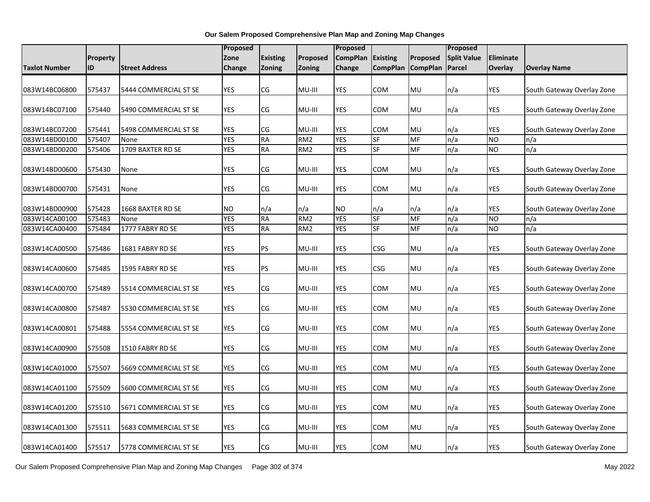|                      |          |                       | Proposed   |                 |                 | Proposed        |                 |                 | Proposed           |                |                            |
|----------------------|----------|-----------------------|------------|-----------------|-----------------|-----------------|-----------------|-----------------|--------------------|----------------|----------------------------|
|                      | Property |                       | Zone       | <b>Existing</b> | Proposed        | <b>CompPlan</b> | <b>Existing</b> | Proposed        | <b>Split Value</b> | Eliminate      |                            |
| <b>Taxlot Number</b> | ID       | <b>Street Address</b> | Change     | Zoning          | Zoning          | <b>Change</b>   | <b>CompPlan</b> | <b>CompPlan</b> | Parcel             | <b>Overlay</b> | <b>Overlay Name</b>        |
|                      |          |                       |            |                 |                 |                 |                 |                 |                    |                |                            |
| 083W14BC06800        | 575437   | 5444 COMMERCIAL ST SE | YES        | CG              | MU-III          | YES             | COM             | MU              | n/a                | YES            | South Gateway Overlay Zone |
|                      |          |                       |            |                 |                 |                 |                 |                 |                    |                |                            |
| 083W14BC07100        | 575440   | 5490 COMMERCIAL ST SE | <b>YES</b> | CG              | MU-III          | YES             | COM             | MU              | n/a                | YES            | South Gateway Overlay Zone |
|                      |          |                       |            |                 |                 |                 |                 |                 |                    |                |                            |
| 083W14BC07200        | 575441   | 5498 COMMERCIAL ST SE | <b>YES</b> | CG              | MU-III          | <b>YES</b>      | <b>COM</b>      | MU              | n/a                | <b>YES</b>     | South Gateway Overlay Zone |
| 083W14BD00100        | 575407   | None                  | <b>YES</b> | <b>RA</b>       | RM <sub>2</sub> | <b>YES</b>      | <b>SF</b>       | MF              | n/a                | <b>NO</b>      | n/a                        |
| 083W14BD00200        | 575406   | 1709 BAXTER RD SE     | <b>YES</b> | RA              | RM <sub>2</sub> | YES             | <b>SF</b>       | MF              | n/a                | <b>NO</b>      | n/a                        |
| 083W14BD00600        | 575430   | None                  | <b>YES</b> | CG              | MU-III          | YES             | <b>COM</b>      | MU              | n/a                | <b>YES</b>     | South Gateway Overlay Zone |
|                      |          |                       |            |                 |                 |                 |                 |                 |                    |                |                            |
| 083W14BD00700        | 575431   | None                  | <b>YES</b> | CG              | MU-III          | YES             | COM             | MU              | n/a                | YES            | South Gateway Overlay Zone |
|                      |          |                       |            |                 |                 |                 |                 |                 |                    |                |                            |
| 083W14BD00900        | 575428   | 1668 BAXTER RD SE     | <b>NO</b>  | n/a             | n/a             | <b>NO</b>       | n/a             | n/a             | n/a                | <b>YES</b>     | South Gateway Overlay Zone |
| 083W14CA00100        | 575483   | None                  | <b>YES</b> | <b>RA</b>       | RM <sub>2</sub> | <b>YES</b>      | SF              | MF              | n/a                | <b>NO</b>      | n/a                        |
| 083W14CA00400        | 575484   | 1777 FABRY RD SE      | <b>YES</b> | <b>RA</b>       | RM <sub>2</sub> | <b>YES</b>      | <b>SF</b>       | MF              | n/a                | <b>NO</b>      | n/a                        |
|                      |          |                       |            |                 |                 |                 |                 |                 |                    |                |                            |
| 083W14CA00500        | 575486   | 1681 FABRY RD SE      | <b>YES</b> | PS              | MU-III          | YES             | CSG             | MU              | n/a                | YES            | South Gateway Overlay Zone |
| 083W14CA00600        | 575485   | 1595 FABRY RD SE      | <b>YES</b> | PS              | MU-III          | YES             | CSG             | MU              | n/a                | YES            | South Gateway Overlay Zone |
|                      |          |                       |            |                 |                 |                 |                 |                 |                    |                |                            |
| 083W14CA00700        | 575489   | 5514 COMMERCIAL ST SE | <b>YES</b> | CG              | MU-III          | <b>YES</b>      | COM             | MU              | n/a                | <b>YES</b>     | South Gateway Overlay Zone |
|                      |          |                       |            |                 |                 |                 |                 |                 |                    |                |                            |
| 083W14CA00800        | 575487   | 5530 COMMERCIAL ST SE | <b>YES</b> | CG              | MU-III          | YES             | COM             | MU              | n/a                | YES            | South Gateway Overlay Zone |
| 083W14CA00801        | 575488   | 5554 COMMERCIAL ST SE | <b>YES</b> | CG              | MU-III          | YES             | COM             | MU              | n/a                | YES            | South Gateway Overlay Zone |
|                      |          |                       |            |                 |                 |                 |                 |                 |                    |                |                            |
| 083W14CA00900        | 575508   | 1510 FABRY RD SE      | <b>YES</b> | CG              | MU-III          | YES             | COM             | MU              | n/a                | YES            | South Gateway Overlay Zone |
| 083W14CA01000        | 575507   | 5669 COMMERCIAL ST SE | YES        | CG              | MU-III          | YES             | COM             | MU              | n/a                | YES            | South Gateway Overlay Zone |
|                      |          |                       |            |                 |                 |                 |                 |                 |                    |                |                            |
| 083W14CA01100        | 575509   | 5600 COMMERCIAL ST SE | <b>YES</b> | CG              | MU-III          | YES             | COM             | MU              | n/a                | YES            | South Gateway Overlay Zone |
|                      |          |                       |            |                 |                 |                 |                 |                 |                    |                |                            |
| 083W14CA01200        | 575510   | 5671 COMMERCIAL ST SE | <b>YES</b> | CG              | MU-III          | YES             | COM             | MU              | n/a                | YES            | South Gateway Overlay Zone |
| 083W14CA01300        | 575511   | 5683 COMMERCIAL ST SE | <b>YES</b> | CG              | MU-III          | YES             | COM             | MU              | n/a                | YES            | South Gateway Overlay Zone |
|                      |          |                       |            |                 |                 |                 |                 |                 |                    |                |                            |
| 083W14CA01400        | 575517   | 5778 COMMERCIAL ST SE | <b>YES</b> | CG              | MU-III          | <b>YES</b>      | COM             | MU              | n/a                | <b>YES</b>     | South Gateway Overlay Zone |

Our Salem Proposed Comprehensive Plan Map and Zoning Map Changes Page 302 of 374 May 2022 May 2022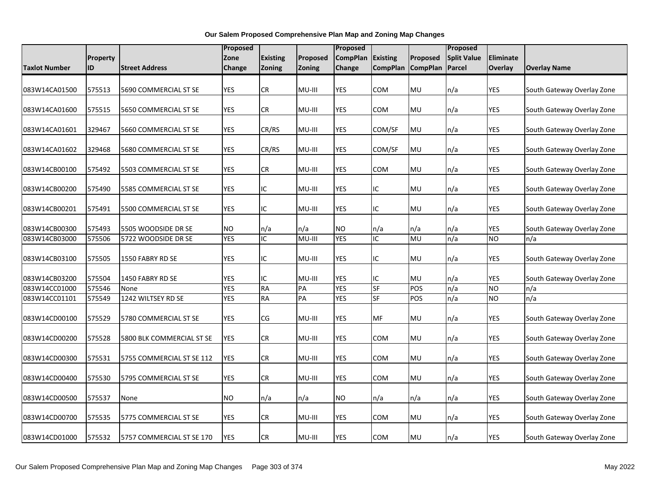|                                |                  |                                            | Proposed                |                 |               | Proposed                |                       |                 | Proposed           |                  |                                   |
|--------------------------------|------------------|--------------------------------------------|-------------------------|-----------------|---------------|-------------------------|-----------------------|-----------------|--------------------|------------------|-----------------------------------|
|                                | Property         |                                            | Zone                    | <b>Existing</b> | Proposed      | <b>CompPlan</b>         | <b>Existing</b>       | Proposed        | <b>Split Value</b> | Eliminate        |                                   |
| Taxlot Number                  | ID               | <b>Street Address</b>                      | Change                  | Zoning          | Zoning        | Change                  | <b>CompPlan</b>       | <b>CompPlan</b> | <b>Parcel</b>      | <b>Overlay</b>   | <b>Overlay Name</b>               |
|                                |                  |                                            |                         |                 |               |                         |                       |                 |                    |                  |                                   |
| 083W14CA01500                  | 575513           | 5690 COMMERCIAL ST SE                      | YES                     | CR              | MU-III        | YES                     | COM                   | <b>MU</b>       | n/a                | YES              | South Gateway Overlay Zone        |
|                                |                  |                                            |                         |                 |               |                         |                       |                 |                    |                  |                                   |
| 083W14CA01600                  | 575515           | 5650 COMMERCIAL ST SE                      | YES                     | CR              | MU-III        | YES                     | сом                   | <b>MU</b>       | n/a                | YES              | South Gateway Overlay Zone        |
|                                |                  |                                            |                         |                 |               |                         |                       |                 |                    |                  |                                   |
| 083W14CA01601                  | 329467           | 5660 COMMERCIAL ST SE                      | YES                     | CR/RS           | MU-III        | YES                     | COM/SF                | <b>MU</b>       | n/a                | YES              | South Gateway Overlay Zone        |
| 083W14CA01602                  | 329468           | 5680 COMMERCIAL ST SE                      | <b>YES</b>              | CR/RS           | MU-III        | YES                     | COM/SF                | MU              | n/a                | <b>YES</b>       | South Gateway Overlay Zone        |
|                                |                  |                                            |                         |                 |               |                         |                       |                 |                    |                  |                                   |
| 083W14CB00100                  | 575492           | 5503 COMMERCIAL ST SE                      | <b>YES</b>              | CR              | MU-III        | YES                     | сом                   | MU              | n/a                | <b>YES</b>       | South Gateway Overlay Zone        |
|                                |                  |                                            |                         |                 |               |                         |                       |                 |                    |                  |                                   |
| 083W14CB00200                  | 575490           | 5585 COMMERCIAL ST SE                      | YES                     | IC.             | MU-III        | YES                     | IC.                   | MU              | n/a                | YES              | South Gateway Overlay Zone        |
|                                |                  |                                            |                         |                 |               |                         |                       |                 |                    |                  |                                   |
| 083W14CB00201                  | 575491           | 5500 COMMERCIAL ST SE                      | <b>YES</b>              | ΙC              | MU-III        | <b>YES</b>              | IC                    | <b>MU</b>       | n/a                | <b>YES</b>       | South Gateway Overlay Zone        |
|                                |                  |                                            |                         |                 |               |                         |                       |                 |                    |                  |                                   |
| 083W14CB00300<br>083W14CB03000 | 575493<br>575506 | 5505 WOODSIDE DR SE<br>5722 WOODSIDE DR SE | <b>NO</b><br><b>YES</b> | n/a<br>IC       | n/a<br>MU-III | <b>NO</b><br><b>YES</b> | n/a<br>$\overline{C}$ | n/a<br>MU       | n/a<br>n/a         | YES<br><b>NO</b> | South Gateway Overlay Zone<br>n/a |
|                                |                  |                                            |                         |                 |               |                         |                       |                 |                    |                  |                                   |
| 083W14CB03100                  | 575505           | 1550 FABRY RD SE                           | <b>YES</b>              | ΙC              | MU-III        | YES                     | IC.                   | MU              | n/a                | <b>YES</b>       | South Gateway Overlay Zone        |
|                                |                  |                                            |                         |                 |               |                         |                       |                 |                    |                  |                                   |
| 083W14CB03200                  | 575504           | 1450 FABRY RD SE                           | YES                     | ΙC              | MU-III        | YES                     | IC                    | MU              | n/a                | <b>YES</b>       | South Gateway Overlay Zone        |
| 083W14CC01000                  | 575546           | None                                       | <b>YES</b>              | <b>RA</b>       | PA            | <b>YES</b>              | SF                    | POS             | n/a                | <b>NO</b>        | n/a                               |
| 083W14CC01101                  | 575549           | 1242 WILTSEY RD SE                         | <b>YES</b>              | $R$ $A$         | PA            | <b>YES</b>              | SF                    | POS             | n/a                | <b>NO</b>        | n/a                               |
|                                |                  |                                            |                         |                 |               |                         |                       |                 |                    |                  |                                   |
| 083W14CD00100                  | 575529           | 5780 COMMERCIAL ST SE                      | <b>YES</b>              | CG              | MU-III        | <b>YES</b>              | MF                    | <b>MU</b>       | n/a                | <b>YES</b>       | South Gateway Overlay Zone        |
|                                |                  |                                            |                         |                 |               |                         |                       |                 |                    |                  |                                   |
| 083W14CD00200                  | 575528           | 5800 BLK COMMERCIAL ST SE                  | YES                     | CR              | MU-III        | YES                     | сом                   | MU              | n/a                | YES              | South Gateway Overlay Zone        |
| 083W14CD00300                  | 575531           | 5755 COMMERCIAL ST SE 112                  | YES                     | CR              | MU-III        | YES                     | COM                   | <b>MU</b>       | n/a                | <b>YES</b>       | South Gateway Overlay Zone        |
|                                |                  |                                            |                         |                 |               |                         |                       |                 |                    |                  |                                   |
| 083W14CD00400                  | 575530           | 5795 COMMERCIAL ST SE                      | <b>YES</b>              | CR              | MU-III        | YES                     | сом                   | <b>MU</b>       | n/a                | <b>YES</b>       | South Gateway Overlay Zone        |
|                                |                  |                                            |                         |                 |               |                         |                       |                 |                    |                  |                                   |
| 083W14CD00500                  | 575537           | None                                       | <b>NO</b>               | n/a             | n/a           | <b>NO</b>               | n/a                   | n/a             | n/a                | <b>YES</b>       | South Gateway Overlay Zone        |
|                                |                  |                                            |                         |                 |               |                         |                       |                 |                    |                  |                                   |
| 083W14CD00700                  | 575535           | 5775 COMMERCIAL ST SE                      | <b>YES</b>              | ${\sf CR}$      | MU-III        | YES                     | COM                   | <b>MU</b>       | n/a                | <b>YES</b>       | South Gateway Overlay Zone        |
|                                |                  |                                            |                         |                 |               |                         |                       |                 |                    |                  |                                   |
| 083W14CD01000                  | 575532           | 5757 COMMERCIAL ST SE 170                  | <b>YES</b>              | <b>CR</b>       | MU-III        | <b>YES</b>              | COM                   | MU              | n/a                | <b>YES</b>       | South Gateway Overlay Zone        |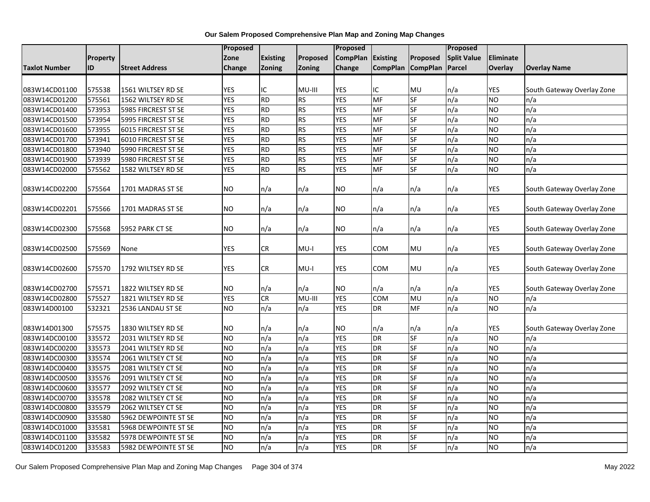|                      |          |                       | Proposed       |                 |           | <b>Proposed</b> |                 |                 | Proposed           |            |                            |
|----------------------|----------|-----------------------|----------------|-----------------|-----------|-----------------|-----------------|-----------------|--------------------|------------|----------------------------|
|                      | Property |                       | Zone           | <b>Existing</b> | Proposed  | <b>CompPlan</b> | <b>Existing</b> | Proposed        | <b>Split Value</b> | Eliminate  |                            |
| <b>Taxlot Number</b> | ID       | <b>Street Address</b> | Change         | <b>Zoning</b>   | Zoning    | Change          | <b>CompPlan</b> | <b>CompPlan</b> | <b>Parcel</b>      | Overlay    | <b>Overlay Name</b>        |
|                      |          |                       |                |                 |           |                 |                 |                 |                    |            |                            |
| 083W14CD01100        | 575538   | 1561 WILTSEY RD SE    | <b>YES</b>     | IC              | MU-III    | <b>YES</b>      | IC              | MU              | n/a                | <b>YES</b> | South Gateway Overlay Zone |
| 083W14CD01200        | 575561   | 1562 WILTSEY RD SE    | <b>YES</b>     | <b>RD</b>       | <b>RS</b> | <b>YES</b>      | MF              | <b>SF</b>       | n/a                | <b>NO</b>  | n/a                        |
| 083W14CD01400        | 573953   | 5985 FIRCREST ST SE   | <b>YES</b>     | <b>RD</b>       | <b>RS</b> | <b>YES</b>      | MF              | SF              | n/a                | <b>NO</b>  | n/a                        |
| 083W14CD01500        | 573954   | 5995 FIRCREST ST SE   | <b>YES</b>     | <b>RD</b>       | RS        | <b>YES</b>      | MF              | $S$ F           | n/a                | <b>NO</b>  | n/a                        |
| 083W14CD01600        | 573955   | 6015 FIRCREST ST SE   | <b>YES</b>     | <b>RD</b>       | <b>RS</b> | <b>YES</b>      | MF              | <b>SF</b>       | n/a                | <b>NO</b>  | n/a                        |
| 083W14CD01700        | 573941   | 6010 FIRCREST ST SE   | <b>YES</b>     | <b>RD</b>       | <b>RS</b> | <b>YES</b>      | MF              | SF              | n/a                | <b>NO</b>  | n/a                        |
| 083W14CD01800        | 573940   | 5990 FIRCREST ST SE   | <b>YES</b>     | <b>RD</b>       | <b>RS</b> | <b>YES</b>      | MF              | $S$ F           | n/a                | <b>NO</b>  | n/a                        |
| 083W14CD01900        | 573939   | 5980 FIRCREST ST SE   | <b>YES</b>     | <b>RD</b>       | <b>RS</b> | <b>YES</b>      | MF              | SF              | n/a                | <b>NO</b>  | n/a                        |
| 083W14CD02000        | 575562   | 1582 WILTSEY RD SE    | <b>YES</b>     | <b>RD</b>       | <b>RS</b> | <b>YES</b>      | MF              | $S$ F           | n/a                | <b>NO</b>  | n/a                        |
| 083W14CD02200        | 575564   | 1701 MADRAS ST SE     | <b>NO</b>      | n/a             | n/a       | NO.             | n/a             | n/a             | n/a                | YES        | South Gateway Overlay Zone |
| 083W14CD02201        | 575566   | 1701 MADRAS ST SE     | <b>NO</b>      | n/a             | n/a       | <b>NO</b>       | n/a             | n/a             | n/a                | YES        | South Gateway Overlay Zone |
| 083W14CD02300        | 575568   | 5952 PARK CT SE       | <b>NO</b>      | n/a             | n/a       | NO.             | n/a             | n/a             | n/a                | YES        | South Gateway Overlay Zone |
| 083W14CD02500        | 575569   | None                  | YES            | CR              | MU-I      | YES             | COM             | <b>MU</b>       | n/a                | <b>YES</b> | South Gateway Overlay Zone |
| 083W14CD02600        | 575570   | 1792 WILTSEY RD SE    | YES            | CR              | MU-I      | YES             | сом             | <b>MU</b>       | n/a                | YES        | South Gateway Overlay Zone |
| 083W14CD02700        | 575571   | 1822 WILTSEY RD SE    | <b>NO</b>      | n/a             | n/a       | <b>NO</b>       | n/a             | n/a             | n/a                | YES        | South Gateway Overlay Zone |
| 083W14CD02800        | 575527   | 1821 WILTSEY RD SE    | <b>YES</b>     | CR              | MU-III    | <b>YES</b>      | COM             | MU              | n/a                | <b>NO</b>  | n/a                        |
| 083W14D00100         | 532321   | 2536 LANDAU ST SE     | <b>NO</b>      | n/a             | n/a       | <b>YES</b>      | <b>DR</b>       | MF              | n/a                | <b>NO</b>  | n/a                        |
| 083W14D01300         | 575575   | 1830 WILTSEY RD SE    | <b>NO</b>      | n/a             | n/a       | <b>NO</b>       | n/a             | n/a             | n/a                | <b>YES</b> | South Gateway Overlay Zone |
| 083W14DC00100        | 335572   | 2031 WILTSEY RD SE    | <b>NO</b>      | n/a             | n/a       | <b>YES</b>      | DR              | <b>SF</b>       | n/a                | <b>NO</b>  | n/a                        |
| 083W14DC00200        | 335573   | 2041 WILTSEY RD SE    | <b>NO</b>      | n/a             | n/a       | <b>YES</b>      | DR              | SF              | n/a                | <b>NO</b>  | n/a                        |
| 083W14DC00300        | 335574   | 2061 WILTSEY CT SE    | <b>NO</b>      | n/a             | n/a       | <b>YES</b>      | DR              | SF              | n/a                | <b>NO</b>  | n/a                        |
| 083W14DC00400        | 335575   | 2081 WILTSEY CT SE    | <b>NO</b>      | n/a             | n/a       | <b>YES</b>      | DR              | <b>SF</b>       | n/a                | <b>NO</b>  | n/a                        |
| 083W14DC00500        | 335576   | 2091 WILTSEY CT SE    | <b>NO</b>      | n/a             | n/a       | <b>YES</b>      | DR              | SF              | n/a                | <b>NO</b>  | n/a                        |
| 083W14DC00600        | 335577   | 2092 WILTSEY CT SE    | <b>NO</b>      | n/a             | n/a       | <b>YES</b>      | DR              | <b>SF</b>       | n/a                | <b>NO</b>  | n/a                        |
| 083W14DC00700        | 335578   | 2082 WILTSEY CT SE    | <b>NO</b>      | n/a             | n/a       | <b>YES</b>      | DR              | SF              | n/a                | <b>NO</b>  | n/a                        |
| 083W14DC00800        | 335579   | 2062 WILTSEY CT SE    | <b>NO</b>      | n/a             | n/a       | <b>YES</b>      | DR              | $S$ F           | n/a                | <b>NO</b>  | n/a                        |
| 083W14DC00900        | 335580   | 5962 DEWPOINTE ST SE  | <b>NO</b>      | n/a             | n/a       | <b>YES</b>      | $\overline{R}$  | <b>SF</b>       | n/a                | <b>NO</b>  | n/a                        |
| 083W14DC01000        | 335581   | 5968 DEWPOINTE ST SE  | <b>NO</b>      | n/a             | n/a       | <b>YES</b>      | DR              | SF              | n/a                | <b>NO</b>  | n/a                        |
| 083W14DC01100        | 335582   | 5978 DEWPOINTE ST SE  | <b>NO</b>      | n/a             | n/a       | <b>YES</b>      | DR              | SF              | n/a                | <b>NO</b>  | n/a                        |
| 083W14DC01200        | 335583   | 5982 DEWPOINTE ST SE  | N <sub>O</sub> | n/a             | n/a       | <b>YES</b>      | $\overline{DR}$ | <b>SF</b>       | n/a                | <b>NO</b>  | n/a                        |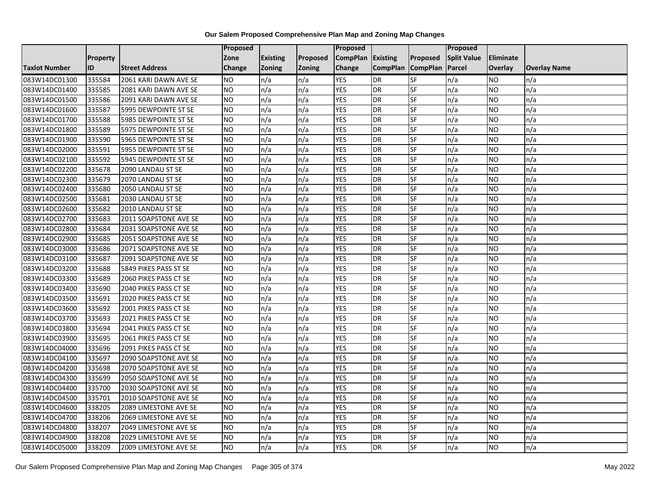|                      |                 |                       | <b>Proposed</b> |                 |               | Proposed        |                 |                 | Proposed           |                  |                     |
|----------------------|-----------------|-----------------------|-----------------|-----------------|---------------|-----------------|-----------------|-----------------|--------------------|------------------|---------------------|
|                      | <b>Property</b> |                       | Zone            | <b>Existing</b> | Proposed      | <b>CompPlan</b> | Existing        | Proposed        | <b>Split Value</b> | <b>Eliminate</b> |                     |
| <b>Taxlot Number</b> | ID              | <b>Street Address</b> | <b>Change</b>   | Zoning          | <b>Zoning</b> | Change          | <b>CompPlan</b> | <b>CompPlan</b> | Parcel             | <b>Overlay</b>   | <b>Overlay Name</b> |
| 083W14DC01300        | 335584          | 2061 KARI DAWN AVE SE | <b>NO</b>       | n/a             | n/a           | <b>YES</b>      | <b>DR</b>       | <b>SF</b>       | n/a                | NO.              | n/a                 |
| 083W14DC01400        | 335585          | 2081 KARI DAWN AVE SE | <b>NO</b>       | n/a             | n/a           | <b>YES</b>      | DR              | $S_{F}$         | n/a                | NO.              | n/a                 |
| 083W14DC01500        | 335586          | 2091 KARI DAWN AVE SE | <b>NO</b>       | n/a             | n/a           | <b>YES</b>      | DR              | SF              | n/a                | <b>NO</b>        | n/a                 |
| 083W14DC01600        | 335587          | 5995 DEWPOINTE ST SE  | <b>NO</b>       | n/a             | n/a           | <b>YES</b>      | <b>DR</b>       | SF              | n/a                | NO.              | n/a                 |
| 083W14DC01700        | 335588          | 5985 DEWPOINTE ST SE  | <b>NO</b>       | n/a             | n/a           | <b>YES</b>      | <b>DR</b>       | $S_{F}$         | n/a                | NO.              | n/a                 |
| 083W14DC01800        | 335589          | 5975 DEWPOINTE ST SE  | <b>NO</b>       | n/a             | n/a           | <b>YES</b>      | <b>DR</b>       | SF              | n/a                | NO.              | n/a                 |
| 083W14DC01900        | 335590          | 5965 DEWPOINTE ST SE  | <b>NO</b>       | n/a             | n/a           | <b>YES</b>      | DR              | SF              | n/a                | NO.              | n/a                 |
| 083W14DC02000        | 335591          | 5955 DEWPOINTE ST SE  | <b>NO</b>       | n/a             | n/a           | <b>YES</b>      | DR              | SF              | n/a                | NO.              | n/a                 |
| 083W14DC02100        | 335592          | 5945 DEWPOINTE ST SE  | <b>NO</b>       | n/a             | n/a           | <b>YES</b>      | DR              | SF              | n/a                | NO               | n/a                 |
| 083W14DC02200        | 335678          | 2090 LANDAU ST SE     | ŌИ              | n/a             | n/a           | <b>YES</b>      | DR              | <b>SF</b>       | n/a                | NO.              | n/a                 |
| 083W14DC02300        | 335679          | 2070 LANDAU ST SE     | <b>NO</b>       | n/a             | n/a           | <b>YES</b>      | <b>DR</b>       | <b>SF</b>       | n/a                | <b>NO</b>        | n/a                 |
| 083W14DC02400        | 335680          | 2050 LANDAU ST SE     | <b>NO</b>       | n/a             | n/a           | <b>YES</b>      | DR              | SF              | n/a                | NO.              | n/a                 |
| 083W14DC02500        | 335681          | 2030 LANDAU ST SE     | <b>NO</b>       | n/a             | n/a           | <b>YES</b>      | DR              | SF              | n/a                | NO.              | n/a                 |
| 083W14DC02600        | 335682          | 2010 LANDAU ST SE     | <b>NO</b>       | n/a             | n/a           | <b>YES</b>      | <b>DR</b>       | <b>SF</b>       | n/a                | <b>NO</b>        | n/a                 |
| 083W14DC02700        | 335683          | 2011 SOAPSTONE AVE SE | <b>NO</b>       | n/a             | n/a           | <b>YES</b>      | DR              | SF              | n/a                | ΝO               | n/a                 |
| 083W14DC02800        | 335684          | 2031 SOAPSTONE AVE SE | <b>NO</b>       | n/a             | n/a           | <b>YES</b>      | DR              | SF              | n/a                | NO.              | n/a                 |
| 083W14DC02900        | 335685          | 2051 SOAPSTONE AVE SE | <b>NO</b>       | n/a             | n/a           | <b>YES</b>      | <b>DR</b>       | SF              | n/a                | NO.              | n/a                 |
| 083W14DC03000        | 335686          | 2071 SOAPSTONE AVE SE | <b>NO</b>       | n/a             | n/a           | <b>YES</b>      | DR              | SF              | n/a                | NO.              | n/a                 |
| 083W14DC03100        | 335687          | 2091 SOAPSTONE AVE SE | <b>NO</b>       | n/a             | n/a           | <b>YES</b>      | DR              | SF              | n/a                | <b>NO</b>        | n/a                 |
| 083W14DC03200        | 335688          | 5849 PIKES PASS ST SE | <b>NO</b>       | n/a             | n/a           | <b>YES</b>      | DR              | SF              | n/a                | NO.              | n/a                 |
| 083W14DC03300        | 335689          | 2060 PIKES PASS CT SE | <b>NO</b>       | n/a             | n/a           | <b>YES</b>      | DR              | SF              | n/a                | NO.              | n/a                 |
| 083W14DC03400        | 335690          | 2040 PIKES PASS CT SE | Ю               | n/a             | n/a           | <b>YES</b>      | DR              | <b>SF</b>       | n/a                | NO.              | n/a                 |
| 083W14DC03500        | 335691          | 2020 PIKES PASS CT SE | <b>NO</b>       | n/a             | n/a           | <b>YES</b>      | DR              | SF              | n/a                | <b>NO</b>        | n/a                 |
| 083W14DC03600        | 335692          | 2001 PIKES PASS CT SE | <b>NO</b>       | n/a             | n/a           | <b>YES</b>      | DR              | SF              | n/a                | NO.              | n/a                 |
| 083W14DC03700        | 335693          | 2021 PIKES PASS CT SE | Ю               | n/a             | n/a           | <b>YES</b>      | DR              | SF              | n/a                | NO.              | n/a                 |
| 083W14DC03800        | 335694          | 2041 PIKES PASS CT SE | Ю               | n/a             | n/a           | <b>YES</b>      | DR              | SF              | n/a                | NO.              | n/a                 |
| 083W14DC03900        | 335695          | 2061 PIKES PASS CT SE | <b>NO</b>       | n/a             | n/a           | <b>YES</b>      | <b>DR</b>       | SF              | n/a                | NO.              | n/a                 |
| 083W14DC04000        | 335696          | 2091 PIKES PASS CT SE | <b>NO</b>       | n/a             | n/a           | <b>YES</b>      | <b>DR</b>       | SF              | n/a                | NO.              | n/a                 |
| 083W14DC04100        | 335697          | 2090 SOAPSTONE AVE SE | <b>NO</b>       | n/a             | n/a           | <b>YES</b>      | DR              | SF              | n/a                | NO.              | n/a                 |
| 083W14DC04200        | 335698          | 2070 SOAPSTONE AVE SE | <b>NO</b>       | n/a             | n/a           | <b>YES</b>      | <b>DR</b>       | SF              | n/a                | <b>NO</b>        | n/a                 |
| 083W14DC04300        | 335699          | 2050 SOAPSTONE AVE SE | <b>NO</b>       | n/a             | n/a           | <b>YES</b>      | DR              | SF              | n/a                | <b>NO</b>        | n/a                 |
| 083W14DC04400        | 335700          | 2030 SOAPSTONE AVE SE | <b>NO</b>       | n/a             | n/a           | <b>YES</b>      | DR              | SF              | n/a                | NO.              | n/a                 |
| 083W14DC04500        | 335701          | 2010 SOAPSTONE AVE SE | <b>NO</b>       | n/a             | n/a           | <b>YES</b>      | <b>DR</b>       | SF              | n/a                | NO.              | n/a                 |
| 083W14DC04600        | 338205          | 2089 LIMESTONE AVE SE | <b>NO</b>       | n/a             | n/a           | <b>YES</b>      | DR              | SF              | n/a                | NO.              | n/a                 |
| 083W14DC04700        | 338206          | 2069 LIMESTONE AVE SE | <b>NO</b>       | n/a             | n/a           | <b>YES</b>      | DR              | <b>SF</b>       | n/a                | NO.              | n/a                 |
| 083W14DC04800        | 338207          | 2049 LIMESTONE AVE SE | <b>NO</b>       | n/a             | n/a           | <b>YES</b>      | <b>DR</b>       | SF              | n/a                | NO.              | n/a                 |
| 083W14DC04900        | 338208          | 2029 LIMESTONE AVE SE | <b>NO</b>       | n/a             | n/a           | <b>YES</b>      | DR              | SF              | n/a                | NO.              | n/a                 |
| 083W14DC05000        | 338209          | 2009 LIMESTONE AVE SE | Ю               | n/a             | n/a           | <b>YES</b>      | <b>DR</b>       | <b>SF</b>       | n/a                | NO.              | n/a                 |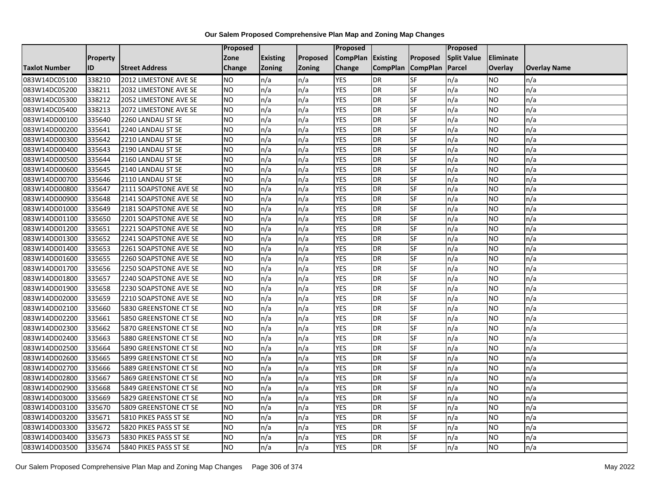|                      |                 |                       | Proposed  |                 |               | Proposed        |                 |                 | Proposed           |                 |                     |
|----------------------|-----------------|-----------------------|-----------|-----------------|---------------|-----------------|-----------------|-----------------|--------------------|-----------------|---------------------|
|                      | <b>Property</b> |                       | Zone      | <b>Existing</b> | Proposed      | <b>CompPlan</b> | Existing        | Proposed        | <b>Split Value</b> | Eliminate       |                     |
| <b>Taxlot Number</b> | ID              | <b>Street Address</b> | Change    | Zoning          | <b>Zoning</b> | Change          | <b>CompPlan</b> | <b>CompPlan</b> | Parcel             | <b>Overlay</b>  | <b>Overlay Name</b> |
| 083W14DC05100        | 338210          | 2012 LIMESTONE AVE SE | <b>NO</b> | n/a             | n/a           | <b>YES</b>      | <b>DR</b>       | <b>SF</b>       | n/a                | NO.             | n/a                 |
| 083W14DC05200        | 338211          | 2032 LIMESTONE AVE SE | <b>NO</b> | n/a             | n/a           | <b>YES</b>      | DR              | $S_{F}$         | n/a                | NO.             | n/a                 |
| 083W14DC05300        | 338212          | 2052 LIMESTONE AVE SE | <b>NO</b> | n/a             | n/a           | <b>YES</b>      | DR              | SF              | n/a                | NO.             | n/a                 |
| 083W14DC05400        | 338213          | 2072 LIMESTONE AVE SE | <b>NO</b> | n/a             | n/a           | <b>YES</b>      | DR              | SF              | n/a                | NO.             | n/a                 |
| 083W14DD00100        | 335640          | 2260 LANDAU ST SE     | <b>NO</b> | n/a             | n/a           | <b>YES</b>      | <b>DR</b>       | $S_{F}$         | n/a                | NO.             | n/a                 |
| 083W14DD00200        | 335641          | 2240 LANDAU ST SE     | <b>NO</b> | n/a             | n/a           | <b>YES</b>      | <b>DR</b>       | SF              | n/a                | <b>NO</b>       | n/a                 |
| 083W14DD00300        | 335642          | 2210 LANDAU ST SE     | <b>NO</b> | n/a             | n/a           | <b>YES</b>      | DR              | SF              | n/a                | NO.             | n/a                 |
| 083W14DD00400        | 335643          | 2190 LANDAU ST SE     | <b>NO</b> | n/a             | n/a           | <b>YES</b>      | DR              | SF              | n/a                | <b>NO</b>       | n/a                 |
| 083W14DD00500        | 335644          | 2160 LANDAU ST SE     | <b>NO</b> | n/a             | n/a           | <b>YES</b>      | DR              | SF              | n/a                | NO.             | n/a                 |
| 083W14DD00600        | 335645          | 2140 LANDAU ST SE     | Ю         | n/a             | n/a           | <b>YES</b>      | DR              | <b>SF</b>       | n/a                | NO.             | n/a                 |
| 083W14DD00700        | 335646          | 2110 LANDAU ST SE     | <b>NO</b> | n/a             | n/a           | <b>YES</b>      | <b>DR</b>       | <b>SF</b>       | n/a                | <b>NO</b>       | n/a                 |
| 083W14DD00800        | 335647          | 2111 SOAPSTONE AVE SE | <b>NO</b> | n/a             | n/a           | <b>YES</b>      | DR              | SF              | n/a                | NO.             | n/a                 |
| 083W14DD00900        | 335648          | 2141 SOAPSTONE AVE SE | <b>NO</b> | n/a             | n/a           | <b>YES</b>      | DR              | SF              | n/a                | NO.             | n/a                 |
| 083W14DD01000        | 335649          | 2181 SOAPSTONE AVE SE | Ю         | n/a             | n/a           | <b>YES</b>      | <b>DR</b>       | <b>SF</b>       | n/a                | <b>NO</b>       | n/a                 |
| 083W14DD01100        | 335650          | 2201 SOAPSTONE AVE SE | <b>NO</b> | n/a             | n/a           | <b>YES</b>      | DR              | SF              | n/a                | ΝO              | n/a                 |
| 083W14DD01200        | 335651          | 2221 SOAPSTONE AVE SE | <b>NO</b> | n/a             | n/a           | <b>YES</b>      | DR              | SF              | n/a                | <b>NO</b>       | n/a                 |
| 083W14DD01300        | 335652          | 2241 SOAPSTONE AVE SE | <b>NO</b> | n/a             | n/a           | <b>YES</b>      | DR              | SF              | n/a                | <b>NO</b>       | n/a                 |
| 083W14DD01400        | 335653          | 2261 SOAPSTONE AVE SE | <b>NO</b> | n/a             | n/a           | <b>YES</b>      | <b>DR</b>       | SF              | n/a                | NO.             | n/a                 |
| 083W14DD01600        | 335655          | 2260 SOAPSTONE AVE SE | <b>NO</b> | n/a             | n/a           | <b>YES</b>      | DR              | SF              | n/a                | NO.             | n/a                 |
| 083W14DD01700        | 335656          | 2250 SOAPSTONE AVE SE | <b>NO</b> | n/a             | n/a           | <b>YES</b>      | DR              | SF              | n/a                | NO.             | n/a                 |
| 083W14DD01800        | 335657          | 2240 SOAPSTONE AVE SE | <b>NO</b> | n/a             | n/a           | <b>YES</b>      | DR              | SF              | n/a                | NO.             | n/a                 |
| 083W14DD01900        | 335658          | 2230 SOAPSTONE AVE SE | Ю         | n/a             | n/a           | <b>YES</b>      | DR              | <b>SF</b>       | n/a                | $\overline{NO}$ | n/a                 |
| 083W14DD02000        | 335659          | 2210 SOAPSTONE AVE SE | <b>NO</b> | n/a             | n/a           | <b>YES</b>      | DR              | SF              | n/a                | <b>NO</b>       | n/a                 |
| 083W14DD02100        | 335660          | 5830 GREENSTONE CT SE | <b>NO</b> | n/a             | n/a           | <b>YES</b>      | <b>DR</b>       | SF              | n/a                | NO.             | n/a                 |
| 083W14DD02200        | 335661          | 5850 GREENSTONE CT SE | ŌИ        | n/a             | n/a           | <b>YES</b>      | <b>DR</b>       | <b>SF</b>       | n/a                | NO.             | n/a                 |
| 083W14DD02300        | 335662          | 5870 GREENSTONE CT SE | Ю         | n/a             | n/a           | <b>YES</b>      | DR              | SF              | n/a                | NO.             | n/a                 |
| 083W14DD02400        | 335663          | 5880 GREENSTONE CT SE | <b>NO</b> | n/a             | n/a           | <b>YES</b>      | <b>DR</b>       | SF              | n/a                | NO.             | n/a                 |
| 083W14DD02500        | 335664          | 5890 GREENSTONE CT SE | <b>NO</b> | n/a             | n/a           | <b>YES</b>      | DR              | SF              | n/a                | NO.             | n/a                 |
| 083W14DD02600        | 335665          | 5899 GREENSTONE CT SE | <b>NO</b> | n/a             | n/a           | <b>YES</b>      | DR              | SF              | n/a                | NO.             | n/a                 |
| 083W14DD02700        | 335666          | 5889 GREENSTONE CT SE | <b>NO</b> | n/a             | n/a           | <b>YES</b>      | <b>DR</b>       | SF              | n/a                | <b>NO</b>       | n/a                 |
| 083W14DD02800        | 335667          | 5869 GREENSTONE CT SE | <b>NO</b> | n/a             | n/a           | <b>YES</b>      | DR              | SF              | n/a                | <b>NO</b>       | n/a                 |
| 083W14DD02900        | 335668          | 5849 GREENSTONE CT SE | <b>NO</b> | n/a             | n/a           | <b>YES</b>      | DR              | SF              | n/a                | <b>NO</b>       | n/a                 |
| 083W14DD03000        | 335669          | 5829 GREENSTONE CT SE | <b>NO</b> | n/a             | n/a           | <b>YES</b>      | DR              | SF              | n/a                | NO.             | n/a                 |
| 083W14DD03100        | 335670          | 5809 GREENSTONE CT SE | <b>NO</b> | n/a             | n/a           | <b>YES</b>      | DR              | SF              | n/a                | NO.             | n/a                 |
| 083W14DD03200        | 335671          | 5810 PIKES PASS ST SE | ŌИ        | n/a             | n/a           | <b>YES</b>      | DR              | <b>SF</b>       | n/a                | <b>NO</b>       | n/a                 |
| 083W14DD03300        | 335672          | 5820 PIKES PASS ST SE | <b>NO</b> | n/a             | n/a           | <b>YES</b>      | <b>DR</b>       | SF              | n/a                | NO.             | n/a                 |
| 083W14DD03400        | 335673          | 5830 PIKES PASS ST SE | NO        | n/a             | n/a           | <b>YES</b>      | DR              | SF              | n/a                | NO.             | n/a                 |
| 083W14DD03500        | 335674          | 5840 PIKES PASS ST SE | ŌИ        | n/a             | n/a           | <b>YES</b>      | <b>DR</b>       | SF              | n/a                | NO.             | n/a                 |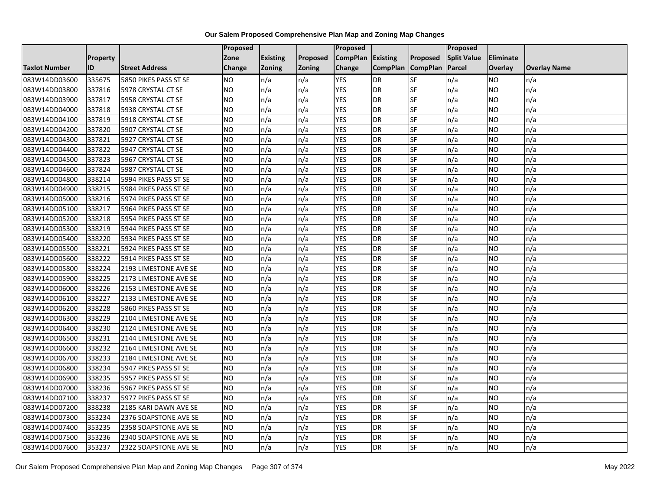|                      |          |                       | Proposed  |                 |               | <b>Proposed</b> |                 |                 | <b>Proposed</b>    |           |                     |
|----------------------|----------|-----------------------|-----------|-----------------|---------------|-----------------|-----------------|-----------------|--------------------|-----------|---------------------|
|                      | Property |                       | Zone      | <b>Existing</b> | Proposed      | <b>CompPlan</b> | Existing        | Proposed        | <b>Split Value</b> | Eliminate |                     |
| <b>Taxlot Number</b> | ID       | <b>Street Address</b> | Change    | Zoning          | <b>Zoning</b> | Change          | <b>CompPlan</b> | <b>CompPlan</b> | Parcel             | Overlay   | <b>Overlay Name</b> |
| 083W14DD03600        | 335675   | 5850 PIKES PASS ST SE | <b>NO</b> | n/a             | n/a           | <b>YES</b>      | <b>DR</b>       | <b>SF</b>       | n/a                | NO        | n/a                 |
| 083W14DD03800        | 337816   | 5978 CRYSTAL CT SE    | <b>NO</b> | n/a             | n/a           | <b>YES</b>      | DR              | SF              | n/a                | NO.       | n/a                 |
| 083W14DD03900        | 337817   | 5958 CRYSTAL CT SE    | <b>NO</b> | n/a             | n/a           | <b>YES</b>      | <b>DR</b>       | SF              | n/a                | NO.       | n/a                 |
| 083W14DD04000        | 337818   | 5938 CRYSTAL CT SE    | <b>NO</b> | n/a             | n/a           | <b>YES</b>      | DR              | SF              | n/a                | NO.       | n/a                 |
| 083W14DD04100        | 337819   | 5918 CRYSTAL CT SE    | <b>NO</b> | n/a             | n/a           | <b>YES</b>      | DR              | SF              | n/a                | NO.       | n/a                 |
| 083W14DD04200        | 337820   | 5907 CRYSTAL CT SE    | <b>NO</b> | n/a             | n/a           | <b>YES</b>      | DR              | SF              | n/a                | NO.       | n/a                 |
| 083W14DD04300        | 337821   | 5927 CRYSTAL CT SE    | ŌИ        | n/a             | n/a           | <b>YES</b>      | DR              | SF              | n/a                | NO.       | n/a                 |
| 083W14DD04400        | 337822   | 5947 CRYSTAL CT SE    | <b>NO</b> | n/a             | n/a           | <b>YES</b>      | DR              | SF              | n/a                | NO.       | n/a                 |
| 083W14DD04500        | 337823   | 5967 CRYSTAL CT SE    | <b>NO</b> | n/a             | n/a           | <b>YES</b>      | DR              | SF              | n/a                | NO.       | n/a                 |
| 083W14DD04600        | 337824   | 5987 CRYSTAL CT SE    | ŌИ        | n/a             | n/a           | <b>YES</b>      | DR              | $S$ F           | n/a                | NO.       | n/a                 |
| 083W14DD04800        | 338214   | 5994 PIKES PASS ST SE | <b>NO</b> | n/a             | n/a           | <b>YES</b>      | <b>DR</b>       | SF              | n/a                | NO.       | n/a                 |
| 083W14DD04900        | 338215   | 5984 PIKES PASS ST SE | <b>NO</b> | n/a             | n/a           | <b>YES</b>      | DR              | SF              | n/a                | <b>NO</b> | n/a                 |
| 083W14DD05000        | 338216   | 5974 PIKES PASS ST SE | <b>NO</b> | n/a             | n/a           | <b>YES</b>      | DR              | SF              | n/a                | NO.       | n/a                 |
| 083W14DD05100        | 338217   | 5964 PIKES PASS ST SE | ŌИ        | n/a             | n/a           | <b>YES</b>      | <b>DR</b>       | <b>SF</b>       | n/a                | NO.       | n/a                 |
| 083W14DD05200        | 338218   | 5954 PIKES PASS ST SE | <b>NO</b> | n/a             | n/a           | <b>YES</b>      | DR              | SF              | n/a                | NO.       | n/a                 |
| 083W14DD05300        | 338219   | 5944 PIKES PASS ST SE | <b>NO</b> | n/a             | n/a           | <b>YES</b>      | DR              | SF              | n/a                | NO.       | n/a                 |
| 083W14DD05400        | 338220   | 5934 PIKES PASS ST SE | Ю         | n/a             | n/a           | <b>YES</b>      | <b>DR</b>       | SF              | n/a                | NO.       | n/a                 |
| 083W14DD05500        | 338221   | 5924 PIKES PASS ST SE | <b>NO</b> | n/a             | n/a           | <b>YES</b>      | DR              | SF              | n/a                | NO.       | n/a                 |
| 083W14DD05600        | 338222   | 5914 PIKES PASS ST SE | <b>NO</b> | n/a             | n/a           | <b>YES</b>      | DR              | SF              | n/a                | NO.       | n/a                 |
| 083W14DD05800        | 338224   | 2193 LIMESTONE AVE SE | ŌИ        | n/a             | n/a           | <b>YES</b>      | DR              | SF              | n/a                | <b>NO</b> | n/a                 |
| 083W14DD05900        | 338225   | 2173 LIMESTONE AVE SE | <b>NO</b> | n/a             | n/a           | <b>YES</b>      | DR              | <b>SF</b>       | n/a                | NO.       | n/a                 |
| 083W14DD06000        | 338226   | 2153 LIMESTONE AVE SE | Ю         | n/a             | n/a           | <b>YES</b>      | <b>DR</b>       | <b>SF</b>       | n/a                | <b>NO</b> | n/a                 |
| 083W14DD06100        | 338227   | 2133 LIMESTONE AVE SE | Ю         | n/a             | n/a           | <b>YES</b>      | DR              | SF              | n/a                | NO.       | n/a                 |
| 083W14DD06200        | 338228   | 5860 PIKES PASS ST SE | <b>NO</b> | n/a             | n/a           | <b>YES</b>      | DR              | SF              | n/a                | NO.       | n/a                 |
| 083W14DD06300        | 338229   | 2104 LIMESTONE AVE SE | <b>NO</b> | n/a             | n/a           | <b>YES</b>      | <b>DR</b>       | SF              | n/a                | NO.       | n/a                 |
| 083W14DD06400        | 338230   | 2124 LIMESTONE AVE SE | ŌИ        | n/a             | n/a           | <b>YES</b>      | DR              | SF              | n/a                | NO.       | n/a                 |
| 083W14DD06500        | 338231   | 2144 LIMESTONE AVE SE | <b>NO</b> | n/a             | n/a           | <b>YES</b>      | <b>DR</b>       | SF              | n/a                | <b>NO</b> | n/a                 |
| 083W14DD06600        | 338232   | 2164 LIMESTONE AVE SE | <b>NO</b> | n/a             | n/a           | <b>YES</b>      | DR              | SF              | n/a                | NO.       | n/a                 |
| 083W14DD06700        | 338233   | 2184 LIMESTONE AVE SE | <b>NO</b> | n/a             | n/a           | <b>YES</b>      | DR              | SF              | n/a                | NO.       | n/a                 |
| 083W14DD06800        | 338234   | 5947 PIKES PASS ST SE | ŌИ        | n/a             | n/a           | <b>YES</b>      | <b>DR</b>       | SF              | n/a                | <b>NO</b> | n/a                 |
| 083W14DD06900        | 338235   | 5957 PIKES PASS ST SE | <b>NO</b> | n/a             | n/a           | <b>YES</b>      | DR              | SF              | n/a                | NO.       | n/a                 |
| 083W14DD07000        | 338236   | 5967 PIKES PASS ST SE | <b>NO</b> | n/a             | n/a           | <b>YES</b>      | DR              | SF              | n/a                | <b>NO</b> | n/a                 |
| 083W14DD07100        | 338237   | 5977 PIKES PASS ST SE | <b>NO</b> | n/a             | n/a           | <b>YES</b>      | <b>DR</b>       | SF              | n/a                | NO.       | n/a                 |
| 083W14DD07200        | 338238   | 2185 KARI DAWN AVE SE | <b>NO</b> | n/a             | n/a           | <b>YES</b>      | DR              | SF              | n/a                | NO.       | n/a                 |
| 083W14DD07300        | 353234   | 2376 SOAPSTONE AVE SE | <b>NO</b> | n/a             | n/a           | <b>YES</b>      | DR              | SF              | n/a                | NO.       | n/a                 |
| 083W14DD07400        | 353235   | 2358 SOAPSTONE AVE SE | <b>NO</b> | n/a             | n/a           | <b>YES</b>      | DR              | SF              | n/a                | NO.       | n/a                 |
| 083W14DD07500        | 353236   | 2340 SOAPSTONE AVE SE | <b>NO</b> | n/a             | n/a           | <b>YES</b>      | <b>DR</b>       | SF              | n/a                | NO.       | n/a                 |
| 083W14DD07600        | 353237   | 2322 SOAPSTONE AVE SE | Ю         | n/a             | n/a           | <b>YES</b>      | <b>DR</b>       | <b>SF</b>       | n/a                | NO.       | n/a                 |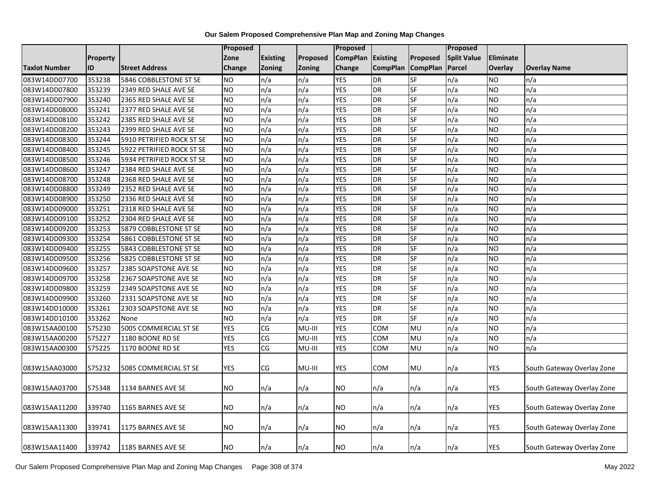|                      |                 |                           | Proposed        |                 |          | Proposed        |                 |                          | Proposed           |                  |                            |
|----------------------|-----------------|---------------------------|-----------------|-----------------|----------|-----------------|-----------------|--------------------------|--------------------|------------------|----------------------------|
|                      | <b>Property</b> |                           | Zone            | <b>Existing</b> | Proposed | <b>CompPlan</b> | <b>Existing</b> | Proposed                 | <b>Split Value</b> | <b>Eliminate</b> |                            |
| <b>Taxlot Number</b> | ID              | <b>Street Address</b>     | Change          | Zoning          | Zoning   | Change          | <b>CompPlan</b> | <b>CompPlan</b>          | Parcel             | <b>Overlay</b>   | <b>Overlay Name</b>        |
| 083W14DD07700        | 353238          | 5846 COBBLESTONE ST SE    | <b>NO</b>       | n/a             | n/a      | <b>YES</b>      | <b>DR</b>       | SF                       | n/a                | <b>NO</b>        | n/a                        |
| 083W14DD07800        | 353239          | 2349 RED SHALE AVE SE     | NO.             | n/a             | n/a      | <b>YES</b>      | <b>DR</b>       | SF                       | n/a                | <b>NO</b>        | n/a                        |
| 083W14DD07900        | 353240          | 2365 RED SHALE AVE SE     | <b>NO</b>       | n/a             | n/a      | <b>YES</b>      | <b>DR</b>       | SF                       | n/a                | <b>NO</b>        | n/a                        |
| 083W14DD08000        | 353241          | 2377 RED SHALE AVE SE     | <b>NO</b>       | n/a             | n/a      | <b>YES</b>      | <b>DR</b>       | SF                       | n/a                | <b>NO</b>        | n/a                        |
| 083W14DD08100        | 353242          | 2385 RED SHALE AVE SE     | <b>NO</b>       | n/a             | n/a      | <b>YES</b>      | <b>DR</b>       | SF                       | n/a                | <b>NO</b>        | n/a                        |
| 083W14DD08200        | 353243          | 2399 RED SHALE AVE SE     | <b>NO</b>       | n/a             | n/a      | <b>YES</b>      | <b>DR</b>       | SF                       | n/a                | <b>NO</b>        | n/a                        |
| 083W14DD08300        | 353244          | 5910 PETRIFIED ROCK ST SE | <b>NO</b>       | n/a             | n/a      | <b>YES</b>      | <b>DR</b>       | SF                       | n/a                | <b>NO</b>        | n/a                        |
| 083W14DD08400        | 353245          | 5922 PETRIFIED ROCK ST SE | <b>NO</b>       | n/a             | n/a      | <b>YES</b>      | <b>DR</b>       | SF                       | n/a                | <b>NO</b>        | n/a                        |
| 083W14DD08500        | 353246          | 5934 PETRIFIED ROCK ST SE | <b>NO</b>       | n/a             | n/a      | <b>YES</b>      | <b>DR</b>       | $S$ F                    | n/a                | <b>NO</b>        | n/a                        |
| 083W14DD08600        | 353247          | 2384 RED SHALE AVE SE     | <b>NO</b>       | n/a             | n/a      | <b>YES</b>      | <b>DR</b>       | SF                       | n/a                | <b>NO</b>        | n/a                        |
| 083W14DD08700        | 353248          | 2368 RED SHALE AVE SE     | $\overline{NO}$ | n/a             | n/a      | <b>YES</b>      | <b>DR</b>       | SF                       | n/a                | <b>NO</b>        | n/a                        |
| 083W14DD08800        | 353249          | 2352 RED SHALE AVE SE     | <b>NO</b>       | n/a             | n/a      | <b>YES</b>      | <b>DR</b>       | SF                       | n/a                | <b>NO</b>        | n/a                        |
| 083W14DD08900        | 353250          | 2336 RED SHALE AVE SE     | <b>NO</b>       | n/a             | n/a      | <b>YES</b>      | <b>DR</b>       | SF                       | n/a                | <b>NO</b>        | n/a                        |
| 083W14DD09000        | 353251          | 2318 RED SHALE AVE SE     | <b>NO</b>       | n/a             | n/a      | <b>YES</b>      | <b>DR</b>       | SF                       | n/a                | <b>NO</b>        | n/a                        |
| 083W14DD09100        | 353252          | 2304 RED SHALE AVE SE     | <b>NO</b>       | n/a             | n/a      | <b>YES</b>      | <b>DR</b>       | SF                       | n/a                | <b>NO</b>        | n/a                        |
| 083W14DD09200        | 353253          | 5879 COBBLESTONE ST SE    | <b>NO</b>       | n/a             | n/a      | <b>YES</b>      | <b>DR</b>       | SF                       | n/a                | <b>NO</b>        | n/a                        |
| 083W14DD09300        | 353254          | 5861 COBBLESTONE ST SE    | <b>NO</b>       | n/a             | n/a      | <b>YES</b>      | <b>DR</b>       | SF                       | n/a                | <b>NO</b>        | n/a                        |
| 083W14DD09400        | 353255          | 5843 COBBLESTONE ST SE    | <b>NO</b>       | n/a             | n/a      | <b>YES</b>      | <b>DR</b>       | SF                       | n/a                | <b>NO</b>        | n/a                        |
| 083W14DD09500        | 353256          | 5825 COBBLESTONE ST SE    | $\overline{NO}$ | n/a             | n/a      | <b>YES</b>      | <b>DR</b>       | SF                       | n/a                | <b>NO</b>        | n/a                        |
| 083W14DD09600        | 353257          | 2385 SOAPSTONE AVE SE     | <b>NO</b>       | n/a             | n/a      | <b>YES</b>      | <b>DR</b>       | SF                       | n/a                | <b>NO</b>        | n/a                        |
| 083W14DD09700        | 353258          | 2367 SOAPSTONE AVE SE     | <b>NO</b>       | n/a             | n/a      | <b>YES</b>      | <b>DR</b>       | SF                       | n/a                | <b>NO</b>        | n/a                        |
| 083W14DD09800        | 353259          | 2349 SOAPSTONE AVE SE     | <b>NO</b>       | n/a             | n/a      | <b>YES</b>      | <b>DR</b>       | SF                       | n/a                | <b>NO</b>        | n/a                        |
| 083W14DD09900        | 353260          | 2331 SOAPSTONE AVE SE     | Ю               | n/a             | n/a      | <b>YES</b>      | <b>DR</b>       | SF                       | n/a                | <b>NO</b>        | n/a                        |
| 083W14DD10000        | 353261          | 2303 SOAPSTONE AVE SE     | <b>NO</b>       | n/a             | n/a      | <b>YES</b>      | <b>DR</b>       | SF                       | n/a                | <b>NO</b>        | n/a                        |
| 083W14DD10100        | 353262          | None                      | <b>NO</b>       | n/a             | n/a      | <b>YES</b>      | <b>DR</b>       | $\overline{\mathsf{SF}}$ | n/a                | <b>NO</b>        | n/a                        |
| 083W15AA00100        | 575230          | 5005 COMMERCIAL ST SE     | <b>YES</b>      | CG              | MU-III   | <b>YES</b>      | COM             | MU                       | n/a                | <b>NO</b>        | n/a                        |
| 083W15AA00200        | 575227          | 1180 BOONE RD SE          | <b>YES</b>      | CG              | MU-III   | YES             | COM             | MU                       | n/a                | <b>NO</b>        | n/a                        |
| 083W15AA00300        | 575225          | 1170 BOONE RD SE          | <b>YES</b>      | CG              | MU-III   | <b>YES</b>      | COM             | MU                       | n/a                | <b>NO</b>        | n/a                        |
| 083W15AA03000        | 575232          | 5085 COMMERCIAL ST SE     | YES             | CG              | MU-III   | YES             | COM             | MU                       | n/a                | YES              | South Gateway Overlay Zone |
| 083W15AA03700        | 575348          | 1134 BARNES AVE SE        | NO.             | n/a             | n/a      | <b>NO</b>       | n/a             | n/a                      | n/a                | YES              | South Gateway Overlay Zone |
| 083W15AA11200        | 339740          | 1165 BARNES AVE SE        | NO.             | n/a             | n/a      | <b>NO</b>       | n/a             | n/a                      | n/a                | YES              | South Gateway Overlay Zone |
| 083W15AA11300        | 339741          | 1175 BARNES AVE SE        | NO.             | n/a             | n/a      | NO              | n/a             | n/a                      | n/a                | <b>YES</b>       | South Gateway Overlay Zone |
| 083W15AA11400        | 339742          | 1185 BARNES AVE SE        | NO.             | n/a             | n/a      | <b>NO</b>       | n/a             | n/a                      | n/a                | <b>YES</b>       | South Gateway Overlay Zone |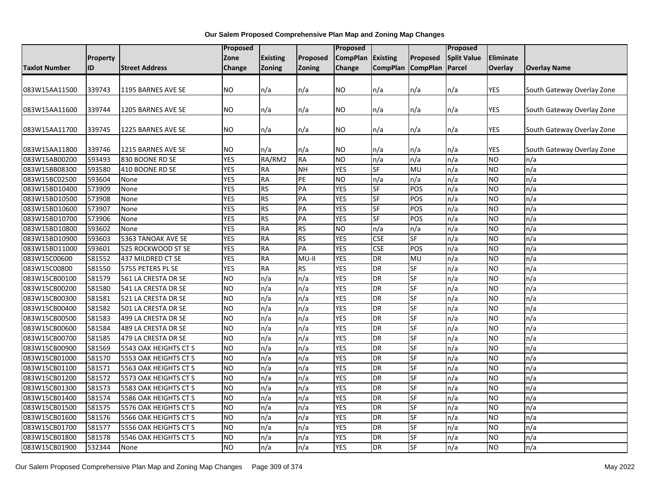|                      |                 |                       | Proposed       |                 |           | Proposed        |                 |                   | Proposed           |            |                            |
|----------------------|-----------------|-----------------------|----------------|-----------------|-----------|-----------------|-----------------|-------------------|--------------------|------------|----------------------------|
|                      | <b>Property</b> |                       | Zone           | <b>Existing</b> | Proposed  | <b>CompPlan</b> | <b>Existing</b> | Proposed          | <b>Split Value</b> | Eliminate  |                            |
| <b>Taxlot Number</b> | ID              | <b>Street Address</b> | Change         | Zoning          | Zoning    | Change          |                 | CompPlan CompPlan | Parcel             | Overlay    | <b>Overlay Name</b>        |
|                      |                 |                       |                |                 |           |                 |                 |                   |                    |            |                            |
| 083W15AA11500        | 339743          | 1195 BARNES AVE SE    | <b>NO</b>      | n/a             | n/a       | NO              | n/a             | n/a               | n/a                | <b>YES</b> | South Gateway Overlay Zone |
|                      |                 |                       |                |                 |           |                 |                 |                   |                    |            |                            |
| 083W15AA11600        | 339744          | 1205 BARNES AVE SE    | NO             | n/a             | n/a       | NO              | n/a             | n/a               | n/a                | <b>YES</b> | South Gateway Overlay Zone |
|                      |                 |                       |                |                 |           |                 |                 |                   |                    |            |                            |
| 083W15AA11700        | 339745          | 1225 BARNES AVE SE    | <b>NO</b>      | n/a             | n/a       | NO.             | n/a             | n/a               | n/a                | <b>YES</b> | South Gateway Overlay Zone |
|                      |                 |                       |                |                 |           |                 |                 |                   |                    |            |                            |
| 083W15AA11800        | 339746          | 1215 BARNES AVE SE    | <b>NO</b>      | n/a             | n/a       | NO              | n/a             | n/a               | n/a                | <b>YES</b> | South Gateway Overlay Zone |
| 083W15AB00200        | 593493          | 830 BOONE RD SE       | <b>YES</b>     | RA/RM2          | <b>RA</b> | <b>NO</b>       | n/a             | n/a               | n/a                | <b>NO</b>  | n/a                        |
| 083W15BB08300        | 593580          | 410 BOONE RD SE       | <b>YES</b>     | <b>RA</b>       | <b>NH</b> | <b>YES</b>      | <b>SF</b>       | <b>MU</b>         | n/a                | <b>NO</b>  | n/a                        |
| 083W15BC02500        | 593604          | None                  | <b>YES</b>     | <b>RA</b>       | PE        | N <sub>O</sub>  | n/a             | n/a               | n/a                | <b>NO</b>  | n/a                        |
| 083W15BD10400        | 573909          | None                  | <b>YES</b>     | <b>RS</b>       | PA        | <b>YES</b>      | SF              | POS               | n/a                | <b>NO</b>  | n/a                        |
| 083W15BD10500        | 573908          | None                  | <b>YES</b>     | <b>RS</b>       | PA        | <b>YES</b>      | SF              | POS               | n/a                | <b>NO</b>  | n/a                        |
| 083W15BD10600        | 573907          | None                  | <b>YES</b>     | <b>RS</b>       | PA        | <b>YES</b>      | SF              | POS               | n/a                | <b>NO</b>  | n/a                        |
| 083W15BD10700        | 573906          | None                  | <b>YES</b>     | <b>RS</b>       | PA        | <b>YES</b>      | SF              | POS               | n/a                | <b>NO</b>  | n/a                        |
| 083W15BD10800        | 593602          | None                  | <b>YES</b>     | <b>RA</b>       | <b>RS</b> | <b>NO</b>       | n/a             | n/a               | n/a                | <b>NO</b>  | n/a                        |
| 083W15BD10900        | 593603          | 5363 TANOAK AVE SE    | <b>YES</b>     | <b>RA</b>       | <b>RS</b> | <b>YES</b>      | <b>CSE</b>      | SF                | n/a                | <b>NO</b>  | n/a                        |
| 083W15BD11000        | 593601          | 525 ROCKWOOD ST SE    | <b>YES</b>     | <b>RA</b>       | PA        | <b>YES</b>      | <b>CSE</b>      | POS               | n/a                | <b>NO</b>  | n/a                        |
| 083W15C00600         | 581552          | 437 MILDRED CT SE     | <b>YES</b>     | <b>RA</b>       | MU-II     | <b>YES</b>      | DR              | MU                | n/a                | <b>NO</b>  | n/a                        |
| 083W15C00800         | 581550          | 5755 PETERS PL SE     | <b>YES</b>     | <b>RA</b>       | <b>RS</b> | <b>YES</b>      | DR              | <b>SF</b>         | n/a                | <b>NO</b>  | n/a                        |
| 083W15CB00100        | 581579          | 561 LA CRESTA DR SE   | <b>NO</b>      | n/a             | n/a       | <b>YES</b>      | <b>DR</b>       | <b>SF</b>         | n/a                | <b>NO</b>  | n/a                        |
| 083W15CB00200        | 581580          | 541 LA CRESTA DR SE   | N <sub>O</sub> | n/a             | n/a       | <b>YES</b>      | DR              | <b>SF</b>         | n/a                | <b>NO</b>  | n/a                        |
| 083W15CB00300        | 581581          | 521 LA CRESTA DR SE   | <b>NO</b>      | n/a             | n/a       | <b>YES</b>      | <b>DR</b>       | <b>SF</b>         | n/a                | <b>NO</b>  | n/a                        |
| 083W15CB00400        | 581582          | 501 LA CRESTA DR SE   | <b>NO</b>      | n/a             | n/a       | <b>YES</b>      | <b>DR</b>       | SF                | n/a                | <b>NO</b>  | n/a                        |
| 083W15CB00500        | 581583          | 499 LA CRESTA DR SE   | N <sub>O</sub> | n/a             | n/a       | <b>YES</b>      | DR              | <b>SF</b>         | n/a                | <b>NO</b>  | n/a                        |
| 083W15CB00600        | 581584          | 489 LA CRESTA DR SE   | N <sub>O</sub> | n/a             | n/a       | <b>YES</b>      | <b>DR</b>       | <b>SF</b>         | n/a                | <b>NO</b>  | n/a                        |
| 083W15CB00700        | 581585          | 479 LA CRESTA DR SE   | <b>NO</b>      | n/a             | n/a       | <b>YES</b>      | <b>DR</b>       | <b>SF</b>         | n/a                | <b>NO</b>  | n/a                        |
| 083W15CB00900        | 581569          | 5543 OAK HEIGHTS CT S | <b>NO</b>      | n/a             | n/a       | <b>YES</b>      | DR              | SF                | n/a                | <b>NO</b>  | n/a                        |
| 083W15CB01000        | 581570          | 5553 OAK HEIGHTS CT S | ŌИ             | n/a             | n/a       | <b>YES</b>      | <b>DR</b>       | <b>SF</b>         | n/a                | <b>NO</b>  | n/a                        |
| 083W15CB01100        | 581571          | 5563 OAK HEIGHTS CT S | N <sub>O</sub> | n/a             | n/a       | <b>YES</b>      | DR              | <b>SF</b>         | n/a                | <b>NO</b>  | n/a                        |
| 083W15CB01200        | 581572          | 5573 OAK HEIGHTS CT S | <b>NO</b>      | n/a             | n/a       | <b>YES</b>      | <b>DR</b>       | SF                | n/a                | <b>NO</b>  | n/a                        |
| 083W15CB01300        | 581573          | 5583 OAK HEIGHTS CT S | ŌИ             | n/a             | n/a       | <b>YES</b>      | <b>DR</b>       | <b>SF</b>         | n/a                | <b>NO</b>  | n/a                        |
| 083W15CB01400        | 581574          | 5586 OAK HEIGHTS CT S | N <sub>O</sub> | n/a             | n/a       | <b>YES</b>      | DR              | <b>SF</b>         | n/a                | <b>NO</b>  | n/a                        |
| 083W15CB01500        | 581575          | 5576 OAK HEIGHTS CT S | <b>NO</b>      | n/a             | n/a       | <b>YES</b>      | <b>DR</b>       | <b>SF</b>         | n/a                | <b>NO</b>  | n/a                        |
| 083W15CB01600        | 581576          | 5566 OAK HEIGHTS CT S | <b>NO</b>      | n/a             | n/a       | <b>YES</b>      | <b>DR</b>       | SF                | n/a                | <b>NO</b>  | n/a                        |
| 083W15CB01700        | 581577          | 5556 OAK HEIGHTS CT S | <b>NO</b>      | n/a             | n/a       | <b>YES</b>      | <b>DR</b>       | SF                | n/a                | <b>NO</b>  | n/a                        |
| 083W15CB01800        | 581578          | 5546 OAK HEIGHTS CT S | <b>NO</b>      | n/a             | n/a       | <b>YES</b>      | <b>DR</b>       | <b>SF</b>         | n/a                | <b>NO</b>  | n/a                        |
| 083W15CB01900        | 532344          | None                  | <b>NO</b>      | n/a             | n/a       | <b>YES</b>      | DR              | <b>SF</b>         | n/a                | <b>NO</b>  | n/a                        |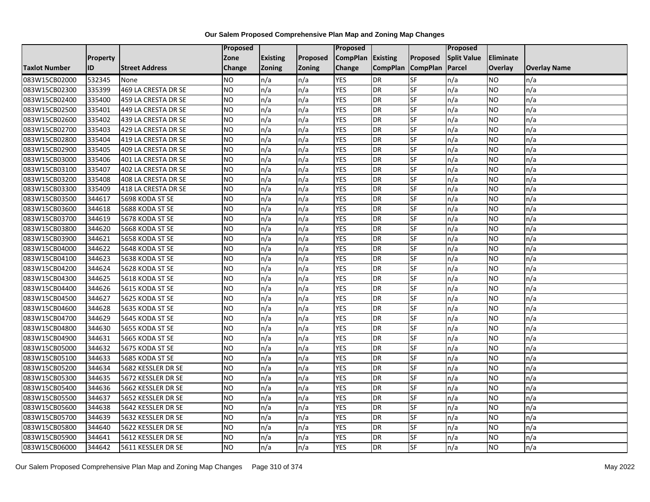|                      |          |                       | Proposed  |                 |               | Proposed        |                 |                 | Proposed           |                |                     |
|----------------------|----------|-----------------------|-----------|-----------------|---------------|-----------------|-----------------|-----------------|--------------------|----------------|---------------------|
|                      | Property |                       | Zone      | <b>Existing</b> | Proposed      | <b>CompPlan</b> | Existing        | Proposed        | <b>Split Value</b> | Eliminate      |                     |
| <b>Taxlot Number</b> | ID       | <b>Street Address</b> | Change    | Zoning          | <b>Zoning</b> | Change          | <b>CompPlan</b> | <b>CompPlan</b> | Parcel             | <b>Overlay</b> | <b>Overlay Name</b> |
| 083W15CB02000        | 532345   | None                  | <b>NO</b> | n/a             | n/a           | <b>YES</b>      | <b>DR</b>       | <b>SF</b>       | n/a                | NO             | n/a                 |
| 083W15CB02300        | 335399   | 469 LA CRESTA DR SE   | <b>NO</b> | n/a             | n/a           | <b>YES</b>      | <b>DR</b>       | $S_{F}$         | n/a                | NO.            | n/a                 |
| 083W15CB02400        | 335400   | 459 LA CRESTA DR SE   | <b>NO</b> | n/a             | n/a           | <b>YES</b>      | DR              | SF              | n/a                | <b>NO</b>      | n/a                 |
| 083W15CB02500        | 335401   | 449 LA CRESTA DR SE   | <b>NO</b> | n/a             | n/a           | <b>YES</b>      | DR              | SF              | n/a                | NO.            | n/a                 |
| 083W15CB02600        | 335402   | 439 LA CRESTA DR SE   | <b>NO</b> | n/a             | n/a           | <b>YES</b>      | <b>DR</b>       | <b>SF</b>       | n/a                | NO.            | n/a                 |
| 083W15CB02700        | 335403   | 429 LA CRESTA DR SE   | ŌИ        | n/a             | n/a           | <b>YES</b>      | DR              | SF              | n/a                | <b>NO</b>      | n/a                 |
| 083W15CB02800        | 335404   | 419 LA CRESTA DR SE   | <b>NO</b> | n/a             | n/a           | <b>YES</b>      | DR              | SF              | n/a                | <b>NO</b>      | n/a                 |
| 083W15CB02900        | 335405   | 409 LA CRESTA DR SE   | <b>NO</b> | n/a             | n/a           | <b>YES</b>      | <b>DR</b>       | SF              | n/a                | NO.            | n/a                 |
| 083W15CB03000        | 335406   | 401 LA CRESTA DR SE   | <b>NO</b> | n/a             | n/a           | <b>YES</b>      | DR              | SF              | n/a                | NO.            | n/a                 |
| 083W15CB03100        | 335407   | 402 LA CRESTA DR SE   | <b>NO</b> | n/a             | n/a           | <b>YES</b>      | DR              | SF              | n/a                | NO.            | n/a                 |
| 083W15CB03200        | 335408   | 408 LA CRESTA DR SE   | <b>NO</b> | n/a             | n/a           | <b>YES</b>      | DR              | SF              | n/a                | <b>NO</b>      | n/a                 |
| 083W15CB03300        | 335409   | 418 LA CRESTA DR SE   | <b>NO</b> | n/a             | n/a           | <b>YES</b>      | DR              | SF              | n/a                | NO.            | n/a                 |
| 083W15CB03500        | 344617   | 5698 KODA ST SE       | ŌИ        | n/a             | n/a           | <b>YES</b>      | <b>DR</b>       | $S_{F}$         | n/a                | NO.            | n/a                 |
| 083W15CB03600        | 344618   | 5688 KODA ST SE       | <b>NO</b> | n/a             | n/a           | <b>YES</b>      | <b>DR</b>       | SF              | n/a                | NO.            | n/a                 |
| 083W15CB03700        | 344619   | 5678 KODA ST SE       | <b>NO</b> | n/a             | n/a           | <b>YES</b>      | <b>DR</b>       | SF              | n/a                | NO.            | n/a                 |
| 083W15CB03800        | 344620   | 5668 KODA ST SE       | ŌИ        | n/a             | n/a           | <b>YES</b>      | <b>DR</b>       | $S_{F}$         | n/a                | NO.            | n/a                 |
| 083W15CB03900        | 344621   | 5658 KODA ST SE       | ŌИ        | n/a             | n/a           | <b>YES</b>      | $\overline{R}$  | <b>SF</b>       | n/a                | NO.            | n/a                 |
| 083W15CB04000        | 344622   | 5648 KODA ST SE       | <b>NO</b> | n/a             | n/a           | <b>YES</b>      | DR              | SF              | n/a                | NO.            | n/a                 |
| 083W15CB04100        | 344623   | 5638 KODA ST SE       | <b>NO</b> | n/a             | n/a           | <b>YES</b>      | <b>DR</b>       | SF              | n/a                | <b>NO</b>      | n/a                 |
| 083W15CB04200        | 344624   | 5628 KODA ST SE       | <b>NO</b> | n/a             | n/a           | <b>YES</b>      | <b>DR</b>       | <b>SF</b>       | n/a                | NO.            | n/a                 |
| 083W15CB04300        | 344625   | 5618 KODA ST SE       | <b>NO</b> | n/a             | n/a           | <b>YES</b>      | DR              | SF              | n/a                | <b>NO</b>      | n/a                 |
| 083W15CB04400        | 344626   | 5615 KODA ST SE       | <b>NO</b> | n/a             | n/a           | <b>YES</b>      | <b>DR</b>       | <b>SF</b>       | n/a                | <b>NO</b>      | n/a                 |
| 083W15CB04500        | 344627   | 5625 KODA ST SE       | <b>NO</b> | n/a             | n/a           | <b>YES</b>      | DR              | $S_{F}$         | n/a                | NO.            | n/a                 |
| 083W15CB04600        | 344628   | 5635 KODA ST SE       | <b>NO</b> | n/a             | n/a           | <b>YES</b>      | DR              | SF              | n/a                | NO.            | n/a                 |
| 083W15CB04700        | 344629   | 5645 KODA ST SE       | ŌИ        | n/a             | n/a           | <b>YES</b>      | <b>DR</b>       | <b>SF</b>       | n/a                | <b>NO</b>      | n/a                 |
| 083W15CB04800        | 344630   | 5655 KODA ST SE       | <b>NO</b> | n/a             | n/a           | <b>YES</b>      | DR              | SF              | n/a                | NO.            | n/a                 |
| 083W15CB04900        | 344631   | 5665 KODA ST SE       | ŌИ        | n/a             | n/a           | <b>YES</b>      | DR              | $S_{F}$         | n/a                | NO.            | n/a                 |
| 083W15CB05000        | 344632   | 5675 KODA ST SE       | <b>NO</b> | n/a             | n/a           | <b>YES</b>      | DR              | SF              | n/a                | NO.            | n/a                 |
| 083W15CB05100        | 344633   | 5685 KODA ST SE       | <b>NO</b> | n/a             | n/a           | <b>YES</b>      | DR              | <b>SF</b>       | n/a                | NO.            | n/a                 |
| 083W15CB05200        | 344634   | 5682 KESSLER DR SE    | <b>NO</b> | n/a             | n/a           | <b>YES</b>      | <b>DR</b>       | SF              | n/a                | NO.            | n/a                 |
| 083W15CB05300        | 344635   | 5672 KESSLER DR SE    | <b>NO</b> | n/a             | n/a           | <b>YES</b>      | DR              | SF              | n/a                | NO.            | n/a                 |
| 083W15CB05400        | 344636   | 5662 KESSLER DR SE    | <b>NO</b> | n/a             | n/a           | <b>YES</b>      | DR              | <b>SF</b>       | n/a                | NO.            | n/a                 |
| 083W15CB05500        | 344637   | 5652 KESSLER DR SE    | ŌИ        | n/a             | n/a           | <b>YES</b>      | <b>DR</b>       | <b>SF</b>       | n/a                | NO.            | n/a                 |
| 083W15CB05600        | 344638   | 5642 KESSLER DR SE    | <b>NO</b> | n/a             | n/a           | <b>YES</b>      | DR              | SF              | n/a                | NO.            | n/a                 |
| 083W15CB05700        | 344639   | 5632 KESSLER DR SE    | <b>NO</b> | n/a             | n/a           | <b>YES</b>      | DR              | SF              | n/a                | <b>NO</b>      | n/a                 |
| 083W15CB05800        | 344640   | 5622 KESSLER DR SE    | <b>NO</b> | n/a             | n/a           | <b>YES</b>      | <b>DR</b>       | SF              | n/a                | NO.            | n/a                 |
| 083W15CB05900        | 344641   | 5612 KESSLER DR SE    | <b>NO</b> | n/a             | n/a           | <b>YES</b>      | DR              | SF              | n/a                | <b>NO</b>      | n/a                 |
| 083W15CB06000        | 344642   | 5611 KESSLER DR SE    | <b>NO</b> | n/a             | n/a           | <b>YES</b>      | DR              | SF              | n/a                | <b>NO</b>      | n/a                 |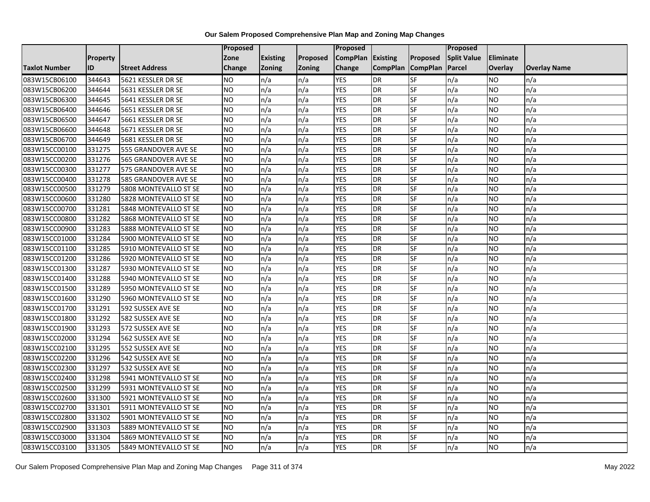|                      |                 |                       | Proposed        |                 |               | <b>Proposed</b> |                 |                 | <b>Proposed</b>    |           |                     |
|----------------------|-----------------|-----------------------|-----------------|-----------------|---------------|-----------------|-----------------|-----------------|--------------------|-----------|---------------------|
|                      | <b>Property</b> |                       | Zone            | <b>Existing</b> | Proposed      | <b>CompPlan</b> | <b>Existing</b> | <b>Proposed</b> | <b>Split Value</b> | Eliminate |                     |
| <b>Taxlot Number</b> | ID              | <b>Street Address</b> | Change          | <b>Zoning</b>   | <b>Zoning</b> | Change          | <b>CompPlan</b> | <b>CompPlan</b> | Parcel             | Overlay   | <b>Overlay Name</b> |
| 083W15CB06100        | 344643          | 5621 KESSLER DR SE    | <b>NO</b>       | n/a             | n/a           | <b>YES</b>      | <b>DR</b>       | <b>SF</b>       | n/a                | NO.       | n/a                 |
| 083W15CB06200        | 344644          | 5631 KESSLER DR SE    | <b>NO</b>       | n/a             | n/a           | <b>YES</b>      | <b>DR</b>       | <b>SF</b>       | n/a                | NO.       | n/a                 |
| 083W15CB06300        | 344645          | 5641 KESSLER DR SE    | NO              | n/a             | n/a           | <b>YES</b>      | <b>DR</b>       | SF              | n/a                | NO.       | n/a                 |
| 083W15CB06400        | 344646          | 5651 KESSLER DR SE    | NO              | n/a             | n/a           | <b>YES</b>      | <b>DR</b>       | SF              | n/a                | NO.       | n/a                 |
| 083W15CB06500        | 344647          | 5661 KESSLER DR SE    | <b>NO</b>       | n/a             | n/a           | <b>YES</b>      | <b>DR</b>       | SF              | n/a                | NO.       | n/a                 |
| 083W15CB06600        | 344648          | 5671 KESSLER DR SE    | <b>NO</b>       | n/a             | n/a           | <b>YES</b>      | <b>DR</b>       | SF              | n/a                | <b>NO</b> | n/a                 |
| 083W15CB06700        | 344649          | 5681 KESSLER DR SE    | <b>NO</b>       | n/a             | n/a           | <b>YES</b>      | <b>DR</b>       | SF              | n/a                | NO.       | n/a                 |
| 083W15CC00100        | 331275          | 555 GRANDOVER AVE SE  | <b>NO</b>       | n/a             | n/a           | <b>YES</b>      | <b>DR</b>       | SF              | n/a                | NO.       | n/a                 |
| 083W15CC00200        | 331276          | 565 GRANDOVER AVE SE  | <b>NO</b>       | n/a             | n/a           | <b>YES</b>      | <b>DR</b>       | SF              | n/a                | NO.       | n/a                 |
| 083W15CC00300        | 331277          | 575 GRANDOVER AVE SE  | Ю               | n/a             | n/a           | <b>YES</b>      | <b>DR</b>       | <b>SF</b>       | n/a                | NO        | n/a                 |
| 083W15CC00400        | 331278          | 585 GRANDOVER AVE SE  | <b>NO</b>       | n/a             | n/a           | <b>YES</b>      | <b>DR</b>       | SF              | n/a                | NO.       | n/a                 |
| 083W15CC00500        | 331279          | 5808 MONTEVALLO ST SE | <b>NO</b>       | n/a             | n/a           | <b>YES</b>      | <b>DR</b>       | SF              | n/a                | NO.       | n/a                 |
| 083W15CC00600        | 331280          | 5828 MONTEVALLO ST SE | NO.             | n/a             | n/a           | <b>YES</b>      | <b>DR</b>       | <b>SF</b>       | n/a                | NO.       | n/a                 |
| 083W15CC00700        | 331281          | 5848 MONTEVALLO ST SE | <b>NO</b>       | n/a             | n/a           | <b>YES</b>      | <b>DR</b>       | SF              | n/a                | NO.       | n/a                 |
| 083W15CC00800        | 331282          | 5868 MONTEVALLO ST SE | <b>NO</b>       | n/a             | n/a           | <b>YES</b>      | <b>DR</b>       | SF              | n/a                | NO.       | n/a                 |
| 083W15CC00900        | 331283          | 5888 MONTEVALLO ST SE | ŌИ              | n/a             | n/a           | <b>YES</b>      | <b>DR</b>       | <b>SF</b>       | n/a                | NO.       | n/a                 |
| 083W15CC01000        | 331284          | 5900 MONTEVALLO ST SE | NO              | n/a             | n/a           | <b>YES</b>      | <b>DR</b>       | <b>SF</b>       | n/a                | <b>NO</b> | n/a                 |
| 083W15CC01100        | 331285          | 5910 MONTEVALLO ST SE | <b>NO</b>       | n/a             | n/a           | <b>YES</b>      | <b>DR</b>       | SF              | n/a                | NO.       | n/a                 |
| 083W15CC01200        | 331286          | 5920 MONTEVALLO ST SE | <b>NO</b>       | n/a             | n/a           | <b>YES</b>      | <b>DR</b>       | SF              | n/a                | NO.       | n/a                 |
| 083W15CC01300        | 331287          | 5930 MONTEVALLO ST SE | <b>NO</b>       | n/a             | n/a           | <b>YES</b>      | DR              | SF              | n/a                | ΝO        | n/a                 |
| 083W15CC01400        | 331288          | 5940 MONTEVALLO ST SE | <b>NO</b>       | n/a             | n/a           | <b>YES</b>      | <b>DR</b>       | SF              | n/a                | NO.       | n/a                 |
| 083W15CC01500        | 331289          | 5950 MONTEVALLO ST SE | <b>NO</b>       | n/a             | n/a           | <b>YES</b>      | <b>DR</b>       | SF              | n/a                | <b>NO</b> | n/a                 |
| 083W15CC01600        | 331290          | 5960 MONTEVALLO ST SE | <b>NO</b>       | n/a             | n/a           | <b>YES</b>      | <b>DR</b>       | <b>SF</b>       | n/a                | NO.       | n/a                 |
| 083W15CC01700        | 331291          | 592 SUSSEX AVE SE     | <b>NO</b>       | n/a             | n/a           | <b>YES</b>      | <b>DR</b>       | SF              | n/a                | NO        | n/a                 |
| 083W15CC01800        | 331292          | 582 SUSSEX AVE SE     | <b>NO</b>       | n/a             | n/a           | <b>YES</b>      | <b>DR</b>       | SF              | n/a                | NO.       | n/a                 |
| 083W15CC01900        | 331293          | 572 SUSSEX AVE SE     | NO              | n/a             | n/a           | <b>YES</b>      | <b>DR</b>       | SF              | n/a                | NO.       | n/a                 |
| 083W15CC02000        | 331294          | 562 SUSSEX AVE SE     | NO              | n/a             | n/a           | <b>YES</b>      | <b>DR</b>       | $S_{F}$         | n/a                | NO.       | n/a                 |
| 083W15CC02100        | 331295          | 552 SUSSEX AVE SE     | <b>NO</b>       | n/a             | n/a           | <b>YES</b>      | <b>DR</b>       | SF              | n/a                | NO        | n/a                 |
| 083W15CC02200        | 331296          | 542 SUSSEX AVE SE     | <b>NO</b>       | n/a             | n/a           | <b>YES</b>      | <b>DR</b>       | <b>SF</b>       | n/a                | NO.       | n/a                 |
| 083W15CC02300        | 331297          | 532 SUSSEX AVE SE     | <b>NO</b>       | n/a             | n/a           | <b>YES</b>      | <b>DR</b>       | SF              | n/a                | <b>NO</b> | n/a                 |
| 083W15CC02400        | 331298          | 5941 MONTEVALLO ST SE | NO.             | n/a             | n/a           | <b>YES</b>      | <b>DR</b>       | SF              | n/a                | NO.       | n/a                 |
| 083W15CC02500        | 331299          | 5931 MONTEVALLO ST SE | <b>NO</b>       | n/a             | n/a           | <b>YES</b>      | <b>DR</b>       | <b>SF</b>       | n/a                | NO.       | n/a                 |
| 083W15CC02600        | 331300          | 5921 MONTEVALLO ST SE | $\overline{NO}$ | n/a             | n/a           | <b>YES</b>      | <b>DR</b>       | SF              | n/a                | <b>NO</b> | n/a                 |
| 083W15CC02700        | 331301          | 5911 MONTEVALLO ST SE | <b>NO</b>       | n/a             | n/a           | <b>YES</b>      | <b>DR</b>       | SF              | n/a                | NO.       | n/a                 |
| 083W15CC02800        | 331302          | 5901 MONTEVALLO ST SE | <b>NO</b>       | n/a             | n/a           | <b>YES</b>      | <b>DR</b>       | SF              | n/a                | NO        | n/a                 |
| 083W15CC02900        | 331303          | 5889 MONTEVALLO ST SE | NO              | n/a             | n/a           | YES             | <b>DR</b>       | <b>SF</b>       | n/a                | NO        | n/a                 |
| 083W15CC03000        | 331304          | 5869 MONTEVALLO ST SE | <b>NO</b>       | n/a             | n/a           | <b>YES</b>      | <b>DR</b>       | SF              | n/a                | ΝO        | n/a                 |
| 083W15CC03100        | 331305          | 5849 MONTEVALLO ST SE | <b>NO</b>       | n/a             | n/a           | <b>YES</b>      | <b>DR</b>       | SF              | n/a                | NO.       | n/a                 |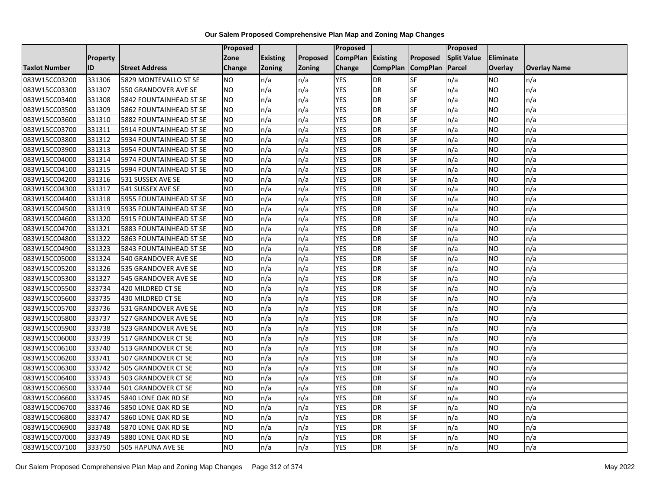|                      |                 |                         | Proposed      |                 |               | Proposed          |                 |                 | Proposed           |           |                     |
|----------------------|-----------------|-------------------------|---------------|-----------------|---------------|-------------------|-----------------|-----------------|--------------------|-----------|---------------------|
|                      | <b>Property</b> |                         | Zone          | <b>Existing</b> | Proposed      | CompPlan Existing |                 | Proposed        | <b>Split Value</b> | Eliminate |                     |
| <b>Taxlot Number</b> | ID              | <b>Street Address</b>   | <b>Change</b> | Zoning          | <b>Zoning</b> | Change            | <b>CompPlan</b> | <b>CompPlan</b> | Parcel             | Overlay   | <b>Overlay Name</b> |
| 083W15CC03200        | 331306          | 5829 MONTEVALLO ST SE   | <b>NO</b>     | n/a             | n/a           | <b>YES</b>        | <b>DR</b>       | <b>SF</b>       | n/a                | NO        | n/a                 |
| 083W15CC03300        | 331307          | 550 GRANDOVER AVE SE    | <b>NO</b>     | n/a             | n/a           | <b>YES</b>        | DR              | SF              | n/a                | NO.       | n/a                 |
| 083W15CC03400        | 331308          | 5842 FOUNTAINHEAD ST SE | <b>NO</b>     | n/a             | n/a           | <b>YES</b>        | DR              | SF              | n/a                | NO.       | n/a                 |
| 083W15CC03500        | 331309          | 5862 FOUNTAINHEAD ST SE | <b>NO</b>     | n/a             | n/a           | <b>YES</b>        | <b>DR</b>       | SF              | n/a                | NO.       | n/a                 |
| 083W15CC03600        | 331310          | 5882 FOUNTAINHEAD ST SE | <b>NO</b>     | n/a             | n/a           | <b>YES</b>        | <b>DR</b>       | <b>SF</b>       | n/a                | NO.       | n/a                 |
| 083W15CC03700        | 331311          | 5914 FOUNTAINHEAD ST SE | <b>NO</b>     | n/a             | n/a           | <b>YES</b>        | <b>DR</b>       | SF              | n/a                | <b>NO</b> | n/a                 |
| 083W15CC03800        | 331312          | 5934 FOUNTAINHEAD ST SE | <b>NO</b>     | n/a             | n/a           | <b>YES</b>        | DR              | SF              | n/a                | NO.       | n/a                 |
| 083W15CC03900        | 331313          | 5954 FOUNTAINHEAD ST SE | <b>NO</b>     | n/a             | n/a           | <b>YES</b>        | DR              | SF              | n/a                | NO.       | n/a                 |
| 083W15CC04000        | 331314          | 5974 FOUNTAINHEAD ST SE | <b>NO</b>     | n/a             | n/a           | <b>YES</b>        | DR              | SF              | n/a                | NO.       | n/a                 |
| 083W15CC04100        | 331315          | 5994 FOUNTAINHEAD ST SE | ŌИ            | n/a             | n/a           | <b>YES</b>        | DR              | <b>SF</b>       | n/a                | NO.       | n/a                 |
| 083W15CC04200        | 331316          | 531 SUSSEX AVE SE       | <b>NO</b>     | n/a             | n/a           | <b>YES</b>        | <b>DR</b>       | SF              | n/a                | <b>NO</b> | n/a                 |
| 083W15CC04300        | 331317          | 541 SUSSEX AVE SE       | <b>NO</b>     | n/a             | n/a           | <b>YES</b>        | <b>DR</b>       | SF              | n/a                | NO.       | n/a                 |
| 083W15CC04400        | 331318          | 5955 FOUNTAINHEAD ST SE | NO            | n/a             | n/a           | <b>YES</b>        | DR              | $S$ F           | n/a                | NO.       | n/a                 |
| 083W15CC04500        | 331319          | 5935 FOUNTAINHEAD ST SE | <b>NO</b>     | n/a             | n/a           | <b>YES</b>        | <b>DR</b>       | SF              | n/a                | NO.       | n/a                 |
| 083W15CC04600        | 331320          | 5915 FOUNTAINHEAD ST SE | <b>NO</b>     | n/a             | n/a           | <b>YES</b>        | DR              | SF              | n/a                | NO.       | n/a                 |
| 083W15CC04700        | 331321          | 5883 FOUNTAINHEAD ST SE | ŌИ            | n/a             | n/a           | <b>YES</b>        | <b>DR</b>       | $S_{F}$         | n/a                | NO.       | n/a                 |
| 083W15CC04800        | 331322          | 5863 FOUNTAINHEAD ST SE | ŌИ            | n/a             | n/a           | <b>YES</b>        | $\overline{R}$  | <b>SF</b>       | n/a                | NO.       | n/a                 |
| 083W15CC04900        | 331323          | 5843 FOUNTAINHEAD ST SE | <b>NO</b>     | n/a             | n/a           | <b>YES</b>        | DR              | SF              | n/a                | NO.       | n/a                 |
| 083W15CC05000        | 331324          | 540 GRANDOVER AVE SE    | <b>NO</b>     | n/a             | n/a           | <b>YES</b>        | DR              | SF              | n/a                | NO.       | n/a                 |
| 083W15CC05200        | 331326          | 535 GRANDOVER AVE SE    | <b>NO</b>     | n/a             | n/a           | <b>YES</b>        | <b>DR</b>       | <b>SF</b>       | n/a                | NO.       | n/a                 |
| 083W15CC05300        | 331327          | 545 GRANDOVER AVE SE    | <b>NO</b>     | n/a             | n/a           | <b>YES</b>        | DR              | SF              | n/a                | NO.       | n/a                 |
| 083W15CC05500        | 333734          | 420 MILDRED CT SE       | <b>NO</b>     | n/a             | n/a           | <b>YES</b>        | <b>DR</b>       | <b>SF</b>       | n/a                | <b>NO</b> | n/a                 |
| 083W15CC05600        | 333735          | 430 MILDRED CT SE       | ŌИ            | n/a             | n/a           | <b>YES</b>        | DR              | <b>SF</b>       | n/a                | NO.       | n/a                 |
| 083W15CC05700        | 333736          | 531 GRANDOVER AVE SE    | <b>NO</b>     | n/a             | n/a           | <b>YES</b>        | DR              | SF              | n/a                | NO.       | n/a                 |
| 083W15CC05800        | 333737          | 527 GRANDOVER AVE SE    | <b>NO</b>     | n/a             | n/a           | <b>YES</b>        | <b>DR</b>       | SF              | n/a                | NO.       | n/a                 |
| 083W15CC05900        | 333738          | 523 GRANDOVER AVE SE    | <b>NO</b>     | n/a             | n/a           | <b>YES</b>        | DR              | SF              | n/a                | NO.       | n/a                 |
| 083W15CC06000        | 333739          | 517 GRANDOVER CT SE     | ŌИ            | n/a             | n/a           | <b>YES</b>        | <b>DR</b>       | $S_{F}$         | n/a                | NO.       | n/a                 |
| 083W15CC06100        | 333740          | 513 GRANDOVER CT SE     | <b>NO</b>     | n/a             | n/a           | <b>YES</b>        | DR              | SF              | n/a                | NO.       | n/a                 |
| 083W15CC06200        | 333741          | 507 GRANDOVER CT SE     | <b>NO</b>     | n/a             | n/a           | <b>YES</b>        | DR              | SF              | n/a                | NO.       | n/a                 |
| 083W15CC06300        | 333742          | 505 GRANDOVER CT SE     | <b>NO</b>     | n/a             | n/a           | <b>YES</b>        | <b>DR</b>       | SF              | n/a                | NO.       | n/a                 |
| 083W15CC06400        | 333743          | 503 GRANDOVER CT SE     | <b>NO</b>     | n/a             | n/a           | <b>YES</b>        | DR              | SF              | n/a                | NO.       | n/a                 |
| 083W15CC06500        | 333744          | 501 GRANDOVER CT SE     | <b>NO</b>     | n/a             | n/a           | <b>YES</b>        | DR              | SF              | n/a                | NO.       | n/a                 |
| 083W15CC06600        | 333745          | 5840 LONE OAK RD SE     | ŌИ            | n/a             | n/a           | <b>YES</b>        | <b>DR</b>       | <b>SF</b>       | n/a                | NO.       | n/a                 |
| 083W15CC06700        | 333746          | 5850 LONE OAK RD SE     | <b>NO</b>     | n/a             | n/a           | <b>YES</b>        | DR              | SF              | n/a                | NO.       | n/a                 |
| 083W15CC06800        | 333747          | 5860 LONE OAK RD SE     | <b>NO</b>     | n/a             | n/a           | <b>YES</b>        | <b>DR</b>       | SF              | n/a                | NO.       | n/a                 |
| 083W15CC06900        | 333748          | 5870 LONE OAK RD SE     | <b>NO</b>     | n/a             | n/a           | <b>YES</b>        | <b>DR</b>       | SF              | n/a                | NO.       | n/a                 |
| 083W15CC07000        | 333749          | 5880 LONE OAK RD SE     | <b>NO</b>     | n/a             | n/a           | <b>YES</b>        | <b>DR</b>       | SF              | n/a                | NO        | n/a                 |
| 083W15CC07100        | 333750          | 505 HAPUNA AVE SE       | <b>NO</b>     | n/a             | n/a           | <b>YES</b>        | DR              | SF              | n/a                | NO.       | n/a                 |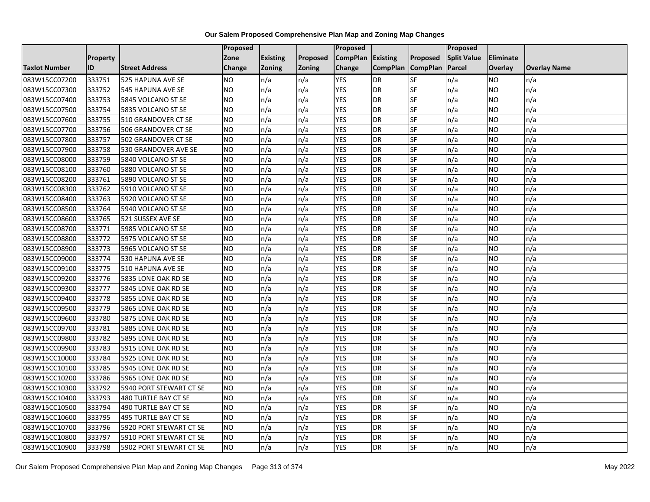|                      |                 |                          | <b>Proposed</b> |                 |          | Proposed          |                 |                 | <b>Proposed</b>    |           |                     |
|----------------------|-----------------|--------------------------|-----------------|-----------------|----------|-------------------|-----------------|-----------------|--------------------|-----------|---------------------|
|                      | <b>Property</b> |                          | Zone            | <b>Existing</b> | Proposed | CompPlan Existing |                 | Proposed        | <b>Split Value</b> | Eliminate |                     |
| <b>Taxlot Number</b> | ID              | <b>Street Address</b>    | <b>Change</b>   | Zoning          | Zoning   | Change            | <b>CompPlan</b> | <b>CompPlan</b> | Parcel             | Overlay   | <b>Overlay Name</b> |
| 083W15CC07200        | 333751          | 525 HAPUNA AVE SE        | <b>NO</b>       | n/a             | n/a      | <b>YES</b>        | DR              | SF              | n/a                | NO        | n/a                 |
| 083W15CC07300        | 333752          | <b>545 HAPUNA AVE SE</b> | <b>NO</b>       | n/a             | n/a      | <b>YES</b>        | DR              | SF              | n/a                | NO.       | n/a                 |
| 083W15CC07400        | 333753          | 5845 VOLCANO ST SE       | <b>NO</b>       | n/a             | n/a      | <b>YES</b>        | DR              | SF              | n/a                | NO.       | n/a                 |
| 083W15CC07500        | 333754          | 5835 VOLCANO ST SE       | <b>NO</b>       | n/a             | n/a      | <b>YES</b>        | DR              | SF              | n/a                | NO.       | n/a                 |
| 083W15CC07600        | 333755          | 510 GRANDOVER CT SE      | Ю               | n/a             | n/a      | <b>YES</b>        | <b>DR</b>       | SF              | n/a                | NO.       | n/a                 |
| 083W15CC07700        | 333756          | 506 GRANDOVER CT SE      | <b>NO</b>       | n/a             | n/a      | <b>YES</b>        | DR              | SF              | n/a                | NO.       | n/a                 |
| 083W15CC07800        | 333757          | 502 GRANDOVER CT SE      | <b>NO</b>       | n/a             | n/a      | <b>YES</b>        | DR              | <b>SF</b>       | n/a                | NO.       | n/a                 |
| 083W15CC07900        | 333758          | 530 GRANDOVER AVE SE     | <b>NO</b>       | n/a             | n/a      | <b>YES</b>        | DR              | SF              | n/a                | NO.       | n/a                 |
| 083W15CC08000        | 333759          | 5840 VOLCANO ST SE       | <b>NO</b>       | n/a             | n/a      | <b>YES</b>        | DR              | SF              | n/a                | NO.       | n/a                 |
| 083W15CC08100        | 333760          | 5880 VOLCANO ST SE       | Ю               | n/a             | n/a      | <b>YES</b>        | DR              | SF              | n/a                | NO.       | n/a                 |
| 083W15CC08200        | 333761          | 5890 VOLCANO ST SE       | <b>NO</b>       | n/a             | n/a      | <b>YES</b>        | DR              | SF              | n/a                | <b>NO</b> | n/a                 |
| 083W15CC08300        | 333762          | 5910 VOLCANO ST SE       | <b>NO</b>       | n/a             | n/a      | <b>YES</b>        | DR              | SF              | n/a                | NO.       | n/a                 |
| 083W15CC08400        | 333763          | 5920 VOLCANO ST SE       | <b>NO</b>       | n/a             | n/a      | <b>YES</b>        | DR              | SF              | n/a                | NO.       | n/a                 |
| 083W15CC08500        | 333764          | 5940 VOLCANO ST SE       | <b>NO</b>       | n/a             | n/a      | <b>YES</b>        | DR              | <b>SF</b>       | n/a                | <b>NO</b> | n/a                 |
| 083W15CC08600        | 333765          | 521 SUSSEX AVE SE        | <b>NO</b>       | n/a             | n/a      | <b>YES</b>        | DR              | <b>SF</b>       | n/a                | NO.       | n/a                 |
| 083W15CC08700        | 333771          | 5985 VOLCANO ST SE       | <b>NO</b>       | n/a             | n/a      | <b>YES</b>        | DR              | SF              | n/a                | <b>NO</b> | n/a                 |
| 083W15CC08800        | 333772          | 5975 VOLCANO ST SE       | <b>NO</b>       | n/a             | n/a      | <b>YES</b>        | DR              | SF              | n/a                | NO.       | n/a                 |
| 083W15CC08900        | 333773          | 5965 VOLCANO ST SE       | <b>NO</b>       | n/a             | n/a      | <b>YES</b>        | DR              | SF              | n/a                | NO.       | n/a                 |
| 083W15CC09000        | 333774          | 530 HAPUNA AVE SE        | <b>NO</b>       | n/a             | n/a      | <b>YES</b>        | DR              | SF              | n/a                | NO.       | n/a                 |
| 083W15CC09100        | 333775          | 510 HAPUNA AVE SE        | <b>NO</b>       | n/a             | n/a      | <b>YES</b>        | DR              | SF              | n/a                | NO.       | n/a                 |
| 083W15CC09200        | 333776          | 5835 LONE OAK RD SE      | <b>NO</b>       | n/a             | n/a      | <b>YES</b>        | DR              | SF              | n/a                | NO.       | n/a                 |
| 083W15CC09300        | 333777          | 5845 LONE OAK RD SE      | <b>NO</b>       | n/a             | n/a      | <b>YES</b>        | $\overline{DR}$ | SF              | n/a                | <b>NO</b> | n/a                 |
| 083W15CC09400        | 333778          | 5855 LONE OAK RD SE      | <b>NO</b>       | n/a             | n/a      | <b>YES</b>        | DR              | <b>SF</b>       | n/a                | NO.       | n/a                 |
| 083W15CC09500        | 333779          | 5865 LONE OAK RD SE      | <b>NO</b>       | n/a             | n/a      | <b>YES</b>        | DR              | SF              | n/a                | NO.       | n/a                 |
| 083W15CC09600        | 333780          | 5875 LONE OAK RD SE      | <b>NO</b>       | n/a             | n/a      | <b>YES</b>        | DR              | SF              | n/a                | NO        | n/a                 |
| 083W15CC09700        | 333781          | 5885 LONE OAK RD SE      | <b>NO</b>       | n/a             | n/a      | <b>YES</b>        | DR              | SF              | n/a                | NO        | n/a                 |
| 083W15CC09800        | 333782          | 5895 LONE OAK RD SE      | <b>NO</b>       | n/a             | n/a      | <b>YES</b>        | DR              | SF              | n/a                | <b>NO</b> | n/a                 |
| 083W15CC09900        | 333783          | 5915 LONE OAK RD SE      | <b>NO</b>       | n/a             | n/a      | <b>YES</b>        | DR              | SF              | n/a                | NO.       | n/a                 |
| 083W15CC10000        | 333784          | 5925 LONE OAK RD SE      | <b>NO</b>       | n/a             | n/a      | <b>YES</b>        | DR              | SF              | n/a                | NO.       | n/a                 |
| 083W15CC10100        | 333785          | 5945 LONE OAK RD SE      | <b>NO</b>       | n/a             | n/a      | <b>YES</b>        | DR              | SF              | n/a                | <b>NO</b> | n/a                 |
| 083W15CC10200        | 333786          | 5965 LONE OAK RD SE      | <b>NO</b>       | n/a             | n/a      | <b>YES</b>        | DR              | SF              | n/a                | <b>NO</b> | n/a                 |
| 083W15CC10300        | 333792          | 5940 PORT STEWART CT SE  | <b>NO</b>       | n/a             | n/a      | <b>YES</b>        | DR              | SF              | n/a                | <b>NO</b> | n/a                 |
| 083W15CC10400        | 333793          | 480 TURTLE BAY CT SE     | <b>NO</b>       | n/a             | n/a      | <b>YES</b>        | DR              | SF              | n/a                | NO        | n/a                 |
| 083W15CC10500        | 333794          | 490 TURTLE BAY CT SE     | <b>NO</b>       | n/a             | n/a      | <b>YES</b>        | DR              | SF              | n/a                | <b>NO</b> | n/a                 |
| 083W15CC10600        | 333795          | 495 TURTLE BAY CT SE     | Ю               | n/a             | n/a      | <b>YES</b>        | DR              | SF              | n/a                | NO        | n/a                 |
| 083W15CC10700        | 333796          | 5920 PORT STEWART CT SE  | <b>NO</b>       | n/a             | n/a      | <b>YES</b>        | DR              | SF              | n/a                | NO        | n/a                 |
| 083W15CC10800        | 333797          | 5910 PORT STEWART CT SE  | <b>NO</b>       | n/a             | n/a      | <b>YES</b>        | DR              | SF              | n/a                | NO.       | n/a                 |
| 083W15CC10900        | 333798          | 5902 PORT STEWART CT SE  | <b>NO</b>       | n/a             | n/a      | <b>YES</b>        | DR              | SF              | n/a                | NO        | n/a                 |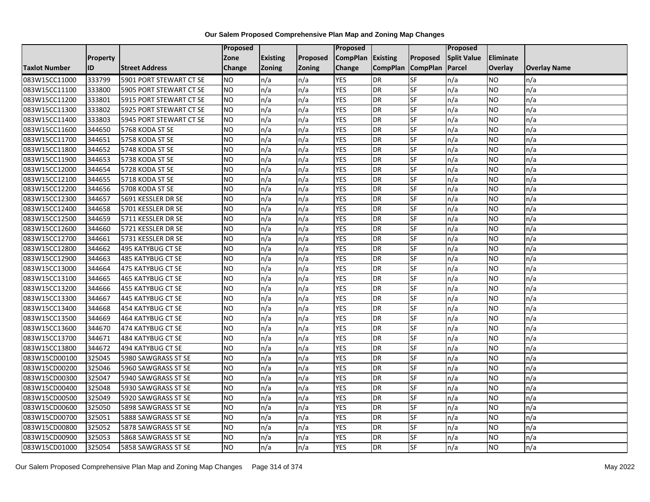|                      |                 |                          | <b>Proposed</b> |                 |          | Proposed          |                 |                 | <b>Proposed</b>    |                 |                     |
|----------------------|-----------------|--------------------------|-----------------|-----------------|----------|-------------------|-----------------|-----------------|--------------------|-----------------|---------------------|
|                      | <b>Property</b> |                          | Zone            | <b>Existing</b> | Proposed | CompPlan Existing |                 | Proposed        | <b>Split Value</b> | Eliminate       |                     |
| <b>Taxlot Number</b> | ID              | <b>Street Address</b>    | <b>Change</b>   | Zoning          | Zoning   | Change            | <b>CompPlan</b> | <b>CompPlan</b> | Parcel             | Overlay         | <b>Overlay Name</b> |
| 083W15CC11000        | 333799          | 5901 PORT STEWART CT SE  | <b>NO</b>       | n/a             | n/a      | <b>YES</b>        | <b>DR</b>       | SF              | n/a                | NO              | n/a                 |
| 083W15CC11100        | 333800          | 5905 PORT STEWART CT SE  | <b>NO</b>       | n/a             | n/a      | <b>YES</b>        | <b>DR</b>       | SF              | n/a                | NO.             | n/a                 |
| 083W15CC11200        | 333801          | 5915 PORT STEWART CT SE  | <b>NO</b>       | n/a             | n/a      | <b>YES</b>        | DR              | SF              | n/a                | NO.             | n/a                 |
| 083W15CC11300        | 333802          | 5925 PORT STEWART CT SE  | <b>NO</b>       | n/a             | n/a      | <b>YES</b>        | DR              | SF              | n/a                | NO.             | n/a                 |
| 083W15CC11400        | 333803          | 5945 PORT STEWART CT SE  | NO              | n/a             | n/a      | <b>YES</b>        | DR              | SF              | n/a                | NO.             | n/a                 |
| 083W15CC11600        | 344650          | 5768 KODA ST SE          | <b>ON</b>       | n/a             | n/a      | <b>YES</b>        | DR              | SF              | n/a                | <b>NO</b>       | n/a                 |
| 083W15CC11700        | 344651          | 5758 KODA ST SE          | <b>NO</b>       | n/a             | n/a      | <b>YES</b>        | DR              | SF              | n/a                | NO.             | n/a                 |
| 083W15CC11800        | 344652          | 5748 KODA ST SE          | <b>NO</b>       | n/a             | n/a      | <b>YES</b>        | DR              | SF              | n/a                | <b>NO</b>       | n/a                 |
| 083W15CC11900        | 344653          | 5738 KODA ST SE          | <b>NO</b>       | n/a             | n/a      | <b>YES</b>        | DR              | SF              | n/a                | NO.             | n/a                 |
| 083W15CC12000        | 344654          | 5728 KODA ST SE          | <b>ON</b>       | n/a             | n/a      | <b>YES</b>        | DR              | SF              | n/a                | <b>NO</b>       | n/a                 |
| 083W15CC12100        | 344655          | 5718 KODA ST SE          | <b>NO</b>       | n/a             | n/a      | <b>YES</b>        | DR              | SF              | n/a                | <b>NO</b>       | n/a                 |
| 083W15CC12200        | 344656          | 5708 KODA ST SE          | <b>NO</b>       | n/a             | n/a      | <b>YES</b>        | DR              | SF              | n/a                | NO.             | n/a                 |
| 083W15CC12300        | 344657          | 5691 KESSLER DR SE       | <b>NO</b>       | n/a             | n/a      | <b>YES</b>        | DR              | SF              | n/a                | NO.             | n/a                 |
| 083W15CC12400        | 344658          | 5701 KESSLER DR SE       | Ю               | n/a             | n/a      | <b>YES</b>        | DR              | SF              | n/a                | NO              | n/a                 |
| 083W15CC12500        | 344659          | 5711 KESSLER DR SE       | <b>NO</b>       | n/a             | n/a      | <b>YES</b>        | DR              | SF              | n/a                | NO.             | n/a                 |
| 083W15CC12600        | 344660          | 5721 KESSLER DR SE       | <b>NO</b>       | n/a             | n/a      | <b>YES</b>        | DR              | SF              | n/a                | <b>NO</b>       | n/a                 |
| 083W15CC12700        | 344661          | 5731 KESSLER DR SE       | <b>NO</b>       | n/a             | n/a      | <b>YES</b>        | DR              | SF              | n/a                | NO.             | n/a                 |
| 083W15CC12800        | 344662          | 495 KATYBUG CT SE        | <b>NO</b>       | n/a             | n/a      | <b>YES</b>        | DR              | SF              | n/a                | NO              | n/a                 |
| 083W15CC12900        | 344663          | 485 KATYBUG CT SE        | <b>NO</b>       | n/a             | n/a      | <b>YES</b>        | DR              | SF              | n/a                | NO.             | n/a                 |
| 083W15CC13000        | 344664          | 475 KATYBUG CT SE        | <b>NO</b>       | n/a             | n/a      | <b>YES</b>        | DR              | SF              | n/a                | NO.             | n/a                 |
| 083W15CC13100        | 344665          | <b>465 KATYBUG CT SE</b> | <b>NO</b>       | n/a             | n/a      | <b>YES</b>        | DR              | SF              | n/a                | NO              | n/a                 |
| 083W15CC13200        | 344666          | 455 KATYBUG CT SE        | <b>NO</b>       | n/a             | n/a      | <b>YES</b>        | $\overline{DR}$ | SF              | n/a                | $\overline{NO}$ | n/a                 |
| 083W15CC13300        | 344667          | 445 KATYBUG CT SE        | <b>NO</b>       | n/a             | n/a      | <b>YES</b>        | DR              | <b>SF</b>       | n/a                | <b>NO</b>       | n/a                 |
| 083W15CC13400        | 344668          | 454 KATYBUG CT SE        | <b>NO</b>       | n/a             | n/a      | <b>YES</b>        | DR              | SF              | n/a                | <b>NO</b>       | n/a                 |
| 083W15CC13500        | 344669          | 464 KATYBUG CT SE        | Ю               | n/a             | n/a      | <b>YES</b>        | DR              | SF              | n/a                | NO.             | n/a                 |
| 083W15CC13600        | 344670          | 474 KATYBUG CT SE        | Ю               | n/a             | n/a      | <b>YES</b>        | DR              | SF              | n/a                | NO.             | n/a                 |
| 083W15CC13700        | 344671          | 484 KATYBUG CT SE        | <b>NO</b>       | n/a             | n/a      | <b>YES</b>        | DR              | SF              | n/a                | <b>NO</b>       | n/a                 |
| 083W15CC13800        | 344672          | 494 KATYBUG CT SE        | <b>NO</b>       | n/a             | n/a      | <b>YES</b>        | DR              | SF              | n/a                | NO.             | n/a                 |
| 083W15CD00100        | 325045          | 5980 SAWGRASS ST SE      | <b>NO</b>       | n/a             | n/a      | <b>YES</b>        | DR              | SF              | n/a                | NO.             | n/a                 |
| 083W15CD00200        | 325046          | 5960 SAWGRASS ST SE      | Ю               | n/a             | n/a      | <b>YES</b>        | DR              | SF              | n/a                | <b>NO</b>       | n/a                 |
| 083W15CD00300        | 325047          | 5940 SAWGRASS ST SE      | <b>NO</b>       | n/a             | n/a      | <b>YES</b>        | DR              | <b>SF</b>       | n/a                | <b>NO</b>       | n/a                 |
| 083W15CD00400        | 325048          | 5930 SAWGRASS ST SE      | <b>NO</b>       | n/a             | n/a      | <b>YES</b>        | DR              | SF              | n/a                | <b>NO</b>       | n/a                 |
| 083W15CD00500        | 325049          | 5920 SAWGRASS ST SE      | <b>NO</b>       | n/a             | n/a      | <b>YES</b>        | DR              | SF              | n/a                | NO.             | n/a                 |
| 083W15CD00600        | 325050          | 5898 SAWGRASS ST SE      | <b>NO</b>       | n/a             | n/a      | <b>YES</b>        | DR              | SF              | n/a                | NO              | n/a                 |
| 083W15CD00700        | 325051          | 5888 SAWGRASS ST SE      | Ю               | n/a             | n/a      | <b>YES</b>        | DR              | SF              | n/a                | <b>NO</b>       | n/a                 |
| 083W15CD00800        | 325052          | 5878 SAWGRASS ST SE      | <b>NO</b>       | n/a             | n/a      | <b>YES</b>        | DR              | SF              | n/a                | NO.             | n/a                 |
| 083W15CD00900        | 325053          | 5868 SAWGRASS ST SE      | <b>NO</b>       | n/a             | n/a      | <b>YES</b>        | DR              | SF              | n/a                | NO.             | n/a                 |
| 083W15CD01000        | 325054          | 5858 SAWGRASS ST SE      | Ю               | n/a             | n/a      | <b>YES</b>        | $\overline{DR}$ | SF              | n/a                | NO              | n/a                 |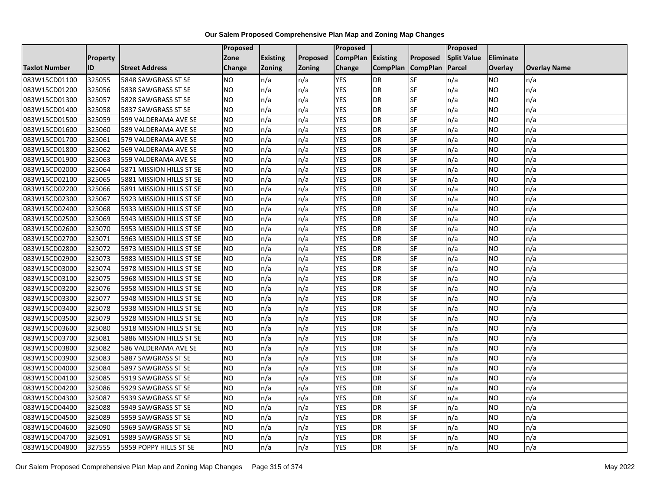|               |                 |                          | <b>Proposed</b> |                 |               | Proposed        |                 |                 | Proposed           |           |                     |
|---------------|-----------------|--------------------------|-----------------|-----------------|---------------|-----------------|-----------------|-----------------|--------------------|-----------|---------------------|
|               | <b>Property</b> |                          | Zone            | <b>Existing</b> | Proposed      | <b>CompPlan</b> | Existing        | Proposed        | <b>Split Value</b> | Eliminate |                     |
| Taxlot Number | ID              | <b>Street Address</b>    | <b>Change</b>   | Zoning          | <b>Zoning</b> | Change          | <b>CompPlan</b> | <b>CompPlan</b> | Parcel             | Overlay   | <b>Overlay Name</b> |
| 083W15CD01100 | 325055          | 5848 SAWGRASS ST SE      | <b>NO</b>       | n/a             | n/a           | <b>YES</b>      | <b>DR</b>       | <b>SF</b>       | n/a                | NO        | n/a                 |
| 083W15CD01200 | 325056          | 5838 SAWGRASS ST SE      | <b>NO</b>       | n/a             | n/a           | <b>YES</b>      | DR              | SF              | n/a                | NO.       | n/a                 |
| 083W15CD01300 | 325057          | 5828 SAWGRASS ST SE      | <b>NO</b>       | n/a             | n/a           | <b>YES</b>      | DR              | SF              | n/a                | NO.       | n/a                 |
| 083W15CD01400 | 325058          | 5837 SAWGRASS ST SE      | <b>NO</b>       | n/a             | n/a           | <b>YES</b>      | <b>DR</b>       | SF              | n/a                | NO.       | n/a                 |
| 083W15CD01500 | 325059          | 599 VALDERAMA AVE SE     | <b>NO</b>       | n/a             | n/a           | <b>YES</b>      | <b>DR</b>       | SF              | n/a                | NO.       | n/a                 |
| 083W15CD01600 | 325060          | 589 VALDERAMA AVE SE     | <b>NO</b>       | n/a             | n/a           | <b>YES</b>      | <b>DR</b>       | SF              | n/a                | <b>NO</b> | n/a                 |
| 083W15CD01700 | 325061          | 579 VALDERAMA AVE SE     | <b>NO</b>       | n/a             | n/a           | <b>YES</b>      | DR              | SF              | n/a                | NO.       | n/a                 |
| 083W15CD01800 | 325062          | 569 VALDERAMA AVE SE     | <b>NO</b>       | n/a             | n/a           | <b>YES</b>      | DR              | SF              | n/a                | NO.       | n/a                 |
| 083W15CD01900 | 325063          | 559 VALDERAMA AVE SE     | <b>NO</b>       | n/a             | n/a           | <b>YES</b>      | DR              | SF              | n/a                | NO.       | n/a                 |
| 083W15CD02000 | 325064          | 5871 MISSION HILLS ST SE | ŌИ              | n/a             | n/a           | <b>YES</b>      | DR              | SF              | n/a                | NO.       | n/a                 |
| 083W15CD02100 | 325065          | 5881 MISSION HILLS ST SE | <b>NO</b>       | n/a             | n/a           | <b>YES</b>      | <b>DR</b>       | SF              | n/a                | NO.       | n/a                 |
| 083W15CD02200 | 325066          | 5891 MISSION HILLS ST SE | <b>NO</b>       | n/a             | n/a           | <b>YES</b>      | <b>DR</b>       | SF              | n/a                | NO.       | n/a                 |
| 083W15CD02300 | 325067          | 5923 MISSION HILLS ST SE | NO              | n/a             | n/a           | <b>YES</b>      | DR              | <b>SF</b>       | n/a                | NO.       | n/a                 |
| 083W15CD02400 | 325068          | 5933 MISSION HILLS ST SE | <b>NO</b>       | n/a             | n/a           | <b>YES</b>      | <b>DR</b>       | SF              | n/a                | NO.       | n/a                 |
| 083W15CD02500 | 325069          | 5943 MISSION HILLS ST SE | <b>NO</b>       | n/a             | n/a           | <b>YES</b>      | DR              | SF              | n/a                | NO.       | n/a                 |
| 083W15CD02600 | 325070          | 5953 MISSION HILLS ST SE | <b>NO</b>       | n/a             | n/a           | <b>YES</b>      | <b>DR</b>       | $S_{F}$         | n/a                | NO.       | n/a                 |
| 083W15CD02700 | 325071          | 5963 MISSION HILLS ST SE | ŌИ              | n/a             | n/a           | <b>YES</b>      | <b>DR</b>       | <b>SF</b>       | n/a                | NO.       | n/a                 |
| 083W15CD02800 | 325072          | 5973 MISSION HILLS ST SE | <b>NO</b>       | n/a             | n/a           | <b>YES</b>      | DR              | SF              | n/a                | NO.       | n/a                 |
| 083W15CD02900 | 325073          | 5983 MISSION HILLS ST SE | <b>NO</b>       | n/a             | n/a           | <b>YES</b>      | DR              | SF              | n/a                | NO.       | n/a                 |
| 083W15CD03000 | 325074          | 5978 MISSION HILLS ST SE | <b>NO</b>       | n/a             | n/a           | <b>YES</b>      | <b>DR</b>       | SF              | n/a                | NO.       | n/a                 |
| 083W15CD03100 | 325075          | 5968 MISSION HILLS ST SE | <b>NO</b>       | n/a             | n/a           | <b>YES</b>      | DR              | SF              | n/a                | NO.       | n/a                 |
| 083W15CD03200 | 325076          | 5958 MISSION HILLS ST SE | <b>NO</b>       | n/a             | n/a           | <b>YES</b>      | <b>DR</b>       | SF              | n/a                | NO.       | n/a                 |
| 083W15CD03300 | 325077          | 5948 MISSION HILLS ST SE | <b>NO</b>       | n/a             | n/a           | <b>YES</b>      | DR              | SF              | n/a                | NO.       | n/a                 |
| 083W15CD03400 | 325078          | 5938 MISSION HILLS ST SE | <b>NO</b>       | n/a             | n/a           | <b>YES</b>      | DR              | SF              | n/a                | NO.       | n/a                 |
| 083W15CD03500 | 325079          | 5928 MISSION HILLS ST SE | <b>NO</b>       | n/a             | n/a           | <b>YES</b>      | <b>DR</b>       | SF              | n/a                | NO.       | n/a                 |
| 083W15CD03600 | 325080          | 5918 MISSION HILLS ST SE | <b>NO</b>       | n/a             | n/a           | <b>YES</b>      | DR              | SF              | n/a                | NO.       | n/a                 |
| 083W15CD03700 | 325081          | 5886 MISSION HILLS ST SE | ŌИ              | n/a             | n/a           | <b>YES</b>      | <b>DR</b>       | $S_{F}$         | n/a                | NO.       | n/a                 |
| 083W15CD03800 | 325082          | 586 VALDERAMA AVE SE     | <b>NO</b>       | n/a             | n/a           | <b>YES</b>      | DR              | SF              | n/a                | NO.       | n/a                 |
| 083W15CD03900 | 325083          | 5887 SAWGRASS ST SE      | <b>NO</b>       | n/a             | n/a           | <b>YES</b>      | DR              | SF              | n/a                | NO.       | n/a                 |
| 083W15CD04000 | 325084          | 5897 SAWGRASS ST SE      | <b>NO</b>       | n/a             | n/a           | <b>YES</b>      | <b>DR</b>       | SF              | n/a                | <b>NO</b> | n/a                 |
| 083W15CD04100 | 325085          | 5919 SAWGRASS ST SE      | <b>NO</b>       | n/a             | n/a           | <b>YES</b>      | DR              | SF              | n/a                | NO.       | n/a                 |
| 083W15CD04200 | 325086          | 5929 SAWGRASS ST SE      | <b>NO</b>       | n/a             | n/a           | <b>YES</b>      | DR              | SF              | n/a                | NO.       | n/a                 |
| 083W15CD04300 | 325087          | 5939 SAWGRASS ST SE      | ŌИ              | n/a             | n/a           | <b>YES</b>      | <b>DR</b>       | SF              | n/a                | NO.       | n/a                 |
| 083W15CD04400 | 325088          | 5949 SAWGRASS ST SE      | <b>NO</b>       | n/a             | n/a           | <b>YES</b>      | DR              | SF              | n/a                | NO.       | n/a                 |
| 083W15CD04500 | 325089          | 5959 SAWGRASS ST SE      | <b>NO</b>       | n/a             | n/a           | <b>YES</b>      | <b>DR</b>       | SF              | n/a                | NO.       | n/a                 |
| 083W15CD04600 | 325090          | 5969 SAWGRASS ST SE      | <b>NO</b>       | n/a             | n/a           | <b>YES</b>      | <b>DR</b>       | SF              | n/a                | NO        | n/a                 |
| 083W15CD04700 | 325091          | 5989 SAWGRASS ST SE      | NO              | n/a             | n/a           | <b>YES</b>      | <b>DR</b>       | SF              | n/a                | NO        | n/a                 |
| 083W15CD04800 | 327555          | 5959 POPPY HILLS ST SE   | <b>NO</b>       | n/a             | n/a           | <b>YES</b>      | DR              | SF              | n/a                | NO.       | n/a                 |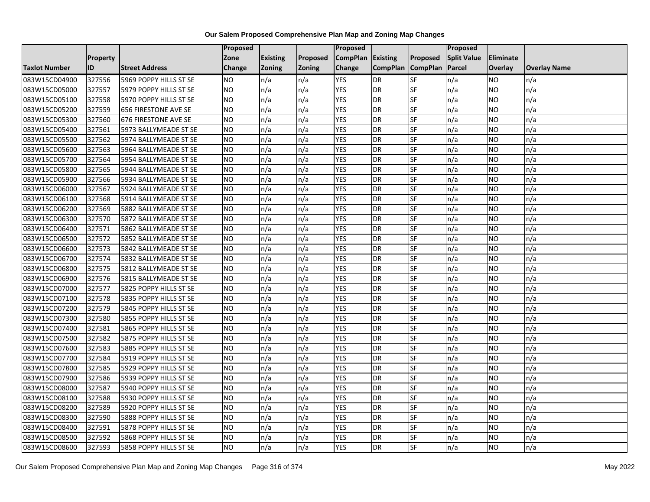|                      |                 |                             | Proposed        |                 |               | <b>Proposed</b> |                 |                 | <b>Proposed</b>    |                |                     |
|----------------------|-----------------|-----------------------------|-----------------|-----------------|---------------|-----------------|-----------------|-----------------|--------------------|----------------|---------------------|
|                      | <b>Property</b> |                             | Zone            | <b>Existing</b> | Proposed      | <b>CompPlan</b> | <b>Existing</b> | <b>Proposed</b> | <b>Split Value</b> | Eliminate      |                     |
| <b>Taxlot Number</b> | ID              | <b>Street Address</b>       | Change          | <b>Zoning</b>   | <b>Zoning</b> | Change          | <b>CompPlan</b> | <b>CompPlan</b> | Parcel             | <b>Overlay</b> | <b>Overlay Name</b> |
| 083W15CD04900        | 327556          | 5969 POPPY HILLS ST SE      | NO.             | n/a             | n/a           | <b>YES</b>      | <b>DR</b>       | <b>SF</b>       | n/a                | NO             | n/a                 |
| 083W15CD05000        | 327557          | 5979 POPPY HILLS ST SE      | <b>NO</b>       | n/a             | n/a           | <b>YES</b>      | <b>DR</b>       | <b>SF</b>       | n/a                | NO.            | n/a                 |
| 083W15CD05100        | 327558          | 5970 POPPY HILLS ST SE      | <b>NO</b>       | n/a             | n/a           | <b>YES</b>      | <b>DR</b>       | SF              | n/a                | NO.            | n/a                 |
| 083W15CD05200        | 327559          | <b>656 FIRESTONE AVE SE</b> | <b>NO</b>       | n/a             | n/a           | <b>YES</b>      | <b>DR</b>       | SF              | n/a                | NO.            | n/a                 |
| 083W15CD05300        | 327560          | <b>676 FIRESTONE AVE SE</b> | ŌИ              | n/a             | n/a           | <b>YES</b>      | <b>DR</b>       | <b>SF</b>       | n/a                | NO.            | n/a                 |
| 083W15CD05400        | 327561          | 5973 BALLYMEADE ST SE       | <b>NO</b>       | n/a             | n/a           | <b>YES</b>      | <b>DR</b>       | SF              | n/a                | NO.            | n/a                 |
| 083W15CD05500        | 327562          | 5974 BALLYMEADE ST SE       | <b>NO</b>       | n/a             | n/a           | <b>YES</b>      | <b>DR</b>       | SF              | n/a                | NO.            | n/a                 |
| 083W15CD05600        | 327563          | 5964 BALLYMEADE ST SE       | <b>NO</b>       | n/a             | n/a           | <b>YES</b>      | <b>DR</b>       | SF              | n/a                | NO.            | n/a                 |
| 083W15CD05700        | 327564          | 5954 BALLYMEADE ST SE       | NO.             | n/a             | n/a           | <b>YES</b>      | <b>DR</b>       | SF              | n/a                | ΝO             | n/a                 |
| 083W15CD05800        | 327565          | 5944 BALLYMEADE ST SE       | Ю               | n/a             | n/a           | <b>YES</b>      | <b>DR</b>       | SF              | n/a                | NO.            | n/a                 |
| 083W15CD05900        | 327566          | 5934 BALLYMEADE ST SE       | <b>NO</b>       | n/a             | n/a           | <b>YES</b>      | <b>DR</b>       | SF              | n/a                | NO.            | n/a                 |
| 083W15CD06000        | 327567          | 5924 BALLYMEADE ST SE       | <b>NO</b>       | n/a             | n/a           | <b>YES</b>      | <b>DR</b>       | SF              | n/a                | NO.            | n/a                 |
| 083W15CD06100        | 327568          | 5914 BALLYMEADE ST SE       | <b>NO</b>       | n/a             | n/a           | <b>YES</b>      | <b>DR</b>       | <b>SF</b>       | n/a                | NO             | n/a                 |
| 083W15CD06200        | 327569          | 5882 BALLYMEADE ST SE       | $\overline{NO}$ | n/a             | n/a           | <b>YES</b>      | <b>DR</b>       | SF              | n/a                | NO.            | n/a                 |
| 083W15CD06300        | 327570          | 5872 BALLYMEADE ST SE       | <b>NO</b>       | n/a             | n/a           | <b>YES</b>      | <b>DR</b>       | SF              | n/a                | ΝO             | n/a                 |
| 083W15CD06400        | 327571          | 5862 BALLYMEADE ST SE       | <b>NO</b>       | n/a             | n/a           | <b>YES</b>      | <b>DR</b>       | <b>SF</b>       | n/a                | NO.            | n/a                 |
| 083W15CD06500        | 327572          | 5852 BALLYMEADE ST SE       | <b>NO</b>       | n/a             | n/a           | <b>YES</b>      | <b>DR</b>       | SF              | n/a                | NO.            | n/a                 |
| 083W15CD06600        | 327573          | 5842 BALLYMEADE ST SE       | <b>NO</b>       | n/a             | n/a           | <b>YES</b>      | <b>DR</b>       | SF              | n/a                | NO.            | n/a                 |
| 083W15CD06700        | 327574          | 5832 BALLYMEADE ST SE       | <b>NO</b>       | n/a             | n/a           | <b>YES</b>      | <b>DR</b>       | SF              | n/a                | NO.            | n/a                 |
| 083W15CD06800        | 327575          | 5812 BALLYMEADE ST SE       | <b>NO</b>       | n/a             | n/a           | <b>YES</b>      | <b>DR</b>       | SF              | n/a                | NO.            | n/a                 |
| 083W15CD06900        | 327576          | 5815 BALLYMEADE ST SE       | <b>NO</b>       | n/a             | n/a           | <b>YES</b>      | <b>DR</b>       | SF              | n/a                | NO.            | n/a                 |
| 083W15CD07000        | 327577          | 5825 POPPY HILLS ST SE      | $\overline{NO}$ | n/a             | n/a           | <b>YES</b>      | <b>DR</b>       | <b>SF</b>       | n/a                | NO.            | n/a                 |
| 083W15CD07100        | 327578          | 5835 POPPY HILLS ST SE      | <b>NO</b>       | n/a             | n/a           | <b>YES</b>      | <b>DR</b>       | SF              | n/a                | NO.            | n/a                 |
| 083W15CD07200        | 327579          | 5845 POPPY HILLS ST SE      | <b>NO</b>       | n/a             | n/a           | <b>YES</b>      | <b>DR</b>       | SF              | n/a                | NO.            | n/a                 |
| 083W15CD07300        | 327580          | 5855 POPPY HILLS ST SE      | $\overline{NO}$ | n/a             | n/a           | <b>YES</b>      | <b>DR</b>       | <b>SF</b>       | n/a                | <b>NO</b>      | n/a                 |
| 083W15CD07400        | 327581          | 5865 POPPY HILLS ST SE      | <b>NO</b>       | n/a             | n/a           | <b>YES</b>      | <b>DR</b>       | <b>SF</b>       | n/a                | NO.            | n/a                 |
| 083W15CD07500        | 327582          | 5875 POPPY HILLS ST SE      | <b>NO</b>       | n/a             | n/a           | <b>YES</b>      | <b>DR</b>       | SF              | n/a                | <b>NO</b>      | n/a                 |
| 083W15CD07600        | 327583          | 5885 POPPY HILLS ST SE      | <b>NO</b>       | n/a             | n/a           | <b>YES</b>      | <b>DR</b>       | SF              | n/a                | NO.            | n/a                 |
| 083W15CD07700        | 327584          | 5919 POPPY HILLS ST SE      | <b>NO</b>       | n/a             | n/a           | <b>YES</b>      | <b>DR</b>       | SF              | n/a                | NO.            | n/a                 |
| 083W15CD07800        | 327585          | 5929 POPPY HILLS ST SE      | <b>NO</b>       | n/a             | n/a           | <b>YES</b>      | <b>DR</b>       | SF              | n/a                | NO.            | n/a                 |
| 083W15CD07900        | 327586          | 5939 POPPY HILLS ST SE      | <b>NO</b>       | n/a             | n/a           | <b>YES</b>      | <b>DR</b>       | SF              | n/a                | ΝO             | n/a                 |
| 083W15CD08000        | 327587          | 5940 POPPY HILLS ST SE      | <b>NO</b>       | n/a             | n/a           | <b>YES</b>      | <b>DR</b>       | <b>SF</b>       | n/a                | NO.            | n/a                 |
| 083W15CD08100        | 327588          | 5930 POPPY HILLS ST SE      | <b>NO</b>       | n/a             | n/a           | <b>YES</b>      | <b>DR</b>       | SF              | n/a                | NO.            | n/a                 |
| 083W15CD08200        | 327589          | 5920 POPPY HILLS ST SE      | <b>NO</b>       | n/a             | n/a           | <b>YES</b>      | <b>DR</b>       | SF              | n/a                | NO.            | n/a                 |
| 083W15CD08300        | 327590          | 5888 POPPY HILLS ST SE      | ŌИ              | n/a             | n/a           | <b>YES</b>      | <b>DR</b>       | SF              | n/a                | NO.            | n/a                 |
| 083W15CD08400        | 327591          | 5878 POPPY HILLS ST SE      | NO.             | n/a             | n/a           | <b>YES</b>      | <b>DR</b>       | SF              | n/a                | NO.            | n/a                 |
| 083W15CD08500        | 327592          | 5868 POPPY HILLS ST SE      | <b>NO</b>       | n/a             | n/a           | <b>YES</b>      | <b>DR</b>       | SF              | n/a                | NO.            | n/a                 |
| 083W15CD08600        | 327593          | 5858 POPPY HILLS ST SE      | $\overline{NO}$ | n/a             | n/a           | <b>YES</b>      | <b>DR</b>       | <b>SF</b>       | n/a                | <b>NO</b>      | n/a                 |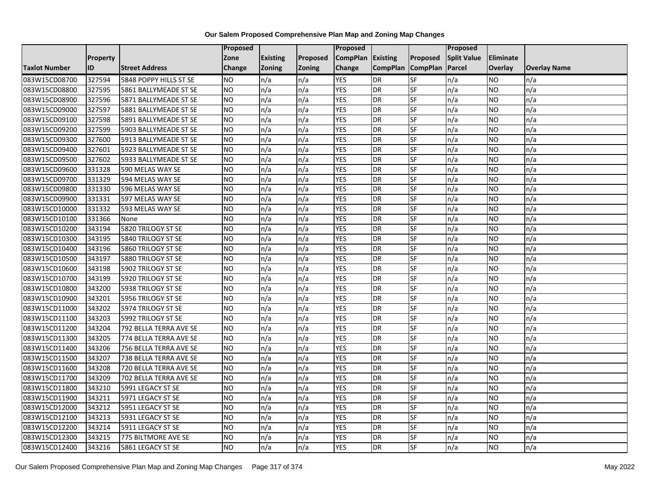|                      |                 |                        | Proposed  |                 |               | Proposed        |                 |                 | Proposed           |                 |                     |
|----------------------|-----------------|------------------------|-----------|-----------------|---------------|-----------------|-----------------|-----------------|--------------------|-----------------|---------------------|
|                      | <b>Property</b> |                        | Zone      | <b>Existing</b> | Proposed      | <b>CompPlan</b> | Existing        | Proposed        | <b>Split Value</b> | Eliminate       |                     |
| <b>Taxlot Number</b> | ID              | <b>Street Address</b>  | Change    | Zoning          | <b>Zoning</b> | Change          | <b>CompPlan</b> | <b>CompPlan</b> | Parcel             | <b>Overlay</b>  | <b>Overlay Name</b> |
| 083W15CD08700        | 327594          | 5848 POPPY HILLS ST SE | <b>NO</b> | n/a             | n/a           | <b>YES</b>      | <b>DR</b>       | <b>SF</b>       | n/a                | NO.             | n/a                 |
| 083W15CD08800        | 327595          | 5861 BALLYMEADE ST SE  | <b>NO</b> | n/a             | n/a           | <b>YES</b>      | <b>DR</b>       | $S_{F}$         | n/a                | NO.             | n/a                 |
| 083W15CD08900        | 327596          | 5871 BALLYMEADE ST SE  | <b>NO</b> | n/a             | n/a           | <b>YES</b>      | DR              | SF              | n/a                | NO.             | n/a                 |
| 083W15CD09000        | 327597          | 5881 BALLYMEADE ST SE  | <b>NO</b> | n/a             | n/a           | <b>YES</b>      | DR              | SF              | n/a                | NO.             | n/a                 |
| 083W15CD09100        | 327598          | 5891 BALLYMEADE ST SE  | <b>NO</b> | n/a             | n/a           | <b>YES</b>      | <b>DR</b>       | $S_{F}$         | n/a                | NO.             | n/a                 |
| 083W15CD09200        | 327599          | 5903 BALLYMEADE ST SE  | <b>NO</b> | n/a             | n/a           | <b>YES</b>      | <b>DR</b>       | SF              | n/a                | <b>NO</b>       | n/a                 |
| 083W15CD09300        | 327600          | 5913 BALLYMEADE ST SE  | <b>NO</b> | n/a             | n/a           | <b>YES</b>      | DR              | <b>SF</b>       | n/a                | <b>NO</b>       | n/a                 |
| 083W15CD09400        | 327601          | 5923 BALLYMEADE ST SE  | <b>NO</b> | n/a             | n/a           | <b>YES</b>      | DR              | SF              | n/a                | <b>NO</b>       | n/a                 |
| 083W15CD09500        | 327602          | 5933 BALLYMEADE ST SE  | <b>NO</b> | n/a             | n/a           | <b>YES</b>      | DR              | SF              | n/a                | NO.             | n/a                 |
| 083W15CD09600        | 331328          | 590 MELAS WAY SE       | Ю         | n/a             | n/a           | <b>YES</b>      | DR              | <b>SF</b>       | n/a                | NO.             | n/a                 |
| 083W15CD09700        | 331329          | 594 MELAS WAY SE       | <b>NO</b> | n/a             | n/a           | <b>YES</b>      | <b>DR</b>       | <b>SF</b>       | n/a                | <b>NO</b>       | n/a                 |
| 083W15CD09800        | 331330          | 596 MELAS WAY SE       | <b>NO</b> | n/a             | n/a           | <b>YES</b>      | DR              | SF              | n/a                | NO.             | n/a                 |
| 083W15CD09900        | 331331          | 597 MELAS WAY SE       | <b>NO</b> | n/a             | n/a           | <b>YES</b>      | DR              | SF              | n/a                | NO.             | n/a                 |
| 083W15CD10000        | 331332          | 593 MELAS WAY SE       | Ю         | n/a             | n/a           | <b>YES</b>      | <b>DR</b>       | <b>SF</b>       | n/a                | <b>NO</b>       | n/a                 |
| 083W15CD10100        | 331366          | None                   | <b>NO</b> | n/a             | n/a           | <b>YES</b>      | <b>DR</b>       | SF              | n/a                | <b>NO</b>       | n/a                 |
| 083W15CD10200        | 343194          | 5820 TRILOGY ST SE     | <b>NO</b> | n/a             | n/a           | <b>YES</b>      | DR              | SF              | n/a                | <b>NO</b>       | n/a                 |
| 083W15CD10300        | 343195          | 5840 TRILOGY ST SE     | <b>NO</b> | n/a             | n/a           | <b>YES</b>      | DR              | SF              | n/a                | <b>NO</b>       | n/a                 |
| 083W15CD10400        | 343196          | 5860 TRILOGY ST SE     | <b>NO</b> | n/a             | n/a           | <b>YES</b>      | DR              | SF              | n/a                | NO.             | n/a                 |
| 083W15CD10500        | 343197          | 5880 TRILOGY ST SE     | <b>NO</b> | n/a             | n/a           | <b>YES</b>      | DR              | SF              | n/a                | <b>NO</b>       | n/a                 |
| 083W15CD10600        | 343198          | 5902 TRILOGY ST SE     | <b>NO</b> | n/a             | n/a           | <b>YES</b>      | DR              | <b>SF</b>       | n/a                | NO.             | n/a                 |
| 083W15CD10700        | 343199          | 5920 TRILOGY ST SE     | <b>NO</b> | n/a             | n/a           | <b>YES</b>      | DR              | SF              | n/a                | NO.             | n/a                 |
| 083W15CD10800        | 343200          | 5938 TRILOGY ST SE     | ŌИ        | n/a             | n/a           | <b>YES</b>      | DR              | SF              | n/a                | $\overline{NO}$ | n/a                 |
| 083W15CD10900        | 343201          | 5956 TRILOGY ST SE     | <b>NO</b> | n/a             | n/a           | <b>YES</b>      | DR              | <b>SF</b>       | n/a                | <b>NO</b>       | n/a                 |
| 083W15CD11000        | 343202          | 5974 TRILOGY ST SE     | <b>NO</b> | n/a             | n/a           | <b>YES</b>      | <b>DR</b>       | SF              | n/a                | NO.             | n/a                 |
| 083W15CD11100        | 343203          | 5992 TRILOGY ST SE     | ŌИ        | n/a             | n/a           | <b>YES</b>      | <b>DR</b>       | <b>SF</b>       | n/a                | NO.             | n/a                 |
| 083W15CD11200        | 343204          | 792 BELLA TERRA AVE SE | ŌИ        | n/a             | n/a           | <b>YES</b>      | DR              | <b>SF</b>       | n/a                | NO.             | n/a                 |
| 083W15CD11300        | 343205          | 774 BELLA TERRA AVE SE | <b>NO</b> | n/a             | n/a           | <b>YES</b>      | DR              | SF              | n/a                | <b>NO</b>       | n/a                 |
| 083W15CD11400        | 343206          | 756 BELLA TERRA AVE SE | <b>NO</b> | n/a             | n/a           | <b>YES</b>      | DR              | SF              | n/a                | NO.             | n/a                 |
| 083W15CD11500        | 343207          | 738 BELLA TERRA AVE SE | <b>NO</b> | n/a             | n/a           | <b>YES</b>      | DR              | SF              | n/a                | NO.             | n/a                 |
| 083W15CD11600        | 343208          | 720 BELLA TERRA AVE SE | <b>NO</b> | n/a             | n/a           | <b>YES</b>      | DR              | <b>SF</b>       | n/a                | <b>NO</b>       | n/a                 |
| 083W15CD11700        | 343209          | 702 BELLA TERRA AVE SE | <b>NO</b> | n/a             | n/a           | <b>YES</b>      | DR              | SF              | n/a                | <b>NO</b>       | n/a                 |
| 083W15CD11800        | 343210          | 5991 LEGACY ST SE      | <b>NO</b> | n/a             | n/a           | <b>YES</b>      | DR              | SF              | n/a                | <b>NO</b>       | n/a                 |
| 083W15CD11900        | 343211          | 5971 LEGACY ST SE      | <b>NO</b> | n/a             | n/a           | <b>YES</b>      | DR              | SF              | n/a                | <b>NO</b>       | n/a                 |
| 083W15CD12000        | 343212          | 5951 LEGACY ST SE      | <b>NO</b> | n/a             | n/a           | <b>YES</b>      | DR              | SF              | n/a                | NO.             | n/a                 |
| 083W15CD12100        | 343213          | 5931 LEGACY ST SE      | ŌИ        | n/a             | n/a           | <b>YES</b>      | DR              | <b>SF</b>       | n/a                | NO.             | n/a                 |
| 083W15CD12200        | 343214          | 5911 LEGACY ST SE      | <b>NO</b> | n/a             | n/a           | <b>YES</b>      | <b>DR</b>       | SF              | n/a                | NO.             | n/a                 |
| 083W15CD12300        | 343215          | 775 BILTMORE AVE SE    | NO        | n/a             | n/a           | <b>YES</b>      | <b>DR</b>       | SF              | n/a                | NO.             | n/a                 |
| 083W15CD12400        | 343216          | 5861 LEGACY ST SE      | Ю         | n/a             | n/a           | <b>YES</b>      | <b>DR</b>       | <b>SF</b>       | n/a                | NO.             | n/a                 |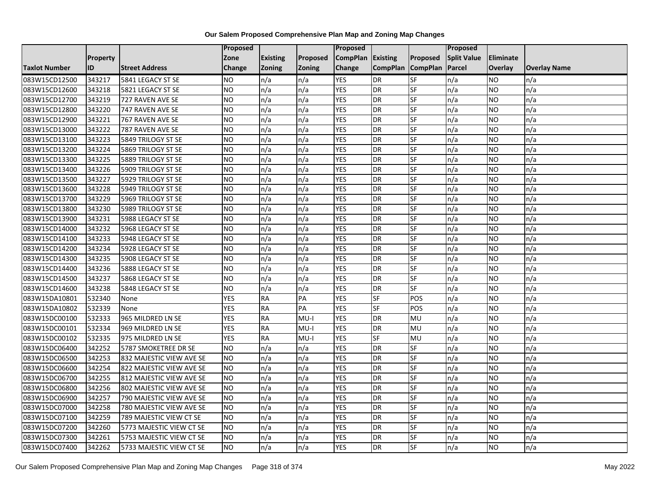|                      |                 |                          | Proposed      |                 |                 | Proposed        |                 |                 | Proposed           |           |                     |
|----------------------|-----------------|--------------------------|---------------|-----------------|-----------------|-----------------|-----------------|-----------------|--------------------|-----------|---------------------|
|                      | <b>Property</b> |                          | Zone          | <b>Existing</b> | <b>Proposed</b> | <b>CompPlan</b> | Existing        | Proposed        | <b>Split Value</b> | Eliminate |                     |
| <b>Taxlot Number</b> | ID              | <b>Street Address</b>    | <b>Change</b> | Zoning          | <b>Zoning</b>   | Change          | <b>CompPlan</b> | <b>CompPlan</b> | Parcel             | Overlay   | <b>Overlay Name</b> |
| 083W15CD12500        | 343217          | 5841 LEGACY ST SE        | <b>NO</b>     | n/a             | n/a             | <b>YES</b>      | <b>DR</b>       | <b>SF</b>       | n/a                | NO        | n/a                 |
| 083W15CD12600        | 343218          | 5821 LEGACY ST SE        | <b>NO</b>     | n/a             | n/a             | <b>YES</b>      | DR              | SF              | n/a                | NO.       | n/a                 |
| 083W15CD12700        | 343219          | 727 RAVEN AVE SE         | <b>NO</b>     | n/a             | n/a             | <b>YES</b>      | DR              | SF              | n/a                | NO.       | n/a                 |
| 083W15CD12800        | 343220          | 747 RAVEN AVE SE         | <b>NO</b>     | n/a             | n/a             | <b>YES</b>      | <b>DR</b>       | SF              | n/a                | NO.       | n/a                 |
| 083W15CD12900        | 343221          | 767 RAVEN AVE SE         | <b>NO</b>     | n/a             | n/a             | <b>YES</b>      | <b>DR</b>       | <b>SF</b>       | n/a                | NO.       | n/a                 |
| 083W15CD13000        | 343222          | 787 RAVEN AVE SE         | <b>NO</b>     | n/a             | n/a             | <b>YES</b>      | <b>DR</b>       | SF              | n/a                | <b>NO</b> | n/a                 |
| 083W15CD13100        | 343223          | 5849 TRILOGY ST SE       | <b>NO</b>     | n/a             | n/a             | <b>YES</b>      | DR              | SF              | n/a                | NO.       | n/a                 |
| 083W15CD13200        | 343224          | 5869 TRILOGY ST SE       | <b>NO</b>     | n/a             | n/a             | <b>YES</b>      | DR              | SF              | n/a                | NO.       | n/a                 |
| 083W15CD13300        | 343225          | 5889 TRILOGY ST SE       | <b>NO</b>     | n/a             | n/a             | <b>YES</b>      | DR              | SF              | n/a                | NO.       | n/a                 |
| 083W15CD13400        | 343226          | 5909 TRILOGY ST SE       | Ю             | n/a             | n/a             | <b>YES</b>      | DR              | <b>SF</b>       | n/a                | NO.       | n/a                 |
| 083W15CD13500        | 343227          | 5929 TRILOGY ST SE       | <b>NO</b>     | n/a             | n/a             | <b>YES</b>      | <b>DR</b>       | SF              | n/a                | <b>NO</b> | n/a                 |
| 083W15CD13600        | 343228          | 5949 TRILOGY ST SE       | <b>NO</b>     | n/a             | n/a             | <b>YES</b>      | <b>DR</b>       | SF              | n/a                | <b>NO</b> | n/a                 |
| 083W15CD13700        | 343229          | 5969 TRILOGY ST SE       | Ю             | n/a             | n/a             | <b>YES</b>      | DR              | $S$ F           | n/a                | NO.       | n/a                 |
| 083W15CD13800        | 343230          | 5989 TRILOGY ST SE       | <b>NO</b>     | n/a             | n/a             | <b>YES</b>      | <b>DR</b>       | SF              | n/a                | NO.       | n/a                 |
| 083W15CD13900        | 343231          | 5988 LEGACY ST SE        | <b>NO</b>     | n/a             | n/a             | <b>YES</b>      | DR              | SF              | n/a                | NO.       | n/a                 |
| 083W15CD14000        | 343232          | 5968 LEGACY ST SE        | ŌИ            | n/a             | n/a             | <b>YES</b>      | <b>DR</b>       | $S_{F}$         | n/a                | NO.       | n/a                 |
| 083W15CD14100        | 343233          | 5948 LEGACY ST SE        | ŌИ            | n/a             | n/a             | <b>YES</b>      | $\overline{R}$  | <b>SF</b>       | n/a                | NO.       | n/a                 |
| 083W15CD14200        | 343234          | 5928 LEGACY ST SE        | <b>NO</b>     | n/a             | n/a             | <b>YES</b>      | DR              | SF              | n/a                | NO.       | n/a                 |
| 083W15CD14300        | 343235          | 5908 LEGACY ST SE        | <b>NO</b>     | n/a             | n/a             | <b>YES</b>      | DR              | SF              | n/a                | NO.       | n/a                 |
| 083W15CD14400        | 343236          | 5888 LEGACY ST SE        | <b>NO</b>     | n/a             | n/a             | <b>YES</b>      | <b>DR</b>       | <b>SF</b>       | n/a                | NO.       | n/a                 |
| 083W15CD14500        | 343237          | 5868 LEGACY ST SE        | <b>NO</b>     | n/a             | n/a             | <b>YES</b>      | DR              | SF              | n/a                | NO.       | n/a                 |
| 083W15CD14600        | 343238          | 5848 LEGACY ST SE        | <b>NO</b>     | n/a             | n/a             | <b>YES</b>      | <b>DR</b>       | SF              | n/a                | <b>NO</b> | n/a                 |
| 083W15DA10801        | 532340          | None                     | <b>YES</b>    | <b>RA</b>       | PA              | <b>YES</b>      | $S$ F           | POS             | n/a                | NO.       | n/a                 |
| 083W15DA10802        | 532339          | None                     | <b>YES</b>    | <b>RA</b>       | PA              | <b>YES</b>      | <b>SF</b>       | POS             | n/a                | NO.       | n/a                 |
| 083W15DC00100        | 532333          | 965 MILDRED LN SE        | <b>YES</b>    | <b>RA</b>       | $MU-I$          | <b>YES</b>      | <b>DR</b>       | MU              | n/a                | NO.       | n/a                 |
| 083W15DC00101        | 532334          | 969 MILDRED LN SE        | <b>YES</b>    | <b>RA</b>       | $MU-I$          | <b>YES</b>      | DR              | MU              | n/a                | NO.       | n/a                 |
| 083W15DC00102        | 532335          | 975 MILDRED LN SE        | <b>YES</b>    | RA              | $MU-I$          | <b>YES</b>      | SF              | <b>MU</b>       | n/a                | NO.       | n/a                 |
| 083W15DC06400        | 342252          | 5787 SMOKETREE DR SE     | <b>NO</b>     | n/a             | n/a             | <b>YES</b>      | DR              | SF              | n/a                | NO.       | n/a                 |
| 083W15DC06500        | 342253          | 832 MAJESTIC VIEW AVE SE | <b>NO</b>     | n/a             | n/a             | <b>YES</b>      | DR              | SF              | n/a                | NO.       | n/a                 |
| 083W15DC06600        | 342254          | 822 MAJESTIC VIEW AVE SE | <b>NO</b>     | n/a             | n/a             | <b>YES</b>      | DR              | SF              | n/a                | <b>NO</b> | n/a                 |
| 083W15DC06700        | 342255          | 812 MAJESTIC VIEW AVE SE | <b>NO</b>     | n/a             | n/a             | <b>YES</b>      | DR              | SF              | n/a                | NO.       | n/a                 |
| 083W15DC06800        | 342256          | 802 MAJESTIC VIEW AVE SE | <b>NO</b>     | n/a             | n/a             | <b>YES</b>      | DR              | SF              | n/a                | NO.       | n/a                 |
| 083W15DC06900        | 342257          | 790 MAJESTIC VIEW AVE SE | ŌИ            | n/a             | n/a             | <b>YES</b>      | <b>DR</b>       | <b>SF</b>       | n/a                | NO.       | n/a                 |
| 083W15DC07000        | 342258          | 780 MAJESTIC VIEW AVE SE | <b>NO</b>     | n/a             | n/a             | <b>YES</b>      | DR              | SF              | n/a                | NO.       | n/a                 |
| 083W15DC07100        | 342259          | 789 MAJESTIC VIEW CT SE  | <b>NO</b>     | n/a             | n/a             | <b>YES</b>      | DR              | SF              | n/a                | <b>NO</b> | n/a                 |
| 083W15DC07200        | 342260          | 5773 MAJESTIC VIEW CT SE | <b>NO</b>     | n/a             | n/a             | <b>YES</b>      | <b>DR</b>       | SF              | n/a                | NO.       | n/a                 |
| 083W15DC07300        | 342261          | 5753 MAJESTIC VIEW CT SE | <b>NO</b>     | n/a             | n/a             | <b>YES</b>      | <b>DR</b>       | SF              | n/a                | NO        | n/a                 |
| 083W15DC07400        | 342262          | 5733 MAJESTIC VIEW CT SE | <b>NO</b>     | n/a             | n/a             | <b>YES</b>      | DR              | SF              | n/a                | NO.       | n/a                 |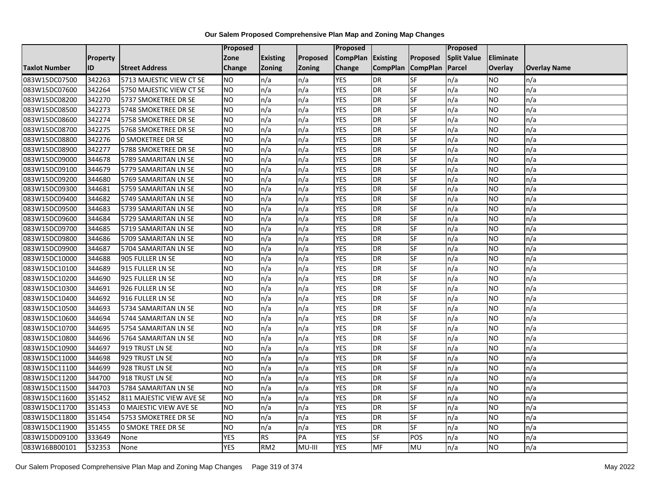|                      |          |                           | Proposed   |                 |               | Proposed          |                 |                 | Proposed           |                  |                     |
|----------------------|----------|---------------------------|------------|-----------------|---------------|-------------------|-----------------|-----------------|--------------------|------------------|---------------------|
|                      | Property |                           | Zone       | <b>Existing</b> | Proposed      | CompPlan Existing |                 | Proposed        | <b>Split Value</b> | <b>Eliminate</b> |                     |
| <b>Taxlot Number</b> | ID       | <b>Street Address</b>     | Change     | Zoning          | <b>Zoning</b> | Change            | <b>CompPlan</b> | <b>CompPlan</b> | Parcel             | Overlay          | <b>Overlay Name</b> |
| 083W15DC07500        | 342263   | 5713 MAJESTIC VIEW CT SE  | <b>NO</b>  | n/a             | n/a           | <b>YES</b>        | <b>DR</b>       | <b>SF</b>       | n/a                | NO               | n/a                 |
| 083W15DC07600        | 342264   | 5750 MAJESTIC VIEW CT SE  | ŌИ         | n/a             | n/a           | <b>YES</b>        | DR              | <b>SF</b>       | n/a                | NO.              | n/a                 |
| 083W15DC08200        | 342270   | 5737 SMOKETREE DR SE      | <b>NO</b>  | n/a             | n/a           | <b>YES</b>        | <b>DR</b>       | SF              | n/a                | NO.              | n/a                 |
| 083W15DC08500        | 342273   | 5748 SMOKETREE DR SE      | <b>NO</b>  | n/a             | n/a           | <b>YES</b>        | <b>DR</b>       | SF              | n/a                | NO.              | n/a                 |
| 083W15DC08600        | 342274   | 5758 SMOKETREE DR SE      | <b>NO</b>  | n/a             | n/a           | <b>YES</b>        | $\overline{R}$  | SF              | n/a                | NO.              | n/a                 |
| 083W15DC08700        | 342275   | 5768 SMOKETREE DR SE      | <b>NO</b>  | n/a             | n/a           | <b>YES</b>        | DR              | SF              | n/a                | <b>NO</b>        | n/a                 |
| 083W15DC08800        | 342276   | <b>0 SMOKETREE DR SE</b>  | ŌИ         | n/a             | n/a           | <b>YES</b>        | DR              | SF              | n/a                | NO.              | n/a                 |
| 083W15DC08900        | 342277   | 5788 SMOKETREE DR SE      | <b>NO</b>  | n/a             | n/a           | <b>YES</b>        | $\overline{R}$  | SF              | n/a                | NO.              | n/a                 |
| 083W15DC09000        | 344678   | 5789 SAMARITAN LN SE      | <b>NO</b>  | n/a             | n/a           | <b>YES</b>        | DR              | SF              | n/a                | NO.              | n/a                 |
| 083W15DC09100        | 344679   | 5779 SAMARITAN LN SE      | ŌИ         | n/a             | n/a           | <b>YES</b>        | DR              | <b>SF</b>       | n/a                | <b>NO</b>        | n/a                 |
| 083W15DC09200        | 344680   | 5769 SAMARITAN LN SE      | ŌИ         | n/a             | n/a           | <b>YES</b>        | $\overline{R}$  | <b>SF</b>       | n/a                | $\overline{NO}$  | n/a                 |
| 083W15DC09300        | 344681   | 5759 SAMARITAN LN SE      | <b>NO</b>  | n/a             | n/a           | <b>YES</b>        | DR              | SF              | n/a                | NO.              | n/a                 |
| 083W15DC09400        | 344682   | 5749 SAMARITAN LN SE      | NO         | n/a             | n/a           | <b>YES</b>        | <b>DR</b>       | <b>SF</b>       | n/a                | NO.              | n/a                 |
| 083W15DC09500        | 344683   | 5739 SAMARITAN LN SE      | ŌИ         | n/a             | n/a           | <b>YES</b>        | <b>DR</b>       | <b>SF</b>       | n/a                | NO.              | n/a                 |
| 083W15DC09600        | 344684   | 5729 SAMARITAN LN SE      | <b>NO</b>  | n/a             | n/a           | <b>YES</b>        | <b>DR</b>       | SF              | n/a                | NO.              | n/a                 |
| 083W15DC09700        | 344685   | 5719 SAMARITAN LN SE      | ŌИ         | n/a             | n/a           | <b>YES</b>        | <b>DR</b>       | $S_{F}$         | n/a                | NO.              | n/a                 |
| 083W15DC09800        | 344686   | 5709 SAMARITAN LN SE      | ŌИ         | n/a             | n/a           | <b>YES</b>        | $\overline{R}$  | <b>SF</b>       | n/a                | NO.              | n/a                 |
| 083W15DC09900        | 344687   | 5704 SAMARITAN LN SE      | <b>NO</b>  | n/a             | n/a           | <b>YES</b>        | <b>DR</b>       | SF              | n/a                | NO.              | n/a                 |
| 083W15DC10000        | 344688   | 905 FULLER LN SE          | <b>NO</b>  | n/a             | n/a           | <b>YES</b>        | <b>DR</b>       | <b>SF</b>       | n/a                | <b>NO</b>        | n/a                 |
| 083W15DC10100        | 344689   | 915 FULLER LN SE          | ŌИ         | n/a             | n/a           | <b>YES</b>        | $\overline{R}$  | <b>SF</b>       | n/a                | NO.              | n/a                 |
| 083W15DC10200        | 344690   | 925 FULLER LN SE          | <b>NO</b>  | n/a             | n/a           | <b>YES</b>        | DR              | SF              | n/a                | NO.              | n/a                 |
| 083W15DC10300        | 344691   | 926 FULLER LN SE          | <b>NO</b>  | n/a             | n/a           | <b>YES</b>        | <b>DR</b>       | <b>SF</b>       | n/a                | <b>NO</b>        | n/a                 |
| 083W15DC10400        | 344692   | 916 FULLER LN SE          | ŌИ         | n/a             | n/a           | <b>YES</b>        | $\overline{R}$  | SF              | n/a                | $\overline{NO}$  | n/a                 |
| 083W15DC10500        | 344693   | 5734 SAMARITAN LN SE      | <b>NO</b>  | n/a             | n/a           | <b>YES</b>        | DR              | SF              | n/a                | NO.              | n/a                 |
| 083W15DC10600        | 344694   | 5744 SAMARITAN LN SE      | ŌИ         | n/a             | n/a           | <b>YES</b>        | <b>DR</b>       | <b>SF</b>       | n/a                | NO.              | n/a                 |
| 083W15DC10700        | 344695   | 5754 SAMARITAN LN SE      | ŌИ         | n/a             | n/a           | <b>YES</b>        | DR              | <b>SF</b>       | n/a                | NO.              | n/a                 |
| 083W15DC10800        | 344696   | 5764 SAMARITAN LN SE      | <b>NO</b>  | n/a             | n/a           | <b>YES</b>        | DR              | SF              | n/a                | <b>NO</b>        | n/a                 |
| 083W15DC10900        | 344697   | 919 TRUST LN SE           | <b>NO</b>  | n/a             | n/a           | <b>YES</b>        | DR              | SF              | n/a                | NO.              | n/a                 |
| 083W15DC11000        | 344698   | 929 TRUST LN SE           | ŌИ         | n/a             | n/a           | <b>YES</b>        | DR              | <b>SF</b>       | n/a                | NO.              | n/a                 |
| 083W15DC11100        | 344699   | 928 TRUST LN SE           | <b>NO</b>  | n/a             | n/a           | <b>YES</b>        | <b>DR</b>       | <b>SF</b>       | n/a                | <b>NO</b>        | n/a                 |
| 083W15DC11200        | 344700   | 918 TRUST LN SE           | <b>NO</b>  | n/a             | n/a           | <b>YES</b>        | <b>DR</b>       | SF              | n/a                | <b>NO</b>        | n/a                 |
| 083W15DC11500        | 344703   | 5784 SAMARITAN LN SE      | ŌИ         | n/a             | n/a           | <b>YES</b>        | $\overline{R}$  | SF              | n/a                | $\overline{NO}$  | n/a                 |
| 083W15DC11600        | 351452   | 811 MAJESTIC VIEW AVE SE  | <b>NO</b>  | n/a             | n/a           | <b>YES</b>        | DR              | <b>SF</b>       | n/a                | NO.              | n/a                 |
| 083W15DC11700        | 351453   | 0 MAJESTIC VIEW AVE SE    | <b>NO</b>  | n/a             | n/a           | <b>YES</b>        | <b>DR</b>       | SF              | n/a                | NO.              | n/a                 |
| 083W15DC11800        | 351454   | 5753 SMOKETREE DR SE      | ŌИ         | n/a             | n/a           | <b>YES</b>        | DR              | <b>SF</b>       | n/a                | NO.              | n/a                 |
| 083W15DC11900        | 351455   | <b>0 SMOKE TREE DR SE</b> | <b>NO</b>  | n/a             | n/a           | <b>YES</b>        | <b>DR</b>       | SF              | n/a                | NO.              | n/a                 |
| 083W15DD09100        | 333649   | None                      | <b>YES</b> | <b>RS</b>       | PA            | <b>YES</b>        | <b>SF</b>       | POS             | n/a                | NO.              | n/a                 |
| 083W16BB00101        | 532353   | None                      | <b>YES</b> | RM <sub>2</sub> | MU-III        | <b>YES</b>        | MF              | MU              | n/a                | NO.              | n/a                 |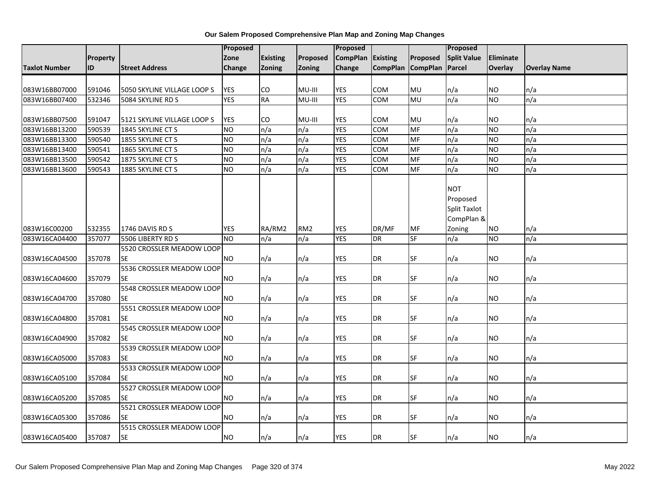| Our Salem Proposed Comprehensive Plan Map and Zoning Map Changes |  |  |
|------------------------------------------------------------------|--|--|
|------------------------------------------------------------------|--|--|

|               |                 |                             | <b>Proposed</b> |                 |                 | <b>Proposed</b>   |                   |           | <b>Proposed</b>     |           |                     |
|---------------|-----------------|-----------------------------|-----------------|-----------------|-----------------|-------------------|-------------------|-----------|---------------------|-----------|---------------------|
|               | <b>Property</b> |                             | Zone            | <b>Existing</b> | Proposed        | CompPlan Existing |                   | Proposed  | <b>Split Value</b>  | Eliminate |                     |
| Taxlot Number | ID              | <b>Street Address</b>       | <b>Change</b>   | Zoning          | <b>Zoning</b>   | Change            | CompPlan CompPlan |           | Parcel              | Overlay   | <b>Overlay Name</b> |
|               |                 |                             |                 |                 |                 |                   |                   |           |                     |           |                     |
| 083W16BB07000 | 591046          | 5050 SKYLINE VILLAGE LOOP S | <b>YES</b>      | CO              | MU-III          | <b>YES</b>        | <b>COM</b>        | MU        | n/a                 | NO.       | n/a                 |
| 083W16BB07400 | 532346          | 5084 SKYLINE RD S           | <b>YES</b>      | <b>RA</b>       | MU-III          | <b>YES</b>        | <b>COM</b>        | MU        | n/a                 | <b>NO</b> | n/a                 |
| 083W16BB07500 | 591047          | 5121 SKYLINE VILLAGE LOOP S | <b>YES</b>      | CO              | MU-III          | <b>YES</b>        | COM               | MU        | n/a                 | <b>NO</b> | n/a                 |
| 083W16BB13200 | 590539          | 1845 SKYLINE CT S           | <b>NO</b>       | n/a             | n/a             | <b>YES</b>        | <b>COM</b>        | MF        | n/a                 | <b>NO</b> | n/a                 |
| 083W16BB13300 | 590540          | 1855 SKYLINE CT S           | ŌИ              | n/a             | n/a             | <b>YES</b>        | <b>COM</b>        | <b>MF</b> | n/a                 | <b>NO</b> | n/a                 |
| 083W16BB13400 | 590541          | 1865 SKYLINE CT S           | <b>NO</b>       | n/a             | n/a             | <b>YES</b>        | <b>COM</b>        | MF        | n/a                 | <b>NO</b> | n/a                 |
| 083W16BB13500 | 590542          | 1875 SKYLINE CT S           | <b>NO</b>       | n/a             | n/a             | <b>YES</b>        | COM               | MF        | n/a                 | <b>NO</b> | n/a                 |
| 083W16BB13600 | 590543          | 1885 SKYLINE CT S           | Ю               | n/a             | n/a             | <b>YES</b>        | <b>COM</b>        | <b>MF</b> | n/a                 | <b>NO</b> | n/a                 |
|               |                 |                             |                 |                 |                 |                   |                   |           |                     |           |                     |
|               |                 |                             |                 |                 |                 |                   |                   |           | <b>NOT</b>          |           |                     |
|               |                 |                             |                 |                 |                 |                   |                   |           | Proposed            |           |                     |
|               |                 |                             |                 |                 |                 |                   |                   |           | <b>Split Taxlot</b> |           |                     |
|               |                 |                             |                 |                 |                 |                   |                   |           | CompPlan &          |           |                     |
| 083W16C00200  | 532355          | 1746 DAVIS RD S             | <b>YES</b>      | RA/RM2          | RM <sub>2</sub> | <b>YES</b>        | DR/MF             | MF        | Zoning              | NO.       | n/a                 |
| 083W16CA04400 | 357077          | 5506 LIBERTY RD S           | <b>NO</b>       | n/a             | n/a             | <b>YES</b>        | <b>DR</b>         | <b>SF</b> | n/a                 | <b>NO</b> | n/a                 |
|               |                 | 5520 CROSSLER MEADOW LOOP   |                 |                 |                 |                   |                   |           |                     |           |                     |
| 083W16CA04500 | 357078          | <b>SE</b>                   | <b>NO</b>       | n/a             | n/a             | <b>YES</b>        | DR                | SF        | n/a                 | <b>NO</b> | n/a                 |
|               |                 | 5536 CROSSLER MEADOW LOOP   |                 |                 |                 |                   |                   |           |                     |           |                     |
| 083W16CA04600 | 357079          | <b>SE</b>                   | <b>NO</b>       | n/a             | n/a             | <b>YES</b>        | <b>DR</b>         | SF        | n/a                 | <b>NO</b> | n/a                 |
|               |                 | 5548 CROSSLER MEADOW LOOP   |                 |                 |                 |                   |                   |           |                     |           |                     |
| 083W16CA04700 | 357080          | <b>SE</b>                   | <b>NO</b>       | n/a             | n/a             | <b>YES</b>        | DR                | <b>SF</b> | n/a                 | <b>NO</b> | n/a                 |
|               |                 | 5551 CROSSLER MEADOW LOOP   |                 |                 |                 |                   |                   |           |                     |           |                     |
| 083W16CA04800 | 357081          | <b>SE</b>                   | <b>NO</b>       | n/a             | n/a             | <b>YES</b>        | DR                | <b>SF</b> | n/a                 | <b>NO</b> | n/a                 |
|               |                 | 5545 CROSSLER MEADOW LOOP   |                 |                 |                 |                   |                   |           |                     |           |                     |
| 083W16CA04900 | 357082          | <b>SE</b>                   | <b>NO</b>       | n/a             | n/a             | YES               | <b>DR</b>         | SF        | n/a                 | <b>NO</b> | n/a                 |
|               |                 | 5539 CROSSLER MEADOW LOOP   |                 |                 |                 |                   |                   |           |                     |           |                     |
| 083W16CA05000 | 357083          | <b>SE</b>                   | <b>NO</b>       | n/a             | n/a             | <b>YES</b>        | <b>DR</b>         | <b>SF</b> | n/a                 | <b>NO</b> | n/a                 |
|               |                 | 5533 CROSSLER MEADOW LOOP   |                 |                 |                 |                   |                   |           |                     |           |                     |
| 083W16CA05100 | 357084          | <b>SE</b>                   | <b>NO</b>       | n/a             | n/a             | <b>YES</b>        | DR                | SF        | n/a                 | NO.       | n/a                 |
|               |                 | 5527 CROSSLER MEADOW LOOP   |                 |                 |                 |                   |                   |           |                     |           |                     |
| 083W16CA05200 | 357085          | <b>SE</b>                   | <b>NO</b>       | n/a             | n/a             | <b>YES</b>        | DR                | <b>SF</b> | n/a                 | <b>NO</b> | n/a                 |
|               |                 | 5521 CROSSLER MEADOW LOOP   |                 |                 |                 |                   |                   |           |                     |           |                     |
| 083W16CA05300 | 357086          | <b>SE</b>                   | <b>NO</b>       | n/a             | n/a             | <b>YES</b>        | <b>DR</b>         | SF        | n/a                 | <b>NO</b> | n/a                 |
|               |                 | 5515 CROSSLER MEADOW LOOP   |                 |                 |                 |                   |                   |           |                     |           |                     |
| 083W16CA05400 | 357087          | <b>SE</b>                   | <b>NO</b>       | n/a             | n/a             | <b>YES</b>        | <b>DR</b>         | <b>SF</b> | n/a                 | NO.       | n/a                 |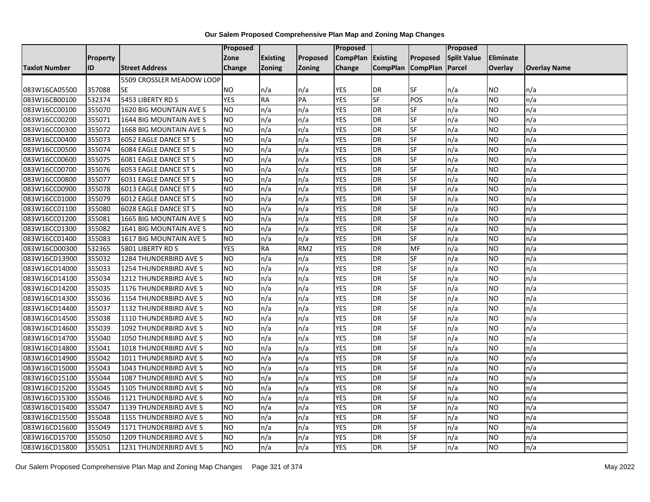|                      |                 |                               | <b>Proposed</b> |                 |                 | <b>Proposed</b> |                   |           | Proposed           |                  |                     |
|----------------------|-----------------|-------------------------------|-----------------|-----------------|-----------------|-----------------|-------------------|-----------|--------------------|------------------|---------------------|
|                      | <b>Property</b> |                               | Zone            | <b>Existing</b> | Proposed        | <b>CompPlan</b> | Existing          | Proposed  | <b>Split Value</b> | <b>Eliminate</b> |                     |
| <b>Taxlot Number</b> | ID              | <b>Street Address</b>         | <b>Change</b>   | <b>Zoning</b>   | <b>Zoning</b>   | Change          | CompPlan CompPlan |           | Parcel             | <b>Overlay</b>   | <b>Overlay Name</b> |
|                      |                 | 5509 CROSSLER MEADOW LOOP     |                 |                 |                 |                 |                   |           |                    |                  |                     |
| 083W16CA05500        | 357088          | <b>SE</b>                     | <b>NO</b>       | n/a             | n/a             | <b>YES</b>      | <b>DR</b>         | SF        | n/a                | <b>NO</b>        | n/a                 |
| 083W16CB00100        | 532374          | 5453 LIBERTY RD S             | <b>YES</b>      | <b>RA</b>       | PA              | <b>YES</b>      | SF                | POS       | n/a                | <b>NO</b>        | n/a                 |
| 083W16CC00100        | 355070          | 1620 BIG MOUNTAIN AVE S       | <b>NO</b>       | n/a             | n/a             | <b>YES</b>      | DR                | SF        | n/a                | <b>NO</b>        | n/a                 |
| 083W16CC00200        | 355071          | 1644 BIG MOUNTAIN AVE S       | <b>NO</b>       | n/a             | n/a             | <b>YES</b>      | <b>DR</b>         | <b>SF</b> | n/a                | <b>NO</b>        | n/a                 |
| 083W16CC00300        | 355072          | 1668 BIG MOUNTAIN AVE S       | <b>NO</b>       | n/a             | n/a             | <b>YES</b>      | <b>DR</b>         | SF        | n/a                | <b>NO</b>        | n/a                 |
| 083W16CC00400        | 355073          | 6052 EAGLE DANCE ST S         | NO.             | n/a             | n/a             | <b>YES</b>      | <b>DR</b>         | SF        | n/a                | <b>NO</b>        | n/a                 |
| 083W16CC00500        | 355074          | 6084 EAGLE DANCE ST S         | <b>NO</b>       | n/a             | n/a             | <b>YES</b>      | <b>DR</b>         | SF        | n/a                | <b>NO</b>        | n/a                 |
| 083W16CC00600        | 355075          | 6081 EAGLE DANCE ST S         | <b>NO</b>       | n/a             | n/a             | <b>YES</b>      | <b>DR</b>         | SF        | n/a                | <b>NO</b>        | n/a                 |
| 083W16CC00700        | 355076          | 6053 EAGLE DANCE ST S         | N <sub>O</sub>  | n/a             | n/a             | <b>YES</b>      | <b>DR</b>         | SF        | n/a                | <b>NO</b>        | n/a                 |
| 083W16CC00800        | 355077          | 6031 EAGLE DANCE ST S         | <b>NO</b>       | n/a             | n/a             | <b>YES</b>      | <b>DR</b>         | SF        | n/a                | <b>NO</b>        | n/a                 |
| 083W16CC00900        | 355078          | 6013 EAGLE DANCE ST S         | <b>NO</b>       | n/a             | n/a             | <b>YES</b>      | <b>DR</b>         | SF        | n/a                | <b>NO</b>        | n/a                 |
| 083W16CC01000        | 355079          | 6012 EAGLE DANCE ST S         | <b>NO</b>       | n/a             | n/a             | <b>YES</b>      | <b>DR</b>         | <b>SF</b> | n/a                | <b>NO</b>        | n/a                 |
| 083W16CC01100        | 355080          | 6028 EAGLE DANCE ST S         | <b>NO</b>       | n/a             | n/a             | <b>YES</b>      | <b>DR</b>         | SF        | n/a                | <b>NO</b>        | n/a                 |
| 083W16CC01200        | 355081          | 1665 BIG MOUNTAIN AVE S       | <b>NO</b>       | n/a             | n/a             | <b>YES</b>      | <b>DR</b>         | SF        | n/a                | <b>NO</b>        | n/a                 |
| 083W16CC01300        | 355082          | 1641 BIG MOUNTAIN AVE S       | ŌИ              | n/a             | n/a             | <b>YES</b>      | <b>DR</b>         | SF        | n/a                | <b>NO</b>        | n/a                 |
| 083W16CC01400        | 355083          | 1617 BIG MOUNTAIN AVE S       | <b>NO</b>       | n/a             | n/a             | <b>YES</b>      | <b>DR</b>         | SF        | n/a                | <b>NO</b>        | n/a                 |
| 083W16CD00300        | 532365          | 5801 LIBERTY RD S             | <b>YES</b>      | <b>RA</b>       | RM <sub>2</sub> | <b>YES</b>      | <b>DR</b>         | MF        | n/a                | <b>NO</b>        | n/a                 |
| 083W16CD13900        | 355032          | 1284 THUNDERBIRD AVE S        | <b>NO</b>       | n/a             | n/a             | <b>YES</b>      | <b>DR</b>         | SF        | n/a                | <b>NO</b>        | n/a                 |
| 083W16CD14000        | 355033          | 1254 THUNDERBIRD AVE S        | NO.             | n/a             | n/a             | <b>YES</b>      | <b>DR</b>         | SF        | n/a                | <b>NO</b>        | n/a                 |
| 083W16CD14100        | 355034          | 1212 THUNDERBIRD AVE S        | <b>NO</b>       | n/a             | n/a             | <b>YES</b>      | <b>DR</b>         | SF        | n/a                | <b>NO</b>        | n/a                 |
| 083W16CD14200        | 355035          | 1176 THUNDERBIRD AVE S        | <b>NO</b>       | n/a             | n/a             | <b>YES</b>      | <b>DR</b>         | SF        | n/a                | <b>NO</b>        | n/a                 |
| 083W16CD14300        | 355036          | 1154 THUNDERBIRD AVE S        | <b>NO</b>       | n/a             | n/a             | <b>YES</b>      | <b>DR</b>         | SF        | n/a                | <b>NO</b>        | n/a                 |
| 083W16CD14400        | 355037          | 1132 THUNDERBIRD AVE S        | <b>NO</b>       | n/a             | n/a             | <b>YES</b>      | <b>DR</b>         | SF        | n/a                | <b>NO</b>        | n/a                 |
| 083W16CD14500        | 355038          | 1110 THUNDERBIRD AVE S        | <b>NO</b>       | n/a             | n/a             | <b>YES</b>      | <b>DR</b>         | SF        | n/a                | <b>NO</b>        | n/a                 |
| 083W16CD14600        | 355039          | 1092 THUNDERBIRD AVE S        | <b>NO</b>       | n/a             | n/a             | <b>YES</b>      | <b>DR</b>         | SF        | n/a                | <b>NO</b>        | n/a                 |
| 083W16CD14700        | 355040          | 1050 THUNDERBIRD AVE S        | <b>NO</b>       | n/a             | n/a             | <b>YES</b>      | <b>DR</b>         | SF        | n/a                | <b>NO</b>        | n/a                 |
| 083W16CD14800        | 355041          | 1018 THUNDERBIRD AVE S        | <b>NO</b>       | n/a             | n/a             | <b>YES</b>      | DR                | SF        | n/a                | <b>NO</b>        | n/a                 |
| 083W16CD14900        | 355042          | 1011 THUNDERBIRD AVE S        | <b>NO</b>       | n/a             | n/a             | <b>YES</b>      | <b>DR</b>         | SF        | n/a                | <b>NO</b>        | n/a                 |
| 083W16CD15000        | 355043          | 1043 THUNDERBIRD AVE S        | <b>NO</b>       | n/a             | n/a             | <b>YES</b>      | <b>DR</b>         | SF        | n/a                | <b>NO</b>        | n/a                 |
| 083W16CD15100        | 355044          | 1087 THUNDERBIRD AVE S        | <b>NO</b>       | n/a             | n/a             | <b>YES</b>      | <b>DR</b>         | SF        | n/a                | <b>NO</b>        | n/a                 |
| 083W16CD15200        | 355045          | 1105 THUNDERBIRD AVE S        | <b>NO</b>       | n/a             | n/a             | <b>YES</b>      | <b>DR</b>         | <b>SF</b> | n/a                | <b>NO</b>        | n/a                 |
| 083W16CD15300        | 355046          | <b>1121 THUNDERBIRD AVE S</b> | <b>NO</b>       | n/a             | n/a             | <b>YES</b>      | <b>DR</b>         | <b>SF</b> | n/a                | <b>NO</b>        | n/a                 |
| 083W16CD15400        | 355047          | <b>1139 THUNDERBIRD AVE S</b> | <b>NO</b>       | n/a             | n/a             | <b>YES</b>      | <b>DR</b>         | SF        | n/a                | <b>NO</b>        | n/a                 |
| 083W16CD15500        | 355048          | <b>1155 THUNDERBIRD AVE S</b> | <b>NO</b>       | n/a             | n/a             | <b>YES</b>      | <b>DR</b>         | SF        | n/a                | <b>NO</b>        | n/a                 |
| 083W16CD15600        | 355049          | 1171 THUNDERBIRD AVE S        | <b>NO</b>       | n/a             | n/a             | <b>YES</b>      | <b>DR</b>         | SF        | n/a                | <b>NO</b>        | n/a                 |
| 083W16CD15700        | 355050          | 1209 THUNDERBIRD AVE S        | <b>NO</b>       | n/a             | n/a             | <b>YES</b>      | <b>DR</b>         | SF        | n/a                | <b>NO</b>        | n/a                 |
| 083W16CD15800        | 355051          | 1231 THUNDERBIRD AVE S        | <b>NO</b>       | n/a             | n/a             | <b>YES</b>      | <b>DR</b>         | SF        | n/a                | <b>NO</b>        | n/a                 |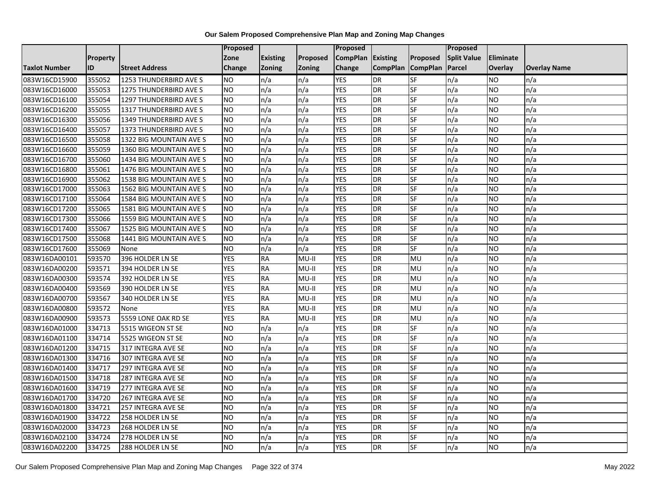|                      |                 |                         | Proposed   |                 |               | Proposed        |                 |                 | Proposed           |                 |                     |
|----------------------|-----------------|-------------------------|------------|-----------------|---------------|-----------------|-----------------|-----------------|--------------------|-----------------|---------------------|
|                      | <b>Property</b> |                         | Zone       | <b>Existing</b> | Proposed      | <b>CompPlan</b> | Existing        | Proposed        | <b>Split Value</b> | Eliminate       |                     |
| <b>Taxlot Number</b> | ID              | <b>Street Address</b>   | Change     | Zoning          | <b>Zoning</b> | Change          | <b>CompPlan</b> | <b>CompPlan</b> | Parcel             | <b>Overlay</b>  | <b>Overlay Name</b> |
| 083W16CD15900        | 355052          | 1253 THUNDERBIRD AVE S  | <b>NO</b>  | n/a             | n/a           | <b>YES</b>      | <b>DR</b>       | <b>SF</b>       | n/a                | NO.             | n/a                 |
| 083W16CD16000        | 355053          | 1275 THUNDERBIRD AVE S  | <b>NO</b>  | n/a             | n/a           | <b>YES</b>      | <b>DR</b>       | $S_{F}$         | n/a                | NO.             | n/a                 |
| 083W16CD16100        | 355054          | 1297 THUNDERBIRD AVE S  | <b>NO</b>  | n/a             | n/a           | <b>YES</b>      | DR              | SF              | n/a                | NO.             | n/a                 |
| 083W16CD16200        | 355055          | 1317 THUNDERBIRD AVE S  | <b>NO</b>  | n/a             | n/a           | <b>YES</b>      | DR              | SF              | n/a                | NO.             | n/a                 |
| 083W16CD16300        | 355056          | 1349 THUNDERBIRD AVE S  | <b>NO</b>  | n/a             | n/a           | <b>YES</b>      | <b>DR</b>       | $S_{F}$         | n/a                | NO.             | n/a                 |
| 083W16CD16400        | 355057          | 1373 THUNDERBIRD AVE S  | <b>NO</b>  | n/a             | n/a           | <b>YES</b>      | <b>DR</b>       | SF              | n/a                | <b>NO</b>       | n/a                 |
| 083W16CD16500        | 355058          | 1322 BIG MOUNTAIN AVE S | <b>NO</b>  | n/a             | n/a           | <b>YES</b>      | DR              | <b>SF</b>       | n/a                | NO.             | n/a                 |
| 083W16CD16600        | 355059          | 1360 BIG MOUNTAIN AVE S | <b>NO</b>  | n/a             | n/a           | <b>YES</b>      | DR              | SF              | n/a                | NO.             | n/a                 |
| 083W16CD16700        | 355060          | 1434 BIG MOUNTAIN AVE S | <b>NO</b>  | n/a             | n/a           | <b>YES</b>      | DR              | SF              | n/a                | NO.             | n/a                 |
| 083W16CD16800        | 355061          | 1476 BIG MOUNTAIN AVE S | Ю          | n/a             | n/a           | <b>YES</b>      | DR              | <b>SF</b>       | n/a                | NO.             | n/a                 |
| 083W16CD16900        | 355062          | 1538 BIG MOUNTAIN AVE S | <b>NO</b>  | n/a             | n/a           | <b>YES</b>      | <b>DR</b>       | <b>SF</b>       | n/a                | <b>NO</b>       | n/a                 |
| 083W16CD17000        | 355063          | 1562 BIG MOUNTAIN AVE S | <b>NO</b>  | n/a             | n/a           | <b>YES</b>      | DR              | SF              | n/a                | NO.             | n/a                 |
| 083W16CD17100        | 355064          | 1584 BIG MOUNTAIN AVE S | <b>NO</b>  | n/a             | n/a           | <b>YES</b>      | DR              | SF              | n/a                | NO.             | n/a                 |
| 083W16CD17200        | 355065          | 1581 BIG MOUNTAIN AVE S | ŌИ         | n/a             | n/a           | <b>YES</b>      | <b>DR</b>       | <b>SF</b>       | n/a                | <b>NO</b>       | n/a                 |
| 083W16CD17300        | 355066          | 1559 BIG MOUNTAIN AVE S | <b>NO</b>  | n/a             | n/a           | <b>YES</b>      | DR              | SF              | n/a                | ΝO              | n/a                 |
| 083W16CD17400        | 355067          | 1525 BIG MOUNTAIN AVE S | <b>NO</b>  | n/a             | n/a           | <b>YES</b>      | DR              | SF              | n/a                | <b>NO</b>       | n/a                 |
| 083W16CD17500        | 355068          | 1441 BIG MOUNTAIN AVE S | <b>NO</b>  | n/a             | n/a           | <b>YES</b>      | DR              | SF              | n/a                | NO.             | n/a                 |
| 083W16CD17600        | 355069          | None                    | <b>NO</b>  | n/a             | n/a           | <b>YES</b>      | DR              | SF              | n/a                | NO.             | n/a                 |
| 083W16DA00101        | 593570          | 396 HOLDER LN SE        | <b>YES</b> | <b>RA</b>       | $MU-II$       | <b>YES</b>      | DR              | MU              | n/a                | NO.             | n/a                 |
| 083W16DA00200        | 593571          | 394 HOLDER LN SE        | <b>YES</b> | <b>RA</b>       | MU-II         | <b>YES</b>      | DR              | MU              | n/a                | NO.             | n/a                 |
| 083W16DA00300        | 593574          | 392 HOLDER LN SE        | <b>YES</b> | <b>RA</b>       | $MU-II$       | <b>YES</b>      | <b>DR</b>       | MU              | n/a                | NO.             | n/a                 |
| 083W16DA00400        | 593569          | 390 HOLDER LN SE        | <b>YES</b> | RA              | $MU-II$       | <b>YES</b>      | DR              | <b>MU</b>       | n/a                | $\overline{NO}$ | n/a                 |
| 083W16DA00700        | 593567          | 340 HOLDER LN SE        | <b>YES</b> | <b>RA</b>       | $MU-II$       | <b>YES</b>      | <b>DR</b>       | MU              | n/a                | <b>NO</b>       | n/a                 |
| 083W16DA00800        | 593572          | None                    | <b>YES</b> | <b>RA</b>       | MU-II         | <b>YES</b>      | <b>DR</b>       | MU              | n/a                | NO.             | n/a                 |
| 083W16DA00900        | 593573          | 5559 LONE OAK RD SE     | <b>YES</b> | RA              | MU-II         | <b>YES</b>      | DR              | MU              | n/a                | NO.             | n/a                 |
| 083W16DA01000        | 334713          | 5515 WIGEON ST SE       | <b>NO</b>  | n/a             | n/a           | <b>YES</b>      | DR              | <b>SF</b>       | n/a                | NO.             | n/a                 |
| 083W16DA01100        | 334714          | 5525 WIGEON ST SE       | <b>NO</b>  | n/a             | n/a           | <b>YES</b>      | <b>DR</b>       | <b>SF</b>       | n/a                | NO.             | n/a                 |
| 083W16DA01200        | 334715          | 317 INTEGRA AVE SE      | <b>NO</b>  | n/a             | n/a           | <b>YES</b>      | DR              | SF              | n/a                | NO.             | n/a                 |
| 083W16DA01300        | 334716          | 307 INTEGRA AVE SE      | <b>NO</b>  | n/a             | n/a           | <b>YES</b>      | DR              | SF              | n/a                | NO.             | n/a                 |
| 083W16DA01400        | 334717          | 297 INTEGRA AVE SE      | <b>NO</b>  | n/a             | n/a           | <b>YES</b>      | <b>DR</b>       | <b>SF</b>       | n/a                | <b>NO</b>       | n/a                 |
| 083W16DA01500        | 334718          | 287 INTEGRA AVE SE      | <b>NO</b>  | n/a             | n/a           | <b>YES</b>      | DR              | SF              | n/a                | <b>NO</b>       | n/a                 |
| 083W16DA01600        | 334719          | 277 INTEGRA AVE SE      | <b>NO</b>  | n/a             | n/a           | <b>YES</b>      | DR              | SF              | n/a                | <b>NO</b>       | n/a                 |
| 083W16DA01700        | 334720          | 267 INTEGRA AVE SE      | <b>NO</b>  | n/a             | n/a           | <b>YES</b>      | DR              | SF              | n/a                | NO.             | n/a                 |
| 083W16DA01800        | 334721          | 257 INTEGRA AVE SE      | <b>NO</b>  | n/a             | n/a           | <b>YES</b>      | DR              | SF              | n/a                | NO.             | n/a                 |
| 083W16DA01900        | 334722          | 258 HOLDER LN SE        | ŌИ         | n/a             | n/a           | <b>YES</b>      | DR              | <b>SF</b>       | n/a                | NO.             | n/a                 |
| 083W16DA02000        | 334723          | 268 HOLDER LN SE        | <b>NO</b>  | n/a             | n/a           | <b>YES</b>      | <b>DR</b>       | SF              | n/a                | NO.             | n/a                 |
| 083W16DA02100        | 334724          | 278 HOLDER LN SE        | NO         | n/a             | n/a           | <b>YES</b>      | <b>DR</b>       | SF              | n/a                | NO.             | n/a                 |
| 083W16DA02200        | 334725          | 288 HOLDER LN SE        | Ю          | n/a             | n/a           | <b>YES</b>      | <b>DR</b>       | <b>SF</b>       | n/a                | NO.             | n/a                 |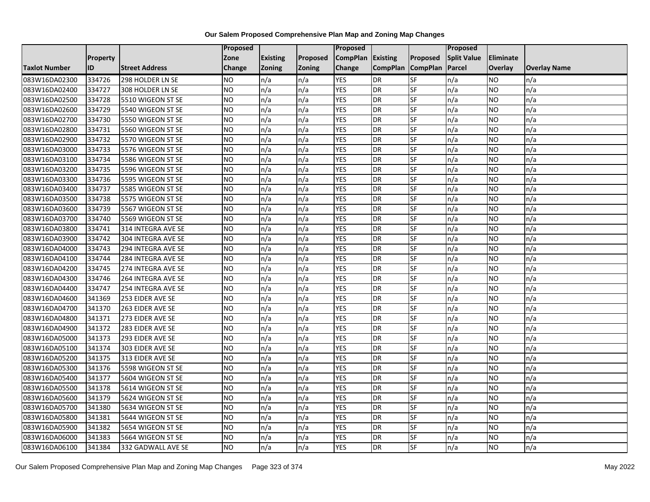|                      |                 |                       | Proposed  |                 |               | Proposed        |                 |                 | Proposed           |                  |                     |
|----------------------|-----------------|-----------------------|-----------|-----------------|---------------|-----------------|-----------------|-----------------|--------------------|------------------|---------------------|
|                      | <b>Property</b> |                       | Zone      | <b>Existing</b> | Proposed      | <b>CompPlan</b> | Existing        | Proposed        | <b>Split Value</b> | <b>Eliminate</b> |                     |
| <b>Taxlot Number</b> | ID              | <b>Street Address</b> | Change    | Zoning          | <b>Zoning</b> | Change          | <b>CompPlan</b> | <b>CompPlan</b> | Parcel             | <b>Overlay</b>   | <b>Overlay Name</b> |
| 083W16DA02300        | 334726          | 298 HOLDER LN SE      | <b>NO</b> | n/a             | n/a           | <b>YES</b>      | <b>DR</b>       | <b>SF</b>       | n/a                | NO.              | n/a                 |
| 083W16DA02400        | 334727          | 308 HOLDER LN SE      | <b>NO</b> | n/a             | n/a           | <b>YES</b>      | <b>DR</b>       | $S_{F}$         | n/a                | NO.              | n/a                 |
| 083W16DA02500        | 334728          | 5510 WIGEON ST SE     | <b>NO</b> | n/a             | n/a           | <b>YES</b>      | DR              | SF              | n/a                | NO.              | n/a                 |
| 083W16DA02600        | 334729          | 5540 WIGEON ST SE     | <b>NO</b> | n/a             | n/a           | <b>YES</b>      | DR              | SF              | n/a                | NO.              | n/a                 |
| 083W16DA02700        | 334730          | 5550 WIGEON ST SE     | Ю         | n/a             | n/a           | <b>YES</b>      | <b>DR</b>       | $S_{F}$         | n/a                | NO.              | n/a                 |
| 083W16DA02800        | 334731          | 5560 WIGEON ST SE     | <b>NO</b> | n/a             | n/a           | <b>YES</b>      | <b>DR</b>       | SF              | n/a                | NO.              | n/a                 |
| 083W16DA02900        | 334732          | 5570 WIGEON ST SE     | <b>NO</b> | n/a             | n/a           | <b>YES</b>      | DR              | <b>SF</b>       | n/a                | <b>NO</b>        | n/a                 |
| 083W16DA03000        | 334733          | 5576 WIGEON ST SE     | <b>NO</b> | n/a             | n/a           | <b>YES</b>      | DR              | SF              | n/a                | NO.              | n/a                 |
| 083W16DA03100        | 334734          | 5586 WIGEON ST SE     | <b>NO</b> | n/a             | n/a           | <b>YES</b>      | DR              | SF              | n/a                | NO.              | n/a                 |
| 083W16DA03200        | 334735          | 5596 WIGEON ST SE     | Ю         | n/a             | n/a           | <b>YES</b>      | DR              | <b>SF</b>       | n/a                | NO.              | n/a                 |
| 083W16DA03300        | 334736          | 5595 WIGEON ST SE     | <b>NO</b> | n/a             | n/a           | <b>YES</b>      | <b>DR</b>       | <b>SF</b>       | n/a                | <b>NO</b>        | n/a                 |
| 083W16DA03400        | 334737          | 5585 WIGEON ST SE     | <b>NO</b> | n/a             | n/a           | <b>YES</b>      | DR              | SF              | n/a                | <b>NO</b>        | n/a                 |
| 083W16DA03500        | 334738          | 5575 WIGEON ST SE     | <b>NO</b> | n/a             | n/a           | <b>YES</b>      | <b>DR</b>       | SF              | n/a                | NO.              | n/a                 |
| 083W16DA03600        | 334739          | 5567 WIGEON ST SE     | Ю         | n/a             | n/a           | <b>YES</b>      | <b>DR</b>       | <b>SF</b>       | n/a                | NO.              | n/a                 |
| 083W16DA03700        | 334740          | 5569 WIGEON ST SE     | <b>NO</b> | n/a             | n/a           | <b>YES</b>      | DR              | SF              | n/a                | NO.              | n/a                 |
| 083W16DA03800        | 334741          | 314 INTEGRA AVE SE    | <b>NO</b> | n/a             | n/a           | <b>YES</b>      | DR              | <b>SF</b>       | n/a                | NO.              | n/a                 |
| 083W16DA03900        | 334742          | 304 INTEGRA AVE SE    | <b>NO</b> | n/a             | n/a           | <b>YES</b>      | <b>DR</b>       | $S_{F}$         | n/a                | NO.              | n/a                 |
| 083W16DA04000        | 334743          | 294 INTEGRA AVE SE    | <b>NO</b> | n/a             | n/a           | <b>YES</b>      | DR              | SF              | n/a                | NO.              | n/a                 |
| 083W16DA04100        | 334744          | 284 INTEGRA AVE SE    | <b>NO</b> | n/a             | n/a           | <b>YES</b>      | DR              | SF              | n/a                | NO.              | n/a                 |
| 083W16DA04200        | 334745          | 274 INTEGRA AVE SE    | <b>NO</b> | n/a             | n/a           | <b>YES</b>      | DR              | <b>SF</b>       | n/a                | ΝO               | n/a                 |
| 083W16DA04300        | 334746          | 264 INTEGRA AVE SE    | <b>NO</b> | n/a             | n/a           | <b>YES</b>      | DR              | SF              | n/a                | <b>NO</b>        | n/a                 |
| 083W16DA04400        | 334747          | 254 INTEGRA AVE SE    | ŌИ        | n/a             | n/a           | <b>YES</b>      | DR              | <b>SF</b>       | n/a                | NO.              | n/a                 |
| 083W16DA04600        | 341369          | 253 EIDER AVE SE      | ŌИ        | n/a             | n/a           | <b>YES</b>      | <b>DR</b>       | <b>SF</b>       | n/a                | NO.              | n/a                 |
| 083W16DA04700        | 341370          | 263 EIDER AVE SE      | <b>NO</b> | n/a             | n/a           | <b>YES</b>      | DR              | SF              | n/a                | NO.              | n/a                 |
| 083W16DA04800        | 341371          | 273 EIDER AVE SE      | <b>NO</b> | n/a             | n/a           | <b>YES</b>      | <b>DR</b>       | SF              | n/a                | NO.              | n/a                 |
| 083W16DA04900        | 341372          | 283 EIDER AVE SE      | ŌИ        | n/a             | n/a           | <b>YES</b>      | DR              | $S_{F}$         | n/a                | NO.              | n/a                 |
| 083W16DA05000        | 341373          | 293 EIDER AVE SE      | <b>NO</b> | n/a             | n/a           | <b>YES</b>      | DR              | SF              | n/a                | NO.              | n/a                 |
| 083W16DA05100        | 341374          | 303 EIDER AVE SE      | <b>NO</b> | n/a             | n/a           | <b>YES</b>      | DR              | SF              | n/a                | NO.              | n/a                 |
| 083W16DA05200        | 341375          | 313 EIDER AVE SE      | <b>NO</b> | n/a             | n/a           | <b>YES</b>      | DR              | $S_{F}$         | n/a                | NO.              | n/a                 |
| 083W16DA05300        | 341376          | 5598 WIGEON ST SE     | <b>NO</b> | n/a             | n/a           | <b>YES</b>      | <b>DR</b>       | SF              | n/a                | NO.              | n/a                 |
| 083W16DA05400        | 341377          | 5604 WIGEON ST SE     | <b>NO</b> | n/a             | n/a           | <b>YES</b>      | DR              | SF              | n/a                | NO.              | n/a                 |
| 083W16DA05500        | 341378          | 5614 WIGEON ST SE     | <b>NO</b> | n/a             | n/a           | <b>YES</b>      | <b>DR</b>       | <b>SF</b>       | n/a                | NO.              | n/a                 |
| 083W16DA05600        | 341379          | 5624 WIGEON ST SE     | <b>NO</b> | n/a             | n/a           | <b>YES</b>      | DR              | SF              | n/a                | <b>NO</b>        | n/a                 |
| 083W16DA05700        | 341380          | 5634 WIGEON ST SE     | <b>NO</b> | n/a             | n/a           | <b>YES</b>      | DR              | SF              | n/a                | NO.              | n/a                 |
| 083W16DA05800        | 341381          | 5644 WIGEON ST SE     | <b>NO</b> | n/a             | n/a           | <b>YES</b>      | <b>DR</b>       | SF              | n/a                | NO.              | n/a                 |
| 083W16DA05900        | 341382          | 5654 WIGEON ST SE     | <b>NO</b> | n/a             | n/a           | <b>YES</b>      | DR              | SF              | n/a                | NO.              | n/a                 |
| 083W16DA06000        | 341383          | 5664 WIGEON ST SE     | <b>NO</b> | n/a             | n/a           | <b>YES</b>      | DR              | SF              | n/a                | NO.              | n/a                 |
| 083W16DA06100        | 341384          | 332 GADWALL AVE SE    | ŌИ        | n/a             | n/a           | <b>YES</b>      | <b>DR</b>       | <b>SF</b>       | n/a                | <b>NO</b>        | n/a                 |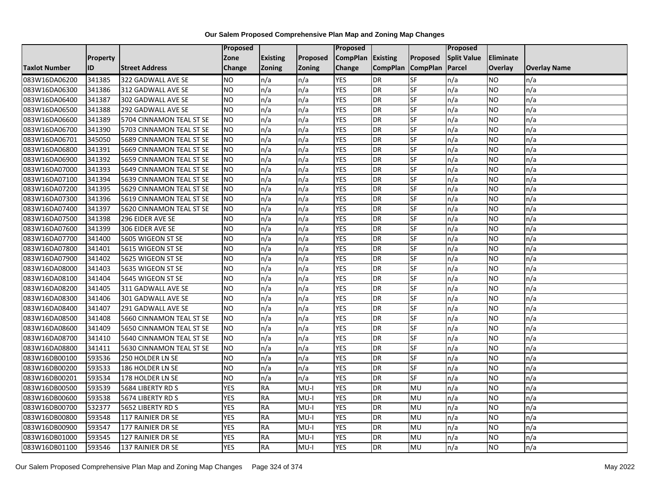|                      |                 |                          | Proposed   |                 |               | Proposed        |                 |                 | Proposed           |                 |                     |
|----------------------|-----------------|--------------------------|------------|-----------------|---------------|-----------------|-----------------|-----------------|--------------------|-----------------|---------------------|
|                      | <b>Property</b> |                          | Zone       | <b>Existing</b> | Proposed      | <b>CompPlan</b> | Existing        | Proposed        | <b>Split Value</b> | Eliminate       |                     |
| <b>Taxlot Number</b> | ID              | <b>Street Address</b>    | Change     | Zoning          | <b>Zoning</b> | Change          | <b>CompPlan</b> | <b>CompPlan</b> | Parcel             | <b>Overlay</b>  | <b>Overlay Name</b> |
| 083W16DA06200        | 341385          | 322 GADWALL AVE SE       | <b>NO</b>  | n/a             | n/a           | <b>YES</b>      | <b>DR</b>       | <b>SF</b>       | n/a                | NO.             | n/a                 |
| 083W16DA06300        | 341386          | 312 GADWALL AVE SE       | <b>NO</b>  | n/a             | n/a           | <b>YES</b>      | <b>DR</b>       | $S_{F}$         | n/a                | NO.             | n/a                 |
| 083W16DA06400        | 341387          | 302 GADWALL AVE SE       | <b>NO</b>  | n/a             | n/a           | <b>YES</b>      | DR              | SF              | n/a                | NO.             | n/a                 |
| 083W16DA06500        | 341388          | 292 GADWALL AVE SE       | <b>NO</b>  | n/a             | n/a           | <b>YES</b>      | DR              | SF              | n/a                | NO.             | n/a                 |
| 083W16DA06600        | 341389          | 5704 CINNAMON TEAL ST SE | ŌИ         | n/a             | n/a           | <b>YES</b>      | <b>DR</b>       | $S_{F}$         | n/a                | NO.             | n/a                 |
| 083W16DA06700        | 341390          | 5703 CINNAMON TEAL ST SE | Ю          | n/a             | n/a           | <b>YES</b>      | <b>DR</b>       | SF              | n/a                | <b>NO</b>       | n/a                 |
| 083W16DA06701        | 345050          | 5689 CINNAMON TEAL ST SE | <b>NO</b>  | n/a             | n/a           | <b>YES</b>      | DR              | SF              | n/a                | <b>NO</b>       | n/a                 |
| 083W16DA06800        | 341391          | 5669 CINNAMON TEAL ST SE | <b>NO</b>  | n/a             | n/a           | <b>YES</b>      | DR              | SF              | n/a                | NO.             | n/a                 |
| 083W16DA06900        | 341392          | 5659 CINNAMON TEAL ST SE | <b>NO</b>  | n/a             | n/a           | <b>YES</b>      | DR              | SF              | n/a                | NO.             | n/a                 |
| 083W16DA07000        | 341393          | 5649 CINNAMON TEAL ST SE | Ю          | n/a             | n/a           | <b>YES</b>      | DR              | <b>SF</b>       | n/a                | NO.             | n/a                 |
| 083W16DA07100        | 341394          | 5639 CINNAMON TEAL ST SE | <b>NO</b>  | n/a             | n/a           | <b>YES</b>      | <b>DR</b>       | <b>SF</b>       | n/a                | <b>NO</b>       | n/a                 |
| 083W16DA07200        | 341395          | 5629 CINNAMON TEAL ST SE | <b>NO</b>  | n/a             | n/a           | <b>YES</b>      | DR              | SF              | n/a                | NO.             | n/a                 |
| 083W16DA07300        | 341396          | 5619 CINNAMON TEAL ST SE | <b>NO</b>  | n/a             | n/a           | <b>YES</b>      | DR              | SF              | n/a                | NO.             | n/a                 |
| 083W16DA07400        | 341397          | 5620 CINNAMON TEAL ST SE | NO         | n/a             | n/a           | <b>YES</b>      | <b>DR</b>       | <b>SF</b>       | n/a                | NO.             | n/a                 |
| 083W16DA07500        | 341398          | 296 EIDER AVE SE         | <b>NO</b>  | n/a             | n/a           | <b>YES</b>      | DR              | SF              | n/a                | ΝO              | n/a                 |
| 083W16DA07600        | 341399          | 306 EIDER AVE SE         | <b>NO</b>  | n/a             | n/a           | <b>YES</b>      | DR              | SF              | n/a                | <b>NO</b>       | n/a                 |
| 083W16DA07700        | 341400          | 5605 WIGEON ST SE        | <b>NO</b>  | n/a             | n/a           | <b>YES</b>      | DR              | SF              | n/a                | NO.             | n/a                 |
| 083W16DA07800        | 341401          | 5615 WIGEON ST SE        | <b>NO</b>  | n/a             | n/a           | <b>YES</b>      | DR              | SF              | n/a                | NO.             | n/a                 |
| 083W16DA07900        | 341402          | 5625 WIGEON ST SE        | <b>NO</b>  | n/a             | n/a           | <b>YES</b>      | DR              | SF              | n/a                | NO.             | n/a                 |
| 083W16DA08000        | 341403          | 5635 WIGEON ST SE        | <b>NO</b>  | n/a             | n/a           | <b>YES</b>      | DR              | <b>SF</b>       | n/a                | NO.             | n/a                 |
| 083W16DA08100        | 341404          | 5645 WIGEON ST SE        | <b>NO</b>  | n/a             | n/a           | <b>YES</b>      | DR              | SF              | n/a                | NO.             | n/a                 |
| 083W16DA08200        | 341405          | 311 GADWALL AVE SE       | Ю          | n/a             | n/a           | <b>YES</b>      | DR              | SF              | n/a                | $\overline{NO}$ | n/a                 |
| 083W16DA08300        | 341406          | 301 GADWALL AVE SE       | <b>NO</b>  | n/a             | n/a           | <b>YES</b>      | DR              | <b>SF</b>       | n/a                | <b>NO</b>       | n/a                 |
| 083W16DA08400        | 341407          | 291 GADWALL AVE SE       | <b>NO</b>  | n/a             | n/a           | <b>YES</b>      | <b>DR</b>       | SF              | n/a                | NO.             | n/a                 |
| 083W16DA08500        | 341408          | 5660 CINNAMON TEAL ST SE | Ю          | n/a             | n/a           | <b>YES</b>      | <b>DR</b>       | <b>SF</b>       | n/a                | NO.             | n/a                 |
| 083W16DA08600        | 341409          | 5650 CINNAMON TEAL ST SE | ŌИ         | n/a             | n/a           | <b>YES</b>      | DR              | <b>SF</b>       | n/a                | NO.             | n/a                 |
| 083W16DA08700        | 341410          | 5640 CINNAMON TEAL ST SE | <b>NO</b>  | n/a             | n/a           | <b>YES</b>      | <b>DR</b>       | SF              | n/a                | NO.             | n/a                 |
| 083W16DA08800        | 341411          | 5630 CINNAMON TEAL ST SE | <b>NO</b>  | n/a             | n/a           | <b>YES</b>      | DR              | SF              | n/a                | NO.             | n/a                 |
| 083W16DB00100        | 593536          | 250 HOLDER LN SE         | <b>NO</b>  | n/a             | n/a           | <b>YES</b>      | DR              | SF              | n/a                | NO.             | n/a                 |
| 083W16DB00200        | 593533          | 186 HOLDER LN SE         | <b>NO</b>  | n/a             | n/a           | <b>YES</b>      | <b>DR</b>       | <b>SF</b>       | n/a                | <b>NO</b>       | n/a                 |
| 083W16DB00201        | 593534          | 178 HOLDER LN SE         | <b>NO</b>  | n/a             | n/a           | <b>YES</b>      | DR              | SF              | n/a                | <b>NO</b>       | n/a                 |
| 083W16DB00500        | 593539          | 5684 LIBERTY RD S        | <b>YES</b> | <b>RA</b>       | $MU-I$        | <b>YES</b>      | <b>DR</b>       | MU              | n/a                | <b>NO</b>       | n/a                 |
| 083W16DB00600        | 593538          | 5674 LIBERTY RD S        | <b>YES</b> | <b>RA</b>       | $MU-I$        | <b>YES</b>      | DR              | MU              | n/a                | NO.             | n/a                 |
| 083W16DB00700        | 532377          | 5652 LIBERTY RD S        | <b>YES</b> | <b>RA</b>       | $MU-I$        | <b>YES</b>      | <b>DR</b>       | MU              | n/a                | NO.             | n/a                 |
| 083W16DB00800        | 593548          | 117 RAINIER DR SE        | <b>YES</b> | RA              | $MU-I$        | <b>YES</b>      | <b>DR</b>       | <b>MU</b>       | n/a                | NO.             | n/a                 |
| 083W16DB00900        | 593547          | 177 RAINIER DR SE        | <b>YES</b> | <b>RA</b>       | $MU-I$        | <b>YES</b>      | <b>DR</b>       | MU              | n/a                | NO.             | n/a                 |
| 083W16DB01000        | 593545          | 127 RAINIER DR SE        | <b>YES</b> | <b>RA</b>       | $MU-I$        | <b>YES</b>      | DR              | MU              | n/a                | NO.             | n/a                 |
| 083W16DB01100        | 593546          | 137 RAINIER DR SE        | <b>YES</b> | $R$ A           | MU-I          | <b>YES</b>      | <b>DR</b>       | <b>MU</b>       | n/a                | NO.             | n/a                 |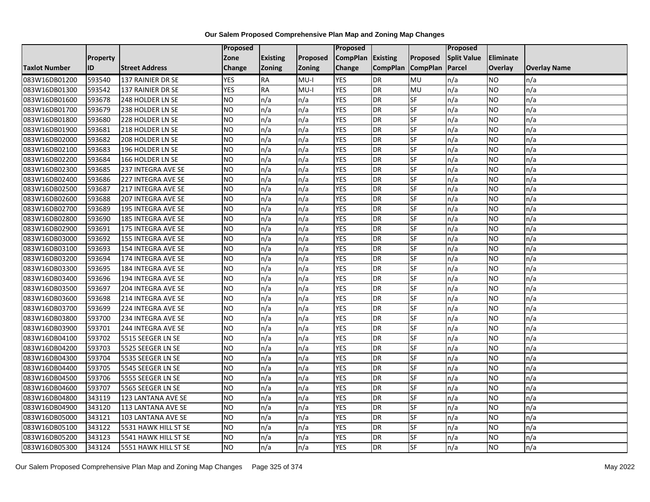|                      |                 |                       | Proposed   |                 |               | Proposed        |                 |                 | Proposed           |                  |                     |
|----------------------|-----------------|-----------------------|------------|-----------------|---------------|-----------------|-----------------|-----------------|--------------------|------------------|---------------------|
|                      | <b>Property</b> |                       | Zone       | <b>Existing</b> | Proposed      | <b>CompPlan</b> | Existing        | Proposed        | <b>Split Value</b> | <b>Eliminate</b> |                     |
| <b>Taxlot Number</b> | ID              | <b>Street Address</b> | Change     | Zoning          | <b>Zoning</b> | Change          | <b>CompPlan</b> | <b>CompPlan</b> | Parcel             | <b>Overlay</b>   | <b>Overlay Name</b> |
| 083W16DB01200        | 593540          | 137 RAINIER DR SE     | <b>YES</b> | <b>RA</b>       | $MU-I$        | <b>YES</b>      | <b>DR</b>       | MU              | n/a                | NO.              | n/a                 |
| 083W16DB01300        | 593542          | 137 RAINIER DR SE     | <b>YES</b> | RA              | $MU-I$        | <b>YES</b>      | DR              | MU              | n/a                | NO.              | n/a                 |
| 083W16DB01600        | 593678          | 248 HOLDER LN SE      | <b>NO</b>  | n/a             | n/a           | <b>YES</b>      | DR              | SF              | n/a                | <b>NO</b>        | n/a                 |
| 083W16DB01700        | 593679          | 238 HOLDER LN SE      | <b>NO</b>  | n/a             | n/a           | <b>YES</b>      | <b>DR</b>       | SF              | n/a                | NO.              | n/a                 |
| 083W16DB01800        | 593680          | 228 HOLDER LN SE      | <b>NO</b>  | n/a             | n/a           | <b>YES</b>      | <b>DR</b>       | $S_{F}$         | n/a                | NO.              | n/a                 |
| 083W16DB01900        | 593681          | 218 HOLDER LN SE      | <b>NO</b>  | n/a             | n/a           | <b>YES</b>      | DR              | SF              | n/a                | NO.              | n/a                 |
| 083W16DB02000        | 593682          | 208 HOLDER LN SE      | <b>NO</b>  | n/a             | n/a           | <b>YES</b>      | DR              | SF              | n/a                | NO.              | n/a                 |
| 083W16DB02100        | 593683          | 196 HOLDER LN SE      | <b>NO</b>  | n/a             | n/a           | <b>YES</b>      | DR              | SF              | n/a                | NO.              | n/a                 |
| 083W16DB02200        | 593684          | 166 HOLDER LN SE      | <b>NO</b>  | n/a             | n/a           | <b>YES</b>      | DR              | SF              | n/a                | NO.              | n/a                 |
| 083W16DB02300        | 593685          | 237 INTEGRA AVE SE    | <b>NO</b>  | n/a             | n/a           | <b>YES</b>      | DR              | <b>SF</b>       | n/a                | NO.              | n/a                 |
| 083W16DB02400        | 593686          | 227 INTEGRA AVE SE    | <b>NO</b>  | n/a             | n/a           | <b>YES</b>      | <b>DR</b>       | <b>SF</b>       | n/a                | <b>NO</b>        | n/a                 |
| 083W16DB02500        | 593687          | 217 INTEGRA AVE SE    | <b>NO</b>  | n/a             | n/a           | <b>YES</b>      | DR              | SF              | n/a                | NO.              | n/a                 |
| 083W16DB02600        | 593688          | 207 INTEGRA AVE SE    | <b>NO</b>  | n/a             | n/a           | <b>YES</b>      | DR              | SF              | n/a                | NO.              | n/a                 |
| 083W16DB02700        | 593689          | 195 INTEGRA AVE SE    | <b>NO</b>  | n/a             | n/a           | <b>YES</b>      | <b>DR</b>       | <b>SF</b>       | n/a                | <b>NO</b>        | n/a                 |
| 083W16DB02800        | 593690          | 185 INTEGRA AVE SE    | <b>NO</b>  | n/a             | n/a           | <b>YES</b>      | DR              | SF              | n/a                | ΝO               | n/a                 |
| 083W16DB02900        | 593691          | 175 INTEGRA AVE SE    | <b>NO</b>  | n/a             | n/a           | <b>YES</b>      | DR              | SF              | n/a                | <b>NO</b>        | n/a                 |
| 083W16DB03000        | 593692          | 155 INTEGRA AVE SE    | <b>NO</b>  | n/a             | n/a           | <b>YES</b>      | DR              | SF              | n/a                | <b>NO</b>        | n/a                 |
| 083W16DB03100        | 593693          | 154 INTEGRA AVE SE    | <b>NO</b>  | n/a             | n/a           | <b>YES</b>      | <b>DR</b>       | SF              | n/a                | NO.              | n/a                 |
| 083W16DB03200        | 593694          | 174 INTEGRA AVE SE    | <b>NO</b>  | n/a             | n/a           | <b>YES</b>      | DR              | SF              | n/a                | <b>NO</b>        | n/a                 |
| 083W16DB03300        | 593695          | 184 INTEGRA AVE SE    | <b>NO</b>  | n/a             | n/a           | <b>YES</b>      | DR              | SF              | n/a                | NO.              | n/a                 |
| 083W16DB03400        | 593696          | 194 INTEGRA AVE SE    | <b>NO</b>  | n/a             | n/a           | <b>YES</b>      | DR              | SF              | n/a                | NO.              | n/a                 |
| 083W16DB03500        | 593697          | 204 INTEGRA AVE SE    | ŌИ         | n/a             | n/a           | <b>YES</b>      | DR              | <b>SF</b>       | n/a                | <b>NO</b>        | n/a                 |
| 083W16DB03600        | 593698          | 214 INTEGRA AVE SE    | <b>NO</b>  | n/a             | n/a           | <b>YES</b>      | DR              | <b>SF</b>       | n/a                | <b>NO</b>        | n/a                 |
| 083W16DB03700        | 593699          | 224 INTEGRA AVE SE    | <b>NO</b>  | n/a             | n/a           | <b>YES</b>      | <b>DR</b>       | SF              | n/a                | NO.              | n/a                 |
| 083W16DB03800        | 593700          | 234 INTEGRA AVE SE    | ŌИ         | n/a             | n/a           | <b>YES</b>      | DR              | <b>SF</b>       | n/a                | NO.              | n/a                 |
| 083W16DB03900        | 593701          | 244 INTEGRA AVE SE    | <b>NO</b>  | n/a             | n/a           | <b>YES</b>      | DR              | SF              | n/a                | NO.              | n/a                 |
| 083W16DB04100        | 593702          | 5515 SEEGER LN SE     | <b>NO</b>  | n/a             | n/a           | <b>YES</b>      | DR              | SF              | n/a                | NO.              | n/a                 |
| 083W16DB04200        | 593703          | 5525 SEEGER LN SE     | <b>NO</b>  | n/a             | n/a           | <b>YES</b>      | DR              | SF              | n/a                | NO.              | n/a                 |
| 083W16DB04300        | 593704          | 5535 SEEGER LN SE     | <b>NO</b>  | n/a             | n/a           | <b>YES</b>      | DR              | SF              | n/a                | NO.              | n/a                 |
| 083W16DB04400        | 593705          | 5545 SEEGER LN SE     | <b>NO</b>  | n/a             | n/a           | <b>YES</b>      | <b>DR</b>       | <b>SF</b>       | n/a                | <b>NO</b>        | n/a                 |
| 083W16DB04500        | 593706          | 5555 SEEGER LN SE     | <b>NO</b>  | n/a             | n/a           | <b>YES</b>      | DR              | SF              | n/a                | <b>NO</b>        | n/a                 |
| 083W16DB04600        | 593707          | 5565 SEEGER LN SE     | <b>NO</b>  | n/a             | n/a           | <b>YES</b>      | DR              | SF              | n/a                | <b>NO</b>        | n/a                 |
| 083W16DB04800        | 343119          | 123 LANTANA AVE SE    | <b>NO</b>  | n/a             | n/a           | <b>YES</b>      | DR              | SF              | n/a                | <b>NO</b>        | n/a                 |
| 083W16DB04900        | 343120          | 113 LANTANA AVE SE    | <b>NO</b>  | n/a             | n/a           | <b>YES</b>      | <b>DR</b>       | SF              | n/a                | NO.              | n/a                 |
| 083W16DB05000        | 343121          | 103 LANTANA AVE SE    | <b>NO</b>  | n/a             | n/a           | <b>YES</b>      | DR              | <b>SF</b>       | n/a                | <b>NO</b>        | n/a                 |
| 083W16DB05100        | 343122          | 5531 HAWK HILL ST SE  | <b>NO</b>  | n/a             | n/a           | <b>YES</b>      | <b>DR</b>       | SF              | n/a                | NO.              | n/a                 |
| 083W16DB05200        | 343123          | 5541 HAWK HILL ST SE  | <b>NO</b>  | n/a             | n/a           | <b>YES</b>      | DR              | SF              | n/a                | <b>NO</b>        | n/a                 |
| 083W16DB05300        | 343124          | 5551 HAWK HILL ST SE  | ŌИ         | n/a             | n/a           | <b>YES</b>      | <b>DR</b>       | <b>SF</b>       | n/a                | <b>NO</b>        | n/a                 |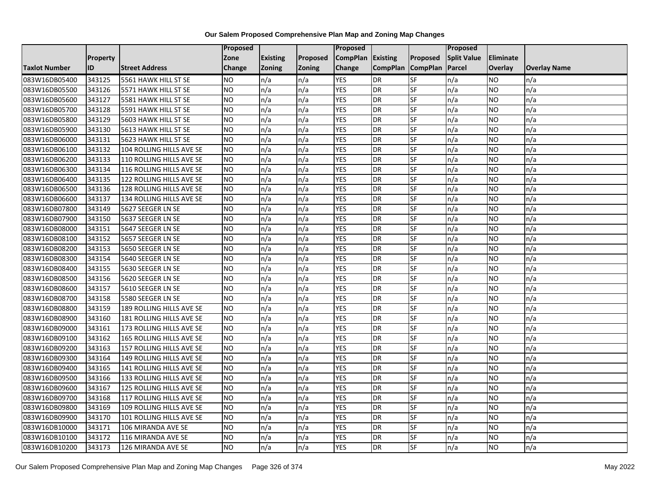|               |                 |                          | <b>Proposed</b> |                 |               | Proposed        |                 |                 | Proposed           |           |                     |
|---------------|-----------------|--------------------------|-----------------|-----------------|---------------|-----------------|-----------------|-----------------|--------------------|-----------|---------------------|
|               | <b>Property</b> |                          | Zone            | <b>Existing</b> | Proposed      | <b>CompPlan</b> | Existing        | Proposed        | <b>Split Value</b> | Eliminate |                     |
| Taxlot Number | ID              | <b>Street Address</b>    | <b>Change</b>   | Zoning          | <b>Zoning</b> | Change          | <b>CompPlan</b> | <b>CompPlan</b> | Parcel             | Overlay   | <b>Overlay Name</b> |
| 083W16DB05400 | 343125          | 5561 HAWK HILL ST SE     | <b>NO</b>       | n/a             | n/a           | <b>YES</b>      | <b>DR</b>       | <b>SF</b>       | n/a                | NO.       | n/a                 |
| 083W16DB05500 | 343126          | 5571 HAWK HILL ST SE     | <b>NO</b>       | n/a             | n/a           | <b>YES</b>      | DR              | SF              | n/a                | NO.       | n/a                 |
| 083W16DB05600 | 343127          | 5581 HAWK HILL ST SE     | <b>NO</b>       | n/a             | n/a           | <b>YES</b>      | DR              | SF              | n/a                | NO.       | n/a                 |
| 083W16DB05700 | 343128          | 5591 HAWK HILL ST SE     | <b>NO</b>       | n/a             | n/a           | <b>YES</b>      | <b>DR</b>       | SF              | n/a                | NO.       | n/a                 |
| 083W16DB05800 | 343129          | 5603 HAWK HILL ST SE     | <b>NO</b>       | n/a             | n/a           | <b>YES</b>      | <b>DR</b>       | SF              | n/a                | NO.       | n/a                 |
| 083W16DB05900 | 343130          | 5613 HAWK HILL ST SE     | <b>NO</b>       | n/a             | n/a           | <b>YES</b>      | DR              | SF              | n/a                | <b>NO</b> | n/a                 |
| 083W16DB06000 | 343131          | 5623 HAWK HILL ST SE     | <b>NO</b>       | n/a             | n/a           | <b>YES</b>      | DR              | SF              | n/a                | NO.       | n/a                 |
| 083W16DB06100 | 343132          | 104 ROLLING HILLS AVE SE | <b>NO</b>       | n/a             | n/a           | <b>YES</b>      | DR              | SF              | n/a                | NO.       | n/a                 |
| 083W16DB06200 | 343133          | 110 ROLLING HILLS AVE SE | <b>NO</b>       | n/a             | n/a           | <b>YES</b>      | DR              | SF              | n/a                | NO.       | n/a                 |
| 083W16DB06300 | 343134          | 116 ROLLING HILLS AVE SE | ŌИ              | n/a             | n/a           | <b>YES</b>      | DR              | <b>SF</b>       | n/a                | NO.       | n/a                 |
| 083W16DB06400 | 343135          | 122 ROLLING HILLS AVE SE | <b>NO</b>       | n/a             | n/a           | <b>YES</b>      | DR              | SF              | n/a                | <b>NO</b> | n/a                 |
| 083W16DB06500 | 343136          | 128 ROLLING HILLS AVE SE | <b>NO</b>       | n/a             | n/a           | <b>YES</b>      | <b>DR</b>       | SF              | n/a                | NO.       | n/a                 |
| 083W16DB06600 | 343137          | 134 ROLLING HILLS AVE SE | ŌИ              | n/a             | n/a           | <b>YES</b>      | DR              | $S_{F}$         | n/a                | NO.       | n/a                 |
| 083W16DB07800 | 343149          | 5627 SEEGER LN SE        | <b>NO</b>       | n/a             | n/a           | <b>YES</b>      | <b>DR</b>       | SF              | n/a                | NO.       | n/a                 |
| 083W16DB07900 | 343150          | 5637 SEEGER LN SE        | <b>NO</b>       | n/a             | n/a           | <b>YES</b>      | <b>DR</b>       | SF              | n/a                | NO.       | n/a                 |
| 083W16DB08000 | 343151          | 5647 SEEGER LN SE        | <b>NO</b>       | n/a             | n/a           | <b>YES</b>      | <b>DR</b>       | $S_{F}$         | n/a                | NO.       | n/a                 |
| 083W16DB08100 | 343152          | 5657 SEEGER LN SE        | ŌИ              | n/a             | n/a           | <b>YES</b>      | <b>DR</b>       | <b>SF</b>       | n/a                | NO.       | n/a                 |
| 083W16DB08200 | 343153          | 5650 SEEGER LN SE        | <b>NO</b>       | n/a             | n/a           | <b>YES</b>      | DR              | SF              | n/a                | NO.       | n/a                 |
| 083W16DB08300 | 343154          | 5640 SEEGER LN SE        | <b>NO</b>       | n/a             | n/a           | <b>YES</b>      | DR              | SF              | n/a                | <b>NO</b> | n/a                 |
| 083W16DB08400 | 343155          | 5630 SEEGER LN SE        | <b>NO</b>       | n/a             | n/a           | <b>YES</b>      | <b>DR</b>       | <b>SF</b>       | n/a                | NO.       | n/a                 |
| 083W16DB08500 | 343156          | 5620 SEEGER LN SE        | <b>NO</b>       | n/a             | n/a           | <b>YES</b>      | DR              | SF              | n/a                | NO.       | n/a                 |
| 083W16DB08600 | 343157          | 5610 SEEGER LN SE        | <b>NO</b>       | n/a             | n/a           | <b>YES</b>      | <b>DR</b>       | <b>SF</b>       | n/a                | <b>NO</b> | n/a                 |
| 083W16DB08700 | 343158          | 5580 SEEGER LN SE        | <b>NO</b>       | n/a             | n/a           | <b>YES</b>      | DR              | <b>SF</b>       | n/a                | NO.       | n/a                 |
| 083W16DB08800 | 343159          | 189 ROLLING HILLS AVE SE | <b>NO</b>       | n/a             | n/a           | <b>YES</b>      | DR              | SF              | n/a                | NO.       | n/a                 |
| 083W16DB08900 | 343160          | 181 ROLLING HILLS AVE SE | <b>NO</b>       | n/a             | n/a           | <b>YES</b>      | <b>DR</b>       | SF              | n/a                | NO.       | n/a                 |
| 083W16DB09000 | 343161          | 173 ROLLING HILLS AVE SE | <b>NO</b>       | n/a             | n/a           | <b>YES</b>      | DR              | SF              | n/a                | NO.       | n/a                 |
| 083W16DB09100 | 343162          | 165 ROLLING HILLS AVE SE | ŌИ              | n/a             | n/a           | <b>YES</b>      | <b>DR</b>       | $S_{F}$         | n/a                | NO.       | n/a                 |
| 083W16DB09200 | 343163          | 157 ROLLING HILLS AVE SE | <b>NO</b>       | n/a             | n/a           | <b>YES</b>      | DR              | SF              | n/a                | NO.       | n/a                 |
| 083W16DB09300 | 343164          | 149 ROLLING HILLS AVE SE | <b>NO</b>       | n/a             | n/a           | <b>YES</b>      | DR              | SF              | n/a                | NO.       | n/a                 |
| 083W16DB09400 | 343165          | 141 ROLLING HILLS AVE SE | <b>NO</b>       | n/a             | n/a           | <b>YES</b>      | DR              | SF              | n/a                | <b>NO</b> | n/a                 |
| 083W16DB09500 | 343166          | 133 ROLLING HILLS AVE SE | <b>NO</b>       | n/a             | n/a           | <b>YES</b>      | DR              | SF              | n/a                | NO.       | n/a                 |
| 083W16DB09600 | 343167          | 125 ROLLING HILLS AVE SE | <b>NO</b>       | n/a             | n/a           | <b>YES</b>      | <b>DR</b>       | SF              | n/a                | NO.       | n/a                 |
| 083W16DB09700 | 343168          | 117 ROLLING HILLS AVE SE | <b>NO</b>       | n/a             | n/a           | <b>YES</b>      | <b>DR</b>       | <b>SF</b>       | n/a                | NO.       | n/a                 |
| 083W16DB09800 | 343169          | 109 ROLLING HILLS AVE SE | <b>NO</b>       | n/a             | n/a           | <b>YES</b>      | DR              | SF              | n/a                | NO.       | n/a                 |
| 083W16DB09900 | 343170          | 101 ROLLING HILLS AVE SE | <b>NO</b>       | n/a             | n/a           | <b>YES</b>      | <b>DR</b>       | SF              | n/a                | NO        | n/a                 |
| 083W16DB10000 | 343171          | 106 MIRANDA AVE SE       | <b>NO</b>       | n/a             | n/a           | <b>YES</b>      | <b>DR</b>       | SF              | n/a                | NO        | n/a                 |
| 083W16DB10100 | 343172          | 116 MIRANDA AVE SE       | <b>NO</b>       | n/a             | n/a           | <b>YES</b>      | <b>DR</b>       | SF              | n/a                | NO        | n/a                 |
| 083W16DB10200 | 343173          | 126 MIRANDA AVE SE       | <b>NO</b>       | n/a             | n/a           | <b>YES</b>      | DR              | SF              | n/a                | <b>NO</b> | n/a                 |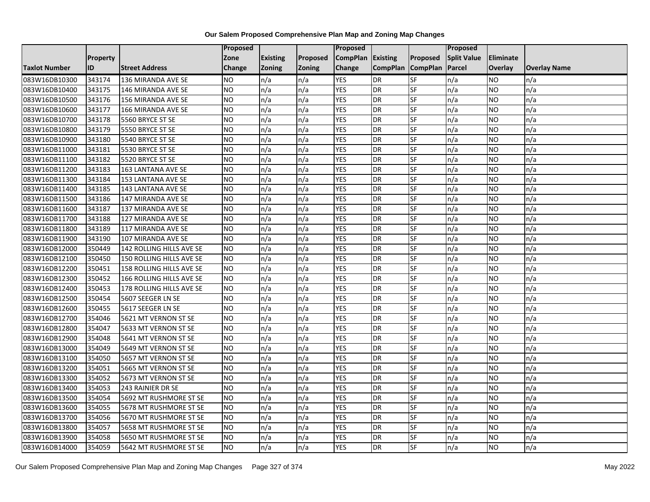|                      |           |                           | Proposed       |                 |               | Proposed        |                 |                 | <b>Proposed</b>    |                  |                     |
|----------------------|-----------|---------------------------|----------------|-----------------|---------------|-----------------|-----------------|-----------------|--------------------|------------------|---------------------|
|                      | Property  |                           | Zone           | <b>Existing</b> | Proposed      | <b>CompPlan</b> | Existing        | Proposed        | <b>Split Value</b> | <b>Eliminate</b> |                     |
| <b>Taxlot Number</b> | <b>ID</b> | <b>Street Address</b>     | Change         | Zoning          | <b>Zoning</b> | Change          | <b>CompPlan</b> | <b>CompPlan</b> | Parcel             | <b>Overlay</b>   | <b>Overlay Name</b> |
| 083W16DB10300        | 343174    | 136 MIRANDA AVE SE        | <b>NO</b>      | n/a             | n/a           | <b>YES</b>      | <b>DR</b>       | SF              | n/a                | <b>NO</b>        | n/a                 |
| 083W16DB10400        | 343175    | 146 MIRANDA AVE SE        | <b>NO</b>      | n/a             | n/a           | <b>YES</b>      | <b>DR</b>       | SF              | n/a                | <b>NO</b>        | n/a                 |
| 083W16DB10500        | 343176    | <b>156 MIRANDA AVE SE</b> | <b>NO</b>      | n/a             | n/a           | <b>YES</b>      | <b>DR</b>       | SF              | n/a                | <b>NO</b>        | n/a                 |
| 083W16DB10600        | 343177    | 166 MIRANDA AVE SE        | NO             | n/a             | n/a           | <b>YES</b>      | <b>DR</b>       | SF              | n/a                | <b>NO</b>        | n/a                 |
| 083W16DB10700        | 343178    | 5560 BRYCE ST SE          | <b>NO</b>      | n/a             | n/a           | <b>YES</b>      | <b>DR</b>       | SF              | n/a                | <b>NO</b>        | n/a                 |
| 083W16DB10800        | 343179    | 5550 BRYCE ST SE          | <b>NO</b>      | n/a             | n/a           | <b>YES</b>      | <b>DR</b>       | SF              | n/a                | <b>NO</b>        | n/a                 |
| 083W16DB10900        | 343180    | 5540 BRYCE ST SE          | N <sub>O</sub> | n/a             | n/a           | <b>YES</b>      | <b>DR</b>       | SF              | n/a                | <b>NO</b>        | n/a                 |
| 083W16DB11000        | 343181    | 5530 BRYCE ST SE          | <b>NO</b>      | n/a             | n/a           | <b>YES</b>      | <b>DR</b>       | SF              | n/a                | <b>NO</b>        | n/a                 |
| 083W16DB11100        | 343182    | 5520 BRYCE ST SE          | <b>NO</b>      | n/a             | n/a           | <b>YES</b>      | <b>DR</b>       | SF              | n/a                | <b>NO</b>        | n/a                 |
| 083W16DB11200        | 343183    | 163 LANTANA AVE SE        | N <sub>O</sub> | n/a             | n/a           | <b>YES</b>      | <b>DR</b>       | SF              | n/a                | <b>NO</b>        | n/a                 |
| 083W16DB11300        | 343184    | 153 LANTANA AVE SE        | <b>NO</b>      | n/a             | n/a           | <b>YES</b>      | <b>DR</b>       | SF              | n/a                | <b>NO</b>        | n/a                 |
| 083W16DB11400        | 343185    | 143 LANTANA AVE SE        | <b>NO</b>      | n/a             | n/a           | <b>YES</b>      | <b>DR</b>       | SF              | n/a                | <b>NO</b>        | n/a                 |
| 083W16DB11500        | 343186    | 147 MIRANDA AVE SE        | N <sub>O</sub> | n/a             | n/a           | <b>YES</b>      | <b>DR</b>       | SF              | n/a                | <b>NO</b>        | n/a                 |
| 083W16DB11600        | 343187    | 137 MIRANDA AVE SE        | N <sub>O</sub> | n/a             | n/a           | <b>YES</b>      | <b>DR</b>       | SF              | n/a                | <b>NO</b>        | n/a                 |
| 083W16DB11700        | 343188    | 127 MIRANDA AVE SE        | <b>NO</b>      | n/a             | n/a           | <b>YES</b>      | <b>DR</b>       | SF              | n/a                | <b>NO</b>        | n/a                 |
| 083W16DB11800        | 343189    | 117 MIRANDA AVE SE        | N <sub>O</sub> | n/a             | n/a           | <b>YES</b>      | <b>DR</b>       | SF              | n/a                | <b>NO</b>        | n/a                 |
| 083W16DB11900        | 343190    | 107 MIRANDA AVE SE        | N <sub>O</sub> | n/a             | n/a           | <b>YES</b>      | <b>DR</b>       | SF              | n/a                | <b>NO</b>        | n/a                 |
| 083W16DB12000        | 350449    | 142 ROLLING HILLS AVE SE  | <b>NO</b>      | n/a             | n/a           | <b>YES</b>      | <b>DR</b>       | SF              | n/a                | <b>NO</b>        | n/a                 |
| 083W16DB12100        | 350450    | 150 ROLLING HILLS AVE SE  | <b>NO</b>      | n/a             | n/a           | <b>YES</b>      | <b>DR</b>       | SF              | n/a                | <b>NO</b>        | n/a                 |
| 083W16DB12200        | 350451    | 158 ROLLING HILLS AVE SE  | <b>NO</b>      | n/a             | n/a           | <b>YES</b>      | <b>DR</b>       | SF              | n/a                | <b>NO</b>        | n/a                 |
| 083W16DB12300        | 350452    | 166 ROLLING HILLS AVE SE  | <b>NO</b>      | n/a             | n/a           | <b>YES</b>      | <b>DR</b>       | <b>SF</b>       | n/a                | <b>NO</b>        | n/a                 |
| 083W16DB12400        | 350453    | 178 ROLLING HILLS AVE SE  | N <sub>O</sub> | n/a             | n/a           | <b>YES</b>      | <b>DR</b>       | SF              | n/a                | <b>NO</b>        | n/a                 |
| 083W16DB12500        | 350454    | 5607 SEEGER LN SE         | NO             | n/a             | n/a           | <b>YES</b>      | <b>DR</b>       | SF              | n/a                | <b>NO</b>        | n/a                 |
| 083W16DB12600        | 350455    | 5617 SEEGER LN SE         | <b>NO</b>      | n/a             | n/a           | <b>YES</b>      | <b>DR</b>       | SF              | n/a                | <b>NO</b>        | n/a                 |
| 083W16DB12700        | 354046    | 5621 MT VERNON ST SE      | <b>NO</b>      | n/a             | n/a           | <b>YES</b>      | <b>DR</b>       | SF              | n/a                | <b>NO</b>        | n/a                 |
| 083W16DB12800        | 354047    | 5633 MT VERNON ST SE      | ŌИ             | n/a             | n/a           | <b>YES</b>      | <b>DR</b>       | SF              | n/a                | <b>NO</b>        | n/a                 |
| 083W16DB12900        | 354048    | 5641 MT VERNON ST SE      | N <sub>O</sub> | n/a             | n/a           | <b>YES</b>      | <b>DR</b>       | SF              | n/a                | <b>NO</b>        | n/a                 |
| 083W16DB13000        | 354049    | 5649 MT VERNON ST SE      | <b>NO</b>      | n/a             | n/a           | <b>YES</b>      | <b>DR</b>       | SF              | n/a                | <b>NO</b>        | n/a                 |
| 083W16DB13100        | 354050    | 5657 MT VERNON ST SE      | <b>NO</b>      | n/a             | n/a           | <b>YES</b>      | <b>DR</b>       | SF              | n/a                | <b>NO</b>        | n/a                 |
| 083W16DB13200        | 354051    | 5665 MT VERNON ST SE      | N <sub>O</sub> | n/a             | n/a           | <b>YES</b>      | <b>DR</b>       | SF              | n/a                | <b>NO</b>        | n/a                 |
| 083W16DB13300        | 354052    | 5673 MT VERNON ST SE      | NO.            | n/a             | n/a           | <b>YES</b>      | <b>DR</b>       | SF              | n/a                | <b>NO</b>        | n/a                 |
| 083W16DB13400        | 354053    | 243 RAINIER DR SE         | N <sub>O</sub> | n/a             | n/a           | <b>YES</b>      | <b>DR</b>       | SF              | n/a                | <b>NO</b>        | n/a                 |
| 083W16DB13500        | 354054    | 5692 MT RUSHMORE ST SE    | <b>NO</b>      | n/a             | n/a           | <b>YES</b>      | <b>DR</b>       | SF              | n/a                | <b>NO</b>        | n/a                 |
| 083W16DB13600        | 354055    | 5678 MT RUSHMORE ST SE    | <b>NO</b>      | n/a             | n/a           | <b>YES</b>      | <b>DR</b>       | SF              | n/a                | <b>NO</b>        | n/a                 |
| 083W16DB13700        | 354056    | 5670 MT RUSHMORE ST SE    | <b>NO</b>      | n/a             | n/a           | <b>YES</b>      | <b>DR</b>       | SF              | n/a                | <b>NO</b>        | n/a                 |
| 083W16DB13800        | 354057    | 5658 MT RUSHMORE ST SE    | <b>NO</b>      | n/a             | n/a           | <b>YES</b>      | <b>DR</b>       | SF              | n/a                | <b>NO</b>        | n/a                 |
| 083W16DB13900        | 354058    | 5650 MT RUSHMORE ST SE    | NO             | n/a             | n/a           | <b>YES</b>      | <b>DR</b>       | SF              | n/a                | <b>NO</b>        | n/a                 |
| 083W16DB14000        | 354059    | 5642 MT RUSHMORE ST SE    | N <sub>O</sub> | n/a             | n/a           | <b>YES</b>      | <b>DR</b>       | SF              | n/a                | <b>NO</b>        | n/a                 |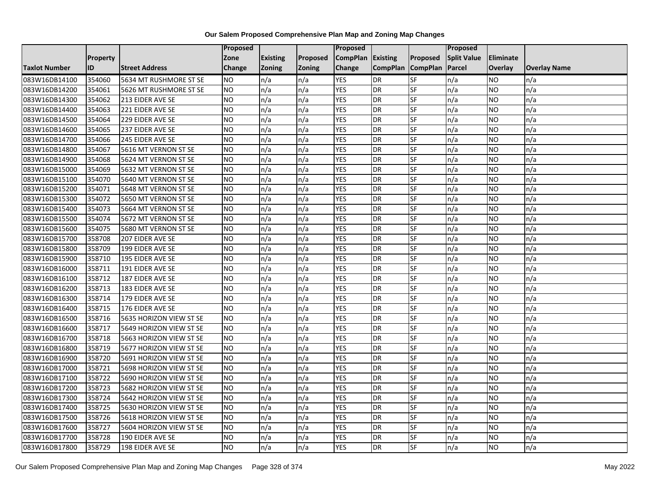|                      |                 |                         | Proposed        |                 |          | Proposed        |                 |                          | Proposed           |                  |                     |
|----------------------|-----------------|-------------------------|-----------------|-----------------|----------|-----------------|-----------------|--------------------------|--------------------|------------------|---------------------|
|                      | <b>Property</b> |                         | Zone            | <b>Existing</b> | Proposed | <b>CompPlan</b> | Existing        | Proposed                 | <b>Split Value</b> | <b>Eliminate</b> |                     |
| <b>Taxlot Number</b> | ID              | <b>Street Address</b>   | Change          | Zoning          | Zoning   | Change          | <b>CompPlan</b> | <b>CompPlan</b>          | Parcel             | <b>Overlay</b>   | <b>Overlay Name</b> |
| 083W16DB14100        | 354060          | 5634 MT RUSHMORE ST SE  | <b>NO</b>       | n/a             | n/a      | <b>YES</b>      | DR              | $S$ F                    | n/a                | <b>NO</b>        | n/a                 |
| 083W16DB14200        | 354061          | 5626 MT RUSHMORE ST SE  | ŌИ              | n/a             | n/a      | <b>YES</b>      | <b>DR</b>       | SF                       | n/a                | <b>NO</b>        | n/a                 |
| 083W16DB14300        | 354062          | 213 EIDER AVE SE        | <b>NO</b>       | n/a             | n/a      | <b>YES</b>      | <b>DR</b>       | SF                       | n/a                | <b>NO</b>        | n/a                 |
| 083W16DB14400        | 354063          | 221 EIDER AVE SE        | <b>NO</b>       | n/a             | n/a      | <b>YES</b>      | <b>DR</b>       | SF                       | n/a                | <b>NO</b>        | n/a                 |
| 083W16DB14500        | 354064          | 229 EIDER AVE SE        | $\overline{NO}$ | n/a             | n/a      | <b>YES</b>      | <b>DR</b>       | $\overline{\mathsf{SF}}$ | n/a                | <b>NO</b>        | n/a                 |
| 083W16DB14600        | 354065          | 237 EIDER AVE SE        | <b>NO</b>       | n/a             | n/a      | <b>YES</b>      | <b>DR</b>       | SF                       | n/a                | <b>NO</b>        | n/a                 |
| 083W16DB14700        | 354066          | 245 EIDER AVE SE        | <b>NO</b>       | n/a             | n/a      | <b>YES</b>      | <b>DR</b>       | SF                       | n/a                | <b>NO</b>        | n/a                 |
| 083W16DB14800        | 354067          | 5616 MT VERNON ST SE    | $\overline{NO}$ | n/a             | n/a      | <b>YES</b>      | <b>DR</b>       | SF                       | n/a                | <b>NO</b>        | n/a                 |
| 083W16DB14900        | 354068          | 5624 MT VERNON ST SE    | <b>NO</b>       | n/a             | n/a      | <b>YES</b>      | <b>DR</b>       | SF                       | n/a                | <b>NO</b>        | n/a                 |
| 083W16DB15000        | 354069          | 5632 MT VERNON ST SE    | <b>NO</b>       | n/a             | n/a      | <b>YES</b>      | <b>DR</b>       | SF                       | n/a                | <b>NO</b>        | n/a                 |
| 083W16DB15100        | 354070          | 5640 MT VERNON ST SE    | <b>NO</b>       | n/a             | n/a      | <b>YES</b>      | <b>DR</b>       | SF                       | n/a                | <b>NO</b>        | n/a                 |
| 083W16DB15200        | 354071          | 5648 MT VERNON ST SE    | <b>NO</b>       | n/a             | n/a      | <b>YES</b>      | <b>DR</b>       | SF                       | n/a                | <b>NO</b>        | n/a                 |
| 083W16DB15300        | 354072          | 5650 MT VERNON ST SE    | ŌИ              | n/a             | n/a      | <b>YES</b>      | <b>DR</b>       | $\overline{\mathsf{SF}}$ | n/a                | <b>NO</b>        | n/a                 |
| 083W16DB15400        | 354073          | 5664 MT VERNON ST SE    | <b>NO</b>       | n/a             | n/a      | <b>YES</b>      | <b>DR</b>       | SF                       | n/a                | <b>NO</b>        | n/a                 |
| 083W16DB15500        | 354074          | 5672 MT VERNON ST SE    | <b>NO</b>       | n/a             | n/a      | <b>YES</b>      | <b>DR</b>       | SF                       | n/a                | <b>NO</b>        | n/a                 |
| 083W16DB15600        | 354075          | 5680 MT VERNON ST SE    | NO              | n/a             | n/a      | <b>YES</b>      | <b>DR</b>       | SF                       | n/a                | <b>NO</b>        | n/a                 |
| 083W16DB15700        | 358708          | 207 EIDER AVE SE        | <b>NO</b>       | n/a             | n/a      | <b>YES</b>      | <b>DR</b>       | SF                       | n/a                | <b>NO</b>        | n/a                 |
| 083W16DB15800        | 358709          | 199 EIDER AVE SE        | <b>NO</b>       | n/a             | n/a      | <b>YES</b>      | <b>DR</b>       | SF                       | n/a                | <b>NO</b>        | n/a                 |
| 083W16DB15900        | 358710          | 195 EIDER AVE SE        | $\overline{NO}$ | n/a             | n/a      | <b>YES</b>      | <b>DR</b>       | SF                       | n/a                | <b>NO</b>        | n/a                 |
| 083W16DB16000        | 358711          | 191 EIDER AVE SE        | <b>NO</b>       | n/a             | n/a      | <b>YES</b>      | <b>DR</b>       | SF                       | n/a                | <b>NO</b>        | n/a                 |
| 083W16DB16100        | 358712          | 187 EIDER AVE SE        | <b>NO</b>       | n/a             | n/a      | <b>YES</b>      | <b>DR</b>       | $S$ F                    | n/a                | <b>NO</b>        | n/a                 |
| 083W16DB16200        | 358713          | 183 EIDER AVE SE        | <b>NO</b>       | n/a             | n/a      | <b>YES</b>      | <b>DR</b>       | SF                       | n/a                | <b>NO</b>        | n/a                 |
| 083W16DB16300        | 358714          | 179 EIDER AVE SE        | <b>NO</b>       | n/a             | n/a      | <b>YES</b>      | <b>DR</b>       | SF                       | n/a                | <b>NO</b>        | n/a                 |
| 083W16DB16400        | 358715          | 176 EIDER AVE SE        | <b>NO</b>       | n/a             | n/a      | <b>YES</b>      | <b>DR</b>       | SF                       | n/a                | <b>NO</b>        | n/a                 |
| 083W16DB16500        | 358716          | 5635 HORIZON VIEW ST SE | <b>NO</b>       | n/a             | n/a      | <b>YES</b>      | <b>DR</b>       | SF                       | n/a                | <b>NO</b>        | n/a                 |
| 083W16DB16600        | 358717          | 5649 HORIZON VIEW ST SE | <b>NO</b>       | n/a             | n/a      | <b>YES</b>      | <b>DR</b>       | <b>SF</b>                | n/a                | <b>NO</b>        | n/a                 |
| 083W16DB16700        | 358718          | 5663 HORIZON VIEW ST SE | $\overline{NO}$ | n/a             | n/a      | <b>YES</b>      | <b>DR</b>       | SF                       | n/a                | <b>NO</b>        | n/a                 |
| 083W16DB16800        | 358719          | 5677 HORIZON VIEW ST SE | <b>NO</b>       | n/a             | n/a      | <b>YES</b>      | <b>DR</b>       | SF                       | n/a                | <b>NO</b>        | n/a                 |
| 083W16DB16900        | 358720          | 5691 HORIZON VIEW ST SE | <b>NO</b>       | n/a             | n/a      | <b>YES</b>      | <b>DR</b>       | SF                       | n/a                | <b>NO</b>        | n/a                 |
| 083W16DB17000        | 358721          | 5698 HORIZON VIEW ST SE | NO              | n/a             | n/a      | <b>YES</b>      | <b>DR</b>       | $\overline{\mathsf{SF}}$ | n/a                | <b>NO</b>        | n/a                 |
| 083W16DB17100        | 358722          | 5690 HORIZON VIEW ST SE | <b>NO</b>       | n/a             | n/a      | <b>YES</b>      | <b>DR</b>       | SF                       | n/a                | <b>NO</b>        | n/a                 |
| 083W16DB17200        | 358723          | 5682 HORIZON VIEW ST SE | <b>NO</b>       | n/a             | n/a      | <b>YES</b>      | <b>DR</b>       | SF                       | n/a                | <b>NO</b>        | n/a                 |
| 083W16DB17300        | 358724          | 5642 HORIZON VIEW ST SE | $\overline{NO}$ | n/a             | n/a      | <b>YES</b>      | <b>DR</b>       | SF                       | n/a                | <b>NO</b>        | n/a                 |
| 083W16DB17400        | 358725          | 5630 HORIZON VIEW ST SE | <b>NO</b>       | n/a             | n/a      | <b>YES</b>      | <b>DR</b>       | SF                       | n/a                | <b>NO</b>        | n/a                 |
| 083W16DB17500        | 358726          | 5618 HORIZON VIEW ST SE | $\overline{NO}$ | n/a             | n/a      | <b>YES</b>      | <b>DR</b>       | $\overline{\mathsf{SF}}$ | n/a                | <b>NO</b>        | n/a                 |
| 083W16DB17600        | 358727          | 5604 HORIZON VIEW ST SE | NO.             | n/a             | n/a      | <b>YES</b>      | <b>DR</b>       | <b>SF</b>                | n/a                | <b>NO</b>        | n/a                 |
| 083W16DB17700        | 358728          | 190 EIDER AVE SE        | <b>NO</b>       | n/a             | n/a      | <b>YES</b>      | <b>DR</b>       | SF                       | n/a                | <b>NO</b>        | n/a                 |
| 083W16DB17800        | 358729          | 198 EIDER AVE SE        | $\overline{NO}$ | n/a             | n/a      | <b>YES</b>      | <b>DR</b>       | $\overline{\mathsf{SF}}$ | n/a                | <b>NO</b>        | n/a                 |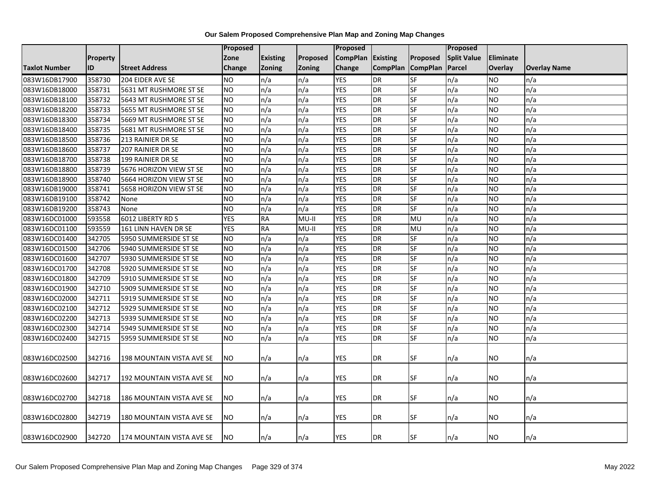|                      |                 |                           | <b>Proposed</b> |                 |          | Proposed          |                   |                 | Proposed           |           |                     |
|----------------------|-----------------|---------------------------|-----------------|-----------------|----------|-------------------|-------------------|-----------------|--------------------|-----------|---------------------|
|                      | <b>Property</b> |                           | Zone            | <b>Existing</b> | Proposed | CompPlan Existing |                   | <b>Proposed</b> | <b>Split Value</b> | Eliminate |                     |
| <b>Taxlot Number</b> | ID              | <b>Street Address</b>     | Change          | <b>Zoning</b>   | Zoning   | Change            | CompPlan CompPlan |                 | Parcel             | Overlay   | <b>Overlay Name</b> |
| 083W16DB17900        | 358730          | 204 EIDER AVE SE          | <b>NO</b>       | n/a             | n/a      | <b>YES</b>        | <b>DR</b>         | SF              | n/a                | NO.       | n/a                 |
| 083W16DB18000        | 358731          | 5631 MT RUSHMORE ST SE    | <b>NO</b>       | n/a             | n/a      | <b>YES</b>        | <b>DR</b>         | SF              | n/a                | ΝO        | n/a                 |
| 083W16DB18100        | 358732          | 5643 MT RUSHMORE ST SE    | <b>NO</b>       | n/a             | n/a      | <b>YES</b>        | DR                | SF              | n/a                | NO.       | n/a                 |
| 083W16DB18200        | 358733          | 5655 MT RUSHMORE ST SE    | <b>NO</b>       | n/a             | n/a      | <b>YES</b>        | DR                | SF              | n/a                | NO.       | n/a                 |
| 083W16DB18300        | 358734          | 5669 MT RUSHMORE ST SE    | <b>NO</b>       | n/a             | n/a      | <b>YES</b>        | <b>DR</b>         | SF              | n/a                | NO.       | n/a                 |
| 083W16DB18400        | 358735          | 5681 MT RUSHMORE ST SE    | <b>NO</b>       | n/a             | n/a      | <b>YES</b>        | DR                | SF              | n/a                | NO.       | n/a                 |
| 083W16DB18500        | 358736          | 213 RAINIER DR SE         | <b>NO</b>       | n/a             | n/a      | <b>YES</b>        | <b>DR</b>         | SF              | n/a                | ΝO        | n/a                 |
| 083W16DB18600        | 358737          | 207 RAINIER DR SE         | <b>NO</b>       | n/a             | n/a      | <b>YES</b>        | DR                | <b>SF</b>       | n/a                | NO.       | n/a                 |
| 083W16DB18700        | 358738          | 199 RAINIER DR SE         | <b>NO</b>       | n/a             | n/a      | <b>YES</b>        | <b>DR</b>         | SF              | n/a                | NO.       | n/a                 |
| 083W16DB18800        | 358739          | 5676 HORIZON VIEW ST SE   | <b>NO</b>       | n/a             | n/a      | <b>YES</b>        | DR                | <b>SF</b>       | n/a                | NO.       | n/a                 |
| 083W16DB18900        | 358740          | 5664 HORIZON VIEW ST SE   | <b>NO</b>       | n/a             | n/a      | <b>YES</b>        | DR                | SF              | n/a                | NO.       | n/a                 |
| 083W16DB19000        | 358741          | 5658 HORIZON VIEW ST SE   | <b>NO</b>       | n/a             | n/a      | <b>YES</b>        | DR                | SF              | n/a                | NO.       | n/a                 |
| 083W16DB19100        | 358742          | None                      | <b>NO</b>       | n/a             | n/a      | <b>YES</b>        | DR                | SF              | n/a                | NO        | n/a                 |
| 083W16DB19200        | 358743          | None                      | <b>NO</b>       | n/a             | n/a      | <b>YES</b>        | <b>DR</b>         | <b>SF</b>       | n/a                | NO.       | n/a                 |
| 083W16DC01000        | 593558          | 6012 LIBERTY RD S         | <b>YES</b>      | <b>RA</b>       | $MU-II$  | <b>YES</b>        | DR                | MU              | n/a                | <b>NO</b> | n/a                 |
| 083W16DC01100        | 593559          | 161 LINN HAVEN DR SE      | <b>YES</b>      | RA              | $MU-II$  | <b>YES</b>        | <b>DR</b>         | MU              | n/a                | <b>NO</b> | n/a                 |
| 083W16DC01400        | 342705          | 5950 SUMMERSIDE ST SE     | <b>NO</b>       | n/a             | n/a      | <b>YES</b>        | <b>DR</b>         | SF              | n/a                | NO.       | n/a                 |
| 083W16DC01500        | 342706          | 5940 SUMMERSIDE ST SE     | <b>NO</b>       | n/a             | n/a      | <b>YES</b>        | DR                | SF              | n/a                | NO.       | n/a                 |
| 083W16DC01600        | 342707          | 5930 SUMMERSIDE ST SE     | <b>NO</b>       | n/a             | n/a      | <b>YES</b>        | DR                | SF              | n/a                | NO.       | n/a                 |
| 083W16DC01700        | 342708          | 5920 SUMMERSIDE ST SE     | <b>NO</b>       | n/a             | n/a      | <b>YES</b>        | DR                | SF              | n/a                | NO.       | n/a                 |
| 083W16DC01800        | 342709          | 5910 SUMMERSIDE ST SE     | <b>NO</b>       | n/a             | n/a      | <b>YES</b>        | DR                | SF              | n/a                | NO        | n/a                 |
| 083W16DC01900        | 342710          | 5909 SUMMERSIDE ST SE     | <b>NO</b>       | n/a             | n/a      | <b>YES</b>        | DR                | <b>SF</b>       | n/a                | NO        | n/a                 |
| 083W16DC02000        | 342711          | 5919 SUMMERSIDE ST SE     | <b>NO</b>       | n/a             | n/a      | <b>YES</b>        | <b>DR</b>         | SF              | n/a                | <b>NO</b> | n/a                 |
| 083W16DC02100        | 342712          | 5929 SUMMERSIDE ST SE     | <b>NO</b>       | n/a             | n/a      | <b>YES</b>        | DR                | <b>SF</b>       | n/a                | NO.       | n/a                 |
| 083W16DC02200        | 342713          | 5939 SUMMERSIDE ST SE     | <b>NO</b>       | n/a             | n/a      | <b>YES</b>        | DR                | SF              | n/a                | NO.       | n/a                 |
| 083W16DC02300        | 342714          | 5949 SUMMERSIDE ST SE     | <b>NO</b>       | n/a             | n/a      | <b>YES</b>        | DR                | SF              | n/a                | NO.       | n/a                 |
| 083W16DC02400        | 342715          | 5959 SUMMERSIDE ST SE     | <b>NO</b>       | n/a             | n/a      | <b>YES</b>        | DR                | SF              | n/a                | NO        | n/a                 |
|                      | 342716          |                           | <b>NO</b>       |                 |          |                   |                   | <b>SF</b>       |                    |           |                     |
| 083W16DC02500        |                 | 198 MOUNTAIN VISTA AVE SE |                 | n/a             | n/a      | YES               | DR                |                 | n/a                | NO.       | n/a                 |
| 083W16DC02600        | 342717          | 192 MOUNTAIN VISTA AVE SE | <b>NO</b>       | n/a             | n/a      | YES               | <b>DR</b>         | SF              | n/a                | NO.       | n/a                 |
| 083W16DC02700        | 342718          | 186 MOUNTAIN VISTA AVE SE | <b>NO</b>       |                 | n/a      | YES               | DR                | SF              | n/a                | NO.       | n/a                 |
|                      |                 |                           |                 | n/a             |          |                   |                   |                 |                    |           |                     |
| 083W16DC02800        | 342719          | 180 MOUNTAIN VISTA AVE SE | <b>NO</b>       | n/a             | n/a      | YES               | <b>DR</b>         | SF              | n/a                | ΝO        | n/a                 |
| 083W16DC02900        | 342720          | 174 MOUNTAIN VISTA AVE SE | <b>NO</b>       | n/a             | n/a      | <b>YES</b>        | DR                | SF              | n/a                | ΝO        | n/a                 |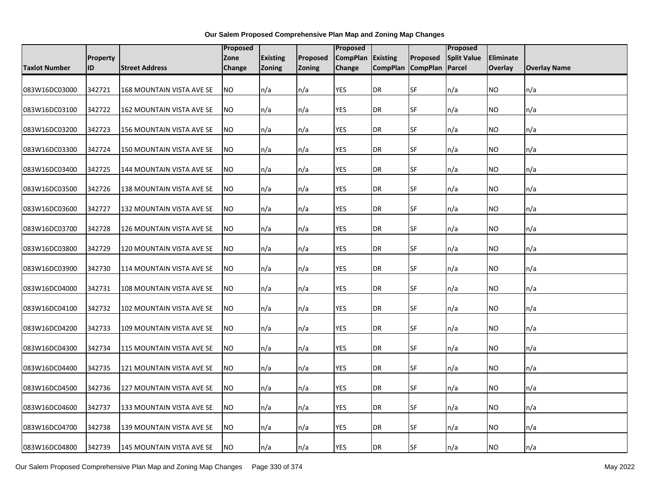|                      |                 |                                  | Proposed  |                 |               | <b>Proposed</b>   |                   |           | Proposed           |                |                     |
|----------------------|-----------------|----------------------------------|-----------|-----------------|---------------|-------------------|-------------------|-----------|--------------------|----------------|---------------------|
|                      | <b>Property</b> |                                  | Zone      | <b>Existing</b> | Proposed      | CompPlan Existing |                   | Proposed  | <b>Split Value</b> | Eliminate      |                     |
| <b>Taxlot Number</b> | ID              | <b>Street Address</b>            | Change    | <b>Zoning</b>   | <b>Zoning</b> | Change            | CompPlan CompPlan |           | Parcel             | <b>Overlay</b> | <b>Overlay Name</b> |
| 083W16DC03000        | 342721          | <b>168 MOUNTAIN VISTA AVE SE</b> | <b>NO</b> | n/a             | n/a           | <b>YES</b>        | DR                | <b>SF</b> | n/a                | NO             | n/a                 |
| 083W16DC03100        | 342722          | 162 MOUNTAIN VISTA AVE SE        | <b>NO</b> | n/a             | n/a           | <b>YES</b>        | DR                | <b>SF</b> | n/a                | NO.            | n/a                 |
| 083W16DC03200        | 342723          | 156 MOUNTAIN VISTA AVE SE        | <b>NO</b> | n/a             | n/a           | <b>YES</b>        | DR                | <b>SF</b> | n/a                | NO.            | n/a                 |
| 083W16DC03300        | 342724          | 150 MOUNTAIN VISTA AVE SE        | <b>NO</b> | n/a             | n/a           | <b>YES</b>        | DR                | <b>SF</b> | n/a                | NO.            | n/a                 |
| 083W16DC03400        | 342725          | 144 MOUNTAIN VISTA AVE SE        | <b>NO</b> | n/a             | n/a           | <b>YES</b>        | <b>DR</b>         | SF        | n/a                | NO             | n/a                 |
| 083W16DC03500        | 342726          | 138 MOUNTAIN VISTA AVE SE        | <b>NO</b> | n/a             | n/a           | YES               | DR                | <b>SF</b> | n/a                | NO.            | n/a                 |
| 083W16DC03600        | 342727          | 132 MOUNTAIN VISTA AVE SE        | <b>NO</b> | n/a             | n/a           | <b>YES</b>        | DR                | <b>SF</b> | n/a                | ΝO             | n/a                 |
| 083W16DC03700        | 342728          | 126 MOUNTAIN VISTA AVE SE        | <b>NO</b> | n/a             | n/a           | <b>YES</b>        | DR                | <b>SF</b> | n/a                | NO.            | n/a                 |
| 083W16DC03800        | 342729          | 120 MOUNTAIN VISTA AVE SE        | <b>NO</b> | n/a             | n/a           | YES               | DR                | <b>SF</b> | n/a                | ΝO             | n/a                 |
| 083W16DC03900        | 342730          | 114 MOUNTAIN VISTA AVE SE        | <b>NO</b> | n/a             | n/a           | YES               | DR                | <b>SF</b> | n/a                | NO             | n/a                 |
| 083W16DC04000        | 342731          | 108 MOUNTAIN VISTA AVE SE        | <b>NO</b> | n/a             | n/a           | <b>YES</b>        | DR                | <b>SF</b> | n/a                | NO             | n/a                 |
| 083W16DC04100        | 342732          | 102 MOUNTAIN VISTA AVE SE        | <b>NO</b> | n/a             | n/a           | <b>YES</b>        | DR                | <b>SF</b> | n/a                | NO.            | n/a                 |
| 083W16DC04200        | 342733          | 109 MOUNTAIN VISTA AVE SE        | <b>NO</b> | n/a             | n/a           | <b>YES</b>        | <b>DR</b>         | SF        | n/a                | NO             | n/a                 |
| 083W16DC04300        | 342734          | 115 MOUNTAIN VISTA AVE SE        | <b>NO</b> | n/a             | n/a           | YES               | DR                | <b>SF</b> | n/a                | NO             | n/a                 |
| 083W16DC04400        | 342735          | 121 MOUNTAIN VISTA AVE SE        | NO.       | n/a             | n/a           | <b>YES</b>        | DR                | <b>SF</b> | n/a                | NO.            | n/a                 |
| 083W16DC04500        | 342736          | 127 MOUNTAIN VISTA AVE SE        | NO.       | n/a             | n/a           | <b>YES</b>        | DR                | <b>SF</b> | n/a                | NO.            | n/a                 |
| 083W16DC04600        | 342737          | 133 MOUNTAIN VISTA AVE SE        | <b>NO</b> | n/a             | n/a           | <b>YES</b>        | DR                | <b>SF</b> | n/a                | NO.            | n/a                 |
| 083W16DC04700        | 342738          | 139 MOUNTAIN VISTA AVE SE        | <b>NO</b> | n/a             | n/a           | <b>YES</b>        | DR                | <b>SF</b> | n/a                | NO             | n/a                 |
| 083W16DC04800        | 342739          | 145 MOUNTAIN VISTA AVE SE        | <b>NO</b> | n/a             | n/a           | <b>YES</b>        | DR                | <b>SF</b> | n/a                | NO.            | n/a                 |

Our Salem Proposed Comprehensive Plan Map and Zoning Map Changes Page 330 of 374 May 2022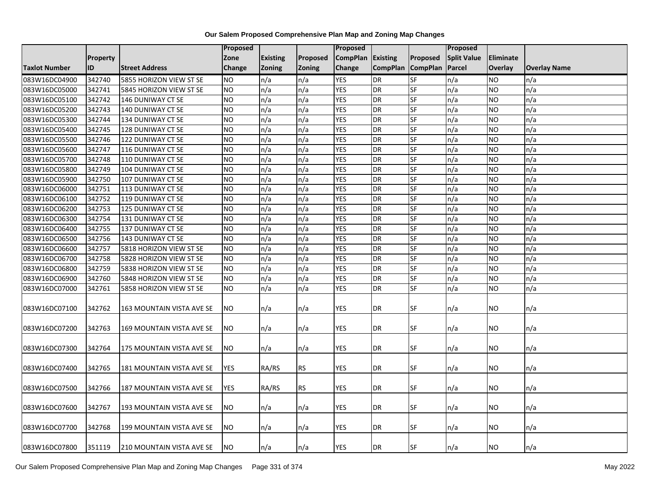|                      |                 |                           | <b>Proposed</b> |                 |               | <b>Proposed</b> |                 |                          | Proposed           |                  |                     |
|----------------------|-----------------|---------------------------|-----------------|-----------------|---------------|-----------------|-----------------|--------------------------|--------------------|------------------|---------------------|
|                      | <b>Property</b> |                           | Zone            | <b>Existing</b> | Proposed      | <b>CompPlan</b> | <b>Existing</b> | Proposed                 | <b>Split Value</b> | <b>Eliminate</b> |                     |
| <b>Taxlot Number</b> | ID              | <b>Street Address</b>     | Change          | <b>Zoning</b>   | <b>Zoning</b> | Change          | <b>CompPlan</b> | <b>CompPlan</b>          | Parcel             | <b>Overlay</b>   | <b>Overlay Name</b> |
| 083W16DC04900        | 342740          | 5855 HORIZON VIEW ST SE   | <b>NO</b>       | n/a             | n/a           | <b>YES</b>      | DR              | SF                       | n/a                | <b>NO</b>        | n/a                 |
| 083W16DC05000        | 342741          | 5845 HORIZON VIEW ST SE   | <b>NO</b>       | n/a             | n/a           | <b>YES</b>      | <b>DR</b>       | SF                       | n/a                | <b>NO</b>        | n/a                 |
| 083W16DC05100        | 342742          | 146 DUNIWAY CT SE         | <b>NO</b>       | n/a             | n/a           | <b>YES</b>      | <b>DR</b>       | SF                       | n/a                | <b>NO</b>        | n/a                 |
| 083W16DC05200        | 342743          | 140 DUNIWAY CT SE         | NO              | n/a             | n/a           | <b>YES</b>      | <b>DR</b>       | SF                       | n/a                | <b>NO</b>        | n/a                 |
| 083W16DC05300        | 342744          | 134 DUNIWAY CT SE         | <b>NO</b>       | n/a             | n/a           | <b>YES</b>      | <b>DR</b>       | SF                       | n/a                | <b>NO</b>        | n/a                 |
| 083W16DC05400        | 342745          | 128 DUNIWAY CT SE         | <b>NO</b>       | n/a             | n/a           | <b>YES</b>      | <b>DR</b>       | SF                       | n/a                | <b>NO</b>        | n/a                 |
| 083W16DC05500        | 342746          | 122 DUNIWAY CT SE         | <b>NO</b>       | n/a             | n/a           | <b>YES</b>      | <b>DR</b>       | SF                       | n/a                | <b>NO</b>        | n/a                 |
| 083W16DC05600        | 342747          | 116 DUNIWAY CT SE         | <b>NO</b>       | n/a             | n/a           | <b>YES</b>      | <b>DR</b>       | SF                       | n/a                | <b>NO</b>        | n/a                 |
| 083W16DC05700        | 342748          | 110 DUNIWAY CT SE         | <b>NO</b>       | n/a             | n/a           | <b>YES</b>      | <b>DR</b>       | SF                       | n/a                | <b>NO</b>        | n/a                 |
| 083W16DC05800        | 342749          | 104 DUNIWAY CT SE         | <b>NO</b>       | n/a             | n/a           | <b>YES</b>      | <b>DR</b>       | SF                       | n/a                | <b>NO</b>        | n/a                 |
| 083W16DC05900        | 342750          | 107 DUNIWAY CT SE         | <b>NO</b>       | n/a             | n/a           | <b>YES</b>      | <b>DR</b>       | SF                       | n/a                | <b>NO</b>        | n/a                 |
| 083W16DC06000        | 342751          | 113 DUNIWAY CT SE         | <b>NO</b>       | n/a             | n/a           | <b>YES</b>      | <b>DR</b>       | SF                       | n/a                | <b>NO</b>        | n/a                 |
| 083W16DC06100        | 342752          | 119 DUNIWAY CT SE         | <b>NO</b>       | n/a             | n/a           | <b>YES</b>      | <b>DR</b>       | <b>SF</b>                | n/a                | <b>NO</b>        | n/a                 |
| 083W16DC06200        | 342753          | 125 DUNIWAY CT SE         | NO              | n/a             | n/a           | <b>YES</b>      | <b>DR</b>       | SF                       | n/a                | <b>NO</b>        | n/a                 |
| 083W16DC06300        | 342754          | 131 DUNIWAY CT SE         | NO.             | n/a             | n/a           | <b>YES</b>      | <b>DR</b>       | SF                       | n/a                | <b>NO</b>        | n/a                 |
| 083W16DC06400        | 342755          | 137 DUNIWAY CT SE         | ŌИ              | n/a             | n/a           | <b>YES</b>      | <b>DR</b>       | SF                       | n/a                | <b>NO</b>        | n/a                 |
| 083W16DC06500        | 342756          | 143 DUNIWAY CT SE         | $\overline{NO}$ | n/a             | n/a           | <b>YES</b>      | <b>DR</b>       | <b>SF</b>                | n/a                | <b>NO</b>        | n/a                 |
| 083W16DC06600        | 342757          | 5818 HORIZON VIEW ST SE   | <b>NO</b>       | n/a             | n/a           | <b>YES</b>      | <b>DR</b>       | SF                       | n/a                | <b>NO</b>        | n/a                 |
| 083W16DC06700        | 342758          | 5828 HORIZON VIEW ST SE   | <b>NO</b>       | n/a             | n/a           | <b>YES</b>      | <b>DR</b>       | SF                       | n/a                | <b>NO</b>        | n/a                 |
| 083W16DC06800        | 342759          | 5838 HORIZON VIEW ST SE   | <b>NO</b>       | n/a             | n/a           | <b>YES</b>      | <b>DR</b>       | $\overline{\mathsf{SF}}$ | n/a                | <b>NO</b>        | n/a                 |
| 083W16DC06900        | 342760          | 5848 HORIZON VIEW ST SE   | <b>NO</b>       | n/a             | n/a           | <b>YES</b>      | <b>DR</b>       | SF                       | n/a                | <b>NO</b>        | n/a                 |
| 083W16DC07000        | 342761          | 5858 HORIZON VIEW ST SE   | <b>NO</b>       | n/a             | n/a           | YES             | <b>DR</b>       | SF                       | n/a                | <b>NO</b>        | n/a                 |
| 083W16DC07100        | 342762          | 163 MOUNTAIN VISTA AVE SE | NO.             | n/a             | n/a           | <b>YES</b>      | <b>DR</b>       | SF                       | n/a                | <b>NO</b>        | n/a                 |
| 083W16DC07200        | 342763          | 169 MOUNTAIN VISTA AVE SE | <b>NO</b>       | n/a             | n/a           | YES             | <b>DR</b>       | <b>SF</b>                | n/a                | <b>NO</b>        | n/a                 |
| 083W16DC07300        | 342764          | 175 MOUNTAIN VISTA AVE SE | <b>NO</b>       | n/a             | n/a           | YES             | DR              | <b>SF</b>                | n/a                | <b>NO</b>        | n/a                 |
| 083W16DC07400        | 342765          | 181 MOUNTAIN VISTA AVE SE | <b>YES</b>      | RA/RS           | <b>RS</b>     | YES             | <b>DR</b>       | <b>SF</b>                | n/a                | NO.              | n/a                 |
| 083W16DC07500        | 342766          | 187 MOUNTAIN VISTA AVE SE | <b>YES</b>      | RA/RS           | <b>RS</b>     | <b>YES</b>      | DR              | SF                       | n/a                | <b>NO</b>        | n/a                 |
| 083W16DC07600        | 342767          | 193 MOUNTAIN VISTA AVE SE | NO.             | n/a             | n/a           | YES             | DR              | <b>SF</b>                | n/a                | NO.              | n/a                 |
| 083W16DC07700        | 342768          | 199 MOUNTAIN VISTA AVE SE | NO.             | n/a             | n/a           | YES             | DR              | SF                       | n/a                | <b>NO</b>        | n/a                 |
| 083W16DC07800        | 351119          | 210 MOUNTAIN VISTA AVE SE | NO.             | n/a             | n/a           | <b>YES</b>      | DR              | SF                       | n/a                | <b>NO</b>        | n/a                 |

Our Salem Proposed Comprehensive Plan Map and Zoning Map Changes Page 331 of 374 May 2022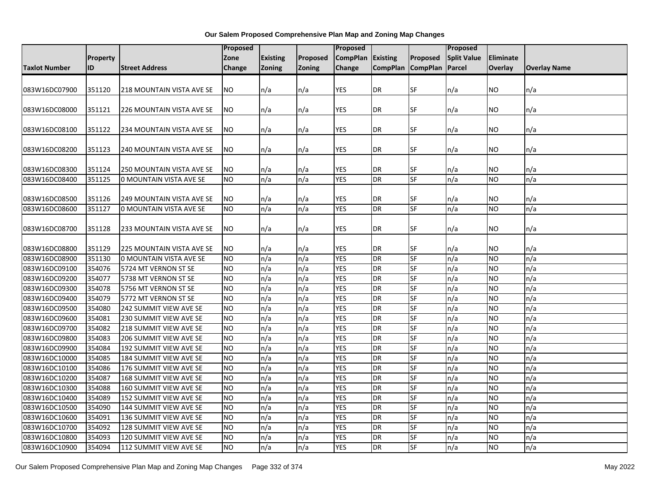|                                |          |                                                      | Proposed        |                 |               | Proposed        |                        |           | Proposed           |                        |                     |
|--------------------------------|----------|------------------------------------------------------|-----------------|-----------------|---------------|-----------------|------------------------|-----------|--------------------|------------------------|---------------------|
|                                | Property |                                                      | Zone            | <b>Existing</b> | Proposed      | <b>CompPlan</b> | Existing               | Proposed  | <b>Split Value</b> | <b>Eliminate</b>       |                     |
| <b>Taxlot Number</b>           | ID       | <b>Street Address</b>                                | Change          | <b>Zoning</b>   | <b>Zoning</b> | Change          | CompPlan CompPlan      |           | Parcel             | <b>Overlay</b>         | <b>Overlay Name</b> |
|                                |          |                                                      |                 |                 |               |                 |                        |           |                    |                        |                     |
| 083W16DC07900                  | 351120   | <b>218 MOUNTAIN VISTA AVE SE</b>                     | NO.             | n/a             | n/a           | <b>YES</b>      | <b>DR</b>              | <b>SF</b> | n/a                | <b>NO</b>              | n/a                 |
|                                |          |                                                      |                 |                 |               |                 |                        |           |                    |                        |                     |
| 083W16DC08000                  | 351121   | 226 MOUNTAIN VISTA AVE SE                            | NO.             | n/a             | n/a           | YES             | <b>DR</b>              | <b>SF</b> | n/a                | NO.                    | n/a                 |
|                                |          |                                                      |                 |                 |               |                 |                        |           |                    |                        |                     |
| 083W16DC08100                  | 351122   | 234 MOUNTAIN VISTA AVE SE                            | NO.             | n/a             | n/a           | <b>YES</b>      | <b>DR</b>              | SF        | n/a                | NO.                    | n/a                 |
|                                |          |                                                      |                 |                 |               |                 |                        |           |                    |                        |                     |
| 083W16DC08200                  | 351123   | 240 MOUNTAIN VISTA AVE SE                            | NO.             | n/a             | n/a           | <b>YES</b>      | <b>DR</b>              | <b>SF</b> | n/a                | <b>NO</b>              | n/a                 |
|                                |          |                                                      |                 |                 |               |                 |                        |           |                    |                        |                     |
| 083W16DC08300                  | 351124   | 250 MOUNTAIN VISTA AVE SE                            | NO              | n/a             | n/a           | <b>YES</b>      | <b>DR</b>              | SF        | n/a                | <b>NO</b>              | n/a                 |
| 083W16DC08400                  | 351125   | 0 MOUNTAIN VISTA AVE SE                              | NO.             | n/a             | n/a           | <b>YES</b>      | <b>DR</b>              | SF        | n/a                | <b>NO</b>              | n/a                 |
|                                | 351126   |                                                      | NO.             |                 |               | <b>YES</b>      |                        | SF        |                    |                        |                     |
| 083W16DC08500<br>083W16DC08600 | 351127   | 249 MOUNTAIN VISTA AVE SE<br>0 MOUNTAIN VISTA AVE SE | NO              | n/a<br>n/a      | n/a<br>n/a    | <b>YES</b>      | <b>DR</b><br><b>DR</b> | <b>SF</b> | n/a<br>n/a         | <b>NO</b><br><b>NO</b> | n/a<br>n/a          |
|                                |          |                                                      |                 |                 |               |                 |                        |           |                    |                        |                     |
| 083W16DC08700                  | 351128   | 233 MOUNTAIN VISTA AVE SE                            | NO.             | n/a             | n/a           | <b>YES</b>      | <b>DR</b>              | SF        | n/a                | <b>NO</b>              | n/a                 |
|                                |          |                                                      |                 |                 |               |                 |                        |           |                    |                        |                     |
| 083W16DC08800                  | 351129   | 225 MOUNTAIN VISTA AVE SE                            | <b>NO</b>       | n/a             | n/a           | <b>YES</b>      | DR                     | SF        | n/a                | NO.                    | n/a                 |
| 083W16DC08900                  | 351130   | 0 MOUNTAIN VISTA AVE SE                              | <b>NO</b>       | n/a             | n/a           | <b>YES</b>      | <b>DR</b>              | SF        | n/a                | <b>NO</b>              | n/a                 |
| 083W16DC09100                  | 354076   | 5724 MT VERNON ST SE                                 | <b>NO</b>       | n/a             | n/a           | <b>YES</b>      | <b>DR</b>              | <b>SF</b> | n/a                | <b>NO</b>              | n/a                 |
| 083W16DC09200                  | 354077   | 5738 MT VERNON ST SE                                 | <b>NO</b>       | n/a             | n/a           | <b>YES</b>      | <b>DR</b>              | <b>SF</b> | n/a                | <b>NO</b>              | n/a                 |
| 083W16DC09300                  | 354078   | 5756 MT VERNON ST SE                                 | N <sub>O</sub>  | n/a             | n/a           | <b>YES</b>      | <b>DR</b>              | <b>SF</b> | n/a                | <b>NO</b>              | n/a                 |
| 083W16DC09400                  | 354079   | 5772 MT VERNON ST SE                                 | <b>NO</b>       | n/a             | n/a           | <b>YES</b>      | <b>DR</b>              | SF        | n/a                | <b>NO</b>              | n/a                 |
| 083W16DC09500                  | 354080   | 242 SUMMIT VIEW AVE SE                               | <b>NO</b>       | n/a             | n/a           | <b>YES</b>      | <b>DR</b>              | $S$ F     | n/a                | <b>NO</b>              | n/a                 |
| 083W16DC09600                  | 354081   | 230 SUMMIT VIEW AVE SE                               | N <sub>O</sub>  | n/a             | n/a           | <b>YES</b>      | <b>DR</b>              | <b>SF</b> | n/a                | <b>NO</b>              | n/a                 |
| 083W16DC09700                  | 354082   | 218 SUMMIT VIEW AVE SE                               | <b>NO</b>       | n/a             | n/a           | <b>YES</b>      | <b>DR</b>              | <b>SF</b> | n/a                | <b>NO</b>              | n/a                 |
| 083W16DC09800                  | 354083   | 206 SUMMIT VIEW AVE SE                               | <b>NO</b>       | n/a             | n/a           | <b>YES</b>      | <b>DR</b>              | <b>SF</b> | n/a                | <b>NO</b>              | n/a                 |
| 083W16DC09900                  | 354084   | 192 SUMMIT VIEW AVE SE                               | NO              | n/a             | n/a           | <b>YES</b>      | <b>DR</b>              | $S$ F     | n/a                | <b>NO</b>              | n/a                 |
| 083W16DC10000                  | 354085   | 184 SUMMIT VIEW AVE SE                               | NO.             | n/a             | n/a           | <b>YES</b>      | <b>DR</b>              | SF        | n/a                | <b>NO</b>              | n/a                 |
| 083W16DC10100                  | 354086   | 176 SUMMIT VIEW AVE SE                               | <b>NO</b>       | n/a             | n/a           | <b>YES</b>      | <b>DR</b>              | <b>SF</b> | n/a                | <b>NO</b>              | n/a                 |
| 083W16DC10200                  | 354087   | 168 SUMMIT VIEW AVE SE                               | <b>NO</b>       | n/a             | n/a           | <b>YES</b>      | DR                     | <b>SF</b> | n/a                | <b>NO</b>              | n/a                 |
| 083W16DC10300                  | 354088   | 160 SUMMIT VIEW AVE SE                               | <b>NO</b>       | n/a             | n/a           | <b>YES</b>      | <b>DR</b>              | <b>SF</b> | n/a                | <b>NO</b>              | n/a                 |
| 083W16DC10400                  | 354089   | 152 SUMMIT VIEW AVE SE                               | <b>NO</b>       | n/a             | n/a           | <b>YES</b>      | <b>DR</b>              | <b>SF</b> | n/a                | <b>NO</b>              | n/a                 |
| 083W16DC10500                  | 354090   | 144 SUMMIT VIEW AVE SE                               | <b>NO</b>       | n/a             | n/a           | <b>YES</b>      | DR                     | <b>SF</b> | n/a                | <b>NO</b>              | n/a                 |
| 083W16DC10600                  | 354091   | 136 SUMMIT VIEW AVE SE                               | N <sub>O</sub>  | n/a             | n/a           | <b>YES</b>      | <b>DR</b>              | <b>SF</b> | n/a                | <b>NO</b>              | n/a                 |
| 083W16DC10700                  | 354092   | 128 SUMMIT VIEW AVE SE                               | <b>NO</b>       | n/a             | n/a           | <b>YES</b>      | <b>DR</b>              | <b>SF</b> | n/a                | <b>NO</b>              | n/a                 |
| 083W16DC10800                  | 354093   | 120 SUMMIT VIEW AVE SE                               | NO.             | n/a             | n/a           | <b>YES</b>      | <b>DR</b>              | SF        | n/a                | <b>NO</b>              | n/a                 |
| 083W16DC10900                  | 354094   | 112 SUMMIT VIEW AVE SE                               | $\overline{NO}$ | n/a             | n/a           | <b>YES</b>      | <b>DR</b>              | SF        | n/a                | <b>NO</b>              | n/a                 |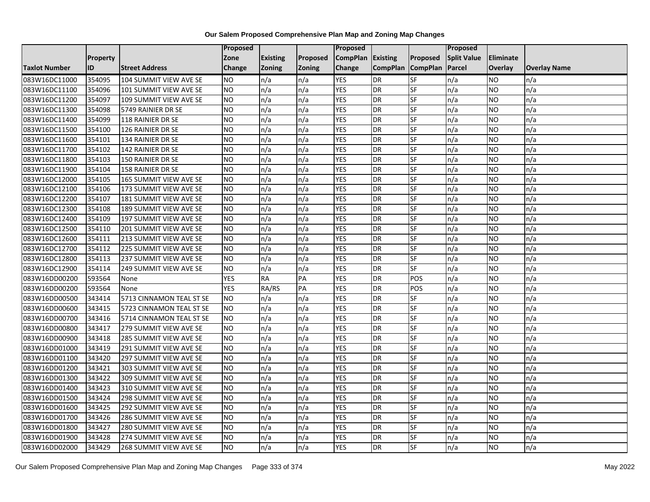|                      |                 |                               | <b>Proposed</b> |                 |          | Proposed          |                 |                 | <b>Proposed</b>    |           |                     |
|----------------------|-----------------|-------------------------------|-----------------|-----------------|----------|-------------------|-----------------|-----------------|--------------------|-----------|---------------------|
|                      | <b>Property</b> |                               | Zone            | <b>Existing</b> | Proposed | CompPlan Existing |                 | Proposed        | <b>Split Value</b> | Eliminate |                     |
| <b>Taxlot Number</b> | ID              | <b>Street Address</b>         | <b>Change</b>   | <b>Zoning</b>   | Zoning   | Change            | <b>CompPlan</b> | <b>CompPlan</b> | Parcel             | Overlay   | <b>Overlay Name</b> |
| 083W16DC11000        | 354095          | 104 SUMMIT VIEW AVE SE        | <b>NO</b>       | n/a             | n/a      | <b>YES</b>        | DR              | SF              | n/a                | NO        | n/a                 |
| 083W16DC11100        | 354096          | 101 SUMMIT VIEW AVE SE        | <b>NO</b>       | n/a             | n/a      | <b>YES</b>        | DR              | SF              | n/a                | NO.       | n/a                 |
| 083W16DC11200        | 354097          | 109 SUMMIT VIEW AVE SE        | <b>NO</b>       | n/a             | n/a      | <b>YES</b>        | DR              | SF              | n/a                | NO.       | n/a                 |
| 083W16DC11300        | 354098          | 5749 RAINIER DR SE            | <b>NO</b>       | n/a             | n/a      | <b>YES</b>        | DR              | SF              | n/a                | NO.       | n/a                 |
| 083W16DC11400        | 354099          | 118 RAINIER DR SE             | <b>NO</b>       | n/a             | n/a      | <b>YES</b>        | DR              | SF              | n/a                | NO.       | n/a                 |
| 083W16DC11500        | 354100          | 126 RAINIER DR SE             | <b>NO</b>       | n/a             | n/a      | <b>YES</b>        | DR              | SF              | n/a                | NO.       | n/a                 |
| 083W16DC11600        | 354101          | 134 RAINIER DR SE             | <b>NO</b>       | n/a             | n/a      | <b>YES</b>        | DR              | SF              | n/a                | NO.       | n/a                 |
| 083W16DC11700        | 354102          | 142 RAINIER DR SE             | <b>NO</b>       | n/a             | n/a      | <b>YES</b>        | DR              | SF              | n/a                | NO.       | n/a                 |
| 083W16DC11800        | 354103          | <b>150 RAINIER DR SE</b>      | <b>NO</b>       | n/a             | n/a      | <b>YES</b>        | DR              | SF              | n/a                | NO.       | n/a                 |
| 083W16DC11900        | 354104          | 158 RAINIER DR SE             | Ю               | n/a             | n/a      | <b>YES</b>        | DR              | SF              | n/a                | NO.       | n/a                 |
| 083W16DC12000        | 354105          | 165 SUMMIT VIEW AVE SE        | <b>NO</b>       | n/a             | n/a      | <b>YES</b>        | DR              | SF              | n/a                | <b>NO</b> | n/a                 |
| 083W16DC12100        | 354106          | 173 SUMMIT VIEW AVE SE        | <b>NO</b>       | n/a             | n/a      | <b>YES</b>        | DR              | SF              | n/a                | NO.       | n/a                 |
| 083W16DC12200        | 354107          | 181 SUMMIT VIEW AVE SE        | <b>NO</b>       | n/a             | n/a      | <b>YES</b>        | DR              | SF              | n/a                | NO.       | n/a                 |
| 083W16DC12300        | 354108          | 189 SUMMIT VIEW AVE SE        | <b>NO</b>       | n/a             | n/a      | <b>YES</b>        | DR              | <b>SF</b>       | n/a                | <b>NO</b> | n/a                 |
| 083W16DC12400        | 354109          | 197 SUMMIT VIEW AVE SE        | <b>NO</b>       | n/a             | n/a      | <b>YES</b>        | <b>DR</b>       | <b>SF</b>       | n/a                | NO.       | n/a                 |
| 083W16DC12500        | 354110          | 201 SUMMIT VIEW AVE SE        | <b>NO</b>       | n/a             | n/a      | <b>YES</b>        | DR              | SF              | n/a                | NO.       | n/a                 |
| 083W16DC12600        | 354111          | 213 SUMMIT VIEW AVE SE        | <b>NO</b>       | n/a             | n/a      | <b>YES</b>        | DR              | SF              | n/a                | NO.       | n/a                 |
| 083W16DC12700        | 354112          | 225 SUMMIT VIEW AVE SE        | <b>NO</b>       | n/a             | n/a      | <b>YES</b>        | DR              | SF              | n/a                | NO        | n/a                 |
| 083W16DC12800        | 354113          | 237 SUMMIT VIEW AVE SE        | <b>NO</b>       | n/a             | n/a      | <b>YES</b>        | DR              | SF              | n/a                | <b>NO</b> | n/a                 |
| 083W16DC12900        | 354114          | 249 SUMMIT VIEW AVE SE        | <b>NO</b>       | n/a             | n/a      | <b>YES</b>        | DR              | SF              | n/a                | NO.       | n/a                 |
| 083W16DD00200        | 593564          | None                          | <b>YES</b>      | <b>RA</b>       | PA       | <b>YES</b>        | DR              | POS             | n/a                | <b>NO</b> | n/a                 |
| 083W16DD00200        | 593564          | None                          | <b>YES</b>      | RA/RS           | PA       | <b>YES</b>        | $\overline{DR}$ | POS             | n/a                | <b>NO</b> | n/a                 |
| 083W16DD00500        | 343414          | 5713 CINNAMON TEAL ST SE      | <b>NO</b>       | n/a             | n/a      | <b>YES</b>        | DR              | <b>SF</b>       | n/a                | NO        | n/a                 |
| 083W16DD00600        | 343415          | 5723 CINNAMON TEAL ST SE      | <b>NO</b>       | n/a             | n/a      | <b>YES</b>        | <b>DR</b>       | SF              | n/a                | NO.       | n/a                 |
| 083W16DD00700        | 343416          | 5714 CINNAMON TEAL ST SE      | <b>NO</b>       | n/a             | n/a      | <b>YES</b>        | DR              | SF              | n/a                | NO        | n/a                 |
| 083W16DD00800        | 343417          | 279 SUMMIT VIEW AVE SE        | <b>NO</b>       | n/a             | n/a      | <b>YES</b>        | DR              | SF              | n/a                | NO        | n/a                 |
| 083W16DD00900        | 343418          | 285 SUMMIT VIEW AVE SE        | <b>NO</b>       | n/a             | n/a      | <b>YES</b>        | DR              | SF              | n/a                | NO.       | n/a                 |
| 083W16DD01000        | 343419          | <b>291 SUMMIT VIEW AVE SE</b> | <b>NO</b>       | n/a             | n/a      | <b>YES</b>        | DR              | SF              | n/a                | NO.       | n/a                 |
| 083W16DD01100        | 343420          | 297 SUMMIT VIEW AVE SE        | <b>NO</b>       | n/a             | n/a      | <b>YES</b>        | DR              | SF              | n/a                | NO.       | n/a                 |
| 083W16DD01200        | 343421          | 303 SUMMIT VIEW AVE SE        | <b>NO</b>       | n/a             | n/a      | <b>YES</b>        | DR              | SF              | n/a                | NO.       | n/a                 |
| 083W16DD01300        | 343422          | 309 SUMMIT VIEW AVE SE        | <b>NO</b>       | n/a             | n/a      | <b>YES</b>        | <b>DR</b>       | SF              | n/a                | NO.       | n/a                 |
| 083W16DD01400        | 343423          | 310 SUMMIT VIEW AVE SE        | <b>NO</b>       | n/a             | n/a      | <b>YES</b>        | DR              | SF              | n/a                | NO.       | n/a                 |
| 083W16DD01500        | 343424          | 298 SUMMIT VIEW AVE SE        | <b>NO</b>       | n/a             | n/a      | <b>YES</b>        | DR              | SF              | n/a                | NO.       | n/a                 |
| 083W16DD01600        | 343425          | 292 SUMMIT VIEW AVE SE        | <b>NO</b>       | n/a             | n/a      | <b>YES</b>        | DR              | SF              | n/a                | <b>NO</b> | n/a                 |
| 083W16DD01700        | 343426          | 286 SUMMIT VIEW AVE SE        | <b>NO</b>       | n/a             | n/a      | <b>YES</b>        | DR              | SF              | n/a                | NO.       | n/a                 |
| 083W16DD01800        | 343427          | 280 SUMMIT VIEW AVE SE        | <b>NO</b>       | n/a             | n/a      | <b>YES</b>        | DR              | SF              | n/a                | NO.       | n/a                 |
| 083W16DD01900        | 343428          | 274 SUMMIT VIEW AVE SE        | <b>NO</b>       | n/a             | n/a      | <b>YES</b>        | DR              | SF              | n/a                | NO.       | n/a                 |
| 083W16DD02000        | 343429          | 268 SUMMIT VIEW AVE SE        | <b>NO</b>       | n/a             | n/a      | <b>YES</b>        | DR              | SF              | n/a                | NO.       | n/a                 |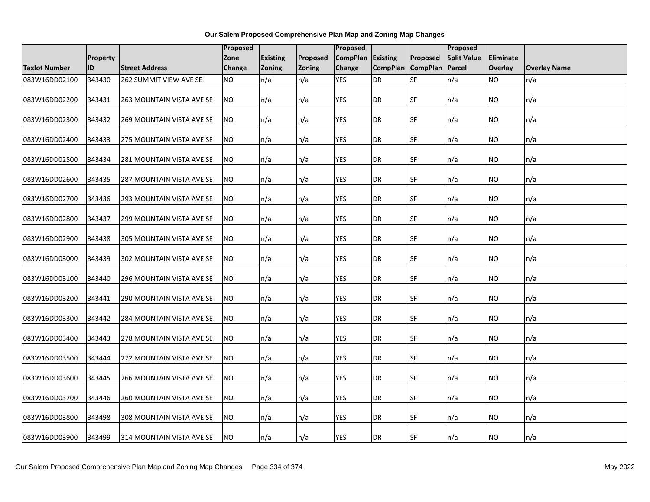|                      |                 |                                  | <b>Proposed</b> |                 |          | Proposed          |                   |           | Proposed           |           |                     |
|----------------------|-----------------|----------------------------------|-----------------|-----------------|----------|-------------------|-------------------|-----------|--------------------|-----------|---------------------|
|                      | <b>Property</b> |                                  | Zone            | <b>Existing</b> | Proposed | CompPlan Existing |                   | Proposed  | <b>Split Value</b> | Eliminate |                     |
| <b>Taxlot Number</b> | ID              | <b>Street Address</b>            | <b>Change</b>   | Zoning          | Zoning   | Change            | CompPlan CompPlan |           | Parcel             | Overlay   | <b>Overlay Name</b> |
| 083W16DD02100        | 343430          | 262 SUMMIT VIEW AVE SE           | <b>NO</b>       | n/a             | n/a      | <b>YES</b>        | DR                | SF        | n/a                | NO        | n/a                 |
| 083W16DD02200        | 343431          | 263 MOUNTAIN VISTA AVE SE        | <b>NO</b>       | n/a             | n/a      | <b>YES</b>        | DR                | SF        | n/a                | NO.       | n/a                 |
| 083W16DD02300        | 343432          | <b>269 MOUNTAIN VISTA AVE SE</b> | <b>NO</b>       | n/a             | n/a      | <b>YES</b>        | DR                | SF        | n/a                | NO.       | n/a                 |
| 083W16DD02400        | 343433          | 275 MOUNTAIN VISTA AVE SE        | <b>NO</b>       | n/a             | n/a      | <b>YES</b>        | DR                | SF        | n/a                | NO.       | n/a                 |
| 083W16DD02500        | 343434          | 281 MOUNTAIN VISTA AVE SE        | <b>NO</b>       | n/a             | n/a      | <b>YES</b>        | DR                | <b>SF</b> | n/a                | NO.       | n/a                 |
| 083W16DD02600        | 343435          | 287 MOUNTAIN VISTA AVE SE        | <b>NO</b>       | n/a             | n/a      | <b>YES</b>        | DR                | SF        | n/a                | NO.       | n/a                 |
| 083W16DD02700        | 343436          | 293 MOUNTAIN VISTA AVE SE        | <b>NO</b>       | n/a             | n/a      | YES               | DR                | SF        | n/a                | NO.       | n/a                 |
| 083W16DD02800        | 343437          | 299 MOUNTAIN VISTA AVE SE        | <b>NO</b>       | n/a             | n/a      | <b>YES</b>        | DR                | SF        | n/a                | NO.       | n/a                 |
| 083W16DD02900        | 343438          | 305 MOUNTAIN VISTA AVE SE        | <b>NO</b>       | n/a             | n/a      | <b>YES</b>        | DR                | SF        | n/a                | NO.       | n/a                 |
| 083W16DD03000        | 343439          | 302 MOUNTAIN VISTA AVE SE        | <b>NO</b>       | n/a             | n/a      | YES               | DR                | SF        | n/a                | NO.       | n/a                 |
| 083W16DD03100        | 343440          | 296 MOUNTAIN VISTA AVE SE        | <b>NO</b>       | n/a             | n/a      | <b>YES</b>        | DR                | <b>SF</b> | n/a                | NO.       | n/a                 |
| 083W16DD03200        | 343441          | 290 MOUNTAIN VISTA AVE SE        | <b>NO</b>       | n/a             | n/a      | <b>YES</b>        | DR                | SF        | n/a                | NO        | n/a                 |
| 083W16DD03300        | 343442          | 284 MOUNTAIN VISTA AVE SE        | <b>NO</b>       | n/a             | n/a      | <b>YES</b>        | DR                | SF        | n/a                | NO.       | n/a                 |
| 083W16DD03400        | 343443          | 278 MOUNTAIN VISTA AVE SE        | <b>NO</b>       | n/a             | n/a      | <b>YES</b>        | DR                | SF        | n/a                | NO.       | n/a                 |
| 083W16DD03500        | 343444          | 272 MOUNTAIN VISTA AVE SE        | <b>NO</b>       | n/a             | n/a      | <b>YES</b>        | DR                | SF        | n/a                | NO.       | n/a                 |
| 083W16DD03600        | 343445          | 266 MOUNTAIN VISTA AVE SE        | <b>NO</b>       | n/a             | n/a      | <b>YES</b>        | DR                | SF        | n/a                | NO.       | n/a                 |
| 083W16DD03700        | 343446          | 260 MOUNTAIN VISTA AVE SE        | <b>NO</b>       | n/a             | n/a      | <b>YES</b>        | DR                | SF        | n/a                | NO.       | n/a                 |
| 083W16DD03800        | 343498          | 308 MOUNTAIN VISTA AVE SE        | NO.             | n/a             | n/a      | <b>YES</b>        | DR                | SF        | n/a                | NO.       | n/a                 |
| 083W16DD03900        | 343499          | 314 MOUNTAIN VISTA AVE SE        | <b>NO</b>       | n/a             | n/a      | <b>YES</b>        | DR                | <b>SF</b> | n/a                | NO.       | n/a                 |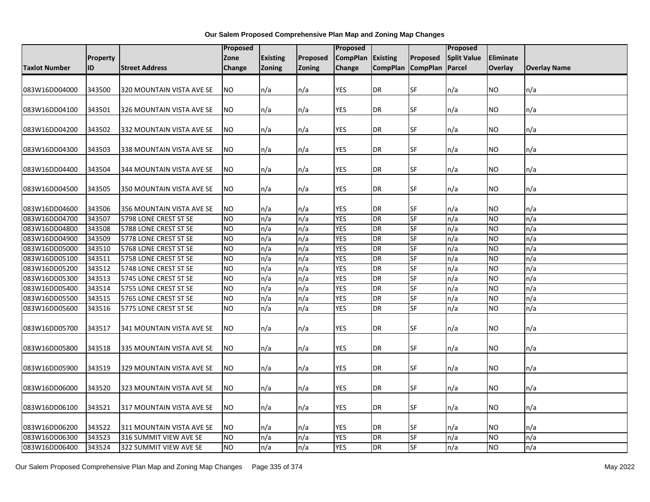|                      |          |                           | Proposed        |                 |               | Proposed        |                 |                 | Proposed           |                  |                     |
|----------------------|----------|---------------------------|-----------------|-----------------|---------------|-----------------|-----------------|-----------------|--------------------|------------------|---------------------|
|                      | Property |                           | Zone            | <b>Existing</b> | Proposed      | <b>CompPlan</b> | Existing        | Proposed        | <b>Split Value</b> | <b>Eliminate</b> |                     |
| <b>Taxlot Number</b> | ID       | <b>Street Address</b>     | Change          | <b>Zoning</b>   | <b>Zoning</b> | Change          | <b>CompPlan</b> | <b>CompPlan</b> | Parcel             | Overlay          | <b>Overlay Name</b> |
|                      |          |                           |                 |                 |               |                 |                 |                 |                    |                  |                     |
| 083W16DD04000        | 343500   | 320 MOUNTAIN VISTA AVE SE | NO              | n/a             | n/a           | <b>YES</b>      | <b>DR</b>       | SF              | n/a                | <b>NO</b>        | n/a                 |
|                      |          |                           |                 |                 |               |                 |                 |                 |                    |                  |                     |
| 083W16DD04100        | 343501   | 326 MOUNTAIN VISTA AVE SE | NO.             | n/a             | n/a           | <b>YES</b>      | <b>DR</b>       | <b>SF</b>       | n/a                | NO.              | n/a                 |
|                      |          |                           |                 |                 |               |                 |                 |                 |                    |                  |                     |
| 083W16DD04200        | 343502   | 332 MOUNTAIN VISTA AVE SE | NO.             | n/a             | n/a           | <b>YES</b>      | <b>DR</b>       | SF              | n/a                | NO.              | n/a                 |
| 083W16DD04300        | 343503   | 338 MOUNTAIN VISTA AVE SE | NO.             | n/a             | n/a           | <b>YES</b>      | <b>DR</b>       | SF              | n/a                | <b>NO</b>        | n/a                 |
|                      |          |                           |                 |                 |               |                 |                 |                 |                    |                  |                     |
| 083W16DD04400        | 343504   | 344 MOUNTAIN VISTA AVE SE | <b>NO</b>       | n/a             | n/a           | <b>YES</b>      | <b>DR</b>       | <b>SF</b>       | n/a                | <b>NO</b>        | n/a                 |
|                      |          |                           |                 |                 |               |                 |                 |                 |                    |                  |                     |
| 083W16DD04500        | 343505   | 350 MOUNTAIN VISTA AVE SE | NO.             | n/a             | n/a           | <b>YES</b>      | DR              | <b>SF</b>       | n/a                | NO.              | n/a                 |
|                      |          |                           |                 |                 |               |                 |                 |                 |                    |                  |                     |
| 083W16DD04600        | 343506   | 356 MOUNTAIN VISTA AVE SE | <b>NO</b>       | n/a             | n/a           | <b>YES</b>      | <b>DR</b>       | <b>SF</b>       | n/a                | NO.              | n/a                 |
| 083W16DD04700        | 343507   | 5798 LONE CREST ST SE     | <b>NO</b>       | n/a             | n/a           | <b>YES</b>      | DR              | <b>SF</b>       | n/a                | <b>NO</b>        | n/a                 |
| 083W16DD04800        | 343508   | 5788 LONE CREST ST SE     | <b>NO</b>       | n/a             | n/a           | <b>YES</b>      | <b>DR</b>       | <b>SF</b>       | n/a                | <b>NO</b>        | n/a                 |
| 083W16DD04900        | 343509   | 5778 LONE CREST ST SE     | <b>NO</b>       | n/a             | n/a           | <b>YES</b>      | <b>DR</b>       | SF              | n/a                | <b>NO</b>        | n/a                 |
| 083W16DD05000        | 343510   | 5768 LONE CREST ST SE     | <b>NO</b>       | n/a             | n/a           | <b>YES</b>      | <b>DR</b>       | <b>SF</b>       | n/a                | <b>NO</b>        | n/a                 |
| 083W16DD05100        | 343511   | 5758 LONE CREST ST SE     | <b>NO</b>       | n/a             | n/a           | <b>YES</b>      | <b>DR</b>       | SF              | n/a                | <b>NO</b>        | n/a                 |
| 083W16DD05200        | 343512   | 5748 LONE CREST ST SE     | <b>NO</b>       | n/a             | n/a           | <b>YES</b>      | <b>DR</b>       | <b>SF</b>       | n/a                | <b>NO</b>        | n/a                 |
| 083W16DD05300        | 343513   | 5745 LONE CREST ST SE     | <b>NO</b>       | n/a             | n/a           | <b>YES</b>      | <b>DR</b>       | <b>SF</b>       | n/a                | <b>NO</b>        | n/a                 |
| 083W16DD05400        | 343514   | 5755 LONE CREST ST SE     | $\overline{NO}$ | n/a             | n/a           | <b>YES</b>      | <b>DR</b>       | <b>SF</b>       | n/a                | <b>NO</b>        | n/a                 |
| 083W16DD05500        | 343515   | 5765 LONE CREST ST SE     | <b>NO</b>       | n/a             | n/a           | <b>YES</b>      | <b>DR</b>       | SF              | n/a                | <b>NO</b>        | n/a                 |
| 083W16DD05600        | 343516   | 5775 LONE CREST ST SE     | NO.             | n/a             | n/a           | <b>YES</b>      | <b>DR</b>       | $S$ F           | n/a                | <b>NO</b>        | n/a                 |
|                      |          |                           |                 |                 |               |                 |                 |                 |                    |                  |                     |
| 083W16DD05700        | 343517   | 341 MOUNTAIN VISTA AVE SE | NO.             | n/a             | n/a           | <b>YES</b>      | <b>DR</b>       | SF              | n/a                | <b>NO</b>        | n/a                 |
|                      |          |                           |                 |                 |               |                 |                 |                 |                    |                  |                     |
| 083W16DD05800        | 343518   | 335 MOUNTAIN VISTA AVE SE | NO.             | n/a             | n/a           | <b>YES</b>      | <b>DR</b>       | SF              | n/a                | NO.              | n/a                 |
|                      |          |                           |                 |                 |               |                 |                 |                 |                    |                  |                     |
| 083W16DD05900        | 343519   | 329 MOUNTAIN VISTA AVE SE | <b>NO</b>       | n/a             | n/a           | <b>YES</b>      | <b>DR</b>       | <b>SF</b>       | n/a                | NO.              | n/a                 |
|                      |          |                           |                 |                 |               |                 |                 | SF              |                    |                  |                     |
| 083W16DD06000        | 343520   | 323 MOUNTAIN VISTA AVE SE | NO.             | n/a             | n/a           | <b>YES</b>      | <b>DR</b>       |                 | n/a                | <b>NO</b>        | n/a                 |
| 083W16DD06100        | 343521   | 317 MOUNTAIN VISTA AVE SE | NO.             | n/a             | n/a           | <b>YES</b>      | <b>DR</b>       | SF              | n/a                | NO               | n/a                 |
|                      |          |                           |                 |                 |               |                 |                 |                 |                    |                  |                     |
| 083W16DD06200        | 343522   | 311 MOUNTAIN VISTA AVE SE | NO.             | n/a             | n/a           | YES             | <b>DR</b>       | <b>SF</b>       | n/a                | NO.              | n/a                 |
| 083W16DD06300        | 343523   | 316 SUMMIT VIEW AVE SE    | NO.             | n/a             | n/a           | <b>YES</b>      | <b>DR</b>       | <b>SF</b>       | n/a                | <b>NO</b>        | n/a                 |
| 083W16DD06400        | 343524   | 322 SUMMIT VIEW AVE SE    | N <sub>O</sub>  | n/a             | n/a           | <b>YES</b>      | <b>DR</b>       | SF              | n/a                | <b>NO</b>        | n/a                 |
|                      |          |                           |                 |                 |               |                 |                 |                 |                    |                  |                     |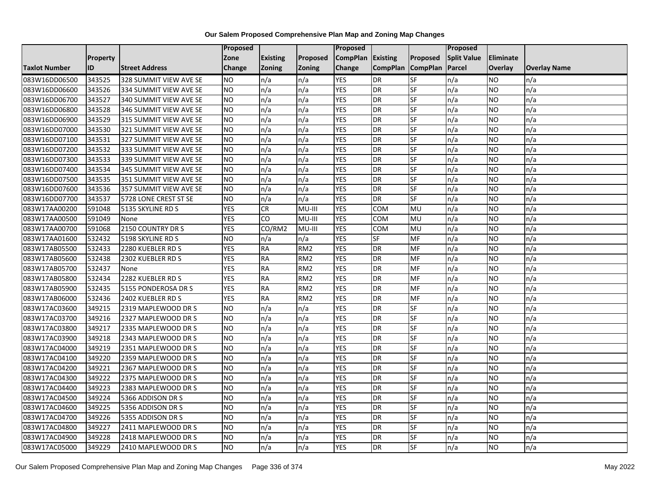|               |                 |                        | <b>Proposed</b> |                                |                 | Proposed        |                 |                 | Proposed           |                |                     |
|---------------|-----------------|------------------------|-----------------|--------------------------------|-----------------|-----------------|-----------------|-----------------|--------------------|----------------|---------------------|
|               | <b>Property</b> |                        | Zone            | <b>Existing</b>                | Proposed        | <b>CompPlan</b> | Existing        | Proposed        | <b>Split Value</b> | Eliminate      |                     |
| Taxlot Number | ID              | <b>Street Address</b>  | <b>Change</b>   | Zoning                         | <b>Zoning</b>   | Change          | <b>CompPlan</b> | <b>CompPlan</b> | Parcel             | <b>Overlay</b> | <b>Overlay Name</b> |
| 083W16DD06500 | 343525          | 328 SUMMIT VIEW AVE SE | <b>NO</b>       | n/a                            | n/a             | <b>YES</b>      | <b>DR</b>       | <b>SF</b>       | n/a                | NO.            | n/a                 |
| 083W16DD06600 | 343526          | 334 SUMMIT VIEW AVE SE | <b>NO</b>       | n/a                            | n/a             | <b>YES</b>      | DR              | SF              | n/a                | NO.            | n/a                 |
| 083W16DD06700 | 343527          | 340 SUMMIT VIEW AVE SE | <b>NO</b>       | n/a                            | n/a             | <b>YES</b>      | DR              | SF              | n/a                | NO.            | n/a                 |
| 083W16DD06800 | 343528          | 346 SUMMIT VIEW AVE SE | <b>NO</b>       | n/a                            | n/a             | <b>YES</b>      | <b>DR</b>       | SF              | n/a                | NO.            | n/a                 |
| 083W16DD06900 | 343529          | 315 SUMMIT VIEW AVE SE | <b>NO</b>       | n/a                            | n/a             | <b>YES</b>      | <b>DR</b>       | SF              | n/a                | NO.            | n/a                 |
| 083W16DD07000 | 343530          | 321 SUMMIT VIEW AVE SE | <b>NO</b>       | n/a                            | n/a             | <b>YES</b>      | <b>DR</b>       | SF              | n/a                | <b>NO</b>      | n/a                 |
| 083W16DD07100 | 343531          | 327 SUMMIT VIEW AVE SE | <b>NO</b>       | n/a                            | n/a             | <b>YES</b>      | DR              | SF              | n/a                | NO.            | n/a                 |
| 083W16DD07200 | 343532          | 333 SUMMIT VIEW AVE SE | <b>NO</b>       | n/a                            | n/a             | <b>YES</b>      | DR              | SF              | n/a                | NO.            | n/a                 |
| 083W16DD07300 | 343533          | 339 SUMMIT VIEW AVE SE | <b>NO</b>       | n/a                            | n/a             | <b>YES</b>      | DR              | SF              | n/a                | NO.            | n/a                 |
| 083W16DD07400 | 343534          | 345 SUMMIT VIEW AVE SE | ŌИ              | n/a                            | n/a             | <b>YES</b>      | DR              | <b>SF</b>       | n/a                | NO.            | n/a                 |
| 083W16DD07500 | 343535          | 351 SUMMIT VIEW AVE SE | <b>NO</b>       | n/a                            | n/a             | <b>YES</b>      | <b>DR</b>       | SF              | n/a                | NO.            | n/a                 |
| 083W16DD07600 | 343536          | 357 SUMMIT VIEW AVE SE | <b>NO</b>       | n/a                            | n/a             | <b>YES</b>      | <b>DR</b>       | SF              | n/a                | <b>NO</b>      | n/a                 |
| 083W16DD07700 | 343537          | 5728 LONE CREST ST SE  | ŌИ              | n/a                            | n/a             | <b>YES</b>      | <b>DR</b>       | <b>SF</b>       | n/a                | NO.            | n/a                 |
| 083W17AA00200 | 591048          | 5135 SKYLINE RD S      | <b>YES</b>      | CR                             | MU-III          | <b>YES</b>      | COM             | MU              | n/a                | NO.            | n/a                 |
| 083W17AA00500 | 591049          | None                   | <b>YES</b>      | CO                             | MU-III          | <b>YES</b>      | COM             | MU              | n/a                | NO.            | n/a                 |
| 083W17AA00700 | 591068          | 2150 COUNTRY DR S      | <b>YES</b>      | $\overline{CO}/\overline{RM2}$ | MU-III          | <b>YES</b>      | COM             | MU              | n/a                | NO.            | n/a                 |
| 083W17AA01600 | 532432          | 5198 SKYLINE RD S      | <b>NO</b>       | n/a                            | n/a             | <b>YES</b>      | <b>SF</b>       | <b>MF</b>       | n/a                | NO.            | n/a                 |
| 083W17AB05500 | 532433          | 2280 KUEBLER RD S      | <b>YES</b>      | <b>RA</b>                      | RM <sub>2</sub> | <b>YES</b>      | DR              | MF              | n/a                | NO.            | n/a                 |
| 083W17AB05600 | 532438          | 2302 KUEBLER RD S      | <b>YES</b>      | <b>RA</b>                      | RM <sub>2</sub> | <b>YES</b>      | DR              | MF              | n/a                | NO.            | n/a                 |
| 083W17AB05700 | 532437          | None                   | <b>YES</b>      | <b>RA</b>                      | RM <sub>2</sub> | <b>YES</b>      | DR              | MF              | n/a                | ΝO             | n/a                 |
| 083W17AB05800 | 532434          | 2282 KUEBLER RD S      | <b>YES</b>      | <b>RA</b>                      | RM <sub>2</sub> | <b>YES</b>      | <b>DR</b>       | MF              | n/a                | NO.            | n/a                 |
| 083W17AB05900 | 532435          | 5155 PONDEROSA DR S    | <b>YES</b>      | <b>RA</b>                      | RM <sub>2</sub> | <b>YES</b>      | <b>DR</b>       | MF              | n/a                | <b>NO</b>      | n/a                 |
| 083W17AB06000 | 532436          | 2402 KUEBLER RD S      | <b>YES</b>      | <b>RA</b>                      | RM <sub>2</sub> | <b>YES</b>      | DR              | MF              | n/a                | NO.            | n/a                 |
| 083W17AC03600 | 349215          | 2319 MAPLEWOOD DR S    | <b>NO</b>       | n/a                            | n/a             | <b>YES</b>      | DR              | SF              | n/a                | NO.            | n/a                 |
| 083W17AC03700 | 349216          | 2327 MAPLEWOOD DR S    | <b>NO</b>       | n/a                            | n/a             | <b>YES</b>      | <b>DR</b>       | SF              | n/a                | NO.            | n/a                 |
| 083W17AC03800 | 349217          | 2335 MAPLEWOOD DR S    | <b>NO</b>       | n/a                            | n/a             | <b>YES</b>      | DR              | SF              | n/a                | NO.            | n/a                 |
| 083W17AC03900 | 349218          | 2343 MAPLEWOOD DR S    | ŌИ              | n/a                            | n/a             | <b>YES</b>      | <b>DR</b>       | <b>SF</b>       | n/a                | NO.            | n/a                 |
| 083W17AC04000 | 349219          | 2351 MAPLEWOOD DR S    | <b>NO</b>       | n/a                            | n/a             | <b>YES</b>      | DR              | SF              | n/a                | NO.            | n/a                 |
| 083W17AC04100 | 349220          | 2359 MAPLEWOOD DR S    | <b>NO</b>       | n/a                            | n/a             | <b>YES</b>      | DR              | SF              | n/a                | NO.            | n/a                 |
| 083W17AC04200 | 349221          | 2367 MAPLEWOOD DR S    | <b>NO</b>       | n/a                            | n/a             | <b>YES</b>      | <b>DR</b>       | SF              | n/a                | <b>NO</b>      | n/a                 |
| 083W17AC04300 | 349222          | 2375 MAPLEWOOD DR S    | <b>NO</b>       | n/a                            | n/a             | <b>YES</b>      | DR              | SF              | n/a                | NO.            | n/a                 |
| 083W17AC04400 | 349223          | 2383 MAPLEWOOD DR S    | <b>NO</b>       | n/a                            | n/a             | <b>YES</b>      | DR              | SF              | n/a                | NO.            | n/a                 |
| 083W17AC04500 | 349224          | 5366 ADDISON DR S      | ŌИ              | n/a                            | n/a             | <b>YES</b>      | <b>DR</b>       | <b>SF</b>       | n/a                | NO.            | n/a                 |
| 083W17AC04600 | 349225          | 5356 ADDISON DR S      | <b>NO</b>       | n/a                            | n/a             | <b>YES</b>      | DR              | SF              | n/a                | NO.            | n/a                 |
| 083W17AC04700 | 349226          | 5355 ADDISON DR S      | <b>NO</b>       | n/a                            | n/a             | <b>YES</b>      | <b>DR</b>       | SF              | n/a                | NO.            | n/a                 |
| 083W17AC04800 | 349227          | 2411 MAPLEWOOD DR S    | <b>NO</b>       | n/a                            | n/a             | <b>YES</b>      | <b>DR</b>       | <b>SF</b>       | n/a                | NO             | n/a                 |
| 083W17AC04900 | 349228          | 2418 MAPLEWOOD DR S    | <b>NO</b>       | n/a                            | n/a             | <b>YES</b>      | <b>DR</b>       | SF              | n/a                | ΝO             | n/a                 |
| 083W17AC05000 | 349229          | 2410 MAPLEWOOD DR S    | <b>NO</b>       | n/a                            | n/a             | <b>YES</b>      | DR              | SF              | n/a                | NO.            | n/a                 |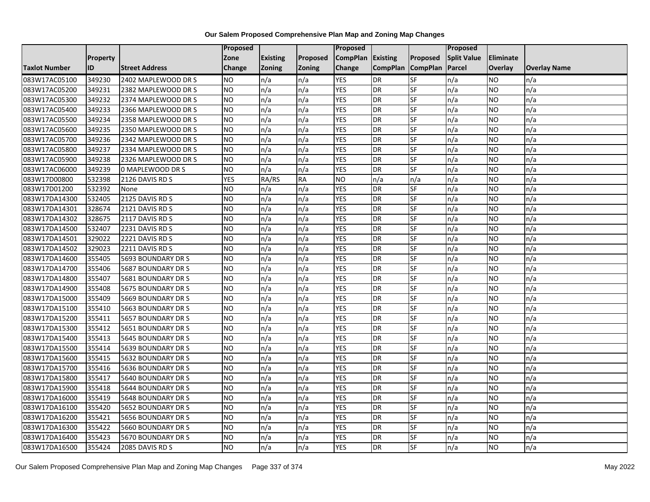|                      |                 |                       | Proposed   |                 |               | Proposed          |                 |                 | Proposed           |                  |                     |
|----------------------|-----------------|-----------------------|------------|-----------------|---------------|-------------------|-----------------|-----------------|--------------------|------------------|---------------------|
|                      | <b>Property</b> |                       | Zone       | <b>Existing</b> | Proposed      | CompPlan Existing |                 | Proposed        | <b>Split Value</b> | <b>Eliminate</b> |                     |
| <b>Taxlot Number</b> | ID              | <b>Street Address</b> | Change     | Zoning          | <b>Zoning</b> | Change            | <b>CompPlan</b> | <b>CompPlan</b> | Parcel             | <b>Overlay</b>   | <b>Overlay Name</b> |
| 083W17AC05100        | 349230          | 2402 MAPLEWOOD DR S   | <b>NO</b>  | n/a             | n/a           | <b>YES</b>        | <b>DR</b>       | <b>SF</b>       | n/a                | NO.              | n/a                 |
| 083W17AC05200        | 349231          | 2382 MAPLEWOOD DR S   | <b>NO</b>  | n/a             | n/a           | <b>YES</b>        | DR              | <b>SF</b>       | n/a                | NO.              | n/a                 |
| 083W17AC05300        | 349232          | 2374 MAPLEWOOD DR S   | <b>NO</b>  | n/a             | n/a           | <b>YES</b>        | DR              | SF              | n/a                | NO.              | n/a                 |
| 083W17AC05400        | 349233          | 2366 MAPLEWOOD DR S   | <b>NO</b>  | n/a             | n/a           | <b>YES</b>        | <b>DR</b>       | SF              | n/a                | NO.              | n/a                 |
| 083W17AC05500        | 349234          | 2358 MAPLEWOOD DR S   | <b>NO</b>  | n/a             | n/a           | <b>YES</b>        | <b>DR</b>       | <b>SF</b>       | n/a                | NO.              | n/a                 |
| 083W17AC05600        | 349235          | 2350 MAPLEWOOD DR S   | <b>NO</b>  | n/a             | n/a           | <b>YES</b>        | <b>DR</b>       | SF              | n/a                | <b>NO</b>        | n/a                 |
| 083W17AC05700        | 349236          | 2342 MAPLEWOOD DR S   | <b>NO</b>  | n/a             | n/a           | <b>YES</b>        | DR              | SF              | n/a                | NO.              | n/a                 |
| 083W17AC05800        | 349237          | 2334 MAPLEWOOD DR S   | <b>NO</b>  | n/a             | n/a           | <b>YES</b>        | DR              | SF              | n/a                | NO.              | n/a                 |
| 083W17AC05900        | 349238          | 2326 MAPLEWOOD DR S   | <b>NO</b>  | n/a             | n/a           | <b>YES</b>        | DR              | SF              | n/a                | NO.              | n/a                 |
| 083W17AC06000        | 349239          | 0 MAPLEWOOD DR S      | Ю          | n/a             | n/a           | <b>YES</b>        | DR              | SF              | n/a                | NO.              | n/a                 |
| 083W17D00800         | 532398          | 2126 DAVIS RD S       | <b>YES</b> | RA/RS           | <b>RA</b>     | ŌИ                | n/a             | n/a             | n/a                | <b>NO</b>        | n/a                 |
| 083W17D01200         | 532392          | None                  | <b>NO</b>  | n/a             | n/a           | <b>YES</b>        | DR              | SF              | n/a                | <b>NO</b>        | n/a                 |
| 083W17DA14300        | 532405          | 2125 DAVIS RD S       | Ю          | n/a             | n/a           | <b>YES</b>        | DR              | <b>SF</b>       | n/a                | NO.              | n/a                 |
| 083W17DA14301        | 328674          | 2121 DAVIS RD S       | <b>NO</b>  | n/a             | n/a           | <b>YES</b>        | <b>DR</b>       | SF              | n/a                | NO.              | n/a                 |
| 083W17DA14302        | 328675          | 2117 DAVIS RD S       | <b>NO</b>  | n/a             | n/a           | <b>YES</b>        | DR              | SF              | n/a                | NO.              | n/a                 |
| 083W17DA14500        | 532407          | 2231 DAVIS RD S       | ŌИ         | n/a             | n/a           | <b>YES</b>        | <b>DR</b>       | $S_{F}$         | n/a                | NO.              | n/a                 |
| 083W17DA14501        | 329022          | 2221 DAVIS RD S       | ŌИ         | n/a             | n/a           | <b>YES</b>        | $\overline{R}$  | <b>SF</b>       | n/a                | NO.              | n/a                 |
| 083W17DA14502        | 329023          | 2211 DAVIS RD S       | <b>NO</b>  | n/a             | n/a           | <b>YES</b>        | DR              | SF              | n/a                | NO.              | n/a                 |
| 083W17DA14600        | 355405          | 5693 BOUNDARY DR S    | <b>NO</b>  | n/a             | n/a           | <b>YES</b>        | DR              | SF              | n/a                | <b>NO</b>        | n/a                 |
| 083W17DA14700        | 355406          | 5687 BOUNDARY DR S    | <b>NO</b>  | n/a             | n/a           | <b>YES</b>        | <b>DR</b>       | <b>SF</b>       | n/a                | NO.              | n/a                 |
| 083W17DA14800        | 355407          | 5681 BOUNDARY DR S    | <b>NO</b>  | n/a             | n/a           | <b>YES</b>        | DR              | SF              | n/a                | <b>NO</b>        | n/a                 |
| 083W17DA14900        | 355408          | 5675 BOUNDARY DR S    | <b>NO</b>  | n/a             | n/a           | <b>YES</b>        | <b>DR</b>       | <b>SF</b>       | n/a                | <b>NO</b>        | n/a                 |
| 083W17DA15000        | 355409          | 5669 BOUNDARY DR S    | ŌИ         | n/a             | n/a           | <b>YES</b>        | <b>DR</b>       | <b>SF</b>       | n/a                | NO.              | n/a                 |
| 083W17DA15100        | 355410          | 5663 BOUNDARY DR S    | <b>NO</b>  | n/a             | n/a           | <b>YES</b>        | DR              | SF              | n/a                | NO.              | n/a                 |
| 083W17DA15200        | 355411          | 5657 BOUNDARY DR S    | <b>NO</b>  | n/a             | n/a           | <b>YES</b>        | <b>DR</b>       | SF              | n/a                | <b>NO</b>        | n/a                 |
| 083W17DA15300        | 355412          | 5651 BOUNDARY DR S    | <b>NO</b>  | n/a             | n/a           | <b>YES</b>        | DR              | SF              | n/a                | NO.              | n/a                 |
| 083W17DA15400        | 355413          | 5645 BOUNDARY DR S    | Ю          | n/a             | n/a           | <b>YES</b>        | <b>DR</b>       | $S_{F}$         | n/a                | NO.              | n/a                 |
| 083W17DA15500        | 355414          | 5639 BOUNDARY DR S    | <b>NO</b>  | n/a             | n/a           | <b>YES</b>        | DR              | SF              | n/a                | NO.              | n/a                 |
| 083W17DA15600        | 355415          | 5632 BOUNDARY DR S    | <b>NO</b>  | n/a             | n/a           | <b>YES</b>        | DR              | SF              | n/a                | NO.              | n/a                 |
| 083W17DA15700        | 355416          | 5636 BOUNDARY DR S    | <b>NO</b>  | n/a             | n/a           | <b>YES</b>        | <b>DR</b>       | SF              | n/a                | NO.              | n/a                 |
| 083W17DA15800        | 355417          | 5640 BOUNDARY DR S    | <b>NO</b>  | n/a             | n/a           | <b>YES</b>        | DR              | SF              | n/a                | NO.              | n/a                 |
| 083W17DA15900        | 355418          | 5644 BOUNDARY DR S    | <b>NO</b>  | n/a             | n/a           | <b>YES</b>        | DR              | SF              | n/a                | NO.              | n/a                 |
| 083W17DA16000        | 355419          | 5648 BOUNDARY DR S    | ŌИ         | n/a             | n/a           | <b>YES</b>        | <b>DR</b>       | SF              | n/a                | NO.              | n/a                 |
| 083W17DA16100        | 355420          | 5652 BOUNDARY DR S    | <b>NO</b>  | n/a             | n/a           | <b>YES</b>        | DR              | SF              | n/a                | NO.              | n/a                 |
| 083W17DA16200        | 355421          | 5656 BOUNDARY DR S    | <b>NO</b>  | n/a             | n/a           | <b>YES</b>        | DR              | SF              | n/a                | NO.              | n/a                 |
| 083W17DA16300        | 355422          | 5660 BOUNDARY DR S    | <b>NO</b>  | n/a             | n/a           | <b>YES</b>        | <b>DR</b>       | SF              | n/a                | NO.              | n/a                 |
| 083W17DA16400        | 355423          | 5670 BOUNDARY DR S    | <b>NO</b>  | n/a             | n/a           | <b>YES</b>        | DR              | SF              | n/a                | NO               | n/a                 |
| 083W17DA16500        | 355424          | 2085 DAVIS RD S       | <b>NO</b>  | n/a             | n/a           | <b>YES</b>        | DR              | SF              | n/a                | NO.              | n/a                 |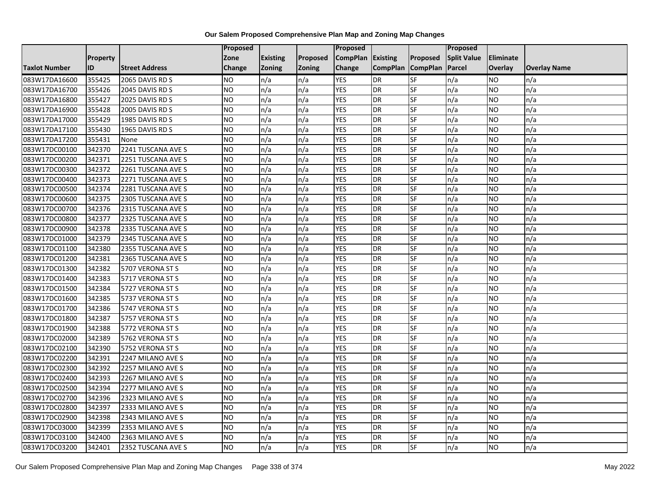|                      |          |                       | <b>Proposed</b> |                 |          | Proposed          |                 |                 | Proposed           |           |                     |
|----------------------|----------|-----------------------|-----------------|-----------------|----------|-------------------|-----------------|-----------------|--------------------|-----------|---------------------|
|                      | Property |                       | Zone            | <b>Existing</b> | Proposed | CompPlan Existing |                 | Proposed        | <b>Split Value</b> | Eliminate |                     |
| <b>Taxlot Number</b> | ID       | <b>Street Address</b> | <b>Change</b>   | Zoning          | Zoning   | Change            | <b>CompPlan</b> | <b>CompPlan</b> | Parcel             | Overlay   | <b>Overlay Name</b> |
| 083W17DA16600        | 355425   | 2065 DAVIS RD S       | <b>NO</b>       | n/a             | n/a      | <b>YES</b>        | DR              | SF              | n/a                | NO        | n/a                 |
| 083W17DA16700        | 355426   | 2045 DAVIS RD S       | <b>NO</b>       | n/a             | n/a      | <b>YES</b>        | DR              | <b>SF</b>       | n/a                | NO.       | n/a                 |
| 083W17DA16800        | 355427   | 2025 DAVIS RD S       | <b>NO</b>       | n/a             | n/a      | <b>YES</b>        | DR              | SF              | n/a                | NO.       | n/a                 |
| 083W17DA16900        | 355428   | 2005 DAVIS RD S       | <b>NO</b>       | n/a             | n/a      | <b>YES</b>        | DR              | SF              | n/a                | NO        | n/a                 |
| 083W17DA17000        | 355429   | 1985 DAVIS RD S       | <b>NO</b>       | n/a             | n/a      | <b>YES</b>        | DR              | SF              | n/a                | <b>NO</b> | n/a                 |
| 083W17DA17100        | 355430   | 1965 DAVIS RD S       | <b>NO</b>       | n/a             | n/a      | <b>YES</b>        | <b>DR</b>       | SF              | n/a                | <b>NO</b> | n/a                 |
| 083W17DA17200        | 355431   | None                  | <b>NO</b>       | n/a             | n/a      | <b>YES</b>        | DR              | SF              | n/a                | NO.       | n/a                 |
| 083W17DC00100        | 342370   | 2241 TUSCANA AVE S    | <b>NO</b>       | n/a             | n/a      | <b>YES</b>        | DR              | SF              | n/a                | <b>NO</b> | n/a                 |
| 083W17DC00200        | 342371   | 2251 TUSCANA AVE S    | <b>NO</b>       | n/a             | n/a      | <b>YES</b>        | DR              | SF              | n/a                | <b>NO</b> | n/a                 |
| 083W17DC00300        | 342372   | 2261 TUSCANA AVE S    | <b>NO</b>       | n/a             | n/a      | <b>YES</b>        | DR              | <b>SF</b>       | n/a                | NO.       | n/a                 |
| 083W17DC00400        | 342373   | 2271 TUSCANA AVE S    | <b>NO</b>       | n/a             | n/a      | <b>YES</b>        | DR              | SF              | n/a                | <b>NO</b> | n/a                 |
| 083W17DC00500        | 342374   | 2281 TUSCANA AVE S    | <b>NO</b>       | n/a             | n/a      | <b>YES</b>        | DR              | SF              | n/a                | <b>NO</b> | n/a                 |
| 083W17DC00600        | 342375   | 2305 TUSCANA AVE S    | <b>NO</b>       | n/a             | n/a      | <b>YES</b>        | <b>DR</b>       | SF              | n/a                | NO.       | n/a                 |
| 083W17DC00700        | 342376   | 2315 TUSCANA AVE S    | <b>ON</b>       | n/a             | n/a      | <b>YES</b>        | DR              | <b>SF</b>       | n/a                | NO.       | n/a                 |
| 083W17DC00800        | 342377   | 2325 TUSCANA AVE S    | <b>NO</b>       | n/a             | n/a      | <b>YES</b>        | DR              | SF              | n/a                | NO.       | n/a                 |
| 083W17DC00900        | 342378   | 2335 TUSCANA AVE S    | Ю               | n/a             | n/a      | <b>YES</b>        | DR              | SF              | n/a                | NO        | n/a                 |
| 083W17DC01000        | 342379   | 2345 TUSCANA AVE S    | <b>NO</b>       | n/a             | n/a      | <b>YES</b>        | DR              | SF              | n/a                | NO.       | n/a                 |
| 083W17DC01100        | 342380   | 2355 TUSCANA AVE S    | <b>NO</b>       | n/a             | n/a      | <b>YES</b>        | DR              | SF              | n/a                | NO.       | n/a                 |
| 083W17DC01200        | 342381   | 2365 TUSCANA AVE S    | <b>NO</b>       | n/a             | n/a      | <b>YES</b>        | DR              | SF              | n/a                | <b>NO</b> | n/a                 |
| 083W17DC01300        | 342382   | 5707 VERONA ST S      | <b>NO</b>       | n/a             | n/a      | <b>YES</b>        | <b>DR</b>       | SF              | n/a                | <b>NO</b> | n/a                 |
| 083W17DC01400        | 342383   | 5717 VERONA ST S      | <b>NO</b>       | n/a             | n/a      | <b>YES</b>        | DR              | SF              | n/a                | <b>NO</b> | n/a                 |
| 083W17DC01500        | 342384   | 5727 VERONA ST S      | Ю               | n/a             | n/a      | <b>YES</b>        | $\overline{DR}$ | SF              | n/a                | <b>NO</b> | n/a                 |
| 083W17DC01600        | 342385   | 5737 VERONA ST S      | <b>NO</b>       | n/a             | n/a      | <b>YES</b>        | <b>DR</b>       | SF              | n/a                | <b>NO</b> | n/a                 |
| 083W17DC01700        | 342386   | 5747 VERONA ST S      | <b>NO</b>       | n/a             | n/a      | <b>YES</b>        | DR              | SF              | n/a                | NO        | n/a                 |
| 083W17DC01800        | 342387   | 5757 VERONA ST S      | <b>NO</b>       | n/a             | n/a      | <b>YES</b>        | DR              | SF              | n/a                | NO.       | n/a                 |
| 083W17DC01900        | 342388   | 5772 VERONA ST S      | <b>ON</b>       | n/a             | n/a      | <b>YES</b>        | $\overline{DR}$ | SF              | n/a                | <b>NO</b> | n/a                 |
| 083W17DC02000        | 342389   | 5762 VERONA ST S      | <b>ON</b>       | n/a             | n/a      | <b>YES</b>        | DR              | SF              | n/a                | <b>NO</b> | n/a                 |
| 083W17DC02100        | 342390   | 5752 VERONA ST S      | <b>NO</b>       | n/a             | n/a      | <b>YES</b>        | DR              | SF              | n/a                | NO.       | n/a                 |
| 083W17DC02200        | 342391   | 2247 MILANO AVE S     | <b>NO</b>       | n/a             | n/a      | <b>YES</b>        | DR              | <b>SF</b>       | n/a                | NO.       | n/a                 |
| 083W17DC02300        | 342392   | 2257 MILANO AVE S     | <b>NO</b>       | n/a             | n/a      | <b>YES</b>        | DR              | SF              | n/a                | NO        | n/a                 |
| 083W17DC02400        | 342393   | 2267 MILANO AVE S     | <b>NO</b>       | n/a             | n/a      | <b>YES</b>        | DR              | SF              | n/a                | NO.       | n/a                 |
| 083W17DC02500        | 342394   | 2277 MILANO AVE S     | <b>NO</b>       | n/a             | n/a      | <b>YES</b>        | DR              | SF              | n/a                | <b>NO</b> | n/a                 |
| 083W17DC02700        | 342396   | 2323 MILANO AVE S     | <b>NO</b>       | n/a             | n/a      | <b>YES</b>        | DR              | SF              | n/a                | NO.       | n/a                 |
| 083W17DC02800        | 342397   | 2333 MILANO AVE S     | <b>NO</b>       | n/a             | n/a      | <b>YES</b>        | DR              | SF              | n/a                | NO.       | n/a                 |
| 083W17DC02900        | 342398   | 2343 MILANO AVE S     | <b>NO</b>       | n/a             | n/a      | <b>YES</b>        | DR              | SF              | n/a                | NO.       | n/a                 |
| 083W17DC03000        | 342399   | 2353 MILANO AVE S     | <b>NO</b>       | n/a             | n/a      | <b>YES</b>        | DR              | SF              | n/a                | NO.       | n/a                 |
| 083W17DC03100        | 342400   | 2363 MILANO AVE S     | <b>NO</b>       | n/a             | n/a      | <b>YES</b>        | DR              | SF              | n/a                | NO.       | n/a                 |
| 083W17DC03200        | 342401   | 2352 TUSCANA AVE S    | <b>NO</b>       | n/a             | n/a      | <b>YES</b>        | $\overline{DR}$ | SF              | n/a                | <b>NO</b> | n/a                 |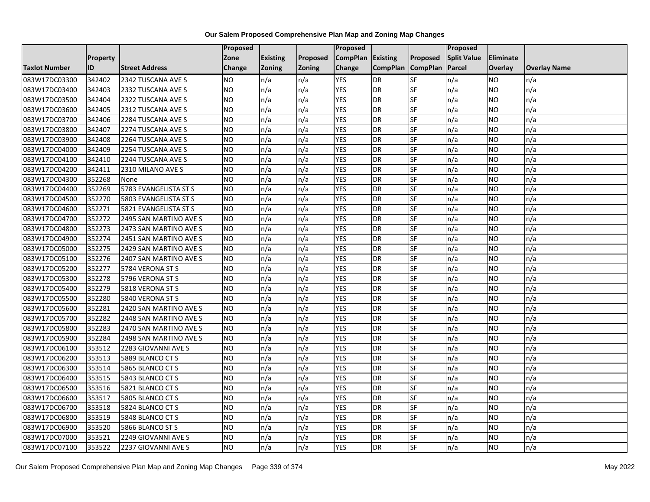|                      |                 |                        | <b>Proposed</b> |                 |          | Proposed          |                 |                 | <b>Proposed</b>    |                 |                     |
|----------------------|-----------------|------------------------|-----------------|-----------------|----------|-------------------|-----------------|-----------------|--------------------|-----------------|---------------------|
|                      | <b>Property</b> |                        | Zone            | <b>Existing</b> | Proposed | CompPlan Existing |                 | Proposed        | <b>Split Value</b> | Eliminate       |                     |
| <b>Taxlot Number</b> | ID              | <b>Street Address</b>  | <b>Change</b>   | Zoning          | Zoning   | Change            | <b>CompPlan</b> | <b>CompPlan</b> | Parcel             | Overlay         | <b>Overlay Name</b> |
| 083W17DC03300        | 342402          | 2342 TUSCANA AVE S     | <b>NO</b>       | n/a             | n/a      | <b>YES</b>        | <b>DR</b>       | SF              | n/a                | NO              | n/a                 |
| 083W17DC03400        | 342403          | 2332 TUSCANA AVE S     | <b>NO</b>       | n/a             | n/a      | <b>YES</b>        | <b>DR</b>       | SF              | n/a                | NO.             | n/a                 |
| 083W17DC03500        | 342404          | 2322 TUSCANA AVE S     | <b>NO</b>       | n/a             | n/a      | <b>YES</b>        | DR              | SF              | n/a                | NO.             | n/a                 |
| 083W17DC03600        | 342405          | 2312 TUSCANA AVE S     | <b>NO</b>       | n/a             | n/a      | <b>YES</b>        | DR              | SF              | n/a                | NO.             | n/a                 |
| 083W17DC03700        | 342406          | 2284 TUSCANA AVE S     | Ю               | n/a             | n/a      | <b>YES</b>        | <b>DR</b>       | SF              | n/a                | NO.             | n/a                 |
| 083W17DC03800        | 342407          | 2274 TUSCANA AVE S     | <b>ON</b>       | n/a             | n/a      | <b>YES</b>        | DR              | SF              | n/a                | <b>NO</b>       | n/a                 |
| 083W17DC03900        | 342408          | 2264 TUSCANA AVE S     | <b>NO</b>       | n/a             | n/a      | <b>YES</b>        | DR              | SF              | n/a                | NO              | n/a                 |
| 083W17DC04000        | 342409          | 2254 TUSCANA AVE S     | <b>NO</b>       | n/a             | n/a      | <b>YES</b>        | DR              | SF              | n/a                | NO              | n/a                 |
| 083W17DC04100        | 342410          | 2244 TUSCANA AVE S     | <b>NO</b>       | n/a             | n/a      | <b>YES</b>        | DR              | SF              | n/a                | NO              | n/a                 |
| 083W17DC04200        | 342411          | 2310 MILANO AVE S      | Ю               | n/a             | n/a      | <b>YES</b>        | DR              | SF              | n/a                | NO              | n/a                 |
| 083W17DC04300        | 352268          | None                   | <b>NO</b>       | n/a             | n/a      | <b>YES</b>        | DR              | SF              | n/a                | <b>NO</b>       | n/a                 |
| 083W17DC04400        | 352269          | 5783 EVANGELISTA ST S  | <b>NO</b>       | n/a             | n/a      | <b>YES</b>        | DR              | SF              | n/a                | NO              | n/a                 |
| 083W17DC04500        | 352270          | 5803 EVANGELISTA ST S  | <b>NO</b>       | n/a             | n/a      | <b>YES</b>        | DR              | SF              | n/a                | NO.             | n/a                 |
| 083W17DC04600        | 352271          | 5821 EVANGELISTA ST S  | <b>NO</b>       | n/a             | n/a      | <b>YES</b>        | DR              | SF              | n/a                | <b>NO</b>       | n/a                 |
| 083W17DC04700        | 352272          | 2495 SAN MARTINO AVE S | <b>NO</b>       | n/a             | n/a      | <b>YES</b>        | <b>DR</b>       | SF              | n/a                | NO              | n/a                 |
| 083W17DC04800        | 352273          | 2473 SAN MARTINO AVE S | <b>NO</b>       | n/a             | n/a      | <b>YES</b>        | DR              | SF              | n/a                | <b>NO</b>       | n/a                 |
| 083W17DC04900        | 352274          | 2451 SAN MARTINO AVE S | <b>NO</b>       | n/a             | n/a      | <b>YES</b>        | DR              | SF              | n/a                | NO.             | n/a                 |
| 083W17DC05000        | 352275          | 2429 SAN MARTINO AVE S | <b>NO</b>       | n/a             | n/a      | <b>YES</b>        | DR              | SF              | n/a                | NO.             | n/a                 |
| 083W17DC05100        | 352276          | 2407 SAN MARTINO AVE S | <b>NO</b>       | n/a             | n/a      | <b>YES</b>        | DR              | SF              | n/a                | NO.             | n/a                 |
| 083W17DC05200        | 352277          | 5784 VERONA ST S       | <b>NO</b>       | n/a             | n/a      | <b>YES</b>        | DR              | SF              | n/a                | NO.             | n/a                 |
| 083W17DC05300        | 352278          | 5796 VERONA ST S       | <b>NO</b>       | n/a             | n/a      | <b>YES</b>        | DR              | SF              | n/a                | <b>NO</b>       | n/a                 |
| 083W17DC05400        | 352279          | 5818 VERONA ST S       | <b>NO</b>       | n/a             | n/a      | <b>YES</b>        | $\overline{DR}$ | SF              | n/a                | $\overline{NO}$ | n/a                 |
| 083W17DC05500        | 352280          | 5840 VERONA ST S       | <b>NO</b>       | n/a             | n/a      | <b>YES</b>        | DR              | <b>SF</b>       | n/a                | <b>NO</b>       | n/a                 |
| 083W17DC05600        | 352281          | 2420 SAN MARTINO AVE S | <b>NO</b>       | n/a             | n/a      | <b>YES</b>        | <b>DR</b>       | SF              | n/a                | <b>NO</b>       | n/a                 |
| 083W17DC05700        | 352282          | 2448 SAN MARTINO AVE S | <b>NO</b>       | n/a             | n/a      | <b>YES</b>        | DR              | SF              | n/a                | NO.             | n/a                 |
| 083W17DC05800        | 352283          | 2470 SAN MARTINO AVE S | <b>NO</b>       | n/a             | n/a      | <b>YES</b>        | DR              | SF              | n/a                | NO.             | n/a                 |
| 083W17DC05900        | 352284          | 2498 SAN MARTINO AVE S | <b>NO</b>       | n/a             | n/a      | <b>YES</b>        | DR              | SF              | n/a                | <b>NO</b>       | n/a                 |
| 083W17DC06100        | 353512          | 2283 GIOVANNI AVE S    | <b>NO</b>       | n/a             | n/a      | <b>YES</b>        | DR              | SF              | n/a                | NO.             | n/a                 |
| 083W17DC06200        | 353513          | 5889 BLANCO CT S       | <b>NO</b>       | n/a             | n/a      | <b>YES</b>        | DR              | SF              | n/a                | NO.             | n/a                 |
| 083W17DC06300        | 353514          | 5865 BLANCO CT S       | <b>NO</b>       | n/a             | n/a      | <b>YES</b>        | DR              | SF              | n/a                | <b>NO</b>       | n/a                 |
| 083W17DC06400        | 353515          | 5843 BLANCO CT S       | <b>NO</b>       | n/a             | n/a      | <b>YES</b>        | DR              | <b>SF</b>       | n/a                | NO.             | n/a                 |
| 083W17DC06500        | 353516          | 5821 BLANCO CT S       | <b>NO</b>       | n/a             | n/a      | <b>YES</b>        | DR              | SF              | n/a                | <b>NO</b>       | n/a                 |
| 083W17DC06600        | 353517          | 5805 BLANCO CT S       | <b>NO</b>       | n/a             | n/a      | <b>YES</b>        | DR              | SF              | n/a                | NO.             | n/a                 |
| 083W17DC06700        | 353518          | 5824 BLANCO CT S       | <b>NO</b>       | n/a             | n/a      | <b>YES</b>        | DR              | SF              | n/a                | <b>NO</b>       | n/a                 |
| 083W17DC06800        | 353519          | 5848 BLANCO CT S       | Ю               | n/a             | n/a      | <b>YES</b>        | DR              | SF              | n/a                | NO.             | n/a                 |
| 083W17DC06900        | 353520          | 5866 BLANCO ST S       | <b>NO</b>       | n/a             | n/a      | <b>YES</b>        | DR              | SF              | n/a                | NO.             | n/a                 |
| 083W17DC07000        | 353521          | 2249 GIOVANNI AVE S    | <b>NO</b>       | n/a             | n/a      | <b>YES</b>        | DR              | SF              | n/a                | NO.             | n/a                 |
| 083W17DC07100        | 353522          | 2237 GIOVANNI AVE S    | <b>NO</b>       | n/a             | n/a      | <b>YES</b>        | DR              | SF              | n/a                | NO              | n/a                 |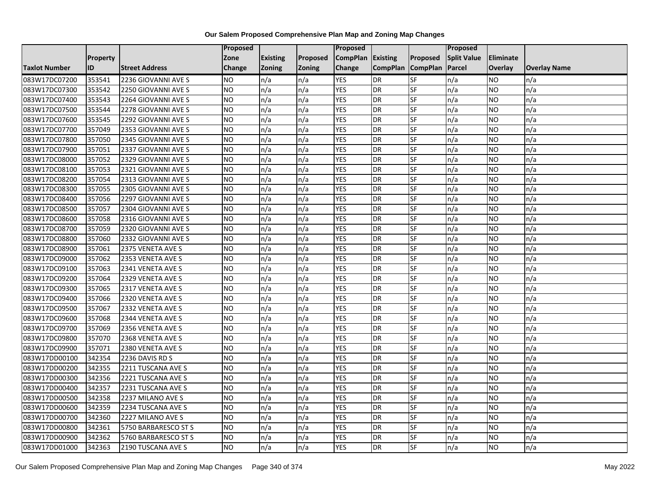|                      |                 |                       | <b>Proposed</b> |                 |          | Proposed          |                 |                 | <b>Proposed</b>    |           |                     |
|----------------------|-----------------|-----------------------|-----------------|-----------------|----------|-------------------|-----------------|-----------------|--------------------|-----------|---------------------|
|                      | <b>Property</b> |                       | Zone            | <b>Existing</b> | Proposed | CompPlan Existing |                 | Proposed        | <b>Split Value</b> | Eliminate |                     |
| <b>Taxlot Number</b> | ID              | <b>Street Address</b> | <b>Change</b>   | Zoning          | Zoning   | Change            | <b>CompPlan</b> | <b>CompPlan</b> | Parcel             | Overlay   | <b>Overlay Name</b> |
| 083W17DC07200        | 353541          | 2236 GIOVANNI AVE S   | <b>NO</b>       | n/a             | n/a      | <b>YES</b>        | DR              | SF              | n/a                | NO        | n/a                 |
| 083W17DC07300        | 353542          | 2250 GIOVANNI AVE S   | <b>NO</b>       | n/a             | n/a      | <b>YES</b>        | <b>DR</b>       | SF              | n/a                | NO.       | n/a                 |
| 083W17DC07400        | 353543          | 2264 GIOVANNI AVE S   | <b>NO</b>       | n/a             | n/a      | <b>YES</b>        | DR              | SF              | n/a                | NO.       | n/a                 |
| 083W17DC07500        | 353544          | 2278 GIOVANNI AVE S   | <b>NO</b>       | n/a             | n/a      | <b>YES</b>        | DR              | SF              | n/a                | NO.       | n/a                 |
| 083W17DC07600        | 353545          | 2292 GIOVANNI AVE S   | Ю               | n/a             | n/a      | <b>YES</b>        | <b>DR</b>       | SF              | n/a                | NO.       | n/a                 |
| 083W17DC07700        | 357049          | 2353 GIOVANNI AVE S   | <b>NO</b>       | n/a             | n/a      | <b>YES</b>        | DR              | SF              | n/a                | <b>NO</b> | n/a                 |
| 083W17DC07800        | 357050          | 2345 GIOVANNI AVE S   | <b>NO</b>       | n/a             | n/a      | <b>YES</b>        | DR              | SF              | n/a                | NO.       | n/a                 |
| 083W17DC07900        | 357051          | 2337 GIOVANNI AVE S   | <b>NO</b>       | n/a             | n/a      | <b>YES</b>        | DR              | SF              | n/a                | <b>NO</b> | n/a                 |
| 083W17DC08000        | 357052          | 2329 GIOVANNI AVE S   | <b>NO</b>       | n/a             | n/a      | <b>YES</b>        | DR              | SF              | n/a                | NO.       | n/a                 |
| 083W17DC08100        | 357053          | 2321 GIOVANNI AVE S   | Ю               | n/a             | n/a      | <b>YES</b>        | DR              | SF              | n/a                | NO.       | n/a                 |
| 083W17DC08200        | 357054          | 2313 GIOVANNI AVE S   | <b>NO</b>       | n/a             | n/a      | <b>YES</b>        | DR              | SF              | n/a                | <b>NO</b> | n/a                 |
| 083W17DC08300        | 357055          | 2305 GIOVANNI AVE S   | <b>NO</b>       | n/a             | n/a      | <b>YES</b>        | DR              | SF              | n/a                | NO.       | n/a                 |
| 083W17DC08400        | 357056          | 2297 GIOVANNI AVE S   | <b>NO</b>       | n/a             | n/a      | <b>YES</b>        | DR              | SF              | n/a                | NO.       | n/a                 |
| 083W17DC08500        | 357057          | 2304 GIOVANNI AVE S   | <b>NO</b>       | n/a             | n/a      | <b>YES</b>        | DR              | SF              | n/a                | <b>NO</b> | n/a                 |
| 083W17DC08600        | 357058          | 2316 GIOVANNI AVE S   | <b>NO</b>       | n/a             | n/a      | <b>YES</b>        | <b>DR</b>       | SF              | n/a                | NO.       | n/a                 |
| 083W17DC08700        | 357059          | 2320 GIOVANNI AVE S   | <b>NO</b>       | n/a             | n/a      | <b>YES</b>        | DR              | SF              | n/a                | <b>NO</b> | n/a                 |
| 083W17DC08800        | 357060          | 2332 GIOVANNI AVE S   | <b>NO</b>       | n/a             | n/a      | <b>YES</b>        | DR              | SF              | n/a                | NO.       | n/a                 |
| 083W17DC08900        | 357061          | 2375 VENETA AVE S     | <b>NO</b>       | n/a             | n/a      | <b>YES</b>        | DR              | SF              | n/a                | NO.       | n/a                 |
| 083W17DC09000        | 357062          | 2353 VENETA AVE S     | <b>NO</b>       | n/a             | n/a      | <b>YES</b>        | DR              | SF              | n/a                | NO.       | n/a                 |
| 083W17DC09100        | 357063          | 2341 VENETA AVE S     | <b>NO</b>       | n/a             | n/a      | <b>YES</b>        | DR              | SF              | n/a                | NO.       | n/a                 |
| 083W17DC09200        | 357064          | 2329 VENETA AVE S     | <b>NO</b>       | n/a             | n/a      | <b>YES</b>        | DR              | SF              | n/a                | <b>NO</b> | n/a                 |
| 083W17DC09300        | 357065          | 2317 VENETA AVE S     | <b>NO</b>       | n/a             | n/a      | <b>YES</b>        | $\overline{DR}$ | SF              | n/a                | NO.       | n/a                 |
| 083W17DC09400        | 357066          | 2320 VENETA AVE S     | <b>NO</b>       | n/a             | n/a      | <b>YES</b>        | DR              | <b>SF</b>       | n/a                | <b>NO</b> | n/a                 |
| 083W17DC09500        | 357067          | 2332 VENETA AVE S     | <b>NO</b>       | n/a             | n/a      | <b>YES</b>        | <b>DR</b>       | SF              | n/a                | <b>NO</b> | n/a                 |
| 083W17DC09600        | 357068          | 2344 VENETA AVE S     | <b>NO</b>       | n/a             | n/a      | <b>YES</b>        | DR              | SF              | n/a                | NO.       | n/a                 |
| 083W17DC09700        | 357069          | 2356 VENETA AVE S     | <b>NO</b>       | n/a             | n/a      | <b>YES</b>        | DR              | SF              | n/a                | NO.       | n/a                 |
| 083W17DC09800        | 357070          | 2368 VENETA AVE S     | <b>NO</b>       | n/a             | n/a      | <b>YES</b>        | DR              | SF              | n/a                | <b>NO</b> | n/a                 |
| 083W17DC09900        | 357071          | 2380 VENETA AVE S     | <b>NO</b>       | n/a             | n/a      | <b>YES</b>        | DR              | SF              | n/a                | NO.       | n/a                 |
| 083W17DD00100        | 342354          | 2236 DAVIS RD S       | <b>NO</b>       | n/a             | n/a      | <b>YES</b>        | DR              | SF              | n/a                | NO.       | n/a                 |
| 083W17DD00200        | 342355          | 2211 TUSCANA AVE S    | <b>NO</b>       | n/a             | n/a      | <b>YES</b>        | DR              | SF              | n/a                | <b>NO</b> | n/a                 |
| 083W17DD00300        | 342356          | 2221 TUSCANA AVE S    | <b>NO</b>       | n/a             | n/a      | <b>YES</b>        | DR              | <b>SF</b>       | n/a                | <b>NO</b> | n/a                 |
| 083W17DD00400        | 342357          | 2231 TUSCANA AVE S    | <b>NO</b>       | n/a             | n/a      | <b>YES</b>        | DR              | SF              | n/a                | <b>NO</b> | n/a                 |
| 083W17DD00500        | 342358          | 2237 MILANO AVE S     | <b>NO</b>       | n/a             | n/a      | <b>YES</b>        | DR              | SF              | n/a                | NO.       | n/a                 |
| 083W17DD00600        | 342359          | 2234 TUSCANA AVE S    | <b>NO</b>       | n/a             | n/a      | <b>YES</b>        | DR              | SF              | n/a                | <b>NO</b> | n/a                 |
| 083W17DD00700        | 342360          | 2227 MILANO AVE S     | <b>NO</b>       | n/a             | n/a      | <b>YES</b>        | DR              | SF              | n/a                | NO.       | n/a                 |
| 083W17DD00800        | 342361          | 5750 BARBARESCO ST S  | <b>NO</b>       | n/a             | n/a      | <b>YES</b>        | DR              | SF              | n/a                | NO.       | n/a                 |
| 083W17DD00900        | 342362          | 5760 BARBARESCO ST S  | <b>NO</b>       | n/a             | n/a      | <b>YES</b>        | DR              | SF              | n/a                | NO.       | n/a                 |
| 083W17DD01000        | 342363          | 2190 TUSCANA AVE S    | <b>ON</b>       | n/a             | n/a      | <b>YES</b>        | DR              | SF              | n/a                | NO.       | n/a                 |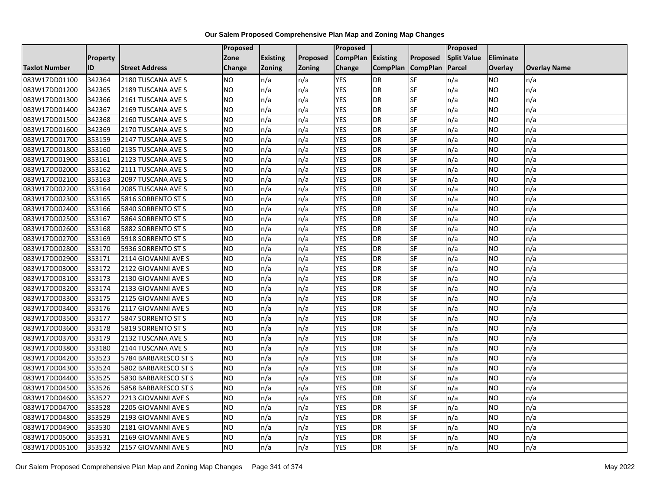|                      |                 |                       | <b>Proposed</b> |                 |          | Proposed          |                 |                 | <b>Proposed</b>    |                 |                     |
|----------------------|-----------------|-----------------------|-----------------|-----------------|----------|-------------------|-----------------|-----------------|--------------------|-----------------|---------------------|
|                      | <b>Property</b> |                       | Zone            | <b>Existing</b> | Proposed | CompPlan Existing |                 | Proposed        | <b>Split Value</b> | Eliminate       |                     |
| <b>Taxlot Number</b> | ID              | <b>Street Address</b> | <b>Change</b>   | Zoning          | Zoning   | Change            | <b>CompPlan</b> | <b>CompPlan</b> | Parcel             | Overlay         | <b>Overlay Name</b> |
| 083W17DD01100        | 342364          | 2180 TUSCANA AVE S    | <b>NO</b>       | n/a             | n/a      | <b>YES</b>        | DR              | SF              | n/a                | NO              | n/a                 |
| 083W17DD01200        | 342365          | 2189 TUSCANA AVE S    | <b>NO</b>       | n/a             | n/a      | <b>YES</b>        | <b>DR</b>       | SF              | n/a                | NO.             | n/a                 |
| 083W17DD01300        | 342366          | 2161 TUSCANA AVE S    | <b>NO</b>       | n/a             | n/a      | <b>YES</b>        | DR              | SF              | n/a                | NO.             | n/a                 |
| 083W17DD01400        | 342367          | 2169 TUSCANA AVE S    | <b>NO</b>       | n/a             | n/a      | <b>YES</b>        | DR              | SF              | n/a                | NO.             | n/a                 |
| 083W17DD01500        | 342368          | 2160 TUSCANA AVE S    | Ю               | n/a             | n/a      | <b>YES</b>        | <b>DR</b>       | SF              | n/a                | NO.             | n/a                 |
| 083W17DD01600        | 342369          | 2170 TUSCANA AVE S    | <b>NO</b>       | n/a             | n/a      | <b>YES</b>        | DR              | SF              | n/a                | <b>NO</b>       | n/a                 |
| 083W17DD01700        | 353159          | 2147 TUSCANA AVE S    | <b>NO</b>       | n/a             | n/a      | <b>YES</b>        | DR              | SF              | n/a                | NO              | n/a                 |
| 083W17DD01800        | 353160          | 2135 TUSCANA AVE S    | <b>NO</b>       | n/a             | n/a      | <b>YES</b>        | DR              | SF              | n/a                | NO.             | n/a                 |
| 083W17DD01900        | 353161          | 2123 TUSCANA AVE S    | <b>NO</b>       | n/a             | n/a      | <b>YES</b>        | DR              | SF              | n/a                | NO              | n/a                 |
| 083W17DD02000        | 353162          | 2111 TUSCANA AVE S    | Ю               | n/a             | n/a      | <b>YES</b>        | DR              | SF              | n/a                | <b>NO</b>       | n/a                 |
| 083W17DD02100        | 353163          | 2097 TUSCANA AVE S    | <b>NO</b>       | n/a             | n/a      | <b>YES</b>        | DR              | SF              | n/a                | <b>NO</b>       | n/a                 |
| 083W17DD02200        | 353164          | 2085 TUSCANA AVE S    | <b>NO</b>       | n/a             | n/a      | <b>YES</b>        | DR              | SF              | n/a                | NO              | n/a                 |
| 083W17DD02300        | 353165          | 5816 SORRENTO ST S    | <b>NO</b>       | n/a             | n/a      | <b>YES</b>        | DR              | SF              | n/a                | NO              | n/a                 |
| 083W17DD02400        | 353166          | 5840 SORRENTO ST S    | <b>ON</b>       | n/a             | n/a      | <b>YES</b>        | DR              | SF              | n/a                | <b>NO</b>       | n/a                 |
| 083W17DD02500        | 353167          | 5864 SORRENTO ST S    | <b>NO</b>       | n/a             | n/a      | <b>YES</b>        | <b>DR</b>       | SF              | n/a                | NO.             | n/a                 |
| 083W17DD02600        | 353168          | 5882 SORRENTO ST S    | <b>NO</b>       | n/a             | n/a      | <b>YES</b>        | DR              | SF              | n/a                | <b>NO</b>       | n/a                 |
| 083W17DD02700        | 353169          | 5918 SORRENTO ST S    | <b>NO</b>       | n/a             | n/a      | <b>YES</b>        | DR              | SF              | n/a                | NO.             | n/a                 |
| 083W17DD02800        | 353170          | 5936 SORRENTO ST S    | <b>NO</b>       | n/a             | n/a      | <b>YES</b>        | DR              | SF              | n/a                | NO.             | n/a                 |
| 083W17DD02900        | 353171          | 2114 GIOVANNI AVE S   | <b>NO</b>       | n/a             | n/a      | <b>YES</b>        | DR              | SF              | n/a                | NO              | n/a                 |
| 083W17DD03000        | 353172          | 2122 GIOVANNI AVE S   | <b>NO</b>       | n/a             | n/a      | <b>YES</b>        | DR              | SF              | n/a                | NO              | n/a                 |
| 083W17DD03100        | 353173          | 2130 GIOVANNI AVE S   | <b>NO</b>       | n/a             | n/a      | <b>YES</b>        | DR              | SF              | n/a                | <b>NO</b>       | n/a                 |
| 083W17DD03200        | 353174          | 2133 GIOVANNI AVE S   | <b>NO</b>       | n/a             | n/a      | <b>YES</b>        | $\overline{DR}$ | SF              | n/a                | $\overline{NO}$ | n/a                 |
| 083W17DD03300        | 353175          | 2125 GIOVANNI AVE S   | <b>NO</b>       | n/a             | n/a      | <b>YES</b>        | DR              | <b>SF</b>       | n/a                | <b>NO</b>       | n/a                 |
| 083W17DD03400        | 353176          | 2117 GIOVANNI AVE S   | <b>NO</b>       | n/a             | n/a      | <b>YES</b>        | <b>DR</b>       | SF              | n/a                | <b>NO</b>       | n/a                 |
| 083W17DD03500        | 353177          | 5847 SORRENTO ST S    | Ю               | n/a             | n/a      | <b>YES</b>        | DR              | SF              | n/a                | NO              | n/a                 |
| 083W17DD03600        | 353178          | 5819 SORRENTO ST S    | <b>ON</b>       | n/a             | n/a      | <b>YES</b>        | DR              | SF              | n/a                | NO              | n/a                 |
| 083W17DD03700        | 353179          | 2132 TUSCANA AVE S    | <b>NO</b>       | n/a             | n/a      | <b>YES</b>        | DR              | SF              | n/a                | <b>NO</b>       | n/a                 |
| 083W17DD03800        | 353180          | 2144 TUSCANA AVE S    | <b>NO</b>       | n/a             | n/a      | <b>YES</b>        | DR              | SF              | n/a                | NO.             | n/a                 |
| 083W17DD04200        | 353523          | 5784 BARBARESCO ST S  | <b>NO</b>       | n/a             | n/a      | <b>YES</b>        | DR              | SF              | n/a                | NO.             | n/a                 |
| 083W17DD04300        | 353524          | 5802 BARBARESCO ST S  | <b>NO</b>       | n/a             | n/a      | <b>YES</b>        | DR              | SF              | n/a                | <b>NO</b>       | n/a                 |
| 083W17DD04400        | 353525          | 5830 BARBARESCO ST S  | <b>NO</b>       | n/a             | n/a      | <b>YES</b>        | DR              | <b>SF</b>       | n/a                | <b>NO</b>       | n/a                 |
| 083W17DD04500        | 353526          | 5858 BARBARESCO ST S  | <b>NO</b>       | n/a             | n/a      | <b>YES</b>        | DR              | SF              | n/a                | <b>NO</b>       | n/a                 |
| 083W17DD04600        | 353527          | 2213 GIOVANNI AVE S   | <b>NO</b>       | n/a             | n/a      | <b>YES</b>        | DR              | SF              | n/a                | NO.             | n/a                 |
| 083W17DD04700        | 353528          | 2205 GIOVANNI AVE S   | <b>NO</b>       | n/a             | n/a      | <b>YES</b>        | DR              | SF              | n/a                | <b>NO</b>       | n/a                 |
| 083W17DD04800        | 353529          | 2193 GIOVANNI AVE S   | Ю               | n/a             | n/a      | <b>YES</b>        | DR              | SF              | n/a                | NO.             | n/a                 |
| 083W17DD04900        | 353530          | 2181 GIOVANNI AVE S   | <b>NO</b>       | n/a             | n/a      | <b>YES</b>        | DR              | SF              | n/a                | NO.             | n/a                 |
| 083W17DD05000        | 353531          | 2169 GIOVANNI AVE S   | <b>NO</b>       | n/a             | n/a      | <b>YES</b>        | DR              | SF              | n/a                | NO.             | n/a                 |
| 083W17DD05100        | 353532          | 2157 GIOVANNI AVE S   | Ю               | n/a             | n/a      | <b>YES</b>        | DR              | SF              | n/a                | NO              | n/a                 |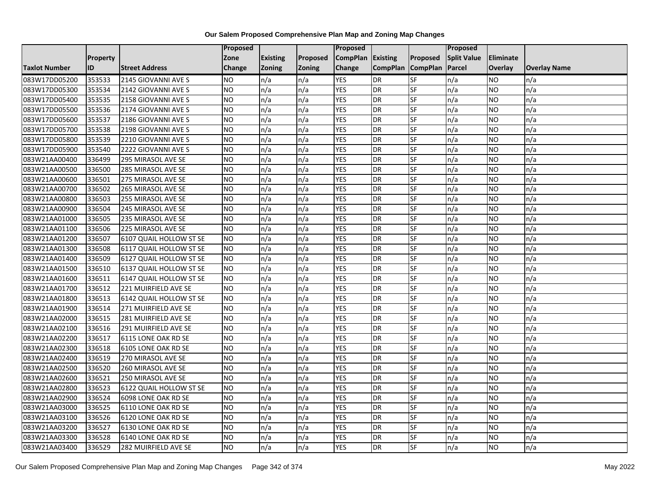|                      |                 |                         | Proposed      |                 |               | Proposed          |                 |                 | Proposed           |           |                     |
|----------------------|-----------------|-------------------------|---------------|-----------------|---------------|-------------------|-----------------|-----------------|--------------------|-----------|---------------------|
|                      | <b>Property</b> |                         | Zone          | <b>Existing</b> | Proposed      | CompPlan Existing |                 | Proposed        | <b>Split Value</b> | Eliminate |                     |
| <b>Taxlot Number</b> | ID              | <b>Street Address</b>   | <b>Change</b> | Zoning          | <b>Zoning</b> | Change            | <b>CompPlan</b> | <b>CompPlan</b> | Parcel             | Overlay   | <b>Overlay Name</b> |
| 083W17DD05200        | 353533          | 2145 GIOVANNI AVE S     | <b>NO</b>     | n/a             | n/a           | <b>YES</b>        | <b>DR</b>       | <b>SF</b>       | n/a                | NO.       | n/a                 |
| 083W17DD05300        | 353534          | 2142 GIOVANNI AVE S     | <b>NO</b>     | n/a             | n/a           | <b>YES</b>        | DR              | SF              | n/a                | NO.       | n/a                 |
| 083W17DD05400        | 353535          | 2158 GIOVANNI AVE S     | <b>NO</b>     | n/a             | n/a           | <b>YES</b>        | DR              | SF              | n/a                | NO.       | n/a                 |
| 083W17DD05500        | 353536          | 2174 GIOVANNI AVE S     | <b>NO</b>     | n/a             | n/a           | <b>YES</b>        | <b>DR</b>       | SF              | n/a                | NO.       | n/a                 |
| 083W17DD05600        | 353537          | 2186 GIOVANNI AVE S     | <b>NO</b>     | n/a             | n/a           | <b>YES</b>        | <b>DR</b>       | SF              | n/a                | NO.       | n/a                 |
| 083W17DD05700        | 353538          | 2198 GIOVANNI AVE S     | <b>NO</b>     | n/a             | n/a           | <b>YES</b>        | <b>DR</b>       | SF              | n/a                | <b>NO</b> | n/a                 |
| 083W17DD05800        | 353539          | 2210 GIOVANNI AVE S     | <b>NO</b>     | n/a             | n/a           | <b>YES</b>        | DR              | SF              | n/a                | NO.       | n/a                 |
| 083W17DD05900        | 353540          | 2222 GIOVANNI AVE S     | <b>NO</b>     | n/a             | n/a           | <b>YES</b>        | DR              | SF              | n/a                | NO.       | n/a                 |
| 083W21AA00400        | 336499          | 295 MIRASOL AVE SE      | <b>NO</b>     | n/a             | n/a           | <b>YES</b>        | DR              | SF              | n/a                | NO.       | n/a                 |
| 083W21AA00500        | 336500          | 285 MIRASOL AVE SE      | ŌИ            | n/a             | n/a           | <b>YES</b>        | DR              | SF              | n/a                | NO.       | n/a                 |
| 083W21AA00600        | 336501          | 275 MIRASOL AVE SE      | <b>NO</b>     | n/a             | n/a           | <b>YES</b>        | <b>DR</b>       | SF              | n/a                | <b>NO</b> | n/a                 |
| 083W21AA00700        | 336502          | 265 MIRASOL AVE SE      | <b>NO</b>     | n/a             | n/a           | <b>YES</b>        | <b>DR</b>       | SF              | n/a                | NO.       | n/a                 |
| 083W21AA00800        | 336503          | 255 MIRASOL AVE SE      | ŌИ            | n/a             | n/a           | <b>YES</b>        | DR              | $S$ F           | n/a                | NO.       | n/a                 |
| 083W21AA00900        | 336504          | 245 MIRASOL AVE SE      | <b>NO</b>     | n/a             | n/a           | <b>YES</b>        | <b>DR</b>       | SF              | n/a                | NO.       | n/a                 |
| 083W21AA01000        | 336505          | 235 MIRASOL AVE SE      | <b>NO</b>     | n/a             | n/a           | <b>YES</b>        | DR              | SF              | n/a                | NO.       | n/a                 |
| 083W21AA01100        | 336506          | 225 MIRASOL AVE SE      | ŌИ            | n/a             | n/a           | <b>YES</b>        | <b>DR</b>       | $S_{F}$         | n/a                | NO.       | n/a                 |
| 083W21AA01200        | 336507          | 6107 QUAIL HOLLOW ST SE | ŌИ            | n/a             | n/a           | <b>YES</b>        | $\overline{R}$  | <b>SF</b>       | n/a                | NO.       | n/a                 |
| 083W21AA01300        | 336508          | 6117 QUAIL HOLLOW ST SE | <b>NO</b>     | n/a             | n/a           | <b>YES</b>        | DR              | SF              | n/a                | NO.       | n/a                 |
| 083W21AA01400        | 336509          | 6127 QUAIL HOLLOW ST SE | <b>NO</b>     | n/a             | n/a           | <b>YES</b>        | DR              | SF              | n/a                | NO.       | n/a                 |
| 083W21AA01500        | 336510          | 6137 QUAIL HOLLOW ST SE | <b>NO</b>     | n/a             | n/a           | <b>YES</b>        | <b>DR</b>       | <b>SF</b>       | n/a                | NO.       | n/a                 |
| 083W21AA01600        | 336511          | 6147 QUAIL HOLLOW ST SE | <b>NO</b>     | n/a             | n/a           | <b>YES</b>        | DR              | SF              | n/a                | NO.       | n/a                 |
| 083W21AA01700        | 336512          | 221 MUIRFIELD AVE SE    | <b>NO</b>     | n/a             | n/a           | <b>YES</b>        | <b>DR</b>       | SF              | n/a                | <b>NO</b> | n/a                 |
| 083W21AA01800        | 336513          | 6142 QUAIL HOLLOW ST SE | <b>NO</b>     | n/a             | n/a           | <b>YES</b>        | DR              | SF              | n/a                | NO.       | n/a                 |
| 083W21AA01900        | 336514          | 271 MUIRFIELD AVE SE    | <b>NO</b>     | n/a             | n/a           | <b>YES</b>        | DR              | SF              | n/a                | NO.       | n/a                 |
| 083W21AA02000        | 336515          | 281 MUIRFIELD AVE SE    | <b>NO</b>     | n/a             | n/a           | <b>YES</b>        | <b>DR</b>       | SF              | n/a                | <b>NO</b> | n/a                 |
| 083W21AA02100        | 336516          | 291 MUIRFIELD AVE SE    | <b>NO</b>     | n/a             | n/a           | <b>YES</b>        | DR              | SF              | n/a                | NO.       | n/a                 |
| 083W21AA02200        | 336517          | 6115 LONE OAK RD SE     | ŌИ            | n/a             | n/a           | <b>YES</b>        | <b>DR</b>       | $S_{F}$         | n/a                | NO.       | n/a                 |
| 083W21AA02300        | 336518          | 6105 LONE OAK RD SE     | <b>NO</b>     | n/a             | n/a           | <b>YES</b>        | DR              | SF              | n/a                | NO.       | n/a                 |
| 083W21AA02400        | 336519          | 270 MIRASOL AVE SE      | <b>NO</b>     | n/a             | n/a           | <b>YES</b>        | DR              | SF              | n/a                | NO.       | n/a                 |
| 083W21AA02500        | 336520          | 260 MIRASOL AVE SE      | <b>NO</b>     | n/a             | n/a           | <b>YES</b>        | <b>DR</b>       | SF              | n/a                | <b>NO</b> | n/a                 |
| 083W21AA02600        | 336521          | 250 MIRASOL AVE SE      | <b>NO</b>     | n/a             | n/a           | <b>YES</b>        | DR              | SF              | n/a                | NO.       | n/a                 |
| 083W21AA02800        | 336523          | 6122 QUAIL HOLLOW ST SE | <b>NO</b>     | n/a             | n/a           | <b>YES</b>        | DR              | SF              | n/a                | NO.       | n/a                 |
| 083W21AA02900        | 336524          | 6098 LONE OAK RD SE     | ŌИ            | n/a             | n/a           | <b>YES</b>        | <b>DR</b>       | SF              | n/a                | NO.       | n/a                 |
| 083W21AA03000        | 336525          | 6110 LONE OAK RD SE     | <b>NO</b>     | n/a             | n/a           | <b>YES</b>        | DR              | SF              | n/a                | NO.       | n/a                 |
| 083W21AA03100        | 336526          | 6120 LONE OAK RD SE     | <b>NO</b>     | n/a             | n/a           | <b>YES</b>        | <b>DR</b>       | SF              | n/a                | NO.       | n/a                 |
| 083W21AA03200        | 336527          | 6130 LONE OAK RD SE     | <b>NO</b>     | n/a             | n/a           | <b>YES</b>        | <b>DR</b>       | SF              | n/a                | NO.       | n/a                 |
| 083W21AA03300        | 336528          | 6140 LONE OAK RD SE     | <b>NO</b>     | n/a             | n/a           | <b>YES</b>        | <b>DR</b>       | SF              | n/a                | NO        | n/a                 |
| 083W21AA03400        | 336529          | 282 MUIRFIELD AVE SE    | <b>NO</b>     | n/a             | n/a           | <b>YES</b>        | DR              | SF              | n/a                | NO.       | n/a                 |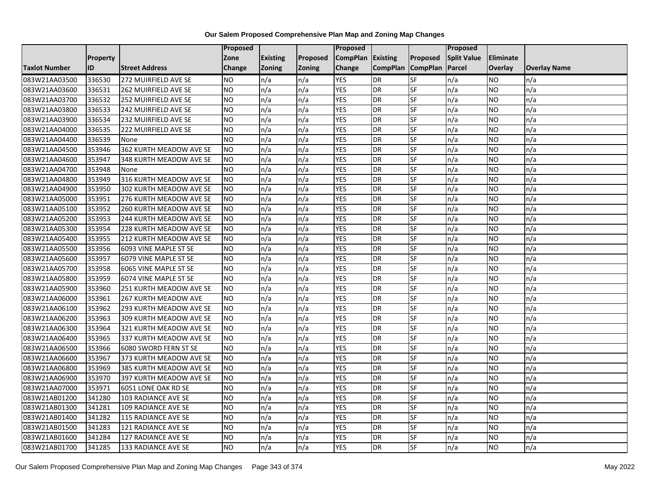|                      |                 |                                | <b>Proposed</b> |                 |               | Proposed        |                 |                 | Proposed           |                |                     |
|----------------------|-----------------|--------------------------------|-----------------|-----------------|---------------|-----------------|-----------------|-----------------|--------------------|----------------|---------------------|
|                      | <b>Property</b> |                                | Zone            | <b>Existing</b> | Proposed      | <b>CompPlan</b> | Existing        | Proposed        | <b>Split Value</b> | Eliminate      |                     |
| <b>Taxlot Number</b> | ID              | <b>Street Address</b>          | <b>Change</b>   | Zoning          | <b>Zoning</b> | Change          | <b>CompPlan</b> | <b>CompPlan</b> | Parcel             | <b>Overlay</b> | <b>Overlay Name</b> |
| 083W21AA03500        | 336530          | 272 MUIRFIELD AVE SE           | <b>NO</b>       | n/a             | n/a           | <b>YES</b>      | <b>DR</b>       | <b>SF</b>       | n/a                | NO.            | n/a                 |
| 083W21AA03600        | 336531          | 262 MUIRFIELD AVE SE           | <b>NO</b>       | n/a             | n/a           | <b>YES</b>      | DR              | $S_{F}$         | n/a                | NO.            | n/a                 |
| 083W21AA03700        | 336532          | 252 MUIRFIELD AVE SE           | <b>NO</b>       | n/a             | n/a           | <b>YES</b>      | DR              | SF              | n/a                | <b>NO</b>      | n/a                 |
| 083W21AA03800        | 336533          | 242 MUIRFIELD AVE SE           | <b>NO</b>       | n/a             | n/a           | <b>YES</b>      | <b>DR</b>       | SF              | n/a                | NO.            | n/a                 |
| 083W21AA03900        | 336534          | 232 MUIRFIELD AVE SE           | <b>NO</b>       | n/a             | n/a           | <b>YES</b>      | <b>DR</b>       | $S_{F}$         | n/a                | NO.            | n/a                 |
| 083W21AA04000        | 336535          | 222 MUIRFIELD AVE SE           | <b>NO</b>       | n/a             | n/a           | <b>YES</b>      | <b>DR</b>       | SF              | n/a                | NO.            | n/a                 |
| 083W21AA04400        | 336539          | None                           | <b>NO</b>       | n/a             | n/a           | <b>YES</b>      | DR              | SF              | n/a                | NO.            | n/a                 |
| 083W21AA04500        | 353946          | 362 KURTH MEADOW AVE SE        | <b>NO</b>       | n/a             | n/a           | <b>YES</b>      | DR              | SF              | n/a                | NO.            | n/a                 |
| 083W21AA04600        | 353947          | 348 KURTH MEADOW AVE SE        | <b>NO</b>       | n/a             | n/a           | <b>YES</b>      | DR              | SF              | n/a                | NO             | n/a                 |
| 083W21AA04700        | 353948          | None                           | Ю               | n/a             | n/a           | <b>YES</b>      | DR              | SF              | n/a                | NO.            | n/a                 |
| 083W21AA04800        | 353949          | 316 KURTH MEADOW AVE SE        | <b>NO</b>       | n/a             | n/a           | <b>YES</b>      | <b>DR</b>       | SF              | n/a                | <b>NO</b>      | n/a                 |
| 083W21AA04900        | 353950          | 302 KURTH MEADOW AVE SE        | <b>NO</b>       | n/a             | n/a           | <b>YES</b>      | DR              | SF              | n/a                | NO.            | n/a                 |
| 083W21AA05000        | 353951          | 276 KURTH MEADOW AVE SE        | <b>NO</b>       | n/a             | n/a           | <b>YES</b>      | DR              | SF              | n/a                | NO.            | n/a                 |
| 083W21AA05100        | 353952          | <b>260 KURTH MEADOW AVE SE</b> | <b>NO</b>       | n/a             | n/a           | <b>YES</b>      | <b>DR</b>       | SF              | n/a                | <b>NO</b>      | n/a                 |
| 083W21AA05200        | 353953          | 244 KURTH MEADOW AVE SE        | <b>NO</b>       | n/a             | n/a           | <b>YES</b>      | DR              | SF              | n/a                | ΝO             | n/a                 |
| 083W21AA05300        | 353954          | 228 KURTH MEADOW AVE SE        | <b>NO</b>       | n/a             | n/a           | <b>YES</b>      | DR              | SF              | n/a                | NO.            | n/a                 |
| 083W21AA05400        | 353955          | 212 KURTH MEADOW AVE SE        | <b>NO</b>       | n/a             | n/a           | <b>YES</b>      | DR              | SF              | n/a                | <b>NO</b>      | n/a                 |
| 083W21AA05500        | 353956          | 6093 VINE MAPLE ST SE          | <b>NO</b>       | n/a             | n/a           | <b>YES</b>      | DR              | SF              | n/a                | NO.            | n/a                 |
| 083W21AA05600        | 353957          | 6079 VINE MAPLE ST SE          | <b>NO</b>       | n/a             | n/a           | <b>YES</b>      | DR              | SF              | n/a                | <b>NO</b>      | n/a                 |
| 083W21AA05700        | 353958          | 6065 VINE MAPLE ST SE          | <b>NO</b>       | n/a             | n/a           | <b>YES</b>      | DR              | SF              | n/a                | NO.            | n/a                 |
| 083W21AA05800        | 353959          | 6074 VINE MAPLE ST SE          | <b>NO</b>       | n/a             | n/a           | <b>YES</b>      | DR              | SF              | n/a                | NO.            | n/a                 |
| 083W21AA05900        | 353960          | 251 KURTH MEADOW AVE SE        | <b>NO</b>       | n/a             | n/a           | <b>YES</b>      | DR              | <b>SF</b>       | n/a                | NO.            | n/a                 |
| 083W21AA06000        | 353961          | <b>267 KURTH MEADOW AVE</b>    | <b>NO</b>       | n/a             | n/a           | <b>YES</b>      | DR              | SF              | n/a                | NO.            | n/a                 |
| 083W21AA06100        | 353962          | 293 KURTH MEADOW AVE SE        | <b>NO</b>       | n/a             | n/a           | <b>YES</b>      | DR              | SF              | n/a                | NO.            | n/a                 |
| 083W21AA06200        | 353963          | 309 KURTH MEADOW AVE SE        | <b>NO</b>       | n/a             | n/a           | <b>YES</b>      | <b>DR</b>       | SF              | n/a                | NO.            | n/a                 |
| 083W21AA06300        | 353964          | 321 KURTH MEADOW AVE SE        | <b>NO</b>       | n/a             | n/a           | <b>YES</b>      | DR              | SF              | n/a                | NO.            | n/a                 |
| 083W21AA06400        | 353965          | 337 KURTH MEADOW AVE SE        | <b>NO</b>       | n/a             | n/a           | <b>YES</b>      | <b>DR</b>       | SF              | n/a                | NO.            | n/a                 |
| 083W21AA06500        | 353966          | 6080 SWORD FERN ST SE          | <b>NO</b>       | n/a             | n/a           | <b>YES</b>      | <b>DR</b>       | SF              | n/a                | NO.            | n/a                 |
| 083W21AA06600        | 353967          | 373 KURTH MEADOW AVE SE        | <b>NO</b>       | n/a             | n/a           | <b>YES</b>      | DR              | SF              | n/a                | NO.            | n/a                 |
| 083W21AA06800        | 353969          | 385 KURTH MEADOW AVE SE        | <b>NO</b>       | n/a             | n/a           | <b>YES</b>      | <b>DR</b>       | SF              | n/a                | NO.            | n/a                 |
| 083W21AA06900        | 353970          | 397 KURTH MEADOW AVE SE        | <b>NO</b>       | n/a             | n/a           | <b>YES</b>      | DR              | SF              | n/a                | ΝO             | n/a                 |
| 083W21AA07000        | 353971          | 6051 LONE OAK RD SE            | <b>NO</b>       | n/a             | n/a           | <b>YES</b>      | DR              | SF              | n/a                | NO.            | n/a                 |
| 083W21AB01200        | 341280          | 103 RADIANCE AVE SE            | <b>NO</b>       | n/a             | n/a           | <b>YES</b>      | <b>DR</b>       | SF              | n/a                | NO.            | n/a                 |
| 083W21AB01300        | 341281          | 109 RADIANCE AVE SE            | <b>NO</b>       | n/a             | n/a           | <b>YES</b>      | DR              | SF              | n/a                | NO.            | n/a                 |
| 083W21AB01400        | 341282          | 115 RADIANCE AVE SE            | <b>NO</b>       | n/a             | n/a           | <b>YES</b>      | DR              | <b>SF</b>       | n/a                | NO.            | n/a                 |
| 083W21AB01500        | 341283          | 121 RADIANCE AVE SE            | <b>NO</b>       | n/a             | n/a           | <b>YES</b>      | <b>DR</b>       | SF              | n/a                | NO.            | n/a                 |
| 083W21AB01600        | 341284          | 127 RADIANCE AVE SE            | <b>NO</b>       | n/a             | n/a           | <b>YES</b>      | <b>DR</b>       | SF              | n/a                | NO.            | n/a                 |
| 083W21AB01700        | 341285          | 133 RADIANCE AVE SE            | Ю               | n/a             | n/a           | <b>YES</b>      | <b>DR</b>       | <b>SF</b>       | n/a                | NO.            | n/a                 |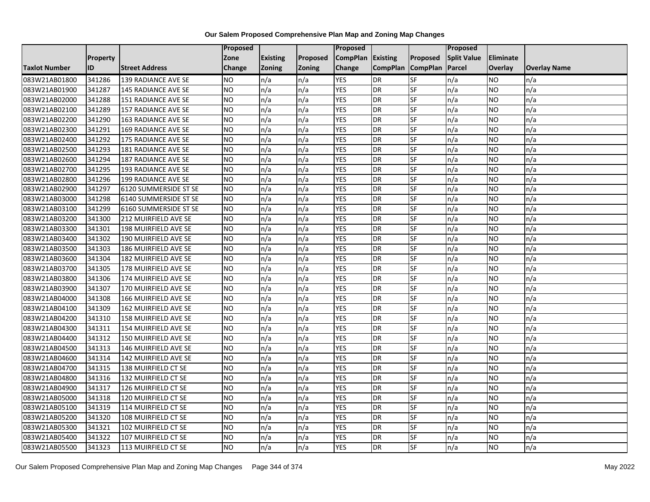|                      |          |                            | Proposed       |                 |                 | <b>Proposed</b> |                 |                 | Proposed           |           |                     |
|----------------------|----------|----------------------------|----------------|-----------------|-----------------|-----------------|-----------------|-----------------|--------------------|-----------|---------------------|
|                      | Property |                            | Zone           | <b>Existing</b> | <b>Proposed</b> | <b>CompPlan</b> | Existing        | Proposed        | <b>Split Value</b> | Eliminate |                     |
| <b>Taxlot Number</b> | ID       | <b>Street Address</b>      | Change         | <b>Zoning</b>   | <b>Zoning</b>   | Change          | <b>CompPlan</b> | <b>CompPlan</b> | Parcel             | Overlay   | <b>Overlay Name</b> |
| 083W21AB01800        | 341286   | 139 RADIANCE AVE SE        | <b>NO</b>      | n/a             | n/a             | <b>YES</b>      | DR              | <b>SF</b>       | n/a                | NO        | n/a                 |
| 083W21AB01900        | 341287   | <b>145 RADIANCE AVE SE</b> | <b>NO</b>      | n/a             | n/a             | <b>YES</b>      | <b>DR</b>       | $S$ F           | n/a                | NO.       | n/a                 |
| 083W21AB02000        | 341288   | 151 RADIANCE AVE SE        | <b>NO</b>      | n/a             | n/a             | <b>YES</b>      | <b>DR</b>       | SF              | n/a                | NO        | n/a                 |
| 083W21AB02100        | 341289   | 157 RADIANCE AVE SE        | <b>NO</b>      | n/a             | n/a             | <b>YES</b>      | <b>DR</b>       | SF              | n/a                | NO        | n/a                 |
| 083W21AB02200        | 341290   | 163 RADIANCE AVE SE        | <b>NO</b>      | n/a             | n/a             | <b>YES</b>      | <b>DR</b>       | <b>SF</b>       | n/a                | NO.       | n/a                 |
| 083W21AB02300        | 341291   | <b>169 RADIANCE AVE SE</b> | N <sub>O</sub> | n/a             | n/a             | <b>YES</b>      | <b>DR</b>       | SF              | n/a                | <b>NO</b> | n/a                 |
| 083W21AB02400        | 341292   | 175 RADIANCE AVE SE        | <b>NO</b>      | n/a             | n/a             | <b>YES</b>      | <b>DR</b>       | <b>SF</b>       | n/a                | NO.       | n/a                 |
| 083W21AB02500        | 341293   | 181 RADIANCE AVE SE        | <b>NO</b>      | n/a             | n/a             | <b>YES</b>      | <b>DR</b>       | SF              | n/a                | NO        | n/a                 |
| 083W21AB02600        | 341294   | 187 RADIANCE AVE SE        | <b>NO</b>      | n/a             | n/a             | <b>YES</b>      | <b>DR</b>       | <b>SF</b>       | n/a                | NO.       | n/a                 |
| 083W21AB02700        | 341295   | 193 RADIANCE AVE SE        | N <sub>O</sub> | n/a             | n/a             | <b>YES</b>      | <b>DR</b>       | SF              | n/a                | NO.       | n/a                 |
| 083W21AB02800        | 341296   | 199 RADIANCE AVE SE        | <b>NO</b>      | n/a             | n/a             | <b>YES</b>      | <b>DR</b>       | SF              | n/a                | NO        | n/a                 |
| 083W21AB02900        | 341297   | 6120 SUMMERSIDE ST SE      | <b>NO</b>      | n/a             | n/a             | <b>YES</b>      | <b>DR</b>       | SF              | n/a                | <b>NO</b> | n/a                 |
| 083W21AB03000        | 341298   | 6140 SUMMERSIDE ST SE      | ŌИ             | n/a             | n/a             | <b>YES</b>      | <b>DR</b>       | <b>SF</b>       | n/a                | NO.       | n/a                 |
| 083W21AB03100        | 341299   | 6160 SUMMERSIDE ST SE      | <b>NO</b>      | n/a             | n/a             | <b>YES</b>      | <b>DR</b>       | SF              | n/a                | NO.       | n/a                 |
| 083W21AB03200        | 341300   | 212 MUIRFIELD AVE SE       | <b>NO</b>      | n/a             | n/a             | <b>YES</b>      | <b>DR</b>       | SF              | n/a                | NO.       | n/a                 |
| 083W21AB03300        | 341301   | 198 MUIRFIELD AVE SE       | N <sub>O</sub> | n/a             | n/a             | <b>YES</b>      | <b>DR</b>       | $S$ F           | n/a                | NO.       | n/a                 |
| 083W21AB03400        | 341302   | 190 MUIRFIELD AVE SE       | N <sub>O</sub> | n/a             | n/a             | <b>YES</b>      | <b>DR</b>       | SF              | n/a                | <b>NO</b> | n/a                 |
| 083W21AB03500        | 341303   | 186 MUIRFIELD AVE SE       | <b>NO</b>      | n/a             | n/a             | <b>YES</b>      | <b>DR</b>       | SF              | n/a                | NO        | n/a                 |
| 083W21AB03600        | 341304   | 182 MUIRFIELD AVE SE       | <b>NO</b>      | n/a             | n/a             | <b>YES</b>      | <b>DR</b>       | <b>SF</b>       | n/a                | NO        | n/a                 |
| 083W21AB03700        | 341305   | 178 MUIRFIELD AVE SE       | <b>NO</b>      | n/a             | n/a             | <b>YES</b>      | <b>DR</b>       | SF              | n/a                | ΝO        | n/a                 |
| 083W21AB03800        | 341306   | 174 MUIRFIELD AVE SE       | <b>NO</b>      | n/a             | n/a             | <b>YES</b>      | <b>DR</b>       | SF              | n/a                | NO        | n/a                 |
| 083W21AB03900        | 341307   | 170 MUIRFIELD AVE SE       | <b>NO</b>      | n/a             | n/a             | <b>YES</b>      | <b>DR</b>       | SF              | n/a                | NO        | n/a                 |
| 083W21AB04000        | 341308   | 166 MUIRFIELD AVE SE       | N <sub>O</sub> | n/a             | n/a             | <b>YES</b>      | <b>DR</b>       | SF              | n/a                | <b>NO</b> | n/a                 |
| 083W21AB04100        | 341309   | 162 MUIRFIELD AVE SE       | <b>NO</b>      | n/a             | n/a             | <b>YES</b>      | <b>DR</b>       | SF              | n/a                | NO        | n/a                 |
| 083W21AB04200        | 341310   | 158 MUIRFIELD AVE SE       | <b>NO</b>      | n/a             | n/a             | <b>YES</b>      | <b>DR</b>       | SF              | n/a                | NO.       | n/a                 |
| 083W21AB04300        | 341311   | 154 MUIRFIELD AVE SE       | <b>NO</b>      | n/a             | n/a             | <b>YES</b>      | <b>DR</b>       | <b>SF</b>       | n/a                | NO.       | n/a                 |
| 083W21AB04400        | 341312   | 150 MUIRFIELD AVE SE       | N <sub>O</sub> | n/a             | n/a             | <b>YES</b>      | <b>DR</b>       | SF              | n/a                | NO.       | n/a                 |
| 083W21AB04500        | 341313   | 146 MUIRFIELD AVE SE       | <b>NO</b>      | n/a             | n/a             | <b>YES</b>      | <b>DR</b>       | SF              | n/a                | NO.       | n/a                 |
| 083W21AB04600        | 341314   | 142 MUIRFIELD AVE SE       | <b>NO</b>      | n/a             | n/a             | <b>YES</b>      | <b>DR</b>       | SF              | n/a                | NO.       | n/a                 |
| 083W21AB04700        | 341315   | 138 MUIRFIELD CT SE        | <b>NO</b>      | n/a             | n/a             | <b>YES</b>      | <b>DR</b>       | SF              | n/a                | NO        | n/a                 |
| 083W21AB04800        | 341316   | 132 MUIRFIELD CT SE        | <b>NO</b>      | n/a             | n/a             | <b>YES</b>      | <b>DR</b>       | SF              | n/a                | NO        | n/a                 |
| 083W21AB04900        | 341317   | 126 MUIRFIELD CT SE        | <b>NO</b>      | n/a             | n/a             | <b>YES</b>      | <b>DR</b>       | <b>SF</b>       | n/a                | NO.       | n/a                 |
| 083W21AB05000        | 341318   | 120 MUIRFIELD CT SE        | N <sub>O</sub> | n/a             | n/a             | <b>YES</b>      | <b>DR</b>       | <b>SF</b>       | n/a                | <b>NO</b> | n/a                 |
| 083W21AB05100        | 341319   | 114 MUIRFIELD CT SE        | <b>NO</b>      | n/a             | n/a             | <b>YES</b>      | <b>DR</b>       | SF              | n/a                | NO        | n/a                 |
| 083W21AB05200        | 341320   | 108 MUIRFIELD CT SE        | <b>NO</b>      | n/a             | n/a             | <b>YES</b>      | <b>DR</b>       | SF              | n/a                | NO        | n/a                 |
| 083W21AB05300        | 341321   | 102 MUIRFIELD CT SE        | <b>NO</b>      | n/a             | n/a             | <b>YES</b>      | <b>DR</b>       | <b>SF</b>       | n/a                | NO        | n/a                 |
| 083W21AB05400        | 341322   | 107 MUIRFIELD CT SE        | <b>NO</b>      | n/a             | n/a             | <b>YES</b>      | <b>DR</b>       | SF              | n/a                | ΝO        | n/a                 |
| 083W21AB05500        | 341323   | 113 MUIRFIELD CT SE        | <b>NO</b>      | n/a             | n/a             | <b>YES</b>      | <b>DR</b>       | SF              | n/a                | NO.       | n/a                 |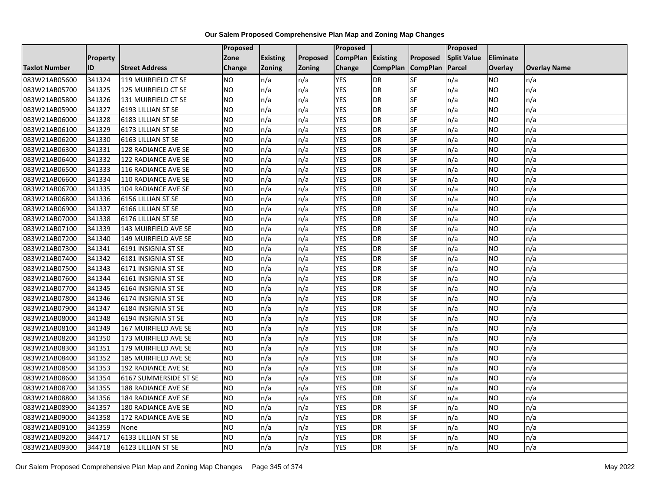|                      |                 |                            | Proposed        |                 |                 | <b>Proposed</b> |                 |                          | <b>Proposed</b>    |           |                     |
|----------------------|-----------------|----------------------------|-----------------|-----------------|-----------------|-----------------|-----------------|--------------------------|--------------------|-----------|---------------------|
|                      | <b>Property</b> |                            | Zone            | <b>Existing</b> | <b>Proposed</b> | <b>CompPlan</b> | <b>Existing</b> | <b>Proposed</b>          | <b>Split Value</b> | Eliminate |                     |
| <b>Taxlot Number</b> | ID              | <b>Street Address</b>      | Change          | <b>Zoning</b>   | <b>Zoning</b>   | Change          | <b>CompPlan</b> | <b>CompPlan</b>          | Parcel             | Overlay   | <b>Overlay Name</b> |
| 083W21AB05600        | 341324          | 119 MUIRFIELD CT SE        | NO.             | n/a             | n/a             | <b>YES</b>      | <b>DR</b>       | <b>SF</b>                | n/a                | NO        | n/a                 |
| 083W21AB05700        | 341325          | 125 MUIRFIELD CT SE        | <b>NO</b>       | n/a             | n/a             | <b>YES</b>      | <b>DR</b>       | <b>SF</b>                | n/a                | NO.       | n/a                 |
| 083W21AB05800        | 341326          | 131 MUIRFIELD CT SE        | <b>NO</b>       | n/a             | n/a             | <b>YES</b>      | <b>DR</b>       | SF                       | n/a                | NO.       | n/a                 |
| 083W21AB05900        | 341327          | 6193 LILLIAN ST SE         | <b>NO</b>       | n/a             | n/a             | <b>YES</b>      | DR              | SF                       | n/a                | NO.       | n/a                 |
| 083W21AB06000        | 341328          | 6183 LILLIAN ST SE         | <b>NO</b>       | n/a             | n/a             | <b>YES</b>      | <b>DR</b>       | <b>SF</b>                | n/a                | NO.       | n/a                 |
| 083W21AB06100        | 341329          | 6173 LILLIAN ST SE         | NO              | n/a             | n/a             | <b>YES</b>      | <b>DR</b>       | SF                       | n/a                | <b>NO</b> | n/a                 |
| 083W21AB06200        | 341330          | 6163 LILLIAN ST SE         | <b>NO</b>       | n/a             | n/a             | <b>YES</b>      | <b>DR</b>       | SF                       | n/a                | NO.       | n/a                 |
| 083W21AB06300        | 341331          | 128 RADIANCE AVE SE        | <b>NO</b>       | n/a             | n/a             | <b>YES</b>      | <b>DR</b>       | SF                       | n/a                | NO.       | n/a                 |
| 083W21AB06400        | 341332          | 122 RADIANCE AVE SE        | <b>NO</b>       | n/a             | n/a             | <b>YES</b>      | <b>DR</b>       | SF                       | n/a                | NO.       | n/a                 |
| 083W21AB06500        | 341333          | 116 RADIANCE AVE SE        | NO              | n/a             | n/a             | <b>YES</b>      | <b>DR</b>       | <b>SF</b>                | n/a                | NO.       | n/a                 |
| 083W21AB06600        | 341334          | 110 RADIANCE AVE SE        | <b>NO</b>       | n/a             | n/a             | <b>YES</b>      | <b>DR</b>       | SF                       | n/a                | NO.       | n/a                 |
| 083W21AB06700        | 341335          | 104 RADIANCE AVE SE        | <b>NO</b>       | n/a             | n/a             | <b>YES</b>      | <b>DR</b>       | SF                       | n/a                | <b>NO</b> | n/a                 |
| 083W21AB06800        | 341336          | 6156 LILLIAN ST SE         | Ю               | n/a             | n/a             | <b>YES</b>      | <b>DR</b>       | $\overline{\mathsf{SF}}$ | n/a                | NO.       | n/a                 |
| 083W21AB06900        | 341337          | 6166 LILLIAN ST SE         | <b>NO</b>       | n/a             | n/a             | <b>YES</b>      | <b>DR</b>       | SF                       | n/a                | NO.       | n/a                 |
| 083W21AB07000        | 341338          | 6176 LILLIAN ST SE         | <b>NO</b>       | n/a             | n/a             | <b>YES</b>      | <b>DR</b>       | SF                       | n/a                | NO.       | n/a                 |
| 083W21AB07100        | 341339          | 143 MUIRFIELD AVE SE       | $\overline{NO}$ | n/a             | n/a             | <b>YES</b>      | <b>DR</b>       | <b>SF</b>                | n/a                | NO.       | n/a                 |
| 083W21AB07200        | 341340          | 149 MUIRFIELD AVE SE       | NO              | n/a             | n/a             | <b>YES</b>      | <b>DR</b>       | <b>SF</b>                | n/a                | NO.       | n/a                 |
| 083W21AB07300        | 341341          | 6191 INSIGNIA ST SE        | <b>NO</b>       | n/a             | n/a             | <b>YES</b>      | <b>DR</b>       | SF                       | n/a                | NO.       | n/a                 |
| 083W21AB07400        | 341342          | 6181 INSIGNIA ST SE        | <b>NO</b>       | n/a             | n/a             | <b>YES</b>      | <b>DR</b>       | <b>SF</b>                | n/a                | <b>NO</b> | n/a                 |
| 083W21AB07500        | 341343          | 6171 INSIGNIA ST SE        | <b>NO</b>       | n/a             | n/a             | <b>YES</b>      | <b>DR</b>       | <b>SF</b>                | n/a                | ΝO        | n/a                 |
| 083W21AB07600        | 341344          | 6161 INSIGNIA ST SE        | <b>NO</b>       | n/a             | n/a             | <b>YES</b>      | <b>DR</b>       | SF                       | n/a                | NO.       | n/a                 |
| 083W21AB07700        | 341345          | 6164 INSIGNIA ST SE        | <b>NO</b>       | n/a             | n/a             | <b>YES</b>      | <b>DR</b>       | <b>SF</b>                | n/a                | <b>NO</b> | n/a                 |
| 083W21AB07800        | 341346          | 6174 INSIGNIA ST SE        | <b>NO</b>       | n/a             | n/a             | <b>YES</b>      | <b>DR</b>       | <b>SF</b>                | n/a                | NO.       | n/a                 |
| 083W21AB07900        | 341347          | 6184 INSIGNIA ST SE        | <b>NO</b>       | n/a             | n/a             | <b>YES</b>      | <b>DR</b>       | SF                       | n/a                | NO        | n/a                 |
| 083W21AB08000        | 341348          | 6194 INSIGNIA ST SE        | <b>NO</b>       | n/a             | n/a             | <b>YES</b>      | <b>DR</b>       | SF                       | n/a                | NO.       | n/a                 |
| 083W21AB08100        | 341349          | 167 MUIRFIELD AVE SE       | <b>NO</b>       | n/a             | n/a             | <b>YES</b>      | <b>DR</b>       | <b>SF</b>                | n/a                | NO.       | n/a                 |
| 083W21AB08200        | 341350          | 173 MUIRFIELD AVE SE       | NO              | n/a             | n/a             | <b>YES</b>      | <b>DR</b>       | $S_{F}$                  | n/a                | NO.       | n/a                 |
| 083W21AB08300        | 341351          | 179 MUIRFIELD AVE SE       | <b>NO</b>       | n/a             | n/a             | <b>YES</b>      | <b>DR</b>       | SF                       | n/a                | NO.       | n/a                 |
| 083W21AB08400        | 341352          | 185 MUIRFIELD AVE SE       | <b>NO</b>       | n/a             | n/a             | <b>YES</b>      | <b>DR</b>       | SF                       | n/a                | NO.       | n/a                 |
| 083W21AB08500        | 341353          | <b>192 RADIANCE AVE SE</b> | <b>NO</b>       | n/a             | n/a             | <b>YES</b>      | <b>DR</b>       | SF                       | n/a                | <b>NO</b> | n/a                 |
| 083W21AB08600        | 341354          | 6167 SUMMERSIDE ST SE      | <b>NO</b>       | n/a             | n/a             | <b>YES</b>      | <b>DR</b>       | SF                       | n/a                | NO.       | n/a                 |
| 083W21AB08700        | 341355          | <b>188 RADIANCE AVE SE</b> | <b>NO</b>       | n/a             | n/a             | <b>YES</b>      | <b>DR</b>       | <b>SF</b>                | n/a                | NO.       | n/a                 |
| 083W21AB08800        | 341356          | <b>184 RADIANCE AVE SE</b> | $\overline{NO}$ | n/a             | n/a             | <b>YES</b>      | <b>DR</b>       | <b>SF</b>                | n/a                | NO.       | n/a                 |
| 083W21AB08900        | 341357          | <b>180 RADIANCE AVE SE</b> | <b>NO</b>       | n/a             | n/a             | <b>YES</b>      | <b>DR</b>       | SF                       | n/a                | NO.       | n/a                 |
| 083W21AB09000        | 341358          | 172 RADIANCE AVE SE        | <b>NO</b>       | n/a             | n/a             | <b>YES</b>      | <b>DR</b>       | SF                       | n/a                | <b>NO</b> | n/a                 |
| 083W21AB09100        | 341359          | None                       | NO.             | n/a             | n/a             | YES             | <b>DR</b>       | SF                       | n/a                | NO        | n/a                 |
| 083W21AB09200        | 344717          | 6133 LILLIAN ST SE         | <b>NO</b>       | n/a             | n/a             | <b>YES</b>      | <b>DR</b>       | SF                       | n/a                | NO        | n/a                 |
| 083W21AB09300        | 344718          | 6123 LILLIAN ST SE         | <b>NO</b>       | n/a             | n/a             | <b>YES</b>      | <b>DR</b>       | SF                       | n/a                | NO.       | n/a                 |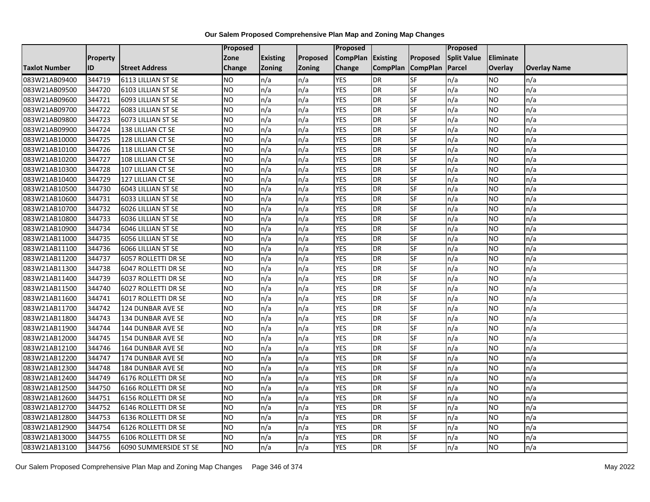|                      |                 |                       | Proposed        |                 |               | <b>Proposed</b> |                 |                 | <b>Proposed</b>    |           |                     |
|----------------------|-----------------|-----------------------|-----------------|-----------------|---------------|-----------------|-----------------|-----------------|--------------------|-----------|---------------------|
|                      | <b>Property</b> |                       | Zone            | <b>Existing</b> | Proposed      | <b>CompPlan</b> | <b>Existing</b> | <b>Proposed</b> | <b>Split Value</b> | Eliminate |                     |
| <b>Taxlot Number</b> | ID              | <b>Street Address</b> | Change          | <b>Zoning</b>   | <b>Zoning</b> | Change          | <b>CompPlan</b> | <b>CompPlan</b> | Parcel             | Overlay   | <b>Overlay Name</b> |
| 083W21AB09400        | 344719          | 6113 LILLIAN ST SE    | <b>NO</b>       | n/a             | n/a           | <b>YES</b>      | <b>DR</b>       | <b>SF</b>       | n/a                | NO        | n/a                 |
| 083W21AB09500        | 344720          | 6103 LILLIAN ST SE    | <b>NO</b>       | n/a             | n/a           | <b>YES</b>      | <b>DR</b>       | <b>SF</b>       | n/a                | NO.       | n/a                 |
| 083W21AB09600        | 344721          | 6093 LILLIAN ST SE    | <b>NO</b>       | n/a             | n/a           | <b>YES</b>      | <b>DR</b>       | SF              | n/a                | NO.       | n/a                 |
| 083W21AB09700        | 344722          | 6083 LILLIAN ST SE    | <b>NO</b>       | n/a             | n/a           | <b>YES</b>      | DR              | SF              | n/a                | NO.       | n/a                 |
| 083W21AB09800        | 344723          | 6073 LILLIAN ST SE    | <b>NO</b>       | n/a             | n/a           | <b>YES</b>      | <b>DR</b>       | <b>SF</b>       | n/a                | NO.       | n/a                 |
| 083W21AB09900        | 344724          | 138 LILLIAN CT SE     | <b>NO</b>       | n/a             | n/a           | <b>YES</b>      | <b>DR</b>       | SF              | n/a                | <b>NO</b> | n/a                 |
| 083W21AB10000        | 344725          | 128 LILLIAN CT SE     | <b>NO</b>       | n/a             | n/a           | <b>YES</b>      | <b>DR</b>       | SF              | n/a                | NO.       | n/a                 |
| 083W21AB10100        | 344726          | 118 LILLIAN CT SE     | <b>NO</b>       | n/a             | n/a           | <b>YES</b>      | <b>DR</b>       | SF              | n/a                | NO.       | n/a                 |
| 083W21AB10200        | 344727          | 108 LILLIAN CT SE     | <b>NO</b>       | n/a             | n/a           | <b>YES</b>      | <b>DR</b>       | SF              | n/a                | NO.       | n/a                 |
| 083W21AB10300        | 344728          | 107 LILLIAN CT SE     | $\overline{NO}$ | n/a             | n/a           | <b>YES</b>      | <b>DR</b>       | <b>SF</b>       | n/a                | NO.       | n/a                 |
| 083W21AB10400        | 344729          | 127 LILLIAN CT SE     | <b>NO</b>       | n/a             | n/a           | <b>YES</b>      | <b>DR</b>       | SF              | n/a                | NO.       | n/a                 |
| 083W21AB10500        | 344730          | 6043 LILLIAN ST SE    | <b>NO</b>       | n/a             | n/a           | <b>YES</b>      | <b>DR</b>       | SF              | n/a                | NO.       | n/a                 |
| 083W21AB10600        | 344731          | 6033 LILLIAN ST SE    | <b>NO</b>       | n/a             | n/a           | <b>YES</b>      | <b>DR</b>       | <b>SF</b>       | n/a                | NO.       | n/a                 |
| 083W21AB10700        | 344732          | 6026 LILLIAN ST SE    | <b>NO</b>       | n/a             | n/a           | <b>YES</b>      | <b>DR</b>       | SF              | n/a                | NO.       | n/a                 |
| 083W21AB10800        | 344733          | 6036 LILLIAN ST SE    | <b>NO</b>       | n/a             | n/a           | <b>YES</b>      | <b>DR</b>       | SF              | n/a                | NO.       | n/a                 |
| 083W21AB10900        | 344734          | 6046 LILLIAN ST SE    | $\overline{NO}$ | n/a             | n/a           | <b>YES</b>      | <b>DR</b>       | <b>SF</b>       | n/a                | NO.       | n/a                 |
| 083W21AB11000        | 344735          | 6056 LILLIAN ST SE    | NO              | n/a             | n/a           | <b>YES</b>      | <b>DR</b>       | <b>SF</b>       | n/a                | <b>NO</b> | n/a                 |
| 083W21AB11100        | 344736          | 6066 LILLIAN ST SE    | <b>NO</b>       | n/a             | n/a           | <b>YES</b>      | <b>DR</b>       | SF              | n/a                | NO.       | n/a                 |
| 083W21AB11200        | 344737          | 6057 ROLLETTI DR SE   | <b>NO</b>       | n/a             | n/a           | <b>YES</b>      | <b>DR</b>       | SF              | n/a                | <b>NO</b> | n/a                 |
| 083W21AB11300        | 344738          | 6047 ROLLETTI DR SE   | <b>NO</b>       | n/a             | n/a           | <b>YES</b>      | <b>DR</b>       | <b>SF</b>       | n/a                | ΝO        | n/a                 |
| 083W21AB11400        | 344739          | 6037 ROLLETTI DR SE   | <b>NO</b>       | n/a             | n/a           | <b>YES</b>      | <b>DR</b>       | SF              | n/a                | NO.       | n/a                 |
| 083W21AB11500        | 344740          | 6027 ROLLETTI DR SE   | <b>NO</b>       | n/a             | n/a           | <b>YES</b>      | <b>DR</b>       | <b>SF</b>       | n/a                | <b>NO</b> | n/a                 |
| 083W21AB11600        | 344741          | 6017 ROLLETTI DR SE   | <b>NO</b>       | n/a             | n/a           | <b>YES</b>      | <b>DR</b>       | <b>SF</b>       | n/a                | NO.       | n/a                 |
| 083W21AB11700        | 344742          | 124 DUNBAR AVE SE     | <b>NO</b>       | n/a             | n/a           | <b>YES</b>      | <b>DR</b>       | SF              | n/a                | NO        | n/a                 |
| 083W21AB11800        | 344743          | 134 DUNBAR AVE SE     | <b>NO</b>       | n/a             | n/a           | <b>YES</b>      | <b>DR</b>       | SF              | n/a                | NO.       | n/a                 |
| 083W21AB11900        | 344744          | 144 DUNBAR AVE SE     | <b>NO</b>       | n/a             | n/a           | <b>YES</b>      | <b>DR</b>       | <b>SF</b>       | n/a                | NO.       | n/a                 |
| 083W21AB12000        | 344745          | 154 DUNBAR AVE SE     | $\overline{NO}$ | n/a             | n/a           | <b>YES</b>      | <b>DR</b>       | $S_{F}$         | n/a                | NO.       | n/a                 |
| 083W21AB12100        | 344746          | 164 DUNBAR AVE SE     | <b>NO</b>       | n/a             | n/a           | <b>YES</b>      | <b>DR</b>       | SF              | n/a                | NO.       | n/a                 |
| 083W21AB12200        | 344747          | 174 DUNBAR AVE SE     | <b>NO</b>       | n/a             | n/a           | <b>YES</b>      | <b>DR</b>       | SF              | n/a                | NO.       | n/a                 |
| 083W21AB12300        | 344748          | 184 DUNBAR AVE SE     | <b>NO</b>       | n/a             | n/a           | <b>YES</b>      | <b>DR</b>       | SF              | n/a                | <b>NO</b> | n/a                 |
| 083W21AB12400        | 344749          | 6176 ROLLETTI DR SE   | NO.             | n/a             | n/a           | <b>YES</b>      | <b>DR</b>       | SF              | n/a                | NO.       | n/a                 |
| 083W21AB12500        | 344750          | 6166 ROLLETTI DR SE   | <b>NO</b>       | n/a             | n/a           | <b>YES</b>      | <b>DR</b>       | <b>SF</b>       | n/a                | NO.       | n/a                 |
| 083W21AB12600        | 344751          | 6156 ROLLETTI DR SE   | $\overline{NO}$ | n/a             | n/a           | <b>YES</b>      | <b>DR</b>       | <b>SF</b>       | n/a                | <b>NO</b> | n/a                 |
| 083W21AB12700        | 344752          | 6146 ROLLETTI DR SE   | <b>NO</b>       | n/a             | n/a           | <b>YES</b>      | <b>DR</b>       | SF              | n/a                | NO.       | n/a                 |
| 083W21AB12800        | 344753          | 6136 ROLLETTI DR SE   | <b>NO</b>       | n/a             | n/a           | <b>YES</b>      | <b>DR</b>       | SF              | n/a                | <b>NO</b> | n/a                 |
| 083W21AB12900        | 344754          | 6126 ROLLETTI DR SE   | NO              | n/a             | n/a           | YES             | <b>DR</b>       | SF              | n/a                | NO        | n/a                 |
| 083W21AB13000        | 344755          | 6106 ROLLETTI DR SE   | <b>NO</b>       | n/a             | n/a           | <b>YES</b>      | <b>DR</b>       | SF              | n/a                | NO        | n/a                 |
| 083W21AB13100        | 344756          | 6090 SUMMERSIDE ST SE | <b>NO</b>       | n/a             | n/a           | <b>YES</b>      | <b>DR</b>       | SF              | n/a                | NO.       | n/a                 |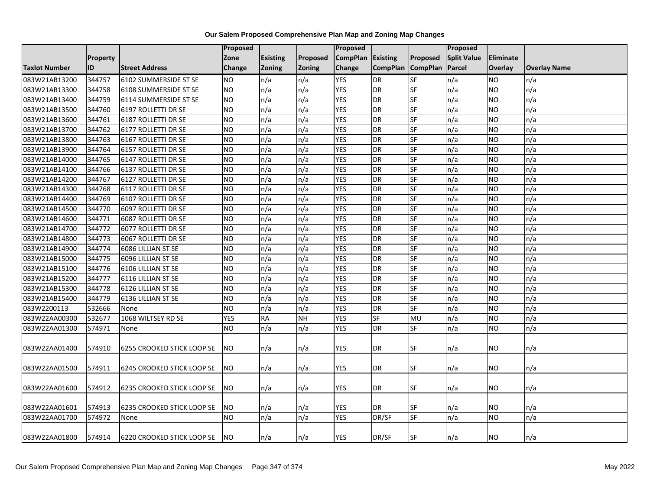|                      |                 |                                   | Proposed        |                 |               | <b>Proposed</b>   |                   |           | Proposed           |                |                     |
|----------------------|-----------------|-----------------------------------|-----------------|-----------------|---------------|-------------------|-------------------|-----------|--------------------|----------------|---------------------|
|                      | <b>Property</b> |                                   | Zone            | <b>Existing</b> | Proposed      | CompPlan Existing |                   | Proposed  | <b>Split Value</b> | Eliminate      |                     |
| <b>Taxlot Number</b> | ID              | <b>Street Address</b>             | <b>Change</b>   | <b>Zoning</b>   | <b>Zoning</b> | Change            | CompPlan CompPlan |           | Parcel             | <b>Overlay</b> | <b>Overlay Name</b> |
| 083W21AB13200        | 344757          | 6102 SUMMERSIDE ST SE             | <b>NO</b>       | n/a             | n/a           | <b>YES</b>        | DR                | SF        | n/a                | <b>NO</b>      | n/a                 |
| 083W21AB13300        | 344758          | 6108 SUMMERSIDE ST SE             | <b>NO</b>       | n/a             | n/a           | <b>YES</b>        | <b>DR</b>         | <b>SF</b> | n/a                | NO.            | n/a                 |
| 083W21AB13400        | 344759          | 6114 SUMMERSIDE ST SE             | <b>NO</b>       | n/a             | n/a           | <b>YES</b>        | <b>DR</b>         | SF        | n/a                | <b>NO</b>      | n/a                 |
| 083W21AB13500        | 344760          | 6197 ROLLETTI DR SE               | <b>NO</b>       | n/a             | n/a           | <b>YES</b>        | <b>DR</b>         | $S$ F     | n/a                | <b>NO</b>      | n/a                 |
| 083W21AB13600        | 344761          | 6187 ROLLETTI DR SE               | <b>NO</b>       | n/a             | n/a           | <b>YES</b>        | <b>DR</b>         | $S$ F     | n/a                | <b>NO</b>      | n/a                 |
| 083W21AB13700        | 344762          | 6177 ROLLETTI DR SE               | <b>NO</b>       | n/a             | n/a           | <b>YES</b>        | <b>DR</b>         | SF        | n/a                | <b>NO</b>      | n/a                 |
| 083W21AB13800        | 344763          | 6167 ROLLETTI DR SE               | <b>NO</b>       | n/a             | n/a           | <b>YES</b>        | <b>DR</b>         | $S$ F     | n/a                | <b>NO</b>      | n/a                 |
| 083W21AB13900        | 344764          | 6157 ROLLETTI DR SE               | N <sub>O</sub>  | n/a             | n/a           | <b>YES</b>        | <b>DR</b>         | <b>SF</b> | n/a                | <b>NO</b>      | n/a                 |
| 083W21AB14000        | 344765          | 6147 ROLLETTI DR SE               | <b>NO</b>       | n/a             | n/a           | <b>YES</b>        | <b>DR</b>         | SF        | n/a                | <b>NO</b>      | n/a                 |
| 083W21AB14100        | 344766          | 6137 ROLLETTI DR SE               | <b>NO</b>       | n/a             | n/a           | <b>YES</b>        | DR                | <b>SF</b> | n/a                | <b>NO</b>      | n/a                 |
| 083W21AB14200        | 344767          | 6127 ROLLETTI DR SE               | <b>NO</b>       | n/a             | n/a           | <b>YES</b>        | <b>DR</b>         | $S$ F     | n/a                | <b>NO</b>      | n/a                 |
| 083W21AB14300        | 344768          | 6117 ROLLETTI DR SE               | <b>NO</b>       | n/a             | n/a           | <b>YES</b>        | <b>DR</b>         | SF        | n/a                | <b>NO</b>      | n/a                 |
| 083W21AB14400        | 344769          | 6107 ROLLETTI DR SE               | <b>NO</b>       | n/a             | n/a           | <b>YES</b>        | DR                | $S$ F     | n/a                | <b>NO</b>      | n/a                 |
| 083W21AB14500        | 344770          | 6097 ROLLETTI DR SE               | $\overline{NO}$ | n/a             | n/a           | <b>YES</b>        | <b>DR</b>         | SF        | n/a                | <b>NO</b>      | n/a                 |
| 083W21AB14600        | 344771          | 6087 ROLLETTI DR SE               | <b>NO</b>       | n/a             | n/a           | <b>YES</b>        | <b>DR</b>         | <b>SF</b> | n/a                | <b>NO</b>      | n/a                 |
| 083W21AB14700        | 344772          | 6077 ROLLETTI DR SE               | <b>NO</b>       | n/a             | n/a           | <b>YES</b>        | DR                | $S$ F     | n/a                | <b>NO</b>      | n/a                 |
| 083W21AB14800        | 344773          | 6067 ROLLETTI DR SE               | <b>NO</b>       | n/a             | n/a           | <b>YES</b>        | <b>DR</b>         | <b>SF</b> | n/a                | <b>NO</b>      | n/a                 |
| 083W21AB14900        | 344774          | 6086 LILLIAN ST SE                | <b>NO</b>       | n/a             | n/a           | <b>YES</b>        | <b>DR</b>         | SF        | n/a                | <b>NO</b>      | n/a                 |
| 083W21AB15000        | 344775          | 6096 LILLIAN ST SE                | NO.             | n/a             | n/a           | <b>YES</b>        | <b>DR</b>         | SF        | n/a                | NO             | n/a                 |
| 083W21AB15100        | 344776          | 6106 LILLIAN ST SE                | <b>NO</b>       | n/a             | n/a           | <b>YES</b>        | <b>DR</b>         | <b>SF</b> | n/a                | <b>NO</b>      | n/a                 |
| 083W21AB15200        | 344777          | 6116 LILLIAN ST SE                | <b>NO</b>       | n/a             | n/a           | <b>YES</b>        | <b>DR</b>         | <b>SF</b> | n/a                | <b>NO</b>      | n/a                 |
| 083W21AB15300        | 344778          | 6126 LILLIAN ST SE                | <b>NO</b>       | n/a             | n/a           | <b>YES</b>        | DR                | <b>SF</b> | n/a                | <b>NO</b>      | n/a                 |
| 083W21AB15400        | 344779          | 6136 LILLIAN ST SE                | <b>NO</b>       | n/a             | n/a           | <b>YES</b>        | <b>DR</b>         | <b>SF</b> | n/a                | <b>NO</b>      | n/a                 |
| 083W2200113          | 532666          | None                              | <b>NO</b>       | n/a             | n/a           | <b>YES</b>        | <b>DR</b>         | SF        | n/a                | <b>NO</b>      | n/a                 |
| 083W22AA00300        | 532677          | 1068 WILTSEY RD SE                | <b>YES</b>      | <b>RA</b>       | <b>NH</b>     | <b>YES</b>        | <b>SF</b>         | MU        | n/a                | <b>NO</b>      | n/a                 |
| 083W22AA01300        | 574971          | None                              | ΝO              | n/a             | n/a           | <b>YES</b>        | <b>DR</b>         | SF        | n/a                | NO.            | n/a                 |
|                      |                 |                                   |                 |                 |               |                   |                   |           |                    |                |                     |
| 083W22AA01400        | 574910          | <b>6255 CROOKED STICK LOOP SE</b> | NO.             | n/a             | n/a           | <b>YES</b>        | DR                | <b>SF</b> | n/a                | NO.            | n/a                 |
|                      |                 |                                   |                 |                 |               |                   |                   |           |                    |                |                     |
| 083W22AA01500        | 574911          | 6245 CROOKED STICK LOOP SE        | <b>NO</b>       | n/a             | n/a           | <b>YES</b>        | <b>DR</b>         | SF        | n/a                | <b>NO</b>      | n/a                 |
|                      |                 |                                   |                 |                 |               |                   |                   |           |                    |                |                     |
| 083W22AA01600        | 574912          | <b>6235 CROOKED STICK LOOP SE</b> | NO.             | n/a             | n/a           | <b>YES</b>        | DR                | SF        | n/a                | NO.            | n/a                 |
|                      |                 |                                   |                 |                 |               |                   |                   |           |                    |                |                     |
| 083W22AA01601        | 574913          | <b>6235 CROOKED STICK LOOP SE</b> | <b>NO</b>       | n/a             | n/a           | <b>YES</b>        | <b>DR</b>         | SF        | n/a                | NO             | n/a                 |
| 083W22AA01700        | 574972          | None                              | NO.             | n/a             | n/a           | <b>YES</b>        | DR/SF             | <b>SF</b> | n/a                | <b>NO</b>      | n/a                 |
|                      |                 |                                   |                 |                 |               |                   |                   |           |                    |                |                     |
| 083W22AA01800        | 574914          | 6220 CROOKED STICK LOOP SE        | <b>NO</b>       | n/a             | n/a           | <b>YES</b>        | DR/SF             | SF        | n/a                | <b>NO</b>      | n/a                 |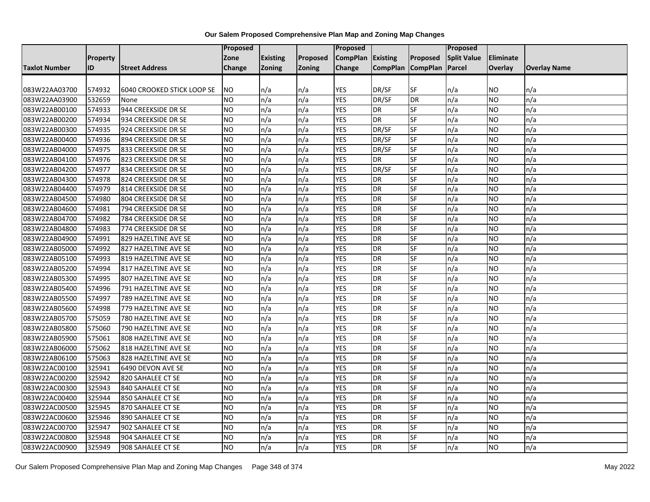|                      |          |                                   | <b>Proposed</b> |                 |               | <b>Proposed</b> |           |                   | <b>Proposed</b>    |                  |                     |
|----------------------|----------|-----------------------------------|-----------------|-----------------|---------------|-----------------|-----------|-------------------|--------------------|------------------|---------------------|
|                      | Property |                                   | Zone            | <b>Existing</b> | Proposed      | <b>CompPlan</b> | Existing  | Proposed          | <b>Split Value</b> | <b>Eliminate</b> |                     |
| <b>Taxlot Number</b> | ID       | <b>Street Address</b>             | Change          | <b>Zoning</b>   | <b>Zoning</b> | Change          |           | CompPlan CompPlan | Parcel             | <b>Overlay</b>   | <b>Overlay Name</b> |
|                      |          |                                   |                 |                 |               |                 |           |                   |                    |                  |                     |
| 083W22AA03700        | 574932   | <b>6040 CROOKED STICK LOOP SE</b> | <b>NO</b>       | n/a             | n/a           | <b>YES</b>      | DR/SF     | SF                | n/a                | <b>NO</b>        | n/a                 |
| 083W22AA03900        | 532659   | None                              | <b>NO</b>       | n/a             | n/a           | <b>YES</b>      | DR/SF     | DR                | n/a                | <b>NO</b>        | n/a                 |
| 083W22AB00100        | 574933   | 944 CREEKSIDE DR SE               | <b>NO</b>       | n/a             | n/a           | <b>YES</b>      | DR        | SF                | n/a                | <b>NO</b>        | n/a                 |
| 083W22AB00200        | 574934   | 934 CREEKSIDE DR SE               | <b>NO</b>       | n/a             | n/a           | <b>YES</b>      | <b>DR</b> | SF                | n/a                | <b>NO</b>        | n/a                 |
| 083W22AB00300        | 574935   | 924 CREEKSIDE DR SE               | <b>NO</b>       | n/a             | n/a           | <b>YES</b>      | DR/SF     | SF                | n/a                | <b>NO</b>        | n/a                 |
| 083W22AB00400        | 574936   | 894 CREEKSIDE DR SE               | N <sub>O</sub>  | n/a             | n/a           | <b>YES</b>      | DR/SF     | SF                | n/a                | <b>NO</b>        | n/a                 |
| 083W22AB04000        | 574975   | 833 CREEKSIDE DR SE               | <b>NO</b>       | n/a             | n/a           | <b>YES</b>      | DR/SF     | SF                | n/a                | <b>NO</b>        | n/a                 |
| 083W22AB04100        | 574976   | 823 CREEKSIDE DR SE               | <b>NO</b>       | n/a             | n/a           | <b>YES</b>      | <b>DR</b> | SF                | n/a                | <b>NO</b>        | n/a                 |
| 083W22AB04200        | 574977   | 834 CREEKSIDE DR SE               | N <sub>O</sub>  | n/a             | n/a           | <b>YES</b>      | DR/SF     | <b>SF</b>         | n/a                | <b>NO</b>        | n/a                 |
| 083W22AB04300        | 574978   | 824 CREEKSIDE DR SE               | N <sub>O</sub>  | n/a             | n/a           | <b>YES</b>      | <b>DR</b> | SF                | n/a                | <b>NO</b>        | n/a                 |
| 083W22AB04400        | 574979   | 814 CREEKSIDE DR SE               | <b>NO</b>       | n/a             | n/a           | <b>YES</b>      | <b>DR</b> | SF                | n/a                | <b>NO</b>        | n/a                 |
| 083W22AB04500        | 574980   | 804 CREEKSIDE DR SE               | NO.             | n/a             | n/a           | <b>YES</b>      | <b>DR</b> | <b>SF</b>         | n/a                | <b>NO</b>        | n/a                 |
| 083W22AB04600        | 574981   | 794 CREEKSIDE DR SE               | <b>NO</b>       | n/a             | n/a           | <b>YES</b>      | <b>DR</b> | <b>SF</b>         | n/a                | <b>NO</b>        | n/a                 |
| 083W22AB04700        | 574982   | 784 CREEKSIDE DR SE               | <b>NO</b>       | n/a             | n/a           | <b>YES</b>      | <b>DR</b> | SF                | n/a                | <b>NO</b>        | n/a                 |
| 083W22AB04800        | 574983   | 774 CREEKSIDE DR SE               | <b>NO</b>       | n/a             | n/a           | <b>YES</b>      | <b>DR</b> | SF                | n/a                | <b>NO</b>        | n/a                 |
| 083W22AB04900        | 574991   | 829 HAZELTINE AVE SE              | <b>NO</b>       | n/a             | n/a           | <b>YES</b>      | <b>DR</b> | SF                | n/a                | <b>NO</b>        | n/a                 |
| 083W22AB05000        | 574992   | 827 HAZELTINE AVE SE              | N <sub>O</sub>  | n/a             | n/a           | <b>YES</b>      | <b>DR</b> | SF                | n/a                | <b>NO</b>        | n/a                 |
| 083W22AB05100        | 574993   | 819 HAZELTINE AVE SE              | <b>NO</b>       | n/a             | n/a           | <b>YES</b>      | <b>DR</b> | SF                | n/a                | <b>NO</b>        | n/a                 |
| 083W22AB05200        | 574994   | 817 HAZELTINE AVE SE              | <b>NO</b>       | n/a             | n/a           | <b>YES</b>      | <b>DR</b> | SF                | n/a                | <b>NO</b>        | n/a                 |
| 083W22AB05300        | 574995   | 807 HAZELTINE AVE SE              | <b>NO</b>       | n/a             | n/a           | <b>YES</b>      | <b>DR</b> | SF                | n/a                | <b>NO</b>        | n/a                 |
| 083W22AB05400        | 574996   | 791 HAZELTINE AVE SE              | N <sub>O</sub>  | n/a             | n/a           | <b>YES</b>      | <b>DR</b> | SF                | n/a                | <b>NO</b>        | n/a                 |
| 083W22AB05500        | 574997   | 789 HAZELTINE AVE SE              | <b>NO</b>       | n/a             | n/a           | <b>YES</b>      | <b>DR</b> | SF                | n/a                | <b>NO</b>        | n/a                 |
| 083W22AB05600        | 574998   | 779 HAZELTINE AVE SE              | <b>NO</b>       | n/a             | n/a           | <b>YES</b>      | <b>DR</b> | SF                | n/a                | <b>NO</b>        | n/a                 |
| 083W22AB05700        | 575059   | 780 HAZELTINE AVE SE              | <b>NO</b>       | n/a             | n/a           | <b>YES</b>      | <b>DR</b> | <b>SF</b>         | n/a                | <b>NO</b>        | n/a                 |
| 083W22AB05800        | 575060   | 790 HAZELTINE AVE SE              | NO              | n/a             | n/a           | <b>YES</b>      | <b>DR</b> | SF                | n/a                | <b>NO</b>        | n/a                 |
| 083W22AB05900        | 575061   | 808 HAZELTINE AVE SE              | <b>NO</b>       | n/a             | n/a           | <b>YES</b>      | <b>DR</b> | SF                | n/a                | <b>NO</b>        | n/a                 |
| 083W22AB06000        | 575062   | 818 HAZELTINE AVE SE              | <b>NO</b>       | n/a             | n/a           | <b>YES</b>      | DR        | SF                | n/a                | <b>NO</b>        | n/a                 |
| 083W22AB06100        | 575063   | 828 HAZELTINE AVE SE              | <b>NO</b>       | n/a             | n/a           | <b>YES</b>      | <b>DR</b> | SF                | n/a                | <b>NO</b>        | n/a                 |
| 083W22AC00100        | 325941   | 6490 DEVON AVE SE                 | <b>NO</b>       | n/a             | n/a           | <b>YES</b>      | <b>DR</b> | SF                | n/a                | <b>NO</b>        | n/a                 |
| 083W22AC00200        | 325942   | 820 SAHALEE CT SE                 | <b>NO</b>       | n/a             | n/a           | <b>YES</b>      | <b>DR</b> | SF                | n/a                | <b>NO</b>        | n/a                 |
| 083W22AC00300        | 325943   | 840 SAHALEE CT SE                 | <b>NO</b>       | n/a             | n/a           | <b>YES</b>      | <b>DR</b> | <b>SF</b>         | n/a                | <b>NO</b>        | n/a                 |
| 083W22AC00400        | 325944   | 850 SAHALEE CT SE                 | N <sub>O</sub>  | n/a             | n/a           | <b>YES</b>      | <b>DR</b> | SF                | n/a                | <b>NO</b>        | n/a                 |
| 083W22AC00500        | 325945   | 870 SAHALEE CT SE                 | <b>NO</b>       | n/a             | n/a           | <b>YES</b>      | <b>DR</b> | SF                | n/a                | <b>NO</b>        | n/a                 |
| 083W22AC00600        | 325946   | 890 SAHALEE CT SE                 | <b>NO</b>       | n/a             | n/a           | <b>YES</b>      | <b>DR</b> | SF                | n/a                | <b>NO</b>        | n/a                 |
| 083W22AC00700        | 325947   | 902 SAHALEE CT SE                 | <b>NO</b>       | n/a             | n/a           | <b>YES</b>      | <b>DR</b> | SF                | n/a                | <b>NO</b>        | n/a                 |
| 083W22AC00800        | 325948   | 904 SAHALEE CT SE                 | NO              | n/a             | n/a           | <b>YES</b>      | <b>DR</b> | SF                | n/a                | <b>NO</b>        | n/a                 |
| 083W22AC00900        | 325949   | 908 SAHALEE CT SE                 | <b>NO</b>       | n/a             | n/a           | <b>YES</b>      | <b>DR</b> | SF                | n/a                | <b>NO</b>        | n/a                 |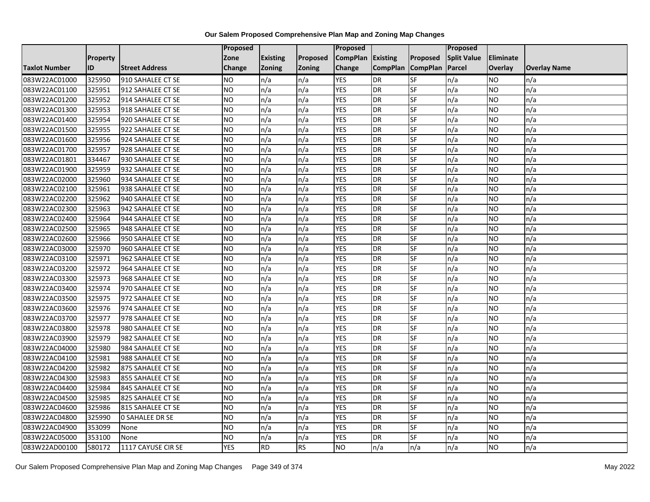|                      |                 |                        | <b>Proposed</b> |                 |           | Proposed          |                 |                 | <b>Proposed</b>    |                 |                     |
|----------------------|-----------------|------------------------|-----------------|-----------------|-----------|-------------------|-----------------|-----------------|--------------------|-----------------|---------------------|
|                      | <b>Property</b> |                        | Zone            | <b>Existing</b> | Proposed  | CompPlan Existing |                 | <b>Proposed</b> | <b>Split Value</b> | Eliminate       |                     |
| <b>Taxlot Number</b> | ID              | <b>Street Address</b>  | Change          | Zoning          | Zoning    | Change            | <b>CompPlan</b> | <b>CompPlan</b> | Parcel             | Overlay         | <b>Overlay Name</b> |
| 083W22AC01000        | 325950          | 910 SAHALEE CT SE      | <b>NO</b>       | n/a             | n/a       | <b>YES</b>        | <b>DR</b>       | SF              | n/a                | NO              | n/a                 |
| 083W22AC01100        | 325951          | 912 SAHALEE CT SE      | NO              | n/a             | n/a       | <b>YES</b>        | <b>DR</b>       | SF              | n/a                | NO.             | n/a                 |
| 083W22AC01200        | 325952          | 914 SAHALEE CT SE      | <b>NO</b>       | n/a             | n/a       | <b>YES</b>        | DR              | SF              | n/a                | <b>NO</b>       | n/a                 |
| 083W22AC01300        | 325953          | 918 SAHALEE CT SE      | <b>NO</b>       | n/a             | n/a       | <b>YES</b>        | DR              | SF              | n/a                | NO.             | n/a                 |
| 083W22AC01400        | 325954          | 920 SAHALEE CT SE      | Ю               | n/a             | n/a       | <b>YES</b>        | DR              | SF              | n/a                | NO.             | n/a                 |
| 083W22AC01500        | 325955          | 922 SAHALEE CT SE      | <b>ON</b>       | n/a             | n/a       | <b>YES</b>        | DR              | SF              | n/a                | <b>NO</b>       | n/a                 |
| 083W22AC01600        | 325956          | 924 SAHALEE CT SE      | <b>NO</b>       | n/a             | n/a       | <b>YES</b>        | DR              | SF              | n/a                | <b>NO</b>       | n/a                 |
| 083W22AC01700        | 325957          | 928 SAHALEE CT SE      | <b>NO</b>       | n/a             | n/a       | <b>YES</b>        | DR              | SF              | n/a                | <b>NO</b>       | n/a                 |
| 083W22AC01801        | 334467          | 930 SAHALEE CT SE      | <b>NO</b>       | n/a             | n/a       | <b>YES</b>        | DR              | SF              | n/a                | NO.             | n/a                 |
| 083W22AC01900        | 325959          | 932 SAHALEE CT SE      | Ю               | n/a             | n/a       | <b>YES</b>        | DR              | SF              | n/a                | NO.             | n/a                 |
| 083W22AC02000        | 325960          | 934 SAHALEE CT SE      | <b>NO</b>       | n/a             | n/a       | <b>YES</b>        | DR              | SF              | n/a                | <b>NO</b>       | n/a                 |
| 083W22AC02100        | 325961          | 938 SAHALEE CT SE      | <b>NO</b>       | n/a             | n/a       | <b>YES</b>        | DR              | SF              | n/a                | NO.             | n/a                 |
| 083W22AC02200        | 325962          | 940 SAHALEE CT SE      | <b>NO</b>       | n/a             | n/a       | <b>YES</b>        | DR              | SF              | n/a                | NO.             | n/a                 |
| 083W22AC02300        | 325963          | 942 SAHALEE CT SE      | Ю               | n/a             | n/a       | <b>YES</b>        | DR              | SF              | n/a                | NO.             | n/a                 |
| 083W22AC02400        | 325964          | 944 SAHALEE CT SE      | <b>NO</b>       | n/a             | n/a       | <b>YES</b>        | DR              | SF              | n/a                | <b>NO</b>       | n/a                 |
| 083W22AC02500        | 325965          | 948 SAHALEE CT SE      | <b>NO</b>       | n/a             | n/a       | <b>YES</b>        | DR              | SF              | n/a                | <b>NO</b>       | n/a                 |
| 083W22AC02600        | 325966          | 950 SAHALEE CT SE      | <b>NO</b>       | n/a             | n/a       | <b>YES</b>        | DR              | SF              | n/a                | <b>NO</b>       | n/a                 |
| 083W22AC03000        | 325970          | 960 SAHALEE CT SE      | <b>NO</b>       | n/a             | n/a       | <b>YES</b>        | DR              | SF              | n/a                | NO.             | n/a                 |
| 083W22AC03100        | 325971          | 962 SAHALEE CT SE      | <b>NO</b>       | n/a             | n/a       | <b>YES</b>        | DR              | SF              | n/a                | NO.             | n/a                 |
| 083W22AC03200        | 325972          | 964 SAHALEE CT SE      | <b>NO</b>       | n/a             | n/a       | <b>YES</b>        | DR              | SF              | n/a                | NO.             | n/a                 |
| 083W22AC03300        | 325973          | 968 SAHALEE CT SE      | <b>NO</b>       | n/a             | n/a       | <b>YES</b>        | DR              | SF              | n/a                | NO.             | n/a                 |
| 083W22AC03400        | 325974          | 970 SAHALEE CT SE      | <b>NO</b>       | n/a             | n/a       | <b>YES</b>        | $\overline{DR}$ | SF              | n/a                | $\overline{NO}$ | n/a                 |
| 083W22AC03500        | 325975          | 972 SAHALEE CT SE      | <b>NO</b>       | n/a             | n/a       | <b>YES</b>        | DR              | SF              | n/a                | NO.             | n/a                 |
| 083W22AC03600        | 325976          | 974 SAHALEE CT SE      | <b>NO</b>       | n/a             | n/a       | <b>YES</b>        | DR              | SF              | n/a                | <b>NO</b>       | n/a                 |
| 083W22AC03700        | 325977          | 978 SAHALEE CT SE      | Ю               | n/a             | n/a       | <b>YES</b>        | DR              | SF              | n/a                | <b>NO</b>       | n/a                 |
| 083W22AC03800        | 325978          | 980 SAHALEE CT SE      | Ю               | n/a             | n/a       | <b>YES</b>        | DR              | SF              | n/a                | NO.             | n/a                 |
| 083W22AC03900        | 325979          | 982 SAHALEE CT SE      | <b>NO</b>       | n/a             | n/a       | <b>YES</b>        | DR              | SF              | n/a                | <b>NO</b>       | n/a                 |
| 083W22AC04000        | 325980          | 984 SAHALEE CT SE      | <b>NO</b>       | n/a             | n/a       | <b>YES</b>        | DR              | SF              | n/a                | NO.             | n/a                 |
| 083W22AC04100        | 325981          | 988 SAHALEE CT SE      | <b>NO</b>       | n/a             | n/a       | <b>YES</b>        | DR              | SF              | n/a                | NO.             | n/a                 |
| 083W22AC04200        | 325982          | 875 SAHALEE CT SE      | <b>NO</b>       | n/a             | n/a       | <b>YES</b>        | DR              | SF              | n/a                | NO              | n/a                 |
| 083W22AC04300        | 325983          | 855 SAHALEE CT SE      | <b>NO</b>       | n/a             | n/a       | <b>YES</b>        | DR              | <b>SF</b>       | n/a                | NO              | n/a                 |
| 083W22AC04400        | 325984          | 845 SAHALEE CT SE      | <b>NO</b>       | n/a             | n/a       | <b>YES</b>        | DR              | SF              | n/a                | <b>NO</b>       | n/a                 |
| 083W22AC04500        | 325985          | 825 SAHALEE CT SE      | <b>NO</b>       | n/a             | n/a       | <b>YES</b>        | DR              | SF              | n/a                | <b>NO</b>       | n/a                 |
| 083W22AC04600        | 325986          | 815 SAHALEE CT SE      | <b>NO</b>       | n/a             | n/a       | <b>YES</b>        | DR              | SF              | n/a                | NO              | n/a                 |
| 083W22AC04800        | 325990          | <b>0 SAHALEE DR SE</b> | Ю               | n/a             | n/a       | <b>YES</b>        | DR              | SF              | n/a                | <b>NO</b>       | n/a                 |
| 083W22AC04900        | 353099          | None                   | <b>NO</b>       | n/a             | n/a       | <b>YES</b>        | DR              | SF              | n/a                | NO.             | n/a                 |
| 083W22AC05000        | 353100          | None                   | <b>NO</b>       | n/a             | n/a       | <b>YES</b>        | DR              | <b>SF</b>       | n/a                | NO.             | n/a                 |
| 083W22AD00100        | 580172          | 1117 CAYUSE CIR SE     | <b>YES</b>      | <b>RD</b>       | <b>RS</b> | N <sub>O</sub>    | n/a             | n/a             | n/a                | NO.             | n/a                 |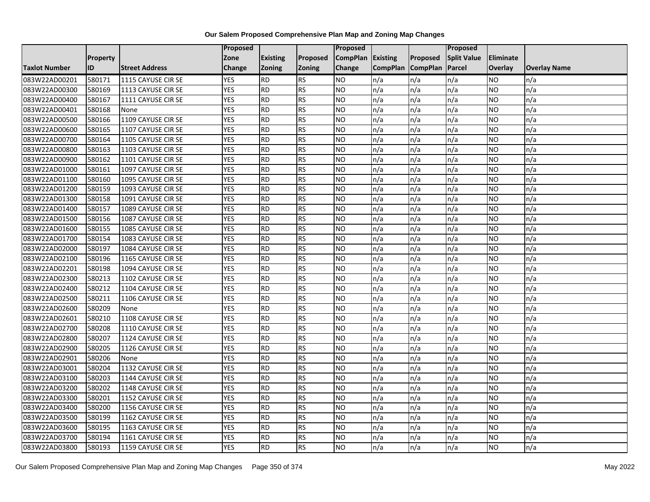|               |                 |                       | <b>Proposed</b> |                 |               | Proposed        |                 |                 | Proposed           |           |                     |
|---------------|-----------------|-----------------------|-----------------|-----------------|---------------|-----------------|-----------------|-----------------|--------------------|-----------|---------------------|
|               | <b>Property</b> |                       | Zone            | <b>Existing</b> | Proposed      | <b>CompPlan</b> | Existing        | Proposed        | <b>Split Value</b> | Eliminate |                     |
| Taxlot Number | ID              | <b>Street Address</b> | Change          | Zoning          | <b>Zoning</b> | Change          | <b>CompPlan</b> | <b>CompPlan</b> | Parcel             | Overlay   | <b>Overlay Name</b> |
| 083W22AD00201 | 580171          | 1115 CAYUSE CIR SE    | <b>YES</b>      | <b>RD</b>       | <b>RS</b>     | <b>NO</b>       | n/a             | n/a             | n/a                | NO.       | n/a                 |
| 083W22AD00300 | 580169          | 1113 CAYUSE CIR SE    | <b>YES</b>      | <b>RD</b>       | <b>RS</b>     | <b>NO</b>       | n/a             | n/a             | n/a                | NO.       | n/a                 |
| 083W22AD00400 | 580167          | 1111 CAYUSE CIR SE    | <b>YES</b>      | <b>RD</b>       | <b>RS</b>     | <b>NO</b>       | n/a             | n/a             | n/a                | <b>NO</b> | n/a                 |
| 083W22AD00401 | 580168          | None                  | <b>YES</b>      | <b>RD</b>       | <b>RS</b>     | <b>NO</b>       | n/a             | n/a             | n/a                | NO.       | n/a                 |
| 083W22AD00500 | 580166          | 1109 CAYUSE CIR SE    | <b>YES</b>      | <b>RD</b>       | <b>RS</b>     | <b>NO</b>       | n/a             | n/a             | n/a                | NO.       | n/a                 |
| 083W22AD00600 | 580165          | 1107 CAYUSE CIR SE    | <b>YES</b>      | RD              | <b>RS</b>     | <b>NO</b>       | n/a             | n/a             | n/a                | NO.       | n/a                 |
| 083W22AD00700 | 580164          | 1105 CAYUSE CIR SE    | <b>YES</b>      | <b>RD</b>       | <b>RS</b>     | <b>NO</b>       | n/a             | n/a             | n/a                | NO.       | n/a                 |
| 083W22AD00800 | 580163          | 1103 CAYUSE CIR SE    | <b>YES</b>      | <b>RD</b>       | <b>RS</b>     | <b>NO</b>       | n/a             | n/a             | n/a                | NO.       | n/a                 |
| 083W22AD00900 | 580162          | 1101 CAYUSE CIR SE    | <b>YES</b>      | <b>RD</b>       | <b>RS</b>     | <b>NO</b>       | n/a             | n/a             | n/a                | NO        | n/a                 |
| 083W22AD01000 | 580161          | 1097 CAYUSE CIR SE    | <b>YES</b>      | <b>RD</b>       | <b>RS</b>     | <b>NO</b>       | n/a             | n/a             | n/a                | NO.       | n/a                 |
| 083W22AD01100 | 580160          | 1095 CAYUSE CIR SE    | <b>YES</b>      | <b>RD</b>       | <b>RS</b>     | <b>NO</b>       | n/a             | n/a             | n/a                | <b>NO</b> | n/a                 |
| 083W22AD01200 | 580159          | 1093 CAYUSE CIR SE    | <b>YES</b>      | <b>RD</b>       | <b>RS</b>     | <b>NO</b>       | n/a             | n/a             | n/a                | NO.       | n/a                 |
| 083W22AD01300 | 580158          | 1091 CAYUSE CIR SE    | <b>YES</b>      | <b>RD</b>       | <b>RS</b>     | <b>NO</b>       | n/a             | n/a             | n/a                | NO.       | n/a                 |
| 083W22AD01400 | 580157          | 1089 CAYUSE CIR SE    | <b>YES</b>      | <b>RD</b>       | <b>RS</b>     | ŌИ              | n/a             | n/a             | n/a                | NO.       | n/a                 |
| 083W22AD01500 | 580156          | 1087 CAYUSE CIR SE    | <b>YES</b>      | <b>RD</b>       | <b>RS</b>     | <b>NO</b>       | n/a             | n/a             | n/a                | ΝO        | n/a                 |
| 083W22AD01600 | 580155          | 1085 CAYUSE CIR SE    | <b>YES</b>      | <b>RD</b>       | <b>RS</b>     | <b>NO</b>       | n/a             | n/a             | n/a                | NO.       | n/a                 |
| 083W22AD01700 | 580154          | 1083 CAYUSE CIR SE    | <b>YES</b>      | <b>RD</b>       | <b>RS</b>     | <b>NO</b>       | n/a             | n/a             | n/a                | NO.       | n/a                 |
| 083W22AD02000 | 580197          | 1084 CAYUSE CIR SE    | <b>YES</b>      | <b>RD</b>       | <b>RS</b>     | <b>NO</b>       | n/a             | n/a             | n/a                | NO.       | n/a                 |
| 083W22AD02100 | 580196          | 1165 CAYUSE CIR SE    | <b>YES</b>      | <b>RD</b>       | <b>RS</b>     | <b>NO</b>       | n/a             | n/a             | n/a                | <b>NO</b> | n/a                 |
| 083W22AD02201 | 580198          | 1094 CAYUSE CIR SE    | <b>YES</b>      | <b>RD</b>       | <b>RS</b>     | <b>NO</b>       | n/a             | n/a             | n/a                | NO.       | n/a                 |
| 083W22AD02300 | 580213          | 1102 CAYUSE CIR SE    | <b>YES</b>      | <b>RD</b>       | <b>RS</b>     | <b>NO</b>       | n/a             | n/a             | n/a                | NO.       | n/a                 |
| 083W22AD02400 | 580212          | 1104 CAYUSE CIR SE    | <b>YES</b>      | RD              | <b>RS</b>     | ŌИ              | n/a             | n/a             | n/a                | <b>NO</b> | n/a                 |
| 083W22AD02500 | 580211          | 1106 CAYUSE CIR SE    | <b>YES</b>      | <b>RD</b>       | <b>RS</b>     | <b>NO</b>       | n/a             | n/a             | n/a                | NO.       | n/a                 |
| 083W22AD02600 | 580209          | None                  | <b>YES</b>      | <b>RD</b>       | <b>RS</b>     | <b>NO</b>       | n/a             | n/a             | n/a                | NO.       | n/a                 |
| 083W22AD02601 | 580210          | 1108 CAYUSE CIR SE    | <b>YES</b>      | <b>RD</b>       | <b>RS</b>     | ŌИ              | n/a             | n/a             | n/a                | ΝO        | n/a                 |
| 083W22AD02700 | 580208          | 1110 CAYUSE CIR SE    | <b>YES</b>      | <b>RD</b>       | <b>RS</b>     | <b>NO</b>       | n/a             | n/a             | n/a                | NO.       | n/a                 |
| 083W22AD02800 | 580207          | 1124 CAYUSE CIR SE    | <b>YES</b>      | <b>RD</b>       | <b>RS</b>     | <b>NO</b>       | n/a             | n/a             | n/a                | NO.       | n/a                 |
| 083W22AD02900 | 580205          | 1126 CAYUSE CIR SE    | <b>YES</b>      | <b>RD</b>       | <b>RS</b>     | <b>NO</b>       | n/a             | n/a             | n/a                | NO.       | n/a                 |
| 083W22AD02901 | 580206          | None                  | <b>YES</b>      | <b>RD</b>       | <b>RS</b>     | <b>NO</b>       | n/a             | n/a             | n/a                | NO.       | n/a                 |
| 083W22AD03001 | 580204          | 1132 CAYUSE CIR SE    | <b>YES</b>      | <b>RD</b>       | <b>RS</b>     | ŌИ              | n/a             | n/a             | n/a                | NO.       | n/a                 |
| 083W22AD03100 | 580203          | 1144 CAYUSE CIR SE    | <b>YES</b>      | <b>RD</b>       | <b>RS</b>     | <b>NO</b>       | n/a             | n/a             | n/a                | ΝO        | n/a                 |
| 083W22AD03200 | 580202          | 1148 CAYUSE CIR SE    | <b>YES</b>      | <b>RD</b>       | <b>RS</b>     | <b>NO</b>       | n/a             | n/a             | n/a                | NO.       | n/a                 |
| 083W22AD03300 | 580201          | 1152 CAYUSE CIR SE    | <b>YES</b>      | <b>RD</b>       | <b>RS</b>     | <b>NO</b>       | n/a             | n/a             | n/a                | NO.       | n/a                 |
| 083W22AD03400 | 580200          | 1156 CAYUSE CIR SE    | <b>YES</b>      | <b>RD</b>       | <b>RS</b>     | <b>NO</b>       | n/a             | n/a             | n/a                | NO.       | n/a                 |
| 083W22AD03500 | 580199          | 1162 CAYUSE CIR SE    | <b>YES</b>      | <b>RD</b>       | <b>RS</b>     | <b>NO</b>       | n/a             | n/a             | n/a                | <b>NO</b> | n/a                 |
| 083W22AD03600 | 580195          | 1163 CAYUSE CIR SE    | <b>YES</b>      | <b>RD</b>       | <b>RS</b>     | <b>NO</b>       | n/a             | n/a             | n/a                | NO        | n/a                 |
| 083W22AD03700 | 580194          | 1161 CAYUSE CIR SE    | <b>YES</b>      | <b>RD</b>       | <b>RS</b>     | <b>NO</b>       | n/a             | n/a             | n/a                | <b>NO</b> | n/a                 |
| 083W22AD03800 | 580193          | 1159 CAYUSE CIR SE    | <b>YES</b>      | $\overline{RD}$ | <b>RS</b>     | N <sub>O</sub>  | n/a             | n/a             | n/a                | <b>NO</b> | n/a                 |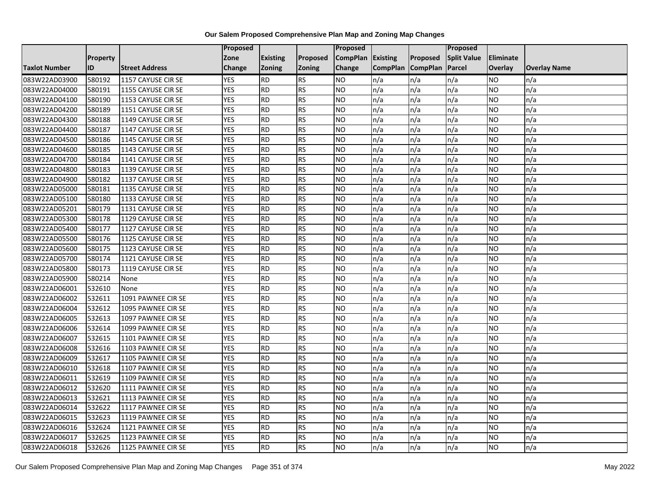|               |                 |                       | <b>Proposed</b> |                 |                 | Proposed        |                 |                 | Proposed           |                  |                     |
|---------------|-----------------|-----------------------|-----------------|-----------------|-----------------|-----------------|-----------------|-----------------|--------------------|------------------|---------------------|
|               | <b>Property</b> |                       | Zone            | <b>Existing</b> | <b>Proposed</b> | <b>CompPlan</b> | Existing        | Proposed        | <b>Split Value</b> | <b>Eliminate</b> |                     |
| Taxlot Number | ID              | <b>Street Address</b> | Change          | Zoning          | <b>Zoning</b>   | Change          | <b>CompPlan</b> | <b>CompPlan</b> | Parcel             | Overlay          | <b>Overlay Name</b> |
| 083W22AD03900 | 580192          | 1157 CAYUSE CIR SE    | <b>YES</b>      | <b>RD</b>       | <b>RS</b>       | <b>NO</b>       | n/a             | n/a             | n/a                | NO.              | n/a                 |
| 083W22AD04000 | 580191          | 1155 CAYUSE CIR SE    | <b>YES</b>      | <b>RD</b>       | <b>RS</b>       | <b>NO</b>       | n/a             | n/a             | n/a                | NO.              | n/a                 |
| 083W22AD04100 | 580190          | 1153 CAYUSE CIR SE    | <b>YES</b>      | <b>RD</b>       | <b>RS</b>       | <b>NO</b>       | n/a             | n/a             | n/a                | <b>NO</b>        | n/a                 |
| 083W22AD04200 | 580189          | 1151 CAYUSE CIR SE    | <b>YES</b>      | <b>RD</b>       | <b>RS</b>       | <b>NO</b>       | n/a             | n/a             | n/a                | NO.              | n/a                 |
| 083W22AD04300 | 580188          | 1149 CAYUSE CIR SE    | <b>YES</b>      | <b>RD</b>       | <b>RS</b>       | <b>NO</b>       | n/a             | n/a             | n/a                | NO.              | n/a                 |
| 083W22AD04400 | 580187          | 1147 CAYUSE CIR SE    | <b>YES</b>      | RD              | RS              | <b>NO</b>       | n/a             | n/a             | n/a                | NO.              | n/a                 |
| 083W22AD04500 | 580186          | 1145 CAYUSE CIR SE    | <b>YES</b>      | <b>RD</b>       | <b>RS</b>       | <b>NO</b>       | n/a             | n/a             | n/a                | NO.              | n/a                 |
| 083W22AD04600 | 580185          | 1143 CAYUSE CIR SE    | <b>YES</b>      | <b>RD</b>       | <b>RS</b>       | <b>NO</b>       | n/a             | n/a             | n/a                | NO.              | n/a                 |
| 083W22AD04700 | 580184          | 1141 CAYUSE CIR SE    | <b>YES</b>      | <b>RD</b>       | <b>RS</b>       | <b>NO</b>       | n/a             | n/a             | n/a                | NO               | n/a                 |
| 083W22AD04800 | 580183          | 1139 CAYUSE CIR SE    | <b>YES</b>      | <b>RD</b>       | <b>RS</b>       | <b>NO</b>       | n/a             | n/a             | n/a                | NO.              | n/a                 |
| 083W22AD04900 | 580182          | 1137 CAYUSE CIR SE    | <b>YES</b>      | <b>RD</b>       | <b>RS</b>       | <b>NO</b>       | n/a             | n/a             | n/a                | <b>NO</b>        | n/a                 |
| 083W22AD05000 | 580181          | 1135 CAYUSE CIR SE    | <b>YES</b>      | <b>RD</b>       | <b>RS</b>       | <b>NO</b>       | n/a             | n/a             | n/a                | NO.              | n/a                 |
| 083W22AD05100 | 580180          | 1133 CAYUSE CIR SE    | <b>YES</b>      | <b>RD</b>       | <b>RS</b>       | <b>NO</b>       | n/a             | n/a             | n/a                | NO.              | n/a                 |
| 083W22AD05201 | 580179          | 1131 CAYUSE CIR SE    | <b>YES</b>      | $\overline{RD}$ | <b>RS</b>       | ŌИ              | n/a             | n/a             | n/a                | NO.              | n/a                 |
| 083W22AD05300 | 580178          | 1129 CAYUSE CIR SE    | <b>YES</b>      | <b>RD</b>       | <b>RS</b>       | <b>NO</b>       | n/a             | n/a             | n/a                | ΝO               | n/a                 |
| 083W22AD05400 | 580177          | 1127 CAYUSE CIR SE    | <b>YES</b>      | <b>RD</b>       | <b>RS</b>       | <b>NO</b>       | n/a             | n/a             | n/a                | NO.              | n/a                 |
| 083W22AD05500 | 580176          | 1125 CAYUSE CIR SE    | <b>YES</b>      | <b>RD</b>       | <b>RS</b>       | <b>NO</b>       | n/a             | n/a             | n/a                | NO.              | n/a                 |
| 083W22AD05600 | 580175          | 1123 CAYUSE CIR SE    | <b>YES</b>      | <b>RD</b>       | <b>RS</b>       | <b>NO</b>       | n/a             | n/a             | n/a                | NO.              | n/a                 |
| 083W22AD05700 | 580174          | 1121 CAYUSE CIR SE    | <b>YES</b>      | <b>RD</b>       | <b>RS</b>       | <b>NO</b>       | n/a             | n/a             | n/a                | <b>NO</b>        | n/a                 |
| 083W22AD05800 | 580173          | 1119 CAYUSE CIR SE    | <b>YES</b>      | <b>RD</b>       | <b>RS</b>       | <b>NO</b>       | n/a             | n/a             | n/a                | NO.              | n/a                 |
| 083W22AD05900 | 580214          | None                  | <b>YES</b>      | <b>RD</b>       | <b>RS</b>       | <b>NO</b>       | n/a             | n/a             | n/a                | NO.              | n/a                 |
| 083W22AD06001 | 532610          | None                  | <b>YES</b>      | RD              | <b>RS</b>       | <b>NO</b>       | n/a             | n/a             | n/a                | NO.              | n/a                 |
| 083W22AD06002 | 532611          | 1091 PAWNEE CIR SE    | <b>YES</b>      | <b>RD</b>       | <b>RS</b>       | <b>NO</b>       | n/a             | n/a             | n/a                | NO.              | n/a                 |
| 083W22AD06004 | 532612          | 1095 PAWNEE CIR SE    | <b>YES</b>      | <b>RD</b>       | <b>RS</b>       | <b>NO</b>       | n/a             | n/a             | n/a                | NO.              | n/a                 |
| 083W22AD06005 | 532613          | 1097 PAWNEE CIR SE    | <b>YES</b>      | <b>RD</b>       | <b>RS</b>       | ŌИ              | n/a             | n/a             | n/a                | ΝO               | n/a                 |
| 083W22AD06006 | 532614          | 1099 PAWNEE CIR SE    | <b>YES</b>      | <b>RD</b>       | <b>RS</b>       | <b>NO</b>       | n/a             | n/a             | n/a                | NO.              | n/a                 |
| 083W22AD06007 | 532615          | 1101 PAWNEE CIR SE    | <b>YES</b>      | <b>RD</b>       | <b>RS</b>       | <b>NO</b>       | n/a             | n/a             | n/a                | NO.              | n/a                 |
| 083W22AD06008 | 532616          | 1103 PAWNEE CIR SE    | <b>YES</b>      | <b>RD</b>       | <b>RS</b>       | <b>NO</b>       | n/a             | n/a             | n/a                | NO.              | n/a                 |
| 083W22AD06009 | 532617          | 1105 PAWNEE CIR SE    | <b>YES</b>      | <b>RD</b>       | <b>RS</b>       | <b>NO</b>       | n/a             | n/a             | n/a                | NO.              | n/a                 |
| 083W22AD06010 | 532618          | 1107 PAWNEE CIR SE    | <b>YES</b>      | <b>RD</b>       | <b>RS</b>       | ŌИ              | n/a             | n/a             | n/a                | NO.              | n/a                 |
| 083W22AD06011 | 532619          | 1109 PAWNEE CIR SE    | <b>YES</b>      | <b>RD</b>       | <b>RS</b>       | <b>NO</b>       | n/a             | n/a             | n/a                | ΝO               | n/a                 |
| 083W22AD06012 | 532620          | 1111 PAWNEE CIR SE    | <b>YES</b>      | <b>RD</b>       | <b>RS</b>       | <b>NO</b>       | n/a             | n/a             | n/a                | NO.              | n/a                 |
| 083W22AD06013 | 532621          | 1113 PAWNEE CIR SE    | <b>YES</b>      | <b>RD</b>       | <b>RS</b>       | <b>NO</b>       | n/a             | n/a             | n/a                | NO.              | n/a                 |
| 083W22AD06014 | 532622          | 1117 PAWNEE CIR SE    | <b>YES</b>      | <b>RD</b>       | <b>RS</b>       | <b>NO</b>       | n/a             | n/a             | n/a                | NO.              | n/a                 |
| 083W22AD06015 | 532623          | 1119 PAWNEE CIR SE    | <b>YES</b>      | <b>RD</b>       | <b>RS</b>       | <b>NO</b>       | n/a             | n/a             | n/a                | NO.              | n/a                 |
| 083W22AD06016 | 532624          | 1121 PAWNEE CIR SE    | <b>YES</b>      | <b>RD</b>       | <b>RS</b>       | <b>NO</b>       | n/a             | n/a             | n/a                | NO.              | n/a                 |
| 083W22AD06017 | 532625          | 1123 PAWNEE CIR SE    | <b>YES</b>      | <b>RD</b>       | <b>RS</b>       | <b>NO</b>       | n/a             | n/a             | n/a                | NO.              | n/a                 |
| 083W22AD06018 | 532626          | 1125 PAWNEE CIR SE    | <b>YES</b>      | $\overline{RD}$ | <b>RS</b>       | N <sub>O</sub>  | n/a             | n/a             | n/a                | <b>NO</b>        | n/a                 |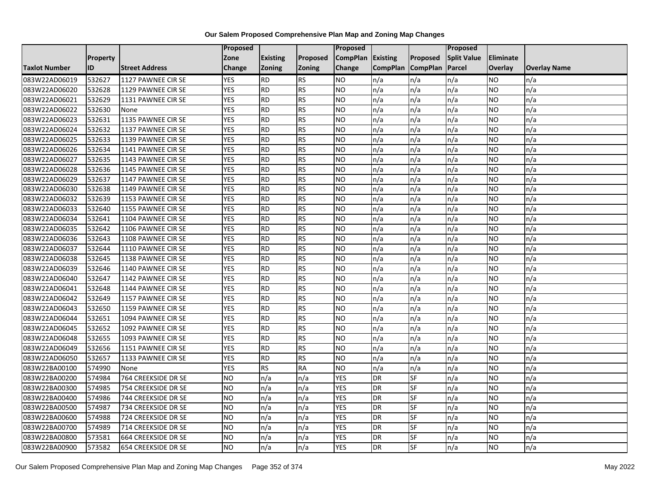|               |                 |                            | <b>Proposed</b> |                 |               | Proposed        |                 |                 | Proposed           |                  |                     |
|---------------|-----------------|----------------------------|-----------------|-----------------|---------------|-----------------|-----------------|-----------------|--------------------|------------------|---------------------|
|               | <b>Property</b> |                            | Zone            | <b>Existing</b> | Proposed      | <b>CompPlan</b> | Existing        | Proposed        | <b>Split Value</b> | <b>Eliminate</b> |                     |
| Taxlot Number | ID              | <b>Street Address</b>      | Change          | Zoning          | <b>Zoning</b> | Change          | <b>CompPlan</b> | <b>CompPlan</b> | Parcel             | Overlay          | <b>Overlay Name</b> |
| 083W22AD06019 | 532627          | 1127 PAWNEE CIR SE         | <b>YES</b>      | <b>RD</b>       | <b>RS</b>     | <b>NO</b>       | n/a             | n/a             | n/a                | NO.              | n/a                 |
| 083W22AD06020 | 532628          | 1129 PAWNEE CIR SE         | <b>YES</b>      | <b>RD</b>       | <b>RS</b>     | <b>NO</b>       | n/a             | n/a             | n/a                | NO.              | n/a                 |
| 083W22AD06021 | 532629          | 1131 PAWNEE CIR SE         | <b>YES</b>      | <b>RD</b>       | <b>RS</b>     | <b>NO</b>       | n/a             | n/a             | n/a                | <b>NO</b>        | n/a                 |
| 083W22AD06022 | 532630          | None                       | <b>YES</b>      | <b>RD</b>       | <b>RS</b>     | <b>NO</b>       | n/a             | n/a             | n/a                | NO.              | n/a                 |
| 083W22AD06023 | 532631          | 1135 PAWNEE CIR SE         | <b>YES</b>      | <b>RD</b>       | <b>RS</b>     | <b>NO</b>       | n/a             | n/a             | n/a                | NO.              | n/a                 |
| 083W22AD06024 | 532632          | 1137 PAWNEE CIR SE         | <b>YES</b>      | RD              | RS            | N <sub>O</sub>  | n/a             | n/a             | n/a                | NO.              | n/a                 |
| 083W22AD06025 | 532633          | 1139 PAWNEE CIR SE         | <b>YES</b>      | <b>RD</b>       | <b>RS</b>     | <b>NO</b>       | n/a             | n/a             | n/a                | NO.              | n/a                 |
| 083W22AD06026 | 532634          | 1141 PAWNEE CIR SE         | <b>YES</b>      | <b>RD</b>       | <b>RS</b>     | <b>NO</b>       | n/a             | n/a             | n/a                | <b>NO</b>        | n/a                 |
| 083W22AD06027 | 532635          | 1143 PAWNEE CIR SE         | <b>YES</b>      | <b>RD</b>       | <b>RS</b>     | <b>NO</b>       | n/a             | n/a             | n/a                | NO               | n/a                 |
| 083W22AD06028 | 532636          | 1145 PAWNEE CIR SE         | <b>YES</b>      | <b>RD</b>       | <b>RS</b>     | ŌИ              | n/a             | n/a             | n/a                | NO.              | n/a                 |
| 083W22AD06029 | 532637          | 1147 PAWNEE CIR SE         | <b>YES</b>      | <b>RD</b>       | <b>RS</b>     | ŌИ              | n/a             | n/a             | n/a                | <b>NO</b>        | n/a                 |
| 083W22AD06030 | 532638          | 1149 PAWNEE CIR SE         | <b>YES</b>      | <b>RD</b>       | <b>RS</b>     | <b>NO</b>       | n/a             | n/a             | n/a                | NO.              | n/a                 |
| 083W22AD06032 | 532639          | 1153 PAWNEE CIR SE         | <b>YES</b>      | <b>RD</b>       | <b>RS</b>     | <b>NO</b>       | n/a             | n/a             | n/a                | NO.              | n/a                 |
| 083W22AD06033 | 532640          | 1155 PAWNEE CIR SE         | <b>YES</b>      | RD              | <b>RS</b>     | ŌИ              | n/a             | n/a             | n/a                | <b>NO</b>        | n/a                 |
| 083W22AD06034 | 532641          | 1104 PAWNEE CIR SE         | <b>YES</b>      | <b>RD</b>       | <b>RS</b>     | <b>NO</b>       | n/a             | n/a             | n/a                | ΝO               | n/a                 |
| 083W22AD06035 | 532642          | 1106 PAWNEE CIR SE         | <b>YES</b>      | <b>RD</b>       | <b>RS</b>     | <b>NO</b>       | n/a             | n/a             | n/a                | NO.              | n/a                 |
| 083W22AD06036 | 532643          | 1108 PAWNEE CIR SE         | <b>YES</b>      | <b>RD</b>       | <b>RS</b>     | <b>NO</b>       | n/a             | n/a             | n/a                | <b>NO</b>        | n/a                 |
| 083W22AD06037 | 532644          | 1110 PAWNEE CIR SE         | <b>YES</b>      | <b>RD</b>       | <b>RS</b>     | <b>NO</b>       | n/a             | n/a             | n/a                | NO.              | n/a                 |
| 083W22AD06038 | 532645          | 1138 PAWNEE CIR SE         | <b>YES</b>      | <b>RD</b>       | <b>RS</b>     | <b>NO</b>       | n/a             | n/a             | n/a                | <b>NO</b>        | n/a                 |
| 083W22AD06039 | 532646          | 1140 PAWNEE CIR SE         | <b>YES</b>      | <b>RD</b>       | <b>RS</b>     | <b>NO</b>       | n/a             | n/a             | n/a                | NO.              | n/a                 |
| 083W22AD06040 | 532647          | 1142 PAWNEE CIR SE         | <b>YES</b>      | <b>RD</b>       | <b>RS</b>     | <b>NO</b>       | n/a             | n/a             | n/a                | NO.              | n/a                 |
| 083W22AD06041 | 532648          | 1144 PAWNEE CIR SE         | <b>YES</b>      | RD              | <b>RS</b>     | <b>NO</b>       | n/a             | n/a             | n/a                | <b>NO</b>        | n/a                 |
| 083W22AD06042 | 532649          | 1157 PAWNEE CIR SE         | <b>YES</b>      | <b>RD</b>       | <b>RS</b>     | <b>NO</b>       | n/a             | n/a             | n/a                | NO.              | n/a                 |
| 083W22AD06043 | 532650          | 1159 PAWNEE CIR SE         | <b>YES</b>      | <b>RD</b>       | <b>RS</b>     | <b>NO</b>       | n/a             | n/a             | n/a                | NO.              | n/a                 |
| 083W22AD06044 | 532651          | 1094 PAWNEE CIR SE         | <b>YES</b>      | <b>RD</b>       | <b>RS</b>     | N <sub>O</sub>  | n/a             | n/a             | n/a                | <b>NO</b>        | n/a                 |
| 083W22AD06045 | 532652          | 1092 PAWNEE CIR SE         | <b>YES</b>      | <b>RD</b>       | <b>RS</b>     | <b>NO</b>       | n/a             | n/a             | n/a                | NO.              | n/a                 |
| 083W22AD06048 | 532655          | 1093 PAWNEE CIR SE         | <b>YES</b>      | <b>RD</b>       | <b>RS</b>     | <b>NO</b>       | n/a             | n/a             | n/a                | <b>NO</b>        | n/a                 |
| 083W22AD06049 | 532656          | 1151 PAWNEE CIR SE         | <b>YES</b>      | <b>RD</b>       | <b>RS</b>     | <b>NO</b>       | n/a             | n/a             | n/a                | NO.              | n/a                 |
| 083W22AD06050 | 532657          | 1133 PAWNEE CIR SE         | <b>YES</b>      | <b>RD</b>       | <b>RS</b>     | <b>NO</b>       | n/a             | n/a             | n/a                | NO.              | n/a                 |
| 083W22BA00100 | 574990          | None                       | <b>YES</b>      | RS              | <b>RA</b>     | N <sub>O</sub>  | n/a             | n/a             | n/a                | NO.              | n/a                 |
| 083W22BA00200 | 574984          | 764 CREEKSIDE DR SE        | <b>NO</b>       | n/a             | n/a           | <b>YES</b>      | DR              | SF              | n/a                | ΝO               | n/a                 |
| 083W22BA00300 | 574985          | 754 CREEKSIDE DR SE        | <b>NO</b>       | n/a             | n/a           | <b>YES</b>      | DR              | SF              | n/a                | NO.              | n/a                 |
| 083W22BA00400 | 574986          | 744 CREEKSIDE DR SE        | <b>NO</b>       | n/a             | n/a           | <b>YES</b>      | DR              | SF              | n/a                | <b>NO</b>        | n/a                 |
| 083W22BA00500 | 574987          | 734 CREEKSIDE DR SE        | <b>NO</b>       | n/a             | n/a           | <b>YES</b>      | DR              | SF              | n/a                | NO.              | n/a                 |
| 083W22BA00600 | 574988          | 724 CREEKSIDE DR SE        | <b>NO</b>       | n/a             | n/a           | <b>YES</b>      | DR              | <b>SF</b>       | n/a                | <b>NO</b>        | n/a                 |
| 083W22BA00700 | 574989          | 714 CREEKSIDE DR SE        | <b>NO</b>       | n/a             | n/a           | <b>YES</b>      | <b>DR</b>       | SF              | n/a                | NO.              | n/a                 |
| 083W22BA00800 | 573581          | 664 CREEKSIDE DR SE        | <b>NO</b>       | n/a             | n/a           | <b>YES</b>      | DR              | SF              | n/a                | <b>NO</b>        | n/a                 |
| 083W22BA00900 | 573582          | <b>654 CREEKSIDE DR SE</b> | ŌИ              | n/a             | n/a           | <b>YES</b>      | <b>DR</b>       | SF              | n/a                | <b>NO</b>        | n/a                 |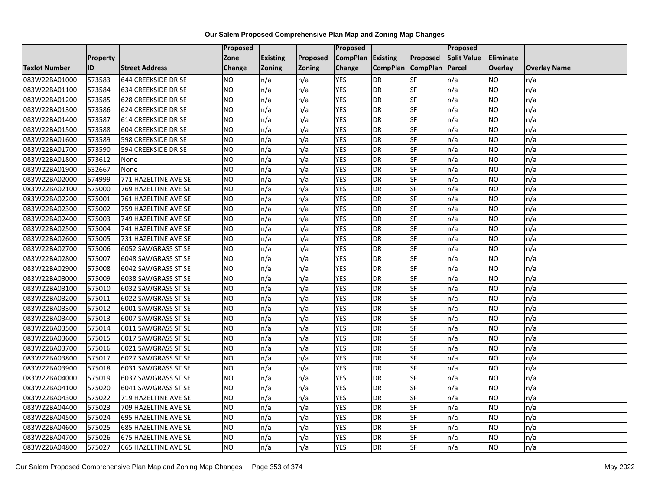|                      |                 |                             | <b>Proposed</b> |                 |          | Proposed          |                 |                 | <b>Proposed</b>    |                 |                     |
|----------------------|-----------------|-----------------------------|-----------------|-----------------|----------|-------------------|-----------------|-----------------|--------------------|-----------------|---------------------|
|                      | <b>Property</b> |                             | Zone            | <b>Existing</b> | Proposed | CompPlan Existing |                 | <b>Proposed</b> | <b>Split Value</b> | Eliminate       |                     |
| <b>Taxlot Number</b> | ID              | <b>Street Address</b>       | <b>Change</b>   | Zoning          | Zoning   | Change            | <b>CompPlan</b> | <b>CompPlan</b> | <b>Parcel</b>      | Overlay         | <b>Overlay Name</b> |
| 083W22BA01000        | 573583          | 644 CREEKSIDE DR SE         | <b>NO</b>       | n/a             | n/a      | <b>YES</b>        | <b>DR</b>       | SF              | n/a                | NO              | n/a                 |
| 083W22BA01100        | 573584          | 634 CREEKSIDE DR SE         | <b>NO</b>       | n/a             | n/a      | <b>YES</b>        | <b>DR</b>       | SF              | n/a                | NO.             | n/a                 |
| 083W22BA01200        | 573585          | <b>628 CREEKSIDE DR SE</b>  | <b>NO</b>       | n/a             | n/a      | <b>YES</b>        | DR              | SF              | n/a                | NO.             | n/a                 |
| 083W22BA01300        | 573586          | 624 CREEKSIDE DR SE         | <b>NO</b>       | n/a             | n/a      | <b>YES</b>        | DR              | SF              | n/a                | NO.             | n/a                 |
| 083W22BA01400        | 573587          | 614 CREEKSIDE DR SE         | Ю               | n/a             | n/a      | <b>YES</b>        | DR              | SF              | n/a                | NO.             | n/a                 |
| 083W22BA01500        | 573588          | <b>604 CREEKSIDE DR SE</b>  | <b>ON</b>       | n/a             | n/a      | <b>YES</b>        | DR              | SF              | n/a                | <b>NO</b>       | n/a                 |
| 083W22BA01600        | 573589          | <b>598 CREEKSIDE DR SE</b>  | <b>NO</b>       | n/a             | n/a      | <b>YES</b>        | DR              | SF              | n/a                | NO.             | n/a                 |
| 083W22BA01700        | 573590          | 594 CREEKSIDE DR SE         | <b>NO</b>       | n/a             | n/a      | <b>YES</b>        | DR              | SF              | n/a                | <b>NO</b>       | n/a                 |
| 083W22BA01800        | 573612          | None                        | <b>NO</b>       | n/a             | n/a      | <b>YES</b>        | DR              | SF              | n/a                | NO.             | n/a                 |
| 083W22BA01900        | 532667          | None                        | <b>ON</b>       | n/a             | n/a      | <b>YES</b>        | DR              | SF              | n/a                | <b>NO</b>       | n/a                 |
| 083W22BA02000        | 574999          | 771 HAZELTINE AVE SE        | <b>NO</b>       | n/a             | n/a      | <b>YES</b>        | DR              | SF              | n/a                | <b>NO</b>       | n/a                 |
| 083W22BA02100        | 575000          | 769 HAZELTINE AVE SE        | <b>NO</b>       | n/a             | n/a      | <b>YES</b>        | DR              | SF              | n/a                | NO.             | n/a                 |
| 083W22BA02200        | 575001          | 761 HAZELTINE AVE SE        | <b>NO</b>       | n/a             | n/a      | <b>YES</b>        | DR              | SF              | n/a                | NO.             | n/a                 |
| 083W22BA02300        | 575002          | 759 HAZELTINE AVE SE        | Ю               | n/a             | n/a      | <b>YES</b>        | <b>DR</b>       | SF              | n/a                | NO              | n/a                 |
| 083W22BA02400        | 575003          | 749 HAZELTINE AVE SE        | <b>NO</b>       | n/a             | n/a      | <b>YES</b>        | DR              | SF              | n/a                | NO.             | n/a                 |
| 083W22BA02500        | 575004          | 741 HAZELTINE AVE SE        | <b>NO</b>       | n/a             | n/a      | <b>YES</b>        | DR              | SF              | n/a                | <b>NO</b>       | n/a                 |
| 083W22BA02600        | 575005          | 731 HAZELTINE AVE SE        | <b>NO</b>       | n/a             | n/a      | <b>YES</b>        | DR              | SF              | n/a                | NO.             | n/a                 |
| 083W22BA02700        | 575006          | 6052 SAWGRASS ST SE         | <b>NO</b>       | n/a             | n/a      | <b>YES</b>        | DR              | SF              | n/a                | NO.             | n/a                 |
| 083W22BA02800        | 575007          | 6048 SAWGRASS ST SE         | <b>NO</b>       | n/a             | n/a      | <b>YES</b>        | DR              | SF              | n/a                | NO.             | n/a                 |
| 083W22BA02900        | 575008          | 6042 SAWGRASS ST SE         | <b>NO</b>       | n/a             | n/a      | <b>YES</b>        | DR              | SF              | n/a                | NO.             | n/a                 |
| 083W22BA03000        | 575009          | 6038 SAWGRASS ST SE         | <b>NO</b>       | n/a             | n/a      | <b>YES</b>        | <b>DR</b>       | SF              | n/a                | NO.             | n/a                 |
| 083W22BA03100        | 575010          | 6032 SAWGRASS ST SE         | <b>NO</b>       | n/a             | n/a      | <b>YES</b>        | $\overline{DR}$ | SF              | n/a                | $\overline{NO}$ | n/a                 |
| 083W22BA03200        | 575011          | 6022 SAWGRASS ST SE         | <b>NO</b>       | n/a             | n/a      | <b>YES</b>        | <b>DR</b>       | <b>SF</b>       | n/a                | <b>NO</b>       | n/a                 |
| 083W22BA03300        | 575012          | 6001 SAWGRASS ST SE         | <b>NO</b>       | n/a             | n/a      | <b>YES</b>        | <b>DR</b>       | SF              | n/a                | NO.             | n/a                 |
| 083W22BA03400        | 575013          | 6007 SAWGRASS ST SE         | Ю               | n/a             | n/a      | <b>YES</b>        | DR              | SF              | n/a                | NO              | n/a                 |
| 083W22BA03500        | 575014          | 6011 SAWGRASS ST SE         | Ю               | n/a             | n/a      | <b>YES</b>        | DR              | SF              | n/a                | NO              | n/a                 |
| 083W22BA03600        | 575015          | 6017 SAWGRASS ST SE         | <b>NO</b>       | n/a             | n/a      | <b>YES</b>        | DR              | SF              | n/a                | <b>NO</b>       | n/a                 |
| 083W22BA03700        | 575016          | 6021 SAWGRASS ST SE         | <b>NO</b>       | n/a             | n/a      | <b>YES</b>        | DR              | SF              | n/a                | NO.             | n/a                 |
| 083W22BA03800        | 575017          | 6027 SAWGRASS ST SE         | <b>NO</b>       | n/a             | n/a      | <b>YES</b>        | DR              | SF              | n/a                | NO.             | n/a                 |
| 083W22BA03900        | 575018          | 6031 SAWGRASS ST SE         | Ю               | n/a             | n/a      | <b>YES</b>        | DR              | SF              | n/a                | <b>NO</b>       | n/a                 |
| 083W22BA04000        | 575019          | 6037 SAWGRASS ST SE         | <b>NO</b>       | n/a             | n/a      | <b>YES</b>        | DR              | <b>SF</b>       | n/a                | <b>NO</b>       | n/a                 |
| 083W22BA04100        | 575020          | 6041 SAWGRASS ST SE         | <b>NO</b>       | n/a             | n/a      | <b>YES</b>        | DR              | SF              | n/a                | <b>NO</b>       | n/a                 |
| 083W22BA04300        | 575022          | 719 HAZELTINE AVE SE        | <b>NO</b>       | n/a             | n/a      | <b>YES</b>        | DR              | SF              | n/a                | NO.             | n/a                 |
| 083W22BA04400        | 575023          | 709 HAZELTINE AVE SE        | <b>NO</b>       | n/a             | n/a      | <b>YES</b>        | DR              | SF              | n/a                | NO.             | n/a                 |
| 083W22BA04500        | 575024          | 695 HAZELTINE AVE SE        | Ю               | n/a             | n/a      | <b>YES</b>        | DR              | SF              | n/a                | <b>NO</b>       | n/a                 |
| 083W22BA04600        | 575025          | <b>685 HAZELTINE AVE SE</b> | <b>NO</b>       | n/a             | n/a      | <b>YES</b>        | DR              | SF              | n/a                | NO.             | n/a                 |
| 083W22BA04700        | 575026          | 675 HAZELTINE AVE SE        | <b>NO</b>       | n/a             | n/a      | <b>YES</b>        | DR              | SF              | n/a                | NO.             | n/a                 |
| 083W22BA04800        | 575027          | 665 HAZELTINE AVE SE        | Ю               | n/a             | n/a      | <b>YES</b>        | DR              | SF              | n/a                | NO.             | n/a                 |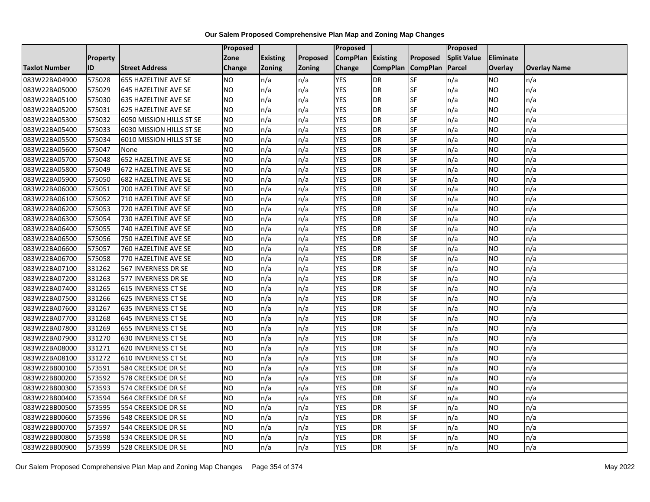|               |                 |                             | <b>Proposed</b> |                 |               | Proposed        |                 |                 | Proposed           |                |                     |
|---------------|-----------------|-----------------------------|-----------------|-----------------|---------------|-----------------|-----------------|-----------------|--------------------|----------------|---------------------|
|               | <b>Property</b> |                             | Zone            | <b>Existing</b> | Proposed      | <b>CompPlan</b> | Existing        | Proposed        | <b>Split Value</b> | Eliminate      |                     |
| Taxlot Number | ID              | <b>Street Address</b>       | <b>Change</b>   | Zoning          | <b>Zoning</b> | Change          | <b>CompPlan</b> | <b>CompPlan</b> | Parcel             | <b>Overlay</b> | <b>Overlay Name</b> |
| 083W22BA04900 | 575028          | 655 HAZELTINE AVE SE        | <b>NO</b>       | n/a             | n/a           | <b>YES</b>      | <b>DR</b>       | <b>SF</b>       | n/a                | NO.            | n/a                 |
| 083W22BA05000 | 575029          | 645 HAZELTINE AVE SE        | <b>NO</b>       | n/a             | n/a           | <b>YES</b>      | DR              | SF              | n/a                | NO.            | n/a                 |
| 083W22BA05100 | 575030          | 635 HAZELTINE AVE SE        | <b>NO</b>       | n/a             | n/a           | <b>YES</b>      | DR              | SF              | n/a                | NO.            | n/a                 |
| 083W22BA05200 | 575031          | 625 HAZELTINE AVE SE        | <b>NO</b>       | n/a             | n/a           | <b>YES</b>      | <b>DR</b>       | SF              | n/a                | NO.            | n/a                 |
| 083W22BA05300 | 575032          | 6050 MISSION HILLS ST SE    | <b>NO</b>       | n/a             | n/a           | <b>YES</b>      | <b>DR</b>       | <b>SF</b>       | n/a                | NO.            | n/a                 |
| 083W22BA05400 | 575033          | 6030 MISSION HILLS ST SE    | <b>NO</b>       | n/a             | n/a           | <b>YES</b>      | <b>DR</b>       | SF              | n/a                | NO.            | n/a                 |
| 083W22BA05500 | 575034          | 6010 MISSION HILLS ST SE    | <b>NO</b>       | n/a             | n/a           | <b>YES</b>      | DR              | SF              | n/a                | NO.            | n/a                 |
| 083W22BA05600 | 575047          | None                        | <b>NO</b>       | n/a             | n/a           | <b>YES</b>      | <b>DR</b>       | SF              | n/a                | NO.            | n/a                 |
| 083W22BA05700 | 575048          | 652 HAZELTINE AVE SE        | <b>NO</b>       | n/a             | n/a           | <b>YES</b>      | DR              | SF              | n/a                | NO.            | n/a                 |
| 083W22BA05800 | 575049          | 672 HAZELTINE AVE SE        | ŌИ              | n/a             | n/a           | <b>YES</b>      | DR              | <b>SF</b>       | n/a                | NO.            | n/a                 |
| 083W22BA05900 | 575050          | <b>682 HAZELTINE AVE SE</b> | <b>NO</b>       | n/a             | n/a           | <b>YES</b>      | <b>DR</b>       | SF              | n/a                | NO.            | n/a                 |
| 083W22BA06000 | 575051          | 700 HAZELTINE AVE SE        | <b>NO</b>       | n/a             | n/a           | <b>YES</b>      | <b>DR</b>       | SF              | n/a                | NO.            | n/a                 |
| 083W22BA06100 | 575052          | 710 HAZELTINE AVE SE        | ŌИ              | n/a             | n/a           | <b>YES</b>      | DR              | $S_{F}$         | n/a                | NO.            | n/a                 |
| 083W22BA06200 | 575053          | 720 HAZELTINE AVE SE        | <b>NO</b>       | n/a             | n/a           | <b>YES</b>      | <b>DR</b>       | SF              | n/a                | NO.            | n/a                 |
| 083W22BA06300 | 575054          | 730 HAZELTINE AVE SE        | <b>NO</b>       | n/a             | n/a           | <b>YES</b>      | DR              | SF              | n/a                | NO.            | n/a                 |
| 083W22BA06400 | 575055          | 740 HAZELTINE AVE SE        | ŌИ              | n/a             | n/a           | <b>YES</b>      | <b>DR</b>       | $S_{F}$         | n/a                | NO.            | n/a                 |
| 083W22BA06500 | 575056          | 750 HAZELTINE AVE SE        | ŌИ              | n/a             | n/a           | <b>YES</b>      | <b>DR</b>       | <b>SF</b>       | n/a                | NO.            | n/a                 |
| 083W22BA06600 | 575057          | 760 HAZELTINE AVE SE        | <b>NO</b>       | n/a             | n/a           | <b>YES</b>      | DR              | SF              | n/a                | NO.            | n/a                 |
| 083W22BA06700 | 575058          | 770 HAZELTINE AVE SE        | <b>NO</b>       | n/a             | n/a           | <b>YES</b>      | DR              | SF              | n/a                | NO.            | n/a                 |
| 083W22BA07100 | 331262          | 567 INVERNESS DR SE         | <b>NO</b>       | n/a             | n/a           | <b>YES</b>      | <b>DR</b>       | <b>SF</b>       | n/a                | NO.            | n/a                 |
| 083W22BA07200 | 331263          | 577 INVERNESS DR SE         | <b>NO</b>       | n/a             | n/a           | <b>YES</b>      | DR              | SF              | n/a                | NO.            | n/a                 |
| 083W22BA07400 | 331265          | 615 INVERNESS CT SE         | <b>NO</b>       | n/a             | n/a           | <b>YES</b>      | <b>DR</b>       | <b>SF</b>       | n/a                | <b>NO</b>      | n/a                 |
| 083W22BA07500 | 331266          | 625 INVERNESS CT SE         | <b>NO</b>       | n/a             | n/a           | <b>YES</b>      | DR              | <b>SF</b>       | n/a                | NO.            | n/a                 |
| 083W22BA07600 | 331267          | 635 INVERNESS CT SE         | <b>NO</b>       | n/a             | n/a           | <b>YES</b>      | DR              | SF              | n/a                | NO.            | n/a                 |
| 083W22BA07700 | 331268          | 645 INVERNESS CT SE         | <b>NO</b>       | n/a             | n/a           | <b>YES</b>      | <b>DR</b>       | SF              | n/a                | NO.            | n/a                 |
| 083W22BA07800 | 331269          | 655 INVERNESS CT SE         | <b>NO</b>       | n/a             | n/a           | <b>YES</b>      | DR              | SF              | n/a                | NO.            | n/a                 |
| 083W22BA07900 | 331270          | 630 INVERNESS CT SE         | ŌИ              | n/a             | n/a           | <b>YES</b>      | <b>DR</b>       | $S_{F}$         | n/a                | NO.            | n/a                 |
| 083W22BA08000 | 331271          | 620 INVERNESS CT SE         | <b>NO</b>       | n/a             | n/a           | <b>YES</b>      | DR              | SF              | n/a                | NO.            | n/a                 |
| 083W22BA08100 | 331272          | 610 INVERNESS CT SE         | <b>NO</b>       | n/a             | n/a           | <b>YES</b>      | DR              | SF              | n/a                | NO.            | n/a                 |
| 083W22BB00100 | 573591          | 584 CREEKSIDE DR SE         | <b>NO</b>       | n/a             | n/a           | <b>YES</b>      | <b>DR</b>       | SF              | n/a                | NO.            | n/a                 |
| 083W22BB00200 | 573592          | 578 CREEKSIDE DR SE         | <b>NO</b>       | n/a             | n/a           | <b>YES</b>      | DR              | SF              | n/a                | NO.            | n/a                 |
| 083W22BB00300 | 573593          | 574 CREEKSIDE DR SE         | <b>NO</b>       | n/a             | n/a           | <b>YES</b>      | DR              | SF              | n/a                | NO.            | n/a                 |
| 083W22BB00400 | 573594          | 564 CREEKSIDE DR SE         | ŌИ              | n/a             | n/a           | <b>YES</b>      | <b>DR</b>       | <b>SF</b>       | n/a                | NO.            | n/a                 |
| 083W22BB00500 | 573595          | 554 CREEKSIDE DR SE         | <b>NO</b>       | n/a             | n/a           | <b>YES</b>      | DR              | SF              | n/a                | NO.            | n/a                 |
| 083W22BB00600 | 573596          | 548 CREEKSIDE DR SE         | <b>NO</b>       | n/a             | n/a           | <b>YES</b>      | <b>DR</b>       | SF              | n/a                | NO.            | n/a                 |
| 083W22BB00700 | 573597          | 544 CREEKSIDE DR SE         | <b>NO</b>       | n/a             | n/a           | <b>YES</b>      | <b>DR</b>       | SF              | n/a                | NO.            | n/a                 |
| 083W22BB00800 | 573598          | 534 CREEKSIDE DR SE         | <b>NO</b>       | n/a             | n/a           | <b>YES</b>      | <b>DR</b>       | SF              | n/a                | NO             | n/a                 |
| 083W22BB00900 | 573599          | 528 CREEKSIDE DR SE         | <b>NO</b>       | n/a             | n/a           | <b>YES</b>      | DR              | SF              | n/a                | NO.            | n/a                 |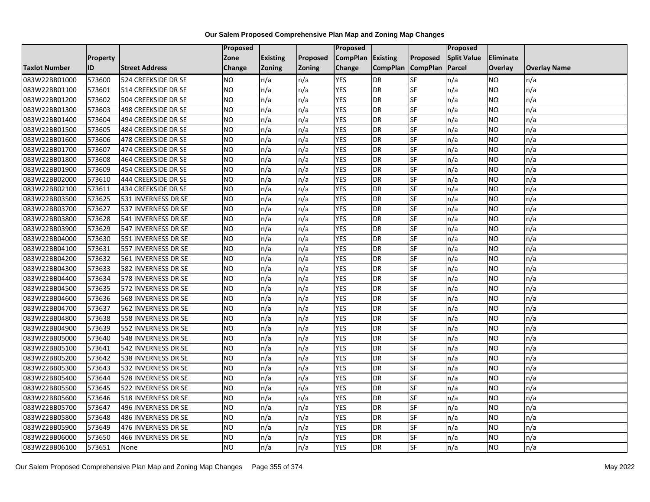|                      |                 |                       | Proposed  |                 |               | Proposed        |                 |                 | Proposed           |                  |                     |
|----------------------|-----------------|-----------------------|-----------|-----------------|---------------|-----------------|-----------------|-----------------|--------------------|------------------|---------------------|
|                      | <b>Property</b> |                       | Zone      | <b>Existing</b> | Proposed      | <b>CompPlan</b> | Existing        | Proposed        | <b>Split Value</b> | <b>Eliminate</b> |                     |
| <b>Taxlot Number</b> | ID              | <b>Street Address</b> | Change    | Zoning          | <b>Zoning</b> | Change          | <b>CompPlan</b> | <b>CompPlan</b> | Parcel             | <b>Overlay</b>   | <b>Overlay Name</b> |
| 083W22BB01000        | 573600          | 524 CREEKSIDE DR SE   | <b>NO</b> | n/a             | n/a           | <b>YES</b>      | <b>DR</b>       | <b>SF</b>       | n/a                | NO.              | n/a                 |
| 083W22BB01100        | 573601          | 514 CREEKSIDE DR SE   | <b>NO</b> | n/a             | n/a           | <b>YES</b>      | DR              | $S_{F}$         | n/a                | NO.              | n/a                 |
| 083W22BB01200        | 573602          | 504 CREEKSIDE DR SE   | <b>NO</b> | n/a             | n/a           | <b>YES</b>      | DR              | SF              | n/a                | <b>NO</b>        | n/a                 |
| 083W22BB01300        | 573603          | 498 CREEKSIDE DR SE   | <b>NO</b> | n/a             | n/a           | <b>YES</b>      | DR              | SF              | n/a                | NO.              | n/a                 |
| 083W22BB01400        | 573604          | 494 CREEKSIDE DR SE   | <b>NO</b> | n/a             | n/a           | <b>YES</b>      | <b>DR</b>       | <b>SF</b>       | n/a                | NO.              | n/a                 |
| 083W22BB01500        | 573605          | 484 CREEKSIDE DR SE   | ŌИ        | n/a             | n/a           | <b>YES</b>      | DR              | SF              | n/a                | <b>NO</b>        | n/a                 |
| 083W22BB01600        | 573606          | 478 CREEKSIDE DR SE   | <b>NO</b> | n/a             | n/a           | <b>YES</b>      | DR              | SF              | n/a                | NO.              | n/a                 |
| 083W22BB01700        | 573607          | 474 CREEKSIDE DR SE   | <b>NO</b> | n/a             | n/a           | <b>YES</b>      | <b>DR</b>       | SF              | n/a                | NO.              | n/a                 |
| 083W22BB01800        | 573608          | 464 CREEKSIDE DR SE   | <b>NO</b> | n/a             | n/a           | <b>YES</b>      | DR              | SF              | n/a                | NO.              | n/a                 |
| 083W22BB01900        | 573609          | 454 CREEKSIDE DR SE   | ŌИ        | n/a             | n/a           | <b>YES</b>      | DR              | <b>SF</b>       | n/a                | NO.              | n/a                 |
| 083W22BB02000        | 573610          | 444 CREEKSIDE DR SE   | <b>NO</b> | n/a             | n/a           | <b>YES</b>      | DR              | SF              | n/a                | <b>NO</b>        | n/a                 |
| 083W22BB02100        | 573611          | 434 CREEKSIDE DR SE   | <b>NO</b> | n/a             | n/a           | <b>YES</b>      | <b>DR</b>       | SF              | n/a                | NO.              | n/a                 |
| 083W22BB03500        | 573625          | 531 INVERNESS DR SE   | ŌИ        | n/a             | n/a           | <b>YES</b>      | DR              | $S_{F}$         | n/a                | NO.              | n/a                 |
| 083W22BB03700        | 573627          | 537 INVERNESS DR SE   | <b>NO</b> | n/a             | n/a           | <b>YES</b>      | <b>DR</b>       | SF              | n/a                | NO.              | n/a                 |
| 083W22BB03800        | 573628          | 541 INVERNESS DR SE   | <b>NO</b> | n/a             | n/a           | <b>YES</b>      | <b>DR</b>       | SF              | n/a                | NO.              | n/a                 |
| 083W22BB03900        | 573629          | 547 INVERNESS DR SE   | ŌИ        | n/a             | n/a           | <b>YES</b>      | <b>DR</b>       | $S_{F}$         | n/a                | NO.              | n/a                 |
| 083W22BB04000        | 573630          | 551 INVERNESS DR SE   | ŌИ        | n/a             | n/a           | <b>YES</b>      | $\overline{R}$  | <b>SF</b>       | n/a                | NO.              | n/a                 |
| 083W22BB04100        | 573631          | 557 INVERNESS DR SE   | <b>NO</b> | n/a             | n/a           | <b>YES</b>      | DR              | SF              | n/a                | NO.              | n/a                 |
| 083W22BB04200        | 573632          | 561 INVERNESS DR SE   | <b>NO</b> | n/a             | n/a           | <b>YES</b>      | <b>DR</b>       | SF              | n/a                | <b>NO</b>        | n/a                 |
| 083W22BB04300        | 573633          | 582 INVERNESS DR SE   | <b>NO</b> | n/a             | n/a           | <b>YES</b>      | <b>DR</b>       | <b>SF</b>       | n/a                | NO.              | n/a                 |
| 083W22BB04400        | 573634          | 578 INVERNESS DR SE   | <b>NO</b> | n/a             | n/a           | <b>YES</b>      | DR              | SF              | n/a                | NO.              | n/a                 |
| 083W22BB04500        | 573635          | 572 INVERNESS DR SE   | <b>NO</b> | n/a             | n/a           | <b>YES</b>      | <b>DR</b>       | SF              | n/a                | <b>NO</b>        | n/a                 |
| 083W22BB04600        | 573636          | 568 INVERNESS DR SE   | ŌИ        | n/a             | n/a           | <b>YES</b>      | DR              | $S_{F}$         | n/a                | NO.              | n/a                 |
| 083W22BB04700        | 573637          | 562 INVERNESS DR SE   | <b>NO</b> | n/a             | n/a           | <b>YES</b>      | DR              | SF              | n/a                | NO.              | n/a                 |
| 083W22BB04800        | 573638          | 558 INVERNESS DR SE   | <b>NO</b> | n/a             | n/a           | <b>YES</b>      | <b>DR</b>       | SF              | n/a                | <b>NO</b>        | n/a                 |
| 083W22BB04900        | 573639          | 552 INVERNESS DR SE   | <b>NO</b> | n/a             | n/a           | <b>YES</b>      | DR              | SF              | n/a                | NO.              | n/a                 |
| 083W22BB05000        | 573640          | 548 INVERNESS DR SE   | ŌИ        | n/a             | n/a           | <b>YES</b>      | <b>DR</b>       | $S_{F}$         | n/a                | NO.              | n/a                 |
| 083W22BB05100        | 573641          | 542 INVERNESS DR SE   | <b>NO</b> | n/a             | n/a           | <b>YES</b>      | DR              | SF              | n/a                | NO.              | n/a                 |
| 083W22BB05200        | 573642          | 538 INVERNESS DR SE   | <b>NO</b> | n/a             | n/a           | <b>YES</b>      | DR              | SF              | n/a                | NO.              | n/a                 |
| 083W22BB05300        | 573643          | 532 INVERNESS DR SE   | <b>NO</b> | n/a             | n/a           | <b>YES</b>      | <b>DR</b>       | SF              | n/a                | <b>NO</b>        | n/a                 |
| 083W22BB05400        | 573644          | 528 INVERNESS DR SE   | <b>NO</b> | n/a             | n/a           | <b>YES</b>      | DR              | SF              | n/a                | NO.              | n/a                 |
| 083W22BB05500        | 573645          | 522 INVERNESS DR SE   | <b>NO</b> | n/a             | n/a           | <b>YES</b>      | DR              | SF              | n/a                | NO.              | n/a                 |
| 083W22BB05600        | 573646          | 518 INVERNESS DR SE   | ŌИ        | n/a             | n/a           | <b>YES</b>      | DR              | SF              | n/a                | NO.              | n/a                 |
| 083W22BB05700        | 573647          | 496 INVERNESS DR SE   | <b>NO</b> | n/a             | n/a           | <b>YES</b>      | DR              | SF              | n/a                | NO.              | n/a                 |
| 083W22BB05800        | 573648          | 486 INVERNESS DR SE   | <b>NO</b> | n/a             | n/a           | <b>YES</b>      | DR              | SF              | n/a                | <b>NO</b>        | n/a                 |
| 083W22BB05900        | 573649          | 476 INVERNESS DR SE   | <b>NO</b> | n/a             | n/a           | <b>YES</b>      | <b>DR</b>       | SF              | n/a                | <b>NO</b>        | n/a                 |
| 083W22BB06000        | 573650          | 466 INVERNESS DR SE   | <b>NO</b> | n/a             | n/a           | <b>YES</b>      | DR              | SF              | n/a                | NO               | n/a                 |
| 083W22BB06100        | 573651          | None                  | <b>NO</b> | n/a             | n/a           | <b>YES</b>      | <b>DR</b>       | SF              | n/a                | NO.              | n/a                 |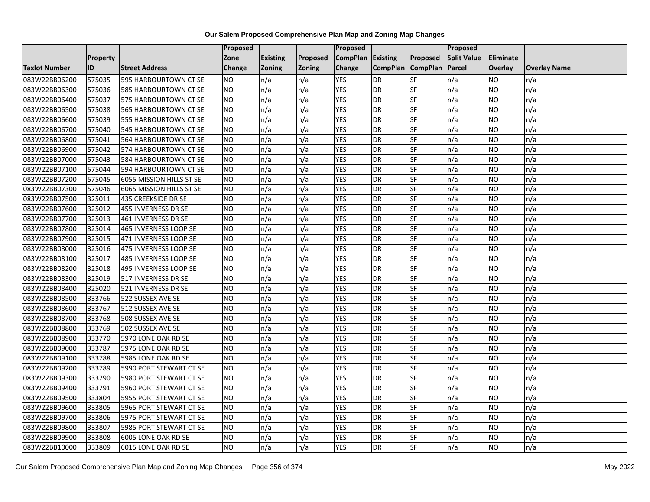|                      |                 |                          | <b>Proposed</b> |                 |               | Proposed        |                 |                 | Proposed           |                |                     |
|----------------------|-----------------|--------------------------|-----------------|-----------------|---------------|-----------------|-----------------|-----------------|--------------------|----------------|---------------------|
|                      | <b>Property</b> |                          | Zone            | <b>Existing</b> | Proposed      | <b>CompPlan</b> | Existing        | Proposed        | <b>Split Value</b> | Eliminate      |                     |
| <b>Taxlot Number</b> | ID              | <b>Street Address</b>    | <b>Change</b>   | Zoning          | <b>Zoning</b> | Change          | <b>CompPlan</b> | <b>CompPlan</b> | Parcel             | <b>Overlay</b> | <b>Overlay Name</b> |
| 083W22BB06200        | 575035          | 595 HARBOURTOWN CT SE    | <b>NO</b>       | n/a             | n/a           | <b>YES</b>      | <b>DR</b>       | <b>SF</b>       | n/a                | NO.            | n/a                 |
| 083W22BB06300        | 575036          | 585 HARBOURTOWN CT SE    | <b>NO</b>       | n/a             | n/a           | <b>YES</b>      | DR              | $S_{F}$         | n/a                | NO.            | n/a                 |
| 083W22BB06400        | 575037          | 575 HARBOURTOWN CT SE    | <b>NO</b>       | n/a             | n/a           | <b>YES</b>      | DR              | SF              | n/a                | NO.            | n/a                 |
| 083W22BB06500        | 575038          | 565 HARBOURTOWN CT SE    | <b>NO</b>       | n/a             | n/a           | <b>YES</b>      | <b>DR</b>       | SF              | n/a                | NO.            | n/a                 |
| 083W22BB06600        | 575039          | 555 HARBOURTOWN CT SE    | <b>NO</b>       | n/a             | n/a           | <b>YES</b>      | <b>DR</b>       | $S_{F}$         | n/a                | NO.            | n/a                 |
| 083W22BB06700        | 575040          | 545 HARBOURTOWN CT SE    | <b>NO</b>       | n/a             | n/a           | <b>YES</b>      | <b>DR</b>       | SF              | n/a                | NO.            | n/a                 |
| 083W22BB06800        | 575041          | 564 HARBOURTOWN CT SE    | <b>NO</b>       | n/a             | n/a           | <b>YES</b>      | DR              | SF              | n/a                | NO.            | n/a                 |
| 083W22BB06900        | 575042          | 574 HARBOURTOWN CT SE    | <b>NO</b>       | n/a             | n/a           | <b>YES</b>      | DR              | SF              | n/a                | NO.            | n/a                 |
| 083W22BB07000        | 575043          | 584 HARBOURTOWN CT SE    | <b>NO</b>       | n/a             | n/a           | <b>YES</b>      | DR              | SF              | n/a                | NO.            | n/a                 |
| 083W22BB07100        | 575044          | 594 HARBOURTOWN CT SE    | ŌИ              | n/a             | n/a           | <b>YES</b>      | DR              | SF              | n/a                | NO.            | n/a                 |
| 083W22BB07200        | 575045          | 6055 MISSION HILLS ST SE | <b>NO</b>       | n/a             | n/a           | <b>YES</b>      | <b>DR</b>       | SF              | n/a                | <b>NO</b>      | n/a                 |
| 083W22BB07300        | 575046          | 6065 MISSION HILLS ST SE | <b>NO</b>       | n/a             | n/a           | <b>YES</b>      | DR              | SF              | n/a                | NO.            | n/a                 |
| 083W22BB07500        | 325011          | 435 CREEKSIDE DR SE      | <b>NO</b>       | n/a             | n/a           | <b>YES</b>      | DR              | SF              | n/a                | NO.            | n/a                 |
| 083W22BB07600        | 325012          | 455 INVERNESS DR SE      | <b>NO</b>       | n/a             | n/a           | <b>YES</b>      | <b>DR</b>       | SF              | n/a                | <b>NO</b>      | n/a                 |
| 083W22BB07700        | 325013          | 461 INVERNESS DR SE      | <b>NO</b>       | n/a             | n/a           | <b>YES</b>      | DR              | SF              | n/a                | ΝO             | n/a                 |
| 083W22BB07800        | 325014          | 465 INVERNESS LOOP SE    | <b>NO</b>       | n/a             | n/a           | <b>YES</b>      | DR              | SF              | n/a                | NO.            | n/a                 |
| 083W22BB07900        | 325015          | 471 INVERNESS LOOP SE    | <b>NO</b>       | n/a             | n/a           | <b>YES</b>      | <b>DR</b>       | SF              | n/a                | NO.            | n/a                 |
| 083W22BB08000        | 325016          | 475 INVERNESS LOOP SE    | <b>NO</b>       | n/a             | n/a           | <b>YES</b>      | <b>DR</b>       | SF              | n/a                | NO.            | n/a                 |
| 083W22BB08100        | 325017          | 485 INVERNESS LOOP SE    | <b>NO</b>       | n/a             | n/a           | <b>YES</b>      | DR              | SF              | n/a                | <b>NO</b>      | n/a                 |
| 083W22BB08200        | 325018          | 495 INVERNESS LOOP SE    | <b>NO</b>       | n/a             | n/a           | <b>YES</b>      | DR              | SF              | n/a                | NO.            | n/a                 |
| 083W22BB08300        | 325019          | 517 INVERNESS DR SE      | <b>NO</b>       | n/a             | n/a           | <b>YES</b>      | DR              | SF              | n/a                | NO.            | n/a                 |
| 083W22BB08400        | 325020          | 521 INVERNESS DR SE      | ŌИ              | n/a             | n/a           | <b>YES</b>      | DR              | <b>SF</b>       | n/a                | NO.            | n/a                 |
| 083W22BB08500        | 333766          | 522 SUSSEX AVE SE        | <b>NO</b>       | n/a             | n/a           | <b>YES</b>      | DR              | SF              | n/a                | NO.            | n/a                 |
| 083W22BB08600        | 333767          | 512 SUSSEX AVE SE        | <b>NO</b>       | n/a             | n/a           | <b>YES</b>      | DR              | SF              | n/a                | NO.            | n/a                 |
| 083W22BB08700        | 333768          | 508 SUSSEX AVE SE        | ŌИ              | n/a             | n/a           | <b>YES</b>      | DR              | SF              | n/a                | NO.            | n/a                 |
| 083W22BB08800        | 333769          | 502 SUSSEX AVE SE        | <b>NO</b>       | n/a             | n/a           | <b>YES</b>      | DR              | SF              | n/a                | NO.            | n/a                 |
| 083W22BB08900        | 333770          | 5970 LONE OAK RD SE      | <b>NO</b>       | n/a             | n/a           | <b>YES</b>      | <b>DR</b>       | SF              | n/a                | NO.            | n/a                 |
| 083W22BB09000        | 333787          | 5975 LONE OAK RD SE      | <b>NO</b>       | n/a             | n/a           | <b>YES</b>      | <b>DR</b>       | SF              | n/a                | NO.            | n/a                 |
| 083W22BB09100        | 333788          | 5985 LONE OAK RD SE      | <b>NO</b>       | n/a             | n/a           | <b>YES</b>      | DR              | SF              | n/a                | NO.            | n/a                 |
| 083W22BB09200        | 333789          | 5990 PORT STEWART CT SE  | <b>NO</b>       | n/a             | n/a           | <b>YES</b>      | <b>DR</b>       | SF              | n/a                | <b>NO</b>      | n/a                 |
| 083W22BB09300        | 333790          | 5980 PORT STEWART CT SE  | <b>NO</b>       | n/a             | n/a           | <b>YES</b>      | DR              | SF              | n/a                | <b>NO</b>      | n/a                 |
| 083W22BB09400        | 333791          | 5960 PORT STEWART CT SE  | <b>NO</b>       | n/a             | n/a           | <b>YES</b>      | DR              | SF              | n/a                | NO.            | n/a                 |
| 083W22BB09500        | 333804          | 5955 PORT STEWART CT SE  | <b>NO</b>       | n/a             | n/a           | <b>YES</b>      | <b>DR</b>       | SF              | n/a                | NO.            | n/a                 |
| 083W22BB09600        | 333805          | 5965 PORT STEWART CT SE  | <b>NO</b>       | n/a             | n/a           | <b>YES</b>      | DR              | SF              | n/a                | NO.            | n/a                 |
| 083W22BB09700        | 333806          | 5975 PORT STEWART CT SE  | <b>NO</b>       | n/a             | n/a           | <b>YES</b>      | DR              | <b>SF</b>       | n/a                | NO.            | n/a                 |
| 083W22BB09800        | 333807          | 5985 PORT STEWART CT SE  | <b>NO</b>       | n/a             | n/a           | <b>YES</b>      | DR              | SF              | n/a                | NO.            | n/a                 |
| 083W22BB09900        | 333808          | 6005 LONE OAK RD SE      | <b>NO</b>       | n/a             | n/a           | <b>YES</b>      | <b>DR</b>       | SF              | n/a                | NO.            | n/a                 |
| 083W22BB10000        | 333809          | 6015 LONE OAK RD SE      | ŌИ              | n/a             | n/a           | <b>YES</b>      | <b>DR</b>       | <b>SF</b>       | n/a                | NO.            | n/a                 |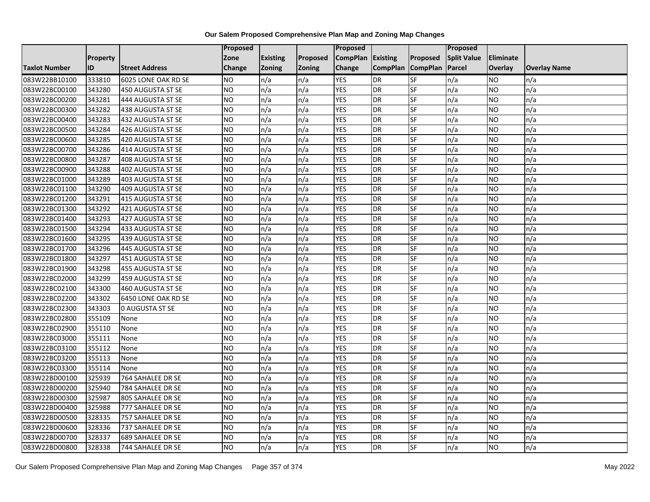|                      |                 |                          | Proposed        |                 |               | <b>Proposed</b> |                 |                 | Proposed           |                |                     |
|----------------------|-----------------|--------------------------|-----------------|-----------------|---------------|-----------------|-----------------|-----------------|--------------------|----------------|---------------------|
|                      | <b>Property</b> |                          | Zone            | <b>Existing</b> | Proposed      | <b>CompPlan</b> | <b>Existing</b> | Proposed        | <b>Split Value</b> | Eliminate      |                     |
| <b>Taxlot Number</b> | <b>ID</b>       | <b>Street Address</b>    | Change          | <b>Zoning</b>   | <b>Zoning</b> | Change          | <b>CompPlan</b> | <b>CompPlan</b> | Parcel             | <b>Overlay</b> | <b>Overlay Name</b> |
| 083W22BB10100        | 333810          | 6025 LONE OAK RD SE      | NO.             | n/a             | n/a           | <b>YES</b>      | <b>DR</b>       | <b>SF</b>       | n/a                | NO             | n/a                 |
| 083W22BC00100        | 343280          | 450 AUGUSTA ST SE        | <b>NO</b>       | n/a             | n/a           | <b>YES</b>      | <b>DR</b>       | <b>SF</b>       | n/a                | NO.            | n/a                 |
| 083W22BC00200        | 343281          | 444 AUGUSTA ST SE        | <b>NO</b>       | n/a             | n/a           | <b>YES</b>      | <b>DR</b>       | SF              | n/a                | <b>NO</b>      | n/a                 |
| 083W22BC00300        | 343282          | 438 AUGUSTA ST SE        | <b>NO</b>       | n/a             | n/a           | <b>YES</b>      | <b>DR</b>       | SF              | n/a                | NO.            | n/a                 |
| 083W22BC00400        | 343283          | 432 AUGUSTA ST SE        | $\overline{NO}$ | n/a             | n/a           | <b>YES</b>      | <b>DR</b>       | <b>SF</b>       | n/a                | NO.            | n/a                 |
| 083W22BC00500        | 343284          | 426 AUGUSTA ST SE        | NO              | n/a             | n/a           | <b>YES</b>      | <b>DR</b>       | SF              | n/a                | <b>NO</b>      | n/a                 |
| 083W22BC00600        | 343285          | 420 AUGUSTA ST SE        | <b>NO</b>       | n/a             | n/a           | <b>YES</b>      | <b>DR</b>       | <b>SF</b>       | n/a                | NO.            | n/a                 |
| 083W22BC00700        | 343286          | 414 AUGUSTA ST SE        | <b>NO</b>       | n/a             | n/a           | <b>YES</b>      | <b>DR</b>       | SF              | n/a                | NO.            | n/a                 |
| 083W22BC00800        | 343287          | 408 AUGUSTA ST SE        | <b>NO</b>       | n/a             | n/a           | <b>YES</b>      | <b>DR</b>       | SF              | n/a                | ΝO             | n/a                 |
| 083W22BC00900        | 343288          | 402 AUGUSTA ST SE        | <b>NO</b>       | n/a             | n/a           | <b>YES</b>      | <b>DR</b>       | <b>SF</b>       | n/a                | NO.            | n/a                 |
| 083W22BC01000        | 343289          | <b>403 AUGUSTA ST SE</b> | <b>NO</b>       | n/a             | n/a           | <b>YES</b>      | <b>DR</b>       | <b>SF</b>       | n/a                | <b>NO</b>      | n/a                 |
| 083W22BC01100        | 343290          | <b>409 AUGUSTA ST SE</b> | <b>NO</b>       | n/a             | n/a           | <b>YES</b>      | <b>DR</b>       | <b>SF</b>       | n/a                | NO.            | n/a                 |
| 083W22BC01200        | 343291          | 415 AUGUSTA ST SE        | <b>NO</b>       | n/a             | n/a           | <b>YES</b>      | <b>DR</b>       | SF              | n/a                | NO.            | n/a                 |
| 083W22BC01300        | 343292          | 421 AUGUSTA ST SE        | <b>NO</b>       | n/a             | n/a           | <b>YES</b>      | <b>DR</b>       | <b>SF</b>       | n/a                | <b>NO</b>      | n/a                 |
| 083W22BC01400        | 343293          | 427 AUGUSTA ST SE        | <b>NO</b>       | n/a             | n/a           | <b>YES</b>      | <b>DR</b>       | SF              | n/a                | ΝO             | n/a                 |
| 083W22BC01500        | 343294          | 433 AUGUSTA ST SE        | <b>NO</b>       | n/a             | n/a           | <b>YES</b>      | <b>DR</b>       | <b>SF</b>       | n/a                | NO.            | n/a                 |
| 083W22BC01600        | 343295          | 439 AUGUSTA ST SE        | <b>NO</b>       | n/a             | n/a           | <b>YES</b>      | <b>DR</b>       | SF              | n/a                | NO.            | n/a                 |
| 083W22BC01700        | 343296          | 445 AUGUSTA ST SE        | <b>NO</b>       | n/a             | n/a           | <b>YES</b>      | <b>DR</b>       | SF              | n/a                | NO.            | n/a                 |
| 083W22BC01800        | 343297          | 451 AUGUSTA ST SE        | <b>NO</b>       | n/a             | n/a           | <b>YES</b>      | <b>DR</b>       | SF              | n/a                | <b>NO</b>      | n/a                 |
| 083W22BC01900        | 343298          | 455 AUGUSTA ST SE        | <b>NO</b>       | n/a             | n/a           | <b>YES</b>      | <b>DR</b>       | SF              | n/a                | NO.            | n/a                 |
| 083W22BC02000        | 343299          | 459 AUGUSTA ST SE        | <b>NO</b>       | n/a             | n/a           | <b>YES</b>      | <b>DR</b>       | SF              | n/a                | NO.            | n/a                 |
| 083W22BC02100        | 343300          | 460 AUGUSTA ST SE        | NO              | n/a             | n/a           | <b>YES</b>      | <b>DR</b>       | <b>SF</b>       | n/a                | NO.            | n/a                 |
| 083W22BC02200        | 343302          | 6450 LONE OAK RD SE      | <b>NO</b>       | n/a             | n/a           | <b>YES</b>      | <b>DR</b>       | <b>SF</b>       | n/a                | NO.            | n/a                 |
| 083W22BC02300        | 343303          | <b>0 AUGUSTA ST SE</b>   | <b>NO</b>       | n/a             | n/a           | <b>YES</b>      | <b>DR</b>       | SF              | n/a                | NO.            | n/a                 |
| 083W22BC02800        | 355109          | None                     | $\overline{NO}$ | n/a             | n/a           | <b>YES</b>      | <b>DR</b>       | <b>SF</b>       | n/a                | <b>NO</b>      | n/a                 |
| 083W22BC02900        | 355110          | None                     | <b>NO</b>       | n/a             | n/a           | <b>YES</b>      | <b>DR</b>       | <b>SF</b>       | n/a                | NO.            | n/a                 |
| 083W22BC03000        | 355111          | None                     | <b>NO</b>       | n/a             | n/a           | <b>YES</b>      | <b>DR</b>       | SF              | n/a                | <b>NO</b>      | n/a                 |
| 083W22BC03100        | 355112          | None                     | <b>NO</b>       | n/a             | n/a           | <b>YES</b>      | <b>DR</b>       | SF              | n/a                | NO.            | n/a                 |
| 083W22BC03200        | 355113          | None                     | <b>NO</b>       | n/a             | n/a           | YES             | <b>DR</b>       | SF              | n/a                | NO             | n/a                 |
| 083W22BC03300        | 355114          | None                     | <b>NO</b>       | n/a             | n/a           | <b>YES</b>      | <b>DR</b>       | SF              | n/a                | <b>NO</b>      | n/a                 |
| 083W22BD00100        | 325939          | 764 SAHALEE DR SE        | <b>NO</b>       | n/a             | n/a           | <b>YES</b>      | <b>DR</b>       | SF              | n/a                | ΝO             | n/a                 |
| 083W22BD00200        | 325940          | 784 SAHALEE DR SE        | <b>NO</b>       | n/a             | n/a           | <b>YES</b>      | <b>DR</b>       | <b>SF</b>       | n/a                | <b>NO</b>      | n/a                 |
| 083W22BD00300        | 325987          | 805 SAHALEE DR SE        | <b>NO</b>       | n/a             | n/a           | <b>YES</b>      | <b>DR</b>       | SF              | n/a                | NO.            | n/a                 |
| 083W22BD00400        | 325988          | 777 SAHALEE DR SE        | <b>NO</b>       | n/a             | n/a           | <b>YES</b>      | <b>DR</b>       | SF              | n/a                | NO.            | n/a                 |
| 083W22BD00500        | 328335          | 757 SAHALEE DR SE        | $\overline{NO}$ | n/a             | n/a           | <b>YES</b>      | <b>DR</b>       | SF              | n/a                | <b>NO</b>      | n/a                 |
| 083W22BD00600        | 328336          | 737 SAHALEE DR SE        | NO              | n/a             | n/a           | <b>YES</b>      | <b>DR</b>       | SF              | n/a                | NO.            | n/a                 |
| 083W22BD00700        | 328337          | 689 SAHALEE DR SE        | <b>NO</b>       | n/a             | n/a           | <b>YES</b>      | DR              | SF              | n/a                | <b>NO</b>      | n/a                 |
| 083W22BD00800        | 328338          | 744 SAHALEE DR SE        | $\overline{NO}$ | n/a             | n/a           | <b>YES</b>      | <b>DR</b>       | <b>SF</b>       | n/a                | <b>NO</b>      | n/a                 |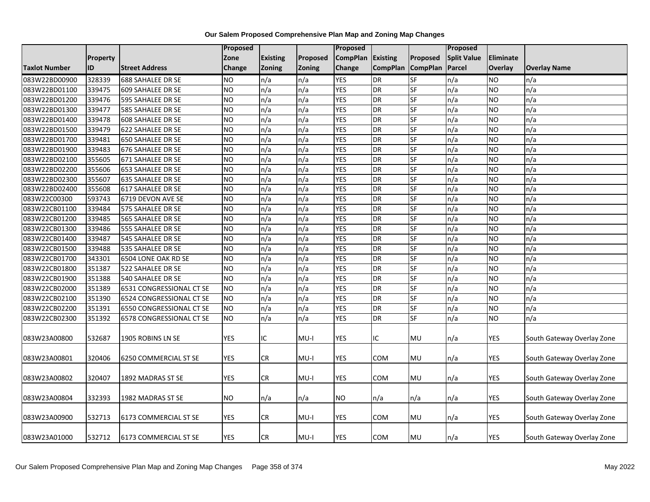|               |          |                          | Proposed        |                 |               | Proposed        |                 |                 | <b>Proposed</b>    |            |                            |
|---------------|----------|--------------------------|-----------------|-----------------|---------------|-----------------|-----------------|-----------------|--------------------|------------|----------------------------|
|               | Property |                          | Zone            | <b>Existing</b> | Proposed      | <b>CompPlan</b> | <b>Existing</b> | Proposed        | <b>Split Value</b> | Eliminate  |                            |
| Taxlot Number | ID       | <b>Street Address</b>    | Change          | <b>Zoning</b>   | <b>Zoning</b> | <b>Change</b>   | <b>CompPlan</b> | <b>CompPlan</b> | Parcel             | Overlay    | <b>Overlay Name</b>        |
| 083W22BD00900 | 328339   | <b>688 SAHALEE DR SE</b> | <b>NO</b>       | n/a             | n/a           | <b>YES</b>      | DR              | <b>SF</b>       | n/a                | <b>NO</b>  | n/a                        |
| 083W22BD01100 | 339475   | 609 SAHALEE DR SE        | <b>NO</b>       | n/a             | n/a           | <b>YES</b>      | <b>DR</b>       | SF              | n/a                | <b>NO</b>  | n/a                        |
| 083W22BD01200 | 339476   | 595 SAHALEE DR SE        | <b>NO</b>       | n/a             | n/a           | <b>YES</b>      | <b>DR</b>       | SF              | n/a                | <b>NO</b>  | n/a                        |
| 083W22BD01300 | 339477   | 585 SAHALEE DR SE        | <b>NO</b>       | n/a             | n/a           | <b>YES</b>      | <b>DR</b>       | <b>SF</b>       | n/a                | NO.        | n/a                        |
| 083W22BD01400 | 339478   | 608 SAHALEE DR SE        | <b>NO</b>       | n/a             | n/a           | <b>YES</b>      | <b>DR</b>       | <b>SF</b>       | n/a                | <b>NO</b>  | n/a                        |
| 083W22BD01500 | 339479   | 622 SAHALEE DR SE        | NΟ              | n/a             | n/a           | <b>YES</b>      | <b>DR</b>       | SF              | n/a                | <b>NO</b>  | n/a                        |
| 083W22BD01700 | 339481   | 650 SAHALEE DR SE        | $\overline{NO}$ | n/a             | n/a           | <b>YES</b>      | <b>DR</b>       | <b>SF</b>       | n/a                | <b>NO</b>  | n/a                        |
| 083W22BD01900 | 339483   | 676 SAHALEE DR SE        | <b>NO</b>       | n/a             | n/a           | <b>YES</b>      | <b>DR</b>       | <b>SF</b>       | n/a                | <b>NO</b>  | n/a                        |
| 083W22BD02100 | 355605   | 671 SAHALEE DR SE        | <b>NO</b>       | n/a             | n/a           | <b>YES</b>      | <b>DR</b>       | SF              | n/a                | <b>NO</b>  | n/a                        |
| 083W22BD02200 | 355606   | 653 SAHALEE DR SE        | <b>NO</b>       | n/a             | n/a           | <b>YES</b>      | <b>DR</b>       | <b>SF</b>       | n/a                | <b>NO</b>  | n/a                        |
| 083W22BD02300 | 355607   | 635 SAHALEE DR SE        | <b>NO</b>       | n/a             | n/a           | <b>YES</b>      | <b>DR</b>       | <b>SF</b>       | n/a                | <b>NO</b>  | n/a                        |
| 083W22BD02400 | 355608   | <b>617 SAHALEE DR SE</b> | <b>NO</b>       | n/a             | n/a           | <b>YES</b>      | <b>DR</b>       | SF              | n/a                | <b>NO</b>  | n/a                        |
| 083W22C00300  | 593743   | 6719 DEVON AVE SE        | <b>NO</b>       | n/a             | n/a           | <b>YES</b>      | <b>DR</b>       | <b>SF</b>       | n/a                | <b>NO</b>  | n/a                        |
| 083W22CB01100 | 339484   | 575 SAHALEE DR SE        | <b>NO</b>       | n/a             | n/a           | <b>YES</b>      | <b>DR</b>       | $S$ F           | n/a                | <b>NO</b>  | n/a                        |
| 083W22CB01200 | 339485   | 565 SAHALEE DR SE        | <b>NO</b>       | n/a             | n/a           | <b>YES</b>      | DR              | <b>SF</b>       | n/a                | <b>NO</b>  | n/a                        |
| 083W22CB01300 | 339486   | 555 SAHALEE DR SE        | $\overline{NO}$ | n/a             | n/a           | <b>YES</b>      | <b>DR</b>       | <b>SF</b>       | n/a                | <b>NO</b>  | n/a                        |
| 083W22CB01400 | 339487   | 545 SAHALEE DR SE        | <b>NO</b>       | n/a             | n/a           | <b>YES</b>      | <b>DR</b>       | <b>SF</b>       | n/a                | <b>NO</b>  | n/a                        |
| 083W22CB01500 | 339488   | 535 SAHALEE DR SE        | <b>NO</b>       | n/a             | n/a           | <b>YES</b>      | <b>DR</b>       | SF              | n/a                | <b>NO</b>  | n/a                        |
| 083W22CB01700 | 343301   | 6504 LONE OAK RD SE      | <b>NO</b>       | n/a             | n/a           | <b>YES</b>      | <b>DR</b>       | <b>SF</b>       | n/a                | <b>NO</b>  | n/a                        |
| 083W22CB01800 | 351387   | 522 SAHALEE DR SE        | <b>NO</b>       | n/a             | n/a           | <b>YES</b>      | <b>DR</b>       | SF              | n/a                | <b>NO</b>  | n/a                        |
| 083W22CB01900 | 351388   | 540 SAHALEE DR SE        | <b>NO</b>       | n/a             | n/a           | <b>YES</b>      | <b>DR</b>       | <b>SF</b>       | n/a                | <b>NO</b>  | n/a                        |
| 083W22CB02000 | 351389   | 6531 CONGRESSIONAL CT SE | <b>NO</b>       | n/a             | n/a           | <b>YES</b>      | <b>DR</b>       | <b>SF</b>       | n/a                | <b>NO</b>  | n/a                        |
| 083W22CB02100 | 351390   | 6524 CONGRESSIONAL CT SE | <b>NO</b>       | n/a             | n/a           | <b>YES</b>      | <b>DR</b>       | <b>SF</b>       | n/a                | <b>NO</b>  | n/a                        |
| 083W22CB02200 | 351391   | 6550 CONGRESSIONAL CT SE | <b>NO</b>       | n/a             | n/a           | <b>YES</b>      | <b>DR</b>       | SF              | n/a                | <b>NO</b>  | n/a                        |
| 083W22CB02300 | 351392   | 6578 CONGRESSIONAL CT SE | <b>NO</b>       | n/a             | n/a           | <b>YES</b>      | <b>DR</b>       | SF              | n/a                | <b>NO</b>  | n/a                        |
|               |          |                          |                 |                 |               |                 |                 |                 |                    |            |                            |
| 083W23A00800  | 532687   | 1905 ROBINS LN SE        | <b>YES</b>      | ΙC              | MU-I          | <b>YES</b>      | IC              | MU              | n/a                | YES        | South Gateway Overlay Zone |
|               |          |                          |                 |                 |               |                 |                 |                 |                    |            |                            |
| 083W23A00801  | 320406   | 6250 COMMERCIAL ST SE    | <b>YES</b>      | <b>CR</b>       | MU-I          | <b>YES</b>      | <b>COM</b>      | MU              | n/a                | <b>YES</b> | South Gateway Overlay Zone |
|               |          |                          |                 |                 |               |                 |                 |                 |                    |            |                            |
| 083W23A00802  | 320407   | 1892 MADRAS ST SE        | <b>YES</b>      | CR              | $MU-I$        | <b>YES</b>      | COM             | MU              | n/a                | <b>YES</b> | South Gateway Overlay Zone |
|               |          |                          |                 |                 |               |                 |                 |                 |                    |            |                            |
| 083W23A00804  | 332393   | 1982 MADRAS ST SE        | NO.             | n/a             | n/a           | NO              | n/a             | n/a             | n/a                | <b>YES</b> | South Gateway Overlay Zone |
|               |          |                          |                 |                 |               |                 |                 |                 |                    |            |                            |
| 083W23A00900  | 532713   | 6173 COMMERCIAL ST SE    | YES             | CR              | MU-I          | YES             | <b>COM</b>      | <b>MU</b>       | n/a                | YES        | South Gateway Overlay Zone |
|               |          |                          |                 |                 |               |                 |                 |                 |                    |            |                            |
| 083W23A01000  | 532712   | 6173 COMMERCIAL ST SE    | <b>YES</b>      | CR              | MU-I          | YES             | <b>COM</b>      | MU              | n/a                | <b>YES</b> | South Gateway Overlay Zone |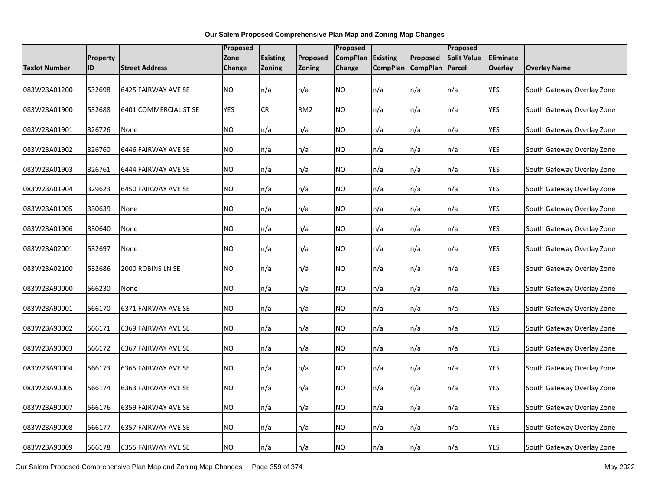|               |                 |                       |               | Proposed        |                 |                 | Proposed        |                   |                    |            |                            |
|---------------|-----------------|-----------------------|---------------|-----------------|-----------------|-----------------|-----------------|-------------------|--------------------|------------|----------------------------|
|               | <b>Property</b> |                       | Zone          | <b>Existing</b> | Proposed        | <b>CompPlan</b> | <b>Existing</b> | Proposed          | <b>Split Value</b> | Eliminate  |                            |
| Taxlot Number | ID              | <b>Street Address</b> | <b>Change</b> | <b>Zoning</b>   | Zoning          | Change          |                 | CompPlan CompPlan | Parcel             | Overlay    | <b>Overlay Name</b>        |
| 083W23A01200  | 532698          | 6425 FAIRWAY AVE SE   | NO.           | n/a             | n/a             | NO              | n/a             | n/a               | n/a                | <b>YES</b> | South Gateway Overlay Zone |
| 083W23A01900  | 532688          | 6401 COMMERCIAL ST SE | YES           | <b>CR</b>       | RM <sub>2</sub> | NO              | n/a             | n/a               | n/a                | YES        | South Gateway Overlay Zone |
| 083W23A01901  | 326726          | None                  | <b>NO</b>     | n/a             | n/a             | NO.             | n/a             | n/a               | n/a                | YES        | South Gateway Overlay Zone |
| 083W23A01902  | 326760          | 6446 FAIRWAY AVE SE   | <b>NO</b>     | n/a             | n/a             | ΝO              | n/a             | n/a               | n/a                | <b>YES</b> | South Gateway Overlay Zone |
| 083W23A01903  | 326761          | 6444 FAIRWAY AVE SE   | <b>NO</b>     | n/a             | n/a             | NO.             | n/a             | n/a               | n/a                | <b>YES</b> | South Gateway Overlay Zone |
| 083W23A01904  | 329623          | 6450 FAIRWAY AVE SE   | <b>NO</b>     | n/a             | n/a             | NO              | n/a             | n/a               | n/a                | YES        | South Gateway Overlay Zone |
| 083W23A01905  | 330639          | None                  | <b>NO</b>     | n/a             | n/a             | NO.             | n/a             | n/a               | n/a                | YES        | South Gateway Overlay Zone |
| 083W23A01906  | 330640          | None                  | <b>NO</b>     | n/a             | n/a             | NO              | n/a             | n/a               | n/a                | YES        | South Gateway Overlay Zone |
| 083W23A02001  | 532697          | None                  | <b>NO</b>     | n/a             | n/a             | NO              | n/a             | n/a               | n/a                | <b>YES</b> | South Gateway Overlay Zone |
| 083W23A02100  | 532686          | 2000 ROBINS LN SE     | <b>NO</b>     | n/a             | n/a             | NO              | n/a             | n/a               | n/a                | <b>YES</b> | South Gateway Overlay Zone |
| 083W23A90000  | 566230          | None                  | <b>NO</b>     | n/a             | n/a             | NO              | n/a             | n/a               | n/a                | <b>YES</b> | South Gateway Overlay Zone |
| 083W23A90001  | 566170          | 6371 FAIRWAY AVE SE   | <b>NO</b>     | n/a             | n/a             | NO              | n/a             | n/a               | n/a                | YES        | South Gateway Overlay Zone |
| 083W23A90002  | 566171          | 6369 FAIRWAY AVE SE   | <b>NO</b>     | n/a             | n/a             | NO.             | n/a             | n/a               | n/a                | <b>YES</b> | South Gateway Overlay Zone |
| 083W23A90003  | 566172          | 6367 FAIRWAY AVE SE   | <b>NO</b>     | n/a             | n/a             | NO              | n/a             | n/a               | n/a                | YES        | South Gateway Overlay Zone |
| 083W23A90004  | 566173          | 6365 FAIRWAY AVE SE   | <b>NO</b>     | n/a             | n/a             | ΝO              | n/a             | n/a               | n/a                | <b>YES</b> | South Gateway Overlay Zone |
| 083W23A90005  | 566174          | 6363 FAIRWAY AVE SE   | <b>NO</b>     | n/a             | n/a             | NO              | n/a             | n/a               | n/a                | <b>YES</b> | South Gateway Overlay Zone |
| 083W23A90007  | 566176          | 6359 FAIRWAY AVE SE   | <b>NO</b>     | n/a             | n/a             | NO              | n/a             | n/a               | n/a                | <b>YES</b> | South Gateway Overlay Zone |
| 083W23A90008  | 566177          | 6357 FAIRWAY AVE SE   | <b>NO</b>     | n/a             | n/a             | NO              | n/a             | n/a               | n/a                | YES        | South Gateway Overlay Zone |
| 083W23A90009  | 566178          | 6355 FAIRWAY AVE SE   | <b>NO</b>     | n/a             | n/a             | NO.             | n/a             | n/a               | n/a                | <b>YES</b> | South Gateway Overlay Zone |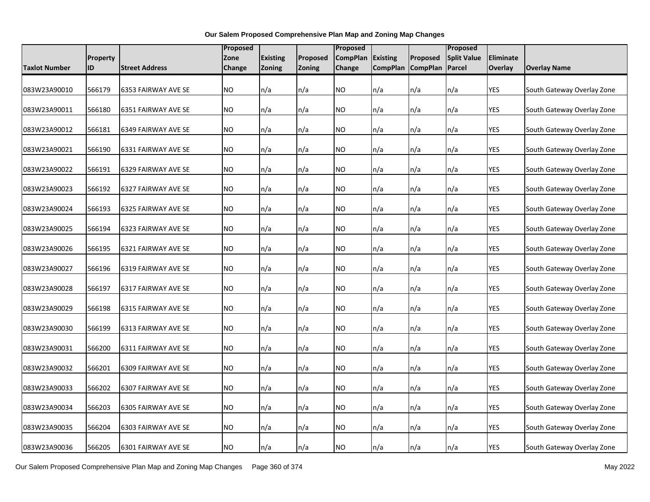|                      |                 |                       | <b>Proposed</b> |                 |          | Proposed        |                 |                   | Proposed                 |            |                            |
|----------------------|-----------------|-----------------------|-----------------|-----------------|----------|-----------------|-----------------|-------------------|--------------------------|------------|----------------------------|
|                      | <b>Property</b> |                       | Zone            | <b>Existing</b> | Proposed | <b>CompPlan</b> | <b>Existing</b> | Proposed          | <b>Split Value</b>       | Eliminate  |                            |
| <b>Taxlot Number</b> | ID              | <b>Street Address</b> | Change          | Zoning          | Zoning   | Change          |                 | CompPlan CompPlan | Parcel                   | Overlay    | <b>Overlay Name</b>        |
|                      |                 |                       |                 |                 |          |                 |                 |                   |                          |            |                            |
| 083W23A90010         | 566179          | 6353 FAIRWAY AVE SE   | <b>NO</b>       | n/a             | n/a      | NO.             | n/a             | n/a               | n/a                      | YES        | South Gateway Overlay Zone |
| 083W23A90011         | 566180          | 6351 FAIRWAY AVE SE   | NO.             | n/a             | n/a      | NO.             | n/a             | n/a               | n/a                      | <b>YES</b> | South Gateway Overlay Zone |
| 083W23A90012         | 566181          | 6349 FAIRWAY AVE SE   | <b>NO</b>       | n/a             | n/a      | <b>NO</b>       | n/a             | n/a               | n/a                      | <b>YES</b> | South Gateway Overlay Zone |
|                      |                 |                       |                 |                 |          |                 |                 |                   |                          |            |                            |
| 083W23A90021         | 566190          | 6331 FAIRWAY AVE SE   | <b>NO</b>       | n/a             | n/a      | NO.             | n/a             | n/a               | n/a                      | <b>YES</b> | South Gateway Overlay Zone |
| 083W23A90022         | 566191          | 6329 FAIRWAY AVE SE   | <b>NO</b>       | n/a             | n/a      | <b>NO</b>       | n/a             | n/a               | n/a                      | <b>YES</b> | South Gateway Overlay Zone |
| 083W23A90023         | 566192          | 6327 FAIRWAY AVE SE   | <b>NO</b>       | n/a             | n/a      | <b>NO</b>       | n/a             | n/a               | n/a                      | <b>YES</b> | South Gateway Overlay Zone |
| 083W23A90024         | 566193          | 6325 FAIRWAY AVE SE   | NO.             | n/a             | n/a      | <b>NO</b>       | n/a             | n/a               | n/a                      | <b>YES</b> | South Gateway Overlay Zone |
| 083W23A90025         | 566194          | 6323 FAIRWAY AVE SE   | <b>NO</b>       | n/a             | n/a      | NO.             | n/a             | n/a               | n/a                      | <b>YES</b> | South Gateway Overlay Zone |
| 083W23A90026         | 566195          | 6321 FAIRWAY AVE SE   | <b>NO</b>       | n/a             | n/a      | NO.             | n/a             | n/a               | $\mathsf{In}/\mathsf{a}$ | <b>YES</b> | South Gateway Overlay Zone |
| 083W23A90027         | 566196          | 6319 FAIRWAY AVE SE   | NO.             | n/a             | n/a      | NO.             | n/a             | n/a               | n/a                      | <b>YES</b> | South Gateway Overlay Zone |
|                      |                 |                       |                 |                 |          |                 |                 |                   |                          |            |                            |
| 083W23A90028         | 566197          | 6317 FAIRWAY AVE SE   | <b>NO</b>       | n/a             | n/a      | NO.             | n/a             | n/a               | n/a                      | <b>YES</b> | South Gateway Overlay Zone |
| 083W23A90029         | 566198          | 6315 FAIRWAY AVE SE   | <b>NO</b>       | n/a             | n/a      | NO.             | n/a             | n/a               | n/a                      | YES        | South Gateway Overlay Zone |
| 083W23A90030         | 566199          | 6313 FAIRWAY AVE SE   | <b>NO</b>       | n/a             | n/a      | NO.             | n/a             | n/a               | n/a                      | <b>YES</b> | South Gateway Overlay Zone |
| 083W23A90031         | 566200          | 6311 FAIRWAY AVE SE   | <b>NO</b>       | n/a             | n/a      | <b>NO</b>       | n/a             | n/a               | n/a                      | YES        | South Gateway Overlay Zone |
| 083W23A90032         | 566201          | 6309 FAIRWAY AVE SE   | NO.             | n/a             | n/a      | ΝO              | n/a             | n/a               | n/a                      | <b>YES</b> | South Gateway Overlay Zone |
| 083W23A90033         | 566202          | 6307 FAIRWAY AVE SE   | <b>NO</b>       | n/a             | n/a      | <b>NO</b>       | n/a             | n/a               | n/a                      | <b>YES</b> | South Gateway Overlay Zone |
| 083W23A90034         | 566203          | 6305 FAIRWAY AVE SE   | <b>NO</b>       | n/a             | n/a      | <b>NO</b>       | n/a             | n/a               | n/a                      | <b>YES</b> | South Gateway Overlay Zone |
| 083W23A90035         | 566204          | 6303 FAIRWAY AVE SE   | NO.             | n/a             | n/a      | <b>NO</b>       | n/a             | n/a               | n/a                      | YES        | South Gateway Overlay Zone |
| 083W23A90036         | 566205          | 6301 FAIRWAY AVE SE   | <b>NO</b>       | n/a             | n/a      | <b>NO</b>       | n/a             | n/a               | n/a                      | <b>YES</b> | South Gateway Overlay Zone |

Our Salem Proposed Comprehensive Plan Map and Zoning Map Changes Page 360 of 374 May 2022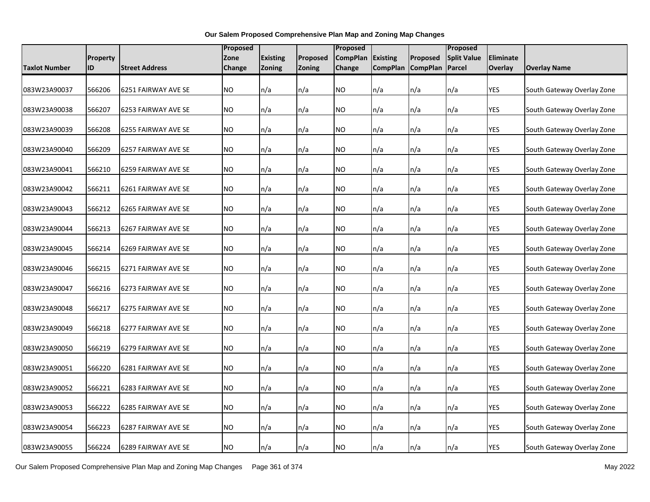|                      |                 | Proposed              |           |                 | Proposed      |                 |                 | Proposed          |                          |            |                            |
|----------------------|-----------------|-----------------------|-----------|-----------------|---------------|-----------------|-----------------|-------------------|--------------------------|------------|----------------------------|
|                      | <b>Property</b> |                       | Zone      | <b>Existing</b> | Proposed      | <b>CompPlan</b> | <b>Existing</b> | Proposed          | <b>Split Value</b>       | Eliminate  |                            |
| <b>Taxlot Number</b> | ID              | <b>Street Address</b> | Change    | Zoning          | <b>Zoning</b> | Change          |                 | CompPlan CompPlan | Parcel                   | Overlay    | <b>Overlay Name</b>        |
|                      |                 |                       |           |                 |               |                 |                 |                   |                          |            |                            |
| 083W23A90037         | 566206          | 6251 FAIRWAY AVE SE   | <b>NO</b> | n/a             | n/a           | NO.             | n/a             | n/a               | n/a                      | <b>YES</b> | South Gateway Overlay Zone |
|                      |                 |                       |           |                 |               |                 |                 |                   |                          |            |                            |
| 083W23A90038         | 566207          | 6253 FAIRWAY AVE SE   | NO.       | n/a             | n/a           | NO.             | n/a             | n/a               | n/a                      | <b>YES</b> | South Gateway Overlay Zone |
| 083W23A90039         | 566208          | 6255 FAIRWAY AVE SE   | <b>NO</b> | n/a             | n/a           | <b>NO</b>       | n/a             | n/a               | n/a                      | <b>YES</b> | South Gateway Overlay Zone |
|                      |                 |                       |           |                 |               |                 |                 |                   |                          |            |                            |
| 083W23A90040         | 566209          | 6257 FAIRWAY AVE SE   | NO.       | n/a             | n/a           | NO.             | n/a             | n/a               | n/a                      | <b>YES</b> | South Gateway Overlay Zone |
| 083W23A90041         | 566210          | 6259 FAIRWAY AVE SE   | <b>NO</b> | n/a             | n/a           | <b>NO</b>       | n/a             | n/a               | n/a                      | <b>YES</b> | South Gateway Overlay Zone |
|                      |                 |                       |           |                 |               |                 |                 |                   |                          |            |                            |
| 083W23A90042         | 566211          | 6261 FAIRWAY AVE SE   | <b>NO</b> | n/a             | n/a           | <b>NO</b>       | n/a             | n/a               | n/a                      | <b>YES</b> | South Gateway Overlay Zone |
|                      |                 |                       |           |                 |               |                 |                 |                   |                          |            |                            |
| 083W23A90043         | 566212          | 6265 FAIRWAY AVE SE   | NO.       | n/a             | n/a           | <b>NO</b>       | n/a             | n/a               | n/a                      | <b>YES</b> | South Gateway Overlay Zone |
| 083W23A90044         | 566213          | 6267 FAIRWAY AVE SE   | <b>NO</b> | n/a             | n/a           | NO.             | n/a             | n/a               | n/a                      | <b>YES</b> | South Gateway Overlay Zone |
|                      |                 |                       |           |                 |               |                 |                 |                   |                          |            |                            |
| 083W23A90045         | 566214          | 6269 FAIRWAY AVE SE   | <b>NO</b> | n/a             | n/a           | NO.             | n/a             | n/a               | $\mathsf{In}/\mathsf{a}$ | <b>YES</b> | South Gateway Overlay Zone |
| 083W23A90046         | 566215          | 6271 FAIRWAY AVE SE   | NO.       | n/a             | n/a           | NO.             | n/a             | n/a               | n/a                      | <b>YES</b> | South Gateway Overlay Zone |
|                      |                 |                       |           |                 |               |                 |                 |                   |                          |            |                            |
| 083W23A90047         | 566216          | 6273 FAIRWAY AVE SE   | <b>NO</b> | n/a             | n/a           | NO.             | n/a             | n/a               | n/a                      | <b>YES</b> | South Gateway Overlay Zone |
|                      | 566217          |                       | <b>NO</b> |                 |               |                 |                 |                   |                          | <b>YES</b> |                            |
| 083W23A90048         |                 | 6275 FAIRWAY AVE SE   |           | n/a             | n/a           | NO.             | n/a             | n/a               | n/a                      |            | South Gateway Overlay Zone |
| 083W23A90049         | 566218          | 6277 FAIRWAY AVE SE   | <b>NO</b> | n/a             | n/a           | NO.             | n/a             | n/a               | n/a                      | <b>YES</b> | South Gateway Overlay Zone |
|                      |                 |                       |           |                 |               |                 |                 |                   |                          |            |                            |
| 083W23A90050         | 566219          | 6279 FAIRWAY AVE SE   | <b>NO</b> | n/a             | n/a           | <b>NO</b>       | n/a             | n/a               | n/a                      | YES        | South Gateway Overlay Zone |
| 083W23A90051         | 566220          | 6281 FAIRWAY AVE SE   | NO.       | n/a             | n/a           | ΝO              | n/a             | n/a               | n/a                      | <b>YES</b> | South Gateway Overlay Zone |
|                      |                 |                       |           |                 |               |                 |                 |                   |                          |            |                            |
| 083W23A90052         | 566221          | 6283 FAIRWAY AVE SE   | <b>NO</b> | n/a             | n/a           | <b>NO</b>       | n/a             | n/a               | n/a                      | <b>YES</b> | South Gateway Overlay Zone |
| 083W23A90053         | 566222          | 6285 FAIRWAY AVE SE   | <b>NO</b> | n/a             | n/a           | <b>NO</b>       | n/a             | n/a               | n/a                      | <b>YES</b> | South Gateway Overlay Zone |
|                      |                 |                       |           |                 |               |                 |                 |                   |                          |            |                            |
| 083W23A90054         | 566223          | 6287 FAIRWAY AVE SE   | NO.       | n/a             | n/a           | <b>NO</b>       | n/a             | n/a               | n/a                      | YES        | South Gateway Overlay Zone |
|                      |                 |                       |           |                 |               |                 |                 |                   |                          |            |                            |
| 083W23A90055         | 566224          | 6289 FAIRWAY AVE SE   | <b>NO</b> | n/a             | n/a           | NO <sub>1</sub> | n/a             | n/a               | n/a                      | <b>YES</b> | South Gateway Overlay Zone |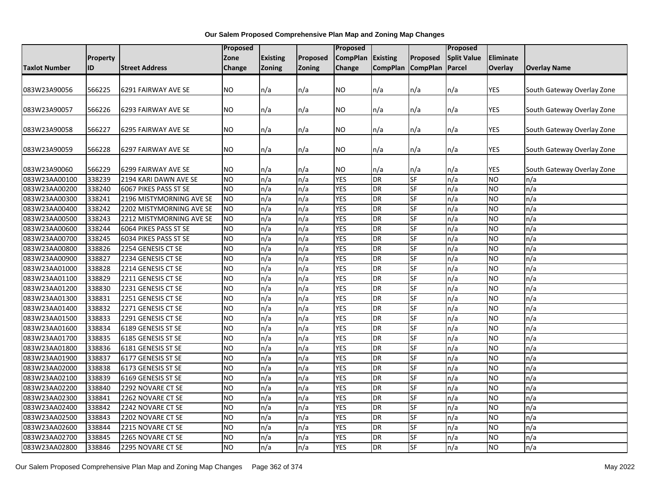|                                |                  |                                              | <b>Proposed</b>        |                 |            | Proposed                 |                        |                  | Proposed           |                        |                                   |
|--------------------------------|------------------|----------------------------------------------|------------------------|-----------------|------------|--------------------------|------------------------|------------------|--------------------|------------------------|-----------------------------------|
|                                | <b>Property</b>  |                                              | Zone                   | <b>Existing</b> | Proposed   | <b>CompPlan</b>          | <b>Existing</b>        | Proposed         | <b>Split Value</b> | Eliminate              |                                   |
| <b>Taxlot Number</b>           | ID               | <b>Street Address</b>                        | Change                 | Zoning          | Zoning     | Change                   | <b>CompPlan</b>        | <b>CompPlan</b>  | Parcel             | Overlay                | <b>Overlay Name</b>               |
|                                |                  |                                              |                        |                 |            |                          |                        |                  |                    |                        |                                   |
| 083W23A90056                   | 566225           | 6291 FAIRWAY AVE SE                          | <b>NO</b>              | n/a             | n/a        | NO.                      | n/a                    | n/a              | n/a                | <b>YES</b>             | South Gateway Overlay Zone        |
|                                |                  |                                              |                        |                 |            |                          |                        |                  |                    |                        |                                   |
| 083W23A90057                   | 566226           | 6293 FAIRWAY AVE SE                          | NO                     | n/a             | n/a        | NO                       | n/a                    | n/a              | n/a                | <b>YES</b>             | South Gateway Overlay Zone        |
|                                |                  |                                              |                        |                 |            |                          |                        |                  |                    |                        |                                   |
| 083W23A90058                   | 566227           | 6295 FAIRWAY AVE SE                          | N <sub>O</sub>         | n/a             | n/a        | NO.                      | n/a                    | n/a              | n/a                | <b>YES</b>             | South Gateway Overlay Zone        |
|                                |                  |                                              |                        |                 |            |                          |                        |                  |                    |                        |                                   |
| 083W23A90059                   | 566228           | 6297 FAIRWAY AVE SE                          | NO                     | n/a             | n/a        | NO                       | n/a                    | n/a              | n/a                | YES                    | South Gateway Overlay Zone        |
|                                |                  |                                              | <b>NO</b>              |                 |            | NO                       |                        |                  |                    | YES                    |                                   |
| 083W23A90060<br>083W23AA00100  | 566229<br>338239 | 6299 FAIRWAY AVE SE<br>2194 KARI DAWN AVE SE | <b>NO</b>              | n/a<br>n/a      | n/a<br>n/a | <b>YES</b>               | n/a<br>DR              | n/a<br><b>SF</b> | n/a<br>n/a         | <b>NO</b>              | South Gateway Overlay Zone<br>n/a |
| 083W23AA00200                  | 338240           | 6067 PIKES PASS ST SE                        | <b>NO</b>              | n/a             | n/a        | <b>YES</b>               | DR                     | <b>SF</b>        | n/a                | <b>NO</b>              | n/a                               |
| 083W23AA00300                  | 338241           | 2196 MISTYMORNING AVE SE                     | NO                     | n/a             | n/a        | <b>YES</b>               | <b>DR</b>              | <b>SF</b>        | n/a                | <b>NO</b>              | n/a                               |
| 083W23AA00400                  | 338242           | 2202 MISTYMORNING AVE SE                     | <b>NO</b>              | n/a             | n/a        | <b>YES</b>               | <b>DR</b>              | <b>SF</b>        | n/a                | <b>NO</b>              | n/a                               |
| 083W23AA00500                  | 338243           | 2212 MISTYMORNING AVE SE                     | <b>NO</b>              | n/a             | n/a        | <b>YES</b>               | <b>DR</b>              | SF               | n/a                | <b>NO</b>              | n/a                               |
| 083W23AA00600                  | 338244           | 6064 PIKES PASS ST SE                        | N <sub>O</sub>         | n/a             | n/a        | <b>YES</b>               | <b>DR</b>              | <b>SF</b>        | n/a                | <b>NO</b>              | n/a                               |
| 083W23AA00700                  | 338245           | 6034 PIKES PASS ST SE                        | N <sub>O</sub>         | n/a             | n/a        | <b>YES</b>               | DR                     | <b>SF</b>        | n/a                | <b>NO</b>              | n/a                               |
| 083W23AA00800                  | 338826           | 2254 GENESIS CT SE                           | <b>NO</b>              | n/a             | n/a        | <b>YES</b>               | <b>DR</b>              | <b>SF</b>        | n/a                | <b>NO</b>              | n/a                               |
| 083W23AA00900                  | 338827           | 2234 GENESIS CT SE                           | <b>NO</b>              | n/a             | n/a        | <b>YES</b>               | <b>DR</b>              | <b>SF</b>        | n/a                | <b>NO</b>              | n/a                               |
| 083W23AA01000                  | 338828           | 2214 GENESIS CT SE                           | <b>NO</b>              | n/a             | n/a        | <b>YES</b>               | DR                     | $S$ F            | $\overline{n/a}$   | <b>NO</b>              | n/a                               |
| 083W23AA01100                  | 338829           | 2211 GENESIS CT SE                           | <b>NO</b>              | n/a             | n/a        | <b>YES</b>               | <b>DR</b>              | <b>SF</b>        | n/a                | <b>NO</b>              | n/a                               |
| 083W23AA01200                  | 338830           | 2231 GENESIS CT SE                           | <b>NO</b>              | n/a             | n/a        | <b>YES</b>               | DR                     | <b>SF</b>        | n/a                | <b>NO</b>              | n/a                               |
| 083W23AA01300                  | 338831           | 2251 GENESIS CT SE                           | <b>NO</b>              | n/a             | n/a        | <b>YES</b>               | DR                     | SF               | n/a                | <b>NO</b>              | n/a                               |
| 083W23AA01400                  | 338832           | 2271 GENESIS CT SE                           | <b>NO</b>              | n/a             | n/a        | <b>YES</b>               | <b>DR</b>              | <b>SF</b>        | n/a                | <b>NO</b>              | n/a                               |
| 083W23AA01500                  | 338833           | 2291 GENESIS CT SE                           | <b>NO</b>              | n/a             | n/a        | <b>YES</b>               | DR                     | <b>SF</b>        | n/a                | <b>NO</b>              | n/a                               |
| 083W23AA01600                  | 338834           | 6189 GENESIS ST SE                           | <b>NO</b>              | n/a             | n/a        | <b>YES</b>               | <b>DR</b>              | <b>SF</b>        | n/a                | <b>NO</b>              | n/a                               |
| 083W23AA01700                  | 338835           | 6185 GENESIS ST SE                           | N <sub>O</sub>         | n/a             | n/a        | <b>YES</b>               | DR                     | <b>SF</b>        | n/a                | <b>NO</b>              | n/a                               |
| 083W23AA01800                  | 338836           | 6181 GENESIS ST SE                           | <b>NO</b>              | n/a             | n/a        | <b>YES</b>               | <b>DR</b>              | SF               | n/a                | <b>NO</b>              | n/a                               |
| 083W23AA01900                  | 338837           | 6177 GENESIS ST SE                           | <b>NO</b>              | n/a             | n/a        | <b>YES</b>               | <b>DR</b>              | <b>SF</b>        | n/a                | <b>NO</b>              | n/a                               |
| 083W23AA02000                  | 338838           | 6173 GENESIS ST SE                           | <b>NO</b>              | n/a             | n/a        | <b>YES</b>               | <b>DR</b>              | <b>SF</b>        | n/a                | <b>NO</b>              | n/a                               |
| 083W23AA02100                  | 338839           | 6169 GENESIS ST SE                           | <b>NO</b>              | n/a             | n/a        | <b>YES</b>               | <b>DR</b>              | <b>SF</b>        | n/a                | <b>NO</b>              | n/a                               |
| 083W23AA02200                  | 338840           | 2292 NOVARE CT SE                            | <b>NO</b>              | n/a             | n/a        | <b>YES</b>               | DR                     | <b>SF</b>        | n/a                | <b>NO</b>              | n/a                               |
| 083W23AA02300                  | 338841           | 2262 NOVARE CT SE                            | N <sub>O</sub>         | n/a             | n/a        | <b>YES</b>               | DR                     | <b>SF</b>        | n/a                | <b>NO</b>              | n/a                               |
| 083W23AA02400                  | 338842           | 2242 NOVARE CT SE                            | <b>NO</b>              | n/a             | n/a        | <b>YES</b>               | <b>DR</b>              | <b>SF</b>        | n/a                | <b>NO</b>              | n/a                               |
| 083W23AA02500                  | 338843           | 2202 NOVARE CT SE                            | <b>NO</b>              | n/a             | n/a        | <b>YES</b>               | <b>DR</b>              | SF               | n/a                | <b>NO</b>              | n/a                               |
| 083W23AA02600                  | 338844           | 2215 NOVARE CT SE                            | <b>NO</b>              | n/a             | n/a        | <b>YES</b>               | DR                     | SF               | n/a                | <b>NO</b>              | n/a                               |
|                                |                  |                                              |                        |                 |            |                          |                        |                  |                    |                        |                                   |
|                                |                  |                                              |                        |                 |            |                          |                        |                  |                    |                        |                                   |
| 083W23AA02700<br>083W23AA02800 | 338845<br>338846 | 2265 NOVARE CT SE<br>2295 NOVARE CT SE       | <b>NO</b><br><b>NO</b> | n/a<br>n/a      | n/a<br>n/a | <b>YES</b><br><b>YES</b> | <b>DR</b><br><b>DR</b> | <b>SF</b><br>SF  | n/a<br>n/a         | <b>NO</b><br><b>NO</b> | n/a<br>n/a                        |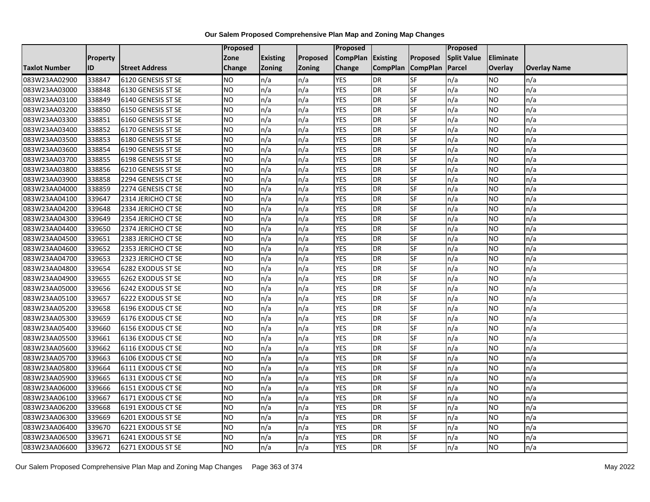|                      |          |                       | Proposed  |                 |               | Proposed        |                 |                 | Proposed           |                  |                     |
|----------------------|----------|-----------------------|-----------|-----------------|---------------|-----------------|-----------------|-----------------|--------------------|------------------|---------------------|
|                      | Property |                       | Zone      | <b>Existing</b> | Proposed      | <b>CompPlan</b> | Existing        | Proposed        | <b>Split Value</b> | <b>Eliminate</b> |                     |
| <b>Taxlot Number</b> | ID       | <b>Street Address</b> | Change    | Zoning          | <b>Zoning</b> | Change          | <b>CompPlan</b> | <b>CompPlan</b> | Parcel             | <b>Overlay</b>   | <b>Overlay Name</b> |
| 083W23AA02900        | 338847   | 6120 GENESIS ST SE    | <b>NO</b> | n/a             | n/a           | <b>YES</b>      | <b>DR</b>       | <b>SF</b>       | n/a                | NO.              | n/a                 |
| 083W23AA03000        | 338848   | 6130 GENESIS ST SE    | ŌИ        | n/a             | n/a           | <b>YES</b>      | <b>DR</b>       | $S_{F}$         | n/a                | NO.              | n/a                 |
| 083W23AA03100        | 338849   | 6140 GENESIS ST SE    | <b>NO</b> | n/a             | n/a           | <b>YES</b>      | DR              | SF              | n/a                | NO.              | n/a                 |
| 083W23AA03200        | 338850   | 6150 GENESIS ST SE    | <b>NO</b> | n/a             | n/a           | <b>YES</b>      | DR              | SF              | n/a                | NO.              | n/a                 |
| 083W23AA03300        | 338851   | 6160 GENESIS ST SE    | ŌИ        | n/a             | n/a           | <b>YES</b>      | <b>DR</b>       | $S_{F}$         | n/a                | NO.              | n/a                 |
| 083W23AA03400        | 338852   | 6170 GENESIS ST SE    | ŌИ        | n/a             | n/a           | <b>YES</b>      | DR              | SF              | n/a                | <b>NO</b>        | n/a                 |
| 083W23AA03500        | 338853   | 6180 GENESIS ST SE    | <b>NO</b> | n/a             | n/a           | <b>YES</b>      | DR              | <b>SF</b>       | n/a                | <b>NO</b>        | n/a                 |
| 083W23AA03600        | 338854   | 6190 GENESIS ST SE    | <b>NO</b> | n/a             | n/a           | <b>YES</b>      | <b>DR</b>       | <b>SF</b>       | n/a                | NO.              | n/a                 |
| 083W23AA03700        | 338855   | 6198 GENESIS ST SE    | <b>NO</b> | n/a             | n/a           | <b>YES</b>      | DR              | SF              | n/a                | NO.              | n/a                 |
| 083W23AA03800        | 338856   | 6210 GENESIS ST SE    | ŌИ        | n/a             | n/a           | <b>YES</b>      | DR              | <b>SF</b>       | n/a                | <b>NO</b>        | n/a                 |
| 083W23AA03900        | 338858   | 2294 GENESIS CT SE    | <b>NO</b> | n/a             | n/a           | <b>YES</b>      | <b>DR</b>       | <b>SF</b>       | n/a                | <b>NO</b>        | n/a                 |
| 083W23AA04000        | 338859   | 2274 GENESIS CT SE    | <b>NO</b> | n/a             | n/a           | <b>YES</b>      | DR              | <b>SF</b>       | n/a                | NO.              | n/a                 |
| 083W23AA04100        | 339647   | 2314 JERICHO CT SE    | <b>NO</b> | n/a             | n/a           | <b>YES</b>      | DR              | SF              | n/a                | NO.              | n/a                 |
| 083W23AA04200        | 339648   | 2334 JERICHO CT SE    | ŌИ        | n/a             | n/a           | <b>YES</b>      | <b>DR</b>       | <b>SF</b>       | n/a                | NO.              | n/a                 |
| 083W23AA04300        | 339649   | 2354 JERICHO CT SE    | <b>NO</b> | n/a             | n/a           | <b>YES</b>      | DR              | SF              | n/a                | <b>NO</b>        | n/a                 |
| 083W23AA04400        | 339650   | 2374 JERICHO CT SE    | <b>NO</b> | n/a             | n/a           | <b>YES</b>      | DR              | SF              | n/a                | <b>NO</b>        | n/a                 |
| 083W23AA04500        | 339651   | 2383 JERICHO CT SE    | <b>NO</b> | n/a             | n/a           | <b>YES</b>      | DR              | SF              | n/a                | <b>NO</b>        | n/a                 |
| 083W23AA04600        | 339652   | 2353 JERICHO CT SE    | <b>NO</b> | n/a             | n/a           | <b>YES</b>      | DR              | SF              | n/a                | NO.              | n/a                 |
| 083W23AA04700        | 339653   | 2323 JERICHO CT SE    | <b>NO</b> | n/a             | n/a           | <b>YES</b>      | DR              | SF              | n/a                | NO.              | n/a                 |
| 083W23AA04800        | 339654   | 6282 EXODUS ST SE     | <b>NO</b> | n/a             | n/a           | <b>YES</b>      | DR              | SF              | n/a                | NO.              | n/a                 |
| 083W23AA04900        | 339655   | 6262 EXODUS ST SE     | <b>NO</b> | n/a             | n/a           | <b>YES</b>      | DR              | <b>SF</b>       | n/a                | NO.              | n/a                 |
| 083W23AA05000        | 339656   | 6242 EXODUS ST SE     | ŌИ        | n/a             | n/a           | <b>YES</b>      | DR              | SF              | n/a                | $\overline{NO}$  | n/a                 |
| 083W23AA05100        | 339657   | 6222 EXODUS ST SE     | <b>NO</b> | n/a             | n/a           | <b>YES</b>      | DR              | <b>SF</b>       | n/a                | <b>NO</b>        | n/a                 |
| 083W23AA05200        | 339658   | 6196 EXODUS CT SE     | <b>NO</b> | n/a             | n/a           | <b>YES</b>      | <b>DR</b>       | SF              | n/a                | NO.              | n/a                 |
| 083W23AA05300        | 339659   | 6176 EXODUS CT SE     | ŌИ        | n/a             | n/a           | <b>YES</b>      | <b>DR</b>       | <b>SF</b>       | n/a                | NO.              | n/a                 |
| 083W23AA05400        | 339660   | 6156 EXODUS CT SE     | ŌИ        | n/a             | n/a           | <b>YES</b>      | DR              | <b>SF</b>       | n/a                | NO.              | n/a                 |
| 083W23AA05500        | 339661   | 6136 EXODUS CT SE     | <b>NO</b> | n/a             | n/a           | <b>YES</b>      | DR              | SF              | n/a                | <b>NO</b>        | n/a                 |
| 083W23AA05600        | 339662   | 6116 EXODUS CT SE     | <b>NO</b> | n/a             | n/a           | <b>YES</b>      | DR              | SF              | n/a                | NO.              | n/a                 |
| 083W23AA05700        | 339663   | 6106 EXODUS CT SE     | <b>NO</b> | n/a             | n/a           | <b>YES</b>      | DR              | SF              | n/a                | NO.              | n/a                 |
| 083W23AA05800        | 339664   | 6111 EXODUS CT SE     | <b>NO</b> | n/a             | n/a           | <b>YES</b>      | DR              | <b>SF</b>       | n/a                | <b>NO</b>        | n/a                 |
| 083W23AA05900        | 339665   | 6131 EXODUS CT SE     | <b>NO</b> | n/a             | n/a           | <b>YES</b>      | DR              | SF              | n/a                | <b>NO</b>        | n/a                 |
| 083W23AA06000        | 339666   | 6151 EXODUS CT SE     | <b>NO</b> | n/a             | n/a           | <b>YES</b>      | DR              | SF              | n/a                | <b>NO</b>        | n/a                 |
| 083W23AA06100        | 339667   | 6171 EXODUS CT SE     | <b>NO</b> | n/a             | n/a           | <b>YES</b>      | DR              | SF              | n/a                | NO.              | n/a                 |
| 083W23AA06200        | 339668   | 6191 EXODUS CT SE     | <b>NO</b> | n/a             | n/a           | <b>YES</b>      | DR              | SF              | n/a                | NO.              | n/a                 |
| 083W23AA06300        | 339669   | 6201 EXODUS ST SE     | ŌИ        | n/a             | n/a           | <b>YES</b>      | DR              | <b>SF</b>       | n/a                | NO.              | n/a                 |
| 083W23AA06400        | 339670   | 6221 EXODUS ST SE     | <b>NO</b> | n/a             | n/a           | <b>YES</b>      | <b>DR</b>       | SF              | n/a                | NO.              | n/a                 |
| 083W23AA06500        | 339671   | 6241 EXODUS ST SE     | <b>NO</b> | n/a             | n/a           | <b>YES</b>      | DR              | SF              | n/a                | NO.              | n/a                 |
| 083W23AA06600        | 339672   | 6271 EXODUS ST SE     | ŌИ        | n/a             | n/a           | <b>YES</b>      | <b>DR</b>       | <b>SF</b>       | n/a                | NO.              | n/a                 |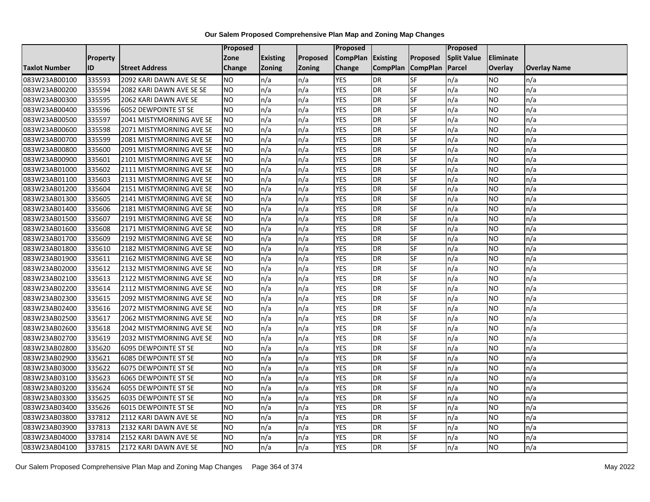|                      |                 |                             | <b>Proposed</b> |                 |               | Proposed        |                 |                 | Proposed           |                |                     |
|----------------------|-----------------|-----------------------------|-----------------|-----------------|---------------|-----------------|-----------------|-----------------|--------------------|----------------|---------------------|
|                      | <b>Property</b> |                             | Zone            | <b>Existing</b> | Proposed      | <b>CompPlan</b> | Existing        | Proposed        | <b>Split Value</b> | Eliminate      |                     |
| <b>Taxlot Number</b> | ID              | <b>Street Address</b>       | <b>Change</b>   | Zoning          | <b>Zoning</b> | Change          | <b>CompPlan</b> | <b>CompPlan</b> | Parcel             | <b>Overlay</b> | <b>Overlay Name</b> |
| 083W23AB00100        | 335593          | 2092 KARI DAWN AVE SE SE    | <b>NO</b>       | n/a             | n/a           | <b>YES</b>      | <b>DR</b>       | <b>SF</b>       | n/a                | NO.            | n/a                 |
| 083W23AB00200        | 335594          | 2082 KARI DAWN AVE SE SE    | <b>NO</b>       | n/a             | n/a           | <b>YES</b>      | DR              | $S_{F}$         | n/a                | NO.            | n/a                 |
| 083W23AB00300        | 335595          | 2062 KARI DAWN AVE SE       | <b>NO</b>       | n/a             | n/a           | <b>YES</b>      | DR              | SF              | n/a                | <b>NO</b>      | n/a                 |
| 083W23AB00400        | 335596          | <b>6052 DEWPOINTE ST SE</b> | <b>NO</b>       | n/a             | n/a           | <b>YES</b>      | <b>DR</b>       | SF              | n/a                | NO.            | n/a                 |
| 083W23AB00500        | 335597          | 2041 MISTYMORNING AVE SE    | <b>NO</b>       | n/a             | n/a           | <b>YES</b>      | <b>DR</b>       | $S_{F}$         | n/a                | NO.            | n/a                 |
| 083W23AB00600        | 335598          | 2071 MISTYMORNING AVE SE    | <b>NO</b>       | n/a             | n/a           | <b>YES</b>      | <b>DR</b>       | SF              | n/a                | NO.            | n/a                 |
| 083W23AB00700        | 335599          | 2081 MISTYMORNING AVE SE    | <b>NO</b>       | n/a             | n/a           | <b>YES</b>      | DR              | SF              | n/a                | NO.            | n/a                 |
| 083W23AB00800        | 335600          | 2091 MISTYMORNING AVE SE    | <b>NO</b>       | n/a             | n/a           | <b>YES</b>      | DR              | SF              | n/a                | NO.            | n/a                 |
| 083W23AB00900        | 335601          | 2101 MISTYMORNING AVE SE    | <b>NO</b>       | n/a             | n/a           | <b>YES</b>      | DR              | SF              | n/a                | NO             | n/a                 |
| 083W23AB01000        | 335602          | 2111 MISTYMORNING AVE SE    | <b>NO</b>       | n/a             | n/a           | <b>YES</b>      | DR              | SF              | n/a                | NO.            | n/a                 |
| 083W23AB01100        | 335603          | 2131 MISTYMORNING AVE SE    | <b>NO</b>       | n/a             | n/a           | <b>YES</b>      | <b>DR</b>       | <b>SF</b>       | n/a                | <b>NO</b>      | n/a                 |
| 083W23AB01200        | 335604          | 2151 MISTYMORNING AVE SE    | <b>NO</b>       | n/a             | n/a           | <b>YES</b>      | DR              | SF              | n/a                | NO.            | n/a                 |
| 083W23AB01300        | 335605          | 2141 MISTYMORNING AVE SE    | <b>NO</b>       | n/a             | n/a           | <b>YES</b>      | DR              | SF              | n/a                | NO.            | n/a                 |
| 083W23AB01400        | 335606          | 2181 MISTYMORNING AVE SE    | <b>NO</b>       | n/a             | n/a           | <b>YES</b>      | <b>DR</b>       | <b>SF</b>       | n/a                | <b>NO</b>      | n/a                 |
| 083W23AB01500        | 335607          | 2191 MISTYMORNING AVE SE    | <b>NO</b>       | n/a             | n/a           | <b>YES</b>      | DR              | SF              | n/a                | ΝO             | n/a                 |
| 083W23AB01600        | 335608          | 2171 MISTYMORNING AVE SE    | <b>NO</b>       | n/a             | n/a           | <b>YES</b>      | DR              | SF              | n/a                | NO.            | n/a                 |
| 083W23AB01700        | 335609          | 2192 MISTYMORNING AVE SE    | <b>NO</b>       | n/a             | n/a           | <b>YES</b>      | DR              | SF              | n/a                | NO.            | n/a                 |
| 083W23AB01800        | 335610          | 2182 MISTYMORNING AVE SE    | <b>NO</b>       | n/a             | n/a           | <b>YES</b>      | DR              | SF              | n/a                | NO.            | n/a                 |
| 083W23AB01900        | 335611          | 2162 MISTYMORNING AVE SE    | <b>NO</b>       | n/a             | n/a           | <b>YES</b>      | DR              | SF              | n/a                | <b>NO</b>      | n/a                 |
| 083W23AB02000        | 335612          | 2132 MISTYMORNING AVE SE    | <b>NO</b>       | n/a             | n/a           | <b>YES</b>      | DR              | SF              | n/a                | NO.            | n/a                 |
| 083W23AB02100        | 335613          | 2122 MISTYMORNING AVE SE    | <b>NO</b>       | n/a             | n/a           | <b>YES</b>      | DR              | SF              | n/a                | NO.            | n/a                 |
| 083W23AB02200        | 335614          | 2112 MISTYMORNING AVE SE    | <b>NO</b>       | n/a             | n/a           | <b>YES</b>      | DR              | <b>SF</b>       | n/a                | NO.            | n/a                 |
| 083W23AB02300        | 335615          | 2092 MISTYMORNING AVE SE    | <b>NO</b>       | n/a             | n/a           | <b>YES</b>      | DR              | SF              | n/a                | NO.            | n/a                 |
| 083W23AB02400        | 335616          | 2072 MISTYMORNING AVE SE    | <b>NO</b>       | n/a             | n/a           | <b>YES</b>      | DR              | SF              | n/a                | NO.            | n/a                 |
| 083W23AB02500        | 335617          | 2062 MISTYMORNING AVE SE    | <b>NO</b>       | n/a             | n/a           | <b>YES</b>      | DR              | <b>SF</b>       | n/a                | NO.            | n/a                 |
| 083W23AB02600        | 335618          | 2042 MISTYMORNING AVE SE    | <b>NO</b>       | n/a             | n/a           | <b>YES</b>      | DR              | SF              | n/a                | NO.            | n/a                 |
| 083W23AB02700        | 335619          | 2032 MISTYMORNING AVE SE    | <b>NO</b>       | n/a             | n/a           | <b>YES</b>      | DR              | SF              | n/a                | NO.            | n/a                 |
| 083W23AB02800        | 335620          | <b>6095 DEWPOINTE ST SE</b> | <b>NO</b>       | n/a             | n/a           | <b>YES</b>      | <b>DR</b>       | SF              | n/a                | NO.            | n/a                 |
| 083W23AB02900        | 335621          | <b>6085 DEWPOINTE ST SE</b> | <b>NO</b>       | n/a             | n/a           | <b>YES</b>      | DR              | SF              | n/a                | NO.            | n/a                 |
| 083W23AB03000        | 335622          | <b>6075 DEWPOINTE ST SE</b> | <b>NO</b>       | n/a             | n/a           | <b>YES</b>      | <b>DR</b>       | SF              | n/a                | NO.            | n/a                 |
| 083W23AB03100        | 335623          | 6065 DEWPOINTE ST SE        | <b>NO</b>       | n/a             | n/a           | <b>YES</b>      | DR              | SF              | n/a                | ΝO             | n/a                 |
| 083W23AB03200        | 335624          | <b>6055 DEWPOINTE ST SE</b> | <b>NO</b>       | n/a             | n/a           | <b>YES</b>      | DR              | SF              | n/a                | NO.            | n/a                 |
| 083W23AB03300        | 335625          | <b>6035 DEWPOINTE ST SE</b> | <b>NO</b>       | n/a             | n/a           | <b>YES</b>      | <b>DR</b>       | SF              | n/a                | NO.            | n/a                 |
| 083W23AB03400        | 335626          | <b>6015 DEWPOINTE ST SE</b> | <b>NO</b>       | n/a             | n/a           | <b>YES</b>      | DR              | SF              | n/a                | NO.            | n/a                 |
| 083W23AB03800        | 337812          | 2112 KARI DAWN AVE SE       | ŌИ              | n/a             | n/a           | <b>YES</b>      | DR              | <b>SF</b>       | n/a                | <b>NO</b>      | n/a                 |
| 083W23AB03900        | 337813          | 2132 KARI DAWN AVE SE       | <b>NO</b>       | n/a             | n/a           | <b>YES</b>      | <b>DR</b>       | SF              | n/a                | NO.            | n/a                 |
| 083W23AB04000        | 337814          | 2152 KARI DAWN AVE SE       | <b>NO</b>       | n/a             | n/a           | <b>YES</b>      | DR              | SF              | n/a                | NO.            | n/a                 |
| 083W23AB04100        | 337815          | 2172 KARI DAWN AVE SE       | Ю               | n/a             | n/a           | <b>YES</b>      | DR              | SF              | n/a                | NO.            | n/a                 |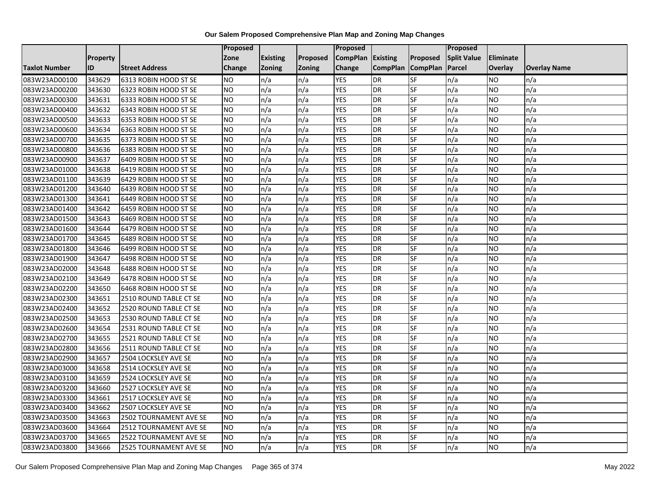|                      |                 |                        | Proposed        |                 |               | <b>Proposed</b>   |                 |                 | <b>Proposed</b>    |                |                     |
|----------------------|-----------------|------------------------|-----------------|-----------------|---------------|-------------------|-----------------|-----------------|--------------------|----------------|---------------------|
|                      | <b>Property</b> |                        | Zone            | <b>Existing</b> | Proposed      | CompPlan Existing |                 | Proposed        | <b>Split Value</b> | Eliminate      |                     |
| <b>Taxlot Number</b> | ID              | <b>Street Address</b>  | Change          | <b>Zoning</b>   | <b>Zoning</b> | Change            | <b>CompPlan</b> | <b>CompPlan</b> | <b>Parcel</b>      | <b>Overlay</b> | <b>Overlay Name</b> |
| 083W23AD00100        | 343629          | 6313 ROBIN HOOD ST SE  | <b>NO</b>       | n/a             | n/a           | <b>YES</b>        | <b>DR</b>       | <b>SF</b>       | n/a                | NO             | n/a                 |
| 083W23AD00200        | 343630          | 6323 ROBIN HOOD ST SE  | NO              | n/a             | n/a           | <b>YES</b>        | <b>DR</b>       | <b>SF</b>       | n/a                | NO.            | n/a                 |
| 083W23AD00300        | 343631          | 6333 ROBIN HOOD ST SE  | <b>NO</b>       | n/a             | n/a           | <b>YES</b>        | <b>DR</b>       | SF              | n/a                | NO.            | n/a                 |
| 083W23AD00400        | 343632          | 6343 ROBIN HOOD ST SE  | <b>NO</b>       | n/a             | n/a           | <b>YES</b>        | <b>DR</b>       | SF              | n/a                | NO.            | n/a                 |
| 083W23AD00500        | 343633          | 6353 ROBIN HOOD ST SE  | ŌИ              | n/a             | n/a           | <b>YES</b>        | <b>DR</b>       | <b>SF</b>       | n/a                | NO.            | n/a                 |
| 083W23AD00600        | 343634          | 6363 ROBIN HOOD ST SE  | <b>NO</b>       | n/a             | n/a           | <b>YES</b>        | <b>DR</b>       | SF              | n/a                | NO.            | n/a                 |
| 083W23AD00700        | 343635          | 6373 ROBIN HOOD ST SE  | <b>NO</b>       | n/a             | n/a           | <b>YES</b>        | <b>DR</b>       | SF              | n/a                | NO.            | n/a                 |
| 083W23AD00800        | 343636          | 6383 ROBIN HOOD ST SE  | NO.             | n/a             | n/a           | <b>YES</b>        | <b>DR</b>       | SF              | n/a                | NO.            | n/a                 |
| 083W23AD00900        | 343637          | 6409 ROBIN HOOD ST SE  | NO.             | n/a             | n/a           | <b>YES</b>        | <b>DR</b>       | SF              | n/a                | ΝO             | n/a                 |
| 083W23AD01000        | 343638          | 6419 ROBIN HOOD ST SE  | Ю               | n/a             | n/a           | <b>YES</b>        | <b>DR</b>       | SF              | n/a                | NO.            | n/a                 |
| 083W23AD01100        | 343639          | 6429 ROBIN HOOD ST SE  | <b>NO</b>       | n/a             | n/a           | <b>YES</b>        | <b>DR</b>       | SF              | n/a                | NO.            | n/a                 |
| 083W23AD01200        | 343640          | 6439 ROBIN HOOD ST SE  | <b>NO</b>       | n/a             | n/a           | <b>YES</b>        | <b>DR</b>       | SF              | n/a                | NO.            | n/a                 |
| 083W23AD01300        | 343641          | 6449 ROBIN HOOD ST SE  | <b>NO</b>       | n/a             | n/a           | <b>YES</b>        | <b>DR</b>       | SF              | n/a                | NO.            | n/a                 |
| 083W23AD01400        | 343642          | 6459 ROBIN HOOD ST SE  | $\overline{NO}$ | n/a             | n/a           | <b>YES</b>        | <b>DR</b>       | SF              | n/a                | NO.            | n/a                 |
| 083W23AD01500        | 343643          | 6469 ROBIN HOOD ST SE  | <b>NO</b>       | n/a             | n/a           | <b>YES</b>        | <b>DR</b>       | SF              | n/a                | ΝO             | n/a                 |
| 083W23AD01600        | 343644          | 6479 ROBIN HOOD ST SE  | <b>NO</b>       | n/a             | n/a           | <b>YES</b>        | <b>DR</b>       | <b>SF</b>       | n/a                | NO.            | n/a                 |
| 083W23AD01700        | 343645          | 6489 ROBIN HOOD ST SE  | <b>NO</b>       | n/a             | n/a           | <b>YES</b>        | DR              | SF              | n/a                | NO.            | n/a                 |
| 083W23AD01800        | 343646          | 6499 ROBIN HOOD ST SE  | <b>NO</b>       | n/a             | n/a           | <b>YES</b>        | <b>DR</b>       | SF              | n/a                | NO.            | n/a                 |
| 083W23AD01900        | 343647          | 6498 ROBIN HOOD ST SE  | <b>NO</b>       | n/a             | n/a           | <b>YES</b>        | <b>DR</b>       | SF              | n/a                | NO.            | n/a                 |
| 083W23AD02000        | 343648          | 6488 ROBIN HOOD ST SE  | <b>NO</b>       | n/a             | n/a           | <b>YES</b>        | <b>DR</b>       | SF              | n/a                | NO.            | n/a                 |
| 083W23AD02100        | 343649          | 6478 ROBIN HOOD ST SE  | <b>NO</b>       | n/a             | n/a           | <b>YES</b>        | <b>DR</b>       | SF              | n/a                | NO.            | n/a                 |
| 083W23AD02200        | 343650          | 6468 ROBIN HOOD ST SE  | $\overline{NO}$ | n/a             | n/a           | <b>YES</b>        | <b>DR</b>       | <b>SF</b>       | n/a                | NO.            | n/a                 |
| 083W23AD02300        | 343651          | 2510 ROUND TABLE CT SE | <b>NO</b>       | n/a             | n/a           | <b>YES</b>        | <b>DR</b>       | SF              | n/a                | NO.            | n/a                 |
| 083W23AD02400        | 343652          | 2520 ROUND TABLE CT SE | <b>NO</b>       | n/a             | n/a           | <b>YES</b>        | <b>DR</b>       | SF              | n/a                | NO.            | n/a                 |
| 083W23AD02500        | 343653          | 2530 ROUND TABLE CT SE | $\overline{NO}$ | n/a             | n/a           | <b>YES</b>        | <b>DR</b>       | <b>SF</b>       | n/a                | <b>NO</b>      | n/a                 |
| 083W23AD02600        | 343654          | 2531 ROUND TABLE CT SE | <b>NO</b>       | n/a             | n/a           | <b>YES</b>        | <b>DR</b>       | SF              | n/a                | NO.            | n/a                 |
| 083W23AD02700        | 343655          | 2521 ROUND TABLE CT SE | <b>NO</b>       | n/a             | n/a           | <b>YES</b>        | <b>DR</b>       | SF              | n/a                | NO.            | n/a                 |
| 083W23AD02800        | 343656          | 2511 ROUND TABLE CT SE | <b>NO</b>       | n/a             | n/a           | <b>YES</b>        | <b>DR</b>       | SF              | n/a                | NO.            | n/a                 |
| 083W23AD02900        | 343657          | 2504 LOCKSLEY AVE SE   | <b>NO</b>       | n/a             | n/a           | <b>YES</b>        | <b>DR</b>       | SF              | n/a                | NO             | n/a                 |
| 083W23AD03000        | 343658          | 2514 LOCKSLEY AVE SE   | <b>NO</b>       | n/a             | n/a           | <b>YES</b>        | <b>DR</b>       | SF              | n/a                | NO.            | n/a                 |
| 083W23AD03100        | 343659          | 2524 LOCKSLEY AVE SE   | <b>NO</b>       | n/a             | n/a           | <b>YES</b>        | <b>DR</b>       | SF              | n/a                | ΝO             | n/a                 |
| 083W23AD03200        | 343660          | 2527 LOCKSLEY AVE SE   | <b>NO</b>       | n/a             | n/a           | <b>YES</b>        | <b>DR</b>       | <b>SF</b>       | n/a                | NO.            | n/a                 |
| 083W23AD03300        | 343661          | 2517 LOCKSLEY AVE SE   | <b>NO</b>       | n/a             | n/a           | <b>YES</b>        | <b>DR</b>       | SF              | n/a                | NO.            | n/a                 |
| 083W23AD03400        | 343662          | 2507 LOCKSLEY AVE SE   | <b>NO</b>       | n/a             | n/a           | <b>YES</b>        | <b>DR</b>       | SF              | n/a                | NO.            | n/a                 |
| 083W23AD03500        | 343663          | 2502 TOURNAMENT AVE SE | $\overline{NO}$ | n/a             | n/a           | <b>YES</b>        | <b>DR</b>       | SF              | n/a                | NO.            | n/a                 |
| 083W23AD03600        | 343664          | 2512 TOURNAMENT AVE SE | NO.             | n/a             | n/a           | <b>YES</b>        | <b>DR</b>       | SF              | n/a                | NO.            | n/a                 |
| 083W23AD03700        | 343665          | 2522 TOURNAMENT AVE SE | NO.             | n/a             | n/a           | <b>YES</b>        | DR              | SF              | n/a                | NO.            | n/a                 |
| 083W23AD03800        | 343666          | 2525 TOURNAMENT AVE SE | $\overline{NO}$ | n/a             | n/a           | <b>YES</b>        | <b>DR</b>       | SF              | n/a                | NO.            | n/a                 |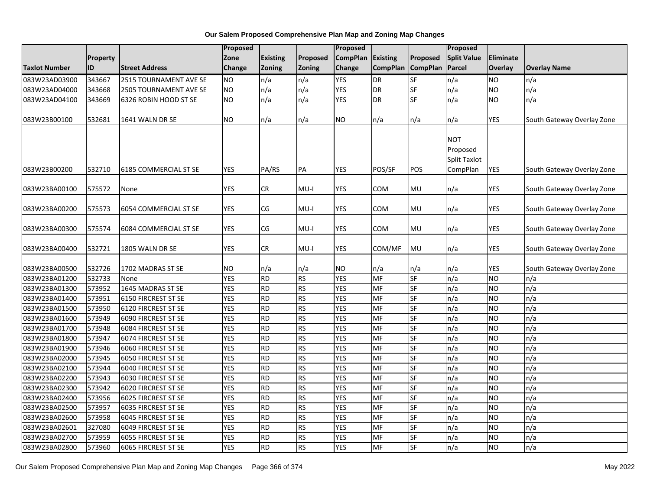|                      |          |                               | <b>Proposed</b> |                 |           | Proposed        |                 |                 | Proposed                                                  |                  |                            |
|----------------------|----------|-------------------------------|-----------------|-----------------|-----------|-----------------|-----------------|-----------------|-----------------------------------------------------------|------------------|----------------------------|
|                      | Property |                               | Zone            | <b>Existing</b> | Proposed  | <b>CompPlan</b> | <b>Existing</b> | Proposed        | <b>Split Value</b>                                        | <b>Eliminate</b> |                            |
| <b>Taxlot Number</b> | ID       | <b>Street Address</b>         | <b>Change</b>   | <b>Zoning</b>   | Zoning    | Change          | <b>CompPlan</b> | <b>CompPlan</b> | Parcel                                                    | Overlay          | <b>Overlay Name</b>        |
| 083W23AD03900        | 343667   | 2515 TOURNAMENT AVE SE        | <b>NO</b>       | n/a             | n/a       | <b>YES</b>      | <b>DR</b>       | <b>SF</b>       | n/a                                                       | <b>NO</b>        | n/a                        |
| 083W23AD04000        | 343668   | <b>2505 TOURNAMENT AVE SE</b> | <b>NO</b>       | n/a             | n/a       | <b>YES</b>      | <b>DR</b>       | SF              | n/a                                                       | <b>NO</b>        | n/a                        |
| 083W23AD04100        | 343669   | 6326 ROBIN HOOD ST SE         | <b>NO</b>       | n/a             | n/a       | <b>YES</b>      | <b>DR</b>       | SF              | n/a                                                       | <b>NO</b>        | n/a                        |
| 083W23B00100         | 532681   | 1641 WALN DR SE               | <b>NO</b>       | n/a             | n/a       | NO.             | n/a             | n/a             | n/a                                                       | YES              | South Gateway Overlay Zone |
| 083W23B00200         | 532710   | 6185 COMMERCIAL ST SE         | <b>YES</b>      | PA/RS           | PA        | YES             | POS/SF          | POS             | <b>NOT</b><br>Proposed<br><b>Split Taxlot</b><br>CompPlan | YES              | South Gateway Overlay Zone |
| 083W23BA00100        | 575572   | None                          | <b>YES</b>      | <b>CR</b>       | $MU-I$    | YES             | COM             | MU              | n/a                                                       | YES              | South Gateway Overlay Zone |
| 083W23BA00200        | 575573   | 6054 COMMERCIAL ST SE         | <b>YES</b>      | CG              | $MU-I$    | YES             | COM             | MU              | n/a                                                       | YES              | South Gateway Overlay Zone |
| 083W23BA00300        | 575574   | 6084 COMMERCIAL ST SE         | <b>YES</b>      | CG              | $MU-I$    | <b>YES</b>      | COM             | MU              | n/a                                                       | YES              | South Gateway Overlay Zone |
| 083W23BA00400        | 532721   | 1805 WALN DR SE               | <b>YES</b>      | CR              | $MU-I$    | YES             | COM/MF          | MU              | n/a                                                       | <b>YES</b>       | South Gateway Overlay Zone |
| 083W23BA00500        | 532726   | 1702 MADRAS ST SE             | <b>NO</b>       | n/a             | n/a       | NO.             | n/a             | n/a             | n/a                                                       | YES              | South Gateway Overlay Zone |
| 083W23BA01200        | 532733   | None                          | <b>YES</b>      | <b>RD</b>       | <b>RS</b> | <b>YES</b>      | MF              | <b>SF</b>       | n/a                                                       | <b>NO</b>        | n/a                        |
| 083W23BA01300        | 573952   | 1645 MADRAS ST SE             | <b>YES</b>      | <b>RD</b>       | <b>RS</b> | <b>YES</b>      | MF              | <b>SF</b>       | n/a                                                       | <b>NO</b>        | n/a                        |
| 083W23BA01400        | 573951   | 6150 FIRCREST ST SE           | <b>YES</b>      | <b>RD</b>       | <b>RS</b> | <b>YES</b>      | <b>MF</b>       | <b>SF</b>       | $\overline{n/a}$                                          | <b>NO</b>        | n/a                        |
| 083W23BA01500        | 573950   | 6120 FIRCREST ST SE           | <b>YES</b>      | <b>RD</b>       | <b>RS</b> | <b>YES</b>      | MF              | SF              | n/a                                                       | <b>NO</b>        | n/a                        |
| 083W23BA01600        | 573949   | 6090 FIRCREST ST SE           | <b>YES</b>      | <b>RD</b>       | <b>RS</b> | <b>YES</b>      | <b>MF</b>       | <b>SF</b>       | n/a                                                       | <b>NO</b>        | n/a                        |
| 083W23BA01700        | 573948   | 6084 FIRCREST ST SE           | <b>YES</b>      | <b>RD</b>       | <b>RS</b> | <b>YES</b>      | <b>MF</b>       | <b>SF</b>       | n/a                                                       | <b>NO</b>        | n/a                        |
| 083W23BA01800        | 573947   | 6074 FIRCREST ST SE           | <b>YES</b>      | <b>RD</b>       | <b>RS</b> | <b>YES</b>      | <b>MF</b>       | SF              | n/a                                                       | <b>NO</b>        | n/a                        |
| 083W23BA01900        | 573946   | 6060 FIRCREST ST SE           | <b>YES</b>      | <b>RD</b>       | <b>RS</b> | <b>YES</b>      | MF              | SF              | n/a                                                       | <b>NO</b>        | n/a                        |
| 083W23BA02000        | 573945   | <b>6050 FIRCREST ST SE</b>    | <b>YES</b>      | <b>RD</b>       | <b>RS</b> | <b>YES</b>      | MF              | <b>SF</b>       | n/a                                                       | <b>NO</b>        | n/a                        |
| 083W23BA02100        | 573944   | 6040 FIRCREST ST SE           | <b>YES</b>      | <b>RD</b>       | <b>RS</b> | <b>YES</b>      | MF              | SF              | n/a                                                       | <b>NO</b>        | n/a                        |
| 083W23BA02200        | 573943   | <b>6030 FIRCREST ST SE</b>    | <b>YES</b>      | <b>RD</b>       | <b>RS</b> | <b>YES</b>      | MF              | <b>SF</b>       | n/a                                                       | <b>NO</b>        | n/a                        |
| 083W23BA02300        | 573942   | 6020 FIRCREST ST SE           | <b>YES</b>      | <b>RD</b>       | <b>RS</b> | <b>YES</b>      | MF              | <b>SF</b>       | n/a                                                       | <b>NO</b>        | n/a                        |
| 083W23BA02400        | 573956   | 6025 FIRCREST ST SE           | <b>YES</b>      | <b>RD</b>       | <b>RS</b> | <b>YES</b>      | <b>MF</b>       | <b>SF</b>       | n/a                                                       | <b>NO</b>        | n/a                        |
| 083W23BA02500        | 573957   | 6035 FIRCREST ST SE           | <b>YES</b>      | <b>RD</b>       | <b>RS</b> | <b>YES</b>      | MF              | SF              | n/a                                                       | <b>NO</b>        | n/a                        |
| 083W23BA02600        | 573958   | 6045 FIRCREST ST SE           | <b>YES</b>      | <b>RD</b>       | <b>RS</b> | <b>YES</b>      | MF              | SF              | n/a                                                       | <b>NO</b>        | n/a                        |
| 083W23BA02601        | 327080   | 6049 FIRCREST ST SE           | <b>YES</b>      | <b>RD</b>       | <b>RS</b> | <b>YES</b>      | MF              | SF              | n/a                                                       | <b>NO</b>        | n/a                        |
| 083W23BA02700        | 573959   | <b>6055 FIRCREST ST SE</b>    | <b>YES</b>      | <b>RD</b>       | <b>RS</b> | <b>YES</b>      | MF              | SF              | n/a                                                       | <b>NO</b>        | n/a                        |
| 083W23BA02800        | 573960   | 6065 FIRCREST ST SE           | <b>YES</b>      | <b>RD</b>       | <b>RS</b> | <b>YES</b>      | MF              | SF              | n/a                                                       | <b>NO</b>        | n/a                        |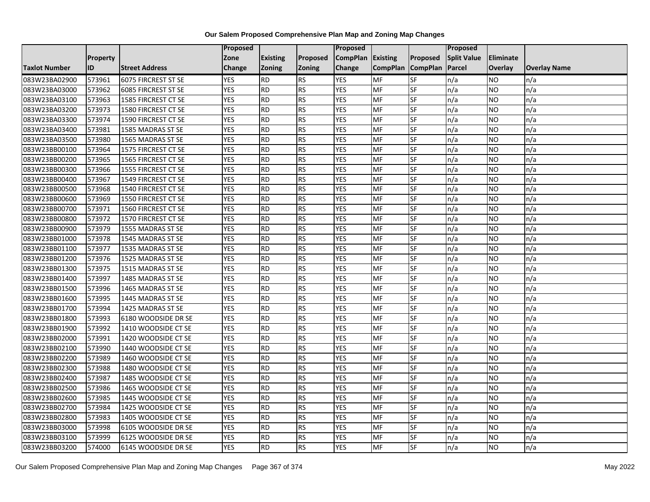|               |                 |                       | <b>Proposed</b> |                 |               | Proposed        |                 |                 | Proposed           |                  |                     |
|---------------|-----------------|-----------------------|-----------------|-----------------|---------------|-----------------|-----------------|-----------------|--------------------|------------------|---------------------|
|               | <b>Property</b> |                       | Zone            | <b>Existing</b> | Proposed      | <b>CompPlan</b> | Existing        | Proposed        | <b>Split Value</b> | <b>Eliminate</b> |                     |
| Taxlot Number | ID              | <b>Street Address</b> | <b>Change</b>   | Zoning          | <b>Zoning</b> | Change          | <b>CompPlan</b> | <b>CompPlan</b> | Parcel             | <b>Overlay</b>   | <b>Overlay Name</b> |
| 083W23BA02900 | 573961          | 6075 FIRCREST ST SE   | <b>YES</b>      | <b>RD</b>       | <b>RS</b>     | <b>YES</b>      | <b>MF</b>       | <b>SF</b>       | n/a                | NO.              | n/a                 |
| 083W23BA03000 | 573962          | 6085 FIRCREST ST SE   | <b>YES</b>      | <b>RD</b>       | <b>RS</b>     | <b>YES</b>      | MF              | $S_{F}$         | n/a                | NO.              | n/a                 |
| 083W23BA03100 | 573963          | 1585 FIRCREST CT SE   | <b>YES</b>      | <b>RD</b>       | <b>RS</b>     | <b>YES</b>      | MF              | SF              | n/a                | NO.              | n/a                 |
| 083W23BA03200 | 573973          | 1580 FIRCREST CT SE   | <b>YES</b>      | <b>RD</b>       | <b>RS</b>     | <b>YES</b>      | MF              | SF              | n/a                | NO.              | n/a                 |
| 083W23BA03300 | 573974          | 1590 FIRCREST CT SE   | <b>YES</b>      | <b>RD</b>       | <b>RS</b>     | <b>YES</b>      | <b>MF</b>       | $S_{F}$         | n/a                | NO.              | n/a                 |
| 083W23BA03400 | 573981          | 1585 MADRAS ST SE     | <b>YES</b>      | RD              | RS            | <b>YES</b>      | MF              | SF              | n/a                | NO.              | n/a                 |
| 083W23BA03500 | 573980          | 1565 MADRAS ST SE     | <b>YES</b>      | <b>RD</b>       | <b>RS</b>     | <b>YES</b>      | MF              | SF              | n/a                | NO.              | n/a                 |
| 083W23BB00100 | 573964          | 1575 FIRCREST CT SE   | <b>YES</b>      | <b>RD</b>       | <b>RS</b>     | <b>YES</b>      | MF              | SF              | n/a                | NO.              | n/a                 |
| 083W23BB00200 | 573965          | 1565 FIRCREST CT SE   | <b>YES</b>      | <b>RD</b>       | <b>RS</b>     | <b>YES</b>      | MF              | SF              | n/a                | NO.              | n/a                 |
| 083W23BB00300 | 573966          | 1555 FIRCREST CT SE   | <b>YES</b>      | <b>RD</b>       | <b>RS</b>     | <b>YES</b>      | MF              | SF              | n/a                | NO.              | n/a                 |
| 083W23BB00400 | 573967          | 1549 FIRCREST CT SE   | <b>YES</b>      | <b>RD</b>       | <b>RS</b>     | <b>YES</b>      | MF              | SF              | n/a                | <b>NO</b>        | n/a                 |
| 083W23BB00500 | 573968          | 1540 FIRCREST CT SE   | <b>YES</b>      | <b>RD</b>       | <b>RS</b>     | <b>YES</b>      | MF              | SF              | n/a                | NO.              | n/a                 |
| 083W23BB00600 | 573969          | 1550 FIRCREST CT SE   | <b>YES</b>      | <b>RD</b>       | <b>RS</b>     | <b>YES</b>      | MF              | SF              | n/a                | NO.              | n/a                 |
| 083W23BB00700 | 573971          | 1560 FIRCREST CT SE   | <b>YES</b>      | $\overline{RD}$ | <b>RS</b>     | <b>YES</b>      | <b>MF</b>       | SF              | n/a                | NO.              | n/a                 |
| 083W23BB00800 | 573972          | 1570 FIRCREST CT SE   | <b>YES</b>      | <b>RD</b>       | <b>RS</b>     | <b>YES</b>      | <b>MF</b>       | SF              | n/a                | ΝO               | n/a                 |
| 083W23BB00900 | 573979          | 1555 MADRAS ST SE     | <b>YES</b>      | <b>RD</b>       | <b>RS</b>     | <b>YES</b>      | MF              | SF              | n/a                | NO.              | n/a                 |
| 083W23BB01000 | 573978          | 1545 MADRAS ST SE     | <b>YES</b>      | <b>RD</b>       | <b>RS</b>     | <b>YES</b>      | MF              | SF              | n/a                | NO.              | n/a                 |
| 083W23BB01100 | 573977          | 1535 MADRAS ST SE     | <b>YES</b>      | <b>RD</b>       | <b>RS</b>     | <b>YES</b>      | <b>MF</b>       | SF              | n/a                | NO.              | n/a                 |
| 083W23BB01200 | 573976          | 1525 MADRAS ST SE     | <b>YES</b>      | <b>RD</b>       | <b>RS</b>     | <b>YES</b>      | MF              | SF              | n/a                | <b>NO</b>        | n/a                 |
| 083W23BB01300 | 573975          | 1515 MADRAS ST SE     | <b>YES</b>      | <b>RD</b>       | <b>RS</b>     | <b>YES</b>      | MF              | SF              | n/a                | NO.              | n/a                 |
| 083W23BB01400 | 573997          | 1485 MADRAS ST SE     | <b>YES</b>      | <b>RD</b>       | <b>RS</b>     | <b>YES</b>      | <b>MF</b>       | SF              | n/a                | NO.              | n/a                 |
| 083W23BB01500 | 573996          | 1465 MADRAS ST SE     | <b>YES</b>      | RD              | <b>RS</b>     | <b>YES</b>      | <b>MF</b>       | <b>SF</b>       | n/a                | NO.              | n/a                 |
| 083W23BB01600 | 573995          | 1445 MADRAS ST SE     | <b>YES</b>      | <b>RD</b>       | <b>RS</b>     | <b>YES</b>      | <b>MF</b>       | SF              | n/a                | NO.              | n/a                 |
| 083W23BB01700 | 573994          | 1425 MADRAS ST SE     | <b>YES</b>      | <b>RD</b>       | <b>RS</b>     | <b>YES</b>      | MF              | SF              | n/a                | NO.              | n/a                 |
| 083W23BB01800 | 573993          | 6180 WOODSIDE DR SE   | <b>YES</b>      | RD              | RS            | <b>YES</b>      | MF              | SF              | n/a                | NO.              | n/a                 |
| 083W23BB01900 | 573992          | 1410 WOODSIDE CT SE   | <b>YES</b>      | <b>RD</b>       | <b>RS</b>     | <b>YES</b>      | <b>MF</b>       | SF              | n/a                | NO.              | n/a                 |
| 083W23BB02000 | 573991          | 1420 WOODSIDE CT SE   | <b>YES</b>      | <b>RD</b>       | <b>RS</b>     | <b>YES</b>      | MF              | SF              | n/a                | NO.              | n/a                 |
| 083W23BB02100 | 573990          | 1440 WOODSIDE CT SE   | <b>YES</b>      | <b>RD</b>       | <b>RS</b>     | <b>YES</b>      | <b>MF</b>       | SF              | n/a                | NO.              | n/a                 |
| 083W23BB02200 | 573989          | 1460 WOODSIDE CT SE   | <b>YES</b>      | <b>RD</b>       | <b>RS</b>     | <b>YES</b>      | MF              | SF              | n/a                | NO.              | n/a                 |
| 083W23BB02300 | 573988          | 1480 WOODSIDE CT SE   | <b>YES</b>      | RD              | <b>RS</b>     | <b>YES</b>      | <b>MF</b>       | SF              | n/a                | NO.              | n/a                 |
| 083W23BB02400 | 573987          | 1485 WOODSIDE CT SE   | <b>YES</b>      | <b>RD</b>       | <b>RS</b>     | <b>YES</b>      | MF              | SF              | n/a                | ΝO               | n/a                 |
| 083W23BB02500 | 573986          | 1465 WOODSIDE CT SE   | <b>YES</b>      | <b>RD</b>       | <b>RS</b>     | <b>YES</b>      | MF              | SF              | n/a                | NO.              | n/a                 |
| 083W23BB02600 | 573985          | 1445 WOODSIDE CT SE   | <b>YES</b>      | <b>RD</b>       | <b>RS</b>     | <b>YES</b>      | <b>MF</b>       | SF              | n/a                | NO.              | n/a                 |
| 083W23BB02700 | 573984          | 1425 WOODSIDE CT SE   | <b>YES</b>      | <b>RD</b>       | <b>RS</b>     | <b>YES</b>      | MF              | SF              | n/a                | NO.              | n/a                 |
| 083W23BB02800 | 573983          | 1405 WOODSIDE CT SE   | <b>YES</b>      | RD              | <b>RS</b>     | <b>YES</b>      | MF              | <b>SF</b>       | n/a                | NO.              | n/a                 |
| 083W23BB03000 | 573998          | 6105 WOODSIDE DR SE   | <b>YES</b>      | <b>RD</b>       | <b>RS</b>     | <b>YES</b>      | MF              | SF              | n/a                | NO.              | n/a                 |
| 083W23BB03100 | 573999          | 6125 WOODSIDE DR SE   | <b>YES</b>      | <b>RD</b>       | <b>RS</b>     | <b>YES</b>      | MF              | SF              | n/a                | NO.              | n/a                 |
| 083W23BB03200 | 574000          | 6145 WOODSIDE DR SE   | <b>YES</b>      | $\overline{RD}$ | RS            | <b>YES</b>      | MF              | <b>SF</b>       | n/a                | NO.              | n/a                 |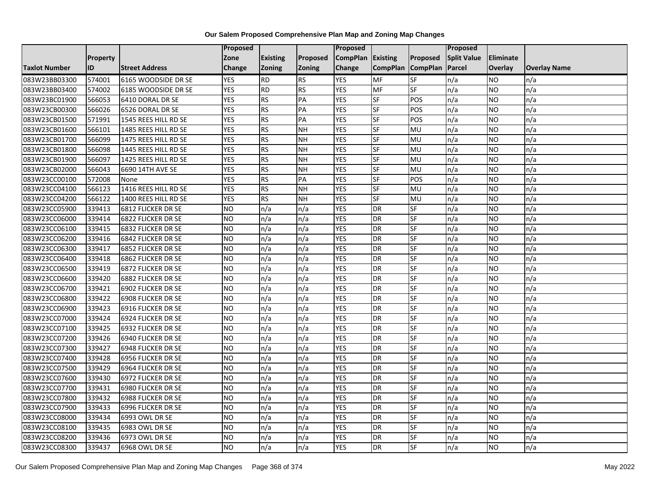|                      |          |                           | Proposed   |                 |               | Proposed          |                 |                 | Proposed           |                 |                     |
|----------------------|----------|---------------------------|------------|-----------------|---------------|-------------------|-----------------|-----------------|--------------------|-----------------|---------------------|
|                      | Property |                           | Zone       | <b>Existing</b> | Proposed      | CompPlan Existing |                 | Proposed        | <b>Split Value</b> | Eliminate       |                     |
| <b>Taxlot Number</b> | ID       | <b>Street Address</b>     | Change     | Zoning          | <b>Zoning</b> | Change            | <b>CompPlan</b> | <b>CompPlan</b> | Parcel             | <b>Overlay</b>  | <b>Overlay Name</b> |
| 083W23BB03300        | 574001   | 6165 WOODSIDE DR SE       | <b>YES</b> | <b>RD</b>       | <b>RS</b>     | <b>YES</b>        | <b>MF</b>       | <b>SF</b>       | n/a                | NO.             | n/a                 |
| 083W23BB03400        | 574002   | 6185 WOODSIDE DR SE       | <b>YES</b> | <b>RD</b>       | RS            | <b>YES</b>        | MF              | <b>SF</b>       | n/a                | NO.             | n/a                 |
| 083W23BC01900        | 566053   | 6410 DORAL DR SE          | <b>YES</b> | <b>RS</b>       | PA            | <b>YES</b>        | SF              | POS             | n/a                | NO.             | n/a                 |
| 083W23CB00300        | 566026   | 6526 DORAL DR SE          | <b>YES</b> | <b>RS</b>       | PA            | <b>YES</b>        | SF              | POS             | n/a                | NO.             | n/a                 |
| 083W23CB01500        | 571991   | 1545 REES HILL RD SE      | <b>YES</b> | RS              | PA            | <b>YES</b>        | $S$ F           | POS             | n/a                | NO.             | n/a                 |
| 083W23CB01600        | 566101   | 1485 REES HILL RD SE      | <b>YES</b> | <b>RS</b>       | <b>NH</b>     | <b>YES</b>        | <b>SF</b>       | MU              | n/a                | <b>NO</b>       | n/a                 |
| 083W23CB01700        | 566099   | 1475 REES HILL RD SE      | <b>YES</b> | RS              | <b>NH</b>     | <b>YES</b>        | $S$ F           | MU              | n/a                | <b>NO</b>       | n/a                 |
| 083W23CB01800        | 566098   | 1445 REES HILL RD SE      | <b>YES</b> | RS              | <b>NH</b>     | <b>YES</b>        | $S$ F           | MU              | n/a                | NO.             | n/a                 |
| 083W23CB01900        | 566097   | 1425 REES HILL RD SE      | <b>YES</b> | <b>RS</b>       | <b>NH</b>     | <b>YES</b>        | <b>SF</b>       | MU              | n/a                | NO.             | n/a                 |
| 083W23CB02000        | 566043   | 6690 14TH AVE SE          | <b>YES</b> | RS              | <b>NH</b>     | <b>YES</b>        | <b>SF</b>       | MU              | n/a                | NO.             | n/a                 |
| 083W23CC00100        | 572008   | None                      | <b>YES</b> | RS              | PA            | <b>YES</b>        | $S$ F           | POS             | n/a                | <b>NO</b>       | n/a                 |
| 083W23CC04100        | 566123   | 1416 REES HILL RD SE      | <b>YES</b> | RS              | <b>NH</b>     | <b>YES</b>        | <b>SF</b>       | MU              | n/a                | NO.             | n/a                 |
| 083W23CC04200        | 566122   | 1400 REES HILL RD SE      | <b>YES</b> | <b>RS</b>       | <b>NH</b>     | <b>YES</b>        | SF              | MU              | n/a                | NO.             | n/a                 |
| 083W23CC05900        | 339413   | 6812 FLICKER DR SE        | <b>NO</b>  | n/a             | n/a           | <b>YES</b>        | DR              | SF              | n/a                | NO.             | n/a                 |
| 083W23CC06000        | 339414   | 6822 FLICKER DR SE        | <b>NO</b>  | n/a             | n/a           | <b>YES</b>        | DR              | SF              | n/a                | ΝO              | n/a                 |
| 083W23CC06100        | 339415   | 6832 FLICKER DR SE        | <b>NO</b>  | n/a             | n/a           | <b>YES</b>        | DR              | SF              | n/a                | <b>NO</b>       | n/a                 |
| 083W23CC06200        | 339416   | 6842 FLICKER DR SE        | <b>NO</b>  | n/a             | n/a           | <b>YES</b>        | DR              | SF              | n/a                | NO.             | n/a                 |
| 083W23CC06300        | 339417   | <b>6852 FLICKER DR SE</b> | <b>NO</b>  | n/a             | n/a           | <b>YES</b>        | DR              | SF              | n/a                | NO.             | n/a                 |
| 083W23CC06400        | 339418   | 6862 FLICKER DR SE        | <b>NO</b>  | n/a             | n/a           | <b>YES</b>        | DR              | SF              | n/a                | NO.             | n/a                 |
| 083W23CC06500        | 339419   | 6872 FLICKER DR SE        | <b>NO</b>  | n/a             | n/a           | <b>YES</b>        | DR              | <b>SF</b>       | n/a                | NO.             | n/a                 |
| 083W23CC06600        | 339420   | 6882 FLICKER DR SE        | <b>NO</b>  | n/a             | n/a           | <b>YES</b>        | DR              | SF              | n/a                | NO.             | n/a                 |
| 083W23CC06700        | 339421   | 6902 FLICKER DR SE        | ŌИ         | n/a             | n/a           | <b>YES</b>        | DR              | SF              | n/a                | $\overline{NO}$ | n/a                 |
| 083W23CC06800        | 339422   | 6908 FLICKER DR SE        | <b>NO</b>  | n/a             | n/a           | <b>YES</b>        | DR              | <b>SF</b>       | n/a                | <b>NO</b>       | n/a                 |
| 083W23CC06900        | 339423   | 6916 FLICKER DR SE        | <b>NO</b>  | n/a             | n/a           | <b>YES</b>        | <b>DR</b>       | SF              | n/a                | NO.             | n/a                 |
| 083W23CC07000        | 339424   | 6924 FLICKER DR SE        | ŌИ         | n/a             | n/a           | <b>YES</b>        | <b>DR</b>       | <b>SF</b>       | n/a                | NO.             | n/a                 |
| 083W23CC07100        | 339425   | 6932 FLICKER DR SE        | ŌИ         | n/a             | n/a           | <b>YES</b>        | DR              | <b>SF</b>       | n/a                | NO.             | n/a                 |
| 083W23CC07200        | 339426   | 6940 FLICKER DR SE        | <b>NO</b>  | n/a             | n/a           | <b>YES</b>        | <b>DR</b>       | SF              | n/a                | <b>NO</b>       | n/a                 |
| 083W23CC07300        | 339427   | 6948 FLICKER DR SE        | <b>NO</b>  | n/a             | n/a           | <b>YES</b>        | DR              | SF              | n/a                | NO.             | n/a                 |
| 083W23CC07400        | 339428   | 6956 FLICKER DR SE        | <b>NO</b>  | n/a             | n/a           | <b>YES</b>        | DR              | SF              | n/a                | NO.             | n/a                 |
| 083W23CC07500        | 339429   | 6964 FLICKER DR SE        | <b>NO</b>  | n/a             | n/a           | <b>YES</b>        | <b>DR</b>       | <b>SF</b>       | n/a                | <b>NO</b>       | n/a                 |
| 083W23CC07600        | 339430   | 6972 FLICKER DR SE        | <b>NO</b>  | n/a             | n/a           | <b>YES</b>        | DR              | SF              | n/a                | <b>NO</b>       | n/a                 |
| 083W23CC07700        | 339431   | 6980 FLICKER DR SE        | <b>NO</b>  | n/a             | n/a           | <b>YES</b>        | DR              | SF              | n/a                | <b>NO</b>       | n/a                 |
| 083W23CC07800        | 339432   | 6988 FLICKER DR SE        | <b>NO</b>  | n/a             | n/a           | <b>YES</b>        | DR              | SF              | n/a                | NO.             | n/a                 |
| 083W23CC07900        | 339433   | 6996 FLICKER DR SE        | <b>NO</b>  | n/a             | n/a           | <b>YES</b>        | DR              | SF              | n/a                | NO.             | n/a                 |
| 083W23CC08000        | 339434   | 6993 OWL DR SE            | ŌИ         | n/a             | n/a           | <b>YES</b>        | DR              | <b>SF</b>       | n/a                | <b>NO</b>       | n/a                 |
| 083W23CC08100        | 339435   | 6983 OWL DR SE            | <b>NO</b>  | n/a             | n/a           | <b>YES</b>        | <b>DR</b>       | SF              | n/a                | NO.             | n/a                 |
| 083W23CC08200        | 339436   | 6973 OWL DR SE            | NO         | n/a             | n/a           | <b>YES</b>        | DR              | SF              | n/a                | NO.             | n/a                 |
| 083W23CC08300        | 339437   | 6968 OWL DR SE            | ŌИ         | n/a             | n/a           | <b>YES</b>        | <b>DR</b>       | <b>SF</b>       | n/a                | NO.             | n/a                 |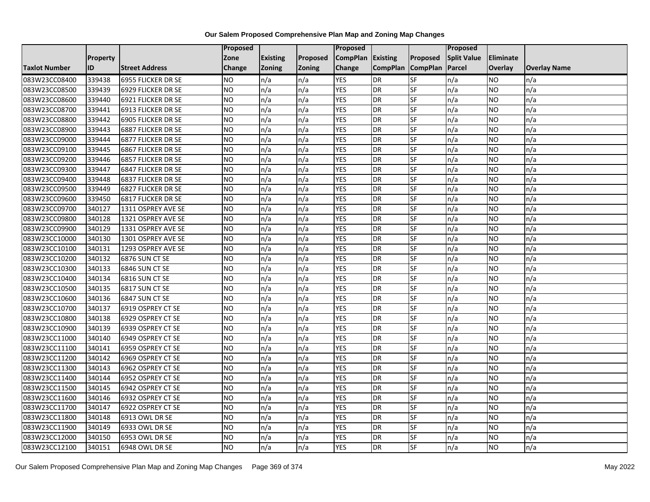|                      |                 |                       | Proposed  |                 |               | <b>Proposed</b>   |                 |                 | Proposed           |           |                     |
|----------------------|-----------------|-----------------------|-----------|-----------------|---------------|-------------------|-----------------|-----------------|--------------------|-----------|---------------------|
|                      | <b>Property</b> |                       | Zone      | <b>Existing</b> | Proposed      | CompPlan Existing |                 | Proposed        | <b>Split Value</b> | Eliminate |                     |
| <b>Taxlot Number</b> | ID              | <b>Street Address</b> | Change    | Zoning          | <b>Zoning</b> | Change            | <b>CompPlan</b> | <b>CompPlan</b> | Parcel             | Overlay   | <b>Overlay Name</b> |
| 083W23CC08400        | 339438          | 6955 FLICKER DR SE    | <b>NO</b> | n/a             | n/a           | <b>YES</b>        | <b>DR</b>       | <b>SF</b>       | n/a                | NO        | n/a                 |
| 083W23CC08500        | 339439          | 6929 FLICKER DR SE    | <b>NO</b> | n/a             | n/a           | <b>YES</b>        | DR              | $S_{F}$         | n/a                | NO.       | n/a                 |
| 083W23CC08600        | 339440          | 6921 FLICKER DR SE    | <b>NO</b> | n/a             | n/a           | <b>YES</b>        | DR              | SF              | n/a                | NO.       | n/a                 |
| 083W23CC08700        | 339441          | 6913 FLICKER DR SE    | <b>NO</b> | n/a             | n/a           | <b>YES</b>        | DR              | SF              | n/a                | NO.       | n/a                 |
| 083W23CC08800        | 339442          | 6905 FLICKER DR SE    | <b>NO</b> | n/a             | n/a           | <b>YES</b>        | DR              | <b>SF</b>       | n/a                | NO.       | n/a                 |
| 083W23CC08900        | 339443          | 6887 FLICKER DR SE    | <b>NO</b> | n/a             | n/a           | <b>YES</b>        | <b>DR</b>       | SF              | n/a                | NO.       | n/a                 |
| 083W23CC09000        | 339444          | 6877 FLICKER DR SE    | <b>NO</b> | n/a             | n/a           | <b>YES</b>        | DR              | SF              | n/a                | NO.       | n/a                 |
| 083W23CC09100        | 339445          | 6867 FLICKER DR SE    | <b>NO</b> | n/a             | n/a           | <b>YES</b>        | DR              | SF              | n/a                | NO.       | n/a                 |
| 083W23CC09200        | 339446          | 6857 FLICKER DR SE    | <b>NO</b> | n/a             | n/a           | <b>YES</b>        | <b>DR</b>       | SF              | n/a                | NO.       | n/a                 |
| 083W23CC09300        | 339447          | 6847 FLICKER DR SE    | <b>NO</b> | n/a             | n/a           | <b>YES</b>        | DR              | SF              | n/a                | NO.       | n/a                 |
| 083W23CC09400        | 339448          | 6837 FLICKER DR SE    | ŌИ        | n/a             | n/a           | <b>YES</b>        | DR              | <b>SF</b>       | n/a                | <b>NO</b> | n/a                 |
| 083W23CC09500        | 339449          | 6827 FLICKER DR SE    | <b>NO</b> | n/a             | n/a           | <b>YES</b>        | DR              | SF              | n/a                | NO.       | n/a                 |
| 083W23CC09600        | 339450          | 6817 FLICKER DR SE    | <b>NO</b> | n/a             | n/a           | <b>YES</b>        | DR              | SF              | n/a                | NO.       | n/a                 |
| 083W23CC09700        | 340127          | 1311 OSPREY AVE SE    | <b>NO</b> | n/a             | n/a           | <b>YES</b>        | <b>DR</b>       | SF              | n/a                | NO.       | n/a                 |
| 083W23CC09800        | 340128          | 1321 OSPREY AVE SE    | <b>NO</b> | n/a             | n/a           | <b>YES</b>        | DR              | SF              | n/a                | <b>NO</b> | n/a                 |
| 083W23CC09900        | 340129          | 1331 OSPREY AVE SE    | ŌИ        | n/a             | n/a           | <b>YES</b>        | $\overline{R}$  | <b>SF</b>       | n/a                | NO.       | n/a                 |
| 083W23CC10000        | 340130          | 1301 OSPREY AVE SE    | <b>NO</b> | n/a             | n/a           | <b>YES</b>        | DR              | SF              | n/a                | NO.       | n/a                 |
| 083W23CC10100        | 340131          | 1293 OSPREY AVE SE    | <b>NO</b> | n/a             | n/a           | <b>YES</b>        | DR              | SF              | n/a                | NO.       | n/a                 |
| 083W23CC10200        | 340132          | 6876 SUN CT SE        | <b>NO</b> | n/a             | n/a           | <b>YES</b>        | <b>DR</b>       | <b>SF</b>       | n/a                | NO.       | n/a                 |
| 083W23CC10300        | 340133          | 6846 SUN CT SE        | <b>NO</b> | n/a             | n/a           | <b>YES</b>        | DR              | SF              | n/a                | NO.       | n/a                 |
| 083W23CC10400        | 340134          | 6816 SUN CT SE        | <b>NO</b> | n/a             | n/a           | <b>YES</b>        | DR              | SF              | n/a                | NO.       | n/a                 |
| 083W23CC10500        | 340135          | 6817 SUN CT SE        | ŌИ        | n/a             | n/a           | <b>YES</b>        | DR              | <b>SF</b>       | n/a                | NO.       | n/a                 |
| 083W23CC10600        | 340136          | 6847 SUN CT SE        | <b>NO</b> | n/a             | n/a           | <b>YES</b>        | DR              | <b>SF</b>       | n/a                | NO.       | n/a                 |
| 083W23CC10700        | 340137          | 6919 OSPREY CT SE     | <b>NO</b> | n/a             | n/a           | <b>YES</b>        | DR              | SF              | n/a                | NO.       | n/a                 |
| 083W23CC10800        | 340138          | 6929 OSPREY CT SE     | ŌИ        | n/a             | n/a           | <b>YES</b>        | <b>DR</b>       | $S_{F}$         | n/a                | NO.       | n/a                 |
| 083W23CC10900        | 340139          | 6939 OSPREY CT SE     | <b>NO</b> | n/a             | n/a           | <b>YES</b>        | DR              | SF              | n/a                | NO.       | n/a                 |
| 083W23CC11000        | 340140          | 6949 OSPREY CT SE     | ŌИ        | n/a             | n/a           | <b>YES</b>        | <b>DR</b>       | <b>SF</b>       | n/a                | <b>NO</b> | n/a                 |
| 083W23CC11100        | 340141          | 6959 OSPREY CT SE     | <b>NO</b> | n/a             | n/a           | <b>YES</b>        | DR              | SF              | n/a                | NO.       | n/a                 |
| 083W23CC11200        | 340142          | 6969 OSPREY CT SE     | <b>NO</b> | n/a             | n/a           | <b>YES</b>        | DR              | SF              | n/a                | NO.       | n/a                 |
| 083W23CC11300        | 340143          | 6962 OSPREY CT SE     | <b>NO</b> | n/a             | n/a           | <b>YES</b>        | <b>DR</b>       | SF              | n/a                | NO.       | n/a                 |
| 083W23CC11400        | 340144          | 6952 OSPREY CT SE     | <b>NO</b> | n/a             | n/a           | <b>YES</b>        | DR              | SF              | n/a                | <b>NO</b> | n/a                 |
| 083W23CC11500        | 340145          | 6942 OSPREY CT SE     | Ю         | n/a             | n/a           | <b>YES</b>        | DR              | <b>SF</b>       | n/a                | NO.       | n/a                 |
| 083W23CC11600        | 340146          | 6932 OSPREY CT SE     | <b>NO</b> | n/a             | n/a           | <b>YES</b>        | <b>DR</b>       | SF              | n/a                | <b>NO</b> | n/a                 |
| 083W23CC11700        | 340147          | 6922 OSPREY CT SE     | <b>NO</b> | n/a             | n/a           | <b>YES</b>        | DR              | SF              | n/a                | NO.       | n/a                 |
| 083W23CC11800        | 340148          | 6913 OWL DR SE        | <b>NO</b> | n/a             | n/a           | <b>YES</b>        | <b>DR</b>       | <b>SF</b>       | n/a                | NO.       | n/a                 |
| 083W23CC11900        | 340149          | 6933 OWL DR SE        | <b>NO</b> | n/a             | n/a           | <b>YES</b>        | DR              | SF              | n/a                | NO.       | n/a                 |
| 083W23CC12000        | 340150          | 6953 OWL DR SE        | <b>NO</b> | n/a             | n/a           | <b>YES</b>        | DR              | SF              | n/a                | <b>NO</b> | n/a                 |
| 083W23CC12100        | 340151          | 6948 OWL DR SE        | ŌИ        | n/a             | n/a           | <b>YES</b>        | <b>DR</b>       | <b>SF</b>       | n/a                | <b>NO</b> | n/a                 |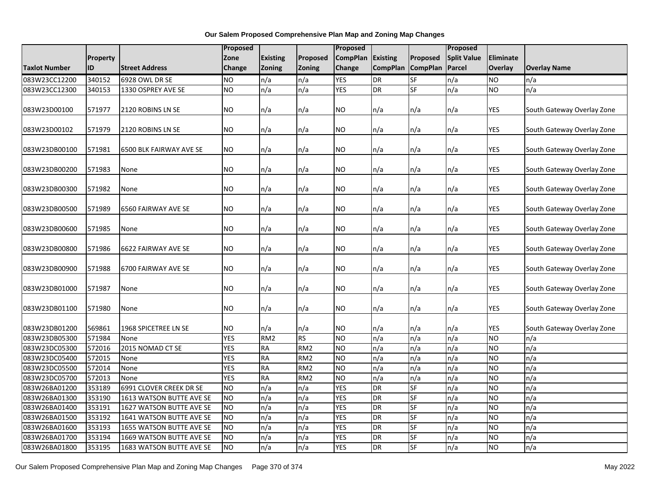|                                |                  |                              | <b>Proposed</b>         |                        |                  | Proposed              |                 |                 | Proposed           |                  |                                   |
|--------------------------------|------------------|------------------------------|-------------------------|------------------------|------------------|-----------------------|-----------------|-----------------|--------------------|------------------|-----------------------------------|
|                                | Property         |                              | Zone                    | <b>Existing</b>        | Proposed         | <b>CompPlan</b>       | <b>Existing</b> | Proposed        | <b>Split Value</b> | Eliminate        |                                   |
| <b>Taxlot Number</b>           | <b>ID</b>        | <b>Street Address</b>        | <b>Change</b>           | Zoning                 | Zoning           | Change                | <b>CompPlan</b> | <b>CompPlan</b> | Parcel             | Overlay          | <b>Overlay Name</b>               |
| 083W23CC12200                  | 340152           | 6928 OWL DR SE               | <b>NO</b>               | n/a                    | n/a              | <b>YES</b>            | <b>DR</b>       | <b>SF</b>       | n/a                | <b>NO</b>        | n/a                               |
| 083W23CC12300                  | 340153           | 1330 OSPREY AVE SE           | NO                      | n/a                    | n/a              | <b>YES</b>            | DR              | <b>SF</b>       | n/a                | <b>NO</b>        | n/a                               |
|                                |                  |                              |                         |                        |                  |                       |                 |                 |                    |                  |                                   |
| 083W23D00100                   | 571977           | 2120 ROBINS LN SE            | NO                      | n/a                    | n/a              | NO                    | n/a             | n/a             | n/a                | <b>YES</b>       | South Gateway Overlay Zone        |
|                                |                  |                              |                         |                        |                  |                       |                 |                 |                    |                  |                                   |
| 083W23D00102                   | 571979           | 2120 ROBINS LN SE            | <b>NO</b>               | n/a                    | n/a              | NO.                   | n/a             | n/a             | n/a                | <b>YES</b>       | South Gateway Overlay Zone        |
|                                |                  |                              |                         |                        |                  |                       |                 |                 |                    |                  |                                   |
| 083W23DB00100                  | 571981           | 6500 BLK FAIRWAY AVE SE      | NO                      | n/a                    | n/a              | NO                    | n/a             | n/a             | n/a                | <b>YES</b>       | South Gateway Overlay Zone        |
|                                |                  |                              | <b>NO</b>               |                        |                  |                       |                 |                 |                    | <b>YES</b>       |                                   |
| 083W23DB00200                  | 571983           | None                         |                         | n/a                    | n/a              | NO                    | n/a             | n/a             | n/a                |                  | South Gateway Overlay Zone        |
| 083W23DB00300                  | 571982           | None                         | NO                      | n/a                    | n/a              | NO.                   | n/a             | n/a             | n/a                | <b>YES</b>       | South Gateway Overlay Zone        |
|                                |                  |                              |                         |                        |                  |                       |                 |                 |                    |                  |                                   |
| 083W23DB00500                  | 571989           | 6560 FAIRWAY AVE SE          | NO                      | n/a                    | n/a              | NO                    | n/a             | n/a             | n/a                | <b>YES</b>       | South Gateway Overlay Zone        |
|                                |                  |                              |                         |                        |                  |                       |                 |                 |                    |                  |                                   |
| 083W23DB00600                  | 571985           | None                         | NO                      | n/a                    | n/a              | NO.                   | n/a             | n/a             | n/a                | <b>YES</b>       | South Gateway Overlay Zone        |
|                                |                  |                              |                         |                        |                  |                       |                 |                 |                    |                  |                                   |
| 083W23DB00800                  | 571986           | 6622 FAIRWAY AVE SE          | <b>NO</b>               | n/a                    | n/a              | NO                    | n/a             | n/a             | n/a                | <b>YES</b>       | South Gateway Overlay Zone        |
|                                |                  |                              |                         |                        |                  |                       |                 |                 |                    |                  |                                   |
| 083W23DB00900                  | 571988           | 6700 FAIRWAY AVE SE          | NO                      | n/a                    | n/a              | ΝO                    | n/a             | n/a             | n/a                | YES              | South Gateway Overlay Zone        |
|                                |                  |                              |                         |                        |                  |                       |                 |                 |                    |                  |                                   |
| 083W23DB01000                  | 571987           | None                         | <b>NO</b>               | n/a                    | n/a              | NO.                   | n/a             | n/a             | n/a                | <b>YES</b>       | South Gateway Overlay Zone        |
|                                |                  |                              |                         |                        |                  |                       |                 |                 |                    |                  |                                   |
| 083W23DB01100                  | 571980           | None                         | <b>NO</b>               | n/a                    | n/a              | NO                    | n/a             | n/a             | n/a                | <b>YES</b>       | South Gateway Overlay Zone        |
|                                |                  |                              |                         |                        |                  |                       |                 |                 |                    |                  |                                   |
| 083W23DB01200<br>083W23DB05300 | 569861<br>571984 | 1968 SPICETREE LN SE<br>None | <b>NO</b><br><b>YES</b> | n/a<br>RM <sub>2</sub> | n/a<br><b>RS</b> | NO.<br>N <sub>O</sub> | n/a<br>n/a      | n/a<br>n/a      | n/a<br>n/a         | <b>YES</b><br>ŌИ | South Gateway Overlay Zone<br>n/a |
| 083W23DC05300                  | 572016           | 2015 NOMAD CT SE             | <b>YES</b>              | <b>RA</b>              | RM <sub>2</sub>  | NO                    | n/a             | n/a             | n/a                | <b>NO</b>        | n/a                               |
| 083W23DC05400                  | 572015           | None                         | <b>YES</b>              | <b>RA</b>              | RM <sub>2</sub>  | NO                    | n/a             | n/a             | n/a                | <b>NO</b>        | n/a                               |
| 083W23DC05500                  | 572014           | None                         | <b>YES</b>              | <b>RA</b>              | RM <sub>2</sub>  | NO                    | n/a             | n/a             | n/a                | <b>NO</b>        | n/a                               |
| 083W23DC05700                  | 572013           | None                         | <b>YES</b>              | <b>RA</b>              | RM <sub>2</sub>  | <b>NO</b>             | n/a             | n/a             | n/a                | <b>NO</b>        | n/a                               |
| 083W26BA01200                  | 353189           | 6991 CLOVER CREEK DR SE      | <b>NO</b>               | n/a                    | n/a              | <b>YES</b>            | <b>DR</b>       | <b>SF</b>       | n/a                | <b>NO</b>        | n/a                               |
| 083W26BA01300                  | 353190           | 1613 WATSON BUTTE AVE SE     | ŌИ                      | n/a                    | n/a              | <b>YES</b>            | <b>DR</b>       | <b>SF</b>       | n/a                | <b>NO</b>        | n/a                               |
| 083W26BA01400                  | 353191           | 1627 WATSON BUTTE AVE SE     | <b>NO</b>               | n/a                    | n/a              | <b>YES</b>            | <b>DR</b>       | <b>SF</b>       | n/a                | <b>NO</b>        | n/a                               |
|                                | 353192           |                              | <b>NO</b>               | n/a                    | n/a              | <b>YES</b>            | <b>DR</b>       | SF              | n/a                | <b>NO</b>        | n/a                               |
| 083W26BA01500                  |                  | 1641 WATSON BUTTE AVE SE     |                         |                        |                  | <b>YES</b>            | <b>DR</b>       | SF              |                    |                  |                                   |
| 083W26BA01600                  | 353193           | 1655 WATSON BUTTE AVE SE     | <b>NO</b>               | n/a                    | n/a              |                       |                 |                 | n/a                | <b>NO</b>        | n/a                               |
| 083W26BA01700                  | 353194           | 1669 WATSON BUTTE AVE SE     | <b>NO</b>               | n/a                    | n/a              | <b>YES</b>            | <b>DR</b>       | <b>SF</b>       | n/a                | <b>NO</b>        | n/a                               |
| 083W26BA01800                  | 353195           | 1683 WATSON BUTTE AVE SE     | <b>NO</b>               | n/a                    | n/a              | <b>YES</b>            | <b>DR</b>       | <b>SF</b>       | n/a                | <b>NO</b>        | n/a                               |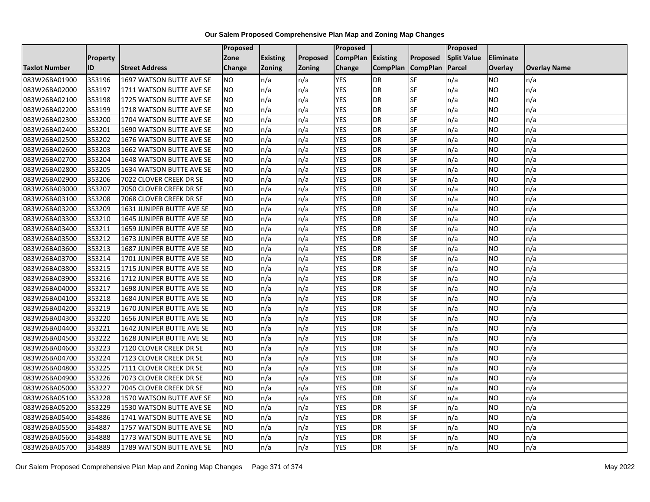|                      |                 |                           | <b>Proposed</b> |                 |               | Proposed        |                 |                 | Proposed           |                |                     |
|----------------------|-----------------|---------------------------|-----------------|-----------------|---------------|-----------------|-----------------|-----------------|--------------------|----------------|---------------------|
|                      | <b>Property</b> |                           | Zone            | <b>Existing</b> | Proposed      | <b>CompPlan</b> | Existing        | Proposed        | <b>Split Value</b> | Eliminate      |                     |
| <b>Taxlot Number</b> | ID              | <b>Street Address</b>     | Change          | Zoning          | <b>Zoning</b> | Change          | <b>CompPlan</b> | <b>CompPlan</b> | Parcel             | <b>Overlay</b> | <b>Overlay Name</b> |
| 083W26BA01900        | 353196          | 1697 WATSON BUTTE AVE SE  | <b>NO</b>       | n/a             | n/a           | <b>YES</b>      | <b>DR</b>       | <b>SF</b>       | n/a                | NO.            | n/a                 |
| 083W26BA02000        | 353197          | 1711 WATSON BUTTE AVE SE  | <b>NO</b>       | n/a             | n/a           | <b>YES</b>      | DR              | $S_{F}$         | n/a                | NO.            | n/a                 |
| 083W26BA02100        | 353198          | 1725 WATSON BUTTE AVE SE  | <b>NO</b>       | n/a             | n/a           | <b>YES</b>      | DR              | SF              | n/a                | NO.            | n/a                 |
| 083W26BA02200        | 353199          | 1718 WATSON BUTTE AVE SE  | <b>NO</b>       | n/a             | n/a           | <b>YES</b>      | <b>DR</b>       | SF              | n/a                | NO.            | n/a                 |
| 083W26BA02300        | 353200          | 1704 WATSON BUTTE AVE SE  | <b>NO</b>       | n/a             | n/a           | <b>YES</b>      | <b>DR</b>       | $S_{F}$         | n/a                | NO.            | n/a                 |
| 083W26BA02400        | 353201          | 1690 WATSON BUTTE AVE SE  | <b>NO</b>       | n/a             | n/a           | <b>YES</b>      | <b>DR</b>       | SF              | n/a                | NO.            | n/a                 |
| 083W26BA02500        | 353202          | 1676 WATSON BUTTE AVE SE  | <b>NO</b>       | n/a             | n/a           | <b>YES</b>      | DR              | SF              | n/a                | NO.            | n/a                 |
| 083W26BA02600        | 353203          | 1662 WATSON BUTTE AVE SE  | <b>NO</b>       | n/a             | n/a           | <b>YES</b>      | DR              | SF              | n/a                | NO.            | n/a                 |
| 083W26BA02700        | 353204          | 1648 WATSON BUTTE AVE SE  | <b>NO</b>       | n/a             | n/a           | <b>YES</b>      | DR              | SF              | n/a                | NO             | n/a                 |
| 083W26BA02800        | 353205          | 1634 WATSON BUTTE AVE SE  | <b>NO</b>       | n/a             | n/a           | <b>YES</b>      | DR              | SF              | n/a                | NO.            | n/a                 |
| 083W26BA02900        | 353206          | 7022 CLOVER CREEK DR SE   | <b>NO</b>       | n/a             | n/a           | <b>YES</b>      | <b>DR</b>       | SF              | n/a                | <b>NO</b>      | n/a                 |
| 083W26BA03000        | 353207          | 7050 CLOVER CREEK DR SE   | <b>NO</b>       | n/a             | n/a           | <b>YES</b>      | DR              | SF              | n/a                | NO.            | n/a                 |
| 083W26BA03100        | 353208          | 7068 CLOVER CREEK DR SE   | <b>NO</b>       | n/a             | n/a           | <b>YES</b>      | DR              | SF              | n/a                | NO.            | n/a                 |
| 083W26BA03200        | 353209          | 1631 JUNIPER BUTTE AVE SE | <b>NO</b>       | n/a             | n/a           | <b>YES</b>      | <b>DR</b>       | SF              | n/a                | <b>NO</b>      | n/a                 |
| 083W26BA03300        | 353210          | 1645 JUNIPER BUTTE AVE SE | <b>NO</b>       | n/a             | n/a           | <b>YES</b>      | DR              | SF              | n/a                | ΝO             | n/a                 |
| 083W26BA03400        | 353211          | 1659 JUNIPER BUTTE AVE SE | <b>NO</b>       | n/a             | n/a           | <b>YES</b>      | DR              | SF              | n/a                | NO.            | n/a                 |
| 083W26BA03500        | 353212          | 1673 JUNIPER BUTTE AVE SE | <b>NO</b>       | n/a             | n/a           | <b>YES</b>      | <b>DR</b>       | SF              | n/a                | NO.            | n/a                 |
| 083W26BA03600        | 353213          | 1687 JUNIPER BUTTE AVE SE | <b>NO</b>       | n/a             | n/a           | <b>YES</b>      | DR              | SF              | n/a                | NO.            | n/a                 |
| 083W26BA03700        | 353214          | 1701 JUNIPER BUTTE AVE SE | <b>NO</b>       | n/a             | n/a           | <b>YES</b>      | DR              | SF              | n/a                | NO.            | n/a                 |
| 083W26BA03800        | 353215          | 1715 JUNIPER BUTTE AVE SE | <b>NO</b>       | n/a             | n/a           | <b>YES</b>      | DR              | SF              | n/a                | NO.            | n/a                 |
| 083W26BA03900        | 353216          | 1712 JUNIPER BUTTE AVE SE | <b>NO</b>       | n/a             | n/a           | <b>YES</b>      | DR              | SF              | n/a                | NO.            | n/a                 |
| 083W26BA04000        | 353217          | 1698 JUNIPER BUTTE AVE SE | <b>NO</b>       | n/a             | n/a           | <b>YES</b>      | DR              | <b>SF</b>       | n/a                | NO.            | n/a                 |
| 083W26BA04100        | 353218          | 1684 JUNIPER BUTTE AVE SE | <b>NO</b>       | n/a             | n/a           | <b>YES</b>      | DR              | SF              | n/a                | NO.            | n/a                 |
| 083W26BA04200        | 353219          | 1670 JUNIPER BUTTE AVE SE | <b>NO</b>       | n/a             | n/a           | <b>YES</b>      | DR              | SF              | n/a                | NO.            | n/a                 |
| 083W26BA04300        | 353220          | 1656 JUNIPER BUTTE AVE SE | ŌИ              | n/a             | n/a           | <b>YES</b>      | <b>DR</b>       | <b>SF</b>       | n/a                | NO.            | n/a                 |
| 083W26BA04400        | 353221          | 1642 JUNIPER BUTTE AVE SE | <b>NO</b>       | n/a             | n/a           | <b>YES</b>      | DR              | SF              | n/a                | NO.            | n/a                 |
| 083W26BA04500        | 353222          | 1628 JUNIPER BUTTE AVE SE | <b>NO</b>       | n/a             | n/a           | <b>YES</b>      | <b>DR</b>       | SF              | n/a                | NO.            | n/a                 |
| 083W26BA04600        | 353223          | 7120 CLOVER CREEK DR SE   | <b>NO</b>       | n/a             | n/a           | <b>YES</b>      | <b>DR</b>       | SF              | n/a                | NO.            | n/a                 |
| 083W26BA04700        | 353224          | 7123 CLOVER CREEK DR SE   | <b>NO</b>       | n/a             | n/a           | <b>YES</b>      | DR              | SF              | n/a                | NO.            | n/a                 |
| 083W26BA04800        | 353225          | 7111 CLOVER CREEK DR SE   | <b>NO</b>       | n/a             | n/a           | <b>YES</b>      | <b>DR</b>       | SF              | n/a                | <b>NO</b>      | n/a                 |
| 083W26BA04900        | 353226          | 7073 CLOVER CREEK DR SE   | <b>NO</b>       | n/a             | n/a           | <b>YES</b>      | DR              | SF              | n/a                | <b>NO</b>      | n/a                 |
| 083W26BA05000        | 353227          | 7045 CLOVER CREEK DR SE   | <b>NO</b>       | n/a             | n/a           | <b>YES</b>      | DR              | SF              | n/a                | NO.            | n/a                 |
| 083W26BA05100        | 353228          | 1570 WATSON BUTTE AVE SE  | <b>NO</b>       | n/a             | n/a           | <b>YES</b>      | <b>DR</b>       | SF              | n/a                | NO.            | n/a                 |
| 083W26BA05200        | 353229          | 1530 WATSON BUTTE AVE SE  | <b>NO</b>       | n/a             | n/a           | <b>YES</b>      | DR              | SF              | n/a                | NO.            | n/a                 |
| 083W26BA05400        | 354886          | 1741 WATSON BUTTE AVE SE  | <b>NO</b>       | n/a             | n/a           | <b>YES</b>      | DR              | <b>SF</b>       | n/a                | NO.            | n/a                 |
| 083W26BA05500        | 354887          | 1757 WATSON BUTTE AVE SE  | <b>NO</b>       | n/a             | n/a           | <b>YES</b>      | <b>DR</b>       | SF              | n/a                | NO.            | n/a                 |
| 083W26BA05600        | 354888          | 1773 WATSON BUTTE AVE SE  | <b>NO</b>       | n/a             | n/a           | <b>YES</b>      | DR              | SF              | n/a                | NO.            | n/a                 |
| 083W26BA05700        | 354889          | 1789 WATSON BUTTE AVE SE  | NO              | n/a             | n/a           | <b>YES</b>      | <b>DR</b>       | <b>SF</b>       | n/a                | NO.            | n/a                 |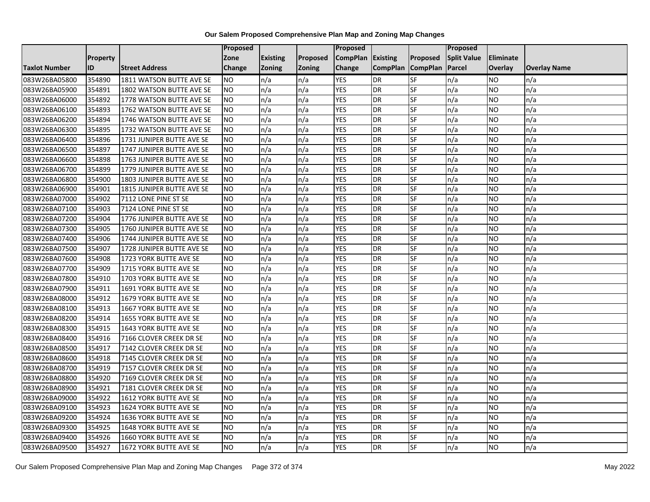|                      |                 |                               | Proposed  |                 |               | Proposed        |                 |                 | Proposed           |                |                     |
|----------------------|-----------------|-------------------------------|-----------|-----------------|---------------|-----------------|-----------------|-----------------|--------------------|----------------|---------------------|
|                      | <b>Property</b> |                               | Zone      | <b>Existing</b> | Proposed      | <b>CompPlan</b> | Existing        | Proposed        | <b>Split Value</b> | Eliminate      |                     |
| <b>Taxlot Number</b> | ID              | <b>Street Address</b>         | Change    | Zoning          | <b>Zoning</b> | Change          | <b>CompPlan</b> | <b>CompPlan</b> | Parcel             | <b>Overlay</b> | <b>Overlay Name</b> |
| 083W26BA05800        | 354890          | 1811 WATSON BUTTE AVE SE      | <b>NO</b> | n/a             | n/a           | <b>YES</b>      | <b>DR</b>       | <b>SF</b>       | n/a                | NO.            | n/a                 |
| 083W26BA05900        | 354891          | 1802 WATSON BUTTE AVE SE      | <b>NO</b> | n/a             | n/a           | <b>YES</b>      | DR              | $S_{F}$         | n/a                | NO.            | n/a                 |
| 083W26BA06000        | 354892          | 1778 WATSON BUTTE AVE SE      | <b>NO</b> | n/a             | n/a           | <b>YES</b>      | DR              | SF              | n/a                | NO.            | n/a                 |
| 083W26BA06100        | 354893          | 1762 WATSON BUTTE AVE SE      | <b>NO</b> | n/a             | n/a           | <b>YES</b>      | <b>DR</b>       | SF              | n/a                | NO.            | n/a                 |
| 083W26BA06200        | 354894          | 1746 WATSON BUTTE AVE SE      | <b>NO</b> | n/a             | n/a           | <b>YES</b>      | <b>DR</b>       | $S_{F}$         | n/a                | NO.            | n/a                 |
| 083W26BA06300        | 354895          | 1732 WATSON BUTTE AVE SE      | <b>NO</b> | n/a             | n/a           | <b>YES</b>      | <b>DR</b>       | SF              | n/a                | <b>NO</b>      | n/a                 |
| 083W26BA06400        | 354896          | 1731 JUNIPER BUTTE AVE SE     | <b>NO</b> | n/a             | n/a           | <b>YES</b>      | DR              | SF              | n/a                | NO.            | n/a                 |
| 083W26BA06500        | 354897          | 1747 JUNIPER BUTTE AVE SE     | <b>NO</b> | n/a             | n/a           | <b>YES</b>      | DR              | SF              | n/a                | NO.            | n/a                 |
| 083W26BA06600        | 354898          | 1763 JUNIPER BUTTE AVE SE     | <b>NO</b> | n/a             | n/a           | <b>YES</b>      | DR              | SF              | n/a                | NO             | n/a                 |
| 083W26BA06700        | 354899          | 1779 JUNIPER BUTTE AVE SE     | Ю         | n/a             | n/a           | <b>YES</b>      | DR              | SF              | n/a                | NO.            | n/a                 |
| 083W26BA06800        | 354900          | 1803 JUNIPER BUTTE AVE SE     | <b>NO</b> | n/a             | n/a           | <b>YES</b>      | <b>DR</b>       | SF              | n/a                | <b>NO</b>      | n/a                 |
| 083W26BA06900        | 354901          | 1815 JUNIPER BUTTE AVE SE     | <b>NO</b> | n/a             | n/a           | <b>YES</b>      | DR              | SF              | n/a                | NO.            | n/a                 |
| 083W26BA07000        | 354902          | 7112 LONE PINE ST SE          | <b>NO</b> | n/a             | n/a           | <b>YES</b>      | DR              | SF              | n/a                | NO.            | n/a                 |
| 083W26BA07100        | 354903          | 7124 LONE PINE ST SE          | ŌИ        | n/a             | n/a           | <b>YES</b>      | <b>DR</b>       | SF              | n/a                | <b>NO</b>      | n/a                 |
| 083W26BA07200        | 354904          | 1776 JUNIPER BUTTE AVE SE     | <b>NO</b> | n/a             | n/a           | <b>YES</b>      | DR              | SF              | n/a                | ΝO             | n/a                 |
| 083W26BA07300        | 354905          | 1760 JUNIPER BUTTE AVE SE     | <b>NO</b> | n/a             | n/a           | <b>YES</b>      | DR              | SF              | n/a                | NO.            | n/a                 |
| 083W26BA07400        | 354906          | 1744 JUNIPER BUTTE AVE SE     | <b>NO</b> | n/a             | n/a           | <b>YES</b>      | <b>DR</b>       | SF              | n/a                | NO.            | n/a                 |
| 083W26BA07500        | 354907          | 1728 JUNIPER BUTTE AVE SE     | <b>NO</b> | n/a             | n/a           | <b>YES</b>      | DR              | SF              | n/a                | NO.            | n/a                 |
| 083W26BA07600        | 354908          | 1723 YORK BUTTE AVE SE        | <b>NO</b> | n/a             | n/a           | <b>YES</b>      | DR              | SF              | n/a                | NO.            | n/a                 |
| 083W26BA07700        | 354909          | 1715 YORK BUTTE AVE SE        | <b>NO</b> | n/a             | n/a           | <b>YES</b>      | DR              | SF              | n/a                | NO.            | n/a                 |
| 083W26BA07800        | 354910          | 1703 YORK BUTTE AVE SE        | <b>NO</b> | n/a             | n/a           | <b>YES</b>      | DR              | SF              | n/a                | NO.            | n/a                 |
| 083W26BA07900        | 354911          | 1691 YORK BUTTE AVE SE        | Ю         | n/a             | n/a           | <b>YES</b>      | DR              | <b>SF</b>       | n/a                | NO.            | n/a                 |
| 083W26BA08000        | 354912          | 1679 YORK BUTTE AVE SE        | <b>NO</b> | n/a             | n/a           | <b>YES</b>      | DR              | SF              | n/a                | <b>NO</b>      | n/a                 |
| 083W26BA08100        | 354913          | 1667 YORK BUTTE AVE SE        | <b>NO</b> | n/a             | n/a           | <b>YES</b>      | DR              | SF              | n/a                | NO.            | n/a                 |
| 083W26BA08200        | 354914          | 1655 YORK BUTTE AVE SE        | ŌИ        | n/a             | n/a           | <b>YES</b>      | <b>DR</b>       | <b>SF</b>       | n/a                | NO.            | n/a                 |
| 083W26BA08300        | 354915          | 1643 YORK BUTTE AVE SE        | ŌИ        | n/a             | n/a           | <b>YES</b>      | DR              | SF              | n/a                | NO.            | n/a                 |
| 083W26BA08400        | 354916          | 7166 CLOVER CREEK DR SE       | <b>NO</b> | n/a             | n/a           | <b>YES</b>      | <b>DR</b>       | SF              | n/a                | NO.            | n/a                 |
| 083W26BA08500        | 354917          | 7142 CLOVER CREEK DR SE       | <b>NO</b> | n/a             | n/a           | <b>YES</b>      | <b>DR</b>       | SF              | n/a                | NO.            | n/a                 |
| 083W26BA08600        | 354918          | 7145 CLOVER CREEK DR SE       | <b>NO</b> | n/a             | n/a           | <b>YES</b>      | DR              | SF              | n/a                | NO.            | n/a                 |
| 083W26BA08700        | 354919          | 7157 CLOVER CREEK DR SE       | <b>NO</b> | n/a             | n/a           | <b>YES</b>      | <b>DR</b>       | SF              | n/a                | <b>NO</b>      | n/a                 |
| 083W26BA08800        | 354920          | 7169 CLOVER CREEK DR SE       | <b>NO</b> | n/a             | n/a           | <b>YES</b>      | DR              | SF              | n/a                | <b>NO</b>      | n/a                 |
| 083W26BA08900        | 354921          | 7181 CLOVER CREEK DR SE       | <b>NO</b> | n/a             | n/a           | <b>YES</b>      | DR              | SF              | n/a                | <b>NO</b>      | n/a                 |
| 083W26BA09000        | 354922          | 1612 YORK BUTTE AVE SE        | <b>NO</b> | n/a             | n/a           | <b>YES</b>      | DR              | SF              | n/a                | NO.            | n/a                 |
| 083W26BA09100        | 354923          | 1624 YORK BUTTE AVE SE        | <b>NO</b> | n/a             | n/a           | <b>YES</b>      | DR              | SF              | n/a                | NO.            | n/a                 |
| 083W26BA09200        | 354924          | 1636 YORK BUTTE AVE SE        | <b>NO</b> | n/a             | n/a           | <b>YES</b>      | DR              | <b>SF</b>       | n/a                | NO.            | n/a                 |
| 083W26BA09300        | 354925          | <b>1648 YORK BUTTE AVE SE</b> | <b>NO</b> | n/a             | n/a           | <b>YES</b>      | <b>DR</b>       | SF              | n/a                | NO.            | n/a                 |
| 083W26BA09400        | 354926          | 1660 YORK BUTTE AVE SE        | <b>NO</b> | n/a             | n/a           | <b>YES</b>      | DR              | SF              | n/a                | NO.            | n/a                 |
| 083W26BA09500        | 354927          | 1672 YORK BUTTE AVE SE        | ŌИ        | n/a             | n/a           | <b>YES</b>      | <b>DR</b>       | <b>SF</b>       | n/a                | NO.            | n/a                 |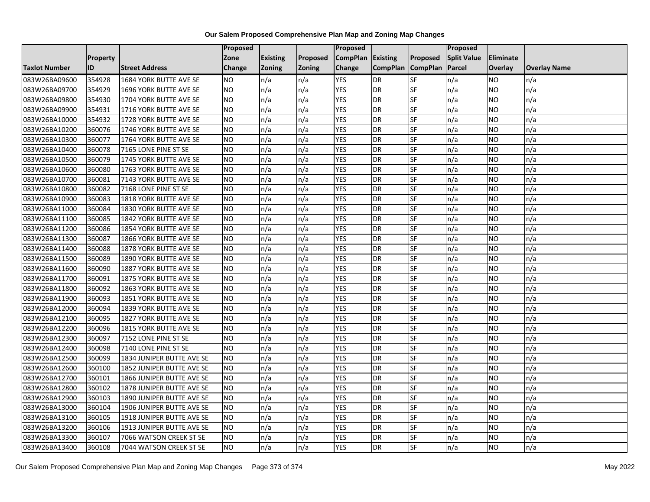|               |                 |                               | <b>Proposed</b> |                 |               | Proposed        |                 |                 | Proposed           |                |                     |
|---------------|-----------------|-------------------------------|-----------------|-----------------|---------------|-----------------|-----------------|-----------------|--------------------|----------------|---------------------|
|               | <b>Property</b> |                               | Zone            | <b>Existing</b> | Proposed      | <b>CompPlan</b> | Existing        | Proposed        | <b>Split Value</b> | Eliminate      |                     |
| Taxlot Number | ID              | <b>Street Address</b>         | <b>Change</b>   | Zoning          | <b>Zoning</b> | Change          | <b>CompPlan</b> | <b>CompPlan</b> | Parcel             | <b>Overlay</b> | <b>Overlay Name</b> |
| 083W26BA09600 | 354928          | 1684 YORK BUTTE AVE SE        | <b>NO</b>       | n/a             | n/a           | <b>YES</b>      | <b>DR</b>       | <b>SF</b>       | n/a                | NO             | n/a                 |
| 083W26BA09700 | 354929          | 1696 YORK BUTTE AVE SE        | <b>NO</b>       | n/a             | n/a           | <b>YES</b>      | DR              | SF              | n/a                | NO.            | n/a                 |
| 083W26BA09800 | 354930          | 1704 YORK BUTTE AVE SE        | <b>NO</b>       | n/a             | n/a           | <b>YES</b>      | DR              | SF              | n/a                | NO.            | n/a                 |
| 083W26BA09900 | 354931          | 1716 YORK BUTTE AVE SE        | <b>NO</b>       | n/a             | n/a           | <b>YES</b>      | <b>DR</b>       | SF              | n/a                | NO.            | n/a                 |
| 083W26BA10000 | 354932          | 1728 YORK BUTTE AVE SE        | <b>NO</b>       | n/a             | n/a           | <b>YES</b>      | <b>DR</b>       | SF              | n/a                | NO.            | n/a                 |
| 083W26BA10200 | 360076          | 1746 YORK BUTTE AVE SE        | <b>NO</b>       | n/a             | n/a           | <b>YES</b>      | <b>DR</b>       | SF              | n/a                | <b>NO</b>      | n/a                 |
| 083W26BA10300 | 360077          | 1764 YORK BUTTE AVE SE        | <b>NO</b>       | n/a             | n/a           | <b>YES</b>      | DR              | SF              | n/a                | NO.            | n/a                 |
| 083W26BA10400 | 360078          | 7165 LONE PINE ST SE          | <b>NO</b>       | n/a             | n/a           | <b>YES</b>      | DR              | SF              | n/a                | NO.            | n/a                 |
| 083W26BA10500 | 360079          | 1745 YORK BUTTE AVE SE        | <b>NO</b>       | n/a             | n/a           | <b>YES</b>      | DR              | SF              | n/a                | NO.            | n/a                 |
| 083W26BA10600 | 360080          | 1763 YORK BUTTE AVE SE        | ŌИ              | n/a             | n/a           | <b>YES</b>      | DR              | <b>SF</b>       | n/a                | NO.            | n/a                 |
| 083W26BA10700 | 360081          | 7143 YORK BUTTE AVE SE        | <b>NO</b>       | n/a             | n/a           | <b>YES</b>      | <b>DR</b>       | SF              | n/a                | NO.            | n/a                 |
| 083W26BA10800 | 360082          | 7168 LONE PINE ST SE          | <b>NO</b>       | n/a             | n/a           | <b>YES</b>      | <b>DR</b>       | SF              | n/a                | NO.            | n/a                 |
| 083W26BA10900 | 360083          | <b>1818 YORK BUTTE AVE SE</b> | ŌИ              | n/a             | n/a           | <b>YES</b>      | DR              | <b>SF</b>       | n/a                | NO.            | n/a                 |
| 083W26BA11000 | 360084          | 1830 YORK BUTTE AVE SE        | <b>NO</b>       | n/a             | n/a           | <b>YES</b>      | <b>DR</b>       | SF              | n/a                | NO.            | n/a                 |
| 083W26BA11100 | 360085          | 1842 YORK BUTTE AVE SE        | <b>NO</b>       | n/a             | n/a           | <b>YES</b>      | DR              | SF              | n/a                | NO.            | n/a                 |
| 083W26BA11200 | 360086          | 1854 YORK BUTTE AVE SE        | <b>NO</b>       | n/a             | n/a           | <b>YES</b>      | <b>DR</b>       | $S_{F}$         | n/a                | NO.            | n/a                 |
| 083W26BA11300 | 360087          | 1866 YORK BUTTE AVE SE        | ŌИ              | n/a             | n/a           | <b>YES</b>      | <b>DR</b>       | <b>SF</b>       | n/a                | NO.            | n/a                 |
| 083W26BA11400 | 360088          | 1878 YORK BUTTE AVE SE        | <b>NO</b>       | n/a             | n/a           | <b>YES</b>      | DR              | SF              | n/a                | NO.            | n/a                 |
| 083W26BA11500 | 360089          | 1890 YORK BUTTE AVE SE        | <b>NO</b>       | n/a             | n/a           | <b>YES</b>      | DR              | SF              | n/a                | NO.            | n/a                 |
| 083W26BA11600 | 360090          | 1887 YORK BUTTE AVE SE        | <b>NO</b>       | n/a             | n/a           | <b>YES</b>      | <b>DR</b>       | SF              | n/a                | NO.            | n/a                 |
| 083W26BA11700 | 360091          | 1875 YORK BUTTE AVE SE        | <b>NO</b>       | n/a             | n/a           | <b>YES</b>      | DR              | SF              | n/a                | NO.            | n/a                 |
| 083W26BA11800 | 360092          | 1863 YORK BUTTE AVE SE        | <b>NO</b>       | n/a             | n/a           | <b>YES</b>      | <b>DR</b>       | <b>SF</b>       | n/a                | <b>NO</b>      | n/a                 |
| 083W26BA11900 | 360093          | 1851 YORK BUTTE AVE SE        | <b>NO</b>       | n/a             | n/a           | <b>YES</b>      | DR              | <b>SF</b>       | n/a                | NO.            | n/a                 |
| 083W26BA12000 | 360094          | 1839 YORK BUTTE AVE SE        | <b>NO</b>       | n/a             | n/a           | <b>YES</b>      | DR              | SF              | n/a                | NO.            | n/a                 |
| 083W26BA12100 | 360095          | 1827 YORK BUTTE AVE SE        | <b>NO</b>       | n/a             | n/a           | <b>YES</b>      | <b>DR</b>       | SF              | n/a                | NO.            | n/a                 |
| 083W26BA12200 | 360096          | 1815 YORK BUTTE AVE SE        | <b>NO</b>       | n/a             | n/a           | <b>YES</b>      | DR              | SF              | n/a                | NO.            | n/a                 |
| 083W26BA12300 | 360097          | 7152 LONE PINE ST SE          | ŌИ              | n/a             | n/a           | <b>YES</b>      | <b>DR</b>       | $S_{F}$         | n/a                | NO.            | n/a                 |
| 083W26BA12400 | 360098          | 7140 LONE PINE ST SE          | <b>NO</b>       | n/a             | n/a           | <b>YES</b>      | DR              | SF              | n/a                | NO.            | n/a                 |
| 083W26BA12500 | 360099          | 1834 JUNIPER BUTTE AVE SE     | <b>NO</b>       | n/a             | n/a           | <b>YES</b>      | DR              | SF              | n/a                | NO.            | n/a                 |
| 083W26BA12600 | 360100          | 1852 JUNIPER BUTTE AVE SE     | <b>NO</b>       | n/a             | n/a           | <b>YES</b>      | <b>DR</b>       | SF              | n/a                | NO.            | n/a                 |
| 083W26BA12700 | 360101          | 1866 JUNIPER BUTTE AVE SE     | <b>NO</b>       | n/a             | n/a           | <b>YES</b>      | DR              | SF              | n/a                | NO.            | n/a                 |
| 083W26BA12800 | 360102          | 1878 JUNIPER BUTTE AVE SE     | <b>NO</b>       | n/a             | n/a           | <b>YES</b>      | DR              | SF              | n/a                | NO.            | n/a                 |
| 083W26BA12900 | 360103          | 1890 JUNIPER BUTTE AVE SE     | NO              | n/a             | n/a           | <b>YES</b>      | <b>DR</b>       | <b>SF</b>       | n/a                | NO.            | n/a                 |
| 083W26BA13000 | 360104          | 1906 JUNIPER BUTTE AVE SE     | <b>NO</b>       | n/a             | n/a           | <b>YES</b>      | DR              | SF              | n/a                | NO.            | n/a                 |
| 083W26BA13100 | 360105          | 1918 JUNIPER BUTTE AVE SE     | <b>NO</b>       | n/a             | n/a           | <b>YES</b>      | <b>DR</b>       | SF              | n/a                | NO.            | n/a                 |
| 083W26BA13200 | 360106          | 1913 JUNIPER BUTTE AVE SE     | <b>NO</b>       | n/a             | n/a           | <b>YES</b>      | <b>DR</b>       | SF              | n/a                | NO.            | n/a                 |
| 083W26BA13300 | 360107          | 7066 WATSON CREEK ST SE       | <b>NO</b>       | n/a             | n/a           | <b>YES</b>      | <b>DR</b>       | SF              | n/a                | NO             | n/a                 |
| 083W26BA13400 | 360108          | 7044 WATSON CREEK ST SE       | <b>NO</b>       | n/a             | n/a           | <b>YES</b>      | DR              | SF              | n/a                | NO.            | n/a                 |